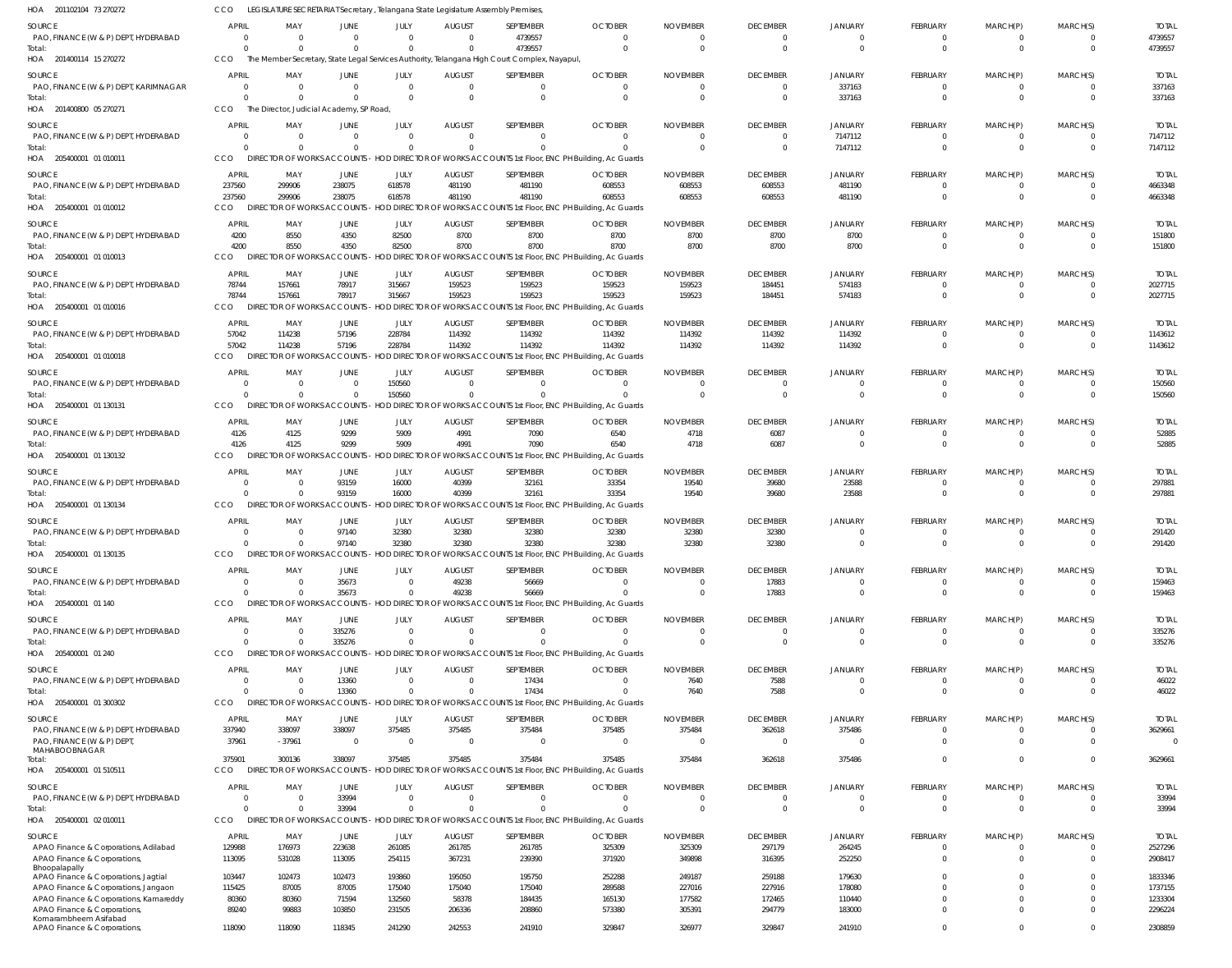| <b>OCTOBER</b><br><b>SOURCE</b><br><b>APRIL</b><br>MAY<br><b>JUNE</b><br>JULY<br><b>AUGUST</b><br>SEPTEMBER<br><b>NOVEMBER</b><br><b>DECEMBER</b><br>JANUARY<br><b>FEBRUARY</b><br>MARCH(P)<br>MARCH(S)<br>PAO, FINANCE (W & P) DEPT, HYDERABAD<br>4739557<br>$\overline{0}$<br>$\mathbf 0$<br>$\Omega$<br>$\Omega$<br>0<br>$\Omega$<br>$\Omega$<br>$\mathbf 0$<br>$\mathbf 0$<br>$\overline{\mathbf{0}}$<br>$\overline{\mathbf{0}}$<br>$^{\circ}$<br>$\Omega$<br>$\Omega$<br>$\Omega$<br>4739557<br>$\Omega$<br>$\Omega$<br>$\mathbf{0}$<br>$\Omega$<br>$\Omega$<br>$\Omega$<br>$\overline{0}$<br>$\Omega$<br>Total:<br>$\cap$<br>HOA 201400114 15 270272<br>CCO<br>The Member Secretary, State Legal Services Authority, Telangana High Court Complex, Nayapul<br><b>SOURCE</b><br><b>APRIL</b><br>MAY<br><b>JUNE</b><br>JULY<br><b>AUGUST</b><br>SEPTEMBER<br><b>OCTOBER</b><br><b>NOVEMBER</b><br><b>DECEMBER</b><br><b>JANUARY</b><br><b>FEBRUARY</b><br>MARCH(P)<br>MARCH(S)<br>PAO, FINANCE (W & P) DEPT, KARIMNAGAR<br>$\overline{0}$<br>337163<br>$\overline{0}$<br>$\overline{0}$<br>$\mathbf 0$<br>$\overline{0}$<br>$\overline{0}$<br>$\overline{0}$<br>$\overline{0}$<br>$\overline{0}$<br>- 0<br>$^{\circ}$<br>$\Omega$<br>337163<br>$\Omega$<br>$\Omega$<br>$\Omega$<br>$\Omega$<br>$\Omega$<br>$\overline{0}$<br>$\Omega$<br>$\Omega$<br>$\Omega$<br>$\Omega$<br>Total:<br>HOA 201400800 05 270271<br>CCO<br>The Director, Judicial Academy, SP Road<br><b>APRIL</b><br><b>SOURCE</b><br>MAY<br><b>JUNE</b><br>JULY<br><b>AUGUST</b><br>SEPTEMBER<br><b>OCTOBER</b><br><b>NOVEMBER</b><br><b>DECEMBER</b><br>JANUARY<br><b>FEBRUARY</b><br>MARCH(P)<br>MARCH(S)<br>PAO, FINANCE (W & P) DEPT, HYDERABAD<br>7147112<br>$\overline{0}$<br>$\Omega$<br>$\Omega$<br>$\Omega$<br>$\Omega$<br>$\overline{0}$<br>$\Omega$<br>$\Omega$<br>$\Omega$<br>$\Omega$<br>$\overline{\mathbf{0}}$<br>$\mathbf{0}$<br>$\Omega$<br>$\Omega$<br>7147112<br>$\overline{0}$<br>$\Omega$<br>$\Omega$<br>$\Omega$<br>$\Omega$<br>$\Omega$<br>$\overline{0}$<br>$\overline{0}$<br>$\overline{0}$<br>Total:<br>DIRECTOR OF WORKS ACCOUNTS - HOD DIRECTOR OF WORKS ACCOUNTS 1st Floor, ENC PH Building, Ac Guards<br>CCO<br>HOA 205400001 01 010011<br>SOURCE<br><b>APRIL</b><br>MAY<br>JUNE<br>JULY<br><b>AUGUST</b><br>SEPTEMBER<br><b>OCTOBER</b><br><b>NOVEMBER</b><br><b>DECEMBER</b><br><b>JANUARY</b><br><b>FEBRUARY</b><br>MARCH(P)<br>MARCH(S)<br>PAO, FINANCE (W & P) DEPT, HYDERABAD<br>237560<br>299906<br>238075<br>618578<br>481190<br>481190<br>608553<br>608553<br>608553<br>481190<br>$\overline{0}$<br>$\overline{\mathbf{0}}$<br>- 0<br>237560<br>299906<br>238075<br>618578<br>481190<br>481190<br>608553<br>608553<br>608553<br>481190<br>$\Omega$<br>$\Omega$<br>Total:<br>$\Omega$<br>CCO<br>HOA 205400001 01 010012<br>DIRECTOR OF WORKS ACCOUNTS - HOD DIRECTOR OF WORKS ACCOUNTS 1st Floor, ENC PH Building, Ac Guards<br>SEPTEMBER<br>SOURCE<br><b>APRIL</b><br>MAY<br><b>JUNE</b><br>JULY<br><b>AUGUST</b><br><b>OCTOBER</b><br><b>NOVEMBER</b><br><b>DECEMBER</b><br>JANUARY<br>FEBRUARY<br>MARCH(P)<br>MARCH(S)<br>8700<br>PAO, FINANCE (W & P) DEPT, HYDERABAD<br>4200<br>8550<br>4350<br>82500<br>8700<br>8700<br>8700<br>8700<br>8700<br>$\overline{0}$<br>$\Omega$<br>$\mathbf{0}$<br>82500<br>8700<br>4200<br>8550<br>4350<br>8700<br>8700<br>8700<br>8700<br>8700<br>$\overline{0}$<br>$\Omega$<br>$\Omega$<br>Total:<br>OR OF WORKS ACCOUNTS - HOD DIRECTOR OF WORKS ACCOUNTS 1st Floor, ENC PH Building, Ac Guards<br>HOA 205400001 01 010013<br><b>CCO</b><br><b>DIREC</b><br>SOURCE<br><b>APRIL</b><br>MAY<br>JUNE<br>JULY<br><b>AUGUST</b><br>SEPTEMBER<br><b>OCTOBER</b><br><b>NOVEMBER</b><br><b>DECEMBER</b><br><b>JANUARY</b><br><b>FEBRUARY</b><br>MARCH(P)<br>MARCH(S)<br>PAO, FINANCE (W & P) DEPT, HYDERABAD<br>78744<br>157661<br>78917<br>315667<br>159523<br>159523<br>159523<br>159523<br>184451<br>574183<br>$\overline{0}$<br>$\overline{0}$<br>$\overline{0}$<br>78744<br>157661<br>78917<br>315667<br>159523<br>159523<br>159523<br>159523<br>184451<br>574183<br>$\Omega$<br>$\Omega$<br>$\Omega$<br>Total:<br>HOA 205400001 01 010016<br>CCO<br>DIRECTOR OF WORKS ACCOUNTS<br>HOD DIRECTOR OF WORKS ACCOUNTS 1st Floor, ENC PH Building, Ac Guards<br><b>APRIL</b><br>SOURCE<br>MAY<br>JUNE<br>JULY<br><b>AUGUST</b><br>SEPTEMBER<br><b>OCTOBER</b><br><b>NOVEMBER</b><br><b>DECEMBER</b><br>JANUARY<br>FEBRUARY<br>MARCH(P)<br>MARCH(S)<br>PAO, FINANCE (W & P) DEPT, HYDERABAD<br>57042<br>114238<br>57196<br>228784<br>114392<br>114392<br>114392<br>114392<br>114392<br>114392<br>$\Omega$<br>$\Omega$<br>$\mathbf 0$<br>57196<br>114392<br>57042<br>114238<br>228784<br>114392<br>114392<br>114392<br>114392<br>114392<br>$\Omega$<br>$\Omega$<br>$\Omega$<br>Total:<br><b>CCO</b><br>DIRECTOR OF WORKS ACCOUNTS - HOD DIRECTOR OF WORKS ACCOUNTS 1st Floor, ENC PH Building, Ac Guards<br>HOA 205400001 01 010018<br>SOURCE<br><b>APRIL</b><br>MAY<br><b>JUNE</b><br>JULY<br><b>AUGUST</b><br>SEPTEMBER<br><b>OCTOBER</b><br><b>NOVEMBER</b><br><b>DECEMBER</b><br><b>JANUARY</b><br><b>FEBRUARY</b><br>MARCH(P)<br>MARCH(S)<br>PAO, FINANCE (W & P) DEPT, HYDERABAD<br>150560<br>$\overline{0}$<br>$\overline{0}$<br>$\mathbf 0$<br>0<br>$\Omega$<br>$\Omega$<br>$\mathbf{0}$<br>0<br>$\Omega$<br>$\Omega$<br>- 0<br>150560<br>$\Omega$<br>$\Omega$<br>$\Omega$<br>$\overline{0}$<br>$\overline{0}$<br>$\Omega$<br>$\Omega$<br>$\overline{0}$<br>$\overline{0}$<br>Total:<br>0<br>$\Omega$<br>HOA 205400001 01 130131<br>CCO<br>DIRECTOR OF WORKS ACCOUNTS - HOD DIRECTOR OF WORKS ACCOUNTS 1st Floor, ENC PH Building, Ac Guards<br><b>APRIL</b><br>MAY<br>JUNE<br>JULY<br><b>AUGUST</b><br>SEPTEMBER<br><b>OCTOBER</b><br><b>NOVEMBER</b><br><b>DECEMBER</b><br>JANUARY<br>FEBRUARY<br>MARCH(P)<br>MARCH(S)<br>SOURCE<br>4991<br>PAO, FINANCE (W & P) DEPT, HYDERABAD<br>4126<br>4125<br>9299<br>5909<br>7090<br>6540<br>4718<br>6087<br>$\overline{0}$<br>0<br>$\overline{\mathbf{0}}$<br>$\mathbf{0}$<br>5909<br>4126<br>4125<br>9299<br>4991<br>7090<br>6540<br>4718<br>6087<br>$\Omega$<br>$\Omega$<br>$\Omega$<br>$\Omega$<br>Total:<br>DIRECTOR OF WORKS ACCOUNTS - HOD DIRECTOR OF WORKS ACCOUNTS 1st Floor, ENC PH Building, Ac Guards<br>HOA 205400001 01 130132<br>CCO<br>SOURCE<br><b>APRIL</b><br>MAY<br>JUNE<br>JULY<br><b>AUGUST</b><br>SEPTEMBER<br><b>OCTOBER</b><br><b>NOVEMBER</b><br><b>DECEMBER</b><br><b>JANUARY</b><br>FEBRUARY<br>MARCH(P)<br>MARCH(S)<br>PAO, FINANCE (W & P) DEPT, HYDERABAD<br>93159<br>16000<br>40399<br>32161<br>33354<br>19540<br>39680<br>23588<br>$\overline{0}$<br>$\overline{0}$<br>0<br>- 0<br>93159<br>16000<br>40399<br>32161<br>33354<br>19540<br>39680<br>23588<br>$\Omega$<br>$\Omega$<br>$\Omega$<br>$\Omega$<br>Total:<br>HOA 205400001 01 130134<br>CCO<br><b>DIRECTOR OF WORKS ACCOUNTS</b><br>HOD DIRECTOR OF WORKS ACCOUNTS 1st Floor, ENC PH Building, Ac Guards<br><b>APRIL</b><br>MAY<br>JULY<br><b>AUGUST</b><br>SEPTEMBER<br><b>OCTOBER</b><br><b>NOVEMBER</b><br><b>DECEMBER</b><br>JANUARY<br><b>FEBRUARY</b><br>MARCH(P)<br>MARCH(S)<br>SOURCE<br>JUNE<br>PAO, FINANCE (W & P) DEPT, HYDERABAD<br>97140<br>32380<br>32380<br>32380<br>32380<br>32380<br>32380<br>$\Omega$<br>$\Omega$<br>$\Omega$<br>$\Omega$<br>-0<br>97140<br>32380<br>32380<br>32380<br>32380<br>32380<br>32380<br>$\Omega$<br>$\Omega$<br>$\Omega$<br>$\Omega$<br>Total:<br>$^{\circ}$<br><b>CCO</b><br>DIRECTOR OF WORKS ACCOUNTS - HOD DIRECTOR OF WORKS ACCOUNTS 1st Floor, ENC PH Building, Ac Guards<br>HOA 205400001 01 130135<br>SEPTEMBER<br><b>OCTOBER</b><br><b>DECEMBER</b><br><b>SOURCE</b><br><b>APRIL</b><br>MAY<br><b>JUNE</b><br>JULY<br><b>AUGUST</b><br><b>NOVEMBER</b><br><b>JANUARY</b><br><b>FEBRUARY</b><br>MARCH(P)<br>MARCH(S)<br>49238<br>PAO, FINANCE (W & P) DEPT, HYDERABAD<br>35673<br>56669<br>17883<br>$\overline{0}$<br>$\overline{0}$<br>$\mathbf 0$<br>$\overline{0}$<br>$\overline{0}$<br>- 0<br>$\Omega$<br>0<br>- 0<br>49238<br>35673<br>56669<br>17883<br>$\overline{0}$<br>$\Omega$<br>$\Omega$<br>$\Omega$<br>$\Omega$<br>$\Omega$<br>$\Omega$<br>Total:<br>$\Omega$<br>CCO<br>DIRECTOR OF WORKS ACCOUNTS - HOD DIRECTOR OF WORKS ACCOUNTS 1st Floor, ENC PH Building, Ac Guards<br>HOA 205400001 01 140<br><b>APRIL</b><br>MAY<br>JUNE<br>JULY<br><b>AUGUST</b><br>SEPTEMBER<br><b>OCTOBER</b><br><b>NOVEMBER</b><br><b>DECEMBER</b><br><b>JANUARY</b><br><b>FEBRUARY</b><br>MARCH(P)<br>MARCH(S)<br>SOURCE<br>PAO, FINANCE (W & P) DEPT, HYDERABAD<br>335276<br>$\overline{0}$<br>$\Omega$<br>$\Omega$<br>$\Omega$<br>$\Omega$<br>$\mathbf 0$<br>$\overline{0}$<br>$\overline{0}$<br>$\Omega$<br>$\Omega$<br>$\Omega$<br>$^{\circ}$<br>335276<br>$\mathbf{0}$<br>$\Omega$<br>$\Omega$<br>$\Omega$<br>$\Omega$<br>$\mathbf{0}$<br>$\Omega$<br>$\Omega$<br>$\Omega$<br>$\mathbf 0$<br>$\Omega$<br>Total:<br>$\cap$<br>HOA 205400001 01 240<br>CCO<br>DIRECTOR OF WORKS ACCOUNTS - HOD DIRECTOR OF WORKS ACCOUNTS 1st Floor, ENC PH Building, Ac Guards<br><b>SOURCE</b><br><b>APRIL</b><br>MAY<br><b>JUNE</b><br>JULY<br><b>AUGUST</b><br>SEPTEMBER<br><b>OCTOBER</b><br><b>NOVEMBER</b><br><b>DECEMBER</b><br><b>JANUARY</b><br><b>FEBRUARY</b><br>MARCH(P)<br>MARCH(S)<br>13360<br>$\overline{0}$<br>$\overline{0}$<br>17434<br>7640<br>7588<br>PAO, FINANCE (W & P) DEPT, HYDERABAD<br>$\overline{0}$<br>$\overline{0}$<br>$\mathbf 0$<br>$\overline{0}$<br>$\overline{0}$<br>$\circ$<br>- 0<br>13360<br>17434<br>7640<br>7588<br>$\Omega$<br>$\Omega$<br>$\Omega$<br>$\Omega$<br>$\Omega$<br>$\Omega$<br>$\mathbf 0$<br>$\Omega$<br>Total:<br>HOA 205400001 01 300302<br>CCO<br><b>DIRECTOR OF WORKS ACCOUNTS</b><br>- HOD DIRECTOR OF WORKS ACCOUNTS 1st Floor, ENC PH Building, Ac Guards<br><b>APRIL</b><br>MAY<br>JULY<br><b>AUGUST</b><br>SEPTEMBER<br><b>OCTOBER</b><br><b>NOVEMBER</b><br><b>DECEMBER</b><br><b>JANUARY</b><br><b>FEBRUARY</b><br>MARCH(P)<br>MARCH(S)<br>SOURCE<br>JUNE<br>375485<br>375485<br>PAO, FINANCE (W & P) DEPT, HYDERABAD<br>337940<br>338097<br>338097<br>375484<br>375485<br>375484<br>362618<br>375486<br>$\Omega$<br>$\Omega$<br>$\Omega$<br>PAO, FINANCE (W & P) DEPT,<br>37961<br>$-37961$<br>$\overline{0}$<br>$\overline{\mathbf{0}}$<br>$\overline{0}$<br>$\mathbf 0$<br>$\Omega$<br>$\Omega$<br>$\overline{0}$<br>$\Omega$<br>$\overline{0}$<br>$\mathbf 0$<br>0<br>MAHABOOBNAGAR<br>375901<br>300136<br>338097<br>375485<br>375485<br>375484<br>375485<br>375484<br>362618<br>375486<br>$\Omega$<br>$\Omega$<br>$\mathbf 0$<br>Total:<br>DIRECTOR OF WORKS ACCOUNTS - HOD DIRECTOR OF WORKS ACCOUNTS 1st Floor, ENC PH Building, Ac Guards<br>HOA 205400001 01 510511<br><b>CCO</b><br><b>DECEMBER</b><br><b>SOURCE</b><br><b>APRIL</b><br>MAY<br><b>JUNE</b><br>JULY<br><b>AUGUST</b><br>SEPTEMBER<br><b>OCTOBER</b><br><b>NOVEMBER</b><br><b>JANUARY</b><br><b>FEBRUARY</b><br>MARCH(P)<br>MARCH(S)<br>33994<br>$\overline{0}$<br>$\overline{0}$<br>$\mathbf 0$<br>PAO, FINANCE (W & P) DEPT, HYDERABAD<br>$\overline{0}$<br>$\overline{0}$<br>$\overline{0}$<br>$\overline{0}$<br>$\mathbf 0$<br>$\overline{0}$<br>$\overline{0}$<br>$\overline{0}$<br>- 0<br>33994<br>$\Omega$<br>$\Omega$<br>$\Omega$<br>$\Omega$<br>$\Omega$<br>$\Omega$<br>$\Omega$<br>$\mathbf{0}$<br>$\mathbf 0$<br>$\Omega$<br>Total:<br>HOA 205400001 02 010011<br>CCO<br>DIRECTOR OF WORKS ACCOUNTS<br>- HOD DIRECTOR OF WORKS ACCOUNTS 1st Floor, ENC PH Building, Ac Guards<br><b>APRIL</b><br>MAY<br>JULY<br><b>AUGUST</b><br>SEPTEMBER<br><b>OCTOBER</b><br><b>NOVEMBER</b><br><b>DECEMBER</b><br><b>JANUARY</b><br>FEBRUARY<br>MARCH(P)<br>MARCH(S)<br>SOURCE<br>JUNE<br>129988<br>176973<br>223638<br>261085<br>261785<br>261785<br>325309<br>325309<br>297179<br>264245<br>APAO Finance & Corporations, Adilabad<br>$\Omega$<br>$\Omega$<br>$\Omega$<br>113095<br>113095<br>254115<br>367231<br>239390<br>371920<br>349898<br>316395<br>252250<br>$\overline{0}$<br>APAO Finance & Corporations,<br>531028<br>$\overline{0}$<br>$\mathbf 0$<br>Bhoopalapally<br>103447<br>102473<br>102473<br>193860<br>195050<br>195750<br>252288<br>249187<br>259188<br>179630<br>APAO Finance & Corporations, Jagtial<br>$\Omega$<br>$\Omega$<br>$\Omega$<br>227016<br>115425<br>87005<br>87005<br>175040<br>175040<br>175040<br>289588<br>227916<br>178080<br>APAO Finance & Corporations, Jangaon<br>$\Omega$<br>$\Omega$<br>$\Omega$<br>71594<br>132560<br>58378<br>184435<br>165130<br>177582<br>172465<br>110440<br>APAO Finance & Corporations, Kamareddy<br>80360<br>80360<br>$\Omega$<br>$\Omega$<br>$\Omega$<br>89240<br>99883<br>103850<br>231505<br>206336<br>208860<br>573380<br>305391<br>294779<br>183000<br>$\Omega$<br>$\Omega$<br>APAO Finance & Corporations,<br>$\Omega$<br>Komarambheem Asifabad | HOA 201102104 73 270272     |        |        | LEGISLATURE SECRETARIAT Secretary, Telangana State Legislature Assembly Premises, |        |        |        |        |        |        |        |          |          |             |                        |
|----------------------------------------------------------------------------------------------------------------------------------------------------------------------------------------------------------------------------------------------------------------------------------------------------------------------------------------------------------------------------------------------------------------------------------------------------------------------------------------------------------------------------------------------------------------------------------------------------------------------------------------------------------------------------------------------------------------------------------------------------------------------------------------------------------------------------------------------------------------------------------------------------------------------------------------------------------------------------------------------------------------------------------------------------------------------------------------------------------------------------------------------------------------------------------------------------------------------------------------------------------------------------------------------------------------------------------------------------------------------------------------------------------------------------------------------------------------------------------------------------------------------------------------------------------------------------------------------------------------------------------------------------------------------------------------------------------------------------------------------------------------------------------------------------------------------------------------------------------------------------------------------------------------------------------------------------------------------------------------------------------------------------------------------------------------------------------------------------------------------------------------------------------------------------------------------------------------------------------------------------------------------------------------------------------------------------------------------------------------------------------------------------------------------------------------------------------------------------------------------------------------------------------------------------------------------------------------------------------------------------------------------------------------------------------------------------------------------------------------------------------------------------------------------------------------------------------------------------------------------------------------------------------------------------------------------------------------------------------------------------------------------------------------------------------------------------------------------------------------------------------------------------------------------------------------------------------------------------------------------------------------------------------------------------------------------------------------------------------------------------------------------------------------------------------------------------------------------------------------------------------------------------------------------------------------------------------------------------------------------------------------------------------------------------------------------------------------------------------------------------------------------------------------------------------------------------------------------------------------------------------------------------------------------------------------------------------------------------------------------------------------------------------------------------------------------------------------------------------------------------------------------------------------------------------------------------------------------------------------------------------------------------------------------------------------------------------------------------------------------------------------------------------------------------------------------------------------------------------------------------------------------------------------------------------------------------------------------------------------------------------------------------------------------------------------------------------------------------------------------------------------------------------------------------------------------------------------------------------------------------------------------------------------------------------------------------------------------------------------------------------------------------------------------------------------------------------------------------------------------------------------------------------------------------------------------------------------------------------------------------------------------------------------------------------------------------------------------------------------------------------------------------------------------------------------------------------------------------------------------------------------------------------------------------------------------------------------------------------------------------------------------------------------------------------------------------------------------------------------------------------------------------------------------------------------------------------------------------------------------------------------------------------------------------------------------------------------------------------------------------------------------------------------------------------------------------------------------------------------------------------------------------------------------------------------------------------------------------------------------------------------------------------------------------------------------------------------------------------------------------------------------------------------------------------------------------------------------------------------------------------------------------------------------------------------------------------------------------------------------------------------------------------------------------------------------------------------------------------------------------------------------------------------------------------------------------------------------------------------------------------------------------------------------------------------------------------------------------------------------------------------------------------------------------------------------------------------------------------------------------------------------------------------------------------------------------------------------------------------------------------------------------------------------------------------------------------------------------------------------------------------------------------------------------------------------------------------------------------------------------------------------------------------------------------------------------------------------------------------------------------------------------------------------------------------------------------------------------------------------------------------------------------------------------------------------------------------------------------------------------------------------------------------------------------------------------------------------------------------------------------------------------------------------------------------------------------------------------------------------------------------------------------------------------------------------------------------------------------------------------------------------------------------------------------------------------------------------------------------------------------------------------------------------------------------------------------------------------------------------------------------------------------------------------------------------------------------------------------------------------------------------------------------------------------------------------------------------------------------------------------------------------------------------------------------------------------------------------------------------------------------------------------------------------------------------------------------------------------------------------------------------------------------------------------------------------------------------------------------------------------------------------------------------------------------------------------------------------------------------------------------------------------------------------------------------------------------------------------------------------------------------------------------------------------------------------------------------------------------------------------------------------------------------------------------------------------------------------------------------------------------------------------------------------------------------------------------------------------------------------------------------------------------------------------------------------------------------------------------------------------------------------------------------------------------------------------------------------------------------------------------------------------------------------------------------------------------------------------------------------------------------------------------------------------------------------------------------------------------------------------------------------------------------------------------------------------------------------------------------------------------------------------------------------------------------------------------------------------------------------------------------------------------------------------------------------------------------------------------------------------------------------------------------------------------------------------------------------------------------------------------------------------------------------------------------------------------------------------------------------------------------------------------------------------------------------------------------------------------------------------------------------------------------------------------------------------------------------------------------------------------------------------------------------------------------------------------------------------------------------------------------------------------------------------------------------------------------------------------------------------------------------------------------------------------------------------------------------------------------------------------------------------------------------------------------------------------------------------------------------------------------------------------------------------------------------------------------------------------------------------------------------------------------------------------------------------------------------------------------------------------------------------------------------------------------------------------------------------------------------------------------------------------------------------------------------------------------------------------------------------------------------------------------------------------------------------------------------------------------------------------------------------------------------------------------------------------------------------------------------------------------------------------------------------------------------------------------------------------------------------------------------------------------------------------------------------------------------------------------------------------------------------------------------------------------------------------------------------------------------------------------------------------------------------------------------------------------------------------------------------------|-----------------------------|--------|--------|-----------------------------------------------------------------------------------|--------|--------|--------|--------|--------|--------|--------|----------|----------|-------------|------------------------|
|                                                                                                                                                                                                                                                                                                                                                                                                                                                                                                                                                                                                                                                                                                                                                                                                                                                                                                                                                                                                                                                                                                                                                                                                                                                                                                                                                                                                                                                                                                                                                                                                                                                                                                                                                                                                                                                                                                                                                                                                                                                                                                                                                                                                                                                                                                                                                                                                                                                                                                                                                                                                                                                                                                                                                                                                                                                                                                                                                                                                                                                                                                                                                                                                                                                                                                                                                                                                                                                                                                                                                                                                                                                                                                                                                                                                                                                                                                                                                                                                                                                                                                                                                                                                                                                                                                                                                                                                                                                                                                                                                                                                                                                                                                                                                                                                                                                                                                                                                                                                                                                                                                                                                                                                                                                                                                                                                                                                                                                                                                                                                                                                                                                                                                                                                                                                                                                                                                                                                                                                                                                                                                                                                                                                                                                                                                                                                                                                                                                                                                                                                                                                                                                                                                                                                                                                                                                                                                                                                                                                                                                                                                                                                                                                                                                                                                                                                                                                                                                                                                                                                                                                                                                                                                                                                                                                                                                                                                                                                                                                                                                                                                                                                                                                                                                                                                                                                                                                                                                                                                                                                                                                                                                                                                                                                                                                                                                                                                                                                                                                                                                                                                                                                                                                                                                                                                                                                                                                                                                                                                                                                                                                                                                                                                                                                                                                                                                                                                                                                                                                                                                                                                                                                                                                                                                                                                                                                                                                                                                                                                                                                                                                                                                                                                                                                                                                                                                                                                                                                                                                                                                                                                                                                                                                                                                                                                                                                                                                                                                                                                                                                                                                                                                                                                                                                                                                                                                                                                                                                                                                                                                                                                                                                                                                                                                                                                                                                                                                                                                                                                                                                                                                                                                                                                                                                                                                                                                                                        |                             |        |        |                                                                                   |        |        |        |        |        |        |        |          |          |             | <b>TOTAL</b>           |
|                                                                                                                                                                                                                                                                                                                                                                                                                                                                                                                                                                                                                                                                                                                                                                                                                                                                                                                                                                                                                                                                                                                                                                                                                                                                                                                                                                                                                                                                                                                                                                                                                                                                                                                                                                                                                                                                                                                                                                                                                                                                                                                                                                                                                                                                                                                                                                                                                                                                                                                                                                                                                                                                                                                                                                                                                                                                                                                                                                                                                                                                                                                                                                                                                                                                                                                                                                                                                                                                                                                                                                                                                                                                                                                                                                                                                                                                                                                                                                                                                                                                                                                                                                                                                                                                                                                                                                                                                                                                                                                                                                                                                                                                                                                                                                                                                                                                                                                                                                                                                                                                                                                                                                                                                                                                                                                                                                                                                                                                                                                                                                                                                                                                                                                                                                                                                                                                                                                                                                                                                                                                                                                                                                                                                                                                                                                                                                                                                                                                                                                                                                                                                                                                                                                                                                                                                                                                                                                                                                                                                                                                                                                                                                                                                                                                                                                                                                                                                                                                                                                                                                                                                                                                                                                                                                                                                                                                                                                                                                                                                                                                                                                                                                                                                                                                                                                                                                                                                                                                                                                                                                                                                                                                                                                                                                                                                                                                                                                                                                                                                                                                                                                                                                                                                                                                                                                                                                                                                                                                                                                                                                                                                                                                                                                                                                                                                                                                                                                                                                                                                                                                                                                                                                                                                                                                                                                                                                                                                                                                                                                                                                                                                                                                                                                                                                                                                                                                                                                                                                                                                                                                                                                                                                                                                                                                                                                                                                                                                                                                                                                                                                                                                                                                                                                                                                                                                                                                                                                                                                                                                                                                                                                                                                                                                                                                                                                                                                                                                                                                                                                                                                                                                                                                                                                                                                                                                                                                                        |                             |        |        |                                                                                   |        |        |        |        |        |        |        |          |          |             | 4739557                |
|                                                                                                                                                                                                                                                                                                                                                                                                                                                                                                                                                                                                                                                                                                                                                                                                                                                                                                                                                                                                                                                                                                                                                                                                                                                                                                                                                                                                                                                                                                                                                                                                                                                                                                                                                                                                                                                                                                                                                                                                                                                                                                                                                                                                                                                                                                                                                                                                                                                                                                                                                                                                                                                                                                                                                                                                                                                                                                                                                                                                                                                                                                                                                                                                                                                                                                                                                                                                                                                                                                                                                                                                                                                                                                                                                                                                                                                                                                                                                                                                                                                                                                                                                                                                                                                                                                                                                                                                                                                                                                                                                                                                                                                                                                                                                                                                                                                                                                                                                                                                                                                                                                                                                                                                                                                                                                                                                                                                                                                                                                                                                                                                                                                                                                                                                                                                                                                                                                                                                                                                                                                                                                                                                                                                                                                                                                                                                                                                                                                                                                                                                                                                                                                                                                                                                                                                                                                                                                                                                                                                                                                                                                                                                                                                                                                                                                                                                                                                                                                                                                                                                                                                                                                                                                                                                                                                                                                                                                                                                                                                                                                                                                                                                                                                                                                                                                                                                                                                                                                                                                                                                                                                                                                                                                                                                                                                                                                                                                                                                                                                                                                                                                                                                                                                                                                                                                                                                                                                                                                                                                                                                                                                                                                                                                                                                                                                                                                                                                                                                                                                                                                                                                                                                                                                                                                                                                                                                                                                                                                                                                                                                                                                                                                                                                                                                                                                                                                                                                                                                                                                                                                                                                                                                                                                                                                                                                                                                                                                                                                                                                                                                                                                                                                                                                                                                                                                                                                                                                                                                                                                                                                                                                                                                                                                                                                                                                                                                                                                                                                                                                                                                                                                                                                                                                                                                                                                                                                                                        |                             |        |        |                                                                                   |        |        |        |        |        |        |        |          |          |             | 4739557                |
|                                                                                                                                                                                                                                                                                                                                                                                                                                                                                                                                                                                                                                                                                                                                                                                                                                                                                                                                                                                                                                                                                                                                                                                                                                                                                                                                                                                                                                                                                                                                                                                                                                                                                                                                                                                                                                                                                                                                                                                                                                                                                                                                                                                                                                                                                                                                                                                                                                                                                                                                                                                                                                                                                                                                                                                                                                                                                                                                                                                                                                                                                                                                                                                                                                                                                                                                                                                                                                                                                                                                                                                                                                                                                                                                                                                                                                                                                                                                                                                                                                                                                                                                                                                                                                                                                                                                                                                                                                                                                                                                                                                                                                                                                                                                                                                                                                                                                                                                                                                                                                                                                                                                                                                                                                                                                                                                                                                                                                                                                                                                                                                                                                                                                                                                                                                                                                                                                                                                                                                                                                                                                                                                                                                                                                                                                                                                                                                                                                                                                                                                                                                                                                                                                                                                                                                                                                                                                                                                                                                                                                                                                                                                                                                                                                                                                                                                                                                                                                                                                                                                                                                                                                                                                                                                                                                                                                                                                                                                                                                                                                                                                                                                                                                                                                                                                                                                                                                                                                                                                                                                                                                                                                                                                                                                                                                                                                                                                                                                                                                                                                                                                                                                                                                                                                                                                                                                                                                                                                                                                                                                                                                                                                                                                                                                                                                                                                                                                                                                                                                                                                                                                                                                                                                                                                                                                                                                                                                                                                                                                                                                                                                                                                                                                                                                                                                                                                                                                                                                                                                                                                                                                                                                                                                                                                                                                                                                                                                                                                                                                                                                                                                                                                                                                                                                                                                                                                                                                                                                                                                                                                                                                                                                                                                                                                                                                                                                                                                                                                                                                                                                                                                                                                                                                                                                                                                                                                                                                        |                             |        |        |                                                                                   |        |        |        |        |        |        |        |          |          |             |                        |
|                                                                                                                                                                                                                                                                                                                                                                                                                                                                                                                                                                                                                                                                                                                                                                                                                                                                                                                                                                                                                                                                                                                                                                                                                                                                                                                                                                                                                                                                                                                                                                                                                                                                                                                                                                                                                                                                                                                                                                                                                                                                                                                                                                                                                                                                                                                                                                                                                                                                                                                                                                                                                                                                                                                                                                                                                                                                                                                                                                                                                                                                                                                                                                                                                                                                                                                                                                                                                                                                                                                                                                                                                                                                                                                                                                                                                                                                                                                                                                                                                                                                                                                                                                                                                                                                                                                                                                                                                                                                                                                                                                                                                                                                                                                                                                                                                                                                                                                                                                                                                                                                                                                                                                                                                                                                                                                                                                                                                                                                                                                                                                                                                                                                                                                                                                                                                                                                                                                                                                                                                                                                                                                                                                                                                                                                                                                                                                                                                                                                                                                                                                                                                                                                                                                                                                                                                                                                                                                                                                                                                                                                                                                                                                                                                                                                                                                                                                                                                                                                                                                                                                                                                                                                                                                                                                                                                                                                                                                                                                                                                                                                                                                                                                                                                                                                                                                                                                                                                                                                                                                                                                                                                                                                                                                                                                                                                                                                                                                                                                                                                                                                                                                                                                                                                                                                                                                                                                                                                                                                                                                                                                                                                                                                                                                                                                                                                                                                                                                                                                                                                                                                                                                                                                                                                                                                                                                                                                                                                                                                                                                                                                                                                                                                                                                                                                                                                                                                                                                                                                                                                                                                                                                                                                                                                                                                                                                                                                                                                                                                                                                                                                                                                                                                                                                                                                                                                                                                                                                                                                                                                                                                                                                                                                                                                                                                                                                                                                                                                                                                                                                                                                                                                                                                                                                                                                                                                                                                                        |                             |        |        |                                                                                   |        |        |        |        |        |        |        |          |          |             | <b>TOTAL</b><br>337163 |
|                                                                                                                                                                                                                                                                                                                                                                                                                                                                                                                                                                                                                                                                                                                                                                                                                                                                                                                                                                                                                                                                                                                                                                                                                                                                                                                                                                                                                                                                                                                                                                                                                                                                                                                                                                                                                                                                                                                                                                                                                                                                                                                                                                                                                                                                                                                                                                                                                                                                                                                                                                                                                                                                                                                                                                                                                                                                                                                                                                                                                                                                                                                                                                                                                                                                                                                                                                                                                                                                                                                                                                                                                                                                                                                                                                                                                                                                                                                                                                                                                                                                                                                                                                                                                                                                                                                                                                                                                                                                                                                                                                                                                                                                                                                                                                                                                                                                                                                                                                                                                                                                                                                                                                                                                                                                                                                                                                                                                                                                                                                                                                                                                                                                                                                                                                                                                                                                                                                                                                                                                                                                                                                                                                                                                                                                                                                                                                                                                                                                                                                                                                                                                                                                                                                                                                                                                                                                                                                                                                                                                                                                                                                                                                                                                                                                                                                                                                                                                                                                                                                                                                                                                                                                                                                                                                                                                                                                                                                                                                                                                                                                                                                                                                                                                                                                                                                                                                                                                                                                                                                                                                                                                                                                                                                                                                                                                                                                                                                                                                                                                                                                                                                                                                                                                                                                                                                                                                                                                                                                                                                                                                                                                                                                                                                                                                                                                                                                                                                                                                                                                                                                                                                                                                                                                                                                                                                                                                                                                                                                                                                                                                                                                                                                                                                                                                                                                                                                                                                                                                                                                                                                                                                                                                                                                                                                                                                                                                                                                                                                                                                                                                                                                                                                                                                                                                                                                                                                                                                                                                                                                                                                                                                                                                                                                                                                                                                                                                                                                                                                                                                                                                                                                                                                                                                                                                                                                                                                                        |                             |        |        |                                                                                   |        |        |        |        |        |        |        |          |          |             | 337163                 |
|                                                                                                                                                                                                                                                                                                                                                                                                                                                                                                                                                                                                                                                                                                                                                                                                                                                                                                                                                                                                                                                                                                                                                                                                                                                                                                                                                                                                                                                                                                                                                                                                                                                                                                                                                                                                                                                                                                                                                                                                                                                                                                                                                                                                                                                                                                                                                                                                                                                                                                                                                                                                                                                                                                                                                                                                                                                                                                                                                                                                                                                                                                                                                                                                                                                                                                                                                                                                                                                                                                                                                                                                                                                                                                                                                                                                                                                                                                                                                                                                                                                                                                                                                                                                                                                                                                                                                                                                                                                                                                                                                                                                                                                                                                                                                                                                                                                                                                                                                                                                                                                                                                                                                                                                                                                                                                                                                                                                                                                                                                                                                                                                                                                                                                                                                                                                                                                                                                                                                                                                                                                                                                                                                                                                                                                                                                                                                                                                                                                                                                                                                                                                                                                                                                                                                                                                                                                                                                                                                                                                                                                                                                                                                                                                                                                                                                                                                                                                                                                                                                                                                                                                                                                                                                                                                                                                                                                                                                                                                                                                                                                                                                                                                                                                                                                                                                                                                                                                                                                                                                                                                                                                                                                                                                                                                                                                                                                                                                                                                                                                                                                                                                                                                                                                                                                                                                                                                                                                                                                                                                                                                                                                                                                                                                                                                                                                                                                                                                                                                                                                                                                                                                                                                                                                                                                                                                                                                                                                                                                                                                                                                                                                                                                                                                                                                                                                                                                                                                                                                                                                                                                                                                                                                                                                                                                                                                                                                                                                                                                                                                                                                                                                                                                                                                                                                                                                                                                                                                                                                                                                                                                                                                                                                                                                                                                                                                                                                                                                                                                                                                                                                                                                                                                                                                                                                                                                                                                                                        |                             |        |        |                                                                                   |        |        |        |        |        |        |        |          |          |             |                        |
|                                                                                                                                                                                                                                                                                                                                                                                                                                                                                                                                                                                                                                                                                                                                                                                                                                                                                                                                                                                                                                                                                                                                                                                                                                                                                                                                                                                                                                                                                                                                                                                                                                                                                                                                                                                                                                                                                                                                                                                                                                                                                                                                                                                                                                                                                                                                                                                                                                                                                                                                                                                                                                                                                                                                                                                                                                                                                                                                                                                                                                                                                                                                                                                                                                                                                                                                                                                                                                                                                                                                                                                                                                                                                                                                                                                                                                                                                                                                                                                                                                                                                                                                                                                                                                                                                                                                                                                                                                                                                                                                                                                                                                                                                                                                                                                                                                                                                                                                                                                                                                                                                                                                                                                                                                                                                                                                                                                                                                                                                                                                                                                                                                                                                                                                                                                                                                                                                                                                                                                                                                                                                                                                                                                                                                                                                                                                                                                                                                                                                                                                                                                                                                                                                                                                                                                                                                                                                                                                                                                                                                                                                                                                                                                                                                                                                                                                                                                                                                                                                                                                                                                                                                                                                                                                                                                                                                                                                                                                                                                                                                                                                                                                                                                                                                                                                                                                                                                                                                                                                                                                                                                                                                                                                                                                                                                                                                                                                                                                                                                                                                                                                                                                                                                                                                                                                                                                                                                                                                                                                                                                                                                                                                                                                                                                                                                                                                                                                                                                                                                                                                                                                                                                                                                                                                                                                                                                                                                                                                                                                                                                                                                                                                                                                                                                                                                                                                                                                                                                                                                                                                                                                                                                                                                                                                                                                                                                                                                                                                                                                                                                                                                                                                                                                                                                                                                                                                                                                                                                                                                                                                                                                                                                                                                                                                                                                                                                                                                                                                                                                                                                                                                                                                                                                                                                                                                                                                                                                        |                             |        |        |                                                                                   |        |        |        |        |        |        |        |          |          |             | <b>TOTAL</b>           |
|                                                                                                                                                                                                                                                                                                                                                                                                                                                                                                                                                                                                                                                                                                                                                                                                                                                                                                                                                                                                                                                                                                                                                                                                                                                                                                                                                                                                                                                                                                                                                                                                                                                                                                                                                                                                                                                                                                                                                                                                                                                                                                                                                                                                                                                                                                                                                                                                                                                                                                                                                                                                                                                                                                                                                                                                                                                                                                                                                                                                                                                                                                                                                                                                                                                                                                                                                                                                                                                                                                                                                                                                                                                                                                                                                                                                                                                                                                                                                                                                                                                                                                                                                                                                                                                                                                                                                                                                                                                                                                                                                                                                                                                                                                                                                                                                                                                                                                                                                                                                                                                                                                                                                                                                                                                                                                                                                                                                                                                                                                                                                                                                                                                                                                                                                                                                                                                                                                                                                                                                                                                                                                                                                                                                                                                                                                                                                                                                                                                                                                                                                                                                                                                                                                                                                                                                                                                                                                                                                                                                                                                                                                                                                                                                                                                                                                                                                                                                                                                                                                                                                                                                                                                                                                                                                                                                                                                                                                                                                                                                                                                                                                                                                                                                                                                                                                                                                                                                                                                                                                                                                                                                                                                                                                                                                                                                                                                                                                                                                                                                                                                                                                                                                                                                                                                                                                                                                                                                                                                                                                                                                                                                                                                                                                                                                                                                                                                                                                                                                                                                                                                                                                                                                                                                                                                                                                                                                                                                                                                                                                                                                                                                                                                                                                                                                                                                                                                                                                                                                                                                                                                                                                                                                                                                                                                                                                                                                                                                                                                                                                                                                                                                                                                                                                                                                                                                                                                                                                                                                                                                                                                                                                                                                                                                                                                                                                                                                                                                                                                                                                                                                                                                                                                                                                                                                                                                                                                                                        |                             |        |        |                                                                                   |        |        |        |        |        |        |        |          |          |             | 7147112                |
|                                                                                                                                                                                                                                                                                                                                                                                                                                                                                                                                                                                                                                                                                                                                                                                                                                                                                                                                                                                                                                                                                                                                                                                                                                                                                                                                                                                                                                                                                                                                                                                                                                                                                                                                                                                                                                                                                                                                                                                                                                                                                                                                                                                                                                                                                                                                                                                                                                                                                                                                                                                                                                                                                                                                                                                                                                                                                                                                                                                                                                                                                                                                                                                                                                                                                                                                                                                                                                                                                                                                                                                                                                                                                                                                                                                                                                                                                                                                                                                                                                                                                                                                                                                                                                                                                                                                                                                                                                                                                                                                                                                                                                                                                                                                                                                                                                                                                                                                                                                                                                                                                                                                                                                                                                                                                                                                                                                                                                                                                                                                                                                                                                                                                                                                                                                                                                                                                                                                                                                                                                                                                                                                                                                                                                                                                                                                                                                                                                                                                                                                                                                                                                                                                                                                                                                                                                                                                                                                                                                                                                                                                                                                                                                                                                                                                                                                                                                                                                                                                                                                                                                                                                                                                                                                                                                                                                                                                                                                                                                                                                                                                                                                                                                                                                                                                                                                                                                                                                                                                                                                                                                                                                                                                                                                                                                                                                                                                                                                                                                                                                                                                                                                                                                                                                                                                                                                                                                                                                                                                                                                                                                                                                                                                                                                                                                                                                                                                                                                                                                                                                                                                                                                                                                                                                                                                                                                                                                                                                                                                                                                                                                                                                                                                                                                                                                                                                                                                                                                                                                                                                                                                                                                                                                                                                                                                                                                                                                                                                                                                                                                                                                                                                                                                                                                                                                                                                                                                                                                                                                                                                                                                                                                                                                                                                                                                                                                                                                                                                                                                                                                                                                                                                                                                                                                                                                                                                                                                        |                             |        |        |                                                                                   |        |        |        |        |        |        |        |          |          |             | 7147112                |
|                                                                                                                                                                                                                                                                                                                                                                                                                                                                                                                                                                                                                                                                                                                                                                                                                                                                                                                                                                                                                                                                                                                                                                                                                                                                                                                                                                                                                                                                                                                                                                                                                                                                                                                                                                                                                                                                                                                                                                                                                                                                                                                                                                                                                                                                                                                                                                                                                                                                                                                                                                                                                                                                                                                                                                                                                                                                                                                                                                                                                                                                                                                                                                                                                                                                                                                                                                                                                                                                                                                                                                                                                                                                                                                                                                                                                                                                                                                                                                                                                                                                                                                                                                                                                                                                                                                                                                                                                                                                                                                                                                                                                                                                                                                                                                                                                                                                                                                                                                                                                                                                                                                                                                                                                                                                                                                                                                                                                                                                                                                                                                                                                                                                                                                                                                                                                                                                                                                                                                                                                                                                                                                                                                                                                                                                                                                                                                                                                                                                                                                                                                                                                                                                                                                                                                                                                                                                                                                                                                                                                                                                                                                                                                                                                                                                                                                                                                                                                                                                                                                                                                                                                                                                                                                                                                                                                                                                                                                                                                                                                                                                                                                                                                                                                                                                                                                                                                                                                                                                                                                                                                                                                                                                                                                                                                                                                                                                                                                                                                                                                                                                                                                                                                                                                                                                                                                                                                                                                                                                                                                                                                                                                                                                                                                                                                                                                                                                                                                                                                                                                                                                                                                                                                                                                                                                                                                                                                                                                                                                                                                                                                                                                                                                                                                                                                                                                                                                                                                                                                                                                                                                                                                                                                                                                                                                                                                                                                                                                                                                                                                                                                                                                                                                                                                                                                                                                                                                                                                                                                                                                                                                                                                                                                                                                                                                                                                                                                                                                                                                                                                                                                                                                                                                                                                                                                                                                                                                                        |                             |        |        |                                                                                   |        |        |        |        |        |        |        |          |          |             |                        |
|                                                                                                                                                                                                                                                                                                                                                                                                                                                                                                                                                                                                                                                                                                                                                                                                                                                                                                                                                                                                                                                                                                                                                                                                                                                                                                                                                                                                                                                                                                                                                                                                                                                                                                                                                                                                                                                                                                                                                                                                                                                                                                                                                                                                                                                                                                                                                                                                                                                                                                                                                                                                                                                                                                                                                                                                                                                                                                                                                                                                                                                                                                                                                                                                                                                                                                                                                                                                                                                                                                                                                                                                                                                                                                                                                                                                                                                                                                                                                                                                                                                                                                                                                                                                                                                                                                                                                                                                                                                                                                                                                                                                                                                                                                                                                                                                                                                                                                                                                                                                                                                                                                                                                                                                                                                                                                                                                                                                                                                                                                                                                                                                                                                                                                                                                                                                                                                                                                                                                                                                                                                                                                                                                                                                                                                                                                                                                                                                                                                                                                                                                                                                                                                                                                                                                                                                                                                                                                                                                                                                                                                                                                                                                                                                                                                                                                                                                                                                                                                                                                                                                                                                                                                                                                                                                                                                                                                                                                                                                                                                                                                                                                                                                                                                                                                                                                                                                                                                                                                                                                                                                                                                                                                                                                                                                                                                                                                                                                                                                                                                                                                                                                                                                                                                                                                                                                                                                                                                                                                                                                                                                                                                                                                                                                                                                                                                                                                                                                                                                                                                                                                                                                                                                                                                                                                                                                                                                                                                                                                                                                                                                                                                                                                                                                                                                                                                                                                                                                                                                                                                                                                                                                                                                                                                                                                                                                                                                                                                                                                                                                                                                                                                                                                                                                                                                                                                                                                                                                                                                                                                                                                                                                                                                                                                                                                                                                                                                                                                                                                                                                                                                                                                                                                                                                                                                                                                                                                                                        |                             |        |        |                                                                                   |        |        |        |        |        |        |        |          |          |             | <b>TOTAL</b>           |
|                                                                                                                                                                                                                                                                                                                                                                                                                                                                                                                                                                                                                                                                                                                                                                                                                                                                                                                                                                                                                                                                                                                                                                                                                                                                                                                                                                                                                                                                                                                                                                                                                                                                                                                                                                                                                                                                                                                                                                                                                                                                                                                                                                                                                                                                                                                                                                                                                                                                                                                                                                                                                                                                                                                                                                                                                                                                                                                                                                                                                                                                                                                                                                                                                                                                                                                                                                                                                                                                                                                                                                                                                                                                                                                                                                                                                                                                                                                                                                                                                                                                                                                                                                                                                                                                                                                                                                                                                                                                                                                                                                                                                                                                                                                                                                                                                                                                                                                                                                                                                                                                                                                                                                                                                                                                                                                                                                                                                                                                                                                                                                                                                                                                                                                                                                                                                                                                                                                                                                                                                                                                                                                                                                                                                                                                                                                                                                                                                                                                                                                                                                                                                                                                                                                                                                                                                                                                                                                                                                                                                                                                                                                                                                                                                                                                                                                                                                                                                                                                                                                                                                                                                                                                                                                                                                                                                                                                                                                                                                                                                                                                                                                                                                                                                                                                                                                                                                                                                                                                                                                                                                                                                                                                                                                                                                                                                                                                                                                                                                                                                                                                                                                                                                                                                                                                                                                                                                                                                                                                                                                                                                                                                                                                                                                                                                                                                                                                                                                                                                                                                                                                                                                                                                                                                                                                                                                                                                                                                                                                                                                                                                                                                                                                                                                                                                                                                                                                                                                                                                                                                                                                                                                                                                                                                                                                                                                                                                                                                                                                                                                                                                                                                                                                                                                                                                                                                                                                                                                                                                                                                                                                                                                                                                                                                                                                                                                                                                                                                                                                                                                                                                                                                                                                                                                                                                                                                                                                                        |                             |        |        |                                                                                   |        |        |        |        |        |        |        |          |          |             | 4663348                |
|                                                                                                                                                                                                                                                                                                                                                                                                                                                                                                                                                                                                                                                                                                                                                                                                                                                                                                                                                                                                                                                                                                                                                                                                                                                                                                                                                                                                                                                                                                                                                                                                                                                                                                                                                                                                                                                                                                                                                                                                                                                                                                                                                                                                                                                                                                                                                                                                                                                                                                                                                                                                                                                                                                                                                                                                                                                                                                                                                                                                                                                                                                                                                                                                                                                                                                                                                                                                                                                                                                                                                                                                                                                                                                                                                                                                                                                                                                                                                                                                                                                                                                                                                                                                                                                                                                                                                                                                                                                                                                                                                                                                                                                                                                                                                                                                                                                                                                                                                                                                                                                                                                                                                                                                                                                                                                                                                                                                                                                                                                                                                                                                                                                                                                                                                                                                                                                                                                                                                                                                                                                                                                                                                                                                                                                                                                                                                                                                                                                                                                                                                                                                                                                                                                                                                                                                                                                                                                                                                                                                                                                                                                                                                                                                                                                                                                                                                                                                                                                                                                                                                                                                                                                                                                                                                                                                                                                                                                                                                                                                                                                                                                                                                                                                                                                                                                                                                                                                                                                                                                                                                                                                                                                                                                                                                                                                                                                                                                                                                                                                                                                                                                                                                                                                                                                                                                                                                                                                                                                                                                                                                                                                                                                                                                                                                                                                                                                                                                                                                                                                                                                                                                                                                                                                                                                                                                                                                                                                                                                                                                                                                                                                                                                                                                                                                                                                                                                                                                                                                                                                                                                                                                                                                                                                                                                                                                                                                                                                                                                                                                                                                                                                                                                                                                                                                                                                                                                                                                                                                                                                                                                                                                                                                                                                                                                                                                                                                                                                                                                                                                                                                                                                                                                                                                                                                                                                                                                                                        |                             |        |        |                                                                                   |        |        |        |        |        |        |        |          |          |             | 4663348                |
|                                                                                                                                                                                                                                                                                                                                                                                                                                                                                                                                                                                                                                                                                                                                                                                                                                                                                                                                                                                                                                                                                                                                                                                                                                                                                                                                                                                                                                                                                                                                                                                                                                                                                                                                                                                                                                                                                                                                                                                                                                                                                                                                                                                                                                                                                                                                                                                                                                                                                                                                                                                                                                                                                                                                                                                                                                                                                                                                                                                                                                                                                                                                                                                                                                                                                                                                                                                                                                                                                                                                                                                                                                                                                                                                                                                                                                                                                                                                                                                                                                                                                                                                                                                                                                                                                                                                                                                                                                                                                                                                                                                                                                                                                                                                                                                                                                                                                                                                                                                                                                                                                                                                                                                                                                                                                                                                                                                                                                                                                                                                                                                                                                                                                                                                                                                                                                                                                                                                                                                                                                                                                                                                                                                                                                                                                                                                                                                                                                                                                                                                                                                                                                                                                                                                                                                                                                                                                                                                                                                                                                                                                                                                                                                                                                                                                                                                                                                                                                                                                                                                                                                                                                                                                                                                                                                                                                                                                                                                                                                                                                                                                                                                                                                                                                                                                                                                                                                                                                                                                                                                                                                                                                                                                                                                                                                                                                                                                                                                                                                                                                                                                                                                                                                                                                                                                                                                                                                                                                                                                                                                                                                                                                                                                                                                                                                                                                                                                                                                                                                                                                                                                                                                                                                                                                                                                                                                                                                                                                                                                                                                                                                                                                                                                                                                                                                                                                                                                                                                                                                                                                                                                                                                                                                                                                                                                                                                                                                                                                                                                                                                                                                                                                                                                                                                                                                                                                                                                                                                                                                                                                                                                                                                                                                                                                                                                                                                                                                                                                                                                                                                                                                                                                                                                                                                                                                                                                                                                        |                             |        |        |                                                                                   |        |        |        |        |        |        |        |          |          |             | <b>TOTAL</b>           |
|                                                                                                                                                                                                                                                                                                                                                                                                                                                                                                                                                                                                                                                                                                                                                                                                                                                                                                                                                                                                                                                                                                                                                                                                                                                                                                                                                                                                                                                                                                                                                                                                                                                                                                                                                                                                                                                                                                                                                                                                                                                                                                                                                                                                                                                                                                                                                                                                                                                                                                                                                                                                                                                                                                                                                                                                                                                                                                                                                                                                                                                                                                                                                                                                                                                                                                                                                                                                                                                                                                                                                                                                                                                                                                                                                                                                                                                                                                                                                                                                                                                                                                                                                                                                                                                                                                                                                                                                                                                                                                                                                                                                                                                                                                                                                                                                                                                                                                                                                                                                                                                                                                                                                                                                                                                                                                                                                                                                                                                                                                                                                                                                                                                                                                                                                                                                                                                                                                                                                                                                                                                                                                                                                                                                                                                                                                                                                                                                                                                                                                                                                                                                                                                                                                                                                                                                                                                                                                                                                                                                                                                                                                                                                                                                                                                                                                                                                                                                                                                                                                                                                                                                                                                                                                                                                                                                                                                                                                                                                                                                                                                                                                                                                                                                                                                                                                                                                                                                                                                                                                                                                                                                                                                                                                                                                                                                                                                                                                                                                                                                                                                                                                                                                                                                                                                                                                                                                                                                                                                                                                                                                                                                                                                                                                                                                                                                                                                                                                                                                                                                                                                                                                                                                                                                                                                                                                                                                                                                                                                                                                                                                                                                                                                                                                                                                                                                                                                                                                                                                                                                                                                                                                                                                                                                                                                                                                                                                                                                                                                                                                                                                                                                                                                                                                                                                                                                                                                                                                                                                                                                                                                                                                                                                                                                                                                                                                                                                                                                                                                                                                                                                                                                                                                                                                                                                                                                                                                                                        |                             |        |        |                                                                                   |        |        |        |        |        |        |        |          |          |             | 151800                 |
|                                                                                                                                                                                                                                                                                                                                                                                                                                                                                                                                                                                                                                                                                                                                                                                                                                                                                                                                                                                                                                                                                                                                                                                                                                                                                                                                                                                                                                                                                                                                                                                                                                                                                                                                                                                                                                                                                                                                                                                                                                                                                                                                                                                                                                                                                                                                                                                                                                                                                                                                                                                                                                                                                                                                                                                                                                                                                                                                                                                                                                                                                                                                                                                                                                                                                                                                                                                                                                                                                                                                                                                                                                                                                                                                                                                                                                                                                                                                                                                                                                                                                                                                                                                                                                                                                                                                                                                                                                                                                                                                                                                                                                                                                                                                                                                                                                                                                                                                                                                                                                                                                                                                                                                                                                                                                                                                                                                                                                                                                                                                                                                                                                                                                                                                                                                                                                                                                                                                                                                                                                                                                                                                                                                                                                                                                                                                                                                                                                                                                                                                                                                                                                                                                                                                                                                                                                                                                                                                                                                                                                                                                                                                                                                                                                                                                                                                                                                                                                                                                                                                                                                                                                                                                                                                                                                                                                                                                                                                                                                                                                                                                                                                                                                                                                                                                                                                                                                                                                                                                                                                                                                                                                                                                                                                                                                                                                                                                                                                                                                                                                                                                                                                                                                                                                                                                                                                                                                                                                                                                                                                                                                                                                                                                                                                                                                                                                                                                                                                                                                                                                                                                                                                                                                                                                                                                                                                                                                                                                                                                                                                                                                                                                                                                                                                                                                                                                                                                                                                                                                                                                                                                                                                                                                                                                                                                                                                                                                                                                                                                                                                                                                                                                                                                                                                                                                                                                                                                                                                                                                                                                                                                                                                                                                                                                                                                                                                                                                                                                                                                                                                                                                                                                                                                                                                                                                                                                                                                        |                             |        |        |                                                                                   |        |        |        |        |        |        |        |          |          |             | 151800                 |
|                                                                                                                                                                                                                                                                                                                                                                                                                                                                                                                                                                                                                                                                                                                                                                                                                                                                                                                                                                                                                                                                                                                                                                                                                                                                                                                                                                                                                                                                                                                                                                                                                                                                                                                                                                                                                                                                                                                                                                                                                                                                                                                                                                                                                                                                                                                                                                                                                                                                                                                                                                                                                                                                                                                                                                                                                                                                                                                                                                                                                                                                                                                                                                                                                                                                                                                                                                                                                                                                                                                                                                                                                                                                                                                                                                                                                                                                                                                                                                                                                                                                                                                                                                                                                                                                                                                                                                                                                                                                                                                                                                                                                                                                                                                                                                                                                                                                                                                                                                                                                                                                                                                                                                                                                                                                                                                                                                                                                                                                                                                                                                                                                                                                                                                                                                                                                                                                                                                                                                                                                                                                                                                                                                                                                                                                                                                                                                                                                                                                                                                                                                                                                                                                                                                                                                                                                                                                                                                                                                                                                                                                                                                                                                                                                                                                                                                                                                                                                                                                                                                                                                                                                                                                                                                                                                                                                                                                                                                                                                                                                                                                                                                                                                                                                                                                                                                                                                                                                                                                                                                                                                                                                                                                                                                                                                                                                                                                                                                                                                                                                                                                                                                                                                                                                                                                                                                                                                                                                                                                                                                                                                                                                                                                                                                                                                                                                                                                                                                                                                                                                                                                                                                                                                                                                                                                                                                                                                                                                                                                                                                                                                                                                                                                                                                                                                                                                                                                                                                                                                                                                                                                                                                                                                                                                                                                                                                                                                                                                                                                                                                                                                                                                                                                                                                                                                                                                                                                                                                                                                                                                                                                                                                                                                                                                                                                                                                                                                                                                                                                                                                                                                                                                                                                                                                                                                                                                                                                                        |                             |        |        |                                                                                   |        |        |        |        |        |        |        |          |          |             |                        |
|                                                                                                                                                                                                                                                                                                                                                                                                                                                                                                                                                                                                                                                                                                                                                                                                                                                                                                                                                                                                                                                                                                                                                                                                                                                                                                                                                                                                                                                                                                                                                                                                                                                                                                                                                                                                                                                                                                                                                                                                                                                                                                                                                                                                                                                                                                                                                                                                                                                                                                                                                                                                                                                                                                                                                                                                                                                                                                                                                                                                                                                                                                                                                                                                                                                                                                                                                                                                                                                                                                                                                                                                                                                                                                                                                                                                                                                                                                                                                                                                                                                                                                                                                                                                                                                                                                                                                                                                                                                                                                                                                                                                                                                                                                                                                                                                                                                                                                                                                                                                                                                                                                                                                                                                                                                                                                                                                                                                                                                                                                                                                                                                                                                                                                                                                                                                                                                                                                                                                                                                                                                                                                                                                                                                                                                                                                                                                                                                                                                                                                                                                                                                                                                                                                                                                                                                                                                                                                                                                                                                                                                                                                                                                                                                                                                                                                                                                                                                                                                                                                                                                                                                                                                                                                                                                                                                                                                                                                                                                                                                                                                                                                                                                                                                                                                                                                                                                                                                                                                                                                                                                                                                                                                                                                                                                                                                                                                                                                                                                                                                                                                                                                                                                                                                                                                                                                                                                                                                                                                                                                                                                                                                                                                                                                                                                                                                                                                                                                                                                                                                                                                                                                                                                                                                                                                                                                                                                                                                                                                                                                                                                                                                                                                                                                                                                                                                                                                                                                                                                                                                                                                                                                                                                                                                                                                                                                                                                                                                                                                                                                                                                                                                                                                                                                                                                                                                                                                                                                                                                                                                                                                                                                                                                                                                                                                                                                                                                                                                                                                                                                                                                                                                                                                                                                                                                                                                                                                                                        |                             |        |        |                                                                                   |        |        |        |        |        |        |        |          |          |             | <b>TOTAL</b>           |
|                                                                                                                                                                                                                                                                                                                                                                                                                                                                                                                                                                                                                                                                                                                                                                                                                                                                                                                                                                                                                                                                                                                                                                                                                                                                                                                                                                                                                                                                                                                                                                                                                                                                                                                                                                                                                                                                                                                                                                                                                                                                                                                                                                                                                                                                                                                                                                                                                                                                                                                                                                                                                                                                                                                                                                                                                                                                                                                                                                                                                                                                                                                                                                                                                                                                                                                                                                                                                                                                                                                                                                                                                                                                                                                                                                                                                                                                                                                                                                                                                                                                                                                                                                                                                                                                                                                                                                                                                                                                                                                                                                                                                                                                                                                                                                                                                                                                                                                                                                                                                                                                                                                                                                                                                                                                                                                                                                                                                                                                                                                                                                                                                                                                                                                                                                                                                                                                                                                                                                                                                                                                                                                                                                                                                                                                                                                                                                                                                                                                                                                                                                                                                                                                                                                                                                                                                                                                                                                                                                                                                                                                                                                                                                                                                                                                                                                                                                                                                                                                                                                                                                                                                                                                                                                                                                                                                                                                                                                                                                                                                                                                                                                                                                                                                                                                                                                                                                                                                                                                                                                                                                                                                                                                                                                                                                                                                                                                                                                                                                                                                                                                                                                                                                                                                                                                                                                                                                                                                                                                                                                                                                                                                                                                                                                                                                                                                                                                                                                                                                                                                                                                                                                                                                                                                                                                                                                                                                                                                                                                                                                                                                                                                                                                                                                                                                                                                                                                                                                                                                                                                                                                                                                                                                                                                                                                                                                                                                                                                                                                                                                                                                                                                                                                                                                                                                                                                                                                                                                                                                                                                                                                                                                                                                                                                                                                                                                                                                                                                                                                                                                                                                                                                                                                                                                                                                                                                                                                                        |                             |        |        |                                                                                   |        |        |        |        |        |        |        |          |          |             | 2027715                |
|                                                                                                                                                                                                                                                                                                                                                                                                                                                                                                                                                                                                                                                                                                                                                                                                                                                                                                                                                                                                                                                                                                                                                                                                                                                                                                                                                                                                                                                                                                                                                                                                                                                                                                                                                                                                                                                                                                                                                                                                                                                                                                                                                                                                                                                                                                                                                                                                                                                                                                                                                                                                                                                                                                                                                                                                                                                                                                                                                                                                                                                                                                                                                                                                                                                                                                                                                                                                                                                                                                                                                                                                                                                                                                                                                                                                                                                                                                                                                                                                                                                                                                                                                                                                                                                                                                                                                                                                                                                                                                                                                                                                                                                                                                                                                                                                                                                                                                                                                                                                                                                                                                                                                                                                                                                                                                                                                                                                                                                                                                                                                                                                                                                                                                                                                                                                                                                                                                                                                                                                                                                                                                                                                                                                                                                                                                                                                                                                                                                                                                                                                                                                                                                                                                                                                                                                                                                                                                                                                                                                                                                                                                                                                                                                                                                                                                                                                                                                                                                                                                                                                                                                                                                                                                                                                                                                                                                                                                                                                                                                                                                                                                                                                                                                                                                                                                                                                                                                                                                                                                                                                                                                                                                                                                                                                                                                                                                                                                                                                                                                                                                                                                                                                                                                                                                                                                                                                                                                                                                                                                                                                                                                                                                                                                                                                                                                                                                                                                                                                                                                                                                                                                                                                                                                                                                                                                                                                                                                                                                                                                                                                                                                                                                                                                                                                                                                                                                                                                                                                                                                                                                                                                                                                                                                                                                                                                                                                                                                                                                                                                                                                                                                                                                                                                                                                                                                                                                                                                                                                                                                                                                                                                                                                                                                                                                                                                                                                                                                                                                                                                                                                                                                                                                                                                                                                                                                                                                                                        |                             |        |        |                                                                                   |        |        |        |        |        |        |        |          |          |             | 2027715                |
|                                                                                                                                                                                                                                                                                                                                                                                                                                                                                                                                                                                                                                                                                                                                                                                                                                                                                                                                                                                                                                                                                                                                                                                                                                                                                                                                                                                                                                                                                                                                                                                                                                                                                                                                                                                                                                                                                                                                                                                                                                                                                                                                                                                                                                                                                                                                                                                                                                                                                                                                                                                                                                                                                                                                                                                                                                                                                                                                                                                                                                                                                                                                                                                                                                                                                                                                                                                                                                                                                                                                                                                                                                                                                                                                                                                                                                                                                                                                                                                                                                                                                                                                                                                                                                                                                                                                                                                                                                                                                                                                                                                                                                                                                                                                                                                                                                                                                                                                                                                                                                                                                                                                                                                                                                                                                                                                                                                                                                                                                                                                                                                                                                                                                                                                                                                                                                                                                                                                                                                                                                                                                                                                                                                                                                                                                                                                                                                                                                                                                                                                                                                                                                                                                                                                                                                                                                                                                                                                                                                                                                                                                                                                                                                                                                                                                                                                                                                                                                                                                                                                                                                                                                                                                                                                                                                                                                                                                                                                                                                                                                                                                                                                                                                                                                                                                                                                                                                                                                                                                                                                                                                                                                                                                                                                                                                                                                                                                                                                                                                                                                                                                                                                                                                                                                                                                                                                                                                                                                                                                                                                                                                                                                                                                                                                                                                                                                                                                                                                                                                                                                                                                                                                                                                                                                                                                                                                                                                                                                                                                                                                                                                                                                                                                                                                                                                                                                                                                                                                                                                                                                                                                                                                                                                                                                                                                                                                                                                                                                                                                                                                                                                                                                                                                                                                                                                                                                                                                                                                                                                                                                                                                                                                                                                                                                                                                                                                                                                                                                                                                                                                                                                                                                                                                                                                                                                                                                                                                        |                             |        |        |                                                                                   |        |        |        |        |        |        |        |          |          |             |                        |
|                                                                                                                                                                                                                                                                                                                                                                                                                                                                                                                                                                                                                                                                                                                                                                                                                                                                                                                                                                                                                                                                                                                                                                                                                                                                                                                                                                                                                                                                                                                                                                                                                                                                                                                                                                                                                                                                                                                                                                                                                                                                                                                                                                                                                                                                                                                                                                                                                                                                                                                                                                                                                                                                                                                                                                                                                                                                                                                                                                                                                                                                                                                                                                                                                                                                                                                                                                                                                                                                                                                                                                                                                                                                                                                                                                                                                                                                                                                                                                                                                                                                                                                                                                                                                                                                                                                                                                                                                                                                                                                                                                                                                                                                                                                                                                                                                                                                                                                                                                                                                                                                                                                                                                                                                                                                                                                                                                                                                                                                                                                                                                                                                                                                                                                                                                                                                                                                                                                                                                                                                                                                                                                                                                                                                                                                                                                                                                                                                                                                                                                                                                                                                                                                                                                                                                                                                                                                                                                                                                                                                                                                                                                                                                                                                                                                                                                                                                                                                                                                                                                                                                                                                                                                                                                                                                                                                                                                                                                                                                                                                                                                                                                                                                                                                                                                                                                                                                                                                                                                                                                                                                                                                                                                                                                                                                                                                                                                                                                                                                                                                                                                                                                                                                                                                                                                                                                                                                                                                                                                                                                                                                                                                                                                                                                                                                                                                                                                                                                                                                                                                                                                                                                                                                                                                                                                                                                                                                                                                                                                                                                                                                                                                                                                                                                                                                                                                                                                                                                                                                                                                                                                                                                                                                                                                                                                                                                                                                                                                                                                                                                                                                                                                                                                                                                                                                                                                                                                                                                                                                                                                                                                                                                                                                                                                                                                                                                                                                                                                                                                                                                                                                                                                                                                                                                                                                                                                                                                                        |                             |        |        |                                                                                   |        |        |        |        |        |        |        |          |          |             | <b>TOTAL</b>           |
|                                                                                                                                                                                                                                                                                                                                                                                                                                                                                                                                                                                                                                                                                                                                                                                                                                                                                                                                                                                                                                                                                                                                                                                                                                                                                                                                                                                                                                                                                                                                                                                                                                                                                                                                                                                                                                                                                                                                                                                                                                                                                                                                                                                                                                                                                                                                                                                                                                                                                                                                                                                                                                                                                                                                                                                                                                                                                                                                                                                                                                                                                                                                                                                                                                                                                                                                                                                                                                                                                                                                                                                                                                                                                                                                                                                                                                                                                                                                                                                                                                                                                                                                                                                                                                                                                                                                                                                                                                                                                                                                                                                                                                                                                                                                                                                                                                                                                                                                                                                                                                                                                                                                                                                                                                                                                                                                                                                                                                                                                                                                                                                                                                                                                                                                                                                                                                                                                                                                                                                                                                                                                                                                                                                                                                                                                                                                                                                                                                                                                                                                                                                                                                                                                                                                                                                                                                                                                                                                                                                                                                                                                                                                                                                                                                                                                                                                                                                                                                                                                                                                                                                                                                                                                                                                                                                                                                                                                                                                                                                                                                                                                                                                                                                                                                                                                                                                                                                                                                                                                                                                                                                                                                                                                                                                                                                                                                                                                                                                                                                                                                                                                                                                                                                                                                                                                                                                                                                                                                                                                                                                                                                                                                                                                                                                                                                                                                                                                                                                                                                                                                                                                                                                                                                                                                                                                                                                                                                                                                                                                                                                                                                                                                                                                                                                                                                                                                                                                                                                                                                                                                                                                                                                                                                                                                                                                                                                                                                                                                                                                                                                                                                                                                                                                                                                                                                                                                                                                                                                                                                                                                                                                                                                                                                                                                                                                                                                                                                                                                                                                                                                                                                                                                                                                                                                                                                                                                                                                        |                             |        |        |                                                                                   |        |        |        |        |        |        |        |          |          |             | 1143612<br>1143612     |
|                                                                                                                                                                                                                                                                                                                                                                                                                                                                                                                                                                                                                                                                                                                                                                                                                                                                                                                                                                                                                                                                                                                                                                                                                                                                                                                                                                                                                                                                                                                                                                                                                                                                                                                                                                                                                                                                                                                                                                                                                                                                                                                                                                                                                                                                                                                                                                                                                                                                                                                                                                                                                                                                                                                                                                                                                                                                                                                                                                                                                                                                                                                                                                                                                                                                                                                                                                                                                                                                                                                                                                                                                                                                                                                                                                                                                                                                                                                                                                                                                                                                                                                                                                                                                                                                                                                                                                                                                                                                                                                                                                                                                                                                                                                                                                                                                                                                                                                                                                                                                                                                                                                                                                                                                                                                                                                                                                                                                                                                                                                                                                                                                                                                                                                                                                                                                                                                                                                                                                                                                                                                                                                                                                                                                                                                                                                                                                                                                                                                                                                                                                                                                                                                                                                                                                                                                                                                                                                                                                                                                                                                                                                                                                                                                                                                                                                                                                                                                                                                                                                                                                                                                                                                                                                                                                                                                                                                                                                                                                                                                                                                                                                                                                                                                                                                                                                                                                                                                                                                                                                                                                                                                                                                                                                                                                                                                                                                                                                                                                                                                                                                                                                                                                                                                                                                                                                                                                                                                                                                                                                                                                                                                                                                                                                                                                                                                                                                                                                                                                                                                                                                                                                                                                                                                                                                                                                                                                                                                                                                                                                                                                                                                                                                                                                                                                                                                                                                                                                                                                                                                                                                                                                                                                                                                                                                                                                                                                                                                                                                                                                                                                                                                                                                                                                                                                                                                                                                                                                                                                                                                                                                                                                                                                                                                                                                                                                                                                                                                                                                                                                                                                                                                                                                                                                                                                                                                                                                                        |                             |        |        |                                                                                   |        |        |        |        |        |        |        |          |          |             |                        |
|                                                                                                                                                                                                                                                                                                                                                                                                                                                                                                                                                                                                                                                                                                                                                                                                                                                                                                                                                                                                                                                                                                                                                                                                                                                                                                                                                                                                                                                                                                                                                                                                                                                                                                                                                                                                                                                                                                                                                                                                                                                                                                                                                                                                                                                                                                                                                                                                                                                                                                                                                                                                                                                                                                                                                                                                                                                                                                                                                                                                                                                                                                                                                                                                                                                                                                                                                                                                                                                                                                                                                                                                                                                                                                                                                                                                                                                                                                                                                                                                                                                                                                                                                                                                                                                                                                                                                                                                                                                                                                                                                                                                                                                                                                                                                                                                                                                                                                                                                                                                                                                                                                                                                                                                                                                                                                                                                                                                                                                                                                                                                                                                                                                                                                                                                                                                                                                                                                                                                                                                                                                                                                                                                                                                                                                                                                                                                                                                                                                                                                                                                                                                                                                                                                                                                                                                                                                                                                                                                                                                                                                                                                                                                                                                                                                                                                                                                                                                                                                                                                                                                                                                                                                                                                                                                                                                                                                                                                                                                                                                                                                                                                                                                                                                                                                                                                                                                                                                                                                                                                                                                                                                                                                                                                                                                                                                                                                                                                                                                                                                                                                                                                                                                                                                                                                                                                                                                                                                                                                                                                                                                                                                                                                                                                                                                                                                                                                                                                                                                                                                                                                                                                                                                                                                                                                                                                                                                                                                                                                                                                                                                                                                                                                                                                                                                                                                                                                                                                                                                                                                                                                                                                                                                                                                                                                                                                                                                                                                                                                                                                                                                                                                                                                                                                                                                                                                                                                                                                                                                                                                                                                                                                                                                                                                                                                                                                                                                                                                                                                                                                                                                                                                                                                                                                                                                                                                                                                                                        |                             |        |        |                                                                                   |        |        |        |        |        |        |        |          |          |             | <b>TOTAL</b>           |
|                                                                                                                                                                                                                                                                                                                                                                                                                                                                                                                                                                                                                                                                                                                                                                                                                                                                                                                                                                                                                                                                                                                                                                                                                                                                                                                                                                                                                                                                                                                                                                                                                                                                                                                                                                                                                                                                                                                                                                                                                                                                                                                                                                                                                                                                                                                                                                                                                                                                                                                                                                                                                                                                                                                                                                                                                                                                                                                                                                                                                                                                                                                                                                                                                                                                                                                                                                                                                                                                                                                                                                                                                                                                                                                                                                                                                                                                                                                                                                                                                                                                                                                                                                                                                                                                                                                                                                                                                                                                                                                                                                                                                                                                                                                                                                                                                                                                                                                                                                                                                                                                                                                                                                                                                                                                                                                                                                                                                                                                                                                                                                                                                                                                                                                                                                                                                                                                                                                                                                                                                                                                                                                                                                                                                                                                                                                                                                                                                                                                                                                                                                                                                                                                                                                                                                                                                                                                                                                                                                                                                                                                                                                                                                                                                                                                                                                                                                                                                                                                                                                                                                                                                                                                                                                                                                                                                                                                                                                                                                                                                                                                                                                                                                                                                                                                                                                                                                                                                                                                                                                                                                                                                                                                                                                                                                                                                                                                                                                                                                                                                                                                                                                                                                                                                                                                                                                                                                                                                                                                                                                                                                                                                                                                                                                                                                                                                                                                                                                                                                                                                                                                                                                                                                                                                                                                                                                                                                                                                                                                                                                                                                                                                                                                                                                                                                                                                                                                                                                                                                                                                                                                                                                                                                                                                                                                                                                                                                                                                                                                                                                                                                                                                                                                                                                                                                                                                                                                                                                                                                                                                                                                                                                                                                                                                                                                                                                                                                                                                                                                                                                                                                                                                                                                                                                                                                                                                                                                                        |                             |        |        |                                                                                   |        |        |        |        |        |        |        |          |          |             | 150560                 |
|                                                                                                                                                                                                                                                                                                                                                                                                                                                                                                                                                                                                                                                                                                                                                                                                                                                                                                                                                                                                                                                                                                                                                                                                                                                                                                                                                                                                                                                                                                                                                                                                                                                                                                                                                                                                                                                                                                                                                                                                                                                                                                                                                                                                                                                                                                                                                                                                                                                                                                                                                                                                                                                                                                                                                                                                                                                                                                                                                                                                                                                                                                                                                                                                                                                                                                                                                                                                                                                                                                                                                                                                                                                                                                                                                                                                                                                                                                                                                                                                                                                                                                                                                                                                                                                                                                                                                                                                                                                                                                                                                                                                                                                                                                                                                                                                                                                                                                                                                                                                                                                                                                                                                                                                                                                                                                                                                                                                                                                                                                                                                                                                                                                                                                                                                                                                                                                                                                                                                                                                                                                                                                                                                                                                                                                                                                                                                                                                                                                                                                                                                                                                                                                                                                                                                                                                                                                                                                                                                                                                                                                                                                                                                                                                                                                                                                                                                                                                                                                                                                                                                                                                                                                                                                                                                                                                                                                                                                                                                                                                                                                                                                                                                                                                                                                                                                                                                                                                                                                                                                                                                                                                                                                                                                                                                                                                                                                                                                                                                                                                                                                                                                                                                                                                                                                                                                                                                                                                                                                                                                                                                                                                                                                                                                                                                                                                                                                                                                                                                                                                                                                                                                                                                                                                                                                                                                                                                                                                                                                                                                                                                                                                                                                                                                                                                                                                                                                                                                                                                                                                                                                                                                                                                                                                                                                                                                                                                                                                                                                                                                                                                                                                                                                                                                                                                                                                                                                                                                                                                                                                                                                                                                                                                                                                                                                                                                                                                                                                                                                                                                                                                                                                                                                                                                                                                                                                                                                                                        |                             |        |        |                                                                                   |        |        |        |        |        |        |        |          |          |             | 150560                 |
|                                                                                                                                                                                                                                                                                                                                                                                                                                                                                                                                                                                                                                                                                                                                                                                                                                                                                                                                                                                                                                                                                                                                                                                                                                                                                                                                                                                                                                                                                                                                                                                                                                                                                                                                                                                                                                                                                                                                                                                                                                                                                                                                                                                                                                                                                                                                                                                                                                                                                                                                                                                                                                                                                                                                                                                                                                                                                                                                                                                                                                                                                                                                                                                                                                                                                                                                                                                                                                                                                                                                                                                                                                                                                                                                                                                                                                                                                                                                                                                                                                                                                                                                                                                                                                                                                                                                                                                                                                                                                                                                                                                                                                                                                                                                                                                                                                                                                                                                                                                                                                                                                                                                                                                                                                                                                                                                                                                                                                                                                                                                                                                                                                                                                                                                                                                                                                                                                                                                                                                                                                                                                                                                                                                                                                                                                                                                                                                                                                                                                                                                                                                                                                                                                                                                                                                                                                                                                                                                                                                                                                                                                                                                                                                                                                                                                                                                                                                                                                                                                                                                                                                                                                                                                                                                                                                                                                                                                                                                                                                                                                                                                                                                                                                                                                                                                                                                                                                                                                                                                                                                                                                                                                                                                                                                                                                                                                                                                                                                                                                                                                                                                                                                                                                                                                                                                                                                                                                                                                                                                                                                                                                                                                                                                                                                                                                                                                                                                                                                                                                                                                                                                                                                                                                                                                                                                                                                                                                                                                                                                                                                                                                                                                                                                                                                                                                                                                                                                                                                                                                                                                                                                                                                                                                                                                                                                                                                                                                                                                                                                                                                                                                                                                                                                                                                                                                                                                                                                                                                                                                                                                                                                                                                                                                                                                                                                                                                                                                                                                                                                                                                                                                                                                                                                                                                                                                                                                                                                        |                             |        |        |                                                                                   |        |        |        |        |        |        |        |          |          |             |                        |
|                                                                                                                                                                                                                                                                                                                                                                                                                                                                                                                                                                                                                                                                                                                                                                                                                                                                                                                                                                                                                                                                                                                                                                                                                                                                                                                                                                                                                                                                                                                                                                                                                                                                                                                                                                                                                                                                                                                                                                                                                                                                                                                                                                                                                                                                                                                                                                                                                                                                                                                                                                                                                                                                                                                                                                                                                                                                                                                                                                                                                                                                                                                                                                                                                                                                                                                                                                                                                                                                                                                                                                                                                                                                                                                                                                                                                                                                                                                                                                                                                                                                                                                                                                                                                                                                                                                                                                                                                                                                                                                                                                                                                                                                                                                                                                                                                                                                                                                                                                                                                                                                                                                                                                                                                                                                                                                                                                                                                                                                                                                                                                                                                                                                                                                                                                                                                                                                                                                                                                                                                                                                                                                                                                                                                                                                                                                                                                                                                                                                                                                                                                                                                                                                                                                                                                                                                                                                                                                                                                                                                                                                                                                                                                                                                                                                                                                                                                                                                                                                                                                                                                                                                                                                                                                                                                                                                                                                                                                                                                                                                                                                                                                                                                                                                                                                                                                                                                                                                                                                                                                                                                                                                                                                                                                                                                                                                                                                                                                                                                                                                                                                                                                                                                                                                                                                                                                                                                                                                                                                                                                                                                                                                                                                                                                                                                                                                                                                                                                                                                                                                                                                                                                                                                                                                                                                                                                                                                                                                                                                                                                                                                                                                                                                                                                                                                                                                                                                                                                                                                                                                                                                                                                                                                                                                                                                                                                                                                                                                                                                                                                                                                                                                                                                                                                                                                                                                                                                                                                                                                                                                                                                                                                                                                                                                                                                                                                                                                                                                                                                                                                                                                                                                                                                                                                                                                                                                                                                                        |                             |        |        |                                                                                   |        |        |        |        |        |        |        |          |          |             | <b>TOTAL</b>           |
|                                                                                                                                                                                                                                                                                                                                                                                                                                                                                                                                                                                                                                                                                                                                                                                                                                                                                                                                                                                                                                                                                                                                                                                                                                                                                                                                                                                                                                                                                                                                                                                                                                                                                                                                                                                                                                                                                                                                                                                                                                                                                                                                                                                                                                                                                                                                                                                                                                                                                                                                                                                                                                                                                                                                                                                                                                                                                                                                                                                                                                                                                                                                                                                                                                                                                                                                                                                                                                                                                                                                                                                                                                                                                                                                                                                                                                                                                                                                                                                                                                                                                                                                                                                                                                                                                                                                                                                                                                                                                                                                                                                                                                                                                                                                                                                                                                                                                                                                                                                                                                                                                                                                                                                                                                                                                                                                                                                                                                                                                                                                                                                                                                                                                                                                                                                                                                                                                                                                                                                                                                                                                                                                                                                                                                                                                                                                                                                                                                                                                                                                                                                                                                                                                                                                                                                                                                                                                                                                                                                                                                                                                                                                                                                                                                                                                                                                                                                                                                                                                                                                                                                                                                                                                                                                                                                                                                                                                                                                                                                                                                                                                                                                                                                                                                                                                                                                                                                                                                                                                                                                                                                                                                                                                                                                                                                                                                                                                                                                                                                                                                                                                                                                                                                                                                                                                                                                                                                                                                                                                                                                                                                                                                                                                                                                                                                                                                                                                                                                                                                                                                                                                                                                                                                                                                                                                                                                                                                                                                                                                                                                                                                                                                                                                                                                                                                                                                                                                                                                                                                                                                                                                                                                                                                                                                                                                                                                                                                                                                                                                                                                                                                                                                                                                                                                                                                                                                                                                                                                                                                                                                                                                                                                                                                                                                                                                                                                                                                                                                                                                                                                                                                                                                                                                                                                                                                                                                                                                        |                             |        |        |                                                                                   |        |        |        |        |        |        |        |          |          |             | 52885                  |
|                                                                                                                                                                                                                                                                                                                                                                                                                                                                                                                                                                                                                                                                                                                                                                                                                                                                                                                                                                                                                                                                                                                                                                                                                                                                                                                                                                                                                                                                                                                                                                                                                                                                                                                                                                                                                                                                                                                                                                                                                                                                                                                                                                                                                                                                                                                                                                                                                                                                                                                                                                                                                                                                                                                                                                                                                                                                                                                                                                                                                                                                                                                                                                                                                                                                                                                                                                                                                                                                                                                                                                                                                                                                                                                                                                                                                                                                                                                                                                                                                                                                                                                                                                                                                                                                                                                                                                                                                                                                                                                                                                                                                                                                                                                                                                                                                                                                                                                                                                                                                                                                                                                                                                                                                                                                                                                                                                                                                                                                                                                                                                                                                                                                                                                                                                                                                                                                                                                                                                                                                                                                                                                                                                                                                                                                                                                                                                                                                                                                                                                                                                                                                                                                                                                                                                                                                                                                                                                                                                                                                                                                                                                                                                                                                                                                                                                                                                                                                                                                                                                                                                                                                                                                                                                                                                                                                                                                                                                                                                                                                                                                                                                                                                                                                                                                                                                                                                                                                                                                                                                                                                                                                                                                                                                                                                                                                                                                                                                                                                                                                                                                                                                                                                                                                                                                                                                                                                                                                                                                                                                                                                                                                                                                                                                                                                                                                                                                                                                                                                                                                                                                                                                                                                                                                                                                                                                                                                                                                                                                                                                                                                                                                                                                                                                                                                                                                                                                                                                                                                                                                                                                                                                                                                                                                                                                                                                                                                                                                                                                                                                                                                                                                                                                                                                                                                                                                                                                                                                                                                                                                                                                                                                                                                                                                                                                                                                                                                                                                                                                                                                                                                                                                                                                                                                                                                                                                                                                                        |                             |        |        |                                                                                   |        |        |        |        |        |        |        |          |          |             | 52885                  |
|                                                                                                                                                                                                                                                                                                                                                                                                                                                                                                                                                                                                                                                                                                                                                                                                                                                                                                                                                                                                                                                                                                                                                                                                                                                                                                                                                                                                                                                                                                                                                                                                                                                                                                                                                                                                                                                                                                                                                                                                                                                                                                                                                                                                                                                                                                                                                                                                                                                                                                                                                                                                                                                                                                                                                                                                                                                                                                                                                                                                                                                                                                                                                                                                                                                                                                                                                                                                                                                                                                                                                                                                                                                                                                                                                                                                                                                                                                                                                                                                                                                                                                                                                                                                                                                                                                                                                                                                                                                                                                                                                                                                                                                                                                                                                                                                                                                                                                                                                                                                                                                                                                                                                                                                                                                                                                                                                                                                                                                                                                                                                                                                                                                                                                                                                                                                                                                                                                                                                                                                                                                                                                                                                                                                                                                                                                                                                                                                                                                                                                                                                                                                                                                                                                                                                                                                                                                                                                                                                                                                                                                                                                                                                                                                                                                                                                                                                                                                                                                                                                                                                                                                                                                                                                                                                                                                                                                                                                                                                                                                                                                                                                                                                                                                                                                                                                                                                                                                                                                                                                                                                                                                                                                                                                                                                                                                                                                                                                                                                                                                                                                                                                                                                                                                                                                                                                                                                                                                                                                                                                                                                                                                                                                                                                                                                                                                                                                                                                                                                                                                                                                                                                                                                                                                                                                                                                                                                                                                                                                                                                                                                                                                                                                                                                                                                                                                                                                                                                                                                                                                                                                                                                                                                                                                                                                                                                                                                                                                                                                                                                                                                                                                                                                                                                                                                                                                                                                                                                                                                                                                                                                                                                                                                                                                                                                                                                                                                                                                                                                                                                                                                                                                                                                                                                                                                                                                                                                                                        |                             |        |        |                                                                                   |        |        |        |        |        |        |        |          |          |             |                        |
|                                                                                                                                                                                                                                                                                                                                                                                                                                                                                                                                                                                                                                                                                                                                                                                                                                                                                                                                                                                                                                                                                                                                                                                                                                                                                                                                                                                                                                                                                                                                                                                                                                                                                                                                                                                                                                                                                                                                                                                                                                                                                                                                                                                                                                                                                                                                                                                                                                                                                                                                                                                                                                                                                                                                                                                                                                                                                                                                                                                                                                                                                                                                                                                                                                                                                                                                                                                                                                                                                                                                                                                                                                                                                                                                                                                                                                                                                                                                                                                                                                                                                                                                                                                                                                                                                                                                                                                                                                                                                                                                                                                                                                                                                                                                                                                                                                                                                                                                                                                                                                                                                                                                                                                                                                                                                                                                                                                                                                                                                                                                                                                                                                                                                                                                                                                                                                                                                                                                                                                                                                                                                                                                                                                                                                                                                                                                                                                                                                                                                                                                                                                                                                                                                                                                                                                                                                                                                                                                                                                                                                                                                                                                                                                                                                                                                                                                                                                                                                                                                                                                                                                                                                                                                                                                                                                                                                                                                                                                                                                                                                                                                                                                                                                                                                                                                                                                                                                                                                                                                                                                                                                                                                                                                                                                                                                                                                                                                                                                                                                                                                                                                                                                                                                                                                                                                                                                                                                                                                                                                                                                                                                                                                                                                                                                                                                                                                                                                                                                                                                                                                                                                                                                                                                                                                                                                                                                                                                                                                                                                                                                                                                                                                                                                                                                                                                                                                                                                                                                                                                                                                                                                                                                                                                                                                                                                                                                                                                                                                                                                                                                                                                                                                                                                                                                                                                                                                                                                                                                                                                                                                                                                                                                                                                                                                                                                                                                                                                                                                                                                                                                                                                                                                                                                                                                                                                                                                                                                        |                             |        |        |                                                                                   |        |        |        |        |        |        |        |          |          |             | <b>TOTAL</b><br>297881 |
|                                                                                                                                                                                                                                                                                                                                                                                                                                                                                                                                                                                                                                                                                                                                                                                                                                                                                                                                                                                                                                                                                                                                                                                                                                                                                                                                                                                                                                                                                                                                                                                                                                                                                                                                                                                                                                                                                                                                                                                                                                                                                                                                                                                                                                                                                                                                                                                                                                                                                                                                                                                                                                                                                                                                                                                                                                                                                                                                                                                                                                                                                                                                                                                                                                                                                                                                                                                                                                                                                                                                                                                                                                                                                                                                                                                                                                                                                                                                                                                                                                                                                                                                                                                                                                                                                                                                                                                                                                                                                                                                                                                                                                                                                                                                                                                                                                                                                                                                                                                                                                                                                                                                                                                                                                                                                                                                                                                                                                                                                                                                                                                                                                                                                                                                                                                                                                                                                                                                                                                                                                                                                                                                                                                                                                                                                                                                                                                                                                                                                                                                                                                                                                                                                                                                                                                                                                                                                                                                                                                                                                                                                                                                                                                                                                                                                                                                                                                                                                                                                                                                                                                                                                                                                                                                                                                                                                                                                                                                                                                                                                                                                                                                                                                                                                                                                                                                                                                                                                                                                                                                                                                                                                                                                                                                                                                                                                                                                                                                                                                                                                                                                                                                                                                                                                                                                                                                                                                                                                                                                                                                                                                                                                                                                                                                                                                                                                                                                                                                                                                                                                                                                                                                                                                                                                                                                                                                                                                                                                                                                                                                                                                                                                                                                                                                                                                                                                                                                                                                                                                                                                                                                                                                                                                                                                                                                                                                                                                                                                                                                                                                                                                                                                                                                                                                                                                                                                                                                                                                                                                                                                                                                                                                                                                                                                                                                                                                                                                                                                                                                                                                                                                                                                                                                                                                                                                                                                                                                        |                             |        |        |                                                                                   |        |        |        |        |        |        |        |          |          |             | 297881                 |
|                                                                                                                                                                                                                                                                                                                                                                                                                                                                                                                                                                                                                                                                                                                                                                                                                                                                                                                                                                                                                                                                                                                                                                                                                                                                                                                                                                                                                                                                                                                                                                                                                                                                                                                                                                                                                                                                                                                                                                                                                                                                                                                                                                                                                                                                                                                                                                                                                                                                                                                                                                                                                                                                                                                                                                                                                                                                                                                                                                                                                                                                                                                                                                                                                                                                                                                                                                                                                                                                                                                                                                                                                                                                                                                                                                                                                                                                                                                                                                                                                                                                                                                                                                                                                                                                                                                                                                                                                                                                                                                                                                                                                                                                                                                                                                                                                                                                                                                                                                                                                                                                                                                                                                                                                                                                                                                                                                                                                                                                                                                                                                                                                                                                                                                                                                                                                                                                                                                                                                                                                                                                                                                                                                                                                                                                                                                                                                                                                                                                                                                                                                                                                                                                                                                                                                                                                                                                                                                                                                                                                                                                                                                                                                                                                                                                                                                                                                                                                                                                                                                                                                                                                                                                                                                                                                                                                                                                                                                                                                                                                                                                                                                                                                                                                                                                                                                                                                                                                                                                                                                                                                                                                                                                                                                                                                                                                                                                                                                                                                                                                                                                                                                                                                                                                                                                                                                                                                                                                                                                                                                                                                                                                                                                                                                                                                                                                                                                                                                                                                                                                                                                                                                                                                                                                                                                                                                                                                                                                                                                                                                                                                                                                                                                                                                                                                                                                                                                                                                                                                                                                                                                                                                                                                                                                                                                                                                                                                                                                                                                                                                                                                                                                                                                                                                                                                                                                                                                                                                                                                                                                                                                                                                                                                                                                                                                                                                                                                                                                                                                                                                                                                                                                                                                                                                                                                                                                                                                                        |                             |        |        |                                                                                   |        |        |        |        |        |        |        |          |          |             |                        |
|                                                                                                                                                                                                                                                                                                                                                                                                                                                                                                                                                                                                                                                                                                                                                                                                                                                                                                                                                                                                                                                                                                                                                                                                                                                                                                                                                                                                                                                                                                                                                                                                                                                                                                                                                                                                                                                                                                                                                                                                                                                                                                                                                                                                                                                                                                                                                                                                                                                                                                                                                                                                                                                                                                                                                                                                                                                                                                                                                                                                                                                                                                                                                                                                                                                                                                                                                                                                                                                                                                                                                                                                                                                                                                                                                                                                                                                                                                                                                                                                                                                                                                                                                                                                                                                                                                                                                                                                                                                                                                                                                                                                                                                                                                                                                                                                                                                                                                                                                                                                                                                                                                                                                                                                                                                                                                                                                                                                                                                                                                                                                                                                                                                                                                                                                                                                                                                                                                                                                                                                                                                                                                                                                                                                                                                                                                                                                                                                                                                                                                                                                                                                                                                                                                                                                                                                                                                                                                                                                                                                                                                                                                                                                                                                                                                                                                                                                                                                                                                                                                                                                                                                                                                                                                                                                                                                                                                                                                                                                                                                                                                                                                                                                                                                                                                                                                                                                                                                                                                                                                                                                                                                                                                                                                                                                                                                                                                                                                                                                                                                                                                                                                                                                                                                                                                                                                                                                                                                                                                                                                                                                                                                                                                                                                                                                                                                                                                                                                                                                                                                                                                                                                                                                                                                                                                                                                                                                                                                                                                                                                                                                                                                                                                                                                                                                                                                                                                                                                                                                                                                                                                                                                                                                                                                                                                                                                                                                                                                                                                                                                                                                                                                                                                                                                                                                                                                                                                                                                                                                                                                                                                                                                                                                                                                                                                                                                                                                                                                                                                                                                                                                                                                                                                                                                                                                                                                                                                                                        |                             |        |        |                                                                                   |        |        |        |        |        |        |        |          |          |             | <b>TOTAL</b>           |
|                                                                                                                                                                                                                                                                                                                                                                                                                                                                                                                                                                                                                                                                                                                                                                                                                                                                                                                                                                                                                                                                                                                                                                                                                                                                                                                                                                                                                                                                                                                                                                                                                                                                                                                                                                                                                                                                                                                                                                                                                                                                                                                                                                                                                                                                                                                                                                                                                                                                                                                                                                                                                                                                                                                                                                                                                                                                                                                                                                                                                                                                                                                                                                                                                                                                                                                                                                                                                                                                                                                                                                                                                                                                                                                                                                                                                                                                                                                                                                                                                                                                                                                                                                                                                                                                                                                                                                                                                                                                                                                                                                                                                                                                                                                                                                                                                                                                                                                                                                                                                                                                                                                                                                                                                                                                                                                                                                                                                                                                                                                                                                                                                                                                                                                                                                                                                                                                                                                                                                                                                                                                                                                                                                                                                                                                                                                                                                                                                                                                                                                                                                                                                                                                                                                                                                                                                                                                                                                                                                                                                                                                                                                                                                                                                                                                                                                                                                                                                                                                                                                                                                                                                                                                                                                                                                                                                                                                                                                                                                                                                                                                                                                                                                                                                                                                                                                                                                                                                                                                                                                                                                                                                                                                                                                                                                                                                                                                                                                                                                                                                                                                                                                                                                                                                                                                                                                                                                                                                                                                                                                                                                                                                                                                                                                                                                                                                                                                                                                                                                                                                                                                                                                                                                                                                                                                                                                                                                                                                                                                                                                                                                                                                                                                                                                                                                                                                                                                                                                                                                                                                                                                                                                                                                                                                                                                                                                                                                                                                                                                                                                                                                                                                                                                                                                                                                                                                                                                                                                                                                                                                                                                                                                                                                                                                                                                                                                                                                                                                                                                                                                                                                                                                                                                                                                                                                                                                                                                                        |                             |        |        |                                                                                   |        |        |        |        |        |        |        |          |          |             | 291420                 |
|                                                                                                                                                                                                                                                                                                                                                                                                                                                                                                                                                                                                                                                                                                                                                                                                                                                                                                                                                                                                                                                                                                                                                                                                                                                                                                                                                                                                                                                                                                                                                                                                                                                                                                                                                                                                                                                                                                                                                                                                                                                                                                                                                                                                                                                                                                                                                                                                                                                                                                                                                                                                                                                                                                                                                                                                                                                                                                                                                                                                                                                                                                                                                                                                                                                                                                                                                                                                                                                                                                                                                                                                                                                                                                                                                                                                                                                                                                                                                                                                                                                                                                                                                                                                                                                                                                                                                                                                                                                                                                                                                                                                                                                                                                                                                                                                                                                                                                                                                                                                                                                                                                                                                                                                                                                                                                                                                                                                                                                                                                                                                                                                                                                                                                                                                                                                                                                                                                                                                                                                                                                                                                                                                                                                                                                                                                                                                                                                                                                                                                                                                                                                                                                                                                                                                                                                                                                                                                                                                                                                                                                                                                                                                                                                                                                                                                                                                                                                                                                                                                                                                                                                                                                                                                                                                                                                                                                                                                                                                                                                                                                                                                                                                                                                                                                                                                                                                                                                                                                                                                                                                                                                                                                                                                                                                                                                                                                                                                                                                                                                                                                                                                                                                                                                                                                                                                                                                                                                                                                                                                                                                                                                                                                                                                                                                                                                                                                                                                                                                                                                                                                                                                                                                                                                                                                                                                                                                                                                                                                                                                                                                                                                                                                                                                                                                                                                                                                                                                                                                                                                                                                                                                                                                                                                                                                                                                                                                                                                                                                                                                                                                                                                                                                                                                                                                                                                                                                                                                                                                                                                                                                                                                                                                                                                                                                                                                                                                                                                                                                                                                                                                                                                                                                                                                                                                                                                                                                                                        |                             |        |        |                                                                                   |        |        |        |        |        |        |        |          |          |             | 291420                 |
|                                                                                                                                                                                                                                                                                                                                                                                                                                                                                                                                                                                                                                                                                                                                                                                                                                                                                                                                                                                                                                                                                                                                                                                                                                                                                                                                                                                                                                                                                                                                                                                                                                                                                                                                                                                                                                                                                                                                                                                                                                                                                                                                                                                                                                                                                                                                                                                                                                                                                                                                                                                                                                                                                                                                                                                                                                                                                                                                                                                                                                                                                                                                                                                                                                                                                                                                                                                                                                                                                                                                                                                                                                                                                                                                                                                                                                                                                                                                                                                                                                                                                                                                                                                                                                                                                                                                                                                                                                                                                                                                                                                                                                                                                                                                                                                                                                                                                                                                                                                                                                                                                                                                                                                                                                                                                                                                                                                                                                                                                                                                                                                                                                                                                                                                                                                                                                                                                                                                                                                                                                                                                                                                                                                                                                                                                                                                                                                                                                                                                                                                                                                                                                                                                                                                                                                                                                                                                                                                                                                                                                                                                                                                                                                                                                                                                                                                                                                                                                                                                                                                                                                                                                                                                                                                                                                                                                                                                                                                                                                                                                                                                                                                                                                                                                                                                                                                                                                                                                                                                                                                                                                                                                                                                                                                                                                                                                                                                                                                                                                                                                                                                                                                                                                                                                                                                                                                                                                                                                                                                                                                                                                                                                                                                                                                                                                                                                                                                                                                                                                                                                                                                                                                                                                                                                                                                                                                                                                                                                                                                                                                                                                                                                                                                                                                                                                                                                                                                                                                                                                                                                                                                                                                                                                                                                                                                                                                                                                                                                                                                                                                                                                                                                                                                                                                                                                                                                                                                                                                                                                                                                                                                                                                                                                                                                                                                                                                                                                                                                                                                                                                                                                                                                                                                                                                                                                                                                                                                        |                             |        |        |                                                                                   |        |        |        |        |        |        |        |          |          |             |                        |
|                                                                                                                                                                                                                                                                                                                                                                                                                                                                                                                                                                                                                                                                                                                                                                                                                                                                                                                                                                                                                                                                                                                                                                                                                                                                                                                                                                                                                                                                                                                                                                                                                                                                                                                                                                                                                                                                                                                                                                                                                                                                                                                                                                                                                                                                                                                                                                                                                                                                                                                                                                                                                                                                                                                                                                                                                                                                                                                                                                                                                                                                                                                                                                                                                                                                                                                                                                                                                                                                                                                                                                                                                                                                                                                                                                                                                                                                                                                                                                                                                                                                                                                                                                                                                                                                                                                                                                                                                                                                                                                                                                                                                                                                                                                                                                                                                                                                                                                                                                                                                                                                                                                                                                                                                                                                                                                                                                                                                                                                                                                                                                                                                                                                                                                                                                                                                                                                                                                                                                                                                                                                                                                                                                                                                                                                                                                                                                                                                                                                                                                                                                                                                                                                                                                                                                                                                                                                                                                                                                                                                                                                                                                                                                                                                                                                                                                                                                                                                                                                                                                                                                                                                                                                                                                                                                                                                                                                                                                                                                                                                                                                                                                                                                                                                                                                                                                                                                                                                                                                                                                                                                                                                                                                                                                                                                                                                                                                                                                                                                                                                                                                                                                                                                                                                                                                                                                                                                                                                                                                                                                                                                                                                                                                                                                                                                                                                                                                                                                                                                                                                                                                                                                                                                                                                                                                                                                                                                                                                                                                                                                                                                                                                                                                                                                                                                                                                                                                                                                                                                                                                                                                                                                                                                                                                                                                                                                                                                                                                                                                                                                                                                                                                                                                                                                                                                                                                                                                                                                                                                                                                                                                                                                                                                                                                                                                                                                                                                                                                                                                                                                                                                                                                                                                                                                                                                                                                                                                                        |                             |        |        |                                                                                   |        |        |        |        |        |        |        |          |          |             | <b>TOTAL</b>           |
|                                                                                                                                                                                                                                                                                                                                                                                                                                                                                                                                                                                                                                                                                                                                                                                                                                                                                                                                                                                                                                                                                                                                                                                                                                                                                                                                                                                                                                                                                                                                                                                                                                                                                                                                                                                                                                                                                                                                                                                                                                                                                                                                                                                                                                                                                                                                                                                                                                                                                                                                                                                                                                                                                                                                                                                                                                                                                                                                                                                                                                                                                                                                                                                                                                                                                                                                                                                                                                                                                                                                                                                                                                                                                                                                                                                                                                                                                                                                                                                                                                                                                                                                                                                                                                                                                                                                                                                                                                                                                                                                                                                                                                                                                                                                                                                                                                                                                                                                                                                                                                                                                                                                                                                                                                                                                                                                                                                                                                                                                                                                                                                                                                                                                                                                                                                                                                                                                                                                                                                                                                                                                                                                                                                                                                                                                                                                                                                                                                                                                                                                                                                                                                                                                                                                                                                                                                                                                                                                                                                                                                                                                                                                                                                                                                                                                                                                                                                                                                                                                                                                                                                                                                                                                                                                                                                                                                                                                                                                                                                                                                                                                                                                                                                                                                                                                                                                                                                                                                                                                                                                                                                                                                                                                                                                                                                                                                                                                                                                                                                                                                                                                                                                                                                                                                                                                                                                                                                                                                                                                                                                                                                                                                                                                                                                                                                                                                                                                                                                                                                                                                                                                                                                                                                                                                                                                                                                                                                                                                                                                                                                                                                                                                                                                                                                                                                                                                                                                                                                                                                                                                                                                                                                                                                                                                                                                                                                                                                                                                                                                                                                                                                                                                                                                                                                                                                                                                                                                                                                                                                                                                                                                                                                                                                                                                                                                                                                                                                                                                                                                                                                                                                                                                                                                                                                                                                                                                                                                        |                             |        |        |                                                                                   |        |        |        |        |        |        |        |          |          |             | 159463<br>159463       |
|                                                                                                                                                                                                                                                                                                                                                                                                                                                                                                                                                                                                                                                                                                                                                                                                                                                                                                                                                                                                                                                                                                                                                                                                                                                                                                                                                                                                                                                                                                                                                                                                                                                                                                                                                                                                                                                                                                                                                                                                                                                                                                                                                                                                                                                                                                                                                                                                                                                                                                                                                                                                                                                                                                                                                                                                                                                                                                                                                                                                                                                                                                                                                                                                                                                                                                                                                                                                                                                                                                                                                                                                                                                                                                                                                                                                                                                                                                                                                                                                                                                                                                                                                                                                                                                                                                                                                                                                                                                                                                                                                                                                                                                                                                                                                                                                                                                                                                                                                                                                                                                                                                                                                                                                                                                                                                                                                                                                                                                                                                                                                                                                                                                                                                                                                                                                                                                                                                                                                                                                                                                                                                                                                                                                                                                                                                                                                                                                                                                                                                                                                                                                                                                                                                                                                                                                                                                                                                                                                                                                                                                                                                                                                                                                                                                                                                                                                                                                                                                                                                                                                                                                                                                                                                                                                                                                                                                                                                                                                                                                                                                                                                                                                                                                                                                                                                                                                                                                                                                                                                                                                                                                                                                                                                                                                                                                                                                                                                                                                                                                                                                                                                                                                                                                                                                                                                                                                                                                                                                                                                                                                                                                                                                                                                                                                                                                                                                                                                                                                                                                                                                                                                                                                                                                                                                                                                                                                                                                                                                                                                                                                                                                                                                                                                                                                                                                                                                                                                                                                                                                                                                                                                                                                                                                                                                                                                                                                                                                                                                                                                                                                                                                                                                                                                                                                                                                                                                                                                                                                                                                                                                                                                                                                                                                                                                                                                                                                                                                                                                                                                                                                                                                                                                                                                                                                                                                                                                                                        |                             |        |        |                                                                                   |        |        |        |        |        |        |        |          |          |             |                        |
|                                                                                                                                                                                                                                                                                                                                                                                                                                                                                                                                                                                                                                                                                                                                                                                                                                                                                                                                                                                                                                                                                                                                                                                                                                                                                                                                                                                                                                                                                                                                                                                                                                                                                                                                                                                                                                                                                                                                                                                                                                                                                                                                                                                                                                                                                                                                                                                                                                                                                                                                                                                                                                                                                                                                                                                                                                                                                                                                                                                                                                                                                                                                                                                                                                                                                                                                                                                                                                                                                                                                                                                                                                                                                                                                                                                                                                                                                                                                                                                                                                                                                                                                                                                                                                                                                                                                                                                                                                                                                                                                                                                                                                                                                                                                                                                                                                                                                                                                                                                                                                                                                                                                                                                                                                                                                                                                                                                                                                                                                                                                                                                                                                                                                                                                                                                                                                                                                                                                                                                                                                                                                                                                                                                                                                                                                                                                                                                                                                                                                                                                                                                                                                                                                                                                                                                                                                                                                                                                                                                                                                                                                                                                                                                                                                                                                                                                                                                                                                                                                                                                                                                                                                                                                                                                                                                                                                                                                                                                                                                                                                                                                                                                                                                                                                                                                                                                                                                                                                                                                                                                                                                                                                                                                                                                                                                                                                                                                                                                                                                                                                                                                                                                                                                                                                                                                                                                                                                                                                                                                                                                                                                                                                                                                                                                                                                                                                                                                                                                                                                                                                                                                                                                                                                                                                                                                                                                                                                                                                                                                                                                                                                                                                                                                                                                                                                                                                                                                                                                                                                                                                                                                                                                                                                                                                                                                                                                                                                                                                                                                                                                                                                                                                                                                                                                                                                                                                                                                                                                                                                                                                                                                                                                                                                                                                                                                                                                                                                                                                                                                                                                                                                                                                                                                                                                                                                                                                                                                        |                             |        |        |                                                                                   |        |        |        |        |        |        |        |          |          |             | <b>TOTAL</b>           |
|                                                                                                                                                                                                                                                                                                                                                                                                                                                                                                                                                                                                                                                                                                                                                                                                                                                                                                                                                                                                                                                                                                                                                                                                                                                                                                                                                                                                                                                                                                                                                                                                                                                                                                                                                                                                                                                                                                                                                                                                                                                                                                                                                                                                                                                                                                                                                                                                                                                                                                                                                                                                                                                                                                                                                                                                                                                                                                                                                                                                                                                                                                                                                                                                                                                                                                                                                                                                                                                                                                                                                                                                                                                                                                                                                                                                                                                                                                                                                                                                                                                                                                                                                                                                                                                                                                                                                                                                                                                                                                                                                                                                                                                                                                                                                                                                                                                                                                                                                                                                                                                                                                                                                                                                                                                                                                                                                                                                                                                                                                                                                                                                                                                                                                                                                                                                                                                                                                                                                                                                                                                                                                                                                                                                                                                                                                                                                                                                                                                                                                                                                                                                                                                                                                                                                                                                                                                                                                                                                                                                                                                                                                                                                                                                                                                                                                                                                                                                                                                                                                                                                                                                                                                                                                                                                                                                                                                                                                                                                                                                                                                                                                                                                                                                                                                                                                                                                                                                                                                                                                                                                                                                                                                                                                                                                                                                                                                                                                                                                                                                                                                                                                                                                                                                                                                                                                                                                                                                                                                                                                                                                                                                                                                                                                                                                                                                                                                                                                                                                                                                                                                                                                                                                                                                                                                                                                                                                                                                                                                                                                                                                                                                                                                                                                                                                                                                                                                                                                                                                                                                                                                                                                                                                                                                                                                                                                                                                                                                                                                                                                                                                                                                                                                                                                                                                                                                                                                                                                                                                                                                                                                                                                                                                                                                                                                                                                                                                                                                                                                                                                                                                                                                                                                                                                                                                                                                                                                                                        |                             |        |        |                                                                                   |        |        |        |        |        |        |        |          |          |             | 335276                 |
|                                                                                                                                                                                                                                                                                                                                                                                                                                                                                                                                                                                                                                                                                                                                                                                                                                                                                                                                                                                                                                                                                                                                                                                                                                                                                                                                                                                                                                                                                                                                                                                                                                                                                                                                                                                                                                                                                                                                                                                                                                                                                                                                                                                                                                                                                                                                                                                                                                                                                                                                                                                                                                                                                                                                                                                                                                                                                                                                                                                                                                                                                                                                                                                                                                                                                                                                                                                                                                                                                                                                                                                                                                                                                                                                                                                                                                                                                                                                                                                                                                                                                                                                                                                                                                                                                                                                                                                                                                                                                                                                                                                                                                                                                                                                                                                                                                                                                                                                                                                                                                                                                                                                                                                                                                                                                                                                                                                                                                                                                                                                                                                                                                                                                                                                                                                                                                                                                                                                                                                                                                                                                                                                                                                                                                                                                                                                                                                                                                                                                                                                                                                                                                                                                                                                                                                                                                                                                                                                                                                                                                                                                                                                                                                                                                                                                                                                                                                                                                                                                                                                                                                                                                                                                                                                                                                                                                                                                                                                                                                                                                                                                                                                                                                                                                                                                                                                                                                                                                                                                                                                                                                                                                                                                                                                                                                                                                                                                                                                                                                                                                                                                                                                                                                                                                                                                                                                                                                                                                                                                                                                                                                                                                                                                                                                                                                                                                                                                                                                                                                                                                                                                                                                                                                                                                                                                                                                                                                                                                                                                                                                                                                                                                                                                                                                                                                                                                                                                                                                                                                                                                                                                                                                                                                                                                                                                                                                                                                                                                                                                                                                                                                                                                                                                                                                                                                                                                                                                                                                                                                                                                                                                                                                                                                                                                                                                                                                                                                                                                                                                                                                                                                                                                                                                                                                                                                                                                                                                        |                             |        |        |                                                                                   |        |        |        |        |        |        |        |          |          |             | 335276                 |
|                                                                                                                                                                                                                                                                                                                                                                                                                                                                                                                                                                                                                                                                                                                                                                                                                                                                                                                                                                                                                                                                                                                                                                                                                                                                                                                                                                                                                                                                                                                                                                                                                                                                                                                                                                                                                                                                                                                                                                                                                                                                                                                                                                                                                                                                                                                                                                                                                                                                                                                                                                                                                                                                                                                                                                                                                                                                                                                                                                                                                                                                                                                                                                                                                                                                                                                                                                                                                                                                                                                                                                                                                                                                                                                                                                                                                                                                                                                                                                                                                                                                                                                                                                                                                                                                                                                                                                                                                                                                                                                                                                                                                                                                                                                                                                                                                                                                                                                                                                                                                                                                                                                                                                                                                                                                                                                                                                                                                                                                                                                                                                                                                                                                                                                                                                                                                                                                                                                                                                                                                                                                                                                                                                                                                                                                                                                                                                                                                                                                                                                                                                                                                                                                                                                                                                                                                                                                                                                                                                                                                                                                                                                                                                                                                                                                                                                                                                                                                                                                                                                                                                                                                                                                                                                                                                                                                                                                                                                                                                                                                                                                                                                                                                                                                                                                                                                                                                                                                                                                                                                                                                                                                                                                                                                                                                                                                                                                                                                                                                                                                                                                                                                                                                                                                                                                                                                                                                                                                                                                                                                                                                                                                                                                                                                                                                                                                                                                                                                                                                                                                                                                                                                                                                                                                                                                                                                                                                                                                                                                                                                                                                                                                                                                                                                                                                                                                                                                                                                                                                                                                                                                                                                                                                                                                                                                                                                                                                                                                                                                                                                                                                                                                                                                                                                                                                                                                                                                                                                                                                                                                                                                                                                                                                                                                                                                                                                                                                                                                                                                                                                                                                                                                                                                                                                                                                                                                                                                                        |                             |        |        |                                                                                   |        |        |        |        |        |        |        |          |          |             |                        |
|                                                                                                                                                                                                                                                                                                                                                                                                                                                                                                                                                                                                                                                                                                                                                                                                                                                                                                                                                                                                                                                                                                                                                                                                                                                                                                                                                                                                                                                                                                                                                                                                                                                                                                                                                                                                                                                                                                                                                                                                                                                                                                                                                                                                                                                                                                                                                                                                                                                                                                                                                                                                                                                                                                                                                                                                                                                                                                                                                                                                                                                                                                                                                                                                                                                                                                                                                                                                                                                                                                                                                                                                                                                                                                                                                                                                                                                                                                                                                                                                                                                                                                                                                                                                                                                                                                                                                                                                                                                                                                                                                                                                                                                                                                                                                                                                                                                                                                                                                                                                                                                                                                                                                                                                                                                                                                                                                                                                                                                                                                                                                                                                                                                                                                                                                                                                                                                                                                                                                                                                                                                                                                                                                                                                                                                                                                                                                                                                                                                                                                                                                                                                                                                                                                                                                                                                                                                                                                                                                                                                                                                                                                                                                                                                                                                                                                                                                                                                                                                                                                                                                                                                                                                                                                                                                                                                                                                                                                                                                                                                                                                                                                                                                                                                                                                                                                                                                                                                                                                                                                                                                                                                                                                                                                                                                                                                                                                                                                                                                                                                                                                                                                                                                                                                                                                                                                                                                                                                                                                                                                                                                                                                                                                                                                                                                                                                                                                                                                                                                                                                                                                                                                                                                                                                                                                                                                                                                                                                                                                                                                                                                                                                                                                                                                                                                                                                                                                                                                                                                                                                                                                                                                                                                                                                                                                                                                                                                                                                                                                                                                                                                                                                                                                                                                                                                                                                                                                                                                                                                                                                                                                                                                                                                                                                                                                                                                                                                                                                                                                                                                                                                                                                                                                                                                                                                                                                                                                                                        |                             |        |        |                                                                                   |        |        |        |        |        |        |        |          |          |             | <b>TOTAL</b>           |
|                                                                                                                                                                                                                                                                                                                                                                                                                                                                                                                                                                                                                                                                                                                                                                                                                                                                                                                                                                                                                                                                                                                                                                                                                                                                                                                                                                                                                                                                                                                                                                                                                                                                                                                                                                                                                                                                                                                                                                                                                                                                                                                                                                                                                                                                                                                                                                                                                                                                                                                                                                                                                                                                                                                                                                                                                                                                                                                                                                                                                                                                                                                                                                                                                                                                                                                                                                                                                                                                                                                                                                                                                                                                                                                                                                                                                                                                                                                                                                                                                                                                                                                                                                                                                                                                                                                                                                                                                                                                                                                                                                                                                                                                                                                                                                                                                                                                                                                                                                                                                                                                                                                                                                                                                                                                                                                                                                                                                                                                                                                                                                                                                                                                                                                                                                                                                                                                                                                                                                                                                                                                                                                                                                                                                                                                                                                                                                                                                                                                                                                                                                                                                                                                                                                                                                                                                                                                                                                                                                                                                                                                                                                                                                                                                                                                                                                                                                                                                                                                                                                                                                                                                                                                                                                                                                                                                                                                                                                                                                                                                                                                                                                                                                                                                                                                                                                                                                                                                                                                                                                                                                                                                                                                                                                                                                                                                                                                                                                                                                                                                                                                                                                                                                                                                                                                                                                                                                                                                                                                                                                                                                                                                                                                                                                                                                                                                                                                                                                                                                                                                                                                                                                                                                                                                                                                                                                                                                                                                                                                                                                                                                                                                                                                                                                                                                                                                                                                                                                                                                                                                                                                                                                                                                                                                                                                                                                                                                                                                                                                                                                                                                                                                                                                                                                                                                                                                                                                                                                                                                                                                                                                                                                                                                                                                                                                                                                                                                                                                                                                                                                                                                                                                                                                                                                                                                                                                                                                                        |                             |        |        |                                                                                   |        |        |        |        |        |        |        |          |          |             | 46022                  |
|                                                                                                                                                                                                                                                                                                                                                                                                                                                                                                                                                                                                                                                                                                                                                                                                                                                                                                                                                                                                                                                                                                                                                                                                                                                                                                                                                                                                                                                                                                                                                                                                                                                                                                                                                                                                                                                                                                                                                                                                                                                                                                                                                                                                                                                                                                                                                                                                                                                                                                                                                                                                                                                                                                                                                                                                                                                                                                                                                                                                                                                                                                                                                                                                                                                                                                                                                                                                                                                                                                                                                                                                                                                                                                                                                                                                                                                                                                                                                                                                                                                                                                                                                                                                                                                                                                                                                                                                                                                                                                                                                                                                                                                                                                                                                                                                                                                                                                                                                                                                                                                                                                                                                                                                                                                                                                                                                                                                                                                                                                                                                                                                                                                                                                                                                                                                                                                                                                                                                                                                                                                                                                                                                                                                                                                                                                                                                                                                                                                                                                                                                                                                                                                                                                                                                                                                                                                                                                                                                                                                                                                                                                                                                                                                                                                                                                                                                                                                                                                                                                                                                                                                                                                                                                                                                                                                                                                                                                                                                                                                                                                                                                                                                                                                                                                                                                                                                                                                                                                                                                                                                                                                                                                                                                                                                                                                                                                                                                                                                                                                                                                                                                                                                                                                                                                                                                                                                                                                                                                                                                                                                                                                                                                                                                                                                                                                                                                                                                                                                                                                                                                                                                                                                                                                                                                                                                                                                                                                                                                                                                                                                                                                                                                                                                                                                                                                                                                                                                                                                                                                                                                                                                                                                                                                                                                                                                                                                                                                                                                                                                                                                                                                                                                                                                                                                                                                                                                                                                                                                                                                                                                                                                                                                                                                                                                                                                                                                                                                                                                                                                                                                                                                                                                                                                                                                                                                                                                                                        |                             |        |        |                                                                                   |        |        |        |        |        |        |        |          |          |             | 46022                  |
|                                                                                                                                                                                                                                                                                                                                                                                                                                                                                                                                                                                                                                                                                                                                                                                                                                                                                                                                                                                                                                                                                                                                                                                                                                                                                                                                                                                                                                                                                                                                                                                                                                                                                                                                                                                                                                                                                                                                                                                                                                                                                                                                                                                                                                                                                                                                                                                                                                                                                                                                                                                                                                                                                                                                                                                                                                                                                                                                                                                                                                                                                                                                                                                                                                                                                                                                                                                                                                                                                                                                                                                                                                                                                                                                                                                                                                                                                                                                                                                                                                                                                                                                                                                                                                                                                                                                                                                                                                                                                                                                                                                                                                                                                                                                                                                                                                                                                                                                                                                                                                                                                                                                                                                                                                                                                                                                                                                                                                                                                                                                                                                                                                                                                                                                                                                                                                                                                                                                                                                                                                                                                                                                                                                                                                                                                                                                                                                                                                                                                                                                                                                                                                                                                                                                                                                                                                                                                                                                                                                                                                                                                                                                                                                                                                                                                                                                                                                                                                                                                                                                                                                                                                                                                                                                                                                                                                                                                                                                                                                                                                                                                                                                                                                                                                                                                                                                                                                                                                                                                                                                                                                                                                                                                                                                                                                                                                                                                                                                                                                                                                                                                                                                                                                                                                                                                                                                                                                                                                                                                                                                                                                                                                                                                                                                                                                                                                                                                                                                                                                                                                                                                                                                                                                                                                                                                                                                                                                                                                                                                                                                                                                                                                                                                                                                                                                                                                                                                                                                                                                                                                                                                                                                                                                                                                                                                                                                                                                                                                                                                                                                                                                                                                                                                                                                                                                                                                                                                                                                                                                                                                                                                                                                                                                                                                                                                                                                                                                                                                                                                                                                                                                                                                                                                                                                                                                                                                                                                        |                             |        |        |                                                                                   |        |        |        |        |        |        |        |          |          |             |                        |
|                                                                                                                                                                                                                                                                                                                                                                                                                                                                                                                                                                                                                                                                                                                                                                                                                                                                                                                                                                                                                                                                                                                                                                                                                                                                                                                                                                                                                                                                                                                                                                                                                                                                                                                                                                                                                                                                                                                                                                                                                                                                                                                                                                                                                                                                                                                                                                                                                                                                                                                                                                                                                                                                                                                                                                                                                                                                                                                                                                                                                                                                                                                                                                                                                                                                                                                                                                                                                                                                                                                                                                                                                                                                                                                                                                                                                                                                                                                                                                                                                                                                                                                                                                                                                                                                                                                                                                                                                                                                                                                                                                                                                                                                                                                                                                                                                                                                                                                                                                                                                                                                                                                                                                                                                                                                                                                                                                                                                                                                                                                                                                                                                                                                                                                                                                                                                                                                                                                                                                                                                                                                                                                                                                                                                                                                                                                                                                                                                                                                                                                                                                                                                                                                                                                                                                                                                                                                                                                                                                                                                                                                                                                                                                                                                                                                                                                                                                                                                                                                                                                                                                                                                                                                                                                                                                                                                                                                                                                                                                                                                                                                                                                                                                                                                                                                                                                                                                                                                                                                                                                                                                                                                                                                                                                                                                                                                                                                                                                                                                                                                                                                                                                                                                                                                                                                                                                                                                                                                                                                                                                                                                                                                                                                                                                                                                                                                                                                                                                                                                                                                                                                                                                                                                                                                                                                                                                                                                                                                                                                                                                                                                                                                                                                                                                                                                                                                                                                                                                                                                                                                                                                                                                                                                                                                                                                                                                                                                                                                                                                                                                                                                                                                                                                                                                                                                                                                                                                                                                                                                                                                                                                                                                                                                                                                                                                                                                                                                                                                                                                                                                                                                                                                                                                                                                                                                                                                                                                                        |                             |        |        |                                                                                   |        |        |        |        |        |        |        |          |          |             | <b>TOTAL</b>           |
|                                                                                                                                                                                                                                                                                                                                                                                                                                                                                                                                                                                                                                                                                                                                                                                                                                                                                                                                                                                                                                                                                                                                                                                                                                                                                                                                                                                                                                                                                                                                                                                                                                                                                                                                                                                                                                                                                                                                                                                                                                                                                                                                                                                                                                                                                                                                                                                                                                                                                                                                                                                                                                                                                                                                                                                                                                                                                                                                                                                                                                                                                                                                                                                                                                                                                                                                                                                                                                                                                                                                                                                                                                                                                                                                                                                                                                                                                                                                                                                                                                                                                                                                                                                                                                                                                                                                                                                                                                                                                                                                                                                                                                                                                                                                                                                                                                                                                                                                                                                                                                                                                                                                                                                                                                                                                                                                                                                                                                                                                                                                                                                                                                                                                                                                                                                                                                                                                                                                                                                                                                                                                                                                                                                                                                                                                                                                                                                                                                                                                                                                                                                                                                                                                                                                                                                                                                                                                                                                                                                                                                                                                                                                                                                                                                                                                                                                                                                                                                                                                                                                                                                                                                                                                                                                                                                                                                                                                                                                                                                                                                                                                                                                                                                                                                                                                                                                                                                                                                                                                                                                                                                                                                                                                                                                                                                                                                                                                                                                                                                                                                                                                                                                                                                                                                                                                                                                                                                                                                                                                                                                                                                                                                                                                                                                                                                                                                                                                                                                                                                                                                                                                                                                                                                                                                                                                                                                                                                                                                                                                                                                                                                                                                                                                                                                                                                                                                                                                                                                                                                                                                                                                                                                                                                                                                                                                                                                                                                                                                                                                                                                                                                                                                                                                                                                                                                                                                                                                                                                                                                                                                                                                                                                                                                                                                                                                                                                                                                                                                                                                                                                                                                                                                                                                                                                                                                                                                                                                        |                             |        |        |                                                                                   |        |        |        |        |        |        |        |          |          |             | 3629661<br>$^{\circ}$  |
|                                                                                                                                                                                                                                                                                                                                                                                                                                                                                                                                                                                                                                                                                                                                                                                                                                                                                                                                                                                                                                                                                                                                                                                                                                                                                                                                                                                                                                                                                                                                                                                                                                                                                                                                                                                                                                                                                                                                                                                                                                                                                                                                                                                                                                                                                                                                                                                                                                                                                                                                                                                                                                                                                                                                                                                                                                                                                                                                                                                                                                                                                                                                                                                                                                                                                                                                                                                                                                                                                                                                                                                                                                                                                                                                                                                                                                                                                                                                                                                                                                                                                                                                                                                                                                                                                                                                                                                                                                                                                                                                                                                                                                                                                                                                                                                                                                                                                                                                                                                                                                                                                                                                                                                                                                                                                                                                                                                                                                                                                                                                                                                                                                                                                                                                                                                                                                                                                                                                                                                                                                                                                                                                                                                                                                                                                                                                                                                                                                                                                                                                                                                                                                                                                                                                                                                                                                                                                                                                                                                                                                                                                                                                                                                                                                                                                                                                                                                                                                                                                                                                                                                                                                                                                                                                                                                                                                                                                                                                                                                                                                                                                                                                                                                                                                                                                                                                                                                                                                                                                                                                                                                                                                                                                                                                                                                                                                                                                                                                                                                                                                                                                                                                                                                                                                                                                                                                                                                                                                                                                                                                                                                                                                                                                                                                                                                                                                                                                                                                                                                                                                                                                                                                                                                                                                                                                                                                                                                                                                                                                                                                                                                                                                                                                                                                                                                                                                                                                                                                                                                                                                                                                                                                                                                                                                                                                                                                                                                                                                                                                                                                                                                                                                                                                                                                                                                                                                                                                                                                                                                                                                                                                                                                                                                                                                                                                                                                                                                                                                                                                                                                                                                                                                                                                                                                                                                                                                                                                        |                             |        |        |                                                                                   |        |        |        |        |        |        |        |          |          |             |                        |
|                                                                                                                                                                                                                                                                                                                                                                                                                                                                                                                                                                                                                                                                                                                                                                                                                                                                                                                                                                                                                                                                                                                                                                                                                                                                                                                                                                                                                                                                                                                                                                                                                                                                                                                                                                                                                                                                                                                                                                                                                                                                                                                                                                                                                                                                                                                                                                                                                                                                                                                                                                                                                                                                                                                                                                                                                                                                                                                                                                                                                                                                                                                                                                                                                                                                                                                                                                                                                                                                                                                                                                                                                                                                                                                                                                                                                                                                                                                                                                                                                                                                                                                                                                                                                                                                                                                                                                                                                                                                                                                                                                                                                                                                                                                                                                                                                                                                                                                                                                                                                                                                                                                                                                                                                                                                                                                                                                                                                                                                                                                                                                                                                                                                                                                                                                                                                                                                                                                                                                                                                                                                                                                                                                                                                                                                                                                                                                                                                                                                                                                                                                                                                                                                                                                                                                                                                                                                                                                                                                                                                                                                                                                                                                                                                                                                                                                                                                                                                                                                                                                                                                                                                                                                                                                                                                                                                                                                                                                                                                                                                                                                                                                                                                                                                                                                                                                                                                                                                                                                                                                                                                                                                                                                                                                                                                                                                                                                                                                                                                                                                                                                                                                                                                                                                                                                                                                                                                                                                                                                                                                                                                                                                                                                                                                                                                                                                                                                                                                                                                                                                                                                                                                                                                                                                                                                                                                                                                                                                                                                                                                                                                                                                                                                                                                                                                                                                                                                                                                                                                                                                                                                                                                                                                                                                                                                                                                                                                                                                                                                                                                                                                                                                                                                                                                                                                                                                                                                                                                                                                                                                                                                                                                                                                                                                                                                                                                                                                                                                                                                                                                                                                                                                                                                                                                                                                                                                                                                                        |                             |        |        |                                                                                   |        |        |        |        |        |        |        |          |          |             | 3629661                |
|                                                                                                                                                                                                                                                                                                                                                                                                                                                                                                                                                                                                                                                                                                                                                                                                                                                                                                                                                                                                                                                                                                                                                                                                                                                                                                                                                                                                                                                                                                                                                                                                                                                                                                                                                                                                                                                                                                                                                                                                                                                                                                                                                                                                                                                                                                                                                                                                                                                                                                                                                                                                                                                                                                                                                                                                                                                                                                                                                                                                                                                                                                                                                                                                                                                                                                                                                                                                                                                                                                                                                                                                                                                                                                                                                                                                                                                                                                                                                                                                                                                                                                                                                                                                                                                                                                                                                                                                                                                                                                                                                                                                                                                                                                                                                                                                                                                                                                                                                                                                                                                                                                                                                                                                                                                                                                                                                                                                                                                                                                                                                                                                                                                                                                                                                                                                                                                                                                                                                                                                                                                                                                                                                                                                                                                                                                                                                                                                                                                                                                                                                                                                                                                                                                                                                                                                                                                                                                                                                                                                                                                                                                                                                                                                                                                                                                                                                                                                                                                                                                                                                                                                                                                                                                                                                                                                                                                                                                                                                                                                                                                                                                                                                                                                                                                                                                                                                                                                                                                                                                                                                                                                                                                                                                                                                                                                                                                                                                                                                                                                                                                                                                                                                                                                                                                                                                                                                                                                                                                                                                                                                                                                                                                                                                                                                                                                                                                                                                                                                                                                                                                                                                                                                                                                                                                                                                                                                                                                                                                                                                                                                                                                                                                                                                                                                                                                                                                                                                                                                                                                                                                                                                                                                                                                                                                                                                                                                                                                                                                                                                                                                                                                                                                                                                                                                                                                                                                                                                                                                                                                                                                                                                                                                                                                                                                                                                                                                                                                                                                                                                                                                                                                                                                                                                                                                                                                                                                                                        |                             |        |        |                                                                                   |        |        |        |        |        |        |        |          |          |             |                        |
|                                                                                                                                                                                                                                                                                                                                                                                                                                                                                                                                                                                                                                                                                                                                                                                                                                                                                                                                                                                                                                                                                                                                                                                                                                                                                                                                                                                                                                                                                                                                                                                                                                                                                                                                                                                                                                                                                                                                                                                                                                                                                                                                                                                                                                                                                                                                                                                                                                                                                                                                                                                                                                                                                                                                                                                                                                                                                                                                                                                                                                                                                                                                                                                                                                                                                                                                                                                                                                                                                                                                                                                                                                                                                                                                                                                                                                                                                                                                                                                                                                                                                                                                                                                                                                                                                                                                                                                                                                                                                                                                                                                                                                                                                                                                                                                                                                                                                                                                                                                                                                                                                                                                                                                                                                                                                                                                                                                                                                                                                                                                                                                                                                                                                                                                                                                                                                                                                                                                                                                                                                                                                                                                                                                                                                                                                                                                                                                                                                                                                                                                                                                                                                                                                                                                                                                                                                                                                                                                                                                                                                                                                                                                                                                                                                                                                                                                                                                                                                                                                                                                                                                                                                                                                                                                                                                                                                                                                                                                                                                                                                                                                                                                                                                                                                                                                                                                                                                                                                                                                                                                                                                                                                                                                                                                                                                                                                                                                                                                                                                                                                                                                                                                                                                                                                                                                                                                                                                                                                                                                                                                                                                                                                                                                                                                                                                                                                                                                                                                                                                                                                                                                                                                                                                                                                                                                                                                                                                                                                                                                                                                                                                                                                                                                                                                                                                                                                                                                                                                                                                                                                                                                                                                                                                                                                                                                                                                                                                                                                                                                                                                                                                                                                                                                                                                                                                                                                                                                                                                                                                                                                                                                                                                                                                                                                                                                                                                                                                                                                                                                                                                                                                                                                                                                                                                                                                                                                                                                        |                             |        |        |                                                                                   |        |        |        |        |        |        |        |          |          |             | <b>TOTAL</b>           |
|                                                                                                                                                                                                                                                                                                                                                                                                                                                                                                                                                                                                                                                                                                                                                                                                                                                                                                                                                                                                                                                                                                                                                                                                                                                                                                                                                                                                                                                                                                                                                                                                                                                                                                                                                                                                                                                                                                                                                                                                                                                                                                                                                                                                                                                                                                                                                                                                                                                                                                                                                                                                                                                                                                                                                                                                                                                                                                                                                                                                                                                                                                                                                                                                                                                                                                                                                                                                                                                                                                                                                                                                                                                                                                                                                                                                                                                                                                                                                                                                                                                                                                                                                                                                                                                                                                                                                                                                                                                                                                                                                                                                                                                                                                                                                                                                                                                                                                                                                                                                                                                                                                                                                                                                                                                                                                                                                                                                                                                                                                                                                                                                                                                                                                                                                                                                                                                                                                                                                                                                                                                                                                                                                                                                                                                                                                                                                                                                                                                                                                                                                                                                                                                                                                                                                                                                                                                                                                                                                                                                                                                                                                                                                                                                                                                                                                                                                                                                                                                                                                                                                                                                                                                                                                                                                                                                                                                                                                                                                                                                                                                                                                                                                                                                                                                                                                                                                                                                                                                                                                                                                                                                                                                                                                                                                                                                                                                                                                                                                                                                                                                                                                                                                                                                                                                                                                                                                                                                                                                                                                                                                                                                                                                                                                                                                                                                                                                                                                                                                                                                                                                                                                                                                                                                                                                                                                                                                                                                                                                                                                                                                                                                                                                                                                                                                                                                                                                                                                                                                                                                                                                                                                                                                                                                                                                                                                                                                                                                                                                                                                                                                                                                                                                                                                                                                                                                                                                                                                                                                                                                                                                                                                                                                                                                                                                                                                                                                                                                                                                                                                                                                                                                                                                                                                                                                                                                                                                                                        |                             |        |        |                                                                                   |        |        |        |        |        |        |        |          |          |             | 33994<br>33994         |
|                                                                                                                                                                                                                                                                                                                                                                                                                                                                                                                                                                                                                                                                                                                                                                                                                                                                                                                                                                                                                                                                                                                                                                                                                                                                                                                                                                                                                                                                                                                                                                                                                                                                                                                                                                                                                                                                                                                                                                                                                                                                                                                                                                                                                                                                                                                                                                                                                                                                                                                                                                                                                                                                                                                                                                                                                                                                                                                                                                                                                                                                                                                                                                                                                                                                                                                                                                                                                                                                                                                                                                                                                                                                                                                                                                                                                                                                                                                                                                                                                                                                                                                                                                                                                                                                                                                                                                                                                                                                                                                                                                                                                                                                                                                                                                                                                                                                                                                                                                                                                                                                                                                                                                                                                                                                                                                                                                                                                                                                                                                                                                                                                                                                                                                                                                                                                                                                                                                                                                                                                                                                                                                                                                                                                                                                                                                                                                                                                                                                                                                                                                                                                                                                                                                                                                                                                                                                                                                                                                                                                                                                                                                                                                                                                                                                                                                                                                                                                                                                                                                                                                                                                                                                                                                                                                                                                                                                                                                                                                                                                                                                                                                                                                                                                                                                                                                                                                                                                                                                                                                                                                                                                                                                                                                                                                                                                                                                                                                                                                                                                                                                                                                                                                                                                                                                                                                                                                                                                                                                                                                                                                                                                                                                                                                                                                                                                                                                                                                                                                                                                                                                                                                                                                                                                                                                                                                                                                                                                                                                                                                                                                                                                                                                                                                                                                                                                                                                                                                                                                                                                                                                                                                                                                                                                                                                                                                                                                                                                                                                                                                                                                                                                                                                                                                                                                                                                                                                                                                                                                                                                                                                                                                                                                                                                                                                                                                                                                                                                                                                                                                                                                                                                                                                                                                                                                                                                                                                                        |                             |        |        |                                                                                   |        |        |        |        |        |        |        |          |          |             |                        |
|                                                                                                                                                                                                                                                                                                                                                                                                                                                                                                                                                                                                                                                                                                                                                                                                                                                                                                                                                                                                                                                                                                                                                                                                                                                                                                                                                                                                                                                                                                                                                                                                                                                                                                                                                                                                                                                                                                                                                                                                                                                                                                                                                                                                                                                                                                                                                                                                                                                                                                                                                                                                                                                                                                                                                                                                                                                                                                                                                                                                                                                                                                                                                                                                                                                                                                                                                                                                                                                                                                                                                                                                                                                                                                                                                                                                                                                                                                                                                                                                                                                                                                                                                                                                                                                                                                                                                                                                                                                                                                                                                                                                                                                                                                                                                                                                                                                                                                                                                                                                                                                                                                                                                                                                                                                                                                                                                                                                                                                                                                                                                                                                                                                                                                                                                                                                                                                                                                                                                                                                                                                                                                                                                                                                                                                                                                                                                                                                                                                                                                                                                                                                                                                                                                                                                                                                                                                                                                                                                                                                                                                                                                                                                                                                                                                                                                                                                                                                                                                                                                                                                                                                                                                                                                                                                                                                                                                                                                                                                                                                                                                                                                                                                                                                                                                                                                                                                                                                                                                                                                                                                                                                                                                                                                                                                                                                                                                                                                                                                                                                                                                                                                                                                                                                                                                                                                                                                                                                                                                                                                                                                                                                                                                                                                                                                                                                                                                                                                                                                                                                                                                                                                                                                                                                                                                                                                                                                                                                                                                                                                                                                                                                                                                                                                                                                                                                                                                                                                                                                                                                                                                                                                                                                                                                                                                                                                                                                                                                                                                                                                                                                                                                                                                                                                                                                                                                                                                                                                                                                                                                                                                                                                                                                                                                                                                                                                                                                                                                                                                                                                                                                                                                                                                                                                                                                                                                                                                                                        |                             |        |        |                                                                                   |        |        |        |        |        |        |        |          |          |             | <b>TOTAL</b>           |
|                                                                                                                                                                                                                                                                                                                                                                                                                                                                                                                                                                                                                                                                                                                                                                                                                                                                                                                                                                                                                                                                                                                                                                                                                                                                                                                                                                                                                                                                                                                                                                                                                                                                                                                                                                                                                                                                                                                                                                                                                                                                                                                                                                                                                                                                                                                                                                                                                                                                                                                                                                                                                                                                                                                                                                                                                                                                                                                                                                                                                                                                                                                                                                                                                                                                                                                                                                                                                                                                                                                                                                                                                                                                                                                                                                                                                                                                                                                                                                                                                                                                                                                                                                                                                                                                                                                                                                                                                                                                                                                                                                                                                                                                                                                                                                                                                                                                                                                                                                                                                                                                                                                                                                                                                                                                                                                                                                                                                                                                                                                                                                                                                                                                                                                                                                                                                                                                                                                                                                                                                                                                                                                                                                                                                                                                                                                                                                                                                                                                                                                                                                                                                                                                                                                                                                                                                                                                                                                                                                                                                                                                                                                                                                                                                                                                                                                                                                                                                                                                                                                                                                                                                                                                                                                                                                                                                                                                                                                                                                                                                                                                                                                                                                                                                                                                                                                                                                                                                                                                                                                                                                                                                                                                                                                                                                                                                                                                                                                                                                                                                                                                                                                                                                                                                                                                                                                                                                                                                                                                                                                                                                                                                                                                                                                                                                                                                                                                                                                                                                                                                                                                                                                                                                                                                                                                                                                                                                                                                                                                                                                                                                                                                                                                                                                                                                                                                                                                                                                                                                                                                                                                                                                                                                                                                                                                                                                                                                                                                                                                                                                                                                                                                                                                                                                                                                                                                                                                                                                                                                                                                                                                                                                                                                                                                                                                                                                                                                                                                                                                                                                                                                                                                                                                                                                                                                                                                                                                                        |                             |        |        |                                                                                   |        |        |        |        |        |        |        |          |          |             | 2527296                |
|                                                                                                                                                                                                                                                                                                                                                                                                                                                                                                                                                                                                                                                                                                                                                                                                                                                                                                                                                                                                                                                                                                                                                                                                                                                                                                                                                                                                                                                                                                                                                                                                                                                                                                                                                                                                                                                                                                                                                                                                                                                                                                                                                                                                                                                                                                                                                                                                                                                                                                                                                                                                                                                                                                                                                                                                                                                                                                                                                                                                                                                                                                                                                                                                                                                                                                                                                                                                                                                                                                                                                                                                                                                                                                                                                                                                                                                                                                                                                                                                                                                                                                                                                                                                                                                                                                                                                                                                                                                                                                                                                                                                                                                                                                                                                                                                                                                                                                                                                                                                                                                                                                                                                                                                                                                                                                                                                                                                                                                                                                                                                                                                                                                                                                                                                                                                                                                                                                                                                                                                                                                                                                                                                                                                                                                                                                                                                                                                                                                                                                                                                                                                                                                                                                                                                                                                                                                                                                                                                                                                                                                                                                                                                                                                                                                                                                                                                                                                                                                                                                                                                                                                                                                                                                                                                                                                                                                                                                                                                                                                                                                                                                                                                                                                                                                                                                                                                                                                                                                                                                                                                                                                                                                                                                                                                                                                                                                                                                                                                                                                                                                                                                                                                                                                                                                                                                                                                                                                                                                                                                                                                                                                                                                                                                                                                                                                                                                                                                                                                                                                                                                                                                                                                                                                                                                                                                                                                                                                                                                                                                                                                                                                                                                                                                                                                                                                                                                                                                                                                                                                                                                                                                                                                                                                                                                                                                                                                                                                                                                                                                                                                                                                                                                                                                                                                                                                                                                                                                                                                                                                                                                                                                                                                                                                                                                                                                                                                                                                                                                                                                                                                                                                                                                                                                                                                                                                                                                                                        |                             |        |        |                                                                                   |        |        |        |        |        |        |        |          |          |             | 2908417                |
|                                                                                                                                                                                                                                                                                                                                                                                                                                                                                                                                                                                                                                                                                                                                                                                                                                                                                                                                                                                                                                                                                                                                                                                                                                                                                                                                                                                                                                                                                                                                                                                                                                                                                                                                                                                                                                                                                                                                                                                                                                                                                                                                                                                                                                                                                                                                                                                                                                                                                                                                                                                                                                                                                                                                                                                                                                                                                                                                                                                                                                                                                                                                                                                                                                                                                                                                                                                                                                                                                                                                                                                                                                                                                                                                                                                                                                                                                                                                                                                                                                                                                                                                                                                                                                                                                                                                                                                                                                                                                                                                                                                                                                                                                                                                                                                                                                                                                                                                                                                                                                                                                                                                                                                                                                                                                                                                                                                                                                                                                                                                                                                                                                                                                                                                                                                                                                                                                                                                                                                                                                                                                                                                                                                                                                                                                                                                                                                                                                                                                                                                                                                                                                                                                                                                                                                                                                                                                                                                                                                                                                                                                                                                                                                                                                                                                                                                                                                                                                                                                                                                                                                                                                                                                                                                                                                                                                                                                                                                                                                                                                                                                                                                                                                                                                                                                                                                                                                                                                                                                                                                                                                                                                                                                                                                                                                                                                                                                                                                                                                                                                                                                                                                                                                                                                                                                                                                                                                                                                                                                                                                                                                                                                                                                                                                                                                                                                                                                                                                                                                                                                                                                                                                                                                                                                                                                                                                                                                                                                                                                                                                                                                                                                                                                                                                                                                                                                                                                                                                                                                                                                                                                                                                                                                                                                                                                                                                                                                                                                                                                                                                                                                                                                                                                                                                                                                                                                                                                                                                                                                                                                                                                                                                                                                                                                                                                                                                                                                                                                                                                                                                                                                                                                                                                                                                                                                                                                                                                        |                             |        |        |                                                                                   |        |        |        |        |        |        |        |          |          |             | 1833346                |
|                                                                                                                                                                                                                                                                                                                                                                                                                                                                                                                                                                                                                                                                                                                                                                                                                                                                                                                                                                                                                                                                                                                                                                                                                                                                                                                                                                                                                                                                                                                                                                                                                                                                                                                                                                                                                                                                                                                                                                                                                                                                                                                                                                                                                                                                                                                                                                                                                                                                                                                                                                                                                                                                                                                                                                                                                                                                                                                                                                                                                                                                                                                                                                                                                                                                                                                                                                                                                                                                                                                                                                                                                                                                                                                                                                                                                                                                                                                                                                                                                                                                                                                                                                                                                                                                                                                                                                                                                                                                                                                                                                                                                                                                                                                                                                                                                                                                                                                                                                                                                                                                                                                                                                                                                                                                                                                                                                                                                                                                                                                                                                                                                                                                                                                                                                                                                                                                                                                                                                                                                                                                                                                                                                                                                                                                                                                                                                                                                                                                                                                                                                                                                                                                                                                                                                                                                                                                                                                                                                                                                                                                                                                                                                                                                                                                                                                                                                                                                                                                                                                                                                                                                                                                                                                                                                                                                                                                                                                                                                                                                                                                                                                                                                                                                                                                                                                                                                                                                                                                                                                                                                                                                                                                                                                                                                                                                                                                                                                                                                                                                                                                                                                                                                                                                                                                                                                                                                                                                                                                                                                                                                                                                                                                                                                                                                                                                                                                                                                                                                                                                                                                                                                                                                                                                                                                                                                                                                                                                                                                                                                                                                                                                                                                                                                                                                                                                                                                                                                                                                                                                                                                                                                                                                                                                                                                                                                                                                                                                                                                                                                                                                                                                                                                                                                                                                                                                                                                                                                                                                                                                                                                                                                                                                                                                                                                                                                                                                                                                                                                                                                                                                                                                                                                                                                                                                                                                                                                                        |                             |        |        |                                                                                   |        |        |        |        |        |        |        |          |          |             | 1737155                |
|                                                                                                                                                                                                                                                                                                                                                                                                                                                                                                                                                                                                                                                                                                                                                                                                                                                                                                                                                                                                                                                                                                                                                                                                                                                                                                                                                                                                                                                                                                                                                                                                                                                                                                                                                                                                                                                                                                                                                                                                                                                                                                                                                                                                                                                                                                                                                                                                                                                                                                                                                                                                                                                                                                                                                                                                                                                                                                                                                                                                                                                                                                                                                                                                                                                                                                                                                                                                                                                                                                                                                                                                                                                                                                                                                                                                                                                                                                                                                                                                                                                                                                                                                                                                                                                                                                                                                                                                                                                                                                                                                                                                                                                                                                                                                                                                                                                                                                                                                                                                                                                                                                                                                                                                                                                                                                                                                                                                                                                                                                                                                                                                                                                                                                                                                                                                                                                                                                                                                                                                                                                                                                                                                                                                                                                                                                                                                                                                                                                                                                                                                                                                                                                                                                                                                                                                                                                                                                                                                                                                                                                                                                                                                                                                                                                                                                                                                                                                                                                                                                                                                                                                                                                                                                                                                                                                                                                                                                                                                                                                                                                                                                                                                                                                                                                                                                                                                                                                                                                                                                                                                                                                                                                                                                                                                                                                                                                                                                                                                                                                                                                                                                                                                                                                                                                                                                                                                                                                                                                                                                                                                                                                                                                                                                                                                                                                                                                                                                                                                                                                                                                                                                                                                                                                                                                                                                                                                                                                                                                                                                                                                                                                                                                                                                                                                                                                                                                                                                                                                                                                                                                                                                                                                                                                                                                                                                                                                                                                                                                                                                                                                                                                                                                                                                                                                                                                                                                                                                                                                                                                                                                                                                                                                                                                                                                                                                                                                                                                                                                                                                                                                                                                                                                                                                                                                                                                                                                                                        |                             |        |        |                                                                                   |        |        |        |        |        |        |        |          |          |             | 1233304                |
|                                                                                                                                                                                                                                                                                                                                                                                                                                                                                                                                                                                                                                                                                                                                                                                                                                                                                                                                                                                                                                                                                                                                                                                                                                                                                                                                                                                                                                                                                                                                                                                                                                                                                                                                                                                                                                                                                                                                                                                                                                                                                                                                                                                                                                                                                                                                                                                                                                                                                                                                                                                                                                                                                                                                                                                                                                                                                                                                                                                                                                                                                                                                                                                                                                                                                                                                                                                                                                                                                                                                                                                                                                                                                                                                                                                                                                                                                                                                                                                                                                                                                                                                                                                                                                                                                                                                                                                                                                                                                                                                                                                                                                                                                                                                                                                                                                                                                                                                                                                                                                                                                                                                                                                                                                                                                                                                                                                                                                                                                                                                                                                                                                                                                                                                                                                                                                                                                                                                                                                                                                                                                                                                                                                                                                                                                                                                                                                                                                                                                                                                                                                                                                                                                                                                                                                                                                                                                                                                                                                                                                                                                                                                                                                                                                                                                                                                                                                                                                                                                                                                                                                                                                                                                                                                                                                                                                                                                                                                                                                                                                                                                                                                                                                                                                                                                                                                                                                                                                                                                                                                                                                                                                                                                                                                                                                                                                                                                                                                                                                                                                                                                                                                                                                                                                                                                                                                                                                                                                                                                                                                                                                                                                                                                                                                                                                                                                                                                                                                                                                                                                                                                                                                                                                                                                                                                                                                                                                                                                                                                                                                                                                                                                                                                                                                                                                                                                                                                                                                                                                                                                                                                                                                                                                                                                                                                                                                                                                                                                                                                                                                                                                                                                                                                                                                                                                                                                                                                                                                                                                                                                                                                                                                                                                                                                                                                                                                                                                                                                                                                                                                                                                                                                                                                                                                                                                                                                                                                        |                             |        |        |                                                                                   |        |        |        |        |        |        |        |          |          |             | 2296224                |
|                                                                                                                                                                                                                                                                                                                                                                                                                                                                                                                                                                                                                                                                                                                                                                                                                                                                                                                                                                                                                                                                                                                                                                                                                                                                                                                                                                                                                                                                                                                                                                                                                                                                                                                                                                                                                                                                                                                                                                                                                                                                                                                                                                                                                                                                                                                                                                                                                                                                                                                                                                                                                                                                                                                                                                                                                                                                                                                                                                                                                                                                                                                                                                                                                                                                                                                                                                                                                                                                                                                                                                                                                                                                                                                                                                                                                                                                                                                                                                                                                                                                                                                                                                                                                                                                                                                                                                                                                                                                                                                                                                                                                                                                                                                                                                                                                                                                                                                                                                                                                                                                                                                                                                                                                                                                                                                                                                                                                                                                                                                                                                                                                                                                                                                                                                                                                                                                                                                                                                                                                                                                                                                                                                                                                                                                                                                                                                                                                                                                                                                                                                                                                                                                                                                                                                                                                                                                                                                                                                                                                                                                                                                                                                                                                                                                                                                                                                                                                                                                                                                                                                                                                                                                                                                                                                                                                                                                                                                                                                                                                                                                                                                                                                                                                                                                                                                                                                                                                                                                                                                                                                                                                                                                                                                                                                                                                                                                                                                                                                                                                                                                                                                                                                                                                                                                                                                                                                                                                                                                                                                                                                                                                                                                                                                                                                                                                                                                                                                                                                                                                                                                                                                                                                                                                                                                                                                                                                                                                                                                                                                                                                                                                                                                                                                                                                                                                                                                                                                                                                                                                                                                                                                                                                                                                                                                                                                                                                                                                                                                                                                                                                                                                                                                                                                                                                                                                                                                                                                                                                                                                                                                                                                                                                                                                                                                                                                                                                                                                                                                                                                                                                                                                                                                                                                                                                                                                                                                                        | APAO Finance & Corporations | 118090 | 118090 | 118345                                                                            | 241290 | 242553 | 241910 | 329847 | 326977 | 329847 | 241910 | $\Omega$ | $\Omega$ | $\mathbf 0$ | 2308859                |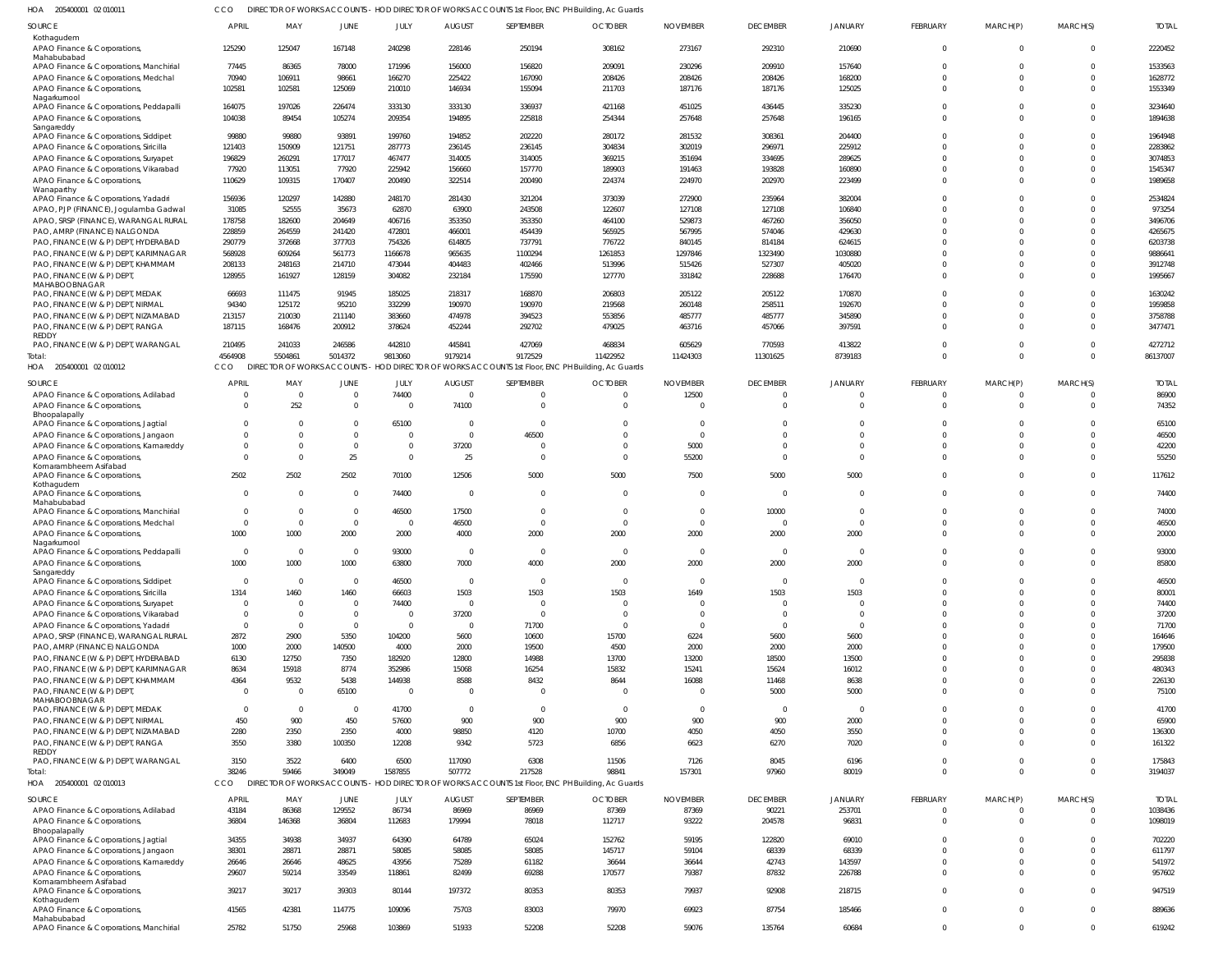205400001 02 010011 HOA CCO DIRECTOR OF WORKS ACCOUNTS - HOD DIRECTOR OF WORKS ACCOUNTS 1st Floor, ENC PH Building, Ac Guards

| SOURCE                                                                          | APRIL                  | MAY                    | JUNE             | JULY                    | <b>AUGUST</b>    | SEPTEMBER                                                                                                    | <b>OCTOBER</b>   | <b>NOVEMBER</b>        | <b>DECEMBER</b>  | <b>JANUARY</b>   | <b>FEBRUARY</b>         | MARCH(P)             | MARCH(S)             | <b>TOTAL</b>      |
|---------------------------------------------------------------------------------|------------------------|------------------------|------------------|-------------------------|------------------|--------------------------------------------------------------------------------------------------------------|------------------|------------------------|------------------|------------------|-------------------------|----------------------|----------------------|-------------------|
| Kothagudem<br>APAO Finance & Corporations,<br>Mahabubabad                       | 125290                 | 125047                 | 167148           | 240298                  | 228146           | 250194                                                                                                       | 308162           | 273167                 | 292310           | 210690           | $\overline{0}$          | $\mathbf 0$          | $\Omega$             | 2220452           |
| APAO Finance & Corporations, Manchirial                                         | 77445                  | 86365                  | 78000            | 171996                  | 156000           | 156820                                                                                                       | 209091           | 230296                 | 209910           | 157640           | $\Omega$                | $\Omega$             | $\Omega$             | 1533563           |
| APAO Finance & Corporations, Medchal                                            | 70940                  | 106911                 | 98661            | 166270                  | 225422           | 167090                                                                                                       | 208426           | 208426                 | 208426           | 168200           | $\Omega$                | $\Omega$             | $\Omega$             | 1628772           |
| APAO Finance & Corporations,                                                    | 102581                 | 102581                 | 125069           | 210010                  | 146934           | 155094                                                                                                       | 211703           | 187176                 | 187176           | 125025           | $\Omega$                | $\Omega$             | $\Omega$             | 1553349           |
| Nagarkurnool<br>APAO Finance & Corporations, Peddapalli                         | 164075                 | 197026                 | 226474           | 333130                  | 333130           | 336937                                                                                                       | 421168           | 451025                 | 436445           | 335230           | $\Omega$                | $\Omega$             | $\Omega$             | 3234640           |
| APAO Finance & Corporations,<br>Sangareddy                                      | 104038                 | 89454                  | 105274           | 209354                  | 194895           | 225818                                                                                                       | 254344           | 257648                 | 257648           | 196165           | $\Omega$                | $\Omega$             | $\Omega$             | 1894638           |
| APAO Finance & Corporations, Siddipet                                           | 99880                  | 99880                  | 93891            | 199760                  | 194852           | 202220                                                                                                       | 280172           | 281532                 | 308361           | 204400           | $\Omega$                | $\Omega$             | $\Omega$             | 1964948           |
| APAO Finance & Corporations, Siricilla                                          | 121403                 | 150909                 | 121751           | 287773                  | 236145           | 236145                                                                                                       | 304834           | 302019                 | 296971           | 225912           | $\Omega$                | $\Omega$             | $\Omega$             | 2283862           |
| APAO Finance & Corporations, Suryapet                                           | 196829                 | 260291                 | 177017           | 467477                  | 314005           | 314005                                                                                                       | 369215           | 351694                 | 334695           | 289625           | $\Omega$                | $\Omega$             | $\Omega$             | 3074853           |
| APAO Finance & Corporations, Vikarabad                                          | 77920                  | 113051                 | 77920            | 225942                  | 156660           | 157770                                                                                                       | 189903           | 191463                 | 193828           | 160890           | $\Omega$                | $\Omega$             | $\Omega$             | 1545347           |
| APAO Finance & Corporations<br>Wanaparthy                                       | 110629                 | 109315                 | 170407           | 200490                  | 322514           | 200490                                                                                                       | 224374           | 224970                 | 202970           | 223499           | $\Omega$                | $\Omega$             | $\Omega$             | 1989658           |
| APAO Finance & Corporations, Yadadri<br>APAO, PJP (FINANCE), Jogulamba Gadwal   | 156936<br>31085        | 120297<br>52555        | 142880<br>35673  | 248170<br>62870         | 281430<br>63900  | 321204<br>243508                                                                                             | 373039<br>122607 | 272900<br>127108       | 235964<br>127108 | 382004<br>106840 | $\Omega$<br>$\Omega$    | $\Omega$<br>$\Omega$ | $\Omega$<br>$\Omega$ | 2534824<br>973254 |
| APAO, SRSP (FINANCE), WARANGAL RURAL                                            | 178758                 | 182600                 | 204649           | 406716                  | 353350           | 353350                                                                                                       | 464100           | 529873                 | 467260           | 356050           | $\Omega$                | $\Omega$             | $\Omega$             | 3496706           |
| PAO, AMRP (FINANCE) NALGONDA                                                    | 228859                 | 264559                 | 241420           | 472801                  | 466001           | 454439                                                                                                       | 565925           | 567995                 | 574046           | 429630           | $\Omega$                | $\Omega$             |                      | 4265675           |
| PAO, FINANCE (W & P) DEPT, HYDERABAD                                            | 290779                 | 372668                 | 377703           | 754326                  | 614805           | 737791                                                                                                       | 776722           | 840145                 | 814184           | 624615           | $\Omega$                | $\Omega$             | $\Omega$             | 6203738           |
| PAO, FINANCE (W & P) DEPT, KARIMNAGAR                                           | 568928                 | 609264                 | 561773           | 1166678                 | 965635           | 1100294                                                                                                      | 1261853          | 1297846                | 1323490          | 1030880          | $\Omega$                | $\Omega$             |                      | 9886641           |
| PAO, FINANCE (W & P) DEPT, KHAMMAM                                              | 208133                 | 248163                 | 214710           | 473044                  | 404483           | 402466                                                                                                       | 513996           | 515426                 | 527307           | 405020           | $\Omega$                | $\Omega$             | $\Omega$             | 3912748           |
| PAO, FINANCE (W & P) DEPT,<br>MAHABOOBNAGAR                                     | 128955                 | 161927                 | 128159           | 304082                  | 232184           | 175590                                                                                                       | 127770           | 331842                 | 228688           | 176470           | $\Omega$                | $\Omega$             | $\Omega$             | 1995667           |
| PAO, FINANCE (W & P) DEPT, MEDAK                                                | 66693                  | 111475                 | 91945            | 185025                  | 218317           | 168870                                                                                                       | 206803           | 205122                 | 205122           | 170870           | $\Omega$                | $\Omega$             | $\Omega$             | 1630242           |
| PAO, FINANCE (W & P) DEPT, NIRMAL                                               | 94340                  | 125172                 | 95210            | 332299                  | 190970           | 190970                                                                                                       | 219568           | 260148                 | 258511           | 192670           | $\Omega$                | $\Omega$             | $\Omega$             | 1959858           |
| PAO, FINANCE (W & P) DEPT, NIZAMABAD                                            | 213157                 | 210030                 | 211140           | 383660                  | 474978           | 394523                                                                                                       | 553856           | 485777                 | 485777           | 345890           | $\Omega$<br>$\Omega$    | $\Omega$<br>$\Omega$ | $\Omega$<br>$\Omega$ | 3758788           |
| PAO, FINANCE (W & P) DEPT, RANGA<br>REDDY                                       | 187115                 | 168476                 | 200912           | 378624                  | 452244           | 292702                                                                                                       | 479025           | 463716                 | 457066           | 397591           |                         |                      |                      | 3477471           |
| PAO, FINANCE (W & P) DEPT, WARANGAL                                             | 210495                 | 241033                 | 246586           | 442810                  | 445841           | 427069                                                                                                       | 468834           | 605629                 | 770593           | 413822           | $\mathbf 0$             | $\mathbf 0$          | $\Omega$             | 4272712           |
| Total:<br>HOA 205400001 02 010012                                               | 4564908<br>cco         | 5504861                | 5014372          | 9813060                 | 9179214          | 9172529<br>DIRECTOR OF WORKS ACCOUNTS - HOD DIRECTOR OF WORKS ACCOUNTS 1st Floor, ENC PH Building, Ac Guards | 11422952         | 11424303               | 11301625         | 8739183          | $\Omega$                | $\Omega$             | $\Omega$             | 86137007          |
| SOURCE                                                                          | <b>APRIL</b>           | MAY                    | JUNE             | JULY                    | <b>AUGUST</b>    | SEPTEMBER                                                                                                    | <b>OCTOBER</b>   | <b>NOVEMBER</b>        | <b>DECEMBER</b>  | <b>JANUARY</b>   | <b>FEBRUARY</b>         | MARCH(P)             | MARCH(S)             | <b>TOTAI</b>      |
| APAO Finance & Corporations, Adilabad                                           | $\Omega$               | $\Omega$               | $\Omega$         | 74400                   | $\Omega$         | $\Omega$                                                                                                     |                  | 12500                  | $\overline{0}$   | $\Omega$         | $\Omega$                | $\Omega$             | $\Omega$             | 86900             |
| APAO Finance & Corporations,                                                    | $\Omega$               | 252                    | $\Omega$         | $\Omega$                | 74100            | $\Omega$                                                                                                     |                  |                        | $\Omega$         | $\Omega$         | $\Omega$                | $\Omega$             | $\Omega$             | 74352             |
| Bhoopalapally                                                                   | $\Omega$               | $\Omega$               |                  | 65100                   | $\bigcap$        | $\Omega$                                                                                                     |                  | $\sqrt{ }$             | $\Omega$         | <sup>0</sup>     | $\cup$                  |                      |                      | 65100             |
| APAO Finance & Corporations, Jagtial<br>APAO Finance & Corporations, Jangaon    | $\Omega$               | $\Omega$               | $\Omega$         | $\Omega$                | $\Omega$         | 46500                                                                                                        |                  | $\sqrt{ }$             | $\Omega$         | $\Omega$         | $\sqrt{ }$              | $\Omega$             | $\Omega$             | 46500             |
| APAO Finance & Corporations, Kamareddy                                          | $\Omega$               | $\Omega$               | - 0              | $\Omega$                | 37200            | $\Omega$                                                                                                     |                  | 5000                   | $\Omega$         | $\Omega$         | $\Omega$                | $\Omega$             | $\Omega$             | 42200             |
| APAO Finance & Corporations<br>Komarambheem Asifabad                            | $\Omega$               | $\Omega$               | 25               | $\Omega$                | 25               | $\Omega$                                                                                                     |                  | 55200                  | $\Omega$         | $\Omega$         | $\Omega$                | $\Omega$             | $\Omega$             | 55250             |
| APAO Finance & Corporations                                                     | 2502                   | 2502                   | 2502             | 70100                   | 12506            | 5000                                                                                                         | 5000             | 7500                   | 5000             | 5000             | $\Omega$                | $\Omega$             | $\Omega$             | 117612            |
| Kothagudem<br>APAO Finance & Corporations,                                      | $\overline{0}$         | $\Omega$               | $\Omega$         | 74400                   | $\Omega$         | $\mathbf 0$                                                                                                  | $\bigcap$        | $\Omega$               | $\Omega$         | $\Omega$         | $\Omega$                | $\Omega$             | $\Omega$             | 74400             |
| Mahabubabad                                                                     |                        |                        |                  |                         |                  |                                                                                                              |                  |                        |                  |                  |                         |                      |                      |                   |
| APAO Finance & Corporations, Manchirial                                         | $\overline{0}$         | - 0                    | - 0              | 46500                   | 17500            | $\Omega$                                                                                                     | $\bigcap$        | $\Omega$               | 10000            | $\Omega$         | $\Omega$                | $\Omega$             | $\Omega$             | 74000             |
| APAO Finance & Corporations, Medchal                                            | $\overline{0}$         | 0                      | - 0              | $\overline{\mathbf{0}}$ | 46500            | $\Omega$                                                                                                     |                  | $\Omega$               | $\Omega$         | $\Omega$         | $\Omega$                | $\Omega$             | $\Omega$             | 46500             |
| APAO Finance & Corporations,<br>Nagarkurnool                                    | 1000                   | 1000                   | 2000             | 2000                    | 4000             | 2000                                                                                                         | 2000             | 2000                   | 2000             | 2000             | $\Omega$                | $\Omega$             |                      | 20000             |
| APAO Finance & Corporations, Peddapalli                                         | $\Omega$               | $\Omega$               | $\Omega$         | 93000                   | $\Omega$         | $\Omega$                                                                                                     | $\Omega$         | $\Omega$               | $\Omega$         | $\Omega$         | $\Omega$                | $\Omega$             | $\Omega$             | 93000             |
| APAO Finance & Corporations,                                                    | 1000                   | 1000                   | 1000             | 63800                   | 7000             | 4000                                                                                                         | 2000             | 2000                   | 2000             | 2000             |                         |                      |                      | 85800             |
| Sangareddy                                                                      |                        |                        |                  |                         |                  |                                                                                                              | $\Omega$         |                        | $\overline{0}$   | $\Omega$         |                         | $\Omega$             | $\Omega$             |                   |
| APAO Finance & Corporations, Siddipet<br>APAO Finance & Corporations, Siricilla | $\overline{0}$<br>1314 | $\overline{0}$<br>1460 | $\Omega$<br>1460 | 46500<br>66603          | $\Omega$<br>1503 | $\overline{0}$<br>1503                                                                                       | 1503             | $\overline{0}$<br>1649 | 1503             | 1503             | $\mathbf 0$<br>$\Omega$ | $\Omega$             | $\Omega$             | 46500<br>80001    |
| APAO Finance & Corporations, Suryapet                                           | $\overline{0}$         | $\overline{0}$         | - 0              | 74400                   | $\Omega$         | $\Omega$                                                                                                     | - 0              |                        | $\Omega$         | $\Omega$         | $\Omega$                | $\Omega$             | $\Omega$             | 74400             |
| APAO Finance & Corporations, Vikarabad                                          | $\overline{0}$         | $\Omega$               | - 0              | $\Omega$                | 37200            | $\Omega$                                                                                                     | $\Omega$         | $\Omega$               | $\Omega$         | $\Omega$         | $\Omega$                | $\Omega$             | $\Omega$             | 37200             |
| APAO Finance & Corporations, Yadadri                                            | $\overline{0}$         | $\overline{0}$         | $\Omega$         | $\Omega$                | $\Omega$         | 71700                                                                                                        | $\Omega$         | $\Omega$               | $\Omega$         | $\Omega$         | $\Omega$                | $\Omega$             | $\Omega$             | 71700             |
| APAO, SRSP (FINANCE), WARANGAL RURAL                                            | 2872                   | 2900                   | 5350             | 104200                  | 5600             | 10600                                                                                                        | 15700            | 6224                   | 5600             | 5600             | $\Omega$                | $\Omega$             |                      | 164646            |
| PAO, AMRP (FINANCE) NALGONDA                                                    | 1000                   | 2000                   | 140500           | 4000                    | 2000             | 19500                                                                                                        | 4500             | 2000                   | 2000             | 2000             | $\Omega$                | $\Omega$             |                      | 179500            |
| PAO, FINANCE (W & P) DEPT, HYDERABAD                                            | 6130                   | 12750                  | 7350             | 182920                  | 12800            | 14988                                                                                                        | 13700            | 13200                  | 18500            | 13500            | $\Omega$                | $\Omega$             |                      | 295838            |
| PAO, FINANCE (W & P) DEPT, KARIMNAGAR                                           | 8634                   | 15918                  | 8774             | 352986                  | 15068            | 16254                                                                                                        | 15832            | 15241                  | 15624            | 16012            | $\Omega$                | $\Omega$             | $\Omega$             | 480343            |
| PAO, FINANCE (W & P) DEPT, KHAMMAM                                              | 4364                   | 9532                   | 5438             | 144938                  | 8588             | 8432                                                                                                         | 8644             | 16088                  | 11468            | 8638             | $\Omega$                | $\Omega$             | $\Omega$             | 226130            |
| PAO, FINANCE (W & P) DEPT,<br><b>MAHABOOBNAGAR</b>                              | $\Omega$               | - 0                    | 65100            | $\Omega$                | $\Omega$         | $\Omega$                                                                                                     | $\Omega$         | $\bigcap$              | 5000             | 5000             | $\Omega$                | $\Omega$             | $\Omega$             | 75100             |
| PAO, FINANCE (W & P) DEPT, MEDAK                                                | $\overline{0}$         | $\Omega$               | $\overline{0}$   | 41700                   | $\Omega$         | $\Omega$                                                                                                     | $\Omega$         | $\Omega$               | $\Omega$         | $\Omega$         | $\Omega$                | $\Omega$             | $\Omega$             | 41700             |
| PAO, FINANCE (W & P) DEPT, NIRMAL                                               | 450                    | 900                    | 450              | 57600                   | 900              | 900                                                                                                          | 900              | 900                    | 900              | 2000             | $\Omega$                | $\Omega$             | $\Omega$             | 65900             |
| PAO, FINANCE (W & P) DEPT, NIZAMABAD                                            | 2280                   | 2350                   | 2350             | 4000                    | 98850            | 4120                                                                                                         | 10700            | 4050                   | 4050             | 3550             | $\Omega$                | $\Omega$             | $\Omega$             | 136300            |
| PAO, FINANCE (W & P) DEPT, RANGA                                                | 3550                   | 3380                   | 100350           | 12208                   | 9342             | 5723                                                                                                         | 6856             | 6623                   | 6270             | 7020             | $\Omega$                | $\Omega$             | $\Omega$             | 161322            |
| REDDY<br>PAO, FINANCE (W & P) DEPT, WARANGAL                                    | 3150                   | 3522                   | 6400             | 6500                    | 117090           | 6308                                                                                                         | 11506            | 7126                   | 8045             | 6196             | $\Omega$                | $\Omega$             | $\Omega$             | 175843            |
| Total:                                                                          | 38246                  | 59466                  | 349049           | 1587855                 | 507772           | 217528                                                                                                       | 98841            | 157301                 | 97960            | 80019            | $\mathbf 0$             | $\mathbf{0}$         | $\Omega$             | 3194037           |
| HOA 205400001 02 010013                                                         | CCO                    |                        |                  |                         |                  | DIRECTOR OF WORKS ACCOUNTS - HOD DIRECTOR OF WORKS ACCOUNTS 1st Floor, ENC PH Building, Ac Guards            |                  |                        |                  |                  |                         |                      |                      |                   |
| <b>SOURCE</b>                                                                   | <b>APRIL</b>           | MAY                    | <b>JUNE</b>      | JULY                    | <b>AUGUST</b>    | SEPTEMBER                                                                                                    | <b>OCTOBER</b>   | <b>NOVEMBER</b>        | <b>DECEMBER</b>  | <b>JANUARY</b>   | <b>FEBRUARY</b>         | MARCH(P)             | MARCH(S)             | <b>TOTAL</b>      |
| APAO Finance & Corporations, Adilabad                                           | 43184                  | 86368                  | 129552           | 86734                   | 86969            | 86969                                                                                                        | 87369            | 87369                  | 90221            | 253701           | $\mathbf 0$             | $\Omega$             | $\Omega$             | 1038436           |
| APAO Finance & Corporations,                                                    | 36804                  | 146368                 | 36804            | 112683                  | 179994           | 78018                                                                                                        | 112717           | 93222                  | 204578           | 96831            | $\overline{0}$          | $\Omega$             | $\Omega$             | 1098019           |
| Bhoopalapally<br>APAO Finance & Corporations, Jagtial                           | 34355                  | 34938                  | 34937            | 64390                   | 64789            | 65024                                                                                                        | 152762           | 59195                  | 122820           | 69010            | $\Omega$                | $\Omega$             | $\Omega$             | 702220            |
| APAO Finance & Corporations, Jangaon                                            | 38301                  | 28871                  | 28871            | 58085                   | 58085            | 58085                                                                                                        | 145717           | 59104                  | 68339            | 68339            | $\Omega$                | $\Omega$             | $\Omega$             | 611797            |
| APAO Finance & Corporations, Kamareddy                                          | 26646                  | 26646                  | 48625            | 43956                   | 75289            | 61182                                                                                                        | 36644            | 36644                  | 42743            | 143597           | $\Omega$                | $\Omega$             | $\Omega$             | 541972            |
| APAO Finance & Corporations,                                                    | 29607                  | 59214                  | 33549            | 118861                  | 82499            | 69288                                                                                                        | 170577           | 79387                  | 87832            | 226788           | $\Omega$                | $\Omega$             | $\Omega$             | 957602            |
| Komarambheem Asifabad<br>APAO Finance & Corporations                            | 39217                  | 39217                  | 39303            | 80144                   | 197372           | 80353                                                                                                        | 80353            | 79937                  | 92908            | 218715           | $\Omega$                | $\Omega$             | $\Omega$             | 947519            |
| Kothagudem<br>APAO Finance & Corporations,                                      | 41565                  | 42381                  | 114775           | 109096                  | 75703            | 83003                                                                                                        | 79970            | 69923                  | 87754            | 185466           | $\overline{0}$          | $\Omega$             | $\Omega$             | 889636            |
| Mahabubabad<br>APAO Finance & Corporations, Manchirial                          | 25782                  | 51750                  | 25968            | 103869                  | 51933            | 52208                                                                                                        | 52208            | 59076                  | 135764           | 60684            | $\Omega$                | $\Omega$             | $\overline{0}$       | 619242            |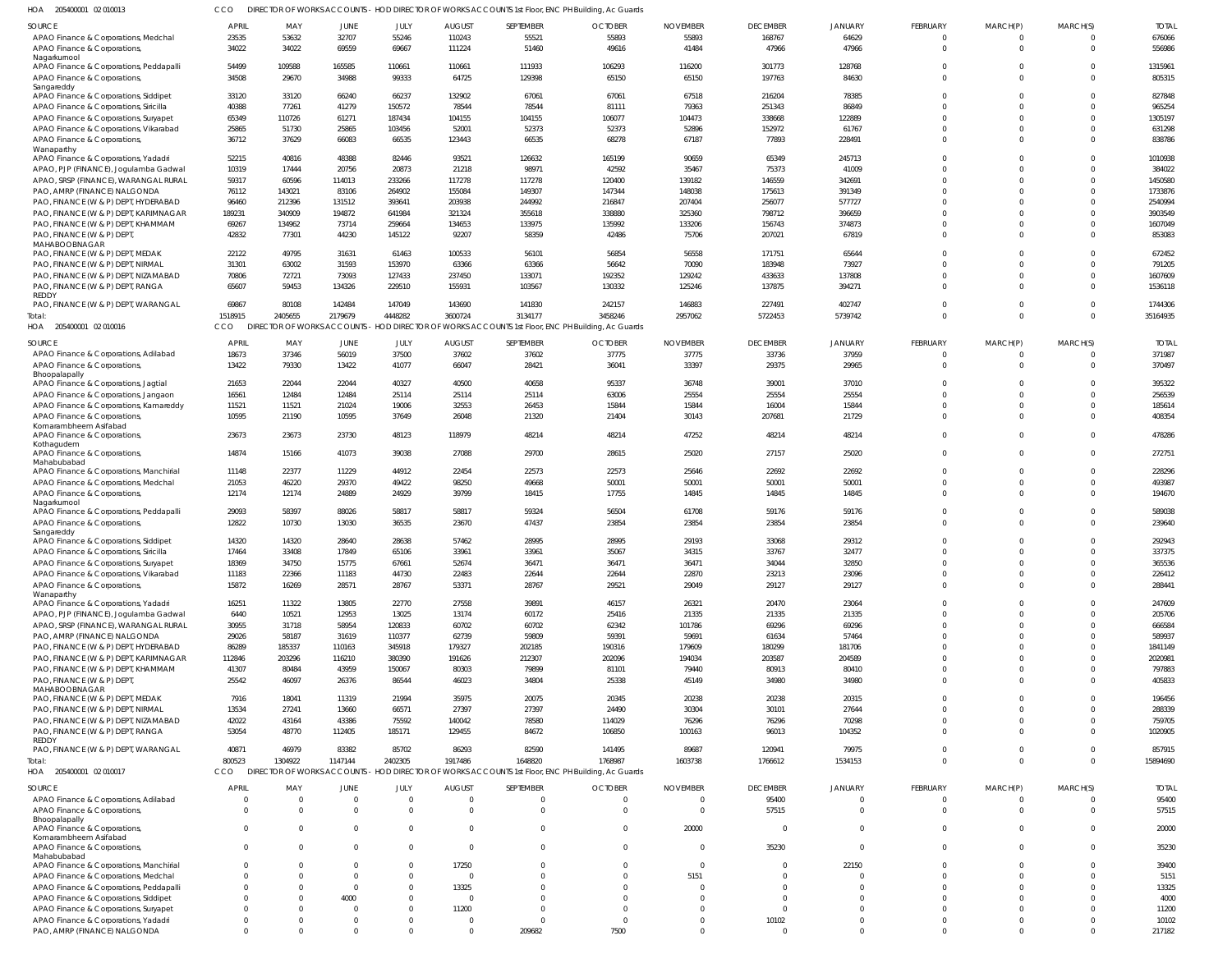205400001 02 010013 HOA CCO DIRECTOR OF WORKS ACCOUNTS - HOD DIRECTOR OF WORKS ACCOUNTS 1st Floor, ENC PH Building, Ac Guards

| SOURCE                                                  | <b>APRIL</b>   | MAY                     | JUNE              | JULY              | <b>AUGUST</b>     | SEPTEMBER         | <b>OCTOBER</b>                                                                                    | <b>NOVEMBER</b>   | <b>DECEMBER</b>   | <b>JANUARY</b> | FEBRUARY             | MARCH(P) | MARCH(S)    | <b>TOTAL</b>        |
|---------------------------------------------------------|----------------|-------------------------|-------------------|-------------------|-------------------|-------------------|---------------------------------------------------------------------------------------------------|-------------------|-------------------|----------------|----------------------|----------|-------------|---------------------|
| APAO Finance & Corporations, Medchal                    | 23535          | 53632                   | 32707             | 55246             | 110243            | 55521             | 55893                                                                                             | 55893             | 168767            | 64629          | $\Omega$             |          | $\Omega$    | 676066              |
| APAO Finance & Corporations,                            | 34022          | 34022                   | 69559             | 69667             | 111224            | 51460             | 49616                                                                                             | 41484             | 47966             | 47966          | $\Omega$             | $\Omega$ | $\mathbf 0$ | 556986              |
| Nagarkurnool                                            |                |                         |                   |                   |                   |                   |                                                                                                   |                   |                   |                |                      |          |             |                     |
| APAO Finance & Corporations, Peddapalli                 | 54499          | 109588                  | 165585            | 110661            | 110661            | 111933            | 106293                                                                                            | 116200            | 301773            | 128768         |                      |          | $\Omega$    | 1315961             |
| APAO Finance & Corporations,                            | 34508          | 29670                   | 34988             | 99333             | 64725             | 129398            | 65150                                                                                             | 65150             | 197763            | 84630          | $\Omega$             | $\Omega$ | $\Omega$    | 805315              |
| Sangareddy                                              |                |                         |                   |                   |                   |                   |                                                                                                   |                   |                   |                |                      |          |             |                     |
| APAO Finance & Corporations, Siddipet                   | 33120          | 33120                   | 66240             | 66237             | 132902            | 67061             | 67061                                                                                             | 67518             | 216204            | 78385          |                      |          | $\Omega$    | 827848              |
| APAO Finance & Corporations, Siricilla                  | 40388          | 77261                   | 41279             | 150572            | 78544             | 78544             | 81111                                                                                             | 79363             | 251343            | 86849          |                      |          | $\Omega$    | 965254              |
| APAO Finance & Corporations, Suryapet                   | 65349          | 110726                  | 61271             | 187434            | 104155            | 104155            | 106077                                                                                            | 104473            | 338668            | 122889         |                      |          | $\Omega$    | 1305197             |
| APAO Finance & Corporations, Vikarabad                  | 25865          | 51730                   | 25865             | 103456            | 52001             | 52373             | 52373                                                                                             | 52896             | 152972            | 61767          |                      |          | $\Omega$    | 631298              |
| APAO Finance & Corporations,<br>Wanaparthy              | 36712          | 37629                   | 66083             | 66535             | 123443            | 66535             | 68278                                                                                             | 67187             | 77893             | 228491         | $\Omega$             |          | $\Omega$    | 838786              |
| APAO Finance & Corporations, Yadadri                    | 52215          | 40816                   | 48388             | 82446             | 93521             | 126632            | 165199                                                                                            | 90659             | 65349             | 245713         | $\Omega$             |          | $\Omega$    | 1010938             |
| APAO, PJP (FINANCE), Jogulamba Gadwal                   | 10319          | 17444                   | 20756             | 20873             | 21218             | 98971             | 42592                                                                                             | 35467             | 75373             | 41009          |                      |          | $\Omega$    | 384022              |
| APAO, SRSP (FINANCE), WARANGAL RURAL                    | 59317          | 60596                   | 114013            | 233266            | 117278            | 117278            | 120400                                                                                            | 139182            | 146559            | 342691         |                      |          | $\Omega$    | 1450580             |
| PAO, AMRP (FINANCE) NALGONDA                            | 76112          | 143021                  | 83106             | 264902            | 155084            | 149307            | 147344                                                                                            | 148038            | 175613            | 391349         |                      |          | $\Omega$    | 1733876             |
| PAO, FINANCE (W & P) DEPT, HYDERABAD                    | 96460          | 212396                  | 131512            | 393641            | 203938            | 244992            | 216847                                                                                            | 207404            | 256077            | 577727         |                      |          | $\Omega$    | 2540994             |
| PAO, FINANCE (W & P) DEPT, KARIMNAGAR                   | 189231         | 340909                  | 194872            | 641984            | 321324            | 355618            | 338880                                                                                            | 325360            | 798712            | 396659         |                      |          | $\Omega$    | 3903549             |
| PAO, FINANCE (W & P) DEPT, KHAMMAM                      | 69267          | 134962                  | 73714             | 259664            | 134653            | 133975            | 135992                                                                                            | 133206            | 156743            | 374873         |                      |          | $\Omega$    | 1607049             |
| PAO, FINANCE (W & P) DEPT,                              | 42832          | 77301                   | 44230             | 145122            | 92207             | 58359             | 42486                                                                                             | 75706             | 207021            | 67819          | $\Omega$             |          | $\Omega$    | 853083              |
| MAHABOOBNAGAR                                           |                |                         |                   |                   |                   |                   |                                                                                                   |                   |                   |                |                      |          |             |                     |
| PAO, FINANCE (W & P) DEPT, MEDAK                        | 22122          | 49795                   | 31631             | 61463             | 100533            | 56101             | 56854                                                                                             | 56558             | 171751            | 65644          | $\Omega$             |          | $\Omega$    | 672452              |
| PAO, FINANCE (W & P) DEPT, NIRMAL                       | 31301          | 63002                   | 31593             | 153970            | 63366             | 63366             | 56642                                                                                             | 70090             | 183948            | 73927          |                      |          | $\Omega$    | 791205              |
| PAO, FINANCE (W & P) DEPT, NIZAMABAD                    | 70806          | 72721                   | 73093             | 127433            | 237450            | 133071            | 192352                                                                                            | 129242            | 433633            | 137808         | $\Omega$             |          | $\Omega$    | 1607609             |
| PAO, FINANCE (W & P) DEPT, RANGA                        | 65607          | 59453                   | 134326            | 229510            | 155931            | 103567            | 130332                                                                                            | 125246            | 137875            | 394271         | $\Omega$             |          | $\Omega$    | 1536118             |
| REDDY<br>PAO, FINANCE (W & P) DEPT, WARANGAL            | 69867          |                         |                   |                   |                   |                   |                                                                                                   |                   |                   | 402747         |                      |          | $\Omega$    |                     |
|                                                         | 1518915        | 80108<br>2405655        | 142484<br>2179679 | 147049<br>4448282 | 143690<br>3600724 | 141830<br>3134177 | 242157<br>3458246                                                                                 | 146883<br>2957062 | 227491<br>5722453 | 5739742        | $\Omega$<br>$\Omega$ | $\Omega$ | $\mathbf 0$ | 1744306<br>35164935 |
| Total:                                                  |                |                         |                   |                   |                   |                   |                                                                                                   |                   |                   |                |                      |          |             |                     |
| HOA 205400001 02 010016                                 | CCO            |                         |                   |                   |                   |                   | DIRECTOR OF WORKS ACCOUNTS - HOD DIRECTOR OF WORKS ACCOUNTS 1st Floor, ENC PH Building, Ac Guards |                   |                   |                |                      |          |             |                     |
| SOURCE                                                  | <b>APRIL</b>   | MAY                     | <b>JUNE</b>       | JULY              | <b>AUGUST</b>     | SEPTEMBER         | <b>OCTOBER</b>                                                                                    | <b>NOVEMBER</b>   | <b>DECEMBER</b>   | JANUARY        | FEBRUARY             | MARCH(P) | MARCH(S)    | <b>TOTAL</b>        |
| APAO Finance & Corporations, Adilabad                   | 18673          | 37346                   | 56019             | 37500             | 37602             | 37602             | 37775                                                                                             | 37775             | 33736             | 37959          |                      |          | $\Omega$    | 371987              |
| APAO Finance & Corporations,                            | 13422          | 79330                   | 13422             | 41077             | 66047             | 28421             | 36041                                                                                             | 33397             | 29375             | 29965          | $\Omega$             |          | $\Omega$    | 370497              |
| Bhoopalapally                                           |                |                         |                   |                   |                   |                   |                                                                                                   |                   |                   |                |                      |          |             |                     |
| APAO Finance & Corporations, Jagtial                    | 21653          | 22044                   | 22044             | 40327             | 40500             | 40658             | 95337                                                                                             | 36748             | 39001             | 37010          |                      |          | $\Omega$    | 395322              |
| APAO Finance & Corporations, Jangaon                    | 16561          | 12484                   | 12484             | 25114             | 25114             | 25114             | 63006                                                                                             | 25554             | 25554             | 25554          |                      |          | $\Omega$    | 256539              |
| APAO Finance & Corporations, Kamareddy                  | 11521          | 11521                   | 21024             | 19006             | 32553             | 26453             | 15844                                                                                             | 15844             | 16004             | 15844          |                      |          | $\Omega$    | 185614              |
| APAO Finance & Corporations,                            | 10595          | 21190                   | 10595             | 37649             | 26048             | 21320             | 21404                                                                                             | 30143             | 207681            | 21729          | 0                    |          | $\Omega$    | 408354              |
| Komarambheem Asifabad<br>APAO Finance & Corporations,   | 23673          | 23673                   | 23730             | 48123             | 118979            | 48214             | 48214                                                                                             | 47252             | 48214             | 48214          | $\Omega$             | $\Omega$ | $\Omega$    | 478286              |
| Kothagudem                                              |                |                         |                   |                   |                   |                   |                                                                                                   |                   |                   |                |                      |          |             |                     |
| APAO Finance & Corporations,                            | 14874          | 15166                   | 41073             | 39038             | 27088             | 29700             | 28615                                                                                             | 25020             | 27157             | 25020          | $\Omega$             | $\Omega$ | $\mathbf 0$ | 272751              |
| Mahabubabad                                             |                |                         |                   |                   |                   |                   |                                                                                                   |                   |                   |                |                      |          |             |                     |
| APAO Finance & Corporations, Manchirial                 | 11148          | 22377                   | 11229             | 44912             | 22454             | 22573             | 22573                                                                                             | 25646             | 22692             | 22692          | $\Omega$             |          | $\mathbf 0$ | 228296              |
| APAO Finance & Corporations, Medchal                    | 21053          | 46220                   | 29370             | 49422             | 98250             | 49668             | 50001                                                                                             | 50001             | 50001             | 50001          |                      |          | $\mathbf 0$ | 493987              |
| APAO Finance & Corporations,                            | 12174          | 12174                   | 24889             | 24929             | 39799             | 18415             | 17755                                                                                             | 14845             | 14845             | 14845          | $\Omega$             |          | $\Omega$    | 194670              |
| Nagarkurnool<br>APAO Finance & Corporations, Peddapalli | 29093          | 58397                   | 88026             | 58817             | 58817             | 59324             | 56504                                                                                             | 61708             | 59176             | 59176          | $\Omega$             |          | $\mathbf 0$ | 589038              |
| APAO Finance & Corporations,                            | 12822          | 10730                   | 13030             | 36535             | 23670             | 47437             | 23854                                                                                             | 23854             | 23854             | 23854          | $\Omega$             |          | $\Omega$    | 239640              |
| Sangareddy                                              |                |                         |                   |                   |                   |                   |                                                                                                   |                   |                   |                |                      |          |             |                     |
| APAO Finance & Corporations, Siddipet                   | 14320          | 14320                   | 28640             | 28638             | 57462             | 28995             | 28995                                                                                             | 29193             | 33068             | 29312          |                      |          | $\Omega$    | 292943              |
| APAO Finance & Corporations, Siricilla                  | 17464          | 33408                   | 17849             | 65106             | 33961             | 33961             | 35067                                                                                             | 34315             | 33767             | 32477          | $\Omega$             | $\Omega$ | $\mathbf 0$ | 337375              |
| APAO Finance & Corporations, Suryapet                   | 18369          | 34750                   | 15775             | 67661             | 52674             | 36471             | 36471                                                                                             | 36471             | 34044             | 32850          |                      |          | $\cap$      | 365536              |
| APAO Finance & Corporations, Vikarabad                  | 11183          | 22366                   | 11183             | 44730             | 22483             | 22644             | 22644                                                                                             | 22870             | 23213             | 23096          |                      |          | $\Omega$    | 226412              |
| APAO Finance & Corporations,                            | 15872          | 16269                   | 28571             | 28767             | 53371             | 28767             | 29521                                                                                             | 29049             | 29127             | 29127          | $\overline{0}$       | $\Omega$ | $\mathbf 0$ | 288441              |
| Wanaparthy                                              |                |                         |                   |                   |                   |                   |                                                                                                   |                   |                   |                |                      |          |             |                     |
| APAO Finance & Corporations, Yadadri                    | 16251          | 11322                   | 13805             | 22770             | 27558             | 39891             | 46157                                                                                             | 26321             | 20470             | 23064          |                      |          | $\Omega$    | 247609              |
| APAO, PJP (FINANCE), Jogulamba Gadwal                   | 6440           | 10521                   | 12953             | 13025             | 13174             | 60172             | 25416                                                                                             | 21335             | 21335             | 21335          |                      |          | $\Omega$    | 205706              |
| APAO, SRSP (FINANCE), WARANGAL RURAL                    | 30955          | 31718                   | 58954             | 120833            | 60702             | 60702             | 62342                                                                                             | 101786            | 69296             | 69296          |                      |          | $\Omega$    | 666584              |
| PAO, AMRP (FINANCE) NALGONDA                            | 29026          | 58187                   | 31619             | 110377            | 62739             | 59809             | 59391                                                                                             | 59691             | 61634             | 57464          |                      |          | $\Omega$    | 589937              |
| PAO, FINANCE (W & P) DEPT, HYDERABAD                    | 86289          | 185337                  | 110163            | 345918            | 179327            | 202185            | 190316                                                                                            | 179609            | 180299            | 181706         |                      |          | $\Omega$    | 1841149             |
| PAO, FINANCE (W & P) DEPT, KARIMNAGAR                   | 112846         | 203296                  | 116210            | 380390            | 191626            | 212307            | 202096                                                                                            | 194034            | 203587            | 204589         |                      |          | $\Omega$    | 2020981             |
| PAO, FINANCE (W & P) DEPT, KHAMMAM                      | 41307          | 80484                   | 43959             | 150067            | 80303             | 79899             | 81101                                                                                             | 79440             | 80913             | 80410          |                      |          | $\Omega$    | 797883              |
| PAO, FINANCE (W & P) DEPT,                              | 25542          | 46097                   | 26376             | 86544             | 46023             | 34804             | 25338                                                                                             | 45149             | 34980             | 34980          | $\Omega$             |          | $\Omega$    | 405833              |
| MAHABOOBNAGAR<br>PAO, FINANCE (W & P) DEPT, MEDAK       | 7916           | 18041                   | 11319             | 21994             | 35975             | 20075             | 20345                                                                                             | 20238             | 20238             | 20315          |                      |          | $\Omega$    | 196456              |
| PAO, FINANCE (W & P) DEPT, NIRMAL                       | 13534          | 27241                   | 13660             | 66571             | 27397             | 27397             | 24490                                                                                             | 30304             | 30101             | 27644          |                      |          | $\Omega$    | 288339              |
|                                                         | 42022          |                         | 43386             | 75592             | 140042            | 78580             | 114029                                                                                            | 76296             | 76296             | 70298          |                      |          | $\mathbf 0$ | 759705              |
| PAO, FINANCE (W & P) DEPT, NIZAMABAD                    | 53054          | 43164                   | 112405            | 185171            | 129455            | 84672             | 106850                                                                                            | 100163            | 96013             | 104352         | $\Omega$             |          | $\Omega$    | 1020905             |
| PAO, FINANCE (W & P) DEPT, RANGA<br>REDDY               |                | 48770                   |                   |                   |                   |                   |                                                                                                   |                   |                   |                |                      |          |             |                     |
| PAO, FINANCE (W & P) DEPT, WARANGAL                     | 40871          | 46979                   | 83382             | 85702             | 86293             | 82590             | 141495                                                                                            | 89687             | 120941            | 79975          |                      |          | $\Omega$    | 857915              |
| lotal:                                                  | 800523         | 1304922                 | 1147144           | 2402305           | 1917486           | 1648820           | 1768987                                                                                           | 1603738           | 1766612           | 1534153        | $\Omega$             | $\Omega$ | $\mathbf 0$ | 15894690            |
| HOA 205400001 02 010017                                 | CCO            |                         |                   |                   |                   |                   | DIRECTOR OF WORKS ACCOUNTS - HOD DIRECTOR OF WORKS ACCOUNTS 1st Floor, ENC PH Building, Ac Guards |                   |                   |                |                      |          |             |                     |
|                                                         |                |                         |                   |                   |                   |                   |                                                                                                   |                   |                   |                |                      |          |             |                     |
| SOURCE                                                  | APRIL          | MAY                     | <b>JUNE</b>       | JULY              | AUGUST            | SEPTEMBER         | <b>OCTOBER</b>                                                                                    | <b>NOVEMBER</b>   | <b>DECEMBER</b>   | JANUARY        | FEBRUARY             | MARCH(P) | MARCH(S)    | <b>TOTAL</b>        |
| APAO Finance & Corporations, Adilabad                   | $\Omega$       | $\overline{\mathbf{0}}$ | $\overline{0}$    | $\overline{0}$    | $\overline{0}$    | - 0               | $\mathbf 0$                                                                                       |                   | 95400             | 0              | $\Omega$             |          | 0           | 95400               |
| APAO Finance & Corporations,                            | $\Omega$       | $\Omega$                | $\Omega$          | $\overline{0}$    | $\overline{0}$    | $\Omega$          | $\Omega$                                                                                          | $\Omega$          | 57515             | $\mathbf 0$    | $\Omega$             | $\Omega$ | $\Omega$    | 57515               |
| Bhoopalapally                                           | $\Omega$       | $\Omega$                | $\Omega$          | $\overline{0}$    | $\overline{0}$    | $\Omega$          | $\mathbf 0$                                                                                       | 20000             | $\mathbf 0$       | $\mathbf 0$    | $\Omega$             | $\Omega$ | $\mathbf 0$ | 20000               |
| APAO Finance & Corporations,<br>Komarambheem Asifabad   |                |                         |                   |                   |                   |                   |                                                                                                   |                   |                   |                |                      |          |             |                     |
| APAO Finance & Corporations,                            | $\Omega$       | $\Omega$                | $\Omega$          | $\mathbf 0$       | $\overline{0}$    | $\Omega$          | $\Omega$                                                                                          | $\Omega$          | 35230             | $\mathbf 0$    | $\Omega$             | $\Omega$ | $\Omega$    | 35230               |
| Mahabubabad                                             |                |                         |                   |                   |                   |                   |                                                                                                   |                   |                   |                |                      |          |             |                     |
| APAO Finance & Corporations, Manchirial                 | $\Omega$       | $\Omega$                | $\Omega$          | $\mathbf{0}$      | 17250             |                   |                                                                                                   | $\overline{0}$    | $\mathbf 0$       | 22150          |                      |          | $\Omega$    | 39400               |
| APAO Finance & Corporations, Medchal                    | $\Omega$       | $\Omega$                | $\Omega$          | $\mathbf 0$       | $\overline{0}$    |                   |                                                                                                   | 5151              | $\mathbf 0$       | $\Omega$       | $\Omega$             |          | $\Omega$    | 5151                |
| APAO Finance & Corporations, Peddapalli                 | $\Omega$       | $\Omega$                | $\overline{0}$    | $\overline{0}$    | 13325             |                   |                                                                                                   |                   | $\mathbf 0$       | $\Omega$       |                      |          | $\Omega$    | 13325               |
| APAO Finance & Corporations, Siddipet                   | $\Omega$       | $\Omega$                | 4000              | $\Omega$          | $\Omega$          |                   |                                                                                                   |                   | $\Omega$          | $\Omega$       |                      |          | $\Omega$    | 4000                |
| APAO Finance & Corporations, Suryapet                   | $\Omega$       | $\Omega$                | $\Omega$          | $\overline{0}$    | 11200             |                   |                                                                                                   |                   | $\mathbf 0$       | $\Omega$       |                      |          | $\Omega$    | 11200               |
| APAO Finance & Corporations, Yadadri                    | $\Omega$       | $\overline{0}$          | $\overline{0}$    | $\mathbf{0}$      | $\mathbf{0}$      |                   | $\Omega$                                                                                          | $\Omega$          | 10102             | $\mathbf 0$    | $\Omega$             | $\Omega$ | $\Omega$    | 10102               |
| PAO, AMRP (FINANCE) NALGONDA                            | $\overline{0}$ | $\overline{0}$          | $\overline{0}$    | $\mathbf 0$       | $\mathbf 0$       | 209682            | 7500                                                                                              | $\Omega$          | $\mathbf 0$       | $\mathbf 0$    | $\Omega$             | $\Omega$ | $\mathbf 0$ | 217182              |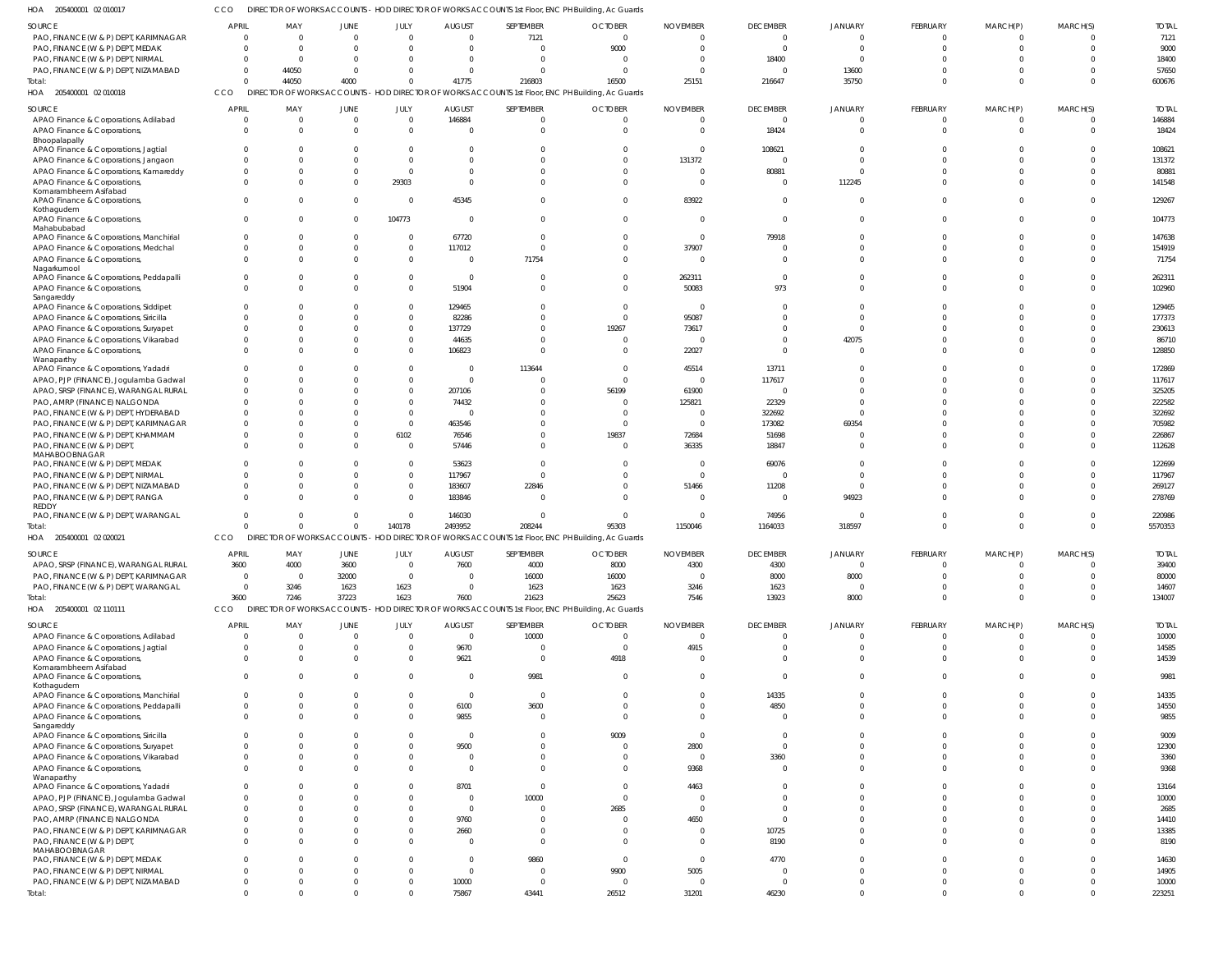CCO DIRECTOR OF WORKS ACCOUNTS - HOD DIRECTOR OF WORKS ACCOUNTS 1st Floor, ENC PH Building, Ac Guards

|                                                       |                               |                               |              |                         | DIRECTOR OF WORKS ACCOUNTS - HOD DIRECTOR OF WORKS ACCOUNTS 1st Floor, ENC PH Building, Ac Guards |                         |                                                                                                   |                   |                         |                                |                  |                              |                         |                 |
|-------------------------------------------------------|-------------------------------|-------------------------------|--------------|-------------------------|---------------------------------------------------------------------------------------------------|-------------------------|---------------------------------------------------------------------------------------------------|-------------------|-------------------------|--------------------------------|------------------|------------------------------|-------------------------|-----------------|
| <b>SOURCE</b>                                         | <b>APRIL</b>                  | MAY                           | <b>JUNE</b>  | JULY                    | <b>AUGUST</b>                                                                                     | SEPTEMBER               | <b>OCTOBER</b>                                                                                    | <b>NOVEMBER</b>   | <b>DECEMBER</b>         | JANUARY                        | <b>FEBRUARY</b>  | MARCH(P)                     | MARCH(S)                | <b>TOTAL</b>    |
| PAO, FINANCE (W & P) DEPT, KARIMNAGAR                 | $\overline{0}$                | $\overline{0}$                | $\Omega$     | $\Omega$                | $\Omega$                                                                                          | 7121                    | $\mathbf{0}$                                                                                      |                   | $\overline{0}$          | $\Omega$                       | $\Omega$         | $\Omega$                     | $\Omega$                | 7121            |
| PAO, FINANCE (W & P) DEPT, MEDAK                      | $\Omega$                      | $\overline{0}$                | $\Omega$     | $\Omega$                | $\Omega$                                                                                          | $\Omega$                | 9000                                                                                              | $\cap$            | $\Omega$                | $\Omega$                       | $\Omega$         | $\Omega$                     | $\Omega$                | 9000            |
|                                                       | $\Omega$                      | $\mathbf{0}$                  | $\Omega$     | $\Omega$                | $\Omega$                                                                                          | $\Omega$                | $\Omega$                                                                                          |                   |                         | $\Omega$                       |                  |                              | $\Omega$                |                 |
| PAO, FINANCE (W & P) DEPT, NIRMAL                     |                               |                               |              |                         |                                                                                                   |                         |                                                                                                   |                   | 18400                   |                                |                  |                              |                         | 18400           |
| PAO, FINANCE (W & P) DEPT, NIZAMABAD                  | $\Omega$                      | 44050                         | $\Omega$     | $\cap$                  | $\Omega$                                                                                          | $\Omega$                | $\Omega$                                                                                          |                   | $\Omega$                | 13600                          |                  | <sup>0</sup>                 | $\Omega$                | 57650           |
| Total:                                                | $\Omega$                      | 44050                         | 4000         | $\Omega$                | 41775                                                                                             | 216803                  | 16500                                                                                             | 25151             | 216647                  | 35750                          | $\Omega$         | $\Omega$                     | $\Omega$                | 600676          |
| HOA 205400001 02 010018                               | CCO                           |                               |              |                         |                                                                                                   |                         | DIRECTOR OF WORKS ACCOUNTS - HOD DIRECTOR OF WORKS ACCOUNTS 1st Floor, ENC PH Building, Ac Guards |                   |                         |                                |                  |                              |                         |                 |
| <b>SOURCE</b>                                         | <b>APRIL</b>                  | MAY                           | JUNE         | JULY                    | <b>AUGUST</b>                                                                                     | SEPTEMBER               | <b>OCTOBER</b>                                                                                    | <b>NOVEMBER</b>   | <b>DECEMBER</b>         | <b>JANUARY</b>                 | <b>FEBRUARY</b>  | MARCH(P)                     | MARCH(S)                | <b>TOTAL</b>    |
| APAO Finance & Corporations, Adilabad                 | $\overline{0}$                | $\overline{0}$                | $\mathbf{0}$ | $\Omega$                | 146884                                                                                            | $\Omega$                | $\mathbf 0$                                                                                       |                   | $\overline{0}$          |                                |                  |                              | $\Omega$                | 146884          |
| APAO Finance & Corporations,                          | $\overline{0}$                | $\overline{0}$                | $\Omega$     | $\Omega$                | $\overline{0}$                                                                                    | $\Omega$                | $\Omega$                                                                                          |                   | 18424                   | $\Omega$                       | $\Omega$         | $\Omega$                     | $\mathbf 0$             | 18424           |
| Bhoopalapally                                         |                               |                               |              |                         |                                                                                                   |                         |                                                                                                   |                   |                         |                                |                  |                              |                         |                 |
| APAO Finance & Corporations, Jagtial                  | $\Omega$                      | $\mathbf{0}$                  | $\Omega$     | $\Omega$                | $\Omega$                                                                                          | $\Omega$                | $\Omega$                                                                                          | - 0               | 108621                  | $\cap$                         |                  |                              | $\Omega$                | 108621          |
| APAO Finance & Corporations, Jangaon                  | $\Omega$                      | $\overline{0}$                |              | $\Omega$                | $\Omega$                                                                                          | $\Omega$                | $\Omega$                                                                                          | 131372            | $\Omega$                | $\Omega$                       |                  |                              | $\Omega$                | 131372          |
| APAO Finance & Corporations, Kamareddy                | $\mathbf{0}$                  | $\overline{0}$                | $\Omega$     | $\Omega$                | $\Omega$                                                                                          | $\Omega$                | $\Omega$                                                                                          |                   | 80881                   | $\Omega$                       |                  |                              | $\Omega$                | 80881           |
| APAO Finance & Corporations,                          | $\overline{0}$                | $\mathbf{0}$                  | $\Omega$     | 29303                   | $\Omega$                                                                                          | $\Omega$                | $\Omega$                                                                                          | - 0               | $\Omega$                | 112245                         |                  | <sup>0</sup>                 | $\Omega$                | 141548          |
| Komarambheem Asifabad                                 |                               |                               |              |                         |                                                                                                   |                         |                                                                                                   |                   |                         |                                |                  |                              |                         |                 |
| APAO Finance & Corporations,                          | $\Omega$                      | $\mathbf{0}$                  | $\Omega$     | $\Omega$                | 45345                                                                                             | $\Omega$                | $\Omega$                                                                                          | 83922             | $\Omega$                | $\Omega$                       |                  | $\Omega$                     | $\Omega$                | 129267          |
| Kothagudem                                            |                               |                               |              |                         |                                                                                                   |                         |                                                                                                   |                   |                         |                                |                  |                              |                         |                 |
| APAO Finance & Corporations,                          | $\overline{0}$                | $\mathbf{0}$                  | $\Omega$     | 104773                  | $\overline{0}$                                                                                    | $\Omega$                | $\Omega$                                                                                          | - 0               | $\Omega$                | $\Omega$                       | $\Omega$         | $\Omega$                     | $\Omega$                | 104773          |
| Mahabubabad                                           |                               |                               |              |                         |                                                                                                   |                         |                                                                                                   |                   |                         |                                |                  |                              |                         |                 |
| APAO Finance & Corporations, Manchirial               | $\overline{0}$                | $\mathbf{0}$                  | $\Omega$     | $\Omega$                | 67720                                                                                             | $\Omega$                | $\Omega$                                                                                          | $\Omega$          | 79918                   | $\Omega$                       |                  |                              | $\Omega$                | 147638          |
| APAO Finance & Corporations, Medchal                  | $\Omega$                      | $\overline{0}$                | $\Omega$     | $\Omega$                | 117012                                                                                            | $\Omega$                | $\Omega$                                                                                          | 37907             | $\Omega$                | $\Omega$                       |                  |                              | $\Omega$                | 154919          |
| APAO Finance & Corporations,                          | $\Omega$                      | $\mathbf{0}$                  | $\Omega$     | $\Omega$                | $\overline{0}$                                                                                    | 71754                   | $\Omega$                                                                                          | - C               | $\Omega$                | $\cap$                         |                  | $\Omega$                     | $\Omega$                | 71754           |
| Nagarkurnool                                          |                               |                               |              |                         |                                                                                                   |                         |                                                                                                   |                   |                         |                                |                  |                              |                         |                 |
| APAO Finance & Corporations, Peddapalli               | $\Omega$                      | $\mathbf{0}$                  | $\cap$       | $\Omega$                | $\overline{0}$                                                                                    | $\Omega$                | $\Omega$                                                                                          | 262311            | $\Omega$                | $\Omega$                       |                  |                              | $\Omega$                | 262311          |
| APAO Finance & Corporations,                          | $\Omega$                      | $\overline{0}$                | $\Omega$     | $\Omega$                | 51904                                                                                             | $\Omega$                | $\Omega$                                                                                          | 50083             | 973                     | $\Omega$                       |                  | $\Omega$                     | $\Omega$                | 102960          |
| Sangareddy                                            | $\Omega$                      |                               | $\cap$       | $\Omega$                |                                                                                                   | $\Omega$                | $\Omega$                                                                                          |                   | $\Omega$                | $\cap$                         |                  |                              | $\Omega$                |                 |
| APAO Finance & Corporations, Siddipet                 |                               | $\mathbf{0}$                  |              |                         | 129465                                                                                            |                         |                                                                                                   | $\Omega$          |                         |                                |                  |                              |                         | 129465          |
| APAO Finance & Corporations, Siricilla                | $\Omega$                      | $\overline{0}$                | $\Omega$     | $\Omega$                | 82286                                                                                             | $\Omega$                | $\Omega$                                                                                          | 95087             |                         | $\Omega$                       |                  |                              | $\Omega$                | 177373          |
| APAO Finance & Corporations, Suryapet                 | $\Omega$                      | $\mathbf{0}$                  | $\cap$       | $\Omega$                | 137729                                                                                            | $\Omega$                | 19267                                                                                             | 73617             | $\Omega$                | $\Omega$                       |                  |                              | $\Omega$                | 230613          |
| APAO Finance & Corporations, Vikarabad                | $\Omega$                      | $\mathbf{0}$                  | $\cap$       | $\Omega$                | 44635                                                                                             | $\Omega$                | $\Omega$                                                                                          | $\sqrt{ }$        | $\Omega$                | 42075                          |                  |                              | $\Omega$                | 86710           |
| APAO Finance & Corporations,                          | $\Omega$                      | $\mathbf{0}$                  | $\cap$       | $\Omega$                | 106823                                                                                            | $\Omega$                | $\Omega$                                                                                          | 22027             | $\Omega$                | $\Omega$                       |                  | <sup>0</sup>                 | $\Omega$                | 128850          |
| Wanaparthy                                            |                               |                               |              |                         |                                                                                                   |                         |                                                                                                   |                   |                         |                                |                  |                              |                         |                 |
| APAO Finance & Corporations, Yadadri                  | $\Omega$                      | $\Omega$                      | $\cap$       | $\Omega$                | $\mathbf 0$                                                                                       | 113644                  | $\Omega$                                                                                          | 45514             | 13711                   | $\cap$                         |                  |                              | $\Omega$                | 172869          |
| APAO, PJP (FINANCE), Jogulamba Gadwal                 | $\Omega$                      | $\mathbf 0$                   |              | $\Omega$                | $\overline{0}$                                                                                    | $\Omega$                | $\Omega$                                                                                          | - 0               | 117617                  | $\Omega$                       |                  |                              | $\Omega$                | 117617          |
| APAO, SRSP (FINANCE), WARANGAL RURAL                  | $\Omega$                      | $\mathbf{0}$                  | $\Omega$     | $\Omega$                | 207106                                                                                            | $\Omega$                | 56199                                                                                             | 61900             | $\Omega$                | $\Omega$                       |                  |                              | $\Omega$                | 325205          |
| PAO, AMRP (FINANCE) NALGONDA                          | $\Omega$                      | $\Omega$                      |              | $\Omega$                | 74432                                                                                             | $\Omega$                | $\Omega$                                                                                          | 125821            | 22329                   | $\Omega$                       |                  |                              | $\Omega$                | 222582          |
| PAO, FINANCE (W & P) DEPT, HYDERABAD                  | $\mathbf 0$                   | $\mathbf{0}$                  | $\Omega$     | $\Omega$                | $\overline{0}$                                                                                    | $\Omega$                | $\Omega$                                                                                          | $\sqrt{ }$        | 322692                  | $\cap$                         |                  |                              | $\Omega$                | 322692          |
| PAO, FINANCE (W & P) DEPT, KARIMNAGAR                 | $\Omega$                      | $\mathbf{0}$                  | $\cap$       | $\Omega$                | 463546                                                                                            | $\Omega$                | $\Omega$                                                                                          | - 0               | 173082                  | 69354                          |                  |                              | $\Omega$                | 705982          |
| PAO, FINANCE (W & P) DEPT, KHAMMAM                    | $\Omega$                      | $\mathbf{0}$                  | $\Omega$     | 6102                    | 76546                                                                                             | $\Omega$                | 19837                                                                                             | 72684             | 51698                   |                                |                  |                              | $\Omega$                | 226867          |
| PAO, FINANCE (W & P) DEPT,                            | $\Omega$                      | $\mathbf{0}$                  | $\Omega$     | $\Omega$                | 57446                                                                                             | $\Omega$                | $\overline{0}$                                                                                    | 36335             | 18847                   | $\Omega$                       |                  |                              | $\Omega$                | 112628          |
| MAHABOOBNAGAR                                         |                               |                               |              |                         |                                                                                                   |                         |                                                                                                   |                   |                         |                                |                  |                              |                         |                 |
| PAO, FINANCE (W & P) DEPT, MEDAK                      | $\Omega$                      | $\mathbf 0$                   | $\Omega$     | $\Omega$                | 53623                                                                                             | $\Omega$                | $\Omega$                                                                                          | - C               | 69076                   | $\Omega$                       |                  |                              | $\Omega$                | 122699          |
| PAO, FINANCE (W & P) DEPT, NIRMAL                     | $\Omega$                      | $\overline{0}$                | $\cap$       | $\Omega$                | 117967                                                                                            | $\Omega$                | $\Omega$                                                                                          | $\Omega$          | $\Omega$                | $\Omega$                       |                  |                              | $\Omega$                | 117967          |
| PAO, FINANCE (W & P) DEPT, NIZAMABAD                  | $\Omega$                      | $\overline{0}$                | $\Omega$     | $\Omega$                | 183607                                                                                            | 22846                   | $\Omega$                                                                                          | 51466             | 11208                   | $\Omega$                       |                  |                              | $\Omega$                | 269127          |
| PAO, FINANCE (W & P) DEPT, RANGA                      | $\Omega$                      | $\mathbf{0}$                  | $\cap$       | $\Omega$                | 183846                                                                                            | $\Omega$                | $\Omega$                                                                                          |                   | $\Omega$                | 94923                          |                  | <sup>0</sup>                 | $\Omega$                | 278769          |
| REDDY                                                 |                               |                               |              |                         |                                                                                                   |                         |                                                                                                   |                   |                         |                                |                  |                              |                         |                 |
|                                                       |                               |                               |              |                         | 146030                                                                                            | $\Omega$                | $\overline{0}$                                                                                    | - 0               | 74956                   | $\Omega$                       |                  | <sup>0</sup>                 | $\Omega$                | 220986          |
| PAO, FINANCE (W & P) DEPT, WARANGAL                   | $\Omega$                      | $\Omega$                      | $\Omega$     | $\Omega$                |                                                                                                   |                         |                                                                                                   |                   |                         |                                |                  |                              |                         |                 |
| Total:                                                | $\Omega$                      | $\overline{0}$                | $\Omega$     | 140178                  | 2493952                                                                                           | 208244                  | 95303                                                                                             | 1150046           | 1164033                 | 318597                         | $\Omega$         | $\Omega$                     | $\Omega$                | 5570353         |
| HOA 205400001 02 020021                               | <b>CCO</b>                    |                               |              |                         |                                                                                                   |                         | DIRECTOR OF WORKS ACCOUNTS - HOD DIRECTOR OF WORKS ACCOUNTS 1st Floor, ENC PH Building, Ac Guards |                   |                         |                                |                  |                              |                         |                 |
|                                                       |                               |                               |              |                         |                                                                                                   |                         |                                                                                                   |                   |                         |                                |                  |                              |                         |                 |
| <b>SOURCE</b>                                         | <b>APRIL</b>                  | MAY                           | JUNE         | JULY                    | <b>AUGUST</b>                                                                                     | SEPTEMBER               | <b>OCTOBER</b>                                                                                    | <b>NOVEMBER</b>   | <b>DECEMBER</b>         | JANUARY                        | <b>FEBRUARY</b>  | MARCH(P)                     | MARCH(S)                | <b>TOTAL</b>    |
| APAO, SRSP (FINANCE), WARANGAL RURAL                  | 3600                          | 4000                          | 3600         | $\Omega$                | 7600                                                                                              | 4000                    | 8000                                                                                              | 4300              | 4300                    | $\Omega$                       |                  | $\Omega$                     | $\Omega$                | 39400           |
| PAO, FINANCE (W & P) DEPT, KARIMNAGAR                 | $\overline{0}$                | $\overline{0}$                | 32000        | $\Omega$                | $\overline{0}$                                                                                    | 16000                   | 16000                                                                                             | $\Omega$          | 8000                    | 8000                           | $\Omega$         | $\Omega$                     | $\Omega$                | 80000           |
| PAO, FINANCE (W & P) DEPT, WARANGAL                   | $\overline{0}$                | 3246                          | 1623         | 1623                    | $\overline{0}$                                                                                    | 1623                    | 1623                                                                                              | 3246              | 1623                    | $\Omega$                       | $\Omega$         | $\Omega$                     | $\Omega$                | 14607           |
| Total:                                                | 3600                          | 7246                          | 37223        | 1623                    | 7600                                                                                              | 21623                   | 25623                                                                                             | 7546              | 13923                   | 8000                           | $\Omega$         | $\Omega$                     | $\Omega$                | 134007          |
| HOA 205400001 02 110111                               | CCO                           | DIRECTOR OF WORKS ACCOUNTS    |              |                         |                                                                                                   |                         | - HOD DIRECTOR OF WORKS ACCOUNTS 1st Floor, ENC PH Building, Ac Guards                            |                   |                         |                                |                  |                              |                         |                 |
| <b>SOURCE</b>                                         | <b>APRIL</b>                  | MAY                           | JUNE         | JULY                    | <b>AUGUST</b>                                                                                     | SEPTEMBER               | <b>OCTOBER</b>                                                                                    | <b>NOVEMBER</b>   | <b>DECEMBER</b>         | <b>JANUARY</b>                 | <b>FEBRUARY</b>  | MARCH(P)                     | MARCH(S)                | <b>TOTAL</b>    |
|                                                       | $\overline{0}$                | $\overline{0}$                | $\Omega$     | $\Omega$                | $\mathbf 0$                                                                                       |                         |                                                                                                   | $\overline{0}$    | $\overline{0}$          | $\overline{0}$                 | $\mathbf 0$      | $\overline{0}$               | $\overline{0}$          |                 |
| APAO Finance & Corporations, Adilabad                 |                               | $\mathbf{0}$                  | $\Omega$     | $\Omega$                |                                                                                                   | 10000                   | $\overline{0}$                                                                                    |                   | $\overline{0}$          | $\Omega$                       | $\Omega$         | $\mathbf 0$                  | $\Omega$                | 10000           |
| APAO Finance & Corporations, Jagtial                  | $\mathbf 0$                   |                               | $\Omega$     |                         | 9670                                                                                              | $\overline{0}$          | $\overline{0}$                                                                                    | 4915<br>$\Omega$  |                         |                                |                  |                              |                         | 14585           |
| APAO Finance & Corporations,                          | $\overline{0}$                | $\overline{0}$                |              | $\Omega$                | 9621                                                                                              | $\overline{0}$          | 4918                                                                                              |                   | $\Omega$                | $\Omega$                       | $\Omega$         | $\mathbf{0}$                 | $\mathbf 0$             | 14539           |
| Komarambheem Asifabad<br>APAO Finance & Corporations, | $\overline{0}$                | $\mathbf{0}$                  | $\Omega$     | $\Omega$                | $\mathbf 0$                                                                                       | 9981                    | $\overline{0}$                                                                                    | $\Omega$          | $\Omega$                | $\Omega$                       | $\Omega$         | $\Omega$                     | $\Omega$                | 9981            |
| Kothagudem                                            |                               |                               |              |                         |                                                                                                   |                         |                                                                                                   |                   |                         |                                |                  |                              |                         |                 |
| APAO Finance & Corporations, Manchirial               | $\mathbf{0}$                  | $\overline{0}$                | $\Omega$     | $\Omega$                | $\mathbf{0}$                                                                                      | $\overline{0}$          | $\Omega$                                                                                          | $\Omega$          | 14335                   | $\Omega$                       | $\Omega$         | $\Omega$                     | $\Omega$                | 14335           |
| APAO Finance & Corporations, Peddapalli               | $\mathbf 0$                   | $\overline{0}$                | $\Omega$     | $\Omega$                | 6100                                                                                              | 3600                    | $\overline{0}$                                                                                    | $\Omega$          | 4850                    | $\Omega$                       | $\Omega$         | $\Omega$                     | $\Omega$                | 14550           |
| APAO Finance & Corporations,                          | $\mathbf{0}$                  | $\overline{0}$                | $\Omega$     | $\Omega$                | 9855                                                                                              | $\overline{0}$          | $\Omega$                                                                                          | $\Omega$          | $\Omega$                | $\Omega$                       | $\Omega$         | $\Omega$                     | $\Omega$                | 9855            |
| Sangareddy                                            |                               |                               |              |                         |                                                                                                   |                         |                                                                                                   |                   |                         |                                |                  |                              |                         |                 |
| APAO Finance & Corporations, Siricilla                | $\overline{0}$                | $\Omega$                      | $\Omega$     | $\Omega$                | $\mathbf 0$                                                                                       | $\Omega$                | 9009                                                                                              | $\Omega$          | $\Omega$                | $\Omega$                       |                  | $\Omega$                     | $\Omega$                | 9009            |
| APAO Finance & Corporations, Suryapet                 | $\Omega$                      | $\overline{0}$                | $\Omega$     | $\Omega$                | 9500                                                                                              | $\Omega$                | $\overline{0}$                                                                                    | 2800              | $\overline{0}$          | $\Omega$                       | $\Omega$         | $\Omega$                     | $\Omega$                | 12300           |
| APAO Finance & Corporations, Vikarabad                | $\mathbf{0}$                  | $\overline{0}$                | $\Omega$     | $\Omega$                | $\overline{0}$                                                                                    | $\Omega$                | $\Omega$                                                                                          | $\overline{0}$    | 3360                    | $\Omega$                       | $\Omega$         | $\Omega$                     | $\Omega$                | 3360            |
| APAO Finance & Corporations,                          | $\Omega$                      | $\overline{0}$                | $\Omega$     | $\Omega$                | $\mathbf 0$                                                                                       | $\Omega$                | $\overline{0}$                                                                                    | 9368              | $\Omega$                | $\Omega$                       | $\Omega$         | $\Omega$                     | $\Omega$                | 9368            |
| Wanaparthy                                            |                               |                               |              |                         |                                                                                                   |                         |                                                                                                   |                   |                         |                                |                  |                              |                         |                 |
| APAO Finance & Corporations, Yadadri                  | $\mathbf{0}$                  | $\mathbf{0}$                  | $\Omega$     | $\Omega$                | 8701                                                                                              | $\overline{0}$          | $\overline{0}$                                                                                    | 4463              | $\Omega$                | $\Omega$                       |                  | $\Omega$                     | $\Omega$                | 13164           |
| APAO, PJP (FINANCE), Jogulamba Gadwal                 | $\overline{0}$                | $\overline{0}$                |              | $\Omega$                | $\overline{0}$                                                                                    | 10000                   | $\overline{0}$                                                                                    | $\Omega$          | $\Omega$                | $\Omega$                       |                  | $\Omega$                     | $\Omega$                | 10000           |
| APAO, SRSP (FINANCE), WARANGAL RURAL                  | $\overline{0}$                | $\overline{0}$                | $\Omega$     | $\Omega$                | $\mathbf 0$                                                                                       | $\overline{0}$          | 2685                                                                                              | $\Omega$          | $\Omega$                | $\Omega$                       |                  | $\Omega$                     | $\Omega$                | 2685            |
| PAO, AMRP (FINANCE) NALGONDA                          | $\Omega$                      | $\Omega$                      |              | $\Omega$                | 9760                                                                                              | $\Omega$                | $\overline{0}$                                                                                    | 4650              | $\Omega$                | $\Omega$                       |                  | $\Omega$                     | $\Omega$                | 14410           |
| PAO, FINANCE (W & P) DEPT, KARIMNAGAR                 | $\mathbf 0$                   | $\overline{0}$                | $\Omega$     | $\Omega$                | 2660                                                                                              | $\Omega$                | $\Omega$                                                                                          | $\Omega$          | 10725                   | $\overline{0}$                 | $\Omega$         | $\Omega$                     | $\Omega$                | 13385           |
| PAO, FINANCE (W & P) DEPT,                            | $\Omega$                      | $\mathbf{0}$                  | $\Omega$     | $\Omega$                | $\overline{0}$                                                                                    | $\Omega$                | $\overline{0}$                                                                                    | $\Omega$          | 8190                    | $\Omega$                       | $\Omega$         | $\Omega$                     | $\Omega$                | 8190            |
| MAHABOOBNAGAR                                         |                               |                               |              |                         |                                                                                                   |                         |                                                                                                   |                   |                         |                                |                  |                              |                         |                 |
| PAO, FINANCE (W & P) DEPT, MEDAK                      | $\mathbf{0}$                  | $\Omega$                      | $\Omega$     | $\Omega$                | $\mathbf 0$                                                                                       | 9860                    | $\overline{0}$                                                                                    | $\Omega$          | 4770                    | $\Omega$                       | $\Omega$         | $\Omega$                     | $\Omega$                | 14630           |
| PAO, FINANCE (W & P) DEPT, NIRMAL                     | $\Omega$                      | $\overline{0}$                | $\Omega$     | $\Omega$                | $\mathbf 0$                                                                                       | $\overline{0}$          | 9900                                                                                              | 5005              | $\overline{0}$          | $\Omega$                       | $\Omega$         | $\Omega$                     | $\Omega$                | 14905           |
| PAO, FINANCE (W & P) DEPT, NIZAMABAD                  | $\overline{0}$<br>$\mathbf 0$ | $\overline{0}$<br>$\mathbf 0$ | $\Omega$     | $\Omega$<br>$\mathbf 0$ | 10000<br>75867                                                                                    | $\overline{0}$<br>43441 | $\overline{0}$<br>26512                                                                           | $\Omega$<br>31201 | $\overline{0}$<br>46230 | $\overline{0}$<br>$\mathbf{0}$ | $\mathbf 0$<br>0 | $\mathbf{0}$<br>$\mathbf{0}$ | $\Omega$<br>$\mathbf 0$ | 10000<br>223251 |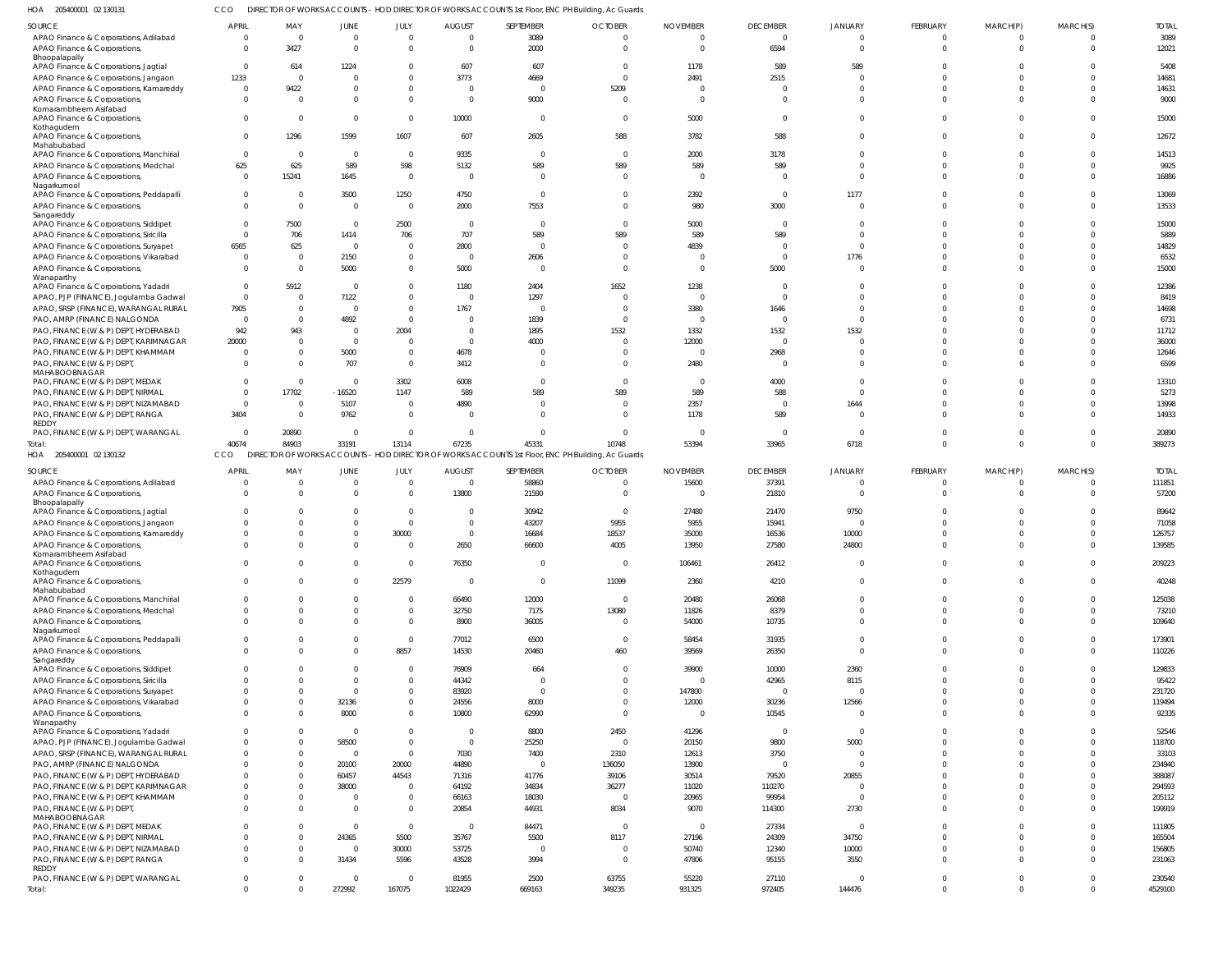205400001 02 130131 HOA CCO DIRECTOR OF WORKS ACCOUNTS - HOD DIRECTOR OF WORKS ACCOUNTS 1st Floor, ENC PH Building, Ac Guards

|                                                                                |                         |                       |                  |                        | <b>AUGUST</b>  | SEPTEMBER      | <b>OCTOBER</b>                                                                                    |                                   | <b>DECEMBER</b>   |                               | FEBRUARY |                 | MARCH(S)    | <b>TOTAL</b>    |
|--------------------------------------------------------------------------------|-------------------------|-----------------------|------------------|------------------------|----------------|----------------|---------------------------------------------------------------------------------------------------|-----------------------------------|-------------------|-------------------------------|----------|-----------------|-------------|-----------------|
| SOURCE<br>APAO Finance & Corporations, Adilabad                                | APRIL<br>$\overline{0}$ | MAY<br>$\overline{0}$ | JUNE<br>$\Omega$ | JULY<br>$\overline{0}$ | $\overline{0}$ | 3089           | $\overline{0}$                                                                                    | <b>NOVEMBER</b><br>$\overline{0}$ | $\mathbf 0$       | <b>JANUARY</b><br>$\mathbf 0$ | $\Omega$ | MARCH(P)<br>- 0 | $\Omega$    | 3089            |
| APAO Finance & Corporations,                                                   | $\Omega$                | 3427                  | $\Omega$         | $\Omega$               | $\Omega$       | 2000           | $\Omega$                                                                                          | $\Omega$                          | 6594              | $\Omega$                      | $\Omega$ | $\Omega$        | $\Omega$    | 12021           |
| Bhoopalapally                                                                  |                         |                       |                  |                        |                |                |                                                                                                   |                                   |                   |                               |          |                 |             |                 |
| APAO Finance & Corporations, Jagtial                                           | $\overline{0}$          | 614                   | 1224             | $\Omega$               | 607            | 607            | $\overline{0}$                                                                                    | 1178                              | 589               | 589                           |          |                 | $\Omega$    | 5408            |
| APAO Finance & Corporations, Jangaon                                           | 1233                    | $\overline{0}$        | $\Omega$         | $\Omega$               | 3773           | 4669           | $\Omega$                                                                                          | 2491                              | 2515              | $\Omega$                      |          |                 | $\Omega$    | 14681           |
| APAO Finance & Corporations, Kamareddy                                         | $\overline{0}$          | 9422                  | $\Omega$         | $\Omega$               | $\overline{0}$ | $\Omega$       | 5209                                                                                              | $\overline{0}$                    |                   | $\Omega$                      |          |                 | $\Omega$    | 14631           |
| APAO Finance & Corporations,                                                   | $\Omega$                | $\Omega$              | $\Omega$         | $\Omega$               | $\overline{0}$ | 9000           | $\Omega$                                                                                          | $\Omega$                          | $\Omega$          | $\Omega$                      |          | $\Omega$        | $\Omega$    | 9000            |
| Komarambheem Asifabad                                                          |                         |                       |                  |                        |                |                |                                                                                                   |                                   |                   |                               |          |                 |             |                 |
| APAO Finance & Corporations,                                                   | $\Omega$                | $\Omega$              | $\Omega$         | $\Omega$               | 10000          | $\Omega$       | $\overline{0}$                                                                                    | 5000                              | $\Omega$          | $\Omega$                      |          | $\Omega$        | $\Omega$    | 15000           |
| Kothagudem<br>APAO Finance & Corporations,                                     | $\overline{0}$          | 1296                  | 1599             | 1607                   | 607            | 2605           | 588                                                                                               | 3782                              | 588               | $\Omega$                      | $\Omega$ | $\Omega$        | $\Omega$    | 12672           |
| Mahabubabad                                                                    |                         |                       |                  |                        |                |                |                                                                                                   |                                   |                   |                               |          |                 |             |                 |
| APAO Finance & Corporations, Manchirial                                        | $\overline{0}$          | $\overline{0}$        | $\Omega$         | $\Omega$               | 9335           | $\Omega$       | $\overline{0}$                                                                                    | 2000                              | 3178              | $\Omega$                      |          |                 | $\Omega$    | 14513           |
| APAO Finance & Corporations, Medchal                                           | 625                     | 625                   | 589              | 598                    | 5132           | 589            | 589                                                                                               | 589                               | 589               | $\mathbf 0$                   |          |                 | $\Omega$    | 9925            |
| APAO Finance & Corporations,                                                   | $\overline{0}$          | 15241                 | 1645             | $\Omega$               | $\overline{0}$ | $\Omega$       | $\Omega$                                                                                          | $\overline{0}$                    | $\Omega$          | $\Omega$                      |          |                 | $\Omega$    | 16886           |
| Nagarkurnool                                                                   |                         |                       |                  |                        |                |                |                                                                                                   |                                   |                   |                               |          |                 |             |                 |
| APAO Finance & Corporations, Peddapalli                                        | $\overline{0}$          | - 0                   | 3500             | 1250                   | 4750           | $\Omega$       | $\Omega$                                                                                          | 2392                              | $\Omega$          | 1177                          |          |                 | $\Omega$    | 13069           |
| APAO Finance & Corporations,                                                   | $\Omega$                | $\Omega$              | $\Omega$         | $\Omega$               | 2000           | 7553           | $\Omega$                                                                                          | 980                               | 3000              | $\Omega$                      |          | $\Omega$        | $\Omega$    | 13533           |
| Sangareddy<br>APAO Finance & Corporations, Siddipet                            | $\overline{0}$          | 7500                  | $\Omega$         | 2500                   | $\overline{0}$ | $\Omega$       | $\Omega$                                                                                          | 5000                              | $\Omega$          | $\Omega$                      |          |                 | $\Omega$    | 15000           |
| APAO Finance & Corporations, Siricilla                                         | $\overline{0}$          | 706                   | 1414             | 706                    | 707            | 589            | 589                                                                                               | 589                               | 589               | $\Omega$                      |          |                 | $\Omega$    | 5889            |
| APAO Finance & Corporations, Suryapet                                          | 6565                    | 625                   | $\Omega$         | $\Omega$               | 2800           | $\Omega$       | $\Omega$                                                                                          | 4839                              | $\Omega$          | $\Omega$                      |          |                 | $\Omega$    | 14829           |
| APAO Finance & Corporations, Vikarabad                                         | $\overline{0}$          | $\overline{0}$        | 2150             | $\Omega$               | $\overline{0}$ | 2606           | $\overline{0}$                                                                                    | $\Omega$                          | $\Omega$          | 1776                          |          |                 | $\Omega$    | 6532            |
| APAO Finance & Corporations,                                                   | $\Omega$                | $\Omega$              | 5000             | $\Omega$               | 5000           | $\Omega$       | $\overline{0}$                                                                                    | $\Omega$                          | 5000              | $\Omega$                      |          |                 | $\Omega$    | 15000           |
| Wanaparthy                                                                     |                         |                       |                  |                        |                |                |                                                                                                   |                                   |                   |                               |          |                 |             |                 |
| APAO Finance & Corporations, Yadadri                                           | $\overline{0}$          | 5912                  | $\Omega$         | $\Omega$               | 1180           | 2404           | 1652                                                                                              | 1238                              | $\Omega$          | $\Omega$                      |          |                 | $\Omega$    | 12386           |
| APAO, PJP (FINANCE), Jogulamba Gadwal                                          | $\overline{0}$          | $\Omega$              | 7122             | $\Omega$               | $\overline{0}$ | 1297           | $\Omega$                                                                                          | $\Omega$                          | $\Omega$          | $\Omega$                      |          |                 | $\Omega$    | 8419            |
| APAO, SRSP (FINANCE), WARANGAL RURAL                                           | 7905                    | $\Omega$              | $\Omega$         | $\Omega$               | 1767           | $\Omega$       | $\Omega$                                                                                          | 3380                              | 1646              | $\Omega$                      |          |                 | $\Omega$    | 14698           |
| PAO, AMRP (FINANCE) NALGONDA                                                   | $\overline{0}$          | $\Omega$              | 4892             | $\Omega$               | $\Omega$       | 1839           | $\overline{0}$                                                                                    | $\overline{0}$                    | $\Omega$          | $\Omega$                      |          |                 | $\Omega$    | 6731            |
| PAO, FINANCE (W & P) DEPT, HYDERABAD                                           | 942                     | 943                   | $\Omega$         | 2004                   | - 0            | 1895           | 1532                                                                                              | 1332                              | 1532              | 1532                          |          |                 | $\Omega$    | 11712           |
| PAO, FINANCE (W & P) DEPT, KARIMNAGAR                                          | 20000                   | $\Omega$              | $\Omega$         | $\Omega$               | $\overline{0}$ | 4000           | $\overline{0}$                                                                                    | 12000                             | $\Omega$          | $\Omega$                      |          |                 | $\Omega$    | 36000           |
| PAO, FINANCE (W & P) DEPT, KHAMMAM                                             | $\Omega$                | $\Omega$              | 5000             | $\Omega$               | 4678           | $\Omega$       | $\Omega$                                                                                          | $\overline{0}$                    | 2968              | $\Omega$                      |          |                 | $\Omega$    | 12646           |
| PAO, FINANCE (W & P) DEPT,<br>MAHABOOBNAGAR                                    | $\Omega$                | $\Omega$              | 707              | $\Omega$               | 3412           | $\Omega$       | $\Omega$                                                                                          | 2480                              | $\Omega$          | $\mathbf 0$                   |          |                 | $\Omega$    | 6599            |
| PAO, FINANCE (W & P) DEPT, MEDAK                                               | $\Omega$                | - 0                   | $\Omega$         | 3302                   | 6008           |                | $\overline{0}$                                                                                    | $\overline{\phantom{0}}$          | 4000              | $^{\circ}$                    |          |                 | $\Omega$    | 13310           |
| PAO, FINANCE (W & P) DEPT, NIRMAL                                              | $\overline{0}$          | 17702                 | $-16520$         | 1147                   | 589            | 589            | 589                                                                                               | 589                               | 588               | $\Omega$                      |          |                 | $\Omega$    | 5273            |
| PAO, FINANCE (W & P) DEPT, NIZAMABAD                                           | $\overline{0}$          | - 0                   | 5107             | $\overline{0}$         | 4890           | $\overline{0}$ | $\overline{0}$                                                                                    | 2357                              | $\Omega$          | 1644                          |          |                 | $\Omega$    | 13998           |
| PAO, FINANCE (W & P) DEPT, RANGA                                               | 3404                    | $\Omega$              | 9762             | $\overline{0}$         | $\Omega$       | $\Omega$       | $\Omega$                                                                                          | 1178                              | 589               | $\Omega$                      |          |                 | $\Omega$    | 14933           |
| REDDY                                                                          | $\overline{0}$          | 20890                 | $\Omega$         | $\Omega$               | $\overline{0}$ |                | $\overline{0}$                                                                                    | $\overline{\phantom{0}}$          | $^{\circ}$        | -0                            |          |                 | $\Omega$    | 20890           |
| PAO, FINANCE (W & P) DEPT, WARANGAL<br>Total:                                  | 40674                   | 84903                 | 33191            | 13114                  | 67235          | 45331          | 10748                                                                                             | 53394                             | 33965             | 6718                          |          | $\Omega$        | $\Omega$    | 389273          |
|                                                                                |                         |                       |                  |                        |                |                |                                                                                                   |                                   |                   |                               |          |                 |             |                 |
|                                                                                |                         |                       |                  |                        |                |                |                                                                                                   |                                   |                   |                               |          |                 |             |                 |
| HOA 205400001 02 130132                                                        | CCO                     |                       |                  |                        |                |                | DIRECTOR OF WORKS ACCOUNTS - HOD DIRECTOR OF WORKS ACCOUNTS 1st Floor, ENC PH Building, Ac Guards |                                   |                   |                               |          |                 |             |                 |
| SOURCE                                                                         | <b>APRIL</b>            | MAY                   | JUNE             | JULY                   | <b>AUGUST</b>  | SEPTEMBER      | <b>OCTOBER</b>                                                                                    | <b>NOVEMBER</b>                   | <b>DECEMBER</b>   | JANUARY                       | FEBRUARY | MARCH(P)        | MARCH(S)    | <b>TOTAL</b>    |
| APAO Finance & Corporations, Adilabad                                          | $\Omega$                | $\mathbf 0$           |                  | $\Omega$               | $\mathbf{0}$   | 58860          | $\overline{0}$                                                                                    | 15600                             | 37391             | $\Omega$                      |          |                 | $\Omega$    | 111851          |
| APAO Finance & Corporations,                                                   | $\Omega$                | $\Omega$              | $\Omega$         | $\Omega$               | 13800          | 21590          | $\overline{0}$                                                                                    | $\overline{0}$                    | 21810             | $\mathbf 0$                   |          | $\Omega$        | $\Omega$    | 57200           |
| Bhoopalapally                                                                  | $\Omega$                | $\Omega$              |                  | $\Omega$               | $\Omega$       |                |                                                                                                   |                                   |                   |                               |          |                 |             |                 |
| APAO Finance & Corporations, Jagtial                                           | $\Omega$                | $\Omega$              |                  | $\Omega$               | $\Omega$       | 30942          | $\overline{0}$                                                                                    | 27480<br>5955                     | 21470             | 9750<br>$\Omega$              |          |                 |             | 89642           |
| APAO Finance & Corporations, Jangaon<br>APAO Finance & Corporations, Kamareddy | $\Omega$                | $\Omega$              |                  | 30000                  | $\overline{0}$ | 43207<br>16684 | 5955                                                                                              | 35000                             | 15941             |                               |          |                 |             | 71058           |
|                                                                                | $\Omega$                | $\Omega$              |                  |                        |                |                | 18537                                                                                             | 13950                             | 16536             | 10000<br>24800                |          |                 |             | 126757          |
| APAO Finance & Corporations,<br>Komarambheem Asifabad                          |                         |                       |                  |                        | 2650           | 66600          | 4005                                                                                              |                                   | 27580             |                               |          |                 |             | 139585          |
| APAO Finance & Corporations                                                    | $\sqrt{ }$              | $\cap$                |                  |                        | 76350          |                | $\Omega$                                                                                          | 106461                            | 26412             |                               |          |                 | $\cap$      | 209223          |
| Kothagudem                                                                     |                         |                       |                  |                        |                |                |                                                                                                   |                                   |                   |                               |          |                 |             |                 |
| APAO Finance & Corporations,                                                   | $\overline{0}$          | $\overline{0}$        |                  | 22579                  | $\overline{0}$ | $\mathbf{0}$   | 11099                                                                                             | 2360                              | 4210              | $^{\circ}$                    | $\Omega$ | $\Omega$        | $\mathbf 0$ | 40248           |
| Mahabubabad<br>APAO Finance & Corporations, Manchirial                         | $\Omega$                | $\Omega$              |                  | $\Omega$               | 66490          | 12000          | $\overline{\phantom{0}}$                                                                          | 20480                             | 26068             | $\mathbf 0$                   |          | $\Omega$        | $\Omega$    | 125038          |
| APAO Finance & Corporations, Medchal                                           | $\overline{0}$          | $\mathbf 0$           |                  | $\mathbf 0$            | 32750          | 7175           | 13080                                                                                             | 11826                             | 8379              | $\overline{0}$                | $\Omega$ | $\Omega$        | $\Omega$    | 73210           |
| APAO Finance & Corporations,                                                   | $\overline{0}$          | $\Omega$              |                  | $\Omega$               | 8900           | 36005          | $\overline{0}$                                                                                    | 54000                             | 10735             | $\mathbf 0$                   | $\Omega$ | $\Omega$        | $\Omega$    | 109640          |
| Nagarkurnool                                                                   |                         |                       |                  |                        |                |                |                                                                                                   |                                   |                   |                               |          |                 |             |                 |
| APAO Finance & Corporations, Peddapalli                                        | $\overline{0}$          | 0                     | $\Omega$         | $\Omega$               | 77012          | 6500           | $\overline{0}$                                                                                    | 58454                             | 31935             | $\overline{0}$                | $\Omega$ | $\Omega$        | $\Omega$    | 173901          |
| APAO Finance & Corporations,                                                   | $\overline{0}$          | $\Omega$              |                  | 8857                   | 14530          | 20460          | 460                                                                                               | 39569                             | 26350             | $\overline{0}$                | $\Omega$ | $\Omega$        | $\Omega$    | 110226          |
| Sangareddy                                                                     | $\overline{0}$          | $\Omega$              |                  | $\Omega$               | 76909          | 664            | $\overline{0}$                                                                                    | 39900                             | 10000             | 2360                          |          | $\Omega$        | $\Omega$    |                 |
| APAO Finance & Corporations, Siddipet                                          | $\Omega$                | $\Omega$              |                  | $\mathbf 0$            |                | $\Omega$       | $\overline{0}$                                                                                    |                                   |                   |                               |          |                 | $\Omega$    | 129833          |
| APAO Finance & Corporations, Siricilla                                         | $\mathbf 0$             | $\Omega$              | $\Omega$         | $\Omega$               | 44342          | $\Omega$       | $\overline{0}$                                                                                    | $\overline{0}$                    | 42965<br>$\Omega$ | 8115<br>$\Omega$              |          |                 | $\Omega$    | 95422           |
| APAO Finance & Corporations, Suryapet                                          | $\mathbf 0$             | 0                     |                  | 0                      | 83920          |                | $\overline{0}$                                                                                    | 147800                            |                   |                               |          |                 | $\Omega$    | 231720          |
| APAO Finance & Corporations, Vikarabad<br>APAO Finance & Corporations,         | $\Omega$                | $\Omega$              | 32136<br>8000    | $\mathbf 0$            | 24556<br>10800 | 8000<br>62990  | $\overline{0}$                                                                                    | 12000<br>$\overline{0}$           | 30236<br>10545    | 12566<br>$\mathbf 0$          |          | $\Omega$        | $\Omega$    | 119494<br>92335 |
| Wanaparthy                                                                     |                         |                       |                  |                        |                |                |                                                                                                   |                                   |                   |                               |          |                 |             |                 |
| APAO Finance & Corporations, Yadadri                                           | $\Omega$                | $\Omega$              | $\Omega$         | $\Omega$               | $\overline{0}$ | 8800           | 2450                                                                                              | 41296                             | $\Omega$          | $\mathbf{0}$                  |          | $\Omega$        | $\Omega$    | 52546           |
| APAO, PJP (FINANCE), Jogulamba Gadwal                                          | $\mathbf 0$             | $\Omega$              | 58500            | $\Omega$               | $\overline{0}$ | 25250          | $\overline{0}$                                                                                    | 20150                             | 9800              | 5000                          |          |                 | $\Omega$    | 118700          |
| APAO, SRSP (FINANCE), WARANGAL RURAL                                           | $\mathbf 0$             | 0                     | $\Omega$         | $\mathbf{0}$           | 7030           | 7400           | 2310                                                                                              | 12613                             | 3750              | $\overline{0}$                |          |                 | $\Omega$    | 33103           |
| PAO, AMRP (FINANCE) NALGONDA                                                   | $\Omega$                | 0                     | 20100            | 20000                  | 44890          | $\Omega$       | 136050                                                                                            | 13900                             | $\Omega$          | $\Omega$                      |          |                 | $\Omega$    | 234940          |
| PAO, FINANCE (W & P) DEPT, HYDERABAD                                           | $\Omega$                | $\Omega$              | 60457            | 44543                  | 71316          | 41776          | 39106                                                                                             | 30514                             | 79520             | 20855                         |          |                 | $\Omega$    | 388087          |
| PAO, FINANCE (W & P) DEPT, KARIMNAGAR                                          | $\mathbf 0$             | $\Omega$              | 38000            | $\Omega$               | 64192          | 34834          | 36277                                                                                             | 11020                             | 110270            | $^{\circ}$                    |          |                 | $\Omega$    | 294593          |
| PAO, FINANCE (W & P) DEPT, KHAMMAM                                             | $\Omega$                | 0                     |                  | $\mathbf 0$            | 66163          | 18030          | $\overline{0}$                                                                                    | 20965                             | 99954             | $\mathbf{0}$                  |          |                 | $\Omega$    | 205112          |
| PAO, FINANCE (W & P) DEPT,<br>MAHABOOBNAGAR                                    | $\Omega$                | $\Omega$              | $\Omega$         | $\mathbf{0}$           | 20854          | 44931          | 8034                                                                                              | 9070                              | 114300            | 2730                          | $\Omega$ | $\Omega$        | $\Omega$    | 199919          |
| PAO, FINANCE (W & P) DEPT, MEDAK                                               | $\Omega$                | $\Omega$              | $\Omega$         | $\overline{0}$         | $\overline{0}$ | 84471          | $\overline{0}$                                                                                    | $\overline{0}$                    | 27334             | $\mathbf{0}$                  |          |                 | $\Omega$    | 111805          |
| PAO, FINANCE (W & P) DEPT, NIRMAL                                              | $\mathbf 0$             | $\Omega$              | 24365            | 5500                   | 35767          | 5500           | 8117                                                                                              | 27196                             | 24309             | 34750                         |          |                 | $\Omega$    | 165504          |
| PAO, FINANCE (W & P) DEPT, NIZAMABAD                                           | $\mathbf 0$             | 0                     | $\overline{0}$   | 30000                  | 53725          | $\overline{0}$ | $\overline{0}$                                                                                    | 50740                             | 12340             | 10000                         |          |                 | $\Omega$    | 156805          |
| PAO, FINANCE (W & P) DEPT, RANGA                                               | $\Omega$                | $\Omega$              | 31434            | 5596                   | 43528          | 3994           | $\overline{0}$                                                                                    | 47806                             | 95155             | 3550                          |          | $\Omega$        | $\Omega$    | 231063          |
| REDDY                                                                          | $\overline{0}$          | 0                     | $\Omega$         | $\overline{0}$         | 81955          | 2500           | 63755                                                                                             | 55220                             | 27110             | $^{\circ}$                    |          | $\Omega$        | $\Omega$    | 230540          |
| PAO, FINANCE (W & P) DEPT, WARANGAL<br>Total:                                  | $\overline{0}$          | $\Omega$              | 272992           | 167075                 | 1022429        | 669163         | 349235                                                                                            | 931325                            | 972405            | 144476                        | $\Omega$ | $\Omega$        | $\Omega$    | 4529100         |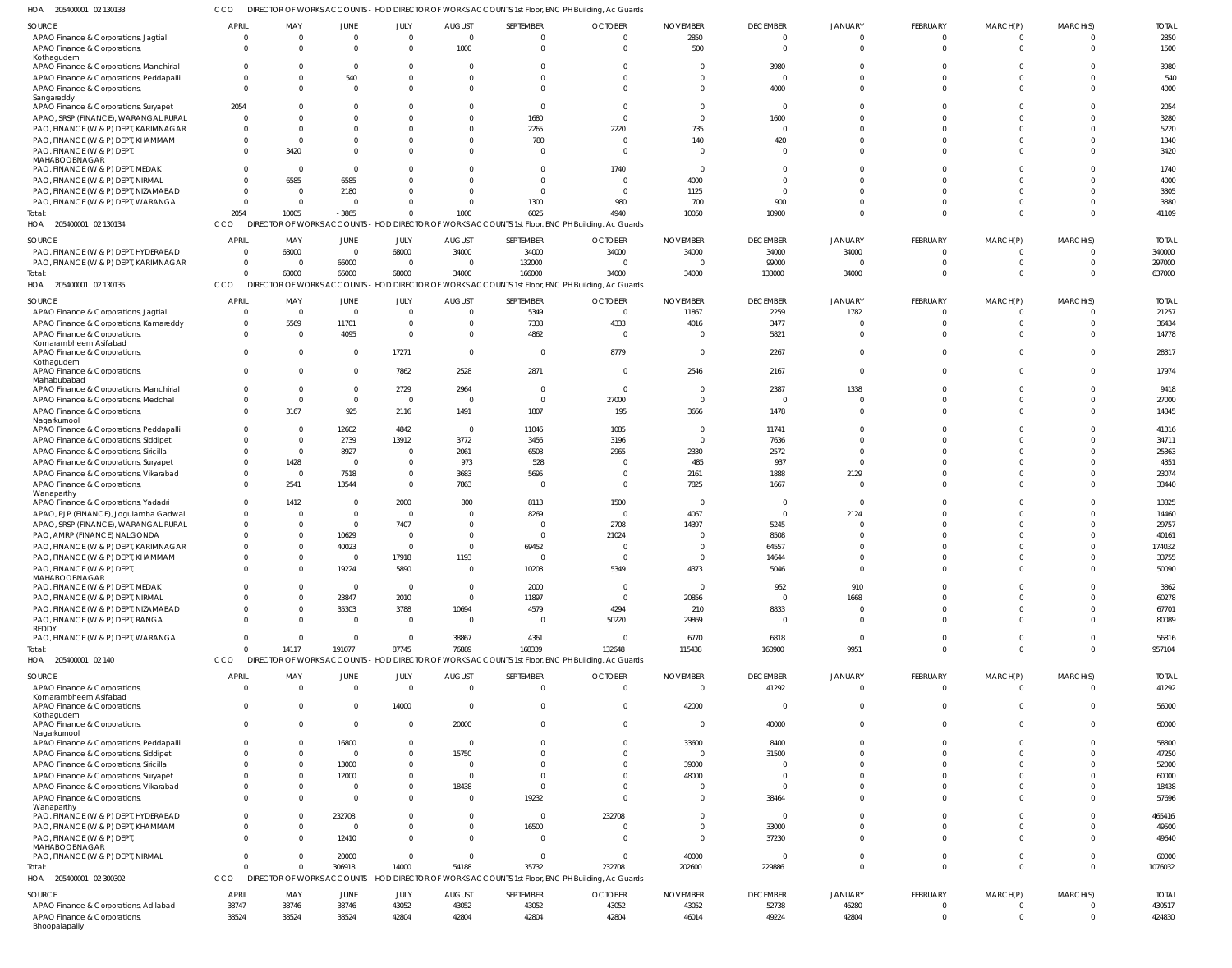CCO DIRECTOR OF WORKS ACCOUNTS - HOD DIRECTOR OF WORKS ACCOUNTS 1st Floor, ENC PH Building, Ac Guards

| HOA 205400001 02 130133                                 |                |                |          |                         |                | DIRECTOR OF WORKS ACCOUNTS - HOD DIRECTOR OF WORKS ACCOUNTS 1st Floor, ENC PH Building, Ac Guards |                |                 |                 |                |                              |              |                      |              |
|---------------------------------------------------------|----------------|----------------|----------|-------------------------|----------------|---------------------------------------------------------------------------------------------------|----------------|-----------------|-----------------|----------------|------------------------------|--------------|----------------------|--------------|
| SOURCE                                                  | <b>APRIL</b>   | MAY            | JUNE     | JULY                    | <b>AUGUST</b>  | SEPTEMBER                                                                                         | <b>OCTOBER</b> | <b>NOVEMBER</b> | <b>DECEMBER</b> | <b>JANUARY</b> | FEBRUARY                     | MARCH(P)     | MARCH(S)             | <b>TOTAL</b> |
| APAO Finance & Corporations, Jagtial                    | $\circ$        | $\overline{0}$ | $\Omega$ | $\Omega$                | $\Omega$       | $\mathbf 0$                                                                                       | $\mathbf 0$    | 2850            | $\Omega$        | $\Omega$       | $\overline{0}$               | $\mathbf{0}$ | $\mathbf 0$          | 2850         |
| APAO Finance & Corporations,                            | $\Omega$       | $\Omega$       | $\Omega$ | $\Omega$                | 1000           | $\mathbf 0$                                                                                       | $\overline{0}$ | 500             | $\Omega$        | $\Omega$       | $\Omega$                     | $\mathbf 0$  | $\mathbf 0$          | 1500         |
| Kothagudem                                              |                |                |          |                         |                |                                                                                                   |                |                 |                 |                |                              |              |                      |              |
| APAO Finance & Corporations, Manchirial                 | $\Omega$       | -0             | - 0      | $\Omega$                |                | $\Omega$                                                                                          | 0              | O               | 3980            |                |                              |              | $\Omega$             | 3980         |
| APAO Finance & Corporations, Peddapalli                 | $\Omega$       | $\Omega$       | 540      | $\Omega$                |                | $\Omega$                                                                                          | $\Omega$       | $\Omega$        | $\Omega$        | $\Omega$       | $\Omega$                     | $\Omega$     | $\Omega$             | 540          |
| APAO Finance & Corporations,                            | $\Omega$       | $\Omega$       | $\Omega$ | $\Omega$                |                | $\Omega$                                                                                          | $\Omega$       | $\Omega$        | 4000            | $\cap$         | $\Omega$                     | $\Omega$     | $\Omega$             | 4000         |
| Sangareddy                                              |                |                |          |                         |                |                                                                                                   |                |                 |                 |                |                              |              |                      |              |
| APAO Finance & Corporations, Suryapet                   | 2054           |                |          |                         |                | $\Omega$                                                                                          | $\Omega$       | $\Omega$        | $\Omega$        | $\cap$         | $\Omega$                     | <sup>0</sup> | $\Omega$             | 2054         |
| APAO, SRSP (FINANCE), WARANGAL RURAL                    | $\overline{0}$ | $\Omega$       |          |                         |                | 1680                                                                                              | $\mathbf 0$    | $\Omega$        | 1600            |                |                              |              | $\Omega$             | 3280         |
| PAO, FINANCE (W & P) DEPT, KARIMNAGAR                   | $\Omega$       | $\Omega$       |          |                         |                | 2265                                                                                              | 2220           | 735             | $\Omega$        | $\Omega$       | $\Omega$                     | $\Omega$     | $\Omega$             | 5220         |
| PAO, FINANCE (W & P) DEPT, KHAMMAM                      | $\overline{0}$ | $\Omega$       |          |                         |                | 780                                                                                               | $\overline{0}$ | 140             | 420             | $\cap$         | $\Omega$                     | <sup>0</sup> | $\Omega$             | 1340         |
| PAO, FINANCE (W & P) DEPT,<br>MAHABOOBNAGAR             | $\Omega$       | 3420           |          |                         |                | $\Omega$                                                                                          | $\Omega$       | $\Omega$        | $\Omega$        | $\cap$         | $\Omega$                     | $\Omega$     | $\Omega$             | 3420         |
| PAO, FINANCE (W & P) DEPT, MEDAK                        | $\Omega$       | - 0            | $\Omega$ |                         |                |                                                                                                   | 1740           | $\overline{0}$  | $\Omega$        |                |                              |              | $\Omega$             | 1740         |
| PAO, FINANCE (W & P) DEPT, NIRMAL                       | $\Omega$       | 6585           | $-6585$  | $\Omega$                |                | $\Omega$                                                                                          | $\overline{0}$ | 4000            | $\Omega$        | $\cap$         |                              | $\Omega$     | $\Omega$             | 4000         |
| PAO, FINANCE (W & P) DEPT, NIZAMABAD                    | $\overline{0}$ | $\overline{0}$ | 2180     |                         |                | $\Omega$                                                                                          | $\overline{0}$ | 1125            | $\Omega$        |                | $\Omega$                     |              | $\Omega$             | 3305         |
| PAO, FINANCE (W & P) DEPT, WARANGAL                     | $\Omega$       | $\overline{0}$ | - 0      | $\Omega$                |                | 1300                                                                                              | 980            | 700             | 900             | $\Omega$       | $\Omega$                     | <sup>0</sup> | $\Omega$             | 3880         |
| Total:                                                  | 2054           | 10005          | $-3865$  | $\Omega$                | 1000           | 6025                                                                                              | 4940           | 10050           | 10900           | $\Omega$       | $\Omega$                     | $\Omega$     | $\Omega$             | 41109        |
| HOA 205400001 02 130134                                 | CCO            |                |          |                         |                | DIRECTOR OF WORKS ACCOUNTS - HOD DIRECTOR OF WORKS ACCOUNTS 1st Floor, ENC PH Building, Ac Guards |                |                 |                 |                |                              |              |                      |              |
|                                                         |                |                |          |                         |                |                                                                                                   |                |                 |                 |                |                              |              |                      |              |
| SOURCE                                                  | <b>APRIL</b>   | MAY            | JUNE     | JULY                    | <b>AUGUST</b>  | SEPTEMBER                                                                                         | <b>OCTOBER</b> | <b>NOVEMBER</b> | <b>DECEMBER</b> | <b>JANUARY</b> | FEBRUARY                     | MARCH(P)     | MARCH(S)             | <b>TOTAL</b> |
| PAO, FINANCE (W & P) DEPT, HYDERABAD                    | $\overline{0}$ | 68000          | $\Omega$ | 68000                   | 34000          | 34000                                                                                             | 34000          | 34000           | 34000           | 34000          | $^{\circ}$                   | $\Omega$     | $\mathbf{0}$         | 340000       |
| PAO, FINANCE (W & P) DEPT, KARIMNAGAR                   | $\overline{0}$ | - 0            | 66000    | $\overline{\mathbf{0}}$ |                | 132000                                                                                            | $\overline{0}$ | $\overline{0}$  | 99000           | $\Omega$       | $\Omega$                     | $\Omega$     | $\overline{0}$       | 297000       |
| Total:                                                  | $\Omega$       | 68000          | 66000    | 68000                   | 34000          | 166000                                                                                            | 34000          | 34000           | 133000          | 34000          | $\Omega$                     | $\Omega$     | $\mathbf 0$          | 637000       |
| HOA 205400001 02 130135                                 | CCO            |                |          |                         |                | DIRECTOR OF WORKS ACCOUNTS - HOD DIRECTOR OF WORKS ACCOUNTS 1st Floor, ENC PH Building, Ac Guards |                |                 |                 |                |                              |              |                      |              |
|                                                         |                |                |          |                         |                |                                                                                                   |                |                 |                 |                |                              |              |                      |              |
| SOURCE                                                  | <b>APRIL</b>   | MAY            | JUNE     | JULY                    | <b>AUGUST</b>  | SEPTEMBER                                                                                         | <b>OCTOBER</b> | <b>NOVEMBER</b> | <b>DECEMBER</b> | <b>JANUARY</b> | FEBRUARY                     | MARCH(P)     | MARCH(S)             | <b>TOTAL</b> |
| APAO Finance & Corporations, Jagtial                    | $\overline{0}$ | $\overline{0}$ | $\Omega$ | $\overline{0}$          | - 0            | 5349                                                                                              | $\overline{0}$ | 11867           | 2259            | 1782           | $\Omega$                     | $\Omega$     | $^{\circ}$           | 21257        |
| APAO Finance & Corporations, Kamareddy                  | $\overline{0}$ | 5569           | 11701    | $\mathbf 0$             |                | 7338                                                                                              | 4333           | 4016            | 3477            |                | $\Omega$                     | $\Omega$     | $\mathbf 0$          | 36434        |
| APAO Finance & Corporations<br>Komarambheem Asifabad    | $\Omega$       | $\Omega$       | 4095     | $\Omega$                | $\Omega$       | 4862                                                                                              | $\overline{0}$ | $\Omega$        | 5821            | $\Omega$       | $\Omega$                     | $\Omega$     | $\Omega$             | 14778        |
| APAO Finance & Corporations,                            | $\Omega$       | $\Omega$       | - 0      | 17271                   | $\Omega$       | $\mathbf{0}$                                                                                      | 8779           | $\overline{0}$  | 2267            | $\Omega$       | $\Omega$                     | $\Omega$     | $\mathbf{0}$         | 28317        |
| Kothagudem                                              |                |                |          |                         |                |                                                                                                   |                |                 |                 |                |                              |              |                      |              |
| APAO Finance & Corporations,                            | $\Omega$       | $\Omega$       | $\Omega$ | 7862                    | 2528           | 2871                                                                                              | $\overline{0}$ | 2546            | 2167            | $\Omega$       | $\Omega$                     | $\Omega$     | $\Omega$             | 17974        |
| Mahabubabad                                             |                |                |          |                         |                |                                                                                                   |                |                 |                 |                |                              |              |                      |              |
| APAO Finance & Corporations, Manchiria                  | $\Omega$       | $\Omega$       | - 0      | 2729                    | 2964           | $\mathbf{0}$                                                                                      | $\overline{0}$ | 0               | 2387            | 1338           | $\Omega$                     | <sup>0</sup> | $\mathbf 0$          | 9418         |
| APAO Finance & Corporations, Medchal                    | $\Omega$       | $\overline{0}$ | $\Omega$ | $\Omega$                | - 0            | $\mathbf 0$                                                                                       | 27000          | $\Omega$        | $\Omega$        |                | $\Omega$                     | $\Omega$     | $\Omega$             | 27000        |
| APAO Finance & Corporations,                            | $\Omega$       | 3167           | 925      | 2116                    | 1491           | 1807                                                                                              | 195            | 3666            | 1478            | $\Omega$       | $\Omega$                     | $\Omega$     | $\Omega$             | 14845        |
| Nagarkurnool<br>APAO Finance & Corporations, Peddapalli | $\Omega$       | $\Omega$       | 12602    | 4842                    | - 0            | 11046                                                                                             | 1085           | $\Omega$        | 11741           | $\Omega$       | $\Omega$                     | $\Omega$     | $\Omega$             | 41316        |
| APAO Finance & Corporations, Siddipet                   | $\Omega$       | $\overline{0}$ | 2739     | 13912                   | 3772           | 3456                                                                                              | 3196           | $\Omega$        | 7636            | $\Omega$       |                              |              | $\Omega$             | 34711        |
| APAO Finance & Corporations, Siricilla                  | $\Omega$       | $\overline{0}$ | 8927     | $\Omega$                | 2061           | 6508                                                                                              | 2965           | 2330            | 2572            | $\Omega$       | $\Omega$                     | $\Omega$     | $\Omega$             | 25363        |
|                                                         | $\Omega$       |                | $\Omega$ | $\Omega$                |                | 528                                                                                               |                | 485             | 937             | $\cap$         | $\Omega$                     |              | $\Omega$             | 4351         |
| APAO Finance & Corporations, Suryapet                   |                | 1428           |          |                         | 973            |                                                                                                   | - 0            |                 |                 |                | $\Omega$                     |              |                      |              |
| APAO Finance & Corporations, Vikarabad                  | $\Omega$       | $\overline{0}$ | 7518     | $\Omega$                | 3683           | 5695                                                                                              | $\overline{0}$ | 2161            | 1888            | 2129           |                              | <sup>0</sup> | $\Omega$             | 23074        |
| APAO Finance & Corporations,<br>Wanaparthy              | $\Omega$       | 2541           | 13544    | $\Omega$                | 7863           | $\Omega$                                                                                          | $\overline{0}$ | 7825            | 1667            | - 0            | $\Omega$                     | $\Omega$     | $\Omega$             | 33440        |
| APAO Finance & Corporations, Yadadri                    | $\overline{0}$ | 1412           | $\Omega$ | 2000                    | 800            | 8113                                                                                              | 1500           | - 0             | $\Omega$        |                | $\Omega$                     |              | $\Omega$             | 13825        |
| APAO, PJP (FINANCE), Jogulamba Gadwal                   | $\Omega$       | $\Omega$       | - 0      | $\Omega$                |                | 8269                                                                                              | $\overline{0}$ | 4067            | $\Omega$        | 2124           |                              |              | $\Omega$             | 14460        |
| APAO, SRSP (FINANCE), WARANGAL RURAL                    | $\Omega$       | - 0            | $\Omega$ | 7407                    |                | $\Omega$                                                                                          | 2708           | 14397           | 5245            |                |                              |              | $\Omega$             | 29757        |
| PAO, AMRP (FINANCE) NALGONDA                            | $\Omega$       |                | 10629    | $\Omega$                |                |                                                                                                   | 21024          | -C              | 8508            |                |                              |              |                      | 40161        |
| PAO, FINANCE (W & P) DEPT, KARIMNAGAR                   | $\Omega$       | $\Omega$       | 40023    | $\Omega$                |                | 69452                                                                                             | $\Omega$       | $\Omega$        | 64557           |                | $\Omega$                     | $\Omega$     | $\Omega$             | 174032       |
| PAO, FINANCE (W & P) DEPT, KHAMMAM                      |                |                |          | 17918                   | 1193           |                                                                                                   |                |                 | 14644           |                |                              |              |                      | 33755        |
| PAO, FINANCE (W & P) DEPT,                              | $\Omega$       | $\Omega$       | 19224    | 5890                    | $\Omega$       | 10208                                                                                             | 5349           | 4373            | 5046            | $\Omega$       | $\Omega$                     | $\Omega$     | $\Omega$             | 50090        |
| MAHABOOBNAGAR                                           |                |                |          |                         |                |                                                                                                   |                |                 |                 |                |                              |              |                      |              |
| PAO, FINANCE (W & P) DEPT, MEDAK                        | $\Omega$       |                | $\Omega$ | $\Omega$                | $\Omega$       | 2000                                                                                              | $\overline{0}$ | $\overline{0}$  | 952             | 910            | $\Omega$                     | <sup>0</sup> | $\Omega$             | 3862         |
| PAO, FINANCE (W & P) DEPT, NIRMAL                       | $\Omega$       |                | 23847    | 2010                    | $\Omega$       | 11897                                                                                             | $\overline{0}$ | 20856           | $\Omega$        | 1668           | $\Omega$                     | $\Omega$     | $\Omega$             | 60278        |
| PAO, FINANCE (W & P) DEPT, NIZAMABAD                    | $\Omega$       | - 0            | 35303    | 3788                    | 10694          | 4579                                                                                              | 4294           | 210             | 8833            | - 0            | $\Omega$                     | $\Omega$     | $\Omega$             | 67701        |
| PAO, FINANCE (W & P) DEPT, RANGA                        | $\Omega$       | $\Omega$       | $\Omega$ | $\Omega$                | $\Omega$       | $\Omega$                                                                                          | 50220          | 29869           | $\Omega$        | $\Omega$       | $\Omega$                     | $\Omega$     | $\Omega$             | 80089        |
| REDDY                                                   |                |                |          |                         |                |                                                                                                   |                |                 |                 |                |                              |              |                      |              |
| PAO, FINANCE (W & P) DEPT, WARANGAL                     | $\Omega$       | $\Omega$       | $\Omega$ | $\Omega$                | 38867          | 4361                                                                                              | $\overline{0}$ | 6770            | 6818            | $\Omega$       | $\Omega$                     | $\Omega$     | $\Omega$             | 56816        |
| Total:                                                  | $\Omega$       | 14117          | 191077   | 87745                   | 76889          | 168339                                                                                            | 132648         | 115438          | 160900          | 9951           | $\Omega$                     | $\Omega$     | $\Omega$             | 957104       |
| HOA 205400001 02 140                                    | CCO            |                |          |                         |                | DIRECTOR OF WORKS ACCOUNTS - HOD DIRECTOR OF WORKS ACCOUNTS 1st Floor, ENC PH Building, Ac Guards |                |                 |                 |                |                              |              |                      |              |
| SOURCE                                                  | <b>APRIL</b>   | MAY            | JUNE     | JULY                    | <b>AUGUST</b>  | SEPTEMBER                                                                                         | <b>OCTOBER</b> | <b>NOVEMBER</b> | <b>DECEMBER</b> | <b>JANUARY</b> | FEBRUARY                     | MARCH(P)     | MARCH(S)             | <b>TOTAL</b> |
| APAO Finance & Corporations,                            | $\overline{0}$ | $\overline{0}$ | $\Omega$ | $\overline{\mathbf{0}}$ | $\Omega$       | $\mathbf{0}$                                                                                      | $\overline{0}$ | $\overline{0}$  | 41292           | $\Omega$       | $\overline{0}$               | $\mathbf{0}$ | $\overline{0}$       | 41292        |
| Komarambheem Asifabad                                   |                |                |          |                         |                |                                                                                                   |                |                 |                 |                |                              |              |                      |              |
| APAO Finance & Corporations,                            | $\Omega$       | $\Omega$       | $\Omega$ | 14000                   | $\Omega$       | $\mathbf{0}$                                                                                      | $\overline{0}$ | 42000           | $\Omega$        | $\Omega$       | $\overline{0}$               | $\mathbf{0}$ | $\mathbf 0$          | 56000        |
| Kothagudem                                              |                |                |          |                         |                |                                                                                                   |                |                 |                 |                |                              |              |                      |              |
| APAO Finance & Corporations,                            | $\overline{0}$ | $\Omega$       | $\Omega$ | $\overline{0}$          | 20000          | $\mathbf{0}$                                                                                      | $\overline{0}$ | $\overline{0}$  | 40000           | $\Omega$       | $\overline{0}$               | $\mathbf{0}$ | $\overline{0}$       | 60000        |
| Nagarkurnool<br>APAO Finance & Corporations, Peddapalli | $\overline{0}$ | $\Omega$       | 16800    | $\mathbf 0$             | $\overline{0}$ | $\mathbf 0$                                                                                       | $\mathbf 0$    | 33600           | 8400            | $\Omega$       | $\mathbf 0$                  | $\Omega$     | $\Omega$             | 58800        |
| APAO Finance & Corporations, Siddipet                   | $\Omega$       | $\Omega$       | $\Omega$ | $\Omega$                | 15750          | $\Omega$                                                                                          | $\Omega$       | $\overline{0}$  | 31500           | $\Omega$       | $\Omega$                     | <sup>0</sup> | $\Omega$             | 47250        |
| APAO Finance & Corporations, Siricilla                  | $\overline{0}$ | $\Omega$       | 13000    | $\Omega$                | - 0            | $\Omega$                                                                                          | $\Omega$       | 39000           | $\Omega$        | $\Omega$       | $\Omega$                     | <sup>0</sup> | $\Omega$             | 52000        |
| APAO Finance & Corporations, Suryapet                   | $\Omega$       | - 0            | 12000    | $\Omega$                | $\Omega$       | $\Omega$                                                                                          | $\Omega$       | 48000           | $\Omega$        | $\Omega$       | $\Omega$                     | <sup>0</sup> | $\Omega$             | 60000        |
| APAO Finance & Corporations, Vikarabad                  | $\overline{0}$ | $\Omega$       | $\Omega$ | $\mathbf 0$             | 18438          | $\mathbf{0}$                                                                                      | $\Omega$       | $\Omega$        | $\Omega$        | $\Omega$       | $\Omega$                     | $\Omega$     | $\Omega$             | 18438        |
| APAO Finance & Corporations,                            | $\Omega$       | $\Omega$       | $\Omega$ | $\Omega$                | $\Omega$       | 19232                                                                                             | $\Omega$       | $\Omega$        | 38464           | $\Omega$       | $\Omega$                     | $\Omega$     | $\Omega$             | 57696        |
| Wanaparthy                                              |                |                |          |                         |                |                                                                                                   |                |                 |                 |                |                              |              |                      |              |
| PAO, FINANCE (W & P) DEPT, HYDERABAD                    | $\overline{0}$ |                | 232708   | $\Omega$                |                | $\mathbf 0$                                                                                       | 232708         | $\overline{0}$  | $\overline{0}$  | $\Omega$       | $\mathbf 0$                  | $\Omega$     | $\Omega$             | 465416       |
| PAO, FINANCE (W & P) DEPT, KHAMMAM                      | $\Omega$       | - 0            | $\Omega$ | $\Omega$                | $\Omega$       | 16500                                                                                             | $\overline{0}$ | $\overline{0}$  | 33000           | $\Omega$       | $\Omega$                     | $\Omega$     | $\Omega$             | 49500        |
| PAO, FINANCE (W & P) DEPT,                              | $\Omega$       | $\Omega$       | 12410    | $\Omega$                | $\Omega$       | $\mathbf{0}$                                                                                      | $\Omega$       | $\Omega$        | 37230           | $\Omega$       | $\Omega$                     | $\Omega$     | $\Omega$             | 49640        |
| MAHABOOBNAGAR                                           |                |                |          |                         |                |                                                                                                   |                |                 |                 |                |                              |              |                      |              |
| PAO, FINANCE (W & P) DEPT, NIRMAL                       | $\Omega$       | $\Omega$       | 20000    | $\Omega$                | $\Omega$       | $\mathbf{0}$                                                                                      | $\overline{0}$ | 40000           | $\Omega$        | $\Omega$       | $\Omega$                     | $\mathbf{0}$ | $\Omega$             | 60000        |
| Total:                                                  | $\Omega$       |                | 306918   | 14000                   | 54188          | 35732                                                                                             | 232708         | 202600          | 229886          | $\Omega$       | $\mathbf 0$                  | $\mathbf 0$  | $\overline{0}$       | 1076032      |
| HOA 205400001 02 300302                                 | CCO            |                |          |                         |                | DIRECTOR OF WORKS ACCOUNTS - HOD DIRECTOR OF WORKS ACCOUNTS 1st Floor, ENC PH Building, Ac Guards |                |                 |                 |                |                              |              |                      |              |
| SOURCE                                                  | APRIL          | MAY            |          | JULY                    |                | SEPTEMBER                                                                                         | <b>OCTOBER</b> | <b>NOVEMBER</b> | <b>DECEMBER</b> | <b>JANUARY</b> | FEBRUARY                     | MARCH(P)     |                      | <b>TOTAL</b> |
|                                                         |                |                | JUNE     |                         | <b>AUGUST</b>  |                                                                                                   |                |                 |                 |                |                              | $\Omega$     | MARCH(S)<br>$\Omega$ |              |
| APAO Finance & Corporations, Adilabad                   | 38747          | 38746          | 38746    | 43052                   | 43052          | 43052                                                                                             | 43052          | 43052           | 52738           | 46280          | $^{\circ}$<br>$\overline{0}$ | $\mathbf 0$  | $\mathbf 0$          | 430517       |
| APAO Finance & Corporations,<br>Bhoopalapally           | 38524          | 38524          | 38524    | 42804                   | 42804          | 42804                                                                                             | 42804          | 46014           | 49224           | 42804          |                              |              |                      | 424830       |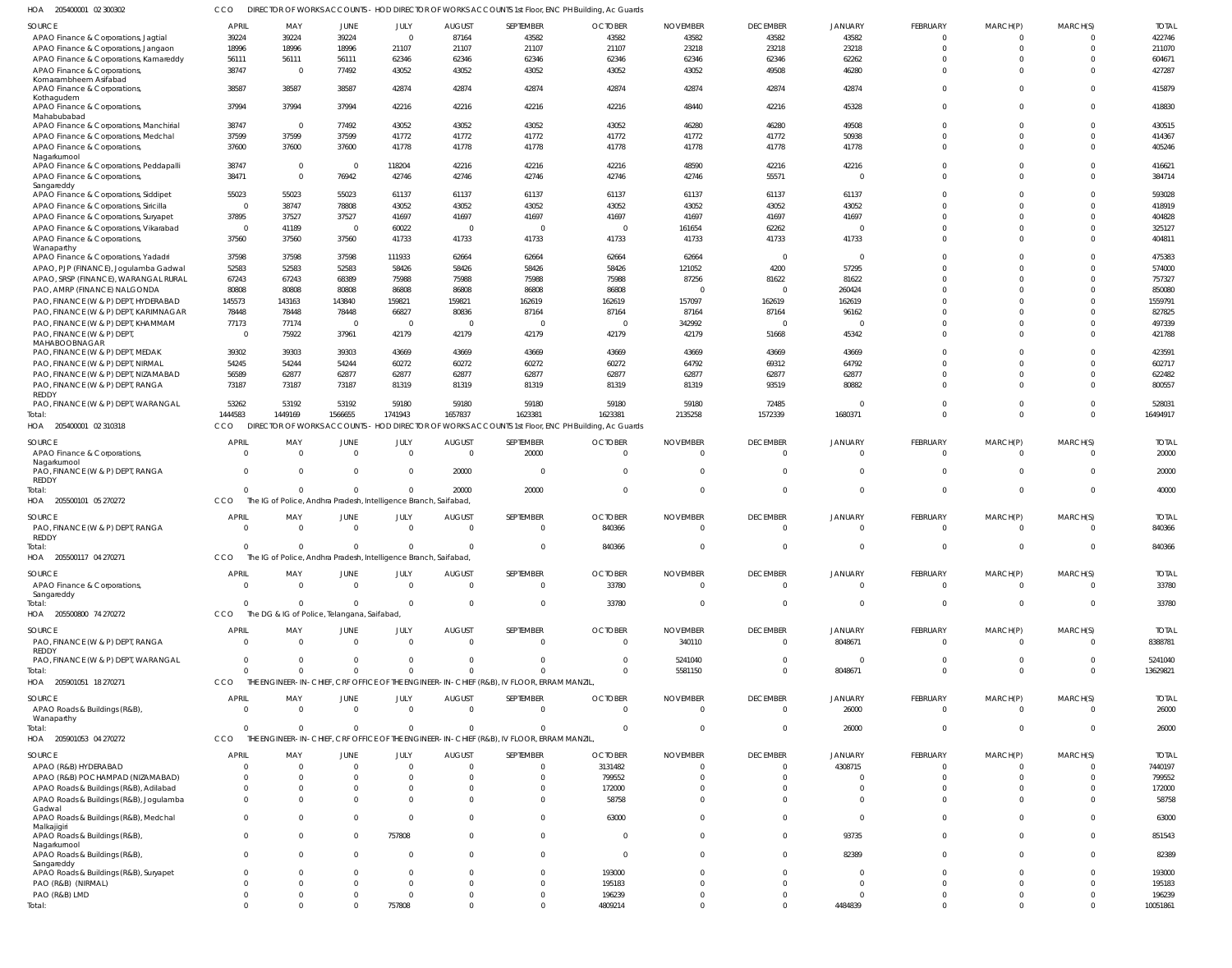205400001 02 300302 HOA CCO DIRECTOR OF WORKS ACCOUNTS - HOD DIRECTOR OF WORKS ACCOUNTS 1st Floor, ENC PH Building, Ac Guards

| IUA<br><b>SUPPODUL DE POOPLE</b>                       |                |                                             |                            |                                                                  |                                 |                                                                                                   | DIKECTOR OF WORKS ACCOUNTS - HOD DIKECTOR OF WORKS ACCOUNTS TSETIOU, ENC FIT DUITURITY, AC GUARDS |                                   |                                   |                        |                               |                         |             |                    |
|--------------------------------------------------------|----------------|---------------------------------------------|----------------------------|------------------------------------------------------------------|---------------------------------|---------------------------------------------------------------------------------------------------|---------------------------------------------------------------------------------------------------|-----------------------------------|-----------------------------------|------------------------|-------------------------------|-------------------------|-------------|--------------------|
| SOURCE                                                 | <b>APRIL</b>   | MAY                                         | JUNE                       | JULY                                                             | AUGUST                          | SEPTEMBER                                                                                         | <b>OCTOBER</b>                                                                                    | <b>NOVEMBER</b>                   | <b>DECEMBER</b>                   | JANUARY                | FEBRUARY                      | MARCH(P)                | MARCH(S)    | <b>TOTAL</b>       |
| APAO Finance & Corporations, Jagtial                   | 39224          | 39224                                       | 39224                      | $\overline{0}$                                                   | 87164                           | 43582                                                                                             | 43582                                                                                             | 43582                             | 43582                             | 43582                  | $\Omega$                      | $\Omega$                |             | 422746             |
| APAO Finance & Corporations, Jangaon                   | 18996          | 18996                                       | 18996                      | 21107                                                            | 21107                           | 21107                                                                                             | 21107                                                                                             | 23218                             | 23218                             | 23218                  | $\Omega$                      | $^{\circ}$              | $\Omega$    | 211070             |
| APAO Finance & Corporations, Kamareddy                 | 56111          | 56111                                       | 56111                      | 62346                                                            | 62346                           | 62346                                                                                             | 62346                                                                                             | 62346                             | 62346                             | 62262                  | $\Omega$                      | $\Omega$                |             | 604671             |
| APAO Finance & Corporations,                           | 38747          | $\overline{0}$                              | 77492                      | 43052                                                            | 43052                           | 43052                                                                                             | 43052                                                                                             | 43052                             | 49508                             | 46280                  | $\Omega$                      | $\Omega$                |             | 427287             |
| Komarambheem Asifabad<br>APAO Finance & Corporations,  | 38587          | 38587                                       | 38587                      | 42874                                                            | 42874                           | 42874                                                                                             | 42874                                                                                             | 42874                             | 42874                             | 42874                  | $\Omega$                      | $\Omega$                |             | 415879             |
| Kothagudem<br>APAO Finance & Corporations,             | 37994          | 37994                                       | 37994                      | 42216                                                            | 42216                           | 42216                                                                                             | 42216                                                                                             | 48440                             | 42216                             | 45328                  | $\Omega$                      | $\Omega$                |             | 418830             |
| Mahabubabad<br>APAO Finance & Corporations, Manchirial | 38747          | $\overline{0}$                              | 77492                      | 43052                                                            | 43052                           | 43052                                                                                             | 43052                                                                                             | 46280                             | 46280                             | 49508                  | $\Omega$                      | $\Omega$                | $\Omega$    | 430515             |
| APAO Finance & Corporations, Medchal                   | 37599          | 37599                                       | 37599                      | 41772                                                            | 41772                           | 41772                                                                                             | 41772                                                                                             | 41772                             | 41772                             | 50938                  | $\Omega$                      | $\Omega$                | $\Omega$    | 414367             |
| APAO Finance & Corporations,                           | 37600          | 37600                                       | 37600                      | 41778                                                            | 41778                           | 41778                                                                                             | 41778                                                                                             | 41778                             | 41778                             | 41778                  | $\Omega$                      | $\Omega$                | $\Omega$    | 405246             |
| Nagarkurnool                                           |                |                                             |                            |                                                                  |                                 |                                                                                                   |                                                                                                   |                                   |                                   |                        |                               |                         |             |                    |
| APAO Finance & Corporations, Peddapalli                | 38747          | $\overline{0}$                              | $\overline{0}$             | 118204                                                           | 42216                           | 42216                                                                                             | 42216                                                                                             | 48590                             | 42216                             | 42216                  | $\Omega$                      | $\Omega$                |             | 416621             |
| APAO Finance & Corporations,                           | 38471          | $\overline{0}$                              | 76942                      | 42746                                                            | 42746                           | 42746                                                                                             | 42746                                                                                             | 42746                             | 55571                             | $\Omega$               | $\Omega$                      | $\Omega$                | $\Omega$    | 384714             |
| Sangareddy<br>APAO Finance & Corporations, Siddipet    | 55023          | 55023                                       | 55023                      | 61137                                                            | 61137                           | 61137                                                                                             | 61137                                                                                             | 61137                             | 61137                             | 61137                  | $\Omega$                      | $\Omega$                |             | 593028             |
| APAO Finance & Corporations, Siricilla                 | $\Omega$       | 38747                                       | 78808                      | 43052                                                            | 43052                           | 43052                                                                                             | 43052                                                                                             | 43052                             | 43052                             | 43052                  | $\Omega$                      | $\Omega$                | $\Omega$    | 418919             |
| APAO Finance & Corporations, Suryapet                  | 37895          | 37527                                       | 37527                      | 41697                                                            | 41697                           | 41697                                                                                             | 41697                                                                                             | 41697                             | 41697                             | 41697                  | $\Omega$                      | $\Omega$                | $\Omega$    | 404828             |
|                                                        | $\overline{0}$ | 41189                                       | $\overline{0}$             |                                                                  | $\overline{0}$                  | - 0                                                                                               | $\overline{0}$                                                                                    | 161654                            |                                   | $\Omega$               | $\Omega$                      | $\Omega$                |             | 325127             |
| APAO Finance & Corporations, Vikarabad                 | 37560          |                                             |                            | 60022<br>41733                                                   | 41733                           | 41733                                                                                             |                                                                                                   | 41733                             | 62262                             |                        | $\Omega$                      | $\Omega$                |             | 404811             |
| APAO Finance & Corporations,<br>Wanaparthy             |                | 37560                                       | 37560                      |                                                                  |                                 |                                                                                                   | 41733                                                                                             |                                   | 41733                             | 41733                  |                               |                         |             |                    |
| APAO Finance & Corporations, Yadadri                   | 37598          | 37598                                       | 37598                      | 111933                                                           | 62664                           | 62664                                                                                             | 62664                                                                                             | 62664                             | $\overline{\mathbf{0}}$           | - 0                    | $\Omega$                      | $\Omega$                |             | 475383             |
| APAO, PJP (FINANCE), Jogulamba Gadwal                  | 52583          | 52583                                       | 52583                      | 58426                                                            | 58426                           | 58426                                                                                             | 58426                                                                                             | 121052                            | 4200                              | 57295                  |                               | $\Omega$                |             | 574000             |
| APAO, SRSP (FINANCE), WARANGAL RURAL                   | 67243          | 67243                                       | 68389                      | 75988                                                            | 75988                           | 75988                                                                                             | 75988                                                                                             | 87256                             | 81622                             | 81622                  | $\Omega$                      | $\Omega$                |             | 757327             |
| PAO, AMRP (FINANCE) NALGONDA                           | 80808          | 80808                                       | 80808                      | 86808                                                            | 86808                           | 86808                                                                                             | 86808                                                                                             | $\Omega$                          | $\overline{0}$                    | 260424                 |                               | $\Omega$                |             | 850080             |
| PAO, FINANCE (W & P) DEPT, HYDERABAD                   | 145573         | 143163                                      |                            |                                                                  |                                 |                                                                                                   |                                                                                                   | 157097                            | 162619                            | 162619                 | $\cup$                        | $\Omega$                |             | 1559791            |
|                                                        |                |                                             | 143840                     | 159821                                                           | 159821                          | 162619                                                                                            | 162619                                                                                            |                                   |                                   |                        |                               |                         |             |                    |
| PAO, FINANCE (W & P) DEPT, KARIMNAGAR                  | 78448          | 78448                                       | 78448                      | 66827                                                            | 80836                           | 87164                                                                                             | 87164                                                                                             | 87164                             | 87164                             | 96162                  |                               | $\Omega$                |             | 827825             |
| PAO, FINANCE (W & P) DEPT, KHAMMAM                     | 77173          | 77174                                       | $\overline{0}$             | $\overline{0}$                                                   | $\overline{0}$                  |                                                                                                   | $\overline{0}$                                                                                    | 342992                            | $\Omega$                          |                        | $\Omega$                      | $\Omega$                |             | 497339             |
| PAO, FINANCE (W & P) DEPT,<br>MAHABOOBNAGAR            | $\overline{0}$ | 75922                                       | 37961                      | 42179                                                            | 42179                           | 42179                                                                                             | 42179                                                                                             | 42179                             | 51668                             | 45342                  | $\Omega$                      | $\Omega$                |             | 421788             |
| PAO, FINANCE (W & P) DEPT, MEDAK                       | 39302          | 39303                                       | 39303                      | 43669                                                            | 43669                           | 43669                                                                                             | 43669                                                                                             | 43669                             | 43669                             | 43669                  | $\Omega$                      | $\Omega$                |             | 423591             |
| PAO, FINANCE (W & P) DEPT, NIRMAL                      | 54245          | 54244                                       | 54244                      | 60272                                                            | 60272                           | 60272                                                                                             | 60272                                                                                             | 64792                             | 69312                             | 64792                  | $\Omega$                      | $\Omega$                | $\Omega$    | 602717             |
| PAO, FINANCE (W & P) DEPT, NIZAMABAD                   | 56589          | 62877                                       | 62877                      | 62877                                                            | 62877                           | 62877                                                                                             | 62877                                                                                             | 62877                             | 62877                             | 62877                  | $\Omega$                      | $\Omega$                | 0           | 622482             |
|                                                        |                |                                             |                            |                                                                  |                                 |                                                                                                   |                                                                                                   |                                   |                                   |                        |                               |                         |             |                    |
| PAO, FINANCE (W & P) DEPT, RANGA<br>REDDY              | 73187          | 73187                                       | 73187                      | 81319                                                            | 81319                           | 81319                                                                                             | 81319                                                                                             | 81319                             | 93519                             | 80882                  | $\Omega$                      | $\Omega$                |             | 800557             |
| PAO, FINANCE (W & P) DEPT, WARANGAL                    | 53262          | 53192                                       | 53192                      | 59180                                                            | 59180                           | 59180                                                                                             | 59180                                                                                             | 59180                             | 72485                             |                        | $\Omega$                      | $\mathbf 0$             | $\Omega$    | 528031             |
| Total:                                                 | 1444583        | 1449169                                     | 1566655                    | 1741943                                                          | 1657837                         | 1623381                                                                                           | 1623381                                                                                           | 2135258                           | 1572339                           | 1680371                |                               | $\Omega$                | $\Omega$    | 16494917           |
| HOA 205400001 02 310318                                | CCO            |                                             |                            |                                                                  |                                 | DIRECTOR OF WORKS ACCOUNTS - HOD DIRECTOR OF WORKS ACCOUNTS 1st Floor, ENC PH Building, Ac Guards |                                                                                                   |                                   |                                   |                        |                               |                         |             |                    |
|                                                        |                |                                             |                            |                                                                  |                                 |                                                                                                   |                                                                                                   |                                   |                                   |                        |                               |                         |             |                    |
| SOURCE                                                 | <b>APRIL</b>   | MAY                                         | <b>JUNE</b>                | JULY                                                             | <b>AUGUST</b>                   | SEPTEMBER                                                                                         | <b>OCTOBER</b>                                                                                    | <b>NOVEMBER</b>                   | <b>DECEMBER</b>                   | <b>JANUARY</b>         | FEBRUARY                      | MARCH(P)                | MARCH(S)    | <b>TOTAL</b>       |
| APAO Finance & Corporations,                           | $\Omega$       | $\Omega$                                    | $\Omega$                   | $\overline{0}$                                                   | $\overline{0}$                  | 20000                                                                                             | $\overline{0}$                                                                                    | $\Omega$                          | $\overline{0}$                    | $\Omega$               | $\Omega$                      | $\overline{0}$          | $\Omega$    | 20000              |
| Nagarkurnool<br>PAO, FINANCE (W & P) DEPT, RANGA       | $\Omega$       | $\overline{0}$                              | $\overline{0}$             | $\overline{0}$                                                   | 20000                           | - 0                                                                                               | $\overline{0}$                                                                                    | $\Omega$                          | $\overline{0}$                    | $\mathbf 0$            | $\mathbf 0$                   | $\overline{0}$          | $\mathbf 0$ | 20000              |
| <b>REDDY</b>                                           |                |                                             |                            |                                                                  |                                 |                                                                                                   |                                                                                                   |                                   |                                   |                        |                               |                         |             |                    |
| lotal:                                                 | $\Omega$       | $\Omega$                                    | $\overline{0}$             | $\Omega$                                                         | 20000                           | 20000                                                                                             | $\overline{0}$                                                                                    | $\Omega$                          | $\overline{0}$                    | $\Omega$               | $\Omega$                      | $\Omega$                | $\Omega$    | 40000              |
| HOA 205500101 05 270272                                | CCO            |                                             |                            | The IG of Police, Andhra Pradesh, Intelligence Branch, Saifabad, |                                 |                                                                                                   |                                                                                                   |                                   |                                   |                        |                               |                         |             |                    |
|                                                        |                |                                             |                            |                                                                  |                                 |                                                                                                   |                                                                                                   |                                   |                                   |                        |                               |                         |             |                    |
| SOURCE                                                 |                |                                             | JUNE                       | JULY                                                             | <b>AUGUST</b>                   | SEPTEMBER                                                                                         | <b>OCTOBER</b>                                                                                    | <b>NOVEMBER</b>                   | <b>DECEMBER</b>                   | JANUARY                | FEBRUARY                      | MARCH(P)                | MARCH(S)    | <b>TOTAL</b>       |
|                                                        | <b>APRIL</b>   | MAY                                         |                            |                                                                  |                                 |                                                                                                   |                                                                                                   |                                   |                                   |                        |                               |                         |             |                    |
| PAO, FINANCE (W & P) DEPT, RANGA                       | $\Omega$       | $\Omega$                                    | $\overline{0}$             | $\mathbf{0}$                                                     | $\overline{0}$                  | $\Omega$                                                                                          | 840366                                                                                            | $\Omega$                          | $\overline{0}$                    | $\Omega$               | $\Omega$                      | $\mathbf{0}$            | $\Omega$    | 840366             |
| <b>REDDY</b>                                           |                |                                             |                            |                                                                  |                                 |                                                                                                   |                                                                                                   |                                   |                                   |                        |                               |                         |             |                    |
| Total:                                                 | $\Omega$       | $\Omega$                                    | $\overline{0}$             | $\overline{0}$                                                   | $\Omega$                        | $\Omega$                                                                                          | 840366                                                                                            | $\Omega$                          | $\Omega$                          | $\Omega$               | $\Omega$                      | $\Omega$                | $\Omega$    | 840366             |
| HOA 205500117 04 270271                                | CCO            |                                             |                            | The IG of Police, Andhra Pradesh, Intelligence Branch, Saifabad, |                                 |                                                                                                   |                                                                                                   |                                   |                                   |                        |                               |                         |             |                    |
|                                                        | <b>APRIL</b>   | MAY                                         |                            |                                                                  |                                 |                                                                                                   |                                                                                                   |                                   |                                   |                        |                               |                         |             |                    |
| SOURCE                                                 | $\Omega$       | $\overline{0}$                              | JUNE<br>$\overline{0}$     | JULY<br>$\overline{0}$                                           | <b>AUGUST</b><br>$\overline{0}$ | SEPTEMBER<br>$\Omega$                                                                             | <b>OCTOBER</b>                                                                                    | <b>NOVEMBER</b><br>$\overline{0}$ | <b>DECEMBER</b><br>$\overline{0}$ | JANUARY<br>$\mathbf 0$ | <b>FEBRUARY</b><br>$^{\circ}$ | MARCH(P)<br>$\mathbf 0$ | MARCH(S)    | <b>TOTAL</b>       |
| APAO Finance & Corporations,<br>Sangareddy             |                |                                             |                            |                                                                  |                                 |                                                                                                   | 33780                                                                                             |                                   |                                   |                        |                               |                         |             | 33780              |
| Total:                                                 | $\Omega$       | $\overline{0}$                              | $\overline{0}$             | $\overline{0}$                                                   | $\overline{0}$                  | $\Omega$                                                                                          | 33780                                                                                             | $\overline{0}$                    | $\overline{0}$                    | 0                      | $\Omega$                      | - 0                     | 0           | 33780              |
| HOA 205500800 74 270272                                | CCO            | The DG & IG of Police, Telangana, Saifabad, |                            |                                                                  |                                 |                                                                                                   |                                                                                                   |                                   |                                   |                        |                               |                         |             |                    |
|                                                        |                |                                             |                            |                                                                  |                                 |                                                                                                   |                                                                                                   |                                   |                                   |                        |                               |                         |             |                    |
| SOURCE                                                 | <b>APRIL</b>   | MAY                                         | JUNE                       | JULY                                                             | <b>AUGUST</b>                   | SEPTEMBER                                                                                         | <b>OCTOBER</b>                                                                                    | <b>NOVEMBER</b>                   | <b>DECEMBER</b>                   | JANUARY                | FEBRUARY                      | MARCH(P)                | MARCH(S)    | <b>TOTAL</b>       |
| PAO, FINANCE (W & P) DEPT, RANGA                       | - 0            | $\Omega$                                    | $\overline{0}$             | $\overline{0}$                                                   | $\overline{0}$                  | - 0                                                                                               | $\overline{0}$                                                                                    | 340110                            | $\overline{0}$                    | 8048671                | $^{\circ}$                    | $^{\circ}$              |             | 8388781            |
| <b>REDDY</b>                                           | $\Omega$       | $\Omega$                                    |                            |                                                                  | $\Omega$                        | - 0                                                                                               |                                                                                                   |                                   |                                   | $\Omega$               | $\Omega$                      |                         |             |                    |
| PAO, FINANCE (W & P) DEPT, WARANGAL                    | $\Omega$       | $\Omega$                                    | $\mathbf{0}$<br>$\Omega$   | $\overline{0}$<br>$\Omega$                                       | $\Omega$                        |                                                                                                   | $\overline{0}$                                                                                    | 5241040                           | $\overline{0}$                    |                        | - 0                           | $^{\circ}$<br>$\Omega$  | $\Omega$    | 5241040            |
| Total:                                                 |                |                                             |                            |                                                                  |                                 |                                                                                                   | $\overline{0}$                                                                                    | 5581150                           | $\overline{0}$                    | 8048671                |                               |                         |             | 13629821           |
| HOA 205901051 18 270271                                | CCO            |                                             |                            |                                                                  |                                 | THE ENGINEER-IN-CHIEF, CRF OFFICE OF THE ENGINEER-IN-CHIEF (R&B), IV FLOOR, ERRAM MANZIL,         |                                                                                                   |                                   |                                   |                        |                               |                         |             |                    |
| SOURCE                                                 | <b>APRIL</b>   | MAY                                         | JUNE                       | JULY                                                             | <b>AUGUST</b>                   | SEPTEMBER                                                                                         | <b>OCTOBER</b>                                                                                    | <b>NOVEMBER</b>                   | <b>DECEMBER</b>                   | JANUARY                | FEBRUARY                      | MARCH(P)                | MARCH(S)    | <b>TOTAL</b>       |
| APAO Roads & Buildings (R&B),                          | $\Omega$       | $\overline{0}$                              | $\overline{0}$             | $\overline{0}$                                                   | $\overline{0}$                  | $\Omega$                                                                                          | $\overline{0}$                                                                                    | $\overline{0}$                    | $\overline{0}$                    | 26000                  | $\mathbf 0$                   | $\mathbf 0$             |             | 26000              |
| Wanaparthy                                             |                |                                             |                            |                                                                  |                                 |                                                                                                   |                                                                                                   |                                   |                                   |                        |                               |                         |             |                    |
| Total:                                                 | $\Omega$       | $\overline{0}$                              | $\overline{0}$             | $\overline{0}$                                                   | $\overline{0}$                  | $\Omega$                                                                                          | $\overline{0}$                                                                                    | $\overline{0}$                    | $\overline{0}$                    | 26000                  | - 0                           | $\circ$                 | 0           | 26000              |
| HOA 205901053 04 270272                                | CCO            |                                             |                            |                                                                  |                                 | THE ENGINEER-IN-CHIEF, CRF OFFICE OF THE ENGINEER-IN-CHIEF (R&B), IV FLOOR, ERRAM MANZIL,         |                                                                                                   |                                   |                                   |                        |                               |                         |             |                    |
|                                                        |                |                                             |                            |                                                                  |                                 |                                                                                                   |                                                                                                   |                                   |                                   |                        |                               |                         |             |                    |
| SOURCE                                                 | APRIL          | MAY<br>$\Omega$                             | JUNE<br>$\Omega$           | JULY<br>$\overline{0}$                                           | <b>AUGUST</b><br>$\Omega$       | SEPTEMBER                                                                                         | <b>OCTOBER</b>                                                                                    | <b>NOVEMBER</b><br>$\Omega$       | <b>DECEMBER</b><br>$\overline{0}$ | JANUARY                | FEBRUARY<br>0                 | MARCH(P)<br>-0          | MARCH(S)    | <b>TOTAL</b>       |
| APAO (R&B) HYDERABAD                                   |                | $\Omega$                                    | $\Omega$                   |                                                                  |                                 | $\Omega$                                                                                          | 3131482                                                                                           | $\Omega$                          |                                   | 4308715<br>$\Omega$    | $\Omega$                      |                         |             | 7440197            |
| APAO (R&B) POCHAMPAD (NIZAMABAD)                       |                |                                             |                            | $\overline{0}$                                                   | $\overline{0}$                  |                                                                                                   | 799552                                                                                            |                                   | $\overline{0}$                    |                        |                               | $^{\circ}$              |             | 799552             |
| APAO Roads & Buildings (R&B), Adilabad                 |                | $\overline{0}$                              | 0                          | $\overline{0}$                                                   | $\mathbf 0$                     |                                                                                                   | 172000                                                                                            | $\Omega$                          | $\overline{0}$                    | $\Omega$               | -0                            | -0                      |             | 172000             |
| APAO Roads & Buildings (R&B), Jogulamba                | $\Omega$       | $\Omega$                                    | $\Omega$                   | $\Omega$                                                         | $\Omega$                        |                                                                                                   | 58758                                                                                             | $\Omega$                          | $\Omega$                          | $\Omega$               | $\Omega$                      | $\Omega$                |             | 58758              |
| Gadwal                                                 | $\Omega$       | $\Omega$                                    | $\mathbf{0}$               | $\overline{0}$                                                   | $\Omega$                        | $\Omega$                                                                                          | 63000                                                                                             | $\Omega$                          | $\Omega$                          | $\Omega$               | $\Omega$                      | $\mathbf 0$             |             | 63000              |
| APAO Roads & Buildings (R&B), Medchal<br>Malkajigiri   |                |                                             |                            |                                                                  |                                 |                                                                                                   |                                                                                                   |                                   |                                   |                        |                               |                         |             |                    |
| APAO Roads & Buildings (R&B),                          | $\Omega$       | $\Omega$                                    | $\mathbf{0}$               | 757808                                                           | $\Omega$                        | $\Omega$                                                                                          | $\overline{0}$                                                                                    | $\Omega$                          | $\overline{0}$                    | 93735                  | $\mathbf 0$                   | $\mathbf 0$             |             | 851543             |
| Nagarkurnool                                           |                |                                             |                            |                                                                  |                                 |                                                                                                   |                                                                                                   |                                   |                                   |                        |                               |                         |             |                    |
| APAO Roads & Buildings (R&B),                          | $\Omega$       | $\Omega$                                    | $\mathbf{0}$               | $\overline{0}$                                                   | $\Omega$                        | $\Omega$                                                                                          | $\overline{0}$                                                                                    | $\Omega$                          | 0                                 | 82389                  | $\Omega$                      | $\mathbf 0$             |             | 82389              |
| Sangareddy                                             |                | $\Omega$                                    | $\Omega$                   |                                                                  | $\Omega$                        |                                                                                                   |                                                                                                   | $\Omega$                          | $\Omega$                          | $\Omega$               | $\Omega$                      | $\Omega$                |             |                    |
| APAO Roads & Buildings (R&B), Suryapet                 |                |                                             |                            | 0                                                                |                                 |                                                                                                   | 193000                                                                                            |                                   |                                   |                        |                               |                         |             | 193000             |
| PAO (R&B) (NIRMAL)                                     |                | $\Omega$                                    | $\Omega$                   | $\overline{0}$                                                   | $\Omega$                        |                                                                                                   | 195183                                                                                            | $\Omega$                          | $\Omega$                          | $\Omega$               | -0                            | -0                      |             | 195183             |
| PAO (R&B) LMD<br>Total:                                | $\Omega$       | $\overline{0}$<br>$\Omega$                  | $\overline{0}$<br>$\Omega$ | 0<br>757808                                                      | $\mathbf 0$<br>$\Omega$         |                                                                                                   | 196239<br>4809214                                                                                 | $\Omega$<br>$\Omega$              | $\Omega$<br>$\Omega$              | $\Omega$<br>4484839    | -0                            | $^{\circ}$<br>$\Omega$  |             | 196239<br>10051861 |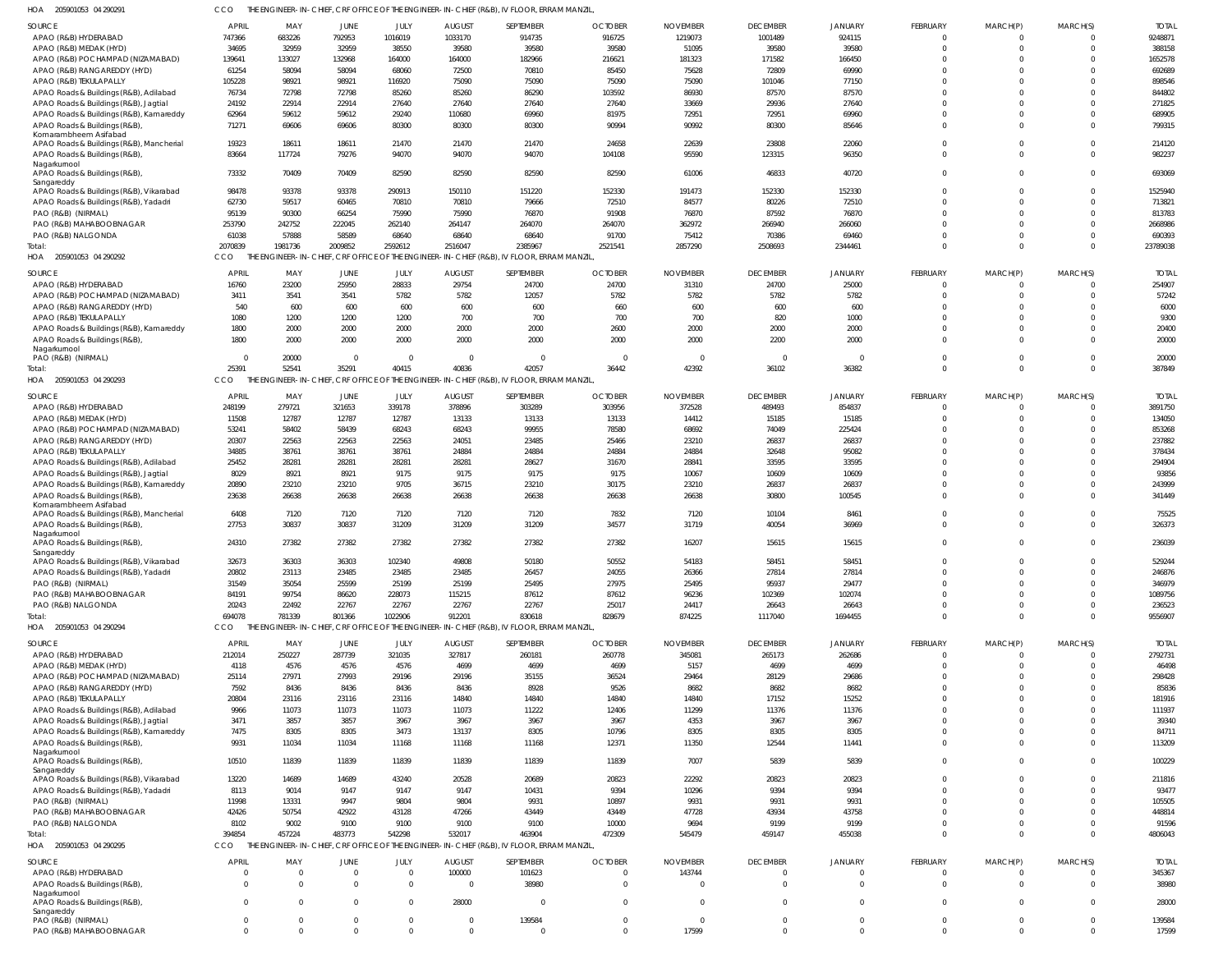| HOA 205901053 04 290291                                | <b>CCO</b>      |                 |                 |                |                | THE ENGINEER-IN-CHIEF, CRF OFFICE OF THE ENGINEER-IN-CHIEF (R&B), IV FLOOR, ERRAM MANZIL, |                |                 |                 |                  |                      |                      |                      |                   |
|--------------------------------------------------------|-----------------|-----------------|-----------------|----------------|----------------|-------------------------------------------------------------------------------------------|----------------|-----------------|-----------------|------------------|----------------------|----------------------|----------------------|-------------------|
| <b>SOURCE</b>                                          | <b>APRIL</b>    | MAY             | JUNE            | JULY           | <b>AUGUST</b>  | SEPTEMBER                                                                                 | <b>OCTOBER</b> | <b>NOVEMBER</b> | <b>DECEMBER</b> | <b>JANUARY</b>   | <b>FEBRUARY</b>      | MARCH(P)             | MARCH(S)             | <b>TOTAI</b>      |
| APAO (R&B) HYDERABAD                                   | 747366          | 683226          | 792953          | 1016019        | 1033170        | 914735                                                                                    | 916725         | 1219073         | 1001489         | 924115           | $\mathbf 0$          |                      |                      | 9248871           |
| APAO (R&B) MEDAK (HYD)                                 | 34695           | 32959           | 32959           | 38550          | 39580          | 39580                                                                                     | 39580          | 51095           | 39580           | 39580            | $\Omega$             | $\Omega$             | $\Omega$             | 388158            |
| APAO (R&B) POCHAMPAD (NIZAMABAD)                       | 139641          | 133027          | 132968          | 164000         | 164000         | 182966                                                                                    | 216621         | 181323          | 171582          | 166450           | $\Omega$             |                      |                      | 1652578           |
| APAO (R&B) RANGAREDDY (HYD)                            | 61254           | 58094           | 58094           | 68060          | 72500          | 70810                                                                                     | 85450          | 75628           | 72809           | 69990            | $\Omega$             |                      |                      | 692689            |
| APAO (R&B) TEKULAPALLY                                 | 105228          | 98921           | 98921           | 116920         | 75090          | 75090                                                                                     | 75090          | 75090           | 101046          | 77150            | $\Omega$             |                      |                      | 898546            |
| APAO Roads & Buildings (R&B), Adilabad                 | 76734           | 72798           | 72798           | 85260          | 85260          | 86290                                                                                     | 103592         | 86930           | 87570           | 87570            | $\Omega$             |                      |                      | 844802            |
| APAO Roads & Buildings (R&B), Jagtial                  | 24192           | 22914           | 22914           | 27640          | 27640          | 27640                                                                                     | 27640          | 33669           | 29936           | 27640            | $\Omega$             |                      |                      | 271825            |
| APAO Roads & Buildings (R&B), Kamareddy                | 62964           | 59612           | 59612           | 29240          | 110680         | 69960                                                                                     | 81975          | 72951           | 72951           | 69960            | $\Omega$<br>$\Omega$ | $\Omega$             | $\Omega$             | 689905            |
| APAO Roads & Buildings (R&B),<br>Komarambheem Asifabad | 71271           | 69606           | 69606           | 80300          | 80300          | 80300                                                                                     | 90994          | 90992           | 80300           | 85646            |                      |                      |                      | 799315            |
| APAO Roads & Buildings (R&B), Mancherial               | 19323           | 18611           | 18611           | 21470          | 21470          | 21470                                                                                     | 24658          | 22639           | 23808           | 22060            | $\Omega$             | $\Omega$             | $\Omega$             | 214120            |
| APAO Roads & Buildings (R&B),                          | 83664           | 117724          | 79276           | 94070          | 94070          | 94070                                                                                     | 104108         | 95590           | 123315          | 96350            | $\Omega$             | $\Omega$             | $\Omega$             | 982237            |
| Nagarkurnool                                           |                 |                 |                 |                |                |                                                                                           |                |                 |                 |                  |                      |                      |                      |                   |
| APAO Roads & Buildings (R&B),<br>Sangareddy            | 73332           | 70409           | 70409           | 82590          | 82590          | 82590                                                                                     | 82590          | 61006           | 46833           | 40720            | $\Omega$             | $\Omega$             | $\Omega$             | 693069            |
| APAO Roads & Buildings (R&B), Vikarabad                | 98478           | 93378           | 93378           | 290913         | 150110         | 151220                                                                                    | 152330         | 191473          | 152330          | 152330           | $\Omega$             |                      |                      | 1525940           |
| APAO Roads & Buildings (R&B), Yadadri                  | 62730           | 59517           | 60465           | 70810          | 70810          | 79666                                                                                     | 72510          | 84577           | 80226           | 72510            | $\Omega$             |                      | $\Omega$             | 713821            |
| PAO (R&B) (NIRMAL)                                     | 95139           | 90300           | 66254           | 75990          | 75990          | 76870                                                                                     | 91908          | 76870           | 87592           | 76870            | $\Omega$             |                      | $\Omega$             | 813783            |
| PAO (R&B) MAHABOOBNAGAR                                | 253790          | 242752          | 222045          | 262140         | 264147         | 264070                                                                                    | 264070         | 362972          | 266940          | 266060           | $\Omega$             |                      | $\Omega$             | 2668986           |
| PAO (R&B) NALGONDA                                     | 61038           | 57888           | 58589           | 68640          | 68640          | 68640                                                                                     | 91700          | 75412           | 70386           | 69460            | $\Omega$             | $\Omega$             | $\Omega$             | 690393            |
| Total:                                                 | 2070839         | 1981736         | 2009852         | 2592612        | 2516047        | 2385967                                                                                   | 2521541        | 2857290         | 2508693         | 2344461          | $\Omega$             | $\Omega$             | $\Omega$             | 23789038          |
| HOA 205901053 04 290292                                | CCO             |                 |                 |                |                | THE ENGINEER-IN-CHIEF, CRF OFFICE OF THE ENGINEER-IN-CHIEF (R&B), IV FLOOR, ERRAM MANZIL  |                |                 |                 |                  |                      |                      |                      |                   |
| SOURCE                                                 | <b>APRIL</b>    | MAY             | <b>JUNE</b>     | JULY           | <b>AUGUST</b>  | SEPTEMBER                                                                                 | <b>OCTOBER</b> | <b>NOVEMBER</b> | <b>DECEMBER</b> | <b>JANUARY</b>   | <b>FEBRUARY</b>      | MARCH(P)             | MARCH(S)             | <b>TOTAL</b>      |
| APAO (R&B) HYDERABAD                                   | 16760           | 23200           | 25950           | 28833          | 29754          | 24700                                                                                     | 24700          | 31310           | 24700           | 25000            | $\mathbf 0$          | 0                    | $\Omega$             | 254907            |
| APAO (R&B) POCHAMPAD (NIZAMABAD)                       | 3411            | 3541            | 3541            | 5782           | 5782           | 12057                                                                                     | 5782           | 5782            | 5782            | 5782             | $\mathbf 0$          | $\Omega$             | $\Omega$             | 57242             |
| APAO (R&B) RANGAREDDY (HYD)                            | 540             | 600             | 600             | 600            | 600            | 600                                                                                       | 660            | 600             | 600             | 600              | $\Omega$             |                      | $\Omega$             | 6000              |
| APAO (R&B) TEKULAPALLY                                 | 1080            | 1200            | 1200            | 1200           | 700            | 700                                                                                       | 700            | 700             | 820             | 1000             | $\Omega$             | $\Omega$             | $\Omega$             | 9300              |
| APAO Roads & Buildings (R&B), Kamareddy                | 1800            | 2000            | 2000            | 2000           | 2000           | 2000                                                                                      | 2600           | 2000            | 2000            | 2000             | $\Omega$             | $\Omega$             | $\Omega$             | 20400             |
| APAO Roads & Buildings (R&B)                           | 1800            | 2000            | 2000            | 2000           | 2000           | 2000                                                                                      | 2000           | 2000            | 2200            | 2000             | $\Omega$             | $\Omega$             | $\Omega$             | 20000             |
| Nagarkurnool<br>PAO (R&B) (NIRMAL)                     | $\overline{0}$  | 20000           | $\Omega$        | $\Omega$       | $\Omega$       | $\Omega$                                                                                  | $\mathsf{C}$   | $\overline{0}$  | $\Omega$        | $\Omega$         | $\mathbf 0$          | $\Omega$             | $\Omega$             | 20000             |
| Total:                                                 | 25391           | 52541           | 35291           | 40415          | 40836          | 42057                                                                                     | 36442          | 42392           | 36102           | 36382            | $\mathbf 0$          | $\mathbf 0$          | $\Omega$             | 387849            |
| HOA<br>205901053 04 290293                             | CCO.            |                 |                 |                |                | THE ENGINEER-IN-CHIEF, CRF OFFICE OF THE ENGINEER-IN-CHIEF (R&B), IV FLOOR, ERRAM MANZIL, |                |                 |                 |                  |                      |                      |                      |                   |
|                                                        |                 |                 |                 |                |                |                                                                                           |                |                 |                 |                  |                      |                      |                      |                   |
| SOURCE                                                 | <b>APRIL</b>    | MAY             | JUNE            | JULY           | <b>AUGUST</b>  | SEPTEMBER                                                                                 | <b>OCTOBER</b> | <b>NOVEMBER</b> | <b>DECEMBER</b> | <b>JANUARY</b>   | <b>FEBRUARY</b>      | MARCH(P)             | MARCH(S)             | <b>TOTAI</b>      |
| APAO (R&B) HYDERABAD                                   | 248199          | 279721          | 321653          | 339178         | 378896         | 303289                                                                                    | 303956         | 372528          | 489493          | 854837           | $\Omega$             |                      |                      | 3891750           |
| APAO (R&B) MEDAK (HYD)                                 | 11508           | 12787           | 12787           | 12787          | 13133          | 13133                                                                                     | 13133          | 14412           | 15185           | 15185            | $\Omega$             | $\Omega$             | $\Omega$             | 134050            |
| APAO (R&B) POCHAMPAD (NIZAMABAD)                       | 53241<br>20307  | 58402<br>22563  | 58439<br>22563  | 68243<br>22563 | 68243          | 99955<br>23485                                                                            | 78580          | 68692           | 74049           | 225424<br>26837  | $\Omega$<br>$\Omega$ |                      | $\Omega$             | 853268<br>237882  |
| APAO (R&B) RANGAREDDY (HYD)<br>APAO (R&B) TEKULAPALLY  | 34885           | 38761           | 38761           | 38761          | 24051<br>24884 | 24884                                                                                     | 25466<br>24884 | 23210<br>24884  | 26837<br>32648  | 95082            | $\Omega$             |                      |                      | 378434            |
| APAO Roads & Buildings (R&B), Adilabad                 | 25452           | 28281           | 28281           | 28281          | 28281          | 28627                                                                                     | 31670          | 28841           | 33595           | 33595            | $\Omega$             |                      |                      | 294904            |
| APAO Roads & Buildings (R&B), Jagtial                  | 8029            | 8921            | 8921            | 9175           | 9175           | 9175                                                                                      | 9175           | 10067           | 10609           | 10609            | $\Omega$             |                      |                      | 93856             |
| APAO Roads & Buildings (R&B), Kamareddy                | 20890           | 23210           | 23210           | 9705           | 36715          | 23210                                                                                     | 30175          | 23210           | 26837           | 26837            | $\Omega$             | $\Omega$             | $\Omega$             | 243999            |
| APAO Roads & Buildings (R&B)                           | 23638           | 26638           | 26638           | 26638          | 26638          | 26638                                                                                     | 26638          | 26638           | 30800           | 100545           | $\Omega$             | $\Omega$             | $\Omega$             | 341449            |
| Komarambheem Asifabad                                  |                 |                 |                 |                |                |                                                                                           |                |                 |                 |                  |                      |                      |                      |                   |
| APAO Roads & Buildings (R&B), Mancherial               | 6408            | 7120            | 7120            | 7120           | 7120           | 7120                                                                                      | 7832           | 7120            | 10104           | 8461             | $\Omega$             |                      |                      | 75525             |
| APAO Roads & Buildings (R&B)                           | 27753           | 30837           | 30837           | 31209          | 31209          | 31209                                                                                     | 34577          | 31719           | 40054           | 36969            | $\Omega$             | $\Omega$             | $\Omega$             | 326373            |
| Nagarkurnool<br>APAO Roads & Buildings (R&B)           | 24310           | 27382           | 27382           | 27382          | 27382          | 27382                                                                                     | 27382          | 16207           | 15615           | 15615            | $\Omega$             | $\Omega$             | $\Omega$             | 236039            |
| Sangareddy                                             |                 |                 |                 |                |                |                                                                                           |                |                 |                 |                  |                      |                      |                      |                   |
| APAO Roads & Buildings (R&B), Vikarabad                | 32673           | 36303           | 36303           | 102340         | 49808          | 50180                                                                                     | 50552          | 54183           | 58451           | 58451            | $\Omega$             |                      |                      | 529244            |
| APAO Roads & Buildings (R&B), Yadadri                  | 20802           | 23113           | 23485           | 23485          | 23485          | 26457                                                                                     | 24055          | 26366           | 27814           | 27814            | 0                    | $\Omega$             | $\Omega$             | 246876            |
| PAO (R&B) (NIRMAL)                                     | 31549           | 35054           | 25599           | 25199          | 25199          | 25495                                                                                     | 27975          | 25495           | 95937           | 29477            | $\Omega$             | $\Omega$             |                      | 346979            |
| PAO (R&B) MAHABOOBNAGAR                                | 84191           | 99754           | 86620           | 228073         | 115215         | 87612                                                                                     | 87612          | 96236           | 102369          | 102074           | $\Omega$             | $\Omega$             |                      | 1089756           |
| PAO (R&B) NALGONDA                                     | 20243<br>694078 | 22492<br>781339 | 22767<br>801366 | 22767          | 22767          | 22767<br>830618                                                                           | 25017          | 24417           | 26643           | 26643<br>1694455 | $\Omega$<br>$\Omega$ | $\Omega$<br>$\Omega$ | $\Omega$<br>$\Omega$ | 236523<br>9556907 |
| Total:<br>HOA 205901053 04 290294                      | CCO             |                 |                 | 1022906        | 912201         | THE ENGINEER-IN-CHIEF, CRF OFFICE OF THE ENGINEER-IN-CHIEF (R&B), IV FLOOR, ERRAM MANZIL, | 828679         | 874225          | 1117040         |                  |                      |                      |                      |                   |
|                                                        |                 |                 |                 |                |                |                                                                                           |                |                 |                 |                  |                      |                      |                      |                   |
| SOURCE                                                 | <b>APRIL</b>    | MAY             | <b>JUNE</b>     | JULY           | <b>AUGUST</b>  | SEPTEMBER                                                                                 | <b>OCTOBER</b> | <b>NOVEMBER</b> | <b>DECEMBER</b> | <b>JANUARY</b>   | FEBRUARY             | MARCH(P)             | MARCH(S)             | <b>TOTAI</b>      |
| APAO (R&B) HYDERABAD                                   | 212014          | 250227          | 287739          | 321035         | 327817         | 260181                                                                                    | 260778         | 345081          | 265173          | 262686           | $\mathbf 0$          | 0                    |                      | 2792731           |
| APAO (R&B) MEDAK (HYD)                                 | 4118            | 4576            | 4576            | 4576           | 4699           | 4699                                                                                      | 4699           | 5157            | 4699            | 4699             | $\mathbf 0$          | $\mathbf 0$          | $\Omega$             | 46498             |
| APAO (R&B) POCHAMPAD (NIZAMABAD)                       | 25114           | 27971           | 27993           | 29196          | 29196          | 35155                                                                                     | 36524          | 29464           | 28129           | 29686            | $\Omega$             | $\Omega$             | $\Omega$<br>$\Omega$ | 298428            |
| APAO (R&B) RANGAREDDY (HYD)<br>APAO (R&B) TEKULAPALLY  | 7592<br>20804   | 8436<br>23116   | 8436<br>23116   | 8436<br>23116  | 8436<br>14840  | 8928<br>14840                                                                             | 9526<br>14840  | 8682<br>14840   | 8682<br>17152   | 8682<br>15252    | $\Omega$<br>$\Omega$ | $\Omega$<br>$\Omega$ | $\Omega$             | 85836<br>181916   |
| APAO Roads & Buildings (R&B), Adilabad                 | 9966            | 11073           | 11073           | 11073          | 11073          | 11222                                                                                     | 12406          | 11299           | 11376           | 11376            | $\Omega$             | $\Omega$             | $\Omega$             | 111937            |
| APAO Roads & Buildings (R&B), Jagtial                  | 3471            | 3857            | 3857            | 3967           | 3967           | 3967                                                                                      | 3967           | 4353            | 3967            | 3967             | $\Omega$             | $\Omega$             | $\Omega$             | 39340             |
| APAO Roads & Buildings (R&B), Kamareddy                | 7475            | 8305            | 8305            | 3473           | 13137          | 8305                                                                                      | 10796          | 8305            | 8305            | 8305             | 0                    | $\Omega$             | $\Omega$             | 84711             |
| APAO Roads & Buildings (R&B),                          | 9931            | 11034           | 11034           | 11168          | 11168          | 11168                                                                                     | 12371          | 11350           | 12544           | 11441            | $\mathbf 0$          | $\Omega$             | $\Omega$             | 113209            |
| Nagarkurnool                                           |                 |                 |                 |                |                |                                                                                           |                |                 |                 |                  |                      |                      |                      |                   |
| APAO Roads & Buildings (R&B),                          | 10510           | 11839           | 11839           | 11839          | 11839          | 11839                                                                                     | 11839          | 7007            | 5839            | 5839             | $\mathbf 0$          | $\Omega$             | $\Omega$             | 100229            |
| Sangareddy<br>APAO Roads & Buildings (R&B), Vikarabad  | 13220           | 14689           | 14689           | 43240          | 20528          | 20689                                                                                     | 20823          | 22292           | 20823           | 20823            | 0                    | $\Omega$             | $\Omega$             | 211816            |
| APAO Roads & Buildings (R&B), Yadadri                  | 8113            | 9014            | 9147            | 9147           | 9147           | 10431                                                                                     | 9394           | 10296           | 9394            | 9394             | $\Omega$             | $\Omega$             | $\Omega$             | 93477             |
| PAO (R&B) (NIRMAL)                                     | 11998           | 13331           | 9947            | 9804           | 9804           | 9931                                                                                      | 10897          | 9931            | 9931            | 9931             | $\Omega$             | $\Omega$             | $\Omega$             | 105505            |
| PAO (R&B) MAHABOOBNAGAR                                | 42426           | 50754           | 42922           | 43128          | 47266          | 43449                                                                                     | 43449          | 47728           | 43934           | 43758            | $\Omega$             | $\Omega$             | $\Omega$             | 448814            |
| PAO (R&B) NALGONDA                                     | 8102            | 9002            | 9100            | 9100           | 9100           | 9100                                                                                      | 10000          | 9694            | 9199            | 9199             | 0                    | $\mathbf 0$          | $\Omega$             | 91596             |
| Total:                                                 | 394854          | 457224          | 483773          | 542298         | 532017         | 463904                                                                                    | 472309         | 545479          | 459147          | 455038           | $\Omega$             | $\Omega$             | $\Omega$             | 4806043           |
| HOA 205901053 04 290295                                | CCO             |                 |                 |                |                | THE ENGINEER-IN-CHIEF, CRF OFFICE OF THE ENGINEER-IN-CHIEF (R&B), IV FLOOR, ERRAM MANZIL, |                |                 |                 |                  |                      |                      |                      |                   |
| SOURCE                                                 | <b>APRIL</b>    | MAY             | JUNE            | JULY           | <b>AUGUST</b>  | SEPTEMBER                                                                                 | <b>OCTOBER</b> | <b>NOVEMBER</b> | <b>DECEMBER</b> | <b>JANUARY</b>   | FEBRUARY             | MARCH(P)             | MARCH(S)             | <b>TOTAI</b>      |
| APAO (R&B) HYDERABAD                                   | $\Omega$        |                 | $\Omega$        | $\Omega$       | 100000         | 101623                                                                                    |                | 143744          | $\overline{0}$  |                  | $\mathbf 0$          | 0                    |                      | 345367            |
| APAO Roads & Buildings (R&B),                          | $\Omega$        | $\Omega$        | $\Omega$        | $\Omega$       | - 0            | 38980                                                                                     | $\Omega$       | $\Omega$        | $\overline{0}$  | $\Omega$         | $\Omega$             | $\Omega$             | $\Omega$             | 38980             |
| Nagarkurnool                                           |                 |                 |                 |                |                |                                                                                           |                |                 |                 |                  |                      |                      |                      |                   |
| APAO Roads & Buildings (R&B)                           | $\Omega$        |                 | $\Omega$        | $\Omega$       | 28000          | $\Omega$                                                                                  |                | $\Omega$        | $\Omega$        | $\Omega$         | $\Omega$             | $\Omega$             |                      | 28000             |
| Sangareddy<br>PAO (R&B) (NIRMAL)                       | $\mathbf{0}$    |                 | $\Omega$        | $\mathbf 0$    | $\Omega$       | 139584                                                                                    | $\Omega$       | $\overline{0}$  | $\overline{0}$  | $\Omega$         | $\mathbf 0$          | $\mathbf 0$          | $\Omega$             | 139584            |
| PAO (R&B) MAHABOOBNAGAR                                | $\Omega$        |                 |                 |                | $\Omega$       | $\Omega$                                                                                  |                | 17599           | $\Omega$        | $\Omega$         | $\Omega$             |                      |                      | 17599             |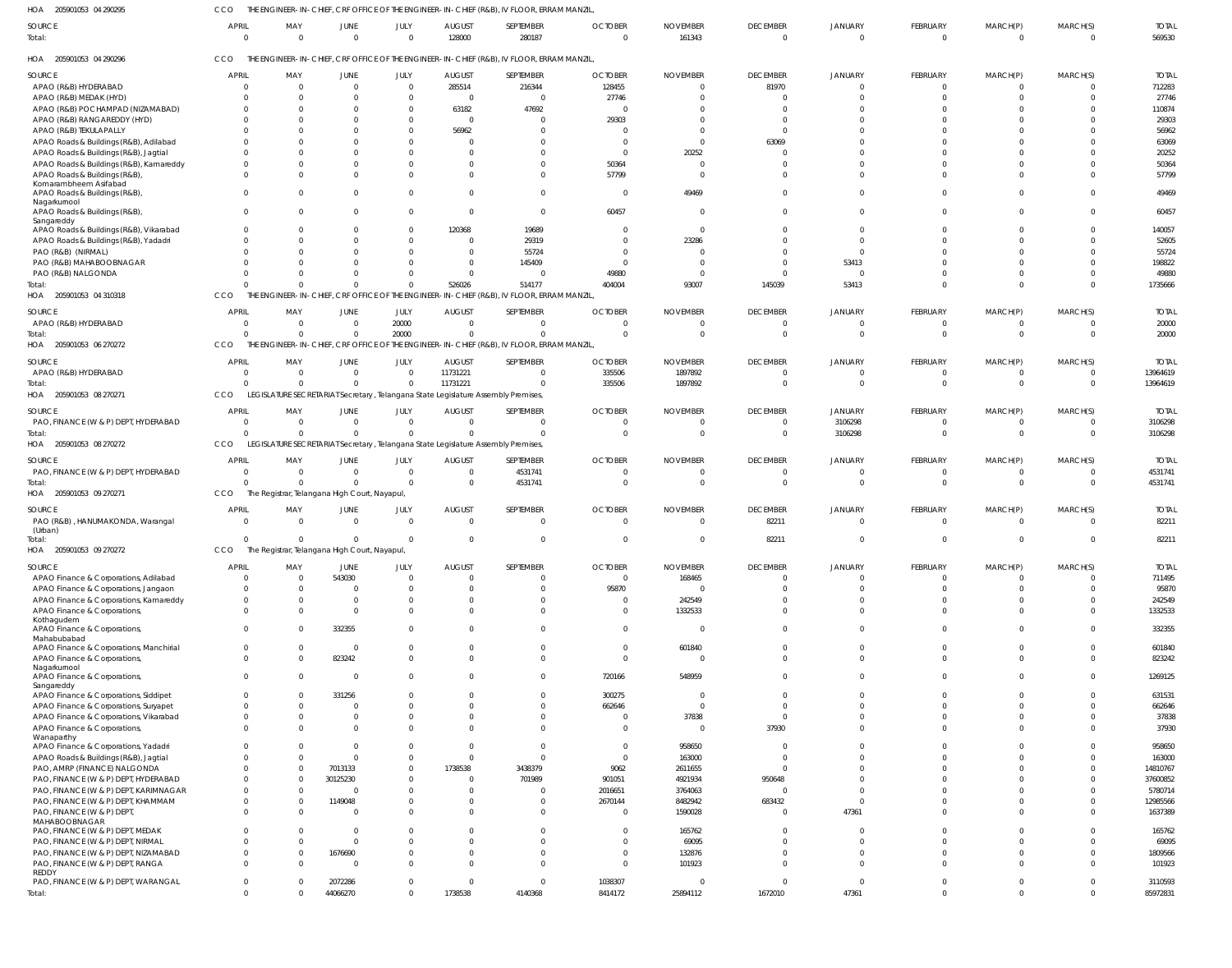205901053 04 290295 HOA CCO THE ENGINEER-IN-CHIEF, CRF OFFICE OF THE ENGINEER-IN-CHIEF (R&B), IV FLOOR, ERRAM MANZIL,

| 128000<br>280187<br>$\overline{0}$<br>161343<br>Total:<br>$\overline{0}$<br>$\Omega$<br>$\Omega$<br>$\overline{0}$<br>$\overline{0}$<br>$\mathbf 0$<br>$\overline{0}$<br>$\Omega$<br>$\Omega$<br>CCO<br>THE ENGINEER-IN-CHIEF, CRF OFFICE OF THE ENGINEER-IN-CHIEF (R&B), IV FLOOR, ERRAM MANZIL<br>HOA 205901053 04 290296<br>SEPTEMBER<br><b>OCTOBER</b><br>SOURCE<br><b>APRIL</b><br>MAY<br>JULY<br><b>AUGUST</b><br><b>NOVEMBER</b><br><b>DECEMBER</b><br>JANUARY<br>FEBRUARY<br>MARCH(P)<br>MARCH(S)<br>JUNE<br>285514<br>128455<br>81970<br>APAO (R&B) HYDERABAD<br>216344<br>$\overline{0}$<br>$\Omega$<br>$\Omega$<br>$\Omega$<br>$\Omega$<br>$\Omega$<br>27746<br>APAO (R&B) MEDAK (HYD)<br>$\Omega$<br>$\Omega$<br>$\overline{0}$<br>C<br>$\Omega$<br>C<br>-C<br>APAO (R&B) POCHAMPAD (NIZAMABAD)<br>63182<br>47692<br>$\Omega$<br>$\Omega$<br>-C<br>APAO (R&B) RANGAREDDY (HYD)<br>29303<br>$\overline{0}$<br>$\Omega$<br>$\Omega$<br>C<br>APAO (R&B) TEKULAPALLY<br>56962<br>$\Omega$<br>$\Omega$<br>C<br>0<br>APAO Roads & Buildings (R&B), Adilabad<br>63069<br>$\Omega$<br>$\Omega$<br>$\Omega$<br>20252<br>APAO Roads & Buildings (R&B), Jagtial<br>$\Omega$<br>$\Omega$<br>$\sqrt{ }$<br>50364<br>APAO Roads & Buildings (R&B), Kamareddy<br>$\Omega$<br>$\Omega$<br>$\Omega$<br>C<br>57799<br>APAO Roads & Buildings (R&B),<br>$\Omega$<br>$\Omega$<br><sup>0</sup><br>$\Omega$<br><sup>0</sup><br>$\Omega$<br>$\Omega$<br>$\Omega$<br>Komarambheem Asifabad<br>49469<br>APAO Roads & Buildings (R&B),<br>$\Omega$<br>$\overline{\mathbf{0}}$<br>$\Omega$<br>$\Omega$<br>$\Omega$<br>$\Omega$<br>$\Omega$<br>$\Omega$<br>- 0<br>Nagarkurnool<br>60457<br>APAO Roads & Buildings (R&B),<br>$\Omega$<br>$\Omega$<br>$\Omega$<br>$\Omega$<br>$\Omega$<br>$\Omega$<br>$\Omega$<br>$\Omega$<br>$\Omega$<br>$\Omega$<br>Sangareddy<br>APAO Roads & Buildings (R&B), Vikarabad<br>120368<br>19689<br>$\Omega$<br>$\Omega$<br>$\Omega$<br>$\Omega$<br>$\Omega$<br>$\Omega$<br>$\Omega$<br>C<br>APAO Roads & Buildings (R&B), Yadadri<br>29319<br>23286<br>$\Omega$<br>$\Omega$<br>$\Omega$<br>$\Omega$<br>$\Omega$<br>- 0<br>55724<br>PAO (R&B) (NIRMAL)<br>$\Omega$<br>$\Omega$<br>$\Omega$<br>-C<br>53413<br>PAO (R&B) MAHABOOBNAGAR<br>145409<br>C<br>$\Omega$<br>$\Omega$<br>$\Omega$<br>$\Omega$<br>-C<br>PAO (R&B) NALGONDA<br>49880<br>$\Omega$<br>$\Omega$<br>$\Omega$<br>$\Omega$<br>$\Omega$<br>$\Omega$<br>C<br>526026<br>514177<br>404004<br>145039<br>53413<br>93007<br>$\Omega$<br>$\Omega$<br>$\Omega$<br>Total:<br>$\Omega$<br>ENGINEER-IN-CHIEF, CRF OFFICE OF THE ENGINEER-IN-CHIEF (R&B), IV FLOOR, ERRAM MANZIL<br>205901053 04 310318<br>CCO<br>THE I<br>HOA<br><b>APRIL</b><br>JULY<br><b>OCTOBER</b><br><b>DECEMBER</b><br>FEBRUARY<br>MARCH(S)<br>MAY<br><b>AUGUST</b><br>SEPTEMBER<br><b>NOVEMBER</b><br><b>JANUARY</b><br>SOURCE<br>JUNE<br>MARCH(P)<br>20000<br>APAO (R&B) HYDERABAD<br>$\overline{0}$<br>$\Omega$<br>$\Omega$<br>$\overline{0}$<br>$\Omega$<br>$\Omega$<br>$\Omega$<br>$\Omega$<br>$\Omega$<br>- 0<br>- 0<br>20000<br>$\overline{0}$<br>$\Omega$<br>$\Omega$<br>Total:<br>$\Omega$<br>$\Omega$<br>$\Omega$<br>$\Omega$<br>$\Omega$<br>$\Omega$<br>$\Omega$<br>$\Omega$<br>$\Omega$<br>THE ENGINEER-IN-CHIEF, CRF OFFICE OF THE ENGINEER-IN-CHIEF (R&B), IV FLOOR, ERRAM MANZIL<br>HOA 205901053 06 270272<br>CCO<br><b>APRIL</b><br><b>AUGUST</b><br>SEPTEMBER<br><b>OCTOBER</b><br>FEBRUARY<br>MARCH(S)<br>SOURCE<br>MAY<br>JULY<br><b>NOVEMBER</b><br><b>DECEMBER</b><br>JANUARY<br>MARCH(P)<br>JUNE<br>11731221<br>335506<br>1897892<br>APAO (R&B) HYDERABAD<br>$\Omega$<br>$\Omega$<br>- 0<br>$\Omega$<br>$\Omega$<br>$\Omega$<br>$\Omega$<br>$\Omega$<br>11731221<br>335506<br>1897892<br>Total:<br>$\sqrt{2}$<br>$\Omega$<br>$\Omega$<br>$\Omega$<br>$\Omega$<br>$\Omega$<br>$\Omega$<br>$\Omega$<br>LEGISLATURE SECRETARIAT Secretary, Telangana State Legislature Assembly Premises,<br>HOA 205901053 08 270271<br>CCO<br>SEPTEMBER<br><b>OCTOBER</b><br>FEBRUARY<br><b>APRIL</b><br>JULY<br><b>AUGUST</b><br><b>NOVEMBER</b><br><b>DECEMBER</b><br>JANUARY<br>MARCH(S)<br>SOURCE<br>MAY<br>JUNE<br>MARCH(P)<br>PAO, FINANCE (W & P) DEPT, HYDERABAD<br>3106298<br>$\overline{0}$<br>$\Omega$<br>$\overline{0}$<br>$\Omega$<br>$\Omega$<br>$\mathbf 0$<br>$\Omega$<br>$\overline{0}$<br>0<br>- 0<br>C<br>$\Omega$<br>$\Omega$<br>$\Omega$<br>$\Omega$<br>$\mathbf{0}$<br>3106298<br>$\Omega$<br>Total:<br>$\Omega$<br>$\Omega$<br>$\Omega$<br>$\Omega$<br>$\Omega$<br>$\Omega$<br>CCO<br>LEGISLATURE SECRETARIAT Secretary, Telangana State Legislature Assembly Premises,<br>HOA 205901053 08 270272<br><b>OCTOBER</b><br><b>AUGUST</b><br>SEPTEMBER<br><b>NOVEMBER</b><br><b>DECEMBER</b><br>FEBRUARY<br>MARCH(S)<br>SOURCE<br><b>APRIL</b><br>MAY<br>JULY<br><b>JANUARY</b><br>MARCH(P)<br>JUNE<br>PAO, FINANCE (W & P) DEPT, HYDERABAD<br>4531741<br>$\Omega$<br>$\Omega$<br>$\mathbf 0$<br>- 0<br>$\Omega$<br>$\Omega$<br>$\Omega$<br>$\Omega$<br>$\Omega$<br>$\overline{0}$<br>$\Omega$<br>4531741<br>$\Omega$<br>$\Omega$<br>Total:<br>$\sqrt{2}$<br>$\Omega$<br>$\Omega$<br>$\Omega$<br>$\Omega$<br>$\Omega$<br>$\Omega$<br>$\Omega$<br>HOA 205901053 09 270271<br>CCO<br>The Registrar, Telangana High Court, Nayapul,<br><b>APRIL</b><br>JULY<br><b>AUGUST</b><br>SEPTEMBER<br><b>OCTOBER</b><br><b>NOVEMBER</b><br><b>DECEMBER</b><br>JANUARY<br>FEBRUARY<br>MARCH(S)<br>SOURCE<br>MAY<br>JUNE<br>MARCH(P) | 569530<br><b>TOTAL</b><br>712283<br>27746<br>110874<br>29303<br>56962<br>63069<br>20252<br>50364<br>57799<br>49469<br>60457<br>140057<br>52605<br>55724<br>198822<br>49880<br>1735666<br><b>TOTAL</b><br>20000<br>20000<br><b>TOTAL</b><br>13964619<br>13964619<br><b>TOTAL</b><br>3106298<br>3106298 |                      |          |          |             |          |                |          |            |              |          |     |              |                                                        |
|-------------------------------------------------------------------------------------------------------------------------------------------------------------------------------------------------------------------------------------------------------------------------------------------------------------------------------------------------------------------------------------------------------------------------------------------------------------------------------------------------------------------------------------------------------------------------------------------------------------------------------------------------------------------------------------------------------------------------------------------------------------------------------------------------------------------------------------------------------------------------------------------------------------------------------------------------------------------------------------------------------------------------------------------------------------------------------------------------------------------------------------------------------------------------------------------------------------------------------------------------------------------------------------------------------------------------------------------------------------------------------------------------------------------------------------------------------------------------------------------------------------------------------------------------------------------------------------------------------------------------------------------------------------------------------------------------------------------------------------------------------------------------------------------------------------------------------------------------------------------------------------------------------------------------------------------------------------------------------------------------------------------------------------------------------------------------------------------------------------------------------------------------------------------------------------------------------------------------------------------------------------------------------------------------------------------------------------------------------------------------------------------------------------------------------------------------------------------------------------------------------------------------------------------------------------------------------------------------------------------------------------------------------------------------------------------------------------------------------------------------------------------------------------------------------------------------------------------------------------------------------------------------------------------------------------------------------------------------------------------------------------------------------------------------------------------------------------------------------------------------------------------------------------------------------------------------------------------------------------------------------------------------------------------------------------------------------------------------------------------------------------------------------------------------------------------------------------------------------------------------------------------------------------------------------------------------------------------------------------------------------------------------------------------------------------------------------------------------------------------------------------------------------------------------------------------------------------------------------------------------------------------------------------------------------------------------------------------------------------------------------------------------------------------------------------------------------------------------------------------------------------------------------------------------------------------------------------------------------------------------------------------------------------------------------------------------------------------------------------------------------------------------------------------------------------------------------------------------------------------------------------------------------------------------------------------------------------------------------------------------------------------------------------------------------------------------------------------------------------------------------------------------------------------------------------------------------------------------------------------------------------------------------------------------------------------------------------------------------------------------------------------------------------------------------------------------------------------------------------------------------------------------------------------------------------------------------------------------------------------------------------------------------------------------------------------------------------------------------------------------------------------------------------------------------------------------------------------------------------|-------------------------------------------------------------------------------------------------------------------------------------------------------------------------------------------------------------------------------------------------------------------------------------------------------|----------------------|----------|----------|-------------|----------|----------------|----------|------------|--------------|----------|-----|--------------|--------------------------------------------------------|
|                                                                                                                                                                                                                                                                                                                                                                                                                                                                                                                                                                                                                                                                                                                                                                                                                                                                                                                                                                                                                                                                                                                                                                                                                                                                                                                                                                                                                                                                                                                                                                                                                                                                                                                                                                                                                                                                                                                                                                                                                                                                                                                                                                                                                                                                                                                                                                                                                                                                                                                                                                                                                                                                                                                                                                                                                                                                                                                                                                                                                                                                                                                                                                                                                                                                                                                                                                                                                                                                                                                                                                                                                                                                                                                                                                                                                                                                                                                                                                                                                                                                                                                                                                                                                                                                                                                                                                                                                                                                                                                                                                                                                                                                                                                                                                                                                                                                                                                                                                                                                                                                                                                                                                                                                                                                                                                                                                                                                                                                                     |                                                                                                                                                                                                                                                                                                       |                      |          |          |             |          |                |          |            |              |          |     |              |                                                        |
|                                                                                                                                                                                                                                                                                                                                                                                                                                                                                                                                                                                                                                                                                                                                                                                                                                                                                                                                                                                                                                                                                                                                                                                                                                                                                                                                                                                                                                                                                                                                                                                                                                                                                                                                                                                                                                                                                                                                                                                                                                                                                                                                                                                                                                                                                                                                                                                                                                                                                                                                                                                                                                                                                                                                                                                                                                                                                                                                                                                                                                                                                                                                                                                                                                                                                                                                                                                                                                                                                                                                                                                                                                                                                                                                                                                                                                                                                                                                                                                                                                                                                                                                                                                                                                                                                                                                                                                                                                                                                                                                                                                                                                                                                                                                                                                                                                                                                                                                                                                                                                                                                                                                                                                                                                                                                                                                                                                                                                                                                     |                                                                                                                                                                                                                                                                                                       |                      |          |          |             |          |                |          |            |              |          |     |              |                                                        |
|                                                                                                                                                                                                                                                                                                                                                                                                                                                                                                                                                                                                                                                                                                                                                                                                                                                                                                                                                                                                                                                                                                                                                                                                                                                                                                                                                                                                                                                                                                                                                                                                                                                                                                                                                                                                                                                                                                                                                                                                                                                                                                                                                                                                                                                                                                                                                                                                                                                                                                                                                                                                                                                                                                                                                                                                                                                                                                                                                                                                                                                                                                                                                                                                                                                                                                                                                                                                                                                                                                                                                                                                                                                                                                                                                                                                                                                                                                                                                                                                                                                                                                                                                                                                                                                                                                                                                                                                                                                                                                                                                                                                                                                                                                                                                                                                                                                                                                                                                                                                                                                                                                                                                                                                                                                                                                                                                                                                                                                                                     |                                                                                                                                                                                                                                                                                                       |                      |          |          |             |          |                |          |            |              |          |     |              |                                                        |
|                                                                                                                                                                                                                                                                                                                                                                                                                                                                                                                                                                                                                                                                                                                                                                                                                                                                                                                                                                                                                                                                                                                                                                                                                                                                                                                                                                                                                                                                                                                                                                                                                                                                                                                                                                                                                                                                                                                                                                                                                                                                                                                                                                                                                                                                                                                                                                                                                                                                                                                                                                                                                                                                                                                                                                                                                                                                                                                                                                                                                                                                                                                                                                                                                                                                                                                                                                                                                                                                                                                                                                                                                                                                                                                                                                                                                                                                                                                                                                                                                                                                                                                                                                                                                                                                                                                                                                                                                                                                                                                                                                                                                                                                                                                                                                                                                                                                                                                                                                                                                                                                                                                                                                                                                                                                                                                                                                                                                                                                                     |                                                                                                                                                                                                                                                                                                       |                      |          |          |             |          |                |          |            |              |          |     |              |                                                        |
|                                                                                                                                                                                                                                                                                                                                                                                                                                                                                                                                                                                                                                                                                                                                                                                                                                                                                                                                                                                                                                                                                                                                                                                                                                                                                                                                                                                                                                                                                                                                                                                                                                                                                                                                                                                                                                                                                                                                                                                                                                                                                                                                                                                                                                                                                                                                                                                                                                                                                                                                                                                                                                                                                                                                                                                                                                                                                                                                                                                                                                                                                                                                                                                                                                                                                                                                                                                                                                                                                                                                                                                                                                                                                                                                                                                                                                                                                                                                                                                                                                                                                                                                                                                                                                                                                                                                                                                                                                                                                                                                                                                                                                                                                                                                                                                                                                                                                                                                                                                                                                                                                                                                                                                                                                                                                                                                                                                                                                                                                     |                                                                                                                                                                                                                                                                                                       |                      |          |          |             |          |                |          |            |              |          |     |              |                                                        |
|                                                                                                                                                                                                                                                                                                                                                                                                                                                                                                                                                                                                                                                                                                                                                                                                                                                                                                                                                                                                                                                                                                                                                                                                                                                                                                                                                                                                                                                                                                                                                                                                                                                                                                                                                                                                                                                                                                                                                                                                                                                                                                                                                                                                                                                                                                                                                                                                                                                                                                                                                                                                                                                                                                                                                                                                                                                                                                                                                                                                                                                                                                                                                                                                                                                                                                                                                                                                                                                                                                                                                                                                                                                                                                                                                                                                                                                                                                                                                                                                                                                                                                                                                                                                                                                                                                                                                                                                                                                                                                                                                                                                                                                                                                                                                                                                                                                                                                                                                                                                                                                                                                                                                                                                                                                                                                                                                                                                                                                                                     |                                                                                                                                                                                                                                                                                                       |                      |          |          |             |          |                |          |            |              |          |     |              |                                                        |
|                                                                                                                                                                                                                                                                                                                                                                                                                                                                                                                                                                                                                                                                                                                                                                                                                                                                                                                                                                                                                                                                                                                                                                                                                                                                                                                                                                                                                                                                                                                                                                                                                                                                                                                                                                                                                                                                                                                                                                                                                                                                                                                                                                                                                                                                                                                                                                                                                                                                                                                                                                                                                                                                                                                                                                                                                                                                                                                                                                                                                                                                                                                                                                                                                                                                                                                                                                                                                                                                                                                                                                                                                                                                                                                                                                                                                                                                                                                                                                                                                                                                                                                                                                                                                                                                                                                                                                                                                                                                                                                                                                                                                                                                                                                                                                                                                                                                                                                                                                                                                                                                                                                                                                                                                                                                                                                                                                                                                                                                                     |                                                                                                                                                                                                                                                                                                       |                      |          |          |             |          |                |          |            |              |          |     |              |                                                        |
|                                                                                                                                                                                                                                                                                                                                                                                                                                                                                                                                                                                                                                                                                                                                                                                                                                                                                                                                                                                                                                                                                                                                                                                                                                                                                                                                                                                                                                                                                                                                                                                                                                                                                                                                                                                                                                                                                                                                                                                                                                                                                                                                                                                                                                                                                                                                                                                                                                                                                                                                                                                                                                                                                                                                                                                                                                                                                                                                                                                                                                                                                                                                                                                                                                                                                                                                                                                                                                                                                                                                                                                                                                                                                                                                                                                                                                                                                                                                                                                                                                                                                                                                                                                                                                                                                                                                                                                                                                                                                                                                                                                                                                                                                                                                                                                                                                                                                                                                                                                                                                                                                                                                                                                                                                                                                                                                                                                                                                                                                     |                                                                                                                                                                                                                                                                                                       |                      |          |          |             |          |                |          |            |              |          |     |              |                                                        |
|                                                                                                                                                                                                                                                                                                                                                                                                                                                                                                                                                                                                                                                                                                                                                                                                                                                                                                                                                                                                                                                                                                                                                                                                                                                                                                                                                                                                                                                                                                                                                                                                                                                                                                                                                                                                                                                                                                                                                                                                                                                                                                                                                                                                                                                                                                                                                                                                                                                                                                                                                                                                                                                                                                                                                                                                                                                                                                                                                                                                                                                                                                                                                                                                                                                                                                                                                                                                                                                                                                                                                                                                                                                                                                                                                                                                                                                                                                                                                                                                                                                                                                                                                                                                                                                                                                                                                                                                                                                                                                                                                                                                                                                                                                                                                                                                                                                                                                                                                                                                                                                                                                                                                                                                                                                                                                                                                                                                                                                                                     |                                                                                                                                                                                                                                                                                                       |                      |          |          |             |          |                |          |            |              |          |     |              |                                                        |
|                                                                                                                                                                                                                                                                                                                                                                                                                                                                                                                                                                                                                                                                                                                                                                                                                                                                                                                                                                                                                                                                                                                                                                                                                                                                                                                                                                                                                                                                                                                                                                                                                                                                                                                                                                                                                                                                                                                                                                                                                                                                                                                                                                                                                                                                                                                                                                                                                                                                                                                                                                                                                                                                                                                                                                                                                                                                                                                                                                                                                                                                                                                                                                                                                                                                                                                                                                                                                                                                                                                                                                                                                                                                                                                                                                                                                                                                                                                                                                                                                                                                                                                                                                                                                                                                                                                                                                                                                                                                                                                                                                                                                                                                                                                                                                                                                                                                                                                                                                                                                                                                                                                                                                                                                                                                                                                                                                                                                                                                                     |                                                                                                                                                                                                                                                                                                       |                      |          |          |             |          |                |          |            |              |          |     |              |                                                        |
|                                                                                                                                                                                                                                                                                                                                                                                                                                                                                                                                                                                                                                                                                                                                                                                                                                                                                                                                                                                                                                                                                                                                                                                                                                                                                                                                                                                                                                                                                                                                                                                                                                                                                                                                                                                                                                                                                                                                                                                                                                                                                                                                                                                                                                                                                                                                                                                                                                                                                                                                                                                                                                                                                                                                                                                                                                                                                                                                                                                                                                                                                                                                                                                                                                                                                                                                                                                                                                                                                                                                                                                                                                                                                                                                                                                                                                                                                                                                                                                                                                                                                                                                                                                                                                                                                                                                                                                                                                                                                                                                                                                                                                                                                                                                                                                                                                                                                                                                                                                                                                                                                                                                                                                                                                                                                                                                                                                                                                                                                     |                                                                                                                                                                                                                                                                                                       |                      |          |          |             |          |                |          |            |              |          |     |              |                                                        |
|                                                                                                                                                                                                                                                                                                                                                                                                                                                                                                                                                                                                                                                                                                                                                                                                                                                                                                                                                                                                                                                                                                                                                                                                                                                                                                                                                                                                                                                                                                                                                                                                                                                                                                                                                                                                                                                                                                                                                                                                                                                                                                                                                                                                                                                                                                                                                                                                                                                                                                                                                                                                                                                                                                                                                                                                                                                                                                                                                                                                                                                                                                                                                                                                                                                                                                                                                                                                                                                                                                                                                                                                                                                                                                                                                                                                                                                                                                                                                                                                                                                                                                                                                                                                                                                                                                                                                                                                                                                                                                                                                                                                                                                                                                                                                                                                                                                                                                                                                                                                                                                                                                                                                                                                                                                                                                                                                                                                                                                                                     |                                                                                                                                                                                                                                                                                                       |                      |          |          |             |          |                |          |            |              |          |     |              |                                                        |
|                                                                                                                                                                                                                                                                                                                                                                                                                                                                                                                                                                                                                                                                                                                                                                                                                                                                                                                                                                                                                                                                                                                                                                                                                                                                                                                                                                                                                                                                                                                                                                                                                                                                                                                                                                                                                                                                                                                                                                                                                                                                                                                                                                                                                                                                                                                                                                                                                                                                                                                                                                                                                                                                                                                                                                                                                                                                                                                                                                                                                                                                                                                                                                                                                                                                                                                                                                                                                                                                                                                                                                                                                                                                                                                                                                                                                                                                                                                                                                                                                                                                                                                                                                                                                                                                                                                                                                                                                                                                                                                                                                                                                                                                                                                                                                                                                                                                                                                                                                                                                                                                                                                                                                                                                                                                                                                                                                                                                                                                                     |                                                                                                                                                                                                                                                                                                       |                      |          |          |             |          |                |          |            |              |          |     |              |                                                        |
|                                                                                                                                                                                                                                                                                                                                                                                                                                                                                                                                                                                                                                                                                                                                                                                                                                                                                                                                                                                                                                                                                                                                                                                                                                                                                                                                                                                                                                                                                                                                                                                                                                                                                                                                                                                                                                                                                                                                                                                                                                                                                                                                                                                                                                                                                                                                                                                                                                                                                                                                                                                                                                                                                                                                                                                                                                                                                                                                                                                                                                                                                                                                                                                                                                                                                                                                                                                                                                                                                                                                                                                                                                                                                                                                                                                                                                                                                                                                                                                                                                                                                                                                                                                                                                                                                                                                                                                                                                                                                                                                                                                                                                                                                                                                                                                                                                                                                                                                                                                                                                                                                                                                                                                                                                                                                                                                                                                                                                                                                     |                                                                                                                                                                                                                                                                                                       |                      |          |          |             |          |                |          |            |              |          |     |              |                                                        |
|                                                                                                                                                                                                                                                                                                                                                                                                                                                                                                                                                                                                                                                                                                                                                                                                                                                                                                                                                                                                                                                                                                                                                                                                                                                                                                                                                                                                                                                                                                                                                                                                                                                                                                                                                                                                                                                                                                                                                                                                                                                                                                                                                                                                                                                                                                                                                                                                                                                                                                                                                                                                                                                                                                                                                                                                                                                                                                                                                                                                                                                                                                                                                                                                                                                                                                                                                                                                                                                                                                                                                                                                                                                                                                                                                                                                                                                                                                                                                                                                                                                                                                                                                                                                                                                                                                                                                                                                                                                                                                                                                                                                                                                                                                                                                                                                                                                                                                                                                                                                                                                                                                                                                                                                                                                                                                                                                                                                                                                                                     |                                                                                                                                                                                                                                                                                                       |                      |          |          |             |          |                |          |            |              |          |     |              |                                                        |
|                                                                                                                                                                                                                                                                                                                                                                                                                                                                                                                                                                                                                                                                                                                                                                                                                                                                                                                                                                                                                                                                                                                                                                                                                                                                                                                                                                                                                                                                                                                                                                                                                                                                                                                                                                                                                                                                                                                                                                                                                                                                                                                                                                                                                                                                                                                                                                                                                                                                                                                                                                                                                                                                                                                                                                                                                                                                                                                                                                                                                                                                                                                                                                                                                                                                                                                                                                                                                                                                                                                                                                                                                                                                                                                                                                                                                                                                                                                                                                                                                                                                                                                                                                                                                                                                                                                                                                                                                                                                                                                                                                                                                                                                                                                                                                                                                                                                                                                                                                                                                                                                                                                                                                                                                                                                                                                                                                                                                                                                                     |                                                                                                                                                                                                                                                                                                       |                      |          |          |             |          |                |          |            |              |          |     |              |                                                        |
|                                                                                                                                                                                                                                                                                                                                                                                                                                                                                                                                                                                                                                                                                                                                                                                                                                                                                                                                                                                                                                                                                                                                                                                                                                                                                                                                                                                                                                                                                                                                                                                                                                                                                                                                                                                                                                                                                                                                                                                                                                                                                                                                                                                                                                                                                                                                                                                                                                                                                                                                                                                                                                                                                                                                                                                                                                                                                                                                                                                                                                                                                                                                                                                                                                                                                                                                                                                                                                                                                                                                                                                                                                                                                                                                                                                                                                                                                                                                                                                                                                                                                                                                                                                                                                                                                                                                                                                                                                                                                                                                                                                                                                                                                                                                                                                                                                                                                                                                                                                                                                                                                                                                                                                                                                                                                                                                                                                                                                                                                     |                                                                                                                                                                                                                                                                                                       |                      |          |          |             |          |                |          |            |              |          |     |              |                                                        |
|                                                                                                                                                                                                                                                                                                                                                                                                                                                                                                                                                                                                                                                                                                                                                                                                                                                                                                                                                                                                                                                                                                                                                                                                                                                                                                                                                                                                                                                                                                                                                                                                                                                                                                                                                                                                                                                                                                                                                                                                                                                                                                                                                                                                                                                                                                                                                                                                                                                                                                                                                                                                                                                                                                                                                                                                                                                                                                                                                                                                                                                                                                                                                                                                                                                                                                                                                                                                                                                                                                                                                                                                                                                                                                                                                                                                                                                                                                                                                                                                                                                                                                                                                                                                                                                                                                                                                                                                                                                                                                                                                                                                                                                                                                                                                                                                                                                                                                                                                                                                                                                                                                                                                                                                                                                                                                                                                                                                                                                                                     |                                                                                                                                                                                                                                                                                                       |                      |          |          |             |          |                |          |            |              |          |     |              |                                                        |
|                                                                                                                                                                                                                                                                                                                                                                                                                                                                                                                                                                                                                                                                                                                                                                                                                                                                                                                                                                                                                                                                                                                                                                                                                                                                                                                                                                                                                                                                                                                                                                                                                                                                                                                                                                                                                                                                                                                                                                                                                                                                                                                                                                                                                                                                                                                                                                                                                                                                                                                                                                                                                                                                                                                                                                                                                                                                                                                                                                                                                                                                                                                                                                                                                                                                                                                                                                                                                                                                                                                                                                                                                                                                                                                                                                                                                                                                                                                                                                                                                                                                                                                                                                                                                                                                                                                                                                                                                                                                                                                                                                                                                                                                                                                                                                                                                                                                                                                                                                                                                                                                                                                                                                                                                                                                                                                                                                                                                                                                                     |                                                                                                                                                                                                                                                                                                       |                      |          |          |             |          |                |          |            |              |          |     |              |                                                        |
|                                                                                                                                                                                                                                                                                                                                                                                                                                                                                                                                                                                                                                                                                                                                                                                                                                                                                                                                                                                                                                                                                                                                                                                                                                                                                                                                                                                                                                                                                                                                                                                                                                                                                                                                                                                                                                                                                                                                                                                                                                                                                                                                                                                                                                                                                                                                                                                                                                                                                                                                                                                                                                                                                                                                                                                                                                                                                                                                                                                                                                                                                                                                                                                                                                                                                                                                                                                                                                                                                                                                                                                                                                                                                                                                                                                                                                                                                                                                                                                                                                                                                                                                                                                                                                                                                                                                                                                                                                                                                                                                                                                                                                                                                                                                                                                                                                                                                                                                                                                                                                                                                                                                                                                                                                                                                                                                                                                                                                                                                     |                                                                                                                                                                                                                                                                                                       |                      |          |          |             |          |                |          |            |              |          |     |              |                                                        |
|                                                                                                                                                                                                                                                                                                                                                                                                                                                                                                                                                                                                                                                                                                                                                                                                                                                                                                                                                                                                                                                                                                                                                                                                                                                                                                                                                                                                                                                                                                                                                                                                                                                                                                                                                                                                                                                                                                                                                                                                                                                                                                                                                                                                                                                                                                                                                                                                                                                                                                                                                                                                                                                                                                                                                                                                                                                                                                                                                                                                                                                                                                                                                                                                                                                                                                                                                                                                                                                                                                                                                                                                                                                                                                                                                                                                                                                                                                                                                                                                                                                                                                                                                                                                                                                                                                                                                                                                                                                                                                                                                                                                                                                                                                                                                                                                                                                                                                                                                                                                                                                                                                                                                                                                                                                                                                                                                                                                                                                                                     |                                                                                                                                                                                                                                                                                                       |                      |          |          |             |          |                |          |            |              |          |     |              |                                                        |
|                                                                                                                                                                                                                                                                                                                                                                                                                                                                                                                                                                                                                                                                                                                                                                                                                                                                                                                                                                                                                                                                                                                                                                                                                                                                                                                                                                                                                                                                                                                                                                                                                                                                                                                                                                                                                                                                                                                                                                                                                                                                                                                                                                                                                                                                                                                                                                                                                                                                                                                                                                                                                                                                                                                                                                                                                                                                                                                                                                                                                                                                                                                                                                                                                                                                                                                                                                                                                                                                                                                                                                                                                                                                                                                                                                                                                                                                                                                                                                                                                                                                                                                                                                                                                                                                                                                                                                                                                                                                                                                                                                                                                                                                                                                                                                                                                                                                                                                                                                                                                                                                                                                                                                                                                                                                                                                                                                                                                                                                                     |                                                                                                                                                                                                                                                                                                       |                      |          |          |             |          |                |          |            |              |          |     |              |                                                        |
|                                                                                                                                                                                                                                                                                                                                                                                                                                                                                                                                                                                                                                                                                                                                                                                                                                                                                                                                                                                                                                                                                                                                                                                                                                                                                                                                                                                                                                                                                                                                                                                                                                                                                                                                                                                                                                                                                                                                                                                                                                                                                                                                                                                                                                                                                                                                                                                                                                                                                                                                                                                                                                                                                                                                                                                                                                                                                                                                                                                                                                                                                                                                                                                                                                                                                                                                                                                                                                                                                                                                                                                                                                                                                                                                                                                                                                                                                                                                                                                                                                                                                                                                                                                                                                                                                                                                                                                                                                                                                                                                                                                                                                                                                                                                                                                                                                                                                                                                                                                                                                                                                                                                                                                                                                                                                                                                                                                                                                                                                     |                                                                                                                                                                                                                                                                                                       |                      |          |          |             |          |                |          |            |              |          |     |              |                                                        |
|                                                                                                                                                                                                                                                                                                                                                                                                                                                                                                                                                                                                                                                                                                                                                                                                                                                                                                                                                                                                                                                                                                                                                                                                                                                                                                                                                                                                                                                                                                                                                                                                                                                                                                                                                                                                                                                                                                                                                                                                                                                                                                                                                                                                                                                                                                                                                                                                                                                                                                                                                                                                                                                                                                                                                                                                                                                                                                                                                                                                                                                                                                                                                                                                                                                                                                                                                                                                                                                                                                                                                                                                                                                                                                                                                                                                                                                                                                                                                                                                                                                                                                                                                                                                                                                                                                                                                                                                                                                                                                                                                                                                                                                                                                                                                                                                                                                                                                                                                                                                                                                                                                                                                                                                                                                                                                                                                                                                                                                                                     |                                                                                                                                                                                                                                                                                                       |                      |          |          |             |          |                |          |            |              |          |     |              |                                                        |
|                                                                                                                                                                                                                                                                                                                                                                                                                                                                                                                                                                                                                                                                                                                                                                                                                                                                                                                                                                                                                                                                                                                                                                                                                                                                                                                                                                                                                                                                                                                                                                                                                                                                                                                                                                                                                                                                                                                                                                                                                                                                                                                                                                                                                                                                                                                                                                                                                                                                                                                                                                                                                                                                                                                                                                                                                                                                                                                                                                                                                                                                                                                                                                                                                                                                                                                                                                                                                                                                                                                                                                                                                                                                                                                                                                                                                                                                                                                                                                                                                                                                                                                                                                                                                                                                                                                                                                                                                                                                                                                                                                                                                                                                                                                                                                                                                                                                                                                                                                                                                                                                                                                                                                                                                                                                                                                                                                                                                                                                                     |                                                                                                                                                                                                                                                                                                       |                      |          |          |             |          |                |          |            |              |          |     |              |                                                        |
|                                                                                                                                                                                                                                                                                                                                                                                                                                                                                                                                                                                                                                                                                                                                                                                                                                                                                                                                                                                                                                                                                                                                                                                                                                                                                                                                                                                                                                                                                                                                                                                                                                                                                                                                                                                                                                                                                                                                                                                                                                                                                                                                                                                                                                                                                                                                                                                                                                                                                                                                                                                                                                                                                                                                                                                                                                                                                                                                                                                                                                                                                                                                                                                                                                                                                                                                                                                                                                                                                                                                                                                                                                                                                                                                                                                                                                                                                                                                                                                                                                                                                                                                                                                                                                                                                                                                                                                                                                                                                                                                                                                                                                                                                                                                                                                                                                                                                                                                                                                                                                                                                                                                                                                                                                                                                                                                                                                                                                                                                     |                                                                                                                                                                                                                                                                                                       |                      |          |          |             |          |                |          |            |              |          |     |              |                                                        |
|                                                                                                                                                                                                                                                                                                                                                                                                                                                                                                                                                                                                                                                                                                                                                                                                                                                                                                                                                                                                                                                                                                                                                                                                                                                                                                                                                                                                                                                                                                                                                                                                                                                                                                                                                                                                                                                                                                                                                                                                                                                                                                                                                                                                                                                                                                                                                                                                                                                                                                                                                                                                                                                                                                                                                                                                                                                                                                                                                                                                                                                                                                                                                                                                                                                                                                                                                                                                                                                                                                                                                                                                                                                                                                                                                                                                                                                                                                                                                                                                                                                                                                                                                                                                                                                                                                                                                                                                                                                                                                                                                                                                                                                                                                                                                                                                                                                                                                                                                                                                                                                                                                                                                                                                                                                                                                                                                                                                                                                                                     |                                                                                                                                                                                                                                                                                                       |                      |          |          |             |          |                |          |            |              |          |     |              |                                                        |
|                                                                                                                                                                                                                                                                                                                                                                                                                                                                                                                                                                                                                                                                                                                                                                                                                                                                                                                                                                                                                                                                                                                                                                                                                                                                                                                                                                                                                                                                                                                                                                                                                                                                                                                                                                                                                                                                                                                                                                                                                                                                                                                                                                                                                                                                                                                                                                                                                                                                                                                                                                                                                                                                                                                                                                                                                                                                                                                                                                                                                                                                                                                                                                                                                                                                                                                                                                                                                                                                                                                                                                                                                                                                                                                                                                                                                                                                                                                                                                                                                                                                                                                                                                                                                                                                                                                                                                                                                                                                                                                                                                                                                                                                                                                                                                                                                                                                                                                                                                                                                                                                                                                                                                                                                                                                                                                                                                                                                                                                                     |                                                                                                                                                                                                                                                                                                       |                      |          |          |             |          |                |          |            |              |          |     |              |                                                        |
|                                                                                                                                                                                                                                                                                                                                                                                                                                                                                                                                                                                                                                                                                                                                                                                                                                                                                                                                                                                                                                                                                                                                                                                                                                                                                                                                                                                                                                                                                                                                                                                                                                                                                                                                                                                                                                                                                                                                                                                                                                                                                                                                                                                                                                                                                                                                                                                                                                                                                                                                                                                                                                                                                                                                                                                                                                                                                                                                                                                                                                                                                                                                                                                                                                                                                                                                                                                                                                                                                                                                                                                                                                                                                                                                                                                                                                                                                                                                                                                                                                                                                                                                                                                                                                                                                                                                                                                                                                                                                                                                                                                                                                                                                                                                                                                                                                                                                                                                                                                                                                                                                                                                                                                                                                                                                                                                                                                                                                                                                     |                                                                                                                                                                                                                                                                                                       |                      |          |          |             |          |                |          |            |              |          |     |              |                                                        |
|                                                                                                                                                                                                                                                                                                                                                                                                                                                                                                                                                                                                                                                                                                                                                                                                                                                                                                                                                                                                                                                                                                                                                                                                                                                                                                                                                                                                                                                                                                                                                                                                                                                                                                                                                                                                                                                                                                                                                                                                                                                                                                                                                                                                                                                                                                                                                                                                                                                                                                                                                                                                                                                                                                                                                                                                                                                                                                                                                                                                                                                                                                                                                                                                                                                                                                                                                                                                                                                                                                                                                                                                                                                                                                                                                                                                                                                                                                                                                                                                                                                                                                                                                                                                                                                                                                                                                                                                                                                                                                                                                                                                                                                                                                                                                                                                                                                                                                                                                                                                                                                                                                                                                                                                                                                                                                                                                                                                                                                                                     |                                                                                                                                                                                                                                                                                                       |                      |          |          |             |          |                |          |            |              |          |     |              |                                                        |
|                                                                                                                                                                                                                                                                                                                                                                                                                                                                                                                                                                                                                                                                                                                                                                                                                                                                                                                                                                                                                                                                                                                                                                                                                                                                                                                                                                                                                                                                                                                                                                                                                                                                                                                                                                                                                                                                                                                                                                                                                                                                                                                                                                                                                                                                                                                                                                                                                                                                                                                                                                                                                                                                                                                                                                                                                                                                                                                                                                                                                                                                                                                                                                                                                                                                                                                                                                                                                                                                                                                                                                                                                                                                                                                                                                                                                                                                                                                                                                                                                                                                                                                                                                                                                                                                                                                                                                                                                                                                                                                                                                                                                                                                                                                                                                                                                                                                                                                                                                                                                                                                                                                                                                                                                                                                                                                                                                                                                                                                                     |                                                                                                                                                                                                                                                                                                       |                      |          |          |             |          |                |          |            |              |          |     |              |                                                        |
|                                                                                                                                                                                                                                                                                                                                                                                                                                                                                                                                                                                                                                                                                                                                                                                                                                                                                                                                                                                                                                                                                                                                                                                                                                                                                                                                                                                                                                                                                                                                                                                                                                                                                                                                                                                                                                                                                                                                                                                                                                                                                                                                                                                                                                                                                                                                                                                                                                                                                                                                                                                                                                                                                                                                                                                                                                                                                                                                                                                                                                                                                                                                                                                                                                                                                                                                                                                                                                                                                                                                                                                                                                                                                                                                                                                                                                                                                                                                                                                                                                                                                                                                                                                                                                                                                                                                                                                                                                                                                                                                                                                                                                                                                                                                                                                                                                                                                                                                                                                                                                                                                                                                                                                                                                                                                                                                                                                                                                                                                     |                                                                                                                                                                                                                                                                                                       |                      |          |          |             |          |                |          |            |              |          |     |              |                                                        |
|                                                                                                                                                                                                                                                                                                                                                                                                                                                                                                                                                                                                                                                                                                                                                                                                                                                                                                                                                                                                                                                                                                                                                                                                                                                                                                                                                                                                                                                                                                                                                                                                                                                                                                                                                                                                                                                                                                                                                                                                                                                                                                                                                                                                                                                                                                                                                                                                                                                                                                                                                                                                                                                                                                                                                                                                                                                                                                                                                                                                                                                                                                                                                                                                                                                                                                                                                                                                                                                                                                                                                                                                                                                                                                                                                                                                                                                                                                                                                                                                                                                                                                                                                                                                                                                                                                                                                                                                                                                                                                                                                                                                                                                                                                                                                                                                                                                                                                                                                                                                                                                                                                                                                                                                                                                                                                                                                                                                                                                                                     |                                                                                                                                                                                                                                                                                                       |                      |          |          |             |          |                |          |            |              |          |     |              |                                                        |
|                                                                                                                                                                                                                                                                                                                                                                                                                                                                                                                                                                                                                                                                                                                                                                                                                                                                                                                                                                                                                                                                                                                                                                                                                                                                                                                                                                                                                                                                                                                                                                                                                                                                                                                                                                                                                                                                                                                                                                                                                                                                                                                                                                                                                                                                                                                                                                                                                                                                                                                                                                                                                                                                                                                                                                                                                                                                                                                                                                                                                                                                                                                                                                                                                                                                                                                                                                                                                                                                                                                                                                                                                                                                                                                                                                                                                                                                                                                                                                                                                                                                                                                                                                                                                                                                                                                                                                                                                                                                                                                                                                                                                                                                                                                                                                                                                                                                                                                                                                                                                                                                                                                                                                                                                                                                                                                                                                                                                                                                                     |                                                                                                                                                                                                                                                                                                       |                      |          |          |             |          |                |          |            |              |          |     |              |                                                        |
|                                                                                                                                                                                                                                                                                                                                                                                                                                                                                                                                                                                                                                                                                                                                                                                                                                                                                                                                                                                                                                                                                                                                                                                                                                                                                                                                                                                                                                                                                                                                                                                                                                                                                                                                                                                                                                                                                                                                                                                                                                                                                                                                                                                                                                                                                                                                                                                                                                                                                                                                                                                                                                                                                                                                                                                                                                                                                                                                                                                                                                                                                                                                                                                                                                                                                                                                                                                                                                                                                                                                                                                                                                                                                                                                                                                                                                                                                                                                                                                                                                                                                                                                                                                                                                                                                                                                                                                                                                                                                                                                                                                                                                                                                                                                                                                                                                                                                                                                                                                                                                                                                                                                                                                                                                                                                                                                                                                                                                                                                     |                                                                                                                                                                                                                                                                                                       |                      |          |          |             |          |                |          |            |              |          |     |              |                                                        |
|                                                                                                                                                                                                                                                                                                                                                                                                                                                                                                                                                                                                                                                                                                                                                                                                                                                                                                                                                                                                                                                                                                                                                                                                                                                                                                                                                                                                                                                                                                                                                                                                                                                                                                                                                                                                                                                                                                                                                                                                                                                                                                                                                                                                                                                                                                                                                                                                                                                                                                                                                                                                                                                                                                                                                                                                                                                                                                                                                                                                                                                                                                                                                                                                                                                                                                                                                                                                                                                                                                                                                                                                                                                                                                                                                                                                                                                                                                                                                                                                                                                                                                                                                                                                                                                                                                                                                                                                                                                                                                                                                                                                                                                                                                                                                                                                                                                                                                                                                                                                                                                                                                                                                                                                                                                                                                                                                                                                                                                                                     | <b>TOTAL</b>                                                                                                                                                                                                                                                                                          |                      |          |          |             |          |                |          |            |              |          |     |              |                                                        |
|                                                                                                                                                                                                                                                                                                                                                                                                                                                                                                                                                                                                                                                                                                                                                                                                                                                                                                                                                                                                                                                                                                                                                                                                                                                                                                                                                                                                                                                                                                                                                                                                                                                                                                                                                                                                                                                                                                                                                                                                                                                                                                                                                                                                                                                                                                                                                                                                                                                                                                                                                                                                                                                                                                                                                                                                                                                                                                                                                                                                                                                                                                                                                                                                                                                                                                                                                                                                                                                                                                                                                                                                                                                                                                                                                                                                                                                                                                                                                                                                                                                                                                                                                                                                                                                                                                                                                                                                                                                                                                                                                                                                                                                                                                                                                                                                                                                                                                                                                                                                                                                                                                                                                                                                                                                                                                                                                                                                                                                                                     | 4531741                                                                                                                                                                                                                                                                                               |                      |          |          |             |          |                |          |            |              |          |     |              |                                                        |
|                                                                                                                                                                                                                                                                                                                                                                                                                                                                                                                                                                                                                                                                                                                                                                                                                                                                                                                                                                                                                                                                                                                                                                                                                                                                                                                                                                                                                                                                                                                                                                                                                                                                                                                                                                                                                                                                                                                                                                                                                                                                                                                                                                                                                                                                                                                                                                                                                                                                                                                                                                                                                                                                                                                                                                                                                                                                                                                                                                                                                                                                                                                                                                                                                                                                                                                                                                                                                                                                                                                                                                                                                                                                                                                                                                                                                                                                                                                                                                                                                                                                                                                                                                                                                                                                                                                                                                                                                                                                                                                                                                                                                                                                                                                                                                                                                                                                                                                                                                                                                                                                                                                                                                                                                                                                                                                                                                                                                                                                                     | 4531741                                                                                                                                                                                                                                                                                               |                      |          |          |             |          |                |          |            |              |          |     |              |                                                        |
|                                                                                                                                                                                                                                                                                                                                                                                                                                                                                                                                                                                                                                                                                                                                                                                                                                                                                                                                                                                                                                                                                                                                                                                                                                                                                                                                                                                                                                                                                                                                                                                                                                                                                                                                                                                                                                                                                                                                                                                                                                                                                                                                                                                                                                                                                                                                                                                                                                                                                                                                                                                                                                                                                                                                                                                                                                                                                                                                                                                                                                                                                                                                                                                                                                                                                                                                                                                                                                                                                                                                                                                                                                                                                                                                                                                                                                                                                                                                                                                                                                                                                                                                                                                                                                                                                                                                                                                                                                                                                                                                                                                                                                                                                                                                                                                                                                                                                                                                                                                                                                                                                                                                                                                                                                                                                                                                                                                                                                                                                     |                                                                                                                                                                                                                                                                                                       |                      |          |          |             |          |                |          |            |              |          |     |              |                                                        |
|                                                                                                                                                                                                                                                                                                                                                                                                                                                                                                                                                                                                                                                                                                                                                                                                                                                                                                                                                                                                                                                                                                                                                                                                                                                                                                                                                                                                                                                                                                                                                                                                                                                                                                                                                                                                                                                                                                                                                                                                                                                                                                                                                                                                                                                                                                                                                                                                                                                                                                                                                                                                                                                                                                                                                                                                                                                                                                                                                                                                                                                                                                                                                                                                                                                                                                                                                                                                                                                                                                                                                                                                                                                                                                                                                                                                                                                                                                                                                                                                                                                                                                                                                                                                                                                                                                                                                                                                                                                                                                                                                                                                                                                                                                                                                                                                                                                                                                                                                                                                                                                                                                                                                                                                                                                                                                                                                                                                                                                                                     | <b>TOTAL</b>                                                                                                                                                                                                                                                                                          |                      |          |          |             |          |                |          |            |              |          |     |              |                                                        |
| 82211<br>$\Omega$<br>$\Omega$<br>$\Omega$<br>$\overline{0}$<br>$\overline{0}$<br>$\overline{0}$<br>$\overline{\mathbf{0}}$<br>$\overline{0}$<br>$\mathbf 0$<br>$\overline{0}$<br>$\Omega$                                                                                                                                                                                                                                                                                                                                                                                                                                                                                                                                                                                                                                                                                                                                                                                                                                                                                                                                                                                                                                                                                                                                                                                                                                                                                                                                                                                                                                                                                                                                                                                                                                                                                                                                                                                                                                                                                                                                                                                                                                                                                                                                                                                                                                                                                                                                                                                                                                                                                                                                                                                                                                                                                                                                                                                                                                                                                                                                                                                                                                                                                                                                                                                                                                                                                                                                                                                                                                                                                                                                                                                                                                                                                                                                                                                                                                                                                                                                                                                                                                                                                                                                                                                                                                                                                                                                                                                                                                                                                                                                                                                                                                                                                                                                                                                                                                                                                                                                                                                                                                                                                                                                                                                                                                                                                           | 82211                                                                                                                                                                                                                                                                                                 |                      |          |          |             |          |                |          |            |              |          |     |              |                                                        |
|                                                                                                                                                                                                                                                                                                                                                                                                                                                                                                                                                                                                                                                                                                                                                                                                                                                                                                                                                                                                                                                                                                                                                                                                                                                                                                                                                                                                                                                                                                                                                                                                                                                                                                                                                                                                                                                                                                                                                                                                                                                                                                                                                                                                                                                                                                                                                                                                                                                                                                                                                                                                                                                                                                                                                                                                                                                                                                                                                                                                                                                                                                                                                                                                                                                                                                                                                                                                                                                                                                                                                                                                                                                                                                                                                                                                                                                                                                                                                                                                                                                                                                                                                                                                                                                                                                                                                                                                                                                                                                                                                                                                                                                                                                                                                                                                                                                                                                                                                                                                                                                                                                                                                                                                                                                                                                                                                                                                                                                                                     |                                                                                                                                                                                                                                                                                                       |                      |          |          |             |          |                |          |            |              |          |     |              |                                                        |
| 82211<br>Total:<br>$\Omega$<br>$\Omega$<br>$\Omega$<br>$\Omega$<br>$\overline{0}$<br>- 0<br>$\Omega$<br>$\Omega$<br>$\Omega$<br>$\Omega$<br>$\Omega$                                                                                                                                                                                                                                                                                                                                                                                                                                                                                                                                                                                                                                                                                                                                                                                                                                                                                                                                                                                                                                                                                                                                                                                                                                                                                                                                                                                                                                                                                                                                                                                                                                                                                                                                                                                                                                                                                                                                                                                                                                                                                                                                                                                                                                                                                                                                                                                                                                                                                                                                                                                                                                                                                                                                                                                                                                                                                                                                                                                                                                                                                                                                                                                                                                                                                                                                                                                                                                                                                                                                                                                                                                                                                                                                                                                                                                                                                                                                                                                                                                                                                                                                                                                                                                                                                                                                                                                                                                                                                                                                                                                                                                                                                                                                                                                                                                                                                                                                                                                                                                                                                                                                                                                                                                                                                                                                | 82211                                                                                                                                                                                                                                                                                                 |                      |          |          |             |          |                |          |            |              |          |     |              | PAO (R&B), HANUMAKONDA, Warangal                       |
| HOA 205901053 09 270272<br><b>CCO</b><br>The Registrar, Telangana High Court, Nayapul                                                                                                                                                                                                                                                                                                                                                                                                                                                                                                                                                                                                                                                                                                                                                                                                                                                                                                                                                                                                                                                                                                                                                                                                                                                                                                                                                                                                                                                                                                                                                                                                                                                                                                                                                                                                                                                                                                                                                                                                                                                                                                                                                                                                                                                                                                                                                                                                                                                                                                                                                                                                                                                                                                                                                                                                                                                                                                                                                                                                                                                                                                                                                                                                                                                                                                                                                                                                                                                                                                                                                                                                                                                                                                                                                                                                                                                                                                                                                                                                                                                                                                                                                                                                                                                                                                                                                                                                                                                                                                                                                                                                                                                                                                                                                                                                                                                                                                                                                                                                                                                                                                                                                                                                                                                                                                                                                                                               |                                                                                                                                                                                                                                                                                                       |                      |          |          |             |          |                |          |            |              |          |     |              | (Urban)                                                |
| <b>AUGUST</b><br><b>SEPTEMBFR</b><br><b>NOVEMBER</b><br><b>DECEMBER</b><br><b>OCTOBER</b><br><b>JANUARY</b><br>FEBRUARY                                                                                                                                                                                                                                                                                                                                                                                                                                                                                                                                                                                                                                                                                                                                                                                                                                                                                                                                                                                                                                                                                                                                                                                                                                                                                                                                                                                                                                                                                                                                                                                                                                                                                                                                                                                                                                                                                                                                                                                                                                                                                                                                                                                                                                                                                                                                                                                                                                                                                                                                                                                                                                                                                                                                                                                                                                                                                                                                                                                                                                                                                                                                                                                                                                                                                                                                                                                                                                                                                                                                                                                                                                                                                                                                                                                                                                                                                                                                                                                                                                                                                                                                                                                                                                                                                                                                                                                                                                                                                                                                                                                                                                                                                                                                                                                                                                                                                                                                                                                                                                                                                                                                                                                                                                                                                                                                                             | <b>TOTAL</b>                                                                                                                                                                                                                                                                                          |                      |          |          |             |          |                |          |            |              |          |     |              |                                                        |
| 168465<br>$\Omega$<br>- 0<br>$\Omega$<br>$\Omega$<br>$\Omega$<br>$\Omega$<br>$\Omega$<br>C<br>-C                                                                                                                                                                                                                                                                                                                                                                                                                                                                                                                                                                                                                                                                                                                                                                                                                                                                                                                                                                                                                                                                                                                                                                                                                                                                                                                                                                                                                                                                                                                                                                                                                                                                                                                                                                                                                                                                                                                                                                                                                                                                                                                                                                                                                                                                                                                                                                                                                                                                                                                                                                                                                                                                                                                                                                                                                                                                                                                                                                                                                                                                                                                                                                                                                                                                                                                                                                                                                                                                                                                                                                                                                                                                                                                                                                                                                                                                                                                                                                                                                                                                                                                                                                                                                                                                                                                                                                                                                                                                                                                                                                                                                                                                                                                                                                                                                                                                                                                                                                                                                                                                                                                                                                                                                                                                                                                                                                                    | 711495                                                                                                                                                                                                                                                                                                |                      |          |          |             |          |                |          |            |              |          |     |              |                                                        |
| 95870<br>$\Omega$<br>$\Omega$<br>$\Omega$<br>$\Omega$<br>$\Omega$<br><sup>0</sup><br>$\Omega$<br>$\Omega$<br>C                                                                                                                                                                                                                                                                                                                                                                                                                                                                                                                                                                                                                                                                                                                                                                                                                                                                                                                                                                                                                                                                                                                                                                                                                                                                                                                                                                                                                                                                                                                                                                                                                                                                                                                                                                                                                                                                                                                                                                                                                                                                                                                                                                                                                                                                                                                                                                                                                                                                                                                                                                                                                                                                                                                                                                                                                                                                                                                                                                                                                                                                                                                                                                                                                                                                                                                                                                                                                                                                                                                                                                                                                                                                                                                                                                                                                                                                                                                                                                                                                                                                                                                                                                                                                                                                                                                                                                                                                                                                                                                                                                                                                                                                                                                                                                                                                                                                                                                                                                                                                                                                                                                                                                                                                                                                                                                                                                      | 95870                                                                                                                                                                                                                                                                                                 | MARCH(P)<br>MARCH(S) |          |          |             |          |                |          |            | JULY         | JUNE     | MAY | <b>APRIL</b> | SOURCE                                                 |
| $\overline{0}$<br>$\Omega$<br><sup>0</sup><br>$\Omega$<br>$\Omega$<br>$\Omega$<br>$\Omega$<br>$\Omega$                                                                                                                                                                                                                                                                                                                                                                                                                                                                                                                                                                                                                                                                                                                                                                                                                                                                                                                                                                                                                                                                                                                                                                                                                                                                                                                                                                                                                                                                                                                                                                                                                                                                                                                                                                                                                                                                                                                                                                                                                                                                                                                                                                                                                                                                                                                                                                                                                                                                                                                                                                                                                                                                                                                                                                                                                                                                                                                                                                                                                                                                                                                                                                                                                                                                                                                                                                                                                                                                                                                                                                                                                                                                                                                                                                                                                                                                                                                                                                                                                                                                                                                                                                                                                                                                                                                                                                                                                                                                                                                                                                                                                                                                                                                                                                                                                                                                                                                                                                                                                                                                                                                                                                                                                                                                                                                                                                              | 242549                                                                                                                                                                                                                                                                                                |                      |          |          |             |          |                |          |            |              | 543030   |     |              | APAO Finance & Corporations, Adilabad                  |
| 1332533<br>APAO Finance & Corporations,<br>$\overline{0}$<br>$\Omega$<br>$\Omega$<br>$\Omega$<br>$\Omega$<br><sup>0</sup><br>$\Omega$<br>$\Omega$<br>$\Omega$                                                                                                                                                                                                                                                                                                                                                                                                                                                                                                                                                                                                                                                                                                                                                                                                                                                                                                                                                                                                                                                                                                                                                                                                                                                                                                                                                                                                                                                                                                                                                                                                                                                                                                                                                                                                                                                                                                                                                                                                                                                                                                                                                                                                                                                                                                                                                                                                                                                                                                                                                                                                                                                                                                                                                                                                                                                                                                                                                                                                                                                                                                                                                                                                                                                                                                                                                                                                                                                                                                                                                                                                                                                                                                                                                                                                                                                                                                                                                                                                                                                                                                                                                                                                                                                                                                                                                                                                                                                                                                                                                                                                                                                                                                                                                                                                                                                                                                                                                                                                                                                                                                                                                                                                                                                                                                                       | 1332533                                                                                                                                                                                                                                                                                               |                      |          |          |             |          |                |          |            |              |          |     |              | APAO Finance & Corporations, Jangaon                   |
| Kothagudem                                                                                                                                                                                                                                                                                                                                                                                                                                                                                                                                                                                                                                                                                                                                                                                                                                                                                                                                                                                                                                                                                                                                                                                                                                                                                                                                                                                                                                                                                                                                                                                                                                                                                                                                                                                                                                                                                                                                                                                                                                                                                                                                                                                                                                                                                                                                                                                                                                                                                                                                                                                                                                                                                                                                                                                                                                                                                                                                                                                                                                                                                                                                                                                                                                                                                                                                                                                                                                                                                                                                                                                                                                                                                                                                                                                                                                                                                                                                                                                                                                                                                                                                                                                                                                                                                                                                                                                                                                                                                                                                                                                                                                                                                                                                                                                                                                                                                                                                                                                                                                                                                                                                                                                                                                                                                                                                                                                                                                                                          |                                                                                                                                                                                                                                                                                                       |                      |          |          |             | 242549   |                |          |            |              |          |     |              | APAO Finance & Corporations, Kamareddy                 |
|                                                                                                                                                                                                                                                                                                                                                                                                                                                                                                                                                                                                                                                                                                                                                                                                                                                                                                                                                                                                                                                                                                                                                                                                                                                                                                                                                                                                                                                                                                                                                                                                                                                                                                                                                                                                                                                                                                                                                                                                                                                                                                                                                                                                                                                                                                                                                                                                                                                                                                                                                                                                                                                                                                                                                                                                                                                                                                                                                                                                                                                                                                                                                                                                                                                                                                                                                                                                                                                                                                                                                                                                                                                                                                                                                                                                                                                                                                                                                                                                                                                                                                                                                                                                                                                                                                                                                                                                                                                                                                                                                                                                                                                                                                                                                                                                                                                                                                                                                                                                                                                                                                                                                                                                                                                                                                                                                                                                                                                                                     |                                                                                                                                                                                                                                                                                                       |                      |          |          |             |          |                |          |            |              |          |     |              |                                                        |
| $\overline{0}$<br>$\Omega$<br>$\Omega$<br>$\Omega$<br>$\Omega$<br>$\Omega$<br>$\Omega$<br>$\Omega$<br>$\Omega$<br>$\Omega$<br>$\Omega$                                                                                                                                                                                                                                                                                                                                                                                                                                                                                                                                                                                                                                                                                                                                                                                                                                                                                                                                                                                                                                                                                                                                                                                                                                                                                                                                                                                                                                                                                                                                                                                                                                                                                                                                                                                                                                                                                                                                                                                                                                                                                                                                                                                                                                                                                                                                                                                                                                                                                                                                                                                                                                                                                                                                                                                                                                                                                                                                                                                                                                                                                                                                                                                                                                                                                                                                                                                                                                                                                                                                                                                                                                                                                                                                                                                                                                                                                                                                                                                                                                                                                                                                                                                                                                                                                                                                                                                                                                                                                                                                                                                                                                                                                                                                                                                                                                                                                                                                                                                                                                                                                                                                                                                                                                                                                                                                              | 332355                                                                                                                                                                                                                                                                                                | $\Omega$             | $\Omega$ | $\Omega$ | $\Omega$    | $\Omega$ | $\Omega$       | $\Omega$ | $\Omega$   | $\Omega$     | 332355   |     | $\Omega$     | APAO Finance & Corporations,                           |
| 823242<br>APAO Finance & Corporations,<br>$\Omega$<br>$\Omega$<br>$\Omega$<br>$\Omega$<br>$\Omega$<br>$\Omega$<br>$\Omega$<br>$\Omega$<br>$\Omega$<br>$\Omega$                                                                                                                                                                                                                                                                                                                                                                                                                                                                                                                                                                                                                                                                                                                                                                                                                                                                                                                                                                                                                                                                                                                                                                                                                                                                                                                                                                                                                                                                                                                                                                                                                                                                                                                                                                                                                                                                                                                                                                                                                                                                                                                                                                                                                                                                                                                                                                                                                                                                                                                                                                                                                                                                                                                                                                                                                                                                                                                                                                                                                                                                                                                                                                                                                                                                                                                                                                                                                                                                                                                                                                                                                                                                                                                                                                                                                                                                                                                                                                                                                                                                                                                                                                                                                                                                                                                                                                                                                                                                                                                                                                                                                                                                                                                                                                                                                                                                                                                                                                                                                                                                                                                                                                                                                                                                                                                      | 601840                                                                                                                                                                                                                                                                                                |                      |          |          |             | 601840   |                |          |            |              |          |     |              | Mahabubabad<br>APAO Finance & Corporations, Manchirial |
| Nagarkurnool                                                                                                                                                                                                                                                                                                                                                                                                                                                                                                                                                                                                                                                                                                                                                                                                                                                                                                                                                                                                                                                                                                                                                                                                                                                                                                                                                                                                                                                                                                                                                                                                                                                                                                                                                                                                                                                                                                                                                                                                                                                                                                                                                                                                                                                                                                                                                                                                                                                                                                                                                                                                                                                                                                                                                                                                                                                                                                                                                                                                                                                                                                                                                                                                                                                                                                                                                                                                                                                                                                                                                                                                                                                                                                                                                                                                                                                                                                                                                                                                                                                                                                                                                                                                                                                                                                                                                                                                                                                                                                                                                                                                                                                                                                                                                                                                                                                                                                                                                                                                                                                                                                                                                                                                                                                                                                                                                                                                                                                                        | 823242                                                                                                                                                                                                                                                                                                |                      |          |          |             |          |                |          |            |              |          |     |              |                                                        |
| $\Omega$<br>$\Omega$<br>$\Omega$<br>$\Omega$<br>$\Omega$<br>$\Omega$<br>$\Omega$<br>- 0<br>$\Omega$<br>$\Omega$                                                                                                                                                                                                                                                                                                                                                                                                                                                                                                                                                                                                                                                                                                                                                                                                                                                                                                                                                                                                                                                                                                                                                                                                                                                                                                                                                                                                                                                                                                                                                                                                                                                                                                                                                                                                                                                                                                                                                                                                                                                                                                                                                                                                                                                                                                                                                                                                                                                                                                                                                                                                                                                                                                                                                                                                                                                                                                                                                                                                                                                                                                                                                                                                                                                                                                                                                                                                                                                                                                                                                                                                                                                                                                                                                                                                                                                                                                                                                                                                                                                                                                                                                                                                                                                                                                                                                                                                                                                                                                                                                                                                                                                                                                                                                                                                                                                                                                                                                                                                                                                                                                                                                                                                                                                                                                                                                                     |                                                                                                                                                                                                                                                                                                       |                      |          |          |             |          |                |          |            |              |          |     |              |                                                        |
|                                                                                                                                                                                                                                                                                                                                                                                                                                                                                                                                                                                                                                                                                                                                                                                                                                                                                                                                                                                                                                                                                                                                                                                                                                                                                                                                                                                                                                                                                                                                                                                                                                                                                                                                                                                                                                                                                                                                                                                                                                                                                                                                                                                                                                                                                                                                                                                                                                                                                                                                                                                                                                                                                                                                                                                                                                                                                                                                                                                                                                                                                                                                                                                                                                                                                                                                                                                                                                                                                                                                                                                                                                                                                                                                                                                                                                                                                                                                                                                                                                                                                                                                                                                                                                                                                                                                                                                                                                                                                                                                                                                                                                                                                                                                                                                                                                                                                                                                                                                                                                                                                                                                                                                                                                                                                                                                                                                                                                                                                     | 1269125                                                                                                                                                                                                                                                                                               |                      |          |          |             | 548959   | 720166         |          |            |              |          |     |              | APAO Finance & Corporations,                           |
| $\Omega$<br>$\Omega$<br>$\Omega$<br>$\Omega$<br>$\Omega$<br>$\Omega$<br>C                                                                                                                                                                                                                                                                                                                                                                                                                                                                                                                                                                                                                                                                                                                                                                                                                                                                                                                                                                                                                                                                                                                                                                                                                                                                                                                                                                                                                                                                                                                                                                                                                                                                                                                                                                                                                                                                                                                                                                                                                                                                                                                                                                                                                                                                                                                                                                                                                                                                                                                                                                                                                                                                                                                                                                                                                                                                                                                                                                                                                                                                                                                                                                                                                                                                                                                                                                                                                                                                                                                                                                                                                                                                                                                                                                                                                                                                                                                                                                                                                                                                                                                                                                                                                                                                                                                                                                                                                                                                                                                                                                                                                                                                                                                                                                                                                                                                                                                                                                                                                                                                                                                                                                                                                                                                                                                                                                                                           |                                                                                                                                                                                                                                                                                                       | $\Omega$             |          | $\Omega$ |             |          |                |          | $\Omega$   | <sup>0</sup> |          |     |              | Sangareddy                                             |
| $\Omega$<br>$\Omega$<br>$\Omega$<br>$\Omega$<br><sup>0</sup><br>$\Omega$<br>$\Omega$<br>$\Omega$                                                                                                                                                                                                                                                                                                                                                                                                                                                                                                                                                                                                                                                                                                                                                                                                                                                                                                                                                                                                                                                                                                                                                                                                                                                                                                                                                                                                                                                                                                                                                                                                                                                                                                                                                                                                                                                                                                                                                                                                                                                                                                                                                                                                                                                                                                                                                                                                                                                                                                                                                                                                                                                                                                                                                                                                                                                                                                                                                                                                                                                                                                                                                                                                                                                                                                                                                                                                                                                                                                                                                                                                                                                                                                                                                                                                                                                                                                                                                                                                                                                                                                                                                                                                                                                                                                                                                                                                                                                                                                                                                                                                                                                                                                                                                                                                                                                                                                                                                                                                                                                                                                                                                                                                                                                                                                                                                                                    | 631531                                                                                                                                                                                                                                                                                                |                      | $\Omega$ |          | $\Omega$    | $\Omega$ | 300275         | $\Omega$ |            |              | 331256   |     | $\Omega$     | APAO Finance & Corporations, Siddipet                  |
| 37930<br>APAO Finance & Corporations,<br>$\Omega$<br>- 0<br>$\Omega$<br>$\Omega$<br>$\Omega$<br><sup>0</sup><br>$\Omega$<br>$\Omega$<br>$\Omega$                                                                                                                                                                                                                                                                                                                                                                                                                                                                                                                                                                                                                                                                                                                                                                                                                                                                                                                                                                                                                                                                                                                                                                                                                                                                                                                                                                                                                                                                                                                                                                                                                                                                                                                                                                                                                                                                                                                                                                                                                                                                                                                                                                                                                                                                                                                                                                                                                                                                                                                                                                                                                                                                                                                                                                                                                                                                                                                                                                                                                                                                                                                                                                                                                                                                                                                                                                                                                                                                                                                                                                                                                                                                                                                                                                                                                                                                                                                                                                                                                                                                                                                                                                                                                                                                                                                                                                                                                                                                                                                                                                                                                                                                                                                                                                                                                                                                                                                                                                                                                                                                                                                                                                                                                                                                                                                                    | 662646                                                                                                                                                                                                                                                                                                |                      |          |          |             |          | 662646         |          |            |              |          |     |              | APAO Finance & Corporations, Suryapet                  |
| Wanaparthy                                                                                                                                                                                                                                                                                                                                                                                                                                                                                                                                                                                                                                                                                                                                                                                                                                                                                                                                                                                                                                                                                                                                                                                                                                                                                                                                                                                                                                                                                                                                                                                                                                                                                                                                                                                                                                                                                                                                                                                                                                                                                                                                                                                                                                                                                                                                                                                                                                                                                                                                                                                                                                                                                                                                                                                                                                                                                                                                                                                                                                                                                                                                                                                                                                                                                                                                                                                                                                                                                                                                                                                                                                                                                                                                                                                                                                                                                                                                                                                                                                                                                                                                                                                                                                                                                                                                                                                                                                                                                                                                                                                                                                                                                                                                                                                                                                                                                                                                                                                                                                                                                                                                                                                                                                                                                                                                                                                                                                                                          | 37838<br>37930                                                                                                                                                                                                                                                                                        |                      |          |          |             | 37838    |                |          |            |              |          |     |              | APAO Finance & Corporations, Vikarabad                 |
|                                                                                                                                                                                                                                                                                                                                                                                                                                                                                                                                                                                                                                                                                                                                                                                                                                                                                                                                                                                                                                                                                                                                                                                                                                                                                                                                                                                                                                                                                                                                                                                                                                                                                                                                                                                                                                                                                                                                                                                                                                                                                                                                                                                                                                                                                                                                                                                                                                                                                                                                                                                                                                                                                                                                                                                                                                                                                                                                                                                                                                                                                                                                                                                                                                                                                                                                                                                                                                                                                                                                                                                                                                                                                                                                                                                                                                                                                                                                                                                                                                                                                                                                                                                                                                                                                                                                                                                                                                                                                                                                                                                                                                                                                                                                                                                                                                                                                                                                                                                                                                                                                                                                                                                                                                                                                                                                                                                                                                                                                     |                                                                                                                                                                                                                                                                                                       |                      |          |          |             |          |                |          |            |              |          |     |              |                                                        |
|                                                                                                                                                                                                                                                                                                                                                                                                                                                                                                                                                                                                                                                                                                                                                                                                                                                                                                                                                                                                                                                                                                                                                                                                                                                                                                                                                                                                                                                                                                                                                                                                                                                                                                                                                                                                                                                                                                                                                                                                                                                                                                                                                                                                                                                                                                                                                                                                                                                                                                                                                                                                                                                                                                                                                                                                                                                                                                                                                                                                                                                                                                                                                                                                                                                                                                                                                                                                                                                                                                                                                                                                                                                                                                                                                                                                                                                                                                                                                                                                                                                                                                                                                                                                                                                                                                                                                                                                                                                                                                                                                                                                                                                                                                                                                                                                                                                                                                                                                                                                                                                                                                                                                                                                                                                                                                                                                                                                                                                                                     | 958650                                                                                                                                                                                                                                                                                                | $\Omega$             | $\Omega$ | $\Omega$ | $\Omega$    | 958650   | $\overline{0}$ | $\Omega$ | $\Omega$   | $\Omega$     | $\Omega$ |     | $\Omega$     | APAO Finance & Corporations, Yadadri                   |
| C                                                                                                                                                                                                                                                                                                                                                                                                                                                                                                                                                                                                                                                                                                                                                                                                                                                                                                                                                                                                                                                                                                                                                                                                                                                                                                                                                                                                                                                                                                                                                                                                                                                                                                                                                                                                                                                                                                                                                                                                                                                                                                                                                                                                                                                                                                                                                                                                                                                                                                                                                                                                                                                                                                                                                                                                                                                                                                                                                                                                                                                                                                                                                                                                                                                                                                                                                                                                                                                                                                                                                                                                                                                                                                                                                                                                                                                                                                                                                                                                                                                                                                                                                                                                                                                                                                                                                                                                                                                                                                                                                                                                                                                                                                                                                                                                                                                                                                                                                                                                                                                                                                                                                                                                                                                                                                                                                                                                                                                                                   | 163000                                                                                                                                                                                                                                                                                                |                      | $\Omega$ | $\Omega$ | $\Omega$    | 163000   | $\overline{0}$ | $\Omega$ | $\Omega$   | $\Omega$     | $\Omega$ |     |              | APAO Roads & Buildings (R&B), Jagtial                  |
|                                                                                                                                                                                                                                                                                                                                                                                                                                                                                                                                                                                                                                                                                                                                                                                                                                                                                                                                                                                                                                                                                                                                                                                                                                                                                                                                                                                                                                                                                                                                                                                                                                                                                                                                                                                                                                                                                                                                                                                                                                                                                                                                                                                                                                                                                                                                                                                                                                                                                                                                                                                                                                                                                                                                                                                                                                                                                                                                                                                                                                                                                                                                                                                                                                                                                                                                                                                                                                                                                                                                                                                                                                                                                                                                                                                                                                                                                                                                                                                                                                                                                                                                                                                                                                                                                                                                                                                                                                                                                                                                                                                                                                                                                                                                                                                                                                                                                                                                                                                                                                                                                                                                                                                                                                                                                                                                                                                                                                                                                     | 14810767                                                                                                                                                                                                                                                                                              |                      | $\Omega$ |          | $\Omega$    | 2611655  | 9062           | 3438379  | 1738538    | $\Omega$     | 7013133  |     | $\Omega$     | PAO, AMRP (FINANCE) NALGONDA                           |
|                                                                                                                                                                                                                                                                                                                                                                                                                                                                                                                                                                                                                                                                                                                                                                                                                                                                                                                                                                                                                                                                                                                                                                                                                                                                                                                                                                                                                                                                                                                                                                                                                                                                                                                                                                                                                                                                                                                                                                                                                                                                                                                                                                                                                                                                                                                                                                                                                                                                                                                                                                                                                                                                                                                                                                                                                                                                                                                                                                                                                                                                                                                                                                                                                                                                                                                                                                                                                                                                                                                                                                                                                                                                                                                                                                                                                                                                                                                                                                                                                                                                                                                                                                                                                                                                                                                                                                                                                                                                                                                                                                                                                                                                                                                                                                                                                                                                                                                                                                                                                                                                                                                                                                                                                                                                                                                                                                                                                                                                                     | 37600852                                                                                                                                                                                                                                                                                              | C                    |          | $\Omega$ | 950648      | 4921934  | 901051         | 701989   | $\Omega$   | $\Omega$     | 30125230 |     | $\Omega$     | PAO, FINANCE (W & P) DEPT, HYDERABAD                   |
|                                                                                                                                                                                                                                                                                                                                                                                                                                                                                                                                                                                                                                                                                                                                                                                                                                                                                                                                                                                                                                                                                                                                                                                                                                                                                                                                                                                                                                                                                                                                                                                                                                                                                                                                                                                                                                                                                                                                                                                                                                                                                                                                                                                                                                                                                                                                                                                                                                                                                                                                                                                                                                                                                                                                                                                                                                                                                                                                                                                                                                                                                                                                                                                                                                                                                                                                                                                                                                                                                                                                                                                                                                                                                                                                                                                                                                                                                                                                                                                                                                                                                                                                                                                                                                                                                                                                                                                                                                                                                                                                                                                                                                                                                                                                                                                                                                                                                                                                                                                                                                                                                                                                                                                                                                                                                                                                                                                                                                                                                     | 5780714                                                                                                                                                                                                                                                                                               | $\Omega$             |          | $\Omega$ | $\Omega$    | 3764063  | 2016651        | $\Omega$ | $\sqrt{ }$ |              | - 0      |     | $\Omega$     | PAO, FINANCE (W & P) DEPT, KARIMNAGAR                  |
| MAHABOOBNAGAR                                                                                                                                                                                                                                                                                                                                                                                                                                                                                                                                                                                                                                                                                                                                                                                                                                                                                                                                                                                                                                                                                                                                                                                                                                                                                                                                                                                                                                                                                                                                                                                                                                                                                                                                                                                                                                                                                                                                                                                                                                                                                                                                                                                                                                                                                                                                                                                                                                                                                                                                                                                                                                                                                                                                                                                                                                                                                                                                                                                                                                                                                                                                                                                                                                                                                                                                                                                                                                                                                                                                                                                                                                                                                                                                                                                                                                                                                                                                                                                                                                                                                                                                                                                                                                                                                                                                                                                                                                                                                                                                                                                                                                                                                                                                                                                                                                                                                                                                                                                                                                                                                                                                                                                                                                                                                                                                                                                                                                                                       | 12985566                                                                                                                                                                                                                                                                                              | $\Omega$             | $\Omega$ | $\Omega$ | 683432      | 8482942  | 2670144        | $\Omega$ | $\Omega$   |              | 1149048  |     | $\Omega$     | PAO, FINANCE (W & P) DEPT, KHAMMAM                     |
| 165762<br>PAO, FINANCE (W & P) DEPT, MEDAK<br>$\Omega$<br>$\overline{\mathbf{0}}$<br>$\Omega$<br>$\Omega$<br>$\Omega$<br>$\Omega$<br>$\Omega$                                                                                                                                                                                                                                                                                                                                                                                                                                                                                                                                                                                                                                                                                                                                                                                                                                                                                                                                                                                                                                                                                                                                                                                                                                                                                                                                                                                                                                                                                                                                                                                                                                                                                                                                                                                                                                                                                                                                                                                                                                                                                                                                                                                                                                                                                                                                                                                                                                                                                                                                                                                                                                                                                                                                                                                                                                                                                                                                                                                                                                                                                                                                                                                                                                                                                                                                                                                                                                                                                                                                                                                                                                                                                                                                                                                                                                                                                                                                                                                                                                                                                                                                                                                                                                                                                                                                                                                                                                                                                                                                                                                                                                                                                                                                                                                                                                                                                                                                                                                                                                                                                                                                                                                                                                                                                                                                       | 1637389                                                                                                                                                                                                                                                                                               | $\Omega$             | $\Omega$ | 47361    | $\mathbf 0$ | 1590028  | $\overline{0}$ | $\Omega$ | $\Omega$   | $\Omega$     | - 0      |     | $\Omega$     | PAO, FINANCE (W & P) DEPT,                             |
|                                                                                                                                                                                                                                                                                                                                                                                                                                                                                                                                                                                                                                                                                                                                                                                                                                                                                                                                                                                                                                                                                                                                                                                                                                                                                                                                                                                                                                                                                                                                                                                                                                                                                                                                                                                                                                                                                                                                                                                                                                                                                                                                                                                                                                                                                                                                                                                                                                                                                                                                                                                                                                                                                                                                                                                                                                                                                                                                                                                                                                                                                                                                                                                                                                                                                                                                                                                                                                                                                                                                                                                                                                                                                                                                                                                                                                                                                                                                                                                                                                                                                                                                                                                                                                                                                                                                                                                                                                                                                                                                                                                                                                                                                                                                                                                                                                                                                                                                                                                                                                                                                                                                                                                                                                                                                                                                                                                                                                                                                     | 165762                                                                                                                                                                                                                                                                                                |                      |          |          |             |          |                |          |            |              |          |     |              |                                                        |
| 69095<br>PAO, FINANCE (W & P) DEPT, NIRMAL<br>$\Omega$<br>$\Omega$<br>$\Omega$<br>$\Omega$<br>$\Omega$<br>$\Omega$<br>$\Omega$<br>$\Omega$<br>$\Omega$<br>$\Omega$                                                                                                                                                                                                                                                                                                                                                                                                                                                                                                                                                                                                                                                                                                                                                                                                                                                                                                                                                                                                                                                                                                                                                                                                                                                                                                                                                                                                                                                                                                                                                                                                                                                                                                                                                                                                                                                                                                                                                                                                                                                                                                                                                                                                                                                                                                                                                                                                                                                                                                                                                                                                                                                                                                                                                                                                                                                                                                                                                                                                                                                                                                                                                                                                                                                                                                                                                                                                                                                                                                                                                                                                                                                                                                                                                                                                                                                                                                                                                                                                                                                                                                                                                                                                                                                                                                                                                                                                                                                                                                                                                                                                                                                                                                                                                                                                                                                                                                                                                                                                                                                                                                                                                                                                                                                                                                                  | 69095                                                                                                                                                                                                                                                                                                 |                      |          |          |             |          |                |          |            |              |          |     |              |                                                        |
| 132876<br>PAO, FINANCE (W & P) DEPT, NIZAMABAD<br>1676690<br>$\overline{0}$<br>$\Omega$<br>$\Omega$<br>$\Omega$<br>$\Omega$<br>$\Omega$<br>$\Omega$<br>$\Omega$<br>$\Omega$                                                                                                                                                                                                                                                                                                                                                                                                                                                                                                                                                                                                                                                                                                                                                                                                                                                                                                                                                                                                                                                                                                                                                                                                                                                                                                                                                                                                                                                                                                                                                                                                                                                                                                                                                                                                                                                                                                                                                                                                                                                                                                                                                                                                                                                                                                                                                                                                                                                                                                                                                                                                                                                                                                                                                                                                                                                                                                                                                                                                                                                                                                                                                                                                                                                                                                                                                                                                                                                                                                                                                                                                                                                                                                                                                                                                                                                                                                                                                                                                                                                                                                                                                                                                                                                                                                                                                                                                                                                                                                                                                                                                                                                                                                                                                                                                                                                                                                                                                                                                                                                                                                                                                                                                                                                                                                         | 1809566                                                                                                                                                                                                                                                                                               |                      |          |          |             |          |                |          |            |              |          |     |              |                                                        |
| $\overline{\mathbf{0}}$<br>101923<br>PAO, FINANCE (W & P) DEPT, RANGA<br>$\Omega$<br>$\Omega$<br>$\Omega$<br>$\Omega$<br>$\Omega$<br>$\Omega$<br>$\Omega$<br>- 0<br>$\Omega$<br>$\Omega$                                                                                                                                                                                                                                                                                                                                                                                                                                                                                                                                                                                                                                                                                                                                                                                                                                                                                                                                                                                                                                                                                                                                                                                                                                                                                                                                                                                                                                                                                                                                                                                                                                                                                                                                                                                                                                                                                                                                                                                                                                                                                                                                                                                                                                                                                                                                                                                                                                                                                                                                                                                                                                                                                                                                                                                                                                                                                                                                                                                                                                                                                                                                                                                                                                                                                                                                                                                                                                                                                                                                                                                                                                                                                                                                                                                                                                                                                                                                                                                                                                                                                                                                                                                                                                                                                                                                                                                                                                                                                                                                                                                                                                                                                                                                                                                                                                                                                                                                                                                                                                                                                                                                                                                                                                                                                            | 101923                                                                                                                                                                                                                                                                                                |                      |          |          |             |          |                |          |            |              |          |     |              |                                                        |
| <b>REDDY</b><br>PAO, FINANCE (W & P) DEPT, WARANGAL<br>2072286<br>1038307<br>$\overline{0}$<br>$\overline{0}$<br>$\mathbf 0$<br>$\circ$<br>$\Omega$<br>$\overline{0}$<br>$\Omega$<br>$\overline{0}$<br>0                                                                                                                                                                                                                                                                                                                                                                                                                                                                                                                                                                                                                                                                                                                                                                                                                                                                                                                                                                                                                                                                                                                                                                                                                                                                                                                                                                                                                                                                                                                                                                                                                                                                                                                                                                                                                                                                                                                                                                                                                                                                                                                                                                                                                                                                                                                                                                                                                                                                                                                                                                                                                                                                                                                                                                                                                                                                                                                                                                                                                                                                                                                                                                                                                                                                                                                                                                                                                                                                                                                                                                                                                                                                                                                                                                                                                                                                                                                                                                                                                                                                                                                                                                                                                                                                                                                                                                                                                                                                                                                                                                                                                                                                                                                                                                                                                                                                                                                                                                                                                                                                                                                                                                                                                                                                            | 3110593                                                                                                                                                                                                                                                                                               |                      |          |          |             |          |                |          |            |              |          |     |              |                                                        |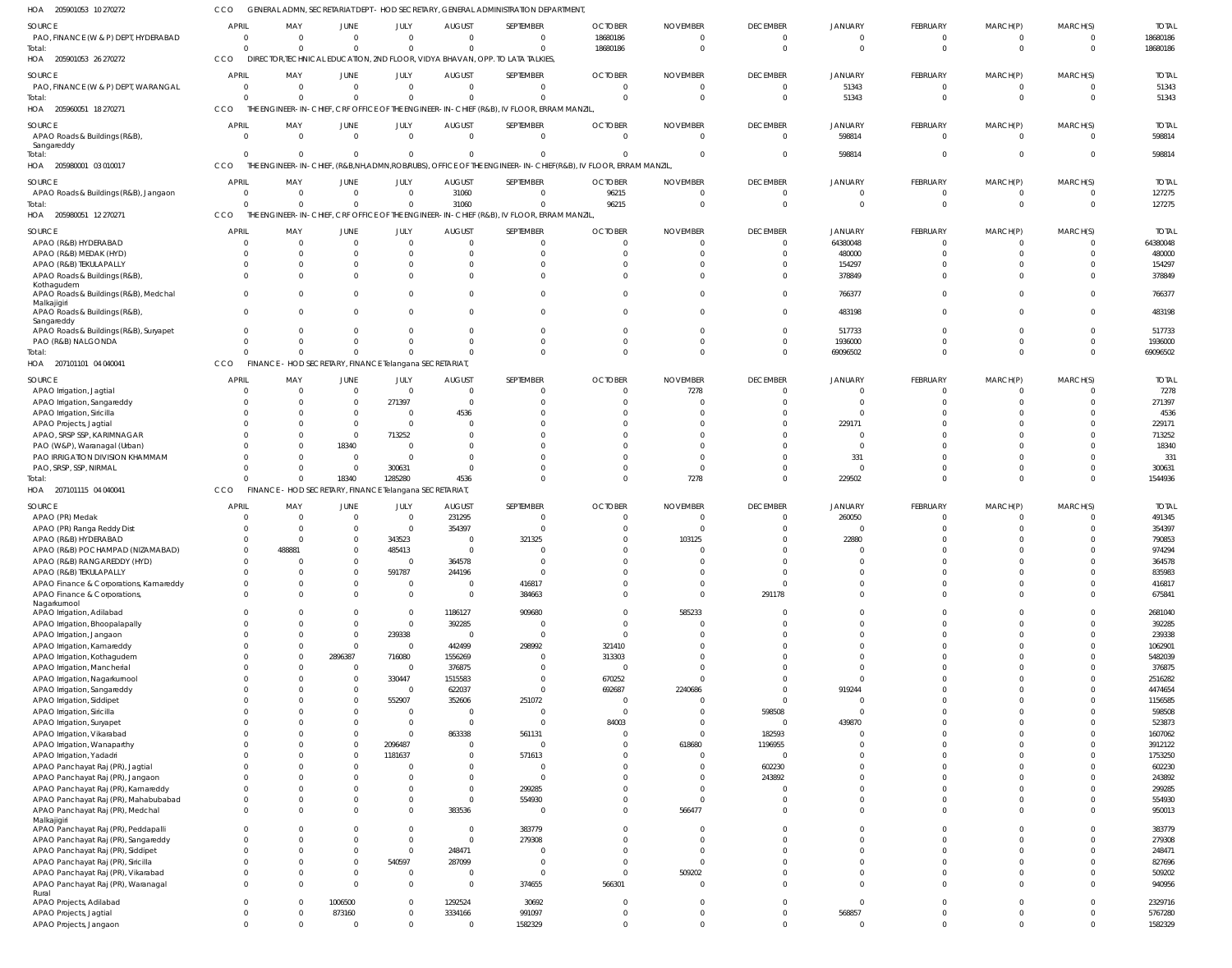| HOA 205901053 10 270272                                                  | CCO                         |                                                        |                            |                                                |                               | GENERAL ADMN, SECRETARIAT DEPT - HOD SECRETARY, GENERAL ADMINISTRATION DEPARTMENT,       |                                                              |                 |                               |                                  |                                  |                                  |                            |                     |
|--------------------------------------------------------------------------|-----------------------------|--------------------------------------------------------|----------------------------|------------------------------------------------|-------------------------------|------------------------------------------------------------------------------------------|--------------------------------------------------------------|-----------------|-------------------------------|----------------------------------|----------------------------------|----------------------------------|----------------------------|---------------------|
| SOURCE                                                                   | <b>APRIL</b>                | MAY                                                    | <b>JUNE</b>                | JULY                                           | <b>AUGUST</b>                 | SEPTEMBER                                                                                | <b>OCTOBER</b>                                               | <b>NOVEMBER</b> | <b>DECEMBER</b>               | <b>JANUARY</b>                   | <b>FEBRUARY</b>                  | MARCH(P)                         | MARCH(S)                   | <b>TOTAL</b>        |
| PAO, FINANCE (W & P) DEPT, HYDERABAD                                     | 0                           | $\Omega$                                               | $\overline{0}$             | $\overline{0}$                                 | $\overline{0}$                | $\Omega$                                                                                 | 18680186                                                     |                 | $\overline{0}$                | - 0                              | $\overline{0}$                   | $\overline{0}$                   | - 0                        | 18680186            |
| Total:                                                                   | $\Omega$                    | $\cap$                                                 | $\Omega$                   | $\mathbf{0}$                                   | $\Omega$                      | $\Omega$                                                                                 | 18680186                                                     | $\Omega$        | $\overline{0}$                | $\circ$                          | $\overline{0}$                   | $\overline{0}$                   | $\overline{0}$             | 18680186            |
| HOA 205901053 26 270272                                                  | <b>CCO</b>                  |                                                        |                            |                                                |                               | DIRECTOR, TECHNICAL EDUCATION, 2ND FLOOR, VIDYA BHAVAN, OPP. TO LATA TALKIES             |                                                              |                 |                               |                                  |                                  |                                  |                            |                     |
| SOURCE                                                                   | <b>APRIL</b>                | MAY                                                    | <b>JUNE</b>                | JULY                                           | <b>AUGUST</b>                 | SEPTEMBER                                                                                | <b>OCTOBER</b>                                               | <b>NOVEMBER</b> | <b>DECEMBER</b>               | <b>JANUARY</b>                   | FEBRUARY                         | MARCH(P)                         | MARCH(S)                   | <b>TOTAL</b>        |
| PAO, FINANCE (W & P) DEPT, WARANGAL                                      | 0                           | $\Omega$                                               | $\overline{0}$             | $\mathbf{0}$                                   | $\overline{0}$                | $\Omega$                                                                                 | $\Omega$                                                     | $\Omega$        | $\overline{0}$                | 51343                            | $\overline{0}$                   | $\overline{0}$                   | $\mathbf{0}$               | 51343               |
| Total:                                                                   | $\Omega$                    | $\Omega$                                               | $\Omega$                   | $\mathbf{0}$                                   | $\Omega$                      | $\Omega$                                                                                 | $\Omega$                                                     | $\Omega$        | $\Omega$                      | 51343                            | $\Omega$                         | $\Omega$                         | $\Omega$                   | 51343               |
| HOA<br>205960051 18 270271                                               | CCO                         |                                                        |                            |                                                |                               | THE ENGINEER-IN-CHIEF, CRF OFFICE OF THE ENGINEER-IN-CHIEF (R&B), IV FLOOR, ERRAM MANZIL |                                                              |                 |                               |                                  |                                  |                                  |                            |                     |
| SOURCE                                                                   | <b>APRIL</b>                | MAY                                                    | <b>JUNE</b>                | JULY                                           | <b>AUGUST</b>                 | SEPTEMBER                                                                                | <b>OCTOBER</b>                                               | <b>NOVEMBER</b> | <b>DECEMBER</b>               | <b>JANUARY</b>                   | FEBRUARY                         | MARCH(P)                         | MARCH(S)                   | <b>TOTAL</b>        |
| APAO Roads & Buildings (R&B),<br>Sangareddy                              | $\overline{0}$              | $\Omega$                                               | $\overline{0}$             | $\mathbf{0}$                                   | $\overline{0}$                | $\Omega$                                                                                 | $\mathbf 0$                                                  | $\Omega$        | $\overline{0}$                | 598814                           | $\overline{0}$                   | $\overline{0}$                   | - 0                        | 598814              |
| Total:                                                                   | $\Omega$                    | $\Omega$                                               | $\Omega$                   | $\mathbf 0$                                    | $\Omega$                      | $\Omega$                                                                                 |                                                              | $\Omega$        | $\overline{0}$                | 598814                           | $\Omega$                         | $\overline{0}$                   | $\Omega$                   | 598814              |
| HOA 205980001 03 010017                                                  | CCO                         | THE ENGINEER-IN-CHIEF, (R&B,NH,ADMN,ROB/RUBS),         |                            |                                                |                               |                                                                                          | OFFICE OF THE ENGINEER-IN-CHIEF(R&B), IV FLOOR, ERRAM MANZIL |                 |                               |                                  |                                  |                                  |                            |                     |
| SOURCE                                                                   | <b>APRIL</b>                | MAY                                                    | JUNE                       | JULY                                           | <b>AUGUST</b>                 | SEPTEMBER                                                                                | <b>OCTOBER</b>                                               | <b>NOVEMBER</b> | <b>DECEMBER</b>               | JANUARY                          | <b>FEBRUARY</b>                  | MARCH(P)                         | MARCH(S)                   | <b>TOTAL</b>        |
| APAO Roads & Buildings (R&B), Jangaon                                    | $\overline{0}$              | $\overline{0}$                                         | $\overline{0}$             | $\mathbf{0}$                                   | 31060                         | $\Omega$                                                                                 | 96215                                                        | $\Omega$        | $\overline{0}$                | $\Omega$                         | $\Omega$                         | $\overline{\mathbf{0}}$          | $\Omega$                   | 127275              |
| Total:                                                                   | $\Omega$                    | $\Omega$                                               | $\Omega$                   | $\mathbf{0}$                                   | 31060                         | $\Omega$                                                                                 | 96215                                                        |                 | $\overline{0}$                | $\Omega$                         | $\overline{0}$                   | $\overline{0}$                   | $\overline{0}$             | 127275              |
| HOA 205980051 12 270271                                                  | CCO                         |                                                        |                            |                                                |                               | THE ENGINEER-IN-CHIEF, CRF OFFICE OF THE ENGINEER-IN-CHIEF (R&B), IV FLOOR, ERRAM MANZIL |                                                              |                 |                               |                                  |                                  |                                  |                            |                     |
| SOURCE                                                                   | APRIL                       | MAY                                                    | <b>JUNE</b>                | JULY                                           | <b>AUGUST</b>                 | SEPTEMBER                                                                                | <b>OCTOBER</b>                                               | <b>NOVEMBER</b> | <b>DECEMBER</b>               | <b>JANUARY</b>                   | FEBRUARY                         | MARCH(P)                         | MARCH(S)                   | <b>TOTAL</b>        |
| APAO (R&B) HYDERABAD                                                     | 0                           | $\Omega$                                               | $\mathbf{0}$               | $\overline{0}$                                 |                               | $\Omega$                                                                                 |                                                              |                 | 0                             | 64380048                         | $\overline{0}$                   | $\overline{0}$                   | $\mathbf{0}$               | 64380048            |
| APAO (R&B) MEDAK (HYD)                                                   | 0                           | $\Omega$                                               | $\Omega$                   | $\Omega$                                       |                               | $\Omega$                                                                                 |                                                              |                 | $\Omega$                      | 480000                           | $\Omega$                         | $\Omega$                         | $\Omega$                   | 480000              |
| APAO (R&B) TEKULAPALLY<br>APAO Roads & Buildings (R&B),                  | $\Omega$<br>$\Omega$        |                                                        | $\Omega$                   | $\mathbf{0}$<br>$\Omega$                       |                               | $\Omega$                                                                                 |                                                              |                 | -0<br>$\Omega$                | 154297<br>378849                 | $\Omega$<br>$\Omega$             | $\Omega$<br>$\Omega$             | -0<br>$\Omega$             | 154297<br>378849    |
| Kothagudem                                                               |                             |                                                        |                            |                                                |                               |                                                                                          |                                                              |                 |                               |                                  |                                  |                                  |                            |                     |
| APAO Roads & Buildings (R&B), Medchal                                    | $\mathbf 0$                 |                                                        | $\Omega$                   | $\Omega$                                       |                               | $\Omega$                                                                                 |                                                              |                 | $\Omega$                      | 766377                           | $\Omega$                         | $\Omega$                         | $\Omega$                   | 766377              |
| Malkajigiri<br>APAO Roads & Buildings (R&B),                             | $\mathbf 0$                 | $\Omega$                                               | $\Omega$                   | $\Omega$                                       |                               | $\Omega$                                                                                 |                                                              |                 | $\Omega$                      | 483198                           | $\Omega$                         | $\Omega$                         | $\Omega$                   | 483198              |
| Sangareddy                                                               |                             |                                                        |                            |                                                |                               |                                                                                          |                                                              |                 |                               |                                  |                                  |                                  |                            |                     |
| APAO Roads & Buildings (R&B), Suryapet                                   | $\mathbf{0}$                | $\Omega$                                               | $\Omega$                   | $\mathbf 0$                                    | $\Omega$                      | $\Omega$                                                                                 | 0                                                            |                 | 0                             | 517733                           | $\Omega$                         | $\overline{0}$                   | $\overline{0}$             | 517733              |
| PAO (R&B) NALGONDA                                                       | 0<br>$\Omega$               |                                                        | $\Omega$<br>$\Omega$       | $\Omega$<br>$\Omega$                           |                               | $\Omega$<br>$\Omega$                                                                     |                                                              |                 | 0<br>$\Omega$                 | 1936000                          | $\Omega$<br>$\Omega$             | $\overline{0}$<br>$\Omega$       | $\overline{0}$<br>$\Omega$ | 1936000<br>69096502 |
| Total:<br>HOA 207101101 04 040041                                        | CCO                         | FINANCE - HOD SECRETARY, FINANCE Telangana SECRETARIAT |                            |                                                |                               |                                                                                          |                                                              |                 |                               | 69096502                         |                                  |                                  |                            |                     |
|                                                                          |                             |                                                        |                            |                                                |                               |                                                                                          |                                                              |                 |                               |                                  |                                  |                                  |                            |                     |
| SOURCE                                                                   | <b>APRIL</b>                | MAY<br>$\Omega$                                        | JUNE<br>$\overline{0}$     | JULY<br>$\overline{0}$                         | <b>AUGUST</b><br>$\Omega$     | SEPTEMBER                                                                                | <b>OCTOBER</b>                                               | <b>NOVEMBER</b> | <b>DECEMBER</b>               | JANUARY<br>$\Omega$              | <b>FEBRUARY</b><br>$\Omega$      | MARCH(P)<br>$\Omega$             | MARCH(S)<br>$\Omega$       | <b>TOTAL</b>        |
| APAO Irrigation, Jagtial<br>APAO Irrigation, Sangareddy                  | 0<br>0                      | - 0                                                    | $\overline{0}$             | 271397                                         | $\Omega$                      |                                                                                          |                                                              | 7278            | 0<br>$\Omega$                 | $\Omega$                         | $\Omega$                         | $\Omega$                         | $\Omega$                   | 7278<br>271397      |
| APAO Irrigation, Siricilla                                               | $\Omega$                    | - 0                                                    | $\Omega$                   | $\overline{0}$                                 | 4536                          |                                                                                          |                                                              |                 | -0                            | -0                               | $\Omega$                         | $\Omega$                         | - 0                        | 4536                |
| APAO Projects, Jagtial                                                   | 0                           |                                                        | $\overline{0}$             | $\overline{0}$                                 |                               |                                                                                          |                                                              |                 | $\Omega$                      | 229171                           | $\Omega$                         | $\Omega$                         | -0                         | 229171              |
| APAO, SRSP SSP, KARIMNAGAR                                               | $\Omega$                    |                                                        | $\overline{0}$             | 713252                                         |                               |                                                                                          |                                                              |                 | $\Omega$                      | $\Omega$                         | $\Omega$                         | $\Omega$                         | $\Omega$                   | 713252              |
| PAO (W&P), Waranagal (Urban)                                             | 0                           |                                                        | 18340                      | $\overline{0}$                                 |                               |                                                                                          |                                                              |                 | $\Omega$                      | $\overline{0}$                   | $\Omega$                         | $\Omega$                         | - 0                        | 18340               |
| PAO IRRIGATION DIVISION KHAMMAM<br>PAO, SRSP, SSP, NIRMAL                | 0<br>$\Omega$               | $\Omega$                                               | $\Omega$<br>$\overline{0}$ | $\Omega$<br>300631                             |                               | $\Omega$                                                                                 |                                                              |                 | $\Omega$<br>$\Omega$          | 331<br>$\overline{0}$            | $\Omega$<br>$\Omega$             | $\Omega$<br>$\overline{0}$       | $\Omega$<br>$\overline{0}$ | 331<br>300631       |
| Total:                                                                   | $\Omega$                    | $\cap$                                                 | 18340                      | 1285280                                        | 4536                          |                                                                                          |                                                              | 7278            | $\Omega$                      | 229502                           | $\Omega$                         | $\Omega$                         | $\Omega$                   | 1544936             |
| HOA 207101115 04 040041                                                  | CCO                         | <b>FINANCE</b>                                         |                            | - HOD SECRETARY, FINANCE Telangana SECRETARIAT |                               |                                                                                          |                                                              |                 |                               |                                  |                                  |                                  |                            |                     |
| SOURCE                                                                   | <b>APRIL</b>                | MAY                                                    | JUNE                       | JULY                                           | <b>AUGUST</b>                 | SEPTEMBER                                                                                | <b>OCTOBER</b>                                               | <b>NOVEMBER</b> | <b>DECEMBER</b>               | <b>JANUARY</b>                   | <b>FEBRUARY</b>                  | MARCH(P)                         | MARCH(S)                   | <b>TOTAL</b>        |
| APAO (PR) Medak                                                          | $\Omega$                    | $\Omega$                                               | $\overline{0}$             | $\overline{0}$                                 | 231295                        | $\Omega$                                                                                 |                                                              |                 | 0                             | 260050                           | $\Omega$                         | $\Omega$                         | $\Omega$                   | 491345              |
| APAO (PR) Ranga Reddy Dist                                               | $\Omega$                    | - 0                                                    | $\Omega$                   | $\overline{0}$                                 | 354397                        | $\Omega$                                                                                 |                                                              |                 | -0                            | - 0                              | $\Omega$                         | $\Omega$                         |                            | 354397              |
| APAO (R&B) HYDERABAD                                                     | $\Omega$                    |                                                        | $\Omega$                   | 343523                                         | 0                             | 321325                                                                                   |                                                              | 103125          | $\Omega$                      | 22880                            | $\Omega$                         | $\Omega$                         |                            | 790853              |
| APAO (R&B) POCHAMPAD (NIZAMABAD)                                         | $\cap$                      | 488881                                                 | $\cap$                     | 485413                                         | $\cap$                        | $\cap$                                                                                   |                                                              |                 | $\Omega$                      | $\cap$                           | $\cap$                           | $\cap$                           | $\cap$                     | 974294              |
| APAO (R&B) RANGAREDDY (HYD)                                              | $\mathbf 0$                 |                                                        | $\Omega$                   | $\overline{0}$                                 | 364578                        | $\Omega$                                                                                 |                                                              |                 | $\overline{0}$                | $\Omega$                         | $\overline{0}$                   | $\Omega$                         | $\Omega$                   | 364578              |
| APAO (R&B) TEKULAPALLY<br>APAO Finance & Corporations, Kamareddy         | $\mathbf 0$<br>$^{\circ}$   | $\Omega$<br>$\cap$                                     | $\mathbf 0$<br>$\Omega$    | 591787<br>$\overline{0}$                       | 244196<br>$\mathbf 0$         | $\Omega$<br>416817                                                                       | $\Omega$                                                     |                 | $\mathbf 0$<br>$\overline{0}$ | $\overline{0}$<br>$\mathbf 0$    | $\overline{0}$<br>$\overline{0}$ | $\overline{0}$<br>$\overline{0}$ | $\mathbf 0$<br>$\mathbf 0$ | 835983<br>416817    |
| APAO Finance & Corporations,                                             | $\mathbf 0$                 |                                                        | $\Omega$                   | $\overline{0}$                                 | $\mathbf 0$                   | 384663                                                                                   |                                                              | $\Omega$        | 291178                        | $\mathbf 0$                      | $\Omega$                         | $\overline{0}$                   | $\Omega$                   | 675841              |
| Nagarkurnool                                                             |                             |                                                        |                            |                                                |                               |                                                                                          |                                                              |                 |                               |                                  |                                  |                                  |                            |                     |
| APAO Irrigation, Adilabad                                                | $\mathbf 0$                 |                                                        | $\Omega$                   | $\mathbf 0$                                    | 1186127                       | 909680                                                                                   | $\Omega$                                                     | 585233          | $\mathbf 0$                   | $\mathbf 0$                      | $\overline{0}$                   | $\overline{0}$                   | $\Omega$                   | 2681040             |
| APAO Irrigation, Bhoopalapally<br>APAO Irrigation, Jangaon               | $\mathbf 0$<br>$\mathbf{0}$ |                                                        | $\mathbf 0$<br>$\mathbf 0$ | $\mathbf 0$<br>239338                          | 392285<br>$\mathbf 0$         | $\overline{0}$<br>$\mathbf 0$                                                            | $\Omega$<br>$\Omega$                                         |                 | $\Omega$<br>$\mathbf 0$       | $\overline{0}$<br>$\overline{0}$ | $\Omega$<br>$\overline{0}$       | $\Omega$<br>$\overline{0}$       | $\Omega$<br>$\Omega$       | 392285<br>239338    |
| APAO Irrigation, Kamareddy                                               | $\Omega$                    |                                                        | $\overline{0}$             | $\overline{0}$                                 | 442499                        | 298992                                                                                   | 321410                                                       |                 | $\Omega$                      | $\overline{0}$                   | $\Omega$                         | $\Omega$                         | $\Omega$                   | 1062901             |
| APAO Irrigation, Kothagudem                                              | $\mathbf{0}$                |                                                        | 2896387                    | 716080                                         | 1556269                       | $\Omega$                                                                                 | 313303                                                       |                 | $\Omega$                      | $\overline{0}$                   | $\Omega$                         | $\Omega$                         | $\Omega$                   | 5482039             |
| APAO Irrigation, Mancherial                                              | $\Omega$                    | $\cap$                                                 | $\overline{0}$             | $\overline{0}$                                 | 376875                        | $\Omega$                                                                                 | $\mathbf 0$                                                  |                 | $\Omega$                      | $\overline{0}$                   | $\Omega$                         | $\Omega$                         | $\Omega$                   | 376875              |
| APAO Irrigation, Nagarkurnool                                            | $\mathbf{0}$                |                                                        | $\Omega$                   | 330447                                         | 1515583                       | $\mathbf{0}$                                                                             | 670252                                                       | $\Omega$        | $\Omega$                      | $\overline{0}$                   | $\Omega$                         | $\Omega$                         | $\Omega$                   | 2516282             |
| APAO Irrigation, Sangareddy                                              | $^{\circ}$                  |                                                        | $\mathbf 0$                | $\overline{0}$                                 | 622037                        | $\Omega$                                                                                 | 692687                                                       | 2240686         | 0                             | 919244                           | $\Omega$                         | $\Omega$                         | $\Omega$                   | 4474654             |
| APAO Irrigation, Siddipet<br>APAO Irrigation, Siricilla                  | $\Omega$<br>$\Omega$        |                                                        | $\Omega$                   | 552907<br>$\overline{0}$                       | 352606                        | 251072<br>$\mathbf{0}$                                                                   | $\overline{0}$<br>$\mathbf 0$                                |                 | $\overline{0}$<br>598508      | $\overline{0}$<br>$\circ$        | $\Omega$<br>$\Omega$             | $\Omega$<br>$\Omega$             | $\Omega$<br>$\Omega$       | 1156585<br>598508   |
| APAO Irrigation, Suryapet                                                | $\Omega$                    |                                                        |                            | $\overline{0}$                                 | $\Omega$                      | $\Omega$                                                                                 | 84003                                                        |                 | $\overline{0}$                | 439870                           | $\Omega$                         | $\Omega$                         | $\Omega$                   | 523873              |
| APAO Irrigation, Vikarabad                                               | $\Omega$                    |                                                        | $\Omega$                   | $\overline{0}$                                 | 863338                        | 561131                                                                                   |                                                              |                 | 182593                        | $\circ$                          | $\Omega$                         | $\Omega$                         | $\Omega$                   | 1607062             |
| APAO Irrigation, Wanaparthy                                              | $\Omega$                    |                                                        | $\Omega$                   | 2096487                                        | $\Omega$                      | $\Omega$                                                                                 | $\Omega$                                                     | 618680          | 1196955                       | - 0                              | $\Omega$                         | $\Omega$                         | $\Omega$                   | 3912122             |
| APAO Irrigation, Yadadri                                                 | $\Omega$                    |                                                        | $\overline{0}$             | 1181637                                        | $\Omega$                      | 571613                                                                                   |                                                              |                 | $\overline{0}$                | - 0                              | $\Omega$                         | $\Omega$                         | $\Omega$                   | 1753250             |
| APAO Panchayat Raj (PR), Jagtial                                         | $\Omega$                    |                                                        |                            | 0                                              |                               | $\Omega$                                                                                 |                                                              |                 | 602230                        | $^{\circ}$                       | $\Omega$                         | $\Omega$                         | $\Omega$                   | 602230              |
| APAO Panchayat Raj (PR), Jangaon<br>APAO Panchayat Raj (PR), Kamareddy   | $^{\circ}$<br>$\mathbf{0}$  |                                                        |                            | $\overline{0}$<br>$\overline{0}$               | $\Omega$<br>$\Omega$          | $\Omega$<br>299285                                                                       |                                                              |                 | 243892<br>$\overline{0}$      | $^{\circ}$<br>$\overline{0}$     | $\Omega$<br>$\Omega$             | $\Omega$<br>$\Omega$             | $\mathbf 0$<br>$\Omega$    | 243892<br>299285    |
| APAO Panchayat Raj (PR), Mahabubabad                                     | $\mathbf 0$                 |                                                        |                            | $\mathbf 0$                                    | $\mathbf{0}$                  | 554930                                                                                   |                                                              |                 | 0                             | $\mathbf 0$                      | $\Omega$                         | $\overline{0}$                   | $\mathbf 0$                | 554930              |
| APAO Panchayat Raj (PR), Medchal                                         | $\mathbf 0$                 |                                                        | 0                          | $\mathbf{0}$                                   | 383536                        | $\overline{0}$                                                                           | 0                                                            | 566477          | $\mathbf 0$                   | $\mathbf 0$                      | $\overline{0}$                   | $\overline{0}$                   | $\mathbf 0$                | 950013              |
| Malkajigiri                                                              |                             |                                                        |                            |                                                |                               |                                                                                          |                                                              |                 |                               |                                  |                                  |                                  |                            |                     |
| APAO Panchayat Raj (PR), Peddapalli                                      | $\mathbf 0$<br>$\mathbf{0}$ |                                                        |                            | $\mathbf{0}$<br>$\mathbf{0}$                   | $\overline{0}$<br>$\mathbf 0$ | 383779                                                                                   | $\Omega$                                                     |                 | $\mathbf 0$<br>$\mathbf 0$    | $\overline{0}$<br>$\overline{0}$ | $\overline{0}$<br>$\Omega$       | $\overline{0}$<br>$\Omega$       | $\Omega$<br>$\Omega$       | 383779              |
| APAO Panchayat Raj (PR), Sangareddy<br>APAO Panchayat Raj (PR), Siddipet | $\mathbf 0$                 |                                                        | $\Omega$                   | $\mathbf{0}$                                   | 248471                        | 279308<br>$\Omega$                                                                       |                                                              |                 | $\Omega$                      | $\overline{0}$                   | $\Omega$                         | $\Omega$                         | $\mathbf 0$                | 279308<br>248471    |
| APAO Panchayat Raj (PR), Siricilla                                       | $\Omega$                    |                                                        | $\Omega$                   | 540597                                         | 287099                        | $\mathbf{0}$                                                                             |                                                              |                 | $\Omega$                      | $\mathbf 0$                      | $\Omega$                         | $\Omega$                         | $\Omega$                   | 827696              |
| APAO Panchayat Raj (PR), Vikarabad                                       | $\mathbf 0$                 |                                                        | $\mathbf{0}$               | $\overline{0}$                                 |                               | $\mathbf 0$                                                                              | $\Omega$                                                     | 509202          | $\mathbf 0$                   | $\overline{0}$                   | $\overline{0}$                   | $\overline{0}$                   | $\mathbf 0$                | 509202              |
| APAO Panchayat Raj (PR), Waranagal                                       | $\mathbf 0$                 | $\cap$                                                 | $\Omega$                   | $\mathbf{0}$                                   | $\overline{0}$                | 374655                                                                                   | 566301                                                       |                 | $\Omega$                      | $\overline{0}$                   | $\overline{0}$                   | $\Omega$                         | $\mathbf 0$                | 940956              |
| Rural<br>APAO Projects, Adilabad                                         | $\overline{0}$              | $\Omega$                                               | 1006500                    | $\mathbf 0$                                    | 1292524                       | 30692                                                                                    | 0                                                            | 0               | $\overline{0}$                | $\overline{0}$                   | $\overline{0}$                   | $\overline{0}$                   | $\mathbf 0$                | 2329716             |
| APAO Projects, Jagtial                                                   | $\mathbf 0$                 | $\Omega$                                               | 873160                     | $\mathbf{0}$                                   | 3334166                       | 991097                                                                                   | $\mathbf 0$                                                  | $\mathbf 0$     | $\overline{0}$                | 568857                           | $\overline{0}$                   | $\overline{0}$                   | $\mathbf 0$                | 5767280             |
| APAO Projects, Jangaon                                                   | $\overline{0}$              | $\Omega$                                               | $\mathbf{0}$               | $\mathbf 0$                                    | $\mathbf{0}$                  | 1582329                                                                                  | $\Omega$                                                     | $\Omega$        | $\mathbf 0$                   | $\overline{0}$                   | $\overline{0}$                   | $\overline{0}$                   | $\Omega$                   | 1582329             |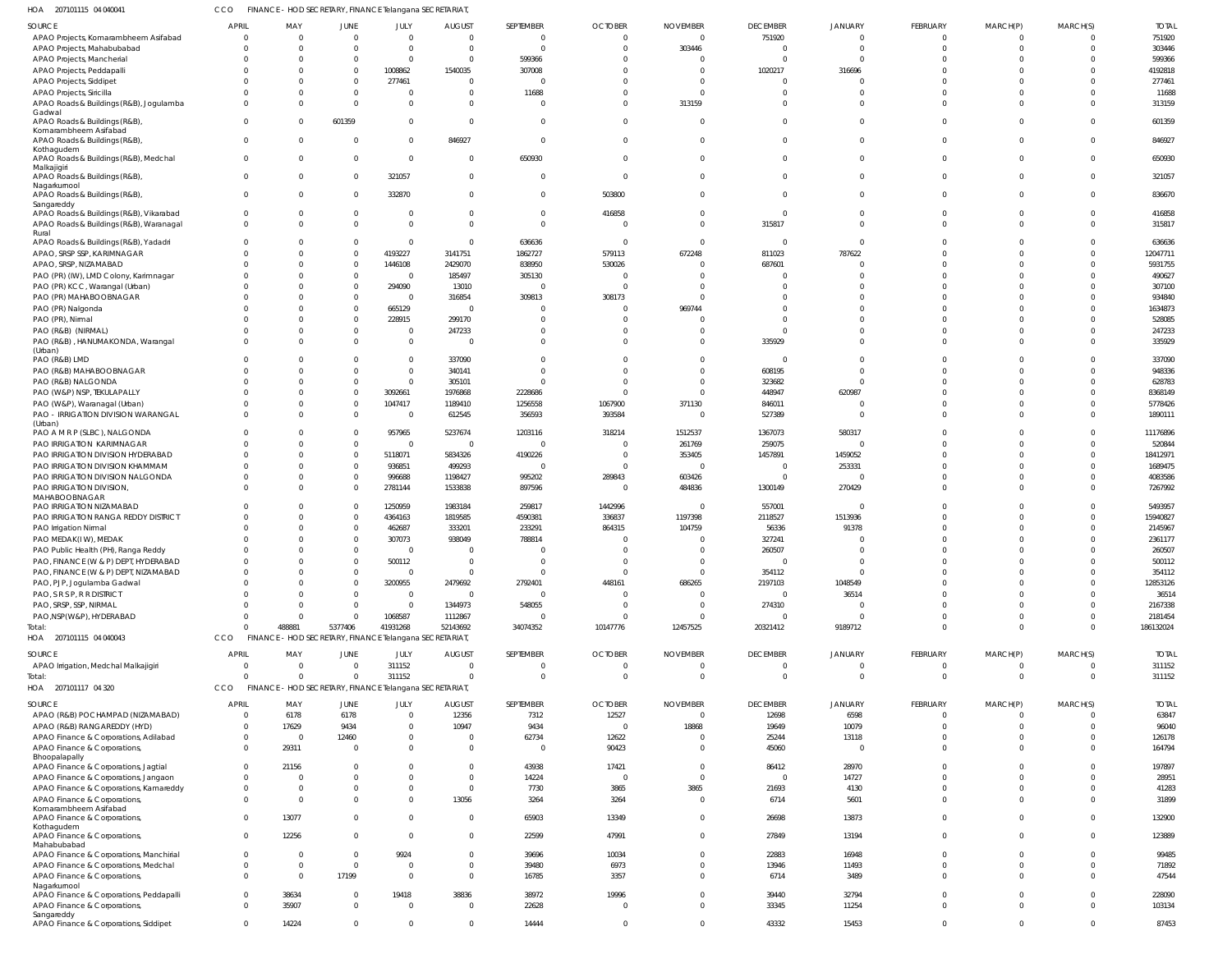| HOA 207101115 04 040041 | CCO FINANCE - HOD SECRETARY, FINANCE Telangana SECRETARIAT, |
|-------------------------|-------------------------------------------------------------|
|                         |                                                             |

| SOURCE                                                             | <b>APRIL</b>                   | MAY                                                     | JUNE                 | JULY                                            | <b>AUGUST</b>                   | SEPTEMBER                   | <b>OCTOBER</b>                   | <b>NOVEMBER</b>                   | <b>DECEMBER</b>                | <b>JANUARY</b>                   | FEBRUARY                          | MARCH(P)                   | MARCH(S)                   | <b>TOTAL</b>           |
|--------------------------------------------------------------------|--------------------------------|---------------------------------------------------------|----------------------|-------------------------------------------------|---------------------------------|-----------------------------|----------------------------------|-----------------------------------|--------------------------------|----------------------------------|-----------------------------------|----------------------------|----------------------------|------------------------|
| APAO Projects, Komarambheem Asifabad                               | $\Omega$                       | $\overline{0}$                                          | $\mathbf{0}$         | $\Omega$                                        | $\overline{0}$                  | $\overline{0}$              | $\overline{0}$                   | $\overline{0}$                    | 751920                         | $\Omega$                         | $\Omega$                          | $\Omega$                   | $\Omega$                   | 751920                 |
| APAO Projects, Mahabubabad                                         | $\Omega$                       | $\Omega$                                                | $\Omega$             | $\Omega$                                        | $\overline{0}$                  | $\Omega$                    | $\Omega$                         | 303446                            |                                | $\Omega$                         | $\Omega$                          | $\Omega$                   | $\mathbf 0$                | 303446                 |
| APAO Projects, Mancherial                                          | $\Omega$                       | $\Omega$                                                | $\mathbf{0}$         | $\Omega$                                        | $\overline{0}$                  | 599366                      | $\Omega$                         | - 0                               | $\Omega$                       | $\cap$                           |                                   |                            | $\Omega$                   | 599366                 |
| APAO Projects, Peddapalli                                          | $\Omega$                       | $\Omega$                                                | $\mathbf 0$          | 1008862                                         | 1540035                         | 307008                      | $\Omega$                         | $\Omega$                          | 1020217                        | 316696                           |                                   |                            | $\Omega$                   | 4192818                |
| APAO Projects, Siddipet                                            | $\Omega$                       | $\Omega$                                                | $\mathbf 0$          | 277461                                          | 0                               | $\Omega$                    | $\Omega$                         | - 0                               |                                |                                  |                                   |                            | $\Omega$                   | 277461                 |
| <b>APAO Projects, Siricilla</b>                                    | $\Omega$                       | $\Omega$                                                | $\mathbf{0}$         | - 0                                             | $\overline{0}$                  | 11688                       | $\Omega$                         | $\Omega$                          |                                |                                  | $\Omega$                          |                            | $\Omega$                   | 11688                  |
| APAO Roads & Buildings (R&B), Jogulamba                            | $\Omega$                       | $\Omega$                                                | $\Omega$             | $\Omega$                                        | $\Omega$                        | $\Omega$                    | $\Omega$                         | 313159                            |                                |                                  | $\Omega$                          | $\Omega$                   | $\Omega$                   | 313159                 |
| Gadwal                                                             | $\Omega$                       | $\Omega$                                                |                      |                                                 | $\Omega$                        | $\Omega$                    | $\Omega$                         | $\Omega$                          |                                |                                  | $\Omega$                          | $\Omega$                   | $\Omega$                   |                        |
| APAO Roads & Buildings (R&B)<br>Komarambheem Asifabad              |                                |                                                         | 601359               | $\Omega$                                        |                                 |                             |                                  |                                   |                                |                                  |                                   |                            |                            | 601359                 |
| APAO Roads & Buildings (R&B)                                       | $\Omega$                       | $\Omega$                                                | $\Omega$             |                                                 | 846927                          | $\Omega$                    | $\Omega$                         | $\Omega$                          |                                |                                  | $\Omega$                          | $\Omega$                   | $\Omega$                   | 846927                 |
| Kothagudem                                                         |                                |                                                         |                      |                                                 |                                 |                             |                                  |                                   |                                |                                  |                                   |                            |                            |                        |
| APAO Roads & Buildings (R&B), Medchal                              | $\Omega$                       | $\Omega$                                                | $\mathbf 0$          | - 0                                             | $\overline{0}$                  | 650930                      | $\Omega$                         | $\Omega$                          |                                |                                  | $\Omega$                          | $\Omega$                   | $\Omega$                   | 650930                 |
| Malkajigiri<br>APAO Roads & Buildings (R&B)                        | $\mathbf{0}$                   | $\Omega$                                                | $\mathbf 0$          | 321057                                          | $\overline{0}$                  | $\Omega$                    | $\Omega$                         | $\Omega$                          |                                |                                  | $\Omega$                          | $\Omega$                   | $\Omega$                   | 321057                 |
| Nagarkurnool                                                       |                                |                                                         |                      |                                                 |                                 |                             |                                  |                                   |                                |                                  |                                   |                            |                            |                        |
| APAO Roads & Buildings (R&B)                                       | $\Omega$                       | $\Omega$                                                | $\overline{0}$       | 332870                                          | $\Omega$                        | $\Omega$                    | 503800                           | $\Omega$                          | $\Omega$                       |                                  | $\Omega$                          | $\Omega$                   | $\Omega$                   | 836670                 |
| Sangareddy                                                         |                                |                                                         |                      |                                                 |                                 |                             |                                  |                                   |                                |                                  |                                   |                            |                            |                        |
| APAO Roads & Buildings (R&B), Vikarabad                            | $\mathbf{0}$                   | $\overline{0}$                                          | $\mathbf 0$          | - 0                                             | $\mathbf 0$                     | $\Omega$                    | 416858                           | $\Omega$                          | $\Omega$                       |                                  | $\Omega$                          |                            | $\mathbf 0$                | 416858                 |
| APAO Roads & Buildings (R&B), Waranagal<br>Rural                   | $\Omega$                       | $\Omega$                                                | $\Omega$             | $\Omega$                                        | $\Omega$                        | $\Omega$                    | $\overline{0}$                   | $\Omega$                          | 315817                         | $\Omega$                         | $\Omega$                          | $\Omega$                   | $\Omega$                   | 315817                 |
| APAO Roads & Buildings (R&B), Yadadri                              | $\Omega$                       | $\Omega$                                                | $^{\circ}$           | $\Omega$                                        | $\overline{0}$                  | 636636                      | $\overline{\mathbf{0}}$          | 0                                 | - 0                            | $\Omega$                         |                                   |                            | $\Omega$                   | 636636                 |
| APAO, SRSP SSP, KARIMNAGAR                                         | $\Omega$                       | $\Omega$                                                | $\mathbf 0$          | 4193227                                         | 3141751                         | 1862727                     | 579113                           | 672248                            | 811023                         | 787622                           | $\Omega$                          |                            | $\Omega$                   | 12047711               |
| APAO, SRSP, NIZAMABAD                                              | $\Omega$                       | $\Omega$                                                | $\overline{0}$       | 1446108                                         | 2429070                         | 838950                      | 530026                           | $\Omega$                          | 687601                         |                                  |                                   |                            | $\Omega$                   | 5931755                |
| PAO (PR) (IW), LMD Colony, Karimnagar                              | $\Omega$                       | $\Omega$                                                | $\mathbf 0$          | $\Omega$                                        | 185497                          | 305130                      | $\overline{0}$                   | $\Omega$                          |                                |                                  |                                   |                            | $\Omega$                   | 490627                 |
| PAO (PR) KCC, Warangal (Urban)                                     |                                | $\Omega$                                                | $\mathbf{0}$         | 294090                                          | 13010                           | $\Omega$                    | $\overline{0}$                   | $\Omega$                          |                                |                                  |                                   |                            | $\Omega$                   | 307100                 |
| PAO (PR) MAHABOOBNAGAR                                             | $\Omega$                       | $\Omega$                                                | $\mathbf 0$          | - 0                                             | 316854                          | 309813                      | 308173                           | $\Omega$                          |                                | $\Omega$                         |                                   |                            | $\Omega$                   | 934840                 |
| PAO (PR) Nalgonda                                                  |                                | $\Omega$                                                | $\mathbf{0}$         | 665129                                          | $\overline{0}$                  |                             | $\overline{0}$                   | 969744                            |                                |                                  |                                   |                            | $\Omega$                   | 1634873                |
| PAO (PR), Nirmal                                                   | $\cap$                         | $\Omega$                                                | $\Omega$             | 228915                                          | 299170                          | $\Omega$                    | $\Omega$                         | $\Omega$                          |                                |                                  | $\Omega$                          |                            | $\Omega$                   | 528085                 |
| PAO (R&B) (NIRMAL)                                                 |                                | $\Omega$                                                | $\mathbf{0}$         | $\Omega$                                        | 247233                          | 0                           | $\overline{0}$                   | $\Omega$                          | $\Omega$                       |                                  | $\Omega$                          |                            | $\Omega$                   | 247233                 |
| PAO (R&B), HANUMAKONDA, Warangal                                   | $\Omega$                       | $\Omega$                                                | $\Omega$             | $\Omega$                                        | $\Omega$                        | $\Omega$                    | $\Omega$                         | $\Omega$                          | 335929                         |                                  | $\Omega$                          | $\Omega$                   | $\Omega$                   | 335929                 |
| (Urban)                                                            |                                |                                                         |                      |                                                 |                                 |                             |                                  |                                   |                                |                                  |                                   |                            |                            |                        |
| PAO (R&B) LMD                                                      |                                | $\Omega$                                                | $\Omega$             | $\Omega$                                        | 337090                          |                             | $\Omega$                         | $\Omega$                          |                                |                                  |                                   |                            | $\Omega$                   | 337090                 |
| PAO (R&B) MAHABOOBNAGAR                                            | $\Omega$                       | $\Omega$                                                | $\Omega$             | $\Omega$<br>$\Omega$                            | 340141                          | $\Omega$<br>$\Omega$        | $\Omega$<br>$\Omega$             | $\Omega$<br>$\Omega$              | 608195                         |                                  |                                   |                            | $\Omega$<br>$\Omega$       | 948336                 |
| PAO (R&B) NALGONDA                                                 | <sup>0</sup>                   | $\Omega$<br>$\Omega$                                    | $\Omega$<br>$\Omega$ |                                                 | 305101                          |                             | $\Omega$                         | $\Omega$                          | 323682                         | 620987                           |                                   |                            | $\Omega$                   | 628783                 |
| PAO (W&P) NSP, TEKULAPALLY                                         | <sup>0</sup>                   | $\Omega$                                                | $\mathbf 0$          | 3092661                                         | 1976868                         | 2228686                     |                                  |                                   | 448947                         |                                  |                                   |                            | $\Omega$                   | 8368149<br>5778426     |
| PAO (W&P), Waranagal (Urban)<br>PAO - IRRIGATION DIVISION WARANGAL | $\Omega$                       | $\Omega$                                                | $\Omega$             | 1047417<br>- 0                                  | 1189410<br>612545               | 1256558                     | 1067900<br>393584                | 371130<br>$\Omega$                | 846011<br>527389               |                                  | $\Omega$                          | $\Omega$                   | $\Omega$                   | 1890111                |
| (Urban)                                                            |                                |                                                         |                      |                                                 |                                 | 356593                      |                                  |                                   |                                |                                  |                                   |                            |                            |                        |
| PAO A M R P (SLBC), NALGONDA                                       | <sup>0</sup>                   | $\Omega$                                                | $\Omega$             | 957965                                          | 5237674                         | 1203116                     | 318214                           | 1512537                           | 1367073                        | 580317                           |                                   |                            | $\Omega$                   | 11176896               |
| PAO IRRIGATION KARIMNAGAR                                          | $\Omega$                       | $\Omega$                                                | $\overline{0}$       | $\Omega$                                        | $\overline{0}$                  | <sup>0</sup>                | $\circ$                          | 261769                            | 259075                         |                                  |                                   |                            | $\Omega$                   | 520844                 |
| PAO IRRIGATION DIVISION HYDERABAD                                  | <sup>0</sup>                   | $\Omega$                                                | $\mathbf 0$          | 5118071                                         | 5834326                         | 4190226                     | $\overline{\mathbf{0}}$          | 353405                            | 1457891                        | 1459052                          |                                   |                            | $\Omega$                   | 18412971               |
| PAO IRRIGATION DIVISION KHAMMAM                                    | $\Omega$                       | $\Omega$                                                | $\Omega$             | 936851                                          | 499293                          | $\Omega$                    | $\Omega$                         | $\Omega$                          |                                | 253331                           | <sup>0</sup>                      |                            | $\Omega$                   | 1689475                |
| PAO IRRIGATION DIVISION NALGONDA                                   | $\Omega$                       | $\Omega$                                                | $^{\circ}$           | 996688                                          | 1198427                         | 995202                      | 289843                           | 603426                            | $\Omega$                       |                                  |                                   |                            | $\Omega$                   | 4083586                |
| PAO IRRIGATION DIVISION,                                           | $\Omega$                       | $\Omega$                                                | $\Omega$             | 2781144                                         | 1533838                         | 897596                      | $\Omega$                         | 484836                            | 1300149                        | 270429                           | $\Omega$                          | U                          | $\Omega$                   | 7267992                |
| MAHABOOBNAGAR                                                      |                                |                                                         |                      |                                                 |                                 |                             |                                  |                                   |                                |                                  |                                   |                            |                            |                        |
| PAO IRRIGATION NIZAMABAD                                           | $\Omega$                       | $\Omega$<br>$\Omega$                                    | $\mathbf 0$          | 1250959                                         | 1983184                         | 259817                      | 1442996                          | - 0                               | 557001                         |                                  |                                   |                            | $\Omega$<br>$\Omega$       | 5493957                |
| PAO IRRIGATION RANGA REDDY DISTRICT                                | <sup>0</sup>                   | $\Omega$                                                | $\Omega$             | 4364163                                         | 1819585                         | 4590381                     | 336837                           | 1197398                           | 2118527                        | 1513936                          |                                   |                            | $\Omega$                   | 15940827               |
| PAO Irrigation Nirmal<br>PAO MEDAK(IW), MEDAK                      |                                | $\Omega$                                                | $\Omega$<br>$\Omega$ | 462687<br>307073                                | 333201<br>938049                | 233291<br>788814            | 864315<br>$\Omega$               | 104759<br>$\Omega$                | 56336<br>327241                | 91378                            |                                   |                            | $\Omega$                   | 2145967<br>2361177     |
| PAO Public Health (PH), Ranga Reddy                                | $\Omega$                       | $\Omega$                                                | $\Omega$             | $\Omega$                                        | $\Omega$                        | $\Omega$                    | $\Omega$                         | $\Omega$                          | 260507                         | $\Omega$                         |                                   |                            | $\Omega$                   | 260507                 |
| PAO, FINANCE (W & P) DEPT, HYDERABAD                               | $\Omega$                       | $\Omega$                                                | $\Omega$             | 500112                                          | $\Omega$                        | $\Omega$                    | $\Omega$                         | $\Omega$                          |                                | $\Omega$                         |                                   |                            | $\Omega$                   | 500112                 |
| PAO, FINANCE (W & P) DEPT, NIZAMABAD                               | $\Omega$                       | $\Omega$                                                | $\Omega$             | $\Omega$                                        | $\overline{0}$                  | $\Omega$                    | $\overline{0}$                   | $\overline{0}$                    | 354112                         | $\Omega$                         | $\Omega$                          |                            | $\Omega$                   | 354112                 |
| PAO, PJP, Jogulamba Gadwal                                         | $\Omega$                       | $\Omega$                                                | $\Omega$             | 3200955                                         | 2479692                         | 2792401                     | 448161                           | 686265                            | 2197103                        | 1048549                          | $\Omega$                          | $\Omega$                   | $\Omega$                   | 12853126               |
| PAO, S R S P, R R DISTRICT                                         | $\Omega$                       | $\Omega$                                                | $\Omega$             | $\Omega$                                        | $\overline{0}$                  | $\overline{0}$              | $\overline{0}$                   | $\Omega$                          | $\Omega$                       | 36514                            | $\Omega$                          | $\Omega$                   | $\Omega$                   | 36514                  |
| PAO, SRSP, SSP, NIRMAL                                             | $\Omega$                       | $\Omega$                                                | $\Omega$             | $\Omega$                                        | 1344973                         | 548055                      | $\Omega$                         | $\Omega$                          | 274310                         | $\Omega$                         | $\Omega$                          | $\Omega$                   | $\Omega$                   | 2167338                |
| PAO, NSP (W&P), HYDERABAD                                          | $\Omega$                       | $\Omega$                                                | $\Omega$             | 1068587                                         | 1112867                         | $\Omega$                    | $\overline{0}$                   | $\overline{0}$                    | $\Omega$                       | $\Omega$                         | $\Omega$                          | $\Omega$                   | $\Omega$                   | 2181454                |
| Total:                                                             | $\Omega$                       | 488881                                                  | 5377406              | 41931268                                        | 52143692                        | 34074352                    | 10147776                         | 12457525                          | 20321412                       | 9189712                          | $\Omega$                          | $\Omega$                   | $\Omega$                   | 186132024              |
| HOA 207101115 04 040043                                            | CCO                            | <b>FINANCE</b>                                          |                      | - HOD SECRETARY, FINANCE Telangana SECRETARIAT, |                                 |                             |                                  |                                   |                                |                                  |                                   |                            |                            |                        |
|                                                                    |                                |                                                         |                      |                                                 |                                 |                             |                                  |                                   |                                |                                  |                                   |                            |                            |                        |
| SOURCE<br>APAO Irrigation, Medchal Malkajigiri                     | <b>APRIL</b><br>$\overline{0}$ | MAY<br>$\overline{0}$                                   | JUNE<br>$\mathbf{0}$ | JULY<br>311152                                  | <b>AUGUST</b><br>$\overline{0}$ | SEPTEMBER<br>$\overline{0}$ | <b>OCTOBER</b><br>$\overline{0}$ | <b>NOVEMBER</b><br>$\overline{0}$ | <b>DECEMBER</b><br>$\mathbf 0$ | <b>JANUARY</b><br>$\overline{0}$ | <b>FEBRUARY</b><br>$\overline{0}$ | MARCH(P)<br>$\overline{0}$ | MARCH(S)<br>$\overline{0}$ | <b>TOTAL</b><br>311152 |
| Total:                                                             | $\Omega$                       | $\overline{0}$                                          | $\overline{0}$       | 311152                                          | $\overline{0}$                  | $\overline{0}$              | $\overline{0}$                   | $\overline{0}$                    | $\Omega$                       | $\Omega$                         | $\overline{0}$                    | $\overline{0}$             | $\overline{0}$             | 311152                 |
| HOA 207101117 04 320                                               | CCO                            | FINANCE - HOD SECRETARY, FINANCE Telangana SECRETARIAT, |                      |                                                 |                                 |                             |                                  |                                   |                                |                                  |                                   |                            |                            |                        |
|                                                                    |                                |                                                         |                      |                                                 |                                 |                             |                                  |                                   |                                |                                  |                                   |                            |                            |                        |
| SOURCE                                                             | <b>APRIL</b>                   | MAY                                                     | JUNE                 | JULY                                            | <b>AUGUST</b>                   | SEPTEMBER                   | <b>OCTOBER</b>                   | <b>NOVEMBER</b>                   | <b>DECEMBER</b>                | JANUARY                          | FEBRUARY                          | MARCH(P)                   | MARCH(S)                   | <b>TOTAL</b>           |
| APAO (R&B) POCHAMPAD (NIZAMABAD)                                   | $\overline{0}$                 | 6178                                                    | 6178                 | $\Omega$                                        | 12356                           | 7312                        | 12527                            | $\Omega$                          | 12698                          | 6598                             | $\Omega$                          | $\Omega$                   | $\Omega$                   | 63847                  |
| APAO (R&B) RANGAREDDY (HYD)                                        | $\overline{0}$                 | 17629                                                   | 9434                 | $\Omega$                                        | 10947                           | 9434                        | $\overline{\mathbf{0}}$          | 18868                             | 19649                          | 10079                            | $\Omega$                          | $\Omega$                   | $\Omega$                   | 96040                  |
| APAO Finance & Corporations, Adilabad                              | $\overline{0}$                 | $\overline{0}$                                          | 12460                | $\Omega$                                        | $\overline{0}$                  | 62734                       | 12622                            | $\Omega$                          | 25244                          | 13118                            | $\Omega$                          | $\Omega$                   | $\Omega$                   | 126178                 |
| APAO Finance & Corporations,                                       | $\overline{0}$                 | 29311                                                   | $\mathbf 0$          | $\Omega$                                        | $\overline{0}$                  | $\Omega$                    | 90423                            | $\Omega$                          | 45060                          | $\Omega$                         | $\Omega$                          | $\Omega$                   | $\Omega$                   | 164794                 |
| Bhoopalapally<br>APAO Finance & Corporations, Jagtial              | $\mathbf{0}$                   | 21156                                                   | $\Omega$             | $\Omega$                                        | $\Omega$                        | 43938                       | 17421                            | $\Omega$                          | 86412                          | 28970                            | $\Omega$                          | $\Omega$                   | $\Omega$                   | 197897                 |
| APAO Finance & Corporations, Jangaon                               | $\overline{0}$                 | $\Omega$                                                | $\Omega$             |                                                 | $\Omega$                        | 14224                       | $\overline{\mathbf{0}}$          | $\Omega$                          | $\Omega$                       | 14727                            | $\Omega$                          | $\Omega$                   | $\Omega$                   | 28951                  |
| APAO Finance & Corporations, Kamareddy                             | $\overline{0}$                 | $\Omega$                                                | $\Omega$             | $\Omega$                                        | $\Omega$                        | 7730                        | 3865                             | 3865                              | 21693                          | 4130                             | $\Omega$                          | $\Omega$                   | $\Omega$                   | 41283                  |
| APAO Finance & Corporations,                                       | $\Omega$                       | $\Omega$                                                | $\Omega$             | $\Omega$                                        | 13056                           | 3264                        | 3264                             | $\overline{0}$                    | 6714                           | 5601                             | $\Omega$                          | $\Omega$                   | $\Omega$                   | 31899                  |
| Komarambheem Asifabad                                              |                                |                                                         |                      |                                                 |                                 |                             |                                  |                                   |                                |                                  |                                   |                            |                            |                        |
| APAO Finance & Corporations,                                       | $\overline{0}$                 | 13077                                                   | $\mathbf{0}$         | $\Omega$                                        | $\overline{0}$                  | 65903                       | 13349                            | $\Omega$                          | 26698                          | 13873                            | $\Omega$                          | $\Omega$                   | $\Omega$                   | 132900                 |
| Kothagudem                                                         |                                |                                                         |                      | $\Omega$                                        |                                 |                             |                                  |                                   |                                |                                  |                                   |                            |                            |                        |
| APAO Finance & Corporations,<br>Mahabubabad                        | $\overline{0}$                 | 12256                                                   | $\Omega$             |                                                 | $\mathbf{0}$                    | 22599                       | 47991                            | $\mathbf{0}$                      | 27849                          | 13194                            | $\Omega$                          | $\Omega$                   | $\Omega$                   | 123889                 |
| APAO Finance & Corporations, Manchirial                            | $\overline{0}$                 | $\Omega$                                                | $\Omega$             | 9924                                            | $\Omega$                        | 39696                       | 10034                            | $\Omega$                          | 22883                          | 16948                            | $\Omega$                          | $\Omega$                   | $\Omega$                   | 99485                  |
| APAO Finance & Corporations, Medchal                               | $\mathbf{0}$                   | $\mathbf{0}$                                            | $\overline{0}$       | $\Omega$                                        | $\overline{0}$                  | 39480                       | 6973                             | $\mathbf{0}$                      | 13946                          | 11493                            | $\Omega$                          | $\Omega$                   | $\Omega$                   | 71892                  |
| APAO Finance & Corporations,                                       | $\overline{0}$                 | $\Omega$                                                | 17199                | $\Omega$                                        | $\Omega$                        | 16785                       | 3357                             | $\Omega$                          | 6714                           | 3489                             | $\Omega$                          | $\Omega$                   | $\Omega$                   | 47544                  |
| Nagarkurnool                                                       |                                |                                                         |                      |                                                 |                                 |                             |                                  |                                   |                                |                                  |                                   |                            |                            |                        |
| APAO Finance & Corporations, Peddapalli                            | $\Omega$                       | 38634                                                   | $\Omega$             | 19418                                           | 38836                           | 38972                       | 19996                            | $\Omega$                          | 39440                          | 32794                            | $\Omega$                          | $\Omega$                   | $\Omega$                   | 228090                 |
| APAO Finance & Corporations,                                       | $\overline{0}$                 | 35907                                                   | $\Omega$             | $\Omega$                                        | $\Omega$                        | 22628                       | $\Omega$                         | $\Omega$                          | 33345                          | 11254                            | $\Omega$                          | $\Omega$                   | $\Omega$                   | 103134                 |
| Sangareddy<br>APAO Finance & Corporations, Siddipet                | $\mathbf 0$                    | 14224                                                   | $\overline{0}$       | $\overline{0}$                                  | $\mathbf 0$                     | 14444                       | $\overline{\phantom{0}}$         | $\overline{0}$                    | 43332                          | 15453                            | $\mathbf 0$                       | $\Omega$                   | $\mathbf 0$                | 87453                  |
|                                                                    |                                |                                                         |                      |                                                 |                                 |                             |                                  |                                   |                                |                                  |                                   |                            |                            |                        |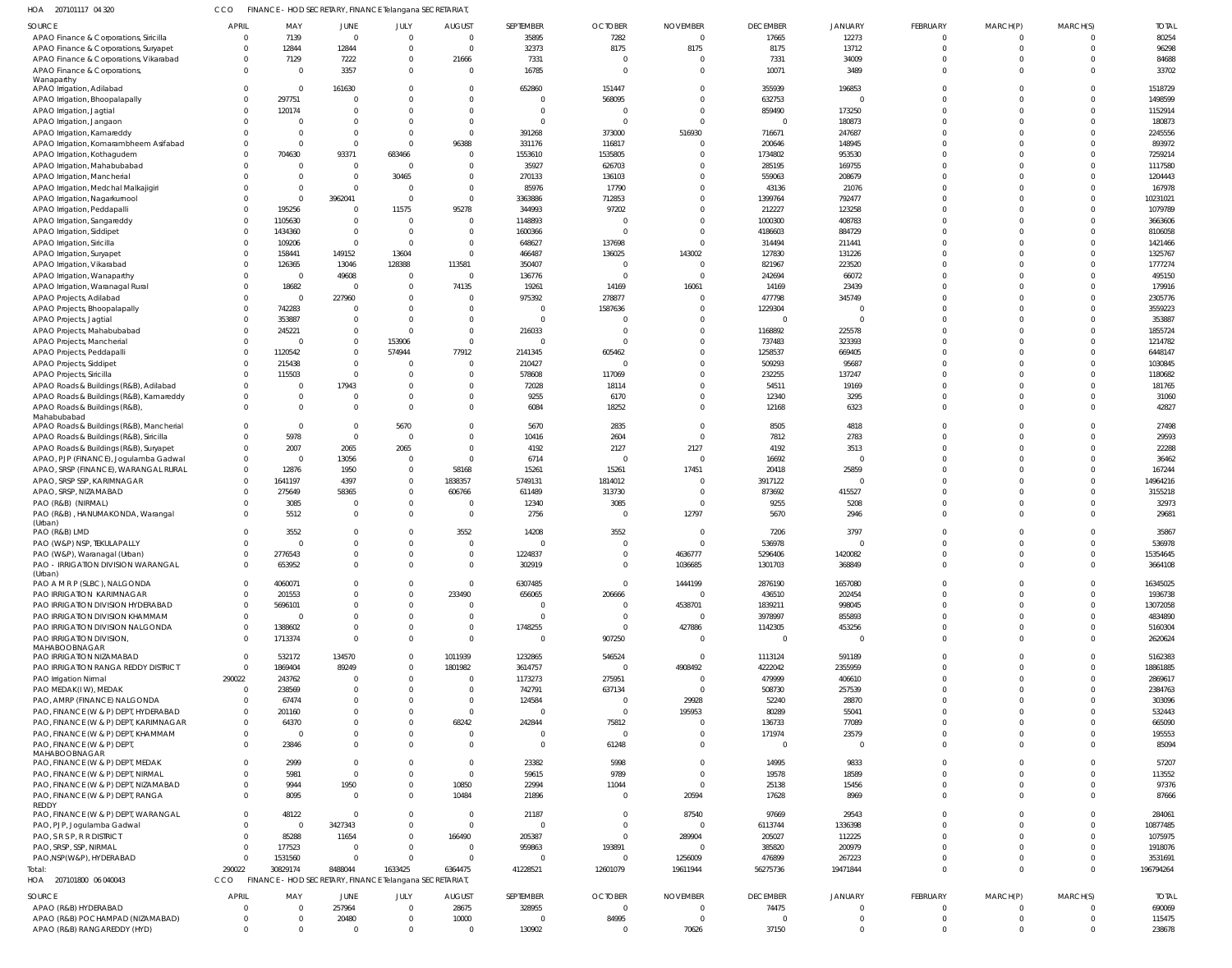| 207101117 04 320<br>HOA                                      | <b>CCO</b>   | FINANCE - HOD SECRETARY, FINANCE Telangana SECRETARIAT  |                           |            |                  |                        |                |                      |                                    |                |                      |                            |          |                    |
|--------------------------------------------------------------|--------------|---------------------------------------------------------|---------------------------|------------|------------------|------------------------|----------------|----------------------|------------------------------------|----------------|----------------------|----------------------------|----------|--------------------|
| SOURCE                                                       | <b>APRIL</b> | MAY                                                     | JUNE                      | JULY       | <b>AUGUST</b>    | SEPTEMBER              | <b>OCTOBER</b> | <b>NOVEMBER</b>      | <b>DECEMBER</b>                    | <b>JANUARY</b> | <b>FEBRUARY</b>      | MARCH(P)                   | MARCH(S) | <b>TOTAL</b>       |
| APAO Finance & Corporations, Siricilla                       | $\Omega$     | 7139                                                    | $\overline{0}$            | $\Omega$   | $\overline{0}$   | 35895                  | 7282           | $\Omega$             | 17665                              | 12273          | $\Omega$             | $\overline{0}$             |          | 80254              |
| APAO Finance & Corporations, Suryapet                        | $\Omega$     | 12844                                                   | 12844                     | $\Omega$   | 0                | 32373                  | 8175           | 8175                 | 8175                               | 13712          | $\Omega$             | $\overline{0}$             |          | 96298              |
| APAO Finance & Corporations, Vikarabad                       | $\Omega$     | 7129                                                    | 7222                      | $\Omega$   | 21666            | 7331                   |                |                      | 7331                               | 34009          | $\Omega$             | $\Omega$                   |          | 84688              |
| APAO Finance & Corporations,                                 | $\Omega$     | $\overline{\mathbf{0}}$                                 | 3357                      | $\Omega$   | $\overline{0}$   | 16785                  | $\bigcap$      |                      | 10071                              | 3489           | $\Omega$             | $\Omega$                   |          | 33702              |
| Wanaparthy<br>APAO Irrigation, Adilabad                      | $\Omega$     | $\overline{\mathbf{0}}$                                 | 161630                    |            | 0                | 652860                 | 151447         |                      | 355939                             | 196853         | $\Omega$             | $\Omega$                   | $\cap$   | 1518729            |
| APAO Irrigation, Bhoopalapally                               |              | 297751                                                  | C                         |            | $\Omega$         | 0                      | 568095         |                      | 632753                             | $\overline{0}$ |                      | $\Omega$                   |          | 1498599            |
| APAO Irrigation, Jagtial                                     |              | 120174                                                  | C                         |            | 0                | 0                      |                |                      | 859490                             | 173250         | $\Omega$             | $\Omega$                   |          | 1152914            |
| APAO Irrigation, Jangaon                                     |              | - 0                                                     | $\Omega$                  |            | $\Omega$         | $\Omega$               |                |                      | $\overline{0}$                     | 180873         | $\cap$               | $\Omega$                   |          | 180873             |
| APAO Irrigation, Kamareddy                                   |              | $\overline{0}$                                          | $\Omega$                  |            | $\mathbf 0$      | 391268                 | 373000         | 516930               | 716671                             | 247687         | $\Omega$             | $\Omega$                   |          | 2245556            |
| APAO Irrigation, Komarambheem Asifabad                       |              | - 0                                                     | $\overline{0}$            | - 0        | 96388            | 331176                 | 116817         |                      | 200646                             | 148945         |                      | $\Omega$                   |          | 893972             |
| APAO Irrigation, Kothagudem                                  |              | 704630                                                  | 93371                     | 683466     | 0                | 1553610                | 1535805        |                      | 1734802                            | 953530         | $\Omega$             | $\Omega$                   |          | 7259214            |
| APAO Irrigation, Mahabubabad                                 |              | $\overline{\mathbf{0}}$                                 | $\overline{0}$            | $\sqrt{ }$ | 0                | 35927                  | 626703         |                      | 285195                             | 169755         | $\Omega$             | $\Omega$                   |          | 1117580            |
| APAO Irrigation, Mancherial                                  |              | $\overline{\mathbf{0}}$                                 | $\overline{0}$            | 30465      | $\mathbf 0$      | 270133                 | 136103         |                      | 559063                             | 208679         | $\Omega$             | $\Omega$                   |          | 1204443            |
| APAO Irrigation, Medchal Malkajigiri                         |              | $\overline{\mathbf{0}}$                                 | $\overline{0}$            | $\Omega$   | 0                | 85976                  | 17790          |                      | 43136                              | 21076          | $\Omega$             | $\Omega$                   |          | 167978             |
| APAO Irrigation, Nagarkurnool                                |              | $\overline{\mathbf{0}}$                                 | 3962041                   | - 0        | $\overline{0}$   | 3363886                | 712853         |                      | 1399764                            | 792477         | $\Omega$             | $\Omega$                   |          | 10231021           |
| APAO Irrigation, Peddapalli                                  |              | 195256                                                  | $\overline{0}$            | 11575      | 95278            | 344993                 | 97202          |                      | 212227                             | 123258         | $\cap$               | $\Omega$                   |          | 1079789            |
| APAO Irrigation, Sangareddy                                  |              | 1105630                                                 | $\overline{0}$            | $\Omega$   | $\mathbf 0$      | 1148893                |                |                      | 1000300                            | 408783         | $\Omega$             | $\Omega$                   |          | 3663606            |
| APAO Irrigation, Siddipet                                    |              | 1434360                                                 | $\overline{0}$            | $\Omega$   | $\mathbf 0$      | 1600366                |                |                      | 4186603                            | 884729         | $\Omega$             | $\Omega$                   |          | 8106058            |
| APAO Irrigation, Siricilla                                   |              | 109206                                                  | $\overline{0}$            | - 0        | $\mathbf 0$      | 648627                 | 137698         |                      | 314494                             | 211441         | $\Omega$             | $\Omega$                   |          | 1421466            |
| APAO Irrigation, Suryapet                                    |              | 158441                                                  | 149152                    | 13604      | $\mathbf 0$      | 466487                 | 136025         | 143002               | 127830                             | 131226         | $\Omega$             | $\Omega$                   |          | 1325767            |
| APAO Irrigation, Vikarabad                                   |              | 126365                                                  | 13046                     | 128388     | 113581           | 350407                 | $\bigcap$      | $\sqrt{ }$           | 821967                             | 223520         | $\Omega$             | $\Omega$                   |          | 1777274            |
|                                                              |              | $\overline{\mathbf{0}}$                                 | 49608                     | $\Omega$   | $\overline{0}$   | 136776                 |                |                      | 242694                             | 66072          |                      | $\Omega$                   |          | 495150             |
| APAO Irrigation, Wanaparthy                                  |              | 18682                                                   | $\overline{0}$            | $\Omega$   | 74135            | 19261                  | 14169          | 16061                | 14169                              | 23439          | $\Omega$             | $\Omega$                   |          | 179916             |
| APAO Irrigation, Waranagal Rural                             |              | $\overline{\mathbf{0}}$                                 | 227960                    |            | $\mathbf 0$      | 975392                 | 278877         |                      | 477798                             | 345749         |                      | $\Omega$                   |          | 2305776            |
| APAO Projects, Adilabad<br>APAO Projects, Bhoopalapally      |              | 742283                                                  | $\Omega$                  |            | $\mathbf 0$      | $\mathbf 0$            | 1587636        |                      | 1229304                            | $\overline{0}$ | $\Omega$             | $\Omega$                   |          |                    |
|                                                              |              | 353887                                                  | $\overline{0}$            | - 0        | 0                | $\mathbf 0$            |                |                      | $\overline{0}$                     | $\mathbf 0$    | $\Omega$             | $\Omega$                   |          | 3559223<br>353887  |
| APAO Projects, Jagtial                                       |              | 245221                                                  | $\overline{0}$            | - 0        | $\mathbf 0$      | 216033                 |                |                      | 1168892                            | 225578         | $\Omega$             | $\Omega$                   |          | 1855724            |
| APAO Projects, Mahabubabad                                   | $\Omega$     | - 0                                                     | $\mathbf 0$               | 153906     | $\mathbf 0$      | $\mathbf 0$            |                |                      | 737483                             | 323393         | $\Omega$             | $\Omega$                   |          | 1214782            |
| APAO Projects, Mancherial                                    |              | 1120542                                                 | $\Omega$                  | 574944     | 77912            | 2141345                |                |                      | 1258537                            | 669405         | $\cap$               | $\Omega$                   |          | 6448147            |
| APAO Projects, Peddapalli                                    |              | 215438                                                  | $\overline{0}$            |            | $\mathbf 0$      | 210427                 | 605462         |                      | 509293                             | 95687          |                      | $\Omega$                   |          | 1030845            |
| APAO Projects, Siddipet                                      |              | 115503                                                  | $\overline{0}$            |            | $\mathbf 0$      | 578608                 | 117069         |                      | 232255                             | 137247         | $\Omega$             | $\Omega$                   |          | 1180682            |
| APAO Projects, Siricilla                                     | $\Omega$     | $\overline{\mathbf{0}}$                                 | 17943                     |            | 0                | 72028                  | 18114          |                      | 54511                              | 19169          | $\Omega$             | $\Omega$                   |          | 181765             |
| APAO Roads & Buildings (R&B), Adilabad                       | $\Omega$     | $\Omega$                                                | $\overline{0}$            |            | 0                | 9255                   | 6170           |                      | 12340                              | 3295           | $\Omega$             | $\Omega$                   |          | 31060              |
| APAO Roads & Buildings (R&B), Kamareddy                      | $\Omega$     | $\Omega$                                                | $\overline{0}$            | $\cap$     | $\Omega$         | 6084                   | 18252          |                      | 12168                              | 6323           | $\Omega$             | $\Omega$                   | $\Omega$ | 42827              |
| APAO Roads & Buildings (R&B),<br>Mahabubabad                 |              |                                                         |                           |            |                  |                        |                |                      |                                    |                |                      |                            |          |                    |
| APAO Roads & Buildings (R&B), Mancherial                     | $\Omega$     | $\overline{0}$                                          | $\Omega$                  | 5670       | $\mathbf 0$      | 5670                   | 2835           |                      | 8505                               | 4818           | $\Omega$             | $\Omega$                   | $\Omega$ | 27498              |
| APAO Roads & Buildings (R&B), Siricilla                      |              | 5978                                                    | $\overline{0}$            | $\Omega$   | $\Omega$         | 10416                  | 2604           |                      | 7812                               | 2783           |                      | $\Omega$                   |          | 29593              |
| APAO Roads & Buildings (R&B), Suryapet                       | $\Omega$     | 2007                                                    | 2065                      | 2065       | $\mathbf 0$      | 4192                   | 2127           | 2127                 | 4192                               | 3513           | $\Omega$             | $\Omega$                   |          | 22288              |
| APAO, PJP (FINANCE), Jogulamba Gadwal                        | $\Omega$     | $\overline{\mathbf{0}}$                                 | 13056                     | - 0        | 0                | 6714                   |                | $\sqrt{ }$           | 16692                              | C              | $\cap$               | $\Omega$                   |          | 36462              |
| APAO, SRSP (FINANCE), WARANGAL RURAL                         | $\Omega$     | 12876                                                   | 1950                      | $\Omega$   | 58168            | 15261                  | 15261          | 17451                | 20418                              | 25859          | $\Omega$             | $\Omega$                   |          | 167244             |
| APAO, SRSP SSP, KARIMNAGAR                                   | $\Omega$     | 1641197                                                 | 4397                      |            | 1838357          | 5749131                | 1814012        |                      | 3917122                            | $\Omega$       |                      | $\Omega$                   |          | 14964216           |
| APAO, SRSP, NIZAMABAD                                        | $\Omega$     | 275649                                                  | 58365                     |            | 606766           | 611489                 | 313730         | - 0                  | 873692                             | 415527         | $\Omega$             | $\Omega$                   |          | 3155218            |
| PAO (R&B) (NIRMAL)                                           |              | 3085                                                    | $\overline{0}$            | $\Omega$   | 0                | 12340                  | 3085           | - 0                  | 9255                               | 5208           | $\Omega$             | $\Omega$                   |          | 32973              |
| PAO (R&B), HANUMAKONDA, Warangal                             |              | 5512                                                    | $\overline{0}$            | $\Omega$   | $\overline{0}$   | 2756                   | - 0            | 12797                | 5670                               | 2946           | $\Omega$             | $\Omega$                   |          | 29681              |
| (Urban)                                                      |              |                                                         |                           |            |                  |                        |                |                      |                                    |                |                      |                            |          |                    |
| PAO (R&B) LMD                                                | $\Omega$     | 3552                                                    | $\overline{0}$            |            | 3552             | 14208                  | 3552           |                      | 7206                               | 3797           | $\Omega$             | $\overline{0}$             |          | 35867              |
| PAO (W&P) NSP, TEKULAPALLY                                   | $\Omega$     | $\overline{\mathbf{0}}$                                 | $\Omega$                  | $\Omega$   | $\overline{0}$   | $\mathbf 0$            | $\Omega$       | $\Omega$             | 536978                             | $\Omega$       | $\Omega$             | $\Omega$                   | $\cap$   | 536978             |
| PAO (W&P), Waranagal (Urban)                                 |              | 2776543                                                 | -0                        |            | -0               | 1224837                |                | 4636777              | 5296406                            | 1420082        | $\Omega$             |                            |          | 15354645           |
| PAO - IRRIGATION DIVISION WARANGAL                           |              | 653952                                                  | $\Omega$                  |            | $\overline{0}$   | 302919                 |                | 1036685              | 1301703                            | 368849         | $\Omega$             | $\Omega$                   |          | 3664108            |
| (Urban)<br>PAO A M R P (SLBC), NALGONDA                      |              | 4060071                                                 | $\Omega$                  |            | 0                | 6307485                |                | 1444199              | 2876190                            | 1657080        | $\Omega$             | $\Omega$                   |          | 16345025           |
| PAO IRRIGATION KARIMNAGAR                                    |              | 201553                                                  | $\Omega$                  |            | 233490           | 656065                 | 206666         | - 0                  | 436510                             | 202454         | $\Omega$             | $\Omega$                   |          | 1936738            |
| PAO IRRIGATION DIVISION HYDERABAD                            |              | 5696101                                                 | $\Omega$                  |            | 0                | 0                      |                | 4538701              | 1839211                            | 998045         | $\Omega$             | $\Omega$                   |          | 13072058           |
| PAO IRRIGATION DIVISION KHAMMAM                              |              | - 0                                                     | C                         |            | 0                | $\Omega$               |                | - 0                  | 3978997                            | 855893         | $\Omega$             | $\Omega$                   |          | 4834890            |
|                                                              |              |                                                         | $\Omega$                  |            |                  |                        | - 0            |                      |                                    |                | $\Omega$             | $\Omega$                   |          |                    |
| PAO IRRIGATION DIVISION NALGONDA<br>PAO IRRIGATION DIVISION, |              | 1388602<br>1713374                                      | $\Omega$                  |            | 0<br>$\mathbf 0$ | 1748255<br>$\mathbf 0$ | 907250         | 427886<br>$\sqrt{ }$ | 1142305<br>$\overline{\mathbf{0}}$ | 453256<br>- 0  | $\Omega$             | $\Omega$                   |          | 5160304<br>2620624 |
| MAHABOOBNAGAR                                                |              |                                                         |                           |            |                  |                        |                |                      |                                    |                |                      |                            |          |                    |
| PAO IRRIGATION NIZAMABAD                                     |              | 532172                                                  | 134570                    |            | 1011939          | 1232865                | 546524         | - 0                  | 1113124                            | 591189         | $\Omega$             | $\overline{0}$             |          | 5162383            |
| PAO IRRIGATION RANGA REDDY DISTRICT                          | $\Omega$     | 1869404                                                 | 89249                     |            | 1801982          | 3614757                | $\Omega$       | 4908492              | 4222042                            | 2355959        | $\Omega$             | $\Omega$                   |          | 18861885           |
| PAO Irrigation Nirmal                                        | 290022       | 243762                                                  | - 0                       |            | - 0              | 1173273                | 275951         |                      | 479999                             | 406610         | $\Omega$             | $\Omega$                   |          | 2869617            |
| PAO MEDAK(IW), MEDAK                                         | $\Omega$     | 238569                                                  | C                         |            | 0                | 742791                 | 637134         | - C                  | 508730                             | 257539         | $\Omega$             | $\Omega$                   |          | 2384763            |
| PAO, AMRP (FINANCE) NALGONDA                                 |              | 67474                                                   | C                         |            | $\overline{0}$   | 124584                 |                | 29928                | 52240                              | 28870          |                      | $\Omega$                   |          | 303096             |
| PAO, FINANCE (W & P) DEPT, HYDERABAD                         |              | 201160                                                  | $\Omega$                  |            | $\overline{0}$   | $\mathbf 0$            | $\Omega$       | 195953               | 80289                              | 55041          |                      | $\Omega$                   |          | 532443             |
| PAO, FINANCE (W & P) DEPT, KARIMNAGAR                        | $\Omega$     | 64370                                                   | $\Omega$                  |            | 68242            | 242844                 | 75812          |                      | 136733                             | 77089          |                      | $\Omega$                   |          | 665090             |
| PAO, FINANCE (W & P) DEPT, KHAMMAM                           |              | $\overline{\mathbf{0}}$                                 | $\Omega$                  |            | $\overline{0}$   | 0                      | - 0            |                      | 171974                             | 23579          | $\Omega$             | $\Omega$                   |          | 195553             |
| PAO, FINANCE (W & P) DEPT,                                   | $\Omega$     | 23846                                                   | $\Omega$                  |            | $\Omega$         | $\mathbf 0$            | 61248          |                      | $\overline{\mathbf{0}}$            | C              | $\Omega$             | $\Omega$                   |          | 85094              |
| MAHABOOBNAGAR                                                |              |                                                         |                           |            |                  |                        |                |                      |                                    |                |                      |                            |          |                    |
| PAO, FINANCE (W & P) DEPT, MEDAK                             |              | 2999                                                    | $\Omega$                  |            | $\overline{0}$   | 23382                  | 5998           |                      | 14995                              | 9833           | $\Omega$             | $\Omega$                   | $\Omega$ | 57207              |
| PAO, FINANCE (W & P) DEPT, NIRMAL                            |              | 5981                                                    | $\overline{0}$            |            | $\overline{0}$   | 59615                  | 9789           |                      | 19578                              | 18589          | $\Omega$             | $\Omega$                   | $\Omega$ | 113552             |
| PAO, FINANCE (W & P) DEPT, NIZAMABAD                         |              | 9944                                                    | 1950                      |            | 10850            | 22994                  | 11044          | - 0                  | 25138                              | 15456          | $\Omega$             | $\Omega$                   |          | 97376              |
| PAO, FINANCE (W & P) DEPT, RANGA                             |              | 8095                                                    | $\overline{0}$            |            | 10484            | 21896                  | $\Omega$       | 20594                | 17628                              | 8969           | $\Omega$             | $\Omega$                   |          | 87666              |
| REDDY                                                        |              |                                                         | $\overline{0}$            | $\Omega$   |                  |                        |                |                      |                                    |                | $\Omega$             | $\Omega$                   |          |                    |
| PAO, FINANCE (W & P) DEPT, WARANGAL                          |              | 48122<br>$\overline{0}$                                 |                           |            | 0                | 21187                  |                | 87540<br>$\epsilon$  | 97669                              | 29543          |                      | $\Omega$                   |          | 284061             |
| PAO, PJP, Jogulamba Gadwal                                   |              |                                                         | 3427343                   |            | 0                | $\mathbf 0$            |                |                      | 6113744                            | 1336398        | $\Omega$             | $\Omega$                   |          | 10877485           |
| PAO, S R S P, R R DISTRICT                                   |              | 85288                                                   | 11654                     |            | 166490           | 205387                 | - 0            | 289904               | 205027                             | 112225         | $\Omega$             | $\Omega$                   |          | 1075975            |
| PAO, SRSP, SSP, NIRMAL                                       | $\cap$       | 177523                                                  | C                         | $\Omega$   | 0                | 959863                 | 193891         |                      | 385820                             | 200979         |                      |                            |          | 1918076            |
| PAO, NSP(W&P), HYDERABAD                                     | 290022       | 1531560<br>30829174                                     | $\overline{0}$<br>8488044 | 1633425    | 0<br>6364475     | $\mathbf 0$            | - 0            | 1256009<br>19611944  | 476899                             | 267223         | $\Omega$<br>$\Omega$ | $\overline{0}$<br>$\Omega$ |          | 3531691            |
| otal:                                                        | <b>CCO</b>   |                                                         |                           |            |                  | 41228521               | 12601079       |                      | 56275736                           | 19471844       |                      |                            |          | 196794264          |
| HOA 207101800 06 040043                                      |              | FINANCE - HOD SECRETARY, FINANCE Telangana SECRETARIAT, |                           |            |                  |                        |                |                      |                                    |                |                      |                            |          |                    |
| SOURCE                                                       | <b>APRIL</b> | MAY                                                     | JUNE                      | JULY       | <b>AUGUST</b>    | SEPTEMBER              | <b>OCTOBER</b> | <b>NOVEMBER</b>      | <b>DECEMBER</b>                    | <b>JANUARY</b> | FEBRUARY             | MARCH(P)                   | MARCH(S) | <b>TOTAL</b>       |
| APAO (R&B) HYDERABAD                                         | - 0          | - 0                                                     | 257964                    | $\Omega$   | 28675            | 328955                 |                | $\Omega$             | 74475                              | $\Omega$       | $\Omega$             | $\Omega$                   |          | 690069             |
| APAO (R&B) POCHAMPAD (NIZAMABAD)                             | $\Omega$     | $\overline{\mathbf{0}}$                                 | 20480                     | $\Omega$   | 10000            | 0                      | 84995          | $\Omega$             | $\circ$                            | 0              | $\Omega$             | $\Omega$                   |          | 115475             |
| APAO (R&B) RANGAREDDY (HYD)                                  | $\mathbf{0}$ | $\Omega$                                                | $\Omega$                  | $\Omega$   | $\mathbf{0}$     | 130902                 |                | 70626                | 37150                              | $\overline{0}$ | $\Omega$             | $\Omega$                   |          | 238678             |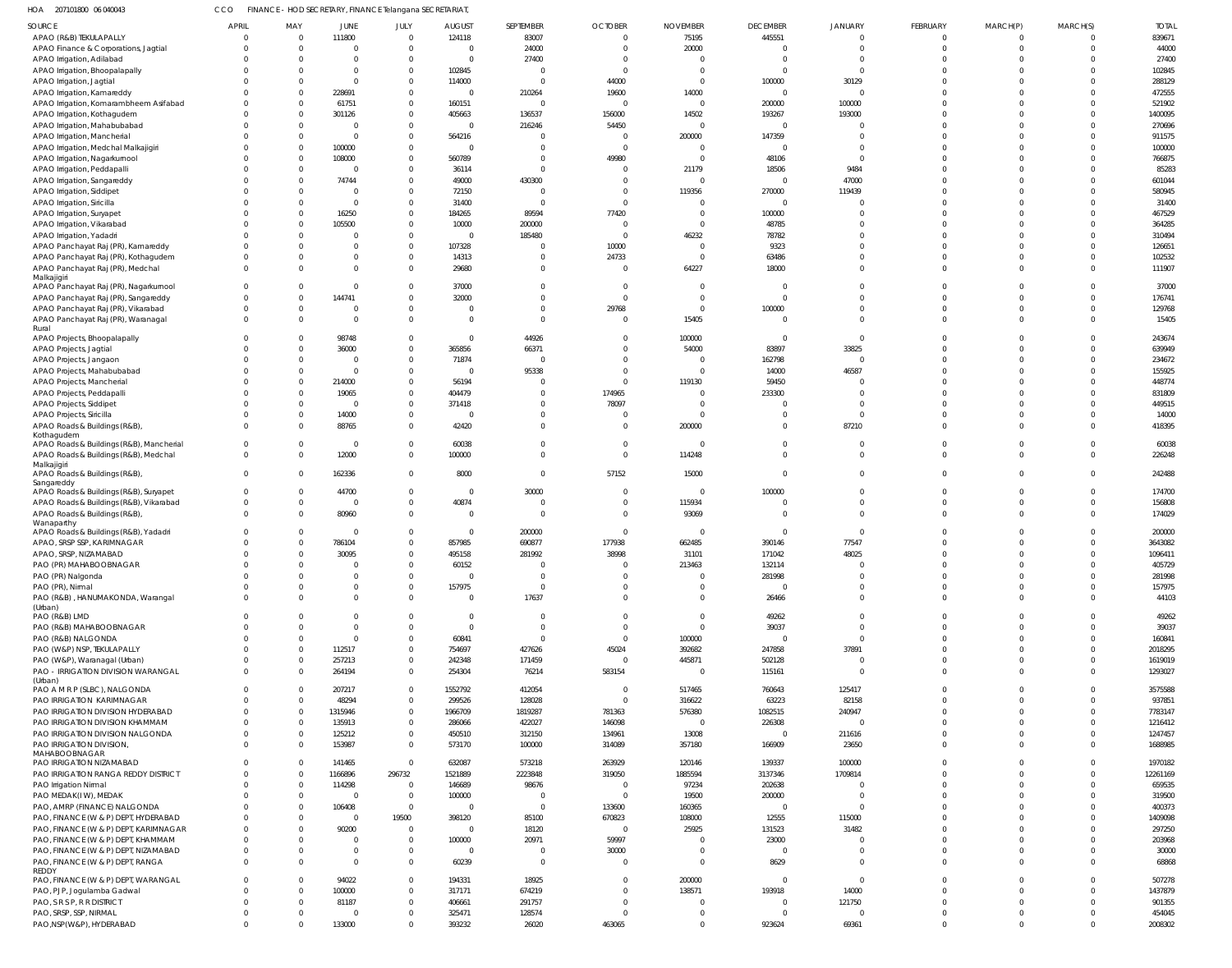| HOA 207101800 06 040043                              | <b>CCO</b>   |                            |                      | FINANCE - HOD SECRETARY, FINANCE Telangana SECRETARIAT, |                         |                            |                          |                            |                 |                                |          |                      |          |              |
|------------------------------------------------------|--------------|----------------------------|----------------------|---------------------------------------------------------|-------------------------|----------------------------|--------------------------|----------------------------|-----------------|--------------------------------|----------|----------------------|----------|--------------|
| <b>SOURCE</b>                                        | <b>APRIL</b> | MAY                        | JUNE                 | JULY                                                    | <b>AUGUST</b>           | SEPTEMBER                  | <b>OCTOBER</b>           | <b>NOVEMBER</b>            | <b>DECEMBER</b> | JANUARY                        | FEBRUARY | MARCH(P)             | MARCH(S) | <b>TOTAL</b> |
| APAO (R&B) TEKULAPALLY                               |              | $\mathbf{0}$               | 111800               | $\overline{0}$                                          | 124118                  | 83007                      | $\mathbf 0$              | 75195                      | 445551          | $\Omega$                       | $\Omega$ | $\Omega$             | $\Omega$ | 839671       |
| APAO Finance & Corporations, Jagtial                 |              | $\Omega$                   | $\Omega$             | $\Omega$                                                | $\Omega$                | 24000                      | $\Omega$                 | 20000                      |                 | $\Omega$                       |          | $\Omega$             | $\Omega$ | 44000        |
| APAO Irrigation, Adilabad                            |              | $\Omega$                   | $\Omega$             | $\Omega$                                                | $\Omega$                | 27400                      | $\Omega$                 | $\Omega$                   | -C              | $\Omega$                       |          | $\Omega$             |          | 27400        |
| APAO Irrigation, Bhoopalapally                       |              | $\Omega$                   | $\Omega$             | $\Omega$                                                | 102845                  | C                          | $\Omega$                 | $\Omega$                   |                 | $\Omega$                       |          |                      |          | 102845       |
| APAO Irrigation, Jagtial                             |              | $\Omega$                   | $\Omega$             | $\Omega$                                                | 114000                  | $\Omega$                   | 44000                    | $\overline{0}$             | 100000          | 30129                          |          | $\Omega$             |          | 288129       |
| APAO Irrigation, Kamareddy                           |              | $\Omega$                   | 228691               | $\Omega$                                                | $\Omega$                | 210264                     | 19600                    | 14000                      | -C              | $\Omega$                       |          |                      |          | 472555       |
| APAO Irrigation, Komarambheem Asifabad               |              | $\Omega$                   | 61751                | $\Omega$                                                | 160151                  | $\Omega$                   | $\Omega$                 | $\overline{0}$             | 200000          | 100000                         |          |                      |          | 521902       |
| APAO Irrigation, Kothagudem                          |              | $\Omega$                   | 301126               | $\Omega$                                                | 405663                  | 136537                     | 156000                   | 14502                      | 193267          | 193000                         |          |                      |          | 1400095      |
| APAO Irrigation, Mahabubabad                         |              | $\Omega$                   | $\Omega$             | $\Omega$                                                | $\Omega$                | 216246                     | 54450                    | $\overline{0}$             | - 0             | $\Omega$                       |          | $\Omega$             |          | 270696       |
| APAO Irrigation, Mancherial                          |              | $\Omega$                   | $\Omega$             | $\Omega$                                                | 564216                  | C                          | $\Omega$                 | 200000                     | 147359          | $\Omega$                       |          |                      |          | 911575       |
| APAO Irrigation, Medchal Malkajigiri                 |              | $\Omega$                   | 100000               | $\Omega$                                                | $\Omega$                | $\mathsf{C}$               | $\Omega$                 | $\overline{0}$             | - 0             | $\Omega$                       |          |                      |          | 100000       |
| APAO Irrigation, Nagarkurnool                        |              | $\Omega$                   | 108000               | $\Omega$                                                | 560789                  | $\Omega$                   | 49980                    | $\Omega$                   | 48106           | $\Omega$                       |          |                      |          | 766875       |
| APAO Irrigation, Peddapalli                          |              | $\Omega$                   | $\Omega$             | $\Omega$                                                | 36114                   | $\Omega$                   | $\Omega$                 | 21179                      | 18506           | 9484                           |          |                      |          | 85283        |
| APAO Irrigation, Sangareddy                          |              | $\Omega$                   | 74744                | $\Omega$                                                | 49000                   | 430300                     | $\Omega$                 | $\Omega$                   | $\mathsf{C}$    | 47000                          |          |                      |          | 601044       |
| APAO Irrigation, Siddipet                            |              | $\Omega$                   | $\Omega$             | $\Omega$                                                | 72150                   | $\Omega$                   | $\Omega$                 | 119356                     | 270000          | 119439                         |          | $\Omega$             |          | 580945       |
| APAO Irrigation, Siricilla                           |              | $\Omega$                   | $\Omega$             | $\Omega$                                                | 31400                   | $\Omega$                   | $\Omega$                 | $\Omega$                   | -C              |                                |          |                      |          | 31400        |
| APAO Irrigation, Suryapet                            |              | $\Omega$                   | 16250                | $\Omega$                                                | 184265                  | 89594                      | 77420                    | $\overline{0}$             | 100000          | $\Omega$                       |          | $\Omega$             |          | 467529       |
| APAO Irrigation, Vikarabad                           |              | $\Omega$                   | 105500               | $\Omega$                                                | 10000                   | 200000                     | $\Omega$                 | $\Omega$                   | 48785           |                                |          |                      |          | 364285       |
| APAO Irrigation, Yadadri                             |              | $\Omega$                   |                      | $\Omega$                                                | $\Omega$                | 185480                     | $\Omega$                 | 46232                      | 78782           | $\Omega$                       |          |                      |          | 310494       |
| APAO Panchayat Raj (PR), Kamareddy                   |              | $\Omega$                   | $\Omega$             | $\Omega$                                                | 107328                  | C                          | 10000                    | $\overline{0}$             | 9323            | $\Omega$                       |          | $\Omega$             |          | 126651       |
| APAO Panchayat Raj (PR), Kothagudem                  |              | $\Omega$                   | $\Omega$             | $\Omega$                                                | 14313                   | $\Omega$                   | 24733                    | $\overline{0}$             | 63486           | $\Omega$                       |          | $\Omega$             |          | 102532       |
| APAO Panchayat Raj (PR), Medchal                     |              | $\Omega$                   | $\Omega$             | $\Omega$                                                | 29680                   | $\Omega$                   | $\Omega$                 | 64227                      | 18000           | $\Omega$                       |          | $\Omega$             | $\Omega$ | 111907       |
| Malkajigiri<br>APAO Panchayat Raj (PR), Nagarkurnool |              | $\Omega$                   | $\Omega$             | $\Omega$                                                | 37000                   | $\Omega$                   | $\Omega$                 | $\Omega$                   |                 | $\Omega$                       |          | $\Omega$             |          | 37000        |
| APAO Panchayat Raj (PR), Sangareddy                  |              | $\mathbf{0}$               | 144741               | $\Omega$                                                | 32000                   | $\Omega$                   | $\Omega$                 | $\Omega$                   |                 | $\Omega$                       |          | $\Omega$             | $\Omega$ | 176741       |
| APAO Panchayat Raj (PR), Vikarabad                   |              | $\mathbf{0}$               | $\Omega$             | $\Omega$                                                | $\Omega$                | $\Omega$                   | 29768                    | $\overline{0}$             | 100000          | $\Omega$                       |          | $\Omega$             | $\Omega$ | 129768       |
| APAO Panchayat Raj (PR), Waranagal                   |              | $\Omega$                   | $\Omega$             | $\Omega$                                                | $\Omega$                | $\Omega$                   | $\Omega$                 | 15405                      |                 | $\Omega$                       |          | $\Omega$             | $\Omega$ | 15405        |
| Rural                                                |              |                            |                      |                                                         |                         |                            |                          |                            |                 |                                |          |                      |          |              |
| APAO Projects, Bhoopalapally                         |              | $\Omega$                   | 98748                | $\Omega$                                                | $\Omega$                | 44926                      |                          | 100000                     | - 0             | $\Omega$                       |          | $\Omega$             |          | 243674       |
| APAO Projects, Jagtial                               |              | $\Omega$                   | 36000                | $\Omega$                                                | 365856                  | 66371                      | $\Omega$                 | 54000                      | 83897           | 33825                          |          | $\Omega$             |          | 639949       |
| APAO Projects, Jangaon                               |              | $\Omega$                   | $\Omega$             | $\Omega$                                                | 71874                   | $\Omega$                   |                          | $\overline{0}$             | 162798          | $\Omega$                       |          | $\Omega$             |          | 234672       |
| APAO Projects, Mahabubabad                           |              | $\Omega$                   | $\Omega$             | $\Omega$                                                | $\Omega$                | 95338                      | $\Omega$                 | $\Omega$                   | 14000           | 46587                          |          | $\Omega$             |          | 155925       |
| APAO Projects, Mancherial                            |              | $\Omega$                   | 214000               | $\Omega$                                                | 56194                   | C                          | $\Omega$                 | 119130                     | 59450           | $\Omega$                       |          | $\Omega$             |          | 448774       |
| APAO Projects, Peddapalli                            |              | $\Omega$                   | 19065                | $\Omega$                                                | 404479                  | $\Omega$                   | 174965                   | $\Omega$                   | 233300          | $\Omega$                       |          |                      |          | 831809       |
| APAO Projects, Siddipet                              |              | $\Omega$                   | $\Omega$             | $\Omega$                                                | 371418                  | $\Omega$                   | 78097                    | $\Omega$                   |                 | $\Omega$                       |          | $\Omega$             |          | 449515       |
| APAO Projects, Siricilla                             |              | $\mathbf{0}$               | 14000                | $\Omega$                                                | $\Omega$                | $\Omega$                   | -0                       | $\Omega$                   |                 | $\Omega$                       |          | $\Omega$             |          | 14000        |
| APAO Roads & Buildings (R&B),                        |              | $\mathbf{0}$               | 88765                | $\Omega$                                                | 42420                   | $\Omega$                   | $\Omega$                 | 200000                     |                 | 87210                          |          | $\Omega$             | $\Omega$ | 418395       |
| Kothagudem                                           |              |                            |                      |                                                         |                         |                            |                          |                            |                 |                                |          |                      |          |              |
| APAO Roads & Buildings (R&B), Mancherial             |              | $\mathbf 0$                | - 0                  | $\Omega$                                                | 60038                   | $\Omega$                   | $\Omega$                 | - 0                        | $\Omega$        | $\mathbf{0}$                   |          | $\Omega$             | $\Omega$ | 60038        |
| APAO Roads & Buildings (R&B), Medchal                | $\Omega$     | $\mathbf 0$                | 12000                | $\Omega$                                                | 100000                  | $\Omega$                   | $\Omega$                 | 114248                     | $\Omega$        | $\mathbf 0$                    | $\cup$   | $\Omega$             | $\Omega$ | 226248       |
| Malkajigiri<br>APAO Roads & Buildings (R&B),         | $\Omega$     | $\mathbf{0}$               | 162336               | $\Omega$                                                | 8000                    | $\Omega$                   | 57152                    | 15000                      | $\Omega$        | $\Omega$                       |          | $\Omega$             | $\Omega$ | 242488       |
| Sangareddy                                           |              |                            |                      |                                                         |                         |                            |                          |                            |                 |                                |          |                      |          |              |
| APAO Roads & Buildings (R&B), Suryapet               |              | $\mathbf 0$                | 44700                | $\Omega$                                                | $\overline{0}$          | 30000                      | $\Omega$                 | $\overline{0}$             | 100000          | $\Omega$                       |          | $\Omega$             | $\Omega$ | 174700       |
| APAO Roads & Buildings (R&B), Vikarabad              |              | $\mathbf{0}$               | $\Omega$             | $\Omega$                                                | 40874                   | C                          | $\Omega$                 | 115934                     |                 | $\Omega$                       |          | $\Omega$             | $\Omega$ | 156808       |
| APAO Roads & Buildings (R&B),                        |              | $\Omega$                   | 80960                | $\Omega$                                                | $\Omega$                | $\Omega$                   | $\Omega$                 | 93069                      |                 | $\Omega$                       |          | $\Omega$             | $\Omega$ | 174029       |
| Wanaparthy                                           |              |                            |                      |                                                         |                         |                            |                          |                            |                 |                                |          |                      |          |              |
| APAO Roads & Buildings (R&B), Yadadri                |              | $\Omega$                   | $\Omega$             | $\Omega$                                                | $\Omega$                | 200000                     | $\Omega$                 | O                          |                 | $\Omega$                       |          | $\Omega$             | $\Omega$ | 200000       |
| APAO, SRSP SSP, KARIMNAGAR                           | O            | $\Omega$                   | 786104               | $\Omega$                                                | 857985                  | 690877                     | 177938                   | 662485                     | 390146          | 77547                          |          | $\Omega$             | $\Omega$ | 3643082      |
| APAO, SRSP, NIZAMABAD                                |              | $\Omega$                   | 30095                | $\Omega$                                                | 495158                  | 281992                     | 38998                    | 31101                      | 171042          | 48025                          |          | -C                   | $\Omega$ | 1096411      |
| PAO (PR) MAHABOOBNAGAR                               |              | $\Omega$                   | $\Omega$             | $\Omega$                                                | 60152                   | $\Omega$                   | $\Omega$                 | 213463                     | 132114          | $\Omega$                       |          | $\Omega$             |          | 405729       |
| PAO (PR) Nalgonda                                    |              | $\Omega$                   | $\Omega$             | $\Omega$                                                | $\Omega$                | $\Omega$                   | $\Omega$                 | $\Omega$                   | 281998          | $\Omega$                       |          | $\Omega$             | $\Omega$ | 281998       |
| PAO (PR), Nirmal                                     |              | $\Omega$                   | $\Omega$             | $\Omega$                                                | 157975                  | $\Omega$                   | $\Omega$                 | $\mathbf 0$                | $\mathsf{C}$    | $\Omega$                       | $\Omega$ | $\Omega$             |          | 157975       |
| PAO (R&B), HANUMAKONDA, Warangal                     |              | $\Omega$                   | $\Omega$             | $\Omega$                                                | $\Omega$                | 17637                      | $\Omega$                 | $\Omega$                   | 26466           | $\Omega$                       |          | $\Omega$             | $\Omega$ | 44103        |
| (Urban)<br>PAO (R&B) LMD                             |              | $\Omega$                   | $\Omega$             | $\Omega$                                                | $\Omega$                | $\Omega$                   | $\Omega$                 | $\overline{0}$             | 49262           | $\Omega$                       |          | $\Omega$             | $\Omega$ | 49262        |
| PAO (R&B) MAHABOOBNAGAR                              |              | $\Omega$                   | $\Omega$             | $\Omega$                                                | $\Omega$                | $\Omega$                   | $\Omega$                 | $\Omega$                   | 39037           | $\Omega$                       |          | $\Omega$             | $\Omega$ | 39037        |
| PAO (R&B) NALGONDA                                   |              | $\Omega$                   | $\Omega$             | $\Omega$                                                | 60841                   | $\Omega$                   | $\Omega$                 | 100000                     | $\Omega$        | $\mathbf 0$                    |          | $\Omega$             |          | 160841       |
| PAO (W&P) NSP, TEKULAPALLY                           |              | $\mathbf 0$                | 112517               | $\Omega$                                                | 754697                  | 427626                     | 45024                    | 392682                     | 247858          | 37891                          |          | $\Omega$             | $\Omega$ | 2018295      |
| PAO (W&P), Waranagal (Urban)                         |              | $\mathbf 0$                | 257213               | $\Omega$                                                | 242348                  | 171459                     | $\overline{0}$           | 445871                     | 502128          | $\overline{0}$                 | $\cup$   | $\Omega$             | $\Omega$ | 1619019      |
| PAO - IRRIGATION DIVISION WARANGAL                   |              | $\mathbf 0$                | 264194               | $\mathbf 0$                                             | 254304                  | 76214                      | 583154                   | $\Omega$                   | 115161          | $\mathbf{0}$                   |          | $\Omega$             | $\Omega$ | 1293027      |
| (Urban)                                              |              |                            |                      |                                                         |                         |                            |                          |                            |                 |                                |          |                      |          |              |
| PAO A M R P (SLBC), NALGONDA                         |              | $\Omega$                   | 207217               | $\overline{0}$                                          | 1552792                 | 412054                     | $\Omega$                 | 517465                     | 760643          | 125417                         | $\Omega$ | $\Omega$             | $\Omega$ | 3575588      |
| PAO IRRIGATION KARIMNAGAR                            |              | $\mathbf 0$                | 48294                | $\mathbf 0$                                             | 299526                  | 128028                     | $\Omega$                 | 316622                     | 63223           | 82158                          |          | $\Omega$             | $\Omega$ | 937851       |
| PAO IRRIGATION DIVISION HYDERABAD                    |              | $\mathbf 0$                | 1315946              | $\mathbf 0$                                             | 1966709                 | 1819287                    | 781363                   | 576380                     | 1082515         | 240947                         |          | $\Omega$             |          | 7783147      |
| PAO IRRIGATION DIVISION KHAMMAM                      |              | $\mathbf 0$                | 135913               | $\mathbf 0$                                             | 286066                  | 422027                     | 146098                   | $\overline{0}$             | 226308          | $\overline{0}$                 |          | $\Omega$             |          | 1216412      |
| PAO IRRIGATION DIVISION NALGONDA                     |              | $\mathbf 0$                | 125212               | $\mathbf 0$                                             | 450510                  | 312150                     | 134961                   | 13008                      | $\mathsf{C}$    | 211616                         | $\Omega$ | $\Omega$             |          | 1247457      |
| PAO IRRIGATION DIVISION,                             |              | $\mathbf 0$                | 153987               | $\mathbf{0}$                                            | 573170                  | 100000                     | 314089                   | 357180                     | 166909          | 23650                          | $\cup$   | $\Omega$             | $\Omega$ | 1688985      |
| MAHABOOBNAGAR                                        |              | $\mathbf 0$                |                      |                                                         |                         |                            |                          | 120146                     |                 |                                | $\cup$   | $\Omega$             |          |              |
| PAO IRRIGATION NIZAMABAD                             |              | $\mathbf 0$                | 141465               | $\overline{0}$                                          | 632087                  | 573218                     | 263929                   |                            | 139337          | 100000                         | $\cup$   | $\Omega$             | $\Omega$ | 1970182      |
| PAO IRRIGATION RANGA REDDY DISTRICT                  |              | $\mathbf 0$                | 1166896<br>114298    | 296732<br>$\mathbf{0}$                                  | 1521889                 | 2223848<br>98676           | 319050<br>$\overline{0}$ | 1885594<br>97234           | 3137346         | 1709814<br>$\overline{0}$      | $\cup$   | $\Omega$             |          | 12261169     |
| PAO Irrigation Nirmal                                |              |                            |                      |                                                         | 146689                  |                            |                          |                            | 202638          |                                |          |                      |          | 659535       |
| PAO MEDAK(IW), MEDAK                                 |              | $\mathbf 0$<br>$\mathbf 0$ | $\overline{0}$       | $\mathbf{0}$<br>$\mathbf{0}$                            | 100000                  | $\Omega$<br>$\overline{0}$ | $\overline{0}$           | 19500                      | 200000          | $\overline{0}$<br>$\mathbf{0}$ |          | $\Omega$<br>$\Omega$ | $\Omega$ | 319500       |
| PAO, AMRP (FINANCE) NALGONDA                         |              |                            | 106408               |                                                         | $\overline{\mathbf{0}}$ |                            | 133600                   | 160365                     | $\overline{0}$  |                                |          |                      |          | 400373       |
| PAO, FINANCE (W & P) DEPT, HYDERABAD                 |              | $\mathbf 0$                | $\Omega$             | 19500                                                   | 398120                  | 85100                      | 670823                   | 108000                     | 12555           | 115000                         |          | $\Omega$             | $\Omega$ | 1409098      |
| PAO, FINANCE (W & P) DEPT, KARIMNAGAR                |              | $\Omega$                   | 90200                | $\mathbf 0$                                             | $\overline{0}$          | 18120                      | $\Omega$                 | 25925                      | 131523          | 31482                          |          | $\Omega$             |          | 297250       |
| PAO, FINANCE (W & P) DEPT, KHAMMAM                   |              | $\mathbf 0$                | $\Omega$<br>$\Omega$ | $\mathbf 0$                                             | 100000                  | 20971                      | 59997                    | $\overline{0}$             | 23000           | $\overline{0}$                 |          | $\Omega$             | $\Omega$ | 203968       |
| PAO, FINANCE (W & P) DEPT, NIZAMABAD                 |              | $\mathbf 0$<br>$\Omega$    | $\Omega$             | $\mathbf 0$                                             | $\overline{\mathbf{0}}$ | $\overline{0}$             | 30000                    | $\overline{0}$<br>$\Omega$ | $\overline{0}$  | $\mathbf{0}$                   | $\Omega$ | $\Omega$             | $\Omega$ | 30000        |
| PAO, FINANCE (W & P) DEPT, RANGA<br>REDDY            |              |                            |                      | $\mathbf 0$                                             | 60239                   | $\overline{0}$             | $\Omega$                 |                            | 8629            | $\mathbf{0}$                   | $\cup$   | $\Omega$             |          | 68868        |
| PAO, FINANCE (W & P) DEPT, WARANGAL                  |              | $\Omega$                   | 94022                | $\Omega$                                                | 194331                  | 18925                      | $\Omega$                 | 200000                     | $\Omega$        | $\mathbf{0}$                   | $\Omega$ | $\Omega$             | $\Omega$ | 507278       |
| PAO, PJP, Jogulamba Gadwal                           |              | $\mathbf 0$                | 100000               | $\mathbf 0$                                             | 317171                  | 674219                     | $\Omega$                 | 138571                     | 193918          | 14000                          | $\cup$   | $\Omega$             | $\Omega$ | 1437879      |
| PAO, S R S P, R R DISTRICT                           |              | $\mathbf 0$                | 81187                | $\mathbf 0$                                             | 406661                  | 291757                     | $\Omega$                 | $\Omega$                   | $\Omega$        | 121750                         | $\cup$   | $\Omega$             |          | 901355       |
| PAO, SRSP, SSP, NIRMAL                               |              | $\mathbf 0$                | $\circ$              | $\mathbf 0$                                             | 325471                  | 128574                     | $\Omega$                 | O                          | $\Omega$        | $\overline{0}$                 |          | $\Omega$             |          | 454045       |
| PAO, NSP(W&P), HYDERABAD                             |              | $\mathbf 0$                | 133000               | $\mathbf 0$                                             | 393232                  | 26020                      | 463065                   | $\overline{0}$             | 923624          | 69361                          | $\Omega$ | $\overline{0}$       | $\Omega$ | 2008302      |
|                                                      |              |                            |                      |                                                         |                         |                            |                          |                            |                 |                                |          |                      |          |              |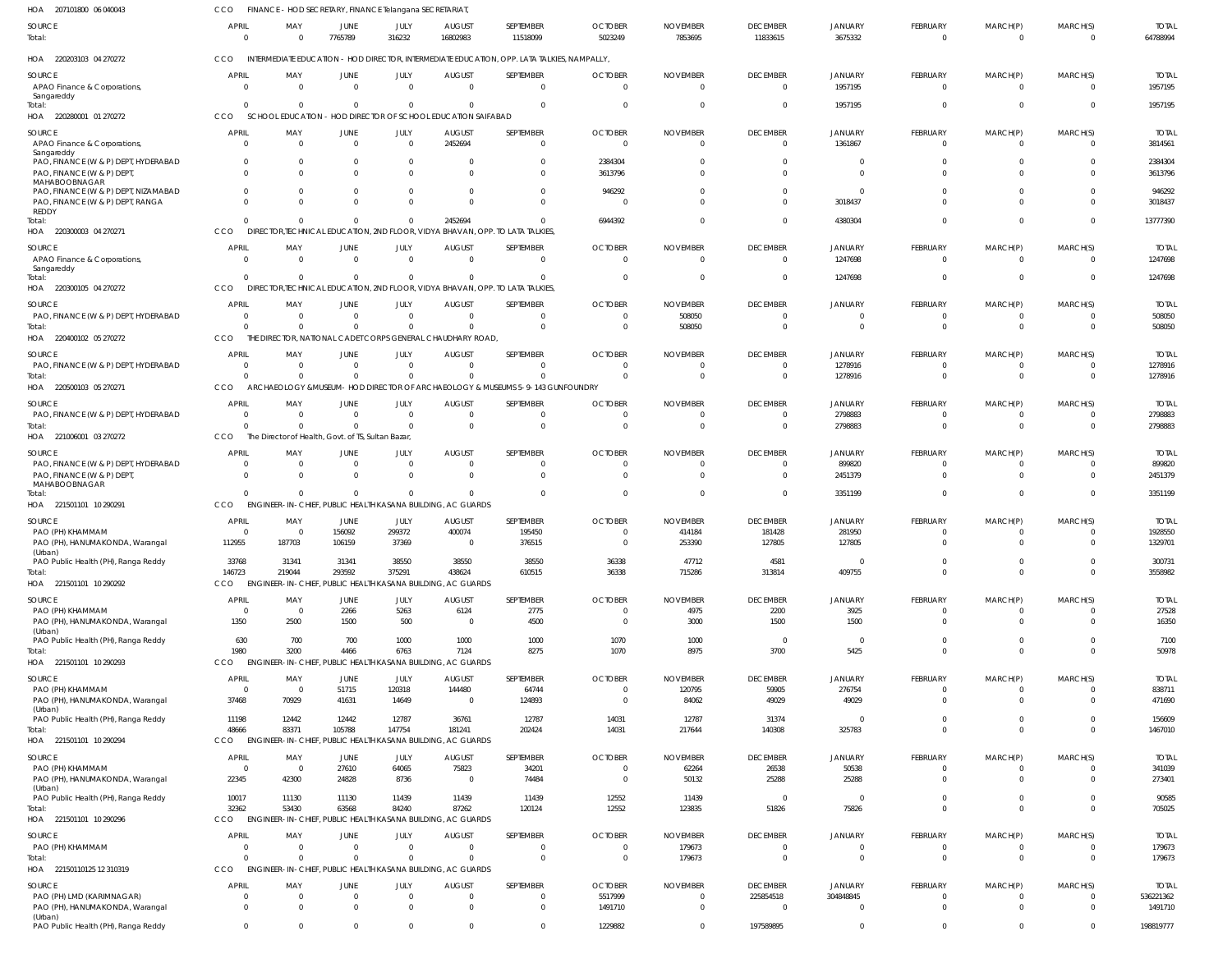| HOA 207101800 06 040043                                                             | CCO                            |                       | FINANCE - HOD SECRETARY, FINANCE Telangana SECRETARIAT |                               |                                                                               |                                                                                             |                               |                                 |                              |                             |                                   |                                  |                      |                           |
|-------------------------------------------------------------------------------------|--------------------------------|-----------------------|--------------------------------------------------------|-------------------------------|-------------------------------------------------------------------------------|---------------------------------------------------------------------------------------------|-------------------------------|---------------------------------|------------------------------|-----------------------------|-----------------------------------|----------------------------------|----------------------|---------------------------|
| <b>SOURCE</b><br>Total:                                                             | <b>APRIL</b><br>0              | MAY<br>$\Omega$       | JUNE<br>7765789                                        | JULY<br>316232                | <b>AUGUST</b><br>16802983                                                     | SEPTEMBER<br>11518099                                                                       | <b>OCTOBER</b><br>5023249     | <b>NOVEMBER</b><br>7853695      | <b>DECEMBER</b><br>11833615  | <b>JANUARY</b><br>3675332   | FEBRUARY<br>$\overline{0}$        | MARCH(P)<br>$\overline{0}$       | MARCH(S)<br>- 0      | <b>TOTAL</b><br>64788994  |
| HOA 220203103 04 270272                                                             | CCO                            |                       |                                                        |                               |                                                                               | INTERMEDIATE EDUCATION - HOD DIRECTOR, INTERMEDIATE EDUCATION, OPP. LATA TALKIES, NAMPALLY, |                               |                                 |                              |                             |                                   |                                  |                      |                           |
| SOURCE                                                                              | <b>APRIL</b>                   | MAY                   | JUNE                                                   | JULY                          | <b>AUGUST</b>                                                                 | SEPTEMBER                                                                                   | <b>OCTOBER</b>                | <b>NOVEMBER</b>                 | <b>DECEMBER</b>              | JANUARY                     | FEBRUARY                          | MARCH(P)                         | MARCH(S)             | <b>TOTAL</b>              |
| APAO Finance & Corporations,                                                        | $\Omega$                       | $\Omega$              | $\Omega$                                               | $\overline{0}$                | $\Omega$                                                                      | $\Omega$                                                                                    | $\Omega$                      | $\Omega$                        | $\Omega$                     | 1957195                     | $\Omega$                          | $\Omega$                         | $\Omega$             | 1957195                   |
| Sangareddy<br>Total:                                                                | $\Omega$                       |                       | $\Omega$                                               | $\overline{0}$                |                                                                               | $\Omega$                                                                                    | 0                             |                                 | $\Omega$                     | 1957195                     | $\Omega$                          | - 0                              | $\Omega$             | 1957195                   |
| HOA 220280001 01 270272                                                             | CCO                            |                       |                                                        |                               | SCHOOL EDUCATION - HOD DIRECTOR OF SCHOOL EDUCATION SAIFABAD                  |                                                                                             |                               |                                 |                              |                             |                                   |                                  |                      |                           |
| SOURCE                                                                              | APRIL                          | MAY                   | <b>JUNE</b>                                            | JULY                          | <b>AUGUST</b>                                                                 | SEPTEMBER                                                                                   | <b>OCTOBER</b>                | <b>NOVEMBER</b>                 | <b>DECEMBER</b>              | <b>JANUARY</b>              | FEBRUARY                          | MARCH(P)                         | MARCH(S)             | <b>TOTAL</b>              |
| APAO Finance & Corporations,<br>Sangareddy                                          | 0                              | $\Omega$              | $\Omega$                                               | $\Omega$                      | 2452694                                                                       | $\Omega$                                                                                    | $\Omega$                      | $\Omega$                        | $\Omega$                     | 1361867                     | $\Omega$                          | $\Omega$                         | $\Omega$             | 3814561                   |
| PAO, FINANCE (W & P) DEPT, HYDERABAD                                                | $\Omega$                       |                       |                                                        | $\Omega$                      |                                                                               |                                                                                             | 2384304                       |                                 |                              |                             |                                   |                                  |                      | 2384304                   |
| PAO, FINANCE (W & P) DEPT,<br>MAHABOOBNAGAR<br>PAO, FINANCE (W & P) DEPT, NIZAMABAD | $\Omega$<br>$\Omega$           |                       | $\Omega$                                               | $\Omega$<br>$\Omega$          |                                                                               | $\Omega$<br>$\Omega$                                                                        | 3613796<br>946292             |                                 |                              |                             | $\Omega$                          | $\Omega$                         |                      | 3613796<br>946292         |
| PAO, FINANCE (W & P) DEPT, RANGA                                                    | $\Omega$                       |                       | $\Omega$                                               | $\Omega$                      |                                                                               | $\cap$                                                                                      |                               |                                 |                              | 3018437                     |                                   | $\Omega$                         |                      | 3018437                   |
| REDDY                                                                               | $\Omega$                       |                       | $\Omega$                                               | $\Omega$                      | 2452694                                                                       | $\Omega$                                                                                    |                               |                                 |                              |                             |                                   | $\Omega$                         |                      | 13777390                  |
| Total:<br>HOA 220300003 04 270271                                                   | CCO                            |                       |                                                        |                               | DIRECTOR, TECHNICAL EDUCATION, 2ND FLOOR, VIDYA BHAVAN, OPP. TO LATA TALKIES, |                                                                                             | 6944392                       |                                 |                              | 4380304                     | $\Omega$                          |                                  | - 0                  |                           |
|                                                                                     |                                |                       |                                                        |                               |                                                                               |                                                                                             |                               |                                 |                              |                             |                                   |                                  |                      |                           |
| SOURCE<br>APAO Finance & Corporations,                                              | <b>APRIL</b><br>0              | MAY<br>$\Omega$       | <b>JUNE</b><br>$\Omega$                                | JULY<br>$\overline{0}$        | <b>AUGUST</b><br>$\Omega$                                                     | SEPTEMBER<br>$\Omega$                                                                       | <b>OCTOBER</b><br>$\Omega$    | <b>NOVEMBER</b><br>$\Omega$     | <b>DECEMBER</b><br>$\Omega$  | <b>JANUARY</b><br>1247698   | FEBRUARY<br>$\Omega$              | MARCH(P)<br>- 0                  | MARCH(S)<br>$\Omega$ | <b>TOTAL</b><br>1247698   |
| Sangareddy                                                                          |                                |                       |                                                        |                               |                                                                               |                                                                                             |                               |                                 |                              |                             |                                   |                                  |                      |                           |
| Total:                                                                              | $\Omega$                       | $\Omega$              | $\Omega$                                               | $\Omega$                      |                                                                               | $\Omega$                                                                                    | 0                             | $\Omega$                        | $\Omega$                     | 1247698                     | $\Omega$                          | $\Omega$                         | $\Omega$             | 1247698                   |
| HOA 220300105 04 270272                                                             | CCO                            |                       |                                                        |                               | DIRECTOR, TECHNICAL EDUCATION, 2ND FLOOR, VIDYA BHAVAN, OPP. TO LATA TALKIES, |                                                                                             |                               |                                 |                              |                             |                                   |                                  |                      |                           |
| <b>SOURCE</b>                                                                       | <b>APRIL</b>                   | MAY                   | <b>JUNE</b>                                            | JULY                          | <b>AUGUST</b>                                                                 | SEPTEMBER                                                                                   | <b>OCTOBER</b>                | <b>NOVEMBER</b>                 | <b>DECEMBER</b>              | <b>JANUARY</b>              | FEBRUARY                          | MARCH(P)                         | MARCH(S)             | <b>TOTAL</b>              |
| PAO, FINANCE (W & P) DEPT, HYDERABAD                                                | - 0                            |                       | $\overline{0}$                                         | $\overline{0}$                | $\Omega$                                                                      | $\Omega$                                                                                    | 0                             | 508050                          |                              |                             | $\Omega$                          | $\Omega$                         |                      | 508050                    |
| Total:                                                                              | $\Omega$<br>CCO<br>THF         |                       | $\Omega$                                               | $\Omega$                      | DIRECTOR, NATIONAL CADET CORPS GENERAL CHAUDHARY ROAD                         | $\Omega$                                                                                    | $\Omega$                      | 508050                          |                              |                             | $\Omega$                          | $\Omega$                         |                      | 508050                    |
| HOA 220400102 05 270272                                                             |                                |                       |                                                        |                               |                                                                               |                                                                                             |                               |                                 |                              |                             |                                   |                                  |                      |                           |
| SOURCE                                                                              | <b>APRIL</b>                   | MAY                   | JUNE                                                   | JULY                          | <b>AUGUST</b>                                                                 | SEPTEMBER                                                                                   | <b>OCTOBER</b>                | <b>NOVEMBER</b>                 | <b>DECEMBER</b>              | JANUARY                     | FEBRUARY                          | MARCH(P)                         | MARCH(S)             | <b>TOTAL</b>              |
| PAO, FINANCE (W & P) DEPT, HYDERABAD                                                | $\Omega$<br>$\Omega$           | $\Omega$<br>$\Omega$  | $\Omega$<br>$\Omega$                                   | $\Omega$<br>$\Omega$          | $\Omega$<br>$\Omega$                                                          | $\Omega$<br>$\Omega$                                                                        | 0<br>$\Omega$                 | $\Omega$<br>$\Omega$            | $\Omega$<br>$\Omega$         | 1278916                     | $\Omega$<br>$\Omega$              | $\Omega$<br>- 0                  | - 0<br>$\Omega$      | 1278916<br>1278916        |
| Total:<br>HOA 220500103 05 270271                                                   | <b>CCO</b>                     |                       |                                                        |                               |                                                                               | ARCHAEOLOGY & MUSEUM- HOD DIRECTOR OF ARCHAEOLOGY & MUSEUMS 5-9-143 GUNFOUNDRY              |                               |                                 |                              | 1278916                     |                                   |                                  |                      |                           |
|                                                                                     |                                |                       |                                                        |                               |                                                                               |                                                                                             |                               |                                 |                              |                             |                                   |                                  |                      |                           |
| <b>SOURCE</b><br>PAO, FINANCE (W & P) DEPT, HYDERABAD                               | <b>APRIL</b><br>0              | MAY<br>$\Omega$       | <b>JUNE</b><br>$\overline{0}$                          | JULY<br>$\overline{0}$        | <b>AUGUST</b><br>$\Omega$                                                     | SEPTEMBER<br>$\Omega$                                                                       | <b>OCTOBER</b><br>0           | <b>NOVEMBER</b>                 | <b>DECEMBER</b>              | <b>JANUARY</b><br>2798883   | FEBRUARY<br>$\Omega$              | MARCH(P)                         | MARCH(S)             | <b>TOTAL</b><br>2798883   |
| Total:                                                                              | $\Omega$                       |                       | $\Omega$                                               | $\Omega$                      | $\Omega$                                                                      | $\Omega$                                                                                    | $\Omega$                      | $\Omega$                        |                              | 2798883                     | $\Omega$                          | - 0                              |                      | 2798883                   |
| HOA 221006001 03 270272                                                             | CCO                            |                       | The Director of Health, Govt. of TS, Sultan Bazar      |                               |                                                                               |                                                                                             |                               |                                 |                              |                             |                                   |                                  |                      |                           |
| SOURCE                                                                              | APRIL                          | MAY                   | JUNE                                                   | JULY                          | <b>AUGUST</b>                                                                 | SEPTEMBER                                                                                   | <b>OCTOBER</b>                | <b>NOVEMBER</b>                 | <b>DECEMBER</b>              | <b>JANUARY</b>              | FEBRUARY                          | MARCH(P)                         | MARCH(S)             | <b>TOTAL</b>              |
| PAO, FINANCE (W & P) DEPT, HYDERABAD                                                | 0                              | $\Omega$              | $\overline{0}$                                         | $\overline{0}$                | $\Omega$                                                                      | $\Omega$                                                                                    | 0                             | $\Omega$                        | $\Omega$                     | 899820                      | $\Omega$                          |                                  |                      | 899820                    |
| PAO, FINANCE (W & P) DEPT                                                           | $\Omega$                       | $\Omega$              | $\Omega$                                               | $\Omega$                      | $\Omega$                                                                      | $\Omega$                                                                                    | 0                             | $\Omega$                        | $\Omega$                     | 2451379                     | $\Omega$                          | $\Omega$                         | - 0                  | 2451379                   |
| MAHABOOBNAGAR                                                                       | $\Omega$                       | $\Omega$              | $\Omega$                                               | $\Omega$                      | $\Omega$                                                                      | $\Omega$                                                                                    | 0                             |                                 | $\Omega$                     | 3351199                     | $\Omega$                          | $\Omega$                         | $\Omega$             | 3351199                   |
| Total:<br>HOA 221501101 10 290291                                                   | <b>CCO</b>                     |                       |                                                        |                               | ENGINEER-IN-CHIEF, PUBLIC HEALTH KASANA BUILDING, AC GUARDS                   |                                                                                             |                               |                                 |                              |                             |                                   |                                  |                      |                           |
|                                                                                     |                                |                       |                                                        |                               |                                                                               |                                                                                             |                               |                                 |                              |                             |                                   |                                  |                      |                           |
| <b>SOURCE</b><br>PAO (PH) KHAMMAM                                                   | APRIL<br>0                     | MAY                   | <b>JUNE</b><br>156092                                  | JULY<br>299372                | <b>AUGUST</b><br>400074                                                       | SEPTEMBER<br>195450                                                                         | <b>OCTOBER</b>                | <b>NOVEMBER</b><br>414184       | <b>DECEMBER</b><br>181428    | JANUARY<br>281950           | <b>FEBRUARY</b><br>$\Omega$       | MARCH(P)                         | MARCH(S)             | <b>TOTAL</b><br>1928550   |
| PAO (PH), HANUMAKONDA, Warangal                                                     | 112955                         | 187703                | 106159                                                 | 37369                         | $\Omega$                                                                      | 376515                                                                                      | $\Omega$                      | 253390                          | 127805                       | 127805                      | $\Omega$                          | $\Omega$                         |                      | 1329701                   |
| (Urban)                                                                             |                                |                       |                                                        |                               |                                                                               |                                                                                             |                               |                                 |                              |                             |                                   |                                  |                      |                           |
| PAO Public Health (PH), Ranga Reddy                                                 | 33768<br>146723                | 31341<br>219044       | 31341<br>293592                                        | 38550<br>375291               | 38550<br>438624                                                               | 38550<br>610515                                                                             | 36338<br>36338                | 47712<br>715286                 | 4581<br>313814               | $\Omega$<br>409755          | $\Omega$<br>$\mathbf 0$           | $\Omega$<br>$\overline{0}$       | $\Omega$             | 300731<br>3558982         |
| Total:<br>HOA 221501101 10 290292                                                   | CCO                            |                       |                                                        |                               | ENGINEER-IN-CHIEF, PUBLIC HEALTH KASANA BUILDING, AC GUARDS                   |                                                                                             |                               |                                 |                              |                             |                                   |                                  |                      |                           |
|                                                                                     |                                |                       |                                                        |                               |                                                                               |                                                                                             |                               |                                 |                              |                             |                                   |                                  |                      |                           |
| <b>SOURCE</b><br>PAO (PH) KHAMMAM                                                   | <b>APRIL</b><br>$\overline{0}$ | MAY<br>$\overline{0}$ | <b>JUNE</b><br>2266                                    | JULY<br>5263                  | <b>AUGUST</b><br>6124                                                         | SEPTEMBER<br>2775                                                                           | <b>OCTOBER</b><br>$\mathbf 0$ | <b>NOVEMBER</b><br>4975         | <b>DECEMBER</b><br>2200      | <b>JANUARY</b><br>3925      | <b>FEBRUARY</b><br>$\overline{0}$ | MARCH(P)<br>$\overline{0}$       | MARCH(S)<br>- 0      | <b>TOTAL</b><br>27528     |
| PAO (PH), HANUMAKONDA, Warangal                                                     | 1350                           | 2500                  | 1500                                                   | 500                           | $\overline{0}$                                                                | 4500                                                                                        | $\mathbf 0$                   | 3000                            | 1500                         | 1500                        | $\overline{0}$                    | $\Omega$                         | $\Omega$             | 16350                     |
| (Urban)                                                                             |                                |                       |                                                        |                               |                                                                               |                                                                                             |                               |                                 |                              |                             |                                   |                                  |                      |                           |
| PAO Public Health (PH), Ranga Reddy                                                 | 630                            | 700                   | 700                                                    | 1000                          | 1000                                                                          | 1000                                                                                        | 1070                          | 1000                            | 0                            | $\Omega$                    | $\mathbf 0$                       | $\overline{0}$                   | $\Omega$             | 7100                      |
| Total:<br>HOA 221501101 10 290293                                                   | 1980<br>CCO                    | 3200                  | 4466                                                   | 6763                          | 7124<br>ENGINEER-IN-CHIEF, PUBLIC HEALTH KASANA BUILDING, AC GUARDS           | 8275                                                                                        | 1070                          | 8975                            | 3700                         | 5425                        | $\Omega$                          | $\Omega$                         | $\Omega$             | 50978                     |
|                                                                                     |                                |                       |                                                        |                               |                                                                               |                                                                                             |                               |                                 |                              |                             |                                   |                                  |                      |                           |
| SOURCE<br>PAO (PH) KHAMMAM                                                          | <b>APRIL</b><br>$\overline{0}$ | MAY<br>$\overline{0}$ | <b>JUNE</b><br>51715                                   | JULY<br>120318                | <b>AUGUST</b><br>144480                                                       | SEPTEMBER<br>64744                                                                          | <b>OCTOBER</b><br>$\mathbf 0$ | <b>NOVEMBER</b><br>120795       | <b>DECEMBER</b><br>59905     | JANUARY<br>276754           | FEBRUARY<br>$\overline{0}$        | MARCH(P)<br>$\overline{0}$       | MARCH(S)<br>$\Omega$ | <b>TOTAL</b><br>838711    |
| PAO (PH), HANUMAKONDA, Warangal                                                     | 37468                          | 70929                 | 41631                                                  | 14649                         | $\overline{0}$                                                                | 124893                                                                                      | $\mathbf 0$                   | 84062                           | 49029                        | 49029                       | $\Omega$                          | $\Omega$                         | $\Omega$             | 471690                    |
| (Urban)                                                                             |                                |                       |                                                        |                               |                                                                               |                                                                                             |                               |                                 |                              |                             |                                   |                                  |                      |                           |
| PAO Public Health (PH), Ranga Reddy                                                 | 11198                          | 12442                 | 12442                                                  | 12787                         | 36761                                                                         | 12787                                                                                       | 14031                         | 12787                           | 31374                        | $\Omega$                    | $\overline{0}$                    | $\overline{0}$<br>$\overline{0}$ | $\Omega$<br>$\Omega$ | 156609                    |
| Total:<br>HOA 221501101 10 290294                                                   | 48666<br><b>CCO</b>            | 83371                 | 105788                                                 | 147754                        | 181241<br>ENGINEER-IN-CHIEF, PUBLIC HEALTH KASANA BUILDING, AC GUARDS         | 202424                                                                                      | 14031                         | 217644                          | 140308                       | 325783                      | $\overline{0}$                    |                                  |                      | 1467010                   |
|                                                                                     |                                |                       |                                                        |                               |                                                                               |                                                                                             |                               |                                 |                              |                             |                                   |                                  |                      |                           |
| SOURCE<br>PAO (PH) KHAMMAM                                                          | <b>APRIL</b><br>$\overline{0}$ | MAY<br>$\overline{0}$ | <b>JUNE</b><br>27610                                   | JULY<br>64065                 | <b>AUGUST</b><br>75823                                                        | SEPTEMBER<br>34201                                                                          | <b>OCTOBER</b><br>$\mathbf 0$ | <b>NOVEMBER</b><br>62264        | <b>DECEMBER</b><br>26538     | <b>JANUARY</b><br>50538     | FEBRUARY<br>$\mathbf 0$           | MARCH(P)<br>$\Omega$             | MARCH(S)<br>$\Omega$ | <b>TOTAL</b><br>341039    |
| PAO (PH), HANUMAKONDA, Warangal                                                     | 22345                          | 42300                 | 24828                                                  | 8736                          | $\overline{0}$                                                                | 74484                                                                                       | $\mathbf 0$                   | 50132                           | 25288                        | 25288                       | $\overline{0}$                    | $\Omega$                         | $\Omega$             | 273401                    |
| (Urban)                                                                             |                                |                       |                                                        |                               |                                                                               |                                                                                             |                               |                                 |                              |                             |                                   |                                  |                      |                           |
| PAO Public Health (PH), Ranga Reddy                                                 | 10017                          | 11130                 | 11130                                                  | 11439                         | 11439                                                                         | 11439                                                                                       | 12552                         | 11439                           | $\overline{\mathbf{0}}$      | $\Omega$                    | $\mathbf 0$                       | $\overline{0}$                   | $\Omega$             | 90585                     |
| Total:<br>HOA 221501101 10 290296                                                   | 32362<br><b>CCO</b>            | 53430                 | 63568                                                  | 84240                         | 87262<br>ENGINEER-IN-CHIEF, PUBLIC HEALTH KASANA BUILDING, AC GUARDS          | 120124                                                                                      | 12552                         | 123835                          | 51826                        | 75826                       | $\Omega$                          | $\Omega$                         | $\Omega$             | 705025                    |
|                                                                                     |                                |                       |                                                        |                               |                                                                               |                                                                                             |                               |                                 |                              |                             |                                   |                                  |                      |                           |
| SOURCE                                                                              | <b>APRIL</b>                   | MAY                   | <b>JUNE</b>                                            | JULY                          | <b>AUGUST</b>                                                                 | SEPTEMBER                                                                                   | <b>OCTOBER</b>                | <b>NOVEMBER</b>                 | <b>DECEMBER</b>              | <b>JANUARY</b>              | FEBRUARY                          | MARCH(P)                         | MARCH(S)             | <b>TOTAL</b>              |
| PAO (PH) KHAMMAM<br>Total:                                                          | $\overline{0}$<br>$\Omega$     | $\Omega$<br>$\Omega$  | $\overline{0}$<br>$\Omega$                             | $\overline{0}$<br>$\mathbf 0$ | $\overline{0}$<br>$\Omega$                                                    | $\overline{0}$<br>$\Omega$                                                                  | $\mathbf 0$<br>$\mathbf 0$    | 179673<br>179673                | $\Omega$<br>$\Omega$         | $\Omega$<br>$\Omega$        | $\mathbf 0$<br>$\overline{0}$     | $\mathbf 0$<br>$\overline{0}$    | - 0<br>$\Omega$      | 179673<br>179673          |
| HOA 22150110125 12 310319                                                           | CCO                            |                       |                                                        |                               | ENGINEER-IN-CHIEF, PUBLIC HEALTH KASANA BUILDING, AC GUARDS                   |                                                                                             |                               |                                 |                              |                             |                                   |                                  |                      |                           |
|                                                                                     |                                |                       |                                                        |                               |                                                                               | SEPTEMBER                                                                                   |                               |                                 |                              |                             |                                   |                                  |                      |                           |
| <b>SOURCE</b><br>PAO (PH) LMD (KARIMNAGAR)                                          | <b>APRIL</b><br>0              | MAY<br>$\Omega$       | <b>JUNE</b><br>$\overline{0}$                          | JULY<br>$\mathbf 0$           | <b>AUGUST</b><br>$\overline{0}$                                               | $\Omega$                                                                                    | <b>OCTOBER</b><br>5517999     | <b>NOVEMBER</b><br>$\mathbf{0}$ | <b>DECEMBER</b><br>225854518 | <b>JANUARY</b><br>304848845 | FEBRUARY<br>$\mathbf 0$           | MARCH(P)<br>$\Omega$             | MARCH(S)<br>$\Omega$ | <b>TOTAL</b><br>536221362 |
| PAO (PH), HANUMAKONDA, Warangal                                                     | $\Omega$                       | $\Omega$              | $\Omega$                                               | $\mathbf 0$                   | $\Omega$                                                                      | $\Omega$                                                                                    | 1491710                       | $\mathbf 0$                     | $\Omega$                     | $\Omega$                    | $\overline{0}$                    | $\Omega$                         | $\Omega$             | 1491710                   |
| (Urban)                                                                             |                                |                       |                                                        |                               |                                                                               |                                                                                             |                               |                                 |                              |                             |                                   |                                  |                      |                           |
| PAO Public Health (PH), Ranga Reddy                                                 | $\overline{0}$                 | $\Omega$              | $\mathbf 0$                                            | $\Omega$                      | $\Omega$                                                                      | $\Omega$                                                                                    | 1229882                       | $\mathbf 0$                     | 197589895                    | $\Omega$                    | $\mathbf 0$                       | $\Omega$                         | $\Omega$             | 198819777                 |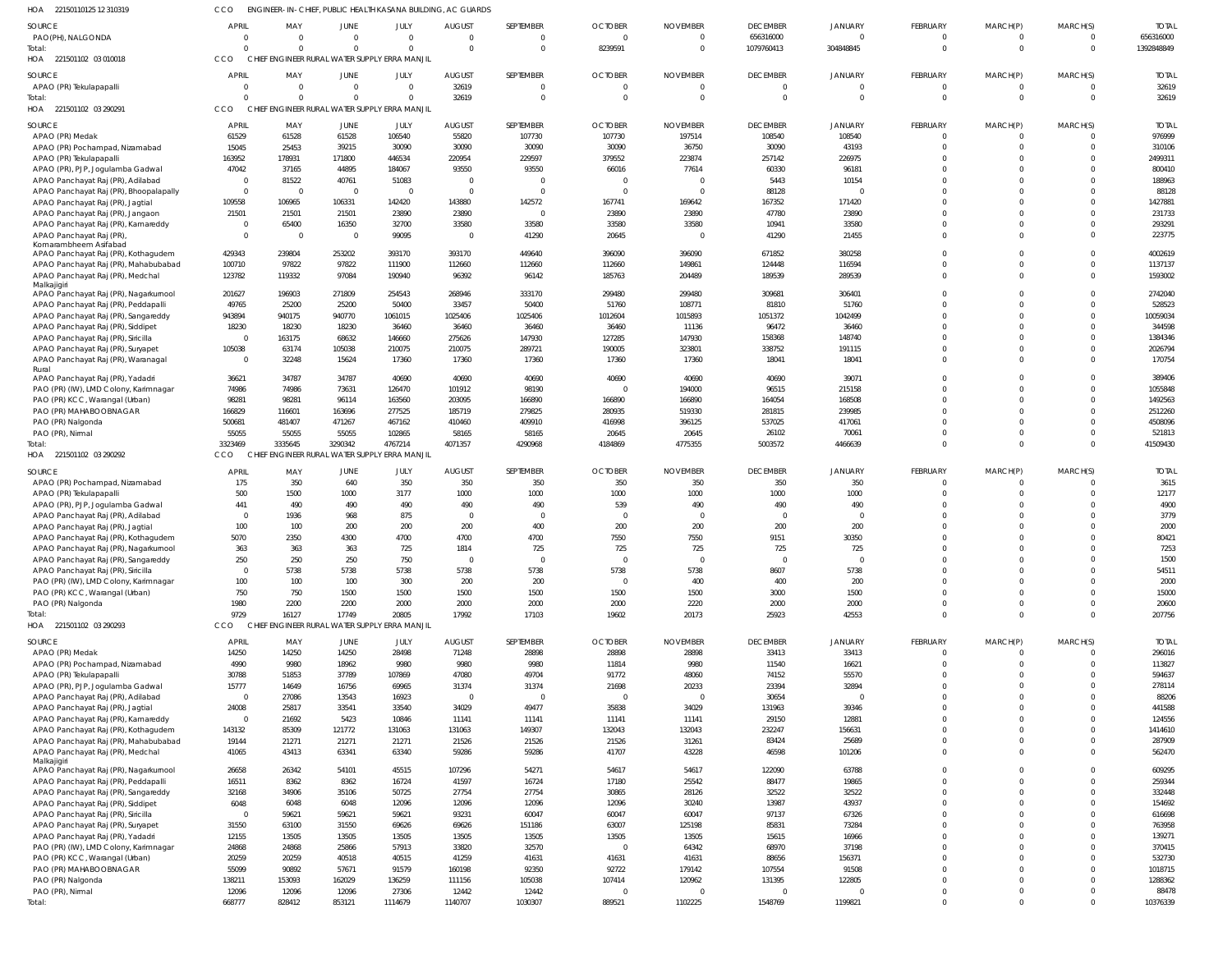| 22150110125 12 310319 | ENGINEER-IN-CHIEF, PUBLIC HEALTH KASANA BUILDING, AC GUARDS |
|-----------------------|-------------------------------------------------------------|
|                       |                                                             |

| 22150110125 12 310319<br>HOA                                                | CCO                            |                  |                                               | ENGINEER-IN-CHIEF, PUBLIC HEALTH KASANA BUILDING, AC GUARDS |                  |                         |                  |                             |                                   |                            |                             |                            |                      |                    |
|-----------------------------------------------------------------------------|--------------------------------|------------------|-----------------------------------------------|-------------------------------------------------------------|------------------|-------------------------|------------------|-----------------------------|-----------------------------------|----------------------------|-----------------------------|----------------------------|----------------------|--------------------|
| SOURCE                                                                      | <b>APRIL</b>                   | MAY              | JUNE                                          | JULY                                                        | <b>AUGUST</b>    | SEPTEMBER               | <b>OCTOBER</b>   | <b>NOVEMBER</b>             | <b>DECEMBER</b>                   | <b>JANUARY</b>             | FEBRUARY                    | MARCH(P)                   | MARCH(S)             | <b>TOTAI</b>       |
| PAO(PH), NALGONDA                                                           | $\overline{0}$                 |                  | $\overline{0}$                                | $\mathbf 0$                                                 | $\Omega$         | $\overline{0}$          | $\Omega$         | $\overline{0}$              | 656316000                         | $\Omega$                   | $\mathbf 0$                 | $\mathbf 0$                | $\Omega$             | 656316000          |
| Total:                                                                      | $\Omega$                       |                  | $\Omega$                                      | $\Omega$                                                    | $\Omega$         | $\overline{0}$          | 8239591          | $\Omega$                    | 1079760413                        | 304848845                  | $\mathbf 0$                 | $\mathbf 0$                | $\Omega$             | 1392848849         |
| HOA 221501102 03 010018                                                     | <b>CCO</b>                     |                  | CHIEF ENGINEER RURAL WATER SUPPLY ERRA MANJIL |                                                             |                  |                         |                  |                             |                                   |                            |                             |                            |                      |                    |
| SOURCE                                                                      | <b>APRIL</b><br>$\overline{0}$ | MAY<br>$\Omega$  | JUNE<br>$\Omega$                              | JULY<br>$\Omega$                                            | <b>AUGUST</b>    | SEPTEMBER<br>$\Omega$   | <b>OCTOBER</b>   | <b>NOVEMBER</b><br>$\Omega$ | <b>DECEMBER</b><br>$\overline{0}$ | <b>JANUARY</b><br>$\Omega$ | <b>FEBRUARY</b><br>$\Omega$ | MARCH(P)                   | MARCH(S)<br>$\Omega$ | <b>TOTAI</b>       |
| APAO (PR) Tekulapapalli<br>Total:                                           | $\Omega$                       | $\Omega$         | $\Omega$                                      | $\Omega$                                                    | 32619<br>32619   | $\overline{0}$          | -0<br>$\Omega$   | $^{\circ}$                  | $\overline{0}$                    | $\Omega$                   | $\mathbf 0$                 | $\mathbf 0$                | $\Omega$             | 32619<br>32619     |
| HOA 221501102 03 290291                                                     | <b>CCO</b>                     |                  | CHIEF ENGINEER RURAL WATER SUPPLY ERRA MANJIL |                                                             |                  |                         |                  |                             |                                   |                            |                             |                            |                      |                    |
| SOURCE                                                                      | <b>APRIL</b>                   | MAY              | JUNE                                          | JULY                                                        | <b>AUGUST</b>    | SEPTEMBER               | <b>OCTOBER</b>   | <b>NOVEMBER</b>             | <b>DECEMBER</b>                   | <b>JANUARY</b>             | FEBRUARY                    | MARCH(P)                   | MARCH(S)             | <b>TOTAI</b>       |
| APAO (PR) Medak                                                             | 61529                          | 61528            | 61528                                         | 106540                                                      | 55820            | 107730                  | 107730           | 197514                      | 108540                            | 108540                     | $\mathbf 0$                 |                            |                      | 976999             |
| APAO (PR) Pochampad, Nizamabad                                              | 15045                          | 25453            | 39215                                         | 30090                                                       | 30090            | 30090                   | 30090            | 36750                       | 30090                             | 43193                      | $\mathbf 0$                 | $\Omega$                   | $\Omega$             | 310106             |
| APAO (PR) Tekulapapalli<br>APAO (PR), PJP, Jogulamba Gadwal                 | 163952<br>47042                | 178931<br>37165  | 171800<br>44895                               | 446534<br>184067                                            | 220954<br>93550  | 229597<br>93550         | 379552<br>66016  | 223874<br>77614             | 257142<br>60330                   | 226975<br>96181            | $\Omega$<br>$\Omega$        |                            | $\Omega$<br>$\Omega$ | 2499311<br>800410  |
| APAO Panchayat Raj (PR), Adilabad                                           | $\overline{0}$                 | 81522            | 40761                                         | 51083                                                       | - 0              | - 0                     |                  | $\epsilon$                  | 5443                              | 10154                      | $\Omega$                    |                            | $\Omega$             | 188963             |
| APAO Panchayat Raj (PR), Bhoopalapally                                      | $\overline{\phantom{0}}$       | C                | $\overline{0}$                                | $\Omega$                                                    | $\Omega$         | $\overline{0}$          | $\Omega$         | $\overline{0}$              | 88128                             |                            | $\Omega$                    |                            | $\Omega$             | 88128              |
| APAO Panchayat Raj (PR), Jagtial                                            | 109558                         | 106965           | 106331                                        | 142420                                                      | 143880           | 142572                  | 167741           | 169642                      | 167352                            | 171420                     | $\Omega$                    |                            | $\Omega$             | 1427881            |
| APAO Panchayat Raj (PR), Jangaon<br>APAO Panchayat Raj (PR), Kamareddy      | 21501<br>$\overline{0}$        | 21501<br>65400   | 21501<br>16350                                | 23890<br>32700                                              | 23890<br>33580   | $\overline{0}$<br>33580 | 23890<br>33580   | 23890<br>33580              | 47780<br>10941                    | 23890<br>33580             | $\Omega$<br>0               | $\Omega$<br>$\Omega$       | $\Omega$<br>$\Omega$ | 231733<br>293291   |
| APAO Panchayat Raj (PR)                                                     | $\overline{0}$                 | $\mathsf{C}$     | $\Omega$                                      | 99095                                                       | - 0              | 41290                   | 20645            | - 0                         | 41290                             | 21455                      | $\mathbf 0$                 | $\Omega$                   | $\Omega$             | 223775             |
| Komarambheem Asifabad                                                       |                                |                  |                                               |                                                             |                  |                         |                  |                             |                                   |                            |                             |                            |                      |                    |
| APAO Panchayat Raj (PR), Kothagudem<br>APAO Panchayat Raj (PR), Mahabubabad | 429343<br>100710               | 239804<br>97822  | 253202<br>97822                               | 393170<br>111900                                            | 393170<br>112660 | 449640<br>112660        | 396090<br>112660 | 396090<br>149861            | 671852<br>124448                  | 380258<br>116594           | $\Omega$<br>0               | $\Omega$<br>$\Omega$       | $\Omega$<br>$\Omega$ | 4002619<br>1137137 |
| APAO Panchayat Raj (PR), Medchal                                            | 123782                         | 119332           | 97084                                         | 190940                                                      | 96392            | 96142                   | 185763           | 204489                      | 189539                            | 289539                     | $\mathbf 0$                 | $\Omega$                   | $\Omega$             | 1593002            |
| Malkajigiri<br>APAO Panchayat Raj (PR), Nagarkurnool                        | 201627                         | 196903           | 271809                                        | 254543                                                      | 268946           | 333170                  | 299480           | 299480                      | 309681                            | 306401                     | $\Omega$                    | $\Omega$                   | $\Omega$             | 2742040            |
| APAO Panchayat Raj (PR), Peddapalli                                         | 49765                          | 25200            | 25200                                         | 50400                                                       | 33457            | 50400                   | 51760            | 108771                      | 81810                             | 51760                      | $\Omega$                    |                            | $\Omega$             | 528523             |
| APAO Panchayat Raj (PR), Sangareddy                                         | 943894                         | 940175           | 940770                                        | 1061015                                                     | 1025406          | 1025406                 | 1012604          | 1015893                     | 1051372                           | 1042499                    | $\Omega$                    | $\Omega$                   | $\Omega$             | 10059034           |
| APAO Panchayat Raj (PR), Siddipet                                           | 18230                          | 18230            | 18230                                         | 36460                                                       | 36460            | 36460                   | 36460            | 11136                       | 96472                             | 36460                      | $\Omega$                    |                            | $\Omega$             | 344598             |
| APAO Panchayat Raj (PR), Siricilla<br>APAO Panchayat Raj (PR), Suryapet     | $\mathbf 0$<br>105038          | 163175<br>63174  | 68632<br>105038                               | 146660<br>210075                                            | 275626<br>210075 | 147930<br>289721        | 127285<br>190005 | 147930<br>323801            | 158368<br>338752                  | 148740<br>191115           | $\Omega$<br>$\Omega$        | $\Omega$                   | $\cap$<br>$\Omega$   | 1384346<br>2026794 |
| APAO Panchayat Raj (PR), Waranagal                                          | $\overline{\phantom{0}}$       | 32248            | 15624                                         | 17360                                                       | 17360            | 17360                   | 17360            | 17360                       | 18041                             | 18041                      | $\Omega$                    | $\Omega$                   | $\Omega$             | 170754             |
| Rural                                                                       |                                |                  |                                               |                                                             |                  |                         |                  |                             |                                   |                            |                             |                            |                      |                    |
| APAO Panchayat Raj (PR), Yadadri<br>PAO (PR) (IW), LMD Colony, Karimnagar   | 36621<br>74986                 | 34787<br>74986   | 34787<br>73631                                | 40690<br>126470                                             | 40690<br>101912  | 40690<br>98190          | 40690<br>-0      | 40690<br>194000             | 40690<br>96515                    | 39071<br>215158            | 0<br>$\Omega$               | $\Omega$<br>$\Omega$       | $\Omega$<br>$\Omega$ | 389406<br>1055848  |
| PAO (PR) KCC, Warangal (Urban)                                              | 98281                          | 98281            | 96114                                         | 163560                                                      | 203095           | 166890                  | 166890           | 166890                      | 164054                            | 168508                     | $\Omega$                    | $\Omega$                   | $\Omega$             | 1492563            |
| PAO (PR) MAHABOOBNAGAR                                                      | 166829                         | 116601           | 163696                                        | 277525                                                      | 185719           | 279825                  | 280935           | 519330                      | 281815                            | 239985                     | $\Omega$                    | $\Omega$                   | $\Omega$             | 2512260            |
| PAO (PR) Nalgonda                                                           | 500681                         | 481407           | 471267                                        | 467162                                                      | 410460           | 409910                  | 416998           | 396125                      | 537025                            | 417061                     | $\Omega$                    | $\Omega$                   | $\Omega$             | 4508096            |
| PAO (PR), Nirmal<br>Total:                                                  | 55055<br>3323469               | 55055<br>3335645 | 55055<br>3290342                              | 102865<br>4767214                                           | 58165<br>4071357 | 58165<br>4290968        | 20645<br>4184869 | 20645<br>4775355            | 26102<br>5003572                  | 70061<br>4466639           | $\Omega$<br>$\Omega$        | $\Omega$<br>$\Omega$       | $\Omega$<br>$\Omega$ | 521813<br>41509430 |
| HOA 221501102 03 290292                                                     | CCO                            |                  | CHIEF ENGINEER RURAL WATER SUPPLY ERRA MANJIL |                                                             |                  |                         |                  |                             |                                   |                            |                             |                            |                      |                    |
| SOURCE                                                                      | <b>APRIL</b>                   | MAY              | JUNE                                          | JULY                                                        | <b>AUGUST</b>    | SEPTEMBER               | <b>OCTOBER</b>   | <b>NOVEMBER</b>             | <b>DECEMBER</b>                   | <b>JANUARY</b>             | <b>FEBRUARY</b>             | MARCH(P)                   | MARCH(S)             | <b>TOTAI</b>       |
|                                                                             |                                |                  |                                               |                                                             |                  |                         |                  |                             |                                   |                            |                             |                            |                      |                    |
| APAO (PR) Pochampad, Nizamabad                                              | 175                            | 350              | 640                                           | 350                                                         | 350              | 350                     | 350              | 350                         | 350                               | 350                        | $\Omega$                    |                            |                      | 3615               |
| APAO (PR) Tekulapapalli                                                     | 500                            | 1500             | 1000                                          | 3177                                                        | 1000             | 1000                    | 1000             | 1000                        | 1000                              | 1000                       | $\Omega$                    |                            |                      | 12177              |
| APAO (PR), PJP, Jogulamba Gadwal                                            | 441                            | 490              | 490                                           | 490                                                         | 490              | 490                     | 539              | 490                         | 490                               | 490                        | $\Omega$                    |                            |                      | 4900               |
| APAO Panchayat Raj (PR), Adilabad                                           | $\overline{0}$                 | 1936             | 968                                           | 875                                                         | $\Omega$         | $\overline{0}$          | 0                | $\overline{0}$              | $\Omega$                          |                            | $\Omega$                    |                            |                      | 3779               |
| APAO Panchayat Raj (PR), Jagtial<br>APAO Panchayat Raj (PR), Kothagudem     | 100<br>5070                    | 100<br>2350      | 200<br>4300                                   | 200<br>4700                                                 | 200<br>4700      | 400<br>4700             | 200<br>7550      | 200<br>7550                 | 200<br>9151                       | 200<br>30350               | $\Omega$                    |                            | $\Omega$             | 2000<br>80421      |
| APAO Panchayat Raj (PR), Nagarkurnool                                       | 363                            | 363              | 363                                           | 725                                                         | 1814             | 725                     | 725              | 725                         | 725                               | 725                        |                             |                            | $\Omega$             | 7253               |
| APAO Panchayat Raj (PR), Sangareddy                                         | 250                            | 250              | 250                                           | 750                                                         | $\Omega$         | $\overline{0}$          | $\Omega$         | $\overline{0}$              | $\overline{0}$                    | $\Omega$                   | $\Omega$                    |                            | $\Omega$             | 1500               |
| APAO Panchayat Raj (PR), Siricilla                                          | $\overline{0}$                 | 5738             | 5738<br>100                                   | 5738                                                        | 5738             | 5738                    | 5738<br>0        | 5738<br>400                 | 8607<br>400                       | 5738                       | $\Omega$<br>$\Omega$        | $\Omega$<br>$\Omega$       | $\Omega$<br>$\Omega$ | 54511<br>2000      |
| PAO (PR) (IW), LMD Colony, Karimnagar<br>PAO (PR) KCC, Warangal (Urban)     | 100<br>750                     | 100<br>750       | 1500                                          | 300<br>1500                                                 | 200<br>1500      | 200<br>1500             | 1500             | 1500                        | 3000                              | 200<br>1500                | $\Omega$                    | $\Omega$                   | $\Omega$             | 15000              |
| PAO (PR) Nalgonda                                                           | 1980                           | 2200             | 2200                                          | 2000                                                        | 2000             | 2000                    | 2000             | 2220                        | 2000                              | 2000                       | 0                           | $\Omega$                   | $\Omega$             | 20600              |
| Total:                                                                      | 9729                           | 16127            | 17749                                         | 20805                                                       | 17992            | 17103                   | 19602            | 20173                       | 25923                             | 42553                      | $\mathbf 0$                 | $\mathbf 0$                | $\Omega$             | 207756             |
| HOA 221501102 03 290293                                                     | <b>CCO</b>                     |                  | CHIEF ENGINEER RURAL WATER SUPPLY ERRA MANJIL |                                                             |                  |                         |                  |                             |                                   |                            |                             |                            |                      |                    |
| SOURCE                                                                      | <b>APRIL</b>                   | MAY              | <b>JUNE</b>                                   | JULY                                                        | <b>AUGUST</b>    | SEPTEMBER               | <b>OCTOBER</b>   | <b>NOVEMBER</b>             | <b>DECEMBER</b>                   | <b>JANUARY</b>             | FEBRUARY                    | MARCH(P)                   | MARCH(S)             | <b>TOTAL</b>       |
| APAO (PR) Medak<br>APAO (PR) Pochampad, Nizamabad                           | 14250<br>4990                  | 14250<br>9980    | 14250<br>18962                                | 28498<br>9980                                               | 71248<br>9980    | 28898<br>9980           | 28898<br>11814   | 28898<br>9980               | 33413<br>11540                    | 33413<br>16621             | $\mathbf 0$<br>$\mathbf 0$  | $\mathbf 0$<br>$\mathbf 0$ | $\Omega$<br>$\Omega$ | 296016<br>113827   |
| APAO (PR) Tekulapapalli                                                     | 30788                          | 51853            | 37789                                         | 107869                                                      | 47080            | 49704                   | 91772            | 48060                       | 74152                             | 55570                      | $\Omega$                    | 0                          | $\Omega$             | 594637             |
| APAO (PR), PJP, Jogulamba Gadwal                                            | 15777                          | 14649            | 16756                                         | 69965                                                       | 31374            | 31374                   | 21698            | 20233                       | 23394                             | 32894                      | $\Omega$                    | $\Omega$                   | $\Omega$             | 278114             |
| APAO Panchayat Raj (PR), Adilabad                                           | $\mathbf 0$                    | 27086            | 13543                                         | 16923                                                       | $\overline{0}$   | $\overline{0}$          | - 0              | $\overline{0}$              | 30654                             | $\Omega$                   | $\Omega$<br>0               | $\Omega$<br>$\Omega$       | $\Omega$<br>$\Omega$ | 88206              |
| APAO Panchayat Raj (PR), Jagtial<br>APAO Panchayat Raj (PR), Kamareddy      | 24008<br>$\overline{0}$        | 25817<br>21692   | 33541<br>5423                                 | 33540<br>10846                                              | 34029<br>11141   | 49477<br>11141          | 35838<br>11141   | 34029<br>11141              | 131963<br>29150                   | 39346<br>12881             | $\Omega$                    | $\Omega$                   | $\Omega$             | 441588<br>124556   |
| APAO Panchayat Raj (PR), Kothagudem                                         | 143132                         | 85309            | 121772                                        | 131063                                                      | 131063           | 149307                  | 132043           | 132043                      | 232247                            | 156631                     | $\Omega$                    | $\Omega$                   | $\Omega$             | 1414610            |
| APAO Panchayat Raj (PR), Mahabubabad                                        | 19144                          | 21271            | 21271                                         | 21271                                                       | 21526            | 21526                   | 21526            | 31261                       | 83424                             | 25689                      | 0                           | 0                          | $\Omega$             | 287909             |
| APAO Panchayat Raj (PR), Medchal<br>Malkajigiri                             | 41065                          | 43413            | 63341                                         | 63340                                                       | 59286            | 59286                   | 41707            | 43228                       | 46598                             | 101206                     | $\mathbf 0$                 | $\mathbf 0$                | $\Omega$             | 562470             |
| APAO Panchayat Raj (PR), Nagarkurnool                                       | 26658                          | 26342            | 54101                                         | 45515                                                       | 107296           | 54271                   | 54617            | 54617                       | 122090                            | 63788                      | $\mathbf 0$                 | $\Omega$                   | $\Omega$             | 609295             |
| APAO Panchayat Raj (PR), Peddapalli                                         | 16511                          | 8362             | 8362                                          | 16724                                                       | 41597            | 16724                   | 17180            | 25542                       | 88477                             | 19865                      | 0                           | $\Omega$                   | $\Omega$<br>$\Omega$ | 259344             |
| APAO Panchayat Raj (PR), Sangareddy<br>APAO Panchayat Raj (PR), Siddipet    | 32168<br>6048                  | 34906<br>6048    | 35106<br>6048                                 | 50725<br>12096                                              | 27754<br>12096   | 27754<br>12096          | 30865<br>12096   | 28126<br>30240              | 32522<br>13987                    | 32522<br>43937             | $\Omega$<br>0               | $\Omega$<br>$\Omega$       | $\Omega$             | 332448<br>154692   |
| APAO Panchayat Raj (PR), Siricilla                                          | $\overline{\mathbf{0}}$        | 59621            | 59621                                         | 59621                                                       | 93231            | 60047                   | 60047            | 60047                       | 97137                             | 67326                      | $\Omega$                    | $\Omega$                   | $\Omega$             | 616698             |
| APAO Panchayat Raj (PR), Suryapet                                           | 31550                          | 63100            | 31550                                         | 69626                                                       | 69626            | 151186                  | 63007            | 125198                      | 85831                             | 73284                      | $\Omega$                    | $\Omega$                   | $\Omega$             | 763958             |
| APAO Panchayat Raj (PR), Yadadri                                            | 12155                          | 13505            | 13505                                         | 13505                                                       | 13505            | 13505                   | 13505            | 13505                       | 15615                             | 16966                      | $\Omega$<br>$\Omega$        | $\Omega$<br>$\Omega$       | $\Omega$<br>$\Omega$ | 139271             |
| PAO (PR) (IW), LMD Colony, Karimnagar<br>PAO (PR) KCC, Warangal (Urban)     | 24868<br>20259                 | 24868<br>20259   | 25866<br>40518                                | 57913<br>40515                                              | 33820<br>41259   | 32570<br>41631          | 0<br>41631       | 64342<br>41631              | 68970<br>88656                    | 37198<br>156371            | $\Omega$                    | $\Omega$                   | $\Omega$             | 370415<br>532730   |
| PAO (PR) MAHABOOBNAGAR                                                      | 55099                          | 90892            | 57671                                         | 91579                                                       | 160198           | 92350                   | 92722            | 179142                      | 107554                            | 91508                      | $\Omega$                    | $\Omega$                   | $\Omega$             | 1018715            |
| PAO (PR) Nalgonda                                                           | 138211                         | 153093           | 162029                                        | 136259                                                      | 111156           | 105038                  | 107414           | 120962                      | 131395                            | 122805                     | 0                           | $\Omega$                   | $\Omega$             | 1288362            |
| PAO (PR), Nirmal<br>Total:                                                  | 12096<br>668777                | 12096<br>828412  | 12096<br>853121                               | 27306<br>1114679                                            | 12442<br>1140707 | 12442<br>1030307        | 889521           | -0<br>1102225               | $\overline{0}$<br>1548769         | $\Omega$<br>1199821        | $\mathbf 0$<br>$\mathbf{0}$ | $\mathbf 0$<br>$\mathbf 0$ | $\Omega$<br>$\Omega$ | 88478<br>10376339  |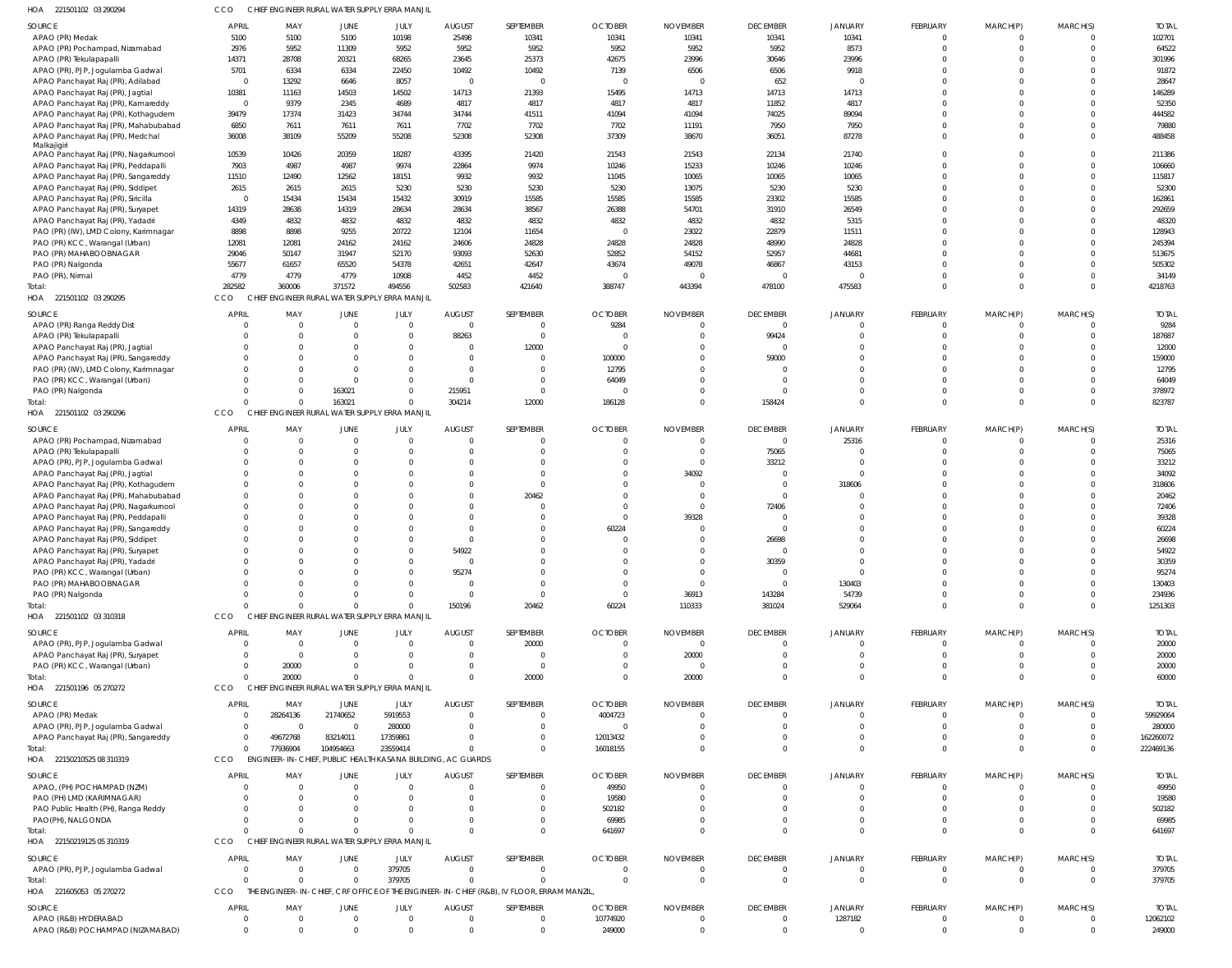| HOA 221501102 03 290294                                                 | CCO                    |                      |                      | CHIEF ENGINEER RURAL WATER SUPPLY ERRA MANJIL               |                         |                                                                                          |                        |                                  |                   |                |                 |             |          |                 |
|-------------------------------------------------------------------------|------------------------|----------------------|----------------------|-------------------------------------------------------------|-------------------------|------------------------------------------------------------------------------------------|------------------------|----------------------------------|-------------------|----------------|-----------------|-------------|----------|-----------------|
| SOURCE                                                                  | <b>APRIL</b>           | MAY                  | JUNE                 | JULY                                                        | <b>AUGUST</b>           | SEPTEMBER                                                                                | <b>OCTOBER</b>         | <b>NOVEMBER</b>                  | <b>DECEMBER</b>   | <b>JANUARY</b> | <b>FEBRUARY</b> | MARCH(P)    | MARCH(S) | <b>TOTAI</b>    |
| APAO (PR) Medak                                                         | 5100                   | 5100                 | 5100                 | 10198                                                       | 25498                   | 10341                                                                                    | 10341                  | 10341                            | 10341             | 10341          | $\mathbf 0$     | $\Omega$    |          | 102701          |
| APAO (PR) Pochampad, Nizamabad                                          | 2976                   | 5952                 | 11309                | 5952                                                        | 5952                    | 5952                                                                                     | 5952                   | 5952                             | 5952              | 8573           | $\Omega$        | $\Omega$    | $\Omega$ | 64522           |
| APAO (PR) Tekulapapalli                                                 | 14371                  | 28708                | 20321                | 68265                                                       | 23645                   | 25373                                                                                    | 42675                  | 23996                            | 30646             | 23996          |                 |             |          | 301996          |
| APAO (PR), PJP, Jogulamba Gadwal                                        | 5701<br>$\overline{0}$ | 6334                 | 6334                 | 22450                                                       | 10492<br>$\overline{0}$ | 10492<br>$\overline{0}$                                                                  | 7139<br>$\overline{0}$ | 6506<br>$\overline{\phantom{0}}$ | 6506              | 9918           |                 |             |          | 91872           |
| APAO Panchayat Raj (PR), Adilabad<br>APAO Panchayat Raj (PR), Jagtial   | 10381                  | 13292<br>11163       | 6646<br>14503        | 8057<br>14502                                               | 14713                   | 21393                                                                                    | 15495                  | 14713                            | 652<br>14713      | 14713          |                 |             |          | 28647<br>146289 |
| APAO Panchayat Raj (PR), Kamareddy                                      | $\overline{0}$         | 9379                 | 2345                 | 4689                                                        | 4817                    | 4817                                                                                     | 4817                   | 4817                             | 11852             | 4817           |                 |             |          | 52350           |
| APAO Panchayat Raj (PR), Kothagudem                                     | 39479                  | 17374                | 31423                | 34744                                                       | 34744                   | 41511                                                                                    | 41094                  | 41094                            | 74025             | 89094          |                 |             |          | 444582          |
| APAO Panchayat Raj (PR), Mahabubabad                                    | 6850                   | 7611                 | 7611                 | 7611                                                        | 7702                    | 7702                                                                                     | 7702                   | 11191                            | 7950              | 7950           |                 |             |          | 79880           |
| APAO Panchayat Raj (PR), Medchal                                        | 36008                  | 38109                | 55209                | 55208                                                       | 52308                   | 52308                                                                                    | 37309                  | 38670                            | 36051             | 87278          |                 |             |          | 488458          |
| Malkajigiri                                                             |                        |                      |                      |                                                             |                         |                                                                                          |                        |                                  |                   |                |                 |             |          |                 |
| APAO Panchayat Raj (PR), Nagarkurnool                                   | 10539                  | 10426                | 20359                | 18287                                                       | 43395                   | 21420                                                                                    | 21543                  | 21543                            | 22134             | 21740          |                 |             |          | 211386          |
| APAO Panchayat Raj (PR), Peddapalli                                     | 7903                   | 4987                 | 4987                 | 9974                                                        | 22864                   | 9974                                                                                     | 10246                  | 15233                            | 10246             | 10246          |                 |             | $\Omega$ | 106660          |
| APAO Panchayat Raj (PR), Sangareddy                                     | 11510                  | 12490                | 12562                | 18151                                                       | 9932                    | 9932                                                                                     | 11045                  | 10065                            | 10065             | 10065          |                 |             | $\Omega$ | 115817          |
| APAO Panchayat Raj (PR), Siddipet                                       | 2615<br>$\overline{0}$ | 2615<br>15434        | 2615<br>15434        | 5230<br>15432                                               | 5230<br>30919           | 5230<br>15585                                                                            | 5230<br>15585          | 13075<br>15585                   | 5230<br>23302     | 5230<br>15585  |                 |             |          | 52300<br>162861 |
| APAO Panchayat Raj (PR), Siricilla<br>APAO Panchayat Raj (PR), Suryapet | 14319                  | 28638                | 14319                | 28634                                                       | 28634                   | 38567                                                                                    | 26388                  | 54701                            | 31910             | 26549          |                 |             |          | 292659          |
| APAO Panchayat Raj (PR), Yadadri                                        | 4349                   | 4832                 | 4832                 | 4832                                                        | 4832                    | 4832                                                                                     | 4832                   | 4832                             | 4832              | 5315           |                 |             |          | 48320           |
| PAO (PR) (IW), LMD Colony, Karimnagar                                   | 8898                   | 8898                 | 9255                 | 20722                                                       | 12104                   | 11654                                                                                    | $\overline{0}$         | 23022                            | 22879             | 11511          |                 |             |          | 128943          |
| PAO (PR) KCC, Warangal (Urban)                                          | 12081                  | 12081                | 24162                | 24162                                                       | 24606                   | 24828                                                                                    | 24828                  | 24828                            | 48990             | 24828          |                 |             |          | 245394          |
| PAO (PR) MAHABOOBNAGAR                                                  | 29046                  | 50147                | 31947                | 52170                                                       | 93093                   | 52630                                                                                    | 52852                  | 54152                            | 52957             | 44681          |                 |             |          | 513675          |
| PAO (PR) Nalgonda                                                       | 55677                  | 61657                | 65520                | 54378                                                       | 42651                   | 42647                                                                                    | 43674                  | 49078                            | 46867             | 43153          |                 |             |          | 505302          |
| PAO (PR), Nirmal                                                        | 4779                   | 4779                 | 4779                 | 10908                                                       | 4452                    | 4452                                                                                     | - 0                    | $\Omega$                         | $\Omega$          |                |                 |             | $\Omega$ | 34149           |
| Total:                                                                  | 282582                 | 360006               | 371572               | 494556                                                      | 502583                  | 421640                                                                                   | 388747                 | 443394                           | 478100            | 475583         | $\Omega$        | $\Omega$    | $\Omega$ | 4218763         |
| HOA 221501102 03 290295                                                 | CCO                    |                      |                      | CHIEF ENGINEER RURAL WATER SUPPLY ERRA MANJIL               |                         |                                                                                          |                        |                                  |                   |                |                 |             |          |                 |
| SOURCE                                                                  | <b>APRIL</b>           | MAY                  | JUNE                 | JULY                                                        | <b>AUGUST</b>           | SEPTEMBER                                                                                | <b>OCTOBER</b>         | <b>NOVEMBER</b>                  | <b>DECEMBER</b>   | <b>JANUARY</b> | <b>FEBRUARY</b> | MARCH(P)    | MARCH(S) | <b>TOTAL</b>    |
| APAO (PR) Ranga Reddy Dist                                              | $\Omega$               | $\overline{0}$       | $\overline{0}$       | $\Omega$                                                    | $\overline{0}$          | $\mathbf{0}$                                                                             | 9284                   | $^{\circ}$                       | $\Omega$          |                |                 |             |          | 9284            |
| APAO (PR) Tekulapapalli                                                 |                        | $\overline{0}$       | 0                    | $\Omega$                                                    | 88263                   | $\overline{0}$                                                                           | - 0                    | $\overline{0}$                   | 99424             | $\Omega$       | $\Omega$        | $\Omega$    | $\Omega$ | 187687          |
| APAO Panchayat Raj (PR), Jagtial                                        | $\Omega$               | $\Omega$             | 0                    | $\Omega$                                                    | $\overline{0}$          | 12000                                                                                    | - 0                    | $\mathbf 0$                      | $\Omega$          | $\Omega$       |                 |             | $\Omega$ | 12000           |
| APAO Panchayat Raj (PR), Sangareddy                                     |                        | $\Omega$             | $\Omega$             |                                                             | $\overline{0}$          | $\Omega$                                                                                 | 100000                 | $\overline{0}$                   | 59000             | $\Omega$       |                 |             | $\cap$   | 159000          |
| PAO (PR) (IW), LMD Colony, Karimnagar                                   | $\Omega$               | $\Omega$             | $\Omega$             | $\Omega$                                                    | $\overline{0}$          | $\Omega$                                                                                 | 12795                  | $\Omega$                         | $\Omega$          | $\Omega$       |                 |             | $\Omega$ | 12795           |
| PAO (PR) KCC, Warangal (Urban)                                          |                        | $\Omega$             | 0                    |                                                             | 0                       | $\Omega$                                                                                 | 64049                  | $\Omega$                         | $\Omega$          | $\cap$         |                 |             | $\Omega$ | 64049           |
| PAO (PR) Nalgonda                                                       | $\Omega$               | $\Omega$             | 163021               |                                                             | 215951                  | $\Omega$                                                                                 | - 0                    | $^{\circ}$                       | $\Omega$          | $\Omega$       | $\Omega$        | $\Omega$    | $\Omega$ | 378972          |
| Total:                                                                  | $\Omega$               | $\Omega$             | 163021               |                                                             | 304214                  | 12000                                                                                    | 186128                 | $\overline{0}$                   | 158424            | $\Omega$       | $\Omega$        | $\Omega$    | $\Omega$ | 823787          |
| HOA 221501102 03 290296                                                 | CCO                    |                      |                      | CHIEF ENGINEER RURAL WATER SUPPLY ERRA MANJIL               |                         |                                                                                          |                        |                                  |                   |                |                 |             |          |                 |
| SOURCE                                                                  | <b>APRIL</b>           | MAY                  | JUNE                 | JULY                                                        | <b>AUGUST</b>           | SEPTEMBER                                                                                | <b>OCTOBER</b>         | <b>NOVEMBER</b>                  | <b>DECEMBER</b>   | JANUARY        | <b>FEBRUARY</b> | MARCH(P)    | MARCH(S) | <b>TOTAI</b>    |
| APAO (PR) Pochampad, Nizamabad                                          | $\Omega$               | $\overline{0}$       | $\overline{0}$       | $\Omega$                                                    | $\overline{0}$          | $\mathbf{0}$                                                                             | $\mathbf 0$            | $\overline{0}$                   | $\overline{0}$    | 25316          | $\mathbf 0$     |             |          | 25316           |
| APAO (PR) Tekulapapalli                                                 | $\Omega$               | $\Omega$             | $\Omega$             | $\Omega$                                                    | $\overline{0}$          | $\Omega$                                                                                 | $\mathbf 0$            | $\overline{0}$                   | 75065             |                | $\Omega$        | $\Omega$    | $\Omega$ | 75065           |
| APAO (PR), PJP, Jogulamba Gadwal                                        | $\Omega$               | $\Omega$             | $\Omega$             |                                                             | $\Omega$                | $\Omega$                                                                                 | 0                      | $\overline{0}$                   | 33212             | - 0            |                 |             |          | 33212           |
| APAO Panchayat Raj (PR), Jagtial                                        | $\Omega$               | $\Omega$             | $\Omega$             |                                                             | $\Omega$                | <sup>0</sup>                                                                             | $\Omega$               | 34092                            | $\Omega$          |                |                 |             |          | 34092           |
| APAO Panchayat Raj (PR), Kothagudem                                     | $\Omega$               | $\Omega$             | 0                    |                                                             | $\Omega$                | $\Omega$                                                                                 | $\Omega$               | $\overline{0}$                   | $\overline{0}$    | 318606         |                 |             |          | 318606          |
| APAO Panchayat Raj (PR), Mahabubabad                                    | $\Omega$               | $\Omega$             | $\Omega$             |                                                             | $\Omega$                | 20462                                                                                    | $\Omega$               | $\overline{0}$                   | $\Omega$          |                |                 |             |          | 20462           |
| APAO Panchayat Raj (PR), Nagarkurnool                                   | $\Omega$               | $\Omega$             | 0                    |                                                             | $\Omega$                | $\Omega$                                                                                 | 0                      | $\overline{0}$                   | 72406             |                |                 |             |          | 72406           |
| APAO Panchayat Raj (PR), Peddapalli                                     | $\Omega$               | <sup>0</sup>         | $\Omega$             |                                                             | $\Omega$                | <sup>0</sup>                                                                             | $\Omega$               | 39328                            | - 0               | $\Omega$       |                 |             |          | 39328           |
| APAO Panchayat Raj (PR), Sangareddy                                     | $\Omega$               | $\Omega$             | $\Omega$             |                                                             | $\Omega$                | $\Omega$                                                                                 | 60224                  | - 0                              | $\Omega$          | $\cap$         |                 |             |          | 60224           |
| APAO Panchayat Raj (PR), Siddipet                                       | $\Omega$<br>$\Omega$   | $\Omega$<br>$\Omega$ | $\Omega$<br>$\Omega$ | $\cap$                                                      | $\Omega$<br>54922       | <sup>0</sup><br>$\Omega$                                                                 | $\Omega$<br>$\Omega$   | $\Omega$<br>$\Omega$             | 26698<br>$\Omega$ | $\cap$         |                 |             | $\Omega$ | 26698           |
| APAO Panchayat Raj (PR), Suryapet<br>APAO Panchayat Raj (PR), Yadadri   | $\Omega$               | $\Omega$             | $\Omega$             |                                                             | $\Omega$                | $\Omega$                                                                                 | $\mathbf 0$            | $\overline{0}$                   | 30359             | $\Omega$       | 0               |             |          | 54922<br>30359  |
| PAO (PR) KCC, Warangal (Urban)                                          | $\Omega$               | $\Omega$             | $\Omega$             |                                                             | 95274                   | $\Omega$                                                                                 | $\Omega$               | $\Omega$                         | $\Omega$          | $\Omega$       |                 |             |          | 95274           |
| PAO (PR) MAHABOOBNAGAR                                                  | $\Omega$               | $\Omega$             | $\Omega$             | $\Omega$                                                    | 0                       | $\Omega$                                                                                 | $\Omega$               | $\overline{0}$                   | $\Omega$          | 130403         |                 | $\Omega$    |          | 130403          |
| PAO (PR) Nalgonda                                                       |                        |                      | $\Omega$             | $\Omega$                                                    | $\overline{0}$          | $\Omega$                                                                                 | $\overline{0}$         | 36913                            | 143284            | 54739          |                 | $\Omega$    |          | 234936          |
| Total:                                                                  | $\cap$                 | $\Omega$             | $\Omega$             |                                                             | 150196                  | 20462                                                                                    | 60224                  | 110333                           | 381024            | 529064         | $\Omega$        | $\Omega$    | $\Omega$ | 1251303         |
| HOA 221501102 03 310318                                                 | CCO                    |                      |                      | CHIEF ENGINEER RURAL WATER SUPPLY ERRA MANJIL               |                         |                                                                                          |                        |                                  |                   |                |                 |             |          |                 |
| <b>SOURCE</b>                                                           | <b>APRIL</b>           | MAY                  | <b>JUNE</b>          | JULY                                                        | <b>AUGUST</b>           | SEPTEMBER                                                                                | <b>OCTOBER</b>         | <b>NOVEMBER</b>                  | <b>DECEMBER</b>   | <b>JANUARY</b> | <b>FEBRUARY</b> | MARCH(P)    | MARCH(S) | <b>TOTAL</b>    |
| APAO (PR), PJP, Jogulamba Gadwal                                        | $\Omega$               | $\overline{0}$       | $\overline{0}$       | $\Omega$                                                    | $\overline{0}$          | 20000                                                                                    | $\overline{0}$         | $\overline{0}$                   | $\Omega$          | $\cap$         | $\Omega$        | $\Omega$    |          | 20000           |
| APAO Panchayat Raj (PR), Suryapet                                       | $\Omega$               | $\overline{0}$       | 0                    | $\Omega$                                                    | 0                       | $\overline{0}$                                                                           | $\overline{0}$         | 20000                            | $\Omega$          | $\Omega$       |                 | $\Omega$    | $\Omega$ | 20000           |
| PAO (PR) KCC, Warangal (Urban)                                          | $\Omega$               | 20000                | 0                    |                                                             | $\overline{0}$          | $\overline{0}$                                                                           | $\overline{0}$         | $\overline{0}$                   | $\Omega$          | $\Omega$       |                 |             |          | 20000           |
| Total:                                                                  | $\Omega$               | 20000                | $\Omega$             |                                                             | $\Omega$                | 20000                                                                                    | $\overline{0}$         | 20000                            | $\Omega$          | $\Omega$       | $\Omega$        | $\Omega$    | $\Omega$ | 60000           |
| HOA 221501196 05 270272                                                 | CCO                    |                      |                      | CHIEF ENGINEER RURAL WATER SUPPLY ERRA MANJIL               |                         |                                                                                          |                        |                                  |                   |                |                 |             |          |                 |
| SOURCE                                                                  | <b>APRIL</b>           | MAY                  | JUNE                 | JULY                                                        | <b>AUGUST</b>           | SEPTEMBER                                                                                | <b>OCTOBER</b>         | <b>NOVEMBER</b>                  | <b>DECEMBER</b>   | JANUARY        | <b>FEBRUARY</b> | MARCH(P)    | MARCH(S) | <b>TOTAI</b>    |
| APAO (PR) Medak                                                         | $\Omega$               | 28264136             | 21740652             | 5919553                                                     | $\overline{0}$          | $\Omega$                                                                                 | 4004723                | - 0                              | $\Omega$          | $\cap$         |                 |             |          | 59929064        |
| APAO (PR), PJP, Jogulamba Gadwal                                        | $\Omega$               | $\overline{0}$       | $\overline{0}$       | 280000                                                      | $\overline{0}$          | $\Omega$                                                                                 | $\overline{0}$         | $^{\circ}$                       | $\Omega$          | $\Omega$       |                 |             |          | 280000          |
| APAO Panchayat Raj (PR), Sangareddy                                     | $\Omega$               | 49672768             | 83214011             | 17359861                                                    | $\Omega$                | $\Omega$                                                                                 | 12013432               | $\Omega$                         | $\Omega$          | $\Omega$       |                 |             |          | 162260072       |
| Total:                                                                  | $\overline{0}$         | 77936904             | 104954663            | 23559414                                                    | $\Omega$                | $\Omega$                                                                                 | 16018155               | $\Omega$                         | $\Omega$          | $\Omega$       | $\Omega$        | $\Omega$    | $\Omega$ | 222469136       |
| HOA 22150210525 08 310319                                               | CCO                    |                      |                      | ENGINEER-IN-CHIEF, PUBLIC HEALTH KASANA BUILDING, AC GUARDS |                         |                                                                                          |                        |                                  |                   |                |                 |             |          |                 |
| SOURCE                                                                  | <b>APRIL</b>           | MAY                  | JUNE                 | JULY                                                        | <b>AUGUST</b>           | SEPTEMBER                                                                                | <b>OCTOBER</b>         | <b>NOVEMBER</b>                  | <b>DECEMBER</b>   | <b>JANUARY</b> | <b>FEBRUARY</b> | MARCH(P)    | MARCH(S) | <b>TOTAL</b>    |
| APAO, (PH) POCHAMPAD (NZM)                                              | $\Omega$               | $\overline{0}$       | $\mathbf{0}$         | - 0                                                         | $\overline{0}$          | $\mathbf{0}$                                                                             | 49950                  | $\overline{0}$                   | $\Omega$          |                |                 |             |          | 49950           |
| PAO (PH) LMD (KARIMNAGAR)                                               |                        | $\Omega$             | 0                    |                                                             | $\Omega$                | $\Omega$                                                                                 | 19580                  | $\overline{0}$                   | $\Omega$          | $\cap$         |                 |             |          | 19580           |
| PAO Public Health (PH), Ranga Reddy                                     | $\Omega$               | $\Omega$             | 0                    |                                                             | $\Omega$                | $\Omega$                                                                                 | 502182                 | $\Omega$                         | $\cap$            | $\cap$         |                 |             |          | 502182          |
| PAO(PH), NALGONDA                                                       |                        | $\Omega$             | $\Omega$             |                                                             | $\Omega$                | $\Omega$                                                                                 | 69985                  | $\Omega$                         | $\Omega$          | $\Omega$       |                 |             |          | 69985           |
| Total:                                                                  | $\cap$                 | $\Omega$             | $\Omega$             |                                                             | $\Omega$                | $\Omega$                                                                                 | 641697                 | $\Omega$                         | $\cap$            | $\cap$         | $\Omega$        | $\Omega$    | $\cap$   | 641697          |
| HOA 22150219125 05 310319                                               | CCO                    |                      |                      | CHIEF ENGINEER RURAL WATER SUPPLY ERRA MANJIL               |                         |                                                                                          |                        |                                  |                   |                |                 |             |          |                 |
| SOURCE                                                                  | <b>APRIL</b>           | MAY                  | <b>JUNE</b>          | JULY                                                        | <b>AUGUST</b>           | SEPTEMBER                                                                                | <b>OCTOBER</b>         | <b>NOVEMBER</b>                  | <b>DECEMBER</b>   | JANUARY        | <b>FEBRUARY</b> | MARCH(P)    | MARCH(S) | <b>TOTAL</b>    |
| APAO (PR), PJP, Jogulamba Gadwal                                        | $\overline{0}$         | $\overline{0}$       | $\mathbf 0$          | 379705                                                      | $\overline{0}$          | $\Omega$                                                                                 | 0                      | - 0                              | $\Omega$          | $\Omega$       | $\Omega$        |             |          | 379705          |
| Total:                                                                  | $\Omega$               | $\Omega$             | $\Omega$             | 379705                                                      | $\Omega$                | $\Omega$                                                                                 | $\overline{0}$         | $\overline{0}$                   | $\Omega$          | $\Omega$       | $\Omega$        | $\Omega$    | $\Omega$ | 379705          |
| HOA 221605053 05 270272                                                 | CCO                    |                      |                      |                                                             |                         | THE ENGINEER-IN-CHIEF, CRF OFFICE OF THE ENGINEER-IN-CHIEF (R&B), IV FLOOR, ERRAM MANZIL |                        |                                  |                   |                |                 |             |          |                 |
| SOURCE                                                                  | <b>APRIL</b>           | MAY                  | JUNE                 | JULY                                                        | <b>AUGUST</b>           | SEPTEMBER                                                                                | <b>OCTOBER</b>         | <b>NOVEMBER</b>                  | <b>DECEMBER</b>   | <b>JANUARY</b> | <b>FEBRUARY</b> | MARCH(P)    | MARCH(S) | <b>TOTAL</b>    |
| APAO (R&B) HYDERABAD                                                    | $\Omega$               | $\overline{0}$       | 0                    | $\Omega$                                                    | $\overline{0}$          | $\overline{0}$                                                                           | 10774920               | $\overline{0}$                   | $\Omega$          | 1287182        | 0               |             |          | 12062102        |
| APAO (R&B) POCHAMPAD (NIZAMABAD)                                        | $\overline{0}$         | $\overline{0}$       | $\Omega$             | $\Omega$                                                    | $\overline{0}$          | $\overline{0}$                                                                           | 249000                 | $\overline{0}$                   | $\mathbf{0}$      | $\Omega$       | $\mathbf 0$     | $\mathbf 0$ | $\Omega$ | 249000          |
|                                                                         |                        |                      |                      |                                                             |                         |                                                                                          |                        |                                  |                   |                |                 |             |          |                 |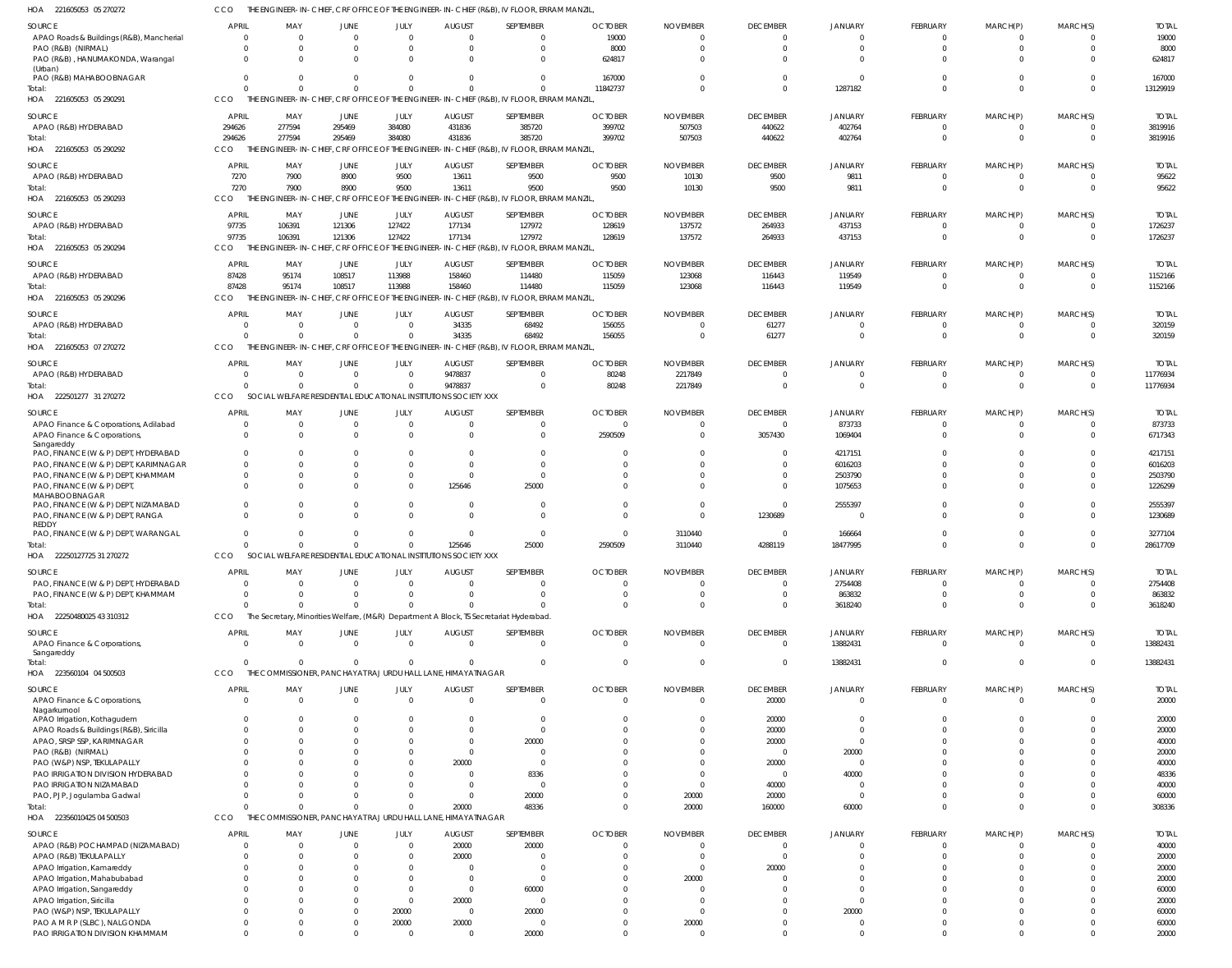221605053 05 270272 HOA CCO THE ENGINEER-IN-CHIEF, CRF OFFICE OF THE ENGINEER-IN-CHIEF (R&B), IV FLOOR, ERRAM MANZIL,

| <b>SOURCE</b>                               | APRIL        | MAY                   | JUNE                                            | JULY     | <b>AUGUST</b>                                                   | SEPTEMBER                                                                                 | <b>OCTOBER</b> | <b>NOVEMBER</b> | <b>DECEMBER</b> | <b>JANUARY</b> | FEBRUARY | MARCH(P)       | MARCH(S)       | <b>TOTAL</b> |
|---------------------------------------------|--------------|-----------------------|-------------------------------------------------|----------|-----------------------------------------------------------------|-------------------------------------------------------------------------------------------|----------------|-----------------|-----------------|----------------|----------|----------------|----------------|--------------|
| APAO Roads & Buildings (R&B), Mancherial    | 0            | $\Omega$              | $\Omega$                                        | $\Omega$ | $\Omega$                                                        |                                                                                           | 19000          |                 | $\Omega$        | $\Omega$       |          | -0             | $\Omega$       | 19000        |
| PAO (R&B) (NIRMAL)                          |              | $\Omega$              | $\Omega$                                        | $\Omega$ | $\Omega$                                                        | $\Omega$                                                                                  | 8000           |                 | $\Omega$        | $\Omega$       |          | $\Omega$       | $\Omega$       | 8000         |
| PAO (R&B), HANUMAKONDA, Warangal            | $\Omega$     | $\Omega$              | $\Omega$                                        | $\Omega$ | $\Omega$                                                        | $\Omega$                                                                                  | 624817         |                 | C               | $\Omega$       |          | $\Omega$       |                | 624817       |
| (Urban)                                     |              |                       |                                                 |          |                                                                 |                                                                                           |                |                 |                 |                |          |                |                |              |
| PAO (R&B) MAHABOOBNAGAR                     |              | $\Omega$              | $\Omega$                                        | $\Omega$ | $\Omega$                                                        | $\Omega$                                                                                  | 167000         |                 | $\Omega$        | $\Omega$       |          | $\Omega$       | $\Omega$       | 167000       |
| Total:                                      |              | $\Omega$              | $\Omega$                                        | $\Omega$ | $\Omega$                                                        | $\Omega$                                                                                  | 11842737       |                 | $\Omega$        | 1287182        | $\Omega$ | $\Omega$       | $\Omega$       | 13129919     |
| HOA<br>221605053 05 290291                  | <b>CCO</b>   | THE ENGINEER-IN-CHIEF | , CRF OFFICE OF                                 |          |                                                                 | THE ENGINEER-IN-CHIEF (R&B), IV FLOOR, ERRAM MANZIL,                                      |                |                 |                 |                |          |                |                |              |
|                                             |              |                       |                                                 |          |                                                                 |                                                                                           |                |                 |                 |                |          |                |                |              |
| SOURCE                                      | <b>APRIL</b> | MAY                   | JUNE                                            | JULY     | <b>AUGUST</b>                                                   | SEPTEMBER                                                                                 | <b>OCTOBER</b> | <b>NOVEMBER</b> | <b>DECEMBER</b> | <b>JANUARY</b> | FEBRUARY | MARCH(P)       | MARCH(S)       | <b>TOTAL</b> |
| APAO (R&B) HYDERABAD                        | 294626       | 277594                | 295469                                          | 384080   | 431836                                                          | 385720                                                                                    | 399702         | 507503          | 440622          | 402764         | $\Omega$ | $\overline{0}$ | $\overline{0}$ | 3819916      |
| Total:                                      | 294626       | 277594                | 295469                                          | 384080   | 431836                                                          | 385720                                                                                    | 399702         | 507503          | 440622          | 402764         | $\Omega$ | $\mathbf{0}$   | $\Omega$       | 3819916      |
| HOA 221605053 05 290292                     | CCO          |                       |                                                 |          |                                                                 | THE ENGINEER-IN-CHIEF, CRF OFFICE OF THE ENGINEER-IN-CHIEF (R&B), IV FLOOR, ERRAM MANZIL, |                |                 |                 |                |          |                |                |              |
|                                             | APRIL        |                       |                                                 |          |                                                                 | SEPTEMBER                                                                                 |                |                 | <b>DECEMBER</b> |                |          |                | MARCH(S)       |              |
| <b>SOURCE</b>                               |              | MAY                   | JUNE                                            | JULY     | <b>AUGUST</b>                                                   |                                                                                           | <b>OCTOBER</b> | <b>NOVEMBER</b> |                 | <b>JANUARY</b> | FEBRUARY | MARCH(P)       |                | <b>TOTAL</b> |
| APAO (R&B) HYDERABAD                        | 7270         | 7900                  | 8900                                            | 9500     | 13611                                                           | 9500                                                                                      | 9500           | 10130           | 9500            | 9811           |          | $\mathbf{0}$   | $\Omega$       | 95622        |
| Total:                                      | 7270         | 7900                  | 8900                                            | 9500     | 13611                                                           | 9500                                                                                      | 9500           | 10130           | 9500            | 9811           | $\Omega$ | $\Omega$       | $\Omega$       | 95622        |
| HOA 221605053 05 290293                     | CCO          |                       |                                                 |          |                                                                 | THE ENGINEER-IN-CHIEF, CRF OFFICE OF THE ENGINEER-IN-CHIEF (R&B), IV FLOOR, ERRAM MANZIL, |                |                 |                 |                |          |                |                |              |
| SOURCE                                      | <b>APRIL</b> | MAY                   | JUNE                                            | JULY     | <b>AUGUST</b>                                                   | SEPTEMBER                                                                                 | <b>OCTOBER</b> | <b>NOVEMBER</b> | <b>DECEMBER</b> | <b>JANUARY</b> | FEBRUARY | MARCH(P)       | MARCH(S)       | <b>TOTAL</b> |
| APAO (R&B) HYDERABAD                        | 97735        | 106391                | 121306                                          | 127422   | 177134                                                          | 127972                                                                                    | 128619         | 137572          | 264933          | 437153         | $\Omega$ | $\mathbf 0$    | $\Omega$       | 1726237      |
| Total:                                      | 97735        | 106391                | 121306                                          | 127422   | 177134                                                          | 127972                                                                                    | 128619         | 137572          | 264933          | 437153         | $\Omega$ | $\mathbf{0}$   | $\Omega$       | 1726237      |
|                                             |              |                       |                                                 |          |                                                                 | THE ENGINEER-IN-CHIEF, CRF OFFICE OF THE ENGINEER-IN-CHIEF (R&B), IV FLOOR, ERRAM MANZIL, |                |                 |                 |                |          |                |                |              |
| HOA 221605053 05 290294                     | <b>CCO</b>   |                       |                                                 |          |                                                                 |                                                                                           |                |                 |                 |                |          |                |                |              |
| SOURCE                                      | APRIL        | MAY                   | JUNE                                            | JULY     | <b>AUGUST</b>                                                   | SEPTEMBER                                                                                 | <b>OCTOBER</b> | <b>NOVEMBER</b> | <b>DECEMBER</b> | <b>JANUARY</b> | FEBRUARY | MARCH(P)       | MARCH(S)       | <b>TOTAL</b> |
| APAO (R&B) HYDERABAD                        | 87428        | 95174                 | 108517                                          | 113988   | 158460                                                          | 114480                                                                                    | 115059         | 123068          | 116443          | 119549         | $\Omega$ | $\overline{0}$ | $\Omega$       | 1152166      |
| Total:                                      | 87428        | 95174                 | 108517                                          | 113988   | 158460                                                          | 114480                                                                                    | 115059         | 123068          | 116443          | 119549         | $\Omega$ | $\Omega$       | $\Omega$       | 1152166      |
| HOA 221605053 05 290296                     | CCO          |                       |                                                 |          |                                                                 | THE ENGINEER-IN-CHIEF, CRF OFFICE OF THE ENGINEER-IN-CHIEF (R&B), IV FLOOR, ERRAM MANZIL, |                |                 |                 |                |          |                |                |              |
|                                             |              |                       |                                                 |          |                                                                 |                                                                                           |                |                 |                 |                |          |                |                |              |
| SOURCE                                      | <b>APRIL</b> | MAY                   | JUNE                                            | JULY     | <b>AUGUST</b>                                                   | SEPTEMBER                                                                                 | <b>OCTOBER</b> | <b>NOVEMBER</b> | <b>DECEMBER</b> | <b>JANUARY</b> | FEBRUARY | MARCH(P)       | MARCH(S)       | <b>TOTAL</b> |
| APAO (R&B) HYDERABAD                        |              | $\Omega$              | $\overline{0}$                                  | $\Omega$ | 34335                                                           | 68492                                                                                     | 156055         | $\Omega$        | 61277           | $\circ$        | $\Omega$ | $\mathbf 0$    | $\Omega$       | 320159       |
| Total:                                      |              | $\Omega$              | $\Omega$                                        | $\Omega$ | 34335                                                           | 68492                                                                                     | 156055         |                 | 61277           | $\Omega$       | $\Omega$ | $\mathbf{0}$   | $\Omega$       | 320159       |
| HOA 221605053 07 270272                     | CCO          |                       |                                                 |          |                                                                 | THE ENGINEER-IN-CHIEF, CRF OFFICE OF THE ENGINEER-IN-CHIEF (R&B), IV FLOOR, ERRAM MANZIL, |                |                 |                 |                |          |                |                |              |
|                                             |              |                       |                                                 |          |                                                                 |                                                                                           |                |                 |                 |                |          |                |                |              |
| SOURCE                                      | <b>APRIL</b> | MAY                   | JUNE                                            | JULY     | <b>AUGUST</b>                                                   | SEPTEMBER                                                                                 | <b>OCTOBER</b> | <b>NOVEMBER</b> | <b>DECEMBER</b> | <b>JANUARY</b> | FEBRUARY | MARCH(P)       | MARCH(S)       | <b>TOTAI</b> |
| APAO (R&B) HYDERABAD                        |              | $\Omega$              | $\Omega$                                        | $\Omega$ | 9478837                                                         | $\Omega$                                                                                  | 80248          | 2217849         | $\Omega$        | $\Omega$       |          | $\Omega$       | $\Omega$       | 11776934     |
| Total:                                      |              | $\Omega$              | $\Omega$                                        | $\Omega$ | 9478837                                                         | $\Omega$                                                                                  | 80248          | 2217849         | $\Omega$        | $\Omega$       | $\Omega$ | $\Omega$       | $\Omega$       | 11776934     |
| HOA 222501277 31 270272                     | CCO          |                       |                                                 |          | SOCIAL WELFARE RESIDENTIAL EDUCATIONAL INSTITUTIONS SOCIETY XXX |                                                                                           |                |                 |                 |                |          |                |                |              |
|                                             |              |                       |                                                 |          |                                                                 |                                                                                           |                |                 |                 |                |          |                |                |              |
| SOURCE                                      | <b>APRIL</b> | MAY                   | JUNE                                            | JULY     | <b>AUGUST</b>                                                   | SEPTEMBER                                                                                 | <b>OCTOBER</b> | <b>NOVEMBER</b> | <b>DECEMBER</b> | JANUARY        | FEBRUARY | MARCH(P)       | MARCH(S)       | Total        |
| APAO Finance & Corporations, Adilabad       | 0            | $\Omega$              | $\overline{0}$                                  | $\Omega$ | $\overline{0}$                                                  | $\Omega$                                                                                  | $\Omega$       |                 | $\overline{0}$  | 873733         | $\Omega$ | $\mathbf 0$    | $\Omega$       | 873733       |
| APAO Finance & Corporations,                | $\Omega$     | $\Omega$              | $\Omega$                                        | $\Omega$ | $\Omega$                                                        | $\Omega$                                                                                  | 2590509        |                 | 3057430         | 1069404        | $\Omega$ | $\Omega$       | $\Omega$       | 6717343      |
| Sangareddy                                  |              |                       |                                                 |          |                                                                 |                                                                                           |                |                 |                 |                |          |                |                |              |
| PAO, FINANCE (W & P) DEPT, HYDERABAD        |              | $\Omega$              | $\Omega$                                        | $\Omega$ | $\Omega$                                                        | $\Omega$                                                                                  | O              |                 | $\Omega$        | 4217151        |          | $\Omega$       | $\Omega$       | 4217151      |
| PAO, FINANCE (W & P) DEPT, KARIMNAGAR       |              | $\Omega$              | $\Omega$                                        | $\Omega$ | $\Omega$                                                        | $\Omega$                                                                                  | 0              |                 | $\Omega$        | 6016203        |          | $\Omega$       | $\Omega$       | 6016203      |
| PAO, FINANCE (W & P) DEPT, KHAMMAM          |              | $\Omega$              | $\Omega$                                        | $\Omega$ | $\Omega$                                                        | $\Omega$                                                                                  | <sup>0</sup>   |                 | $\Omega$        | 2503790        |          | $\Omega$       | $\Omega$       | 2503790      |
| PAO, FINANCE (W & P) DEPT                   |              | $\Omega$              | $\Omega$                                        | $\Omega$ | 125646                                                          | 25000                                                                                     | <sup>0</sup>   |                 | $\Omega$        | 1075653        |          | $\Omega$       | $\Omega$       | 1226299      |
| MAHABOOBNAGAR                               |              |                       |                                                 |          |                                                                 |                                                                                           |                |                 |                 |                |          |                |                |              |
| PAO, FINANCE (W & P) DEPT, NIZAMABAD        |              | $\Omega$              | $\mathbf 0$                                     | $\Omega$ | 0                                                               | $\Omega$                                                                                  | 0              |                 | $\overline{0}$  | 2555397        |          | $\Omega$       | $\Omega$       | 2555397      |
| PAO, FINANCE (W & P) DEPT, RANGA            |              | $\Omega$              | $\Omega$                                        | $\Omega$ | $\Omega$                                                        | $\Omega$                                                                                  | 0              | $\Omega$        | 1230689         | $\Omega$       |          | $\Omega$       | $\Omega$       | 1230689      |
| REDDY                                       |              | $\Omega$              | $\Omega$                                        | $\Omega$ | $\Omega$                                                        | $\Omega$                                                                                  | $\Omega$       |                 | $\Omega$        |                | $\Omega$ |                | $\Omega$       |              |
| PAO, FINANCE (W & P) DEPT, WARANGAL         |              |                       |                                                 |          |                                                                 |                                                                                           |                | 3110440         |                 | 166664         |          | $^{\circ}$     |                | 3277104      |
| Total:                                      |              | $\Omega$              | $\Omega$                                        | $\Omega$ | 125646                                                          | 25000                                                                                     | 2590509        | 3110440         | 4288119         | 18477995       | $\Omega$ | $\Omega$       | $\Omega$       | 28617709     |
| HOA 22250127725 31 270272                   | CCO          |                       |                                                 |          | SOCIAL WELFARE RESIDENTIAL EDUCATIONAL INSTITUTIONS SOCIETY XXX |                                                                                           |                |                 |                 |                |          |                |                |              |
| SOURCE                                      | APRIL        | MAY                   | JUNE                                            | JULY     | <b>AUGUST</b>                                                   | SEPTEMBER                                                                                 | <b>OCTOBER</b> | <b>NOVEMBER</b> | <b>DECEMBER</b> | <b>JANUARY</b> | FEBRUARY | MARCH(P)       | MARCH(S)       | <b>TOTAL</b> |
| PAO, FINANCE (W & P) DEPT, HYDERABAD        | $\Omega$     | $\Omega$              | $\overline{0}$                                  | $\Omega$ | $\Omega$                                                        | $\Omega$                                                                                  | $\Omega$       | $\Omega$        | $\Omega$        | 2754408        | $\Omega$ | $\overline{0}$ | $\Omega$       | 2754408      |
| PAO, FINANCE (W & P) DEPT, KHAMMAM          | $\Omega$     | $\Omega$              | $\Omega$                                        | $\Omega$ | $\Omega$                                                        | $\Omega$                                                                                  | $\Omega$       |                 | $\Omega$        | 863832         | $\Omega$ | $\Omega$       | $\Omega$       | 863832       |
|                                             | $\Omega$     | $\Omega$              | $\Omega$                                        | $\Omega$ | $\Omega$                                                        | $\Omega$                                                                                  | $\Omega$       | $\Omega$        | $\Omega$        | 3618240        | $\Omega$ | $\Omega$       | $\Omega$       | 3618240      |
| Total:                                      |              |                       |                                                 |          |                                                                 |                                                                                           |                |                 |                 |                |          |                |                |              |
| HOA 22250480025 43 310312                   | CCO          |                       |                                                 |          |                                                                 | The Secretary, Minorities Welfare, (M&R) Department A Block, TS Secretariat Hyderabad     |                |                 |                 |                |          |                |                |              |
| SOURCE                                      | <b>APRIL</b> | MAY                   | JUNE                                            | JULY     | <b>AUGUST</b>                                                   | SEPTEMBER                                                                                 | <b>OCTOBER</b> | <b>NOVEMBER</b> | <b>DECEMBER</b> | JANUARY        | FEBRUARY | MARCH(P)       | MARCH(S)       | <b>TOTAL</b> |
| APAO Finance & Corporations,                | $\Omega$     | $\Omega$              | $\overline{0}$                                  | $\Omega$ | $\overline{0}$                                                  | $\Omega$                                                                                  | $\Omega$       | $\Omega$        | $\mathbf 0$     | 13882431       | $\Omega$ | $\overline{0}$ | $\Omega$       | 13882431     |
| Sangareddy                                  |              |                       |                                                 |          |                                                                 |                                                                                           |                |                 |                 |                |          |                |                |              |
| Total:                                      | $\Omega$     | $\Omega$              | $\overline{0}$                                  | $\Omega$ | $\Omega$                                                        | $\Omega$                                                                                  | $\mathbf{0}$   | $\Omega$        | $\mathbf 0$     | 13882431       | $\Omega$ | $\overline{0}$ | $\overline{0}$ | 13882431     |
| HOA 223560104 04 500503                     | <b>CCO</b>   |                       |                                                 |          | THE COMMISSIONER, PANCHAYAT RAJ URDU HALL LANE, HIMAYATNAGAR    |                                                                                           |                |                 |                 |                |          |                |                |              |
|                                             |              |                       |                                                 |          |                                                                 |                                                                                           |                |                 |                 |                |          |                |                |              |
| SOURCE                                      | <b>APRIL</b> | MAY                   | JUNE                                            | JULY     | <b>AUGUST</b>                                                   | SEPTEMBER                                                                                 | <b>OCTOBER</b> | <b>NOVEMBER</b> | <b>DECEMBER</b> | <b>JANUARY</b> | FEBRUARY | MARCH(P)       | MARCH(S)       | <b>TOTAL</b> |
| APAO Finance & Corporations,                | 0            | $\Omega$              | $\overline{0}$                                  | $\Omega$ | $\Omega$                                                        | $\Omega$                                                                                  | $\Omega$       | $\Omega$        | 20000           | $\overline{0}$ | $\Omega$ | $\overline{0}$ | $\overline{0}$ | 20000        |
| Nagarkurnool<br>APAO Irrigation, Kothagudem | 0            | $\Omega$              | $\Omega$                                        | $\Omega$ | $\Omega$                                                        | $\Omega$                                                                                  | 0              |                 | 20000           | $\overline{0}$ | $\Omega$ | $\Omega$       | $\Omega$       | 20000        |
|                                             |              | $\Omega$              | $\Omega$                                        | $\Omega$ | $\Omega$                                                        | $\Omega$                                                                                  |                |                 | 20000           | $\Omega$       | $\Omega$ | $\Omega$       | $\Omega$       | 20000        |
| APAO Roads & Buildings (R&B), Siricilla     |              |                       |                                                 |          |                                                                 |                                                                                           |                |                 |                 |                |          |                |                |              |
| APAO, SRSP SSP, KARIMNAGAR                  |              | $\Omega$              | $\Omega$                                        | $\Omega$ | $\Omega$                                                        | 20000                                                                                     |                |                 | 20000           | $\Omega$       |          | $\Omega$       | $\Omega$       | 40000        |
| PAO (R&B) (NIRMAL)                          |              | $\Omega$              | $\Omega$                                        | $\Omega$ | $\Omega$                                                        | $\Omega$                                                                                  |                |                 | $\Omega$        | 20000          |          | $\Omega$       | $\Omega$       | 20000        |
| PAO (W&P) NSP, TEKULAPALLY                  |              | $\Omega$              | $\Omega$                                        | $\Omega$ | 20000                                                           | $\Omega$                                                                                  |                |                 | 20000           | $\Omega$       |          | $\Omega$       | $\Omega$       | 40000        |
| PAO IRRIGATION DIVISION HYDERABAD           |              | $\Omega$              | $\Omega$                                        |          | $\Omega$                                                        | 8336                                                                                      |                |                 | $\overline{0}$  | 40000          |          | $\Omega$       |                | 48336        |
| PAO IRRIGATION NIZAMABAD                    |              | $\Omega$              | $\Omega$                                        | $\Omega$ | $\Omega$                                                        | $\Omega$                                                                                  |                |                 | 40000           | $\Omega$       |          | $\Omega$       | $\Omega$       | 40000        |
| PAO, PJP, Jogulamba Gadwal                  |              | $\Omega$              | $\Omega$                                        | $\Omega$ | $\Omega$                                                        | 20000                                                                                     |                | 20000           | 20000           | $\Omega$       |          | $\Omega$       | $\Omega$       | 60000        |
| Total:                                      |              | $\Omega$              | $\Omega$                                        | $\Omega$ | 20000                                                           | 48336                                                                                     |                | 20000           | 160000          | 60000          | $\Omega$ | $\Omega$       | $\Omega$       | 308336       |
| HOA 22356010425 04 500503                   | CCO          |                       | THE COMMISSIONER, PANCHAYAT RAJ URDU HALL LANE, |          | HIMAYATNAGAR                                                    |                                                                                           |                |                 |                 |                |          |                |                |              |
|                                             |              |                       |                                                 |          |                                                                 |                                                                                           |                |                 |                 |                |          |                |                |              |
| SOURCE                                      | APRIL        | MAY                   | JUNE                                            | JULY     | <b>AUGUST</b>                                                   | SEPTEMBER                                                                                 | <b>OCTOBER</b> | <b>NOVEMBER</b> | <b>DECEMBER</b> | <b>JANUARY</b> | FEBRUARY | MARCH(P)       | MARCH(S)       | <b>TOTAL</b> |
| APAO (R&B) POCHAMPAD (NIZAMABAD)            | $\Omega$     | $\Omega$              | $\overline{0}$                                  | $\Omega$ | 20000                                                           | 20000                                                                                     | $\mathbf{0}$   | $\Omega$        | $\overline{0}$  | $\overline{0}$ | $\Omega$ | $^{\circ}$     | $\Omega$       | 40000        |
| APAO (R&B) TEKULAPALLY                      | $\Omega$     | $\Omega$              | $\Omega$                                        | $\Omega$ | 20000                                                           | $\Omega$                                                                                  | $\Omega$       |                 | $\overline{0}$  | $\Omega$       | $\Omega$ | $\mathbf 0$    | $\Omega$       | 20000        |
| APAO Irrigation, Kamareddy                  |              | $\Omega$              | $\Omega$                                        | $\Omega$ | $\Omega$                                                        | $\Omega$                                                                                  | 0              | $\Omega$        | 20000           | $\Omega$       | $\Omega$ | $\Omega$       | $\Omega$       | 20000        |
| APAO Irrigation, Mahabubabad                |              | $\Omega$              | $\Omega$                                        | $\Omega$ | $\overline{0}$                                                  | $\Omega$                                                                                  | <sup>0</sup>   | 20000           | $\Omega$        | $\Omega$       | $\Omega$ | $\Omega$       | $\Omega$       | 20000        |
| APAO Irrigation, Sangareddy                 |              | $\Omega$              | $\Omega$                                        | $\Omega$ | $\overline{0}$                                                  | 60000                                                                                     |                |                 | $\Omega$        | $\Omega$       |          | $\Omega$       | $\Omega$       | 60000        |
| APAO Irrigation, Siricilla                  |              |                       | $\Omega$                                        | $\Omega$ | 20000                                                           | $\Omega$                                                                                  |                |                 | $\Omega$        | $\Omega$       |          | $\Omega$       | $\Omega$       | 20000        |
|                                             |              | $\Omega$              |                                                 |          |                                                                 |                                                                                           |                |                 |                 |                |          |                |                |              |
| PAO (W&P) NSP, TEKULAPALLY                  |              | $\Omega$              | $\Omega$                                        | 20000    | $\Omega$                                                        | 20000                                                                                     |                | $\Omega$        | $\Omega$        | 20000          | $\Omega$ | $\Omega$       | $\Omega$       | 60000        |
| PAO A M R P (SLBC), NALGONDA                |              | $\Omega$              | $\mathbf{0}$                                    | 20000    | 20000                                                           | $\Omega$                                                                                  |                | 20000           | $\Omega$        | $\overline{0}$ | $\Omega$ | $\mathbf 0$    | $\Omega$       | 60000        |
| PAO IRRIGATION DIVISION KHAMMAM             | $\Omega$     | $\Omega$              | $\Omega$                                        | $\Omega$ | $\mathbf 0$                                                     | 20000                                                                                     | $\Omega$       | $\Omega$        | $\Omega$        | $\Omega$       | $\Omega$ | $\Omega$       | $\Omega$       | 20000        |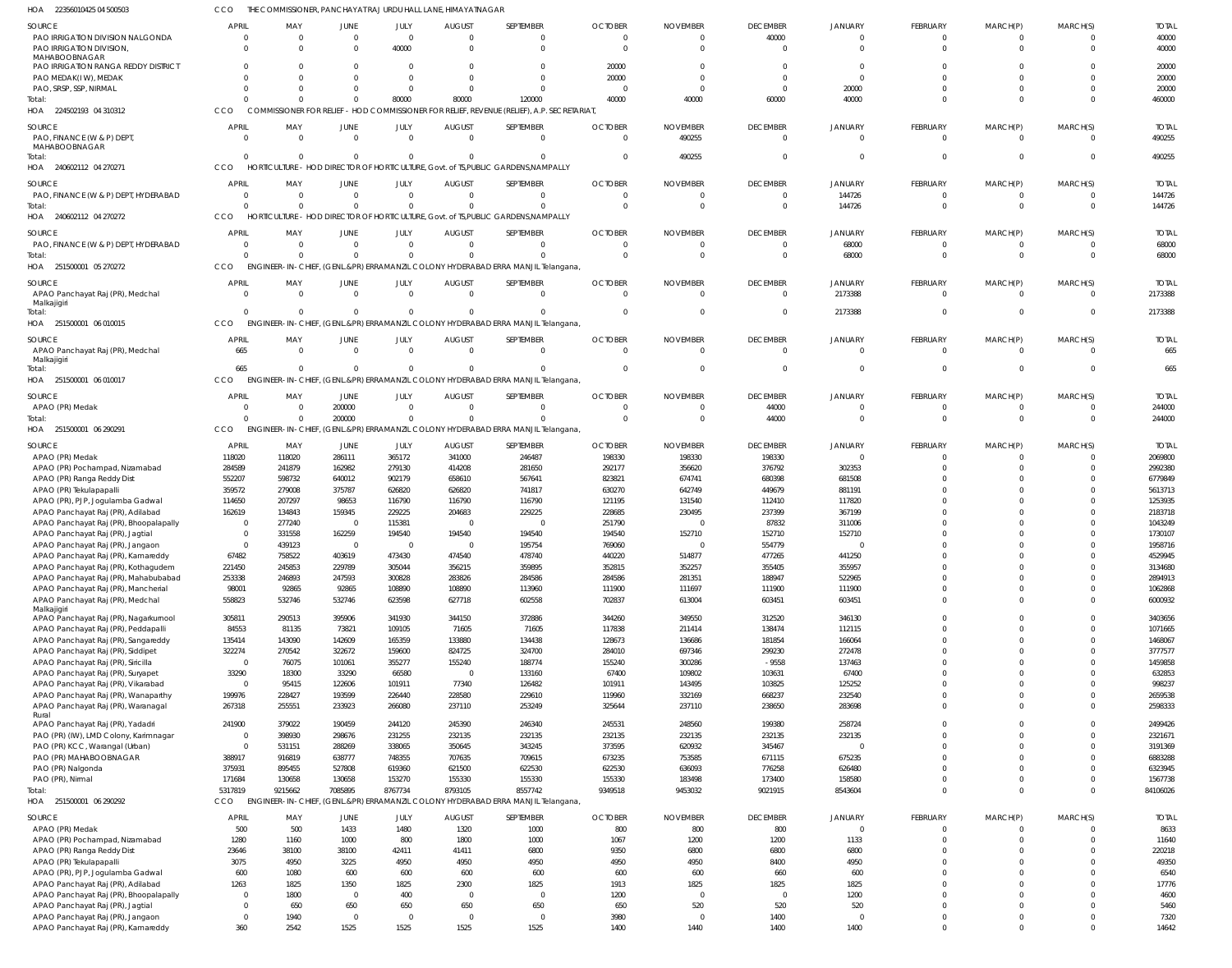22356010425 04 500503 HOA CCO THE COMMISSIONER, PANCHAYAT RAJ URDU HALL LANE, HIMAYATNAGAR

| <b>SOURCE</b>                                                          | <b>APRIL</b>        | MAY                       | JUNE                    | JULY                | <b>AUGUST</b>    | SEPTEMBER                                                                                  | <b>OCTOBER</b> | <b>NOVEMBER</b>        | <b>DECEMBER</b>         | <b>JANUARY</b>   | <b>FEBRUARY</b> | MARCH(P)                   | MARCH(S)                   | <b>TOTAL</b>  |
|------------------------------------------------------------------------|---------------------|---------------------------|-------------------------|---------------------|------------------|--------------------------------------------------------------------------------------------|----------------|------------------------|-------------------------|------------------|-----------------|----------------------------|----------------------------|---------------|
| PAO IRRIGATION DIVISION NALGONDA                                       |                     | $\Omega$                  | $\overline{0}$          | $\overline{0}$      | $\Omega$         | $\overline{0}$                                                                             | $\Omega$       | $\mathbf 0$            | 40000                   | $\cap$           | $\mathbf 0$     | $\overline{0}$             | $^{\circ}$                 | 40000         |
|                                                                        |                     |                           |                         |                     | $\Omega$         |                                                                                            |                |                        |                         | $\Omega$         |                 |                            |                            |               |
| <b>PAO IRRIGATION DIVISION</b>                                         |                     |                           | $\Omega$                | 40000               |                  | $\Omega$                                                                                   | $\Omega$       | $\Omega$               | $\Omega$                |                  | $\Omega$        | $\Omega$                   | $\Omega$                   | 40000         |
| MAHABOOBNAGAR                                                          |                     |                           |                         |                     |                  |                                                                                            |                |                        |                         |                  |                 |                            |                            |               |
| PAO IRRIGATION RANGA REDDY DISTRICT                                    |                     |                           |                         | $\Omega$            |                  | $\Omega$                                                                                   | 20000          | $\Omega$               |                         |                  |                 |                            | $\Omega$                   | 20000         |
| PAO MEDAK(IW), MEDAK                                                   |                     |                           |                         | $\Omega$            |                  | $\Omega$                                                                                   | 20000          | $\Omega$               | $\Omega$                | $\cap$           |                 | $\Omega$                   | $\Omega$                   | 20000         |
| PAO, SRSP, SSP, NIRMAL                                                 |                     |                           |                         | $\Omega$            | $\Omega$         | $\Omega$                                                                                   | $\Omega$       | $\Omega$               | $\Omega$                | 20000            |                 | $\Omega$                   | $\mathbf 0$                | 20000         |
|                                                                        |                     |                           |                         |                     |                  |                                                                                            |                |                        |                         |                  |                 |                            |                            |               |
| Total:                                                                 |                     |                           | $\Omega$                | 80000               | 80000            | 120000                                                                                     | 40000          | 40000                  | 60000                   | 40000            |                 | $\Omega$                   | $\Omega$                   | 460000        |
| HOA 224502193 04 310312                                                | CCO                 |                           |                         |                     |                  | COMMISSIONER FOR RELIEF - HOD COMMISSIONER FOR RELIEF, REVENUE (RELIEF), A.P. SECRETARIAT, |                |                        |                         |                  |                 |                            |                            |               |
|                                                                        |                     |                           |                         |                     |                  |                                                                                            |                |                        |                         |                  |                 |                            |                            |               |
| <b>SOURCE</b>                                                          | <b>APRIL</b>        | MAY                       | <b>JUNE</b>             | JULY                | <b>AUGUST</b>    | SEPTEMBER                                                                                  | <b>OCTOBER</b> | <b>NOVEMBER</b>        | <b>DECEMBER</b>         | <b>JANUARY</b>   | <b>FEBRUARY</b> | MARCH(P)                   | MARCH(S)                   | <b>TOTAL</b>  |
| PAO, FINANCE (W & P) DEPT,                                             |                     |                           |                         | $\overline{0}$      | $\Omega$         | $\mathbf 0$                                                                                | $\Omega$       |                        |                         | $\Omega$         |                 |                            |                            |               |
|                                                                        |                     |                           | $\overline{0}$          |                     |                  |                                                                                            |                | 490255                 | $\overline{0}$          |                  | $\mathbf 0$     | $\overline{0}$             | $\overline{0}$             | 490255        |
| MAHABOOBNAGAR                                                          |                     |                           |                         |                     |                  |                                                                                            |                |                        |                         |                  |                 |                            |                            |               |
| Total:                                                                 | $\Omega$            |                           | $\Omega$                | $\overline{0}$      | $\Omega$         | $\mathbf 0$                                                                                | $\Omega$       | 490255                 | $\overline{0}$          | $\Omega$         | $\mathbf 0$     | $\overline{0}$             | $\mathbf 0$                | 490255        |
| HOA 240602112 04 270271                                                | CCO                 |                           |                         |                     |                  | HORTICULTURE - HOD DIRECTOR OF HORTICULTURE, Govt. of TS, PUBLIC GARDENS, NAMPALLY         |                |                        |                         |                  |                 |                            |                            |               |
|                                                                        |                     |                           |                         |                     |                  |                                                                                            |                |                        |                         |                  |                 |                            |                            |               |
| <b>SOURCE</b>                                                          | <b>APRIL</b>        | MAY                       | <b>JUNE</b>             | JULY                | <b>AUGUST</b>    | SEPTEMBER                                                                                  | <b>OCTOBER</b> | <b>NOVEMBER</b>        | <b>DECEMBER</b>         | <b>JANUARY</b>   | <b>FEBRUARY</b> | MARCH(P)                   | MARCH(S)                   | <b>TOTAL</b>  |
|                                                                        |                     |                           |                         |                     |                  |                                                                                            |                |                        |                         |                  |                 |                            |                            |               |
| PAO, FINANCE (W & P) DEPT, HYDERABAD                                   | - 0                 | $\Omega$                  | $\overline{0}$          | $\overline{0}$      | $\Omega$         | $\overline{0}$                                                                             |                | $\Omega$               | $\overline{\mathbf{0}}$ | 144726           | $\Omega$        | $\overline{0}$             | $^{\circ}$                 | 144726        |
| Total:                                                                 |                     | $\Omega$                  | $\Omega$                | $\Omega$            | $\Omega$         | $\Omega$                                                                                   | $\Omega$       | $\Omega$               | $\Omega$                | 144726           | $\Omega$        | $\Omega$                   | $\mathbf 0$                | 144726        |
| HOA 240602112 04 270272                                                | CCO                 |                           |                         |                     |                  | HORTICULTURE - HOD DIRECTOR OF HORTICULTURE, Govt. of TS, PUBLIC GARDENS, NAMPALLY         |                |                        |                         |                  |                 |                            |                            |               |
|                                                                        |                     |                           |                         |                     |                  |                                                                                            |                |                        |                         |                  |                 |                            |                            |               |
| <b>SOURCE</b>                                                          | <b>APRIL</b>        | MAY                       | <b>JUNE</b>             | JULY                | <b>AUGUST</b>    | SEPTEMBER                                                                                  | <b>OCTOBER</b> | <b>NOVEMBER</b>        | <b>DECEMBER</b>         | <b>JANUARY</b>   | <b>FEBRUARY</b> | MARCH(P)                   | MARCH(S)                   | <b>TOTAL</b>  |
|                                                                        |                     |                           |                         |                     |                  |                                                                                            |                |                        |                         |                  |                 |                            |                            |               |
| PAO, FINANCE (W & P) DEPT, HYDERABAD                                   |                     | - 0                       | $\overline{0}$          | $\overline{0}$      | $\Omega$         | $\overline{0}$                                                                             |                | -0                     | $\Omega$                | 68000            |                 | 0                          | $\mathbf{0}$               | 68000         |
| Total:                                                                 |                     |                           | $\Omega$                | $\Omega$            | $\Omega$         | $\Omega$                                                                                   |                |                        | $\overline{0}$          | 68000            | $\mathbf 0$     | $\overline{0}$             | $\mathbf 0$                | 68000         |
|                                                                        |                     |                           |                         |                     |                  |                                                                                            |                |                        |                         |                  |                 |                            |                            |               |
| HOA 251500001 05 270272                                                | CCO                 |                           |                         |                     |                  | ENGINEER-IN-CHIEF, (GENL.&PR) ERRAMANZIL COLONY HYDERABAD ERRA MANJIL Telangana,           |                |                        |                         |                  |                 |                            |                            |               |
|                                                                        |                     |                           |                         |                     |                  |                                                                                            |                |                        |                         |                  |                 |                            |                            |               |
| <b>SOURCE</b>                                                          | <b>APRIL</b>        | MAY                       | <b>JUNE</b>             | JULY                | <b>AUGUST</b>    | SEPTEMBER                                                                                  | <b>OCTOBER</b> | <b>NOVEMBER</b>        | <b>DECEMBER</b>         | <b>JANUARY</b>   | <b>FEBRUARY</b> | MARCH(P)                   | MARCH(S)                   | <b>TOTAL</b>  |
| APAO Panchayat Raj (PR), Medchal                                       |                     | $\Omega$                  | $\Omega$                | $\Omega$            | $\Omega$         | $\overline{0}$                                                                             | $\Omega$       | $\Omega$               | $\overline{0}$          | 2173388          | $\mathbf 0$     | $\overline{0}$             | $^{\circ}$                 | 2173388       |
| Malkajigiri                                                            |                     |                           |                         |                     |                  |                                                                                            |                |                        |                         |                  |                 |                            |                            |               |
| Total:                                                                 |                     |                           | $\Omega$                | $\Omega$            | $\Omega$         | $\Omega$                                                                                   |                |                        | $\overline{0}$          | 2173388          | $\Omega$        | $\overline{0}$             | $\mathbf 0$                | 2173388       |
|                                                                        |                     |                           |                         |                     |                  |                                                                                            |                |                        |                         |                  |                 |                            |                            |               |
| 251500001 06 010015<br>HOA                                             | CCO                 |                           |                         |                     |                  | ENGINEER-IN-CHIEF, (GENL.&PR) ERRAMANZIL COLONY HYDERABAD ERRA MANJIL Telangana,           |                |                        |                         |                  |                 |                            |                            |               |
|                                                                        |                     |                           |                         |                     |                  |                                                                                            |                |                        |                         |                  |                 |                            |                            |               |
| SOURCE                                                                 | <b>APRIL</b>        | MAY                       | <b>JUNE</b>             | JULY                | <b>AUGUST</b>    | SEPTEMBER                                                                                  | <b>OCTOBER</b> | <b>NOVEMBER</b>        | <b>DECEMBER</b>         | <b>JANUARY</b>   | <b>FEBRUARY</b> | MARCH(P)                   | MARCH(S)                   | <b>TOTAL</b>  |
| APAO Panchayat Raj (PR), Medchal                                       | 665                 | $\Omega$                  | $\overline{0}$          | $\overline{0}$      | $\Omega$         | $\overline{0}$                                                                             | $\Omega$       | $\Omega$               | $\overline{0}$          | $\Omega$         | $\mathbf 0$     | $\overline{0}$             | $\mathbf 0$                | 665           |
| Malkajigiri                                                            |                     |                           |                         |                     |                  |                                                                                            |                |                        |                         |                  |                 |                            |                            |               |
|                                                                        | 665                 |                           | $\Omega$                | $\Omega$            | $\Omega$         | $\Omega$                                                                                   |                |                        | $\Omega$                | $\Omega$         | $\Omega$        | $\overline{0}$             | $\mathbf 0$                |               |
| Total:                                                                 |                     |                           |                         |                     |                  |                                                                                            |                |                        |                         |                  |                 |                            |                            | 665           |
| 06 010017<br>HOA<br>251500001                                          | CCO                 |                           |                         |                     |                  | ENGINEER-IN-CHIEF, (GENL.&PR) ERRAMANZIL COLONY HYDERABAD ERRA MANJIL Telangana,           |                |                        |                         |                  |                 |                            |                            |               |
|                                                                        |                     |                           |                         |                     |                  |                                                                                            |                |                        |                         |                  |                 |                            |                            |               |
| <b>SOURCE</b>                                                          | <b>APRIL</b>        | MAY                       | JUNE                    | JULY                | <b>AUGUST</b>    | SEPTEMBER                                                                                  | <b>OCTOBER</b> | <b>NOVEMBER</b>        | <b>DECEMBER</b>         | <b>JANUARY</b>   | <b>FEBRUARY</b> | MARCH(P)                   | MARCH(S)                   | <b>TOTAL</b>  |
| APAO (PR) Medak                                                        |                     | $\Omega$                  | 200000                  | $\Omega$            | $\Omega$         | $\Omega$                                                                                   |                | $\Omega$               | 44000                   |                  | $\Omega$        | $\Omega$                   | $^{\circ}$                 | 244000        |
| Total:                                                                 |                     | $\Omega$                  | 200000                  | $\overline{0}$      | $\Omega$         | $\Omega$                                                                                   | $\Omega$       | $\Omega$               | 44000                   | $\Omega$         | $\Omega$        | $\overline{0}$             | $\mathbf 0$                | 244000        |
|                                                                        |                     |                           |                         |                     |                  |                                                                                            |                |                        |                         |                  |                 |                            |                            |               |
| HOA 251500001 06 290291                                                | CCO                 | ENGINEER-IN-CHIEF,        |                         |                     |                  | (GENL.&PR) ERRAMANZIL COLONY HYDERABAD ERRA MANJIL Telangana                               |                |                        |                         |                  |                 |                            |                            |               |
|                                                                        |                     |                           |                         |                     |                  |                                                                                            |                |                        |                         |                  |                 |                            |                            |               |
| <b>SOURCE</b>                                                          | <b>APRIL</b>        | MAY                       | JUNE                    | JULY                | <b>AUGUST</b>    | SEPTEMBER                                                                                  | <b>OCTOBER</b> | <b>NOVEMBER</b>        | <b>DECEMBER</b>         | <b>JANUARY</b>   | <b>FEBRUARY</b> | MARCH(P)                   | MARCH(S)                   | <b>TOTAL</b>  |
| APAO (PR) Medak                                                        | 118020              | 118020                    | 286111                  | 365172              | 341000           | 246487                                                                                     | 198330         | 198330                 | 198330                  | $\Omega$         |                 | 0                          | $^{\circ}$                 | 2069800       |
|                                                                        | 284589              | 241879                    | 162982                  | 279130              | 414208           | 281650                                                                                     | 292177         | 356620                 | 376792                  | 302353           |                 | $\Omega$                   | $\mathbf 0$                | 2992380       |
| APAO (PR) Pochampad, Nizamabad                                         |                     |                           |                         |                     |                  |                                                                                            |                |                        |                         |                  |                 |                            |                            |               |
| APAO (PR) Ranga Reddy Dist                                             | 552207              | 598732                    | 640012                  | 902179              | 658610           | 567641                                                                                     | 823821         | 674741                 | 680398                  | 681508           |                 |                            | $\mathbf{0}$               | 6779849       |
| APAO (PR) Tekulapapalli                                                | 359572              | 279008                    | 375787                  | 626820              | 626820           | 741817                                                                                     | 630270         | 642749                 | 449679                  | 881191           |                 |                            | $\Omega$                   | 5613713       |
|                                                                        |                     |                           |                         |                     |                  |                                                                                            |                |                        |                         |                  |                 |                            |                            |               |
| APAO (PR), PJP, Jogulamba Gadwal                                       | 114650              | 207297                    | 98653                   | 116790              | 116790           | 116790                                                                                     | 121195         | 131540                 | 112410                  | 117820           |                 |                            | $\Omega$                   | 1253935       |
| APAO Panchayat Raj (PR), Adilabad                                      | 162619              | 134843                    | 159345                  | 229225              | 204683           | 229225                                                                                     | 228685         | 230495                 | 237399                  | 367199           |                 |                            | $\Omega$                   | 2183718       |
| APAO Panchayat Raj (PR), Bhoopalapally                                 |                     | 277240                    | $\overline{\mathbf{0}}$ | 115381              | - 0              | 0                                                                                          | 251790         | $\epsilon$             | 87832                   | 311006           |                 |                            | $\Omega$                   | 1043249       |
|                                                                        |                     |                           |                         |                     |                  |                                                                                            |                |                        |                         |                  |                 |                            |                            |               |
| APAO Panchayat Raj (PR), Jagtial                                       |                     | 331558                    | 162259                  | 194540              | 194540           | 194540                                                                                     | 194540         | 152710                 | 152710                  | 152710           |                 |                            | $\Omega$                   | 1730107       |
| APAO Panchayat Raj (PR), Jangaon                                       |                     | 439123                    | $\overline{0}$          | 0                   |                  | 195754                                                                                     | 769060         | -0                     | 554779                  |                  |                 |                            | $\Omega$                   | 1958716       |
|                                                                        | 67482               | 758522                    | 403619                  | 473430              | 474540           | 478740                                                                                     | 440220         | 514877                 | 477265                  | 441250           |                 | $\Omega$                   | $\Omega$                   | 4529945       |
| APAO Panchayat Raj (PR), Kamareddy                                     |                     |                           |                         |                     |                  |                                                                                            |                |                        |                         |                  |                 |                            |                            |               |
| APAO Panchayat Raj (PR), Kothagudem                                    | 221450              | 245853                    | 229789                  | 305044              | 356215           | 359895                                                                                     | 352815         | 352257                 | 355405                  | 355957           |                 |                            | $\mathbf 0$                | 3134680       |
| APAO Panchayat Raj (PR), Mahabubabad                                   | 253338              | 246893                    | 247593                  | 300828              | 283826           | 284586                                                                                     | 284586         | 281351                 | 188947                  | 522965           | $\Omega$        | $\mathbf 0$                | $\mathbf 0$                | 2894913       |
|                                                                        |                     |                           |                         |                     |                  |                                                                                            |                |                        |                         |                  |                 |                            |                            |               |
| APAO Panchayat Raj (PR), Mancherial                                    | 98001               | 92865                     | 92865                   | 108890              | 108890           | 113960                                                                                     | 111900         | 111697                 | 111900                  | 111900           | 0               | $\mathbf{0}$               | $\mathbf 0$                | 1062868       |
| APAO Panchayat Raj (PR), Medchal                                       | 558823              | 532746                    | 532746                  | 623598              | 627718           | 602558                                                                                     | 702837         | 613004                 | 603451                  | 603451           | $\mathbf 0$     | $\mathbf{0}$               | $\mathbf 0$                | 6000932       |
| Malkajigiri                                                            |                     |                           |                         |                     |                  |                                                                                            |                |                        |                         |                  |                 |                            |                            |               |
| APAO Panchayat Raj (PR), Nagarkurnool                                  | 305811              | 290513                    | 395906                  | 341930              | 344150           | 372886                                                                                     | 344260         | 349550                 | 312520                  | 346130           | 0               | $\mathbf 0$                | $\mathbf 0$                | 3403656       |
|                                                                        |                     |                           |                         |                     |                  |                                                                                            |                |                        |                         |                  |                 |                            |                            |               |
| APAO Panchayat Raj (PR), Peddapalli                                    | 84553               | 81135                     | 73821                   | 109105              | 71605            | 71605                                                                                      | 117838         | 211414                 | 138474                  | 112115           | $\Omega$        | $\mathbf 0$                | $\mathbf 0$                | 1071665       |
| APAO Panchayat Raj (PR), Sangareddy                                    | 135414              | 143090                    | 142609                  | 165359              | 133880           | 134438                                                                                     | 128673         | 136686                 | 181854                  | 166064           | $\Omega$        | $\mathbf 0$                | $\mathbf 0$                | 1468067       |
| APAO Panchayat Raj (PR), Siddipet                                      | 322274              | 270542                    | 322672                  | 159600              | 824725           | 324700                                                                                     | 284010         | 697346                 | 299230                  | 272478           |                 | $\mathbf 0$                | $\mathbf 0$                | 3777577       |
|                                                                        |                     |                           |                         |                     |                  |                                                                                            |                |                        |                         |                  |                 |                            |                            |               |
| APAO Panchayat Raj (PR), Siricilla                                     | $\overline{0}$      | 76075                     | 101061                  | 355277              | 155240           | 188774                                                                                     | 155240         | 300286                 | $-9558$                 | 137463           | $\Omega$        | $\mathbf 0$                | $\mathbf 0$                | 1459858       |
| APAO Panchayat Raj (PR), Suryapet                                      | 33290               | 18300                     | 33290                   | 66580               | $\Omega$         | 133160                                                                                     | 67400          | 109802                 | 103631                  | 67400            | $\Omega$        | $\mathbf 0$                | $\mathbf 0$                | 632853        |
| APAO Panchayat Raj (PR), Vikarabad                                     | $\overline{0}$      | 95415                     | 122606                  | 101911              | 77340            | 126482                                                                                     | 101911         | 143495                 | 103825                  | 125252           | $\Omega$        | $\mathbf 0$                | $\mathbf 0$                | 998237        |
|                                                                        |                     |                           |                         |                     |                  |                                                                                            |                |                        |                         |                  |                 |                            |                            |               |
| APAO Panchayat Raj (PR), Wanaparthy                                    | 199976              | 228427                    | 193599                  | 226440              | 228580           | 229610                                                                                     | 119960         | 332169                 | 668237                  | 232540           | $\Omega$        | $\mathbf 0$                | $\mathbf 0$                | 2659538       |
| APAO Panchayat Raj (PR), Waranagal                                     | 267318              | 255551                    | 233923                  | 266080              | 237110           | 253249                                                                                     | 325644         | 237110                 | 238650                  | 283698           | $\Omega$        | $\mathbf 0$                | $\mathbf 0$                | 2598333       |
| Rural                                                                  |                     |                           |                         |                     |                  |                                                                                            |                |                        |                         |                  |                 |                            |                            |               |
| APAO Panchayat Raj (PR), Yadadri                                       | 241900              | 379022                    | 190459                  | 244120              | 245390           | 246340                                                                                     | 245531         | 248560                 | 199380                  | 258724           | $\Omega$        | $\mathbf{0}$               | $\mathbf 0$                | 2499426       |
|                                                                        |                     |                           |                         |                     |                  |                                                                                            |                |                        |                         |                  |                 |                            |                            |               |
| PAO (PR) (IW), LMD Colony, Karimnagar                                  | $\overline{0}$      | 398930                    | 298676                  | 231255              | 232135           | 232135                                                                                     | 232135         | 232135                 | 232135                  | 232135           | $\Omega$        | $\mathbf 0$                | $\mathbf 0$                | 2321671       |
| PAO (PR) KCC, Warangal (Urban)                                         | $\overline{0}$      | 531151                    | 288269                  | 338065              | 350645           | 343245                                                                                     | 373595         | 620932                 | 345467                  | $\Omega$         | $\Omega$        | $\mathbf{0}$               | $\mathbf 0$                | 3191369       |
| PAO (PR) MAHABOOBNAGAR                                                 | 388917              | 916819                    | 638777                  | 748355              | 707635           | 709615                                                                                     | 673235         | 753585                 | 671115                  | 675235           | $\Omega$        | $\mathbf 0$                | $\mathbf 0$                | 6883288       |
|                                                                        |                     |                           |                         |                     |                  |                                                                                            |                |                        |                         |                  |                 |                            |                            |               |
| PAO (PR) Nalgonda                                                      | 375931              | 895455                    | 527808                  | 619360              | 621500           | 622530                                                                                     | 622530         | 636093                 | 776258                  | 626480           |                 | $\mathbf 0$                | $\mathbf 0$                | 6323945       |
| PAO (PR), Nirmal                                                       | 171684              | 130658                    | 130658                  | 153270              | 155330           | 155330                                                                                     | 155330         | 183498                 | 173400                  | 158580           | $\Omega$        | $\mathbf{0}$               | $\mathbf 0$                | 1567738       |
|                                                                        |                     |                           |                         |                     |                  |                                                                                            |                |                        |                         |                  |                 |                            |                            |               |
| Total:                                                                 | 5317819             | 9215662                   | 7085895                 | 8767734             | 8793105          | 8557742                                                                                    | 9349518        | 9453032                | 9021915                 | 8543604          | $\Omega$        | $\mathbf{0}$               | $\mathbf 0$                | 84106026      |
| HOA 251500001 06 290292                                                | CCO                 | <b>ENGINEER-IN-CHIEF,</b> |                         |                     |                  | (GENL.&PR) ERRAMANZIL COLONY HYDERABAD ERRA MANJIL Telangana                               |                |                        |                         |                  |                 |                            |                            |               |
|                                                                        |                     |                           |                         |                     |                  |                                                                                            |                |                        |                         |                  |                 |                            |                            |               |
| SOURCE                                                                 | <b>APRIL</b>        | MAY                       | <b>JUNE</b>             | JULY                | AUGUST           | SEPTEMBER                                                                                  | <b>OCTOBER</b> | <b>NOVEMBER</b>        | <b>DECEMBER</b>         | <b>JANUARY</b>   | FEBRUARY        | MARCH(P)                   | MARCH(S)                   | <b>TOTAL</b>  |
| APAO (PR) Medak                                                        | 500                 | 500                       | 1433                    | 1480                | 1320             | 1000                                                                                       | 800            | 800                    | 800                     | $\Omega$         | $\mathbf 0$     | $\overline{0}$             | $\mathbf{0}$               | 8633          |
|                                                                        |                     |                           |                         |                     |                  |                                                                                            |                |                        |                         |                  |                 |                            |                            |               |
| APAO (PR) Pochampad, Nizamabad                                         | 1280                | 1160                      | 1000                    | 800                 | 1800             | 1000                                                                                       | 1067           | 1200                   | 1200                    | 1133             | $\Omega$        | $\mathbf{0}$               | $\mathbf 0$                | 11640         |
| APAO (PR) Ranga Reddy Dist                                             | 23646               | 38100                     | 38100                   | 42411               | 41411            | 6800                                                                                       | 9350           | 6800                   | 6800                    | 6800             |                 | $\overline{0}$             | $\mathbf 0$                | 220218        |
|                                                                        |                     |                           |                         |                     |                  |                                                                                            |                |                        |                         |                  |                 | $\Omega$                   |                            |               |
| APAO (PR) Tekulapapalli                                                | 3075                | 4950                      | 3225                    | 4950                | 4950             | 4950                                                                                       | 4950           | 4950                   | 8400                    | 4950             |                 |                            | $\mathbf 0$                | 49350         |
| APAO (PR), PJP, Jogulamba Gadwal                                       | 600                 | 1080                      | 600                     | 600                 | 600              | 600                                                                                        | 600            | 600                    | 660                     | 600              |                 | $\mathbf 0$                | $\mathbf 0$                | 6540          |
| APAO Panchayat Raj (PR), Adilabad                                      | 1263                | 1825                      | 1350                    | 1825                | 2300             | 1825                                                                                       | 1913           | 1825                   | 1825                    | 1825             | $\Omega$        | $\Omega$                   | $\Omega$                   | 17776         |
|                                                                        |                     |                           |                         |                     |                  |                                                                                            |                |                        |                         |                  |                 |                            |                            |               |
| APAO Panchayat Raj (PR), Bhoopalapally                                 |                     |                           |                         |                     |                  |                                                                                            |                |                        |                         |                  |                 |                            |                            |               |
|                                                                        | $\mathbf 0$         | 1800                      | $\overline{0}$          | 400                 | $\Omega$         | $\overline{0}$                                                                             | 1200           | $\overline{0}$         | $\Omega$                | 1200             |                 | $\Omega$                   | $\mathbf 0$                | 4600          |
|                                                                        | $\Omega$            | 650                       | 650                     | 650                 | 650              | 650                                                                                        | 650            | 520                    | 520                     | 520              | $\Omega$        | $\Omega$                   | $\Omega$                   | 5460          |
| APAO Panchayat Raj (PR), Jagtial                                       |                     |                           |                         |                     |                  |                                                                                            |                |                        |                         |                  |                 |                            |                            |               |
| APAO Panchayat Raj (PR), Jangaon<br>APAO Panchayat Raj (PR), Kamareddy | $\mathbf{0}$<br>360 | 1940<br>2542              | $\overline{0}$<br>1525  | $\mathbf 0$<br>1525 | $\Omega$<br>1525 | $\overline{0}$<br>1525                                                                     | 3980<br>1400   | $\overline{0}$<br>1440 | 1400<br>1400            | $\Omega$<br>1400 | 0<br>$\Omega$   | $\mathbf 0$<br>$\mathbf 0$ | $\mathbf 0$<br>$\mathbf 0$ | 7320<br>14642 |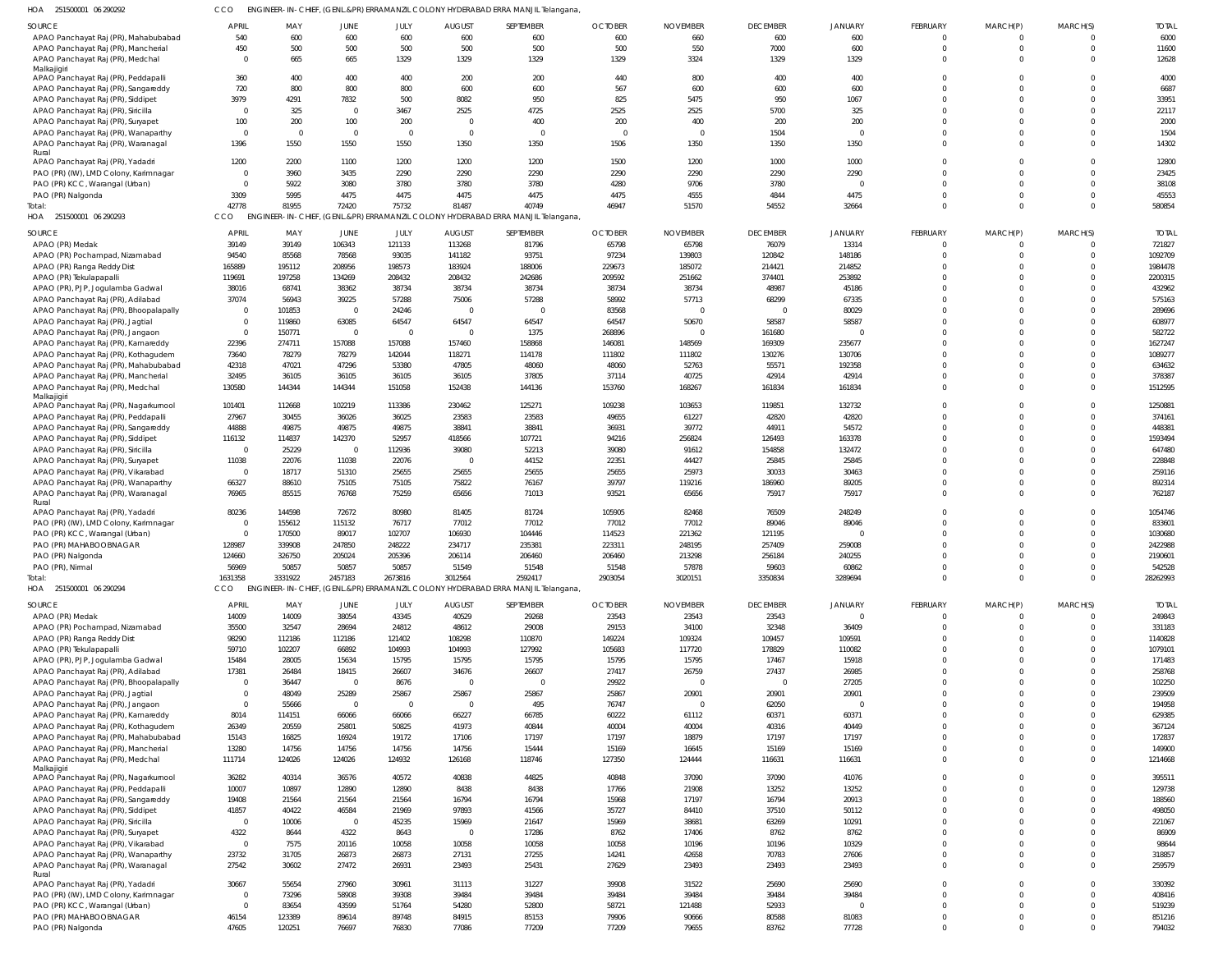| 251500001 06 290292 |  | CCO ENGINEER-IN-CHIEF, (GENL.&PR) ERRAMANZIL COLONY HYDERABAD ERRA MANJIL Telangana, |
|---------------------|--|--------------------------------------------------------------------------------------|

| HOA 251500001 06 290292                                                     | CCO                     |                  |                         |                  |                  | ENGINEER-IN-CHIEF, (GENL.&PR) ERRAMANZIL COLONY HYDERABAD ERRA MANJIL Telangana,          |                  |                          |                   |                   |          |          |          |                    |
|-----------------------------------------------------------------------------|-------------------------|------------------|-------------------------|------------------|------------------|-------------------------------------------------------------------------------------------|------------------|--------------------------|-------------------|-------------------|----------|----------|----------|--------------------|
| SOURCE                                                                      | APRIL                   | MAY              | JUNE                    | JULY             | <b>AUGUST</b>    | SEPTEMBER                                                                                 | <b>OCTOBER</b>   | <b>NOVEMBER</b>          | <b>DECEMBER</b>   | JANUARY           | FEBRUARY | MARCH(P) | MARCH(S) | <b>TOTAL</b>       |
| APAO Panchayat Raj (PR), Mahabubabad                                        | 540                     | 600              | 600                     | 600              | 600              | 600                                                                                       | 600              | 660                      | 600               | 600               | $\Omega$ |          |          | 6000               |
| APAO Panchayat Raj (PR), Mancherial                                         | 450                     | 500              | 500                     | 500              | 500              | 500                                                                                       | 500              | 550                      | 7000              | 600               | $\Omega$ |          |          | 11600              |
| APAO Panchayat Raj (PR), Medchal<br>Malkajigiri                             | 0                       | 665              | 665                     | 1329             | 1329             | 1329                                                                                      | 1329             | 3324                     | 1329              | 1329              | $\Omega$ |          |          | 12628              |
| APAO Panchayat Raj (PR), Peddapalli                                         | 360                     | 400              | 400                     | 400              | 200              | 200                                                                                       | 440              | 800                      | 400               | 400               |          |          |          | 4000               |
| APAO Panchayat Raj (PR), Sangareddy                                         | 720                     | 800              | 800                     | 800              | 600              | 600                                                                                       | 567              | 600                      | 600               | 600               |          |          |          | 6687               |
| APAO Panchayat Raj (PR), Siddipet                                           | 3979                    | 4291             | 7832                    | 500              | 8082             | 950                                                                                       | 825              | 5475                     | 950               | 1067              |          |          |          | 33951              |
| APAO Panchayat Raj (PR), Siricilla                                          | 0                       | 325              | $\Omega$                | 3467             | 2525             | 4725                                                                                      | 2525             | 2525                     | 5700              | 325               |          |          |          | 22117              |
| APAO Panchayat Raj (PR), Suryapet                                           | 100                     | 200              | 100                     | 200              |                  | 400                                                                                       | 200              | 400                      | 200               | 200               |          |          |          | 2000               |
| APAO Panchayat Raj (PR), Wanaparthy                                         | $\overline{0}$          | - 0              | $\Omega$                | $\Omega$         | $\bigcap$        | $\Omega$                                                                                  | $\overline{0}$   | $\overline{0}$           | 1504              | $\Omega$<br>1350  |          |          |          | 1504<br>14302      |
| APAO Panchayat Raj (PR), Waranagal<br>Rural                                 | 1396                    | 1550             | 1550                    | 1550             | 1350             | 1350                                                                                      | 1506             | 1350                     | 1350              |                   |          |          |          |                    |
| APAO Panchayat Raj (PR), Yadadri                                            | 1200                    | 2200             | 1100                    | 1200             | 1200             | 1200                                                                                      | 1500             | 1200                     | 1000              | 1000              |          |          |          | 12800              |
| PAO (PR) (IW), LMD Colony, Karimnagar                                       | 0                       | 3960             | 3435                    | 2290             | 2290             | 2290                                                                                      | 2290             | 2290                     | 2290              | 2290              |          |          |          | 23425              |
| PAO (PR) KCC, Warangal (Urban)                                              | 0                       | 5922             | 3080                    | 3780             | 3780             | 3780                                                                                      | 4280             | 9706                     | 3780              | $\mathcal{L}$     |          |          |          | 38108              |
| PAO (PR) Nalgonda                                                           | 3309                    | 5995             | 4475                    | 4475             | 4475             | 4475                                                                                      | 4475             | 4555                     | 4844              | 4475              |          |          |          | 45553              |
| Total:<br>HOA 251500001 06 290293                                           | 42778<br>CCO            | 81955            | 72420                   | 75732            | 81487            | 40749<br>ENGINEER-IN-CHIEF, (GENL.&PR) ERRAMANZIL COLONY HYDERABAD ERRA MANJIL Telangana, | 46947            | 51570                    | 54552             | 32664             |          |          | $\Omega$ | 580854             |
|                                                                             |                         |                  |                         |                  |                  |                                                                                           |                  |                          |                   |                   |          |          |          |                    |
| SOURCE                                                                      | APRIL                   | MAY              | JUNE                    | JULY             | <b>AUGUST</b>    | SEPTEMBER                                                                                 | <b>OCTOBER</b>   | <b>NOVEMBER</b>          | <b>DECEMBER</b>   | <b>JANUARY</b>    | FEBRUARY | MARCH(P) | MARCH(S) | <b>TOTAL</b>       |
| APAO (PR) Medak                                                             | 39149                   | 39149            | 106343                  | 121133           | 113268           | 81796                                                                                     | 65798            | 65798                    | 76079             | 13314             | $\Omega$ |          |          | 721827             |
| APAO (PR) Pochampad, Nizamabad                                              | 94540                   | 85568            | 78568                   | 93035            | 141182           | 93751                                                                                     | 97234            | 139803                   | 120842            | 148186            | $\Omega$ |          | 0        | 1092709            |
| APAO (PR) Ranga Reddy Dist<br>APAO (PR) Tekulapapalli                       | 165889<br>119691        | 195112<br>197258 | 208956<br>134269        | 198573<br>208432 | 183924<br>208432 | 188006<br>242686                                                                          | 229673<br>209592 | 185072<br>251662         | 214421<br>374401  | 214852<br>253892  |          |          |          | 1984478<br>2200315 |
| APAO (PR), PJP, Jogulamba Gadwal                                            | 38016                   | 68741            | 38362                   | 38734            | 38734            | 38734                                                                                     | 38734            | 38734                    | 48987             | 45186             |          |          |          | 432962             |
| APAO Panchayat Raj (PR), Adilabad                                           | 37074                   | 56943            | 39225                   | 57288            | 75006            | 57288                                                                                     | 58992            | 57713                    | 68299             | 67335             |          |          |          | 575163             |
| APAO Panchayat Raj (PR), Bhoopalapally                                      | $\overline{0}$          | 101853           | $\Omega$                | 24246            | - 0              | $\Omega$                                                                                  | 83568            | $\overline{0}$           | $\Omega$          | 80029             |          |          |          | 289696             |
| APAO Panchayat Raj (PR), Jagtial                                            | $\overline{0}$          | 119860           | 63085                   | 64547            | 64547            | 64547                                                                                     | 64547            | 50670                    | 58587             | 58587             |          |          |          | 608977             |
| APAO Panchayat Raj (PR), Jangaon                                            | $\mathbf 0$             | 150771           | $\Omega$                | $\overline{0}$   | - 0              | 1375                                                                                      | 268896           | $\overline{\phantom{0}}$ | 161680            | 0                 |          |          |          | 582722             |
| APAO Panchayat Raj (PR), Kamareddy                                          | 22396                   | 274711           | 157088                  | 157088           | 157460           | 158868                                                                                    | 146081           | 148569                   | 169309            | 235677            |          |          |          | 1627247            |
| APAO Panchayat Raj (PR), Kothagudem                                         | 73640                   | 78279            | 78279                   | 142044           | 118271           | 114178                                                                                    | 111802           | 111802                   | 130276            | 130706            |          |          |          | 1089277            |
| APAO Panchayat Raj (PR), Mahabubabad                                        | 42318                   | 47021            | 47296                   | 53380            | 47805            | 48060                                                                                     | 48060            | 52763                    | 55571             | 192358            |          |          |          | 634632             |
| APAO Panchayat Raj (PR), Mancherial                                         | 32495<br>130580         | 36105<br>144344  | 36105<br>144344         | 36105<br>151058  | 36105<br>152438  | 37805<br>144136                                                                           | 37114<br>153760  | 40725<br>168267          | 42914<br>161834   | 42914<br>161834   | $\Omega$ |          | 0        | 378387<br>1512595  |
| APAO Panchayat Raj (PR), Medchal<br>Malkajigiri                             |                         |                  |                         |                  |                  |                                                                                           |                  |                          |                   |                   |          |          |          |                    |
| APAO Panchayat Raj (PR), Nagarkurnool                                       | 101401                  | 112668           | 102219                  | 113386           | 230462           | 125271                                                                                    | 109238           | 103653                   | 119851            | 132732            |          |          | 0        | 1250881            |
| APAO Panchayat Raj (PR), Peddapalli                                         | 27967                   | 30455            | 36026                   | 36025            | 23583            | 23583                                                                                     | 49655            | 61227                    | 42820             | 42820             |          |          | 0        | 374161             |
| APAO Panchayat Raj (PR), Sangareddy                                         | 44888                   | 49875            | 49875                   | 49875            | 38841            | 38841                                                                                     | 36931            | 39772                    | 44911             | 54572             |          |          |          | 448381             |
| APAO Panchayat Raj (PR), Siddipet                                           | 116132                  | 114837           | 142370                  | 52957            | 418566           | 107721                                                                                    | 94216            | 256824                   | 126493            | 163378            |          |          |          | 1593494            |
| APAO Panchayat Raj (PR), Siricilla<br>APAO Panchayat Raj (PR), Suryapet     | $\overline{0}$<br>11038 | 25229<br>22076   | $\overline{0}$<br>11038 | 112936<br>22076  | 39080<br>- 0     | 52213<br>44152                                                                            | 39080<br>22351   | 91612<br>44427           | 154858<br>25845   | 132472<br>25845   |          |          |          | 647480<br>228848   |
| APAO Panchayat Raj (PR), Vikarabad                                          | $\overline{0}$          | 18717            | 51310                   | 25655            | 25655            | 25655                                                                                     | 25655            | 25973                    | 30033             | 30463             |          |          |          | 259116             |
| APAO Panchayat Raj (PR), Wanaparthy                                         | 66327                   | 88610            | 75105                   | 75105            | 75822            | 76167                                                                                     | 39797            | 119216                   | 186960            | 89205             | $\Omega$ |          |          | 892314             |
| APAO Panchayat Raj (PR), Waranagal                                          | 76965                   | 85515            | 76768                   | 75259            | 65656            | 71013                                                                                     | 93521            | 65656                    | 75917             | 75917             | $\Omega$ |          |          | 762187             |
| Rural                                                                       |                         |                  |                         |                  |                  |                                                                                           |                  |                          |                   |                   |          |          |          |                    |
| APAO Panchayat Raj (PR), Yadadri                                            | 80236                   | 144598           | 72672                   | 80980            | 81405            | 81724                                                                                     | 105905           | 82468                    | 76509             | 248249            |          |          |          | 1054746            |
| PAO (PR) (IW), LMD Colony, Karimnagar<br>PAO (PR) KCC, Warangal (Urban)     | 0<br>$\Omega$           | 155612<br>170500 | 115132<br>89017         | 76717<br>102707  | 77012<br>106930  | 77012<br>104446                                                                           | 77012<br>114523  | 77012<br>221362          | 89046<br>121195   | 89046             |          |          |          | 833601<br>1030680  |
| PAO (PR) MAHABOOBNAGAR                                                      | 128987                  | 339908           | 247850                  | 248222           | 234717           | 235381                                                                                    | 223311           | 248195                   | 257409            | 259008            |          |          | $\Omega$ | 2422988            |
| PAO (PR) Nalgonda                                                           | 124660                  | 326750           | 205024                  | 205396           | 206114           | 206460                                                                                    | 206460           | 213298                   | 256184            | 240255            | $\Omega$ | $\Omega$ | 0        | 2190601            |
| PAO (PR), Nirmal                                                            | 56969                   | 50857            | 50857                   | 50857            | 51549            | 51548                                                                                     | 51548            | 57878                    | 59603             | 60862             |          |          | $\Omega$ | 542528             |
| Total:                                                                      | 1631358                 | 3331922          | 2457183                 | 2673816          | 3012564          | 2592417                                                                                   | 2903054          | 3020151                  | 3350834           | 3289694           | $\Omega$ | $\Omega$ | 0        | 28262993           |
| HOA 251500001 06 290294                                                     | CCO                     |                  |                         |                  |                  | ENGINEER-IN-CHIEF, (GENL.&PR) ERRAMANZIL COLONY HYDERABAD ERRA MANJIL Telangana,          |                  |                          |                   |                   |          |          |          |                    |
| SOURCE                                                                      | <b>APRIL</b>            | MAY              | JUNE                    | JULY             | <b>AUGUST</b>    | SEPTEMBER                                                                                 | <b>OCTOBER</b>   | <b>NOVEMBER</b>          | <b>DECEMBER</b>   | JANUARY           | FEBRUARY | MARCH(P) | MARCH(S) | <b>TOTAL</b>       |
| APAO (PR) Medak                                                             | 14009                   | 14009            | 38054                   | 43345            | 40529            | 29268                                                                                     | 23543            | 23543                    | 23543             | $\Omega$          | $\Omega$ |          |          | 249843             |
| APAO (PR) Pochampad, Nizamabad                                              | 35500                   | 32547            | 28694                   | 24812            | 48612            | 29008                                                                                     | 29153            | 34100                    | 32348             | 36409             |          |          |          | 331183             |
| APAO (PR) Ranga Reddy Dist                                                  | 98290                   | 112186           | 112186                  | 121402           | 108298           | 110870                                                                                    | 149224           | 109324                   | 109457            | 109591            |          |          |          | 1140828            |
| APAO (PR) Tekulapapalli                                                     | 59710                   | 102207           | 66892                   | 104993           | 104993           | 127992                                                                                    | 105683           | 117720                   | 178829            | 110082            |          |          |          | 1079101            |
| APAO (PR), PJP, Jogulamba Gadwal                                            | 15484                   | 28005            | 15634                   | 15795            | 15795            | 15795                                                                                     | 15795            | 15795                    | 17467             | 15918             |          |          |          | 171483             |
| APAO Panchayat Raj (PR), Adilabad<br>APAO Panchayat Raj (PR), Bhoopalapally | 17381<br>$\overline{0}$ | 26484<br>36447   | 18415<br>$\Omega$       | 26607<br>8676    | 34676<br>- 0     | 26607<br>$\Omega$                                                                         | 27417<br>29922   | 26759<br>$\overline{0}$  | 27437<br>$\Omega$ | 26985<br>27205    |          |          |          | 258768<br>102250   |
| APAO Panchayat Raj (PR), Jagtial                                            | 0                       | 48049            | 25289                   | 25867            | 25867            | 25867                                                                                     | 25867            | 20901                    | 20901             | 20901             |          |          |          | 239509             |
| APAO Panchayat Raj (PR), Jangaon                                            | $\overline{0}$          | 55666            | $\Omega$                | $\overline{0}$   | $\Omega$         | 495                                                                                       | 76747            | $\overline{0}$           | 62050             | $\Omega$          |          |          |          | 194958             |
| APAO Panchayat Raj (PR), Kamareddy                                          | 8014                    | 114151           | 66066                   | 66066            | 66227            | 66785                                                                                     | 60222            | 61112                    | 60371             | 60371             |          |          |          | 629385             |
| APAO Panchayat Raj (PR), Kothagudem                                         | 26349                   | 20559            | 25801                   | 50825            | 41973            | 40844                                                                                     | 40004            | 40004                    | 40316             | 40449             |          |          |          | 367124             |
| APAO Panchayat Raj (PR), Mahabubabad                                        | 15143                   | 16825            | 16924                   | 19172            | 17106            | 17197                                                                                     | 17197            | 18879                    | 17197             | 17197             |          |          |          | 172837             |
| APAO Panchayat Raj (PR), Mancherial                                         | 13280                   | 14756            | 14756                   | 14756            | 14756            | 15444                                                                                     | 15169            | 16645                    | 15169             | 15169             |          |          |          | 149900             |
| APAO Panchayat Raj (PR), Medchal                                            | 111714                  | 124026           | 124026                  | 124932           | 126168           | 118746                                                                                    | 127350           | 124444                   | 116631            | 116631            | $\Omega$ |          |          | 1214668            |
| Malkajigiri<br>APAO Panchayat Raj (PR), Nagarkurnool                        | 36282                   | 40314            | 36576                   | 40572            | 40838            | 44825                                                                                     | 40848            | 37090                    | 37090             | 41076             |          |          |          | 395511             |
| APAO Panchayat Raj (PR), Peddapalli                                         | 10007                   | 10897            | 12890                   | 12890            | 8438             | 8438                                                                                      | 17766            | 21908                    | 13252             | 13252             |          |          |          | 129738             |
| APAO Panchayat Raj (PR), Sangareddy                                         | 19408                   | 21564            | 21564                   | 21564            | 16794            | 16794                                                                                     | 15968            | 17197                    | 16794             | 20913             |          |          |          | 188560             |
| APAO Panchayat Raj (PR), Siddipet                                           | 41857                   | 40422            | 46584                   | 21969            | 97893            | 41566                                                                                     | 35727            | 84410                    | 37510             | 50112             |          |          |          | 498050             |
| APAO Panchayat Raj (PR), Siricilla                                          | $\overline{0}$          | 10006            | $\Omega$                | 45235            | 15969            | 21647                                                                                     | 15969            | 38681                    | 63269             | 10291             |          |          |          | 221067             |
| APAO Panchayat Raj (PR), Suryapet                                           | 4322                    | 8644             | 4322                    | 8643             |                  | 17286                                                                                     | 8762             | 17406                    | 8762              | 8762              |          |          |          | 86909              |
| APAO Panchayat Raj (PR), Vikarabad                                          | $\mathbf 0$<br>23732    | 7575<br>31705    | 20116<br>26873          | 10058<br>26873   | 10058<br>27131   | 10058<br>27255                                                                            | 10058<br>14241   | 10196<br>42658           | 10196<br>70783    | 10329<br>27606    | $\Omega$ |          |          | 98644<br>318857    |
| APAO Panchayat Raj (PR), Wanaparthy<br>APAO Panchayat Raj (PR), Waranagal   | 27542                   | 30602            | 27472                   | 26931            | 23493            | 25431                                                                                     | 27629            | 23493                    | 23493             | 23493             | $\Omega$ |          |          | 259579             |
| Rural                                                                       |                         |                  |                         |                  |                  |                                                                                           |                  |                          |                   |                   |          |          |          |                    |
| APAO Panchayat Raj (PR), Yadadri                                            | 30667                   | 55654            | 27960                   | 30961            | 31113            | 31227                                                                                     | 39908            | 31522                    | 25690             | 25690             |          |          |          | 330392             |
| PAO (PR) (IW), LMD Colony, Karimnagar                                       | $\overline{0}$          | 73296            | 58908                   | 39308            | 39484            | 39484                                                                                     | 39484            | 39484                    | 39484             | 39484             |          |          |          | 408416             |
| PAO (PR) KCC, Warangal (Urban)<br>PAO (PR) MAHABOOBNAGAR                    | $\overline{0}$          | 83654            | 43599                   | 51764<br>89748   | 54280<br>84915   | 52800<br>85153                                                                            | 58721<br>79906   | 121488<br>90666          | 52933             | $\Omega$<br>81083 |          | $\Omega$ |          | 519239             |
| PAO (PR) Nalgonda                                                           | 46154<br>47605          | 123389<br>120251 | 89614<br>76697          | 76830            | 77086            | 77209                                                                                     | 77209            | 79655                    | 80588<br>83762    | 77728             | $\Omega$ |          | $\Omega$ | 851216<br>794032   |
|                                                                             |                         |                  |                         |                  |                  |                                                                                           |                  |                          |                   |                   |          |          |          |                    |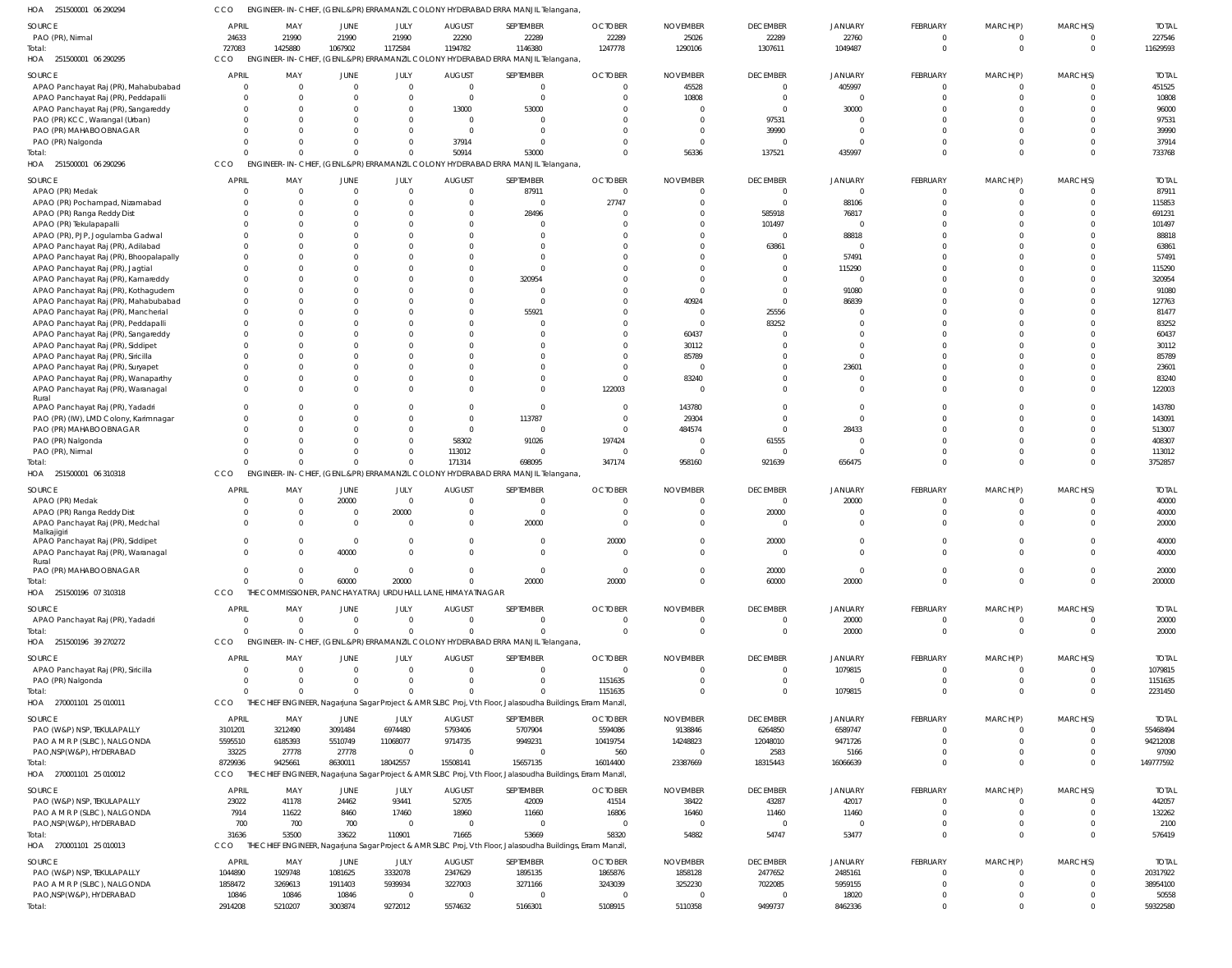| HOA<br>251500001 06 290294             | CCO              |                  |                  |                        |                                                              | ENGINEER-IN-CHIEF, (GENL.&PR) ERRAMANZIL COLONY HYDERABAD ERRA MANJIL Telangana                             |                     |                 |                           |                  |                      |                 |                      |                   |
|----------------------------------------|------------------|------------------|------------------|------------------------|--------------------------------------------------------------|-------------------------------------------------------------------------------------------------------------|---------------------|-----------------|---------------------------|------------------|----------------------|-----------------|----------------------|-------------------|
| SOURCE                                 | <b>APRIL</b>     | MAY              | JUNE             | JULY                   | <b>AUGUST</b>                                                | SEPTEMBER                                                                                                   | <b>OCTOBER</b>      | <b>NOVEMBER</b> | <b>DECEMBER</b>           | <b>JANUARY</b>   | FEBRUARY             | MARCH(P)        | MARCH(S)             | <b>TOTAL</b>      |
| PAO (PR), Nirmal                       | 24633            | 21990            | 21990            | 21990                  | 22290                                                        | 22289                                                                                                       | 22289               | 25026           | 22289                     | 22760            | $\overline{0}$       | $\Omega$        | $\Omega$             | 227546            |
| Total:                                 | 727083           | 1425880          | 1067902          | 1172584                | 1194782                                                      | 1146380                                                                                                     | 1247778             | 1290106         | 1307611                   | 1049487          | $\mathbf{0}$         | $\Omega$        | $\mathbf 0$          | 11629593          |
| HOA 251500001 06 290295                | <b>CCO</b>       |                  |                  |                        |                                                              | ENGINEER-IN-CHIEF, (GENL.&PR) ERRAMANZIL COLONY HYDERABAD ERRA MANJIL Telangana                             |                     |                 |                           |                  |                      |                 |                      |                   |
|                                        |                  |                  |                  |                        |                                                              |                                                                                                             |                     |                 |                           |                  |                      |                 |                      |                   |
| <b>SOURCE</b>                          | <b>APRIL</b>     | MAY              | <b>JUNE</b>      | JULY                   | <b>AUGUST</b>                                                | SEPTEMBER                                                                                                   | <b>OCTOBER</b>      | <b>NOVEMBER</b> | <b>DECEMBER</b>           | JANUARY          | FEBRUARY             | MARCH(P)        | MARCH(S)             | <b>TOTAL</b>      |
| APAO Panchayat Raj (PR), Mahabubabad   | $\mathbf 0$      | $\overline{0}$   | $\overline{0}$   | $\mathbf 0$            | $\mathbf 0$                                                  | $\mathbf 0$                                                                                                 | $\Omega$            | 45528           | $\overline{0}$            | 405997           | $\overline{0}$       | $\Omega$        | $\mathbf 0$          | 451525            |
| APAO Panchayat Raj (PR), Peddapalli    | $\Omega$         | $\Omega$         | $\overline{0}$   | $\Omega$               | $\mathbf 0$                                                  | $\mathbf 0$                                                                                                 |                     | 10808           | $\overline{0}$            | $\cap$           | $\Omega$             |                 | $\Omega$             | 10808             |
| APAO Panchayat Raj (PR), Sangareddy    |                  | $\Omega$         | $\Omega$         | $\Omega$               | 13000                                                        | 53000                                                                                                       |                     |                 | $\overline{0}$            | 30000            | $\Omega$             |                 | $\Omega$             | 96000             |
| PAO (PR) KCC, Warangal (Urban)         |                  | $\Omega$         | $\Omega$         | $\Omega$               | $\mathbf 0$                                                  | $\overline{0}$                                                                                              |                     |                 | 97531                     | $\Omega$         | $\Omega$             |                 | $\Omega$             | 97531             |
| PAO (PR) MAHABOOBNAGAR                 |                  | $\Omega$         | $\Omega$         | $\Omega$               | $\Omega$                                                     | $\Omega$                                                                                                    |                     |                 | 39990                     | $\Omega$         | $\Omega$             |                 | $\Omega$             | 39990             |
| PAO (PR) Nalgonda                      |                  | $\Omega$         | $\mathbf 0$      | $\Omega$               | 37914                                                        | $\Omega$                                                                                                    |                     |                 | $\Omega$                  | $\Omega$         | $\Omega$             |                 | $\Omega$             | 37914             |
| Total:                                 |                  | $\Omega$         | $\Omega$         | $\Omega$               | 50914                                                        | 53000                                                                                                       |                     | 56336           | 137521                    | 435997           | $\Omega$             |                 | $\Omega$             | 733768            |
| HOA 251500001 06 290296                | CCO              |                  |                  |                        |                                                              | ENGINEER-IN-CHIEF, (GENL.&PR) ERRAMANZIL COLONY HYDERABAD ERRA MANJIL Telangana                             |                     |                 |                           |                  |                      |                 |                      |                   |
| SOURCE                                 | <b>APRIL</b>     | MAY              | <b>JUNE</b>      | JULY                   | <b>AUGUST</b>                                                | SEPTEMBER                                                                                                   | <b>OCTOBER</b>      | <b>NOVEMBER</b> | <b>DECEMBER</b>           | <b>JANUARY</b>   | FEBRUARY             | MARCH(P)        | MARCH(S)             | <b>TOTAL</b>      |
| APAO (PR) Medak                        |                  | $\overline{0}$   | $\overline{0}$   | $\Omega$               | $\mathbf 0$                                                  | 87911                                                                                                       | $\Omega$            | $\Omega$        | $\overline{0}$            | $\Omega$         | $\overline{0}$       | $\Omega$        | $\Omega$             | 87911             |
| APAO (PR) Pochampad, Nizamabad         |                  | $\overline{0}$   | $\mathbf 0$      | $\Omega$               | $\Omega$                                                     | $\Omega$                                                                                                    | 27747               |                 | $\Omega$                  | 88106            | $\Omega$             | $\Omega$        | $\Omega$             | 115853            |
| APAO (PR) Ranga Reddy Dist             |                  | $\Omega$         | $\Omega$         |                        |                                                              | 28496                                                                                                       | $\cap$              |                 | 585918                    | 76817            | $\Omega$             |                 | $\Omega$             | 691231            |
| APAO (PR) Tekulapapalli                |                  | $\Omega$         | $\Omega$         |                        |                                                              | -0                                                                                                          |                     |                 | 101497                    | $\Omega$         | $\Omega$             |                 | $\Omega$             | 101497            |
| APAO (PR), PJP, Jogulamba Gadwal       |                  | $\Omega$         | $\Omega$         |                        |                                                              | $\Omega$                                                                                                    |                     |                 | $\overline{0}$            | 88818            | $\Omega$             |                 | $\Omega$             | 88818             |
| APAO Panchayat Raj (PR), Adilabad      |                  | $\Omega$         | $\Omega$         |                        |                                                              |                                                                                                             |                     |                 | 63861                     | $\Omega$         | $\Omega$             |                 | $\Omega$             | 63861             |
| APAO Panchayat Raj (PR), Bhoopalapally |                  | $\Omega$         | $\Omega$         |                        |                                                              | $\Omega$                                                                                                    |                     |                 | $\Omega$                  | 57491            | $\Omega$             |                 | $\Omega$             | 57491             |
| APAO Panchayat Raj (PR), Jagtial       |                  | $\Omega$         | $\Omega$         |                        |                                                              |                                                                                                             |                     |                 | $\Omega$                  | 115290           | $\Omega$             |                 | $\Omega$             | 115290            |
| APAO Panchayat Raj (PR), Kamareddy     |                  | $\Omega$         | $\Omega$         |                        |                                                              | 320954                                                                                                      |                     |                 | $\Omega$                  | $\Omega$         | $\Omega$             |                 | $\Omega$             | 320954            |
| APAO Panchayat Raj (PR), Kothagudem    |                  | $\Omega$         | $\Omega$         |                        |                                                              | -0                                                                                                          |                     |                 | $\Omega$                  | 91080            | $\Omega$             |                 | $\Omega$             | 91080             |
| APAO Panchayat Raj (PR), Mahabubabad   |                  | $\Omega$         | $\Omega$         |                        |                                                              | $\Omega$                                                                                                    |                     | 40924           | $\Omega$                  | 86839            |                      |                 | $\Omega$             | 127763            |
| APAO Panchayat Raj (PR), Mancherial    |                  | $\Omega$         | $\Omega$         |                        |                                                              | 55921                                                                                                       |                     | $\bigcap$       | 25556                     |                  | $\cap$               |                 | $\Omega$             | 81477             |
| APAO Panchayat Raj (PR), Peddapalli    |                  | $\Omega$         | $\Omega$         |                        |                                                              |                                                                                                             |                     | $\Omega$        | 83252                     | $\Omega$         | $\Omega$             |                 | $\Omega$             | 83252             |
| APAO Panchayat Raj (PR), Sangareddy    |                  | $\Omega$         | $\Omega$         |                        |                                                              |                                                                                                             |                     | 60437           | $\Omega$                  | $\Omega$         | $\cap$               |                 | $\Omega$             | 60437             |
| APAO Panchayat Raj (PR), Siddipet      |                  | $\Omega$         | $\Omega$         |                        |                                                              |                                                                                                             |                     | 30112           | $\Omega$                  | $\Omega$         | $\cap$               |                 | $\Omega$             | 30112             |
| APAO Panchayat Raj (PR), Siricilla     |                  | $\Omega$         | $\Omega$         |                        |                                                              |                                                                                                             |                     | 85789           | $\Omega$                  | $\cap$           | $\cap$               |                 | $\Omega$             | 85789             |
| APAO Panchayat Raj (PR), Suryapet      |                  | $\Omega$         | $\Omega$         |                        |                                                              |                                                                                                             |                     | $\Omega$        | $\Omega$                  | 23601            | $\Omega$             |                 | $\Omega$             | 23601             |
| APAO Panchayat Raj (PR), Wanaparthy    |                  | $\Omega$         | $\Omega$         |                        |                                                              |                                                                                                             | $\Omega$            | 83240           | $\Omega$                  | $\Omega$         | $\Omega$             |                 | $\Omega$             | 83240             |
| APAO Panchayat Raj (PR), Waranagal     |                  | $\Omega$         | $\Omega$         |                        |                                                              | $\Omega$                                                                                                    | 122003              | $\bigcap$       | $\Omega$                  | $\Omega$         | $\Omega$             |                 | $\Omega$             | 122003            |
| Rural                                  |                  |                  |                  |                        |                                                              |                                                                                                             |                     |                 |                           |                  |                      |                 |                      |                   |
| APAO Panchayat Raj (PR), Yadadri       |                  | $\Omega$         | $\Omega$         |                        | $\Omega$                                                     | $\Omega$                                                                                                    | $\Omega$            | 143780          | $\Omega$                  | $\Omega$         | $\Omega$             |                 | $\Omega$             | 143780            |
| PAO (PR) (IW), LMD Colony, Karimnagar  |                  | $\Omega$         | $\Omega$         | $\Omega$               | $\Omega$                                                     | 113787                                                                                                      | $\Omega$            | 29304           | $\Omega$                  | $\Omega$         | $\Omega$             |                 | $\Omega$             | 143091            |
| PAO (PR) MAHABOOBNAGAR                 |                  | $\Omega$         | $\Omega$         | $\Omega$               | $\Omega$                                                     | $\Omega$                                                                                                    | $\Omega$            | 484574          | $\Omega$                  | 28433            | $\Omega$             |                 | $\Omega$             | 513007            |
| PAO (PR) Nalgonda                      |                  | $\Omega$         | $\Omega$         | $\Omega$               | 58302                                                        | 91026                                                                                                       | 197424              |                 | 61555                     | $\Omega$         | $\Omega$             |                 | $\Omega$             | 408307            |
| PAO (PR), Nirmal                       |                  | $\Omega$         | $\Omega$         | $\Omega$               | 113012                                                       |                                                                                                             | - 0                 |                 | $\Omega$                  | $\Omega$         | $\Omega$             |                 | $\Omega$             | 113012            |
|                                        |                  |                  |                  |                        |                                                              |                                                                                                             |                     |                 |                           |                  |                      |                 |                      |                   |
| Total:                                 |                  | $\Omega$         | $\Omega$         | $\Omega$               | 171314                                                       | 698095                                                                                                      | 347174              | 958160          | 921639                    | 656475           | $\Omega$             | $\Omega$        | $\Omega$             | 3752857           |
| HOA 251500001 06 310318                | CCO              |                  |                  |                        |                                                              | ENGINEER-IN-CHIEF, (GENL.&PR) ERRAMANZIL COLONY HYDERABAD ERRA MANJIL Telangana,                            |                     |                 |                           |                  |                      |                 |                      |                   |
| SOURCE                                 | <b>APRIL</b>     | MAY              | JUNE             | JULY                   | <b>AUGUST</b>                                                | SEPTEMBER                                                                                                   | <b>OCTOBER</b>      | <b>NOVEMBER</b> | <b>DECEMBER</b>           | JANUARY          | FEBRUARY             | MARCH(P)        | MARCH(S)             | <b>TOTAL</b>      |
| APAO (PR) Medak                        |                  | $\overline{0}$   | 20000            | $\mathbf 0$            | $\mathbf 0$                                                  | $\overline{0}$                                                                                              |                     |                 | $\overline{0}$            | 20000            | $\overline{0}$       |                 | $\Omega$             | 40000             |
| APAO (PR) Ranga Reddy Dist             |                  | $\overline{0}$   | $\overline{0}$   | 20000                  | $\Omega$                                                     | $\mathbf 0$                                                                                                 |                     |                 | 20000                     | $\Omega$         | $\mathbf 0$          |                 | $\Omega$             | 40000             |
| APAO Panchayat Raj (PR), Medchal       | <sup>0</sup>     | $\Omega$         | $\overline{0}$   | $\Omega$               | $\Omega$                                                     | 20000                                                                                                       |                     |                 | $\Omega$                  | $\Omega$         | $\Omega$             |                 | <sup>0</sup>         | 20000             |
| Malkajigiri                            |                  |                  |                  |                        |                                                              |                                                                                                             |                     |                 |                           |                  |                      |                 |                      |                   |
| APAO Panchayat Raj (PR), Siddipet      | 0                | $\overline{0}$   | $\overline{0}$   | $\Omega$               | $\Omega$                                                     | $\mathbf 0$                                                                                                 | 20000               |                 | 20000                     | $\Omega$         | $\Omega$             |                 | $\Omega$             | 40000             |
| APAO Panchayat Raj (PR), Waranagal     | $\cap$           | $\Omega$         | 40000            | $\cap$                 | $\cap$                                                       | $\Omega$                                                                                                    | $\cap$              |                 | $\bigcap$                 | $\Omega$         | $\Omega$             |                 | $\Omega$             | 40000             |
| Rural                                  |                  |                  |                  |                        |                                                              |                                                                                                             |                     |                 |                           |                  |                      |                 |                      |                   |
| PAO (PR) MAHABOOBNAGAR                 | $\mathbf 0$      | $\overline{0}$   | $\overline{0}$   | $\Omega$               | 0                                                            | $\mathbf 0$                                                                                                 | $\overline{0}$      |                 | 20000                     | $\Omega$         | $\mathbf{0}$         | - 0             | $\mathbf{0}$         | 20000             |
| Total:                                 | $\Omega$         | $\mathbf 0$      | 60000            | 20000                  | $\mathbf 0$                                                  | 20000                                                                                                       | 20000               | $\Omega$        | 60000                     | 20000            | $\mathbf{0}$         | $\Omega$        | $\mathbf 0$          | 200000            |
| HOA 251500196 07 310318                | CCO              |                  |                  |                        | THE COMMISSIONER, PANCHAYAT RAJ URDU HALL LANE, HIMAYATNAGAR |                                                                                                             |                     |                 |                           |                  |                      |                 |                      |                   |
| SOURCE                                 | <b>APRIL</b>     | MAY              | <b>JUNE</b>      | JULY                   | <b>AUGUST</b>                                                | SEPTEMBER                                                                                                   | <b>OCTOBER</b>      | <b>NOVEMBER</b> | <b>DECEMBER</b>           | <b>JANUARY</b>   | FEBRUARY             | MARCH(P)        | MARCH(S)             | <b>TOTAL</b>      |
| APAO Panchayat Raj (PR), Yadadri       | $\Omega$         | $\overline{0}$   | $\overline{0}$   | $\Omega$               | $\Omega$                                                     | $\Omega$                                                                                                    | $\Omega$            | $\Omega$        | $\overline{0}$            | 20000            | $\mathbf{0}$         | $\Omega$        | $\Omega$             | 20000             |
| Total:                                 | $\Omega$         | $\Omega$         | $\mathbf 0$      | $\Omega$               | $\Omega$                                                     | $\Omega$                                                                                                    | $\Omega$            | $\Omega$        | $\overline{0}$            | 20000            | $\overline{0}$       | $\Omega$        | $\mathbf{0}$         | 20000             |
| HOA 251500196 39 270272                | CCO              |                  |                  |                        |                                                              | ENGINEER-IN-CHIEF, (GENL.&PR) ERRAMANZIL COLONY HYDERABAD ERRA MANJIL Telangana                             |                     |                 |                           |                  |                      |                 |                      |                   |
| SOURCE                                 | <b>APRIL</b>     | MAY              | <b>JUNE</b>      | JULY                   | <b>AUGUST</b>                                                | SEPTEMBER                                                                                                   | <b>OCTOBER</b>      | <b>NOVEMBER</b> | <b>DECEMBER</b>           | JANUARY          | FEBRUARY             | MARCH(P)        | MARCH(S)             | <b>TOTAL</b>      |
|                                        | $\mathbf 0$      | $\overline{0}$   | $\overline{0}$   | $\mathbf{0}$           | $\mathbf 0$                                                  | $\mathbf 0$                                                                                                 | $\Omega$            |                 | $\overline{0}$            | 1079815          | $\mathbf{0}$         |                 | $\Omega$             | 1079815           |
| APAO Panchayat Raj (PR), Siricilla     | $\Omega$         | $\Omega$         | $\mathbf 0$      | $\Omega$               | $\Omega$                                                     | $\Omega$                                                                                                    |                     |                 | $\overline{0}$            | $\Omega$         | $\mathbf{0}$         | $\Omega$        | $\mathbf{0}$         |                   |
| PAO (PR) Nalgonda                      | $\Omega$         | $\Omega$         | $\Omega$         | $\Omega$               | $\Omega$                                                     | $\Omega$                                                                                                    | 1151635             |                 | $\Omega$                  |                  | $\overline{0}$       | $\Omega$        | $\Omega$             | 1151635           |
| Total:                                 | CCO              |                  |                  |                        |                                                              |                                                                                                             | 1151635             |                 |                           | 1079815          |                      |                 |                      | 2231450           |
| HOA 270001101 25 010011                |                  |                  |                  |                        |                                                              | THE CHIEF ENGINEER, Nagarjuna Sagar Project & AMR SLBC Proj, Vth Floor, Jalasoudha Buildings, Erram Manzil, |                     |                 |                           |                  |                      |                 |                      |                   |
| SOURCE                                 | <b>APRIL</b>     | MAY              | JUNE             | JULY                   | <b>AUGUST</b>                                                | SEPTEMBER                                                                                                   | <b>OCTOBER</b>      | <b>NOVEMBER</b> | <b>DECEMBER</b>           | <b>JANUARY</b>   | FEBRUARY             | MARCH(P)        | MARCH(S)             | <b>TOTAL</b>      |
| PAO (W&P) NSP, TEKULAPALLY             | 3101201          | 3212490          | 3091484          | 6974480                | 5793406                                                      | 5707904                                                                                                     | 5594086             | 9138846         | 6264850                   | 6589747          | $\Omega$             | - 0             | $\Omega$             | 55468494          |
| PAO A M R P (SLBC), NALGONDA           | 5595510          | 6185393          | 5510749          | 11068077               | 9714735                                                      | 9949231                                                                                                     | 10419754            | 14248823        | 12048010                  | 9471726          | $\Omega$             | $\Omega$        | $\Omega$             | 94212008          |
| PAO, NSP(W&P), HYDERABAD               | 33225            | 27778            | 27778            | $\Omega$               | $\mathbf 0$                                                  | $\Omega$                                                                                                    | 560                 |                 | 2583                      | 5166             | $\Omega$             | $\Omega$        | $\Omega$             | 97090             |
| Total:                                 | 8729936          | 9425661          | 8630011          | 18042557               | 15508141                                                     | 15657135                                                                                                    | 16014400            | 23387669        | 18315443                  | 16066639         | $\Omega$             | $\Omega$        | $\Omega$             | 149777592         |
| HOA 270001101 25 010012                | <b>CCO</b>       |                  |                  |                        |                                                              | THE CHIEF ENGINEER, Nagarjuna Sagar Project & AMR SLBC Proj, Vth Floor, Jalasoudha Buildings, Erram Manzil, |                     |                 |                           |                  |                      |                 |                      |                   |
| SOURCE                                 | <b>APRIL</b>     | MAY              | JUNE             | JULY                   | <b>AUGUST</b>                                                | SEPTEMBER                                                                                                   | <b>OCTOBER</b>      | <b>NOVEMBER</b> | <b>DECEMBER</b>           | JANUARY          | FEBRUARY             | MARCH(P)        | MARCH(S)             | <b>TOTAL</b>      |
| PAO (W&P) NSP, TEKULAPALLY             | 23022            | 41178            | 24462            | 93441                  | 52705                                                        | 42009                                                                                                       | 41514               | 38422           | 43287                     | 42017            | $\mathbf{0}$         |                 | $\Omega$             | 442057            |
| PAO A M R P (SLBC), NALGONDA           | 7914             | 11622            | 8460             | 17460                  | 18960                                                        | 11660                                                                                                       | 16806               | 16460           | 11460                     | 11460            | $\mathbf{0}$         | $\Omega$        | $\mathbf{0}$         | 132262            |
| PAO, NSP(W&P), HYDERABAD               | 700              | 700              | 700              | $\mathbf{0}$           | $\mathbf 0$                                                  | $\mathbf 0$                                                                                                 | $\Omega$            | - 0             | $\Omega$                  | $\Omega$         | $\mathbf 0$          | $\Omega$        | $\Omega$             | 2100              |
| Total:                                 | 31636            | 53500            | 33622            | 110901                 | 71665                                                        | 53669                                                                                                       | 58320               | 54882           | 54747                     | 53477            | $\mathbf{0}$         |                 | $\mathbf{0}$         | 576419            |
| HOA 270001101 25 010013                | CCO              |                  |                  |                        |                                                              | THE CHIEF ENGINEER, Nagarjuna Sagar Project & AMR SLBC Proj, Vth Floor, Jalasoudha Buildings, Erram Manzil, |                     |                 |                           |                  |                      |                 |                      |                   |
|                                        |                  |                  |                  |                        |                                                              |                                                                                                             |                     |                 |                           |                  |                      |                 |                      |                   |
| SOURCE                                 | <b>APRIL</b>     | MAY              | JUNE             | JULY                   | <b>AUGUST</b>                                                | SEPTEMBER                                                                                                   | <b>OCTOBER</b>      | <b>NOVEMBER</b> | <b>DECEMBER</b>           | JANUARY          | FEBRUARY             | MARCH(P)        | MARCH(S)             | <b>TOTAL</b>      |
| PAO (W&P) NSP, TEKULAPALLY             | 1044890          | 1929748          | 1081625          | 3332078                | 2347629                                                      | 1895135                                                                                                     | 1865876             | 1858128         | 2477652                   | 2485161          | $\mathbf{0}$         | $\Omega$        | $\Omega$             | 20317922          |
| PAO A M R P (SLBC), NALGONDA           | 1858472          | 3269613          | 1911403          | 5939934                | 3227003                                                      | 3271166                                                                                                     | 3243039             | 3252230         | 7022085                   | 5959155          | $\Omega$             | $\Omega$        | $\Omega$             | 38954100          |
| PAO, NSP(W&P), HYDERABAD<br>Total:     | 10846<br>2914208 | 10846<br>5210207 | 10846<br>3003874 | $\mathbf 0$<br>9272012 | $\mathbf 0$<br>5574632                                       | $\overline{0}$<br>5166301                                                                                   | $\Omega$<br>5108915 | - 0<br>5110358  | $\overline{0}$<br>9499737 | 18020<br>8462336 | $\Omega$<br>$\Omega$ | - 0<br>$\Omega$ | $\Omega$<br>$\Omega$ | 50558<br>59322580 |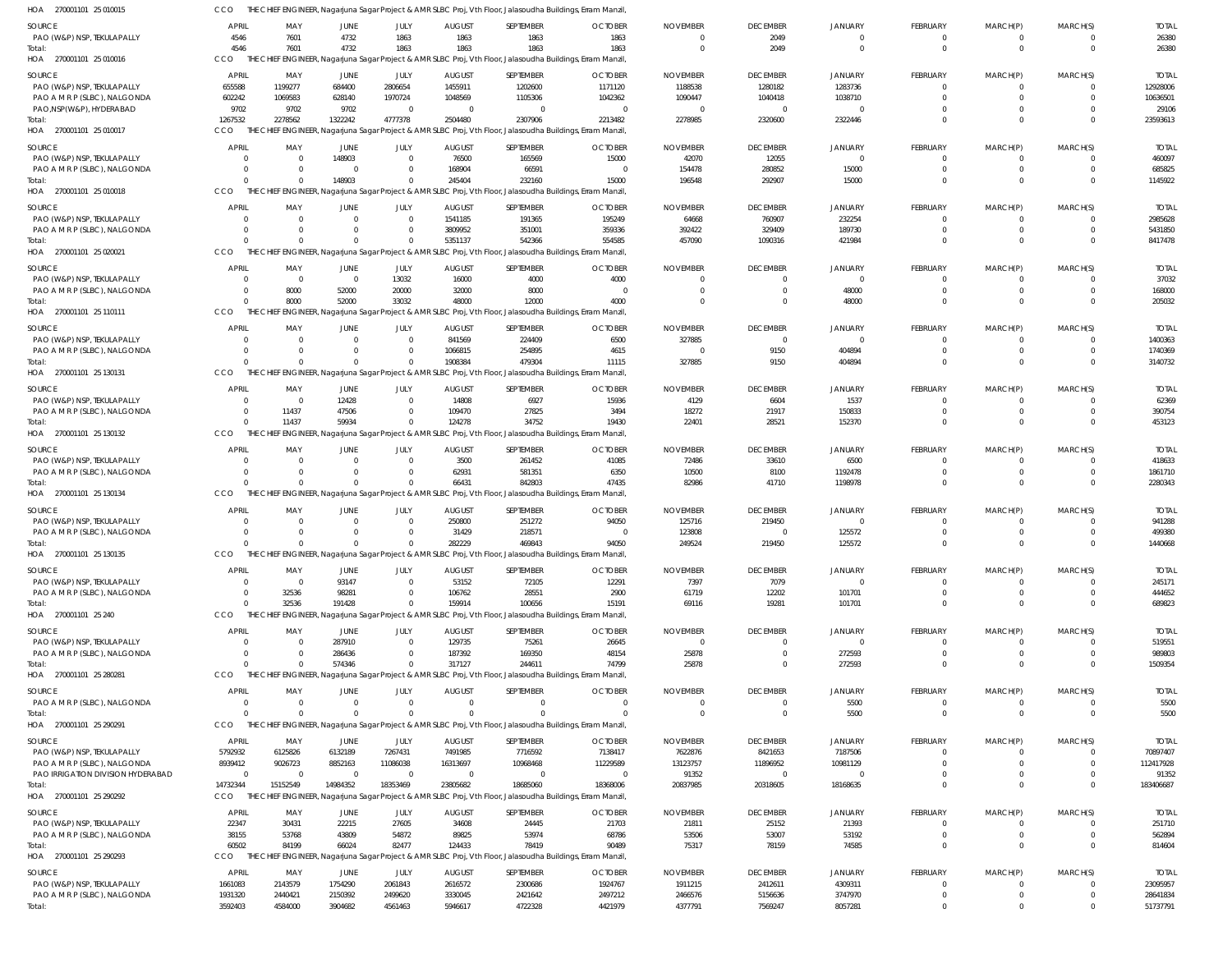| HOA 270001101 25 010015           |              |                      |                |                |                | THE CHIEF ENGINEER, Nagarjuna Sagar Project & AMR SLBC Proj, Vth Floor, Jalasoudha Buildings, Erram Manzil  |                |                 |                 |                |                 |                            |             |              |
|-----------------------------------|--------------|----------------------|----------------|----------------|----------------|-------------------------------------------------------------------------------------------------------------|----------------|-----------------|-----------------|----------------|-----------------|----------------------------|-------------|--------------|
| SOURCE                            | <b>APRIL</b> | MAY                  | <b>JUNE</b>    | JULY           | <b>AUGUST</b>  | SEPTEMBER                                                                                                   | <b>OCTOBER</b> | <b>NOVEMBER</b> | <b>DECEMBER</b> | <b>JANUARY</b> | FEBRUARY        | MARCH(P)                   | MARCH(S)    | <b>TOTAL</b> |
| PAO (W&P) NSP, TEKULAPALLY        | 4546         | 7601                 | 4732           | 1863           | 1863           | 1863                                                                                                        | 1863           | $\Omega$        | 2049            | $\Omega$       | 0               | $\overline{0}$             | 0           | 26380        |
| Total:                            | 4546         | 7601                 | 4732           | 1863           | 1863           | 1863                                                                                                        | 1863           | $\Omega$        | 2049            | $\Omega$       | $\mathbf 0$     | $\overline{0}$             | $\mathbf 0$ | 26380        |
| HOA 270001101 25 010016           | CCO          |                      |                |                |                | THE CHIEF ENGINEER, Nagarjuna Sagar Project & AMR SLBC Proj, Vth Floor, Jalasoudha Buildings, Erram Manzil, |                |                 |                 |                |                 |                            |             |              |
|                                   |              |                      |                |                |                |                                                                                                             |                |                 |                 |                |                 |                            |             |              |
| SOURCE                            | APRIL        | MAY                  | JUNE           | JULY           | <b>AUGUST</b>  | SEPTEMBER                                                                                                   | <b>OCTOBER</b> | <b>NOVEMBER</b> | <b>DECEMBER</b> | <b>JANUARY</b> | <b>FEBRUARY</b> | MARCH(P)                   | MARCH(S)    | <b>TOTAL</b> |
| PAO (W&P) NSP, TEKULAPALLY        | 655588       | 1199277              | 684400         | 2806654        | 1455911        | 1202600                                                                                                     | 1171120        | 1188538         | 1280182         | 1283736        | 0               | $\overline{0}$             | $\mathbf 0$ | 12928006     |
| PAO A M R P (SLBC), NALGONDA      | 602242       | 1069583              | 628140         | 1970724        | 1048569        | 1105306                                                                                                     | 1042362        | 1090447         | 1040418         | 1038710        |                 | $\Omega$                   | $\mathbf 0$ | 10636501     |
| PAO, NSP(W&P), HYDERABAD          | 9702         | 9702                 | 9702           | $\overline{0}$ | $\Omega$       | $\overline{0}$                                                                                              | $\Omega$       |                 | $\overline{0}$  | $\cap$         |                 | $\Omega$                   | $\mathbf 0$ | 29106        |
| Total:                            | 1267532      | 2278562              | 1322242        | 4777378        | 2504480        | 2307906                                                                                                     | 2213482        | 2278985         | 2320600         | 2322446        | $\Omega$        | $\Omega$                   | $\Omega$    | 23593613     |
| HOA 270001101 25 010017           | CCO          |                      |                |                |                | CHIEF ENGINEER, Nagarjuna Sagar Project & AMR SLBC Proj, Vth Floor, Jalasoudha Buildings, Erram Manzil,     |                |                 |                 |                |                 |                            |             |              |
| SOURCE                            | <b>APRIL</b> | MAY                  | JUNE           | JULY           | <b>AUGUST</b>  | SEPTEMBER                                                                                                   | <b>OCTOBER</b> | <b>NOVEMBER</b> | <b>DECEMBER</b> | JANUARY        | <b>FEBRUARY</b> | MARCH(P)                   | MARCH(S)    | <b>TOTAL</b> |
| PAO (W&P) NSP, TEKULAPALLY        | $\Omega$     | $\Omega$             | 148903         | $\overline{0}$ | 76500          | 165569                                                                                                      | 15000          | 42070           | 12055           | $\Omega$       | 0               | $\Omega$                   | $\Omega$    | 460097       |
|                                   |              |                      | $\Omega$       |                |                |                                                                                                             |                |                 |                 |                |                 |                            |             |              |
| PAO A M R P (SLBC), NALGONDA      | $\Omega$     | $\Omega$<br>$\Omega$ |                | $\mathbf 0$    | 168904         | 66591                                                                                                       | $\Omega$       | 154478          | 280852          | 15000          | 0               | $\overline{0}$<br>$\Omega$ | $\mathbf 0$ | 685825       |
| Total:                            |              |                      | 148903         | $\mathbf 0$    | 245404         | 232160                                                                                                      | 15000          | 196548          | 292907          | 15000          | $\Omega$        |                            | $\Omega$    | 1145922      |
| HOA 270001101 25 010018           | CCO          |                      |                |                |                | THE CHIEF ENGINEER, Nagarjuna Sagar Project & AMR SLBC Proj, Vth Floor, Jalasoudha Buildings, Erram Manzil, |                |                 |                 |                |                 |                            |             |              |
| <b>SOURCE</b>                     | <b>APRIL</b> | MAY                  | <b>JUNE</b>    | JULY           | <b>AUGUST</b>  | SEPTEMBER                                                                                                   | <b>OCTOBER</b> | <b>NOVEMBER</b> | <b>DECEMBER</b> | <b>JANUARY</b> | <b>FEBRUARY</b> | MARCH(P)                   | MARCH(S)    | <b>TOTAL</b> |
| PAO (W&P) NSP, TEKULAPALLY        |              | $\Omega$             | $\mathbf 0$    | $\overline{0}$ | 1541185        | 191365                                                                                                      | 195249         | 64668           | 760907          | 232254         | $\mathbf 0$     | $\overline{0}$             | $\mathbf 0$ | 2985628      |
| PAO A M R P (SLBC), NALGONDA      |              | $\Omega$             | $\mathbf 0$    | $\mathbf 0$    | 3809952        | 351001                                                                                                      | 359336         | 392422          | 329409          | 189730         | 0               | $\mathbf 0$                | $\mathbf 0$ | 5431850      |
| Total:                            |              | $\Omega$             | $\Omega$       | $\Omega$       | 5351137        | 542366                                                                                                      | 554585         | 457090          | 1090316         | 421984         | $\Omega$        | $\Omega$                   | $\mathbf 0$ | 8417478      |
| HOA 270001101 25 020021           | CCO          |                      |                |                |                | THE CHIEF ENGINEER, Nagarjuna Sagar Project & AMR SLBC Proj, Vth Floor, Jalasoudha Buildings, Erram Manzil, |                |                 |                 |                |                 |                            |             |              |
|                                   |              |                      |                |                |                |                                                                                                             |                |                 |                 |                |                 |                            |             |              |
| SOURCE                            | <b>APRIL</b> | MAY                  | JUNE           | JULY           | <b>AUGUST</b>  | SEPTEMBER                                                                                                   | <b>OCTOBER</b> | <b>NOVEMBER</b> | <b>DECEMBER</b> | JANUARY        | <b>FEBRUARY</b> | MARCH(P)                   | MARCH(S)    | <b>TOTAL</b> |
| PAO (W&P) NSP, TEKULAPALLY        | $\Omega$     | $\Omega$             | $\overline{0}$ | 13032          | 16000          | 4000                                                                                                        | 4000           | $\cup$          | $\Omega$        | $\Omega$       | $\Omega$        | $\Omega$                   | $\Omega$    | 37032        |
| PAO A M R P (SLBC), NALGONDA      |              | 8000                 | 52000          | 20000          | 32000          | 8000                                                                                                        | - 0            | -0              | $\overline{0}$  | 48000          | $\Omega$        | $\overline{0}$             | $\mathbf 0$ | 168000       |
| Total:                            |              | 8000                 | 52000          | 33032          | 48000          | 12000                                                                                                       | 4000           |                 | $\Omega$        | 48000          | $\Omega$        | $\Omega$                   | $\mathbf 0$ | 205032       |
| HOA 270001101 25 110111           | CCO          |                      |                |                |                | THE CHIEF ENGINEER, Nagarjuna Sagar Project & AMR SLBC Proj, Vth Floor, Jalasoudha Buildings, Erram Manzil, |                |                 |                 |                |                 |                            |             |              |
|                                   | <b>APRIL</b> |                      |                |                |                |                                                                                                             |                |                 |                 |                |                 |                            |             |              |
| SOURCE                            |              | MAY                  | <b>JUNE</b>    | JULY           | <b>AUGUST</b>  | SEPTEMBER                                                                                                   | <b>OCTOBER</b> | <b>NOVEMBER</b> | <b>DECEMBER</b> | <b>JANUARY</b> | <b>FEBRUARY</b> | MARCH(P)                   | MARCH(S)    | <b>TOTAL</b> |
| PAO (W&P) NSP, TEKULAPALLY        |              | $\Omega$             | 0              | $\overline{0}$ | 841569         | 224409                                                                                                      | 6500           | 327885          | $\overline{0}$  | $\Omega$       |                 | $\Omega$                   | $\Omega$    | 1400363      |
| PAO A M R P (SLBC), NALGONDA      |              | $\Omega$             | 0              | $\mathbf 0$    | 1066815        | 254895                                                                                                      | 4615           | $\Omega$        | 9150            | 404894         | $\mathbf 0$     | $\overline{0}$             | $\mathbf 0$ | 1740369      |
| Total:                            |              | $\Omega$             | $\Omega$       | $\Omega$       | 1908384        | 479304                                                                                                      | 11115          | 327885          | 9150            | 404894         | $\Omega$        | $\Omega$                   | $\Omega$    | 3140732      |
| HOA 270001101 25 130131           | CCO          |                      |                |                |                | CHIEF ENGINEER, Nagarjuna Sagar Project & AMR SLBC Proj, Vth Floor, Jalasoudha Buildings, Erram Manzil,     |                |                 |                 |                |                 |                            |             |              |
| SOURCE                            | <b>APRIL</b> | MAY                  | JUNE           | JULY           | <b>AUGUST</b>  | SEPTEMBER                                                                                                   | <b>OCTOBER</b> | <b>NOVEMBER</b> | <b>DECEMBER</b> | <b>JANUARY</b> | <b>FEBRUARY</b> | MARCH(P)                   | MARCH(S)    | <b>TOTAL</b> |
| PAO (W&P) NSP, TEKULAPALLY        | $\Omega$     | $\Omega$             | 12428          | $\overline{0}$ | 14808          | 6927                                                                                                        | 15936          | 4129            | 6604            | 1537           | 0               | $\Omega$                   | $\Omega$    | 62369        |
| PAO A M R P (SLBC), NALGONDA      | $\Omega$     | 11437                | 47506          | $\mathbf 0$    | 109470         | 27825                                                                                                       | 3494           | 18272           | 21917           | 150833         | 0               | $\overline{0}$             | $\mathbf 0$ | 390754       |
| Total:                            |              | 11437                | 59934          | $\mathbf 0$    | 124278         | 34752                                                                                                       | 19430          | 22401           | 28521           | 152370         | $\Omega$        | $\Omega$                   | $\Omega$    | 453123       |
| HOA 270001101 25 130132           | CCO          |                      |                |                |                | THE CHIEF ENGINEER, Nagarjuna Sagar Project & AMR SLBC Proj, Vth Floor, Jalasoudha Buildings, Erram Manzil, |                |                 |                 |                |                 |                            |             |              |
|                                   |              |                      |                |                |                |                                                                                                             |                |                 |                 |                |                 |                            |             |              |
| SOURCE                            | <b>APRIL</b> | MAY                  | <b>JUNE</b>    | JULY           | <b>AUGUST</b>  | SEPTEMBER                                                                                                   | <b>OCTOBER</b> | <b>NOVEMBER</b> | <b>DECEMBER</b> | <b>JANUARY</b> | FEBRUARY        | MARCH(P)                   | MARCH(S)    | <b>TOTAL</b> |
| PAO (W&P) NSP, TEKULAPALLY        |              | $\Omega$             | $\Omega$       | $\mathbf 0$    | 3500           | 261452                                                                                                      | 41085          | 72486           | 33610           | 6500           | $\mathbf 0$     | $\overline{0}$             | $\mathbf 0$ | 418633       |
| PAO A M R P (SLBC), NALGONDA      |              | $\Omega$             | $\mathbf 0$    | $\mathbf 0$    | 62931          | 581351                                                                                                      | 6350           | 10500           | 8100            | 1192478        | 0               | $\overline{0}$             | $\mathbf 0$ | 1861710      |
| Total:                            |              | $\Omega$             | $\Omega$       | $\Omega$       | 66431          | 842803                                                                                                      | 47435          | 82986           | 41710           | 1198978        | $\Omega$        | $\Omega$                   | $\Omega$    | 2280343      |
| HOA 270001101 25 130134           | CCO          | THE                  |                |                |                | CHIEF ENGINEER, Nagarjuna Sagar Project & AMR SLBC Proj, Vth Floor, Jalasoudha Buildings, Erram Manzil,     |                |                 |                 |                |                 |                            |             |              |
|                                   |              |                      |                |                |                |                                                                                                             |                |                 |                 |                |                 |                            |             |              |
| SOURCE                            | <b>APRIL</b> | MAY                  | <b>JUNE</b>    | JULY           | <b>AUGUST</b>  | SEPTEMBER                                                                                                   | <b>OCTOBER</b> | <b>NOVEMBER</b> | <b>DECEMBER</b> | <b>JANUARY</b> | FEBRUARY        | MARCH(P)                   | MARCH(S)    | <b>TOTAL</b> |
| PAO (W&P) NSP, TEKULAPALLY        |              | $\Omega$             |                | $\mathbf 0$    | 250800         | 251272                                                                                                      | 94050          | 125716          | 219450          | $\Omega$       | 0               | $\Omega$                   | $\Omega$    | 941288       |
| PAO A M R P (SLBC), NALGONDA      | $\cap$       | $\Omega$             | $\Omega$       | $\overline{0}$ | 31429          | 218571                                                                                                      |                | 123808          | $\Omega$        | 125572         | $\Omega$        | $\Omega$                   | $\Omega$    | 499380       |
| Total:                            |              | $\Omega$             | $\Omega$       | $\Omega$       | 282229         | 469843                                                                                                      | 94050          | 249524          | 219450          | 125572         |                 | $\Omega$                   | $\Omega$    | 1440668      |
| HOA 270001101 25 130135           | CCO          |                      |                |                |                | THE CHIEF ENGINEER, Nagarjuna Sagar Project & AMR SLBC Proj, Vth Floor, Jalasoudha Buildings, Erram Manzil  |                |                 |                 |                |                 |                            |             |              |
| SOURCE                            | <b>APRIL</b> | MAY                  | <b>JUNE</b>    | JULY           | <b>AUGUST</b>  | SEPTEMBER                                                                                                   | <b>OCTOBER</b> | <b>NOVEMBER</b> | <b>DECEMBER</b> | <b>JANUARY</b> | FEBRUARY        | MARCH(P)                   | MARCH(S)    | <b>TOTAL</b> |
| PAO (W&P) NSP, TEKULAPALLY        | $\Omega$     | $\Omega$             | 93147          | $\overline{0}$ | 53152          | 72105                                                                                                       | 12291          | 7397            | 7079            | $\Omega$       |                 | 0                          | $\Omega$    | 245171       |
| PAO A M R P (SLBC), NALGONDA      |              | 32536                | 98281          | $\mathbf 0$    | 106762         | 28551                                                                                                       | 2900           | 61719           | 12202           | 101701         | 0               | $\mathbf 0$                | $\mathbf 0$ | 444652       |
|                                   |              |                      |                | $\Omega$       |                |                                                                                                             |                |                 |                 |                |                 |                            | $\Omega$    |              |
| Total:                            |              | 32536                | 191428         |                | 159914         | 100656                                                                                                      | 15191          | 69116           | 19281           | 101701         | 0               | $\overline{0}$             |             | 689823       |
| HOA 270001101 25 240              | CCO          |                      |                |                |                | THE CHIEF ENGINEER, Nagarjuna Sagar Project & AMR SLBC Proj, Vth Floor, Jalasoudha Buildings, Erram Manzil, |                |                 |                 |                |                 |                            |             |              |
| SOURCE                            | <b>APRIL</b> | MAY                  | JUNE           | JULY           | <b>AUGUST</b>  | SEPTEMBER                                                                                                   | <b>OCTOBER</b> | <b>NOVEMBER</b> | <b>DECEMBER</b> | <b>JANUARY</b> | <b>FEBRUARY</b> | MARCH(P)                   | MARCH(S)    | <b>TOTAL</b> |
| PAO (W&P) NSP, TEKULAPALLY        | $\Omega$     | $\Omega$             | 287910         | $\overline{0}$ | 129735         | 75261                                                                                                       | 26645          | - 0             | $\Omega$        | $\Omega$       |                 | $\Omega$                   | $\Omega$    | 519551       |
| PAO A M R P (SLBC), NALGONDA      |              | $\Omega$             | 286436         | $\mathbf 0$    | 187392         | 169350                                                                                                      | 48154          | 25878           | $\overline{0}$  | 272593         | 0               | $\overline{0}$             | $\mathbf 0$ | 989803       |
| Total:                            |              | $\Omega$             | 574346         | $\Omega$       | 317127         | 244611                                                                                                      | 74799          | 25878           | $\Omega$        | 272593         | $\Omega$        | $\Omega$                   | $\mathbf 0$ | 1509354      |
| HOA 270001101 25 280281           | CCO          |                      |                |                |                | THE CHIEF ENGINEER, Nagarjuna Sagar Project & AMR SLBC Proj, Vth Floor, Jalasoudha Buildings, Erram Manzil, |                |                 |                 |                |                 |                            |             |              |
|                                   |              |                      |                |                |                |                                                                                                             |                |                 |                 |                |                 |                            |             |              |
| SOURCE                            | <b>APRIL</b> | MAY                  | <b>JUNE</b>    | JULY           | <b>AUGUST</b>  | SEPTEMBER                                                                                                   | <b>OCTOBER</b> | <b>NOVEMBER</b> | <b>DECEMBER</b> | <b>JANUARY</b> | <b>FEBRUARY</b> | MARCH(P)                   | MARCH(S)    | <b>TOTAL</b> |
| PAO A M R P (SLBC), NALGONDA      | $\Omega$     | $\overline{0}$       | $\mathbf 0$    | $\overline{0}$ | $\overline{0}$ | $\mathbf{0}$                                                                                                | $\Omega$       | $\Omega$        | $\overline{0}$  | 5500           | $\mathbf 0$     | $\overline{0}$             | $\mathbf 0$ | 5500         |
| Total:                            | $\cap$       | $\Omega$             | $\Omega$       | $\Omega$       | $\Omega$       | $\Omega$                                                                                                    |                |                 | $\overline{0}$  | 5500           | $\mathbf 0$     | $\overline{0}$             | $\mathbf 0$ | 5500         |
| HOA 270001101 25 290291           | CCO          |                      |                |                |                | THE CHIEF ENGINEER, Nagarjuna Sagar Project & AMR SLBC Proj, Vth Floor, Jalasoudha Buildings, Erram Manzil, |                |                 |                 |                |                 |                            |             |              |
| SOURCE                            | APRIL        | MAY                  | JUNE           | JULY           | <b>AUGUST</b>  | SEPTEMBER                                                                                                   | <b>OCTOBER</b> | <b>NOVEMBER</b> | <b>DECEMBER</b> | <b>JANUARY</b> | <b>FEBRUARY</b> | MARCH(P)                   | MARCH(S)    | <b>TOTAL</b> |
| PAO (W&P) NSP, TEKULAPALLY        | 5792932      | 6125826              | 6132189        | 7267431        | 7491985        | 7716592                                                                                                     | 7138417        | 7622876         | 8421653         | 7187506        |                 | $\Omega$                   | 0           | 70897407     |
|                                   |              |                      |                |                |                |                                                                                                             |                |                 |                 |                |                 |                            |             |              |
| PAO A M R P (SLBC), NALGONDA      | 8939412      | 9026723              | 8852163        | 11086038       | 16313697       | 10968468                                                                                                    | 11229589       | 13123757        | 11896952        | 10981129       |                 | $\Omega$                   | $\mathbf 0$ | 112417928    |
| PAO IRRIGATION DIVISION HYDERABAD | $\Omega$     | $\Omega$             | $\Omega$       | $\Omega$       | $\Omega$       | $\Omega$                                                                                                    | $\Omega$       | 91352           | $\overline{0}$  |                |                 | $\Omega$                   | $\mathbf 0$ | 91352        |
| Total:                            | 14732344     | 15152549             | 14984352       | 18353469       | 23805682       | 18685060                                                                                                    | 18368006       | 20837985        | 20318605        | 18168635       | $\Omega$        | $\Omega$                   | $\Omega$    | 183406687    |
| HOA 270001101 25 290292           | CCO          |                      |                |                |                | THE CHIEF ENGINEER, Nagarjuna Sagar Project & AMR SLBC Proj, Vth Floor, Jalasoudha Buildings, Erram Manzil, |                |                 |                 |                |                 |                            |             |              |
| <b>SOURCE</b>                     | <b>APRIL</b> | MAY                  | JUNE           | JULY           | <b>AUGUST</b>  | SEPTEMBER                                                                                                   | <b>OCTOBER</b> | <b>NOVEMBER</b> | <b>DECEMBER</b> | <b>JANUARY</b> | <b>FEBRUARY</b> | MARCH(P)                   | MARCH(S)    | <b>TOTAL</b> |
| PAO (W&P) NSP, TEKULAPALLY        | 22347        | 30431                | 22215          | 27605          | 34608          | 24445                                                                                                       | 21703          | 21811           | 25152           | 21393          |                 | $^{\circ}$                 | 0           | 251710       |
| PAO A M R P (SLBC), NALGONDA      | 38155        | 53768                | 43809          | 54872          | 89825          | 53974                                                                                                       | 68786          | 53506           | 53007           | 53192          | $\Omega$        | $\overline{0}$             | $\mathbf 0$ | 562894       |
| Total:                            | 60502        | 84199                | 66024          | 82477          | 124433         | 78419                                                                                                       | 90489          | 75317           | 78159           | 74585          | 0               | $\overline{0}$             | $\Omega$    | 814604       |
| HOA 270001101 25 290293           | CCO          |                      |                |                |                | THE CHIEF ENGINEER, Nagarjuna Sagar Project & AMR SLBC Proj, Vth Floor, Jalasoudha Buildings, Erram Manzil, |                |                 |                 |                |                 |                            |             |              |
|                                   |              |                      |                |                |                |                                                                                                             |                |                 |                 |                |                 |                            |             |              |
| SOURCE                            | APRIL        | MAY                  | JUNE           | JULY           | <b>AUGUST</b>  | SEPTEMBER                                                                                                   | <b>OCTOBER</b> | <b>NOVEMBER</b> | <b>DECEMBER</b> | <b>JANUARY</b> | <b>FEBRUARY</b> | MARCH(P)                   | MARCH(S)    | <b>TOTAL</b> |
| PAO (W&P) NSP, TEKULAPALLY        | 1661083      | 2143579              | 1754290        | 2061843        | 2616572        | 2300686                                                                                                     | 1924767        | 1911215         | 2412611         | 4309311        |                 | $\Omega$                   | $^{\circ}$  | 23095957     |
| PAO A M R P (SLBC), NALGONDA      | 1931320      | 2440421              | 2150392        | 2499620        | 3330045        | 2421642                                                                                                     | 2497212        | 2466576         | 5156636         | 3747970        | 0               | $\overline{0}$             | $^{\circ}$  | 28641834     |
| Total:                            | 3592403      | 4584000              | 3904682        | 4561463        | 5946617        | 4722328                                                                                                     | 4421979        | 4377791         | 7569247         | 8057281        | $\mathbf 0$     | $\mathbf 0$                | $\mathbf 0$ | 51737791     |
|                                   |              |                      |                |                |                |                                                                                                             |                |                 |                 |                |                 |                            |             |              |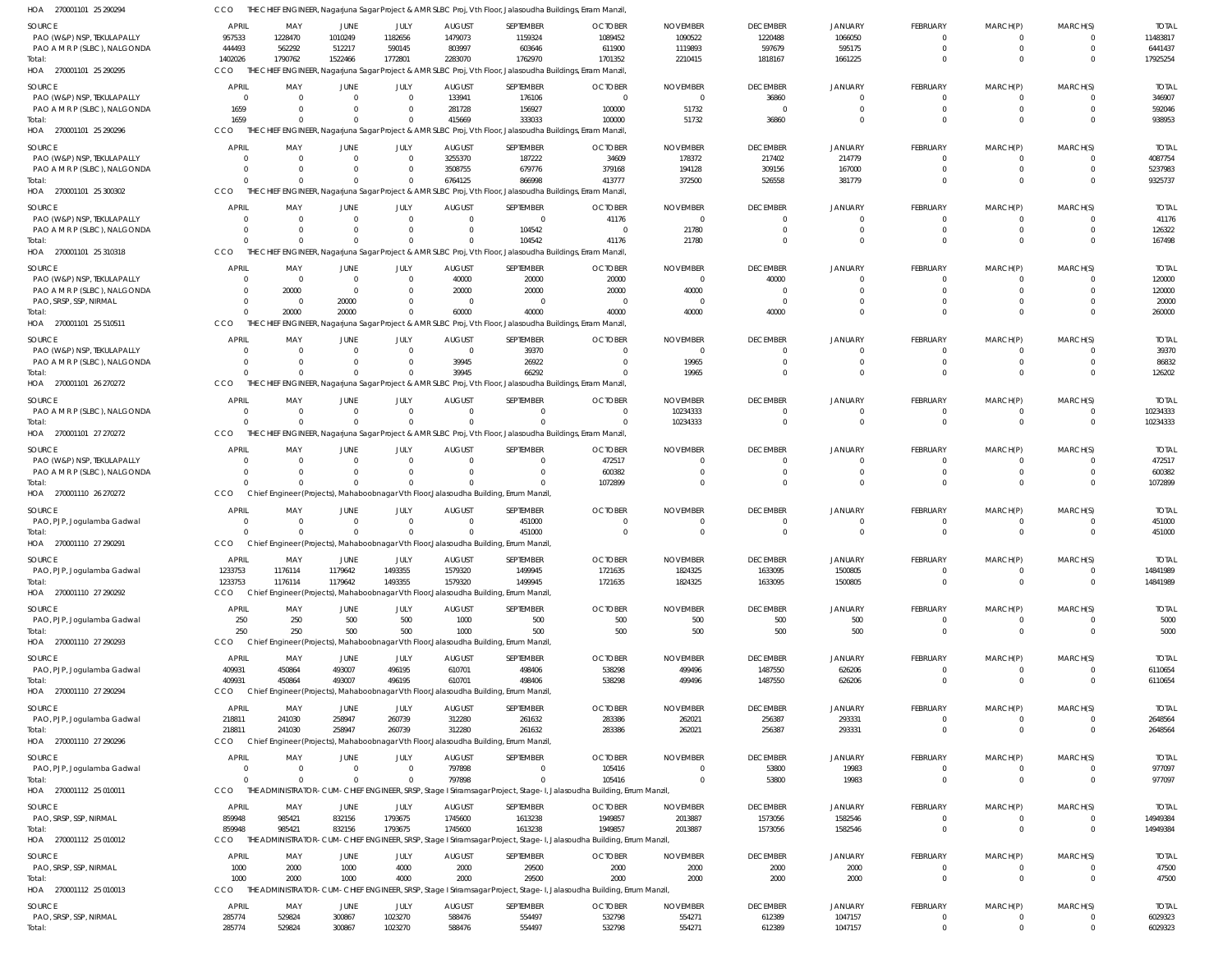| SOURCE<br>PAO (W&P) NSP, TEKULAPALLY                       | APRIL<br>957533        | MAY<br>1228470       | JUNE<br>1010249          | JULY<br>1182656      | <b>AUGUST</b><br>1479073  | SEPTEMBER<br>1159324                                                                                                   | <b>OCTOBER</b><br>1089452                                                                                                      | <b>NOVEMBER</b><br>1090522  | <b>DECEMBER</b><br>1220488  | JANUARY<br>1066050         | FEBRUARY<br>$\Omega$    | MARCH(P)<br>$\Omega$         | MARCH(S)<br>$\Omega$       | <b>TOTAL</b><br>11483817 |
|------------------------------------------------------------|------------------------|----------------------|--------------------------|----------------------|---------------------------|------------------------------------------------------------------------------------------------------------------------|--------------------------------------------------------------------------------------------------------------------------------|-----------------------------|-----------------------------|----------------------------|-------------------------|------------------------------|----------------------------|--------------------------|
| PAO A M R P (SLBC), NALGONDA                               | 444493                 | 562292               | 512217                   | 590145               | 803997                    | 603646                                                                                                                 | 611900                                                                                                                         | 1119893                     | 597679                      | 595175                     | $\Omega$                | $\Omega$                     | $\Omega$                   | 6441437                  |
| Total:<br>HOA 270001101 25 290295                          | 1402026<br><b>CCO</b>  | 1790762              | 1522466                  | 1772801              | 2283070                   | 1762970<br>THE CHIEF ENGINEER, Nagarjuna Sagar Project & AMR SLBC Proj, Vth Floor, Jalasoudha Buildings, Erram Manzil, | 1701352                                                                                                                        | 2210415                     | 1818167                     | 1661225                    | $\Omega$                | $\Omega$                     | $\Omega$                   | 17925254                 |
| SOURCE                                                     | <b>APRIL</b>           | MAY                  | JUNE                     | JULY                 | <b>AUGUST</b>             | SEPTEMBER                                                                                                              | <b>OCTOBER</b>                                                                                                                 | <b>NOVEMBER</b>             | <b>DECEMBER</b>             | JANUARY                    | FEBRUARY                | MARCH(P)                     | MARCH(S)                   | <b>TOTAL</b>             |
| PAO (W&P) NSP, TEKULAPALLY                                 | $\overline{0}$         |                      | $\Omega$                 | $\mathbf 0$          | 133941                    | 176106                                                                                                                 | - 0                                                                                                                            | $\Omega$                    | 36860                       | $\Omega$                   | $\mathbf{0}$            | 0                            | $\Omega$                   | 346907                   |
| PAO A M R P (SLBC), NALGONDA                               | 1659                   |                      | $\Omega$                 | $\mathbf 0$          | 281728                    | 156927                                                                                                                 | 100000                                                                                                                         | 51732                       | $\overline{0}$              | $\Omega$                   | $\mathbf 0$             | $\mathbf{0}$                 | $\Omega$                   | 592046                   |
| Total:<br>HOA 270001101 25 290296                          | 1659<br>CCO            |                      | $\Omega$                 | $\Omega$             | 415669                    | 333033<br>THE CHIEF ENGINEER, Nagarjuna Sagar Project & AMR SLBC Proj, Vth Floor, Jalasoudha Buildings, Erram Manzil,  | 100000                                                                                                                         | 51732                       | 36860                       | $\Omega$                   | $\mathbf 0$             | $\mathbf 0$                  | $\Omega$                   | 938953                   |
| SOURCE                                                     | <b>APRIL</b>           | MAY                  | JUNE                     | JULY                 | <b>AUGUST</b>             | SEPTEMBER                                                                                                              | <b>OCTOBER</b>                                                                                                                 | <b>NOVEMBER</b>             | <b>DECEMBER</b>             | <b>JANUARY</b>             | FEBRUARY                | MARCH(P)                     | MARCH(S)                   | <b>TOTAL</b>             |
| PAO (W&P) NSP, TEKULAPALLY                                 | - 0                    |                      | $\Omega$                 | $\Omega$             | 3255370                   | 187222                                                                                                                 | 34609                                                                                                                          | 178372                      | 217402                      | 214779                     | $\Omega$                | $\Omega$                     | $\Omega$                   | 4087754                  |
| PAO A M R P (SLBC), NALGONDA                               | C                      |                      | $\Omega$                 | $\Omega$             | 3508755                   | 679776                                                                                                                 | 379168                                                                                                                         | 194128                      | 309156                      | 167000                     | $\Omega$                | $\mathbf 0$                  | $\Omega$                   | 5237983                  |
| Total:<br>HOA 270001101 25 300302                          | $\sqrt{2}$<br>CCO      |                      | $\Omega$                 | $\Omega$             | 6764125                   | 866998<br>THE CHIEF ENGINEER, Nagarjuna Sagar Project & AMR SLBC Proj, Vth Floor, Jalasoudha Buildings, Erram Manzil,  | 413777                                                                                                                         | 372500                      | 526558                      | 381779                     | $\Omega$                | $\Omega$                     | $\Omega$                   | 9325737                  |
|                                                            |                        |                      |                          |                      |                           |                                                                                                                        |                                                                                                                                |                             |                             |                            |                         |                              |                            |                          |
| SOURCE<br>PAO (W&P) NSP, TEKULAPALLY                       | <b>APRIL</b><br>- 0    | MAY<br>$\Omega$      | JUNE<br>$\Omega$         | JULY<br>$\mathbf 0$  | <b>AUGUST</b><br>$\Omega$ | SEPTEMBER<br>$\mathbf 0$                                                                                               | <b>OCTOBER</b><br>41176                                                                                                        | <b>NOVEMBER</b><br>$\Omega$ | <b>DECEMBER</b><br>$\Omega$ | <b>JANUARY</b><br>$\Omega$ | FEBRUARY<br>$\mathbf 0$ | MARCH(P)<br>0                | MARCH(S)<br>$\Omega$       | <b>TOTAL</b><br>41176    |
| PAO A M R P (SLBC), NALGONDA                               | - 0                    |                      |                          | $\Omega$             |                           | 104542                                                                                                                 | - 0                                                                                                                            | 21780                       | $\Omega$                    | $\Omega$                   | $\mathbf 0$             | $\mathbf 0$                  | $\Omega$                   | 126322                   |
| Total:                                                     | $\sqrt{2}$             |                      | <sup>0</sup>             | $\Omega$             |                           | 104542                                                                                                                 | 41176                                                                                                                          | 21780                       | $\Omega$                    | $\Omega$                   | $\mathbf 0$             | $\mathbf{0}$                 | $\Omega$                   | 167498                   |
| HOA 270001101 25 310318                                    | CCO                    |                      |                          |                      |                           | THE CHIEF ENGINEER, Nagarjuna Sagar Project & AMR SLBC Proj, Vth Floor, Jalasoudha Buildings, Erram Manzil,            |                                                                                                                                |                             |                             |                            |                         |                              |                            |                          |
| SOURCE                                                     | <b>APRIL</b>           | MAY                  | JUNE                     | JULY                 | <b>AUGUST</b>             | SEPTEMBER                                                                                                              | <b>OCTOBER</b>                                                                                                                 | <b>NOVEMBER</b>             | <b>DECEMBER</b>             | JANUARY                    | FEBRUARY                | MARCH(P)                     | MARCH(S)                   | <b>TOTAL</b>             |
| PAO (W&P) NSP, TEKULAPALLY<br>PAO A M R P (SLBC), NALGONDA | $\Omega$<br>$\Omega$   | $\Omega$<br>20000    | $\Omega$<br>$\Omega$     | $\mathbf 0$<br>0     | 40000<br>20000            | 20000<br>20000                                                                                                         | 20000<br>20000                                                                                                                 | $\Omega$<br>40000           | 40000<br>$\Omega$           |                            | $\Omega$<br>$\Omega$    | $\Omega$<br>$\Omega$         | $\Omega$<br>$\Omega$       | 120000<br>120000         |
| PAO, SRSP, SSP, NIRMAL                                     | $\Omega$               | - 0                  | 20000                    | 0                    |                           | $\Omega$                                                                                                               | - 0                                                                                                                            | - 0                         | $\Omega$                    |                            | $\Omega$                | $\Omega$                     | $\Omega$                   | 20000                    |
| Total:                                                     | $\Omega$               | 20000                | 20000                    | $\Omega$             | 60000                     | 40000                                                                                                                  | 40000                                                                                                                          | 40000                       | 40000                       |                            | $\Omega$                | $\Omega$                     | $\Omega$                   | 260000                   |
| HOA 270001101 25 510511                                    | CCO                    |                      |                          |                      |                           | THE CHIEF ENGINEER, Nagarjuna Sagar Project & AMR SLBC Proj, Vth Floor, Jalasoudha Buildings, Erram Manzil,            |                                                                                                                                |                             |                             |                            |                         |                              |                            |                          |
| SOURCE                                                     | <b>APRIL</b>           | MAY                  | JUNE                     | JULY                 | <b>AUGUST</b>             | SEPTEMBER                                                                                                              | <b>OCTOBER</b>                                                                                                                 | <b>NOVEMBER</b>             | <b>DECEMBER</b>             | JANUARY                    | FEBRUARY                | MARCH(P)                     | MARCH(S)                   | <b>TOTAL</b>             |
| PAO (W&P) NSP, TEKULAPALLY                                 | - 0                    | $\Omega$             | $\Omega$                 | $\mathbf 0$          | $\Omega$                  | 39370                                                                                                                  | - 0                                                                                                                            | $\Omega$                    | $\Omega$                    | $\Omega$                   | $\mathbf 0$             | 0                            | $\Omega$                   | 39370                    |
| PAO A M R P (SLBC), NALGONDA<br>Total:                     | - 0<br>$\sqrt{2}$      |                      | $\Omega$<br><sup>0</sup> | $\Omega$<br>$\Omega$ | 39945<br>39945            | 26922<br>66292                                                                                                         | - 0                                                                                                                            | 19965<br>19965              | $\Omega$<br>$\Omega$        | $\Omega$<br>$\Omega$       | $\mathbf 0$<br>$\Omega$ | $\mathbf{0}$<br>$\mathbf{0}$ | $\Omega$<br>$\Omega$       | 86832<br>126202          |
| HOA 270001101 26 270272                                    | CCO                    | THE CHIEF            |                          |                      |                           | ENGINEER, Nagarjuna Sagar Project & AMR SLBC Proj, Vth Floor, Jalasoudha Buildings, Erram Manzil,                      |                                                                                                                                |                             |                             |                            |                         |                              |                            |                          |
| SOURCE                                                     | APRIL                  | MAY                  | JUNE                     | JULY                 | <b>AUGUST</b>             | SEPTEMBER                                                                                                              | <b>OCTOBER</b>                                                                                                                 | <b>NOVEMBER</b>             | <b>DECEMBER</b>             | JANUARY                    | FEBRUARY                | MARCH(P)                     | MARCH(S)                   | <b>TOTAL</b>             |
| PAO A M R P (SLBC), NALGONDA                               | $\overline{0}$         | $\Omega$             | $\Omega$                 | $\Omega$             | $\Omega$                  | $\Omega$                                                                                                               | $\Omega$                                                                                                                       | 10234333                    | 0                           |                            | $\Omega$                | $\Omega$                     | $^{\circ}$                 | 10234333                 |
| Total:                                                     | $\sqrt{2}$             |                      | $\Omega$                 | $\Omega$             |                           | $\Omega$                                                                                                               | $\Omega$                                                                                                                       | 10234333                    | $\Omega$                    | $\Omega$                   | $\mathbf 0$             | $\mathbf{0}$                 | $\Omega$                   | 10234333                 |
| HOA 270001101 27 270272                                    | CCO                    |                      |                          |                      |                           | THE CHIEF ENGINEER, Nagarjuna Sagar Project & AMR SLBC Proj, Vth Floor, Jalasoudha Buildings, Erram Manzil,            |                                                                                                                                |                             |                             |                            |                         |                              |                            |                          |
| SOURCE                                                     | APRIL                  | MAY                  | JUNE                     | JULY                 | <b>AUGUST</b>             | SEPTEMBER                                                                                                              | <b>OCTOBER</b>                                                                                                                 | <b>NOVEMBER</b>             | <b>DECEMBER</b>             | JANUARY                    | FEBRUARY                | MARCH(P)                     | MARCH(S)                   | <b>TOTAL</b>             |
| PAO (W&P) NSP, TEKULAPALLY                                 | C<br>$\overline{0}$    |                      | 0<br>$\Omega$            | $\Omega$<br>$\Omega$ |                           | $\mathbf 0$<br>$\Omega$                                                                                                | 472517<br>600382                                                                                                               |                             | $\Omega$<br>$\Omega$        | $\Omega$<br>$\Omega$       | 0<br>$\mathbf 0$        | 0<br>$\mathbf{0}$            | $\Omega$<br>$\Omega$       | 472517<br>600382         |
| PAO A M R P (SLBC), NALGONDA<br>Total:                     |                        |                      | $\Omega$                 | $\Omega$             |                           | $\Omega$                                                                                                               | 1072899                                                                                                                        |                             | $\Omega$                    |                            | $\Omega$                | $\Omega$                     | $\Omega$                   | 1072899                  |
| HOA 270001110 26 270272                                    | <b>CCO</b>             |                      |                          |                      |                           | Chief Engineer (Projects), Mahaboobnagar Vth Floor, Jalasoudha Building, Errum Manzil                                  |                                                                                                                                |                             |                             |                            |                         |                              |                            |                          |
| SOURCE                                                     | <b>APRIL</b>           | MAY                  | JUNE                     | JULY                 | <b>AUGUST</b>             | SEPTEMBER                                                                                                              | <b>OCTOBER</b>                                                                                                                 | <b>NOVEMBER</b>             | <b>DECEMBER</b>             | <b>JANUARY</b>             | FEBRUARY                | MARCH(P)                     | MARCH(S)                   | <b>TOTAL</b>             |
| PAO, PJP, Jogulamba Gadwal                                 | $\Omega$               | $\Omega$             | $\Omega$                 | $\mathbf 0$          | $\Omega$                  | 451000                                                                                                                 |                                                                                                                                |                             | 0                           |                            | $\Omega$                | $\Omega$                     | $\Omega$                   | 451000                   |
| Total:                                                     | C                      |                      | $\Omega$                 | $\Omega$             |                           | 451000                                                                                                                 | - 0                                                                                                                            | $\Omega$                    | $\mathbf 0$                 | $\Omega$                   | $\mathbf 0$             | $\Omega$                     | $\Omega$                   | 451000                   |
| HOA 270001110 27 290291                                    | CCO                    |                      |                          |                      |                           | Chief Engineer (Projects), Mahaboobnagar Vth Floor, Jalasoudha Building, Errum Manzil                                  |                                                                                                                                |                             |                             |                            |                         |                              |                            |                          |
| SOURCE                                                     | <b>APRIL</b>           | MAY                  | JUNE                     | JULY                 | <b>AUGUST</b>             | SEPTEMBER                                                                                                              | <b>OCTOBER</b>                                                                                                                 | <b>NOVEMBER</b>             | <b>DECEMBER</b>             | <b>JANUARY</b>             | FEBRUARY<br>$\mathbf 0$ | MARCH(P)<br>$\mathbf{0}$     | MARCH(S)<br>$\overline{0}$ | <b>TOTAL</b>             |
| PAO, PJP, Jogulamba Gadwal<br>Total:                       | 1233753<br>1233753     | 1176114<br>1176114   | 1179642<br>1179642       | 1493355<br>1493355   | 1579320<br>1579320        | 1499945<br>1499945                                                                                                     | 1721635<br>1721635                                                                                                             | 1824325<br>1824325          | 1633095<br>1633095          | 1500805<br>1500805         | $\mathbb O$             | $\mathbf 0$                  | $\overline{0}$             | 14841989<br>14841989     |
| HOA 270001110 27 290292                                    | CCO                    |                      |                          |                      |                           | Chief Engineer (Projects), Mahaboobnagar Vth Floor, Jalasoudha Building, Errum Manzil                                  |                                                                                                                                |                             |                             |                            |                         |                              |                            |                          |
| SOURCE                                                     | <b>APRIL</b>           | MAY                  | JUNE                     | JULY                 | <b>AUGUST</b>             | SEPTEMBER                                                                                                              | <b>OCTOBER</b>                                                                                                                 | <b>NOVEMBER</b>             | <b>DECEMBER</b>             | <b>JANUARY</b>             | FEBRUARY                | MARCH(P)                     | MARCH(S)                   | <b>TOTAL</b>             |
| PAO, PJP, Jogulamba Gadwal                                 | 250                    | 250                  | 500                      | 500                  | 1000                      | 500                                                                                                                    | 500                                                                                                                            | 500                         | 500                         | 500                        | $\mathbf 0$             | $\overline{0}$               | $\overline{0}$             | 5000                     |
| Total:                                                     | 250                    | 250                  | 500                      | 500                  | 1000                      | 500                                                                                                                    | 500                                                                                                                            | 500                         | 500                         | 500                        | $\mathbf{0}$            | $\mathbf{0}$                 | $\overline{0}$             | 5000                     |
| HOA 270001110 27 290293                                    | <b>CCO</b>             |                      |                          |                      |                           | Chief Engineer (Projects), Mahaboobnagar Vth Floor, Jalasoudha Building, Errum Manzil                                  |                                                                                                                                |                             |                             |                            |                         |                              |                            |                          |
| SOURCE<br>PAO, PJP, Jogulamba Gadwal                       | APRIL<br>409931        | MAY<br>450864        | JUNE<br>493007           | JULY<br>496195       | <b>AUGUST</b><br>610701   | SEPTEMBER<br>498406                                                                                                    | <b>OCTOBER</b><br>538298                                                                                                       | <b>NOVEMBER</b><br>499496   | <b>DECEMBER</b><br>1487550  | JANUARY<br>626206          | FEBRUARY<br>$\mathbf 0$ | MARCH(P)<br>$\mathbf 0$      | MARCH(S)<br>$\overline{0}$ | <b>TOTAL</b><br>6110654  |
| Total:                                                     | 409931                 | 450864               | 493007                   | 496195               | 610701                    | 498406                                                                                                                 | 538298                                                                                                                         | 499496                      | 1487550                     | 626206                     | $\mathbf 0$             | $\mathbf 0$                  | $\overline{0}$             | 6110654                  |
| HOA 270001110 27 290294                                    | CCO                    |                      |                          |                      |                           | Chief Engineer (Projects), Mahaboobnagar Vth Floor, Jalasoudha Building, Errum Manzil                                  |                                                                                                                                |                             |                             |                            |                         |                              |                            |                          |
| SOURCE                                                     | APRIL                  | MAY                  | JUNE                     | JULY                 | <b>AUGUST</b>             | SEPTEMBER                                                                                                              | <b>OCTOBER</b>                                                                                                                 | <b>NOVEMBER</b>             | <b>DECEMBER</b>             | <b>JANUARY</b>             | FEBRUARY                | MARCH(P)                     | MARCH(S)                   | <b>TOTAL</b>             |
| PAO, PJP, Jogulamba Gadwal                                 | 218811                 | 241030               | 258947                   | 260739               | 312280                    | 261632                                                                                                                 | 283386                                                                                                                         | 262021                      | 256387                      | 293331                     | 0                       | 0                            | $\overline{0}$             | 2648564                  |
| Total:                                                     |                        |                      |                          | 260739               | 312280                    | 261632                                                                                                                 | 283386                                                                                                                         | 262021                      | 256387                      | 293331                     | $\mathbf 0$             | $\mathbf{0}$                 | $\overline{0}$             | 2648564                  |
| HOA 270001110 27 290296                                    | 218811                 | 241030               | 258947                   |                      |                           |                                                                                                                        |                                                                                                                                |                             |                             |                            |                         |                              |                            |                          |
| SOURCE                                                     | <b>CCO</b>             |                      |                          |                      |                           | Chief Engineer (Projects), Mahaboobnagar Vth Floor, Jalasoudha Building, Errum Manzil                                  |                                                                                                                                |                             |                             |                            |                         |                              |                            |                          |
|                                                            | <b>APRIL</b>           | MAY                  | JUNE                     | JULY                 | <b>AUGUST</b>             | SEPTEMBER                                                                                                              | <b>OCTOBER</b>                                                                                                                 | <b>NOVEMBER</b>             | <b>DECEMBER</b>             | <b>JANUARY</b>             | FEBRUARY                | MARCH(P)                     | MARCH(S)                   | <b>TOTAL</b>             |
| PAO, PJP, Jogulamba Gadwal                                 | $\overline{0}$         | $\Omega$<br>$\Omega$ | $\overline{0}$           | $\mathbf 0$          | 797898                    | $\mathbf{0}$                                                                                                           | 105416                                                                                                                         | $\Omega$                    | 53800                       | 19983                      | $\mathbf{0}$            | $\mathbf 0$                  | $\overline{0}$             | 977097                   |
| Total:<br>HOA 270001112 25 010011                          | $\Omega$<br><b>CCO</b> |                      | $\Omega$                 | $\Omega$             | 797898                    | $\mathbf 0$                                                                                                            | 105416<br>THE ADMINISTRATOR-CUM-CHIEF ENGINEER, SRSP, Stage I Sriramsagar Project, Stage-I, Jalasoudha Building, Errum Manzil, | $\Omega$                    | 53800                       | 19983                      | $\mathbf 0$             | $\mathbf 0$                  | $\overline{0}$             | 977097                   |
|                                                            |                        |                      |                          |                      |                           |                                                                                                                        |                                                                                                                                |                             |                             |                            |                         |                              |                            |                          |
| SOURCE<br>PAO, SRSP, SSP, NIRMAL                           | APRIL<br>859948        | MAY<br>985421        | JUNE<br>832156           | JULY<br>1793675      | <b>AUGUST</b><br>1745600  | SEPTEMBER<br>1613238                                                                                                   | <b>OCTOBER</b><br>1949857                                                                                                      | <b>NOVEMBER</b><br>2013887  | <b>DECEMBER</b><br>1573056  | <b>JANUARY</b><br>1582546  | FEBRUARY<br>$\mathbf 0$ | MARCH(P)<br>$\overline{0}$   | MARCH(S)<br>$\overline{0}$ | <b>TOTAL</b><br>14949384 |
| Total:                                                     | 859948                 | 985421               | 832156                   | 1793675              | 1745600                   | 1613238                                                                                                                | 1949857                                                                                                                        | 2013887                     | 1573056                     | 1582546                    | $\mathbf{0}$            | $\mathbf{0}$                 | $\overline{0}$             | 14949384                 |
| HOA 270001112 25 010012                                    | <b>CCO</b>             |                      |                          |                      |                           |                                                                                                                        | THE ADMINISTRATOR-CUM-CHIEF ENGINEER, SRSP, Stage I Sriramsagar Project, Stage-I, Jalasoudha Building, Errum Manzil,           |                             |                             |                            |                         |                              |                            |                          |
| SOURCE                                                     | <b>APRIL</b>           | MAY                  | JUNE                     | JULY                 | <b>AUGUST</b>             | SEPTEMBER                                                                                                              | <b>OCTOBER</b>                                                                                                                 | <b>NOVEMBER</b>             | <b>DECEMBER</b>             | JANUARY                    | FEBRUARY                | MARCH(P)                     | MARCH(S)                   | <b>TOTAL</b>             |
| PAO, SRSP, SSP, NIRMAL                                     | 1000                   | 2000                 | 1000                     | 4000                 | 2000                      | 29500                                                                                                                  | 2000                                                                                                                           | 2000                        | 2000                        | 2000                       | $\mathbf 0$             | $\mathbf 0$                  | $\overline{0}$             | 47500                    |
| Total:<br>HOA 270001112 25 010013                          | 1000<br><b>CCO</b>     | 2000                 | 1000                     | 4000                 | 2000                      | 29500                                                                                                                  | 2000<br>THE ADMINISTRATOR-CUM-CHIEF ENGINEER, SRSP, Stage I Sriramsagar Project, Stage-I, Jalasoudha Building, Errum Manzil,   | 2000                        | 2000                        | 2000                       | $\mathbf 0$             | $\overline{0}$               | $\overline{0}$             | 47500                    |
|                                                            |                        |                      |                          |                      |                           |                                                                                                                        |                                                                                                                                |                             |                             |                            |                         |                              |                            |                          |
| SOURCE<br>PAO, SRSP, SSP, NIRMAL                           | APRIL<br>285774        | MAY<br>529824        | JUNE<br>300867           | JULY<br>1023270      | <b>AUGUST</b><br>588476   | SEPTEMBER<br>554497                                                                                                    | <b>OCTOBER</b><br>532798                                                                                                       | <b>NOVEMBER</b><br>554271   | <b>DECEMBER</b><br>612389   | <b>JANUARY</b><br>1047157  | FEBRUARY<br>$\mathbf 0$ | MARCH(P)<br>0                | MARCH(S)<br>$\overline{0}$ | <b>TOTAL</b><br>6029323  |

CCO THE CHIEF ENGINEER, Nagarjuna Sagar Project & AMR SLBC Proj, Vth Floor, Jalasoudha Buildings, Erram Manzil,

270001101 25 290294 HOA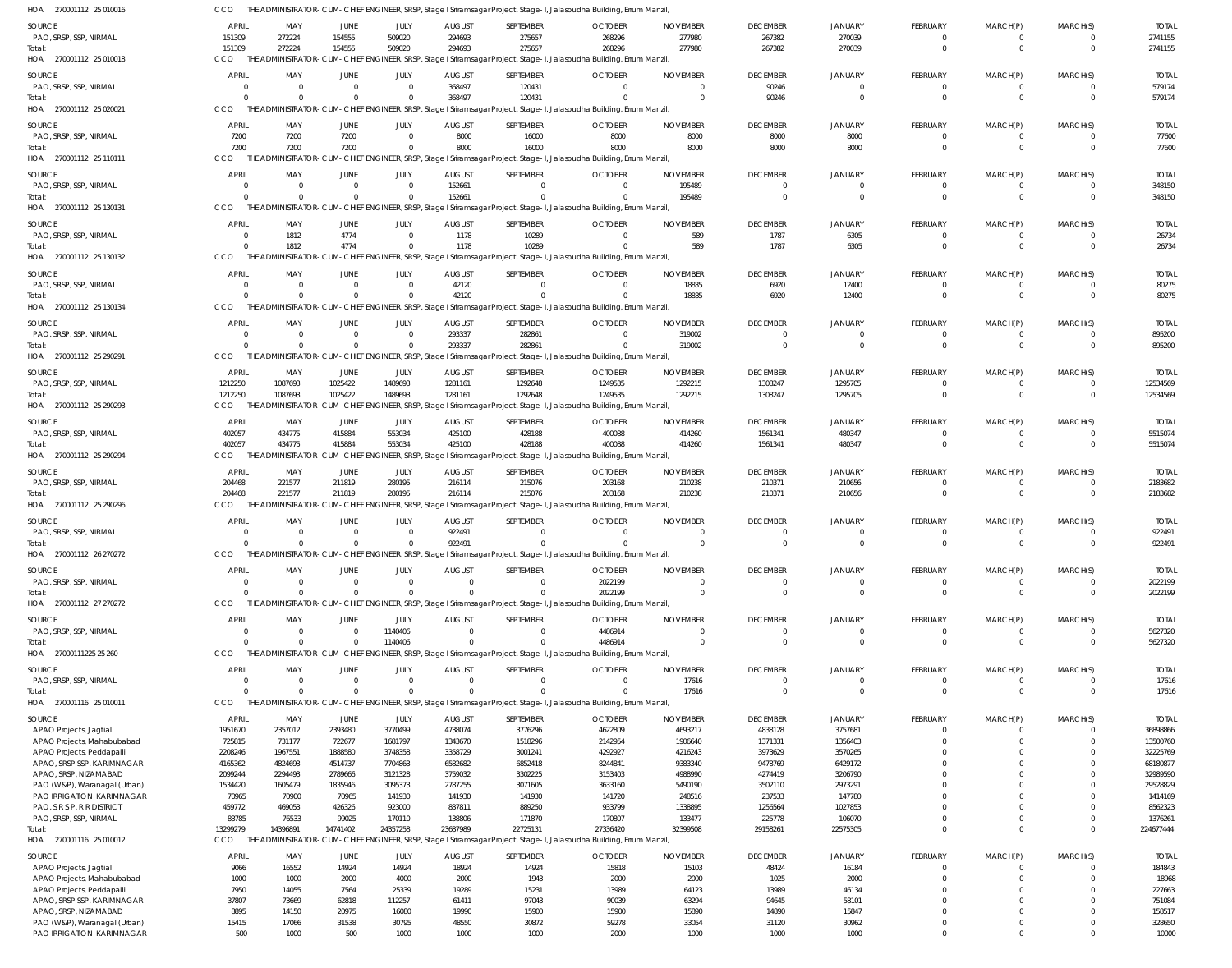270001112 25 010018 HOA 270001112 25 020021 270001112 25 110111 HOA 270001112 25 130131 HOA 270001112 25 130132 270001112 25 130134 HOA 270001112 25 290291 HOA 270001112 25 290293 270001112 25 290294 HOA 270001112 25 290296 HOA 270001112 26 270272 270001112 27 270272 HOA 27000111225 25 260 HOA 270001116 25 010011 270001116 25 010012 HOA HOA HOA HOA HOA HOA THE ADMINISTRATOR-CUM-CHIEF ENGINEER, SRSP, Stage I Sriramsagar Project, Stage-I, Jalasoudha Building, Errum Manzil, THE ADMINISTRATOR-CUM-CHIEF ENGINEER, SRSP, Stage I Sriramsagar Project, Stage-I, Jalasoudha Building, Errum Manzil, THE ADMINISTRATOR-CUM-CHIEF ENGINEER, SRSP, Stage I Sriramsagar Project, Stage-I, Jalasoudha Building, Errum Manzil, THE ADMINISTRATOR-CUM-CHIEF ENGINEER, SRSP, Stage I Sriramsagar Project, Stage-I, Jalasoudha Building, Errum Manzil, THE ADMINISTRATOR-CUM-CHIEF ENGINEER, SRSP, Stage I Sriramsagar Project, Stage-I, Jalasoudha Building, Errum Manzil, THE ADMINISTRATOR-CUM-CHIEF ENGINEER, SRSP, Stage I Sriramsagar Project, Stage-I, Jalasoudha Building, Errum Manzil, THE ADMINISTRATOR-CUM-CHIEF ENGINEER, SRSP, Stage I Sriramsagar Project, Stage-I, Jalasoudha Building, Errum Manzil, THE ADMINISTRATOR-CUM-CHIEF ENGINEER, SRSP, Stage I Sriramsagar Project, Stage-I, Jalasoudha Building, Errum Manzil, THE ADMINISTRATOR-CUM-CHIEF ENGINEER, SRSP, Stage I Sriramsagar Project, Stage-I, Jalasoudha Building, Errum Manzil, THE ADMINISTRATOR-CUM-CHIEF ENGINEER, SRSP, Stage I Sriramsagar Project, Stage-I, Jalasoudha Building, Errum Manzil, THE ADMINISTRATOR-CUM-CHIEF ENGINEER, SRSP, Stage I Sriramsagar Project, Stage-I, Jalasoudha Building, Errum Manzil, THE ADMINISTRATOR-CUM-CHIEF ENGINEER, SRSP, Stage I Sriramsagar Project, Stage-I, Jalasoudha Building, Errum Manzil, THE ADMINISTRATOR-CUM-CHIEF ENGINEER, SRSP, Stage I Sriramsagar Project, Stage-I, Jalasoudha Building, Errum Manzil, THE ADMINISTRATOR-CUM-CHIEF ENGINEER, SRSP, Stage I Sriramsagar Project, Stage-I, Jalasoudha Building, Errum Manzil, THE ADMINISTRATOR-CUM-CHIEF ENGINEER, SRSP, Stage I Sriramsagar Project, Stage-I, Jalasoudha Building, Errum Manzil, CCO. **CCO** CCO C<sub>CO</sub> CCO **CCO** CCO. **CCO** CCO CCO. **CCO CCO CCO CCO** CCO 151309 0 7200 0  $\Omega$  $\Omega$ 0 1212250 402057 204468  $\Omega$  $\Omega$ 0  $\Omega$ 13299279 272224 0 7200 0 1812  $\bigcap$ 0 1087693 434775 221577  $\Omega$  $\Omega$ 0  $\Omega$ 14396891 154555 0 7200 0 4774  $\Omega$ 0 1025422 415884 211819  $\Omega$  $\Omega$ 0  $\Omega$ 14741402 509020  $\Omega$  $\sqrt{2}$ 0  $\Omega$  $\bigcap$ 0 1489693 553034 280195  $\bigcap$  $\bigcap$ 1140406  $\Omega$ 24357258 294693 368497 8000 152661 1178 42120 293337 1281161 425100 216114 922491 0 0  $\Omega$ 23687989 275657 120431 16000 0 10289  $\bigcap$ 282861 1292648 428188 215076  $\Omega$  $\Omega$ 0  $\Omega$ 22725131 268296  $\Omega$ 8000 0  $\Omega$  $\Omega$ 0 1249535 400088 203168  $\Omega$ 2022199 4486914  $\Omega$ 27336420 277980 0 8000 195489 589 18835 319002 1292215 414260 210238  $\Omega$  $\Omega$ 0 17616 32399508 267382 90246 8000 0 1787 6920 0 1308247 1561341 210371  $\Omega$ 0 0  $\Omega$ 29158261 270039 0 8000 0 6305 12400 0 1295705 480347 210656  $\Omega$  $\,$  0  $\,$ 0  $\Omega$ 22575305 0 0  $\bigcap$ 0  $\Omega$  $\Omega$ 0  $\Omega$  $\Omega$ 0  $\bigcap$ 0 0  $\Omega$ 0 0 0 0 0  $\Omega$ 0 0  $\Omega$ 0 0  $\Omega$ 0 0  $\Omega$ 0 0 0  $\bigcap$ 0  $\Omega$  $\Omega$ 0  $\Omega$  $\Omega$ 0  $\Omega$ 0 0  $\Omega$ 0 2741155 579174 77600 348150 26734 80275 895200 12534569 5515074 2183682 922491 2022199 5627320 17616 224677444 PAO, SRSP, SSP, NIRMAL PAO, SRSP, SSP, NIRMAL PAO, SRSP, SSP, NIRMAL PAO, SRSP, SSP, NIRMAL PAO, SRSP, SSP, NIRMAL PAO, SRSP, SSP, NIRMAL PAO, SRSP, SSP, NIRMAL PAO, SRSP, SSP, NIRMAL PAO, SRSP, SSP, NIRMAL PAO, SRSP, SSP, NIRMAL PAO, SRSP, SSP, NIRMAL PAO, SRSP, SSP, NIRMAL PAO, SRSP, SSP, NIRMAL PAO, SRSP, SSP, NIRMAL APAO Projects, Jagtial APAO Projects, Mahabubabad APAO Projects, Peddapalli APAO, SRSP SSP, KARIMNAGAR APAO, SRSP, NIZAMABAD PAO (W&P), Waranagal (Urban) PAO IRRIGATION KARIMNAGAR PAO, S R S P, R R DISTRICT PAO, SRSP, SSP, NIRMAL APAO Projects, Jagtial APAO Projects, Mahabubabad APAO Projects, Peddapalli APAO, SRSP SSP, KARIMNAGAR APAO, SRSP, NIZAMABAD PAO (W&P), Waranagal (Urban) PAO IRRIGATION KARIMNAGAR SOURCE SOURCE SOURCE SOURCE **SOURCE** SOURCE **SOURCE** SOURCE SOURCE SOURCE **SOURCE** SOURCE SOURCE SOURCE SOURCE **SOURCE** 151309 0 7200 0 0 0 0 1212250 402057 204468 0 0 0 0 1951670 725815 2208246 4165362 2099244 1534420 70965 459772 83785 9066 1000 7950 37807 8895 15415 500 APRIL **APRIL** APRIL APRIL **APRIL** APRIL APRIL APRIL **APRIL** APRIL APRIL APRIL APRIL APRIL APRIL **APRIL** 272224 0 7200  $\Omega$ 1812 0 0 1087693 434775 221577 0 0 0 0 2357012 731177 1967551 4824693 2294493 1605479 70900 469053 76533 16552 1000 14055 73669 14150 17066 1000 MAY MAY MAY MAY MAY MAY MAY MAY MAY MAY MAY MAY MAY MAY MAY MAY 154555 0 7200  $\Omega$ 4774 0 0 1025422 415884 211819 0 0 0 0 2393480 722677 1888580 4514737 2789666 1835946 70965 426326 99025 14924 2000 7564 62818 20975 31538 500 JUNE **JUNE** JUNE JUNE JUNE JUNE JUNE JUNE JUNE JUNE JUNE JUNE JUNE JUNE JUNE JUNE 509020 0 0  $\Omega$ 0  $\Omega$  $\Omega$ 1489693 553034 280195 0 0 1140406 0 3770499 1681797 3748358 7704863 3121328 3095373 141930 923000 170110 14924 4000 25339 112257 16080 30795 1000 JULY JULY JULY JULY JULY JULY JULY JULY JULY JULY JULY JULY JULY JULY JULY JULY 294693 368497 8000 152661 1178 42120 293337 1281161 425100 216114 922491 0 0 0 4738074 1343670 3358729 6582682 3759032 2787255 141930 837811 138806 18924 2000 19289 61411 19990 48550 1000 AUGUST **AUGUST** AUGUST AUGUST AUGUST AUGUST AUGUST AUGUST AUGUST AUGUST **AUGUST** AUGUST AUGUST **AUGUST** AUGUST AUGUST 275657 120431 16000  $\Omega$ 10289  $\Omega$ 282861 1292648 428188 215076 0  $\Omega$  $\sqrt{2}$ 0 3776296 1518296 3001241 6852418 3302225 3071605 141930 889250 171870 14924 1943 15231 97043 15900 30872 1000 SEPTEMBER **SEPTEMBER** SEPTEMBER SEPTEMBER SEPTEMBER SEPTEMBER SEPTEMBER **SEPTEMBER** SEPTEMBER SEPTEMBER SEPTEMBER SEPTEMBER SEPTEMBER SEPTEMBER SEPTEMBER SEPTEMBER 268296 0 8000  $\Omega$ 0  $\Omega$  $\Omega$ 1249535 400088 203168 0 2022199 4486914 0 4622809 2142954 4292927 8244841 3153403 3633160 141720 933799 170807 15818 2000 13989 90039 15900 59278 2000 **OCTOBER OCTOBER** OCTOBER **OCTOBER OCTOBER OCTOBER OCTOBER OCTOBER** OCTOBER OCTOBER **OCTOBER** OCTOBER **OCTOBER OCTOBER OCTOBER OCTOBER** 277980 0 8000 195489 589 18835 319002 1292215 414260 210238 0  $\Omega$ 0 17616 4693217 1906640 4216243 9383340 4988990 5490190 248516 1338895 133477 15103 2000 64123 63294 15890 33054 1000 NOVEMBER NOVEMBER NOVEMBER NOVEMBER NOVEMBER NOVEMBER NOVEMBER NOVEMBER NOVEMBER NOVEMBER NOVEMBER NOVEMBER NOVEMBER NOVEMBER NOVEMBER NOVEMBER 267382 90246 8000  $\Omega$ 1787 6920  $\bigcap$ 1308247 1561341 210371 0  $\Omega$ 0 0 4838128 1371331 3973629 9478769 4274419 3502110 237533 1256564 225778 48424 1025 13989 94645 14890 31120 1000 DECEMBER **DECEMBER** DECEMBER DECEMBER DECEMBER DECEMBER DECEMBER **DECEMBER** DECEMBER DECEMBER DECEMBER DECEMBER DECEMBER **DECEMBER** DECEMBER DECEMBER 270039 0 8000  $\Omega$ 6305 12400  $\Omega$ 1295705 480347 210656 0 0 0 0 3757681 1356403 3570265 6429172 3206790 2973291 147780 1027853 106070 16184 2000 46134 58101 15847 30962 1000 **JANUARY** JANUARY JANUARY JANUARY **JANUARY** JANUARY JANUARY JANUARY **JANUARY** JANUARY **JANUARY JANUARY** JANUARY **JANUARY JANUARY JANUARY**  $\Omega$ 0  $\Omega$  $\Omega$ 0  $\Omega$  $\Omega$ 0  $\Omega$ 0 0 0  $\Omega$ 0  $\Omega$ 0 0 0 0  $\Omega$ 0  $\Omega$ 0 0  $\Omega$ 0  $\Omega$  $\Omega$ 0  $\sqrt{2}$ FEBRUARY **FEBRUARY** FEBRUARY FEBRUARY FEBRUARY FEBRUARY FEBRUARY **FEBRUARY** FEBRUARY FEBRUARY FEBRUARY **FEBRUARY** FEBRUARY **FFBRUARY** FEBRUARY FEBRUARY  $\Omega$ 0  $\Omega$  $\Omega$ 0  $\Omega$  $\Omega$ 0  $\Omega$  $\Omega$ 0 0  $\Omega$ 0  $\Omega$ 0  $\Omega$  $\Omega$ 0  $\Omega$ 0  $\Omega$  $\Omega$ 0  $\Omega$ 0 0  $\Omega$ 0  $\Omega$ MARCH(P) MARCH(P) MARCH(P) MARCH(P) MARCH(P) MARCH(P) MARCH(P) MARCH(P) MARCH(P) MARCH(P) MARCH(P) MARCH(P) MARCH(P) MARCH(P) MARCH(P) MARCH(P) 0 0 0 0 0 0 0 0 0 0 0 0 0 0  $\Omega$ 0 0 0 0  $\Omega$ 0  $\Omega$  $\Omega$ 0  $\bigcap$ 0  $\Omega$  $\Omega$ 0  $\Omega$ MARCH(S) MARCH(S) MARCH(S) MARCH(S) MARCH(S) MARCH(S) MARCH(S) MARCH(S) MARCH(S) MARCH(S) MARCH(S) MARCH(S) MARCH(S) MARCH(S) MARCH(S) MARCH(S) 2741155 579174 77600 348150 26734 80275 895200 12534569 5515074 2183682 922491 2022199 5627320 17616 36898866 13500760 32225769 68180877 32989590 29528829 1414169 8562323 1376261 184843 18968 227663 751084 158517 328650 10000 TOTAL TOTAL TOTAL TOTAL TOTAL TOTAL TOTAL TOTAL TOTAL TOTAL TOTAL TOTAL TOTAL TOTAL TOTAL TOTAL Total: Total: Total: Total: Total: Total: Total: Total: Total: Total: Total: **Total** Total: Total: Total:

THE ADMINISTRATOR-CUM-CHIEF ENGINEER, SRSP, Stage I Sriramsagar Project, Stage-I, Jalasoudha Building, Errum Manzil,

270001112 25 010016 HOA

CCO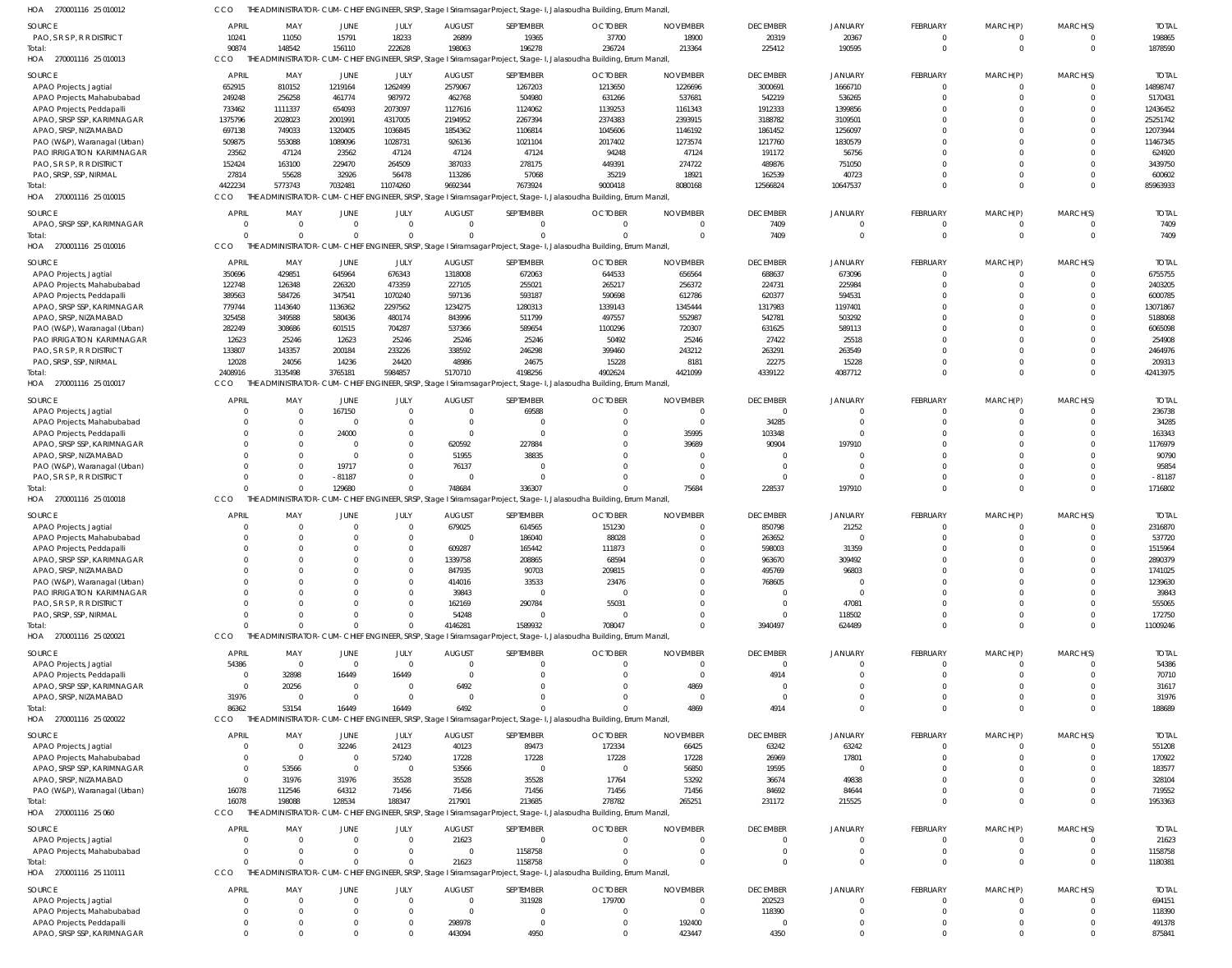| HOA 270001116 25 010012                                    | CCO                  |                            |                         |                         |                                 |                       | THE ADMINISTRATOR-CUM-CHIEF ENGINEER, SRSP, Stage I Sriramsagar Project, Stage-I, Jalasoudha Building, Errum Manzil,            |                                   |                             |                      |                            |                            |                            |                        |
|------------------------------------------------------------|----------------------|----------------------------|-------------------------|-------------------------|---------------------------------|-----------------------|---------------------------------------------------------------------------------------------------------------------------------|-----------------------------------|-----------------------------|----------------------|----------------------------|----------------------------|----------------------------|------------------------|
| SOURCE                                                     | APRIL                | MAY                        | JUNE                    | JULY                    | <b>AUGUST</b>                   | SEPTEMBER             | <b>OCTOBER</b>                                                                                                                  | <b>NOVEMBER</b>                   | <b>DECEMBER</b>             | <b>JANUARY</b>       | FEBRUARY                   | MARCH(P)                   | MARCH(S)                   | <b>TOTAL</b>           |
| PAO, S R S P, R R DISTRICT                                 | 10241                | 11050                      | 15791                   | 18233                   | 26899                           | 19365                 | 37700                                                                                                                           | 18900                             | 20319                       | 20367                | $\overline{0}$             | $\overline{0}$             | $^{\circ}$                 | 198865                 |
| Total:<br>HOA 270001116 25 010013                          | 90874<br>CCO         | 148542                     | 156110                  | 222628                  | 198063                          | 196278                | 236724<br>THE ADMINISTRATOR-CUM-CHIEF ENGINEER, SRSP, Stage I Sriramsagar Project, Stage-I, Jalasoudha Building, Errum Manzil,  | 213364                            | 225412                      | 190595               | $\mathbf{0}$               | $\mathbf{0}$               | $\mathbf 0$                | 1878590                |
| SOURCE                                                     | APRIL                | MAY                        | JUNE                    | JULY                    | <b>AUGUST</b>                   | SEPTEMBER             | <b>OCTOBER</b>                                                                                                                  | <b>NOVEMBER</b>                   | <b>DECEMBER</b>             | <b>JANUARY</b>       | FEBRUARY                   | MARCH(P)                   | MARCH(S)                   | <b>TOTAL</b>           |
| APAO Projects, Jagtial                                     | 652915               | 810152                     | 1219164                 | 1262499                 | 2579067                         | 1267203               | 1213650                                                                                                                         | 1226696                           | 3000691                     | 1666710              | $\overline{0}$             | $\overline{0}$             | $\mathbf 0$                | 14898747               |
| APAO Projects, Mahabubabad                                 | 249248               | 256258                     | 461774                  | 987972                  | 462768                          | 504980                | 631266                                                                                                                          | 537681                            | 542219                      | 536265               | $\mathbf 0$                | $\Omega$                   | $\mathbf 0$                | 5170431                |
| APAO Projects, Peddapalli                                  | 733462               | 1111337                    | 654093                  | 2073097                 | 1127616                         | 1124062               | 1139253                                                                                                                         | 1161343                           | 1912333                     | 1399856              | $\Omega$                   | $\Omega$                   | $\mathbf 0$                | 12436452               |
| APAO, SRSP SSP, KARIMNAGAR                                 | 1375796              | 2028023                    | 2001991                 | 4317005                 | 2194952                         | 2267394               | 2374383                                                                                                                         | 2393915                           | 3188782                     | 3109501              | $\Omega$                   | $\Omega$                   | $\Omega$                   | 25251742               |
| APAO, SRSP, NIZAMABAD<br>PAO (W&P), Waranagal (Urban)      | 697138<br>509875     | 749033<br>553088           | 1320405<br>1089096      | 1036845<br>1028731      | 1854362<br>926136               | 1106814<br>1021104    | 1045606<br>2017402                                                                                                              | 1146192<br>1273574                | 1861452<br>1217760          | 1256097<br>1830579   | $\Omega$<br>$\Omega$       | $\Omega$<br>$\Omega$       | $\Omega$<br>$\Omega$       | 12073944<br>11467345   |
| PAO IRRIGATION KARIMNAGAR                                  | 23562                | 47124                      | 23562                   | 47124                   | 47124                           | 47124                 | 94248                                                                                                                           | 47124                             | 191172                      | 56756                | $\Omega$                   | <sup>0</sup>               | $\Omega$                   | 624920                 |
| PAO, S R S P, R R DISTRICT                                 | 152424               | 163100                     | 229470                  | 264509                  | 387033                          | 278175                | 449391                                                                                                                          | 274722                            | 489876                      | 751050               | $\Omega$                   | $\Omega$                   | $\Omega$                   | 3439750                |
| PAO, SRSP, SSP, NIRMAL                                     | 27814                | 55628                      | 32926                   | 56478                   | 113286                          | 57068                 | 35219                                                                                                                           | 18921                             | 162539                      | 40723                | $\Omega$                   | $\Omega$                   | $\mathbf 0$                | 600602                 |
| lotal:<br>HOA 270001116 25 010015                          | 4422234<br>CCO       | 5773743                    | 7032481                 | 11074260                | 9692344                         | 7673924               | 9000418<br>THE ADMINISTRATOR-CUM-CHIEF ENGINEER, SRSP, Stage I Sriramsagar Project, Stage-I, Jalasoudha Building, Errum Manzil, | 8080168                           | 12566824                    | 10647537             | $\Omega$                   | $\Omega$                   | $\mathbf 0$                | 85963933               |
|                                                            |                      |                            |                         |                         |                                 |                       |                                                                                                                                 |                                   |                             |                      |                            |                            |                            |                        |
| SOURCE<br>APAO, SRSP SSP, KARIMNAGAR                       | APRIL<br>$\Omega$    | MAY<br>$\overline{0}$      | JUNE<br>$\overline{0}$  | JULY<br>$\overline{0}$  | <b>AUGUST</b><br>$\overline{0}$ | SEPTEMBER<br>$\Omega$ | <b>OCTOBER</b><br>$\Omega$                                                                                                      | <b>NOVEMBER</b><br>$\Omega$       | <b>DECEMBER</b><br>7409     | JANUARY              | FEBRUARY<br>$\mathbf 0$    | MARCH(P)<br>$\Omega$       | MARCH(S)<br>$^{\circ}$     | <b>TOTAL</b><br>7409   |
| Total:                                                     | $\cap$               | $\Omega$                   | $\Omega$                | $\Omega$                | $\Omega$                        | $\Omega$              | $\Omega$                                                                                                                        | $\overline{0}$                    | 7409                        | $\Omega$             | $\overline{0}$             | $\Omega$                   | $\mathbf 0$                | 7409                   |
| HOA 270001116 25 010016                                    | CCO                  |                            |                         |                         |                                 |                       | THE ADMINISTRATOR-CUM-CHIEF ENGINEER, SRSP, Stage I Sriramsagar Project, Stage-I, Jalasoudha Building, Errum Manzil,            |                                   |                             |                      |                            |                            |                            |                        |
| SOURCE                                                     | APRIL                | MAY                        | JUNE                    | JULY                    | <b>AUGUST</b>                   | SEPTEMBER             | <b>OCTOBER</b>                                                                                                                  | <b>NOVEMBER</b>                   | <b>DECEMBER</b>             | <b>JANUARY</b>       | FEBRUARY                   | MARCH(P)                   | MARCH(S)                   | <b>TOTAL</b>           |
| APAO Projects, Jagtial                                     | 350696               | 429851                     | 645964                  | 676343                  | 1318008                         | 672063                | 644533                                                                                                                          | 656564                            | 688637                      | 673096               | $\mathbf 0$                | 0                          | $\mathbf 0$                | 6755755                |
| APAO Projects, Mahabubabad                                 | 122748               | 126348                     | 226320                  | 473359                  | 227105                          | 255021                | 265217                                                                                                                          | 256372                            | 224731                      | 225984               | $\Omega$                   | $\Omega$                   | $\mathbf 0$                | 2403205                |
| APAO Projects, Peddapalli                                  | 389563               | 584726                     | 347541                  | 1070240                 | 597136                          | 593187                | 590698                                                                                                                          | 612786                            | 620377                      | 594531               | $\Omega$                   | $\Omega$                   | $\mathbf 0$                | 6000785                |
| APAO, SRSP SSP, KARIMNAGAR<br>APAO, SRSP, NIZAMABAD        | 779744<br>325458     | 1143640<br>349588          | 1136362<br>580436       | 2297562<br>480174       | 1234275<br>843996               | 1280313<br>511799     | 1339143<br>497557                                                                                                               | 1345444<br>552987                 | 1317983<br>542781           | 1197401<br>503292    | $\Omega$<br>$\Omega$       | $\Omega$<br>$\Omega$       | $\Omega$<br>$\Omega$       | 13071867<br>5188068    |
| PAO (W&P), Waranagal (Urban)                               | 282249               | 308686                     | 601515                  | 704287                  | 537366                          | 589654                | 1100296                                                                                                                         | 720307                            | 631625                      | 589113               | $\Omega$                   | $\Omega$                   | $\Omega$                   | 6065098                |
| PAO IRRIGATION KARIMNAGAR                                  | 12623                | 25246                      | 12623                   | 25246                   | 25246                           | 25246                 | 50492                                                                                                                           | 25246                             | 27422                       | 25518                | $\Omega$                   | $\Omega$                   | $\Omega$                   | 254908                 |
| PAO, S R S P, R R DISTRICT                                 | 133807               | 143357                     | 200184                  | 233226                  | 338592                          | 246298                | 399460                                                                                                                          | 243212                            | 263291                      | 263549               | $\Omega$                   | $\Omega$                   | $\mathbf 0$                | 2464976                |
| PAO, SRSP, SSP, NIRMAL                                     | 12028                | 24056                      | 14236                   | 24420                   | 48986                           | 24675                 | 15228                                                                                                                           | 8181                              | 22275                       | 15228                | $\Omega$                   | $\Omega$                   | $\mathbf 0$                | 209313                 |
| lotal:<br>HOA 270001116 25 010017                          | 2408916<br>CCO       | 3135498                    | 3765181                 | 5984857                 | 5170710                         | 4198256               | 4902624<br>THE ADMINISTRATOR-CUM-CHIEF ENGINEER, SRSP, Stage I Sriramsagar Project, Stage-I, Jalasoudha Building, Errum Manzil, | 4421099                           | 4339122                     | 4087712              | $\Omega$                   | $\Omega$                   | $\mathbf 0$                | 42413975               |
|                                                            |                      |                            |                         |                         |                                 |                       |                                                                                                                                 |                                   |                             |                      |                            |                            |                            |                        |
| SOURCE                                                     | APRIL<br>$\Omega$    | MAY<br>$\overline{0}$      | <b>JUNE</b><br>167150   | JULY<br>$\overline{0}$  | <b>AUGUST</b><br>$\overline{0}$ | SEPTEMBER<br>69588    | <b>OCTOBER</b><br>$\overline{0}$                                                                                                | <b>NOVEMBER</b><br>$\overline{0}$ | <b>DECEMBER</b><br>$\Omega$ | <b>JANUARY</b>       | FEBRUARY<br>$\overline{0}$ | MARCH(P)<br>$\overline{0}$ | MARCH(S)<br>$^{\circ}$     | <b>TOTAL</b><br>236738 |
| APAO Projects, Jagtial<br>APAO Projects, Mahabubabad       | $\Omega$             | $\Omega$                   | $\overline{0}$          | $\mathbf 0$             | $\overline{0}$                  |                       | $\Omega$                                                                                                                        | $\overline{0}$                    | 34285                       |                      | $\Omega$                   | $\Omega$                   | $\mathbf 0$                | 34285                  |
| APAO Projects, Peddapalli                                  | $\cap$               | $\Omega$                   | 24000                   | $\mathbf{0}$            | $\overline{0}$                  |                       | $\mathbf 0$                                                                                                                     | 35995                             | 103348                      |                      | $\Omega$                   | $\Omega$                   | $\Omega$                   | 163343                 |
| APAO, SRSP SSP, KARIMNAGAR                                 |                      | $\Omega$                   | $\Omega$                | $\mathbf 0$             | 620592                          | 227884                | $\Omega$                                                                                                                        | 39689                             | 90904                       | 197910               | $\Omega$                   | $\Omega$                   | $\Omega$                   | 1176979                |
| APAO, SRSP, NIZAMABAD                                      |                      | $\Omega$                   | $\overline{0}$          | $\mathbf 0$             | 51955                           | 38835                 | $\Omega$                                                                                                                        | $\Omega$                          |                             |                      | $\Omega$                   | $\Omega$                   | $\Omega$                   | 90790                  |
| PAO (W&P), Waranagal (Urban)<br>PAO, S R S P, R R DISTRICT | $\Omega$             | $\Omega$<br>$\Omega$       | 19717<br>$-81187$       | $\Omega$<br>$\Omega$    | 76137<br>$\overline{0}$         |                       |                                                                                                                                 | $\Omega$<br>$\Omega$              | $\Omega$                    | $\Omega$             | $\Omega$<br>$\Omega$       | $\Omega$<br>$\Omega$       | $\Omega$<br>$\Omega$       | 95854<br>$-81187$      |
| Total:                                                     |                      | $\Omega$                   | 129680                  | $\Omega$                | 748684                          | 336307                |                                                                                                                                 | 75684                             | 228537                      | 197910               | $\Omega$                   | $\Omega$                   | $\Omega$                   | 1716802                |
| HOA 270001116 25 010018                                    | CCO                  |                            |                         |                         |                                 |                       | THE ADMINISTRATOR-CUM-CHIEF ENGINEER, SRSP, Stage I Sriramsagar Project, Stage-I, Jalasoudha Building, Errum Manzil,            |                                   |                             |                      |                            |                            |                            |                        |
| SOURCE                                                     | APRIL                | MAY                        | JUNE                    | JULY                    | <b>AUGUST</b>                   | SEPTEMBER             | <b>OCTOBER</b>                                                                                                                  | <b>NOVEMBER</b>                   | <b>DECEMBER</b>             | <b>JANUARY</b>       | FEBRUARY                   | MARCH(P)                   | MARCH(S)                   | <b>TOTAL</b>           |
| APAO Projects, Jagtial                                     | $\Omega$             | $\overline{0}$             | $\overline{0}$          | $\overline{0}$          | 679025                          | 614565                | 151230                                                                                                                          | $\mathbf 0$                       | 850798                      | 21252                | $\overline{0}$             | $\overline{0}$             | $\mathbf 0$                | 2316870                |
| APAO Projects, Mahabubabad                                 | $\Omega$             | $\overline{0}$             | $\overline{0}$          | $\Omega$                | $\overline{0}$                  | 186040                | 88028                                                                                                                           | $\Omega$                          | 263652                      |                      | $\Omega$                   | $\Omega$                   | $\mathbf 0$                | 537720                 |
| APAO Projects, Peddapalli                                  | $\Omega$             | $\Omega$                   | $\Omega$                | $\Omega$                | 609287                          | 165442                | 111873                                                                                                                          | $\Omega$                          | 598003                      | 31359                | $\Omega$                   | $\Omega$                   | $\Omega$<br>$\Omega$       | 1515964                |
| APAO, SRSP SSP, KARIMNAGAR<br>APAO, SRSP, NIZAMABAD        |                      | $\Omega$                   | $\Omega$                |                         | 1339758<br>847935               | 208865<br>90703       | 68594<br>209815                                                                                                                 | $\Omega$                          | 963670<br>495769            | 309492<br>96803      | $\Omega$                   | <sup>0</sup>               | $\Omega$                   | 2890379<br>1741025     |
| PAO (W&P), Waranagal (Urban)                               | $\Omega$             | $\Omega$                   |                         |                         | 414016                          | 33533                 | 23476                                                                                                                           | $\Omega$                          | 768605                      | $\Omega$             | $\Omega$                   | $\Omega$                   | $\Omega$                   | 1239630                |
| PAO IRRIGATION KARIMNAGAR                                  |                      |                            |                         |                         | 39843                           | $\Omega$              | $\overline{0}$                                                                                                                  | $\Omega$                          |                             | $\Omega$             |                            | $\Omega$                   | $\Omega$                   | 39843                  |
| PAO, S R S P, R R DISTRICT                                 | $\Omega$             | $\Omega$                   | $\Omega$                |                         | 162169                          | 290784                | 55031                                                                                                                           | $\Omega$                          | $\Omega$                    | 47081                | $\Omega$                   | $\Omega$                   | $\Omega$                   | 555065                 |
| PAO, SRSP, SSP, NIRMAL<br>Total:                           | $\Omega$<br>$\Omega$ | $\Omega$<br>$\Omega$       | $\Omega$<br>$\Omega$    |                         | 54248<br>4146281                | 1589932               | $\overline{0}$<br>708047                                                                                                        | $\Omega$<br>$\Omega$              | $\Omega$<br>3940497         | 118502<br>624489     | $\Omega$<br>$\Omega$       | $\Omega$<br>$\Omega$       | $\mathbf 0$<br>$\Omega$    | 172750<br>11009246     |
| HOA 270001116 25 020021                                    | CCO                  |                            |                         |                         |                                 |                       | THE ADMINISTRATOR-CUM-CHIEF ENGINEER, SRSP, Stage I Sriramsagar Project, Stage-I, Jalasoudha Building, Errum Manzil,            |                                   |                             |                      |                            |                            |                            |                        |
| <b>SOURCE</b>                                              | APRIL                | MAY                        | JUNE                    | JULY                    | <b>AUGUST</b>                   | SEPTEMBER             | <b>OCTOBER</b>                                                                                                                  | <b>NOVEMBER</b>                   | <b>DECEMBER</b>             | JANUARY              | FEBRUARY                   | MARCH(P)                   | MARCH(S)                   | <b>TOTAL</b>           |
| APAO Projects, Jagtial                                     | 54386                | $\overline{\mathbf{0}}$    | $\overline{0}$          | $\overline{0}$          | $\overline{0}$                  |                       | $\Omega$                                                                                                                        | $\mathbf 0$                       |                             |                      | $\Omega$                   | $\Omega$                   | $\Omega$                   | 54386                  |
| APAO Projects, Peddapalli                                  | $\Omega$             | 32898                      | 16449                   | 16449                   | $\overline{0}$                  |                       | $\Omega$                                                                                                                        | $\overline{0}$                    | 4914                        |                      |                            |                            | $\Omega$                   | 70710                  |
| APAO, SRSP SSP, KARIMNAGAR                                 | $\Omega$             | 20256                      | $\overline{0}$          | $\overline{0}$          | 6492                            |                       | $\Omega$                                                                                                                        | 4869                              |                             |                      |                            | $\Omega$                   | $\Omega$                   | 31617                  |
| APAO, SRSP, NIZAMABAD                                      | 31976<br>86362       | - 0<br>53154               | $\overline{0}$<br>16449 | $\overline{0}$<br>16449 | $\overline{0}$<br>6492          |                       | $\Omega$                                                                                                                        | $\overline{0}$<br>4869            | $\Omega$<br>4914            | $\Omega$<br>$\Omega$ | $\Omega$<br>$\Omega$       | $\mathbf 0$<br>$\Omega$    | $\mathbf 0$<br>$\Omega$    | 31976<br>188689        |
| Total:<br>HOA 270001116 25 020022                          | CCO                  |                            |                         |                         |                                 |                       | THE ADMINISTRATOR-CUM-CHIEF ENGINEER, SRSP, Stage I Sriramsagar Project, Stage-I, Jalasoudha Building, Errum Manzil,            |                                   |                             |                      |                            |                            |                            |                        |
| SOURCE                                                     | APRIL                | MAY                        | <b>JUNE</b>             | JULY                    | <b>AUGUST</b>                   | SEPTEMBER             | <b>OCTOBER</b>                                                                                                                  | <b>NOVEMBER</b>                   | <b>DECEMBER</b>             | JANUARY              | FEBRUARY                   | MARCH(P)                   | MARCH(S)                   | <b>TOTAL</b>           |
| APAO Projects, Jagtial                                     | $\Omega$             | $\overline{0}$             | 32246                   | 24123                   | 40123                           | 89473                 | 172334                                                                                                                          | 66425                             | 63242                       | 63242                | $\overline{0}$             | $\mathbf 0$                | $\mathbf 0$                | 551208                 |
| APAO Projects, Mahabubabad                                 | $\Omega$             | $\overline{\mathbf{0}}$    | $\overline{0}$          | 57240                   | 17228                           | 17228                 | 17228                                                                                                                           | 17228                             | 26969                       | 17801                | $\Omega$                   | $\Omega$                   | $\mathbf 0$                | 170922                 |
| APAO, SRSP SSP, KARIMNAGAR                                 | $\Omega$             | 53566                      | $\overline{0}$          | $\overline{0}$          | 53566                           | $\Omega$              | $\overline{0}$                                                                                                                  | 56850                             | 19595                       | $\Omega$             |                            |                            | $\Omega$                   | 183577                 |
| APAO, SRSP, NIZAMABAD                                      | $\Omega$             | 31976                      | 31976                   | 35528                   | 35528                           | 35528                 | 17764                                                                                                                           | 53292                             | 36674                       | 49838                |                            | $\Omega$                   | $\Omega$                   | 328104                 |
| PAO (W&P), Waranagal (Urban)<br>lotal:                     | 16078<br>16078       | 112546<br>198088           | 64312<br>128534         | 71456<br>188347         | 71456<br>217901                 | 71456<br>213685       | 71456<br>278782                                                                                                                 | 71456<br>265251                   | 84692<br>231172             | 84644<br>215525      | $\Omega$<br>$\Omega$       | $\Omega$<br>$\Omega$       | $\mathbf 0$<br>$\Omega$    | 719552<br>1953363      |
| HOA 270001116 25 060                                       | CCO                  |                            |                         |                         |                                 |                       | THE ADMINISTRATOR-CUM-CHIEF ENGINEER, SRSP, Stage I Sriramsagar Project, Stage-I, Jalasoudha Building, Errum Manzil,            |                                   |                             |                      |                            |                            |                            |                        |
| SOURCE                                                     | <b>APRIL</b>         | MAY                        | JUNE                    | JULY                    | <b>AUGUST</b>                   | SEPTEMBER             | <b>OCTOBER</b>                                                                                                                  | <b>NOVEMBER</b>                   | <b>DECEMBER</b>             | JANUARY              | FEBRUARY                   | MARCH(P)                   | MARCH(S)                   | <b>TOTAL</b>           |
| APAO Projects, Jagtial                                     | $\Omega$             | $\overline{0}$             | $\overline{0}$          | $\overline{0}$          | 21623                           | $\Omega$              | $\Omega$                                                                                                                        | $\Omega$                          |                             |                      | 0                          | $\Omega$                   | $\Omega$                   | 21623                  |
| APAO Projects, Mahabubabad                                 | $\Omega$             | $\overline{0}$             | $\overline{0}$          | $^{\circ}$              | $\overline{0}$                  | 1158758               | $\Omega$                                                                                                                        | $\overline{0}$                    |                             | $\Omega$             | 0                          | 0                          | $\mathbf 0$                | 1158758                |
| Total:                                                     |                      | $\Omega$                   | $\Omega$                | $\Omega$                | 21623                           | 1158758               |                                                                                                                                 | $\Omega$                          |                             | $\Omega$             | $\Omega$                   | $\Omega$                   | $\mathbf 0$                | 1180381                |
| HOA 270001116 25 110111                                    | CCO                  |                            |                         |                         |                                 |                       | THE ADMINISTRATOR-CUM-CHIEF ENGINEER, SRSP, Stage I Sriramsagar Project, Stage-I, Jalasoudha Building, Errum Manzil,            |                                   |                             |                      |                            |                            |                            |                        |
| SOURCE                                                     | <b>APRIL</b>         | MAY                        | JUNE                    | JULY                    | <b>AUGUST</b>                   | SEPTEMBER             | <b>OCTOBER</b>                                                                                                                  | <b>NOVEMBER</b>                   | <b>DECEMBER</b>             | <b>JANUARY</b>       | FEBRUARY                   | MARCH(P)                   | MARCH(S)                   | <b>TOTAL</b>           |
| APAO Projects, Jagtial                                     | $\Omega$<br>$\Omega$ | $\overline{0}$             | $\overline{0}$          | $\overline{0}$          | $\overline{0}$                  | 311928                | 179700                                                                                                                          | $\overline{0}$                    | 202523                      | $\Omega$             | $\overline{0}$             | 0                          | $\mathbf 0$                | 694151                 |
| APAO Projects, Mahabubabad<br>APAO Projects, Peddapalli    | $\Omega$             | $\overline{0}$<br>$\Omega$ | $\Omega$<br>- 0         | $\Omega$                | $\overline{0}$<br>298978        |                       | $\mathbf 0$<br>$\overline{0}$                                                                                                   | $\overline{0}$<br>192400          | 118390                      | $\Omega$<br>$\Omega$ | $\Omega$<br>0              | $\Omega$<br>0              | $\mathbf 0$<br>$\mathbf 0$ | 118390<br>491378       |
| APAO, SRSP SSP, KARIMNAGAR                                 | $\Omega$             | $\Omega$                   | $\Omega$                |                         | 443094                          | 4950                  | $\mathbf 0$                                                                                                                     | 423447                            | 4350                        | $\Omega$             | $\Omega$                   | $\Omega$                   | $\Omega$                   | 875841                 |
|                                                            |                      |                            |                         |                         |                                 |                       |                                                                                                                                 |                                   |                             |                      |                            |                            |                            |                        |

THE ADMINISTRATOR-CUM-CHIEF ENGINEER, SRSP, Stage I Sriramsagar Project, Stage-I, Jalasoudha Building, Errum Manzil, CCO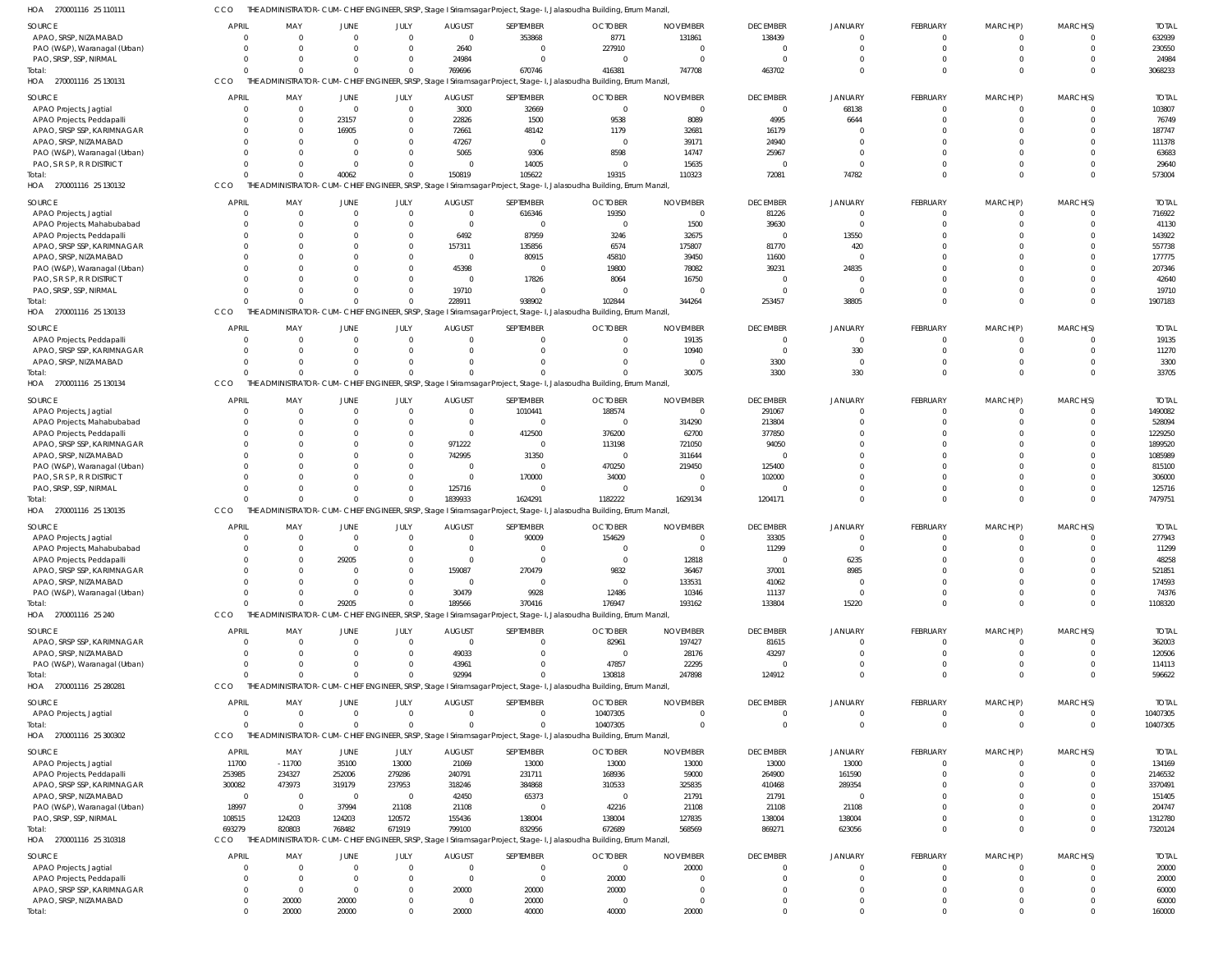THE ADMINISTRATOR-CUM-CHIEF ENGINEER, SRSP, Stage I Sriramsagar Project, Stage-I, Jalasoudha Building, Errum Manzil, CCO

| HOA<br>270001116 25 110111                           |                      |                                               |                         |                         |                                     |                         | THE ADMINISTRATOR-CUM-CHIEF ENGINEER, SRSP, Stage I Sriramsagar Project, Stage-I, Jalasoudha Building, Errum Manzil, |                          |                          |                         |                         |             |                         |                        |
|------------------------------------------------------|----------------------|-----------------------------------------------|-------------------------|-------------------------|-------------------------------------|-------------------------|----------------------------------------------------------------------------------------------------------------------|--------------------------|--------------------------|-------------------------|-------------------------|-------------|-------------------------|------------------------|
| <b>SOURCE</b>                                        | <b>APRIL</b>         | MAY                                           | <b>JUNE</b>             | JULY                    | <b>AUGUST</b>                       | SEPTEMBER               | <b>OCTOBER</b>                                                                                                       | <b>NOVEMBER</b>          | <b>DECEMBER</b>          | <b>JANUARY</b>          | FEBRUARY                | MARCH(P)    | MARCH(S)                | <b>TOTAL</b>           |
| APAO, SRSP, NIZAMABAD                                | $\Omega$             | $\Omega$                                      | $\Omega$                | $\Omega$                | $\mathbf{0}$                        | 353868                  | 8771                                                                                                                 | 131861                   | 138439                   | $\Omega$                | $\mathbf 0$             |             | - 0                     | 632939                 |
| PAO (W&P), Waranagal (Urban)                         |                      | $\Omega$<br>$\Omega$                          | $\Omega$                | $\Omega$                | 2640                                | $\Omega$                | 227910                                                                                                               | $\Omega$                 | $\overline{0}$           | $\Omega$                | $\mathbf 0$             | $\Omega$    | $\Omega$                | 230550                 |
| PAO, SRSP, SSP, NIRMAL                               | $\Omega$             | $\Omega$                                      | $\Omega$                | $\Omega$                | 24984                               | $\Omega$                | 0                                                                                                                    | $\Omega$                 | $\overline{0}$           |                         | $\mathbf 0$             |             | $\Omega$                | 24984                  |
| Total:                                               | $\Omega$             | $\Omega$                                      | $\Omega$                | $\Omega$                | 769696                              | 670746                  | 416381                                                                                                               | 747708                   | 463702                   | $\Omega$                | $\Omega$                | $\Omega$    | $\Omega$                | 3068233                |
| HOA<br>270001116 25 130131                           | CCO                  |                                               |                         |                         |                                     |                         | THE ADMINISTRATOR-CUM-CHIEF ENGINEER, SRSP, Stage I Sriramsagar Project, Stage-I, Jalasoudha Building, Errum Manzil, |                          |                          |                         |                         |             |                         |                        |
| <b>SOURCE</b>                                        | <b>APRIL</b>         | MAY                                           | <b>JUNE</b>             | JULY                    | <b>AUGUST</b>                       | SEPTEMBER               | <b>OCTOBER</b>                                                                                                       | <b>NOVEMBER</b>          | <b>DECEMBER</b>          | <b>JANUARY</b>          | FEBRUARY                | MARCH(P)    | MARCH(S)                | <b>TOTAL</b>           |
| APAO Projects, Jagtial                               | $\overline{0}$       | $\mathbf 0$                                   | $\overline{0}$          | $\overline{0}$          | 3000                                | 32669                   | $\mathbf 0$                                                                                                          | $\mathbf 0$              | $\overline{0}$           | 68138                   | $\mathbf 0$             | 0           | $\mathbf 0$             | 103807                 |
| APAO Projects, Peddapalli                            |                      | $\mathbf 0$<br>$\mathbf 0$                    | 23157                   | $\mathbf{0}$            | 22826                               | 1500                    | 9538                                                                                                                 | 8089                     | 4995                     | 6644                    | $\mathbf 0$             |             | $\Omega$                | 76749                  |
| APAO, SRSP SSP, KARIMNAGAR                           |                      | $\Omega$<br>$\mathbf{0}$                      | 16905                   | $\Omega$                | 72661                               | 48142                   | 1179                                                                                                                 | 32681                    | 16179                    |                         | $\Omega$                |             | $\Omega$                | 187747                 |
| APAO, SRSP, NIZAMABAD                                |                      | $\Omega$<br>$\mathbf{0}$                      | $\Omega$                | $\Omega$                | 47267                               | $\Omega$                | $\mathbf 0$                                                                                                          | 39171                    | 24940                    |                         | $\Omega$                |             | $\Omega$                | 111378                 |
| PAO (W&P), Waranagal (Urban)                         |                      | $\Omega$<br>$\Omega$                          | $\Omega$                | $\Omega$                | 5065                                | 9306                    | 8598                                                                                                                 | 14747                    | 25967                    | $\Omega$                | $\Omega$                |             | $\Omega$                | 63683                  |
| PAO, S R S P, R R DISTRICT                           |                      | $\Omega$<br>$\Omega$                          | $\Omega$                | $\Omega$                | $\overline{0}$                      | 14005                   | $\mathbf 0$                                                                                                          | 15635                    | $\overline{0}$           | $\Omega$                | $\Omega$                |             | $\Omega$                | 29640                  |
| Total:                                               | $\Omega$             | $\Omega$                                      | 40062                   | $\Omega$                | 150819                              | 105622                  | 19315                                                                                                                | 110323                   | 72081                    | 74782                   | $\Omega$                | $\Omega$    | $\Omega$                | 573004                 |
| HOA 270001116 25 130132                              | <b>CCO</b>           |                                               |                         |                         |                                     |                         | THE ADMINISTRATOR-CUM-CHIEF ENGINEER, SRSP, Stage I Sriramsagar Project, Stage-I, Jalasoudha Building, Errum Manzil, |                          |                          |                         |                         |             |                         |                        |
| <b>SOURCE</b>                                        | <b>APRIL</b>         | MAY                                           | <b>JUNE</b>             | JULY                    | <b>AUGUST</b>                       | SEPTEMBER               | <b>OCTOBER</b>                                                                                                       | <b>NOVEMBER</b>          | <b>DECEMBER</b>          | <b>JANUARY</b>          | FEBRUARY                | MARCH(P)    | MARCH(S)                | <b>TOTAL</b>           |
| APAO Projects, Jagtial                               | $\mathbf 0$          | $\overline{0}$                                | $\Omega$                | $\Omega$                | $\overline{0}$                      | 616346                  | 19350                                                                                                                | $\Omega$                 | 81226                    | $\Omega$                | $\mathbf 0$             |             | $\Omega$                | 716922                 |
| APAO Projects, Mahabubabad                           |                      | $\Omega$<br>$\mathbf 0$                       | $\Omega$                | $\Omega$                | $\overline{0}$                      | $\Omega$                | $\Omega$                                                                                                             | 1500                     | 39630                    | $\Omega$                | $\Omega$                |             | $\Omega$                | 41130                  |
| APAO Projects, Peddapalli                            | $\Omega$             | $\mathbf 0$                                   | $\Omega$                | $\Omega$                | 6492                                | 87959                   | 3246                                                                                                                 | 32675                    | $\overline{0}$           | 13550                   | $\Omega$                |             | $\Omega$                | 143922                 |
| APAO, SRSP SSP, KARIMNAGAR                           |                      | $\Omega$<br>$\mathbf 0$                       | $\Omega$                | $\Omega$                | 157311                              | 135856                  | 6574                                                                                                                 | 175807                   | 81770                    | 420                     | $\Omega$                |             | $\Omega$                | 557738                 |
| APAO, SRSP, NIZAMABAD                                | $\Omega$             | $\Omega$                                      | $\Omega$                | $\Omega$                | $\mathbf{0}$                        | 80915                   | 45810                                                                                                                | 39450                    | 11600                    | $\Omega$                | $\Omega$                |             | $\Omega$                | 177775                 |
| PAO (W&P), Waranagal (Urban)                         |                      | $\Omega$<br>$\Omega$                          | $\Omega$                | $\Omega$                | 45398                               | $\Omega$                | 19800                                                                                                                | 78082                    | 39231                    | 24835                   | $\Omega$                |             | $\Omega$                | 207346                 |
| PAO, S R S P, R R DISTRICT                           | $\Omega$             | $\Omega$                                      | $\Omega$                | $\Omega$                | $\overline{0}$                      | 17826                   | 8064                                                                                                                 | 16750                    | $\overline{0}$           | $\Omega$                | $\Omega$                |             | $\Omega$                | 42640                  |
| PAO, SRSP, SSP, NIRMAL                               | $\Omega$             | $\Omega$                                      | $\Omega$                | $\Omega$                | 19710                               |                         |                                                                                                                      |                          | $\Omega$                 | $\Omega$                | $\Omega$                |             | $\Omega$                | 19710                  |
| Total:                                               | $\Omega$             | $\Omega$                                      | $\Omega$                | $\Omega$                | 228911                              | 938902                  | 102844                                                                                                               | 344264                   | 253457                   | 38805                   | $\Omega$                | $\Omega$    | $\Omega$                | 1907183                |
| HOA<br>270001116 25 130133                           | CCO                  |                                               |                         |                         |                                     |                         | THE ADMINISTRATOR-CUM-CHIEF ENGINEER, SRSP, Stage I Sriramsagar Project, Stage-I, Jalasoudha Building, Errum Manzil, |                          |                          |                         |                         |             |                         |                        |
| <b>SOURCE</b>                                        | <b>APRIL</b>         | MAY                                           | <b>JUNE</b>             | JULY                    | <b>AUGUST</b>                       | SEPTEMBER               | <b>OCTOBER</b>                                                                                                       | <b>NOVEMBER</b>          | <b>DECEMBER</b>          | <b>JANUARY</b>          | FEBRUARY                | MARCH(P)    | MARCH(S)                | <b>TOTAL</b>           |
| APAO Projects, Peddapalli                            | $\mathbf 0$          | $\mathbf 0$                                   | $\mathbf{0}$            | $\Omega$                | $\mathbf{0}$                        | $\Omega$                | 0                                                                                                                    | 19135                    | $\overline{0}$           | $\overline{0}$          | $\mathbf 0$             |             | $\Omega$                | 19135                  |
| APAO, SRSP SSP, KARIMNAGAR                           |                      | $\mathbf 0$<br>$\mathbf 0$                    | $\Omega$                | $\Omega$                | $\mathbf 0$                         | $\Omega$                | <sup>0</sup>                                                                                                         | 10940                    | $\overline{0}$           | 330                     | $\mathbf 0$             |             | $\Omega$                | 11270                  |
| APAO, SRSP, NIZAMABAD                                |                      | $\mathbf 0$<br>$\mathbf{0}$                   | $\Omega$                | $\Omega$                | $\mathbf 0$                         | $\Omega$                |                                                                                                                      | $\Omega$                 | 3300                     | $\Omega$                | $\Omega$                |             | $\Omega$                | 3300                   |
| Total:                                               | $\Omega$             | $\Omega$                                      | $\Omega$                | $\Omega$                | $\Omega$                            | $\Omega$                |                                                                                                                      | 30075                    | 3300                     | 330                     | $\overline{0}$          | $\Omega$    | $\Omega$                | 33705                  |
| HOA 270001116 25 130134                              | CCO                  |                                               |                         |                         |                                     |                         | THE ADMINISTRATOR-CUM-CHIEF ENGINEER, SRSP, Stage I Sriramsagar Project, Stage-I, Jalasoudha Building, Errum Manzil, |                          |                          |                         |                         |             |                         |                        |
| <b>SOURCE</b>                                        | <b>APRIL</b>         | MAY                                           | <b>JUNE</b>             | JULY                    | <b>AUGUST</b>                       | SEPTEMBER               | <b>OCTOBER</b>                                                                                                       | <b>NOVEMBER</b>          | <b>DECEMBER</b>          | <b>JANUARY</b>          | FEBRUARY                | MARCH(P)    | MARCH(S)                | <b>TOTAL</b>           |
| APAO Projects, Jagtial                               | $\Omega$             | $\overline{0}$                                | $\Omega$                | $\Omega$                | $\overline{0}$                      | 1010441                 | 188574                                                                                                               | $\Omega$                 | 291067                   | $\Omega$                | $\mathbf 0$             |             | - 0                     | 1490082                |
| APAO Projects, Mahabubabad                           |                      | $\Omega$<br>$\mathbf 0$                       | $\Omega$                | $\Omega$                | $\overline{0}$                      | $\Omega$                | $\Omega$                                                                                                             | 314290                   | 213804                   | $\Omega$                | $\Omega$                |             | $\Omega$                | 528094                 |
| APAO Projects, Peddapalli                            | $\Omega$             | $\mathbf 0$                                   | $\Omega$                | $\Omega$                | $\mathbf 0$                         | 412500                  | 376200                                                                                                               | 62700                    | 377850                   |                         | $\Omega$                |             | $\Omega$                | 1229250                |
| APAO, SRSP SSP, KARIMNAGAR                           |                      | $\Omega$<br>$\mathbf 0$                       | $\Omega$                | $\Omega$                | 971222                              | $\Omega$                | 113198                                                                                                               | 721050                   | 94050                    |                         | $\Omega$                |             | $\Omega$                | 1899520                |
| APAO, SRSP, NIZAMABAD                                | $\Omega$             | $\Omega$                                      | $\Omega$                | $\Omega$                | 742995                              | 31350                   | $\mathbf 0$                                                                                                          | 311644                   | $\overline{0}$           |                         | $\Omega$                |             |                         | 1085989                |
| PAO (W&P), Waranagal (Urban)                         |                      | $\Omega$<br>$\Omega$                          | $\Omega$                | $\Omega$                | $\overline{0}$                      | $\Omega$                | 470250                                                                                                               | 219450                   | 125400                   | $\Omega$                | $\Omega$                |             | $\Omega$                | 815100                 |
| PAO, S R S P, R R DISTRICT                           | $\Omega$<br>$\Omega$ | $\Omega$<br>$\Omega$                          | $\Omega$<br>$\Omega$    | $\Omega$<br>$\Omega$    | $\mathbf{0}$                        | 170000<br>$\Omega$      | 34000                                                                                                                | $\Omega$                 | 102000<br>$\Omega$       | $\Omega$                | $\Omega$<br>$\Omega$    |             | $\Omega$                | 306000                 |
| PAO, SRSP, SSP, NIRMAL<br>Total:                     |                      | $\Omega$                                      | $\Omega$                |                         | 125716<br>$\overline{0}$<br>1839933 | 1624291                 | 1182222                                                                                                              | 1629134                  | 1204171                  | $\cap$                  | $\Omega$                | $\Omega$    | $\mathbf 0$<br>$\Omega$ | 125716<br>7479751      |
| HOA 270001116 25 130135                              | CCO                  |                                               |                         |                         |                                     |                         | THE ADMINISTRATOR-CUM-CHIEF ENGINEER, SRSP, Stage I Sriramsagar Project, Stage-I, Jalasoudha Building, Errum Manzil, |                          |                          |                         |                         |             |                         |                        |
|                                                      |                      |                                               |                         |                         |                                     |                         |                                                                                                                      |                          |                          |                         |                         |             |                         |                        |
| <b>SOURCE</b>                                        | <b>APRIL</b>         | MAY                                           | <b>JUNE</b><br>$\Omega$ | <b>JULY</b><br>$\Omega$ | <b>AUGUST</b><br>$\mathbf{0}$       | SEPTEMBER<br>90009      | <b>OCTOBER</b>                                                                                                       | <b>NOVEMBER</b>          | <b>DECEMBER</b>          | JANUARY<br>$\Omega$     | FEBRUARY<br>$\mathbf 0$ | MARCH(P)    | MARCH(S)<br>$\Omega$    | <b>TOTAL</b><br>277943 |
| APAO Projects, Jagtial<br>APAO Projects, Mahabubabad | 0                    | $\overline{0}$<br>$\mathbf 0$<br>$\mathbf{0}$ | $\Omega$                | $\Omega$                | $\mathbf 0$                         | $\overline{0}$          | 154629<br>$\Omega$                                                                                                   | 0<br>$\Omega$            | 33305<br>11299           | $\Omega$                | $\Omega$                | $\Omega$    | $\Omega$                | 11299                  |
| APAO Projects, Peddapalli                            | $\Omega$             |                                               | 29205                   |                         | $\Omega$                            | - 0                     |                                                                                                                      | 12818                    | $\overline{0}$           | 6235                    |                         |             |                         | 48258                  |
| APAO, SRSP SSP, KARIMNAGAR                           |                      | $\Omega$<br>$\Omega$                          | $\Omega$                | $\Omega$                | 159087                              | 270479                  | 9832                                                                                                                 | 36467                    | 37001                    | 8985                    | $\Omega$                |             | $\Omega$                | 521851                 |
| APAO, SRSP, NIZAMABAD                                |                      | $\Omega$<br>$\Omega$                          | $\Omega$                | $\Omega$                | $\overline{0}$                      | $\overline{0}$          | $\mathbf 0$                                                                                                          | 133531                   | 41062                    | $\Omega$                | $\mathbf 0$             |             | $\Omega$                | 174593                 |
| PAO (W&P), Waranagal (Urban)                         | $\Omega$             | $\Omega$                                      | $\Omega$                | $\Omega$                | 30479                               | 9928                    | 12486                                                                                                                | 10346                    | 11137                    | $\overline{0}$          | $\Omega$                |             | $\Omega$                | 74376                  |
| Total:                                               |                      | $\Omega$<br>$\Omega$                          | 29205                   | $\Omega$                | 189566                              | 370416                  | 176947                                                                                                               | 193162                   | 133804                   | 15220                   | $\overline{0}$          | $\Omega$    | $\Omega$                | 1108320                |
| HOA 270001116 25 240                                 | CCO                  |                                               |                         |                         |                                     |                         | THE ADMINISTRATOR-CUM-CHIEF ENGINEER, SRSP, Stage I Sriramsagar Project, Stage-I, Jalasoudha Building, Errum Manzil, |                          |                          |                         |                         |             |                         |                        |
| <b>SOURCE</b>                                        | <b>APRIL</b>         | MAY                                           | JUNE                    | JULY                    | <b>AUGUST</b>                       | SEPTEMBER               | <b>OCTOBER</b>                                                                                                       | <b>NOVEMBER</b>          | <b>DECEMBER</b>          | <b>JANUARY</b>          | FEBRUARY                | MARCH(P)    | MARCH(S)                | <b>TOTAL</b>           |
| APAO, SRSP SSP, KARIMNAGAR                           | $\overline{0}$       | $\mathbf 0$                                   | $\Omega$                | $\overline{0}$          | $\mathbf{0}$                        | $\Omega$                | 82961                                                                                                                | 197427                   | 81615                    | $\Omega$                | $^{\circ}$              |             | $\Omega$                | 362003                 |
| APAO, SRSP, NIZAMABAD                                | $\mathbf 0$          | $\Omega$                                      | $\Omega$                | $\Omega$                | 49033                               | $\Omega$                | $\mathbf 0$                                                                                                          | 28176                    | 43297                    | $\Omega$                | $\mathbf 0$             |             | $\Omega$                | 120506                 |
| PAO (W&P), Waranagal (Urban)                         |                      | $\Omega$<br>$\mathbf 0$                       | $\Omega$                | $\Omega$                | 43961                               | $\Omega$                | 47857                                                                                                                | 22295                    | $\Omega$                 | $\Omega$                | $\mathbf 0$             |             | $\Omega$                | 114113                 |
| Total:                                               | $\Omega$             | $\Omega$                                      | $\Omega$                | $\Omega$                | 92994                               | $\Omega$                | 130818                                                                                                               | 247898                   | 124912                   | $\Omega$                | $\overline{0}$          | $\Omega$    | $\Omega$                | 596622                 |
| HOA 270001116 25 280281                              | CCO                  |                                               |                         |                         |                                     |                         | THE ADMINISTRATOR-CUM-CHIEF ENGINEER, SRSP, Stage I Sriramsagar Project, Stage-I, Jalasoudha Building, Errum Manzil, |                          |                          |                         |                         |             |                         |                        |
| <b>SOURCE</b>                                        | <b>APRIL</b>         | MAY                                           | <b>JUNE</b>             | <b>JULY</b>             | <b>AUGUST</b>                       | SEPTEMBER               | <b>OCTOBER</b>                                                                                                       | <b>NOVEMBER</b>          | <b>DECEMBER</b>          | JANUARY                 | FEBRUARY                | MARCH(P)    | MARCH(S)                | <b>TOTAL</b>           |
| APAO Projects, Jagtial                               | $\overline{0}$       | $\mathbf 0$                                   | $\overline{0}$          | $\overline{0}$          | $\overline{0}$                      | $\Omega$                | 10407305                                                                                                             | $\overline{0}$           | $\overline{0}$           | $\Omega$                | $\mathbf 0$             | 0           | $\Omega$                | 10407305               |
| Total:                                               |                      | $\Omega$<br>$\Omega$                          | $\Omega$                | $\Omega$                | $\mathbf 0$                         | $\Omega$                | 10407305                                                                                                             | $\Omega$                 | $\overline{0}$           | $\Omega$                | $\overline{0}$          | $\mathbf 0$ | $\mathbf 0$             | 10407305               |
| HOA 270001116 25 300302                              | CCO                  |                                               |                         |                         |                                     |                         | THE ADMINISTRATOR-CUM-CHIEF ENGINEER, SRSP, Stage I Sriramsagar Project, Stage-I, Jalasoudha Building, Errum Manzil, |                          |                          |                         |                         |             |                         |                        |
|                                                      |                      |                                               |                         |                         |                                     |                         |                                                                                                                      |                          |                          |                         |                         |             |                         |                        |
| <b>SOURCE</b><br>APAO Projects, Jagtial              | APRIL<br>11700       | MAY<br>$-11700$                               | JUNE<br>35100           | JULY<br>13000           | <b>AUGUST</b><br>21069              | SEPTEMBER<br>13000      | <b>OCTOBER</b><br>13000                                                                                              | <b>NOVEMBER</b><br>13000 | <b>DECEMBER</b><br>13000 | <b>JANUARY</b><br>13000 | FEBRUARY<br>$\mathbf 0$ | MARCH(P)    | MARCH(S)<br>-0          | <b>TOTAL</b><br>134169 |
| APAO Projects, Peddapalli                            | 253985               | 234327                                        | 252006                  | 279286                  | 240791                              | 231711                  | 168936                                                                                                               | 59000                    | 264900                   | 161590                  | $\Omega$                |             | $\Omega$                | 2146532                |
| APAO, SRSP SSP, KARIMNAGAR                           | 300082               | 473973                                        | 319179                  | 237953                  | 318246                              | 384868                  | 310533                                                                                                               | 325835                   | 410468                   | 289354                  | $\Omega$                |             |                         | 3370491                |
| APAO, SRSP, NIZAMABAD                                | $\overline{0}$       | $\overline{0}$                                | $\Omega$                | $\overline{0}$          | 42450                               | 65373                   | $\mathbf 0$                                                                                                          | 21791                    | 21791                    |                         | $\Omega$                |             |                         | 151405                 |
| PAO (W&P), Waranagal (Urban)                         | 18997                | $\overline{0}$                                | 37994                   | 21108                   | 21108                               | $\Omega$                | 42216                                                                                                                | 21108                    | 21108                    | 21108                   | $\Omega$                |             |                         | 204747                 |
| PAO, SRSP, SSP, NIRMAL                               | 108515               | 124203                                        | 124203                  | 120572                  | 155436                              | 138004                  | 138004                                                                                                               | 127835                   | 138004                   | 138004                  | $\Omega$                |             | $\Omega$                | 1312780                |
| Total:                                               | 693279               | 820803                                        | 768482                  | 671919                  | 799100                              | 832956                  | 672689                                                                                                               | 568569                   | 869271                   | 623056                  | $\Omega$                | $\Omega$    | $\Omega$                | 7320124                |
| HOA 270001116 25 310318                              | CCO                  |                                               |                         |                         |                                     |                         | THE ADMINISTRATOR-CUM-CHIEF ENGINEER, SRSP, Stage I Sriramsagar Project, Stage-I, Jalasoudha Building, Errum Manzil, |                          |                          |                         |                         |             |                         |                        |
| <b>SOURCE</b>                                        | <b>APRIL</b>         | MAY                                           | <b>JUNE</b>             | JULY                    | <b>AUGUST</b>                       | SEPTEMBER               | <b>OCTOBER</b>                                                                                                       | <b>NOVEMBER</b>          | <b>DECEMBER</b>          | JANUARY                 | <b>FEBRUARY</b>         | MARCH(P)    | MARCH(S)                | <b>TOTAL</b>           |
| APAO Projects, Jagtial                               | $\mathbf 0$          | $\overline{0}$                                | $\Omega$                | $\Omega$                | $\overline{0}$                      | $\overline{\mathbf{0}}$ | $\mathbf 0$                                                                                                          | 20000                    | $\mathbf{0}$             | $\Omega$                | $\mathbf 0$             |             | $\Omega$                | 20000                  |
| APAO Projects, Peddapalli                            | $\mathbf{0}$         | $\mathbf 0$                                   | $\Omega$                | $\Omega$                | $\overline{0}$                      | $\overline{0}$          | 20000                                                                                                                | $\Omega$                 | $\Omega$                 | $\Omega$                | $\Omega$                |             | $\Omega$                | 20000                  |
| APAO, SRSP SSP, KARIMNAGAR                           |                      | $\mathbf 0$<br>$\mathbf 0$                    | $\Omega$                | $\Omega$                | 20000                               | 20000                   | 20000                                                                                                                | $\Omega$                 | $\overline{0}$           | $\Omega$                | $\Omega$                |             | $\Omega$                | 60000                  |
| APAO, SRSP, NIZAMABAD                                |                      | 20000<br>$\mathbf 0$                          | 20000                   | $\Omega$                | $\overline{0}$                      | 20000                   | 0                                                                                                                    | $\Omega$                 | $\overline{0}$           | $\overline{0}$          | $\mathbf 0$             |             | $\Omega$                | 60000                  |
| Total:                                               |                      | $\Omega$<br>20000                             | 20000                   |                         | $\Omega$<br>20000                   | 40000                   | 40000                                                                                                                | 20000                    | $\Omega$                 | $\Omega$                | $\Omega$                | $\Omega$    | $\Omega$                | 160000                 |
|                                                      |                      |                                               |                         |                         |                                     |                         |                                                                                                                      |                          |                          |                         |                         |             |                         |                        |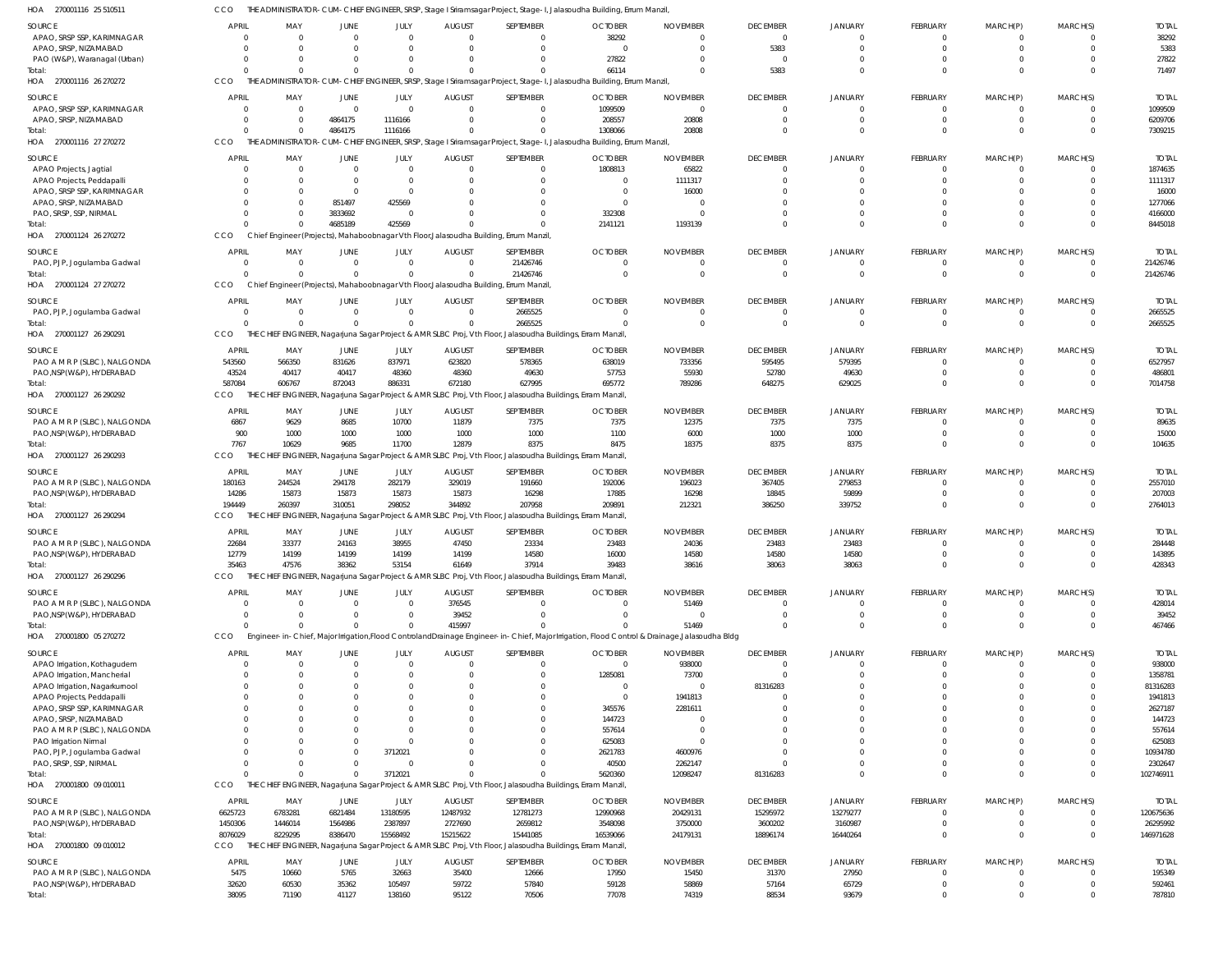| HOA 270001116 25 510511       | CCO                  |                      |                |          |                |                                                                                       | THE ADMINISTRATOR-CUM-CHIEF ENGINEER, SRSP, Stage I Sriramsagar Project, Stage-I, Jalasoudha Building, Errum Manzil,                          |                 |                 |                      |                 |                |                |              |
|-------------------------------|----------------------|----------------------|----------------|----------|----------------|---------------------------------------------------------------------------------------|-----------------------------------------------------------------------------------------------------------------------------------------------|-----------------|-----------------|----------------------|-----------------|----------------|----------------|--------------|
| SOURCE                        | <b>APRIL</b>         | MAY                  | JUNE           | JULY     | <b>AUGUST</b>  | SEPTEMBER                                                                             | <b>OCTOBER</b>                                                                                                                                | <b>NOVEMBER</b> | <b>DECEMBER</b> | <b>JANUARY</b>       | <b>FEBRUARY</b> | MARCH(P)       | MARCH(S)       | <b>TOTAL</b> |
| APAO, SRSP SSP, KARIMNAGAR    | $\Omega$             | $\overline{0}$       | $\Omega$       | $\Omega$ | $\Omega$       |                                                                                       | 38292                                                                                                                                         | $\Omega$        | $\overline{0}$  | $\Omega$             | $\overline{0}$  | $\overline{0}$ | $\Omega$       | 38292        |
| APAO, SRSP, NIZAMABAD         |                      | $\Omega$             | $\Omega$       | $\Omega$ | $\Omega$       |                                                                                       | $\overline{0}$                                                                                                                                | $\Omega$        | 5383            | $\Omega$             | $\overline{0}$  | $\overline{0}$ | $\Omega$       | 5383         |
| PAO (W&P), Waranagal (Urban)  | $\Omega$             | $\Omega$             | $\Omega$       |          | -0             |                                                                                       | 27822                                                                                                                                         | 0               | $\Omega$        |                      | $\overline{0}$  | $\Omega$       | $\Omega$       | 27822        |
| Total:                        | $\Omega$             | $\Omega$             | $\Omega$       |          | $\Omega$       |                                                                                       | 66114                                                                                                                                         | $\Omega$        | 5383            | $\Omega$             | $\Omega$        | $\Omega$       | $\Omega$       | 71497        |
| HOA 270001116 26 270272       | CCO                  |                      |                |          |                |                                                                                       | THE ADMINISTRATOR-CUM-CHIEF ENGINEER, SRSP, Stage I Sriramsagar Project, Stage-I, Jalasoudha Building, Errum Manzil,                          |                 |                 |                      |                 |                |                |              |
| SOURCE                        | <b>APRIL</b>         | MAY                  | JUNE           | JULY     | <b>AUGUST</b>  | SEPTEMBER                                                                             | <b>OCTOBER</b>                                                                                                                                | <b>NOVEMBER</b> | <b>DECEMBER</b> | <b>JANUARY</b>       | <b>FEBRUARY</b> | MARCH(P)       | MARCH(S)       | <b>TOTAL</b> |
| APAO, SRSP SSP, KARIMNAGAR    | $\Omega$             | $\overline{0}$       | $\overline{0}$ | $\Omega$ | $\overline{0}$ | $\Omega$                                                                              | 1099509                                                                                                                                       | $\overline{0}$  | $\Omega$        | $\Omega$             | $\overline{0}$  | $\overline{0}$ | $\Omega$       | 1099509      |
| APAO, SRSP, NIZAMABAD         | $\Omega$             | $\overline{0}$       | 4864175        | 1116166  | $\Omega$       | $\Omega$                                                                              | 208557                                                                                                                                        | 20808           | $\Omega$        | $\Omega$             | $\overline{0}$  | $\overline{0}$ | $\Omega$       | 6209706      |
| Total:                        | $\Omega$             | $\overline{0}$       | 4864175        | 1116166  | $\Omega$       | $\Omega$                                                                              | 1308066                                                                                                                                       | 20808           | $\Omega$        | $\Omega$             | $\overline{0}$  | $\Omega$       | $\Omega$       | 7309215      |
| HOA 270001116 27 270272       | CCO                  |                      |                |          |                |                                                                                       | THE ADMINISTRATOR-CUM-CHIEF ENGINEER, SRSP, Stage I Sriramsagar Project, Stage-I, Jalasoudha Building, Errum Manzil,                          |                 |                 |                      |                 |                |                |              |
| SOURCE                        | <b>APRIL</b>         | MAY                  | JUNE           | JULY     | <b>AUGUST</b>  | SEPTEMBER                                                                             | <b>OCTOBER</b>                                                                                                                                | <b>NOVEMBER</b> | <b>DECEMBER</b> | <b>JANUARY</b>       | <b>FEBRUARY</b> | MARCH(P)       | MARCH(S)       | <b>TOTAL</b> |
| APAO Projects, Jagtial        |                      | - 0                  | $\overline{0}$ | $\Omega$ | $\mathbf 0$    |                                                                                       | 1808813                                                                                                                                       | 65822           | $\Omega$        | $\Omega$             | $\overline{0}$  | $\overline{0}$ | $\Omega$       | 1874635      |
| APAO Projects, Peddapalli     |                      | $\Omega$             | $\overline{0}$ | $\Omega$ | $\Omega$       |                                                                                       | $\overline{0}$                                                                                                                                | 1111317         | $\Omega$        | $\Omega$             | $\Omega$        | $\Omega$       | $\Omega$       | 1111317      |
| APAO, SRSP SSP, KARIMNAGAR    | $\Omega$             | $\Omega$             | $\overline{0}$ | $\Omega$ | -0             |                                                                                       | $\overline{0}$                                                                                                                                | 16000           |                 |                      | $\Omega$        |                |                | 16000        |
| APAO, SRSP, NIZAMABAD         |                      | $\Omega$             | 851497         | 425569   | -0             |                                                                                       | - 0                                                                                                                                           | 0               |                 | $\Omega$             | $\Omega$        | $\Omega$       |                | 1277066      |
| PAO, SRSP, SSP, NIRMAL        | $\Omega$             | $\Omega$             | 3833692        | $\Omega$ | $\Omega$       |                                                                                       | 332308                                                                                                                                        | $\Omega$        | $\Omega$        | $\Omega$             | $\Omega$        | $\Omega$       |                | 4166000      |
| Total:                        | $\Omega$             | $\Omega$             | 4685189        | 425569   | $\Omega$       |                                                                                       | 2141121                                                                                                                                       | 1193139         | $\Omega$        | $\Omega$             | $\Omega$        | $\Omega$       | $\Omega$       | 8445018      |
| HOA 270001124 26 270272       | <b>CCO</b>           |                      |                |          |                | Chief Engineer (Projects), Mahaboobnagar Vth Floor, Jalasoudha Building, Errum Manzil |                                                                                                                                               |                 |                 |                      |                 |                |                |              |
| SOURCE                        | <b>APRIL</b>         | MAY                  | JUNE           | JULY     | <b>AUGUST</b>  | SEPTEMBER                                                                             | <b>OCTOBER</b>                                                                                                                                | <b>NOVEMBER</b> | <b>DECEMBER</b> | <b>JANUARY</b>       | <b>FEBRUARY</b> | MARCH(P)       | MARCH(S)       | <b>TOTAL</b> |
| PAO, PJP, Jogulamba Gadwal    | $\overline{0}$       | $\overline{0}$       | $\overline{0}$ | $\Omega$ | $\overline{0}$ | 21426746                                                                              | $\overline{0}$                                                                                                                                | $\overline{0}$  | $\mathbf{0}$    | $\Omega$             | $\overline{0}$  | $\overline{0}$ | $\Omega$       | 21426746     |
| Total:                        | $\Omega$             | $\Omega$             | $\Omega$       |          | $\Omega$       | 21426746                                                                              | $\Omega$                                                                                                                                      | $\overline{0}$  | $\Omega$        | $\Omega$             | $\overline{0}$  | $\overline{0}$ | $\Omega$       | 21426746     |
| HOA 270001124 27 270272       | CCO                  |                      |                |          |                | Chief Engineer (Projects), Mahaboobnagar Vth Floor, Jalasoudha Building, Errum Manzil |                                                                                                                                               |                 |                 |                      |                 |                |                |              |
| SOURCE                        | <b>APRIL</b>         | MAY                  | JUNE           | JULY     | <b>AUGUST</b>  | SEPTEMBER                                                                             | <b>OCTOBER</b>                                                                                                                                | <b>NOVEMBER</b> | <b>DECEMBER</b> | <b>JANUARY</b>       | <b>FEBRUARY</b> | MARCH(P)       | MARCH(S)       | <b>TOTAL</b> |
| PAO, PJP, Jogulamba Gadwal    | $\overline{0}$       | $\overline{0}$       | $\overline{0}$ | $\Omega$ | $\overline{0}$ | 2665525                                                                               | $\Omega$                                                                                                                                      | $\Omega$        | $\Omega$        | $\Omega$             | $\mathbf{0}$    | $\mathbf{0}$   | $\Omega$       | 2665525      |
| Total:                        | $\Omega$             | $\Omega$             | $\overline{0}$ | $\Omega$ | $\mathbf 0$    | 2665525                                                                               | $\Omega$                                                                                                                                      | $\overline{0}$  | $\Omega$        | $\Omega$             | $\overline{0}$  | $\overline{0}$ | $\Omega$       | 2665525      |
| HOA 270001127 26 290291       | <b>CCO</b>           |                      |                |          |                |                                                                                       | THE CHIEF ENGINEER, Nagarjuna Sagar Project & AMR SLBC Proj, Vth Floor, Jalasoudha Buildings, Erram Manzil,                                   |                 |                 |                      |                 |                |                |              |
| SOURCE                        | APRIL                | MAY                  | JUNE           | JULY     | <b>AUGUST</b>  | SEPTEMBER                                                                             | <b>OCTOBER</b>                                                                                                                                | <b>NOVEMBER</b> | <b>DECEMBER</b> | <b>JANUARY</b>       | FEBRUARY        | MARCH(P)       | MARCH(S)       | <b>TOTAL</b> |
| PAO A M R P (SLBC), NALGONDA  | 543560               | 566350               | 831626         | 837971   | 623820         | 578365                                                                                | 638019                                                                                                                                        | 733356          | 595495          | 579395               | $\mathbf{0}$    | - 0            |                | 6527957      |
| PAO, NSP(W&P), HYDERABAD      | 43524                | 40417                | 40417          | 48360    | 48360          | 49630                                                                                 | 57753                                                                                                                                         | 55930           | 52780           | 49630                | $\overline{0}$  | $\overline{0}$ | $\Omega$       | 486801       |
| Total:                        | 587084               | 606767               | 872043         | 886331   | 672180         | 627995                                                                                | 695772                                                                                                                                        | 789286          | 648275          | 629025               | $\Omega$        | $\Omega$       | $\Omega$       | 7014758      |
| HOA 270001127 26 290292       | <b>CCO</b>           |                      |                |          |                |                                                                                       | THE CHIEF ENGINEER, Nagarjuna Sagar Project & AMR SLBC Proj, Vth Floor, Jalasoudha Buildings, Erram Manzil,                                   |                 |                 |                      |                 |                |                |              |
| SOURCE                        | <b>APRIL</b>         | MAY                  | JUNE           | JULY     | <b>AUGUST</b>  | SEPTEMBER                                                                             | <b>OCTOBER</b>                                                                                                                                | <b>NOVEMBER</b> | <b>DECEMBER</b> | <b>JANUARY</b>       | FEBRUARY        | MARCH(P)       | MARCH(S)       | <b>TOTAL</b> |
| PAO A M R P (SLBC), NALGONDA  | 6867                 | 9629                 | 8685           | 10700    | 11879          | 7375                                                                                  | 7375                                                                                                                                          | 12375           | 7375            | 7375                 | $\mathbf{0}$    | $\Omega$       | $\Omega$       | 89635        |
| PAO, NSP (W&P), HYDERABAD     | 900                  | 1000                 | 1000           | 1000     | 1000           | 1000                                                                                  | 1100                                                                                                                                          | 6000            | 1000            | 1000                 | $\mathbf{0}$    | - 0            | $\Omega$       | 15000        |
| Total:                        | 7767                 | 10629                | 9685           | 11700    | 12879          | 8375                                                                                  | 8475                                                                                                                                          | 18375           | 8375            | 8375                 | $\overline{0}$  | $\Omega$       | $\Omega$       | 104635       |
| HOA 270001127 26 290293       | <b>CCO</b>           |                      |                |          |                |                                                                                       | THE CHIEF ENGINEER, Nagarjuna Sagar Project & AMR SLBC Proj, Vth Floor, Jalasoudha Buildings, Erram Manzil,                                   |                 |                 |                      |                 |                |                |              |
| <b>SOURCE</b>                 | APRIL                | MAY                  | JUNE           | JULY     | <b>AUGUST</b>  | SEPTEMBER                                                                             | <b>OCTOBER</b>                                                                                                                                | <b>NOVEMBER</b> | <b>DECEMBER</b> | <b>JANUARY</b>       | <b>FEBRUARY</b> | MARCH(P)       | MARCH(S)       | <b>TOTAL</b> |
| PAO A M R P (SLBC), NALGONDA  | 180163               | 244524               | 294178         | 282179   | 329019         | 191660                                                                                | 192006                                                                                                                                        | 196023          | 367405          | 279853               | $\overline{0}$  | $\overline{0}$ | $\Omega$       | 2557010      |
| PAO, NSP (W&P), HYDERABAD     | 14286                | 15873                | 15873          | 15873    | 15873          | 16298                                                                                 | 17885                                                                                                                                         | 16298           | 18845           | 59899                | $\overline{0}$  | $\overline{0}$ | $\Omega$       | 207003       |
| Total:                        | 194449               | 260397               | 310051         | 298052   | 344892         | 207958                                                                                | 209891                                                                                                                                        | 212321          | 386250          | 339752               | $\overline{0}$  | $\overline{0}$ | $\Omega$       | 2764013      |
| HOA 270001127 26 290294       | CCO                  |                      |                |          |                |                                                                                       | THE CHIEF ENGINEER, Nagarjuna Sagar Project & AMR SLBC Proj, Vth Floor, Jalasoudha Buildings, Erram Manzil,                                   |                 |                 |                      |                 |                |                |              |
| SOURCE                        | <b>APRIL</b>         | MAY                  | JUNE           | JULY     | <b>AUGUST</b>  | SEPTEMBER                                                                             | <b>OCTOBER</b>                                                                                                                                | <b>NOVEMBER</b> | <b>DECEMBER</b> | <b>JANUARY</b>       | <b>FEBRUARY</b> | MARCH(P)       | MARCH(S)       | <b>TOTAL</b> |
| PAO A M R P (SLBC), NALGONDA  | 22684                | 33377                | 24163          | 38955    | 47450          | 23334                                                                                 | 23483                                                                                                                                         | 24036           | 23483           | 23483                | $\Omega$        | $\Omega$       | $\Omega$       | 284448       |
| PAO, NSP (W&P), HYDERABAD     | 12779                | 14199                | 14199          | 14199    | 14199          | 14580                                                                                 | 16000                                                                                                                                         | 14580           | 14580           | 14580                | $\Omega$        |                |                | 143895       |
| Total:                        | 35463                | 47576                | 38362          | 53154    | 61649          | 37914                                                                                 | 39483                                                                                                                                         | 38616           | 38063           | 38063                | $\overline{0}$  | $\overline{0}$ | $\overline{0}$ | 428343       |
| HOA 270001127 26 290296       | CCO                  |                      |                |          |                |                                                                                       | THE CHIEF ENGINEER, Nagarjuna Sagar Project & AMR SLBC Proj, Vth Floor, Jalasoudha Buildings, Erram Manzil,                                   |                 |                 |                      |                 |                |                |              |
| SOURCE                        | <b>APRIL</b>         | MAY                  | JUNE           | JULY     | <b>AUGUST</b>  | SEPTEMBER                                                                             | <b>OCTOBER</b>                                                                                                                                | <b>NOVEMBER</b> | <b>DECEMBER</b> | <b>JANUARY</b>       | <b>FEBRUARY</b> | MARCH(P)       | MARCH(S)       | <b>TOTAL</b> |
| PAO A M R P (SLBC), NALGONDA  | $\Omega$             | - 0                  | 0              | $\Omega$ | 376545         |                                                                                       | 0                                                                                                                                             | 51469           |                 | $\Omega$             | $\overline{0}$  | -0             |                | 428014       |
| PAO, NSP (W&P), HYDERABAD     | $\Omega$             | $\overline{0}$       | $\Omega$       | $\Omega$ | 39452          | 0                                                                                     | $\Omega$                                                                                                                                      | $\overline{0}$  | $\Omega$        | $\Omega$             | $\overline{0}$  | $\overline{0}$ |                | 39452        |
| Total:                        | $\Omega$             | $\Omega$             | $\Omega$       |          | 415997         |                                                                                       |                                                                                                                                               | 51469           | $\cap$          | $\Omega$             | $\Omega$        | $\Omega$       | $\Omega$       | 467466       |
| HOA 270001800 05 270272       | <b>CCO</b>           |                      |                |          |                |                                                                                       | Engineer-in-Chief, Major Irrigation, Flood Controland Drainage Engineer-in-Chief, Major Irrigation, Flood Control & Drainage, Jalasoudha Bldg |                 |                 |                      |                 |                |                |              |
| SOURCE                        | <b>APRIL</b>         | MAY                  | JUNE           | JULY     | <b>AUGUST</b>  | SEPTEMBER                                                                             | <b>OCTOBER</b>                                                                                                                                | <b>NOVEMBER</b> | <b>DECEMBER</b> | <b>JANUARY</b>       | FEBRUARY        | MARCH(P)       | MARCH(S)       | <b>TOTAL</b> |
| APAO Irrigation, Kothagudem   | $\Omega$             | $\overline{0}$       | $\mathbf 0$    | $\Omega$ | $\overline{0}$ | 0                                                                                     | $\overline{0}$                                                                                                                                | 938000          | $\Omega$        |                      | $\overline{0}$  | 0              |                | 938000       |
| APAO Irrigation, Mancherial   |                      | $\Omega$             | -0             | $\Omega$ | $\Omega$       |                                                                                       | 1285081                                                                                                                                       | 73700           | $\Omega$        |                      | $\Omega$        |                |                | 1358781      |
| APAO Irrigation, Nagarkurnool |                      | $\Omega$             | -0             |          | $\Omega$       |                                                                                       | 0                                                                                                                                             | $\Omega$        | 81316283        |                      | $\Omega$        |                |                | 81316283     |
| APAO Projects, Peddapalli     |                      | $\Omega$             |                |          | -0             |                                                                                       | 0                                                                                                                                             | 1941813         |                 |                      | $\Omega$        |                |                | 1941813      |
| APAO, SRSP SSP, KARIMNAGAR    |                      | $\Omega$             |                |          |                |                                                                                       | 345576                                                                                                                                        | 2281611         |                 | $\Omega$             | $\Omega$        |                |                | 2627187      |
| APAO, SRSP, NIZAMABAD         |                      |                      |                |          | $\Omega$       |                                                                                       | 144723                                                                                                                                        | -0              |                 | $\Omega$             |                 |                |                | 144723       |
| PAO A M R P (SLBC), NALGONDA  |                      |                      | $\Omega$       |          | $\Omega$       |                                                                                       | 557614                                                                                                                                        | $\Omega$        |                 | $\Omega$             | $\Omega$        |                |                | 557614       |
| PAO Irrigation Nirmal         |                      | $\Omega$             | $\Omega$       |          |                |                                                                                       | 625083                                                                                                                                        | $\Omega$        |                 | $\Omega$             | $\Omega$        |                |                | 625083       |
| PAO, PJP, Jogulamba Gadwal    | $\Omega$             | $\Omega$             | $\Omega$       | 3712021  |                |                                                                                       | 2621783                                                                                                                                       | 4600976         |                 | $\Omega$             | $\Omega$        |                |                | 10934780     |
| PAO, SRSP, SSP, NIRMAL        | $\Omega$<br>$\Omega$ | $\Omega$<br>$\Omega$ | $\mathbf 0$    | $\cap$   | $\Omega$       |                                                                                       | 40500                                                                                                                                         | 2262147         |                 | $\Omega$<br>$\Omega$ | $\Omega$        | $\Omega$       | $\Omega$       | 2302647      |
| Total:                        |                      |                      | $\mathbf{0}$   | 3712021  | $\Omega$       |                                                                                       | 5620360                                                                                                                                       | 12098247        | 81316283        |                      | $\Omega$        | $\Omega$       |                | 102746911    |
| HOA 270001800 09 010011       | <b>CCO</b>           |                      |                |          |                |                                                                                       | THE CHIEF ENGINEER, Nagarjuna Sagar Project & AMR SLBC Proj, Vth Floor, Jalasoudha Buildings, Erram Manzil,                                   |                 |                 |                      |                 |                |                |              |
| SOURCE                        | APRIL                | MAY                  | JUNE           | JULY     | <b>AUGUST</b>  | SEPTEMBER                                                                             | <b>OCTOBER</b>                                                                                                                                | <b>NOVEMBER</b> | <b>DECEMBER</b> | <b>JANUARY</b>       | <b>FEBRUARY</b> | MARCH(P)       | MARCH(S)       | <b>TOTAL</b> |
| PAO A M R P (SLBC), NALGONDA  | 6625723              | 6783281              | 6821484        | 13180595 | 12487932       | 12781273                                                                              | 12990968                                                                                                                                      | 20429131        | 15295972        | 13279277             | $\overline{0}$  | $\overline{0}$ | $\Omega$       | 120675636    |
| PAO, NSP(W&P), HYDERABAD      | 1450306              | 1446014              | 1564986        | 2387897  | 2727690        | 2659812                                                                               | 3548098                                                                                                                                       | 3750000         | 3600202         | 3160987              | $\overline{0}$  | $\overline{0}$ | $\Omega$       | 26295992     |
| Total:                        | 8076029              | 8229295              | 8386470        | 15568492 | 15215622       | 15441085                                                                              | 16539066                                                                                                                                      | 24179131        | 18896174        | 16440264             | $\overline{0}$  | $\overline{0}$ | $\Omega$       | 146971628    |
| HOA 270001800 09 010012       | CCO                  |                      |                |          |                |                                                                                       | THE CHIEF ENGINEER, Nagarjuna Sagar Project & AMR SLBC Proj, Vth Floor, Jalasoudha Buildings, Erram Manzil,                                   |                 |                 |                      |                 |                |                |              |
| SOURCE                        | <b>APRIL</b>         | MAY                  | JUNE           | JULY     | <b>AUGUST</b>  | SEPTEMBER                                                                             | <b>OCTOBER</b>                                                                                                                                | <b>NOVEMBER</b> | <b>DECEMBER</b> | JANUARY              | <b>FEBRUARY</b> | MARCH(P)       | MARCH(S)       | <b>TOTAL</b> |
| PAO A M R P (SLBC), NALGONDA  | 5475                 | 10660                | 5765           | 32663    | 35400          | 12666                                                                                 | 17950                                                                                                                                         | 15450           | 31370           | 27950                | $\overline{0}$  | $\overline{0}$ | $\Omega$       | 195349       |
| PAO, NSP(W&P), HYDERABAD      | 32620                | 60530                | 35362          | 105497   | 59722          | 57840                                                                                 | 59128                                                                                                                                         | 58869           | 57164           | 65729                | $\overline{0}$  | $\overline{0}$ | $\Omega$       | 592461       |
| Total:                        | 38095                | 71190                | 41127          | 138160   | 95122          | 70506                                                                                 | 77078                                                                                                                                         | 74319           | 88534           | 93679                | $\Omega$        |                |                | 787810       |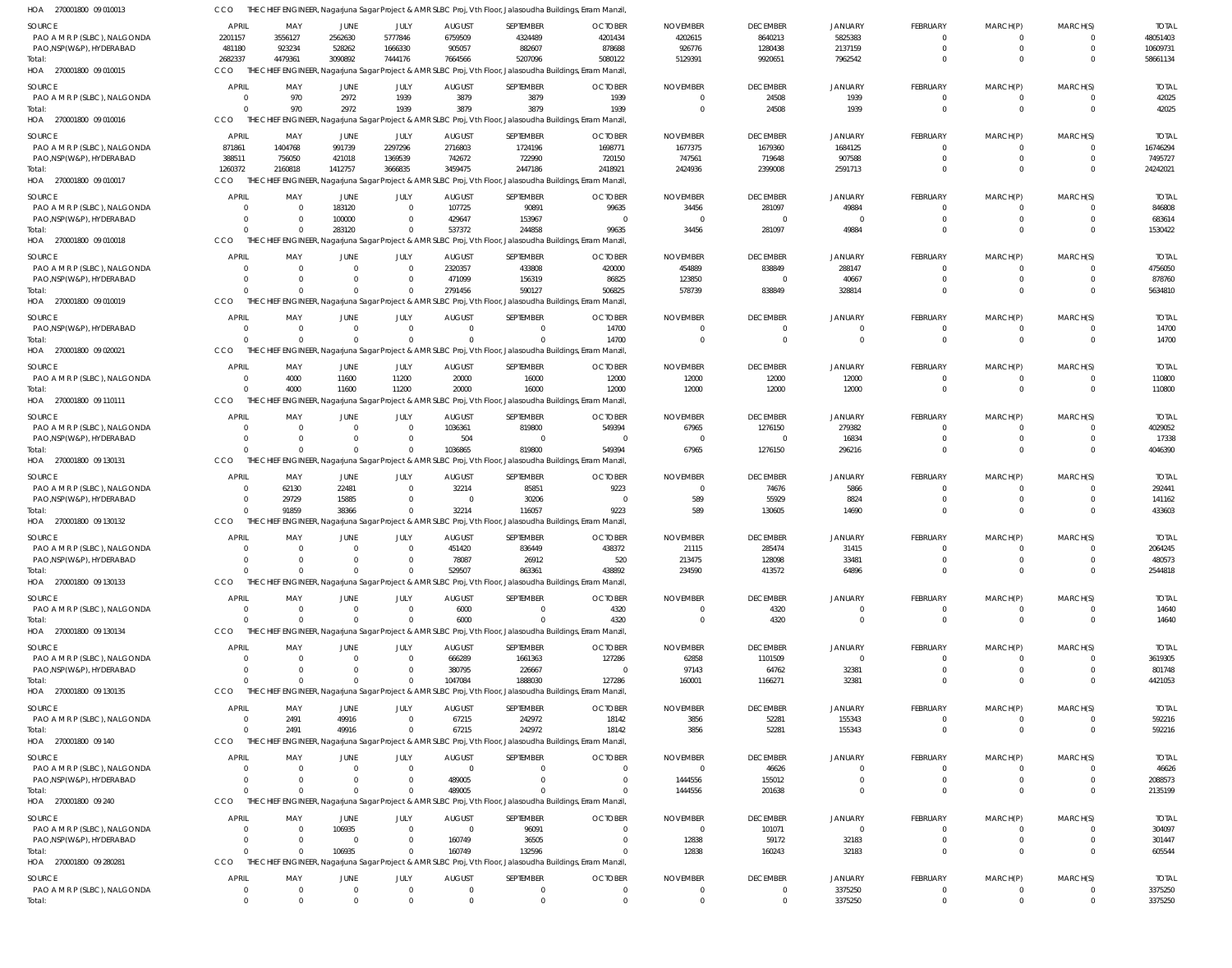| HOA 270001800 09 010013                                  | CCO                      |                            |                                  |                                  |                                 | THE CHIEF ENGINEER, Nagarjuna Sagar Project & AMR SLBC Proj, Vth Floor, Jalasoudha Buildings, Erram Manzil,            |                                  |                                   |                             |                               |                                  |                                  |                           |                       |
|----------------------------------------------------------|--------------------------|----------------------------|----------------------------------|----------------------------------|---------------------------------|------------------------------------------------------------------------------------------------------------------------|----------------------------------|-----------------------------------|-----------------------------|-------------------------------|----------------------------------|----------------------------------|---------------------------|-----------------------|
| SOURCE                                                   | <b>APRIL</b>             | MAY                        | JUNE                             | JULY                             | <b>AUGUST</b>                   | SEPTEMBER                                                                                                              | <b>OCTOBER</b>                   | <b>NOVEMBER</b>                   | <b>DECEMBER</b>             | JANUARY                       | FEBRUARY                         | MARCH(P)                         | MARCH(S)                  | <b>TOTAL</b>          |
| PAO A M R P (SLBC), NALGONDA                             | 2201157                  | 3556127                    | 2562630                          | 5777846                          | 6759509                         | 4324489                                                                                                                | 4201434                          | 4202615                           | 8640213                     | 5825383                       | $\overline{0}$                   | $\overline{0}$                   |                           | 48051403              |
| PAO, NSP(W&P), HYDERABAD                                 | 481180                   | 923234                     | 528262                           | 1666330                          | 905057                          | 882607                                                                                                                 | 878688                           | 926776                            | 1280438                     | 2137159                       | $\mathbf 0$                      | $\overline{0}$                   | $\mathbf 0$               | 10609731              |
| Total:<br>HOA 270001800 09 010015                        | 2682337<br>CCO           | 4479361                    | 3090892                          | 7444176                          | 7664566                         | 5207096<br>THE CHIEF ENGINEER, Nagarjuna Sagar Project & AMR SLBC Proj, Vth Floor, Jalasoudha Buildings, Erram Manzil, | 5080122                          | 5129391                           | 9920651                     | 7962542                       | $\Omega$                         | $\Omega$                         |                           | 58661134              |
|                                                          |                          |                            |                                  |                                  |                                 |                                                                                                                        |                                  |                                   |                             |                               |                                  |                                  |                           |                       |
| SOURCE<br>PAO A M R P (SLBC), NALGONDA                   | APRIL                    | MAY                        | JUNE                             | JULY                             | <b>AUGUST</b>                   | SEPTEMBER                                                                                                              | <b>OCTOBER</b>                   | <b>NOVEMBER</b><br>$\Omega$       | <b>DECEMBER</b>             | JANUARY                       | FEBRUARY                         | MARCH(P)                         | MARCH(S)<br>$\Omega$      | <b>TOTAL</b><br>42025 |
| Total:                                                   | $\Omega$                 | 970<br>970                 | 2972<br>2972                     | 1939<br>1939                     | 3879<br>3879                    | 3879<br>3879                                                                                                           | 1939<br>1939                     | $\overline{0}$                    | 24508<br>24508              | 1939<br>1939                  | $\overline{0}$<br>$\overline{0}$ | $\overline{0}$<br>$\overline{0}$ | $\Omega$                  | 42025                 |
| HOA 270001800 09 010016                                  | <b>CCO</b>               |                            |                                  |                                  |                                 | THE CHIEF ENGINEER, Nagarjuna Sagar Project & AMR SLBC Proj, Vth Floor, Jalasoudha Buildings, Erram Manzil,            |                                  |                                   |                             |                               |                                  |                                  |                           |                       |
| <b>SOURCE</b>                                            | <b>APRIL</b>             | MAY                        | JUNE                             | JULY                             | <b>AUGUST</b>                   | SEPTEMBER                                                                                                              | <b>OCTOBER</b>                   | <b>NOVEMBER</b>                   | <b>DECEMBER</b>             | JANUARY                       | <b>FEBRUARY</b>                  | MARCH(P)                         | MARCH(S)                  | <b>TOTAL</b>          |
| PAO A M R P (SLBC), NALGONDA                             | 871861                   | 1404768                    | 991739                           | 2297296                          | 2716803                         | 1724196                                                                                                                | 1698771                          | 1677375                           | 1679360                     | 1684125                       | $\overline{0}$                   | $\overline{0}$                   |                           | 16746294              |
| PAO, NSP(W&P), HYDERABAD                                 | 388511                   | 756050                     | 421018                           | 1369539                          | 742672                          | 722990                                                                                                                 | 720150                           | 747561                            | 719648                      | 907588                        | $\mathbf 0$                      | $\mathbf 0$                      | $\Omega$                  | 7495727               |
| Total:                                                   | 1260372                  | 2160818                    | 1412757                          | 3666835                          | 3459475                         | 2447186                                                                                                                | 2418921                          | 2424936                           | 2399008                     | 2591713                       | $\Omega$                         | $\Omega$                         | $\Omega$                  | 24242021              |
| HOA 270001800 09 010017                                  | CCO                      |                            |                                  |                                  |                                 | THE CHIEF ENGINEER, Nagarjuna Sagar Project & AMR SLBC Proj, Vth Floor, Jalasoudha Buildings, Erram Manzil,            |                                  |                                   |                             |                               |                                  |                                  |                           |                       |
| SOURCE                                                   | <b>APRIL</b>             | MAY                        | <b>JUNE</b>                      | JULY                             | <b>AUGUST</b>                   | SEPTEMBER                                                                                                              | <b>OCTOBER</b>                   | <b>NOVEMBER</b>                   | <b>DECEMBER</b>             | <b>JANUARY</b>                | <b>FEBRUARY</b>                  | MARCH(P)                         | MARCH(S)                  | <b>TOTAL</b>          |
| PAO A M R P (SLBC), NALGONDA                             | - 0                      | $\overline{0}$             | 183120                           | $\overline{0}$                   | 107725                          | 90891                                                                                                                  | 99635                            | 34456                             | 281097                      | 49884                         | $\overline{0}$                   | $^{\circ}$                       | $\Omega$                  | 846808                |
| PAO, NSP(W&P), HYDERABAD                                 |                          | $\overline{\mathbf{0}}$    | 100000                           | $\overline{0}$                   | 429647                          | 153967                                                                                                                 | $\overline{0}$                   | $\overline{0}$                    | $\mathbf 0$                 | $\Omega$                      | $\mathbf 0$                      | $\overline{0}$                   | $\mathbf 0$               | 683614                |
| Total:                                                   | $\Omega$<br><b>CCO</b>   | $\Omega$                   | 283120                           | $\Omega$                         | 537372                          | 244858                                                                                                                 | 99635                            | 34456                             | 281097                      | 49884                         | $\overline{0}$                   | $\Omega$                         | $\Omega$                  | 1530422               |
| HOA 270001800 09 010018                                  |                          |                            |                                  |                                  |                                 | THE CHIEF ENGINEER, Nagarjuna Sagar Project & AMR SLBC Proj, Vth Floor, Jalasoudha Buildings, Erram Manzil,            |                                  |                                   |                             |                               |                                  |                                  |                           |                       |
| SOURCE                                                   | <b>APRIL</b>             | MAY                        | JUNE                             | JULY                             | <b>AUGUST</b>                   | SEPTEMBER                                                                                                              | <b>OCTOBER</b>                   | <b>NOVEMBER</b>                   | <b>DECEMBER</b>             | JANUARY                       | FEBRUARY                         | MARCH(P)                         | MARCH(S)                  | <b>TOTAL</b>          |
| PAO A M R P (SLBC), NALGONDA                             |                          | $\Omega$                   | $\overline{0}$                   | $\overline{0}$                   | 2320357                         | 433808                                                                                                                 | 420000                           | 454889                            | 838849                      | 288147                        | $\Omega$                         | $\Omega$                         | $\Omega$                  | 4756050               |
| PAO, NSP (W&P), HYDERABAD<br>Total:                      |                          | $\Omega$<br>$\Omega$       | $\mathbf{0}$<br>$\Omega$         | $\overline{0}$<br>$\Omega$       | 471099<br>2791456               | 156319<br>590127                                                                                                       | 86825<br>506825                  | 123850<br>578739                  | - 0<br>838849               | 40667<br>328814               | $\mathbf 0$<br>$\Omega$          | $\overline{0}$<br>$\Omega$       | $\mathbf 0$               | 878760<br>5634810     |
| HOA 270001800 09 010019                                  | CCO                      |                            |                                  |                                  |                                 | THE CHIEF ENGINEER, Nagarjuna Sagar Project & AMR SLBC Proj, Vth Floor, Jalasoudha Buildings, Erram Manzil,            |                                  |                                   |                             |                               |                                  |                                  |                           |                       |
|                                                          |                          |                            |                                  |                                  |                                 |                                                                                                                        |                                  |                                   |                             |                               |                                  |                                  |                           |                       |
| SOURCE<br>PAO, NSP (W&P), HYDERABAD                      | APRIL<br>$\Omega$        | MAY<br>$\overline{0}$      | JUNE<br>$\overline{0}$           | JULY<br>$\overline{0}$           | <b>AUGUST</b><br>$\overline{0}$ | SEPTEMBER<br>$\Omega$                                                                                                  | <b>OCTOBER</b><br>14700          | <b>NOVEMBER</b><br>$\overline{0}$ | <b>DECEMBER</b><br>$\Omega$ | <b>JANUARY</b><br>$\mathbf 0$ | FEBRUARY<br>$\overline{0}$       | MARCH(P)<br>$\overline{0}$       | MARCH(S)<br>$\mathbf 0$   | <b>TOTAL</b><br>14700 |
| Total:                                                   | $\Omega$                 | $\Omega$                   | $\overline{0}$                   | $\overline{0}$                   | $\Omega$                        |                                                                                                                        | 14700                            | $\Omega$                          | $\Omega$                    | $\Omega$                      | $\overline{0}$                   | $\overline{0}$                   | $\Omega$                  | 14700                 |
| HOA 270001800 09 020021                                  | CCO                      |                            |                                  |                                  |                                 | THE CHIEF ENGINEER, Nagarjuna Sagar Project & AMR SLBC Proj, Vth Floor, Jalasoudha Buildings, Erram Manzil,            |                                  |                                   |                             |                               |                                  |                                  |                           |                       |
| <b>SOURCE</b>                                            | <b>APRIL</b>             | MAY                        | <b>JUNE</b>                      | JULY                             | <b>AUGUST</b>                   | SEPTEMBER                                                                                                              | <b>OCTOBER</b>                   | <b>NOVEMBER</b>                   | <b>DECEMBER</b>             | JANUARY                       | FEBRUARY                         | MARCH(P)                         | MARCH(S)                  | <b>TOTAL</b>          |
| PAO A M R P (SLBC), NALGONDA                             |                          | 4000                       | 11600                            | 11200                            | 20000                           | 16000                                                                                                                  | 12000                            | 12000                             | 12000                       | 12000                         | $^{\circ}$                       | $\overline{0}$                   | $\Omega$                  | 110800                |
| Total:                                                   | $\Omega$                 | 4000                       | 11600                            | 11200                            | 20000                           | 16000                                                                                                                  | 12000                            | 12000                             | 12000                       | 12000                         | $\overline{0}$                   | $\Omega$                         | $\Omega$                  | 110800                |
| HOA 270001800 09 110111                                  | <b>CCO</b>               |                            |                                  |                                  |                                 | THE CHIEF ENGINEER, Nagarjuna Sagar Project & AMR SLBC Proj, Vth Floor, Jalasoudha Buildings, Erram Manzil,            |                                  |                                   |                             |                               |                                  |                                  |                           |                       |
| SOURCE                                                   | APRIL                    | MAY                        | <b>JUNE</b>                      | JULY                             | <b>AUGUST</b>                   | SEPTEMBER                                                                                                              | <b>OCTOBER</b>                   | <b>NOVEMBER</b>                   | <b>DECEMBER</b>             | <b>JANUARY</b>                | FEBRUARY                         | MARCH(P)                         | MARCH(S)                  | <b>TOTAL</b>          |
| PAO A M R P (SLBC), NALGONDA                             |                          | $\overline{0}$             | $\overline{0}$                   | $\overline{0}$                   | 1036361                         | 819800                                                                                                                 | 549394                           | 67965                             | 1276150                     | 279382                        | $\overline{0}$                   | $^{\circ}$                       | $\Omega$                  | 4029052               |
| PAO, NSP(W&P), HYDERABAD                                 | $\Omega$                 | $\Omega$                   | $\Omega$                         | $\overline{0}$                   | 504                             | - 0                                                                                                                    | $\overline{0}$                   | $\overline{0}$                    | $\mathbf 0$                 | 16834                         | $\mathbf 0$                      | $\overline{0}$                   | $\Omega$                  | 17338                 |
| Total:                                                   | $\Omega$                 | $\Omega$                   | $\Omega$                         | $\Omega$                         | 1036865                         | 819800                                                                                                                 | 549394                           | 67965                             | 1276150                     | 296216                        | $\overline{0}$                   | $\Omega$                         | $\Omega$                  | 4046390               |
| HOA 270001800 09 130131                                  | <b>CCO</b>               |                            |                                  |                                  |                                 | THE CHIEF ENGINEER, Nagarjuna Sagar Project & AMR SLBC Proj, Vth Floor, Jalasoudha Buildings, Erram Manzil,            |                                  |                                   |                             |                               |                                  |                                  |                           |                       |
| SOURCE                                                   | APRIL                    | MAY                        | JUNE                             | JULY                             | <b>AUGUST</b>                   | SEPTEMBER                                                                                                              | <b>OCTOBER</b>                   | <b>NOVEMBER</b>                   | <b>DECEMBER</b>             | <b>JANUARY</b>                | FEBRUARY                         | MARCH(P)                         | MARCH(S)                  | <b>TOTAL</b>          |
| PAO A M R P (SLBC), NALGONDA                             |                          | 62130                      | 22481                            | $\overline{0}$                   | 32214                           | 85851                                                                                                                  | 9223                             | $\overline{0}$                    | 74676                       | 5866                          | $\overline{0}$                   | $\Omega$                         | $\Omega$                  | 292441                |
| PAO, NSP(W&P), HYDERABAD                                 | $\Omega$                 | 29729                      | 15885                            | $\overline{0}$                   | $\overline{0}$                  | 30206                                                                                                                  | $\overline{0}$                   | 589                               | 55929                       | 8824                          | $\mathbf 0$                      | $\overline{0}$                   | $\mathbf 0$<br>$\Omega$   | 141162                |
| Total:<br>HOA 270001800 09 130132                        | <b>CCO</b>               | 91859                      | 38366                            | $\overline{0}$                   | 32214                           | 116057<br>THE CHIEF ENGINEER, Nagarjuna Sagar Project & AMR SLBC Proj, Vth Floor, Jalasoudha Buildings, Erram Manzil,  | 9223                             | 589                               | 130605                      | 14690                         | $\Omega$                         | $\Omega$                         |                           | 433603                |
|                                                          |                          |                            |                                  |                                  |                                 |                                                                                                                        |                                  |                                   |                             |                               |                                  |                                  |                           |                       |
| SOURCE<br>PAO A M R P (SLBC), NALGONDA                   | <b>APRIL</b><br>$\Omega$ | MAY<br>$\overline{0}$      | JUNE<br>$\overline{0}$           | JULY<br>$\overline{0}$           | <b>AUGUST</b><br>451420         | SEPTEMBER<br>836449                                                                                                    | <b>OCTOBER</b>                   | <b>NOVEMBER</b>                   | <b>DECEMBER</b>             | <b>JANUARY</b><br>31415       | <b>FEBRUARY</b>                  | MARCH(P)                         | MARCH(S)<br>$\mathbf{0}$  | <b>TOTAL</b>          |
| PAO, NSP(W&P), HYDERABAD                                 |                          | $\Omega$                   |                                  | 0                                | 78087                           | 26912                                                                                                                  | 438372<br>520                    | 21115<br>213475                   | 285474<br>128098            | 33481                         | $\overline{0}$<br>0              | $\overline{0}$<br>0              |                           | 2064245<br>480573     |
| Total:                                                   | $\Omega$                 | $\Omega$                   | $\Omega$                         | $\Omega$                         | 529507                          | 863361                                                                                                                 | 438892                           | 234590                            | 413572                      | 64896                         | $\mathbf 0$                      | $\mathbf 0$                      | $\Omega$                  | 2544818               |
| HOA 270001800 09 130133                                  | <b>CCO</b>               |                            |                                  |                                  |                                 | THE CHIEF ENGINEER, Nagarjuna Sagar Project & AMR SLBC Proj, Vth Floor, Jalasoudha Buildings, Erram Manzil,            |                                  |                                   |                             |                               |                                  |                                  |                           |                       |
| SOURCE                                                   | <b>APRIL</b>             | MAY                        | <b>JUNE</b>                      | JULY                             | <b>AUGUST</b>                   | SEPTEMBER                                                                                                              | <b>OCTOBER</b>                   | <b>NOVEMBER</b>                   | <b>DECEMBER</b>             | JANUARY                       | FEBRUARY                         | MARCH(P)                         | MARCH(S)                  | <b>TOTAL</b>          |
| PAO A M R P (SLBC), NALGONDA                             | - 0                      | $\overline{\mathbf{0}}$    | $\overline{0}$                   | $\overline{0}$                   | 6000                            | $\Omega$                                                                                                               | 4320                             | 0                                 | 4320                        | $^{\circ}$                    | $\overline{0}$                   | $\overline{0}$                   | $\Omega$                  | 14640                 |
| Total:                                                   | $\Omega$                 | $\Omega$                   | $\Omega$                         | $\Omega$                         | 6000                            |                                                                                                                        | 4320                             | $\overline{0}$                    | 4320                        | $\Omega$                      | $\overline{0}$                   | $\overline{0}$                   | $\Omega$                  | 14640                 |
| HOA 270001800 09 130134                                  | <b>CCO</b>               |                            |                                  |                                  |                                 | THE CHIEF ENGINEER, Nagarjuna Sagar Project & AMR SLBC Proj, Vth Floor, Jalasoudha Buildings, Erram Manzil,            |                                  |                                   |                             |                               |                                  |                                  |                           |                       |
| SOURCE                                                   | <b>APRIL</b>             | MAY                        | JUNE                             | JULY                             | <b>AUGUST</b>                   | SEPTEMBER                                                                                                              | <b>OCTOBER</b>                   | <b>NOVEMBER</b>                   | <b>DECEMBER</b>             | <b>JANUARY</b>                | FEBRUARY                         | MARCH(P)                         | MARCH(S)                  | <b>TOTAL</b>          |
| PAO A M R P (SLBC), NALGONDA                             |                          | $\Omega$                   | $\overline{0}$                   | $\overline{0}$                   | 666289                          | 1661363                                                                                                                | 127286                           | 62858                             | 1101509                     | $\mathbf 0$                   | $\overline{0}$                   | $\overline{0}$                   | $\mathbf 0$               | 3619305               |
| PAO, NSP(W&P), HYDERABAD                                 |                          | $\Omega$                   | $\mathbf{0}$                     | $\overline{0}$                   | 380795                          | 226667                                                                                                                 | $\overline{0}$                   | 97143                             | 64762                       | 32381                         | $\mathbf 0$                      | $\overline{0}$                   | $\mathbf 0$               | 801748                |
| Total:                                                   | $\Omega$                 | $\overline{0}$             | $\overline{0}$                   | $^{\circ}$                       | 1047084                         | 1888030                                                                                                                | 127286                           | 160001                            | 1166271                     | 32381                         | $\Omega$                         | $\Omega$                         | $\Omega$                  | 4421053               |
| HOA 270001800 09 130135                                  | <b>CCO</b>               |                            |                                  |                                  |                                 | THE CHIEF ENGINEER, Nagarjuna Sagar Project & AMR SLBC Proj, Vth Floor, Jalasoudha Buildings, Erram Manzil,            |                                  |                                   |                             |                               |                                  |                                  |                           |                       |
| <b>SOURCE</b>                                            | <b>APRIL</b>             | MAY                        | JUNE                             | JULY                             | <b>AUGUST</b>                   | SEPTEMBER                                                                                                              | <b>OCTOBER</b>                   | <b>NOVEMBER</b>                   | <b>DECEMBER</b>             | JANUARY                       | FEBRUARY                         | MARCH(P)                         | MARCH(S)                  | <b>TOTAL</b>          |
| PAO A M R P (SLBC), NALGONDA                             | - 0                      | 2491                       | 49916                            | $\overline{0}$                   | 67215                           | 242972                                                                                                                 | 18142                            | 3856                              | 52281                       | 155343                        | $\overline{0}$                   | $\overline{0}$                   | $\Omega$                  | 592216                |
| Total:<br>HOA 270001800 09 140                           | $\Omega$<br>CCO          | 2491                       | 49916                            | $\overline{0}$                   | 67215                           | 242972<br>THE CHIEF ENGINEER, Nagarjuna Sagar Project & AMR SLBC Proj, Vth Floor, Jalasoudha Buildings, Erram Manzil,  | 18142                            | 3856                              | 52281                       | 155343                        | $\overline{0}$                   | $\overline{0}$                   | $\Omega$                  | 592216                |
|                                                          |                          |                            |                                  |                                  |                                 |                                                                                                                        |                                  |                                   |                             |                               |                                  |                                  |                           |                       |
| SOURCE                                                   | <b>APRIL</b>             | MAY                        | JUNE                             | JULY                             | <b>AUGUST</b>                   | SEPTEMBER                                                                                                              | <b>OCTOBER</b>                   | <b>NOVEMBER</b>                   | <b>DECEMBER</b>             | JANUARY                       | FEBRUARY                         | MARCH(P)                         | MARCH(S)                  | <b>TOTAL</b>          |
| PAO A M R P (SLBC), NALGONDA<br>PAO, NSP(W&P), HYDERABAD | - 0<br>$\Omega$          | $\overline{0}$<br>$\Omega$ | $\overline{0}$<br>$\overline{0}$ | $\overline{0}$<br>$\overline{0}$ | $\overline{0}$<br>489005        |                                                                                                                        | $\overline{0}$<br>$\overline{0}$ | $\overline{0}$<br>1444556         | 46626<br>155012             | $^{\circ}$<br>$\mathbf 0$     | $\overline{0}$<br>$^{\circ}$     | $\overline{0}$<br>$\overline{0}$ | $^{\circ}$<br>$\mathbf 0$ | 46626<br>2088573      |
| Total:                                                   | $\Omega$                 | $\Omega$                   | $\Omega$                         | $\mathbf{0}$                     | 489005                          |                                                                                                                        | $\Omega$                         | 1444556                           | 201638                      | $\Omega$                      | $\overline{0}$                   | $\overline{0}$                   | $\Omega$                  | 2135199               |
| HOA 270001800 09 240                                     | <b>CCO</b>               |                            |                                  |                                  |                                 | THE CHIEF ENGINEER, Nagarjuna Sagar Project & AMR SLBC Proj, Vth Floor, Jalasoudha Buildings, Erram Manzil,            |                                  |                                   |                             |                               |                                  |                                  |                           |                       |
|                                                          | <b>APRIL</b>             | MAY                        | <b>JUNE</b>                      |                                  |                                 |                                                                                                                        | <b>OCTOBER</b>                   |                                   |                             |                               |                                  |                                  | MARCH(S)                  | <b>TOTAL</b>          |
| SOURCE<br>PAO A M R P (SLBC), NALGONDA                   | - 0                      | $\overline{\mathbf{0}}$    | 106935                           | JULY<br>$\overline{0}$           | <b>AUGUST</b><br>$\overline{0}$ | SEPTEMBER<br>96091                                                                                                     | $\overline{0}$                   | <b>NOVEMBER</b><br>$\overline{0}$ | <b>DECEMBER</b><br>101071   | JANUARY<br>$\Omega$           | FEBRUARY<br>$\overline{0}$       | MARCH(P)<br>$\overline{0}$       |                           | 304097                |
| PAO, NSP(W&P), HYDERABAD                                 | $\Omega$                 | $\Omega$                   | $\overline{0}$                   | $\overline{0}$                   | 160749                          | 36505                                                                                                                  | $\overline{0}$                   | 12838                             | 59172                       | 32183                         | $\mathbf 0$                      | $\overline{0}$                   | $^{\circ}$                | 301447                |
| Total:                                                   | $\Omega$                 | $\Omega$                   | 106935                           | $\Omega$                         | 160749                          | 132596                                                                                                                 | $\Omega$                         | 12838                             | 160243                      | 32183                         | $\Omega$                         | $\Omega$                         | $\Omega$                  | 605544                |
| HOA 270001800 09 280281                                  | <b>CCO</b>               |                            |                                  |                                  |                                 | THE CHIEF ENGINEER, Nagarjuna Sagar Project & AMR SLBC Proj, Vth Floor, Jalasoudha Buildings, Erram Manzil,            |                                  |                                   |                             |                               |                                  |                                  |                           |                       |
| <b>SOURCE</b>                                            | APRIL                    | MAY                        | JUNE                             | JULY                             | <b>AUGUST</b>                   | SEPTEMBER                                                                                                              | <b>OCTOBER</b>                   | <b>NOVEMBER</b>                   | <b>DECEMBER</b>             | <b>JANUARY</b>                | FEBRUARY                         | MARCH(P)                         | MARCH(S)                  | <b>TOTAL</b>          |
| PAO A M R P (SLBC), NALGONDA                             | $\mathbf{0}$             | $\overline{0}$             | $\overline{0}$                   | $\overline{0}$                   | $\overline{0}$                  | - 0                                                                                                                    | $\overline{0}$                   | 0                                 | $\mathbf{0}$                | 3375250                       | $\overline{0}$                   | $\overline{0}$                   | $^{\circ}$                | 3375250               |
| Total:                                                   | $\Omega$                 | $\Omega$                   | $\overline{0}$                   | $\overline{0}$                   | $\mathbf{0}$                    | $\Omega$                                                                                                               | $\mathbf{0}$                     | $\mathbf{0}$                      | $\mathbf{0}$                | 3375250                       | $\overline{0}$                   | $\overline{0}$                   | $\Omega$                  | 3375250               |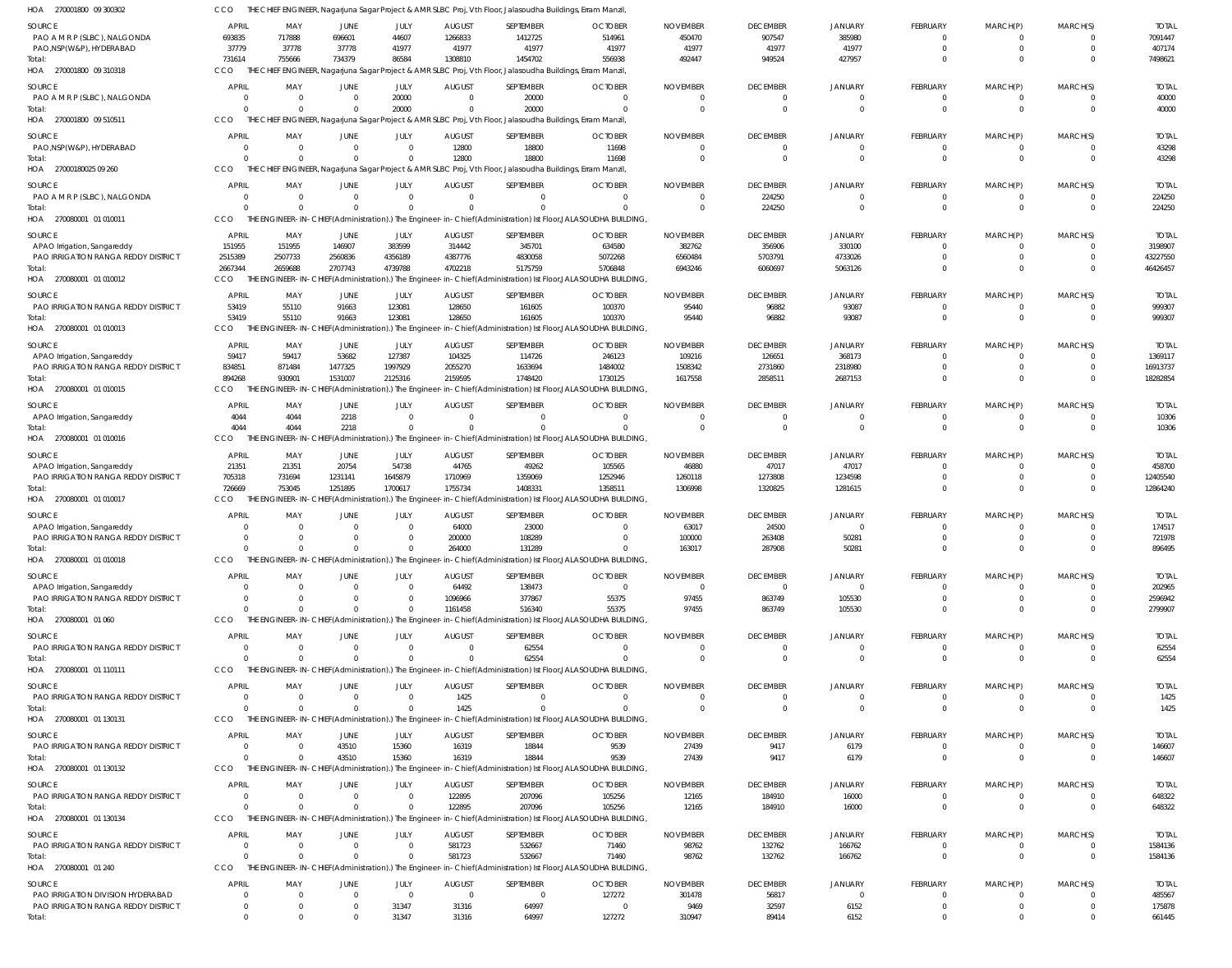|                                                                    | CCO                            |                                           |                      |                            |                           | THE CHIEF ENGINEER, Nagarjuna Sagar Project & AMR SLBC Proj, Vth Floor, Jalasoudha Buildings, Erram Manzil, |                                                                                                                         |                             |                                   |                            |                            |                          |                                  |                        |
|--------------------------------------------------------------------|--------------------------------|-------------------------------------------|----------------------|----------------------------|---------------------------|-------------------------------------------------------------------------------------------------------------|-------------------------------------------------------------------------------------------------------------------------|-----------------------------|-----------------------------------|----------------------------|----------------------------|--------------------------|----------------------------------|------------------------|
| SOURCE                                                             | <b>APRIL</b>                   | MAY                                       | JUNE                 | JULY                       | <b>AUGUST</b>             | SEPTEMBER                                                                                                   | <b>OCTOBER</b>                                                                                                          | <b>NOVEMBER</b>             | <b>DECEMBER</b>                   | <b>JANUARY</b>             | <b>FEBRUARY</b>            | MARCH(P)                 | MARCH(S)                         | <b>TOTAL</b>           |
| PAO A M R P (SLBC), NALGONDA                                       | 693835                         | 717888                                    | 696601               | 44607                      | 1266833                   | 1412725                                                                                                     | 514961                                                                                                                  | 450470                      | 907547                            | 385980                     | 0                          | 0                        | $\overline{0}$                   | 7091447                |
| PAO, NSP (W&P), HYDERABAD                                          | 37779                          | 37778                                     | 37778                | 41977                      | 41977                     | 41977                                                                                                       | 41977                                                                                                                   | 41977                       | 41977                             | 41977                      | $\mathbf 0$                | $\mathbf{0}$             | $\overline{0}$                   | 407174                 |
| Total:                                                             | 731614                         | 755666                                    | 734379               | 86584                      | 1308810                   | 1454702                                                                                                     | 556938                                                                                                                  | 492447                      | 949524                            | 427957                     | $\Omega$                   | $\Omega$                 | $\Omega$                         | 7498621                |
| HOA 270001800 09 310318                                            | CCO                            |                                           |                      |                            |                           | THE CHIEF ENGINEER, Nagarjuna Sagar Project & AMR SLBC Proj, Vth Floor, Jalasoudha Buildings, Erram Manzil, |                                                                                                                         |                             |                                   |                            |                            |                          |                                  |                        |
| SOURCE                                                             | <b>APRIL</b>                   | MAY                                       | JUNE                 | JULY                       | <b>AUGUST</b>             | SEPTEMBER                                                                                                   | <b>OCTOBER</b>                                                                                                          | <b>NOVEMBER</b>             | <b>DECEMBER</b>                   | JANUARY                    | FEBRUARY                   | MARCH(P)                 | MARCH(S)                         | <b>TOTAL</b>           |
| PAO A M R P (SLBC), NALGONDA<br>Total:                             | $\Omega$<br>$\Omega$           | $\overline{0}$<br>$\Omega$                | $\Omega$             | 20000<br>20000             |                           | 20000<br>20000                                                                                              |                                                                                                                         | -0                          | $\overline{0}$<br>$\overline{0}$  | $\Omega$<br>$\Omega$       | 0<br>$\mathbf{0}$          | 0<br>$\mathbf{0}$        | $\Omega$<br>$\overline{0}$       | 40000<br>40000         |
| HOA 270001800 09 510511                                            | CCO                            |                                           |                      |                            |                           | THE CHIEF ENGINEER, Nagarjuna Sagar Project & AMR SLBC Proj, Vth Floor, Jalasoudha Buildings, Erram Manzil, |                                                                                                                         |                             |                                   |                            |                            |                          |                                  |                        |
|                                                                    |                                |                                           |                      |                            |                           |                                                                                                             |                                                                                                                         |                             |                                   |                            |                            |                          |                                  |                        |
| <b>SOURCE</b><br>PAO, NSP (W&P), HYDERABAD                         | <b>APRIL</b><br>$\overline{0}$ | MAY<br>$\overline{0}$                     | JUNE<br>0            | JULY<br>$\Omega$           | <b>AUGUST</b><br>12800    | SEPTEMBER<br>18800                                                                                          | <b>OCTOBER</b><br>11698                                                                                                 | <b>NOVEMBER</b><br>$\Omega$ | <b>DECEMBER</b><br>$\overline{0}$ | JANUARY<br>$\Omega$        | FEBRUARY<br>$\overline{0}$ | MARCH(P)<br>0            | MARCH(S)<br>$\mathbf{0}$         | <b>TOTAL</b><br>43298  |
| Total:                                                             | $\Omega$                       | $\Omega$                                  | $\Omega$             | $\Omega$                   | 12800                     | 18800                                                                                                       | 11698                                                                                                                   | $\Omega$                    | $\overline{0}$                    | $\Omega$                   | $\mathbf{0}$               | $\mathbf{0}$             | $\Omega$                         | 43298                  |
| HOA 27000180025 09 260                                             | CCO                            |                                           |                      |                            |                           | THE CHIEF ENGINEER, Nagarjuna Sagar Project & AMR SLBC Proj, Vth Floor, Jalasoudha Buildings, Erram Manzil, |                                                                                                                         |                             |                                   |                            |                            |                          |                                  |                        |
| SOURCE                                                             | <b>APRIL</b>                   | MAY                                       | JUNE                 | JULY                       | <b>AUGUST</b>             | SEPTEMBER                                                                                                   | <b>OCTOBER</b>                                                                                                          | <b>NOVEMBER</b>             | <b>DECEMBER</b>                   | JANUARY                    | FEBRUARY                   | MARCH(P)                 | MARCH(S)                         | <b>TOTAL</b>           |
| PAO A M R P (SLBC), NALGONDA                                       | $\overline{0}$                 | $\overline{0}$                            | $\Omega$             | $\Omega$                   | $\mathsf{C}$              | $\mathbf{0}$                                                                                                | $\Omega$                                                                                                                | $\Omega$                    | 224250                            | $^{\circ}$                 | $\mathbf{0}$               | $\overline{0}$           | $\mathbf{0}$                     | 224250                 |
| Total:                                                             | $\Omega$                       | $\Omega$                                  |                      | $\Omega$                   |                           | $\Omega$                                                                                                    |                                                                                                                         |                             | 224250                            | $\Omega$                   | $\mathbf{0}$               | $\mathbf{0}$             | $\overline{0}$                   | 224250                 |
| HOA 270080001 01010011                                             | CCO                            |                                           |                      |                            |                           |                                                                                                             | THE ENGINEER-IN-CHIEF(Administration).) The Engineer-in-Chief(Administration) Ist Floor,JALASOUDHA BUILDING,            |                             |                                   |                            |                            |                          |                                  |                        |
| SOURCE                                                             | <b>APRIL</b>                   | MAY                                       | JUNE                 | JULY                       | <b>AUGUST</b>             | SEPTEMBER                                                                                                   | <b>OCTOBER</b>                                                                                                          | <b>NOVEMBER</b>             | <b>DECEMBER</b>                   | JANUARY                    | FEBRUARY                   | MARCH(P)                 | MARCH(S)                         | <b>TOTAL</b>           |
| APAO Irrigation, Sangareddy                                        | 151955                         | 151955                                    | 146907               | 383599                     | 314442                    | 345701                                                                                                      | 634580                                                                                                                  | 382762                      | 356906                            | 330100                     | $\Omega$                   | $\Omega$                 | $\Omega$                         | 3198907                |
| PAO IRRIGATION RANGA REDDY DISTRICT                                | 2515389                        | 2507733                                   | 2560836              | 4356189                    | 4387776                   | 4830058                                                                                                     | 5072268                                                                                                                 | 6560484                     | 5703791                           | 4733026                    | $\mathbf 0$                | $\mathbf 0$              | $\Omega$                         | 43227550               |
| Total:                                                             | 2667344                        | 2659688                                   | 2707743              | 4739788                    | 4702218                   | 5175759                                                                                                     | 5706848                                                                                                                 | 6943246                     | 6060697                           | 5063126                    | $\Omega$                   | $\Omega$                 | $\Omega$                         | 46426457               |
| HOA 270080001 01 010012                                            | CCO                            |                                           |                      |                            |                           |                                                                                                             | THE ENGINEER-IN-CHIEF(Administration).) The Engineer-in-Chief(Administration) Ist Floor, JALASOUDHA BUILDING,           |                             |                                   |                            |                            |                          |                                  |                        |
| SOURCE                                                             | <b>APRIL</b>                   | MAY                                       | JUNE                 | JULY                       | <b>AUGUST</b>             | SEPTEMBER                                                                                                   | <b>OCTOBER</b>                                                                                                          | <b>NOVEMBER</b>             | <b>DECEMBER</b>                   | <b>JANUARY</b>             | FEBRUARY                   | MARCH(P)                 | MARCH(S)                         | <b>TOTAL</b>           |
| <b>PAO IRRIGATION RANGA REDDY DISTRICT</b>                         | 53419                          | 55110                                     | 91663                | 123081                     | 128650                    | 161605                                                                                                      | 100370                                                                                                                  | 95440                       | 96882                             | 93087                      | $\overline{0}$             | $\overline{0}$           | $\mathbf{0}$                     | 999307                 |
| Total:<br>HOA 270080001 01 010013                                  | 53419<br>CCO                   | 55110                                     | 91663                | 123081                     | 128650                    | 161605                                                                                                      | 100370<br>THE ENGINEER-IN-CHIEF(Administration).) The Engineer-in-Chief(Administration) Ist Floor, JALASOUDHA BUILDING, | 95440                       | 96882                             | 93087                      | $\mathbf{0}$               | $\mathbf{0}$             | $\overline{0}$                   | 999307                 |
|                                                                    |                                |                                           |                      |                            |                           |                                                                                                             |                                                                                                                         |                             |                                   |                            |                            |                          |                                  |                        |
| SOURCE                                                             | <b>APRIL</b>                   | MAY                                       | JUNE                 | JULY                       | <b>AUGUST</b>             | SEPTEMBER                                                                                                   | <b>OCTOBER</b>                                                                                                          | <b>NOVEMBER</b>             | <b>DECEMBER</b>                   | JANUARY                    | FEBRUARY                   | MARCH(P)                 | MARCH(S)                         | <b>TOTAL</b>           |
| APAO Irrigation, Sangareddy<br>PAO IRRIGATION RANGA REDDY DISTRICT | 59417<br>834851                | 59417<br>871484                           | 53682<br>1477325     | 127387<br>1997929          | 104325<br>2055270         | 114726<br>1633694                                                                                           | 246123<br>1484002                                                                                                       | 109216<br>1508342           | 126651<br>2731860                 | 368173<br>2318980          | 0<br>$\mathbf 0$           | $\Omega$<br>$\mathbf{0}$ | $\mathbf{0}$<br>$\mathbf{0}$     | 1369117<br>16913737    |
| Total:                                                             | 894268                         | 930901                                    | 1531007              | 2125316                    | 2159595                   | 1748420                                                                                                     | 1730125                                                                                                                 | 1617558                     | 2858511                           | 2687153                    | $\mathbf 0$                | $\Omega$                 | $\Omega$                         | 18282854               |
| HOA 270080001 01 010015                                            | <b>CCO</b>                     |                                           |                      |                            |                           |                                                                                                             | THE ENGINEER-IN-CHIEF(Administration).) The Engineer-in-Chief(Administration) Ist Floor,JALASOUDHA BUILDING,            |                             |                                   |                            |                            |                          |                                  |                        |
| SOURCE                                                             | <b>APRIL</b>                   | MAY                                       | JUNE                 | JULY                       | <b>AUGUST</b>             | SEPTEMBER                                                                                                   | <b>OCTOBER</b>                                                                                                          | <b>NOVEMBER</b>             | <b>DECEMBER</b>                   | JANUARY                    | FEBRUARY                   | MARCH(P)                 | MARCH(S)                         | <b>TOTAL</b>           |
| APAO Irrigation, Sangareddy                                        | 4044                           | 4044                                      | 2218                 | $\Omega$                   |                           | $\mathbf{0}$                                                                                                | $\Omega$                                                                                                                | $\Omega$                    | $\overline{0}$                    | $\Omega$                   | $\overline{0}$             | $\overline{0}$           | $\mathbf{0}$                     | 10306                  |
| Total:                                                             | 4044                           | 4044                                      | 2218                 | $\Omega$                   |                           | $\Omega$                                                                                                    |                                                                                                                         |                             | $\overline{0}$                    | $\Omega$                   | $\mathbf{0}$               | $\mathbf{0}$             | $\Omega$                         | 10306                  |
| HOA 270080001 01010016                                             | CCO                            |                                           |                      |                            |                           |                                                                                                             | THE ENGINEER-IN-CHIEF(Administration).) The Engineer-in-Chief(Administration) Ist Floor,JALASOUDHA BUILDING,            |                             |                                   |                            |                            |                          |                                  |                        |
| SOURCE                                                             | <b>APRIL</b>                   | MAY                                       | JUNE                 | JULY                       | <b>AUGUST</b>             | SEPTEMBER                                                                                                   | <b>OCTOBER</b>                                                                                                          | <b>NOVEMBER</b>             | <b>DECEMBER</b>                   | JANUARY                    | <b>FEBRUARY</b>            | MARCH(P)                 | MARCH(S)                         | <b>TOTAL</b>           |
| APAO Irrigation, Sangareddy                                        | 21351                          | 21351                                     | 20754                | 54738                      | 44765                     | 49262                                                                                                       | 105565                                                                                                                  | 46880                       | 47017                             | 47017                      | 0                          | $\Omega$                 | $\Omega$                         | 458700                 |
| PAO IRRIGATION RANGA REDDY DISTRICT                                | 705318                         | 731694                                    | 1231141              | 1645879                    | 1710969                   | 1359069                                                                                                     | 1252946                                                                                                                 | 1260118                     | 1273808                           | 1234598                    | $\mathbf 0$                | 0                        | $\mathbf{0}$                     | 12405540               |
| Total:                                                             | 726669                         | 753045                                    | 1251895              | 1700617                    | 1755734                   | 1408331                                                                                                     | 1358511                                                                                                                 | 1306998                     | 1320825                           | 1281615                    | $\mathbf 0$                | $\mathbf 0$              | $\Omega$                         | 12864240               |
| HOA 270080001 01 010017                                            | CCO                            |                                           |                      |                            |                           |                                                                                                             | THE ENGINEER-IN-CHIEF(Administration).) The Engineer-in-Chief(Administration) Ist Floor, JALASOUDHA BUILDING,           |                             |                                   |                            |                            |                          |                                  |                        |
| SOURCE                                                             | <b>APRIL</b>                   | MAY                                       | JUNE                 | JULY                       | <b>AUGUST</b>             | SEPTEMBER                                                                                                   | <b>OCTOBER</b>                                                                                                          | <b>NOVEMBER</b>             | <b>DECEMBER</b>                   | JANUARY                    | FEBRUARY                   | MARCH(P)                 | MARCH(S)                         | <b>TOTAL</b>           |
| APAO Irrigation, Sangareddy                                        | $\Omega$                       | $\overline{0}$                            |                      | $\overline{0}$             | 64000                     | 23000                                                                                                       |                                                                                                                         | 63017                       | 24500                             | $\Omega$                   | $\mathbf 0$                | 0                        | $\Omega$                         | 174517                 |
| PAO IRRIGATION RANGA REDDY DISTRICT<br>Total:                      | $\Omega$<br>$\Omega$           | $\Omega$                                  |                      | $\Omega$                   | 200000                    | 108289                                                                                                      |                                                                                                                         | 100000                      | 263408                            | 50281                      | $\mathbf 0$                | $\Omega$                 |                                  | 721978                 |
| HOA 270080001 01 010018                                            | CCO                            |                                           |                      |                            |                           |                                                                                                             |                                                                                                                         |                             |                                   |                            |                            |                          | $\Omega$                         |                        |
|                                                                    |                                | $\Omega$                                  |                      | $\Omega$                   | 264000                    | 131289                                                                                                      |                                                                                                                         | 163017                      | 287908                            | 50281                      | $\Omega$                   | $\Omega$                 | $\Omega$                         | 896495                 |
|                                                                    |                                |                                           |                      |                            |                           |                                                                                                             | THE ENGINEER-IN-CHIEF(Administration).) The Engineer-in-Chief(Administration) Ist Floor,JALASOUDHA BUILDING,            |                             |                                   |                            |                            |                          |                                  |                        |
| SOURCE                                                             | <b>APRIL</b>                   | MAY                                       | JUNE                 | JULY                       | <b>AUGUST</b>             | SEPTEMBER                                                                                                   | <b>OCTOBER</b>                                                                                                          | <b>NOVEMBER</b>             | <b>DECEMBER</b>                   | JANUARY                    | <b>FEBRUARY</b>            | MARCH(P)                 | MARCH(S)                         | <b>TOTAL</b>           |
| APAO Irrigation, Sangareddy                                        | $\Omega$                       | $\Omega$<br>$\Omega$                      |                      | $\Omega$<br>$\Omega$       | 64492                     | 138473                                                                                                      | $\Omega$                                                                                                                | $\Omega$                    | $\overline{\mathbf{0}}$           | $\Omega$                   | $\Omega$                   | $\Omega$                 | $\Omega$                         | 202965                 |
| PAO IRRIGATION RANGA REDDY DISTRICT<br>Total:                      | $\Omega$                       | $\Omega$                                  |                      | $\Omega$                   | 1096966<br>1161458        | 377867<br>516340                                                                                            | 55375<br>55375                                                                                                          | 97455<br>97455              | 863749<br>863749                  | 105530<br>105530           | $\mathbf 0$<br>$\Omega$    | $\mathbf{0}$<br>$\Omega$ | $\mathbf{0}$<br>$\Omega$         | 2596942<br>2799907     |
| HOA 270080001 01 060                                               | CCO                            |                                           |                      |                            |                           |                                                                                                             | THE ENGINEER-IN-CHIEF(Administration).) The Engineer-in-Chief(Administration) Ist Floor, JALASOUDHA BUILDING,           |                             |                                   |                            |                            |                          |                                  |                        |
|                                                                    |                                |                                           |                      |                            |                           |                                                                                                             |                                                                                                                         |                             |                                   |                            |                            |                          |                                  |                        |
| SOURCE<br>PAO IRRIGATION RANGA REDDY DISTRICT                      | <b>APRIL</b><br>$\Omega$       | MAY<br>$\overline{0}$                     | JUNE                 | JULY<br>$\overline{0}$     | <b>AUGUST</b>             | SEPTEMBER<br>62554                                                                                          | <b>OCTOBER</b>                                                                                                          | <b>NOVEMBER</b>             | <b>DECEMBER</b><br>$\overline{0}$ | <b>JANUARY</b><br>$\Omega$ | FEBRUARY<br>0              | MARCH(P)<br>0            | MARCH(S)<br>$\Omega$             | <b>TOTAL</b><br>62554  |
| Total:                                                             | $\Omega$                       | $\Omega$                                  |                      | $\Omega$                   |                           | 62554                                                                                                       |                                                                                                                         |                             | $\overline{0}$                    | $\overline{0}$             | $\mathbf{0}$               | $\mathbf{0}$             | $\overline{0}$                   | 62554                  |
| HOA 270080001 01 110111                                            | CCO                            |                                           |                      |                            |                           |                                                                                                             | THE ENGINEER-IN-CHIEF(Administration).) The Engineer-in-Chief(Administration) Ist Floor,JALASOUDHA BUILDING,            |                             |                                   |                            |                            |                          |                                  |                        |
| <b>SOURCE</b>                                                      | <b>APRIL</b>                   | MAY                                       | JUNE                 | JULY                       | <b>AUGUST</b>             | SEPTEMBER                                                                                                   | <b>OCTOBER</b>                                                                                                          | <b>NOVEMBER</b>             | <b>DECEMBER</b>                   | JANUARY                    | <b>FEBRUARY</b>            | MARCH(P)                 | MARCH(S)                         | <b>TOTAL</b>           |
| PAO IRRIGATION RANGA REDDY DISTRICT                                | $\Omega$                       | $\overline{0}$                            | 0                    | $\Omega$                   | 1425                      | $\mathbf{0}$                                                                                                | $\Omega$                                                                                                                | $\Omega$                    | $\overline{0}$                    | $\Omega$                   | 0                          | 0                        | $\Omega$                         | 1425                   |
| Total:                                                             | $\Omega$                       | $\Omega$                                  | $\Omega$             | $\Omega$                   | 1425                      | $\Omega$                                                                                                    |                                                                                                                         | $\Omega$                    | $\Omega$                          | $\Omega$                   | $\mathbf{0}$               | $\mathbf{0}$             | $\overline{0}$                   | 1425                   |
| HOA 270080001 01 130131                                            | CCO                            |                                           |                      |                            |                           |                                                                                                             | THE ENGINEER-IN-CHIEF(Administration).) The Engineer-in-Chief(Administration) Ist Floor, JALASOUDHA BUILDING,           |                             |                                   |                            |                            |                          |                                  |                        |
| SOURCE                                                             | <b>APRIL</b>                   | MAY                                       | JUNE                 | JULY                       | <b>AUGUST</b>             | SEPTEMBER                                                                                                   | <b>OCTOBER</b>                                                                                                          | <b>NOVEMBER</b>             | <b>DECEMBER</b>                   | <b>JANUARY</b>             | <b>FEBRUARY</b>            | MARCH(P)                 | MARCH(S)                         | <b>TOTAL</b>           |
| PAO IRRIGATION RANGA REDDY DISTRICT                                | $\overline{0}$                 | $\overline{0}$                            | 43510                | 15360                      | 16319                     | 18844                                                                                                       | 9539                                                                                                                    | 27439                       | 9417                              | 6179                       | $\overline{0}$             | $\overline{0}$           | $\mathbf{0}$                     | 146607                 |
| Total:                                                             | $\Omega$                       | $\Omega$                                  | 43510                | 15360                      | 16319                     | 18844                                                                                                       | 9539                                                                                                                    | 27439                       | 9417                              | 6179                       | $\mathbf{0}$               | $\mathbf{0}$             | $\overline{0}$                   | 146607                 |
| HOA 270080001 01 130132                                            | CCO                            |                                           |                      |                            |                           |                                                                                                             | THE ENGINEER-IN-CHIEF(Administration).) The Engineer-in-Chief(Administration) Ist Floor,JALASOUDHA BUILDING,            |                             |                                   |                            |                            |                          |                                  |                        |
| <b>SOURCE</b>                                                      | <b>APRIL</b>                   | MAY                                       | JUNE                 | JULY                       | <b>AUGUST</b>             | SEPTEMBER                                                                                                   | <b>OCTOBER</b>                                                                                                          | <b>NOVEMBER</b>             | <b>DECEMBER</b>                   | JANUARY                    | <b>FEBRUARY</b>            | MARCH(P)                 | MARCH(S)                         | <b>TOTAL</b>           |
| PAO IRRIGATION RANGA REDDY DISTRICT                                | $\Omega$<br>$\Omega$           | $\overline{0}$<br>$\Omega$                | $\Omega$<br>$\Omega$ | $\overline{0}$<br>$\Omega$ | 122895                    | 207096                                                                                                      | 105256                                                                                                                  | 12165                       | 184910                            | 16000                      | 0                          | 0                        | $\overline{0}$                   | 648322                 |
| Total:<br>HOA 270080001 01 130134                                  | CCO                            |                                           |                      |                            | 122895                    | 207096                                                                                                      | 105256<br>THE ENGINEER-IN-CHIEF(Administration).) The Engineer-in-Chief(Administration) Ist Floor,JALASOUDHA BUILDING,  | 12165                       | 184910                            | 16000                      | $\mathbf{0}$               | $\mathbf{0}$             | $\overline{0}$                   | 648322                 |
|                                                                    |                                |                                           |                      |                            |                           |                                                                                                             |                                                                                                                         |                             |                                   |                            |                            |                          |                                  |                        |
| <b>SOURCE</b>                                                      | <b>APRIL</b>                   | MAY                                       | JUNE<br>$\Omega$     | JULY<br>$\Omega$           | <b>AUGUST</b>             | SEPTEMBER                                                                                                   | <b>OCTOBER</b>                                                                                                          | <b>NOVEMBER</b>             | <b>DECEMBER</b>                   | <b>JANUARY</b>             | <b>FEBRUARY</b>            | MARCH(P)                 | MARCH(S)                         | <b>TOTAL</b>           |
| PAO IRRIGATION RANGA REDDY DISTRICT<br>Total:                      | $\overline{0}$<br>$\Omega$     | $\overline{\mathbf{0}}$<br>$\overline{0}$ | $\Omega$             | $\Omega$                   | 581723<br>581723          | 532667<br>532667                                                                                            | 71460<br>71460                                                                                                          | 98762<br>98762              | 132762<br>132762                  | 166762<br>166762           | 0<br>$\mathbf{0}$          | 0<br>$\mathbf{0}$        | $\overline{0}$<br>$\overline{0}$ | 1584136<br>1584136     |
| HOA 270080001 01 240                                               | CCO                            |                                           |                      |                            |                           |                                                                                                             | THE ENGINEER-IN-CHIEF(Administration).) The Engineer-in-Chief(Administration) Ist Floor, JALASOUDHA BUILDING,           |                             |                                   |                            |                            |                          |                                  |                        |
|                                                                    |                                |                                           |                      |                            |                           |                                                                                                             |                                                                                                                         |                             |                                   |                            |                            |                          |                                  |                        |
| SOURCE<br>PAO IRRIGATION DIVISION HYDERABAD                        | <b>APRIL</b>                   | MAY<br>$\Omega$                           | JUNE<br>$\Omega$     | JULY<br>$\Omega$           | <b>AUGUST</b><br>$\Omega$ | SEPTEMBER<br>$\mathbf{0}$                                                                                   | <b>OCTOBER</b><br>127272                                                                                                | <b>NOVEMBER</b><br>301478   | <b>DECEMBER</b><br>56817          | <b>JANUARY</b><br>$\Omega$ | <b>FEBRUARY</b><br>0       | MARCH(P)<br>$\Omega$     | MARCH(S)<br>$\Omega$             | <b>TOTAL</b><br>485567 |
| PAO IRRIGATION RANGA REDDY DISTRICT                                | $\mathbf{0}$                   | $\overline{0}$                            | $\Omega$             | 31347                      | 31316                     | 64997                                                                                                       | -0                                                                                                                      | 9469                        | 32597                             | 6152                       | $\mathbf 0$                | $\mathbf 0$              | $\mathbf{0}$                     | 175878                 |

CCO THE CHIEF ENGINEER, Nagarjuna Sagar Project & AMR SLBC Proj, Vth Floor, Jalasoudha Buildings, Erram Manzil,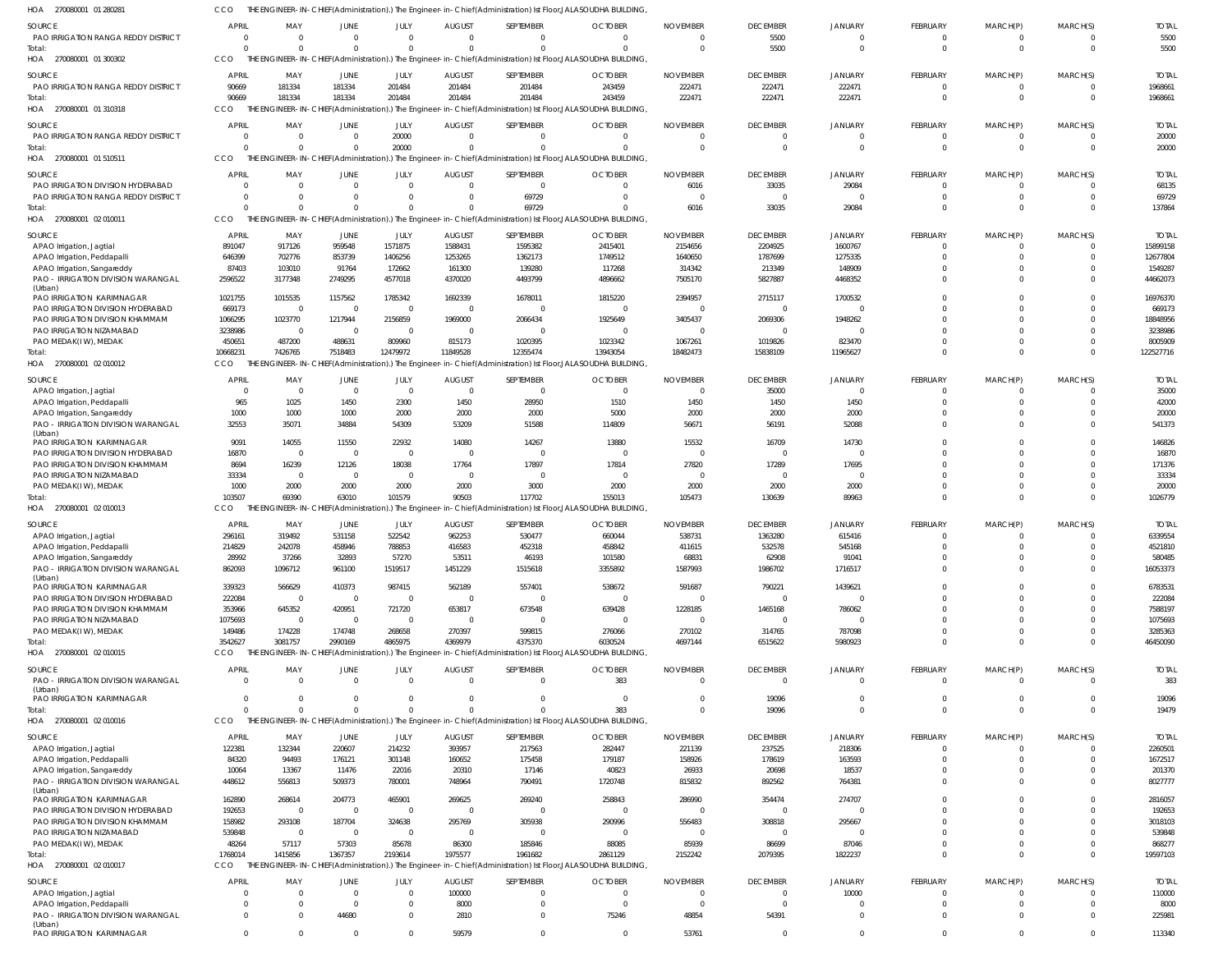| HOA<br>270080001 01 280281                                           |                        |                    |                                  |                          |                         |                          | THE ENGINEER-IN-CHIEF(Administration).) The Engineer-in-Chief(Administration) Ist Floor,JALASOUDHA BUILDING,              |                           |                           |                    |                            |                            |             |                         |
|----------------------------------------------------------------------|------------------------|--------------------|----------------------------------|--------------------------|-------------------------|--------------------------|---------------------------------------------------------------------------------------------------------------------------|---------------------------|---------------------------|--------------------|----------------------------|----------------------------|-------------|-------------------------|
| <b>SOURCE</b>                                                        | <b>APRIL</b>           | MAY                | JUNE                             | JULY                     | <b>AUGUST</b>           | SEPTEMBER                | <b>OCTOBER</b>                                                                                                            | <b>NOVEMBER</b>           | <b>DECEMBER</b>           | <b>JANUARY</b>     | <b>FEBRUARY</b>            | MARCH(P)                   | MARCH(S)    | <b>TOTAI</b>            |
| PAO IRRIGATION RANGA REDDY DISTRICT                                  | $\overline{0}$         | $\Omega$           | $\overline{0}$                   | $\mathbf{0}$             | $\Omega$                | $^{\circ}$               | $\Omega$                                                                                                                  | $\cap$                    | 5500                      | $\Omega$           | $^{\circ}$                 | $^{\circ}$                 | $\Omega$    | 5500                    |
| Total:                                                               | $\Omega$               | $\Omega$           | $\Omega$                         | $\Omega$                 | $\Omega$                | $\Omega$                 |                                                                                                                           | $\cap$                    | 5500                      | $\Omega$           | $\mathbf 0$                | $\mathbf 0$                | $\Omega$    | 5500                    |
| HOA 270080001 01 300302                                              | CCO                    |                    |                                  |                          |                         |                          | THE ENGINEER-IN-CHIEF(Administration).) The Engineer-in-Chief(Administration) Ist Floor, JALASOUDHA BUILDING,             |                           |                           |                    |                            |                            |             |                         |
| SOURCE                                                               | <b>APRIL</b>           | MAY                | JUNE                             | JULY                     | <b>AUGUST</b>           | SEPTEMBER                | <b>OCTOBER</b>                                                                                                            | <b>NOVEMBER</b>           | <b>DECEMBER</b>           | JANUARY            | FEBRUARY                   | MARCH(P)                   | MARCH(S)    | <b>TOTAL</b>            |
| PAO IRRIGATION RANGA REDDY DISTRICT                                  | 90669                  | 181334             | 181334                           | 201484                   | 201484                  | 201484                   | 243459                                                                                                                    | 222471                    | 222471                    | 222471             | $\mathbf{0}$               | $\mathbf 0$                | $\Omega$    | 1968661                 |
| Total:                                                               | 90669                  | 181334             | 181334                           | 201484                   | 201484                  | 201484                   | 243459                                                                                                                    | 222471                    | 222471                    | 222471             | $\mathbf 0$                | $\mathbf 0$                | $\Omega$    | 1968661                 |
| 270080001 01 310318<br>HOA                                           | <b>CCO</b>             |                    |                                  |                          |                         |                          | THE ENGINEER-IN-CHIEF(Administration).) The Engineer-in-Chief(Administration) Ist Floor, JALASOUDHA BUILDING,             |                           |                           |                    |                            |                            |             |                         |
| SOURCE                                                               | <b>APRIL</b>           | MAY                | JUNE                             | JULY                     | <b>AUGUST</b>           | SEPTEMBER                | <b>OCTOBER</b>                                                                                                            | <b>NOVEMBER</b>           | <b>DECEMBER</b>           | <b>JANUARY</b>     | FEBRUARY                   | MARCH(P)                   | MARCH(S)    | <b>TOTAI</b>            |
| PAO IRRIGATION RANGA REDDY DISTRICT                                  | $\Omega$               | $\Omega$           | $\Omega$                         | 20000                    | $\Omega$                | $\Omega$                 | $\cap$                                                                                                                    | $\cap$                    | $\mathbf{0}$              | $\Omega$           | $^{\circ}$                 | $^{\circ}$                 |             | 20000                   |
| Total:                                                               | $\Omega$               | $\Omega$           | $\Omega$                         | 20000                    | $\Omega$                | $\Omega$                 |                                                                                                                           | $\Omega$                  | $\overline{0}$            | $\Omega$           | $\mathbf 0$                | $\mathbf 0$                | $\Omega$    | 20000                   |
| HOA 270080001 01 510511                                              | CCO                    |                    |                                  |                          |                         |                          | THE ENGINEER-IN-CHIEF(Administration).) The Engineer-in-Chief(Administration) Ist Floor, JALASOUDHA BUILDING,             |                           |                           |                    |                            |                            |             |                         |
| SOURCE                                                               | <b>APRIL</b>           | MAY                | <b>JUNE</b>                      | JULY                     | <b>AUGUST</b>           | SEPTEMBER                | <b>OCTOBER</b>                                                                                                            | <b>NOVEMBER</b>           | <b>DECEMBER</b>           | JANUARY            | <b>FEBRUARY</b>            | MARCH(P)                   | MARCH(S)    | <b>TOTAL</b>            |
| PAO IRRIGATION DIVISION HYDERABAD                                    | C                      |                    | $\overline{0}$                   | $\overline{0}$           | $\Omega$                | $\overline{0}$           |                                                                                                                           | 6016                      | 33035                     | 29084              | $\mathbf 0$                | $^{\circ}$                 |             | 68135                   |
| PAO IRRIGATION RANGA REDDY DISTRICT                                  | $\Omega$               |                    | $\Omega$                         | $\mathbf{0}$             |                         | 69729                    |                                                                                                                           | $\Omega$                  | $\overline{0}$            | $\Omega$           | $\mathbf 0$                | $\mathbf 0$                | $\Omega$    | 69729                   |
| Total:                                                               | $\Omega$               |                    | $\Omega$                         | $\Omega$                 |                         | 69729                    |                                                                                                                           | 6016                      | 33035                     | 29084              | $\mathbf 0$                | $\mathbf 0$                | $\Omega$    | 137864                  |
| HOA 270080001 02 010011                                              | CCO                    |                    |                                  |                          |                         |                          | THE ENGINEER-IN-CHIEF(Administration).) The Engineer-in-Chief(Administration) Ist Floor,JALASOUDHA BUILDING,              |                           |                           |                    |                            |                            |             |                         |
| SOURCE                                                               | <b>APRIL</b>           | MAY                | JUNE                             | JULY                     | <b>AUGUST</b>           | SEPTEMBER                | <b>OCTOBER</b>                                                                                                            | <b>NOVEMBER</b>           | <b>DECEMBER</b>           | JANUARY            | FEBRUARY                   | MARCH(P)                   | MARCH(S)    | <b>TOTA</b>             |
| APAO Irrigation, Jagtial                                             | 891047                 | 917126             | 959548                           | 1571875                  | 1588431                 | 1595382                  | 2415401                                                                                                                   | 2154656                   | 2204925                   | 1600767            | $\Omega$                   | $\Omega$                   | 0           | 15899158                |
| APAO Irrigation, Peddapalli                                          | 646399                 | 702776             | 853739                           | 1406256                  | 1253265                 | 1362173                  | 1749512                                                                                                                   | 1640650                   | 1787699                   | 1275335            | $\Omega$                   | $\mathbf 0$                |             | 12677804                |
| APAO Irrigation, Sangareddy                                          | 87403                  | 103010             | 91764                            | 172662                   | 161300                  | 139280                   | 117268                                                                                                                    | 314342                    | 213349                    | 148909             | $\Omega$                   | $\Omega$                   |             | 1549287                 |
| PAO - IRRIGATION DIVISION WARANGAL<br>(Urban)                        | 2596522                | 3177348            | 2749295                          | 4577018                  | 4370020                 | 4493799                  | 4896662                                                                                                                   | 7505170                   | 5827887                   | 4468352            | $\Omega$                   | $\Omega$                   | $\Omega$    | 44662073                |
| PAO IRRIGATION KARIMNAGAR                                            | 1021755                | 1015535            | 1157562                          | 1785342                  | 1692339                 | 1678011                  | 1815220                                                                                                                   | 2394957                   | 2715117                   | 1700532            | $\Omega$                   | $\Omega$                   |             | 16976370                |
| PAO IRRIGATION DIVISION HYDERABAD                                    | 669173                 | $\Omega$           | $\overline{0}$                   | $\mathbf{0}$             | $\Omega$                | $\overline{0}$           | $\Omega$                                                                                                                  | - 0                       | $\overline{0}$            | $\overline{0}$     | $\Omega$                   | $\Omega$                   |             | 669173                  |
| PAO IRRIGATION DIVISION KHAMMAM                                      | 1066295                | 1023770            | 1217944                          | 2156859                  | 1969000                 | 2066434                  | 1925649                                                                                                                   | 3405437                   | 2069306                   | 1948262            | $\Omega$                   | $\Omega$                   |             | 18848956                |
| PAO IRRIGATION NIZAMABAD                                             | 3238986                | $\Omega$           | $\overline{0}$                   | $\overline{0}$           | $\Omega$                | $\overline{0}$           | - 0                                                                                                                       |                           | $\overline{0}$            | $\Omega$           | $\Omega$                   | $\Omega$                   |             | 3238986                 |
| PAO MEDAK(IW), MEDAK                                                 | 450651                 | 487200             | 488631                           | 809960                   | 815173                  | 1020395                  | 1023342                                                                                                                   | 1067261                   | 1019826                   | 823470             | $\Omega$                   | $\Omega$                   | $\Omega$    | 8005909                 |
| Total:<br>HOA 270080001 02 010012                                    | 10668231<br>CCO        | 7426765            | 7518483                          | 12479972                 | 11849528                | 12355474                 | 13943054<br>THE ENGINEER-IN-CHIEF(Administration).) The Engineer-in-Chief(Administration) Ist Floor, JALASOUDHA BUILDING, | 18482473                  | 15838109                  | 11965627           | $\Omega$                   | $\Omega$                   | $\Omega$    | 122527716               |
|                                                                      |                        |                    |                                  |                          |                         |                          |                                                                                                                           |                           |                           |                    |                            |                            |             |                         |
| SOURCE                                                               | <b>APRIL</b>           | MAY                | JUNE                             | JULY                     | <b>AUGUST</b>           | SEPTEMBER                | <b>OCTOBER</b>                                                                                                            | <b>NOVEMBER</b>           | <b>DECEMBER</b>           | JANUARY            | FEBRUARY                   | MARCH(P)                   | MARCH(S)    | <b>TOTAL</b>            |
| APAO Irrigation, Jagtial                                             | C                      | - 0                | $\overline{\mathbf{0}}$          | $\mathbf{0}$             | $\Omega$                | $\overline{0}$           | $\Omega$                                                                                                                  | - 0                       | 35000                     | $\overline{0}$     | $\mathbf 0$                | $^{\circ}$                 | $\Omega$    | 35000                   |
| APAO Irrigation, Peddapalli                                          | 965<br>1000            | 1025<br>1000       | 1450<br>1000                     | 2300<br>2000             | 1450<br>2000            | 28950<br>2000            | 1510<br>5000                                                                                                              | 1450<br>2000              | 1450<br>2000              | 1450<br>2000       | $\mathbf 0$<br>$\mathbf 0$ | $\mathbf 0$<br>$\mathbf 0$ | $\Omega$    | 42000<br>20000          |
| APAO Irrigation, Sangareddy<br>PAO - IRRIGATION DIVISION WARANGAL    | 32553                  | 35071              | 34884                            | 54309                    | 53209                   | 51588                    | 114809                                                                                                                    | 56671                     | 56191                     | 52088              | $\Omega$                   | $\mathbf 0$                |             | 541373                  |
| (Urban)                                                              |                        |                    |                                  |                          |                         |                          |                                                                                                                           |                           |                           |                    |                            |                            |             |                         |
| PAO IRRIGATION KARIMNAGAR                                            | 9091                   | 14055              | 11550                            | 22932                    | 14080                   | 14267                    | 13880                                                                                                                     | 15532                     | 16709                     | 14730              | $\mathbf 0$                | $\mathbf 0$                | $\Omega$    | 146826                  |
| PAO IRRIGATION DIVISION HYDERABAD                                    | 16870                  | $\overline{0}$     | $\overline{0}$                   | $\mathbf{0}$             | $\Omega$                | $\overline{0}$           | - 0                                                                                                                       | - 0                       | $\overline{0}$            | $\overline{0}$     | $\Omega$                   | $\Omega$                   |             | 16870                   |
| PAO IRRIGATION DIVISION KHAMMAM<br>PAO IRRIGATION NIZAMABAD          | 8694<br>33334          | 16239<br>- 0       | 12126<br>$\overline{\mathbf{0}}$ | 18038<br>$\mathbf{0}$    | 17764<br>- 0            | 17897<br>$\overline{0}$  | 17814<br>- 0                                                                                                              | 27820<br>- 0              | 17289<br>$\overline{0}$   | 17695<br>$\Omega$  | $\Omega$<br>$\Omega$       | $\mathbf 0$<br>$\Omega$    | $\Omega$    | 171376<br>33334         |
| PAO MEDAK(IW), MEDAK                                                 | 1000                   | 2000               | 2000                             | 2000                     | 2000                    | 3000                     | 2000                                                                                                                      | 2000                      | 2000                      | 2000               | $\mathbf 0$                | $\mathbf 0$                | $\Omega$    | 20000                   |
| Total:                                                               | 103507                 | 69390              | 63010                            | 101579                   | 90503                   | 117702                   | 155013                                                                                                                    | 105473                    | 130639                    | 89963              | $\Omega$                   | $\mathbf 0$                | $\Omega$    | 1026779                 |
| HOA 270080001 02 010013                                              | CCO                    |                    |                                  |                          |                         |                          | THE ENGINEER-IN-CHIEF(Administration).) The Engineer-in-Chief(Administration) Ist Floor,JALASOUDHA BUILDING,              |                           |                           |                    |                            |                            |             |                         |
| SOURCE                                                               | <b>APRIL</b>           | MAY                | JUNE                             | JULY                     | <b>AUGUST</b>           | SEPTEMBER                | <b>OCTOBER</b>                                                                                                            | <b>NOVEMBER</b>           | <b>DECEMBER</b>           | <b>JANUARY</b>     | FEBRUARY                   | MARCH(P)                   | MARCH(S)    | <b>TOTA</b>             |
| APAO Irrigation, Jagtial                                             | 296161                 | 319492             | 531158                           | 522542                   | 962253                  | 530477                   | 660044                                                                                                                    | 538731                    | 1363280                   | 615416             | -0                         | $\Omega$                   |             | 6339554                 |
| APAO Irrigation, Peddapalli                                          | 214829                 | 242078             | 458946                           | 788853                   | 416583                  | 452318                   | 458842                                                                                                                    | 411615                    | 532578                    | 545168             | $\Omega$                   | $\Omega$                   | $\Omega$    | 4521810                 |
| APAO Irrigation, Sangareddy                                          | 28992                  | 37266              | 32893                            | 57270                    | 53511                   | 46193                    | 101580                                                                                                                    | 68831                     | 62908                     | 91041              |                            |                            |             | 580485                  |
| PAO - IRRIGATION DIVISION WARANGAL                                   | 862093                 | 1096712            | 961100                           | 1519517                  | 1451229                 | 1515618                  | 3355892                                                                                                                   | 1587993                   | 1986702                   | 1716517            | $\mathbf{0}$               | $\mathbf 0$                |             | 16053373                |
| (Urban)<br>PAO IRRIGATION KARIMNAGAR                                 | 339323                 | 566629             | 410373                           | 987415                   | 562189                  | 557401                   | 538672                                                                                                                    | 591687                    | 790221                    | 1439621            | $\Omega$                   | $\Omega$                   |             | 6783531                 |
| PAO IRRIGATION DIVISION HYDERABAD                                    | 222084                 | - 0                | $\overline{0}$                   | $\mathbf{0}$             | $\Omega$                | $\overline{0}$           | $\Omega$                                                                                                                  |                           | $\overline{0}$            | $\overline{0}$     | $\Omega$                   | $\Omega$                   |             | 222084                  |
| PAO IRRIGATION DIVISION KHAMMAM                                      | 353966                 | 645352             | 420951                           | 721720                   | 653817                  | 673548                   | 639428                                                                                                                    | 1228185                   | 1465168                   | 786062             | $\Omega$                   | $\Omega$                   |             | 7588197                 |
| PAO IRRIGATION NIZAMABAD                                             | 1075693                | $\Omega$           | $\Omega$                         | $\mathbf{0}$             | $\Omega$                | 0                        |                                                                                                                           |                           | $\overline{0}$            | $\Omega$           | $\Omega$                   | $\Omega$                   |             | 1075693                 |
| PAO MEDAK(IW), MEDAK                                                 | 149486                 | 174228             | 174748                           | 268658                   | 270397                  | 599815                   | 276066                                                                                                                    | 270102                    | 314765                    | 787098             | $\mathbf 0$                | $\mathbf 0$                |             | 3285363                 |
| Total:                                                               | 3542627                | 3081757            | 2990169                          | 4865975                  | 4369979                 | 4375370                  | 6030524                                                                                                                   | 4697144                   | 6515622                   | 5980923            | $\Omega$                   | $\Omega$                   |             | 46450090                |
| HOA 270080001 02 010015                                              | <b>CCO</b>             |                    |                                  |                          |                         |                          | THE ENGINEER-IN-CHIEF(Administration).) The Engineer-in-Chief(Administration) Ist Floor,JALASOUDHA BUILDING,              |                           |                           |                    |                            |                            |             |                         |
| SOURCE                                                               | <b>APRIL</b>           | MAY                | JUNE                             | JULY                     | <b>AUGUST</b>           | SEPTEMBER                | <b>OCTOBER</b>                                                                                                            | <b>NOVEMBER</b>           | <b>DECEMBER</b>           | JANUARY            | FEBRUARY                   | MARCH(P)                   | MARCH(S)    | <b>TOTAL</b>            |
| PAO - IRRIGATION DIVISION WARANGAL                                   | $\overline{0}$         |                    | $\overline{0}$                   | $\mathbf 0$              | $\Omega$                | $\overline{0}$           | 383                                                                                                                       | $\Omega$                  | $\overline{0}$            | $\overline{0}$     | $\mathbf 0$                | $\mathbf 0$                | $\Omega$    | 383                     |
| (Urban)<br>PAO IRRIGATION KARIMNAGAR                                 | $\overline{0}$         |                    | $\overline{0}$                   | $\mathbf{0}$             |                         | $\mathbf 0$              | $\Omega$                                                                                                                  |                           | 19096                     | $\overline{0}$     | $\mathbf 0$                | $\mathbf 0$                | $\Omega$    | 19096                   |
| Total:                                                               | $\Omega$               |                    | $\Omega$                         | $\Omega$                 |                         | $\Omega$                 | 383                                                                                                                       |                           | 19096                     | $\overline{0}$     | $\mathbf 0$                | $\mathbf 0$                | $\Omega$    | 19479                   |
| HOA 270080001 02 010016                                              | CCO                    |                    |                                  |                          |                         |                          | THE ENGINEER-IN-CHIEF(Administration).) The Engineer-in-Chief(Administration) Ist Floor,JALASOUDHA BUILDING,              |                           |                           |                    |                            |                            |             |                         |
|                                                                      |                        |                    |                                  |                          |                         |                          |                                                                                                                           |                           |                           |                    |                            |                            |             |                         |
| SOURCE<br>APAO Irrigation, Jagtial                                   | <b>APRIL</b><br>122381 | MAY<br>132344      | JUNE<br>220607                   | JULY<br>214232           | <b>AUGUST</b><br>393957 | SEPTEMBER<br>217563      | <b>OCTOBER</b><br>282447                                                                                                  | <b>NOVEMBER</b><br>221139 | <b>DECEMBER</b><br>237525 | JANUARY<br>218306  | FEBRUARY<br>$\mathbf 0$    | MARCH(P)<br>$^{\circ}$     | MARCH(S)    | <b>TOTAI</b><br>2260501 |
| APAO Irrigation, Peddapalli                                          | 84320                  | 94493              | 176121                           | 301148                   | 160652                  | 175458                   | 179187                                                                                                                    | 158926                    | 178619                    | 163593             | $\mathbf 0$                | $\mathbf 0$                | $\Omega$    | 1672517                 |
| APAO Irrigation, Sangareddy                                          | 10064                  | 13367              | 11476                            | 22016                    | 20310                   | 17146                    | 40823                                                                                                                     | 26933                     | 20698                     | 18537              | $\mathbf 0$                | $\mathbf 0$                |             | 201370                  |
| PAO - IRRIGATION DIVISION WARANGAL                                   | 448612                 | 556813             | 509373                           | 780001                   | 748964                  | 790491                   | 1720748                                                                                                                   | 815832                    | 892562                    | 764381             | $\Omega$                   | $\Omega$                   |             | 8027777                 |
| (Urban)                                                              |                        |                    |                                  |                          |                         |                          |                                                                                                                           |                           |                           |                    |                            |                            |             |                         |
| PAO IRRIGATION KARIMNAGAR                                            | 162890<br>192653       | 268614<br>$\Omega$ | 204773<br>$\overline{0}$         | 465901<br>$\overline{0}$ | 269625                  | 269240<br>$\overline{0}$ | 258843                                                                                                                    | 286990                    | 354474<br>$\overline{0}$  | 274707<br>$\Omega$ | $\Omega$<br>$\Omega$       | $\Omega$<br>$\Omega$       |             | 2816057<br>192653       |
| PAO IRRIGATION DIVISION HYDERABAD<br>PAO IRRIGATION DIVISION KHAMMAM | 158982                 | 293108             | 187704                           | 324638                   | 295769                  | 305938                   | 290996                                                                                                                    | 556483                    | 308818                    | 295667             | $\Omega$                   | $\Omega$                   |             | 3018103                 |
| PAO IRRIGATION NIZAMABAD                                             | 539848                 | $\Omega$           | $\Omega$                         | $\mathbf{0}$             | $\Omega$                | $\mathbf{0}$             | - 0                                                                                                                       | - 0                       | $\overline{0}$            | $\Omega$           | $\Omega$                   | $\Omega$                   |             | 539848                  |
| PAO MEDAK(IW), MEDAK                                                 | 48264                  | 57117              | 57303                            | 85678                    | 86300                   | 185846                   | 88085                                                                                                                     | 85939                     | 86699                     | 87046              | $\mathbf 0$                | $\mathbf 0$                |             | 868277                  |
| Total:                                                               | 1768014                | 1415856            | 1367357                          | 2193614                  | 1975577                 | 1961682                  | 2861129                                                                                                                   | 2152242                   | 2079395                   | 1822237            | $\Omega$                   | $\Omega$                   | $\Omega$    | 19597103                |
| HOA 270080001 02 010017                                              | CCO                    |                    |                                  |                          |                         |                          | THE ENGINEER-IN-CHIEF(Administration).) The Engineer-in-Chief(Administration) Ist Floor,JALASOUDHA BUILDING,              |                           |                           |                    |                            |                            |             |                         |
| SOURCE                                                               | <b>APRIL</b>           | MAY                | <b>JUNE</b>                      | JULY                     | <b>AUGUST</b>           | SEPTEMBER                | <b>OCTOBER</b>                                                                                                            | <b>NOVEMBER</b>           | <b>DECEMBER</b>           | JANUARY            | FEBRUARY                   | MARCH(P)                   | MARCH(S)    | <b>TOTAL</b>            |
| APAO Irrigation, Jagtial                                             | $\Omega$               |                    | $\overline{0}$                   | $\mathbf 0$              | 100000                  | $\mathbf 0$              | $\Omega$                                                                                                                  | $\Omega$                  | $\overline{0}$            | 10000              | $\mathbf 0$                | $\mathbf 0$                | $\Omega$    | 110000                  |
| APAO Irrigation, Peddapalli                                          | 0                      |                    | $\overline{0}$                   | $\mathbf{0}$             | 8000                    | $\mathbf 0$              | $\Omega$                                                                                                                  | $\Omega$                  | $\overline{0}$            | $\Omega$           | $\mathbf 0$                | $\mathbf 0$                | $\Omega$    | 8000                    |
| PAO - IRRIGATION DIVISION WARANGAL                                   | $\Omega$               |                    | 44680                            | $\mathbf{0}$             | 2810                    | $\mathbf 0$              | 75246                                                                                                                     | 48854                     | 54391                     | $\overline{0}$     | $\mathbf 0$                | $\mathbf{0}$               | $\Omega$    | 225981                  |
| (Urban)<br>PAO IRRIGATION KARIMNAGAR                                 | $\mathbf 0$            |                    | $\overline{0}$                   | $\mathbf 0$              | 59579                   | $\mathbf 0$              | $\Omega$                                                                                                                  | 53761                     | $\overline{0}$            | $\overline{0}$     | $\mathbf 0$                | $\mathbf 0$                | $\mathbf 0$ | 113340                  |
|                                                                      |                        |                    |                                  |                          |                         |                          |                                                                                                                           |                           |                           |                    |                            |                            |             |                         |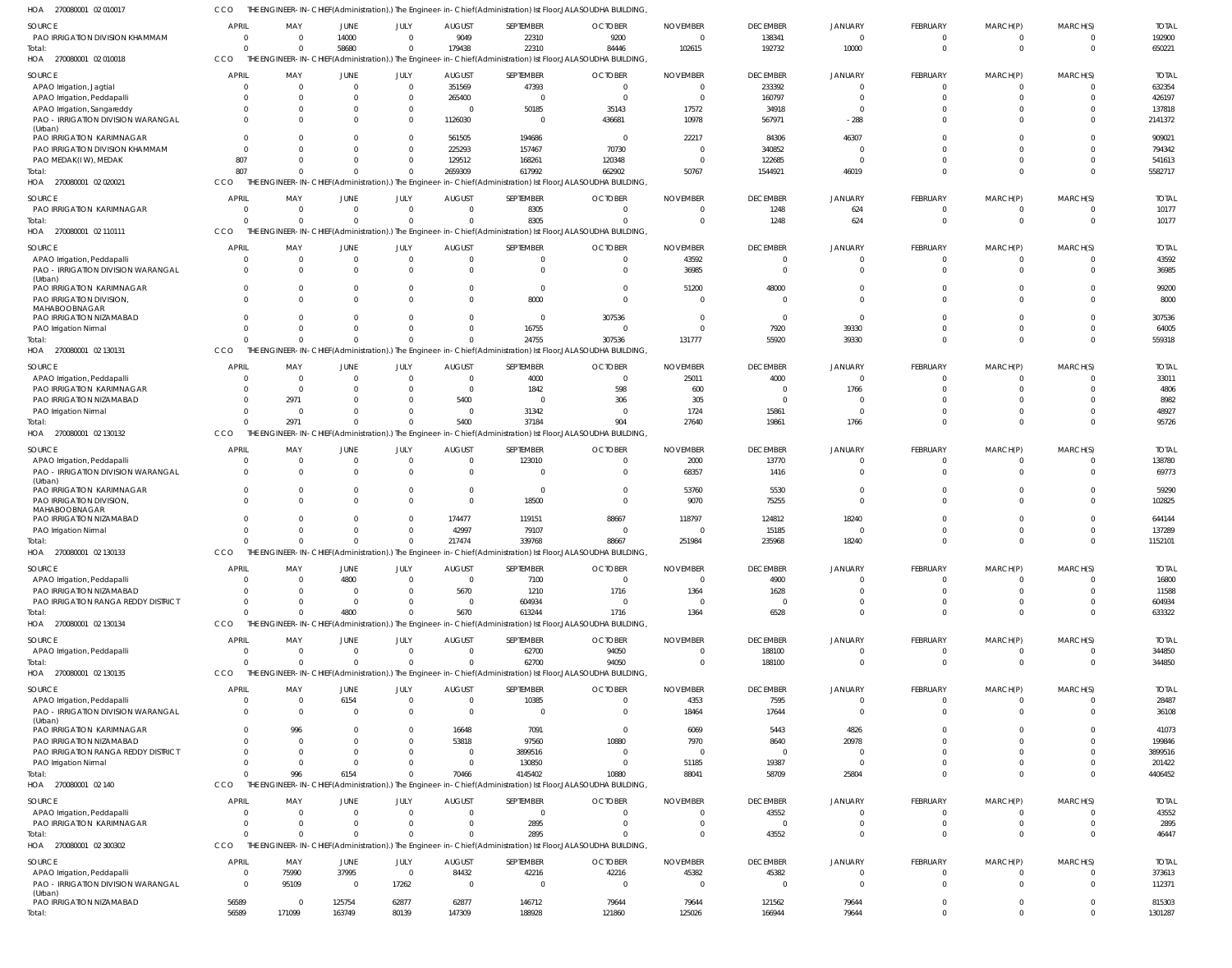| HOA 270080001 02 010017                                           |              |                  |                            |       |                                                    |                    | THE ENGINEER-IN-CHIEF(Administration).) The Engineer-in-Chief(Administration) Ist Floor,JALASOUDHA BUILDING,            |                             |                                   |                           |                      |                            |                            |                       |
|-------------------------------------------------------------------|--------------|------------------|----------------------------|-------|----------------------------------------------------|--------------------|-------------------------------------------------------------------------------------------------------------------------|-----------------------------|-----------------------------------|---------------------------|----------------------|----------------------------|----------------------------|-----------------------|
| SOURCE                                                            | <b>APRIL</b> | MAY              | JUNE                       | JULY  | <b>AUGUST</b>                                      | SEPTEMBER          | <b>OCTOBER</b>                                                                                                          | <b>NOVEMBER</b>             | <b>DECEMBER</b>                   | <b>JANUARY</b>            | FEBRUARY             | MARCH(P)                   | MARCH(S)                   | <b>TOTAL</b>          |
| PAO IRRIGATION DIVISION KHAMMAM                                   | $\Omega$     | $\Omega$         | 14000                      |       | 9049<br>$\mathbf 0$                                | 22310              | 9200                                                                                                                    | $\Omega$                    | 138341                            | $\overline{0}$            | 0                    | $\overline{0}$             | $\overline{0}$             | 192900                |
| Total:                                                            | $\Omega$     | $\Omega$         | 58680                      |       | $\mathbf 0$<br>179438                              | 22310              | 84446                                                                                                                   | 102615                      | 192732                            | 10000                     | $\Omega$             | $\mathbf 0$                | $\Omega$                   | 650221                |
| HOA 270080001 02 010018                                           | <b>CCO</b>   |                  |                            |       |                                                    |                    | THE ENGINEER-IN-CHIEF(Administration).) The Engineer-in-Chief(Administration) Ist Floor, JALASOUDHA BUILDING,           |                             |                                   |                           |                      |                            |                            |                       |
|                                                                   | <b>APRIL</b> | MAY              | <b>JUNE</b>                |       |                                                    |                    |                                                                                                                         |                             |                                   |                           | FEBRUARY             | MARCH(P)                   | MARCH(S)                   | <b>TOTAL</b>          |
| SOURCE<br>APAO Irrigation, Jagtial                                |              | $\Omega$         | $\overline{0}$             | JULY  | <b>AUGUST</b><br>$\mathbf 0$<br>351569             | SEPTEMBER<br>47393 | <b>OCTOBER</b><br>$\overline{0}$                                                                                        | <b>NOVEMBER</b><br>$\Omega$ | <b>DECEMBER</b><br>233392         | JANUARY<br>$\overline{0}$ | $\mathbf 0$          | $\overline{0}$             | $\Omega$                   | 632354                |
| APAO Irrigation, Peddapalli                                       |              | $\Omega$         | $\overline{0}$             |       | $\mathbf 0$<br>265400                              | $\Omega$           | $\Omega$                                                                                                                | $\Omega$                    | 160797                            | $\overline{0}$            | $\Omega$             | $\mathbf 0$                | $\Omega$                   | 426197                |
| APAO Irrigation, Sangareddy                                       |              |                  | $\Omega$                   |       | $\mathbf 0$<br>$\Omega$                            | 50185              | 35143                                                                                                                   | 17572                       | 34918                             | $\overline{0}$            | $\Omega$             | $\mathbf 0$                | $\Omega$                   | 137818                |
| PAO - IRRIGATION DIVISION WARANGAL                                |              |                  | $\Omega$                   |       | $\mathbf 0$<br>1126030                             | $\Omega$           | 436681                                                                                                                  | 10978                       | 567971                            | $-288$                    | $\Omega$             | $\mathbf{0}$               | $\Omega$                   | 2141372               |
| (Urban)                                                           |              |                  |                            |       |                                                    |                    |                                                                                                                         |                             |                                   |                           |                      |                            |                            |                       |
| PAO IRRIGATION KARIMNAGAR                                         |              |                  | $\Omega$                   |       | $\mathbf 0$<br>561505                              | 194686             | $\overline{0}$                                                                                                          | 22217                       | 84306                             | 46307                     | $\Omega$             | $\Omega$                   | $\Omega$                   | 909021                |
| PAO IRRIGATION DIVISION KHAMMAM                                   | $\cap$       |                  | $\Omega$                   |       | $\mathbf 0$<br>225293                              | 157467             | 70730                                                                                                                   | $\Omega$                    | 340852                            | $\Omega$                  | $\Omega$             | $\mathbf 0$                | $\Omega$                   | 794342                |
| PAO MEDAK(IW), MEDAK                                              | 807          |                  | $\Omega$                   |       | $\mathbf 0$<br>129512                              | 168261             | 120348                                                                                                                  | $\Omega$                    | 122685                            | $\overline{0}$            | $\Omega$             | $\mathbf{0}$               | $\Omega$                   | 541613                |
| Total:                                                            | 807          |                  | $\Omega$                   |       | $\mathbf 0$<br>2659309                             | 617992             | 662902                                                                                                                  | 50767                       | 1544921                           | 46019                     | $\Omega$             | $\Omega$                   | $\Omega$                   | 5582717               |
| HOA 270080001 02 020021                                           | CCO          |                  |                            |       |                                                    |                    | THE ENGINEER-IN-CHIEF(Administration).) The Engineer-in-Chief(Administration) Ist Floor, JALASOUDHA BUILDING,           |                             |                                   |                           |                      |                            |                            |                       |
| SOURCE                                                            | <b>APRIL</b> | MAY              | <b>JUNE</b>                | JULY  | <b>AUGUST</b>                                      | SEPTEMBER          | <b>OCTOBER</b>                                                                                                          | <b>NOVEMBER</b>             | <b>DECEMBER</b>                   | JANUARY                   | FEBRUARY             | MARCH(P)                   | MARCH(S)                   | <b>TOTAL</b>          |
| PAO IRRIGATION KARIMNAGAR                                         | $\Omega$     | $\overline{0}$   | $\overline{0}$             |       | $\overline{0}$<br>$\mathbf 0$                      | 8305               | $\Omega$                                                                                                                | $\Omega$                    | 1248                              | 624                       | 0                    | $^{\circ}$                 | $\Omega$                   | 10177                 |
| Total:                                                            | $\Omega$     | $\Omega$         | $\Omega$                   |       | $\Omega$<br>$\Omega$                               | 8305               | $\Omega$                                                                                                                | $\Omega$                    | 1248                              | 624                       | $\Omega$             | $\mathbf 0$                | $\Omega$                   | 10177                 |
| HOA 270080001 02 110111                                           | CCO          |                  |                            |       |                                                    |                    | THE ENGINEER-IN-CHIEF(Administration).) The Engineer-in-Chief(Administration) Ist Floor, JALASOUDHA BUILDING,           |                             |                                   |                           |                      |                            |                            |                       |
|                                                                   | <b>APRIL</b> | MAY              |                            |       |                                                    | SEPTEMBER          |                                                                                                                         | <b>NOVEMBER</b>             |                                   |                           | FEBRUARY             |                            |                            |                       |
| SOURCE                                                            |              | $\mathbf 0$      | JUNE<br>$\overline{0}$     | JULY  | <b>AUGUST</b><br>$\mathbf 0$<br>$\mathbf 0$        | $\Omega$           | <b>OCTOBER</b><br>0                                                                                                     | 43592                       | <b>DECEMBER</b><br>$\overline{0}$ | JANUARY<br>$\mathbf 0$    | $\mathbf 0$          | MARCH(P)<br>$\overline{0}$ | MARCH(S)<br>$\overline{0}$ | <b>TOTAL</b><br>43592 |
| APAO Irrigation, Peddapalli<br>PAO - IRRIGATION DIVISION WARANGAL |              | $\Omega$         | $\Omega$                   |       | $\mathbf 0$<br>$\Omega$                            | $\Omega$           | $\Omega$                                                                                                                | 36985                       | $\overline{0}$                    | $\overline{0}$            | $\mathbf 0$          | $\mathbf 0$                | $\Omega$                   | 36985                 |
| (Urban)                                                           |              |                  |                            |       |                                                    |                    |                                                                                                                         |                             |                                   |                           |                      |                            |                            |                       |
| PAO IRRIGATION KARIMNAGAR                                         | $\Omega$     | $\Omega$         | $\overline{0}$             |       | $\mathbf 0$<br>$\Omega$                            | $\overline{0}$     | $\Omega$                                                                                                                | 51200                       | 48000                             | $\overline{0}$            | $\mathbf 0$          | $\mathbf 0$                | $\Omega$                   | 99200                 |
| PAO IRRIGATION DIVISION,                                          |              | $\Omega$         | $\Omega$                   |       | $\Omega$<br>$\Omega$                               | 8000               | $\Omega$                                                                                                                | $\Omega$                    | $\overline{0}$                    | $\Omega$                  | $\Omega$             | $\mathbf 0$                | $\Omega$                   | 8000                  |
| <b>MAHABOOBNAGAR</b>                                              |              |                  |                            |       |                                                    |                    |                                                                                                                         |                             |                                   |                           |                      |                            |                            |                       |
| PAO IRRIGATION NIZAMABAD                                          |              | $\Omega$         | $\Omega$                   |       | $\Omega$<br>$\Omega$                               | $\overline{0}$     | 307536                                                                                                                  | $\Omega$                    | $\overline{0}$                    | $\overline{0}$            | $\Omega$             | $\mathbf 0$                | $\Omega$                   | 307536                |
| PAO Irrigation Nirmal                                             |              | $\Omega$         | $\overline{0}$<br>$\Omega$ |       | $\mathbf 0$<br>$\Omega$<br>$\mathbf 0$<br>$\Omega$ | 16755<br>24755     | $\Omega$                                                                                                                | $\Omega$<br>131777          | 7920<br>55920                     | 39330                     | $\Omega$<br>$\Omega$ | $\mathbf 0$<br>$\Omega$    | $\Omega$<br>$\Omega$       | 64005                 |
| Total:<br>HOA 270080001 02 130131                                 | CCO          |                  |                            |       |                                                    |                    | 307536<br>THE ENGINEER-IN-CHIEF(Administration).) The Engineer-in-Chief(Administration) Ist Floor, JALASOUDHA BUILDING, |                             |                                   | 39330                     |                      |                            |                            | 559318                |
|                                                                   |              |                  |                            |       |                                                    |                    |                                                                                                                         |                             |                                   |                           |                      |                            |                            |                       |
| SOURCE                                                            | <b>APRIL</b> | MAY              | JUNE                       | JULY  | <b>AUGUST</b>                                      | SEPTEMBER          | <b>OCTOBER</b>                                                                                                          | <b>NOVEMBER</b>             | <b>DECEMBER</b>                   | JANUARY                   | FEBRUARY             | MARCH(P)                   | MARCH(S)                   | <b>TOTAL</b>          |
| APAO Irrigation, Peddapalli                                       |              | $\Omega$         | $\overline{0}$             |       | $\mathbf 0$<br>$\mathbf 0$                         | 4000               | $\overline{0}$                                                                                                          | 25011                       | 4000                              | $\mathbf 0$               | $\Omega$             | $^{\circ}$                 | $\Omega$                   | 33011                 |
| PAO IRRIGATION KARIMNAGAR                                         |              | $\Omega$         | $\Omega$                   |       | $\mathbf 0$<br>$\Omega$                            | 1842               | 598                                                                                                                     | 600                         | $\overline{0}$                    | 1766                      |                      | $^{\circ}$                 | $\Omega$                   | 4806                  |
| PAO IRRIGATION NIZAMABAD                                          |              | 2971             | $\Omega$                   |       | 5400<br>$\mathbf 0$                                | $\Omega$           | 306                                                                                                                     | 305                         | $\overline{0}$                    | $\Omega$                  | $\Omega$             | $\Omega$                   | $\Omega$                   | 8982                  |
| PAO Irrigation Nirmal                                             | $\Omega$     | $\Omega$<br>2971 | $\Omega$<br>$\Omega$       |       | $\mathbf 0$<br>$\mathbf 0$<br>5400<br>$\Omega$     | 31342              | $\Omega$                                                                                                                | 1724                        | 15861                             | $\Omega$                  | $\Omega$<br>$\Omega$ | $\mathbf 0$<br>$\Omega$    | $\Omega$<br>$\Omega$       | 48927                 |
| Total:<br>HOA 270080001 02 130132                                 | CCO          |                  |                            |       |                                                    | 37184              | 904<br>THE ENGINEER-IN-CHIEF(Administration).) The Engineer-in-Chief(Administration) Ist Floor, JALASOUDHA BUILDING,    | 27640                       | 19861                             | 1766                      |                      |                            |                            | 95726                 |
|                                                                   |              |                  |                            |       |                                                    |                    |                                                                                                                         |                             |                                   |                           |                      |                            |                            |                       |
| SOURCE                                                            | <b>APRIL</b> | MAY              | <b>JUNE</b>                | JULY  | <b>AUGUST</b>                                      | SEPTEMBER          | <b>OCTOBER</b>                                                                                                          | <b>NOVEMBER</b>             | <b>DECEMBER</b>                   | JANUARY                   | FEBRUARY             | MARCH(P)                   | MARCH(S)                   | <b>TOTAL</b>          |
| APAO Irrigation, Peddapalli                                       |              | $\Omega$         | $\overline{0}$             |       | $\mathbf 0$<br>$\mathbf 0$                         | 123010             | $\Omega$                                                                                                                | 2000                        | 13770                             | $\mathbf 0$               | $\mathbf 0$          | $\overline{0}$             | $\Omega$                   | 138780                |
| PAO - IRRIGATION DIVISION WARANGAL                                | $\Omega$     | $\Omega$         | $\overline{0}$             |       | $\mathbf 0$<br>$\mathbf 0$                         | $\Omega$           | $\Omega$                                                                                                                | 68357                       | 1416                              | $\mathbf 0$               | $\mathbf 0$          | $\mathbf 0$                | $\Omega$                   | 69773                 |
| (Urban)<br>PAO IRRIGATION KARIMNAGAR                              |              | $\Omega$         | $\Omega$                   |       | $\mathbf 0$<br>$\Omega$                            | $\Omega$           | $\Omega$                                                                                                                | 53760                       | 5530                              | $\Omega$                  | $\Omega$             | $\mathbf 0$                | $\Omega$                   | 59290                 |
| PAO IRRIGATION DIVISION,                                          |              | $\Omega$         | $\Omega$                   |       | $\Omega$<br>$\Omega$                               | 18500              | $\Omega$                                                                                                                | 9070                        | 75255                             | $\overline{0}$            | $\Omega$             | $\mathbf 0$                | $\Omega$                   | 102825                |
| MAHABOOBNAGAR                                                     |              |                  |                            |       |                                                    |                    |                                                                                                                         |                             |                                   |                           |                      |                            |                            |                       |
| PAO IRRIGATION NIZAMABAD                                          |              |                  | $\Omega$                   |       | 174477<br>$\mathbf{0}$                             | 119151             | 88667                                                                                                                   | 118797                      | 124812                            | 18240                     | $\Omega$             | $\Omega$                   | $\Omega$                   | 644144                |
| PAO Irrigation Nirmal                                             |              |                  | $\Omega$                   |       | $\mathbf 0$<br>42997                               | 79107              | $\Omega$                                                                                                                | $\Omega$                    | 15185                             | $\Omega$                  | $\Omega$             | $\mathbf 0$                | $\Omega$                   | 137289                |
| Total:                                                            |              | $\Omega$         | $\Omega$                   |       | $\mathbf 0$<br>217474                              | 339768             | 88667                                                                                                                   | 251984                      | 235968                            | 18240                     | $\Omega$             | $\Omega$                   | $\Omega$                   | 1152101               |
| HOA 270080001 02 130133                                           | <b>CCO</b>   |                  |                            |       |                                                    |                    | THE ENGINEER-IN-CHIEF(Administration).) The Engineer-in-Chief(Administration) Ist Floor, JALASOUDHA BUILDING,           |                             |                                   |                           |                      |                            |                            |                       |
| SOURCE                                                            | <b>APRIL</b> | MAY              | JUNE                       | JULY  | <b>AUGUST</b>                                      | SEPTEMBER          | <b>OCTOBER</b>                                                                                                          | <b>NOVEMBER</b>             | <b>DECEMBER</b>                   | <b>JANUARY</b>            | FEBRUARY             | MARCH(P)                   | MARCH(S)                   | <b>TOTAL</b>          |
| APAO Irrigation, Peddapalli                                       | $\Omega$     | $\Omega$         | 4800                       |       | $\mathbf 0$<br>$\mathbf 0$                         | 7100               | $\overline{0}$                                                                                                          | $\Omega$                    | 4900                              | $\mathbf 0$               | 0                    | $^{\circ}$                 | $\Omega$                   | 16800                 |
| PAO IRRIGATION NIZAMABAD                                          |              | $\Omega$         | $\overline{0}$             |       | 5670<br>$\mathbf 0$                                | 1210               | 1716                                                                                                                    | 1364                        | 1628                              | $\Omega$                  | $\Omega$             | $\mathbf 0$                | $\Omega$                   | 11588                 |
| PAO IRRIGATION RANGA REDDY DISTRICT                               | $\Omega$     | $\Omega$         | $\overline{0}$             |       | $\mathbf{0}$<br>$\mathbf{0}$                       | 604934             | $\Omega$                                                                                                                | $\Omega$                    | $\overline{0}$                    | $\Omega$                  | 0                    | $\mathbf 0$                | $\Omega$                   | 604934                |
| Total:                                                            | $\Omega$     | $\Omega$         | 4800                       |       | 5670<br>$\mathbf 0$                                | 613244             | 1716                                                                                                                    | 1364                        | 6528                              | $\Omega$                  | $\Omega$             | $\mathbf 0$                | $\Omega$                   | 633322                |
| HOA 270080001 02 130134                                           | CCO          |                  |                            |       |                                                    |                    | THE ENGINEER-IN-CHIEF(Administration).) The Engineer-in-Chief(Administration) Ist Floor, JALASOUDHA BUILDING,           |                             |                                   |                           |                      |                            |                            |                       |
| SOURCE                                                            | <b>APRIL</b> | MAY              | JUNE                       | JULY  | <b>AUGUST</b>                                      | SEPTEMBER          | <b>OCTOBER</b>                                                                                                          | <b>NOVEMBER</b>             | <b>DECEMBER</b>                   | JANUARY                   | FEBRUARY             | MARCH(P)                   | MARCH(S)                   | <b>TOTAL</b>          |
| APAO Irrigation, Peddapalli                                       |              | $\Omega$         | $\overline{0}$             |       | $\mathbf 0$<br>$\mathbf{0}$                        | 62700              | 94050                                                                                                                   | $\mathbf{0}$                | 188100                            | $\overline{0}$            | $\mathbf 0$          | $\mathbf 0$                | $\overline{0}$             | 344850                |
| Total:                                                            |              | $\Omega$         | $\Omega$                   |       | $\mathbf 0$<br>$\Omega$                            | 62700              | 94050                                                                                                                   | $\Omega$                    | 188100                            | $\overline{0}$            | $\Omega$             | $\mathbf 0$                | $\Omega$                   | 344850                |
| HOA 270080001 02 130135                                           | CCO          |                  |                            |       |                                                    |                    | THE ENGINEER-IN-CHIEF(Administration).) The Engineer-in-Chief(Administration) Ist Floor,JALASOUDHA BUILDING,            |                             |                                   |                           |                      |                            |                            |                       |
| SOURCE                                                            | <b>APRIL</b> | MAY              | <b>JUNE</b>                | JULY  | <b>AUGUST</b>                                      | SEPTEMBER          | <b>OCTOBER</b>                                                                                                          | <b>NOVEMBER</b>             | <b>DECEMBER</b>                   | JANUARY                   | FEBRUARY             | MARCH(P)                   | MARCH(S)                   | <b>TOTAL</b>          |
| APAO Irrigation, Peddapalli                                       | $\Omega$     | $\overline{0}$   | 6154                       |       | $\mathbf{0}$<br>$\mathbf 0$                        | 10385              | $\mathbf 0$                                                                                                             | 4353                        | 7595                              | $\mathbf 0$               | 0                    | $^{\circ}$                 | $\overline{0}$             | 28487                 |
| PAO - IRRIGATION DIVISION WARANGAL                                | $\Omega$     | $\Omega$         | $\overline{0}$             |       | $\Omega$<br>$\mathbf 0$                            | $\overline{0}$     | $\overline{0}$                                                                                                          | 18464                       | 17644                             | $\overline{0}$            | $\mathbf 0$          | $\mathbf 0$                | $\Omega$                   | 36108                 |
| (Urban)                                                           |              |                  |                            |       |                                                    |                    |                                                                                                                         |                             |                                   |                           |                      |                            |                            |                       |
| PAO IRRIGATION KARIMNAGAR                                         |              | 996              | $\Omega$                   |       | 16648<br>$\mathbf 0$                               | 7091               | $\overline{0}$                                                                                                          | 6069                        | 5443                              | 4826                      | -0                   | $\Omega$                   | $\Omega$                   | 41073                 |
| PAO IRRIGATION NIZAMABAD                                          |              | $\Omega$         | $\Omega$                   |       | 53818<br>$\mathbf 0$                               | 97560              | 10880                                                                                                                   | 7970                        | 8640                              | 20978                     |                      | $\mathbf 0$                | $\Omega$                   | 199846                |
| PAO IRRIGATION RANGA REDDY DISTRICT                               |              |                  | $\Omega$                   |       | $\mathbf 0$<br>$\mathbf{0}$                        | 3899516            | $\Omega$                                                                                                                | $\Omega$                    | $\overline{0}$                    | $\Omega$                  |                      | $\Omega$                   | $\Omega$                   | 3899516               |
| PAO Irrigation Nirmal                                             | $\Omega$     | $\Omega$         | $\overline{0}$             |       | $\mathbf{0}$<br>$\Omega$                           | 130850             | $\Omega$                                                                                                                | 51185                       | 19387                             | $\Omega$                  | $\Omega$             | $\mathbf 0$                | $\Omega$                   | 201422                |
| Total:                                                            |              | 996              | 6154                       |       | $\mathbf 0$<br>70466                               | 4145402            | 10880                                                                                                                   | 88041                       | 58709                             | 25804                     | $\Omega$             | $\mathbf 0$                | $\Omega$                   | 4406452               |
| HOA 270080001 02 140                                              | CCO          |                  |                            |       |                                                    |                    | THE ENGINEER-IN-CHIEF(Administration).) The Engineer-in-Chief(Administration) Ist Floor,JALASOUDHA BUILDING,            |                             |                                   |                           |                      |                            |                            |                       |
| SOURCE                                                            | <b>APRIL</b> | MAY              | JUNE                       | JULY  | <b>AUGUST</b>                                      | SEPTEMBER          | <b>OCTOBER</b>                                                                                                          | <b>NOVEMBER</b>             | <b>DECEMBER</b>                   | JANUARY                   | FEBRUARY             | MARCH(P)                   | MARCH(S)                   | <b>TOTAL</b>          |
| APAO Irrigation, Peddapalli                                       |              | $\Omega$         | $\overline{0}$             |       | $\overline{0}$<br>$\mathbf{0}$                     | $\Omega$           | $\Omega$                                                                                                                | $\overline{0}$              | 43552                             | $\overline{0}$            | $\mathbf 0$          | $\overline{0}$             | $\Omega$                   | 43552                 |
| PAO IRRIGATION KARIMNAGAR                                         |              | $\mathbf 0$      | $\overline{0}$             |       | $\mathbf 0$<br>$\mathbf{0}$                        | 2895               | $\Omega$                                                                                                                | $\Omega$                    | $\overline{0}$                    | $\mathbf 0$               | $\mathbf 0$          | $\mathbf 0$                | $\overline{0}$             | 2895                  |
| Total:                                                            |              | $\Omega$         | $\Omega$                   |       | $\Omega$<br>$\Omega$                               | 2895               | $\Omega$                                                                                                                | $\Omega$                    | 43552                             | $\overline{0}$            | $\Omega$             | $\mathbf 0$                | $\Omega$                   | 46447                 |
| HOA 270080001 02 300302                                           | CCO          |                  |                            |       |                                                    |                    | THE ENGINEER-IN-CHIEF(Administration).) The Engineer-in-Chief(Administration) Ist Floor,JALASOUDHA BUILDING,            |                             |                                   |                           |                      |                            |                            |                       |
| SOURCE                                                            | <b>APRIL</b> | MAY              | JUNE                       | JULY  | <b>AUGUST</b>                                      | SEPTEMBER          | <b>OCTOBER</b>                                                                                                          | <b>NOVEMBER</b>             | <b>DECEMBER</b>                   | JANUARY                   | FEBRUARY             | MARCH(P)                   | MARCH(S)                   | <b>TOTAL</b>          |
| APAO Irrigation, Peddapalli                                       | $\Omega$     | 75990            | 37995                      |       | 84432<br>$\overline{0}$                            | 42216              | 42216                                                                                                                   | 45382                       | 45382                             | $\overline{0}$            | $\mathbf 0$          | $\overline{0}$             | $\overline{0}$             | 373613                |
| PAO - IRRIGATION DIVISION WARANGAL                                | $\Omega$     | 95109            | $\overline{0}$             | 17262 | $\mathbf{0}$                                       | $\Omega$           | $\Omega$                                                                                                                | $\Omega$                    | $\overline{0}$                    | $\overline{0}$            | $\mathbf 0$          | $\mathbf 0$                | $\overline{0}$             | 112371                |
| (Urban)<br>PAO IRRIGATION NIZAMABAD                               | 56589        | - 0              | 125754                     | 62877 | 62877                                              | 146712             | 79644                                                                                                                   | 79644                       | 121562                            | 79644                     | $\mathbf 0$          | $\mathbf 0$                | $\overline{0}$             | 815303                |
| Total:                                                            | 56589        | 171099           | 163749                     | 80139 | 147309                                             | 188928             | 121860                                                                                                                  | 125026                      | 166944                            | 79644                     | $\Omega$             | $\mathbf{0}$               | $\mathbf{0}$               | 1301287               |
|                                                                   |              |                  |                            |       |                                                    |                    |                                                                                                                         |                             |                                   |                           |                      |                            |                            |                       |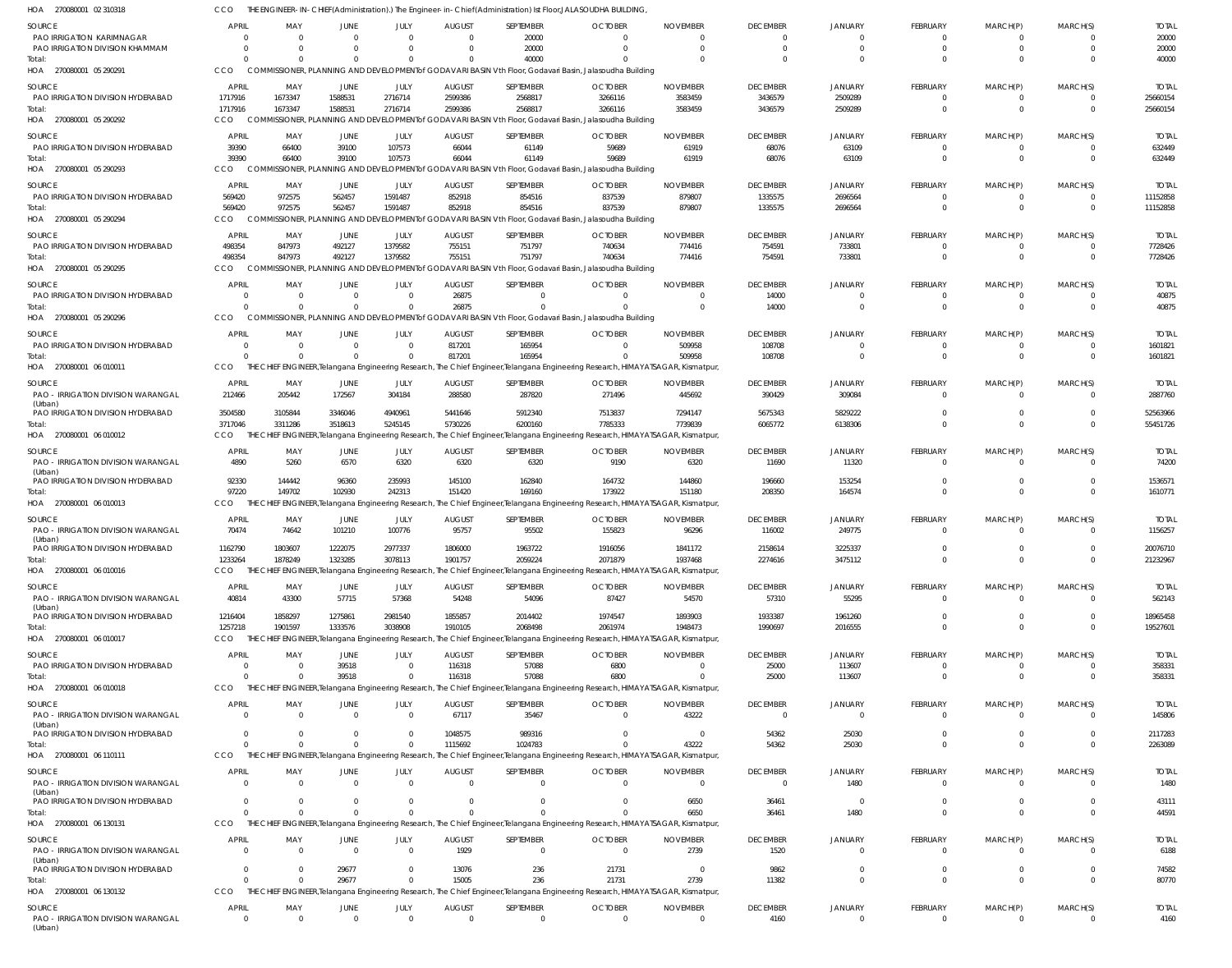| HOA<br>270080001 02 310318                          |                            |                            |                    |                       |                           |                    | THE ENGINEER-IN-CHIEF(Administration).) The Engineer-in-Chief(Administration) Ist Floor,JALASOUDHA BUILDING,                               |                             |                             |                                  |                                |                            |                      |                        |
|-----------------------------------------------------|----------------------------|----------------------------|--------------------|-----------------------|---------------------------|--------------------|--------------------------------------------------------------------------------------------------------------------------------------------|-----------------------------|-----------------------------|----------------------------------|--------------------------------|----------------------------|----------------------|------------------------|
| <b>SOURCE</b><br>PAO IRRIGATION KARIMNAGAR          | <b>APRIL</b><br>- 0        | MAY<br>$\Omega$            | <b>JUNE</b>        | <b>JULY</b><br>$\cap$ | <b>AUGUST</b><br>$\Omega$ | SEPTEMBER<br>20000 | <b>OCTOBER</b><br>$\Omega$                                                                                                                 | <b>NOVEMBER</b><br>$\Omega$ | <b>DECEMBER</b><br>$\Omega$ | <b>JANUARY</b><br>$\Omega$       | <b>FEBRUARY</b><br>$^{\circ}$  | MARCH(P)<br>$\Omega$       | MARCH(S)             | <b>TOTAL</b><br>20000  |
| PAO IRRIGATION DIVISION KHAMMAM                     | $\Omega$                   | $\Omega$                   |                    | $\cap$                | $\Omega$                  | 20000              | $\Omega$                                                                                                                                   | $\Omega$                    | $\Omega$                    | $\Omega$                         | $\mathbf 0$                    | $\mathbf 0$                | $\Omega$             | 20000                  |
| Total:                                              | $\Omega$                   | $\Omega$                   |                    | $\Omega$              | $\Omega$                  | 40000              | $\cap$                                                                                                                                     | $\Omega$                    | $\cap$                      | $\Omega$                         | $\Omega$                       | $\Omega$                   | $\Omega$             | 40000                  |
| 270080001 05 290291<br>HOA                          | CCO                        |                            |                    |                       |                           |                    | COMMISSIONER, PLANNING AND DEVELOPMENT of GODAVARI BASIN Vth Floor, Godavari Basin, Jalasoudha Building                                    |                             |                             |                                  |                                |                            |                      |                        |
| <b>SOURCE</b>                                       | APRIL                      | MAY                        | JUNE               | JULY                  | <b>AUGUST</b>             | SEPTEMBER          | <b>OCTOBER</b>                                                                                                                             | <b>NOVEMBER</b>             | <b>DECEMBER</b>             | <b>JANUARY</b>                   | <b>FEBRUARY</b>                | MARCH(P)                   | MARCH(S)             | <b>TOTAL</b>           |
| PAO IRRIGATION DIVISION HYDERABAD<br>Total:         | 1717916<br>1717916         | 1673347<br>1673347         | 1588531<br>1588531 | 2716714<br>2716714    | 2599386<br>2599386        | 2568817<br>2568817 | 3266116<br>3266116                                                                                                                         | 3583459<br>3583459          | 3436579<br>3436579          | 2509289<br>2509289               | $\mathbf 0$<br>$\mathbf 0$     | -0<br>$\mathbf 0$          | $\Omega$             | 25660154<br>25660154   |
| HOA<br>270080001 05 290292                          | CCO                        |                            |                    |                       |                           |                    | COMMISSIONER, PLANNING AND DEVELOPMENT of GODAVARI BASIN Vth Floor, Godavari Basin, Jalasoudha Building                                    |                             |                             |                                  |                                |                            |                      |                        |
| <b>SOURCE</b>                                       | APRIL                      | MAY                        | JUNE               | JULY                  | <b>AUGUST</b>             | SEPTEMBER          | <b>OCTOBER</b>                                                                                                                             | <b>NOVEMBER</b>             | <b>DECEMBER</b>             | <b>JANUARY</b>                   | <b>FEBRUARY</b>                | MARCH(P)                   | MARCH(S)             | <b>TOTAL</b>           |
| PAO IRRIGATION DIVISION HYDERABAD                   | 39390                      | 66400                      | 39100              | 107573                | 66044                     | 61149              | 59689                                                                                                                                      | 61919                       | 68076                       | 63109                            | $\mathbf 0$                    | $^{\circ}$                 |                      | 632449                 |
| Total:                                              | 39390                      | 66400                      | 39100              | 107573                | 66044                     | 61149              | 59689                                                                                                                                      | 61919                       | 68076                       | 63109                            | $\mathbf 0$                    | $\mathbf 0$                | $\Omega$             | 632449                 |
| HOA<br>270080001 05 290293                          | CCO                        |                            |                    |                       |                           |                    | COMMISSIONER, PLANNING AND DEVELOPMENT of GODAVARI BASIN Vth Floor, Godavari Basin, Jalasoudha Building                                    |                             |                             |                                  |                                |                            |                      |                        |
| <b>SOURCE</b>                                       | <b>APRIL</b>               | MAY                        | JUNE               | JULY                  | <b>AUGUST</b>             | SEPTEMBER          | <b>OCTOBER</b>                                                                                                                             | <b>NOVEMBER</b>             | <b>DECEMBER</b>             | <b>JANUARY</b>                   | FEBRUARY                       | MARCH(P)                   | MARCH(S)             | <b>TOTAL</b>           |
| PAO IRRIGATION DIVISION HYDERABAD<br>Total:         | 569420<br>569420           | 972575<br>972575           | 562457<br>562457   | 1591487<br>1591487    | 852918<br>852918          | 854516<br>854516   | 837539<br>837539                                                                                                                           | 879807<br>879807            | 1335575<br>1335575          | 2696564<br>2696564               | $\overline{0}$<br>$\mathbf{0}$ | -0<br>$\mathbf 0$          | $\Omega$<br>$\Omega$ | 11152858<br>11152858   |
| HOA<br>270080001 05 290294                          | CCO                        |                            |                    |                       |                           |                    | COMMISSIONER, PLANNING AND DEVELOPMENT of GODAVARI BASIN Vth Floor, Godavari Basin, Jalasoudha Building                                    |                             |                             |                                  |                                |                            |                      |                        |
| <b>SOURCE</b>                                       | APRIL                      | MAY                        | JUNE               | JULY                  | <b>AUGUST</b>             | SEPTEMBER          | <b>OCTOBER</b>                                                                                                                             | <b>NOVEMBER</b>             | <b>DECEMBER</b>             | <b>JANUARY</b>                   | FEBRUARY                       | MARCH(P)                   | MARCH(S)             | <b>TOTAL</b>           |
| PAO IRRIGATION DIVISION HYDERABAD                   | 498354                     | 847973                     | 492127             | 1379582               | 755151                    | 751797             | 740634                                                                                                                                     | 774416                      | 754591                      | 733801                           | $^{\circ}$                     | $\Omega$                   | $\Omega$             | 7728426                |
| Total:                                              | 498354                     | 847973                     | 492127             | 1379582               | 755151                    | 751797             | 740634                                                                                                                                     | 774416                      | 754591                      | 733801                           | $\mathbf 0$                    | $\overline{0}$             | $\Omega$             | 7728426                |
| HOA<br>270080001 05 290295                          | CCO                        |                            |                    |                       |                           |                    | COMMISSIONER, PLANNING AND DEVELOPMENT of GODAVARI BASIN Vth Floor, Godavari Basin, Jalasoudha Building                                    |                             |                             |                                  |                                |                            |                      |                        |
| <b>SOURCE</b>                                       | APRIL                      | MAY                        | JUNE               | JULY                  | <b>AUGUST</b>             | SEPTEMBER          | <b>OCTOBER</b>                                                                                                                             | <b>NOVEMBER</b>             | <b>DECEMBER</b>             | <b>JANUARY</b>                   | FEBRUARY                       | MARCH(P)                   | MARCH(S)             | <b>TOTAL</b>           |
| PAO IRRIGATION DIVISION HYDERABAD                   | 0<br>$\Omega$              | - 0<br>$\Omega$            | $\sqrt{ }$         | $\Omega$<br>$\Omega$  | 26875                     |                    | $\Omega$<br>$\Omega$                                                                                                                       | $\mathbf 0$<br>$\mathbf 0$  | 14000<br>14000              | 0<br>$\Omega$                    | $\mathbf 0$<br>$\mathbf 0$     | -0<br>$\mathbf 0$          | $\Omega$             | 40875<br>40875         |
| Total:<br>HOA<br>270080001 05 290296                | CCO                        |                            |                    |                       | 26875                     |                    | COMMISSIONER, PLANNING AND DEVELOPMENT of GODAVARI BASIN Vth Floor, Godavari Basin, Jalasoudha Building                                    |                             |                             |                                  |                                |                            |                      |                        |
| <b>SOURCE</b>                                       | <b>APRIL</b>               | MAY                        | JUNE               | JULY                  | <b>AUGUST</b>             | SEPTEMBER          | <b>OCTOBER</b>                                                                                                                             | <b>NOVEMBER</b>             | <b>DECEMBER</b>             | <b>JANUARY</b>                   | FEBRUARY                       | MARCH(P)                   | MARCH(S)             | <b>TOTAL</b>           |
| PAO IRRIGATION DIVISION HYDERABAD                   | $\overline{0}$             | $\Omega$                   |                    | $\Omega$              | 817201                    | 165954             | $\Omega$                                                                                                                                   | 509958                      | 108708                      | $\Omega$                         | $^{\circ}$                     | -0                         |                      | 1601821                |
| Total:                                              | $\Omega$                   | $\Omega$                   | $\Omega$           | $\Omega$              | 817201                    | 165954             | $\Omega$                                                                                                                                   | 509958                      | 108708                      | $\Omega$                         | $\mathbf 0$                    | $\Omega$                   | $\Omega$             | 1601821                |
| HOA<br>270080001 06 010011                          | CCO                        |                            |                    |                       |                           |                    | THE CHIEF ENGINEER, Telangana Engineering Research, The Chief Engineer, Telangana Engineering Research, HIMAYATSAGAR, Kismatpur            |                             |                             |                                  |                                |                            |                      |                        |
| <b>SOURCE</b>                                       | <b>APRIL</b>               | MAY                        | JUNE               | JULY                  | <b>AUGUST</b>             | SEPTEMBER          | <b>OCTOBER</b>                                                                                                                             | <b>NOVEMBER</b>             | <b>DECEMBER</b>             | <b>JANUARY</b>                   | FEBRUARY                       | MARCH(P)                   | MARCH(S)             | <b>TOTAL</b>           |
| PAO - IRRIGATION DIVISION WARANGAL<br>(Urban)       | 212466                     | 205442                     | 172567             | 304184                | 288580                    | 287820             | 271496                                                                                                                                     | 445692                      | 390429                      | 309084                           | $\overline{0}$                 | $\mathbf 0$                | $\Omega$             | 2887760                |
| PAO IRRIGATION DIVISION HYDERABAD                   | 3504580                    | 3105844                    | 3346046            | 4940961               | 5441646                   | 5912340            | 7513837                                                                                                                                    | 7294147                     | 5675343                     | 5829222                          | $\mathbf 0$                    | $^{\circ}$                 | $\Omega$             | 52563966               |
| Total:                                              | 3717046                    | 3311286                    | 3518613            | 5245145               | 5730226                   | 6200160            | 7785333                                                                                                                                    | 7739839                     | 6065772                     | 6138306                          | $\mathbf 0$                    | $\mathbf 0$                | $\Omega$             | 55451726               |
| HOA<br>270080001 06 010012                          | CCO                        |                            |                    |                       |                           |                    | THE CHIEF ENGINEER, Telangana Engineering Research, The Chief Engineer, Telangana Engineering Research, HIMAYATSAGAR, Kismatpur,           |                             |                             |                                  |                                |                            |                      |                        |
| <b>SOURCE</b>                                       | <b>APRIL</b>               | MAY                        | JUNE               | JULY                  | <b>AUGUST</b>             | SEPTEMBER          | <b>OCTOBER</b>                                                                                                                             | <b>NOVEMBER</b>             | <b>DECEMBER</b>             | <b>JANUARY</b>                   | <b>FEBRUARY</b>                | MARCH(P)                   | MARCH(S)             | <b>TOTAL</b>           |
| PAO - IRRIGATION DIVISION WARANGAL<br>(Urban)       | 4890                       | 5260                       | 6570               | 6320                  | 6320                      | 6320               | 9190                                                                                                                                       | 6320                        | 11690                       | 11320                            | $^{\circ}$                     | $\Omega$                   |                      | 74200                  |
| PAO IRRIGATION DIVISION HYDERABAD                   | 92330                      | 144442                     | 96360              | 235993                | 145100                    | 162840             | 164732                                                                                                                                     | 144860                      | 196660                      | 153254                           | $\mathbf 0$                    | $\mathbf 0$                |                      | 1536571                |
| Total:<br>270080001 06 010013<br>HOA                | 97220<br>CCO               | 149702                     | 102930             | 242313                | 151420                    | 169160             | 173922<br>THE CHIEF ENGINEER, Telangana Engineering Research, The Chief Engineer, Telangana Engineering Research, HIMAYATSAGAR, Kismatpur, | 151180                      | 208350                      | 164574                           | $\mathbf 0$                    | $\mathbf 0$                | $\Omega$             | 1610771                |
|                                                     |                            |                            |                    |                       |                           |                    |                                                                                                                                            |                             |                             |                                  |                                |                            |                      |                        |
| <b>SOURCE</b><br>PAO - IRRIGATION DIVISION WARANGAL | <b>APRIL</b><br>70474      | MAY<br>74642               | JUNE<br>101210     | JULY<br>100776        | <b>AUGUST</b><br>95757    | SEPTEMBER<br>95502 | <b>OCTOBER</b><br>155823                                                                                                                   | <b>NOVEMBER</b><br>96296    | <b>DECEMBER</b><br>116002   | <b>JANUARY</b><br>249775         | FEBRUARY<br>$\overline{0}$     | MARCH(P)<br>-0             | MARCH(S)<br>$\Omega$ | TOTAL<br>1156257       |
| (Urban)                                             |                            |                            |                    |                       |                           |                    |                                                                                                                                            |                             |                             |                                  |                                |                            |                      |                        |
| PAO IRRIGATION DIVISION HYDERABAD<br>Total:         | 1162790<br>1233264         | 1803607<br>1878249         | 1222075<br>1323285 | 2977337<br>3078113    | 1806000<br>1901757        | 1963722<br>2059224 | 1916056<br>2071879                                                                                                                         | 1841172<br>1937468          | 2158614<br>2274616          | 3225337<br>3475112               | $\Omega$<br>$\Omega$           | $\Omega$                   | $\Omega$             | 20076710<br>21232967   |
| HOA<br>270080001 06 010016                          | CCO                        |                            |                    |                       |                           |                    | THE CHIEF ENGINEER, Telangana Engineering Research, The Chief Engineer, Telangana Engineering Research, HIMAYATSAGAR, Kismatpur,           |                             |                             |                                  |                                |                            |                      |                        |
| <b>SOURCE</b>                                       | <b>APRIL</b>               | MAY                        | JUNE               | JULY                  | <b>AUGUST</b>             | SEPTEMBER          | <b>OCTOBER</b>                                                                                                                             | <b>NOVEMBER</b>             | <b>DECEMBER</b>             | <b>JANUARY</b>                   | FEBRUARY                       | MARCH(P)                   | MARCH(S)             | <b>TOTAL</b>           |
| PAO - IRRIGATION DIVISION WARANGAL                  | 40814                      | 43300                      | 57715              | 57368                 | 54248                     | 54096              | 87427                                                                                                                                      | 54570                       | 57310                       | 55295                            | $\mathbf 0$                    | $\Omega$                   | $\Omega$             | 562143                 |
| (Urban)<br>PAO IRRIGATION DIVISION HYDERABAD        | 1216404                    | 1858297                    | 1275861            | 2981540               | 1855857                   | 2014402            | 1974547                                                                                                                                    | 1893903                     | 1933387                     | 1961260                          | $^{\circ}$                     | $\mathbf 0$                | $\Omega$             | 18965458               |
| Total:                                              | 1257218                    | 1901597                    | 1333576            | 3038908               | 1910105                   | 2068498            | 2061974                                                                                                                                    | 1948473                     | 1990697                     | 2016555                          | $\mathbf 0$                    | $\mathbf 0$                | $\Omega$             | 19527601               |
| HOA<br>270080001 06 010017                          | CCO                        |                            |                    |                       |                           |                    | THE CHIEF ENGINEER, Telangana Engineering Research, The Chief Engineer, Telangana Engineering Research, HIMAYATSAGAR, Kismatpur            |                             |                             |                                  |                                |                            |                      |                        |
| <b>SOURCE</b>                                       | <b>APRIL</b>               | MAY                        | JUNE               | JULY                  | <b>AUGUST</b>             | SEPTEMBER          | <b>OCTOBER</b>                                                                                                                             | <b>NOVEMBER</b>             | <b>DECEMBER</b>             | <b>JANUARY</b>                   | FEBRUARY                       | MARCH(P)                   | MARCH(S)             | <b>TOTAL</b>           |
| PAO IRRIGATION DIVISION HYDERABAD                   | $\overline{0}$             | $\overline{0}$             | 39518              | $\Omega$              | 116318                    | 57088              | 6800                                                                                                                                       | $\overline{0}$              | 25000                       | 113607                           | $\overline{0}$                 | $\mathbf 0$                | $\Omega$             | 358331                 |
| Total:<br>HOA<br>270080001 06 010018                | $\Omega$<br>CCO            | $\Omega$                   | 39518              | $\Omega$              | 116318                    | 57088              | 6800<br>THE CHIEF ENGINEER, Telangana Engineering Research, The Chief Engineer, Telangana Engineering Research, HIMAYATSAGAR, Kismatpur    | $\mathbf{0}$                | 25000                       | 113607                           | $\mathbf{0}$                   | $\mathbf 0$                | $\Omega$             | 358331                 |
|                                                     |                            |                            |                    |                       |                           |                    |                                                                                                                                            |                             |                             |                                  |                                |                            |                      |                        |
| <b>SOURCE</b><br>PAO - IRRIGATION DIVISION WARANGAL | <b>APRIL</b><br>$\Omega$   | MAY<br>$\overline{0}$      | JUNE<br>$\Omega$   | JULY<br>$\Omega$      | <b>AUGUST</b><br>67117    | SEPTEMBER<br>35467 | <b>OCTOBER</b><br>$\Omega$                                                                                                                 | <b>NOVEMBER</b><br>43222    | <b>DECEMBER</b><br>$\Omega$ | <b>JANUARY</b><br>$\overline{0}$ | FEBRUARY<br>$\mathbf 0$        | MARCH(P)<br>$^{\circ}$     | MARCH(S)<br>$\Omega$ | <b>TOTAL</b><br>145806 |
| (Urban)                                             |                            |                            |                    |                       |                           |                    |                                                                                                                                            |                             |                             |                                  |                                |                            |                      |                        |
| PAO IRRIGATION DIVISION HYDERABAD<br>Total:         | $\overline{0}$<br>$\Omega$ | $\overline{0}$<br>$\Omega$ | $\Omega$           | $\Omega$<br>$\Omega$  | 1048575<br>1115692        | 989316<br>1024783  | $\Omega$<br>$\Omega$                                                                                                                       | $\overline{0}$<br>43222     | 54362<br>54362              | 25030<br>25030                   | $^{\circ}$<br>$\mathbf 0$      | $\mathbf 0$<br>$\mathbf 0$ | $\Omega$<br>$\Omega$ | 2117283<br>2263089     |
| HOA<br>270080001 06 110111                          | CCO                        |                            |                    |                       |                           |                    | THE CHIEF ENGINEER, Telangana Engineering Research, The Chief Engineer, Telangana Engineering Research, HIMAYATSAGAR, Kismatpur,           |                             |                             |                                  |                                |                            |                      |                        |
| <b>SOURCE</b>                                       | <b>APRIL</b>               | MAY                        | JUNE               | JULY                  | <b>AUGUST</b>             | SEPTEMBER          | <b>OCTOBER</b>                                                                                                                             | <b>NOVEMBER</b>             | <b>DECEMBER</b>             | <b>JANUARY</b>                   | FEBRUARY                       | MARCH(P)                   | MARCH(S)             | <b>TOTAL</b>           |
| PAO - IRRIGATION DIVISION WARANGAL                  | $\overline{0}$             | $\overline{0}$             |                    | $\Omega$              | $\overline{0}$            | $\Omega$           | $\Omega$                                                                                                                                   | $\overline{0}$              | $\Omega$                    | 1480                             | $\overline{0}$                 | $\mathbf 0$                | $\Omega$             | 1480                   |
| (Urban)<br>PAO IRRIGATION DIVISION HYDERABAD        | $\overline{0}$             | $\overline{0}$             |                    | $\Omega$              | $\overline{0}$            |                    | $\Omega$                                                                                                                                   | 6650                        | 36461                       | $\overline{0}$                   | $\mathbf 0$                    | $\mathbf 0$                | $\Omega$             | 43111                  |
|                                                     |                            | $\Omega$                   |                    | $\Omega$              | $\Omega$                  |                    | $\Omega$                                                                                                                                   | 6650                        | 36461                       | 1480                             | $\mathbf 0$                    | $\mathbf 0$                | $\Omega$             | 44591                  |
| Total:                                              | $\Omega$                   |                            |                    |                       |                           |                    | THE CHIEF ENGINEER, Telangana Engineering Research, The Chief Engineer, Telangana Engineering Research, HIMAYATSAGAR, Kismatpur,           |                             |                             |                                  |                                |                            |                      |                        |
| HOA<br>270080001 06 130131                          | CCO                        |                            |                    |                       |                           |                    |                                                                                                                                            |                             |                             |                                  |                                |                            |                      |                        |
| <b>SOURCE</b>                                       | <b>APRIL</b>               | MAY                        | JUNE               | JULY                  | <b>AUGUST</b>             | SEPTEMBER          | <b>OCTOBER</b>                                                                                                                             | <b>NOVEMBER</b>             | <b>DECEMBER</b>             | <b>JANUARY</b>                   | FEBRUARY                       | MARCH(P)                   | MARCH(S)             | <b>TOTAL</b>           |
| PAO - IRRIGATION DIVISION WARANGAL                  | $\overline{0}$             | $\overline{0}$             | $\Omega$           | $\Omega$              | 1929                      | $\Omega$           | $\Omega$                                                                                                                                   | 2739                        | 1520                        | $\overline{0}$                   | $^{\circ}$                     | $\Omega$                   |                      | 6188                   |
| (Urban)<br>PAO IRRIGATION DIVISION HYDERABAD        | $\Omega$                   | $\overline{0}$             | 29677              | $\Omega$              | 13076                     | 236                | 21731                                                                                                                                      | 0                           | 9862                        | $\mathbf{0}$                     | $\mathbf 0$                    | $\mathbf 0$                | $\Omega$             | 74582                  |
| Total:                                              | $\Omega$                   | $\Omega$                   | 29677              | $\Omega$              | 15005                     | 236                | 21731                                                                                                                                      | 2739                        | 11382                       | $\Omega$                         | $\mathbf 0$                    | $\mathbf 0$                | $\Omega$             | 80770                  |
| HOA 270080001 06 130132                             | CCO                        |                            |                    |                       |                           |                    | THE CHIEF ENGINEER, Telangana Engineering Research, The Chief Engineer, Telangana Engineering Research, HIMAYATSAGAR, Kismatpur,           |                             |                             |                                  |                                |                            |                      |                        |
| <b>SOURCE</b>                                       | <b>APRIL</b>               | MAY                        | JUNE               | JULY                  | <b>AUGUST</b>             | SEPTEMBER          | <b>OCTOBER</b>                                                                                                                             | <b>NOVEMBER</b>             | <b>DECEMBER</b>             | JANUARY                          | FEBRUARY                       | MARCH(P)                   | MARCH(S)             | <b>TOTAL</b>           |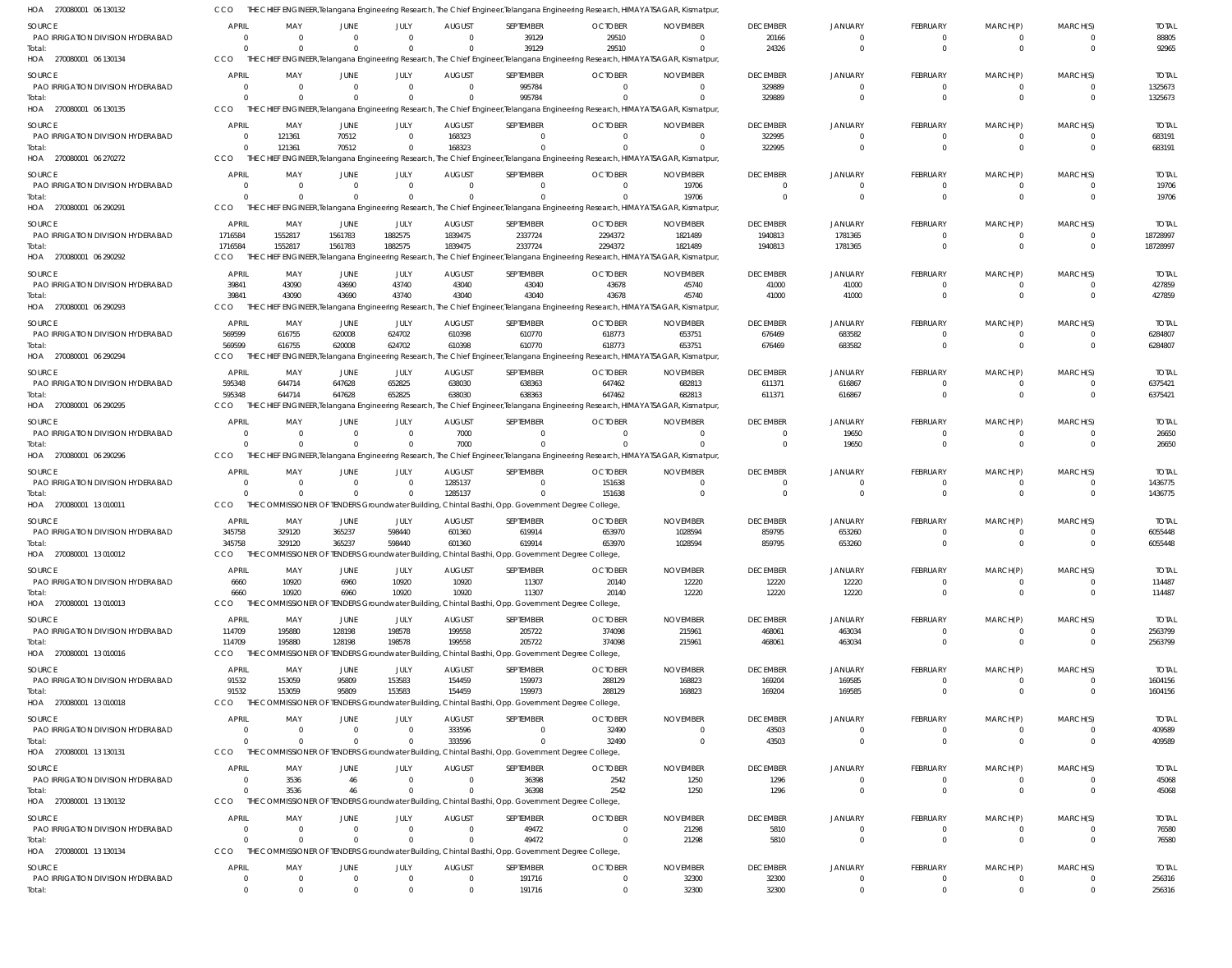| HOA 270080001 06 130132                            | CCO                            |                                                     |                            |                            |                                 |                                                                                                             | THE CHIEF ENGINEER,Telangana Engineering Research, The Chief Engineer,Telangana Engineering Research, HIMAYATSAGAR, Kismatpur                |                                   |                                   |                                  |                                |                              |                            |                         |
|----------------------------------------------------|--------------------------------|-----------------------------------------------------|----------------------------|----------------------------|---------------------------------|-------------------------------------------------------------------------------------------------------------|----------------------------------------------------------------------------------------------------------------------------------------------|-----------------------------------|-----------------------------------|----------------------------------|--------------------------------|------------------------------|----------------------------|-------------------------|
| <b>SOURCE</b>                                      | <b>APRIL</b>                   | MAY                                                 | JUNE                       | JULY                       | <b>AUGUST</b>                   | SEPTEMBER                                                                                                   | <b>OCTOBER</b>                                                                                                                               | <b>NOVEMBER</b>                   | <b>DECEMBER</b>                   | <b>JANUARY</b>                   | FEBRUARY                       | MARCH(P)                     | MARCH(S)                   | <b>TOTAL</b>            |
| PAO IRRIGATION DIVISION HYDERABAD                  | $\Omega$                       | $\overline{\mathbf{0}}$                             | - 0                        | $\Omega$                   | $\Omega$                        | 39129                                                                                                       | 29510                                                                                                                                        | $\Omega$                          | 20166                             | $\Omega$                         | $^{\circ}$                     | $^{\circ}$                   | $\Omega$                   | 88805                   |
| Total:                                             | $\Omega$                       | $\Omega$                                            | $\Omega$                   | $\Omega$                   | $\Omega$                        | 39129                                                                                                       | 29510                                                                                                                                        | $\Omega$                          | 24326                             | $\Omega$                         | $\overline{0}$                 | $\overline{0}$               | $\Omega$                   | 92965                   |
| HOA 270080001 06 130134                            | CCO                            |                                                     |                            |                            |                                 |                                                                                                             | THE CHIEF ENGINEER, Telangana Engineering Research, The Chief Engineer, Telangana Engineering Research, HIMAYATSAGAR, Kismatpur,             |                                   |                                   |                                  |                                |                              |                            |                         |
| <b>SOURCE</b>                                      | <b>APRIL</b>                   | MAY                                                 | JUNE                       | JULY                       | <b>AUGUST</b>                   | SEPTEMBER                                                                                                   | <b>OCTOBER</b>                                                                                                                               | <b>NOVEMBER</b>                   | <b>DECEMBER</b>                   | JANUARY                          | FEBRUARY                       | MARCH(P)                     | MARCH(S)                   | <b>TOTAL</b>            |
| PAO IRRIGATION DIVISION HYDERABAD<br>Total:        | $\overline{0}$<br>$\Omega$     | $\overline{0}$<br>$\Omega$                          |                            | $\Omega$                   | $\overline{0}$                  | 995784<br>995784                                                                                            | $\overline{0}$                                                                                                                               | $\overline{0}$<br>$\Omega$        | 329889<br>329889                  | $\overline{0}$<br>$\Omega$       | $\mathbf 0$<br>$\overline{0}$  | $\mathbf 0$<br>$\Omega$      | $\Omega$<br>$\Omega$       | 1325673<br>1325673      |
| HOA 270080001 06 130135                            | CCO                            |                                                     |                            |                            |                                 |                                                                                                             | THE CHIEF ENGINEER, Telangana Engineering Research, The Chief Engineer, Telangana Engineering Research, HIMAYATSAGAR, Kismatpur              |                                   |                                   |                                  |                                |                              |                            |                         |
|                                                    | <b>APRIL</b>                   | MAY                                                 |                            | JULY                       | <b>AUGUST</b>                   | SEPTEMBER                                                                                                   | <b>OCTOBER</b>                                                                                                                               | <b>NOVEMBER</b>                   | <b>DECEMBER</b>                   | <b>JANUARY</b>                   | FEBRUARY                       | MARCH(P)                     | MARCH(S)                   | <b>TOTAL</b>            |
| SOURCE<br>PAO IRRIGATION DIVISION HYDERABAD        | $\overline{0}$                 | 121361                                              | JUNE<br>70512              | $\Omega$                   | 168323                          | $\Omega$                                                                                                    | $\Omega$                                                                                                                                     | $\Omega$                          | 322995                            | $\Omega$                         | $^{\circ}$                     | $\Omega$                     | $\Omega$                   | 683191                  |
| Total:                                             | $\overline{0}$                 | 121361                                              | 70512                      | $\Omega$                   | 168323                          | $\Omega$                                                                                                    | $\Omega$                                                                                                                                     | $\Omega$                          | 322995                            | $\Omega$                         | $\overline{0}$                 | $\overline{0}$               | $\overline{0}$             | 683191                  |
| HOA 270080001 06 270272                            | CCO                            |                                                     |                            |                            |                                 |                                                                                                             | THE CHIEF ENGINEER, Telangana Engineering Research, The Chief Engineer, Telangana Engineering Research, HIMAYATSAGAR, Kismatpur,             |                                   |                                   |                                  |                                |                              |                            |                         |
| SOURCE                                             | <b>APRIL</b>                   | MAY                                                 | JUNE                       | JULY                       | <b>AUGUST</b>                   | SEPTEMBER                                                                                                   | <b>OCTOBER</b>                                                                                                                               | <b>NOVEMBER</b>                   | <b>DECEMBER</b>                   | <b>JANUARY</b>                   | <b>FEBRUARY</b>                | MARCH(P)                     | MARCH(S)                   | <b>TOTAL</b>            |
| PAO IRRIGATION DIVISION HYDERABAD                  | $\overline{0}$                 | $\overline{\mathbf{0}}$                             | -0                         | $\Omega$                   | $\overline{0}$                  | 0                                                                                                           | $^{\circ}$                                                                                                                                   | 19706                             | $\overline{0}$                    | $\Omega$                         | $^{\circ}$                     | -0                           | $\Omega$                   | 19706                   |
| Total:                                             | $\Omega$                       | $\Omega$                                            |                            | $\Omega$                   |                                 |                                                                                                             |                                                                                                                                              | 19706                             | $\Omega$                          | $\Omega$                         | $\overline{0}$                 | $\overline{0}$               | $\Omega$                   | 19706                   |
| HOA 270080001 06 290291                            | CCO                            |                                                     |                            |                            |                                 |                                                                                                             | THE CHIEF ENGINEER, Telangana Engineering Research, The Chief Engineer, Telangana Engineering Research, HIMAYATSAGAR, Kismatpur,             |                                   |                                   |                                  |                                |                              |                            |                         |
| <b>SOURCE</b>                                      | <b>APRIL</b>                   | MAY                                                 | JUNE                       | JULY                       | <b>AUGUST</b>                   | SEPTEMBER                                                                                                   | <b>OCTOBER</b>                                                                                                                               | <b>NOVEMBER</b>                   | <b>DECEMBER</b>                   | JANUARY                          | <b>FEBRUARY</b>                | MARCH(P)                     | MARCH(S)                   | <b>TOTAL</b>            |
| PAO IRRIGATION DIVISION HYDERABAD                  | 1716584                        | 1552817                                             | 1561783                    | 1882575                    | 1839475                         | 2337724                                                                                                     | 2294372                                                                                                                                      | 1821489                           | 1940813                           | 1781365                          | $\mathbf 0$                    | $\mathbf 0$                  | $\Omega$                   | 18728997                |
| Total:<br>HOA 270080001 06 290292                  | 1716584<br>CCO                 | 1552817                                             | 1561783                    | 1882575                    | 1839475                         | 2337724                                                                                                     | 2294372<br>THE CHIEF ENGINEER, Telangana Engineering Research, The Chief Engineer, Telangana Engineering Research, HIMAYATSAGAR, Kismatpur,  | 1821489                           | 1940813                           | 1781365                          | $\overline{0}$                 | $\overline{0}$               | $\Omega$                   | 18728997                |
|                                                    |                                |                                                     |                            |                            |                                 |                                                                                                             |                                                                                                                                              |                                   |                                   |                                  |                                |                              |                            |                         |
| SOURCE<br>PAO IRRIGATION DIVISION HYDERABAD        | <b>APRIL</b><br>39841          | MAY                                                 | JUNE                       | JULY<br>43740              | <b>AUGUST</b>                   | SEPTEMBER                                                                                                   | <b>OCTOBER</b>                                                                                                                               | <b>NOVEMBER</b><br>45740          | <b>DECEMBER</b>                   | <b>JANUARY</b>                   | <b>FEBRUARY</b><br>$\mathbf 0$ | MARCH(P)<br>$\mathbf 0$      | MARCH(S)<br>$\Omega$       | <b>TOTAL</b>            |
| Total:                                             | 39841                          | 43090<br>43090                                      | 43690<br>43690             | 43740                      | 43040<br>43040                  | 43040<br>43040                                                                                              | 43678<br>43678                                                                                                                               | 45740                             | 41000<br>41000                    | 41000<br>41000                   | $\overline{0}$                 | $\overline{0}$               | $\Omega$                   | 427859<br>427859        |
| HOA 270080001 06 290293                            | CCO                            |                                                     |                            |                            |                                 |                                                                                                             | THE CHIEF ENGINEER, Telangana Engineering Research, The Chief Engineer, Telangana Engineering Research, HIMAYATSAGAR, Kismatpur,             |                                   |                                   |                                  |                                |                              |                            |                         |
| SOURCE                                             | <b>APRIL</b>                   | MAY                                                 | JUNE                       | JULY                       | <b>AUGUST</b>                   | SEPTEMBER                                                                                                   | <b>OCTOBER</b>                                                                                                                               | <b>NOVEMBER</b>                   | <b>DECEMBER</b>                   | <b>JANUARY</b>                   | FEBRUARY                       | MARCH(P)                     | MARCH(S)                   | <b>TOTAL</b>            |
| PAO IRRIGATION DIVISION HYDERABAD                  | 569599                         | 616755                                              | 620008                     | 624702                     | 610398                          | 610770                                                                                                      | 618773                                                                                                                                       | 653751                            | 676469                            | 683582                           | $^{\circ}$                     | $^{\circ}$                   | $\overline{0}$             | 6284807                 |
| Total:                                             | 569599                         | 616755                                              | 620008                     | 624702                     | 610398                          | 610770                                                                                                      | 618773                                                                                                                                       | 653751                            | 676469                            | 683582                           | $\overline{0}$                 | $\Omega$                     | $\Omega$                   | 6284807                 |
| HOA 270080001 06 290294                            | CCO                            |                                                     |                            |                            |                                 |                                                                                                             | THE CHIEF ENGINEER, Telangana Engineering Research, The Chief Engineer, Telangana Engineering Research, HIMAYATSAGAR, Kismatpur,             |                                   |                                   |                                  |                                |                              |                            |                         |
| SOURCE                                             | <b>APRIL</b>                   | MAY                                                 | JUNE                       | JULY                       | <b>AUGUST</b>                   | SEPTEMBER                                                                                                   | <b>OCTOBER</b>                                                                                                                               | <b>NOVEMBER</b>                   | <b>DECEMBER</b>                   | <b>JANUARY</b>                   | FEBRUARY                       | MARCH(P)                     | MARCH(S)                   | <b>TOTAL</b>            |
| PAO IRRIGATION DIVISION HYDERABAD                  | 595348                         | 644714                                              | 647628                     | 652825                     | 638030                          | 638363                                                                                                      | 647462                                                                                                                                       | 682813                            | 611371                            | 616867                           | $^{\circ}$                     | -0                           | $\Omega$                   | 6375421                 |
| Total:                                             | 595348                         | 644714                                              | 647628                     | 652825                     | 638030                          | 638363                                                                                                      | 647462                                                                                                                                       | 682813                            | 611371                            | 616867                           | $\overline{0}$                 | $\overline{0}$               | $\Omega$                   | 6375421                 |
| HOA 270080001 06 290295                            | CCO                            | THE CHIEF ENGINEER, Telangana Engineering Research, |                            |                            |                                 |                                                                                                             | The Chief Engineer, Telangana Engineering Research, HIMAYATSAGAR, Kismatpur,                                                                 |                                   |                                   |                                  |                                |                              |                            |                         |
| <b>SOURCE</b>                                      | APRIL                          | MAY                                                 | JUNE                       | JULY                       | <b>AUGUST</b>                   | SEPTEMBER                                                                                                   | <b>OCTOBER</b>                                                                                                                               | <b>NOVEMBER</b>                   | <b>DECEMBER</b>                   | <b>JANUARY</b>                   | <b>FEBRUARY</b>                | MARCH(P)                     | MARCH(S)                   | <b>TOTAL</b>            |
| PAO IRRIGATION DIVISION HYDERABAD                  | $\Omega$                       | $\overline{0}$                                      | - 0                        | $\Omega$                   | 7000                            | $\Omega$                                                                                                    | $\Omega$                                                                                                                                     | $\Omega$                          | $\Omega$                          | 19650                            | $^{\circ}$                     | $^{\circ}$                   | $\overline{0}$             | 26650                   |
| Total:<br>HOA 270080001 06 290296                  | $\Omega$<br>CCO                | $\Omega$                                            | $\Omega$                   | $\Omega$                   | 7000                            |                                                                                                             | $\Omega$<br>THE CHIEF ENGINEER, Telangana Engineering Research, The Chief Engineer, Telangana Engineering Research, HIMAYATSAGAR, Kismatpur, | $\Omega$                          | $\Omega$                          | 19650                            | $\overline{0}$                 | $\overline{0}$               | $\Omega$                   | 26650                   |
|                                                    |                                |                                                     |                            |                            |                                 |                                                                                                             |                                                                                                                                              |                                   |                                   |                                  |                                |                              |                            |                         |
| SOURCE<br>PAO IRRIGATION DIVISION HYDERABAD        | <b>APRIL</b><br>$\overline{0}$ | MAY<br>$\overline{0}$                               | JUNE<br>$\Omega$           | JULY<br>$\Omega$           | <b>AUGUST</b><br>1285137        | SEPTEMBER<br>$\Omega$                                                                                       | <b>OCTOBER</b><br>151638                                                                                                                     | <b>NOVEMBER</b><br>$\overline{0}$ | <b>DECEMBER</b><br>$\overline{0}$ | <b>JANUARY</b><br>$\overline{0}$ | <b>FEBRUARY</b><br>$\mathbf 0$ | MARCH(P)<br>$\mathbf 0$      | MARCH(S)<br>$\Omega$       | <b>TOTAL</b><br>1436775 |
| Total:                                             | $\Omega$                       | $\Omega$                                            |                            |                            | 1285137                         |                                                                                                             | 151638                                                                                                                                       | $\Omega$                          | $\overline{0}$                    | $\Omega$                         | $\overline{0}$                 | $\Omega$                     | $\Omega$                   | 1436775                 |
| HOA 270080001 13 010011                            | CCO                            |                                                     |                            |                            |                                 | THE COMMISSIONER OF TENDERS Groundwater Building, Chintal Basthi, Opp. Government Degree College,           |                                                                                                                                              |                                   |                                   |                                  |                                |                              |                            |                         |
| SOURCE                                             | <b>APRIL</b>                   | MAY                                                 | JUNE                       | JULY                       | <b>AUGUST</b>                   | <b>SEPTEMBER</b>                                                                                            | <b>OCTOBER</b>                                                                                                                               | <b>NOVEMBER</b>                   | <b>DECEMBER</b>                   | JANUARY                          | FEBRUARY                       | MARCH(P)                     | MARCH(S)                   | <b>TOTAL</b>            |
| PAO IRRIGATION DIVISION HYDERABAD                  | 345758                         | 329120                                              | 365237                     | 598440                     | 601360                          | 619914                                                                                                      | 653970                                                                                                                                       | 1028594                           | 859795                            | 653260                           | $^{\circ}$                     | -0                           | $\Omega$                   | 6055448                 |
| Total:                                             | 345758                         | 329120                                              | 365237                     | 598440                     | 601360                          | 619914                                                                                                      | 653970                                                                                                                                       | 1028594                           | 859795                            | 653260                           | $\overline{0}$                 | $\Omega$                     | $\Omega$                   | 6055448                 |
| HOA 270080001 13010012                             | CCO                            |                                                     |                            |                            |                                 | THE COMMISSIONER OF TENDERS Groundwater Building, Chintal Basthi, Opp. Government Degree College,           |                                                                                                                                              |                                   |                                   |                                  |                                |                              |                            |                         |
| SOURCE                                             | <b>APRIL</b>                   | MAY                                                 | JUNE                       | JULY                       | <b>AUGUST</b>                   | SEPTEMBER                                                                                                   | <b>OCTOBER</b>                                                                                                                               | <b>NOVEMBER</b>                   | <b>DECEMBER</b>                   | <b>JANUARY</b>                   | <b>FEBRUARY</b>                | MARCH(P)                     | MARCH(S)                   | <b>TOTAL</b>            |
| PAO IRRIGATION DIVISION HYDERABAD                  | 6660                           | 10920                                               | 6960                       | 10920                      | 10920                           | 11307                                                                                                       | 20140                                                                                                                                        | 12220                             | 12220                             | 12220                            | -0                             | -0                           |                            | 114487                  |
| Total:                                             | 6660                           | 10920                                               | 6960                       | 10920                      | 10920                           | 11307                                                                                                       | 20140                                                                                                                                        | 12220                             | 12220                             | 12220                            | $\overline{0}$                 | $\overline{0}$               | $\Omega$                   | 114487                  |
| HOA 270080001 13 010013                            | CCO                            |                                                     |                            |                            |                                 | THE COMMISSIONER OF TENDERS Groundwater Building, Chintal Basthi, Opp. Government Degree College,           |                                                                                                                                              |                                   |                                   |                                  |                                |                              |                            |                         |
| SOURCE                                             | APRIL                          | MAY                                                 | JUNE                       | JULY                       | <b>AUGUST</b>                   | SEPTEMBER                                                                                                   | <b>OCTOBER</b>                                                                                                                               | <b>NOVEMBER</b>                   | <b>DECEMBER</b>                   | <b>JANUARY</b>                   | <b>FEBRUARY</b>                | MARCH(P)                     | MARCH(S)                   | <b>TOTAL</b>            |
| PAO IRRIGATION DIVISION HYDERABAD                  | 114709                         | 195880                                              | 128198                     | 198578                     | 199558                          | 205722                                                                                                      | 374098                                                                                                                                       | 215961                            | 468061                            | 463034                           | $^{\circ}$<br>$\overline{0}$   | $^{\circ}$<br>$\overline{0}$ | $\Omega$<br>$\Omega$       | 2563799                 |
| Total:<br>HOA 270080001 13 010016                  | 114709<br>CCO                  | 195880                                              | 128198                     | 198578                     | 199558                          | 205722<br>THE COMMISSIONER OF TENDERS Groundwater Building, Chintal Basthi, Opp. Government Degree College, | 374098                                                                                                                                       | 215961                            | 468061                            | 463034                           |                                |                              |                            | 2563799                 |
|                                                    |                                |                                                     |                            |                            |                                 |                                                                                                             |                                                                                                                                              |                                   |                                   |                                  |                                |                              |                            |                         |
| <b>SOURCE</b><br>PAO IRRIGATION DIVISION HYDERABAD | <b>APRIL</b><br>91532          | MAY<br>153059                                       | JUNE<br>95809              | JULY<br>153583             | <b>AUGUST</b><br>154459         | SEPTEMBER<br>159973                                                                                         | <b>OCTOBER</b><br>288129                                                                                                                     | <b>NOVEMBER</b><br>168823         | <b>DECEMBER</b><br>169204         | JANUARY<br>169585                | FEBRUARY<br>$\mathbf 0$        | MARCH(P)<br>-0               | MARCH(S)<br>$\Omega$       | <b>TOTAL</b><br>1604156 |
| Total:                                             | 91532                          | 153059                                              | 95809                      | 153583                     | 154459                          | 159973                                                                                                      | 288129                                                                                                                                       | 168823                            | 169204                            | 169585                           | $\overline{0}$                 | $\overline{0}$               | $\Omega$                   | 1604156                 |
| HOA 270080001 13 010018                            | CCO                            |                                                     |                            |                            |                                 | THE COMMISSIONER OF TENDERS Groundwater Building, Chintal Basthi, Opp. Government Degree College,           |                                                                                                                                              |                                   |                                   |                                  |                                |                              |                            |                         |
| SOURCE                                             | <b>APRIL</b>                   | MAY                                                 | JUNE                       | JULY                       | <b>AUGUST</b>                   | SEPTEMBER                                                                                                   | <b>OCTOBER</b>                                                                                                                               | <b>NOVEMBER</b>                   | <b>DECEMBER</b>                   | <b>JANUARY</b>                   | <b>FEBRUARY</b>                | MARCH(P)                     | MARCH(S)                   | <b>TOTAL</b>            |
| PAO IRRIGATION DIVISION HYDERABAD                  | $\overline{0}$                 | $\overline{\mathbf{0}}$                             | $\mathbf 0$                | $\Omega$                   | 333596                          | $\Omega$                                                                                                    | 32490                                                                                                                                        | - 0                               | 43503                             | $\overline{0}$                   | $^{\circ}$                     | $^{\circ}$                   | $\Omega$                   | 409589                  |
| Total:                                             | $\Omega$                       | $\Omega$                                            | $\Omega$                   | $\Omega$                   | 333596                          | $\Omega$                                                                                                    | 32490                                                                                                                                        | $\overline{0}$                    | 43503                             | $\overline{0}$                   | $\overline{0}$                 | $\overline{0}$               | $\Omega$                   | 409589                  |
| HOA 270080001 13 130131                            | CCO                            |                                                     |                            |                            |                                 | THE COMMISSIONER OF TENDERS Groundwater Building, Chintal Basthi, Opp. Government Degree College,           |                                                                                                                                              |                                   |                                   |                                  |                                |                              |                            |                         |
| SOURCE                                             | <b>APRIL</b>                   | MAY                                                 | JUNE                       | JULY                       | <b>AUGUST</b>                   | SEPTEMBER                                                                                                   | <b>OCTOBER</b>                                                                                                                               | <b>NOVEMBER</b>                   | <b>DECEMBER</b>                   | <b>JANUARY</b>                   | FEBRUARY                       | MARCH(P)                     | MARCH(S)                   | <b>TOTAL</b>            |
| PAO IRRIGATION DIVISION HYDERABAD                  | $\Omega$                       | 3536                                                | 46                         | $\Omega$                   | $\Omega$                        | 36398                                                                                                       | 2542                                                                                                                                         | 1250                              | 1296                              | $\Omega$                         | $^{\circ}$                     | -0                           |                            | 45068                   |
| Total:                                             | $\Omega$                       | 3536                                                | 46                         | $\Omega$                   | $\Omega$                        | 36398                                                                                                       | 2542                                                                                                                                         | 1250                              | 1296                              | $\overline{0}$                   | $\overline{0}$                 | $\overline{0}$               | $\Omega$                   | 45068                   |
| HOA 270080001 13 130132                            | CCO                            |                                                     |                            |                            |                                 | THE COMMISSIONER OF TENDERS Groundwater Building, Chintal Basthi, Opp. Government Degree College,           |                                                                                                                                              |                                   |                                   |                                  |                                |                              |                            |                         |
| <b>SOURCE</b>                                      | <b>APRIL</b>                   | MAY                                                 | JUNE                       | JULY                       | <b>AUGUST</b>                   | SEPTEMBER                                                                                                   | <b>OCTOBER</b>                                                                                                                               | <b>NOVEMBER</b>                   | <b>DECEMBER</b>                   | <b>JANUARY</b>                   | <b>FEBRUARY</b>                | MARCH(P)                     | MARCH(S)                   | <b>TOTAL</b>            |
| PAO IRRIGATION DIVISION HYDERABAD<br>Total:        | $\overline{0}$<br>$\Omega$     | $\overline{\mathbf{0}}$<br>$\Omega$                 | $\overline{0}$<br>$\Omega$ | $\overline{0}$<br>$\Omega$ | $\Omega$<br>$\Omega$            | 49472<br>49472                                                                                              | $\overline{0}$<br>$\Omega$                                                                                                                   | 21298<br>21298                    | 5810<br>5810                      | $\Omega$<br>$\overline{0}$       | $^{\circ}$<br>$\overline{0}$   | $^{\circ}$<br>$\overline{0}$ | $\Omega$<br>$\Omega$       | 76580<br>76580          |
| HOA 270080001 13 130134                            | CCO                            |                                                     |                            |                            |                                 | THE COMMISSIONER OF TENDERS Groundwater Building, Chintal Basthi, Opp. Government Degree College,           |                                                                                                                                              |                                   |                                   |                                  |                                |                              |                            |                         |
|                                                    |                                |                                                     |                            |                            |                                 |                                                                                                             |                                                                                                                                              |                                   |                                   |                                  |                                |                              |                            |                         |
| SOURCE<br>PAO IRRIGATION DIVISION HYDERABAD        | <b>APRIL</b><br>$\overline{0}$ | MAY<br>$\overline{0}$                               | JUNE<br>$\overline{0}$     | JULY<br>$\mathbf{0}$       | <b>AUGUST</b><br>$\overline{0}$ | SEPTEMBER<br>191716                                                                                         | <b>OCTOBER</b><br>$\overline{0}$                                                                                                             | <b>NOVEMBER</b><br>32300          | <b>DECEMBER</b><br>32300          | <b>JANUARY</b><br>$\overline{0}$ | <b>FEBRUARY</b><br>$\mathbf 0$ | MARCH(P)<br>$\mathbf 0$      | MARCH(S)<br>$\overline{0}$ | <b>TOTAL</b><br>256316  |
| Total:                                             | $\overline{0}$                 | $\overline{0}$                                      | $\Omega$                   | $\mathbf 0$                | $\Omega$                        | 191716                                                                                                      | $\overline{0}$                                                                                                                               | 32300                             | 32300                             | $\overline{0}$                   | $\mathbf 0$                    | $\overline{0}$               | $\overline{0}$             | 256316                  |
|                                                    |                                |                                                     |                            |                            |                                 |                                                                                                             |                                                                                                                                              |                                   |                                   |                                  |                                |                              |                            |                         |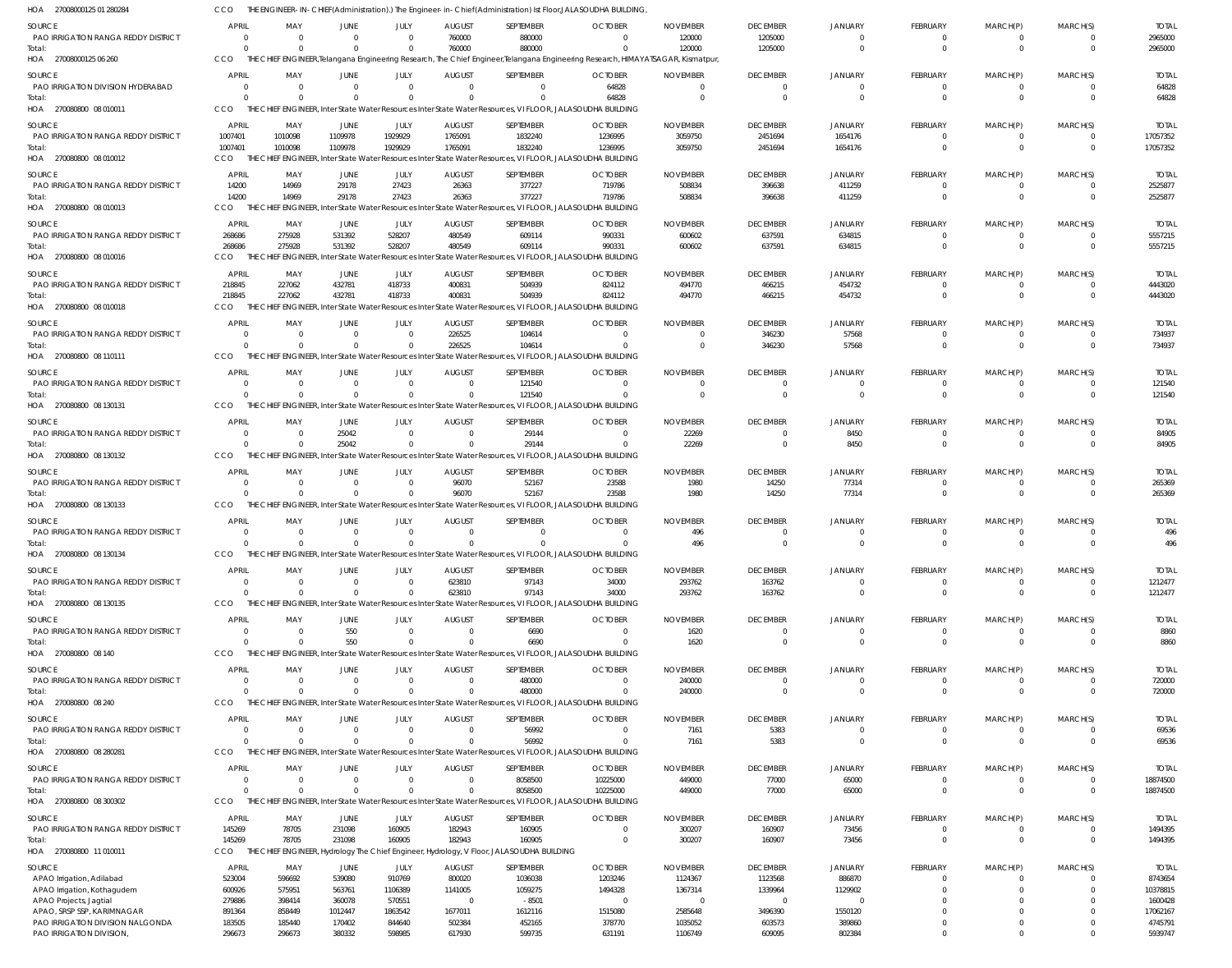| <b>SOURCE</b>                              | <b>APRIL</b>   | MAY                  | JUNE        | <b>JULY</b>    | <b>AUGUST</b> | SEPTEMBER                                                                                                  | <b>OCTOBER</b>                                                                                                                   | <b>NOVEMBER</b> | <b>DECEMBER</b> | <b>JANUARY</b> | FEBRUARY        | MARCH(P)       | MARCH(S)       | <b>TOTAL</b> |
|--------------------------------------------|----------------|----------------------|-------------|----------------|---------------|------------------------------------------------------------------------------------------------------------|----------------------------------------------------------------------------------------------------------------------------------|-----------------|-----------------|----------------|-----------------|----------------|----------------|--------------|
| PAO IRRIGATION RANGA REDDY DISTRICT        | $\Omega$       |                      |             | $\Omega$       | 760000        | 880000                                                                                                     |                                                                                                                                  | 120000          | 1205000         | $\Omega$       | 0               | $\overline{0}$ | $\mathbf{0}$   | 2965000      |
| Total:                                     | $\Omega$       |                      |             | $\Omega$       | 760000        | 880000                                                                                                     |                                                                                                                                  | 120000          | 1205000         | $\Omega$       | $\Omega$        | $\Omega$       | $\Omega$       | 2965000      |
| HOA 27008000125 06 260                     | CCO            |                      |             |                |               |                                                                                                            | THE CHIEF ENGINEER, Telangana Engineering Research, The Chief Engineer, Telangana Engineering Research, HIMAYATSAGAR, Kismatpur, |                 |                 |                |                 |                |                |              |
| SOURCE                                     | <b>APRIL</b>   | MAY                  | JUNE        | <b>JULY</b>    | <b>AUGUST</b> | SEPTEMBER                                                                                                  | <b>OCTOBER</b>                                                                                                                   | <b>NOVEMBER</b> | <b>DECEMBER</b> | JANUARY        | <b>FEBRUARY</b> | MARCH(P)       | MARCH(S)       | <b>TOTAL</b> |
| PAO IRRIGATION DIVISION HYDERABAD          | $\Omega$       | $\Omega$             | $\Omega$    | $\Omega$       | $\Omega$      | $\Omega$                                                                                                   | 64828                                                                                                                            | $\Omega$        | $\overline{0}$  | $\Omega$       | 0               | $\Omega$       | $\Omega$       | 64828        |
| Total:                                     | $\Omega$       | $\Omega$             | $\Omega$    | $\Omega$       |               | $\Omega$                                                                                                   | 64828                                                                                                                            | $\cup$          | $\Omega$        | $\Omega$       | $\mathbf{0}$    | $\mathbf{0}$   | $\Omega$       | 64828        |
| HOA 270080800 08 010011                    | CCO            |                      |             |                |               | THE CHIEF ENGINEER, Inter State Water Resources Inter State Water Resources, VI FLOOR, JALASOUDHA BUILDING |                                                                                                                                  |                 |                 |                |                 |                |                |              |
| <b>SOURCE</b>                              | <b>APRIL</b>   | MAY                  | <b>JUNE</b> | JULY           | <b>AUGUST</b> | SEPTEMBER                                                                                                  | <b>OCTOBER</b>                                                                                                                   | <b>NOVEMBER</b> | <b>DECEMBER</b> | <b>JANUARY</b> | FEBRUARY        | MARCH(P)       | MARCH(S)       | <b>TOTAL</b> |
| PAO IRRIGATION RANGA REDDY DISTRICT        | 1007401        | 1010098              | 1109978     | 1929929        | 1765091       | 1832240                                                                                                    | 1236995                                                                                                                          | 3059750         | 2451694         | 1654176        | 0               | 0              | $\Omega$       | 17057352     |
| Total:                                     | 1007401        | 1010098              | 1109978     | 1929929        | 1765091       | 1832240                                                                                                    | 1236995                                                                                                                          | 3059750         | 2451694         | 1654176        | $\mathbf 0$     | $\mathbf 0$    | $\Omega$       | 17057352     |
| HOA 270080800 08 010012                    | CCO            |                      |             |                |               | THE CHIEF ENGINEER. Inter State Water Resources Inter State Water Resources, VI FLOOR, JALASOUDHA BUILDING |                                                                                                                                  |                 |                 |                |                 |                |                |              |
| <b>SOURCE</b>                              | <b>APRIL</b>   | MAY                  | <b>JUNE</b> | JULY           | <b>AUGUST</b> | SEPTEMBER                                                                                                  | <b>OCTOBER</b>                                                                                                                   | <b>NOVEMBER</b> | <b>DECEMBER</b> | <b>JANUARY</b> | <b>FEBRUARY</b> | MARCH(P)       | MARCH(S)       | <b>TOTAL</b> |
| <b>PAO IRRIGATION RANGA REDDY DISTRICT</b> | 14200          | 14969                | 29178       | 27423          | 26363         | 377227                                                                                                     | 719786                                                                                                                           | 508834          | 396638          | 411259         | 0               | 0              | $\overline{0}$ | 2525877      |
| Total:                                     | 14200          | 14969                | 29178       | 27423          | 26363         | 377227                                                                                                     | 719786                                                                                                                           | 508834          | 396638          | 411259         | $\mathbf{0}$    | $\mathbf{0}$   | $\Omega$       | 2525877      |
| HOA 270080800 08 010013                    | CCO            |                      |             |                |               | THE CHIEF ENGINEER, Inter State Water Resources Inter State Water Resources, VI FLOOR, JALASOUDHA BUILDING |                                                                                                                                  |                 |                 |                |                 |                |                |              |
| SOURCE                                     | <b>APRIL</b>   | MAY                  | JUNE        | JULY           | <b>AUGUST</b> | SEPTEMBER                                                                                                  | <b>OCTOBER</b>                                                                                                                   | <b>NOVEMBER</b> | <b>DECEMBER</b> | <b>JANUARY</b> | FEBRUARY        | MARCH(P)       | MARCH(S)       | <b>TOTAL</b> |
| PAO IRRIGATION RANGA REDDY DISTRICT        | 268686         | 275928               | 531392      | 528207         | 480549        | 609114                                                                                                     | 990331                                                                                                                           | 600602          | 637591          | 634815         | 0               | 0              | $\mathbf{0}$   | 5557215      |
| Total:                                     | 268686         | 275928               | 531392      | 528207         | 480549        | 609114                                                                                                     | 990331                                                                                                                           | 600602          | 637591          | 634815         | $\mathbf 0$     | $\mathbf{0}$   | $\Omega$       | 5557215      |
| HOA 270080800 08 010016                    | CCO            |                      |             |                |               | THE CHIEF ENGINEER, Inter State Water Resources Inter State Water Resources, VI FLOOR, JALASOUDHA BUILDING |                                                                                                                                  |                 |                 |                |                 |                |                |              |
| <b>SOURCE</b>                              | <b>APRIL</b>   | MAY                  | <b>JUNE</b> | JULY           | <b>AUGUST</b> | SEPTEMBER                                                                                                  | <b>OCTOBER</b>                                                                                                                   | <b>NOVEMBER</b> | <b>DECEMBER</b> | <b>JANUARY</b> | <b>FEBRUARY</b> | MARCH(P)       | MARCH(S)       | <b>TOTAL</b> |
| PAO IRRIGATION RANGA REDDY DISTRICT        | 218845         | 227062               | 432781      | 418733         | 400831        | 504939                                                                                                     | 824112                                                                                                                           | 494770          | 466215          | 454732         | 0               | 0              | $\overline{0}$ | 4443020      |
| Total:                                     | 218845         | 227062               | 432781      | 418733         | 400831        | 504939                                                                                                     | 824112                                                                                                                           | 494770          | 466215          | 454732         | $\mathbf 0$     | $\mathbf{0}$   | $\Omega$       | 4443020      |
| HOA 270080800 08 010018                    | CCO            |                      |             |                |               | THE CHIEF ENGINEER, Inter State Water Resources Inter State Water Resources, VI FLOOR, JALASOUDHA BUILDING |                                                                                                                                  |                 |                 |                |                 |                |                |              |
| <b>SOURCE</b>                              | <b>APRIL</b>   | MAY                  | JUNE        | <b>JULY</b>    | <b>AUGUST</b> | SEPTEMBER                                                                                                  | <b>OCTOBER</b>                                                                                                                   | <b>NOVEMBER</b> | <b>DECEMBER</b> | <b>JANUARY</b> | <b>FEBRUARY</b> | MARCH(P)       | MARCH(S)       | <b>TOTAL</b> |
| <b>PAO IRRIGATION RANGA REDDY DISTRICT</b> | $\Omega$       | - 0                  | $\Omega$    | $\Omega$       | 226525        | 104614                                                                                                     |                                                                                                                                  |                 | 346230          | 57568          | 0               | -0             | $\Omega$       | 734937       |
| Total:                                     | $\Omega$       | $\Omega$             |             | $\Omega$       | 226525        | 104614                                                                                                     |                                                                                                                                  |                 | 346230          | 57568          | $\mathbf 0$     | $\Omega$       | $\Omega$       | 734937       |
| HOA 270080800 08 110111                    | <b>CCO</b>     |                      |             |                |               | THE CHIEF ENGINEER, Inter State Water Resources Inter State Water Resources, VI FLOOR, JALASOUDHA BUILDING |                                                                                                                                  |                 |                 |                |                 |                |                |              |
| <b>SOURCE</b>                              | <b>APRIL</b>   | MAY                  | JUNE        | JULY           | <b>AUGUST</b> | SEPTEMBER                                                                                                  | <b>OCTOBER</b>                                                                                                                   | <b>NOVEMBER</b> | <b>DECEMBER</b> | <b>JANUARY</b> | FEBRUARY        | MARCH(P)       | MARCH(S)       | <b>TOTAL</b> |
| PAO IRRIGATION RANGA REDDY DISTRICT        | $\Omega$       | $\Omega$             | $\Omega$    | $\Omega$       | $\Omega$      | 121540                                                                                                     |                                                                                                                                  |                 | $\overline{0}$  | $\Omega$       | 0               | 0              | $\Omega$       | 121540       |
| Total                                      | $\Omega$       | $\Omega$             | $\Omega$    | $\Omega$       | $\Omega$      | 121540                                                                                                     | $\Omega$                                                                                                                         | $\Omega$        | $\Omega$        | $\Omega$       | $\mathbf{0}$    | $\mathbf{0}$   | $\Omega$       | 121540       |
| HOA 270080800 08 130131                    | <b>CCO</b>     |                      |             |                |               | THE CHIEF ENGINEER, Inter State Water Resources Inter State Water Resources, VI FLOOR, JALASOUDHA BUILDING |                                                                                                                                  |                 |                 |                |                 |                |                |              |
| <b>SOURCE</b>                              | <b>APRIL</b>   | MAY                  | JUNE        | JULY           | <b>AUGUST</b> | SEPTEMBER                                                                                                  | <b>OCTOBER</b>                                                                                                                   | <b>NOVEMBER</b> | <b>DECEMBER</b> | <b>JANUARY</b> | FEBRUARY        | MARCH(P)       | MARCH(S)       | <b>TOTAL</b> |
| PAO IRRIGATION RANGA REDDY DISTRICT        | $\Omega$       | $\Omega$             | 25042       | $\Omega$       | $\Omega$      | 29144                                                                                                      |                                                                                                                                  | 22269           | $\Omega$        | 8450           | 0               | 0              | $\Omega$       | 84905        |
| Total:                                     | $\Omega$       |                      | 25042       | $\Omega$       |               | 29144                                                                                                      |                                                                                                                                  | 22269           | $\Omega$        | 8450           | $\mathbf{0}$    | $\Omega$       | $\Omega$       | 84905        |
| HOA 270080800 08 130132                    | <b>CCO</b>     | THE CI               |             |                |               | ENGINEER, Inter State Water Resources Inter State Water Resources, VI FLOOR, JALASOUDHA BUILDING           |                                                                                                                                  |                 |                 |                |                 |                |                |              |
| SOURCE                                     | <b>APRIL</b>   | MAY                  | JUNE        | JULY           | <b>AUGUST</b> | SEPTEMBER                                                                                                  | <b>OCTOBER</b>                                                                                                                   | <b>NOVEMBER</b> | <b>DECEMBER</b> | <b>JANUARY</b> | <b>FEBRUARY</b> | MARCH(P)       | MARCH(S)       | <b>TOTAL</b> |
| PAO IRRIGATION RANGA REDDY DISTRICT        | $\Omega$       | $\Omega$             | $\Omega$    | $\Omega$       | 96070         | 52167                                                                                                      | 23588                                                                                                                            | 1980            | 14250           | 77314          | 0               | 0              | $\Omega$       | 265369       |
| Total:                                     | $\Omega$       | $\Omega$             | $\Omega$    | $\Omega$       | 96070         | 52167                                                                                                      | 23588                                                                                                                            | 1980            | 14250           | 77314          | $\mathbf 0$     | $\mathbf{0}$   | $\Omega$       | 265369       |
| HOA 270080800 08 130133                    | CCO            |                      |             |                |               | THE CHIEF ENGINEER, Inter State Water Resources Inter State Water Resources, VI FLOOR, JALASOUDHA BUILDING |                                                                                                                                  |                 |                 |                |                 |                |                |              |
| <b>SOURCE</b>                              | <b>APRIL</b>   | MAY                  | JUNE        | <b>JULY</b>    | <b>AUGUST</b> | SEPTEMBER                                                                                                  | <b>OCTOBER</b>                                                                                                                   | <b>NOVEMBER</b> | <b>DECEMBER</b> | <b>JANUARY</b> | <b>FEBRUARY</b> | MARCH(P)       | MARCH(S)       | <b>TOTAL</b> |
| PAO IRRIGATION RANGA REDDY DISTRICT        | $\Omega$       | - 0                  |             | $\Omega$       |               | $\Omega$                                                                                                   |                                                                                                                                  | 496             | $\Omega$        |                | 0               | $\Omega$       | $\Omega$       | 496          |
| Total                                      | $\Omega$       | $\Omega$             |             | $\Omega$       |               | $\Omega$                                                                                                   |                                                                                                                                  | 496             | $\Omega$        |                | $\mathbf 0$     | $\Omega$       | $\Omega$       | 496          |
| HOA 270080800 08 130134                    | <b>CCO</b>     |                      |             |                |               | THE CHIEF ENGINEER. Inter State Water Resources Inter State Water Resources, VI FLOOR, JALASOUDHA BUILDING |                                                                                                                                  |                 |                 |                |                 |                |                |              |
| <b>SOURCE</b>                              | <b>APRIL</b>   | MAY                  | JUNE        | <b>JULY</b>    | <b>AUGUST</b> | SEPTEMBER                                                                                                  | <b>OCTOBER</b>                                                                                                                   | <b>NOVEMBER</b> | <b>DECEMBER</b> | <b>JANUARY</b> | FEBRUARY        | MARCH(P)       | MARCH(S)       | <b>TOTAL</b> |
| PAO IRRIGATION RANGA REDDY DISTRICT        | $\overline{0}$ | $\overline{0}$       | $\Omega$    | $\overline{0}$ | 623810        | 97143                                                                                                      | 34000                                                                                                                            | 293762          | 163762          | $\overline{0}$ | 0               | 0              | $\overline{0}$ | 1212477      |
| Total:                                     | $\Omega$       | $\Omega$             | $\Omega$    | $\Omega$       | 623810        | 97143                                                                                                      | 34000                                                                                                                            | 293762          | 163762          | $\Omega$       | $\mathbf{0}$    | $\mathbf{0}$   | $\overline{0}$ | 1212477      |
| HOA 270080800 08 130135                    | CCO            |                      |             |                |               |                                                                                                            | THE CHIEF ENGINEER, Inter State Water Resources Inter State Water Resources, VI FLOOR, JALASOUDHA BUILDING                       |                 |                 |                |                 |                |                |              |
| <b>SOURCE</b>                              | <b>APRIL</b>   | MAY                  | <b>JUNE</b> | JULY           | <b>AUGUST</b> | SEPTEMBER                                                                                                  | <b>OCTOBER</b>                                                                                                                   | <b>NOVEMBER</b> | <b>DECEMBER</b> | <b>JANUARY</b> | FEBRUARY        | MARCH(P)       | MARCH(S)       | <b>TOTAL</b> |
| <b>PAO IRRIGATION RANGA REDDY DISTRICT</b> | $\Omega$       | $\Omega$             | 550         | $\overline{0}$ | $\Omega$      | 6690                                                                                                       | $\Omega$                                                                                                                         | 1620            | $\overline{0}$  | $\overline{0}$ | $\mathbf 0$     | $\mathbf 0$    | $\mathbf{0}$   | 8860         |
| Total:                                     | $\Omega$       | $\Omega$             | 550         | $\Omega$       |               | 6690                                                                                                       |                                                                                                                                  | 1620            | $\Omega$        | $\Omega$       | $\mathbf 0$     | $\mathbf 0$    | $\Omega$       | 8860         |
| HOA 270080800 08 140                       | CCO            |                      |             |                |               |                                                                                                            | THE CHIEF ENGINEER, Inter State Water Resources Inter State Water Resources, VI FLOOR, JALASOUDHA BUILDING                       |                 |                 |                |                 |                |                |              |
| <b>SOURCE</b>                              | <b>APRIL</b>   | MAY                  | <b>JUNE</b> | JULY           | <b>AUGUST</b> | SEPTEMBER                                                                                                  | <b>OCTOBER</b>                                                                                                                   | <b>NOVEMBER</b> | <b>DECEMBER</b> | <b>JANUARY</b> | <b>FEBRUARY</b> | MARCH(P)       | MARCH(S)       | <b>TOTAL</b> |
| PAO IRRIGATION RANGA REDDY DISTRICT        | $\overline{0}$ | $\Omega$             | $\Omega$    | $\overline{0}$ | $\Omega$      | 480000                                                                                                     | $\Omega$                                                                                                                         | 240000          | $\overline{0}$  | $\overline{0}$ | 0               | 0              | $\overline{0}$ | 720000       |
| Total:                                     |                | $\Omega$<br>$\Omega$ | $\Omega$    | $\Omega$       |               | 480000                                                                                                     |                                                                                                                                  | 240000          | $\Omega$        | $\Omega$       | $\mathbf 0$     | $\mathbf 0$    | $\overline{0}$ | 720000       |
| HOA 270080800 08 240                       | CCO            |                      |             |                |               |                                                                                                            | THE CHIEF ENGINEER, Inter State Water Resources Inter State Water Resources, VI FLOOR, JALASOUDHA BUILDING                       |                 |                 |                |                 |                |                |              |
| <b>SOURCE</b>                              | <b>APRIL</b>   | MAY                  | <b>JUNE</b> | JULY           | <b>AUGUST</b> | SEPTEMBER                                                                                                  | <b>OCTOBER</b>                                                                                                                   | <b>NOVEMBER</b> | <b>DECEMBER</b> | <b>JANUARY</b> | <b>FEBRUARY</b> | MARCH(P)       | MARCH(S)       | <b>TOTAL</b> |
| PAO IRRIGATION RANGA REDDY DISTRICT        | $\Omega$       | $\Omega$             | $\Omega$    | $\overline{0}$ |               | 56992                                                                                                      |                                                                                                                                  | 7161            | 5383            | $\Omega$       | 0               | 0              | $\Omega$       | 69536        |
| Total:                                     | $\Omega$       | $\Omega$             |             | $\Omega$       |               | 56992                                                                                                      |                                                                                                                                  | 7161            | 5383            | $\Omega$       | $\mathbf 0$     | $\mathbf 0$    | $\Omega$       | 69536        |
| HOA 270080800 08 280281                    | CCO            |                      |             |                |               | THE CHIEF ENGINEER, Inter State Water Resources Inter State Water Resources, VI FLOOR, JALASOUDHA BUILDING |                                                                                                                                  |                 |                 |                |                 |                |                |              |
| SOURCE                                     | <b>APRIL</b>   | MAY                  | <b>JUNE</b> | JULY           | <b>AUGUST</b> | SEPTEMBER                                                                                                  | <b>OCTOBER</b>                                                                                                                   | <b>NOVEMBER</b> | <b>DECEMBER</b> | <b>JANUARY</b> | FEBRUARY        | MARCH(P)       | MARCH(S)       | <b>TOTAL</b> |
| PAO IRRIGATION RANGA REDDY DISTRICT        | $\Omega$       | $\Omega$             | $\Omega$    | $\overline{0}$ | $\Omega$      | 8058500                                                                                                    | 10225000                                                                                                                         | 449000          | 77000           | 65000          | $\mathbf 0$     | 0              | $\overline{0}$ | 18874500     |
| Total:                                     | $\Omega$       | $\Omega$             | $\Omega$    | $\Omega$       |               | 8058500                                                                                                    | 10225000                                                                                                                         | 449000          | 77000           | 65000          | $\mathbf{0}$    | $\mathbf{0}$   | $\overline{0}$ | 18874500     |
| HOA 270080800 08 300302                    | CCO            |                      |             |                |               |                                                                                                            | THE CHIEF ENGINEER, Inter State Water Resources Inter State Water Resources, VI FLOOR, JALASOUDHA BUILDING                       |                 |                 |                |                 |                |                |              |
| <b>SOURCE</b>                              | <b>APRIL</b>   | MAY                  | JUNE        | JULY           | <b>AUGUST</b> | SEPTEMBER                                                                                                  | <b>OCTOBER</b>                                                                                                                   | <b>NOVEMBER</b> | <b>DECEMBER</b> | <b>JANUARY</b> | FEBRUARY        | MARCH(P)       | MARCH(S)       | <b>TOTAL</b> |
| PAO IRRIGATION RANGA REDDY DISTRICT        | 145269         | 78705                | 231098      | 160905         | 182943        | 160905                                                                                                     |                                                                                                                                  | 300207          | 160907          | 73456          | 0               | 0              | $\overline{0}$ | 1494395      |
| Total:                                     | 145269         | 78705                | 231098      | 160905         | 182943        | 160905                                                                                                     |                                                                                                                                  | 300207          | 160907          | 73456          | $\mathbf 0$     | $\mathbf{0}$   | $\Omega$       | 1494395      |
| HOA 270080800 11 010011                    | <b>CCO</b>     |                      |             |                |               | THE CHIEF ENGINEER, Hydrology The Chief Engineer, Hydrology, V Floor, JALASOUDHA BUILDING                  |                                                                                                                                  |                 |                 |                |                 |                |                |              |
| SOURCE                                     | <b>APRIL</b>   | MAY                  | JUNE        | JULY           | <b>AUGUST</b> | SEPTEMBER                                                                                                  | <b>OCTOBER</b>                                                                                                                   | <b>NOVEMBER</b> | <b>DECEMBER</b> | <b>JANUARY</b> | FEBRUARY        | MARCH(P)       | MARCH(S)       | <b>TOTAL</b> |
| APAO Irrigation, Adilabad                  | 523004         | 596692               | 539080      | 910769         | 800020        | 1036038                                                                                                    | 1203246                                                                                                                          | 1124367         | 1123568         | 886870         | 0               | $\Omega$       | $\Omega$       | 8743654      |
| APAO Irrigation, Kothagudem                | 600926         | 575951               | 563761      | 1106389        | 1141005       | 1059275                                                                                                    | 1494328                                                                                                                          | 1367314         | 1339964         | 1129902        | 0               | $\Omega$       | $\Omega$       | 10378815     |
| APAO Projects, Jagtial                     | 279886         | 398414               | 360078      | 570551         | $\Omega$      | $-8501$                                                                                                    | - 0                                                                                                                              |                 | $\overline{0}$  | $\Omega$       | $\Omega$        | $\Omega$       |                | 1600428      |
| APAO, SRSP SSP, KARIMNAGAR                 | 891364         | 858449               | 1012447     | 1863542        | 1677011       | 1612116                                                                                                    | 1515080                                                                                                                          | 2585648         | 3496390         | 1550120        | $\mathbf 0$     |                |                | 17062167     |
| PAO IRRIGATION DIVISION NALGONDA           | 183505         | 185440               | 170402      | 844640         | 502384        | 452165                                                                                                     | 378770                                                                                                                           | 1035052         | 603573          | 389860         | $\mathbf 0$     | $\Omega$       |                | 4745791      |
| PAO IRRIGATION DIVISION,                   | 296673         | 296673               | 380332      | 598985         | 617930        | 599735                                                                                                     | 631191                                                                                                                           | 1106749         | 609095          | 802384         | $\Omega$        | $\Omega$       | $\Omega$       | 5939747      |

CCO THE ENGINEER-IN-CHIEF(Administration).) The Engineer-in-Chief(Administration) Ist Floor,JALASOUDHA BUILDING,

27008000125 01 280284 HOA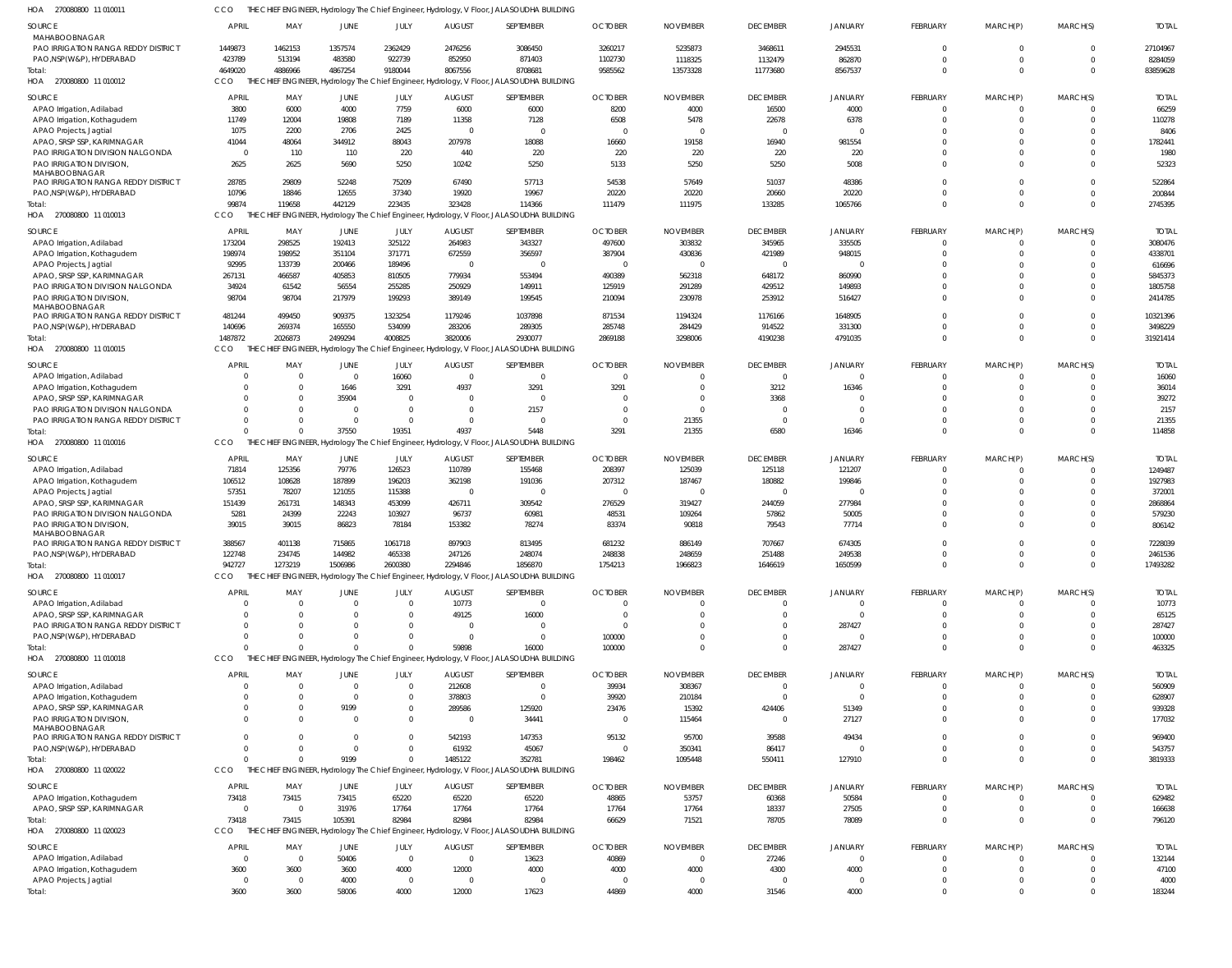270080800 11 010011 HOA CCO THE CHIEF ENGINEER, Hydrology The Chief Engineer, Hydrology, V Floor, JALASOUDHA BUILDING

| <b>SOURCE</b><br><b>MAHABOOBNAGAR</b>                                   | <b>APRIL</b>           | MAY               | JUNE                 | JULY                 | <b>AUGUST</b>           | SEPTEMBER                                                                                 | <b>OCTOBER</b>                   | <b>NOVEMBER</b>           | <b>DECEMBER</b>           | <b>JANUARY</b>           | FEBRUARY             | MARCH(P)             | MARCH(S)             | <b>TOTAL</b>            |
|-------------------------------------------------------------------------|------------------------|-------------------|----------------------|----------------------|-------------------------|-------------------------------------------------------------------------------------------|----------------------------------|---------------------------|---------------------------|--------------------------|----------------------|----------------------|----------------------|-------------------------|
| PAO IRRIGATION RANGA REDDY DISTRICT                                     | 1449873                | 1462153           | 1357574              | 2362429              | 2476256                 | 3086450                                                                                   | 3260217                          | 5235873                   | 3468611                   | 2945531                  | $\Omega$             | $\Omega$             | $\Omega$             | 27104967                |
| PAO, NSP(W&P), HYDERABAD                                                | 423789<br>4649020      | 513194<br>4886966 | 483580<br>4867254    | 922739<br>9180044    | 852950<br>8067556       | 871403<br>8708681                                                                         | 1102730<br>9585562               | 1118325<br>13573328       | 1132479<br>11773680       | 862870<br>8567537        | $\cap$<br>$\cap$     | $\Omega$<br>$\Omega$ | $\Omega$<br>$\Omega$ | 8284059<br>83859628     |
| Total:<br>HOA 270080800 11 010012                                       | CCO                    |                   |                      |                      |                         | THE CHIEF ENGINEER, Hydrology The Chief Engineer, Hydrology, V Floor, JALASOUDHA BUILDING |                                  |                           |                           |                          |                      |                      |                      |                         |
| <b>SOURCE</b>                                                           | <b>APRIL</b>           | MAY               | JUNE                 | JULY                 | <b>AUGUST</b>           | SEPTEMBER                                                                                 | <b>OCTOBER</b>                   | <b>NOVEMBER</b>           | <b>DECEMBER</b>           | <b>JANUARY</b>           | FEBRUARY             | MARCH(P)             | MARCH(S)             | <b>TOTAL</b>            |
| APAO Irrigation, Adilabad                                               | 3800                   | 6000              | 4000                 | 7759                 | 6000                    | 6000                                                                                      | 8200                             | 4000                      | 16500                     | 4000                     | $\Omega$             | $\Omega$             | $\Omega$             | 66259                   |
| APAO Irrigation, Kothagudem                                             | 11749                  | 12004             | 19808                | 7189                 | 11358                   | 7128                                                                                      | 6508                             | 5478                      | 22678                     | 6378                     |                      | $\Omega$             | $\Omega$             | 110278                  |
| APAO Projects, Jagtial                                                  | 1075                   | 2200              | 2706                 | 2425                 | $\Omega$                | $\overline{0}$                                                                            | $\overline{0}$                   | $\overline{\phantom{0}}$  | $\Omega$                  | $\Omega$                 |                      | -0                   | $\Omega$             | 8406                    |
| APAO, SRSP SSP, KARIMNAGAR                                              | 41044                  | 48064             | 344912               | 88043                | 207978                  | 18088                                                                                     | 16660                            | 19158                     | 16940                     | 981554                   |                      | -0                   | $\Omega$             | 1782441                 |
| PAO IRRIGATION DIVISION NALGONDA<br>PAO IRRIGATION DIVISION,            | $\overline{0}$<br>2625 | 110<br>2625       | 110<br>5690          | 220<br>5250          | 440<br>10242            | 220<br>5250                                                                               | 220<br>5133                      | 220<br>5250               | 220<br>5250               | 220<br>5008              |                      | $\cup$               | $\Omega$             | 1980<br>52323           |
| MAHABOOBNAGAR                                                           |                        |                   |                      |                      |                         |                                                                                           |                                  |                           |                           |                          |                      |                      |                      |                         |
| PAO IRRIGATION RANGA REDDY DISTRICT                                     | 28785                  | 29809             | 52248                | 75209                | 67490                   | 57713                                                                                     | 54538                            | 57649                     | 51037                     | 48386                    |                      | $\Omega$             | $\Omega$             | 522864                  |
| PAO, NSP(W&P), HYDERABAD                                                | 10796                  | 18846             | 12655                | 37340                | 19920                   | 19967                                                                                     | 20220                            | 20220                     | 20660                     | 20220                    |                      | $\Omega$             | $\Omega$             | 200844                  |
| Total:                                                                  | 99874                  | 119658            | 442129               | 223435               | 323428                  | 114366                                                                                    | 111479                           | 111975                    | 133285                    | 1065766                  | $\Omega$             |                      | $\Omega$             | 2745395                 |
| HOA 270080800 11 010013                                                 | CCO                    |                   |                      |                      |                         | THE CHIEF ENGINEER, Hydrology The Chief Engineer, Hydrology, V Floor, JALASOUDHA BUILDING |                                  |                           |                           |                          |                      |                      |                      |                         |
| <b>SOURCE</b>                                                           | <b>APRIL</b>           | MAY               | JUNE                 | JULY                 | <b>AUGUST</b>           | SEPTEMBER                                                                                 | <b>OCTOBER</b>                   | <b>NOVEMBER</b>           | <b>DECEMBER</b>           | <b>JANUARY</b>           | FEBRUARY             | MARCH(P)             | MARCH(S)             | <b>TOTAL</b>            |
| APAO Irrigation, Adilabad                                               | 173204                 | 298525            | 192413               | 325122               | 264983                  | 343327                                                                                    | 497600                           | 303832                    | 345965                    | 335505                   | $\Omega$             | $\Omega$             | $\Omega$             | 3080476                 |
| APAO Irrigation, Kothagudem                                             | 198974                 | 198952            | 351104               | 371771               | 672559                  | 356597                                                                                    | 387904                           | 430836                    | 421989                    | 948015                   | $\Omega$             | $\Omega$             | $\Omega$             | 4338701                 |
| APAO Projects, Jagtial<br>APAO, SRSP SSP, KARIMNAGAR                    | 92995                  | 133739            | 200466               | 189496               | - 0                     | $\Omega$                                                                                  | $\overline{0}$                   | $\Omega$                  | $\Omega$                  | $\Omega$                 |                      | -0                   | $\Omega$<br>$\Omega$ | 616696                  |
| PAO IRRIGATION DIVISION NALGONDA                                        | 267131<br>34924        | 466587<br>61542   | 405853<br>56554      | 810505<br>255285     | 779934<br>250929        | 553494<br>149911                                                                          | 490389<br>125919                 | 562318<br>291289          | 648172<br>429512          | 860990<br>149893         |                      | $\Omega$<br>$\Omega$ | $\Omega$             | 5845373<br>1805758      |
| PAO IRRIGATION DIVISION                                                 | 98704                  | 98704             | 217979               | 199293               | 389149                  | 199545                                                                                    | 210094                           | 230978                    | 253912                    | 516427                   |                      | $\Omega$             | $\Omega$             | 2414785                 |
| MAHABOOBNAGAR                                                           |                        |                   |                      |                      |                         |                                                                                           |                                  |                           |                           |                          |                      |                      |                      |                         |
| PAO IRRIGATION RANGA REDDY DISTRICT                                     | 481244                 | 499450            | 909375               | 1323254              | 1179246                 | 1037898                                                                                   | 871534                           | 1194324                   | 1176166                   | 1648905                  |                      | $\Omega$             | $\Omega$             | 10321396                |
| PAO, NSP(W&P), HYDERABAD                                                | 140696                 | 269374            | 165550               | 534099               | 283206                  | 289305                                                                                    | 285748                           | 284429                    | 914522                    | 331300                   |                      | $\Omega$             | $\Omega$             | 3498229                 |
| Total:                                                                  | 1487872                | 2026873           | 2499294              | 4008825              | 3820006                 | 2930077                                                                                   | 2869188                          | 3298006                   | 4190238                   | 4791035                  | $\Omega$             | $\Omega$             | $\Omega$             | 31921414                |
| HOA 270080800 11 010015                                                 | CCO                    |                   |                      |                      |                         | THE CHIEF ENGINEER, Hydrology The Chief Engineer, Hydrology, V Floor, JALASOUDHA BUILDING |                                  |                           |                           |                          |                      |                      |                      |                         |
| <b>SOURCE</b>                                                           | <b>APRIL</b>           | MAY               | JUNE                 | JULY                 | <b>AUGUST</b>           | SEPTEMBER                                                                                 | <b>OCTOBER</b>                   | <b>NOVEMBER</b>           | <b>DECEMBER</b>           | <b>JANUARY</b>           | <b>FEBRUARY</b>      | MARCH(P)             | MARCH(S)             | <b>TOTAL</b>            |
| APAO Irrigation, Adilabad                                               | - 0                    | - 0               | $\overline{0}$       | 16060                | $\Omega$                | $\mathbf 0$                                                                               | $\overline{0}$                   | $\Omega$                  | $\Omega$                  | $\Omega$                 | $\Omega$             | $\Omega$             |                      | 16060                   |
| APAO Irrigation, Kothagudem                                             | $\Omega$               |                   | 1646                 | 3291                 | 4937                    | 3291                                                                                      | 3291                             | $\overline{0}$            | 3212                      | 16346                    | $\cap$               | $\Omega$             | $\Omega$             | 36014                   |
| APAO, SRSP SSP, KARIMNAGAR                                              | $\Omega$               |                   | 35904                | $\Omega$             | - 0                     | $\overline{0}$                                                                            | 0                                | $\Omega$                  | 3368                      | $\Omega$                 |                      | -0                   | $\Omega$             | 39272                   |
| PAO IRRIGATION DIVISION NALGONDA<br>PAO IRRIGATION RANGA REDDY DISTRICT | $\Omega$<br>$\Omega$   |                   | $\Omega$<br>$\Omega$ | $\Omega$<br>$\Omega$ | $\Omega$<br>$\cap$      | 2157<br>$\Omega$                                                                          | $\overline{0}$<br>$\overline{0}$ | $\overline{0}$<br>21355   | $\Omega$<br>$\Omega$      | $\mathbf 0$<br>$\Omega$  |                      | $\Omega$<br>$\Omega$ | $\Omega$<br>$\Omega$ | 2157<br>21355           |
| Total:                                                                  | $\Omega$               |                   | 37550                | 19351                | 4937                    | 5448                                                                                      | 3291                             | 21355                     | 6580                      | 16346                    |                      |                      | $\Omega$             | 114858                  |
| HOA 270080800 11 010016                                                 | CCO                    |                   |                      |                      |                         | THE CHIEF ENGINEER, Hydrology The Chief Engineer, Hydrology, V Floor, JALASOUDHA BUILDING |                                  |                           |                           |                          |                      |                      |                      |                         |
|                                                                         |                        |                   |                      |                      |                         |                                                                                           |                                  |                           |                           |                          |                      |                      |                      |                         |
| <b>SOURCE</b>                                                           | <b>APRIL</b><br>71814  | MAY<br>125356     | JUNE<br>79776        | JULY<br>126523       | <b>AUGUST</b><br>110789 | SEPTEMBER<br>155468                                                                       | <b>OCTOBER</b><br>208397         | <b>NOVEMBER</b><br>125039 | <b>DECEMBER</b><br>125118 | <b>JANUARY</b><br>121207 | FEBRUARY<br>$\Omega$ | MARCH(P)<br>$\Omega$ | MARCH(S)<br>$\Omega$ | <b>TOTAL</b><br>1249487 |
| APAO Irrigation, Adilabad<br>APAO Irrigation, Kothagudem                | 106512                 | 108628            | 187899               | 196203               | 362198                  | 191036                                                                                    | 207312                           | 187467                    | 180882                    | 199846                   | $\Omega$             | $\Omega$             | $\Omega$             | 1927983                 |
| APAO Projects, Jagtial                                                  | 57351                  | 78207             | 121055               | 115388               | $\Omega$                | $\overline{0}$                                                                            | $\overline{0}$                   | $\overline{0}$            | $\Omega$                  | $\Omega$                 |                      | -0                   | $\Omega$             | 372001                  |
| APAO, SRSP SSP, KARIMNAGAR                                              | 151439                 | 261731            | 148343               | 453099               | 426711                  | 309542                                                                                    | 276529                           | 319427                    | 244059                    | 277984                   |                      | $\Omega$             | $\Omega$             | 2868864                 |
| PAO IRRIGATION DIVISION NALGONDA                                        | 5281                   | 24399             | 22243                | 103927               | 96737                   | 60981                                                                                     | 48531                            | 109264                    | 57862                     | 50005                    |                      | $\Omega$             | $\Omega$             | 579230                  |
| PAO IRRIGATION DIVISION                                                 | 39015                  | 39015             | 86823                | 78184                | 153382                  | 78274                                                                                     | 83374                            | 90818                     | 79543                     | 77714                    | $\Omega$             | $\Omega$             | $\Omega$             | 806142                  |
| MAHABOOBNAGAR<br>PAO IRRIGATION RANGA REDDY DISTRICT                    | 388567                 | 401138            | 715865               | 1061718              | 897903                  | 813495                                                                                    | 681232                           | 886149                    | 707667                    | 674305                   |                      |                      |                      | 7228039                 |
| PAO,NSP(W&P), HYDERABAD                                                 | 122748                 | 234745            | 144982               | 465338               | 247126                  | 248074                                                                                    | 248838                           | 248659                    | 251488                    | 249538                   |                      | $\Omega$             | $\Omega$             | 2461536                 |
| lotal:                                                                  | 942727                 | 1273219           | 1506986              | 2600380              | 2294846                 | 1856870                                                                                   | 1754213                          | 1966823                   | 1646619                   | 1650599                  |                      |                      |                      | 17493282                |
| HOA 270080800 11 010017                                                 | CCO                    |                   |                      |                      |                         | THE CHIEF ENGINEER, Hydrology The Chief Engineer, Hydrology, V Floor, JALASOUDHA BUILDING |                                  |                           |                           |                          |                      |                      |                      |                         |
| <b>SOURCE</b>                                                           | <b>APRIL</b>           | MAY               | <b>JUNE</b>          |                      | <b>AUGUST</b>           | SEPTEMBER                                                                                 | <b>OCTOBER</b>                   | <b>NOVEMBER</b>           | <b>DECEMBER</b>           | <b>JANUARY</b>           | FEBRUARY             | MARCH(P)             | MARCH(S)             | <b>TOTAL</b>            |
| APAO Irrigation, Adilabad                                               | - 0                    | - 0               | $\overline{0}$       | JULY<br>0            | 10773                   | $\mathbf{0}$                                                                              | 0                                | $\overline{0}$            | - 0                       | 0                        |                      |                      |                      | 10773                   |
| APAO, SRSP SSP, KARIMNAGAR                                              | $\Omega$               |                   |                      |                      | 49125                   | 16000                                                                                     | 0                                | $\overline{0}$            | $\Omega$                  | $\Omega$                 |                      | $\Omega$             |                      | 65125                   |
| PAO IRRIGATION RANGA REDDY DISTRICT                                     | -0                     |                   | <sup>0</sup>         |                      | - 0                     | 0                                                                                         | - 0                              | $\Omega$                  | $\Omega$                  | 287427                   |                      |                      |                      | 287427                  |
| PAO, NSP(W&P), HYDERABAD                                                | $\Omega$               |                   |                      |                      | $\Omega$                | $\overline{0}$                                                                            | 100000                           | $\overline{0}$            | $\Omega$                  | $\mathbf 0$              |                      |                      |                      | 100000                  |
| Total:                                                                  | $\Omega$               |                   | $\Omega$             |                      | 59898                   | 16000                                                                                     | 100000                           | $\Omega$                  | $\Omega$                  | 287427                   |                      |                      |                      | 463325                  |
| HOA 270080800 11 010018                                                 | CCO                    |                   |                      |                      |                         | THE CHIEF ENGINEER, Hydrology The Chief Engineer, Hydrology, V Floor, JALASOUDHA BUILDING |                                  |                           |                           |                          |                      |                      |                      |                         |
| <b>SOURCE</b>                                                           | <b>APRIL</b>           | MAY               | JUNE                 | JULY                 | <b>AUGUST</b>           | SEPTEMBER                                                                                 | <b>OCTOBER</b>                   | <b>NOVEMBER</b>           | <b>DECEMBER</b>           | <b>JANUARY</b>           | FEBRUARY             | MARCH(P)             | MARCH(S)             | <b>TOTAL</b>            |
| APAO Irrigation, Adilabad                                               | - 0                    | $\Omega$          | $\overline{0}$       | $\mathbf{0}$         | 212608                  | $\overline{0}$                                                                            | 39934                            | 308367                    |                           | 0                        |                      | $\Omega$             |                      | 560909                  |
| APAO Irrigation, Kothagudem                                             | -0                     |                   | $\overline{0}$       | $\mathbf{0}$         | 378803                  | $\mathbf{0}$                                                                              | 39920                            | 210184                    | $\Omega$                  | $\Omega$                 |                      |                      |                      | 628907                  |
| APAO, SRSP SSP, KARIMNAGAR                                              | $\Omega$               |                   | 9199                 | 0                    | 289586                  | 125920                                                                                    | 23476                            | 15392                     | 424406                    | 51349                    |                      | $\Omega$             |                      | 939328                  |
| PAO IRRIGATION DIVISION                                                 | $\Omega$               |                   | $\Omega$             | $\Omega$             | - 0                     | 34441                                                                                     | $\overline{0}$                   | 115464                    | - 0                       | 27127                    |                      | $\Omega$             | $\Omega$             | 177032                  |
| MAHABOOBNAGAR<br>PAO IRRIGATION RANGA REDDY DISTRICT                    | $\Omega$               |                   | $\Omega$             | $\Omega$             | 542193                  | 147353                                                                                    | 95132                            | 95700                     | 39588                     | 49434                    |                      | $\Omega$             |                      | 969400                  |
| PAO, NSP(W&P), HYDERABAD                                                | $\Omega$               |                   | $\Omega$             |                      | 61932                   | 45067                                                                                     | $\overline{0}$                   | 350341                    | 86417                     | $\Omega$                 |                      | $\Omega$             | $\Omega$             | 543757                  |
| Total:                                                                  | $\Omega$               |                   | 9199                 |                      | 1485122                 | 352781                                                                                    | 198462                           | 1095448                   | 550411                    | 127910                   | $\cap$               | $\Omega$             | $\Omega$             | 3819333                 |
| HOA 270080800 11 020022                                                 | CCO                    | THE CH            |                      |                      |                         | HIEF ENGINEER, Hydrology The Chief Engineer, Hydrology, V Floor, JALASOUDHA BUILDING      |                                  |                           |                           |                          |                      |                      |                      |                         |
| <b>SOURCE</b>                                                           | <b>APRIL</b>           | MAY               | JUNE                 | JULY                 | <b>AUGUST</b>           | SEPTEMBER                                                                                 | <b>OCTOBER</b>                   | <b>NOVEMBER</b>           | <b>DECEMBER</b>           | <b>JANUARY</b>           | FEBRUARY             | MARCH(P)             | MARCH(S)             | <b>TOTAL</b>            |
| APAO Irrigation, Kothagudem                                             | 73418                  | 73415             | 73415                | 65220                | 65220                   | 65220                                                                                     | 48865                            | 53757                     | 60368                     | 50584                    | $\Omega$             | 0                    | $\Omega$             | 629482                  |
| APAO, SRSP SSP, KARIMNAGAR                                              | $\overline{0}$         | $\Omega$          | 31976                | 17764                | 17764                   | 17764                                                                                     | 17764                            | 17764                     | 18337                     | 27505                    |                      | 0                    | $\Omega$             | 166638                  |
| Total:                                                                  | 73418                  | 73415             | 105391               | 82984                | 82984                   | 82984                                                                                     | 66629                            | 71521                     | 78705                     | 78089                    |                      |                      | $\Omega$             | 796120                  |
| HOA 270080800 11 020023                                                 | CCO                    |                   |                      |                      |                         | THE CHIEF ENGINEER, Hydrology The Chief Engineer, Hydrology, V Floor, JALASOUDHA BUILDING |                                  |                           |                           |                          |                      |                      |                      |                         |
| <b>SOURCE</b>                                                           | <b>APRIL</b>           | MAY               | JUNE                 | JULY                 | <b>AUGUST</b>           | SEPTEMBER                                                                                 | <b>OCTOBER</b>                   | <b>NOVEMBER</b>           | <b>DECEMBER</b>           | <b>JANUARY</b>           | FEBRUARY             | MARCH(P)             | MARCH(S)             | <b>TOTAL</b>            |
| APAO Irrigation, Adilabad                                               | $\circ$                | $\Omega$          | 50406                | $\overline{0}$       | $\Omega$                | 13623                                                                                     | 40869                            | $\overline{0}$            | 27246                     | $\mathbf 0$              | $\Omega$             | $\Omega$             |                      | 132144                  |
| APAO Irrigation, Kothagudem                                             | 3600                   | 3600              | 3600                 | 4000                 | 12000                   | 4000                                                                                      | 4000                             | 4000                      | 4300                      | 4000                     | $\Omega$             | $\Omega$             | $\Omega$             | 47100                   |
| APAO Projects, Jagtial                                                  | $\overline{0}$         | $\Omega$          | 4000                 | $\mathbf 0$          | $\overline{0}$          | $\overline{0}$                                                                            | 0                                | $\overline{\mathbf{0}}$   | $\Omega$                  | 0                        |                      | 0                    |                      | 4000                    |
| Total:                                                                  | 3600                   | 3600              | 58006                | 4000                 | 12000                   | 17623                                                                                     | 44869                            | 4000                      | 31546                     | 4000                     |                      | $\Omega$             |                      | 183244                  |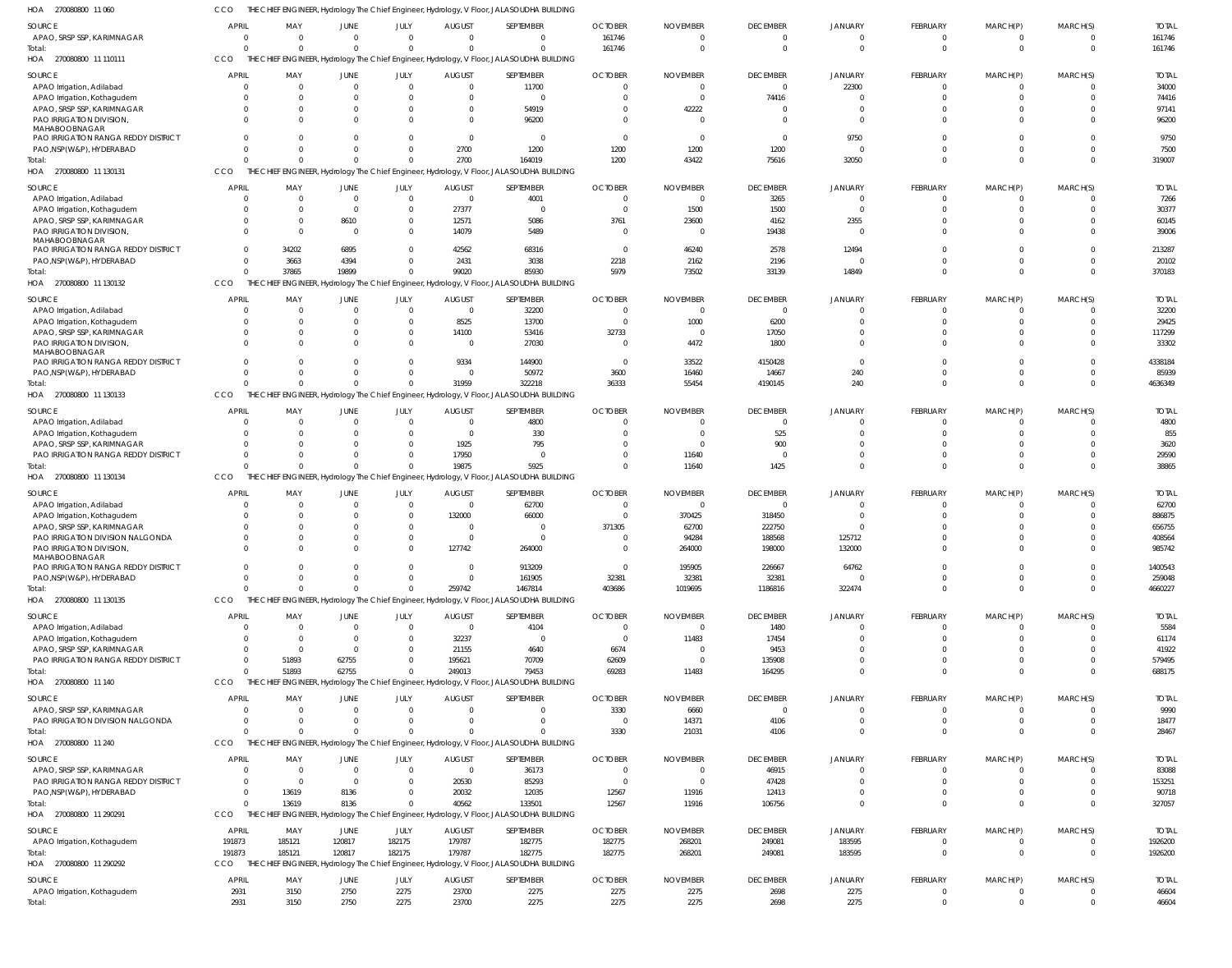270080800 11 060 HOA CCO THE CHIEF ENGINEER, Hydrology The Chief Engineer, Hydrology, V Floor, JALASOUDHA BUILDING

| SOURCE                                                            | <b>APRIL</b>                                                                                     | MAY                        | JUNE                           | JULY<br>$\Omega$     | <b>AUGUST</b>                   | SEPTEMBER<br>$\Omega$                                                                     | <b>OCTOBER</b>             | <b>NOVEMBER</b>  | <b>DECEMBER</b>                | JANUARY                       | FEBRUARY                          | MARCH(P)                     | MARCH(S)             | <b>TOTAL</b>          |
|-------------------------------------------------------------------|--------------------------------------------------------------------------------------------------|----------------------------|--------------------------------|----------------------|---------------------------------|-------------------------------------------------------------------------------------------|----------------------------|------------------|--------------------------------|-------------------------------|-----------------------------------|------------------------------|----------------------|-----------------------|
| APAO, SRSP SSP, KARIMNAGAR<br>Total:                              | $\overline{0}$<br>$\Omega$                                                                       | $\overline{0}$<br>$\Omega$ | $\overline{0}$<br>$\mathbf{0}$ | $\Omega$             | $\mathbf{0}$<br>$\Omega$        | $\Omega$                                                                                  | 161746<br>161746           |                  | $\mathbf 0$<br>$\mathbf 0$     | $\overline{0}$<br>$\Omega$    | $\overline{0}$<br>$\overline{0}$  | $\mathbf 0$<br>$\mathbf 0$   | $\Omega$             | 161746<br>161746      |
| HOA 270080800 11 110111                                           | THE CHIEF ENGINEER, Hydrology The Chief Engineer, Hydrology, V Floor, JALASOUDHA BUILDING<br>CCO |                            |                                |                      |                                 |                                                                                           |                            |                  |                                |                               |                                   |                              |                      |                       |
| SOURCE<br>APAO Irrigation, Adilabad                               | <b>APRIL</b><br>$\Omega$                                                                         | MAY<br>$\Omega$            | JUNE<br>$\Omega$               | JULY                 | <b>AUGUST</b><br>$\Omega$       | SEPTEMBER<br>11700                                                                        | <b>OCTOBER</b><br>$\Omega$ | <b>NOVEMBER</b>  | <b>DECEMBER</b><br>$\mathbf 0$ | JANUARY<br>22300              | <b>FEBRUARY</b><br>$\Omega$       | MARCH(P)<br>$\Omega$         | MARCH(S)             | <b>TOTAL</b><br>34000 |
| APAO Irrigation, Kothagudem                                       | $\Omega$                                                                                         | $\Omega$                   | $\Omega$                       |                      | $\Omega$                        | - 0                                                                                       | $\Omega$                   |                  | 74416                          | $\Omega$                      | $\Omega$                          | $\Omega$                     |                      | 74416                 |
| APAO, SRSP SSP, KARIMNAGAR                                        |                                                                                                  | $\Omega$                   | $\Omega$                       |                      | $\Omega$                        | 54919                                                                                     | $\Omega$                   | 42222            | $\Omega$                       | $\Omega$                      | $\Omega$                          |                              |                      | 97141                 |
| PAO IRRIGATION DIVISION,<br>MAHABOOBNAGAR                         |                                                                                                  | $\Omega$                   | $\Omega$                       |                      | $\Omega$                        | 96200                                                                                     | $\Omega$                   |                  | <sup>0</sup>                   | $\Omega$                      | $\Omega$                          | $\Omega$                     |                      | 96200                 |
| PAO IRRIGATION RANGA REDDY DISTRICT<br>PAO, NSP(W&P), HYDERABAD   | U                                                                                                | $\Omega$<br>$\Omega$       | $\Omega$<br>$\Omega$           |                      | $\Omega$<br>2700                | $\Omega$<br>1200                                                                          | $\Omega$<br>1200           | 1200             | $\Omega$<br>1200               | 9750                          | $\Omega$<br>$\Omega$              | $\Omega$                     |                      | 9750<br>7500          |
| Total:                                                            |                                                                                                  | $\Omega$                   | $\Omega$                       |                      | 2700                            | 164019                                                                                    | 1200                       | 43422            | 75616                          | 32050                         | $\Omega$                          | $\Omega$                     |                      | 319007                |
| HOA 270080800 11 130131                                           | CCO                                                                                              |                            |                                |                      |                                 | THE CHIEF ENGINEER, Hydrology The Chief Engineer, Hydrology, V Floor, JALASOUDHA BUILDING |                            |                  |                                |                               |                                   |                              |                      |                       |
| SOURCE                                                            | <b>APRIL</b>                                                                                     | MAY                        | JUNE                           | JULY                 | AUGUST                          | SEPTEMBER                                                                                 | <b>OCTOBER</b>             | <b>NOVEMBER</b>  | <b>DECEMBER</b>                | <b>JANUARY</b>                | <b>FEBRUARY</b>                   | MARCH(P)                     | MARCH(S)             | <b>TOTAL</b>          |
| APAO Irrigation, Adilabad                                         |                                                                                                  | $\overline{0}$             | $\mathbf 0$                    | $\mathbf{0}$         | $\overline{0}$                  | 4001                                                                                      | $\Omega$                   |                  | 3265                           | $\Omega$                      | $\circ$                           | $\Omega$                     |                      | 7266                  |
| APAO Irrigation, Kothagudem<br>APAO, SRSP SSP, KARIMNAGAR         | $\Omega$<br>$\Omega$                                                                             | $\Omega$<br>$\mathbf{0}$   | $\overline{0}$<br>8610         | $\Omega$<br>$\Omega$ | 27377<br>12571                  | $\Omega$<br>5086                                                                          | $\Omega$<br>3761           | 1500<br>23600    | 1500<br>4162                   | $\Omega$<br>2355              | $\Omega$<br>$\Omega$              | $\Omega$<br>$\Omega$         | $\Omega$             | 30377<br>60145        |
| PAO IRRIGATION DIVISION,                                          | $\Omega$                                                                                         | $\Omega$                   | $\overline{0}$                 | $\Omega$             | 14079                           | 5489                                                                                      | $\Omega$                   |                  | 19438                          | $\Omega$                      | $\Omega$                          | $\Omega$                     |                      | 39006                 |
| MAHABOOBNAGAR                                                     |                                                                                                  |                            |                                |                      |                                 |                                                                                           |                            |                  |                                |                               |                                   |                              |                      |                       |
| PAO IRRIGATION RANGA REDDY DISTRICT<br>PAO, NSP (W&P), HYDERABAD  | $\Omega$<br>$\Omega$                                                                             | 34202<br>3663              | 6895<br>4394                   | $\Omega$<br>$\Omega$ | 42562<br>2431                   | 68316<br>3038                                                                             | $\overline{0}$<br>2218     | 46240<br>2162    | 2578<br>2196                   | 12494<br>$\Omega$             | $\Omega$<br>$\Omega$              | $\Omega$<br>$\Omega$         | $\Omega$<br>$\Omega$ | 213287<br>20102       |
| Total:                                                            | $\Omega$                                                                                         | 37865                      | 19899                          | $\Omega$             | 99020                           | 85930                                                                                     | 5979                       | 73502            | 33139                          | 14849                         | $\Omega$                          | $\Omega$                     | $\Omega$             | 370183                |
| HOA 270080800 11 130132                                           | CCO                                                                                              |                            |                                |                      |                                 | THE CHIEF ENGINEER, Hydrology The Chief Engineer, Hydrology, V Floor, JALASOUDHA BUILDING |                            |                  |                                |                               |                                   |                              |                      |                       |
| SOURCE                                                            | <b>APRIL</b>                                                                                     | MAY                        | JUNE                           | JULY                 | <b>AUGUST</b>                   | SEPTEMBER                                                                                 | <b>OCTOBER</b>             | <b>NOVEMBER</b>  | <b>DECEMBER</b>                | JANUARY                       | FEBRUARY                          | MARCH(P)                     | MARCH(S)             | <b>TOTAL</b>          |
| APAO Irrigation, Adilabad                                         |                                                                                                  | $\Omega$                   | $\Omega$                       | $\Omega$             | $\Omega$                        | 32200                                                                                     | $\Omega$                   |                  | $\mathbf 0$                    | $\Omega$                      | $\Omega$                          | $\Omega$                     |                      | 32200                 |
| APAO Irrigation, Kothagudem                                       |                                                                                                  | $\Omega$                   | $\Omega$                       |                      | 8525                            | 13700                                                                                     | $\Omega$                   | 1000             | 6200                           |                               | $\Omega$                          |                              |                      | 29425                 |
| APAO, SRSP SSP, KARIMNAGAR<br>PAO IRRIGATION DIVISION,            |                                                                                                  | $\Omega$<br>$\Omega$       | $\Omega$<br>$\Omega$           |                      | 14100<br>$\Omega$               | 53416<br>27030                                                                            | 32733<br>$\Omega$          | 4472             | 17050<br>1800                  | $\Omega$<br>$\Omega$          | $\Omega$<br>$\Omega$              | $\Omega$                     |                      | 117299<br>33302       |
| MAHABOOBNAGAR                                                     |                                                                                                  |                            |                                |                      |                                 |                                                                                           |                            |                  |                                |                               |                                   |                              |                      |                       |
| PAO IRRIGATION RANGA REDDY DISTRICT                               | $\Omega$                                                                                         | $\Omega$                   | $\Omega$                       |                      | 9334                            | 144900                                                                                    | $\Omega$                   | 33522            | 4150428                        | $\Omega$                      | $\Omega$                          | $\Omega$                     |                      | 4338184               |
| PAO, NSP(W&P), HYDERABAD<br>Total:                                |                                                                                                  |                            | $\Omega$<br>$\Omega$           |                      | $\Omega$<br>31959               | 50972<br>322218                                                                           | 3600<br>36333              | 16460<br>55454   | 14667<br>4190145               | 240<br>240                    | $\Omega$<br>$\Omega$              | $\Omega$<br>$\Omega$         |                      | 85939<br>4636349      |
| HOA<br>270080800 11 130133                                        | CCO                                                                                              | THE CH                     |                                |                      |                                 | IIEF ENGINEER, Hydrology The Chief Engineer, Hydrology, V Floor, JALASOUDHA BUILDING      |                            |                  |                                |                               |                                   |                              |                      |                       |
| SOURCE                                                            | <b>APRIL</b>                                                                                     | MAY                        | JUNE                           | JULY                 | <b>AUGUST</b>                   | SEPTEMBER                                                                                 | <b>OCTOBER</b>             | <b>NOVEMBER</b>  | <b>DECEMBER</b>                | JANUARY                       | <b>FEBRUARY</b>                   | MARCH(P)                     | MARCH(S)             | <b>TOTAL</b>          |
| APAO Irrigation, Adilabad                                         | $\Omega$                                                                                         | $\Omega$                   | $\Omega$                       | $\Omega$             | $\mathbf{0}$                    | 4800                                                                                      | $\Omega$                   |                  | $\overline{0}$                 | $\Omega$                      | $\overline{0}$                    | 0                            | $\Omega$             | 4800                  |
| APAO Irrigation, Kothagudem                                       | $\Omega$                                                                                         | $\Omega$                   | $\mathbf{0}$                   | $\Omega$             | $\mathbf{0}$                    | 330                                                                                       | <sup>0</sup>               |                  | 525                            | $\Omega$                      | $\Omega$                          | $\Omega$                     |                      | 855                   |
| APAO, SRSP SSP, KARIMNAGAR                                        |                                                                                                  | $\Omega$                   | $\Omega$                       | $\Omega$             | 1925                            | 795                                                                                       | <sup>0</sup>               |                  | 900                            | $\Omega$                      | $\Omega$                          |                              |                      | 3620                  |
| PAO IRRIGATION RANGA REDDY DISTRICT<br>Total:                     | $\Omega$                                                                                         | $\Omega$<br>$\Omega$       | $\Omega$<br>$\Omega$           | $\Omega$<br>$\Omega$ | 17950<br>19875                  | $\Omega$<br>5925                                                                          | <sup>0</sup><br>$\Omega$   | 11640<br>11640   | $\Omega$<br>1425               | $\Omega$<br>$\Omega$          | $\Omega$<br>$\Omega$              | $\Omega$<br>$\Omega$         | $\Omega$             | 29590<br>38865        |
| HOA 270080800 11 130134                                           | CCO                                                                                              |                            |                                |                      |                                 | THE CHIEF ENGINEER, Hydrology The Chief Engineer, Hydrology, V Floor, JALASOUDHA BUILDING |                            |                  |                                |                               |                                   |                              |                      |                       |
| SOURCE                                                            | <b>APRIL</b>                                                                                     | MAY                        | JUNE                           | JULY                 | <b>AUGUST</b>                   | SEPTEMBER                                                                                 | <b>OCTOBER</b>             | <b>NOVEMBER</b>  | <b>DECEMBER</b>                | JANUARY                       | FEBRUARY                          | MARCH(P)                     | MARCH(S)             | <b>TOTAL</b>          |
| APAO Irrigation, Adilabad                                         |                                                                                                  | $\Omega$                   | $\Omega$                       | $\Omega$             | $\mathbf{0}$                    | 62700                                                                                     | $\Omega$                   |                  | $\mathbf 0$                    | $\Omega$                      | $\Omega$                          | $\Omega$                     |                      | 62700                 |
| APAO Irrigation, Kothagudem                                       |                                                                                                  | $\Omega$                   | $\Omega$                       | $\Omega$             | 132000                          | 66000                                                                                     | $\Omega$                   | 370425           | 318450                         | $\Omega$                      | $\Omega$                          |                              |                      | 886875                |
| APAO, SRSP SSP, KARIMNAGAR                                        |                                                                                                  | $\Omega$                   | $\Omega$                       |                      | $\Omega$                        | - 0                                                                                       | 371305                     | 62700            | 222750                         |                               |                                   |                              |                      | 656755                |
| PAO IRRIGATION DIVISION NALGONDA<br>PAO IRRIGATION DIVISION,      | $\Omega$                                                                                         | $\Omega$<br>$\Omega$       | $\Omega$<br>$\Omega$           |                      | $\Omega$<br>127742              | - 0<br>264000                                                                             | <sup>0</sup><br>$\Omega$   | 94284<br>264000  | 188568<br>198000               | 125712<br>132000              | $\Omega$<br>$\Omega$              | $\Omega$                     |                      | 408564<br>985742      |
| MAHABOOBNAGAR                                                     |                                                                                                  |                            |                                |                      |                                 |                                                                                           |                            |                  |                                |                               |                                   |                              |                      |                       |
| PAO IRRIGATION RANGA REDDY DISTRICT                               | $\Omega$<br>$\Omega$                                                                             | $\Omega$<br>$\Omega$       | $\Omega$<br>$\Omega$           |                      | $\Omega$<br>$\Omega$            | 913209                                                                                    | $\Omega$                   | 195905           | 226667                         | 64762<br>$\Omega$             | $\Omega$                          | <sup>0</sup>                 |                      | 1400543               |
| PAO, NSP(W&P), HYDERABAD<br>Total:                                | $\Omega$                                                                                         | $\Omega$                   | $\Omega$                       | $\Omega$             | 259742                          | 161905<br>1467814                                                                         | 32381<br>403686            | 32381<br>1019695 | 32381<br>1186816               | 322474                        | $\overline{0}$<br>$\Omega$        | $\mathbf{0}$<br>$\Omega$     | $\Omega$             | 259048<br>4660227     |
| HOA 270080800 11 130135                                           | CCO                                                                                              |                            |                                |                      |                                 | THE CHIEF ENGINEER, Hydrology The Chief Engineer, Hydrology, V Floor, JALASOUDHA BUILDING |                            |                  |                                |                               |                                   |                              |                      |                       |
| SOURCE                                                            | <b>APRIL</b>                                                                                     | MAY                        | JUNE                           | JULY                 | <b>AUGUST</b>                   | SEPTEMBER                                                                                 | <b>OCTOBER</b>             | <b>NOVEMBER</b>  | <b>DECEMBER</b>                | <b>JANUARY</b>                | <b>FEBRUARY</b>                   | MARCH(P)                     | MARCH(S)             | <b>TOTAL</b>          |
| APAO Irrigation, Adilabad                                         | $\overline{0}$                                                                                   | $\mathbf{0}$               | $\overline{0}$                 | $\Omega$             | $\overline{0}$                  | 4104                                                                                      | $\overline{0}$             | $\Omega$         | 1480                           | $\overline{0}$                | $\overline{0}$                    | $\mathbf{0}$                 |                      | 5584                  |
| APAO Irrigation, Kothagudem                                       | $\Omega$                                                                                         | $\mathbf{0}$               | $\overline{0}$                 | $\Omega$             | 32237                           | $\overline{0}$                                                                            | $\Omega$                   | 11483            | 17454                          | $\Omega$                      | $\Omega$                          | $\Omega$                     |                      | 61174                 |
| APAO, SRSP SSP, KARIMNAGAR                                        | $\Omega$                                                                                         | $\Omega$                   | $\Omega$                       | $\Omega$<br>$\Omega$ | 21155                           | 4640                                                                                      | 6674                       | $\Omega$         | 9453                           | $\Omega$<br>$\Omega$          | $\Omega$<br>$\Omega$              | $\Omega$                     | $\Omega$<br>$\Omega$ | 41922                 |
| PAO IRRIGATION RANGA REDDY DISTRICT<br>Total:                     | $\mathbf 0$<br>$\Omega$                                                                          | 51893<br>51893             | 62755<br>62755                 | $\Omega$             | 195621<br>249013                | 70709<br>79453                                                                            | 62609<br>69283             | 11483            | 135908<br>164295               | $\Omega$                      | $\Omega$                          | $\mathbf{0}$<br>$\Omega$     | $\Omega$             | 579495<br>688175      |
| HOA 270080800 11 140                                              | <b>CCO</b>                                                                                       |                            |                                |                      |                                 | THE CHIEF ENGINEER, Hydrology The Chief Engineer, Hydrology, V Floor, JALASOUDHA BUILDING |                            |                  |                                |                               |                                   |                              |                      |                       |
| SOURCE                                                            | <b>APRIL</b>                                                                                     | MAY                        | JUNE                           | JULY                 | <b>AUGUST</b>                   | SEPTEMBER                                                                                 | <b>OCTOBER</b>             | <b>NOVEMBER</b>  | <b>DECEMBER</b>                | JANUARY                       | <b>FEBRUARY</b>                   | MARCH(P)                     | MARCH(S)             | <b>TOTAL</b>          |
| APAO, SRSP SSP, KARIMNAGAR                                        | $\Omega$                                                                                         | $\Omega$                   | $\Omega$                       |                      | $\Omega$                        | $\Omega$                                                                                  | 3330                       | 6660             | $\mathbf 0$                    | $\Omega$                      | $\overline{0}$                    | $\mathbf{0}$                 |                      | 9990                  |
| PAO IRRIGATION DIVISION NALGONDA                                  | $\Omega$                                                                                         | $\Omega$                   | $\Omega$                       | $\Omega$             | $\Omega$                        | $\Omega$                                                                                  | $\Omega$                   | 14371            | 4106                           | $\Omega$                      | $\overline{0}$                    | $\mathbf{0}$                 |                      | 18477                 |
| Total:                                                            | $\Omega$<br>CCO                                                                                  | $\Omega$                   | $\Omega$                       | $\Omega$             | $\Omega$                        | $\Omega$                                                                                  | 3330                       | 21031            | 4106                           | $\Omega$                      | $\Omega$                          | $\mathbf{0}$                 |                      | 28467                 |
| HOA 270080800 11 240                                              |                                                                                                  |                            |                                |                      |                                 | THE CHIEF ENGINEER, Hydrology The Chief Engineer, Hydrology, V Floor, JALASOUDHA BUILDING |                            |                  |                                |                               |                                   |                              |                      |                       |
| SOURCE                                                            | APRIL                                                                                            | MAY<br>$\overline{0}$      | JUNE<br>$\overline{0}$         | JULY<br>$\Omega$     | <b>AUGUST</b><br>$\overline{0}$ | SEPTEMBER                                                                                 | <b>OCTOBER</b>             | <b>NOVEMBER</b>  | <b>DECEMBER</b>                | <b>JANUARY</b><br>$\mathbf 0$ | <b>FEBRUARY</b><br>$\overline{0}$ | MARCH(P)                     | MARCH(S)             | <b>TOTAL</b>          |
| APAO, SRSP SSP, KARIMNAGAR<br>PAO IRRIGATION RANGA REDDY DISTRICT | $\mathbf{0}$<br>$\overline{0}$                                                                   | $\Omega$                   | $\Omega$                       | $\Omega$             | 20530                           | 36173<br>85293                                                                            | $\overline{0}$<br>$\Omega$ | $\Omega$         | 46915<br>47428                 | $\Omega$                      | $\overline{0}$                    | $\mathbf{0}$<br>$\mathbf{0}$ | $\Omega$             | 83088<br>153251       |
| PAO, NSP (W&P), HYDERABAD                                         | $\mathbf 0$                                                                                      | 13619                      | 8136                           | $\Omega$             | 20032                           | 12035                                                                                     | 12567                      | 11916            | 12413                          | $\Omega$                      | $\overline{0}$                    | $\mathbf{0}$                 | $\Omega$             | 90718                 |
| Total:                                                            | $\Omega$                                                                                         | 13619                      | 8136                           | $\Omega$             | 40562                           | 133501                                                                                    | 12567                      | 11916            | 106756                         | $\Omega$                      | $\Omega$                          | $\mathbf{0}$                 | $\Omega$             | 327057                |
| HOA 270080800 11 290291                                           | CCO                                                                                              |                            |                                |                      |                                 | THE CHIEF ENGINEER, Hydrology The Chief Engineer, Hydrology, V Floor, JALASOUDHA BUILDING |                            |                  |                                |                               |                                   |                              |                      |                       |
| SOURCE                                                            | <b>APRIL</b>                                                                                     | MAY                        | JUNE                           | JULY                 | <b>AUGUST</b>                   | SEPTEMBER                                                                                 | <b>OCTOBER</b>             | <b>NOVEMBER</b>  | <b>DECEMBER</b>                | <b>JANUARY</b>                | <b>FEBRUARY</b>                   | MARCH(P)                     | MARCH(S)             | <b>TOTAL</b>          |
| APAO Irrigation, Kothagudem<br>Total:                             | 191873<br>191873                                                                                 | 185121<br>185121           | 120817<br>120817               | 182175<br>182175     | 179787<br>179787                | 182775<br>182775                                                                          | 182775<br>182775           | 268201<br>268201 | 249081<br>249081               | 183595<br>183595              | $\overline{0}$<br>$\overline{0}$  | $\mathbf{0}$<br>$\mathbf 0$  | $\Omega$             | 1926200<br>1926200    |
| HOA 270080800 11 290292                                           | CCO                                                                                              |                            |                                |                      |                                 | THE CHIEF ENGINEER, Hydrology The Chief Engineer, Hydrology, V Floor, JALASOUDHA BUILDING |                            |                  |                                |                               |                                   |                              |                      |                       |
| SOURCE                                                            | <b>APRIL</b>                                                                                     | MAY                        | JUNE                           | JULY                 | <b>AUGUST</b>                   | SEPTEMBER                                                                                 | <b>OCTOBER</b>             | <b>NOVEMBER</b>  | <b>DECEMBER</b>                | <b>JANUARY</b>                | <b>FEBRUARY</b>                   | MARCH(P)                     | MARCH(S)             | <b>TOTAL</b>          |
| APAO Irrigation, Kothagudem                                       | 2931                                                                                             | 3150                       | 2750                           | 2275                 | 23700                           | 2275                                                                                      | 2275                       | 2275             | 2698                           | 2275                          | $\overline{0}$                    | $\mathbf 0$                  | $\Omega$             | 46604                 |
| Total:                                                            | 2931                                                                                             | 3150                       | 2750                           | 2275                 | 23700                           | 2275                                                                                      | 2275                       | 2275             | 2698                           | 2275                          | $\overline{0}$                    | $\mathbf 0$                  | $\Omega$             | 46604                 |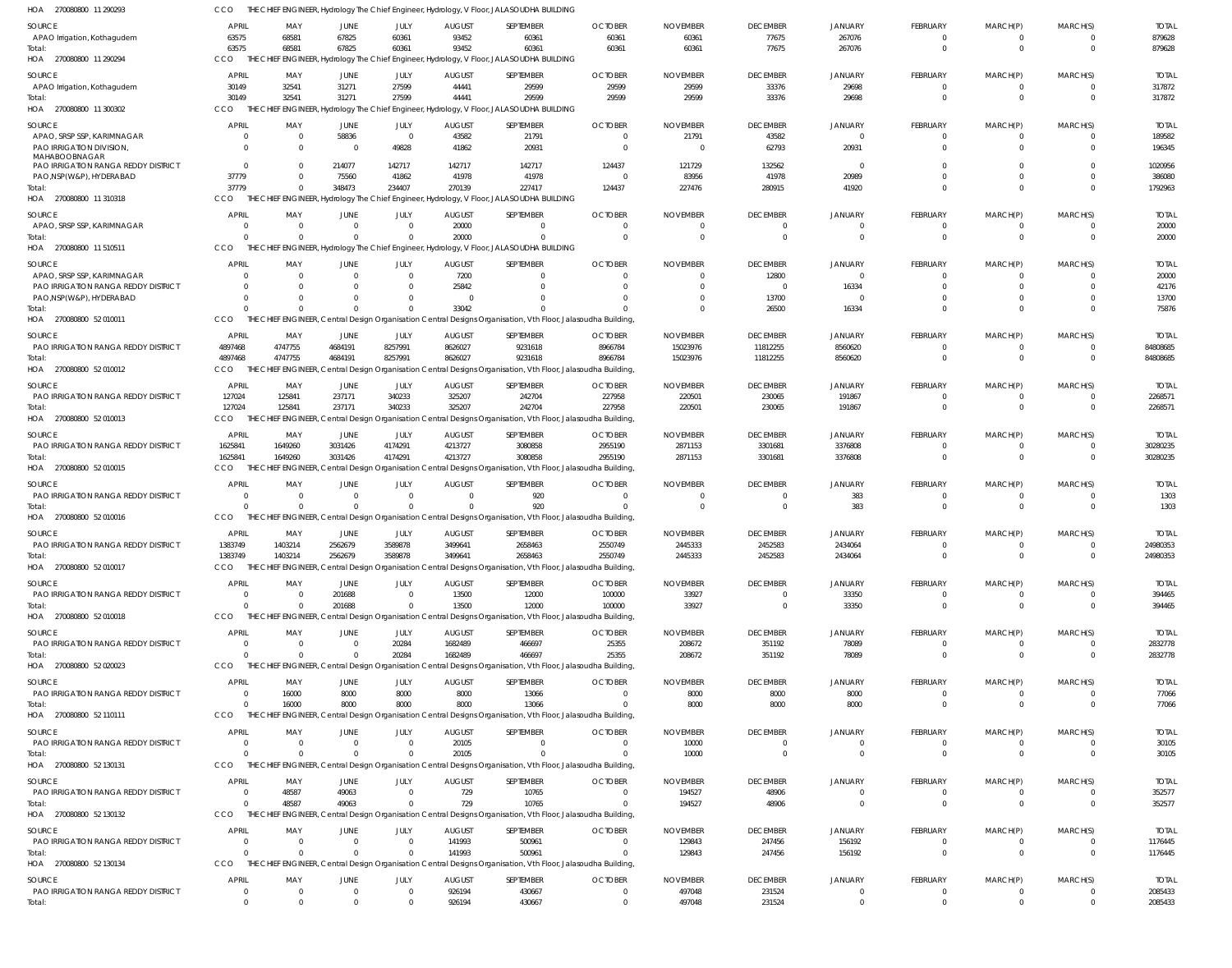| HOA 270080800 11 290293                                | CCO                              |                                  |                         |                         |                           | THE CHIEF ENGINEER, Hydrology The Chief Engineer, Hydrology, V Floor, JALASOUDHA BUILDING                              |                       |                 |                               |                      |                               |                               |                            |                       |
|--------------------------------------------------------|----------------------------------|----------------------------------|-------------------------|-------------------------|---------------------------|------------------------------------------------------------------------------------------------------------------------|-----------------------|-----------------|-------------------------------|----------------------|-------------------------------|-------------------------------|----------------------------|-----------------------|
| <b>SOURCE</b>                                          | <b>APRIL</b>                     | MAY                              | <b>JUNE</b>             | JULY                    | <b>AUGUST</b>             | SEPTEMBER                                                                                                              | <b>OCTOBER</b>        | <b>NOVEMBER</b> | <b>DECEMBER</b>               | <b>JANUARY</b>       | <b>FEBRUARY</b>               | MARCH(P)                      | MARCH(S)                   | <b>TOTAL</b>          |
| APAO Irrigation, Kothagudem                            | 63575                            | 68581                            | 67825                   | 60361                   | 93452                     | 60361                                                                                                                  | 60361                 | 60361           | 77675                         | 267076               | 0                             | 0                             | $^{\circ}$                 | 879628                |
| Total:                                                 | 63575                            | 68581                            | 67825                   | 60361                   | 93452                     | 60361                                                                                                                  | 60361                 | 60361           | 77675                         | 267076               | $\mathbf 0$                   | $\mathbf 0$                   | $\overline{0}$             | 879628                |
| HOA 270080800 11 290294                                | CCO                              |                                  |                         |                         |                           | THE CHIEF ENGINEER, Hydrology The Chief Engineer, Hydrology, V Floor, JALASOUDHA BUILDING                              |                       |                 |                               |                      |                               |                               |                            |                       |
| <b>SOURCE</b>                                          | <b>APRIL</b>                     | MAY                              | JUNE                    | JULY                    | <b>AUGUST</b>             | SEPTEMBER                                                                                                              | <b>OCTOBER</b>        | <b>NOVEMBER</b> | <b>DECEMBER</b>               | <b>JANUARY</b>       | <b>FEBRUARY</b>               | MARCH(P)                      | MARCH(S)                   | <b>TOTAL</b>          |
| APAO Irrigation, Kothagudem                            | 30149                            | 32541                            | 31271                   | 27599                   | 44441                     | 29599                                                                                                                  | 29599                 | 29599           | 33376                         | 29698                | $\overline{0}$                | $\overline{0}$                | $^{\circ}$                 | 317872                |
| Total:                                                 | 30149<br>CCO                     | 32541<br>THE CHIEF               | 31271                   | 27599                   | 44441                     | 29599                                                                                                                  | 29599                 | 29599           | 33376                         | 29698                | $\mathbf 0$                   | $\mathbf 0$                   | $\Omega$                   | 317872                |
| HOA 270080800 11 300302                                |                                  |                                  |                         |                         |                           | ENGINEER, Hydrology The Chief Engineer, Hydrology, V Floor, JALASOUDHA BUILDING                                        |                       |                 |                               |                      |                               |                               |                            |                       |
| SOURCE                                                 | <b>APRIL</b>                     | MAY                              | JUNE                    | JULY                    | <b>AUGUST</b>             | SEPTEMBER                                                                                                              | <b>OCTOBER</b>        | <b>NOVEMBER</b> | <b>DECEMBER</b>               | <b>JANUARY</b>       | <b>FEBRUARY</b>               | MARCH(P)                      | MARCH(S)                   | <b>TOTAL</b>          |
| APAO, SRSP SSP, KARIMNAGAR<br>PAO IRRIGATION DIVISION, | $\overline{0}$<br>$\Omega$       | $\overline{0}$<br>$\Omega$       | 58836<br>$\overline{0}$ | $\overline{0}$<br>49828 | 43582<br>41862            | 21791<br>20931                                                                                                         | $\Omega$<br>$\Omega$  | 21791<br>- 0    | 43582<br>62793                | $\Omega$<br>20931    | 0<br>$\mathbf 0$              | $\Omega$<br>$\mathbf{0}$      | $\Omega$<br>$\overline{0}$ | 189582<br>196345      |
| MAHABOOBNAGAR                                          |                                  |                                  |                         |                         |                           |                                                                                                                        |                       |                 |                               |                      |                               |                               |                            |                       |
| PAO IRRIGATION RANGA REDDY DISTRICT                    | $\overline{0}$                   | $\Omega$                         | 214077                  | 142717                  | 142717                    | 142717                                                                                                                 | 124437                | 121729          | 132562                        | $\Omega$             | $\Omega$                      | $\Omega$                      | $\Omega$                   | 1020956               |
| PAO, NSP(W&P), HYDERABAD                               | 37779                            | $\Omega$                         | 75560                   | 41862                   | 41978                     | 41978                                                                                                                  | $\Omega$              | 83956           | 41978                         | 20989                | $\mathbf 0$                   | $\mathbf 0$                   | $\Omega$                   | 386080                |
| Total:<br>HOA 270080800 11 310318                      | 37779<br>CCO                     | $\Omega$                         | 348473                  | 234407                  | 270139                    | 227417<br>THE CHIEF ENGINEER, Hydrology The Chief Engineer, Hydrology, V Floor, JALASOUDHA BUILDING                    | 124437                | 227476          | 280915                        | 41920                | $\Omega$                      | $\Omega$                      | $\Omega$                   | 1792963               |
|                                                        |                                  |                                  |                         |                         |                           |                                                                                                                        |                       |                 |                               |                      |                               |                               |                            |                       |
| <b>SOURCE</b>                                          | <b>APRIL</b>                     | MAY                              | JUNE                    | JULY                    | <b>AUGUST</b>             | SEPTEMBER                                                                                                              | <b>OCTOBER</b>        | <b>NOVEMBER</b> | <b>DECEMBER</b>               | JANUARY              | <b>FEBRUARY</b>               | MARCH(P)                      | MARCH(S)                   | <b>TOTAL</b>          |
| APAO, SRSP SSP, KARIMNAGAR<br>Total:                   | $\overline{0}$<br>$\Omega$       | $\overline{0}$<br>$\Omega$       | $\Omega$<br>$\Omega$    | $\Omega$<br>$\Omega$    | 20000<br>20000            | $\mathbf 0$<br>$\Omega$                                                                                                | $\Omega$              |                 | $\overline{0}$<br>$\Omega$    | $\Omega$<br>$\Omega$ | $\overline{0}$<br>$\mathbf 0$ | $\overline{0}$<br>$\mathbf 0$ | $\overline{0}$<br>$\Omega$ | 20000<br>20000        |
| HOA 270080800 11 510511                                | CCO                              |                                  |                         |                         |                           | THE CHIEF ENGINEER, Hydrology The Chief Engineer, Hydrology, V Floor, JALASOUDHA BUILDING                              |                       |                 |                               |                      |                               |                               |                            |                       |
|                                                        |                                  |                                  |                         |                         |                           |                                                                                                                        |                       |                 |                               |                      |                               |                               |                            |                       |
| SOURCE<br>APAO, SRSP SSP, KARIMNAGAR                   | <b>APRIL</b><br>$\Omega$         | MAY<br>$\Omega$                  | JUNE<br>- 0             | JULY<br>$\overline{0}$  | <b>AUGUST</b><br>7200     | SEPTEMBER<br>$\Omega$                                                                                                  | <b>OCTOBER</b>        | <b>NOVEMBER</b> | <b>DECEMBER</b><br>12800      | JANUARY<br>$\Omega$  | <b>FEBRUARY</b><br>0          | MARCH(P)<br>$\Omega$          | MARCH(S)<br>$\Omega$       | <b>TOTAL</b><br>20000 |
| PAO IRRIGATION RANGA REDDY DISTRICT                    | $\Omega$                         | $\Omega$                         |                         | $\Omega$                | 25842                     | $\Omega$                                                                                                               |                       |                 | $\overline{0}$                | 16334                | $\Omega$                      | $\Omega$                      | $\Omega$                   | 42176                 |
| PAO, NSP(W&P), HYDERABAD                               | $\Omega$                         | $\Omega$                         |                         | $\Omega$                |                           | $\Omega$                                                                                                               |                       |                 | 13700                         | $\Omega$             | $\mathbf 0$                   | $\mathbf 0$                   | $\Omega$                   | 13700                 |
| Total:                                                 | $\Omega$                         | $\Omega$                         | $\Omega$                | $\Omega$                | 33042                     |                                                                                                                        |                       |                 | 26500                         | 16334                | $\Omega$                      | $\Omega$                      | $\Omega$                   | 75876                 |
| HOA 270080800 52 010011                                | CCO                              |                                  |                         |                         |                           | THE CHIEF ENGINEER, Central Design Organisation Central Designs Organisation, Vth Floor, Jalasoudha Building,          |                       |                 |                               |                      |                               |                               |                            |                       |
| <b>SOURCE</b>                                          | <b>APRIL</b>                     | MAY                              | JUNE                    | JULY                    | <b>AUGUST</b>             | SEPTEMBER                                                                                                              | <b>OCTOBER</b>        | <b>NOVEMBER</b> | <b>DECEMBER</b>               | <b>JANUARY</b>       | <b>FEBRUARY</b>               | MARCH(P)                      | MARCH(S)                   | <b>TOTAL</b>          |
| <b>PAO IRRIGATION RANGA REDDY DISTRICT</b>             | 4897468                          | 4747755                          | 4684191                 | 8257991                 | 8626027                   | 9231618                                                                                                                | 8966784               | 15023976        | 11812255                      | 8560620              | $\mathbf 0$                   | 0                             | $\Omega$                   | 84808685              |
| Total:                                                 | 4897468                          | 4747755                          | 4684191                 | 8257991                 | 8626027                   | 9231618                                                                                                                | 8966784               | 15023976        | 11812255                      | 8560620              | $\mathbf 0$                   | $\mathbf 0$                   | $\overline{\mathbf{0}}$    | 84808685              |
| HOA 270080800 52 010012                                | CCO                              |                                  |                         |                         |                           | THE CHIEF ENGINEER, Central Design Organisation Central Designs Organisation, Vth Floor, Jalasoudha Building,          |                       |                 |                               |                      |                               |                               |                            |                       |
| <b>SOURCE</b>                                          | <b>APRIL</b>                     | MAY                              | JUNE                    | JULY                    | <b>AUGUST</b>             | SEPTEMBER                                                                                                              | <b>OCTOBER</b>        | <b>NOVEMBER</b> | <b>DECEMBER</b>               | <b>JANUARY</b>       | <b>FEBRUARY</b>               | MARCH(P)                      | MARCH(S)                   | <b>TOTAL</b>          |
| PAO IRRIGATION RANGA REDDY DISTRICT                    | 127024                           | 125841                           | 237171                  | 340233                  | 325207                    | 242704                                                                                                                 | 227958                | 220501          | 230065                        | 191867               | 0                             | 0                             | $\overline{0}$             | 2268571               |
| Total:                                                 | 127024                           | 125841                           | 237171                  | 340233                  | 325207                    | 242704                                                                                                                 | 227958                | 220501          | 230065                        | 191867               | $\mathbf 0$                   | $\mathbf 0$                   | $\Omega$                   | 2268571               |
| HOA 270080800 52 010013                                | CCO                              | THE CHIEF ENGINEER,              |                         |                         |                           | Central Design Organisation Central Designs Organisation, Vth Floor, Jalasoudha Building,                              |                       |                 |                               |                      |                               |                               |                            |                       |
| SOURCE                                                 | <b>APRIL</b>                     | MAY                              | JUNE                    | JULY                    | <b>AUGUST</b>             | SEPTEMBER                                                                                                              | <b>OCTOBER</b>        | <b>NOVEMBER</b> | <b>DECEMBER</b>               | <b>JANUARY</b>       | <b>FEBRUARY</b>               | MARCH(P)                      | MARCH(S)                   | <b>TOTAL</b>          |
| PAO IRRIGATION RANGA REDDY DISTRICT                    | 1625841                          | 1649260                          | 3031426<br>3031426      | 4174291                 | 4213727                   | 3080858<br>3080858                                                                                                     | 2955190               | 2871153         | 3301681                       | 3376808              | $\overline{0}$<br>$\mathbf 0$ | $\overline{0}$<br>$\mathbf 0$ | $\overline{0}$<br>$\Omega$ | 30280235<br>30280235  |
| Total:<br>HOA 270080800 52 010015                      | 1625841<br>CCO                   | 1649260                          |                         | 4174291                 | 4213727                   | THE CHIEF ENGINEER, Central Design Organisation Central Designs Organisation, Vth Floor, Jalasoudha Building,          | 2955190               | 2871153         | 3301681                       | 3376808              |                               |                               |                            |                       |
|                                                        |                                  |                                  |                         |                         |                           |                                                                                                                        |                       |                 |                               |                      |                               |                               |                            |                       |
| <b>SOURCE</b><br>PAO IRRIGATION RANGA REDDY DISTRICT   | <b>APRIL</b><br>$\Omega$         | MAY<br>$\Omega$                  | JUNE<br>$\Omega$        | JULY<br>$\overline{0}$  | <b>AUGUST</b><br>$\Omega$ | SEPTEMBER<br>920                                                                                                       | <b>OCTOBER</b><br>- 0 | <b>NOVEMBER</b> | <b>DECEMBER</b><br>$^{\circ}$ | JANUARY<br>383       | FEBRUARY<br>0                 | MARCH(P)<br>$\Omega$          | MARCH(S)<br>$\Omega$       | <b>TOTAL</b><br>1303  |
| Total:                                                 | $\Omega$                         | $\Omega$                         | $\Omega$                | $\Omega$                |                           | 920                                                                                                                    |                       | $\Omega$        | $\overline{0}$                | 383                  | $\mathbf 0$                   | $\mathbf{0}$                  | $\overline{0}$             | 1303                  |
| HOA 270080800 52 010016                                | CCO                              |                                  |                         |                         |                           | THE CHIEF ENGINEER, Central Design Organisation Central Designs Organisation, Vth Floor, Jalasoudha Building,          |                       |                 |                               |                      |                               |                               |                            |                       |
| <b>SOURCE</b>                                          | APRIL                            | MAY                              | JUNE                    | JULY                    | <b>AUGUST</b>             | SEPTEMBER                                                                                                              | <b>OCTOBER</b>        | <b>NOVEMBER</b> | <b>DECEMBER</b>               | <b>JANUARY</b>       | <b>FEBRUARY</b>               | MARCH(P)                      | MARCH(S)                   | <b>TOTAL</b>          |
| PAO IRRIGATION RANGA REDDY DISTRICT                    | 1383749                          | 1403214                          | 2562679                 | 3589878                 | 3499641                   | 2658463                                                                                                                | 2550749               | 2445333         | 2452583                       | 2434064              | $^{\circ}$                    | 0                             | $\Omega$                   | 24980353              |
| Total:                                                 | 1383749                          | 1403214                          | 2562679                 | 3589878                 | 3499641                   | 2658463                                                                                                                | 2550749               | 2445333         | 2452583                       | 2434064              | $\cap$                        | $\cap$                        |                            | 24980353              |
| HOA 270080800 52 010017                                | CCO                              |                                  |                         |                         |                           | THE CHIEF ENGINEER, Central Design Organisation Central Designs Organisation, Vth Floor, Jalasoudha Building,          |                       |                 |                               |                      |                               |                               |                            |                       |
| <b>SOURCE</b>                                          | <b>APRIL</b>                     | MAY                              | JUNE                    | JULY                    | <b>AUGUST</b>             | SEPTEMBER                                                                                                              | <b>OCTOBER</b>        | <b>NOVEMBER</b> | <b>DECEMBER</b>               | <b>JANUARY</b>       | <b>FEBRUARY</b>               | MARCH(P)                      | MARCH(S)                   | <b>TOTAL</b>          |
| PAO IRRIGATION RANGA REDDY DISTRICT                    | $\Omega$                         | $\Omega$                         | 201688                  | $\Omega$                | 13500                     | 12000                                                                                                                  | 100000                | 33927           | $\Omega$                      | 33350                | 0                             | 0                             | $\Omega$                   | 394465                |
| Total:                                                 | $\Omega$                         | $\Omega$                         | 201688                  | $\Omega$                | 13500                     | 12000                                                                                                                  | 100000                | 33927           | $\overline{0}$                | 33350                | $\mathbf 0$                   | $\mathbf 0$                   | $\overline{0}$             | 394465                |
| HOA 270080800 52 010018                                | <b>CCO</b>                       |                                  |                         |                         |                           | THE CHIEF ENGINEER, Central Design Organisation Central Designs Organisation, Vth Floor, Jalasoudha Building,          |                       |                 |                               |                      |                               |                               |                            |                       |
| SOURCE                                                 | <b>APRIL</b>                     | MAY                              | JUNE                    | JULY                    | <b>AUGUST</b>             | SEPTEMBER                                                                                                              | <b>OCTOBER</b>        | <b>NOVEMBER</b> | <b>DECEMBER</b>               | <b>JANUARY</b>       | <b>FEBRUARY</b>               | MARCH(P)                      | MARCH(S)                   | <b>TOTAL</b>          |
| <b>PAO IRRIGATION RANGA REDDY DISTRICT</b>             | $\overline{0}$                   | $\overline{0}$                   | $\Omega$                | 20284                   | 1682489                   | 466697                                                                                                                 | 25355                 | 208672          | 351192                        | 78089                | 0                             | $\overline{0}$                | $\overline{0}$             | 2832778               |
| Total:                                                 | $\overline{0}$                   | $\Omega$                         |                         | 20284                   | 1682489                   | 466697                                                                                                                 | 25355                 | 208672          | 351192                        | 78089                | $\mathbf 0$                   | $\mathbf 0$                   | $\overline{0}$             | 2832778               |
| HOA 270080800 52 020023                                | CCO                              |                                  |                         |                         |                           | THE CHIEF ENGINEER, Central Design Organisation Central Designs Organisation, Vth Floor, Jalasoudha Building,          |                       |                 |                               |                      |                               |                               |                            |                       |
| SOURCE                                                 | <b>APRIL</b>                     | MAY                              | JUNE                    | JULY                    | <b>AUGUST</b>             | SEPTEMBER                                                                                                              | <b>OCTOBER</b>        | <b>NOVEMBER</b> | <b>DECEMBER</b>               | <b>JANUARY</b>       | <b>FEBRUARY</b>               | MARCH(P)                      | MARCH(S)                   | <b>TOTAL</b>          |
| PAO IRRIGATION RANGA REDDY DISTRICT                    | $\Omega$                         | 16000                            | 8000                    | 8000                    | 8000                      | 13066                                                                                                                  |                       | 8000            | 8000                          | 8000                 | 0                             | $\Omega$                      | $^{\circ}$                 | 77066                 |
| Total:<br>HOA 270080800 52 110111                      | $\Omega$<br>CCO                  | 16000                            | 8000                    | 8000                    | 8000                      | 13066<br>THE CHIEF ENGINEER, Central Design Organisation Central Designs Organisation, Vth Floor, Jalasoudha Building, |                       | 8000            | 8000                          | 8000                 | $\mathbf 0$                   | $\mathbf 0$                   | $\Omega$                   | 77066                 |
|                                                        |                                  |                                  |                         |                         |                           |                                                                                                                        |                       |                 |                               |                      |                               |                               |                            |                       |
| SOURCE                                                 | <b>APRIL</b>                     | MAY                              | JUNE                    | JULY<br>$\Omega$        | <b>AUGUST</b>             | SEPTEMBER                                                                                                              | <b>OCTOBER</b>        | <b>NOVEMBER</b> | <b>DECEMBER</b>               | <b>JANUARY</b>       | <b>FEBRUARY</b>               | MARCH(P)                      | MARCH(S)                   | <b>TOTAL</b>          |
| PAO IRRIGATION RANGA REDDY DISTRICT<br>Total:          | $\overline{0}$<br>$\overline{0}$ | $\overline{0}$<br>$\overline{0}$ | $\Omega$<br>$\Omega$    | $\Omega$                | 20105<br>20105            | $\Omega$<br>$\overline{0}$                                                                                             |                       | 10000<br>10000  | $\Omega$<br>$\overline{0}$    | $\Omega$<br>$\Omega$ | 0<br>$\mathbf 0$              | 0<br>$\mathbf 0$              | $\Omega$<br>$\overline{0}$ | 30105<br>30105        |
| HOA 270080800 52 130131                                | CCO                              |                                  |                         |                         |                           | THE CHIEF ENGINEER, Central Design Organisation Central Designs Organisation, Vth Floor, Jalasoudha Building,          |                       |                 |                               |                      |                               |                               |                            |                       |
| SOURCE                                                 | <b>APRIL</b>                     | MAY                              | JUNE                    | JULY                    | <b>AUGUST</b>             | SEPTEMBER                                                                                                              | <b>OCTOBER</b>        | <b>NOVEMBER</b> | <b>DECEMBER</b>               | <b>JANUARY</b>       | <b>FEBRUARY</b>               | MARCH(P)                      | MARCH(S)                   | <b>TOTAL</b>          |
| PAO IRRIGATION RANGA REDDY DISTRICT                    | $\overline{0}$                   | 48587                            | 49063                   | $\Omega$                | 729                       | 10765                                                                                                                  |                       | 194527          | 48906                         | $\Omega$             | 0                             | 0                             | $^{\circ}$                 | 352577                |
| Total:                                                 | $\Omega$                         | 48587                            | 49063                   | $\Omega$                | 729                       | 10765                                                                                                                  |                       | 194527          | 48906                         | $\Omega$             | $\mathbf 0$                   | $\mathbf 0$                   | $\Omega$                   | 352577                |
| HOA 270080800 52 130132                                | CCO                              |                                  |                         |                         |                           | THE CHIEF ENGINEER, Central Design Organisation Central Designs Organisation, Vth Floor, Jalasoudha Building,          |                       |                 |                               |                      |                               |                               |                            |                       |
| SOURCE                                                 | <b>APRIL</b>                     | MAY                              | JUNE                    | JULY                    | <b>AUGUST</b>             | SEPTEMBER                                                                                                              | <b>OCTOBER</b>        | <b>NOVEMBER</b> | <b>DECEMBER</b>               | JANUARY              | <b>FEBRUARY</b>               | MARCH(P)                      | MARCH(S)                   | <b>TOTAL</b>          |
| PAO IRRIGATION RANGA REDDY DISTRICT                    | $\overline{0}$                   | $\overline{0}$                   | $\Omega$                | $\overline{0}$          | 141993                    | 500961                                                                                                                 |                       | 129843          | 247456                        | 156192               | $\mathbf 0$                   | 0                             | $\overline{0}$             | 1176445               |
| Total:                                                 | $\overline{0}$                   | $\Omega$                         |                         | $\Omega$                | 141993                    | 500961                                                                                                                 |                       | 129843          | 247456                        | 156192               | $\mathbf 0$                   | $\mathbf{0}$                  | $\overline{0}$             | 1176445               |
| HOA 270080800 52 130134                                | CCO                              |                                  |                         |                         |                           | THE CHIEF ENGINEER, Central Design Organisation Central Designs Organisation, Vth Floor, Jalasoudha Building,          |                       |                 |                               |                      |                               |                               |                            |                       |
| SOURCE                                                 | <b>APRIL</b>                     | MAY                              | JUNE                    | JULY                    | <b>AUGUST</b>             | SEPTEMBER                                                                                                              | <b>OCTOBER</b>        | <b>NOVEMBER</b> | <b>DECEMBER</b>               | <b>JANUARY</b>       | <b>FEBRUARY</b>               | MARCH(P)                      | MARCH(S)                   | <b>TOTAL</b>          |
| PAO IRRIGATION RANGA REDDY DISTRICT                    | $\overline{0}$                   | $\overline{0}$                   | $\Omega$                | $\overline{0}$          | 926194                    | 430667                                                                                                                 |                       | 497048          | 231524                        | $\mathbf 0$          | $^{\circ}$                    | 0                             | $\overline{0}$             | 2085433               |
| Total:                                                 | $\mathbf 0$                      | $\Omega$                         | $\Omega$                | $\Omega$                | 926194                    | 430667                                                                                                                 |                       | 497048          | 231524                        | $\Omega$             | $\mathbf 0$                   | $\mathbf 0$                   | $\mathbf{0}$               | 2085433               |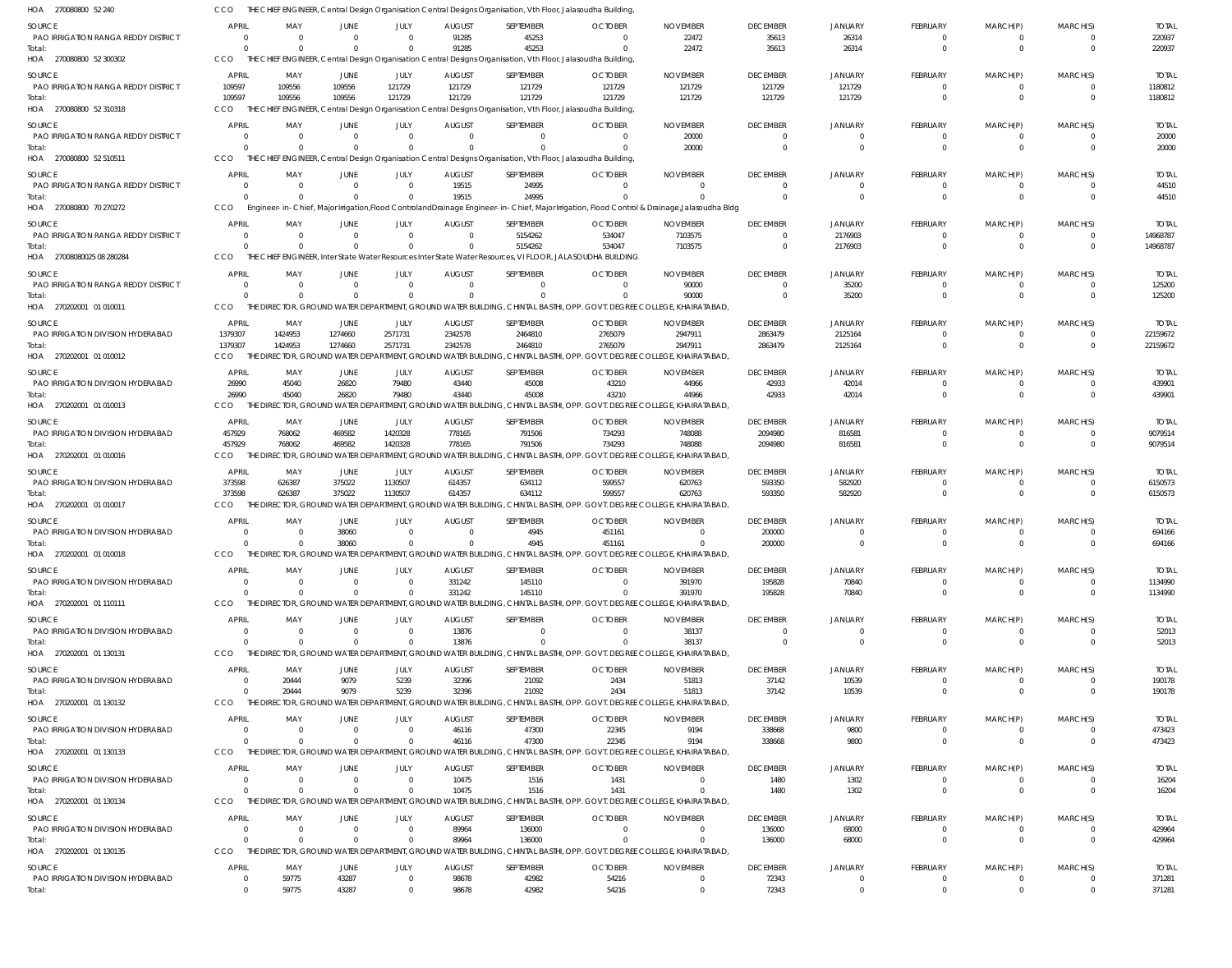| HOA 270080800 52 240                          | CCO                              |                            |                      |                         |                         | THE CHIEF ENGINEER, Central Design Organisation Central Designs Organisation, Vth Floor, Jalasoudha Building,           |                  |                                                                                                                                            |                      |                            |                             |                      |                            |                         |
|-----------------------------------------------|----------------------------------|----------------------------|----------------------|-------------------------|-------------------------|-------------------------------------------------------------------------------------------------------------------------|------------------|--------------------------------------------------------------------------------------------------------------------------------------------|----------------------|----------------------------|-----------------------------|----------------------|----------------------------|-------------------------|
| SOURCE                                        | APRIL                            | MAY                        | JUNE                 | <b>JULY</b>             | <b>AUGUST</b>           | SEPTEMBER                                                                                                               | <b>OCTOBER</b>   | <b>NOVEMBER</b>                                                                                                                            | <b>DECEMBER</b>      | JANUARY                    | FEBRUARY                    | MARCH(P)             | MARCH(S)                   | <b>TOTAL</b>            |
| PAO IRRIGATION RANGA REDDY DISTRICT           | $\Omega$                         | - 0                        | $\Omega$             |                         | 91285                   | 45253                                                                                                                   |                  | 22472                                                                                                                                      | 35613                | 26314                      |                             |                      | $\Omega$                   | 220937                  |
| Total:                                        | $\Omega$                         | $\Omega$                   | $\Omega$             |                         | 91285                   | 45253                                                                                                                   |                  | 22472                                                                                                                                      | 35613                | 26314                      | $\Omega$                    | $\Omega$             | $\overline{0}$             | 220937                  |
| HOA 270080800 52 300302                       | <b>CCO</b>                       |                            |                      |                         |                         | THE CHIEF ENGINEER, Central Design Organisation Central Designs Organisation, Vth Floor, Jalasoudha Building            |                  |                                                                                                                                            |                      |                            |                             |                      |                            |                         |
| <b>SOURCE</b>                                 | APRIL                            | MAY                        | JUNE                 | JULY                    | <b>AUGUST</b>           | SEPTEMBER                                                                                                               | <b>OCTOBER</b>   | <b>NOVEMBER</b>                                                                                                                            | <b>DECEMBER</b>      | <b>JANUARY</b>             | <b>FEBRUARY</b>             | MARCH(P)             | MARCH(S)                   | <b>TOTAL</b>            |
| PAO IRRIGATION RANGA REDDY DISTRICT           | 109597                           | 109556                     | 109556               | 121729                  | 121729                  | 121729                                                                                                                  | 121729           | 121729                                                                                                                                     | 121729               | 121729                     | $\Omega$                    | $\Omega$             | $\Omega$                   | 1180812                 |
| Total:<br>HOA 270080800 52 310318             | 109597<br>CCO                    | 109556                     | 109556               | 121729                  | 121729                  | 121729<br>THE CHIEF ENGINEER, Central Design Organisation Central Designs Organisation, Vth Floor, Jalasoudha Building, | 121729           | 121729                                                                                                                                     | 121729               | 121729                     | $\Omega$                    | $\Omega$             | $\Omega$                   | 1180812                 |
|                                               |                                  |                            |                      |                         |                         |                                                                                                                         |                  |                                                                                                                                            |                      |                            |                             |                      |                            |                         |
| SOURCE                                        | <b>APRIL</b>                     | MAY                        | JUNE                 | JULY                    | <b>AUGUST</b>           | SEPTEMBER                                                                                                               | <b>OCTOBER</b>   | <b>NOVEMBER</b>                                                                                                                            | <b>DECEMBER</b>      | <b>JANUARY</b>             | FEBRUARY                    | MARCH(P)             | MARCH(S)                   | <b>TOTAL</b>            |
| PAO IRRIGATION RANGA REDDY DISTRICT<br>Total: | $\Omega$<br>$\Omega$             | $\Omega$<br>$\Omega$       | $\Omega$<br>$\Omega$ | $\Omega$                | $\Omega$                | $\Omega$                                                                                                                |                  | 20000<br>20000                                                                                                                             | $\Omega$<br>$\Omega$ | $\Omega$<br>$\Omega$       | $\Omega$                    | $\Omega$<br>$\Omega$ | $\Omega$<br>$\Omega$       | 20000<br>20000          |
| HOA 270080800 52 510511                       | CCO                              |                            |                      |                         |                         | THE CHIEF ENGINEER, Central Design Organisation Central Designs Organisation, Vth Floor, Jalasoudha Building,           |                  |                                                                                                                                            |                      |                            |                             |                      |                            |                         |
|                                               | <b>APRIL</b>                     | MAY                        |                      |                         |                         |                                                                                                                         | <b>OCTOBER</b>   | <b>NOVEMBER</b>                                                                                                                            | <b>DECEMBER</b>      |                            |                             |                      |                            |                         |
| SOURCE<br>PAO IRRIGATION RANGA REDDY DISTRICT | $\Omega$                         | - 0                        | JUNE<br>$\Omega$     | JULY<br>$\Omega$        | <b>AUGUST</b><br>19515  | SEPTEMBER<br>24995                                                                                                      |                  | - 0                                                                                                                                        | $\Omega$             | JANUARY<br>$\Omega$        | FEBRUARY<br>$\Omega$        | MARCH(P)<br>$\Omega$ | MARCH(S)<br>$\Omega$       | <b>TOTAL</b><br>44510   |
| Total:                                        | $\Omega$                         | $\Omega$                   |                      |                         | 19515                   | 24995                                                                                                                   |                  |                                                                                                                                            | $\Omega$             | $\Omega$                   | $\Omega$                    | $\Omega$             | $\Omega$                   | 44510                   |
| HOA 270080800 70 270272                       | CCO                              |                            |                      |                         |                         |                                                                                                                         |                  | Engineer-in-Chief, Major Irrigation,Flood ControlandDrainage Engineer-in-Chief, Major Irrigation, Flood Control & Drainage,Jalasoudha Bldg |                      |                            |                             |                      |                            |                         |
| SOURCE                                        | <b>APRIL</b>                     | MAY                        | JUNE                 | JULY                    | <b>AUGUST</b>           | SEPTEMBER                                                                                                               | <b>OCTOBER</b>   | <b>NOVEMBER</b>                                                                                                                            | <b>DECEMBER</b>      | JANUARY                    | <b>FEBRUARY</b>             | MARCH(P)             | MARCH(S)                   | <b>TOTAL</b>            |
| PAO IRRIGATION RANGA REDDY DISTRICT           | $\Omega$                         | - 0                        | $\Omega$             | $\Omega$                | -C                      | 5154262                                                                                                                 | 534047           | 7103575                                                                                                                                    | $\Omega$             | 2176903                    |                             |                      | $\Omega$                   | 14968787                |
| Total:                                        | $\Omega$                         | $\Omega$                   | $\Omega$             |                         |                         | 5154262                                                                                                                 | 534047           | 7103575                                                                                                                                    | $\mathbf{0}$         | 2176903                    | $\Omega$                    | $\Omega$             | $\overline{0}$             | 14968787                |
| HOA 27008080025 08 280284                     | <b>CCO</b>                       |                            |                      |                         |                         | THE CHIEF ENGINEER, Inter State Water Resources Inter State Water Resources, VI FLOOR, JALASOUDHA BUILDING              |                  |                                                                                                                                            |                      |                            |                             |                      |                            |                         |
| SOURCE                                        | <b>APRIL</b>                     | MAY                        | JUNE                 | JULY                    | <b>AUGUST</b>           | SEPTEMBER                                                                                                               | <b>OCTOBER</b>   | <b>NOVEMBER</b>                                                                                                                            | <b>DECEMBER</b>      | JANUARY                    | <b>FEBRUARY</b>             | MARCH(P)             | MARCH(S)                   | <b>TOTAL</b>            |
| <b>PAO IRRIGATION RANGA REDDY DISTRICT</b>    | $\Omega$                         | - 0                        | $\Omega$             | $\Omega$                | $\Omega$                | $\mathbf{0}$                                                                                                            |                  | 90000                                                                                                                                      | $\Omega$             | 35200                      | $\overline{0}$              | $\Omega$             | - 0                        | 125200                  |
| Total:                                        | $\Omega$                         | $\Omega$                   |                      |                         |                         | $\Omega$                                                                                                                |                  | 90000                                                                                                                                      | $\Omega$             | 35200                      | $\Omega$                    | $\Omega$             | $\Omega$                   | 125200                  |
| HOA 270202001 01 010011                       | CCO                              |                            |                      |                         |                         |                                                                                                                         |                  | THE DIRECTOR, GROUND WATER DEPARTMENT, GROUND WATER BUILDING, CHINTAL BASTHI, OPP. GOVT. DEGREE COLLEGE, KHAIRATABAD,                      |                      |                            |                             |                      |                            |                         |
| SOURCE                                        | <b>APRIL</b>                     | MAY                        | JUNE                 | JULY                    | <b>AUGUST</b>           | SEPTEMBER                                                                                                               | <b>OCTOBER</b>   | <b>NOVEMBER</b>                                                                                                                            | <b>DECEMBER</b>      | <b>JANUARY</b>             | FEBRUARY                    | MARCH(P)             | MARCH(S)                   | <b>TOTAL</b>            |
| PAO IRRIGATION DIVISION HYDERABAD             | 1379307                          | 1424953                    | 1274660              | 2571731                 | 2342578                 | 2464810                                                                                                                 | 2765079          | 2947911                                                                                                                                    | 2863479              | 2125164                    |                             | $\Omega$             | $\Omega$                   | 22159672                |
| Total:                                        | 1379307                          | 1424953                    | 1274660              | 2571731                 | 2342578                 | 2464810                                                                                                                 | 2765079          | 2947911                                                                                                                                    | 2863479              | 2125164                    | $\Omega$                    | $\Omega$             | $\Omega$                   | 22159672                |
| HOA 270202001 01 010012                       | CCO                              |                            |                      |                         |                         |                                                                                                                         |                  | DIRECTOR, GROUND WATER DEPARTMENT, GROUND WATER BUILDING, CHINTAL BASTHI, OPP, GOVT, DEGREE COLLEGE, KHAIRATABAD,                          |                      |                            |                             |                      |                            |                         |
| SOURCE                                        | APRIL                            | MAY                        | JUNE                 | JULY                    | <b>AUGUST</b>           | SEPTEMBER                                                                                                               | <b>OCTOBER</b>   | <b>NOVEMBER</b>                                                                                                                            | <b>DECEMBER</b>      | <b>JANUARY</b>             | FEBRUARY                    | MARCH(P)             | MARCH(S)                   | <b>TOTAL</b>            |
| PAO IRRIGATION DIVISION HYDERABAD             | 26990                            | 45040                      | 26820                | 79480                   | 43440                   | 45008                                                                                                                   | 43210            | 44966                                                                                                                                      | 42933                | 42014                      | $\Omega$                    | $\Omega$             | $\overline{0}$             | 439901                  |
| Total:                                        | 26990<br>CCO                     | 45040                      | 26820                | 79480                   | 43440                   | 45008                                                                                                                   | 43210            | 44966                                                                                                                                      | 42933                | 42014                      | $\Omega$                    | $\Omega$             | $\Omega$                   | 439901                  |
| HOA 270202001 01 010013                       |                                  |                            |                      |                         |                         |                                                                                                                         |                  | THE DIRECTOR, GROUND WATER DEPARTMENT, GROUND WATER BUILDING, CHINTAL BASTHI, OPP. GOVT. DEGREE COLLEGE, KHAIRATABAD,                      |                      |                            |                             |                      |                            |                         |
| SOURCE                                        | APRIL                            | MAY                        | JUNE                 | JULY                    | <b>AUGUST</b>           | SEPTEMBER                                                                                                               | <b>OCTOBER</b>   | <b>NOVEMBER</b>                                                                                                                            | <b>DECEMBER</b>      | <b>JANUARY</b>             | <b>FEBRUARY</b>             | MARCH(P)             | MARCH(S)                   | <b>TOTAL</b>            |
| PAO IRRIGATION DIVISION HYDERABAD             | 457929                           | 768062                     | 469582<br>469582     | 1420328                 | 778165                  | 791506                                                                                                                  | 734293           | 748088                                                                                                                                     | 2094980              | 816581                     | $\Omega$                    | $\Omega$             | $\Omega$                   | 9079514                 |
| Total:<br>HOA 270202001 01 010016             | 457929<br>CCO                    | 768062                     |                      | 1420328                 | 778165                  | 791506                                                                                                                  | 734293           | 748088<br>THE DIRECTOR, GROUND WATER DEPARTMENT, GROUND WATER BUILDING, CHINTAL BASTHI, OPP. GOVT. DEGREE COLLEGE, KHAIRATABAD,            | 2094980              | 816581                     |                             |                      | $\overline{0}$             | 9079514                 |
|                                               |                                  |                            |                      |                         |                         |                                                                                                                         |                  |                                                                                                                                            |                      |                            |                             |                      |                            |                         |
| SOURCE                                        | APRIL<br>373598                  | MAY                        | JUNE<br>375022       | JULY<br>1130507         | <b>AUGUST</b><br>614357 | SEPTEMBER                                                                                                               | <b>OCTOBER</b>   | <b>NOVEMBER</b>                                                                                                                            | <b>DECEMBER</b>      | <b>JANUARY</b>             | <b>FEBRUARY</b><br>$\Omega$ | MARCH(P)             | MARCH(S)<br>- 0            | <b>TOTAL</b><br>6150573 |
| PAO IRRIGATION DIVISION HYDERABAD<br>Total:   | 373598                           | 626387<br>626387           | 375022               | 1130507                 | 614357                  | 634112<br>634112                                                                                                        | 599557<br>599557 | 620763<br>620763                                                                                                                           | 593350<br>593350     | 582920<br>582920           | $\Omega$                    | $\Omega$             | $\Omega$                   | 6150573                 |
| HOA 270202001 01 010017                       | CCO                              |                            |                      |                         |                         |                                                                                                                         |                  | THE DIRECTOR, GROUND WATER DEPARTMENT, GROUND WATER BUILDING, CHINTAL BASTHI, OPP. GOVT. DEGREE COLLEGE, KHAIRATABAD,                      |                      |                            |                             |                      |                            |                         |
| SOURCE                                        | <b>APRIL</b>                     | MAY                        | JUNE                 | JULY                    | <b>AUGUST</b>           | SEPTEMBER                                                                                                               | <b>OCTOBER</b>   | <b>NOVEMBER</b>                                                                                                                            | <b>DECEMBER</b>      | <b>JANUARY</b>             | FEBRUARY                    | MARCH(P)             | MARCH(S)                   | <b>TOTAL</b>            |
| PAO IRRIGATION DIVISION HYDERABAD             | $\Omega$                         | $\Omega$                   | 38060                |                         |                         | 4945                                                                                                                    | 451161           |                                                                                                                                            | 200000               | $\Omega$                   |                             |                      | $\Omega$                   | 694166                  |
| Total:                                        | $\Omega$                         | $\Omega$                   | 38060                | $\Omega$                | $\Omega$                | 4945                                                                                                                    | 451161           |                                                                                                                                            | 200000               | $\Omega$                   | $\Omega$                    | $\Omega$             | $\Omega$                   | 694166                  |
| HOA 270202001 01 010018                       | CCO                              | THE DIRECTOR, GROUND       |                      |                         |                         |                                                                                                                         |                  | WATER DEPARTMENT, GROUND WATER BUILDING, CHINTAL BASTHI, OPP. GOVT. DEGREE COLLEGE, KHAIRATABAD,                                           |                      |                            |                             |                      |                            |                         |
| <b>SOURCE</b>                                 | <b>APRIL</b>                     | MAY                        | JUNE                 | JULY                    | <b>AUGUST</b>           | SEPTEMBER                                                                                                               | <b>OCTOBER</b>   | <b>NOVEMBER</b>                                                                                                                            | <b>DECEMBER</b>      | JANUARY                    | <b>FEBRUARY</b>             | MARCH(P)             | MARCH(S)                   | <b>TOTAL</b>            |
| PAO IRRIGATION DIVISION HYDERABAD             | $\Omega$                         | - 0                        | $\Omega$             | $\Omega$                | 331242                  | 145110                                                                                                                  |                  | 391970                                                                                                                                     | 195828               | 70840                      | $\Omega$                    | $\Omega$             | - 0                        | 1134990                 |
| Total:                                        | $\Omega$                         | - 0                        | $\Omega$             | $\Omega$                | 331242                  | 145110                                                                                                                  |                  | 391970                                                                                                                                     | 195828               | 70840                      | $\Omega$                    | $\Omega$             | $\Omega$                   | 1134990                 |
| HOA 270202001 01 110111                       | CCO                              |                            |                      |                         |                         |                                                                                                                         |                  | The Director, Ground Water Department, Ground Water Building, Chintal Basthi, Opp. Govt, Degree College, Khairatabad,                      |                      |                            |                             |                      |                            |                         |
| SOURCE                                        | <b>APRIL</b>                     | MAY                        | JUNE                 | JULY                    | <b>AUGUST</b>           | SEPTEMBER                                                                                                               | <b>OCTOBER</b>   | <b>NOVEMBER</b>                                                                                                                            | <b>DECEMBER</b>      | JANUARY                    | FEBRUARY                    | MARCH(P)             | MARCH(S)                   | <b>TOTAL</b>            |
| PAO IRRIGATION DIVISION HYDERABAD             | $\Omega$                         | $\Omega$                   | $\Omega$             | $\Omega$                | 13876                   | $\Omega$                                                                                                                |                  | 38137                                                                                                                                      | $\Omega$             | $\Omega$                   |                             |                      | $\Omega$                   | 52013                   |
| Total:                                        | $\Omega$                         | $\Omega$                   | $\Omega$             | $\Omega$                | 13876                   | $\Omega$                                                                                                                |                  | 38137                                                                                                                                      | $\Omega$             | $\overline{0}$             | $\Omega$                    | $\Omega$             | $\overline{0}$             | 52013                   |
| HOA 270202001 01 130131                       | <b>CCO</b>                       |                            |                      |                         |                         |                                                                                                                         |                  | THE DIRECTOR, GROUND WATER DEPARTMENT, GROUND WATER BUILDING, CHINTAL BASTHI, OPP, GOVT, DEGREE COLLEGE, KHAIRATABAD,                      |                      |                            |                             |                      |                            |                         |
| SOURCE                                        | <b>APRIL</b>                     | MAY                        | JUNE                 | <b>JULY</b>             | <b>AUGUST</b>           | SEPTEMBER                                                                                                               | <b>OCTOBER</b>   | <b>NOVEMBER</b>                                                                                                                            | <b>DECEMBER</b>      | JANUARY                    | FEBRUARY                    | MARCH(P)             | MARCH(S)                   | <b>TOTAL</b>            |
| PAO IRRIGATION DIVISION HYDERABAD             | $\overline{0}$                   | 20444                      | 9079                 | 5239                    | 32396                   | 21092                                                                                                                   | 2434             | 51813                                                                                                                                      | 37142                | 10539                      |                             |                      | - 0                        | 190178                  |
| Total:                                        | $\Omega$                         | 20444                      | 9079                 | 5239                    | 32396                   | 21092                                                                                                                   | 2434             | 51813                                                                                                                                      | 37142                | 10539                      | $\Omega$                    | $\Omega$             | $\overline{0}$             | 190178                  |
| HOA 270202001 01 130132                       | CCO                              |                            |                      |                         |                         |                                                                                                                         |                  | THE DIRECTOR, GROUND WATER DEPARTMENT, GROUND WATER BUILDING, CHINTAL BASTHI, OPP. GOVT. DEGREE COLLEGE, KHAIRATABAD,                      |                      |                            |                             |                      |                            |                         |
| SOURCE                                        | <b>APRIL</b>                     | MAY                        | JUNE                 | JULY                    | <b>AUGUST</b>           | SEPTEMBER                                                                                                               | <b>OCTOBER</b>   | <b>NOVEMBER</b>                                                                                                                            | <b>DECEMBER</b>      | JANUARY                    | FEBRUARY                    | MARCH(P)             | MARCH(S)                   | <b>TOTAL</b>            |
| <b>PAO IRRIGATION DIVISION HYDERABAD</b>      | $\Omega$                         | - 0                        | $\Omega$             | $\Omega$                | 46116                   | 47300                                                                                                                   | 22345            | 9194                                                                                                                                       | 338668               | 9800                       | - 0                         | $\Omega$             | $\overline{0}$             | 473423                  |
| Total:                                        | $\Omega$                         | $\Omega$                   | $\Omega$             | $\Omega$                | 46116                   | 47300                                                                                                                   | 22345            | 9194                                                                                                                                       | 338668               | 9800                       | $\Omega$                    | $\Omega$             | $\Omega$                   | 473423                  |
| HOA 270202001 01 130133                       | CCO                              |                            |                      |                         |                         |                                                                                                                         |                  | THE DIRECTOR, GROUND WATER DEPARTMENT, GROUND WATER BUILDING, CHINTAL BASTHI, OPP. GOVT. DEGREE COLLEGE, KHAIRATABAD,                      |                      |                            |                             |                      |                            |                         |
| SOURCE                                        | <b>APRIL</b>                     | MAY                        | JUNE                 | JULY                    | <b>AUGUST</b>           | SEPTEMBER                                                                                                               | <b>OCTOBER</b>   | <b>NOVEMBER</b>                                                                                                                            | <b>DECEMBER</b>      | JANUARY                    | FEBRUARY                    | MARCH(P)             | MARCH(S)                   | <b>TOTAL</b>            |
| PAO IRRIGATION DIVISION HYDERABAD             | $\Omega$                         | - 0                        | $\Omega$             | $\Omega$                | 10475                   | 1516                                                                                                                    | 1431             | $\Omega$                                                                                                                                   | 1480                 | 1302                       | $\Omega$                    | $\Omega$             | $\overline{0}$             | 16204                   |
| Total:<br>HOA 270202001 01 130134             | $\Omega$<br><b>CCO</b>           | $\Omega$                   | $\Omega$             | $\Omega$                | 10475                   | 1516                                                                                                                    | 1431             | THE DIRECTOR, GROUND WATER DEPARTMENT, GROUND WATER BUILDING, CHINTAL BASTHI, OPP. GOVT. DEGREE COLLEGE, KHAIRATABAD,                      | 1480                 | 1302                       | $\Omega$                    | $\Omega$             | $\Omega$                   | 16204                   |
|                                               |                                  |                            |                      |                         |                         |                                                                                                                         |                  |                                                                                                                                            |                      |                            |                             |                      |                            |                         |
| SOURCE                                        | <b>APRIL</b>                     | MAY                        | JUNE                 | JULY                    | <b>AUGUST</b>           | SEPTEMBER                                                                                                               | <b>OCTOBER</b>   | <b>NOVEMBER</b>                                                                                                                            | <b>DECEMBER</b>      | JANUARY                    | FEBRUARY                    | MARCH(P)             | MARCH(S)                   | <b>TOTAL</b>            |
| PAO IRRIGATION DIVISION HYDERABAD             | $\Omega$<br>$\Omega$             | $\overline{0}$<br>$\Omega$ | $\Omega$<br>$\Omega$ | $\Omega$<br>$\Omega$    | 89964<br>89964          | 136000<br>136000                                                                                                        |                  |                                                                                                                                            | 136000<br>136000     | 68000                      | $\Omega$                    | $\Omega$             | $\Omega$<br>$\overline{0}$ | 429964                  |
| Total:<br>HOA 270202001 01 130135             | <b>CCO</b>                       |                            |                      |                         |                         |                                                                                                                         |                  | THE DIRECTOR, GROUND WATER DEPARTMENT, GROUND WATER BUILDING, CHINTAL BASTHI, OPP. GOVT. DEGREE COLLEGE, KHAIRATABAD,                      |                      | 68000                      |                             |                      |                            | 429964                  |
|                                               |                                  |                            |                      |                         |                         |                                                                                                                         |                  |                                                                                                                                            |                      |                            |                             |                      |                            |                         |
| SOURCE                                        | APRIL                            | MAY                        | JUNE                 | JULY                    | <b>AUGUST</b>           | SEPTEMBER                                                                                                               | <b>OCTOBER</b>   | <b>NOVEMBER</b>                                                                                                                            | <b>DECEMBER</b>      | JANUARY                    | FEBRUARY                    | MARCH(P)             | MARCH(S)                   | <b>TOTAL</b>            |
| PAO IRRIGATION DIVISION HYDERABAD<br>Total:   | $\overline{0}$<br>$\overline{0}$ | 59775<br>59775             | 43287<br>43287       | $\Omega$<br>$\mathbf 0$ | 98678<br>98678          | 42982<br>42982                                                                                                          | 54216<br>54216   | $\Omega$                                                                                                                                   | 72343<br>72343       | $\overline{0}$<br>$\Omega$ | $\overline{0}$              | $\Omega$<br>$\Omega$ | - 0<br>$\Omega$            | 371281<br>371281        |
|                                               |                                  |                            |                      |                         |                         |                                                                                                                         |                  |                                                                                                                                            |                      |                            |                             |                      |                            |                         |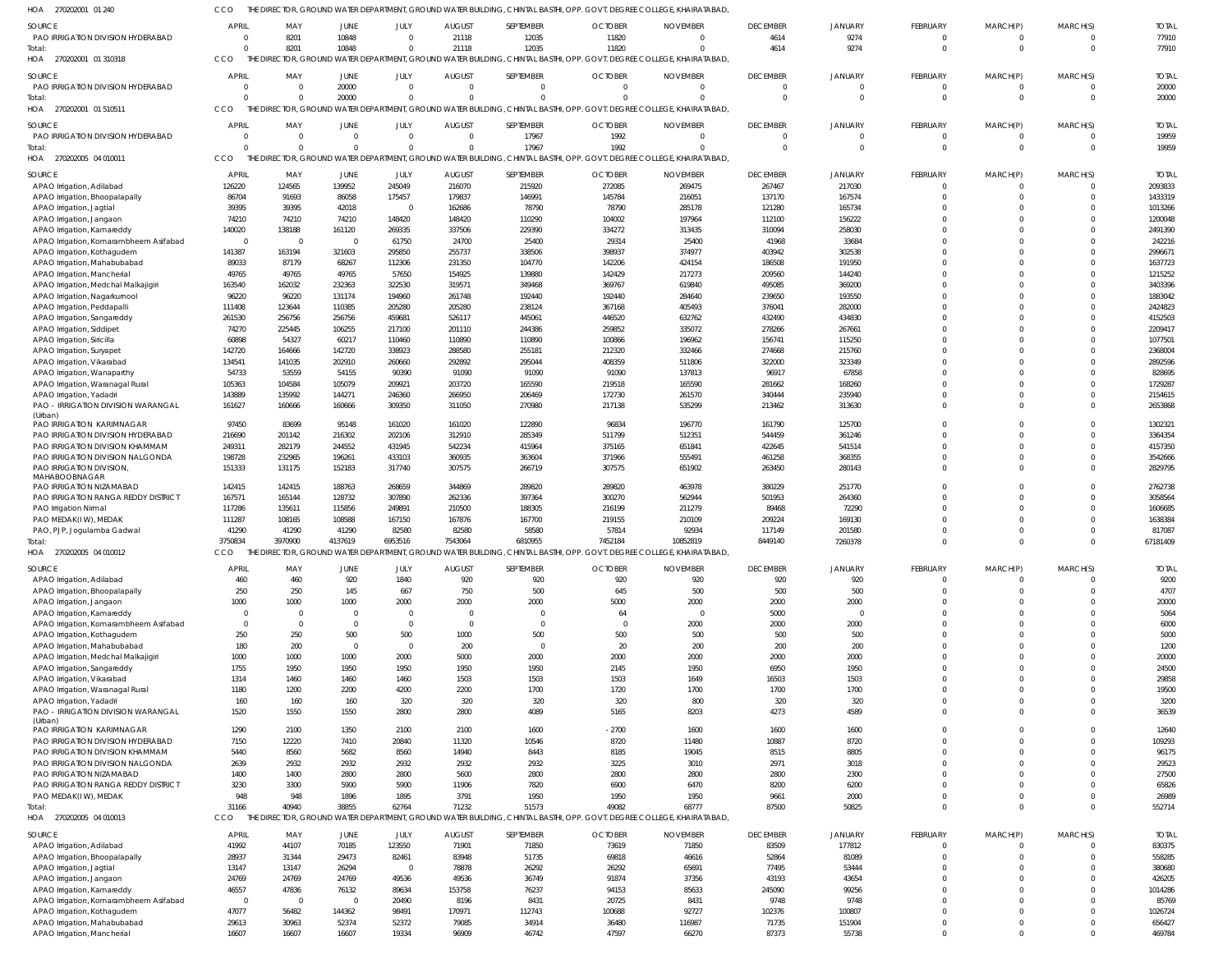| HOA 270202001 01 240                                           | CCO                     |                                                               |                          |                    |                  |                  |                  | THE DIRECTOR, GROUND WATER DEPARTMENT, GROUND WATER BUILDING, CHINTAL BASTHI, OPP. GOVT. DEGREE COLLEGE, KHAIRATABAD  |                  |                  |                      |                      |                      |                    |
|----------------------------------------------------------------|-------------------------|---------------------------------------------------------------|--------------------------|--------------------|------------------|------------------|------------------|-----------------------------------------------------------------------------------------------------------------------|------------------|------------------|----------------------|----------------------|----------------------|--------------------|
| SOURCE                                                         | <b>APRIL</b>            | MAY                                                           | <b>JUNE</b>              | JULY               | <b>AUGUST</b>    | SEPTEMBER        | <b>OCTOBER</b>   | <b>NOVEMBER</b>                                                                                                       | <b>DECEMBER</b>  | <b>JANUARY</b>   | FEBRUARY             | MARCH(P)             | MARCH(S)             | <b>TOTAL</b>       |
| PAO IRRIGATION DIVISION HYDERABAD                              | $\Omega$                | 8201                                                          | 10848                    | $\Omega$           | 21118            | 12035            | 11820            | $\Omega$                                                                                                              | 4614             | 9274             | $\mathbf 0$          | $\mathbf 0$          | $\Omega$             | 77910              |
| Total:                                                         | $\Omega$                | 8201                                                          | 10848                    | $\Omega$           | 21118            | 12035            | 11820            | $\Omega$                                                                                                              | 4614             | 9274             | $\mathbf 0$          | $\mathbf 0$          | $\Omega$             | 77910              |
| HOA 270202001 01 310318                                        | CCO                     |                                                               |                          |                    |                  |                  |                  | THE DIRECTOR, GROUND WATER DEPARTMENT, GROUND WATER BUILDING, CHINTAL BASTHI, OPP. GOVT. DEGREE COLLEGE, KHAIRATABAD, |                  |                  |                      |                      |                      |                    |
| SOURCE                                                         | <b>APRIL</b>            | MAY                                                           | JUNE                     | JULY               | <b>AUGUST</b>    | SEPTEMBER        | <b>OCTOBER</b>   | <b>NOVEMBER</b>                                                                                                       | <b>DECEMBER</b>  | <b>JANUARY</b>   | FEBRUARY             | MARCH(P)             | MARCH(S)             | <b>TOTAL</b>       |
| PAO IRRIGATION DIVISION HYDERABAD                              | $\Omega$                | $\Omega$                                                      | 20000                    | $\Omega$           | $\Omega$         | $\Omega$         | $\overline{0}$   | $\Omega$                                                                                                              | $\Omega$         | $\Omega$         | $\mathbf 0$          | $\mathbf 0$          | $\Omega$             | 20000              |
| Total:                                                         | $\Omega$                |                                                               | 20000                    | $\Omega$           | $\Omega$         | $\Omega$         |                  |                                                                                                                       | $\Omega$         | $\Omega$         | $\Omega$             | $\Omega$             | $\Omega$             | 20000              |
| HOA<br>270202001 01 510511                                     | <b>CCO</b>              |                                                               |                          |                    |                  |                  |                  | THE DIRECTOR, GROUND WATER DEPARTMENT, GROUND WATER BUILDING, CHINTAL BASTHI, OPP. GOVT. DEGREE COLLEGE, KHAIRATABAD, |                  |                  |                      |                      |                      |                    |
| SOURCE                                                         | <b>APRIL</b>            | MAY                                                           | JUNE                     | JULY               | <b>AUGUST</b>    | SEPTEMBER        | <b>OCTOBER</b>   | <b>NOVEMBER</b>                                                                                                       | <b>DECEMBER</b>  | <b>JANUARY</b>   | FEBRUARY             | MARCH(P)             | MARCH(S)             | <b>TOTAL</b>       |
| PAO IRRIGATION DIVISION HYDERABAD                              | $\Omega$                | $\Omega$                                                      | $\Omega$                 | $\Omega$           | $\Omega$         | 17967            | 1992             | $\Omega$                                                                                                              | $\Omega$         | $\Omega$         | $\mathbf 0$          | $\mathbf 0$          | $\Omega$             | 19959              |
| Total:                                                         | $\Omega$                | $\Omega$                                                      | $\Omega$                 | $\Omega$           | $\Omega$         | 17967            | 1992             | $\Omega$                                                                                                              | $\Omega$         | $\Omega$         | $\Omega$             | $\mathbf 0$          | $\Omega$             | 19959              |
| HOA 270202005 04 010011                                        | CCO                     |                                                               |                          |                    |                  |                  |                  | THE DIRECTOR, GROUND WATER DEPARTMENT, GROUND WATER BUILDING, CHINTAL BASTHI, OPP. GOVT. DEGREE COLLEGE, KHAIRATABAD  |                  |                  |                      |                      |                      |                    |
| SOURCE                                                         | <b>APRIL</b>            | MAY                                                           | <b>JUNE</b>              | JULY               | <b>AUGUST</b>    | SEPTEMBER        | <b>OCTOBER</b>   | <b>NOVEMBER</b>                                                                                                       | <b>DECEMBER</b>  | <b>JANUARY</b>   | <b>FEBRUARY</b>      | MARCH(P)             | MARCH(S)             | <b>TOTAI</b>       |
| APAO Irrigation, Adilabad                                      | 126220                  | 124565                                                        | 139952                   | 245049             | 216070           | 215920           | 272085           | 269475                                                                                                                | 267467           | 217030           | $\Omega$             | 0                    | $\Omega$             | 2093833            |
| APAO Irrigation, Bhoopalapally                                 | 86704                   | 91693                                                         | 86058                    | 175457             | 179837           | 146991           | 145784           | 216051                                                                                                                | 137170           | 167574           | $\Omega$<br>$\Omega$ | $\Omega$             | $\Omega$             | 1433319            |
| APAO Irrigation, Jagtial<br>APAO Irrigation, Jangaon           | 39395<br>74210          | 39395<br>74210                                                | 42018<br>74210           | $\Omega$<br>148420 | 162686<br>148420 | 78790<br>110290  | 78790<br>104002  | 285178<br>197964                                                                                                      | 121280<br>112100 | 165734<br>156222 | $\Omega$             | $\Omega$<br>$\Omega$ |                      | 1013266<br>1200048 |
| APAO Irrigation, Kamareddy                                     | 140020                  | 138188                                                        | 161120                   | 269335             | 337506           | 229390           | 334272           | 313435                                                                                                                | 310094           | 258030           | $\Omega$             | $\Omega$             |                      | 2491390            |
| APAO Irrigation, Komarambheem Asifabad                         | $\Omega$                | $\Omega$                                                      | $\overline{0}$           | 61750              | 24700            | 25400            | 29314            | 25400                                                                                                                 | 41968            | 33684            | $\Omega$             | $\Omega$             |                      | 242216             |
| APAO Irrigation, Kothagudem                                    | 141387                  | 163194                                                        | 321603                   | 295850             | 255737           | 338506           | 398937           | 374977                                                                                                                | 403942           | 302538           | $\Omega$             | $\Omega$             |                      | 2996671            |
| APAO Irrigation, Mahabubabad                                   | 89033                   | 87179                                                         | 68267                    | 112306             | 231350           | 104770           | 142206           | 424154                                                                                                                | 186508           | 191950           | $\Omega$             | $\Omega$             |                      | 1637723            |
| APAO Irrigation, Mancherial                                    | 49765                   | 49765                                                         | 49765                    | 57650              | 154925           | 139880           | 142429           | 217273                                                                                                                | 209560           | 144240           | $\Omega$             | $\Omega$             |                      | 1215252            |
| APAO Irrigation, Medchal Malkajigiri                           | 163540                  | 162032                                                        | 232363                   | 322530             | 319571           | 349468           | 369767           | 619840                                                                                                                | 495085           | 369200           | $\Omega$             | $\Omega$             |                      | 3403396            |
| APAO Irrigation, Nagarkurnool<br>APAO Irrigation, Peddapalli   | 96220<br>111408         | 96220<br>123644                                               | 131174<br>110385         | 194960<br>205280   | 261748<br>205280 | 192440<br>238124 | 192440<br>367168 | 284640<br>405493                                                                                                      | 239650<br>376041 | 193550<br>282000 | $\Omega$<br>$\Omega$ | $\Omega$<br>$\Omega$ |                      | 1883042<br>2424823 |
| APAO Irrigation, Sangareddy                                    | 261530                  | 256756                                                        | 256756                   | 459681             | 526117           | 445061           | 446520           | 632762                                                                                                                | 432490           | 434830           | $\Omega$             | $\Omega$             |                      | 4152503            |
| APAO Irrigation, Siddipet                                      | 74270                   | 225445                                                        | 106255                   | 217100             | 201110           | 244386           | 259852           | 335072                                                                                                                | 278266           | 267661           | $\Omega$             | $\Omega$             |                      | 2209417            |
| APAO Irrigation, Siricilla                                     | 60898                   | 54327                                                         | 60217                    | 110460             | 110890           | 110890           | 100866           | 196962                                                                                                                | 156741           | 115250           | $\Omega$             | $\Omega$             |                      | 1077501            |
| APAO Irrigation, Suryapet                                      | 142720                  | 164666                                                        | 142720                   | 338923             | 288580           | 255181           | 212320           | 332466                                                                                                                | 274668           | 215760           | $\Omega$             | $\Omega$             |                      | 2368004            |
| APAO Irrigation, Vikarabad                                     | 134541                  | 141035                                                        | 202910                   | 260660             | 292892           | 295044           | 408359           | 511806                                                                                                                | 322000           | 323349           | $\Omega$             | $\Omega$             |                      | 2892596            |
| APAO Irrigation, Wanaparthy                                    | 54733                   | 53559                                                         | 54155                    | 90390              | 91090            | 91090            | 91090            | 137813                                                                                                                | 96917            | 67858            | $\Omega$             | $\Omega$             |                      | 828695             |
| APAO Irrigation, Waranagal Rural                               | 105363                  | 104584                                                        | 105079                   | 209921             | 203720           | 165590           | 219518           | 165590                                                                                                                | 281662           | 168260           | $\Omega$<br>$\Omega$ | $\Omega$<br>$\Omega$ | $\Omega$             | 1729287            |
| APAO Irrigation, Yadadri<br>PAO - IRRIGATION DIVISION WARANGAL | 143889<br>161627        | 135992<br>160666                                              | 144271<br>160666         | 246360<br>309350   | 266950<br>311050 | 206469<br>270980 | 172730<br>217138 | 261570<br>535299                                                                                                      | 340444<br>213462 | 235940<br>313630 | $\Omega$             | $\Omega$             | $\Omega$             | 2154615<br>2653868 |
| (Urban)                                                        |                         |                                                               |                          |                    |                  |                  |                  |                                                                                                                       |                  |                  |                      |                      |                      |                    |
| PAO IRRIGATION KARIMNAGAR                                      | 97450                   | 83699                                                         | 95148                    | 161020             | 161020           | 122890           | 96834            | 196770                                                                                                                | 161790           | 125700           | $\Omega$             | $\Omega$             | $\Omega$             | 1302321            |
| PAO IRRIGATION DIVISION HYDERABAD                              | 216690                  | 201142                                                        | 216302                   | 202106             | 312910           | 285349           | 511799           | 512351                                                                                                                | 544459           | 361246           | $\Omega$             | $\Omega$             | $\Omega$             | 3364354            |
| PAO IRRIGATION DIVISION KHAMMAM                                | 249311                  | 282179                                                        | 244552                   | 431945             | 542234<br>360935 | 415964           | 375165           | 651841<br>555491                                                                                                      | 422645           | 541514           | $\Omega$<br>$\Omega$ | $\Omega$<br>$\Omega$ | $\Omega$             | 4157350            |
| PAO IRRIGATION DIVISION NALGONDA<br>PAO IRRIGATION DIVISION    | 198728<br>151333        | 232965<br>131175                                              | 196261<br>152183         | 433103<br>317740   | 307575           | 363604<br>266719 | 371966<br>307575 | 651902                                                                                                                | 461258<br>263450 | 368355<br>280143 | $\Omega$             | $\Omega$             | $\Omega$             | 3542666<br>2829795 |
| MAHABOOBNAGAR                                                  |                         |                                                               |                          |                    |                  |                  |                  |                                                                                                                       |                  |                  |                      |                      |                      |                    |
| PAO IRRIGATION NIZAMABAD                                       | 142415                  | 142415                                                        | 188763                   | 268659             | 344869           | 289820           | 289820           | 463978                                                                                                                | 380229           | 251770           | $\Omega$             | $\Omega$             | $\Omega$             | 2762738            |
| PAO IRRIGATION RANGA REDDY DISTRICT                            | 167571                  | 165144                                                        | 128732                   | 307890             | 262336           | 397364           | 300270           | 562944                                                                                                                | 501953           | 264360           | $\Omega$             | $\Omega$             | $\Omega$             | 3058564            |
| PAO Irrigation Nirmal                                          | 117286                  | 135611                                                        | 115856<br>108588         | 249891<br>167150   | 210500<br>167876 | 188305<br>167700 | 216199<br>219155 | 211279<br>210109                                                                                                      | 89468            | 72290<br>169130  | $\Omega$<br>$\Omega$ | $\Omega$<br>$\Omega$ | $\Omega$             | 1606685<br>1638384 |
| PAO MEDAK(IW), MEDAK<br>PAO, PJP, Jogulamba Gadwal             | 111287<br>41290         | 108165<br>41290                                               | 41290                    | 82580              | 82580            | 58580            | 57814            | 92934                                                                                                                 | 209224<br>117149 | 201580           | $\Omega$             | $\Omega$             | $\Omega$             | 817087             |
| Total:                                                         | 3750834                 | 3970900                                                       | 4137619                  | 6953516            | 7543064          | 6810955          | 7452184          | 10852819                                                                                                              | 8449140          | 7260378          | $\Omega$             | $\Omega$             | $\Omega$             | 67181409           |
| HOA<br>270202005 04 010012                                     | CCO                     | THE DIRECTOR, GROUND WATER DEPARTMENT, GROUND WATER BUILDING. |                          |                    |                  |                  |                  | CHINTAL BASTHI, OPP. GOVT. DEGREE COLLEGE, KHAIRATABAD,                                                               |                  |                  |                      |                      |                      |                    |
| SOURCE                                                         | <b>APRIL</b>            | MAY                                                           | JUNE                     | JULY               | <b>AUGUST</b>    | SEPTEMBER        | <b>OCTOBER</b>   | <b>NOVEMBER</b>                                                                                                       | <b>DECEMBER</b>  | <b>JANUARY</b>   | FEBRUARY             | MARCH(P)             | MARCH(S)             | <b>TOTAL</b>       |
| APAO Irrigation, Adilabad                                      | 460                     | 460                                                           | 920                      | 1840               | 920              | 920              | 920              | 920                                                                                                                   | 920              | 920              | $\mathbf 0$          | 0                    |                      | 9200               |
| APAO Irrigation, Bhoopalapally                                 | 250                     | 250                                                           | 145                      | 667                | 750              | 500              | 645              | 500                                                                                                                   | 500              | 500              | $\Omega$             | $\Omega$             | $\Omega$             | 4707               |
| APAO Irrigation, Jangaon                                       | 1000                    | 1000                                                          | 1000                     | 2000               | 2000             | 2000             | 5000             | 2000                                                                                                                  | 2000             | 2000             | 0                    | $\Omega$             | $\Omega$             | 20000              |
| APAO Irrigation, Kamareddy                                     | $\Omega$                | $\overline{0}$                                                | $\Omega$                 | $\Omega$           | $\overline{0}$   | $\overline{0}$   | 64               | $\Omega$                                                                                                              | 5000             |                  | $\Omega$             | $\Omega$             | $\Omega$             | 5064               |
| APAO Irrigation, Komarambheem Asifabad                         | $\Omega$                | $\overline{0}$                                                | $\Omega$                 | $\Omega$           | $\overline{0}$   | $\Omega$         | $\overline{0}$   | 2000                                                                                                                  | 2000             | 2000             | $\Omega$             | $\Omega$             | $\Omega$             | 6000               |
| APAO Irrigation, Kothagudem<br>APAO Irrigation, Mahabubabad    | 250<br>180              | 250<br>200                                                    | 500<br>$\overline{0}$    | 500<br>$\Omega$    | 1000<br>200      | 500<br>$\Omega$  | 500<br>20        | 500<br>200                                                                                                            | 500<br>200       | 500<br>200       | $\Omega$<br>$\Omega$ | $\Omega$<br>$\Omega$ | $\Omega$<br>$\Omega$ | 5000<br>1200       |
| APAO Irrigation, Medchal Malkajigiri                           | 1000                    | 1000                                                          | 1000                     | 2000               | 5000             | 2000             | 2000             | 2000                                                                                                                  | 2000             | 2000             | $\Omega$             | $\Omega$             | $\Omega$             | 20000              |
| APAO Irrigation, Sangareddy                                    | 1755                    | 1950                                                          | 1950                     | 1950               | 1950             | 1950             | 2145             | 1950                                                                                                                  | 6950             | 1950             | $\Omega$             | $\Omega$             | $\Omega$             | 24500              |
| APAO Irrigation, Vikarabad                                     | 1314                    | 1460                                                          | 1460                     | 1460               | 1503             | 1503             | 1503             | 1649                                                                                                                  | 16503            | 1503             | $\Omega$             | $\Omega$             | $\Omega$             | 29858              |
| APAO Irrigation, Waranagal Rural                               | 1180                    | 1200                                                          | 2200                     | 4200               | 2200             | 1700             | 1720             | 1700                                                                                                                  | 1700             | 1700             | $\Omega$             | $\Omega$             | $\Omega$             | 19500              |
| APAO Irrigation, Yadadri                                       | 160                     | 160                                                           | 160                      | 320                | 320              | 320              | 320              | 800                                                                                                                   | 320              | 320              | $\Omega$             | $\Omega$             | $\Omega$             | 3200               |
| PAO - IRRIGATION DIVISION WARANGAL<br>(Urban)                  | 1520                    | 1550                                                          | 1550                     | 2800               | 2800             | 4089             | 5165             | 8203                                                                                                                  | 4273             | 4589             | $\Omega$             | $\Omega$             | $\Omega$             | 36539              |
| PAO IRRIGATION KARIMNAGAR                                      | 1290                    | 2100                                                          | 1350                     | 2100               | 2100             | 1600             | $-2700$          | 1600                                                                                                                  | 1600             | 1600             | $\Omega$             | $\Omega$             | $\Omega$             | 12640              |
| PAO IRRIGATION DIVISION HYDERABAD                              | 7150                    | 12220                                                         | 7410                     | 20840              | 11320            | 10546            | 8720             | 11480                                                                                                                 | 10887            | 8720             | $\Omega$             | $\Omega$             | $\Omega$             | 109293             |
| PAO IRRIGATION DIVISION KHAMMAM                                | 5440                    | 8560                                                          | 5682                     | 8560               | 14940            | 8443             | 8185             | 19045                                                                                                                 | 8515             | 8805             | $\Omega$             | $\Omega$             | $\Omega$             | 96175              |
| PAO IRRIGATION DIVISION NALGONDA                               | 2639                    | 2932                                                          | 2932                     | 2932               | 2932             | 2932             | 3225             | 3010                                                                                                                  | 2971             | 3018             | $\Omega$             | $\Omega$             | $\Omega$             | 29523              |
| PAO IRRIGATION NIZAMABAD                                       | 1400                    | 1400                                                          | 2800                     | 2800               | 5600             | 2800             | 2800             | 2800                                                                                                                  | 2800             | 2300             | $\Omega$             | $\Omega$             | $\Omega$             | 27500              |
| PAO IRRIGATION RANGA REDDY DISTRICT<br>PAO MEDAK(IW), MEDAK    | 3230<br>948             | 3300<br>948                                                   | 5900<br>1896             | 5900<br>1895       | 11906<br>3791    | 7820<br>1950     | 6900<br>1950     | 6470<br>1950                                                                                                          | 8200<br>9661     | 6200<br>2000     | $\Omega$<br>$\Omega$ | $\Omega$<br>$\Omega$ | $\Omega$<br>$\Omega$ | 65826<br>26989     |
| Total:                                                         | 31166                   | 40940                                                         | 38855                    | 62764              | 71232            | 51573            | 49082            | 68777                                                                                                                 | 87500            | 50825            | $\Omega$             | $\Omega$             | $\Omega$             | 552714             |
| HOA 270202005 04 010013                                        | CCO                     |                                                               |                          |                    |                  |                  |                  | THE DIRECTOR, GROUND WATER DEPARTMENT, GROUND WATER BUILDING, CHINTAL BASTHI, OPP. GOVT. DEGREE COLLEGE, KHAIRATABAD, |                  |                  |                      |                      |                      |                    |
| SOURCE                                                         | <b>APRIL</b>            | MAY                                                           | JUNE                     | JULY               | <b>AUGUST</b>    | SEPTEMBER        | <b>OCTOBER</b>   | <b>NOVEMBER</b>                                                                                                       | <b>DECEMBER</b>  | <b>JANUARY</b>   | <b>FEBRUARY</b>      | MARCH(P)             | MARCH(S)             | <b>TOTAL</b>       |
| APAO Irrigation, Adilabad                                      | 41992                   | 44107                                                         | 70185                    | 123550             | 71901            | 71850            | 73619            | 71850                                                                                                                 | 83509            | 177812           | $\Omega$             | 0                    | $\Omega$             | 830375             |
| APAO Irrigation, Bhoopalapally                                 | 28937                   | 31344                                                         | 29473                    | 82461              | 83948            | 51735            | 69818            | 46616                                                                                                                 | 52864            | 81089            | $\Omega$             | $\Omega$             | $\Omega$             | 558285             |
| APAO Irrigation, Jagtial                                       | 13147                   | 13147                                                         | 26294                    | - 0                | 78878            | 26292            | 26292            | 65691                                                                                                                 | 77495            | 53444            | $\Omega$             | $\Omega$             | $\Omega$             | 380680             |
| APAO Irrigation, Jangaon                                       | 24769                   | 24769                                                         | 24769                    | 49536              | 49536            | 36749            | 91874            | 37356                                                                                                                 | 43193            | 43654            | $\Omega$             | $\Omega$             |                      | 426205             |
| APAO Irrigation, Kamareddy                                     | 46557                   | 47836                                                         | 76132                    | 89634              | 153758           | 76237            | 94153            | 85633                                                                                                                 | 245090           | 99256            | $\Omega$             | $\Omega$             | $\Omega$             | 1014286            |
| APAO Irrigation, Komarambheem Asifabad                         | $\overline{0}$<br>47077 | $\overline{0}$<br>56482                                       | $\overline{0}$<br>144362 | 20490<br>98491     | 8196<br>170971   | 8431<br>112743   | 20725<br>100688  | 8431<br>92727                                                                                                         | 9748<br>102376   | 9748<br>100807   | $\Omega$<br>$\Omega$ | $\Omega$<br>$\Omega$ | $\Omega$             | 85769<br>1026724   |
| APAO Irrigation, Kothagudem<br>APAO Irrigation, Mahabubabad    | 29613                   | 30963                                                         | 52374                    | 52372              | 79085            | 34914            | 36480            | 116987                                                                                                                | 71735            | 151904           | $\Omega$             | $\Omega$             | $\Omega$             | 656427             |
| APAO Irrigation, Mancherial                                    | 16607                   | 16607                                                         | 16607                    | 19334              | 96909            | 46742            | 47597            | 66270                                                                                                                 | 87373            | 55738            | $\Omega$             | $\Omega$             | $\overline{0}$       | 469784             |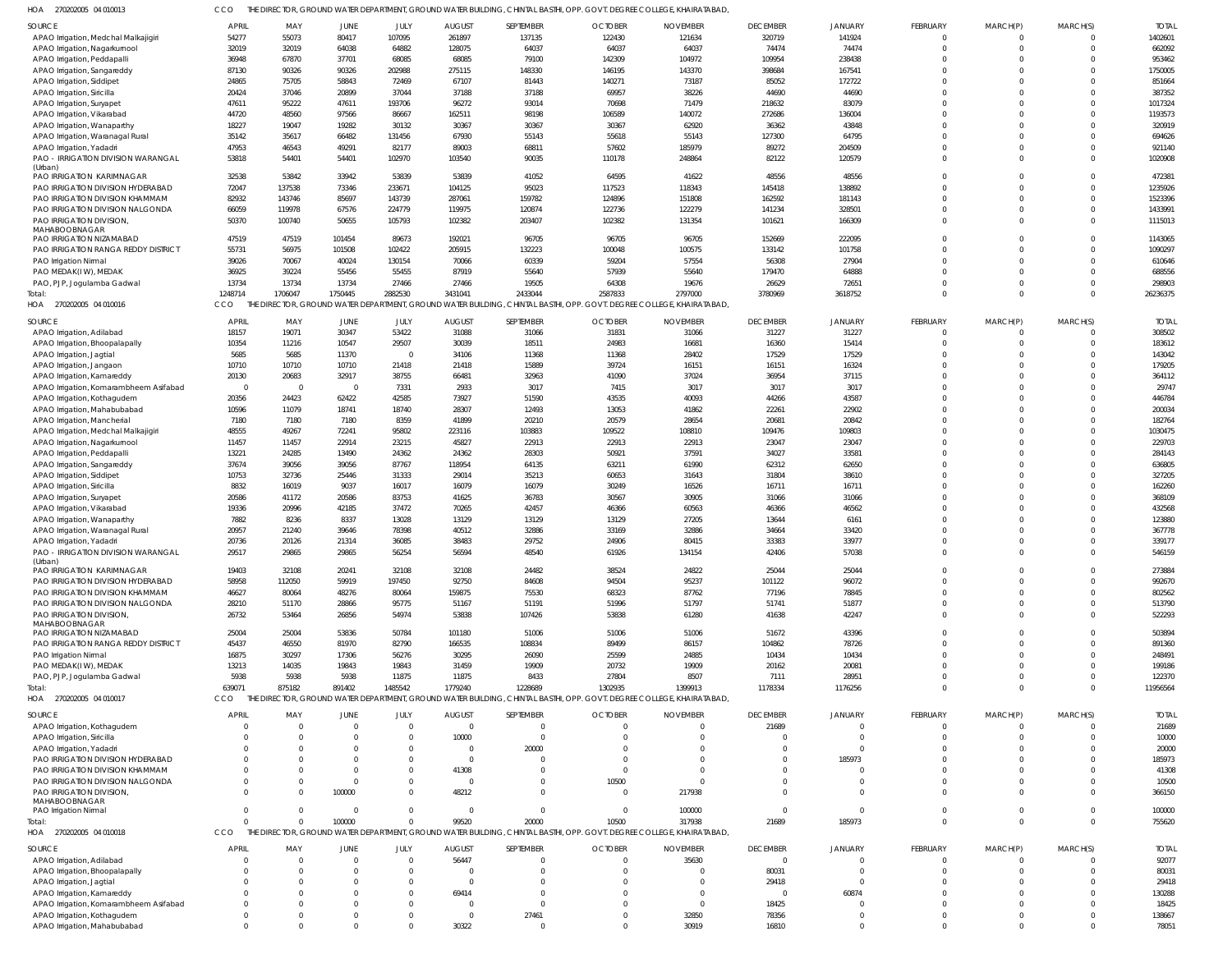| 1OA<br>270202005 04 010013                                           | cco                     |                         |                         |                 |                         |                 | THE DIRECTOR, GROUND WATER DEPARTMENT, GROUND WATER BUILDING, CHINTAL BASTHI, OPP. GOVT. DEGREE COLLEGE, KHAIRATABAD  |                 |                 |                  |                      |                         |                      |                   |
|----------------------------------------------------------------------|-------------------------|-------------------------|-------------------------|-----------------|-------------------------|-----------------|-----------------------------------------------------------------------------------------------------------------------|-----------------|-----------------|------------------|----------------------|-------------------------|----------------------|-------------------|
| SOURCE                                                               | <b>APRIL</b>            | MAY                     | JUNE                    | JULY            | <b>AUGUST</b>           | SEPTEMBER       | <b>OCTOBER</b>                                                                                                        | <b>NOVEMBER</b> | <b>DECEMBER</b> | <b>JANUARY</b>   | FEBRUARY             | MARCH(P)                | MARCH(S)             | <b>TOTAL</b>      |
| APAO Irrigation, Medchal Malkajigiri                                 | 54277                   | 55073                   | 80417                   | 107095          | 261897                  | 137135          | 122430                                                                                                                | 121634          | 320719          | 141924           | $\mathbf 0$          | 0                       | $\Omega$             | 1402601           |
| APAO Irrigation, Nagarkurnool                                        | 32019                   | 32019                   | 64038                   | 64882           | 128075                  | 64037           | 64037                                                                                                                 | 64037           | 74474           | 74474            | $\Omega$             | $\mathbf 0$             | $\Omega$             | 662092            |
| APAO Irrigation, Peddapalli                                          | 36948                   | 67870                   | 37701                   | 68085           | 68085                   | 79100           | 142309                                                                                                                | 104972          | 109954          | 238438           | $\Omega$<br>$\Omega$ | $\Omega$<br>$\Omega$    | $\Omega$<br>$\Omega$ | 953462            |
| APAO Irrigation, Sangareddy<br>APAO Irrigation, Siddipet             | 87130<br>24865          | 90326<br>75705          | 90326<br>58843          | 202988<br>72469 | 275115<br>67107         | 148330<br>81443 | 146195<br>140271                                                                                                      | 143370<br>73187 | 398684<br>85052 | 167541<br>172722 | $\Omega$             | $\Omega$                | $\Omega$             | 1750005<br>851664 |
| APAO Irrigation, Siricilla                                           | 20424                   | 37046                   | 20899                   | 37044           | 37188                   | 37188           | 69957                                                                                                                 | 38226           | 44690           | 44690            | $\Omega$             | $\Omega$                | $\Omega$             | 387352            |
| APAO Irrigation, Suryapet                                            | 47611                   | 95222                   | 47611                   | 193706          | 96272                   | 93014           | 70698                                                                                                                 | 71479           | 218632          | 83079            | $\Omega$             | $\Omega$                | $\Omega$             | 1017324           |
| APAO Irrigation, Vikarabad                                           | 44720                   | 48560                   | 97566                   | 86667           | 162511                  | 98198           | 106589                                                                                                                | 140072          | 272686          | 136004           | $\Omega$             | $\Omega$                | $\Omega$             | 1193573           |
| APAO Irrigation, Wanaparthy                                          | 18227                   | 19047                   | 19282                   | 30132           | 30367                   | 30367           | 30367                                                                                                                 | 62920           | 36362           | 43848            | $\Omega$             | $\Omega$                | $\Omega$             | 320919            |
| APAO Irrigation, Waranagal Rural                                     | 35142                   | 35617                   | 66482                   | 131456          | 67930                   | 55143           | 55618                                                                                                                 | 55143           | 127300          | 64795            | $\Omega$             | $\Omega$                | $\Omega$             | 694626            |
| APAO Irrigation, Yadadri                                             | 47953                   | 46543                   | 49291                   | 82177           | 89003                   | 68811           | 57602                                                                                                                 | 185979          | 89272           | 204509           | $\Omega$             | $\Omega$                | $\Omega$             | 921140            |
| PAO - IRRIGATION DIVISION WARANGAL                                   | 53818                   | 54401                   | 54401                   | 102970          | 103540                  | 90035           | 110178                                                                                                                | 248864          | 82122           | 120579           | $\Omega$             | $\Omega$                | $\Omega$             | 1020908           |
| (Urban)<br>PAO IRRIGATION KARIMNAGAR                                 | 32538                   | 53842                   | 33942                   | 53839           | 53839                   | 41052           | 64595                                                                                                                 | 41622           | 48556           | 48556            | $\Omega$             | $\Omega$                | $\Omega$             | 472381            |
| PAO IRRIGATION DIVISION HYDERABAD                                    | 72047                   | 137538                  | 73346                   | 233671          | 104125                  | 95023           | 117523                                                                                                                | 118343          | 145418          | 138892           | $\Omega$             | $\Omega$                | $\Omega$             | 1235926           |
| PAO IRRIGATION DIVISION KHAMMAM                                      | 82932                   | 143746                  | 85697                   | 143739          | 287061                  | 159782          | 124896                                                                                                                | 151808          | 162592          | 181143           | $\Omega$             | $\Omega$                | $\Omega$             | 1523396           |
| PAO IRRIGATION DIVISION NALGONDA                                     | 66059                   | 119978                  | 67576                   | 224779          | 119975                  | 120874          | 122736                                                                                                                | 122279          | 141234          | 328501           | $\Omega$             | $\Omega$                | $\Omega$             | 1433991           |
| PAO IRRIGATION DIVISION,                                             | 50370                   | 100740                  | 50655                   | 105793          | 102382                  | 203407          | 102382                                                                                                                | 131354          | 101621          | 166309           | $\Omega$             | $\Omega$                | $\Omega$             | 1115013           |
| MAHABOOBNAGAR<br>PAO IRRIGATION NIZAMABAD                            | 47519                   | 47519                   | 101454                  | 89673           | 192021                  | 96705           | 96705                                                                                                                 | 96705           | 152669          | 222095           | $\Omega$             | $\Omega$                | $\Omega$             | 1143065           |
| PAO IRRIGATION RANGA REDDY DISTRICT                                  | 55731                   | 56975                   | 101508                  | 102422          | 205915                  | 132223          | 100048                                                                                                                | 100575          | 133142          | 101758           | $\Omega$             | $\Omega$                | $\Omega$             | 1090297           |
| PAO Irrigation Nirmal                                                | 39026                   | 70067                   | 40024                   | 130154          | 70066                   | 60339           | 59204                                                                                                                 | 57554           | 56308           | 27904            | $\Omega$             | $\Omega$                | $\Omega$             | 610646            |
| PAO MEDAK(IW), MEDAK                                                 | 36925                   | 39224                   | 55456                   | 55455           | 87919                   | 55640           | 57939                                                                                                                 | 55640           | 179470          | 64888            | $\Omega$             | $\Omega$                | $\Omega$             | 688556            |
| PAO, PJP, Jogulamba Gadwal                                           | 13734                   | 13734                   | 13734                   | 27466           | 27466                   | 19505           | 64308                                                                                                                 | 19676           | 26629           | 72651            | $\Omega$             | $\Omega$                | $\Omega$             | 298903            |
| Total:                                                               | 1248714                 | 1706047                 | 1750445                 | 2882530         | 3431041                 | 2433044         | 2587833                                                                                                               | 2797000         | 3780969         | 3618752          | $\Omega$             | $\Omega$                | $\Omega$             | 26236375          |
| HOA 270202005 04 010016                                              | CCO                     |                         |                         |                 |                         |                 | THE DIRECTOR, GROUND WATER DEPARTMENT, GROUND WATER BUILDING, CHINTAL BASTHI, OPP. GOVT. DEGREE COLLEGE, KHAIRATABAD, |                 |                 |                  |                      |                         |                      |                   |
| SOURCE                                                               | <b>APRIL</b>            | MAY                     | JUNE                    | JULY            | <b>AUGUST</b>           | SEPTEMBER       | <b>OCTOBER</b>                                                                                                        | <b>NOVEMBER</b> | <b>DECEMBER</b> | <b>JANUARY</b>   | <b>FEBRUARY</b>      | MARCH(P)                | MARCH(S)             | <b>TOTAI</b>      |
| APAO Irrigation, Adilabad                                            | 18157                   | 19071                   | 30347                   | 53422           | 31088                   | 31066           | 31831                                                                                                                 | 31066           | 31227           | 31227            | $\mathbf 0$          | 0                       | $\Omega$             | 308502            |
| APAO Irrigation, Bhoopalapally                                       | 10354                   | 11216                   | 10547                   | 29507           | 30039                   | 18511           | 24983                                                                                                                 | 16681           | 16360           | 15414            | 0                    | $\mathbf 0$             | $\Omega$             | 183612            |
| APAO Irrigation, Jagtial                                             | 5685                    | 5685                    | 11370                   | $\overline{0}$  | 34106                   | 11368           | 11368                                                                                                                 | 28402           | 17529           | 17529            | $\Omega$             | $\Omega$                | $\Omega$             | 143042            |
| APAO Irrigation, Jangaon                                             | 10710                   | 10710                   | 10710                   | 21418           | 21418                   | 15889           | 39724                                                                                                                 | 16151           | 16151           | 16324            | $\Omega$             | $\Omega$                | $\Omega$             | 179205            |
| APAO Irrigation, Kamareddy                                           | 20130                   | 20683                   | 32917                   | 38755           | 66481                   | 32963           | 41090                                                                                                                 | 37024           | 36954           | 37115            | $\Omega$             | $\Omega$                | $\Omega$             | 364112            |
| APAO Irrigation, Komarambheem Asifabad                               | $\overline{0}$<br>20356 | $\overline{0}$<br>24423 | $\overline{0}$<br>62422 | 7331<br>42585   | 2933<br>73927           | 3017<br>51590   | 7415<br>43535                                                                                                         | 3017<br>40093   | 3017<br>44266   | 3017<br>43587    | $\Omega$<br>$\Omega$ | $\Omega$<br>$\Omega$    | $\Omega$<br>$\Omega$ | 29747<br>446784   |
| APAO Irrigation, Kothagudem<br>APAO Irrigation, Mahabubabad          | 10596                   | 11079                   | 18741                   | 18740           | 28307                   | 12493           | 13053                                                                                                                 | 41862           | 22261           | 22902            | $\Omega$             | $\Omega$                | $\Omega$             | 200034            |
| APAO Irrigation, Mancherial                                          | 7180                    | 7180                    | 7180                    | 8359            | 41899                   | 20210           | 20579                                                                                                                 | 28654           | 20681           | 20842            | $\Omega$             | $\Omega$                | $\Omega$             | 182764            |
| APAO Irrigation, Medchal Malkajigiri                                 | 48555                   | 49267                   | 72241                   | 95802           | 223116                  | 103883          | 109522                                                                                                                | 108810          | 109476          | 109803           | $\Omega$             | $\Omega$                | $\Omega$             | 1030475           |
| APAO Irrigation, Nagarkurnool                                        | 11457                   | 11457                   | 22914                   | 23215           | 45827                   | 22913           | 22913                                                                                                                 | 22913           | 23047           | 23047            | $\Omega$             | $\Omega$                | $\Omega$             | 229703            |
| APAO Irrigation, Peddapalli                                          | 13221                   | 24285                   | 13490                   | 24362           | 24362                   | 28303           | 50921                                                                                                                 | 37591           | 34027           | 33581            | $\Omega$             | $\Omega$                | $\Omega$             | 284143            |
| APAO Irrigation, Sangareddy                                          | 37674                   | 39056                   | 39056                   | 87767           | 118954                  | 64135           | 63211                                                                                                                 | 61990           | 62312           | 62650            | $\Omega$             | $\Omega$                | $\Omega$             | 636805            |
| APAO Irrigation, Siddipet                                            | 10753                   | 32736                   | 25446                   | 31333           | 29014                   | 35213           | 60653                                                                                                                 | 31643           | 31804           | 38610            | $\Omega$             | $\Omega$                | $\Omega$             | 327205            |
| APAO Irrigation, Siricilla                                           | 8832                    | 16019                   | 9037                    | 16017           | 16079                   | 16079           | 30249                                                                                                                 | 16526           | 16711           | 16711            | $\Omega$             | $\Omega$                | $\Omega$             | 162260            |
| APAO Irrigation, Suryapet                                            | 20586                   | 41172                   | 20586                   | 83753           | 41625                   | 36783           | 30567                                                                                                                 | 30905           | 31066           | 31066            | $\Omega$<br>$\Omega$ | $\Omega$<br>$\Omega$    | $\Omega$<br>$\Omega$ | 368109            |
| APAO Irrigation, Vikarabad<br>APAO Irrigation, Wanaparthy            | 19336<br>7882           | 20996<br>8236           | 42185<br>8337           | 37472<br>13028  | 70265<br>13129          | 42457<br>13129  | 46366<br>13129                                                                                                        | 60563<br>27205  | 46366<br>13644  | 46562<br>6161    | $\Omega$             | $\Omega$                | $\Omega$             | 432568<br>123880  |
| APAO Irrigation, Waranagal Rural                                     | 20957                   | 21240                   | 39646                   | 78398           | 40512                   | 32886           | 33169                                                                                                                 | 32886           | 34664           | 33420            | $\Omega$             | $\Omega$                | $\Omega$             | 367778            |
| APAO Irrigation, Yadadri                                             | 20736                   | 20126                   | 21314                   | 36085           | 38483                   | 29752           | 24906                                                                                                                 | 80415           | 33383           | 33977            | $\Omega$             | $\Omega$                | $\Omega$             | 339177            |
| PAO - IRRIGATION DIVISION WARANGAL                                   | 29517                   | 29865                   | 29865                   | 56254           | 56594                   | 48540           | 61926                                                                                                                 | 134154          | 42406           | 57038            |                      | $\Omega$                | $\Omega$             | 546159            |
| (Urban)                                                              |                         |                         |                         |                 |                         |                 |                                                                                                                       |                 |                 |                  |                      |                         |                      |                   |
| PAO IRRIGATION KARIMNAGAR                                            | 19403                   | 32108                   | 20241                   | 32108           | 32108                   | 24482           | 38524                                                                                                                 | 24822           | 25044           | 25044            | $\Omega$             | $\Omega$                | $\Omega$<br>$\Omega$ | 273884            |
| PAO IRRIGATION DIVISION HYDERABAD<br>PAO IRRIGATION DIVISION KHAMMAM | 58958<br>46627          | 112050<br>80064         | 59919<br>48276          | 197450<br>80064 | 92750<br>159875         | 84608<br>75530  | 94504<br>68323                                                                                                        | 95237<br>87762  | 101122<br>77196 | 96072<br>78845   | 0<br>$\Omega$        | $\mathbf 0$<br>$\Omega$ | $\Omega$             | 992670<br>802562  |
| PAO IRRIGATION DIVISION NALGONDA                                     | 28210                   | 51170                   | 28866                   | 95775           | 51167                   | 51191           | 51996                                                                                                                 | 51797           | 51741           | 51877            | $\Omega$             | $\Omega$                | $\Omega$             | 513790            |
| PAO IRRIGATION DIVISION,                                             | 26732                   | 53464                   | 26856                   | 54974           | 53838                   | 107426          | 53838                                                                                                                 | 61280           | 41638           | 42247            | $\Omega$             | $\Omega$                | $\Omega$             | 522293            |
| MAHABOOBNAGAR                                                        |                         |                         |                         |                 |                         |                 |                                                                                                                       |                 |                 |                  |                      |                         |                      |                   |
| PAO IRRIGATION NIZAMABAD                                             | 25004                   | 25004                   | 53836                   | 50784           | 101180                  | 51006           | 51006                                                                                                                 | 51006           | 51672           | 43396            | $\Omega$             | $\Omega$                | $\Omega$             | 503894            |
| PAO IRRIGATION RANGA REDDY DISTRICT                                  | 45437<br>16875          | 46550<br>30297          | 81970                   | 82790           | 166535                  | 108834          | 89499                                                                                                                 | 86157<br>24885  | 104862          | 78726            | $\Omega$<br>$\Omega$ | $\Omega$                | $\Omega$<br>$\Omega$ | 891360            |
| PAO Irrigation Nirmal<br>PAO MEDAK(IW), MEDAK                        | 13213                   | 14035                   | 17306<br>19843          | 56276<br>19843  | 30295<br>31459          | 26090<br>19909  | 25599<br>20732                                                                                                        | 19909           | 10434<br>20162  | 10434<br>20081   | $\Omega$             | $\Omega$                | $\Omega$             | 248491<br>199186  |
| PAO, PJP, Jogulamba Gadwal                                           | 5938                    | 5938                    | 5938                    | 11875           | 11875                   | 8433            | 27804                                                                                                                 | 8507            | 7111            | 28951            | $\Omega$             | $\Omega$                | $\Omega$             | 122370            |
| Total:                                                               | 639071                  | 875182                  | 891402                  | 1485542         | 1779240                 | 1228689         | 1302935                                                                                                               | 1399913         | 1178334         | 1176256          | $\Omega$             | $\Omega$                | $\Omega$             | 11956564          |
| HOA 270202005 04 010017                                              | CCO                     |                         |                         |                 |                         |                 | THE DIRECTOR, GROUND WATER DEPARTMENT, GROUND WATER BUILDING, CHINTAL BASTHI, OPP. GOVT. DEGREE COLLEGE, KHAIRATABAD, |                 |                 |                  |                      |                         |                      |                   |
| <b>SOURCE</b>                                                        | <b>APRIL</b>            | MAY                     | JUNE                    | JULY            | <b>AUGUST</b>           | SEPTEMBER       | <b>OCTOBER</b>                                                                                                        | <b>NOVEMBER</b> | <b>DECEMBER</b> | <b>JANUARY</b>   | FEBRUARY             | MARCH(P)                | MARCH(S)             | <b>TOTAI</b>      |
| APAO Irrigation, Kothagudem                                          |                         | $\overline{0}$          | $\overline{0}$          | $\overline{0}$  | $\overline{0}$          | $\Omega$        | $\overline{0}$                                                                                                        | $\overline{0}$  | 21689           | $\cap$           | $\mathbf 0$          | $\Omega$                | $\Omega$             | 21689             |
| APAO Irrigation, Siricilla                                           |                         | $\Omega$                | $\Omega$                | $\overline{0}$  | 10000                   | $\Omega$        | $\Omega$                                                                                                              | $^{\circ}$      | - 0             | - 0              | $\Omega$             | $\Omega$                | $\Omega$             | 10000             |
| APAO Irrigation, Yadadri                                             |                         | $\Omega$                | $\Omega$                | $\overline{0}$  | $\overline{0}$          | 20000           | $\Omega$                                                                                                              | $\Omega$        | $\Omega$        | $\Omega$         |                      |                         | $\Omega$             | 20000             |
| PAO IRRIGATION DIVISION HYDERABAD                                    |                         | $\Omega$                | $\Omega$                | $\overline{0}$  | $\overline{0}$          |                 | $\Omega$                                                                                                              | $\Omega$        | $\Omega$        | 185973           |                      |                         | $\Omega$             | 185973            |
| PAO IRRIGATION DIVISION KHAMMAM                                      |                         | $\Omega$                | $\Omega$                | $\Omega$        | 41308                   |                 | $\Omega$                                                                                                              | $\Omega$        | $\Omega$        |                  |                      |                         | $\Omega$             | 41308             |
| PAO IRRIGATION DIVISION NALGONDA                                     |                         | $\Omega$                | $\Omega$                | $^{\circ}$      | $\overline{0}$          | $\Omega$        | 10500                                                                                                                 | $\Omega$        | $\Omega$        | $\Omega$         | $\Omega$             | $\Omega$                | $\Omega$             | 10500             |
| PAO IRRIGATION DIVISION                                              |                         | $\Omega$                | 100000                  | $\Omega$        | 48212                   | $\Omega$        | $\overline{0}$                                                                                                        | 217938          | $\Omega$        | $\Omega$         | $\Omega$             | $\Omega$                | $\Omega$             | 366150            |
| MAHABOOBNAGAR<br>PAO Irrigation Nirmal                               |                         | $\Omega$                | $\Omega$                | $\mathbf 0$     | $\overline{0}$          | $\Omega$        | $\overline{0}$                                                                                                        | 100000          | $\Omega$        | $\Omega$         | $\Omega$             | $\Omega$                | $\Omega$             | 100000            |
| Total:                                                               | $\cap$                  | $\Omega$                | 100000                  | $\Omega$        | 99520                   | 20000           | 10500                                                                                                                 | 317938          | 21689           | 185973           | $\mathbf 0$          | $\mathbf 0$             | $\Omega$             | 755620            |
| HOA 270202005 04 010018                                              | CCO                     |                         |                         |                 |                         |                 | THE DIRECTOR, GROUND WATER DEPARTMENT, GROUND WATER BUILDING, CHINTAL BASTHI, OPP. GOVT. DEGREE COLLEGE, KHAIRATABAD, |                 |                 |                  |                      |                         |                      |                   |
| SOURCE                                                               | <b>APRIL</b>            | MAY                     | <b>JUNE</b>             | JULY            | <b>AUGUST</b>           | SEPTEMBER       | <b>OCTOBER</b>                                                                                                        | <b>NOVEMBER</b> | <b>DECEMBER</b> | <b>JANUARY</b>   | <b>FEBRUARY</b>      | MARCH(P)                | MARCH(S)             | <b>TOTAI</b>      |
| APAO Irrigation, Adilabad                                            |                         | $\overline{0}$          | $\overline{0}$          | $\circ$         | 56447                   |                 | $\overline{0}$                                                                                                        | 35630           | $\Omega$        |                  | $\mathbf 0$          | 0                       | $\Omega$             | 92077             |
| APAO Irrigation, Bhoopalapally                                       |                         | $\Omega$                | $\Omega$                | - 0             | $\overline{0}$          |                 | $\overline{0}$                                                                                                        | $\overline{0}$  | 80031           | $\Omega$         | $\mathbf 0$          | 0                       | $\Omega$             | 80031             |
| APAO Irrigation, Jagtial                                             |                         | $\Omega$                | $\Omega$                | $\overline{0}$  | $\overline{0}$          |                 | $\Omega$                                                                                                              | $\Omega$        | 29418           | $\Omega$         | $\Omega$             | $\Omega$                | $\Omega$             | 29418             |
| APAO Irrigation, Kamareddy                                           |                         | $\Omega$                | $\Omega$                | $\Omega$        | 69414                   |                 | $\Omega$                                                                                                              | $\overline{0}$  | $\Omega$        | 60874            | $\Omega$             |                         | $\Omega$             | 130288            |
| APAO Irrigation, Komarambheem Asifabad                               |                         | $\Omega$                | $\Omega$                | $\Omega$        | $\overline{0}$          |                 | $\Omega$                                                                                                              | $\overline{0}$  | 18425           | $\Omega$         | $\Omega$             | $\Omega$                | $\Omega$             | 18425             |
| APAO Irrigation, Kothagudem                                          |                         | $\Omega$                | $\overline{0}$          | $\overline{0}$  | $\overline{\mathbf{0}}$ | 27461           | $\overline{0}$                                                                                                        | 32850           | 78356           | $\Omega$         | 0                    | $\Omega$                | $\Omega$             | 138667            |
| APAO Irrigation, Mahabubabad                                         |                         | $\Omega$                | $\Omega$                | $\Omega$        | 30322                   | $\Omega$        | $\Omega$                                                                                                              | 30919           | 16810           | $\Omega$         |                      |                         | $\Omega$             | 78051             |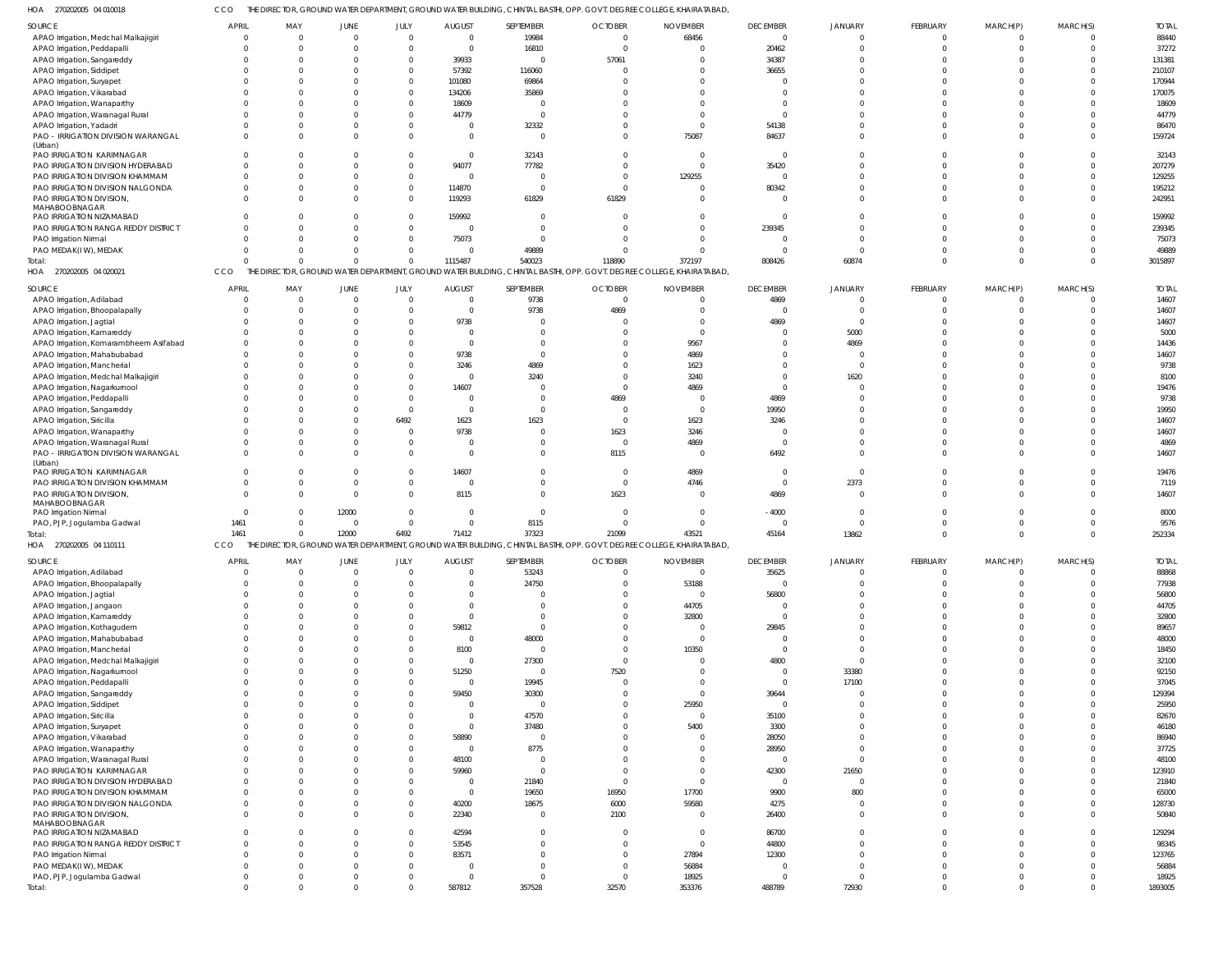CCO THE DIRECTOR, GROUND WATER DEPARTMENT, GROUND WATER BUILDING, CHINTAL BASTHI, OPP. GOVT. DEGREE COLLEGE, KHAIRATABAD,

|                                               |                         |              |              |                          |                |                          |                | 'HE DIRECTOR, GROUND WATER DEPARTMENT, GROUND WATER BUILDING, CHINTAL BASTHI, OPP. GOVT. DEGREE COLLEGE, KHAIRATABAD, |                 |                |          |          |          |                  |
|-----------------------------------------------|-------------------------|--------------|--------------|--------------------------|----------------|--------------------------|----------------|-----------------------------------------------------------------------------------------------------------------------|-----------------|----------------|----------|----------|----------|------------------|
| SOURCE                                        | <b>APRIL</b>            | MAY          | JUNE         | JULY                     | <b>AUGUST</b>  | SEPTEMBER                | <b>OCTOBER</b> | <b>NOVEMBER</b>                                                                                                       | <b>DECEMBER</b> | <b>JANUARY</b> | FEBRUARY | MARCH(P) | MARCH(S) | <b>TOTAL</b>     |
| APAO Irrigation, Medchal Malkajigiri          | $\Omega$                | $\Omega$     | $\mathbf{0}$ | $\mathbf{0}$             | $\overline{0}$ | 19984                    | $\Omega$       | 68456                                                                                                                 | $\Omega$        | $\Omega$       | $\Omega$ | $\Omega$ |          | 88440            |
| APAO Irrigation, Peddapalli                   | $\Omega$                | $\Omega$     | $\Omega$     | $\mathbf{0}$             | $\overline{0}$ | 16810                    | $\Omega$       | $\overline{0}$                                                                                                        | 20462           | $\Omega$       | $\Omega$ | $\Omega$ |          | 37272            |
|                                               |                         |              |              |                          |                |                          |                |                                                                                                                       |                 |                |          |          |          |                  |
| APAO Irrigation, Sangareddy                   | $\Omega$                |              | $\Omega$     | $\mathbf 0$              | 39933          | $\overline{0}$           | 57061          | $\Omega$                                                                                                              | 34387           |                |          |          |          | 131381           |
| APAO Irrigation, Siddipet                     | $\Omega$                |              | $\Omega$     | $\mathbf 0$              | 57392          | 116060                   | - 0            | $\Omega$                                                                                                              | 36655           |                |          |          |          | 210107           |
| APAO Irrigation, Suryapet                     | <sup>0</sup>            |              | $\Omega$     | $\mathbf 0$              | 101080         | 69864                    |                | $\Omega$                                                                                                              | - 0             |                |          |          |          | 170944           |
| APAO Irrigation, Vikarabad                    | $\Omega$                |              | $\Omega$     | $\mathbf 0$              | 134206         | 35869                    |                | $\Omega$                                                                                                              | $\Omega$        |                |          |          |          | 170075           |
| APAO Irrigation, Wanaparthy                   |                         |              | $\Omega$     | $\mathbf 0$              | 18609          | $\Omega$                 |                | $\Omega$                                                                                                              | $\Omega$        |                |          |          |          | 18609            |
| APAO Irrigation, Waranagal Rural              | $\Omega$                |              | $\Omega$     | $\Omega$                 | 44779          | $\Omega$                 |                | $\Omega$                                                                                                              | $\Omega$        |                |          |          |          | 44779            |
| APAO Irrigation, Yadadri                      | $\Omega$                |              | $\Omega$     | $\mathbf 0$              | $\Omega$       | 32332                    |                | $\overline{0}$                                                                                                        | 54138           |                |          |          |          | 86470            |
|                                               | $\Omega$                |              | $\Omega$     | $\Omega$                 | $\Omega$       | $\overline{0}$           |                | 75087                                                                                                                 |                 |                | $\Omega$ |          |          | 159724           |
| PAO - IRRIGATION DIVISION WARANGAL<br>(Urban) |                         |              |              |                          |                |                          |                |                                                                                                                       | 84637           |                |          |          |          |                  |
| PAO IRRIGATION KARIMNAGAR                     | <sup>0</sup>            |              | $\Omega$     | $\mathbf{0}$             | $\Omega$       | 32143                    |                | - 0                                                                                                                   | $\Omega$        |                |          |          |          | 32143            |
|                                               | $\Omega$                | $\Omega$     | $\Omega$     | $\mathbf{0}$             | 94077          | 77782                    |                | $\Omega$                                                                                                              |                 |                |          |          |          | 207279           |
| PAO IRRIGATION DIVISION HYDERABAD             |                         |              |              |                          |                |                          |                |                                                                                                                       | 35420           |                |          |          |          |                  |
| PAO IRRIGATION DIVISION KHAMMAM               | $\Omega$                | $\Omega$     | $\Omega$     | $\mathbf{0}$             | $\overline{0}$ | $\overline{0}$           | $\Omega$       | 129255                                                                                                                | $\Omega$        |                |          |          |          | 129255           |
| PAO IRRIGATION DIVISION NALGONDA              | $\Omega$                |              | $\Omega$     | $\mathbf 0$              | 114870         | $\overline{0}$           | $\Omega$       | - 0                                                                                                                   | 80342           |                |          |          |          | 195212           |
| PAO IRRIGATION DIVISION,                      | $\Omega$                |              | $\Omega$     | $\overline{0}$           | 119293         | 61829                    | 61829          | $\Omega$                                                                                                              | $\Omega$        |                | $\Omega$ |          |          | 242951           |
| MAHABOOBNAGAR                                 |                         |              |              |                          |                |                          |                |                                                                                                                       |                 |                |          |          |          |                  |
| PAO IRRIGATION NIZAMABAD                      | $\Omega$                |              | $\Omega$     | $\mathbf 0$              | 159992         | $\overline{0}$           |                | $\Omega$                                                                                                              | $\Omega$        |                |          |          |          | 159992           |
| PAO IRRIGATION RANGA REDDY DISTRICT           | $\Omega$                |              | $\Omega$     | $\mathbf 0$              | $\Omega$       | $\overline{0}$           |                | $\Omega$                                                                                                              | 239345          |                |          |          |          | 239345           |
| PAO Irrigation Nirmal                         | $\Omega$                |              | $\Omega$     | $\mathbf 0$              | 75073          | $\Omega$                 |                | $\Omega$                                                                                                              | $\Omega$        | $\Omega$       |          |          |          | 75073            |
| PAO MEDAK(IW), MEDAK                          | $\Omega$                |              | $\Omega$     | $\mathbf 0$              | $\Omega$       | 49889                    |                | $\Omega$                                                                                                              | $\Omega$        | $\Omega$       |          |          |          | 49889            |
| Total:                                        | U                       |              | $\Omega$     | $\mathbf 0$              | 1115487        | 540023                   | 118890         | 372197                                                                                                                | 808426          | 60874          | $\Omega$ | $\cap$   |          | 3015897          |
| HOA 270202005 04 020021                       | CCO                     |              |              |                          |                |                          |                | THE DIRECTOR, GROUND WATER DEPARTMENT, GROUND WATER BUILDING, CHINTAL BASTHI, OPP. GOVT. DEGREE COLLEGE, KHAIRATABAD, |                 |                |          |          |          |                  |
|                                               |                         |              |              |                          |                |                          |                |                                                                                                                       |                 |                |          |          |          |                  |
| SOURCE                                        | <b>APRIL</b>            | MAY          | JUNE         | JULY                     | <b>AUGUST</b>  | SEPTEMBER                | <b>OCTOBER</b> | <b>NOVEMBER</b>                                                                                                       | <b>DECEMBER</b> | <b>JANUARY</b> | FEBRUARY | MARCH(P) | MARCH(S) | <b>TOTAL</b>     |
| APAO Irrigation, Adilabad                     | $\Omega$                | $\Omega$     | $\mathbf 0$  | $\overline{0}$           | $\Omega$       | 9738                     | $\Omega$       | $\overline{0}$                                                                                                        | 4869            | $\Omega$       | $\Omega$ |          | $\Omega$ | 14607            |
| APAO Irrigation, Bhoopalapally                | $\Omega$                | $\Omega$     | $\mathbf{0}$ | $\mathbf{0}$             | $\overline{0}$ | 9738                     | 4869           | $\Omega$                                                                                                              | $\Omega$        | $\overline{0}$ |          |          |          | 14607            |
| APAO Irrigation, Jagtial                      | 0                       |              | $\Omega$     | $\mathbf{0}$             | 9738           | $\overline{0}$           |                | $\overline{0}$                                                                                                        | 4869            | $\Omega$       |          |          |          | 14607            |
|                                               | <sup>0</sup>            | <sup>0</sup> | <sup>0</sup> | $\Omega$                 |                | $\Omega$                 |                | $\Omega$                                                                                                              | $\Omega$        |                |          |          |          |                  |
| APAO Irrigation, Kamareddy                    |                         |              |              |                          | - 0            |                          |                |                                                                                                                       |                 | 5000           |          |          |          | 5000             |
| APAO Irrigation, Komarambheem Asifabad        |                         |              | $\Omega$     | $\Omega$                 | $\Omega$       | $\mathbf{0}$             |                | 9567                                                                                                                  | $\Omega$        | 4869           |          |          |          | 14436            |
| APAO Irrigation, Mahabubabad                  | <sup>0</sup>            |              | $\Omega$     | $\mathbf 0$              | 9738           | $\mathbf{0}$             |                | 4869                                                                                                                  | $\Omega$        | $\Omega$       |          |          |          | 14607            |
| APAO Irrigation, Mancherial                   |                         |              | $\Omega$     | $\Omega$                 | 3246           | 4869                     |                | 1623                                                                                                                  | $\cap$          | $\Omega$       |          |          |          | 9738             |
| APAO Irrigation, Medchal Malkajigiri          |                         |              | $\Omega$     | $\mathbf 0$              |                | 3240                     |                | 3240                                                                                                                  | $\Omega$        | 1620           |          |          |          | 8100             |
| APAO Irrigation, Nagarkurnool                 |                         |              | $\Omega$     | $\Omega$                 | 14607          | $\overline{0}$           |                | 4869                                                                                                                  | $\Omega$        | $\Omega$       |          |          |          | 19476            |
| APAO Irrigation, Peddapalli                   | <sup>0</sup>            |              | $\Omega$     | $\mathbf{0}$             | - 0            | $\mathbf 0$              | 4869           | - 0                                                                                                                   | 4869            | $\Omega$       |          |          |          | 9738             |
| APAO Irrigation, Sangareddy                   |                         |              | $\Omega$     | $\overline{0}$           | $\Omega$       | $\overline{0}$           | $\Omega$       | $\overline{0}$                                                                                                        | 19950           | $\Omega$       |          |          |          | 19950            |
|                                               |                         |              | $\Omega$     | 6492                     | 1623           |                          | - 0            | 1623                                                                                                                  |                 | $\Omega$       |          |          |          | 14607            |
| APAO Irrigation, Siricilla                    |                         |              |              |                          |                | 1623                     |                |                                                                                                                       | 3246            |                |          |          |          |                  |
| APAO Irrigation, Wanaparthy                   | <sup>0</sup>            |              | $\Omega$     | $\Omega$                 | 9738           | $\overline{0}$           | 1623           | 3246                                                                                                                  | $\Omega$        | $\Omega$       |          |          |          | 14607            |
| APAO Irrigation, Waranagal Rural              | $\Omega$                |              | $\Omega$     | $\mathbf{0}$             |                | $\mathbf 0$              | $\overline{0}$ | 4869                                                                                                                  | $\Omega$        | $\Omega$       |          |          |          | 4869             |
| PAO - IRRIGATION DIVISION WARANGAL            | $\Omega$                |              | $\Omega$     | $\mathbf 0$              | $\Omega$       | $\mathbf 0$              | 8115           | $\overline{0}$                                                                                                        | 6492            | $\Omega$       |          |          |          | 14607            |
| (Urban)                                       |                         |              |              |                          |                |                          |                |                                                                                                                       |                 |                |          |          |          |                  |
|                                               |                         |              |              |                          |                |                          |                |                                                                                                                       |                 |                |          |          |          |                  |
| PAO IRRIGATION KARIMNAGAR                     | $\Omega$                |              | $\mathbf{0}$ | $\mathbf 0$              | 14607          | $\overline{0}$           | $\Omega$       | 4869                                                                                                                  | $\Omega$        | $\Omega$       |          |          |          | 19476            |
| PAO IRRIGATION DIVISION KHAMMAM               | $\Omega$                |              | $\Omega$     | $\mathbf{0}$             | $\Omega$       | $\mathbf 0$              | $\Omega$       | 4746                                                                                                                  | $\Omega$        | 2373           |          |          |          | 7119             |
| PAO IRRIGATION DIVISION,                      | $\Omega$                |              | $\Omega$     | $\mathbf 0$              | 8115           | $\mathbf{0}$             | 1623           | $\Omega$                                                                                                              | 4869            | $\Omega$       |          |          |          | 14607            |
| MAHABOOBNAGAR                                 |                         |              |              |                          |                |                          |                |                                                                                                                       |                 |                |          |          |          |                  |
| PAO Irrigation Nirmal                         | $\Omega$                | 0            | 12000        | $\overline{0}$           | $\Omega$       | $\mathbf{0}$             | $\bigcap$      | $\overline{0}$                                                                                                        | $-4000$         | $\overline{0}$ |          |          |          | 8000             |
|                                               | 1461                    | 0            | $\mathbf{0}$ | $\mathbf{0}$             | $\mathbf 0$    | 8115                     |                | $\Omega$                                                                                                              | $\Omega$        | $\mathbf 0$    |          |          |          | 9576             |
| PAO, PJP, Jogulamba Gadwal                    | 1461                    | $\Omega$     |              |                          |                |                          |                | 43521                                                                                                                 |                 |                | $\Omega$ |          |          |                  |
| Total:                                        |                         |              | 12000        | 6492                     | 71412          | 37323                    | 21099          |                                                                                                                       | 45164           | 13862          |          |          |          | 252334           |
| HOA 270202005 04 110111                       | <b>CCO</b>              |              |              |                          |                |                          |                | THE DIRECTOR, GROUND WATER DEPARTMENT, GROUND WATER BUILDING, CHINTAL BASTHI, OPP. GOVT. DEGREE COLLEGE, KHAIRATABAD, |                 |                |          |          |          |                  |
| SOURCE                                        | <b>APRIL</b>            | MAY          | <b>JUNE</b>  | JULY                     | <b>AUGUST</b>  | SEPTEMBER                | <b>OCTOBER</b> | <b>NOVEMBER</b>                                                                                                       | <b>DECEMBER</b> | JANUARY        | FEBRUARY | MARCH(P) | MARCH(S) | <b>TOTAL</b>     |
| APAO Irrigation, Adilabad                     | $\overline{0}$          | $\Omega$     | $\mathbf 0$  | $\overline{0}$           | $\overline{0}$ | 53243                    | $\Omega$       | $\overline{0}$                                                                                                        | 35625           | $\Omega$       | $\Omega$ | $\Omega$ |          | 88868            |
|                                               | $\Omega$                | $\Omega$     | $\Omega$     | $\overline{0}$           | $\Omega$       |                          | $\Omega$       |                                                                                                                       | $\Omega$        | $\Omega$       | $\Omega$ | $\Omega$ | $\Omega$ |                  |
| APAO Irrigation, Bhoopalapally                |                         |              |              |                          |                | 24750                    |                | 53188                                                                                                                 |                 |                |          |          |          | 77938            |
| APAO Irrigation, Jagtial                      | $\Omega$                | $\Omega$     | $\Omega$     | $\Omega$                 | $\Omega$       | $\overline{0}$           | $\Omega$       | $\overline{0}$                                                                                                        | 56800           | $\Omega$       |          |          |          | 56800            |
| APAO Irrigation, Jangaon                      | $\Omega$                |              | $\Omega$     | $\Omega$                 | $\Omega$       | $\Omega$                 |                | 44705                                                                                                                 | $\Omega$        | $\Omega$       |          | $\Omega$ |          | 44705            |
| APAO Irrigation, Kamareddy                    | $\Omega$                | $\Omega$     | <sup>0</sup> | $\Omega$                 | $\Omega$       | $\mathbf 0$              |                | 32800                                                                                                                 | $\Omega$        | $\Omega$       |          |          |          | 32800            |
| APAO Irrigation, Kothagudem                   | $\Omega$                | $\Omega$     | $\Omega$     | $\mathbf 0$              | 59812          | $\mathbf{0}$             |                | $\overline{0}$                                                                                                        | 29845           | $\Omega$       |          |          |          | 89657            |
| APAO Irrigation, Mahabubabad                  | $\Omega$                | $\Omega$     | $\Omega$     | $\mathbf 0$              | $\overline{0}$ | 48000                    |                | $\overline{0}$                                                                                                        | $\Omega$        | $\Omega$       | $\Omega$ |          |          | 48000            |
| APAO Irrigation, Mancherial                   | $\Omega$                | $\Omega$     | $\Omega$     | $\Omega$                 | 8100           | $\overline{0}$           | $\Omega$       | 10350                                                                                                                 | $\Omega$        | $\Omega$       | $\Omega$ | $\cap$   |          | 18450            |
| APAO Irrigation, Medchal Malkajigiri          | $\Omega$                | $\Omega$     | $\Omega$     | $\mathbf 0$              | $\Omega$       | 27300                    | $\Omega$       | $\overline{0}$                                                                                                        | 4800            | $\Omega$       |          |          |          | 32100            |
| APAO Irrigation, Nagarkurnool                 | $\Omega$                |              | $\Omega$     | $\mathbf 0$              | 51250          | $\overline{0}$           | 7520           | $\Omega$                                                                                                              | $\Omega$        | 33380          | $\Omega$ |          |          | 92150            |
|                                               | $\Omega$                | $\Omega$     | <sup>0</sup> |                          |                |                          | $\Omega$       | $\Omega$                                                                                                              | $\Omega$        |                |          |          |          |                  |
| APAO Irrigation, Peddapalli                   |                         |              |              | $\mathbf 0$              | $\overline{0}$ | 19945                    |                |                                                                                                                       |                 | 17100          |          |          |          | 37045            |
| APAO Irrigation, Sangareddy                   | $\Omega$                | $\Omega$     | $\Omega$     | $\mathbf 0$              | 59450          | 30300                    | $\Omega$       | $\overline{0}$                                                                                                        | 39644           |                |          | $\Omega$ |          | 129394           |
| APAO Irrigation, Siddipet                     | $\Omega$                |              | $\Omega$     | $\mathbf 0$              | $\Omega$       | $\overline{0}$           | $\Omega$       | 25950                                                                                                                 | $\Omega$        | $\Omega$       | $\Omega$ |          |          | 25950            |
| APAO Irrigation, Siricilla                    | $\Omega$                | $\Omega$     | $\Omega$     | $\Omega$                 | $\Omega$       | 47570                    |                | $^{\circ}$                                                                                                            | 35100           | $\Omega$       |          |          |          | 82670            |
| APAO Irrigation, Suryapet                     | $\Omega$                | $\Omega$     | $\Omega$     | $\Omega$                 | $\overline{0}$ | 37480                    |                | 5400                                                                                                                  | 3300            | $\Omega$       |          |          |          | 46180            |
| APAO Irrigation, Vikarabad                    | $\Omega$                | $\Omega$     | $\Omega$     | $\mathbf 0$              | 58890          | $\overline{0}$           |                | $\Omega$                                                                                                              | 28050           | $\Omega$       | $\Omega$ |          |          | 86940            |
| APAO Irrigation, Wanaparthy                   | $\Omega$                | $\Omega$     | $\Omega$     | $\mathbf 0$              | $\Omega$       | 8775                     |                | $\overline{0}$                                                                                                        | 28950           | $\Omega$       |          |          |          | 37725            |
| APAO Irrigation, Waranagal Rural              | $\Omega$                |              | $\Omega$     | $\mathbf 0$              | 48100          | $\overline{0}$           |                | $\Omega$                                                                                                              | $\Omega$        | $\Omega$       |          |          |          | 48100            |
|                                               | $\Omega$                | $\Omega$     | $\Omega$     | $\mathbf 0$              |                | $\overline{0}$           | $\Omega$       | $^{\circ}$                                                                                                            |                 |                | $\Omega$ |          |          |                  |
| PAO IRRIGATION KARIMNAGAR                     |                         |              |              |                          | 59960          |                          |                |                                                                                                                       | 42300           | 21650          |          |          |          | 123910           |
| PAO IRRIGATION DIVISION HYDERABAD             | $\Omega$                | $\Omega$     | $\Omega$     | $\mathbf 0$              | $\overline{0}$ | 21840                    | $\Omega$       | $\overline{0}$                                                                                                        | $\Omega$        | $\Omega$       |          | $\Omega$ |          | 21840            |
| PAO IRRIGATION DIVISION KHAMMAM               | $\Omega$                |              | $\Omega$     | $\mathbf 0$              | $\overline{0}$ | 19650                    | 16950          | 17700                                                                                                                 | 9900            | 800            | $\Omega$ |          |          | 65000            |
| PAO IRRIGATION DIVISION NALGONDA              | $\Omega$                | $\Omega$     | $\Omega$     | $\mathbf 0$              | 40200          | 18675                    | 6000           | 59580                                                                                                                 | 4275            | $\Omega$       | $\Omega$ | $\Omega$ |          | 128730           |
| PAO IRRIGATION DIVISION,                      | $\Omega$                | $\Omega$     | $\Omega$     | $\overline{0}$           | 22340          | $\overline{0}$           | 2100           | $\overline{0}$                                                                                                        | 26400           | $\Omega$       | $\Omega$ | $\Omega$ | $\Omega$ | 50840            |
| MAHABOOBNAGAR                                 |                         |              |              |                          |                |                          |                |                                                                                                                       |                 |                |          |          |          |                  |
| PAO IRRIGATION NIZAMABAD                      | $\Omega$                | $\Omega$     | $\Omega$     | $\overline{0}$           | 42594          | $\Omega$                 | $\Omega$       | $\overline{0}$                                                                                                        | 86700           | $\Omega$       | $\Omega$ | $\cap$   |          | 129294           |
| PAO IRRIGATION RANGA REDDY DISTRICT           | $\Omega$                | $\Omega$     | $\Omega$     | $\mathbf{0}$             | 53545          | $\mathbf 0$              | $\Omega$       | $\overline{0}$                                                                                                        | 44800           | $\Omega$       |          |          |          | 98345            |
| PAO Irrigation Nirmal                         | $\Omega$                | $\Omega$     | $\Omega$     | $\mathbf{0}$             | 83571          | $\Omega$                 | $\Omega$       | 27894                                                                                                                 | 12300           | $\Omega$       | $\Omega$ | $\Omega$ |          | 123765           |
| PAO MEDAK(IW), MEDAK                          | $\Omega$                | $\Omega$     | $\Omega$     | $\mathbf{0}$             | $\Omega$       | $\mathbf{0}$             | $\Omega$       | 56884                                                                                                                 | $\Omega$        | $\Omega$       | $\Omega$ | $\cap$   |          | 56884            |
|                                               |                         |              | $\Omega$     |                          | $\Omega$       |                          | $\Omega$       |                                                                                                                       | $\Omega$        | $\Omega$       |          | $\Omega$ |          |                  |
| PAO, PJP, Jogulamba Gadwal<br>Total:          | $\mathbf 0$<br>$\Omega$ | $\Omega$     | $\Omega$     | $\mathbf{0}$<br>$\Omega$ | 587812         | $\overline{0}$<br>357528 | 32570          | 18925<br>353376                                                                                                       | 488789          | 72930          | $\Omega$ | $\Omega$ | $\Omega$ | 18925<br>1893005 |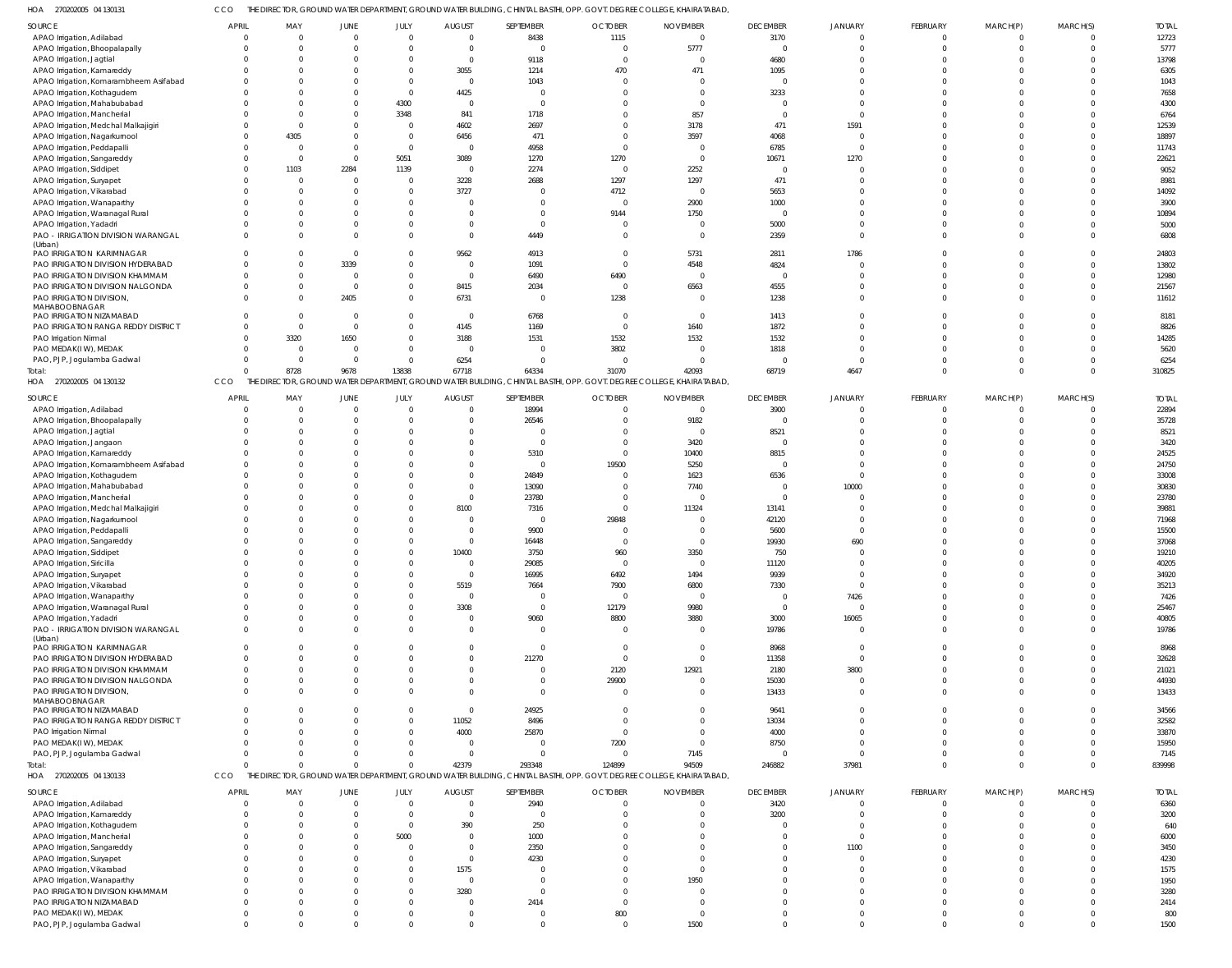270202005 04 130131 HOA CCO THE DIRECTOR, GROUND WATER DEPARTMENT, GROUND WATER BUILDING, CHINTAL BASTHI, OPP. GOVT. DEGREE COLLEGE, KHAIRATABAD,

| SOURCE                                    | <b>APRIL</b> | MAY            | JUNE     | JULY         | <b>AUGUST</b>  | SEPTEMBER      | <b>OCTOBER</b>                                                                                           | <b>NOVEMBER</b>                                                                                                       | <b>DECEMBER</b> | JANUARY        | FEBRUARY       | MARCH(P)     | MARCH(S)     | <b>TOTAL</b> |
|-------------------------------------------|--------------|----------------|----------|--------------|----------------|----------------|----------------------------------------------------------------------------------------------------------|-----------------------------------------------------------------------------------------------------------------------|-----------------|----------------|----------------|--------------|--------------|--------------|
| APAO Irrigation, Adilabad                 | $\Omega$     | $\overline{0}$ | - 0      | $\Omega$     | $\overline{0}$ | 8438           | 1115                                                                                                     | $\overline{0}$                                                                                                        | 3170            |                | $\overline{0}$ | $\Omega$     | $\mathbf{0}$ | 12723        |
| APAO Irrigation, Bhoopalapally            | $\Omega$     | $\Omega$       |          | $\Omega$     | $\overline{0}$ | $\Omega$       | $\overline{0}$                                                                                           | 5777                                                                                                                  | $\Omega$        |                | $\Omega$       | $\Omega$     | $\mathbf{0}$ | 5777         |
| APAO Irrigation, Jagtial                  |              | $\Omega$       |          |              | $\overline{0}$ | 9118           | $\overline{0}$                                                                                           | $\overline{0}$                                                                                                        | 4680            |                | $\Omega$       |              | $\mathbf 0$  | 13798        |
| APAO Irrigation, Kamareddy                |              | C              |          | $\Omega$     | 3055           | 1214           | 470                                                                                                      | 471                                                                                                                   | 1095            |                | U              |              | $\Omega$     | 6305         |
| APAO Irrigation, Komarambheem Asifabad    | <sup>0</sup> | $\Omega$       |          | $\Omega$     | $\overline{0}$ | 1043           | $\overline{0}$                                                                                           | $\Omega$                                                                                                              | - 0             |                | $\Omega$       |              | $\Omega$     | 1043         |
|                                           |              | C              |          | $\Omega$     |                | $\Omega$       | $\Omega$                                                                                                 | $\overline{0}$                                                                                                        |                 |                |                |              | $\mathbf 0$  |              |
| APAO Irrigation, Kothagudem               |              |                |          |              | 4425           |                |                                                                                                          |                                                                                                                       | 3233            |                |                |              |              | 7658         |
| APAO Irrigation, Mahabubabad              |              | $\Omega$       |          | 4300         | $\overline{0}$ | $\Omega$       | $\Omega$                                                                                                 | $\Omega$                                                                                                              | - 0             | $\Omega$       | U              |              | $\Omega$     | 4300         |
| APAO Irrigation, Mancherial               |              | C              |          | 3348         | 841            | 1718           | $\Omega$                                                                                                 | 857                                                                                                                   | $\Omega$        |                |                |              | $\Omega$     | 6764         |
| APAO Irrigation, Medchal Malkajigiri      |              | $\Omega$       |          |              | 4602           | 2697           | $\Omega$                                                                                                 | 3178                                                                                                                  | 471             | 1591           | U              |              | $\Omega$     | 12539        |
| APAO Irrigation, Nagarkurnool             |              | 4305           |          | $\Omega$     | 6456           | 471            | $\Omega$                                                                                                 | 3597                                                                                                                  | 4068            |                | U              |              | $\Omega$     | 18897        |
| APAO Irrigation, Peddapalli               |              | $\overline{0}$ |          | $\Omega$     | $\overline{0}$ | 4958           | $\Omega$                                                                                                 | $\overline{\phantom{0}}$                                                                                              | 6785            |                | U              |              | $\Omega$     | 11743        |
| APAO Irrigation, Sangareddy               |              | $\Omega$       | $\Omega$ | 5051         | 3089           | 1270           | 1270                                                                                                     | $\overline{0}$                                                                                                        | 10671           | 1270           | $\Omega$       |              | $\Omega$     | 22621        |
| APAO Irrigation, Siddipet                 | 0            | 1103           | 2284     | 1139         | $\overline{0}$ | 2274           | $\overline{\mathbf{0}}$                                                                                  | 2252                                                                                                                  | $\Omega$        |                | $\Omega$       |              | $\Omega$     | 9052         |
| APAO Irrigation, Suryapet                 | $\Omega$     | $\Omega$       | $\Omega$ |              | 3228           | 2688           | 1297                                                                                                     | 1297                                                                                                                  | 471             | $\Omega$       | $\Omega$       |              | $\Omega$     | 8981         |
| APAO Irrigation, Vikarabad                | <sup>0</sup> | $\Omega$       |          |              | 3727           | $\Omega$       | 4712                                                                                                     | $\overline{0}$                                                                                                        | 5653            |                | $\Omega$       |              | $\Omega$     | 14092        |
| APAO Irrigation, Wanaparthy               |              | C              |          |              | $\overline{0}$ |                | $\overline{0}$                                                                                           | 2900                                                                                                                  | 1000            |                |                |              | $\Omega$     | 3900         |
| APAO Irrigation, Waranagal Rural          |              | $\Omega$       |          |              | $\Omega$       | $\Omega$       | 9144                                                                                                     | 1750                                                                                                                  | - 0             |                | $\Omega$       |              | $\Omega$     | 10894        |
| APAO Irrigation, Yadadri                  |              | C              |          |              | - 0            | $\Omega$       | $\overline{0}$                                                                                           | $\overline{0}$                                                                                                        | 5000            | $\Omega$       | $\Omega$       |              | $\Omega$     | 5000         |
| PAO - IRRIGATION DIVISION WARANGAL        |              | C              |          |              | $\Omega$       | 4449           | $\Omega$                                                                                                 | $\Omega$                                                                                                              | 2359            | $\Omega$       | $\Omega$       | $\Omega$     | $\Omega$     | 6808         |
| (Urban)                                   |              |                |          |              |                |                |                                                                                                          |                                                                                                                       |                 |                |                |              |              |              |
| PAO IRRIGATION KARIMNAGAR                 | $\Omega$     | $\Omega$       | -C       |              | 9562           | 4913           | $\overline{0}$                                                                                           | 5731                                                                                                                  | 2811            | 1786           | $\Omega$       | <sup>0</sup> | $\Omega$     | 24803        |
| PAO IRRIGATION DIVISION HYDERABAD         | 0            | $\Omega$       | 3339     |              | $\overline{0}$ | 1091           | $\Omega$                                                                                                 | 4548                                                                                                                  | 4824            |                | $\Omega$       |              | $\Omega$     | 13802        |
| PAO IRRIGATION DIVISION KHAMMAM           | $\Omega$     | $\Omega$       | -C       | $\Omega$     | $\overline{0}$ | 6490           | 6490                                                                                                     | $\overline{\phantom{0}}$                                                                                              | $\Omega$        |                | $\Omega$       |              | $\mathbf 0$  | 12980        |
| PAO IRRIGATION DIVISION NALGONDA          | $\Omega$     | $\Omega$       | $\Omega$ | $\Omega$     | 8415           | 2034           | $\overline{\mathbf{0}}$                                                                                  | 6563                                                                                                                  | 4555            |                | $\Omega$       | <sup>0</sup> | $\mathbf 0$  | 21567        |
|                                           | $\Omega$     |                |          |              |                |                |                                                                                                          |                                                                                                                       |                 |                |                | $\Omega$     |              |              |
| PAO IRRIGATION DIVISION,<br>MAHABOOBNAGAR |              | $\Omega$       | 2405     | $\Omega$     | 6731           | $\overline{0}$ | 1238                                                                                                     | $\overline{0}$                                                                                                        | 1238            | $\Omega$       | $\Omega$       |              | $\mathbf 0$  | 11612        |
| PAO IRRIGATION NIZAMABAD                  |              | $\Omega$       |          | <sup>0</sup> | $\overline{0}$ | 6768           | $\overline{\phantom{0}}$                                                                                 | $\overline{\mathbf{0}}$                                                                                               | 1413            |                | $\Omega$       |              | $\mathbf 0$  | 8181         |
| PAO IRRIGATION RANGA REDDY DISTRICT       | $\Omega$     | $\Omega$       |          | $\Omega$     | 4145           | 1169           | $\overline{0}$                                                                                           | 1640                                                                                                                  | 1872            | $\Omega$       | $\Omega$       | <sup>0</sup> | $\mathbf 0$  | 8826         |
|                                           | $\Omega$     |                | 1650     | $\Omega$     |                |                |                                                                                                          |                                                                                                                       |                 |                | $\Omega$       |              | $\Omega$     |              |
| PAO Irrigation Nirmal                     |              | 3320           |          |              | 3188           | 1531           | 1532                                                                                                     | 1532                                                                                                                  | 1532            |                |                |              |              | 14285        |
| PAO MEDAK(IW), MEDAK                      | 0            | $\Omega$       | -C       | $\Omega$     | $\overline{0}$ | $\Omega$       | 3802                                                                                                     | $\overline{0}$                                                                                                        | 1818            |                | $\Omega$       |              | $\Omega$     | 5620         |
| PAO, PJP, Jogulamba Gadwal                | $\Omega$     | $\overline{0}$ | $\Omega$ | $\Omega$     | 6254           | $\Omega$       | $\overline{0}$                                                                                           | $\overline{0}$                                                                                                        | - 0             |                | $\Omega$       | $\Omega$     | $\Omega$     | 6254         |
| Total:                                    | $\Omega$     | 8728           | 9678     | 13838        | 67718          | 64334          | 31070                                                                                                    | 42093                                                                                                                 | 68719           | 4647           | $\Omega$       | $\Omega$     | $\mathbf{0}$ | 310825       |
| HOA 270202005 04 130132                   | CCO          |                |          |              |                |                |                                                                                                          | THE DIRECTOR, GROUND WATER DEPARTMENT, GROUND WATER BUILDING, CHINTAL BASTHI, OPP. GOVT. DEGREE COLLEGE, KHAIRATABAD, |                 |                |                |              |              |              |
| SOURCE                                    | <b>APRIL</b> | MAY            | JUNE     | JULY         | <b>AUGUST</b>  | SEPTEMBER      | <b>OCTOBER</b>                                                                                           | <b>NOVEMBER</b>                                                                                                       | <b>DECEMBER</b> | <b>JANUARY</b> | FEBRUARY       | MARCH(P)     | MARCH(S)     | <b>TOTAL</b> |
| APAO Irrigation, Adilabad                 |              | $\Omega$       |          |              | $\Omega$       | 18994          | $\Omega$                                                                                                 | $\overline{0}$                                                                                                        | 3900            |                | $\mathbf{0}$   | $\Omega$     | $\Omega$     | 22894        |
|                                           | 0            | $\Omega$       |          |              | - 0            | 26546          | $\Omega$                                                                                                 | 9182                                                                                                                  | $\Omega$        |                | $\Omega$       | <sup>0</sup> | $\Omega$     | 35728        |
| APAO Irrigation, Bhoopalapally            |              |                |          |              |                |                |                                                                                                          |                                                                                                                       |                 |                |                |              |              |              |
| APAO Irrigation, Jagtial                  |              | $\Omega$       |          |              | $\Omega$       | $\Omega$       | $\Omega$                                                                                                 | $\overline{0}$                                                                                                        | 8521            |                | $\Omega$       |              | $\Omega$     | 8521         |
| APAO Irrigation, Jangaon                  |              | C              |          |              | $\Omega$       |                | $\Omega$                                                                                                 | 3420                                                                                                                  |                 |                |                |              | $\Omega$     | 3420         |
| APAO Irrigation, Kamareddy                |              | C              |          |              | $\Omega$       | 5310           | $\overline{0}$                                                                                           | 10400                                                                                                                 | 8815            |                |                |              | $\Omega$     | 24525        |
| APAO Irrigation, Komarambheem Asifabad    |              | C              |          |              | $\Omega$       |                | 19500                                                                                                    | 5250                                                                                                                  |                 |                |                |              | $\Omega$     | 24750        |
| APAO Irrigation, Kothagudem               |              | C              |          |              | $\Omega$       | 24849          | $\overline{0}$                                                                                           | 1623                                                                                                                  | 6536            |                |                |              | $\Omega$     | 33008        |
| APAO Irrigation, Mahabubabad              |              | C              |          |              | $\Omega$       | 13090          | $\Omega$                                                                                                 | 7740                                                                                                                  | $\Omega$        | 10000          |                |              | $\Omega$     | 30830        |
| APAO Irrigation, Mancherial               |              |                |          |              | $\Omega$       | 23780          | $\Omega$                                                                                                 | $\Omega$                                                                                                              | $\Omega$        |                |                |              | $\Omega$     | 23780        |
| APAO Irrigation, Medchal Malkajigiri      |              | C              |          |              | 8100           | 7316           | $\Omega$                                                                                                 | 11324                                                                                                                 | 13141           |                |                |              | $\Omega$     | 39881        |
| APAO Irrigation, Nagarkurnool             |              | C              |          |              | - 0            | $\Omega$       | 29848                                                                                                    | $\Omega$                                                                                                              | 42120           |                |                |              | $\Omega$     | 71968        |
| APAO Irrigation, Peddapalli               |              | -C             |          |              | $\Omega$       | 9900           | - 0                                                                                                      | $\Omega$                                                                                                              | 5600            |                |                |              | $\Omega$     | 15500        |
| APAO Irrigation, Sangareddy               |              |                |          |              | $\Omega$       | 16448          | $\Omega$                                                                                                 | $\Omega$                                                                                                              | 19930           | 690            |                |              | $\Omega$     | 37068        |
| APAO Irrigation, Siddipet                 |              | $\Omega$       |          |              | 10400          | 3750           | 960                                                                                                      | 3350                                                                                                                  | 750             |                | $\Omega$       |              | $\Omega$     | 19210        |
| APAO Irrigation, Siricilla                |              |                |          |              |                | 29085          |                                                                                                          |                                                                                                                       | 11120           |                |                |              |              | 40205        |
| APAO Irrigation, Suryapet                 |              | $\Omega$       |          |              | $\overline{0}$ | 16995          | 6492                                                                                                     | 1494                                                                                                                  | 9939            |                |                |              | $\Omega$     | 34920        |
|                                           |              | $\Omega$       |          |              | 5519           | 7664           | 7900                                                                                                     | 6800                                                                                                                  | 7330            | $\Omega$       | $\Omega$       | <sup>0</sup> | $\Omega$     | 35213        |
| APAO Irrigation, Vikarabad                |              |                |          |              |                |                |                                                                                                          | $\Omega$                                                                                                              |                 |                | $\Omega$       |              | $\Omega$     |              |
| APAO Irrigation, Wanaparthy               |              | $\Omega$       |          |              | $\Omega$       | $\Omega$       | $\overline{0}$                                                                                           |                                                                                                                       | $\Omega$        | 7426           |                |              |              | 7426         |
| APAO Irrigation, Waranagal Rural          |              | C              |          |              | 3308           | $\Omega$       | 12179                                                                                                    | 9980                                                                                                                  | $\Omega$        | $\Omega$       | U              |              | $\Omega$     | 25467        |
| APAO Irrigation, Yadadri                  |              | $\Omega$       |          |              | $\overline{0}$ | 9060           | 8800                                                                                                     | 3880                                                                                                                  | 3000            | 16065          | $\Omega$       | <sup>0</sup> | $\Omega$     | 40805        |
| PAO - IRRIGATION DIVISION WARANGAL        | <sup>0</sup> | $\Omega$       |          |              | $\Omega$       | $\Omega$       | $\overline{0}$                                                                                           | $\Omega$                                                                                                              | 19786           |                | $\Omega$       | $\Omega$     | $\Omega$     | 19786        |
| (Urban)<br>PAO IRRIGATION KARIMNAGAR      | 0            | C              |          |              | $\Omega$       | $\Omega$       | $\Omega$                                                                                                 | $\Omega$                                                                                                              | 8968            | $\Omega$       | $\Omega$       |              | $\Omega$     | 8968         |
| PAO IRRIGATION DIVISION HYDERABAD         |              | $\Omega$       |          |              | $\Omega$       | 21270          | $\overline{0}$                                                                                           | $\Omega$                                                                                                              | 11358           | $\Omega$       |                |              | $\Omega$     | 32628        |
| PAO IRRIGATION DIVISION KHAMMAM           | $\Omega$     | $\Omega$       |          |              | $\Omega$       | $\Omega$       | 2120                                                                                                     | 12921                                                                                                                 | 2180            | 3800           | $\Omega$       | <sup>0</sup> | $\Omega$     | 21021        |
|                                           |              |                |          |              |                |                |                                                                                                          | $\overline{0}$                                                                                                        |                 |                |                |              | $\Omega$     |              |
| PAO IRRIGATION DIVISION NALGONDA          |              | C              |          |              | $\Omega$       |                | 29900                                                                                                    |                                                                                                                       | 15030           |                | $\Omega$       | $\Omega$     |              | 44930        |
| PAO IRRIGATION DIVISION,<br>MAHABOOBNAGAR | $\Omega$     | $\Omega$       |          |              | $\Omega$       | $\Omega$       | $\Omega$                                                                                                 | $\Omega$                                                                                                              | 13433           | $\Omega$       | $\Omega$       | $\Omega$     | $\Omega$     | 13433        |
| PAO IRRIGATION NIZAMABAD                  |              | C              |          |              | $\overline{0}$ | 24925          | $\Omega$                                                                                                 | $\Omega$                                                                                                              | 9641            |                | $\Omega$       |              | $\Omega$     | 34566        |
| PAO IRRIGATION RANGA REDDY DISTRICT       |              | $\Omega$       |          |              | 11052          | 8496           | $\Omega$                                                                                                 | $\Omega$                                                                                                              | 13034           |                |                |              | $\Omega$     | 32582        |
| PAO Irrigation Nirmal                     |              | $\Omega$       |          |              | 4000           | 25870          | $\overline{0}$                                                                                           | $\Omega$                                                                                                              | 4000            |                | $\Omega$       | <sup>0</sup> | $\Omega$     | 33870        |
| PAO MEDAK(IW), MEDAK                      |              | $\Omega$       |          |              | $\overline{0}$ | $\Omega$       | 7200                                                                                                     | $\Omega$                                                                                                              | 8750            |                |                | <sup>0</sup> | $\Omega$     | 15950        |
|                                           |              | $\Omega$       |          |              | $\overline{0}$ |                | $\overline{0}$                                                                                           |                                                                                                                       | - 0             | $\Omega$       | U              | $\Omega$     | $\Omega$     |              |
| PAO, PJP, Jogulamba Gadwal                |              |                |          |              |                |                |                                                                                                          | 7145                                                                                                                  |                 |                |                |              |              | 7145         |
| Total:                                    |              | $\sqrt{2}$     |          | <sup>0</sup> | 42379          | 293348         | 124899                                                                                                   | 94509                                                                                                                 | 246882          | 37981          | $\Omega$       | $\Omega$     | $\Omega$     | 839998       |
| HOA 270202005 04 130133                   | CCO          |                |          |              |                |                | THE DIRECTOR, GROUND WATER DEPARTMENT, GROUND WATER BUILDING, CHINTAL BASTHI, OPP. GOVT. DEGREE COLLEGE, | KHAIRATABAD,                                                                                                          |                 |                |                |              |              |              |
| SOURCE                                    | <b>APRIL</b> | MAY            | JUNE     | JULY         | <b>AUGUST</b>  | SEPTEMBER      | <b>OCTOBER</b>                                                                                           | <b>NOVEMBER</b>                                                                                                       | <b>DECEMBER</b> | <b>JANUARY</b> | FEBRUARY       | MARCH(P)     | MARCH(S)     | <b>TOTAL</b> |
| APAO Irrigation, Adilabad                 | $\Omega$     | $\overline{0}$ | $\Omega$ | $\Omega$     | $\overline{0}$ | 2940           | $\overline{0}$                                                                                           | $\overline{0}$                                                                                                        | 3420            |                | $\mathbf{0}$   | $\Omega$     | $\mathbf 0$  | 6360         |
| APAO Irrigation, Kamareddy                |              | $\Omega$       |          | $\Omega$     | $\overline{0}$ | $\Omega$       | $\Omega$                                                                                                 | $\Omega$                                                                                                              | 3200            |                | $\Omega$       |              | $\mathbf 0$  | 3200         |
|                                           |              | $\Omega$       |          | $\Omega$     | 390            | 250            | $\Omega$                                                                                                 | $\Omega$                                                                                                              | $\Omega$        | $\Omega$       | $\Omega$       |              | $\Omega$     | 640          |
| APAO Irrigation, Kothagudem               |              | $\Omega$       |          |              | $\overline{0}$ |                | $\Omega$                                                                                                 | $\Omega$                                                                                                              | $\Omega$        | $\Omega$       | $\Omega$       |              | $\Omega$     |              |
| APAO Irrigation, Mancherial               |              |                |          | 5000         |                | 1000           |                                                                                                          |                                                                                                                       |                 |                |                |              |              | 6000         |
| APAO Irrigation, Sangareddy               |              | $\Omega$       |          |              | $\overline{0}$ | 2350           | $\sqrt{ }$                                                                                               | $\Omega$                                                                                                              | $\Omega$        | 1100           | $\Omega$       |              | $\Omega$     | 3450         |
| APAO Irrigation, Suryapet                 |              | $\mathsf{C}$   |          |              | $\overline{0}$ | 4230           |                                                                                                          | $\Omega$                                                                                                              | $\Omega$        |                | O              |              | $\Omega$     | 4230         |
| APAO Irrigation, Vikarabad                |              | $\sqrt{2}$     |          |              | 1575           | $\Omega$       | $\cup$                                                                                                   | $\Omega$                                                                                                              | $\Omega$        |                | U              |              | $\Omega$     | 1575         |
| APAO Irrigation, Wanaparthy               |              | $\Omega$       |          |              | $\overline{0}$ | $\Omega$       | $\Omega$                                                                                                 | 1950                                                                                                                  |                 |                | $\Omega$       |              | $\Omega$     | 1950         |
| PAO IRRIGATION DIVISION KHAMMAM           |              | $\sqrt{2}$     |          |              | 3280           | $\Omega$       | $\Omega$                                                                                                 | $\Omega$                                                                                                              | $\Omega$        |                | $\Omega$       |              | $\Omega$     | 3280         |
|                                           |              |                |          |              |                |                |                                                                                                          |                                                                                                                       |                 |                |                |              |              |              |
| PAO IRRIGATION NIZAMABAD                  |              | $\Omega$       |          |              | $\overline{0}$ | 2414           | $\Omega$                                                                                                 | $\Omega$                                                                                                              |                 |                | $\Omega$       |              | $\Omega$     | 2414         |
| PAO MEDAK(IW), MEDAK                      | $\Omega$     | $\Omega$       |          | 0            | $\overline{0}$ | $\mathbf{0}$   | 800                                                                                                      | $\Omega$                                                                                                              | $\Omega$        | $\Omega$       | $\Omega$       | $\Omega$     | $\mathbf 0$  | 800          |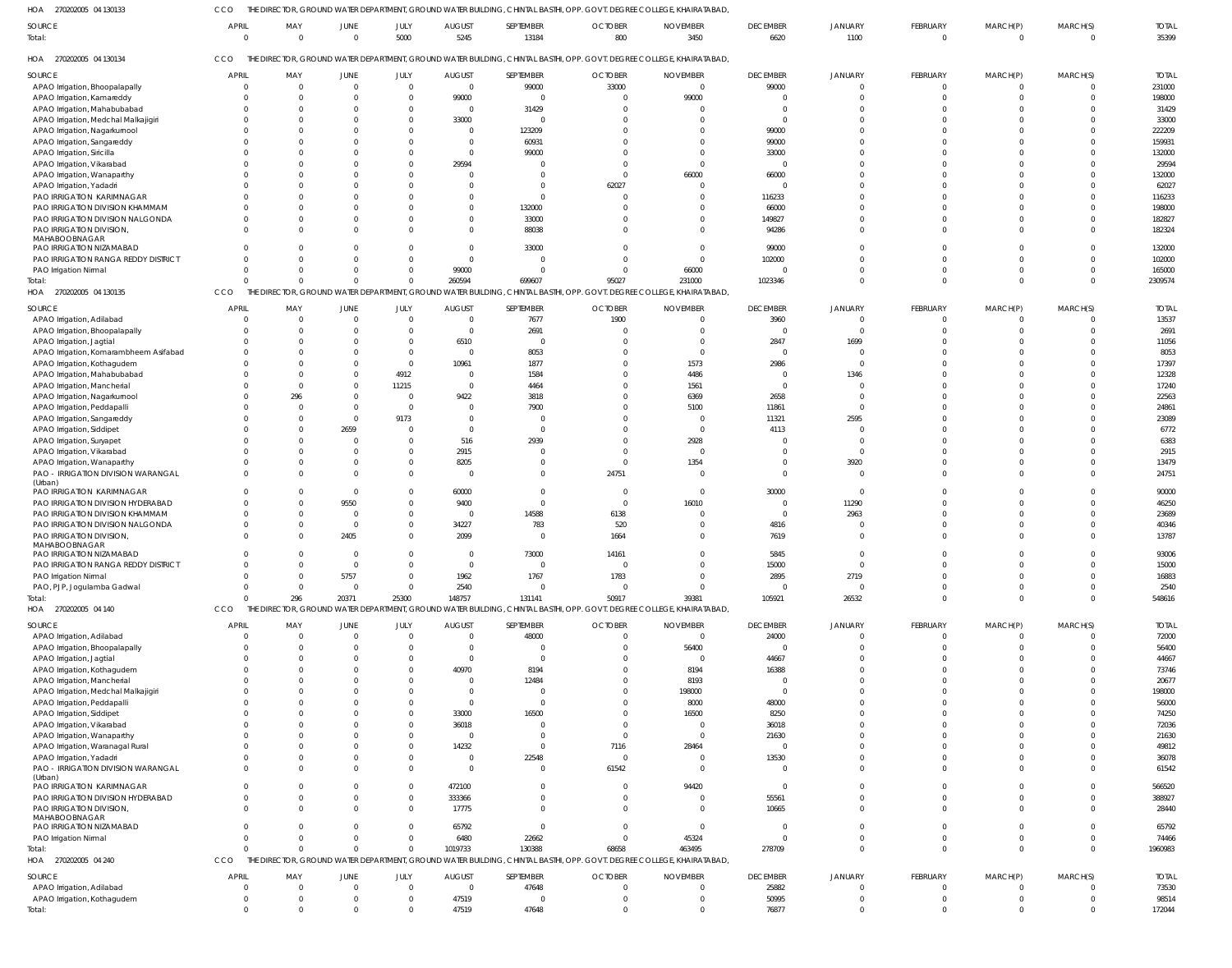CCO THE DIRECTOR, GROUND WATER DEPARTMENT, GROUND WATER BUILDING, CHINTAL BASTHI, OPP. GOVT. DEGREE COLLEGE, KHAIRATABAD,

| HOA<br>270202005 04 130133                                          |                          |                     |                         |                |                       | 'HE DIRECTOR, GROUND WATER DEPARTMENT, GROUND WATER BUILDING, CHINTAL BASTHI, OPP. GOVT. DEGREE COLLEGE, KHAIRATABAD  |                       |                         |                         |                 |                          |                            |                            |                       |
|---------------------------------------------------------------------|--------------------------|---------------------|-------------------------|----------------|-----------------------|-----------------------------------------------------------------------------------------------------------------------|-----------------------|-------------------------|-------------------------|-----------------|--------------------------|----------------------------|----------------------------|-----------------------|
| <b>SOURCE</b><br>Total:                                             | <b>APRIL</b><br>$\Omega$ | MAY<br>$\mathbf{0}$ | <b>JUNE</b><br>$\Omega$ | JULY<br>5000   | <b>AUGUST</b><br>5245 | SEPTEMBER<br>13184                                                                                                    | <b>OCTOBER</b><br>800 | <b>NOVEMBER</b><br>3450 | <b>DECEMBER</b><br>6620 | JANUARY<br>1100 | FEBRUARY<br>$\mathbf{0}$ | MARCH(P)<br>$\overline{0}$ | MARCH(S)<br>$\overline{0}$ | <b>TOTAL</b><br>35399 |
| HOA<br>270202005 04 130134                                          | CCO                      |                     |                         |                |                       | THE DIRECTOR, GROUND WATER DEPARTMENT, GROUND WATER BUILDING, CHINTAL BASTHI, OPP. GOVT. DEGREE COLLEGE, KHAIRATABAD, |                       |                         |                         |                 |                          |                            |                            |                       |
| <b>SOURCE</b>                                                       | <b>APRIL</b>             | MAY                 | JUNE                    | JULY           | <b>AUGUST</b>         | SEPTEMBER                                                                                                             | <b>OCTOBER</b>        | <b>NOVEMBER</b>         | <b>DECEMBER</b>         | JANUARY         | FEBRUARY                 | MARCH(P)                   | MARCH(S)                   | <b>TOTAL</b>          |
| APAO Irrigation, Bhoopalapally                                      | $\overline{0}$           | $\overline{0}$      | $\Omega$                | $\overline{0}$ | $\overline{0}$        | 99000                                                                                                                 | 33000                 | - 0                     | 99000                   | $\Omega$        | $\overline{0}$           | $\overline{0}$             | $\overline{0}$             | 231000                |
| APAO Irrigation, Kamareddy                                          |                          | $\Omega$            |                         | $\mathbf{0}$   | 99000                 | $\mathbf 0$                                                                                                           |                       | 99000                   | $\Omega$                |                 | $\Omega$                 | $\Omega$                   | $\Omega$                   | 198000                |
| APAO Irrigation, Mahabubabad                                        |                          | $\Omega$            |                         | $\Omega$       | $\Omega$              | 31429                                                                                                                 |                       |                         | $\Omega$                |                 | $\Omega$                 | $\Omega$                   | $\Omega$                   | 31429                 |
| APAO Irrigation, Medchal Malkajigiri                                |                          | $\Omega$            |                         | $\mathbf{0}$   | 33000                 | $\Omega$                                                                                                              |                       |                         | $\Omega$                |                 | $\Omega$                 | $\Omega$                   | $\Omega$                   | 33000                 |
| APAO Irrigation, Nagarkurnool                                       |                          | $\Omega$            |                         | $\Omega$       | $\Omega$              | 123209                                                                                                                |                       |                         | 99000                   | $\Omega$        | $\Omega$                 | $\Omega$                   | $\Omega$                   | 222209                |
| APAO Irrigation, Sangareddy                                         |                          | $\Omega$            |                         | $\Omega$       |                       | 60931                                                                                                                 |                       |                         | 99000                   | $\Omega$        | $\Omega$                 | $\Omega$                   | $\Omega$                   | 159931                |
| APAO Irrigation, Siricilla                                          |                          | $\Omega$            |                         | $\Omega$       | $\bigcap$             | 99000                                                                                                                 |                       |                         | 33000                   |                 | $\Omega$                 | $\Omega$                   | $\Omega$                   | 132000                |
| APAO Irrigation, Vikarabad                                          |                          | $\Omega$            |                         | $\Omega$       | 29594                 | $\Omega$                                                                                                              |                       |                         | $\Omega$                |                 | $\Omega$                 | $\Omega$                   | $\Omega$                   | 29594                 |
| APAO Irrigation, Wanaparthy                                         |                          | $\Omega$            |                         |                |                       | $\Omega$                                                                                                              |                       | 66000                   | 66000                   | $\Omega$        | $\Omega$                 | $\Omega$                   | $\Omega$                   | 132000                |
| APAO Irrigation, Yadadri                                            |                          | $\Omega$            |                         | <sup>0</sup>   |                       | $\Omega$                                                                                                              | 62027                 |                         | $\Omega$                | $\Omega$        | $\Omega$                 | $\Omega$                   | $\Omega$                   | 62027                 |
| PAO IRRIGATION KARIMNAGAR                                           |                          | $\Omega$            |                         |                |                       | $\Omega$                                                                                                              |                       |                         | 116233                  |                 | $\Omega$                 | $\Omega$                   | $\Omega$                   | 116233                |
| PAO IRRIGATION DIVISION KHAMMAM                                     | <sup>0</sup>             | $\Omega$            |                         | <sup>0</sup>   |                       | 132000                                                                                                                |                       |                         | 66000                   | <sup>n</sup>    | $\Omega$                 | $\Omega$                   | $\Omega$                   | 198000                |
| PAO IRRIGATION DIVISION NALGONDA                                    |                          | $\Omega$            |                         |                |                       | 33000                                                                                                                 |                       |                         | 149827                  | $\Omega$        | $\Omega$                 | $\Omega$                   | $\Omega$                   | 182827                |
| PAO IRRIGATION DIVISION,                                            | $\Omega$                 | $\Omega$            |                         | $\Omega$       |                       | 88038                                                                                                                 |                       |                         | 94286                   | $\Omega$        | $\Omega$                 | $\Omega$                   | $\Omega$                   | 182324                |
| MAHABOOBNAGAR                                                       |                          |                     |                         |                |                       |                                                                                                                       |                       |                         |                         |                 |                          |                            |                            |                       |
| PAO IRRIGATION NIZAMABAD                                            | $\Omega$                 | $\Omega$            |                         | <sup>0</sup>   |                       | 33000                                                                                                                 |                       |                         | 99000                   | $\Omega$        | $\Omega$                 | $\Omega$                   | $\Omega$                   | 132000                |
| PAO IRRIGATION RANGA REDDY DISTRICT                                 | $\Omega$                 | $\Omega$            |                         | $\Omega$       |                       | $\Omega$                                                                                                              |                       |                         | 102000                  | $\Omega$        | $\Omega$                 | $\Omega$                   | $\Omega$                   | 102000                |
| PAO Irrigation Nirmal                                               | $\Omega$                 | $\Omega$            |                         | $\Omega$       | 99000                 | $\Omega$                                                                                                              |                       | 66000                   | $\Omega$                | $\Omega$        | $\mathbf 0$              | $\Omega$                   | $\Omega$                   | 165000                |
| Total:                                                              | $\Omega$                 | $\Omega$            | $\cap$                  | $\Omega$       | 260594                | 699607                                                                                                                | 95027                 | 231000                  | 1023346                 | $\Omega$        | $\Omega$                 | $\Omega$                   | $\Omega$                   | 2309574               |
| HOA 270202005 04 130135                                             | CCO                      |                     |                         |                |                       | THE DIRECTOR, GROUND WATER DEPARTMENT, GROUND WATER BUILDING, CHINTAL BASTHI, OPP. GOVT. DEGREE COLLEGE, KHAIRATABAD, |                       |                         |                         |                 |                          |                            |                            |                       |
|                                                                     |                          |                     |                         |                |                       |                                                                                                                       |                       |                         |                         |                 |                          |                            |                            |                       |
| SOURCE                                                              | <b>APRIL</b>             | MAY                 | JUNE                    | JULY           | <b>AUGUST</b>         | SEPTEMBER                                                                                                             | <b>OCTOBER</b>        | <b>NOVEMBER</b>         | <b>DECEMBER</b>         | JANUARY         | FEBRUARY                 | MARCH(P)                   | MARCH(S)                   | <b>TOTAL</b>          |
| APAO Irrigation, Adilabad                                           | $\Omega$                 | $\overline{0}$      | $\Omega$                | $\overline{0}$ | $\overline{0}$        | 7677                                                                                                                  | 1900                  | -0                      | 3960                    | $\Omega$        | $\Omega$                 | $\Omega$                   | $\overline{0}$             | 13537                 |
| APAO Irrigation, Bhoopalapally                                      |                          | $\Omega$            |                         | $\Omega$       | $\Omega$              | 2691                                                                                                                  |                       |                         | $\Omega$                | $\Omega$        | $\Omega$                 |                            | $\Omega$                   | 2691                  |
| APAO Irrigation, Jagtial                                            |                          | $\Omega$            |                         | $\Omega$       | 6510                  | 0                                                                                                                     |                       |                         | 2847                    | 1699            | $\Omega$                 |                            | $\Omega$                   | 11056                 |
| APAO Irrigation, Komarambheem Asifabad                              |                          | $\Omega$            |                         | $\mathbf{0}$   | $\overline{0}$        | 8053                                                                                                                  |                       | $\Omega$                | $\overline{0}$          | $\Omega$        | $\Omega$                 | $\Omega$                   | $\Omega$                   | 8053                  |
| APAO Irrigation, Kothagudem                                         |                          | $\Omega$            |                         | $\Omega$       | 10961                 | 1877                                                                                                                  |                       | 1573                    | 2986                    | $\Omega$        | $\Omega$                 | $\Omega$                   | $\Omega$                   | 17397                 |
| APAO Irrigation, Mahabubabad                                        |                          | $\Omega$            |                         | 4912           | $\Omega$              | 1584                                                                                                                  |                       | 4486                    | $\Omega$                | 1346            | $\Omega$                 | $\Omega$                   | $\Omega$                   | 12328                 |
| APAO Irrigation, Mancherial                                         |                          | $\Omega$            |                         | 11215          | $\Omega$              | 4464                                                                                                                  |                       | 1561                    | $\Omega$                | $\Omega$        | $\Omega$                 | $\Omega$                   | $\Omega$                   | 17240                 |
| APAO Irrigation, Nagarkurnool                                       |                          | 296                 |                         | $\Omega$       | 9422                  | 3818                                                                                                                  |                       | 6369                    | 2658                    | $\Omega$        | $\Omega$                 | $\Omega$                   | $\Omega$                   | 22563                 |
| APAO Irrigation, Peddapalli                                         |                          | $\Omega$            |                         | $\Omega$       | $\Omega$              | 7900                                                                                                                  |                       | 5100                    | 11861                   | $\Omega$        | $\Omega$                 | $\Omega$                   | $\Omega$                   | 24861                 |
| APAO Irrigation, Sangareddy                                         |                          | $\Omega$            | $\Omega$                | 9173           | $\Omega$              | $\Omega$                                                                                                              |                       | - (                     | 11321                   | 2595            | $\Omega$                 | $\Omega$                   | $\Omega$                   | 23089                 |
| APAO Irrigation, Siddipet                                           |                          | $\Omega$            | 2659                    | $\Omega$       | $\Omega$              | $\Omega$                                                                                                              |                       | - 0                     | 4113                    | $\Omega$        | $\Omega$                 | $\Omega$                   | $\Omega$                   | 6772                  |
| APAO Irrigation, Suryapet                                           |                          | $\Omega$            |                         | $\Omega$       | 516                   | 2939                                                                                                                  |                       | 2928                    |                         | $\Omega$        | $\Omega$                 | $\Omega$                   | $\Omega$                   | 6383                  |
| APAO Irrigation, Vikarabad                                          |                          | $\Omega$            |                         | $\Omega$       | 2915                  | $\Omega$                                                                                                              |                       | $\Omega$                | $\Omega$                | $\Omega$        | $\Omega$                 | $\Omega$                   | $\Omega$                   | 2915                  |
| APAO Irrigation, Wanaparthy                                         |                          | $\Omega$            |                         | $\Omega$       | 8205                  | $\Omega$                                                                                                              | $\Omega$              | 1354                    |                         | 3920            | $\Omega$                 | $\Omega$                   | $\Omega$                   | 13479                 |
| PAO - IRRIGATION DIVISION WARANGAL                                  |                          | $\Omega$            |                         | $\Omega$       | $\Omega$              | $\Omega$                                                                                                              | 24751                 |                         | $\Omega$                | $\Omega$        | $\Omega$                 | $\Omega$                   | $\Omega$                   | 24751                 |
| (Urban)<br>PAO IRRIGATION KARIMNAGAR                                |                          | 0                   | $\Omega$                | $\Omega$       | 60000                 | $\Omega$                                                                                                              | - 0                   | $\Omega$                | 30000                   | $\Omega$        | n                        | $\Omega$                   | $\Omega$                   | 90000                 |
| PAO IRRIGATION DIVISION HYDERABAD                                   |                          | $\Omega$            | 9550                    | $\mathbf{0}$   | 9400                  | $\Omega$                                                                                                              | $\Omega$              | 16010                   | $\Omega$                | 11290           | $\Omega$                 | $\Omega$                   | $\Omega$                   | 46250                 |
|                                                                     |                          |                     | - 0                     | $\mathbf{0}$   | $\overline{0}$        |                                                                                                                       |                       |                         | $\Omega$                |                 | $\Omega$                 | $\Omega$                   | $\Omega$                   |                       |
| PAO IRRIGATION DIVISION KHAMMAM<br>PAO IRRIGATION DIVISION NALGONDA | <sup>0</sup>             | $\Omega$<br>0       | $\Omega$                | $\mathbf{0}$   | 34227                 | 14588<br>783                                                                                                          | 6138<br>520           |                         | 4816                    | 2963            | $\Omega$                 | $\Omega$                   | $\Omega$                   | 23689<br>40346        |
| PAO IRRIGATION DIVISION,                                            |                          | $\Omega$            | 2405                    | $\Omega$       | 2099                  | $\Omega$                                                                                                              | 1664                  |                         | 7619                    |                 | $\Omega$                 | $\Omega$                   | $\Omega$                   | 13787                 |
| MAHABOOBNAGAR                                                       |                          |                     |                         |                |                       |                                                                                                                       |                       |                         |                         |                 |                          |                            |                            |                       |
| PAO IRRIGATION NIZAMABAD                                            |                          | $^{\circ}$          |                         | $\overline{0}$ | $\overline{0}$        | 73000                                                                                                                 | 14161                 |                         | 5845                    |                 |                          |                            |                            | 93006                 |
| PAO IRRIGATION RANGA REDDY DISTRICT                                 |                          | $\Omega$            | $\Omega$                | $\Omega$       | $\Omega$              | $\mathbf 0$                                                                                                           | $\Omega$              |                         | 15000                   | $\overline{0}$  | $\Omega$                 | $\Omega$                   | $\Omega$                   | 15000                 |
| PAO Irrigation Nirmal                                               | $\overline{0}$           | $\overline{0}$      | 5757                    | $\overline{0}$ | 1962                  | 1767                                                                                                                  | 1783                  | $\Omega$                | 2895                    | 2719            | $\mathbf 0$              | $\Omega$                   | $\overline{0}$             | 16883                 |
| PAO, PJP, Jogulamba Gadwal                                          | $\Omega$                 | $\mathbf 0$         | $\Omega$                | $\overline{0}$ | 2540                  | $\mathbf{0}$                                                                                                          | $\overline{0}$        | $\Omega$                | $\overline{0}$          | $\Omega$        | $\mathbf 0$              | $\mathbf 0$                | $\overline{0}$             | 2540                  |
| Total:                                                              | $\Omega$                 | 296                 | 20371                   | 25300          | 148757                | 131141                                                                                                                | 50917                 | 39381                   | 105921                  | 26532           | $\mathbf 0$              | $\mathbf 0$                | $\Omega$                   | 548616                |
| HOA 270202005 04 140                                                | CCO                      |                     |                         |                |                       | THE DIRECTOR, GROUND WATER DEPARTMENT, GROUND WATER BUILDING, CHINTAL BASTHI, OPP. GOVT. DEGREE COLLEGE, KHAIRATABAD, |                       |                         |                         |                 |                          |                            |                            |                       |
|                                                                     |                          |                     |                         |                |                       |                                                                                                                       |                       |                         |                         |                 |                          |                            |                            |                       |
| <b>SOURCE</b>                                                       | <b>APRIL</b>             | MAY                 | JUNE                    | JULY           | <b>AUGUST</b>         | SEPTEMBER                                                                                                             | <b>OCTOBER</b>        | <b>NOVEMBER</b>         | <b>DECEMBER</b>         | JANUARY         | FEBRUARY                 | MARCH(P)                   | MARCH(S)                   | <b>TOTAL</b>          |
| APAO Irrigation, Adilabad                                           | $\overline{0}$           | 0                   | $\Omega$                | $\overline{0}$ | $\Omega$              | 48000                                                                                                                 | $\Omega$              | - 0                     | 24000                   | $\overline{0}$  | $\overline{0}$           | $\overline{0}$             | $\overline{0}$             | 72000                 |
| APAO Irrigation, Bhoopalapally                                      | $\Omega$                 | 0                   |                         | $\mathbf{0}$   | $\bigcap$             | $\mathbf{0}$                                                                                                          |                       | 56400                   | $\Omega$                | $\Omega$        | $\overline{0}$           | $\mathbf 0$                | $\Omega$                   | 56400                 |
| APAO Irrigation, Jagtial                                            |                          | $\Omega$            |                         | $\Omega$       | - 0                   | $\mathbf 0$                                                                                                           |                       | 0                       | 44667                   | $\Omega$        | $\mathbf 0$              | $\Omega$                   | $\Omega$                   | 44667                 |
| APAO Irrigation, Kothagudem                                         | $\Omega$                 | $\Omega$            |                         | $\mathbf{0}$   | 40970                 | 8194                                                                                                                  |                       | 8194                    | 16388                   | $\Omega$        | $\Omega$                 | $\Omega$                   | $\Omega$                   | 73746                 |
| APAO Irrigation, Mancherial                                         |                          | $\Omega$            |                         | $\Omega$       | - 0                   | 12484                                                                                                                 |                       | 8193                    | $\Omega$                | $\Omega$        | $\Omega$                 | $\Omega$                   | $\Omega$                   | 20677                 |
| APAO Irrigation, Medchal Malkajigiri                                | 0                        | $\Omega$            |                         | $\Omega$       | - 0                   | 0                                                                                                                     |                       | 198000                  | $\Omega$                | $\Omega$        | $\Omega$                 | $\Omega$                   | $\Omega$                   | 198000                |
| APAO Irrigation, Peddapalli                                         |                          | $\Omega$            |                         | $\Omega$       | - 0                   | $\mathbf{0}$                                                                                                          |                       | 8000                    | 48000                   | $\Omega$        | $\Omega$                 | $\Omega$                   | $\Omega$                   | 56000                 |
| APAO Irrigation, Siddipet                                           | $\Omega$                 | $\Omega$            |                         | $\Omega$       | 33000                 | 16500                                                                                                                 |                       | 16500                   | 8250                    | $\Omega$        | $\Omega$                 | $\Omega$                   | $\Omega$                   | 74250                 |
| APAO Irrigation, Vikarabad                                          |                          | $\Omega$            |                         | $\Omega$       | 36018                 | 0                                                                                                                     |                       | - 0                     | 36018                   | $\Omega$        | $\Omega$                 | $\Omega$                   | $\Omega$                   | 72036                 |
| APAO Irrigation, Wanaparthy                                         | $\Omega$                 | $\Omega$            |                         | $\Omega$       |                       | $\Omega$                                                                                                              |                       | $\Omega$                | 21630                   | $\Omega$        | $\Omega$                 | $\Omega$                   | $\Omega$                   | 21630                 |
| APAO Irrigation, Waranagal Rural                                    | $\Omega$                 | $\Omega$            |                         | $\Omega$       | 14232                 | $\mathbf{0}$                                                                                                          | 7116                  | 28464                   | $\overline{0}$          | $\Omega$        | $\Omega$                 | $\Omega$                   | $\Omega$                   | 49812                 |
| APAO Irrigation, Yadadri                                            | $\Omega$                 | $\Omega$            |                         | $\Omega$       | $\Omega$              | 22548                                                                                                                 | $\mathbf{C}$          |                         | 13530                   | $\Omega$        | $\Omega$                 | $\Omega$                   | $\Omega$                   | 36078                 |
| PAO - IRRIGATION DIVISION WARANGAL                                  | $\Omega$                 | $\Omega$            |                         | $\Omega$       | $\Omega$              | $\mathbf{0}$                                                                                                          | 61542                 | $\Omega$                | $\Omega$                | $\Omega$        | $\mathbf 0$              | $\mathbf 0$                | $\Omega$                   | 61542                 |
| (Urban)                                                             |                          |                     |                         |                |                       |                                                                                                                       |                       |                         |                         |                 |                          |                            |                            |                       |
| PAO IRRIGATION KARIMNAGAR                                           | $\mathbf{0}$             | 0                   |                         | 0              | 472100                | $\mathbf{0}$                                                                                                          | 0                     | 94420                   | $\overline{\mathbf{0}}$ | $\overline{0}$  | $\mathbf 0$              | $\mathbf 0$                | $\Omega$                   | 566520                |
| PAO IRRIGATION DIVISION HYDERABAD                                   | $\Omega$                 | $\Omega$            |                         | $\mathbf 0$    | 333366                | $\mathbf 0$                                                                                                           |                       | $\Omega$                | 55561                   | $\Omega$        | $\mathbf 0$              | $\mathbf 0$                | $\Omega$                   | 388927                |
| PAO IRRIGATION DIVISION,                                            | $\Omega$                 | $\Omega$            |                         | $\overline{0}$ | 17775                 | $\mathbf 0$                                                                                                           |                       |                         | 10665                   | $\Omega$        | $\mathbf 0$              | $\mathbf{0}$               | $\Omega$                   | 28440                 |
| MAHABOOBNAGAR<br>PAO IRRIGATION NIZAMABAD                           | $\Omega$                 | $\mathbf{0}$        | $\cap$                  | $\mathbf 0$    | 65792                 | $\mathbf 0$                                                                                                           |                       | $\overline{0}$          | $\Omega$                | $\overline{0}$  | $\mathbf 0$              | $\mathbf 0$                | $\Omega$                   | 65792                 |
| PAO Irrigation Nirmal                                               | $\mathbf 0$              | $\Omega$            | $\Omega$                | $\mathbf 0$    | 6480                  | 22662                                                                                                                 |                       | 45324                   | $\Omega$                | $\overline{0}$  | $\mathbf 0$              | $\mathbf 0$                | $\overline{0}$             | 74466                 |
| Total:                                                              | $\Omega$                 | $\Omega$            | $\Omega$                | $\Omega$       | 1019733               | 130388                                                                                                                | 68658                 | 463495                  | 278709                  | $\Omega$        | $\mathbf 0$              | $\mathbf 0$                | $\overline{0}$             | 1960983               |
| HOA 270202005 04 240                                                | CCO                      |                     |                         |                |                       | THE DIRECTOR, GROUND WATER DEPARTMENT, GROUND WATER BUILDING, CHINTAL BASTHI, OPP. GOVT. DEGREE COLLEGE, KHAIRATABAD, |                       |                         |                         |                 |                          |                            |                            |                       |
|                                                                     |                          |                     |                         |                |                       |                                                                                                                       |                       |                         |                         |                 |                          |                            |                            |                       |
| SOURCE                                                              | <b>APRIL</b>             | MAY                 | <b>JUNE</b>             | JULY           | <b>AUGUST</b>         | SEPTEMBER                                                                                                             | <b>OCTOBER</b>        | <b>NOVEMBER</b>         | <b>DECEMBER</b>         | JANUARY         | FEBRUARY                 | MARCH(P)                   | MARCH(S)                   | <b>TOTAL</b>          |
| APAO Irrigation, Adilabad                                           | $\overline{0}$           | 0                   | $\Omega$                | $\overline{0}$ | $\mathbf{0}$          | 47648                                                                                                                 | $\Omega$              | $\Omega$                | 25882                   | $\Omega$        | $\mathbf{0}$             | 0                          | $\overline{0}$             | 73530                 |
| APAO Irrigation, Kothagudem                                         | $\overline{0}$           | 0                   |                         | $\mathbf{0}$   | 47519                 | $\Omega$                                                                                                              | - 0                   |                         | 50995                   | $\mathbf 0$     | $\mathbf{0}$             | $\mathbf 0$                | $\overline{0}$             | 98514                 |
| Total:                                                              | $\Omega$                 | $\Omega$            | $\cap$                  | $\Omega$       | 47519                 | 47648                                                                                                                 |                       |                         | 76877                   | $\Omega$        | $\Omega$                 | $\Omega$                   | $\Omega$                   | 172044                |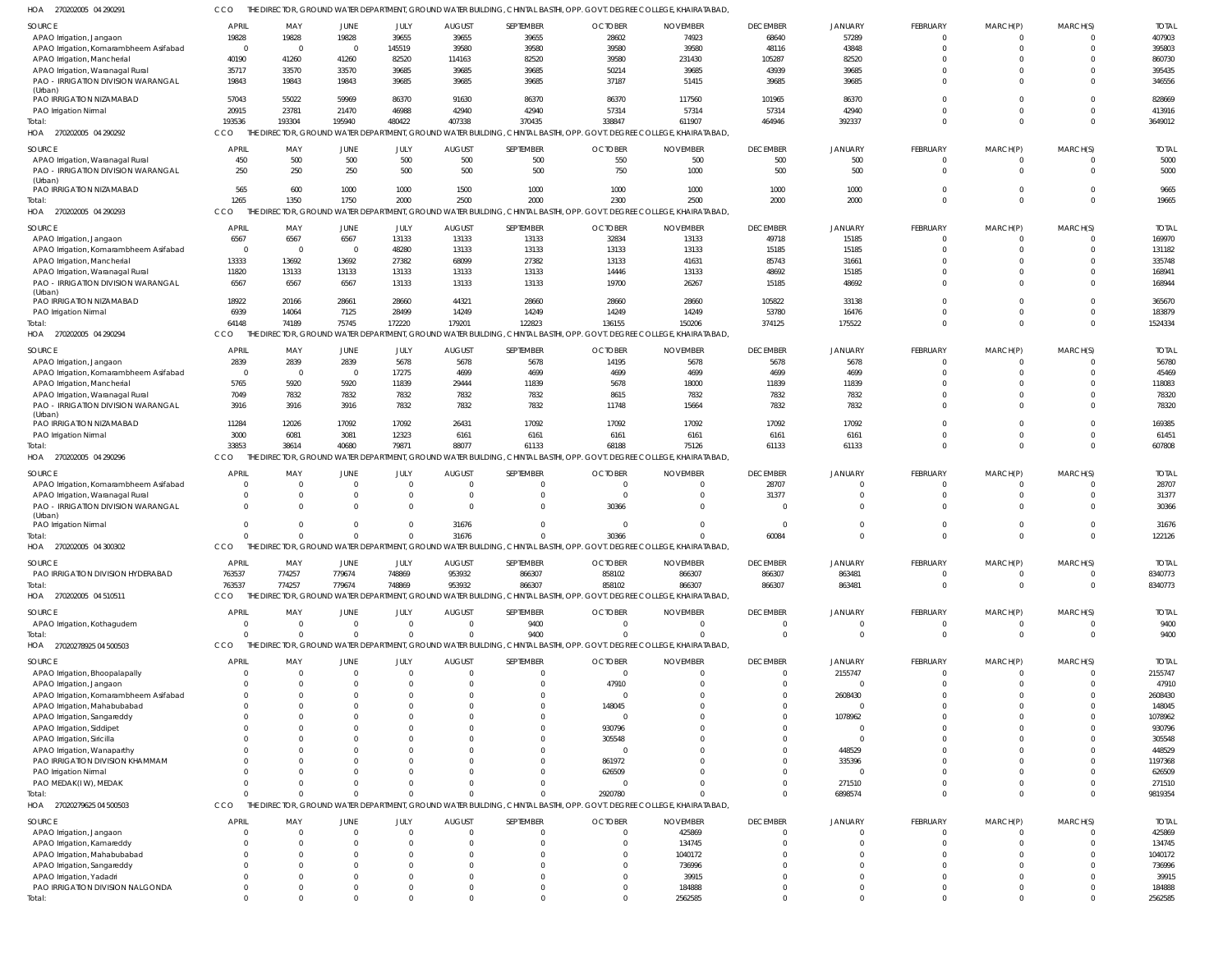| SOURCE                                 | <b>APRIL</b>             | MAY                     | JUNE           | JULY     | <b>AUGUST</b>  | SEPTEMBER        | <b>OCTOBER</b>                                                                                                        | <b>NOVEMBER</b>   | <b>DECEMBER</b> | <b>JANUARY</b> | FEBRUARY        | MARCH(P)    | MARCH(S) | <b>TOTAI</b>      |
|----------------------------------------|--------------------------|-------------------------|----------------|----------|----------------|------------------|-----------------------------------------------------------------------------------------------------------------------|-------------------|-----------------|----------------|-----------------|-------------|----------|-------------------|
| APAO Irrigation, Jangaon               | 19828                    | 19828                   | 19828          | 39655    | 39655          | 39655            | 28602                                                                                                                 | 74923             | 68640           | 57289          | $\Omega$        | $\Omega$    |          | 407903            |
| APAO Irrigation, Komarambheem Asifabad | $\Omega$                 | $\overline{\mathbf{0}}$ | $\Omega$       | 145519   | 39580          | 39580            | 39580                                                                                                                 | 39580             | 48116           | 43848          | $\Omega$        | $\Omega$    |          | 395803            |
| APAO Irrigation, Mancherial            | 40190                    | 41260                   | 41260          | 82520    | 114163         | 82520            | 39580                                                                                                                 | 231430            | 105287          | 82520          | $\Omega$        | $\Omega$    |          | 860730            |
| APAO Irrigation, Waranagal Rural       | 35717                    | 33570                   | 33570          | 39685    | 39685          | 39685            | 50214                                                                                                                 | 39685             | 43939           | 39685          | $\Omega$        | $\Omega$    |          | 395435            |
| PAO - IRRIGATION DIVISION WARANGAL     | 19843                    | 19843                   | 19843          | 39685    | 39685          | 39685            | 37187                                                                                                                 | 51415             | 39685           | 39685          | $\Omega$        | $\Omega$    |          | 346556            |
| (Urban)                                |                          |                         |                |          |                |                  |                                                                                                                       |                   |                 |                |                 |             |          |                   |
| PAO IRRIGATION NIZAMABAD               | 57043                    | 55022                   | 59969          | 86370    | 91630          | 86370            | 86370                                                                                                                 | 117560            | 101965          | 86370          | $\Omega$        | $\Omega$    | $\Omega$ | 828669            |
| PAO Irrigation Nirmal                  | 20915                    | 23781                   | 21470          | 46988    | 42940          | 42940            | 57314                                                                                                                 | 57314             | 57314           | 42940          | $\Omega$        | $\Omega$    |          | 413916            |
| Total:                                 | 193536                   | 193304                  | 195940         | 480422   | 407338         | 370435           | 338847                                                                                                                | 611907            | 464946          | 392337         | $\Omega$        | $\Omega$    | $\Omega$ | 3649012           |
| HOA 270202005 04 290292                | CCO                      | THE                     |                |          |                |                  | DIRECTOR, GROUND WATER DEPARTMENT, GROUND WATER BUILDING, CHINTAL BASTHI, OPP. GOVT. DEGREE COLLEGE                   | , KHAIRATABAD,    |                 |                |                 |             |          |                   |
| SOURCE                                 | <b>APRIL</b>             | MAY                     | JUNE           | JULY     | <b>AUGUST</b>  | SEPTEMBER        | <b>OCTOBER</b>                                                                                                        | <b>NOVEMBER</b>   | <b>DECEMBER</b> | JANUARY        | FEBRUARY        | MARCH(P)    | MARCH(S) | <b>TOTAI</b>      |
| APAO Irrigation, Waranagal Rural       | 450                      | 500                     | 500            | 500      | 500            | 500              | 550                                                                                                                   | 500               | 500             | 500            | $\mathbf 0$     | 0           | $\Omega$ | 5000              |
| PAO - IRRIGATION DIVISION WARANGAL     | 250                      | 250                     | 250            | 500      | 500            | 500              | 750                                                                                                                   | 1000              | 500             | 500            | $\mathbf 0$     | $\mathbf 0$ | $\Omega$ | 5000              |
| (Urban)                                |                          |                         |                |          |                |                  |                                                                                                                       |                   |                 |                |                 |             |          |                   |
| PAO IRRIGATION NIZAMABAD               | 565                      | 600                     | 1000           | 1000     | 1500           | 1000             | 1000                                                                                                                  | 1000              | 1000            | 1000           | $\mathbf 0$     | $\mathbf 0$ | $\Omega$ | 9665              |
| Total:                                 | 1265                     | 1350                    | 1750           | 2000     | 2500           | 2000             | 2300                                                                                                                  | 2500              | 2000            | 2000           | $\mathbf 0$     | $\mathbf 0$ | $\Omega$ | 19665             |
| HOA 270202005 04 290293                | CCO                      | THE                     |                |          |                |                  | TOR, GROUND WATER DEPARTMENT, GROUND WATER BUILDING, CHINTAL BASTHI, OPP. GOVT. DEGREE COLLEGE, KHAIRATABAD,          |                   |                 |                |                 |             |          |                   |
| SOURCE                                 | <b>APRIL</b>             | MAY                     | JUNE           | JULY     | <b>AUGUST</b>  | SEPTEMBER        | <b>OCTOBER</b>                                                                                                        | <b>NOVEMBER</b>   | <b>DECEMBER</b> | JANUARY        | <b>FEBRUARY</b> | MARCH(P)    | MARCH(S) | <b>TOTAI</b>      |
| APAO Irrigation, Jangaon               | 6567                     | 6567                    | 6567           | 13133    | 13133          | 13133            | 32834                                                                                                                 | 13133             | 49718           | 15185          | $\Omega$        | $\Omega$    |          | 169970            |
| APAO Irrigation, Komarambheem Asifabad | $\overline{0}$           | $\overline{\mathbf{0}}$ | $\Omega$       | 48280    | 13133          | 13133            | 13133                                                                                                                 | 13133             | 15185           | 15185          | $\Omega$        | $\Omega$    |          | 131182            |
| APAO Irrigation, Mancherial            | 13333                    | 13692                   | 13692          | 27382    | 68099          | 27382            | 13133                                                                                                                 | 41631             | 85743           | 31661          | $\Omega$        | $\Omega$    |          | 335748            |
| APAO Irrigation, Waranagal Rural       | 11820                    | 13133                   | 13133          | 13133    | 13133          | 13133            | 14446                                                                                                                 | 13133             | 48692           | 15185          | $\Omega$        | $\Omega$    |          | 168941            |
| PAO - IRRIGATION DIVISION WARANGAL     | 6567                     | 6567                    | 6567           | 13133    | 13133          | 13133            | 19700                                                                                                                 | 26267             | 15185           | 48692          | $\Omega$        | $\Omega$    |          | 168944            |
| (Urban)                                |                          |                         |                |          |                |                  |                                                                                                                       |                   |                 |                |                 |             |          |                   |
| PAO IRRIGATION NIZAMABAD               | 18922                    | 20166                   | 28661          | 28660    | 44321          | 28660            | 28660                                                                                                                 | 28660             | 105822          | 33138          | $\Omega$        | $\Omega$    |          | 365670            |
| PAO Irrigation Nirmal                  | 6939                     | 14064                   | 7125           | 28499    | 14249          | 14249            | 14249                                                                                                                 | 14249             | 53780           | 16476          | $\Omega$        | $\Omega$    | $\Omega$ | 183879            |
| Total:                                 | 64148                    | 74189                   | 75745          | 172220   | 179201         | 122823           | 136155                                                                                                                | 150206            | 374125          | 175522         | $\Omega$        | $\Omega$    | $\Omega$ | 1524334           |
| HOA 270202005 04 290294                | CCO                      |                         |                |          |                |                  | THE DIRECTOR, GROUND WATER DEPARTMENT, GROUND WATER BUILDING, CHINTAL BASTHI, OPP. GOVT. DEGREE COLLEGE, KHAIRATABAD, |                   |                 |                |                 |             |          |                   |
|                                        |                          |                         |                |          |                |                  |                                                                                                                       |                   |                 |                |                 |             |          |                   |
| SOURCE                                 | <b>APRIL</b>             | MAY                     | JUNE           | JULY     | <b>AUGUST</b>  | SEPTEMBER        | <b>OCTOBER</b>                                                                                                        | <b>NOVEMBER</b>   | <b>DECEMBER</b> | JANUARY        | <b>FEBRUARY</b> | MARCH(P)    | MARCH(S) | <b>TOTAL</b>      |
| APAO Irrigation, Jangaon               | 2839                     | 2839                    | 2839           | 5678     | 5678           | 5678             | 14195                                                                                                                 | 5678              | 5678            | 5678           | $\mathbf 0$     | 0           | $\Omega$ | 56780             |
| APAO Irrigation, Komarambheem Asifabad | $\overline{0}$           | $\overline{\mathbf{0}}$ | $\overline{0}$ | 17275    | 4699           | 4699             | 4699                                                                                                                  | 4699              | 4699            | 4699           | $\Omega$        | $\Omega$    | $\Omega$ | 45469             |
| APAO Irrigation, Mancherial            | 5765                     | 5920                    | 5920           | 11839    | 29444          | 11839            | 5678                                                                                                                  | 18000             | 11839           | 11839          | $\Omega$        | $\Omega$    | $\Omega$ | 118083            |
| APAO Irrigation, Waranagal Rural       | 7049                     | 7832                    | 7832           | 7832     | 7832           | 7832             | 8615                                                                                                                  | 7832              | 7832            | 7832           | $\Omega$        | $\Omega$    | $\Omega$ | 78320             |
| PAO - IRRIGATION DIVISION WARANGAL     | 3916                     | 3916                    | 3916           | 7832     | 7832           | 7832             | 11748                                                                                                                 | 15664             | 7832            | 7832           | $\Omega$        | $\Omega$    |          | 78320             |
| (Urban)<br>PAO IRRIGATION NIZAMABAD    | 11284                    | 12026                   | 17092          | 17092    | 26431          | 17092            | 17092                                                                                                                 | 17092             | 17092           | 17092          | $\Omega$        | $\Omega$    | $\Omega$ | 169385            |
| PAO Irrigation Nirmal                  | 3000                     | 6081                    | 3081           | 12323    | 6161           | 6161             | 6161                                                                                                                  | 6161              | 6161            | 6161           | $\mathbf 0$     | $\mathbf 0$ | $\Omega$ | 61451             |
| Total:                                 | 33853                    | 38614                   | 40680          | 79871    | 88077          | 61133            | 68188                                                                                                                 | 75126             | 61133           | 61133          | $\Omega$        | $\Omega$    | $\Omega$ | 607808            |
| HOA 270202005 04 290296                | CCO                      | THF                     |                |          |                |                  | director, ground water department, ground water building, chintal basthi, opp. govt. Degree College, Khairatabad,     |                   |                 |                |                 |             |          |                   |
|                                        |                          |                         |                |          |                |                  |                                                                                                                       |                   |                 |                |                 |             |          |                   |
| SOURCE                                 | <b>APRIL</b>             | MAY                     | JUNE           | JULY     | <b>AUGUST</b>  | SEPTEMBER        | <b>OCTOBER</b>                                                                                                        | <b>NOVEMBER</b>   | <b>DECEMBER</b> | <b>JANUARY</b> | <b>FEBRUARY</b> | MARCH(P)    | MARCH(S) | <b>TOTAI</b>      |
| APAO Irrigation, Komarambheem Asifabad | $\Omega$                 | $\Omega$                | $\Omega$       | $\Omega$ | $\Omega$       | $\Omega$         | $\Omega$                                                                                                              | $\cup$            | 28707           | $\Omega$       | $\Omega$        | $\Omega$    | $\Omega$ | 28707             |
| APAO Irrigation, Waranagal Rural       | $\Omega$                 | $\Omega$                | $\Omega$       | $\Omega$ | $\overline{0}$ | $\Omega$         | $\Omega$                                                                                                              |                   | 31377           | $\Omega$       | $\Omega$        | $\Omega$    | $\Omega$ | 31377             |
| PAO - IRRIGATION DIVISION WARANGAL     | $\Omega$                 | $\Omega$                |                | $\Omega$ | $\Omega$       | $\Omega$         | 30366                                                                                                                 | $\cup$            | $\Omega$        | $\Omega$       | $\Omega$        | $\Omega$    | $\Omega$ | 30366             |
| (Urban)                                |                          |                         |                |          |                |                  |                                                                                                                       |                   |                 |                |                 |             |          |                   |
| PAO Irrigation Nirmal                  | $\Omega$                 | $\Omega$                | $\Omega$       | $\Omega$ | 31676          | $\Omega$         | $\Omega$                                                                                                              |                   | $\Omega$        | $\Omega$       | $\Omega$        | $\Omega$    | $\Omega$ | 31676             |
| Total:                                 | $\Omega$                 | $\Omega$                | $\Omega$       | $\Omega$ | 31676          | $\Omega$         | 30366                                                                                                                 |                   | 60084           | $\Omega$       | $\Omega$        | $\Omega$    | $\Omega$ | 122126            |
| HOA 270202005 04 300302                | CCO                      |                         |                |          |                |                  | THE DIRECTOR, GROUND WATER DEPARTMENT, GROUND WATER BUILDING, CHINTAL BASTHI, OPP. GOVT. DEGREE COLLEGE, KHAIRATABAD, |                   |                 |                |                 |             |          |                   |
| <b>SOURCE</b>                          | <b>APRIL</b>             | MAY                     | JUNE           | JULY     | <b>AUGUST</b>  | <b>SEPTEMBER</b> | <b>OCTOBER</b>                                                                                                        | <b>NOVEMBER</b>   | <b>DECEMBER</b> | <b>JANUARY</b> |                 | MARCH(P)    | MARCH(S) | <b>TOTAL</b>      |
| PAO IRRIGATION DIVISION HYDERABAD      | 763537                   | 774257                  | 779674         | 748869   | 953932         | 866307           | 858102                                                                                                                | 866307            | 866307          | 863481         | $\mathbf 0$     | $\mathbf 0$ |          | 8340773           |
| Total:                                 | 763537                   | 774257                  | 779674         | 748869   | 953932         | 866307           | 858102                                                                                                                | 866307            | 866307          | 863481         | $\mathbf 0$     | $\mathbf 0$ | $\Omega$ | 8340773           |
| HOA 270202005 04 510511                | <b>CCO</b>               |                         |                |          |                |                  | THE DIRECTOR, GROUND WATER DEPARTMENT, GROUND WATER BUILDING, CHINTAL BASTHI, OPP. GOVT. DEGREE COLLEGE, KHAIRATABAD, |                   |                 |                |                 |             |          |                   |
|                                        |                          |                         |                |          |                |                  |                                                                                                                       |                   |                 |                |                 |             |          |                   |
| SOURCE                                 | <b>APRIL</b>             | MAY                     | JUNE           | JULY     | <b>AUGUST</b>  | SEPTEMBER        | <b>OCTOBER</b>                                                                                                        | <b>NOVEMBER</b>   | <b>DECEMBER</b> | JANUARY        | FEBRUARY        | MARCH(P)    | MARCH(S) | <b>TOTAL</b>      |
| APAO Irrigation, Kothagudem            | $\Omega$                 | $\Omega$                | $\Omega$       | $\Omega$ | $\Omega$       | 9400             | $\Omega$                                                                                                              | $\Omega$          | $\Omega$        | $\Omega$       | $\mathbf 0$     | 0           |          | 9400              |
| Total:                                 | $\Omega$                 | $\Omega$                | $\Omega$       | $\Omega$ | $\Omega$       | 9400             |                                                                                                                       |                   | $\Omega$        | $\Omega$       | $\Omega$        | $\mathbf 0$ |          | 9400              |
| HOA 27020278925 04 500503              | CCO                      |                         |                |          |                |                  | THE DIRECTOR, GROUND WATER DEPARTMENT, GROUND WATER BUILDING, CHINTAL BASTHI, OPP. GOVT. DEGREE COLLEGE, KHAIRATABAD, |                   |                 |                |                 |             |          |                   |
| SOURCE                                 | <b>APRIL</b>             | MAY                     | JUNE           | JULY     | <b>AUGUST</b>  | SEPTEMBER        | <b>OCTOBER</b>                                                                                                        | <b>NOVEMBER</b>   | <b>DECEMBER</b> | JANUARY        | <b>FEBRUARY</b> | MARCH(P)    | MARCH(S) | <b>TOTAL</b>      |
| APAO Irrigation, Bhoopalapally         | $\Omega$                 | $\overline{0}$          | $\Omega$       | $\Omega$ | $^{\circ}$     | 0                | $\mathbf 0$                                                                                                           | $\Omega$          | $\overline{0}$  | 2155747        | 0               | 0           |          | 2155747           |
| APAO Irrigation, Jangaon               |                          | $\Omega$                |                |          | $\Omega$       | 0                | 47910                                                                                                                 |                   |                 | $\Omega$       | $\Omega$        | $\Omega$    |          | 47910             |
| APAO Irrigation, Komarambheem Asifabad |                          | $\Omega$                |                |          |                |                  | - (                                                                                                                   |                   |                 | 2608430        | $\Omega$        |             |          | 2608430           |
| APAO Irrigation, Mahabubabad           |                          |                         |                |          |                |                  | 148045                                                                                                                |                   |                 | $\Omega$       |                 |             |          | 148045            |
| APAO Irrigation, Sangareddy            |                          |                         |                |          |                |                  | 0                                                                                                                     |                   |                 | 1078962        | $\Omega$        |             |          | 1078962           |
| APAO Irrigation, Siddipet              |                          |                         |                |          |                |                  | 930796                                                                                                                |                   |                 |                |                 |             |          | 930796            |
| APAO Irrigation, Siricilla             |                          |                         |                |          |                |                  | 305548                                                                                                                |                   |                 |                |                 |             |          | 305548            |
| APAO Irrigation, Wanaparthy            |                          |                         |                |          |                |                  | 0                                                                                                                     |                   |                 | 448529         |                 |             |          | 448529            |
| PAO IRRIGATION DIVISION KHAMMAM        |                          |                         |                |          |                |                  | 861972                                                                                                                |                   |                 | 335396         |                 | $\Omega$    |          | 1197368           |
| PAO Irrigation Nirmal                  |                          |                         |                |          |                |                  | 626509                                                                                                                |                   |                 |                |                 |             |          | 626509            |
| PAO MEDAK(IW), MEDAK                   | $\Omega$                 | $\Omega$                |                |          | $\Omega$       | <sup>0</sup>     | $\Omega$                                                                                                              |                   |                 | 271510         | $\Omega$        | $\Omega$    |          | 271510            |
| Total:                                 | $\Omega$                 | $\Omega$                | $\Omega$       | $\Omega$ |                | $\Omega$         | 2920780                                                                                                               |                   |                 | 6898574        | $\Omega$        | $\Omega$    |          | 9819354           |
| HOA 27020279625 04 500503              | CCO                      |                         |                |          |                |                  | THE DIRECTOR, GROUND WATER DEPARTMENT, GROUND WATER BUILDING, CHINTAL BASTHI, OPP. GOVT. DEGREE COLLEGE, KHAIRATABAD, |                   |                 |                |                 |             |          |                   |
|                                        |                          |                         |                |          |                |                  |                                                                                                                       |                   |                 |                |                 |             |          |                   |
| SOURCE                                 | <b>APRIL</b>             | MAY                     | JUNE           | JULY     | <b>AUGUST</b>  | <b>SEPTEMBER</b> | <b>OCTOBER</b>                                                                                                        | <b>NOVEMBER</b>   | <b>DECEMBER</b> | JANUARY        | FEBRUARY        | MARCH(P)    | MARCH(S) | <b>TOTAL</b>      |
| APAO Irrigation, Jangaon               |                          | $\Omega$                |                |          | $\Omega$       | O                | $\Omega$                                                                                                              | 425869            |                 |                | $\Omega$        | -0          |          | 425869            |
| APAO Irrigation, Kamareddy             |                          | $\Omega$                |                |          |                |                  |                                                                                                                       | 134745            |                 |                |                 |             |          | 134745            |
| APAO Irrigation, Mahabubabad           |                          | $\Omega$                |                |          |                |                  |                                                                                                                       | 1040172           |                 |                |                 |             |          | 1040172           |
| APAO Irrigation, Sangareddy            |                          |                         |                |          |                |                  |                                                                                                                       | 736996            |                 |                |                 |             |          | 736996            |
| APAO Irrigation, Yadadri               |                          | $\Omega$                |                |          |                |                  |                                                                                                                       | 39915             |                 |                | $\Omega$        |             |          | 39915             |
|                                        |                          |                         |                |          |                |                  |                                                                                                                       |                   |                 |                |                 |             |          |                   |
| PAO IRRIGATION DIVISION NALGONDA       | $\mathbf{0}$<br>$\Omega$ | $\Omega$                |                |          |                |                  |                                                                                                                       | 184888<br>2562585 |                 | $\Omega$       | $\Omega$        | $\Omega$    |          | 184888<br>2562585 |

CCO THE DIRECTOR, GROUND WATER DEPARTMENT, GROUND WATER BUILDING, CHINTAL BASTHI, OPP. GOVT. DEGREE COLLEGE, KHAIRATABAD,

270202005 04 290291 HOA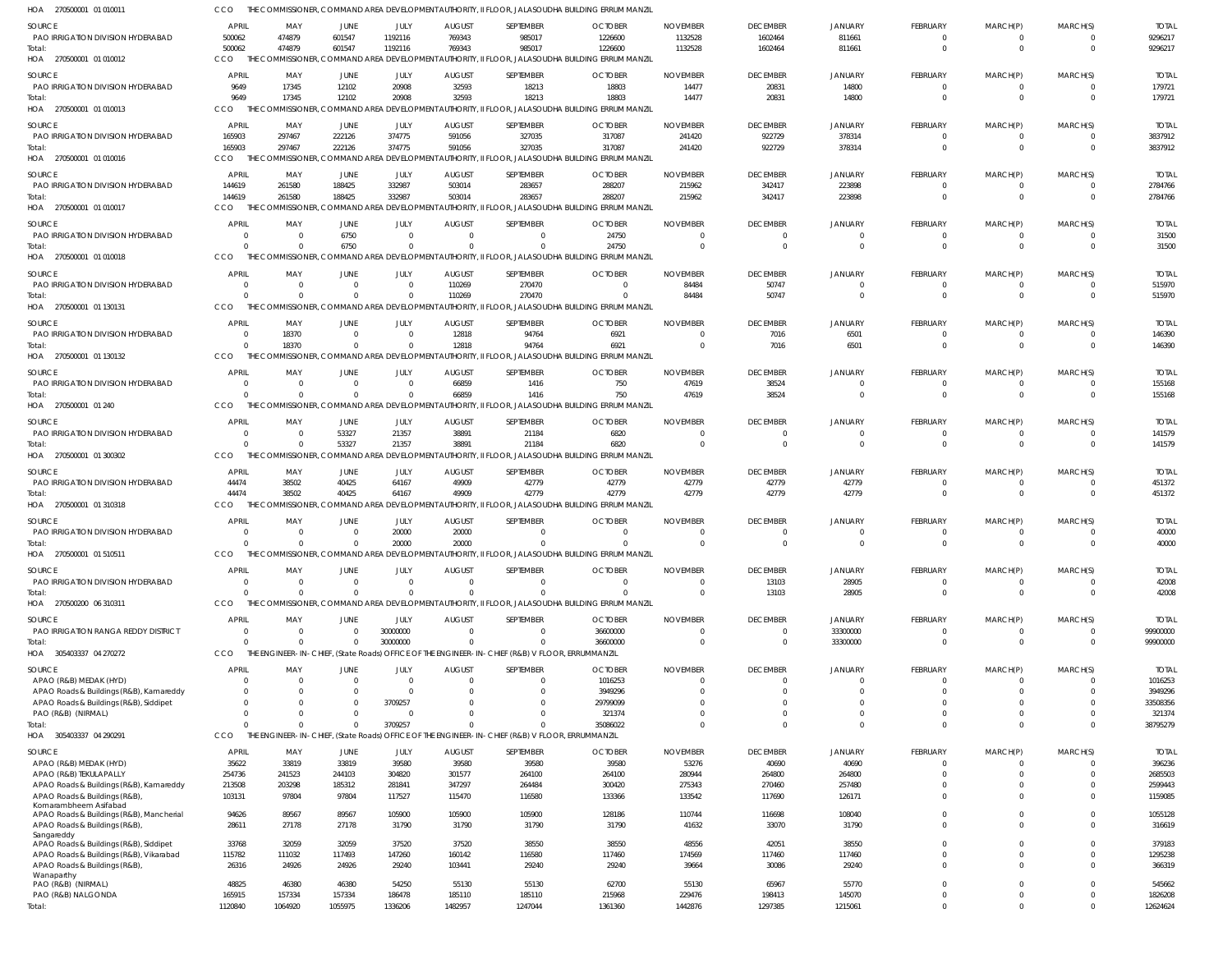| HOA 270500001 01 01001                                                            |                          |                            |                            |                                                               |                           |                                                                                                 | the COMMISSIONER, COMMAND AREA DEVELOPMENT AUTHORITY, II FLOOR, JALASOUDHA BUILDING ERRUM MANZIL         |                             |                                   |                                  |                            |                            |                                  |                       |
|-----------------------------------------------------------------------------------|--------------------------|----------------------------|----------------------------|---------------------------------------------------------------|---------------------------|-------------------------------------------------------------------------------------------------|----------------------------------------------------------------------------------------------------------|-----------------------------|-----------------------------------|----------------------------------|----------------------------|----------------------------|----------------------------------|-----------------------|
| <b>SOURCE</b>                                                                     | <b>APRIL</b>             | MAY                        | JUNE                       | JULY                                                          | <b>AUGUST</b>             | SEPTEMBER                                                                                       | <b>OCTOBER</b>                                                                                           | <b>NOVEMBER</b>             | <b>DECEMBER</b>                   | <b>JANUARY</b>                   | FEBRUARY                   | MARCH(P)                   | MARCH(S)                         | <b>TOTAL</b>          |
| PAO IRRIGATION DIVISION HYDERABAD                                                 | 500062                   | 474879                     | 601547                     | 1192116                                                       | 769343                    | 985017                                                                                          | 1226600                                                                                                  | 1132528                     | 1602464                           | 811661                           | - 0                        | - 0                        | - 0                              | 9296217               |
| Total:                                                                            | 500062                   | 474879                     | 601547                     | 1192116                                                       | 769343                    | 985017                                                                                          | 1226600                                                                                                  | 1132528                     | 1602464                           | 811661                           | $\Omega$                   | $\Omega$                   | $\overline{0}$                   | 9296217               |
| HOA 270500001 01 010012                                                           | CCO                      | THE COMMISSIONER,          |                            |                                                               |                           |                                                                                                 | , COMMAND AREA DEVELOPMENT AUTHORITY, II FLOOR, JALASOUDHA BUILDING ERRUM MANZIL                         |                             |                                   |                                  |                            |                            |                                  |                       |
| SOURCE                                                                            | <b>APRIL</b>             | MAY                        | <b>JUNE</b>                | JULY                                                          | <b>AUGUST</b>             | SEPTEMBER                                                                                       | <b>OCTOBER</b>                                                                                           | <b>NOVEMBER</b>             | <b>DECEMBER</b>                   | <b>JANUARY</b>                   | FEBRUARY                   | MARCH(P)                   | MARCH(S)                         | <b>TOTAL</b>          |
| PAO IRRIGATION DIVISION HYDERABAD                                                 | 9649                     | 17345                      | 12102                      | 20908                                                         | 32593                     | 18213                                                                                           | 18803                                                                                                    | 14477                       | 20831                             | 14800                            | $\Omega$                   | $\Omega$                   | $\overline{0}$                   | 179721                |
| Total:                                                                            | 9649                     | 17345                      | 12102                      | 20908                                                         | 32593                     | 18213                                                                                           | 18803                                                                                                    | 14477                       | 20831                             | 14800                            | $\Omega$                   | $\Omega$                   | $\Omega$                         | 179721                |
| HOA 270500001 01 010013                                                           | CCO                      |                            |                            |                                                               |                           |                                                                                                 | THE COMMISSIONER, COMMAND AREA DEVELOPMENT AUTHORITY, II FLOOR, JALASOUDHA BUILDING ERRUM MANZIL         |                             |                                   |                                  |                            |                            |                                  |                       |
| SOURCE                                                                            | <b>APRIL</b>             | MAY                        | JUNE                       | JULY                                                          | <b>AUGUST</b>             | SEPTEMBER                                                                                       | <b>OCTOBER</b>                                                                                           | <b>NOVEMBER</b>             | <b>DECEMBER</b>                   | <b>JANUARY</b>                   | FEBRUARY                   | MARCH(P)                   | MARCH(S)                         | <b>TOTAL</b>          |
| PAO IRRIGATION DIVISION HYDERABAD                                                 | 165903                   | 297467                     | 222126                     | 374775                                                        | 591056                    | 327035                                                                                          | 317087                                                                                                   | 241420                      | 922729                            | 378314                           | - 0                        | $\Omega$                   | $\Omega$                         | 3837912               |
| Total:<br>HOA 270500001 01 010016                                                 | 165903<br>CCO            | 297467<br>THE COMMISSIONER | 222126                     | 374775                                                        | 591056                    | 327035                                                                                          | 317087<br>COMMAND AREA DEVELOPMENT AUTHORITY, II FLOOR, JALASOUDHA BUILDING ERRUM MANZIL                 | 241420                      | 922729                            | 378314                           | $\overline{0}$             | $\overline{0}$             | $\overline{0}$                   | 3837912               |
|                                                                                   |                          |                            |                            |                                                               |                           |                                                                                                 |                                                                                                          |                             |                                   |                                  |                            |                            |                                  |                       |
| SOURCE                                                                            | <b>APRIL</b>             | MAY                        | JUNE                       | JULY                                                          | <b>AUGUST</b>             | SEPTEMBER                                                                                       | <b>OCTOBER</b>                                                                                           | <b>NOVEMBER</b>             | <b>DECEMBER</b>                   | <b>JANUARY</b>                   | FEBRUARY                   | MARCH(P)                   | MARCH(S)                         | <b>TOTAL</b>          |
| PAO IRRIGATION DIVISION HYDERABAD<br>Total:                                       | 144619<br>144619         | 261580<br>261580           | 188425<br>188425           | 332987<br>332987                                              | 503014<br>503014          | 283657<br>283657                                                                                | 288207<br>288207                                                                                         | 215962<br>215962            | 342417<br>342417                  | 223898<br>223898                 | $\Omega$<br>$\Omega$       | $\Omega$<br>$\Omega$       | $\overline{0}$<br>$\overline{0}$ | 2784766<br>2784766    |
| HOA 270500001 01 010017                                                           | CCO                      |                            |                            |                                                               |                           |                                                                                                 | THE COMMISSIONER, COMMAND AREA DEVELOPMENT AUTHORITY, II FLOOR, JALASOUDHA BUILDING ERRUM MANZIL         |                             |                                   |                                  |                            |                            |                                  |                       |
|                                                                                   | <b>APRIL</b>             |                            |                            |                                                               |                           |                                                                                                 |                                                                                                          |                             |                                   |                                  |                            |                            |                                  |                       |
| <b>SOURCE</b><br>PAO IRRIGATION DIVISION HYDERABAD                                | 0                        | MAY                        | <b>JUNE</b><br>6750        | JULY<br>$\overline{0}$                                        | <b>AUGUST</b><br>$\Omega$ | SEPTEMBER<br>$\mathbf{0}$                                                                       | <b>OCTOBER</b><br>24750                                                                                  | <b>NOVEMBER</b><br>$\Omega$ | <b>DECEMBER</b><br>$\overline{0}$ | <b>JANUARY</b><br>$\overline{0}$ | FEBRUARY<br>$\Omega$       | MARCH(P)<br>$\Omega$       | MARCH(S)<br>$\overline{0}$       | <b>TOTAL</b><br>31500 |
| Total:                                                                            | $\Omega$                 |                            | 6750                       | $\Omega$                                                      | $\Omega$                  | $\Omega$                                                                                        | 24750                                                                                                    | $\Omega$                    | $\overline{0}$                    | $\Omega$                         | $\Omega$                   | $\Omega$                   | $\Omega$                         | 31500                 |
| HOA 270500001 01 010018                                                           | CCO<br>THF               |                            |                            |                                                               |                           |                                                                                                 | COMMISSIONER, COMMAND AREA DEVELOPMENT AUTHORITY, II FLOOR, JALASOUDHA BUILDING ERRUM MANZIL             |                             |                                   |                                  |                            |                            |                                  |                       |
| SOURCE                                                                            | <b>APRIL</b>             | MAY                        | <b>JUNE</b>                | JULY                                                          | <b>AUGUST</b>             | SEPTEMBER                                                                                       | <b>OCTOBER</b>                                                                                           | <b>NOVEMBER</b>             | <b>DECEMBER</b>                   | <b>JANUARY</b>                   | FEBRUARY                   | MARCH(P)                   | MARCH(S)                         | <b>TOTAL</b>          |
| PAO IRRIGATION DIVISION HYDERABAD                                                 | - 0                      | $\cap$                     | $\overline{0}$             | $\overline{0}$                                                | 110269                    | 270470                                                                                          | $\Omega$                                                                                                 | 84484                       | 50747                             | $\overline{0}$                   | $\Omega$                   | $\Omega$                   | $\overline{0}$                   | 515970                |
| Total:                                                                            | $\Omega$                 |                            | $\Omega$                   | $\Omega$                                                      | 110269                    | 270470                                                                                          | $\Omega$                                                                                                 | 84484                       | 50747                             | $\Omega$                         | $\Omega$                   | $\Omega$                   | $\Omega$                         | 515970                |
| HOA 270500001 01 130131                                                           | <b>CCO</b>               |                            |                            |                                                               |                           |                                                                                                 | THE COMMISSIONER, COMMAND AREA DEVELOPMENT AUTHORITY, II FLOOR, JALASOUDHA BUILDING ERRUM MANZIL         |                             |                                   |                                  |                            |                            |                                  |                       |
| SOURCE                                                                            | APRIL                    | MAY                        | <b>JUNE</b>                | JULY                                                          | <b>AUGUST</b>             | SEPTEMBER                                                                                       | <b>OCTOBER</b>                                                                                           | <b>NOVEMBER</b>             | <b>DECEMBER</b>                   | <b>JANUARY</b>                   | FEBRUARY                   | MARCH(P)                   | MARCH(S)                         | <b>TOTAL</b>          |
| PAO IRRIGATION DIVISION HYDERABAD                                                 | 0                        | 18370                      | $\overline{0}$             | $\overline{0}$                                                | 12818                     | 94764                                                                                           | 6921                                                                                                     | $\Omega$                    | 7016                              | 6501                             | - 0                        | - 0                        | $\overline{0}$                   | 146390                |
| Total:                                                                            | $\Omega$                 | 18370                      | $\Omega$                   | $\Omega$                                                      | 12818                     | 94764                                                                                           | 6921                                                                                                     | $\Omega$                    | 7016                              | 6501                             | $\Omega$                   | $\Omega$                   | $\Omega$                         | 146390                |
| HOA 270500001 01 130132                                                           | <b>CCO</b>               |                            |                            |                                                               |                           |                                                                                                 | THE COMMISSIONER, COMMAND AREA DEVELOPMENT AUTHORITY, II FLOOR, JALASOUDHA BUILDING ERRUM MANZIL         |                             |                                   |                                  |                            |                            |                                  |                       |
| SOURCE                                                                            | APRIL                    | MAY                        | <b>JUNE</b>                | JULY                                                          | <b>AUGUST</b>             | SEPTEMBER                                                                                       | <b>OCTOBER</b>                                                                                           | <b>NOVEMBER</b>             | <b>DECEMBER</b>                   | <b>JANUARY</b>                   | FEBRUARY                   | MARCH(P)                   | MARCH(S)                         | <b>TOTAL</b>          |
| PAO IRRIGATION DIVISION HYDERABAD                                                 | - 0                      | $\Omega$                   | $\overline{0}$             | $\overline{0}$                                                | 66859                     | 1416                                                                                            | 750                                                                                                      | 47619                       | 38524                             | $\mathbf 0$                      | $\Omega$                   | $\Omega$                   | $\overline{0}$                   | 155168                |
| Total:                                                                            | $\Omega$                 |                            | $\Omega$                   | $\Omega$                                                      | 66859                     | 1416                                                                                            | 750                                                                                                      | 47619                       | 38524                             | $\Omega$                         | $\Omega$                   | $\Omega$                   | $\overline{0}$                   | 155168                |
| HOA 270500001 01 240                                                              | <b>CCO</b><br>THF        |                            |                            |                                                               |                           |                                                                                                 | COMMISSIONER, COMMAND AREA DEVELOPMENT AUTHORITY, II FLOOR, JALASOUDHA BUILDING ERRUM MANZIL             |                             |                                   |                                  |                            |                            |                                  |                       |
| <b>SOURCE</b>                                                                     | APRIL                    | MAY                        | <b>JUNE</b>                | JULY                                                          | <b>AUGUST</b>             | SEPTEMBER                                                                                       | <b>OCTOBER</b>                                                                                           | <b>NOVEMBER</b>             | <b>DECEMBER</b>                   | <b>JANUARY</b>                   | FEBRUARY                   | MARCH(P)                   | MARCH(S)                         | <b>TOTAL</b>          |
| PAO IRRIGATION DIVISION HYDERABAD                                                 | $\Omega$                 | $\Omega$                   | 53327                      | 21357                                                         | 38891                     | 21184                                                                                           | 6820                                                                                                     | $\Omega$                    | 0                                 | $^{\circ}$                       | - 0                        | $\Omega$                   | $\overline{0}$                   | 141579                |
| Total:<br>HOA 270500001 01 300302                                                 | $\Omega$<br><b>CCO</b>   |                            | 53327                      | 21357                                                         | 38891                     | 21184                                                                                           | 6820<br>THE COMMISSIONER, COMMAND AREA DEVELOPMENT AUTHORITY, II FLOOR, JALASOUDHA BUILDING ERRUM MANZIL | $\Omega$                    | $\Omega$                          | $\Omega$                         | $\Omega$                   | $\Omega$                   | $\Omega$                         | 141579                |
|                                                                                   |                          |                            |                            |                                                               |                           |                                                                                                 |                                                                                                          |                             |                                   |                                  |                            |                            |                                  |                       |
| SOURCE                                                                            | <b>APRIL</b>             | MAY                        | JUNE                       | JULY                                                          | <b>AUGUST</b>             | SEPTEMBER                                                                                       | <b>OCTOBER</b>                                                                                           | <b>NOVEMBER</b>             | <b>DECEMBER</b>                   | <b>JANUARY</b>                   | FEBRUARY                   | MARCH(P)                   | MARCH(S)                         | <b>TOTAL</b>          |
| PAO IRRIGATION DIVISION HYDERABAD<br>Total:                                       | 44474<br>44474           | 38502<br>38502             | 40425<br>40425             | 64167<br>64167                                                | 49909<br>49909            | 42779<br>42779                                                                                  | 42779<br>42779                                                                                           | 42779<br>42779              | 42779<br>42779                    | 42779<br>42779                   | $\Omega$<br>$\Omega$       | $\Omega$<br>$\Omega$       | $\overline{0}$<br>$\Omega$       | 451372<br>451372      |
| HOA 270500001 01 310318                                                           | <b>CCO</b><br>THF        |                            |                            | <i><b>IMISSIONER, COMMAND AREA DEVELOPMENT AUTHORITY,</b></i> |                           |                                                                                                 | II FLOOR. JALASOUDHA BUILDING ERRUM MANZIL                                                               |                             |                                   |                                  |                            |                            |                                  |                       |
|                                                                                   |                          |                            |                            |                                                               |                           |                                                                                                 |                                                                                                          |                             |                                   |                                  |                            |                            |                                  |                       |
| SOURCE<br>PAO IRRIGATION DIVISION HYDERABAD                                       | <b>APRIL</b><br>$\Omega$ | MAY<br>$\cap$              | <b>JUNE</b><br>$\Omega$    | JULY<br>20000                                                 | <b>AUGUST</b><br>20000    | SEPTEMBER<br>$\Omega$                                                                           | <b>OCTOBER</b><br>$\Omega$                                                                               | <b>NOVEMBER</b><br>$\Omega$ | <b>DECEMBER</b><br>$\Omega$       | <b>JANUARY</b><br>$\Omega$       | FEBRUARY<br>- 0            | MARCH(P)<br>- 0            | MARCH(S)<br>- 0                  | <b>TOTAL</b><br>40000 |
| Total:                                                                            | $\Omega$                 |                            | $\Omega$                   | 20000                                                         | 20000                     | $\Omega$                                                                                        | $\Omega$                                                                                                 | $\Omega$                    | $\Omega$                          | $\Omega$                         | $\Omega$                   | $\Omega$                   | $\Omega$                         | 40000                 |
| HOA 270500001 01 510511                                                           | CCO                      |                            |                            |                                                               |                           |                                                                                                 | THE COMMISSIONER, COMMAND AREA DEVELOPMENT AUTHORITY, II FLOOR, JALASOUDHA BUILDING ERRUM MANZIL         |                             |                                   |                                  |                            |                            |                                  |                       |
| <b>SOURCE</b>                                                                     | APRIL                    | MAY                        | <b>JUNE</b>                | JULY                                                          | <b>AUGUST</b>             | SEPTEMBER                                                                                       | <b>OCTOBER</b>                                                                                           | <b>NOVEMBER</b>             | <b>DECEMBER</b>                   | <b>JANUARY</b>                   | <b>FEBRUARY</b>            | MARCH(P)                   | MARCH(S)                         | <b>TOTAL</b>          |
| PAO IRRIGATION DIVISION HYDERABAD                                                 | 0                        | $\Omega$                   | $\overline{0}$             | $\overline{0}$                                                | $\overline{0}$            | $\mathbf 0$                                                                                     | $\overline{0}$                                                                                           | $\Omega$                    | 13103                             | 28905                            | $\Omega$                   | $\Omega$                   | $\overline{0}$                   | 42008                 |
| Total:                                                                            | $\Omega$                 | $\Omega$                   | $\Omega$                   | $\Omega$                                                      | $\Omega$                  | $\mathbf 0$                                                                                     | $\Omega$                                                                                                 | $\Omega$                    | 13103                             | 28905                            | $\Omega$                   | $\Omega$                   | $\overline{0}$                   | 42008                 |
| HOA 270500200 06 310311                                                           | CCO                      |                            |                            |                                                               |                           |                                                                                                 | THE COMMISSIONER, COMMAND AREA DEVELOPMENT AUTHORITY, II FLOOR, JALASOUDHA BUILDING ERRUM MANZIL         |                             |                                   |                                  |                            |                            |                                  |                       |
| SOURCE                                                                            | <b>APRIL</b>             | MAY                        | JUNE                       | JULY                                                          | <b>AUGUST</b>             | SEPTEMBER                                                                                       | <b>OCTOBER</b>                                                                                           | <b>NOVEMBER</b>             | <b>DECEMBER</b>                   | <b>JANUARY</b>                   | FEBRUARY                   | MARCH(P)                   | MARCH(S)                         | <b>TOTAL</b>          |
| PAO IRRIGATION RANGA REDDY DISTRICT                                               | $\Omega$                 | $\Omega$                   | $\overline{0}$             | 30000000                                                      | $\Omega$                  | $\mathbf 0$                                                                                     | 36600000                                                                                                 | $\Omega$                    | $\overline{0}$                    | 33300000                         | $\Omega$                   | $\Omega$                   | $\overline{0}$                   | 99900000              |
| Total:                                                                            | $\Omega$                 | $\cap$                     | $\Omega$                   | 30000000                                                      | $\Omega$                  | $\mathbf 0$                                                                                     | 36600000                                                                                                 | $\Omega$                    | $\mathbf 0$                       | 33300000                         | $\Omega$                   | $\Omega$                   | $\overline{0}$                   | 99900000              |
| HOA 305403337 04 270272                                                           | CCO                      |                            |                            |                                                               |                           | THE ENGINEER-IN-CHIEF, (State Roads) OFFICE OF THE ENGINEER-IN-CHIEF (R&B) V FLOOR, ERRUMMANZIL |                                                                                                          |                             |                                   |                                  |                            |                            |                                  |                       |
| SOURCE                                                                            | <b>APRIL</b>             | MAY                        | <b>JUNE</b>                | JULY                                                          | <b>AUGUST</b>             | SEPTEMBER                                                                                       | <b>OCTOBER</b>                                                                                           | <b>NOVEMBER</b>             | <b>DECEMBER</b>                   | JANUARY                          | <b>FEBRUARY</b>            | MARCH(P)                   | MARCH(S)                         | <b>TOTAL</b>          |
| APAO (R&B) MEDAK (HYD)                                                            | 0                        |                            | $\overline{0}$             | $\overline{0}$                                                | $\overline{0}$            | $\mathbf 0$                                                                                     | 1016253                                                                                                  | $\Omega$                    | $\overline{0}$                    | $\mathbf 0$                      | $\Omega$                   | $\Omega$                   | $\overline{0}$                   | 1016253               |
| APAO Roads & Buildings (R&B), Kamareddy                                           | 0                        |                            | $\overline{0}$             | $\mathbf 0$                                                   | $\Omega$<br><sup>0</sup>  | $\mathbf 0$<br>$\Omega$                                                                         | 3949296                                                                                                  |                             | $\Omega$                          | $\Omega$<br>$\Omega$             | $\Omega$<br>$\Omega$       | $\Omega$<br>$\Omega$       | $\overline{0}$<br>$\Omega$       | 3949296               |
| APAO Roads & Buildings (R&B), Siddipet<br>PAO (R&B) (NIRMAL)                      | $\Omega$<br>$\Omega$     |                            | $\Omega$<br>$\overline{0}$ | 3709257<br>$\mathbf 0$                                        | <sup>0</sup>              | $\mathbf{0}$                                                                                    | 29799099<br>321374                                                                                       |                             | $\Omega$<br>$\Omega$              | $\mathbf 0$                      | $\Omega$                   | $\Omega$                   | $\overline{0}$                   | 33508356<br>321374    |
| Total:                                                                            | $\Omega$                 |                            | $\Omega$                   | 3709257                                                       | <sup>0</sup>              | $\Omega$                                                                                        | 35086022                                                                                                 | $\Omega$                    | $\Omega$                          | $\Omega$                         | $\Omega$                   | $\Omega$                   | $\overline{0}$                   | 38795279              |
| HOA 305403337 04 290291                                                           | CCO                      |                            |                            |                                                               |                           | THE ENGINEER-IN-CHIEF, (State Roads) OFFICE OF THE ENGINEER-IN-CHIEF (R&B) V FLOOR, ERRUMMANZIL |                                                                                                          |                             |                                   |                                  |                            |                            |                                  |                       |
| SOURCE                                                                            | <b>APRIL</b>             | MAY                        | JUNE                       | JULY                                                          | <b>AUGUST</b>             | SEPTEMBER                                                                                       | <b>OCTOBER</b>                                                                                           | <b>NOVEMBER</b>             | <b>DECEMBER</b>                   | <b>JANUARY</b>                   | FEBRUARY                   | MARCH(P)                   | MARCH(S)                         | <b>TOTAI</b>          |
| APAO (R&B) MEDAK (HYD)                                                            | 35622                    | 33819                      | 33819                      | 39580                                                         | 39580                     | 39580                                                                                           | 39580                                                                                                    | 53276                       | 40690                             | 40690                            | $\Omega$                   | $\Omega$                   | $\Omega$                         | 396236                |
| APAO (R&B) TEKULAPALLY                                                            | 254736                   | 241523                     | 244103                     | 304820                                                        | 301577                    | 264100                                                                                          | 264100                                                                                                   | 280944                      | 264800                            | 264800                           | $\Omega$                   | $\Omega$                   | $\overline{0}$                   | 2685503               |
| APAO Roads & Buildings (R&B), Kamareddy                                           | 213508                   | 203298                     | 185312                     | 281841                                                        | 347297                    | 264484                                                                                          | 300420                                                                                                   | 275343                      | 270460                            | 257480                           | $\Omega$                   | $\Omega$                   | $\mathbf 0$                      | 2599443               |
| APAO Roads & Buildings (R&B)                                                      | 103131                   | 97804                      | 97804                      | 117527                                                        | 115470                    | 116580                                                                                          | 133366                                                                                                   | 133542                      | 117690                            | 126171                           | $\Omega$                   | $\Omega$                   | $\Omega$                         | 1159085               |
| Komarambheem Asifabad<br>APAO Roads & Buildings (R&B), Mancherial                 | 94626                    | 89567                      | 89567                      | 105900                                                        | 105900                    | 105900                                                                                          | 128186                                                                                                   | 110744                      | 116698                            | 108040                           | $\Omega$                   | $\Omega$                   | $\mathbf 0$                      | 1055128               |
| APAO Roads & Buildings (R&B),                                                     | 28611                    | 27178                      | 27178                      | 31790                                                         | 31790                     | 31790                                                                                           | 31790                                                                                                    | 41632                       | 33070                             | 31790                            | $\Omega$                   | $\Omega$                   | $\overline{0}$                   | 316619                |
| Sangareddy                                                                        |                          |                            |                            |                                                               |                           |                                                                                                 |                                                                                                          |                             |                                   |                                  |                            |                            |                                  |                       |
| APAO Roads & Buildings (R&B), Siddipet<br>APAO Roads & Buildings (R&B), Vikarabad | 33768<br>115782          | 32059<br>111032            | 32059<br>117493            | 37520<br>147260                                               | 37520<br>160142           | 38550<br>116580                                                                                 | 38550<br>117460                                                                                          | 48556<br>174569             | 42051<br>117460                   | 38550<br>117460                  | $\Omega$<br>$\Omega$       | $\Omega$<br>$\Omega$       | $\mathbf 0$<br>$\Omega$          | 379183<br>1295238     |
| APAO Roads & Buildings (R&B)                                                      | 26316                    | 24926                      | 24926                      | 29240                                                         | 103441                    | 29240                                                                                           | 29240                                                                                                    | 39664                       | 30086                             | 29240                            | $\Omega$                   | $\Omega$                   | $\Omega$                         | 366319                |
| Wanaparthy                                                                        |                          |                            |                            |                                                               |                           |                                                                                                 |                                                                                                          |                             |                                   |                                  |                            |                            |                                  |                       |
| PAO (R&B) (NIRMAL)                                                                | 48825                    | 46380                      | 46380                      | 54250                                                         | 55130                     | 55130                                                                                           | 62700                                                                                                    | 55130                       | 65967                             | 55770                            | $\Omega$<br>$\overline{0}$ | $\Omega$<br>$\overline{0}$ | $\overline{0}$<br>$\overline{0}$ | 545662                |
| PAO (R&B) NALGONDA<br>Total:                                                      | 165915<br>1120840        | 157334<br>1064920          | 157334<br>1055975          | 186478<br>1336206                                             | 185110<br>1482957         | 185110<br>1247044                                                                               | 215968<br>1361360                                                                                        | 229476<br>1442876           | 198413<br>1297385                 | 145070<br>1215061                | $\Omega$                   | $\Omega$                   | $\mathbf 0$                      | 1826208<br>12624624   |
|                                                                                   |                          |                            |                            |                                                               |                           |                                                                                                 |                                                                                                          |                             |                                   |                                  |                            |                            |                                  |                       |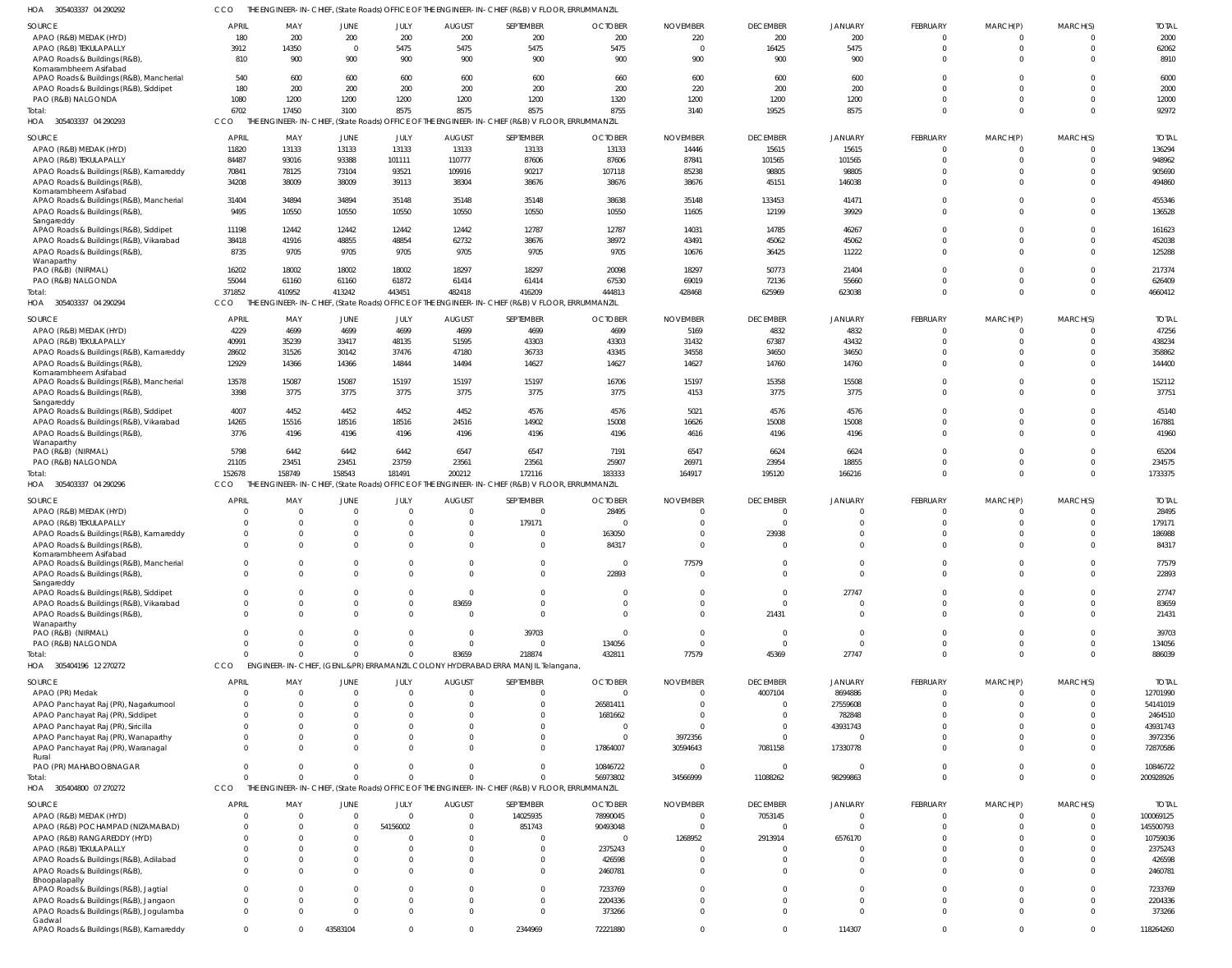| 04 290292 | CCO THE ENGINEER-IN-CHIEF. (State Roads) OFFICE OF THE ENGINEER-IN-CHIEF (R&B) V FLOOR, ERRUMMANZIL |
|-----------|-----------------------------------------------------------------------------------------------------|

| HOA<br>305403337 04 290292                                                     |                      |                                                |                 |                          |                                  | THE ENGINEER-IN-CHIEF, (State Roads) OFFICE OF THE ENGINEER-IN-CHIEF (R&B) V FLOOR, ERRUMMANZII |                         |                      |                                  |                      |                           |                                  |              |                     |
|--------------------------------------------------------------------------------|----------------------|------------------------------------------------|-----------------|--------------------------|----------------------------------|-------------------------------------------------------------------------------------------------|-------------------------|----------------------|----------------------------------|----------------------|---------------------------|----------------------------------|--------------|---------------------|
| SOURCE                                                                         | <b>APRIL</b>         | MAY                                            | <b>JUNE</b>     | JULY                     | <b>AUGUST</b>                    | SEPTEMBER                                                                                       | <b>OCTOBER</b>          | <b>NOVEMBER</b>      | <b>DECEMBER</b>                  | JANUARY              | FEBRUARY                  | MARCH(P)                         | MARCH(S)     | <b>TOTAL</b>        |
| APAO (R&B) MEDAK (HYD)                                                         | 180                  | 200                                            | 200             | 200                      | 200                              | 200                                                                                             | 200                     | 220                  | 200                              | 200                  | $\overline{0}$            | $\overline{0}$                   |              | 2000                |
| APAO (R&B) TEKULAPALLY<br>APAO Roads & Buildings (R&B),                        | 3912<br>810          | 14350<br>900                                   | $\Omega$<br>900 | 5475<br>900              | 5475<br>900                      | 5475<br>900                                                                                     | 5475<br>900             | $\Omega$<br>900      | 16425<br>900                     | 5475<br>900          | $\mathbf 0$<br>$\Omega$   | $\overline{0}$<br>$\overline{0}$ | $\Omega$     | 62062<br>8910       |
| Komarambheem Asifabad                                                          |                      |                                                |                 |                          |                                  |                                                                                                 |                         |                      |                                  |                      |                           |                                  |              |                     |
| APAO Roads & Buildings (R&B), Mancherial                                       | 540                  | 600                                            | 600             | 600                      | 600                              | 600                                                                                             | 660                     | 600                  | 600                              | 600                  | $\mathbf 0$               | $\overline{0}$                   |              | 6000                |
| APAO Roads & Buildings (R&B), Siddipet<br>PAO (R&B) NALGONDA                   | 180<br>1080          | 200<br>1200                                    | 200<br>1200     | 200<br>1200              | 200<br>1200                      | 200<br>1200                                                                                     | 200<br>1320             | 220<br>1200          | 200<br>1200                      | 200<br>1200          | $\Omega$<br>$\Omega$      | $\Omega$<br>$\overline{0}$       |              | 2000<br>12000       |
| Total:                                                                         | 6702                 | 17450                                          | 3100            | 8575                     | 8575                             | 8575                                                                                            | 8755                    | 3140                 | 19525                            | 8575                 | $\Omega$                  | $\overline{0}$                   | $\Omega$     | 92972               |
| HOA 305403337 04 290293                                                        | CCO                  |                                                |                 |                          |                                  | THE ENGINEER-IN-CHIEF, (State Roads) OFFICE OF THE ENGINEER-IN-CHIEF (R&B) V FLOOR, ERRUMMANZIL |                         |                      |                                  |                      |                           |                                  |              |                     |
| SOURCE                                                                         | <b>APRIL</b>         | MAY                                            | JUNE            | JULY                     | <b>AUGUST</b>                    | SEPTEMBER                                                                                       | <b>OCTOBER</b>          | <b>NOVEMBER</b>      | <b>DECEMBER</b>                  | JANUARY              | FEBRUARY                  | MARCH(P)                         | MARCH(S)     | <b>TOTAL</b>        |
| APAO (R&B) MEDAK (HYD)                                                         | 11820                | 13133                                          | 13133           | 13133                    | 13133                            | 13133                                                                                           | 13133                   | 14446                | 15615                            | 15615                | $\mathbf 0$               | - 0                              |              | 136294              |
| APAO (R&B) TEKULAPALLY                                                         | 84487                | 93016                                          | 93388           | 101111                   | 110777                           | 87606                                                                                           | 87606                   | 87841                | 101565                           | 101565               | $\mathbf 0$               | $\overline{0}$                   |              | 948962              |
| APAO Roads & Buildings (R&B), Kamareddy<br>APAO Roads & Buildings (R&B)        | 70841<br>34208       | 78125<br>38009                                 | 73104<br>38009  | 93521<br>39113           | 109916<br>38304                  | 90217<br>38676                                                                                  | 107118<br>38676         | 85238<br>38676       | 98805<br>45151                   | 98805<br>146038      | $^{\circ}$<br>$\mathbf 0$ | $\overline{0}$<br>$\overline{0}$ |              | 905690<br>494860    |
| Komarambheem Asifabad                                                          |                      |                                                |                 |                          |                                  |                                                                                                 |                         |                      |                                  |                      |                           |                                  |              |                     |
| APAO Roads & Buildings (R&B), Mancherial                                       | 31404                | 34894                                          | 34894           | 35148                    | 35148                            | 35148                                                                                           | 38638                   | 35148                | 133453                           | 41471                | $\mathbf 0$               | $\Omega$                         |              | 455346              |
| APAO Roads & Buildings (R&B)<br>Sangareddy                                     | 9495                 | 10550                                          | 10550           | 10550                    | 10550                            | 10550                                                                                           | 10550                   | 11605                | 12199                            | 39929                | $\mathbf 0$               | $\overline{0}$                   |              | 136528              |
| APAO Roads & Buildings (R&B), Siddipet                                         | 11198                | 12442                                          | 12442           | 12442                    | 12442                            | 12787                                                                                           | 12787                   | 14031                | 14785                            | 46267                | $\mathbf 0$               | $\Omega$                         |              | 161623              |
| APAO Roads & Buildings (R&B), Vikarabad                                        | 38418<br>8735        | 41916<br>9705                                  | 48855<br>9705   | 48854<br>9705            | 62732<br>9705                    | 38676<br>9705                                                                                   | 38972<br>9705           | 43491<br>10676       | 45062<br>36425                   | 45062<br>11222       | $\mathbf 0$<br>$\Omega$   | $\overline{0}$<br>$\Omega$       |              | 452038<br>125288    |
| APAO Roads & Buildings (R&B),<br>Wanaparthy                                    |                      |                                                |                 |                          |                                  |                                                                                                 |                         |                      |                                  |                      |                           |                                  |              |                     |
| PAO (R&B) (NIRMAL)                                                             | 16202                | 18002                                          | 18002           | 18002                    | 18297                            | 18297                                                                                           | 20098                   | 18297                | 50773                            | 21404                | $\Omega$                  | $\Omega$                         |              | 217374              |
| PAO (R&B) NALGONDA<br>Total:                                                   | 55044<br>371852      | 61160<br>410952                                | 61160<br>413242 | 61872<br>443451          | 61414<br>482418                  | 61414<br>416209                                                                                 | 67530<br>444813         | 69019<br>428468      | 72136<br>625969                  | 55660<br>623038      | $\Omega$<br>$\Omega$      | $\overline{0}$<br>$\overline{0}$ | $\Omega$     | 626409<br>4660412   |
| 305403337 04 290294<br>HOA                                                     | CCO                  | THE ENGINEER-IN-CHIEF, (State Roads) OFFICE OF |                 |                          |                                  | THE ENGINEER-IN-CHIEF (R&B) V FLOOR, ERRUMMANZIL                                                |                         |                      |                                  |                      |                           |                                  |              |                     |
| SOURCE                                                                         | <b>APRIL</b>         | MAY                                            | JUNE            | JULY                     | <b>AUGUST</b>                    | SEPTEMBER                                                                                       | <b>OCTOBER</b>          | <b>NOVEMBER</b>      | <b>DECEMBER</b>                  | JANUARY              | FEBRUARY                  | MARCH(P)                         | MARCH(S)     | <b>TOTAL</b>        |
| APAO (R&B) MEDAK (HYD)                                                         | 4229                 | 4699                                           | 4699            | 4699                     | 4699                             | 4699                                                                                            | 4699                    | 5169                 | 4832                             | 4832                 | $^{\circ}$                | $\overline{0}$                   |              | 47256               |
| APAO (R&B) TEKULAPALLY                                                         | 40991                | 35239                                          | 33417           | 48135                    | 51595                            | 43303                                                                                           | 43303                   | 31432                | 67387                            | 43432                | $\mathbf 0$               | $\overline{0}$                   |              | 438234              |
| APAO Roads & Buildings (R&B), Kamareddy                                        | 28602                | 31526                                          | 30142           | 37476                    | 47180                            | 36733                                                                                           | 43345                   | 34558                | 34650                            | 34650                | -0                        | $\overline{0}$                   |              | 358862              |
| APAO Roads & Buildings (R&B)<br>Komarambheem Asifabad                          | 12929                | 14366                                          | 14366           | 14844                    | 14494                            | 14627                                                                                           | 14627                   | 14627                | 14760                            | 14760                | $\Omega$                  | $\Omega$                         |              | 144400              |
| APAO Roads & Buildings (R&B), Mancherial                                       | 13578                | 15087                                          | 15087           | 15197                    | 15197                            | 15197                                                                                           | 16706                   | 15197                | 15358                            | 15508                | $\mathbf 0$               | $\overline{0}$                   |              | 152112              |
| APAO Roads & Buildings (R&B),                                                  | 3398                 | 3775                                           | 3775            | 3775                     | 3775                             | 3775                                                                                            | 3775                    | 4153                 | 3775                             | 3775                 | $\Omega$                  | $\Omega$                         | $\Omega$     | 37751               |
| Sangareddy<br>APAO Roads & Buildings (R&B), Siddipet                           | 4007                 | 4452                                           | 4452            | 4452                     | 4452                             | 4576                                                                                            | 4576                    | 5021                 | 4576                             | 4576                 | $\mathbf 0$               | $\overline{0}$                   |              | 45140               |
| APAO Roads & Buildings (R&B), Vikarabad                                        | 14265                | 15516                                          | 18516           | 18516                    | 24516                            | 14902                                                                                           | 15008                   | 16626                | 15008                            | 15008                | $\mathbf 0$               | $\Omega$                         | $\Omega$     | 167881              |
| APAO Roads & Buildings (R&B)                                                   | 3776                 | 4196                                           | 4196            | 4196                     | 4196                             | 4196                                                                                            | 4196                    | 4616                 | 4196                             | 4196                 | $\Omega$                  | $\Omega$                         |              | 41960               |
| Wanaparthy<br>PAO (R&B) (NIRMAL)                                               | 5798                 | 6442                                           | 6442            | 6442                     | 6547                             | 6547                                                                                            | 7191                    | 6547                 | 6624                             | 6624                 | $\Omega$                  | $\Omega$                         |              | 65204               |
| PAO (R&B) NALGONDA                                                             | 21105                | 23451                                          | 23451           | 23759                    | 23561                            | 23561                                                                                           | 25907                   | 26971                | 23954                            | 18855                | -0                        | $\overline{0}$                   | $\Omega$     | 234575              |
| Total:                                                                         | 152678               | 158749                                         | 158543          | 181491                   | 200212                           | 172116                                                                                          | 183333                  | 164917               | 195120                           | 166216               | $\Omega$                  | $\Omega$                         | $\Omega$     | 1733375             |
| HOA 305403337 04 290296                                                        | CCO                  |                                                |                 |                          |                                  | THE ENGINEER-IN-CHIEF, (State Roads) OFFICE OF THE ENGINEER-IN-CHIEF (R&B) V FLOOR, ERRUMMANZIL |                         |                      |                                  |                      |                           |                                  |              |                     |
| SOURCE                                                                         | <b>APRIL</b>         | MAY                                            | JUNE            | JULY                     | <b>AUGUST</b>                    | SEPTEMBER                                                                                       | <b>OCTOBER</b>          | <b>NOVEMBER</b>      | <b>DECEMBER</b>                  | <b>JANUARY</b>       | FEBRUARY                  | MARCH(P)                         | MARCH(S)     | <b>TOTAL</b>        |
| APAO (R&B) MEDAK (HYD)<br>APAO (R&B) TEKULAPALLY                               | 0<br>$\Omega$        | $\Omega$<br>-0                                 | $\Omega$        | $\Omega$<br>$\mathbf{0}$ | $\overline{0}$<br>$\overline{0}$ | $\overline{0}$<br>179171                                                                        | 28495<br>$\overline{0}$ | $\Omega$<br>$\Omega$ | $\overline{0}$<br>$\overline{0}$ | $\Omega$<br>$\Omega$ | $\mathbf 0$<br>-0         | $\overline{0}$<br>0              |              | 28495<br>179171     |
| APAO Roads & Buildings (R&B), Kamareddy                                        | $\Omega$             |                                                |                 | $\Omega$                 | $^{\circ}$                       | $\Omega$                                                                                        | 163050                  | $\Omega$             | 23938                            | $\Omega$             | -0                        | $\Omega$                         |              | 186988              |
| APAO Roads & Buildings (R&B),                                                  | $\Omega$             |                                                | $\cap$          | $\Omega$                 | $\Omega$                         | $\Omega$                                                                                        | 84317                   | $\Omega$             | $\Omega$                         | $\Omega$             | $\Omega$                  | $\Omega$                         |              | 84317               |
| Komarambheem Asifabad<br>APAO Roads & Buildings (R&B), Mancherial              | $\overline{0}$       |                                                | $\cap$          | $\Omega$                 | $\Omega$                         | $\mathbf 0$                                                                                     | $\overline{0}$          | 77579                | $\Omega$                         | $\Omega$             | $\mathbf 0$               | $\Omega$                         |              | 77579               |
| APAO Roads & Buildings (R&B),                                                  | $\overline{0}$       | $\Omega$                                       | $\cap$          | $\Omega$                 | $\Omega$                         | $\mathbf 0$                                                                                     | 22893                   | $\Omega$             | $\mathbf 0$                      | $\Omega$             | $\mathbf 0$               | $\Omega$                         |              | 22893               |
| Sangareddy<br>APAO Roads & Buildings (R&B), Siddipet                           | $\Omega$             |                                                |                 | $\Omega$                 | $\Omega$                         | $\Omega$                                                                                        | $\overline{0}$          | $\Omega$             | $\Omega$                         | 27747                | $\Omega$                  | $\Omega$                         |              | 27747               |
| APAO Roads & Buildings (R&B), Vikarabad                                        | $\mathbf 0$          | $\Omega$                                       | $\Omega$        | $\Omega$                 | 83659                            | $\mathbf 0$                                                                                     | $\overline{0}$          | $\mathbf 0$          | $\Omega$                         | $\Omega$             | $\Omega$                  | $\Omega$                         |              | 83659               |
| APAO Roads & Buildings (R&B),                                                  | $\Omega$             |                                                | $\cap$          | $\Omega$                 | $\overline{0}$                   | $\Omega$                                                                                        | $\overline{0}$          | $\Omega$             | 21431                            | $\Omega$             | $\Omega$                  | $\Omega$                         |              | 21431               |
| Wanaparthy<br>PAO (R&B) (NIRMAL)                                               | $\Omega$             | $\Omega$                                       | $\Omega$        | $\Omega$                 | $\overline{0}$                   | 39703                                                                                           | $\overline{0}$          | $\overline{0}$       | $\overline{0}$                   | $\mathbf 0$          | $\Omega$                  | $\Omega$                         |              | 39703               |
| PAO (R&B) NALGONDA                                                             | $\Omega$             | $\Omega$                                       | $\Omega$        | $\Omega$                 | $\overline{0}$                   | $\Omega$                                                                                        | 134056                  | $\overline{0}$       | $\overline{0}$                   | $\Omega$             | $\Omega$                  | $\Omega$                         |              | 134056              |
| Total:                                                                         | $\Omega$             | $\Omega$                                       | $\Omega$        | $\Omega$                 | 83659                            | 218874                                                                                          | 432811                  | 77579                | 45369                            | 27747                | $\Omega$                  | $\Omega$                         |              | 886039              |
| HOA 305404196 12 270272                                                        | CCO                  |                                                |                 |                          |                                  | ENGINEER-IN-CHIEF, (GENL&PR) ERRAMANZIL COLONY HYDERABAD ERRA MANJIL Telangana,                 |                         |                      |                                  |                      |                           |                                  |              |                     |
| SOURCE                                                                         | <b>APRIL</b>         | MAY                                            | JUNE            | JULY                     | <b>AUGUST</b>                    | SEPTEMBER                                                                                       | <b>OCTOBER</b>          | <b>NOVEMBER</b>      | <b>DECEMBER</b>                  | <b>JANUARY</b>       | FEBRUARY                  | MARCH(P)                         | MARCH(S)     | <b>TOTAL</b>        |
| APAO (PR) Medak                                                                | $\Omega$             | $\Omega$                                       | $\Omega$        | $\Omega$                 | $\Omega$                         | $\Omega$                                                                                        | $\Omega$                | $\Omega$             | 4007104                          | 8694886              | $\mathbf 0$               | $\Omega$                         | $\Omega$     | 12701990            |
| APAO Panchayat Raj (PR), Nagarkurnool<br>APAO Panchayat Raj (PR), Siddipet     | $\Omega$<br>$\Omega$ | $\Omega$<br>$\Omega$                           |                 | $\Omega$<br>$\Omega$     | $\Omega$<br>$\Omega$             | $\Omega$<br>$\Omega$                                                                            | 26581411<br>1681662     | $\Omega$<br>$\Omega$ | $\Omega$<br>$\Omega$             | 27559608<br>782848   | $\Omega$<br>$\Omega$      | $\Omega$<br>$\Omega$             |              | 54141019<br>2464510 |
| APAO Panchayat Raj (PR), Siricilla                                             | $\Omega$             |                                                |                 | $\Omega$                 | $\Omega$                         | $\Omega$                                                                                        | $\overline{0}$          | $\Omega$             | $\Omega$                         | 43931743             | $\Omega$                  | $\Omega$                         |              | 43931743            |
| APAO Panchayat Raj (PR), Wanaparthy                                            | $\Omega$             | $\Omega$                                       |                 | $\Omega$                 | $\Omega$                         | $\Omega$                                                                                        | $\Omega$                | 3972356              | $\Omega$                         |                      | $\Omega$                  | $\Omega$                         |              | 3972356             |
| APAO Panchayat Raj (PR), Waranagal                                             | $\Omega$             |                                                |                 | $\Omega$                 | $\Omega$                         | $\Omega$                                                                                        | 17864007                | 30594643             | 7081158                          | 17330778             | $\Omega$                  | $\Omega$                         |              | 72870586            |
| Rural<br>PAO (PR) MAHABOOBNAGAR                                                | $\Omega$             | $\Omega$                                       | $\Omega$        | $\Omega$                 | $\Omega$                         | $\Omega$                                                                                        | 10846722                | $\Omega$             | $\Omega$                         | $\Omega$             | $\Omega$                  | $\Omega$                         |              | 10846722            |
| Total:                                                                         | $\Omega$             | $\Omega$                                       | $\Omega$        | $\Omega$                 | $\Omega$                         | $\Omega$                                                                                        | 56973802                | 34566999             | 11088262                         | 98299863             | $\Omega$                  | $\Omega$                         | $\Omega$     | 200928926           |
| HOA 305404800 07 270272                                                        | <b>CCO</b>           |                                                |                 |                          |                                  | THE ENGINEER-IN-CHIEF, (State Roads) OFFICE OF THE ENGINEER-IN-CHIEF (R&B) V FLOOR, ERRUMMANZIL |                         |                      |                                  |                      |                           |                                  |              |                     |
| SOURCE                                                                         | <b>APRIL</b>         | MAY                                            | JUNE            | JULY                     | <b>AUGUST</b>                    | SEPTEMBER                                                                                       | <b>OCTOBER</b>          | <b>NOVEMBER</b>      | <b>DECEMBER</b>                  | JANUARY              | FEBRUARY                  | MARCH(P)                         | MARCH(S)     | <b>TOTAL</b>        |
| APAO (R&B) MEDAK (HYD)                                                         | $\overline{0}$       | $\Omega$                                       | $\Omega$        | $\Omega$                 | $\overline{0}$                   | 14025935                                                                                        | 78990045                | $\overline{0}$       | 7053145                          | $\Omega$             | $\overline{0}$            | $\overline{0}$                   |              | 100069125           |
| APAO (R&B) POCHAMPAD (NIZAMABAD)                                               | $\Omega$             | $\Omega$                                       | - 0             | 54156002                 | $\Omega$                         | 851743                                                                                          | 90493048                | $\overline{0}$       | $\overline{0}$                   | $\Omega$             | $\Omega$                  | $\Omega$                         | $\Omega$     | 145500793           |
| APAO (R&B) RANGAREDDY (HYD)                                                    | $\Omega$<br>$\Omega$ | $\Omega$                                       | $\Omega$        | <sup>0</sup>             | $\Omega$<br>$\Omega$             | $\Omega$<br>$\Omega$                                                                            | $\overline{0}$          | 1268952<br>$\Omega$  | 2913914                          | 6576170              | $\Omega$<br>$\Omega$      | $\Omega$                         |              | 10759036            |
| APAO (R&B) TEKULAPALLY<br>APAO Roads & Buildings (R&B), Adilabad               | $\Omega$             | $\Omega$                                       | $\Omega$        | $\Omega$<br>$\Omega$     | $\Omega$                         | $\mathbf 0$                                                                                     | 2375243<br>426598       | $\Omega$             | $\overline{0}$<br>$\mathbf 0$    | $\Omega$<br>$\Omega$ | $\Omega$                  | $\Omega$<br>$\Omega$             |              | 2375243<br>426598   |
| APAO Roads & Buildings (R&B),                                                  | $\Omega$             |                                                | $\cap$          | $\Omega$                 | $\Omega$                         | $\Omega$                                                                                        | 2460781                 | $\Omega$             | $\Omega$                         | $\Omega$             | $\Omega$                  | $\Omega$                         |              | 2460781             |
| Bhoopalapally                                                                  |                      |                                                |                 |                          |                                  |                                                                                                 |                         |                      |                                  |                      |                           |                                  |              |                     |
| APAO Roads & Buildings (R&B), Jagtial<br>APAO Roads & Buildings (R&B), Jangaon | $\Omega$             | $\Omega$                                       | $\cap$          | $\Omega$                 | $\Omega$                         | $\Omega$                                                                                        | 7233769                 | $\mathbf 0$          | $\Omega$                         | $\Omega$             | $\Omega$                  | $\Omega$                         |              | 7233769<br>2204336  |
|                                                                                |                      | $\Omega$                                       |                 |                          |                                  |                                                                                                 |                         |                      |                                  |                      |                           |                                  |              |                     |
| APAO Roads & Buildings (R&B), Jogulamba                                        | $\Omega$<br>$\Omega$ |                                                | $\Omega$        | $\Omega$<br>$\Omega$     | $\Omega$<br>$\Omega$             | $\Omega$<br>$\Omega$                                                                            | 2204336<br>373266       | $\Omega$<br>$\Omega$ | $\Omega$<br>$\Omega$             | $\Omega$<br>$\Omega$ | $\Omega$<br>$\Omega$      | $\Omega$<br>$\Omega$             |              | 373266              |
| Gadwal<br>APAO Roads & Buildings (R&B), Kamareddy                              | $\overline{0}$       | $\Omega$                                       | 43583104        | $\Omega$                 | $\mathbf 0$                      | 2344969                                                                                         | 72221880                | $\Omega$             | $\Omega$                         | 114307               | $\mathbf 0$               | $\Omega$                         | $\mathbf{0}$ | 118264260           |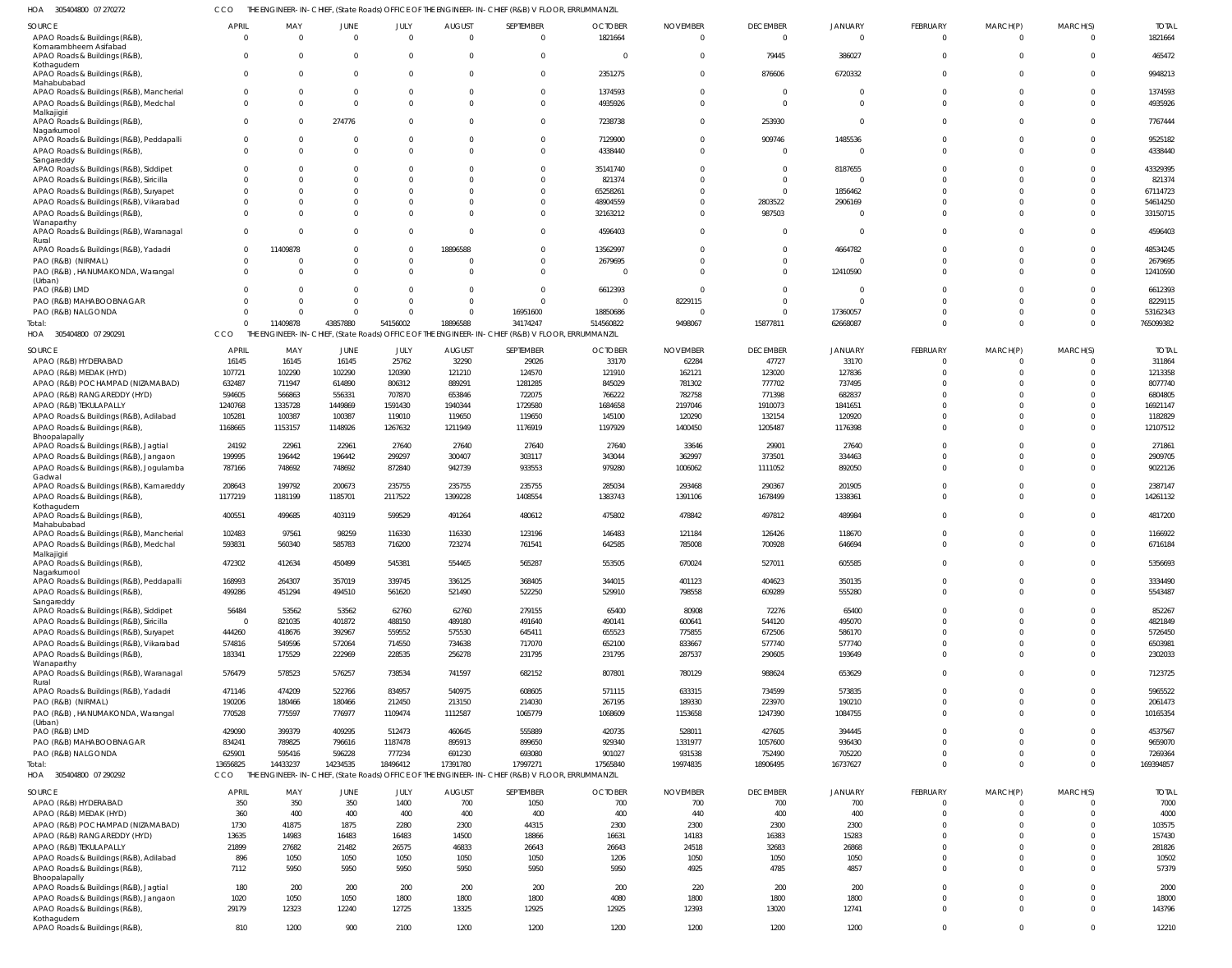305404800 07 270272 HOA CCO THE ENGINEER-IN-CHIEF, (State Roads) OFFICE OF THE ENGINEER-IN-CHIEF (R&B) V FLOOR, ERRUMMANZIL

| <b>SOURCE</b><br>APAO Roads & Buildings (R&B),                                 | <b>APRIL</b><br>$\Omega$ | MAY<br>$\Omega$      | JUNE<br>$\Omega$   | JULY<br>$\Omega$     | <b>AUGUST</b><br>$\Omega$ | SEPTEMBER<br>$\overline{0}$                                                                     | <b>OCTOBER</b><br>1821664 | <b>NOVEMBER</b><br>$\Omega$ | <b>DECEMBER</b><br>$\Omega$ | <b>JANUARY</b><br>$\Omega$ | FEBRUARY<br>$\overline{0}$ | MARCH(P)<br>$\overline{0}$  | MARCH(S)<br>$\Omega$       | <b>TOTAL</b><br>1821664 |
|--------------------------------------------------------------------------------|--------------------------|----------------------|--------------------|----------------------|---------------------------|-------------------------------------------------------------------------------------------------|---------------------------|-----------------------------|-----------------------------|----------------------------|----------------------------|-----------------------------|----------------------------|-------------------------|
| Komarambheem Asifabad<br>APAO Roads & Buildings (R&B)                          | $\Omega$                 | $\Omega$             |                    |                      | $\Omega$                  | $\Omega$                                                                                        | - 0                       | $\Omega$                    | 79445                       | 386027                     | $\Omega$                   | $\Omega$                    | $\mathbf 0$                | 465472                  |
| Kothagudem<br>APAO Roads & Buildings (R&B),                                    | 0                        | $\Omega$             |                    |                      | $\Omega$                  | $\Omega$                                                                                        | 2351275                   | $\Omega$                    | 876606                      | 6720332                    | $\Omega$                   | $\Omega$                    | $\Omega$                   | 9948213                 |
| Mahabubabad<br>APAO Roads & Buildings (R&B), Mancherial                        | $\Omega$                 | $\Omega$             |                    |                      | $\Omega$                  | $\Omega$                                                                                        | 1374593                   | $\Omega$                    | $\Omega$                    |                            | $\Omega$                   | $\Omega$                    | $\Omega$                   | 1374593                 |
| APAO Roads & Buildings (R&B), Medchal                                          | $\Omega$                 | $\Omega$             | $\Omega$           | $\Omega$             | $\Omega$                  | $\Omega$                                                                                        | 4935926                   | $\Omega$                    | $\Omega$                    |                            | $\Omega$                   | $\Omega$                    | $\Omega$                   | 4935926                 |
| Malkajigiri<br>APAO Roads & Buildings (R&B),                                   | $\Omega$                 | $\Omega$             | 274776             |                      | $\Omega$                  | $\Omega$                                                                                        | 7238738                   | $\Omega$                    | 253930                      |                            | $\Omega$                   | $\Omega$                    | $^{\circ}$                 | 7767444                 |
| Nagarkurnool                                                                   |                          |                      |                    |                      |                           |                                                                                                 |                           |                             |                             |                            |                            |                             |                            |                         |
| APAO Roads & Buildings (R&B), Peddapalli<br>APAO Roads & Buildings (R&B)       | 0<br>$\Omega$            | $\Omega$<br>$\Omega$ |                    |                      | - 0<br>$\Omega$           | $\mathbf{0}$<br>$\Omega$                                                                        | 7129900<br>4338440        | $\circ$<br>$\Omega$         | 909746<br>$\Omega$          | 1485536                    | $\Omega$<br>$\Omega$       | $\Omega$<br>$\Omega$        | $^{\circ}$<br>$\Omega$     | 9525182<br>4338440      |
| Sangareddy<br>APAO Roads & Buildings (R&B), Siddipet                           |                          |                      |                    |                      |                           |                                                                                                 | 35141740                  | $\Omega$                    | $\Omega$                    | 8187655                    |                            |                             | $\Omega$                   | 43329395                |
| APAO Roads & Buildings (R&B), Siricilla                                        | <sup>0</sup>             | $\Omega$             |                    |                      | $\Omega$                  |                                                                                                 | 821374                    | $\Omega$                    | $\Omega$                    |                            | $\Omega$                   | <sup>0</sup>                | $\Omega$                   | 821374                  |
| APAO Roads & Buildings (R&B), Suryapet                                         |                          | $\Omega$             |                    |                      | $\Omega$                  |                                                                                                 | 65258261                  | $\Omega$                    | $\Omega$                    | 1856462                    |                            | <sup>0</sup>                | $\Omega$                   | 67114723                |
| APAO Roads & Buildings (R&B), Vikarabad<br>APAO Roads & Buildings (R&B),       | <sup>0</sup>             | C<br>C               |                    |                      | $\Omega$<br>$\Omega$      | $\Omega$                                                                                        | 48904559<br>32163212      | $\Omega$<br>$\Omega$        | 2803522<br>987503           | 2906169                    | $\Omega$                   | <sup>0</sup><br>$\Omega$    | $\Omega$<br>$\Omega$       | 54614250<br>33150715    |
| Wanaparthy                                                                     |                          |                      |                    |                      |                           |                                                                                                 |                           |                             |                             |                            |                            |                             |                            |                         |
| APAO Roads & Buildings (R&B), Waranagal<br>Rural                               | $\Omega$                 | C                    |                    |                      | $\Omega$                  | $\Omega$                                                                                        | 4596403                   | $\Omega$                    | $\Omega$                    |                            | $\Omega$                   | $\Omega$                    | $\mathbf 0$                | 4596403                 |
| APAO Roads & Buildings (R&B), Yadadri                                          | $\Omega$<br>$\Omega$     | 11409878             |                    | $\Omega$<br>$\Omega$ | 18896588                  | $\Omega$                                                                                        | 13562997                  | $\Omega$<br>$\Omega$        | $\Omega$<br>$\Omega$        | 4664782                    | $\Omega$                   | $\Omega$                    | $\Omega$<br>$\Omega$       | 48534245                |
| PAO (R&B) (NIRMAL)<br>PAO (R&B), HANUMAKONDA, Warangal                         |                          | C<br>$\Omega$        |                    | $\Omega$             | $\Omega$<br>$\Omega$      | $\Omega$                                                                                        | 2679695<br>$\Omega$       | $\Omega$                    | $\Omega$                    | 12410590                   | $\Omega$                   | $\Omega$                    | $\Omega$                   | 2679695<br>12410590     |
| (Urban)                                                                        |                          | -C                   |                    |                      | $\Omega$                  | $\Omega$                                                                                        |                           | $\Omega$                    | $\Omega$                    |                            | $\Omega$                   |                             | $\Omega$                   |                         |
| PAO (R&B) LMD<br>PAO (R&B) MAHABOOBNAGAR                                       |                          | $\Omega$             |                    | $\Omega$             | $\Omega$                  | $\Omega$                                                                                        | 6612393<br>$\Omega$       | 8229115                     | $\Omega$                    |                            |                            |                             | $\Omega$                   | 6612393<br>8229115      |
| PAO (R&B) NALGONDA                                                             |                          | $\Omega$             |                    | $\Omega$             | $\overline{0}$            | 16951600                                                                                        | 18850686                  | $\Omega$                    | $\Omega$                    | 17360057                   | $\Omega$                   | <sup>0</sup>                | $\Omega$                   | 53162343                |
| Total:<br>HOA 305404800 07 290291                                              | $\Omega$<br>CCO          | 11409878             | 43857880           | 54156002             | 18896588                  | 34174247                                                                                        | 514560822                 | 9498067                     | 15877811                    | 62668087                   | $\Omega$                   | $\Omega$                    | $\Omega$                   | 765099382               |
|                                                                                |                          |                      |                    |                      |                           | THE ENGINEER-IN-CHIEF, (State Roads) OFFICE OF THE ENGINEER-IN-CHIEF (R&B) V FLOOR, ERRUMMANZIL |                           |                             |                             |                            |                            |                             |                            |                         |
| SOURCE<br>APAO (R&B) HYDERABAD                                                 | <b>APRIL</b><br>16145    | MAY<br>16145         | JUNE<br>16145      | JULY<br>25762        | <b>AUGUST</b><br>32290    | SEPTEMBER<br>29026                                                                              | <b>OCTOBER</b><br>33170   | <b>NOVEMBER</b><br>62284    | <b>DECEMBER</b><br>47727    | <b>JANUARY</b><br>33170    | FEBRUARY<br>$\Omega$       | MARCH(P)                    | MARCH(S)<br>$\Omega$       | <b>TOTAL</b><br>311864  |
| APAO (R&B) MEDAK (HYD)                                                         | 107721                   | 102290               | 102290             | 120390               | 121210                    | 124570                                                                                          | 121910                    | 162121                      | 123020                      | 127836                     | $\Omega$                   | $\Omega$                    | $\mathbf 0$                | 1213358                 |
| APAO (R&B) POCHAMPAD (NIZAMABAD)                                               | 632487                   | 711947               | 614890             | 806312               | 889291                    | 1281285                                                                                         | 845029                    | 781302                      | 777702                      | 737495                     |                            |                             | $\Omega$                   | 8077740                 |
| APAO (R&B) RANGAREDDY (HYD)<br>APAO (R&B) TEKULAPALLY                          | 594605<br>1240768        | 566863<br>1335728    | 556331<br>1449869  | 707870<br>1591430    | 653846<br>1940344         | 722075<br>1729580                                                                               | 766222<br>1684658         | 782758<br>2197046           | 771398<br>1910073           | 682837<br>1841651          |                            |                             | $\Omega$<br>$\Omega$       | 6804805<br>16921147     |
| APAO Roads & Buildings (R&B), Adilabad                                         | 105281                   | 100387               | 100387             | 119010               | 119650                    | 119650                                                                                          | 145100                    | 120290                      | 132154                      | 120920                     |                            |                             | $\Omega$                   | 1182829                 |
| APAO Roads & Buildings (R&B)<br>Bhoopalapally                                  | 1168665                  | 1153157              | 1148926            | 1267632              | 1211949                   | 1176919                                                                                         | 1197929                   | 1400450                     | 1205487                     | 1176398                    | $\Omega$                   | $\Omega$                    | $\Omega$                   | 12107512                |
| APAO Roads & Buildings (R&B), Jagtial                                          | 24192                    | 22961                | 22961              | 27640                | 27640                     | 27640                                                                                           | 27640                     | 33646                       | 29901                       | 27640                      | $\Omega$                   | <sup>0</sup>                | $\Omega$                   | 271861                  |
| APAO Roads & Buildings (R&B), Jangaon                                          | 199995                   | 196442               | 196442             | 299297               | 300407                    | 303117                                                                                          | 343044                    | 362997                      | 373501                      | 334463                     | $\Omega$                   | $\Omega$                    | $\mathbf 0$                | 2909705                 |
| APAO Roads & Buildings (R&B), Jogulamba<br>Gadwal                              | 787166                   | 748692               | 748692             | 872840               | 942739                    | 933553                                                                                          | 979280                    | 1006062                     | 1111052                     | 892050                     | $\Omega$                   | $\Omega$                    | $\Omega$                   | 9022126                 |
| APAO Roads & Buildings (R&B), Kamareddy                                        | 208643                   | 199792               | 200673             | 235755               | 235755                    | 235755                                                                                          | 285034                    | 293468                      | 290367                      | 201905                     | $\Omega$                   | $\Omega$                    | $\Omega$                   | 2387147                 |
| APAO Roads & Buildings (R&B)<br>Kothagudem                                     | 1177219                  | 1181199              | 1185701            | 2117522              | 1399228                   | 1408554                                                                                         | 1383743                   | 1391106                     | 1678499                     | 1338361                    | $\mathbf 0$                | $\Omega$                    | $\mathbf 0$                | 14261132                |
| APAO Roads & Buildings (R&B),<br>Mahabubabad                                   | 400551                   | 499685               | 403119             | 599529               | 491264                    | 480612                                                                                          | 475802                    | 478842                      | 497812                      | 489984                     | $\Omega$                   | $\Omega$                    | $\Omega$                   | 4817200                 |
| APAO Roads & Buildings (R&B), Mancherial                                       | 102483                   | 97561                | 98259              | 116330               | 116330                    | 123196                                                                                          | 146483                    | 121184                      | 126426                      | 118670                     | $\Omega$                   | $\Omega$                    | $\Omega$                   | 1166922                 |
| APAO Roads & Buildings (R&B), Medchal<br>Malkajigiri                           | 593831                   | 560340               | 585783             | 716200               | 723274                    | 761541                                                                                          | 642585                    | 785008                      | 700928                      | 646694                     | $\Omega$                   | $\Omega$                    | $\Omega$                   | 6716184                 |
| APAO Roads & Buildings (R&B),                                                  | 472302                   | 412634               | 450499             | 545381               | 554465                    | 565287                                                                                          | 553505                    | 670024                      | 527011                      | 605585                     |                            |                             | $\cap$                     | 5356693                 |
| Nagarkurnool<br>APAO Roads & Buildings (R&B), Peddapalli                       | 168993                   | 264307               | 357019             | 339745               | 336125                    | 368405                                                                                          | 344015                    | 401123                      | 404623                      | 350135                     | $\mathbf 0$                | $\mathbf{0}$                | $\mathbf{0}$               | 3334490                 |
| APAO Roads & Buildings (R&B),                                                  | 499286                   | 451294               | 494510             | 561620               | 521490                    | 522250                                                                                          | 529910                    | 798558                      | 609289                      | 555280                     | $\mathbf{0}$               | $\mathbf{0}$                | $\mathbf 0$                | 5543487                 |
| Sangareddy<br>APAO Roads & Buildings (R&B), Siddipet                           | 56484                    | 53562                | 53562              | 62760                | 62760                     | 279155                                                                                          | 65400                     | 80908                       | 72276                       | 65400                      | $\mathbf 0$                | $\mathbf{0}$                | $\mathbf 0$                | 852267                  |
| APAO Roads & Buildings (R&B), Siricilla                                        | $\overline{0}$           | 821035               | 401872             | 488150               | 489180                    | 491640                                                                                          | 490141                    | 600641                      | 544120                      | 495070                     | $\Omega$                   | $\Omega$                    | $\mathbf 0$                | 4821849                 |
| APAO Roads & Buildings (R&B), Suryapet                                         | 444260<br>574816         | 418676<br>549596     | 392967<br>572064   | 559552<br>714550     | 575530<br>734638          | 645411<br>717070                                                                                | 655523<br>652100          | 775855<br>833667            | 672506<br>577740            | 586170<br>577740           | $\Omega$<br>$\Omega$       | $\mathbf 0$<br>$\mathbf{0}$ | $\Omega$<br>$\Omega$       | 5726450<br>6503981      |
| APAO Roads & Buildings (R&B), Vikarabad<br>APAO Roads & Buildings (R&B),       | 183341                   | 175529               | 222969             | 228535               | 256278                    | 231795                                                                                          | 231795                    | 287537                      | 290605                      | 193649                     | $\mathbf 0$                | $\mathbf 0$                 | $\Omega$                   | 2302033                 |
| Wanaparthy<br>APAO Roads & Buildings (R&B), Waranagal                          | 576479                   | 578523               | 576257             | 738534               | 741597                    | 682152                                                                                          | 807801                    | 780129                      | 988624                      | 653629                     | $\mathbf{0}$               | $\mathbf{0}$                | $\mathbf 0$                | 7123725                 |
| Rural<br>APAO Roads & Buildings (R&B), Yadadri                                 | 471146                   | 474209               | 522766             | 834957               | 540975                    | 608605                                                                                          | 571115                    | 633315                      | 734599                      | 573835                     | $\mathbf 0$                | $\mathbf 0$                 | $\mathbf 0$                | 5965522                 |
| PAO (R&B) (NIRMAL)                                                             | 190206                   | 180466               | 180466             | 212450               | 213150                    | 214030                                                                                          | 267195                    | 189330                      | 223970                      | 190210                     | $\mathbf 0$                | $\mathbf 0$                 | $\mathbf 0$                | 2061473                 |
| PAO (R&B), HANUMAKONDA, Warangal                                               | 770528                   | 775597               | 776977             | 1109474              | 1112587                   | 1065779                                                                                         | 1068609                   | 1153658                     | 1247390                     | 1084755                    | $\mathbf 0$                | $\mathbf{0}$                | $\mathbf 0$                | 10165354                |
| (Urban)<br>PAO (R&B) LMD                                                       | 429090                   | 399379               | 409295             | 512473               | 460645                    | 555889                                                                                          | 420735                    | 528011                      | 427605                      | 394445                     | $\mathbf 0$                | $\Omega$                    | $\mathbf 0$                | 4537567                 |
| PAO (R&B) MAHABOOBNAGAR                                                        | 834241                   | 789825               | 796616             | 1187478              | 895913                    | 899650                                                                                          | 929340                    | 1331977                     | 1057600                     | 936430                     | $\Omega$                   | $\Omega$                    | $\mathbf 0$                | 9659070                 |
| PAO (R&B) NALGONDA<br>Total:                                                   | 625901<br>13656825       | 595416<br>14433237   | 596228<br>14234535 | 777234<br>18496412   | 691230<br>17391780        | 693080<br>17997271                                                                              | 901027<br>17565840        | 931538<br>19974835          | 752490<br>18906495          | 705220<br>16737627         | $\mathbf 0$<br>$\Omega$    | $\mathbf 0$<br>$\Omega$     | $\mathbf 0$<br>$\Omega$    | 7269364<br>169394857    |
| HOA 305404800 07 290292                                                        | <b>CCO</b>               |                      |                    |                      |                           | THE ENGINEER-IN-CHIEF, (State Roads) OFFICE OF THE ENGINEER-IN-CHIEF (R&B) V FLOOR, ERRUMMANZIL |                           |                             |                             |                            |                            |                             |                            |                         |
| SOURCE                                                                         | <b>APRIL</b>             | MAY                  | JUNE               | JULY                 | <b>AUGUST</b>             | SEPTEMBER                                                                                       | <b>OCTOBER</b>            | <b>NOVEMBER</b>             | <b>DECEMBER</b>             | <b>JANUARY</b>             | FEBRUARY                   | MARCH(P)                    | MARCH(S)                   | <b>TOTAL</b>            |
| APAO (R&B) HYDERABAD                                                           | 350                      | 350                  | 350                | 1400                 | 700                       | 1050                                                                                            | 700                       | 700                         | 700                         | 700                        | $\mathbf 0$                | $\Omega$                    | $\Omega$                   | 7000                    |
| APAO (R&B) MEDAK (HYD)<br>APAO (R&B) POCHAMPAD (NIZAMABAD)                     | 360<br>1730              | 400<br>41875         | 400<br>1875        | 400<br>2280          | 400<br>2300               | 400<br>44315                                                                                    | 400<br>2300               | 440<br>2300                 | 400<br>2300                 | 400<br>2300                | $\Omega$<br>$\Omega$       | $\Omega$<br>$\Omega$        | $\Omega$<br>$\Omega$       | 4000<br>103575          |
| APAO (R&B) RANGAREDDY (HYD)                                                    | 13635                    | 14983                | 16483              | 16483                | 14500                     | 18866                                                                                           | 16631                     | 14183                       | 16383                       | 15283                      | $\Omega$                   | $\Omega$                    | $\Omega$                   | 157430                  |
| APAO (R&B) TEKULAPALLY                                                         | 21899                    | 27682                | 21482              | 26575                | 46833                     | 26643                                                                                           | 26643                     | 24518                       | 32683                       | 26868                      | $\Omega$                   | $\Omega$                    | $\Omega$                   | 281826                  |
| APAO Roads & Buildings (R&B), Adilabad<br>APAO Roads & Buildings (R&B)         | 896<br>7112              | 1050<br>5950         | 1050<br>5950       | 1050<br>5950         | 1050<br>5950              | 1050<br>5950                                                                                    | 1206<br>5950              | 1050<br>4925                | 1050<br>4785                | 1050<br>4857               | $\Omega$<br>$\Omega$       | $\mathbf 0$<br>$\Omega$     | $\Omega$<br>$\Omega$       | 10502<br>57379          |
| Bhoopalapally                                                                  |                          |                      |                    |                      |                           |                                                                                                 |                           |                             |                             |                            |                            |                             |                            |                         |
| APAO Roads & Buildings (R&B), Jagtial<br>APAO Roads & Buildings (R&B), Jangaon | 180<br>1020              | 200<br>1050          | 200<br>1050        | 200<br>1800          | 200<br>1800               | 200<br>1800                                                                                     | 200<br>4080               | 220<br>1800                 | 200<br>1800                 | 200<br>1800                | $\Omega$<br>$\mathbf 0$    | $\Omega$<br>$\Omega$        | $\mathbf 0$<br>$\mathbf 0$ | 2000<br>18000           |
| APAO Roads & Buildings (R&B),                                                  | 29179                    | 12323                | 12240              | 12725                | 13325                     | 12925                                                                                           | 12925                     | 12393                       | 13020                       | 12741                      | $\mathbf 0$                | $\mathbf{0}$                | $\Omega$                   | 143796                  |
| Kothagudem<br>APAO Roads & Buildings (R&B)                                     | 810                      | 1200                 | 900                | 2100                 | 1200                      | 1200                                                                                            | 1200                      | 1200                        | 1200                        | 1200                       | $\mathbf{0}$               | $\mathbf{0}$                | $\mathbf 0$                | 12210                   |
|                                                                                |                          |                      |                    |                      |                           |                                                                                                 |                           |                             |                             |                            |                            |                             |                            |                         |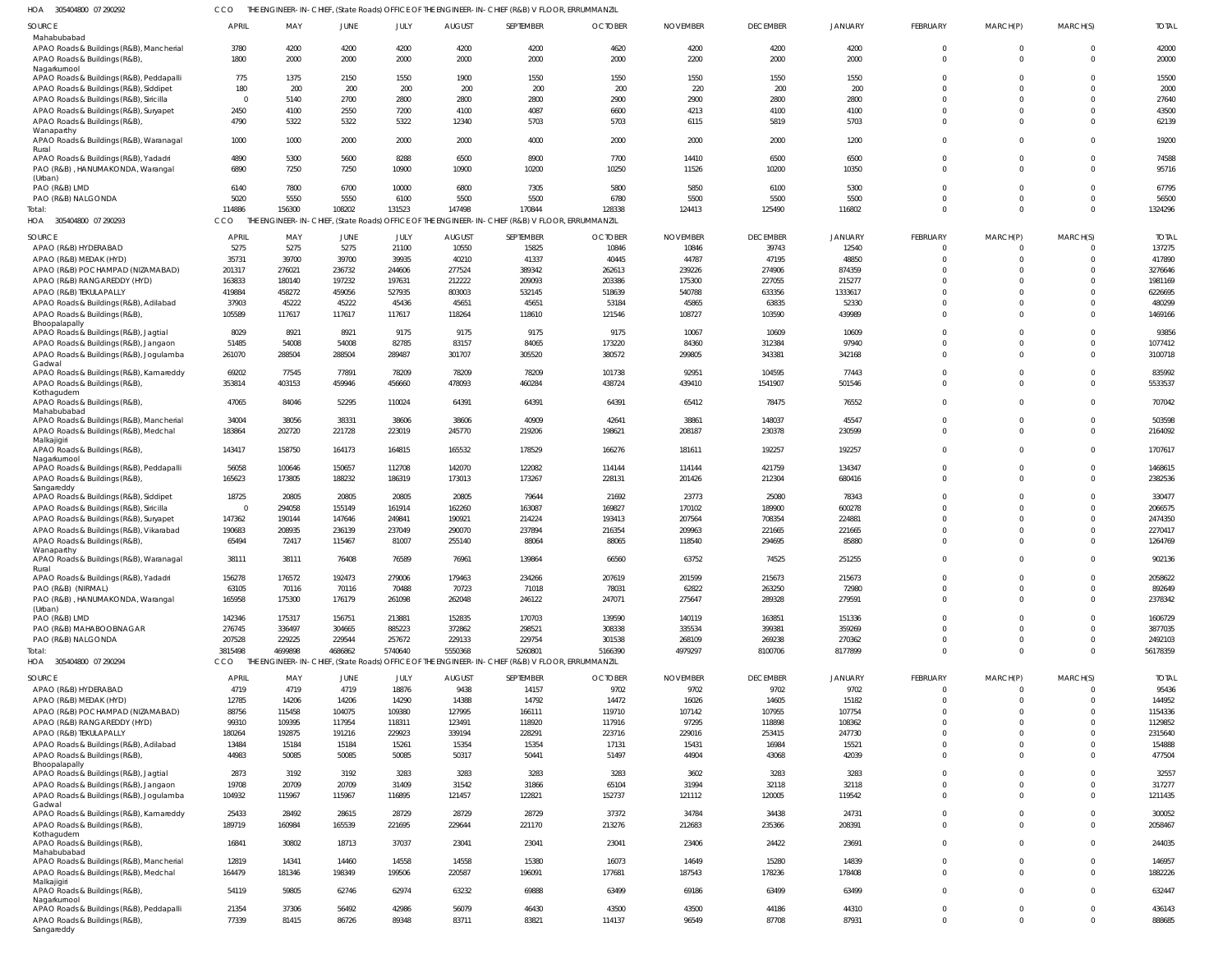305404800 07 290292 HOA CCO THE ENGINEER-IN-CHIEF, (State Roads) OFFICE OF THE ENGINEER-IN-CHIEF (R&B) V FLOOR, ERRUMMANZIL

| Mahabubabad<br>4200<br>4200<br>APAO Roads & Buildings (R&B), Mancherial<br>3780<br>4200<br>4200<br>4200<br>4620<br>4200<br>4200<br>4200<br>$\Omega$<br>$\Omega$<br>1800<br>APAO Roads & Buildings (R&B)<br>2000<br>2000<br>2000<br>2200<br>2000<br>2000<br>2000<br>2000<br>2000<br>$\Omega$<br>$\Omega$<br>Nagarkurnool<br>1375<br>1550<br>1900<br>1550<br>1550<br>1550<br>1550<br>1550<br>APAO Roads & Buildings (R&B), Peddapalli<br>775<br>2150<br>$\cup$<br><sup>0</sup><br>180<br>200<br>220<br>200<br>200<br>APAO Roads & Buildings (R&B), Siddipet<br>200<br>200<br>200<br>200<br>200<br>2800<br>APAO Roads & Buildings (R&B), Siricilla<br>$\Omega$<br>5140<br>2700<br>2800<br>2800<br>2800<br>2900<br>2900<br>2800<br>$\cup$<br>4087<br>2450<br>2550<br>7200<br>4100<br>6600<br>4213<br>4100<br>4100<br>APAO Roads & Buildings (R&B), Suryapet<br>4100<br>$\cup$<br>4790<br>5703<br>5703<br>5819<br>5703<br>5322<br>5322<br>5322<br>12340<br>6115<br>APAO Roads & Buildings (R&B)<br>$\Omega$<br>Wanaparthy<br>2000<br>1000<br>2000<br>4000<br>2000<br>2000<br>1200<br>APAO Roads & Buildings (R&B), Waranagal<br>1000<br>2000<br>2000<br>$\Omega$<br>Rural<br>6500<br>6500<br>6500<br>4890<br>5300<br>5600<br>8288<br>8900<br>7700<br>APAO Roads & Buildings (R&B), Yadadri<br>14410<br>$\Omega$<br>$\Omega$<br>10350<br>PAO (R&B), HANUMAKONDA, Warangal<br>6890<br>7250<br>7250<br>10900<br>10900<br>10200<br>10250<br>11526<br>10200<br>$\cup$<br>(Urban)<br>5800<br>6140<br>7800<br>6700<br>6800<br>7305<br>5850<br>6100<br>5300<br>PAO (R&B) LMD<br>10000<br>$\cup$<br><sup>0</sup><br>5550<br>5550<br>5020<br>6100<br>5500<br>5500<br>6780<br>5500<br>5500<br>5500<br>PAO (R&B) NALGONDA<br>$\Omega$<br>108202<br>131523<br>147498<br>128338<br>114886<br>156300<br>170844<br>124413<br>125490<br>116802<br>$\Omega$<br>Total:<br>THE ENGINEER-IN-CHIEF, (State Roads) OFFICE OF THE ENGINEER-IN-CHIEF (R&B) V FLOOR, ERRUMMANZIL<br>HOA<br>305404800 07 290293<br><b>CCO</b><br>JULY<br><b>AUGUST</b><br>SEPTEMBER<br><b>OCTOBER</b><br><b>NOVEMBER</b><br><b>DECEMBER</b><br>JANUARY<br>MARCH(S)<br>SOURCE<br><b>APRIL</b><br>MAY<br>JUNE<br>FEBRUARY<br>MARCH(P)<br>10550<br>39743<br>5275<br>5275<br>5275<br>21100<br>15825<br>10846<br>12540<br>APAO (R&B) HYDERABAD<br>10846<br>$\bigcap$<br>$\Omega$<br>0<br>47195<br>48850<br>35731<br>39700<br>39700<br>39935<br>40210<br>41337<br>40445<br>44787<br>APAO (R&B) MEDAK (HYD)<br>$\Omega$<br>$\Omega$<br>201317<br>276021<br>236732<br>244606<br>277524<br>389342<br>262613<br>274906<br>874359<br>APAO (R&B) POCHAMPAD (NIZAMABAD)<br>239226<br>$\Omega$<br>197232<br>175300<br>227055<br>163833<br>180140<br>197631<br>212222<br>209093<br>203386<br>215277<br>APAO (R&B) RANGAREDDY (HYD)<br>419884<br>459056<br>527935<br>803003<br>532145<br>518639<br>540788<br>633356<br>1333617<br>APAO (R&B) TEKULAPALLY<br>458272<br>$\cup$<br>52330<br>37903<br>45222<br>45222<br>45436<br>45651<br>45651<br>53184<br>45865<br>63835<br>APAO Roads & Buildings (R&B), Adilabad<br>$\Omega$<br>105589<br>117617<br>118610<br>121546<br>108727<br>103590<br>439989<br>APAO Roads & Buildings (R&B)<br>117617<br>117617<br>118264<br>$\cup$<br>Bhoopalapally<br>9175<br>9175<br>8029<br>8921<br>8921<br>9175<br>9175<br>10067<br>10609<br>10609<br>APAO Roads & Buildings (R&B), Jagtial<br>$\Omega$<br>0<br>97940<br>51485<br>54008<br>82785<br>83157<br>84065<br>173220<br>312384<br>APAO Roads & Buildings (R&B), Jangaon<br>54008<br>84360<br>$\Omega$<br>$\Omega$<br>288504<br>288504<br>289487<br>301707<br>305520<br>380572<br>299805<br>343381<br>342168<br>APAO Roads & Buildings (R&B), Jogulamba<br>261070<br>$\Omega$<br>$\Omega$<br>Gadwal<br>69202<br>77545<br>77891<br>78209<br>78209<br>101738<br>92951<br>104595<br>77443<br>APAO Roads & Buildings (R&B), Kamareddy<br>78209<br>$\Omega$<br>0<br>1541907<br>353814<br>403153<br>459946<br>456660<br>478093<br>438724<br>439410<br>501546<br>APAO Roads & Buildings (R&B)<br>460284<br>$\Omega$<br>$\Omega$<br>$\Omega$<br>Kothagudem<br>76552<br>47065<br>52295<br>110024<br>64391<br>64391<br>64391<br>78475<br>APAO Roads & Buildings (R&B)<br>84046<br>65412<br>$\Omega$<br>$\Omega$<br>0<br>Mahabubabad<br>45547<br>34004<br>38056<br>38331<br>38606<br>38606<br>40909<br>42641<br>38861<br>148037<br>APAO Roads & Buildings (R&B), Mancherial<br>$\Omega$<br>0<br>183864<br>198621<br>208187<br>230599<br>APAO Roads & Buildings (R&B), Medchal<br>202720<br>221728<br>223019<br>245770<br>219206<br>230378<br>$\Omega$<br>$\Omega$<br>$\Omega$<br>Malkajigiri<br>166276<br>192257<br>143417<br>158750<br>164173<br>164815<br>165532<br>178529<br>181611<br>192257<br>APAO Roads & Buildings (R&B),<br>$\Omega$<br>$\Omega$<br>$\Omega$<br>Nagarkurnool<br>421759<br>56058<br>100646<br>150657<br>112708<br>142070<br>122082<br>114144<br>114144<br>134347<br>APAO Roads & Buildings (R&B), Peddapalli<br>$\Omega$<br>$\Omega$<br>$\Omega$<br>APAO Roads & Buildings (R&B)<br>165623<br>173805<br>188232<br>186319<br>173013<br>173267<br>228131<br>201426<br>212304<br>680416<br>$\Omega$<br>$\Omega$<br>$\Omega$<br>Sangareddy<br>18725<br>20805<br>20805<br>79644<br>25080<br>78343<br>APAO Roads & Buildings (R&B), Siddipet<br>20805<br>20805<br>21692<br>23773<br>$\Omega$<br>161914<br>169827<br>170102<br>189900<br>600278<br>APAO Roads & Buildings (R&B), Siricilla<br>$\overline{0}$<br>294058<br>155149<br>162260<br>163087<br>$\Omega$<br>708354<br>APAO Roads & Buildings (R&B), Suryapet<br>147362<br>190144<br>147646<br>249841<br>190921<br>214224<br>193413<br>207564<br>224881<br>$\Omega$<br>190683<br>237049<br>290070<br>237894<br>216354<br>209963<br>221665<br>221665<br>APAO Roads & Buildings (R&B), Vikarabad<br>208935<br>236139<br>$\Omega$<br>0<br>65494<br>72417<br>115467<br>81007<br>255140<br>88064<br>88065<br>118540<br>294695<br>85880<br>APAO Roads & Buildings (R&B)<br>$\Omega$<br>Wanaparthy<br>38111<br>76408<br>139864<br>63752<br>74525<br>251255<br>APAO Roads & Buildings (R&B), Waranagal<br>38111<br>76589<br>76961<br>66560<br>$\Omega$<br>$\Omega$<br>$\Omega$<br>Rural<br>215673<br>APAO Roads & Buildings (R&B), Yadadri<br>156278<br>176572<br>192473<br>279006<br>179463<br>234266<br>207619<br>201599<br>215673<br>$\Omega$<br>$\Omega$<br>0<br>63105<br>70116<br>70488<br>70723<br>78031<br>263250<br>72980<br>PAO (R&B) (NIRMAL)<br>70116<br>71018<br>62822<br>$\Omega$<br>$\Omega$<br>$\Omega$<br>165958<br>175300<br>176179<br>261098<br>262048<br>246122<br>247071<br>275647<br>289328<br>279591<br>PAO (R&B), HANUMAKONDA, Warangal<br>$\Omega$<br>$\Omega$<br>$\Omega$<br>(Urban)<br>142346<br>175317<br>156751<br>213881<br>152835<br>170703<br>139590<br>140119<br>163851<br>151336<br>PAO (R&B) LMD<br>$\Omega$<br>885223<br>335534<br>359269<br>PAO (R&B) MAHABOOBNAGAR<br>276745<br>336497<br>304665<br>372862<br>298521<br>308338<br>399381<br>$\Omega$<br>$\Omega$<br>$\Omega$<br>257672<br>269238<br>207528<br>229225<br>229544<br>229133<br>229754<br>301538<br>268109<br>270362<br>$\Omega$<br>PAO (R&B) NALGONDA<br>$\Omega$<br>4686862<br>5740640<br>3815498<br>4699898<br>5550368<br>5260801<br>5166390<br>4979297<br>8100706<br>8177899<br>$\Omega$<br>$\Omega$<br>$\Omega$<br>Total:<br>THE ENGINEER-IN-CHIEF, (State Roads) OFFICE OF THE ENGINEER-IN-CHIEF (R&B) V FLOOR, ERRUMMANZIL<br>CCO<br>HOA 305404800 07 290294<br><b>APRIL</b><br><b>AUGUST</b><br>SEPTEMBER<br><b>OCTOBER</b><br><b>NOVEMBER</b><br><b>DECEMBER</b><br>JANUARY<br><b>FEBRUARY</b><br>MARCH(P)<br>MARCH(S)<br><b>SOURCE</b><br>MAY<br>JULY<br>JUNE<br>18876<br>9438<br>9702<br>9702<br>9702<br>9702<br>APAO (R&B) HYDERABAD<br>4719<br>4719<br>4719<br>14157<br>$\Omega$<br>12785<br>14206<br>14290<br>14388<br>14792<br>14472<br>14605<br>15182<br>APAO (R&B) MEDAK (HYD)<br>14206<br>16026<br>$\Omega$<br>$\Omega$<br>88756<br>104075<br>109380<br>127995<br>119710<br>107955<br>107754<br>APAO (R&B) POCHAMPAD (NIZAMABAD)<br>115458<br>166111<br>107142<br>$\Omega$<br>APAO (R&B) RANGAREDDY (HYD)<br>99310<br>109395<br>117954<br>118311<br>123491<br>118920<br>117916<br>97295<br>118898<br>108362<br>$\Omega$<br>180264<br>229923<br>223716<br>229016<br>247730<br>APAO (R&B) TEKULAPALLY<br>192875<br>191216<br>339194<br>228291<br>253415<br>$\Omega$<br>15521<br>13484<br>15184<br>15261<br>15354<br>15354<br>17131<br>15431<br>16984<br>APAO Roads & Buildings (R&B), Adilabad<br>15184<br>$\Omega$<br>50317<br>42039<br>44983<br>50085<br>50085<br>50085<br>50441<br>51497<br>44904<br>43068<br>APAO Roads & Buildings (R&B)<br>$\Omega$<br>Bhoopalapally<br>3283<br>3283<br>2873<br>3192<br>3192<br>3283<br>3283<br>3602<br>3283<br>3283<br>APAO Roads & Buildings (R&B), Jagtial<br>$\Omega$<br>$\Omega$<br>19708<br>20709<br>20709<br>31409<br>31542<br>31866<br>65104<br>31994<br>32118<br>32118<br>$\Omega$<br>APAO Roads & Buildings (R&B), Jangaon<br>$\Omega$<br>152737<br>104932<br>115967<br>115967<br>116895<br>121457<br>122821<br>121112<br>120005<br>119542<br>APAO Roads & Buildings (R&B), Jogulamba<br>$\Omega$<br>$\Omega$<br>Gadwal<br>25433<br>28615<br>28729<br>28729<br>28729<br>37372<br>34784<br>34438<br>24731<br>APAO Roads & Buildings (R&B), Kamareddy<br>28492<br>$\Omega$<br>$\Omega$<br>189719<br>160984<br>165539<br>213276<br>212683<br>235366<br>208391<br>221695<br>229644<br>221170<br>$\Omega$<br>$\Omega$<br>APAO Roads & Buildings (R&B),<br>Kothagudem<br>16841<br>30802<br>18713<br>37037<br>23041<br>23041<br>23041<br>23406<br>24422<br>23691<br>$\Omega$<br>$\Omega$<br>APAO Roads & Buildings (R&B),<br>$\Omega$<br>Mahabubabad<br>12819<br>14558<br>14558<br>15380<br>16073<br>15280<br>14839<br>14341<br>14460<br>14649<br>APAO Roads & Buildings (R&B), Mancherial<br>$\Omega$<br>$\Omega$<br>$\Omega$<br>199506<br>220587<br>177681<br>187543<br>178236<br>178408<br>164479<br>181346<br>198349<br>196091<br>$\Omega$<br>APAO Roads & Buildings (R&B), Medchal<br>$\Omega$<br>$\Omega$<br>Malkajigiri<br>62974<br>63232<br>69888<br>54119<br>59805<br>62746<br>63499<br>69186<br>63499<br>63499<br>APAO Roads & Buildings (R&B),<br>$\Omega$<br>$\Omega$<br>$\Omega$<br>Nagarkurnool |                                          |              |       |       |       |        |           |                |                 |                 |                |                 |          |          |              |
|-------------------------------------------------------------------------------------------------------------------------------------------------------------------------------------------------------------------------------------------------------------------------------------------------------------------------------------------------------------------------------------------------------------------------------------------------------------------------------------------------------------------------------------------------------------------------------------------------------------------------------------------------------------------------------------------------------------------------------------------------------------------------------------------------------------------------------------------------------------------------------------------------------------------------------------------------------------------------------------------------------------------------------------------------------------------------------------------------------------------------------------------------------------------------------------------------------------------------------------------------------------------------------------------------------------------------------------------------------------------------------------------------------------------------------------------------------------------------------------------------------------------------------------------------------------------------------------------------------------------------------------------------------------------------------------------------------------------------------------------------------------------------------------------------------------------------------------------------------------------------------------------------------------------------------------------------------------------------------------------------------------------------------------------------------------------------------------------------------------------------------------------------------------------------------------------------------------------------------------------------------------------------------------------------------------------------------------------------------------------------------------------------------------------------------------------------------------------------------------------------------------------------------------------------------------------------------------------------------------------------------------------------------------------------------------------------------------------------------------------------------------------------------------------------------------------------------------------------------------------------------------------------------------------------------------------------------------------------------------------------------------------------------------------------------------------------------------------------------------------------------------------------------------------------------------------------------------------------------------------------------------------------------------------------------------------------------------------------------------------------------------------------------------------------------------------------------------------------------------------------------------------------------------------------------------------------------------------------------------------------------------------------------------------------------------------------------------------------------------------------------------------------------------------------------------------------------------------------------------------------------------------------------------------------------------------------------------------------------------------------------------------------------------------------------------------------------------------------------------------------------------------------------------------------------------------------------------------------------------------------------------------------------------------------------------------------------------------------------------------------------------------------------------------------------------------------------------------------------------------------------------------------------------------------------------------------------------------------------------------------------------------------------------------------------------------------------------------------------------------------------------------------------------------------------------------------------------------------------------------------------------------------------------------------------------------------------------------------------------------------------------------------------------------------------------------------------------------------------------------------------------------------------------------------------------------------------------------------------------------------------------------------------------------------------------------------------------------------------------------------------------------------------------------------------------------------------------------------------------------------------------------------------------------------------------------------------------------------------------------------------------------------------------------------------------------------------------------------------------------------------------------------------------------------------------------------------------------------------------------------------------------------------------------------------------------------------------------------------------------------------------------------------------------------------------------------------------------------------------------------------------------------------------------------------------------------------------------------------------------------------------------------------------------------------------------------------------------------------------------------------------------------------------------------------------------------------------------------------------------------------------------------------------------------------------------------------------------------------------------------------------------------------------------------------------------------------------------------------------------------------------------------------------------------------------------------------------------------------------------------------------------------------------------------------------------------------------------------------------------------------------------------------------------------------------------------------------------------------------------------------------------------------------------------------------------------------------------------------------------------------------------------------------------------------------------------------------------------------------------------------------------------------------------------------------------------------------------------------------------------------------------------------------------------------------------------------------------------------------------------------------------------------------------------------------------------------------------------------------------------------------------------------------------------------------------------------------------------------------------------------------------------------------------------------------------------------------------------------------------------------------------------------------------------------------------------------------------------------------------------------------------------------------------------------------------------------------------------------------------------------------------------------------------------------------------------------------------------------------------------------------------------------------------------------------------------------------------------------------------------------------------------------------------------------------------------------------------------------------------------------------------------------------------------------------------------------------------------------------------------------------------------------------------------------------------------------------------------------------------------------------------------------------------------------------------------------------------------------------------------------------------------------------------------------------------------------------------------------------------------------------------------------------------------------------------------------------------------------------------------------------------------------------------------------------------------------------------------------------------------------------------------------------------------------------------------------------------------------------------------------------------------------------------------------------------------------------------------------------------------------------------------------------------------------------------------------------------------------------------------------------------------------------------------------------------------------------------------------------------------------------------------------------------------------------------------------------------------------------------------------------------------------------------------------------------------------------------------------------------------------------------------------------------------------------------------------------------------------------------------|------------------------------------------|--------------|-------|-------|-------|--------|-----------|----------------|-----------------|-----------------|----------------|-----------------|----------|----------|--------------|
|                                                                                                                                                                                                                                                                                                                                                                                                                                                                                                                                                                                                                                                                                                                                                                                                                                                                                                                                                                                                                                                                                                                                                                                                                                                                                                                                                                                                                                                                                                                                                                                                                                                                                                                                                                                                                                                                                                                                                                                                                                                                                                                                                                                                                                                                                                                                                                                                                                                                                                                                                                                                                                                                                                                                                                                                                                                                                                                                                                                                                                                                                                                                                                                                                                                                                                                                                                                                                                                                                                                                                                                                                                                                                                                                                                                                                                                                                                                                                                                                                                                                                                                                                                                                                                                                                                                                                                                                                                                                                                                                                                                                                                                                                                                                                                                                                                                                                                                                                                                                                                                                                                                                                                                                                                                                                                                                                                                                                                                                                                                                                                                                                                                                                                                                                                                                                                                                                                                                                                                                                                                                                                                                                                                                                                                                                                                                                                                                                                                                                                                                                                                                                                                                                                                                                                                                                                                                                                                                                                                                                                                                                                                                                                                                                                                                                                                                                                                                                                                                                                                                                                                                                                                                                                                                                                                                                                                                                                                                                                                                                                                                                                                                                                                                                                                                                                                                                                                                                                                                                                                                                                                                                                                                                                                                                                                                                                                                                                                                                                                                                                                                                                                                                                                                                                                                                                                                                                                                                                                                                                                                                                                                                                                                                                                                                                                                                                                                                                                                                                                                                                                                                                                                                                                                                                                 | <b>SOURCE</b>                            | <b>APRIL</b> | MAY   | JUNE  | JULY  | AUGUST | SEPTEMBER | <b>OCTOBER</b> | <b>NOVEMBER</b> | <b>DECEMBER</b> | <b>JANUARY</b> | <b>FEBRUARY</b> | MARCH(P) | MARCH(S) | <b>TOTAL</b> |
|                                                                                                                                                                                                                                                                                                                                                                                                                                                                                                                                                                                                                                                                                                                                                                                                                                                                                                                                                                                                                                                                                                                                                                                                                                                                                                                                                                                                                                                                                                                                                                                                                                                                                                                                                                                                                                                                                                                                                                                                                                                                                                                                                                                                                                                                                                                                                                                                                                                                                                                                                                                                                                                                                                                                                                                                                                                                                                                                                                                                                                                                                                                                                                                                                                                                                                                                                                                                                                                                                                                                                                                                                                                                                                                                                                                                                                                                                                                                                                                                                                                                                                                                                                                                                                                                                                                                                                                                                                                                                                                                                                                                                                                                                                                                                                                                                                                                                                                                                                                                                                                                                                                                                                                                                                                                                                                                                                                                                                                                                                                                                                                                                                                                                                                                                                                                                                                                                                                                                                                                                                                                                                                                                                                                                                                                                                                                                                                                                                                                                                                                                                                                                                                                                                                                                                                                                                                                                                                                                                                                                                                                                                                                                                                                                                                                                                                                                                                                                                                                                                                                                                                                                                                                                                                                                                                                                                                                                                                                                                                                                                                                                                                                                                                                                                                                                                                                                                                                                                                                                                                                                                                                                                                                                                                                                                                                                                                                                                                                                                                                                                                                                                                                                                                                                                                                                                                                                                                                                                                                                                                                                                                                                                                                                                                                                                                                                                                                                                                                                                                                                                                                                                                                                                                                                                                 |                                          |              |       |       |       |        |           |                |                 |                 |                |                 |          |          |              |
|                                                                                                                                                                                                                                                                                                                                                                                                                                                                                                                                                                                                                                                                                                                                                                                                                                                                                                                                                                                                                                                                                                                                                                                                                                                                                                                                                                                                                                                                                                                                                                                                                                                                                                                                                                                                                                                                                                                                                                                                                                                                                                                                                                                                                                                                                                                                                                                                                                                                                                                                                                                                                                                                                                                                                                                                                                                                                                                                                                                                                                                                                                                                                                                                                                                                                                                                                                                                                                                                                                                                                                                                                                                                                                                                                                                                                                                                                                                                                                                                                                                                                                                                                                                                                                                                                                                                                                                                                                                                                                                                                                                                                                                                                                                                                                                                                                                                                                                                                                                                                                                                                                                                                                                                                                                                                                                                                                                                                                                                                                                                                                                                                                                                                                                                                                                                                                                                                                                                                                                                                                                                                                                                                                                                                                                                                                                                                                                                                                                                                                                                                                                                                                                                                                                                                                                                                                                                                                                                                                                                                                                                                                                                                                                                                                                                                                                                                                                                                                                                                                                                                                                                                                                                                                                                                                                                                                                                                                                                                                                                                                                                                                                                                                                                                                                                                                                                                                                                                                                                                                                                                                                                                                                                                                                                                                                                                                                                                                                                                                                                                                                                                                                                                                                                                                                                                                                                                                                                                                                                                                                                                                                                                                                                                                                                                                                                                                                                                                                                                                                                                                                                                                                                                                                                                                                 |                                          |              |       |       |       |        |           |                |                 |                 |                |                 |          |          | 42000        |
|                                                                                                                                                                                                                                                                                                                                                                                                                                                                                                                                                                                                                                                                                                                                                                                                                                                                                                                                                                                                                                                                                                                                                                                                                                                                                                                                                                                                                                                                                                                                                                                                                                                                                                                                                                                                                                                                                                                                                                                                                                                                                                                                                                                                                                                                                                                                                                                                                                                                                                                                                                                                                                                                                                                                                                                                                                                                                                                                                                                                                                                                                                                                                                                                                                                                                                                                                                                                                                                                                                                                                                                                                                                                                                                                                                                                                                                                                                                                                                                                                                                                                                                                                                                                                                                                                                                                                                                                                                                                                                                                                                                                                                                                                                                                                                                                                                                                                                                                                                                                                                                                                                                                                                                                                                                                                                                                                                                                                                                                                                                                                                                                                                                                                                                                                                                                                                                                                                                                                                                                                                                                                                                                                                                                                                                                                                                                                                                                                                                                                                                                                                                                                                                                                                                                                                                                                                                                                                                                                                                                                                                                                                                                                                                                                                                                                                                                                                                                                                                                                                                                                                                                                                                                                                                                                                                                                                                                                                                                                                                                                                                                                                                                                                                                                                                                                                                                                                                                                                                                                                                                                                                                                                                                                                                                                                                                                                                                                                                                                                                                                                                                                                                                                                                                                                                                                                                                                                                                                                                                                                                                                                                                                                                                                                                                                                                                                                                                                                                                                                                                                                                                                                                                                                                                                                                 |                                          |              |       |       |       |        |           |                |                 |                 |                |                 |          |          | 20000        |
|                                                                                                                                                                                                                                                                                                                                                                                                                                                                                                                                                                                                                                                                                                                                                                                                                                                                                                                                                                                                                                                                                                                                                                                                                                                                                                                                                                                                                                                                                                                                                                                                                                                                                                                                                                                                                                                                                                                                                                                                                                                                                                                                                                                                                                                                                                                                                                                                                                                                                                                                                                                                                                                                                                                                                                                                                                                                                                                                                                                                                                                                                                                                                                                                                                                                                                                                                                                                                                                                                                                                                                                                                                                                                                                                                                                                                                                                                                                                                                                                                                                                                                                                                                                                                                                                                                                                                                                                                                                                                                                                                                                                                                                                                                                                                                                                                                                                                                                                                                                                                                                                                                                                                                                                                                                                                                                                                                                                                                                                                                                                                                                                                                                                                                                                                                                                                                                                                                                                                                                                                                                                                                                                                                                                                                                                                                                                                                                                                                                                                                                                                                                                                                                                                                                                                                                                                                                                                                                                                                                                                                                                                                                                                                                                                                                                                                                                                                                                                                                                                                                                                                                                                                                                                                                                                                                                                                                                                                                                                                                                                                                                                                                                                                                                                                                                                                                                                                                                                                                                                                                                                                                                                                                                                                                                                                                                                                                                                                                                                                                                                                                                                                                                                                                                                                                                                                                                                                                                                                                                                                                                                                                                                                                                                                                                                                                                                                                                                                                                                                                                                                                                                                                                                                                                                                                 |                                          |              |       |       |       |        |           |                |                 |                 |                |                 |          |          | 15500        |
|                                                                                                                                                                                                                                                                                                                                                                                                                                                                                                                                                                                                                                                                                                                                                                                                                                                                                                                                                                                                                                                                                                                                                                                                                                                                                                                                                                                                                                                                                                                                                                                                                                                                                                                                                                                                                                                                                                                                                                                                                                                                                                                                                                                                                                                                                                                                                                                                                                                                                                                                                                                                                                                                                                                                                                                                                                                                                                                                                                                                                                                                                                                                                                                                                                                                                                                                                                                                                                                                                                                                                                                                                                                                                                                                                                                                                                                                                                                                                                                                                                                                                                                                                                                                                                                                                                                                                                                                                                                                                                                                                                                                                                                                                                                                                                                                                                                                                                                                                                                                                                                                                                                                                                                                                                                                                                                                                                                                                                                                                                                                                                                                                                                                                                                                                                                                                                                                                                                                                                                                                                                                                                                                                                                                                                                                                                                                                                                                                                                                                                                                                                                                                                                                                                                                                                                                                                                                                                                                                                                                                                                                                                                                                                                                                                                                                                                                                                                                                                                                                                                                                                                                                                                                                                                                                                                                                                                                                                                                                                                                                                                                                                                                                                                                                                                                                                                                                                                                                                                                                                                                                                                                                                                                                                                                                                                                                                                                                                                                                                                                                                                                                                                                                                                                                                                                                                                                                                                                                                                                                                                                                                                                                                                                                                                                                                                                                                                                                                                                                                                                                                                                                                                                                                                                                                                 |                                          |              |       |       |       |        |           |                |                 |                 |                |                 |          |          | 2000         |
|                                                                                                                                                                                                                                                                                                                                                                                                                                                                                                                                                                                                                                                                                                                                                                                                                                                                                                                                                                                                                                                                                                                                                                                                                                                                                                                                                                                                                                                                                                                                                                                                                                                                                                                                                                                                                                                                                                                                                                                                                                                                                                                                                                                                                                                                                                                                                                                                                                                                                                                                                                                                                                                                                                                                                                                                                                                                                                                                                                                                                                                                                                                                                                                                                                                                                                                                                                                                                                                                                                                                                                                                                                                                                                                                                                                                                                                                                                                                                                                                                                                                                                                                                                                                                                                                                                                                                                                                                                                                                                                                                                                                                                                                                                                                                                                                                                                                                                                                                                                                                                                                                                                                                                                                                                                                                                                                                                                                                                                                                                                                                                                                                                                                                                                                                                                                                                                                                                                                                                                                                                                                                                                                                                                                                                                                                                                                                                                                                                                                                                                                                                                                                                                                                                                                                                                                                                                                                                                                                                                                                                                                                                                                                                                                                                                                                                                                                                                                                                                                                                                                                                                                                                                                                                                                                                                                                                                                                                                                                                                                                                                                                                                                                                                                                                                                                                                                                                                                                                                                                                                                                                                                                                                                                                                                                                                                                                                                                                                                                                                                                                                                                                                                                                                                                                                                                                                                                                                                                                                                                                                                                                                                                                                                                                                                                                                                                                                                                                                                                                                                                                                                                                                                                                                                                                                 |                                          |              |       |       |       |        |           |                |                 |                 |                |                 |          |          | 27640        |
|                                                                                                                                                                                                                                                                                                                                                                                                                                                                                                                                                                                                                                                                                                                                                                                                                                                                                                                                                                                                                                                                                                                                                                                                                                                                                                                                                                                                                                                                                                                                                                                                                                                                                                                                                                                                                                                                                                                                                                                                                                                                                                                                                                                                                                                                                                                                                                                                                                                                                                                                                                                                                                                                                                                                                                                                                                                                                                                                                                                                                                                                                                                                                                                                                                                                                                                                                                                                                                                                                                                                                                                                                                                                                                                                                                                                                                                                                                                                                                                                                                                                                                                                                                                                                                                                                                                                                                                                                                                                                                                                                                                                                                                                                                                                                                                                                                                                                                                                                                                                                                                                                                                                                                                                                                                                                                                                                                                                                                                                                                                                                                                                                                                                                                                                                                                                                                                                                                                                                                                                                                                                                                                                                                                                                                                                                                                                                                                                                                                                                                                                                                                                                                                                                                                                                                                                                                                                                                                                                                                                                                                                                                                                                                                                                                                                                                                                                                                                                                                                                                                                                                                                                                                                                                                                                                                                                                                                                                                                                                                                                                                                                                                                                                                                                                                                                                                                                                                                                                                                                                                                                                                                                                                                                                                                                                                                                                                                                                                                                                                                                                                                                                                                                                                                                                                                                                                                                                                                                                                                                                                                                                                                                                                                                                                                                                                                                                                                                                                                                                                                                                                                                                                                                                                                                                                 |                                          |              |       |       |       |        |           |                |                 |                 |                |                 |          |          | 43500        |
|                                                                                                                                                                                                                                                                                                                                                                                                                                                                                                                                                                                                                                                                                                                                                                                                                                                                                                                                                                                                                                                                                                                                                                                                                                                                                                                                                                                                                                                                                                                                                                                                                                                                                                                                                                                                                                                                                                                                                                                                                                                                                                                                                                                                                                                                                                                                                                                                                                                                                                                                                                                                                                                                                                                                                                                                                                                                                                                                                                                                                                                                                                                                                                                                                                                                                                                                                                                                                                                                                                                                                                                                                                                                                                                                                                                                                                                                                                                                                                                                                                                                                                                                                                                                                                                                                                                                                                                                                                                                                                                                                                                                                                                                                                                                                                                                                                                                                                                                                                                                                                                                                                                                                                                                                                                                                                                                                                                                                                                                                                                                                                                                                                                                                                                                                                                                                                                                                                                                                                                                                                                                                                                                                                                                                                                                                                                                                                                                                                                                                                                                                                                                                                                                                                                                                                                                                                                                                                                                                                                                                                                                                                                                                                                                                                                                                                                                                                                                                                                                                                                                                                                                                                                                                                                                                                                                                                                                                                                                                                                                                                                                                                                                                                                                                                                                                                                                                                                                                                                                                                                                                                                                                                                                                                                                                                                                                                                                                                                                                                                                                                                                                                                                                                                                                                                                                                                                                                                                                                                                                                                                                                                                                                                                                                                                                                                                                                                                                                                                                                                                                                                                                                                                                                                                                                                 |                                          |              |       |       |       |        |           |                |                 |                 |                |                 |          |          | 62139        |
|                                                                                                                                                                                                                                                                                                                                                                                                                                                                                                                                                                                                                                                                                                                                                                                                                                                                                                                                                                                                                                                                                                                                                                                                                                                                                                                                                                                                                                                                                                                                                                                                                                                                                                                                                                                                                                                                                                                                                                                                                                                                                                                                                                                                                                                                                                                                                                                                                                                                                                                                                                                                                                                                                                                                                                                                                                                                                                                                                                                                                                                                                                                                                                                                                                                                                                                                                                                                                                                                                                                                                                                                                                                                                                                                                                                                                                                                                                                                                                                                                                                                                                                                                                                                                                                                                                                                                                                                                                                                                                                                                                                                                                                                                                                                                                                                                                                                                                                                                                                                                                                                                                                                                                                                                                                                                                                                                                                                                                                                                                                                                                                                                                                                                                                                                                                                                                                                                                                                                                                                                                                                                                                                                                                                                                                                                                                                                                                                                                                                                                                                                                                                                                                                                                                                                                                                                                                                                                                                                                                                                                                                                                                                                                                                                                                                                                                                                                                                                                                                                                                                                                                                                                                                                                                                                                                                                                                                                                                                                                                                                                                                                                                                                                                                                                                                                                                                                                                                                                                                                                                                                                                                                                                                                                                                                                                                                                                                                                                                                                                                                                                                                                                                                                                                                                                                                                                                                                                                                                                                                                                                                                                                                                                                                                                                                                                                                                                                                                                                                                                                                                                                                                                                                                                                                                                 |                                          |              |       |       |       |        |           |                |                 |                 |                |                 |          |          | 19200        |
|                                                                                                                                                                                                                                                                                                                                                                                                                                                                                                                                                                                                                                                                                                                                                                                                                                                                                                                                                                                                                                                                                                                                                                                                                                                                                                                                                                                                                                                                                                                                                                                                                                                                                                                                                                                                                                                                                                                                                                                                                                                                                                                                                                                                                                                                                                                                                                                                                                                                                                                                                                                                                                                                                                                                                                                                                                                                                                                                                                                                                                                                                                                                                                                                                                                                                                                                                                                                                                                                                                                                                                                                                                                                                                                                                                                                                                                                                                                                                                                                                                                                                                                                                                                                                                                                                                                                                                                                                                                                                                                                                                                                                                                                                                                                                                                                                                                                                                                                                                                                                                                                                                                                                                                                                                                                                                                                                                                                                                                                                                                                                                                                                                                                                                                                                                                                                                                                                                                                                                                                                                                                                                                                                                                                                                                                                                                                                                                                                                                                                                                                                                                                                                                                                                                                                                                                                                                                                                                                                                                                                                                                                                                                                                                                                                                                                                                                                                                                                                                                                                                                                                                                                                                                                                                                                                                                                                                                                                                                                                                                                                                                                                                                                                                                                                                                                                                                                                                                                                                                                                                                                                                                                                                                                                                                                                                                                                                                                                                                                                                                                                                                                                                                                                                                                                                                                                                                                                                                                                                                                                                                                                                                                                                                                                                                                                                                                                                                                                                                                                                                                                                                                                                                                                                                                                                 |                                          |              |       |       |       |        |           |                |                 |                 |                |                 |          |          |              |
|                                                                                                                                                                                                                                                                                                                                                                                                                                                                                                                                                                                                                                                                                                                                                                                                                                                                                                                                                                                                                                                                                                                                                                                                                                                                                                                                                                                                                                                                                                                                                                                                                                                                                                                                                                                                                                                                                                                                                                                                                                                                                                                                                                                                                                                                                                                                                                                                                                                                                                                                                                                                                                                                                                                                                                                                                                                                                                                                                                                                                                                                                                                                                                                                                                                                                                                                                                                                                                                                                                                                                                                                                                                                                                                                                                                                                                                                                                                                                                                                                                                                                                                                                                                                                                                                                                                                                                                                                                                                                                                                                                                                                                                                                                                                                                                                                                                                                                                                                                                                                                                                                                                                                                                                                                                                                                                                                                                                                                                                                                                                                                                                                                                                                                                                                                                                                                                                                                                                                                                                                                                                                                                                                                                                                                                                                                                                                                                                                                                                                                                                                                                                                                                                                                                                                                                                                                                                                                                                                                                                                                                                                                                                                                                                                                                                                                                                                                                                                                                                                                                                                                                                                                                                                                                                                                                                                                                                                                                                                                                                                                                                                                                                                                                                                                                                                                                                                                                                                                                                                                                                                                                                                                                                                                                                                                                                                                                                                                                                                                                                                                                                                                                                                                                                                                                                                                                                                                                                                                                                                                                                                                                                                                                                                                                                                                                                                                                                                                                                                                                                                                                                                                                                                                                                                                                 |                                          |              |       |       |       |        |           |                |                 |                 |                |                 |          |          | 74588        |
|                                                                                                                                                                                                                                                                                                                                                                                                                                                                                                                                                                                                                                                                                                                                                                                                                                                                                                                                                                                                                                                                                                                                                                                                                                                                                                                                                                                                                                                                                                                                                                                                                                                                                                                                                                                                                                                                                                                                                                                                                                                                                                                                                                                                                                                                                                                                                                                                                                                                                                                                                                                                                                                                                                                                                                                                                                                                                                                                                                                                                                                                                                                                                                                                                                                                                                                                                                                                                                                                                                                                                                                                                                                                                                                                                                                                                                                                                                                                                                                                                                                                                                                                                                                                                                                                                                                                                                                                                                                                                                                                                                                                                                                                                                                                                                                                                                                                                                                                                                                                                                                                                                                                                                                                                                                                                                                                                                                                                                                                                                                                                                                                                                                                                                                                                                                                                                                                                                                                                                                                                                                                                                                                                                                                                                                                                                                                                                                                                                                                                                                                                                                                                                                                                                                                                                                                                                                                                                                                                                                                                                                                                                                                                                                                                                                                                                                                                                                                                                                                                                                                                                                                                                                                                                                                                                                                                                                                                                                                                                                                                                                                                                                                                                                                                                                                                                                                                                                                                                                                                                                                                                                                                                                                                                                                                                                                                                                                                                                                                                                                                                                                                                                                                                                                                                                                                                                                                                                                                                                                                                                                                                                                                                                                                                                                                                                                                                                                                                                                                                                                                                                                                                                                                                                                                                                 |                                          |              |       |       |       |        |           |                |                 |                 |                |                 |          |          | 95716        |
|                                                                                                                                                                                                                                                                                                                                                                                                                                                                                                                                                                                                                                                                                                                                                                                                                                                                                                                                                                                                                                                                                                                                                                                                                                                                                                                                                                                                                                                                                                                                                                                                                                                                                                                                                                                                                                                                                                                                                                                                                                                                                                                                                                                                                                                                                                                                                                                                                                                                                                                                                                                                                                                                                                                                                                                                                                                                                                                                                                                                                                                                                                                                                                                                                                                                                                                                                                                                                                                                                                                                                                                                                                                                                                                                                                                                                                                                                                                                                                                                                                                                                                                                                                                                                                                                                                                                                                                                                                                                                                                                                                                                                                                                                                                                                                                                                                                                                                                                                                                                                                                                                                                                                                                                                                                                                                                                                                                                                                                                                                                                                                                                                                                                                                                                                                                                                                                                                                                                                                                                                                                                                                                                                                                                                                                                                                                                                                                                                                                                                                                                                                                                                                                                                                                                                                                                                                                                                                                                                                                                                                                                                                                                                                                                                                                                                                                                                                                                                                                                                                                                                                                                                                                                                                                                                                                                                                                                                                                                                                                                                                                                                                                                                                                                                                                                                                                                                                                                                                                                                                                                                                                                                                                                                                                                                                                                                                                                                                                                                                                                                                                                                                                                                                                                                                                                                                                                                                                                                                                                                                                                                                                                                                                                                                                                                                                                                                                                                                                                                                                                                                                                                                                                                                                                                                                 |                                          |              |       |       |       |        |           |                |                 |                 |                |                 |          |          | 67795        |
|                                                                                                                                                                                                                                                                                                                                                                                                                                                                                                                                                                                                                                                                                                                                                                                                                                                                                                                                                                                                                                                                                                                                                                                                                                                                                                                                                                                                                                                                                                                                                                                                                                                                                                                                                                                                                                                                                                                                                                                                                                                                                                                                                                                                                                                                                                                                                                                                                                                                                                                                                                                                                                                                                                                                                                                                                                                                                                                                                                                                                                                                                                                                                                                                                                                                                                                                                                                                                                                                                                                                                                                                                                                                                                                                                                                                                                                                                                                                                                                                                                                                                                                                                                                                                                                                                                                                                                                                                                                                                                                                                                                                                                                                                                                                                                                                                                                                                                                                                                                                                                                                                                                                                                                                                                                                                                                                                                                                                                                                                                                                                                                                                                                                                                                                                                                                                                                                                                                                                                                                                                                                                                                                                                                                                                                                                                                                                                                                                                                                                                                                                                                                                                                                                                                                                                                                                                                                                                                                                                                                                                                                                                                                                                                                                                                                                                                                                                                                                                                                                                                                                                                                                                                                                                                                                                                                                                                                                                                                                                                                                                                                                                                                                                                                                                                                                                                                                                                                                                                                                                                                                                                                                                                                                                                                                                                                                                                                                                                                                                                                                                                                                                                                                                                                                                                                                                                                                                                                                                                                                                                                                                                                                                                                                                                                                                                                                                                                                                                                                                                                                                                                                                                                                                                                                                                 |                                          |              |       |       |       |        |           |                |                 |                 |                |                 |          |          | 56500        |
|                                                                                                                                                                                                                                                                                                                                                                                                                                                                                                                                                                                                                                                                                                                                                                                                                                                                                                                                                                                                                                                                                                                                                                                                                                                                                                                                                                                                                                                                                                                                                                                                                                                                                                                                                                                                                                                                                                                                                                                                                                                                                                                                                                                                                                                                                                                                                                                                                                                                                                                                                                                                                                                                                                                                                                                                                                                                                                                                                                                                                                                                                                                                                                                                                                                                                                                                                                                                                                                                                                                                                                                                                                                                                                                                                                                                                                                                                                                                                                                                                                                                                                                                                                                                                                                                                                                                                                                                                                                                                                                                                                                                                                                                                                                                                                                                                                                                                                                                                                                                                                                                                                                                                                                                                                                                                                                                                                                                                                                                                                                                                                                                                                                                                                                                                                                                                                                                                                                                                                                                                                                                                                                                                                                                                                                                                                                                                                                                                                                                                                                                                                                                                                                                                                                                                                                                                                                                                                                                                                                                                                                                                                                                                                                                                                                                                                                                                                                                                                                                                                                                                                                                                                                                                                                                                                                                                                                                                                                                                                                                                                                                                                                                                                                                                                                                                                                                                                                                                                                                                                                                                                                                                                                                                                                                                                                                                                                                                                                                                                                                                                                                                                                                                                                                                                                                                                                                                                                                                                                                                                                                                                                                                                                                                                                                                                                                                                                                                                                                                                                                                                                                                                                                                                                                                                                 |                                          |              |       |       |       |        |           |                |                 |                 |                |                 |          |          | 1324296      |
|                                                                                                                                                                                                                                                                                                                                                                                                                                                                                                                                                                                                                                                                                                                                                                                                                                                                                                                                                                                                                                                                                                                                                                                                                                                                                                                                                                                                                                                                                                                                                                                                                                                                                                                                                                                                                                                                                                                                                                                                                                                                                                                                                                                                                                                                                                                                                                                                                                                                                                                                                                                                                                                                                                                                                                                                                                                                                                                                                                                                                                                                                                                                                                                                                                                                                                                                                                                                                                                                                                                                                                                                                                                                                                                                                                                                                                                                                                                                                                                                                                                                                                                                                                                                                                                                                                                                                                                                                                                                                                                                                                                                                                                                                                                                                                                                                                                                                                                                                                                                                                                                                                                                                                                                                                                                                                                                                                                                                                                                                                                                                                                                                                                                                                                                                                                                                                                                                                                                                                                                                                                                                                                                                                                                                                                                                                                                                                                                                                                                                                                                                                                                                                                                                                                                                                                                                                                                                                                                                                                                                                                                                                                                                                                                                                                                                                                                                                                                                                                                                                                                                                                                                                                                                                                                                                                                                                                                                                                                                                                                                                                                                                                                                                                                                                                                                                                                                                                                                                                                                                                                                                                                                                                                                                                                                                                                                                                                                                                                                                                                                                                                                                                                                                                                                                                                                                                                                                                                                                                                                                                                                                                                                                                                                                                                                                                                                                                                                                                                                                                                                                                                                                                                                                                                                                                 |                                          |              |       |       |       |        |           |                |                 |                 |                |                 |          |          |              |
|                                                                                                                                                                                                                                                                                                                                                                                                                                                                                                                                                                                                                                                                                                                                                                                                                                                                                                                                                                                                                                                                                                                                                                                                                                                                                                                                                                                                                                                                                                                                                                                                                                                                                                                                                                                                                                                                                                                                                                                                                                                                                                                                                                                                                                                                                                                                                                                                                                                                                                                                                                                                                                                                                                                                                                                                                                                                                                                                                                                                                                                                                                                                                                                                                                                                                                                                                                                                                                                                                                                                                                                                                                                                                                                                                                                                                                                                                                                                                                                                                                                                                                                                                                                                                                                                                                                                                                                                                                                                                                                                                                                                                                                                                                                                                                                                                                                                                                                                                                                                                                                                                                                                                                                                                                                                                                                                                                                                                                                                                                                                                                                                                                                                                                                                                                                                                                                                                                                                                                                                                                                                                                                                                                                                                                                                                                                                                                                                                                                                                                                                                                                                                                                                                                                                                                                                                                                                                                                                                                                                                                                                                                                                                                                                                                                                                                                                                                                                                                                                                                                                                                                                                                                                                                                                                                                                                                                                                                                                                                                                                                                                                                                                                                                                                                                                                                                                                                                                                                                                                                                                                                                                                                                                                                                                                                                                                                                                                                                                                                                                                                                                                                                                                                                                                                                                                                                                                                                                                                                                                                                                                                                                                                                                                                                                                                                                                                                                                                                                                                                                                                                                                                                                                                                                                                                 |                                          |              |       |       |       |        |           |                |                 |                 |                |                 |          |          |              |
|                                                                                                                                                                                                                                                                                                                                                                                                                                                                                                                                                                                                                                                                                                                                                                                                                                                                                                                                                                                                                                                                                                                                                                                                                                                                                                                                                                                                                                                                                                                                                                                                                                                                                                                                                                                                                                                                                                                                                                                                                                                                                                                                                                                                                                                                                                                                                                                                                                                                                                                                                                                                                                                                                                                                                                                                                                                                                                                                                                                                                                                                                                                                                                                                                                                                                                                                                                                                                                                                                                                                                                                                                                                                                                                                                                                                                                                                                                                                                                                                                                                                                                                                                                                                                                                                                                                                                                                                                                                                                                                                                                                                                                                                                                                                                                                                                                                                                                                                                                                                                                                                                                                                                                                                                                                                                                                                                                                                                                                                                                                                                                                                                                                                                                                                                                                                                                                                                                                                                                                                                                                                                                                                                                                                                                                                                                                                                                                                                                                                                                                                                                                                                                                                                                                                                                                                                                                                                                                                                                                                                                                                                                                                                                                                                                                                                                                                                                                                                                                                                                                                                                                                                                                                                                                                                                                                                                                                                                                                                                                                                                                                                                                                                                                                                                                                                                                                                                                                                                                                                                                                                                                                                                                                                                                                                                                                                                                                                                                                                                                                                                                                                                                                                                                                                                                                                                                                                                                                                                                                                                                                                                                                                                                                                                                                                                                                                                                                                                                                                                                                                                                                                                                                                                                                                                                 |                                          |              |       |       |       |        |           |                |                 |                 |                |                 |          |          | <b>TOTAL</b> |
|                                                                                                                                                                                                                                                                                                                                                                                                                                                                                                                                                                                                                                                                                                                                                                                                                                                                                                                                                                                                                                                                                                                                                                                                                                                                                                                                                                                                                                                                                                                                                                                                                                                                                                                                                                                                                                                                                                                                                                                                                                                                                                                                                                                                                                                                                                                                                                                                                                                                                                                                                                                                                                                                                                                                                                                                                                                                                                                                                                                                                                                                                                                                                                                                                                                                                                                                                                                                                                                                                                                                                                                                                                                                                                                                                                                                                                                                                                                                                                                                                                                                                                                                                                                                                                                                                                                                                                                                                                                                                                                                                                                                                                                                                                                                                                                                                                                                                                                                                                                                                                                                                                                                                                                                                                                                                                                                                                                                                                                                                                                                                                                                                                                                                                                                                                                                                                                                                                                                                                                                                                                                                                                                                                                                                                                                                                                                                                                                                                                                                                                                                                                                                                                                                                                                                                                                                                                                                                                                                                                                                                                                                                                                                                                                                                                                                                                                                                                                                                                                                                                                                                                                                                                                                                                                                                                                                                                                                                                                                                                                                                                                                                                                                                                                                                                                                                                                                                                                                                                                                                                                                                                                                                                                                                                                                                                                                                                                                                                                                                                                                                                                                                                                                                                                                                                                                                                                                                                                                                                                                                                                                                                                                                                                                                                                                                                                                                                                                                                                                                                                                                                                                                                                                                                                                                                 |                                          |              |       |       |       |        |           |                |                 |                 |                |                 |          |          | 137275       |
|                                                                                                                                                                                                                                                                                                                                                                                                                                                                                                                                                                                                                                                                                                                                                                                                                                                                                                                                                                                                                                                                                                                                                                                                                                                                                                                                                                                                                                                                                                                                                                                                                                                                                                                                                                                                                                                                                                                                                                                                                                                                                                                                                                                                                                                                                                                                                                                                                                                                                                                                                                                                                                                                                                                                                                                                                                                                                                                                                                                                                                                                                                                                                                                                                                                                                                                                                                                                                                                                                                                                                                                                                                                                                                                                                                                                                                                                                                                                                                                                                                                                                                                                                                                                                                                                                                                                                                                                                                                                                                                                                                                                                                                                                                                                                                                                                                                                                                                                                                                                                                                                                                                                                                                                                                                                                                                                                                                                                                                                                                                                                                                                                                                                                                                                                                                                                                                                                                                                                                                                                                                                                                                                                                                                                                                                                                                                                                                                                                                                                                                                                                                                                                                                                                                                                                                                                                                                                                                                                                                                                                                                                                                                                                                                                                                                                                                                                                                                                                                                                                                                                                                                                                                                                                                                                                                                                                                                                                                                                                                                                                                                                                                                                                                                                                                                                                                                                                                                                                                                                                                                                                                                                                                                                                                                                                                                                                                                                                                                                                                                                                                                                                                                                                                                                                                                                                                                                                                                                                                                                                                                                                                                                                                                                                                                                                                                                                                                                                                                                                                                                                                                                                                                                                                                                                                 |                                          |              |       |       |       |        |           |                |                 |                 |                |                 |          |          | 417890       |
|                                                                                                                                                                                                                                                                                                                                                                                                                                                                                                                                                                                                                                                                                                                                                                                                                                                                                                                                                                                                                                                                                                                                                                                                                                                                                                                                                                                                                                                                                                                                                                                                                                                                                                                                                                                                                                                                                                                                                                                                                                                                                                                                                                                                                                                                                                                                                                                                                                                                                                                                                                                                                                                                                                                                                                                                                                                                                                                                                                                                                                                                                                                                                                                                                                                                                                                                                                                                                                                                                                                                                                                                                                                                                                                                                                                                                                                                                                                                                                                                                                                                                                                                                                                                                                                                                                                                                                                                                                                                                                                                                                                                                                                                                                                                                                                                                                                                                                                                                                                                                                                                                                                                                                                                                                                                                                                                                                                                                                                                                                                                                                                                                                                                                                                                                                                                                                                                                                                                                                                                                                                                                                                                                                                                                                                                                                                                                                                                                                                                                                                                                                                                                                                                                                                                                                                                                                                                                                                                                                                                                                                                                                                                                                                                                                                                                                                                                                                                                                                                                                                                                                                                                                                                                                                                                                                                                                                                                                                                                                                                                                                                                                                                                                                                                                                                                                                                                                                                                                                                                                                                                                                                                                                                                                                                                                                                                                                                                                                                                                                                                                                                                                                                                                                                                                                                                                                                                                                                                                                                                                                                                                                                                                                                                                                                                                                                                                                                                                                                                                                                                                                                                                                                                                                                                                                 |                                          |              |       |       |       |        |           |                |                 |                 |                |                 |          |          | 3276646      |
|                                                                                                                                                                                                                                                                                                                                                                                                                                                                                                                                                                                                                                                                                                                                                                                                                                                                                                                                                                                                                                                                                                                                                                                                                                                                                                                                                                                                                                                                                                                                                                                                                                                                                                                                                                                                                                                                                                                                                                                                                                                                                                                                                                                                                                                                                                                                                                                                                                                                                                                                                                                                                                                                                                                                                                                                                                                                                                                                                                                                                                                                                                                                                                                                                                                                                                                                                                                                                                                                                                                                                                                                                                                                                                                                                                                                                                                                                                                                                                                                                                                                                                                                                                                                                                                                                                                                                                                                                                                                                                                                                                                                                                                                                                                                                                                                                                                                                                                                                                                                                                                                                                                                                                                                                                                                                                                                                                                                                                                                                                                                                                                                                                                                                                                                                                                                                                                                                                                                                                                                                                                                                                                                                                                                                                                                                                                                                                                                                                                                                                                                                                                                                                                                                                                                                                                                                                                                                                                                                                                                                                                                                                                                                                                                                                                                                                                                                                                                                                                                                                                                                                                                                                                                                                                                                                                                                                                                                                                                                                                                                                                                                                                                                                                                                                                                                                                                                                                                                                                                                                                                                                                                                                                                                                                                                                                                                                                                                                                                                                                                                                                                                                                                                                                                                                                                                                                                                                                                                                                                                                                                                                                                                                                                                                                                                                                                                                                                                                                                                                                                                                                                                                                                                                                                                                                 |                                          |              |       |       |       |        |           |                |                 |                 |                |                 |          |          | 1981169      |
|                                                                                                                                                                                                                                                                                                                                                                                                                                                                                                                                                                                                                                                                                                                                                                                                                                                                                                                                                                                                                                                                                                                                                                                                                                                                                                                                                                                                                                                                                                                                                                                                                                                                                                                                                                                                                                                                                                                                                                                                                                                                                                                                                                                                                                                                                                                                                                                                                                                                                                                                                                                                                                                                                                                                                                                                                                                                                                                                                                                                                                                                                                                                                                                                                                                                                                                                                                                                                                                                                                                                                                                                                                                                                                                                                                                                                                                                                                                                                                                                                                                                                                                                                                                                                                                                                                                                                                                                                                                                                                                                                                                                                                                                                                                                                                                                                                                                                                                                                                                                                                                                                                                                                                                                                                                                                                                                                                                                                                                                                                                                                                                                                                                                                                                                                                                                                                                                                                                                                                                                                                                                                                                                                                                                                                                                                                                                                                                                                                                                                                                                                                                                                                                                                                                                                                                                                                                                                                                                                                                                                                                                                                                                                                                                                                                                                                                                                                                                                                                                                                                                                                                                                                                                                                                                                                                                                                                                                                                                                                                                                                                                                                                                                                                                                                                                                                                                                                                                                                                                                                                                                                                                                                                                                                                                                                                                                                                                                                                                                                                                                                                                                                                                                                                                                                                                                                                                                                                                                                                                                                                                                                                                                                                                                                                                                                                                                                                                                                                                                                                                                                                                                                                                                                                                                                                 |                                          |              |       |       |       |        |           |                |                 |                 |                |                 |          |          | 6226695      |
|                                                                                                                                                                                                                                                                                                                                                                                                                                                                                                                                                                                                                                                                                                                                                                                                                                                                                                                                                                                                                                                                                                                                                                                                                                                                                                                                                                                                                                                                                                                                                                                                                                                                                                                                                                                                                                                                                                                                                                                                                                                                                                                                                                                                                                                                                                                                                                                                                                                                                                                                                                                                                                                                                                                                                                                                                                                                                                                                                                                                                                                                                                                                                                                                                                                                                                                                                                                                                                                                                                                                                                                                                                                                                                                                                                                                                                                                                                                                                                                                                                                                                                                                                                                                                                                                                                                                                                                                                                                                                                                                                                                                                                                                                                                                                                                                                                                                                                                                                                                                                                                                                                                                                                                                                                                                                                                                                                                                                                                                                                                                                                                                                                                                                                                                                                                                                                                                                                                                                                                                                                                                                                                                                                                                                                                                                                                                                                                                                                                                                                                                                                                                                                                                                                                                                                                                                                                                                                                                                                                                                                                                                                                                                                                                                                                                                                                                                                                                                                                                                                                                                                                                                                                                                                                                                                                                                                                                                                                                                                                                                                                                                                                                                                                                                                                                                                                                                                                                                                                                                                                                                                                                                                                                                                                                                                                                                                                                                                                                                                                                                                                                                                                                                                                                                                                                                                                                                                                                                                                                                                                                                                                                                                                                                                                                                                                                                                                                                                                                                                                                                                                                                                                                                                                                                                                 |                                          |              |       |       |       |        |           |                |                 |                 |                |                 |          |          | 480299       |
|                                                                                                                                                                                                                                                                                                                                                                                                                                                                                                                                                                                                                                                                                                                                                                                                                                                                                                                                                                                                                                                                                                                                                                                                                                                                                                                                                                                                                                                                                                                                                                                                                                                                                                                                                                                                                                                                                                                                                                                                                                                                                                                                                                                                                                                                                                                                                                                                                                                                                                                                                                                                                                                                                                                                                                                                                                                                                                                                                                                                                                                                                                                                                                                                                                                                                                                                                                                                                                                                                                                                                                                                                                                                                                                                                                                                                                                                                                                                                                                                                                                                                                                                                                                                                                                                                                                                                                                                                                                                                                                                                                                                                                                                                                                                                                                                                                                                                                                                                                                                                                                                                                                                                                                                                                                                                                                                                                                                                                                                                                                                                                                                                                                                                                                                                                                                                                                                                                                                                                                                                                                                                                                                                                                                                                                                                                                                                                                                                                                                                                                                                                                                                                                                                                                                                                                                                                                                                                                                                                                                                                                                                                                                                                                                                                                                                                                                                                                                                                                                                                                                                                                                                                                                                                                                                                                                                                                                                                                                                                                                                                                                                                                                                                                                                                                                                                                                                                                                                                                                                                                                                                                                                                                                                                                                                                                                                                                                                                                                                                                                                                                                                                                                                                                                                                                                                                                                                                                                                                                                                                                                                                                                                                                                                                                                                                                                                                                                                                                                                                                                                                                                                                                                                                                                                                                 |                                          |              |       |       |       |        |           |                |                 |                 |                |                 |          |          | 1469166      |
|                                                                                                                                                                                                                                                                                                                                                                                                                                                                                                                                                                                                                                                                                                                                                                                                                                                                                                                                                                                                                                                                                                                                                                                                                                                                                                                                                                                                                                                                                                                                                                                                                                                                                                                                                                                                                                                                                                                                                                                                                                                                                                                                                                                                                                                                                                                                                                                                                                                                                                                                                                                                                                                                                                                                                                                                                                                                                                                                                                                                                                                                                                                                                                                                                                                                                                                                                                                                                                                                                                                                                                                                                                                                                                                                                                                                                                                                                                                                                                                                                                                                                                                                                                                                                                                                                                                                                                                                                                                                                                                                                                                                                                                                                                                                                                                                                                                                                                                                                                                                                                                                                                                                                                                                                                                                                                                                                                                                                                                                                                                                                                                                                                                                                                                                                                                                                                                                                                                                                                                                                                                                                                                                                                                                                                                                                                                                                                                                                                                                                                                                                                                                                                                                                                                                                                                                                                                                                                                                                                                                                                                                                                                                                                                                                                                                                                                                                                                                                                                                                                                                                                                                                                                                                                                                                                                                                                                                                                                                                                                                                                                                                                                                                                                                                                                                                                                                                                                                                                                                                                                                                                                                                                                                                                                                                                                                                                                                                                                                                                                                                                                                                                                                                                                                                                                                                                                                                                                                                                                                                                                                                                                                                                                                                                                                                                                                                                                                                                                                                                                                                                                                                                                                                                                                                                                 |                                          |              |       |       |       |        |           |                |                 |                 |                |                 |          |          | 93856        |
|                                                                                                                                                                                                                                                                                                                                                                                                                                                                                                                                                                                                                                                                                                                                                                                                                                                                                                                                                                                                                                                                                                                                                                                                                                                                                                                                                                                                                                                                                                                                                                                                                                                                                                                                                                                                                                                                                                                                                                                                                                                                                                                                                                                                                                                                                                                                                                                                                                                                                                                                                                                                                                                                                                                                                                                                                                                                                                                                                                                                                                                                                                                                                                                                                                                                                                                                                                                                                                                                                                                                                                                                                                                                                                                                                                                                                                                                                                                                                                                                                                                                                                                                                                                                                                                                                                                                                                                                                                                                                                                                                                                                                                                                                                                                                                                                                                                                                                                                                                                                                                                                                                                                                                                                                                                                                                                                                                                                                                                                                                                                                                                                                                                                                                                                                                                                                                                                                                                                                                                                                                                                                                                                                                                                                                                                                                                                                                                                                                                                                                                                                                                                                                                                                                                                                                                                                                                                                                                                                                                                                                                                                                                                                                                                                                                                                                                                                                                                                                                                                                                                                                                                                                                                                                                                                                                                                                                                                                                                                                                                                                                                                                                                                                                                                                                                                                                                                                                                                                                                                                                                                                                                                                                                                                                                                                                                                                                                                                                                                                                                                                                                                                                                                                                                                                                                                                                                                                                                                                                                                                                                                                                                                                                                                                                                                                                                                                                                                                                                                                                                                                                                                                                                                                                                                                                 |                                          |              |       |       |       |        |           |                |                 |                 |                |                 |          |          | 1077412      |
|                                                                                                                                                                                                                                                                                                                                                                                                                                                                                                                                                                                                                                                                                                                                                                                                                                                                                                                                                                                                                                                                                                                                                                                                                                                                                                                                                                                                                                                                                                                                                                                                                                                                                                                                                                                                                                                                                                                                                                                                                                                                                                                                                                                                                                                                                                                                                                                                                                                                                                                                                                                                                                                                                                                                                                                                                                                                                                                                                                                                                                                                                                                                                                                                                                                                                                                                                                                                                                                                                                                                                                                                                                                                                                                                                                                                                                                                                                                                                                                                                                                                                                                                                                                                                                                                                                                                                                                                                                                                                                                                                                                                                                                                                                                                                                                                                                                                                                                                                                                                                                                                                                                                                                                                                                                                                                                                                                                                                                                                                                                                                                                                                                                                                                                                                                                                                                                                                                                                                                                                                                                                                                                                                                                                                                                                                                                                                                                                                                                                                                                                                                                                                                                                                                                                                                                                                                                                                                                                                                                                                                                                                                                                                                                                                                                                                                                                                                                                                                                                                                                                                                                                                                                                                                                                                                                                                                                                                                                                                                                                                                                                                                                                                                                                                                                                                                                                                                                                                                                                                                                                                                                                                                                                                                                                                                                                                                                                                                                                                                                                                                                                                                                                                                                                                                                                                                                                                                                                                                                                                                                                                                                                                                                                                                                                                                                                                                                                                                                                                                                                                                                                                                                                                                                                                                                 |                                          |              |       |       |       |        |           |                |                 |                 |                |                 |          |          | 3100718      |
|                                                                                                                                                                                                                                                                                                                                                                                                                                                                                                                                                                                                                                                                                                                                                                                                                                                                                                                                                                                                                                                                                                                                                                                                                                                                                                                                                                                                                                                                                                                                                                                                                                                                                                                                                                                                                                                                                                                                                                                                                                                                                                                                                                                                                                                                                                                                                                                                                                                                                                                                                                                                                                                                                                                                                                                                                                                                                                                                                                                                                                                                                                                                                                                                                                                                                                                                                                                                                                                                                                                                                                                                                                                                                                                                                                                                                                                                                                                                                                                                                                                                                                                                                                                                                                                                                                                                                                                                                                                                                                                                                                                                                                                                                                                                                                                                                                                                                                                                                                                                                                                                                                                                                                                                                                                                                                                                                                                                                                                                                                                                                                                                                                                                                                                                                                                                                                                                                                                                                                                                                                                                                                                                                                                                                                                                                                                                                                                                                                                                                                                                                                                                                                                                                                                                                                                                                                                                                                                                                                                                                                                                                                                                                                                                                                                                                                                                                                                                                                                                                                                                                                                                                                                                                                                                                                                                                                                                                                                                                                                                                                                                                                                                                                                                                                                                                                                                                                                                                                                                                                                                                                                                                                                                                                                                                                                                                                                                                                                                                                                                                                                                                                                                                                                                                                                                                                                                                                                                                                                                                                                                                                                                                                                                                                                                                                                                                                                                                                                                                                                                                                                                                                                                                                                                                                                 |                                          |              |       |       |       |        |           |                |                 |                 |                |                 |          |          |              |
|                                                                                                                                                                                                                                                                                                                                                                                                                                                                                                                                                                                                                                                                                                                                                                                                                                                                                                                                                                                                                                                                                                                                                                                                                                                                                                                                                                                                                                                                                                                                                                                                                                                                                                                                                                                                                                                                                                                                                                                                                                                                                                                                                                                                                                                                                                                                                                                                                                                                                                                                                                                                                                                                                                                                                                                                                                                                                                                                                                                                                                                                                                                                                                                                                                                                                                                                                                                                                                                                                                                                                                                                                                                                                                                                                                                                                                                                                                                                                                                                                                                                                                                                                                                                                                                                                                                                                                                                                                                                                                                                                                                                                                                                                                                                                                                                                                                                                                                                                                                                                                                                                                                                                                                                                                                                                                                                                                                                                                                                                                                                                                                                                                                                                                                                                                                                                                                                                                                                                                                                                                                                                                                                                                                                                                                                                                                                                                                                                                                                                                                                                                                                                                                                                                                                                                                                                                                                                                                                                                                                                                                                                                                                                                                                                                                                                                                                                                                                                                                                                                                                                                                                                                                                                                                                                                                                                                                                                                                                                                                                                                                                                                                                                                                                                                                                                                                                                                                                                                                                                                                                                                                                                                                                                                                                                                                                                                                                                                                                                                                                                                                                                                                                                                                                                                                                                                                                                                                                                                                                                                                                                                                                                                                                                                                                                                                                                                                                                                                                                                                                                                                                                                                                                                                                                                                 |                                          |              |       |       |       |        |           |                |                 |                 |                |                 |          |          | 835992       |
|                                                                                                                                                                                                                                                                                                                                                                                                                                                                                                                                                                                                                                                                                                                                                                                                                                                                                                                                                                                                                                                                                                                                                                                                                                                                                                                                                                                                                                                                                                                                                                                                                                                                                                                                                                                                                                                                                                                                                                                                                                                                                                                                                                                                                                                                                                                                                                                                                                                                                                                                                                                                                                                                                                                                                                                                                                                                                                                                                                                                                                                                                                                                                                                                                                                                                                                                                                                                                                                                                                                                                                                                                                                                                                                                                                                                                                                                                                                                                                                                                                                                                                                                                                                                                                                                                                                                                                                                                                                                                                                                                                                                                                                                                                                                                                                                                                                                                                                                                                                                                                                                                                                                                                                                                                                                                                                                                                                                                                                                                                                                                                                                                                                                                                                                                                                                                                                                                                                                                                                                                                                                                                                                                                                                                                                                                                                                                                                                                                                                                                                                                                                                                                                                                                                                                                                                                                                                                                                                                                                                                                                                                                                                                                                                                                                                                                                                                                                                                                                                                                                                                                                                                                                                                                                                                                                                                                                                                                                                                                                                                                                                                                                                                                                                                                                                                                                                                                                                                                                                                                                                                                                                                                                                                                                                                                                                                                                                                                                                                                                                                                                                                                                                                                                                                                                                                                                                                                                                                                                                                                                                                                                                                                                                                                                                                                                                                                                                                                                                                                                                                                                                                                                                                                                                                                                 |                                          |              |       |       |       |        |           |                |                 |                 |                |                 |          |          | 5533537      |
|                                                                                                                                                                                                                                                                                                                                                                                                                                                                                                                                                                                                                                                                                                                                                                                                                                                                                                                                                                                                                                                                                                                                                                                                                                                                                                                                                                                                                                                                                                                                                                                                                                                                                                                                                                                                                                                                                                                                                                                                                                                                                                                                                                                                                                                                                                                                                                                                                                                                                                                                                                                                                                                                                                                                                                                                                                                                                                                                                                                                                                                                                                                                                                                                                                                                                                                                                                                                                                                                                                                                                                                                                                                                                                                                                                                                                                                                                                                                                                                                                                                                                                                                                                                                                                                                                                                                                                                                                                                                                                                                                                                                                                                                                                                                                                                                                                                                                                                                                                                                                                                                                                                                                                                                                                                                                                                                                                                                                                                                                                                                                                                                                                                                                                                                                                                                                                                                                                                                                                                                                                                                                                                                                                                                                                                                                                                                                                                                                                                                                                                                                                                                                                                                                                                                                                                                                                                                                                                                                                                                                                                                                                                                                                                                                                                                                                                                                                                                                                                                                                                                                                                                                                                                                                                                                                                                                                                                                                                                                                                                                                                                                                                                                                                                                                                                                                                                                                                                                                                                                                                                                                                                                                                                                                                                                                                                                                                                                                                                                                                                                                                                                                                                                                                                                                                                                                                                                                                                                                                                                                                                                                                                                                                                                                                                                                                                                                                                                                                                                                                                                                                                                                                                                                                                                                                 |                                          |              |       |       |       |        |           |                |                 |                 |                |                 |          |          | 707042       |
|                                                                                                                                                                                                                                                                                                                                                                                                                                                                                                                                                                                                                                                                                                                                                                                                                                                                                                                                                                                                                                                                                                                                                                                                                                                                                                                                                                                                                                                                                                                                                                                                                                                                                                                                                                                                                                                                                                                                                                                                                                                                                                                                                                                                                                                                                                                                                                                                                                                                                                                                                                                                                                                                                                                                                                                                                                                                                                                                                                                                                                                                                                                                                                                                                                                                                                                                                                                                                                                                                                                                                                                                                                                                                                                                                                                                                                                                                                                                                                                                                                                                                                                                                                                                                                                                                                                                                                                                                                                                                                                                                                                                                                                                                                                                                                                                                                                                                                                                                                                                                                                                                                                                                                                                                                                                                                                                                                                                                                                                                                                                                                                                                                                                                                                                                                                                                                                                                                                                                                                                                                                                                                                                                                                                                                                                                                                                                                                                                                                                                                                                                                                                                                                                                                                                                                                                                                                                                                                                                                                                                                                                                                                                                                                                                                                                                                                                                                                                                                                                                                                                                                                                                                                                                                                                                                                                                                                                                                                                                                                                                                                                                                                                                                                                                                                                                                                                                                                                                                                                                                                                                                                                                                                                                                                                                                                                                                                                                                                                                                                                                                                                                                                                                                                                                                                                                                                                                                                                                                                                                                                                                                                                                                                                                                                                                                                                                                                                                                                                                                                                                                                                                                                                                                                                                                                 |                                          |              |       |       |       |        |           |                |                 |                 |                |                 |          |          |              |
|                                                                                                                                                                                                                                                                                                                                                                                                                                                                                                                                                                                                                                                                                                                                                                                                                                                                                                                                                                                                                                                                                                                                                                                                                                                                                                                                                                                                                                                                                                                                                                                                                                                                                                                                                                                                                                                                                                                                                                                                                                                                                                                                                                                                                                                                                                                                                                                                                                                                                                                                                                                                                                                                                                                                                                                                                                                                                                                                                                                                                                                                                                                                                                                                                                                                                                                                                                                                                                                                                                                                                                                                                                                                                                                                                                                                                                                                                                                                                                                                                                                                                                                                                                                                                                                                                                                                                                                                                                                                                                                                                                                                                                                                                                                                                                                                                                                                                                                                                                                                                                                                                                                                                                                                                                                                                                                                                                                                                                                                                                                                                                                                                                                                                                                                                                                                                                                                                                                                                                                                                                                                                                                                                                                                                                                                                                                                                                                                                                                                                                                                                                                                                                                                                                                                                                                                                                                                                                                                                                                                                                                                                                                                                                                                                                                                                                                                                                                                                                                                                                                                                                                                                                                                                                                                                                                                                                                                                                                                                                                                                                                                                                                                                                                                                                                                                                                                                                                                                                                                                                                                                                                                                                                                                                                                                                                                                                                                                                                                                                                                                                                                                                                                                                                                                                                                                                                                                                                                                                                                                                                                                                                                                                                                                                                                                                                                                                                                                                                                                                                                                                                                                                                                                                                                                                                 |                                          |              |       |       |       |        |           |                |                 |                 |                |                 |          |          | 503598       |
|                                                                                                                                                                                                                                                                                                                                                                                                                                                                                                                                                                                                                                                                                                                                                                                                                                                                                                                                                                                                                                                                                                                                                                                                                                                                                                                                                                                                                                                                                                                                                                                                                                                                                                                                                                                                                                                                                                                                                                                                                                                                                                                                                                                                                                                                                                                                                                                                                                                                                                                                                                                                                                                                                                                                                                                                                                                                                                                                                                                                                                                                                                                                                                                                                                                                                                                                                                                                                                                                                                                                                                                                                                                                                                                                                                                                                                                                                                                                                                                                                                                                                                                                                                                                                                                                                                                                                                                                                                                                                                                                                                                                                                                                                                                                                                                                                                                                                                                                                                                                                                                                                                                                                                                                                                                                                                                                                                                                                                                                                                                                                                                                                                                                                                                                                                                                                                                                                                                                                                                                                                                                                                                                                                                                                                                                                                                                                                                                                                                                                                                                                                                                                                                                                                                                                                                                                                                                                                                                                                                                                                                                                                                                                                                                                                                                                                                                                                                                                                                                                                                                                                                                                                                                                                                                                                                                                                                                                                                                                                                                                                                                                                                                                                                                                                                                                                                                                                                                                                                                                                                                                                                                                                                                                                                                                                                                                                                                                                                                                                                                                                                                                                                                                                                                                                                                                                                                                                                                                                                                                                                                                                                                                                                                                                                                                                                                                                                                                                                                                                                                                                                                                                                                                                                                                                                 |                                          |              |       |       |       |        |           |                |                 |                 |                |                 |          |          | 2164092      |
|                                                                                                                                                                                                                                                                                                                                                                                                                                                                                                                                                                                                                                                                                                                                                                                                                                                                                                                                                                                                                                                                                                                                                                                                                                                                                                                                                                                                                                                                                                                                                                                                                                                                                                                                                                                                                                                                                                                                                                                                                                                                                                                                                                                                                                                                                                                                                                                                                                                                                                                                                                                                                                                                                                                                                                                                                                                                                                                                                                                                                                                                                                                                                                                                                                                                                                                                                                                                                                                                                                                                                                                                                                                                                                                                                                                                                                                                                                                                                                                                                                                                                                                                                                                                                                                                                                                                                                                                                                                                                                                                                                                                                                                                                                                                                                                                                                                                                                                                                                                                                                                                                                                                                                                                                                                                                                                                                                                                                                                                                                                                                                                                                                                                                                                                                                                                                                                                                                                                                                                                                                                                                                                                                                                                                                                                                                                                                                                                                                                                                                                                                                                                                                                                                                                                                                                                                                                                                                                                                                                                                                                                                                                                                                                                                                                                                                                                                                                                                                                                                                                                                                                                                                                                                                                                                                                                                                                                                                                                                                                                                                                                                                                                                                                                                                                                                                                                                                                                                                                                                                                                                                                                                                                                                                                                                                                                                                                                                                                                                                                                                                                                                                                                                                                                                                                                                                                                                                                                                                                                                                                                                                                                                                                                                                                                                                                                                                                                                                                                                                                                                                                                                                                                                                                                                                                 |                                          |              |       |       |       |        |           |                |                 |                 |                |                 |          |          | 1707617      |
|                                                                                                                                                                                                                                                                                                                                                                                                                                                                                                                                                                                                                                                                                                                                                                                                                                                                                                                                                                                                                                                                                                                                                                                                                                                                                                                                                                                                                                                                                                                                                                                                                                                                                                                                                                                                                                                                                                                                                                                                                                                                                                                                                                                                                                                                                                                                                                                                                                                                                                                                                                                                                                                                                                                                                                                                                                                                                                                                                                                                                                                                                                                                                                                                                                                                                                                                                                                                                                                                                                                                                                                                                                                                                                                                                                                                                                                                                                                                                                                                                                                                                                                                                                                                                                                                                                                                                                                                                                                                                                                                                                                                                                                                                                                                                                                                                                                                                                                                                                                                                                                                                                                                                                                                                                                                                                                                                                                                                                                                                                                                                                                                                                                                                                                                                                                                                                                                                                                                                                                                                                                                                                                                                                                                                                                                                                                                                                                                                                                                                                                                                                                                                                                                                                                                                                                                                                                                                                                                                                                                                                                                                                                                                                                                                                                                                                                                                                                                                                                                                                                                                                                                                                                                                                                                                                                                                                                                                                                                                                                                                                                                                                                                                                                                                                                                                                                                                                                                                                                                                                                                                                                                                                                                                                                                                                                                                                                                                                                                                                                                                                                                                                                                                                                                                                                                                                                                                                                                                                                                                                                                                                                                                                                                                                                                                                                                                                                                                                                                                                                                                                                                                                                                                                                                                                                 |                                          |              |       |       |       |        |           |                |                 |                 |                |                 |          |          |              |
|                                                                                                                                                                                                                                                                                                                                                                                                                                                                                                                                                                                                                                                                                                                                                                                                                                                                                                                                                                                                                                                                                                                                                                                                                                                                                                                                                                                                                                                                                                                                                                                                                                                                                                                                                                                                                                                                                                                                                                                                                                                                                                                                                                                                                                                                                                                                                                                                                                                                                                                                                                                                                                                                                                                                                                                                                                                                                                                                                                                                                                                                                                                                                                                                                                                                                                                                                                                                                                                                                                                                                                                                                                                                                                                                                                                                                                                                                                                                                                                                                                                                                                                                                                                                                                                                                                                                                                                                                                                                                                                                                                                                                                                                                                                                                                                                                                                                                                                                                                                                                                                                                                                                                                                                                                                                                                                                                                                                                                                                                                                                                                                                                                                                                                                                                                                                                                                                                                                                                                                                                                                                                                                                                                                                                                                                                                                                                                                                                                                                                                                                                                                                                                                                                                                                                                                                                                                                                                                                                                                                                                                                                                                                                                                                                                                                                                                                                                                                                                                                                                                                                                                                                                                                                                                                                                                                                                                                                                                                                                                                                                                                                                                                                                                                                                                                                                                                                                                                                                                                                                                                                                                                                                                                                                                                                                                                                                                                                                                                                                                                                                                                                                                                                                                                                                                                                                                                                                                                                                                                                                                                                                                                                                                                                                                                                                                                                                                                                                                                                                                                                                                                                                                                                                                                                                                 |                                          |              |       |       |       |        |           |                |                 |                 |                |                 |          |          | 1468615      |
|                                                                                                                                                                                                                                                                                                                                                                                                                                                                                                                                                                                                                                                                                                                                                                                                                                                                                                                                                                                                                                                                                                                                                                                                                                                                                                                                                                                                                                                                                                                                                                                                                                                                                                                                                                                                                                                                                                                                                                                                                                                                                                                                                                                                                                                                                                                                                                                                                                                                                                                                                                                                                                                                                                                                                                                                                                                                                                                                                                                                                                                                                                                                                                                                                                                                                                                                                                                                                                                                                                                                                                                                                                                                                                                                                                                                                                                                                                                                                                                                                                                                                                                                                                                                                                                                                                                                                                                                                                                                                                                                                                                                                                                                                                                                                                                                                                                                                                                                                                                                                                                                                                                                                                                                                                                                                                                                                                                                                                                                                                                                                                                                                                                                                                                                                                                                                                                                                                                                                                                                                                                                                                                                                                                                                                                                                                                                                                                                                                                                                                                                                                                                                                                                                                                                                                                                                                                                                                                                                                                                                                                                                                                                                                                                                                                                                                                                                                                                                                                                                                                                                                                                                                                                                                                                                                                                                                                                                                                                                                                                                                                                                                                                                                                                                                                                                                                                                                                                                                                                                                                                                                                                                                                                                                                                                                                                                                                                                                                                                                                                                                                                                                                                                                                                                                                                                                                                                                                                                                                                                                                                                                                                                                                                                                                                                                                                                                                                                                                                                                                                                                                                                                                                                                                                                                                 |                                          |              |       |       |       |        |           |                |                 |                 |                |                 |          |          | 2382536      |
|                                                                                                                                                                                                                                                                                                                                                                                                                                                                                                                                                                                                                                                                                                                                                                                                                                                                                                                                                                                                                                                                                                                                                                                                                                                                                                                                                                                                                                                                                                                                                                                                                                                                                                                                                                                                                                                                                                                                                                                                                                                                                                                                                                                                                                                                                                                                                                                                                                                                                                                                                                                                                                                                                                                                                                                                                                                                                                                                                                                                                                                                                                                                                                                                                                                                                                                                                                                                                                                                                                                                                                                                                                                                                                                                                                                                                                                                                                                                                                                                                                                                                                                                                                                                                                                                                                                                                                                                                                                                                                                                                                                                                                                                                                                                                                                                                                                                                                                                                                                                                                                                                                                                                                                                                                                                                                                                                                                                                                                                                                                                                                                                                                                                                                                                                                                                                                                                                                                                                                                                                                                                                                                                                                                                                                                                                                                                                                                                                                                                                                                                                                                                                                                                                                                                                                                                                                                                                                                                                                                                                                                                                                                                                                                                                                                                                                                                                                                                                                                                                                                                                                                                                                                                                                                                                                                                                                                                                                                                                                                                                                                                                                                                                                                                                                                                                                                                                                                                                                                                                                                                                                                                                                                                                                                                                                                                                                                                                                                                                                                                                                                                                                                                                                                                                                                                                                                                                                                                                                                                                                                                                                                                                                                                                                                                                                                                                                                                                                                                                                                                                                                                                                                                                                                                                                                 |                                          |              |       |       |       |        |           |                |                 |                 |                |                 |          |          |              |
|                                                                                                                                                                                                                                                                                                                                                                                                                                                                                                                                                                                                                                                                                                                                                                                                                                                                                                                                                                                                                                                                                                                                                                                                                                                                                                                                                                                                                                                                                                                                                                                                                                                                                                                                                                                                                                                                                                                                                                                                                                                                                                                                                                                                                                                                                                                                                                                                                                                                                                                                                                                                                                                                                                                                                                                                                                                                                                                                                                                                                                                                                                                                                                                                                                                                                                                                                                                                                                                                                                                                                                                                                                                                                                                                                                                                                                                                                                                                                                                                                                                                                                                                                                                                                                                                                                                                                                                                                                                                                                                                                                                                                                                                                                                                                                                                                                                                                                                                                                                                                                                                                                                                                                                                                                                                                                                                                                                                                                                                                                                                                                                                                                                                                                                                                                                                                                                                                                                                                                                                                                                                                                                                                                                                                                                                                                                                                                                                                                                                                                                                                                                                                                                                                                                                                                                                                                                                                                                                                                                                                                                                                                                                                                                                                                                                                                                                                                                                                                                                                                                                                                                                                                                                                                                                                                                                                                                                                                                                                                                                                                                                                                                                                                                                                                                                                                                                                                                                                                                                                                                                                                                                                                                                                                                                                                                                                                                                                                                                                                                                                                                                                                                                                                                                                                                                                                                                                                                                                                                                                                                                                                                                                                                                                                                                                                                                                                                                                                                                                                                                                                                                                                                                                                                                                                                 |                                          |              |       |       |       |        |           |                |                 |                 |                |                 |          |          | 330477       |
|                                                                                                                                                                                                                                                                                                                                                                                                                                                                                                                                                                                                                                                                                                                                                                                                                                                                                                                                                                                                                                                                                                                                                                                                                                                                                                                                                                                                                                                                                                                                                                                                                                                                                                                                                                                                                                                                                                                                                                                                                                                                                                                                                                                                                                                                                                                                                                                                                                                                                                                                                                                                                                                                                                                                                                                                                                                                                                                                                                                                                                                                                                                                                                                                                                                                                                                                                                                                                                                                                                                                                                                                                                                                                                                                                                                                                                                                                                                                                                                                                                                                                                                                                                                                                                                                                                                                                                                                                                                                                                                                                                                                                                                                                                                                                                                                                                                                                                                                                                                                                                                                                                                                                                                                                                                                                                                                                                                                                                                                                                                                                                                                                                                                                                                                                                                                                                                                                                                                                                                                                                                                                                                                                                                                                                                                                                                                                                                                                                                                                                                                                                                                                                                                                                                                                                                                                                                                                                                                                                                                                                                                                                                                                                                                                                                                                                                                                                                                                                                                                                                                                                                                                                                                                                                                                                                                                                                                                                                                                                                                                                                                                                                                                                                                                                                                                                                                                                                                                                                                                                                                                                                                                                                                                                                                                                                                                                                                                                                                                                                                                                                                                                                                                                                                                                                                                                                                                                                                                                                                                                                                                                                                                                                                                                                                                                                                                                                                                                                                                                                                                                                                                                                                                                                                                                                 |                                          |              |       |       |       |        |           |                |                 |                 |                |                 |          |          | 2066575      |
|                                                                                                                                                                                                                                                                                                                                                                                                                                                                                                                                                                                                                                                                                                                                                                                                                                                                                                                                                                                                                                                                                                                                                                                                                                                                                                                                                                                                                                                                                                                                                                                                                                                                                                                                                                                                                                                                                                                                                                                                                                                                                                                                                                                                                                                                                                                                                                                                                                                                                                                                                                                                                                                                                                                                                                                                                                                                                                                                                                                                                                                                                                                                                                                                                                                                                                                                                                                                                                                                                                                                                                                                                                                                                                                                                                                                                                                                                                                                                                                                                                                                                                                                                                                                                                                                                                                                                                                                                                                                                                                                                                                                                                                                                                                                                                                                                                                                                                                                                                                                                                                                                                                                                                                                                                                                                                                                                                                                                                                                                                                                                                                                                                                                                                                                                                                                                                                                                                                                                                                                                                                                                                                                                                                                                                                                                                                                                                                                                                                                                                                                                                                                                                                                                                                                                                                                                                                                                                                                                                                                                                                                                                                                                                                                                                                                                                                                                                                                                                                                                                                                                                                                                                                                                                                                                                                                                                                                                                                                                                                                                                                                                                                                                                                                                                                                                                                                                                                                                                                                                                                                                                                                                                                                                                                                                                                                                                                                                                                                                                                                                                                                                                                                                                                                                                                                                                                                                                                                                                                                                                                                                                                                                                                                                                                                                                                                                                                                                                                                                                                                                                                                                                                                                                                                                                                 |                                          |              |       |       |       |        |           |                |                 |                 |                |                 |          |          | 2474350      |
|                                                                                                                                                                                                                                                                                                                                                                                                                                                                                                                                                                                                                                                                                                                                                                                                                                                                                                                                                                                                                                                                                                                                                                                                                                                                                                                                                                                                                                                                                                                                                                                                                                                                                                                                                                                                                                                                                                                                                                                                                                                                                                                                                                                                                                                                                                                                                                                                                                                                                                                                                                                                                                                                                                                                                                                                                                                                                                                                                                                                                                                                                                                                                                                                                                                                                                                                                                                                                                                                                                                                                                                                                                                                                                                                                                                                                                                                                                                                                                                                                                                                                                                                                                                                                                                                                                                                                                                                                                                                                                                                                                                                                                                                                                                                                                                                                                                                                                                                                                                                                                                                                                                                                                                                                                                                                                                                                                                                                                                                                                                                                                                                                                                                                                                                                                                                                                                                                                                                                                                                                                                                                                                                                                                                                                                                                                                                                                                                                                                                                                                                                                                                                                                                                                                                                                                                                                                                                                                                                                                                                                                                                                                                                                                                                                                                                                                                                                                                                                                                                                                                                                                                                                                                                                                                                                                                                                                                                                                                                                                                                                                                                                                                                                                                                                                                                                                                                                                                                                                                                                                                                                                                                                                                                                                                                                                                                                                                                                                                                                                                                                                                                                                                                                                                                                                                                                                                                                                                                                                                                                                                                                                                                                                                                                                                                                                                                                                                                                                                                                                                                                                                                                                                                                                                                                                 |                                          |              |       |       |       |        |           |                |                 |                 |                |                 |          |          | 2270417      |
|                                                                                                                                                                                                                                                                                                                                                                                                                                                                                                                                                                                                                                                                                                                                                                                                                                                                                                                                                                                                                                                                                                                                                                                                                                                                                                                                                                                                                                                                                                                                                                                                                                                                                                                                                                                                                                                                                                                                                                                                                                                                                                                                                                                                                                                                                                                                                                                                                                                                                                                                                                                                                                                                                                                                                                                                                                                                                                                                                                                                                                                                                                                                                                                                                                                                                                                                                                                                                                                                                                                                                                                                                                                                                                                                                                                                                                                                                                                                                                                                                                                                                                                                                                                                                                                                                                                                                                                                                                                                                                                                                                                                                                                                                                                                                                                                                                                                                                                                                                                                                                                                                                                                                                                                                                                                                                                                                                                                                                                                                                                                                                                                                                                                                                                                                                                                                                                                                                                                                                                                                                                                                                                                                                                                                                                                                                                                                                                                                                                                                                                                                                                                                                                                                                                                                                                                                                                                                                                                                                                                                                                                                                                                                                                                                                                                                                                                                                                                                                                                                                                                                                                                                                                                                                                                                                                                                                                                                                                                                                                                                                                                                                                                                                                                                                                                                                                                                                                                                                                                                                                                                                                                                                                                                                                                                                                                                                                                                                                                                                                                                                                                                                                                                                                                                                                                                                                                                                                                                                                                                                                                                                                                                                                                                                                                                                                                                                                                                                                                                                                                                                                                                                                                                                                                                                                 |                                          |              |       |       |       |        |           |                |                 |                 |                |                 |          |          | 1264769      |
|                                                                                                                                                                                                                                                                                                                                                                                                                                                                                                                                                                                                                                                                                                                                                                                                                                                                                                                                                                                                                                                                                                                                                                                                                                                                                                                                                                                                                                                                                                                                                                                                                                                                                                                                                                                                                                                                                                                                                                                                                                                                                                                                                                                                                                                                                                                                                                                                                                                                                                                                                                                                                                                                                                                                                                                                                                                                                                                                                                                                                                                                                                                                                                                                                                                                                                                                                                                                                                                                                                                                                                                                                                                                                                                                                                                                                                                                                                                                                                                                                                                                                                                                                                                                                                                                                                                                                                                                                                                                                                                                                                                                                                                                                                                                                                                                                                                                                                                                                                                                                                                                                                                                                                                                                                                                                                                                                                                                                                                                                                                                                                                                                                                                                                                                                                                                                                                                                                                                                                                                                                                                                                                                                                                                                                                                                                                                                                                                                                                                                                                                                                                                                                                                                                                                                                                                                                                                                                                                                                                                                                                                                                                                                                                                                                                                                                                                                                                                                                                                                                                                                                                                                                                                                                                                                                                                                                                                                                                                                                                                                                                                                                                                                                                                                                                                                                                                                                                                                                                                                                                                                                                                                                                                                                                                                                                                                                                                                                                                                                                                                                                                                                                                                                                                                                                                                                                                                                                                                                                                                                                                                                                                                                                                                                                                                                                                                                                                                                                                                                                                                                                                                                                                                                                                                                                 |                                          |              |       |       |       |        |           |                |                 |                 |                |                 |          |          | 902136       |
|                                                                                                                                                                                                                                                                                                                                                                                                                                                                                                                                                                                                                                                                                                                                                                                                                                                                                                                                                                                                                                                                                                                                                                                                                                                                                                                                                                                                                                                                                                                                                                                                                                                                                                                                                                                                                                                                                                                                                                                                                                                                                                                                                                                                                                                                                                                                                                                                                                                                                                                                                                                                                                                                                                                                                                                                                                                                                                                                                                                                                                                                                                                                                                                                                                                                                                                                                                                                                                                                                                                                                                                                                                                                                                                                                                                                                                                                                                                                                                                                                                                                                                                                                                                                                                                                                                                                                                                                                                                                                                                                                                                                                                                                                                                                                                                                                                                                                                                                                                                                                                                                                                                                                                                                                                                                                                                                                                                                                                                                                                                                                                                                                                                                                                                                                                                                                                                                                                                                                                                                                                                                                                                                                                                                                                                                                                                                                                                                                                                                                                                                                                                                                                                                                                                                                                                                                                                                                                                                                                                                                                                                                                                                                                                                                                                                                                                                                                                                                                                                                                                                                                                                                                                                                                                                                                                                                                                                                                                                                                                                                                                                                                                                                                                                                                                                                                                                                                                                                                                                                                                                                                                                                                                                                                                                                                                                                                                                                                                                                                                                                                                                                                                                                                                                                                                                                                                                                                                                                                                                                                                                                                                                                                                                                                                                                                                                                                                                                                                                                                                                                                                                                                                                                                                                                                                 |                                          |              |       |       |       |        |           |                |                 |                 |                |                 |          |          |              |
|                                                                                                                                                                                                                                                                                                                                                                                                                                                                                                                                                                                                                                                                                                                                                                                                                                                                                                                                                                                                                                                                                                                                                                                                                                                                                                                                                                                                                                                                                                                                                                                                                                                                                                                                                                                                                                                                                                                                                                                                                                                                                                                                                                                                                                                                                                                                                                                                                                                                                                                                                                                                                                                                                                                                                                                                                                                                                                                                                                                                                                                                                                                                                                                                                                                                                                                                                                                                                                                                                                                                                                                                                                                                                                                                                                                                                                                                                                                                                                                                                                                                                                                                                                                                                                                                                                                                                                                                                                                                                                                                                                                                                                                                                                                                                                                                                                                                                                                                                                                                                                                                                                                                                                                                                                                                                                                                                                                                                                                                                                                                                                                                                                                                                                                                                                                                                                                                                                                                                                                                                                                                                                                                                                                                                                                                                                                                                                                                                                                                                                                                                                                                                                                                                                                                                                                                                                                                                                                                                                                                                                                                                                                                                                                                                                                                                                                                                                                                                                                                                                                                                                                                                                                                                                                                                                                                                                                                                                                                                                                                                                                                                                                                                                                                                                                                                                                                                                                                                                                                                                                                                                                                                                                                                                                                                                                                                                                                                                                                                                                                                                                                                                                                                                                                                                                                                                                                                                                                                                                                                                                                                                                                                                                                                                                                                                                                                                                                                                                                                                                                                                                                                                                                                                                                                                                 |                                          |              |       |       |       |        |           |                |                 |                 |                |                 |          |          | 2058622      |
|                                                                                                                                                                                                                                                                                                                                                                                                                                                                                                                                                                                                                                                                                                                                                                                                                                                                                                                                                                                                                                                                                                                                                                                                                                                                                                                                                                                                                                                                                                                                                                                                                                                                                                                                                                                                                                                                                                                                                                                                                                                                                                                                                                                                                                                                                                                                                                                                                                                                                                                                                                                                                                                                                                                                                                                                                                                                                                                                                                                                                                                                                                                                                                                                                                                                                                                                                                                                                                                                                                                                                                                                                                                                                                                                                                                                                                                                                                                                                                                                                                                                                                                                                                                                                                                                                                                                                                                                                                                                                                                                                                                                                                                                                                                                                                                                                                                                                                                                                                                                                                                                                                                                                                                                                                                                                                                                                                                                                                                                                                                                                                                                                                                                                                                                                                                                                                                                                                                                                                                                                                                                                                                                                                                                                                                                                                                                                                                                                                                                                                                                                                                                                                                                                                                                                                                                                                                                                                                                                                                                                                                                                                                                                                                                                                                                                                                                                                                                                                                                                                                                                                                                                                                                                                                                                                                                                                                                                                                                                                                                                                                                                                                                                                                                                                                                                                                                                                                                                                                                                                                                                                                                                                                                                                                                                                                                                                                                                                                                                                                                                                                                                                                                                                                                                                                                                                                                                                                                                                                                                                                                                                                                                                                                                                                                                                                                                                                                                                                                                                                                                                                                                                                                                                                                                                                 |                                          |              |       |       |       |        |           |                |                 |                 |                |                 |          |          | 892649       |
|                                                                                                                                                                                                                                                                                                                                                                                                                                                                                                                                                                                                                                                                                                                                                                                                                                                                                                                                                                                                                                                                                                                                                                                                                                                                                                                                                                                                                                                                                                                                                                                                                                                                                                                                                                                                                                                                                                                                                                                                                                                                                                                                                                                                                                                                                                                                                                                                                                                                                                                                                                                                                                                                                                                                                                                                                                                                                                                                                                                                                                                                                                                                                                                                                                                                                                                                                                                                                                                                                                                                                                                                                                                                                                                                                                                                                                                                                                                                                                                                                                                                                                                                                                                                                                                                                                                                                                                                                                                                                                                                                                                                                                                                                                                                                                                                                                                                                                                                                                                                                                                                                                                                                                                                                                                                                                                                                                                                                                                                                                                                                                                                                                                                                                                                                                                                                                                                                                                                                                                                                                                                                                                                                                                                                                                                                                                                                                                                                                                                                                                                                                                                                                                                                                                                                                                                                                                                                                                                                                                                                                                                                                                                                                                                                                                                                                                                                                                                                                                                                                                                                                                                                                                                                                                                                                                                                                                                                                                                                                                                                                                                                                                                                                                                                                                                                                                                                                                                                                                                                                                                                                                                                                                                                                                                                                                                                                                                                                                                                                                                                                                                                                                                                                                                                                                                                                                                                                                                                                                                                                                                                                                                                                                                                                                                                                                                                                                                                                                                                                                                                                                                                                                                                                                                                                                 |                                          |              |       |       |       |        |           |                |                 |                 |                |                 |          |          | 2378342      |
|                                                                                                                                                                                                                                                                                                                                                                                                                                                                                                                                                                                                                                                                                                                                                                                                                                                                                                                                                                                                                                                                                                                                                                                                                                                                                                                                                                                                                                                                                                                                                                                                                                                                                                                                                                                                                                                                                                                                                                                                                                                                                                                                                                                                                                                                                                                                                                                                                                                                                                                                                                                                                                                                                                                                                                                                                                                                                                                                                                                                                                                                                                                                                                                                                                                                                                                                                                                                                                                                                                                                                                                                                                                                                                                                                                                                                                                                                                                                                                                                                                                                                                                                                                                                                                                                                                                                                                                                                                                                                                                                                                                                                                                                                                                                                                                                                                                                                                                                                                                                                                                                                                                                                                                                                                                                                                                                                                                                                                                                                                                                                                                                                                                                                                                                                                                                                                                                                                                                                                                                                                                                                                                                                                                                                                                                                                                                                                                                                                                                                                                                                                                                                                                                                                                                                                                                                                                                                                                                                                                                                                                                                                                                                                                                                                                                                                                                                                                                                                                                                                                                                                                                                                                                                                                                                                                                                                                                                                                                                                                                                                                                                                                                                                                                                                                                                                                                                                                                                                                                                                                                                                                                                                                                                                                                                                                                                                                                                                                                                                                                                                                                                                                                                                                                                                                                                                                                                                                                                                                                                                                                                                                                                                                                                                                                                                                                                                                                                                                                                                                                                                                                                                                                                                                                                                                 |                                          |              |       |       |       |        |           |                |                 |                 |                |                 |          |          | 1606729      |
|                                                                                                                                                                                                                                                                                                                                                                                                                                                                                                                                                                                                                                                                                                                                                                                                                                                                                                                                                                                                                                                                                                                                                                                                                                                                                                                                                                                                                                                                                                                                                                                                                                                                                                                                                                                                                                                                                                                                                                                                                                                                                                                                                                                                                                                                                                                                                                                                                                                                                                                                                                                                                                                                                                                                                                                                                                                                                                                                                                                                                                                                                                                                                                                                                                                                                                                                                                                                                                                                                                                                                                                                                                                                                                                                                                                                                                                                                                                                                                                                                                                                                                                                                                                                                                                                                                                                                                                                                                                                                                                                                                                                                                                                                                                                                                                                                                                                                                                                                                                                                                                                                                                                                                                                                                                                                                                                                                                                                                                                                                                                                                                                                                                                                                                                                                                                                                                                                                                                                                                                                                                                                                                                                                                                                                                                                                                                                                                                                                                                                                                                                                                                                                                                                                                                                                                                                                                                                                                                                                                                                                                                                                                                                                                                                                                                                                                                                                                                                                                                                                                                                                                                                                                                                                                                                                                                                                                                                                                                                                                                                                                                                                                                                                                                                                                                                                                                                                                                                                                                                                                                                                                                                                                                                                                                                                                                                                                                                                                                                                                                                                                                                                                                                                                                                                                                                                                                                                                                                                                                                                                                                                                                                                                                                                                                                                                                                                                                                                                                                                                                                                                                                                                                                                                                                                                 |                                          |              |       |       |       |        |           |                |                 |                 |                |                 |          |          | 3877035      |
|                                                                                                                                                                                                                                                                                                                                                                                                                                                                                                                                                                                                                                                                                                                                                                                                                                                                                                                                                                                                                                                                                                                                                                                                                                                                                                                                                                                                                                                                                                                                                                                                                                                                                                                                                                                                                                                                                                                                                                                                                                                                                                                                                                                                                                                                                                                                                                                                                                                                                                                                                                                                                                                                                                                                                                                                                                                                                                                                                                                                                                                                                                                                                                                                                                                                                                                                                                                                                                                                                                                                                                                                                                                                                                                                                                                                                                                                                                                                                                                                                                                                                                                                                                                                                                                                                                                                                                                                                                                                                                                                                                                                                                                                                                                                                                                                                                                                                                                                                                                                                                                                                                                                                                                                                                                                                                                                                                                                                                                                                                                                                                                                                                                                                                                                                                                                                                                                                                                                                                                                                                                                                                                                                                                                                                                                                                                                                                                                                                                                                                                                                                                                                                                                                                                                                                                                                                                                                                                                                                                                                                                                                                                                                                                                                                                                                                                                                                                                                                                                                                                                                                                                                                                                                                                                                                                                                                                                                                                                                                                                                                                                                                                                                                                                                                                                                                                                                                                                                                                                                                                                                                                                                                                                                                                                                                                                                                                                                                                                                                                                                                                                                                                                                                                                                                                                                                                                                                                                                                                                                                                                                                                                                                                                                                                                                                                                                                                                                                                                                                                                                                                                                                                                                                                                                                                 |                                          |              |       |       |       |        |           |                |                 |                 |                |                 |          |          | 2492103      |
|                                                                                                                                                                                                                                                                                                                                                                                                                                                                                                                                                                                                                                                                                                                                                                                                                                                                                                                                                                                                                                                                                                                                                                                                                                                                                                                                                                                                                                                                                                                                                                                                                                                                                                                                                                                                                                                                                                                                                                                                                                                                                                                                                                                                                                                                                                                                                                                                                                                                                                                                                                                                                                                                                                                                                                                                                                                                                                                                                                                                                                                                                                                                                                                                                                                                                                                                                                                                                                                                                                                                                                                                                                                                                                                                                                                                                                                                                                                                                                                                                                                                                                                                                                                                                                                                                                                                                                                                                                                                                                                                                                                                                                                                                                                                                                                                                                                                                                                                                                                                                                                                                                                                                                                                                                                                                                                                                                                                                                                                                                                                                                                                                                                                                                                                                                                                                                                                                                                                                                                                                                                                                                                                                                                                                                                                                                                                                                                                                                                                                                                                                                                                                                                                                                                                                                                                                                                                                                                                                                                                                                                                                                                                                                                                                                                                                                                                                                                                                                                                                                                                                                                                                                                                                                                                                                                                                                                                                                                                                                                                                                                                                                                                                                                                                                                                                                                                                                                                                                                                                                                                                                                                                                                                                                                                                                                                                                                                                                                                                                                                                                                                                                                                                                                                                                                                                                                                                                                                                                                                                                                                                                                                                                                                                                                                                                                                                                                                                                                                                                                                                                                                                                                                                                                                                                                 |                                          |              |       |       |       |        |           |                |                 |                 |                |                 |          |          | 56178359     |
|                                                                                                                                                                                                                                                                                                                                                                                                                                                                                                                                                                                                                                                                                                                                                                                                                                                                                                                                                                                                                                                                                                                                                                                                                                                                                                                                                                                                                                                                                                                                                                                                                                                                                                                                                                                                                                                                                                                                                                                                                                                                                                                                                                                                                                                                                                                                                                                                                                                                                                                                                                                                                                                                                                                                                                                                                                                                                                                                                                                                                                                                                                                                                                                                                                                                                                                                                                                                                                                                                                                                                                                                                                                                                                                                                                                                                                                                                                                                                                                                                                                                                                                                                                                                                                                                                                                                                                                                                                                                                                                                                                                                                                                                                                                                                                                                                                                                                                                                                                                                                                                                                                                                                                                                                                                                                                                                                                                                                                                                                                                                                                                                                                                                                                                                                                                                                                                                                                                                                                                                                                                                                                                                                                                                                                                                                                                                                                                                                                                                                                                                                                                                                                                                                                                                                                                                                                                                                                                                                                                                                                                                                                                                                                                                                                                                                                                                                                                                                                                                                                                                                                                                                                                                                                                                                                                                                                                                                                                                                                                                                                                                                                                                                                                                                                                                                                                                                                                                                                                                                                                                                                                                                                                                                                                                                                                                                                                                                                                                                                                                                                                                                                                                                                                                                                                                                                                                                                                                                                                                                                                                                                                                                                                                                                                                                                                                                                                                                                                                                                                                                                                                                                                                                                                                                                                 |                                          |              |       |       |       |        |           |                |                 |                 |                |                 |          |          |              |
|                                                                                                                                                                                                                                                                                                                                                                                                                                                                                                                                                                                                                                                                                                                                                                                                                                                                                                                                                                                                                                                                                                                                                                                                                                                                                                                                                                                                                                                                                                                                                                                                                                                                                                                                                                                                                                                                                                                                                                                                                                                                                                                                                                                                                                                                                                                                                                                                                                                                                                                                                                                                                                                                                                                                                                                                                                                                                                                                                                                                                                                                                                                                                                                                                                                                                                                                                                                                                                                                                                                                                                                                                                                                                                                                                                                                                                                                                                                                                                                                                                                                                                                                                                                                                                                                                                                                                                                                                                                                                                                                                                                                                                                                                                                                                                                                                                                                                                                                                                                                                                                                                                                                                                                                                                                                                                                                                                                                                                                                                                                                                                                                                                                                                                                                                                                                                                                                                                                                                                                                                                                                                                                                                                                                                                                                                                                                                                                                                                                                                                                                                                                                                                                                                                                                                                                                                                                                                                                                                                                                                                                                                                                                                                                                                                                                                                                                                                                                                                                                                                                                                                                                                                                                                                                                                                                                                                                                                                                                                                                                                                                                                                                                                                                                                                                                                                                                                                                                                                                                                                                                                                                                                                                                                                                                                                                                                                                                                                                                                                                                                                                                                                                                                                                                                                                                                                                                                                                                                                                                                                                                                                                                                                                                                                                                                                                                                                                                                                                                                                                                                                                                                                                                                                                                                                                 |                                          |              |       |       |       |        |           |                |                 |                 |                |                 |          |          | <b>TOTAL</b> |
|                                                                                                                                                                                                                                                                                                                                                                                                                                                                                                                                                                                                                                                                                                                                                                                                                                                                                                                                                                                                                                                                                                                                                                                                                                                                                                                                                                                                                                                                                                                                                                                                                                                                                                                                                                                                                                                                                                                                                                                                                                                                                                                                                                                                                                                                                                                                                                                                                                                                                                                                                                                                                                                                                                                                                                                                                                                                                                                                                                                                                                                                                                                                                                                                                                                                                                                                                                                                                                                                                                                                                                                                                                                                                                                                                                                                                                                                                                                                                                                                                                                                                                                                                                                                                                                                                                                                                                                                                                                                                                                                                                                                                                                                                                                                                                                                                                                                                                                                                                                                                                                                                                                                                                                                                                                                                                                                                                                                                                                                                                                                                                                                                                                                                                                                                                                                                                                                                                                                                                                                                                                                                                                                                                                                                                                                                                                                                                                                                                                                                                                                                                                                                                                                                                                                                                                                                                                                                                                                                                                                                                                                                                                                                                                                                                                                                                                                                                                                                                                                                                                                                                                                                                                                                                                                                                                                                                                                                                                                                                                                                                                                                                                                                                                                                                                                                                                                                                                                                                                                                                                                                                                                                                                                                                                                                                                                                                                                                                                                                                                                                                                                                                                                                                                                                                                                                                                                                                                                                                                                                                                                                                                                                                                                                                                                                                                                                                                                                                                                                                                                                                                                                                                                                                                                                                                 |                                          |              |       |       |       |        |           |                |                 |                 |                |                 |          |          | 95436        |
|                                                                                                                                                                                                                                                                                                                                                                                                                                                                                                                                                                                                                                                                                                                                                                                                                                                                                                                                                                                                                                                                                                                                                                                                                                                                                                                                                                                                                                                                                                                                                                                                                                                                                                                                                                                                                                                                                                                                                                                                                                                                                                                                                                                                                                                                                                                                                                                                                                                                                                                                                                                                                                                                                                                                                                                                                                                                                                                                                                                                                                                                                                                                                                                                                                                                                                                                                                                                                                                                                                                                                                                                                                                                                                                                                                                                                                                                                                                                                                                                                                                                                                                                                                                                                                                                                                                                                                                                                                                                                                                                                                                                                                                                                                                                                                                                                                                                                                                                                                                                                                                                                                                                                                                                                                                                                                                                                                                                                                                                                                                                                                                                                                                                                                                                                                                                                                                                                                                                                                                                                                                                                                                                                                                                                                                                                                                                                                                                                                                                                                                                                                                                                                                                                                                                                                                                                                                                                                                                                                                                                                                                                                                                                                                                                                                                                                                                                                                                                                                                                                                                                                                                                                                                                                                                                                                                                                                                                                                                                                                                                                                                                                                                                                                                                                                                                                                                                                                                                                                                                                                                                                                                                                                                                                                                                                                                                                                                                                                                                                                                                                                                                                                                                                                                                                                                                                                                                                                                                                                                                                                                                                                                                                                                                                                                                                                                                                                                                                                                                                                                                                                                                                                                                                                                                                                 |                                          |              |       |       |       |        |           |                |                 |                 |                |                 |          |          | 144952       |
|                                                                                                                                                                                                                                                                                                                                                                                                                                                                                                                                                                                                                                                                                                                                                                                                                                                                                                                                                                                                                                                                                                                                                                                                                                                                                                                                                                                                                                                                                                                                                                                                                                                                                                                                                                                                                                                                                                                                                                                                                                                                                                                                                                                                                                                                                                                                                                                                                                                                                                                                                                                                                                                                                                                                                                                                                                                                                                                                                                                                                                                                                                                                                                                                                                                                                                                                                                                                                                                                                                                                                                                                                                                                                                                                                                                                                                                                                                                                                                                                                                                                                                                                                                                                                                                                                                                                                                                                                                                                                                                                                                                                                                                                                                                                                                                                                                                                                                                                                                                                                                                                                                                                                                                                                                                                                                                                                                                                                                                                                                                                                                                                                                                                                                                                                                                                                                                                                                                                                                                                                                                                                                                                                                                                                                                                                                                                                                                                                                                                                                                                                                                                                                                                                                                                                                                                                                                                                                                                                                                                                                                                                                                                                                                                                                                                                                                                                                                                                                                                                                                                                                                                                                                                                                                                                                                                                                                                                                                                                                                                                                                                                                                                                                                                                                                                                                                                                                                                                                                                                                                                                                                                                                                                                                                                                                                                                                                                                                                                                                                                                                                                                                                                                                                                                                                                                                                                                                                                                                                                                                                                                                                                                                                                                                                                                                                                                                                                                                                                                                                                                                                                                                                                                                                                                                                 |                                          |              |       |       |       |        |           |                |                 |                 |                |                 |          |          | 1154336      |
|                                                                                                                                                                                                                                                                                                                                                                                                                                                                                                                                                                                                                                                                                                                                                                                                                                                                                                                                                                                                                                                                                                                                                                                                                                                                                                                                                                                                                                                                                                                                                                                                                                                                                                                                                                                                                                                                                                                                                                                                                                                                                                                                                                                                                                                                                                                                                                                                                                                                                                                                                                                                                                                                                                                                                                                                                                                                                                                                                                                                                                                                                                                                                                                                                                                                                                                                                                                                                                                                                                                                                                                                                                                                                                                                                                                                                                                                                                                                                                                                                                                                                                                                                                                                                                                                                                                                                                                                                                                                                                                                                                                                                                                                                                                                                                                                                                                                                                                                                                                                                                                                                                                                                                                                                                                                                                                                                                                                                                                                                                                                                                                                                                                                                                                                                                                                                                                                                                                                                                                                                                                                                                                                                                                                                                                                                                                                                                                                                                                                                                                                                                                                                                                                                                                                                                                                                                                                                                                                                                                                                                                                                                                                                                                                                                                                                                                                                                                                                                                                                                                                                                                                                                                                                                                                                                                                                                                                                                                                                                                                                                                                                                                                                                                                                                                                                                                                                                                                                                                                                                                                                                                                                                                                                                                                                                                                                                                                                                                                                                                                                                                                                                                                                                                                                                                                                                                                                                                                                                                                                                                                                                                                                                                                                                                                                                                                                                                                                                                                                                                                                                                                                                                                                                                                                                                 |                                          |              |       |       |       |        |           |                |                 |                 |                |                 |          |          | 1129852      |
|                                                                                                                                                                                                                                                                                                                                                                                                                                                                                                                                                                                                                                                                                                                                                                                                                                                                                                                                                                                                                                                                                                                                                                                                                                                                                                                                                                                                                                                                                                                                                                                                                                                                                                                                                                                                                                                                                                                                                                                                                                                                                                                                                                                                                                                                                                                                                                                                                                                                                                                                                                                                                                                                                                                                                                                                                                                                                                                                                                                                                                                                                                                                                                                                                                                                                                                                                                                                                                                                                                                                                                                                                                                                                                                                                                                                                                                                                                                                                                                                                                                                                                                                                                                                                                                                                                                                                                                                                                                                                                                                                                                                                                                                                                                                                                                                                                                                                                                                                                                                                                                                                                                                                                                                                                                                                                                                                                                                                                                                                                                                                                                                                                                                                                                                                                                                                                                                                                                                                                                                                                                                                                                                                                                                                                                                                                                                                                                                                                                                                                                                                                                                                                                                                                                                                                                                                                                                                                                                                                                                                                                                                                                                                                                                                                                                                                                                                                                                                                                                                                                                                                                                                                                                                                                                                                                                                                                                                                                                                                                                                                                                                                                                                                                                                                                                                                                                                                                                                                                                                                                                                                                                                                                                                                                                                                                                                                                                                                                                                                                                                                                                                                                                                                                                                                                                                                                                                                                                                                                                                                                                                                                                                                                                                                                                                                                                                                                                                                                                                                                                                                                                                                                                                                                                                                                 |                                          |              |       |       |       |        |           |                |                 |                 |                |                 |          |          | 2315640      |
|                                                                                                                                                                                                                                                                                                                                                                                                                                                                                                                                                                                                                                                                                                                                                                                                                                                                                                                                                                                                                                                                                                                                                                                                                                                                                                                                                                                                                                                                                                                                                                                                                                                                                                                                                                                                                                                                                                                                                                                                                                                                                                                                                                                                                                                                                                                                                                                                                                                                                                                                                                                                                                                                                                                                                                                                                                                                                                                                                                                                                                                                                                                                                                                                                                                                                                                                                                                                                                                                                                                                                                                                                                                                                                                                                                                                                                                                                                                                                                                                                                                                                                                                                                                                                                                                                                                                                                                                                                                                                                                                                                                                                                                                                                                                                                                                                                                                                                                                                                                                                                                                                                                                                                                                                                                                                                                                                                                                                                                                                                                                                                                                                                                                                                                                                                                                                                                                                                                                                                                                                                                                                                                                                                                                                                                                                                                                                                                                                                                                                                                                                                                                                                                                                                                                                                                                                                                                                                                                                                                                                                                                                                                                                                                                                                                                                                                                                                                                                                                                                                                                                                                                                                                                                                                                                                                                                                                                                                                                                                                                                                                                                                                                                                                                                                                                                                                                                                                                                                                                                                                                                                                                                                                                                                                                                                                                                                                                                                                                                                                                                                                                                                                                                                                                                                                                                                                                                                                                                                                                                                                                                                                                                                                                                                                                                                                                                                                                                                                                                                                                                                                                                                                                                                                                                                                 |                                          |              |       |       |       |        |           |                |                 |                 |                |                 |          |          | 154888       |
|                                                                                                                                                                                                                                                                                                                                                                                                                                                                                                                                                                                                                                                                                                                                                                                                                                                                                                                                                                                                                                                                                                                                                                                                                                                                                                                                                                                                                                                                                                                                                                                                                                                                                                                                                                                                                                                                                                                                                                                                                                                                                                                                                                                                                                                                                                                                                                                                                                                                                                                                                                                                                                                                                                                                                                                                                                                                                                                                                                                                                                                                                                                                                                                                                                                                                                                                                                                                                                                                                                                                                                                                                                                                                                                                                                                                                                                                                                                                                                                                                                                                                                                                                                                                                                                                                                                                                                                                                                                                                                                                                                                                                                                                                                                                                                                                                                                                                                                                                                                                                                                                                                                                                                                                                                                                                                                                                                                                                                                                                                                                                                                                                                                                                                                                                                                                                                                                                                                                                                                                                                                                                                                                                                                                                                                                                                                                                                                                                                                                                                                                                                                                                                                                                                                                                                                                                                                                                                                                                                                                                                                                                                                                                                                                                                                                                                                                                                                                                                                                                                                                                                                                                                                                                                                                                                                                                                                                                                                                                                                                                                                                                                                                                                                                                                                                                                                                                                                                                                                                                                                                                                                                                                                                                                                                                                                                                                                                                                                                                                                                                                                                                                                                                                                                                                                                                                                                                                                                                                                                                                                                                                                                                                                                                                                                                                                                                                                                                                                                                                                                                                                                                                                                                                                                                                                 |                                          |              |       |       |       |        |           |                |                 |                 |                |                 |          |          | 477504       |
|                                                                                                                                                                                                                                                                                                                                                                                                                                                                                                                                                                                                                                                                                                                                                                                                                                                                                                                                                                                                                                                                                                                                                                                                                                                                                                                                                                                                                                                                                                                                                                                                                                                                                                                                                                                                                                                                                                                                                                                                                                                                                                                                                                                                                                                                                                                                                                                                                                                                                                                                                                                                                                                                                                                                                                                                                                                                                                                                                                                                                                                                                                                                                                                                                                                                                                                                                                                                                                                                                                                                                                                                                                                                                                                                                                                                                                                                                                                                                                                                                                                                                                                                                                                                                                                                                                                                                                                                                                                                                                                                                                                                                                                                                                                                                                                                                                                                                                                                                                                                                                                                                                                                                                                                                                                                                                                                                                                                                                                                                                                                                                                                                                                                                                                                                                                                                                                                                                                                                                                                                                                                                                                                                                                                                                                                                                                                                                                                                                                                                                                                                                                                                                                                                                                                                                                                                                                                                                                                                                                                                                                                                                                                                                                                                                                                                                                                                                                                                                                                                                                                                                                                                                                                                                                                                                                                                                                                                                                                                                                                                                                                                                                                                                                                                                                                                                                                                                                                                                                                                                                                                                                                                                                                                                                                                                                                                                                                                                                                                                                                                                                                                                                                                                                                                                                                                                                                                                                                                                                                                                                                                                                                                                                                                                                                                                                                                                                                                                                                                                                                                                                                                                                                                                                                                                                 |                                          |              |       |       |       |        |           |                |                 |                 |                |                 |          |          |              |
|                                                                                                                                                                                                                                                                                                                                                                                                                                                                                                                                                                                                                                                                                                                                                                                                                                                                                                                                                                                                                                                                                                                                                                                                                                                                                                                                                                                                                                                                                                                                                                                                                                                                                                                                                                                                                                                                                                                                                                                                                                                                                                                                                                                                                                                                                                                                                                                                                                                                                                                                                                                                                                                                                                                                                                                                                                                                                                                                                                                                                                                                                                                                                                                                                                                                                                                                                                                                                                                                                                                                                                                                                                                                                                                                                                                                                                                                                                                                                                                                                                                                                                                                                                                                                                                                                                                                                                                                                                                                                                                                                                                                                                                                                                                                                                                                                                                                                                                                                                                                                                                                                                                                                                                                                                                                                                                                                                                                                                                                                                                                                                                                                                                                                                                                                                                                                                                                                                                                                                                                                                                                                                                                                                                                                                                                                                                                                                                                                                                                                                                                                                                                                                                                                                                                                                                                                                                                                                                                                                                                                                                                                                                                                                                                                                                                                                                                                                                                                                                                                                                                                                                                                                                                                                                                                                                                                                                                                                                                                                                                                                                                                                                                                                                                                                                                                                                                                                                                                                                                                                                                                                                                                                                                                                                                                                                                                                                                                                                                                                                                                                                                                                                                                                                                                                                                                                                                                                                                                                                                                                                                                                                                                                                                                                                                                                                                                                                                                                                                                                                                                                                                                                                                                                                                                                                 |                                          |              |       |       |       |        |           |                |                 |                 |                |                 |          |          | 32557        |
|                                                                                                                                                                                                                                                                                                                                                                                                                                                                                                                                                                                                                                                                                                                                                                                                                                                                                                                                                                                                                                                                                                                                                                                                                                                                                                                                                                                                                                                                                                                                                                                                                                                                                                                                                                                                                                                                                                                                                                                                                                                                                                                                                                                                                                                                                                                                                                                                                                                                                                                                                                                                                                                                                                                                                                                                                                                                                                                                                                                                                                                                                                                                                                                                                                                                                                                                                                                                                                                                                                                                                                                                                                                                                                                                                                                                                                                                                                                                                                                                                                                                                                                                                                                                                                                                                                                                                                                                                                                                                                                                                                                                                                                                                                                                                                                                                                                                                                                                                                                                                                                                                                                                                                                                                                                                                                                                                                                                                                                                                                                                                                                                                                                                                                                                                                                                                                                                                                                                                                                                                                                                                                                                                                                                                                                                                                                                                                                                                                                                                                                                                                                                                                                                                                                                                                                                                                                                                                                                                                                                                                                                                                                                                                                                                                                                                                                                                                                                                                                                                                                                                                                                                                                                                                                                                                                                                                                                                                                                                                                                                                                                                                                                                                                                                                                                                                                                                                                                                                                                                                                                                                                                                                                                                                                                                                                                                                                                                                                                                                                                                                                                                                                                                                                                                                                                                                                                                                                                                                                                                                                                                                                                                                                                                                                                                                                                                                                                                                                                                                                                                                                                                                                                                                                                                                                 |                                          |              |       |       |       |        |           |                |                 |                 |                |                 |          |          | 317277       |
|                                                                                                                                                                                                                                                                                                                                                                                                                                                                                                                                                                                                                                                                                                                                                                                                                                                                                                                                                                                                                                                                                                                                                                                                                                                                                                                                                                                                                                                                                                                                                                                                                                                                                                                                                                                                                                                                                                                                                                                                                                                                                                                                                                                                                                                                                                                                                                                                                                                                                                                                                                                                                                                                                                                                                                                                                                                                                                                                                                                                                                                                                                                                                                                                                                                                                                                                                                                                                                                                                                                                                                                                                                                                                                                                                                                                                                                                                                                                                                                                                                                                                                                                                                                                                                                                                                                                                                                                                                                                                                                                                                                                                                                                                                                                                                                                                                                                                                                                                                                                                                                                                                                                                                                                                                                                                                                                                                                                                                                                                                                                                                                                                                                                                                                                                                                                                                                                                                                                                                                                                                                                                                                                                                                                                                                                                                                                                                                                                                                                                                                                                                                                                                                                                                                                                                                                                                                                                                                                                                                                                                                                                                                                                                                                                                                                                                                                                                                                                                                                                                                                                                                                                                                                                                                                                                                                                                                                                                                                                                                                                                                                                                                                                                                                                                                                                                                                                                                                                                                                                                                                                                                                                                                                                                                                                                                                                                                                                                                                                                                                                                                                                                                                                                                                                                                                                                                                                                                                                                                                                                                                                                                                                                                                                                                                                                                                                                                                                                                                                                                                                                                                                                                                                                                                                                                 |                                          |              |       |       |       |        |           |                |                 |                 |                |                 |          |          | 1211435      |
|                                                                                                                                                                                                                                                                                                                                                                                                                                                                                                                                                                                                                                                                                                                                                                                                                                                                                                                                                                                                                                                                                                                                                                                                                                                                                                                                                                                                                                                                                                                                                                                                                                                                                                                                                                                                                                                                                                                                                                                                                                                                                                                                                                                                                                                                                                                                                                                                                                                                                                                                                                                                                                                                                                                                                                                                                                                                                                                                                                                                                                                                                                                                                                                                                                                                                                                                                                                                                                                                                                                                                                                                                                                                                                                                                                                                                                                                                                                                                                                                                                                                                                                                                                                                                                                                                                                                                                                                                                                                                                                                                                                                                                                                                                                                                                                                                                                                                                                                                                                                                                                                                                                                                                                                                                                                                                                                                                                                                                                                                                                                                                                                                                                                                                                                                                                                                                                                                                                                                                                                                                                                                                                                                                                                                                                                                                                                                                                                                                                                                                                                                                                                                                                                                                                                                                                                                                                                                                                                                                                                                                                                                                                                                                                                                                                                                                                                                                                                                                                                                                                                                                                                                                                                                                                                                                                                                                                                                                                                                                                                                                                                                                                                                                                                                                                                                                                                                                                                                                                                                                                                                                                                                                                                                                                                                                                                                                                                                                                                                                                                                                                                                                                                                                                                                                                                                                                                                                                                                                                                                                                                                                                                                                                                                                                                                                                                                                                                                                                                                                                                                                                                                                                                                                                                                                                 |                                          |              |       |       |       |        |           |                |                 |                 |                |                 |          |          | 300052       |
|                                                                                                                                                                                                                                                                                                                                                                                                                                                                                                                                                                                                                                                                                                                                                                                                                                                                                                                                                                                                                                                                                                                                                                                                                                                                                                                                                                                                                                                                                                                                                                                                                                                                                                                                                                                                                                                                                                                                                                                                                                                                                                                                                                                                                                                                                                                                                                                                                                                                                                                                                                                                                                                                                                                                                                                                                                                                                                                                                                                                                                                                                                                                                                                                                                                                                                                                                                                                                                                                                                                                                                                                                                                                                                                                                                                                                                                                                                                                                                                                                                                                                                                                                                                                                                                                                                                                                                                                                                                                                                                                                                                                                                                                                                                                                                                                                                                                                                                                                                                                                                                                                                                                                                                                                                                                                                                                                                                                                                                                                                                                                                                                                                                                                                                                                                                                                                                                                                                                                                                                                                                                                                                                                                                                                                                                                                                                                                                                                                                                                                                                                                                                                                                                                                                                                                                                                                                                                                                                                                                                                                                                                                                                                                                                                                                                                                                                                                                                                                                                                                                                                                                                                                                                                                                                                                                                                                                                                                                                                                                                                                                                                                                                                                                                                                                                                                                                                                                                                                                                                                                                                                                                                                                                                                                                                                                                                                                                                                                                                                                                                                                                                                                                                                                                                                                                                                                                                                                                                                                                                                                                                                                                                                                                                                                                                                                                                                                                                                                                                                                                                                                                                                                                                                                                                                                 |                                          |              |       |       |       |        |           |                |                 |                 |                |                 |          |          | 2058467      |
|                                                                                                                                                                                                                                                                                                                                                                                                                                                                                                                                                                                                                                                                                                                                                                                                                                                                                                                                                                                                                                                                                                                                                                                                                                                                                                                                                                                                                                                                                                                                                                                                                                                                                                                                                                                                                                                                                                                                                                                                                                                                                                                                                                                                                                                                                                                                                                                                                                                                                                                                                                                                                                                                                                                                                                                                                                                                                                                                                                                                                                                                                                                                                                                                                                                                                                                                                                                                                                                                                                                                                                                                                                                                                                                                                                                                                                                                                                                                                                                                                                                                                                                                                                                                                                                                                                                                                                                                                                                                                                                                                                                                                                                                                                                                                                                                                                                                                                                                                                                                                                                                                                                                                                                                                                                                                                                                                                                                                                                                                                                                                                                                                                                                                                                                                                                                                                                                                                                                                                                                                                                                                                                                                                                                                                                                                                                                                                                                                                                                                                                                                                                                                                                                                                                                                                                                                                                                                                                                                                                                                                                                                                                                                                                                                                                                                                                                                                                                                                                                                                                                                                                                                                                                                                                                                                                                                                                                                                                                                                                                                                                                                                                                                                                                                                                                                                                                                                                                                                                                                                                                                                                                                                                                                                                                                                                                                                                                                                                                                                                                                                                                                                                                                                                                                                                                                                                                                                                                                                                                                                                                                                                                                                                                                                                                                                                                                                                                                                                                                                                                                                                                                                                                                                                                                                                 |                                          |              |       |       |       |        |           |                |                 |                 |                |                 |          |          |              |
|                                                                                                                                                                                                                                                                                                                                                                                                                                                                                                                                                                                                                                                                                                                                                                                                                                                                                                                                                                                                                                                                                                                                                                                                                                                                                                                                                                                                                                                                                                                                                                                                                                                                                                                                                                                                                                                                                                                                                                                                                                                                                                                                                                                                                                                                                                                                                                                                                                                                                                                                                                                                                                                                                                                                                                                                                                                                                                                                                                                                                                                                                                                                                                                                                                                                                                                                                                                                                                                                                                                                                                                                                                                                                                                                                                                                                                                                                                                                                                                                                                                                                                                                                                                                                                                                                                                                                                                                                                                                                                                                                                                                                                                                                                                                                                                                                                                                                                                                                                                                                                                                                                                                                                                                                                                                                                                                                                                                                                                                                                                                                                                                                                                                                                                                                                                                                                                                                                                                                                                                                                                                                                                                                                                                                                                                                                                                                                                                                                                                                                                                                                                                                                                                                                                                                                                                                                                                                                                                                                                                                                                                                                                                                                                                                                                                                                                                                                                                                                                                                                                                                                                                                                                                                                                                                                                                                                                                                                                                                                                                                                                                                                                                                                                                                                                                                                                                                                                                                                                                                                                                                                                                                                                                                                                                                                                                                                                                                                                                                                                                                                                                                                                                                                                                                                                                                                                                                                                                                                                                                                                                                                                                                                                                                                                                                                                                                                                                                                                                                                                                                                                                                                                                                                                                                                                 |                                          |              |       |       |       |        |           |                |                 |                 |                |                 |          |          | 244035       |
|                                                                                                                                                                                                                                                                                                                                                                                                                                                                                                                                                                                                                                                                                                                                                                                                                                                                                                                                                                                                                                                                                                                                                                                                                                                                                                                                                                                                                                                                                                                                                                                                                                                                                                                                                                                                                                                                                                                                                                                                                                                                                                                                                                                                                                                                                                                                                                                                                                                                                                                                                                                                                                                                                                                                                                                                                                                                                                                                                                                                                                                                                                                                                                                                                                                                                                                                                                                                                                                                                                                                                                                                                                                                                                                                                                                                                                                                                                                                                                                                                                                                                                                                                                                                                                                                                                                                                                                                                                                                                                                                                                                                                                                                                                                                                                                                                                                                                                                                                                                                                                                                                                                                                                                                                                                                                                                                                                                                                                                                                                                                                                                                                                                                                                                                                                                                                                                                                                                                                                                                                                                                                                                                                                                                                                                                                                                                                                                                                                                                                                                                                                                                                                                                                                                                                                                                                                                                                                                                                                                                                                                                                                                                                                                                                                                                                                                                                                                                                                                                                                                                                                                                                                                                                                                                                                                                                                                                                                                                                                                                                                                                                                                                                                                                                                                                                                                                                                                                                                                                                                                                                                                                                                                                                                                                                                                                                                                                                                                                                                                                                                                                                                                                                                                                                                                                                                                                                                                                                                                                                                                                                                                                                                                                                                                                                                                                                                                                                                                                                                                                                                                                                                                                                                                                                                                 |                                          |              |       |       |       |        |           |                |                 |                 |                |                 |          |          | 146957       |
|                                                                                                                                                                                                                                                                                                                                                                                                                                                                                                                                                                                                                                                                                                                                                                                                                                                                                                                                                                                                                                                                                                                                                                                                                                                                                                                                                                                                                                                                                                                                                                                                                                                                                                                                                                                                                                                                                                                                                                                                                                                                                                                                                                                                                                                                                                                                                                                                                                                                                                                                                                                                                                                                                                                                                                                                                                                                                                                                                                                                                                                                                                                                                                                                                                                                                                                                                                                                                                                                                                                                                                                                                                                                                                                                                                                                                                                                                                                                                                                                                                                                                                                                                                                                                                                                                                                                                                                                                                                                                                                                                                                                                                                                                                                                                                                                                                                                                                                                                                                                                                                                                                                                                                                                                                                                                                                                                                                                                                                                                                                                                                                                                                                                                                                                                                                                                                                                                                                                                                                                                                                                                                                                                                                                                                                                                                                                                                                                                                                                                                                                                                                                                                                                                                                                                                                                                                                                                                                                                                                                                                                                                                                                                                                                                                                                                                                                                                                                                                                                                                                                                                                                                                                                                                                                                                                                                                                                                                                                                                                                                                                                                                                                                                                                                                                                                                                                                                                                                                                                                                                                                                                                                                                                                                                                                                                                                                                                                                                                                                                                                                                                                                                                                                                                                                                                                                                                                                                                                                                                                                                                                                                                                                                                                                                                                                                                                                                                                                                                                                                                                                                                                                                                                                                                                                                 |                                          |              |       |       |       |        |           |                |                 |                 |                |                 |          |          | 1882226      |
|                                                                                                                                                                                                                                                                                                                                                                                                                                                                                                                                                                                                                                                                                                                                                                                                                                                                                                                                                                                                                                                                                                                                                                                                                                                                                                                                                                                                                                                                                                                                                                                                                                                                                                                                                                                                                                                                                                                                                                                                                                                                                                                                                                                                                                                                                                                                                                                                                                                                                                                                                                                                                                                                                                                                                                                                                                                                                                                                                                                                                                                                                                                                                                                                                                                                                                                                                                                                                                                                                                                                                                                                                                                                                                                                                                                                                                                                                                                                                                                                                                                                                                                                                                                                                                                                                                                                                                                                                                                                                                                                                                                                                                                                                                                                                                                                                                                                                                                                                                                                                                                                                                                                                                                                                                                                                                                                                                                                                                                                                                                                                                                                                                                                                                                                                                                                                                                                                                                                                                                                                                                                                                                                                                                                                                                                                                                                                                                                                                                                                                                                                                                                                                                                                                                                                                                                                                                                                                                                                                                                                                                                                                                                                                                                                                                                                                                                                                                                                                                                                                                                                                                                                                                                                                                                                                                                                                                                                                                                                                                                                                                                                                                                                                                                                                                                                                                                                                                                                                                                                                                                                                                                                                                                                                                                                                                                                                                                                                                                                                                                                                                                                                                                                                                                                                                                                                                                                                                                                                                                                                                                                                                                                                                                                                                                                                                                                                                                                                                                                                                                                                                                                                                                                                                                                                                 |                                          |              |       |       |       |        |           |                |                 |                 |                |                 |          |          |              |
|                                                                                                                                                                                                                                                                                                                                                                                                                                                                                                                                                                                                                                                                                                                                                                                                                                                                                                                                                                                                                                                                                                                                                                                                                                                                                                                                                                                                                                                                                                                                                                                                                                                                                                                                                                                                                                                                                                                                                                                                                                                                                                                                                                                                                                                                                                                                                                                                                                                                                                                                                                                                                                                                                                                                                                                                                                                                                                                                                                                                                                                                                                                                                                                                                                                                                                                                                                                                                                                                                                                                                                                                                                                                                                                                                                                                                                                                                                                                                                                                                                                                                                                                                                                                                                                                                                                                                                                                                                                                                                                                                                                                                                                                                                                                                                                                                                                                                                                                                                                                                                                                                                                                                                                                                                                                                                                                                                                                                                                                                                                                                                                                                                                                                                                                                                                                                                                                                                                                                                                                                                                                                                                                                                                                                                                                                                                                                                                                                                                                                                                                                                                                                                                                                                                                                                                                                                                                                                                                                                                                                                                                                                                                                                                                                                                                                                                                                                                                                                                                                                                                                                                                                                                                                                                                                                                                                                                                                                                                                                                                                                                                                                                                                                                                                                                                                                                                                                                                                                                                                                                                                                                                                                                                                                                                                                                                                                                                                                                                                                                                                                                                                                                                                                                                                                                                                                                                                                                                                                                                                                                                                                                                                                                                                                                                                                                                                                                                                                                                                                                                                                                                                                                                                                                                                                                 |                                          |              |       |       |       |        |           |                |                 |                 |                |                 |          |          | 632447       |
|                                                                                                                                                                                                                                                                                                                                                                                                                                                                                                                                                                                                                                                                                                                                                                                                                                                                                                                                                                                                                                                                                                                                                                                                                                                                                                                                                                                                                                                                                                                                                                                                                                                                                                                                                                                                                                                                                                                                                                                                                                                                                                                                                                                                                                                                                                                                                                                                                                                                                                                                                                                                                                                                                                                                                                                                                                                                                                                                                                                                                                                                                                                                                                                                                                                                                                                                                                                                                                                                                                                                                                                                                                                                                                                                                                                                                                                                                                                                                                                                                                                                                                                                                                                                                                                                                                                                                                                                                                                                                                                                                                                                                                                                                                                                                                                                                                                                                                                                                                                                                                                                                                                                                                                                                                                                                                                                                                                                                                                                                                                                                                                                                                                                                                                                                                                                                                                                                                                                                                                                                                                                                                                                                                                                                                                                                                                                                                                                                                                                                                                                                                                                                                                                                                                                                                                                                                                                                                                                                                                                                                                                                                                                                                                                                                                                                                                                                                                                                                                                                                                                                                                                                                                                                                                                                                                                                                                                                                                                                                                                                                                                                                                                                                                                                                                                                                                                                                                                                                                                                                                                                                                                                                                                                                                                                                                                                                                                                                                                                                                                                                                                                                                                                                                                                                                                                                                                                                                                                                                                                                                                                                                                                                                                                                                                                                                                                                                                                                                                                                                                                                                                                                                                                                                                                                                 |                                          |              |       |       |       |        |           |                |                 |                 |                |                 |          |          |              |
|                                                                                                                                                                                                                                                                                                                                                                                                                                                                                                                                                                                                                                                                                                                                                                                                                                                                                                                                                                                                                                                                                                                                                                                                                                                                                                                                                                                                                                                                                                                                                                                                                                                                                                                                                                                                                                                                                                                                                                                                                                                                                                                                                                                                                                                                                                                                                                                                                                                                                                                                                                                                                                                                                                                                                                                                                                                                                                                                                                                                                                                                                                                                                                                                                                                                                                                                                                                                                                                                                                                                                                                                                                                                                                                                                                                                                                                                                                                                                                                                                                                                                                                                                                                                                                                                                                                                                                                                                                                                                                                                                                                                                                                                                                                                                                                                                                                                                                                                                                                                                                                                                                                                                                                                                                                                                                                                                                                                                                                                                                                                                                                                                                                                                                                                                                                                                                                                                                                                                                                                                                                                                                                                                                                                                                                                                                                                                                                                                                                                                                                                                                                                                                                                                                                                                                                                                                                                                                                                                                                                                                                                                                                                                                                                                                                                                                                                                                                                                                                                                                                                                                                                                                                                                                                                                                                                                                                                                                                                                                                                                                                                                                                                                                                                                                                                                                                                                                                                                                                                                                                                                                                                                                                                                                                                                                                                                                                                                                                                                                                                                                                                                                                                                                                                                                                                                                                                                                                                                                                                                                                                                                                                                                                                                                                                                                                                                                                                                                                                                                                                                                                                                                                                                                                                                                                 | APAO Roads & Buildings (R&B), Peddapalli | 21354        | 37306 | 56492 | 42986 | 56079  | 46430     | 43500          | 43500           | 44186           | 44310          | $\Omega$        | $\Omega$ | $\Omega$ | 436143       |
|                                                                                                                                                                                                                                                                                                                                                                                                                                                                                                                                                                                                                                                                                                                                                                                                                                                                                                                                                                                                                                                                                                                                                                                                                                                                                                                                                                                                                                                                                                                                                                                                                                                                                                                                                                                                                                                                                                                                                                                                                                                                                                                                                                                                                                                                                                                                                                                                                                                                                                                                                                                                                                                                                                                                                                                                                                                                                                                                                                                                                                                                                                                                                                                                                                                                                                                                                                                                                                                                                                                                                                                                                                                                                                                                                                                                                                                                                                                                                                                                                                                                                                                                                                                                                                                                                                                                                                                                                                                                                                                                                                                                                                                                                                                                                                                                                                                                                                                                                                                                                                                                                                                                                                                                                                                                                                                                                                                                                                                                                                                                                                                                                                                                                                                                                                                                                                                                                                                                                                                                                                                                                                                                                                                                                                                                                                                                                                                                                                                                                                                                                                                                                                                                                                                                                                                                                                                                                                                                                                                                                                                                                                                                                                                                                                                                                                                                                                                                                                                                                                                                                                                                                                                                                                                                                                                                                                                                                                                                                                                                                                                                                                                                                                                                                                                                                                                                                                                                                                                                                                                                                                                                                                                                                                                                                                                                                                                                                                                                                                                                                                                                                                                                                                                                                                                                                                                                                                                                                                                                                                                                                                                                                                                                                                                                                                                                                                                                                                                                                                                                                                                                                                                                                                                                                                                 | APAO Roads & Buildings (R&B),            | 77339        | 81415 | 86726 | 89348 | 83711  | 83821     | 114137         | 96549           | 87708           | 87931          | $\Omega$        | $\Omega$ | $\Omega$ | 888685       |
|                                                                                                                                                                                                                                                                                                                                                                                                                                                                                                                                                                                                                                                                                                                                                                                                                                                                                                                                                                                                                                                                                                                                                                                                                                                                                                                                                                                                                                                                                                                                                                                                                                                                                                                                                                                                                                                                                                                                                                                                                                                                                                                                                                                                                                                                                                                                                                                                                                                                                                                                                                                                                                                                                                                                                                                                                                                                                                                                                                                                                                                                                                                                                                                                                                                                                                                                                                                                                                                                                                                                                                                                                                                                                                                                                                                                                                                                                                                                                                                                                                                                                                                                                                                                                                                                                                                                                                                                                                                                                                                                                                                                                                                                                                                                                                                                                                                                                                                                                                                                                                                                                                                                                                                                                                                                                                                                                                                                                                                                                                                                                                                                                                                                                                                                                                                                                                                                                                                                                                                                                                                                                                                                                                                                                                                                                                                                                                                                                                                                                                                                                                                                                                                                                                                                                                                                                                                                                                                                                                                                                                                                                                                                                                                                                                                                                                                                                                                                                                                                                                                                                                                                                                                                                                                                                                                                                                                                                                                                                                                                                                                                                                                                                                                                                                                                                                                                                                                                                                                                                                                                                                                                                                                                                                                                                                                                                                                                                                                                                                                                                                                                                                                                                                                                                                                                                                                                                                                                                                                                                                                                                                                                                                                                                                                                                                                                                                                                                                                                                                                                                                                                                                                                                                                                                                                 | Sangareddy                               |              |       |       |       |        |           |                |                 |                 |                |                 |          |          |              |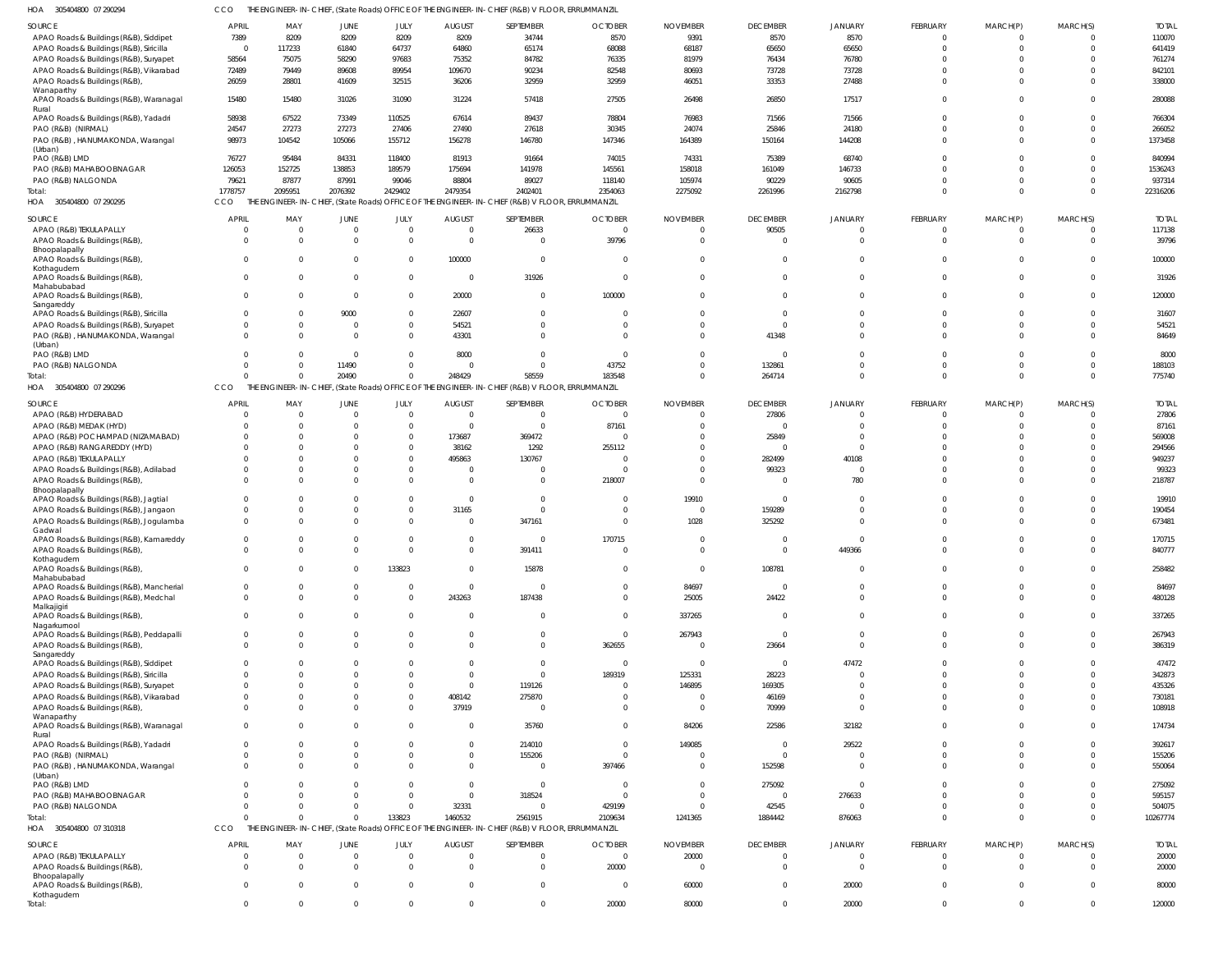| 04800 07 290294 | THE ENGINEER-IN-CHIEF (State Roads) OFFICE OF THE ENGINEER-IN-CHIEF (R&B) V FLOOR ERRIJMMANZIL |  |
|-----------------|------------------------------------------------------------------------------------------------|--|

| HOA 305404800 07 290294                               | CCO                  |                                      |                         |                            |                          | THE ENGINEER-IN-CHIEF, (State Roads) OFFICE OF THE ENGINEER-IN-CHIEF (R&B) V FLOOR, ERRUMMANZIL |                |                    |                 |                      |                      |                      |              |              |
|-------------------------------------------------------|----------------------|--------------------------------------|-------------------------|----------------------------|--------------------------|-------------------------------------------------------------------------------------------------|----------------|--------------------|-----------------|----------------------|----------------------|----------------------|--------------|--------------|
| SOURCE                                                | APRIL                | MAY                                  | <b>JUNE</b>             | JULY                       | <b>AUGUST</b>            | SEPTEMBER                                                                                       | <b>OCTOBER</b> | <b>NOVEMBER</b>    | <b>DECEMBER</b> | JANUARY              | FEBRUARY             | MARCH(P)             | MARCH(S)     | <b>TOTAL</b> |
| APAO Roads & Buildings (R&B), Siddipet                | 7389                 | 8209                                 | 8209                    | 8209                       | 8209                     | 34744                                                                                           | 8570           | 9391               | 8570            | 8570                 | $\Omega$             | $\mathbf 0$          |              | 110070       |
| APAO Roads & Buildings (R&B), Siricilla               | $\Omega$             | 117233                               | 61840                   | 64737                      | 64860                    | 65174                                                                                           | 68088          | 68187              | 65650           | 65650                | $\Omega$             | $\mathbf 0$          | $\Omega$     | 641419       |
| APAO Roads & Buildings (R&B), Suryapet                | 58564                | 75075                                | 58290                   | 97683                      | 75352                    | 84782                                                                                           | 76335          | 81979              | 76434           | 76780                |                      | $\Omega$             |              | 761274       |
| APAO Roads & Buildings (R&B), Vikarabad               | 72489                | 79449                                | 89608                   | 89954                      | 109670                   | 90234                                                                                           | 82548          | 80693              | 73728           | 73728                |                      | $\Omega$             |              | 842101       |
| APAO Roads & Buildings (R&B),                         | 26059                | 28801                                | 41609                   | 32515                      | 36206                    | 32959                                                                                           | 32959          | 46051              | 33353           | 27488                | $\Omega$             | $\Omega$             |              | 338000       |
| Wanaparthy<br>APAO Roads & Buildings (R&B), Waranagal | 15480                | 15480                                | 31026                   | 31090                      | 31224                    | 57418                                                                                           | 27505          | 26498              | 26850           | 17517                | $\Omega$             | $\Omega$             |              | 280088       |
| Rural<br>APAO Roads & Buildings (R&B), Yadadri        | 58938                | 67522                                | 73349                   | 110525                     | 67614                    | 89437                                                                                           | 78804          | 76983              | 71566           | 71566                |                      | $\Omega$             |              | 766304       |
| PAO (R&B) (NIRMAL)                                    | 24547                | 27273                                | 27273                   | 27406                      | 27490                    | 27618                                                                                           | 30345          | 24074              | 25846           | 24180                |                      | $\Omega$             | $\Omega$     | 266052       |
| PAO (R&B), HANUMAKONDA, Warangal                      | 98973                | 104542                               | 105066                  | 155712                     | 156278                   | 146780                                                                                          | 147346         | 164389             | 150164          | 144208               | $\Omega$             | $\Omega$             |              | 1373458      |
| (Urban)                                               |                      |                                      |                         |                            |                          |                                                                                                 |                |                    |                 |                      |                      |                      |              |              |
| PAO (R&B) LMD                                         | 76727                | 95484                                | 84331                   | 118400                     | 81913                    | 91664                                                                                           | 74015          | 74331              | 75389           | 68740                | $\Omega$             | $\Omega$             |              | 840994       |
| PAO (R&B) MAHABOOBNAGAR                               | 126053               | 152725                               | 138853                  | 189579                     | 175694                   | 141978                                                                                          | 145561         | 158018             | 161049          | 146733               |                      | $\Omega$             |              | 1536243      |
| PAO (R&B) NALGONDA                                    | 79621                | 87877                                | 87991                   | 99046                      | 88804                    | 89027                                                                                           | 118140         | 105974             | 90229           | 90605                |                      | $\Omega$             |              | 937314       |
| Total:                                                | 1778757              | 2095951                              | 2076392                 | 2429402                    | 2479354                  | 2402401                                                                                         | 2354063        | 2275092            | 2261996         | 2162798              |                      | $\Omega$             | $\Omega$     | 22316206     |
| HOA 305404800 07 290295                               | <b>CCO</b>           |                                      |                         |                            |                          | THE ENGINEER-IN-CHIEF, (State Roads) OFFICE OF THE ENGINEER-IN-CHIEF (R&B) V FLOOR, ERRUMMANZIL |                |                    |                 |                      |                      |                      |              |              |
| SOURCE                                                | APRIL                | MAY                                  | JUNE                    | <b>JULY</b>                | AUGUST                   | SEPTEMBER                                                                                       | <b>OCTOBER</b> | <b>NOVEMBER</b>    | <b>DECEMBER</b> | JANUARY              | FEBRUARY             | MARCH(P)             | MARCH(S)     | <b>TOTAL</b> |
|                                                       |                      | $\overline{0}$                       | $\overline{0}$          | $\overline{0}$             | $\overline{0}$           | 26633                                                                                           | $\overline{0}$ | $\overline{0}$     | 90505           | $\Omega$             | $\Omega$             | -0                   |              | 117138       |
| APAO (R&B) TEKULAPALLY                                | $\Omega$             | $\overline{0}$                       | $\overline{0}$          |                            |                          | $\Omega$                                                                                        |                | $\Omega$           |                 | $\Omega$             |                      |                      | $\Omega$     | 39796        |
| APAO Roads & Buildings (R&B),<br>Bhoopalapally        |                      |                                      |                         | $\overline{0}$             | $\overline{0}$           |                                                                                                 | 39796          |                    | $\overline{0}$  |                      | $\Omega$             | $\mathbf 0$          |              |              |
| APAO Roads & Buildings (R&B),<br>Kothagudem           | $\Omega$             | $\Omega$                             | $\overline{0}$          | $\mathbf 0$                | 100000                   | $\Omega$                                                                                        | $\overline{0}$ | $\Omega$           | $\overline{0}$  | $\Omega$             |                      | $\Omega$             | 0            | 100000       |
| APAO Roads & Buildings (R&B),<br>Mahabubabad          | $\Omega$             | $\Omega$                             | $\overline{0}$          | $\overline{0}$             | $\overline{0}$           | 31926                                                                                           | $\overline{0}$ | $\Omega$           | $\mathbf 0$     | $\Omega$             | $\Omega$             | $\Omega$             | $\Omega$     | 31926        |
| APAO Roads & Buildings (R&B),<br>Sangareddy           | $\Omega$             | $\Omega$                             | $\overline{0}$          | $\mathbf 0$                | 20000                    | $\Omega$                                                                                        | 100000         | $\Omega$           | $\Omega$        | $\Omega$             |                      | $\Omega$             | $\Omega$     | 120000       |
| APAO Roads & Buildings (R&B), Siricilla               | $\Omega$             | $\Omega$                             | 9000                    | $\overline{0}$             | 22607                    | $\cap$                                                                                          | $\overline{0}$ | $\Omega$           | $\overline{0}$  | $\Omega$             |                      | $\Omega$             | <sup>0</sup> | 31607        |
| APAO Roads & Buildings (R&B), Suryapet                | $\Omega$             | $\overline{0}$                       | $\mathbf 0$             | $\mathbf 0$                | 54521                    |                                                                                                 | $\overline{0}$ | $\Omega$           | $\overline{0}$  | $\Omega$             |                      | $\Omega$             | $\Omega$     | 54521        |
| PAO (R&B), HANUMAKONDA, Warangal<br>(Urban)           | $\Omega$             | $\Omega$                             | $\Omega$                | $\mathbf 0$                | 43301                    | $\Omega$                                                                                        | $\overline{0}$ | $\overline{0}$     | 41348           | $\Omega$             |                      | $\Omega$             | $\Omega$     | 84649        |
| PAO (R&B) LMD                                         | $\Omega$             | $\Omega$                             | $\overline{0}$          | $\overline{0}$             | 8000                     | $\Omega$                                                                                        | $\overline{0}$ | $\overline{0}$     | $\overline{0}$  | $\Omega$             |                      | -0                   |              | 8000         |
| PAO (R&B) NALGONDA                                    | $\Omega$             | $\Omega$                             | 11490                   | $\overline{0}$             | $\overline{0}$           | $\cap$                                                                                          | 43752          | $\overline{0}$     | 132861          | $\Omega$             |                      | $^{\circ}$           | $\Omega$     | 188103       |
| Total:                                                | $\cap$               | $\Omega$                             | 20490                   | $\mathbf 0$                | 248429                   | 58559                                                                                           | 183548         | $\Omega$           | 264714          | $\Omega$             |                      | $\Omega$             | $\Omega$     | 775740       |
| HOA 305404800 07 290296                               | CCO                  |                                      |                         |                            |                          | THE ENGINEER-IN-CHIEF, (State Roads) OFFICE OF THE ENGINEER-IN-CHIEF (R&B) V FLOOR, ERRUMMANZIL |                |                    |                 |                      |                      |                      |              |              |
| SOURCE                                                | APRIL                | MAY                                  | JUNE                    | JULY                       | <b>AUGUST</b>            | SEPTEMBER                                                                                       | <b>OCTOBER</b> | <b>NOVEMBER</b>    | <b>DECEMBER</b> | JANUARY              | FEBRUARY             | MARCH(P)             | MARCH(S)     | <b>TOTAL</b> |
| APAO (R&B) HYDERABAD                                  | $\Omega$             | - 0                                  | $\Omega$                | $\overline{0}$             | $\overline{0}$           | - 0                                                                                             | $\Omega$       | $\Omega$           | 27806           | $\Omega$             |                      | $\Omega$             | <sup>0</sup> | 27806        |
| APAO (R&B) MEDAK (HYD)                                | $\Omega$             | $\Omega$                             | $\Omega$                | $\overline{0}$             | $\overline{0}$           | $\Omega$                                                                                        | 87161          | $\Omega$           | $\Omega$        | $\Omega$             |                      | $\Omega$             |              | 87161        |
| APAO (R&B) POCHAMPAD (NIZAMABAD)                      | $\Omega$             | $\Omega$                             | $\Omega$                | $\overline{0}$             | 173687                   | 369472                                                                                          | $\Omega$       | $\Omega$           | 25849           | $\Omega$             |                      | $\Omega$             |              | 569008       |
| APAO (R&B) RANGAREDDY (HYD)                           |                      | $\Omega$                             | $\Omega$                | $\mathbf 0$                | 38162                    | 1292                                                                                            | 255112         | $\Omega$           | $\Omega$        | $\Omega$             |                      |                      |              | 294566       |
| APAO (R&B) TEKULAPALLY                                |                      | $\Omega$                             | $\Omega$                | $\overline{0}$             | 495863                   | 130767                                                                                          | $\Omega$       | $\Omega$           | 282499          | 40108                |                      | $\Omega$             |              | 949237       |
| APAO Roads & Buildings (R&B), Adilabad                | $\Omega$             | $\Omega$                             | $\Omega$                | $\mathbf 0$                | $\mathbf{0}$             |                                                                                                 | $\overline{0}$ | $\Omega$           | 99323           | $\Omega$             |                      | $\Omega$             |              | 99323        |
| APAO Roads & Buildings (R&B),<br>Bhoopalapally        | $\Omega$             | $\Omega$                             | $\Omega$                | $\Omega$                   | $\Omega$                 |                                                                                                 | 218007         | $\Omega$           | $\Omega$        | 780                  |                      | $\Omega$             |              | 218787       |
| APAO Roads & Buildings (R&B), Jagtial                 | $\Omega$             | $\Omega$                             | $\Omega$                | $\mathbf 0$                | $\mathbf{0}$             |                                                                                                 | $\overline{0}$ | 19910              | $\overline{0}$  | $\Omega$             |                      | $\Omega$             |              | 19910        |
| APAO Roads & Buildings (R&B), Jangaon                 | $\Omega$             | $\Omega$                             | $\Omega$                | $\overline{0}$             | 31165                    |                                                                                                 | $\overline{0}$ | $\Omega$           | 159289          | $\Omega$             |                      | $\Omega$             |              | 190454       |
| APAO Roads & Buildings (R&B), Jogulamba               | $\Omega$             | $\Omega$                             | $\Omega$                | $\Omega$                   | $\overline{0}$           | 347161                                                                                          | $\overline{0}$ | 1028               | 325292          | $\Omega$             |                      | $\Omega$             |              | 673481       |
| Gadwal                                                |                      |                                      |                         |                            |                          |                                                                                                 |                |                    |                 |                      |                      |                      |              |              |
| APAO Roads & Buildings (R&B), Kamareddy               | $\Omega$             | $\Omega$                             | $\Omega$                | 0                          | $\mathbf{0}$             |                                                                                                 | 170715         | $\Omega$           | $\Omega$        | $\Omega$             |                      | $\Omega$             |              | 170715       |
| APAO Roads & Buildings (R&B),                         | $\Omega$             | $\Omega$                             | $\Omega$                | $\Omega$                   | $\Omega$                 | 391411                                                                                          | $\Omega$       | $\Omega$           | $\Omega$        | 449366               |                      | $\Omega$             | $\Omega$     | 840777       |
| Kothagudem                                            |                      |                                      |                         |                            |                          |                                                                                                 |                |                    |                 |                      |                      |                      |              |              |
| APAO Roads & Buildings (R&B),<br>Mahabubabad          | $\Omega$             | $\Omega$                             | $\Omega$                | 133823                     | $\mathbf{0}$             | 15878                                                                                           | $\overline{0}$ | $\Omega$           | 108781          | $\Omega$             |                      | $\Omega$             |              | 258482       |
| APAO Roads & Buildings (R&B), Mancherial              | $\Omega$             | $\overline{0}$                       | $\mathbf 0$             | 0                          | $\mathbf 0$              | - 0                                                                                             | $\overline{0}$ | 84697              | $\overline{0}$  | $\Omega$             |                      | $\Omega$             |              | 84697        |
| APAO Roads & Buildings (R&B), Medchal                 | $\Omega$             | $\Omega$                             | $\Omega$                | $\Omega$                   | 243263                   | 187438                                                                                          | $\overline{0}$ | 25005              | 24422           | $\Omega$             | $\Omega$             | $\Omega$             | $\Omega$     | 480128       |
| Malkajigiri<br>APAO Roads & Buildings (R&B),          | $\Omega$             | $\Omega$                             | $\Omega$                | $\Omega$                   | $\overline{0}$           | $\Omega$                                                                                        | $\overline{0}$ | 337265             | $\overline{0}$  | $\Omega$             | $\Omega$             | $\Omega$             |              | 337265       |
| Nagarkurnool                                          |                      |                                      |                         |                            |                          |                                                                                                 |                |                    |                 |                      |                      |                      |              |              |
| APAO Roads & Buildings (R&B), Peddapalli              | $\Omega$<br>$\Omega$ | $\overline{0}$<br>$\Omega$           | $\mathbf 0$<br>$\Omega$ | $\overline{0}$<br>$\Omega$ | $\mathbf{0}$<br>$\Omega$ | $\Omega$                                                                                        | $\overline{0}$ | 267943<br>$\Omega$ | $\Omega$        | $\Omega$<br>$\Omega$ | $\Omega$<br>$\Omega$ | $\Omega$<br>$\Omega$ | <sup>0</sup> | 267943       |
| APAO Roads & Buildings (R&B),<br>Sangareddy           |                      |                                      |                         |                            |                          |                                                                                                 | 362655         |                    | 23664           |                      |                      |                      |              | 386319       |
| APAO Roads & Buildings (R&B), Siddipet                | $\Omega$             | $\Omega$                             | $\Omega$                | $\Omega$                   | $\Omega$                 | $\Omega$                                                                                        | $\Omega$       | $\Omega$           | $\Omega$        | 47472                |                      | $\Omega$             |              | 47472        |
| APAO Roads & Buildings (R&B), Siricilla               | $\Omega$             | $\Omega$                             | $\Omega$                | $\Omega$                   | $\Omega$                 | $\Omega$                                                                                        | 189319         | 125331             | 28223           | $\Omega$             |                      | $\Omega$             |              | 342873       |
| APAO Roads & Buildings (R&B), Suryapet                | $\Omega$             | $\Omega$                             | $\Omega$                | 0                          | $\mathbf{0}$             | 119126                                                                                          | $\overline{0}$ | 146895             | 169305          | $\Omega$             |                      | $\Omega$             |              | 435326       |
| APAO Roads & Buildings (R&B), Vikarabad               | $\Omega$             | $\Omega$                             | $\Omega$                | $\mathbf 0$                | 408142                   | 275870                                                                                          | $\overline{0}$ | $\Omega$           | 46169           | $\Omega$             |                      | $\Omega$             |              | 730181       |
| APAO Roads & Buildings (R&B),                         | $\Omega$             | $\Omega$                             | $\Omega$                | $\Omega$                   | 37919                    |                                                                                                 | $\overline{0}$ | $\Omega$           | 70999           | $\Omega$             |                      | $\Omega$             |              | 108918       |
| Wanaparthy                                            |                      |                                      |                         |                            |                          |                                                                                                 |                |                    |                 |                      |                      |                      |              |              |
| APAO Roads & Buildings (R&B), Waranagal<br>Rural      | $\Omega$             | $\Omega$                             | $\Omega$                | $\Omega$                   | $\mathbf{0}$             | 35760                                                                                           | $\overline{0}$ | 84206              | 22586           | 32182                |                      | $\Omega$             |              | 174734       |
| APAO Roads & Buildings (R&B), Yadadri                 | $\Omega$             | $\Omega$                             | $\Omega$                | 0                          | $\mathbf{0}$             | 214010                                                                                          | $\overline{0}$ | 149085             | $\overline{0}$  | 29522                |                      | $\Omega$             |              | 392617       |
| PAO (R&B) (NIRMAL)                                    | $\Omega$             | $\overline{0}$                       | $\Omega$                | $\mathbf 0$                | $\mathbf 0$              | 155206                                                                                          | $\overline{0}$ | $\Omega$           | $\overline{0}$  | $\Omega$             |                      | $\Omega$             |              | 155206       |
| PAO (R&B), HANUMAKONDA, Warangal                      | $\Omega$             | $\Omega$                             | $\Omega$                | $\Omega$                   | $\mathbf 0$              |                                                                                                 | 397466         | $\Omega$           | 152598          | $\Omega$             |                      | $\Omega$             |              | 550064       |
| (Urban)                                               |                      |                                      |                         |                            |                          |                                                                                                 |                |                    |                 |                      |                      |                      |              |              |
| PAO (R&B) LMD                                         | $\Omega$             | $\Omega$                             | $\Omega$                | $\mathbf 0$                | $\mathbf{0}$             | $\Omega$                                                                                        | $\overline{0}$ | $\Omega$           | 275092          | $\Omega$             |                      | $\Omega$             |              | 275092       |
| PAO (R&B) MAHABOOBNAGAR                               | $\Omega$             | $\Omega$                             | $\Omega$                | $\overline{0}$             | $\mathbf{0}$             | 318524                                                                                          | $\Omega$       | $\Omega$           | $\Omega$        | 276633               |                      | $\Omega$             |              | 595157       |
| PAO (R&B) NALGONDA                                    | $\Omega$             | $\Omega$                             | $\Omega$                | $\Omega$                   | 32331                    | $\Omega$                                                                                        | 429199         | $\Omega$           | 42545           | $\Omega$             |                      | $\mathbf 0$          |              | 504075       |
| Total:                                                | $\Omega$             | $\Omega$                             | $\Omega$                | 133823                     | 1460532                  | 2561915                                                                                         | 2109634        | 1241365            | 1884442         | 876063               |                      | $\Omega$             | $\Omega$     | 10267774     |
| HOA<br>305404800 07 310318                            | CCO                  | THE ENGINEER-IN-CHIEF, (State Roads) |                         |                            |                          | OFFICE OF THE ENGINEER-IN-CHIEF (R&B) V FLOOR, ERRUMMANZIL                                      |                |                    |                 |                      |                      |                      |              |              |
| SOURCE                                                | <b>APRIL</b>         | MAY                                  | JUNE                    | JULY                       | <b>AUGUST</b>            | SEPTEMBER                                                                                       | <b>OCTOBER</b> | <b>NOVEMBER</b>    | <b>DECEMBER</b> | JANUARY              | FEBRUARY             | MARCH(P)             | MARCH(S)     | <b>TOTAL</b> |
| APAO (R&B) TEKULAPALLY                                | $\Omega$             | $\overline{0}$                       | $\overline{0}$          | 0                          | $\overline{0}$           | $\Omega$                                                                                        | $\overline{0}$ | 20000              | $\overline{0}$  | $\circ$              | 0                    | -0                   | $\Omega$     | 20000        |
| APAO Roads & Buildings (R&B),                         | $\Omega$             | $\overline{0}$                       | $\overline{0}$          | $\overline{0}$             | $\overline{0}$           | $\Omega$                                                                                        | 20000          | $\overline{0}$     | $\overline{0}$  | $\overline{0}$       | $\Omega$             | $\mathbf 0$          | $\Omega$     | 20000        |
| Bhoopalapally                                         |                      |                                      |                         |                            |                          |                                                                                                 |                |                    |                 |                      |                      |                      |              |              |
| APAO Roads & Buildings (R&B),                         | $\Omega$             | $\overline{0}$                       | $\overline{0}$          | $\overline{0}$             | $\overline{0}$           | $\Omega$                                                                                        | $\overline{0}$ | 60000              | $\mathbf 0$     | 20000                | $\Omega$             | $\overline{0}$       | $\mathbf{0}$ | 80000        |
| Kothagudem                                            |                      |                                      |                         |                            |                          |                                                                                                 |                |                    |                 |                      |                      |                      |              |              |
| Total:                                                | $\overline{0}$       | $\overline{0}$                       | $\overline{0}$          | $\mathbf 0$                | $\mathbf 0$              | $\Omega$                                                                                        | 20000          | 80000              | $\mathbf{0}$    | 20000                | $\Omega$             | $\mathbf 0$          | $\mathbf 0$  | 120000       |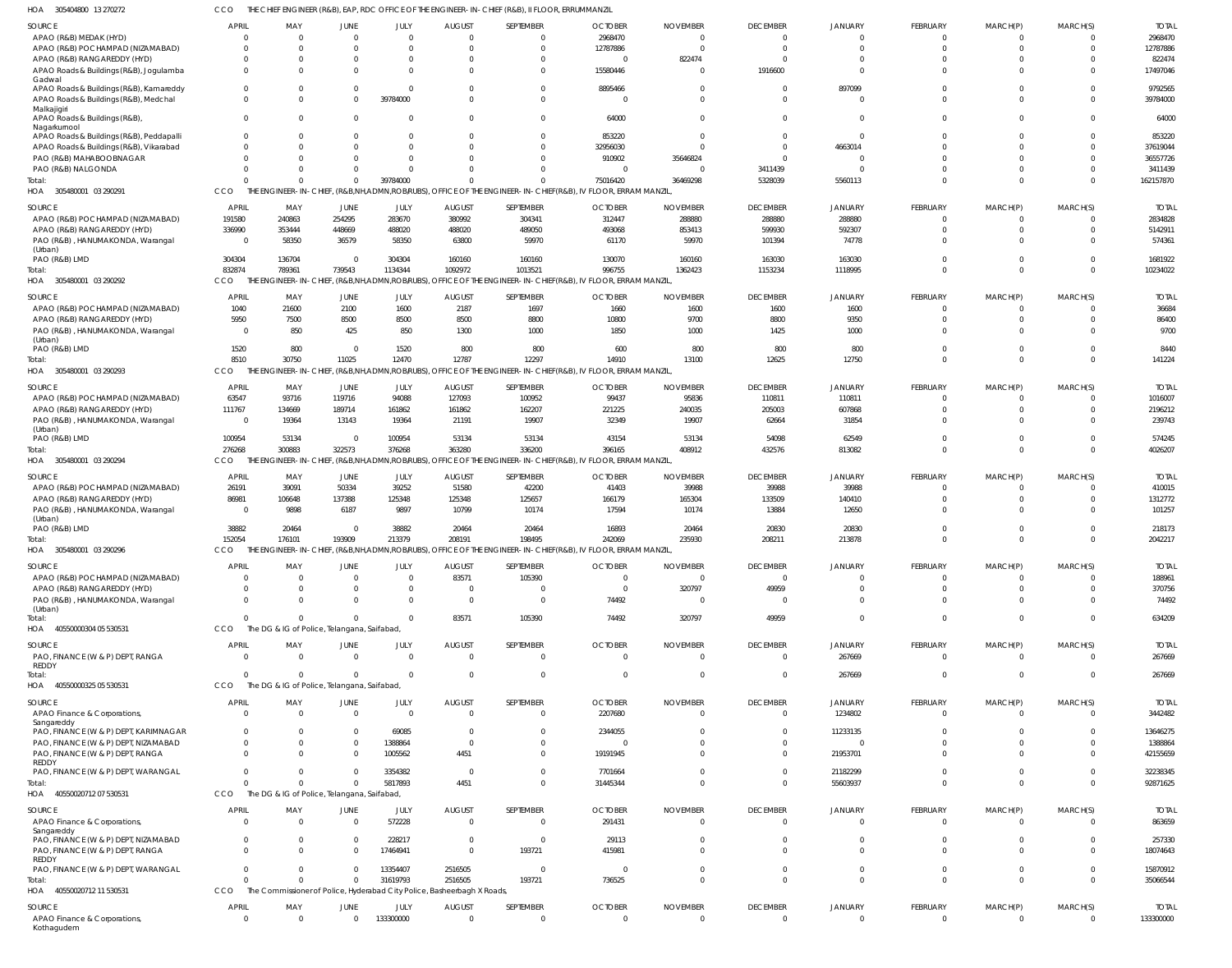305404800 13 270272 HOA CCO THE CHIEF ENGINEER (R&B), EAP, RDC OFFICE OF THE ENGINEER-IN-CHIEF (R&B), II FLOOR, ERRUMMANZIL

| <b>SOURCE</b>                                     | <b>APRIL</b>            | MAY                                                                     | JUNE        | JULY      | <b>AUGUST</b> | SEPTEMBER                                                                                                   | <b>OCTOBER</b> | <b>NOVEMBER</b> | <b>DECEMBER</b> | <b>JANUARY</b> | <b>FEBRUARY</b> | MARCH(P)       | MARCH(S)                | <b>TOTAL</b> |
|---------------------------------------------------|-------------------------|-------------------------------------------------------------------------|-------------|-----------|---------------|-------------------------------------------------------------------------------------------------------------|----------------|-----------------|-----------------|----------------|-----------------|----------------|-------------------------|--------------|
| APAO (R&B) MEDAK (HYD)                            | 0                       | $\Omega$                                                                | $\Omega$    | $\Omega$  | - 0           | $\Omega$                                                                                                    | 2968470        | - 0             | $\Omega$        | $\Omega$       | $\mathbf 0$     | $\mathbf{0}$   | $\Omega$                | 2968470      |
| APAO (R&B) POCHAMPAD (NIZAMABAD)                  | $\Omega$                | $\Omega$                                                                |             | $\Omega$  | $\Omega$      | $\Omega$                                                                                                    | 12787886       | $\sqrt{ }$      | $\Omega$        | $\Omega$       | $\mathbf 0$     | $\mathbf 0$    | $\Omega$                | 12787886     |
| APAO (R&B) RANGAREDDY (HYD)                       | $\Omega$                | $\Omega$                                                                |             | $\Omega$  |               | $\Omega$                                                                                                    | - 0            | 822474          | $\Omega$        |                | $\mathbf{0}$    | $\mathbf 0$    | $\Omega$                | 822474       |
| APAO Roads & Buildings (R&B), Jogulamba<br>Gadwal | $\Omega$                | $\Omega$                                                                |             | $\Omega$  | $\Omega$      | $\Omega$                                                                                                    | 15580446       | - 0             | 1916600         | $\Omega$       | $\Omega$        | $\Omega$       | $\Omega$                | 17497046     |
| APAO Roads & Buildings (R&B), Kamareddy           | $\mathbf 0$             | $\Omega$                                                                | $\Omega$    |           | - 0           | $\overline{0}$                                                                                              | 8895466        |                 | $\Omega$        | 897099         | $\mathbf{0}$    | $^{\circ}$     | $\overline{0}$          | 9792565      |
| APAO Roads & Buildings (R&B), Medchal             | $\Omega$                | $\Omega$                                                                | $\Omega$    | 39784000  | $\Omega$      | $\Omega$                                                                                                    | $\sqrt{ }$     |                 | $\Omega$        |                | $\Omega$        | $\Omega$       | $\Omega$                | 39784000     |
| Malkajigiri                                       |                         |                                                                         |             |           |               |                                                                                                             |                |                 |                 |                |                 |                |                         |              |
| APAO Roads & Buildings (R&B)                      | $\Omega$                | $\Omega$                                                                | $\Omega$    |           |               | $\Omega$                                                                                                    | 64000          |                 |                 |                | $\Omega$        | $\Omega$       | $\Omega$                | 64000        |
| Nagarkurnool                                      |                         |                                                                         |             |           |               |                                                                                                             |                |                 |                 |                |                 |                |                         |              |
| APAO Roads & Buildings (R&B), Peddapalli          | $\Omega$                | $\Omega$                                                                |             |           |               | $\Omega$                                                                                                    | 853220         |                 | $\Omega$        | $\Omega$       | $\Omega$        | $\Omega$       | $\Omega$                | 853220       |
| APAO Roads & Buildings (R&B), Vikarabad           | $\Omega$                | $\Omega$                                                                |             | $\Omega$  |               | $\overline{0}$                                                                                              | 32956030       |                 | $\Omega$        | 4663014        | $\Omega$        | $\Omega$       | $\Omega$                | 37619044     |
| PAO (R&B) MAHABOOBNAGAR                           | $\Omega$                | $\Omega$                                                                |             |           |               | $\Omega$                                                                                                    | 910902         | 35646824        |                 |                | $\Omega$        | $\Omega$       | $\Omega$                | 36557726     |
| PAO (R&B) NALGONDA                                | $\Omega$                | $\Omega$                                                                | $\Omega$    |           |               | $\Omega$                                                                                                    |                | - 0             | 3411439         |                | $\mathbf 0$     | $\mathbf 0$    | $\Omega$                | 3411439      |
| Total:                                            | $\Omega$                | $\Omega$                                                                | $\Omega$    | 39784000  |               | $\Omega$                                                                                                    | 75016420       | 36469298        | 5328039         | 5560113        | $\Omega$        | $\Omega$       | $\Omega$                | 162157870    |
| HOA 305480001 03 290291                           | CCO                     |                                                                         |             |           |               | THE ENGINEER-IN-CHIEF, (R&B,NH,ADMN,ROB/RUBS), OFFICE OF THE ENGINEER-IN-CHIEF(R&B), IV FLOOR, ERRAM MANZIL |                |                 |                 |                |                 |                |                         |              |
|                                                   |                         |                                                                         |             |           |               |                                                                                                             |                |                 |                 |                |                 |                |                         |              |
| <b>SOURCE</b>                                     | <b>APRIL</b>            | MAY                                                                     | JUNE        | JULY      | <b>AUGUST</b> | SEPTEMBER                                                                                                   | <b>OCTOBER</b> | <b>NOVEMBER</b> | <b>DECEMBER</b> | <b>JANUARY</b> | FEBRUARY        | MARCH(P)       | MARCH(S)                | <b>TOTAL</b> |
| APAO (R&B) POCHAMPAD (NIZAMABAD)                  | 191580                  | 240863                                                                  | 254295      | 283670    | 380992        | 304341                                                                                                      | 312447         | 288880          | 288880          | 288880         | $\mathbf{0}$    | $\mathbf{0}$   | $\Omega$                | 2834828      |
| APAO (R&B) RANGAREDDY (HYD)                       | 336990                  | 353444                                                                  | 448669      | 488020    | 488020        | 489050                                                                                                      | 493068         | 853413          | 599930          | 592307         | $\mathbf 0$     | $\mathbf 0$    | $\Omega$                | 5142911      |
| PAO (R&B), HANUMAKONDA, Warangal                  | - 0                     | 58350                                                                   | 36579       | 58350     | 63800         | 59970                                                                                                       | 61170          | 59970           | 101394          | 74778          | $\Omega$        | $\Omega$       | $\Omega$                | 574361       |
| (Urban)                                           |                         |                                                                         |             |           |               |                                                                                                             |                |                 |                 |                |                 |                |                         |              |
| PAO (R&B) LMD                                     | 304304                  | 136704                                                                  | $\Omega$    | 304304    | 160160        | 160160                                                                                                      | 130070         | 160160          | 163030          | 163030         | $\mathbf{0}$    | $\mathbf 0$    | $\Omega$                | 1681922      |
| Total:                                            | 832874                  | 789361                                                                  | 739543      | 1134344   | 1092972       | 1013521                                                                                                     | 996755         | 1362423         | 1153234         | 1118995        | $\Omega$        | $\Omega$       | $\Omega$                | 10234022     |
| HOA 305480001 03 290292                           | CCO                     | THE ENGINEER-IN-CHIEF, (R&B,NH,ADMN,ROBRUBS),                           |             |           |               | OFFICE OF THE ENGINEER-IN-CHIEF(R&B), IV FLOOR, ERRAM MANZIL                                                |                |                 |                 |                |                 |                |                         |              |
| <b>SOURCE</b>                                     | <b>APRIL</b>            | MAY                                                                     | JUNE        | JULY      | <b>AUGUST</b> | SEPTEMBER                                                                                                   | <b>OCTOBER</b> | <b>NOVEMBER</b> | <b>DECEMBER</b> | <b>JANUARY</b> | <b>FEBRUARY</b> | MARCH(P)       | MARCH(S)                | <b>TOTAL</b> |
| APAO (R&B) POCHAMPAD (NIZAMABAD)                  | 1040                    | 21600                                                                   | 2100        | 1600      | 2187          | 1697                                                                                                        | 1660           | 1600            | 1600            | 1600           | $\mathbf{0}$    | $\mathbf{0}$   | $\Omega$                | 36684        |
| APAO (R&B) RANGAREDDY (HYD)                       | 5950                    | 7500                                                                    | 8500        | 8500      | 8500          | 8800                                                                                                        | 10800          | 9700            | 8800            | 9350           | $\mathbf 0$     | $\mathbf 0$    | $\Omega$                | 86400        |
|                                                   | $\overline{0}$          |                                                                         |             | 850       | 1300          |                                                                                                             | 1850           |                 |                 | 1000           | $\Omega$        | $\Omega$       | $\Omega$                | 9700         |
| PAO (R&B), HANUMAKONDA, Warangal<br>(Urban)       |                         | 850                                                                     | 425         |           |               | 1000                                                                                                        |                | 1000            | 1425            |                |                 |                |                         |              |
| PAO (R&B) LMD                                     | 1520                    | 800                                                                     | $\Omega$    | 1520      | 800           | 800                                                                                                         | 600            | 800             | 800             | 800            | $\mathbf{0}$    | $\mathbf 0$    | $\Omega$                | 8440         |
| Total:                                            | 8510                    | 30750                                                                   | 11025       | 12470     | 12787         | 12297                                                                                                       | 14910          | 13100           | 12625           | 12750          | $\Omega$        | $\Omega$       | $\Omega$                | 141224       |
| HOA 305480001 03 290293                           | <b>CCO</b>              |                                                                         |             |           |               | THE ENGINEER-IN-CHIEF, (R&B,NH,ADMN,ROB/RUBS), OFFICE OF THE ENGINEER-IN-CHIEF(R&B), IV FLOOR, ERRAM MANZIL |                |                 |                 |                |                 |                |                         |              |
|                                                   |                         |                                                                         |             |           |               |                                                                                                             |                |                 |                 |                |                 |                |                         |              |
| <b>SOURCE</b>                                     | <b>APRIL</b>            | MAY                                                                     | <b>JUNE</b> | JULY      | <b>AUGUST</b> | SEPTEMBER                                                                                                   | <b>OCTOBER</b> | <b>NOVEMBER</b> | <b>DECEMBER</b> | <b>JANUARY</b> | <b>FEBRUARY</b> | MARCH(P)       | MARCH(S)                | <b>TOTAL</b> |
| APAO (R&B) POCHAMPAD (NIZAMABAD)                  | 63547                   | 93716                                                                   | 119716      | 94088     | 127093        | 100952                                                                                                      | 99437          | 95836           | 110811          | 110811         | $\overline{0}$  | 0              | $\Omega$                | 1016007      |
| APAO (R&B) RANGAREDDY (HYD)                       | 111767                  | 134669                                                                  | 189714      | 161862    | 161862        | 162207                                                                                                      | 221225         | 240035          | 205003          | 607868         | $\Omega$        | $\mathbf{0}$   | $\Omega$                | 2196212      |
| PAO (R&B), HANUMAKONDA, Warangal                  | $\overline{\mathbf{0}}$ | 19364                                                                   | 13143       | 19364     | 21191         | 19907                                                                                                       | 32349          | 19907           | 62664           | 31854          | $\Omega$        | $\Omega$       | $\Omega$                | 239743       |
| (Urban)                                           |                         |                                                                         |             |           |               |                                                                                                             |                |                 |                 |                |                 |                |                         |              |
| PAO (R&B) LMD                                     | 100954                  | 53134                                                                   | $\Omega$    | 100954    | 53134         | 53134                                                                                                       | 43154          | 53134           | 54098           | 62549          | $\Omega$        | $\mathbf{0}$   | $\Omega$                | 574245       |
| Total:                                            | 276268                  | 300883                                                                  | 322573      | 376268    | 363280        | 336200                                                                                                      | 396165         | 408912          | 432576          | 813082         | $\Omega$        | $\mathbf{0}$   | $\Omega$                | 4026207      |
| HOA 305480001 03 290294                           | CCO                     |                                                                         |             |           |               | THE ENGINEER-IN-CHIEF, (R&B,NH,ADMN,ROB/RUBS), OFFICE OF THE ENGINEER-IN-CHIEF(R&B), IV FLOOR, ERRAM MANZIL |                |                 |                 |                |                 |                |                         |              |
|                                                   |                         |                                                                         |             |           |               |                                                                                                             |                |                 |                 |                |                 |                |                         |              |
| <b>SOURCE</b>                                     | <b>APRIL</b>            | MAY                                                                     | JUNE        | JULY      | <b>AUGUST</b> | SEPTEMBER                                                                                                   | <b>OCTOBER</b> | <b>NOVEMBER</b> | <b>DECEMBER</b> | <b>JANUARY</b> | <b>FEBRUARY</b> | MARCH(P)       | MARCH(S)                | <b>TOTAL</b> |
| APAO (R&B) POCHAMPAD (NIZAMABAD)                  | 26191                   | 39091                                                                   | 50334       | 39252     | 51580         | 42200                                                                                                       | 41403          | 39988           | 39988           | 39988          | $\mathbf{0}$    | $\Omega$       | $\Omega$                | 410015       |
| APAO (R&B) RANGAREDDY (HYD)                       | 86981                   | 106648                                                                  | 137388      | 125348    | 125348        | 125657                                                                                                      | 166179         | 165304          | 133509          | 140410         | $\mathbf{0}$    | $\mathbf{0}$   | $\Omega$                | 1312772      |
| PAO (R&B), HANUMAKONDA, Warangal                  | - 0                     | 9898                                                                    | 6187        | 9897      | 10799         | 10174                                                                                                       | 17594          | 10174           | 13884           | 12650          | $\mathbf 0$     | $\Omega$       | $\Omega$                | 101257       |
| (Urban)                                           |                         |                                                                         |             |           |               |                                                                                                             |                |                 |                 |                |                 |                |                         |              |
| PAO (R&B) LMD                                     | 38882                   | 20464                                                                   | - 0         | 38882     | 20464         | 20464                                                                                                       | 16893          | 20464           | 20830           | 20830          | 0               | $\mathbf{0}$   | $\Omega$                | 218173       |
| Total:                                            | 152054                  | 176101                                                                  | 193909      | 213379    | 208191        | 198495                                                                                                      | 242069         | 235930          | 208211          | 213878         | $\mathbf 0$     | $\Omega$       | $\Omega$                | 2042217      |
| HOA 305480001 03 290296                           | CCO                     |                                                                         |             |           |               | THE ENGINEER-IN-CHIEF, (R&B,NH,ADMN,ROB/RUBS), OFFICE OF THE ENGINEER-IN-CHIEF(R&B), IV FLOOR, ERRAM MANZIL |                |                 |                 |                |                 |                |                         |              |
| <b>SOURCE</b>                                     | APRIL                   | MAY                                                                     | JUNE        | JULY      | <b>AUGUST</b> | SEPTEMBER                                                                                                   | <b>OCTOBER</b> | <b>NOVEMBER</b> | <b>DECEMBER</b> | JANUARY        | FEBRUARY        | MARCH(P)       | MARCH(S)                | <b>TOTAL</b> |
| APAO (R&B) POCHAMPAD (NIZAMABAD)                  | - 0                     | $\Omega$                                                                |             | $\Omega$  | 83571         | 105390                                                                                                      | $\Omega$       | - 0             | $\Omega$        | $\Omega$       | $\mathbf{0}$    | $\mathbf{0}$   | - 0                     | 188961       |
| APAO (R&B) RANGAREDDY (HYD)                       | $\Omega$                | $\Omega$                                                                |             | $\Omega$  | - 0           | $\overline{0}$                                                                                              | $\Omega$       | 320797          | 49959           |                | $\mathbf{0}$    | $\mathbf{0}$   | $\Omega$                | 370756       |
|                                                   | $\Omega$                |                                                                         |             | $\Omega$  |               |                                                                                                             |                |                 |                 |                | $\Omega$        |                | $\Omega$                | 74492        |
| PAO (R&B), HANUMAKONDA, Warangal<br>(Urban)       |                         | $\Omega$                                                                |             |           | - 0           | $\overline{0}$                                                                                              | 74492          | - 0             | $\Omega$        | $\Omega$       |                 | $\Omega$       |                         |              |
| Total:                                            | $\Omega$                | $\Omega$                                                                | $\Omega$    | $\Omega$  | 83571         | 105390                                                                                                      | 74492          | 320797          | 49959           | $\Omega$       | $\mathbf{0}$    | $\mathbf{0}$   | $\Omega$                | 634209       |
| HOA 40550000304 05 530531                         | CCO                     | The DG & IG of Police, Telangana, Saifabad,                             |             |           |               |                                                                                                             |                |                 |                 |                |                 |                |                         |              |
|                                                   |                         |                                                                         |             |           |               |                                                                                                             |                |                 |                 |                |                 |                |                         |              |
| <b>SOURCE</b>                                     | <b>APRIL</b>            | MAY                                                                     | JUNE        | JULY      | <b>AUGUST</b> | SEPTEMBER                                                                                                   | <b>OCTOBER</b> | <b>NOVEMBER</b> | <b>DECEMBER</b> | <b>JANUARY</b> | FEBRUARY        | MARCH(P)       | MARCH(S)                | <b>TOTAL</b> |
| PAO, FINANCE (W & P) DEPT, RANGA                  | $\Omega$                | $\Omega$                                                                | $\Omega$    | $\Omega$  | $\Omega$      | $\overline{0}$                                                                                              | $\Omega$       | $\Omega$        | $\overline{0}$  | 267669         | $\overline{0}$  | $\overline{0}$ | $\Omega$                | 267669       |
| <b>REDDY</b>                                      |                         |                                                                         |             |           |               |                                                                                                             |                |                 |                 |                |                 |                |                         |              |
| Total:                                            | $\Omega$                | $\Omega$                                                                | $\Omega$    | $\Omega$  | $\Omega$      | $\overline{0}$                                                                                              | $\Omega$       | - 0             | $\Omega$        | 267669         | $\mathbf{0}$    | $\overline{0}$ | $\overline{0}$          | 267669       |
| HOA 40550000325 05 530531                         | CCO                     | The DG & IG of Police, Telangana, Saifabad,                             |             |           |               |                                                                                                             |                |                 |                 |                |                 |                |                         |              |
| <b>SOURCE</b>                                     | <b>APRIL</b>            | MAY                                                                     | JUNE        | JULY      | <b>AUGUST</b> | SEPTEMBER                                                                                                   | <b>OCTOBER</b> | <b>NOVEMBER</b> | <b>DECEMBER</b> | <b>JANUARY</b> | FEBRUARY        | MARCH(P)       | MARCH(S)                | <b>TOTAL</b> |
| APAO Finance & Corporations,                      | $\Omega$                | $\Omega$                                                                | $\Omega$    | $\Omega$  | $\Omega$      | $\overline{0}$                                                                                              | 2207680        | - 0             | $\mathbf 0$     | 1234802        | $\overline{0}$  | $\overline{0}$ | $\overline{0}$          | 3442482      |
| Sangareddy                                        |                         |                                                                         |             |           |               |                                                                                                             |                |                 |                 |                |                 |                |                         |              |
| PAO, FINANCE (W & P) DEPT, KARIMNAGAR             | $\overline{0}$          | $\Omega$                                                                | $\Omega$    | 69085     | $\Omega$      | $\Omega$                                                                                                    | 2344055        |                 | $\Omega$        | 11233135       | $\mathbf 0$     | $\mathbf 0$    | $\Omega$                | 13646275     |
| PAO, FINANCE (W & P) DEPT, NIZAMABAD              | $\overline{0}$          | $^{\circ}$                                                              | $\Omega$    | 1388864   | $\Omega$      | $\overline{0}$                                                                                              | - C            |                 | $\mathbf 0$     | $\Omega$       | $\overline{0}$  | $\mathbf 0$    | $\overline{0}$          | 1388864      |
| PAO, FINANCE (W & P) DEPT, RANGA                  | $\Omega$                | $\Omega$                                                                |             | 1005562   | 4451          | $\overline{0}$                                                                                              | 19191945       |                 | $\Omega$        | 21953701       | $\mathbf{0}$    | $\mathbf 0$    | $\Omega$                | 42155659     |
| REDDY                                             |                         |                                                                         |             |           |               |                                                                                                             |                |                 |                 |                |                 |                |                         |              |
| PAO, FINANCE (W & P) DEPT, WARANGAL               | $\overline{0}$          | 0                                                                       | $\Omega$    | 3354382   | - 0           | $\overline{0}$                                                                                              | 7701664        |                 | $\Omega$        | 21182299       | $\mathbf{0}$    | $\mathbf{0}$   | $\Omega$                | 32238345     |
| Total:                                            | $\Omega$                | $\Omega$                                                                | $\cap$      | 5817893   | 4451          | $\overline{0}$                                                                                              | 31445344       |                 | $\Omega$        | 55603937       | $\overline{0}$  | $\overline{0}$ | $\overline{0}$          | 92871625     |
| HOA 40550020712 07 530531                         | CCO                     | The DG & IG of Police, Telangana, Saifabad,                             |             |           |               |                                                                                                             |                |                 |                 |                |                 |                |                         |              |
|                                                   |                         |                                                                         |             |           |               |                                                                                                             |                |                 |                 |                |                 |                |                         |              |
| <b>SOURCE</b>                                     | <b>APRIL</b>            | MAY                                                                     | JUNE        | JULY      | <b>AUGUST</b> | SEPTEMBER                                                                                                   | <b>OCTOBER</b> | <b>NOVEMBER</b> | <b>DECEMBER</b> | <b>JANUARY</b> | FEBRUARY        | MARCH(P)       | MARCH(S)                | <b>TOTAL</b> |
| APAO Finance & Corporations                       | $\Omega$                | $\Omega$                                                                | $\Omega$    | 572228    | $\Omega$      | $\overline{0}$                                                                                              | 291431         | $\Omega$        | $\Omega$        | $\Omega$       | $\overline{0}$  | $\overline{0}$ | $\overline{\mathbf{0}}$ | 863659       |
| Sangareddy                                        |                         |                                                                         |             |           |               |                                                                                                             |                |                 |                 |                |                 |                |                         |              |
| PAO, FINANCE (W & P) DEPT, NIZAMABAD              | $\overline{0}$          | $\Omega$                                                                | $\Omega$    | 228217    | - 0           | $\overline{0}$                                                                                              | 29113          |                 | $\Omega$        | $\Omega$       | $\mathbf 0$     | $\mathbf 0$    | $\Omega$                | 257330       |
| PAO, FINANCE (W & P) DEPT, RANGA                  | $\Omega$                | $\Omega$                                                                | $\Omega$    | 17464941  | $\Omega$      | 193721                                                                                                      | 415981         |                 | $\Omega$        | $\Omega$       | $\Omega$        | $\Omega$       | $\Omega$                | 18074643     |
| REDDY                                             | $\overline{0}$          | $\Omega$                                                                | $\Omega$    | 13354407  |               | $\overline{0}$                                                                                              |                |                 | $\Omega$        | $\mathbf{0}$   | $\mathbf 0$     | $\mathbf{0}$   | $\overline{0}$          |              |
| PAO, FINANCE (W & P) DEPT, WARANGAL               |                         |                                                                         |             |           | 2516505       |                                                                                                             | - 0            |                 |                 |                |                 |                |                         | 15870912     |
| Total:                                            | $\Omega$                | $\Omega$                                                                | $\Omega$    | 31619793  | 2516505       | 193721                                                                                                      | 736525         |                 | $\Omega$        | $\Omega$       | $\Omega$        | $\mathbf 0$    | $\Omega$                | 35066544     |
| HOA 40550020712 11 530531                         | CCO                     | The Commissioner of Police, Hyderabad City Police, Basheerbagh X Roads, |             |           |               |                                                                                                             |                |                 |                 |                |                 |                |                         |              |
| <b>SOURCE</b>                                     | <b>APRIL</b>            | MAY                                                                     | JUNE        | JULY      | <b>AUGUST</b> | SEPTEMBER                                                                                                   | <b>OCTOBER</b> | <b>NOVEMBER</b> | <b>DECEMBER</b> | <b>JANUARY</b> | <b>FEBRUARY</b> | MARCH(P)       | MARCH(S)                | <b>TOTAL</b> |
| APAO Finance & Corporations,                      | $\overline{0}$          | - 0                                                                     |             | 133300000 | - 0           | $\overline{0}$                                                                                              | $\Omega$       | - 0             | $\overline{0}$  | $\mathbf{0}$   | $\overline{0}$  | $\overline{0}$ | $\overline{\mathbf{0}}$ | 133300000    |
| Kothagudem                                        |                         |                                                                         |             |           |               |                                                                                                             |                |                 |                 |                |                 |                |                         |              |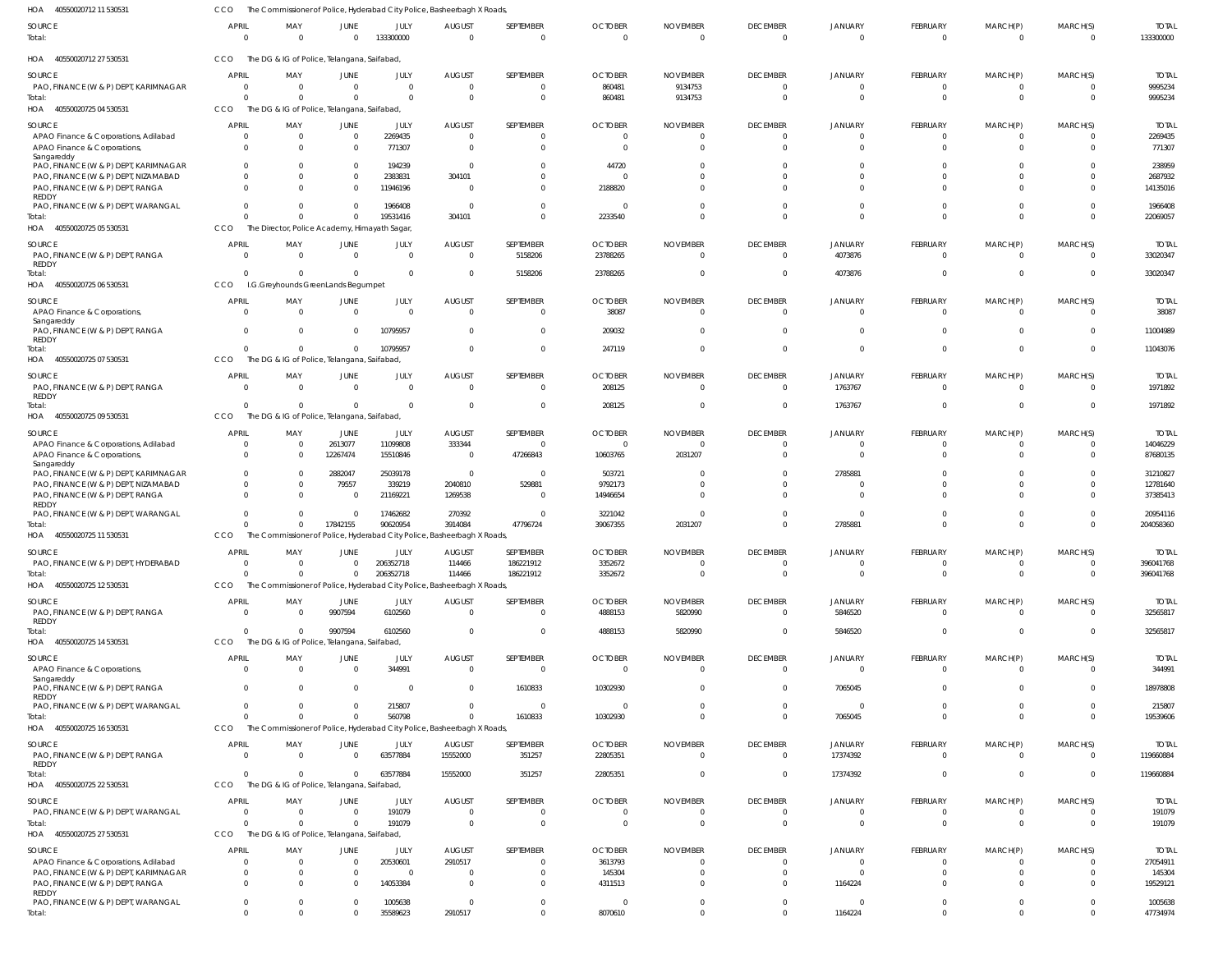| 40550020712 11 530531<br>HOA                                                   | <b>CCO</b>               | The Commissioner of Police, Hyderabad City Police, Basheerbagh X Roads, |                        |                            |                           |                              |                            |                             |                                   |                                  |                                |                                |                                  |                           |
|--------------------------------------------------------------------------------|--------------------------|-------------------------------------------------------------------------|------------------------|----------------------------|---------------------------|------------------------------|----------------------------|-----------------------------|-----------------------------------|----------------------------------|--------------------------------|--------------------------------|----------------------------------|---------------------------|
| SOURCE<br>Total:                                                               | <b>APRIL</b><br>$\Omega$ | MAY<br>$\Omega$                                                         | JUNE<br>$\Omega$       | JULY<br>133300000          | <b>AUGUST</b><br>$\cap$   | SEPTEMBER<br>$\mathbf 0$     | <b>OCTOBER</b><br>$\Omega$ | <b>NOVEMBER</b><br>$\Omega$ | <b>DECEMBER</b><br>$\overline{0}$ | JANUARY<br>$\Omega$              | FEBRUARY<br>$\mathbf 0$        | MARCH(P)<br>$\Omega$           | MARCH(S)<br>$\overline{0}$       | <b>TOTAL</b><br>133300000 |
| HOA 40550020712 27 530531                                                      | CCO                      | The DG & IG of Police, Telangana, Saifabad                              |                        |                            |                           |                              |                            |                             |                                   |                                  |                                |                                |                                  |                           |
| <b>SOURCE</b>                                                                  | <b>APRIL</b>             | MAY                                                                     | JUNE                   | <b>JULY</b>                | <b>AUGUST</b>             | SEPTEMBER                    | <b>OCTOBER</b>             | <b>NOVEMBER</b>             | <b>DECEMBER</b>                   | <b>JANUARY</b>                   | <b>FEBRUARY</b>                | MARCH(P)                       | MARCH(S)                         | <b>TOTAL</b>              |
| PAO, FINANCE (W & P) DEPT, KARIMNAGAR                                          | 0<br>$\Omega$            | $\overline{0}$<br>$\Omega$                                              | $\Omega$<br>$\Omega$   | $\overline{0}$<br>$\Omega$ | - 0                       | $\mathbf{0}$<br>$\mathbf{0}$ | 860481<br>860481           | 9134753<br>9134753          | $\overline{0}$<br>$\Omega$        | $\Omega$<br>$\Omega$             | $\overline{0}$<br>$\mathbf{0}$ | 0<br>$\mathbf{0}$              | $\overline{0}$<br>$\overline{0}$ | 9995234<br>9995234        |
| Total:<br>HOA 40550020725 04 530531                                            | CCO                      | The DG & IG of Police, Telangana, Saifabad,                             |                        |                            |                           |                              |                            |                             |                                   |                                  |                                |                                |                                  |                           |
| <b>SOURCE</b>                                                                  | <b>APRIL</b>             | MAY                                                                     | JUNE                   | JULY                       | <b>AUGUST</b>             | SEPTEMBER                    | <b>OCTOBER</b>             | <b>NOVEMBER</b>             | <b>DECEMBER</b>                   | JANUARY                          | FEBRUARY                       | MARCH(P)                       | MARCH(S)                         | <b>TOTAL</b>              |
| APAO Finance & Corporations, Adilabad                                          | $\Omega$                 | $\overline{0}$                                                          | $\Omega$               | 2269435                    | - 0                       | $\mathbf{0}$                 | - 0                        | $\Omega$                    | $\overline{0}$                    | $\Omega$                         | 0                              | 0                              | $\overline{0}$                   | 2269435                   |
| APAO Finance & Corporations,<br>Sangareddy                                     | $\Omega$                 | $\Omega$                                                                | $\Omega$               | 771307                     | $\Omega$                  | $\mathbf 0$                  | - 0                        | $\cup$                      | $\Omega$                          | $\Omega$                         | $\Omega$                       | $\mathbf 0$                    | $\Omega$                         | 771307                    |
| PAO, FINANCE (W & P) DEPT, KARIMNAGAR                                          |                          | 0<br>$\Omega$                                                           | $\Omega$               | 194239                     | $\Omega$                  | $\Omega$                     | 44720                      |                             |                                   |                                  | $\Omega$                       |                                | $\Omega$                         | 238959                    |
| PAO, FINANCE (W & P) DEPT, NIZAMABAD<br>PAO, FINANCE (W & P) DEPT, RANGA       | $\Omega$<br>$\Omega$     | $\Omega$<br>$\Omega$                                                    | $\Omega$<br>$\Omega$   | 2383831<br>11946196        | 304101<br>$\Omega$        | $\Omega$<br>$\Omega$         | 2188820                    |                             | $\Omega$                          |                                  | $\Omega$<br>$\Omega$           | $\Omega$<br>$\Omega$           | $\Omega$<br>$\Omega$             | 2687932<br>14135016       |
| REDDY                                                                          |                          |                                                                         |                        |                            |                           |                              |                            |                             |                                   |                                  |                                |                                |                                  |                           |
| PAO, FINANCE (W & P) DEPT, WARANGAL<br>Total:                                  | $\Omega$                 | $\Omega$<br>$\Omega$<br>$\Omega$                                        | $\Omega$<br>$\Omega$   | 1966408<br>19531416        | - 0<br>304101             | $\Omega$<br>$\mathbf{0}$     | - 0<br>2233540             |                             | $\Omega$<br>$\Omega$              | $\Omega$<br>$\Omega$             | $\Omega$<br>$\Omega$           | $\Omega$<br>$\Omega$           | $\overline{0}$<br>$\mathbf{0}$   | 1966408<br>22069057       |
| HOA 40550020725 05 530531                                                      | CCO                      | The Director, Police Academy, Himayath Sagar                            |                        |                            |                           |                              |                            |                             |                                   |                                  |                                |                                |                                  |                           |
| <b>SOURCE</b>                                                                  | <b>APRIL</b>             | MAY                                                                     | JUNE                   | JULY                       | <b>AUGUST</b>             | SEPTEMBER                    | <b>OCTOBER</b>             | <b>NOVEMBER</b>             | <b>DECEMBER</b>                   | <b>JANUARY</b>                   | FEBRUARY                       | MARCH(P)                       | MARCH(S)                         | <b>TOTAL</b>              |
| PAO, FINANCE (W & P) DEPT, RANGA                                               | $\Omega$                 | $\Omega$                                                                | $\Omega$               | $\overline{0}$             | $\Omega$                  | 5158206                      | 23788265                   |                             | $\overline{0}$                    | 4073876                          | $\mathbf{0}$                   | $\overline{0}$                 | $\overline{0}$                   | 33020347                  |
| REDDY<br>Total:                                                                | $\Omega$                 | $\overline{0}$                                                          | $\Omega$               | $\overline{0}$             | $\Omega$                  | 5158206                      | 23788265                   |                             | $\Omega$                          | 4073876                          | $\overline{0}$                 | $\overline{0}$                 | $\overline{0}$                   | 33020347                  |
| HOA<br>40550020725 06 530531                                                   | CCO                      | I.G.Greyhounds GreenLands Begumpet                                      |                        |                            |                           |                              |                            |                             |                                   |                                  |                                |                                |                                  |                           |
| <b>SOURCE</b>                                                                  | <b>APRIL</b>             | MAY                                                                     | JUNE                   | JULY                       | <b>AUGUST</b>             | SEPTEMBER                    | <b>OCTOBER</b>             | <b>NOVEMBER</b>             | <b>DECEMBER</b>                   | <b>JANUARY</b>                   | FEBRUARY                       | MARCH(P)                       | MARCH(S)                         | <b>TOTAL</b>              |
| APAO Finance & Corporations,<br>Sangareddy                                     | $\Omega$                 | $\Omega$                                                                | $\Omega$               | $\Omega$                   | $\Omega$                  | $\overline{0}$               | 38087                      | -0                          | $\Omega$                          | $\Omega$                         | $\overline{0}$                 | $\overline{0}$                 | $\overline{0}$                   | 38087                     |
| PAO, FINANCE (W & P) DEPT, RANGA                                               | $\Omega$                 | $\Omega$                                                                | $\Omega$               | 10795957                   | $\Omega$                  | $\mathbf{0}$                 | 209032                     |                             | $\Omega$                          | $\Omega$                         | $\Omega$                       | $\Omega$                       | $\overline{0}$                   | 11004989                  |
| REDDY<br>Total:                                                                | $\Omega$                 | $\Omega$                                                                | $\Omega$               | 10795957                   | $\Omega$                  | $\mathbf 0$                  | 247119                     |                             | $\Omega$                          | $\Omega$                         | $\mathbf{0}$                   | $\mathbf{0}$                   | $\Omega$                         | 11043076                  |
| HOA 40550020725 07 530531                                                      | CCO                      | The DG & IG of Police, Telangana, Saifabad                              |                        |                            |                           |                              |                            |                             |                                   |                                  |                                |                                |                                  |                           |
| <b>SOURCE</b>                                                                  | <b>APRIL</b>             | MAY                                                                     | JUNE                   | JULY                       | <b>AUGUST</b>             | SEPTEMBER                    | <b>OCTOBER</b>             | <b>NOVEMBER</b>             | <b>DECEMBER</b>                   | <b>JANUARY</b>                   | FEBRUARY                       | MARCH(P)                       | MARCH(S)                         | <b>TOTAL</b>              |
| PAO, FINANCE (W & P) DEPT, RANGA<br>REDDY                                      | $\Omega$                 | - 0                                                                     | $\Omega$               | $\overline{0}$             | $\Omega$                  | $\mathbf{0}$                 | 208125                     |                             | $\overline{0}$                    | 1763767                          | $\mathbf{0}$                   | $\overline{0}$                 | $\overline{0}$                   | 1971892                   |
| Total:                                                                         | $\Omega$                 | $\overline{0}$                                                          | $\Omega$               | $\Omega$                   | - 0                       | $\mathbf 0$                  | 208125                     |                             | $\overline{0}$                    | 1763767                          | $\overline{0}$                 | $\overline{0}$                 | $\overline{0}$                   | 1971892                   |
| HOA<br>40550020725 09 530531                                                   | CCO                      | The DG & IG of Police, Telangana, Saifabad,                             |                        |                            |                           |                              |                            |                             |                                   |                                  |                                |                                |                                  |                           |
| <b>SOURCE</b>                                                                  | <b>APRIL</b>             | MAY                                                                     | JUNE                   | JULY                       | <b>AUGUST</b>             | SEPTEMBER                    | <b>OCTOBER</b>             | <b>NOVEMBER</b>             | <b>DECEMBER</b>                   | <b>JANUARY</b>                   | FEBRUARY                       | MARCH(P)                       | MARCH(S)                         | <b>TOTAL</b>              |
| APAO Finance & Corporations, Adilabad<br>APAO Finance & Corporations,          | 0<br>$\Omega$            | $\overline{0}$<br>- 0                                                   | 2613077<br>12267474    | 11099808<br>15510846       | 333344<br>$\Omega$        | 0<br>47266843                | - 0<br>10603765            | $\Omega$<br>2031207         | $^{\circ}$<br>$\Omega$            | $\Omega$<br>$\Omega$             | 0<br>$\Omega$                  | 0<br>$\Omega$                  | $\overline{0}$<br>$\Omega$       | 14046229<br>87680135      |
| Sangareddy                                                                     |                          |                                                                         |                        |                            |                           |                              |                            |                             |                                   |                                  |                                |                                |                                  |                           |
| PAO, FINANCE (W & P) DEPT, KARIMNAGAR<br>PAO, FINANCE (W & P) DEPT, NIZAMABAD  | $\Omega$                 | $\Omega$<br>$\Omega$                                                    | 2882047<br>79557       | 25039178<br>339219         | $\Omega$<br>2040810       | $\overline{0}$<br>529881     | 503721<br>9792173          |                             | $\Omega$                          | 2785881<br>$\Omega$              | $\Omega$<br>$\Omega$           | $\Omega$                       | $\Omega$<br>$\Omega$             | 31210827<br>12781640      |
| PAO, FINANCE (W & P) DEPT, RANGA                                               |                          | <sup>0</sup><br>$\Omega$                                                | $\Omega$               | 21169221                   | 1269538                   | $\mathbf{0}$                 | 14946654                   |                             |                                   |                                  | $\Omega$                       | $\Omega$                       | $\Omega$                         | 37385413                  |
| REDDY<br>PAO, FINANCE (W & P) DEPT, WARANGAL                                   |                          | <sup>0</sup><br>$\Omega$                                                | $\Omega$               | 17462682                   | 270392                    | $\Omega$                     | 3221042                    |                             | $\Omega$                          | $\Omega$                         | $\Omega$                       | $\Omega$                       | $\overline{0}$                   | 20954116                  |
| Total:                                                                         |                          | $\Omega$                                                                | 17842155               | 90620954                   | 3914084                   | 47796724                     | 39067355                   | 2031207                     | $\Omega$                          | 2785881                          | $\Omega$                       | $\Omega$                       | $\Omega$                         | 204058360                 |
| HOA 40550020725 11 530531                                                      | <b>CCO</b>               | The Commissioner of Police, Hyderabad City Police, Basheerbagh X Roads  |                        |                            |                           |                              |                            |                             |                                   |                                  |                                |                                |                                  |                           |
| SOURCE                                                                         | <b>APRIL</b>             | MAY                                                                     | JUNE                   | JULY                       | <b>AUGUST</b>             | SEPTEMBER                    | <b>OCTOBER</b>             | NOVEMBER                    | <b>DECEMBER</b>                   | <b>JANUARY</b>                   | <b>FEBRUARY</b>                | MARCH(P)                       | MARCH(S)                         | <b>TOTAL</b>              |
| PAO, FINANCE (W & P) DEPT, HYDERABAD<br>Total:                                 | 0<br>$\Omega$            | $\Omega$<br>$\Omega$                                                    | $\Omega$<br>$\Omega$   | 206352718<br>206352718     | 114466<br>114466          | 186221912<br>186221912       | 3352672<br>3352672         |                             | $\Omega$<br>$\overline{0}$        | $\overline{0}$<br>$\overline{0}$ | $^{\circ}$<br>$\overline{0}$   | $\overline{0}$<br>$\mathbf{0}$ | $\overline{0}$<br>$\overline{0}$ | 396041768<br>396041768    |
| HOA 40550020725 12 530531                                                      | CCO                      | The Commissioner of Police, Hyderabad City Police, Basheerbagh X Roads, |                        |                            |                           |                              |                            |                             |                                   |                                  |                                |                                |                                  |                           |
| SOURCE                                                                         | <b>APRIL</b>             | MAY                                                                     | JUNE                   | JULY                       | <b>AUGUST</b>             | SEPTEMBER                    | <b>OCTOBER</b>             | <b>NOVEMBER</b>             | <b>DECEMBER</b>                   | <b>JANUARY</b>                   | FEBRUARY                       | MARCH(P)                       | MARCH(S)                         | <b>TOTAL</b>              |
| PAO, FINANCE (W & P) DEPT, RANGA                                               | $\Omega$                 | $\Omega$                                                                | 9907594                | 6102560                    | $\Omega$                  | $\mathbf{0}$                 | 4888153                    | 5820990                     | $^{\circ}$                        | 5846520                          | $\Omega$                       | 0                              | $\overline{0}$                   | 32565817                  |
| REDDY<br>Total:                                                                | $\Omega$                 | $\Omega$                                                                | 9907594                | 6102560                    | $\Omega$                  | $\mathbf{0}$                 | 4888153                    | 5820990                     | $\overline{0}$                    | 5846520                          | $\overline{0}$                 | $\overline{0}$                 | $\overline{0}$                   | 32565817                  |
| HOA 40550020725 14 530531                                                      | CCO                      | The DG & IG of Police, Telangana, Saifabad,                             |                        |                            |                           |                              |                            |                             |                                   |                                  |                                |                                |                                  |                           |
| <b>SOURCE</b>                                                                  | <b>APRIL</b>             | MAY                                                                     | JUNE                   | JULY                       | <b>AUGUST</b>             | SEPTEMBER                    | <b>OCTOBER</b>             | <b>NOVEMBER</b>             | <b>DECEMBER</b>                   | JANUARY                          | FEBRUARY                       | MARCH(P)                       | MARCH(S)                         | <b>TOTAL</b>              |
| APAO Finance & Corporations,<br>Sangareddy                                     | $\overline{0}$           | $\Omega$                                                                | $\Omega$               | 344991                     | $\overline{0}$            | $\overline{0}$               | $\Omega$                   | $\Omega$                    | $\overline{0}$                    | $\overline{0}$                   | $\mathbf 0$                    | $\mathbf 0$                    | $\overline{0}$                   | 344991                    |
| PAO, FINANCE (W & P) DEPT, RANGA                                               | $\mathbf{0}$             | $\Omega$                                                                | $\Omega$               | $\overline{0}$             | $\Omega$                  | 1610833                      | 10302930                   |                             | $\Omega$                          | 7065045                          | $\overline{0}$                 | $\overline{0}$                 | $\Omega$                         | 18978808                  |
| REDDY<br>PAO, FINANCE (W & P) DEPT, WARANGAL                                   | $\mathbf{0}$             | $\Omega$                                                                | $\Omega$               | 215807                     | $\Omega$                  | $\overline{0}$               |                            |                             | $\Omega$                          | $\overline{0}$                   | $\overline{0}$                 | $\overline{0}$                 | $\Omega$                         | 215807                    |
| Total:                                                                         | $\Omega$                 | $\Omega$                                                                | $\Omega$               | 560798                     |                           | 1610833                      | 10302930                   |                             | $\overline{0}$                    | 7065045                          | $\mathbf{0}$                   | $\mathbf{0}$                   | $\overline{0}$                   | 19539606                  |
| HOA 40550020725 16 530531                                                      | CCO                      | The Commissioner of Police, Hyderabad City Police, Basheerbagh X Roads, |                        |                            |                           |                              |                            |                             |                                   |                                  |                                |                                |                                  |                           |
| SOURCE<br>PAO, FINANCE (W & P) DEPT, RANGA                                     | <b>APRIL</b><br>$\Omega$ | MAY<br>$\Omega$                                                         | JUNE<br>$\Omega$       | JULY<br>63577884           | <b>AUGUST</b><br>15552000 | SEPTEMBER<br>351257          | <b>OCTOBER</b><br>22805351 | <b>NOVEMBER</b><br>$\Omega$ | <b>DECEMBER</b><br>$\overline{0}$ | JANUARY<br>17374392              | FEBRUARY<br>$\Omega$           | MARCH(P)<br>$\Omega$           | MARCH(S)<br>$\overline{0}$       | <b>TOTAL</b><br>119660884 |
| REDDY                                                                          |                          |                                                                         |                        |                            |                           |                              |                            |                             |                                   |                                  |                                |                                |                                  |                           |
| Total:<br>HOA 40550020725 22 530531                                            | $\Omega$<br>CCO          | $\Omega$<br>The DG & IG of Police, Telangana, Saifabad,                 | $\Omega$               | 63577884                   | 15552000                  | 351257                       | 22805351                   |                             | $\overline{0}$                    | 17374392                         | $\overline{0}$                 | $\overline{0}$                 | $\overline{0}$                   | 119660884                 |
|                                                                                | <b>APRIL</b>             | MAY                                                                     |                        | JULY                       |                           | SEPTEMBER                    | <b>OCTOBER</b>             | <b>NOVEMBER</b>             |                                   |                                  | <b>FEBRUARY</b>                | MARCH(P)                       | MARCH(S)                         | <b>TOTAL</b>              |
| SOURCE<br>PAO, FINANCE (W & P) DEPT, WARANGAL                                  | $\overline{0}$           | $\overline{0}$                                                          | JUNE<br>$\overline{0}$ | 191079                     | <b>AUGUST</b><br>- 0      | $\mathbf{0}$                 |                            |                             | <b>DECEMBER</b><br>$\overline{0}$ | JANUARY<br>$^{\circ}$            | $\mathbf 0$                    | 0                              | $\overline{0}$                   | 191079                    |
| Total:                                                                         | $\Omega$                 | $\Omega$                                                                | $\Omega$               | 191079                     | $\Omega$                  | $\mathbf{0}$                 | $\Omega$                   |                             | $\overline{0}$                    | $\Omega$                         | $\mathbf 0$                    | $\mathbf 0$                    | $\overline{0}$                   | 191079                    |
| HOA 40550020725 27 530531                                                      | CCO                      | The DG & IG of Police, Telangana, Saifabad,                             |                        |                            |                           |                              |                            |                             |                                   |                                  |                                |                                |                                  |                           |
| SOURCE                                                                         | <b>APRIL</b>             | MAY                                                                     | JUNE<br>$\Omega$       | JULY                       | <b>AUGUST</b>             | SEPTEMBER                    | <b>OCTOBER</b>             | <b>NOVEMBER</b>             | <b>DECEMBER</b>                   | JANUARY<br>$\Omega$              | FEBRUARY                       | MARCH(P)                       | MARCH(S)                         | <b>TOTAL</b>              |
| APAO Finance & Corporations, Adilabad<br>PAO, FINANCE (W & P) DEPT, KARIMNAGAR | $\Omega$<br>$\mathbf{0}$ | - 0<br>$\Omega$                                                         | $\Omega$               | 20530601<br>$\Omega$       | 2910517<br>- 0            | $\mathbf{0}$<br>$\mathbf{0}$ | 3613793<br>145304          |                             | $\Omega$<br>$\Omega$              | $\Omega$                         | $\Omega$<br>$\Omega$           | $\Omega$<br>$\mathbf 0$        | $\overline{0}$<br>$\overline{0}$ | 27054911<br>145304        |
| PAO, FINANCE (W & P) DEPT, RANGA                                               | $\Omega$                 | $\Omega$                                                                | $\Omega$               | 14053384                   | $\Omega$                  | $\Omega$                     | 4311513                    |                             | $\Omega$                          | 1164224                          | $\Omega$                       | $\Omega$                       | $\Omega$                         | 19529121                  |
| REDDY<br>PAO, FINANCE (W & P) DEPT, WARANGAL                                   | $\mathbf{0}$             | $\Omega$                                                                | $\Omega$               | 1005638                    | $\Omega$                  | $\mathbf{0}$                 | - 0                        |                             | $^{\circ}$                        | $\Omega$                         | $\mathbf{0}$                   | $\mathbf{0}$                   | $\overline{0}$                   | 1005638                   |
| Total:                                                                         | $\mathbf{0}$             | $\Omega$                                                                | $\Omega$               | 35589623                   | 2910517                   | $\mathbf{0}$                 | 8070610                    |                             | $\overline{0}$                    | 1164224                          | $\mathbf 0$                    | $\Omega$                       | $\mathbf{0}$                     | 47734974                  |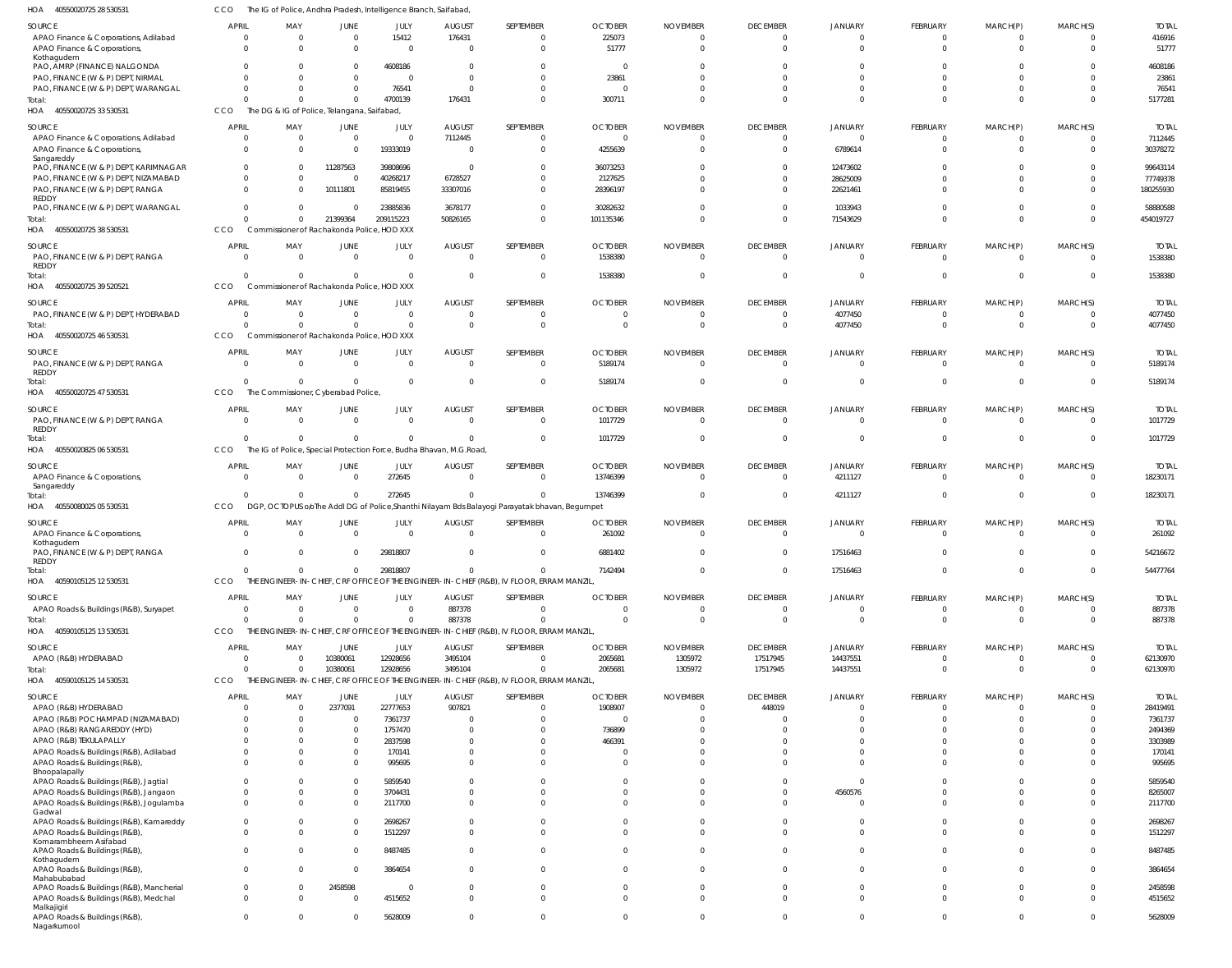| HOA<br>40550020725 28 530531                                                           | ссо          | The IG of Police, Andhra Pradesh, Intelligence Branch, Saifabad,                                  |                              |                            |                                     |                                                                                                           |                                   |                              |                                               |                                 |                                         |                                          |                                        |                                 |
|----------------------------------------------------------------------------------------|--------------|---------------------------------------------------------------------------------------------------|------------------------------|----------------------------|-------------------------------------|-----------------------------------------------------------------------------------------------------------|-----------------------------------|------------------------------|-----------------------------------------------|---------------------------------|-----------------------------------------|------------------------------------------|----------------------------------------|---------------------------------|
| <b>SOURCE</b><br>APAO Finance & Corporations, Adilabad<br>APAO Finance & Corporations, | <b>APRIL</b> | MAY<br>$\overline{0}$<br>0<br>$\Omega$<br>$\Omega$                                                | JUNE<br>$\Omega$<br>$\Omega$ | JULY<br>15412<br>$\Omega$  | <b>AUGUST</b><br>176431<br>$\Omega$ | SEPTEMBER<br>$\mathbf{0}$<br>$\mathbf 0$                                                                  | <b>OCTOBER</b><br>225073<br>51777 | <b>NOVEMBER</b><br>- 0<br>-C | <b>DECEMBER</b><br>$\overline{0}$<br>$\Omega$ | JANUARY<br>$\Omega$<br>$\Omega$ | FEBRUARY<br>$\mathbf 0$<br>$\mathbf{0}$ | MARCH(P)<br>$\mathbf{0}$<br>$\mathbf{0}$ | MARCH(S)<br>$\overline{0}$<br>$\Omega$ | <b>TOTAL</b><br>416916<br>51777 |
| Kothagudem<br>PAO, AMRP (FINANCE) NALGONDA                                             |              | 0                                                                                                 | $\Omega$                     | 4608186                    |                                     | $\Omega$                                                                                                  | - 0                               |                              |                                               |                                 | 0                                       | 0                                        | $\Omega$                               | 4608186                         |
| PAO, FINANCE (W & P) DEPT, NIRMAL                                                      |              | $\Omega$                                                                                          | $\Omega$                     | $\Omega$                   | $\cap$                              | $\Omega$                                                                                                  | 23861                             |                              | $\Omega$                                      | $\Omega$                        | $\Omega$                                | $\Omega$                                 | $\Omega$                               | 23861                           |
| PAO, FINANCE (W & P) DEPT, WARANGAL                                                    |              | $\Omega$                                                                                          | $\Omega$                     | 76541                      | $\Omega$                            | $\Omega$                                                                                                  | - 0                               |                              |                                               | $\Omega$                        | $\mathbf 0$                             | $\mathbf 0$                              | $\overline{0}$                         | 76541                           |
| Total:<br>HOA<br>40550020725 33 530531                                                 | CCO          | $\Omega$<br>The DG & IG of Police, Telangana, Saifabad,                                           | $\Omega$                     | 4700139                    | 176431                              | $\Omega$                                                                                                  | 300711                            |                              | $\Omega$                                      | $\Omega$                        | $\Omega$                                | $\Omega$                                 | $\Omega$                               | 5177281                         |
| <b>SOURCE</b>                                                                          | <b>APRIL</b> | MAY                                                                                               | JUNE                         | JULY                       | <b>AUGUST</b>                       | SEPTEMBER                                                                                                 | <b>OCTOBER</b>                    | <b>NOVEMBER</b>              | <b>DECEMBER</b>                               | JANUARY                         | FEBRUARY                                | MARCH(P)                                 | MARCH(S)                               | <b>TOTAL</b>                    |
| APAO Finance & Corporations, Adilabad<br>APAO Finance & Corporations,                  |              | $\overline{0}$<br>$\overline{0}$<br>$\Omega$<br>$\Omega$                                          | $\Omega$<br>$\Omega$         | $\Omega$<br>19333019       | 7112445<br>$\sqrt{ }$               | $\mathbf{0}$<br>$\mathbf{0}$                                                                              | $\Omega$<br>4255639               |                              | $\Omega$<br>$\Omega$                          | $\Omega$<br>6789614             | $\overline{0}$<br>$\mathbf{0}$          | $\overline{0}$<br>$\overline{0}$         | $\Omega$<br>$\Omega$                   | 7112445<br>30378272             |
| Sangareddy<br>PAO, FINANCE (W & P) DEPT, KARIMNAGAR                                    |              | $\Omega$<br>0                                                                                     | 11287563                     | 39808696                   | - 0                                 | $\Omega$                                                                                                  | 36073253                          |                              | $\Omega$                                      | 12473602                        | $\Omega$                                | $\Omega$                                 | $\Omega$                               | 99643114                        |
| PAO, FINANCE (W & P) DEPT, NIZAMABAD                                                   |              | $\Omega$<br>$\Omega$                                                                              | $\Omega$                     | 40268217                   | 6728527                             | $\mathbf{0}$                                                                                              | 2127625                           |                              | $\Omega$                                      | 28625009                        | $\mathbf 0$                             | $\Omega$                                 | $\Omega$                               | 77749378                        |
| PAO, FINANCE (W & P) DEPT, RANGA<br><b>REDDY</b>                                       |              | $\Omega$<br>0                                                                                     | 10111801                     | 85819455                   | 33307016                            | $\Omega$                                                                                                  | 28396197                          |                              | $\Omega$                                      | 22621461                        | $\Omega$                                | $\Omega$                                 | $\Omega$                               | 180255930                       |
| PAO, FINANCE (W & P) DEPT, WARANGAL<br>Total                                           |              | $\Omega$<br>$\Omega$<br>$\Omega$<br>$\Omega$                                                      | $\Omega$<br>21399364         | 23885836<br>209115223      | 3678177<br>50826165                 | $\Omega$<br>$\Omega$                                                                                      | 30282632<br>101135346             |                              | $\Omega$<br>$\Omega$                          | 1033943<br>71543629             | $\mathbf 0$<br>$\mathbf 0$              | $\mathbf 0$<br>$\mathbf{0}$              | $\overline{0}$<br>$\overline{0}$       | 58880588<br>454019727           |
| HOA<br>40550020725 38 530531                                                           | CCO          | Commissioner of Rachakonda Police, HOD XXX                                                        |                              |                            |                                     |                                                                                                           |                                   |                              |                                               |                                 |                                         |                                          |                                        |                                 |
| <b>SOURCE</b>                                                                          | <b>APRIL</b> | MAY                                                                                               | JUNE                         | JULY                       | <b>AUGUST</b>                       | SEPTEMBER                                                                                                 | <b>OCTOBER</b>                    | <b>NOVEMBER</b>              | <b>DECEMBER</b>                               | JANUARY                         | FEBRUARY                                | MARCH(P)                                 | MARCH(S)                               | <b>TOTAL</b>                    |
| PAO, FINANCE (W & P) DEPT, RANGA<br>REDDY<br>Total:                                    |              | $\Omega$<br>$\Omega$<br>$\Omega$<br>$\Omega$                                                      | $\Omega$<br>$\Omega$         | $\overline{0}$<br>$\Omega$ | $\Omega$<br>- 0                     | $\mathbf{0}$<br>$\mathbf 0$                                                                               | 1538380<br>1538380                | $\Omega$                     | $\Omega$<br>$\Omega$                          | $\Omega$<br>$\Omega$            | $\overline{0}$<br>$\overline{0}$        | $\overline{0}$<br>$\mathbf{0}$           | $\overline{0}$<br>$\overline{0}$       | 1538380<br>1538380              |
| HOA<br>40550020725 39 520521                                                           | CCO          | Commissioner of Rachakonda Police, HOD XXX                                                        |                              |                            |                                     |                                                                                                           |                                   |                              |                                               |                                 |                                         |                                          |                                        |                                 |
| <b>SOURCE</b>                                                                          | <b>APRIL</b> | MAY                                                                                               | JUNE                         | JULY                       | <b>AUGUST</b>                       | SEPTEMBER                                                                                                 | <b>OCTOBER</b>                    | <b>NOVEMBER</b>              | <b>DECEMBER</b>                               | JANUARY                         | FEBRUARY                                | MARCH(P)                                 | MARCH(S)                               | <b>TOTAL</b>                    |
| PAO, FINANCE (W & P) DEPT, HYDERABAD                                                   |              | $\overline{0}$<br>$\overline{0}$                                                                  | $\Omega$                     | $\overline{0}$             | $\Omega$                            | $\mathbf{0}$                                                                                              | $\sqrt{ }$                        |                              | $\Omega$                                      | 4077450                         | $\overline{0}$                          | $\overline{0}$                           | $\overline{0}$                         | 4077450                         |
| Total:<br>40550020725 46 530531<br>HOA                                                 | CCO          | $\Omega$<br>$\Omega$<br>Commissioner of Rachakonda Police, HOD XXX                                | $\Omega$                     | $\overline{0}$             | $\Omega$                            | $\mathbf 0$                                                                                               |                                   |                              | $\Omega$                                      | 4077450                         | $\mathbf{0}$                            | $\overline{0}$                           | $\Omega$                               | 4077450                         |
| <b>SOURCE</b>                                                                          | <b>APRIL</b> | MAY                                                                                               | JUNE                         | JULY                       | <b>AUGUST</b>                       | SEPTEMBER                                                                                                 | <b>OCTOBER</b>                    | <b>NOVEMBER</b>              | <b>DECEMBER</b>                               | JANUARY                         | FEBRUARY                                | MARCH(P)                                 | MARCH(S)                               | <b>TOTAL</b>                    |
| PAO, FINANCE (W & P) DEPT, RANGA                                                       |              | $\Omega$<br>$\Omega$                                                                              | $\Omega$                     | $\Omega$                   | $\Omega$                            | $\mathbf{0}$                                                                                              | 5189174                           | $\Omega$                     | $\Omega$                                      | $\Omega$                        | $\overline{0}$                          | $\overline{0}$                           | $\Omega$                               | 5189174                         |
| REDDY<br>Total:                                                                        |              | $\Omega$<br>$\Omega$                                                                              | $\Omega$                     | $\Omega$                   | $\Omega$                            | $\mathbf{0}$                                                                                              | 5189174                           |                              | $\Omega$                                      | $\Omega$                        | $\mathbf{0}$                            | $\overline{0}$                           | $\overline{0}$                         | 5189174                         |
| 40550020725 47 530531<br>HOA                                                           | <b>CCO</b>   | The Commissioner, Cyberabad Police,                                                               |                              |                            |                                     |                                                                                                           |                                   |                              |                                               |                                 |                                         |                                          |                                        |                                 |
| <b>SOURCE</b>                                                                          | <b>APRIL</b> | MAY<br>$\Omega$<br>$\Omega$                                                                       | JUNE                         | JULY                       | <b>AUGUST</b><br>$\Omega$           | SEPTEMBER                                                                                                 | <b>OCTOBER</b>                    | <b>NOVEMBER</b>              | <b>DECEMBER</b><br>$\Omega$                   | <b>JANUARY</b><br>$\Omega$      | FEBRUARY                                | MARCH(P)                                 | MARCH(S)<br>$\Omega$                   | <b>TOTAL</b>                    |
| PAO, FINANCE (W & P) DEPT, RANGA<br>REDDY                                              |              |                                                                                                   | $\Omega$                     | $\overline{0}$             |                                     | $\overline{0}$                                                                                            | 1017729                           |                              |                                               |                                 | $\overline{0}$                          | $\overline{0}$                           |                                        | 1017729                         |
| Total:<br>HOA<br>40550020825 06 530531                                                 | CCO          | $\Omega$<br>$\overline{0}$<br>The IG of Police, Special Protection Force, Budha Bhavan, M.G.Road, | $\Omega$                     | $\overline{0}$             | $\Omega$                            | $\mathbf 0$                                                                                               | 1017729                           |                              | $\Omega$                                      | $\Omega$                        | $\overline{0}$                          | $\overline{0}$                           | $\overline{0}$                         | 1017729                         |
| <b>SOURCE</b>                                                                          | <b>APRIL</b> | MAY                                                                                               | JUNE                         | JULY                       | <b>AUGUST</b>                       | SEPTEMBER                                                                                                 | <b>OCTOBER</b>                    | <b>NOVEMBER</b>              | <b>DECEMBER</b>                               | JANUARY                         | FEBRUARY                                | MARCH(P)                                 | MARCH(S)                               | <b>TOTAL</b>                    |
| APAO Finance & Corporations,                                                           |              | $\Omega$<br>$\Omega$                                                                              | $\Omega$                     | 272645                     | $\Omega$                            | $\mathbf{0}$                                                                                              | 13746399                          | - 0                          | $\Omega$                                      | 4211127                         | $\overline{0}$                          | $\overline{0}$                           | $\overline{0}$                         | 18230171                        |
| Sangareddy<br>Total:                                                                   |              | $\Omega$<br>$\Omega$                                                                              | $\Omega$                     | 272645                     |                                     | $\Omega$                                                                                                  | 13746399                          |                              | $\Omega$                                      | 4211127                         | $\overline{0}$                          | $\overline{0}$                           | $\Omega$                               | 18230171                        |
| 40550080025 05 530531<br>HOA                                                           | CCO          | <b>DGP</b>                                                                                        |                              |                            |                                     | OCTOPUS oloThe Addl DG of Police, Shanthi Nilayam Bds Balayogi Parayatak bhavan, Begumpet                 |                                   |                              |                                               |                                 |                                         |                                          |                                        |                                 |
| <b>SOURCE</b>                                                                          | <b>APRIL</b> | MAY                                                                                               | JUNE                         | JULY                       | <b>AUGUST</b>                       | SEPTEMBER                                                                                                 | <b>OCTOBER</b>                    | <b>NOVEMBER</b>              | <b>DECEMBER</b>                               | JANUARY                         | FEBRUARY                                | MARCH(P)                                 | MARCH(S)                               | <b>TOTAL</b>                    |
| APAO Finance & Corporations,<br>Kothagudem                                             |              | $\Omega$<br>$\Omega$                                                                              | $\Omega$                     | $\Omega$                   | $\Omega$                            | $\mathbf{0}$                                                                                              | 261092                            |                              | $\Omega$                                      | $\Omega$                        | $\overline{0}$                          | $\mathbf{0}$                             | $\Omega$                               | 261092                          |
| PAO, FINANCE (W & P) DEPT, RANGA                                                       |              | $\Omega$<br>$\Omega$                                                                              | $\cap$                       | 29818807                   | $\cap$                              | $\Omega$                                                                                                  | 6881402                           |                              | $\cap$                                        | 17516463                        | $\Omega$                                | $\Omega$                                 | $\Omega$                               | 54216672                        |
| REDDY<br>Total:                                                                        |              | $\mathbf 0$<br>$\overline{0}$                                                                     | $\Omega$                     | 29818807                   | $\Omega$                            | $\mathbf 0$                                                                                               | 7142494                           |                              | $\overline{0}$                                | 17516463                        | $\mathbf 0$                             | $\mathbf{0}$                             | $\overline{0}$                         | 54477764                        |
| HOA<br>40590105125 12 530531                                                           | CCO          |                                                                                                   |                              |                            |                                     | THE ENGINEER-IN-CHIEF, CRF OFFICE OF THE ENGINEER-IN-CHIEF (R&B), IV FLOOR, ERRAM MANZIL                  |                                   |                              |                                               |                                 |                                         |                                          |                                        |                                 |
| SOURCE                                                                                 | <b>APRIL</b> | MAY                                                                                               | <b>JUNE</b>                  | JULY                       | <b>AUGUST</b>                       | SEPTEMBER                                                                                                 | <b>OCTOBER</b>                    | <b>NOVEMBER</b>              | <b>DECEMBER</b>                               | <b>JANUARY</b>                  | <b>FEBRUARY</b>                         | MARCH(P)                                 | MARCH(S)                               | <b>TOTAL</b>                    |
| APAO Roads & Buildings (R&B), Suryapet<br>Total                                        |              | $\mathbf{0}$<br>$\Omega$<br>$\Omega$<br>$\Omega$                                                  | $\Omega$<br>$\Omega$         | $\Omega$<br>$\Omega$       | 887378<br>887378                    | $\mathbf{0}$<br>$\Omega$                                                                                  | $\Omega$<br>$\Omega$              | $\Omega$<br>$\Omega$         | $\overline{0}$<br>$\Omega$                    | $\overline{0}$<br>$\Omega$      | $\overline{0}$<br>$\Omega$              | $\overline{0}$<br>$\Omega$               | $\overline{0}$<br>$\overline{0}$       | 887378<br>887378                |
| HOA<br>40590105125 13 530531                                                           | CCO          |                                                                                                   |                              |                            |                                     | THE ENGINEER-IN-CHIEF, CRF OFFICE OF THE ENGINEER-IN-CHIEF (R&B), IV FLOOR, ERRAM MANZIL,                 |                                   |                              |                                               |                                 |                                         |                                          |                                        |                                 |
| SOURCE                                                                                 | <b>APRIL</b> | MAY                                                                                               | JUNE                         | JULY                       | <b>AUGUST</b>                       | SEPTEMBER                                                                                                 | <b>OCTOBER</b>                    | <b>NOVEMBER</b>              | <b>DECEMBER</b>                               | <b>JANUARY</b>                  | <b>FEBRUARY</b>                         | MARCH(P)                                 | MARCH(S)                               | <b>TOTAL</b>                    |
| APAO (R&B) HYDERABAD                                                                   |              | $\mathbf 0$<br>$\overline{0}$                                                                     | 10380061                     | 12928656                   | 3495104                             | $\mathbf 0$                                                                                               | 2065681                           | 1305972                      | 17517945                                      | 14437551                        | $\mathbf{0}$                            | $\mathbf 0$                              | $\overline{0}$                         | 62130970                        |
| Total:<br>HOA 40590105125 14 530531                                                    | CCO          | $\Omega$<br>- 0                                                                                   | 10380061                     | 12928656                   | 3495104                             | $\mathbf{0}$<br>THE ENGINEER-IN-CHIEF, CRF OFFICE OF THE ENGINEER-IN-CHIEF (R&B), IV FLOOR, ERRAM MANZIL, | 2065681                           | 1305972                      | 17517945                                      | 14437551                        | $\mathbf{0}$                            | $\overline{0}$                           | $\overline{0}$                         | 62130970                        |
| SOURCE                                                                                 | <b>APRIL</b> | MAY                                                                                               | JUNE                         | JULY                       | <b>AUGUST</b>                       | SEPTEMBER                                                                                                 | <b>OCTOBER</b>                    | <b>NOVEMBER</b>              | <b>DECEMBER</b>                               | <b>JANUARY</b>                  | FEBRUARY                                | MARCH(P)                                 | MARCH(S)                               | <b>TOTAL</b>                    |
| APAO (R&B) HYDERABAD                                                                   |              | $\Omega$<br>- 0                                                                                   | 2377091                      | 22777653                   | 907821                              | $\mathbf{0}$                                                                                              | 1908907                           | -C                           | 448019                                        | $\Omega$                        | $\overline{0}$                          | $\mathbf{0}$                             | $\overline{0}$                         | 28419491                        |
| APAO (R&B) POCHAMPAD (NIZAMABAD)                                                       |              | $\Omega$<br>$\Omega$                                                                              | $\Omega$                     | 7361737                    | - 0                                 | $\mathbf{0}$                                                                                              | - 0                               |                              | $\Omega$                                      | $\Omega$                        | $\mathbf{0}$                            | $\mathbf{0}$                             | $\Omega$                               | 7361737                         |
| APAO (R&B) RANGAREDDY (HYD)<br>APAO (R&B) TEKULAPALLY                                  |              | $\Omega$<br>$\Omega$<br>$\Omega$<br>$\Omega$                                                      | $\Omega$<br>$\Omega$         | 1757470<br>2837598         | - 0                                 | $\Omega$<br>$\Omega$                                                                                      | 736899<br>466391                  |                              | $\Omega$                                      | $\Omega$<br>$\Omega$            | $\Omega$<br>$\Omega$                    | $\Omega$<br>$\Omega$                     | $\Omega$<br>$\Omega$                   | 2494369<br>3303989              |
| APAO Roads & Buildings (R&B), Adilabad                                                 |              | $\Omega$<br>$\Omega$                                                                              | $\Omega$                     | 170141                     |                                     | $\Omega$                                                                                                  |                                   |                              | $\Omega$                                      | $\Omega$                        | $\Omega$                                | $\Omega$                                 | $\Omega$                               | 170141                          |
| APAO Roads & Buildings (R&B),<br>Bhoopalapally                                         |              | $\Omega$<br>$\Omega$                                                                              | $\Omega$                     | 995695                     |                                     | $\Omega$                                                                                                  | $\Omega$                          |                              | $\cap$                                        | $\Omega$                        | $\Omega$                                | $\Omega$                                 | $\Omega$                               | 995695                          |
| APAO Roads & Buildings (R&B), Jagtial                                                  |              | $\Omega$<br>$\Omega$                                                                              | $\Omega$                     | 5859540                    |                                     | $\Omega$                                                                                                  |                                   |                              | $\Omega$                                      | $\Omega$                        | $\Omega$                                | $\Omega$                                 | $\Omega$                               | 5859540                         |
| APAO Roads & Buildings (R&B), Jangaon                                                  |              | $\mathbf{0}$<br>$\Omega$<br>$\Omega$                                                              | $\Omega$<br>$\Omega$         | 3704431                    |                                     | $\Omega$                                                                                                  | $\Omega$                          |                              | $\Omega$                                      | 4560576                         | $\mathbf 0$                             | $\mathbf 0$                              | $\overline{0}$                         | 8265007                         |
| APAO Roads & Buildings (R&B), Jogulamba<br>Gadwal                                      |              | $\Omega$                                                                                          |                              | 2117700                    |                                     | $\Omega$                                                                                                  |                                   |                              | $\Omega$                                      | $\Omega$                        | $\Omega$                                | $\Omega$                                 | $\Omega$                               | 2117700                         |
| APAO Roads & Buildings (R&B), Kamareddy<br>APAO Roads & Buildings (R&B)                |              | $\mathbf{0}$<br>$\Omega$<br>$\Omega$<br>$\Omega$                                                  | $\Omega$<br>$\Omega$         | 2698267<br>1512297         | $\Omega$                            | $\Omega$<br>$\Omega$                                                                                      |                                   |                              | $\Omega$<br>$\Omega$                          | $\Omega$<br>$\Omega$            | $\mathbf{0}$<br>$\overline{0}$          | $\mathbf 0$<br>$\overline{0}$            | $\overline{0}$<br>$\overline{0}$       | 2698267<br>1512297              |
| Komarambheem Asifabad                                                                  |              |                                                                                                   |                              |                            |                                     |                                                                                                           |                                   |                              |                                               |                                 |                                         |                                          |                                        |                                 |
| APAO Roads & Buildings (R&B)<br>Kothagudem                                             |              | $\mathbf 0$<br>$\Omega$                                                                           | $\Omega$                     | 8487485                    |                                     | $\Omega$                                                                                                  |                                   |                              | $\Omega$                                      | $\Omega$                        | $\mathbf 0$                             | $\mathbf 0$                              | $\mathbf{0}$                           | 8487485                         |
| APAO Roads & Buildings (R&B),<br>Mahabubabad                                           |              | $\mathbf{0}$<br>$\Omega$                                                                          | $\Omega$                     | 3864654                    |                                     | $\Omega$                                                                                                  |                                   |                              | $\Omega$                                      | $\Omega$                        | $\Omega$                                | $\Omega$                                 | $\overline{0}$                         | 3864654                         |
| APAO Roads & Buildings (R&B), Mancherial                                               |              | $\mathbf{0}$<br>$\Omega$<br>$\Omega$<br>$\Omega$                                                  | 2458598<br>$\Omega$          | $\Omega$                   | $\cap$                              | $\Omega$<br>$\Omega$                                                                                      |                                   |                              | $\Omega$<br>$\Omega$                          | $\Omega$<br>$\Omega$            | $\Omega$<br>$\Omega$                    | $\Omega$<br>$\Omega$                     | $\overline{0}$<br>$\Omega$             | 2458598                         |
| APAO Roads & Buildings (R&B), Medchal<br>Malkajigiri                                   |              |                                                                                                   |                              | 4515652                    |                                     |                                                                                                           |                                   |                              |                                               |                                 |                                         |                                          |                                        | 4515652                         |
| APAO Roads & Buildings (R&B),<br>Nagarkurnool                                          |              | $\mathbf 0$<br>$\Omega$                                                                           | $\Omega$                     | 5628009                    | $\Omega$                            | $\mathbf 0$                                                                                               | $\Omega$                          | $\Omega$                     | $\mathbf 0$                                   | $\overline{0}$                  | $\overline{0}$                          | $\mathbf 0$                              | $\mathbf{0}$                           | 5628009                         |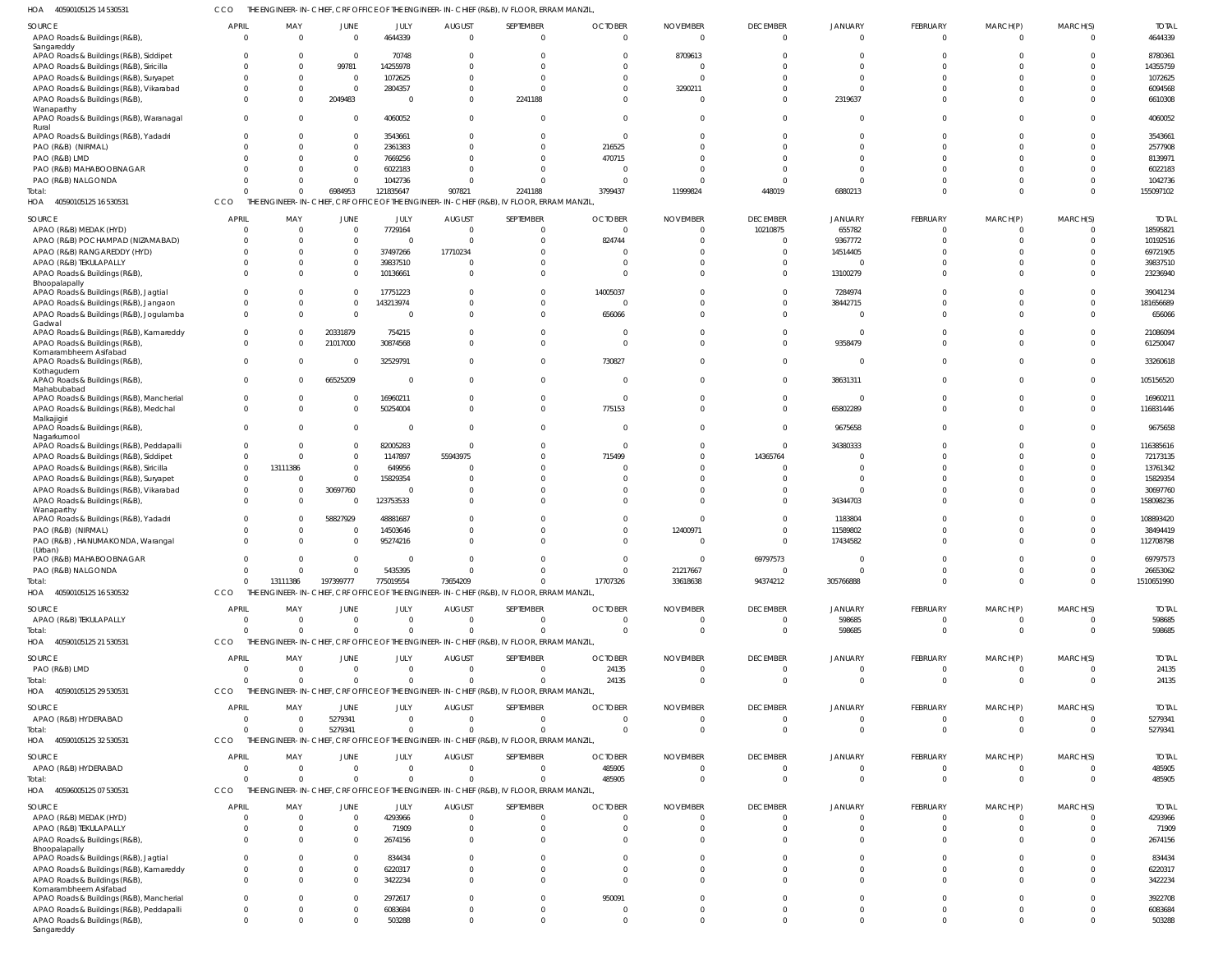40590105125 14 530531 HOA CCO THE ENGINEER-IN-CHIEF, CRF OFFICE OF THE ENGINEER-IN-CHIEF (R&B), IV FLOOR, ERRAM MANZIL,

| SOURCE                                                                            | <b>APRIL</b>             | MAY                  | JUNE                    | JULY                        | <b>AUGUST</b>             | SEPTEMBER                                                                                             | <b>OCTOBER</b>           | <b>NOVEMBER</b>      | <b>DECEMBER</b>                   | <b>JANUARY</b>             | FEBRUARY                      | MARCH(P)                     | MARCH(S)             | <b>TOTAL</b>           |
|-----------------------------------------------------------------------------------|--------------------------|----------------------|-------------------------|-----------------------------|---------------------------|-------------------------------------------------------------------------------------------------------|--------------------------|----------------------|-----------------------------------|----------------------------|-------------------------------|------------------------------|----------------------|------------------------|
| APAO Roads & Buildings (R&B),                                                     | $\overline{0}$           | $\Omega$             | $\overline{0}$          | 4644339                     | $\Omega$                  | $\overline{0}$                                                                                        | $\Omega$                 | $\mathsf{C}$         | $\overline{0}$                    | $\Omega$                   | $\mathbf 0$                   | $\mathbf{0}$                 | $\Omega$             | 4644339                |
| Sangareddy                                                                        |                          |                      |                         |                             |                           |                                                                                                       |                          |                      |                                   |                            |                               |                              |                      |                        |
| APAO Roads & Buildings (R&B), Siddipet                                            | $\Omega$                 |                      | $\overline{0}$          | 70748                       |                           | $\Omega$<br>$\Omega$                                                                                  | - 0                      | 8709613              | $\Omega$<br>$\Omega$              | $\Omega$<br>$\Omega$       | $\Omega$<br>$\Omega$          | $\Omega$                     | $\Omega$             | 8780361                |
| APAO Roads & Buildings (R&B), Siricilla<br>APAO Roads & Buildings (R&B), Suryapet | $\Omega$<br>$\Omega$     |                      | 99781<br>$\overline{0}$ | 14255978<br>1072625         |                           | $\Omega$                                                                                              |                          |                      | $\Omega$                          | $\Omega$                   | $\Omega$                      |                              | $\Omega$             | 14355759<br>1072625    |
| APAO Roads & Buildings (R&B), Vikarabad                                           | $\Omega$                 | - 0                  | $\overline{0}$          | 2804357                     |                           | $\Omega$                                                                                              | $\Omega$                 | 3290211              | $\Omega$                          | $\Omega$                   | $\Omega$                      |                              | $\Omega$             | 6094568                |
| APAO Roads & Buildings (R&B),                                                     | $\Omega$                 |                      | 2049483                 | $\overline{0}$              | $\Omega$                  | 2241188                                                                                               | $\Omega$                 |                      | $\Omega$                          | 2319637                    | $\Omega$                      | $\Omega$                     | $\Omega$             | 6610308                |
| Wanaparthy<br>APAO Roads & Buildings (R&B), Waranagal<br>Rural                    | $\Omega$                 |                      | $\overline{0}$          | 4060052                     | $\Omega$                  | $\overline{0}$                                                                                        | $\Omega$                 |                      | $\Omega$                          | $\Omega$                   | $\Omega$                      | $\Omega$                     | $\Omega$             | 4060052                |
| APAO Roads & Buildings (R&B), Yadadri                                             | $\Omega$                 | $\Omega$             | $\Omega$                | 3543661                     |                           | $\Omega$                                                                                              | $\Omega$                 |                      | $\Omega$                          | $\Omega$                   | $\Omega$                      | $\Omega$                     | $\Omega$             | 3543661                |
| PAO (R&B) (NIRMAL)                                                                | $\Omega$                 |                      | $\overline{0}$          | 2361383                     |                           | $\Omega$                                                                                              | 216525                   |                      | $\Omega$                          | $\Omega$                   | $\Omega$                      |                              | $\Omega$             | 2577908                |
| PAO (R&B) LMD                                                                     | $\Omega$                 |                      | $\Omega$                | 7669256                     |                           | $\Omega$                                                                                              | 470715                   |                      | $\Omega$                          | $\Omega$                   | $\Omega$                      |                              | $\Omega$             | 8139971                |
| PAO (R&B) MAHABOOBNAGAR<br>PAO (R&B) NALGONDA                                     | $\Omega$<br>$\Omega$     |                      | $\Omega$<br>$\Omega$    | 6022183<br>1042736          |                           | $\Omega$<br>$\Omega$                                                                                  | - 0                      |                      | $\Omega$<br>$\Omega$              | $\Omega$<br>$\Omega$       | $\Omega$                      |                              | $\Omega$<br>$\Omega$ | 6022183<br>1042736     |
| Total:                                                                            | $\Omega$                 |                      | 6984953                 | 121835647                   | 907821                    | 2241188                                                                                               | 3799437                  | 11999824             | 448019                            | 6880213                    | $\Omega$                      | $\Omega$                     | $\Omega$             | 155097102              |
| 40590105125 16 530531<br>HOA                                                      | CCO                      |                      |                         |                             |                           | THE ENGINEER-IN-CHIEF, CRF OFFICE OF THE ENGINEER-IN-CHIEF (R&B), IV FLOOR, ERRAM MANZIL,             |                          |                      |                                   |                            |                               |                              |                      |                        |
| SOURCE                                                                            | APRIL                    | MAY                  | JUNE                    | JULY                        | <b>AUGUST</b>             | SEPTEMBER                                                                                             | <b>OCTOBER</b>           | <b>NOVEMBER</b>      | <b>DECEMBER</b>                   | JANUARY                    | FEBRUARY                      | MARCH(P)                     | MARCH(S)             | <b>TOTAI</b>           |
| APAO (R&B) MEDAK (HYD)                                                            | $\Omega$                 | $\Omega$             | $\Omega$                | 7729164                     | $\Omega$                  | $\Omega$                                                                                              |                          |                      | 10210875                          | 655782                     | $\Omega$                      | $\Omega$                     | $\Omega$             | 18595821               |
| APAO (R&B) POCHAMPAD (NIZAMABAD)                                                  | $\Omega$                 |                      | $\mathbf{0}$            | $\Omega$                    |                           | $\Omega$                                                                                              | 824744                   |                      | $\Omega$                          | 9367772                    | $\Omega$                      |                              | $\Omega$             | 10192516               |
| APAO (R&B) RANGAREDDY (HYD)                                                       | $\Omega$                 |                      | $\Omega$                | 37497266                    | 17710234                  | $\Omega$                                                                                              |                          |                      | $\Omega$                          | 14514405                   | n                             |                              |                      | 69721905               |
| APAO (R&B) TEKULAPALLY<br>APAO Roads & Buildings (R&B),                           | $\Omega$<br>$\Omega$     |                      | $\Omega$<br>$\Omega$    | 39837510<br>10136661        |                           | $\Omega$<br>$\Omega$                                                                                  | - 0                      |                      | $\Omega$<br>$\Omega$              | 13100279                   | $\Omega$<br>$\Omega$          |                              |                      | 39837510<br>23236940   |
| Bhoopalapally                                                                     |                          |                      |                         |                             |                           |                                                                                                       |                          |                      |                                   |                            |                               |                              |                      |                        |
| APAO Roads & Buildings (R&B), Jagtial                                             | $\Omega$                 |                      | $\Omega$                | 17751223                    |                           | $\Omega$                                                                                              | 14005037                 |                      | $\Omega$                          | 7284974                    |                               |                              |                      | 39041234               |
| APAO Roads & Buildings (R&B), Jangaon<br>APAO Roads & Buildings (R&B), Jogulamba  | $\Omega$<br>$\Omega$     |                      | $\Omega$<br>$\Omega$    | 143213974<br>$\Omega$       |                           | $\Omega$<br>$\Omega$                                                                                  | 656066                   |                      | $\Omega$<br>$\Omega$              | 38442715<br>$\Omega$       | $\Omega$<br>$\Omega$          | $\Omega$                     | $\Omega$<br>$\Omega$ | 181656689<br>656066    |
| Gadwal                                                                            |                          |                      |                         |                             |                           |                                                                                                       |                          |                      |                                   |                            |                               |                              |                      |                        |
| APAO Roads & Buildings (R&B), Kamareddy                                           | $\Omega$                 |                      | 20331879                | 754215                      |                           | $\Omega$                                                                                              | - 0                      |                      | $\Omega$                          | $\Omega$                   | $\Omega$                      | $\Omega$                     |                      | 21086094               |
| APAO Roads & Buildings (R&B),<br>Komarambheem Asifabad                            | $\Omega$                 |                      | 21017000                | 30874568                    |                           | $\Omega$                                                                                              | $\Omega$                 |                      | $\Omega$                          | 9358479                    | $\Omega$                      | $\Omega$                     |                      | 61250047               |
| APAO Roads & Buildings (R&B),                                                     | $\Omega$                 |                      | $\Omega$                | 32529791                    |                           | $\Omega$                                                                                              | 730827                   |                      | $\Omega$                          | $\Omega$                   | $\Omega$                      | $\Omega$                     |                      | 33260618               |
| Kothagudem<br>APAO Roads & Buildings (R&B),                                       | $\Omega$                 |                      | 66525209                | $\Omega$                    |                           | $\Omega$                                                                                              | - 0                      |                      | $\Omega$                          | 38631311                   | $\Omega$                      |                              |                      | 105156520              |
| Mahabubabad                                                                       |                          |                      |                         |                             |                           |                                                                                                       |                          |                      |                                   |                            |                               |                              |                      |                        |
| APAO Roads & Buildings (R&B), Mancherial                                          | $\mathbf 0$              |                      | $\Omega$                | 16960211                    |                           | $\Omega$                                                                                              | - 0                      |                      | $\Omega$                          | $\Omega$                   | $\Omega$                      | $\Omega$                     | $\Omega$             | 16960211               |
| APAO Roads & Buildings (R&B), Medchal<br>Malkajigiri                              | $\Omega$                 | $\cap$               | $\Omega$                | 50254004                    | $\Omega$                  | $\Omega$                                                                                              | 775153                   |                      | $\Omega$                          | 65802289                   | $\Omega$                      | $\Omega$                     | $\Omega$             | 116831446              |
| APAO Roads & Buildings (R&B),                                                     | $\Omega$                 |                      | $\mathbf 0$             | $\Omega$                    |                           | $\Omega$                                                                                              |                          |                      | $\Omega$                          | 9675658                    | $\Omega$                      | $\Omega$                     |                      | 9675658                |
| Nagarkurnool<br>APAO Roads & Buildings (R&B), Peddapalli                          | $\Omega$                 |                      | $\Omega$                | 82005283                    |                           | $\Omega$                                                                                              | - 0                      |                      | $\Omega$                          | 34380333                   |                               |                              |                      | 116385616              |
| APAO Roads & Buildings (R&B), Siddipet                                            | $\Omega$                 |                      | $\Omega$                | 1147897                     | 55943975                  | $\Omega$                                                                                              | 715499                   |                      | 14365764                          | <sup>0</sup>               |                               |                              |                      | 72173135               |
| APAO Roads & Buildings (R&B), Siricilla                                           | $\Omega$                 | 13111386             | $\Omega$                | 649956                      |                           | $\Omega$                                                                                              |                          |                      | $\Omega$                          |                            |                               |                              |                      | 13761342               |
| APAO Roads & Buildings (R&B), Suryapet                                            | $\Omega$                 |                      | $\Omega$                | 15829354                    |                           | $\Omega$                                                                                              |                          |                      | <sup>0</sup>                      | $\Omega$                   |                               |                              |                      | 15829354               |
| APAO Roads & Buildings (R&B), Vikarabad                                           | $\Omega$<br>$\Omega$     |                      | 30697760<br>$\Omega$    | $\Omega$                    |                           | $\Omega$<br>$\Omega$                                                                                  |                          |                      | <sup>0</sup><br>$\Omega$          | $\Omega$                   | $\Omega$<br>$\Omega$          |                              |                      | 30697760<br>158098236  |
| APAO Roads & Buildings (R&B),<br>Wanaparthy                                       |                          |                      |                         | 123753533                   |                           |                                                                                                       |                          |                      |                                   | 34344703                   |                               |                              |                      |                        |
| APAO Roads & Buildings (R&B), Yadadri                                             | $\Omega$                 |                      | 58827929                | 48881687                    |                           | $\Omega$                                                                                              |                          |                      | $\Omega$                          | 1183804                    |                               |                              |                      | 108893420              |
| PAO (R&B) (NIRMAL)                                                                | 0                        |                      | $\Omega$                | 14503646                    |                           | $\Omega$                                                                                              |                          | 12400971             | $\Omega$                          | 11589802                   | $\Omega$                      |                              |                      | 38494419               |
| PAO (R&B), HANUMAKONDA, Warangal<br>(Urban)                                       | $\Omega$                 |                      | $\Omega$                | 95274216                    |                           | $\Omega$                                                                                              |                          |                      | $\Omega$                          | 17434582                   | $\Omega$                      |                              |                      | 112708798              |
| PAO (R&B) MAHABOOBNAGAR                                                           | $\Omega$                 |                      | $\Omega$                | $\Omega$                    |                           | $\cap$                                                                                                |                          |                      | 69797573                          |                            |                               |                              |                      | 69797573               |
| PAO (R&B) NALGONDA                                                                | $\Omega$                 |                      | $\Omega$                | 5435395                     |                           | $\Omega$                                                                                              | $\Omega$                 | 21217667             | $\overline{0}$                    | $\Omega$                   | $\Omega$<br>$\Omega$          | $\Omega$<br>$\Omega$         |                      | 26653062               |
| Total:<br>40590105125 16 530532<br>HOA                                            | $\Omega$<br><b>CCO</b>   | 13111386             | 197399777               | 775019554                   | 73654209                  | $\Omega$<br>THE ENGINEER-IN-CHIEF, CRF OFFICE OF THE ENGINEER-IN-CHIEF (R&B), IV FLOOR, ERRAM MANZIL, | 17707326                 | 33618638             | 94374212                          | 305766888                  |                               |                              | $\Omega$             | 1510651990             |
|                                                                                   | <b>APRIL</b>             | MAY                  |                         |                             |                           | SEPTEMBER                                                                                             | <b>OCTOBER</b>           | <b>NOVEMBER</b>      | <b>DECEMBER</b>                   | <b>JANUARY</b>             | <b>FEBRUARY</b>               | MARCH(P)                     | MARCH(S)             | <b>TOTAL</b>           |
| SOURCE<br>APAO (R&B) TEKULAPALLY                                                  | $\Omega$                 | $\Omega$             | JUNE<br>$\mathbf{0}$    | JULY<br>$\mathbf 0$         | <b>AUGUST</b><br>$\Omega$ | $\overline{0}$                                                                                        | $\Omega$                 | - 0                  | $\overline{0}$                    | 598685                     | $\mathbf 0$                   | $\mathbf{0}$                 | $\Omega$             | 598685                 |
| Total:                                                                            | $\Omega$                 | $\Omega$             | $\Omega$                | $\Omega$                    |                           | $\Omega$                                                                                              | $\Omega$                 | $\Omega$             | $\Omega$                          | 598685                     | $\Omega$                      | $\mathbf{0}$                 | $\Omega$             | 598685                 |
| HOA<br>40590105125 21 530531                                                      | CCO                      |                      |                         |                             |                           | THE ENGINEER-IN-CHIEF, CRF OFFICE OF THE ENGINEER-IN-CHIEF (R&B), IV FLOOR, ERRAM MANZIL,             |                          |                      |                                   |                            |                               |                              |                      |                        |
| SOURCE                                                                            | <b>APRIL</b>             | MAY                  | JUNE                    | JULY                        | <b>AUGUST</b>             | SEPTEMBER                                                                                             | <b>OCTOBER</b>           | <b>NOVEMBER</b>      | <b>DECEMBER</b>                   | <b>JANUARY</b>             | FEBRUARY                      | MARCH(P)                     | MARCH(S)             | <b>TOTAL</b>           |
| PAO (R&B) LMD                                                                     | $\Omega$                 | $\Omega$             | $\Omega$                | $\Omega$                    | $\Omega$                  | $\Omega$                                                                                              | 24135                    |                      | $\overline{0}$                    | $\Omega$                   | $\Omega$                      | $\mathbf{0}$                 |                      | 24135                  |
| Total:                                                                            | $\Omega$                 | $\Omega$             | $\Omega$                | $\Omega$                    |                           | $\Omega$                                                                                              | 24135                    | $\cup$               | $\overline{0}$                    | $\Omega$                   | $\Omega$                      | $\Omega$                     | $\Omega$             | 24135                  |
| HOA 40590105125 29 530531                                                         | CCO                      |                      |                         |                             |                           | THE ENGINEER-IN-CHIEF, CRF OFFICE OF THE ENGINEER-IN-CHIEF (R&B), IV FLOOR, ERRAM MANZIL,             |                          |                      |                                   |                            |                               |                              |                      |                        |
| SOURCE                                                                            | APRIL                    | MAY                  | JUNE                    | JULY                        | <b>AUGUST</b>             | SEPTEMBER                                                                                             | <b>OCTOBER</b>           | <b>NOVEMBER</b>      | <b>DECEMBER</b>                   | <b>JANUARY</b>             | <b>FEBRUARY</b>               | MARCH(P)                     | MARCH(S)             | <b>TOTAL</b>           |
| APAO (R&B) HYDERABAD<br>Total:                                                    | $\Omega$<br>$\Omega$     | $\Omega$<br>$\Omega$ | 5279341<br>5279341      | $\mathbf 0$<br>$\mathbf{0}$ | $\Omega$                  | $\overline{0}$<br>$\Omega$                                                                            | $\Omega$<br>$\Omega$     | $\Omega$<br>$\Omega$ | $\overline{0}$<br>$\Omega$        | $\Omega$<br>$\Omega$       | $\overline{0}$<br>$\mathbf 0$ | $\mathbf{0}$<br>$\mathbf{0}$ | $\Omega$<br>$\Omega$ | 5279341<br>5279341     |
| HOA<br>40590105125 32 530531                                                      | <b>CCO</b>               |                      |                         |                             |                           | THE ENGINEER-IN-CHIEF, CRF OFFICE OF THE ENGINEER-IN-CHIEF (R&B), IV FLOOR, ERRAM MANZIL,             |                          |                      |                                   |                            |                               |                              |                      |                        |
|                                                                                   |                          |                      |                         |                             |                           |                                                                                                       |                          |                      |                                   |                            |                               | MARCH(P)                     |                      |                        |
| SOURCE<br>APAO (R&B) HYDERABAD                                                    | <b>APRIL</b><br>$\Omega$ | MAY<br>$\Omega$      | <b>JUNE</b><br>$\Omega$ | JULY<br>$\Omega$            | <b>AUGUST</b><br>$\Omega$ | SEPTEMBER<br>$\Omega$                                                                                 | <b>OCTOBER</b><br>485905 | <b>NOVEMBER</b>      | <b>DECEMBER</b><br>$\overline{0}$ | <b>JANUARY</b><br>$\Omega$ | <b>FEBRUARY</b><br>$\Omega$   | $\mathbf{0}$                 | MARCH(S)<br>$\Omega$ | <b>TOTAL</b><br>485905 |
| Total:                                                                            | $\Omega$                 |                      | $\Omega$                | $\Omega$                    |                           | $\Omega$                                                                                              | 485905                   | $\Omega$             | $\Omega$                          | $\Omega$                   | $\Omega$                      | $\Omega$                     | $\Omega$             | 485905                 |
| 40596005125 07 530531<br>HOA                                                      | CCO                      |                      |                         |                             |                           | THE ENGINEER-IN-CHIEF, CRF OFFICE OF THE ENGINEER-IN-CHIEF (R&B), IV FLOOR, ERRAM MANZIL,             |                          |                      |                                   |                            |                               |                              |                      |                        |
| SOURCE                                                                            | APRIL                    | MAY                  | JUNE                    | JULY                        | <b>AUGUST</b>             | SEPTEMBER                                                                                             | <b>OCTOBER</b>           | <b>NOVEMBER</b>      | <b>DECEMBER</b>                   | <b>JANUARY</b>             | FEBRUARY                      | MARCH(P)                     | MARCH(S)             | <b>TOTAL</b>           |
| APAO (R&B) MEDAK (HYD)                                                            | $\Omega$                 | $\Omega$             | $\overline{0}$          | 4293966                     | $\Omega$                  | $\overline{0}$                                                                                        | $\Omega$                 |                      | $\overline{0}$                    | $\Omega$                   | $\mathbf 0$                   | $\mathbf{0}$                 | $\Omega$             | 4293966                |
| APAO (R&B) TEKULAPALLY                                                            | $\Omega$                 | $\Omega$             | $\overline{0}$          | 71909                       | $\Omega$                  | $\overline{0}$                                                                                        | $\Omega$                 |                      | $\Omega$                          | $\Omega$                   | $\Omega$                      | $\mathbf{0}$                 | $\Omega$             | 71909                  |
| APAO Roads & Buildings (R&B),<br>Bhoopalapally                                    | $\Omega$                 | $\Omega$             | $\Omega$                | 2674156                     |                           | $\Omega$                                                                                              | $\Omega$                 |                      | $\Omega$                          | $\Omega$                   | $\Omega$                      | $\Omega$                     | $\Omega$             | 2674156                |
| APAO Roads & Buildings (R&B), Jagtial                                             | $\Omega$                 | $\Omega$             | $\overline{0}$          | 834434                      |                           | $\Omega$                                                                                              | $\Omega$                 |                      | $\Omega$                          | $\Omega$                   | $\Omega$                      | $\Omega$                     | $\Omega$             | 834434                 |
| APAO Roads & Buildings (R&B), Kamareddy                                           | $\Omega$                 | $\Omega$             | $\Omega$                | 6220317                     | $\Omega$                  | $\Omega$                                                                                              | $\Omega$                 |                      | $\Omega$                          | $\Omega$                   | $\Omega$                      | $\Omega$                     | $\Omega$             | 6220317                |
| APAO Roads & Buildings (R&B),<br>Komarambheem Asifabad                            | $\Omega$                 | $\Omega$             | $\Omega$                | 3422234                     |                           | $\Omega$                                                                                              | $\Omega$                 |                      | $\Omega$                          | $\Omega$                   | $\Omega$                      | $\Omega$                     | $\Omega$             | 3422234                |
| APAO Roads & Buildings (R&B), Mancherial                                          | $\Omega$                 | $\Omega$             | $\Omega$                | 2972617                     | $\Omega$                  | $\Omega$                                                                                              | 950091                   |                      | $\Omega$                          | $\Omega$                   | $\Omega$                      | $\Omega$                     | $\Omega$             | 3922708                |
| APAO Roads & Buildings (R&B), Peddapalli                                          | $\Omega$                 | $\Omega$             | $\overline{0}$          | 6083684                     |                           | $\mathbf 0$                                                                                           | - 0                      |                      | $\Omega$                          | $\Omega$                   | $\Omega$                      | $\Omega$                     | $\Omega$             | 6083684                |
| APAO Roads & Buildings (R&B),<br>Sangareddy                                       | $\Omega$                 | $\Omega$             | $\Omega$                | 503288                      | $\Omega$                  | $\Omega$                                                                                              | $\Omega$                 |                      | $\Omega$                          | $\Omega$                   | $\Omega$                      | $\Omega$                     | $\Omega$             | 503288                 |
|                                                                                   |                          |                      |                         |                             |                           |                                                                                                       |                          |                      |                                   |                            |                               |                              |                      |                        |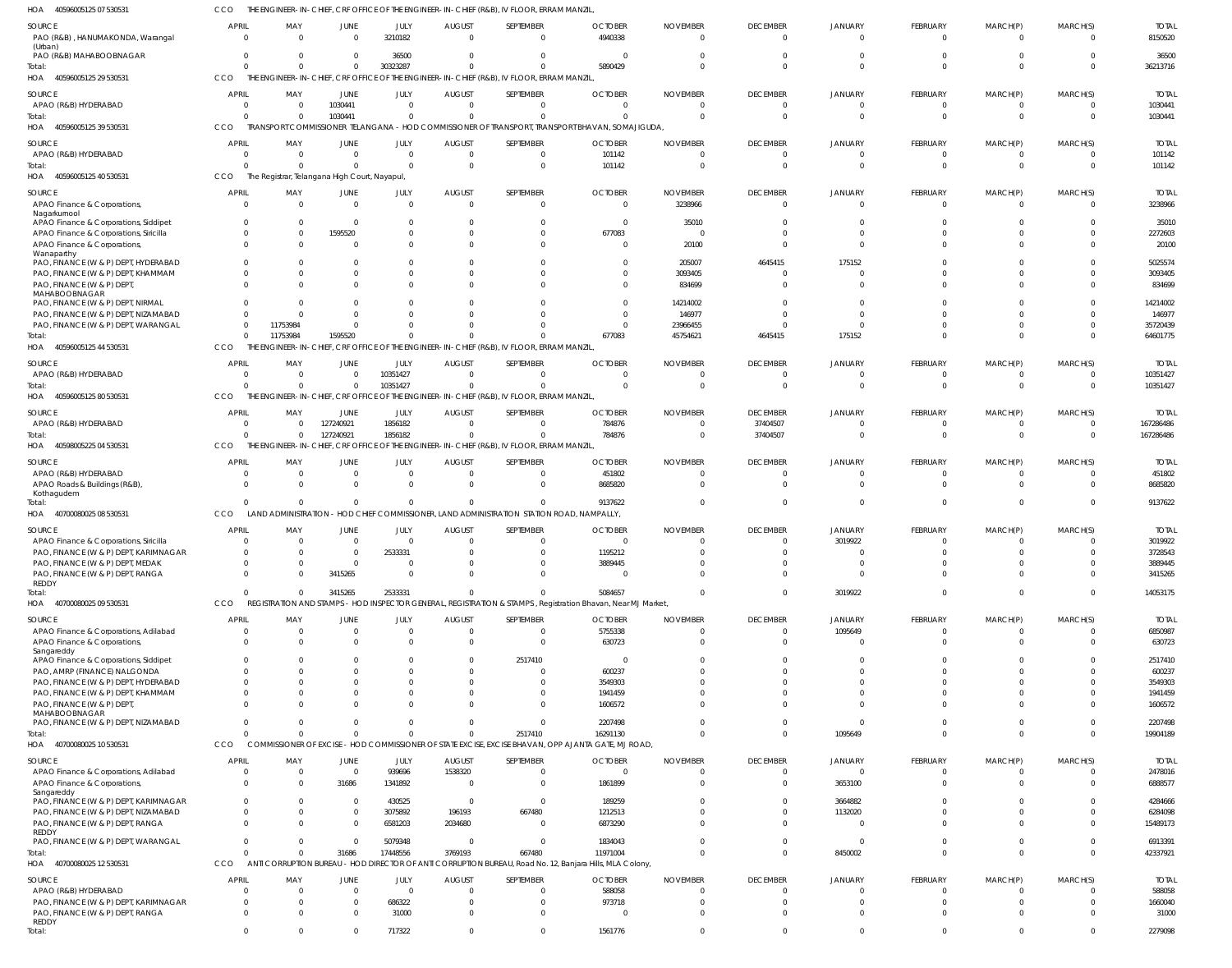40596005125 07 530531 HOA CCO THE ENGINEER-IN-CHIEF, CRF OFFICE OF THE ENGINEER-IN-CHIEF (R&B), IV FLOOR, ERRAM MANZIL,

| $\cdots$<br>100,0000,120,01,00000                                         |                                |                                              |                            |                      |                                 | $O(nL)$ , $(0.00)$ , $V$ , $1.00$ $O(n)$ , $1.00$                                                     |                                                                                                                 |                             |                                   |                                  |                             |                          |                      |                         |
|---------------------------------------------------------------------------|--------------------------------|----------------------------------------------|----------------------------|----------------------|---------------------------------|-------------------------------------------------------------------------------------------------------|-----------------------------------------------------------------------------------------------------------------|-----------------------------|-----------------------------------|----------------------------------|-----------------------------|--------------------------|----------------------|-------------------------|
| SOURCE<br>PAO (R&B), HANUMAKONDA, Warangal                                | APRIL<br>$\Omega$              | MAY<br>$\Omega$                              | JUNE<br>$\Omega$           | JULY<br>3210182      | <b>AUGUST</b><br>$\Omega$       | SEPTEMBER<br>$\Omega$                                                                                 | <b>OCTOBER</b><br>4940338                                                                                       | <b>NOVEMBER</b>             | <b>DECEMBER</b><br>$\Omega$       | JANUARY<br>$\Omega$              | FEBRUARY<br>- 0             | MARCH(P)<br>$\Omega$     | MARCH(S)<br>$\Omega$ | <b>TOTAL</b><br>8150520 |
| (Urban)<br>PAO (R&B) MAHABOOBNAGAR                                        |                                | $\Omega$<br>$\Omega$                         | $\Omega$                   | 36500                | $\Omega$                        | $\Omega$                                                                                              |                                                                                                                 |                             | $\Omega$                          | $\Omega$                         |                             |                          |                      | 36500                   |
| Total:                                                                    |                                | $\Omega$                                     | $\Omega$                   | 30323287             | $\Omega$                        |                                                                                                       | 5890429                                                                                                         |                             | $\Omega$                          | $\Omega$                         |                             | $\Omega$                 | $\Omega$             | 36213716                |
| HOA<br>40596005125 29 530531                                              | CCO                            |                                              |                            |                      |                                 | THE ENGINEER-IN-CHIEF, CRF OFFICE OF THE ENGINEER-IN-CHIEF (R&B), IV FLOOR, ERRAM MANZIL,             |                                                                                                                 |                             |                                   |                                  |                             |                          |                      |                         |
| SOURCE<br>APAO (R&B) HYDERABAD                                            | <b>APRI</b><br>$\mathbf{0}$    | MAY<br>0                                     | <b>JUNE</b><br>1030441     | JULY<br>$\Omega$     | <b>AUGUST</b><br>$\Omega$       | SEPTEMBER<br>$\Omega$                                                                                 | <b>OCTOBER</b><br>$\overline{0}$                                                                                | <b>NOVEMBER</b>             | <b>DECEMBER</b><br>$\overline{0}$ | <b>JANUARY</b><br>$\Omega$       | FEBRUARY<br>$\Omega$        | MARCH(P)<br>$\mathbf{0}$ | MARCH(S)<br>$\Omega$ | <b>TOTAL</b><br>1030441 |
| Total:<br>40596005125 39 530531<br>HOA                                    | <b>CCO</b>                     | $\Omega$<br>$\Omega$                         | 1030441                    | $\Omega$             | $\Omega$                        | $\Omega$                                                                                              | $\Omega$<br>TRANSPORT COMMISSIONER TELANGANA - HOD COMMISSIONER OF TRANSPORT, TRANSPORT BHAVAN, SOMAJIGUDA,     |                             | $\Omega$                          | $\Omega$                         | $\Omega$                    | $\Omega$                 | $\Omega$             | 1030441                 |
| <b>SOURCE</b>                                                             | <b>APRI</b>                    | MAY                                          | JUNE                       | JULY                 | <b>AUGUST</b>                   | SEPTEMBER                                                                                             | <b>OCTOBER</b>                                                                                                  | <b>NOVEMBER</b>             | <b>DECEMBER</b>                   | <b>JANUARY</b>                   | <b>FEBRUARY</b>             | MARCH(P)                 | MARCH(S)             | <b>TOTAL</b>            |
| APAO (R&B) HYDERABAD                                                      |                                | $\Omega$<br>$\Omega$                         | $\Omega$                   | $\Omega$             | $\Omega$                        | $\Omega$                                                                                              | 101142                                                                                                          |                             | $\Omega$                          | $\Omega$                         |                             |                          | $\Omega$             | 101142                  |
| Total:                                                                    |                                | $\Omega$                                     | $\Omega$                   | $\Omega$             | $\Omega$                        | $\Omega$                                                                                              | 101142                                                                                                          |                             | - 0                               | $\Omega$                         | - 0                         | $\Omega$                 | $\Omega$             | 101142                  |
| HOA 40596005125 40 530531                                                 | CCO                            | The Registrar, Telangana High Court, Nayapul |                            |                      |                                 |                                                                                                       |                                                                                                                 |                             |                                   |                                  |                             |                          |                      |                         |
| SOURCE<br>APAO Finance & Corporations,                                    | <b>APRIL</b>                   | MAY<br>$\Omega$<br>$\Omega$                  | JUNE<br>$\overline{0}$     | JULY<br>$\Omega$     | <b>AUGUST</b><br>$\overline{0}$ | SEPTEMBER<br>$\Omega$                                                                                 | <b>OCTOBER</b><br>$\mathbf{0}$                                                                                  | <b>NOVEMBER</b><br>3238966  | <b>DECEMBER</b><br>$\overline{0}$ | <b>JANUARY</b><br>$\overline{0}$ | <b>FEBRUARY</b><br>$\Omega$ | MARCH(P)<br>$\Omega$     | MARCH(S)<br>$\Omega$ | <b>TOTAL</b><br>3238966 |
| Nagarkurnool<br>APAO Finance & Corporations, Siddipet                     | $\Omega$                       | $\mathbf 0$                                  | $\overline{0}$             | $\Omega$             | $\Omega$                        | $\Omega$                                                                                              | $\Omega$                                                                                                        | 35010                       | $\Omega$                          | $\Omega$                         |                             |                          | $\Omega$             | 35010                   |
| APAO Finance & Corporations, Siricilla                                    |                                | $\mathbf 0$<br>0                             | 1595520                    | $\Omega$             | $\Omega$                        | $\Omega$                                                                                              | 677083                                                                                                          |                             | $\Omega$                          | $\Omega$                         | $\Omega$                    | $\Omega$                 | $\Omega$             | 2272603                 |
| APAO Finance & Corporations,<br>Wanaparthy                                |                                | $\Omega$<br>$\Omega$                         | $\Omega$                   | $\Omega$             | $\Omega$                        | $\Omega$                                                                                              | $\mathbf{0}$                                                                                                    | 20100                       | $\Omega$                          | $\Omega$                         | $\Omega$                    | $\Omega$                 |                      | 20100                   |
| PAO, FINANCE (W & P) DEPT, HYDERABAD                                      |                                | $\Omega$                                     | $\Omega$                   | $\cap$               | $\Omega$                        | $\Omega$                                                                                              | 0                                                                                                               | 205007                      | 4645415                           | 175152                           |                             | $\Omega$                 | $\Omega$             | 5025574                 |
| PAO, FINANCE (W & P) DEPT, KHAMMAM<br>PAO, FINANCE (W & P) DEPT,          |                                | $\Omega$<br>$\Omega$<br>$\Omega$             | $\Omega$<br>$\Omega$       | $\Omega$<br>$\cap$   | $\Omega$<br>$\Omega$            | $\Omega$<br>$\Omega$                                                                                  | $\Omega$<br>0                                                                                                   | 3093405<br>834699           | - 0<br>$\Omega$                   | $\Omega$<br>$\Omega$             | $\Omega$                    | $\Omega$<br>$\Omega$     | $\Omega$<br>$\Omega$ | 3093405<br>834699       |
| MAHABOOBNAGAR                                                             |                                |                                              |                            |                      |                                 |                                                                                                       |                                                                                                                 |                             |                                   |                                  |                             |                          |                      |                         |
| PAO, FINANCE (W & P) DEPT, NIRMAL<br>PAO, FINANCE (W & P) DEPT, NIZAMABAD |                                | $\Omega$<br>$\Omega$<br>$\Omega$             | $\Omega$<br>$\Omega$       |                      | n<br>$\Omega$                   |                                                                                                       | <sup>0</sup><br>U                                                                                               | 14214002<br>146977          | $\Omega$<br>-C                    | $\Omega$<br>$\Omega$             |                             |                          | $\Omega$             | 14214002<br>146977      |
| PAO, FINANCE (W & P) DEPT, WARANGAL                                       |                                | 11753984<br>$\Omega$                         | $\Omega$                   |                      | $\Omega$                        |                                                                                                       | $\Omega$                                                                                                        | 23966455                    | $\Omega$                          | $\Omega$                         |                             | $\Omega$                 | $\Omega$             | 35720439                |
| Total:                                                                    |                                | 11753984<br>$\Omega$                         | 1595520                    |                      |                                 |                                                                                                       | 677083                                                                                                          | 45754621                    | 4645415                           | 175152                           | $\Omega$                    | $\Omega$                 | $\Omega$             | 64601775                |
| HOA<br>40596005125 44 530531                                              | CCO                            |                                              |                            |                      |                                 | THE ENGINEER-IN-CHIEF, CRF OFFICE OF THE ENGINEER-IN-CHIEF (R&B), IV FLOOR, ERRAM MANZIL,             |                                                                                                                 |                             |                                   |                                  |                             |                          |                      |                         |
| <b>SOURCE</b>                                                             | <b>APRIL</b>                   | MAY                                          | <b>JUNE</b>                | <b>JULY</b>          | <b>AUGUST</b>                   | SEPTEMBER                                                                                             | <b>OCTOBER</b>                                                                                                  | <b>NOVEMBER</b>             | <b>DECEMBER</b>                   | <b>JANUARY</b>                   | <b>FEBRUARY</b>             | MARCH(P)                 | MARCH(S)             | <b>TOTAL</b>            |
| APAO (R&B) HYDERABAD<br>Total:                                            |                                | $\Omega$<br>$\Omega$<br>O<br>$\Omega$        | $\Omega$<br>$\overline{0}$ | 10351427<br>10351427 | $\Omega$<br>$\Omega$            | $\Omega$<br>$\Omega$                                                                                  | $\Omega$                                                                                                        |                             | - 0<br>- 0                        | $\Omega$<br>$\Omega$             | $\Omega$                    | $\Omega$                 | $\Omega$<br>$\Omega$ | 10351427<br>10351427    |
| 40596005125 80 530531<br>HOA                                              | CCO                            |                                              |                            |                      |                                 | THE ENGINEER-IN-CHIEF, CRF OFFICE OF THE ENGINEER-IN-CHIEF (R&B), IV FLOOR, ERRAM MANZIL,             |                                                                                                                 |                             |                                   |                                  |                             |                          |                      |                         |
| SOURCE                                                                    | <b>APRIL</b>                   | MAY                                          | <b>JUNE</b>                | JULY                 | <b>AUGUST</b>                   | SEPTEMBER                                                                                             | <b>OCTOBER</b>                                                                                                  | <b>NOVEMBER</b>             | <b>DECEMBER</b>                   | JANUARY                          | FEBRUARY                    | MARCH(P)                 | MARCH(S)             | <b>TOTAL</b>            |
| APAO (R&B) HYDERABAD                                                      |                                | $\Omega$<br>$\Omega$                         | 127240921                  | 1856182              | $\Omega$                        | $\Omega$                                                                                              | 784876                                                                                                          |                             | 37404507                          | 0                                | $\Omega$                    | $\overline{0}$           | $\Omega$             | 167286486               |
| Total:<br>40598005225 04 530531<br>HOA                                    | CCO                            | $\Omega$<br>$\Omega$                         | 127240921                  | 1856182              | $\Omega$                        | $\Omega$<br>THE ENGINEER-IN-CHIEF, CRF OFFICE OF THE ENGINEER-IN-CHIEF (R&B), IV FLOOR, ERRAM MANZIL, | 784876                                                                                                          |                             | 37404507                          | $\Omega$                         | $\Omega$                    | $\mathbf 0$              | $\Omega$             | 167286486               |
| <b>SOURCE</b>                                                             | <b>APRIL</b>                   | MAY                                          | JUNE                       | JULY                 | <b>AUGUST</b>                   | SEPTEMBER                                                                                             | <b>OCTOBER</b>                                                                                                  | <b>NOVEMBER</b>             | <b>DECEMBER</b>                   | <b>JANUARY</b>                   | <b>FEBRUARY</b>             | MARCH(P)                 | MARCH(S)             | <b>TOTAL</b>            |
| APAO (R&B) HYDERABAD                                                      |                                | $\Omega$<br>$\Omega$                         | $\mathbf{0}$               | - 0                  | $\Omega$                        | $\Omega$                                                                                              | 451802                                                                                                          |                             | 0                                 | $\Omega$                         |                             |                          |                      | 451802                  |
| APAO Roads & Buildings (R&B)                                              |                                | $\Omega$<br>$\Omega$                         | $\Omega$                   | $\Omega$             | $\Omega$                        | $\Omega$                                                                                              | 8685820                                                                                                         |                             | $\Omega$                          | $\Omega$                         | - 0                         | $\Omega$                 | $\Omega$             | 8685820                 |
| Kothagudem<br>Total:                                                      |                                | $\Omega$                                     | $\mathbf{0}$               | $\Omega$             | $\Omega$                        | $\Omega$                                                                                              | 9137622                                                                                                         |                             | $\Omega$                          | $\Omega$                         | - 0                         | $\Omega$                 | $\Omega$             | 9137622                 |
| HOA 40700080025 08 530531                                                 | <b>CCO</b>                     |                                              |                            |                      |                                 |                                                                                                       | LAND ADMINISTRATION - HOD CHIEF COMMISSIONER, LAND ADMINISTRATION STATION ROAD, NAMPALLY,                       |                             |                                   |                                  |                             |                          |                      |                         |
| SOURCE                                                                    | <b>APRIL</b>                   | MAY                                          | JUNE                       | JULY                 | <b>AUGUST</b>                   | SEPTEMBER                                                                                             | <b>OCTOBER</b>                                                                                                  | <b>NOVEMBER</b>             | <b>DECEMBER</b>                   | JANUARY                          | <b>FEBRUARY</b>             | MARCH(P)                 | MARCH(S)             | <b>TOTAL</b>            |
| APAO Finance & Corporations, Siricilla                                    |                                | 0<br>0                                       | $\mathbf 0$                | $\Omega$             | $\overline{0}$                  | $\Omega$                                                                                              | 0                                                                                                               |                             | 0                                 | 3019922                          | $\Omega$                    | -0                       | 0                    | 3019922                 |
| PAO, FINANCE (W & P) DEPT, KARIMNAGAR<br>PAO, FINANCE (W & P) DEPT, MEDAK | $\Omega$                       | $\Omega$                                     | $\overline{0}$<br>$\Omega$ | 2533331              | $\Omega$                        | $\Omega$                                                                                              | 1195212<br>3889445                                                                                              | $\Omega$                    | $\Omega$<br>- ( )                 | $\Omega$                         | $\Omega$                    | $\Omega$                 | $\Omega$             | 3728543<br>3889445      |
| PAO, FINANCE (W & P) DEPT, RANGA                                          |                                | $\mathbf 0$<br>$\Omega$                      | 3415265                    | $\Omega$             | $\overline{0}$                  | $\Omega$                                                                                              | $\mathbf{0}$                                                                                                    |                             | $\Omega$                          | $\Omega$                         | $\Omega$                    | $\Omega$                 | $\Omega$             | 3415265                 |
| REDDY<br>Total:                                                           |                                | $\Omega$<br>$\mathbf 0$                      | 3415265                    | 2533331              | $\Omega$                        | $\Omega$                                                                                              | 5084657                                                                                                         | $\Omega$                    | $\Omega$                          | 3019922                          | $\Omega$                    | $\mathbf{0}$             | $\Omega$             | 14053175                |
| 40700080025 09 530531<br>HOA                                              | CCO                            |                                              |                            |                      |                                 |                                                                                                       | REGISTRATION AND STAMPS - HOD INSPECTOR GENERAL, REGISTRATION & STAMPS, Registration Bhavan, Near MJ Market,    |                             |                                   |                                  |                             |                          |                      |                         |
| <b>SOURCE</b>                                                             | APRIL                          | MAY                                          | <b>JUNE</b>                | JULY                 | <b>AUGUST</b>                   | SEPTEMBER                                                                                             | <b>OCTOBER</b>                                                                                                  | <b>NOVEMBER</b>             | <b>DECEMBER</b>                   | <b>JANUARY</b>                   | <b>FEBRUARY</b>             | MARCH(P)                 | MARCH(S)             | <b>TOTAL</b>            |
| APAO Finance & Corporations, Adilabad                                     | $\overline{0}$                 | $\Omega$<br>$\Omega$                         | $\overline{0}$             | $\Omega$<br>$\Omega$ | $\overline{0}$<br>$\Omega$      | $\Omega$                                                                                              | 5755338                                                                                                         | 0<br>$\Omega$               | $\Omega$                          | 1095649                          | - 0<br>$\Omega$             |                          | $\Omega$             | 6850987                 |
| APAO Finance & Corporations,<br>Sangareddy                                | $\Omega$                       |                                              | $\Omega$                   |                      |                                 | $\Omega$                                                                                              | 630723                                                                                                          |                             | $\Omega$                          | $\overline{0}$                   |                             | $\Omega$                 | $\Omega$             | 630723                  |
| APAO Finance & Corporations, Siddipet<br>PAO, AMRP (FINANCE) NALGONDA     |                                | $\Omega$<br>$\Omega$<br>$\Omega$<br>U        | $\Omega$<br>$\Omega$       |                      | $\Omega$<br>$\Omega$            | 2517410<br>$\Omega$                                                                                   | 0                                                                                                               |                             | $\Omega$<br>$\Omega$              | $\Omega$<br>$\Omega$             |                             |                          |                      | 2517410                 |
| PAO, FINANCE (W & P) DEPT, HYDERABAD                                      |                                | $\Omega$<br>$\Omega$                         | $\Omega$                   |                      | $\Omega$                        | $\Omega$                                                                                              | 600237<br>3549303                                                                                               |                             | $\Omega$                          | $\Omega$                         |                             |                          |                      | 600237<br>3549303       |
| PAO, FINANCE (W & P) DEPT, KHAMMAM                                        |                                | $\Omega$<br>$\Omega$                         | $\Omega$                   |                      | $\Omega$                        | $\Omega$                                                                                              | 1941459                                                                                                         |                             | $\Omega$                          | $\Omega$                         |                             |                          |                      | 1941459                 |
| PAO, FINANCE (W & P) DEPT,<br>MAHABOOBNAGAR                               |                                | $\Omega$<br>$\Omega$                         | $\Omega$                   |                      | $\Omega$                        | $\Omega$                                                                                              | 1606572                                                                                                         |                             | $\Omega$                          | $\Omega$                         |                             |                          |                      | 1606572                 |
| PAO, FINANCE (W & P) DEPT, NIZAMABAD                                      |                                | $\Omega$<br>$\Omega$                         | $\Omega$                   |                      | $\Omega$                        | $\Omega$                                                                                              | 2207498                                                                                                         |                             | $\Omega$                          | $\Omega$                         |                             | $\Omega$                 |                      | 2207498                 |
| Total:<br>40700080025 10 530531<br>HOA                                    | CCO                            | $\Omega$<br>O                                | $\Omega$                   | $\Omega$             | $\Omega$                        | 2517410                                                                                               | 16291130<br>COMMISSIONER OF EXCISE - HOD COMMISSIONER OF STATE EXCISE, EXCISE BHAVAN, OPP AJANTA GATE, MJ ROAD, |                             | $\Omega$                          | 1095649                          | $\Omega$                    | $\Omega$                 | $\Omega$             | 19904189                |
|                                                                           |                                |                                              |                            |                      |                                 |                                                                                                       |                                                                                                                 |                             |                                   |                                  |                             |                          |                      |                         |
| <b>SOURCE</b><br>APAO Finance & Corporations, Adilabad                    | <b>APRIL</b><br>$\overline{0}$ | MAY<br>0                                     | <b>JUNE</b><br>$\mathbf 0$ | JULY<br>939696       | <b>AUGUST</b><br>1538320        | SEPTEMBER<br>$\Omega$                                                                                 | <b>OCTOBER</b><br>$\mathbf{0}$                                                                                  | <b>NOVEMBER</b><br>$\Omega$ | <b>DECEMBER</b><br>$\overline{0}$ | <b>JANUARY</b><br>$\overline{0}$ | <b>FEBRUARY</b><br>$\Omega$ | MARCH(P)<br>$\mathbf{0}$ | MARCH(S)<br>$\Omega$ | <b>TOTAL</b><br>2478016 |
| APAO Finance & Corporations,                                              | $\overline{0}$                 | $\Omega$                                     | 31686                      | 1341892              | $\overline{0}$                  | $\Omega$                                                                                              | 1861899                                                                                                         |                             | $\Omega$                          | 3653100                          | $\Omega$                    | $\Omega$                 | $\Omega$             | 6888577                 |
| Sangareddy<br>PAO, FINANCE (W & P) DEPT, KARIMNAGAR                       | $\Omega$                       | $\Omega$                                     | $\overline{0}$             | 430525               | $\overline{0}$                  | $\Omega$                                                                                              | 189259                                                                                                          |                             | $\Omega$                          | 3664882                          | $\Omega$                    | $\Omega$                 |                      | 4284666                 |
| PAO, FINANCE (W & P) DEPT, NIZAMABAD                                      |                                | $\Omega$<br>$\mathbf 0$                      | $\mathbf{0}$               | 3075892              | 196193                          | 667480                                                                                                | 1212513                                                                                                         |                             | $\Omega$                          | 1132020                          | $\Omega$                    | $\Omega$                 | $\Omega$             | 6284098                 |
| PAO, FINANCE (W & P) DEPT, RANGA<br>REDDY                                 |                                | $\Omega$<br>$\Omega$                         | $\Omega$                   | 6581203              | 2034680                         | $\Omega$                                                                                              | 6873290                                                                                                         |                             | $\Omega$                          | $\Omega$                         | $\Omega$                    | $\Omega$                 | $\Omega$             | 15489173                |
| PAO, FINANCE (W & P) DEPT, WARANGAL                                       |                                | $\Omega$<br>$\Omega$                         | $\Omega$                   | 5079348              | $\Omega$                        | $\Omega$                                                                                              | 1834043                                                                                                         |                             | $\Omega$                          | $\overline{0}$                   | $\Omega$                    | $\Omega$                 | $\Omega$             | 6913391                 |
| Total:                                                                    |                                | $\Omega$<br>$\Omega$                         | 31686                      | 17448556             | 3769193                         | 667480                                                                                                | 11971004                                                                                                        | $\Omega$                    | $\Omega$                          | 8450002                          | $\Omega$                    | $\Omega$                 | $\Omega$             | 42337921                |
| HOA<br>40700080025 12 530531                                              | CCO                            |                                              |                            |                      |                                 |                                                                                                       | ANTI CORRUPTION BUREAU - HOD DIRECTOR OF ANTI CORRUPTION BUREAU, Road No. 12, Banjara Hills, MLA Colony,        |                             |                                   |                                  |                             |                          |                      |                         |
| SOURCE<br>APAO (R&B) HYDERABAD                                            | APRIL                          | MAY<br>$\Omega$<br>$\Omega$                  | JUNE<br>$\Omega$           | JULY<br>$\Omega$     | <b>AUGUST</b><br>$\Omega$       | SEPTEMBER<br>$\Omega$                                                                                 | <b>OCTOBER</b><br>588058                                                                                        | <b>NOVEMBER</b>             | <b>DECEMBER</b><br>$\Omega$       | <b>JANUARY</b><br>$\Omega$       | <b>FEBRUARY</b>             | MARCH(P)<br>- 0          | MARCH(S)<br>$\Omega$ | <b>TOTAL</b><br>588058  |
| PAO, FINANCE (W & P) DEPT, KARIMNAGAR                                     |                                | $\Omega$<br>$\Omega$                         | $\Omega$                   | 686322               | $\Omega$                        | $\Omega$                                                                                              | 973718                                                                                                          |                             | $\Omega$                          | $\Omega$                         | - 0                         | $\Omega$                 |                      | 1660040                 |
| PAO, FINANCE (W & P) DEPT, RANGA                                          |                                | $\Omega$<br>$\Omega$                         | $\Omega$                   | 31000                | $\Omega$                        | $\Omega$                                                                                              | 0                                                                                                               |                             | $\Omega$                          | $\Omega$                         | $\Omega$                    | $\Omega$                 |                      | 31000                   |
| REDDY<br>Total:                                                           |                                | $\mathbf 0$<br>$\Omega$                      | $\Omega$                   | 717322               | $\Omega$                        | $\Omega$                                                                                              | 1561776                                                                                                         | $\Omega$                    | $\Omega$                          | $\overline{0}$                   | $\Omega$                    | $\Omega$                 | $\Omega$             | 2279098                 |
|                                                                           |                                |                                              |                            |                      |                                 |                                                                                                       |                                                                                                                 |                             |                                   |                                  |                             |                          |                      |                         |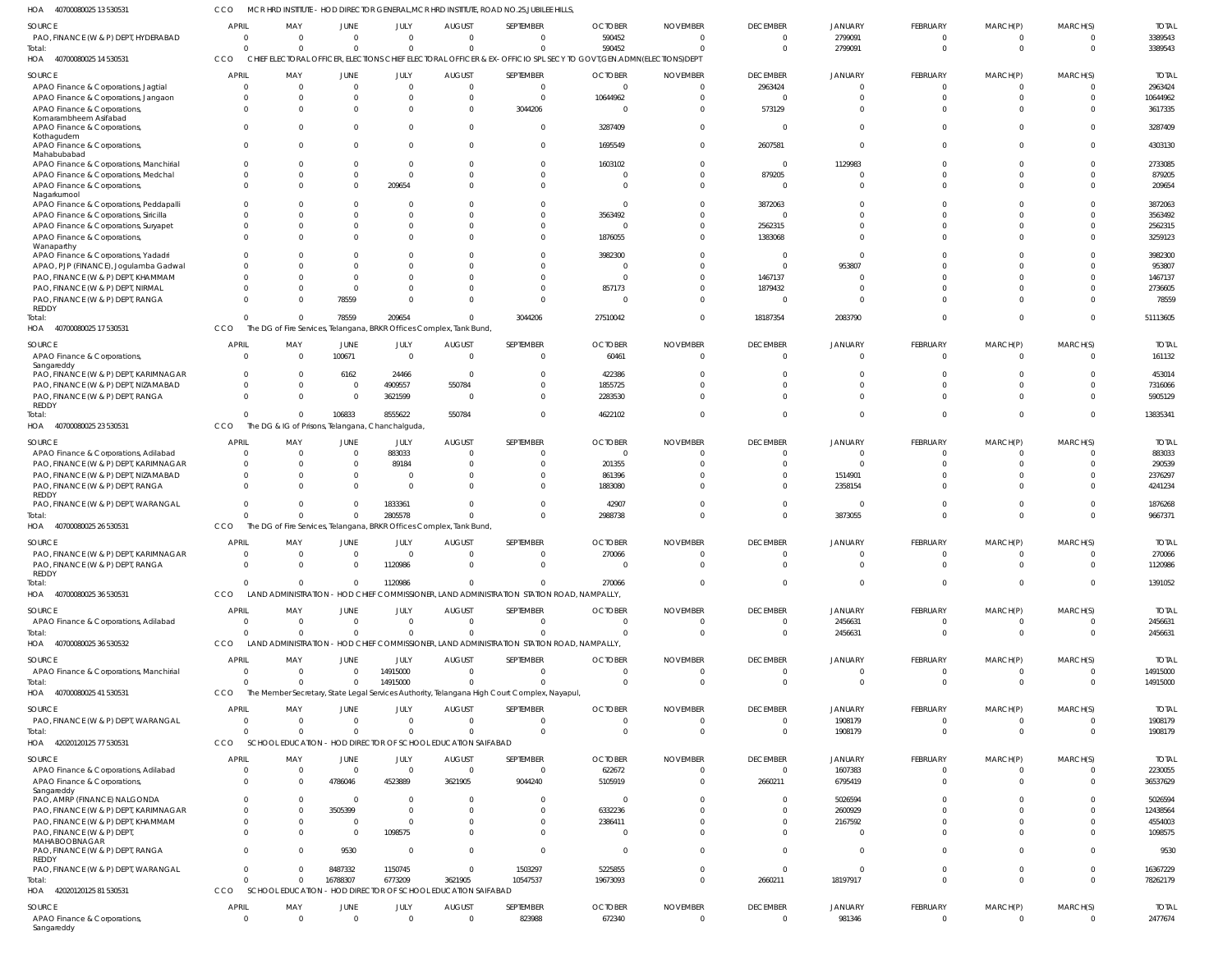MCR HRD INSTITUTE - HOD DIRECTOR GENERAL,MCR HRD INSTITUTE, ROAD NO.25,JUBILEE HILLS, CCO

| HOA<br>40700080025 13 530531                        |                            |                                                                      |                      |                            |                                             | MCR HRD INSTITUTE - HOD DIRECTOR GENERAL, MCR HRD INSTITUTE, ROAD NO.25, JUBILEE HILLS       |                                                                                                                     |                 |                               |                |                      |                      |                                  |              |
|-----------------------------------------------------|----------------------------|----------------------------------------------------------------------|----------------------|----------------------------|---------------------------------------------|----------------------------------------------------------------------------------------------|---------------------------------------------------------------------------------------------------------------------|-----------------|-------------------------------|----------------|----------------------|----------------------|----------------------------------|--------------|
| <b>SOURCE</b>                                       | <b>APRIL</b>               | MAY                                                                  | JUNE                 | JULY                       | <b>AUGUST</b>                               | SEPTEMBER                                                                                    | <b>OCTOBER</b>                                                                                                      | <b>NOVEMBER</b> | <b>DECEMBER</b>               | <b>JANUARY</b> | FEBRUARY             | MARCH(P)             | MARCH(S)                         | <b>TOTAL</b> |
| PAO, FINANCE (W & P) DEPT, HYDERABAD                | $\overline{\mathbf{0}}$    | $\overline{0}$                                                       | $\Omega$             | $\Omega$                   | $\Omega$                                    | $\overline{0}$                                                                               | 590452                                                                                                              | $\Omega$        |                               | 2799091        | 0                    | 0                    | $\overline{0}$                   | 3389543      |
| Total:                                              | $\Omega$                   | $\Omega$                                                             | $\Omega$             | $\Omega$                   | $\Omega$                                    | $\Omega$                                                                                     | 590452                                                                                                              | $\sqrt{ }$      | $\Omega$                      | 2799091        | $\mathbf{0}$         | $\overline{0}$       | $\overline{0}$                   | 3389543      |
| HOA 40700080025 14 530531                           | CCO                        |                                                                      |                      |                            |                                             |                                                                                              | CHIEF ELECTORAL OFFICER, ELECTIONS CHIEF ELECTORAL OFFICER & EX-OFFICIO SPL SECY TO GOVT, GEN. ADMN(ELECTIONS) DEPT |                 |                               |                |                      |                      |                                  |              |
| <b>SOURCE</b>                                       | <b>APRIL</b>               | MAY                                                                  | JUNE                 | JULY                       | <b>AUGUST</b>                               | SEPTEMBER                                                                                    | <b>OCTOBER</b>                                                                                                      | <b>NOVEMBER</b> | <b>DECEMBER</b>               | <b>JANUARY</b> | FEBRUARY             | MARCH(P)             | MARCH(S)                         | <b>TOTAL</b> |
| APAO Finance & Corporations, Jagtial                | $\overline{\mathbf{0}}$    | $\overline{0}$                                                       | $\Omega$             | $\mathbf 0$                | $\Omega$                                    | $\overline{0}$                                                                               | $\Omega$                                                                                                            | $\Omega$        | 2963424                       | $\Omega$       | $\mathbf{0}$         | $\mathbf 0$          | $\overline{0}$                   | 2963424      |
| APAO Finance & Corporations, Jangaon                | $\mathbf 0$                | 0                                                                    |                      | 0                          | $\cap$                                      | $\overline{0}$                                                                               | 10644962                                                                                                            |                 | $\Omega$                      |                | $\mathbf{0}$         | $\mathbf 0$          | $\Omega$                         | 10644962     |
| APAO Finance & Corporations,                        | $\Omega$                   | $\Omega$                                                             |                      | $\Omega$                   | - 0                                         | 3044206                                                                                      | $\sqrt{ }$                                                                                                          |                 | 573129                        |                | $\mathbf 0$          | $\mathbf 0$          | $\Omega$                         | 3617335      |
| Komarambheem Asifabad                               |                            |                                                                      |                      |                            |                                             |                                                                                              |                                                                                                                     |                 |                               |                |                      |                      |                                  |              |
| APAO Finance & Corporations,                        | $\Omega$                   | $\Omega$                                                             | $\cap$               | $\Omega$                   | - 0                                         | $\overline{0}$                                                                               | 3287409                                                                                                             |                 | $\Omega$                      | $\Omega$       | $\mathbf 0$          | $\mathbf 0$          | $\Omega$                         | 3287409      |
| Kothagudem                                          |                            |                                                                      |                      |                            |                                             |                                                                                              |                                                                                                                     |                 |                               |                |                      |                      |                                  |              |
| APAO Finance & Corporations,<br>Mahabubabad         | $\Omega$                   | $\Omega$                                                             | $\cap$               | $\Omega$                   |                                             | $\overline{0}$                                                                               | 1695549                                                                                                             |                 | 2607581                       | $\Omega$       | $\mathbf 0$          | $\mathbf 0$          | $\Omega$                         | 4303130      |
| APAO Finance & Corporations, Manchirial             | $\mathbf 0$                | 0                                                                    |                      | $\Omega$                   |                                             | $\overline{0}$                                                                               | 1603102                                                                                                             |                 | $\overline{0}$                | 1129983        | $\mathbf 0$          | $\Omega$             | $\Omega$                         | 2733085      |
| APAO Finance & Corporations, Medchal                | $\Omega$                   | $\Omega$                                                             |                      | $\Omega$                   |                                             | $\overline{0}$                                                                               | $\sqrt{ }$                                                                                                          |                 | 879205                        |                | $\Omega$             | $\Omega$             | $\Omega$                         | 879205       |
| APAO Finance & Corporations,                        | $\Omega$                   | $\Omega$                                                             | $\Omega$             | 209654                     |                                             | $\Omega$                                                                                     | - 0                                                                                                                 |                 | $\Omega$                      |                | $\Omega$             | $\Omega$             | $\Omega$                         | 209654       |
| Nagarkurnool                                        |                            |                                                                      |                      |                            |                                             |                                                                                              |                                                                                                                     |                 |                               |                |                      |                      |                                  |              |
| APAO Finance & Corporations, Peddapalli             | $\Omega$                   | $\Omega$                                                             |                      |                            |                                             | $\Omega$                                                                                     | - 0                                                                                                                 |                 | 3872063                       |                | $\Omega$             | $\Omega$             | $\Omega$                         | 3872063      |
| APAO Finance & Corporations, Siricilla              | $\mathbf 0$                | $\Omega$                                                             |                      |                            |                                             | $\Omega$                                                                                     | 3563492                                                                                                             |                 | $\Omega$                      |                | $\Omega$             | $\Omega$             | $\Omega$                         | 3563492      |
| APAO Finance & Corporations, Suryapet               | $\Omega$                   | $\Omega$                                                             |                      |                            |                                             | $\Omega$                                                                                     | - 0                                                                                                                 |                 | 2562315                       |                | $\Omega$             | $\Omega$             | $\Omega$                         | 2562315      |
| APAO Finance & Corporations,                        | $\Omega$                   | $\Omega$                                                             |                      |                            |                                             | $\Omega$                                                                                     | 1876055                                                                                                             |                 | 1383068                       |                | $\Omega$             | $\Omega$             | $\Omega$                         | 3259123      |
| Wanaparthy                                          |                            |                                                                      |                      |                            |                                             |                                                                                              |                                                                                                                     |                 |                               | $\Omega$       |                      |                      | $\Omega$                         |              |
| APAO Finance & Corporations, Yadadri                | $\Omega$<br>$\Omega$       | -0                                                                   |                      |                            |                                             | $\Omega$<br>$\Omega$                                                                         | 3982300                                                                                                             |                 | $\Omega$                      |                | $\Omega$<br>$\Omega$ | $\Omega$<br>$\Omega$ | $\Omega$                         | 3982300      |
| APAO, PJP (FINANCE), Jogulamba Gadwal               | $\Omega$                   | -0                                                                   |                      |                            |                                             | $\Omega$                                                                                     | - 0                                                                                                                 |                 | $\Omega$                      | 953807         | $\Omega$             | $\Omega$             | $\Omega$                         | 953807       |
| PAO, FINANCE (W & P) DEPT, KHAMMAM                  | $\Omega$                   | -0                                                                   |                      |                            |                                             | $\Omega$                                                                                     |                                                                                                                     |                 | 1467137                       |                | $\Omega$             | $\Omega$             | $\Omega$                         | 1467137      |
| PAO, FINANCE (W & P) DEPT, NIRMAL                   | $\Omega$                   | $\Omega$                                                             |                      |                            |                                             | $\overline{0}$                                                                               | 857173                                                                                                              |                 | 1879432<br>$\overline{0}$     |                | $\Omega$             | $\Omega$             | $\Omega$                         | 2736605      |
| PAO, FINANCE (W & P) DEPT, RANGA<br>REDDY           |                            | -0                                                                   | 78559                |                            |                                             |                                                                                              |                                                                                                                     |                 |                               |                |                      |                      |                                  | 78559        |
| Total:                                              | $\Omega$                   | $\Omega$                                                             | 78559                | 209654                     |                                             | 3044206                                                                                      | 27510042                                                                                                            |                 | 18187354                      | 2083790        | $\overline{0}$       | $\mathbf{0}$         | $\Omega$                         | 51113605     |
| HOA 40700080025 17 530531                           | CCO                        | The DG of Fire Services, Telangana, BRKR Offices Complex, Tank Bund, |                      |                            |                                             |                                                                                              |                                                                                                                     |                 |                               |                |                      |                      |                                  |              |
|                                                     |                            |                                                                      |                      |                            |                                             |                                                                                              |                                                                                                                     |                 |                               |                |                      |                      |                                  |              |
| <b>SOURCE</b>                                       | <b>APRIL</b>               | MAY                                                                  | JUNE                 | JULY                       | <b>AUGUST</b>                               | SEPTEMBER                                                                                    | <b>OCTOBER</b>                                                                                                      | <b>NOVEMBER</b> | <b>DECEMBER</b>               | <b>JANUARY</b> | FEBRUARY             | MARCH(P)             | MARCH(S)                         | <b>TOTAL</b> |
| APAO Finance & Corporations,                        | $\Omega$                   | $\overline{0}$                                                       | 100671               | $\overline{0}$             | $\Omega$                                    | $\overline{0}$                                                                               | 60461                                                                                                               | - 0             | $\Omega$                      | $\Omega$       | $\overline{0}$       | $\Omega$             | $\overline{0}$                   | 161132       |
| Sangareddy<br>PAO, FINANCE (W & P) DEPT, KARIMNAGAR | 0                          | $\Omega$                                                             | 6162                 | 24466                      | - 0                                         | $\overline{0}$                                                                               | 422386                                                                                                              |                 |                               |                | $\Omega$             | $\Omega$             | $\Omega$                         | 453014       |
| PAO, FINANCE (W & P) DEPT, NIZAMABAD                | $\Omega$                   | $\Omega$                                                             | $\Omega$             | 4909557                    | 550784                                      | $\Omega$                                                                                     | 1855725                                                                                                             |                 |                               |                | $\Omega$             | $\Omega$             | $\Omega$                         | 7316066      |
| PAO, FINANCE (W & P) DEPT, RANGA                    | $\Omega$                   | $\Omega$                                                             | $\Omega$             | 3621599                    | $\Omega$                                    | $\overline{0}$                                                                               | 2283530                                                                                                             |                 |                               |                | $\Omega$             | $\Omega$             | $\Omega$                         | 5905129      |
| REDDY                                               |                            |                                                                      |                      |                            |                                             |                                                                                              |                                                                                                                     |                 |                               |                |                      |                      |                                  |              |
| Total:                                              | $\Omega$                   | $\Omega$                                                             | 106833               | 8555622                    | 550784                                      | $\Omega$                                                                                     | 4622102                                                                                                             |                 | $\Omega$                      | $\Omega$       | $\Omega$             | $\Omega$             | $\Omega$                         | 13835341     |
| HOA 40700080025 23 530531                           | CCO                        | The DG & IG of Prisons, Telangana, Chanchalguda,                     |                      |                            |                                             |                                                                                              |                                                                                                                     |                 |                               |                |                      |                      |                                  |              |
| <b>SOURCE</b>                                       | <b>APRIL</b>               | MAY                                                                  | JUNE                 | JULY                       | <b>AUGUST</b>                               | SEPTEMBER                                                                                    | <b>OCTOBER</b>                                                                                                      | <b>NOVEMBER</b> | <b>DECEMBER</b>               | <b>JANUARY</b> | FEBRUARY             | MARCH(P)             | MARCH(S)                         | <b>TOTAL</b> |
| APAO Finance & Corporations, Adilabad               | $\overline{\mathbf{0}}$    | $\Omega$                                                             | $\Omega$             | 883033                     | $\Omega$                                    | $\Omega$                                                                                     | $\Omega$                                                                                                            |                 | $\Omega$                      | $\Omega$       | $\overline{0}$       | 0                    | $\Omega$                         | 883033       |
| PAO, FINANCE (W & P) DEPT, KARIMNAGAR               | $\overline{0}$             | 0                                                                    | $\Omega$             | 89184                      |                                             | $\Omega$                                                                                     | 201355                                                                                                              |                 |                               |                | $\mathbf 0$          | $\mathbf 0$          | $\Omega$                         | 290539       |
| PAO, FINANCE (W & P) DEPT, NIZAMABAD                | $\Omega$                   | $\Omega$                                                             |                      |                            |                                             | $\Omega$                                                                                     | 861396                                                                                                              |                 |                               | 1514901        | $\Omega$             | $\Omega$             | $\Omega$                         | 2376297      |
| PAO, FINANCE (W & P) DEPT, RANGA                    | $\Omega$                   | $\Omega$                                                             |                      | $\Omega$                   |                                             | $\Omega$                                                                                     | 1883080                                                                                                             |                 |                               | 2358154        | $\Omega$             | $\Omega$             | $\Omega$                         | 4241234      |
| REDDY                                               |                            |                                                                      |                      |                            |                                             |                                                                                              |                                                                                                                     |                 |                               |                |                      |                      |                                  |              |
| PAO, FINANCE (W & P) DEPT, WARANGAL                 | $\Omega$                   | $\Omega$                                                             | $\Omega$             | 1833361                    |                                             | $\Omega$                                                                                     | 42907                                                                                                               |                 | $\Omega$                      | $\Omega$       | $\Omega$             | $\Omega$             | $\Omega$                         | 1876268      |
| Total:                                              | $\Omega$                   | $\Omega$                                                             | $\overline{0}$       | 2805578                    |                                             | $\Omega$                                                                                     | 2988738                                                                                                             |                 | $\Omega$                      | 3873055        | $\mathbf 0$          | $\mathbf{0}$         | $\Omega$                         | 9667371      |
| HOA 40700080025 26 530531                           | <b>CCO</b>                 | The DG of Fire Services, Telangana, BRKR Offices Complex, Tank Bund, |                      |                            |                                             |                                                                                              |                                                                                                                     |                 |                               |                |                      |                      |                                  |              |
| SOURCE                                              | APRIL                      | MAY                                                                  | JUNE                 | JULY                       | <b>AUGUST</b>                               | SEPTEMBER                                                                                    | <b>OCTOBER</b>                                                                                                      | <b>NOVEMBER</b> | <b>DECEMBER</b>               | JANUARY        | <b>FEBRUARY</b>      | MARCH(P)             | MARCH(S)                         | <b>TOTAL</b> |
| PAO, FINANCE (W & P) DEPT, KARIMNAGAR               | $\Omega$                   | $\Omega$                                                             | $\overline{0}$       | $\overline{0}$             | $\Omega$                                    | $\Omega$                                                                                     | 270066                                                                                                              | $\Omega$        | 0                             | $\Omega$       | $\Omega$             | $\Omega$             | $\overline{0}$                   | 270066       |
| PAO, FINANCE (W & P) DEPT, RANGA                    | $\Omega$                   | $\Omega$                                                             | $\Omega$             | 1120986                    |                                             | $\Omega$                                                                                     | $\Omega$                                                                                                            |                 |                               |                | $\Omega$             | $\Omega$             | $\Omega$                         | 1120986      |
| REDDY                                               |                            |                                                                      |                      |                            |                                             |                                                                                              |                                                                                                                     |                 |                               |                |                      |                      |                                  |              |
| Total:                                              | $\Omega$                   | $\Omega$                                                             | $\Omega$             | 1120986                    | $\Omega$                                    | $\Omega$                                                                                     | 270066                                                                                                              |                 | $\Omega$                      | $\Omega$       | $\mathbf{0}$         | $\mathbf{0}$         | $\Omega$                         | 1391052      |
| HOA 40700080025 36 530531                           | CCO                        | LAND ADMINISTRATION - HOD CHIEF                                      |                      |                            |                                             | COMMISSIONER, LAND ADMINISTRATION STATION ROAD, NAMPALLY,                                    |                                                                                                                     |                 |                               |                |                      |                      |                                  |              |
|                                                     |                            |                                                                      |                      |                            |                                             |                                                                                              |                                                                                                                     |                 |                               |                |                      |                      |                                  |              |
| <b>SOURCE</b>                                       | APRIL                      | MAY                                                                  | JUNE                 | JULY                       | <b>AUGUST</b>                               | SEPTEMBER                                                                                    | <b>OCTOBER</b>                                                                                                      | <b>NOVEMBER</b> | <b>DECEMBER</b>               | JANUARY        | <b>FEBRUARY</b>      | MARCH(P)             | MARCH(S)                         | <b>TOTAL</b> |
| APAO Finance & Corporations, Adilabad               | $\overline{0}$             | $\overline{0}$                                                       | $\Omega$             | $\overline{0}$             | $\overline{0}$                              | $\overline{0}$                                                                               | $\Omega$                                                                                                            | $\Omega$        | $\mathbf 0$                   | 2456631        | $\mathbf{0}$         | $\mathbf 0$          | $\overline{\mathbf{0}}$          | 2456631      |
| Total:                                              | $\Omega$                   | $\Omega$                                                             | $\Omega$             | $\Omega$                   | $\cap$                                      | $\Omega$                                                                                     | $\cap$                                                                                                              | $\Omega$        | $\Omega$                      | 2456631        | $\overline{0}$       | $\overline{0}$       | $\Omega$                         | 2456631      |
| HOA 40700080025 36 530532                           | CCO                        |                                                                      |                      |                            |                                             | LAND ADMINISTRATION - HOD CHIEF COMMISSIONER, LAND ADMINISTRATION STATION ROAD, NAMPALLY,    |                                                                                                                     |                 |                               |                |                      |                      |                                  |              |
| SOURCE                                              | <b>APRIL</b>               | MAY                                                                  | JUNE                 | JULY                       | <b>AUGUST</b>                               | SEPTEMBER                                                                                    | <b>OCTOBER</b>                                                                                                      | <b>NOVEMBER</b> | <b>DECEMBER</b>               | JANUARY        | FEBRUARY             | MARCH(P)             | MARCH(S)                         | <b>TOTAL</b> |
| APAO Finance & Corporations, Manchirial             | $\overline{0}$             | $\Omega$                                                             | $\Omega$             | 14915000                   | $\Omega$                                    | $\Omega$                                                                                     | - 0                                                                                                                 | - 0             | 0                             | $\Omega$       | $\Omega$             | $\Omega$             | $\overline{0}$                   | 14915000     |
| Total:                                              | $\Omega$                   | $\Omega$                                                             | $\Omega$             | 14915000                   | $\Omega$                                    | $\Omega$                                                                                     | $\Omega$                                                                                                            | $\Omega$        | $\Omega$                      | $\Omega$       | $\mathbf{0}$         | $\mathbf{0}$         | $\overline{0}$                   | 14915000     |
| HOA 40700080025 41 530531                           | CCO                        |                                                                      |                      |                            |                                             | The Member Secretary, State Legal Services Authority, Telangana High Court Complex, Nayapul, |                                                                                                                     |                 |                               |                |                      |                      |                                  |              |
|                                                     |                            |                                                                      |                      |                            |                                             |                                                                                              |                                                                                                                     |                 |                               |                |                      |                      |                                  |              |
| SOURCE                                              | APRIL                      | MAY                                                                  | JUNE                 | JULY                       | <b>AUGUST</b>                               | SEPTEMBER                                                                                    | <b>OCTOBER</b>                                                                                                      | <b>NOVEMBER</b> | <b>DECEMBER</b>               | JANUARY        | <b>FEBRUARY</b>      | MARCH(P)             | MARCH(S)                         | <b>TOTAL</b> |
| PAO, FINANCE (W & P) DEPT, WARANGAL                 | $\overline{0}$<br>$\Omega$ | $\overline{0}$<br>$\Omega$                                           | $\Omega$<br>$\Omega$ | $\overline{0}$<br>$\Omega$ | $\overline{0}$<br>$\Omega$                  | $\overline{0}$<br>$\Omega$                                                                   | $\Omega$<br>$\Omega$                                                                                                | - 0<br>$\Omega$ | $\mathbf 0$<br>$\overline{0}$ | 1908179        | $\mathbf 0$          | $\mathbf{0}$         | $\overline{0}$<br>$\overline{0}$ | 1908179      |
| Total:                                              | CCO                        |                                                                      |                      |                            |                                             |                                                                                              |                                                                                                                     |                 |                               | 1908179        | $\overline{0}$       | $\overline{0}$       |                                  | 1908179      |
| HOA 42020120125 77 530531                           |                            | SCHOOL EDUCATION - HOD DIRECTOR OF SCHOOL EDUCATION SAIFABAD         |                      |                            |                                             |                                                                                              |                                                                                                                     |                 |                               |                |                      |                      |                                  |              |
| SOURCE                                              | <b>APRIL</b>               | MAY                                                                  | JUNE                 | JULY                       | <b>AUGUST</b>                               | SEPTEMBER                                                                                    | <b>OCTOBER</b>                                                                                                      | <b>NOVEMBER</b> | <b>DECEMBER</b>               | JANUARY        | <b>FEBRUARY</b>      | MARCH(P)             | MARCH(S)                         | <b>TOTAL</b> |
| APAO Finance & Corporations, Adilabad               | $\overline{0}$             | $\overline{0}$                                                       | $\Omega$             | $\overline{0}$             | $\overline{0}$                              | $\overline{0}$                                                                               | 622672                                                                                                              | $\Omega$        | $\mathbf 0$                   | 1607383        | $\Omega$             | $\Omega$             | $\overline{0}$                   | 2230055      |
| APAO Finance & Corporations,                        | $\Omega$                   | - 0                                                                  | 4786046              | 4523889                    | 3621905                                     | 9044240                                                                                      | 5105919                                                                                                             |                 | 2660211                       | 6795419        | $\Omega$             | $\Omega$             | $\Omega$                         | 36537629     |
| Sangareddy                                          |                            |                                                                      |                      |                            |                                             |                                                                                              |                                                                                                                     |                 |                               |                |                      |                      |                                  |              |
| PAO, AMRP (FINANCE) NALGONDA                        | $\Omega$                   | $\Omega$                                                             | $\Omega$             | $\Omega$                   | $\Omega$                                    | $\Omega$                                                                                     | - 0                                                                                                                 |                 | <sup>0</sup>                  | 5026594        | $\Omega$             | $\Omega$             | $\Omega$                         | 5026594      |
| PAO, FINANCE (W & P) DEPT, KARIMNAGAR               | $\Omega$                   | $\Omega$                                                             | 3505399              | $\Omega$                   | $\Omega$                                    | $\Omega$                                                                                     | 6332236                                                                                                             |                 | <sup>0</sup>                  | 2600929        | $\Omega$             | $\Omega$             | $\Omega$                         | 12438564     |
| PAO, FINANCE (W & P) DEPT, KHAMMAM                  | $\Omega$                   | $\Omega$                                                             | $\Omega$             | $\Omega$                   | $\Omega$                                    | $\overline{0}$                                                                               | 2386411                                                                                                             |                 |                               | 2167592        | $\Omega$             | $\Omega$             | $\Omega$                         | 4554003      |
| PAO, FINANCE (W & P) DEPT,<br>MAHABOOBNAGAR         | $\Omega$                   | $\Omega$                                                             | $\Omega$             | 1098575                    | $\Omega$                                    | $\Omega$                                                                                     | $\Omega$                                                                                                            |                 | $\Omega$                      | $\Omega$       | $\Omega$             | $\Omega$             | $\Omega$                         | 1098575      |
| PAO, FINANCE (W & P) DEPT, RANGA                    | $\Omega$                   | $\Omega$                                                             | 9530                 | $\Omega$                   | $\Omega$                                    | $\Omega$                                                                                     | $\Omega$                                                                                                            |                 | $\Omega$                      | $\Omega$       | $\Omega$             | $\Omega$             | $\Omega$                         | 9530         |
| REDDY                                               |                            |                                                                      |                      |                            |                                             |                                                                                              |                                                                                                                     |                 |                               |                |                      |                      |                                  |              |
| PAO, FINANCE (W & P) DEPT, WARANGAL                 | $\Omega$                   | $\Omega$                                                             | 8487332              | 1150745                    | $\Omega$                                    | 1503297                                                                                      | 5225855                                                                                                             |                 | $\Omega$                      | $\Omega$       | $\Omega$             | $\Omega$             | $\mathbf{0}$                     | 16367229     |
| Total:                                              | $\Omega$                   | $\Omega$                                                             | 16788307             | 6773209                    | 3621905                                     | 10547537                                                                                     | 19673093                                                                                                            | $\Omega$        | 2660211                       | 18197917       | $\Omega$             | $\Omega$             | $\overline{0}$                   | 78262179     |
| HOA 42020120125 81 530531                           | CCO                        | SCHOOL EDUCATION -                                                   |                      |                            | - HOD DIRECTOR OF SCHOOL EDUCATION SAIFABAD |                                                                                              |                                                                                                                     |                 |                               |                |                      |                      |                                  |              |
| SOURCE                                              | <b>APRIL</b>               | MAY                                                                  | JUNE                 | JULY                       | <b>AUGUST</b>                               | SEPTEMBER                                                                                    | <b>OCTOBER</b>                                                                                                      | <b>NOVEMBER</b> | <b>DECEMBER</b>               | JANUARY        | <b>FEBRUARY</b>      | MARCH(P)             | MARCH(S)                         | <b>TOTAL</b> |
| APAO Finance & Corporations,                        | $\overline{\mathbf{0}}$    | $\overline{0}$                                                       | $\overline{0}$       | $\overline{0}$             | $\overline{0}$                              | 823988                                                                                       | 672340                                                                                                              | $\Omega$        | $\overline{0}$                | 981346         | $\mathbf 0$          | $\mathbf 0$          | $\overline{0}$                   | 2477674      |
|                                                     |                            |                                                                      |                      |                            |                                             |                                                                                              |                                                                                                                     |                 |                               |                |                      |                      |                                  |              |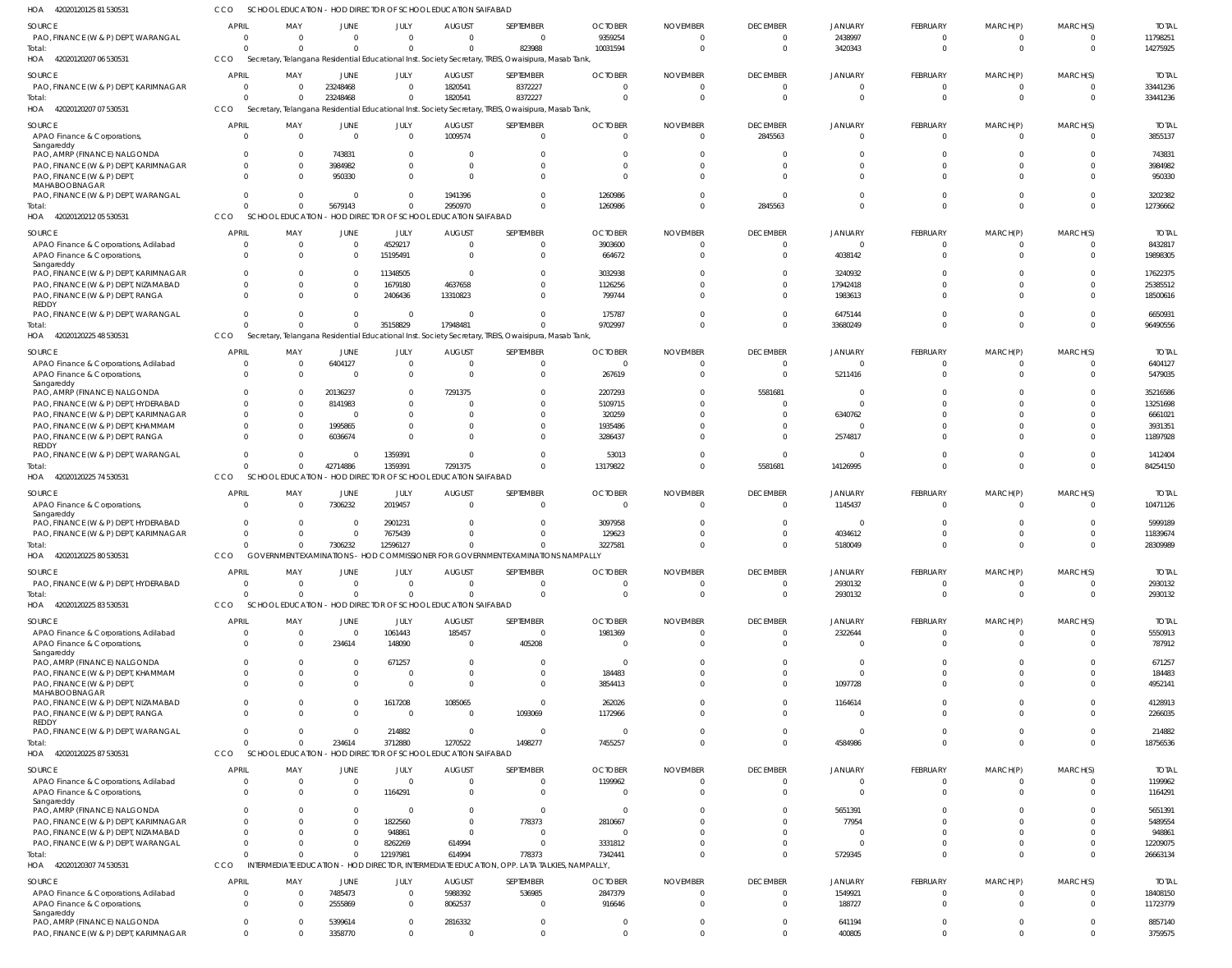| HOA 42020120125 81 530531                             | <b>CCO</b>           | SCHOOL EDUCATION - HOD DIRECTOR OF SCHOOL EDUCATION SAIFABAD |                      |                     |                                             |                                                                                                      |                    |                 |                      |                      |                      |                      |                      |                      |
|-------------------------------------------------------|----------------------|--------------------------------------------------------------|----------------------|---------------------|---------------------------------------------|------------------------------------------------------------------------------------------------------|--------------------|-----------------|----------------------|----------------------|----------------------|----------------------|----------------------|----------------------|
| <b>SOURCE</b>                                         | APRIL                | MAY                                                          | <b>JUNE</b>          | JULY                | <b>AUGUST</b>                               | SEPTEMBER                                                                                            | <b>OCTOBER</b>     | <b>NOVEMBER</b> | <b>DECEMBER</b>      | <b>JANUARY</b>       | <b>FEBRUARY</b>      | MARCH(P)             | MARCH(S)             | <b>TOTAI</b>         |
| PAO, FINANCE (W & P) DEPT, WARANGAL                   | $\Omega$             | $\Omega$                                                     | $\Omega$             | $\Omega$            | $\Omega$                                    | $\overline{0}$                                                                                       | 9359254            |                 | $\overline{0}$       | 2438997              | $\Omega$             | $\Omega$             | $\Omega$             | 11798251             |
| Total:                                                | $\Omega$             | $\Omega$                                                     | $\Omega$             | $\Omega$            | $\Omega$                                    | 823988                                                                                               | 10031594           | $\Omega$        | $\overline{0}$       | 3420343              | $\Omega$             | $\Omega$             | $\Omega$             | 14275925             |
| HOA 42020120207 06 530531                             | CCO                  |                                                              |                      |                     |                                             | Secretary, Telangana Residential Educational Inst. Society Secretary, TREIS, Owaisipura, Masab Tank, |                    |                 |                      |                      |                      |                      |                      |                      |
| <b>SOURCE</b>                                         | <b>APRIL</b>         | MAY                                                          | JUNE                 | JULY                | <b>AUGUST</b>                               | SEPTEMBER                                                                                            | <b>OCTOBER</b>     | <b>NOVEMBER</b> | <b>DECEMBER</b>      | <b>JANUARY</b>       | <b>FEBRUARY</b>      | MARCH(P)             | MARCH(S)             | <b>TOTAI</b>         |
| PAO, FINANCE (W & P) DEPT, KARIMNAGAR                 | $\Omega$             |                                                              | 23248468             | $\Omega$            | 1820541                                     | 8372227                                                                                              |                    | $\Omega$        | $\overline{0}$       | $\Omega$             | $\Omega$             | $\Omega$             | $\Omega$             | 33441236             |
| Total:                                                | $\Omega$             |                                                              | 23248468             | $\Omega$            | 1820541                                     | 8372227                                                                                              |                    | $\Omega$        | $\Omega$             | $\Omega$             | $\Omega$             | $\Omega$             | $\Omega$             | 33441236             |
| HOA 42020120207 07 530531                             | CCO                  |                                                              |                      |                     |                                             | Secretary, Telangana Residential Educational Inst. Society Secretary, TREIS, Owaisipura, Masab Tank, |                    |                 |                      |                      |                      |                      |                      |                      |
|                                                       |                      |                                                              |                      |                     |                                             |                                                                                                      |                    |                 |                      |                      |                      |                      |                      |                      |
| SOURCE                                                | <b>APRIL</b>         | MAY                                                          | JUNE                 | JULY                | <b>AUGUST</b>                               | SEPTEMBER                                                                                            | <b>OCTOBER</b>     | <b>NOVEMBER</b> | <b>DECEMBER</b>      | <b>JANUARY</b>       | FEBRUARY             | MARCH(P)             | MARCH(S)             | <b>TOTAL</b>         |
| APAO Finance & Corporations,<br>Sangareddy            | $\Omega$             | $\Omega$                                                     | $\Omega$             | $\Omega$            | 1009574                                     | $\overline{0}$                                                                                       | $\Omega$           | $\Omega$        | 2845563              | $\Omega$             | $\Omega$             | $\Omega$             | $\Omega$             | 3855137              |
| PAO, AMRP (FINANCE) NALGONDA                          | $\Omega$             |                                                              | 743831               | $\Omega$            |                                             | $\Omega$                                                                                             | $\Omega$           |                 | $\Omega$             | $\Omega$             | $\Omega$             | $\Omega$             | $\Omega$             | 743831               |
| PAO, FINANCE (W & P) DEPT, KARIMNAGAR                 | $\Omega$             |                                                              | 3984982              | $\mathbf{0}$        | $\Omega$                                    | $\Omega$                                                                                             | $\Omega$           |                 | $\Omega$             | $\Omega$             | $\Omega$             | $\Omega$             | $\Omega$             | 3984982              |
| PAO, FINANCE (W & P) DEPT,                            | $\Omega$             |                                                              | 950330               | $\Omega$            | $\Omega$                                    | $\Omega$                                                                                             | $\Omega$           |                 | $\Omega$             | $\Omega$             | $\Omega$             | $\Omega$             | $\Omega$             | 950330               |
| MAHABOOBNAGAR                                         |                      |                                                              |                      |                     |                                             |                                                                                                      |                    |                 |                      |                      |                      |                      |                      |                      |
| PAO, FINANCE (W & P) DEPT, WARANGAL                   | $\Omega$             |                                                              | $\Omega$             | $\Omega$            | 1941396                                     | $\Omega$                                                                                             | 1260986            |                 | $\Omega$             | $\Omega$             | $\Omega$             | $\Omega$             | $\Omega$             | 3202382              |
| Total:                                                | $\Omega$             |                                                              | 5679143              | $\Omega$            | 2950970                                     | $\Omega$                                                                                             | 1260986            |                 | 2845563              | $\Omega$             | $\Omega$             | $\Omega$             | $\Omega$             | 12736662             |
| HOA 4202012021205530531                               | CCO                  | SCHOOL EDUCATION                                             |                      |                     | - HOD DIRECTOR OF SCHOOL EDUCATION SAIFABAD |                                                                                                      |                    |                 |                      |                      |                      |                      |                      |                      |
| SOURCE                                                | <b>APRIL</b>         | MAY                                                          | <b>JUNE</b>          | JULY                | <b>AUGUST</b>                               | SEPTEMBER                                                                                            | <b>OCTOBER</b>     | <b>NOVEMBER</b> | <b>DECEMBER</b>      | <b>JANUARY</b>       | <b>FEBRUARY</b>      | MARCH(P)             | MARCH(S)             | <b>TOTAI</b>         |
| APAO Finance & Corporations, Adilabad                 | $\Omega$             |                                                              | $\Omega$             | 4529217             | $\Omega$                                    | $\Omega$                                                                                             | 3903600            |                 | $\Omega$             | $\Omega$             | - 0                  | - 0                  | $\Omega$             | 8432817              |
| APAO Finance & Corporations                           | $\Omega$             |                                                              | $\Omega$             | 15195491            | $\Omega$                                    | $\Omega$                                                                                             | 664672             |                 | $\Omega$             | 4038142              | $\Omega$             | $\Omega$             | $\Omega$             | 19898305             |
| Sangareddy<br>PAO, FINANCE (W & P) DEPT, KARIMNAGAR   | $\Omega$             |                                                              | $\Omega$             | 11348505            | $\Omega$                                    | $\Omega$                                                                                             | 3032938            |                 | $\Omega$             | 3240932              | $\Omega$             | $\Omega$             | $\Omega$             | 17622375             |
| PAO, FINANCE (W & P) DEPT, NIZAMABAD                  | $\Omega$             |                                                              | $\Omega$             | 1679180             | 4637658                                     | $\Omega$                                                                                             | 1126256            |                 | $\Omega$             | 17942418             | $\Omega$             | $\Omega$             | $\Omega$             | 25385512             |
| PAO, FINANCE (W & P) DEPT, RANGA                      | $\Omega$             |                                                              | $\Omega$             | 2406436             | 13310823                                    | $\Omega$                                                                                             | 799744             |                 | $\Omega$             | 1983613              | $\Omega$             | $\Omega$             | $\Omega$             | 18500616             |
| REDDY                                                 |                      |                                                              |                      |                     |                                             |                                                                                                      |                    |                 |                      |                      |                      |                      |                      |                      |
| PAO, FINANCE (W & P) DEPT, WARANGAL                   | $\Omega$             |                                                              | $\Omega$             | $\Omega$            |                                             | $\Omega$                                                                                             | 175787             |                 | $\Omega$             | 6475144              |                      | $\Omega$             | $\Omega$             | 6650931              |
| Total:                                                | $\Omega$             |                                                              | $\Omega$             | 35158829            | 17948481                                    | $\Omega$                                                                                             | 9702997            |                 | $\Omega$             | 33680249             | $\Omega$             | $\Omega$             | $\Omega$             | 96490556             |
| HOA 42020120225 48 530531                             | CCO                  |                                                              |                      |                     |                                             | Secretary, Telangana Residential Educational Inst. Society Secretary, TREIS, Owaisipura, Masab Tank, |                    |                 |                      |                      |                      |                      |                      |                      |
| SOURCE                                                | <b>APRIL</b>         | MAY                                                          | JUNE                 | JULY                | <b>AUGUST</b>                               | SEPTEMBER                                                                                            | <b>OCTOBER</b>     | <b>NOVEMBER</b> | <b>DECEMBER</b>      | <b>JANUARY</b>       | <b>FEBRUARY</b>      | MARCH(P)             | MARCH(S)             | <b>TOTAL</b>         |
| APAO Finance & Corporations, Adilabad                 | $\Omega$             | $\Omega$                                                     | 6404127              | $\mathbf{0}$        | $\Omega$                                    | $\overline{0}$                                                                                       | $\Omega$           | $\Omega$        | $\overline{0}$       | $\Omega$             | $\Omega$             | $\Omega$             | $\Omega$             | 6404127              |
| APAO Finance & Corporations                           | $\Omega$             | $\Omega$                                                     | $\Omega$             | $\Omega$            | $\Omega$                                    | $\mathbf 0$                                                                                          | 267619             |                 | $\Omega$             | 5211416              | $\Omega$             | $\Omega$             | $\Omega$             | 5479035              |
| Sangareddy                                            |                      |                                                              |                      |                     |                                             |                                                                                                      |                    |                 |                      |                      |                      |                      |                      |                      |
| PAO, AMRP (FINANCE) NALGONDA                          | $\Omega$             |                                                              | 20136237             | $\Omega$            | 7291375                                     | $\Omega$                                                                                             | 2207293            |                 | 5581681              | $\Omega$             | $\Omega$             |                      | $\Omega$             | 35216586             |
| PAO, FINANCE (W & P) DEPT, HYDERABAD                  | $\Omega$             |                                                              | 8141983              | $\Omega$            |                                             | $\Omega$                                                                                             | 5109715            |                 | $\Omega$             | $\Omega$             | $\Omega$             |                      | $\Omega$             | 13251698             |
| PAO, FINANCE (W & P) DEPT, KARIMNAGAR                 | $\Omega$             |                                                              | $\Omega$             | $\Omega$            | $\Omega$                                    | $\Omega$                                                                                             | 320259             |                 | $\Omega$             | 6340762              |                      |                      | $\Omega$             | 6661021              |
| PAO, FINANCE (W & P) DEPT, KHAMMAM                    | $\Omega$             |                                                              | 1995865              | $\Omega$            | $\Omega$                                    | $\Omega$                                                                                             | 1935486            |                 | $\Omega$             | $\Omega$             | $\Omega$             | $\Omega$             | $\Omega$             | 3931351              |
| PAO, FINANCE (W & P) DEPT, RANGA<br>REDDY             | $\Omega$             |                                                              | 6036674              | $\Omega$            |                                             | $\Omega$                                                                                             | 3286437            |                 | $\Omega$             | 2574817              | $\Omega$             | $\Omega$             | $\Omega$             | 11897928             |
| PAO, FINANCE (W & P) DEPT, WARANGAL                   | $\Omega$             |                                                              | $\Omega$             | 1359391             | $\Omega$                                    | $\mathbf 0$                                                                                          | 53013              |                 | $\Omega$             | $\circ$              | $\Omega$             | $\Omega$             | $\Omega$             | 1412404              |
| Total:                                                | $\Omega$             |                                                              | 42714886             | 1359391             | 7291375                                     | $\Omega$                                                                                             | 13179822           | 0               | 5581681              | 14126995             | $\Omega$             | $\Omega$             | $\Omega$             | 84254150             |
| HOA 42020120225 74 530531                             | CCO                  | SCHOOL EDUCATION - HOD DIRECTOR OF SCHOOL EDUCATION SAIFABAD |                      |                     |                                             |                                                                                                      |                    |                 |                      |                      |                      |                      |                      |                      |
| <b>SOURCE</b>                                         | <b>APRIL</b>         | MAY                                                          | JUNE                 | JULY                | <b>AUGUST</b>                               | SEPTEMBER                                                                                            | <b>OCTOBER</b>     | <b>NOVEMBER</b> | <b>DECEMBER</b>      | <b>JANUARY</b>       | FEBRUARY             | MARCH(P)             | MARCH(S)             | <b>TOTA</b>          |
| APAO Finance & Corporations                           | $\Omega$             |                                                              | 7306232              | 2019457             | $\Omega$                                    | $\Omega$                                                                                             | $\Omega$           |                 | $\overline{0}$       | 1145437              | $\Omega$             | $\Omega$             | $\Omega$             | 10471126             |
| Sangareddy                                            |                      |                                                              |                      |                     |                                             |                                                                                                      |                    |                 |                      |                      |                      |                      |                      |                      |
| PAO, FINANCE (W & P) DEPT, HYDERABAD                  | $\Omega$             |                                                              | $\Omega$             | 2901231             |                                             | $\Omega$                                                                                             | 3097958            |                 | $\Omega$             | $\Omega$             | $\Omega$             | - 0                  | $\Omega$             | 5999189              |
| PAO, FINANCE (W & P) DEPT, KARIMNAGAR                 | $\Omega$             |                                                              | $\Omega$             | 7675439             |                                             | $\Omega$                                                                                             | 129623             |                 | n                    | 4034612              | $\Omega$             | - 0                  | $\Omega$             | 11839674             |
| Total:                                                | $\Omega$             | $\Omega$                                                     | 7306232              | 12596127            | $\Omega$                                    | $\Omega$                                                                                             | 3227581            |                 | $\Omega$             | 5180049              | $\Omega$             | $\Omega$             | $\Omega$             | 28309989             |
| HOA 42020120225 80 530531                             | CCO                  |                                                              |                      |                     |                                             | GOVERNMENT EXAMINATIONS - HOD COMMISSIONER FOR GOVERNMENT EXAMINATIONS NAMPALLY                      |                    |                 |                      |                      |                      |                      |                      |                      |
| SOURCE                                                | <b>APRIL</b>         | MAY                                                          | <b>JUNE</b>          | JULY                | <b>AUGUST</b>                               | SEPTEMBER                                                                                            | <b>OCTOBER</b>     | <b>NOVEMBER</b> | <b>DECEMBER</b>      | <b>JANUARY</b>       | <b>FEBRUARY</b>      | MARCH(P)             | MARCH(S)             | <b>TOTAL</b>         |
| PAO, FINANCE (W & P) DEPT, HYDERABAD                  | $\Omega$             | - 0                                                          | $\Omega$             | $\Omega$            | $\Omega$                                    | $\overline{0}$                                                                                       | $\Omega$           | $\Omega$        | $\overline{0}$       | 2930132              | $\Omega$             | $\Omega$             | - 0                  | 2930132              |
| Total:                                                | $\Omega$             |                                                              | $\Omega$             | $\Omega$            | $\Omega$                                    | $\mathbf{0}$                                                                                         | $\Omega$           | $\Omega$        | $\Omega$             | 2930132              | $\Omega$             | $\Omega$             | $\Omega$             | 2930132              |
| HOA 42020120225 83 530531                             | CCO                  | SCHOOL EDUCATION - HOD DIRECTOR OF SCHOOL EDUCATION SAIFABAD |                      |                     |                                             |                                                                                                      |                    |                 |                      |                      |                      |                      |                      |                      |
| SOURCE                                                | APRIL                | MAY                                                          | JUNE                 | JULY                | <b>AUGUST</b>                               | SEPTEMBER                                                                                            | <b>OCTOBER</b>     | <b>NOVEMBER</b> | <b>DECEMBER</b>      | <b>JANUARY</b>       | FEBRUARY             | MARCH(P)             | MARCH(S)             | <b>TOTAL</b>         |
| APAO Finance & Corporations, Adilabad                 | $\Omega$             | - 0                                                          | $\Omega$             | 1061443             | 185457                                      | $\Omega$                                                                                             | 1981369            | 0               | $\Omega$             | 2322644              | $\Omega$             | - 0                  | $\Omega$             | 5550913              |
| APAO Finance & Corporations,                          | $\Omega$             |                                                              | 234614               | 148090              | $\Omega$                                    | 405208                                                                                               |                    |                 | $\Omega$             | $\Omega$             | $\Omega$             | $\Omega$             | $\Omega$             | 787912               |
| Sangareddy                                            |                      |                                                              |                      |                     |                                             |                                                                                                      |                    |                 |                      |                      |                      |                      |                      |                      |
| PAO, AMRP (FINANCE) NALGONDA                          | $\Omega$             |                                                              | $\Omega$             | 671257              | $\Omega$                                    | $\Omega$                                                                                             | $\Omega$           |                 | $\Omega$             | $\Omega$             | $\Omega$             | $\Omega$             | $\Omega$             | 671257               |
| PAO, FINANCE (W & P) DEPT, KHAMMAM                    | $\Omega$             |                                                              | 0                    | $\Omega$            | <sup>0</sup>                                | $\Omega$                                                                                             | 184483             |                 | $\Omega$             | $\Omega$             | $\Omega$             | $\Omega$             | $\Omega$             | 184483               |
| PAO, FINANCE (W & P) DEPT,                            | $\Omega$             |                                                              | $\Omega$             | $\Omega$            | <sup>0</sup>                                | $\Omega$                                                                                             | 3854413            |                 | $\Omega$             | 1097728              | $\Omega$             | $\Omega$             | $\Omega$             | 4952141              |
| MAHABOOBNAGAR<br>PAO, FINANCE (W & P) DEPT, NIZAMABAD | $\Omega$             |                                                              | $\Omega$             | 1617208             | 1085065                                     | $\overline{0}$                                                                                       | 262026             |                 | $\Omega$             | 1164614              | $\Omega$             | $\Omega$             | $\Omega$             | 4128913              |
| PAO, FINANCE (W & P) DEPT, RANGA                      | $\Omega$             |                                                              | $\Omega$             | $\Omega$            | $\Omega$                                    | 1093069                                                                                              | 1172966            |                 | $\Omega$             | $\Omega$             | $\Omega$             | $\Omega$             | $\Omega$             | 2266035              |
| REDDY                                                 |                      |                                                              |                      |                     |                                             |                                                                                                      |                    |                 |                      |                      |                      |                      |                      |                      |
| PAO, FINANCE (W & P) DEPT, WARANGAL                   | $\Omega$             |                                                              | $\Omega$             | 214882              | $\Omega$                                    | $\overline{0}$                                                                                       | $\Omega$           |                 | $\Omega$             | - 0                  | $\Omega$             | $\Omega$             | $\Omega$             | 214882               |
| Total:                                                | $\Omega$             |                                                              | 234614               | 3712880             | 1270522                                     | 1498277                                                                                              | 7455257            | 0               | $\Omega$             | 4584986              | $\Omega$             | $\Omega$             | $\Omega$             | 18756536             |
| HOA 42020120225 87 530531                             | <b>CCO</b>           | <b>SCHOOL EDUCATION</b>                                      |                      |                     | HOD DIRECTOR OF SCHOOL EDUCATION SAIFABAD   |                                                                                                      |                    |                 |                      |                      |                      |                      |                      |                      |
| <b>SOURCE</b>                                         | <b>APRIL</b>         | MAY                                                          | <b>JUNE</b>          | JULY                | <b>AUGUST</b>                               | SEPTEMBER                                                                                            | <b>OCTOBER</b>     | <b>NOVEMBER</b> | <b>DECEMBER</b>      | <b>JANUARY</b>       | <b>FEBRUARY</b>      | MARCH(P)             | MARCH(S)             | <b>TOTAL</b>         |
| APAO Finance & Corporations, Adilabad                 | $\overline{0}$       | - 0                                                          | $\mathbf{0}$         | $\mathbf{0}$        | $^{\circ}$                                  | $\mathbf{0}$                                                                                         | 1199962            |                 | $\overline{0}$       | - 0                  | $\Omega$             | - 0                  | $\Omega$             | 1199962              |
| APAO Finance & Corporations                           | $\Omega$             | $\Omega$                                                     | $\Omega$             | 1164291             | $\Omega$                                    | $\Omega$                                                                                             |                    |                 | $\Omega$             | $\Omega$             | $\Omega$             | $\Omega$             | $\Omega$             | 1164291              |
| Sangareddy                                            |                      |                                                              |                      |                     |                                             |                                                                                                      |                    |                 |                      |                      |                      |                      |                      |                      |
| PAO, AMRP (FINANCE) NALGONDA                          | $\Omega$             |                                                              | $\Omega$             | $\Omega$            | $\Omega$                                    | $\overline{0}$                                                                                       | $\Omega$           |                 | $\Omega$             | 5651391              | $\Omega$             | $\Omega$             | $\Omega$             | 5651391              |
| PAO, FINANCE (W & P) DEPT, KARIMNAGAR                 | $\Omega$             |                                                              | $\mathbf{0}$         | 1822560             | $\Omega$                                    | 778373                                                                                               | 2810667            |                 |                      | 77954                |                      |                      |                      | 5489554              |
| PAO, FINANCE (W & P) DEPT, NIZAMABAD                  | $\Omega$             |                                                              | $\Omega$             | 948861              | $\Omega$                                    | $\overline{0}$                                                                                       |                    |                 | $\Omega$             | $\Omega$<br>$\Omega$ | $\Omega$             |                      | $\Omega$             | 948861               |
| PAO, FINANCE (W & P) DEPT, WARANGAL<br>Total:         | $\Omega$<br>$\Omega$ |                                                              | $\Omega$<br>$\Omega$ | 8262269<br>12197981 | 614994<br>614994                            | $\mathbf 0$<br>778373                                                                                | 3331812<br>7342441 |                 | $\Omega$<br>$\Omega$ | 5729345              | $\Omega$<br>$\Omega$ | $\Omega$<br>$\Omega$ | $\Omega$<br>$\Omega$ | 12209075<br>26663134 |
| HOA 42020120307 74 530531                             | <b>CCO</b>           |                                                              |                      |                     |                                             | INTERMEDIATE EDUCATION - HOD DIRECTOR, INTERMEDIATE EDUCATION, OPP. LATA TALKIES, NAMPALLY,          |                    |                 |                      |                      |                      |                      |                      |                      |
|                                                       |                      |                                                              |                      |                     |                                             |                                                                                                      |                    |                 |                      |                      |                      |                      |                      |                      |
| <b>SOURCE</b>                                         | <b>APRIL</b>         | MAY                                                          | JUNE                 | JULY                | <b>AUGUST</b>                               | SEPTEMBER                                                                                            | <b>OCTOBER</b>     | <b>NOVEMBER</b> | <b>DECEMBER</b>      | <b>JANUARY</b>       | FEBRUARY             | MARCH(P)             | MARCH(S)             | <b>TOTAI</b>         |
| APAO Finance & Corporations, Adilabad                 | $\circ$              | $\Omega$                                                     | 7485473              | $\mathbf 0$         | 5988392                                     | 536985                                                                                               | 2847379            | $\Omega$        | $^{\circ}$           | 1549921              | $\Omega$             | $\Omega$             | - 0                  | 18408150             |
| APAO Finance & Corporations,                          | $\Omega$             |                                                              | 2555869              | $\mathbf{0}$        | 8062537                                     | $\Omega$                                                                                             | 916646             |                 | $\Omega$             | 188727               | $\Omega$             | $\Omega$             | $\Omega$             | 11723779             |
| Sangareddy<br>PAO, AMRP (FINANCE) NALGONDA            | $\Omega$             |                                                              | 5399614              | $\Omega$            | 2816332                                     | $\mathbf{0}$                                                                                         | 0                  | 0               | $\Omega$             | 641194               | $\Omega$             | $\Omega$             | $\Omega$             | 8857140              |
| PAO, FINANCE (W & P) DEPT, KARIMNAGAR                 | $\mathbf 0$          |                                                              | 3358770              | $\mathbf 0$         | $\mathbf{0}$                                | $\mathbf{0}$                                                                                         | $\mathbf 0$        | $\Omega$        | $\Omega$             | 400805               | $\Omega$             | $\Omega$             | $\Omega$             | 3759575              |
|                                                       |                      |                                                              |                      |                     |                                             |                                                                                                      |                    |                 |                      |                      |                      |                      |                      |                      |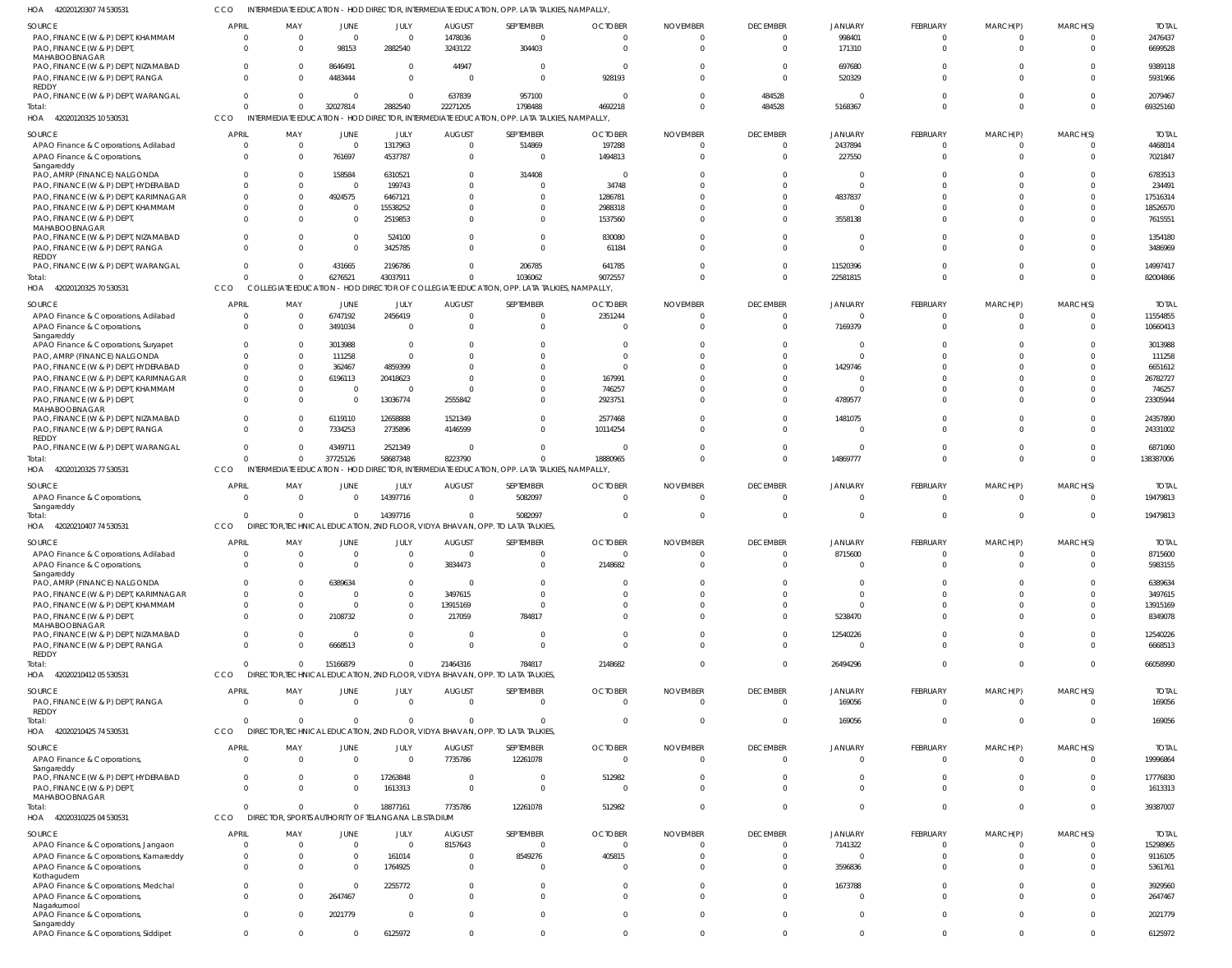42020120325 10 530531 HOA 42020120325 70 530531 42020120325 77 530531 42020210407 74 530531 HOA 42020210412 05 530531 HOA 42020210425 74 530531 HOA 42020310225 04 530531  $H\Omega$ HOA HOA INTERMEDIATE EDUCATION - HOD DIRECTOR, INTERMEDIATE EDUCATION, OPP. LATA TALKIES, NAMPALLY, COLLEGIATE EDUCATION - HOD DIRECTOR OF COLLEGIATE EDUCATION, OPP. LATA TALKIES, NAMPALLY, INTERMEDIATE EDUCATION - HOD DIRECTOR, INTERMEDIATE EDUCATION, OPP. LATA TALKIES, NAMPALLY, DIRECTOR,TECHNICAL EDUCATION, 2ND FLOOR, VIDYA BHAVAN, OPP. TO LATA TALKIES, DIRECTOR,TECHNICAL EDUCATION, 2ND FLOOR, VIDYA BHAVAN, OPP. TO LATA TALKIES, DIRECTOR,TECHNICAL EDUCATION, 2ND FLOOR, VIDYA BHAVAN, OPP. TO LATA TALKIES, DIRECTOR, SPORTS AUTHORITY OF TELANGANA L.B.STADIUM CCO CCO **CCO CCO CCO CCO** CCO 0 0 0 0 0  $\Omega$  $\Omega$ 0 0 0 0 0 0 0 32027814 6276521 37725126 0 15166879 0 0 2882540 43037911 58687348 14397716 0 0 18877161 22271205 0 8223790 0 21464316  $\Omega$ 7735786 1798488 1036062 0 5082097 784817 0 12261078 4692218 9072557 18880965 0 2148682 0 512982  $\Omega$ 0  $\Omega$ 0 0 0 0 484528 0 0 0 0 0 0 5168367 22581815 14869777 0 26494296 169056 0 0 0 0 0 0 0  $\Omega$  $\Omega$ 0 0 0 0 0 0 0 0 0 0 0 0  $\Omega$ 69325160 82004866 138387006 19479813 66058990 169056 39387007 PAO, FINANCE (W & P) DEPT, KHAMMAM PAO, FINANCE (W & P) DEPT, MAHABOOBNAGAR PAO, FINANCE (W & P) DEPT, NIZAMABAD PAO, FINANCE (W & P) DEPT, RANGA REDDY PAO, FINANCE (W & P) DEPT, WARANGAL APAO Finance & Corporations, Adilabad APAO Finance & Corporations, Sangareddy PAO, AMRP (FINANCE) NALGONDA PAO, FINANCE (W & P) DEPT, HYDERABAD PAO, FINANCE (W & P) DEPT, KARIMNAGAR PAO, FINANCE (W & P) DEPT, KHAMMAM PAO, FINANCE (W & P) DEPT, MAHABOOBNAGAR PAO, FINANCE (W & P) DEPT, NIZAMABAD PAO, FINANCE (W & P) DEPT, RANGA REDDY PAO, FINANCE (W & P) DEPT, WARANGAL APAO Finance & Corporations, Adilabad APAO Finance & Corporations, Sangareddy APAO Finance & Corporations, Suryapet PAO, AMRP (FINANCE) NALGONDA PAO, FINANCE (W & P) DEPT, HYDERABAD PAO, FINANCE (W & P) DEPT, KARIMNAGAR PAO, FINANCE (W & P) DEPT, KHAMMAM PAO, FINANCE (W & P) DEPT, MAHABOOBNAGAR PAO, FINANCE (W & P) DEPT, NIZAMABAD PAO, FINANCE (W & P) DEPT, RANGA REDDY PAO, FINANCE (W & P) DEPT, WARANGAL APAO Finance & Corporations, Sangareddy APAO Finance & Corporations, Adilabad APAO Finance & Corporations, Sangareddy PAO, AMRP (FINANCE) NALGONDA PAO, FINANCE (W & P) DEPT, KARIMNAGAR PAO, FINANCE (W & P) DEPT, KHAMMAM PAO, FINANCE (W & P) DEPT, MAHABOOBNAGAR PAO, FINANCE (W & P) DEPT, NIZAMABAD PAO, FINANCE (W & P) DEPT, RANGA REDDY PAO, FINANCE (W & P) DEPT, RANGA REDDY APAO Finance & Corporations, Sangareddy PAO, FINANCE (W & P) DEPT, HYDERABAD PAO, FINANCE (W & P) DEPT MAHABOOBNAGAR APAO Finance & Corporations, Jangaon APAO Finance & Corporations, Kamareddy APAO Finance & Corporations, Kothagudem APAO Finance & Corporations, Medchal APAO Finance & Corporations, Nagarkurnool APAO Finance & Corporations, SOURCE SOURCE **SOURCE SOURCE** SOURCE SOURCE SOURCE SOURCE 0 0  $\Omega$ 0 0  $\Omega$  $\Omega$  $\Omega$  $\Omega$ 0  $\Omega$ 0  $\Omega$ 0  $\Omega$ 0  $\Omega$ 0  $\Omega$ 0 0  $\Omega$ 0 0  $\Omega$ 0 0 0 0  $\mathbf 0$ 0 0  $\Omega$ 0  $\Omega$ 0 0  $\Omega$  $\Omega$ 0 0 0  $\Omega$ 0  $\Omega$ APRIL APRIL **APRIL APRIL APRIL APRIL** APRIL **APRI** 0 0  $\Omega$ 0  $\,$  0  $\,$ 0 0 0 0 0 0 0  $\Omega$ 0  $\Omega$ 0 0 0 0 0 0  $\Omega$ 0 0  $\Omega$ 0 0 0 0 0 0 0 0 0 0 0 0  $\Omega$ 0 0 0 0  $\bigcap$ 0  $\sqrt{2}$ MAY MAY MAY MAY MAY MAY MAY MAY  $\Omega$ 98153 8646491 4483444 0  $\Omega$ 761697 158584  $\Omega$ 4924575  $\Omega$ 0  $\Omega$ 0 431665 6747192 3491034 3013988 111258 362467 6196113 0 0 6119110 7334253 4349711 0  $\mathbf 0$ 0 6389634 0  $\Omega$ 2108732 0 6668513 0  $\Omega$  $\theta$ 0  $\Omega$ 0 0  $\Omega$ 2647467 2021779 JUNE JUNE JUNE JUNE JUNE JUNE JUNE JUNE  $\Omega$ 2882540  $\bigcap$ 0 0 1317963 4537787 6310521 199743 6467121 15538252 2519853 524100 3425785 2196786 2456419  $\Omega$ 0  $\Omega$ 4859399 20418623  $\bigcap$ 13036774 12658888 2735896 2521349 14397716 0 0 0 0 0  $\Omega$ 0  $\Omega$ 0  $\Omega$ 17263848 1613313 0 161014 1764925 2255772  $\Omega$  $\Omega$ JULY JULY JULY JULY JULY JULY JULY JULY 1478036 3243122 44947 0 637839 0 0 0  $\Omega$ 0  $\Omega$ 0  $\Omega$ 0  $\Omega$ 0  $\Omega$ 0  $\Omega$ 0 0  $\Omega$ 2555842 1521349 4146599  $\Omega$ 0 0 3834473 0 3497615 13915169 217059 0  $\Omega$ 0 7735786  $\Omega$ 0 8157643 0 0  $\Omega$ 0  $\Omega$ AUGUST AUGUST **AUGUST** AUGUST AUGUST AUGUST AUGUST AUGUST  $\Omega$ 304403 0 0 957100 514869  $\Omega$ 314408  $\Omega$ 0  $\Omega$ 0  $\Omega$ 0 206785 0  $\Omega$ 0  $\Omega$ 0  $\Omega$ 0 0  $\Omega$ 0 0 5082097 0 0 0 0  $\Omega$ 784817 0 0 0 12261078 0 0 0 8549276 0  $\sqrt{2}$  $\Omega$  $\sqrt{2}$ SEPTEMBER SEPTEMBER **SEPTEMBER** SEPTEMBER SEPTEMBER SEPTEMBER SEPTEMBER SEPTEMBER  $\Omega$ 0 0 928193 0 197288 1494813 0 34748 1286781 2988318 1537560 830080 61184 641785 2351244  $\Omega$ 0  $\Omega$ 0 167991 746257 2923751 2577468 10114254 0  $\Omega$ 0 2148682 0  $\Omega$  $\Omega$ 0 0 0 0 0 512982 0 0 405815 0  $\Omega$  $\Omega$  $\Omega$ **OCTOBER OCTOBER OCTOBER OCTOBER OCTOBER OCTOBER** OCTOBER OCTOBER  $\Omega$ 0 0 0 0 0  $\Omega$  $\Omega$  $\Omega$ 0  $\Omega$ 0  $\Omega$ 0  $\Omega$ 0  $\Omega$ 0  $\bigcap$ 0  $\Omega$ 0 0 0 0 0 0 0  $\Omega$ 0  $\Omega$ 0  $\Omega$ 0  $\Omega$ 0  $\Omega$ 0  $\Omega$  $\Omega$  $\Omega$ 0  $\Omega$  $\Omega$  $\Omega$ NOVEMBER NOVEMBER NOVEMBER NOVEMBER NOVEMBER NOVEMBER NOVEMBER NOVEMBER 0 0  $\bigcap$ 0 484528  $\Omega$  $\Omega$  $\Omega$  $\Omega$ 0  $\Omega$ 0  $\Omega$ 0  $\Omega$ 0  $\Omega$ 0  $\Omega$ 0  $\Omega$  $\bigcap$ 0 0  $\Omega$  $\theta$ 0 0 0 0 0 0  $\Omega$ 0  $\Omega$ 0 0 0  $\Omega$  $\Omega$ 0 0  $\Omega$ 0  $\Omega$ DECEMBER DECEMBER DECEMBER DECEMBER **DECEMBER DECEMBER** DECEMBER DECEMBER 998401 171310 697680 520329 0 2437894 227550 0  $\mathfrak{g}$ 4837837  $\Omega$ 3558138  $\Omega$ 0 11520396 0 7169379  $\mathbf{C}$  $\Omega$ 1429746 0  $\epsilon$ 4789577 1481075 0 0 0 8715600 0 0 0  $\Omega$ 5238470 12540226 0 169056  $\Omega$ 0  $\Omega$ 7141322 0 3596836 1673788 0  $\Omega$ JANUARY **JANUARY** JANUARY JANUARY JANUARY JANUARY JANUARY JANUARY 0 0  $\Omega$ 0 0 0  $\Omega$  $\Omega$  $\Omega$ 0  $\sqrt{2}$ 0  $\sqrt{2}$ 0 0 0  $\Omega$ 0  $\Omega$ 0  $\Omega$ 0 0 0 0 0 0 0 0 0  $\Omega$ 0  $\Omega$ 0 0 0 0 0 0  $\Omega$  $\Omega$ 0  $\Omega$  $\Omega$  $\Omega$ FEBRUARY FEBRUARY **FFBRUARY** FEBRUARY FEBRUARY FEBRUARY FEBRUARY FEBRUARY  $\Omega$ 0  $\Omega$ 0 0  $\Omega$  $\Omega$  $\Omega$  $\Omega$ 0  $\Omega$ 0  $\Omega$ 0  $\Omega$ 0  $\Omega$ 0  $\Omega$ 0 0  $\Omega$ 0  $\Omega$  $\Omega$ 0  $\Omega$ 0 0  $\mathbf 0$ 0 0 0 0 0  $\mathbf 0$ 0  $\Omega$ 0 0 0 0  $\Omega$ 0  $\Omega$ MARCH(P) MARCH(P) MARCH(P) MARCH(P) MARCH(P) MARCH(P) MARCH(P) MARCH(P)  $\Omega$ 0 0 0 0  $\Omega$  $\Omega$  $\Omega$  $\Omega$ 0  $\bigcap$ 0  $\bigcap$ 0  $\Omega$ 0  $\Omega$ 0  $\Omega$  $\Omega$  $\Omega$ 0 0  $\Omega$ 0 0  $^{\circ}$ 0 0 0 0 0  $\Omega$ 0 0 0  $\Omega$ 0  $\Omega$  $\Omega$ 0 0  $\Omega$ 0  $\Omega$ MARCH(S) MARCH(S) MARCH(S) MARCH(S) MARCH(S) MARCH(S) MARCH(S) MARCH(S) 2476437 6699528 9389118 5931966 2079467 4468014 7021847 6783513 234491 17516314 18526570 7615551 1354180 3486969 14997417 11554855 10660413 3013988 111258 6651612 26782727 746257 23305944 24357890 24331002 6871060 19479813 8715600 5983155 6389634 3497615 13915169 8349078 12540226 6668513 169056 19996864 17776830 1613313 15298965 9116105 5361761 3929560 2647467 2021779 TOTAL TOTAL TOTAL TOTAL TOTAL TOTAL TOTAL TOTAL Total: Total: Total: **Total** Total: Total: Total:

INTERMEDIATE EDUCATION - HOD DIRECTOR, INTERMEDIATE EDUCATION, OPP. LATA TALKIES, NAMPALLY,

42020120307 74 530531 HOA

Sangareddy

APAO Finance & Corporations, Siddipet

 $\Omega$ 

 $\Omega$ 

 $\Omega$ 

6125972

 $\theta$ 

0

 $\Omega$ 

 $\Omega$ 

 $\sqrt{2}$ 

 $\sqrt{2}$ 

 $\Omega$ 

 $\Omega$ 

 $\Omega$ 

6125972

CCO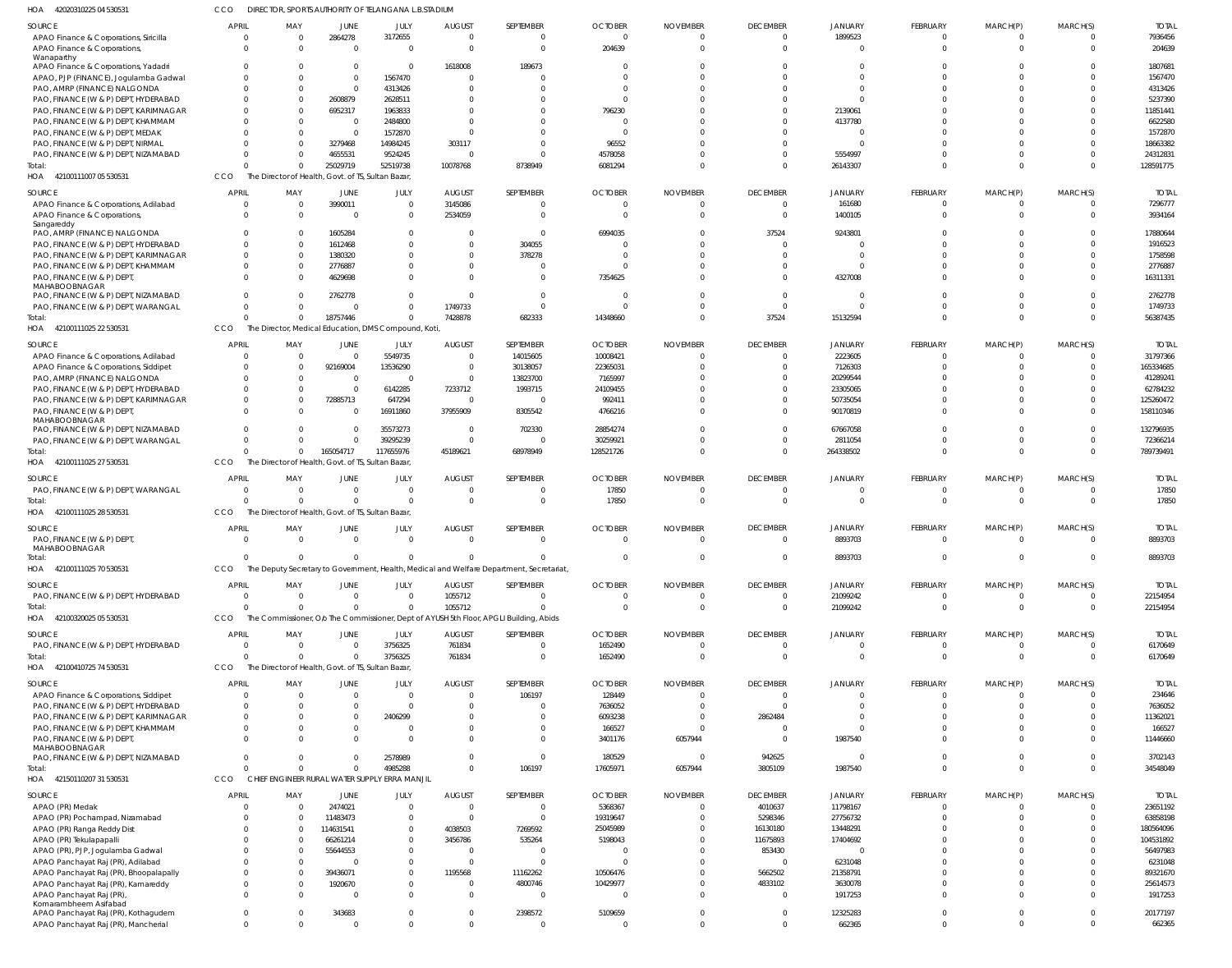| HOA 42020310225 04 53053 <sup>-</sup>  | CCO            |                                                    |                | DIRECTOR, SPORTS AUTHORITY OF TELANGANA L.B.STADIUM  |                |                                                                                         |                |                 |                 |                |                 |                |                |              |
|----------------------------------------|----------------|----------------------------------------------------|----------------|------------------------------------------------------|----------------|-----------------------------------------------------------------------------------------|----------------|-----------------|-----------------|----------------|-----------------|----------------|----------------|--------------|
| SOURCE                                 | <b>APRIL</b>   | MAY                                                | <b>JUNE</b>    | JULY                                                 | <b>AUGUST</b>  | SEPTEMBER                                                                               | <b>OCTOBER</b> | <b>NOVEMBER</b> | <b>DECEMBER</b> | <b>JANUARY</b> | <b>FEBRUARY</b> | MARCH(P)       | MARCH(S)       | <b>TOTAI</b> |
| APAO Finance & Corporations, Siricilla | $\Omega$       | $\overline{0}$                                     | 2864278        | 3172655                                              | $\overline{0}$ | $\Omega$                                                                                | $\overline{0}$ | $\Omega$        | $\overline{0}$  | 1899523        | $\mathbf 0$     | $^{\circ}$     | $\Omega$       | 7936456      |
| APAO Finance & Corporations,           | $\Omega$       | $\Omega$                                           | $\overline{0}$ | - 0                                                  | $\overline{0}$ | $\Omega$                                                                                | 204639         | $\Omega$        | $\Omega$        | $\Omega$       | $\Omega$        | $\Omega$       | $\Omega$       | 204639       |
| Wanaparthy                             |                |                                                    |                |                                                      |                |                                                                                         |                |                 |                 |                |                 |                |                |              |
| APAO Finance & Corporations, Yadadri   |                | - 0                                                | 0              | - 0                                                  | 1618008        | 189673                                                                                  | 0              | C               |                 |                | n               |                |                | 1807681      |
| APAO, PJP (FINANCE), Jogulamba Gadwal  | $\Omega$       | $\Omega$                                           | $\mathbf{0}$   | 1567470                                              | $\overline{0}$ |                                                                                         | $\Omega$       | $\Omega$        | $\Omega$        |                | $\Omega$        |                | $\Omega$       | 1567470      |
| PAO, AMRP (FINANCE) NALGONDA           | $\Omega$       | $\Omega$                                           | $\mathbf{0}$   | 4313426                                              | $\Omega$       |                                                                                         | $\Omega$       |                 |                 |                | $\Omega$        |                |                | 4313426      |
| PAO, FINANCE (W & P) DEPT, HYDERABAD   | $\Omega$       | $\Omega$                                           | 2608879        | 2628511                                              | $\Omega$       |                                                                                         | $\Omega$       |                 |                 |                | $\Omega$        |                |                | 5237390      |
| PAO, FINANCE (W & P) DEPT, KARIMNAGAR  | $\Omega$       | $\Omega$                                           | 6952317        | 1963833                                              | $\Omega$       |                                                                                         | 796230         |                 |                 | 2139061        |                 |                |                | 11851441     |
|                                        |                |                                                    |                |                                                      |                |                                                                                         |                |                 |                 |                | $\Omega$        |                |                |              |
| PAO, FINANCE (W & P) DEPT, KHAMMAM     | $\Omega$       | $\Omega$                                           | 0              | 2484800                                              | $\Omega$       |                                                                                         | - 0            |                 |                 | 4137780        |                 |                |                | 6622580      |
| PAO, FINANCE (W & P) DEPT, MEDAK       |                | $\Omega$                                           | 0              | 1572870                                              | $\Omega$       |                                                                                         | - 0            |                 |                 |                |                 |                |                | 1572870      |
| PAO, FINANCE (W & P) DEPT, NIRMAL      |                | $\Omega$                                           | 3279468        | 14984245                                             | 303117         |                                                                                         | 96552          |                 |                 |                | $\Omega$        |                |                | 18663382     |
| PAO, FINANCE (W & P) DEPT, NIZAMABAD   | $\Omega$       | $\Omega$                                           | 4655531        | 9524245                                              | $\Omega$       |                                                                                         | 4578058        | $\mathcal{L}$   | $\Omega$        | 5554997        | $\Omega$        | $\Omega$       | $\Omega$       | 24312831     |
| Total:                                 | $\Omega$       | $\Omega$                                           | 25029719       | 52519738                                             | 10078768       | 8738949                                                                                 | 6081294        | $\Omega$        | $\Omega$        | 26143307       | $\Omega$        | $\Omega$       | $\Omega$       | 128591775    |
| HOA 42100111007 05 530531              | CCO            | The Director of Health, Govt. of TS, Sultan Bazar, |                |                                                      |                |                                                                                         |                |                 |                 |                |                 |                |                |              |
|                                        |                |                                                    |                |                                                      |                |                                                                                         |                |                 |                 |                |                 |                |                |              |
| <b>SOURCE</b>                          | <b>APRIL</b>   | MAY                                                | JUNE           | JULY                                                 | <b>AUGUST</b>  | SEPTEMBER                                                                               | <b>OCTOBER</b> | <b>NOVEMBER</b> | <b>DECEMBER</b> | <b>JANUARY</b> | FEBRUARY        | MARCH(P)       | MARCH(S)       | <b>TOTAL</b> |
| APAO Finance & Corporations, Adilabad  | $\Omega$       | $\overline{0}$                                     | 3990011        | $\Omega$                                             | 3145086        |                                                                                         | $\overline{0}$ | $\overline{0}$  | $\Omega$        | 161680         | $^{\circ}$      | $^{\circ}$     | $\Omega$       | 7296777      |
| APAO Finance & Corporations,           | $\Omega$       | $\Omega$                                           | 0              |                                                      | 2534059        | $\Omega$                                                                                | $\Omega$       | $\Omega$        | $\Omega$        | 1400105        | $\Omega$        | $\Omega$       | $\Omega$       | 3934164      |
| Sangareddy                             |                |                                                    |                |                                                      |                |                                                                                         |                |                 |                 |                | $\Omega$        | $\Omega$       |                |              |
| PAO, AMRP (FINANCE) NALGONDA           |                | - 0                                                | 1605284        | $\Omega$                                             | $\Omega$       | $\Omega$                                                                                | 6994035        | $\Omega$        | 37524           | 9243801        |                 |                |                | 17880644     |
| PAO, FINANCE (W & P) DEPT, HYDERABAD   | $\Omega$       | - 0                                                | 1612468        |                                                      | $\Omega$       | 304055                                                                                  | $\mathcal{L}$  | $\Omega$        | $\Omega$        |                | $\Omega$        |                |                | 1916523      |
| PAO, FINANCE (W & P) DEPT, KARIMNAGAR  | $\Omega$       | $\Omega$                                           | 1380320        |                                                      | $\Omega$       | 378278                                                                                  | $\Omega$       | $\Omega$        | $\Omega$        | $\Omega$       | $\Omega$        |                |                | 1758598      |
| PAO, FINANCE (W & P) DEPT, KHAMMAM     | $\Omega$       | $\Omega$                                           | 2776887        |                                                      | $\Omega$       |                                                                                         | $\mathcal{L}$  |                 | $\Omega$        | $\Omega$       | $\Omega$        | $\Omega$       | $\Omega$       | 2776887      |
| PAO, FINANCE (W & P) DEPT,             |                | $\Omega$                                           | 4629698        |                                                      | $\Omega$       |                                                                                         | 7354625        |                 | $\Omega$        | 4327008        | $\Omega$        | $\Omega$       | $\Omega$       | 16311331     |
| <b>MAHABOOBNAGAR</b>                   |                |                                                    |                |                                                      |                |                                                                                         |                |                 |                 |                |                 |                |                |              |
| PAO, FINANCE (W & P) DEPT, NIZAMABAD   | $\Omega$       | - 0                                                | 2762778        |                                                      | $\Omega$       | $\Omega$                                                                                | $\Omega$       | $\Omega$        | $\Omega$        | $\Omega$       | $\Omega$        | $\Omega$       |                | 2762778      |
| PAO, FINANCE (W & P) DEPT, WARANGAL    | $\Omega$       | $\Omega$                                           | 0              |                                                      | 1749733        | $\Omega$                                                                                | $\Omega$       | $\Omega$        | $\Omega$        | $\Omega$       | $\Omega$        | $\Omega$       |                | 1749733      |
| Total:                                 | $\Omega$       | $\Omega$                                           | 18757446       |                                                      | 7428878        | 682333                                                                                  | 14348660       | $\Omega$        | 37524           | 15132594       | $\Omega$        | $\Omega$       | $\Omega$       | 56387435     |
| HOA 42100111025 22 530531              | CCO            |                                                    |                | The Director, Medical Education, DMS Compound, Koti, |                |                                                                                         |                |                 |                 |                |                 |                |                |              |
|                                        |                |                                                    |                |                                                      |                |                                                                                         |                |                 |                 |                |                 |                |                |              |
| SOURCE                                 | <b>APRIL</b>   | MAY                                                | JUNE           | JULY                                                 | <b>AUGUST</b>  | SEPTEMBER                                                                               | <b>OCTOBER</b> | <b>NOVEMBER</b> | <b>DECEMBER</b> | <b>JANUARY</b> | FEBRUARY        | MARCH(P)       | MARCH(S)       | <b>TOTAI</b> |
| APAO Finance & Corporations, Adilabad  | $\Omega$       | $\overline{0}$                                     | 0              | 5549735                                              | $\overline{0}$ | 14015605                                                                                | 10008421       | $\Omega$        | $\Omega$        | 2223605        | $\Omega$        | 0              | $\Omega$       | 31797366     |
| APAO Finance & Corporations, Siddipet  | $\Omega$       | $\overline{0}$                                     | 92169004       | 13536290                                             | $\overline{0}$ | 30138057                                                                                | 22365031       | $\Omega$        | $\Omega$        | 7126303        | $\Omega$        | $\Omega$       | $\Omega$       | 165334685    |
| PAO, AMRP (FINANCE) NALGONDA           | $\Omega$       | $\Omega$                                           | $\overline{0}$ |                                                      | $\overline{0}$ | 13823700                                                                                | 7165997        | $\Omega$        | $\Omega$        | 20299544       | $\Omega$        |                |                | 41289241     |
| PAO, FINANCE (W & P) DEPT, HYDERABAD   | $\Omega$       | $\overline{0}$                                     | $\overline{0}$ | 6142285                                              | 7233712        | 1993715                                                                                 | 24109455       | $\sqrt{ }$      | $\Omega$        | 23305065       | $\Omega$        |                |                | 62784232     |
| PAO, FINANCE (W & P) DEPT, KARIMNAGAR  | $\Omega$       | $\Omega$                                           | 72885713       | 647294                                               | $\overline{0}$ | $\Omega$                                                                                | 992411         | $\Omega$        | $\Omega$        | 50735054       | $\Omega$        | $\Omega$       | $\Omega$       | 125260472    |
| PAO, FINANCE (W & P) DEPT,             | $\Omega$       | $\Omega$                                           | $\Omega$       | 16911860                                             | 37955909       | 8305542                                                                                 | 4766216        | $\Omega$        | $\Omega$        | 90170819       | $\Omega$        | $\Omega$       | $\Omega$       | 158110346    |
| MAHABOOBNAGAR                          |                |                                                    |                |                                                      |                |                                                                                         |                |                 |                 |                |                 |                |                |              |
| PAO, FINANCE (W & P) DEPT, NIZAMABAD   | $\Omega$       | $\Omega$                                           | $\Omega$       | 35573273                                             | $^{\circ}$     | 702330                                                                                  | 28854274       | $\Omega$        | $\Omega$        | 67667058       | $\Omega$        | $\Omega$       | $\Omega$       | 132796935    |
| PAO, FINANCE (W & P) DEPT, WARANGAL    | $\Omega$       | $\Omega$                                           | $\overline{0}$ | 39295239                                             | $\overline{0}$ | $\Omega$                                                                                | 30259921       | $\Omega$        | $\Omega$        | 2811054        | $\Omega$        | $\Omega$       | $\Omega$       | 72366214     |
| Total:                                 | $\Omega$       | $\Omega$                                           | 165054717      | 117655976                                            | 45189621       | 68978949                                                                                | 128521726      | $\Omega$        | $\Omega$        | 264338502      | $\Omega$        | $\Omega$       | $\Omega$       | 789739491    |
| HOA 42100111025 27 530531              | CCO            | The Director of Health, Govt. of TS, Sultan Bazar, |                |                                                      |                |                                                                                         |                |                 |                 |                |                 |                |                |              |
|                                        |                |                                                    |                |                                                      |                |                                                                                         |                |                 |                 |                |                 |                |                |              |
| SOURCE                                 | <b>APRIL</b>   | MAY                                                | JUNE           | JULY                                                 | <b>AUGUST</b>  | SEPTEMBER                                                                               | <b>OCTOBER</b> | <b>NOVEMBER</b> | <b>DECEMBER</b> | <b>JANUARY</b> | <b>FEBRUARY</b> | MARCH(P)       | MARCH(S)       | <b>TOTAI</b> |
| PAO, FINANCE (W & P) DEPT, WARANGAL    | $\Omega$       | $\Omega$                                           | $\Omega$       |                                                      | $\overline{0}$ | $\Omega$                                                                                | 17850          | $\overline{0}$  | $\Omega$        | $\Omega$       | $\mathbf 0$     | $\mathbf 0$    | $\Omega$       | 17850        |
| Total:                                 | $\Omega$       | $\Omega$                                           | $\Omega$       | $\Omega$                                             | $\Omega$       | $\Omega$                                                                                | 17850          | $\Omega$        | $\Omega$        | $\Omega$       | $\Omega$        | $\Omega$       | $\Omega$       | 17850        |
| HOA 42100111025 28 530531              | CCO            | The Director of Health, Govt. of TS, Sultan Bazar, |                |                                                      |                |                                                                                         |                |                 |                 |                |                 |                |                |              |
|                                        |                |                                                    |                |                                                      |                |                                                                                         |                |                 |                 |                |                 |                |                |              |
| SOURCE                                 | <b>APRIL</b>   | MAY                                                | JUNE           | JULY                                                 | <b>AUGUST</b>  | SEPTEMBER                                                                               | <b>OCTOBER</b> | <b>NOVEMBER</b> | <b>DECEMBER</b> | <b>JANUARY</b> | FEBRUARY        | MARCH(P)       | MARCH(S)       | <b>TOTAL</b> |
| PAO, FINANCE (W & P) DEPT,             | $\Omega$       | $\Omega$                                           | $\overline{0}$ | $\overline{0}$                                       | $\Omega$       | $\Omega$                                                                                | $\Omega$       | $\Omega$        | $\Omega$        | 8893703        | $\Omega$        | $\Omega$       | $\Omega$       | 8893703      |
| MAHABOOBNAGAR                          |                |                                                    |                |                                                      |                |                                                                                         |                |                 |                 |                |                 |                |                |              |
| lotal:                                 |                |                                                    |                |                                                      |                |                                                                                         |                |                 |                 | 8893703        |                 |                |                | 8893703      |
| HOA 42100111025 70 530531              | <b>CCO</b>     |                                                    |                |                                                      |                | The Deputy Secretary to Government, Health, Medical and Welfare Department, Secretariat |                |                 |                 |                |                 |                |                |              |
| SOURCE                                 | <b>APRIL</b>   | MAY                                                | JUNE           | JULY                                                 | <b>AUGUST</b>  | SEPTEMBER                                                                               | <b>OCTOBER</b> | <b>NOVEMBER</b> | <b>DECEMBER</b> | <b>JANUARY</b> | FEBRUARY        | MARCH(P)       | MARCH(S)       | <b>TOTAL</b> |
|                                        | $\overline{0}$ | $\overline{0}$                                     | $\overline{0}$ | $\Omega$                                             | 1055712        | 0                                                                                       | $\overline{0}$ | $\overline{0}$  | $\overline{0}$  | 21099242       | $\mathbf 0$     | $^{\circ}$     | $\Omega$       | 22154954     |
| PAO, FINANCE (W & P) DEPT, HYDERABAD   |                |                                                    |                |                                                      |                |                                                                                         |                |                 |                 |                |                 |                |                |              |
| Total:                                 | $\Omega$       | $\Omega$                                           | $\Omega$       |                                                      | 1055712        | $\Omega$                                                                                | $\mathbf 0$    | $\mathbf 0$     | $\overline{0}$  | 21099242       | $\overline{0}$  | $\overline{0}$ | $\overline{0}$ | 22154954     |
| HOA 42100320025 05 530531              | CCO            |                                                    |                |                                                      |                | The Commissioner, Olo The Commissioner, Dept of AYUSH 5th Floor, APGLI Building, Abids  |                |                 |                 |                |                 |                |                |              |
| SOURCE                                 | <b>APRIL</b>   | MAY                                                | <b>JUNE</b>    | JULY                                                 | <b>AUGUST</b>  | SEPTEMBER                                                                               | <b>OCTOBER</b> | <b>NOVEMBER</b> | <b>DECEMBER</b> | <b>JANUARY</b> | <b>FEBRUARY</b> | MARCH(P)       | MARCH(S)       | <b>TOTAL</b> |
| PAO, FINANCE (W & P) DEPT, HYDERABAD   | $\Omega$       | $\overline{0}$                                     | $\overline{0}$ | 3756325                                              | 761834         | $\Omega$                                                                                | 1652490        | $\Omega$        | $\Omega$        | $\Omega$       | $\mathbf 0$     | $^{\circ}$     | $\Omega$       | 6170649      |
| Total:                                 | $\Omega$       | $\Omega$                                           | $\Omega$       | 3756325                                              | 761834         | $\Omega$                                                                                |                | $\Omega$        | $\Omega$        | $\Omega$       | $\overline{0}$  | $\overline{0}$ | $\Omega$       |              |
|                                        |                |                                                    |                |                                                      |                |                                                                                         | 1652490        |                 |                 |                |                 |                |                | 6170649      |
| HOA 42100410725 74 530531              | CCO            | The Director of Health, Govt. of TS, Sultan Bazar, |                |                                                      |                |                                                                                         |                |                 |                 |                |                 |                |                |              |
| <b>SOURCE</b>                          | <b>APRIL</b>   | MAY                                                | JUNE           | JULY                                                 | <b>AUGUST</b>  | SEPTEMBER                                                                               | <b>OCTOBER</b> | <b>NOVEMBER</b> | <b>DECEMBER</b> | <b>JANUARY</b> | <b>FEBRUARY</b> | MARCH(P)       | MARCH(S)       | <b>TOTAL</b> |
| APAO Finance & Corporations, Siddipet  | $\overline{0}$ | $\overline{0}$                                     | $\overline{0}$ | $\Omega$                                             | $\overline{0}$ | 106197                                                                                  | 128449         | $\overline{0}$  | $\overline{0}$  | $\Omega$       | $\mathbf 0$     | $\mathbf 0$    | $\Omega$       | 234646       |
| PAO, FINANCE (W & P) DEPT, HYDERABAD   | $\Omega$       | $\overline{0}$                                     | 0              | $\Omega$                                             | 0              |                                                                                         | 7636052        | $\Omega$        | $\Omega$        |                | $\Omega$        | $\Omega$       | $\Omega$       | 7636052      |
| PAO, FINANCE (W & P) DEPT, KARIMNAGAR  | $\Omega$       | $\overline{0}$                                     | 0              | 2406299                                              | 0              | $\Omega$                                                                                | 6093238        | 0               | 2862484         | $\Omega$       | $\Omega$        | $\Omega$       |                | 11362021     |
|                                        |                |                                                    |                |                                                      |                |                                                                                         |                |                 |                 |                |                 |                |                |              |
| PAO, FINANCE (W & P) DEPT, KHAMMAM     | $\Omega$       | $\overline{0}$                                     | 0              | - 0                                                  | $\Omega$       | $\Omega$                                                                                | 166527         | $\Omega$        | $\Omega$        | $\Omega$       | $\Omega$        | $\Omega$       |                | 166527       |
| PAO, FINANCE (W & P) DEPT,             | $\Omega$       | $\Omega$                                           | $\Omega$       | - 0                                                  | $\Omega$       | $\Omega$                                                                                | 3401176        | 6057944         | $\Omega$        | 1987540        | $\Omega$        | $\Omega$       | $\Omega$       | 11446660     |
| MAHABOOBNAGAR                          | $\Omega$       | $\overline{0}$                                     | $\Omega$       | 2578989                                              | $\Omega$       | $\overline{0}$                                                                          | 180529         | 0               | 942625          | $\Omega$       | $\mathbf 0$     | $\mathbf 0$    | $\Omega$       | 3702143      |
| PAO, FINANCE (W & P) DEPT, NIZAMABAD   | $\Omega$       | $\Omega$                                           |                |                                                      |                |                                                                                         |                |                 |                 |                | $\Omega$        |                |                |              |
| Total:                                 |                |                                                    | $\mathbf 0$    | 4985288                                              | $\mathbf 0$    | 106197                                                                                  | 17605971       | 6057944         | 3805109         | 1987540        |                 | $\Omega$       | $\Omega$       | 34548049     |
| HOA 42150110207 31 530531              | CCO            |                                                    |                | CHIEF ENGINEER RURAL WATER SUPPLY ERRA MANJIL        |                |                                                                                         |                |                 |                 |                |                 |                |                |              |
| SOURCE                                 | <b>APRIL</b>   | MAY                                                | JUNE           | JULY                                                 | <b>AUGUST</b>  | SEPTEMBER                                                                               | <b>OCTOBER</b> | <b>NOVEMBER</b> | <b>DECEMBER</b> | <b>JANUARY</b> | <b>FEBRUARY</b> | MARCH(P)       | MARCH(S)       | <b>TOTAI</b> |
| APAO (PR) Medak                        | $\Omega$       | $\overline{0}$                                     | 2474021        | $\Omega$                                             | $\overline{0}$ | $\overline{0}$                                                                          | 5368367        | $\Omega$        | 4010637         | 11798167       | $\mathbf 0$     | -0             | $\Omega$       | 23651192     |
| APAO (PR) Pochampad, Nizamabad         | $\Omega$       | $\overline{0}$                                     | 11483473       | $\Omega$                                             | $\overline{0}$ | $\Omega$                                                                                | 19319647       | $\Omega$        | 5298346         | 27756732       | $\Omega$        | $\Omega$       | $\Omega$       | 63858198     |
|                                        | $\Omega$       |                                                    |                |                                                      |                |                                                                                         |                |                 |                 |                |                 |                |                |              |
| APAO (PR) Ranga Reddy Dist             |                | $\overline{\mathbf{0}}$                            | 114631541      | $\Omega$                                             | 4038503        | 7269592                                                                                 | 25045989       | $\Omega$        | 16130180        | 13448291       | $\Omega$        | $\Omega$       |                | 180564096    |
| APAO (PR) Tekulapapalli                | $\Omega$       | $\overline{0}$                                     | 66261214       | $\Omega$                                             | 3456786        | 535264                                                                                  | 5198043        | $\Omega$        | 11675893        | 17404692       | $\Omega$        | $\Omega$       |                | 104531892    |
| APAO (PR), PJP, Jogulamba Gadwal       | $\Omega$       | $\overline{0}$                                     | 55644553       | $\Omega$                                             | - 0            | $\Omega$                                                                                | 0              | $\Omega$        | 853430          | $\Omega$       | $\Omega$        | $\Omega$       |                | 56497983     |
| APAO Panchayat Raj (PR), Adilabad      | $\Omega$       | $\overline{0}$                                     | 0              | $\Omega$                                             | $\overline{0}$ | $\Omega$                                                                                | - 0            | $\Omega$        | $\Omega$        | 6231048        | $\Omega$        | $\Omega$       |                | 6231048      |
| APAO Panchayat Raj (PR), Bhoopalapally | $\Omega$       | $\overline{0}$                                     | 39436071       | $\Omega$                                             | 1195568        | 11162262                                                                                | 10506476       | $\Omega$        | 5662502         | 21358791       | $\Omega$        | $\Omega$       |                | 89321670     |
| APAO Panchayat Raj (PR), Kamareddy     | $\Omega$       | $\overline{0}$                                     | 1920670        | $\Omega$                                             | $\overline{0}$ | 4800746                                                                                 | 10429977       | $\Omega$        | 4833102         | 3630078        | $\Omega$        | $\Omega$       |                | 25614573     |
| APAO Panchayat Raj (PR),               | $\Omega$       | $\Omega$                                           | $\Omega$       | $\cap$                                               | $\Omega$       | $\Omega$                                                                                | $\Omega$       | $\Omega$        | $\Omega$        | 1917253        | $\Omega$        | $\Omega$       | $\Omega$       | 1917253      |
| Komarambheem Asifabad                  |                |                                                    |                |                                                      |                |                                                                                         |                |                 |                 |                |                 |                |                |              |
|                                        |                |                                                    |                |                                                      |                |                                                                                         |                |                 |                 |                |                 |                |                |              |
| APAO Panchayat Raj (PR), Kothagudem    | $\overline{0}$ | $\overline{0}$                                     | 343683         |                                                      | $\mathbf 0$    | 2398572                                                                                 | 5109659        | $\mathbf 0$     | $\overline{0}$  | 12325283       | $\mathbf 0$     | $\mathbf 0$    | $\Omega$       | 20177197     |
| APAO Panchayat Raj (PR), Mancherial    | $\mathbf{0}$   | $\mathbf{0}$                                       | $\mathbf 0$    | $\Omega$                                             | $\mathbf 0$    | $\overline{0}$                                                                          | 0              | $\mathbf 0$     | $\mathbf{0}$    | 662365         | $\mathbf 0$     | $\mathbf 0$    | $\mathbf 0$    | 662365       |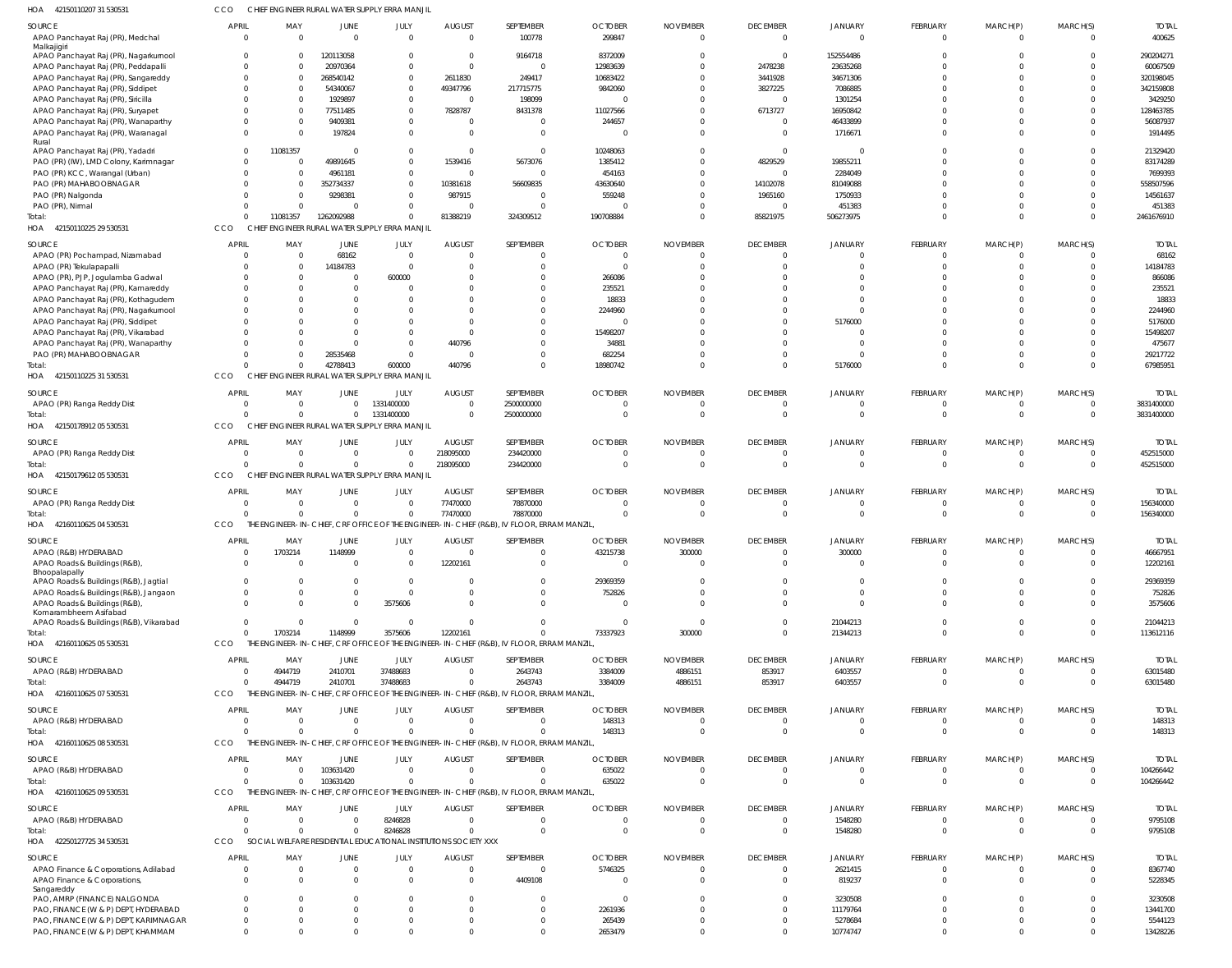| HOA<br>42150110207 31 530531                                                | cco                      |                                                  |                            | CHIEF ENGINEER RURAL WATER SUPPLY ERRA MANJIL                   |                                 |                                                                                                      |                                  |                                   |                             |                            |                                |                      |                      |                           |
|-----------------------------------------------------------------------------|--------------------------|--------------------------------------------------|----------------------------|-----------------------------------------------------------------|---------------------------------|------------------------------------------------------------------------------------------------------|----------------------------------|-----------------------------------|-----------------------------|----------------------------|--------------------------------|----------------------|----------------------|---------------------------|
| SOURCE<br>APAO Panchayat Raj (PR), Medchal                                  | <b>APRIL</b><br>$\Omega$ | MAY<br>$\overline{0}$                            | JUNE<br>$\Omega$           | JULY<br>$\Omega$                                                | <b>AUGUST</b><br>$\overline{0}$ | SEPTEMBER<br>100778                                                                                  | <b>OCTOBER</b><br>299847         | <b>NOVEMBER</b><br>$\overline{0}$ | <b>DECEMBER</b><br>$\Omega$ | <b>JANUARY</b><br>$\Omega$ | <b>FEBRUARY</b><br>$\mathbf 0$ | MARCH(P)<br>$\Omega$ | MARCH(S)<br>$\Omega$ | <b>TOTAI</b><br>400625    |
| Malkajigiri<br>APAO Panchayat Raj (PR), Nagarkurnool                        | $\Omega$                 | $\overline{0}$                                   | 120113058                  | $\Omega$                                                        | $\overline{0}$                  | 9164718                                                                                              | 8372009                          | $\Omega$                          | $\Omega$                    | 152554486                  |                                |                      |                      | 290204271                 |
| APAO Panchayat Raj (PR), Peddapalli                                         |                          | $\Omega$<br>0                                    | 20970364                   | $\Omega$                                                        | $\overline{0}$                  | $\overline{0}$                                                                                       | 12983639                         | $\Omega$                          | 2478238                     | 23635268                   |                                |                      |                      | 60067509                  |
| APAO Panchayat Raj (PR), Sangareddy                                         |                          | $\Omega$<br>$\Omega$                             | 268540142                  | $\Omega$                                                        | 2611830                         | 249417                                                                                               | 10683422                         | $\Omega$                          | 3441928                     | 34671306                   |                                |                      |                      | 320198045                 |
| APAO Panchayat Raj (PR), Siddipet                                           |                          | $\Omega$<br>$\overline{0}$<br>$\Omega$           | 54340067                   | $\Omega$                                                        | 49347796                        | 217715775                                                                                            | 9842060                          | $\Omega$                          | 3827225                     | 7086885                    |                                |                      |                      | 342159808                 |
| APAO Panchayat Raj (PR), Siricilla                                          |                          | $\Omega$<br>$\Omega$<br>0                        | 1929897<br>77511485        | $\Omega$<br>$\Omega$                                            | $\overline{0}$<br>7828787       | 198099<br>8431378                                                                                    | C<br>11027566                    | $\Omega$<br>$\Omega$              | $\Omega$<br>6713727         | 1301254<br>16950842        |                                |                      |                      | 3429250<br>128463785      |
| APAO Panchayat Raj (PR), Suryapet<br>APAO Panchayat Raj (PR), Wanaparthy    |                          | $\Omega$<br>$\Omega$                             | 9409381                    | $\Omega$                                                        | $\mathbf 0$                     | $\Omega$                                                                                             | 244657                           | $\Omega$                          | $\Omega$                    | 46433899                   |                                |                      |                      | 56087937                  |
| APAO Panchayat Raj (PR), Waranagal                                          | $\Omega$                 | $\Omega$                                         | 197824                     | $\Omega$                                                        | $\Omega$                        | $\Omega$                                                                                             | - 0                              | $\Omega$                          | $\Omega$                    | 1716671                    |                                |                      |                      | 1914495                   |
| Rural                                                                       |                          |                                                  |                            |                                                                 |                                 |                                                                                                      |                                  |                                   |                             |                            |                                |                      |                      |                           |
| APAO Panchayat Raj (PR), Yadadri                                            | $\Omega$                 | 11081357                                         | $\overline{0}$             | $\Omega$                                                        | - 0                             | $\Omega$                                                                                             | 10248063                         | $\Omega$                          | $\Omega$                    |                            |                                |                      |                      | 21329420                  |
| PAO (PR) (IW), LMD Colony, Karimnagar                                       |                          | $\Omega$<br>$\overline{0}$                       | 49891645                   | $\Omega$                                                        | 1539416                         | 5673076                                                                                              | 1385412                          | $\Omega$                          | 4829529                     | 19855211                   |                                |                      |                      | 83174289                  |
| PAO (PR) KCC, Warangal (Urban)                                              | $\Omega$                 | $\Omega$<br>$\Omega$                             | 4961181                    | $\Omega$                                                        | $\overline{0}$                  | $\Omega$                                                                                             | 454163                           | $\Omega$<br>$\Omega$              | $\Omega$                    | 2284049                    |                                |                      |                      | 7699393                   |
| PAO (PR) MAHABOOBNAGAR<br>PAO (PR) Nalgonda                                 |                          | $\overline{0}$<br>$\Omega$                       | 352734337<br>9298381       | $\Omega$<br>$\Omega$                                            | 10381618<br>987915              | 56609835<br>$\Omega$                                                                                 | 43630640<br>559248               | $\Omega$                          | 14102078<br>1965160         | 81049088<br>1750933        |                                |                      |                      | 558507596<br>14561637     |
| PAO (PR), Nirmal                                                            | $\Omega$                 | $\overline{0}$                                   | $\mathbf{0}$               | $\Omega$                                                        | $\overline{0}$                  | $\Omega$                                                                                             | C                                | $\circ$                           | $\Omega$                    | 451383                     |                                |                      |                      | 451383                    |
| Total:                                                                      |                          | 11081357<br>$\Omega$                             | 1262092988                 |                                                                 | 81388219                        | 324309512                                                                                            | 190708884                        | $\Omega$                          | 85821975                    | 506273975                  | $\Omega$                       |                      | $\Omega$             | 2461676910                |
| HOA 42150110225 29 530531                                                   | CCO                      |                                                  |                            | CHIEF ENGINEER RURAL WATER SUPPLY ERRA MANJIL                   |                                 |                                                                                                      |                                  |                                   |                             |                            |                                |                      |                      |                           |
| SOURCE                                                                      | <b>APRIL</b>             | MAY                                              | JUNE                       |                                                                 | <b>AUGUST</b>                   | SEPTEMBER                                                                                            | <b>OCTOBER</b>                   | <b>NOVEMBER</b>                   | <b>DECEMBER</b>             | <b>JANUARY</b>             | <b>FEBRUARY</b>                | MARCH(P)             |                      | <b>TOTAI</b>              |
| APAO (PR) Pochampad, Nizamabad                                              | $\Omega$                 | $\overline{0}$                                   | 68162                      | JULY<br>$\Omega$                                                | $\overline{0}$                  | $\mathbf{0}$                                                                                         | $\overline{0}$                   | $\mathbf{0}$                      | $\Omega$                    | $\Omega$                   | 0                              |                      | MARCH(S)<br>$\Omega$ | 68162                     |
| APAO (PR) Tekulapapalli                                                     |                          | $\overline{0}$                                   | 14184783                   | - 0                                                             | - 0                             | $\Omega$                                                                                             | $\overline{0}$                   | $\Omega$                          | $\Omega$                    | $\cap$                     |                                |                      | $\Omega$             | 14184783                  |
| APAO (PR), PJP, Jogulamba Gadwal                                            |                          | $\overline{0}$<br>$\Omega$                       | $\overline{0}$             | 600000                                                          | $\Omega$                        |                                                                                                      | 266086                           | $\Omega$                          | $\cap$                      | $\cap$                     |                                |                      |                      | 866086                    |
| APAO Panchayat Raj (PR), Kamareddy                                          |                          | $\Omega$<br>$\Omega$                             | 0                          |                                                                 | $\Omega$                        | $\Omega$                                                                                             | 235521                           | $\Omega$                          | $\cap$                      | $\cap$                     |                                |                      |                      | 235521                    |
| APAO Panchayat Raj (PR), Kothagudem                                         |                          | 0                                                | 0                          |                                                                 | $\Omega$                        | <sup>0</sup>                                                                                         | 18833                            | $\Omega$                          | $\cap$                      | $\cap$                     |                                |                      |                      | 18833                     |
| APAO Panchayat Raj (PR), Nagarkurnool                                       |                          | $\Omega$<br>$\Omega$                             | 0                          |                                                                 | $\Omega$                        | $\Omega$                                                                                             | 2244960                          | $\Omega$                          | $\cap$                      | $\cap$                     |                                |                      |                      | 2244960                   |
| APAO Panchayat Raj (PR), Siddipet                                           |                          | <sup>0</sup>                                     | $\Omega$                   |                                                                 | $\Omega$                        |                                                                                                      | $\overline{0}$                   | $\Omega$                          | $\cap$                      | 5176000                    |                                |                      |                      | 5176000                   |
| APAO Panchayat Raj (PR), Vikarabad                                          |                          | $\Omega$<br>$\Omega$                             | $\Omega$                   | $\Omega$                                                        | $\Omega$                        | $\Omega$                                                                                             | 15498207                         | $\Omega$                          | $\cap$                      |                            |                                |                      |                      | 15498207                  |
| APAO Panchayat Raj (PR), Wanaparthy                                         |                          | $\Omega$                                         | $\Omega$                   | $\Omega$                                                        | 440796                          | <sup>0</sup>                                                                                         | 34881                            | $\Omega$                          | $\cap$                      | $\cap$                     |                                |                      |                      | 475677                    |
| PAO (PR) MAHABOOBNAGAR                                                      |                          | $\Omega$<br>$\Omega$<br>$\Omega$<br>$\mathbf{0}$ | 28535468<br>42788413       | $\Omega$<br>600000                                              | $\overline{0}$<br>440796        | $\Omega$<br>$\Omega$                                                                                 | 682254<br>18980742               | $\Omega$<br>$\Omega$              | $\cap$<br>$\Omega$          | $\Omega$<br>5176000        | $\Omega$                       |                      | $\Omega$<br>$\Omega$ | 29217722<br>67985951      |
| Total:<br>HOA 42150110225 31 530531                                         | CCO                      |                                                  |                            | CHIEF ENGINEER RURAL WATER SUPPLY ERRA MANJIL                   |                                 |                                                                                                      |                                  |                                   |                             |                            |                                |                      |                      |                           |
| SOURCE                                                                      | <b>APRIL</b>             | MAY                                              | JUNE                       | JULY                                                            | <b>AUGUST</b>                   | SEPTEMBER                                                                                            | <b>OCTOBER</b>                   | <b>NOVEMBER</b>                   | <b>DECEMBER</b>             | <b>JANUARY</b>             | <b>FEBRUARY</b>                | MARCH(P)             | MARCH(S)             | <b>TOTAI</b>              |
| APAO (PR) Ranga Reddy Dist                                                  | $\Omega$                 | $\overline{0}$                                   | $\overline{0}$             | 1331400000                                                      | $\Omega$                        | 2500000000                                                                                           | $\overline{0}$                   | $\circ$                           | $\Omega$                    |                            | 0                              | 0                    | $\Omega$             | 3831400000                |
| Total:<br>HOA<br>42150178912 05 530531                                      | $\Omega$<br>CCO          | $\Omega$                                         | $\mathbf 0$                | 1331400000<br>CHIEF ENGINEER RURAL WATER SUPPLY ERRA MANJIL     | $\Omega$                        | 2500000000                                                                                           | $\overline{0}$                   | $\Omega$                          | $\Omega$                    | $\Omega$                   | $\Omega$                       | $\Omega$             | $\Omega$             | 3831400000                |
|                                                                             |                          |                                                  |                            |                                                                 |                                 |                                                                                                      |                                  |                                   |                             |                            |                                |                      |                      |                           |
| <b>SOURCE</b>                                                               | APRIL                    | MAY                                              | JUNE                       | JULY                                                            | <b>AUGUST</b>                   | SEPTEMBER                                                                                            | <b>OCTOBER</b>                   | <b>NOVEMBER</b>                   | <b>DECEMBER</b>             | <b>JANUARY</b>             | <b>FEBRUARY</b>                | MARCH(P)             | MARCH(S)             | <b>TOTAI</b>              |
| APAO (PR) Ranga Reddy Dist                                                  | $\Omega$<br>$\cap$       | $\overline{0}$                                   | $\overline{0}$             | $\Omega$                                                        | 218095000                       | 234420000                                                                                            | $\overline{0}$                   | $\overline{0}$<br>$\Omega$        | $\Omega$<br>$\Omega$        | $\Omega$<br>$\Omega$       | 0                              | 0                    | $\Omega$             | 452515000                 |
| Total:<br>HOA 4215017961205530531                                           | CCO                      | $\Omega$                                         | $\mathbf{0}$               | CHIEF ENGINEER RURAL WATER SUPPLY ERRA MANJIL                   | 218095000                       | 234420000                                                                                            | $\overline{0}$                   |                                   |                             |                            | $\mathbf 0$                    | $\mathbf{0}$         | $\Omega$             | 452515000                 |
|                                                                             |                          |                                                  |                            |                                                                 |                                 |                                                                                                      |                                  |                                   |                             |                            |                                |                      |                      |                           |
|                                                                             |                          |                                                  |                            |                                                                 |                                 |                                                                                                      |                                  |                                   |                             |                            |                                |                      |                      |                           |
| SOURCE                                                                      | <b>APRIL</b>             | MAY                                              | JUNE                       | JULY                                                            | <b>AUGUST</b>                   | SEPTEMBER                                                                                            | <b>OCTOBER</b>                   | <b>NOVEMBER</b>                   | <b>DECEMBER</b>             | <b>JANUARY</b>             | <b>FEBRUARY</b>                | MARCH(P)             | MARCH(S)             | <b>TOTAI</b>              |
| APAO (PR) Ranga Reddy Dist                                                  | $\Omega$                 | $\overline{0}$                                   | $\overline{0}$             | $\Omega$                                                        | 77470000                        | 78870000                                                                                             | $\mathsf{C}$                     | $\Omega$                          | $\Omega$                    |                            |                                |                      |                      | 156340000                 |
| Total:                                                                      | $\Omega$                 | $\overline{0}$                                   | $\overline{0}$             | $\Omega$                                                        | 77470000                        | 78870000                                                                                             | $\overline{0}$                   | $\overline{0}$                    | $\Omega$                    | $\Omega$                   | $\Omega$                       | $\Omega$             | $\Omega$             | 156340000                 |
| HOA 42160110625 04 530531                                                   | CCO                      |                                                  |                            |                                                                 |                                 | THE ENGINEER-IN-CHIEF, CRF OFFICE OF THE ENGINEER-IN-CHIEF (R&B), IV FLOOR, ERRAM MANZIL             |                                  |                                   |                             |                            |                                |                      |                      |                           |
| SOURCE                                                                      | <b>APRIL</b>             | MAY                                              | JUNE                       | JULY                                                            | <b>AUGUST</b>                   | SEPTEMBER                                                                                            | <b>OCTOBER</b>                   | <b>NOVEMBER</b>                   | <b>DECEMBER</b>             | <b>JANUARY</b>             | <b>FEBRUARY</b>                | MARCH(P)             | MARCH(S)             | <b>TOTAI</b>              |
| APAO (R&B) HYDERABAD                                                        | $\Omega$                 | 1703214                                          | 1148999                    | $\Omega$                                                        | $\Omega$                        | $\Omega$                                                                                             | 43215738                         | 300000                            | $\cap$                      | 300000                     | $\Omega$                       | $\Omega$             | $\Omega$             | 46667951                  |
| APAO Roads & Buildings (R&B),                                               | $\Omega$                 | $\Omega$                                         | $\overline{0}$             | $\Omega$                                                        | 12202161                        | $\overline{0}$                                                                                       | $\overline{0}$                   | $\Omega$                          | $\Omega$                    | $\Omega$                   | $\Omega$                       | $\Omega$             | $\Omega$             | 12202161                  |
| Bhoopalapally<br>APAO Roads & Buildings (R&B), Jagtial                      |                          | $\Omega$<br>$\Omega$                             | $\Omega$                   | $\Omega$                                                        | 0                               | $\mathbf{0}$                                                                                         | 29369359                         | $\circ$                           | $\Omega$                    | $\cap$                     | 0                              |                      |                      | 29369359                  |
| APAO Roads & Buildings (R&B), Jangaon                                       | $\Omega$                 | $\Omega$                                         | $\Omega$                   | $\Omega$                                                        | $\Omega$                        | $\Omega$                                                                                             | 752826                           | $\Omega$                          | $\Omega$                    | $\Omega$                   | $\Omega$                       |                      |                      | 752826                    |
| APAO Roads & Buildings (R&B),                                               | $\Omega$                 | $\Omega$                                         | $\Omega$                   | 3575606                                                         | $\Omega$                        | $\Omega$                                                                                             | - 0                              | $\Omega$                          | $\cap$                      | $\Omega$                   | $\Omega$                       |                      |                      | 3575606                   |
| Komarambheem Asifabad                                                       |                          |                                                  |                            |                                                                 |                                 |                                                                                                      |                                  |                                   |                             |                            |                                |                      |                      |                           |
| APAO Roads & Buildings (R&B), Vikarabad                                     | $\Omega$                 | $\overline{0}$                                   | $\mathbf{0}$               | $\Omega$                                                        | $\Omega$                        | $\Omega$                                                                                             | $\overline{0}$                   | $\overline{\mathbf{0}}$           | $\Omega$                    | 21044213                   | $\Omega$                       | 0                    | $\Omega$             | 21044213                  |
| Total:                                                                      | $\Omega$<br>CCO          | 1703214                                          | 1148999                    | 3575606                                                         | 12202161                        | $\Omega$                                                                                             | 73337923                         | 300000                            | $\Omega$                    | 21344213                   | $\Omega$                       | $\Omega$             | $\Omega$             | 113612116                 |
| HOA 42160110625 05 530531                                                   |                          |                                                  |                            |                                                                 |                                 | THE ENGINEER-IN-CHIEF, CRF OFFICE OF THE ENGINEER-IN-CHIEF (R&B), IV FLOOR, ERRAM MANZIL             |                                  |                                   |                             |                            |                                |                      |                      |                           |
| SOURCE                                                                      | <b>APRIL</b>             | MAY                                              | JUNE                       | JULY                                                            | <b>AUGUST</b>                   | SEPTEMBER                                                                                            | <b>OCTOBER</b>                   | <b>NOVEMBER</b>                   | <b>DECEMBER</b>             | JANUARY                    | <b>FEBRUARY</b>                | MARCH(P)             | MARCH(S)             | <b>TOTAL</b>              |
| APAO (R&B) HYDERABAD                                                        | $\Omega$                 | 4944719                                          | 2410701                    | 37488683                                                        | $\overline{0}$                  | 2643743                                                                                              | 3384009                          | 4886151                           | 853917                      | 6403557                    | 0                              |                      |                      | 63015480                  |
| Total:<br>HOA 42160110625 07 530531                                         | $\Omega$<br>CCO          | 4944719<br>THE EI                                | 2410701                    | 37488683                                                        | $\Omega$                        | 2643743<br>NGINEER-IN-CHIEF, CRF OFFICE OF THE ENGINEER-IN-CHIEF (R&B), IV FLOOR, ERRAM MANZIL       | 3384009                          | 4886151                           | 853917                      | 6403557                    | $\Omega$                       | $\Omega$             | $\Omega$             | 63015480                  |
|                                                                             |                          |                                                  |                            |                                                                 |                                 |                                                                                                      |                                  |                                   |                             |                            |                                |                      |                      |                           |
| SOURCE                                                                      | APRIL                    | MAY                                              | <b>JUNE</b>                | JULY                                                            | <b>AUGUST</b>                   | SEPTEMBER                                                                                            | <b>OCTOBER</b>                   | <b>NOVEMBER</b>                   | <b>DECEMBER</b>             | JANUARY                    | <b>FEBRUARY</b>                | MARCH(P)             | MARCH(S)             | <b>TOTAL</b>              |
| APAO (R&B) HYDERABAD                                                        | $\Omega$                 | $\overline{0}$                                   | $\overline{0}$             | $\Omega$                                                        | $\overline{0}$                  | $\overline{0}$                                                                                       | 148313                           | $\overline{0}$                    | $\Omega$                    | $\cap$                     | 0                              |                      |                      | 148313                    |
| Total:<br>HOA 42160110625 08 530531                                         | $\Omega$<br>CCO          | $\Omega$                                         | $\overline{0}$             | $\Omega$                                                        | $\Omega$                        | $\Omega$<br>THE ENGINEER-IN-CHIEF, CRF OFFICE OF THE ENGINEER-IN-CHIEF (R&B), IV FLOOR, ERRAM MANZIL | 148313                           | $\overline{0}$                    | $\Omega$                    | $\Omega$                   | $\mathbf 0$                    | $\mathbf{0}$         | $\Omega$             | 148313                    |
|                                                                             |                          |                                                  |                            |                                                                 |                                 |                                                                                                      |                                  |                                   |                             |                            |                                |                      |                      |                           |
| SOURCE<br>APAO (R&B) HYDERABAD                                              | <b>APRIL</b><br>$\Omega$ | MAY<br>$\overline{0}$                            | JUNE<br>103631420          | JULY<br>$\overline{0}$                                          | <b>AUGUST</b><br>$\overline{0}$ | SEPTEMBER<br>$\overline{0}$                                                                          | <b>OCTOBER</b><br>635022         | <b>NOVEMBER</b><br>$\overline{0}$ | <b>DECEMBER</b><br>$\Omega$ | <b>JANUARY</b><br>$\Omega$ | FEBRUARY<br>$\mathbf 0$        | MARCH(P)<br>$\Omega$ | MARCH(S)             | <b>TOTAI</b><br>104266442 |
| Total:                                                                      | $\Omega$                 | $\Omega$                                         | 103631420                  | $\Omega$                                                        | $\Omega$                        | $\Omega$                                                                                             | 635022                           | $\Omega$                          | $\Omega$                    | $\Omega$                   | $\Omega$                       | $\Omega$             | $\Omega$             | 104266442                 |
| HOA 42160110625 09 530531                                                   | CCO                      |                                                  |                            |                                                                 |                                 | THE ENGINEER-IN-CHIEF, CRF OFFICE OF THE ENGINEER-IN-CHIEF (R&B), IV FLOOR, ERRAM MANZIL             |                                  |                                   |                             |                            |                                |                      |                      |                           |
|                                                                             | <b>APRIL</b>             |                                                  |                            |                                                                 |                                 |                                                                                                      |                                  |                                   |                             |                            |                                |                      |                      |                           |
| SOURCE<br>APAO (R&B) HYDERABAD                                              | $\Omega$                 | MAY<br>$\overline{0}$                            | JUNE<br>$\overline{0}$     | JULY<br>8246828                                                 | <b>AUGUST</b><br>$\overline{0}$ | SEPTEMBER<br>$\overline{0}$                                                                          | <b>OCTOBER</b><br>$\overline{0}$ | <b>NOVEMBER</b><br>$\overline{0}$ | <b>DECEMBER</b><br>$\Omega$ | <b>JANUARY</b><br>1548280  | <b>FEBRUARY</b><br>$\mathbf 0$ | MARCH(P)<br>0        | MARCH(S)<br>$\Omega$ | <b>TOTAL</b><br>9795108   |
| Total:                                                                      | $\Omega$                 | $\overline{0}$                                   | $\overline{0}$             | 8246828                                                         | $\mathbf 0$                     | $\Omega$                                                                                             | $\overline{0}$                   | $\Omega$                          | $\Omega$                    | 1548280                    | $\mathbf 0$                    | $\mathbf 0$          | $\Omega$             | 9795108                   |
| HOA 42250127725 34 530531                                                   | CCO                      |                                                  |                            | SOCIAL WELFARE RESIDENTIAL EDUCATIONAL INSTITUTIONS SOCIETY XXX |                                 |                                                                                                      |                                  |                                   |                             |                            |                                |                      |                      |                           |
|                                                                             |                          |                                                  |                            |                                                                 |                                 |                                                                                                      |                                  |                                   |                             |                            |                                |                      |                      |                           |
| SOURCE<br>APAO Finance & Corporations, Adilabad                             | <b>APRIL</b><br>$\Omega$ | MAY<br>$\overline{0}$                            | <b>JUNE</b><br>$\mathbf 0$ | JULY<br>$\Omega$                                                | <b>AUGUST</b><br>$\overline{0}$ | SEPTEMBER<br>$\Omega$                                                                                | <b>OCTOBER</b><br>5746325        | <b>NOVEMBER</b><br>$\overline{0}$ | <b>DECEMBER</b><br>$\Omega$ | <b>JANUARY</b><br>2621415  | <b>FEBRUARY</b><br>0           | MARCH(P)             | MARCH(S)             | <b>TOTAL</b><br>8367740   |
| APAO Finance & Corporations,                                                | $\Omega$                 | $\overline{0}$                                   | $\Omega$                   | $\Omega$                                                        | $\overline{0}$                  | 4409108                                                                                              | $\overline{0}$                   | $\Omega$                          | $\Omega$                    | 819237                     |                                |                      |                      | 5228345                   |
| Sangareddy                                                                  |                          |                                                  |                            |                                                                 |                                 |                                                                                                      |                                  |                                   |                             |                            |                                |                      |                      |                           |
| PAO, AMRP (FINANCE) NALGONDA                                                |                          | $\Omega$<br>$\Omega$                             | $\Omega$                   |                                                                 | $\Omega$                        | $\Omega$                                                                                             | $\overline{0}$                   | $\Omega$                          | $\Omega$                    | 3230508                    |                                |                      |                      | 3230508                   |
| PAO, FINANCE (W & P) DEPT, HYDERABAD                                        | $\Omega$                 | $\Omega$                                         | $\Omega$                   | $\Omega$                                                        | $\Omega$                        | $\Omega$                                                                                             | 2261936                          | $\Omega$                          | $\Omega$                    | 11179764                   |                                |                      |                      | 13441700                  |
| PAO, FINANCE (W & P) DEPT, KARIMNAGAR<br>PAO, FINANCE (W & P) DEPT, KHAMMAM | $\Omega$                 | $\Omega$<br>$\Omega$<br>$\Omega$                 | $\Omega$<br>$\Omega$       |                                                                 | $\Omega$<br>$\Omega$            | $\Omega$<br>$\Omega$                                                                                 | 265439<br>2653479                | $\Omega$<br>$\Omega$              | $\Omega$<br>$\Omega$        | 5278684<br>10774747        | $\Omega$                       |                      |                      | 5544123<br>13428226       |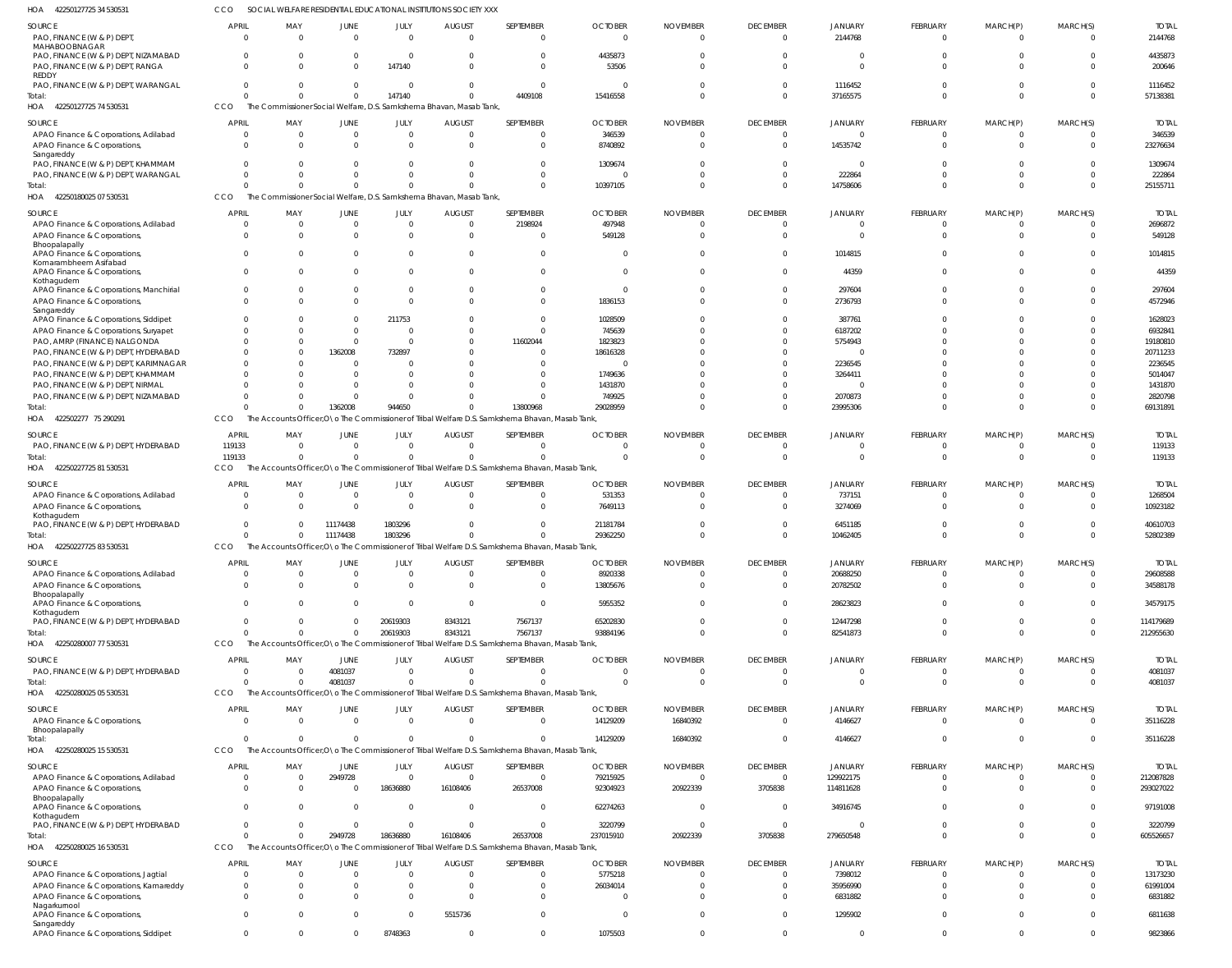42250127725 74 530531 HOA 42250180025 07 530531 HOA 422502277 75 290291 42250227725 81 530531 HOA 42250227725 83 530531 42250280007 77 530531 42250280025 05 530531 HOA 42250280025 15 530531 42250280025 16 530531 HOA HOA HOA HOA HOA The Commissioner Social Welfare, D.S. Samkshema Bhavan, Masab Tank, The Commissioner Social Welfare, D.S. Samkshema Bhavan, Masab Tank, The Accounts Officer,O\o The Commissioner of Tribal Welfare D.S. Samkshema Bhavan, Masab Tank, The Accounts Officer,O\o The Commissioner of Tribal Welfare D.S. Samkshema Bhavan, Masab Tank, The Accounts Officer,O\o The Commissioner of Tribal Welfare D.S. Samkshema Bhavan, Masab Tank, The Accounts Officer,O\o The Commissioner of Tribal Welfare D.S. Samkshema Bhavan, Masab Tank, The Accounts Officer,O\o The Commissioner of Tribal Welfare D.S. Samkshema Bhavan, Masab Tank, The Accounts Officer, O\o The Commissioner of Tribal Welfare D.S. Samkshema Bhavan, Masab Tank The Accounts Officer,O\o The Commissioner of Tribal Welfare D.S. Samkshema Bhavan, Masab Tank, **CCO** CCO CCO CCO **CCO CCO** CCO CCO CCO 0  $\Omega$  $\Omega$ 119133  $\Omega$  $\Omega$  $\mathbf{0}$ 0 0 0  $\Omega$  $\Omega$ 0  $\,$  0  $\,$ 0 0 0 0 0  $\Omega$ 1362008  $\Omega$ 11174438 0 4081037 0 2949728 147140  $\Omega$ 944650  $\sqrt{2}$ 1803296 20619303  $\theta$ 0 18636880  $\,$  0  $\,$  $\Omega$  $\Omega$ 0 0 8343121  $\mathbf{0}$ 0 16108406 4409108  $\Omega$ 13800968  $\Omega$ 0 7567137 0 0 26537008 15416558 10397105 29028959  $\Omega$ 29362250 93884196 0 14129209 237015910 0  $\Omega$  $\Omega$  $\Omega$ 0 0 0 16840392 20922339 0  $\Omega$  $\Omega$  $\Omega$ 0 0 0  $\Omega$ 3705838 37165575 14758606 23995306 0 10462405 82541873 0 4146627 279650548 0 0  $\Omega$  $\bigcap$ 0 0 0 0 0 0  $\Omega$  $\Omega$ 0 0 0 0 0 0 0  $\Omega$  $\Omega$  $\Omega$  $\Omega$ 0 0  $\Omega$ 0 57138381 25155711 69131891 119133 52802389 212955630 4081037 35116228 605526657 PAO, FINANCE (W & P) DEPT MAHABOOBNAGAR PAO, FINANCE (W & P) DEPT, NIZAMABAD PAO, FINANCE (W & P) DEPT, RANGA REDDY PAO, FINANCE (W & P) DEPT, WARANGAL APAO Finance & Corporations, Adilabad APAO Finance & Corporations, Sangareddy PAO, FINANCE (W & P) DEPT, KHAMMAM PAO, FINANCE (W & P) DEPT, WARANGAL APAO Finance & Corporations, Adilabad APAO Finance & Corporations, Bhoopalapally APAO Finance & Corporations, Komarambheem Asifabad APAO Finance & Corporations, Kothagudem APAO Finance & Corporations, Manchirial APAO Finance & Corporations, Sangareddy APAO Finance & Corporations, Siddipet APAO Finance & Corporations, Suryapet PAO, AMRP (FINANCE) NALGONDA PAO, FINANCE (W & P) DEPT, HYDERABAD PAO, FINANCE (W & P) DEPT, KARIMNAGAR PAO, FINANCE (W & P) DEPT, KHAMMAM PAO, FINANCE (W & P) DEPT, NIRMAL PAO, FINANCE (W & P) DEPT, NIZAMABAD PAO, FINANCE (W & P) DEPT, HYDERABAD APAO Finance & Corporations, Adilabad APAO Finance & Corporations, Kothagudem PAO, FINANCE (W & P) DEPT, HYDERABAD APAO Finance & Corporations, Adilabad APAO Finance & Corporations, Bhoopalapally APAO Finance & Corporations, Kothagudem PAO, FINANCE (W & P) DEPT, HYDERABAD PAO, FINANCE (W & P) DEPT, HYDERABAD APAO Finance & Corporations, Bhoopalapally APAO Finance & Corporations, Adilabad APAO Finance & Corporations, Bhoopalapally APAO Finance & Corporations, Kothagudem PAO, FINANCE (W & P) DEPT, HYDERABAD APAO Finance & Corporations, Jagtial APAO Finance & Corporations, Kamareddy APAO Finance & Corporations, Nagarkurnool APAO Finance & Corporations, **Sangareddy** APAO Finance & Corporations, Siddipet SOURCE SOURCE SOURCE SOURCE SOURCE **SOURCE** SOURCE SOURCE SOURCE SOURCE 0  $\Omega$  $\Omega$  $\Omega$ 0 0 0  $\Omega$ 0  $\mathbf{C}$  $\sqrt{2}$  $\mathfrak{g}$ 0  $\Omega$ 0  $\Omega$ 0 0  $\sqrt{2}$  $\Omega$  $\Omega$ 0 119133 0  $\mathbf{C}$ 0 0  $\Omega$ 0  $\mathfrak{g}$ 0 0 0  $\Omega$ 0 0 0  $\Omega$ 0 0  $\Omega$ APRIL APRIL APRIL APRIL APRIL **APRIL** APRIL APRIL APRIL APRIL  $\Omega$  $\Omega$  $\Omega$  $\Omega$ 0  $\Omega$ 0 0 0 0  $\Omega$ 0 0  $\Omega$ 0  $\Omega$ 0 0  $\Omega$  $\Omega$  $\Omega$ 0 0  $\Omega$ 0 0 0  $\Omega$  $\Omega$ 0 0 0 0 0 0 0 0  $\Omega$ 0 0 0 MAY MAY MAY MAY MAY MAY MAY MAY MAY MAY 0 0 0  $\Omega$ 0  $\Omega$ 0 0  $\Omega$ 0  $\Omega$ 0 0  $\Omega$ 0  $\Omega$  $\overline{0}$ 1362008  $\mathfrak{g}$  $\Omega$  $\Omega$  $\mathbf 0$ 0  $\Omega$ 0 11174438 0  $\Omega$ 0 0 4081037 0 2949728  $\Omega$ 0 0 0  $\Omega$ 0 0  $\Omega$ JUNE JUNE JUNE JUNE JUNE JUNE JUNE JUNE JUNE JUNE  $\Omega$  $\Omega$ 147140  $\Omega$  $\Omega$ 0 0  $\Omega$  $\Omega$ 0  $\bigcap$ 0 0  $\sqrt{2}$ 211753  $\cap$ 0 732897 0 0  $\sqrt{2}$ 0 0  $\Omega$ 0 1803296 0  $\Omega$ 0 20619303 0 0 0 18636880 0 0 0  $\Omega$ 0 0 8748363 JULY JULY JULY JULY JULY JULY JULY JULY JULY JULY 0 0 0  $\Omega$ 0  $\Omega$ 0 0 0 0 0 0 0  $\Omega$ 0  $\Omega$ 0 0 0 0  $\Omega$ 0 0 0 0 0 0  $\Omega$ 0 8343121 0 0 0 16108406 0 0 0 0 0 5515736  $\Omega$ AUGUST AUGUST AUGUST AUGUST AUGUST **AUGUST** AUGUST AUGUST AUGUST AUGUST  $\Omega$  $\Omega$  $\Omega$  $\Omega$  $\bigcap$ 0 0  $\Omega$ 2198924 0  $\Omega$  $\Omega$ 0  $\sqrt{2}$ 0 0 11602044  $\Omega$ 0  $\Omega$ 0 0  $\Omega$  $\sqrt{2}$ 0  $\Omega$ 0  $\Omega$ 0 7567137 0 0 0 26537008 0  $\Omega$ 0 0 0 0 0 SEPTEMBER SEPTEMBER SEPTEMBER SEPTEMBER SEPTEMBER SEPTEMBER SEPTEMBER SEPTEMBER SEPTEMBER SEPTEMBER  $\Omega$ 4435873 53506 0 346539 8740892 1309674  $\Omega$ 497948 549128  $\Omega$  $\Omega$ 0 1836153 1028509 745639 1823823 18616328  $\bigcap$ 1749636 1431870 749925  $\Omega$ 531353 7649113 21181784 8920338 13805676 5955352 65202830 0 14129209 79215925 92304923 62274263 3220799 5775218 26034014 0 0 1075503 **OCTOBER OCTOBER** OCTOBER OCTOBER **OCTOBER OCTOBER** OCTOBER OCTOBER OCTOBER OCTOBER  $\Omega$  $\Omega$ 0  $\Omega$ 0 0 0  $\Omega$  $\sqrt{2}$ 0  $\bigcap$ 0 0 0 0  $\sqrt{2}$ 0 0 0 0 0 0  $\Omega$ 0 0 0 0  $\Omega$ 0 0 0 16840392 0 20922339 0 0 0  $\Omega$ 0 0  $\Omega$ NOVEMBER NOVEMBER NOVEMBER NOVEMBER NOVEMBER NOVEMBER NOVEMBER NOVEMBER NOVEMBER NOVEMBER  $\Omega$  $\Omega$  $\Omega$  $\Omega$ 0  $\Omega$ 0 0  $\Omega$ 0  $\Omega$  $\Omega$ 0  $\Omega$ 0  $\Omega$ 0  $\Omega$ 0  $\Omega$  $\Omega$ 0  $\Omega$ 0 0 0 0  $\Omega$ 0 0  $\Omega$  $\Omega$  $\Omega$ 3705838 0  $\theta$ 0  $\Omega$ 0 0 0 DECEMBER DECEMBER DECEMBER DECEMBER DECEMBER **DECEMBER** DECEMBER DECEMBER DECEMBER DECEMBER 2144768 0  $\mathfrak{g}$ 1116452  $\Omega$ 14535742  $\epsilon$ 222864  $\Omega$ 0 1014815 44359 297604 2736793 387761 6187202 5754943 0 2236545 3264411  $\Omega$ 2070873 0 737151 3274069 6451185 20688250 20782502 28623823 12447298 0 4146627 129922175 114811628 34916745 0 7398012 35956990 6831882 1295902  $\mathfrak{g}$ JANUARY JANUARY JANUARY JANUARY JANUARY JANUARY JANUARY JANUARY **JANUARY** JANUARY 0  $\Omega$  $\Omega$  $\Omega$ 0  $\Omega$ 0  $\Omega$  $\Omega$ 0  $\Omega$  $\Omega$ 0 0 0  $\sqrt{2}$ 0 0 0 0 0 0  $\Omega$  $\Omega$ 0 0 0  $\Omega$ 0 0 0  $\Omega$ 0 0 0 0 0  $\Omega$ 0 0  $\Omega$ FEBRUARY FEBRUARY FEBRUARY FEBRUARY FEBRUARY FEBRUARY FEBRUARY FEBRUARY FEBRUARY FEBRUARY 0  $\Omega$ 0  $\Omega$  $\Omega$  $\Omega$ 0  $\Omega$  $\Omega$ 0  $\Omega$ 0 0  $\Omega$  $\overline{0}$  $\Omega$  $\overline{0}$  $\Omega$  $\Omega$  $\Omega$  $\Omega$ 0  $\Omega$  $\sqrt{2}$ 0  $\Omega$ 0  $\Omega$  $\Omega$ 0 0 0 0 0 0 0 0 0 0 0 0 MARCH(P) MARCH(P) MARCH(P) MARCH(P) MARCH(P) MARCH(P) MARCH(P) MARCH(P) MARCH(P) MARCH(P)  $\Omega$  $\Omega$  $\Omega$  $\Omega$  $\bigcap$ 0 0  $\Omega$  $\Omega$ 0  $\bigcap$  $\Omega$ 0 0 0  $\Omega$ 0 0 0 0  $\bigcap$ 0 0 0 0  $\Omega$ 0  $\Omega$ 0 0 0  $\cap$ 0  $\Omega$  $\Omega$ 0 0  $\Omega$ 0 0 0 MARCH(S) MARCH(S) MARCH(S) MARCH(S) MARCH(S) MARCH(S) MARCH(S) MARCH(S) MARCH(S) MARCH(S) 2144768 4435873 200646 1116452 346539 23276634 1309674 222864 2696872 549128 1014815 44359 297604 4572946 1628023 6932841 19180810 20711233 2236545 5014047 1431870 2820798 119133 1268504 10923182 40610703 29608588 34588178 34579175 114179689 4081037 35116228 212087828 293027022 97191008 3220799 13173230 61991004 6831882 6811638 9823866 TOTAL TOTAL TOTAL TOTAL TOTAL TOTAL TOTAL TOTAL TOTAL TOTAL Total: Total: Total: Total: Total: Total: Total: Total: Total:

42250127725 34 530531 HOA

SOCIAL WELFARE RESIDENTIAL EDUCATIONAL INSTITUTIONS SOCIETY XXX

CCO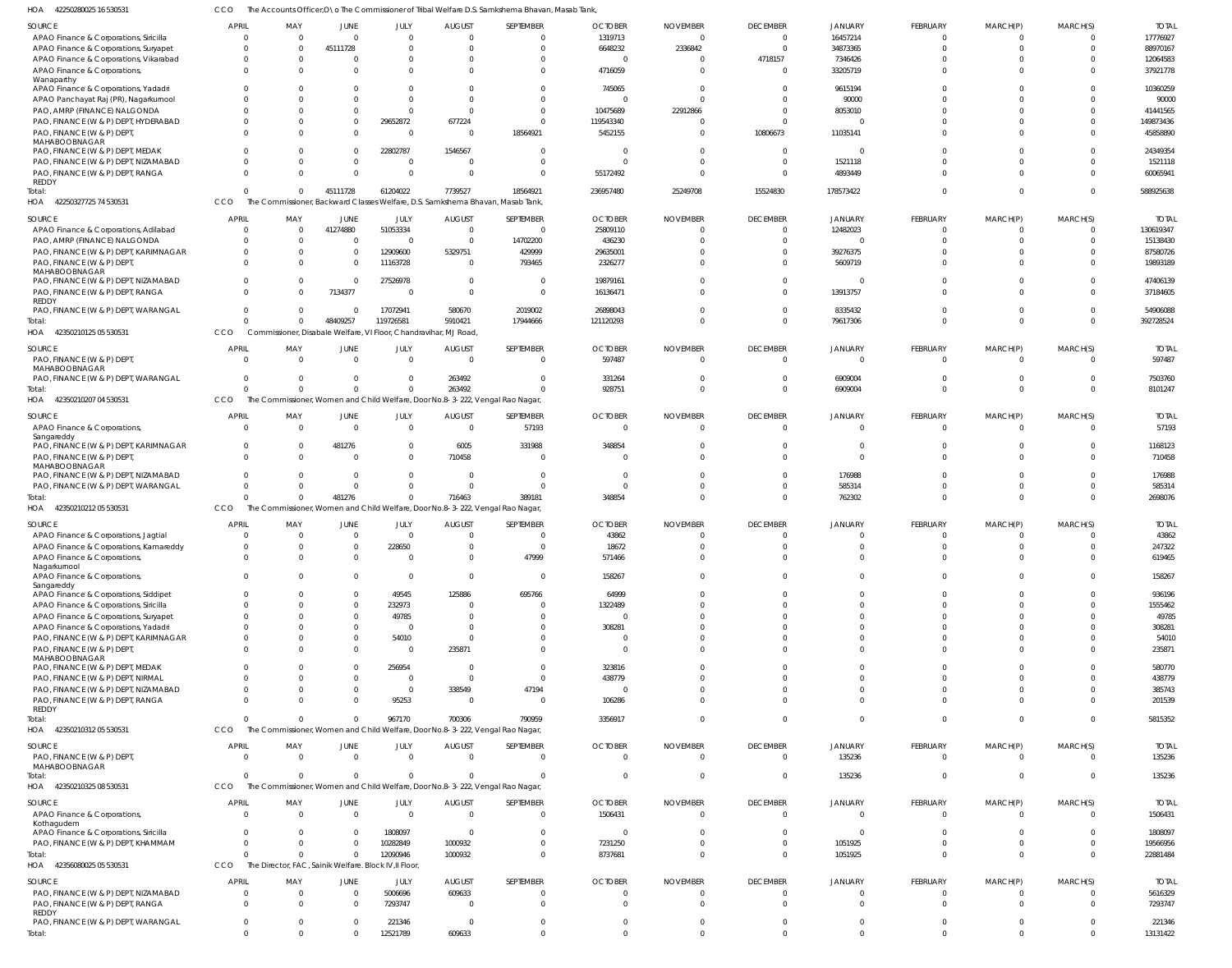42250280025 16 530531 HOA CCO The Accounts Officer, O\o The Commissioner of Tribal Welfare D.S. Samkshema Bhavan, Masab Tank,

| SEPTEMBER<br><b>OCTOBER</b><br><b>NOVEMBER</b><br><b>DECEMBER</b><br>FEBRUARY<br>MARCH(P)<br>MARCH(S)<br>SOURCE<br><b>APRIL</b><br>MAY<br>JUNE<br>JULY<br><b>AUGUST</b><br><b>JANUARY</b><br>1319713<br>16457214<br>APAO Finance & Corporations, Siricilla<br>$\Omega$<br>$\mathbf 0$<br>$\overline{0}$<br>$\Omega$<br>$\overline{\mathbf{0}}$<br>$\overline{0}$<br>$\Omega$<br>$\Omega$<br>$\Omega$<br>$\Omega$<br>$\Omega$<br>6648232<br>45111728<br>2336842<br>$\Omega$<br>34873365<br>$\Omega$<br>APAO Finance & Corporations, Suryapet<br>$\Omega$<br>$\Omega$<br>$\Omega$<br>$\Omega$<br>$\Omega$<br>$\Omega$<br>7346426<br>APAO Finance & Corporations, Vikarabad<br>4718157<br>$\mathbf 0$<br>$\Omega$<br>$\Omega$<br>$\Omega$<br>$\Omega$<br>0<br>$\Omega$<br>$\Omega$<br>$\Omega$<br>$\Omega$<br>4716059<br>33205719<br>APAO Finance & Corporations,<br>$\Omega$<br>$\Omega$<br>$\Omega$<br>- 0<br>$\Omega$<br>$\Omega$<br>$\Omega$<br>U<br>$\Omega$<br>Wanaparthy<br>745065<br>APAO Finance & Corporations, Yadadri<br>9615194<br>$\Omega$<br>$\Omega$<br>0<br>$\Omega$<br>- 0<br>$\Omega$<br>$\Omega$<br>$\Omega$<br>U<br>$\Omega$<br>90000<br>APAO Panchayat Raj (PR), Nagarkurnool<br>$\Omega$<br>$\Omega$<br>$\Omega$<br>$\Omega$<br>$\Omega$<br>$\Omega$<br>$\Omega$<br>$\Omega$<br>PAO, AMRP (FINANCE) NALGONDA<br>$\overline{0}$<br>$\Omega$<br>10475689<br>22912866<br>$\Omega$<br>8053010<br>$\Omega$<br>$\Omega$<br>$\Omega$<br>$\Omega$<br>$\Omega$<br>$\Omega$<br>PAO, FINANCE (W & P) DEPT, HYDERABAD<br>29652872<br>677224<br>$\Omega$<br>119543340<br>$\Omega$<br>$\Omega$<br>$\Omega$<br>$\Omega$<br>$\Omega$<br>0<br>PAO, FINANCE (W & P) DEPT,<br>5452155<br>10806673<br>11035141<br>$\Omega$<br>$\mathbf 0$<br>$\Omega$<br>18564921<br>$\Omega$<br>$\Omega$<br>$\Omega$<br>$\Omega$<br>MAHABOOBNAGAR<br>1546567<br>22802787<br>PAO, FINANCE (W & P) DEPT, MEDAK<br>$\Omega$<br>$\Omega$<br>$\Omega$<br>$\Omega$<br>$\Omega$<br>$\Omega$<br>$\Omega$<br>$\Omega$<br>$\Omega$<br>1521118<br>PAO, FINANCE (W & P) DEPT, NIZAMABAD<br>$\Omega$<br>$\mathbf 0$<br>$\overline{0}$<br>$\Omega$<br>$\Omega$<br>$\Omega$<br>0<br>$\Omega$<br>$\Omega$<br>$\Omega$<br>$\mathbf{0}$<br>$\Omega$<br>$\Omega$<br>$\Omega$<br>4893449<br>PAO, FINANCE (W & P) DEPT, RANGA<br>$\Omega$<br>$\Omega$<br>55172492<br>$\Omega$<br>$\Omega$<br>$\Omega$<br>REDDY<br>7739527<br>18564921<br>236957480<br>15524830<br>178573422<br>45111728<br>61204022<br>25249708<br>$\Omega$<br>$\mathbf 0$<br>$\Omega$<br>Total:<br>$\Omega$<br>The Commissioner, Backward Classes Welfare, D.S. Samkshema Bhavan, Masab Tank,<br>HOA 42250327725 74 530531<br>CCO<br><b>OCTOBER</b><br>JULY<br><b>AUGUST</b><br>SEPTEMBER<br><b>NOVEMBER</b><br><b>DECEMBER</b><br>FEBRUARY<br>MARCH(S)<br>SOURCE<br><b>APRIL</b><br>MAY<br>JUNE<br><b>JANUARY</b><br>MARCH(P)<br>51053334<br>41274880<br>12482023<br>25809110<br>APAO Finance & Corporations, Adilabad<br>$\Omega$<br>$\Omega$<br>$\Omega$<br>- 0<br>$\Omega$<br>$\Omega$<br>-0<br>PAO, AMRP (FINANCE) NALGONDA<br>436230<br>14702200<br>$\Omega$<br>$\Omega$<br>$\Omega$<br>$\Omega$<br>$\Omega$<br>$\Omega$<br>$\Omega$<br>$\Omega$<br>$\Omega$<br>PAO, FINANCE (W & P) DEPT, KARIMNAGAR<br>12909600<br>5329751<br>29635001<br>39276375<br>$\mathbf 0$<br>429999<br>$\Omega$<br>$\Omega$<br>$\Omega$<br>$\Omega$<br>11163728<br>5609719<br>PAO, FINANCE (W & P) DEPT<br>2326277<br>$\Omega$<br>$\Omega$<br>793465<br>$\Omega$<br>$\Omega$<br>$\Omega$<br>$\Omega$<br>$\Omega$<br>MAHABOOBNAGAR<br>27526978<br>19879161<br>PAO, FINANCE (W & P) DEPT, NIZAMABAD<br>$\Omega$<br>$\Omega$<br>$\Omega$<br>$\Omega$<br>$\Omega$<br>$\Omega$<br>$\Omega$<br>- 0<br>$\Omega$<br>PAO, FINANCE (W & P) DEPT, RANGA<br>7134377<br>16136471<br>13913757<br>$\Omega$<br>$\Omega$<br>$\Omega$<br>$\Omega$<br>$\Omega$<br>$\Omega$<br>$\Omega$<br>REDDY<br>17072941<br>PAO, FINANCE (W & P) DEPT, WARANGAL<br>580670<br>26898043<br>8335432<br>2019002<br>$\Omega$<br>$\Omega$<br>$\Omega$<br>$\Omega$<br>$\Omega$<br>$\Omega$<br>48409257<br>119726581<br>5910421<br>17944666<br>121120293<br>79617306<br>$\Omega$<br>Total:<br>$\Omega$<br>$\Omega$<br>$\Omega$<br>$\Omega$<br>HOA 42350210125 05 530531<br>Commissioner, Disabale Welfare, VI Floor, Chandravihar, MJ Road,<br>CCO<br>SEPTEMBER<br><b>OCTOBER</b><br><b>DECEMBER</b><br><b>APRIL</b><br>JULY<br><b>AUGUST</b><br><b>NOVEMBER</b><br>JANUARY<br>MARCH(P)<br>MARCH(S)<br>SOURCE<br>MAY<br>JUNE<br>FEBRUARY<br>597487<br>PAO, FINANCE (W & P) DEPT,<br>$\Omega$<br>$\overline{0}$<br>$\overline{0}$<br>$\Omega$<br>$\Omega$<br>$\Omega$<br>$\overline{0}$<br>$\mathbf{0}$<br>$\Omega$<br>$\Omega$<br>MAHABOOBNAGAR<br>PAO, FINANCE (W & P) DEPT, WARANGAL<br>263492<br>331264<br>$\Omega$<br>6909004<br>$\mathbf 0$<br>$\Omega$<br>$\Omega$<br>$\Omega$<br>$\mathbf 0$<br>$\Omega$<br>0<br>$\Omega$<br>$\Omega$<br>$\overline{0}$<br>263492<br>928751<br>6909004<br>$\Omega$<br>$\Omega$<br>$\Omega$<br>$\Omega$<br>$\Omega$<br>$\Omega$<br>Total:<br><sup>0</sup><br>HOA 42350210207 04 530531<br><b>CCO</b><br>The Commissioner, Women and Child Welfare, Door No.8-3-222, Vengal Rao Nagar,<br><b>OCTOBER</b><br><b>DECEMBER</b><br>SOURCE<br><b>APRIL</b><br>MAY<br>JULY<br><b>AUGUST</b><br>SEPTEMBER<br><b>NOVEMBER</b><br>FEBRUARY<br>MARCH(P)<br>MARCH(S)<br>JUNE<br><b>JANUARY</b><br>57193<br>APAO Finance & Corporations,<br>$\mathbf 0$<br>$\overline{0}$<br>$\mathbf 0$<br>$\Omega$<br>$\Omega$<br>$\Omega$<br>$\Omega$<br>$\Omega$<br>$\Omega$<br>$\Omega$<br>$\Omega$<br>Sangareddy<br>6005<br>331988<br>348854<br>PAO, FINANCE (W & P) DEPT, KARIMNAGAR<br>481276<br>$\Omega$<br>$\Omega$<br>$\Omega$<br>$\Omega$<br>$\Omega$<br>$\Omega$<br>710458<br>$\Omega$<br>PAO, FINANCE (W & P) DEPT,<br>$\Omega$<br>$\Omega$<br>$\Omega$<br>$\Omega$<br>$\Omega$<br>$\Omega$<br>$\Omega$<br>$\Omega$<br>$\Omega$<br>MAHABOOBNAGAR<br>176988<br>PAO, FINANCE (W & P) DEPT, NIZAMABAD<br>$\Omega$<br>$\Omega$<br>$\Omega$<br>$\Omega$<br>0<br>- 0<br>$\Omega$<br>$\Omega$<br>$\Omega$<br>585314<br>PAO, FINANCE (W & P) DEPT, WARANGAL<br>$\Omega$<br>$\Omega$<br>$\Omega$<br>$\Omega$<br>$\Omega$<br>$\Omega$<br><sup>0</sup><br>$\Omega$<br>$\Omega$<br>481276<br>$\Omega$<br>716463<br>389181<br>348854<br>762302<br>$\Omega$<br>Total:<br>$\Omega$<br>$\Omega$<br>$\Omega$<br>HOA 42350210212 05 530531<br>CCO<br>The Commissioner, Women and Child Welfare, Door No.8-3-222, Vengal Rao Nagar,<br><b>APRIL</b> | <b>TOTAI</b><br>17776927<br>88970167<br>12064583<br>37921778<br>10360259<br>90000<br>41441565<br>149873436<br>45858890<br>24349354<br>1521118<br>60065941<br>588925638<br><b>TOTA</b><br>130619347<br>15138430<br>87580726<br>19893189<br>47406139<br>37184605<br>54906088<br>392728524<br><b>TOTAI</b><br>597487<br>7503760<br>8101247<br><b>TOTAI</b><br>57193<br>1168123<br>710458<br>176988<br>585314<br>2698076 |
|------------------------------------------------------------------------------------------------------------------------------------------------------------------------------------------------------------------------------------------------------------------------------------------------------------------------------------------------------------------------------------------------------------------------------------------------------------------------------------------------------------------------------------------------------------------------------------------------------------------------------------------------------------------------------------------------------------------------------------------------------------------------------------------------------------------------------------------------------------------------------------------------------------------------------------------------------------------------------------------------------------------------------------------------------------------------------------------------------------------------------------------------------------------------------------------------------------------------------------------------------------------------------------------------------------------------------------------------------------------------------------------------------------------------------------------------------------------------------------------------------------------------------------------------------------------------------------------------------------------------------------------------------------------------------------------------------------------------------------------------------------------------------------------------------------------------------------------------------------------------------------------------------------------------------------------------------------------------------------------------------------------------------------------------------------------------------------------------------------------------------------------------------------------------------------------------------------------------------------------------------------------------------------------------------------------------------------------------------------------------------------------------------------------------------------------------------------------------------------------------------------------------------------------------------------------------------------------------------------------------------------------------------------------------------------------------------------------------------------------------------------------------------------------------------------------------------------------------------------------------------------------------------------------------------------------------------------------------------------------------------------------------------------------------------------------------------------------------------------------------------------------------------------------------------------------------------------------------------------------------------------------------------------------------------------------------------------------------------------------------------------------------------------------------------------------------------------------------------------------------------------------------------------------------------------------------------------------------------------------------------------------------------------------------------------------------------------------------------------------------------------------------------------------------------------------------------------------------------------------------------------------------------------------------------------------------------------------------------------------------------------------------------------------------------------------------------------------------------------------------------------------------------------------------------------------------------------------------------------------------------------------------------------------------------------------------------------------------------------------------------------------------------------------------------------------------------------------------------------------------------------------------------------------------------------------------------------------------------------------------------------------------------------------------------------------------------------------------------------------------------------------------------------------------------------------------------------------------------------------------------------------------------------------------------------------------------------------------------------------------------------------------------------------------------------------------------------------------------------------------------------------------------------------------------------------------------------------------------------------------------------------------------------------------------------------------------------------------------------------------------------------------------------------------------------------------------------------------------------------------------------------------------------------------------------------------------------------------------------------------------------------------------------------------------------------------------------------------------------------------------------------------------------------------------------------------------------------------------------------------------------------------------------------------------------------------------------------------------------------------------------------------------------------------------------------------------------------------------------------------------------------------------------------------------------------------------------------------------------------------------------------------------------------------------------------------------------------------------------------------------------------------------------------------------------------------------------------------------------------------------------------------------|----------------------------------------------------------------------------------------------------------------------------------------------------------------------------------------------------------------------------------------------------------------------------------------------------------------------------------------------------------------------------------------------------------------------|
|                                                                                                                                                                                                                                                                                                                                                                                                                                                                                                                                                                                                                                                                                                                                                                                                                                                                                                                                                                                                                                                                                                                                                                                                                                                                                                                                                                                                                                                                                                                                                                                                                                                                                                                                                                                                                                                                                                                                                                                                                                                                                                                                                                                                                                                                                                                                                                                                                                                                                                                                                                                                                                                                                                                                                                                                                                                                                                                                                                                                                                                                                                                                                                                                                                                                                                                                                                                                                                                                                                                                                                                                                                                                                                                                                                                                                                                                                                                                                                                                                                                                                                                                                                                                                                                                                                                                                                                                                                                                                                                                                                                                                                                                                                                                                                                                                                                                                                                                                                                                                                                                                                                                                                                                                                                                                                                                                                                                                                                                                                                                                                                                                                                                                                                                                                                                                                                                                                                                                                                                                                                                                                                                                                                                                                                                                                                                                                                                                                                                                                                              |                                                                                                                                                                                                                                                                                                                                                                                                                      |
|                                                                                                                                                                                                                                                                                                                                                                                                                                                                                                                                                                                                                                                                                                                                                                                                                                                                                                                                                                                                                                                                                                                                                                                                                                                                                                                                                                                                                                                                                                                                                                                                                                                                                                                                                                                                                                                                                                                                                                                                                                                                                                                                                                                                                                                                                                                                                                                                                                                                                                                                                                                                                                                                                                                                                                                                                                                                                                                                                                                                                                                                                                                                                                                                                                                                                                                                                                                                                                                                                                                                                                                                                                                                                                                                                                                                                                                                                                                                                                                                                                                                                                                                                                                                                                                                                                                                                                                                                                                                                                                                                                                                                                                                                                                                                                                                                                                                                                                                                                                                                                                                                                                                                                                                                                                                                                                                                                                                                                                                                                                                                                                                                                                                                                                                                                                                                                                                                                                                                                                                                                                                                                                                                                                                                                                                                                                                                                                                                                                                                                                              |                                                                                                                                                                                                                                                                                                                                                                                                                      |
|                                                                                                                                                                                                                                                                                                                                                                                                                                                                                                                                                                                                                                                                                                                                                                                                                                                                                                                                                                                                                                                                                                                                                                                                                                                                                                                                                                                                                                                                                                                                                                                                                                                                                                                                                                                                                                                                                                                                                                                                                                                                                                                                                                                                                                                                                                                                                                                                                                                                                                                                                                                                                                                                                                                                                                                                                                                                                                                                                                                                                                                                                                                                                                                                                                                                                                                                                                                                                                                                                                                                                                                                                                                                                                                                                                                                                                                                                                                                                                                                                                                                                                                                                                                                                                                                                                                                                                                                                                                                                                                                                                                                                                                                                                                                                                                                                                                                                                                                                                                                                                                                                                                                                                                                                                                                                                                                                                                                                                                                                                                                                                                                                                                                                                                                                                                                                                                                                                                                                                                                                                                                                                                                                                                                                                                                                                                                                                                                                                                                                                                              |                                                                                                                                                                                                                                                                                                                                                                                                                      |
|                                                                                                                                                                                                                                                                                                                                                                                                                                                                                                                                                                                                                                                                                                                                                                                                                                                                                                                                                                                                                                                                                                                                                                                                                                                                                                                                                                                                                                                                                                                                                                                                                                                                                                                                                                                                                                                                                                                                                                                                                                                                                                                                                                                                                                                                                                                                                                                                                                                                                                                                                                                                                                                                                                                                                                                                                                                                                                                                                                                                                                                                                                                                                                                                                                                                                                                                                                                                                                                                                                                                                                                                                                                                                                                                                                                                                                                                                                                                                                                                                                                                                                                                                                                                                                                                                                                                                                                                                                                                                                                                                                                                                                                                                                                                                                                                                                                                                                                                                                                                                                                                                                                                                                                                                                                                                                                                                                                                                                                                                                                                                                                                                                                                                                                                                                                                                                                                                                                                                                                                                                                                                                                                                                                                                                                                                                                                                                                                                                                                                                                              |                                                                                                                                                                                                                                                                                                                                                                                                                      |
|                                                                                                                                                                                                                                                                                                                                                                                                                                                                                                                                                                                                                                                                                                                                                                                                                                                                                                                                                                                                                                                                                                                                                                                                                                                                                                                                                                                                                                                                                                                                                                                                                                                                                                                                                                                                                                                                                                                                                                                                                                                                                                                                                                                                                                                                                                                                                                                                                                                                                                                                                                                                                                                                                                                                                                                                                                                                                                                                                                                                                                                                                                                                                                                                                                                                                                                                                                                                                                                                                                                                                                                                                                                                                                                                                                                                                                                                                                                                                                                                                                                                                                                                                                                                                                                                                                                                                                                                                                                                                                                                                                                                                                                                                                                                                                                                                                                                                                                                                                                                                                                                                                                                                                                                                                                                                                                                                                                                                                                                                                                                                                                                                                                                                                                                                                                                                                                                                                                                                                                                                                                                                                                                                                                                                                                                                                                                                                                                                                                                                                                              |                                                                                                                                                                                                                                                                                                                                                                                                                      |
|                                                                                                                                                                                                                                                                                                                                                                                                                                                                                                                                                                                                                                                                                                                                                                                                                                                                                                                                                                                                                                                                                                                                                                                                                                                                                                                                                                                                                                                                                                                                                                                                                                                                                                                                                                                                                                                                                                                                                                                                                                                                                                                                                                                                                                                                                                                                                                                                                                                                                                                                                                                                                                                                                                                                                                                                                                                                                                                                                                                                                                                                                                                                                                                                                                                                                                                                                                                                                                                                                                                                                                                                                                                                                                                                                                                                                                                                                                                                                                                                                                                                                                                                                                                                                                                                                                                                                                                                                                                                                                                                                                                                                                                                                                                                                                                                                                                                                                                                                                                                                                                                                                                                                                                                                                                                                                                                                                                                                                                                                                                                                                                                                                                                                                                                                                                                                                                                                                                                                                                                                                                                                                                                                                                                                                                                                                                                                                                                                                                                                                                              |                                                                                                                                                                                                                                                                                                                                                                                                                      |
|                                                                                                                                                                                                                                                                                                                                                                                                                                                                                                                                                                                                                                                                                                                                                                                                                                                                                                                                                                                                                                                                                                                                                                                                                                                                                                                                                                                                                                                                                                                                                                                                                                                                                                                                                                                                                                                                                                                                                                                                                                                                                                                                                                                                                                                                                                                                                                                                                                                                                                                                                                                                                                                                                                                                                                                                                                                                                                                                                                                                                                                                                                                                                                                                                                                                                                                                                                                                                                                                                                                                                                                                                                                                                                                                                                                                                                                                                                                                                                                                                                                                                                                                                                                                                                                                                                                                                                                                                                                                                                                                                                                                                                                                                                                                                                                                                                                                                                                                                                                                                                                                                                                                                                                                                                                                                                                                                                                                                                                                                                                                                                                                                                                                                                                                                                                                                                                                                                                                                                                                                                                                                                                                                                                                                                                                                                                                                                                                                                                                                                                              |                                                                                                                                                                                                                                                                                                                                                                                                                      |
|                                                                                                                                                                                                                                                                                                                                                                                                                                                                                                                                                                                                                                                                                                                                                                                                                                                                                                                                                                                                                                                                                                                                                                                                                                                                                                                                                                                                                                                                                                                                                                                                                                                                                                                                                                                                                                                                                                                                                                                                                                                                                                                                                                                                                                                                                                                                                                                                                                                                                                                                                                                                                                                                                                                                                                                                                                                                                                                                                                                                                                                                                                                                                                                                                                                                                                                                                                                                                                                                                                                                                                                                                                                                                                                                                                                                                                                                                                                                                                                                                                                                                                                                                                                                                                                                                                                                                                                                                                                                                                                                                                                                                                                                                                                                                                                                                                                                                                                                                                                                                                                                                                                                                                                                                                                                                                                                                                                                                                                                                                                                                                                                                                                                                                                                                                                                                                                                                                                                                                                                                                                                                                                                                                                                                                                                                                                                                                                                                                                                                                                              |                                                                                                                                                                                                                                                                                                                                                                                                                      |
|                                                                                                                                                                                                                                                                                                                                                                                                                                                                                                                                                                                                                                                                                                                                                                                                                                                                                                                                                                                                                                                                                                                                                                                                                                                                                                                                                                                                                                                                                                                                                                                                                                                                                                                                                                                                                                                                                                                                                                                                                                                                                                                                                                                                                                                                                                                                                                                                                                                                                                                                                                                                                                                                                                                                                                                                                                                                                                                                                                                                                                                                                                                                                                                                                                                                                                                                                                                                                                                                                                                                                                                                                                                                                                                                                                                                                                                                                                                                                                                                                                                                                                                                                                                                                                                                                                                                                                                                                                                                                                                                                                                                                                                                                                                                                                                                                                                                                                                                                                                                                                                                                                                                                                                                                                                                                                                                                                                                                                                                                                                                                                                                                                                                                                                                                                                                                                                                                                                                                                                                                                                                                                                                                                                                                                                                                                                                                                                                                                                                                                                              |                                                                                                                                                                                                                                                                                                                                                                                                                      |
|                                                                                                                                                                                                                                                                                                                                                                                                                                                                                                                                                                                                                                                                                                                                                                                                                                                                                                                                                                                                                                                                                                                                                                                                                                                                                                                                                                                                                                                                                                                                                                                                                                                                                                                                                                                                                                                                                                                                                                                                                                                                                                                                                                                                                                                                                                                                                                                                                                                                                                                                                                                                                                                                                                                                                                                                                                                                                                                                                                                                                                                                                                                                                                                                                                                                                                                                                                                                                                                                                                                                                                                                                                                                                                                                                                                                                                                                                                                                                                                                                                                                                                                                                                                                                                                                                                                                                                                                                                                                                                                                                                                                                                                                                                                                                                                                                                                                                                                                                                                                                                                                                                                                                                                                                                                                                                                                                                                                                                                                                                                                                                                                                                                                                                                                                                                                                                                                                                                                                                                                                                                                                                                                                                                                                                                                                                                                                                                                                                                                                                                              |                                                                                                                                                                                                                                                                                                                                                                                                                      |
|                                                                                                                                                                                                                                                                                                                                                                                                                                                                                                                                                                                                                                                                                                                                                                                                                                                                                                                                                                                                                                                                                                                                                                                                                                                                                                                                                                                                                                                                                                                                                                                                                                                                                                                                                                                                                                                                                                                                                                                                                                                                                                                                                                                                                                                                                                                                                                                                                                                                                                                                                                                                                                                                                                                                                                                                                                                                                                                                                                                                                                                                                                                                                                                                                                                                                                                                                                                                                                                                                                                                                                                                                                                                                                                                                                                                                                                                                                                                                                                                                                                                                                                                                                                                                                                                                                                                                                                                                                                                                                                                                                                                                                                                                                                                                                                                                                                                                                                                                                                                                                                                                                                                                                                                                                                                                                                                                                                                                                                                                                                                                                                                                                                                                                                                                                                                                                                                                                                                                                                                                                                                                                                                                                                                                                                                                                                                                                                                                                                                                                                              |                                                                                                                                                                                                                                                                                                                                                                                                                      |
|                                                                                                                                                                                                                                                                                                                                                                                                                                                                                                                                                                                                                                                                                                                                                                                                                                                                                                                                                                                                                                                                                                                                                                                                                                                                                                                                                                                                                                                                                                                                                                                                                                                                                                                                                                                                                                                                                                                                                                                                                                                                                                                                                                                                                                                                                                                                                                                                                                                                                                                                                                                                                                                                                                                                                                                                                                                                                                                                                                                                                                                                                                                                                                                                                                                                                                                                                                                                                                                                                                                                                                                                                                                                                                                                                                                                                                                                                                                                                                                                                                                                                                                                                                                                                                                                                                                                                                                                                                                                                                                                                                                                                                                                                                                                                                                                                                                                                                                                                                                                                                                                                                                                                                                                                                                                                                                                                                                                                                                                                                                                                                                                                                                                                                                                                                                                                                                                                                                                                                                                                                                                                                                                                                                                                                                                                                                                                                                                                                                                                                                              |                                                                                                                                                                                                                                                                                                                                                                                                                      |
|                                                                                                                                                                                                                                                                                                                                                                                                                                                                                                                                                                                                                                                                                                                                                                                                                                                                                                                                                                                                                                                                                                                                                                                                                                                                                                                                                                                                                                                                                                                                                                                                                                                                                                                                                                                                                                                                                                                                                                                                                                                                                                                                                                                                                                                                                                                                                                                                                                                                                                                                                                                                                                                                                                                                                                                                                                                                                                                                                                                                                                                                                                                                                                                                                                                                                                                                                                                                                                                                                                                                                                                                                                                                                                                                                                                                                                                                                                                                                                                                                                                                                                                                                                                                                                                                                                                                                                                                                                                                                                                                                                                                                                                                                                                                                                                                                                                                                                                                                                                                                                                                                                                                                                                                                                                                                                                                                                                                                                                                                                                                                                                                                                                                                                                                                                                                                                                                                                                                                                                                                                                                                                                                                                                                                                                                                                                                                                                                                                                                                                                              |                                                                                                                                                                                                                                                                                                                                                                                                                      |
|                                                                                                                                                                                                                                                                                                                                                                                                                                                                                                                                                                                                                                                                                                                                                                                                                                                                                                                                                                                                                                                                                                                                                                                                                                                                                                                                                                                                                                                                                                                                                                                                                                                                                                                                                                                                                                                                                                                                                                                                                                                                                                                                                                                                                                                                                                                                                                                                                                                                                                                                                                                                                                                                                                                                                                                                                                                                                                                                                                                                                                                                                                                                                                                                                                                                                                                                                                                                                                                                                                                                                                                                                                                                                                                                                                                                                                                                                                                                                                                                                                                                                                                                                                                                                                                                                                                                                                                                                                                                                                                                                                                                                                                                                                                                                                                                                                                                                                                                                                                                                                                                                                                                                                                                                                                                                                                                                                                                                                                                                                                                                                                                                                                                                                                                                                                                                                                                                                                                                                                                                                                                                                                                                                                                                                                                                                                                                                                                                                                                                                                              |                                                                                                                                                                                                                                                                                                                                                                                                                      |
|                                                                                                                                                                                                                                                                                                                                                                                                                                                                                                                                                                                                                                                                                                                                                                                                                                                                                                                                                                                                                                                                                                                                                                                                                                                                                                                                                                                                                                                                                                                                                                                                                                                                                                                                                                                                                                                                                                                                                                                                                                                                                                                                                                                                                                                                                                                                                                                                                                                                                                                                                                                                                                                                                                                                                                                                                                                                                                                                                                                                                                                                                                                                                                                                                                                                                                                                                                                                                                                                                                                                                                                                                                                                                                                                                                                                                                                                                                                                                                                                                                                                                                                                                                                                                                                                                                                                                                                                                                                                                                                                                                                                                                                                                                                                                                                                                                                                                                                                                                                                                                                                                                                                                                                                                                                                                                                                                                                                                                                                                                                                                                                                                                                                                                                                                                                                                                                                                                                                                                                                                                                                                                                                                                                                                                                                                                                                                                                                                                                                                                                              |                                                                                                                                                                                                                                                                                                                                                                                                                      |
|                                                                                                                                                                                                                                                                                                                                                                                                                                                                                                                                                                                                                                                                                                                                                                                                                                                                                                                                                                                                                                                                                                                                                                                                                                                                                                                                                                                                                                                                                                                                                                                                                                                                                                                                                                                                                                                                                                                                                                                                                                                                                                                                                                                                                                                                                                                                                                                                                                                                                                                                                                                                                                                                                                                                                                                                                                                                                                                                                                                                                                                                                                                                                                                                                                                                                                                                                                                                                                                                                                                                                                                                                                                                                                                                                                                                                                                                                                                                                                                                                                                                                                                                                                                                                                                                                                                                                                                                                                                                                                                                                                                                                                                                                                                                                                                                                                                                                                                                                                                                                                                                                                                                                                                                                                                                                                                                                                                                                                                                                                                                                                                                                                                                                                                                                                                                                                                                                                                                                                                                                                                                                                                                                                                                                                                                                                                                                                                                                                                                                                                              |                                                                                                                                                                                                                                                                                                                                                                                                                      |
|                                                                                                                                                                                                                                                                                                                                                                                                                                                                                                                                                                                                                                                                                                                                                                                                                                                                                                                                                                                                                                                                                                                                                                                                                                                                                                                                                                                                                                                                                                                                                                                                                                                                                                                                                                                                                                                                                                                                                                                                                                                                                                                                                                                                                                                                                                                                                                                                                                                                                                                                                                                                                                                                                                                                                                                                                                                                                                                                                                                                                                                                                                                                                                                                                                                                                                                                                                                                                                                                                                                                                                                                                                                                                                                                                                                                                                                                                                                                                                                                                                                                                                                                                                                                                                                                                                                                                                                                                                                                                                                                                                                                                                                                                                                                                                                                                                                                                                                                                                                                                                                                                                                                                                                                                                                                                                                                                                                                                                                                                                                                                                                                                                                                                                                                                                                                                                                                                                                                                                                                                                                                                                                                                                                                                                                                                                                                                                                                                                                                                                                              |                                                                                                                                                                                                                                                                                                                                                                                                                      |
|                                                                                                                                                                                                                                                                                                                                                                                                                                                                                                                                                                                                                                                                                                                                                                                                                                                                                                                                                                                                                                                                                                                                                                                                                                                                                                                                                                                                                                                                                                                                                                                                                                                                                                                                                                                                                                                                                                                                                                                                                                                                                                                                                                                                                                                                                                                                                                                                                                                                                                                                                                                                                                                                                                                                                                                                                                                                                                                                                                                                                                                                                                                                                                                                                                                                                                                                                                                                                                                                                                                                                                                                                                                                                                                                                                                                                                                                                                                                                                                                                                                                                                                                                                                                                                                                                                                                                                                                                                                                                                                                                                                                                                                                                                                                                                                                                                                                                                                                                                                                                                                                                                                                                                                                                                                                                                                                                                                                                                                                                                                                                                                                                                                                                                                                                                                                                                                                                                                                                                                                                                                                                                                                                                                                                                                                                                                                                                                                                                                                                                                              |                                                                                                                                                                                                                                                                                                                                                                                                                      |
|                                                                                                                                                                                                                                                                                                                                                                                                                                                                                                                                                                                                                                                                                                                                                                                                                                                                                                                                                                                                                                                                                                                                                                                                                                                                                                                                                                                                                                                                                                                                                                                                                                                                                                                                                                                                                                                                                                                                                                                                                                                                                                                                                                                                                                                                                                                                                                                                                                                                                                                                                                                                                                                                                                                                                                                                                                                                                                                                                                                                                                                                                                                                                                                                                                                                                                                                                                                                                                                                                                                                                                                                                                                                                                                                                                                                                                                                                                                                                                                                                                                                                                                                                                                                                                                                                                                                                                                                                                                                                                                                                                                                                                                                                                                                                                                                                                                                                                                                                                                                                                                                                                                                                                                                                                                                                                                                                                                                                                                                                                                                                                                                                                                                                                                                                                                                                                                                                                                                                                                                                                                                                                                                                                                                                                                                                                                                                                                                                                                                                                                              |                                                                                                                                                                                                                                                                                                                                                                                                                      |
|                                                                                                                                                                                                                                                                                                                                                                                                                                                                                                                                                                                                                                                                                                                                                                                                                                                                                                                                                                                                                                                                                                                                                                                                                                                                                                                                                                                                                                                                                                                                                                                                                                                                                                                                                                                                                                                                                                                                                                                                                                                                                                                                                                                                                                                                                                                                                                                                                                                                                                                                                                                                                                                                                                                                                                                                                                                                                                                                                                                                                                                                                                                                                                                                                                                                                                                                                                                                                                                                                                                                                                                                                                                                                                                                                                                                                                                                                                                                                                                                                                                                                                                                                                                                                                                                                                                                                                                                                                                                                                                                                                                                                                                                                                                                                                                                                                                                                                                                                                                                                                                                                                                                                                                                                                                                                                                                                                                                                                                                                                                                                                                                                                                                                                                                                                                                                                                                                                                                                                                                                                                                                                                                                                                                                                                                                                                                                                                                                                                                                                                              |                                                                                                                                                                                                                                                                                                                                                                                                                      |
|                                                                                                                                                                                                                                                                                                                                                                                                                                                                                                                                                                                                                                                                                                                                                                                                                                                                                                                                                                                                                                                                                                                                                                                                                                                                                                                                                                                                                                                                                                                                                                                                                                                                                                                                                                                                                                                                                                                                                                                                                                                                                                                                                                                                                                                                                                                                                                                                                                                                                                                                                                                                                                                                                                                                                                                                                                                                                                                                                                                                                                                                                                                                                                                                                                                                                                                                                                                                                                                                                                                                                                                                                                                                                                                                                                                                                                                                                                                                                                                                                                                                                                                                                                                                                                                                                                                                                                                                                                                                                                                                                                                                                                                                                                                                                                                                                                                                                                                                                                                                                                                                                                                                                                                                                                                                                                                                                                                                                                                                                                                                                                                                                                                                                                                                                                                                                                                                                                                                                                                                                                                                                                                                                                                                                                                                                                                                                                                                                                                                                                                              |                                                                                                                                                                                                                                                                                                                                                                                                                      |
|                                                                                                                                                                                                                                                                                                                                                                                                                                                                                                                                                                                                                                                                                                                                                                                                                                                                                                                                                                                                                                                                                                                                                                                                                                                                                                                                                                                                                                                                                                                                                                                                                                                                                                                                                                                                                                                                                                                                                                                                                                                                                                                                                                                                                                                                                                                                                                                                                                                                                                                                                                                                                                                                                                                                                                                                                                                                                                                                                                                                                                                                                                                                                                                                                                                                                                                                                                                                                                                                                                                                                                                                                                                                                                                                                                                                                                                                                                                                                                                                                                                                                                                                                                                                                                                                                                                                                                                                                                                                                                                                                                                                                                                                                                                                                                                                                                                                                                                                                                                                                                                                                                                                                                                                                                                                                                                                                                                                                                                                                                                                                                                                                                                                                                                                                                                                                                                                                                                                                                                                                                                                                                                                                                                                                                                                                                                                                                                                                                                                                                                              |                                                                                                                                                                                                                                                                                                                                                                                                                      |
|                                                                                                                                                                                                                                                                                                                                                                                                                                                                                                                                                                                                                                                                                                                                                                                                                                                                                                                                                                                                                                                                                                                                                                                                                                                                                                                                                                                                                                                                                                                                                                                                                                                                                                                                                                                                                                                                                                                                                                                                                                                                                                                                                                                                                                                                                                                                                                                                                                                                                                                                                                                                                                                                                                                                                                                                                                                                                                                                                                                                                                                                                                                                                                                                                                                                                                                                                                                                                                                                                                                                                                                                                                                                                                                                                                                                                                                                                                                                                                                                                                                                                                                                                                                                                                                                                                                                                                                                                                                                                                                                                                                                                                                                                                                                                                                                                                                                                                                                                                                                                                                                                                                                                                                                                                                                                                                                                                                                                                                                                                                                                                                                                                                                                                                                                                                                                                                                                                                                                                                                                                                                                                                                                                                                                                                                                                                                                                                                                                                                                                                              |                                                                                                                                                                                                                                                                                                                                                                                                                      |
|                                                                                                                                                                                                                                                                                                                                                                                                                                                                                                                                                                                                                                                                                                                                                                                                                                                                                                                                                                                                                                                                                                                                                                                                                                                                                                                                                                                                                                                                                                                                                                                                                                                                                                                                                                                                                                                                                                                                                                                                                                                                                                                                                                                                                                                                                                                                                                                                                                                                                                                                                                                                                                                                                                                                                                                                                                                                                                                                                                                                                                                                                                                                                                                                                                                                                                                                                                                                                                                                                                                                                                                                                                                                                                                                                                                                                                                                                                                                                                                                                                                                                                                                                                                                                                                                                                                                                                                                                                                                                                                                                                                                                                                                                                                                                                                                                                                                                                                                                                                                                                                                                                                                                                                                                                                                                                                                                                                                                                                                                                                                                                                                                                                                                                                                                                                                                                                                                                                                                                                                                                                                                                                                                                                                                                                                                                                                                                                                                                                                                                                              |                                                                                                                                                                                                                                                                                                                                                                                                                      |
|                                                                                                                                                                                                                                                                                                                                                                                                                                                                                                                                                                                                                                                                                                                                                                                                                                                                                                                                                                                                                                                                                                                                                                                                                                                                                                                                                                                                                                                                                                                                                                                                                                                                                                                                                                                                                                                                                                                                                                                                                                                                                                                                                                                                                                                                                                                                                                                                                                                                                                                                                                                                                                                                                                                                                                                                                                                                                                                                                                                                                                                                                                                                                                                                                                                                                                                                                                                                                                                                                                                                                                                                                                                                                                                                                                                                                                                                                                                                                                                                                                                                                                                                                                                                                                                                                                                                                                                                                                                                                                                                                                                                                                                                                                                                                                                                                                                                                                                                                                                                                                                                                                                                                                                                                                                                                                                                                                                                                                                                                                                                                                                                                                                                                                                                                                                                                                                                                                                                                                                                                                                                                                                                                                                                                                                                                                                                                                                                                                                                                                                              |                                                                                                                                                                                                                                                                                                                                                                                                                      |
|                                                                                                                                                                                                                                                                                                                                                                                                                                                                                                                                                                                                                                                                                                                                                                                                                                                                                                                                                                                                                                                                                                                                                                                                                                                                                                                                                                                                                                                                                                                                                                                                                                                                                                                                                                                                                                                                                                                                                                                                                                                                                                                                                                                                                                                                                                                                                                                                                                                                                                                                                                                                                                                                                                                                                                                                                                                                                                                                                                                                                                                                                                                                                                                                                                                                                                                                                                                                                                                                                                                                                                                                                                                                                                                                                                                                                                                                                                                                                                                                                                                                                                                                                                                                                                                                                                                                                                                                                                                                                                                                                                                                                                                                                                                                                                                                                                                                                                                                                                                                                                                                                                                                                                                                                                                                                                                                                                                                                                                                                                                                                                                                                                                                                                                                                                                                                                                                                                                                                                                                                                                                                                                                                                                                                                                                                                                                                                                                                                                                                                                              |                                                                                                                                                                                                                                                                                                                                                                                                                      |
|                                                                                                                                                                                                                                                                                                                                                                                                                                                                                                                                                                                                                                                                                                                                                                                                                                                                                                                                                                                                                                                                                                                                                                                                                                                                                                                                                                                                                                                                                                                                                                                                                                                                                                                                                                                                                                                                                                                                                                                                                                                                                                                                                                                                                                                                                                                                                                                                                                                                                                                                                                                                                                                                                                                                                                                                                                                                                                                                                                                                                                                                                                                                                                                                                                                                                                                                                                                                                                                                                                                                                                                                                                                                                                                                                                                                                                                                                                                                                                                                                                                                                                                                                                                                                                                                                                                                                                                                                                                                                                                                                                                                                                                                                                                                                                                                                                                                                                                                                                                                                                                                                                                                                                                                                                                                                                                                                                                                                                                                                                                                                                                                                                                                                                                                                                                                                                                                                                                                                                                                                                                                                                                                                                                                                                                                                                                                                                                                                                                                                                                              |                                                                                                                                                                                                                                                                                                                                                                                                                      |
|                                                                                                                                                                                                                                                                                                                                                                                                                                                                                                                                                                                                                                                                                                                                                                                                                                                                                                                                                                                                                                                                                                                                                                                                                                                                                                                                                                                                                                                                                                                                                                                                                                                                                                                                                                                                                                                                                                                                                                                                                                                                                                                                                                                                                                                                                                                                                                                                                                                                                                                                                                                                                                                                                                                                                                                                                                                                                                                                                                                                                                                                                                                                                                                                                                                                                                                                                                                                                                                                                                                                                                                                                                                                                                                                                                                                                                                                                                                                                                                                                                                                                                                                                                                                                                                                                                                                                                                                                                                                                                                                                                                                                                                                                                                                                                                                                                                                                                                                                                                                                                                                                                                                                                                                                                                                                                                                                                                                                                                                                                                                                                                                                                                                                                                                                                                                                                                                                                                                                                                                                                                                                                                                                                                                                                                                                                                                                                                                                                                                                                                              |                                                                                                                                                                                                                                                                                                                                                                                                                      |
|                                                                                                                                                                                                                                                                                                                                                                                                                                                                                                                                                                                                                                                                                                                                                                                                                                                                                                                                                                                                                                                                                                                                                                                                                                                                                                                                                                                                                                                                                                                                                                                                                                                                                                                                                                                                                                                                                                                                                                                                                                                                                                                                                                                                                                                                                                                                                                                                                                                                                                                                                                                                                                                                                                                                                                                                                                                                                                                                                                                                                                                                                                                                                                                                                                                                                                                                                                                                                                                                                                                                                                                                                                                                                                                                                                                                                                                                                                                                                                                                                                                                                                                                                                                                                                                                                                                                                                                                                                                                                                                                                                                                                                                                                                                                                                                                                                                                                                                                                                                                                                                                                                                                                                                                                                                                                                                                                                                                                                                                                                                                                                                                                                                                                                                                                                                                                                                                                                                                                                                                                                                                                                                                                                                                                                                                                                                                                                                                                                                                                                                              |                                                                                                                                                                                                                                                                                                                                                                                                                      |
|                                                                                                                                                                                                                                                                                                                                                                                                                                                                                                                                                                                                                                                                                                                                                                                                                                                                                                                                                                                                                                                                                                                                                                                                                                                                                                                                                                                                                                                                                                                                                                                                                                                                                                                                                                                                                                                                                                                                                                                                                                                                                                                                                                                                                                                                                                                                                                                                                                                                                                                                                                                                                                                                                                                                                                                                                                                                                                                                                                                                                                                                                                                                                                                                                                                                                                                                                                                                                                                                                                                                                                                                                                                                                                                                                                                                                                                                                                                                                                                                                                                                                                                                                                                                                                                                                                                                                                                                                                                                                                                                                                                                                                                                                                                                                                                                                                                                                                                                                                                                                                                                                                                                                                                                                                                                                                                                                                                                                                                                                                                                                                                                                                                                                                                                                                                                                                                                                                                                                                                                                                                                                                                                                                                                                                                                                                                                                                                                                                                                                                                              |                                                                                                                                                                                                                                                                                                                                                                                                                      |
|                                                                                                                                                                                                                                                                                                                                                                                                                                                                                                                                                                                                                                                                                                                                                                                                                                                                                                                                                                                                                                                                                                                                                                                                                                                                                                                                                                                                                                                                                                                                                                                                                                                                                                                                                                                                                                                                                                                                                                                                                                                                                                                                                                                                                                                                                                                                                                                                                                                                                                                                                                                                                                                                                                                                                                                                                                                                                                                                                                                                                                                                                                                                                                                                                                                                                                                                                                                                                                                                                                                                                                                                                                                                                                                                                                                                                                                                                                                                                                                                                                                                                                                                                                                                                                                                                                                                                                                                                                                                                                                                                                                                                                                                                                                                                                                                                                                                                                                                                                                                                                                                                                                                                                                                                                                                                                                                                                                                                                                                                                                                                                                                                                                                                                                                                                                                                                                                                                                                                                                                                                                                                                                                                                                                                                                                                                                                                                                                                                                                                                                              |                                                                                                                                                                                                                                                                                                                                                                                                                      |
|                                                                                                                                                                                                                                                                                                                                                                                                                                                                                                                                                                                                                                                                                                                                                                                                                                                                                                                                                                                                                                                                                                                                                                                                                                                                                                                                                                                                                                                                                                                                                                                                                                                                                                                                                                                                                                                                                                                                                                                                                                                                                                                                                                                                                                                                                                                                                                                                                                                                                                                                                                                                                                                                                                                                                                                                                                                                                                                                                                                                                                                                                                                                                                                                                                                                                                                                                                                                                                                                                                                                                                                                                                                                                                                                                                                                                                                                                                                                                                                                                                                                                                                                                                                                                                                                                                                                                                                                                                                                                                                                                                                                                                                                                                                                                                                                                                                                                                                                                                                                                                                                                                                                                                                                                                                                                                                                                                                                                                                                                                                                                                                                                                                                                                                                                                                                                                                                                                                                                                                                                                                                                                                                                                                                                                                                                                                                                                                                                                                                                                                              |                                                                                                                                                                                                                                                                                                                                                                                                                      |
|                                                                                                                                                                                                                                                                                                                                                                                                                                                                                                                                                                                                                                                                                                                                                                                                                                                                                                                                                                                                                                                                                                                                                                                                                                                                                                                                                                                                                                                                                                                                                                                                                                                                                                                                                                                                                                                                                                                                                                                                                                                                                                                                                                                                                                                                                                                                                                                                                                                                                                                                                                                                                                                                                                                                                                                                                                                                                                                                                                                                                                                                                                                                                                                                                                                                                                                                                                                                                                                                                                                                                                                                                                                                                                                                                                                                                                                                                                                                                                                                                                                                                                                                                                                                                                                                                                                                                                                                                                                                                                                                                                                                                                                                                                                                                                                                                                                                                                                                                                                                                                                                                                                                                                                                                                                                                                                                                                                                                                                                                                                                                                                                                                                                                                                                                                                                                                                                                                                                                                                                                                                                                                                                                                                                                                                                                                                                                                                                                                                                                                                              |                                                                                                                                                                                                                                                                                                                                                                                                                      |
|                                                                                                                                                                                                                                                                                                                                                                                                                                                                                                                                                                                                                                                                                                                                                                                                                                                                                                                                                                                                                                                                                                                                                                                                                                                                                                                                                                                                                                                                                                                                                                                                                                                                                                                                                                                                                                                                                                                                                                                                                                                                                                                                                                                                                                                                                                                                                                                                                                                                                                                                                                                                                                                                                                                                                                                                                                                                                                                                                                                                                                                                                                                                                                                                                                                                                                                                                                                                                                                                                                                                                                                                                                                                                                                                                                                                                                                                                                                                                                                                                                                                                                                                                                                                                                                                                                                                                                                                                                                                                                                                                                                                                                                                                                                                                                                                                                                                                                                                                                                                                                                                                                                                                                                                                                                                                                                                                                                                                                                                                                                                                                                                                                                                                                                                                                                                                                                                                                                                                                                                                                                                                                                                                                                                                                                                                                                                                                                                                                                                                                                              |                                                                                                                                                                                                                                                                                                                                                                                                                      |
|                                                                                                                                                                                                                                                                                                                                                                                                                                                                                                                                                                                                                                                                                                                                                                                                                                                                                                                                                                                                                                                                                                                                                                                                                                                                                                                                                                                                                                                                                                                                                                                                                                                                                                                                                                                                                                                                                                                                                                                                                                                                                                                                                                                                                                                                                                                                                                                                                                                                                                                                                                                                                                                                                                                                                                                                                                                                                                                                                                                                                                                                                                                                                                                                                                                                                                                                                                                                                                                                                                                                                                                                                                                                                                                                                                                                                                                                                                                                                                                                                                                                                                                                                                                                                                                                                                                                                                                                                                                                                                                                                                                                                                                                                                                                                                                                                                                                                                                                                                                                                                                                                                                                                                                                                                                                                                                                                                                                                                                                                                                                                                                                                                                                                                                                                                                                                                                                                                                                                                                                                                                                                                                                                                                                                                                                                                                                                                                                                                                                                                                              |                                                                                                                                                                                                                                                                                                                                                                                                                      |
|                                                                                                                                                                                                                                                                                                                                                                                                                                                                                                                                                                                                                                                                                                                                                                                                                                                                                                                                                                                                                                                                                                                                                                                                                                                                                                                                                                                                                                                                                                                                                                                                                                                                                                                                                                                                                                                                                                                                                                                                                                                                                                                                                                                                                                                                                                                                                                                                                                                                                                                                                                                                                                                                                                                                                                                                                                                                                                                                                                                                                                                                                                                                                                                                                                                                                                                                                                                                                                                                                                                                                                                                                                                                                                                                                                                                                                                                                                                                                                                                                                                                                                                                                                                                                                                                                                                                                                                                                                                                                                                                                                                                                                                                                                                                                                                                                                                                                                                                                                                                                                                                                                                                                                                                                                                                                                                                                                                                                                                                                                                                                                                                                                                                                                                                                                                                                                                                                                                                                                                                                                                                                                                                                                                                                                                                                                                                                                                                                                                                                                                              |                                                                                                                                                                                                                                                                                                                                                                                                                      |
|                                                                                                                                                                                                                                                                                                                                                                                                                                                                                                                                                                                                                                                                                                                                                                                                                                                                                                                                                                                                                                                                                                                                                                                                                                                                                                                                                                                                                                                                                                                                                                                                                                                                                                                                                                                                                                                                                                                                                                                                                                                                                                                                                                                                                                                                                                                                                                                                                                                                                                                                                                                                                                                                                                                                                                                                                                                                                                                                                                                                                                                                                                                                                                                                                                                                                                                                                                                                                                                                                                                                                                                                                                                                                                                                                                                                                                                                                                                                                                                                                                                                                                                                                                                                                                                                                                                                                                                                                                                                                                                                                                                                                                                                                                                                                                                                                                                                                                                                                                                                                                                                                                                                                                                                                                                                                                                                                                                                                                                                                                                                                                                                                                                                                                                                                                                                                                                                                                                                                                                                                                                                                                                                                                                                                                                                                                                                                                                                                                                                                                                              |                                                                                                                                                                                                                                                                                                                                                                                                                      |
|                                                                                                                                                                                                                                                                                                                                                                                                                                                                                                                                                                                                                                                                                                                                                                                                                                                                                                                                                                                                                                                                                                                                                                                                                                                                                                                                                                                                                                                                                                                                                                                                                                                                                                                                                                                                                                                                                                                                                                                                                                                                                                                                                                                                                                                                                                                                                                                                                                                                                                                                                                                                                                                                                                                                                                                                                                                                                                                                                                                                                                                                                                                                                                                                                                                                                                                                                                                                                                                                                                                                                                                                                                                                                                                                                                                                                                                                                                                                                                                                                                                                                                                                                                                                                                                                                                                                                                                                                                                                                                                                                                                                                                                                                                                                                                                                                                                                                                                                                                                                                                                                                                                                                                                                                                                                                                                                                                                                                                                                                                                                                                                                                                                                                                                                                                                                                                                                                                                                                                                                                                                                                                                                                                                                                                                                                                                                                                                                                                                                                                                              |                                                                                                                                                                                                                                                                                                                                                                                                                      |
|                                                                                                                                                                                                                                                                                                                                                                                                                                                                                                                                                                                                                                                                                                                                                                                                                                                                                                                                                                                                                                                                                                                                                                                                                                                                                                                                                                                                                                                                                                                                                                                                                                                                                                                                                                                                                                                                                                                                                                                                                                                                                                                                                                                                                                                                                                                                                                                                                                                                                                                                                                                                                                                                                                                                                                                                                                                                                                                                                                                                                                                                                                                                                                                                                                                                                                                                                                                                                                                                                                                                                                                                                                                                                                                                                                                                                                                                                                                                                                                                                                                                                                                                                                                                                                                                                                                                                                                                                                                                                                                                                                                                                                                                                                                                                                                                                                                                                                                                                                                                                                                                                                                                                                                                                                                                                                                                                                                                                                                                                                                                                                                                                                                                                                                                                                                                                                                                                                                                                                                                                                                                                                                                                                                                                                                                                                                                                                                                                                                                                                                              |                                                                                                                                                                                                                                                                                                                                                                                                                      |
|                                                                                                                                                                                                                                                                                                                                                                                                                                                                                                                                                                                                                                                                                                                                                                                                                                                                                                                                                                                                                                                                                                                                                                                                                                                                                                                                                                                                                                                                                                                                                                                                                                                                                                                                                                                                                                                                                                                                                                                                                                                                                                                                                                                                                                                                                                                                                                                                                                                                                                                                                                                                                                                                                                                                                                                                                                                                                                                                                                                                                                                                                                                                                                                                                                                                                                                                                                                                                                                                                                                                                                                                                                                                                                                                                                                                                                                                                                                                                                                                                                                                                                                                                                                                                                                                                                                                                                                                                                                                                                                                                                                                                                                                                                                                                                                                                                                                                                                                                                                                                                                                                                                                                                                                                                                                                                                                                                                                                                                                                                                                                                                                                                                                                                                                                                                                                                                                                                                                                                                                                                                                                                                                                                                                                                                                                                                                                                                                                                                                                                                              |                                                                                                                                                                                                                                                                                                                                                                                                                      |
|                                                                                                                                                                                                                                                                                                                                                                                                                                                                                                                                                                                                                                                                                                                                                                                                                                                                                                                                                                                                                                                                                                                                                                                                                                                                                                                                                                                                                                                                                                                                                                                                                                                                                                                                                                                                                                                                                                                                                                                                                                                                                                                                                                                                                                                                                                                                                                                                                                                                                                                                                                                                                                                                                                                                                                                                                                                                                                                                                                                                                                                                                                                                                                                                                                                                                                                                                                                                                                                                                                                                                                                                                                                                                                                                                                                                                                                                                                                                                                                                                                                                                                                                                                                                                                                                                                                                                                                                                                                                                                                                                                                                                                                                                                                                                                                                                                                                                                                                                                                                                                                                                                                                                                                                                                                                                                                                                                                                                                                                                                                                                                                                                                                                                                                                                                                                                                                                                                                                                                                                                                                                                                                                                                                                                                                                                                                                                                                                                                                                                                                              |                                                                                                                                                                                                                                                                                                                                                                                                                      |
|                                                                                                                                                                                                                                                                                                                                                                                                                                                                                                                                                                                                                                                                                                                                                                                                                                                                                                                                                                                                                                                                                                                                                                                                                                                                                                                                                                                                                                                                                                                                                                                                                                                                                                                                                                                                                                                                                                                                                                                                                                                                                                                                                                                                                                                                                                                                                                                                                                                                                                                                                                                                                                                                                                                                                                                                                                                                                                                                                                                                                                                                                                                                                                                                                                                                                                                                                                                                                                                                                                                                                                                                                                                                                                                                                                                                                                                                                                                                                                                                                                                                                                                                                                                                                                                                                                                                                                                                                                                                                                                                                                                                                                                                                                                                                                                                                                                                                                                                                                                                                                                                                                                                                                                                                                                                                                                                                                                                                                                                                                                                                                                                                                                                                                                                                                                                                                                                                                                                                                                                                                                                                                                                                                                                                                                                                                                                                                                                                                                                                                                              |                                                                                                                                                                                                                                                                                                                                                                                                                      |
|                                                                                                                                                                                                                                                                                                                                                                                                                                                                                                                                                                                                                                                                                                                                                                                                                                                                                                                                                                                                                                                                                                                                                                                                                                                                                                                                                                                                                                                                                                                                                                                                                                                                                                                                                                                                                                                                                                                                                                                                                                                                                                                                                                                                                                                                                                                                                                                                                                                                                                                                                                                                                                                                                                                                                                                                                                                                                                                                                                                                                                                                                                                                                                                                                                                                                                                                                                                                                                                                                                                                                                                                                                                                                                                                                                                                                                                                                                                                                                                                                                                                                                                                                                                                                                                                                                                                                                                                                                                                                                                                                                                                                                                                                                                                                                                                                                                                                                                                                                                                                                                                                                                                                                                                                                                                                                                                                                                                                                                                                                                                                                                                                                                                                                                                                                                                                                                                                                                                                                                                                                                                                                                                                                                                                                                                                                                                                                                                                                                                                                                              |                                                                                                                                                                                                                                                                                                                                                                                                                      |
|                                                                                                                                                                                                                                                                                                                                                                                                                                                                                                                                                                                                                                                                                                                                                                                                                                                                                                                                                                                                                                                                                                                                                                                                                                                                                                                                                                                                                                                                                                                                                                                                                                                                                                                                                                                                                                                                                                                                                                                                                                                                                                                                                                                                                                                                                                                                                                                                                                                                                                                                                                                                                                                                                                                                                                                                                                                                                                                                                                                                                                                                                                                                                                                                                                                                                                                                                                                                                                                                                                                                                                                                                                                                                                                                                                                                                                                                                                                                                                                                                                                                                                                                                                                                                                                                                                                                                                                                                                                                                                                                                                                                                                                                                                                                                                                                                                                                                                                                                                                                                                                                                                                                                                                                                                                                                                                                                                                                                                                                                                                                                                                                                                                                                                                                                                                                                                                                                                                                                                                                                                                                                                                                                                                                                                                                                                                                                                                                                                                                                                                              |                                                                                                                                                                                                                                                                                                                                                                                                                      |
|                                                                                                                                                                                                                                                                                                                                                                                                                                                                                                                                                                                                                                                                                                                                                                                                                                                                                                                                                                                                                                                                                                                                                                                                                                                                                                                                                                                                                                                                                                                                                                                                                                                                                                                                                                                                                                                                                                                                                                                                                                                                                                                                                                                                                                                                                                                                                                                                                                                                                                                                                                                                                                                                                                                                                                                                                                                                                                                                                                                                                                                                                                                                                                                                                                                                                                                                                                                                                                                                                                                                                                                                                                                                                                                                                                                                                                                                                                                                                                                                                                                                                                                                                                                                                                                                                                                                                                                                                                                                                                                                                                                                                                                                                                                                                                                                                                                                                                                                                                                                                                                                                                                                                                                                                                                                                                                                                                                                                                                                                                                                                                                                                                                                                                                                                                                                                                                                                                                                                                                                                                                                                                                                                                                                                                                                                                                                                                                                                                                                                                                              |                                                                                                                                                                                                                                                                                                                                                                                                                      |
|                                                                                                                                                                                                                                                                                                                                                                                                                                                                                                                                                                                                                                                                                                                                                                                                                                                                                                                                                                                                                                                                                                                                                                                                                                                                                                                                                                                                                                                                                                                                                                                                                                                                                                                                                                                                                                                                                                                                                                                                                                                                                                                                                                                                                                                                                                                                                                                                                                                                                                                                                                                                                                                                                                                                                                                                                                                                                                                                                                                                                                                                                                                                                                                                                                                                                                                                                                                                                                                                                                                                                                                                                                                                                                                                                                                                                                                                                                                                                                                                                                                                                                                                                                                                                                                                                                                                                                                                                                                                                                                                                                                                                                                                                                                                                                                                                                                                                                                                                                                                                                                                                                                                                                                                                                                                                                                                                                                                                                                                                                                                                                                                                                                                                                                                                                                                                                                                                                                                                                                                                                                                                                                                                                                                                                                                                                                                                                                                                                                                                                                              |                                                                                                                                                                                                                                                                                                                                                                                                                      |
|                                                                                                                                                                                                                                                                                                                                                                                                                                                                                                                                                                                                                                                                                                                                                                                                                                                                                                                                                                                                                                                                                                                                                                                                                                                                                                                                                                                                                                                                                                                                                                                                                                                                                                                                                                                                                                                                                                                                                                                                                                                                                                                                                                                                                                                                                                                                                                                                                                                                                                                                                                                                                                                                                                                                                                                                                                                                                                                                                                                                                                                                                                                                                                                                                                                                                                                                                                                                                                                                                                                                                                                                                                                                                                                                                                                                                                                                                                                                                                                                                                                                                                                                                                                                                                                                                                                                                                                                                                                                                                                                                                                                                                                                                                                                                                                                                                                                                                                                                                                                                                                                                                                                                                                                                                                                                                                                                                                                                                                                                                                                                                                                                                                                                                                                                                                                                                                                                                                                                                                                                                                                                                                                                                                                                                                                                                                                                                                                                                                                                                                              |                                                                                                                                                                                                                                                                                                                                                                                                                      |
|                                                                                                                                                                                                                                                                                                                                                                                                                                                                                                                                                                                                                                                                                                                                                                                                                                                                                                                                                                                                                                                                                                                                                                                                                                                                                                                                                                                                                                                                                                                                                                                                                                                                                                                                                                                                                                                                                                                                                                                                                                                                                                                                                                                                                                                                                                                                                                                                                                                                                                                                                                                                                                                                                                                                                                                                                                                                                                                                                                                                                                                                                                                                                                                                                                                                                                                                                                                                                                                                                                                                                                                                                                                                                                                                                                                                                                                                                                                                                                                                                                                                                                                                                                                                                                                                                                                                                                                                                                                                                                                                                                                                                                                                                                                                                                                                                                                                                                                                                                                                                                                                                                                                                                                                                                                                                                                                                                                                                                                                                                                                                                                                                                                                                                                                                                                                                                                                                                                                                                                                                                                                                                                                                                                                                                                                                                                                                                                                                                                                                                                              |                                                                                                                                                                                                                                                                                                                                                                                                                      |
|                                                                                                                                                                                                                                                                                                                                                                                                                                                                                                                                                                                                                                                                                                                                                                                                                                                                                                                                                                                                                                                                                                                                                                                                                                                                                                                                                                                                                                                                                                                                                                                                                                                                                                                                                                                                                                                                                                                                                                                                                                                                                                                                                                                                                                                                                                                                                                                                                                                                                                                                                                                                                                                                                                                                                                                                                                                                                                                                                                                                                                                                                                                                                                                                                                                                                                                                                                                                                                                                                                                                                                                                                                                                                                                                                                                                                                                                                                                                                                                                                                                                                                                                                                                                                                                                                                                                                                                                                                                                                                                                                                                                                                                                                                                                                                                                                                                                                                                                                                                                                                                                                                                                                                                                                                                                                                                                                                                                                                                                                                                                                                                                                                                                                                                                                                                                                                                                                                                                                                                                                                                                                                                                                                                                                                                                                                                                                                                                                                                                                                                              |                                                                                                                                                                                                                                                                                                                                                                                                                      |
|                                                                                                                                                                                                                                                                                                                                                                                                                                                                                                                                                                                                                                                                                                                                                                                                                                                                                                                                                                                                                                                                                                                                                                                                                                                                                                                                                                                                                                                                                                                                                                                                                                                                                                                                                                                                                                                                                                                                                                                                                                                                                                                                                                                                                                                                                                                                                                                                                                                                                                                                                                                                                                                                                                                                                                                                                                                                                                                                                                                                                                                                                                                                                                                                                                                                                                                                                                                                                                                                                                                                                                                                                                                                                                                                                                                                                                                                                                                                                                                                                                                                                                                                                                                                                                                                                                                                                                                                                                                                                                                                                                                                                                                                                                                                                                                                                                                                                                                                                                                                                                                                                                                                                                                                                                                                                                                                                                                                                                                                                                                                                                                                                                                                                                                                                                                                                                                                                                                                                                                                                                                                                                                                                                                                                                                                                                                                                                                                                                                                                                                              |                                                                                                                                                                                                                                                                                                                                                                                                                      |
|                                                                                                                                                                                                                                                                                                                                                                                                                                                                                                                                                                                                                                                                                                                                                                                                                                                                                                                                                                                                                                                                                                                                                                                                                                                                                                                                                                                                                                                                                                                                                                                                                                                                                                                                                                                                                                                                                                                                                                                                                                                                                                                                                                                                                                                                                                                                                                                                                                                                                                                                                                                                                                                                                                                                                                                                                                                                                                                                                                                                                                                                                                                                                                                                                                                                                                                                                                                                                                                                                                                                                                                                                                                                                                                                                                                                                                                                                                                                                                                                                                                                                                                                                                                                                                                                                                                                                                                                                                                                                                                                                                                                                                                                                                                                                                                                                                                                                                                                                                                                                                                                                                                                                                                                                                                                                                                                                                                                                                                                                                                                                                                                                                                                                                                                                                                                                                                                                                                                                                                                                                                                                                                                                                                                                                                                                                                                                                                                                                                                                                                              |                                                                                                                                                                                                                                                                                                                                                                                                                      |
|                                                                                                                                                                                                                                                                                                                                                                                                                                                                                                                                                                                                                                                                                                                                                                                                                                                                                                                                                                                                                                                                                                                                                                                                                                                                                                                                                                                                                                                                                                                                                                                                                                                                                                                                                                                                                                                                                                                                                                                                                                                                                                                                                                                                                                                                                                                                                                                                                                                                                                                                                                                                                                                                                                                                                                                                                                                                                                                                                                                                                                                                                                                                                                                                                                                                                                                                                                                                                                                                                                                                                                                                                                                                                                                                                                                                                                                                                                                                                                                                                                                                                                                                                                                                                                                                                                                                                                                                                                                                                                                                                                                                                                                                                                                                                                                                                                                                                                                                                                                                                                                                                                                                                                                                                                                                                                                                                                                                                                                                                                                                                                                                                                                                                                                                                                                                                                                                                                                                                                                                                                                                                                                                                                                                                                                                                                                                                                                                                                                                                                                              |                                                                                                                                                                                                                                                                                                                                                                                                                      |
|                                                                                                                                                                                                                                                                                                                                                                                                                                                                                                                                                                                                                                                                                                                                                                                                                                                                                                                                                                                                                                                                                                                                                                                                                                                                                                                                                                                                                                                                                                                                                                                                                                                                                                                                                                                                                                                                                                                                                                                                                                                                                                                                                                                                                                                                                                                                                                                                                                                                                                                                                                                                                                                                                                                                                                                                                                                                                                                                                                                                                                                                                                                                                                                                                                                                                                                                                                                                                                                                                                                                                                                                                                                                                                                                                                                                                                                                                                                                                                                                                                                                                                                                                                                                                                                                                                                                                                                                                                                                                                                                                                                                                                                                                                                                                                                                                                                                                                                                                                                                                                                                                                                                                                                                                                                                                                                                                                                                                                                                                                                                                                                                                                                                                                                                                                                                                                                                                                                                                                                                                                                                                                                                                                                                                                                                                                                                                                                                                                                                                                                              |                                                                                                                                                                                                                                                                                                                                                                                                                      |
|                                                                                                                                                                                                                                                                                                                                                                                                                                                                                                                                                                                                                                                                                                                                                                                                                                                                                                                                                                                                                                                                                                                                                                                                                                                                                                                                                                                                                                                                                                                                                                                                                                                                                                                                                                                                                                                                                                                                                                                                                                                                                                                                                                                                                                                                                                                                                                                                                                                                                                                                                                                                                                                                                                                                                                                                                                                                                                                                                                                                                                                                                                                                                                                                                                                                                                                                                                                                                                                                                                                                                                                                                                                                                                                                                                                                                                                                                                                                                                                                                                                                                                                                                                                                                                                                                                                                                                                                                                                                                                                                                                                                                                                                                                                                                                                                                                                                                                                                                                                                                                                                                                                                                                                                                                                                                                                                                                                                                                                                                                                                                                                                                                                                                                                                                                                                                                                                                                                                                                                                                                                                                                                                                                                                                                                                                                                                                                                                                                                                                                                              |                                                                                                                                                                                                                                                                                                                                                                                                                      |
|                                                                                                                                                                                                                                                                                                                                                                                                                                                                                                                                                                                                                                                                                                                                                                                                                                                                                                                                                                                                                                                                                                                                                                                                                                                                                                                                                                                                                                                                                                                                                                                                                                                                                                                                                                                                                                                                                                                                                                                                                                                                                                                                                                                                                                                                                                                                                                                                                                                                                                                                                                                                                                                                                                                                                                                                                                                                                                                                                                                                                                                                                                                                                                                                                                                                                                                                                                                                                                                                                                                                                                                                                                                                                                                                                                                                                                                                                                                                                                                                                                                                                                                                                                                                                                                                                                                                                                                                                                                                                                                                                                                                                                                                                                                                                                                                                                                                                                                                                                                                                                                                                                                                                                                                                                                                                                                                                                                                                                                                                                                                                                                                                                                                                                                                                                                                                                                                                                                                                                                                                                                                                                                                                                                                                                                                                                                                                                                                                                                                                                                              |                                                                                                                                                                                                                                                                                                                                                                                                                      |
|                                                                                                                                                                                                                                                                                                                                                                                                                                                                                                                                                                                                                                                                                                                                                                                                                                                                                                                                                                                                                                                                                                                                                                                                                                                                                                                                                                                                                                                                                                                                                                                                                                                                                                                                                                                                                                                                                                                                                                                                                                                                                                                                                                                                                                                                                                                                                                                                                                                                                                                                                                                                                                                                                                                                                                                                                                                                                                                                                                                                                                                                                                                                                                                                                                                                                                                                                                                                                                                                                                                                                                                                                                                                                                                                                                                                                                                                                                                                                                                                                                                                                                                                                                                                                                                                                                                                                                                                                                                                                                                                                                                                                                                                                                                                                                                                                                                                                                                                                                                                                                                                                                                                                                                                                                                                                                                                                                                                                                                                                                                                                                                                                                                                                                                                                                                                                                                                                                                                                                                                                                                                                                                                                                                                                                                                                                                                                                                                                                                                                                                              |                                                                                                                                                                                                                                                                                                                                                                                                                      |
|                                                                                                                                                                                                                                                                                                                                                                                                                                                                                                                                                                                                                                                                                                                                                                                                                                                                                                                                                                                                                                                                                                                                                                                                                                                                                                                                                                                                                                                                                                                                                                                                                                                                                                                                                                                                                                                                                                                                                                                                                                                                                                                                                                                                                                                                                                                                                                                                                                                                                                                                                                                                                                                                                                                                                                                                                                                                                                                                                                                                                                                                                                                                                                                                                                                                                                                                                                                                                                                                                                                                                                                                                                                                                                                                                                                                                                                                                                                                                                                                                                                                                                                                                                                                                                                                                                                                                                                                                                                                                                                                                                                                                                                                                                                                                                                                                                                                                                                                                                                                                                                                                                                                                                                                                                                                                                                                                                                                                                                                                                                                                                                                                                                                                                                                                                                                                                                                                                                                                                                                                                                                                                                                                                                                                                                                                                                                                                                                                                                                                                                              |                                                                                                                                                                                                                                                                                                                                                                                                                      |
| $\mathbf 0$<br>$\Omega$<br>$\Omega$<br>$\Omega$<br>$\Omega$<br>$\Omega$<br>$\Omega$<br>$\Omega$<br>$\Omega$                                                                                                                                                                                                                                                                                                                                                                                                                                                                                                                                                                                                                                                                                                                                                                                                                                                                                                                                                                                                                                                                                                                                                                                                                                                                                                                                                                                                                                                                                                                                                                                                                                                                                                                                                                                                                                                                                                                                                                                                                                                                                                                                                                                                                                                                                                                                                                                                                                                                                                                                                                                                                                                                                                                                                                                                                                                                                                                                                                                                                                                                                                                                                                                                                                                                                                                                                                                                                                                                                                                                                                                                                                                                                                                                                                                                                                                                                                                                                                                                                                                                                                                                                                                                                                                                                                                                                                                                                                                                                                                                                                                                                                                                                                                                                                                                                                                                                                                                                                                                                                                                                                                                                                                                                                                                                                                                                                                                                                                                                                                                                                                                                                                                                                                                                                                                                                                                                                                                                                                                                                                                                                                                                                                                                                                                                                                                                                                                                  | 43862<br>43862<br>$\mathbf{0}$<br>$\overline{0}$<br>$\Omega$<br>$\Omega$<br>$\Omega$<br>- 0<br>0<br>$\Omega$<br>$\Omega$                                                                                                                                                                                                                                                                                             |
| 47999<br>APAO Finance & Corporations,<br>$\Omega$<br>$\Omega$<br>$\Omega$<br>$\Omega$<br>571466<br>$\Omega$<br>$\Omega$<br>$\Omega$<br>$\Omega$<br>$\Omega$<br>$\Omega$                                                                                                                                                                                                                                                                                                                                                                                                                                                                                                                                                                                                                                                                                                                                                                                                                                                                                                                                                                                                                                                                                                                                                                                                                                                                                                                                                                                                                                                                                                                                                                                                                                                                                                                                                                                                                                                                                                                                                                                                                                                                                                                                                                                                                                                                                                                                                                                                                                                                                                                                                                                                                                                                                                                                                                                                                                                                                                                                                                                                                                                                                                                                                                                                                                                                                                                                                                                                                                                                                                                                                                                                                                                                                                                                                                                                                                                                                                                                                                                                                                                                                                                                                                                                                                                                                                                                                                                                                                                                                                                                                                                                                                                                                                                                                                                                                                                                                                                                                                                                                                                                                                                                                                                                                                                                                                                                                                                                                                                                                                                                                                                                                                                                                                                                                                                                                                                                                                                                                                                                                                                                                                                                                                                                                                                                                                                                                      | 228650<br>18672<br>247322                                                                                                                                                                                                                                                                                                                                                                                            |
|                                                                                                                                                                                                                                                                                                                                                                                                                                                                                                                                                                                                                                                                                                                                                                                                                                                                                                                                                                                                                                                                                                                                                                                                                                                                                                                                                                                                                                                                                                                                                                                                                                                                                                                                                                                                                                                                                                                                                                                                                                                                                                                                                                                                                                                                                                                                                                                                                                                                                                                                                                                                                                                                                                                                                                                                                                                                                                                                                                                                                                                                                                                                                                                                                                                                                                                                                                                                                                                                                                                                                                                                                                                                                                                                                                                                                                                                                                                                                                                                                                                                                                                                                                                                                                                                                                                                                                                                                                                                                                                                                                                                                                                                                                                                                                                                                                                                                                                                                                                                                                                                                                                                                                                                                                                                                                                                                                                                                                                                                                                                                                                                                                                                                                                                                                                                                                                                                                                                                                                                                                                                                                                                                                                                                                                                                                                                                                                                                                                                                                                              | 619465                                                                                                                                                                                                                                                                                                                                                                                                               |
| $\mathbf 0$<br>$\mathbf 0$<br>$\mathbf 0$<br>$\Omega$<br>0<br>0<br>$\Omega$<br>$\Omega$<br>0                                                                                                                                                                                                                                                                                                                                                                                                                                                                                                                                                                                                                                                                                                                                                                                                                                                                                                                                                                                                                                                                                                                                                                                                                                                                                                                                                                                                                                                                                                                                                                                                                                                                                                                                                                                                                                                                                                                                                                                                                                                                                                                                                                                                                                                                                                                                                                                                                                                                                                                                                                                                                                                                                                                                                                                                                                                                                                                                                                                                                                                                                                                                                                                                                                                                                                                                                                                                                                                                                                                                                                                                                                                                                                                                                                                                                                                                                                                                                                                                                                                                                                                                                                                                                                                                                                                                                                                                                                                                                                                                                                                                                                                                                                                                                                                                                                                                                                                                                                                                                                                                                                                                                                                                                                                                                                                                                                                                                                                                                                                                                                                                                                                                                                                                                                                                                                                                                                                                                                                                                                                                                                                                                                                                                                                                                                                                                                                                                                 |                                                                                                                                                                                                                                                                                                                                                                                                                      |
|                                                                                                                                                                                                                                                                                                                                                                                                                                                                                                                                                                                                                                                                                                                                                                                                                                                                                                                                                                                                                                                                                                                                                                                                                                                                                                                                                                                                                                                                                                                                                                                                                                                                                                                                                                                                                                                                                                                                                                                                                                                                                                                                                                                                                                                                                                                                                                                                                                                                                                                                                                                                                                                                                                                                                                                                                                                                                                                                                                                                                                                                                                                                                                                                                                                                                                                                                                                                                                                                                                                                                                                                                                                                                                                                                                                                                                                                                                                                                                                                                                                                                                                                                                                                                                                                                                                                                                                                                                                                                                                                                                                                                                                                                                                                                                                                                                                                                                                                                                                                                                                                                                                                                                                                                                                                                                                                                                                                                                                                                                                                                                                                                                                                                                                                                                                                                                                                                                                                                                                                                                                                                                                                                                                                                                                                                                                                                                                                                                                                                                                              |                                                                                                                                                                                                                                                                                                                                                                                                                      |
| APAO Finance & Corporations, Siddipet<br>125886<br>695766<br>$\mathbf 0$<br>$\Omega$<br>$\mathbf 0$<br>$\Omega$<br>$\Omega$<br>$\Omega$<br>0                                                                                                                                                                                                                                                                                                                                                                                                                                                                                                                                                                                                                                                                                                                                                                                                                                                                                                                                                                                                                                                                                                                                                                                                                                                                                                                                                                                                                                                                                                                                                                                                                                                                                                                                                                                                                                                                                                                                                                                                                                                                                                                                                                                                                                                                                                                                                                                                                                                                                                                                                                                                                                                                                                                                                                                                                                                                                                                                                                                                                                                                                                                                                                                                                                                                                                                                                                                                                                                                                                                                                                                                                                                                                                                                                                                                                                                                                                                                                                                                                                                                                                                                                                                                                                                                                                                                                                                                                                                                                                                                                                                                                                                                                                                                                                                                                                                                                                                                                                                                                                                                                                                                                                                                                                                                                                                                                                                                                                                                                                                                                                                                                                                                                                                                                                                                                                                                                                                                                                                                                                                                                                                                                                                                                                                                                                                                                                                 | 158267<br>158267                                                                                                                                                                                                                                                                                                                                                                                                     |
|                                                                                                                                                                                                                                                                                                                                                                                                                                                                                                                                                                                                                                                                                                                                                                                                                                                                                                                                                                                                                                                                                                                                                                                                                                                                                                                                                                                                                                                                                                                                                                                                                                                                                                                                                                                                                                                                                                                                                                                                                                                                                                                                                                                                                                                                                                                                                                                                                                                                                                                                                                                                                                                                                                                                                                                                                                                                                                                                                                                                                                                                                                                                                                                                                                                                                                                                                                                                                                                                                                                                                                                                                                                                                                                                                                                                                                                                                                                                                                                                                                                                                                                                                                                                                                                                                                                                                                                                                                                                                                                                                                                                                                                                                                                                                                                                                                                                                                                                                                                                                                                                                                                                                                                                                                                                                                                                                                                                                                                                                                                                                                                                                                                                                                                                                                                                                                                                                                                                                                                                                                                                                                                                                                                                                                                                                                                                                                                                                                                                                                                              |                                                                                                                                                                                                                                                                                                                                                                                                                      |
|                                                                                                                                                                                                                                                                                                                                                                                                                                                                                                                                                                                                                                                                                                                                                                                                                                                                                                                                                                                                                                                                                                                                                                                                                                                                                                                                                                                                                                                                                                                                                                                                                                                                                                                                                                                                                                                                                                                                                                                                                                                                                                                                                                                                                                                                                                                                                                                                                                                                                                                                                                                                                                                                                                                                                                                                                                                                                                                                                                                                                                                                                                                                                                                                                                                                                                                                                                                                                                                                                                                                                                                                                                                                                                                                                                                                                                                                                                                                                                                                                                                                                                                                                                                                                                                                                                                                                                                                                                                                                                                                                                                                                                                                                                                                                                                                                                                                                                                                                                                                                                                                                                                                                                                                                                                                                                                                                                                                                                                                                                                                                                                                                                                                                                                                                                                                                                                                                                                                                                                                                                                                                                                                                                                                                                                                                                                                                                                                                                                                                                                              | 64999<br>936196<br>49545                                                                                                                                                                                                                                                                                                                                                                                             |
|                                                                                                                                                                                                                                                                                                                                                                                                                                                                                                                                                                                                                                                                                                                                                                                                                                                                                                                                                                                                                                                                                                                                                                                                                                                                                                                                                                                                                                                                                                                                                                                                                                                                                                                                                                                                                                                                                                                                                                                                                                                                                                                                                                                                                                                                                                                                                                                                                                                                                                                                                                                                                                                                                                                                                                                                                                                                                                                                                                                                                                                                                                                                                                                                                                                                                                                                                                                                                                                                                                                                                                                                                                                                                                                                                                                                                                                                                                                                                                                                                                                                                                                                                                                                                                                                                                                                                                                                                                                                                                                                                                                                                                                                                                                                                                                                                                                                                                                                                                                                                                                                                                                                                                                                                                                                                                                                                                                                                                                                                                                                                                                                                                                                                                                                                                                                                                                                                                                                                                                                                                                                                                                                                                                                                                                                                                                                                                                                                                                                                                                              | 232973<br>1322489<br>1555462<br>$\Omega$<br>$\Omega$<br>$\Omega$<br>$\Omega$<br>$\Omega$<br>$\Omega$<br>$\Omega$<br>$\Omega$                                                                                                                                                                                                                                                                                         |
| $\Omega$                                                                                                                                                                                                                                                                                                                                                                                                                                                                                                                                                                                                                                                                                                                                                                                                                                                                                                                                                                                                                                                                                                                                                                                                                                                                                                                                                                                                                                                                                                                                                                                                                                                                                                                                                                                                                                                                                                                                                                                                                                                                                                                                                                                                                                                                                                                                                                                                                                                                                                                                                                                                                                                                                                                                                                                                                                                                                                                                                                                                                                                                                                                                                                                                                                                                                                                                                                                                                                                                                                                                                                                                                                                                                                                                                                                                                                                                                                                                                                                                                                                                                                                                                                                                                                                                                                                                                                                                                                                                                                                                                                                                                                                                                                                                                                                                                                                                                                                                                                                                                                                                                                                                                                                                                                                                                                                                                                                                                                                                                                                                                                                                                                                                                                                                                                                                                                                                                                                                                                                                                                                                                                                                                                                                                                                                                                                                                                                                                                                                                                                     | 49785<br>49785<br>$\Omega$<br>$\Omega$<br>$\Omega$<br>$\mathbf 0$<br>$\Omega$<br>0<br>$\Omega$<br>$\Omega$<br>$\Omega$                                                                                                                                                                                                                                                                                               |
| 54010<br>PAO, FINANCE (W & P) DEPT, KARIMNAGAR<br>$\Omega$<br>$\Omega$<br>$\Omega$<br>$\Omega$<br>$\mathbf 0$<br>$\Omega$<br>$\Omega$<br>$\Omega$<br>0<br>$\Omega$                                                                                                                                                                                                                                                                                                                                                                                                                                                                                                                                                                                                                                                                                                                                                                                                                                                                                                                                                                                                                                                                                                                                                                                                                                                                                                                                                                                                                                                                                                                                                                                                                                                                                                                                                                                                                                                                                                                                                                                                                                                                                                                                                                                                                                                                                                                                                                                                                                                                                                                                                                                                                                                                                                                                                                                                                                                                                                                                                                                                                                                                                                                                                                                                                                                                                                                                                                                                                                                                                                                                                                                                                                                                                                                                                                                                                                                                                                                                                                                                                                                                                                                                                                                                                                                                                                                                                                                                                                                                                                                                                                                                                                                                                                                                                                                                                                                                                                                                                                                                                                                                                                                                                                                                                                                                                                                                                                                                                                                                                                                                                                                                                                                                                                                                                                                                                                                                                                                                                                                                                                                                                                                                                                                                                                                                                                                                                           | 308281<br>308281<br>$\Omega$<br>$\Omega$<br>$\overline{0}$<br>$\Omega$<br>$\Omega$<br>$\Omega$<br>$\Omega$<br>$\Omega$                                                                                                                                                                                                                                                                                               |
| $\Omega$<br>$\Omega$<br>$\Omega$<br>$\Omega$<br>$\Omega$<br>$\Omega$<br>$\Omega$<br>$\Omega$<br>$\Omega$<br>$\Omega$<br>$\Omega$                                                                                                                                                                                                                                                                                                                                                                                                                                                                                                                                                                                                                                                                                                                                                                                                                                                                                                                                                                                                                                                                                                                                                                                                                                                                                                                                                                                                                                                                                                                                                                                                                                                                                                                                                                                                                                                                                                                                                                                                                                                                                                                                                                                                                                                                                                                                                                                                                                                                                                                                                                                                                                                                                                                                                                                                                                                                                                                                                                                                                                                                                                                                                                                                                                                                                                                                                                                                                                                                                                                                                                                                                                                                                                                                                                                                                                                                                                                                                                                                                                                                                                                                                                                                                                                                                                                                                                                                                                                                                                                                                                                                                                                                                                                                                                                                                                                                                                                                                                                                                                                                                                                                                                                                                                                                                                                                                                                                                                                                                                                                                                                                                                                                                                                                                                                                                                                                                                                                                                                                                                                                                                                                                                                                                                                                                                                                                                                             | 54010                                                                                                                                                                                                                                                                                                                                                                                                                |
| MAHABOOBNAGAR                                                                                                                                                                                                                                                                                                                                                                                                                                                                                                                                                                                                                                                                                                                                                                                                                                                                                                                                                                                                                                                                                                                                                                                                                                                                                                                                                                                                                                                                                                                                                                                                                                                                                                                                                                                                                                                                                                                                                                                                                                                                                                                                                                                                                                                                                                                                                                                                                                                                                                                                                                                                                                                                                                                                                                                                                                                                                                                                                                                                                                                                                                                                                                                                                                                                                                                                                                                                                                                                                                                                                                                                                                                                                                                                                                                                                                                                                                                                                                                                                                                                                                                                                                                                                                                                                                                                                                                                                                                                                                                                                                                                                                                                                                                                                                                                                                                                                                                                                                                                                                                                                                                                                                                                                                                                                                                                                                                                                                                                                                                                                                                                                                                                                                                                                                                                                                                                                                                                                                                                                                                                                                                                                                                                                                                                                                                                                                                                                                                                                                                | $\overline{0}$                                                                                                                                                                                                                                                                                                                                                                                                       |
| PAO, FINANCE (W & P) DEPT, MEDAK                                                                                                                                                                                                                                                                                                                                                                                                                                                                                                                                                                                                                                                                                                                                                                                                                                                                                                                                                                                                                                                                                                                                                                                                                                                                                                                                                                                                                                                                                                                                                                                                                                                                                                                                                                                                                                                                                                                                                                                                                                                                                                                                                                                                                                                                                                                                                                                                                                                                                                                                                                                                                                                                                                                                                                                                                                                                                                                                                                                                                                                                                                                                                                                                                                                                                                                                                                                                                                                                                                                                                                                                                                                                                                                                                                                                                                                                                                                                                                                                                                                                                                                                                                                                                                                                                                                                                                                                                                                                                                                                                                                                                                                                                                                                                                                                                                                                                                                                                                                                                                                                                                                                                                                                                                                                                                                                                                                                                                                                                                                                                                                                                                                                                                                                                                                                                                                                                                                                                                                                                                                                                                                                                                                                                                                                                                                                                                                                                                                                                             | 235871<br>235871                                                                                                                                                                                                                                                                                                                                                                                                     |
| PAO, FINANCE (W & P) DEPT, NIRMAL<br>$\Omega$                                                                                                                                                                                                                                                                                                                                                                                                                                                                                                                                                                                                                                                                                                                                                                                                                                                                                                                                                                                                                                                                                                                                                                                                                                                                                                                                                                                                                                                                                                                                                                                                                                                                                                                                                                                                                                                                                                                                                                                                                                                                                                                                                                                                                                                                                                                                                                                                                                                                                                                                                                                                                                                                                                                                                                                                                                                                                                                                                                                                                                                                                                                                                                                                                                                                                                                                                                                                                                                                                                                                                                                                                                                                                                                                                                                                                                                                                                                                                                                                                                                                                                                                                                                                                                                                                                                                                                                                                                                                                                                                                                                                                                                                                                                                                                                                                                                                                                                                                                                                                                                                                                                                                                                                                                                                                                                                                                                                                                                                                                                                                                                                                                                                                                                                                                                                                                                                                                                                                                                                                                                                                                                                                                                                                                                                                                                                                                                                                                                                                | $\Omega$<br>0<br>$\Omega$<br>$\Omega$<br>$\Omega$<br>$\Omega$<br>0<br>0                                                                                                                                                                                                                                                                                                                                              |
|                                                                                                                                                                                                                                                                                                                                                                                                                                                                                                                                                                                                                                                                                                                                                                                                                                                                                                                                                                                                                                                                                                                                                                                                                                                                                                                                                                                                                                                                                                                                                                                                                                                                                                                                                                                                                                                                                                                                                                                                                                                                                                                                                                                                                                                                                                                                                                                                                                                                                                                                                                                                                                                                                                                                                                                                                                                                                                                                                                                                                                                                                                                                                                                                                                                                                                                                                                                                                                                                                                                                                                                                                                                                                                                                                                                                                                                                                                                                                                                                                                                                                                                                                                                                                                                                                                                                                                                                                                                                                                                                                                                                                                                                                                                                                                                                                                                                                                                                                                                                                                                                                                                                                                                                                                                                                                                                                                                                                                                                                                                                                                                                                                                                                                                                                                                                                                                                                                                                                                                                                                                                                                                                                                                                                                                                                                                                                                                                                                                                                                                              | 323816<br>580770<br>256954                                                                                                                                                                                                                                                                                                                                                                                           |
| PAO, FINANCE (W & P) DEPT, NIZAMABAD<br>$\Omega$<br>0<br>$\Omega$                                                                                                                                                                                                                                                                                                                                                                                                                                                                                                                                                                                                                                                                                                                                                                                                                                                                                                                                                                                                                                                                                                                                                                                                                                                                                                                                                                                                                                                                                                                                                                                                                                                                                                                                                                                                                                                                                                                                                                                                                                                                                                                                                                                                                                                                                                                                                                                                                                                                                                                                                                                                                                                                                                                                                                                                                                                                                                                                                                                                                                                                                                                                                                                                                                                                                                                                                                                                                                                                                                                                                                                                                                                                                                                                                                                                                                                                                                                                                                                                                                                                                                                                                                                                                                                                                                                                                                                                                                                                                                                                                                                                                                                                                                                                                                                                                                                                                                                                                                                                                                                                                                                                                                                                                                                                                                                                                                                                                                                                                                                                                                                                                                                                                                                                                                                                                                                                                                                                                                                                                                                                                                                                                                                                                                                                                                                                                                                                                                                            | 438779<br>438779<br>$\Omega$<br>$\mathbf{0}$<br>$\Omega$<br>$\Omega$<br>$\Omega$<br>$\Omega$<br>$\Omega$<br>$\Omega$<br>$\Omega$                                                                                                                                                                                                                                                                                     |
|                                                                                                                                                                                                                                                                                                                                                                                                                                                                                                                                                                                                                                                                                                                                                                                                                                                                                                                                                                                                                                                                                                                                                                                                                                                                                                                                                                                                                                                                                                                                                                                                                                                                                                                                                                                                                                                                                                                                                                                                                                                                                                                                                                                                                                                                                                                                                                                                                                                                                                                                                                                                                                                                                                                                                                                                                                                                                                                                                                                                                                                                                                                                                                                                                                                                                                                                                                                                                                                                                                                                                                                                                                                                                                                                                                                                                                                                                                                                                                                                                                                                                                                                                                                                                                                                                                                                                                                                                                                                                                                                                                                                                                                                                                                                                                                                                                                                                                                                                                                                                                                                                                                                                                                                                                                                                                                                                                                                                                                                                                                                                                                                                                                                                                                                                                                                                                                                                                                                                                                                                                                                                                                                                                                                                                                                                                                                                                                                                                                                                                                              | 338549<br>$\overline{0}$<br>47194<br>$\Omega$<br>385743<br>$\Omega$<br>$\Omega$<br>$\mathbf 0$<br>$\mathbf 0$                                                                                                                                                                                                                                                                                                        |
| PAO, FINANCE (W & P) DEPT, RANGA<br>$\Omega$                                                                                                                                                                                                                                                                                                                                                                                                                                                                                                                                                                                                                                                                                                                                                                                                                                                                                                                                                                                                                                                                                                                                                                                                                                                                                                                                                                                                                                                                                                                                                                                                                                                                                                                                                                                                                                                                                                                                                                                                                                                                                                                                                                                                                                                                                                                                                                                                                                                                                                                                                                                                                                                                                                                                                                                                                                                                                                                                                                                                                                                                                                                                                                                                                                                                                                                                                                                                                                                                                                                                                                                                                                                                                                                                                                                                                                                                                                                                                                                                                                                                                                                                                                                                                                                                                                                                                                                                                                                                                                                                                                                                                                                                                                                                                                                                                                                                                                                                                                                                                                                                                                                                                                                                                                                                                                                                                                                                                                                                                                                                                                                                                                                                                                                                                                                                                                                                                                                                                                                                                                                                                                                                                                                                                                                                                                                                                                                                                                                                                 | 95253<br>106286<br>201539<br>$\Omega$<br>$\Omega$<br>$\Omega$<br>$\Omega$<br>$\Omega$<br>$\Omega$<br>$\overline{0}$<br>$\Omega$                                                                                                                                                                                                                                                                                      |
| REDDY                                                                                                                                                                                                                                                                                                                                                                                                                                                                                                                                                                                                                                                                                                                                                                                                                                                                                                                                                                                                                                                                                                                                                                                                                                                                                                                                                                                                                                                                                                                                                                                                                                                                                                                                                                                                                                                                                                                                                                                                                                                                                                                                                                                                                                                                                                                                                                                                                                                                                                                                                                                                                                                                                                                                                                                                                                                                                                                                                                                                                                                                                                                                                                                                                                                                                                                                                                                                                                                                                                                                                                                                                                                                                                                                                                                                                                                                                                                                                                                                                                                                                                                                                                                                                                                                                                                                                                                                                                                                                                                                                                                                                                                                                                                                                                                                                                                                                                                                                                                                                                                                                                                                                                                                                                                                                                                                                                                                                                                                                                                                                                                                                                                                                                                                                                                                                                                                                                                                                                                                                                                                                                                                                                                                                                                                                                                                                                                                                                                                                                                        |                                                                                                                                                                                                                                                                                                                                                                                                                      |
| 967170<br>700306<br>790959<br>3356917<br>$\Omega$<br>$\Omega$<br>$\Omega$<br>$\mathbf 0$<br>$\mathbf{0}$<br>$\overline{0}$<br>$\Omega$<br>$\Omega$<br>$\Omega$<br>Total:                                                                                                                                                                                                                                                                                                                                                                                                                                                                                                                                                                                                                                                                                                                                                                                                                                                                                                                                                                                                                                                                                                                                                                                                                                                                                                                                                                                                                                                                                                                                                                                                                                                                                                                                                                                                                                                                                                                                                                                                                                                                                                                                                                                                                                                                                                                                                                                                                                                                                                                                                                                                                                                                                                                                                                                                                                                                                                                                                                                                                                                                                                                                                                                                                                                                                                                                                                                                                                                                                                                                                                                                                                                                                                                                                                                                                                                                                                                                                                                                                                                                                                                                                                                                                                                                                                                                                                                                                                                                                                                                                                                                                                                                                                                                                                                                                                                                                                                                                                                                                                                                                                                                                                                                                                                                                                                                                                                                                                                                                                                                                                                                                                                                                                                                                                                                                                                                                                                                                                                                                                                                                                                                                                                                                                                                                                                                                     | 5815352                                                                                                                                                                                                                                                                                                                                                                                                              |
|                                                                                                                                                                                                                                                                                                                                                                                                                                                                                                                                                                                                                                                                                                                                                                                                                                                                                                                                                                                                                                                                                                                                                                                                                                                                                                                                                                                                                                                                                                                                                                                                                                                                                                                                                                                                                                                                                                                                                                                                                                                                                                                                                                                                                                                                                                                                                                                                                                                                                                                                                                                                                                                                                                                                                                                                                                                                                                                                                                                                                                                                                                                                                                                                                                                                                                                                                                                                                                                                                                                                                                                                                                                                                                                                                                                                                                                                                                                                                                                                                                                                                                                                                                                                                                                                                                                                                                                                                                                                                                                                                                                                                                                                                                                                                                                                                                                                                                                                                                                                                                                                                                                                                                                                                                                                                                                                                                                                                                                                                                                                                                                                                                                                                                                                                                                                                                                                                                                                                                                                                                                                                                                                                                                                                                                                                                                                                                                                                                                                                                                              |                                                                                                                                                                                                                                                                                                                                                                                                                      |
| HOA 42350210312 05 530531<br>CCO<br>The Commissioner, Women and Child Welfare, Door No.8-3-222, Vengal Rao Nagar,                                                                                                                                                                                                                                                                                                                                                                                                                                                                                                                                                                                                                                                                                                                                                                                                                                                                                                                                                                                                                                                                                                                                                                                                                                                                                                                                                                                                                                                                                                                                                                                                                                                                                                                                                                                                                                                                                                                                                                                                                                                                                                                                                                                                                                                                                                                                                                                                                                                                                                                                                                                                                                                                                                                                                                                                                                                                                                                                                                                                                                                                                                                                                                                                                                                                                                                                                                                                                                                                                                                                                                                                                                                                                                                                                                                                                                                                                                                                                                                                                                                                                                                                                                                                                                                                                                                                                                                                                                                                                                                                                                                                                                                                                                                                                                                                                                                                                                                                                                                                                                                                                                                                                                                                                                                                                                                                                                                                                                                                                                                                                                                                                                                                                                                                                                                                                                                                                                                                                                                                                                                                                                                                                                                                                                                                                                                                                                                                            |                                                                                                                                                                                                                                                                                                                                                                                                                      |
| SOURCE<br><b>APRIL</b><br>JULY<br><b>AUGUST</b><br>SEPTEMBER<br><b>OCTOBER</b><br><b>NOVEMBER</b><br><b>DECEMBER</b><br>FEBRUARY<br>MARCH(S)<br>MAY<br><b>JUNE</b><br>JANUARY<br>MARCH(P)                                                                                                                                                                                                                                                                                                                                                                                                                                                                                                                                                                                                                                                                                                                                                                                                                                                                                                                                                                                                                                                                                                                                                                                                                                                                                                                                                                                                                                                                                                                                                                                                                                                                                                                                                                                                                                                                                                                                                                                                                                                                                                                                                                                                                                                                                                                                                                                                                                                                                                                                                                                                                                                                                                                                                                                                                                                                                                                                                                                                                                                                                                                                                                                                                                                                                                                                                                                                                                                                                                                                                                                                                                                                                                                                                                                                                                                                                                                                                                                                                                                                                                                                                                                                                                                                                                                                                                                                                                                                                                                                                                                                                                                                                                                                                                                                                                                                                                                                                                                                                                                                                                                                                                                                                                                                                                                                                                                                                                                                                                                                                                                                                                                                                                                                                                                                                                                                                                                                                                                                                                                                                                                                                                                                                                                                                                                                    | <b>TOTAL</b>                                                                                                                                                                                                                                                                                                                                                                                                         |
| $\mathbf{0}$<br>$\Omega$<br>$\overline{0}$<br>$\mathbf 0$<br>$\Omega$<br>$\overline{0}$<br>$\overline{\mathbf{0}}$<br>$\overline{0}$<br>$\overline{0}$<br>$\Omega$<br>$\overline{0}$                                                                                                                                                                                                                                                                                                                                                                                                                                                                                                                                                                                                                                                                                                                                                                                                                                                                                                                                                                                                                                                                                                                                                                                                                                                                                                                                                                                                                                                                                                                                                                                                                                                                                                                                                                                                                                                                                                                                                                                                                                                                                                                                                                                                                                                                                                                                                                                                                                                                                                                                                                                                                                                                                                                                                                                                                                                                                                                                                                                                                                                                                                                                                                                                                                                                                                                                                                                                                                                                                                                                                                                                                                                                                                                                                                                                                                                                                                                                                                                                                                                                                                                                                                                                                                                                                                                                                                                                                                                                                                                                                                                                                                                                                                                                                                                                                                                                                                                                                                                                                                                                                                                                                                                                                                                                                                                                                                                                                                                                                                                                                                                                                                                                                                                                                                                                                                                                                                                                                                                                                                                                                                                                                                                                                                                                                                                                         |                                                                                                                                                                                                                                                                                                                                                                                                                      |
| 135236<br>PAO, FINANCE (W & P) DEPT,                                                                                                                                                                                                                                                                                                                                                                                                                                                                                                                                                                                                                                                                                                                                                                                                                                                                                                                                                                                                                                                                                                                                                                                                                                                                                                                                                                                                                                                                                                                                                                                                                                                                                                                                                                                                                                                                                                                                                                                                                                                                                                                                                                                                                                                                                                                                                                                                                                                                                                                                                                                                                                                                                                                                                                                                                                                                                                                                                                                                                                                                                                                                                                                                                                                                                                                                                                                                                                                                                                                                                                                                                                                                                                                                                                                                                                                                                                                                                                                                                                                                                                                                                                                                                                                                                                                                                                                                                                                                                                                                                                                                                                                                                                                                                                                                                                                                                                                                                                                                                                                                                                                                                                                                                                                                                                                                                                                                                                                                                                                                                                                                                                                                                                                                                                                                                                                                                                                                                                                                                                                                                                                                                                                                                                                                                                                                                                                                                                                                                         | 135236                                                                                                                                                                                                                                                                                                                                                                                                               |
| MAHABOOBNAGAR<br>$\Omega$                                                                                                                                                                                                                                                                                                                                                                                                                                                                                                                                                                                                                                                                                                                                                                                                                                                                                                                                                                                                                                                                                                                                                                                                                                                                                                                                                                                                                                                                                                                                                                                                                                                                                                                                                                                                                                                                                                                                                                                                                                                                                                                                                                                                                                                                                                                                                                                                                                                                                                                                                                                                                                                                                                                                                                                                                                                                                                                                                                                                                                                                                                                                                                                                                                                                                                                                                                                                                                                                                                                                                                                                                                                                                                                                                                                                                                                                                                                                                                                                                                                                                                                                                                                                                                                                                                                                                                                                                                                                                                                                                                                                                                                                                                                                                                                                                                                                                                                                                                                                                                                                                                                                                                                                                                                                                                                                                                                                                                                                                                                                                                                                                                                                                                                                                                                                                                                                                                                                                                                                                                                                                                                                                                                                                                                                                                                                                                                                                                                                                                    |                                                                                                                                                                                                                                                                                                                                                                                                                      |
| 135236<br>$\overline{0}$<br>$\overline{0}$<br>$\Omega$<br>$\Omega$<br>$\Omega$<br>$\Omega$<br>$\overline{\mathbf{0}}$<br>$\overline{0}$<br>$\overline{0}$<br>$\overline{0}$<br>Total:<br>$\Omega$                                                                                                                                                                                                                                                                                                                                                                                                                                                                                                                                                                                                                                                                                                                                                                                                                                                                                                                                                                                                                                                                                                                                                                                                                                                                                                                                                                                                                                                                                                                                                                                                                                                                                                                                                                                                                                                                                                                                                                                                                                                                                                                                                                                                                                                                                                                                                                                                                                                                                                                                                                                                                                                                                                                                                                                                                                                                                                                                                                                                                                                                                                                                                                                                                                                                                                                                                                                                                                                                                                                                                                                                                                                                                                                                                                                                                                                                                                                                                                                                                                                                                                                                                                                                                                                                                                                                                                                                                                                                                                                                                                                                                                                                                                                                                                                                                                                                                                                                                                                                                                                                                                                                                                                                                                                                                                                                                                                                                                                                                                                                                                                                                                                                                                                                                                                                                                                                                                                                                                                                                                                                                                                                                                                                                                                                                                                            | 135236                                                                                                                                                                                                                                                                                                                                                                                                               |
| The Commissioner, Women and Child Welfare, Door No.8-3-222, Vengal Rao Nagar,<br>HOA 42350210325 08 530531<br>CCO                                                                                                                                                                                                                                                                                                                                                                                                                                                                                                                                                                                                                                                                                                                                                                                                                                                                                                                                                                                                                                                                                                                                                                                                                                                                                                                                                                                                                                                                                                                                                                                                                                                                                                                                                                                                                                                                                                                                                                                                                                                                                                                                                                                                                                                                                                                                                                                                                                                                                                                                                                                                                                                                                                                                                                                                                                                                                                                                                                                                                                                                                                                                                                                                                                                                                                                                                                                                                                                                                                                                                                                                                                                                                                                                                                                                                                                                                                                                                                                                                                                                                                                                                                                                                                                                                                                                                                                                                                                                                                                                                                                                                                                                                                                                                                                                                                                                                                                                                                                                                                                                                                                                                                                                                                                                                                                                                                                                                                                                                                                                                                                                                                                                                                                                                                                                                                                                                                                                                                                                                                                                                                                                                                                                                                                                                                                                                                                                            |                                                                                                                                                                                                                                                                                                                                                                                                                      |
| APRIL<br>SEPTEMBER<br><b>OCTOBER</b><br><b>DECEMBER</b><br>SOURCE<br>MAY<br><b>JUNE</b>                                                                                                                                                                                                                                                                                                                                                                                                                                                                                                                                                                                                                                                                                                                                                                                                                                                                                                                                                                                                                                                                                                                                                                                                                                                                                                                                                                                                                                                                                                                                                                                                                                                                                                                                                                                                                                                                                                                                                                                                                                                                                                                                                                                                                                                                                                                                                                                                                                                                                                                                                                                                                                                                                                                                                                                                                                                                                                                                                                                                                                                                                                                                                                                                                                                                                                                                                                                                                                                                                                                                                                                                                                                                                                                                                                                                                                                                                                                                                                                                                                                                                                                                                                                                                                                                                                                                                                                                                                                                                                                                                                                                                                                                                                                                                                                                                                                                                                                                                                                                                                                                                                                                                                                                                                                                                                                                                                                                                                                                                                                                                                                                                                                                                                                                                                                                                                                                                                                                                                                                                                                                                                                                                                                                                                                                                                                                                                                                                                      |                                                                                                                                                                                                                                                                                                                                                                                                                      |
| JULY<br><b>AUGUST</b><br><b>NOVEMBER</b><br>FEBRUARY<br>MARCH(P)<br>MARCH(S)<br>JANUARY                                                                                                                                                                                                                                                                                                                                                                                                                                                                                                                                                                                                                                                                                                                                                                                                                                                                                                                                                                                                                                                                                                                                                                                                                                                                                                                                                                                                                                                                                                                                                                                                                                                                                                                                                                                                                                                                                                                                                                                                                                                                                                                                                                                                                                                                                                                                                                                                                                                                                                                                                                                                                                                                                                                                                                                                                                                                                                                                                                                                                                                                                                                                                                                                                                                                                                                                                                                                                                                                                                                                                                                                                                                                                                                                                                                                                                                                                                                                                                                                                                                                                                                                                                                                                                                                                                                                                                                                                                                                                                                                                                                                                                                                                                                                                                                                                                                                                                                                                                                                                                                                                                                                                                                                                                                                                                                                                                                                                                                                                                                                                                                                                                                                                                                                                                                                                                                                                                                                                                                                                                                                                                                                                                                                                                                                                                                                                                                                                                      | <b>TOTAL</b>                                                                                                                                                                                                                                                                                                                                                                                                         |
| APAO Finance & Corporations,<br>$\overline{0}$<br>$\Omega$<br>1506431<br>$\Omega$<br>$\overline{\mathbf{0}}$<br>$\overline{\mathbf{0}}$<br>$\Omega$<br>$\overline{0}$<br>$\Omega$<br>$\Omega$<br>$\Omega$<br>$\overline{0}$                                                                                                                                                                                                                                                                                                                                                                                                                                                                                                                                                                                                                                                                                                                                                                                                                                                                                                                                                                                                                                                                                                                                                                                                                                                                                                                                                                                                                                                                                                                                                                                                                                                                                                                                                                                                                                                                                                                                                                                                                                                                                                                                                                                                                                                                                                                                                                                                                                                                                                                                                                                                                                                                                                                                                                                                                                                                                                                                                                                                                                                                                                                                                                                                                                                                                                                                                                                                                                                                                                                                                                                                                                                                                                                                                                                                                                                                                                                                                                                                                                                                                                                                                                                                                                                                                                                                                                                                                                                                                                                                                                                                                                                                                                                                                                                                                                                                                                                                                                                                                                                                                                                                                                                                                                                                                                                                                                                                                                                                                                                                                                                                                                                                                                                                                                                                                                                                                                                                                                                                                                                                                                                                                                                                                                                                                                  | 1506431                                                                                                                                                                                                                                                                                                                                                                                                              |
| Kothagudem                                                                                                                                                                                                                                                                                                                                                                                                                                                                                                                                                                                                                                                                                                                                                                                                                                                                                                                                                                                                                                                                                                                                                                                                                                                                                                                                                                                                                                                                                                                                                                                                                                                                                                                                                                                                                                                                                                                                                                                                                                                                                                                                                                                                                                                                                                                                                                                                                                                                                                                                                                                                                                                                                                                                                                                                                                                                                                                                                                                                                                                                                                                                                                                                                                                                                                                                                                                                                                                                                                                                                                                                                                                                                                                                                                                                                                                                                                                                                                                                                                                                                                                                                                                                                                                                                                                                                                                                                                                                                                                                                                                                                                                                                                                                                                                                                                                                                                                                                                                                                                                                                                                                                                                                                                                                                                                                                                                                                                                                                                                                                                                                                                                                                                                                                                                                                                                                                                                                                                                                                                                                                                                                                                                                                                                                                                                                                                                                                                                                                                                   |                                                                                                                                                                                                                                                                                                                                                                                                                      |
| 1808097<br>APAO Finance & Corporations, Siricilla<br>$\Omega$<br>$\overline{0}$<br>$\mathbf 0$<br>$\Omega$<br>$\Omega$<br>$\mathbf 0$<br>$\Omega$<br>0<br>$\Omega$<br>$\Omega$                                                                                                                                                                                                                                                                                                                                                                                                                                                                                                                                                                                                                                                                                                                                                                                                                                                                                                                                                                                                                                                                                                                                                                                                                                                                                                                                                                                                                                                                                                                                                                                                                                                                                                                                                                                                                                                                                                                                                                                                                                                                                                                                                                                                                                                                                                                                                                                                                                                                                                                                                                                                                                                                                                                                                                                                                                                                                                                                                                                                                                                                                                                                                                                                                                                                                                                                                                                                                                                                                                                                                                                                                                                                                                                                                                                                                                                                                                                                                                                                                                                                                                                                                                                                                                                                                                                                                                                                                                                                                                                                                                                                                                                                                                                                                                                                                                                                                                                                                                                                                                                                                                                                                                                                                                                                                                                                                                                                                                                                                                                                                                                                                                                                                                                                                                                                                                                                                                                                                                                                                                                                                                                                                                                                                                                                                                                                               | 1808097                                                                                                                                                                                                                                                                                                                                                                                                              |
| 7231250<br>PAO, FINANCE (W & P) DEPT, KHAMMAM<br>$\Omega$<br>10282849<br>1000932<br>1051925<br>$\mathbf 0$<br>$\mathbf 0$<br>$\overline{0}$<br>$\Omega$<br>$\overline{0}$<br>$\Omega$<br>$\Omega$                                                                                                                                                                                                                                                                                                                                                                                                                                                                                                                                                                                                                                                                                                                                                                                                                                                                                                                                                                                                                                                                                                                                                                                                                                                                                                                                                                                                                                                                                                                                                                                                                                                                                                                                                                                                                                                                                                                                                                                                                                                                                                                                                                                                                                                                                                                                                                                                                                                                                                                                                                                                                                                                                                                                                                                                                                                                                                                                                                                                                                                                                                                                                                                                                                                                                                                                                                                                                                                                                                                                                                                                                                                                                                                                                                                                                                                                                                                                                                                                                                                                                                                                                                                                                                                                                                                                                                                                                                                                                                                                                                                                                                                                                                                                                                                                                                                                                                                                                                                                                                                                                                                                                                                                                                                                                                                                                                                                                                                                                                                                                                                                                                                                                                                                                                                                                                                                                                                                                                                                                                                                                                                                                                                                                                                                                                                            | 19566956                                                                                                                                                                                                                                                                                                                                                                                                             |
| 8737681<br>1051925<br>$\mathbf 0$<br>$\Omega$<br>$\Omega$<br>$\Omega$<br>$\Omega$<br>$\Omega$<br>$\Omega$<br>$\Omega$<br>Total:                                                                                                                                                                                                                                                                                                                                                                                                                                                                                                                                                                                                                                                                                                                                                                                                                                                                                                                                                                                                                                                                                                                                                                                                                                                                                                                                                                                                                                                                                                                                                                                                                                                                                                                                                                                                                                                                                                                                                                                                                                                                                                                                                                                                                                                                                                                                                                                                                                                                                                                                                                                                                                                                                                                                                                                                                                                                                                                                                                                                                                                                                                                                                                                                                                                                                                                                                                                                                                                                                                                                                                                                                                                                                                                                                                                                                                                                                                                                                                                                                                                                                                                                                                                                                                                                                                                                                                                                                                                                                                                                                                                                                                                                                                                                                                                                                                                                                                                                                                                                                                                                                                                                                                                                                                                                                                                                                                                                                                                                                                                                                                                                                                                                                                                                                                                                                                                                                                                                                                                                                                                                                                                                                                                                                                                                                                                                                                                              | 22881484                                                                                                                                                                                                                                                                                                                                                                                                             |
| 12090946<br>1000932                                                                                                                                                                                                                                                                                                                                                                                                                                                                                                                                                                                                                                                                                                                                                                                                                                                                                                                                                                                                                                                                                                                                                                                                                                                                                                                                                                                                                                                                                                                                                                                                                                                                                                                                                                                                                                                                                                                                                                                                                                                                                                                                                                                                                                                                                                                                                                                                                                                                                                                                                                                                                                                                                                                                                                                                                                                                                                                                                                                                                                                                                                                                                                                                                                                                                                                                                                                                                                                                                                                                                                                                                                                                                                                                                                                                                                                                                                                                                                                                                                                                                                                                                                                                                                                                                                                                                                                                                                                                                                                                                                                                                                                                                                                                                                                                                                                                                                                                                                                                                                                                                                                                                                                                                                                                                                                                                                                                                                                                                                                                                                                                                                                                                                                                                                                                                                                                                                                                                                                                                                                                                                                                                                                                                                                                                                                                                                                                                                                                                                          |                                                                                                                                                                                                                                                                                                                                                                                                                      |
| CCO<br>The Director, FAC, Sainik Welfare. Block IV, Il Floor,<br>HOA 42356080025 05 530531                                                                                                                                                                                                                                                                                                                                                                                                                                                                                                                                                                                                                                                                                                                                                                                                                                                                                                                                                                                                                                                                                                                                                                                                                                                                                                                                                                                                                                                                                                                                                                                                                                                                                                                                                                                                                                                                                                                                                                                                                                                                                                                                                                                                                                                                                                                                                                                                                                                                                                                                                                                                                                                                                                                                                                                                                                                                                                                                                                                                                                                                                                                                                                                                                                                                                                                                                                                                                                                                                                                                                                                                                                                                                                                                                                                                                                                                                                                                                                                                                                                                                                                                                                                                                                                                                                                                                                                                                                                                                                                                                                                                                                                                                                                                                                                                                                                                                                                                                                                                                                                                                                                                                                                                                                                                                                                                                                                                                                                                                                                                                                                                                                                                                                                                                                                                                                                                                                                                                                                                                                                                                                                                                                                                                                                                                                                                                                                                                                   |                                                                                                                                                                                                                                                                                                                                                                                                                      |
| SEPTEMBER<br><b>APRIL</b><br>MAY<br>JUNE                                                                                                                                                                                                                                                                                                                                                                                                                                                                                                                                                                                                                                                                                                                                                                                                                                                                                                                                                                                                                                                                                                                                                                                                                                                                                                                                                                                                                                                                                                                                                                                                                                                                                                                                                                                                                                                                                                                                                                                                                                                                                                                                                                                                                                                                                                                                                                                                                                                                                                                                                                                                                                                                                                                                                                                                                                                                                                                                                                                                                                                                                                                                                                                                                                                                                                                                                                                                                                                                                                                                                                                                                                                                                                                                                                                                                                                                                                                                                                                                                                                                                                                                                                                                                                                                                                                                                                                                                                                                                                                                                                                                                                                                                                                                                                                                                                                                                                                                                                                                                                                                                                                                                                                                                                                                                                                                                                                                                                                                                                                                                                                                                                                                                                                                                                                                                                                                                                                                                                                                                                                                                                                                                                                                                                                                                                                                                                                                                                                                                     |                                                                                                                                                                                                                                                                                                                                                                                                                      |
| <b>AUGUST</b><br><b>OCTOBER</b><br><b>NOVEMBER</b><br><b>DECEMBER</b><br>FEBRUARY<br>MARCH(P)<br>MARCH(S)<br>SOURCE<br>JULY<br><b>JANUARY</b>                                                                                                                                                                                                                                                                                                                                                                                                                                                                                                                                                                                                                                                                                                                                                                                                                                                                                                                                                                                                                                                                                                                                                                                                                                                                                                                                                                                                                                                                                                                                                                                                                                                                                                                                                                                                                                                                                                                                                                                                                                                                                                                                                                                                                                                                                                                                                                                                                                                                                                                                                                                                                                                                                                                                                                                                                                                                                                                                                                                                                                                                                                                                                                                                                                                                                                                                                                                                                                                                                                                                                                                                                                                                                                                                                                                                                                                                                                                                                                                                                                                                                                                                                                                                                                                                                                                                                                                                                                                                                                                                                                                                                                                                                                                                                                                                                                                                                                                                                                                                                                                                                                                                                                                                                                                                                                                                                                                                                                                                                                                                                                                                                                                                                                                                                                                                                                                                                                                                                                                                                                                                                                                                                                                                                                                                                                                                                                                | <b>TOTAL</b>                                                                                                                                                                                                                                                                                                                                                                                                         |
| 5006696<br>609633<br>PAO, FINANCE (W & P) DEPT, NIZAMABAD<br>$\overline{0}$<br>$\overline{0}$<br>$\mathbf{0}$<br>$\Omega$<br>$\overline{0}$<br>$\overline{0}$<br>$\overline{0}$<br>$\Omega$<br>- 0<br>$\Omega$                                                                                                                                                                                                                                                                                                                                                                                                                                                                                                                                                                                                                                                                                                                                                                                                                                                                                                                                                                                                                                                                                                                                                                                                                                                                                                                                                                                                                                                                                                                                                                                                                                                                                                                                                                                                                                                                                                                                                                                                                                                                                                                                                                                                                                                                                                                                                                                                                                                                                                                                                                                                                                                                                                                                                                                                                                                                                                                                                                                                                                                                                                                                                                                                                                                                                                                                                                                                                                                                                                                                                                                                                                                                                                                                                                                                                                                                                                                                                                                                                                                                                                                                                                                                                                                                                                                                                                                                                                                                                                                                                                                                                                                                                                                                                                                                                                                                                                                                                                                                                                                                                                                                                                                                                                                                                                                                                                                                                                                                                                                                                                                                                                                                                                                                                                                                                                                                                                                                                                                                                                                                                                                                                                                                                                                                                                               | 5616329                                                                                                                                                                                                                                                                                                                                                                                                              |
| PAO, FINANCE (W & P) DEPT, RANGA<br>7293747<br>$\Omega$<br>$\mathbf{0}$<br>$\mathbf 0$<br>$\Omega$<br>$\Omega$<br>$\Omega$<br>$\Omega$<br>$\Omega$<br>$\Omega$<br>$\Omega$<br>0                                                                                                                                                                                                                                                                                                                                                                                                                                                                                                                                                                                                                                                                                                                                                                                                                                                                                                                                                                                                                                                                                                                                                                                                                                                                                                                                                                                                                                                                                                                                                                                                                                                                                                                                                                                                                                                                                                                                                                                                                                                                                                                                                                                                                                                                                                                                                                                                                                                                                                                                                                                                                                                                                                                                                                                                                                                                                                                                                                                                                                                                                                                                                                                                                                                                                                                                                                                                                                                                                                                                                                                                                                                                                                                                                                                                                                                                                                                                                                                                                                                                                                                                                                                                                                                                                                                                                                                                                                                                                                                                                                                                                                                                                                                                                                                                                                                                                                                                                                                                                                                                                                                                                                                                                                                                                                                                                                                                                                                                                                                                                                                                                                                                                                                                                                                                                                                                                                                                                                                                                                                                                                                                                                                                                                                                                                                                              | 7293747                                                                                                                                                                                                                                                                                                                                                                                                              |
| <b>REDDY</b>                                                                                                                                                                                                                                                                                                                                                                                                                                                                                                                                                                                                                                                                                                                                                                                                                                                                                                                                                                                                                                                                                                                                                                                                                                                                                                                                                                                                                                                                                                                                                                                                                                                                                                                                                                                                                                                                                                                                                                                                                                                                                                                                                                                                                                                                                                                                                                                                                                                                                                                                                                                                                                                                                                                                                                                                                                                                                                                                                                                                                                                                                                                                                                                                                                                                                                                                                                                                                                                                                                                                                                                                                                                                                                                                                                                                                                                                                                                                                                                                                                                                                                                                                                                                                                                                                                                                                                                                                                                                                                                                                                                                                                                                                                                                                                                                                                                                                                                                                                                                                                                                                                                                                                                                                                                                                                                                                                                                                                                                                                                                                                                                                                                                                                                                                                                                                                                                                                                                                                                                                                                                                                                                                                                                                                                                                                                                                                                                                                                                                                                 |                                                                                                                                                                                                                                                                                                                                                                                                                      |
| 221346<br>PAO, FINANCE (W & P) DEPT, WARANGAL<br>$\overline{0}$<br>$\mathbf 0$<br>$\Omega$<br>$\Omega$<br>$\mathbf 0$<br>$\Omega$<br>$\mathbf{0}$<br>$\overline{0}$<br>$\mathbf 0$<br>$\Omega$<br>$\Omega$<br>$\Omega$<br>12521789<br>609633<br>$\overline{0}$<br>$\Omega$<br>$\overline{0}$<br>$\mathbf 0$<br>$\Omega$<br>$\Omega$<br>$\mathbf 0$<br>$\Omega$<br>$\Omega$<br>$\Omega$<br>$\Omega$                                                                                                                                                                                                                                                                                                                                                                                                                                                                                                                                                                                                                                                                                                                                                                                                                                                                                                                                                                                                                                                                                                                                                                                                                                                                                                                                                                                                                                                                                                                                                                                                                                                                                                                                                                                                                                                                                                                                                                                                                                                                                                                                                                                                                                                                                                                                                                                                                                                                                                                                                                                                                                                                                                                                                                                                                                                                                                                                                                                                                                                                                                                                                                                                                                                                                                                                                                                                                                                                                                                                                                                                                                                                                                                                                                                                                                                                                                                                                                                                                                                                                                                                                                                                                                                                                                                                                                                                                                                                                                                                                                                                                                                                                                                                                                                                                                                                                                                                                                                                                                                                                                                                                                                                                                                                                                                                                                                                                                                                                                                                                                                                                                                                                                                                                                                                                                                                                                                                                                                                                                                                                                                           | 221346<br>13131422                                                                                                                                                                                                                                                                                                                                                                                                   |
|                                                                                                                                                                                                                                                                                                                                                                                                                                                                                                                                                                                                                                                                                                                                                                                                                                                                                                                                                                                                                                                                                                                                                                                                                                                                                                                                                                                                                                                                                                                                                                                                                                                                                                                                                                                                                                                                                                                                                                                                                                                                                                                                                                                                                                                                                                                                                                                                                                                                                                                                                                                                                                                                                                                                                                                                                                                                                                                                                                                                                                                                                                                                                                                                                                                                                                                                                                                                                                                                                                                                                                                                                                                                                                                                                                                                                                                                                                                                                                                                                                                                                                                                                                                                                                                                                                                                                                                                                                                                                                                                                                                                                                                                                                                                                                                                                                                                                                                                                                                                                                                                                                                                                                                                                                                                                                                                                                                                                                                                                                                                                                                                                                                                                                                                                                                                                                                                                                                                                                                                                                                                                                                                                                                                                                                                                                                                                                                                                                                                                                                              |                                                                                                                                                                                                                                                                                                                                                                                                                      |
|                                                                                                                                                                                                                                                                                                                                                                                                                                                                                                                                                                                                                                                                                                                                                                                                                                                                                                                                                                                                                                                                                                                                                                                                                                                                                                                                                                                                                                                                                                                                                                                                                                                                                                                                                                                                                                                                                                                                                                                                                                                                                                                                                                                                                                                                                                                                                                                                                                                                                                                                                                                                                                                                                                                                                                                                                                                                                                                                                                                                                                                                                                                                                                                                                                                                                                                                                                                                                                                                                                                                                                                                                                                                                                                                                                                                                                                                                                                                                                                                                                                                                                                                                                                                                                                                                                                                                                                                                                                                                                                                                                                                                                                                                                                                                                                                                                                                                                                                                                                                                                                                                                                                                                                                                                                                                                                                                                                                                                                                                                                                                                                                                                                                                                                                                                                                                                                                                                                                                                                                                                                                                                                                                                                                                                                                                                                                                                                                                                                                                                                              |                                                                                                                                                                                                                                                                                                                                                                                                                      |
|                                                                                                                                                                                                                                                                                                                                                                                                                                                                                                                                                                                                                                                                                                                                                                                                                                                                                                                                                                                                                                                                                                                                                                                                                                                                                                                                                                                                                                                                                                                                                                                                                                                                                                                                                                                                                                                                                                                                                                                                                                                                                                                                                                                                                                                                                                                                                                                                                                                                                                                                                                                                                                                                                                                                                                                                                                                                                                                                                                                                                                                                                                                                                                                                                                                                                                                                                                                                                                                                                                                                                                                                                                                                                                                                                                                                                                                                                                                                                                                                                                                                                                                                                                                                                                                                                                                                                                                                                                                                                                                                                                                                                                                                                                                                                                                                                                                                                                                                                                                                                                                                                                                                                                                                                                                                                                                                                                                                                                                                                                                                                                                                                                                                                                                                                                                                                                                                                                                                                                                                                                                                                                                                                                                                                                                                                                                                                                                                                                                                                                                              |                                                                                                                                                                                                                                                                                                                                                                                                                      |
| SOURCE<br>MAY                                                                                                                                                                                                                                                                                                                                                                                                                                                                                                                                                                                                                                                                                                                                                                                                                                                                                                                                                                                                                                                                                                                                                                                                                                                                                                                                                                                                                                                                                                                                                                                                                                                                                                                                                                                                                                                                                                                                                                                                                                                                                                                                                                                                                                                                                                                                                                                                                                                                                                                                                                                                                                                                                                                                                                                                                                                                                                                                                                                                                                                                                                                                                                                                                                                                                                                                                                                                                                                                                                                                                                                                                                                                                                                                                                                                                                                                                                                                                                                                                                                                                                                                                                                                                                                                                                                                                                                                                                                                                                                                                                                                                                                                                                                                                                                                                                                                                                                                                                                                                                                                                                                                                                                                                                                                                                                                                                                                                                                                                                                                                                                                                                                                                                                                                                                                                                                                                                                                                                                                                                                                                                                                                                                                                                                                                                                                                                                                                                                                                                                | <b>JULY</b><br><b>AUGUST</b><br>SEPTEMBER<br><b>OCTOBER</b><br><b>NOVEMBER</b><br><b>DECEMBER</b><br><b>JANUARY</b><br>MARCH(P)<br>MARCH(S)<br><b>TOTAI</b><br>JUNE<br>FEBRUARY                                                                                                                                                                                                                                      |
|                                                                                                                                                                                                                                                                                                                                                                                                                                                                                                                                                                                                                                                                                                                                                                                                                                                                                                                                                                                                                                                                                                                                                                                                                                                                                                                                                                                                                                                                                                                                                                                                                                                                                                                                                                                                                                                                                                                                                                                                                                                                                                                                                                                                                                                                                                                                                                                                                                                                                                                                                                                                                                                                                                                                                                                                                                                                                                                                                                                                                                                                                                                                                                                                                                                                                                                                                                                                                                                                                                                                                                                                                                                                                                                                                                                                                                                                                                                                                                                                                                                                                                                                                                                                                                                                                                                                                                                                                                                                                                                                                                                                                                                                                                                                                                                                                                                                                                                                                                                                                                                                                                                                                                                                                                                                                                                                                                                                                                                                                                                                                                                                                                                                                                                                                                                                                                                                                                                                                                                                                                                                                                                                                                                                                                                                                                                                                                                                                                                                                                                              |                                                                                                                                                                                                                                                                                                                                                                                                                      |
|                                                                                                                                                                                                                                                                                                                                                                                                                                                                                                                                                                                                                                                                                                                                                                                                                                                                                                                                                                                                                                                                                                                                                                                                                                                                                                                                                                                                                                                                                                                                                                                                                                                                                                                                                                                                                                                                                                                                                                                                                                                                                                                                                                                                                                                                                                                                                                                                                                                                                                                                                                                                                                                                                                                                                                                                                                                                                                                                                                                                                                                                                                                                                                                                                                                                                                                                                                                                                                                                                                                                                                                                                                                                                                                                                                                                                                                                                                                                                                                                                                                                                                                                                                                                                                                                                                                                                                                                                                                                                                                                                                                                                                                                                                                                                                                                                                                                                                                                                                                                                                                                                                                                                                                                                                                                                                                                                                                                                                                                                                                                                                                                                                                                                                                                                                                                                                                                                                                                                                                                                                                                                                                                                                                                                                                                                                                                                                                                                                                                                                                              |                                                                                                                                                                                                                                                                                                                                                                                                                      |
|                                                                                                                                                                                                                                                                                                                                                                                                                                                                                                                                                                                                                                                                                                                                                                                                                                                                                                                                                                                                                                                                                                                                                                                                                                                                                                                                                                                                                                                                                                                                                                                                                                                                                                                                                                                                                                                                                                                                                                                                                                                                                                                                                                                                                                                                                                                                                                                                                                                                                                                                                                                                                                                                                                                                                                                                                                                                                                                                                                                                                                                                                                                                                                                                                                                                                                                                                                                                                                                                                                                                                                                                                                                                                                                                                                                                                                                                                                                                                                                                                                                                                                                                                                                                                                                                                                                                                                                                                                                                                                                                                                                                                                                                                                                                                                                                                                                                                                                                                                                                                                                                                                                                                                                                                                                                                                                                                                                                                                                                                                                                                                                                                                                                                                                                                                                                                                                                                                                                                                                                                                                                                                                                                                                                                                                                                                                                                                                                                                                                                                                              |                                                                                                                                                                                                                                                                                                                                                                                                                      |
| APAO Finance & Corporations, Jagtial<br>$\Omega$                                                                                                                                                                                                                                                                                                                                                                                                                                                                                                                                                                                                                                                                                                                                                                                                                                                                                                                                                                                                                                                                                                                                                                                                                                                                                                                                                                                                                                                                                                                                                                                                                                                                                                                                                                                                                                                                                                                                                                                                                                                                                                                                                                                                                                                                                                                                                                                                                                                                                                                                                                                                                                                                                                                                                                                                                                                                                                                                                                                                                                                                                                                                                                                                                                                                                                                                                                                                                                                                                                                                                                                                                                                                                                                                                                                                                                                                                                                                                                                                                                                                                                                                                                                                                                                                                                                                                                                                                                                                                                                                                                                                                                                                                                                                                                                                                                                                                                                                                                                                                                                                                                                                                                                                                                                                                                                                                                                                                                                                                                                                                                                                                                                                                                                                                                                                                                                                                                                                                                                                                                                                                                                                                                                                                                                                                                                                                                                                                                                                             |                                                                                                                                                                                                                                                                                                                                                                                                                      |
|                                                                                                                                                                                                                                                                                                                                                                                                                                                                                                                                                                                                                                                                                                                                                                                                                                                                                                                                                                                                                                                                                                                                                                                                                                                                                                                                                                                                                                                                                                                                                                                                                                                                                                                                                                                                                                                                                                                                                                                                                                                                                                                                                                                                                                                                                                                                                                                                                                                                                                                                                                                                                                                                                                                                                                                                                                                                                                                                                                                                                                                                                                                                                                                                                                                                                                                                                                                                                                                                                                                                                                                                                                                                                                                                                                                                                                                                                                                                                                                                                                                                                                                                                                                                                                                                                                                                                                                                                                                                                                                                                                                                                                                                                                                                                                                                                                                                                                                                                                                                                                                                                                                                                                                                                                                                                                                                                                                                                                                                                                                                                                                                                                                                                                                                                                                                                                                                                                                                                                                                                                                                                                                                                                                                                                                                                                                                                                                                                                                                                                                              |                                                                                                                                                                                                                                                                                                                                                                                                                      |
|                                                                                                                                                                                                                                                                                                                                                                                                                                                                                                                                                                                                                                                                                                                                                                                                                                                                                                                                                                                                                                                                                                                                                                                                                                                                                                                                                                                                                                                                                                                                                                                                                                                                                                                                                                                                                                                                                                                                                                                                                                                                                                                                                                                                                                                                                                                                                                                                                                                                                                                                                                                                                                                                                                                                                                                                                                                                                                                                                                                                                                                                                                                                                                                                                                                                                                                                                                                                                                                                                                                                                                                                                                                                                                                                                                                                                                                                                                                                                                                                                                                                                                                                                                                                                                                                                                                                                                                                                                                                                                                                                                                                                                                                                                                                                                                                                                                                                                                                                                                                                                                                                                                                                                                                                                                                                                                                                                                                                                                                                                                                                                                                                                                                                                                                                                                                                                                                                                                                                                                                                                                                                                                                                                                                                                                                                                                                                                                                                                                                                                                              |                                                                                                                                                                                                                                                                                                                                                                                                                      |
|                                                                                                                                                                                                                                                                                                                                                                                                                                                                                                                                                                                                                                                                                                                                                                                                                                                                                                                                                                                                                                                                                                                                                                                                                                                                                                                                                                                                                                                                                                                                                                                                                                                                                                                                                                                                                                                                                                                                                                                                                                                                                                                                                                                                                                                                                                                                                                                                                                                                                                                                                                                                                                                                                                                                                                                                                                                                                                                                                                                                                                                                                                                                                                                                                                                                                                                                                                                                                                                                                                                                                                                                                                                                                                                                                                                                                                                                                                                                                                                                                                                                                                                                                                                                                                                                                                                                                                                                                                                                                                                                                                                                                                                                                                                                                                                                                                                                                                                                                                                                                                                                                                                                                                                                                                                                                                                                                                                                                                                                                                                                                                                                                                                                                                                                                                                                                                                                                                                                                                                                                                                                                                                                                                                                                                                                                                                                                                                                                                                                                                                              |                                                                                                                                                                                                                                                                                                                                                                                                                      |
|                                                                                                                                                                                                                                                                                                                                                                                                                                                                                                                                                                                                                                                                                                                                                                                                                                                                                                                                                                                                                                                                                                                                                                                                                                                                                                                                                                                                                                                                                                                                                                                                                                                                                                                                                                                                                                                                                                                                                                                                                                                                                                                                                                                                                                                                                                                                                                                                                                                                                                                                                                                                                                                                                                                                                                                                                                                                                                                                                                                                                                                                                                                                                                                                                                                                                                                                                                                                                                                                                                                                                                                                                                                                                                                                                                                                                                                                                                                                                                                                                                                                                                                                                                                                                                                                                                                                                                                                                                                                                                                                                                                                                                                                                                                                                                                                                                                                                                                                                                                                                                                                                                                                                                                                                                                                                                                                                                                                                                                                                                                                                                                                                                                                                                                                                                                                                                                                                                                                                                                                                                                                                                                                                                                                                                                                                                                                                                                                                                                                                                                              |                                                                                                                                                                                                                                                                                                                                                                                                                      |
| APAO Finance & Corporations, Kamareddy                                                                                                                                                                                                                                                                                                                                                                                                                                                                                                                                                                                                                                                                                                                                                                                                                                                                                                                                                                                                                                                                                                                                                                                                                                                                                                                                                                                                                                                                                                                                                                                                                                                                                                                                                                                                                                                                                                                                                                                                                                                                                                                                                                                                                                                                                                                                                                                                                                                                                                                                                                                                                                                                                                                                                                                                                                                                                                                                                                                                                                                                                                                                                                                                                                                                                                                                                                                                                                                                                                                                                                                                                                                                                                                                                                                                                                                                                                                                                                                                                                                                                                                                                                                                                                                                                                                                                                                                                                                                                                                                                                                                                                                                                                                                                                                                                                                                                                                                                                                                                                                                                                                                                                                                                                                                                                                                                                                                                                                                                                                                                                                                                                                                                                                                                                                                                                                                                                                                                                                                                                                                                                                                                                                                                                                                                                                                                                                                                                                                                       |                                                                                                                                                                                                                                                                                                                                                                                                                      |
|                                                                                                                                                                                                                                                                                                                                                                                                                                                                                                                                                                                                                                                                                                                                                                                                                                                                                                                                                                                                                                                                                                                                                                                                                                                                                                                                                                                                                                                                                                                                                                                                                                                                                                                                                                                                                                                                                                                                                                                                                                                                                                                                                                                                                                                                                                                                                                                                                                                                                                                                                                                                                                                                                                                                                                                                                                                                                                                                                                                                                                                                                                                                                                                                                                                                                                                                                                                                                                                                                                                                                                                                                                                                                                                                                                                                                                                                                                                                                                                                                                                                                                                                                                                                                                                                                                                                                                                                                                                                                                                                                                                                                                                                                                                                                                                                                                                                                                                                                                                                                                                                                                                                                                                                                                                                                                                                                                                                                                                                                                                                                                                                                                                                                                                                                                                                                                                                                                                                                                                                                                                                                                                                                                                                                                                                                                                                                                                                                                                                                                                              |                                                                                                                                                                                                                                                                                                                                                                                                                      |
|                                                                                                                                                                                                                                                                                                                                                                                                                                                                                                                                                                                                                                                                                                                                                                                                                                                                                                                                                                                                                                                                                                                                                                                                                                                                                                                                                                                                                                                                                                                                                                                                                                                                                                                                                                                                                                                                                                                                                                                                                                                                                                                                                                                                                                                                                                                                                                                                                                                                                                                                                                                                                                                                                                                                                                                                                                                                                                                                                                                                                                                                                                                                                                                                                                                                                                                                                                                                                                                                                                                                                                                                                                                                                                                                                                                                                                                                                                                                                                                                                                                                                                                                                                                                                                                                                                                                                                                                                                                                                                                                                                                                                                                                                                                                                                                                                                                                                                                                                                                                                                                                                                                                                                                                                                                                                                                                                                                                                                                                                                                                                                                                                                                                                                                                                                                                                                                                                                                                                                                                                                                                                                                                                                                                                                                                                                                                                                                                                                                                                                                              |                                                                                                                                                                                                                                                                                                                                                                                                                      |
|                                                                                                                                                                                                                                                                                                                                                                                                                                                                                                                                                                                                                                                                                                                                                                                                                                                                                                                                                                                                                                                                                                                                                                                                                                                                                                                                                                                                                                                                                                                                                                                                                                                                                                                                                                                                                                                                                                                                                                                                                                                                                                                                                                                                                                                                                                                                                                                                                                                                                                                                                                                                                                                                                                                                                                                                                                                                                                                                                                                                                                                                                                                                                                                                                                                                                                                                                                                                                                                                                                                                                                                                                                                                                                                                                                                                                                                                                                                                                                                                                                                                                                                                                                                                                                                                                                                                                                                                                                                                                                                                                                                                                                                                                                                                                                                                                                                                                                                                                                                                                                                                                                                                                                                                                                                                                                                                                                                                                                                                                                                                                                                                                                                                                                                                                                                                                                                                                                                                                                                                                                                                                                                                                                                                                                                                                                                                                                                                                                                                                                                              |                                                                                                                                                                                                                                                                                                                                                                                                                      |
|                                                                                                                                                                                                                                                                                                                                                                                                                                                                                                                                                                                                                                                                                                                                                                                                                                                                                                                                                                                                                                                                                                                                                                                                                                                                                                                                                                                                                                                                                                                                                                                                                                                                                                                                                                                                                                                                                                                                                                                                                                                                                                                                                                                                                                                                                                                                                                                                                                                                                                                                                                                                                                                                                                                                                                                                                                                                                                                                                                                                                                                                                                                                                                                                                                                                                                                                                                                                                                                                                                                                                                                                                                                                                                                                                                                                                                                                                                                                                                                                                                                                                                                                                                                                                                                                                                                                                                                                                                                                                                                                                                                                                                                                                                                                                                                                                                                                                                                                                                                                                                                                                                                                                                                                                                                                                                                                                                                                                                                                                                                                                                                                                                                                                                                                                                                                                                                                                                                                                                                                                                                                                                                                                                                                                                                                                                                                                                                                                                                                                                                              |                                                                                                                                                                                                                                                                                                                                                                                                                      |
|                                                                                                                                                                                                                                                                                                                                                                                                                                                                                                                                                                                                                                                                                                                                                                                                                                                                                                                                                                                                                                                                                                                                                                                                                                                                                                                                                                                                                                                                                                                                                                                                                                                                                                                                                                                                                                                                                                                                                                                                                                                                                                                                                                                                                                                                                                                                                                                                                                                                                                                                                                                                                                                                                                                                                                                                                                                                                                                                                                                                                                                                                                                                                                                                                                                                                                                                                                                                                                                                                                                                                                                                                                                                                                                                                                                                                                                                                                                                                                                                                                                                                                                                                                                                                                                                                                                                                                                                                                                                                                                                                                                                                                                                                                                                                                                                                                                                                                                                                                                                                                                                                                                                                                                                                                                                                                                                                                                                                                                                                                                                                                                                                                                                                                                                                                                                                                                                                                                                                                                                                                                                                                                                                                                                                                                                                                                                                                                                                                                                                                                              |                                                                                                                                                                                                                                                                                                                                                                                                                      |
|                                                                                                                                                                                                                                                                                                                                                                                                                                                                                                                                                                                                                                                                                                                                                                                                                                                                                                                                                                                                                                                                                                                                                                                                                                                                                                                                                                                                                                                                                                                                                                                                                                                                                                                                                                                                                                                                                                                                                                                                                                                                                                                                                                                                                                                                                                                                                                                                                                                                                                                                                                                                                                                                                                                                                                                                                                                                                                                                                                                                                                                                                                                                                                                                                                                                                                                                                                                                                                                                                                                                                                                                                                                                                                                                                                                                                                                                                                                                                                                                                                                                                                                                                                                                                                                                                                                                                                                                                                                                                                                                                                                                                                                                                                                                                                                                                                                                                                                                                                                                                                                                                                                                                                                                                                                                                                                                                                                                                                                                                                                                                                                                                                                                                                                                                                                                                                                                                                                                                                                                                                                                                                                                                                                                                                                                                                                                                                                                                                                                                                                              |                                                                                                                                                                                                                                                                                                                                                                                                                      |
| Nagarkurnool                                                                                                                                                                                                                                                                                                                                                                                                                                                                                                                                                                                                                                                                                                                                                                                                                                                                                                                                                                                                                                                                                                                                                                                                                                                                                                                                                                                                                                                                                                                                                                                                                                                                                                                                                                                                                                                                                                                                                                                                                                                                                                                                                                                                                                                                                                                                                                                                                                                                                                                                                                                                                                                                                                                                                                                                                                                                                                                                                                                                                                                                                                                                                                                                                                                                                                                                                                                                                                                                                                                                                                                                                                                                                                                                                                                                                                                                                                                                                                                                                                                                                                                                                                                                                                                                                                                                                                                                                                                                                                                                                                                                                                                                                                                                                                                                                                                                                                                                                                                                                                                                                                                                                                                                                                                                                                                                                                                                                                                                                                                                                                                                                                                                                                                                                                                                                                                                                                                                                                                                                                                                                                                                                                                                                                                                                                                                                                                                                                                                                                                 |                                                                                                                                                                                                                                                                                                                                                                                                                      |
|                                                                                                                                                                                                                                                                                                                                                                                                                                                                                                                                                                                                                                                                                                                                                                                                                                                                                                                                                                                                                                                                                                                                                                                                                                                                                                                                                                                                                                                                                                                                                                                                                                                                                                                                                                                                                                                                                                                                                                                                                                                                                                                                                                                                                                                                                                                                                                                                                                                                                                                                                                                                                                                                                                                                                                                                                                                                                                                                                                                                                                                                                                                                                                                                                                                                                                                                                                                                                                                                                                                                                                                                                                                                                                                                                                                                                                                                                                                                                                                                                                                                                                                                                                                                                                                                                                                                                                                                                                                                                                                                                                                                                                                                                                                                                                                                                                                                                                                                                                                                                                                                                                                                                                                                                                                                                                                                                                                                                                                                                                                                                                                                                                                                                                                                                                                                                                                                                                                                                                                                                                                                                                                                                                                                                                                                                                                                                                                                                                                                                                                              |                                                                                                                                                                                                                                                                                                                                                                                                                      |
| APAO Finance & Corporations,                                                                                                                                                                                                                                                                                                                                                                                                                                                                                                                                                                                                                                                                                                                                                                                                                                                                                                                                                                                                                                                                                                                                                                                                                                                                                                                                                                                                                                                                                                                                                                                                                                                                                                                                                                                                                                                                                                                                                                                                                                                                                                                                                                                                                                                                                                                                                                                                                                                                                                                                                                                                                                                                                                                                                                                                                                                                                                                                                                                                                                                                                                                                                                                                                                                                                                                                                                                                                                                                                                                                                                                                                                                                                                                                                                                                                                                                                                                                                                                                                                                                                                                                                                                                                                                                                                                                                                                                                                                                                                                                                                                                                                                                                                                                                                                                                                                                                                                                                                                                                                                                                                                                                                                                                                                                                                                                                                                                                                                                                                                                                                                                                                                                                                                                                                                                                                                                                                                                                                                                                                                                                                                                                                                                                                                                                                                                                                                                                                                                                                 |                                                                                                                                                                                                                                                                                                                                                                                                                      |
|                                                                                                                                                                                                                                                                                                                                                                                                                                                                                                                                                                                                                                                                                                                                                                                                                                                                                                                                                                                                                                                                                                                                                                                                                                                                                                                                                                                                                                                                                                                                                                                                                                                                                                                                                                                                                                                                                                                                                                                                                                                                                                                                                                                                                                                                                                                                                                                                                                                                                                                                                                                                                                                                                                                                                                                                                                                                                                                                                                                                                                                                                                                                                                                                                                                                                                                                                                                                                                                                                                                                                                                                                                                                                                                                                                                                                                                                                                                                                                                                                                                                                                                                                                                                                                                                                                                                                                                                                                                                                                                                                                                                                                                                                                                                                                                                                                                                                                                                                                                                                                                                                                                                                                                                                                                                                                                                                                                                                                                                                                                                                                                                                                                                                                                                                                                                                                                                                                                                                                                                                                                                                                                                                                                                                                                                                                                                                                                                                                                                                                                              |                                                                                                                                                                                                                                                                                                                                                                                                                      |
| Sangareddy                                                                                                                                                                                                                                                                                                                                                                                                                                                                                                                                                                                                                                                                                                                                                                                                                                                                                                                                                                                                                                                                                                                                                                                                                                                                                                                                                                                                                                                                                                                                                                                                                                                                                                                                                                                                                                                                                                                                                                                                                                                                                                                                                                                                                                                                                                                                                                                                                                                                                                                                                                                                                                                                                                                                                                                                                                                                                                                                                                                                                                                                                                                                                                                                                                                                                                                                                                                                                                                                                                                                                                                                                                                                                                                                                                                                                                                                                                                                                                                                                                                                                                                                                                                                                                                                                                                                                                                                                                                                                                                                                                                                                                                                                                                                                                                                                                                                                                                                                                                                                                                                                                                                                                                                                                                                                                                                                                                                                                                                                                                                                                                                                                                                                                                                                                                                                                                                                                                                                                                                                                                                                                                                                                                                                                                                                                                                                                                                                                                                                                                   |                                                                                                                                                                                                                                                                                                                                                                                                                      |
|                                                                                                                                                                                                                                                                                                                                                                                                                                                                                                                                                                                                                                                                                                                                                                                                                                                                                                                                                                                                                                                                                                                                                                                                                                                                                                                                                                                                                                                                                                                                                                                                                                                                                                                                                                                                                                                                                                                                                                                                                                                                                                                                                                                                                                                                                                                                                                                                                                                                                                                                                                                                                                                                                                                                                                                                                                                                                                                                                                                                                                                                                                                                                                                                                                                                                                                                                                                                                                                                                                                                                                                                                                                                                                                                                                                                                                                                                                                                                                                                                                                                                                                                                                                                                                                                                                                                                                                                                                                                                                                                                                                                                                                                                                                                                                                                                                                                                                                                                                                                                                                                                                                                                                                                                                                                                                                                                                                                                                                                                                                                                                                                                                                                                                                                                                                                                                                                                                                                                                                                                                                                                                                                                                                                                                                                                                                                                                                                                                                                                                                              |                                                                                                                                                                                                                                                                                                                                                                                                                      |
|                                                                                                                                                                                                                                                                                                                                                                                                                                                                                                                                                                                                                                                                                                                                                                                                                                                                                                                                                                                                                                                                                                                                                                                                                                                                                                                                                                                                                                                                                                                                                                                                                                                                                                                                                                                                                                                                                                                                                                                                                                                                                                                                                                                                                                                                                                                                                                                                                                                                                                                                                                                                                                                                                                                                                                                                                                                                                                                                                                                                                                                                                                                                                                                                                                                                                                                                                                                                                                                                                                                                                                                                                                                                                                                                                                                                                                                                                                                                                                                                                                                                                                                                                                                                                                                                                                                                                                                                                                                                                                                                                                                                                                                                                                                                                                                                                                                                                                                                                                                                                                                                                                                                                                                                                                                                                                                                                                                                                                                                                                                                                                                                                                                                                                                                                                                                                                                                                                                                                                                                                                                                                                                                                                                                                                                                                                                                                                                                                                                                                                                              |                                                                                                                                                                                                                                                                                                                                                                                                                      |
|                                                                                                                                                                                                                                                                                                                                                                                                                                                                                                                                                                                                                                                                                                                                                                                                                                                                                                                                                                                                                                                                                                                                                                                                                                                                                                                                                                                                                                                                                                                                                                                                                                                                                                                                                                                                                                                                                                                                                                                                                                                                                                                                                                                                                                                                                                                                                                                                                                                                                                                                                                                                                                                                                                                                                                                                                                                                                                                                                                                                                                                                                                                                                                                                                                                                                                                                                                                                                                                                                                                                                                                                                                                                                                                                                                                                                                                                                                                                                                                                                                                                                                                                                                                                                                                                                                                                                                                                                                                                                                                                                                                                                                                                                                                                                                                                                                                                                                                                                                                                                                                                                                                                                                                                                                                                                                                                                                                                                                                                                                                                                                                                                                                                                                                                                                                                                                                                                                                                                                                                                                                                                                                                                                                                                                                                                                                                                                                                                                                                                                                              |                                                                                                                                                                                                                                                                                                                                                                                                                      |
|                                                                                                                                                                                                                                                                                                                                                                                                                                                                                                                                                                                                                                                                                                                                                                                                                                                                                                                                                                                                                                                                                                                                                                                                                                                                                                                                                                                                                                                                                                                                                                                                                                                                                                                                                                                                                                                                                                                                                                                                                                                                                                                                                                                                                                                                                                                                                                                                                                                                                                                                                                                                                                                                                                                                                                                                                                                                                                                                                                                                                                                                                                                                                                                                                                                                                                                                                                                                                                                                                                                                                                                                                                                                                                                                                                                                                                                                                                                                                                                                                                                                                                                                                                                                                                                                                                                                                                                                                                                                                                                                                                                                                                                                                                                                                                                                                                                                                                                                                                                                                                                                                                                                                                                                                                                                                                                                                                                                                                                                                                                                                                                                                                                                                                                                                                                                                                                                                                                                                                                                                                                                                                                                                                                                                                                                                                                                                                                                                                                                                                                              |                                                                                                                                                                                                                                                                                                                                                                                                                      |
|                                                                                                                                                                                                                                                                                                                                                                                                                                                                                                                                                                                                                                                                                                                                                                                                                                                                                                                                                                                                                                                                                                                                                                                                                                                                                                                                                                                                                                                                                                                                                                                                                                                                                                                                                                                                                                                                                                                                                                                                                                                                                                                                                                                                                                                                                                                                                                                                                                                                                                                                                                                                                                                                                                                                                                                                                                                                                                                                                                                                                                                                                                                                                                                                                                                                                                                                                                                                                                                                                                                                                                                                                                                                                                                                                                                                                                                                                                                                                                                                                                                                                                                                                                                                                                                                                                                                                                                                                                                                                                                                                                                                                                                                                                                                                                                                                                                                                                                                                                                                                                                                                                                                                                                                                                                                                                                                                                                                                                                                                                                                                                                                                                                                                                                                                                                                                                                                                                                                                                                                                                                                                                                                                                                                                                                                                                                                                                                                                                                                                                                              |                                                                                                                                                                                                                                                                                                                                                                                                                      |
|                                                                                                                                                                                                                                                                                                                                                                                                                                                                                                                                                                                                                                                                                                                                                                                                                                                                                                                                                                                                                                                                                                                                                                                                                                                                                                                                                                                                                                                                                                                                                                                                                                                                                                                                                                                                                                                                                                                                                                                                                                                                                                                                                                                                                                                                                                                                                                                                                                                                                                                                                                                                                                                                                                                                                                                                                                                                                                                                                                                                                                                                                                                                                                                                                                                                                                                                                                                                                                                                                                                                                                                                                                                                                                                                                                                                                                                                                                                                                                                                                                                                                                                                                                                                                                                                                                                                                                                                                                                                                                                                                                                                                                                                                                                                                                                                                                                                                                                                                                                                                                                                                                                                                                                                                                                                                                                                                                                                                                                                                                                                                                                                                                                                                                                                                                                                                                                                                                                                                                                                                                                                                                                                                                                                                                                                                                                                                                                                                                                                                                                              |                                                                                                                                                                                                                                                                                                                                                                                                                      |
| APAO Finance & Corporations, Siricilla<br>$\Omega$                                                                                                                                                                                                                                                                                                                                                                                                                                                                                                                                                                                                                                                                                                                                                                                                                                                                                                                                                                                                                                                                                                                                                                                                                                                                                                                                                                                                                                                                                                                                                                                                                                                                                                                                                                                                                                                                                                                                                                                                                                                                                                                                                                                                                                                                                                                                                                                                                                                                                                                                                                                                                                                                                                                                                                                                                                                                                                                                                                                                                                                                                                                                                                                                                                                                                                                                                                                                                                                                                                                                                                                                                                                                                                                                                                                                                                                                                                                                                                                                                                                                                                                                                                                                                                                                                                                                                                                                                                                                                                                                                                                                                                                                                                                                                                                                                                                                                                                                                                                                                                                                                                                                                                                                                                                                                                                                                                                                                                                                                                                                                                                                                                                                                                                                                                                                                                                                                                                                                                                                                                                                                                                                                                                                                                                                                                                                                                                                                                                                           |                                                                                                                                                                                                                                                                                                                                                                                                                      |
|                                                                                                                                                                                                                                                                                                                                                                                                                                                                                                                                                                                                                                                                                                                                                                                                                                                                                                                                                                                                                                                                                                                                                                                                                                                                                                                                                                                                                                                                                                                                                                                                                                                                                                                                                                                                                                                                                                                                                                                                                                                                                                                                                                                                                                                                                                                                                                                                                                                                                                                                                                                                                                                                                                                                                                                                                                                                                                                                                                                                                                                                                                                                                                                                                                                                                                                                                                                                                                                                                                                                                                                                                                                                                                                                                                                                                                                                                                                                                                                                                                                                                                                                                                                                                                                                                                                                                                                                                                                                                                                                                                                                                                                                                                                                                                                                                                                                                                                                                                                                                                                                                                                                                                                                                                                                                                                                                                                                                                                                                                                                                                                                                                                                                                                                                                                                                                                                                                                                                                                                                                                                                                                                                                                                                                                                                                                                                                                                                                                                                                                              |                                                                                                                                                                                                                                                                                                                                                                                                                      |
|                                                                                                                                                                                                                                                                                                                                                                                                                                                                                                                                                                                                                                                                                                                                                                                                                                                                                                                                                                                                                                                                                                                                                                                                                                                                                                                                                                                                                                                                                                                                                                                                                                                                                                                                                                                                                                                                                                                                                                                                                                                                                                                                                                                                                                                                                                                                                                                                                                                                                                                                                                                                                                                                                                                                                                                                                                                                                                                                                                                                                                                                                                                                                                                                                                                                                                                                                                                                                                                                                                                                                                                                                                                                                                                                                                                                                                                                                                                                                                                                                                                                                                                                                                                                                                                                                                                                                                                                                                                                                                                                                                                                                                                                                                                                                                                                                                                                                                                                                                                                                                                                                                                                                                                                                                                                                                                                                                                                                                                                                                                                                                                                                                                                                                                                                                                                                                                                                                                                                                                                                                                                                                                                                                                                                                                                                                                                                                                                                                                                                                                              |                                                                                                                                                                                                                                                                                                                                                                                                                      |
| APAO Finance & Corporations, Suryapet<br>$\Omega$                                                                                                                                                                                                                                                                                                                                                                                                                                                                                                                                                                                                                                                                                                                                                                                                                                                                                                                                                                                                                                                                                                                                                                                                                                                                                                                                                                                                                                                                                                                                                                                                                                                                                                                                                                                                                                                                                                                                                                                                                                                                                                                                                                                                                                                                                                                                                                                                                                                                                                                                                                                                                                                                                                                                                                                                                                                                                                                                                                                                                                                                                                                                                                                                                                                                                                                                                                                                                                                                                                                                                                                                                                                                                                                                                                                                                                                                                                                                                                                                                                                                                                                                                                                                                                                                                                                                                                                                                                                                                                                                                                                                                                                                                                                                                                                                                                                                                                                                                                                                                                                                                                                                                                                                                                                                                                                                                                                                                                                                                                                                                                                                                                                                                                                                                                                                                                                                                                                                                                                                                                                                                                                                                                                                                                                                                                                                                                                                                                                                            |                                                                                                                                                                                                                                                                                                                                                                                                                      |
|                                                                                                                                                                                                                                                                                                                                                                                                                                                                                                                                                                                                                                                                                                                                                                                                                                                                                                                                                                                                                                                                                                                                                                                                                                                                                                                                                                                                                                                                                                                                                                                                                                                                                                                                                                                                                                                                                                                                                                                                                                                                                                                                                                                                                                                                                                                                                                                                                                                                                                                                                                                                                                                                                                                                                                                                                                                                                                                                                                                                                                                                                                                                                                                                                                                                                                                                                                                                                                                                                                                                                                                                                                                                                                                                                                                                                                                                                                                                                                                                                                                                                                                                                                                                                                                                                                                                                                                                                                                                                                                                                                                                                                                                                                                                                                                                                                                                                                                                                                                                                                                                                                                                                                                                                                                                                                                                                                                                                                                                                                                                                                                                                                                                                                                                                                                                                                                                                                                                                                                                                                                                                                                                                                                                                                                                                                                                                                                                                                                                                                                              |                                                                                                                                                                                                                                                                                                                                                                                                                      |
|                                                                                                                                                                                                                                                                                                                                                                                                                                                                                                                                                                                                                                                                                                                                                                                                                                                                                                                                                                                                                                                                                                                                                                                                                                                                                                                                                                                                                                                                                                                                                                                                                                                                                                                                                                                                                                                                                                                                                                                                                                                                                                                                                                                                                                                                                                                                                                                                                                                                                                                                                                                                                                                                                                                                                                                                                                                                                                                                                                                                                                                                                                                                                                                                                                                                                                                                                                                                                                                                                                                                                                                                                                                                                                                                                                                                                                                                                                                                                                                                                                                                                                                                                                                                                                                                                                                                                                                                                                                                                                                                                                                                                                                                                                                                                                                                                                                                                                                                                                                                                                                                                                                                                                                                                                                                                                                                                                                                                                                                                                                                                                                                                                                                                                                                                                                                                                                                                                                                                                                                                                                                                                                                                                                                                                                                                                                                                                                                                                                                                                                              |                                                                                                                                                                                                                                                                                                                                                                                                                      |
| APAO Finance & Corporations, Yadadri<br>$\Omega$                                                                                                                                                                                                                                                                                                                                                                                                                                                                                                                                                                                                                                                                                                                                                                                                                                                                                                                                                                                                                                                                                                                                                                                                                                                                                                                                                                                                                                                                                                                                                                                                                                                                                                                                                                                                                                                                                                                                                                                                                                                                                                                                                                                                                                                                                                                                                                                                                                                                                                                                                                                                                                                                                                                                                                                                                                                                                                                                                                                                                                                                                                                                                                                                                                                                                                                                                                                                                                                                                                                                                                                                                                                                                                                                                                                                                                                                                                                                                                                                                                                                                                                                                                                                                                                                                                                                                                                                                                                                                                                                                                                                                                                                                                                                                                                                                                                                                                                                                                                                                                                                                                                                                                                                                                                                                                                                                                                                                                                                                                                                                                                                                                                                                                                                                                                                                                                                                                                                                                                                                                                                                                                                                                                                                                                                                                                                                                                                                                                                             |                                                                                                                                                                                                                                                                                                                                                                                                                      |
|                                                                                                                                                                                                                                                                                                                                                                                                                                                                                                                                                                                                                                                                                                                                                                                                                                                                                                                                                                                                                                                                                                                                                                                                                                                                                                                                                                                                                                                                                                                                                                                                                                                                                                                                                                                                                                                                                                                                                                                                                                                                                                                                                                                                                                                                                                                                                                                                                                                                                                                                                                                                                                                                                                                                                                                                                                                                                                                                                                                                                                                                                                                                                                                                                                                                                                                                                                                                                                                                                                                                                                                                                                                                                                                                                                                                                                                                                                                                                                                                                                                                                                                                                                                                                                                                                                                                                                                                                                                                                                                                                                                                                                                                                                                                                                                                                                                                                                                                                                                                                                                                                                                                                                                                                                                                                                                                                                                                                                                                                                                                                                                                                                                                                                                                                                                                                                                                                                                                                                                                                                                                                                                                                                                                                                                                                                                                                                                                                                                                                                                              |                                                                                                                                                                                                                                                                                                                                                                                                                      |
|                                                                                                                                                                                                                                                                                                                                                                                                                                                                                                                                                                                                                                                                                                                                                                                                                                                                                                                                                                                                                                                                                                                                                                                                                                                                                                                                                                                                                                                                                                                                                                                                                                                                                                                                                                                                                                                                                                                                                                                                                                                                                                                                                                                                                                                                                                                                                                                                                                                                                                                                                                                                                                                                                                                                                                                                                                                                                                                                                                                                                                                                                                                                                                                                                                                                                                                                                                                                                                                                                                                                                                                                                                                                                                                                                                                                                                                                                                                                                                                                                                                                                                                                                                                                                                                                                                                                                                                                                                                                                                                                                                                                                                                                                                                                                                                                                                                                                                                                                                                                                                                                                                                                                                                                                                                                                                                                                                                                                                                                                                                                                                                                                                                                                                                                                                                                                                                                                                                                                                                                                                                                                                                                                                                                                                                                                                                                                                                                                                                                                                                              |                                                                                                                                                                                                                                                                                                                                                                                                                      |
|                                                                                                                                                                                                                                                                                                                                                                                                                                                                                                                                                                                                                                                                                                                                                                                                                                                                                                                                                                                                                                                                                                                                                                                                                                                                                                                                                                                                                                                                                                                                                                                                                                                                                                                                                                                                                                                                                                                                                                                                                                                                                                                                                                                                                                                                                                                                                                                                                                                                                                                                                                                                                                                                                                                                                                                                                                                                                                                                                                                                                                                                                                                                                                                                                                                                                                                                                                                                                                                                                                                                                                                                                                                                                                                                                                                                                                                                                                                                                                                                                                                                                                                                                                                                                                                                                                                                                                                                                                                                                                                                                                                                                                                                                                                                                                                                                                                                                                                                                                                                                                                                                                                                                                                                                                                                                                                                                                                                                                                                                                                                                                                                                                                                                                                                                                                                                                                                                                                                                                                                                                                                                                                                                                                                                                                                                                                                                                                                                                                                                                                              |                                                                                                                                                                                                                                                                                                                                                                                                                      |
|                                                                                                                                                                                                                                                                                                                                                                                                                                                                                                                                                                                                                                                                                                                                                                                                                                                                                                                                                                                                                                                                                                                                                                                                                                                                                                                                                                                                                                                                                                                                                                                                                                                                                                                                                                                                                                                                                                                                                                                                                                                                                                                                                                                                                                                                                                                                                                                                                                                                                                                                                                                                                                                                                                                                                                                                                                                                                                                                                                                                                                                                                                                                                                                                                                                                                                                                                                                                                                                                                                                                                                                                                                                                                                                                                                                                                                                                                                                                                                                                                                                                                                                                                                                                                                                                                                                                                                                                                                                                                                                                                                                                                                                                                                                                                                                                                                                                                                                                                                                                                                                                                                                                                                                                                                                                                                                                                                                                                                                                                                                                                                                                                                                                                                                                                                                                                                                                                                                                                                                                                                                                                                                                                                                                                                                                                                                                                                                                                                                                                                                              |                                                                                                                                                                                                                                                                                                                                                                                                                      |
|                                                                                                                                                                                                                                                                                                                                                                                                                                                                                                                                                                                                                                                                                                                                                                                                                                                                                                                                                                                                                                                                                                                                                                                                                                                                                                                                                                                                                                                                                                                                                                                                                                                                                                                                                                                                                                                                                                                                                                                                                                                                                                                                                                                                                                                                                                                                                                                                                                                                                                                                                                                                                                                                                                                                                                                                                                                                                                                                                                                                                                                                                                                                                                                                                                                                                                                                                                                                                                                                                                                                                                                                                                                                                                                                                                                                                                                                                                                                                                                                                                                                                                                                                                                                                                                                                                                                                                                                                                                                                                                                                                                                                                                                                                                                                                                                                                                                                                                                                                                                                                                                                                                                                                                                                                                                                                                                                                                                                                                                                                                                                                                                                                                                                                                                                                                                                                                                                                                                                                                                                                                                                                                                                                                                                                                                                                                                                                                                                                                                                                                              |                                                                                                                                                                                                                                                                                                                                                                                                                      |
| PAO, FINANCE (W & P) DEPT,                                                                                                                                                                                                                                                                                                                                                                                                                                                                                                                                                                                                                                                                                                                                                                                                                                                                                                                                                                                                                                                                                                                                                                                                                                                                                                                                                                                                                                                                                                                                                                                                                                                                                                                                                                                                                                                                                                                                                                                                                                                                                                                                                                                                                                                                                                                                                                                                                                                                                                                                                                                                                                                                                                                                                                                                                                                                                                                                                                                                                                                                                                                                                                                                                                                                                                                                                                                                                                                                                                                                                                                                                                                                                                                                                                                                                                                                                                                                                                                                                                                                                                                                                                                                                                                                                                                                                                                                                                                                                                                                                                                                                                                                                                                                                                                                                                                                                                                                                                                                                                                                                                                                                                                                                                                                                                                                                                                                                                                                                                                                                                                                                                                                                                                                                                                                                                                                                                                                                                                                                                                                                                                                                                                                                                                                                                                                                                                                                                                                                                   |                                                                                                                                                                                                                                                                                                                                                                                                                      |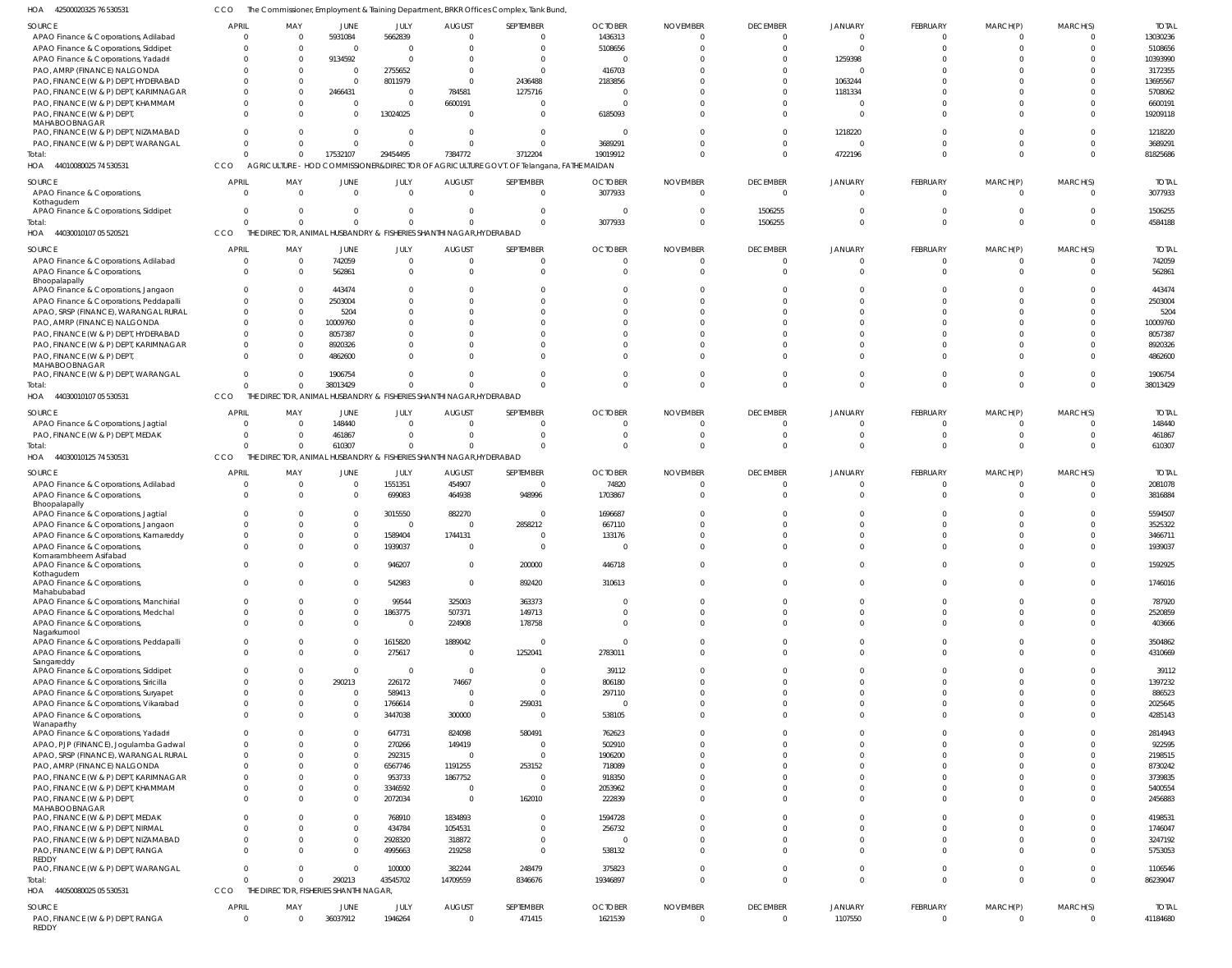42500020325 76 530531 HOA CCO The Commissioner, Employment & Training Department, BRKR Offices Complex, Tank Bund,

| SOURCE                                                 | <b>APRIL</b>                   | MAY                                    | JUNE                    | JULY            | <b>AUGUST</b>                                                       | SEPTEMBER                                                                               | <b>OCTOBER</b>            | <b>NOVEMBER</b> | <b>DECEMBER</b>                 | JANUARY            | FEBRUARY                   | MARCH(P)                 | MARCH(S)                   | <b>TOTAL</b>             |
|--------------------------------------------------------|--------------------------------|----------------------------------------|-------------------------|-----------------|---------------------------------------------------------------------|-----------------------------------------------------------------------------------------|---------------------------|-----------------|---------------------------------|--------------------|----------------------------|--------------------------|----------------------------|--------------------------|
| APAO Finance & Corporations, Adilabad                  | 0                              | - 0                                    | 5931084                 | 5662839         | $\Omega$                                                            | $\overline{0}$                                                                          | 1436313                   |                 | $\mathbf{0}$                    | $\mathbf 0$        | $\overline{0}$             | $\mathbf{0}$             | $\Omega$                   | 13030236                 |
| APAO Finance & Corporations, Siddipet                  | $\Omega$                       | $\Omega$                               | $\overline{0}$          | $\overline{0}$  | $\Omega$                                                            | $\Omega$                                                                                | 5108656                   |                 | $\Omega$                        | $\Omega$           | $\mathbf 0$                | $\Omega$                 | $\Omega$                   | 5108656                  |
| APAO Finance & Corporations, Yadadri                   | $\Omega$                       | $\Omega$                               | 9134592                 | $\Omega$        | <sup>0</sup>                                                        | $\overline{0}$                                                                          |                           |                 | $\Omega$                        | 1259398            | $\Omega$                   | $\Omega$                 | $\Omega$                   | 10393990                 |
| PAO, AMRP (FINANCE) NALGONDA                           | $\Omega$                       |                                        | $\overline{\mathbf{0}}$ | 2755652         | $\Omega$                                                            | $\Omega$                                                                                | 416703                    |                 | $\Omega$                        | $\Omega$           | $\Omega$                   | $\Omega$                 | <sup>n</sup>               | 3172355                  |
| PAO, FINANCE (W & P) DEPT, HYDERABAD                   | $\Omega$                       |                                        | $\overline{0}$          | 8011979         | $\Omega$                                                            | 2436488                                                                                 | 2183856                   |                 | $\Omega$                        | 1063244            | $\Omega$                   | $\Omega$                 | $\Omega$                   | 13695567                 |
| PAO, FINANCE (W & P) DEPT, KARIMNAGAR                  | $\Omega$                       |                                        | 2466431                 | $\overline{0}$  | 784581                                                              | 1275716                                                                                 |                           |                 | $\Omega$                        | 1181334            | $\Omega$                   | $\Omega$                 |                            | 5708062                  |
| PAO, FINANCE (W & P) DEPT, KHAMMAM                     | $\Omega$                       |                                        | $\overline{0}$          | $\Omega$        | 6600191                                                             | $\overline{0}$                                                                          |                           |                 | $\Omega$                        |                    | $\Omega$                   | $\Omega$                 | $\Omega$                   | 6600191                  |
|                                                        |                                |                                        |                         |                 |                                                                     |                                                                                         |                           |                 |                                 |                    |                            |                          |                            |                          |
| PAO, FINANCE (W & P) DEPT<br>MAHABOOBNAGAR             | $\Omega$                       |                                        | $\Omega$                | 13024025        | $\Omega$                                                            | $\Omega$                                                                                | 6185093                   |                 | $\Omega$                        | $\Omega$           | $\Omega$                   | $\Omega$                 | $\Omega$                   | 19209118                 |
| PAO, FINANCE (W & P) DEPT, NIZAMABAD                   | $\Omega$                       |                                        | $\Omega$                | $\Omega$        | $\Omega$                                                            | $\overline{0}$                                                                          | - 0                       |                 | $\Omega$                        | 1218220            | $\Omega$                   | $\Omega$                 | $\Omega$                   | 1218220                  |
| PAO, FINANCE (W & P) DEPT, WARANGAL                    | $\Omega$                       |                                        | $\Omega$                | $\Omega$        | $\Omega$                                                            | $\Omega$                                                                                | 3689291                   |                 | $\Omega$                        | $\Omega$           | $\Omega$                   | $\Omega$                 | $\Omega$                   | 3689291                  |
| Total:                                                 | $\Omega$                       | $\Omega$                               | 17532107                | 29454495        | 7384772                                                             | 3712204                                                                                 | 19019912                  |                 | $\Omega$                        | 4722196            | $\Omega$                   | $\Omega$                 | $\Omega$                   | 81825686                 |
|                                                        |                                |                                        |                         |                 |                                                                     | AGRICULTURE - HOD COMMISSIONER&DIRECTOR OF AGRICULTURE GOVT. OF Telangana, FATHE MAIDAN |                           |                 |                                 |                    |                            |                          |                            |                          |
| HOA 44010080025 74 530531                              | CCO                            |                                        |                         |                 |                                                                     |                                                                                         |                           |                 |                                 |                    |                            |                          |                            |                          |
| SOURCE                                                 | APRIL                          | MAY                                    | JUNE                    | JULY            | <b>AUGUST</b>                                                       | SEPTEMBER                                                                               | <b>OCTOBER</b>            | <b>NOVEMBER</b> | <b>DECEMBER</b>                 | JANUARY            | FEBRUARY                   | MARCH(P)                 | MARCH(S)                   | <b>TOTAL</b>             |
| APAO Finance & Corporations,                           | - 0                            | $\Omega$                               | $\Omega$                | $\Omega$        | $\Omega$                                                            | $\Omega$                                                                                | 3077933                   | $\Omega$        | $\Omega$                        | U                  | $\Omega$                   | $\Omega$                 | $\Omega$                   | 3077933                  |
| Kothagudem                                             |                                |                                        |                         |                 |                                                                     |                                                                                         |                           |                 |                                 |                    |                            |                          |                            |                          |
| APAO Finance & Corporations, Siddipet                  | $\Omega$                       | - 0                                    | $\Omega$                | $\Omega$        | <sup>0</sup>                                                        | $\Omega$                                                                                |                           |                 | 1506255                         |                    | $\Omega$                   | $\Omega$                 |                            | 1506255                  |
| Total:                                                 | $\Omega$                       |                                        | $\Omega$                | $\Omega$        |                                                                     | $\Omega$                                                                                | 3077933                   |                 | 1506255                         | 0                  | $\Omega$                   | $\Omega$                 | $\Omega$                   | 4584188                  |
| 44030010107 05 520521<br>HOA                           | CCO                            | THE                                    |                         |                 | DIRECTOR, ANIMAL HUSBANDRY & FISHERIES SHANTHI NAGAR, HYDERABAD     |                                                                                         |                           |                 |                                 |                    |                            |                          |                            |                          |
|                                                        | APRIL                          |                                        |                         |                 |                                                                     |                                                                                         |                           |                 |                                 |                    |                            |                          |                            | <b>TOTAL</b>             |
| SOURCE                                                 |                                | MAY                                    | <b>JUNE</b>             | JULY            | <b>AUGUST</b>                                                       | SEPTEMBER                                                                               | <b>OCTOBER</b>            | <b>NOVEMBER</b> | <b>DECEMBER</b>                 | JANUARY            | FEBRUARY                   | MARCH(P)                 | MARCH(S)                   |                          |
| APAO Finance & Corporations, Adilabad                  | - 0                            | $\Omega$                               | 742059                  | $\mathbf{0}$    | $\Omega$                                                            | $\overline{0}$                                                                          |                           |                 | $\Omega$                        | 0                  | $\Omega$                   | $\mathbf{0}$             | - 0                        | 742059                   |
| APAO Finance & Corporations,                           | $\Omega$                       | - 0                                    | 562861                  | $\Omega$        | $\Omega$                                                            | $\Omega$                                                                                |                           |                 | $\Omega$                        | $\Omega$           | $\Omega$                   | $\Omega$                 | $\Omega$                   | 562861                   |
| Bhoopalapally<br>APAO Finance & Corporations, Jangaon  | $\Omega$                       |                                        | 443474                  | $\Omega$        |                                                                     | $\Omega$                                                                                |                           |                 |                                 |                    | $\Omega$                   | $\Omega$                 |                            | 443474                   |
|                                                        |                                |                                        |                         |                 |                                                                     | $\Omega$                                                                                |                           |                 |                                 |                    |                            | $\Omega$                 |                            |                          |
| APAO Finance & Corporations, Peddapalli                | 0                              |                                        | 2503004                 | $\Omega$        |                                                                     |                                                                                         |                           |                 |                                 |                    | $\Omega$                   |                          | $\Omega$                   | 2503004                  |
| APAO, SRSP (FINANCE), WARANGAL RURAL                   | $\Omega$                       |                                        | 5204                    | $\Omega$        |                                                                     | $\Omega$                                                                                |                           |                 |                                 |                    | $\Omega$                   | $\Omega$                 |                            | 5204                     |
| PAO, AMRP (FINANCE) NALGONDA                           | $\Omega$                       | - 0                                    | 10009760                | $\Omega$        |                                                                     | $\Omega$                                                                                |                           |                 |                                 |                    | $\Omega$                   | $\Omega$                 |                            | 10009760                 |
| PAO, FINANCE (W & P) DEPT, HYDERABAD                   |                                |                                        | 8057387                 | $\Omega$        |                                                                     | $\Omega$                                                                                |                           |                 |                                 |                    | $\Omega$                   | $\Omega$                 |                            | 8057387                  |
| PAO, FINANCE (W & P) DEPT, KARIMNAGAR                  | 0                              | - 0                                    | 8920326                 | $\Omega$        |                                                                     | $\Omega$                                                                                |                           |                 |                                 |                    | $\Omega$                   | $\Omega$                 | $\Omega$                   | 8920326                  |
| PAO, FINANCE (W & P) DEPT                              | $\Omega$                       |                                        | 4862600                 | $\Omega$        |                                                                     | $\Omega$                                                                                |                           |                 |                                 |                    | $\Omega$                   | $\Omega$                 | $\Omega$                   | 4862600                  |
| MAHABOOBNAGAR                                          |                                |                                        |                         |                 |                                                                     |                                                                                         |                           |                 |                                 |                    |                            |                          |                            |                          |
| PAO, FINANCE (W & P) DEPT, WARANGAL                    | $\Omega$                       |                                        | 1906754                 | $\Omega$        |                                                                     | $\Omega$                                                                                |                           |                 | $\Omega$                        |                    | $\Omega$                   | $\Omega$                 | $\Omega$                   | 1906754                  |
| Total:                                                 | $\Omega$                       | $\Omega$                               | 38013429                | $\Omega$        |                                                                     | $\Omega$                                                                                |                           |                 | $\Omega$                        | $\Omega$           | $\Omega$                   | $\Omega$                 | $\Omega$                   | 38013429                 |
| HOA 44030010107 05 530531                              | CCO                            |                                        |                         |                 | THE DIRECTOR, ANIMAL HUSBANDRY & FISHERIES SHANTHI NAGAR, HYDERABAD |                                                                                         |                           |                 |                                 |                    |                            |                          |                            |                          |
| SOURCE                                                 | APRIL                          | MAY                                    | <b>JUNE</b>             | JULY            | <b>AUGUST</b>                                                       | SEPTEMBER                                                                               | <b>OCTOBER</b>            | <b>NOVEMBER</b> | <b>DECEMBER</b>                 | JANUARY            | FEBRUARY                   | MARCH(P)                 | MARCH(S)                   | <b>TOTAL</b>             |
| APAO Finance & Corporations, Jagtial                   | -C                             |                                        | 148440                  | $\Omega$        |                                                                     | $\Omega$                                                                                |                           |                 | $\Omega$                        | U                  | $\Omega$                   | $\Omega$                 | - 0                        | 148440                   |
| PAO, FINANCE (W & P) DEPT, MEDAK                       | $\Omega$                       |                                        | 461867                  | $\Omega$        | <sup>0</sup>                                                        | $\Omega$                                                                                |                           |                 | $\Omega$                        |                    | $\Omega$                   | $\Omega$                 | $\Omega$                   | 461867                   |
| Total:                                                 | $\Omega$                       | $\Omega$                               | 610307                  | $\Omega$        |                                                                     | $\Omega$                                                                                |                           |                 | $\Omega$                        |                    | $\Omega$                   | $\Omega$                 | $\Omega$                   | 610307                   |
|                                                        |                                |                                        |                         |                 |                                                                     |                                                                                         |                           |                 |                                 |                    |                            |                          |                            |                          |
| HOA 44030010125 74 530531                              | CCO                            |                                        |                         |                 | THE DIRECTOR, ANIMAL HUSBANDRY & FISHERIES SHANTHI NAGAR, HYDERABAD |                                                                                         |                           |                 |                                 |                    |                            |                          |                            |                          |
| SOURCE                                                 | APRIL                          | MAY                                    | <b>JUNE</b>             | JULY            | <b>AUGUST</b>                                                       | SEPTEMBER                                                                               | <b>OCTOBER</b>            | <b>NOVEMBER</b> | <b>DECEMBER</b>                 | JANUARY            | FEBRUARY                   | MARCH(P)                 | MARCH(S)                   | <b>TOTAL</b>             |
| APAO Finance & Corporations, Adilabad                  | $\Omega$                       | - 0                                    | $\mathbf 0$             | 1551351         | 454907                                                              | $\overline{0}$                                                                          | 74820                     |                 | $\Omega$                        | 0                  | $\overline{0}$             | $\mathbf{0}$             | 0                          | 2081078                  |
| APAO Finance & Corporations,                           | $\Omega$                       | $\Omega$                               | $\overline{0}$          | 699083          | 464938                                                              | 948996                                                                                  | 1703867                   |                 | $\Omega$                        | $\Omega$           | $\Omega$                   | $\Omega$                 | $\Omega$                   | 3816884                  |
| Bhoopalapally                                          |                                |                                        |                         |                 |                                                                     |                                                                                         |                           |                 |                                 |                    |                            |                          |                            |                          |
| APAO Finance & Corporations, Jagtial                   | $\Omega$                       |                                        | $\overline{0}$          | 3015550         | 882270                                                              | $\overline{0}$                                                                          | 1696687                   |                 | $\Omega$                        |                    | $\Omega$                   | $\Omega$                 | $\Omega$                   | 5594507                  |
| APAO Finance & Corporations, Jangaon                   | $\Omega$                       |                                        | $\Omega$                | $\Omega$        |                                                                     | 2858212                                                                                 | 667110                    |                 |                                 |                    | $\Omega$                   | $\Omega$                 | $\Omega$                   | 3525322                  |
| APAO Finance & Corporations, Kamareddy                 | 0                              |                                        | $\mathbf 0$             | 1589404         | 1744131                                                             | $\Omega$                                                                                | 133176                    |                 | $\Omega$                        |                    | $\mathbf 0$                | $\Omega$                 | $\Omega$                   | 3466711                  |
| APAO Finance & Corporations                            | $\Omega$                       |                                        | $\Omega$                | 1939037         | $\Omega$                                                            | $\Omega$                                                                                |                           |                 | $\Omega$                        |                    | $\Omega$                   | $\Omega$                 | $\Omega$                   | 1939037                  |
| Komarambheem Asifabad                                  |                                |                                        |                         |                 |                                                                     |                                                                                         |                           |                 |                                 |                    |                            |                          |                            |                          |
| APAO Finance & Corporations                            |                                |                                        |                         | 946207          | $\Omega$                                                            | 200000                                                                                  | 446718                    |                 |                                 |                    |                            |                          |                            | 1592925                  |
| Kothagudem                                             |                                |                                        |                         |                 |                                                                     |                                                                                         |                           |                 |                                 |                    |                            |                          |                            |                          |
| APAO Finance & Corporations,                           | $\Omega$                       | $\Omega$                               | $\overline{0}$          | 542983          | $\overline{0}$                                                      | 892420                                                                                  | 310613                    |                 | $\mathbf{0}$                    | $\Omega$           | $\overline{0}$             | $\mathbf{0}$             | $\overline{0}$             | 1746016                  |
| Mahabubabad<br>APAO Finance & Corporations, Manchirial | $\Omega$                       | $\Omega$                               | $\Omega$                | 99544           | 325003                                                              | 363373                                                                                  |                           |                 | $\Omega$                        | 0                  | $\mathbf 0$                | $\Omega$                 | $\Omega$                   | 787920                   |
| APAO Finance & Corporations, Medchal                   | $\Omega$                       | $\Omega$                               | $\mathbf{0}$            | 1863775         | 507371                                                              | 149713                                                                                  |                           |                 | $\Omega$                        | $\Omega$           | $\Omega$                   | $\Omega$                 | $\Omega$                   | 2520859                  |
|                                                        | $\Omega$                       | $\Omega$                               | $\overline{0}$          | $\overline{0}$  |                                                                     |                                                                                         |                           |                 | $\Omega$                        | $\Omega$           | $\Omega$                   | $\Omega$                 | $\Omega$                   |                          |
| APAO Finance & Corporations,<br>Nagarkurnool           |                                |                                        |                         |                 | 224908                                                              | 178758                                                                                  |                           |                 |                                 |                    |                            |                          |                            | 403666                   |
| APAO Finance & Corporations, Peddapalli                | $\Omega$                       | $\Omega$                               | $\overline{0}$          | 1615820         | 1889042                                                             | $\overline{0}$                                                                          |                           |                 | $\Omega$                        | $\Omega$           | $\Omega$                   | $\Omega$                 | $\Omega$                   | 3504862                  |
| APAO Finance & Corporations,                           | $\Omega$                       | $\Omega$                               | $\overline{0}$          | 275617          | $\overline{0}$                                                      | 1252041                                                                                 | 2783011                   | $\Omega$        | $\Omega$                        | $\Omega$           | $\Omega$                   | $\Omega$                 | $\Omega$                   | 4310669                  |
| Sangareddy                                             |                                |                                        |                         |                 |                                                                     |                                                                                         |                           |                 |                                 |                    |                            |                          |                            |                          |
| APAO Finance & Corporations, Siddipet                  | $\Omega$                       | $\Omega$                               | $\overline{0}$          | $\Omega$        | $\Omega$                                                            | $\overline{0}$                                                                          | 39112                     | $\Omega$        | $\Omega$                        | $\Omega$           | $\Omega$                   | $\Omega$                 | $\Omega$                   | 39112                    |
| APAO Finance & Corporations, Siricilla                 | $\Omega$                       | $\Omega$                               | 290213                  | 226172          | 74667                                                               | $\overline{0}$                                                                          | 806180                    |                 | $\Omega$                        | $\Omega$           | $\Omega$                   | $\Omega$                 | $\Omega$                   | 1397232                  |
| APAO Finance & Corporations, Suryapet                  | $\Omega$                       | $\Omega$                               | $\overline{0}$          | 589413          | $\overline{0}$                                                      | $\mathbf{0}$                                                                            | 297110                    |                 | $\Omega$                        | $\Omega$           | $\Omega$                   | $\Omega$                 | $\Omega$                   | 886523                   |
| APAO Finance & Corporations, Vikarabad                 | $\Omega$                       | $\Omega$                               | $\overline{0}$          | 1766614         | $\overline{0}$                                                      | 259031                                                                                  | $\Omega$                  |                 | $\Omega$                        | $\Omega$           | $\Omega$                   | $\Omega$                 | $\Omega$                   | 2025645                  |
| APAO Finance & Corporations,                           | $\Omega$                       | $\Omega$                               | $\overline{0}$          | 3447038         | 300000                                                              | $\mathbf 0$                                                                             | 538105                    |                 | $\Omega$                        | $\Omega$           | $\Omega$                   | $\mathbf{0}$             | $\Omega$                   | 4285143                  |
| Wanaparthy                                             |                                |                                        |                         |                 |                                                                     |                                                                                         |                           |                 |                                 |                    |                            |                          |                            |                          |
| APAO Finance & Corporations, Yadadri                   | $\Omega$                       |                                        | $\overline{0}$          | 647731          | 824098                                                              | 580491                                                                                  | 762623                    |                 | $\Omega$                        | 0                  | $\mathbf 0$                | $\mathbf 0$              | $\Omega$                   | 2814943                  |
| APAO, PJP (FINANCE), Jogulamba Gadwal                  | $\Omega$                       | $\Omega$                               | $\Omega$                | 270266          | 149419                                                              | $\overline{0}$                                                                          | 502910                    |                 | $\Omega$                        | $\Omega$           | $\Omega$                   | $\Omega$                 | $\Omega$                   | 922595                   |
| APAO, SRSP (FINANCE), WARANGAL RURAL                   | $\Omega$                       |                                        | $\overline{0}$          | 292315          | $\Omega$                                                            | $\mathbf{0}$                                                                            | 1906200                   |                 | $\Omega$                        | $\Omega$           | $\Omega$                   | $\Omega$                 | $\Omega$                   | 2198515                  |
| PAO, AMRP (FINANCE) NALGONDA                           | $\Omega$                       |                                        | $\Omega$                | 6567746         | 1191255                                                             | 253152                                                                                  | 718089                    |                 | $\Omega$                        | $\Omega$           | $\Omega$                   | $\Omega$                 | $\Omega$                   | 8730242                  |
| PAO, FINANCE (W & P) DEPT, KARIMNAGAR                  | $\Omega$                       | $\Omega$                               | $\overline{0}$          | 953733          | 1867752                                                             | $\overline{0}$                                                                          | 918350                    |                 | $\Omega$                        | $\Omega$           | $\Omega$                   | $\Omega$                 | $\Omega$                   | 3739835                  |
| PAO, FINANCE (W & P) DEPT, KHAMMAM                     | $\Omega$                       |                                        | $\Omega$                | 3346592         | $\overline{\mathbf{0}}$                                             | $\overline{0}$                                                                          | 2053962                   |                 | $\Omega$                        | $\Omega$           | $\Omega$                   | $\Omega$                 | $\Omega$                   | 5400554                  |
| PAO, FINANCE (W & P) DEPT,                             | $\Omega$                       |                                        | $\Omega$                | 2072034         | $\Omega$                                                            | 162010                                                                                  | 222839                    |                 | $\Omega$                        | $\Omega$           | $\Omega$                   | $\Omega$                 | $\Omega$                   | 2456883                  |
| MAHABOOBNAGAR                                          |                                |                                        |                         |                 |                                                                     |                                                                                         |                           |                 |                                 |                    |                            |                          |                            |                          |
| PAO, FINANCE (W & P) DEPT, MEDAK                       | $\Omega$                       | $\Omega$                               | $\Omega$                | 768910          | 1834893                                                             | $\Omega$                                                                                | 1594728                   |                 | $\Omega$                        | $\Omega$           | $\Omega$                   | $\Omega$                 | $\Omega$                   | 4198531                  |
| PAO, FINANCE (W & P) DEPT, NIRMAL                      | $\Omega$                       | $\Omega$                               | $\overline{0}$          | 434784          | 1054531                                                             | $\overline{0}$                                                                          | 256732                    |                 | $\Omega$                        | $\Omega$           | $\mathbf 0$                | $\Omega$                 | $\Omega$                   | 1746047                  |
| PAO, FINANCE (W & P) DEPT, NIZAMABAD                   | $\Omega$                       | $\Omega$                               | $\Omega$                | 2928320         | 318872                                                              | $\mathbf{0}$                                                                            |                           |                 | $\Omega$                        | $\Omega$           | $\Omega$                   | $\Omega$                 | $\Omega$                   | 3247192                  |
| PAO, FINANCE (W & P) DEPT, RANGA                       | $\Omega$                       |                                        | $\Omega$                | 4995663         | 219258                                                              | $\overline{0}$                                                                          | 538132                    |                 | $\Omega$                        | $\Omega$           | $\Omega$                   | $\Omega$                 | $\Omega$                   | 5753053                  |
| REDDY                                                  |                                |                                        |                         |                 |                                                                     |                                                                                         |                           |                 |                                 |                    |                            |                          |                            |                          |
| PAO, FINANCE (W & P) DEPT, WARANGAL                    | $\Omega$                       | $\Omega$                               | $\Omega$                | 100000          | 382244                                                              | 248479                                                                                  | 375823                    |                 | $\Omega$                        | $\Omega$           | $\mathbf 0$                | $\mathbf 0$              | $\Omega$                   | 1106546                  |
| Total:                                                 | $\Omega$                       | $\Omega$                               | 290213                  | 43545702        | 14709559                                                            | 8346676                                                                                 | 19346897                  |                 | $\Omega$                        | $\Omega$           | $\Omega$                   | $\Omega$                 | $\Omega$                   | 86239047                 |
| HOA 44050080025 05 530531                              | CCO                            | THE DIRECTOR, FISHERIES SHANTHI NAGAR, |                         |                 |                                                                     |                                                                                         |                           |                 |                                 |                    |                            |                          |                            |                          |
|                                                        |                                |                                        |                         |                 |                                                                     |                                                                                         |                           |                 |                                 |                    |                            |                          |                            |                          |
| SOURCE<br>PAO, FINANCE (W & P) DEPT, RANGA<br>REDDY    | <b>APRIL</b><br>$\overline{0}$ | MAY<br>$\Omega$                        | JUNE<br>36037912        | JULY<br>1946264 | <b>AUGUST</b><br>0                                                  | SEPTEMBER<br>471415                                                                     | <b>OCTOBER</b><br>1621539 | <b>NOVEMBER</b> | <b>DECEMBER</b><br>$\mathbf{0}$ | JANUARY<br>1107550 | FEBRUARY<br>$\overline{0}$ | MARCH(P)<br>$\mathbf{0}$ | MARCH(S)<br>$\overline{0}$ | <b>TOTAL</b><br>41184680 |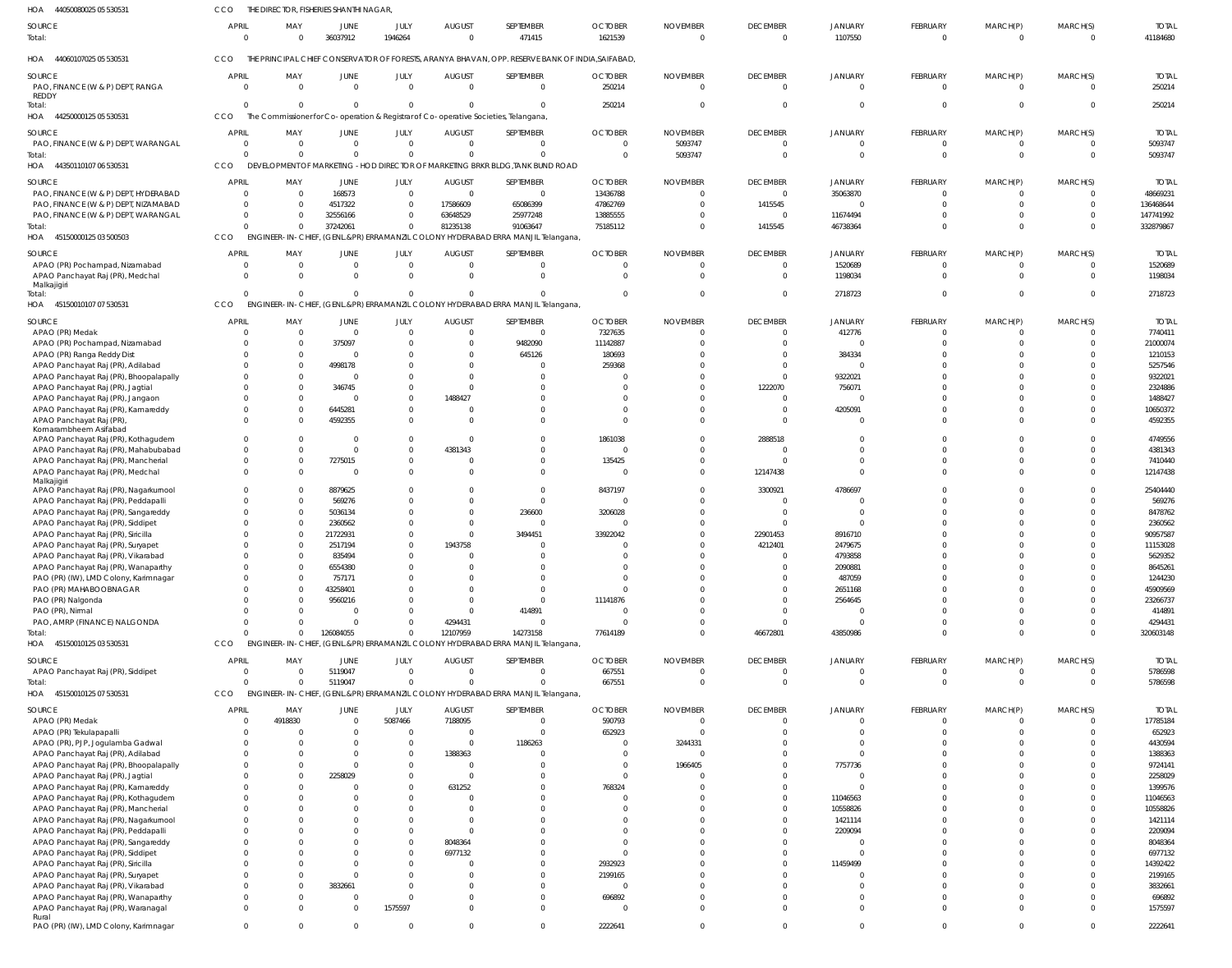| HOA<br>44050080025 05 530531                                                 | CCO                      | THE DIRECTOR, FISHERIES SHANTHI NAGAR, |                            |                        |                                                                                                   |                                                                                  |                                                                                                  |                             |                                   |                            |                                 |                             |                      |                          |
|------------------------------------------------------------------------------|--------------------------|----------------------------------------|----------------------------|------------------------|---------------------------------------------------------------------------------------------------|----------------------------------------------------------------------------------|--------------------------------------------------------------------------------------------------|-----------------------------|-----------------------------------|----------------------------|---------------------------------|-----------------------------|----------------------|--------------------------|
| SOURCE<br>Total:                                                             | APRIL<br>$\Omega$        | MAY<br>$\Omega$                        | JUNE<br>36037912           | JULY<br>1946264        | <b>AUGUST</b><br>$\Omega$                                                                         | SEPTEMBER<br>471415                                                              | <b>OCTOBER</b><br>1621539                                                                        | <b>NOVEMBER</b><br>$\Omega$ | <b>DECEMBER</b><br>$\overline{0}$ | JANUARY<br>1107550         | FEBRUARY<br>$\mathbf 0$         | MARCH(P)<br>$\Omega$        | MARCH(S)<br>$\Omega$ | <b>TOTAL</b><br>41184680 |
| HOA 44060107025 05 530531                                                    | <b>CCO</b>               |                                        |                            |                        |                                                                                                   |                                                                                  | THE PRINCIPAL CHIEF CONSERVATOR OF FORESTS, ARANYA BHAVAN, OPP. RESERVE BANK OF INDIA, SAIFABAD, |                             |                                   |                            |                                 |                             |                      |                          |
| SOURCE<br>PAO, FINANCE (W & P) DEPT, RANGA                                   | <b>APRIL</b><br>$\Omega$ | MAY<br>$\overline{0}$                  | JUNE<br>$\overline{0}$     | JULY<br>$\overline{0}$ | <b>AUGUST</b><br>$\overline{0}$                                                                   | SEPTEMBER<br>$\overline{0}$                                                      | <b>OCTOBER</b><br>250214                                                                         | <b>NOVEMBER</b><br>$\Omega$ | <b>DECEMBER</b><br>$\overline{0}$ | JANUARY<br>$\overline{0}$  | <b>FEBRUARY</b><br>$\mathbf{0}$ | MARCH(P)<br>$\mathbf{0}$    | MARCH(S)<br>$\Omega$ | <b>TOTAL</b><br>250214   |
| <b>REDDY</b><br>lotal:<br>HOA 44250000125 05 530531                          | $\Omega$<br>CCO          | $\Omega$                               | $\overline{0}$             | $\Omega$               | $\mathbf 0$<br>The Commissioner for Co-operation & Registrar of Co-operative Societies, Telangana | $\Omega$                                                                         | 250214                                                                                           | -0                          | $\overline{0}$                    | $\mathbf 0$                | $\mathbf{0}$                    | $\mathbf{0}$                | $\overline{0}$       | 250214                   |
| SOURCE                                                                       | <b>APRIL</b>             | MAY                                    | JUNE                       | <b>JULY</b>            | <b>AUGUST</b>                                                                                     | SEPTEMBER                                                                        | <b>OCTOBER</b>                                                                                   | <b>NOVEMBER</b>             | <b>DECEMBER</b>                   | <b>JANUARY</b>             | <b>FEBRUARY</b>                 | MARCH(P)                    | MARCH(S)             | <b>TOTAL</b>             |
| PAO, FINANCE (W & P) DEPT, WARANGAL                                          | $\Omega$                 | $\Omega$                               | $\Omega$                   | $\Omega$               | $\Omega$                                                                                          | $\Omega$                                                                         | $\overline{0}$                                                                                   | 5093747                     | $\overline{0}$                    | $\Omega$                   | $\mathbf 0$                     | $\mathbf 0$                 | $\Omega$             | 5093747                  |
| Total:<br>HOA 44350110107 06 530531                                          | $\Omega$<br>CCO          | $\Omega$<br><b>DEVELOPMENT OF</b>      | $\Omega$                   |                        | $\Omega$                                                                                          | MARKETING - HOD DIRECTOR OF MARKETING BRKR BLDG, TANK BUND ROAD                  | $\Omega$                                                                                         | 5093747                     | $\Omega$                          | $\Omega$                   | $\Omega$                        | $\Omega$                    | $\Omega$             | 5093747                  |
| SOURCE                                                                       | <b>APRIL</b>             | MAY                                    | JUNE                       | JULY                   | <b>AUGUST</b>                                                                                     | SEPTEMBER                                                                        | <b>OCTOBER</b>                                                                                   | <b>NOVEMBER</b>             | <b>DECEMBER</b>                   | <b>JANUARY</b>             | FEBRUARY                        | MARCH(P)                    | MARCH(S)             | <b>TOTAL</b>             |
| PAO, FINANCE (W & P) DEPT, HYDERABAD                                         | $\Omega$                 | $\overline{0}$                         | 168573                     | $\overline{0}$         | $\mathbf 0$                                                                                       | $\Omega$                                                                         | 13436788                                                                                         | $\Omega$                    | $\overline{0}$                    | 35063870                   | $\mathbf 0$                     | $\Omega$                    | $\Omega$             | 48669231                 |
| PAO, FINANCE (W & P) DEPT, NIZAMABAD                                         | $\Omega$                 | $\overline{0}$                         | 4517322                    | $\Omega$               | 17586609                                                                                          | 65086399                                                                         | 47862769                                                                                         | $\Omega$                    | 1415545                           | $\mathbf 0$                | $\mathbf 0$                     | $\mathbf{0}$                | $\Omega$             | 136468644                |
| PAO, FINANCE (W & P) DEPT, WARANGAL<br>lotal:                                | $\Omega$<br>$\Omega$     | $\Omega$<br>$\Omega$                   | 32556166<br>37242061       | $\Omega$               | 63648529<br>81235138                                                                              | 25977248<br>91063647                                                             | 13885555<br>75185112                                                                             | $\Omega$<br>$\Omega$        | $\overline{0}$<br>1415545         | 11674494<br>46738364       | $\Omega$<br>$\mathbf 0$         | $\mathbf 0$<br>$\mathbf 0$  | $\Omega$             | 147741992<br>332879867   |
| HOA 45150000125 03 500503                                                    | CCO                      |                                        |                            |                        |                                                                                                   | ENGINEER-IN-CHIEF, (GENL.&PR) ERRAMANZIL COLONY HYDERABAD ERRA MANJIL Telangana, |                                                                                                  |                             |                                   |                            |                                 |                             |                      |                          |
| SOURCE                                                                       | <b>APRIL</b>             | MAY                                    | JUNE                       | JULY                   | <b>AUGUST</b>                                                                                     | SEPTEMBER                                                                        | <b>OCTOBER</b>                                                                                   | <b>NOVEMBER</b>             | <b>DECEMBER</b>                   | <b>JANUARY</b>             | FEBRUARY                        | MARCH(P)                    | MARCH(S)             | <b>TOTAI</b>             |
| APAO (PR) Pochampad, Nizamabad                                               | $\Omega$                 | $\overline{0}$                         | $\overline{0}$             | $\Omega$               | $\overline{0}$                                                                                    |                                                                                  | $\Omega$                                                                                         | $\Omega$                    | 0                                 | 1520689                    | $\Omega$                        | $\Omega$                    | $\Omega$             | 1520689                  |
| APAO Panchayat Raj (PR), Medchal<br>Malkajigiri                              | $\Omega$                 | $\Omega$                               | $\Omega$                   | $\Omega$               | $\Omega$                                                                                          | $\Omega$                                                                         | $\Omega$                                                                                         | $\Omega$                    | - 0                               | 1198034                    | $\Omega$                        | $\Omega$                    | $\Omega$             | 1198034                  |
| Total:<br>HOA 45150010107 07 530531                                          | $\Omega$<br>CCO          | $\Omega$                               | $\Omega$                   |                        | $\Omega$                                                                                          | ENGINEER-IN-CHIEF, (GENL.&PR) ERRAMANZIL COLONY HYDERABAD ERRA MANJIL Telangana, | $\Omega$                                                                                         | $\Omega$                    | $\Omega$                          | 2718723                    | $\mathbf{0}$                    | $\mathbf 0$                 | $\Omega$             | 2718723                  |
| SOURCE                                                                       | <b>APRIL</b>             | MAY                                    | <b>JUNE</b>                | JULY                   | <b>AUGUST</b>                                                                                     | SEPTEMBER                                                                        | <b>OCTOBER</b>                                                                                   | <b>NOVEMBER</b>             | <b>DECEMBER</b>                   | JANUARY                    | FEBRUARY                        | MARCH(P)                    | MARCH(S)             | <b>TOTAL</b>             |
| APAO (PR) Medak                                                              | $\Omega$                 | $\overline{0}$                         | $\mathbf 0$                | $\Omega$               | $\overline{0}$                                                                                    | $\mathbf{0}$                                                                     | 7327635                                                                                          | $\Omega$                    | $\overline{0}$                    | 412776                     | $\mathbf 0$                     | 0                           | $\Omega$             | 7740411                  |
| APAO (PR) Pochampad, Nizamabad                                               |                          | $\overline{0}$                         | 375097                     | $\Omega$               | $\overline{0}$                                                                                    | 9482090                                                                          | 11142887                                                                                         | $\Omega$                    | $\Omega$                          | $\Omega$                   | $\Omega$                        | $\Omega$                    | $\Omega$             | 21000074                 |
| APAO (PR) Ranga Reddy Dist                                                   |                          | $\Omega$<br>$\overline{0}$             | 0                          | - 0                    | $\Omega$<br>$\Omega$                                                                              | 645126                                                                           | 180693                                                                                           | $\Omega$<br>-0              | $\Omega$<br>$\Omega$              | 384334<br>$\overline{0}$   | $\Omega$<br>$\Omega$            | $\Omega$<br>$\Omega$        |                      | 1210153<br>5257546       |
| APAO Panchayat Raj (PR), Adilabad<br>APAO Panchayat Raj (PR), Bhoopalapally  |                          | $\Omega$                               | 4998178<br>0               |                        | $\Omega$                                                                                          |                                                                                  | 259368<br>$\Omega$                                                                               | $\Omega$                    | $\Omega$                          | 9322021                    | $\Omega$                        | $\Omega$                    |                      | 9322021                  |
| APAO Panchayat Raj (PR), Jagtial                                             | <sup>0</sup>             | $\Omega$                               | 346745                     | $\Omega$               | $\Omega$                                                                                          |                                                                                  | $\Omega$                                                                                         | $\Omega$                    | 1222070                           | 756071                     | $\Omega$                        | $\Omega$                    |                      | 2324886                  |
| APAO Panchayat Raj (PR), Jangaon                                             |                          | $\Omega$                               | $\Omega$                   | $\Omega$               | 1488427                                                                                           |                                                                                  | $\Omega$                                                                                         | $\Omega$                    | $\Omega$                          |                            | $\Omega$                        | $\Omega$                    |                      | 1488427                  |
| APAO Panchayat Raj (PR), Kamareddy                                           | $\Omega$<br>$\Omega$     | $\overline{0}$<br>$\Omega$             | 6445281                    | $\Omega$<br>$\Omega$   | $\Omega$<br>$\Omega$                                                                              |                                                                                  | - 0<br>$\Omega$                                                                                  | $\Omega$<br>$\Omega$        | $\overline{0}$<br>$\Omega$        | 4205091<br>$\Omega$        | $\mathbf 0$<br>$\Omega$         | $\Omega$<br>$\Omega$        | $\Omega$<br>$\Omega$ | 10650372                 |
| APAO Panchayat Raj (PR),<br>Komarambheem Asifabad                            |                          |                                        | 4592355                    |                        |                                                                                                   |                                                                                  |                                                                                                  |                             |                                   |                            |                                 |                             |                      | 4592355                  |
| APAO Panchayat Raj (PR), Kothagudem                                          | $\Omega$                 | $\Omega$                               | - 0                        | $\Omega$               | $\overline{0}$                                                                                    |                                                                                  | 1861038                                                                                          | $\Omega$                    | 2888518                           | $\Omega$                   | $\Omega$                        | $\Omega$                    | $\Omega$             | 4749556                  |
| APAO Panchayat Raj (PR), Mahabubabad                                         | $\Omega$<br>$\mathbf 0$  | $\Omega$<br>$\overline{0}$             | 0<br>7275015               | $\Omega$<br>$\Omega$   | 4381343<br>$\overline{0}$                                                                         | 0                                                                                | $\overline{0}$<br>135425                                                                         | $\Omega$<br>$\Omega$        | $\overline{0}$<br>$\Omega$        | $\Omega$<br>$\Omega$       | $\Omega$<br>$\Omega$            | $\Omega$<br>$\Omega$        | $\Omega$<br>$\Omega$ | 4381343<br>7410440       |
| APAO Panchayat Raj (PR), Mancherial<br>APAO Panchayat Raj (PR), Medchal      | $\Omega$                 | $\Omega$                               | $\Omega$                   | $\Omega$               | $\Omega$                                                                                          |                                                                                  | $\Omega$                                                                                         | $\Omega$                    | 12147438                          | $\Omega$                   | $\Omega$                        | $\Omega$                    | $\Omega$             | 12147438                 |
| Malkajigiri                                                                  |                          |                                        |                            |                        |                                                                                                   |                                                                                  |                                                                                                  |                             |                                   |                            |                                 |                             |                      |                          |
| APAO Panchayat Raj (PR), Nagarkurnool<br>APAO Panchayat Raj (PR), Peddapalli | 0<br>$\Omega$            | $\Omega$<br>$\Omega$                   | 8879625<br>569276          | $\Omega$               | $\Omega$<br>$\Omega$                                                                              | $\Omega$<br>$\Omega$                                                             | 8437197<br>$\overline{0}$                                                                        | $\Omega$<br>$\Omega$        | 3300921<br>- 0                    | 4786697<br>$\Omega$        | $\Omega$<br>$\Omega$            | $\Omega$<br>$\Omega$        | $\Omega$             | 25404440<br>569276       |
| APAO Panchayat Raj (PR), Sangareddy                                          | 0                        | $\Omega$                               | 5036134                    |                        | $\Omega$                                                                                          | 236600                                                                           | 3206028                                                                                          | $\Omega$                    | $\overline{0}$                    |                            | $\Omega$                        | $\Omega$                    |                      | 8478762                  |
| APAO Panchayat Raj (PR), Siddipet                                            |                          | $\Omega$                               | 2360562                    |                        | $\Omega$                                                                                          | $\Omega$                                                                         | -0                                                                                               | $\Omega$                    | $\Omega$                          |                            | $\Omega$                        | $\Omega$                    |                      | 2360562                  |
| APAO Panchayat Raj (PR), Siricilla                                           |                          | $\Omega$                               | 21722931                   |                        | $\Omega$                                                                                          | 3494451                                                                          | 33922042                                                                                         | - 0                         | 22901453                          | 8916710                    | $\Omega$                        | $\Omega$                    |                      | 90957587                 |
| APAO Panchayat Raj (PR), Suryapet<br>APAO Panchayat Raj (PR), Vikarabad      | $\Omega$                 | $\Omega$                               | 2517194<br>835494          |                        | 1943758                                                                                           | <sup>0</sup>                                                                     | $\Omega$                                                                                         | $\Omega$                    | 4212401                           | 2479675<br>4793858         | $\Omega$<br>$\Omega$            | $\Omega$                    | $\Omega$             | 11153028<br>5629352      |
| APAO Panchayat Raj (PR), Wanaparthy                                          |                          | $\Omega$                               | 6554380                    |                        | $\Omega$                                                                                          |                                                                                  | $\Omega$                                                                                         |                             | $\Omega$                          | 2090881                    | $\Omega$                        | $\Omega$                    |                      | 8645261                  |
| PAO (PR) (IW), LMD Colony, Karimnagar                                        | 0                        | $\Omega$                               | 757171                     |                        | $\Omega$                                                                                          |                                                                                  | $\Omega$                                                                                         | $\Omega$                    | $\Omega$                          | 487059                     | $\Omega$                        | $\Omega$                    |                      | 1244230                  |
| PAO (PR) MAHABOOBNAGAR                                                       |                          | $\Omega$                               | 43258401                   |                        | $\Omega$                                                                                          |                                                                                  | $\Omega$                                                                                         |                             |                                   | 2651168                    | $\Omega$                        | $\Omega$                    |                      | 45909569                 |
| PAO (PR) Nalgonda<br>PAO (PR), Nirmal                                        |                          | $\Omega$<br>$\Omega$                   | 9560216<br>$\Omega$        | $\Omega$<br>$\Omega$   | $\Omega$<br>$\Omega$                                                                              | $\Omega$<br>414891                                                               | 11141876<br>$\Omega$                                                                             | $\Omega$<br>$\Omega$        | $\Omega$<br>$\Omega$              | 2564645<br>$\mathbf 0$     | $\Omega$<br>$\Omega$            | $\Omega$<br>$\Omega$        |                      | 23266737<br>414891       |
| PAO, AMRP (FINANCE) NALGONDA                                                 |                          | $\Omega$                               | $\Omega$                   |                        | 4294431                                                                                           | $\mathbf{0}$                                                                     | $\Omega$                                                                                         | $\Omega$                    | $\Omega$                          | $\Omega$                   | $\mathbf 0$                     | $\mathbf 0$                 | $\Omega$             | 4294431                  |
| lotal:                                                                       | $\Omega$                 | $\Omega$                               | 126084055                  |                        | 12107959                                                                                          | 14273158                                                                         | 77614189                                                                                         | $\Omega$                    | 46672801                          | 43850986                   | $\Omega$                        | $\Omega$                    | $\Omega$             | 320603148                |
| HOA 45150010125 03 530531                                                    | CCO                      |                                        |                            |                        |                                                                                                   | ENGINEER-IN-CHIEF, (GENL.&PR) ERRAMANZIL COLONY HYDERABAD ERRA MANJIL Telangana, |                                                                                                  |                             |                                   |                            |                                 |                             |                      |                          |
| SOURCE                                                                       | APRIL<br>$\Omega$        | MAY<br>$\Omega$                        | JUNE<br>5119047            | JULY<br>$\Omega$       | <b>AUGUST</b><br>$\Omega$                                                                         | SEPTEMBER<br>$\Omega$                                                            | <b>OCTOBER</b><br>667551                                                                         | <b>NOVEMBER</b><br>$\Omega$ | <b>DECEMBER</b>                   | JANUARY                    | FEBRUARY                        | MARCH(P)                    | MARCH(S)             | <b>TOTAL</b>             |
| APAO Panchayat Raj (PR), Siddipet<br>Total:                                  | $\Omega$                 | $\Omega$                               | 5119047                    | $\Omega$               | $\Omega$                                                                                          | $\Omega$                                                                         | 667551                                                                                           | $\Omega$                    | $\overline{0}$<br>$\overline{0}$  | $\mathbf 0$<br>$\Omega$    | $\mathbf{0}$<br>$\Omega$        | $\mathbf{0}$<br>$\mathbf 0$ | $\Omega$<br>$\Omega$ | 5786598<br>5786598       |
| HOA 45150010125 07 530531                                                    | <b>CCO</b>               |                                        |                            |                        |                                                                                                   | ENGINEER-IN-CHIEF, (GENL.&PR) ERRAMANZIL COLONY HYDERABAD ERRA MANJIL Telangana, |                                                                                                  |                             |                                   |                            |                                 |                             |                      |                          |
| SOURCE                                                                       | APRIL                    | MAY                                    | JUNE                       | JULY                   | <b>AUGUST</b>                                                                                     | SEPTEMBER                                                                        | <b>OCTOBER</b>                                                                                   | <b>NOVEMBER</b>             | <b>DECEMBER</b>                   | <b>JANUARY</b>             | FEBRUARY                        | MARCH(P)                    | MARCH(S)             | <b>TOTAL</b>             |
| APAO (PR) Medak                                                              | $\Omega$                 | 4918830                                | $\overline{0}$             | 5087466                | 7188095                                                                                           | $\mathbf{0}$                                                                     | 590793                                                                                           | $\overline{0}$              | $\overline{0}$                    | $\overline{0}$             | $\mathbf{0}$                    | 0                           | $\Omega$             | 17785184                 |
| APAO (PR) Tekulapapalli<br>APAO (PR), PJP, Jogulamba Gadwal                  | $\Omega$                 | $\Omega$<br>$\Omega$                   | $\overline{0}$<br>$\Omega$ | $\Omega$<br>$\Omega$   | $\Omega$<br>$\overline{0}$                                                                        | $\Omega$<br>1186263                                                              | 652923<br>$\overline{0}$                                                                         | $\Omega$<br>3244331         | $\Omega$<br>$\Omega$              | $\Omega$<br>$\Omega$       | $\Omega$<br>$\Omega$            | $\Omega$<br>$\Omega$        |                      | 652923<br>4430594        |
| APAO Panchayat Raj (PR), Adilabad                                            |                          | $\Omega$                               | $\Omega$                   | $\Omega$               | 1388363                                                                                           |                                                                                  | - 0                                                                                              | $\overline{0}$              | $\Omega$                          | $\Omega$                   | $\Omega$                        | $\Omega$                    |                      | 1388363                  |
| APAO Panchayat Raj (PR), Bhoopalapally                                       |                          | $\Omega$                               | $\mathbf{0}$               | $\Omega$               | $\overline{0}$                                                                                    |                                                                                  | $\overline{0}$                                                                                   | 1966405                     | $\Omega$                          | 7757736                    | $\Omega$                        | $\Omega$                    |                      | 9724141                  |
| APAO Panchayat Raj (PR), Jagtial                                             | $\Omega$                 | $\overline{0}$                         | 2258029                    | $\Omega$               | $\Omega$                                                                                          |                                                                                  | $\overline{0}$                                                                                   | $\epsilon$                  | $\Omega$                          | $\Omega$                   | $\Omega$                        | $\Omega$                    |                      | 2258029                  |
| APAO Panchayat Raj (PR), Kamareddy<br>APAO Panchayat Raj (PR), Kothagudem    | $\Omega$                 | $\Omega$<br>$\Omega$                   | $\Omega$<br>-0             | $\Omega$<br>$\Omega$   | 631252<br>$\Omega$                                                                                |                                                                                  | 768324<br>$\overline{0}$                                                                         | $\Omega$<br>$\Omega$        | $\Omega$<br>$\Omega$              | $\Omega$<br>11046563       | $\Omega$<br>$\Omega$            | $\Omega$<br>$\Omega$        |                      | 1399576<br>11046563      |
| APAO Panchayat Raj (PR), Mancherial                                          | $\Omega$                 | $\Omega$                               | -0                         |                        | $\Omega$                                                                                          |                                                                                  | $\Omega$                                                                                         | $\Omega$                    | $\Omega$                          | 10558826                   | $\Omega$                        | $\Omega$                    |                      | 10558826                 |
| APAO Panchayat Raj (PR), Nagarkurnool                                        | $\Omega$                 | $\Omega$                               | -0                         | $\Omega$               | $\Omega$                                                                                          |                                                                                  | $\Omega$                                                                                         | $\Omega$                    | $\Omega$                          | 1421114                    | $\Omega$                        | $\Omega$                    |                      | 1421114                  |
| APAO Panchayat Raj (PR), Peddapalli                                          |                          | $\Omega$                               | -0                         |                        | $\Omega$                                                                                          |                                                                                  | $\Omega$                                                                                         | $\Omega$                    | $\Omega$                          | 2209094                    | $\Omega$                        | $\Omega$                    |                      | 2209094                  |
| APAO Panchayat Raj (PR), Sangareddy<br>APAO Panchayat Raj (PR), Siddipet     | $\Omega$                 | $\Omega$<br>$\Omega$                   | -0<br>-0                   |                        | 8048364<br>6977132                                                                                |                                                                                  | $\Omega$<br>$\overline{0}$                                                                       | $\Omega$<br>$\Omega$        | $\Omega$<br>$\Omega$              | $\overline{0}$<br>$\Omega$ | $\Omega$<br>$\Omega$            | $\Omega$<br>$\Omega$        |                      | 8048364<br>6977132       |
| APAO Panchayat Raj (PR), Siricilla                                           | $\Omega$                 | $\Omega$                               | $\Omega$                   | $\Omega$               | $\mathcal{L}$                                                                                     |                                                                                  | 2932923                                                                                          | $\Omega$                    | $\Omega$                          | 11459499                   | $\Omega$                        | $\Omega$                    |                      | 14392422                 |
| APAO Panchayat Raj (PR), Suryapet                                            |                          | $\Omega$                               | $\Omega$                   | $\Omega$               | $\Omega$                                                                                          |                                                                                  | 2199165                                                                                          | $\Omega$                    | $\Omega$                          | $\Omega$                   | $\Omega$                        | $\Omega$                    |                      | 2199165                  |
| APAO Panchayat Raj (PR), Vikarabad                                           | $\Omega$                 | $\Omega$                               | 3832661                    | $\Omega$               | $\Omega$                                                                                          |                                                                                  | $\overline{0}$                                                                                   | $\Omega$                    | $\Omega$                          | $\Omega$                   | $\Omega$                        | $\Omega$                    | $\Omega$             | 3832661                  |
| APAO Panchayat Raj (PR), Wanaparthy                                          | $\Omega$<br>$\Omega$     | $\Omega$<br>$\Omega$                   | - 0<br>$\Omega$            | $\Omega$               | $\Omega$<br>$\Omega$                                                                              |                                                                                  | 696892<br>$\Omega$                                                                               | $\Omega$<br>$\Omega$        | $\Omega$<br>$\Omega$              | $\Omega$<br>$\Omega$       | $\Omega$<br>$\Omega$            | $\Omega$<br>$\Omega$        |                      | 696892                   |
| APAO Panchayat Raj (PR), Waranagal<br>Rural                                  |                          |                                        |                            | 1575597                |                                                                                                   |                                                                                  |                                                                                                  |                             |                                   |                            |                                 |                             |                      | 1575597                  |
| PAO (PR) (IW), LMD Colony, Karimnagar                                        | $\mathbf{0}$             | $\mathbf{0}$                           | $\overline{0}$             | $\Omega$               | $\Omega$                                                                                          | $\Omega$                                                                         | 2222641                                                                                          | $\Omega$                    | $\Omega$                          | $\Omega$                   | $\mathbf 0$                     | $\mathbf 0$                 | $\Omega$             | 2222641                  |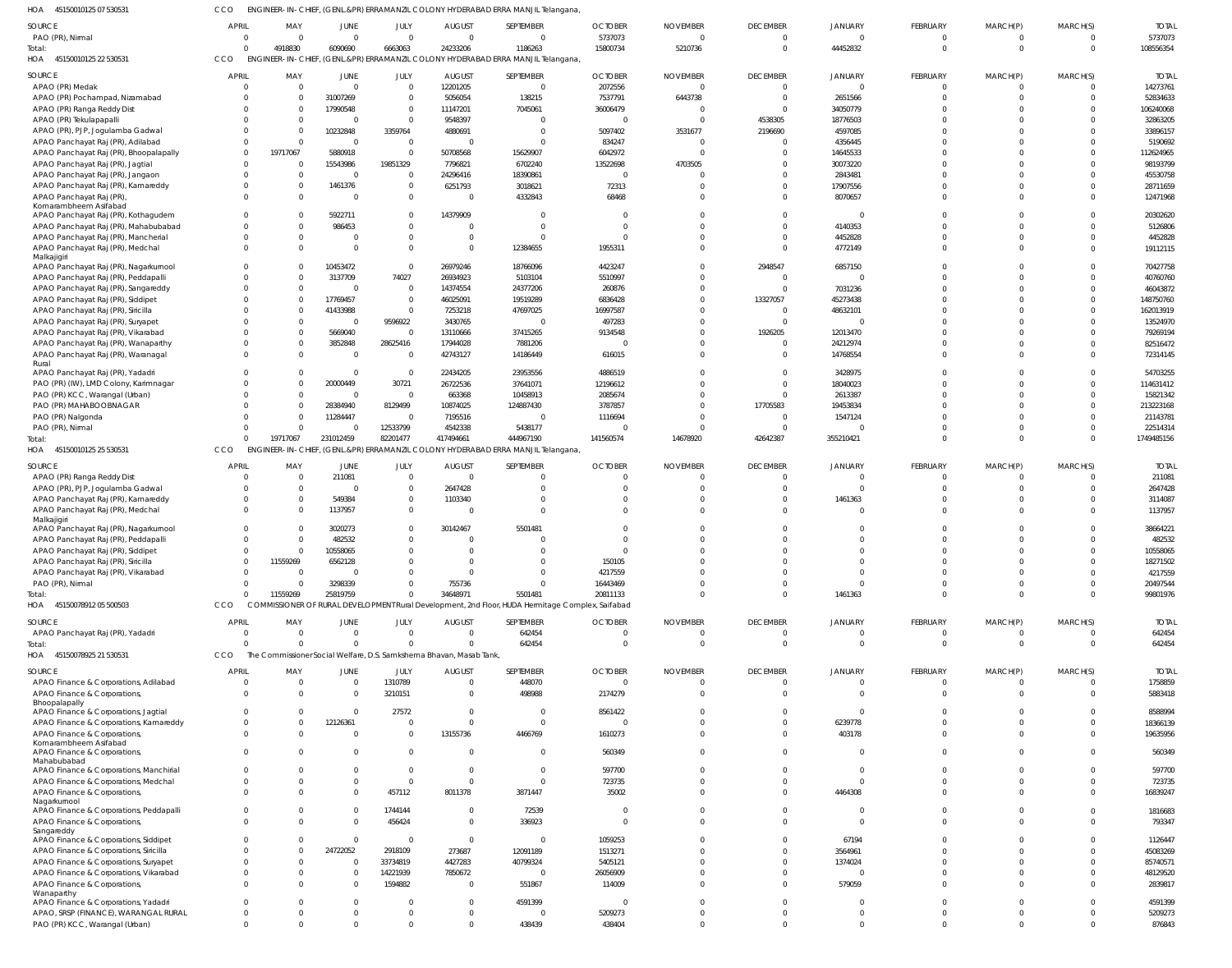45150010125 07 530531 HOA CCO ENGINEER-IN-CHIEF, (GENL.&PR) ERRAMANZIL COLONY HYDERABAD ERRA MANJIL Telangana,

| <b>SOURCE</b>                                       | <b>APRIL</b>    | MAY                                 | JUNE                    | JULY           | <b>AUGUST</b>                                                       | SEPTEMBER                                                                      | <b>OCTOBER</b>                                                                                   | <b>NOVEMBER</b> | <b>DECEMBER</b> | <b>JANUARY</b> | FEBRUARY        | MARCH(P) | MARCH(S) | <b>TOTAL</b> |
|-----------------------------------------------------|-----------------|-------------------------------------|-------------------------|----------------|---------------------------------------------------------------------|--------------------------------------------------------------------------------|--------------------------------------------------------------------------------------------------|-----------------|-----------------|----------------|-----------------|----------|----------|--------------|
| PAO (PR), Nirmal                                    |                 | $\Omega$                            | $\Omega$                | $\Omega$       | $\Omega$                                                            | $\Omega$                                                                       | 5737073                                                                                          |                 | $\Omega$        | $\Omega$       | $\Omega$        |          |          | 5737073      |
| Total:<br>HOA<br>45150010125 22 530531              | $\Omega$<br>CCO | 4918830<br><b>ENGINEER-IN-CHIEF</b> | 6090690                 | 6663063        | 24233206                                                            | 1186263<br>(GENL.&PR) ERRAMANZIL COLONY HYDERABAD ERRA MANJIL Telangana,       | 15800734                                                                                         | 5210736         | $\Omega$        | 44452832       | $\Omega$        | $\Omega$ | $\Omega$ | 108556354    |
| SOURCE                                              | <b>APRIL</b>    | MAY                                 | JUNE                    | JULY           | <b>AUGUST</b>                                                       | SEPTEMBER                                                                      | <b>OCTOBER</b>                                                                                   | <b>NOVEMBER</b> | <b>DECEMBER</b> | <b>JANUARY</b> | FEBRUARY        | MARCH(P) | MARCH(S) | <b>TOTAL</b> |
| APAO (PR) Medak                                     |                 | $\Omega$                            | $\overline{0}$          | $\overline{0}$ | 12201205                                                            | $\overline{0}$                                                                 | 2072556                                                                                          | - 0             | $\Omega$        | $\Omega$       | $\mathbf 0$     | 0        |          | 14273761     |
| APAO (PR) Pochampad, Nizamabad                      |                 | $\Omega$                            | 31007269                | $\mathbf{0}$   | 5056054                                                             | 138215                                                                         | 7537791                                                                                          | 6443738         | $\overline{0}$  | 2651566        | $\Omega$        | $\Omega$ | $\Omega$ | 52834633     |
| APAO (PR) Ranga Reddy Dist                          |                 | $\Omega$                            | 17990548                | $\overline{0}$ | 11147201                                                            | 7045061                                                                        | 36006479                                                                                         |                 | $\Omega$        | 34050779       | $\Omega$        |          |          | 106240068    |
| APAO (PR) Tekulapapalli                             |                 | $\Omega$                            | $\Omega$                | $\mathbf{0}$   | 9548397                                                             | $\overline{0}$                                                                 |                                                                                                  |                 | 4538305         | 18776503       | $\Omega$        |          |          | 32863205     |
| APAO (PR), PJP, Jogulamba Gadwal                    |                 |                                     | 10232848                | 3359764        | 4880691                                                             | $\overline{0}$                                                                 | 5097402                                                                                          | 3531677         | 2196690         | 4597085        | $\Omega$        |          |          | 33896157     |
| APAO Panchayat Raj (PR), Adilabad                   |                 | $\Omega$                            | $\Omega$                | $\overline{0}$ |                                                                     | $\Omega$                                                                       | 834247                                                                                           | - 0             | $\overline{0}$  | 4356445        | $\Omega$        |          |          | 5190692      |
| APAO Panchayat Raj (PR), Bhoopalapally              | $\Omega$        | 19717067                            | 5880918                 | $\mathbf{0}$   | 50708568                                                            | 15629907                                                                       | 6042972                                                                                          | - 0             | $\Omega$        | 14645533       | $\Omega$        |          |          | 112624965    |
| APAO Panchayat Raj (PR), Jagtial                    |                 | $\Omega$                            | 15543986                | 19851329       | 7796821                                                             | 6702240                                                                        | 13522698                                                                                         | 4703505         |                 | 30073220       | $\Omega$        |          |          | 98193799     |
|                                                     |                 | $\Omega$                            | $\overline{\mathbf{0}}$ | $\mathbf 0$    | 24296416                                                            | 18390861                                                                       |                                                                                                  |                 | $\Omega$        | 2843481        | $\Omega$        |          |          | 45530758     |
| APAO Panchayat Raj (PR), Jangaon                    |                 | $\Omega$                            | 1461376                 | $\mathbf{0}$   | 6251793                                                             | 3018621                                                                        | 72313                                                                                            |                 | $\Omega$        | 17907556       | $\Omega$        |          |          | 28711659     |
| APAO Panchayat Raj (PR), Kamareddy                  |                 | $\Omega$                            | $\Omega$                | $\mathbf 0$    |                                                                     | 4332843                                                                        | 68468                                                                                            |                 | $\Omega$        | 8070657        | $\Omega$        |          |          | 12471968     |
| APAO Panchayat Raj (PR),<br>Komarambheem Asifabad   |                 |                                     |                         |                |                                                                     |                                                                                |                                                                                                  |                 |                 |                |                 |          |          |              |
| APAO Panchayat Raj (PR), Kothagudem                 |                 | $\Omega$                            | 5922711                 | $\Omega$       | 14379909                                                            | $\Omega$                                                                       |                                                                                                  |                 | $\Omega$        | $\Omega$       | $\Omega$        |          |          | 20302620     |
| APAO Panchayat Raj (PR), Mahabubabad                | $\Omega$        |                                     | 986453                  | $\mathbf 0$    |                                                                     | $\overline{0}$                                                                 |                                                                                                  |                 | $\Omega$        | 4140353        | $\Omega$        |          |          | 5126806      |
| APAO Panchayat Raj (PR), Mancherial                 | $\Omega$        | $\Omega$                            | $\Omega$                | $\mathbf 0$    | $\Omega$                                                            | $\Omega$                                                                       |                                                                                                  |                 | $\Omega$        | 4452828        | $\Omega$        |          |          | 4452828      |
| APAO Panchayat Raj (PR), Medchal                    | $\Omega$        | $\Omega$                            | $\Omega$                | $\Omega$       | $\Omega$                                                            | 12384655                                                                       | 1955311                                                                                          |                 | $\Omega$        | 4772149        | $\Omega$        |          |          | 19112115     |
| Malkajigiri                                         |                 |                                     |                         |                |                                                                     |                                                                                |                                                                                                  |                 |                 |                |                 |          |          |              |
| APAO Panchayat Raj (PR), Nagarkurnool               | $\Omega$        | $\Omega$                            | 10453472                | $\overline{0}$ | 26979246                                                            | 18766096                                                                       | 4423247                                                                                          |                 | 2948547         | 6857150        | $\Omega$        |          |          | 70427758     |
| APAO Panchayat Raj (PR), Peddapalli                 |                 |                                     | 3137709                 | 74027          | 26934923                                                            | 5103104                                                                        | 5510997                                                                                          |                 | $\Omega$        | $\Omega$       | $\Omega$        |          |          | 40760760     |
| APAO Panchayat Raj (PR), Sangareddy                 |                 | $\Omega$                            | $\Omega$                | $\mathbf{0}$   | 14374554                                                            | 24377206                                                                       | 260876                                                                                           |                 | $\Omega$        | 7031236        | $\Omega$        |          |          | 46043872     |
| APAO Panchayat Raj (PR), Siddipet                   |                 | $\Omega$                            | 17769457                | $\mathbf{0}$   | 46025091                                                            | 19519289                                                                       | 6836428                                                                                          |                 | 13327057        | 45273438       | $\Omega$        |          |          | 148750760    |
| APAO Panchayat Raj (PR), Siricilla                  |                 | $\Omega$                            | 41433988                | $\mathbf{0}$   | 7253218                                                             | 47697025                                                                       | 16997587                                                                                         |                 | $\overline{0}$  | 48632101       | $\Omega$        |          |          | 162013919    |
| APAO Panchayat Raj (PR), Suryapet                   |                 |                                     | $\Omega$                | 9596922        | 3430765                                                             | $\circ$                                                                        | 497283                                                                                           |                 | $\Omega$        |                | $\Omega$        |          |          | 13524970     |
| APAO Panchayat Raj (PR), Vikarabad                  |                 | $\Omega$                            | 5669040                 | $\overline{0}$ | 13110666                                                            | 37415265                                                                       | 9134548                                                                                          |                 | 1926205         | 12013470       | $\Omega$        |          |          | 79269194     |
| APAO Panchayat Raj (PR), Wanaparthy                 |                 | $\Omega$                            | 3852848                 | 28625416       | 17944028                                                            | 7881206                                                                        |                                                                                                  |                 | $\Omega$        | 24212974       | $\Omega$        |          |          | 82516472     |
| APAO Panchayat Raj (PR), Waranagal                  | $\Omega$        |                                     | $\overline{0}$          | $\mathbf{0}$   | 42743127                                                            | 14186449                                                                       | 616015                                                                                           |                 | $\Omega$        | 14768554       | $\Omega$        | $\Omega$ |          | 72314145     |
| Rural                                               |                 |                                     |                         |                |                                                                     |                                                                                |                                                                                                  |                 |                 |                |                 |          |          |              |
| APAO Panchayat Raj (PR), Yadadri                    |                 |                                     | $\Omega$                | $\overline{0}$ | 22434205                                                            | 23953556                                                                       | 4886519                                                                                          |                 | $\Omega$        | 3428975        | $\Omega$        |          |          | 54703255     |
| PAO (PR) (IW), LMD Colony, Karimnagar               |                 |                                     | 20000449                | 30721          | 26722536                                                            | 37641071                                                                       | 12196612                                                                                         |                 | $\Omega$        | 18040023       | $\Omega$        |          | $\Omega$ | 114631412    |
| PAO (PR) KCC, Warangal (Urban)                      |                 |                                     | $\overline{0}$          | $\overline{0}$ | 663368                                                              | 10458913                                                                       | 2085674                                                                                          |                 | $\Omega$        | 2613387        | $\Omega$        |          | $\Omega$ | 15821342     |
| PAO (PR) MAHABOOBNAGAR                              |                 | $\Omega$                            | 28384940                | 8129499        | 10874025                                                            | 124887430                                                                      | 3787857                                                                                          |                 | 17705583        | 19453834       | $\Omega$        |          |          | 213223168    |
| PAO (PR) Nalgonda                                   |                 | $\Omega$                            | 11284447                | $\overline{0}$ | 7195516                                                             | $\overline{0}$                                                                 | 1116694                                                                                          |                 | $\overline{0}$  | 1547124        | $\Omega$        |          |          | 21143781     |
| PAO (PR), Nirmal                                    |                 | $\Omega$                            | $\Omega$                | 12533799       | 4542338                                                             | 5438177                                                                        |                                                                                                  |                 | $\Omega$        |                | $\Omega$        |          |          | 22514314     |
| Total:                                              |                 | 19717067                            | 231012459               | 82201477       | 417494661                                                           | 444967190                                                                      | 141560574                                                                                        | 14678920        | 42642387        | 355210421      | $\Omega$        | $\Omega$ | $\Omega$ | 1749485156   |
| HOA<br>45150010125 25 530531                        | CCO             |                                     |                         |                |                                                                     | ENGINEER-IN-CHIEF, (GENL&PR) ERRAMANZIL COLONY HYDERABAD ERRA MANJIL Telangana |                                                                                                  |                 |                 |                |                 |          |          |              |
|                                                     |                 |                                     |                         |                |                                                                     |                                                                                |                                                                                                  |                 |                 |                |                 |          |          |              |
| SOURCE                                              | <b>APRIL</b>    | MAY                                 | JUNE                    | JULY           | <b>AUGUST</b>                                                       | SEPTEMBER                                                                      | <b>OCTOBER</b>                                                                                   | <b>NOVEMBER</b> | <b>DECEMBER</b> | JANUARY        | FEBRUARY        | MARCH(P) | MARCH(S) | <b>TOTAL</b> |
| APAO (PR) Ranga Reddy Dist                          |                 | $\Omega$                            | 211081                  | $\mathbf 0$    |                                                                     | $\Omega$                                                                       |                                                                                                  |                 |                 | <sup>0</sup>   | $\Omega$        |          |          | 211081       |
| APAO (PR), PJP, Jogulamba Gadwal                    |                 | $\Omega$                            | $\Omega$                | $\Omega$       | 2647428                                                             | $\Omega$                                                                       |                                                                                                  |                 |                 | $\Omega$       | $\Omega$        |          |          | 2647428      |
| APAO Panchayat Raj (PR), Kamareddy                  |                 |                                     | 549384                  | $\Omega$       | 1103340                                                             | $\Omega$                                                                       |                                                                                                  |                 |                 | 1461363        | $\Omega$        |          |          | 3114087      |
| APAO Panchayat Raj (PR), Medchal                    | $\Omega$        |                                     | 1137957                 | $\Omega$       |                                                                     | $\Omega$                                                                       |                                                                                                  |                 |                 | $\Omega$       | $\Omega$        |          |          | 1137957      |
| Malkajigiri                                         |                 |                                     |                         |                |                                                                     |                                                                                |                                                                                                  |                 |                 |                |                 |          |          |              |
| APAO Panchayat Raj (PR), Nagarkurnool               |                 |                                     | 3020273                 | $\Omega$       | 30142467                                                            | 5501481                                                                        |                                                                                                  |                 |                 | $\Omega$       | $\Omega$        |          |          | 38664221     |
| APAO Panchayat Raj (PR), Peddapalli                 |                 |                                     | 482532                  | $\Omega$       |                                                                     | $\Omega$                                                                       |                                                                                                  |                 | $\Omega$        | $\Omega$       | $\Omega$        |          |          | 482532       |
| APAO Panchayat Raj (PR), Siddipet                   |                 | $\Omega$                            | 10558065                | $\Omega$       |                                                                     | $\Omega$                                                                       |                                                                                                  |                 |                 |                |                 |          |          | 10558065     |
| APAO Panchayat Raj (PR), Siricilla                  |                 |                                     | 6562128                 |                |                                                                     |                                                                                | 150105                                                                                           |                 |                 |                |                 |          |          | 18271502     |
| APAO Panchayat Raj (PR), Vikarabad                  |                 | $\Omega$                            | $\Omega$                | $\Omega$       |                                                                     | $\Omega$                                                                       | 4217559                                                                                          |                 |                 | $\Omega$       |                 |          |          | 4217559      |
| PAO (PR), Nirmal                                    | $\Omega$        | $\Omega$                            | 3298339                 | $\Omega$       | 755736                                                              | $\Omega$                                                                       | 16443469                                                                                         |                 | $\Omega$        | $\Omega$       | $\Omega$        | $\Omega$ |          | 20497544     |
| Total:                                              | $\Omega$        | 11559269                            | 25819759                | $\Omega$       | 34648971                                                            | 5501481                                                                        | 20811133                                                                                         |                 | $\Omega$        | 1461363        | $\Omega$        | $\Omega$ |          | 99801976     |
| HOA<br>45150078912 05 500503                        | CCO             |                                     |                         |                |                                                                     |                                                                                | COMMISSIONER OF RURAL DEVELOPMENT Rural Development, 2nd Floor, HUDA Hermitage Complex, Saifabad |                 |                 |                |                 |          |          |              |
| SOURCE                                              | <b>APRIL</b>    | MAY                                 | JUNE                    | JULY           | AUGUST                                                              | SEPTEMBER                                                                      | <b>OCTOBER</b>                                                                                   | <b>NOVEMBER</b> | <b>DECEMBER</b> | <b>JANUARY</b> | <b>FEBRUARY</b> | MARCH(P) | MARCH(S) | <b>TOTAL</b> |
| APAO Panchayat Raj (PR), Yadadri                    | $\Omega$        | $\Omega$                            | $\overline{0}$          | $\overline{0}$ | $\Omega$                                                            | 642454                                                                         | $\Omega$                                                                                         | - 0             | $\overline{0}$  | $\Omega$       | $\mathbf 0$     | 0        | $\Omega$ | 642454       |
| Total:                                              |                 | $\Omega$                            | $\Omega$                | $\Omega$       |                                                                     | 642454                                                                         |                                                                                                  | $\Omega$        | $\Omega$        | $\Omega$       | $\Omega$        | $\Omega$ | $\Omega$ | 642454       |
| HOA 45150078925 21 530531                           | CCO             |                                     |                         |                | The Commissioner Social Welfare, D.S. Samkshema Bhavan, Masab Tank, |                                                                                |                                                                                                  |                 |                 |                |                 |          |          |              |
|                                                     |                 |                                     |                         |                |                                                                     |                                                                                |                                                                                                  |                 |                 |                |                 |          |          |              |
| SOURCE                                              | <b>APRIL</b>    | MAY                                 | JUNE                    | JULY           | <b>AUGUST</b>                                                       | SEPTEMBER                                                                      | <b>OCTOBER</b>                                                                                   | <b>NOVEMBER</b> | <b>DECEMBER</b> | <b>JANUARY</b> | <b>FEBRUARY</b> | MARCH(P) | MARCH(S) | <b>TOTAL</b> |
| APAO Finance & Corporations, Adilabad               |                 | $\Omega$                            | $\Omega$                | 1310789        | $\Omega$                                                            | 448070                                                                         |                                                                                                  |                 | $\Omega$        | $\Omega$       | $\Omega$        | 0        |          | 1758859      |
| APAO Finance & Corporations,<br>Bhoopalapally       | $\Omega$        | $\Omega$                            | $\Omega$                | 3210151        | $\Omega$                                                            | 498988                                                                         | 2174279                                                                                          |                 | $\Omega$        | $\Omega$       | $\Omega$        | $\Omega$ |          | 5883418      |
| APAO Finance & Corporations, Jagtial                | $\Omega$        | $\Omega$                            | $\Omega$                | 27572          | $\Omega$                                                            | $\Omega$                                                                       | 8561422                                                                                          |                 | $\Omega$        | $\Omega$       | $\Omega$        |          |          | 8588994      |
| APAO Finance & Corporations, Kamareddy              | $\Omega$        | $\Omega$                            | 12126361                | $\Omega$       | $\Omega$                                                            | $\Omega$                                                                       |                                                                                                  |                 |                 | 6239778        | $\Omega$        |          |          | 18366139     |
| APAO Finance & Corporations,                        | $\Omega$        | $\Omega$                            | $\Omega$                | $\Omega$       | 13155736                                                            | 4466769                                                                        | 1610273                                                                                          |                 |                 | 403178         | $\Omega$        | $\Omega$ |          | 19635956     |
| Komarambheem Asifabad                               |                 |                                     |                         |                |                                                                     |                                                                                |                                                                                                  |                 |                 |                |                 |          |          |              |
| APAO Finance & Corporations,                        | $\Omega$        |                                     | $\Omega$                | $\Omega$       |                                                                     | $\Omega$                                                                       | 560349                                                                                           |                 |                 | $\Omega$       | $\Omega$        |          |          | 560349       |
| Mahabubabad                                         |                 |                                     |                         |                |                                                                     |                                                                                |                                                                                                  |                 |                 |                |                 |          |          |              |
| APAO Finance & Corporations, Manchirial             | $\Omega$        | $\Omega$                            | $\Omega$                | $\Omega$       | $\Omega$                                                            | $\Omega$                                                                       | 597700                                                                                           |                 | $\Omega$        | $\Omega$       | $\Omega$        |          |          | 597700       |
| APAO Finance & Corporations, Medchal                | $\Omega$        | $\Omega$                            | $\Omega$                | $\Omega$       | $\Omega$                                                            | $\Omega$                                                                       | 723735                                                                                           |                 | $\Omega$        | $\Omega$       | $\Omega$        |          |          | 723735       |
| APAO Finance & Corporations,                        | $\Omega$        | $\Omega$                            | $\Omega$                | 457112         | 8011378                                                             | 3871447                                                                        | 35002                                                                                            |                 | $\Omega$        | 4464308        | $\Omega$        | U        |          | 16839247     |
| Nagarkurnool                                        |                 |                                     |                         |                |                                                                     |                                                                                |                                                                                                  |                 |                 |                |                 |          |          |              |
| APAO Finance & Corporations, Peddapalli             |                 |                                     | $\Omega$                | 1744144        | 0                                                                   | 72539                                                                          |                                                                                                  |                 |                 | $\Omega$       | $\Omega$        |          |          | 1816683      |
| APAO Finance & Corporations,                        | $\Omega$        |                                     | $\Omega$                | 456424         | $\Omega$                                                            | 336923                                                                         |                                                                                                  |                 |                 | $\Omega$       | $\Omega$        | $\Omega$ |          | 793347       |
| Sangareddy<br>APAO Finance & Corporations, Siddipet |                 |                                     | $\Omega$                | $\Omega$       | $\Omega$                                                            | $\Omega$                                                                       | 1059253                                                                                          |                 |                 | 67194          |                 |          |          | 1126447      |
| APAO Finance & Corporations, Siricilla              | $\Omega$        |                                     | 24722052                | 2918109        | 273687                                                              | 12091189                                                                       | 1513271                                                                                          |                 |                 | 3564961        |                 |          |          | 45083269     |
| APAO Finance & Corporations, Suryapet               |                 | $\Omega$                            | $\Omega$                | 33734819       | 4427283                                                             | 40799324                                                                       | 5405121                                                                                          |                 |                 | 1374024        | $\Omega$        |          |          | 85740571     |
|                                                     | $\Omega$        | 0                                   | $\Omega$                | 14221939       | 7850672                                                             | $\Omega$                                                                       | 26056909                                                                                         |                 |                 | $\Omega$       | $\Omega$        |          |          | 48129520     |
| APAO Finance & Corporations, Vikarabad              | $\Omega$        |                                     |                         |                |                                                                     |                                                                                |                                                                                                  |                 |                 |                |                 |          |          |              |
| APAO Finance & Corporations,<br>Wanaparthy          |                 |                                     | $\Omega$                | 1594882        | $\Omega$                                                            | 551867                                                                         | 114009                                                                                           |                 |                 | 579059         | $\Omega$        |          |          | 2839817      |
| APAO Finance & Corporations, Yadadri                |                 | $\Omega$                            | $\Omega$                | $\Omega$       | <sup>0</sup>                                                        | 4591399                                                                        |                                                                                                  |                 | $\Omega$        | $\Omega$       | $\Omega$        |          |          | 4591399      |
| APAO, SRSP (FINANCE), WARANGAL RURAL                | $\Omega$        |                                     | $\Omega$                | $\Omega$       |                                                                     | $\Omega$                                                                       | 5209273                                                                                          |                 | $\Omega$        | $\Omega$       | $\Omega$        |          |          | 5209273      |
| PAO (PR) KCC, Warangal (Urban)                      | $\overline{0}$  | $\Omega$                            | $\Omega$                | $\Omega$       | $\Omega$                                                            | 438439                                                                         | 438404                                                                                           | $\Omega$        | $\Omega$        | $\Omega$       | $\Omega$        | $\Omega$ | $\Omega$ | 876843       |
|                                                     |                 |                                     |                         |                |                                                                     |                                                                                |                                                                                                  |                 |                 |                |                 |          |          |              |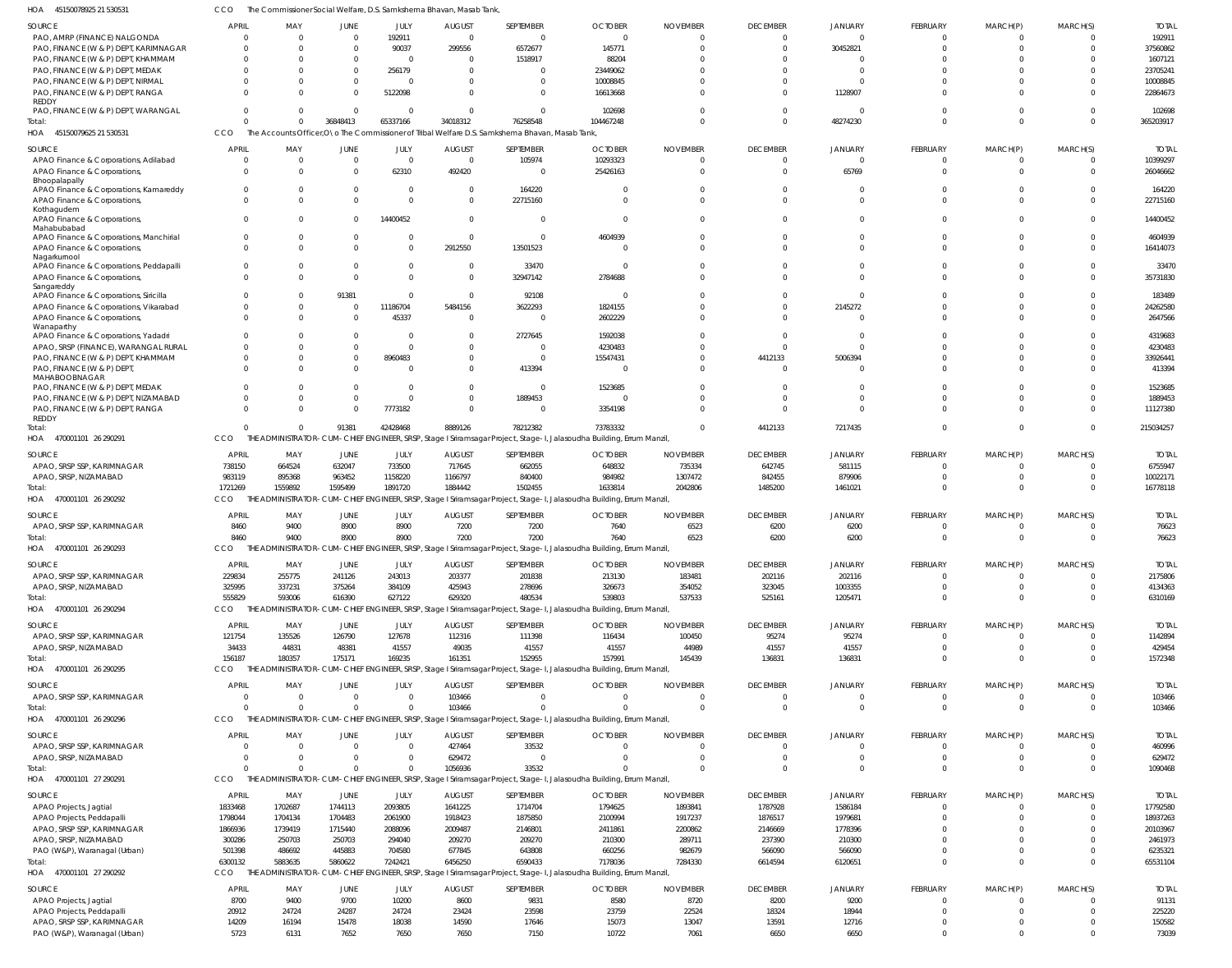45150078925 21 530531 HOA CCO The Commissioner Social Welfare, D.S. Samkshema Bhavan, Masab Tank,

| SOURCE                                                     | <b>APRIL</b>  | MAY           | JUNE           | JULY           | <b>AUGUST</b>  | SEPTEMBER                                                                                        | <b>OCTOBER</b>                                                                                                                 | <b>NOVEMBER</b> | <b>DECEMBER</b> | JANUARY        | FEBRUARY        | MARCH(P)                   | MARCH(S)             | <b>TOTAL</b>    |
|------------------------------------------------------------|---------------|---------------|----------------|----------------|----------------|--------------------------------------------------------------------------------------------------|--------------------------------------------------------------------------------------------------------------------------------|-----------------|-----------------|----------------|-----------------|----------------------------|----------------------|-----------------|
| PAO, AMRP (FINANCE) NALGONDA                               | $\Omega$      | $\Omega$      | $\overline{0}$ | 192911         | $\overline{0}$ | $\Omega$                                                                                         | $\Omega$                                                                                                                       | $\Omega$        | $\overline{0}$  | $\overline{0}$ | $\Omega$        | $\mathbf 0$                | $\Omega$             | 192911          |
| PAO, FINANCE (W & P) DEPT, KARIMNAGAR                      |               | $\Omega$      | $\Omega$       | 90037          | 299556         | 6572677                                                                                          | 145771                                                                                                                         | $\Omega$        | $\Omega$        | 30452821       | $\Omega$        | $\Omega$                   | $\Omega$             | 37560862        |
| PAO, FINANCE (W & P) DEPT, KHAMMAM                         |               | $\Omega$      | $\Omega$       | $\overline{0}$ | $\Omega$       | 1518917                                                                                          | 88204                                                                                                                          |                 | $\Omega$        | $\Omega$       |                 | $\Omega$                   | $\Omega$             | 1607121         |
| PAO, FINANCE (W & P) DEPT, MEDAK                           |               |               | $\Omega$       | 256179         | $\Omega$       | $\Omega$                                                                                         | 23449062                                                                                                                       |                 | $\Omega$        | $\Omega$       |                 | $\Omega$                   |                      | 23705241        |
| PAO, FINANCE (W & P) DEPT, NIRMAL                          |               | $\Omega$      | $\Omega$       | $\overline{0}$ | $\Omega$       | $\Omega$                                                                                         | 10008845                                                                                                                       |                 | $\Omega$        | $\Omega$       |                 | $\Omega$                   | $\Omega$             | 10008845        |
| PAO, FINANCE (W & P) DEPT, RANGA                           |               | $\Omega$      | $\Omega$       | 5122098        | $\Omega$       | $\Omega$                                                                                         | 16613668                                                                                                                       | <sup>0</sup>    | $\Omega$        | 1128907        |                 | $\Omega$                   | $\Omega$             | 22864673        |
| REDDY                                                      |               |               |                |                |                |                                                                                                  |                                                                                                                                |                 |                 |                |                 |                            |                      |                 |
| PAO, FINANCE (W & P) DEPT, WARANGAL                        |               | $\Omega$      | $\Omega$       | $\overline{0}$ | $\Omega$       | $\Omega$                                                                                         | 102698                                                                                                                         | $\Omega$        | $\Omega$        | $\overline{0}$ |                 | $\mathbf 0$                | $\Omega$             | 102698          |
| Total:                                                     |               | $\Omega$      | 36848413       | 65337166       | 34018312       | 76258548                                                                                         | 104467248                                                                                                                      | $\Omega$        | $\Omega$        | 48274230       | $\Omega$        | $\Omega$                   | $\Omega$             | 365203917       |
| HOA 45150079625 21 530531                                  | CCO           |               |                |                |                | The Accounts Officer, O \o The Commissioner of Tribal Welfare D.S. Samkshema Bhavan, Masab Tank, |                                                                                                                                |                 |                 |                |                 |                            |                      |                 |
| SOURCE                                                     | <b>APRIL</b>  | MAY           | JUNE           | JULY           | <b>AUGUST</b>  | SEPTEMBER                                                                                        | <b>OCTOBER</b>                                                                                                                 | <b>NOVEMBER</b> | <b>DECEMBER</b> | <b>JANUARY</b> | FEBRUARY        | MARCH(P)                   | MARCH(S)             | <b>TOTAL</b>    |
| APAO Finance & Corporations, Adilabad                      |               | $\Omega$      | $\Omega$       | $\overline{0}$ | $\Omega$       | 105974                                                                                           | 10293323                                                                                                                       | $\Omega$        | $\Omega$        | $\Omega$       | - 0             | $\Omega$                   | $\Omega$             | 10399297        |
| APAO Finance & Corporations,                               | $\Omega$      | $\Omega$      | $\Omega$       | 62310          | 492420         | $\Omega$                                                                                         | 25426163                                                                                                                       | $\Omega$        | $\Omega$        | 65769          | $\Omega$        | $\Omega$                   | $\Omega$             | 26046662        |
| Bhoopalapally                                              |               |               |                |                |                |                                                                                                  |                                                                                                                                |                 |                 |                |                 |                            |                      |                 |
| APAO Finance & Corporations, Kamareddy                     | $\Omega$      |               | $\Omega$       | $\Omega$       | $\Omega$       | 164220                                                                                           |                                                                                                                                |                 | $\Omega$        | $\Omega$       |                 | $\Omega$                   |                      | 164220          |
| APAO Finance & Corporations,                               | $\Omega$      | $\Omega$      | $\Omega$       | $\Omega$       | $\Omega$       | 22715160                                                                                         |                                                                                                                                | $\Omega$        | $\Omega$        | $\Omega$       |                 | $\Omega$                   | $\Omega$             | 22715160        |
| Kothagudem                                                 |               |               |                |                |                |                                                                                                  |                                                                                                                                |                 |                 |                |                 |                            |                      |                 |
| APAO Finance & Corporations,                               | $\Omega$      |               | $\Omega$       | 14400452       | $\Omega$       | $\Omega$                                                                                         |                                                                                                                                | <sup>0</sup>    | $\Omega$        | $\Omega$       |                 | $\Omega$                   | $\Omega$             | 14400452        |
| Mahabubabad                                                |               |               |                |                |                |                                                                                                  |                                                                                                                                |                 |                 |                |                 |                            |                      |                 |
| APAO Finance & Corporations, Manchirial                    | $\Omega$      | $\Omega$      | $\overline{0}$ | $\Omega$       | $\Omega$       | $\Omega$                                                                                         | 4604939                                                                                                                        | $\Omega$        | $\Omega$        | $\Omega$       |                 | $\Omega$                   | $\Omega$             | 4604939         |
| APAO Finance & Corporations,                               | $\Omega$      |               | $\Omega$       | $\Omega$       | 2912550        | 13501523                                                                                         |                                                                                                                                | $\Omega$        | $\Omega$        | $\Omega$       |                 | $\Omega$                   | $\Omega$             | 16414073        |
| Nagarkurnool<br>APAO Finance & Corporations, Peddapalli    | $\Omega$      |               | $\Omega$       | $\Omega$       | $\Omega$       | 33470                                                                                            |                                                                                                                                | <sup>0</sup>    | $\Omega$        | $\Omega$       |                 | $\Omega$                   | $\Omega$             | 33470           |
| APAO Finance & Corporations,                               | $\Omega$      |               | $\Omega$       | $\Omega$       | $\Omega$       |                                                                                                  |                                                                                                                                | $\Omega$        | $\Omega$        | $\Omega$       |                 | $\Omega$                   | $\Omega$             |                 |
| Sangareddy                                                 |               |               |                |                |                | 32947142                                                                                         | 2784688                                                                                                                        |                 |                 |                |                 |                            |                      | 35731830        |
| APAO Finance & Corporations, Siricilla                     | $\Omega$      |               | 91381          | $\Omega$       | $\Omega$       | 92108                                                                                            |                                                                                                                                | <sup>0</sup>    | $\Omega$        | $\Omega$       |                 | $\Omega$                   | $\Omega$             | 183489          |
| APAO Finance & Corporations, Vikarabad                     |               | $\Omega$      | $\overline{0}$ | 11186704       | 5484156        | 3622293                                                                                          | 1824155                                                                                                                        |                 | $\Omega$        | 2145272        |                 | $\Omega$                   |                      | 24262580        |
| APAO Finance & Corporations,                               | $\Omega$      | $\Omega$      | $\Omega$       | 45337          | $\Omega$       | - 0                                                                                              | 2602229                                                                                                                        | $\Omega$        | $\Omega$        | $\Omega$       |                 | $\Omega$                   |                      | 2647566         |
| Wanaparthy                                                 |               |               |                |                |                |                                                                                                  |                                                                                                                                |                 |                 |                |                 |                            |                      |                 |
| APAO Finance & Corporations, Yadadri                       |               |               | $\Omega$       | $\Omega$       | $\Omega$       | 2727645                                                                                          | 1592038                                                                                                                        |                 | $\Omega$        | $\Omega$       |                 |                            |                      | 4319683         |
| APAO, SRSP (FINANCE), WARANGAL RURAL                       | $\Omega$      | $\Omega$      | $\Omega$       | $\Omega$       | $\Omega$       | $\Omega$                                                                                         | 4230483                                                                                                                        | <sup>0</sup>    | $\Omega$        | $\Omega$       |                 |                            | $\Omega$             | 4230483         |
| PAO, FINANCE (W & P) DEPT, KHAMMAM                         | $\Omega$      | $\Omega$      | $\Omega$       | 8960483        | $\Omega$       | $\Omega$                                                                                         | 15547431                                                                                                                       | $\Omega$        | 4412133         | 5006394        |                 | $\Omega$                   |                      | 33926441        |
| PAO, FINANCE (W & P) DEPT,                                 | $\Omega$      |               | $\Omega$       | $\Omega$       | $\Omega$       | 413394                                                                                           |                                                                                                                                | <sup>0</sup>    | $\Omega$        | $\Omega$       |                 | $\Omega$                   |                      | 413394          |
| MAHABOOBNAGAR                                              |               |               |                |                |                |                                                                                                  |                                                                                                                                |                 |                 |                |                 |                            |                      |                 |
| PAO, FINANCE (W & P) DEPT, MEDAK                           |               |               | $\Omega$       | $\Omega$       | $\Omega$       | $\Omega$                                                                                         | 1523685                                                                                                                        |                 | $\Omega$        | $\Omega$       |                 | $\Omega$                   |                      | 1523685         |
| PAO, FINANCE (W & P) DEPT, NIZAMABAD                       |               | $\Omega$      | $\Omega$       | $\Omega$       | $\Omega$       | 1889453                                                                                          |                                                                                                                                | $\Omega$        | $\Omega$        | $\Omega$       |                 | $\Omega$                   | $\Omega$             | 1889453         |
| PAO, FINANCE (W & P) DEPT, RANGA                           | $\Omega$      |               | $\Omega$       | 7773182        | $\Omega$       | $\Omega$                                                                                         | 3354198                                                                                                                        | $\Omega$        | $\Omega$        | $\Omega$       |                 | $\Omega$                   | $\Omega$             | 11127380        |
| REDDY                                                      |               |               |                |                |                |                                                                                                  |                                                                                                                                |                 |                 |                |                 |                            |                      |                 |
| Total:                                                     |               |               | 91381          | 42428468       | 8889126        | 78212382                                                                                         | 73783332                                                                                                                       | $\Omega$        | 4412133         | 7217435        |                 | $\Omega$                   | $\Omega$             | 215034257       |
| HOA<br>470001101 26 290291                                 | CCO           |               |                |                |                |                                                                                                  | THE ADMINISTRATOR-CUM-CHIEF ENGINEER, SRSP, Stage I Sriramsagar Project, Stage-I, Jalasoudha Building, Errum Manzil,           |                 |                 |                |                 |                            |                      |                 |
| SOURCE                                                     | APRIL         | MAY           | JUNE           | JULY           | <b>AUGUST</b>  | SEPTEMBER                                                                                        | <b>OCTOBER</b>                                                                                                                 | <b>NOVEMBER</b> | <b>DECEMBER</b> | <b>JANUARY</b> | <b>FEBRUARY</b> | MARCH(P)                   | MARCH(S)             | <b>TOTAL</b>    |
| APAO, SRSP SSP, KARIMNAGAR                                 | 738150        | 664524        | 632047         | 733500         | 717645         | 662055                                                                                           | 648832                                                                                                                         | 735334          | 642745          | 581115         | -C              | $\Omega$                   | $\Omega$             | 6755947         |
| APAO, SRSP, NIZAMABAD                                      | 983119        | 895368        | 963452         | 1158220        | 1166797        | 840400                                                                                           | 984982                                                                                                                         | 1307472         | 842455          | 879906         | $\Omega$        | $\mathbf 0$                | $\Omega$             | 10022171        |
|                                                            |               |               | 1595499        | 1891720        |                |                                                                                                  |                                                                                                                                |                 |                 |                | $\Omega$        | $\Omega$                   | $\Omega$             | 16778118        |
| Total:                                                     | 1721269       | 1559892       |                |                | 1884442        | 1502455                                                                                          | 1633814                                                                                                                        | 2042806         | 1485200         | 1461021        |                 |                            |                      |                 |
| HOA 470001101 26 290292                                    | CCO<br>THE    |               |                |                |                |                                                                                                  | ADMINISTRATOR-CUM-CHIEF ENGINEER, SRSP, Stage I Sriramsagar Project, Stage-I, Jalasoudha Building, Errum Manzil,               |                 |                 |                |                 |                            |                      |                 |
| SOURCE                                                     | <b>APRIL</b>  | MAY           | JUNE           | <b>JULY</b>    | <b>AUGUST</b>  | SEPTEMBER                                                                                        | <b>OCTOBER</b>                                                                                                                 | <b>NOVEMBER</b> | <b>DECEMBER</b> | <b>JANUARY</b> | FEBRUARY        | MARCH(P)                   | MARCH(S)             | <b>TOTAL</b>    |
| APAO, SRSP SSP, KARIMNAGAR                                 | 8460          | 9400          | 8900           | 8900           | 7200           | 7200                                                                                             | 7640                                                                                                                           | 6523            | 6200            | 6200           |                 | $\Omega$                   | $\Omega$             | 76623           |
| Total:                                                     | 8460          | 9400          | 8900           | 8900           | 7200           | 7200                                                                                             | 7640                                                                                                                           | 6523            | 6200            | 6200           | $\Omega$        | $\Omega$                   | $\Omega$             | 76623           |
| HOA 470001101 26 290293                                    | CCO           |               |                |                |                |                                                                                                  | THE ADMINISTRATOR-CUM-CHIEF ENGINEER, SRSP, Stage I Sriramsagar Project, Stage-I, Jalasoudha Building, Errum Manzil,           |                 |                 |                |                 |                            |                      |                 |
|                                                            |               |               |                |                |                |                                                                                                  |                                                                                                                                |                 |                 |                |                 |                            |                      |                 |
| SOURCE                                                     | APRIL         | MAY           | JUNE           | JULY           | august         | SEPTEMBER                                                                                        | <b>OCTOBER</b>                                                                                                                 | <b>NOVEMBER</b> | <b>DECEMBER</b> | JANUARY        | <b>FEBRUARY</b> | MARCH(P)                   | MARCH(S)             | Total           |
| APAO, SRSP SSP, KARIMNAGAR                                 | 229834        | 255775        | 241126         | 243013         | 203377         | 201838                                                                                           | 213130                                                                                                                         | 183481          | 202116          | 202116         | $\Omega$        | $\mathbf 0$                | $\Omega$             | 2175806         |
| APAO, SRSP, NIZAMABAD                                      | 325995        | 337231        | 375264         | 384109         | 425943         | 278696                                                                                           | 326673                                                                                                                         | 354052          | 323045          | 1003355        | $\mathbf 0$     | $\mathbf 0$                | $\Omega$             | 4134363         |
| Total:                                                     | 555829        | 593006        | 616390         | 627122         | 629320         | 480534                                                                                           | 539803                                                                                                                         | 537533          | 525161          | 1205471        | $\Omega$        | $\Omega$                   | $\Omega$             | 6310169         |
| HOA 470001101 26 290294                                    | CCO           |               |                |                |                |                                                                                                  | THE ADMINISTRATOR-CUM-CHIEF ENGINEER, SRSP, Stage I Sriramsagar Project, Stage-I, Jalasoudha Building, Errum Manzil,           |                 |                 |                |                 |                            |                      |                 |
| SOURCE                                                     | APRIL         | MAY           | JUNE           | <b>JULY</b>    | <b>AUGUST</b>  | SEPTEMBER                                                                                        | <b>OCTOBER</b>                                                                                                                 | <b>NOVEMBER</b> | <b>DECEMBER</b> | JANUARY        | FEBRUARY        | MARCH(P)                   | MARCH(S)             | <b>TOTAL</b>    |
| APAO, SRSP SSP, KARIMNAGAR                                 | 121754        | 135526        | 126790         | 127678         | 112316         | 111398                                                                                           | 116434                                                                                                                         | 100450          |                 | 95274          | $\Omega$        | $\overline{0}$             | $\Omega$             | 1142894         |
| APAO, SRSP, NIZAMABAD                                      |               |               |                | 41557          | 49035          | 41557                                                                                            | 41557                                                                                                                          | 44989           | 95274           | 41557          | $\Omega$        | $\mathbf{0}$               | $\Omega$             |                 |
|                                                            | 34433         | 44831         | 48381          |                |                |                                                                                                  |                                                                                                                                |                 | 41557           |                |                 | $\Omega$                   |                      | 429454          |
| Total:<br>HOA 470001101 26 290295                          | 156187<br>CCO | 180357        | 175171         | 169235         | 161351         | 152955                                                                                           | 157991<br>THE ADMINISTRATOR-CUM-CHIEF ENGINEER, SRSP, Stage I Sriramsagar Project, Stage-I, Jalasoudha Building, Errum Manzil, | 145439          | 136831          | 136831         |                 |                            | $\Omega$             | 1572348         |
|                                                            |               |               |                |                |                |                                                                                                  |                                                                                                                                |                 |                 |                |                 |                            |                      |                 |
| <b>SOURCE</b>                                              | APRIL         | MAY           | <b>JUNE</b>    | JULY           | <b>AUGUST</b>  | SEPTEMBER                                                                                        | <b>OCTOBER</b>                                                                                                                 | <b>NOVEMBER</b> | <b>DECEMBER</b> | <b>JANUARY</b> | FEBRUARY        | MARCH(P)                   | MARCH(S)             | <b>TOTAL</b>    |
| APAO, SRSP SSP, KARIMNAGAR                                 |               | $\Omega$      | $\overline{0}$ | $\mathbf 0$    | 103466         | $\Omega$                                                                                         | $\Omega$                                                                                                                       | $\overline{0}$  | $\overline{0}$  | $\mathbf 0$    | $\mathbf 0$     | 0                          | $\overline{0}$       | 103466          |
| Total:                                                     |               | $\Omega$      | $\Omega$       | $\mathbf 0$    | 103466         | $\Omega$                                                                                         |                                                                                                                                | $\Omega$        | $\overline{0}$  | $\overline{0}$ | $\mathbf{0}$    | $\mathbf 0$                | $\overline{0}$       | 103466          |
| HOA 470001101 26 290296                                    | CCO           |               |                |                |                |                                                                                                  | THE ADMINISTRATOR-CUM-CHIEF ENGINEER, SRSP, Stage I Sriramsagar Project, Stage-I, Jalasoudha Building, Errum Manzil,           |                 |                 |                |                 |                            |                      |                 |
|                                                            |               |               |                |                |                |                                                                                                  |                                                                                                                                |                 |                 |                |                 |                            |                      |                 |
|                                                            |               |               |                |                | <b>AUGUST</b>  | SEPTEMBER                                                                                        | <b>OCTOBER</b>                                                                                                                 | <b>NOVEMBER</b> | <b>DECEMBER</b> | <b>JANUARY</b> | FEBRUARY        | MARCH(P)                   | MARCH(S)             | <b>TOTAL</b>    |
| <b>SOURCE</b>                                              | <b>APRIL</b>  | MAY           | JUNE           | JULY           |                |                                                                                                  |                                                                                                                                |                 |                 |                |                 |                            |                      |                 |
| APAO, SRSP SSP, KARIMNAGAR                                 |               | $\Omega$      | $\overline{0}$ | $\Omega$       | 427464         | 33532                                                                                            |                                                                                                                                | $\Omega$        | $\overline{0}$  | $\mathbf 0$    |                 | $\Omega$                   | $\Omega$             | 460996          |
| APAO, SRSP, NIZAMABAD                                      |               | $\Omega$      | $\Omega$       | $\Omega$       | 629472         | $\Omega$                                                                                         |                                                                                                                                | $\Omega$        | $\Omega$        | $\Omega$       | $\Omega$        | $\overline{0}$             | $\Omega$             | 629472          |
| Total:                                                     |               | $\Omega$      | $\Omega$       | $\Omega$       | 1056936        | 33532                                                                                            |                                                                                                                                | $\Omega$        | $\Omega$        | $\Omega$       | $\Omega$        | $\mathbf{0}$               | $\Omega$             | 1090468         |
| HOA 470001101 27 290291                                    | CCO           |               |                |                |                |                                                                                                  | THE ADMINISTRATOR-CUM-CHIEF ENGINEER, SRSP, Stage I Sriramsagar Project, Stage-I, Jalasoudha Building, Errum Manzil,           |                 |                 |                |                 |                            |                      |                 |
|                                                            |               |               |                |                |                |                                                                                                  |                                                                                                                                |                 |                 |                |                 |                            |                      |                 |
| SOURCE                                                     | APRIL         | MAY           | JUNE           | JULY           | <b>AUGUST</b>  | SEPTEMBER                                                                                        | <b>OCTOBER</b>                                                                                                                 | <b>NOVEMBER</b> | <b>DECEMBER</b> | JANUARY        | FEBRUARY        | MARCH(P)                   | MARCH(S)             | <b>TOTAL</b>    |
| APAO Projects, Jagtial                                     | 1833468       | 1702687       | 1744113        | 2093805        | 1641225        | 1714704                                                                                          | 1794625                                                                                                                        | 1893841         | 1787928         | 1586184        | $\Omega$        | $\Omega$                   | $\Omega$             | 17792580        |
| APAO Projects, Peddapalli                                  | 1798044       | 1704134       | 1704483        | 2061900        | 1918423        | 1875850                                                                                          | 2100994                                                                                                                        | 1917237         | 1876517         | 1979681        | $\Omega$        | $\Omega$                   | $\Omega$             | 18937263        |
| APAO, SRSP SSP, KARIMNAGAR                                 | 1866936       | 1739419       | 1715440        | 2088096        | 2009487        | 2146801                                                                                          | 2411861                                                                                                                        | 2200862         | 2146669         | 1778396        |                 | $\Omega$                   |                      | 20103967        |
| APAO, SRSP, NIZAMABAD                                      | 300286        | 250703        | 250703         | 294040         | 209270         | 209270                                                                                           | 210300                                                                                                                         | 289711          | 237390          | 210300         |                 | $\Omega$                   |                      | 2461973         |
| PAO (W&P), Waranagal (Urban)                               | 501398        | 486692        | 445883         | 704580         | 677845         | 643808                                                                                           | 660256                                                                                                                         | 982679          | 566090          | 566090         | $\Omega$        | $\mathbf 0$                | $\Omega$             | 6235321         |
| Total:                                                     | 6300132       | 5883635       | 5860622        | 7242421        | 6456250        | 6590433                                                                                          | 7178036                                                                                                                        | 7284330         | 6614594         | 6120651        | $\Omega$        | $\Omega$                   | $\Omega$             | 65531104        |
| HOA 470001101 27 290292                                    | CCO           |               |                |                |                |                                                                                                  | ADMINISTRATOR-CUM-CHIEF ENGINEER, SRSP, Stage I Sriramsagar Project, Stage-I, Jalasoudha Building, Errum Manzil,               |                 |                 |                |                 |                            |                      |                 |
|                                                            | <b>APRIL</b>  |               |                |                |                |                                                                                                  |                                                                                                                                |                 |                 |                |                 |                            |                      |                 |
| SOURCE                                                     |               | MAY           | JUNE           | JULY           | <b>AUGUST</b>  | SEPTEMBER                                                                                        | <b>OCTOBER</b>                                                                                                                 | <b>NOVEMBER</b> | <b>DECEMBER</b> | JANUARY        | FEBRUARY        | MARCH(P)<br>$\Omega$       | MARCH(S)<br>$\Omega$ | <b>TOTAL</b>    |
| APAO Projects, Jagtial                                     | 8700          | 9400          | 9700           | 10200          | 8600           | 9831                                                                                             | 8580                                                                                                                           | 8720            | 8200            | 9200           |                 |                            |                      | 91131           |
| APAO Projects, Peddapalli                                  | 20912         | 24724         | 24287          | 24724          | 23424          | 23598                                                                                            | 23759                                                                                                                          | 22524           | 18324           | 18944          |                 | $\Omega$                   | $\Omega$             | 225220          |
| APAO, SRSP SSP, KARIMNAGAR<br>PAO (W&P), Waranagal (Urban) | 14209<br>5723 | 16194<br>6131 | 15478<br>7652  | 18038<br>7650  | 14590<br>7650  | 17646<br>7150                                                                                    | 15073<br>10722                                                                                                                 | 13047<br>7061   | 13591<br>6650   | 12716<br>6650  | $\Omega$        | $\overline{0}$<br>$\Omega$ | $\Omega$             | 150582<br>73039 |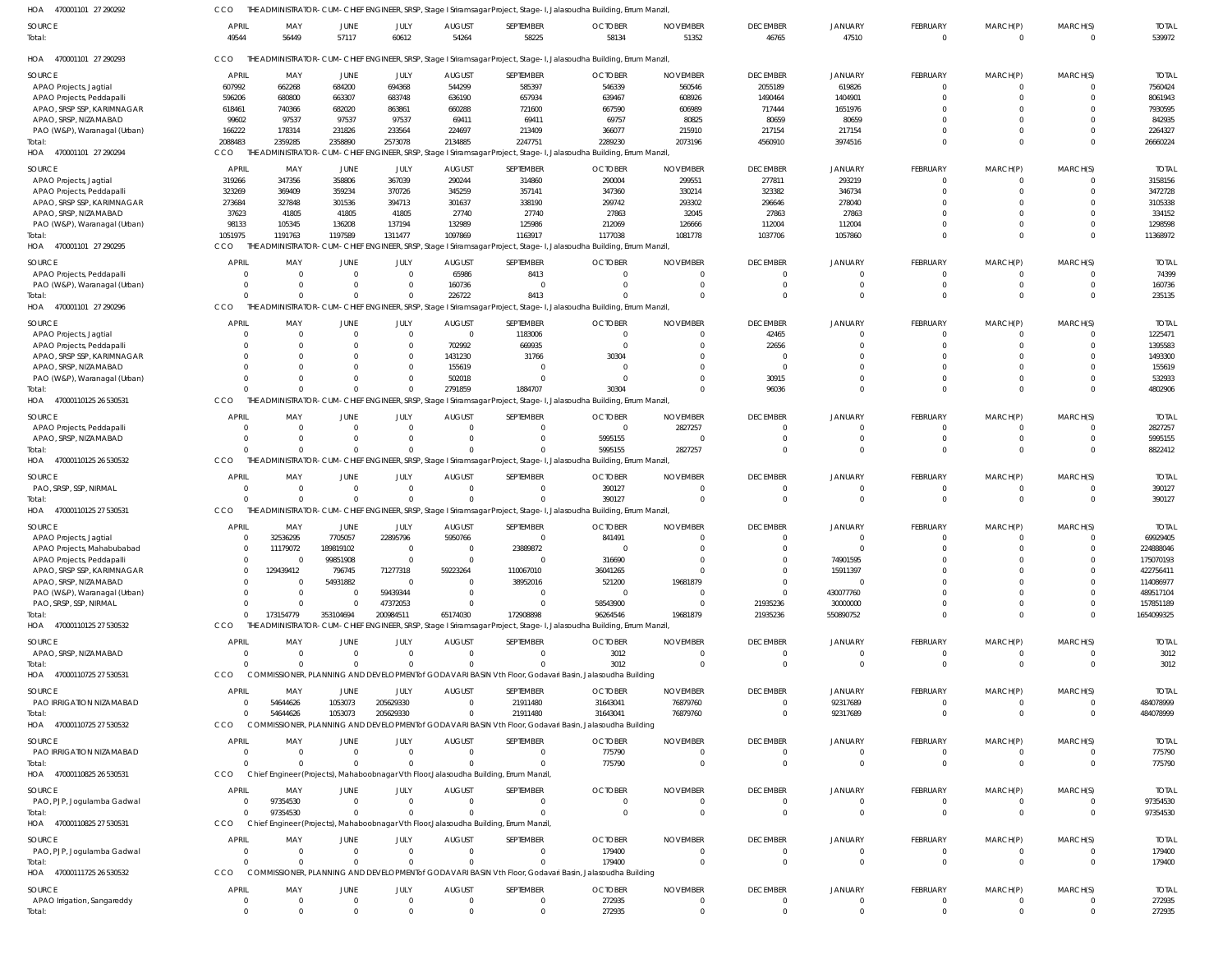| HOA 470001101 27 290292              | CCO                     |                                |                        |                  |                           |                                                                                        | THE ADMINISTRATOR-CUM-CHIEF ENGINEER, SRSP, Stage I Sriramsagar Project, Stage-I, Jalasoudha Building, Errum Manzil, |                                |                             |                            |                         |             |                    |                        |
|--------------------------------------|-------------------------|--------------------------------|------------------------|------------------|---------------------------|----------------------------------------------------------------------------------------|----------------------------------------------------------------------------------------------------------------------|--------------------------------|-----------------------------|----------------------------|-------------------------|-------------|--------------------|------------------------|
| SOURCE                               | <b>APRIL</b>            | MAY                            | JUNE                   | JULY             | <b>AUGUST</b>             | SEPTEMBER                                                                              | <b>OCTOBER</b>                                                                                                       | <b>NOVEMBER</b>                | <b>DECEMBER</b>             | <b>JANUARY</b>             | <b>FEBRUARY</b>         | MARCH(P)    | MARCH(S)           | <b>TOTAI</b>           |
| Total:                               | 49544                   | 56449                          | 57117                  | 60612            | 54264                     | 58225                                                                                  | 58134                                                                                                                | 51352                          | 46765                       | 47510                      | $\mathbf 0$             | $\mathbf 0$ | $\Omega$           | 539972                 |
| HOA<br>470001101 27 290293           | CCO                     |                                |                        |                  |                           |                                                                                        | THE ADMINISTRATOR-CUM-CHIEF ENGINEER, SRSP, Stage I Sriramsagar Project, Stage-I, Jalasoudha Building, Errum Manzil  |                                |                             |                            |                         |             |                    |                        |
| SOURCE                               | <b>APRIL</b>            | MAY                            | JUNE                   | JULY             | <b>AUGUST</b>             | SEPTEMBER                                                                              | <b>OCTOBER</b>                                                                                                       | <b>NOVEMBER</b>                | <b>DECEMBER</b>             | <b>JANUARY</b>             | FEBRUARY                | MARCH(P)    | MARCH(S)           | <b>TOTAL</b>           |
| APAO Projects, Jagtial               | 607992                  | 662268                         | 684200                 | 694368           | 544299                    | 585397                                                                                 | 546339                                                                                                               | 560546                         | 2055189                     | 619826                     | $\Omega$                | $\Omega$    |                    | 7560424                |
| APAO Projects, Peddapalli            | 596206                  | 680800                         | 663307                 | 683748           | 636190                    | 657934                                                                                 | 639467                                                                                                               | 608926                         | 1490464                     | 1404901                    |                         |             |                    | 8061943                |
| APAO, SRSP SSP, KARIMNAGAR           | 618461                  | 740366                         | 682020                 | 863861           | 660288                    | 721600                                                                                 | 667590                                                                                                               | 606989                         | 717444                      | 1651976                    |                         |             |                    | 7930595                |
| APAO, SRSP, NIZAMABAD                | 99602                   | 97537                          | 97537                  | 97537            | 69411                     | 69411                                                                                  | 69757                                                                                                                | 80825                          | 80659                       | 80659                      |                         |             |                    | 842935                 |
| PAO (W&P), Waranagal (Urban)         | 166222                  | 178314                         | 231826                 | 233564           | 224697                    | 213409                                                                                 | 366077                                                                                                               | 215910                         | 217154                      | 217154                     |                         |             |                    | 2264327                |
| Total:                               | 2088483                 | 2359285                        | 2358890                | 2573078          | 2134885                   | 2247751                                                                                | 2289230                                                                                                              | 2073196                        | 4560910                     | 3974516                    | $\Omega$                | $\Omega$    |                    | 26660224               |
| HOA 470001101 27 290294              | <b>CCO</b>              |                                |                        |                  |                           |                                                                                        | THE ADMINISTRATOR-CUM-CHIEF ENGINEER, SRSP, Stage I Sriramsagar Project, Stage-I, Jalasoudha Building, Errum Manzil  |                                |                             |                            |                         |             |                    |                        |
| SOURCE                               | APRIL                   | MAY                            | JUNE                   | JULY             | <b>AUGUST</b>             | SEPTEMBER                                                                              | <b>OCTOBER</b>                                                                                                       | <b>NOVEMBER</b>                | <b>DECEMBER</b>             | <b>JANUARY</b>             | <b>FEBRUARY</b>         | MARCH(P)    | MARCH(S)           | <b>TOTAL</b>           |
| APAO Projects, Jagtial               | 319266                  | 347356                         | 358806                 | 367039           | 290244                    | 314860                                                                                 | 290004                                                                                                               | 299551                         | 277811                      | 293219                     | 0                       |             |                    | 3158156                |
| APAO Projects, Peddapalli            | 323269                  | 369409                         | 359234                 | 370726           | 345259                    | 357141                                                                                 | 347360                                                                                                               | 330214                         | 323382                      | 346734                     |                         |             |                    | 3472728                |
| APAO, SRSP SSP, KARIMNAGAR           | 273684                  | 327848                         | 301536                 | 394713           | 301637                    | 338190                                                                                 | 299742                                                                                                               | 293302                         | 296646                      | 278040                     |                         |             |                    | 3105338                |
| APAO, SRSP, NIZAMABAD                | 37623                   | 41805                          | 41805                  | 41805            | 27740                     | 27740                                                                                  | 27863                                                                                                                | 32045                          | 27863                       | 27863                      |                         |             |                    | 334152                 |
| PAO (W&P), Waranagal (Urban)         | 98133                   | 105345                         | 136208                 | 137194           | 132989                    | 125986                                                                                 | 212069                                                                                                               | 126666                         | 112004                      | 112004                     |                         |             |                    | 1298598                |
| Total:                               | 1051975                 | 1191763                        | 1197589                | 1311477          | 1097869                   | 1163917                                                                                | 1177038                                                                                                              | 1081778                        | 1037706                     | 1057860                    | $\Omega$                | $\Omega$    | $\Omega$           | 11368972               |
| HOA 470001101 27 290295              | CCO                     |                                |                        |                  |                           |                                                                                        | THE ADMINISTRATOR-CUM-CHIEF ENGINEER, SRSP, Stage I Sriramsagar Project, Stage-I, Jalasoudha Building, Errum Manzil  |                                |                             |                            |                         |             |                    |                        |
|                                      |                         |                                |                        |                  |                           |                                                                                        |                                                                                                                      |                                |                             |                            |                         |             |                    |                        |
| SOURCE                               | APRIL                   | MAY                            | JUNE                   | JULY             | <b>AUGUST</b>             | SEPTEMBER                                                                              | <b>OCTOBER</b>                                                                                                       | <b>NOVEMBER</b>                | <b>DECEMBER</b>             | <b>JANUARY</b>             | <b>FEBRUARY</b>         | MARCH(P)    | MARCH(S)           | <b>TOTAL</b>           |
| APAO Projects, Peddapalli            | $\Omega$                | $\overline{\mathbf{0}}$        | $\overline{0}$         | $\Omega$         | 65986                     | 8413                                                                                   | $\Omega$                                                                                                             | $\Omega$                       | $\Omega$                    |                            |                         |             |                    | 74399                  |
| PAO (W&P), Waranagal (Urban)         | $\Omega$<br>$\Omega$    | $\Omega$                       | $\Omega$               | - 0              | 160736                    | $\Omega$                                                                               | $\Omega$                                                                                                             | $\mathbf 0$                    | $\Omega$                    | $\Omega$                   | 0                       | $\Omega$    | $\Omega$<br>$\cap$ | 160736                 |
| Total:<br>HOA 470001101 27 290296    | CCO                     | $\Omega$                       | $\Omega$               |                  | 226722                    | 8413                                                                                   | THE ADMINISTRATOR-CUM-CHIEF ENGINEER, SRSP, Stage I Sriramsagar Project, Stage-I, Jalasoudha Building, Errum Manzil, | $\Omega$                       | $\Omega$                    | $\Omega$                   | $\Omega$                | $\Omega$    |                    | 235135                 |
|                                      |                         |                                |                        |                  |                           |                                                                                        |                                                                                                                      |                                |                             |                            |                         |             |                    |                        |
| SOURCE                               | <b>APRIL</b>            | MAY                            | JUNE                   | JULY             | <b>AUGUST</b>             | SEPTEMBER                                                                              | <b>OCTOBER</b>                                                                                                       | <b>NOVEMBER</b>                | <b>DECEMBER</b>             | <b>JANUARY</b>             | <b>FEBRUARY</b>         | MARCH(P)    | MARCH(S)           | <b>TOTAL</b>           |
| APAO Projects, Jagtial               | $\Omega$                | $\overline{\mathbf{0}}$        | $\mathbf 0$            | $\Omega$         | $\overline{0}$            | 1183006                                                                                | $\Omega$                                                                                                             | $\Omega$                       | 42465                       | $\Omega$                   |                         |             |                    | 1225471                |
| APAO Projects, Peddapalli            | $\Omega$                | 0                              | -0                     | $\Omega$         | 702992                    | 669935                                                                                 | $\overline{0}$                                                                                                       | 0                              | 22656                       | $\Omega$                   |                         |             |                    | 1395583                |
| APAO, SRSP SSP, KARIMNAGAR           | $\Omega$                | $\Omega$                       | -0                     | $\Omega$         | 1431230                   | 31766                                                                                  | 30304                                                                                                                | $\cup$                         |                             | $\cap$                     |                         |             |                    | 1493300                |
| APAO, SRSP, NIZAMABAD                | $\Omega$                | $\Omega$                       | $\Omega$               | $\Omega$         | 155619                    | $\Omega$                                                                               | $\Omega$                                                                                                             | $\Omega$                       | $\Omega$                    |                            |                         |             |                    | 155619                 |
| PAO (W&P), Waranagal (Urban)         | $\Omega$                | $\Omega$                       | $\Omega$               |                  | 502018                    | $\Omega$                                                                               | $\Omega$                                                                                                             | $\Omega$                       | 30915                       | $\Omega$                   |                         |             |                    | 532933                 |
| Total:                               | $\Omega$                | $\Omega$                       | $\mathbf 0$            | $\Omega$         | 2791859                   | 1884707                                                                                | 30304                                                                                                                | $\Omega$                       | 96036                       | $\cap$                     | $\Omega$                | $\Omega$    | $\cap$             | 4802906                |
| HOA 47000110125 26 530531            | CCO                     |                                |                        |                  |                           |                                                                                        | THE ADMINISTRATOR-CUM-CHIEF ENGINEER, SRSP, Stage I Sriramsagar Project, Stage-I, Jalasoudha Building, Errum Manzil, |                                |                             |                            |                         |             |                    |                        |
| SOURCE                               | <b>APRIL</b>            | MAY                            | JUNE                   | JULY             | <b>AUGUST</b>             | SEPTEMBER                                                                              | <b>OCTOBER</b>                                                                                                       | <b>NOVEMBER</b>                | <b>DECEMBER</b>             | <b>JANUARY</b>             | <b>FEBRUARY</b>         | MARCH(P)    | MARCH(S)           | <b>TOTAL</b>           |
| APAO Projects, Peddapalli            | $\Omega$                | $\overline{\mathbf{0}}$        | 0                      | $\Omega$         | 0                         | $\Omega$                                                                               | $\overline{0}$                                                                                                       | 2827257                        | $\Omega$                    | $\Omega$                   | 0                       |             |                    | 2827257                |
| APAO, SRSP, NIZAMABAD                | $\Omega$                | $\overline{0}$                 | $\Omega$               |                  | $\Omega$                  | $\Omega$                                                                               | 5995155                                                                                                              | $\mathbf{0}$                   | $\Omega$                    | $\Omega$                   | 0                       | $\Omega$    | $\Omega$           | 5995155                |
| Total:                               | $\Omega$                | $\Omega$                       | $\Omega$               |                  | $\Omega$                  | $\Omega$                                                                               | 5995155                                                                                                              | 2827257                        | $\Omega$                    | $\Omega$                   | $\Omega$                | $\Omega$    | $\cap$             | 8822412                |
| HOA 47000110125 26 530532            | CCO                     |                                |                        |                  |                           |                                                                                        | THE ADMINISTRATOR-CUM-CHIEF ENGINEER, SRSP, Stage I Sriramsagar Project, Stage-I, Jalasoudha Building, Errum Manzil, |                                |                             |                            |                         |             |                    |                        |
| SOURCE                               | <b>APRIL</b>            | MAY                            | JUNE                   | JULY             | <b>AUGUST</b>             | SEPTEMBER                                                                              | <b>OCTOBER</b>                                                                                                       | <b>NOVEMBER</b>                | <b>DECEMBER</b>             | <b>JANUARY</b>             | <b>FEBRUARY</b>         | MARCH(P)    | MARCH(S)           | <b>TOTAL</b>           |
| PAO, SRSP, SSP, NIRMAL               | $\overline{0}$          | $\overline{0}$                 | $\Omega$               | $\Omega$         | $\Omega$                  | $\Omega$                                                                               | 390127                                                                                                               | $\Omega$                       | $\Omega$                    | $\Omega$                   | 0                       |             |                    | 390127                 |
| Total:                               | $\Omega$                | $\Omega$                       | $\Omega$               | $\Omega$         | $\Omega$                  | $\Omega$                                                                               | 390127                                                                                                               | $\overline{0}$                 | $\Omega$                    | $\Omega$                   | $\Omega$                | $\Omega$    | $\Omega$           | 390127                 |
| HOA 47000110125 27 530531            | CCO                     |                                |                        |                  |                           |                                                                                        | THE ADMINISTRATOR-CUM-CHIEF ENGINEER, SRSP, Stage I Sriramsagar Project, Stage-I, Jalasoudha Building, Errum Manzil, |                                |                             |                            |                         |             |                    |                        |
|                                      |                         |                                |                        |                  |                           |                                                                                        |                                                                                                                      |                                |                             |                            |                         |             |                    |                        |
| SOURCE                               | <b>APRIL</b>            | MAY                            | JUNE                   | JULY             | <b>AUGUST</b>             | SEPTEMBER                                                                              | <b>OCTOBER</b>                                                                                                       | <b>NOVEMBER</b>                | <b>DECEMBER</b>             | <b>JANUARY</b>             | <b>FEBRUARY</b>         | MARCH(P)    | MARCH(S)           | <b>TOTAL</b>           |
| APAO Projects, Jagtial               | $\overline{0}$          | 32536295                       | 7705057                | 22895796         | 5950766                   | $\Omega$                                                                               | 841491                                                                                                               | $\Omega$                       | $\Omega$                    | $\Omega$                   | 0                       | $\Omega$    | $\Omega$           | 69929405               |
| APAO Projects, Mahabubabad           | $\cap$                  | 11179072                       | 189819102              |                  |                           | 23889872                                                                               |                                                                                                                      |                                | $\cap$                      |                            |                         |             |                    | 224888046              |
| APAO Projects, Peddapalli            | $\Omega$                | $\overline{0}$                 | 99851908               |                  | $\overline{0}$            | $\overline{0}$                                                                         | 316690                                                                                                               | $\Omega$                       |                             | 74901595                   |                         |             |                    | 175070193              |
| APAO, SRSP SSP, KARIMNAGAR           | $\Omega$                | 129439412                      | 796745                 | 71277318         | 59223264                  | 110067010                                                                              | 36041265                                                                                                             | $\Omega$                       |                             | 15911397                   |                         |             |                    | 422756411              |
| APAO, SRSP, NIZAMABAD                | $\Omega$                | - 0                            | 54931882               | $\Omega$         | $\Omega$                  | 38952016                                                                               | 521200                                                                                                               | 19681879                       | $\Omega$                    |                            |                         |             |                    | 114086977              |
| PAO (W&P), Waranagal (Urban)         |                         | $\overline{\mathbf{0}}$        | $\overline{0}$         | 59439344         | $\Omega$                  | $\Omega$                                                                               | $\overline{0}$                                                                                                       | 0                              | $\Omega$                    | 430077760                  |                         |             |                    | 489517104              |
| PAO, SRSP, SSP, NIRMAL               | $\Omega$                | - 0                            | $\Omega$               | 47372053         | $\Omega$                  | 0                                                                                      | 58543900                                                                                                             | - 0                            | 21935236                    | 30000000                   |                         |             |                    | 157851189              |
| Total:                               | $\Omega$                | 173154779                      | 353104694              | 200984511        | 65174030                  | 172908898                                                                              | 96264546                                                                                                             | 19681879                       | 21935236                    | 550890752                  |                         | 0           | $\Omega$           | 1654099325             |
| HOA 47000110125 27 530532            | CCO                     |                                |                        |                  |                           |                                                                                        | THE ADMINISTRATOR-CUM-CHIEF ENGINEER, SRSP, Stage I Sriramsagar Project, Stage-I, Jalasoudha Building, Errum Manzil  |                                |                             |                            |                         |             |                    |                        |
| SOURCE                               | <b>APRIL</b>            | MAY                            | JUNE                   | JULY             | <b>AUGUST</b>             | SEPTEMBER                                                                              | <b>OCTOBER</b>                                                                                                       | <b>NOVEMBER</b>                | <b>DECEMBER</b>             | <b>JANUARY</b>             | <b>FEBRUARY</b>         | MARCH(P)    | MARCH(S)           | <b>TOTAL</b>           |
| APAO, SRSP, NIZAMABAD                | $\overline{0}$          | $\overline{\mathbf{0}}$        | $\overline{0}$         | $\Omega$         | $\mathbf{0}$              | $\Omega$                                                                               | 3012                                                                                                                 | 0                              | - 0                         | $\Omega$                   | 0                       | $\Omega$    |                    | 3012                   |
| Total:                               | $\Omega$                | $\Omega$                       | $\Omega$               | $\Omega$         | $\Omega$                  | $\Omega$                                                                               | 3012                                                                                                                 | $\Omega$                       | $\Omega$                    | $\Omega$                   | $\Omega$                | $\Omega$    | $\Omega$           | 3012                   |
| HOA 47000110725 27 530531            | CCO                     |                                |                        |                  |                           |                                                                                        | COMMISSIONER, PLANNING AND DEVELOPMENT of GODAVARI BASIN Vth Floor, Godavari Basin, Jalasoudha Building              |                                |                             |                            |                         |             |                    |                        |
| SOURCE                               | <b>APRIL</b>            | MAY                            | JUNE                   | JULY             | <b>AUGUST</b>             | SEPTEMBER                                                                              | <b>OCTOBER</b>                                                                                                       | <b>NOVEMBER</b>                | <b>DECEMBER</b>             | <b>JANUARY</b>             | <b>FEBRUARY</b>         | MARCH(P)    | MARCH(S)           | <b>TOTAL</b>           |
| PAO IRRIGATION NIZAMABAD             | $\overline{\mathbf{0}}$ | 54644626                       | 1053073                | 205629330        | $\mathbf 0$               | 21911480                                                                               | 31643041                                                                                                             | 76879760                       | $\Omega$                    | 92317689                   | 0                       | 0           | $\Omega$           | 484078999              |
| Total:                               | $\Omega$                | 54644626                       | 1053073                | 205629330        | $\Omega$                  | 21911480                                                                               | 31643041                                                                                                             | 76879760                       | $\Omega$                    | 92317689                   | $\Omega$                | $\mathbf 0$ | $\Omega$           | 484078999              |
| HOA 47000110725 27 530532            | CCO                     |                                |                        |                  |                           |                                                                                        | COMMISSIONER, PLANNING AND DEVELOPMENT of GODAVARI BASIN Vth Floor, Godavari Basin, Jalasoudha Building              |                                |                             |                            |                         |             |                    |                        |
|                                      |                         |                                |                        |                  |                           |                                                                                        |                                                                                                                      |                                |                             |                            |                         |             |                    |                        |
| SOURCE                               | <b>APRIL</b>            | MAY                            | JUNE                   | JULY             | <b>AUGUST</b>             | SEPTEMBER                                                                              | <b>OCTOBER</b>                                                                                                       | <b>NOVEMBER</b>                | <b>DECEMBER</b>             | <b>JANUARY</b>             | <b>FEBRUARY</b>         | MARCH(P)    | MARCH(S)           | <b>TOTAL</b>           |
| PAO IRRIGATION NIZAMABAD             | $\overline{\mathbf{0}}$ | $\overline{\mathbf{0}}$        | $\overline{0}$         | $\Omega$         | $\Omega$                  | $\Omega$                                                                               | 775790                                                                                                               | $\mathbf 0$                    | $\Omega$                    | $\Omega$                   | 0                       |             |                    | 775790                 |
| Total:                               | $\Omega$                | - 0                            | $\overline{0}$         | $\Omega$         | $\Omega$                  | $\Omega$                                                                               | 775790                                                                                                               | $\overline{0}$                 | $\Omega$                    | $\Omega$                   | $\mathbf 0$             | $\mathbf 0$ | $\Omega$           | 775790                 |
| HOA 47000110825 26 530531            | CCO                     |                                |                        |                  |                           | Chief Engineer (Projects), Mahaboobnagar Vth Floor, Jalasoudha Building, Errum Manzil, |                                                                                                                      |                                |                             |                            |                         |             |                    |                        |
| SOURCE                               | <b>APRIL</b>            | MAY                            | JUNE                   | JULY             | <b>AUGUST</b>             | SEPTEMBER                                                                              | <b>OCTOBER</b>                                                                                                       | <b>NOVEMBER</b>                | <b>DECEMBER</b>             | <b>JANUARY</b>             | <b>FEBRUARY</b>         | MARCH(P)    | MARCH(S)           | <b>TOTAL</b>           |
| PAO, PJP, Jogulamba Gadwal           | $\overline{0}$          | 97354530                       | $\overline{0}$         | $\Omega$         | $\overline{0}$            | 0                                                                                      | 0                                                                                                                    | 0                              | $\Omega$                    |                            | 0                       |             |                    | 97354530               |
| Total:                               | $\Omega$                | 97354530                       | $\Omega$               |                  | $\Omega$                  | $\Omega$                                                                               | $\Omega$                                                                                                             | $\overline{0}$                 | $\Omega$                    | $\Omega$                   | $\mathbf 0$             | $\Omega$    | $\Omega$           | 97354530               |
| HOA 47000110825 27 530531            | CCO                     |                                |                        |                  |                           | Chief Engineer (Projects), Mahaboobnagar Vth Floor, Jalasoudha Building, Errum Manzil, |                                                                                                                      |                                |                             |                            |                         |             |                    |                        |
|                                      | <b>APRIL</b>            |                                |                        |                  |                           |                                                                                        |                                                                                                                      |                                |                             |                            |                         |             | MARCH(S)           |                        |
| SOURCE                               | $\overline{0}$          | MAY<br>$\overline{\mathbf{0}}$ | JUNE<br>$\overline{0}$ | JULY<br>$\Omega$ | <b>AUGUST</b><br>$\Omega$ | SEPTEMBER<br>$\overline{0}$                                                            | <b>OCTOBER</b>                                                                                                       | <b>NOVEMBER</b><br>$\mathbf 0$ | <b>DECEMBER</b><br>$\Omega$ | <b>JANUARY</b><br>$\Omega$ | FEBRUARY<br>$\mathbf 0$ | MARCH(P)    |                    | <b>TOTAL</b><br>179400 |
| PAO, PJP, Jogulamba Gadwal<br>Total: | $\Omega$                | - 0                            | $\Omega$               | $\Omega$         | $\Omega$                  | $\Omega$                                                                               | 179400<br>179400                                                                                                     | $\Omega$                       | $\Omega$                    | $\Omega$                   | $\Omega$                | $\Omega$    | $\Omega$           |                        |
| HOA 47000111725 26 530532            | CCO                     |                                |                        |                  |                           |                                                                                        | COMMISSIONER, PLANNING AND DEVELOPMENT of GODAVARI BASIN Vth Floor, Godavari Basin, Jalasoudha Building              |                                |                             |                            |                         |             |                    | 179400                 |
|                                      |                         |                                |                        |                  |                           |                                                                                        |                                                                                                                      |                                |                             |                            |                         |             |                    |                        |
| SOURCE                               | <b>APRIL</b>            | MAY                            | JUNE                   | JULY             | <b>AUGUST</b>             | SEPTEMBER                                                                              | <b>OCTOBER</b>                                                                                                       | <b>NOVEMBER</b>                | <b>DECEMBER</b>             | <b>JANUARY</b>             | <b>FEBRUARY</b>         | MARCH(P)    | MARCH(S)           | <b>TOTAL</b>           |
| APAO Irrigation, Sangareddy          | $\overline{0}$          | $\overline{0}$                 | $\overline{0}$         | $\Omega$         | $\overline{0}$            | $\overline{0}$                                                                         | 272935                                                                                                               | $\mathbf 0$                    | $\Omega$                    | $\Omega$                   | $\mathbf 0$             | $\Omega$    | $\Omega$           | 272935                 |
| Total:                               | $\Omega$                | $\Omega$                       | $\Omega$               |                  | $\Omega$                  | $\Omega$                                                                               | 272935                                                                                                               | $\Omega$                       |                             | $\Omega$                   |                         |             |                    | 272935                 |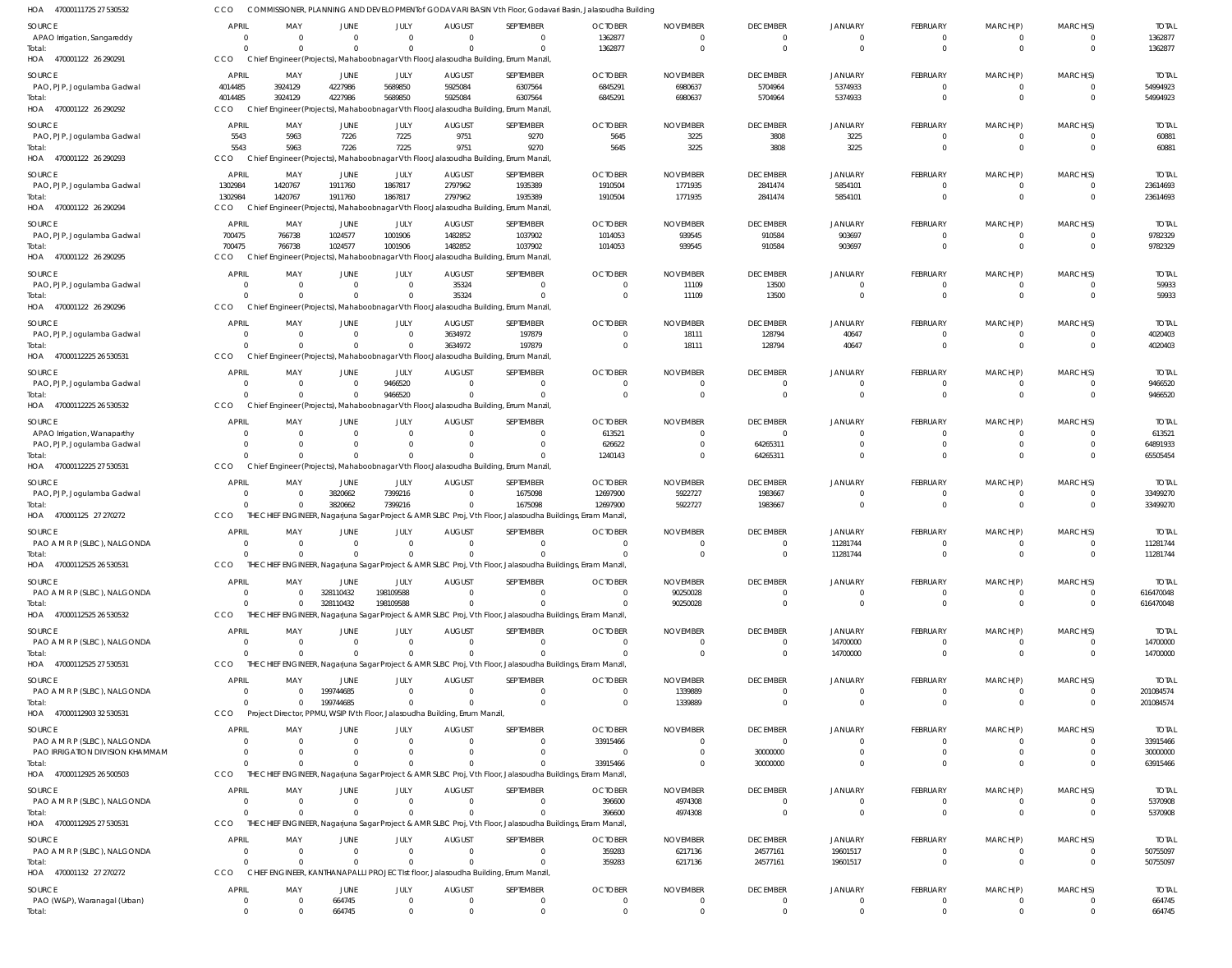| 47000111725 27 530532<br>HOA                | <b>CCO</b>                 |                    |                            |                      |                                                                            |                                                                                                             | COMMISSIONER, PLANNING AND DEVELOPMENT of GODAVARI BASIN Vth Floor, Godavari Basin, Jalasoudha Building |                            |                             |                               |                             |                      |                              |                          |
|---------------------------------------------|----------------------------|--------------------|----------------------------|----------------------|----------------------------------------------------------------------------|-------------------------------------------------------------------------------------------------------------|---------------------------------------------------------------------------------------------------------|----------------------------|-----------------------------|-------------------------------|-----------------------------|----------------------|------------------------------|--------------------------|
| SOURCE                                      | <b>APRIL</b>               | MAY                | <b>JUNE</b>                | JULY                 | <b>AUGUST</b>                                                              | SEPTEMBER                                                                                                   | <b>OCTOBER</b>                                                                                          | <b>NOVEMBER</b>            | <b>DECEMBER</b>             | JANUARY                       | FEBRUARY                    | MARCH(P)             | MARCH(S)                     | <b>TOTAL</b>             |
| APAO Irrigation, Sangareddy                 | - 0                        | - 0                | $\overline{0}$             | $\mathbf 0$          | $\Omega$                                                                   | $\mathbf{0}$                                                                                                | 1362877                                                                                                 | $\overline{0}$             | $\Omega$                    | $\mathbf{0}$                  | 0                           | $\Omega$             | 0                            | 1362877                  |
| Total:                                      | $\Omega$                   |                    | $\Omega$                   | $\mathbf 0$          | $\cap$                                                                     | $\Omega$                                                                                                    | 1362877                                                                                                 | $\overline{0}$             | $\Omega$                    | $\mathbf 0$                   | $\Omega$                    | $\Omega$             | $\mathbf{0}$                 | 1362877                  |
| HOA 470001122 26 290291                     | <b>CCO</b>                 |                    |                            |                      |                                                                            | Chief Engineer (Projects), Mahaboobnagar Vth Floor, Jalasoudha Building, Errum Manzil                       |                                                                                                         |                            |                             |                               |                             |                      |                              |                          |
| <b>SOURCE</b>                               | <b>APRIL</b>               | MAY                | JUNE                       | JULY                 | <b>AUGUST</b>                                                              | SEPTEMBER                                                                                                   | <b>OCTOBER</b>                                                                                          | <b>NOVEMBER</b>            | <b>DECEMBER</b>             | JANUARY                       | FEBRUARY                    | MARCH(P)             | MARCH(S)                     | <b>TOTAL</b>             |
| PAO, PJP, Jogulamba Gadwal                  | 4014485                    | 3924129            | 4227986                    | 5689850              | 5925084                                                                    | 6307564                                                                                                     | 6845291                                                                                                 | 6980637                    | 5704964                     | 5374933                       | $\Omega$                    | $\Omega$             | 0                            | 54994923                 |
| Total:                                      | 4014485                    | 3924129            | 4227986                    | 5689850              | 5925084                                                                    | 6307564                                                                                                     | 6845291                                                                                                 | 6980637                    | 5704964                     | 5374933                       | $\Omega$                    | $\Omega$             | $\mathbf{0}$                 | 54994923                 |
| 470001122 26 290292<br>HOA                  | CCO                        |                    |                            |                      |                                                                            | Chief Engineer (Projects), Mahaboobnagar Vth Floor, Jalasoudha Building, Errum Manzil                       |                                                                                                         |                            |                             |                               |                             |                      |                              |                          |
| <b>SOURCE</b>                               | <b>APRIL</b>               | MAY                | <b>JUNE</b>                | JULY                 | <b>AUGUST</b>                                                              | SEPTEMBER                                                                                                   | <b>OCTOBER</b>                                                                                          | <b>NOVEMBER</b>            | <b>DECEMBER</b>             | <b>JANUARY</b>                | FEBRUARY                    | MARCH(P)             | MARCH(S)                     | <b>TOTAL</b>             |
| PAO, PJP, Jogulamba Gadwal                  | 5543                       | 5963               | 7226                       | 7225                 | 9751                                                                       | 9270                                                                                                        | 5645                                                                                                    | 3225                       | 3808                        | 3225                          | $\Omega$                    | $\Omega$             | $\mathbf{0}$                 | 60881                    |
| Total:                                      | 5543                       | 5963               | 7226                       | 7225                 | 9751                                                                       | 9270                                                                                                        | 5645                                                                                                    | 3225                       | 3808                        | 3225                          | $\Omega$                    | $\Omega$             | $\mathbf{0}$                 | 60881                    |
| 470001122 26 290293<br>HOA                  | <b>CCO</b>                 |                    |                            |                      |                                                                            | Chief Engineer (Projects), Mahaboobnagar Vth Floor, Jalasoudha Building, Errum Manzil                       |                                                                                                         |                            |                             |                               |                             |                      |                              |                          |
| <b>SOURCE</b>                               | <b>APRIL</b>               | MAY                | <b>JUNE</b>                | JULY                 | <b>AUGUST</b>                                                              | SEPTEMBER                                                                                                   | <b>OCTOBER</b>                                                                                          | <b>NOVEMBER</b>            | <b>DECEMBER</b>             | JANUARY                       | <b>FEBRUARY</b>             | MARCH(P)             | MARCH(S)                     | <b>TOTAL</b>             |
| PAO, PJP, Jogulamba Gadwal                  | 1302984<br>1302984         | 1420767<br>1420767 | 1911760<br>1911760         | 1867817<br>1867817   | 2797962<br>2797962                                                         | 1935389<br>1935389                                                                                          | 1910504<br>1910504                                                                                      | 1771935<br>1771935         | 2841474<br>2841474          | 5854101<br>5854101            | $\Omega$<br>$\Omega$        | $\Omega$<br>$\Omega$ | $\mathbf{0}$<br>$\mathbf{0}$ | 23614693<br>23614693     |
| Total:<br>HOA 470001122 26 290294           | CCO                        |                    |                            |                      |                                                                            | Chief Engineer (Projects), Mahaboobnagar Vth Floor, Jalasoudha Building, Errum Manzil                       |                                                                                                         |                            |                             |                               |                             |                      |                              |                          |
|                                             |                            |                    |                            |                      |                                                                            |                                                                                                             |                                                                                                         |                            |                             |                               |                             |                      |                              |                          |
| <b>SOURCE</b><br>PAO, PJP, Jogulamba Gadwal | <b>APRIL</b><br>700475     | MAY<br>766738      | JUNE<br>1024577            | JULY<br>1001906      | <b>AUGUST</b><br>1482852                                                   | SEPTEMBER<br>1037902                                                                                        | <b>OCTOBER</b><br>1014053                                                                               | <b>NOVEMBER</b><br>939545  | <b>DECEMBER</b><br>910584   | <b>JANUARY</b><br>903697      | <b>FEBRUARY</b>             | MARCH(P)             | MARCH(S)<br>0                | <b>TOTAL</b><br>9782329  |
| Total:                                      | 700475                     | 766738             | 1024577                    | 1001906              | 1482852                                                                    | 1037902                                                                                                     | 1014053                                                                                                 | 939545                     | 910584                      | 903697                        | $\Omega$                    | $\Omega$             | $\mathbf 0$                  | 9782329                  |
| HOA 470001122 26 290295                     | CCO                        |                    |                            |                      |                                                                            | Chief Engineer (Projects), Mahaboobnagar Vth Floor, Jalasoudha Building, Errum Manzil                       |                                                                                                         |                            |                             |                               |                             |                      |                              |                          |
| <b>SOURCE</b>                               | <b>APRIL</b>               | MAY                | JUNE                       | JULY                 | <b>AUGUST</b>                                                              | SEPTEMBER                                                                                                   | <b>OCTOBER</b>                                                                                          | <b>NOVEMBER</b>            | <b>DECEMBER</b>             | <b>JANUARY</b>                | <b>FEBRUARY</b>             | MARCH(P)             | MARCH(S)                     | <b>TOTAL</b>             |
| PAO, PJP, Jogulamba Gadwal                  | - 0                        | $\Omega$           | $\overline{0}$             | $\mathbf 0$          | 35324                                                                      | $\mathbf{0}$                                                                                                | $\overline{0}$                                                                                          | 11109                      | 13500                       | $^{\circ}$                    | $\overline{0}$              | $\Omega$             | 0                            | 59933                    |
| Total:                                      | $\Omega$                   | $\Omega$           | $\Omega$                   | $\mathbf 0$          | 35324                                                                      | $\Omega$                                                                                                    | $\overline{0}$                                                                                          | 11109                      | 13500                       | $\mathbf 0$                   | $\Omega$                    | $\Omega$             | $\Omega$                     | 59933                    |
| 470001122 26 290296<br>HOA                  | CCO                        |                    |                            |                      |                                                                            | Chief Engineer (Projects), Mahaboobnagar Vth Floor, Jalasoudha Building, Errum Manzil                       |                                                                                                         |                            |                             |                               |                             |                      |                              |                          |
| <b>SOURCE</b>                               | <b>APRIL</b>               | MAY                | JUNE                       | JULY                 | <b>AUGUST</b>                                                              | SEPTEMBER                                                                                                   | <b>OCTOBER</b>                                                                                          | <b>NOVEMBER</b>            | <b>DECEMBER</b>             | JANUARY                       | <b>FEBRUARY</b>             | MARCH(P)             | MARCH(S)                     | <b>TOTAL</b>             |
| PAO, PJP, Jogulamba Gadwal                  | $\circ$                    | $\Omega$           | $\overline{0}$             | $\mathbf 0$          | 3634972                                                                    | 197879                                                                                                      | $\overline{0}$                                                                                          | 18111                      | 128794                      | 40647                         | $\Omega$                    | $\Omega$             | $\mathbf{0}$                 | 4020403                  |
| Total:                                      | $\Omega$                   |                    | $\Omega$                   | $\Omega$             | 3634972                                                                    | 197879                                                                                                      | $\overline{0}$                                                                                          | 18111                      | 128794                      | 40647                         | $\Omega$                    | $\Omega$             | $\mathbf{0}$                 | 4020403                  |
| 47000112225 26 530531<br>HOA                | CCO                        |                    |                            |                      |                                                                            | Chief Engineer (Projects), Mahaboobnagar Vth Floor, Jalasoudha Building, Errum Manzil                       |                                                                                                         |                            |                             |                               |                             |                      |                              |                          |
| <b>SOURCE</b>                               | <b>APRIL</b>               | MAY                | JUNE                       | JULY                 | <b>AUGUST</b>                                                              | SEPTEMBER                                                                                                   | <b>OCTOBER</b>                                                                                          | <b>NOVEMBER</b>            | <b>DECEMBER</b>             | JANUARY                       | <b>FEBRUARY</b>             | MARCH(P)             | MARCH(S)                     | <b>TOTAL</b>             |
| PAO, PJP, Jogulamba Gadwal                  | $\overline{0}$             | $\Omega$           | $\overline{0}$             | 9466520              | $\Omega$                                                                   | $\Omega$                                                                                                    | $\overline{0}$                                                                                          | $\overline{0}$             | $\Omega$                    | $^{\circ}$                    | $\Omega$                    | $\Omega$             | 0                            | 9466520                  |
| Total:                                      | $\Omega$                   | $\Omega$           | $\overline{0}$             | 9466520              | $\Omega$                                                                   | $\Omega$                                                                                                    | $\overline{0}$                                                                                          | $\overline{0}$             | $\Omega$                    | $\mathbf 0$                   | $\Omega$                    | $\Omega$             | $\Omega$                     | 9466520                  |
| HOA 47000112225 26 530532                   | CCO                        |                    |                            |                      |                                                                            | Chief Engineer (Projects), Mahaboobnagar Vth Floor, Jalasoudha Building, Errum Manzil                       |                                                                                                         |                            |                             |                               |                             |                      |                              |                          |
| SOURCE                                      | <b>APRIL</b>               | MAY                | <b>JUNE</b>                | JULY                 | <b>AUGUST</b>                                                              | SEPTEMBER                                                                                                   | <b>OCTOBER</b>                                                                                          | <b>NOVEMBER</b>            | <b>DECEMBER</b>             | JANUARY                       | <b>FEBRUARY</b>             | MARCH(P)             | MARCH(S)                     | <b>TOTAL</b>             |
| APAO Irrigation, Wanaparthy                 | -0                         | - 0                | $\overline{0}$             | $\mathbf 0$          | $\Omega$                                                                   | $\mathbf{0}$                                                                                                | 613521                                                                                                  | $\overline{0}$             | $\Omega$                    | $\mathbf{0}$                  | - 0                         | $\Omega$             | 0                            | 613521                   |
| PAO, PJP, Jogulamba Gadwal<br>Total:        | $^{\circ}$                 | $\Omega$           | $\overline{0}$<br>$\Omega$ | $\Omega$<br>$\Omega$ | $\Omega$                                                                   | $\mathbf{0}$<br>$\Omega$                                                                                    | 626622<br>1240143                                                                                       | $\Omega$<br>$\Omega$       | 64265311<br>64265311        | $\mathbf 0$<br>$\Omega$       |                             | $\Omega$             | $\Omega$<br>$\Omega$         | 64891933<br>65505454     |
| 47000112225 27 530531<br>HOA                | CCO                        |                    |                            |                      |                                                                            | Chief Engineer (Projects), Mahaboobnagar Vth Floor, Jalasoudha Building, Errum Manzil                       |                                                                                                         |                            |                             |                               |                             |                      |                              |                          |
|                                             | <b>APRIL</b>               | MAY                |                            |                      |                                                                            |                                                                                                             |                                                                                                         |                            |                             |                               |                             |                      |                              |                          |
| <b>SOURCE</b><br>PAO, PJP, Jogulamba Gadwal | - 0                        | - 0                | <b>JUNE</b><br>3820662     | JULY<br>7399216      | <b>AUGUST</b><br>$\Omega$                                                  | SEPTEMBER<br>1675098                                                                                        | <b>OCTOBER</b><br>12697900                                                                              | <b>NOVEMBER</b><br>5922727 | <b>DECEMBER</b><br>1983667  | JANUARY<br>$^{\circ}$         | <b>FEBRUARY</b><br>$\Omega$ | MARCH(P)<br>$\Omega$ | MARCH(S)<br>$\mathbf{0}$     | <b>TOTAL</b><br>33499270 |
| Total:                                      | $\Omega$                   | $\Omega$           | 3820662                    | 7399216              | $\Omega$                                                                   | 1675098                                                                                                     | 12697900                                                                                                | 5922727                    | 1983667                     | $\mathbf 0$                   | $\Omega$                    | $\Omega$             | $\mathbf{0}$                 | 33499270                 |
| HOA 470001125 27 270272                     | CCO                        |                    |                            |                      |                                                                            | THE CHIEF ENGINEER, Nagarjuna Sagar Project & AMR SLBC Proj, Vth Floor, Jalasoudha Buildings, Erram Manzil, |                                                                                                         |                            |                             |                               |                             |                      |                              |                          |
| <b>SOURCE</b>                               | <b>APRIL</b>               | MAY                | JUNE                       | JULY                 | <b>AUGUST</b>                                                              | SEPTEMBER                                                                                                   | <b>OCTOBER</b>                                                                                          | <b>NOVEMBER</b>            | <b>DECEMBER</b>             | <b>JANUARY</b>                | <b>FEBRUARY</b>             | MARCH(P)             | MARCH(S)                     | <b>TOTAL</b>             |
| PAO A M R P (SLBC), NALGONDA                | $\overline{0}$             | $\Omega$           | $\overline{0}$             | $\mathbf 0$          | $\Omega$                                                                   | $\mathbf{0}$                                                                                                | $\overline{0}$                                                                                          | $\overline{0}$             | $\Omega$                    | 11281744                      | $\overline{0}$              | $\Omega$             | $\mathbf{0}$                 | 11281744                 |
| Total:                                      |                            |                    |                            |                      |                                                                            |                                                                                                             | $\cap$                                                                                                  | $\cap$                     | $\cap$                      | 11281744                      |                             |                      |                              | 11281744                 |
| HOA 47000112525 26 530531                   | CCO                        |                    |                            |                      |                                                                            | THE CHIEF ENGINEER, Nagarjuna Sagar Project & AMR SLBC Proj, Vth Floor, Jalasoudha Buildings, Erram Manzil, |                                                                                                         |                            |                             |                               |                             |                      |                              |                          |
| SOURCE                                      | <b>APRIL</b>               | MAY                | <b>JUNE</b>                | JULY                 | <b>AUGUST</b>                                                              | SEPTEMBER                                                                                                   | <b>OCTOBER</b>                                                                                          | <b>NOVEMBER</b>            | <b>DECEMBER</b>             | <b>JANUARY</b>                | <b>FEBRUARY</b>             | MARCH(P)             | MARCH(S)                     | <b>TOTAL</b>             |
| PAO A M R P (SLBC), NALGONDA                | $\overline{0}$             |                    | 328110432                  | 198109588            | $\Omega$                                                                   | $\Omega$                                                                                                    | $\overline{0}$                                                                                          | 90250028                   |                             | $\Omega$                      | $\Omega$                    | $\Omega$             |                              | 616470048                |
| Total:                                      | $\Omega$                   | $\Omega$           | 328110432                  | 198109588            | $\Omega$                                                                   | $\Omega$                                                                                                    | $\Omega$                                                                                                | 90250028                   | $\Omega$                    | $\mathbf 0$                   | $\Omega$                    | $\Omega$             | $\mathbf{0}$                 | 616470048                |
| HOA 47000112525 26 530532                   | CCO                        |                    |                            |                      |                                                                            | THE CHIEF ENGINEER, Nagarjuna Sagar Project & AMR SLBC Proj, Vth Floor, Jalasoudha Buildings, Erram Manzil, |                                                                                                         |                            |                             |                               |                             |                      |                              |                          |
| <b>SOURCE</b>                               | <b>APRIL</b>               | MAY                | JUNE                       | JULY                 | <b>AUGUST</b>                                                              | SEPTEMBER                                                                                                   | <b>OCTOBER</b>                                                                                          | <b>NOVEMBER</b>            | <b>DECEMBER</b>             | JANUARY                       | <b>FEBRUARY</b>             | MARCH(P)             | MARCH(S)                     | <b>TOTAL</b>             |
| PAO A M R P (SLBC), NALGONDA                | $\overline{0}$             | $\Omega$           | $\mathbf{0}$               | $\Omega$             | $\Omega$                                                                   | $\mathbf{0}$                                                                                                | $\overline{0}$                                                                                          | 0                          | $\overline{0}$              | 14700000                      |                             | $\Omega$             | $\overline{0}$               | 14700000                 |
| Total:<br>HOA 47000112525 27 530531         | $\Omega$<br><b>CCO</b>     |                    | $\mathbf{0}$               | $\Omega$             |                                                                            | $\Omega$                                                                                                    | - 0                                                                                                     | $\Omega$                   | $\Omega$                    | 14700000                      | $\Omega$                    | $\Omega$             | $\mathbf{0}$                 | 14700000                 |
|                                             |                            |                    |                            |                      |                                                                            | THE CHIEF ENGINEER, Nagarjuna Sagar Project & AMR SLBC Proj, Vth Floor, Jalasoudha Buildings, Erram Manzil, |                                                                                                         |                            |                             |                               |                             |                      |                              |                          |
| <b>SOURCE</b>                               | <b>APRIL</b>               | MAY                | JUNE                       | JULY                 | <b>AUGUST</b>                                                              | SEPTEMBER                                                                                                   | <b>OCTOBER</b>                                                                                          | <b>NOVEMBER</b>            | <b>DECEMBER</b>             | <b>JANUARY</b>                | <b>FEBRUARY</b>             | MARCH(P)             | MARCH(S)                     | <b>TOTAL</b>             |
| PAO A M R P (SLBC), NALGONDA<br>Total:      | $\overline{0}$<br>$\Omega$ | $\Omega$           | 199744685<br>199744685     | $\Omega$<br>$\Omega$ | $\Omega$                                                                   | $\Omega$<br>$\mathbf 0$                                                                                     | $\overline{0}$<br>$\overline{0}$                                                                        | 1339889<br>1339889         | $\Omega$<br>$\Omega$        | $\overline{0}$<br>$\mathbf 0$ | $\Omega$                    | $\Omega$             | $\Omega$<br>$\mathbf{0}$     | 201084574<br>201084574   |
| HOA 47000112903 32 530531                   | CCO                        |                    |                            |                      | Project Director, PPMU, WSIP IVth Floor, Jalasoudha Building, Errum Manzil |                                                                                                             |                                                                                                         |                            |                             |                               |                             |                      |                              |                          |
|                                             |                            |                    |                            |                      |                                                                            |                                                                                                             |                                                                                                         |                            |                             |                               |                             |                      |                              |                          |
| SOURCE<br>PAO A M R P (SLBC), NALGONDA      | <b>APRIL</b><br>-0         | MAY<br>- 0         | JUNE<br>$\overline{0}$     | JULY<br>0            | <b>AUGUST</b>                                                              | SEPTEMBER<br>$\mathbf{0}$                                                                                   | <b>OCTOBER</b><br>33915466                                                                              | <b>NOVEMBER</b><br>C       | <b>DECEMBER</b><br>$\Omega$ | <b>JANUARY</b>                | <b>FEBRUARY</b>             | MARCH(P)             | MARCH(S)                     | <b>TOTAL</b><br>33915466 |
| PAO IRRIGATION DIVISION KHAMMAM             |                            |                    | 0                          |                      |                                                                            | 0                                                                                                           | - 0                                                                                                     | 0                          | 30000000                    | $\Omega$                      |                             |                      | 0                            | 30000000                 |
| Total:                                      | $\Omega$                   |                    | $\Omega$                   |                      |                                                                            |                                                                                                             | 33915466                                                                                                | C                          | 30000000                    | $\Omega$                      |                             |                      | 0                            | 63915466                 |
| HOA 47000112925 26 500503                   | CCO                        |                    |                            |                      |                                                                            | THE CHIEF ENGINEER, Nagarjuna Sagar Project & AMR SLBC Proj, Vth Floor, Jalasoudha Buildings, Erram Manzil, |                                                                                                         |                            |                             |                               |                             |                      |                              |                          |
| <b>SOURCE</b>                               | <b>APRIL</b>               | MAY                | JUNE                       | JULY                 | <b>AUGUST</b>                                                              | SEPTEMBER                                                                                                   | <b>OCTOBER</b>                                                                                          | <b>NOVEMBER</b>            | <b>DECEMBER</b>             | <b>JANUARY</b>                | <b>FEBRUARY</b>             | MARCH(P)             | MARCH(S)                     | <b>TOTAL</b>             |
| PAO A M R P (SLBC), NALGONDA                | $\mathbf{0}$               | $\overline{0}$     | $\overline{0}$             | $\mathbf 0$          | $\Omega$                                                                   | $\Omega$                                                                                                    | 396600                                                                                                  | 4974308                    | $\Omega$                    | $\mathbf{0}$                  |                             |                      | 0                            | 5370908                  |
| Total:                                      | $\Omega$                   | $\Omega$           | $\Omega$                   | $\Omega$             | $\Omega$                                                                   | $\Omega$                                                                                                    | 396600                                                                                                  | 4974308                    | $\Omega$                    | $\mathbf 0$                   | $\Omega$                    | $\Omega$             | $\Omega$                     | 5370908                  |
| HOA 47000112925 27 530531                   | CCO                        |                    |                            |                      |                                                                            | THE CHIEF ENGINEER, Nagarjuna Sagar Project & AMR SLBC Proj, Vth Floor, Jalasoudha Buildings, Erram Manzil, |                                                                                                         |                            |                             |                               |                             |                      |                              |                          |
| SOURCE                                      | <b>APRIL</b>               | MAY                | JUNE                       | JULY                 | <b>AUGUST</b>                                                              | SEPTEMBER                                                                                                   | <b>OCTOBER</b>                                                                                          | <b>NOVEMBER</b>            | <b>DECEMBER</b>             | JANUARY                       | <b>FEBRUARY</b>             | MARCH(P)             | MARCH(S)                     | <b>TOTAL</b>             |
| PAO A M R P (SLBC), NALGONDA                | - 0                        | - 0                | $\overline{0}$             | $\mathbf 0$          | $\Omega$                                                                   | $\mathbf{0}$                                                                                                | 359283                                                                                                  | 6217136                    | 24577161                    | 19601517                      |                             |                      |                              | 50755097                 |
| Total:                                      | $\Omega$                   |                    | $\mathbf{0}$               | $\mathbf 0$          |                                                                            | $\Omega$                                                                                                    | 359283                                                                                                  | 6217136                    | 24577161                    | 19601517                      |                             | $\Omega$             | $\mathbf{0}$                 | 50755097                 |
| HOA 470001132 27 270272                     | CCO                        |                    |                            |                      |                                                                            | CHIEF ENGINEER, KANTHANAPALLI PROJECT Ist floor, Jalasoudha Building, Errum Manzil,                         |                                                                                                         |                            |                             |                               |                             |                      |                              |                          |
| SOURCE                                      | <b>APRIL</b>               | MAY                | JUNE                       | JULY                 | <b>AUGUST</b>                                                              | SEPTEMBER                                                                                                   | <b>OCTOBER</b>                                                                                          | <b>NOVEMBER</b>            | <b>DECEMBER</b>             | <b>JANUARY</b>                | FEBRUARY                    | MARCH(P)             | MARCH(S)                     | <b>TOTAL</b>             |
| PAO (W&P), Waranagal (Urban)                | $\mathbf{0}$               | $\Omega$           | 664745                     | $\mathbf 0$          | $\Omega$                                                                   | $\mathbf{0}$                                                                                                | $\overline{0}$                                                                                          | $\overline{0}$             | $\mathbf 0$                 | $\mathbf 0$                   | $\overline{0}$              | $\Omega$             |                              | 664745                   |
| Total:                                      | $\Omega$                   |                    | 664745                     | $\mathbf 0$          | $\Omega$                                                                   | $\mathbf 0$                                                                                                 | $\mathbf 0$                                                                                             | $\overline{0}$             | $\Omega$                    | $\mathbf 0$                   | $\Omega$                    | $\Omega$             | $\mathbf{0}$                 | 664745                   |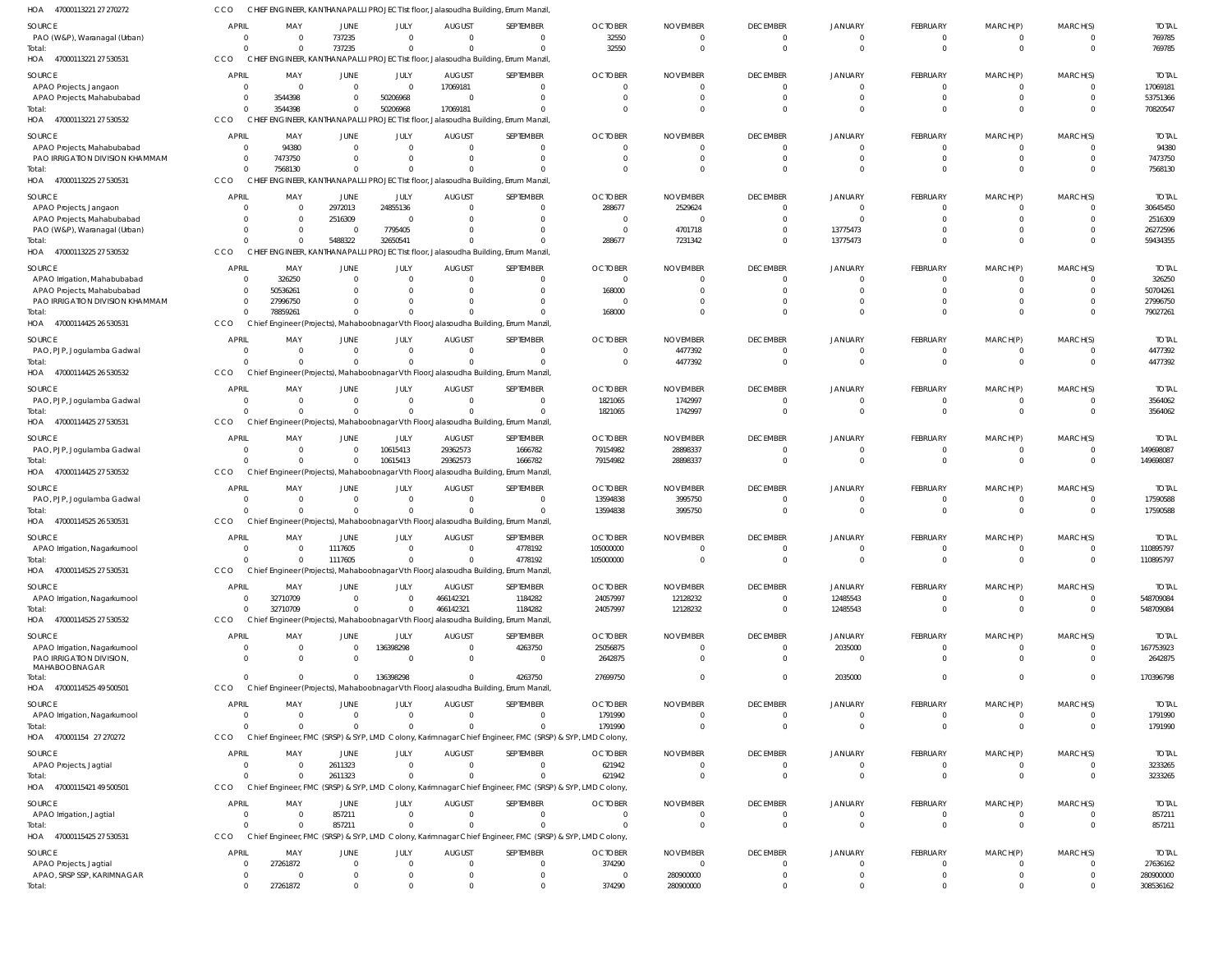| 47000113221 27 270272<br>HOA                                  | CCO                            |                      |                                |                             |                           | CHIEF ENGINEER, KANTHANAPALLI PROJECT Ist floor, Jalasoudha Building, Errum Manzil                                 |                            |                             |                                   |                                  |                            |                         |                      |                           |
|---------------------------------------------------------------|--------------------------------|----------------------|--------------------------------|-----------------------------|---------------------------|--------------------------------------------------------------------------------------------------------------------|----------------------------|-----------------------------|-----------------------------------|----------------------------------|----------------------------|-------------------------|----------------------|---------------------------|
| <b>SOURCE</b>                                                 | <b>APRIL</b>                   | MAY                  | JUNE                           | JULY                        | <b>AUGUST</b>             | SEPTEMBER                                                                                                          | <b>OCTOBER</b>             | <b>NOVEMBER</b>             | <b>DECEMBER</b>                   | JANUARY                          | FEBRUARY                   | MARCH(P)                | MARCH(S)             | <b>TOTAL</b>              |
| PAO (W&P), Waranagal (Urban)                                  | $\overline{0}$                 | $\Omega$             | 737235                         | $\mathbf{0}$                | $\Omega$                  | $\overline{0}$                                                                                                     | 32550                      | $\Omega$                    | $\overline{0}$                    | $\overline{0}$                   | 0                          | 0                       | $\Omega$             | 769785                    |
| Total:<br>HOA 47000113221 27 530531                           | $\Omega$<br>CCO                |                      | 737235                         | $\Omega$                    |                           | $\Omega$<br>CHIEF ENGINEER, KANTHANAPALLI PROJECT Ist floor, Jalasoudha Building, Errum Manzil                     | 32550                      | $\Omega$                    | $\Omega$                          | $\Omega$                         | $\mathbf 0$                | $\mathbf 0$             | $\Omega$             | 769785                    |
|                                                               | <b>APRIL</b>                   | MAY                  |                                |                             |                           | SEPTEMBER                                                                                                          | <b>OCTOBER</b>             | <b>NOVEMBER</b>             | <b>DECEMBER</b>                   | <b>JANUARY</b>                   | FEBRUARY                   | MARCH(P)                | MARCH(S)             | <b>TOTAI</b>              |
| SOURCE<br>APAO Projects, Jangaon                              | $\overline{0}$                 | $\Omega$             | JUNE<br>$\overline{0}$         | JULY<br>$\overline{0}$      | <b>AUGUST</b><br>17069181 | $\Omega$                                                                                                           |                            |                             | $\overline{0}$                    | $\Omega$                         | 0                          | 0                       |                      | 17069181                  |
| APAO Projects, Mahabubabad                                    | 0                              | 3544398              | $\mathbf{0}$                   | 50206968                    |                           | $\Omega$                                                                                                           |                            |                             | $\Omega$                          | $\Omega$                         | $\mathbf 0$                | 0                       | $\Omega$             | 53751366                  |
| Total:                                                        | $\Omega$                       | 3544398              | $\Omega$                       | 50206968                    | 17069181                  | $\Omega$                                                                                                           |                            |                             | $\Omega$                          | $\Omega$                         | $\Omega$                   | $\Omega$                | $\Omega$             | 70820547                  |
| HOA 47000113221 27 530532                                     | CCO                            |                      |                                |                             |                           | CHIEF ENGINEER, KANTHANAPALLI PROJECT Ist floor, Jalasoudha Building, Errum Manzil                                 |                            |                             |                                   |                                  |                            |                         |                      |                           |
| SOURCE                                                        | <b>APRIL</b>                   | MAY                  | <b>JUNE</b>                    | JULY                        | <b>AUGUST</b>             | SEPTEMBER                                                                                                          | <b>OCTOBER</b>             | <b>NOVEMBER</b>             | <b>DECEMBER</b>                   | <b>JANUARY</b>                   | FEBRUARY                   | MARCH(P)                | MARCH(S)             | <b>TOTAL</b>              |
| APAO Projects, Mahabubabad<br>PAO IRRIGATION DIVISION KHAMMAM | $\overline{0}$<br>0            | 94380<br>7473750     | $\Omega$<br>$\Omega$           | $\mathbf{0}$<br>$\Omega$    | $\Omega$                  | $\Omega$<br>$\overline{0}$                                                                                         |                            | $\Omega$<br>$\Omega$        | $\overline{0}$<br>$\overline{0}$  | $\Omega$<br>$\Omega$             | 0<br>$\mathbf 0$           | $\Omega$<br>$\mathbf 0$ | $\Omega$<br>$\Omega$ | 94380<br>7473750          |
| Total:                                                        | $\Omega$                       | 7568130              | $\Omega$                       | $\Omega$                    |                           | $\Omega$                                                                                                           |                            |                             | $\Omega$                          | $\Omega$                         | $\Omega$                   | $\Omega$                | $\Omega$             | 7568130                   |
| HOA<br>47000113225 27 530531                                  | CCO                            |                      |                                |                             |                           | CHIEF ENGINEER, KANTHANAPALLI PROJECT Ist floor, Jalasoudha Building, Errum Manzil                                 |                            |                             |                                   |                                  |                            |                         |                      |                           |
| SOURCE                                                        | <b>APRIL</b>                   | MAY                  | JUNE                           | JULY                        | <b>AUGUST</b>             | SEPTEMBER                                                                                                          | <b>OCTOBER</b>             | <b>NOVEMBER</b>             | <b>DECEMBER</b>                   | JANUARY                          | FEBRUARY                   | MARCH(P)                | MARCH(S)             | <b>TOTAI</b>              |
| APAO Projects, Jangaon                                        | $\Omega$                       | $\Omega$             | 2972013                        | 24855136                    |                           | $\Omega$                                                                                                           | 288677                     | 2529624                     | $\overline{0}$                    | $\Omega$                         | $\mathbf 0$                | 0                       |                      | 30645450                  |
| APAO Projects, Mahabubabad<br>PAO (W&P), Waranagal (Urban)    | $\Omega$<br>$\Omega$           |                      | 2516309<br>$\overline{0}$      | $\Omega$<br>7795405         |                           | $\Omega$<br>$\Omega$                                                                                               |                            | - (<br>4701718              | $\Omega$<br>$\Omega$              | $\Omega$<br>13775473             | $\Omega$<br>$\Omega$       | $\Omega$                |                      | 2516309<br>26272596       |
| Total:                                                        | $\Omega$                       |                      | 5488322                        | 32650541                    |                           | $\Omega$                                                                                                           | 288677                     | 7231342                     | $\Omega$                          | 13775473                         | $\Omega$                   | $\Omega$                |                      | 59434355                  |
| 47000113225 27 530532<br>HOA                                  | CCO                            |                      |                                |                             |                           | CHIEF ENGINEER, KANTHANAPALLI PROJECT Ist floor, Jalasoudha Building, Errum Manzil                                 |                            |                             |                                   |                                  |                            |                         |                      |                           |
| SOURCE                                                        | <b>APRIL</b>                   | MAY                  | JUNE                           | JULY                        | <b>AUGUST</b>             | SEPTEMBER                                                                                                          | <b>OCTOBER</b>             | <b>NOVEMBER</b>             | <b>DECEMBER</b>                   | JANUARY                          | FEBRUARY                   | MARCH(P)                | MARCH(S)             | <b>TOTAI</b>              |
| APAO Irrigation, Mahabubabad                                  | 0                              | 326250               | $\Omega$                       | $\Omega$                    | $\Omega$                  | $\Omega$                                                                                                           | $\Omega$                   | $\Omega$                    | $\Omega$                          | $\Omega$                         | $\Omega$                   | 0                       | $\Omega$             | 326250                    |
| APAO Projects, Mahabubabad                                    | 0                              | 50536261             | $\Omega$                       | $\Omega$                    |                           | $\overline{0}$                                                                                                     | 168000                     |                             | $\overline{0}$                    | $\Omega$                         | $\mathbf 0$                | $\Omega$                | $\Omega$             | 50704261                  |
| PAO IRRIGATION DIVISION KHAMMAM<br>Total:                     | $\Omega$<br>$\Omega$           | 27996750<br>78859261 | $\Omega$<br>$\Omega$           | $\Omega$<br>$\Omega$        |                           | $\Omega$<br>$\Omega$                                                                                               | 168000                     |                             | $\Omega$<br>$\Omega$              | $\Omega$<br>$\Omega$             | $\Omega$<br>$\Omega$       | $\Omega$                | $\Omega$             | 27996750<br>79027261      |
| HOA 47000114425 26 530531                                     | CCO                            |                      |                                |                             |                           | Chief Engineer (Projects), Mahaboobnagar Vth Floor, Jalasoudha Building, Errum Manzil                              |                            |                             |                                   |                                  |                            |                         |                      |                           |
| SOURCE                                                        | <b>APRIL</b>                   | MAY                  | <b>JUNE</b>                    | JULY                        | <b>AUGUST</b>             | SEPTEMBER                                                                                                          | <b>OCTOBER</b>             | <b>NOVEMBER</b>             | <b>DECEMBER</b>                   | <b>JANUARY</b>                   | FEBRUARY                   | MARCH(P)                | MARCH(S)             | <b>TOTAL</b>              |
| PAO, PJP, Jogulamba Gadwal                                    | 0                              | $\Omega$             | $\overline{0}$                 | $\mathbf 0$                 | $\Omega$                  | $\Omega$                                                                                                           |                            | 4477392                     | $\overline{0}$                    | $\Omega$                         | $\mathbf 0$                | $\Omega$                |                      | 4477392                   |
| Total:                                                        | $\Omega$                       |                      | $\Omega$                       | $\mathbf 0$                 |                           | $\overline{0}$                                                                                                     |                            | 4477392                     | $\overline{0}$                    | $\Omega$                         | $\mathbf 0$                | $\mathbf 0$             | $\Omega$             | 4477392                   |
| HOA 47000114425 26 530532                                     | CCO                            |                      |                                |                             |                           | Chief Engineer (Projects), Mahaboobnagar Vth Floor, Jalasoudha Building, Errum Manzil                              |                            |                             |                                   |                                  |                            |                         |                      |                           |
| SOURCE                                                        | <b>APRIL</b>                   | MAY                  | <b>JUNE</b>                    | JULY                        | <b>AUGUST</b>             | SEPTEMBER                                                                                                          | <b>OCTOBER</b>             | <b>NOVEMBER</b>             | <b>DECEMBER</b>                   | JANUARY                          | FEBRUARY                   | MARCH(P)                | MARCH(S)             | <b>TOTAI</b>              |
| PAO, PJP, Jogulamba Gadwal<br>Total:                          | 0<br>$\Omega$                  | $\Omega$<br>$\Omega$ | $\overline{0}$<br>$\mathbf{0}$ | $\mathbf{0}$<br>$\mathbf 0$ | $\Omega$                  | $\overline{0}$<br>$\Omega$                                                                                         | 1821065<br>1821065         | 1742997<br>1742997          | $\overline{0}$<br>$\overline{0}$  | $\Omega$<br>$\Omega$             | $\mathbf 0$<br>$\mathbf 0$ | 0<br>$\mathbf 0$        | $\Omega$             | 3564062<br>3564062        |
| HOA 47000114425 27 530531                                     | CCO                            |                      |                                |                             |                           | Chief Engineer (Projects), Mahaboobnagar Vth Floor, Jalasoudha Building, Errum Manzil                              |                            |                             |                                   |                                  |                            |                         |                      |                           |
| SOURCE                                                        | <b>APRIL</b>                   | MAY                  | <b>JUNE</b>                    | JULY                        | <b>AUGUST</b>             | SEPTEMBER                                                                                                          | <b>OCTOBER</b>             | <b>NOVEMBER</b>             | <b>DECEMBER</b>                   | <b>JANUARY</b>                   | FEBRUARY                   | MARCH(P)                | MARCH(S)             | <b>TOTAL</b>              |
| PAO, PJP, Jogulamba Gadwal                                    | $\overline{0}$                 |                      | $\overline{0}$                 | 10615413                    | 29362573                  | 1666782                                                                                                            | 79154982                   | 28898337                    | $\overline{0}$                    | $\Omega$                         | $\mathbf 0$                | 0                       | $\Omega$             | 149698087                 |
| Total:                                                        | $\Omega$                       |                      | $\overline{0}$                 | 10615413                    | 29362573                  | 1666782                                                                                                            | 79154982                   | 28898337                    | $\overline{0}$                    | $\Omega$                         | $\mathbf 0$                | $\mathbf 0$             | $\Omega$             | 149698087                 |
| 47000114425 27 530532<br>HOA                                  | CCO                            |                      |                                |                             |                           | Chief Engineer (Projects), Mahaboobnagar Vth Floor, Jalasoudha Building, Errum Manzil                              |                            |                             |                                   |                                  |                            |                         |                      |                           |
| SOURCE                                                        | <b>APRIL</b>                   | MAY                  | <b>JUNE</b>                    | JULY                        | <b>AUGUST</b>             | SEPTEMBER                                                                                                          | <b>OCTOBER</b>             | <b>NOVEMBER</b>             | <b>DECEMBER</b>                   | <b>JANUARY</b>                   | FEBRUARY                   | MARCH(P)                | MARCH(S)             | <b>TOTAI</b>              |
| PAO, PJP, Jogulamba Gadwal                                    | 0<br>$\Omega$                  | $\Omega$<br>$\Omega$ | $\overline{0}$<br>$\Omega$     | $\mathbf{0}$<br>$\Omega$    | $\Omega$                  | $\Omega$<br>$\Omega$                                                                                               | 13594838<br>13594838       | 3995750<br>3995750          | $\overline{0}$<br>$\overline{0}$  | $\Omega$<br>$\Omega$             | 0<br>$\mathbf 0$           | $\Omega$<br>$\mathbf 0$ | $\Omega$<br>$\Omega$ | 17590588<br>17590588      |
| Total:<br>HOA 47000114525 26 530531                           | CCO                            |                      |                                |                             |                           | Chief Engineer (Projects), Mahaboobnagar Vth Floor, Jalasoudha Building, Errum Manzil                              |                            |                             |                                   |                                  |                            |                         |                      |                           |
| <b>SOURCE</b>                                                 | <b>APRIL</b>                   | MAY                  | <b>JUNE</b>                    | JULY                        | <b>AUGUST</b>             | SEPTEMBER                                                                                                          | <b>OCTOBER</b>             | <b>NOVEMBER</b>             | <b>DECEMBER</b>                   | JANUARY                          | FEBRUARY                   | MARCH(P)                | MARCH(S)             | <b>TOTAI</b>              |
| APAO Irrigation, Nagarkurnool                                 | $\Omega$                       | $\Omega$             | 1117605                        | $\Omega$                    | $\Omega$                  | 4778192                                                                                                            | 105000000                  | $\Omega$                    | $\Omega$                          | $\Omega$                         | $\Omega$                   | $\Omega$                | $\Omega$             | 110895797                 |
| Total:                                                        | $\Omega$                       | $\Omega$             | 1117605                        | $\Omega$                    |                           | 4778192                                                                                                            | 105000000                  | $\Omega$                    | $\overline{0}$                    | $\overline{0}$                   | $\mathbf 0$                | $\Omega$                | $\Omega$             | 110895797                 |
| HOA 47000114525 27 530531                                     | CCO                            |                      |                                |                             |                           | Chief Engineer (Projects), Mahaboobnagar Vth Floor, Jalasoudha Building, Errum Manzil,                             |                            |                             |                                   |                                  |                            |                         |                      |                           |
| SOURCE                                                        | <b>APRIL</b>                   | MAY                  | <b>JUNE</b>                    | JULY                        | <b>AUGUST</b>             | SEPTEMBER                                                                                                          | <b>OCTOBER</b>             | <b>NOVEMBER</b>             | <b>DECEMBER</b>                   | JANUARY                          | <b>FEBRUARY</b>            | MARCH(P)                | MARCH(S)             | <b>TOTAL</b>              |
| APAO Irrigation, Nagarkurnool                                 | $\overline{0}$                 | 32710709             | $\overline{0}$                 | $\mathbf{0}$                | 466142321                 | 1184282                                                                                                            | 24057997                   | 12128232                    | $\overline{0}$                    | 12485543                         | $\mathbf 0$                | 0                       |                      | 548709084                 |
| Total:<br>HOA 47000114525 27 530532                           | $\Omega$<br>CCO                | 32710709             | $\Omega$                       | $\mathbf 0$                 | 466142321                 | 1184282<br>Chief Engineer (Projects), Mahaboobnagar Vth Floor, Jalasoudha Building, Errum Manzil                   | 24057997                   | 12128232                    | $\overline{0}$                    | 12485543                         | $\mathbf 0$                | $\mathbf 0$             | $\Omega$             | 548709084                 |
|                                                               |                                |                      |                                |                             |                           |                                                                                                                    |                            |                             |                                   |                                  |                            |                         |                      |                           |
| SOURCE<br>APAO Irrigation, Nagarkurnool                       | <b>APRIL</b><br>$\overline{0}$ | MAY<br>$\Omega$      | <b>JUNE</b><br>$\overline{0}$  | JULY<br>136398298           | <b>AUGUST</b><br>$\Omega$ | SEPTEMBER<br>4263750                                                                                               | <b>OCTOBER</b><br>25056875 | <b>NOVEMBER</b>             | <b>DECEMBER</b><br>$\overline{0}$ | <b>JANUARY</b><br>2035000        | FEBRUARY<br>$\mathbf 0$    | MARCH(P)<br>$\mathbf 0$ | MARCH(S)<br>$\Omega$ | <b>TOTAL</b><br>167753923 |
| PAO IRRIGATION DIVISION,                                      | $\Omega$                       | $\Omega$             | $\Omega$                       | $\Omega$                    | $\Omega$                  | $\mathbf{0}$                                                                                                       | 2642875                    |                             | $\overline{0}$                    | $\Omega$                         | $\Omega$                   | $\Omega$                | $\Omega$             | 2642875                   |
| MAHABOOBNAGAR<br>Total:                                       | $\Omega$                       | $\Omega$             | $\mathbf{0}$                   | 136398298                   |                           | 4263750                                                                                                            | 27699750                   |                             | $\overline{0}$                    | 2035000                          | $\Omega$                   | $\Omega$                | $\Omega$             | 170396798                 |
| HOA 47000114525 49 500501                                     | CCO                            |                      |                                |                             |                           | Chief Engineer (Projects), Mahaboobnagar Vth Floor, Jalasoudha Building, Errum Manzil                              |                            |                             |                                   |                                  |                            |                         |                      |                           |
| <b>SOURCE</b>                                                 | <b>APRIL</b>                   | MAY                  | <b>JUNE</b>                    | JULY                        | <b>AUGUST</b>             | SEPTEMBER                                                                                                          | <b>OCTOBER</b>             | <b>NOVEMBER</b>             | <b>DECEMBER</b>                   | <b>JANUARY</b>                   | FEBRUARY                   | MARCH(P)                | MARCH(S)             | <b>TOTAL</b>              |
| APAO Irrigation, Nagarkurnool                                 | 0                              | $\Omega$             | $\overline{0}$                 | $\mathbf{0}$                | $\Omega$                  | $\overline{0}$                                                                                                     | 1791990                    | $\Omega$                    | $\overline{0}$                    | $\overline{0}$                   | 0                          | 0                       |                      | 1791990                   |
| Total:                                                        | $\Omega$                       | $\Omega$             | $\Omega$                       | $\mathbf 0$                 | $\Omega$                  | $\Omega$                                                                                                           | 1791990                    | $\Omega$                    | $\overline{0}$                    | $\overline{0}$                   | $\mathbf 0$                | $\mathbf 0$             | $\Omega$             | 1791990                   |
| HOA 470001154 27 270272                                       | CCO                            |                      |                                |                             |                           | Chief Engineer, FMC (SRSP) & SYP, LMD Colony, Karimnagar Chief Engineer, FMC (SRSP) & SYP, LMD Colony,             |                            |                             |                                   |                                  |                            |                         |                      |                           |
| SOURCE                                                        | <b>APRIL</b>                   | MAY                  | <b>JUNE</b>                    | JULY                        | <b>AUGUST</b>             | SEPTEMBER                                                                                                          | <b>OCTOBER</b>             | <b>NOVEMBER</b>             | <b>DECEMBER</b>                   | JANUARY                          | FEBRUARY                   | MARCH(P)                | MARCH(S)             | <b>TOTAL</b>              |
| APAO Projects, Jagtial                                        | $\overline{0}$                 |                      | 2611323                        | $\mathbf{0}$                | $\Omega$                  | $\overline{0}$                                                                                                     | 621942                     | $\Omega$                    | $\overline{0}$                    | $\overline{0}$                   | $\mathbf 0$                | 0                       |                      | 3233265                   |
| Total:<br>HOA 47000115421 49 500501                           | $\Omega$<br>CCO                |                      | 2611323                        | $\Omega$                    |                           | $\Omega$<br>Chief Engineer, FMC (SRSP) & SYP, LMD Colony, Karimnagar Chief Engineer, FMC (SRSP) & SYP, LMD Colony, | 621942                     |                             | $\Omega$                          | $\Omega$                         | $\mathbf 0$                | $\mathbf 0$             | $\Omega$             | 3233265                   |
|                                                               | <b>APRIL</b>                   |                      |                                |                             |                           |                                                                                                                    |                            |                             |                                   |                                  |                            |                         |                      |                           |
| SOURCE<br>APAO Irrigation, Jagtial                            | $\overline{0}$                 | MAY<br>$\Omega$      | JUNE<br>857211                 | JULY<br>$\mathbf 0$         | <b>AUGUST</b><br>$\Omega$ | SEPTEMBER<br>$\overline{0}$                                                                                        | <b>OCTOBER</b><br>$\Omega$ | <b>NOVEMBER</b><br>$\Omega$ | <b>DECEMBER</b><br>$\overline{0}$ | <b>JANUARY</b><br>$\overline{0}$ | <b>FEBRUARY</b><br>0       | MARCH(P)<br>0           | MARCH(S)<br>$\Omega$ | <b>TOTAL</b><br>857211    |
| Total:                                                        | $\Omega$                       | $\Omega$             | 857211                         | $\mathbf 0$                 |                           | $\Omega$                                                                                                           | $\Omega$                   | $\Omega$                    | $\overline{0}$                    | $\Omega$                         | $\mathbf 0$                | $\mathbf 0$             | $\Omega$             | 857211                    |
| HOA 47000115425 27 530531                                     | CCO                            |                      |                                |                             |                           | Chief Engineer, FMC (SRSP) & SYP, LMD Colony, Karimnagar Chief Engineer, FMC (SRSP) & SYP, LMD Colony,             |                            |                             |                                   |                                  |                            |                         |                      |                           |
| SOURCE                                                        | <b>APRIL</b>                   | MAY                  | JUNE                           | JULY                        | <b>AUGUST</b>             | SEPTEMBER                                                                                                          | <b>OCTOBER</b>             | <b>NOVEMBER</b>             | <b>DECEMBER</b>                   | <b>JANUARY</b>                   | FEBRUARY                   | MARCH(P)                | MARCH(S)             | <b>TOTAL</b>              |
| APAO Projects, Jagtial                                        | 0                              | 27261872             | $\Omega$                       | $\Omega$                    |                           | $\overline{0}$                                                                                                     | 374290                     |                             | $\overline{0}$                    | $\Omega$                         | 0                          | $\Omega$                |                      | 27636162                  |
| APAO, SRSP SSP, KARIMNAGAR<br>Total:                          | 0<br>$\Omega$                  | 27261872             | 0<br>$\mathbf 0$               | $\Omega$<br>$\mathbf 0$     |                           | $\mathbf 0$<br>$\mathbf 0$                                                                                         | $\Omega$<br>374290         | 280900000<br>280900000      | $\overline{0}$<br>$\overline{0}$  | $\Omega$<br>$\overline{0}$       | $\Omega$<br>$\Omega$       | $\Omega$<br>$\Omega$    | $\Omega$             | 280900000<br>308536162    |
|                                                               |                                |                      |                                |                             |                           |                                                                                                                    |                            |                             |                                   |                                  |                            |                         |                      |                           |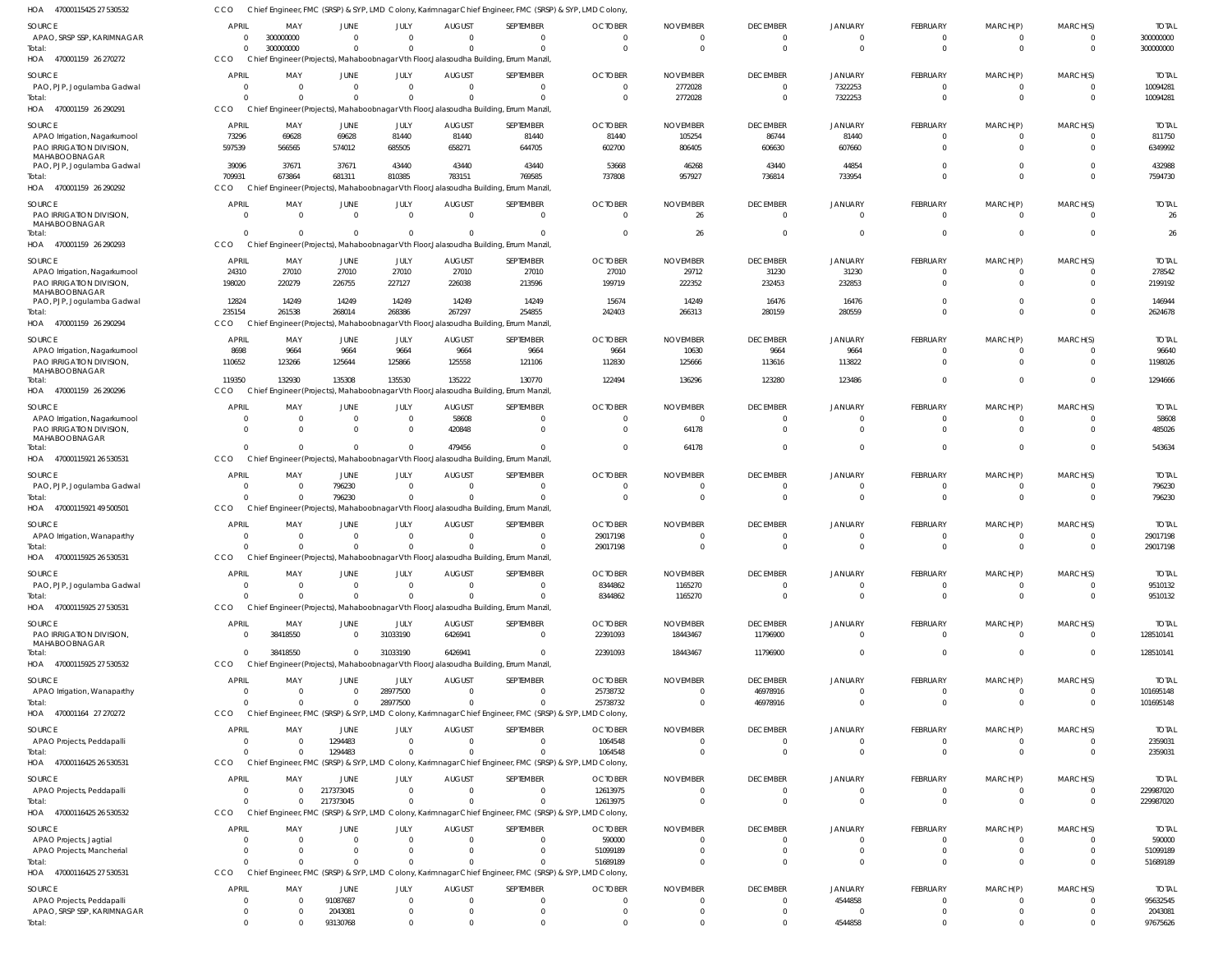| HOA 47000115425 27 530532                                 | CCO                              |                            |                      |                            |                           | Chief Engineer, FMC (SRSP) & SYP, LMD Colony, Karimnagar Chief Engineer, FMC (SRSP) & SYP, LMD Colony, |                                  |                                   |                        |                           |                                   |                                |                                  |                          |
|-----------------------------------------------------------|----------------------------------|----------------------------|----------------------|----------------------------|---------------------------|--------------------------------------------------------------------------------------------------------|----------------------------------|-----------------------------------|------------------------|---------------------------|-----------------------------------|--------------------------------|----------------------------------|--------------------------|
| SOURCE                                                    | <b>APRIL</b>                     | MAY                        | JUNE                 | JULY                       | <b>AUGUST</b>             | SEPTEMBER                                                                                              | <b>OCTOBER</b>                   | <b>NOVEMBER</b>                   | <b>DECEMBER</b>        | <b>JANUARY</b>            | <b>FEBRUARY</b>                   | MARCH(P)                       | MARCH(S)                         | <b>TOTAL</b>             |
| APAO, SRSP SSP, KARIMNAGAR                                | $\overline{0}$                   | 300000000                  | $\Omega$             | $\overline{0}$             | $\Omega$                  | $\Omega$                                                                                               | $\overline{0}$                   | $\Omega$                          | $\Omega$               | $\Omega$                  | $\overline{0}$                    | $\overline{0}$                 | $^{\circ}$                       | 300000000                |
| Total:                                                    | $\Omega$                         | 300000000                  | $\Omega$             | $\Omega$                   | $\Omega$                  | $\Omega$                                                                                               | $\Omega$                         | $\overline{0}$                    | $\Omega$               | $\Omega$                  | $\overline{0}$                    | $\overline{0}$                 | $\overline{0}$                   | 300000000                |
| HOA 470001159 26 270272                                   | CCO                              |                            |                      |                            |                           | Chief Engineer (Projects), Mahaboobnagar Vth Floor, Jalasoudha Building, Errum Manzil                  |                                  |                                   |                        |                           |                                   |                                |                                  |                          |
|                                                           | <b>APRIL</b>                     |                            |                      |                            |                           |                                                                                                        |                                  |                                   | <b>DECEMBER</b>        |                           |                                   |                                |                                  |                          |
| SOURCE<br>PAO, PJP, Jogulamba Gadwal                      | $\overline{0}$                   | MAY<br>$\Omega$            | JUNE<br>$\Omega$     | JULY<br>$\overline{0}$     | <b>AUGUST</b><br>$\Omega$ | SEPTEMBER<br>$\mathbf{0}$                                                                              | <b>OCTOBER</b><br>$\overline{0}$ | <b>NOVEMBER</b><br>2772028        | $\Omega$               | <b>JANUARY</b><br>7322253 | <b>FEBRUARY</b><br>$\overline{0}$ | MARCH(P)<br>$\overline{0}$     | MARCH(S)<br>$\overline{0}$       | <b>TOTAL</b><br>10094281 |
| Total:                                                    | $\Omega$                         |                            | $\Omega$             | $\Omega$                   |                           | $\Omega$                                                                                               | $\overline{0}$                   | 2772028                           | $\Omega$               | 7322253                   | $\overline{0}$                    | $\mathbf{0}$                   | $\mathbf 0$                      | 10094281                 |
| HOA 470001159 26 290291                                   | CCO                              |                            |                      |                            |                           | Chief Engineer (Projects), Mahaboobnagar Vth Floor, Jalasoudha Building, Errum Manzil                  |                                  |                                   |                        |                           |                                   |                                |                                  |                          |
|                                                           |                                  |                            |                      |                            |                           |                                                                                                        |                                  |                                   |                        |                           |                                   |                                |                                  |                          |
| SOURCE                                                    | <b>APRIL</b>                     | MAY                        | JUNE                 | JULY                       | <b>AUGUST</b>             | SEPTEMBER                                                                                              | <b>OCTOBER</b>                   | <b>NOVEMBER</b>                   | <b>DECEMBER</b>        | <b>JANUARY</b>            | <b>FEBRUARY</b>                   | MARCH(P)                       | MARCH(S)                         | <b>TOTAL</b>             |
| APAO Irrigation, Nagarkurnool                             | 73296                            | 69628                      | 69628                | 81440                      | 81440                     | 81440                                                                                                  | 81440                            | 105254                            | 86744                  | 81440                     | $\Omega$                          | $\Omega$                       | $^{\circ}$                       | 811750                   |
| PAO IRRIGATION DIVISION,<br>MAHABOOBNAGAR                 | 597539                           | 566565                     | 574012               | 685505                     | 658271                    | 644705                                                                                                 | 602700                           | 806405                            | 606630                 | 607660                    | $\Omega$                          | $\Omega$                       | $\mathbf 0$                      | 6349992                  |
| PAO, PJP, Jogulamba Gadwal                                | 39096                            | 37671                      | 37671                | 43440                      | 43440                     | 43440                                                                                                  | 53668                            | 46268                             | 43440                  | 44854                     | $\Omega$                          | $\mathbf{0}$                   | $\mathbf 0$                      | 432988                   |
| Total:                                                    | 709931                           | 673864                     | 681311               | 810385                     | 783151                    | 769585                                                                                                 | 737808                           | 957927                            | 736814                 | 733954                    | $\Omega$                          | $\Omega$                       | $\Omega$                         | 7594730                  |
| HOA 470001159 26 290292                                   | CCO                              |                            |                      |                            |                           | Chief Engineer (Projects), Mahaboobnagar Vth Floor, Jalasoudha Building, Errum Manzil                  |                                  |                                   |                        |                           |                                   |                                |                                  |                          |
| SOURCE                                                    | <b>APRIL</b>                     | MAY                        | JUNE                 | JULY                       | <b>AUGUST</b>             | SEPTEMBER                                                                                              | <b>OCTOBER</b>                   | <b>NOVEMBER</b>                   | <b>DECEMBER</b>        | <b>JANUARY</b>            | FEBRUARY                          | MARCH(P)                       | MARCH(S)                         | <b>TOTAL</b>             |
| PAO IRRIGATION DIVISION,                                  | $\Omega$                         | $\Omega$                   | $\Omega$             | $\overline{0}$             | $\Omega$                  | $\mathbf{0}$                                                                                           | $\overline{0}$                   | 26                                | $\Omega$               | $\Omega$                  | $\overline{0}$                    | $\overline{0}$                 | $\mathbf 0$                      | 26                       |
| MAHABOOBNAGAR                                             |                                  |                            |                      |                            |                           |                                                                                                        |                                  |                                   |                        |                           |                                   |                                |                                  |                          |
| Total:                                                    | $\Omega$                         | $\Omega$                   | $\Omega$             | $\overline{0}$             | $\Omega$                  | $\mathbf 0$                                                                                            | 0                                | 26                                | $\Omega$               | $\Omega$                  | $\Omega$                          | $\overline{0}$                 | $\mathbf 0$                      | 26                       |
| HOA 470001159 26 290293                                   | CCO                              |                            |                      |                            |                           | Chief Engineer (Projects), Mahaboobnagar Vth Floor, Jalasoudha Building, Errum Manzil                  |                                  |                                   |                        |                           |                                   |                                |                                  |                          |
| SOURCE                                                    | APRIL                            | MAY                        | JUNE                 | JULY                       | <b>AUGUST</b>             | SEPTEMBER                                                                                              | <b>OCTOBER</b>                   | <b>NOVEMBER</b>                   | <b>DECEMBER</b>        | <b>JANUARY</b>            | <b>FEBRUARY</b>                   | MARCH(P)                       | MARCH(S)                         | <b>TOTAL</b>             |
| APAO Irrigation, Nagarkurnool                             | 24310                            | 27010                      | 27010                | 27010                      | 27010                     | 27010                                                                                                  | 27010                            | 29712                             | 31230                  | 31230                     | $\mathbf{0}$                      | $\overline{0}$                 | $\mathbf{0}$                     | 278542                   |
| PAO IRRIGATION DIVISION,                                  | 198020                           | 220279                     | 226755               | 227127                     | 226038                    | 213596                                                                                                 | 199719                           | 222352                            | 232453                 | 232853                    | $\Omega$                          | $\mathbf{0}$                   | $\mathbf 0$                      | 2199192                  |
| MAHABOOBNAGAR                                             |                                  |                            |                      |                            |                           |                                                                                                        |                                  |                                   |                        |                           |                                   |                                |                                  |                          |
| PAO, PJP, Jogulamba Gadwal                                | 12824                            | 14249                      | 14249                | 14249                      | 14249                     | 14249                                                                                                  | 15674                            | 14249                             | 16476                  | 16476                     | $\Omega$                          | $\mathbf{0}$                   | $^{\circ}$                       | 146944                   |
| Total:                                                    | 235154                           | 261538                     | 268014               | 268386                     | 267297                    | 254855                                                                                                 | 242403                           | 266313                            | 280159                 | 280559                    | $\Omega$                          | $\Omega$                       | $\mathbf 0$                      | 2624678                  |
| HOA 470001159 26 290294                                   | <b>CCO</b>                       |                            |                      |                            |                           | Chief Engineer (Projects), Mahaboobnagar Vth Floor, Jalasoudha Building, Errum Manzil                  |                                  |                                   |                        |                           |                                   |                                |                                  |                          |
| SOURCE                                                    | <b>APRIL</b>                     | MAY                        | JUNE                 | JULY                       | <b>AUGUST</b>             | SEPTEMBER                                                                                              | <b>OCTOBER</b>                   | <b>NOVEMBER</b>                   | <b>DECEMBER</b>        | <b>JANUARY</b>            | <b>FEBRUARY</b>                   | MARCH(P)                       | MARCH(S)                         | <b>TOTAL</b>             |
| APAO Irrigation, Nagarkurnool                             | 8698                             | 9664                       | 9664                 | 9664                       | 9664                      | 9664                                                                                                   | 9664                             | 10630                             | 9664                   | 9664                      | $^{\circ}$                        | $\overline{0}$                 | $\mathbf{0}$                     | 96640                    |
| PAO IRRIGATION DIVISION,                                  | 110652                           | 123266                     | 125644               | 125866                     | 125558                    | 121106                                                                                                 | 112830                           | 125666                            | 113616                 | 113822                    | $\Omega$                          | $\overline{0}$                 | $\mathbf 0$                      | 1198026                  |
| MAHABOOBNAGAR<br>Total:                                   | 119350                           | 132930                     | 135308               | 135530                     | 135222                    | 130770                                                                                                 | 122494                           | 136296                            | 123280                 | 123486                    | $\Omega$                          | $\overline{0}$                 | $\mathbf{0}$                     | 1294666                  |
| HOA 470001159 26 290296                                   | CCO                              |                            |                      |                            |                           | Chief Engineer (Projects), Mahaboobnagar Vth Floor, Jalasoudha Building, Errum Manzil                  |                                  |                                   |                        |                           |                                   |                                |                                  |                          |
|                                                           |                                  |                            |                      |                            |                           |                                                                                                        |                                  |                                   |                        |                           |                                   |                                |                                  |                          |
| SOURCE                                                    | <b>APRIL</b><br>$\circ$          | MAY<br>- 0                 | JUNE<br>- 0          | JULY<br>$\mathbf 0$        | <b>AUGUST</b><br>58608    | SEPTEMBER<br>$\overline{0}$                                                                            | <b>OCTOBER</b><br>0              | <b>NOVEMBER</b><br>$\overline{0}$ | <b>DECEMBER</b><br>- 0 | <b>JANUARY</b>            | <b>FEBRUARY</b><br>$^{\circ}$     | MARCH(P)<br>$\overline{0}$     | MARCH(S)<br>$\mathbf{0}$         | <b>TOTAL</b><br>58608    |
| APAO Irrigation, Nagarkurnool<br>PAO IRRIGATION DIVISION, | $\Omega$                         | $\Omega$                   | $\Omega$             | $\overline{0}$             | 420848                    | $\mathbf 0$                                                                                            | $\overline{0}$                   | 64178                             | $\Omega$               | $\Omega$                  | $\Omega$                          | $\mathbf{0}$                   | $\mathbf 0$                      | 485026                   |
| MAHABOOBNAGAR                                             |                                  |                            |                      |                            |                           |                                                                                                        |                                  |                                   |                        |                           |                                   |                                |                                  |                          |
| Total:                                                    | $\Omega$                         | $\Omega$                   | $\Omega$             | $\Omega$                   | 479456                    | $\Omega$                                                                                               | $\mathbf 0$                      | 64178                             | $\Omega$               |                           | $\Omega$                          | $\mathbf{0}$                   | $\mathbf 0$                      | 543634                   |
| HOA 47000115921 26 530531                                 | CCO                              |                            |                      |                            |                           | Chief Engineer (Projects), Mahaboobnagar Vth Floor, Jalasoudha Building, Errum Manzil                  |                                  |                                   |                        |                           |                                   |                                |                                  |                          |
| SOURCE                                                    | <b>APRIL</b>                     | MAY                        | JUNE                 | JULY                       | <b>AUGUST</b>             | SEPTEMBER                                                                                              | <b>OCTOBER</b>                   | <b>NOVEMBER</b>                   | <b>DECEMBER</b>        | <b>JANUARY</b>            | <b>FEBRUARY</b>                   | MARCH(P)                       | MARCH(S)                         | <b>TOTAL</b>             |
| PAO, PJP, Jogulamba Gadwal                                | $\circ$                          | $\Omega$                   | 796230               | $\overline{0}$             |                           | $\mathbf{0}$                                                                                           | 0                                | 0                                 | $\Omega$               |                           | 0                                 | $\mathbf{0}$                   | $\mathbf{0}$                     | 796230                   |
| Total:                                                    | $\Omega$                         | $\Omega$                   | 796230               | $\overline{0}$             |                           | $\mathbf 0$                                                                                            | $\overline{0}$                   | $\overline{0}$                    | $\Omega$               | $\Omega$                  | $\overline{0}$                    | $\overline{0}$                 | $\overline{0}$                   | 796230                   |
| HOA 47000115921 49 500501                                 | CCO                              |                            |                      |                            |                           | Chief Engineer (Projects), Mahaboobnagar Vth Floor, Jalasoudha Building, Errum Manzil                  |                                  |                                   |                        |                           |                                   |                                |                                  |                          |
| SOURCE                                                    | <b>APRIL</b>                     | MAY                        | JUNE                 | JULY                       | <b>AUGUST</b>             | SEPTEMBER                                                                                              | <b>OCTOBER</b>                   | <b>NOVEMBER</b>                   | <b>DECEMBER</b>        | <b>JANUARY</b>            | <b>FEBRUARY</b>                   | MARCH(P)                       | MARCH(S)                         | <b>TOTAL</b>             |
| APAO Irrigation, Wanaparthy                               | $\Omega$                         | -0                         | $\Omega$             | $\Omega$                   | - 0                       | $\Omega$                                                                                               | 29017198                         | $\Omega$                          | $\Omega$               | - 0                       | $\mathbf{0}$                      | $\Omega$                       | $\Omega$                         | 29017198                 |
| Total:                                                    | $\overline{0}$                   | $\overline{0}$             | $\Omega$             | $\overline{0}$             | $\Omega$                  | $\mathbf 0$                                                                                            | 29017198                         | $\Omega$                          | $\Omega$               | $\Omega$                  | $\Omega$                          | $\Omega$                       | $\Omega$                         | 29017198                 |
| 47000115925 26 530531<br>HOA                              | CCO                              | Chief                      |                      |                            |                           | ef Engineer (Projects), Mahaboobnagar Vth Floor, Jalasoudha Building, Errum Manzil                     |                                  |                                   |                        |                           |                                   |                                |                                  |                          |
|                                                           |                                  |                            |                      |                            |                           |                                                                                                        |                                  |                                   |                        |                           |                                   |                                |                                  |                          |
| SOURCE                                                    | <b>APRIL</b>                     | MAY                        | JUNE                 | JULY                       | <b>AUGUST</b><br>$\Omega$ | SEPTEMBER                                                                                              | <b>OCTOBER</b>                   | <b>NOVEMBER</b>                   | <b>DECEMBER</b>        | <b>JANUARY</b>            | FEBRUARY                          | MARCH(P)                       | MARCH(S)                         | <b>TOTAL</b>             |
| PAO, PJP, Jogulamba Gadwal                                | $\overline{0}$<br>$\overline{0}$ | $\Omega$                   | $\Omega$<br>$\Omega$ | $\overline{0}$<br>$\Omega$ |                           | $\mathbf{0}$<br>$\mathbf{0}$                                                                           | 8344862<br>8344862               | 1165270<br>1165270                | $\Omega$<br>$\Omega$   | $\Omega$<br>$\Omega$      | $\overline{0}$<br>$\mathbf 0$     | $\overline{0}$<br>$\mathbf{0}$ | $\overline{0}$<br>$\overline{0}$ | 9510132<br>9510132       |
| Total:<br>HOA 47000115925 27 530531                       | CCO                              |                            |                      |                            |                           | Chief Engineer (Projects), Mahaboobnagar Vth Floor, Jalasoudha Building, Errum Manzil                  |                                  |                                   |                        |                           |                                   |                                |                                  |                          |
|                                                           |                                  |                            |                      |                            |                           |                                                                                                        |                                  |                                   |                        |                           |                                   |                                |                                  |                          |
| SOURCE                                                    | <b>APRIL</b>                     | MAY                        | JUNE                 | JULY                       | <b>AUGUST</b>             | SEPTEMBER                                                                                              | <b>OCTOBER</b>                   | <b>NOVEMBER</b>                   | <b>DECEMBER</b>        | <b>JANUARY</b>            | <b>FEBRUARY</b>                   | MARCH(P)                       | MARCH(S)                         | <b>TOTAL</b>             |
| PAO IRRIGATION DIVISION,                                  | $\Omega$                         | 38418550                   | $\Omega$             | 31033190                   | 6426941                   | $\mathbf{0}$                                                                                           | 22391093                         | 18443467                          | 11796900               | $\Omega$                  | $\overline{0}$                    | $\overline{0}$                 | $\mathbf{0}$                     | 128510141                |
| MAHABOOBNAGAR<br>Total:                                   | $\mathbf 0$                      | 38418550                   | $\mathbf 0$          | 31033190                   | 6426941                   | $\Omega$                                                                                               | 22391093                         | 18443467                          | 11796900               | $\Omega$                  | $\overline{0}$                    | $\overline{0}$                 | $\mathbf{0}$                     | 128510141                |
| HOA 47000115925 27 530532                                 | CCO                              |                            |                      |                            |                           | Chief Engineer (Projects), Mahaboobnagar Vth Floor, Jalasoudha Building, Errum Manzil                  |                                  |                                   |                        |                           |                                   |                                |                                  |                          |
|                                                           |                                  |                            |                      |                            |                           |                                                                                                        |                                  |                                   |                        |                           |                                   |                                |                                  |                          |
| SOURCE                                                    | APRIL                            | MAY                        | JUNE                 | JULY                       | <b>AUGUST</b><br>$\Omega$ | SEPTEMBER                                                                                              | <b>OCTOBER</b>                   | <b>NOVEMBER</b>                   | <b>DECEMBER</b>        | <b>JANUARY</b>            | FEBRUARY                          | MARCH(P)                       | MARCH(S)                         | <b>TOTAL</b>             |
| APAO Irrigation, Wanaparthy<br>Total:                     | $\circ$<br>$\Omega$              | $\overline{0}$<br>$\Omega$ | $\Omega$<br>$\Omega$ | 28977500<br>28977500       | $\Omega$                  | $\mathbf{0}$<br>$\mathbf 0$                                                                            | 25738732<br>25738732             | 0<br>$\overline{0}$               | 46978916<br>46978916   | $\Omega$<br>$\Omega$      | $\overline{0}$<br>$\overline{0}$  | 0<br>$\mathbf{0}$              | $^{\circ}$<br>$\overline{0}$     | 101695148<br>101695148   |
| HOA 470001164 27 270272                                   | CCO                              |                            |                      |                            |                           | Chief Engineer, FMC (SRSP) & SYP, LMD Colony, Karimnagar Chief Engineer, FMC (SRSP) & SYP, LMD Colony, |                                  |                                   |                        |                           |                                   |                                |                                  |                          |
|                                                           |                                  |                            |                      |                            |                           |                                                                                                        |                                  |                                   |                        |                           |                                   |                                |                                  |                          |
| SOURCE                                                    | <b>APRIL</b>                     | MAY                        | JUNE                 | JULY                       | <b>AUGUST</b>             | SEPTEMBER                                                                                              | <b>OCTOBER</b>                   | <b>NOVEMBER</b>                   | <b>DECEMBER</b>        | <b>JANUARY</b>            | FEBRUARY                          | MARCH(P)                       | MARCH(S)                         | <b>TOTAL</b>             |
| APAO Projects, Peddapalli                                 | $\overline{0}$                   | $\Omega$                   | 1294483              | $\overline{0}$             | $\Omega$                  | $\mathbf{0}$                                                                                           | 1064548                          | $\overline{0}$                    | $\Omega$               | $\Omega$                  | $\overline{0}$                    | $\overline{0}$                 | $\mathbf{0}$                     | 2359031                  |
| Total:                                                    | $\Omega$                         | $\Omega$                   | 1294483              | $\Omega$                   |                           | $\Omega$                                                                                               | 1064548                          | $\overline{0}$                    | $\Omega$               | $\Omega$                  | $\overline{0}$                    | $\mathbf{0}$                   | $\mathbf 0$                      | 2359031                  |
| HOA 47000116425 26 530531                                 | CCO                              |                            |                      |                            |                           | Chief Engineer, FMC (SRSP) & SYP, LMD Colony, Karimnagar Chief Engineer, FMC (SRSP) & SYP, LMD Colony, |                                  |                                   |                        |                           |                                   |                                |                                  |                          |
| SOURCE                                                    | APRIL                            | MAY                        | JUNE                 | JULY                       | <b>AUGUST</b>             | SEPTEMBER                                                                                              | <b>OCTOBER</b>                   | <b>NOVEMBER</b>                   | <b>DECEMBER</b>        | <b>JANUARY</b>            | <b>FEBRUARY</b>                   | MARCH(P)                       | MARCH(S)                         | <b>TOTAL</b>             |
| APAO Projects, Peddapalli                                 | $\overline{0}$                   | $\mathbf{0}$               | 217373045            | $\overline{0}$             | $\Omega$                  | $\mathbf 0$                                                                                            | 12613975                         | $\overline{0}$                    | $\Omega$               | $\Omega$                  | $\overline{0}$                    | $\overline{0}$                 | $\mathbf 0$                      | 229987020                |
| Total:                                                    | $\Omega$                         | $\Omega$                   | 217373045            | $\overline{0}$             |                           | $\mathbf 0$                                                                                            | 12613975                         | $\overline{0}$                    | $\Omega$               | $\Omega$                  | $\mathbf 0$                       | $\mathbf{0}$                   | $\overline{0}$                   | 229987020                |
| HOA 47000116425 26 530532                                 | CCO                              |                            |                      |                            |                           | Chief Engineer, FMC (SRSP) & SYP, LMD Colony, Karimnagar Chief Engineer, FMC (SRSP) & SYP, LMD Colony, |                                  |                                   |                        |                           |                                   |                                |                                  |                          |
| SOURCE                                                    | <b>APRIL</b>                     | MAY                        | JUNE                 | JULY                       | <b>AUGUST</b>             | SEPTEMBER                                                                                              | <b>OCTOBER</b>                   | <b>NOVEMBER</b>                   | <b>DECEMBER</b>        | <b>JANUARY</b>            | <b>FEBRUARY</b>                   | MARCH(P)                       | MARCH(S)                         | <b>TOTAL</b>             |
| APAO Projects, Jagtial                                    | - 0                              | $\Omega$                   | $\Omega$             | $\overline{0}$             | $\Omega$                  | $\mathbf{0}$                                                                                           | 590000                           | $\overline{0}$                    | $\Omega$               | $\Omega$                  | $\Omega$                          | $\mathbf{0}$                   | $\mathbf{0}$                     | 590000                   |
| APAO Projects, Mancherial                                 | $\overline{0}$                   | $\overline{0}$             | $\Omega$             | $\overline{0}$             | $\Omega$                  | $\mathbf{0}$                                                                                           | 51099189                         | $\Omega$                          | $\Omega$               | $\Omega$                  | $\Omega$                          | $\overline{0}$                 | $\mathbf 0$                      | 51099189                 |
| Total:                                                    | $\Omega$                         | $\Omega$                   | $\Omega$             | $\Omega$                   |                           | $\Omega$                                                                                               | 51689189                         | $\Omega$                          | $\Omega$               | $\Omega$                  | $\Omega$                          | $\Omega$                       | $\mathbf 0$                      | 51689189                 |
| HOA 47000116425 27 530531                                 | CCO                              |                            |                      |                            |                           | Chief Engineer, FMC (SRSP) & SYP, LMD Colony, Karimnagar Chief Engineer, FMC (SRSP) & SYP, LMD Colony, |                                  |                                   |                        |                           |                                   |                                |                                  |                          |
| SOURCE                                                    | <b>APRIL</b>                     | MAY                        | JUNE                 | JULY                       | <b>AUGUST</b>             | SEPTEMBER                                                                                              | <b>OCTOBER</b>                   | <b>NOVEMBER</b>                   | <b>DECEMBER</b>        | <b>JANUARY</b>            | FEBRUARY                          | MARCH(P)                       | MARCH(S)                         | <b>TOTAL</b>             |
| APAO Projects, Peddapalli                                 | $\overline{0}$                   | -0                         | 91087687             | $\overline{0}$             | $\Omega$                  | $\mathbf{0}$                                                                                           | $\overline{0}$                   | $\overline{0}$                    | $\Omega$               | 4544858                   | $\overline{0}$                    | $\overline{0}$                 | $\mathbf 0$                      | 95632545                 |
| APAO, SRSP SSP, KARIMNAGAR                                | $\mathbf{0}$                     | -0                         | 2043081              | $\mathbf 0$                |                           | $\mathbf{0}$                                                                                           | 0                                | 0                                 | $\Omega$               | $\Omega$                  | 0                                 | $\mathbf{0}$                   | $\mathbf{0}$                     | 2043081                  |
| Total:                                                    | $\overline{0}$                   | - 0                        | 93130768             | $\mathbf 0$                |                           | $\mathbf 0$                                                                                            | 0                                | $\mathbf{0}$                      | $\Omega$               | 4544858                   | $\mathbf 0$                       | $\mathbf 0$                    | $\mathbf 0$                      | 97675626                 |
|                                                           |                                  |                            |                      |                            |                           |                                                                                                        |                                  |                                   |                        |                           |                                   |                                |                                  |                          |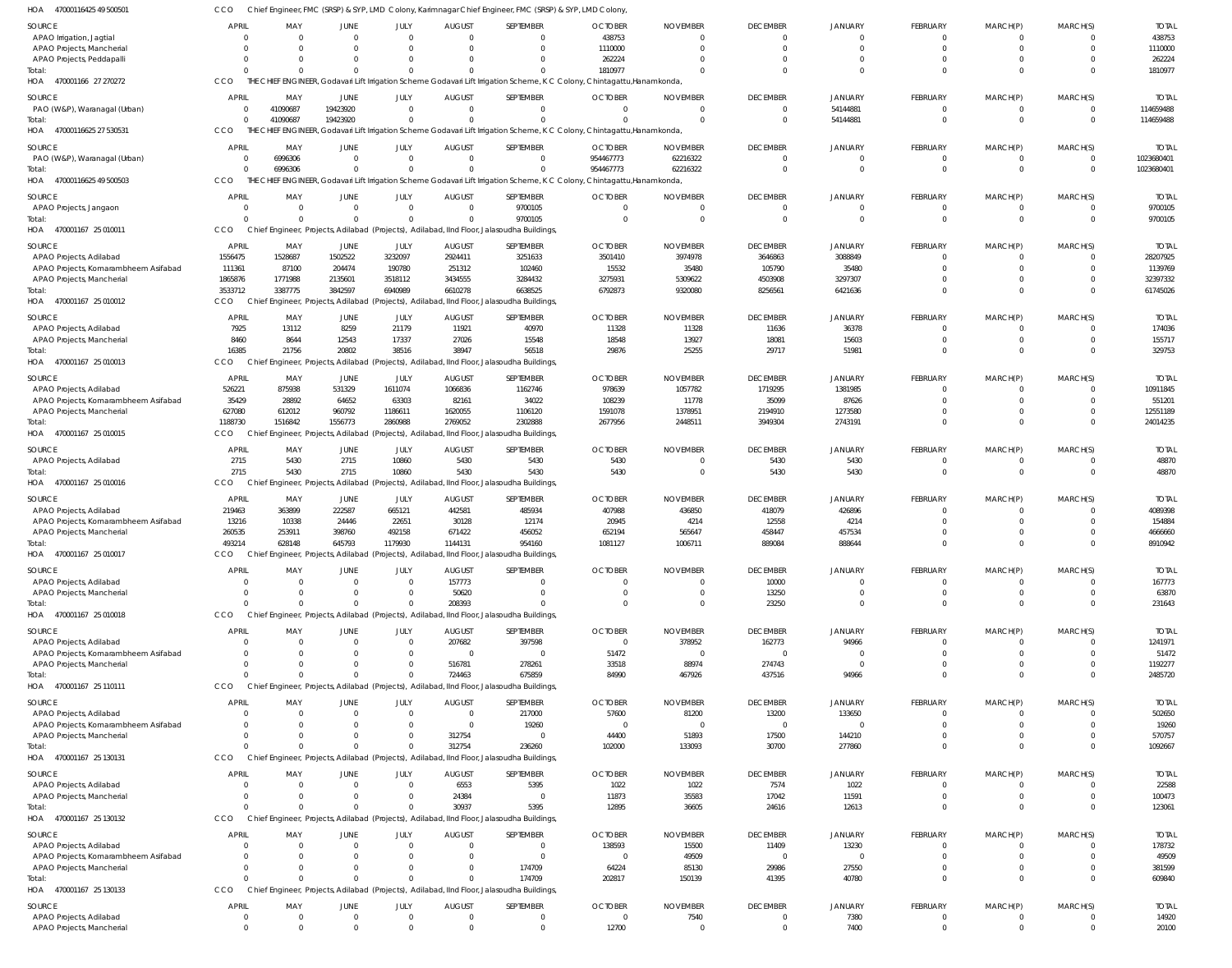| HOA 47000116425 49 500501                                       | cco                  |                    |                            |                              |                           | Chief Engineer, FMC (SRSP) & SYP, LMD Colony, Karimnagar Chief Engineer, FMC (SRSP) & SYP, LMD Colony |                                                                                                                          |                             |                                |                           |                            |                           |                                           |                          |
|-----------------------------------------------------------------|----------------------|--------------------|----------------------------|------------------------------|---------------------------|-------------------------------------------------------------------------------------------------------|--------------------------------------------------------------------------------------------------------------------------|-----------------------------|--------------------------------|---------------------------|----------------------------|---------------------------|-------------------------------------------|--------------------------|
| SOURCE                                                          | APRIL                | MAY                | JUNE                       | JULY                         | <b>AUGUST</b>             | SEPTEMBER                                                                                             | <b>OCTOBER</b>                                                                                                           | <b>NOVEMBER</b>             | <b>DECEMBER</b>                | <b>JANUARY</b>            | <b>FEBRUARY</b>            | MARCH(P)                  | MARCH(S)                                  | <b>TOTAL</b>             |
| APAO Irrigation, Jagtial                                        | $\Omega$             | $\Omega$           | $\Omega$                   | $\Omega$                     | $\Omega$                  | $\mathbf 0$                                                                                           | 438753                                                                                                                   | $\Omega$                    | $\mathbf{0}$                   | $\mathbf 0$               | $\mathbf 0$                | 0                         | - 0                                       | 438753                   |
| APAO Projects, Mancherial                                       | $\Omega$             |                    | $\Omega$                   | $\Omega$                     | $\Omega$                  | $\Omega$                                                                                              | 1110000                                                                                                                  | $\Omega$                    | $\Omega$                       | $\Omega$                  | $\mathbf 0$                | $\mathbf 0$               | $\Omega$                                  | 1110000                  |
| APAO Projects, Peddapalli                                       | $\Omega$             | $\Omega$           | $\Omega$                   | $\Omega$                     |                           | $\Omega$                                                                                              | 262224                                                                                                                   |                             | $\Omega$                       | $\Omega$                  | $\mathbf 0$                | $\mathbf 0$               | $\Omega$                                  | 262224                   |
| Total:                                                          | $\Omega$<br>CCO      |                    | $\Omega$                   | $\Omega$                     |                           | $\Omega$                                                                                              | 1810977                                                                                                                  |                             | $\Omega$                       | $\Omega$                  | $\mathbf 0$                | $\mathbf 0$               | $\Omega$                                  | 1810977                  |
| HOA 470001166 27 270272                                         |                      |                    |                            |                              |                           |                                                                                                       | THE CHIEF ENGINEER, Godavari Lift Irrigation Scheme Godavari Lift Irrigation Scheme, K C Colony, Chintagattu, Hanamkonda |                             |                                |                           |                            |                           |                                           |                          |
| SOURCE                                                          | <b>APRIL</b>         | MAY                | JUNE                       | JULY                         | <b>AUGUST</b>             | SEPTEMBER                                                                                             | <b>OCTOBER</b>                                                                                                           | <b>NOVEMBER</b>             | <b>DECEMBER</b>                | <b>JANUARY</b>            | FEBRUARY                   | MARCH(P)                  | MARCH(S)                                  | <b>TOTAL</b>             |
| PAO (W&P), Waranagal (Urban)                                    | $\Omega$<br>$\Omega$ | 41090687           | 19423920                   | $\Omega$<br>$\Omega$         | $\Omega$                  | $\Omega$<br>$\Omega$                                                                                  |                                                                                                                          | $\Omega$<br>$\Omega$        | $\Omega$<br>$\Omega$           | 54144881                  | $\mathbf 0$<br>$\Omega$    | 0<br>$\mathbf{0}$         | $\overline{0}$<br>$\Omega$                | 114659488                |
| Total:<br>HOA 47000116625 27 530531                             | CCO                  | 41090687           | 19423920                   |                              |                           |                                                                                                       | THE CHIEF ENGINEER, Godavari Lift Irrigation Scheme Godavari Lift Irrigation Scheme, K C Colony, Chintagattu, Hanamkonda |                             |                                | 54144881                  |                            |                           |                                           | 114659488                |
|                                                                 |                      |                    |                            |                              |                           |                                                                                                       |                                                                                                                          |                             |                                |                           |                            |                           |                                           |                          |
| SOURCE                                                          | APRIL                | MAY                | JUNE                       | JULY                         | <b>AUGUST</b>             | SEPTEMBER                                                                                             | <b>OCTOBER</b>                                                                                                           | <b>NOVEMBER</b>             | <b>DECEMBER</b>                | <b>JANUARY</b>            | FEBRUARY                   | MARCH(P)                  | MARCH(S)                                  | <b>TOTAL</b>             |
| PAO (W&P), Waranagal (Urban)                                    | - 0<br>$\Omega$      | 6996306<br>6996306 | $\overline{0}$<br>$\Omega$ | $\mathbf{0}$<br>$\Omega$     | $\Omega$                  | $\overline{0}$<br>$\Omega$                                                                            | 954467773<br>954467773                                                                                                   | 62216322<br>62216322        | $\mathbf{0}$<br>$\Omega$       | $\Omega$<br>$\Omega$      | $\mathbf 0$<br>$\mathbf 0$ | $^{\circ}$<br>$\mathbf 0$ | $\overline{\mathbf{0}}$<br>$\overline{0}$ | 1023680401<br>1023680401 |
| Total:<br>HOA 47000116625 49 500503                             | CCO                  |                    |                            |                              |                           |                                                                                                       | THE CHIEF ENGINEER, Godavari Lift Irrigation Scheme Godavari Lift Irrigation Scheme, K C Colony, Chintagattu, Hanamkonda |                             |                                |                           |                            |                           |                                           |                          |
|                                                                 |                      |                    |                            |                              |                           |                                                                                                       |                                                                                                                          |                             |                                |                           |                            |                           |                                           |                          |
| SOURCE                                                          | <b>APRIL</b>         | MAY<br>$\Omega$    | JUNE<br>$\Omega$           | JULY<br>$\Omega$             | <b>AUGUST</b><br>$\Omega$ | SEPTEMBER                                                                                             | <b>OCTOBER</b>                                                                                                           | <b>NOVEMBER</b><br>$\Omega$ | <b>DECEMBER</b><br>$\Omega$    | JANUARY                   | FEBRUARY<br>$\Omega$       | MARCH(P)                  | MARCH(S)<br>$\Omega$                      | <b>TOTAL</b>             |
| APAO Projects, Jangaon<br>Total:                                | $\Omega$<br>$\Omega$ |                    | $\Omega$                   | $\Omega$                     | $\Omega$                  | 9700105<br>9700105                                                                                    |                                                                                                                          | $\Omega$                    | $\Omega$                       | 0<br>0                    | $\mathbf 0$                | $\Omega$<br>$\mathbf 0$   | $\overline{0}$                            | 9700105<br>9700105       |
| HOA 470001167 25 010011                                         | CCO                  |                    |                            |                              |                           | Chief Engineer, Projects, Adilabad (Projects), Adilabad, IInd Floor, Jalasoudha Buildings,            |                                                                                                                          |                             |                                |                           |                            |                           |                                           |                          |
|                                                                 |                      |                    |                            |                              |                           |                                                                                                       |                                                                                                                          |                             |                                |                           |                            |                           |                                           |                          |
| SOURCE                                                          | APRIL<br>1556475     | MAY<br>1528687     | JUNE<br>1502522            | JULY<br>3232097              | <b>AUGUST</b><br>2924411  | SEPTEMBER<br>3251633                                                                                  | <b>OCTOBER</b><br>3501410                                                                                                | <b>NOVEMBER</b><br>3974978  | <b>DECEMBER</b><br>3646863     | <b>JANUARY</b><br>3088849 | FEBRUARY<br>$\mathbf 0$    | MARCH(P)<br>0             | MARCH(S)<br>- 0                           | <b>TOTAL</b><br>28207925 |
| APAO Projects, Adilabad<br>APAO Projects, Komarambheem Asifabad | 111361               | 87100              | 204474                     | 190780                       | 251312                    | 102460                                                                                                | 15532                                                                                                                    | 35480                       | 105790                         | 35480                     | $\mathbf 0$                | $\mathbf 0$               | $\Omega$                                  | 1139769                  |
| APAO Projects, Mancherial                                       | 1865876              | 1771988            | 2135601                    | 3518112                      | 3434555                   | 3284432                                                                                               | 3275931                                                                                                                  | 5309622                     | 4503908                        | 3297307                   | $\mathbf 0$                | $\mathbf 0$               | $\Omega$                                  | 32397332                 |
| Total:                                                          | 3533712              | 3387775            | 3842597                    | 6940989                      | 6610278                   | 6638525                                                                                               | 6792873                                                                                                                  | 9320080                     | 8256561                        | 6421636                   | $\mathbf 0$                | $\Omega$                  | $\Omega$                                  | 61745026                 |
| HOA 470001167 25 010012                                         | CCO.                 |                    |                            |                              |                           | Chief Engineer, Projects, Adilabad (Projects), Adilabad, IInd Floor, Jalasoudha Buildings,            |                                                                                                                          |                             |                                |                           |                            |                           |                                           |                          |
| SOURCE                                                          | APRIL                | MAY                | JUNE                       | JULY                         | <b>AUGUST</b>             | SEPTEMBER                                                                                             | <b>OCTOBER</b>                                                                                                           | <b>NOVEMBER</b>             | <b>DECEMBER</b>                | <b>JANUARY</b>            | FEBRUARY                   | MARCH(P)                  | MARCH(S)                                  | <b>TOTAL</b>             |
| APAO Projects, Adilabad                                         | 7925                 | 13112              | 8259                       | 21179                        | 11921                     | 40970                                                                                                 | 11328                                                                                                                    | 11328                       | 11636                          | 36378                     | $\Omega$                   | $\Omega$                  | $\Omega$                                  | 174036                   |
| APAO Projects, Mancherial                                       | 8460                 | 8644               | 12543                      | 17337                        | 27026                     | 15548                                                                                                 | 18548                                                                                                                    | 13927                       | 18081                          | 15603                     | $\mathbf 0$                | $\mathbf 0$               | $\Omega$                                  | 155717                   |
| Total:                                                          | 16385                | 21756              | 20802                      | 38516                        | 38947                     | 56518                                                                                                 | 29876                                                                                                                    | 25255                       | 29717                          | 51981                     | $\Omega$                   | $\Omega$                  | $\Omega$                                  | 329753                   |
| HOA 470001167 25 010013                                         | CCO                  |                    |                            |                              |                           | Chief Engineer, Projects, Adilabad (Projects), Adilabad, IInd Floor, Jalasoudha Buildings,            |                                                                                                                          |                             |                                |                           |                            |                           |                                           |                          |
| SOURCE                                                          | APRIL                | MAY                | JUNE                       | JULY                         | <b>AUGUST</b>             | SEPTEMBER                                                                                             | <b>OCTOBER</b>                                                                                                           | <b>NOVEMBER</b>             | <b>DECEMBER</b>                | <b>JANUARY</b>            | FEBRUARY                   | MARCH(P)                  | MARCH(S)                                  | <b>TOTAL</b>             |
| APAO Projects, Adilabad                                         | 526221               | 875938             | 531329                     | 1611074                      | 1066836                   | 1162746                                                                                               | 978639                                                                                                                   | 1057782                     | 1719295                        | 1381985                   | $\mathbf 0$                | 0                         | - 0                                       | 10911845                 |
| APAO Projects, Komarambheem Asifabad                            | 35429                | 28892              | 64652                      | 63303                        | 82161                     | 34022                                                                                                 | 108239                                                                                                                   | 11778                       | 35099                          | 87626                     | $\mathbf 0$                | $\mathbf 0$               | $\Omega$                                  | 551201                   |
| APAO Projects, Mancherial                                       | 627080               | 612012             | 960792                     | 1186611                      | 1620055                   | 1106120                                                                                               | 1591078                                                                                                                  | 1378951                     | 2194910                        | 1273580                   | $\mathbf 0$                | $\mathbf 0$               | $\Omega$                                  | 12551189                 |
| Total:                                                          | 1188730              | 1516842            | 1556773                    | 2860988                      | 2769052                   | 2302888                                                                                               | 2677956                                                                                                                  | 2448511                     | 3949304                        | 2743191                   | $\mathbf 0$                | $\Omega$                  | $\Omega$                                  | 24014235                 |
| HOA 470001167 25 010015                                         | CCO.                 |                    |                            |                              |                           | Chief Engineer, Projects, Adilabad (Projects), Adilabad, IInd Floor, Jalasoudha Buildings,            |                                                                                                                          |                             |                                |                           |                            |                           |                                           |                          |
| SOURCE                                                          | <b>APRIL</b>         | MAY                | JUNE                       | JULY                         | <b>AUGUST</b>             | SEPTEMBER                                                                                             | <b>OCTOBER</b>                                                                                                           | <b>NOVEMBER</b>             | <b>DECEMBER</b>                | <b>JANUARY</b>            | FEBRUARY                   | MARCH(P)                  | MARCH(S)                                  | <b>TOTAL</b>             |
| APAO Projects, Adilabad                                         | 2715                 | 5430               | 2715                       | 10860                        | 5430                      | 5430                                                                                                  | 5430                                                                                                                     | $\Omega$                    | 5430                           | 5430                      | $\mathbf 0$                | $\Omega$                  | $\Omega$                                  | 48870                    |
| Total:<br>HOA 470001167 25 010016                               | 2715<br>CCO          | 5430               | 2715                       | 10860                        | 5430                      | 5430<br>Chief Engineer, Projects, Adilabad (Projects), Adilabad, IInd Floor, Jalasoudha Buildings,    | 5430                                                                                                                     | $\Omega$                    | 5430                           | 5430                      | $\mathbf 0$                | $\Omega$                  | $\Omega$                                  | 48870                    |
|                                                                 |                      |                    |                            |                              |                           |                                                                                                       |                                                                                                                          |                             |                                |                           |                            |                           |                                           |                          |
| SOURCE                                                          | <b>APRIL</b>         | MAY                | JUNE                       | JULY                         | <b>AUGUST</b>             | SEPTEMBER                                                                                             | <b>OCTOBER</b>                                                                                                           | <b>NOVEMBER</b>             | <b>DECEMBER</b>                | JANUARY                   | FEBRUARY                   | MARCH(P)                  | MARCH(S)                                  | <b>TOTAL</b>             |
| APAO Projects, Adilabad<br>APAO Projects, Komarambheem Asifabad | 219463<br>13216      | 363899<br>10338    | 222587<br>24446            | 665121<br>22651              | 442581<br>30128           | 485934<br>12174                                                                                       | 407988<br>20945                                                                                                          | 436850<br>4214              | 418079<br>12558                | 426896<br>4214            | $\mathbf 0$<br>$\mathbf 0$ | $\Omega$<br>$\Omega$      | - 0<br>$\Omega$                           | 4089398<br>154884        |
| APAO Projects, Mancherial                                       | 260535               | 253911             | 398760                     | 492158                       | 671422                    | 456052                                                                                                | 652194                                                                                                                   | 565647                      | 458447                         | 457534                    | $\mathbf 0$                | $\Omega$                  | $\Omega$                                  | 4666660                  |
| Total:                                                          | 493214               | 628148             | 645793                     | 1179930                      | 1144131                   | 954160                                                                                                | 1081127                                                                                                                  | 1006711                     | 889084                         | 888644                    | $\Omega$                   | $\Omega$                  | $\Omega$                                  | 8910942                  |
| HOA 470001167 25 010017                                         | CCO                  |                    |                            |                              |                           | Chief Engineer, Projects, Adilabad (Projects), Adilabad, IInd Floor, Jalasoudha Buildings             |                                                                                                                          |                             |                                |                           |                            |                           |                                           |                          |
| SOURCE                                                          | APRIL                | MAY                | <b>JUNE</b>                | JULY                         | <b>AUGUST</b>             | SEPTEMBER                                                                                             | <b>OCTOBER</b>                                                                                                           | <b>NOVEMBER</b>             | <b>DECEMBER</b>                | JANUARY                   | FEBRUARY                   | MARCH(P)                  | MARCH(S)                                  | <b>TOTAL</b>             |
| APAO Projects, Adilabad                                         | $\Omega$             | $\Omega$           | $\Omega$                   | $\Omega$                     | 157773                    | $\Omega$                                                                                              |                                                                                                                          |                             | 10000                          | 0                         | $\Omega$                   | $\Omega$                  | $\Omega$                                  | 167773                   |
| APAO Projects, Mancherial                                       | $\Omega$             |                    | $\Omega$                   | $\Omega$                     | 50620                     | $\Omega$                                                                                              |                                                                                                                          | $\Omega$                    | 13250                          | $\Omega$                  | $\mathbf 0$                | $\mathbf 0$               | $\Omega$                                  | 63870                    |
| Total:                                                          | $\Omega$             |                    | $\Omega$                   | $\Omega$                     | 208393                    | $\Omega$                                                                                              |                                                                                                                          |                             | 23250                          | $\Omega$                  | $\mathbf 0$                | $\Omega$                  | $\Omega$                                  | 231643                   |
| HOA 470001167 25 010018                                         | CCO                  |                    |                            |                              |                           | Chief Engineer, Projects, Adilabad (Projects), Adilabad, IInd Floor, Jalasoudha Buildings,            |                                                                                                                          |                             |                                |                           |                            |                           |                                           |                          |
| SOURCE                                                          | <b>APRIL</b>         | MAY                | <b>JUNE</b>                | JULY                         | <b>AUGUST</b>             | SEPTEMBER                                                                                             | <b>OCTOBER</b>                                                                                                           | <b>NOVEMBER</b>             | <b>DECEMBER</b>                | JANUARY                   | FEBRUARY                   | MARCH(P)                  | MARCH(S)                                  | <b>TOTAL</b>             |
| APAO Projects, Adilabad                                         | $\Omega$             | $\Omega$           | $\overline{0}$             | $\mathbf{0}$                 | 207682                    | 397598                                                                                                | $\Omega$                                                                                                                 | 378952                      | 162773                         | 94966                     | $\mathbf 0$                | $^{\circ}$                | $\Omega$                                  | 1241971                  |
| APAO Projects, Komarambheem Asifabad                            | $\Omega$             | $\Omega$           | $\Omega$                   | $\mathbf{0}$                 | $\Omega$                  | $\overline{0}$                                                                                        | 51472                                                                                                                    | $\Omega$                    | $\overline{0}$                 | $\Omega$                  | 0                          | $\mathbf 0$               | $\Omega$                                  | 51472                    |
| APAO Projects, Mancherial                                       | $\Omega$             | $\Omega$           | $\Omega$                   | $\mathbf{0}$<br>$\Omega$     | 516781                    | 278261                                                                                                | 33518                                                                                                                    | 88974                       | 274743                         | $\Omega$                  | $\mathbf 0$                | $\mathbf 0$               | $\Omega$<br>$\Omega$                      | 1192277                  |
| Total:<br>HOA 470001167 25 110111                               | $\Omega$<br>CCO      |                    | $\Omega$                   |                              | 724463                    | 675859<br>Chief Engineer, Projects, Adilabad (Projects), Adilabad, IInd Floor, Jalasoudha Buildings,  | 84990                                                                                                                    | 467926                      | 437516                         | 94966                     | $\mathbf 0$                | $\mathbf 0$               |                                           | 2485720                  |
|                                                                 |                      |                    |                            |                              |                           |                                                                                                       |                                                                                                                          |                             |                                |                           |                            |                           |                                           |                          |
| SOURCE                                                          | APRIL                | MAY                | <b>JUNE</b>                | JULY                         | <b>AUGUST</b>             | SEPTEMBER                                                                                             | <b>OCTOBER</b>                                                                                                           | <b>NOVEMBER</b>             | <b>DECEMBER</b>                | <b>JANUARY</b>            | FEBRUARY                   | MARCH(P)                  | MARCH(S)                                  | <b>TOTAL</b>             |
| APAO Projects, Adilabad<br>APAO Projects, Komarambheem Asifabad | $\Omega$<br>$\Omega$ | $\Omega$           | $\Omega$<br>$\Omega$       | $\Omega$<br>$\Omega$         | $\Omega$<br>$\Omega$      | 217000<br>19260                                                                                       | 57600<br>$\Omega$                                                                                                        | 81200<br>$\Omega$           | 13200<br>$\mathbf 0$           | 133650<br>$\Omega$        | $\Omega$<br>$\Omega$       | $\Omega$<br>$\Omega$      | $\Omega$<br>$\Omega$                      | 502650<br>19260          |
| APAO Projects, Mancherial                                       | $\Omega$             |                    | $\Omega$                   | $\Omega$                     | 312754                    | $\Omega$                                                                                              | 44400                                                                                                                    | 51893                       | 17500                          | 144210                    | $\Omega$                   | $\Omega$                  | $\Omega$                                  | 570757                   |
| Total:                                                          | $\Omega$             |                    | $\Omega$                   | $\Omega$                     | 312754                    | 236260                                                                                                | 102000                                                                                                                   | 133093                      | 30700                          | 277860                    | $\mathbf 0$                | $\Omega$                  | $\Omega$                                  | 1092667                  |
| HOA 470001167 25 130131                                         | CCO                  |                    |                            |                              |                           | Chief Engineer, Projects, Adilabad (Projects), Adilabad, IInd Floor, Jalasoudha Buildings,            |                                                                                                                          |                             |                                |                           |                            |                           |                                           |                          |
| SOURCE                                                          | APRIL                | MAY                | <b>JUNE</b>                | JULY                         | <b>AUGUST</b>             | SEPTEMBER                                                                                             | <b>OCTOBER</b>                                                                                                           | <b>NOVEMBER</b>             | <b>DECEMBER</b>                | <b>JANUARY</b>            | FEBRUARY                   | MARCH(P)                  | MARCH(S)                                  | <b>TOTAL</b>             |
| APAO Projects, Adilabad                                         | $\Omega$             | $\Omega$           | $\overline{0}$             | $\mathbf{0}$                 | 6553                      | 5395                                                                                                  | 1022                                                                                                                     | 1022                        | 7574                           | 1022                      | 0                          | 0                         | $\Omega$                                  | 22588                    |
| APAO Projects, Mancherial                                       | $\Omega$             | $\Omega$           | $\Omega$                   | $\mathbf{0}$                 | 24384                     | $\overline{0}$                                                                                        | 11873                                                                                                                    | 35583                       | 17042                          | 11591                     | $\mathbf{0}$               | $\mathbf 0$               | $\overline{0}$                            | 100473                   |
| Total:                                                          | $\Omega$             |                    | $\Omega$                   | $\Omega$                     | 30937                     | 5395                                                                                                  | 12895                                                                                                                    | 36605                       | 24616                          | 12613                     | $\mathbf 0$                | $\mathbf 0$               | $\Omega$                                  | 123061                   |
| HOA 470001167 25 130132                                         | CCO                  |                    |                            |                              |                           | Chief Engineer, Projects, Adilabad (Projects), Adilabad, IInd Floor, Jalasoudha Buildings,            |                                                                                                                          |                             |                                |                           |                            |                           |                                           |                          |
| SOURCE                                                          | APRIL                | MAY                | JUNE                       | JULY                         | <b>AUGUST</b>             | SEPTEMBER                                                                                             | <b>OCTOBER</b>                                                                                                           | <b>NOVEMBER</b>             | <b>DECEMBER</b>                | <b>JANUARY</b>            | FEBRUARY                   | MARCH(P)                  | MARCH(S)                                  | <b>TOTAL</b>             |
| APAO Projects, Adilabad                                         | $\Omega$             | $\Omega$           | $\Omega$                   | $\Omega$                     | $\Omega$                  | $\Omega$                                                                                              | 138593                                                                                                                   | 15500                       | 11409                          | 13230                     | $\Omega$                   | $\Omega$                  | $\Omega$                                  | 178732                   |
| APAO Projects, Komarambheem Asifabad                            | $\Omega$             |                    | $\Omega$                   | $\Omega$                     |                           | $\mathbf{0}$                                                                                          | $\Omega$                                                                                                                 | 49509                       | $\mathbf 0$                    | $\mathbf 0$               | $\mathbf 0$                | $\Omega$                  | $\Omega$                                  | 49509                    |
| APAO Projects, Mancherial                                       | $\Omega$             | $\Omega$           | $\Omega$                   | $\Omega$                     | $\Omega$                  | 174709                                                                                                | 64224                                                                                                                    | 85130                       | 29986                          | 27550                     | $\mathbf 0$                | $\Omega$                  | $\Omega$                                  | 381599                   |
| Total:                                                          | $\Omega$<br>CCO      |                    | $\Omega$                   | $\Omega$                     | $\Omega$                  | 174709                                                                                                | 202817                                                                                                                   | 150139                      | 41395                          | 40780                     | $\mathbf 0$                | $\Omega$                  | $\Omega$                                  | 609840                   |
| HOA 470001167 25 130133                                         |                      |                    |                            |                              |                           | Chief Engineer, Projects, Adilabad (Projects), Adilabad, IInd Floor, Jalasoudha Buildings,            |                                                                                                                          |                             |                                |                           |                            |                           |                                           |                          |
| SOURCE                                                          | APRIL                | MAY                | <b>JUNE</b>                | JULY                         | <b>AUGUST</b>             | SEPTEMBER                                                                                             | <b>OCTOBER</b>                                                                                                           | <b>NOVEMBER</b>             | <b>DECEMBER</b>                | <b>JANUARY</b>            | FEBRUARY                   | MARCH(P)                  | MARCH(S)                                  | <b>TOTAL</b>             |
| APAO Projects, Adilabad                                         | 0<br>$\Omega$        | $\Omega$           | $\overline{0}$<br>$\Omega$ | $\mathbf{0}$<br>$\mathbf{0}$ | $\Omega$<br>$\Omega$      | $\overline{0}$<br>$\mathbf 0$                                                                         | $\Omega$                                                                                                                 | 7540                        | $\mathbf{0}$<br>$\overline{0}$ | 7380                      | 0<br>$\mathbf 0$           | 0<br>$\mathbf 0$          | $\overline{0}$<br>$\overline{0}$          | 14920                    |
| APAO Projects, Mancherial                                       |                      | $\Omega$           |                            |                              |                           |                                                                                                       | 12700                                                                                                                    | $\Omega$                    |                                | 7400                      |                            |                           |                                           | 20100                    |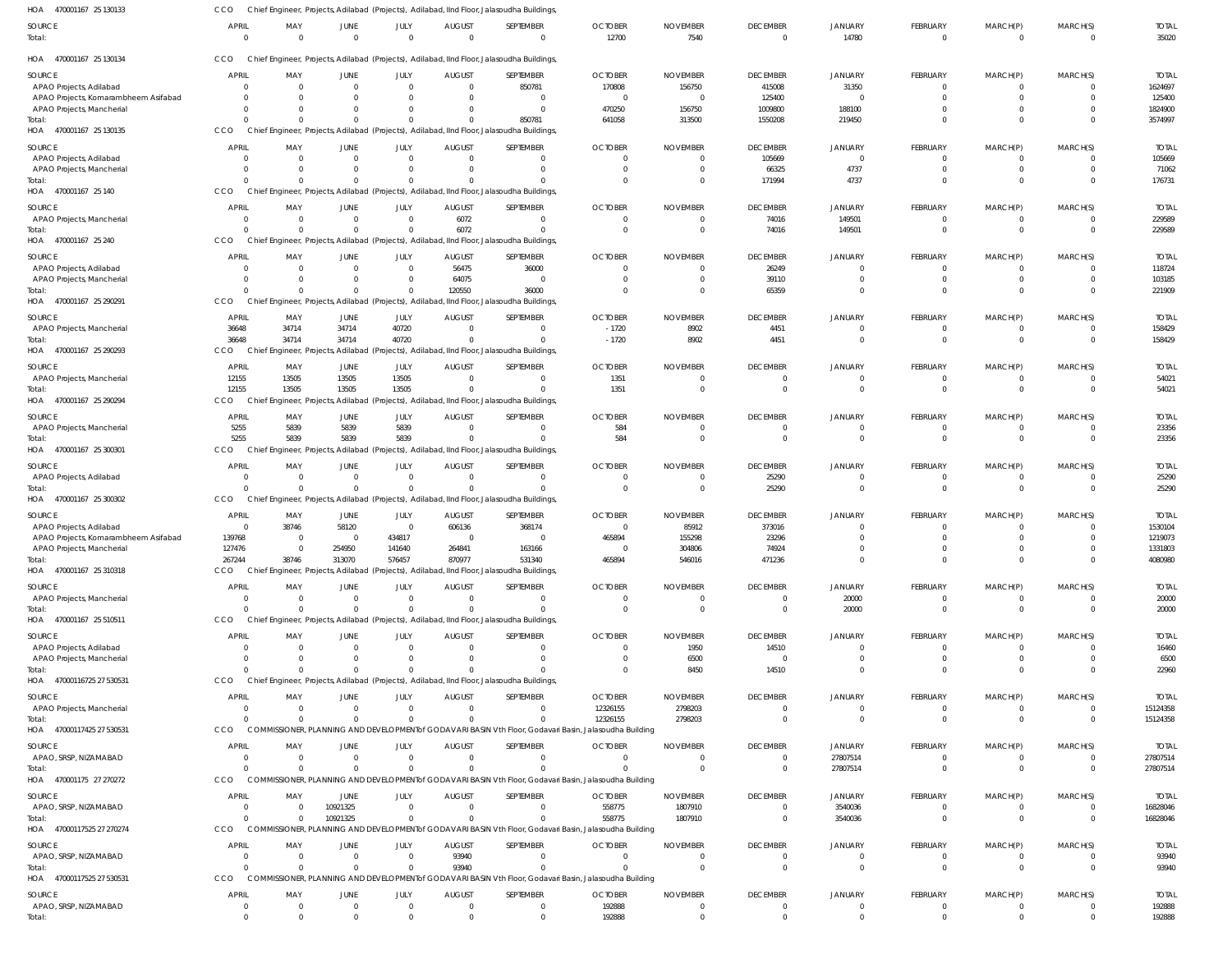| 470001167 25 130133<br>HOA                           | CCO                      |                      |                          |                            |                              | Chief Engineer, Projects, Adilabad (Projects), Adilabad, IInd Floor, Jalasoudha Buildings,              |                            |                         |                                   |                            |                             |                            |                            |                        |
|------------------------------------------------------|--------------------------|----------------------|--------------------------|----------------------------|------------------------------|---------------------------------------------------------------------------------------------------------|----------------------------|-------------------------|-----------------------------------|----------------------------|-----------------------------|----------------------------|----------------------------|------------------------|
| SOURCE<br>Total:                                     | <b>APRIL</b><br>$\Omega$ | MAY<br>$\Omega$      | JUNE<br>$\Omega$         | JULY<br>$\Omega$           | <b>AUGUST</b><br>$\Omega$    | SEPTEMBER<br>$\mathbf 0$                                                                                | <b>OCTOBER</b><br>12700    | <b>NOVEMBER</b><br>7540 | <b>DECEMBER</b><br>$\overline{0}$ | JANUARY<br>14780           | FEBRUARY<br>$\overline{0}$  | MARCH(P)<br>$\overline{0}$ | MARCH(S)<br>$\overline{0}$ | <b>TOTAL</b><br>35020  |
| HOA 470001167 25 130134                              | CCO                      |                      |                          |                            |                              | Chief Engineer, Projects, Adilabad (Projects), Adilabad, IInd Floor, Jalasoudha Buildings,              |                            |                         |                                   |                            |                             |                            |                            |                        |
| SOURCE                                               | <b>APRIL</b>             | MAY                  | JUNE                     | JULY                       | <b>AUGUST</b>                | SEPTEMBER                                                                                               | <b>OCTOBER</b>             | <b>NOVEMBER</b>         | <b>DECEMBER</b>                   | JANUARY                    | FEBRUARY                    | MARCH(P)                   | MARCH(S)                   | <b>TOTAI</b>           |
| APAO Projects, Adilabad                              |                          | $\Omega$             | $\Omega$                 | $\Omega$                   | $\Omega$                     | 850781                                                                                                  | 170808                     | 156750                  | 415008                            | 31350                      | $\Omega$                    | $\Omega$                   | $\Omega$                   | 1624697                |
| APAO Projects, Komarambheem Asifabad                 |                          | $\Omega$             | 0                        | $\Omega$                   |                              | $\Omega$                                                                                                | $\Omega$                   |                         | 125400                            | 0                          | $\Omega$                    | $\Omega$                   | $\Omega$                   | 125400                 |
| APAO Projects, Mancherial                            |                          | $\Omega$             | $\Omega$                 | $\Omega$                   |                              | $\Omega$                                                                                                | 470250                     | 156750                  | 1009800                           | 188100                     | $\Omega$                    | $\Omega$                   | $\Omega$                   | 1824900                |
| Total:<br>HOA 470001167 25 130135                    | CCO                      | $\Omega$             | $\Omega$                 | $\Omega$                   |                              | 850781<br>Chief Engineer, Projects, Adilabad (Projects), Adilabad, IInd Floor, Jalasoudha Buildings,    | 641058                     | 313500                  | 1550208                           | 219450                     | $\Omega$                    | $\Omega$                   | $\Omega$                   | 3574997                |
| SOURCE                                               | <b>APRIL</b>             | MAY                  | JUNE                     | JULY                       | <b>AUGUST</b>                | SEPTEMBER                                                                                               | <b>OCTOBER</b>             | <b>NOVEMBER</b>         | <b>DECEMBER</b>                   | JANUARY                    | FEBRUARY                    | MARCH(P)                   | MARCH(S)                   | <b>TOTAL</b>           |
| APAO Projects, Adilabad                              | $\Omega$                 | $\Omega$             | $\mathbf{0}$             | $\overline{0}$             | $\Omega$                     | $\Omega$                                                                                                | $\Omega$                   |                         | 105669                            | $\mathbf 0$                | $\mathbf 0$                 | 0                          | $\Omega$                   | 105669                 |
| APAO Projects, Mancherial                            |                          | $\Omega$             | $\Omega$                 | $\mathbf{0}$               | 0                            | $\Omega$                                                                                                | $\Omega$                   |                         | 66325                             | 4737                       | $\mathbf{0}$                | $\mathbf{0}$               | $\Omega$                   | 71062                  |
| Total:                                               |                          | $\Omega$             | $\Omega$                 | $\Omega$                   |                              |                                                                                                         | $\Omega$                   |                         | 171994                            | 4737                       | $\mathbf 0$                 | $\mathbf 0$                | $\Omega$                   | 176731                 |
| HOA 470001167 25 140                                 | CCO                      |                      |                          |                            |                              | Chief Engineer, Projects, Adilabad (Projects), Adilabad, IInd Floor, Jalasoudha Buildings,              |                            |                         |                                   |                            |                             |                            |                            |                        |
| SOURCE                                               | APRIL                    | MAY                  | <b>JUNE</b>              | JULY                       | <b>AUGUST</b>                | SEPTEMBER                                                                                               | <b>OCTOBER</b>             | <b>NOVEMBER</b>         | <b>DECEMBER</b>                   | <b>JANUARY</b>             | FEBRUARY                    | MARCH(P)                   | MARCH(S)                   | <b>TOTAI</b>           |
| APAO Projects, Mancherial                            |                          | $\Omega$             | $\Omega$                 | $\Omega$                   | 6072                         | $\Omega$                                                                                                | $\Omega$                   |                         | 74016                             | 149501                     | $\Omega$                    | $\Omega$                   | $\Omega$                   | 229589                 |
| Total:<br>HOA 470001167 25 240                       | CCO                      | $\Omega$             | $\Omega$                 | $\Omega$                   | 6072                         | $\Omega$<br>Chief Engineer, Projects, Adilabad (Projects), Adilabad, IInd Floor, Jalasoudha Buildings,  | $\Omega$                   | $\Omega$                | 74016                             | 149501                     | $\mathbf 0$                 | $\mathbf 0$                | $\overline{0}$             | 229589                 |
|                                                      |                          |                      |                          |                            |                              |                                                                                                         |                            |                         |                                   |                            |                             |                            |                            |                        |
| SOURCE                                               | <b>APRIL</b>             | MAY<br>$\Omega$      | JUNE<br>$\Omega$         | JULY<br>$\overline{0}$     | <b>AUGUST</b><br>56475       | SEPTEMBER<br>36000                                                                                      | <b>OCTOBER</b><br>$\Omega$ | <b>NOVEMBER</b>         | <b>DECEMBER</b><br>26249          | <b>JANUARY</b><br>0        | FEBRUARY<br>$\mathbf 0$     | MARCH(P)<br>0              | MARCH(S)<br>$\Omega$       | <b>TOTAI</b><br>118724 |
| APAO Projects, Adilabad<br>APAO Projects, Mancherial |                          | $\Omega$             | $\Omega$                 | $\overline{0}$             | 64075                        | $\Omega$                                                                                                | $\Omega$                   |                         | 39110                             | $\Omega$                   | $\mathbf 0$                 | $\mathbf{0}$               | $\Omega$                   | 103185                 |
| Total:                                               |                          | $\Omega$             | $\Omega$                 | $\mathbf 0$                | 120550                       | 36000                                                                                                   | $\Omega$                   |                         | 65359                             |                            | $\mathbf 0$                 | $\Omega$                   | $\Omega$                   | 221909                 |
| HOA 470001167 25 290291                              | CCO                      |                      |                          |                            |                              | Chief Engineer, Projects, Adilabad (Projects), Adilabad, IInd Floor, Jalasoudha Buildings,              |                            |                         |                                   |                            |                             |                            |                            |                        |
| SOURCE                                               | <b>APRIL</b>             | MAY                  | JUNE                     | JULY                       | <b>AUGUST</b>                | SEPTEMBER                                                                                               | <b>OCTOBER</b>             | <b>NOVEMBER</b>         | <b>DECEMBER</b>                   | <b>JANUARY</b>             | FEBRUARY                    | MARCH(P)                   | MARCH(S)                   | <b>TOTAI</b>           |
| APAO Projects, Mancherial                            | 36648                    | 34714                | 34714                    | 40720                      | $\Omega$                     | - 0                                                                                                     | $-1720$                    | 8902                    | 4451                              | 0                          | 0                           | 0                          | $\mathbf{0}$               | 158429                 |
| Total:                                               | 36648                    | 34714                | 34714                    | 40720                      |                              | $\Omega$                                                                                                | $-1720$                    | 8902                    | 4451                              | $\Omega$                   | $\mathbf 0$                 | $\Omega$                   | $\Omega$                   | 158429                 |
| HOA 470001167 25 290293                              | CCO                      |                      |                          |                            |                              | Chief Engineer, Projects, Adilabad (Projects), Adilabad, IInd Floor, Jalasoudha Buildings,              |                            |                         |                                   |                            |                             |                            |                            |                        |
| SOURCE                                               | APRIL                    | MAY                  | JUNE                     | JULY                       | <b>AUGUST</b>                | SEPTEMBER                                                                                               | <b>OCTOBER</b>             | <b>NOVEMBER</b>         | <b>DECEMBER</b>                   | <b>JANUARY</b>             | FEBRUARY                    | MARCH(P)                   | MARCH(S)                   | <b>TOTAL</b>           |
| APAO Projects, Mancherial                            | 12155                    | 13505                | 13505                    | 13505                      | $\Omega$                     | $\mathbf{0}$                                                                                            | 1351                       |                         | $\overline{0}$                    | $\Omega$                   | $\mathbf{0}$                | 0                          | $\Omega$                   | 54021                  |
| Total:                                               | 12155                    | 13505                | 13505                    | 13505                      | $\Omega$                     | $\Omega$                                                                                                | 1351                       | $\Omega$                | $\overline{0}$                    | $\Omega$                   | $\mathbf{0}$                | $\mathbf 0$                | $\Omega$                   | 54021                  |
| HOA 470001167 25 290294                              | CCO                      |                      |                          |                            |                              | ngineer, Projects, Adilabad (Projects), Adilabad, IInd Floor, Jalasoudha Buildings,                     |                            |                         |                                   |                            |                             |                            |                            |                        |
| SOURCE                                               | APRIL                    | MAY                  | JUNE                     | JULY                       | <b>AUGUST</b>                | SEPTEMBER                                                                                               | <b>OCTOBER</b>             | <b>NOVEMBER</b>         | <b>DECEMBER</b>                   | JANUARY                    | FEBRUARY                    | MARCH(P)                   | MARCH(S)                   | <b>TOTAI</b>           |
| APAO Projects, Mancherial                            | 5255                     | 5839                 | 5839                     | 5839                       | $\Omega$                     | $\Omega$                                                                                                | 584                        |                         | $\mathbf{0}$                      | 0                          | $\mathbf 0$                 | 0                          | $\Omega$                   | 23356                  |
| Total:                                               | 5255<br>CCO              | 5839                 | 5839                     | 5839                       |                              |                                                                                                         | 584                        | $\Omega$                | $\mathbf 0$                       | $\Omega$                   | $\mathbf 0$                 | $\mathbf 0$                | $\Omega$                   | 23356                  |
| HOA<br>470001167 25 300301                           |                          |                      |                          |                            |                              | Chief Engineer, Projects, Adilabad (Projects), Adilabad, IInd Floor, Jalasoudha Buildings,              |                            |                         |                                   |                            |                             |                            |                            |                        |
| SOURCE                                               | <b>APRIL</b>             | MAY                  | JUNE                     | JULY                       | <b>AUGUST</b>                | SEPTEMBER                                                                                               | <b>OCTOBER</b>             | <b>NOVEMBER</b>         | <b>DECEMBER</b>                   | <b>JANUARY</b>             | FEBRUARY                    | MARCH(P)                   | MARCH(S)                   | <b>TOTAL</b>           |
| APAO Projects, Adilabad<br>Total:                    | $\Omega$                 | $\Omega$<br>$\Omega$ | $\mathbf{0}$<br>$\Omega$ | $\overline{0}$<br>$\Omega$ | $\Omega$                     | $\Omega$<br>$\Omega$                                                                                    | $\overline{0}$<br>$\Omega$ | - 0<br>$\Omega$         | 25290<br>25290                    | $\mathbf 0$<br>$\mathbf 0$ | $\mathbf{0}$<br>$\mathbf 0$ | 0<br>$\overline{0}$        | $\Omega$<br>$\Omega$       | 25290<br>25290         |
| HOA 470001167 25 300302                              | CCO                      |                      |                          |                            |                              | Chief Engineer, Projects, Adilabad (Projects), Adilabad, IInd Floor, Jalasoudha Buildings,              |                            |                         |                                   |                            |                             |                            |                            |                        |
| SOURCE                                               | <b>APRIL</b>             | MAY                  | JUNE                     | JULY                       | <b>AUGUST</b>                | SEPTEMBER                                                                                               | <b>OCTOBER</b>             | <b>NOVEMBER</b>         | <b>DECEMBER</b>                   | <b>JANUARY</b>             | FEBRUARY                    | MARCH(P)                   | MARCH(S)                   | <b>TOTAI</b>           |
| APAO Projects, Adilabad                              |                          | 38746                | 58120                    | $\Omega$                   | 606136                       | 368174                                                                                                  | $\Omega$                   | 85912                   | 373016                            |                            | $\Omega$                    |                            | 0                          | 1530104                |
| APAO Projects, Komarambheem Asifabad                 | 139768                   | $\Omega$             | $\Omega$                 | 434817                     | $\Omega$                     |                                                                                                         | 465894                     | 155298                  | 23296                             |                            | $\Omega$                    | $\Omega$                   | $\Omega$                   | 1219073                |
| APAO Projects, Mancherial                            | 127476                   | <sup>0</sup>         | 254950                   | 141640                     | 264841                       | 163166                                                                                                  |                            | 304806                  | 74924                             |                            |                             |                            |                            | 1331803                |
| Total:                                               | 267244                   | 38746                | 313070                   | 576457                     | 870977                       | 531340                                                                                                  | 465894                     | 546016                  | 471236                            | $\Omega$                   | $\mathbf 0$                 | $\mathbf{0}$               | $\overline{0}$             | 4080980                |
| HOA 470001167 25 310318                              | CCO                      |                      |                          |                            |                              | Chief Engineer, Projects, Adilabad (Projects), Adilabad, IInd Floor, Jalasoudha Buildings,              |                            |                         |                                   |                            |                             |                            |                            |                        |
| SOURCE                                               | <b>APRIL</b>             | MAY                  | <b>JUNE</b>              | JULY                       | <b>AUGUST</b>                | SEPTEMBER                                                                                               | <b>OCTOBER</b>             | <b>NOVEMBER</b>         | <b>DECEMBER</b>                   | JANUARY                    | FEBRUARY                    | MARCH(P)                   | MARCH(S)                   | <b>TOTAL</b>           |
| APAO Projects, Mancherial                            | $\Omega$                 | $\Omega$             | $\mathbf{0}$             | $\overline{0}$             | $\Omega$                     | $\Omega$                                                                                                | $\mathbf{0}$               |                         | $\overline{0}$                    | 20000                      | $^{\circ}$                  | 0                          | $\overline{0}$             | 20000                  |
| Total:<br>HOA 470001167 25 510511                    | CCO                      | $\Omega$             | $\Omega$                 | $\Omega$                   | $\Omega$                     | $\Omega$<br>Chief Engineer, Projects, Adilabad (Projects), Adilabad, IInd Floor, Jalasoudha Buildings,  | $\Omega$                   | $\Omega$                | $\overline{0}$                    | 20000                      | $\mathbf{0}$                | $\mathbf{0}$               | $\overline{0}$             | 20000                  |
|                                                      |                          |                      |                          |                            |                              |                                                                                                         |                            |                         |                                   |                            |                             |                            |                            |                        |
| SOURCE                                               | APRIL                    | MAY                  | JUNE                     | JULY                       | <b>AUGUST</b>                | SEPTEMBER                                                                                               | <b>OCTOBER</b>             | <b>NOVEMBER</b>         | <b>DECEMBER</b>                   | <b>JANUARY</b>             | FEBRUARY                    | MARCH(P)                   | MARCH(S)                   | <b>TOTAL</b>           |
| APAO Projects, Adilabad<br>APAO Projects, Mancherial |                          | $\Omega$<br>$\Omega$ | $\Omega$<br>$\Omega$     | $\Omega$<br>$\Omega$       | $\Omega$                     | $\Omega$                                                                                                | $\Omega$<br>$\Omega$       | 1950<br>6500            | 14510<br>$\Omega$                 | 0<br>0                     | $\Omega$<br>$\Omega$        | $\Omega$<br>$\Omega$       | $\Omega$<br>$\Omega$       | 16460<br>6500          |
| Total:                                               |                          | $\Omega$             | $\Omega$                 | $\Omega$                   |                              |                                                                                                         | $\Omega$                   | 8450                    | 14510                             | 0                          | $\Omega$                    | $\Omega$                   | $\Omega$                   | 22960                  |
| HOA 47000116725 27 530531                            | CCO                      |                      |                          |                            |                              | Chief Engineer, Projects, Adilabad (Projects), Adilabad, IInd Floor, Jalasoudha Buildings               |                            |                         |                                   |                            |                             |                            |                            |                        |
| SOURCE                                               | <b>APRIL</b>             | MAY                  | <b>JUNE</b>              | JULY                       | <b>AUGUST</b>                | SEPTEMBER                                                                                               | <b>OCTOBER</b>             | <b>NOVEMBER</b>         | <b>DECEMBER</b>                   | <b>JANUARY</b>             | FEBRUARY                    | MARCH(P)                   | MARCH(S)                   | <b>TOTAL</b>           |
| APAO Projects, Mancherial                            | $\Omega$                 | $\Omega$             | $\overline{0}$           | $\overline{0}$             | $\Omega$                     | $\Omega$                                                                                                | 12326155                   | 2798203                 | $\overline{0}$                    | $\Omega$                   | $\mathbf{0}$                | 0                          | $\Omega$                   | 15124358               |
| Total:                                               |                          | $\Omega$             | $\Omega$                 | $\Omega$                   | $\Omega$                     | $\Omega$                                                                                                | 12326155                   | 2798203                 | $\overline{0}$                    | $\Omega$                   | $\mathbf 0$                 | $\mathbf{0}$               | $\overline{0}$             | 15124358               |
| HOA 47000117425 27 530531                            | CCO                      |                      |                          |                            |                              | COMMISSIONER, PLANNING AND DEVELOPMENT of GODAVARI BASIN Vth Floor, Godavari Basin,                     | Jalasoudha Building        |                         |                                   |                            |                             |                            |                            |                        |
| SOURCE                                               | <b>APRIL</b>             | MAY                  | JUNE                     | JULY                       | <b>AUGUST</b>                | SEPTEMBER                                                                                               | <b>OCTOBER</b>             | <b>NOVEMBER</b>         | <b>DECEMBER</b>                   | JANUARY                    | FEBRUARY                    | MARCH(P)                   | MARCH(S)                   | <b>TOTAL</b>           |
| APAO, SRSP, NIZAMABAD                                | $\Omega$                 | $\Omega$             | $\mathbf{0}$             | $\Omega$                   | $\Omega$                     | $\Omega$                                                                                                | $\Omega$                   |                         | $\mathbf{0}$                      | 27807514                   | $\mathbf 0$                 | 0                          | $\Omega$                   | 27807514               |
| Total:                                               |                          | $\Omega$             | $\Omega$                 | $\Omega$                   | $\Omega$                     | $\Omega$                                                                                                | $\Omega$                   | $\Omega$                | $\overline{0}$                    | 27807514                   | $\mathbf{0}$                | $\mathbf{0}$               | $\Omega$                   | 27807514               |
| HOA 470001175 27 270272                              | CCO                      |                      |                          |                            |                              | COMMISSIONER, PLANNING AND DEVELOPMENT of GODAVARI BASIN Vth Floor, Godavari Basin, Jalasoudha Building |                            |                         |                                   |                            |                             |                            |                            |                        |
| SOURCE                                               | <b>APRIL</b>             | MAY                  | JUNE                     | JULY                       | <b>AUGUST</b>                | SEPTEMBER                                                                                               | <b>OCTOBER</b>             | <b>NOVEMBER</b>         | <b>DECEMBER</b>                   | <b>JANUARY</b>             | FEBRUARY                    | MARCH(P)                   | MARCH(S)                   | <b>TOTAL</b>           |
| APAO, SRSP, NIZAMABAD                                | $\Omega$                 | $\Omega$             | 10921325                 | $\overline{0}$             | $\Omega$                     | $\Omega$                                                                                                | 558775                     | 1807910                 | $\overline{0}$                    | 3540036                    | $\mathbf{0}$                | 0                          | $\overline{0}$             | 16828046               |
| Total:                                               | $\Omega$<br>CCO          | $\Omega$             | 10921325                 | $\Omega$                   |                              | COMMISSIONER, PLANNING AND DEVELOPMENT of GODAVARI BASIN Vth Floor, Godavari Basin, Jalasoudha Building | 558775                     | 1807910                 | $\overline{0}$                    | 3540036                    | $\mathbf{0}$                | $\overline{0}$             | $\Omega$                   | 16828046               |
| HOA 47000117525 27 270274                            |                          |                      |                          |                            |                              |                                                                                                         |                            |                         |                                   |                            |                             |                            |                            |                        |
| SOURCE                                               | APRIL                    | MAY                  | <b>JUNE</b>              | JULY                       | <b>AUGUST</b>                | SEPTEMBER                                                                                               | <b>OCTOBER</b>             | <b>NOVEMBER</b>         | <b>DECEMBER</b>                   | <b>JANUARY</b>             | FEBRUARY                    | MARCH(P)                   | MARCH(S)                   | <b>TOTAL</b>           |
| APAO, SRSP, NIZAMABAD<br>Total:                      | $\Omega$                 | $\Omega$<br>$\Omega$ | $\Omega$<br>$\Omega$     | $\Omega$<br>$\Omega$       | 93940<br>93940               | $\Omega$<br>$\Omega$                                                                                    | $\Omega$<br>$\Omega$       | $\Omega$                | $\mathbf{0}$<br>$\mathbf 0$       | 0<br>$\Omega$              | $\Omega$<br>$\mathbf{0}$    | $\Omega$<br>$\overline{0}$ | $\Omega$<br>$\Omega$       | 93940<br>93940         |
| HOA 47000117525 27 530531                            | CCO                      |                      |                          |                            |                              | COMMISSIONER, PLANNING AND DEVELOPMENTof GODAVARI BASIN Vth Floor, Godavari Basin, Jalasoudha Building  |                            |                         |                                   |                            |                             |                            |                            |                        |
|                                                      |                          |                      |                          |                            |                              |                                                                                                         |                            |                         |                                   |                            |                             |                            |                            |                        |
| SOURCE<br>APAO, SRSP, NIZAMABAD                      | <b>APRIL</b><br>$\Omega$ | MAY<br>$\mathbf{0}$  | JUNE<br>$\mathbf{0}$     | JULY<br>$\overline{0}$     | <b>AUGUST</b><br>$\mathbf 0$ | SEPTEMBER<br>$\mathbf{0}$                                                                               | <b>OCTOBER</b><br>192888   | <b>NOVEMBER</b><br>- 0  | <b>DECEMBER</b><br>$\overline{0}$ | JANUARY<br>$\mathbf 0$     | FEBRUARY<br>$\mathbf{0}$    | MARCH(P)<br>$\mathbf{0}$   | MARCH(S)<br>$\overline{0}$ | <b>TOTAL</b><br>192888 |
| Total:                                               | $\Omega$                 | $\mathbf 0$          | $\mathbf 0$              | $\mathbf 0$                | $\mathbf 0$                  | $\Omega$                                                                                                | 192888                     | $\mathbf 0$             | $\overline{0}$                    | $\mathbf{0}$               | $\mathbf 0$                 | $\mathbf{0}$               | $\mathbf{0}$               | 192888                 |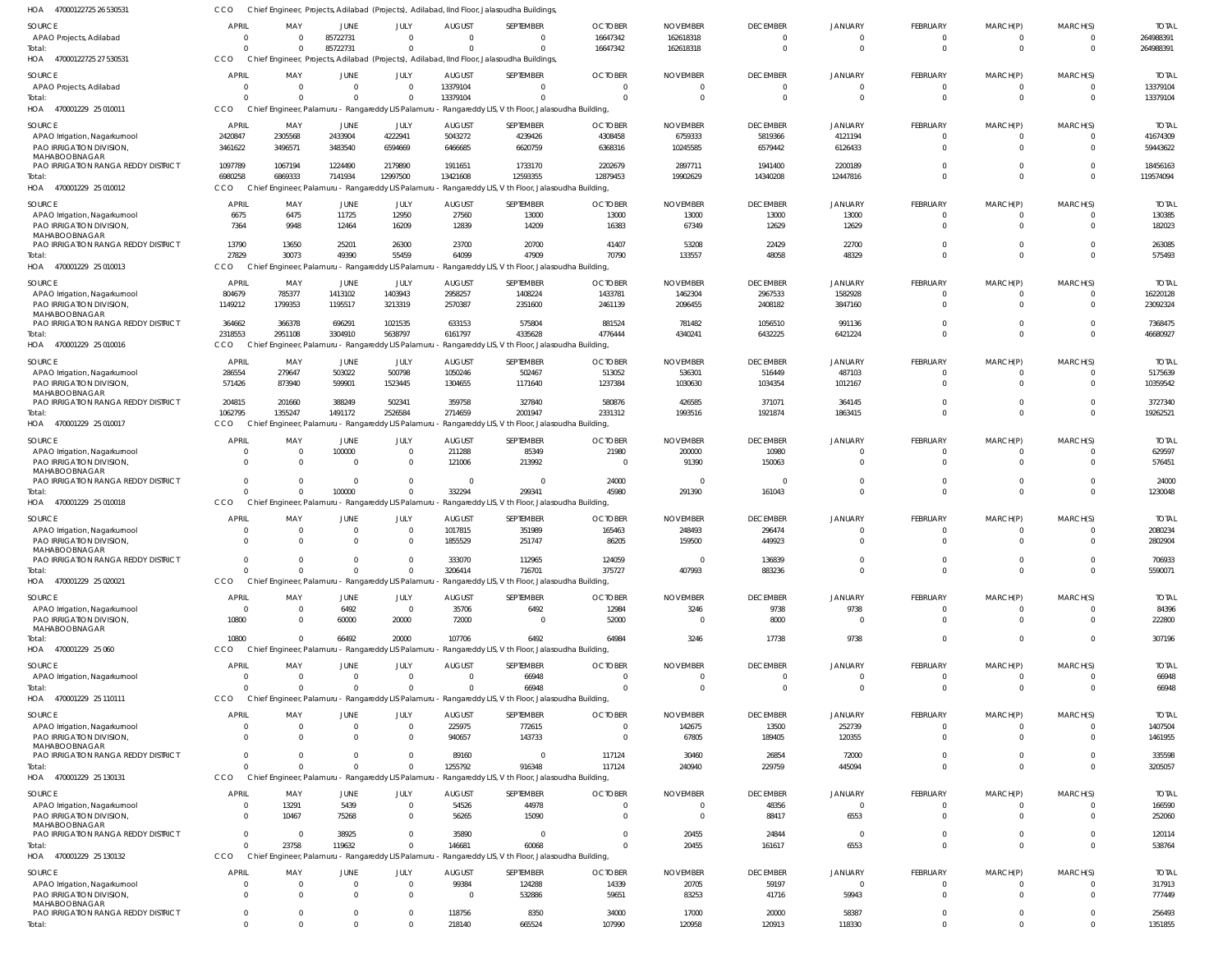| HOA 47000122725 26 530531                                 | cco                            |                          |                            |                                                                |                          | Chief Engineer, Projects, Adilabad (Projects), Adilabad, IInd Floor, Jalasoudha Buildings,                        |                               |                                   |                           |                                  |                      |                      |                                  |                         |
|-----------------------------------------------------------|--------------------------------|--------------------------|----------------------------|----------------------------------------------------------------|--------------------------|-------------------------------------------------------------------------------------------------------------------|-------------------------------|-----------------------------------|---------------------------|----------------------------------|----------------------|----------------------|----------------------------------|-------------------------|
| SOURCE                                                    | <b>APRIL</b>                   | MAY                      | <b>JUNE</b>                | JULY                                                           | <b>AUGUST</b>            | SEPTEMBER                                                                                                         | <b>OCTOBER</b>                | <b>NOVEMBER</b>                   | <b>DECEMBER</b>           | <b>JANUARY</b>                   | <b>FEBRUARY</b>      | MARCH(P)             | MARCH(S)                         | <b>TOTAL</b>            |
| APAO Projects, Adilabad                                   | $\overline{0}$                 | $\Omega$                 | 85722731                   | $\mathbf 0$                                                    | $\Omega$                 | - 0                                                                                                               | 16647342                      | 162618318                         | $\overline{0}$            | 0                                | $\Omega$             | $\Omega$             | $\overline{0}$                   | 264988391               |
| Total:<br>HOA 47000122725 27 530531                       | $\Omega$<br>CCO                | $\Omega$                 | 85722731                   | $\mathbf 0$                                                    | $\Omega$                 | $\Omega$<br>Chief Engineer, Projects, Adilabad (Projects), Adilabad, IInd Floor, Jalasoudha Buildings,            | 16647342                      | 162618318                         | $\overline{0}$            | $\Omega$                         | $\Omega$             | $\Omega$             | $\overline{0}$                   | 264988391               |
| SOURCE                                                    | <b>APRIL</b>                   | MAY                      | JUNE                       | JULY                                                           | <b>AUGUST</b>            | SEPTEMBER                                                                                                         | <b>OCTOBER</b>                | <b>NOVEMBER</b>                   | <b>DECEMBER</b>           | <b>JANUARY</b>                   | <b>FEBRUARY</b>      | MARCH(P)             | MARCH(S)                         | <b>TOTAL</b>            |
| APAO Projects, Adilabad                                   | 0                              | - 0                      | $\overline{0}$             | $\mathbf 0$                                                    | 13379104                 | $\Omega$                                                                                                          | $\overline{0}$                | $\overline{0}$                    | $\overline{0}$            | $\overline{0}$                   | $\Omega$             | $\Omega$             | $\overline{0}$                   | 13379104                |
| Total:                                                    | $\Omega$                       |                          | $\Omega$                   | $\Omega$                                                       | 13379104                 | $\Omega$                                                                                                          | $\Omega$                      | $\Omega$                          | $\overline{0}$            | $\overline{0}$                   | $\Omega$             | $\Omega$             | $\Omega$                         | 13379104                |
| HOA 470001229 25 010011                                   | CCO                            | Chief Engineer, Palamuru |                            | - Rangareddy LIS Palamuri                                      |                          | - Rangareddy LIS, V th Floor, Jalasoudha Building,                                                                |                               |                                   |                           |                                  |                      |                      |                                  |                         |
| SOURCE                                                    | <b>APRIL</b>                   | MAY                      | <b>JUNE</b>                | JULY                                                           | <b>AUGUST</b>            | SEPTEMBER                                                                                                         | <b>OCTOBER</b>                | <b>NOVEMBER</b>                   | <b>DECEMBER</b>           | <b>JANUARY</b>                   | FEBRUARY             | MARCH(P)             | MARCH(S)                         | <b>TOTAL</b>            |
| APAO Irrigation, Nagarkurnool                             | 2420847                        | 2305568                  | 2433904                    | 4222941<br>6594669                                             | 5043272                  | 4239426                                                                                                           | 4308458                       | 6759333                           | 5819366                   | 4121194                          | $\Omega$<br>$\Omega$ | $\Omega$<br>$\Omega$ | $\Omega$<br>$\overline{0}$       | 41674309                |
| PAO IRRIGATION DIVISION,<br>MAHABOOBNAGAR                 | 3461622                        | 3496571                  | 3483540                    |                                                                | 6466685                  | 6620759                                                                                                           | 6368316                       | 10245585                          | 6579442                   | 6126433                          |                      |                      |                                  | 59443622                |
| PAO IRRIGATION RANGA REDDY DISTRICT                       | 1097789                        | 1067194                  | 1224490                    | 2179890                                                        | 1911651                  | 1733170                                                                                                           | 2202679                       | 2897711                           | 1941400                   | 2200189                          | $\Omega$             | $\Omega$             | $\Omega$                         | 18456163                |
| Total:<br>HOA 470001229 25 010012                         | 6980258<br>CCO                 | 6869333                  | 7141934                    | 12997500                                                       | 13421608                 | 12593355<br>Chief Engineer, Palamuru - Rangareddy LIS Palamuru - Rangareddy LIS, V th Floor, Jalasoudha Building, | 12879453                      | 19902629                          | 14340208                  | 12447816                         | $\Omega$             | $\Omega$             | $\Omega$                         | 119574094               |
|                                                           |                                |                          |                            |                                                                |                          |                                                                                                                   |                               |                                   |                           |                                  |                      |                      |                                  |                         |
| SOURCE<br>APAO Irrigation, Nagarkurnool                   | <b>APRIL</b><br>6675           | MAY<br>6475              | JUNE<br>11725              | JULY<br>12950                                                  | <b>AUGUST</b><br>27560   | SEPTEMBER<br>13000                                                                                                | <b>OCTOBER</b><br>13000       | <b>NOVEMBER</b><br>13000          | <b>DECEMBER</b><br>13000  | <b>JANUARY</b><br>13000          | FEBRUARY<br>$\Omega$ | MARCH(P)<br>$\Omega$ | MARCH(S)<br>$\overline{0}$       | <b>TOTAL</b><br>130385  |
| PAO IRRIGATION DIVISION,                                  | 7364                           | 9948                     | 12464                      | 16209                                                          | 12839                    | 14209                                                                                                             | 16383                         | 67349                             | 12629                     | 12629                            | $\Omega$             | $\Omega$             | $\Omega$                         | 182023                  |
| MAHABOOBNAGAR                                             |                                |                          |                            |                                                                |                          |                                                                                                                   |                               |                                   |                           |                                  |                      |                      |                                  |                         |
| PAO IRRIGATION RANGA REDDY DISTRICT<br>Total:             | 13790<br>27829                 | 13650<br>30073           | 25201<br>49390             | 26300<br>55459                                                 | 23700<br>64099           | 20700<br>47909                                                                                                    | 41407<br>70790                | 53208<br>133557                   | 22429<br>48058            | 22700<br>48329                   | $\Omega$<br>$\Omega$ | $\Omega$<br>$\Omega$ | $\overline{0}$<br>$\overline{0}$ | 263085<br>575493        |
| HOA 470001229 25 010013                                   | CCO                            |                          |                            | Chief Engineer, Palamuru - Rangareddy LIS Palamuru             |                          | - Rangareddy LIS, V th Floor, Jalasoudha Building,                                                                |                               |                                   |                           |                                  |                      |                      |                                  |                         |
| SOURCE                                                    | <b>APRIL</b>                   | MAY                      | JUNE                       | JULY                                                           | <b>AUGUST</b>            | SEPTEMBER                                                                                                         | <b>OCTOBER</b>                | <b>NOVEMBER</b>                   | <b>DECEMBER</b>           | <b>JANUARY</b>                   | FEBRUARY             | MARCH(P)             | MARCH(S)                         | <b>TOTAL</b>            |
| APAO Irrigation, Nagarkurnool                             | 804679                         | 785377                   | 1413102                    | 1403943                                                        | 2958257                  | 1408224                                                                                                           | 1433781                       | 1462304                           | 2967533                   | 1582928                          | $\Omega$             | $\Omega$             | $\overline{0}$                   | 16220128                |
| PAO IRRIGATION DIVISION,                                  | 1149212                        | 1799353                  | 1195517                    | 3213319                                                        | 2570387                  | 2351600                                                                                                           | 2461139                       | 2096455                           | 2408182                   | 3847160                          | $\Omega$             | $\Omega$             | $\Omega$                         | 23092324                |
| MAHABOOBNAGAR<br>PAO IRRIGATION RANGA REDDY DISTRICT      | 364662                         | 366378                   | 696291                     | 1021535                                                        | 633153                   | 575804                                                                                                            | 881524                        | 781482                            | 1056510                   | 991136                           | $\Omega$             | $\Omega$             | $\overline{0}$                   | 7368475                 |
| Total:                                                    | 2318553                        | 2951108                  | 3304910                    | 5638797                                                        | 6161797                  | 4335628                                                                                                           | 4776444                       | 4340241                           | 6432225                   | 6421224                          | $\Omega$             | $\Omega$             | $\Omega$                         | 46680927                |
| HOA 470001229 25 010016                                   | CCO                            |                          |                            | Chief Engineer, Palamuru - Rangareddy LIS Palamuru             |                          | - Rangareddy LIS, V th Floor, Jalasoudha Building,                                                                |                               |                                   |                           |                                  |                      |                      |                                  |                         |
| SOURCE                                                    | <b>APRIL</b>                   | MAY                      | <b>JUNE</b>                | JULY                                                           | <b>AUGUST</b>            | SEPTEMBER                                                                                                         | <b>OCTOBER</b>                | <b>NOVEMBER</b>                   | <b>DECEMBER</b>           | <b>JANUARY</b>                   | FEBRUARY             | MARCH(P)             | MARCH(S)                         | <b>TOTAL</b>            |
| APAO Irrigation, Nagarkurnool                             | 286554                         | 279647                   | 503022                     | 500798                                                         | 1050246                  | 502467                                                                                                            | 513052                        | 536301                            | 516449                    | 487103                           | $\Omega$             | $\Omega$             | $\overline{0}$                   | 5175639                 |
| PAO IRRIGATION DIVISION,<br>MAHABOOBNAGAR                 | 571426                         | 873940                   | 599901                     | 1523445                                                        | 1304655                  | 1171640                                                                                                           | 1237384                       | 1030630                           | 1034354                   | 1012167                          | $\Omega$             | $\Omega$             | $\Omega$                         | 10359542                |
| PAO IRRIGATION RANGA REDDY DISTRICT                       | 204815                         | 201660                   | 388249                     | 502341                                                         | 359758                   | 327840                                                                                                            | 580876                        | 426585                            | 371071                    | 364145                           | $\Omega$             | $\Omega$             | $\Omega$                         | 3727340                 |
| Total:                                                    | 1062795                        | 1355247                  | 1491172                    | 2526584                                                        | 2714659                  | 2001947                                                                                                           | 2331312                       | 1993516                           | 1921874                   | 1863415                          | $\Omega$             | $\Omega$             | $\Omega$                         | 19262521                |
| HOA 470001229 25 010017                                   | CCO                            |                          |                            | Chief Engineer, Palamuru - Rangareddy LIS Palamuru             |                          | - Rangareddy LIS, V th Floor, Jalasoudha Building,                                                                |                               |                                   |                           |                                  |                      |                      |                                  |                         |
| SOURCE                                                    | <b>APRIL</b>                   | MAY                      | JUNE                       | JULY                                                           | <b>AUGUST</b>            | SEPTEMBER                                                                                                         | <b>OCTOBER</b>                | <b>NOVEMBER</b>                   | <b>DECEMBER</b>           | <b>JANUARY</b>                   | <b>FEBRUARY</b>      | MARCH(P)             | MARCH(S)                         | <b>TOTAL</b>            |
| APAO Irrigation, Nagarkurnool                             | 0                              | - 0                      | 100000                     | $\overline{0}$                                                 | 211288                   | 85349                                                                                                             | 21980                         | 200000                            | 10980                     | 0                                | $\Omega$             | - 0                  | $\Omega$                         | 629597                  |
| PAO IRRIGATION DIVISION,<br>MAHABOOBNAGAR                 | $\Omega$                       | $\Omega$                 | $\Omega$                   | $\mathbf 0$                                                    | 121006                   | 213992                                                                                                            | $\overline{0}$                | 91390                             | 150063                    | $\Omega$                         | $\Omega$             | $\Omega$             | $\Omega$                         | 576451                  |
| PAO IRRIGATION RANGA REDDY DISTRICT                       | $\mathbf 0$                    | $\Omega$                 | $\Omega$                   | $\mathbf 0$                                                    | $\Omega$                 | $\Omega$                                                                                                          | 24000                         | - 0                               | 0                         | $\overline{0}$                   | $\Omega$             | $\Omega$             | $\overline{0}$                   | 24000                   |
| Total:<br>HOA 470001229 25 010018                         | $\Omega$<br>CCO                | $\Omega$                 | 100000                     | $\Omega$<br>Chief Engineer, Palamuru - Rangareddy LIS Palamuru | 332294                   | 299341<br>- Rangareddy LIS, V th Floor, Jalasoudha Building,                                                      | 45980                         | 291390                            | 161043                    | $\Omega$                         | $\Omega$             | $\Omega$             | $\overline{0}$                   | 1230048                 |
|                                                           |                                |                          |                            |                                                                |                          |                                                                                                                   |                               |                                   |                           |                                  |                      |                      |                                  |                         |
| SOURCE<br>APAO Irrigation, Nagarkurnool                   | <b>APRIL</b><br>0              | MAY<br>- 0               | JUNE<br>0                  | JULY<br>$\overline{0}$                                         | <b>AUGUST</b><br>1017815 | SEPTEMBER<br>351989                                                                                               | <b>OCTOBER</b><br>165463      | <b>NOVEMBER</b><br>248493         | <b>DECEMBER</b><br>296474 | <b>JANUARY</b><br>$\Omega$       | FEBRUARY<br>$\Omega$ | MARCH(P)<br>$\Omega$ | MARCH(S)<br>$\Omega$             | <b>TOTAL</b><br>2080234 |
| PAO IRRIGATION DIVISION,                                  | $\Omega$                       |                          | $\Omega$                   | $\mathbf 0$                                                    | 1855529                  | 251747                                                                                                            | 86205                         | 159500                            | 449923                    | $\Omega$                         | $\Omega$             | $\Omega$             | $\overline{0}$                   | 2802904                 |
| MAHABOOBNAGAR                                             |                                |                          |                            |                                                                |                          |                                                                                                                   |                               |                                   |                           |                                  |                      |                      |                                  |                         |
| PAO IRRIGATION RANGA REDDY DISTRICT<br>Total:             | -0<br>$\Omega$                 |                          | $\Omega$                   | 0<br>$\Omega$                                                  | 333070<br>3206414        | 112965<br>716701                                                                                                  | 124059<br>375727              | - 0<br>407993                     | 136839<br>883236          | $\Omega$<br>$\Omega$             | $\Omega$             | $\Omega$             | -0<br>$\overline{0}$             | 706933<br>5590071       |
| HOA 470001229 25 020021                                   | CCO                            |                          |                            | Chief Engineer, Palamuru - Rangareddy LIS Palamuru             |                          | - Rangareddy LIS, V th Floor, Jalasoudha Building,                                                                |                               |                                   |                           |                                  |                      |                      |                                  |                         |
| SOURCE                                                    | <b>APRIL</b>                   | MAY                      | JUNE                       | JULY                                                           | <b>AUGUST</b>            | SEPTEMBER                                                                                                         | <b>OCTOBER</b>                | <b>NOVEMBER</b>                   | <b>DECEMBER</b>           | <b>JANUARY</b>                   | FEBRUARY             | MARCH(P)             | MARCH(S)                         | <b>TOTAL</b>            |
| APAO Irrigation, Nagarkurnool                             | $\overline{0}$                 | $\Omega$                 | 6492                       | $\overline{0}$                                                 | 35706                    | 6492                                                                                                              | 12984                         | 3246                              | 9738                      | 9738                             | $\Omega$             | $\Omega$             | $\overline{0}$                   | 84396                   |
| PAO IRRIGATION DIVISION,                                  | 10800                          | - 0                      | 60000                      | 20000                                                          | 72000                    | $\Omega$                                                                                                          | 52000                         | $\Omega$                          | 8000                      | $\Omega$                         | $\Omega$             | $\Omega$             | $\overline{0}$                   | 222800                  |
| MAHABOOBNAGAR<br>Total:                                   | 10800                          | $\Omega$                 | 66492                      | 20000                                                          | 107706                   | 6492                                                                                                              | 64984                         | 3246                              | 17738                     | 9738                             | $\Omega$             | $\Omega$             | $\overline{0}$                   | 307196                  |
| HOA 470001229 25 060                                      | CCO                            |                          |                            |                                                                |                          | Chief Engineer, Palamuru - Rangareddy LIS Palamuru - Rangareddy LIS, V th Floor, Jalasoudha Building,             |                               |                                   |                           |                                  |                      |                      |                                  |                         |
| SOURCE                                                    | <b>APRIL</b>                   | MAY                      | <b>JUNE</b>                | JULY                                                           | <b>AUGUST</b>            | SEPTEMBER                                                                                                         | <b>OCTOBER</b>                | <b>NOVEMBER</b>                   | <b>DECEMBER</b>           | <b>JANUARY</b>                   | FEBRUARY             | MARCH(P)             | MARCH(S)                         | <b>TOTAL</b>            |
| APAO Irrigation, Nagarkurnool                             | 0                              | $\Omega$                 | $\mathbf{0}$               | $\overline{0}$                                                 | $\overline{0}$           | 66948                                                                                                             | 0                             | $\overline{0}$                    | $\overline{0}$            | 0                                | $\Omega$             | $\Omega$             | $\mathbf{0}$                     | 66948                   |
| Total:                                                    | $\Omega$                       |                          | $\Omega$                   | $\mathbf 0$                                                    | $\Omega$                 | 66948                                                                                                             | $\Omega$                      | $\overline{0}$                    | $\overline{0}$            | $\overline{0}$                   | $\Omega$             | $\Omega$             | $\overline{0}$                   | 66948                   |
| HOA 470001229 25 110111                                   | CCO                            |                          |                            |                                                                |                          | Chief Engineer, Palamuru - Rangareddy LIS Palamuru - Rangareddy LIS, V th Floor, Jalasoudha Building,             |                               |                                   |                           |                                  |                      |                      |                                  |                         |
| SOURCE                                                    | <b>APRIL</b>                   | MAY                      | JUNE                       | JULY                                                           | <b>AUGUST</b>            | SEPTEMBER                                                                                                         | <b>OCTOBER</b>                | <b>NOVEMBER</b>                   | <b>DECEMBER</b>           | <b>JANUARY</b>                   | FEBRUARY             | MARCH(P)             | MARCH(S)                         | <b>TOTAL</b>            |
| APAO Irrigation, Nagarkurnool<br>PAO IRRIGATION DIVISION, | 0<br>$\Omega$                  | $\Omega$<br>$\Omega$     | $\overline{0}$<br>$\Omega$ | $\mathbf 0$<br>$\overline{0}$                                  | 225975<br>940657         | 772615<br>143733                                                                                                  | $\overline{0}$<br>$\Omega$    | 142675<br>67805                   | 13500<br>189405           | 252739<br>120355                 | $\Omega$<br>$\Omega$ | $\Omega$<br>$\Omega$ | $\overline{0}$<br>$\Omega$       | 1407504<br>1461955      |
| MAHABOOBNAGAR                                             |                                |                          |                            |                                                                |                          |                                                                                                                   |                               |                                   |                           |                                  |                      |                      |                                  |                         |
| PAO IRRIGATION RANGA REDDY DISTRICT                       | $\Omega$                       |                          | $\Omega$                   | $\Omega$<br>$\Omega$                                           | 89160                    | $\Omega$                                                                                                          | 117124                        | 30460                             | 26854                     | 72000                            | $\Omega$<br>$\Omega$ | $\Omega$<br>$\Omega$ | $\Omega$                         | 335598                  |
| Total:<br>HOA 470001229 25 130131                         | $\Omega$<br>CCO                |                          | $\Omega$                   | Chief Engineer, Palamuru - Rangareddy LIS Palamuru             | 1255792                  | 916348<br>Rangareddy LIS, V th Floor, Jalasoudha Building,                                                        | 117124                        | 240940                            | 229759                    | 445094                           |                      |                      | $\Omega$                         | 3205057                 |
|                                                           |                                |                          |                            |                                                                |                          |                                                                                                                   |                               |                                   |                           |                                  |                      |                      |                                  |                         |
| SOURCE<br>APAO Irrigation, Nagarkurnool                   | <b>APRIL</b><br>$\overline{0}$ | MAY<br>13291             | <b>JUNE</b><br>5439        | JULY<br>$\overline{0}$                                         | <b>AUGUST</b><br>54526   | SEPTEMBER<br>44978                                                                                                | <b>OCTOBER</b><br>$\mathbf 0$ | <b>NOVEMBER</b><br>$\overline{0}$ | <b>DECEMBER</b><br>48356  | <b>JANUARY</b><br>$\overline{0}$ | FEBRUARY<br>$\Omega$ | MARCH(P)<br>$\Omega$ | MARCH(S)<br>$\overline{0}$       | <b>TOTAL</b><br>166590  |
| PAO IRRIGATION DIVISION,                                  | $\Omega$                       | 10467                    | 75268                      | $\mathbf 0$                                                    | 56265                    | 15090                                                                                                             | $\Omega$                      | $\Omega$                          | 88417                     | 6553                             | $\Omega$             | $\Omega$             | $\Omega$                         | 252060                  |
| MAHABOOBNAGAR                                             | $\Omega$                       |                          |                            |                                                                |                          |                                                                                                                   | $\Omega$                      |                                   |                           |                                  | $\Omega$             | $\Omega$             |                                  |                         |
| PAO IRRIGATION RANGA REDDY DISTRICT<br>Total:             | $\Omega$                       | $\overline{0}$<br>23758  | 38925<br>119632            | $\mathbf 0$<br>$\mathbf 0$                                     | 35890<br>146681          | $\mathbf 0$<br>60068                                                                                              | $\Omega$                      | 20455<br>20455                    | 24844<br>161617           | $\overline{0}$<br>6553           | $\Omega$             | $\Omega$             | $\overline{0}$<br>$\Omega$       | 120114<br>538764        |
| HOA 470001229 25 130132                                   | <b>CCO</b>                     |                          |                            | Chief Engineer, Palamuru - Rangareddy LIS Palamuru             |                          | - Rangareddy LIS, V th Floor, Jalasoudha Building,                                                                |                               |                                   |                           |                                  |                      |                      |                                  |                         |
| SOURCE                                                    | <b>APRIL</b>                   | MAY                      | JUNE                       | JULY                                                           | <b>AUGUST</b>            | SEPTEMBER                                                                                                         | <b>OCTOBER</b>                | <b>NOVEMBER</b>                   | <b>DECEMBER</b>           | <b>JANUARY</b>                   | FEBRUARY             | MARCH(P)             | MARCH(S)                         | <b>TOTAL</b>            |
| APAO Irrigation, Nagarkurnool                             | 0                              | $\Omega$                 | $\Omega$                   | $\overline{0}$                                                 | 99384                    | 124288                                                                                                            | 14339                         | 20705                             | 59197                     | 0                                | $\Omega$             | $\Omega$             | $\Omega$                         | 317913                  |
| PAO IRRIGATION DIVISION,                                  | $\Omega$                       | $\Omega$                 | $\Omega$                   | $\mathbf 0$                                                    | $\Omega$                 | 532886                                                                                                            | 59651                         | 83253                             | 41716                     | 59943                            | $\Omega$             | $\Omega$             | $\Omega$                         | 777449                  |
| MAHABOOBNAGAR<br>PAO IRRIGATION RANGA REDDY DISTRICT      | $^{\circ}$                     | $\Omega$                 | $\mathbf{0}$               | $\overline{0}$                                                 | 118756                   | 8350                                                                                                              | 34000                         | 17000                             | 20000                     | 58387                            | $\Omega$             | $\Omega$             | $\overline{0}$                   | 256493                  |
| Total:                                                    | $\Omega$                       | $\Omega$                 | $\Omega$                   | $\mathbf 0$                                                    | 218140                   | 665524                                                                                                            | 107990                        | 120958                            | 120913                    | 118330                           | $\Omega$             | $\Omega$             | $\mathbf 0$                      | 1351855                 |
|                                                           |                                |                          |                            |                                                                |                          |                                                                                                                   |                               |                                   |                           |                                  |                      |                      |                                  |                         |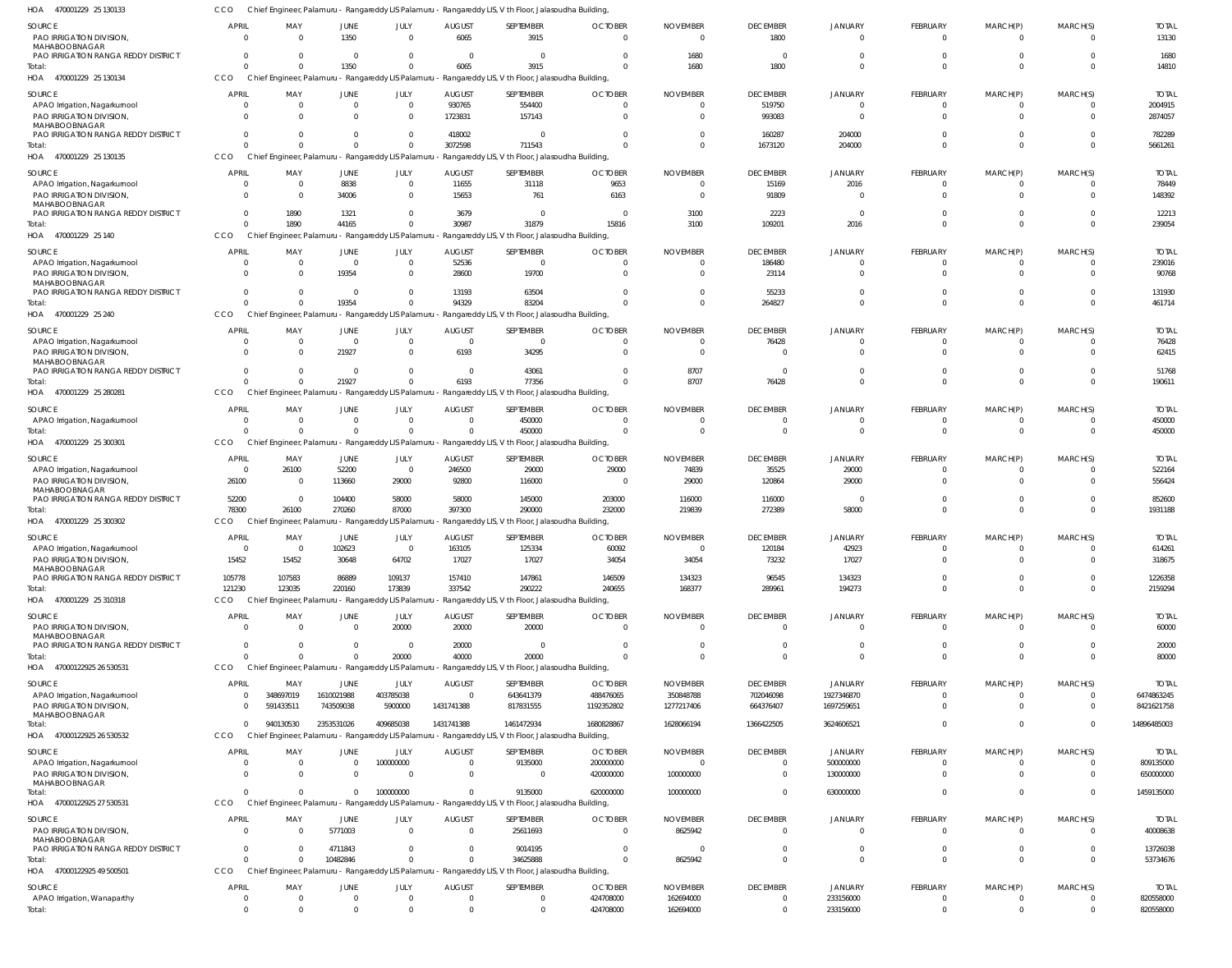470001229 25 130133 HOA CCO Chief Engineer, Palamuru - Rangareddy LIS Palamuru - Rangareddy LIS, V th Floor, Jalasoudha Building,

| SOURCE                                                      | <b>APRIL</b>               | MAY                    | JUNE                                                           | JULY                 | <b>AUGUST</b>                 | SEPTEMBER                                                                                                           | <b>OCTOBER</b>             | <b>NOVEMBER</b>             | <b>DECEMBER</b>                   | JANUARY                          | FEBRUARY                       | MARCH(P)                | MARCH(S)             | <b>TOTAL</b>             |
|-------------------------------------------------------------|----------------------------|------------------------|----------------------------------------------------------------|----------------------|-------------------------------|---------------------------------------------------------------------------------------------------------------------|----------------------------|-----------------------------|-----------------------------------|----------------------------------|--------------------------------|-------------------------|----------------------|--------------------------|
| PAO IRRIGATION DIVISION<br>MAHABOOBNAGAR                    | $\Omega$                   | $\Omega$               | 1350                                                           | $\Omega$             | 6065                          | 3915                                                                                                                | $\Omega$                   | $\Omega$                    | 1800                              | $\Omega$                         | $\Omega$                       | $\Omega$                | $\Omega$             | 13130                    |
| PAO IRRIGATION RANGA REDDY DISTRICT<br>Total:               | $\Omega$<br>$\Omega$       | $\Omega$<br>$\Omega$   | $\Omega$<br>1350                                               | $\Omega$<br>$\Omega$ | $\Omega$<br>6065              | $\Omega$<br>3915                                                                                                    |                            | 1680<br>1680                | $\Omega$<br>1800                  | $\Omega$<br>$\Omega$             | $\Omega$<br>$\Omega$           | $\Omega$<br>$\Omega$    | $\Omega$             | 1680<br>14810            |
| HOA 470001229 25 130134                                     | CCO                        |                        |                                                                |                      |                               | Chief Engineer, Palamuru - Rangareddy LIS Palamuru - Rangareddy LIS, V th Floor, Jalasoudha Building,               |                            |                             |                                   |                                  |                                |                         |                      |                          |
| SOURCE                                                      | <b>APRIL</b>               | MAY                    | JUNE                                                           | JULY                 | <b>AUGUST</b>                 | SEPTEMBER                                                                                                           | <b>OCTOBER</b>             | <b>NOVEMBER</b>             | <b>DECEMBER</b>                   | <b>JANUARY</b>                   | FEBRUARY                       | MARCH(P)                | MARCH(S)             | <b>TOTAL</b>             |
| APAO Irrigation, Nagarkurnool                               | $\mathbf{0}$               | $\overline{0}$         | $\Omega$                                                       | $\overline{0}$       | 930765                        | 554400                                                                                                              | $\Omega$                   | $\Omega$                    | 519750                            | $\Omega$                         | $\mathbf{0}$                   | $\Omega$                | $\Omega$             | 2004915                  |
| PAO IRRIGATION DIVISION<br>MAHABOOBNAGAR                    | $\Omega$                   | $\Omega$               | $\Omega$                                                       | $\Omega$             | 1723831                       | 157143                                                                                                              | $\Omega$                   |                             | 993083                            | $\Omega$                         | $\Omega$                       | $\Omega$                | $\Omega$             | 2874057                  |
| PAO IRRIGATION RANGA REDDY DISTRICT                         | $\Omega$                   | $\Omega$               | $\Omega$                                                       | $\Omega$             | 418002                        | $\Omega$                                                                                                            |                            |                             | 160287                            | 204000                           | $\Omega$                       | $\Omega$                | $\Omega$             | 782289                   |
| Total:<br>HOA 470001229 25 130135                           | $\Omega$<br>CCO            | $\Omega$               | $\Omega$<br>Chief Engineer, Palamuru - Rangareddy LIS Palamuru | $\Omega$             | 3072598                       | 711543<br>Rangareddy LIS, V th Floor, Jalasoudha Building,                                                          | $\Omega$                   |                             | 1673120                           | 204000                           | $\Omega$                       | $\Omega$                | $\Omega$             | 5661261                  |
| SOURCE                                                      | <b>APRIL</b>               | MAY                    | JUNE                                                           | JULY                 | <b>AUGUST</b>                 | SEPTEMBER                                                                                                           | <b>OCTOBER</b>             | <b>NOVEMBER</b>             | <b>DECEMBER</b>                   | <b>JANUARY</b>                   | FEBRUARY                       | MARCH(P)                | MARCH(S)             | <b>TOTAI</b>             |
| APAO Irrigation, Nagarkurnool                               | $\Omega$                   | $\mathbf 0$            | 8838                                                           | $\overline{0}$       | 11655                         | 31118                                                                                                               | 9653                       |                             | 15169                             | 2016                             | $\Omega$                       |                         |                      | 78449                    |
| PAO IRRIGATION DIVISION<br>MAHABOOBNAGAR                    | $\Omega$                   | $\Omega$               | 34006                                                          | $\Omega$             | 15653                         | 761                                                                                                                 | 6163                       | $\Omega$                    | 91809                             | $\Omega$                         | $\Omega$                       | $\Omega$                | $\Omega$             | 148392                   |
| PAO IRRIGATION RANGA REDDY DISTRICT                         | $\Omega$                   | 1890                   | 1321                                                           | $\Omega$             | 3679                          | $\Omega$                                                                                                            | $\Omega$                   | 3100                        | 2223                              | $\Omega$                         | $\Omega$                       | $\Omega$                | $\Omega$             | 12213                    |
| Total:<br>HOA 470001229 25 140                              | $\Omega$<br><b>CCO</b>     | 1890                   | 44165                                                          | $\Omega$             | 30987                         | 31879                                                                                                               | 15816                      | 3100                        | 109201                            | 2016                             | $\Omega$                       | $\Omega$                | $\Omega$             | 239054                   |
|                                                             |                            |                        | Chief Engineer, Palamuru - Rangareddy LIS Palamuru             |                      |                               | - Rangareddy LIS, V th Floor, Jalasoudha Building,                                                                  |                            |                             |                                   |                                  |                                |                         |                      |                          |
| SOURCE<br>APAO Irrigation, Nagarkurnool                     | <b>APRIL</b><br>$\circ$    | MAY<br>$\mathbf 0$     | JUNE<br>$\overline{0}$                                         | JULY<br>$\Omega$     | <b>AUGUST</b><br>52536        | SEPTEMBER<br>$\overline{0}$                                                                                         | <b>OCTOBER</b><br>$\Omega$ | <b>NOVEMBER</b><br>$\Omega$ | <b>DECEMBER</b><br>186480         | <b>JANUARY</b><br>$\overline{0}$ | FEBRUARY<br>$\mathbf{0}$       | MARCH(P)<br>-0          | MARCH(S)<br>$\Omega$ | <b>TOTAL</b><br>239016   |
| PAO IRRIGATION DIVISION                                     | $\Omega$                   | $\mathbf 0$            | 19354                                                          | $\Omega$             | 28600                         | 19700                                                                                                               | $\Omega$                   | $\Omega$                    | 23114                             | $\Omega$                         | $\Omega$                       | $\Omega$                | $\Omega$             | 90768                    |
| MAHABOOBNAGAR<br>PAO IRRIGATION RANGA REDDY DISTRICT        | $\Omega$                   | $\Omega$               | $\Omega$                                                       | $\Omega$             | 13193                         | 63504                                                                                                               |                            | $\Omega$                    | 55233                             | $\Omega$                         | $\mathbf 0$                    | $\Omega$                | $\Omega$             | 131930                   |
| Total:                                                      | $\Omega$                   | $\Omega$               | 19354                                                          | $\overline{0}$       | 94329                         | 83204                                                                                                               | $\Omega$                   | $\Omega$                    | 264827                            | $\Omega$                         | $\mathbf 0$                    | $\Omega$                | $\Omega$             | 461714                   |
| HOA 470001229 25 240                                        | <b>CCO</b>                 |                        | Chief Engineer, Palamuru - Rangareddy LIS Palamuru             |                      |                               | Rangareddy LIS, V th Floor, Jalasoudha Building,                                                                    |                            |                             |                                   |                                  |                                |                         |                      |                          |
| SOURCE                                                      | <b>APRIL</b><br>$\Omega$   | MAY<br>$\Omega$        | JUNE<br>$\Omega$                                               | JULY<br>$\Omega$     | <b>AUGUST</b><br>$\mathbf{0}$ | SEPTEMBER<br>$\Omega$                                                                                               | <b>OCTOBER</b><br>$\Omega$ | <b>NOVEMBER</b><br>$\Omega$ | <b>DECEMBER</b><br>76428          | <b>JANUARY</b><br>$\Omega$       | FEBRUARY<br>$\Omega$           | MARCH(P)<br>$\Omega$    | MARCH(S)<br>$\Omega$ | <b>TOTAI</b><br>76428    |
| APAO Irrigation, Nagarkurnool<br>PAO IRRIGATION DIVISION    | $\Omega$                   | $\Omega$               | 21927                                                          | $\Omega$             | 6193                          | 34295                                                                                                               |                            |                             | $\Omega$                          | $\Omega$                         | $\Omega$                       | $\Omega$                |                      | 62415                    |
| <b>MAHABOOBNAGAR</b><br>PAO IRRIGATION RANGA REDDY DISTRICT | $\Omega$                   | $\Omega$               | $\Omega$                                                       | $\Omega$             | $\Omega$                      | 43061                                                                                                               |                            | 8707                        | $\Omega$                          | $\Omega$                         | $\Omega$                       | $\Omega$                |                      | 51768                    |
| Total:                                                      | $\Omega$                   | $\Omega$               | 21927                                                          | $\Omega$             | 6193                          | 77356                                                                                                               |                            | 8707                        | 76428                             | $\Omega$                         | $\Omega$                       | $\Omega$                | $\Omega$             | 190611                   |
| 470001229 25 280281<br>HOA                                  | CCO                        |                        |                                                                |                      |                               | Chief Engineer, Palamuru - Rangareddy LIS Palamuru - Rangareddy LIS, V th Floor, Jalasoudha Building,               |                            |                             |                                   |                                  |                                |                         |                      |                          |
| SOURCE                                                      | <b>APRIL</b>               | MAY                    | <b>JUNE</b>                                                    | JULY                 | <b>AUGUST</b>                 | SEPTEMBER                                                                                                           | <b>OCTOBER</b>             | <b>NOVEMBER</b>             | <b>DECEMBER</b>                   | <b>JANUARY</b>                   | FEBRUARY                       | MARCH(P)                | MARCH(S)             | <b>TOTAL</b>             |
| APAO Irrigation, Nagarkurnool<br>Total:                     | $\overline{0}$<br>$\Omega$ | $\Omega$<br>$\Omega$   | $\Omega$<br>$\Omega$                                           | $\Omega$<br>$\Omega$ | $\overline{0}$<br>$\Omega$    | 450000<br>450000                                                                                                    | $\Omega$<br>$\Omega$       | $\Omega$                    | $\Omega$<br>$\Omega$              | $\Omega$<br>$\Omega$             | $\overline{0}$<br>$\mathbf{0}$ | $\Omega$<br>$\Omega$    | $\Omega$<br>$\Omega$ | 450000<br>450000         |
| HOA 470001229 25 300301                                     | <b>CCO</b>                 |                        |                                                                |                      |                               | Chief Engineer, Palamuru - Rangareddy LIS Palamuru - Rangareddy LIS, V th Floor, Jalasoudha Building,               |                            |                             |                                   |                                  |                                |                         |                      |                          |
| SOURCE                                                      | <b>APRIL</b>               | MAY                    | <b>JUNE</b>                                                    | JULY                 | <b>AUGUST</b>                 | SEPTEMBER                                                                                                           | <b>OCTOBER</b>             | <b>NOVEMBER</b>             | <b>DECEMBER</b>                   | <b>JANUARY</b>                   | FEBRUARY                       | MARCH(P)                | MARCH(S)             | <b>TOTAI</b>             |
| APAO Irrigation, Nagarkurnool                               | $\Omega$                   | 26100                  | 52200                                                          | $\overline{0}$       | 246500                        | 29000                                                                                                               | 29000                      | 74839                       | 35525                             | 29000                            | $\Omega$                       | 0                       |                      | 522164                   |
| PAO IRRIGATION DIVISION<br>MAHABOOBNAGAR                    | 26100                      | $\Omega$               | 113660                                                         | 29000                | 92800                         | 116000                                                                                                              | 0                          | 29000                       | 120864                            | 29000                            | $\Omega$                       | $\Omega$                |                      | 556424                   |
| PAO IRRIGATION RANGA REDDY DISTRICT                         | 52200                      | $\Omega$               | 104400                                                         | 58000                | 58000                         | 145000                                                                                                              | 203000                     | 116000                      | 116000                            | $\Omega$                         | $\Omega$                       | $\Omega$                | $\Omega$             | 852600                   |
| Total:<br>HOA 470001229 25 300302                           | 78300<br>CCO               | 26100                  | 270260<br>Chief Engineer, Palamuru - Rangareddy LIS Palamuru - | 87000                | 397300                        | 290000<br>- Rangareddy LIS, V th Floor, Jalasoudha Building,                                                        | 232000                     | 219839                      | 272389                            | 58000                            | $\Omega$                       | $\Omega$                | $\Omega$             | 1931188                  |
| SOURCE                                                      | <b>APRIL</b>               | MAY                    | <b>JUNE</b>                                                    | JULY                 | <b>AUGUST</b>                 | SEPTEMBER                                                                                                           | <b>OCTOBER</b>             | <b>NOVEMBER</b>             | <b>DECEMBER</b>                   | <b>JANUARY</b>                   | FEBRUARY                       | MARCH(P)                | MARCH(S)             | <b>TOTAL</b>             |
| APAO Irrigation, Nagarkurnool                               | $\Omega$                   | $\overline{0}$         | 102623                                                         | $\overline{0}$       | 163105                        | 125334                                                                                                              | 60092                      | $\Omega$                    | 120184                            | 42923                            | $\Omega$                       | $\Omega$                | $\Omega$             | 614261                   |
| PAO IRRIGATION DIVISION<br>MAHABOOBNAGAR                    | 15452                      | 15452                  | 30648                                                          | 64702                | 17027                         | 17027                                                                                                               | 34054                      | 34054                       | 73232                             | 17027                            | $\Omega$                       |                         |                      | 318675                   |
| <b>PAO IRRIGATION RANGA REDDY DISTRICT</b>                  | 105778                     | 107583                 | 86889                                                          | 109137               | 157410                        | 147861                                                                                                              | 146509                     | 134323                      | 96545                             | 134323                           | $\mathbf 0$                    | $\mathbf 0$             | $\Omega$             | 1226358                  |
| Total:<br>HOA 470001229 25 310318                           | 121230<br>CCO              | 123035                 | 220160<br>Chief Engineer, Palamuru - Rangareddy LIS Palamuru   | 173839               | 337542                        | 290222<br>- Rangareddy LIS, V th Floor, Jalasoudha Building,                                                        | 240655                     | 168377                      | 289961                            | 194273                           | $\mathbf 0$                    | $\Omega$                | $\Omega$             | 2159294                  |
|                                                             |                            |                        |                                                                |                      |                               |                                                                                                                     |                            |                             |                                   |                                  |                                |                         |                      |                          |
| SOURCE<br>PAO IRRIGATION DIVISION                           | <b>APRIL</b><br>$\Omega$   | MAY<br>$\Omega$        | JUNE<br>$\Omega$                                               | JULY<br>20000        | <b>AUGUST</b><br>20000        | SEPTEMBER<br>20000                                                                                                  | <b>OCTOBER</b><br>$\Omega$ | <b>NOVEMBER</b><br>$\Omega$ | <b>DECEMBER</b><br>$\overline{0}$ | <b>JANUARY</b><br>$\Omega$       | FEBRUARY<br>$\Omega$           | MARCH(P)<br>$\Omega$    | MARCH(S)<br>$\Omega$ | <b>TOTAL</b><br>60000    |
| MAHABOOBNAGAR<br>PAO IRRIGATION RANGA REDDY DISTRICT        | $^{\circ}$                 | $\Omega$               | $\Omega$                                                       | $\Omega$             | 20000                         | $\overline{\mathbf{0}}$                                                                                             |                            |                             | $^{\circ}$                        | $\Omega$                         | $\mathbf 0$                    | -0                      | $\Omega$             | 20000                    |
| Total:                                                      | $\Omega$                   | $\Omega$               | $\Omega$                                                       | 20000                | 40000                         | 20000                                                                                                               | $\Omega$                   |                             | $\Omega$                          | $\Omega$                         | $\mathbf 0$                    | $\overline{0}$          | $\Omega$             | 80000                    |
| HOA 47000122925 26 530531                                   | CCO                        |                        |                                                                |                      |                               | Chief Engineer, Palamuru - Rangareddy LIS Palamuru - Rangareddy LIS, V th Floor, Jalasoudha Building,               |                            |                             |                                   |                                  |                                |                         |                      |                          |
| SOURCE                                                      | APRIL                      | MAY                    | JUNE                                                           | JULY                 | <b>AUGUST</b>                 | SEPTEMBER                                                                                                           | <b>OCTOBER</b>             | <b>NOVEMBER</b>             | <b>DECEMBER</b>                   | <b>JANUARY</b>                   | FEBRUARY                       | MARCH(P)                | MARCH(S)             | <b>TOTAL</b>             |
| APAO Irrigation, Nagarkurnool<br>PAO IRRIGATION DIVISION    | $\Omega$<br>$\Omega$       | 348697019<br>591433511 | 1610021988<br>743509038                                        | 403785038<br>5900000 | $\Omega$<br>1431741388        | 643641379<br>817831555                                                                                              | 488476065<br>1192352802    | 350848788<br>1277217406     | 702046098<br>664376407            | 1927346870<br>1697259651         | $\mathbf 0$<br>$\mathbf 0$     | $\Omega$<br>$\mathbf 0$ | $\Omega$<br>$\Omega$ | 6474863245<br>8421621758 |
| MAHABOOBNAGAR                                               |                            |                        |                                                                |                      |                               |                                                                                                                     |                            |                             |                                   |                                  |                                |                         |                      |                          |
| Total:<br>HOA 47000122925 26 530532                         | $\Omega$<br>CCO            | 940130530              | 2353531026                                                     | 409685038            | 1431741388                    | 1461472934<br>Chief Engineer, Palamuru - Rangareddy LIS Palamuru - Rangareddy LIS, V th Floor, Jalasoudha Building, | 1680828867                 | 1628066194                  | 1366422505                        | 3624606521                       | $\mathbf 0$                    | $\overline{0}$          | $\Omega$             | 14896485003              |
| <b>SOURCE</b>                                               | <b>APRIL</b>               | MAY                    | JUNE                                                           | JULY                 | <b>AUGUST</b>                 | SEPTEMBER                                                                                                           | <b>OCTOBER</b>             | <b>NOVEMBER</b>             | <b>DECEMBER</b>                   | <b>JANUARY</b>                   | FEBRUARY                       | MARCH(P)                | MARCH(S)             | <b>TOTAL</b>             |
| APAO Irrigation, Nagarkurnool                               | 0                          | $\mathbf 0$            | $\Omega$                                                       | 100000000            | $\mathbf 0$                   | 9135000                                                                                                             | 200000000                  | $\Omega$                    | $\overline{0}$                    | 500000000                        | 0                              | -0                      |                      | 809135000                |
| PAO IRRIGATION DIVISION<br>MAHABOOBNAGAR                    | $\Omega$                   | $\Omega$               | $\Omega$                                                       | $\Omega$             | $\mathbf 0$                   | $\overline{\mathbf{0}}$                                                                                             | 420000000                  | 100000000                   | $^{\circ}$                        | 130000000                        | $\mathbf{0}$                   | $\mathbf 0$             | $\Omega$             | 650000000                |
| Total:                                                      | $\Omega$                   | $\Omega$               | $\Omega$                                                       | 100000000            | $\Omega$                      | 9135000                                                                                                             | 620000000                  | 100000000                   | $\overline{0}$                    | 630000000                        | $\mathbf{0}$                   | $\overline{0}$          | $\Omega$             | 1459135000               |
| HOA 47000122925 27 530531                                   | CCO                        |                        |                                                                |                      |                               | Chief Engineer, Palamuru - Rangareddy LIS Palamuru - Rangareddy LIS, V th Floor, Jalasoudha Building,               |                            |                             |                                   |                                  |                                |                         |                      |                          |
| SOURCE                                                      | <b>APRIL</b>               | MAY                    | <b>JUNE</b>                                                    | JULY                 | <b>AUGUST</b>                 | SEPTEMBER                                                                                                           | <b>OCTOBER</b>             | <b>NOVEMBER</b>             | <b>DECEMBER</b>                   | <b>JANUARY</b>                   | FEBRUARY                       | MARCH(P)                | MARCH(S)             | <b>TOTAL</b>             |
| PAO IRRIGATION DIVISION<br>MAHABOOBNAGAR                    | $\overline{0}$             | $\Omega$               | 5771003                                                        | $\Omega$             | $\overline{0}$                | 25611693                                                                                                            | $\mathbf 0$                | 8625942                     | $\overline{0}$                    | $\Omega$                         | $^{\circ}$                     | $^{\circ}$              | $\Omega$             | 40008638                 |
| PAO IRRIGATION RANGA REDDY DISTRICT                         | $^{\circ}$                 | $\Omega$               | 4711843                                                        | $\Omega$             | $^{\circ}$                    | 9014195                                                                                                             | $\Omega$                   | $\Omega$                    | - 0                               | $\Omega$                         | 0                              | $^{\circ}$              | $\Omega$             | 13726038                 |
| Total:<br>47000122925 49 500501<br>HOA                      | $\Omega$<br>CCO            | $\mathbf{0}$           | 10482846                                                       | $\overline{0}$       | $\mathbf 0$                   | 34625888<br>Chief Engineer, Palamuru - Rangareddy LIS Palamuru - Rangareddy LIS, V th Floor, Jalasoudha Building,   | $\Omega$                   | 8625942                     | $\Omega$                          | $\Omega$                         | $\overline{0}$                 | $\overline{0}$          | $\Omega$             | 53734676                 |
| SOURCE                                                      | <b>APRIL</b>               | MAY                    | <b>JUNE</b>                                                    | JULY                 | <b>AUGUST</b>                 | SEPTEMBER                                                                                                           | <b>OCTOBER</b>             | <b>NOVEMBER</b>             | <b>DECEMBER</b>                   | JANUARY                          | FEBRUARY                       | MARCH(P)                | MARCH(S)             | <b>TOTAI</b>             |
| APAO Irrigation, Wanaparthy                                 | $\overline{0}$             | $\mathbf 0$            | $\Omega$                                                       | $\overline{0}$       | $\mathbf{0}$                  | $\overline{0}$                                                                                                      | 424708000                  | 162694000                   | $\overline{0}$                    | 233156000                        | $\overline{0}$                 | $^{\circ}$              | $\Omega$             | 820558000                |
| Total:                                                      | $\overline{0}$             | $\mathbf 0$            | $\Omega$                                                       | $\overline{0}$       | $\mathbf 0$                   | $\overline{0}$                                                                                                      | 424708000                  | 162694000                   | $\overline{0}$                    | 233156000                        | $\mathbf{0}$                   | $\mathbf{0}$            | $\Omega$             | 820558000                |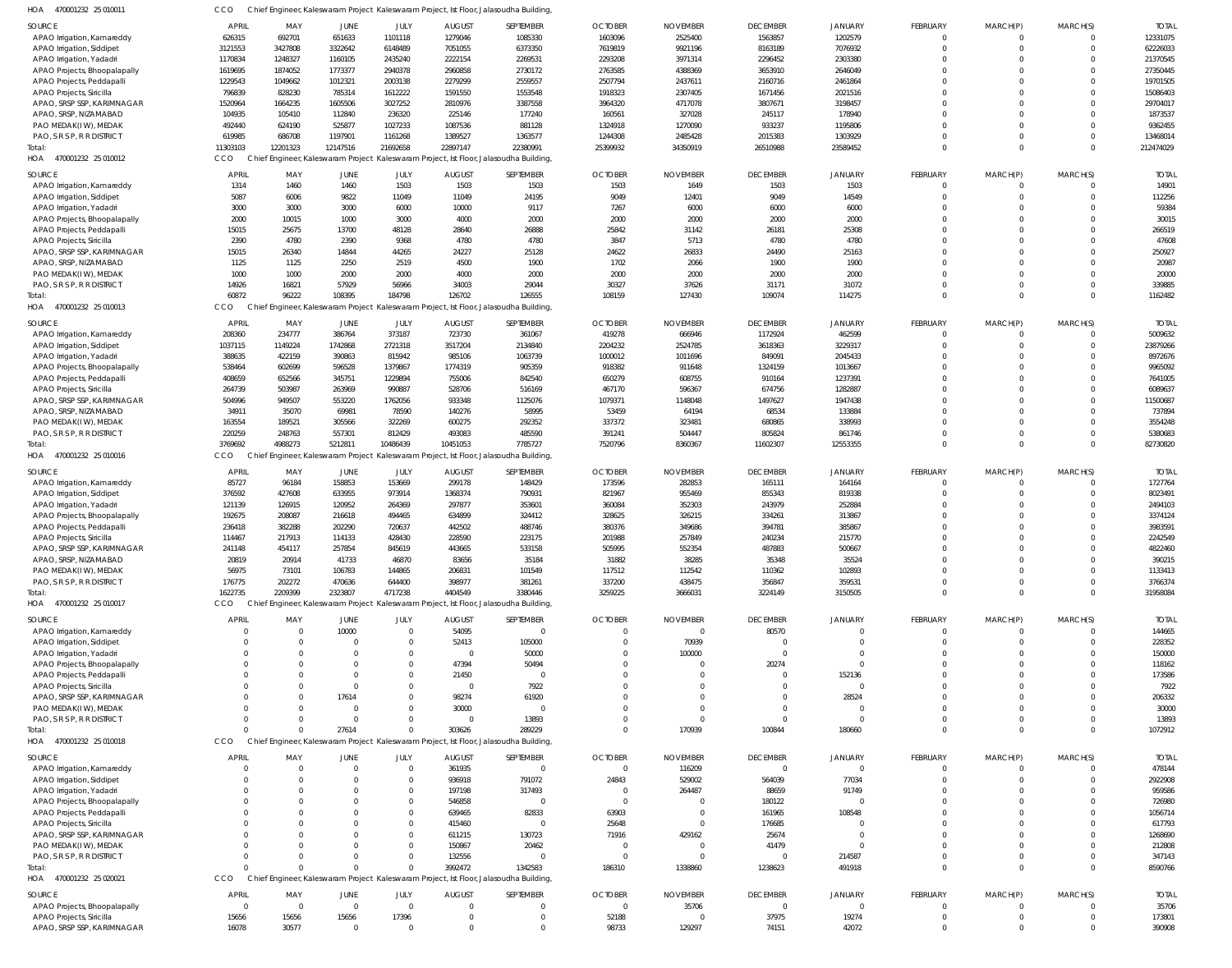| HOA<br>470001232 25 010011   |                |                |                         |                |                | Chief Engineer, Kaleswaram Project Kaleswaram Project, Ist Floor, Jalasoudha Building |                |                 |                 |                            |                 |             |          |              |
|------------------------------|----------------|----------------|-------------------------|----------------|----------------|---------------------------------------------------------------------------------------|----------------|-----------------|-----------------|----------------------------|-----------------|-------------|----------|--------------|
| <b>SOURCE</b>                | <b>APRIL</b>   | MAY            | JUNE                    | JULY           | <b>AUGUST</b>  | SEPTEMBER                                                                             | <b>OCTOBER</b> | <b>NOVEMBER</b> | <b>DECEMBER</b> | <b>JANUARY</b>             | FEBRUARY        | MARCH(P)    | MARCH(S) | <b>TOTAI</b> |
| APAO Irrigation, Kamareddy   | 626315         | 692701         | 651633                  | 1101118        | 1279046        | 1085330                                                                               | 1603096        | 2525400         | 1563857         | 1202579                    | $\mathbf 0$     | $\Omega$    |          | 12331075     |
| APAO Irrigation, Siddipet    | 3121553        | 3427808        | 3322642                 | 6148489        | 7051055        | 6373350                                                                               | 7619819        | 9921196         | 8163189         | 7076932                    | $\Omega$        | $\Omega$    | $\Omega$ | 62226033     |
|                              |                | 1248327        |                         |                |                |                                                                                       |                |                 |                 |                            |                 |             |          |              |
| APAO Irrigation, Yadadri     | 1170834        |                | 1160105                 | 2435240        | 2222154        | 2269531                                                                               | 2293208        | 3971314         | 2296452         | 2303380                    |                 |             |          | 21370545     |
| APAO Projects, Bhoopalapally | 1619695        | 1874052        | 1773377                 | 2940378        | 2960858        | 2730172                                                                               | 2763585        | 4388369         | 3653910         | 2646049                    | $\Omega$        |             |          | 27350445     |
| APAO Projects, Peddapalli    | 1229543        | 1049662        | 1012321                 | 2003138        | 2279299        | 2559557                                                                               | 2507794        | 2437611         | 2160716         | 2461864                    |                 |             |          | 19701505     |
| APAO Projects, Siricilla     | 796839         | 828230         | 785314                  | 1612222        | 1591550        | 1553548                                                                               | 1918323        | 2307405         | 1671456         | 2021516                    |                 |             |          | 15086403     |
| APAO, SRSP SSP, KARIMNAGAR   | 1520964        | 1664235        | 1605506                 | 3027252        | 2810976        | 3387558                                                                               | 3964320        | 4717078         | 3807671         | 3198457                    |                 |             |          | 29704017     |
| APAO, SRSP, NIZAMABAD        | 104935         | 105410         | 112840                  | 236320         | 225146         | 177240                                                                                | 160561         | 327028          | 245117          | 178940                     |                 |             |          | 1873537      |
| PAO MEDAK(IW), MEDAK         | 492440         | 624190         | 525877                  | 1027233        | 1087536        | 881128                                                                                | 1324918        | 1270090         | 933237          | 1195806                    | $\Omega$        |             |          | 9362455      |
| PAO, S R S P, R R DISTRICT   | 619985         | 686708         | 1197901                 | 1161268        | 1389527        | 1363577                                                                               | 1244308        | 2485428         | 2015383         | 1303929                    | $\Omega$        |             | $\Omega$ | 13468014     |
| Total:                       | 11303103       | 12201323       | 12147516                | 21692658       | 22897147       | 22380991                                                                              | 25399932       | 34350919        | 26510988        | 23589452                   | $\Omega$        | $\Omega$    | $\Omega$ | 212474029    |
| HOA 470001232 25 010012      | CCO            |                |                         |                |                | Chief Engineer, Kaleswaram Project Kaleswaram Project, Ist Floor, Jalasoudha Building |                |                 |                 |                            |                 |             |          |              |
|                              |                |                |                         |                |                |                                                                                       |                |                 |                 |                            |                 |             |          |              |
| <b>SOURCE</b>                | <b>APRIL</b>   | MAY            | JUNE                    | JULY           | <b>AUGUST</b>  | SEPTEMBER                                                                             | <b>OCTOBER</b> | <b>NOVEMBER</b> | <b>DECEMBER</b> | <b>JANUARY</b>             | <b>FEBRUARY</b> | MARCH(P)    | MARCH(S) | <b>TOTAI</b> |
| APAO Irrigation, Kamareddy   | 1314           | 1460           | 1460                    | 1503           | 1503           | 1503                                                                                  | 1503           | 1649            | 1503            | 1503                       | 0               |             |          | 14901        |
| APAO Irrigation, Siddipet    | 5087           | 6006           | 9822                    | 11049          | 11049          | 24195                                                                                 | 9049           | 12401           | 9049            | 14549                      | 0               | $\Omega$    | $\Omega$ | 112256       |
| APAO Irrigation, Yadadri     | 3000           | 3000           | 3000                    | 6000           | 10000          | 9117                                                                                  | 7267           | 6000            | 6000            | 6000                       |                 |             | $\Omega$ | 59384        |
| APAO Projects, Bhoopalapally | 2000           | 10015          | 1000                    | 3000           | 4000           | 2000                                                                                  | 2000           | 2000            | 2000            | 2000                       | $\Omega$        |             | $\Omega$ | 30015        |
|                              | 15015          | 25675          | 13700                   | 48128          | 28640          | 26888                                                                                 | 25842          | 31142           | 26181           | 25308                      | $\Omega$        |             | $\Omega$ | 266519       |
| APAO Projects, Peddapalli    |                |                |                         |                |                |                                                                                       |                |                 |                 |                            |                 |             |          |              |
| APAO Projects, Siricilla     | 2390           | 4780           | 2390                    | 9368           | 4780           | 4780                                                                                  | 3847           | 5713            | 4780            | 4780                       | $\Omega$        |             | $\Omega$ | 47608        |
| APAO, SRSP SSP, KARIMNAGAR   | 15015          | 26340          | 14844                   | 44265          | 24227          | 25128                                                                                 | 24622          | 26833           | 24490           | 25163                      | $\Omega$        |             | $\Omega$ | 250927       |
| APAO, SRSP, NIZAMABAD        | 1125           | 1125           | 2250                    | 2519           | 4500           | 1900                                                                                  | 1702           | 2066            | 1900            | 1900                       | $\Omega$        |             | $\Omega$ | 20987        |
| PAO MEDAK(IW), MEDAK         | 1000           | 1000           | 2000                    | 2000           | 4000           | 2000                                                                                  | 2000           | 2000            | 2000            | 2000                       | $\Omega$        |             | $\Omega$ | 20000        |
| PAO, S R S P, R R DISTRICT   | 14926          | 16821          | 57929                   | 56966          | 34003          | 29044                                                                                 | 30327          | 37626           | 31171           | 31072                      | $\Omega$        | $\Omega$    | $\Omega$ | 339885       |
| Total:                       | 60872          | 96222          | 108395                  | 184798         | 126702         | 126555                                                                                | 108159         | 127430          | 109074          | 114275                     | $\Omega$        | $\Omega$    | $\Omega$ | 1162482      |
| HOA<br>470001232 25 010013   | <b>CCO</b>     |                |                         |                |                | Chief Engineer, Kaleswaram Project Kaleswaram Project, Ist Floor, Jalasoudha Building |                |                 |                 |                            |                 |             |          |              |
|                              |                |                |                         |                |                |                                                                                       |                |                 |                 |                            |                 |             |          |              |
| SOURCE                       | <b>APRIL</b>   | MAY            | JUNE                    | JULY           | <b>AUGUST</b>  | SEPTEMBER                                                                             | <b>OCTOBER</b> | <b>NOVEMBER</b> | <b>DECEMBER</b> | <b>JANUARY</b>             | <b>FEBRUARY</b> | MARCH(P)    | MARCH(S) | <b>TOTAI</b> |
| APAO Irrigation, Kamareddy   | 208360         | 234777         | 386764                  | 373187         | 723730         | 361067                                                                                | 419278         | 666946          | 1172924         | 462599                     |                 |             |          | 5009632      |
| APAO Irrigation, Siddipet    | 1037115        | 1149224        | 1742868                 | 2721318        | 3517204        | 2134840                                                                               | 2204232        | 2524785         | 3618363         | 3229317                    |                 |             |          | 23879266     |
| APAO Irrigation, Yadadri     | 388635         | 422159         | 390863                  | 815942         | 985106         | 1063739                                                                               | 1000012        | 1011696         | 849091          | 2045433                    |                 |             |          | 8972676      |
| APAO Projects, Bhoopalapally | 538464         | 602699         | 596528                  | 1379867        | 1774319        | 905359                                                                                | 918382         | 911648          | 1324159         | 1013667                    |                 |             |          | 9965092      |
| APAO Projects, Peddapalli    | 408659         | 652566         | 345751                  | 1229894        | 755006         | 842540                                                                                | 650279         | 608755          | 910164          | 1237391                    |                 |             |          | 7641005      |
|                              | 264739         | 503987         | 263969                  | 990887         | 528706         | 516169                                                                                | 467170         | 596367          | 674756          | 1282887                    |                 |             |          | 6089637      |
| APAO Projects, Siricilla     |                |                |                         |                |                |                                                                                       |                |                 |                 |                            |                 |             |          |              |
| APAO, SRSP SSP, KARIMNAGAR   | 504996         | 949507         | 553220                  | 1762056        | 933348         | 1125076                                                                               | 1079371        | 1148048         | 1497627         | 1947438                    | $\Omega$        |             |          | 11500687     |
| APAO, SRSP, NIZAMABAD        | 34911          | 35070          | 69981                   | 78590          | 140276         | 58995                                                                                 | 53459          | 64194           | 68534           | 133884                     |                 |             |          | 737894       |
| PAO MEDAK(I W), MEDAK        | 163554         | 189521         | 305566                  | 322269         | 600275         | 292352                                                                                | 337372         | 323481          | 680865          | 338993                     | $\Omega$        |             |          | 3554248      |
| PAO, S R S P, R R DISTRICT   | 220259         | 248763         | 557301                  | 812429         | 493083         | 485590                                                                                | 391241         | 504447          | 805824          | 861746                     | $\Omega$        | $\Omega$    | $\Omega$ | 5380683      |
| Total:                       | 3769692        | 4988273        | 5212811                 | 10486439       | 10451053       | 7785727                                                                               | 7520796        | 8360367         | 11602307        | 12553355                   | $\Omega$        | $\Omega$    | $\Omega$ | 82730820     |
| HOA 470001232 25 010016      | CCO            |                |                         |                |                | Chief Engineer, Kaleswaram Project Kaleswaram Project, Ist Floor, Jalasoudha Building |                |                 |                 |                            |                 |             |          |              |
|                              |                |                |                         |                |                |                                                                                       |                |                 |                 |                            |                 |             |          |              |
| SOURCE                       | <b>APRIL</b>   | MAY            | JUNE                    | JULY           | <b>AUGUST</b>  | SEPTEMBER                                                                             | <b>OCTOBER</b> | <b>NOVEMBER</b> | <b>DECEMBER</b> | <b>JANUARY</b>             | FEBRUARY        | MARCH(P)    | MARCH(S) | <b>TOTAL</b> |
| APAO Irrigation, Kamareddy   | 85727          | 96184          | 158853                  | 153669         | 299178         | 148429                                                                                | 173596         | 282853          | 165111          | 164164                     | 0               | 0           | $\Omega$ | 1727764      |
| APAO Irrigation, Siddipet    | 376592         | 427608         | 633955                  | 973914         | 1368374        | 790931                                                                                | 821967         | 955469          | 855343          | 819338                     | $\Omega$        |             | $\Omega$ | 8023491      |
| APAO Irrigation, Yadadri     | 121139         | 126915         | 120952                  | 264369         | 297877         | 353601                                                                                | 360084         | 352303          | 243979          | 252884                     | $\Omega$        |             | $\Omega$ | 2494103      |
| APAO Projects, Bhoopalapally | 192675         | 208087         | 216618                  | 494465         | 634899         | 324412                                                                                | 328625         | 326215          | 334261          | 313867                     |                 |             | $\Omega$ | 3374124      |
| APAO Projects, Peddapall     | 236418         | 382288         | 202290                  | 720637         | 442502         | 488746                                                                                | 380376         | 349686          | 394781          | 385867                     |                 |             |          | 3983591      |
|                              |                |                |                         |                |                |                                                                                       |                |                 |                 |                            |                 |             |          |              |
| APAO Projects, Siricilla     | 114467         | 217913         | 114133                  | 428430         | 228590         | 223175                                                                                | 201988         | 257849          | 240234          | 215770                     |                 |             |          | 2242549      |
| APAO, SRSP SSP, KARIMNAGAR   | 241148         | 454117         | 257854                  | 845619         | 443665         | 533158                                                                                | 505995         | 552354          | 487883          | 500667                     | $\Omega$        | $\Omega$    | $\Omega$ | 4822460      |
| APAO, SRSP, NIZAMABAD        | 20819          | 20914          | 41733                   | 46870          | 83656          | 35184                                                                                 | 31882          | 38285           | 35348           | 35524                      |                 |             |          | 390215       |
| PAO MEDAK(IW), MEDAK         | 56975          | 73101          | 106783                  | 144865         | 206831         | 101549                                                                                | 117512         | 112542          | 110362          | 102893                     | $\Omega$        |             |          | 1133413      |
| PAO, S R S P, R R DISTRICT   | 176775         | 202272         | 470636                  | 644400         | 398977         | 381261                                                                                | 337200         | 438475          | 356847          | 359531                     | 0               | $\mathbf 0$ | $\Omega$ | 3766374      |
| Total:                       | 1622735        | 2209399        | 2323807                 | 4717238        | 4404549        | 3380446                                                                               | 3259225        | 3666031         | 3224149         | 3150505                    | $\mathbf 0$     | $\Omega$    | $\Omega$ | 31958084     |
| HOA 470001232 25 010017      | CCO            |                |                         |                |                | Chief Engineer, Kaleswaram Project Kaleswaram Project, Ist Floor, Jalasoudha Building |                |                 |                 |                            |                 |             |          |              |
|                              |                |                |                         |                |                |                                                                                       |                |                 |                 |                            |                 |             |          |              |
| SOURCE                       | <b>APRIL</b>   | MAY            | JUNE                    | JULY           | <b>AUGUST</b>  | SEPTEMBER                                                                             | <b>OCTOBER</b> | <b>NOVEMBER</b> | <b>DECEMBER</b> | <b>JANUARY</b>             | FEBRUARY        | MARCH(P)    | MARCH(S) | <b>TOTAI</b> |
| APAO Irrigation, Kamareddy   | $\Omega$       | $\Omega$       | 10000                   | $\Omega$       | 54095          | $\mathbf 0$                                                                           | $\overline{0}$ | $\overline{0}$  | 80570           | $\Omega$                   | $\mathbf 0$     |             |          | 144665       |
| APAO Irrigation, Siddipet    | $\Omega$       | $\Omega$       | $\Omega$                | $\Omega$       | 52413          | 105000                                                                                | $\overline{0}$ | 70939           | $\Omega$        | $\Omega$                   | $\Omega$        | $\Omega$    | $\Omega$ | 228352       |
| APAO Irrigation, Yadadri     | $\Omega$       | $\Omega$       |                         | $\Omega$       | $\overline{0}$ | 50000                                                                                 | $\overline{0}$ | 100000          | $\Omega$        | $\Omega$                   |                 |             |          | 150000       |
| APAO Projects, Bhoopalapally | $\Omega$       | $\Omega$       |                         | $\Omega$       | 47394          | 50494                                                                                 | $\Omega$       | $\Omega$        | 20274           | $\Omega$                   |                 |             |          | 118162       |
| APAO Projects, Peddapalli    |                | $\Omega$       |                         | $\Omega$       | 21450          | $\Omega$                                                                              | $\Omega$       | $\Omega$        | $\Omega$        | 152136                     |                 |             |          | 173586       |
| APAO Projects, Siricilla     |                | $\Omega$       |                         | $\Omega$       | $\overline{0}$ | 7922                                                                                  | $\Omega$       | $\Omega$        | $\Omega$        | $\Omega$                   |                 |             |          | 7922         |
| APAO, SRSP SSP, KARIMNAGAR   | $\Omega$       | $\Omega$       | 17614                   | $\Omega$       | 98274          | 61920                                                                                 | $\Omega$       | $\Omega$        | $\Omega$        | 28524                      |                 |             |          | 206332       |
|                              | $\Omega$       |                |                         | $\Omega$       |                | $\Omega$                                                                              |                |                 | $\Omega$        |                            |                 |             |          |              |
| PAO MEDAK(IW), MEDAK         |                | $\Omega$       |                         |                | 30000          |                                                                                       | $\Omega$       | $\Omega$        |                 | - 0                        |                 |             |          | 30000        |
| PAO, S R S P, R R DISTRICT   | $\Omega$       | $\Omega$       | $\Omega$                | $\Omega$       | $\Omega$       | 13893                                                                                 | $\Omega$       | $\Omega$        | $\Omega$        | $\Omega$                   |                 |             |          | 13893        |
| Total:                       | $\Omega$       | $\Omega$       | 27614                   | $\Omega$       | 303626         | 289229                                                                                | $\Omega$       | 170939          | 100844          | 180660                     | $\Omega$        | $\Omega$    | $\Omega$ | 1072912      |
| HOA 470001232 25 010018      | CCO            |                |                         |                |                | Chief Engineer, Kaleswaram Project Kaleswaram Project, Ist Floor, Jalasoudha Building |                |                 |                 |                            |                 |             |          |              |
| <b>SOURCE</b>                | <b>APRIL</b>   |                |                         |                |                |                                                                                       | <b>OCTOBER</b> |                 | <b>DECEMBER</b> |                            | <b>FEBRUARY</b> |             | MARCH(S) |              |
|                              |                | MAY            | <b>JUNE</b><br>$\Omega$ | JULY           | <b>AUGUST</b>  | SEPTEMBER                                                                             | $\overline{0}$ | <b>NOVEMBER</b> |                 | <b>JANUARY</b><br>$\Omega$ |                 | MARCH(P)    |          | <b>TOTAL</b> |
| APAO Irrigation, Kamareddy   | $\overline{0}$ | $\Omega$       |                         | $\overline{0}$ | 361935         | $\mathbf 0$                                                                           |                | 116209          | $\overline{0}$  |                            | $\mathbf 0$     | 0           | $\Omega$ | 478144       |
| APAO Irrigation, Siddipet    | $\Omega$       | $\Omega$       |                         | $\mathbf{0}$   | 936918         | 791072                                                                                | 24843          | 529002          | 564039          | 77034                      | 0               |             | $\Omega$ | 2922908      |
| APAO Irrigation, Yadadri     | $\Omega$       | $\Omega$       |                         | $\Omega$       | 197198         | 317493                                                                                | $\overline{0}$ | 264487          | 88659           | 91749                      | $\Omega$        |             |          | 959586       |
| APAO Projects, Bhoopalapally | $\Omega$       | $\Omega$       |                         | $\mathbf{0}$   | 546858         | $\mathbf 0$                                                                           | $\overline{0}$ | C               | 180122          | $\Omega$                   |                 |             |          | 726980       |
| APAO Projects, Peddapalli    | $\Omega$       | $\Omega$       |                         | $\mathbf 0$    | 639465         | 82833                                                                                 | 63903          | 0               | 161965          | 108548                     |                 |             |          | 1056714      |
| APAO Projects, Siricilla     | $\Omega$       | $\Omega$       |                         | $\Omega$       | 415460         | $\mathbf 0$                                                                           | 25648          | $\Omega$        | 176685          | $\Omega$                   |                 |             |          | 617793       |
| APAO, SRSP SSP, KARIMNAGAR   | $\Omega$       | $\Omega$       |                         | $\Omega$       | 611215         | 130723                                                                                | 71916          | 429162          | 25674           | $\Omega$                   |                 |             |          | 1268690      |
|                              | $\Omega$       | $\Omega$       |                         | $\Omega$       |                |                                                                                       |                | $\Omega$        |                 | $\Omega$                   | $\Omega$        |             |          |              |
| PAO MEDAK(IW), MEDAK         |                |                |                         |                | 150867         | 20462                                                                                 | - 0            |                 | 41479           |                            |                 |             |          | 212808       |
| PAO, S R S P, R R DISTRICT   | $\Omega$       | $\Omega$       |                         | $\Omega$       | 132556         | $\mathbf 0$                                                                           | $\overline{0}$ | 0               | $\overline{0}$  | 214587                     | 0               | 0           |          | 347143       |
| Total:                       | $\Omega$       |                |                         | $\Omega$       | 3992472        | 1342583                                                                               | 186310         | 1338860         | 1238623         | 491918                     | $\mathbf 0$     | $\Omega$    | $\Omega$ | 8590766      |
| HOA 470001232 25 020021      | CCO            | Chief          |                         |                |                | Engineer, Kaleswaram Project Kaleswaram Project, Ist Floor, Jalasoudha Building       |                |                 |                 |                            |                 |             |          |              |
| SOURCE                       | <b>APRIL</b>   | MAY            | JUNE                    | JULY           | <b>AUGUST</b>  | SEPTEMBER                                                                             | <b>OCTOBER</b> | <b>NOVEMBER</b> | <b>DECEMBER</b> | <b>JANUARY</b>             | FEBRUARY        | MARCH(P)    | MARCH(S) | <b>TOTAL</b> |
|                              |                |                |                         |                |                |                                                                                       |                |                 |                 | $\Omega$                   |                 |             |          |              |
| APAO Projects, Bhoopalapally | $\overline{0}$ | $\overline{0}$ | $\Omega$                | $\overline{0}$ | - 0            | $\Omega$                                                                              | $\overline{0}$ | 35706           | $\Omega$        |                            | $\Omega$        |             |          | 35706        |
| APAO Projects, Siricilla     | 15656          | 15656          | 15656                   | 17396          | - 0            | 0                                                                                     | 52188          | 0               | 37975           | 19274                      | 0               |             | $\Omega$ | 173801       |
| APAO, SRSP SSP, KARIMNAGAR   | 16078          | 30577          | $\Omega$                | $\overline{0}$ | $\Omega$       | $\Omega$                                                                              | 98733          | 129297          | 74151           | 42072                      | $\Omega$        | $\Omega$    | $\Omega$ | 390908       |
|                              |                |                |                         |                |                |                                                                                       |                |                 |                 |                            |                 |             |          |              |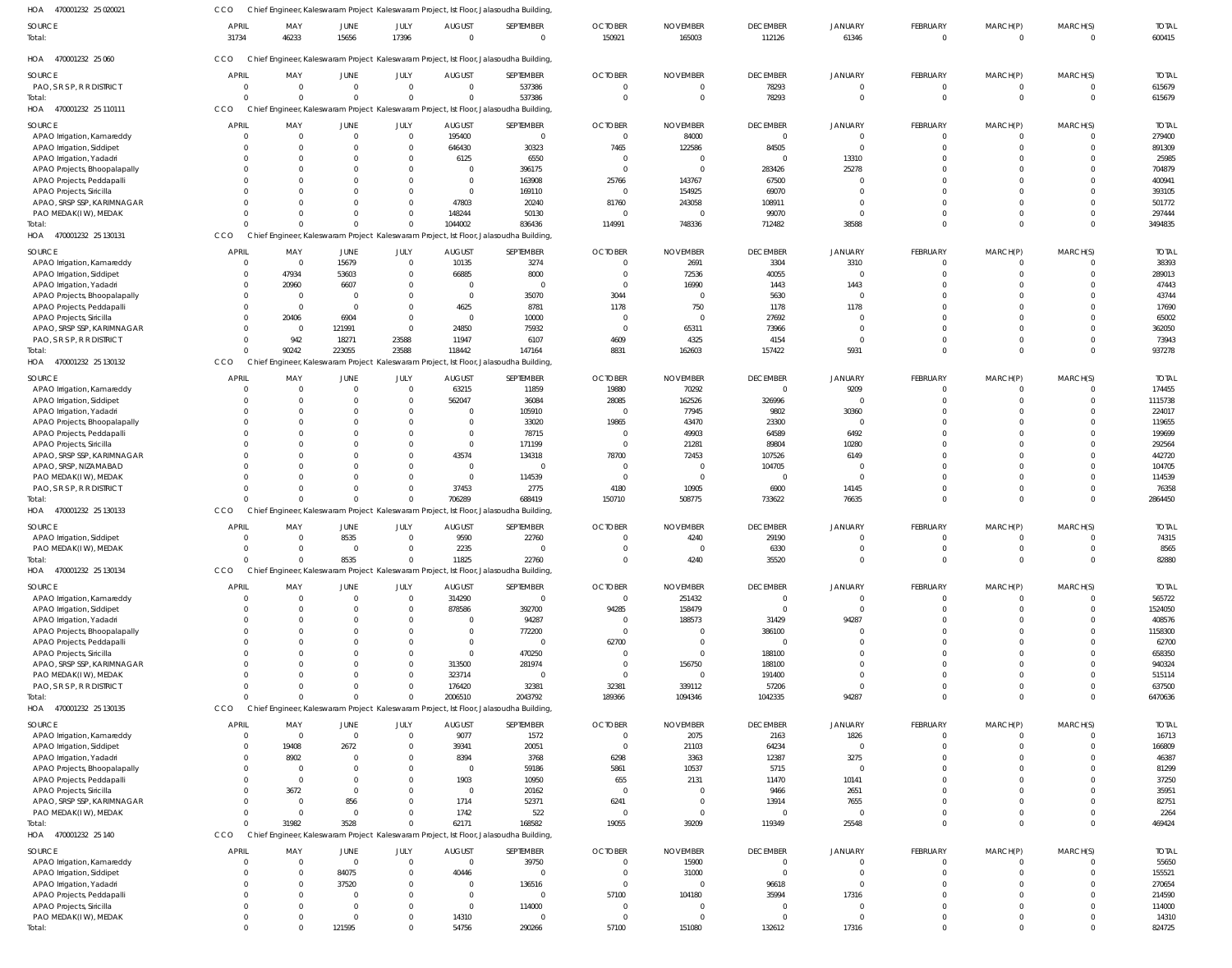| HOA<br>470001232 25 020021                               | CCO                      |                 |                  |                          |                                 | Chief Engineer, Kaleswaram Project Kaleswaram Project, Ist Floor, Jalasoudha Building,          |                            |                           |                             |                            |                                |                            |                         |                        |
|----------------------------------------------------------|--------------------------|-----------------|------------------|--------------------------|---------------------------------|-------------------------------------------------------------------------------------------------|----------------------------|---------------------------|-----------------------------|----------------------------|--------------------------------|----------------------------|-------------------------|------------------------|
| SOURCE                                                   | <b>APRIL</b>             | MAY             | JUNE             | JULY                     | <b>AUGUST</b>                   | SEPTEMBER                                                                                       | <b>OCTOBER</b>             | <b>NOVEMBER</b>           | <b>DECEMBER</b>             | <b>JANUARY</b>             | FEBRUARY                       | MARCH(P)                   | MARCH(S)                | <b>TOTAL</b>           |
| Total:                                                   | 31734                    | 46233           | 15656            | 17396                    | $\Omega$                        | $\mathbf{0}$                                                                                    | 150921                     | 165003                    | 112126                      | 61346                      | $\mathbf 0$                    | $\overline{0}$             | $\mathbf 0$             | 600415                 |
| HOA<br>470001232 25 060                                  | CCO                      |                 |                  |                          |                                 | Chief Engineer, Kaleswaram Project Kaleswaram Project, Ist Floor, Jalasoudha Building,          |                            |                           |                             |                            |                                |                            |                         |                        |
|                                                          |                          |                 |                  |                          |                                 |                                                                                                 |                            |                           |                             |                            |                                |                            |                         |                        |
| SOURCE<br>PAO, S R S P, R R DISTRICT                     | <b>APRIL</b><br>$\Omega$ | MAY<br>$\Omega$ | JUNE<br>$\Omega$ | JULY<br>$\mathbf 0$      | <b>AUGUST</b><br>$\overline{0}$ | SEPTEMBER<br>537386                                                                             | <b>OCTOBER</b><br>$\Omega$ | <b>NOVEMBER</b><br>0      | <b>DECEMBER</b><br>78293    | <b>JANUARY</b><br>$\Omega$ | <b>FEBRUARY</b><br>$\mathbf 0$ | MARCH(P)<br>$\overline{0}$ | MARCH(S)<br>$\mathbf 0$ | <b>TOTAL</b><br>615679 |
| Total:                                                   | $\Omega$                 |                 | $\Omega$         | $\Omega$                 | $\Omega$                        | 537386                                                                                          | $\Omega$                   | 0                         | 78293                       | $\Omega$                   | $\mathbf 0$                    | $\mathbf{0}$               | $\overline{0}$          | 615679                 |
| HOA 470001232 25 110111                                  | <b>CCO</b>               |                 |                  |                          |                                 | Chief Engineer, Kaleswaram Project Kaleswaram Project, Ist Floor, Jalasoudha Building           |                            |                           |                             |                            |                                |                            |                         |                        |
| SOURCE                                                   | <b>APRIL</b>             | MAY             | JUNE             | JULY                     | <b>AUGUST</b>                   | SEPTEMBER                                                                                       | <b>OCTOBER</b>             | <b>NOVEMBER</b>           | <b>DECEMBER</b>             | <b>JANUARY</b>             | FEBRUARY                       | MARCH(P)                   | MARCH(S)                | <b>TOTAL</b>           |
| APAO Irrigation, Kamareddy                               | $\Omega$                 |                 | $\Omega$         | $\Omega$                 | 195400                          | $\Omega$                                                                                        | $\Omega$                   | 84000                     | $\Omega$                    | $\Omega$                   | 0                              | 0                          | $\Omega$                | 279400                 |
| APAO Irrigation, Siddipet                                | $\Omega$                 |                 |                  | $\Omega$<br><sup>0</sup> | 646430                          | 30323                                                                                           | 7465                       | 122586                    | 84505                       | $\Omega$                   |                                | $\Omega$                   | $\Omega$                | 891309                 |
| APAO Irrigation, Yadadri<br>APAO Projects, Bhoopalapally | $\Omega$<br>$\Omega$     |                 | <sup>0</sup>     |                          | 6125<br>$\Omega$                | 6550<br>396175                                                                                  | $\Omega$<br>$\Omega$       | $\Omega$<br>- 0           | $\Omega$<br>283426          | 13310<br>25278             |                                | 0<br>$\Omega$              | $\Omega$<br>$\Omega$    | 25985<br>704879        |
| APAO Projects, Peddapalli                                | $\Omega$                 |                 |                  |                          | - 0                             | 163908                                                                                          | 25766                      | 143767                    | 67500                       |                            |                                | $\Omega$                   | $\Omega$                | 400941                 |
| APAO Projects, Siricilla                                 | $\Omega$                 |                 |                  |                          | $\Omega$                        | 169110                                                                                          | $\Omega$                   | 154925                    | 69070                       | $\Omega$                   |                                | <sup>0</sup>               | $\Omega$                | 393105                 |
| APAO, SRSP SSP, KARIMNAGAR                               | $\Omega$                 |                 |                  |                          | 47803                           | 20240                                                                                           | 81760                      | 243058                    | 108911                      | $\Omega$                   |                                | $\Omega$                   | $\Omega$                | 501772                 |
| PAO MEDAK(IW), MEDAK                                     | $\Omega$                 |                 |                  |                          | 148244                          | 50130                                                                                           | $\circ$                    | - 0                       | 99070                       | $\Omega$                   | $\Omega$                       | $\Omega$<br>$\Omega$       | $\Omega$<br>$\Omega$    | 297444                 |
| Total:<br>HOA 470001232 25 130131                        | CCO                      |                 |                  |                          | 1044002                         | 836436<br>Chief Engineer, Kaleswaram Project Kaleswaram Project, Ist Floor, Jalasoudha Building | 114991                     | 748336                    | 712482                      | 38588                      |                                |                            |                         | 3494835                |
| SOURCE                                                   | <b>APRIL</b>             | MAY             | JUNE             | JULY                     | <b>AUGUST</b>                   | SEPTEMBER                                                                                       | <b>OCTOBER</b>             | <b>NOVEMBER</b>           | <b>DECEMBER</b>             | <b>JANUARY</b>             | <b>FEBRUARY</b>                | MARCH(P)                   | MARCH(S)                | <b>TOTAL</b>           |
| APAO Irrigation, Kamareddy                               | - 0                      | $\Omega$        | 15679            | $\mathbf 0$              | 10135                           | 3274                                                                                            | $\Omega$                   | 2691                      | 3304                        | 3310                       | $\Omega$                       | $\overline{0}$             | $\mathbf 0$             | 38393                  |
| APAO Irrigation, Siddipet                                | $\Omega$                 | 47934           | 53603            | 0                        | 66885                           | 8000                                                                                            | $\Omega$                   | 72536                     | 40055                       | $\Omega$                   |                                | $\mathbf{0}$               | $\mathbf 0$             | 289013                 |
| APAO Irrigation, Yadadri                                 | $\Omega$                 | 20960           | 6607             | 0                        | - 0                             | 0                                                                                               | $\Omega$                   | 16990                     | 1443                        | 1443                       |                                | $\Omega$                   | $\Omega$                | 47443                  |
| APAO Projects, Bhoopalapally                             | $\Omega$                 | - 0             | $\Omega$         | 0                        | - 0                             | 35070                                                                                           | 3044                       | $\Omega$                  | 5630                        | $\Omega$                   |                                | $\Omega$                   | $\Omega$                | 43744                  |
| APAO Projects, Peddapalli                                | $\Omega$                 | $\Omega$        | $\Omega$         | 0                        | 4625                            | 8781                                                                                            | 1178                       | 750                       | 1178                        | 1178                       |                                | $\Omega$                   | $\Omega$                | 17690                  |
| APAO Projects, Siricilla<br>APAO, SRSP SSP, KARIMNAGAR   | $\Omega$<br>$\Omega$     | 20406<br>- 0    | 6904<br>121991   | $\Omega$<br>$\mathbf 0$  | $\overline{0}$<br>24850         | 10000<br>75932                                                                                  | $\Omega$<br>$\overline{0}$ | 0<br>65311                | 27692<br>73966              | $\Omega$<br>$\Omega$       |                                | $\Omega$<br>$\Omega$       | $\Omega$<br>$\Omega$    | 65002<br>362050        |
| PAO, S R S P, R R DISTRICT                               | $\Omega$                 | 942             | 18271            | 23588                    | 11947                           | 6107                                                                                            | 4609                       | 4325                      | 4154                        | $\Omega$                   |                                | $\Omega$                   | $\Omega$                | 73943                  |
| Total:                                                   | $\Omega$                 | 90242           | 223055           | 23588                    | 118442                          | 147164                                                                                          | 8831                       | 162603                    | 157422                      | 5931                       | $\Omega$                       | $\Omega$                   | $\mathbf 0$             | 937278                 |
| HOA 470001232 25 130132                                  | <b>CCO</b>               |                 |                  |                          |                                 | Chief Engineer, Kaleswaram Project Kaleswaram Project, Ist Floor, Jalasoudha Building           |                            |                           |                             |                            |                                |                            |                         |                        |
| SOURCE                                                   | <b>APRIL</b>             | MAY             | JUNE             | JULY                     | <b>AUGUST</b>                   | SEPTEMBER                                                                                       | <b>OCTOBER</b>             | <b>NOVEMBER</b>           | <b>DECEMBER</b>             | <b>JANUARY</b>             | FEBRUARY                       | MARCH(P)                   | MARCH(S)                | <b>TOTAL</b>           |
| APAO Irrigation, Kamareddy                               | $\Omega$                 |                 | $\Omega$         | $\Omega$                 | 63215                           | 11859                                                                                           | 19880                      | 70292                     | $\Omega$                    | 9209                       | $\Omega$                       | $\Omega$                   | $\Omega$                | 174455                 |
| APAO Irrigation, Siddipet                                | 0<br>$\Omega$            |                 |                  | 0                        | 562047                          | 36084<br>105910                                                                                 | 28085<br>$\overline{0}$    | 162526<br>77945           | 326996<br>9802              | 30360                      |                                | $\Omega$<br>$\Omega$       | $\Omega$<br>$\Omega$    | 1115738<br>224017      |
| APAO Irrigation, Yadadri<br>APAO Projects, Bhoopalapally | $\Omega$                 |                 |                  |                          | $\Omega$                        | 33020                                                                                           | 19865                      | 43470                     | 23300                       | $\Omega$                   |                                | $\Omega$                   | $\Omega$                | 119655                 |
| APAO Projects, Peddapalli                                | $\Omega$                 |                 |                  |                          |                                 | 78715                                                                                           | - 0                        | 49903                     | 64589                       | 6492                       |                                | <sup>0</sup>               | $\Omega$                | 199699                 |
| APAO Projects, Siricilla                                 | $\Omega$                 |                 |                  |                          | $\Omega$                        | 171199                                                                                          | $\Omega$                   | 21281                     | 89804                       | 10280                      |                                | $\Omega$                   | $\Omega$                | 292564                 |
| APAO, SRSP SSP, KARIMNAGAR                               | $\Omega$                 |                 |                  |                          | 43574                           | 134318                                                                                          | 78700                      | 72453                     | 107526                      | 6149                       |                                | $\Omega$                   | $\Omega$                | 442720                 |
| APAO, SRSP, NIZAMABAD<br>PAO MEDAK(IW), MEDAK            | $\Omega$<br>$\Omega$     |                 |                  |                          | - 0<br>$\Omega$                 | $\Omega$<br>114539                                                                              | $\Omega$<br>- 0            | - 0<br>0                  | 104705<br>$\Omega$          | $\Omega$                   |                                | $\Omega$<br>$\Omega$       | $\Omega$<br>$\Omega$    | 104705<br>114539       |
| PAO, S R S P, R R DISTRICT                               | $\Omega$                 |                 | 0                |                          | 37453                           | 2775                                                                                            | 4180                       | 10905                     | 6900                        | 14145                      | $\Omega$                       | $\Omega$                   | $\Omega$                | 76358                  |
| Total:                                                   |                          |                 | $\Omega$         |                          | 706289                          | 688419                                                                                          | 150710                     | 508775                    | 733622                      | 76635                      | $\Omega$                       | $\Omega$                   | $\Omega$                | 2864450                |
| HOA 470001232 25 130133                                  | CCO                      |                 |                  |                          |                                 | Chief Engineer, Kaleswaram Project Kaleswaram Project, Ist Floor, Jalasoudha Building           |                            |                           |                             |                            |                                |                            |                         |                        |
| SOURCE                                                   | <b>APRIL</b>             | MAY             | JUNE             | JULY                     | <b>AUGUST</b>                   | SEPTEMBER                                                                                       | <b>OCTOBER</b>             | <b>NOVEMBER</b>           | <b>DECEMBER</b>             | <b>JANUARY</b>             | FEBRUARY                       | MARCH(P)                   | MARCH(S)                | <b>TOTAL</b>           |
| APAO Irrigation, Siddipet                                | $\Omega$                 | $\Omega$        | 8535             | $\mathbf 0$              | 9590                            | 22760                                                                                           | $\Omega$                   | 4240                      | 29190                       | $\Omega$                   | $\overline{0}$                 | $\mathbf{0}$               | $\Omega$                | 74315                  |
| PAO MEDAK(IW), MEDAK                                     | $\Omega$                 | $\Omega$        | $\Omega$         | $\Omega$                 | 2235                            | $\Omega$                                                                                        | $\Omega$                   | $\Omega$                  | 6330                        |                            | $\Omega$                       | $\Omega$                   | $\Omega$                | 8565                   |
| Total:<br>HOA 470001232 25 130134                        | $\Omega$<br><b>CCO</b>   |                 | 8535             | $\Omega$                 | 11825                           | 22760<br>Chief Engineer, Kaleswaram Project Kaleswaram Project, Ist Floor, Jalasoudha Building  | $\Omega$                   | 4240                      | 35520                       | $\Omega$                   | $\mathbf 0$                    | $\mathbf{0}$               | $\mathbf 0$             | 82880                  |
|                                                          |                          |                 |                  |                          |                                 |                                                                                                 |                            |                           |                             |                            |                                |                            |                         |                        |
| SOURCE<br>APAO Irrigation, Kamareddy                     | <b>APRIL</b><br>$\Omega$ | MAY             | JUNE<br>0        | JULY<br>$\Omega$         | <b>AUGUST</b><br>314290         | SEPTEMBER<br>$\Omega$                                                                           | <b>OCTOBER</b><br>$\Omega$ | <b>NOVEMBER</b><br>251432 | <b>DECEMBER</b><br>$\Omega$ | <b>JANUARY</b><br>$\Omega$ | FEBRUARY                       | MARCH(P)<br>0              | MARCH(S)<br>0           | <b>TOTAL</b><br>565722 |
| APAO Irrigation, Siddipet                                | -C                       |                 |                  |                          | 878586                          | 392700                                                                                          | 94285                      | 158479                    | $\Omega$                    | $\Omega$                   |                                | $\Omega$                   | $\Omega$                | 1524050                |
| APAO Irrigation, Yadadri                                 | $\Omega$                 |                 |                  |                          |                                 | 94287                                                                                           | $\Omega$                   | 188573                    | 31429                       | 94287                      |                                |                            | 0                       | 408576                 |
| APAO Projects, Bhoopalapally                             |                          |                 |                  |                          |                                 | 772200                                                                                          | - 0                        | $\Omega$                  | 386100                      |                            |                                | $\Omega$                   | $\Omega$                | 1158300                |
| APAO Projects, Peddapalli                                | $\Omega$                 |                 |                  |                          | $\Omega$                        | $\Omega$                                                                                        | 62700                      | $\Omega$                  |                             | $\Omega$                   |                                |                            | $\Omega$                | 62700                  |
| APAO Projects, Siricilla<br>APAO, SRSP SSP, KARIMNAGAR   | $\Omega$                 |                 |                  |                          | $\Omega$<br>313500              | 470250<br>281974                                                                                | $\Omega$<br>$\Omega$       | $\Omega$<br>156750        | 188100<br>188100            |                            |                                |                            | $\Omega$<br>$\Omega$    | 658350<br>940324       |
| PAO MEDAK(IW), MEDAK                                     |                          |                 |                  |                          | 323714                          | $\Omega$                                                                                        | $\Omega$                   | 0                         | 191400                      | $\Omega$                   |                                |                            | $\Omega$                | 515114                 |
| PAO, S R S P, R R DISTRICT                               | $\Omega$                 |                 |                  |                          | 176420                          | 32381                                                                                           | 32381                      | 339112                    | 57206                       | $\Omega$                   |                                | $\Omega$                   | $\Omega$                | 637500                 |
| Total:                                                   |                          |                 | $\Omega$         |                          | 2006510                         | 2043792                                                                                         | 189366                     | 1094346                   | 1042335                     | 94287                      | $\Omega$                       | $\Omega$                   | $\Omega$                | 6470636                |
| HOA 470001232 25 130135                                  | <b>CCO</b>               |                 |                  |                          |                                 | Chief Engineer, Kaleswaram Project Kaleswaram Project, Ist Floor, Jalasoudha Building           |                            |                           |                             |                            |                                |                            |                         |                        |
| SOURCE                                                   | <b>APRIL</b>             | MAY             | JUNE             | JULY                     | <b>AUGUST</b>                   | SEPTEMBER                                                                                       | <b>OCTOBER</b>             | <b>NOVEMBER</b>           | <b>DECEMBER</b>             | <b>JANUARY</b>             | FEBRUARY                       | MARCH(P)                   | MARCH(S)                | <b>TOTAL</b>           |
| APAO Irrigation, Kamareddy                               | 0                        | $\Omega$        | $\overline{0}$   | $\mathbf 0$<br>$\Omega$  | 9077                            | 1572                                                                                            | - 0                        | 2075                      | 2163                        | 1826                       | $\Omega$                       | 0                          | $\mathbf{0}$            | 16713                  |
| APAO Irrigation, Siddipet<br>APAO Irrigation, Yadadri    | $\Omega$<br>$\Omega$     | 19408<br>8902   | 2672<br>$\Omega$ | 0                        | 39341<br>8394                   | 20051<br>3768                                                                                   | $\overline{0}$<br>6298     | 21103<br>3363             | 64234<br>12387              | - 0<br>3275                | 0                              | $\Omega$<br>$\Omega$       | $\mathbf 0$<br>$\Omega$ | 166809<br>46387        |
| APAO Projects, Bhoopalapally                             | $\Omega$                 | - 0             |                  |                          | - 0                             | 59186                                                                                           | 5861                       | 10537                     | 5715                        | $\Omega$                   |                                |                            | $\Omega$                | 81299                  |
| APAO Projects, Peddapalli                                | $\Omega$                 | $\Omega$        | 0                | 0                        | 1903                            | 10950                                                                                           | 655                        | 2131                      | 11470                       | 10141                      |                                | $\Omega$                   | $\Omega$                | 37250                  |
| APAO Projects, Siricilla                                 | $\Omega$                 | 3672            | $\Omega$         |                          | - 0                             | 20162                                                                                           | $\overline{0}$             | - 0                       | 9466                        | 2651                       |                                | $\Omega$                   | $\Omega$                | 35951                  |
| APAO, SRSP SSP, KARIMNAGAR                               | $\Omega$                 | - 0<br>$\Omega$ | 856<br>$\Omega$  | 0                        | 1714                            | 52371                                                                                           | 6241                       | - 0                       | 13914                       | 7655                       |                                | $\Omega$                   | $\Omega$                | 82751                  |
| PAO MEDAK(IW), MEDAK<br>Total:                           | $\Omega$<br>$\Omega$     | 31982           | 3528             | 0<br>$\Omega$            | 1742<br>62171                   | 522<br>168582                                                                                   | $\overline{0}$<br>19055    | - 0<br>39209              | $\Omega$<br>119349          | 25548                      | $\Omega$                       | $\Omega$<br>$\Omega$       | $\mathbf 0$<br>$\Omega$ | 2264<br>469424         |
| HOA 470001232 25 140                                     | CCO                      |                 |                  |                          |                                 | Chief Engineer, Kaleswaram Project Kaleswaram Project, Ist Floor, Jalasoudha Building           |                            |                           |                             |                            |                                |                            |                         |                        |
| SOURCE                                                   | <b>APRIL</b>             | MAY             | JUNE             | JULY                     | <b>AUGUST</b>                   | SEPTEMBER                                                                                       | <b>OCTOBER</b>             | <b>NOVEMBER</b>           | <b>DECEMBER</b>             | <b>JANUARY</b>             | FEBRUARY                       | MARCH(P)                   | MARCH(S)                | <b>TOTAL</b>           |
| APAO Irrigation, Kamareddy                               | $\Omega$                 |                 | $\Omega$         | 0                        | - 0                             | 39750                                                                                           |                            | 15900                     | $\Omega$                    |                            |                                | 0                          | 0                       | 55650                  |
| APAO Irrigation, Siddipet                                | -C                       |                 | 84075            |                          | 40446                           | $\Omega$                                                                                        | $\Omega$                   | 31000                     | $\Omega$                    | $\Omega$                   |                                |                            | $\Omega$                | 155521                 |
| APAO Irrigation, Yadadri                                 | 0                        |                 | 37520            |                          | - 0                             | 136516                                                                                          | $\Omega$                   | $\Omega$                  | 96618                       | $\Omega$                   |                                |                            | $\Omega$                | 270654                 |
| APAO Projects, Peddapalli                                | 0                        |                 | <sup>0</sup>     |                          | - 0<br>$\Omega$                 | 0<br>114000                                                                                     | 57100<br>$\Omega$          | 104180<br>$\Omega$        | 35994                       | 17316<br>$\Omega$          |                                | $\Omega$                   | $\Omega$<br>$\Omega$    | 214590<br>114000       |
| APAO Projects, Siricilla<br>PAO MEDAK(IW), MEDAK         | $\Omega$                 |                 |                  |                          | 14310                           | $\Omega$                                                                                        | $\Omega$                   | $\Omega$                  | $\Omega$                    | $\Omega$                   |                                | 0                          | $\Omega$                | 14310                  |
| Total:                                                   | $\Omega$                 |                 | 121595           |                          | 54756                           | 290266                                                                                          | 57100                      | 151080                    | 132612                      | 17316                      | $\Omega$                       | $\Omega$                   | $\Omega$                | 824725                 |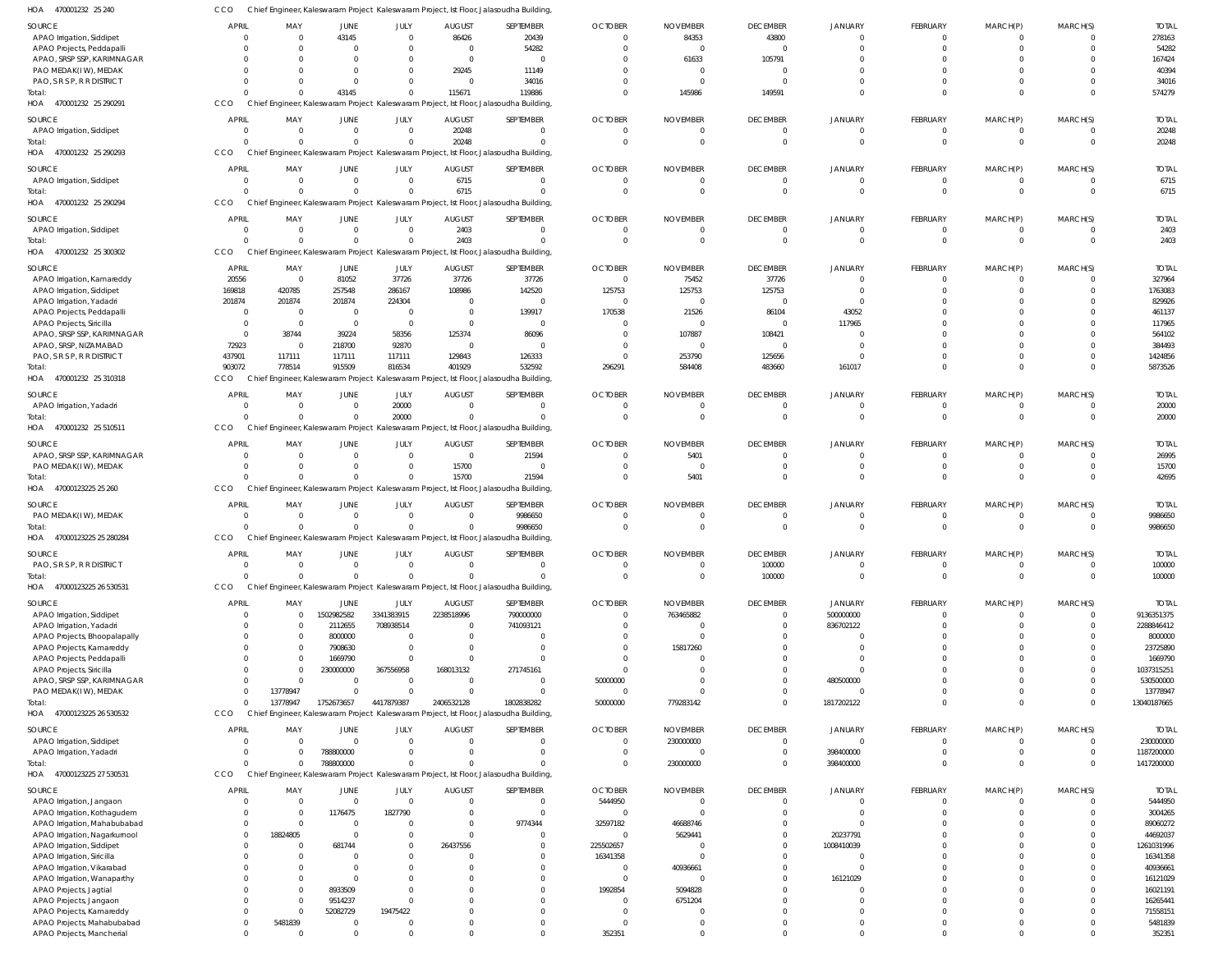| SOURCE                                                  | <b>APRIL</b>                     | MAY                        | JUNE                 | JULY                       | <b>AUGUST</b>        | SEPTEMBER                                                                             | <b>OCTOBER</b>           | <b>NOVEMBER</b>         | <b>DECEMBER</b>      | <b>JANUARY</b>       | FEBRUARY                   | MARCH(P)         | MARCH(S)     | <b>TOTAL</b>          |
|---------------------------------------------------------|----------------------------------|----------------------------|----------------------|----------------------------|----------------------|---------------------------------------------------------------------------------------|--------------------------|-------------------------|----------------------|----------------------|----------------------------|------------------|--------------|-----------------------|
| APAO Irrigation, Siddipet                               | $\overline{0}$                   | $\overline{0}$             | 43145                | $\overline{0}$             | 86426                | 20439                                                                                 | $\overline{0}$           | 84353                   | 43800                | $\Omega$             | 0                          |                  |              | 278163                |
| APAO Projects, Peddapalli<br>APAO, SRSP SSP, KARIMNAGAR | $\Omega$<br>$\Omega$             | $\Omega$<br>$\Omega$       | $\Omega$             | $\Omega$<br>$\Omega$       | $\Omega$<br>$\Omega$ | 54282<br>$\Omega$                                                                     | $^{\circ}$<br>$\Omega$   | $\overline{0}$<br>61633 | $\Omega$<br>105791   | $\Omega$             | $\Omega$                   |                  |              | 54282<br>167424       |
| PAO MEDAK(IW), MEDAK                                    | $\Omega$                         | $\Omega$                   |                      | $\Omega$                   | 29245                | 11149                                                                                 | $\Omega$                 | $\overline{0}$          |                      |                      |                            |                  |              | 40394                 |
| PAO, S R S P, R R DISTRICT                              | $\Omega$                         | $\Omega$                   | $\Omega$             | $\Omega$                   | $\Omega$             | 34016                                                                                 | $\Omega$                 | - 0                     | $\cap$               | $\Omega$             | $\Omega$                   |                  | $\Omega$     | 34016                 |
| Total:                                                  | $\Omega$                         | $\Omega$                   | 43145                | $\Omega$                   | 115671               | 119886                                                                                | $\Omega$                 | 145986                  | 149591               | $\Omega$             | $\Omega$                   | $\Omega$         | $\Omega$     | 574279                |
| HOA 470001232 25 290291                                 | CCO                              |                            |                      |                            |                      | Chief Engineer, Kaleswaram Project Kaleswaram Project, Ist Floor, Jalasoudha Building |                          |                         |                      |                      |                            |                  |              |                       |
| SOURCE                                                  | <b>APRIL</b>                     | MAY                        | JUNE                 | JULY                       | <b>AUGUST</b>        | SEPTEMBER                                                                             | <b>OCTOBER</b>           | <b>NOVEMBER</b>         | <b>DECEMBER</b>      | <b>JANUARY</b>       | FEBRUARY                   | MARCH(P)         | MARCH(S)     | <b>TOTAL</b>          |
| APAO Irrigation, Siddipet<br>Total:                     | $\overline{0}$<br>$\Omega$       | $\overline{0}$<br>$\Omega$ | $\Omega$<br>$\Omega$ | $\overline{0}$<br>$\Omega$ | 20248<br>20248       | $\mathbf 0$<br>$\Omega$                                                               | -0<br>$\Omega$           | -0<br>$\overline{0}$    | $\Omega$<br>$\Omega$ | $\Omega$<br>$\Omega$ | $\mathbf 0$<br>$\mathbf 0$ | 0<br>$\mathbf 0$ | $\Omega$     | 20248<br>20248        |
| HOA 470001232 25 290293                                 | CCO                              |                            |                      |                            |                      | Chief Engineer, Kaleswaram Project Kaleswaram Project, Ist Floor, Jalasoudha Building |                          |                         |                      |                      |                            |                  |              |                       |
| SOURCE                                                  | <b>APRIL</b>                     | MAY                        | JUNE                 | JULY                       | <b>AUGUST</b>        | SEPTEMBER                                                                             | <b>OCTOBER</b>           | <b>NOVEMBER</b>         | <b>DECEMBER</b>      | <b>JANUARY</b>       | FEBRUARY                   | MARCH(P)         | MARCH(S)     | <b>TOTAL</b>          |
| APAO Irrigation, Siddipet                               | $\overline{0}$                   | $\overline{0}$             | $\Omega$             | $\overline{0}$             | 6715                 | $\mathbf 0$                                                                           | $\mathbf 0$              | $\overline{0}$          | $\Omega$             | $\Omega$             | $\mathbf 0$                | $\mathbf 0$      |              | 6715                  |
| Total:                                                  | $\Omega$                         | $\Omega$                   | $\Omega$             | $\Omega$                   | 6715                 | $\Omega$                                                                              | $\Omega$                 | $\overline{0}$          | $\overline{0}$       | $\Omega$             | $\mathbf 0$                | $\mathbf 0$      | $\Omega$     | 6715                  |
| HOA 470001232 25 290294                                 | CCO                              |                            |                      |                            |                      | Chief Engineer, Kaleswaram Project Kaleswaram Project, Ist Floor, Jalasoudha Building |                          |                         |                      |                      |                            |                  |              |                       |
| SOURCE                                                  | <b>APRIL</b>                     | MAY                        | JUNE                 | JULY                       | <b>AUGUST</b>        | SEPTEMBER                                                                             | <b>OCTOBER</b>           | <b>NOVEMBER</b>         | <b>DECEMBER</b>      | <b>JANUARY</b>       | <b>FEBRUARY</b>            | MARCH(P)         | MARCH(S)     | <b>TOTAL</b>          |
| APAO Irrigation, Siddipet                               | $\overline{0}$                   | $^{\circ}$                 | $\Omega$             | $\overline{0}$             | 2403                 | $\mathbf 0$                                                                           | $\overline{0}$           | $\overline{0}$          | $\Omega$             | $\Omega$             | $\mathbf 0$                | 0                | $\Omega$     | 2403                  |
| Total:                                                  | $\Omega$                         | $\Omega$                   | $\Omega$             | $\Omega$                   | 2403                 | $\Omega$                                                                              | $\Omega$                 | $\overline{0}$          | $\Omega$             | $\Omega$             | $\mathbf 0$                | $\mathbf 0$      | $\Omega$     | 2403                  |
| HOA 470001232 25 300302                                 | CCO                              |                            |                      |                            |                      | Chief Engineer, Kaleswaram Project Kaleswaram Project, Ist Floor, Jalasoudha Building |                          |                         |                      |                      |                            |                  |              |                       |
| SOURCE                                                  | <b>APRIL</b>                     | MAY                        | JUNE                 | JULY                       | <b>AUGUST</b>        | SEPTEMBER                                                                             | <b>OCTOBER</b>           | <b>NOVEMBER</b>         | <b>DECEMBER</b>      | <b>JANUARY</b>       | FEBRUARY                   | MARCH(P)         | MARCH(S)     | <b>TOTAI</b>          |
| APAO Irrigation, Kamareddy<br>APAO Irrigation, Siddipet | 20556<br>169818                  | $\overline{0}$<br>420785   | 81052<br>257548      | 37726<br>286167            | 37726<br>108986      | 37726<br>142520                                                                       | $\overline{0}$<br>125753 | 75452<br>125753         | 37726<br>125753      | $\Omega$<br>$\Omega$ | 0<br>$\Omega$              |                  |              | 327964<br>1763083     |
| APAO Irrigation, Yadadri                                | 201874                           | 201874                     | 201874               | 224304                     | $\Omega$             | $\Omega$                                                                              | $^{\circ}$               | - 0                     | $\Omega$             | $\Omega$             |                            |                  |              | 829926                |
| APAO Projects, Peddapalli                               | $\overline{0}$                   | $\overline{0}$             | $\Omega$             | $\overline{0}$             | $\Omega$             | 139917                                                                                | 170538                   | 21526                   | 86104                | 43052                |                            |                  |              | 461137                |
| APAO Projects, Siricilla                                | $\overline{0}$                   | $\overline{\mathbf{0}}$    | $\overline{0}$       | $\overline{0}$             | $\Omega$             | $\Omega$                                                                              | $\Omega$                 | $\Omega$                | $\Omega$             | 117965               |                            |                  |              | 117965                |
| APAO, SRSP SSP, KARIMNAGAR                              | $\overline{0}$                   | 38744                      | 39224                | 58356                      | 125374               | 86096                                                                                 | $^{\circ}$               | 107887                  | 108421               | - 0                  |                            |                  |              | 564102                |
| APAO, SRSP, NIZAMABAD                                   | 72923                            | - 0                        | 218700               | 92870                      | $\Omega$             | $\Omega$                                                                              | $\overline{0}$           | -0                      | $\Omega$             | $\Omega$             |                            |                  |              | 384493                |
| PAO, S R S P, R R DISTRICT                              | 437901                           | 117111                     | 117111               | 117111                     | 129843               | 126333                                                                                | $^{\circ}$               | 253790                  | 125656               | $\cap$               | $\Omega$                   | 0                |              | 1424856               |
| Total:                                                  | 903072                           | 778514                     | 915509               | 816534                     | 401929               | 532592                                                                                | 296291                   | 584408                  | 483660               | 161017               | $\Omega$                   | $\Omega$         | $\Omega$     | 5873526               |
| HOA 470001232 25 310318                                 | <b>CCO</b>                       |                            |                      |                            |                      | Chief Engineer, Kaleswaram Project Kaleswaram Project, Ist Floor, Jalasoudha Building |                          |                         |                      |                      |                            |                  |              |                       |
| SOURCE                                                  | <b>APRIL</b>                     | MAY                        | JUNE                 | JULY                       | <b>AUGUST</b>        | SEPTEMBER                                                                             | <b>OCTOBER</b>           | <b>NOVEMBER</b>         | <b>DECEMBER</b>      | <b>JANUARY</b>       | FEBRUARY                   | MARCH(P)         | MARCH(S)     | <b>TOTAL</b>          |
| APAO Irrigation, Yadadri                                | $\overline{0}$                   | $\overline{0}$             | $\Omega$             | 20000                      | $\Omega$             | $\mathbf 0$                                                                           | $\overline{0}$           | $\overline{0}$          | $\overline{0}$       | $\Omega$             | $\mathbf 0$                | $\mathbf 0$      | $\Omega$     | 20000                 |
| Total:                                                  | $\Omega$                         | $\Omega$                   | $\Omega$             | 20000                      |                      | $\Omega$                                                                              | $\Omega$                 | $\overline{0}$          | $\Omega$             | $\Omega$             | $\mathbf 0$                | $\mathbf 0$      | $\Omega$     | 20000                 |
| 470001232 25 510511<br>HOA                              | CCO                              |                            |                      |                            |                      | Chief Engineer, Kaleswaram Project Kaleswaram Project, Ist Floor, Jalasoudha Building |                          |                         |                      |                      |                            |                  |              |                       |
| SOURCE                                                  | <b>APRIL</b>                     | MAY                        | JUNE                 | JULY                       | <b>AUGUST</b>        | SEPTEMBER                                                                             | <b>OCTOBER</b>           | <b>NOVEMBER</b>         | <b>DECEMBER</b>      | <b>JANUARY</b>       | FEBRUARY                   | MARCH(P)         | MARCH(S)     | <b>TOTAI</b>          |
| APAO, SRSP SSP, KARIMNAGAR                              | $\Omega$                         | $\overline{0}$             | $\Omega$             | $\overline{0}$             | $\Omega$             | 21594                                                                                 | $\Omega$                 | 5401                    | $\Omega$             | $\Omega$             | 0                          |                  |              | 26995                 |
| PAO MEDAK(IW), MEDAK                                    | $\Omega$                         | $\Omega$                   | $\Omega$             | $\mathbf 0$                | 15700                | $\mathbf 0$                                                                           | $^{\circ}$               | $\overline{0}$          | $\Omega$             | $\Omega$             | $\mathbf 0$                | $\mathbf 0$      | $\Omega$     | 15700                 |
| Total:                                                  | $\cap$                           | $\Omega$                   | $\Omega$             | $\Omega$                   | 15700                | 21594                                                                                 | $\Omega$                 | 5401                    | $\Omega$             | $\Omega$             | $\Omega$                   | $\Omega$         | $\Omega$     | 42695                 |
| HOA 47000123225 25 260                                  | CCO                              | Chief                      |                      |                            |                      | Engineer, Kaleswaram Project Kaleswaram Project, Ist Floor, Jalasoudha Building       |                          |                         |                      |                      |                            |                  |              |                       |
| SOURCE                                                  | <b>APRIL</b>                     | MAY                        | JUNE                 | JULY                       | <b>AUGUST</b>        | SEPTEMBER                                                                             | <b>OCTOBER</b>           | <b>NOVEMBER</b>         | <b>DECEMBER</b>      | <b>JANUARY</b>       | FEBRUARY                   | MARCH(P)         | MARCH(S)     | <b>TOTAL</b>          |
| PAO MEDAK(IW), MEDAK                                    | $\overline{0}$                   | $\overline{0}$             | $\Omega$             | $\overline{0}$             | $\Omega$             | 9986650                                                                               | $^{\circ}$               | $\overline{0}$          | $\Omega$             | $\Omega$             | $\mathbf 0$                | $\mathbf 0$      | $\Omega$     | 9986650               |
| Total:                                                  | $\Omega$                         |                            | $\Omega$             | $\Omega$                   |                      | 9986650                                                                               | $\Omega$                 | $\overline{0}$          | $\Omega$             | $\Omega$             | $\mathbf 0$                | $\mathbf 0$      | $\Omega$     | 9986650               |
|                                                         |                                  | $\Omega$                   |                      |                            |                      |                                                                                       |                          |                         |                      |                      |                            |                  |              |                       |
| HOA 47000123225 25 280284                               | <b>CCO</b>                       |                            |                      |                            |                      | Chief Engineer, Kaleswaram Project Kaleswaram Project, Ist Floor, Jalasoudha Building |                          |                         |                      |                      |                            |                  |              |                       |
| SOURCE                                                  | <b>APRIL</b>                     | MAY                        | JUNE                 | JULY                       | <b>AUGUST</b>        | SEPTEMBER                                                                             | <b>OCTOBER</b>           | <b>NOVEMBER</b>         | <b>DECEMBER</b>      | <b>JANUARY</b>       | <b>FEBRUARY</b>            | MARCH(P)         | MARCH(S)     | <b>TOTAL</b>          |
| PAO, S R S P, R R DISTRICT                              | $\Omega$                         | $\overline{0}$             | $\overline{0}$       | $\overline{0}$             | $\overline{0}$       | $\mathbf 0$                                                                           | $\overline{0}$           | $\overline{0}$          | 100000               | $\overline{0}$       | $\mathbf 0$                | $\Omega$         | $^{\circ}$   | 100000                |
| Total:                                                  | $\overline{0}$                   | $\Omega$                   | $\Omega$             | $\Omega$                   |                      | $\Omega$                                                                              | $\Omega$                 | $\overline{0}$          | 100000               | $\Omega$             | $\mathbf 0$                | $\Omega$         | $\Omega$     | 100000                |
| HOA 47000123225 26 530531                               | CCO                              |                            |                      |                            |                      | Chief Engineer, Kaleswaram Project Kaleswaram Project, Ist Floor, Jalasoudha Building |                          |                         |                      |                      |                            |                  |              |                       |
| SOURCE                                                  | <b>APRIL</b>                     | MAY                        | JUNE                 | JULY                       | <b>AUGUST</b>        | SEPTEMBER                                                                             | <b>OCTOBER</b>           | <b>NOVEMBER</b>         | <b>DECEMBER</b>      | <b>JANUARY</b>       | <b>FEBRUARY</b>            | MARCH(P)         | MARCH(S)     | <b>TOTAL</b>          |
| APAO Irrigation, Siddipet                               | $\circ$                          | $\Omega$                   | 1502982582           | 3341383915                 | 2238518996           | 790000000                                                                             | $\mathbf 0$              | 763465882               | $\overline{0}$       | 500000000            | $\mathbf 0$                | 0                | $\Omega$     | 9136351375            |
| APAO Irrigation, Yadadri                                | $\Omega$                         | $\overline{0}$             | 2112655              | 708938514                  |                      | 741093121                                                                             | $\mathbf 0$              | $\overline{0}$          | $\overline{0}$       | 836702122            | $\mathbf 0$                | $\Omega$         | $\Omega$     | 2288846412            |
| APAO Projects, Bhoopalapally                            | $\Omega$                         | $\Omega$                   | 8000000              | $\overline{0}$             |                      | 0                                                                                     | $\Omega$                 | $\Omega$                | $\Omega$             |                      | $\Omega$                   |                  |              | 8000000               |
| APAO Projects, Kamareddy                                | $\Omega$<br>$\Omega$             | $\overline{0}$<br>- 0      | 7908630              | $\Omega$<br>$\Omega$       |                      | 0<br>$\Omega$                                                                         | $^{\circ}$<br>$\Omega$   | 15817260<br>$\Omega$    |                      | $\Omega$<br>$\Omega$ | $\Omega$<br>$\Omega$       |                  |              | 23725890              |
| APAO Projects, Peddapalli                               | $\Omega$                         | $\Omega$                   | 1669790<br>230000000 | 367556958                  | 168013132            | 271745161                                                                             | $\mathbf 0$              | $\Omega$                | $\Omega$             | $\Omega$             | $\Omega$                   |                  | $\Omega$     | 1669790<br>1037315251 |
| APAO Projects, Siricilla<br>APAO, SRSP SSP, KARIMNAGAR  | $\Omega$                         | $\Omega$                   | $\Omega$             | $\overline{0}$             | $\Omega$             | $\mathbf 0$                                                                           | 50000000                 | $\Omega$                | $\Omega$             | 480500000            | $\Omega$                   |                  | $\Omega$     | 530500000             |
| PAO MEDAK(IW), MEDAK                                    | $\overline{0}$                   | 13778947                   | - 0                  | $\Omega$                   | - 0                  | $\mathbf 0$                                                                           | $\overline{0}$           | -0                      | $\Omega$             | $\Omega$             | $\Omega$                   | $\Omega$         | $\Omega$     | 13778947              |
| Total:                                                  | $\overline{0}$                   | 13778947                   | 1752673657           | 4417879387                 | 2406532128           | 1802838282                                                                            | 50000000                 | 779283142               | $\Omega$             | 1817202122           | $\mathbf 0$                | $\Omega$         | $\Omega$     | 13040187665           |
| HOA 47000123225 26 530532                               | CCO                              |                            |                      |                            |                      | Chief Engineer, Kaleswaram Project Kaleswaram Project, Ist Floor, Jalasoudha Building |                          |                         |                      |                      |                            |                  |              |                       |
| SOURCE                                                  | <b>APRIL</b>                     | MAY                        | JUNE                 | JULY                       | <b>AUGUST</b>        | SEPTEMBER                                                                             | <b>OCTOBER</b>           | <b>NOVEMBER</b>         | <b>DECEMBER</b>      | <b>JANUARY</b>       | <b>FEBRUARY</b>            | MARCH(P)         | MARCH(S)     | <b>TOTAL</b>          |
| APAO Irrigation, Siddipet                               | $\Omega$                         | $\Omega$                   | $\Omega$             | $\overline{0}$             | $\Omega$             | $\mathbf 0$                                                                           | $\overline{0}$           | 230000000               | $\overline{0}$       | $\Omega$             | 0                          | 0                | $\Omega$     | 230000000             |
| APAO Irrigation, Yadadri                                | $\Omega$                         | $\Omega$                   | 788800000            | $\Omega$                   |                      | $\mathbf 0$                                                                           | $\overline{0}$           | $\overline{0}$          | $\overline{0}$       | 398400000            | 0                          | $\mathbf 0$      | $\mathbf{0}$ | 1187200000            |
| Total:                                                  | $\Omega$                         | $\Omega$                   | 788800000            | $\Omega$                   |                      | $\Omega$                                                                              | $\Omega$                 | 230000000               | $\Omega$             | 398400000            | $\Omega$                   | $\Omega$         | $\Omega$     | 1417200000            |
| HOA 47000123225 27 530531                               | CCO                              |                            |                      |                            |                      | Chief Engineer, Kaleswaram Project Kaleswaram Project, Ist Floor, Jalasoudha Building |                          |                         |                      |                      |                            |                  |              |                       |
| SOURCE                                                  | <b>APRIL</b>                     | MAY                        | JUNE                 | JULY                       | <b>AUGUST</b>        | SEPTEMBER                                                                             | <b>OCTOBER</b>           | <b>NOVEMBER</b>         | <b>DECEMBER</b>      | <b>JANUARY</b>       | FEBRUARY                   | MARCH(P)         | MARCH(S)     | <b>TOTAL</b>          |
| APAO Irrigation, Jangaon                                | $\Omega$                         | $\overline{0}$             | $\Omega$             | $\Omega$                   | $\Omega$             | $\mathbf 0$                                                                           | 5444950                  | $\overline{0}$          | $\Omega$             | $\Omega$             | $\mathbf 0$                | 0                | $\Omega$     | 5444950               |
| APAO Irrigation, Kothagudem                             | $\overline{0}$                   | - 0                        | 1176475              | 1827790                    |                      | $\mathbf 0$                                                                           | $\overline{0}$           | $\overline{0}$          | $\Omega$             | $\Omega$             | 0                          | 0                | $\Omega$     | 3004265               |
| APAO Irrigation, Mahabubabad                            | $\overline{0}$                   | $\overline{0}$             | $\Omega$             | $\Omega$                   |                      | 9774344                                                                               | 32597182                 | 46688746                | $\Omega$             | $\Omega$             | $\Omega$                   |                  |              | 89060272              |
| APAO Irrigation, Nagarkurnool                           | $\overline{0}$                   | 18824805                   | $\Omega$             | $\Omega$                   |                      | 0                                                                                     | -0                       | 5629441                 | $\Omega$             | 20237791             | $\Omega$                   |                  |              | 44692037              |
| APAO Irrigation, Siddipet                               | $\Omega$                         | - 0                        | 681744               | $\Omega$                   | 26437556             | $\Omega$                                                                              | 225502657                | $\overline{0}$          | $\Omega$             | 1008410039           | $\Omega$                   |                  | $\Omega$     | 1261031996            |
| APAO Irrigation, Siricilla                              | $\Omega$                         | $\Omega$                   |                      | $\Omega$                   |                      | 0                                                                                     | 16341358                 | $\Omega$                | $\Omega$             | $\cap$               | $\Omega$                   |                  |              | 16341358              |
| APAO Irrigation, Vikarabad                              | $\Omega$<br>$\Omega$             | $\Omega$                   | - 0                  | $\Omega$                   |                      | $\Omega$<br>$\Omega$                                                                  | $^{\circ}$<br>$\Omega$   | 40936661<br>$\Omega$    | $\Omega$<br>$\Omega$ | $\Omega$             | $\Omega$<br>$\Omega$       |                  |              | 40936661              |
| APAO Irrigation, Wanaparthy                             | $\Omega$                         | $\mathbf{0}$<br>$\Omega$   | 8933509              | $\Omega$                   |                      | $\Omega$                                                                              | 1992854                  | 5094828                 |                      | 16121029<br>$\cap$   | $\Omega$                   |                  |              | 16121029<br>16021191  |
| APAO Projects, Jagtial<br>APAO Projects, Jangaon        | $\Omega$                         | $\mathbf{0}$               | 9514237              | O                          |                      | 0                                                                                     | $^{\circ}$               | 6751204                 |                      | $\Omega$             | $\Omega$                   |                  |              | 16265441              |
| APAO Projects, Kamareddy                                | $\overline{0}$                   | $\overline{0}$             | 52082729             | 19475422                   |                      | $\Omega$                                                                              | $\overline{0}$           | -0                      | $\cap$               | $\Omega$             | $\Omega$                   |                  |              | 71558151              |
| APAO Projects, Mahabubabad<br>APAO Projects, Mancherial | $\overline{0}$<br>$\overline{0}$ | 5481839                    | - 0                  | $\Omega$                   |                      | 0<br>0                                                                                | $\overline{0}$<br>352351 | -0                      | $\Omega$<br>$\Omega$ | $\Omega$<br>$\Omega$ | $\mathbf 0$<br>0           | 0<br>$\Omega$    | $\Omega$     | 5481839<br>352351     |

470001232 25 240 HOA

CCO Chief Engineer, Kaleswaram Project Kaleswaram Project, Ist Floor, Jalasoudha Building,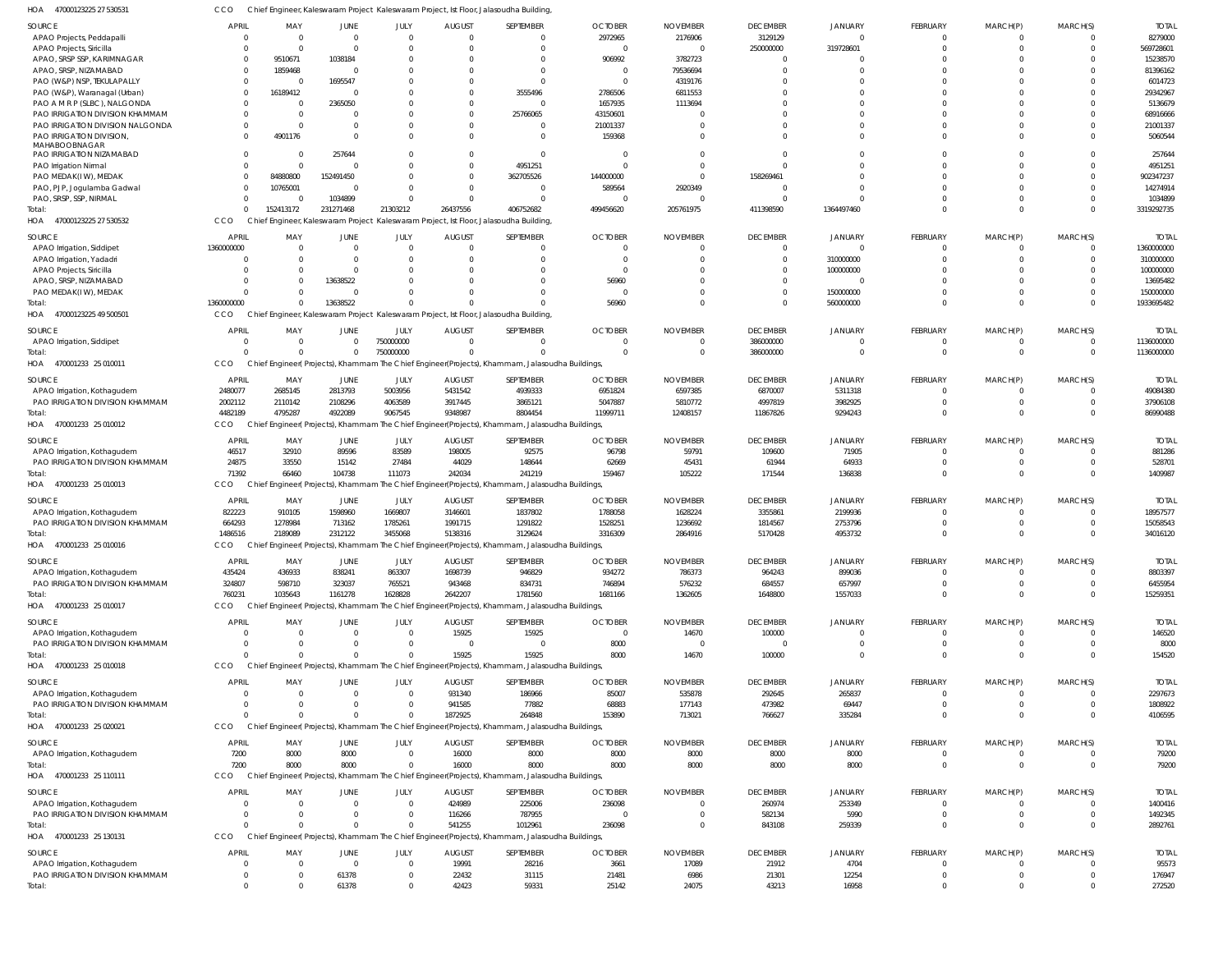47000123225 27 530531 HOA CCO Chief Engineer, Kaleswaram Project Kaleswaram Project, Ist Floor, Jalasoudha Building,

| SOURCE                           | <b>APRIL</b>   | MAY       | JUNE         | JULY        | <b>AUGUST</b> | SEPTEMBER                                                                                      | <b>OCTOBER</b> | <b>NOVEMBER</b> | <b>DECEMBER</b> | <b>JANUARY</b> | FEBRUARY        | MARCH(P)       | MARCH(S)                | <b>TOTAL</b> |
|----------------------------------|----------------|-----------|--------------|-------------|---------------|------------------------------------------------------------------------------------------------|----------------|-----------------|-----------------|----------------|-----------------|----------------|-------------------------|--------------|
| APAO Projects, Peddapalli        | $\Omega$       |           | $\Omega$     | $\Omega$    | $\Omega$      | $\Omega$                                                                                       | 2972965        | 2176906         | 3129129         | $\Omega$       | $\Omega$        | $\Omega$       | $\Omega$                | 8279000      |
| APAO Projects, Siricilla         | $\Omega$       |           | $\Omega$     | $\Omega$    |               | $\Omega$                                                                                       |                |                 | 250000000       | 319728601      | $\Omega$        | $\Omega$       | $\Omega$                | 569728601    |
| APAO, SRSP SSP, KARIMNAGAR       | $\Omega$       | 9510671   | 1038184      |             |               | $\Omega$                                                                                       | 906992         | 3782723         | $\Omega$        |                | $\Omega$        | $\Omega$       | $\Omega$                | 15238570     |
| APAO, SRSP, NIZAMABAD            | $\Omega$       | 1859468   | $\Omega$     |             |               | $\Omega$                                                                                       | - 0            | 79536694        | $\Omega$        |                | $\Omega$        | $\Omega$       |                         | 81396162     |
| PAO (W&P) NSP, TEKULAPALLY       | $\Omega$       | - 0       | 1695547      |             |               | $\Omega$                                                                                       | $\Omega$       | 4319176         |                 |                | $\Omega$        | $\Omega$       |                         | 6014723      |
|                                  |                |           |              |             |               |                                                                                                |                |                 |                 |                |                 |                |                         |              |
| PAO (W&P), Waranagal (Urban)     | $\Omega$       | 16189412  |              |             |               | 3555496                                                                                        | 2786506        | 6811553         |                 |                | $\Omega$        | $\Omega$       | $\Omega$                | 29342967     |
| PAO A M R P (SLBC), NALGONDA     |                |           | 2365050      |             |               | $\Omega$                                                                                       | 1657935        | 1113694         |                 |                | $\Omega$        | $\Omega$       |                         | 5136679      |
| PAO IRRIGATION DIVISION KHAMMAM  |                | $\Omega$  |              |             |               | 25766065                                                                                       | 43150601       |                 |                 |                | $\Omega$        | $\Omega$       | $\Omega$                | 68916666     |
| PAO IRRIGATION DIVISION NALGONDA | $\Omega$       |           |              |             |               | $\Omega$                                                                                       | 21001337       |                 |                 |                | $\Omega$        | $\Omega$       |                         | 21001337     |
| PAO IRRIGATION DIVISION,         | $\Omega$       | 4901176   | $\Omega$     | $\Omega$    |               | $\Omega$                                                                                       | 159368         |                 |                 |                | $\Omega$        | $\Omega$       | $\Omega$                | 5060544      |
| MAHABOOBNAGAR                    |                |           |              |             |               |                                                                                                |                |                 |                 |                |                 |                |                         |              |
| PAO IRRIGATION NIZAMABAD         | $\sqrt{2}$     |           | 257644       |             |               | $\Omega$                                                                                       | - 0            |                 |                 |                | $\Omega$        | $\Omega$       | $\Omega$                | 257644       |
| PAO Irrigation Nirmal            | C              |           |              | U           |               | 4951251                                                                                        |                |                 |                 |                | $\Omega$        | $\Omega$       | $\Omega$                | 4951251      |
| PAO MEDAK(I W), MEDAK            | $\Omega$       | 84880800  | 152491450    |             |               | 362705526                                                                                      | 144000000      |                 | 158269461       |                | $\Omega$        | $\Omega$       | $\Omega$                | 902347237    |
| PAO, PJP, Jogulamba Gadwal       | $\Omega$       | 10765001  | $\Omega$     |             | $\Omega$      | $\Omega$                                                                                       | 589564         | 2920349         | U               |                | $\Omega$        | $\Omega$       | $\Omega$                | 14274914     |
| PAO, SRSP, SSP, NIRMAL           | $\Omega$       |           | 1034899      | $\Omega$    |               | $\Omega$                                                                                       | - 0            | $\Omega$        | $\Omega$        |                | $\Omega$        | $\Omega$       | $\Omega$                | 1034899      |
|                                  | $\Omega$       |           |              |             |               |                                                                                                |                |                 |                 |                | $\Omega$        | $\Omega$       | $\Omega$                |              |
| Total:                           |                | 152413172 | 231271468    | 21303212    | 26437556      | 406752682                                                                                      | 499456620      | 205761975       | 411398590       | 1364497460     |                 |                |                         | 3319292735   |
| HOA<br>47000123225 27 530532     | CCO            |           |              |             |               | Chief Engineer, Kaleswaram Project Kaleswaram Project, Ist Floor, Jalasoudha Building          |                |                 |                 |                |                 |                |                         |              |
| SOURCE                           | <b>APRIL</b>   | MAY       | JUNE         | JULY        | <b>AUGUST</b> | SEPTEMBER                                                                                      | <b>OCTOBER</b> | <b>NOVEMBER</b> | <b>DECEMBER</b> | <b>JANUARY</b> | FEBRUARY        | MARCH(P)       | MARCH(S)                | <b>TOTAL</b> |
|                                  |                |           | $\Omega$     | $\Omega$    |               |                                                                                                | $\Omega$       | $\sqrt{ }$      |                 | $\Omega$       |                 |                |                         |              |
| APAO Irrigation, Siddipet        | 1360000000     |           |              |             |               | $\mathbf 0$                                                                                    |                |                 | $\mathbf 0$     |                | $\overline{0}$  | $\mathbf 0$    | $\overline{\mathbf{0}}$ | 1360000000   |
| APAO Irrigation, Yadadri         | C              |           | $\Omega$     | 0           |               | $\mathbf 0$                                                                                    | - 0            |                 | $\mathbf 0$     | 310000000      | $\mathbf 0$     | $\mathbf 0$    | $\Omega$                | 310000000    |
| APAO Projects, Siricilla         | $\sqrt{2}$     |           | $\Omega$     | U           |               | $\Omega$                                                                                       | - 0            |                 | $\Omega$        | 100000000      | $\Omega$        | $\Omega$       | $\Omega$                | 100000000    |
| APAO, SRSP, NIZAMABAD            | C              |           | 13638522     | U           |               | $\Omega$                                                                                       | 56960          |                 | $\Omega$        |                | $\Omega$        | $\Omega$       | $\Omega$                | 13695482     |
| PAO MEDAK(I W), MEDAK            | $\sqrt{2}$     |           | $\Omega$     | $\Omega$    |               | $\Omega$                                                                                       | - 0            |                 | $\Omega$        | 150000000      | $\Omega$        | $\mathbf 0$    | $\Omega$                | 150000000    |
| Total:                           | 1360000000     |           | 13638522     | $\Omega$    |               | $\Omega$                                                                                       | 56960          |                 | $\Omega$        | 560000000      | $\Omega$        | $\Omega$       | $\Omega$                | 1933695482   |
| HOA 47000123225 49 500501        | CCO            |           |              |             |               | Chief Engineer, Kaleswaram Project Kaleswaram Project, Ist Floor, Jalasoudha Building          |                |                 |                 |                |                 |                |                         |              |
|                                  |                |           |              |             |               |                                                                                                |                |                 |                 |                |                 |                |                         |              |
| SOURCE                           | APRIL          | MAY       | JUNE         | JULY        | <b>AUGUST</b> | SEPTEMBER                                                                                      | <b>OCTOBER</b> | <b>NOVEMBER</b> | <b>DECEMBER</b> | JANUARY        | FEBRUARY        | MARCH(P)       | MARCH(S)                | <b>TOTAL</b> |
| APAO Irrigation, Siddipet        | $\Omega$       | - 0       | $\Omega$     | 750000000   | $\Omega$      | $\Omega$                                                                                       | - 0            |                 | 386000000       |                | $\Omega$        | $\Omega$       | $\overline{0}$          | 1136000000   |
| Total:                           | $\sqrt{2}$     |           | $\Omega$     | 750000000   |               | $\Omega$                                                                                       | $\Omega$       | $\Omega$        | 386000000       |                | $\mathbf 0$     | $\mathbf 0$    | $\overline{0}$          | 1136000000   |
| HOA 470001233 25 010011          | CCO            |           |              |             |               | Chief Engineer(Projects), Khammam The Chief Engineer(Projects), Khammam, Jalasoudha Buildings, |                |                 |                 |                |                 |                |                         |              |
|                                  |                |           |              |             |               |                                                                                                |                |                 |                 |                |                 |                |                         |              |
| SOURCE                           | <b>APRIL</b>   | MAY       | JUNE         | JULY        | <b>AUGUST</b> | SEPTEMBER                                                                                      | <b>OCTOBER</b> | <b>NOVEMBER</b> | <b>DECEMBER</b> | <b>JANUARY</b> | FEBRUARY        | MARCH(P)       | MARCH(S)                | <b>TOTAL</b> |
| APAO Irrigation, Kothagudem      | 2480077        | 2685145   | 2813793      | 5003956     | 5431542       | 4939333                                                                                        | 6951824        | 6597385         | 6870007         | 5311318        | $\mathbf 0$     | 0              | - 0                     | 49084380     |
| PAO IRRIGATION DIVISION KHAMMAM  | 2002112        | 2110142   | 2108296      | 4063589     | 3917445       | 3865121                                                                                        | 5047887        | 5810772         | 4997819         | 3982925        | $\mathbf 0$     | $\mathbf{0}$   | $\Omega$                | 37906108     |
|                                  |                |           |              |             |               |                                                                                                |                |                 |                 |                |                 | $\mathbf{0}$   | $\Omega$                |              |
| Total:                           | 4482189        | 4795287   | 4922089      | 9067545     | 9348987       | 8804454                                                                                        | 11999711       | 12408157        | 11867826        | 9294243        | $\mathbf 0$     |                |                         | 86990488     |
| HOA 470001233 25 010012          | <b>CCO</b>     |           |              |             |               | Chief Engineer(Projects), Khammam The Chief Engineer(Projects), Khammam, Jalasoudha Buildings, |                |                 |                 |                |                 |                |                         |              |
| SOURCE                           | APRIL          | MAY       | JUNE         | JULY        | <b>AUGUST</b> | SEPTEMBER                                                                                      | <b>OCTOBER</b> | <b>NOVEMBER</b> | <b>DECEMBER</b> | <b>JANUARY</b> | FEBRUARY        | MARCH(P)       | MARCH(S)                | <b>TOTAL</b> |
|                                  |                |           |              |             |               |                                                                                                |                |                 |                 |                | $\Omega$        |                |                         |              |
| APAO Irrigation, Kothagudem      | 46517          | 32910     | 89596        | 83589       | 198005        | 92575                                                                                          | 96798          | 59791           | 109600          | 71905          |                 | $\Omega$       | - 0                     | 881286       |
| PAO IRRIGATION DIVISION KHAMMAM  | 24875          | 33550     | 15142        | 27484       | 44029         | 148644                                                                                         | 62669          | 45431           | 61944           | 64933          | $\mathbf 0$     | $\overline{0}$ | $\overline{0}$          | 528701       |
| Total:                           | 71392          | 66460     | 104738       | 111073      | 242034        | 241219                                                                                         | 159467         | 105222          | 171544          | 136838         | $\Omega$        | $\Omega$       | $\Omega$                | 1409987      |
| HOA<br>470001233 25 010013       | CCO            |           |              |             |               | Chief Engineer(Projects), Khammam The Chief Engineer(Projects), Khammam, Jalasoudha Buildings, |                |                 |                 |                |                 |                |                         |              |
|                                  |                |           |              |             |               |                                                                                                |                |                 |                 |                |                 |                |                         |              |
| SOURCE                           | <b>APRIL</b>   | MAY       | JUNE         | JULY        | <b>AUGUST</b> | SEPTEMBER                                                                                      | <b>OCTOBER</b> | <b>NOVEMBER</b> | <b>DECEMBER</b> | <b>JANUARY</b> | FEBRUARY        | MARCH(P)       | MARCH(S)                | <b>TOTAL</b> |
| APAO Irrigation, Kothagudem      | 822223         | 910105    | 1598960      | 1669807     | 3146601       | 1837802                                                                                        | 1788058        | 1628224         | 3355861         | 2199936        | $\overline{0}$  | $\mathbf{0}$   | $\Omega$                | 18957577     |
| PAO IRRIGATION DIVISION KHAMMAM  | 664293         | 1278984   | 713162       | 1785261     | 1991715       | 1291822                                                                                        | 1528251        | 1236692         | 1814567         | 2753796        | $\mathbf 0$     | $\mathbf{0}$   | $\Omega$                | 15058543     |
| Total:                           | 1486516        | 2189089   | 2312122      | 3455068     | 5138316       | 3129624                                                                                        | 3316309        | 2864916         | 5170428         | 4953732        | $\Omega$        | $\Omega$       | $\Omega$                | 34016120     |
| HOA 470001233 25 010016          | CCO            |           |              |             |               | Chief Engineer(Projects), Khammam The Chief Engineer(Projects), Khammam, Jalasoudha Buildings, |                |                 |                 |                |                 |                |                         |              |
|                                  |                |           |              |             |               |                                                                                                |                |                 |                 |                |                 |                |                         |              |
| SOURCE                           | <b>APRIL</b>   | MAY       | JUNE         | JULY        | <b>AUGUST</b> | SEPTEMBER                                                                                      | <b>OCTOBER</b> | <b>NOVEMBER</b> | <b>DECEMBER</b> | <b>JANUARY</b> | <b>FFBRUARY</b> | MARCH(P)       | MARCH(S)                | <b>TOTAL</b> |
| APAO Irrigation, Kothagudem      | 435424         | 436933    | 838241       | 863307      | 1698739       | 946829                                                                                         | 934272         | 786373          | 964243          | 899036         | $\Omega$        | $\Omega$       | $\Omega$                | 8803397      |
| PAO IRRIGATION DIVISION KHAMMAM  | 324807         | 598710    | 323037       | 765521      | 943468        | 834731                                                                                         | 746894         | 576232          | 684557          | 657997         | $\mathbf 0$     | $\mathbf 0$    | $\Omega$                | 6455954      |
| Total:                           | 760231         | 1035643   | 1161278      | 1628828     | 2642207       | 1781560                                                                                        | 1681166        | 1362605         | 1648800         | 1557033        | $\mathbf 0$     | $\Omega$       | $\Omega$                | 15259351     |
| HOA 470001233 25 010017          | CCO            |           |              |             |               | Chief Engineer(Projects), Khammam The Chief Engineer(Projects), Khammam, Jalasoudha Buildings, |                |                 |                 |                |                 |                |                         |              |
|                                  |                |           |              |             |               |                                                                                                |                |                 |                 |                |                 |                |                         |              |
| SOURCE                           | <b>APRIL</b>   | MAY       | JUNE         | JULY        | <b>AUGUST</b> | SEPTEMBER                                                                                      | <b>OCTOBER</b> | <b>NOVEMBER</b> | <b>DECEMBER</b> | <b>JANUARY</b> | FEBRUARY        | MARCH(P)       | MARCH(S)                | <b>TOTAL</b> |
| APAO Irrigation, Kothagudem      | C              | -C        | 0            | $\mathbf 0$ | 15925         | 15925                                                                                          | $\Omega$       | 14670           | 100000          | 0              | $\mathbf 0$     | 0              | $\Omega$                | 146520       |
| PAO IRRIGATION DIVISION KHAMMAM  | C              |           |              | $\Omega$    |               | $\overline{0}$                                                                                 | 8000           | $\Omega$        | $\mathbf 0$     | $\Omega$       | $\mathbf 0$     | $\mathbf{0}$   | $\Omega$                | 8000         |
| Total:                           | $\sqrt{2}$     |           | $\Omega$     | $\Omega$    | 15925         | 15925                                                                                          | 8000           | 14670           | 100000          | $\mathbf{0}$   | $\mathbf{0}$    | $\mathbf{0}$   | $\Omega$                | 154520       |
| HOA 470001233 25 010018          | CCO            |           |              |             |               | Chief Engineer(Projects), Khammam The Chief Engineer(Projects), Khammam, Jalasoudha Buildings, |                |                 |                 |                |                 |                |                         |              |
|                                  |                |           |              |             |               |                                                                                                |                |                 |                 |                |                 |                |                         |              |
| SOURCE                           | <b>APRIL</b>   | MAY       | JUNE         | JULY        | <b>AUGUST</b> | SEPTEMBER                                                                                      | <b>OCTOBER</b> | <b>NOVEMBER</b> | <b>DECEMBER</b> | <b>JANUARY</b> | FEBRUARY        | MARCH(P)       | MARCH(S)                | <b>TOTAL</b> |
| APAO Irrigation, Kothagudem      | $\Omega$       | $\Omega$  | $\Omega$     | $\mathbf 0$ | 931340        | 186966                                                                                         | 85007          | 535878          | 292645          | 265837         | $\Omega$        | $\Omega$       | - 0                     | 2297673      |
| PAO IRRIGATION DIVISION KHAMMAM  | C              |           | <sup>0</sup> | $\Omega$    | 941585        | 77882                                                                                          | 68883          | 177143          | 473982          | 69447          | 0               | $\mathbf 0$    | $\overline{0}$          | 1808922      |
| Total:                           | $\sqrt{2}$     |           | $\Omega$     | $\Omega$    | 1872925       | 264848                                                                                         | 153890         | 713021          | 766627          | 335284         | $\mathbf 0$     | $\mathbf 0$    | $\Omega$                | 4106595      |
| HOA 470001233 25 020021          | CCO            |           |              |             |               |                                                                                                |                |                 |                 |                |                 |                |                         |              |
|                                  |                |           |              |             |               | Chief Engineer(Projects), Khammam The Chief Engineer(Projects), Khammam, Jalasoudha Buildings, |                |                 |                 |                |                 |                |                         |              |
| SOURCE                           | <b>APRIL</b>   | MAY       | JUNE         | JULY        | <b>AUGUST</b> | SEPTEMBER                                                                                      | <b>OCTOBER</b> | <b>NOVEMBER</b> | <b>DECEMBER</b> | JANUARY        | FEBRUARY        | MARCH(P)       | MARCH(S)                | <b>TOTAL</b> |
| APAO Irrigation, Kothagudem      | 7200           | 8000      | 8000         | $\mathbf 0$ | 16000         | 8000                                                                                           | 8000           | 8000            | 8000            | 8000           | $\mathbf 0$     | $\mathbf 0$    | $\overline{0}$          | 79200        |
|                                  | 7200           | 8000      | 8000         | $\mathbf 0$ | 16000         | 8000                                                                                           | 8000           | 8000            | 8000            | 8000           | $\mathbf{0}$    | $\mathbf{0}$   | $\overline{0}$          | 79200        |
| Total:                           |                |           |              |             |               |                                                                                                |                |                 |                 |                |                 |                |                         |              |
| HOA 470001233 25 110111          | CCO            |           |              |             |               | Chief Engineer(Projects), Khammam The Chief Engineer(Projects), Khammam, Jalasoudha Buildings, |                |                 |                 |                |                 |                |                         |              |
| SOURCE                           | <b>APRIL</b>   | MAY       | JUNE         | JULY        | <b>AUGUST</b> | SEPTEMBER                                                                                      | <b>OCTOBER</b> | <b>NOVEMBER</b> | <b>DECEMBER</b> | <b>JANUARY</b> | FEBRUARY        | MARCH(P)       | MARCH(S)                | <b>TOTAL</b> |
|                                  | C              |           | $\Omega$     | $\Omega$    | 424989        | 225006                                                                                         | 236098         |                 | 260974          | 253349         | $\Omega$        | $\Omega$       | $\Omega$                | 1400416      |
| APAO Irrigation, Kothagudem      |                |           |              |             |               |                                                                                                |                |                 |                 |                |                 |                |                         |              |
| PAO IRRIGATION DIVISION KHAMMAM  | $\Omega$       |           | $\Omega$     | $\Omega$    | 116266        | 787955                                                                                         | - 0            |                 | 582134          | 5990           | 0               | 0              | - 0                     | 1492345      |
| Total:                           | $\sqrt{2}$     |           | $\Omega$     | $\Omega$    | 541255        | 1012961                                                                                        | 236098         | $\Omega$        | 843108          | 259339         | $\mathbf 0$     | $\Omega$       | $\Omega$                | 2892761      |
| HOA 470001233 25 130131          | CCO            |           |              |             |               | Chief Engineer(Projects), Khammam The Chief Engineer(Projects), Khammam, Jalasoudha Buildings, |                |                 |                 |                |                 |                |                         |              |
| SOURCE                           | <b>APRIL</b>   | MAY       |              | JULY        | <b>AUGUST</b> | SEPTEMBER                                                                                      | <b>OCTOBER</b> | <b>NOVEMBER</b> | <b>DECEMBER</b> | <b>JANUARY</b> | FEBRUARY        | MARCH(P)       | MARCH(S)                | <b>TOTAL</b> |
|                                  |                |           | JUNE         |             |               |                                                                                                |                |                 |                 |                |                 |                |                         |              |
| APAO Irrigation, Kothagudem      | $\overline{0}$ |           | - 0          | $\mathbf 0$ | 19991         | 28216                                                                                          | 3661           | 17089           | 21912           | 4704           | $\mathbf{0}$    | 0              | $\Omega$                | 95573        |
| PAO IRRIGATION DIVISION KHAMMAM  | $\mathbf{0}$   |           | 61378        | 0           | 22432         | 31115                                                                                          | 21481          | 6986            | 21301           | 12254          | $\mathbf 0$     | $\mathbf 0$    | $\overline{0}$          | 176947       |
| Total:                           | $\overline{0}$ |           | 61378        | $\mathbf 0$ | 42423         | 59331                                                                                          | 25142          | 24075           | 43213           | 16958          | $\mathbf 0$     | $\mathbf 0$    | $\overline{0}$          | 272520       |
|                                  |                |           |              |             |               |                                                                                                |                |                 |                 |                |                 |                |                         |              |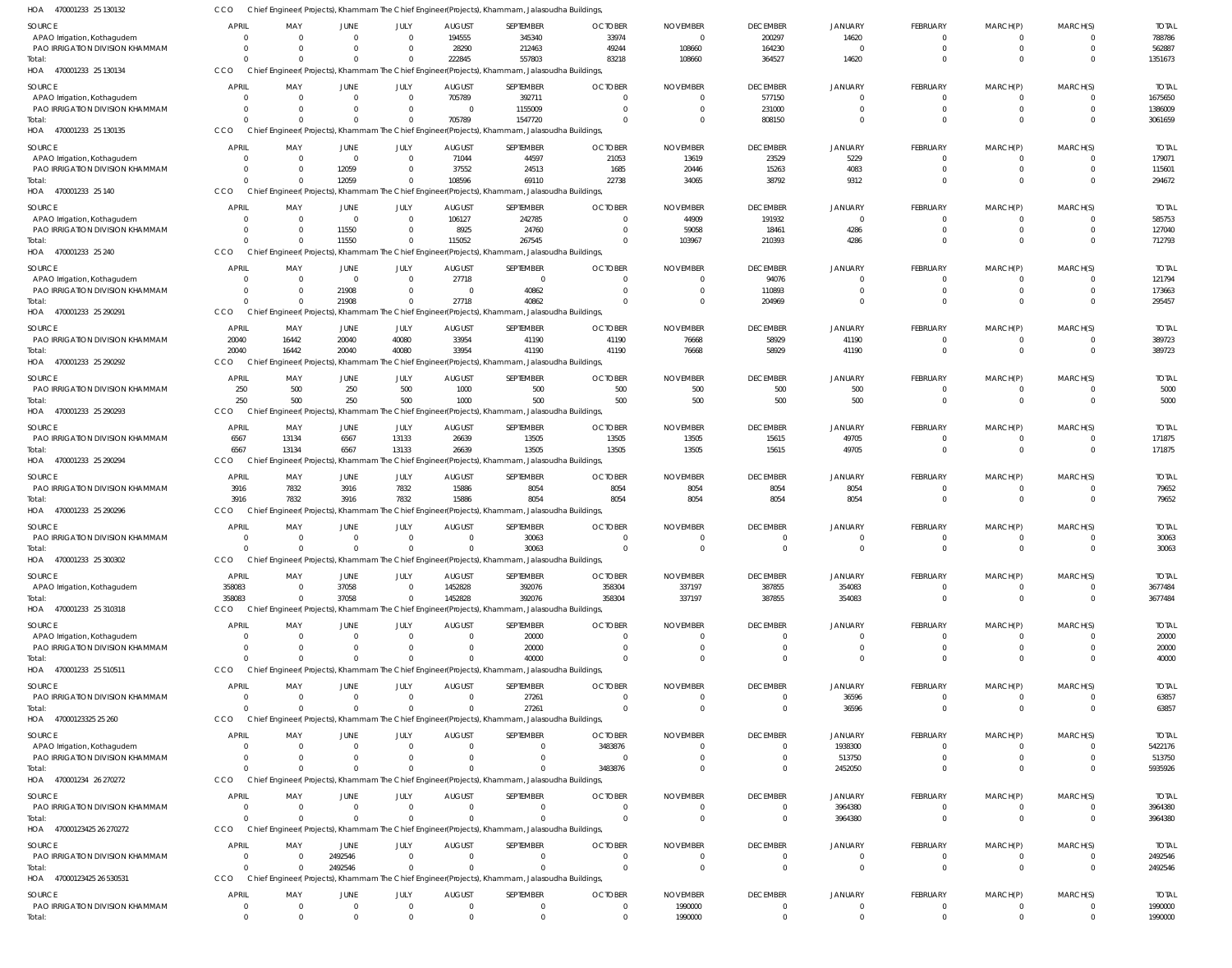470001233 25 130134 470001233 25 130135 HOA 470001233 25 140 HOA 470001233 25 240 HOA 470001233 25 290291 470001233 25 290292 470001233 25 290293 470001233 25 290294 470001233 25 290296 HOA 470001233 25 300302 HOA 470001233 25 310318 HOA 470001233 25 510511 47000123325 25 260 HOA 470001234 26 270272 47000123425 26 270272 47000123425 26 530531 HOA HOA HOA HOA HOA HOA HOA HOA HOA Chief Engineer( Projects), Khammam The Chief Engineer(Projects), Khammam, Jalasoudha Buildings, Chief Engineer( Projects), Khammam The Chief Engineer(Projects), Khammam, Jalasoudha Buildings, Chief Engineer( Projects), Khammam The Chief Engineer(Projects), Khammam, Jalasoudha Buildings, Chief Engineer( Projects), Khammam The Chief Engineer(Projects), Khammam, Jalasoudha Buildings, Chief Engineer( Projects), Khammam The Chief Engineer(Projects), Khammam, Jalasoudha Buildings, Chief Engineer( Projects), Khammam The Chief Engineer(Projects), Khammam, Jalasoudha Buildings, Chief Engineer( Projects), Khammam The Chief Engineer(Projects), Khammam, Jalasoudha Buildings, Chief Engineer( Projects), Khammam The Chief Engineer(Projects), Khammam, Jalasoudha Buildings, Chief Engineer( Projects), Khammam The Chief Engineer(Projects), Khammam, Jalasoudha Buildings, CCO Chief Engineer( Projects), Khammam The Chief Engineer(Projects), Khammam, Jalasoudha Buildings, Chief Engineer( Projects), Khammam The Chief Engineer(Projects), Khammam, Jalasoudha Buildings, Chief Engineer( Projects), Khammam The Chief Engineer(Projects), Khammam, Jalasoudha Buildings, Chief Engineer( Projects), Khammam The Chief Engineer(Projects), Khammam, Jalasoudha Buildings, Chief Engineer( Projects), Khammam The Chief Engineer(Projects), Khammam, Jalasoudha Buildings, Chief Engineer( Projects), Khammam The Chief Engineer(Projects), Khammam, Jalasoudha Buildings, Chief Engineer( Projects), Khammam The Chief Engineer(Projects), Khammam, Jalasoudha Buildings, **CCO CCO CCO** CCO CCO CCO **CCO** CCO CCO **CCO** CCO **CCO CCO** CCO CCO  $\Omega$  $\Omega$  $\Omega$  $\Omega$  $\Omega$ 20040 250 6567 3916  $\Omega$ 358083  $\Omega$  $\Omega$  $\Omega$  $\Omega$ 0 0  $\Omega$ 0  $\bigcap$  $\Omega$ 16442 500 13134 7832  $\Omega$ 0 0  $\Omega$ 0  $\bigcap$ 0  $\Omega$  $\Omega$ 12059 11550 21908 20040 250 6567 3916  $\Omega$ 37058  $\Omega$  $\Omega$ 0  $\theta$ 2492546  $\bigcap$  $\Omega$ 0  $\bigcap$  $\Omega$ 40080 500 13133 7832  $\Omega$  $\Omega$  $\Omega$  $\Omega$  $\Omega$  $\bigcap$ 0 222845 705789 108596 115052 27718 33954 1000 26639 15886 0 1452828 0  $\Omega$ 0  $\Omega$ 0 557803 1547720 69110 267545 40862 41190 500 13505 8054 30063 392076 40000 27261 0  $\bigcap$ 0 83218 0 22738  $\Omega$  $\Omega$ 41190 500 13505 8054  $\Omega$ 358304  $\Omega$  $\Omega$ 3483876  $\Omega$ 0 108660 0 34065 103967  $\Omega$ 76668 500 13505 8054  $\Omega$ 337197  $\Omega$  $\Omega$ 0  $\bigcap$ 0 364527 808150 38792 210393 204969 58929 500 15615 8054  $\Omega$ 387855 0  $\Omega$ 0  $\Omega$ 0 14620  $\Omega$ 9312 4286  $\Omega$ 41190 500 49705 8054  $\Omega$ 354083 0 36596 2452050 3964380  $\mathbf{C}$  $\Omega$ 0 0  $\bigcap$  $\sqrt{2}$ 0 0  $\Omega$ 0  $\Omega$  $\sqrt{2}$  $\Omega$  $\Omega$  $\Omega$  $\bigcap$ 0  $\Omega$  $\Omega$ 0  $\Omega$  $\Omega$ 0 0  $\Omega$ 0  $\Omega$  $\Omega$ 0 0 0  $\Omega$ 0  $\Omega$ 0 0  $\Omega$  $\bigcap$ 0 0  $\bigcap$ 0  $\Omega$  $\Omega$  $\Omega$  $\Omega$ 0  $\bigcap$ 0 1351673 3061659 294672 712793 295457 389723 171875 3677484 5935926 3964380 2492546 APAO Irrigation, Kothagudem PAO IRRIGATION DIVISION KHAMMAM APAO Irrigation, Kothagudem PAO IRRIGATION DIVISION KHAMMAM APAO Irrigation, Kothagudem PAO IRRIGATION DIVISION KHAMMAM APAO Irrigation, Kothagudem PAO IRRIGATION DIVISION KHAMMAM APAO Irrigation, Kothagudem PAO IRRIGATION DIVISION KHAMMAM PAO IRRIGATION DIVISION KHAMMAM PAO IRRIGATION DIVISION KHAMMAM PAO IRRIGATION DIVISION KHAMMAM PAO IRRIGATION DIVISION KHAMMAM PAO IRRIGATION DIVISION KHAMMAM APAO Irrigation, Kothagudem APAO Irrigation, Kothagudem PAO IRRIGATION DIVISION KHAMMAM PAO IRRIGATION DIVISION KHAMMAM APAO Irrigation, Kothagudem PAO IRRIGATION DIVISION KHAMMAM PAO IRRIGATION DIVISION KHAMMAM PAO IRRIGATION DIVISION KHAMMAM SOURCE SOURCE **SOURCE** SOURCE SOURCE SOURCE **SOURCE** SOURCE **SOURCE SOURCE** SOURCE **SOURCE SOURCE** SOURCE SOURCE SOURCE SOURCE 0 0 0 0 0  $\Omega$ 0 0  $\Omega$ 0 20040 250 6567 3916 0 358083  $\Omega$ 0  $\Omega$  $\Omega$ 0 0 0 APRIL APRIL **APRIL** APRIL APRIL **APRIL** APRIL APRIL APRIL APRIL **APPIL APRIL** APRIL APRIL APRIL APRIL **APRIL** 0 0 0 0 0  $\Omega$ 0 0  $\sqrt{0}$ 0 16442 500 13134 7832 0 0  $\Omega$ 0  $\Omega$  $\Omega$ 0  $\Omega$ 0 MAY MAY MAY MAY MAY MAY MAY MAY MAY MAY MA<sub>V</sub> MAY MAY MAY MAY MAY MAY  $\Omega$ 0 0 0 0 12059 0 11550  $\Omega$ 21908 20040 250 6567 3916 0 37058  $\Omega$ 0  $\Omega$  $\Omega$ 0 0 2492546 JUNE JUNE JUNE **JUNE** JUNE JUNE JUNE JUNE JUNE JUNE JUNE JUNE JUNE JUNE JUNE JUNE **JUNE**  $\Omega$ 0 0  $\Omega$ 0  $\Omega$ 0  $\Omega$  $\Omega$ 0 40080 500 13133 7832 0 0  $\Omega$  $\Omega$  $\Omega$  $\Omega$ 0  $\Omega$ 0 JULY JULY JULY JULY JULY JULY JULY JULY JULY JULY JULY JULY JULY JULY JULY JULY JULY 194555 28290 705789  $\Omega$ 71044 37552 106127 8925 27718 0 33954 1000 26639 15886 0 1452828  $\Omega$ 0 0  $\Omega$ 0 0 0 AUGUST AUGUST AUGUST **AUGUST** AUGUST AUGUST AUGUST AUGUST AUGUST AUGUST **AUGUST** AUGUST AUGUST AUGUST AUGUST AUGUST **AUGUST** 345340 212463 392711 1155009 44597 24513 242785 24760  $\Omega$ 40862 41190 500 13505 8054 30063 392076 20000 20000 27261  $\Omega$ 0  $\Omega$  $\Omega$ SEPTEMBER SEPTEMBER SEPTEMBER **SEPTEMBER** SEPTEMBER SEPTEMBER SEPTEMBER SEPTEMBER SEPTEMBER SEPTEMBER **SEPTEMBER** SEPTEMBER SEPTEMBER SEPTEMBER SEPTEMBER SEPTEMBER **SEPTEMBER** 33974 49244 0 0 21053 1685 0  $\Omega$  $\Omega$ 0 41190 500 13505 8054  $\Omega$ 358304  $\sqrt{2}$ 0  $\Omega$ 3483876 0  $\Omega$  $\Omega$ **OCTOBER OCTOBER OCTOBER** OCTOBER OCTOBER **OCTOBER OCTOBER** OCTOBER **OCTOBER OCTOBER** OCTOBER **OCTOBER OCTOBER OCTOBER** OCTOBER OCTOBER **OCTOBER**  $\bigcap$ 108660  $\Omega$  $\bigcap$ 13619 20446 44909 59058  $\Omega$ 0 76668 500 13505 8054 0 337197  $\sqrt{2}$ 0 0 0 0 0 0 NOVEMBER NOVEMBER NOVEMBER NOVEMBER NOVEMBER NOVEMBER NOVEMBER NOVEMBER NOVEMBER NOVEMBER NOVEMBER NOVEMBER NOVEMBER NOVEMBER NOVEMBER NOVEMBER NOVEMBER 200297 164230 577150 231000 23529 15263 191932 18461 94076 110893 58929 500 15615 8054 0 387855  $\bigcap$ 0  $^{\circ}$ 0 0  $^{\circ}$ 0 DECEMBER DECEMBER DECEMBER **DECEMBER** DECEMBER DECEMBER DECEMBER **DECEMBER** DECEMBER DECEMBER **DECEMBER** DECEMBER DECEMBER DECEMBER DECEMBER DECEMBER **DECEMBER** 14620 0 0 0 5229 4083 0 4286  $\Omega$ 0 41190 500 49705 8054 0 354083  $\Omega$ 0 36596 1938300 513750 3964380  $\mathfrak{g}$ **JANUARY** JANUARY **JANUARY** JANUARY JANUARY **JANUARY** JANUARY JANUARY **JANUARY** JANUARY JANUARY **JANUARY** JANUARY JANUARY JANUARY JANUARY JANUARY  $\Omega$ 0 0  $\Omega$ 0  $\Omega$ 0  $\Omega$  $\Omega$ 0  $\Omega$ 0 0  $\Omega$ 0 0  $\sqrt{2}$ 0  $\Omega$  $\sqrt{2}$ 0 0 0 FEBRUARY FEBRUARY FEBRUARY **FEBRUARY** FEBRUARY FEBRUARY FEBRUARY FEBRUARY FEBRUARY FEBRUARY FEBRUARY FEBRUARY FEBRUARY FEBRUARY FEBRUARY FEBRUARY **FEBRUARY**  $\Omega$ 0  $\Omega$ 0 0  $\Omega$ 0  $\Omega$  $\Omega$ 0  $\Omega$  $\Omega$ 0  $\Omega$ 0 0  $\Omega$ 0  $\Omega$  $\Omega$ 0  $\Omega$  $\Omega$ MARCH(P) MARCH(P) MARCH(P) MARCH(P) MARCH(P) MARCH(P) MARCH(P) MARCH(P) MARCH(P) MARCH(P) MARCH(P) MARCH(P) MARCH(P) MARCH(P) MARCH(P) MARCH(P) MARCH(P)  $\Omega$ 0  $\Omega$  $\Omega$ 0  $\Omega$ 0  $^{\circ}$  $\bigcap$ 0  $\Omega$ 0 0 0 0 0 0 0  $\Omega$ 0 0 0 0 MARCH(S) MARCH(S) MARCH(S) MARCH(S) MARCH(S) MARCH(S) MARCH(S) MARCH(S) MARCH(S) MARCH(S) MARCH(S) MARCH(S) MARCH(S) MARCH(S) MARCH(S) MARCH(S) MARCH(S) 788786 562887 1675650 1386009 179071 115601 585753 127040 121794 173663 389723 171875 3677484 5422176 513750 3964380 2492546 TOTAL TOTAL TOTAL TOTAL TOTAL TOTAL TOTAL TOTAL TOTAL TOTAL TOTAL TOTAL TOTAL TOTAL TOTAL TOTAL Total: Total: Total: Total: Total: Total: Total: Total: Total: Total: Total: Total: Total: Total: Total: Total:

Chief Engineer( Projects), Khammam The Chief Engineer(Projects), Khammam, Jalasoudha Buildings,

470001233 25 130132 HOA

CCO

0

0

PAO IRRIGATION DIVISION KHAMMAM

Total:

0

0

0

0

0

0

0

0

0

0

0

0

1990000

1990000

0

0

0

 $\mathbf{C}$ 

 $\Omega$ 

0

0

0

0

0

5000

5000

TOTAL

79652

79652

30063

30063

40000

20000 20000

63857

63857

1990000

1990000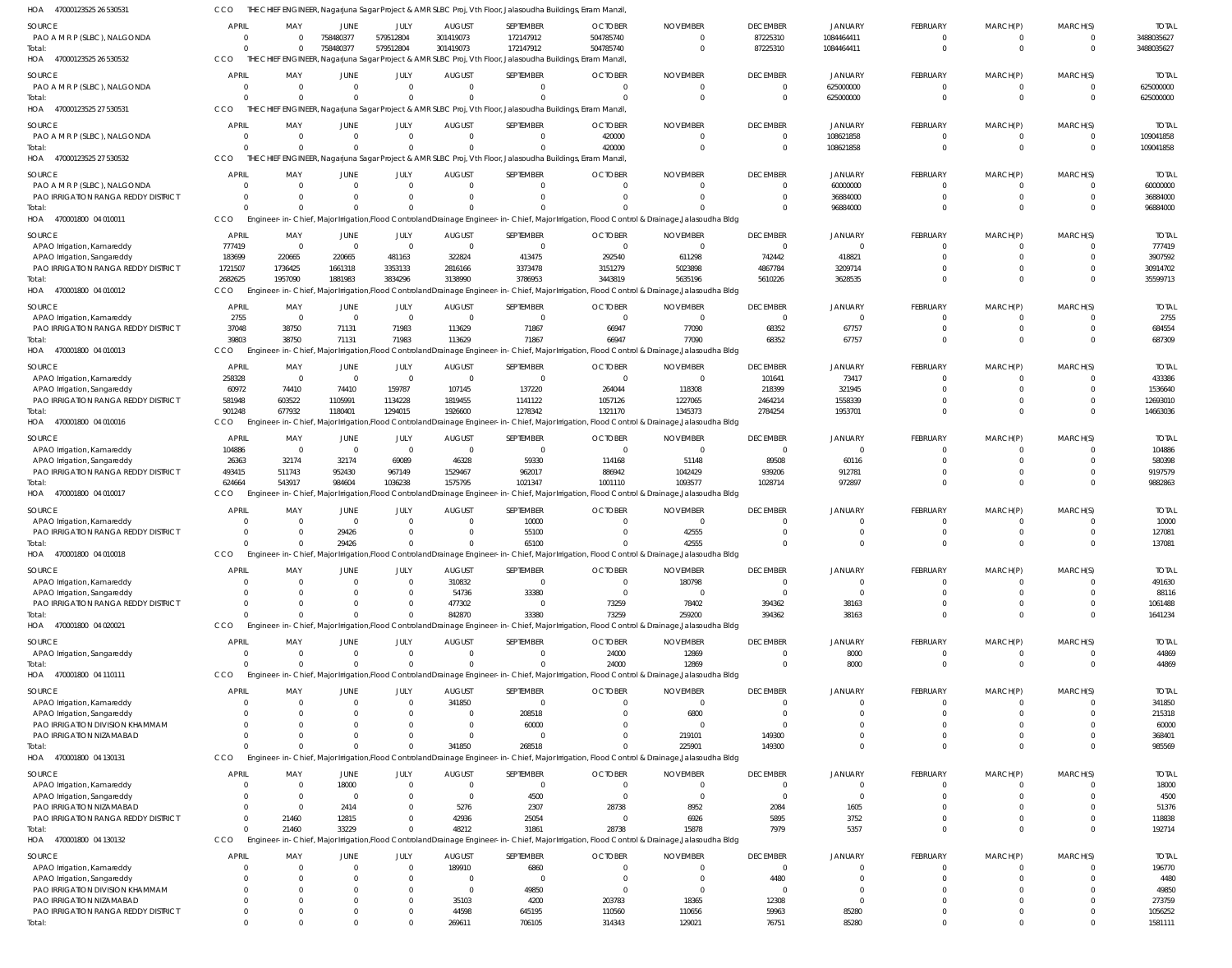| HOA<br>47000123525 26 530531          | CCO                        |                                     |                      |                        |                           | THE CHIEF ENGINEER, Nagarjuna Sagar Project & AMR SLBC Proj, Vth Floor, Jalasoudha Buildings, Erram Manzil, |                                                                                                                                                          |                          |                             |                      |                      |                      |                                  |                       |
|---------------------------------------|----------------------------|-------------------------------------|----------------------|------------------------|---------------------------|-------------------------------------------------------------------------------------------------------------|----------------------------------------------------------------------------------------------------------------------------------------------------------|--------------------------|-----------------------------|----------------------|----------------------|----------------------|----------------------------------|-----------------------|
| SOURCE                                | <b>APRIL</b>               | MAY                                 | JUNE                 | JULY                   | <b>AUGUST</b>             | SEPTEMBER                                                                                                   | <b>OCTOBER</b>                                                                                                                                           | <b>NOVEMBER</b>          | <b>DECEMBER</b>             | JANUARY              | <b>FEBRUARY</b>      | MARCH(P)             | MARCH(S)                         | <b>TOTAL</b>          |
| PAO A M R P (SLBC), NALGONDA          | $\Omega$                   | - 0                                 | 758480377            | 579512804              | 301419073                 | 172147912                                                                                                   | 504785740                                                                                                                                                |                          | 87225310                    | 1084464411           | - 0                  | $\Omega$             | $\overline{0}$                   | 3488035627            |
| Total:                                | $\Omega$                   | $\Omega$                            | 758480377            | 579512804              | 301419073                 | 172147912                                                                                                   | 504785740                                                                                                                                                |                          | 87225310                    | 1084464411           | $\Omega$             | $\Omega$             | $\overline{0}$                   | 3488035627            |
| HOA 47000123525 26 530532             | CCO                        |                                     |                      |                        |                           | THE CHIEF ENGINEER, Nagarjuna Sagar Project & AMR SLBC Proj, Vth Floor, Jalasoudha Buildings, Erram Manzil, |                                                                                                                                                          |                          |                             |                      |                      |                      |                                  |                       |
| SOURCE                                | <b>APRIL</b>               | MAY                                 | JUNE                 | JULY                   | <b>AUGUST</b>             | SEPTEMBER                                                                                                   | <b>OCTOBER</b>                                                                                                                                           | <b>NOVEMBER</b>          | <b>DECEMBER</b>             | JANUARY              | FEBRUARY             | MARCH(P)             | MARCH(S)                         | <b>TOTAI</b>          |
| PAO A M R P (SLBC), NALGONDA          | $\overline{0}$             | $\overline{0}$                      | $\Omega$             | $\Omega$               | $\Omega$                  | $\mathbf{0}$                                                                                                |                                                                                                                                                          |                          | $\overline{0}$              | 625000000            | $\mathbf{0}$         | $\mathbf{0}$         | $\overline{0}$                   | 625000000             |
| Total:                                | $\Omega$                   | - 0                                 | $\Omega$             | $\Omega$               |                           | $\Omega$                                                                                                    |                                                                                                                                                          |                          | $\mathbf 0$                 | 625000000            | $\Omega$             | $\Omega$             | $\Omega$                         | 625000000             |
| HOA 47000123525 27 530531             | CCO                        |                                     |                      |                        |                           | THE CHIEF ENGINEER, Nagarjuna Sagar Project & AMR SLBC Proj, Vth Floor, Jalasoudha Buildings, Erram Manzil, |                                                                                                                                                          |                          |                             |                      |                      |                      |                                  |                       |
| SOURCE                                | <b>APRIL</b>               | MAY                                 | JUNE                 | JULY                   | <b>AUGUST</b>             | SEPTEMBER                                                                                                   | <b>OCTOBER</b>                                                                                                                                           | <b>NOVEMBER</b>          | <b>DECEMBER</b>             | JANUARY              | FEBRUARY             | MARCH(P)             | MARCH(S)                         | <b>TOTAL</b>          |
| PAO A M R P (SLBC), NALGONDA          | $\overline{0}$             | $\overline{0}$                      | $\Omega$             | $\Omega$               | $\Omega$                  | $\Omega$                                                                                                    | 420000                                                                                                                                                   |                          | $\overline{0}$              | 108621858            |                      |                      | $\overline{0}$                   | 109041858             |
| Total:                                | $\Omega$                   | - 0                                 | $\Omega$             | $\Omega$               |                           | $\Omega$                                                                                                    | 420000                                                                                                                                                   |                          | $\overline{0}$              | 108621858            | $\Omega$             | $\Omega$             | $\overline{0}$                   | 109041858             |
| HOA 47000123525 27 530532             | CCO                        |                                     |                      |                        |                           | THE CHIEF ENGINEER, Nagarjuna Sagar Project & AMR SLBC Proj, Vth Floor, Jalasoudha Buildings, Erram Manzil, |                                                                                                                                                          |                          |                             |                      |                      |                      |                                  |                       |
|                                       |                            |                                     |                      |                        |                           |                                                                                                             |                                                                                                                                                          |                          |                             |                      |                      |                      |                                  |                       |
| SOURCE                                | <b>APRIL</b>               | MAY                                 | JUNE                 | JULY                   | <b>AUGUST</b>             | <b>SEPTEMBER</b>                                                                                            | <b>OCTOBER</b>                                                                                                                                           | <b>NOVEMBER</b>          | <b>DECEMBER</b>             | JANUARY              | FEBRUARY             | MARCH(P)             | MARCH(S)                         | <b>TOTAI</b>          |
| PAO A M R P (SLBC), NALGONDA          | $\Omega$                   | $\overline{\mathbf{0}}$<br>$\Omega$ | $\Omega$             | $\Omega$               | $\Omega$                  | $\mathbf{0}$                                                                                                |                                                                                                                                                          |                          | $\mathbf{0}$                | 60000000             | $\Omega$             | $\Omega$             | - 0                              | 60000000              |
| PAO IRRIGATION RANGA REDDY DISTRICT   | $\Omega$<br>$\Omega$       | $\Omega$                            | $\Omega$<br>$\Omega$ | $\Omega$               | $\cup$                    | $\Omega$                                                                                                    |                                                                                                                                                          |                          | $\Omega$<br>$\Omega$        | 36884000<br>96884000 | $\Omega$<br>$\Omega$ | $\Omega$<br>$\Omega$ | $\Omega$<br>$\Omega$             | 36884000<br>96884000  |
| Total:<br>HOA 470001800 04 010011     | CCO                        |                                     |                      |                        |                           |                                                                                                             | Engineer-in-Chief, Major Irrigation, Flood Controland Drainage Engineer-in-Chief, Major Irrigation, Flood Control & Drainage, Jalasoudha Bldg            |                          |                             |                      |                      |                      |                                  |                       |
|                                       |                            |                                     |                      |                        |                           |                                                                                                             |                                                                                                                                                          |                          |                             |                      |                      |                      |                                  |                       |
| SOURCE                                | <b>APRIL</b>               | MAY                                 | JUNE                 | JULY                   | <b>AUGUST</b>             | SEPTEMBER                                                                                                   | <b>OCTOBER</b>                                                                                                                                           | <b>NOVEMBER</b>          | <b>DECEMBER</b>             | JANUARY              | FEBRUARY             | MARCH(P)             | MARCH(S)                         | <b>TOTAL</b>          |
| APAO Irrigation, Kamareddy            | 777419                     | $\overline{\phantom{0}}$            | $\overline{0}$       | $\Omega$               | $\overline{0}$            | $\mathbf{0}$                                                                                                | $\Omega$                                                                                                                                                 | - 0                      | $\overline{0}$              | $\Omega$             | - 0                  |                      | $\Omega$                         | 777419                |
| APAO Irrigation, Sangareddy           | 183699                     | 220665                              | 220665               | 481163                 | 322824                    | 413475                                                                                                      | 292540                                                                                                                                                   | 611298                   | 742442                      | 418821               |                      |                      | $\Omega$                         | 3907592               |
| PAO IRRIGATION RANGA REDDY DISTRICT   | 1721507                    | 1736425                             | 1661318              | 3353133                | 2816166                   | 3373478                                                                                                     | 3151279                                                                                                                                                  | 5023898                  | 4867784                     | 3209714              |                      |                      | $\Omega$                         | 30914702              |
| Total:                                | 2682625                    | 1957090                             | 1881983              | 3834296                | 3138990                   | 3786953                                                                                                     | 3443819<br>Engineer-in-Chief, Major Irrigation, Flood Controland Drainage Engineer-in-Chief, Major Irrigation, Flood Control & Drainage, Jalasoudha Bldg | 5635196                  | 5610226                     | 3628535              |                      | $\Omega$             | $\Omega$                         | 35599713              |
| HOA 470001800 04 010012               | <b>CCO</b>                 |                                     |                      |                        |                           |                                                                                                             |                                                                                                                                                          |                          |                             |                      |                      |                      |                                  |                       |
| SOURCE                                | <b>APRIL</b>               | MAY                                 | JUNE                 | JULY                   | <b>AUGUST</b>             | <b>SEPTEMBER</b>                                                                                            | <b>OCTOBER</b>                                                                                                                                           | <b>NOVEMBER</b>          | <b>DECEMBER</b>             | JANUARY              | FEBRUARY             | MARCH(P)             | MARCH(S)                         | <b>TOTAL</b>          |
| APAO Irrigation, Kamareddy            | 2755                       | $\overline{0}$                      | - 0                  | $\Omega$               | - 0                       | $\mathbf{0}$                                                                                                | - 0                                                                                                                                                      | - 0                      | $\overline{0}$              | $\overline{0}$       | $\Omega$             | $\Omega$             | $\overline{0}$                   | 2755                  |
| PAO IRRIGATION RANGA REDDY DISTRICT   | 37048                      | 38750                               | 71131                | 71983                  | 113629                    | 71867                                                                                                       | 66947                                                                                                                                                    | 77090                    | 68352                       | 67757                | $\Omega$             | $\Omega$             | $\overline{0}$                   | 684554                |
| lotal:                                | 39803                      | 38750                               | 71131                | 71983                  | 113629                    | 71867                                                                                                       | 66947                                                                                                                                                    | 77090                    | 68352                       | 67757                | $\Omega$             | $\Omega$             | $\Omega$                         | 687309                |
| HOA 470001800 04 010013               | <b>CCO</b>                 |                                     |                      |                        |                           |                                                                                                             | Engineer-in-Chief, Major Irrigation, Flood Controland Drainage Engineer-in-Chief, Major Irrigation, Flood Control & Drainage, Jalasoudha Bldg            |                          |                             |                      |                      |                      |                                  |                       |
| SOURCE                                | <b>APRIL</b>               | MAY                                 | JUNE                 | JULY                   | <b>AUGUST</b>             | <b>SEPTEMBER</b>                                                                                            | <b>OCTOBER</b>                                                                                                                                           | <b>NOVEMBER</b>          | <b>DECEMBER</b>             | JANUARY              | FEBRUARY             | MARCH(P)             | MARCH(S)                         | <b>TOTAL</b>          |
| APAO Irrigation, Kamareddy            | 258328                     | $\overline{0}$                      | $\overline{0}$       | $\Omega$               | - 0                       | $\mathbf{0}$                                                                                                | $\Omega$                                                                                                                                                 | - 0                      | 101641                      | 73417                |                      |                      | $\Omega$                         | 433386                |
| APAO Irrigation, Sangareddy           | 60972                      | 74410                               | 74410                | 159787                 | 107145                    | 137220                                                                                                      | 264044                                                                                                                                                   | 118308                   | 218399                      | 321945               |                      |                      | $\Omega$                         | 1536640               |
| PAO IRRIGATION RANGA REDDY DISTRICT   | 581948                     | 603522                              | 1105991              | 1134228                | 1819455                   | 1141122                                                                                                     | 1057126                                                                                                                                                  | 1227065                  | 2464214                     | 1558339              |                      |                      | $\Omega$                         | 12693010              |
| Total:                                | 901248                     | 677932                              | 1180401              | 1294015                | 1926600                   | 1278342                                                                                                     | 1321170                                                                                                                                                  | 1345373                  | 2784254                     | 1953701              | $\Omega$             | $\Omega$             | $\Omega$                         | 14663036              |
| HOA 470001800 04 010016               | <b>CCO</b>                 |                                     |                      |                        |                           |                                                                                                             | Engineer-in-Chief, Major Irrigation, Flood Controland Drainage Engineer-in-Chief, Major Irrigation, Flood Control & Drainage, Jalasoudha Bldg            |                          |                             |                      |                      |                      |                                  |                       |
| SOURCE                                | <b>APRIL</b>               | MAY                                 | JUNE                 | JULY                   | <b>AUGUST</b>             | <b>SEPTEMBER</b>                                                                                            | <b>OCTOBER</b>                                                                                                                                           | <b>NOVEMBER</b>          | <b>DECEMBER</b>             | JANUARY              | FEBRUARY             | MARCH(P)             | MARCH(S)                         | <b>TOTAL</b>          |
| APAO Irrigation, Kamareddy            | 104886                     | $\overline{0}$                      | $\overline{0}$       | $\overline{0}$         | $\overline{0}$            | $\overline{0}$                                                                                              | - 0                                                                                                                                                      |                          | $\overline{0}$              | $\overline{0}$       | $\Omega$             | $\Omega$             | $\Omega$                         | 104886                |
| APAO Irrigation, Sangareddy           | 26363                      | 32174                               | 32174                | 69089                  | 46328                     | 59330                                                                                                       | 114168                                                                                                                                                   | 51148                    | 89508                       | 60116                | $\Omega$             | $\Omega$             | $\Omega$                         | 580398                |
| PAO IRRIGATION RANGA REDDY DISTRICT   | 493415                     | 511743                              | 952430               | 967149                 | 1529467                   | 962017                                                                                                      | 886942                                                                                                                                                   | 1042429                  | 939206                      | 912781               |                      | $\Omega$             | $\overline{0}$                   | 9197579               |
| lotal:                                | 624664                     | 543917                              | 984604               | 1036238                | 1575795                   | 1021347                                                                                                     | 1001110                                                                                                                                                  | 1093577                  | 1028714                     | 972897               | $\Omega$             | $\Omega$             | $\Omega$                         | 9882863               |
| HOA 470001800 04 010017               | CCO                        |                                     |                      |                        |                           |                                                                                                             | Engineer-in-Chief, Major Irrigation,Flood ControlandDrainage Engineer-in-Chief, Major Irrigation, Flood Control & Drainage,Jalasoudha Bldg               |                          |                             |                      |                      |                      |                                  |                       |
| SOURCE                                | <b>APRIL</b>               | MAY                                 | JUNE                 | JULY                   | <b>AUGUST</b>             | SEPTEMBER                                                                                                   | <b>OCTOBER</b>                                                                                                                                           | <b>NOVEMBER</b>          | <b>DECEMBER</b>             | <b>JANUARY</b>       | <b>FEBRUARY</b>      | MARCH(P)             | MARCH(S)                         | <b>TOTAL</b>          |
| APAO Irrigation, Kamareddy            |                            | $\Omega$                            | $\Omega$             | $\Omega$               | $\Omega$                  | 10000                                                                                                       |                                                                                                                                                          | - 0                      | 0                           | $\Omega$             | - 0                  |                      | $\Omega$                         | 10000                 |
| PAO IRRIGATION RANGA REDDY DISTRICT   | $\Omega$                   | - 0                                 | 29426                | $\Omega$               | $\Omega$                  | 55100                                                                                                       |                                                                                                                                                          | 42555                    | $\Omega$                    |                      |                      |                      | $\Omega$                         | 127081                |
| Total:                                | $\Omega$                   | $\Omega$                            | 29426                | $\Omega$               |                           | 65100                                                                                                       |                                                                                                                                                          | 42555                    |                             | $\Omega$             | $\Omega$             |                      | $\Omega$                         | 137081                |
| HOA 470001800 04 010018               | CCO                        |                                     |                      |                        |                           |                                                                                                             | Engineer-in-Chief, Major Irrigation, Flood Controland Drainage Engineer-in-Chief, Major Irrigation, Flood Control & Drainage, Jalasoudha Bldg            |                          |                             |                      |                      |                      |                                  |                       |
| SOURCE                                | <b>APRIL</b>               | MAY                                 | JUNE                 | JULY                   | <b>AUGUST</b>             | SEPTEMBER                                                                                                   | <b>OCTOBER</b>                                                                                                                                           | <b>NOVEMBER</b>          | <b>DECEMBER</b>             | <b>JANUARY</b>       | <b>FEBRUARY</b>      | MARCH(P)             | MARCH(S)                         | <b>TOTAL</b>          |
| APAO Irrigation, Kamareddy            | $\Omega$                   | $\overline{\mathbf{0}}$             | $\Omega$             | $\Omega$               | 310832                    | $\overline{0}$                                                                                              |                                                                                                                                                          | 180798                   | $\overline{0}$              | $\overline{0}$       | $\Omega$             |                      | $\Omega$                         | 491630                |
| APAO Irrigation, Sangareddy           | $\Omega$                   | $\Omega$                            |                      |                        | 54736                     | 33380                                                                                                       |                                                                                                                                                          |                          | $\overline{0}$              | $\Omega$             | $\Omega$             | $\Omega$             | $\Omega$                         | 88116                 |
| PAO IRRIGATION RANGA REDDY DISTRICT   | $\Omega$                   | $\overline{0}$                      | -0                   |                        | 477302                    | $\overline{0}$                                                                                              | 73259                                                                                                                                                    | 78402                    | 394362                      | 38163                | $\Omega$             | $\Omega$             | $\overline{0}$                   | 1061488               |
| lotal:                                | $\Omega$                   | $\Omega$                            | $\Omega$             | <sup>0</sup>           | 842870                    | 33380                                                                                                       | 73259                                                                                                                                                    | 259200                   | 394362                      | 38163                | $\Omega$             | $\Omega$             | $\overline{0}$                   | 1641234               |
| HOA 470001800 04 020021               | <b>CCO</b>                 |                                     |                      |                        |                           |                                                                                                             | Engineer-in-Chief, Major Irrigation, Flood Controland Drainage Engineer-in-Chief, Major Irrigation, Flood Control & Drainage, Jalasoudha Bldg            |                          |                             |                      |                      |                      |                                  |                       |
|                                       |                            |                                     |                      |                        |                           |                                                                                                             |                                                                                                                                                          |                          |                             |                      |                      |                      |                                  |                       |
| SOURCE                                | <b>APRIL</b><br>$\Omega$   | MAY<br>$\overline{\mathbf{0}}$      | JUNE<br>$\mathbf 0$  | JULY<br>$\overline{0}$ | <b>AUGUST</b><br>$\Omega$ | SEPTEMBER<br>$\mathbf{0}$                                                                                   | <b>OCTOBER</b><br>24000                                                                                                                                  | <b>NOVEMBER</b><br>12869 | <b>DECEMBER</b><br>$\Omega$ | JANUARY<br>8000      | FEBRUARY<br>$\Omega$ | MARCH(P)<br>$\Omega$ | MARCH(S)<br>$\circ$              | <b>TOTAL</b><br>44869 |
| APAO Irrigation, Sangareddy<br>Total: | $\Omega$                   | - 0                                 | $\Omega$             | $\Omega$               |                           | $\Omega$                                                                                                    | 24000                                                                                                                                                    | 12869                    | $\Omega$                    | 8000                 | $\Omega$             | $\Omega$             | $\overline{0}$                   | 44869                 |
| HOA 470001800 04 110111               | CCO                        |                                     |                      |                        |                           |                                                                                                             | Engineer-in-Chief, Major Irrigation, Flood Controland Drainage Engineer-in-Chief, Major Irrigation, Flood Control & Drainage, Jalasoudha Bldg            |                          |                             |                      |                      |                      |                                  |                       |
|                                       |                            |                                     |                      |                        |                           |                                                                                                             |                                                                                                                                                          |                          |                             |                      |                      |                      |                                  |                       |
| SOURCE                                | <b>APRIL</b>               | MAY                                 | JUNE                 | JULY                   | <b>AUGUST</b>             | <b>SEPTEMBER</b>                                                                                            | <b>OCTOBER</b>                                                                                                                                           | <b>NOVEMBER</b>          | <b>DECEMBER</b>             | JANUARY              | FEBRUARY             | MARCH(P)             | MARCH(S)                         | <b>TOTAL</b>          |
| APAO Irrigation, Kamareddy            | $\Omega$                   | 0                                   | $\Omega$             | $\Omega$               | 341850                    | $\mathbf{0}$                                                                                                |                                                                                                                                                          | $\Omega$                 | $\overline{0}$              | $\overline{0}$       | $\Omega$             | $\Omega$             | $\overline{0}$                   | 341850                |
| APAO Irrigation, Sangareddy           |                            | $\Omega$                            |                      |                        | $\Omega$                  | 208518                                                                                                      |                                                                                                                                                          | 6800                     | $\overline{0}$              | $\overline{0}$       | $\Omega$             | $\Omega$             | $\circ$                          | 215318                |
| PAO IRRIGATION DIVISION KHAMMAM       |                            | $\Omega$                            |                      |                        | $\Omega$                  | 60000                                                                                                       |                                                                                                                                                          |                          | $\overline{0}$              | $\Omega$             |                      |                      | $\Omega$                         | 60000                 |
| PAO IRRIGATION NIZAMABAD              | $\Omega$<br>$\Omega$       | $\Omega$<br>$\Omega$                | -0<br>$\Omega$       |                        | $\Omega$                  | $\Omega$                                                                                                    |                                                                                                                                                          | 219101                   | 149300                      | $\Omega$<br>$\Omega$ | $\Omega$<br>$\Omega$ | $\Omega$             | $\circ$                          | 368401                |
| Total:<br>HOA 470001800 04 130131     | CCO                        |                                     |                      |                        | 341850                    | 268518                                                                                                      |                                                                                                                                                          | 225901                   | 149300                      |                      |                      |                      | $\overline{0}$                   | 985569                |
|                                       |                            |                                     |                      |                        |                           |                                                                                                             | Engineer-in-Chief, Major Irrigation, Flood Controland Drainage Engineer-in-Chief, Major Irrigation, Flood Control & Drainage, Jalasoudha Bldg            |                          |                             |                      |                      |                      |                                  |                       |
| SOURCE                                | <b>APRIL</b>               | MAY                                 | JUNE                 | JULY                   | <b>AUGUST</b>             | SEPTEMBER                                                                                                   | <b>OCTOBER</b>                                                                                                                                           | <b>NOVEMBER</b>          | <b>DECEMBER</b>             | JANUARY              | FEBRUARY             | MARCH(P)             | MARCH(S)                         | <b>TOTAL</b>          |
| APAO Irrigation, Kamareddy            | $\Omega$                   | - 0                                 | 18000                | $\Omega$               | $\overline{0}$            | $\overline{0}$                                                                                              | $\Omega$                                                                                                                                                 | $\Omega$                 | $\overline{0}$              | $\overline{0}$       |                      |                      | $\Omega$                         | 18000                 |
| APAO Irrigation, Sangareddy           | $\Omega$                   | - 0                                 | $\Omega$             | $\Omega$               | - 0                       | 4500                                                                                                        | - 0                                                                                                                                                      |                          | $\overline{0}$              | $\Omega$             |                      |                      | $\Omega$                         | 4500                  |
| PAO IRRIGATION NIZAMABAD              | $\Omega$                   | - 0                                 | 2414                 |                        | 5276                      | 2307                                                                                                        | 28738                                                                                                                                                    | 8952                     | 2084                        | 1605                 |                      |                      | $\Omega$                         | 51376                 |
| PAO IRRIGATION RANGA REDDY DISTRICT   | $\Omega$                   | 21460                               | 12815                | $\Omega$               | 42936                     | 25054                                                                                                       |                                                                                                                                                          | 6926                     | 5895                        | 3752                 |                      |                      | $\overline{0}$                   | 118838                |
| Total:<br>HOA 470001800 04 130132     | $\Omega$<br>CCO            | 21460                               | 33229                | $\Omega$               | 48212                     | 31861                                                                                                       | 28738<br>Engineer-in-Chief, Major Irrigation, Flood Controland Drainage Engineer-in-Chief, Major Irrigation, Flood Control & Drainage, Jalasoudha Bldg   | 15878                    | 7979                        | 5357                 | $\Omega$             | $\Omega$             | $\Omega$                         | 192714                |
|                                       |                            |                                     |                      |                        |                           |                                                                                                             |                                                                                                                                                          |                          |                             |                      |                      |                      |                                  |                       |
| SOURCE                                | <b>APRIL</b>               | MAY                                 | JUNE                 | JULY                   | <b>AUGUST</b>             | SEPTEMBER                                                                                                   | <b>OCTOBER</b>                                                                                                                                           | <b>NOVEMBER</b>          | <b>DECEMBER</b>             | JANUARY              | FEBRUARY             | MARCH(P)             | MARCH(S)                         | <b>TOTAL</b>          |
| APAO Irrigation, Kamareddy            |                            | - 0                                 | -0                   |                        | 189910                    | 6860                                                                                                        |                                                                                                                                                          |                          | $\overline{0}$              | 0                    |                      |                      | $\Omega$                         | 196770                |
| APAO Irrigation, Sangareddy           |                            | $\Omega$                            |                      | $\Omega$               | 0                         | $\overline{0}$                                                                                              |                                                                                                                                                          |                          | 4480                        | $\Omega$             | $\Omega$             |                      | $\Omega$                         | 4480                  |
| PAO IRRIGATION DIVISION KHAMMAM       | $\Omega$                   | $\Omega$                            |                      |                        | - 0                       | 49850                                                                                                       |                                                                                                                                                          |                          | $\overline{0}$              | $\Omega$             |                      |                      | $\Omega$                         | 49850                 |
| PAO IRRIGATION NIZAMABAD              | $\Omega$                   | $\Omega$                            |                      |                        | 35103                     | 4200                                                                                                        | 203783                                                                                                                                                   | 18365                    | 12308                       | $\overline{0}$       |                      |                      | $\Omega$                         | 273759                |
| PAO IRRIGATION RANGA REDDY DISTRICT   | $\overline{0}$<br>$\Omega$ | 0<br>$\Omega$                       |                      |                        | 44598                     | 645195                                                                                                      | 110560                                                                                                                                                   | 110656                   | 59963                       | 85280                | $\Omega$<br>$\Omega$ |                      | $\overline{0}$<br>$\overline{0}$ | 1056252               |
| Total:                                |                            |                                     |                      |                        | 269611                    | 706105                                                                                                      | 314343                                                                                                                                                   | 129021                   | 76751                       | 85280                |                      |                      |                                  | 1581111               |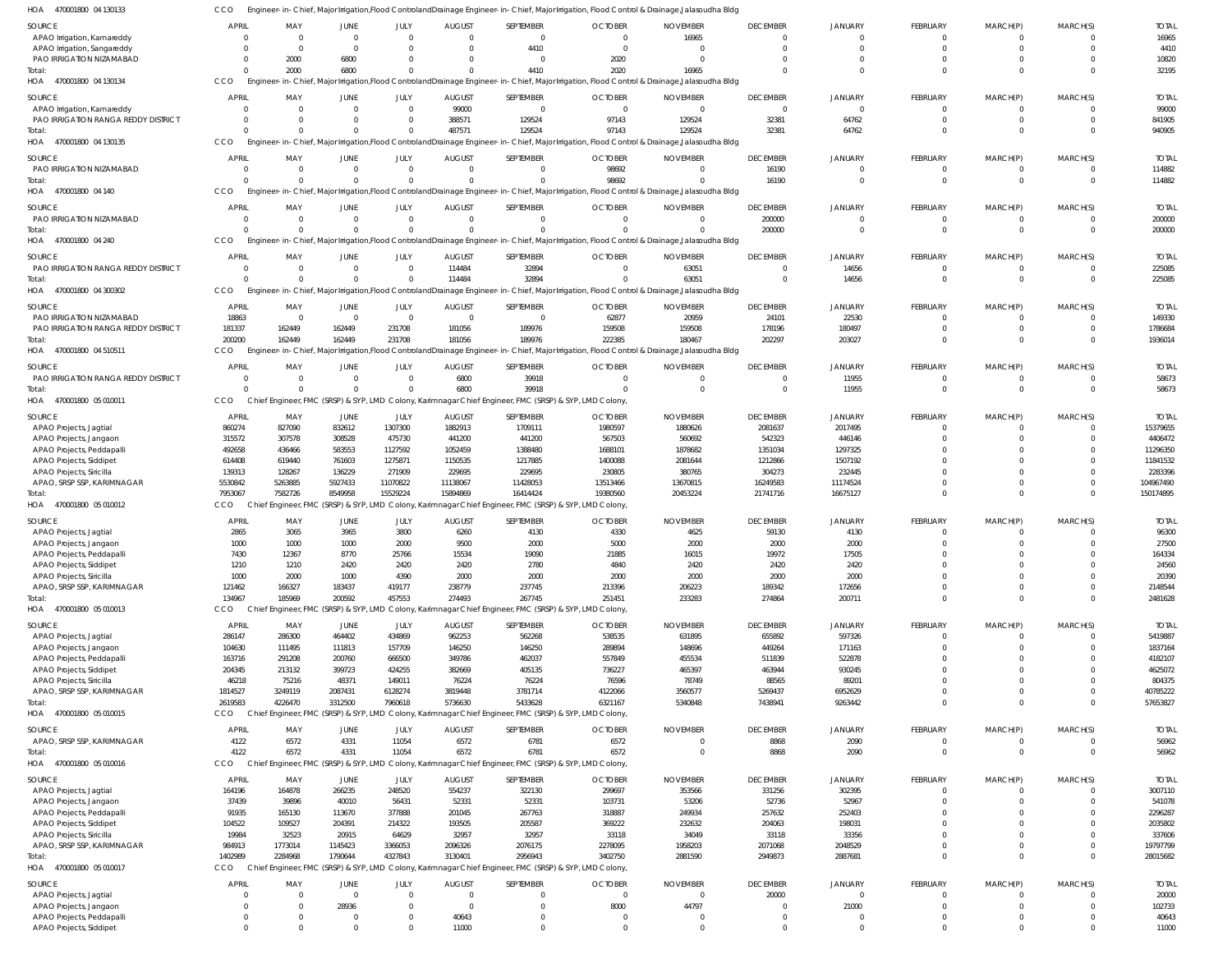CCO Engineer-in-Chief, Major Irrigation,Flood ControlandDrainage Engineer-in-Chief, Major Irrigation, Flood Control & Drainage,Jalasoudha Bldg

| HOA<br>470001800 04 130133                 | CCO            |           |                                       |             |                |                | Engineer-in-Chief, Major Irrigation, Flood Controland Drainage Engineer-in-Chief, Major Irrigation, Flood Control & Drainage, Jalasoudha Bldg |                 |                 |                |                            |                            |                      |              |
|--------------------------------------------|----------------|-----------|---------------------------------------|-------------|----------------|----------------|-----------------------------------------------------------------------------------------------------------------------------------------------|-----------------|-----------------|----------------|----------------------------|----------------------------|----------------------|--------------|
| <b>SOURCE</b>                              | <b>APRIL</b>   | MAY       | JUNE                                  | JULY        | <b>AUGUST</b>  | SEPTEMBER      | <b>OCTOBER</b>                                                                                                                                | <b>NOVEMBER</b> | <b>DECEMBER</b> | <b>JANUARY</b> | FEBRUARY                   | MARCH(P)                   | MARCH(S)             | <b>TOTAL</b> |
| APAO Irrigation, Kamareddy                 | - 0            | $\Omega$  | $\Omega$                              | $\Omega$    | $\Omega$       | $\mathbf 0$    | $\Omega$                                                                                                                                      | 16965           | 0               | $\Omega$       | $^{\circ}$                 | 0                          | $\Omega$             | 16965        |
| APAO Irrigation, Sangareddy                | $\mathsf{C}$   | $\Omega$  | $\Omega$                              | $\Omega$    |                | 4410           | $\Omega$                                                                                                                                      | $\Omega$        | $\Omega$        | $\Omega$       | $\mathbf 0$                | $\mathbf 0$                | $\Omega$             | 4410         |
| PAO IRRIGATION NIZAMABAD                   | C              | 2000      | 6800                                  |             |                | 0              | 2020                                                                                                                                          | $\Omega$        |                 |                | $\mathbf 0$                | $\Omega$                   | $\Omega$             | 10820        |
| Total:                                     | C              | 2000      | 6800                                  |             |                | 4410           | 2020                                                                                                                                          | 16965           |                 | $\Omega$       | $\Omega$                   | $\Omega$                   | $\Omega$             | 32195        |
| HOA 470001800 04 130134                    | CCO            | Engineer- |                                       |             |                |                | -in-Chief, Major Irrigation,Flood ControlandDrainage Engineer-in-Chief, Major Irrigation, Flood Control & Drainage,Jalasoudha Bldg            |                 |                 |                |                            |                            |                      |              |
|                                            |                |           |                                       |             |                |                |                                                                                                                                               |                 |                 |                |                            |                            |                      |              |
| SOURCE                                     | <b>APRIL</b>   | MAY       | JUNE                                  | JULY        | <b>AUGUST</b>  | SEPTEMBER      | <b>OCTOBER</b>                                                                                                                                | <b>NOVEMBER</b> | <b>DECEMBER</b> | JANUARY        | FEBRUARY                   | MARCH(P)                   | MARCH(S)             | <b>TOTAL</b> |
| APAO Irrigation, Kamareddy                 | $\Omega$       |           | $\Omega$                              | $\mathbf 0$ | 99000          | $\mathbf 0$    | $\Omega$                                                                                                                                      | $\Omega$        | $\mathbf 0$     | $\Omega$       | $\mathbf{0}$               | $\mathbf 0$                | $\Omega$             | 99000        |
| PAO IRRIGATION RANGA REDDY DISTRICT        | - 0            |           | $\Omega$                              | 0           | 388571         | 129524         | 97143                                                                                                                                         | 129524          | 32381           | 64762          | $\mathbf 0$                | $\mathbf 0$                | $\overline{0}$       | 841905       |
| Total:                                     | $\Omega$       |           | $\Omega$                              | $\Omega$    | 487571         | 129524         | 97143                                                                                                                                         | 129524          | 32381           | 64762          | $\mathbf 0$                | $\mathbf 0$                | $\Omega$             | 940905       |
| HOA 470001800 04 130135                    | CCO            |           |                                       |             |                |                | Engineer-in-Chief, Major Irrigation, Flood ControlandDrainage Engineer-in-Chief, Major Irrigation, Flood Control & Drainage, Jalasoudha Bldg  |                 |                 |                |                            |                            |                      |              |
| <b>SOURCE</b>                              | <b>APRIL</b>   | MAY       | <b>JUNE</b>                           | JULY        | <b>AUGUST</b>  | SEPTEMBER      | <b>OCTOBER</b>                                                                                                                                | <b>NOVEMBER</b> | <b>DECEMBER</b> | <b>JANUARY</b> | FEBRUARY                   | MARCH(P)                   | MARCH(S)             | <b>TOTAL</b> |
| PAO IRRIGATION NIZAMABAD                   | $\overline{0}$ | $\Omega$  | $\Omega$                              | $\mathbf 0$ | $\Omega$       | $\mathbf 0$    | 98692                                                                                                                                         | $\Omega$        | 16190           | $\Omega$       | $^{\circ}$                 | 0                          | $\overline{0}$       | 114882       |
| Total:                                     | $\sqrt{2}$     |           | $\Omega$                              | $\Omega$    | $\Omega$       | $\Omega$       | 98692                                                                                                                                         |                 | 16190           | $\Omega$       | $\mathbf 0$                | $\mathbf 0$                | $\Omega$             | 114882       |
| 470001800 04 140<br>HOA                    | CCO            |           |                                       |             |                |                | Engineer-in-Chief, Major Irrigation, Flood Controland Drainage Engineer-in-Chief, Major Irrigation, Flood Control & Drainage, Jalasoudha Bldg |                 |                 |                |                            |                            |                      |              |
|                                            |                |           |                                       |             |                |                |                                                                                                                                               |                 |                 |                |                            |                            |                      |              |
| <b>SOURCE</b>                              | <b>APRIL</b>   | MAY       | JUNE                                  | JULY        | <b>AUGUST</b>  | SEPTEMBER      | <b>OCTOBER</b>                                                                                                                                | <b>NOVEMBER</b> | <b>DECEMBER</b> | <b>JANUARY</b> | FEBRUARY                   | MARCH(P)                   | MARCH(S)             | <b>TOTAL</b> |
| PAO IRRIGATION NIZAMABAD                   | $\overline{0}$ |           | $\mathbf{0}$                          | $\mathbf 0$ | $\Omega$       | $\mathbf 0$    | $\Omega$                                                                                                                                      | $\Omega$        | 200000          | $\mathbf 0$    | $\mathbf{0}$               | $\mathbf{0}$               | $\overline{0}$       | 200000       |
| Total:                                     | $\sqrt{2}$     |           | $\Omega$                              | $\Omega$    |                | $\Omega$       |                                                                                                                                               |                 | 200000          | $\Omega$       | $\mathbf 0$                | $\mathbf 0$                | $\Omega$             | 200000       |
| HOA 470001800 04 240                       | CCO            | Engineer- |                                       |             |                |                | -in-Chief, Major Irrigation,Flood ControlandDrainage Engineer-in-Chief, Major Irrigation, Flood Control & Drainage,Jalasoudha Bldg            |                 |                 |                |                            |                            |                      |              |
| SOURCE                                     | <b>APRIL</b>   | MAY       | JUNE                                  | JULY        | <b>AUGUST</b>  | SEPTEMBER      | <b>OCTOBER</b>                                                                                                                                | <b>NOVEMBER</b> | <b>DECEMBER</b> | <b>JANUARY</b> | FEBRUARY                   | MARCH(P)                   | MARCH(S)             | <b>TOTAL</b> |
| PAO IRRIGATION RANGA REDDY DISTRICT        | $\Omega$       | $\Omega$  | $\Omega$                              | $\Omega$    | 114484         | 32894          | $\cap$                                                                                                                                        | 63051           | 0               | 14656          | $^{\circ}$                 | $\Omega$                   | $\overline{0}$       | 225085       |
| Total:                                     | $\Omega$       |           | $\Omega$                              | $\Omega$    | 114484         | 32894          |                                                                                                                                               | 63051           | $\Omega$        | 14656          | $\mathbf 0$                | $\mathbf 0$                | $\overline{0}$       | 225085       |
| HOA 470001800 04 300302                    | CCO            |           |                                       |             |                |                | Engineer-in-Chief, Major Irrigation, Flood Controland Drainage Engineer-in-Chief, Major Irrigation, Flood Control & Drainage, Jalasoudha Bldg |                 |                 |                |                            |                            |                      |              |
|                                            |                |           |                                       |             |                |                |                                                                                                                                               |                 |                 |                |                            |                            |                      |              |
| <b>SOURCE</b>                              | <b>APRIL</b>   | MAY       | <b>JUNE</b>                           | JULY        | <b>AUGUST</b>  | SEPTEMBER      | <b>OCTOBER</b>                                                                                                                                | <b>NOVEMBER</b> | <b>DECEMBER</b> | <b>JANUARY</b> | FEBRUARY                   | MARCH(P)                   | MARCH(S)             | <b>TOTAL</b> |
| PAO IRRIGATION NIZAMABAD                   | 18863          | - 0       | - 0                                   | $\mathbf 0$ | $\Omega$       | $\overline{0}$ | 62877                                                                                                                                         | 20959           | 24101           | 22530          | $\mathbf 0$                | 0                          | $\Omega$             | 149330       |
| <b>PAO IRRIGATION RANGA REDDY DISTRICT</b> | 181337         | 162449    | 162449                                | 231708      | 181056         | 189976         | 159508                                                                                                                                        | 159508          | 178196          | 180497         | $\mathbf 0$                | $\mathbf 0$                | $\Omega$             | 1786684      |
| Total:                                     | 200200         | 162449    | 162449                                | 231708      | 181056         | 189976         | 222385                                                                                                                                        | 180467          | 202297          | 203027         | $\mathbf 0$                | $\Omega$                   | $\Omega$             | 1936014      |
| HOA 470001800 04 510511                    | <b>CCO</b>     |           |                                       |             |                |                | Engineer-in-Chief, Major Irrigation,Flood ControlandDrainage Engineer-in-Chief, Major Irrigation, Flood Control & Drainage,Jalasoudha Bldg    |                 |                 |                |                            |                            |                      |              |
|                                            |                |           |                                       |             |                |                |                                                                                                                                               |                 |                 |                |                            |                            |                      |              |
| <b>SOURCE</b>                              | <b>APRIL</b>   | MAY       | JUNE                                  | JULY        | <b>AUGUST</b>  | SEPTEMBER      | <b>OCTOBER</b>                                                                                                                                | <b>NOVEMBER</b> | <b>DECEMBER</b> | <b>JANUARY</b> | FEBRUARY                   | MARCH(P)                   | MARCH(S)             | <b>TOTAL</b> |
| PAO IRRIGATION RANGA REDDY DISTRICT        | $\Omega$       | $\Omega$  | $\Omega$                              | $\mathbf 0$ | 6800           | 39918          | $\Omega$                                                                                                                                      | $\Omega$        | 0               | 11955          | $^{\circ}$                 | 0                          | $\overline{0}$       | 58673        |
| Total:                                     | $\Omega$       |           | $\Omega$                              | $\Omega$    | 6800           | 39918          |                                                                                                                                               | $\Omega$        | $\mathbf 0$     | 11955          | $\mathbf 0$                | $\mathbf 0$                | $\Omega$             | 58673        |
| HOA 470001800 05 010011                    | CCO            |           |                                       |             |                |                | Chief Engineer, FMC (SRSP) & SYP, LMD Colony, Karimnagar Chief Engineer, FMC (SRSP) & SYP, LMD Colony                                         |                 |                 |                |                            |                            |                      |              |
| SOURCE                                     | APRIL          | MAY       | JUNE                                  | JULY        | <b>AUGUST</b>  | SEPTEMBER      | <b>OCTOBER</b>                                                                                                                                | <b>NOVEMBER</b> | <b>DECEMBER</b> | <b>JANUARY</b> | FEBRUARY                   | MARCH(P)                   | MARCH(S)             | <b>TOTAL</b> |
| APAO Projects, Jagtial                     | 860274         | 827090    | 832612                                | 1307300     | 1882913        | 1709111        | 1980597                                                                                                                                       | 1880626         | 2081637         | 2017495        | $\mathbf 0$                | 0                          | $\Omega$             | 15379655     |
| APAO Projects, Jangaon                     | 315572         | 307578    | 308528                                | 475730      | 441200         | 441200         | 567503                                                                                                                                        | 560692          | 542323          | 446146         | $\mathbf 0$                | $\mathbf 0$                | $\Omega$             | 4406472      |
| APAO Projects, Peddapalli                  | 492658         | 436466    | 583553                                | 1127592     | 1052459        | 1388480        | 1688101                                                                                                                                       | 1878682         | 1351034         | 1297325        | $\mathbf 0$                | $\Omega$                   | $\Omega$             | 11296350     |
| APAO Projects, Siddipet                    | 614408         | 619440    | 761603                                | 1275871     | 1150535        | 1217885        | 1400088                                                                                                                                       | 2081644         | 1212866         | 1507192        | $\Omega$                   | $\Omega$                   |                      | 11841532     |
| APAO Projects, Siricilla                   | 139313         | 128267    | 136229                                | 271909      | 229695         | 229695         | 230805                                                                                                                                        | 380765          | 304273          | 232445         | $\Omega$                   | $\Omega$                   | $\Omega$             | 2283396      |
| APAO, SRSP SSP, KARIMNAGAR                 | 5530842        | 5263885   | 5927433                               | 11070822    | 11138067       | 11428053       | 13513466                                                                                                                                      | 13670815        | 16249583        | 11174524       | $\mathbf 0$                | $\mathbf 0$                | $\Omega$             | 104967490    |
| Total:                                     | 7953067        | 7582726   | 8549958                               | 15529224    | 15894869       | 16414424       | 19380560                                                                                                                                      | 20453224        | 21741716        | 16675127       | $\Omega$                   | $\Omega$                   | $\Omega$             | 150174895    |
| HOA 470001800 05 010012                    | CCO            |           |                                       |             |                |                | Chief Engineer, FMC (SRSP) & SYP, LMD Colony, Karimnagar Chief Engineer, FMC (SRSP) & SYP, LMD Colony                                         |                 |                 |                |                            |                            |                      |              |
|                                            |                |           |                                       |             |                |                |                                                                                                                                               |                 |                 |                |                            |                            |                      |              |
| SOURCE                                     | <b>APRIL</b>   | MAY       | JUNE                                  | JULY        | <b>AUGUST</b>  | SEPTEMBER      | <b>OCTOBER</b>                                                                                                                                | <b>NOVEMBER</b> | <b>DECEMBER</b> | JANUARY        | FEBRUARY                   | MARCH(P)                   | MARCH(S)             | <b>TOTAL</b> |
| APAO Projects, Jagtial                     | 2865           | 3065      | 3965                                  | 3800        | 6260           | 4130           | 4330                                                                                                                                          | 4625            | 59130           | 4130           | $\Omega$                   | $\Omega$                   | $\Omega$             | 96300        |
| APAO Projects, Jangaon                     | 1000           | 1000      | 1000                                  | 2000        | 9500           | 2000           | 5000                                                                                                                                          | 2000            | 2000            | 2000           | $\Omega$                   | $\Omega$                   | $\Omega$             | 27500        |
| <b>APAO Projects, Peddapall</b>            | 7430           | 12367     | 8770                                  | 25766       | 15534          | 19090          | 21885                                                                                                                                         | 16015           | 19972           | 17505          | $\Omega$                   |                            | 0                    | 164334       |
| APAO Projects, Siddipet                    | 1210           | 1210      | 2420                                  | 2420        | 2420           | 2780           | 4840                                                                                                                                          | 2420            | 2420            | 2420           | $\mathbf 0$                | $\Omega$                   | $\Omega$             | 24560        |
| APAO Projects, Siricilla                   | 1000           | 2000      | 1000                                  | 4390        | 2000           | 2000           | 2000                                                                                                                                          | 2000            | 2000            | 2000           | $\mathbf 0$                | $\Omega$                   | $\Omega$             | 20390        |
| APAO, SRSP SSP, KARIMNAGAR                 | 121462         | 166327    | 183437                                | 419177      | 238779         | 237745         | 213396                                                                                                                                        | 206223          | 189342          | 172656         | $\mathbf 0$                | $\mathbf 0$                | $\overline{0}$       | 2148544      |
| Total:                                     | 134967         | 185969    | 200592                                | 457553      | 274493         | 267745         | 251451                                                                                                                                        | 233283          | 274864          | 200711         | $\mathbf 0$                | $\Omega$                   | $\Omega$             | 2481628      |
| HOA 470001800 05 010013                    | <b>CCO</b>     |           |                                       |             |                |                | Chief Engineer, FMC (SRSP) & SYP, LMD Colony, Karimnagar Chief Engineer, FMC (SRSP) & SYP, LMD Colony                                         |                 |                 |                |                            |                            |                      |              |
| SOURCE                                     | APRIL          | MAY       | JUNE                                  | JULY        | <b>AUGUST</b>  | SEPTEMBER      | <b>OCTOBER</b>                                                                                                                                | <b>NOVEMBER</b> | <b>DECEMBER</b> | <b>JANUARY</b> | FEBRUARY                   | MARCH(P)                   | MARCH(S)             | <b>TOTAL</b> |
|                                            |                |           |                                       |             |                |                |                                                                                                                                               |                 |                 | 597326         | $\mathbf 0$                | $\mathbf 0$                | $\overline{0}$       |              |
| APAO Projects, Jagtial                     | 286147         | 286300    | 464402                                | 434869      | 962253         | 562268         | 538535                                                                                                                                        | 631895          | 655892          |                |                            |                            |                      | 5419887      |
| APAO Projects, Jangaon                     | 104630         | 111495    | 111813                                | 157709      | 146250         | 146250         | 289894                                                                                                                                        | 148696          | 449264          | 171163         | $\mathbf 0$<br>$\mathbf 0$ | $\mathbf 0$                | $\Omega$<br>$\Omega$ | 1837164      |
| APAO Projects, Peddapalli                  | 163716         | 291208    | 200760                                | 666500      | 349786         | 462037         | 557849                                                                                                                                        | 455534          | 511839          | 522878         | $\mathbf 0$                | $\mathbf 0$                | $\Omega$             | 4182107      |
| APAO Projects, Siddipet                    | 204345         | 213132    | 399723                                | 424255      | 382669         | 405135         | 736227                                                                                                                                        | 465397          | 463944          | 930245         |                            | $\mathbf 0$                |                      | 4625072      |
| APAO Projects, Siricilla                   | 46218          | 75216     | 48371                                 | 149011      | 76224          | 76224          | 76596                                                                                                                                         | 78749           | 88565           | 89201          | $\Omega$<br>$\mathbf 0$    | $\mathbf 0$<br>$\mathbf 0$ | $\Omega$<br>$\Omega$ | 804375       |
| APAO, SRSP SSP, KARIMNAGAR                 | 1814527        | 3249119   | 2087431                               | 6128274     | 3819448        | 3781714        | 4122066                                                                                                                                       | 3560577         | 5269437         | 6952629        |                            |                            |                      | 40785222     |
| Total:                                     | 2619583        | 4226470   | 3312500                               | 7960618     | 5736630        | 5433628        | 6321167                                                                                                                                       | 5340848         | 7438941         | 9263442        | $\mathbf 0$                | $\mathbf 0$                | $\Omega$             | 57653827     |
| HOA 470001800 05 010015                    | <b>CCO</b>     |           |                                       |             |                |                | Chief Engineer, FMC (SRSP) & SYP, LMD Colony, Karimnagar Chief Engineer, FMC (SRSP) & SYP, LMD Colony                                         |                 |                 |                |                            |                            |                      |              |
| SOURCE                                     | <b>APRIL</b>   | MAY       | JUNE                                  | JULY        | <b>AUGUST</b>  | SEPTEMBER      | <b>OCTOBER</b>                                                                                                                                | <b>NOVEMBER</b> | <b>DECEMBER</b> | <b>JANUARY</b> | FEBRUARY                   | MARCH(P)                   | MARCH(S)             | <b>TOTAL</b> |
| APAO, SRSP SSP, KARIMNAGAR                 | 4122           | 6572      | 4331                                  | 11054       | 6572           | 6781           | 6572                                                                                                                                          | $\Omega$        | 8868            | 2090           | $\mathbf 0$                | $\mathbf 0$                | $\overline{0}$       | 56962        |
| Total:                                     | 4122           | 6572      | 4331                                  | 11054       | 6572           | 6781           | 6572                                                                                                                                          | $\Omega$        | 8868            | 2090           | $\mathbf 0$                | $\mathbf{0}$               | $\overline{0}$       | 56962        |
| HOA 470001800 05 010016                    | <b>CCO</b>     |           | Chief Engineer, FMC (SRSP) & SYP, LMD |             |                |                | Colony, Karimnagar Chief Engineer, FMC (SRSP) & SYP, LMD Colony                                                                               |                 |                 |                |                            |                            |                      |              |
|                                            |                |           |                                       |             |                |                |                                                                                                                                               |                 |                 |                |                            |                            |                      |              |
| SOURCE                                     | APRIL          | MAY       | JUNE                                  | JULY        | <b>AUGUST</b>  | SEPTEMBER      | <b>OCTOBER</b>                                                                                                                                | <b>NOVEMBER</b> | <b>DECEMBER</b> | JANUARY        | FEBRUARY                   | MARCH(P)                   | MARCH(S)             | <b>TOTAL</b> |
| APAO Projects, Jagtial                     | 164196         | 164878    | 266235                                | 248520      | 554237         | 322130         | 299697                                                                                                                                        | 353566          | 331256          | 302395         | $\mathbf{0}$               | $\mathbf 0$                | $\overline{0}$       | 3007110      |
| APAO Projects, Jangaon                     | 37439          | 39896     | 40010                                 | 56431       | 52331          | 52331          | 103731                                                                                                                                        | 53206           | 52736           | 52967          | $\mathbf 0$                | $\mathbf 0$                | $\Omega$             | 541078       |
| APAO Projects, Peddapalli                  | 91935          | 165130    | 113670                                | 377888      | 201045         | 267763         | 318887                                                                                                                                        | 249934          | 257632          | 252403         | $\mathbf 0$                | $\mathbf 0$                | $\Omega$             | 2296287      |
| APAO Projects, Siddipet                    | 104522         | 109527    | 204391                                | 214322      | 193505         | 205587         | 369222                                                                                                                                        | 232632          | 204063          | 198031         | $\mathbf 0$                | $\mathbf 0$                | $\Omega$             | 2035802      |
| APAO Projects, Siricilla                   | 19984          | 32523     | 20915                                 | 64629       | 32957          | 32957          | 33118                                                                                                                                         | 34049           | 33118           | 33356          | $\mathbf 0$                | $\mathbf 0$                | $\Omega$             | 337606       |
| APAO, SRSP SSP, KARIMNAGAR                 | 984913         | 1773014   | 1145423                               | 3366053     | 2096326        | 2076175        | 2278095                                                                                                                                       | 1958203         | 2071068         | 2048529        | $\mathbf 0$                | $\mathbf 0$                | $\Omega$             | 19797799     |
| Total:                                     | 1402989        | 2284968   | 1790644                               | 4327843     | 3130401        | 2956943        | 3402750                                                                                                                                       | 2881590         | 2949873         | 2887681        | $\mathbf 0$                | $\mathbf 0$                | $\Omega$             | 28015682     |
| HOA 470001800 05 010017                    | CCO            |           |                                       |             |                |                | Chief Engineer, FMC (SRSP) & SYP, LMD Colony, Karimnagar Chief Engineer, FMC (SRSP) & SYP, LMD Colony                                         |                 |                 |                |                            |                            |                      |              |
| SOURCE                                     | <b>APRIL</b>   | MAY       | JUNE                                  | JULY        | <b>AUGUST</b>  | SEPTEMBER      | <b>OCTOBER</b>                                                                                                                                | <b>NOVEMBER</b> | <b>DECEMBER</b> | JANUARY        | FEBRUARY                   | MARCH(P)                   | MARCH(S)             | <b>TOTAL</b> |
| APAO Projects, Jagtial                     | C              |           | $\Omega$                              | $\Omega$    | $\Omega$       | $\mathbf 0$    | $\Omega$                                                                                                                                      | $\Omega$        | 20000           | $\mathbf 0$    | $\mathbf 0$                | $\mathbf 0$                | $\Omega$             | 20000        |
| APAO Projects, Jangaon                     | $\overline{0}$ | - 0       | 28936                                 | $\Omega$    | $\overline{0}$ | $\mathbf 0$    | 8000                                                                                                                                          | 44797           | $\mathbf 0$     | 21000          | $\mathbf 0$                | $\mathbf 0$                | $\overline{0}$       | 102733       |
| APAO Projects, Peddapalli                  | $\overline{0}$ | $\Omega$  | $\mathbf{0}$                          | 0           | 40643          | $\mathbf 0$    | $\overline{0}$                                                                                                                                | $\Omega$        | $\mathbf 0$     | $\mathbf 0$    | $\mathbf 0$                | $\mathbf 0$                | $\overline{0}$       | 40643        |
| APAO Projects, Siddipet                    | $\Omega$       |           | $\Omega$                              | 0           | 11000          | $\Omega$       | $\Omega$                                                                                                                                      |                 | $\Omega$        | $\Omega$       | $\Omega$                   | $\Omega$                   | $\Omega$             | 11000        |
|                                            |                |           |                                       |             |                |                |                                                                                                                                               |                 |                 |                |                            |                            |                      |              |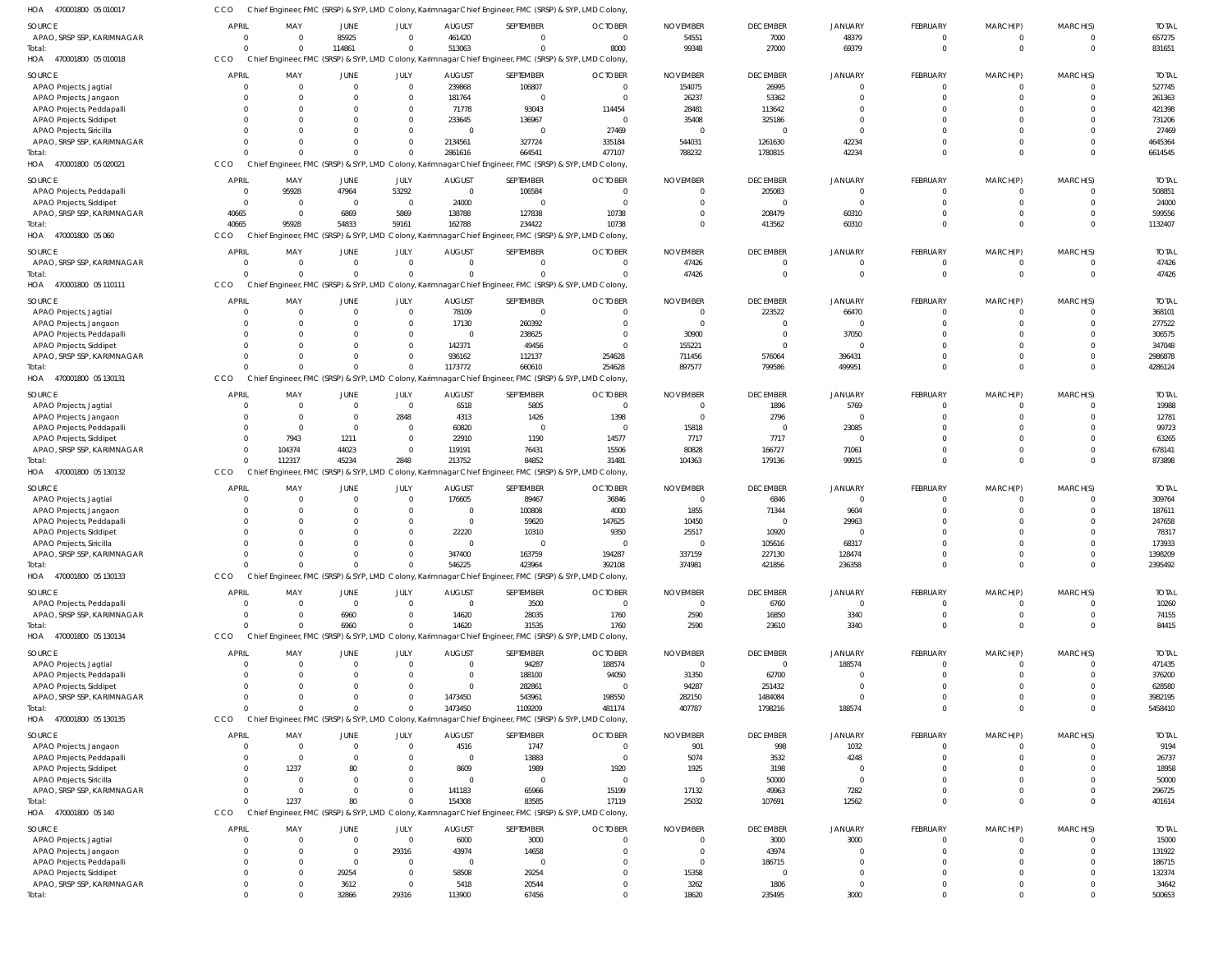| HOA<br>470001800 05 010017                            | CCO            |                                       |              |                |                | Chief Engineer, FMC (SRSP) & SYP, LMD Colony, Karimnagar Chief Engineer, FMC (SRSP) & SYP, LMD Colony, |                |                         |                    |                |                 |                      |                         |                  |
|-------------------------------------------------------|----------------|---------------------------------------|--------------|----------------|----------------|--------------------------------------------------------------------------------------------------------|----------------|-------------------------|--------------------|----------------|-----------------|----------------------|-------------------------|------------------|
| <b>SOURCE</b>                                         | <b>APRIL</b>   | MAY                                   | JUNE         | JULY           | <b>AUGUST</b>  | SEPTEMBER                                                                                              | <b>OCTOBER</b> | <b>NOVEMBER</b>         | <b>DECEMBER</b>    | <b>JANUARY</b> | FEBRUARY        | MARCH(P)             | MARCH(S)                | <b>TOTAL</b>     |
| APAO, SRSP SSP, KARIMNAGAR                            | $\Omega$       | $\Omega$                              | 85925        | $\Omega$       | 461420         | $\Omega$                                                                                               | $\overline{0}$ | 54551                   | 7000               | 48379          | $\overline{0}$  | $\overline{0}$       | $\mathbf{0}$            | 657275           |
| Total:                                                | $\Omega$       | $\Omega$                              | 114861       | $\Omega$       | 513063         | $\Omega$                                                                                               | 8000           | 99348                   | 27000              | 69379          | $\mathbf{0}$    | $\overline{0}$       | $\mathbf 0$             | 831651           |
| HOA<br>470001800 05 010018                            | CCO            |                                       |              |                |                | Chief Engineer, FMC (SRSP) & SYP, LMD Colony, Karimnagar Chief Engineer, FMC (SRSP) & SYP, LMD Colony, |                |                         |                    |                |                 |                      |                         |                  |
|                                                       |                |                                       |              |                |                |                                                                                                        |                |                         |                    |                |                 |                      |                         |                  |
| <b>SOURCE</b>                                         | <b>APRIL</b>   | MAY                                   | JUNE         | JULY           | <b>AUGUST</b>  | SEPTEMBER                                                                                              | <b>OCTOBER</b> | <b>NOVEMBER</b>         | <b>DECEMBER</b>    | <b>JANUARY</b> | FEBRUARY        | MARCH(P)             | MARCH(S)                | <b>TOTAL</b>     |
| APAO Projects, Jagtial                                | $\Omega$       | $\overline{0}$                        | $\Omega$     | $\overline{0}$ | 239868         | 106807                                                                                                 | $\overline{0}$ | 154075                  | 26995              | $\Omega$       | $\overline{0}$  | $\overline{0}$       | $\mathbf 0$             | 527745           |
| APAO Projects, Jangaon                                |                | $\Omega$                              |              | $\Omega$       | 181764         | $\Omega$                                                                                               | $\overline{0}$ | 26237                   | 53362              | $\Omega$       | $\Omega$        | $\mathbf{0}$         | $\mathbf 0$             | 261363           |
| APAO Projects, Peddapalli                             |                | $\Omega$                              |              | $\Omega$       | 71778          | 93043                                                                                                  | 114454         | 28481                   | 113642             | $\Omega$       | $\Omega$        | <sup>0</sup>         | $\Omega$                | 421398           |
| APAO Projects, Siddipet                               |                | $\Omega$                              |              | $\Omega$       | 233645         | 136967                                                                                                 | $\overline{0}$ | 35408                   | 325186             | $\Omega$       | $\Omega$        | $\Omega$             | $\Omega$                | 731206           |
| APAO Projects, Siricilla                              |                | $\Omega$                              |              | $\Omega$       | $\overline{0}$ | $\overline{0}$                                                                                         | 27469          | $\overline{\mathbf{0}}$ | $\Omega$           | $\Omega$       | $\Omega$        | $\Omega$             | $\Omega$                | 27469            |
| APAO, SRSP SSP, KARIMNAGAR                            | $\Omega$       | $\Omega$                              |              |                | 2134561        | 327724                                                                                                 | 335184         | 544031                  | 1261630            | 42234          | $\Omega$        | $\Omega$             | $\mathbf 0$             | 4645364          |
| Total:                                                | $\Omega$       | $\Omega$                              |              |                | 2861616        | 664541                                                                                                 | 477107         | 788232                  | 1780815            | 42234          | $\Omega$        | $\Omega$             | $\mathbf 0$             | 6614545          |
| HOA 470001800 05 020021                               | CCO            |                                       |              |                |                | Chief Engineer, FMC (SRSP) & SYP, LMD Colony, Karimnagar Chief Engineer, FMC (SRSP) & SYP, LMD Colony, |                |                         |                    |                |                 |                      |                         |                  |
| <b>SOURCE</b>                                         | <b>APRIL</b>   | MAY                                   | JUNE         | JULY           | <b>AUGUST</b>  | SEPTEMBER                                                                                              | <b>OCTOBER</b> | <b>NOVEMBER</b>         | <b>DECEMBER</b>    | <b>JANUARY</b> | FEBRUARY        | MARCH(P)             | MARCH(S)                | <b>TOTAL</b>     |
| APAO Projects, Peddapalli                             | $\overline{0}$ | 95928                                 | 47964        | 53292          | $\overline{0}$ | 106584                                                                                                 | $\overline{0}$ | $\overline{0}$          | 205083             | $\Omega$       | $\overline{0}$  | $\overline{0}$       | $\Omega$                | 508851           |
| APAO Projects, Siddipet                               | $\Omega$       | 0                                     | - 0          | $\Omega$       | 24000          | $\Omega$                                                                                               | $\overline{0}$ | $\Omega$                | $\Omega$           |                | $\Omega$        | $\overline{0}$       | $\Omega$                | 24000            |
| APAO, SRSP SSP, KARIMNAGAR                            | 40665          | $\overline{0}$                        | 6869         | 5869           | 138788         | 127838                                                                                                 | 10738          | $\overline{0}$          | 208479             | 60310          | $\Omega$        | $\mathbf{0}$         | $\mathbf 0$             | 599556           |
| Total:                                                | 40665          | 95928                                 | 54833        | 59161          | 162788         | 234422                                                                                                 | 10738          | $\Omega$                | 413562             | 60310          | $\Omega$        | $\Omega$             | $\Omega$                | 1132407          |
| HOA<br>470001800 05 060                               | <b>CCO</b>     | Chief Engineer, FMC (SRSP) & SYP, LMD |              |                |                | Colony, Karimnagar Chief Engineer, FMC (SRSP) & SYP, LMD Colony,                                       |                |                         |                    |                |                 |                      |                         |                  |
|                                                       |                |                                       |              |                |                |                                                                                                        |                |                         |                    |                |                 |                      |                         |                  |
| <b>SOURCE</b>                                         | <b>APRIL</b>   | MAY                                   | JUNE         | JULY           | <b>AUGUST</b>  | SEPTEMBER                                                                                              | <b>OCTOBER</b> | <b>NOVEMBER</b>         | <b>DECEMBER</b>    | <b>JANUARY</b> | <b>FEBRUARY</b> | MARCH(P)             | MARCH(S)                | <b>TOTAL</b>     |
| APAO, SRSP SSP, KARIMNAGAR                            | $\mathbf 0$    | $\overline{0}$                        | $\Omega$     | $\Omega$       | $\overline{0}$ | $\Omega$                                                                                               | $\overline{0}$ | 47426                   | $\Omega$           | $\Omega$       | $\overline{0}$  | $\overline{0}$       | $\mathbf 0$             | 47426            |
| Total:                                                | $\Omega$       | $\Omega$                              |              |                | $\Omega$       | $\Omega$                                                                                               | $\Omega$       | 47426                   | $\Omega$           | $\Omega$       | $\overline{0}$  | $\overline{0}$       | $\mathbf 0$             | 47426            |
| HOA 470001800 05 110111                               | CCO            |                                       |              |                |                | Chief Engineer, FMC (SRSP) & SYP, LMD Colony, Karimnagar Chief Engineer, FMC (SRSP) & SYP, LMD Colony, |                |                         |                    |                |                 |                      |                         |                  |
| <b>SOURCE</b>                                         | <b>APRIL</b>   | MAY                                   | JUNE         | JULY           | <b>AUGUST</b>  | SEPTEMBER                                                                                              | <b>OCTOBER</b> | <b>NOVEMBER</b>         | <b>DECEMBER</b>    | JANUARY        | FEBRUARY        | MARCH(P)             | MARCH(S)                | <b>TOTAL</b>     |
|                                                       | $\Omega$       | $\Omega$                              | $\Omega$     | $\Omega$       |                | $\Omega$                                                                                               | $\Omega$       | $\Omega$                |                    |                | $\Omega$        | $\Omega$             | $\Omega$                |                  |
| APAO Projects, Jagtial                                |                | $\Omega$                              |              | $\Omega$       | 78109<br>17130 |                                                                                                        |                | $\overline{0}$          | 223522<br>$\Omega$ | 66470          | $\Omega$        | $\Omega$             | $\mathbf 0$             | 368101           |
| APAO Projects, Jangaon                                |                | $\Omega$                              |              | $\Omega$       | $\overline{0}$ | 260392                                                                                                 | 0<br>$\Omega$  | 30900                   | $\Omega$           | 37050          | $\Omega$        | <sup>0</sup>         | $\Omega$                | 277522<br>306575 |
| APAO Projects, Peddapalli                             |                | $\Omega$                              |              | $\Omega$       |                | 238625                                                                                                 |                |                         | $\Omega$           |                | $\Omega$        |                      | $\Omega$                |                  |
| APAO Projects, Siddipet<br>APAO, SRSP SSP, KARIMNAGAR |                | $\Omega$                              | $\Omega$     | $\Omega$       | 142371         | 49456                                                                                                  | $\overline{0}$ | 155221                  |                    |                | $\Omega$        | $\Omega$<br>$\Omega$ |                         | 347048           |
|                                                       |                | $\Omega$                              | $\Omega$     | $\Omega$       | 936162         | 112137                                                                                                 | 254628         | 711456                  | 576064             | 396431         | $\Omega$        | $\Omega$             | $\mathbf 0$<br>$\Omega$ | 2986878          |
| Total:                                                |                |                                       |              |                | 1173772        | 660610                                                                                                 | 254628         | 897577                  | 799586             | 499951         |                 |                      |                         | 4286124          |
| HOA 470001800 05 130131                               | CCO            |                                       |              |                |                | Chief Engineer, FMC (SRSP) & SYP, LMD Colony, Karimnagar Chief Engineer, FMC (SRSP) & SYP, LMD Colony, |                |                         |                    |                |                 |                      |                         |                  |
| SOURCE                                                | <b>APRIL</b>   | MAY                                   | JUNE         | JULY           | <b>AUGUST</b>  | SEPTEMBER                                                                                              | <b>OCTOBER</b> | <b>NOVEMBER</b>         | <b>DECEMBER</b>    | JANUARY        | FEBRUARY        | MARCH(P)             | MARCH(S)                | <b>TOTAL</b>     |
| APAO Projects, Jagtial                                |                | $\overline{0}$                        |              | $\Omega$       | 6518           | 5805                                                                                                   | $\overline{0}$ | $\circ$                 | 1896               | 5769           | $\mathbf 0$     | $\mathbf{0}$         | $\mathbf{0}$            | 19988            |
| APAO Projects, Jangaon                                | $\Omega$       | $\overline{0}$                        |              | 2848           | 4313           | 1426                                                                                                   | 1398           | $\overline{0}$          | 2796               | $\Omega$       | $\Omega$        | $\Omega$             | $\mathbf 0$             | 12781            |
| APAO Projects, Peddapalli                             | $\Omega$       | $\overline{0}$                        | $\Omega$     | $\Omega$       | 60820          | $\overline{0}$                                                                                         | $\overline{0}$ | 15818                   | $\Omega$           | 23085          | $\Omega$        | $\Omega$             | $\Omega$                | 99723            |
| APAO Projects, Siddipet                               | $\Omega$       | 7943                                  | 1211         | $\Omega$       | 22910          | 1190                                                                                                   | 14577          | 7717                    | 7717               | $\Omega$       | $\Omega$        | $\Omega$             | $\Omega$                | 63265            |
| APAO, SRSP SSP, KARIMNAGAR                            | $\mathbf 0$    | 104374                                | 44023        | $\mathbf 0$    | 119191         | 76431                                                                                                  | 15506          | 80828                   | 166727             | 71061          | $\mathbf 0$     | $\mathbf{0}$         | $\mathbf 0$             | 678141           |
| Total:                                                | $\Omega$       | 112317                                | 45234        | 2848           | 213752         | 84852                                                                                                  | 31481          | 104363                  | 179136             | 99915          | $\Omega$        | $\Omega$             | $\mathbf 0$             | 873898           |
| HOA 470001800 05 130132                               | CCO            | Chief Engineer, FMC (SRSP) & SYP, LMD |              |                |                | Colony, Karimnagar Chief Engineer, FMC (SRSP) & SYP, LMD Colony,                                       |                |                         |                    |                |                 |                      |                         |                  |
|                                                       |                |                                       |              |                |                |                                                                                                        |                |                         |                    |                |                 |                      |                         |                  |
| <b>SOURCE</b>                                         | <b>APRIL</b>   | MAY                                   | JUNE         | JULY           | <b>AUGUST</b>  | SEPTEMBER                                                                                              | <b>OCTOBER</b> | <b>NOVEMBER</b>         | <b>DECEMBER</b>    | <b>JANUARY</b> | FEBRUARY        | MARCH(P)             | MARCH(S)                | <b>TOTAL</b>     |
| APAO Projects, Jagtial                                | $\Omega$       | $\overline{0}$                        | $\Omega$     | $\Omega$       | 176605         | 89467                                                                                                  | 36846          | $\overline{0}$          | 6846               |                | $\mathbf 0$     | $\Omega$             | $\Omega$                | 309764           |
| APAO Projects, Jangaon                                | $\Omega$       | $\Omega$                              |              | $\Omega$       | $\overline{0}$ | 100808                                                                                                 | 4000           | 1855                    | 71344              | 9604           | $\Omega$        | $\Omega$             | $\Omega$                | 187611           |
| APAO Projects, Peddapalli                             |                | $\Omega$                              |              | $\Omega$       | $\overline{0}$ | 59620                                                                                                  | 147625         | 10450                   | $\Omega$           | 29963          |                 |                      | $\Omega$                | 247658           |
| APAO Projects, Siddipet                               |                | $\Omega$                              |              | $\Omega$       | 22220          | 10310                                                                                                  | 9350           | 25517                   | 10920              |                |                 |                      | $\Omega$                | 78317            |
| APAO Projects, Siricilla                              |                | $\Omega$                              |              | $\Omega$       | $\overline{0}$ | $\Omega$                                                                                               | $\Omega$       | $\Omega$                | 105616             | 68317          |                 |                      | $\Omega$                | 173933           |
| APAO, SRSP SSP, KARIMNAGAR                            |                | $\mathbf{0}$                          | $\mathbf{0}$ | $\mathbf 0$    | 347400         | 163759                                                                                                 | 194287         | 337159                  | 227130             | 128474         |                 |                      | $\mathbf 0$             | 1398209          |
| Total:                                                | $\mathbf 0$    | $\Omega$                              | $\Omega$     | $\Omega$       | 546225         | 423964                                                                                                 | 392108         | 374981                  | 421856             | 236358         | $\mathbf{0}$    | $\mathbf{0}$         | $\mathbf{0}$            | 2395492          |
| HOA 470001800 05 130133                               | CCO            |                                       |              |                |                | Chief Engineer, FMC (SRSP) & SYP, LMD Colony, Karimnagar Chief Engineer, FMC (SRSP) & SYP, LMD Colony, |                |                         |                    |                |                 |                      |                         |                  |
| <b>SOURCE</b>                                         | <b>APRIL</b>   | MAY                                   | JUNE         | JULY           | <b>AUGUST</b>  | SEPTEMBER                                                                                              | <b>OCTOBER</b> | <b>NOVEMBER</b>         | <b>DECEMBER</b>    | <b>JANUARY</b> | FEBRUARY        | MARCH(P)             | MARCH(S)                | <b>TOTAL</b>     |
| APAO Projects, Peddapalli                             | $\Omega$       | $\Omega$                              | $\Omega$     | $\Omega$       | $\overline{0}$ | 3500                                                                                                   | $\overline{0}$ | $\overline{\mathbf{0}}$ | 6760               | $\Omega$       | 0               | $\mathbf{0}$         | $\Omega$                | 10260            |
| APAO, SRSP SSP, KARIMNAGAR                            | $\Omega$       | $\Omega$                              | 6960         | $\Omega$       | 14620          | 28035                                                                                                  | 1760           | 2590                    | 16850              | 3340           | $\mathbf 0$     | $\overline{0}$       | $\mathbf 0$             | 74155            |
| Total:                                                | $\Omega$       | $\Omega$                              | 6960         | $\Omega$       | 14620          | 31535                                                                                                  | 1760           | 2590                    | 23610              | 3340           | $\Omega$        | $\overline{0}$       | $\Omega$                | 84415            |
| HOA 470001800 05 130134                               | CCO            |                                       |              |                |                | Chief Engineer, FMC (SRSP) & SYP, LMD Colony, Karimnagar Chief Engineer, FMC (SRSP) & SYP, LMD Colony, |                |                         |                    |                |                 |                      |                         |                  |
|                                                       |                |                                       |              |                |                |                                                                                                        |                |                         |                    |                |                 |                      |                         |                  |
| <b>SOURCE</b>                                         | <b>APRIL</b>   | MAY                                   | JUNE         | JULY           | <b>AUGUST</b>  | SEPTEMBER                                                                                              | <b>OCTOBER</b> | <b>NOVEMBER</b>         | <b>DECEMBER</b>    | JANUARY        | FEBRUARY        | MARCH(P)             | MARCH(S)                | <b>TOTAL</b>     |
| APAO Projects, Jagtial                                |                | $\Omega$                              |              | $\Omega$       | $\overline{0}$ | 94287                                                                                                  | 188574         | $\overline{0}$          | $\Omega$           | 188574         | $\mathbf 0$     | $\Omega$             | $\Omega$                | 471435           |
| APAO Projects, Peddapalli                             |                | $\Omega$                              |              | $\Omega$       | $\overline{0}$ | 188100                                                                                                 | 94050          | 31350                   | 62700              |                | $\Omega$        | $\Omega$             | $\Omega$                | 376200           |
| APAO Projects, Siddipet                               |                | $\Omega$                              |              | $\Omega$       | $\overline{0}$ | 282861                                                                                                 | $\overline{0}$ | 94287                   | 251432             |                | $\Omega$        | $\Omega$             | $\Omega$                | 628580           |
| APAO, SRSP SSP, KARIMNAGAR                            |                | $\Omega$                              |              | $\Omega$       | 1473450        | 543961                                                                                                 | 198550         | 282150                  | 1484084            | $\Omega$       | $\Omega$        | $\mathbf{0}$         | $\mathbf{0}$            | 3982195          |
| Total:                                                |                | $\Omega$                              | $\Omega$     | $\Omega$       | 1473450        | 1109209                                                                                                | 481174         | 407787                  | 1798216            | 188574         | $\Omega$        | $\Omega$             | $\mathbf 0$             | 5458410          |
| HOA 470001800 05 130135                               | CCO            |                                       |              |                |                | Chief Engineer, FMC (SRSP) & SYP, LMD Colony, Karimnagar Chief Engineer, FMC (SRSP) & SYP, LMD Colony, |                |                         |                    |                |                 |                      |                         |                  |
| <b>SOURCE</b>                                         | <b>APRIL</b>   | MAY                                   | JUNE         | JULY           | <b>AUGUST</b>  | SEPTEMBER                                                                                              | <b>OCTOBER</b> | <b>NOVEMBER</b>         | <b>DECEMBER</b>    | <b>JANUARY</b> | FEBRUARY        | MARCH(P)             | MARCH(S)                | <b>TOTAL</b>     |
| APAO Projects, Jangaon                                | $\Omega$       | $\overline{0}$                        |              | $\Omega$       | 4516           | 1747                                                                                                   | $\overline{0}$ | 901                     | 998                | 1032           | $\overline{0}$  | $\overline{0}$       | $\mathbf{0}$            | 9194             |
| APAO Projects, Peddapalli                             |                | $\overline{0}$                        |              |                | $\overline{0}$ | 13883                                                                                                  | $\overline{0}$ | 5074                    | 3532               | 4248           | $\mathbf 0$     | $\mathbf{0}$         | $\mathbf{0}$            | 26737            |
| APAO Projects, Siddipet                               |                | 1237                                  | 80           |                | 8609           | 1989                                                                                                   | 1920           | 1925                    | 3198               | -C             |                 | $\Omega$             | $\Omega$                | 18958            |
| APAO Projects, Siricilla                              |                | $\overline{0}$                        |              | $\Omega$       | $\overline{0}$ | $\Omega$                                                                                               | $\overline{0}$ | $\overline{0}$          | 50000              | $\Omega$       |                 | $\Omega$             | $\Omega$                | 50000            |
| APAO, SRSP SSP, KARIMNAGAR                            | $\Omega$       | $\overline{0}$                        |              |                | 141183         | 65966                                                                                                  | 15199          | 17132                   | 49963              | 7282           | $\Omega$        | $\Omega$             | $\mathbf{0}$            | 296725           |
| Total:                                                | $\Omega$       | 1237                                  | 80           |                | 154308         | 83585                                                                                                  | 17119          | 25032                   | 107691             | 12562          | $\Omega$        | $\Omega$             | $\Omega$                | 401614           |
| HOA 470001800 05 140                                  | CCO            |                                       |              |                |                | Chief Engineer, FMC (SRSP) & SYP, LMD Colony, Karimnagar Chief Engineer, FMC (SRSP) & SYP, LMD Colony, |                |                         |                    |                |                 |                      |                         |                  |
|                                                       |                |                                       |              |                |                |                                                                                                        |                |                         |                    |                |                 |                      |                         |                  |
| SOURCE                                                | <b>APRIL</b>   | MAY                                   | JUNE         | JULY           | <b>AUGUST</b>  | SEPTEMBER                                                                                              | <b>OCTOBER</b> | <b>NOVEMBER</b>         | <b>DECEMBER</b>    | JANUARY        | FEBRUARY        | MARCH(P)             | MARCH(S)                | <b>TOTAL</b>     |
| APAO Projects, Jagtial                                | 0              | $\Omega$                              | $\Omega$     | $\overline{0}$ | 6000           | 3000                                                                                                   | $\Omega$       | - 0                     | 3000               | 3000           | 0               | $\Omega$             | $\Omega$                | 15000            |
| APAO Projects, Jangaon                                |                | $\Omega$                              | $\Omega$     | 29316          | 43974          | 14658                                                                                                  | $\Omega$       | $\overline{0}$          | 43974              |                |                 |                      | $\Omega$                | 131922           |
| APAO Projects, Peddapalli                             |                | $\Omega$                              | $\Omega$     | $\Omega$       | $\overline{0}$ | $\Omega$                                                                                               | $\Omega$       | $\overline{0}$          | 186715             | $\Omega$       | $\Omega$        | <sup>0</sup>         | $\Omega$                | 186715           |
| APAO Projects, Siddipet                               |                | $\Omega$                              | 29254        | $\overline{0}$ | 58508          | 29254                                                                                                  | $\Omega$       | 15358                   | - 0                | $\Omega$       | $\Omega$        | $\Omega$             | $\Omega$                | 132374           |
| APAO, SRSP SSP, KARIMNAGAR                            |                | $\Omega$                              | 3612         | $\Omega$       | 5418           | 20544                                                                                                  | $\Omega$       | 3262                    | 1806               | $\Omega$       | $\mathbf 0$     | $\Omega$             | $\Omega$                | 34642            |
| Total:                                                | $\Omega$       | $\Omega$                              | 32866        | 29316          | 113900         | 67456                                                                                                  | $\Omega$       | 18620                   | 235495             | 3000           | $\Omega$        | $\Omega$             | $\Omega$                | 500653           |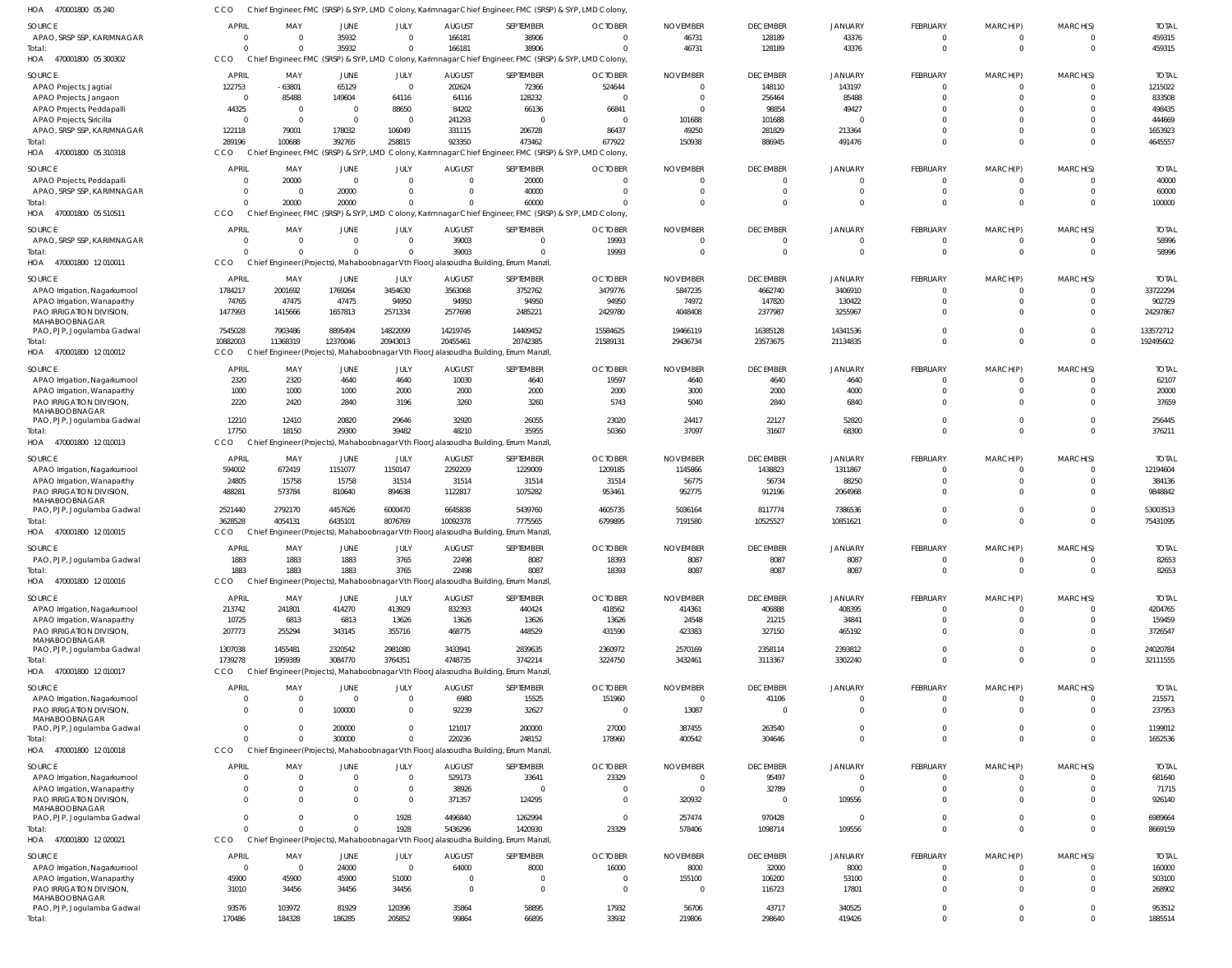| HOA<br>470001800 05 240                                      |                          |                         |                        |                  |                                 | Chief Engineer, FMC (SRSP) & SYP, LMD Colony, Karimnagar Chief Engineer, FMC (SRSP) & SYP, LMD Colony, |                                  |                             |                             |                        |                         |                         |                      |                       |
|--------------------------------------------------------------|--------------------------|-------------------------|------------------------|------------------|---------------------------------|--------------------------------------------------------------------------------------------------------|----------------------------------|-----------------------------|-----------------------------|------------------------|-------------------------|-------------------------|----------------------|-----------------------|
| SOURCE                                                       | APRIL                    | MAY                     | JUNE                   | JULY             | <b>AUGUST</b>                   | SEPTEMBER                                                                                              | <b>OCTOBER</b>                   | <b>NOVEMBER</b>             | <b>DECEMBER</b>             | <b>JANUARY</b>         | FEBRUARY                | MARCH(P)                | MARCH(S)             | <b>TOTAL</b>          |
| APAO, SRSP SSP, KARIMNAGAR                                   | $\Omega$                 | $\overline{0}$          | 35932                  | $\Omega$         | 166181                          | 38906                                                                                                  | $\overline{0}$                   | 46731                       | 128189                      | 43376                  | $\mathbf 0$             | $\overline{0}$          |                      | 459315                |
| Total:                                                       | $\cap$                   | $\Omega$                | 35932                  | $\Omega$         | 166181                          | 38906                                                                                                  | $\Omega$                         | 46731                       | 128189                      | 43376                  | $\mathbf 0$             | $\mathbf 0$             | $\Omega$             | 459315                |
| HOA<br>470001800 05 300302                                   | CCO                      |                         |                        |                  |                                 | Chief Engineer, FMC (SRSP) & SYP, LMD Colony, Karimnagar Chief Engineer, FMC (SRSP) & SYP, LMD Colony, |                                  |                             |                             |                        |                         |                         |                      |                       |
| SOURCE                                                       | APRIL                    | MAY                     |                        | JULY             | <b>AUGUST</b>                   | SEPTEMBER                                                                                              | <b>OCTOBER</b>                   | <b>NOVEMBER</b>             | <b>DECEMBER</b>             | <b>JANUARY</b>         | FEBRUARY                | MARCH(P)                | MARCH(S)             | <b>TOTAL</b>          |
| APAO Projects, Jagtial                                       | 122753                   | $-63801$                | JUNE<br>65129          | $\overline{0}$   | 202624                          | 72366                                                                                                  | 524644                           | $\overline{0}$              | 148110                      | 143197                 | $\mathbf 0$             | $\mathbf 0$             | $\Omega$             | 1215022               |
| APAO Projects, Jangaon                                       | $\Omega$                 | 85488                   | 149604                 | 64116            | 64116                           | 128232                                                                                                 | $\overline{0}$                   | $\overline{0}$              | 256464                      | 85488                  | $\Omega$                | $\Omega$                | $\Omega$             | 833508                |
| APAO Projects, Peddapalli                                    | 44325                    | $\overline{\mathbf{0}}$ | $\overline{0}$         | 88650            | 84202                           | 66136                                                                                                  | 66841                            | $\overline{0}$              | 98854                       | 49427                  |                         |                         | $\Omega$             | 498435                |
| APAO Projects, Siricilla                                     | $\Omega$                 | $\overline{\mathbf{0}}$ | $\overline{0}$         | $\overline{0}$   | 241293                          | $\Omega$                                                                                               | $\overline{\mathbf{0}}$          | 101688                      | 101688                      |                        |                         | $\Omega$                | $\Omega$             | 444669                |
| APAO, SRSP SSP, KARIMNAGAR                                   | 122118                   | 79001                   | 178032                 | 106049           | 331115                          | 206728                                                                                                 | 86437                            | 49250                       | 281829                      | 213364                 |                         | $\Omega$                | $\Omega$             | 1653923               |
| Total:                                                       | 289196                   | 100688                  | 392765                 | 258815           | 923350                          | 473462                                                                                                 | 677922                           | 150938                      | 886945                      | 491476                 | $\Omega$                | $\Omega$                | $\Omega$             | 4645557               |
| HOA 470001800 05 310318                                      | CCO                      |                         |                        |                  |                                 | Chief Engineer, FMC (SRSP) & SYP, LMD Colony, Karimnagar Chief Engineer, FMC (SRSP) & SYP, LMD Colony, |                                  |                             |                             |                        |                         |                         |                      |                       |
|                                                              |                          |                         |                        |                  |                                 |                                                                                                        |                                  |                             |                             |                        |                         |                         |                      |                       |
| SOURCE                                                       | <b>APRIL</b><br>$\Omega$ | MAY<br>20000            | JUNE<br>$\overline{0}$ | JULY<br>$\Omega$ | <b>AUGUST</b><br>$\overline{0}$ | SEPTEMBER<br>20000                                                                                     | <b>OCTOBER</b><br>$\overline{0}$ | <b>NOVEMBER</b><br>$\Omega$ | <b>DECEMBER</b><br>$\Omega$ | <b>JANUARY</b>         | FEBRUARY<br>$\Omega$    | MARCH(P)                | MARCH(S)             | <b>TOTAL</b><br>40000 |
| APAO Projects, Peddapalli<br>APAO, SRSP SSP, KARIMNAGAR      | $\Omega$                 | $\overline{0}$          | 20000                  | - 0              | $\overline{0}$                  | 40000                                                                                                  | $\overline{0}$                   | $\overline{0}$              | $\Omega$                    | $\Omega$               | $\mathbf 0$             | $\mathbf 0$             | $\Omega$             | 60000                 |
| Total:                                                       | $\Omega$                 | 20000                   | 20000                  |                  | $\Omega$                        | 60000                                                                                                  | $\Omega$                         | $\Omega$                    | $\Omega$                    | $\Omega$               | $\Omega$                | $\Omega$                | $\Omega$             | 100000                |
| HOA 470001800 05 510511                                      | CCO                      |                         |                        |                  |                                 | Chief Engineer, FMC (SRSP) & SYP, LMD Colony, Karimnagar Chief Engineer, FMC (SRSP) & SYP, LMD Colony, |                                  |                             |                             |                        |                         |                         |                      |                       |
|                                                              |                          |                         |                        |                  |                                 |                                                                                                        |                                  |                             |                             |                        |                         |                         |                      |                       |
| SOURCE                                                       | APRIL                    | MAY                     | JUNE                   | JULY             | <b>AUGUST</b>                   | SEPTEMBER                                                                                              | <b>OCTOBER</b>                   | <b>NOVEMBER</b>             | <b>DECEMBER</b>             | <b>JANUARY</b>         | FEBRUARY                | MARCH(P)                | MARCH(S)             | <b>TOTAL</b>          |
| APAO, SRSP SSP, KARIMNAGAR                                   | $\Omega$                 | $\overline{0}$          | $\overline{0}$         | $\Omega$         | 39003                           | $\overline{0}$                                                                                         | 19993                            | $\overline{0}$              | $\Omega$                    | $\Omega$               | $\mathbf 0$             | $\overline{0}$          | $\mathbf 0$          | 58996                 |
| lotal:                                                       | $\Omega$                 | $\Omega$                | $\Omega$               |                  | 39003                           | $\Omega$                                                                                               | 19993                            | $\overline{0}$              | $\Omega$                    | $\Omega$               | $\mathbf 0$             | $\Omega$                | $\Omega$             | 58996                 |
| HOA 470001800 12010011                                       | CCO                      |                         |                        |                  |                                 | Chief Engineer (Projects), Mahaboobnagar Vth Floor, Jalasoudha Building, Errum Manzil                  |                                  |                             |                             |                        |                         |                         |                      |                       |
| SOURCE                                                       | <b>APRIL</b>             | MAY                     | JUNE                   | JULY             | <b>AUGUST</b>                   | SEPTEMBER                                                                                              | <b>OCTOBER</b>                   | <b>NOVEMBER</b>             | <b>DECEMBER</b>             | <b>JANUARY</b>         | FEBRUARY                | MARCH(P)                | MARCH(S)             | <b>TOTAL</b>          |
| APAO Irrigation, Nagarkurnool                                | 1784217                  | 2001692                 | 1769264                | 3454630          | 3563068                         | 3752762                                                                                                | 3479776                          | 5847235                     | 4662740                     | 3406910                | $\Omega$                | $\Omega$                | -0                   | 33722294              |
| APAO Irrigation, Wanaparthy                                  | 74765                    | 47475                   | 47475                  | 94950            | 94950                           | 94950                                                                                                  | 94950                            | 74972                       | 147820                      | 130422                 | $\Omega$                | $\Omega$                | $\Omega$             | 902729                |
| <b>PAO IRRIGATION DIVISION.</b>                              | 1477993                  | 1415666                 | 1657813                | 2571334          | 2577698                         | 2485221                                                                                                | 2429780                          | 4048408                     | 2377987                     | 3255967                | $\Omega$                | $\Omega$                | $\Omega$             | 24297867              |
| MAHABOOBNAGAR<br>PAO, PJP, Jogulamba Gadwal                  | 7545028                  | 7903486                 | 8895494                | 14822099         | 14219745                        | 14409452                                                                                               | 15584625                         | 19466119                    | 16385128                    | 14341536               |                         | $\Omega$                | $\Omega$             | 133572712             |
| lotal:                                                       | 10882003                 | 11368319                | 12370046               | 20943013         | 20455461                        | 20742385                                                                                               | 21589131                         | 29436734                    | 23573675                    | 21134835               | $\Omega$                | $\Omega$                | $\Omega$             | 192495602             |
| HOA 470001800 12010012                                       | CCO                      |                         |                        |                  |                                 | Chief Engineer (Projects), Mahaboobnagar Vth Floor, Jalasoudha Building, Errum Manzil                  |                                  |                             |                             |                        |                         |                         |                      |                       |
|                                                              |                          |                         |                        |                  |                                 |                                                                                                        |                                  |                             |                             |                        |                         |                         |                      |                       |
| SOURCE                                                       | APRIL                    | MAY                     | JUNE                   | JULY             | <b>AUGUST</b>                   | SEPTEMBER                                                                                              | <b>OCTOBER</b>                   | <b>NOVEMBER</b>             | <b>DECEMBER</b>             | <b>JANUARY</b>         | FEBRUARY<br>$\mathbf 0$ | MARCH(P)                | MARCH(S)<br>$\Omega$ | <b>TOTAI</b>          |
| APAO Irrigation, Nagarkurnool<br>APAO Irrigation, Wanaparthy | 2320<br>1000             | 2320<br>1000            | 4640<br>1000           | 4640<br>2000     | 10030<br>2000                   | 4640<br>2000                                                                                           | 19597<br>2000                    | 4640<br>3000                | 4640<br>2000                | 4640<br>4000           | $\Omega$                | $^{\circ}$<br>$\Omega$  | $\Omega$             | 62107<br>20000        |
| PAO IRRIGATION DIVISION,                                     | 2220                     | 2420                    | 2840                   | 3196             | 3260                            | 3260                                                                                                   | 5743                             | 5040                        | 2840                        | 6840                   | $\Omega$                | $\Omega$                | $\Omega$             | 37659                 |
| MAHABOOBNAGAR                                                |                          |                         |                        |                  |                                 |                                                                                                        |                                  |                             |                             |                        |                         |                         |                      |                       |
| PAO, PJP, Jogulamba Gadwal                                   | 12210                    | 12410                   | 20820                  | 29646            | 32920                           | 26055                                                                                                  | 23020                            | 24417                       | 22127                       | 52820                  | $\mathbf 0$             | $\mathbf 0$             | $\Omega$             | 256445                |
| lotal:                                                       | 17750                    | 18150                   | 29300                  | 39482            | 48210                           | 35955                                                                                                  | 50360                            | 37097                       | 31607                       | 68300                  | $\mathbf 0$             | $\mathbf 0$             | $\Omega$             | 376211                |
| HOA 470001800 12010013                                       | CCO                      |                         |                        |                  |                                 | Chief Engineer (Projects), Mahaboobnagar Vth Floor, Jalasoudha Building, Errum Manzil                  |                                  |                             |                             |                        |                         |                         |                      |                       |
| SOURCE                                                       | <b>APRIL</b>             | MAY                     | JUNE                   | JULY             | <b>AUGUST</b>                   | SEPTEMBER                                                                                              | <b>OCTOBER</b>                   | <b>NOVEMBER</b>             | <b>DECEMBER</b>             | <b>JANUARY</b>         | FEBRUARY                | MARCH(P)                | MARCH(S)             | <b>TOTAI</b>          |
| APAO Irrigation, Nagarkurnool                                | 594002                   | 672419                  | 1151077                | 1150147          | 2292209                         | 1229009                                                                                                | 1209185                          | 1145866                     | 1438823                     | 1311867                | $\Omega$                | $\Omega$                |                      | 12194604              |
| APAO Irrigation, Wanaparthy                                  | 24805                    | 15758                   | 15758                  | 31514            | 31514                           | 31514                                                                                                  | 31514                            | 56775                       | 56734                       | 88250                  | $\Omega$                | $\Omega$                |                      | 384136                |
| PAO IRRIGATION DIVISION,                                     | 488281                   | 573784                  | 810640                 | 894638           | 1122817                         | 1075282                                                                                                | 953461                           | 952775                      | 912196                      | 2064968                | $\Omega$                | $\Omega$                | $\Omega$             | 9848842               |
| MAHABOOBNAGAR<br>PAO, PJP, Jogulamba Gadwal                  | 2521440                  | 2792170                 | 4457626                | 6000470          | 6645838                         | 5439760                                                                                                | 4605735                          | 5036164                     | 8117774                     | 7386536                | $\Omega$                | $\mathbf 0$             | $\Omega$             | 53003513              |
| Total:                                                       | 3628528                  | 4054131                 | 6435101                | 8076769          | 10092378                        | 7775565                                                                                                | 6799895                          | 7191580                     | 10525527                    | 10851621               | $\Omega$                | $\Omega$                | $\Omega$             | 75431095              |
| HOA 470001800 12010015                                       | CCO                      |                         |                        |                  |                                 | Chief Engineer (Projects), Mahaboobnagar Vth Floor, Jalasoudha Building, Errum Manzil                  |                                  |                             |                             |                        |                         |                         |                      |                       |
|                                                              |                          |                         |                        |                  |                                 |                                                                                                        | <b>OCTOBER</b>                   |                             |                             |                        |                         |                         |                      |                       |
| SOURCE<br>PAO, PJP, Jogulamba Gadwal                         | APRIL<br>1883            | MAY<br>1883             | JUNE<br>1883           | JULY<br>3765     | <b>AUGUST</b><br>22498          | SEPTEMBER<br>8087                                                                                      | 18393                            | <b>NOVEMBER</b><br>8087     | <b>DECEMBER</b><br>8087     | <b>JANUARY</b><br>8087 | FEBRUARY                | MARCH(P)                | MARCH(S)             | <b>TOTAL</b><br>82653 |
| lotal:                                                       | 1883                     | 1883                    | 1883                   | 3765             | 22498                           | 8087                                                                                                   | 18393                            | 8087                        | 8087                        | 8087                   | $\Omega$                | $\Omega$                | $\Omega$             | 82653                 |
| HOA 470001800 12010016                                       | CCO                      |                         |                        |                  |                                 | Chief Engineer (Projects), Mahaboobnagar Vth Floor, Jalasoudha Building, Errum Manzil,                 |                                  |                             |                             |                        |                         |                         |                      |                       |
|                                                              |                          |                         |                        |                  |                                 |                                                                                                        |                                  |                             |                             |                        |                         |                         |                      |                       |
| SOURCE                                                       | <b>APRIL</b>             | MAY                     | JUNE                   | JULY             | <b>AUGUST</b>                   | SEPTEMBER                                                                                              | <b>OCTOBER</b>                   | <b>NOVEMBER</b>             | <b>DECEMBER</b>             | <b>JANUARY</b>         | FEBRUARY                | MARCH(P)                | MARCH(S)             | <b>TOTAL</b>          |
| APAO Irrigation, Nagarkurnool                                | 213742                   | 241801                  | 414270                 | 413929           | 832393                          | 440424                                                                                                 | 418562                           | 414361                      | 406888                      | 408395                 | $\Omega$                | $\Omega$                |                      | 4204765               |
| APAO Irrigation, Wanaparthy                                  | 10725                    | 6813                    | 6813                   | 13626            | 13626                           | 13626                                                                                                  | 13626                            | 24548                       | 21215                       | 34841                  | $\Omega$<br>$\Omega$    | $\Omega$<br>$\Omega$    | $\Omega$             | 159459                |
| PAO IRRIGATION DIVISION,<br>MAHABOOBNAGAR                    | 207773                   | 255294                  | 343145                 | 355716           | 468775                          | 448529                                                                                                 | 431590                           | 423383                      | 327150                      | 465192                 |                         |                         |                      | 3726547               |
| PAO, PJP, Jogulamba Gadwal                                   | 1307038                  | 1455481                 | 2320542                | 2981080          | 3433941                         | 2839635                                                                                                | 2360972                          | 2570169                     | 2358114                     | 2393812                | $\Omega$                | $\Omega$                | $\Omega$             | 24020784              |
| Total:                                                       | 1739278                  | 1959389                 | 3084770                | 3764351          | 4748735                         | 3742214                                                                                                | 3224750                          | 3432461                     | 3113367                     | 3302240                | $\Omega$                | $\Omega$                | $\Omega$             | 32111555              |
| HOA 470001800 12010017                                       | CCO                      |                         |                        |                  |                                 | Chief Engineer (Projects), Mahaboobnagar Vth Floor, Jalasoudha Building, Errum Manzil,                 |                                  |                             |                             |                        |                         |                         |                      |                       |
| SOURCE                                                       | APRIL                    | MAY                     | <b>JUNE</b>            | JULY             | <b>AUGUST</b>                   | SEPTEMBER                                                                                              | <b>OCTOBER</b>                   | <b>NOVEMBER</b>             | <b>DECEMBER</b>             | <b>JANUARY</b>         | FEBRUARY                | MARCH(P)                | MARCH(S)             | <b>TOTAL</b>          |
| APAO Irrigation, Nagarkurnool                                | $\Omega$                 | $\overline{0}$          | $\overline{0}$         | $\Omega$         | 6980                            | 15525                                                                                                  | 151960                           | $\overline{0}$              | 41106                       |                        | $^{\circ}$              | 0                       | $\Omega$             | 215571                |
| PAO IRRIGATION DIVISION,                                     | $\Omega$                 | $\Omega$                | 100000                 | $\Omega$         | 92239                           | 32627                                                                                                  | $\overline{0}$                   | 13087                       | $\Omega$                    | $\Omega$               | $\mathbf 0$             | $\mathbf 0$             | $\mathbf{0}$         | 237953                |
| MAHABOOBNAGAR                                                |                          |                         |                        |                  |                                 |                                                                                                        |                                  |                             |                             |                        |                         |                         |                      |                       |
| PAO, PJP, Jogulamba Gadwal                                   | $\Omega$<br>$\Omega$     | $\Omega$                | 200000                 |                  | 121017                          | 200000                                                                                                 | 27000                            | 387455                      | 263540                      | $\Omega$               | $\mathbf 0$             | $\mathbf 0$             | $\Omega$             | 1199012               |
| lotal:<br>HOA 470001800 12010018                             | CCO                      | $\Omega$                | 300000                 |                  | 220236                          | 248152<br>Chief Engineer (Projects), Mahaboobnagar Vth Floor, Jalasoudha Building, Errum Manzil        | 178960                           | 400542                      | 304646                      | $\Omega$               | $\Omega$                | $\Omega$                | $\Omega$             | 1652536               |
|                                                              |                          |                         |                        |                  |                                 |                                                                                                        |                                  |                             |                             |                        |                         |                         |                      |                       |
| <b>SOURCE</b>                                                | <b>APRIL</b>             | MAY                     | <b>JUNE</b>            | JULY             | <b>AUGUST</b>                   | SEPTEMBER                                                                                              | <b>OCTOBER</b>                   | <b>NOVEMBER</b>             | <b>DECEMBER</b>             | <b>JANUARY</b>         | FEBRUARY                | MARCH(P)                | MARCH(S)             | <b>TOTAL</b>          |
| APAO Irrigation, Nagarkurnool                                |                          | $\Omega$                | $\Omega$               | $\Omega$         | 529173                          | 33641                                                                                                  | 23329                            | $\overline{0}$              | 95497                       |                        | $\mathbf 0$             | $\Omega$                |                      | 681640                |
| APAO Irrigation, Wanaparthy                                  | $\Omega$                 | $\overline{0}$          | $\overline{0}$         | $\mathbf{0}$     | 38926                           | $\Omega$                                                                                               | $\overline{0}$                   | $\overline{0}$              | 32789                       | $\Omega$               | $\Omega$                | $\mathbf 0$             | $\Omega$             | 71715                 |
| PAO IRRIGATION DIVISION,<br>MAHABOOBNAGAR                    | $\Omega$                 | $\Omega$                | $\Omega$               | $\Omega$         | 371357                          | 124295                                                                                                 | $\overline{0}$                   | 320932                      | $\Omega$                    | 109556                 | $\Omega$                | $\Omega$                |                      | 926140                |
| PAO, PJP, Jogulamba Gadwal                                   | $\Omega$                 | $\Omega$                | $\Omega$               | 1928             | 4496840                         | 1262994                                                                                                | $\overline{0}$                   | 257474                      | 970428                      |                        | $\Omega$                | $\Omega$                | $\Omega$             | 6989664               |
| Total:                                                       | $\Omega$                 | $\Omega$                | $\Omega$               | 1928             | 5436296                         | 1420930                                                                                                | 23329                            | 578406                      | 1098714                     | 109556                 | $\Omega$                | $\Omega$                | $\Omega$             | 8669159               |
| HOA 470001800 12020021                                       | CCO                      |                         |                        |                  |                                 | Chief Engineer (Projects), Mahaboobnagar Vth Floor, Jalasoudha Building, Errum Manzil                  |                                  |                             |                             |                        |                         |                         |                      |                       |
| SOURCE                                                       | APRIL                    | MAY                     | <b>JUNE</b>            | JULY             | <b>AUGUST</b>                   | SEPTEMBER                                                                                              | <b>OCTOBER</b>                   | <b>NOVEMBER</b>             | <b>DECEMBER</b>             | <b>JANUARY</b>         | FEBRUARY                | MARCH(P)                | MARCH(S)             | <b>TOTAL</b>          |
| APAO Irrigation, Nagarkurnool                                | $\Omega$                 | $\overline{0}$          | 24000                  | $\overline{0}$   | 64000                           | 8000                                                                                                   | 16000                            | 8000                        | 32000                       | 8000                   | 0                       | 0                       |                      | 160000                |
| APAO Irrigation, Wanaparthy                                  | 45900                    | 45900                   | 45900                  | 51000            | $\overline{0}$                  | $\Omega$                                                                                               | $\overline{0}$                   | 155100                      | 106200                      | 53100                  | $\Omega$                | $\Omega$                | $\Omega$             | 503100                |
| PAO IRRIGATION DIVISION,                                     | 31010                    | 34456                   | 34456                  | 34456            | $\overline{0}$                  | $\Omega$                                                                                               | $\overline{0}$                   | $\overline{\phantom{0}}$    | 116723                      | 17801                  | $\Omega$                | $\Omega$                | $\Omega$             | 268902                |
| MAHABOOBNAGAR                                                |                          |                         |                        |                  |                                 |                                                                                                        |                                  |                             |                             |                        | $\Omega$                |                         |                      |                       |
| PAO, PJP, Jogulamba Gadwal<br>Total:                         | 93576<br>170486          | 103972<br>184328        | 81929<br>186285        | 120396<br>205852 | 35864<br>99864                  | 58895<br>66895                                                                                         | 17932<br>33932                   | 56706<br>219806             | 43717<br>298640             | 340525<br>419426       | $\Omega$                | $\mathbf 0$<br>$\Omega$ | $\Omega$<br>$\Omega$ | 953512<br>1885514     |
|                                                              |                          |                         |                        |                  |                                 |                                                                                                        |                                  |                             |                             |                        |                         |                         |                      |                       |

CCO Chief Engineer, FMC (SRSP) & SYP, LMD Colony, Karimnagar Chief Engineer, FMC (SRSP) & SYP, LMD Colony,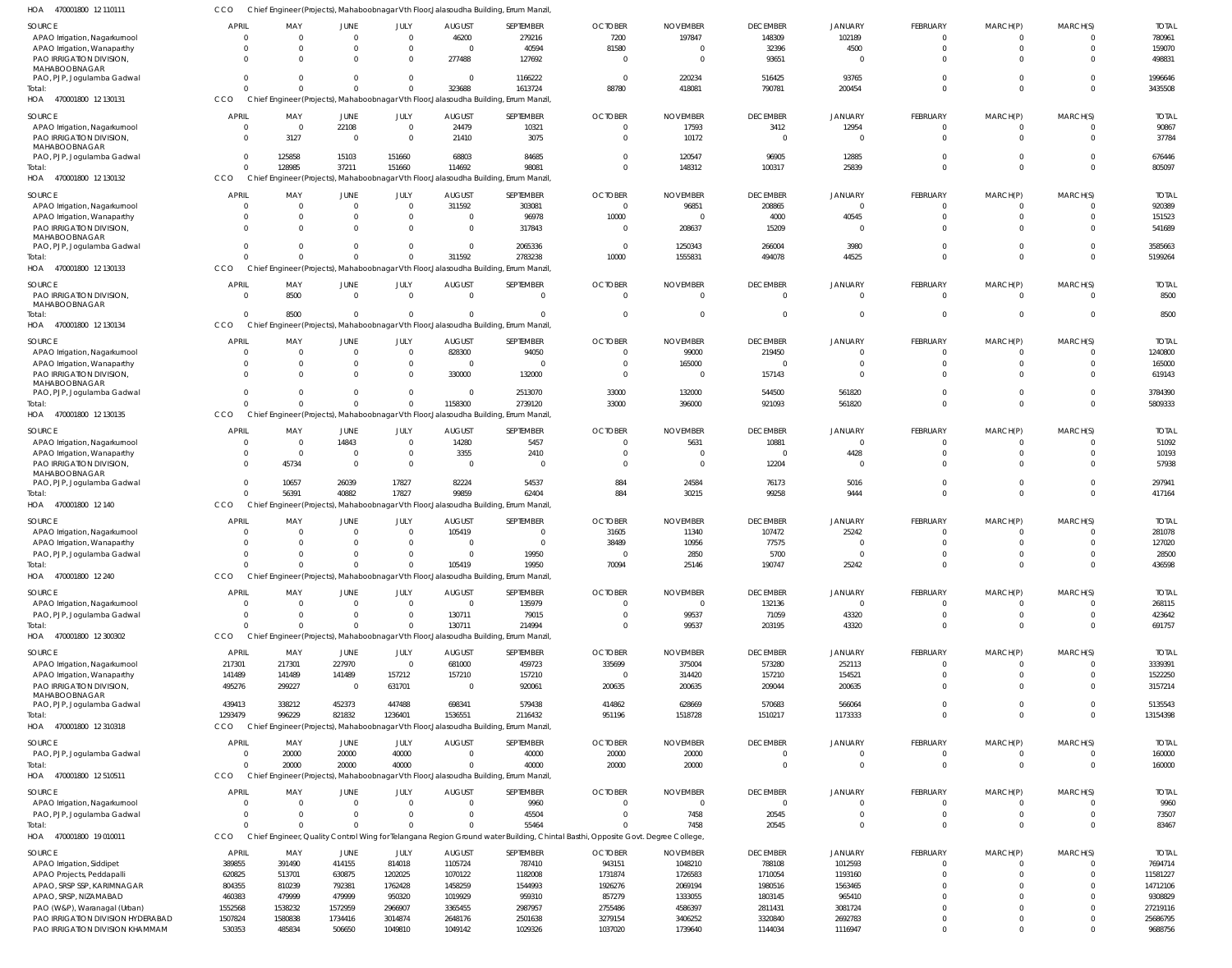470001800 12 110111 HOA CCO Chief Engineer (Projects), Mahaboobnagar Vth Floor,Jalasoudha Building, Errum Manzil,

| <b>SOURCE</b>                                                        | <b>APRIL</b>      | MAY               | JUNE              | JULY               | <b>AUGUST</b>      | SEPTEMBER                                                                              | <b>OCTOBER</b>                                                                                                                  | <b>NOVEMBER</b>    | <b>DECEMBER</b>    | <b>JANUARY</b>     | FEBRUARY             | MARCH(P) | MARCH(S)    | <b>TOTAL</b>        |
|----------------------------------------------------------------------|-------------------|-------------------|-------------------|--------------------|--------------------|----------------------------------------------------------------------------------------|---------------------------------------------------------------------------------------------------------------------------------|--------------------|--------------------|--------------------|----------------------|----------|-------------|---------------------|
| APAO Irrigation, Nagarkurnool                                        | $\Omega$          | $\Omega$          | $\Omega$          | $\Omega$           | 46200              | 279216                                                                                 | 7200                                                                                                                            | 197847             | 148309             | 102189             | $\Omega$             |          |             | 780961              |
| APAO Irrigation, Wanaparthy                                          | $\Omega$          | $\Omega$          | $\Omega$          | $\Omega$           | $\Omega$           | 40594                                                                                  | 81580                                                                                                                           |                    | 32396              | 4500               | $\Omega$             | $\Omega$ |             | 159070              |
| PAO IRRIGATION DIVISION                                              | $\Omega$          | $\Omega$          | $\Omega$          | $\Omega$           | 277488             | 127692                                                                                 | $\Omega$                                                                                                                        |                    | 93651              |                    | $\Omega$             |          |             | 498831              |
| MAHABOOBNAGAR                                                        |                   |                   |                   |                    |                    |                                                                                        |                                                                                                                                 |                    |                    |                    |                      |          |             |                     |
| PAO, PJP, Jogulamba Gadwal                                           | $\Omega$          | $\Omega$          | $\Omega$          | $\Omega$           | $\overline{0}$     | 1166222                                                                                | $\Omega$                                                                                                                        | 220234             | 516425             | 93765              | <sup>0</sup>         |          |             | 1996646             |
| Total:                                                               | $\Omega$          | $\Omega$          | $\Omega$          | $\Omega$           | 323688             | 1613724                                                                                | 88780                                                                                                                           | 418081             | 790781             | 200454             | $\Omega$             | $\Omega$ | $\Omega$    | 3435508             |
| 470001800 12 130131<br>HOA                                           | CCO               |                   |                   |                    |                    | Chief Engineer (Projects), Mahaboobnagar Vth Floor, Jalasoudha Building, Errum Manzil  |                                                                                                                                 |                    |                    |                    |                      |          |             |                     |
|                                                                      |                   |                   |                   |                    |                    |                                                                                        |                                                                                                                                 |                    |                    |                    |                      |          |             |                     |
| <b>SOURCE</b>                                                        | <b>APRIL</b>      | MAY               | <b>JUNE</b>       | <b>JULY</b>        | <b>AUGUST</b>      | SEPTEMBER                                                                              | <b>OCTOBER</b>                                                                                                                  | <b>NOVEMBER</b>    | <b>DECEMBER</b>    | <b>JANUARY</b>     | <b>FEBRUARY</b>      | MARCH(P) | MARCH(S)    | <b>TOTAL</b>        |
| APAO Irrigation, Nagarkurnool                                        | $\overline{0}$    | $\mathbf 0$       | 22108             | $\Omega$           | 24479              | 10321                                                                                  | $\Omega$                                                                                                                        | 17593              | 3412               | 12954              | $\overline{0}$       | $\Omega$ | 0           | 90867               |
| PAO IRRIGATION DIVISION                                              | $\overline{0}$    | 3127              | $\overline{0}$    | $\Omega$           | 21410              | 3075                                                                                   | $\Omega$                                                                                                                        | 10172              | $\overline{0}$     | $\Omega$           | $\Omega$             | $\Omega$ | 0           | 37784               |
| MAHABOOBNAGAR                                                        |                   |                   |                   |                    |                    |                                                                                        |                                                                                                                                 |                    |                    |                    |                      |          |             |                     |
| PAO, PJP, Jogulamba Gadwal                                           | $\overline{0}$    | 125858            | 15103             | 151660             | 68803              | 84685                                                                                  | $\Omega$                                                                                                                        | 120547             | 96905              | 12885              | $\Omega$             | $\Omega$ | U           | 676446              |
| Total:                                                               | $\overline{0}$    | 128985            | 37211             | 151660             | 114692             | 98081                                                                                  | $\Omega$                                                                                                                        | 148312             | 100317             | 25839              | $\Omega$             | $\Omega$ | $\Omega$    | 805097              |
| 470001800 12 130132<br>HOA                                           | CCO               |                   |                   |                    |                    | Chief Engineer (Projects), Mahaboobnagar Vth Floor, Jalasoudha Building, Errum Manzil  |                                                                                                                                 |                    |                    |                    |                      |          |             |                     |
|                                                                      |                   |                   |                   |                    |                    |                                                                                        |                                                                                                                                 |                    |                    |                    |                      |          |             |                     |
| <b>SOURCE</b>                                                        | <b>APRIL</b>      | MAY               | JUNE              | JULY               | <b>AUGUST</b>      | SEPTEMBER                                                                              | <b>OCTOBER</b>                                                                                                                  | <b>NOVEMBER</b>    | <b>DECEMBER</b>    | <b>JANUARY</b>     | <b>FEBRUARY</b>      | MARCH(P) | MARCH(S)    | <b>TOTAL</b>        |
| APAO Irrigation, Nagarkurnool                                        | $\Omega$          | $\Omega$          | $\Omega$          | $\Omega$           | 311592             | 303081                                                                                 | $\Omega$                                                                                                                        | 96851              | 208865             | $\Omega$           | $\Omega$             |          |             | 920389              |
| APAO Irrigation, Wanaparthy                                          | $\Omega$          | $\Omega$          | $\Omega$          | $\Omega$           | $\Omega$           | 96978                                                                                  | 10000                                                                                                                           |                    | 4000               | 40545              | <sup>0</sup>         |          |             | 151523              |
| PAO IRRIGATION DIVISION                                              | $\Omega$          | $\Omega$          | $\Omega$          | $\Omega$           | $\overline{0}$     | 317843                                                                                 | $\Omega$                                                                                                                        | 208637             | 15209              |                    | $\Omega$             |          |             | 541689              |
| MAHABOOBNAGAR                                                        |                   |                   |                   |                    |                    |                                                                                        |                                                                                                                                 |                    |                    |                    |                      |          |             |                     |
| PAO, PJP, Jogulamba Gadwal                                           | $\Omega$          | $\Omega$          | $\Omega$          | $\Omega$           | $\Omega$           | 2065336                                                                                | $\Omega$                                                                                                                        | 1250343            | 266004             | 3980               | $\Omega$             |          |             | 3585663             |
| Total:                                                               | $\Omega$          | $\Omega$          | $\Omega$          | $\Omega$           | 311592             | 2783238                                                                                | 10000                                                                                                                           | 1555831            | 494078             | 44525              | $\Omega$             | $\Omega$ | $\Omega$    | 5199264             |
| 470001800 12 130133<br>HOA                                           | CCO               |                   |                   |                    |                    | Chief Engineer (Projects), Mahaboobnagar Vth Floor, Jalasoudha Building, Errum Manzil  |                                                                                                                                 |                    |                    |                    |                      |          |             |                     |
|                                                                      |                   |                   |                   |                    |                    |                                                                                        |                                                                                                                                 |                    |                    |                    |                      |          |             |                     |
| <b>SOURCE</b>                                                        | <b>APRIL</b>      | MAY               | JUNE              | JULY               | <b>AUGUST</b>      | SEPTEMBER                                                                              | <b>OCTOBER</b>                                                                                                                  | <b>NOVEMBER</b>    | <b>DECEMBER</b>    | <b>JANUARY</b>     | <b>FEBRUARY</b>      | MARCH(P) | MARCH(S)    | <b>TOTAL</b>        |
| PAO IRRIGATION DIVISION                                              | $\circ$           | 8500              | $\mathbf{0}$      | $\Omega$           | $\overline{0}$     | $\Omega$                                                                               | $\overline{0}$                                                                                                                  | $\Omega$           | $\overline{0}$     | $\Omega$           | $\overline{0}$       | $\Omega$ | $\Omega$    | 8500                |
| MAHABOOBNAGAR                                                        |                   |                   |                   |                    |                    |                                                                                        |                                                                                                                                 |                    |                    |                    |                      |          |             |                     |
| Total:                                                               | $\Omega$          | 8500              | $\mathbf 0$       | $\Omega$           | $\Omega$           | $\Omega$                                                                               | $\overline{0}$                                                                                                                  | $\Omega$           | $\overline{0}$     | $\Omega$           | $\overline{0}$       | $\Omega$ | $\Omega$    | 8500                |
| 470001800 12 130134<br>HOA                                           | <b>CCO</b>        |                   |                   |                    |                    | Chief Engineer (Projects), Mahaboobnagar Vth Floor, Jalasoudha Building, Errum Manzil  |                                                                                                                                 |                    |                    |                    |                      |          |             |                     |
|                                                                      |                   |                   |                   |                    |                    |                                                                                        |                                                                                                                                 |                    |                    |                    |                      |          |             |                     |
| <b>SOURCE</b>                                                        | <b>APRIL</b>      | MAY               | JUNE              | JULY               | <b>AUGUST</b>      | SEPTEMBER                                                                              | <b>OCTOBER</b>                                                                                                                  | <b>NOVEMBER</b>    | <b>DECEMBER</b>    | <b>JANUARY</b>     | <b>FEBRUARY</b>      | MARCH(P) | MARCH(S)    | <b>TOTAL</b>        |
| APAO Irrigation, Nagarkurnool                                        | $\Omega$          | $\Omega$          | $\Omega$          | $\Omega$           | 828300             | 94050                                                                                  | $\Omega$                                                                                                                        | 99000              | 219450             | $\Omega$           | $\Omega$             | $\Omega$ |             | 1240800             |
| APAO Irrigation, Wanaparthy                                          | $\Omega$          | $\Omega$          | $\Omega$          | $\Omega$           | $\overline{0}$     | $\Omega$                                                                               | $\Omega$                                                                                                                        | 165000             | $\Omega$           | $\Omega$           | <sup>0</sup>         |          |             | 165000              |
| PAO IRRIGATION DIVISION                                              | $\Omega$          | $\Omega$          | $\Omega$          | $\Omega$           | 330000             | 132000                                                                                 | $\Omega$                                                                                                                        | $\Omega$           | 157143             | $\Omega$           | $\Omega$             |          |             | 619143              |
| MAHABOOBNAGAR                                                        |                   |                   |                   |                    |                    |                                                                                        |                                                                                                                                 |                    |                    |                    |                      |          |             |                     |
| PAO, PJP, Jogulamba Gadwal                                           | $\Omega$          | $\Omega$          | $\Omega$          | $\Omega$           | $\Omega$           | 2513070                                                                                | 33000                                                                                                                           | 132000             | 544500             | 561820             | <sup>0</sup>         |          |             | 3784390             |
| Total:                                                               |                   | $\Omega$          | $\Omega$          | $\Omega$           | 1158300            | 2739120                                                                                | 33000                                                                                                                           | 396000             | 921093             | 561820             | $\Omega$             | $\Omega$ | $\Omega$    | 5809333             |
| 470001800 12 130135<br>HOA                                           | <b>CCO</b>        |                   |                   |                    |                    | Chief Engineer (Projects), Mahaboobnagar Vth Floor, Jalasoudha Building, Errum Manzil  |                                                                                                                                 |                    |                    |                    |                      |          |             |                     |
|                                                                      |                   |                   |                   |                    |                    |                                                                                        |                                                                                                                                 |                    |                    |                    |                      |          |             |                     |
| <b>SOURCE</b>                                                        | <b>APRIL</b>      | MAY               | JUNE              | JULY               | <b>AUGUST</b>      | SEPTEMBER                                                                              | <b>OCTOBER</b>                                                                                                                  | <b>NOVEMBER</b>    | <b>DECEMBER</b>    | <b>JANUARY</b>     | <b>FEBRUARY</b>      | MARCH(P) | MARCH(S)    | <b>TOTAL</b>        |
| APAO Irrigation, Nagarkurnool                                        | $\overline{0}$    | $\overline{0}$    | 14843             | $\Omega$           | 14280              | 5457                                                                                   | $\Omega$                                                                                                                        | 5631               | 10881              | $\Omega$           | $\Omega$             | $\Omega$ | 0           | 51092               |
| APAO Irrigation, Wanaparthy                                          | $\overline{0}$    | $\overline{0}$    | $\mathbf{0}$      | $\Omega$           | 3355               | 2410                                                                                   | $\Omega$                                                                                                                        |                    | $\Omega$           | 4428               | $\Omega$             | $\Omega$ |             | 10193               |
| PAO IRRIGATION DIVISION                                              | $\overline{0}$    | 45734             | $\overline{0}$    | $\Omega$           | $\circ$            | $\overline{0}$                                                                         | $\Omega$                                                                                                                        | $\Omega$           | 12204              | $\Omega$           | $\Omega$             | $\Omega$ | U           | 57938               |
| MAHABOOBNAGAR                                                        |                   |                   |                   |                    |                    |                                                                                        |                                                                                                                                 |                    |                    |                    |                      |          |             |                     |
| PAO, PJP, Jogulamba Gadwal                                           | $\overline{0}$    | 10657             | 26039             | 17827              | 82224              | 54537                                                                                  | 884                                                                                                                             | 24584              | 76173              | 5016               | $\Omega$             | $\Omega$ | 0           | 297941              |
|                                                                      |                   |                   |                   |                    |                    |                                                                                        |                                                                                                                                 |                    |                    |                    |                      | $\Omega$ |             | 417164              |
| Total:                                                               | $\Omega$          | 56391             | 40882             | 17827              | 99859              | 62404                                                                                  | 884                                                                                                                             | 30215              | 99258              | 9444               | $\mathbf 0$          |          | $\mathbf 0$ |                     |
|                                                                      | CCO               |                   |                   |                    |                    |                                                                                        |                                                                                                                                 |                    |                    |                    |                      |          |             |                     |
| HOA 470001800 12 140                                                 |                   |                   |                   |                    |                    | Chief Engineer (Projects), Mahaboobnagar Vth Floor, Jalasoudha Building, Errum Manzil  |                                                                                                                                 |                    |                    |                    |                      |          |             |                     |
| <b>SOURCE</b>                                                        | <b>APRIL</b>      | MAY               | JUNE              | JULY               | <b>AUGUST</b>      | SEPTEMBER                                                                              | <b>OCTOBER</b>                                                                                                                  | <b>NOVEMBER</b>    | <b>DECEMBER</b>    | <b>JANUARY</b>     | <b>FEBRUARY</b>      | MARCH(P) | MARCH(S)    | <b>TOTAL</b>        |
| APAO Irrigation, Nagarkurnool                                        | $\Omega$          | $\Omega$          | $\Omega$          | $\Omega$           | 105419             | $\Omega$                                                                               | 31605                                                                                                                           | 11340              | 107472             | 25242              | $\Omega$             | $\Omega$ |             | 281078              |
| APAO Irrigation, Wanaparthy                                          | $\Omega$          | $\Omega$          | $\Omega$          | $\Omega$           | $\Omega$           | $\Omega$                                                                               | 38489                                                                                                                           | 10956              | 77575              |                    | <sup>0</sup>         |          |             | 127020              |
|                                                                      | $\Omega$          | $\Omega$          | $\Omega$          | $\Omega$           | $\Omega$           | 19950                                                                                  | $\Omega$                                                                                                                        | 2850               | 5700               | $\Omega$           | $\Omega$             |          |             | 28500               |
| PAO, PJP, Jogulamba Gadwal                                           | $\Omega$          | $\Omega$          | $\Omega$          | $\Omega$           |                    |                                                                                        |                                                                                                                                 |                    |                    |                    | $\overline{0}$       | $\Omega$ | $\mathbf 0$ |                     |
| Total:                                                               |                   |                   |                   |                    | 105419             | 19950                                                                                  | 70094                                                                                                                           | 25146              | 190747             | 25242              |                      |          |             | 436598              |
| HOA<br>470001800 12 240                                              | CCO               |                   |                   |                    |                    | Chief Engineer (Projects), Mahaboobnagar Vth Floor, Jalasoudha Building, Errum Manzil, |                                                                                                                                 |                    |                    |                    |                      |          |             |                     |
| <b>SOURCE</b>                                                        | <b>APRIL</b>      | MAY               | <b>JUNE</b>       | <b>JULY</b>        | <b>AUGUST</b>      | SEPTEMBER                                                                              | <b>OCTOBER</b>                                                                                                                  | <b>NOVEMBER</b>    | <b>DECEMBER</b>    | <b>JANUARY</b>     | FEBRUARY             | MARCH(P) | MARCH(S)    | <b>TOTAL</b>        |
| APAO Irrigation, Nagarkurnool                                        | $\overline{0}$    | $\Omega$          | $\Omega$          | $\Omega$           | $\overline{0}$     | 135979                                                                                 | $\Omega$                                                                                                                        | $\Omega$           | 132136             | $\Omega$           | $\overline{0}$       | $\Omega$ | $\Omega$    | 268115              |
|                                                                      | $\overline{0}$    | $\Omega$          | $\Omega$          | $\Omega$           |                    |                                                                                        | $\Omega$                                                                                                                        |                    |                    |                    | $\mathbf 0$          | $\Omega$ | $\Omega$    |                     |
| PAO, PJP, Jogulamba Gadwal                                           | $\Omega$          |                   |                   | $\Omega$           | 130711             | 79015                                                                                  |                                                                                                                                 | 99537              | 71059              | 43320              |                      | $\Omega$ |             | 423642              |
| Total:                                                               |                   | $\Omega$          | $\Omega$          |                    | 130711             | 214994                                                                                 | $\Omega$                                                                                                                        | 99537              | 203195             | 43320              | $\Omega$             |          | $\Omega$    | 691757              |
| HOA 470001800 12 300302                                              | <b>CCO</b>        |                   |                   |                    |                    | Chief Engineer (Projects), Mahaboobnagar Vth Floor, Jalasoudha Building, Errum Manzil  |                                                                                                                                 |                    |                    |                    |                      |          |             |                     |
| <b>SOURCE</b>                                                        | APRIL             | MAY               | JUNE              | JULY               | <b>AUGUST</b>      | SEPTEMBER                                                                              | <b>OCTOBER</b>                                                                                                                  | <b>NOVEMBER</b>    | <b>DECEMBER</b>    | <b>JANUARY</b>     | FEBRUARY             | MARCH(P) | MARCH(S)    | <b>TOTAL</b>        |
| APAO Irrigation, Nagarkurnool                                        | 217301            | 217301            | 227970            | $\Omega$           | 681000             | 459723                                                                                 | 335699                                                                                                                          | 375004             | 573280             | 252113             | $\Omega$             | $\Omega$ |             | 3339391             |
|                                                                      | 141489            | 141489            | 141489            | 157212             |                    | 157210                                                                                 | $\Omega$                                                                                                                        | 314420             |                    | 154521             | $\Omega$             | $\Omega$ | U           | 1522250             |
| APAO Irrigation, Wanaparthy                                          |                   |                   |                   |                    | 157210             |                                                                                        |                                                                                                                                 |                    | 157210             |                    | $\Omega$             | $\Omega$ | $\Omega$    |                     |
| PAO IRRIGATION DIVISION                                              | 495276            | 299227            | $\overline{0}$    | 631701             | $\overline{0}$     | 920061                                                                                 | 200635                                                                                                                          | 200635             | 209044             | 200635             |                      |          |             | 3157214             |
| MAHABOOBNAGAR                                                        |                   |                   |                   |                    |                    |                                                                                        |                                                                                                                                 |                    |                    |                    | $\Omega$             | $\Omega$ | $\Omega$    |                     |
| PAO, PJP, Jogulamba Gadwal                                           | 439413            | 338212            | 452373            | 447488             | 698341             | 579438                                                                                 | 414862                                                                                                                          | 628669             | 570683             | 566064             |                      |          |             | 5135543             |
| Total:                                                               | 1293479           | 996229            | 821832            | 1236401            | 1536551            | 2116432                                                                                | 951196                                                                                                                          | 1518728            | 1510217            | 1173333            | $\Omega$             | $\Omega$ | $\Omega$    | 13154398            |
| HOA 470001800 12 310318                                              | <b>CCO</b>        |                   |                   |                    |                    | Chief Engineer (Projects), Mahaboobnagar Vth Floor, Jalasoudha Building, Errum Manzil  |                                                                                                                                 |                    |                    |                    |                      |          |             |                     |
| <b>SOURCE</b>                                                        | <b>APRIL</b>      | MAY               | JUNE              | JULY               | <b>AUGUST</b>      | SEPTEMBER                                                                              | <b>OCTOBER</b>                                                                                                                  | <b>NOVEMBER</b>    | <b>DECEMBER</b>    | <b>JANUARY</b>     | FEBRUARY             | MARCH(P) | MARCH(S)    | <b>TOTAL</b>        |
| PAO, PJP, Jogulamba Gadwal                                           | $\circ$           | 20000             | 20000             | 40000              | $\mathbf 0$        | 40000                                                                                  | 20000                                                                                                                           | 20000              | $\overline{0}$     |                    | $\overline{0}$       | $\Omega$ |             | 160000              |
| Total:                                                               | $\Omega$          | 20000             | 20000             | 40000              | $\Omega$           | 40000                                                                                  | 20000                                                                                                                           | 20000              | $\overline{0}$     | $\Omega$           | $\mathbf{0}$         | $\Omega$ | $\mathbf 0$ | 160000              |
|                                                                      |                   |                   |                   |                    |                    |                                                                                        |                                                                                                                                 |                    |                    |                    |                      |          |             |                     |
| HOA 470001800 12510511                                               | CCO               |                   |                   |                    |                    | Chief Engineer (Projects), Mahaboobnagar Vth Floor, Jalasoudha Building, Errum Manzil  |                                                                                                                                 |                    |                    |                    |                      |          |             |                     |
| <b>SOURCE</b>                                                        | <b>APRIL</b>      | MAY               | JUNE              | JULY               | <b>AUGUST</b>      | SEPTEMBER                                                                              | <b>OCTOBER</b>                                                                                                                  | <b>NOVEMBER</b>    | <b>DECEMBER</b>    | <b>JANUARY</b>     | FEBRUARY             | MARCH(P) | MARCH(S)    | <b>TOTAL</b>        |
| APAO Irrigation, Nagarkurnool                                        | $\Omega$          | $\Omega$          | $\Omega$          | $\Omega$           | $\Omega$           | 9960                                                                                   | $\Omega$                                                                                                                        | $\Omega$           | $\overline{0}$     |                    | $\Omega$             | $\Omega$ |             | 9960                |
| PAO, PJP, Jogulamba Gadwal                                           | $\Omega$          | $\Omega$          | $\Omega$          | $\Omega$           | $\Omega$           | 45504                                                                                  |                                                                                                                                 | 7458               | 20545              |                    | $\Omega$             | $\Omega$ |             | 73507               |
| Total:                                                               | $\Omega$          | $\Omega$          | $\Omega$          | $\Omega$           | $\Omega$           | 55464                                                                                  |                                                                                                                                 | 7458               |                    | $\Omega$           | $\Omega$             | $\Omega$ | $\Omega$    |                     |
|                                                                      |                   |                   |                   |                    |                    |                                                                                        |                                                                                                                                 |                    | 20545              |                    |                      |          |             | 83467               |
| HOA 470001800 19 010011                                              | CCO               |                   |                   |                    |                    |                                                                                        | Chief Engineer, Quality Control Wing for Telangana Region Ground water Building, Chintal Basthi, Opposite Govt. Degree College, |                    |                    |                    |                      |          |             |                     |
| <b>SOURCE</b>                                                        | APRIL             | MAY               | JUNE              | JULY               | <b>AUGUST</b>      | SEPTEMBER                                                                              | <b>OCTOBER</b>                                                                                                                  | <b>NOVEMBER</b>    | <b>DECEMBER</b>    | <b>JANUARY</b>     | FEBRUARY             | MARCH(P) | MARCH(S)    | <b>TOTAL</b>        |
| APAO Irrigation, Siddipet                                            | 389855            | 391490            | 414155            | 814018             | 1105724            | 787410                                                                                 | 943151                                                                                                                          | 1048210            | 788108             | 1012593            | 0                    |          |             | 7694714             |
|                                                                      |                   |                   |                   |                    |                    |                                                                                        |                                                                                                                                 |                    |                    |                    | $\Omega$             | $\Omega$ | 0           |                     |
| APAO Projects, Peddapalli                                            | 620825            | 513701            | 630875            | 1202025            | 1070122            | 1182008                                                                                | 1731874                                                                                                                         | 1726583            | 1710054            | 1193160            |                      |          |             | 11581227            |
| APAO, SRSP SSP, KARIMNAGAR                                           | 804355            | 810239            | 792381            | 1762428            | 1458259            | 1544993                                                                                | 1926276                                                                                                                         | 2069194            | 1980516            | 1563465            | <sup>0</sup>         |          |             | 14712106            |
| APAO, SRSP, NIZAMABAD                                                | 460383            | 479999            | 479999            | 950320             | 1019929            | 959310                                                                                 | 857279                                                                                                                          | 1333055            | 1803145            | 965410             |                      |          |             | 9308829             |
| PAO (W&P), Waranagal (Urban)                                         | 1552568           | 1538232           | 1572959           | 2966907            | 3365455            | 2987957                                                                                | 2755486                                                                                                                         | 4586397            | 2811431            | 3081724            | $\Omega$             | $\Omega$ |             | 27219116            |
| PAO IRRIGATION DIVISION HYDERABAD<br>PAO IRRIGATION DIVISION KHAMMAM | 1507824<br>530353 | 1580838<br>485834 | 1734416<br>506650 | 3014874<br>1049810 | 2648176<br>1049142 | 2501638<br>1029326                                                                     | 3279154<br>1037020                                                                                                              | 3406252<br>1739640 | 3320840<br>1144034 | 2692783<br>1116947 | $\Omega$<br>$\Omega$ | $\Omega$ |             | 25686795<br>9688756 |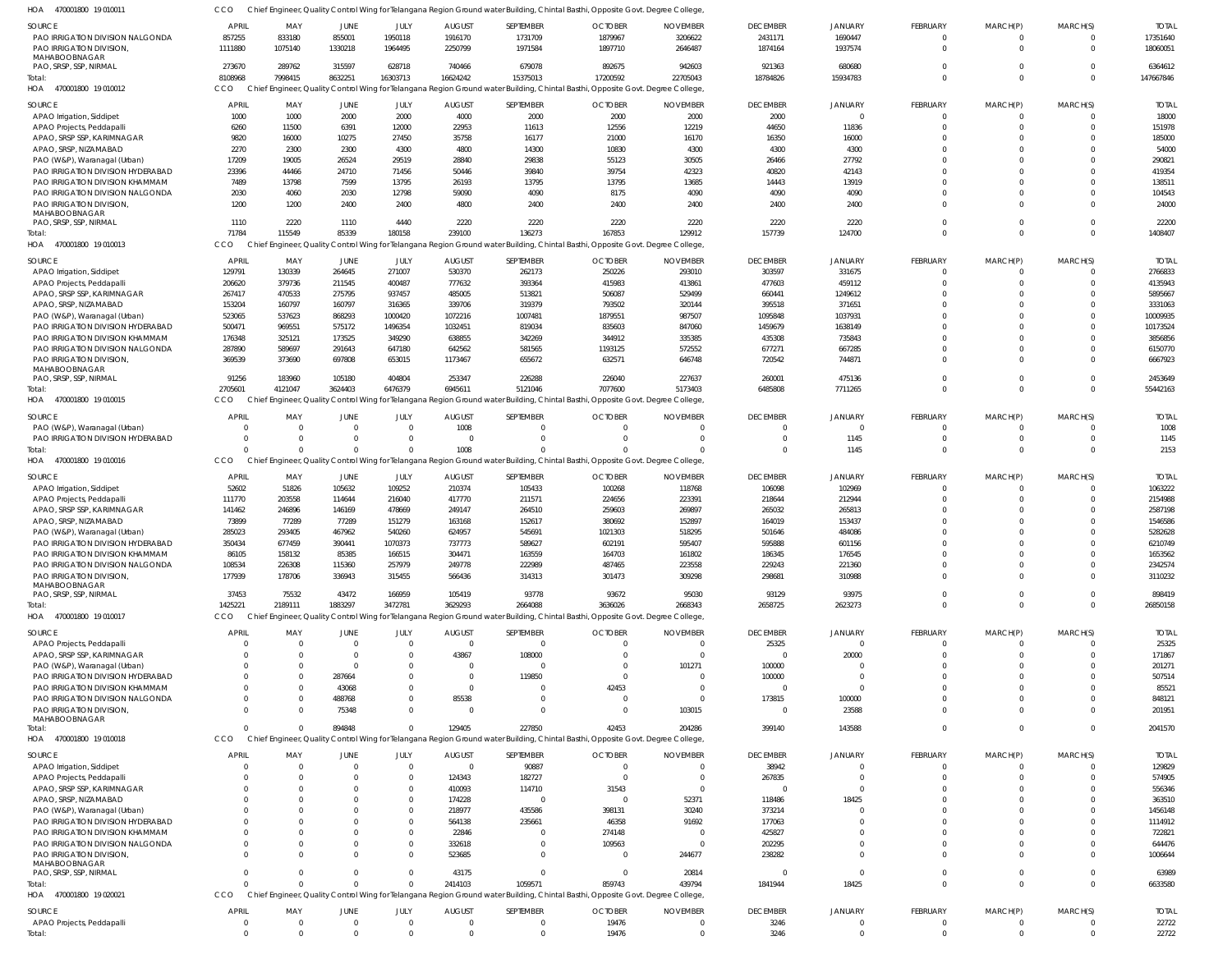| SOURCE<br>PAO IRRIGATION DIVISION NALGONDA                                    | <b>APRIL</b><br>857255 | MAY<br>833180                  | JUNE<br>855001         | JULY<br>1950118      | <b>AUGUST</b><br>1916170         | SEPTEMBER<br>1731709        | <b>OCTOBER</b><br>1879967                                                                                                                  | <b>NOVEMBER</b><br>3206622        | <b>DECEMBER</b><br>2431171 | <b>JANUARY</b><br>1690447  | FEBRUARY<br>$\overline{0}$  | MARCH(P)<br>$\Omega$       | MARCH(S)<br>$\mathbf 0$ | <b>TOTAL</b><br>17351640 |
|-------------------------------------------------------------------------------|------------------------|--------------------------------|------------------------|----------------------|----------------------------------|-----------------------------|--------------------------------------------------------------------------------------------------------------------------------------------|-----------------------------------|----------------------------|----------------------------|-----------------------------|----------------------------|-------------------------|--------------------------|
| PAO IRRIGATION DIVISION,<br>MAHABOOBNAGAR                                     | 1111880                | 1075140                        | 1330218                | 1964495              | 2250799                          | 1971584                     | 1897710                                                                                                                                    | 2646487                           | 1874164                    | 1937574                    | $\Omega$                    | $\Omega$                   | $\Omega$                | 18060051                 |
| PAO, SRSP, SSP, NIRMAL<br>Total:                                              | 273670<br>8108968      | 289762<br>7998415              | 315597<br>8632251      | 628718<br>16303713   | 740466<br>16624242               | 679078<br>15375013          | 892675<br>17200592                                                                                                                         | 942603<br>22705043                | 921363<br>18784826         | 680680<br>15934783         | $\Omega$<br>$\mathbf 0$     | $\Omega$<br>$\overline{0}$ | $\Omega$<br>$\mathbf 0$ | 6364612<br>147667846     |
| 470001800 19 010012<br>HOA                                                    | <b>CCO</b>             |                                |                        |                      |                                  |                             | Chief Engineer, Quality Control Wing for Telangana Region Ground water Building, Chintal Basthi, Opposite Govt. Degree College,            |                                   |                            |                            |                             |                            |                         |                          |
| SOURCE                                                                        | <b>APRIL</b>           | MAY                            | JUNE                   | JULY                 | <b>AUGUST</b>                    | SEPTEMBER                   | <b>OCTOBER</b>                                                                                                                             | <b>NOVEMBER</b>                   | <b>DECEMBER</b>            | JANUARY                    | <b>FEBRUARY</b>             | MARCH(P)                   | MARCH(S)                | <b>TOTAL</b>             |
| APAO Irrigation, Siddipet                                                     | 1000                   | 1000                           | 2000                   | 2000                 | 4000                             | 2000                        | 2000                                                                                                                                       | 2000                              | 2000                       | $\Omega$                   | $\Omega$                    |                            | $\Omega$                | 18000                    |
| APAO Projects, Peddapalli<br>APAO, SRSP SSP, KARIMNAGAR                       | 6260<br>9820           | 11500<br>16000                 | 6391<br>10275          | 12000<br>27450       | 22953<br>35758                   | 11613<br>16177              | 12556<br>21000                                                                                                                             | 12219<br>16170                    | 44650<br>16350             | 11836<br>16000             | $\Omega$<br>$\Omega$        | $\Omega$                   | $\Omega$<br>$\Omega$    | 151978<br>185000         |
| APAO, SRSP, NIZAMABAD                                                         | 2270                   | 2300                           | 2300                   | 4300                 | 4800                             | 14300                       | 10830                                                                                                                                      | 4300                              | 4300                       | 4300                       | $\Omega$                    |                            | $\Omega$                | 54000                    |
| PAO (W&P), Waranagal (Urban)                                                  | 17209                  | 19005                          | 26524                  | 29519                | 28840                            | 29838                       | 55123                                                                                                                                      | 30505                             | 26466                      | 27792                      | $\Omega$                    |                            | $\Omega$                | 290821                   |
| PAO IRRIGATION DIVISION HYDERABAD<br>PAO IRRIGATION DIVISION KHAMMAM          | 23396<br>7489          | 44466<br>13798                 | 24710<br>7599          | 71456<br>13795       | 50446<br>26193                   | 39840<br>13795              | 39754<br>13795                                                                                                                             | 42323<br>13685                    | 40820<br>14443             | 42143<br>13919             | <sup>0</sup><br>$\Omega$    | <sup>0</sup>               | $\Omega$<br>$\Omega$    | 419354<br>138511         |
| PAO IRRIGATION DIVISION NALGONDA                                              | 2030                   | 4060                           | 2030                   | 12798                | 59090                            | 4090                        | 8175                                                                                                                                       | 4090                              | 4090                       | 4090                       | $\Omega$                    | <sup>0</sup>               | $\Omega$                | 104543                   |
| PAO IRRIGATION DIVISION,<br>MAHABOOBNAGAR                                     | 1200                   | 1200                           | 2400                   | 2400                 | 4800                             | 2400                        | 2400                                                                                                                                       | 2400                              | 2400                       | 2400                       | $\Omega$                    | $\Omega$                   | $\Omega$                | 24000                    |
| PAO, SRSP, SSP, NIRMAL                                                        | 1110                   | 2220                           | 1110                   | 4440                 | 2220                             | 2220                        | 2220                                                                                                                                       | 2220                              | 2220                       | 2220                       | $\Omega$                    | $\Omega$                   | $\mathbf 0$             | 22200                    |
| Total<br>HOA<br>470001800 19 010013                                           | 71784<br>CCO           | 115549                         | 85339                  | 180158               | 239100                           | 136273                      | 167853<br>Chief Engineer, Quality Control Wing for Telangana Region Ground water Building, Chintal Basthi, Opposite Govt. Degree College,  | 129912                            | 157739                     | 124700                     | $\Omega$                    | $\Omega$                   | $\Omega$                | 1408407                  |
| <b>SOURCE</b>                                                                 | APRIL                  | MAY                            | JUNE                   | <b>JULY</b>          | <b>AUGUST</b>                    | SEPTEMBER                   | <b>OCTOBER</b>                                                                                                                             | <b>NOVEMBER</b>                   | <b>DECEMBER</b>            | <b>JANUARY</b>             | <b>FEBRUARY</b>             | MARCH(P)                   | MARCH(S)                | <b>TOTAL</b>             |
| APAO Irrigation, Siddipet                                                     | 129791                 | 130339                         | 264645                 | 271007               | 530370                           | 262173                      | 250226                                                                                                                                     | 293010                            | 303597                     | 331675                     | $\overline{0}$              |                            | $\mathbf 0$             | 2766833                  |
| APAO Projects, Peddapalli                                                     | 206620                 | 379736                         | 211545                 | 400487               | 777632                           | 393364                      | 415983                                                                                                                                     | 413861                            | 477603                     | 459112                     | $\Omega$                    |                            | $\Omega$                | 4135943                  |
| APAO, SRSP SSP, KARIMNAGAR                                                    | 267417                 | 470533                         | 275795                 | 937457               | 485005                           | 513821                      | 506087                                                                                                                                     | 529499                            | 660441                     | 1249612                    | $\Omega$                    |                            | $\Omega$                | 5895667                  |
| APAO, SRSP, NIZAMABAD<br>PAO (W&P), Waranagal (Urban)                         | 153204<br>523065       | 160797<br>537623               | 160797<br>868293       | 316365<br>1000420    | 339706<br>1072216                | 319379<br>1007481           | 793502<br>1879551                                                                                                                          | 320144<br>987507                  | 395518<br>1095848          | 371651<br>1037931          | $\Omega$<br>U               |                            | $\Omega$<br>$\Omega$    | 3331063<br>10009935      |
| PAO IRRIGATION DIVISION HYDERABAD                                             | 500471                 | 969551                         | 575172                 | 1496354              | 1032451                          | 819034                      | 835603                                                                                                                                     | 847060                            | 1459679                    | 1638149                    | $\Omega$                    |                            | $\Omega$                | 10173524                 |
| PAO IRRIGATION DIVISION KHAMMAM                                               | 176348                 | 325121                         | 173525                 | 349290               | 638855                           | 342269                      | 344912                                                                                                                                     | 335385                            | 435308                     | 735843                     | <sup>0</sup>                |                            | $\Omega$                | 3856856                  |
| PAO IRRIGATION DIVISION NALGONDA                                              | 287890                 | 589697                         | 291643                 | 647180               | 642562                           | 581565                      | 1193125                                                                                                                                    | 572552                            | 677271                     | 667285                     | $\Omega$                    |                            | $\Omega$                | 6150770                  |
| PAO IRRIGATION DIVISION,<br>MAHABOOBNAGAR<br>PAO, SRSP, SSP, NIRMAL           | 369539<br>91256        | 373690<br>183960               | 697808<br>105180       | 653015<br>404804     | 1173467<br>253347                | 655672<br>226288            | 632571<br>226040                                                                                                                           | 646748<br>227637                  | 720542<br>260001           | 744871<br>475136           | $\Omega$<br>0               | <sup>0</sup><br>$\Omega$   | $\Omega$<br>$\Omega$    | 6667923<br>2453649       |
| Total                                                                         | 2705601                | 4121047                        | 3624403                | 6476379              | 6945611                          | 5121046                     | 7077600                                                                                                                                    | 5173403                           | 6485808                    | 7711265                    | $\Omega$                    | $\Omega$                   | $\mathbf 0$             | 55442163                 |
| HOA 470001800 19 010015                                                       | CCO                    |                                |                        |                      |                                  |                             | Chief Engineer, Quality Control Wing for Telangana Region Ground water Building, Chintal Basthi, Opposite Govt. Degree College,            |                                   |                            |                            |                             |                            |                         |                          |
| SOURCE                                                                        | <b>APRIL</b>           | MAY                            | JUNE                   | JULY                 | <b>AUGUST</b>                    | SEPTEMBER                   | <b>OCTOBER</b>                                                                                                                             | <b>NOVEMBER</b>                   | <b>DECEMBER</b>            | <b>JANUARY</b>             | FEBRUARY                    | MARCH(P)                   | MARCH(S)                | <b>TOTAL</b>             |
| PAO (W&P), Waranagal (Urban)                                                  |                        | $\Omega$                       | $\Omega$               | $\Omega$             | 1008                             | $\Omega$                    | $\Omega$                                                                                                                                   | $\Omega$                          |                            |                            | $\Omega$                    | $\Omega$                   | $\Omega$                | 1008                     |
| PAO IRRIGATION DIVISION HYDERABAD<br>Total:                                   | $\Omega$<br>$\Omega$   | $\Omega$<br>$\Omega$           | $\Omega$<br>$\Omega$   | $\Omega$<br>$\Omega$ | $\Omega$<br>1008                 | $\Omega$<br>$\Omega$        | $\Omega$                                                                                                                                   | $\Omega$<br>$\Omega$              | $\Omega$                   | 1145<br>1145               | $\mathbf 0$<br>$\Omega$     | $\Omega$<br>$\Omega$       | $\Omega$<br>$\Omega$    | 1145<br>2153             |
| HOA 470001800 19010016                                                        | CCO                    |                                |                        |                      |                                  |                             | Chief Engineer, Quality Control Wing for Telangana Region Ground water Building, Chintal Basthi, Opposite Govt. Degree College,            |                                   |                            |                            |                             |                            |                         |                          |
| SOURCE                                                                        | <b>APRIL</b>           | MAY                            | JUNE                   | JULY                 | <b>AUGUST</b>                    | SEPTEMBER                   | <b>OCTOBER</b>                                                                                                                             | <b>NOVEMBER</b>                   | <b>DECEMBER</b>            | JANUARY                    | <b>FEBRUARY</b>             | MARCH(P)                   | MARCH(S)                | <b>TOTAL</b>             |
| APAO Irrigation, Siddipet                                                     | 52602                  | 51826                          | 105632                 | 109252               | 210374                           | 105433                      | 100268                                                                                                                                     | 118768                            | 106098                     | 102969                     | 0                           |                            | $\Omega$                | 1063222                  |
| APAO Projects, Peddapalli                                                     | 111770                 | 203558                         | 114644                 | 216040               | 417770                           | 211571                      | 224656                                                                                                                                     | 223391                            | 218644                     | 212944                     | $\Omega$                    |                            | $\Omega$                | 2154988                  |
| APAO, SRSP SSP, KARIMNAGAR<br>APAO, SRSP, NIZAMABAD                           | 141462<br>73899        | 246896<br>77289                | 146169<br>77289        | 478669<br>151279     | 249147<br>163168                 | 264510<br>152617            | 259603<br>380692                                                                                                                           | 269897<br>152897                  | 265032<br>164019           | 265813<br>153437           | $\Omega$<br><sup>0</sup>    |                            | $\Omega$<br>$\Omega$    | 2587198<br>1546586       |
| PAO (W&P), Waranagal (Urban)                                                  | 285023                 | 293405                         | 467962                 | 540260               | 624957                           | 545691                      | 1021303                                                                                                                                    | 518295                            | 501646                     | 484086                     |                             |                            | $\Omega$                | 5282628                  |
| PAO IRRIGATION DIVISION HYDERABAD                                             | 350434                 | 677459                         | 390441                 | 1070373              | 737773                           | 589627                      | 602191                                                                                                                                     | 595407                            | 595888                     | 601156                     |                             |                            | $\Omega$                | 6210749                  |
| PAO IRRIGATION DIVISION KHAMMAM                                               | 86105                  | 158132                         | 85385                  | 166515               | 304471                           | 163559                      | 164703                                                                                                                                     | 161802                            | 186345                     | 176545                     | $\Omega$                    |                            | $\Omega$<br>$\cap$      | 1653562                  |
| PAO IRRIGATION DIVISION NALGONDA<br>PAO IRRIGATION DIVISION,<br>MAHABOOBNAGAR | 108534<br>177939       | 226308<br>178706               | 115360<br>336943       | 257979<br>315455     | 249778<br>566436                 | 222989<br>314313            | 487465<br>301473                                                                                                                           | 223558<br>309298                  | 229243<br>298681           | 221360<br>310988           | $\mathbf 0$                 | $\Omega$                   | $\Omega$                | 2342574<br>3110232       |
| PAO, SRSP, SSP, NIRMAL                                                        | 37453                  | 75532                          | 43472                  | 166959               | 105419                           | 93778                       | 93672                                                                                                                                      | 95030                             | 93129                      | 93975                      | $\mathbf 0$                 | $\Omega$                   | $\mathbf 0$             | 898419                   |
| Total:<br>470001800 19 010017<br>HOA                                          | 1425221<br><b>CCO</b>  | 2189111                        | 1883297                | 3472781              | 3629293                          | 2664088                     | 3636026<br>Chief Engineer, Quality Control Wing for Telangana Region Ground water Building, Chintal Basthi, Opposite Govt. Degree College, | 2668343                           | 2658725                    | 2623273                    | $\Omega$                    | $\Omega$                   | $\Omega$                | 26850158                 |
|                                                                               |                        |                                |                        |                      |                                  |                             |                                                                                                                                            |                                   |                            |                            |                             |                            |                         |                          |
| <b>SOURCE</b><br>APAO Projects, Peddapalli                                    | <b>APRIL</b>           | MAY<br>$\overline{\mathbf{0}}$ | JUNE<br>$\overline{0}$ | JULY<br>$\Omega$     | <b>AUGUST</b><br>$\overline{0}$  | SEPTEMBER<br>$\overline{0}$ | <b>OCTOBER</b><br>$\overline{0}$                                                                                                           | <b>NOVEMBER</b><br>$\overline{0}$ | <b>DECEMBER</b><br>25325   | <b>JANUARY</b><br>$\Omega$ | <b>FEBRUARY</b><br>$\Omega$ | MARCH(P)                   | MARCH(S)<br>$\Omega$    | <b>TOTAL</b><br>25325    |
| APAO, SRSP SSP, KARIMNAGAR                                                    |                        | $\overline{0}$                 | $\Omega$               | $\Omega$             | 43867                            | 108000                      | $\overline{0}$                                                                                                                             | $\overline{0}$                    | $\Omega$                   | 20000                      |                             |                            | $\Omega$                | 171867                   |
| PAO (W&P), Waranagal (Urban)                                                  |                        | $\Omega$                       | $\Omega$               | - 0                  | 0                                | $\Omega$                    | $\overline{0}$                                                                                                                             | 101271                            | 100000                     |                            |                             |                            | $\Omega$                | 201271                   |
| PAO IRRIGATION DIVISION HYDERABAD<br>PAO IRRIGATION DIVISION KHAMMAM          |                        | $\overline{0}$<br>$\Omega$     | 287664<br>43068        |                      | $\overline{0}$<br>$\overline{0}$ | 119850<br>$\Omega$          | $\overline{0}$<br>42453                                                                                                                    | $\Omega$<br>$\Omega$              | 100000                     | $\Omega$<br>$\Omega$       | $\Omega$                    |                            | $\Omega$<br>$\Omega$    | 507514<br>85521          |
| PAO IRRIGATION DIVISION NALGONDA                                              |                        | $\overline{0}$                 | 488768                 |                      | 85538                            | $\Omega$                    | $\overline{0}$                                                                                                                             | $\overline{0}$                    | 173815                     | 100000                     |                             |                            | $\Omega$                | 848121                   |
| <b>PAO IRRIGATION DIVISION.</b>                                               |                        | $\Omega$                       | 75348                  | $\Omega$             | $\Omega$                         | $\Omega$                    | $\Omega$                                                                                                                                   | 103015                            | $\Omega$                   | 23588                      | $\Omega$                    | $\Omega$                   | $\Omega$                | 201951                   |
| MAHABOOBNAGAR<br>Total:                                                       | $\Omega$               | $\Omega$                       | 894848                 |                      | 129405                           | 227850                      | 42453                                                                                                                                      | 204286                            | 399140                     | 143588                     | $\Omega$                    | $\Omega$                   | $\mathbf 0$             | 2041570                  |
| HOA 470001800 19 010018                                                       | CCO                    |                                |                        |                      |                                  |                             | Chief Engineer, Quality Control Wing for Telangana Region Ground water Building, Chintal Basthi, Opposite Govt. Degree College,            |                                   |                            |                            |                             |                            |                         |                          |
| SOURCE                                                                        | <b>APRIL</b>           | MAY                            | JUNE                   | JULY                 | <b>AUGUST</b>                    | SEPTEMBER                   | <b>OCTOBER</b>                                                                                                                             | <b>NOVEMBER</b>                   | <b>DECEMBER</b>            | <b>JANUARY</b>             | FEBRUARY                    | MARCH(P)                   | MARCH(S)                | <b>TOTAL</b>             |
| APAO Irrigation, Siddipet                                                     |                        | $\overline{\mathbf{0}}$        | $^{\circ}$             | $\Omega$             | $\overline{0}$                   | 90887                       | $\overline{0}$                                                                                                                             | $\overline{0}$                    | 38942                      | $\Omega$                   | 0                           |                            | $\Omega$                | 129829                   |
| APAO Projects, Peddapalli                                                     |                        | $\Omega$                       | - 0                    | - 0                  | 124343                           | 182727                      | $\overline{0}$                                                                                                                             | $\overline{0}$                    | 267835                     | $\Omega$                   | $\Omega$                    |                            | $\Omega$                | 574905                   |
| APAO, SRSP SSP, KARIMNAGAR<br>APAO, SRSP, NIZAMABAD                           |                        | $\Omega$<br>$\Omega$           |                        |                      | 410093<br>174228                 | 114710<br>$\Omega$          | 31543<br>$\overline{0}$                                                                                                                    | $\overline{0}$<br>52371           | $\Omega$<br>118486         | $\Omega$<br>18425          | $\Omega$                    |                            | $\Omega$<br>$\Omega$    | 556346<br>363510         |
| PAO (W&P), Waranagal (Urban)                                                  |                        | $\Omega$                       |                        |                      | 218977                           | 435586                      | 398131                                                                                                                                     | 30240                             | 373214                     | $\Omega$                   |                             |                            | $\Omega$                | 1456148                  |
| PAO IRRIGATION DIVISION HYDERABAD                                             |                        | $\Omega$                       |                        |                      | 564138                           | 235661                      | 46358                                                                                                                                      | 91692                             | 177063                     | $\Omega$                   |                             |                            | $\Omega$                | 1114912                  |
| PAO IRRIGATION DIVISION KHAMMAM<br>PAO IRRIGATION DIVISION NALGONDA           | $\Omega$               | $\Omega$<br>$\Omega$           |                        |                      | 22846<br>332618                  | 0<br>$\Omega$               | 274148<br>109563                                                                                                                           | $\Omega$<br>$\overline{0}$        | 425827<br>202295           | $\Omega$<br>$\Omega$       | <sup>0</sup><br>0           |                            | $\Omega$<br>$\Omega$    | 722821<br>644476         |
| PAO IRRIGATION DIVISION,                                                      | $\cap$                 | $\Omega$                       | - 0                    |                      | 523685                           | $\Omega$                    | $\overline{0}$                                                                                                                             | 244677                            | 238282                     | $\Omega$                   | $\Omega$                    | <sup>0</sup>               | $\Omega$                | 1006644                  |
| MAHABOOBNAGAR                                                                 |                        |                                |                        |                      |                                  |                             |                                                                                                                                            |                                   |                            |                            |                             |                            |                         |                          |
| PAO, SRSP, SSP, NIRMAL<br>Total:                                              | $\Omega$<br>$\Omega$   | $\Omega$<br>$\Omega$           | $\Omega$<br>$\Omega$   | $\Omega$             | 43175<br>2414103                 | $\Omega$<br>1059571         | $\overline{0}$<br>859743                                                                                                                   | 20814<br>439794                   | $\Omega$<br>1841944        | $\Omega$<br>18425          | $\Omega$<br>$\Omega$        | $\Omega$<br>$\Omega$       | $\Omega$<br>$\Omega$    | 63989<br>6633580         |
| 470001800 19 020021<br>HOA                                                    | CCO                    |                                |                        |                      |                                  |                             | Chief Engineer, Quality Control Wing for Telangana Region Ground water Building, Chintal Basthi, Opposite Govt. Degree College,            |                                   |                            |                            |                             |                            |                         |                          |
| <b>SOURCE</b>                                                                 | <b>APRIL</b>           | MAY                            | JUNE                   | JULY                 | <b>AUGUST</b>                    | SEPTEMBER                   | <b>OCTOBER</b>                                                                                                                             | <b>NOVEMBER</b>                   | <b>DECEMBER</b>            | JANUARY                    | <b>FEBRUARY</b>             | MARCH(P)                   | MARCH(S)                | <b>TOTAL</b>             |
| APAO Projects, Peddapalli<br>Total:                                           | $^{\circ}$<br>$\Omega$ | $\overline{0}$<br>$\Omega$     | $^{\circ}$<br>$\Omega$ | $\Omega$<br>$\Omega$ | $\overline{0}$<br>$\Omega$       | $\mathbf{0}$<br>$\Omega$    | 19476<br>19476                                                                                                                             | - 0<br>$\overline{0}$             | 3246<br>3246               | -0<br>$\Omega$             | 0<br>$\Omega$               | $\Omega$<br>$\Omega$       | $\Omega$<br>$\mathbf 0$ | 22722<br>22722           |
|                                                                               |                        |                                |                        |                      |                                  |                             |                                                                                                                                            |                                   |                            |                            |                             |                            |                         |                          |

CCO Chief Engineer, Quality Control Wing for Telangana Region Ground water Building, Chintal Basthi, Opposite Govt. Degree College,

470001800 19 010011 HOA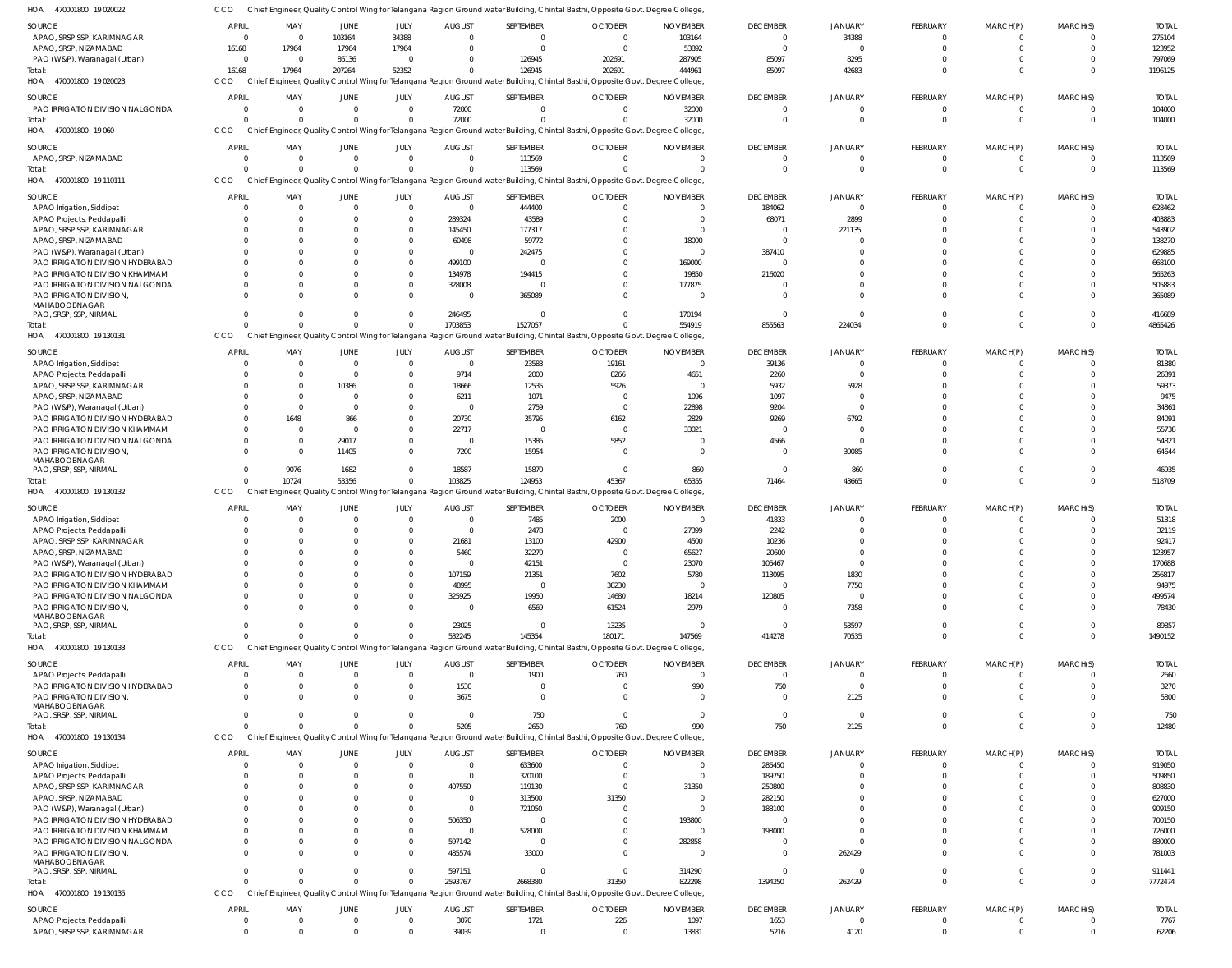| SOURCE<br>APAO, SRSP SSP, KARIMNAGAR                              | <b>APRIL</b><br>$\overline{0}$ | MAY<br>$\overline{0}$ | JUNE<br>103164          | JULY<br>34388                    | <b>AUGUST</b><br>$\overline{0}$ | SEPTEMBER<br>$\mathbf{0}$   | <b>OCTOBER</b><br>$\overline{0}$                                                                                                           | <b>NOVEMBER</b><br>103164 | <b>DECEMBER</b><br>$\overline{0}$ | <b>JANUARY</b><br>34388 | FEBRUARY<br>$\Omega$           | MARCH(P)<br>$\Omega$           | MARCH(S)<br>$\overline{0}$       | <b>TOTAL</b><br>275104 |
|-------------------------------------------------------------------|--------------------------------|-----------------------|-------------------------|----------------------------------|---------------------------------|-----------------------------|--------------------------------------------------------------------------------------------------------------------------------------------|---------------------------|-----------------------------------|-------------------------|--------------------------------|--------------------------------|----------------------------------|------------------------|
| APAO, SRSP, NIZAMABAD                                             | 16168                          | 17964                 | 17964                   | 17964                            | $\Omega$                        | $\Omega$                    | $\Omega$                                                                                                                                   | 53892                     | $\Omega$                          | $\Omega$                | $\Omega$                       | $\Omega$                       | $\Omega$                         | 123952                 |
| PAO (W&P), Waranagal (Urban)                                      | $\overline{0}$                 | $\Omega$              | 86136                   | $\overline{0}$                   | $\Omega$                        | 126945                      | 202691                                                                                                                                     | 287905                    | 85097                             | 8295                    | $\Omega$                       | $\Omega$                       | $\Omega$                         | 797069                 |
| Total:                                                            | 16168                          | 17964                 | 207264                  | 52352                            |                                 | 126945                      | 202691                                                                                                                                     | 444961                    | 85097                             | 42683                   | $\Omega$                       | $\Omega$                       | $\Omega$                         | 1196125                |
| HOA 470001800 19 020023                                           | CCO                            |                       |                         |                                  |                                 |                             | Chief Engineer, Quality Control Wing for Telangana Region Ground water Building, Chintal Basthi, Opposite Govt. Degree College             |                           |                                   |                         |                                |                                |                                  |                        |
| SOURCE                                                            | <b>APRIL</b>                   | MAY                   | JUNE                    | JULY                             | <b>AUGUST</b>                   | SEPTEMBER                   | <b>OCTOBER</b>                                                                                                                             | <b>NOVEMBER</b>           | <b>DECEMBER</b>                   | <b>JANUARY</b>          | <b>FEBRUARY</b>                | MARCH(P)                       | MARCH(S)                         | <b>TOTAI</b>           |
| PAO IRRIGATION DIVISION NALGONDA                                  | $\Omega$                       | $\Omega$              | $\mathbf 0$             | $\overline{0}$                   | 72000                           | - 0                         | $\Omega$                                                                                                                                   | 32000                     | $\Omega$                          | $\Omega$                | - 0                            | - 0                            | $\Omega$                         | 104000                 |
| Total:<br>HOA 470001800 19 060                                    | $\Omega$<br>CCO                |                       | $\Omega$                | $\Omega$                         | 72000                           |                             | Chief Engineer, Quality Control Wing for Telangana Region Ground water Building, Chintal Basthi, Opposite Govt. Degree College             | 32000                     | $\Omega$                          | $\Omega$                | $\Omega$                       | $\Omega$                       | $\Omega$                         | 104000                 |
| SOURCE                                                            | <b>APRIL</b>                   | MAY                   | JUNE                    | JULY                             | <b>AUGUST</b>                   | SEPTEMBER                   | <b>OCTOBER</b>                                                                                                                             | <b>NOVEMBER</b>           | <b>DECEMBER</b>                   | <b>JANUARY</b>          | FEBRUARY                       | MARCH(P)                       | MARCH(S)                         | <b>TOTAI</b>           |
| APAO, SRSP, NIZAMABAD                                             | 0                              | $\Omega$              | $\overline{0}$          | $\overline{0}$                   | $\overline{0}$                  | 113569                      | $\Omega$                                                                                                                                   | $\Omega$                  | $\overline{0}$                    | $\mathbf 0$             | $\Omega$                       | $\Omega$                       | - 0                              | 113569                 |
| Total:<br>HOA 470001800 19 110111                                 | $\Omega$<br>CCO                |                       | $\Omega$                | $\Omega$                         | $\Omega$                        | 113569                      | $\Omega$<br>Chief Engineer, Quality Control Wing for Telangana Region Ground water Building, Chintal Basthi, Opposite Govt. Degree College | $\Omega$                  | $\Omega$                          | $\Omega$                | $\Omega$                       | $\Omega$                       | $\overline{0}$                   | 113569                 |
| SOURCE                                                            | <b>APRIL</b>                   | MAY                   | <b>JUNE</b>             | JULY                             | <b>AUGUST</b>                   | SEPTEMBER                   | <b>OCTOBER</b>                                                                                                                             | <b>NOVEMBER</b>           | <b>DECEMBER</b>                   | <b>JANUARY</b>          | FEBRUARY                       | MARCH(P)                       | MARCH(S)                         | <b>TOTA</b>            |
| APAO Irrigation, Siddipet                                         | $\Omega$                       | $\Omega$              | $\Omega$                | $\overline{0}$                   | $\overline{0}$                  | 444400                      | $\Omega$                                                                                                                                   | $\Omega$                  | 184062                            | $\Omega$                | $\Omega$                       | $\Omega$                       | $\Omega$                         | 628462                 |
| APAO Projects, Peddapalli                                         | $\Omega$                       |                       | <sup>0</sup>            | $\overline{0}$                   | 289324                          | 43589                       | $\Omega$                                                                                                                                   | $\Omega$                  | 68071                             | 2899                    | $\Omega$                       | $\Omega$                       | $\Omega$                         | 403883                 |
| APAO, SRSP SSP, KARIMNAGAR                                        | -0                             |                       |                         | $\Omega$                         | 145450                          | 177317                      |                                                                                                                                            | $\Omega$                  | - 0                               | 221135                  | - 0                            | - 0                            | $\Omega$                         | 543902                 |
| APAO, SRSP, NIZAMABAD<br>PAO (W&P), Waranagal (Urban)             |                                |                       |                         | $\Omega$<br>$\Omega$             | 60498<br>$\Omega$               | 59772<br>242475             |                                                                                                                                            | 18000<br>$\Omega$         | $\Omega$<br>387410                | -C<br>-C                | $\Omega$                       | $\Omega$<br>$\Omega$           | $\Omega$<br>$\Omega$             | 138270<br>629885       |
| PAO IRRIGATION DIVISION HYDERABAD                                 | $\Omega$                       |                       |                         | $\Omega$                         | 499100                          |                             |                                                                                                                                            | 169000                    | $\Omega$                          | -C                      | $\cap$                         | $\cap$                         | $\Omega$                         | 668100                 |
| PAO IRRIGATION DIVISION KHAMMAM                                   | $\Omega$                       |                       |                         | $\Omega$                         | 134978                          | 194415                      |                                                                                                                                            | 19850                     | 216020                            | $\Omega$                | $\Omega$                       | $\Omega$                       | $\Omega$                         | 565263                 |
| PAO IRRIGATION DIVISION NALGONDA                                  | $\Omega$                       |                       |                         | $\Omega$                         | 328008                          |                             |                                                                                                                                            | 177875                    | -C                                | $\Omega$                | $\Omega$                       | $\Omega$                       | $\Omega$                         | 505883                 |
| PAO IRRIGATION DIVISION,<br>MAHABOOBNAGAR                         | $\Omega$                       |                       | $\Omega$                | $\Omega$<br>$\Omega$             | $\Omega$                        | 365089                      | $\Omega$                                                                                                                                   |                           | $\Omega$                          | $\Omega$<br>C           | $\Omega$<br>$\Omega$           | $\Omega$<br>$\Omega$           | $\Omega$<br>$\Omega$             | 365089                 |
| PAO, SRSP, SSP, NIRMAL<br>Total:                                  | $\Omega$<br>$\Omega$           |                       |                         | $\Omega$                         | 246495<br>1703853               | 1527057                     |                                                                                                                                            | 170194<br>554919          | - 0<br>855563                     | 224034                  | $\Omega$                       | $\Omega$                       | $\Omega$                         | 416689<br>4865426      |
| HOA 470001800 19 130131                                           | CCO                            |                       |                         |                                  |                                 |                             | Chief Engineer, Quality Control Wing for Telangana Region Ground water Building, Chintal Basthi, Opposite Govt. Degree College             |                           |                                   |                         |                                |                                |                                  |                        |
| SOURCE                                                            | <b>APRIL</b>                   | MAY                   | <b>JUNE</b>             | JULY                             | <b>AUGUST</b>                   | SEPTEMBER                   | <b>OCTOBER</b>                                                                                                                             | <b>NOVEMBER</b>           | <b>DECEMBER</b>                   | <b>JANUARY</b>          | FEBRUARY                       | MARCH(P)                       | MARCH(S)                         | <b>TOTAL</b>           |
| APAO Irrigation, Siddipet                                         | $\Omega$                       | $\Omega$              | $\overline{0}$          | $\overline{0}$                   | $\overline{0}$                  | 23583                       | 19161                                                                                                                                      | $\overline{0}$            | 39136                             | 0                       | $\Omega$                       | $\Omega$                       | $\Omega$                         | 81880                  |
| APAO Projects, Peddapalli                                         | $\Omega$                       |                       | $\Omega$                | $\Omega$                         | 9714                            | 2000                        | 8266                                                                                                                                       | 4651                      | 2260                              | 0                       | $\Omega$                       | $\Omega$                       | $\Omega$                         | 26891                  |
| APAO, SRSP SSP, KARIMNAGAR                                        | $\Omega$                       | - 0                   | 10386                   | $\mathbf 0$                      | 18666                           | 12535                       | 5926                                                                                                                                       | $\Omega$                  | 5932                              | 5928                    | $\Omega$                       | $\Omega$                       | $\Omega$                         | 59373                  |
| APAO, SRSP, NIZAMABAD                                             | $\Omega$                       |                       | $\Omega$                | $\Omega$                         | 6211                            | 1071                        | $\Omega$                                                                                                                                   | 1096                      | 1097                              | $\Omega$                | $\Omega$                       | $\Omega$                       | $\Omega$                         | 9475                   |
| PAO (W&P), Waranagal (Urban)<br>PAO IRRIGATION DIVISION HYDERABAD | $\Omega$<br>$\Omega$           | $\Omega$<br>1648      | $\Omega$<br>866         | $\Omega$<br>$\Omega$             | $\overline{0}$<br>20730         | 2759<br>35795               | $\Omega$<br>6162                                                                                                                           | 22898<br>2829             | 9204<br>9269                      | $\Omega$<br>6792        | $\cap$<br>$\Omega$             | $\Omega$<br>$\Omega$           | $\Omega$<br>$\Omega$             | 34861<br>84091         |
| PAO IRRIGATION DIVISION KHAMMAM                                   | $\Omega$                       | $\Omega$              | $\Omega$                | $\mathbf 0$                      | 22717                           | $\overline{0}$              | $\overline{\mathbf{0}}$                                                                                                                    | 33021                     | $\Omega$                          | C                       | $\Omega$                       | $\Omega$                       | $\Omega$                         | 55738                  |
| PAO IRRIGATION DIVISION NALGONDA                                  | $\Omega$                       | - 0                   | 29017                   | $\mathbf 0$                      | $\overline{0}$                  | 15386                       | 5852                                                                                                                                       | $\Omega$                  | 4566                              | $\Omega$                | $\Omega$                       | $\Omega$                       | $\Omega$                         | 54821                  |
| PAO IRRIGATION DIVISION,                                          | $\Omega$                       | $\Omega$              | 11405                   | $\Omega$                         | 7200                            | 15954                       | $\Omega$                                                                                                                                   | $\Omega$                  | - 0                               | 30085                   | $\Omega$                       | $\Omega$                       | $\Omega$                         | 64644                  |
| MAHABOOBNAGAR<br>PAO, SRSP, SSP, NIRMAL                           | $\Omega$                       | 9076                  | 1682                    | $\Omega$                         | 18587                           | 15870                       | $\Omega$                                                                                                                                   | 860                       | $\Omega$                          | 860                     | $\Omega$                       | $\Omega$                       | $\Omega$                         | 46935                  |
| Total:                                                            | $\Omega$                       | 10724                 | 53356                   | $\mathbf 0$                      | 103825                          | 124953                      | 45367                                                                                                                                      | 65355                     | 71464                             | 43665                   | $\Omega$                       | $\Omega$                       | $\Omega$                         | 518709                 |
| HOA 470001800 19 130132                                           | CCO                            |                       |                         |                                  |                                 |                             | Chief Engineer, Quality Control Wing for Telangana Region Ground water Building, Chintal Basthi, Opposite Govt. Degree College             |                           |                                   |                         |                                |                                |                                  |                        |
| SOURCE                                                            | <b>APRIL</b>                   | MAY                   | JUNE                    | JULY                             | <b>AUGUST</b>                   | SEPTEMBER                   | <b>OCTOBER</b>                                                                                                                             | <b>NOVEMBER</b>           | <b>DECEMBER</b>                   | <b>JANUARY</b>          | FEBRUARY                       | MARCH(P)                       | MARCH(S)                         | <b>TOTAI</b>           |
| APAO Irrigation, Siddipet                                         | -0                             | - 0                   | $\Omega$                | $\overline{0}$                   | $\overline{0}$                  | 7485                        | 2000                                                                                                                                       | $\Omega$                  | 41833                             | $\Omega$                | - 0                            | - 0                            | $\Omega$                         | 51318                  |
| APAO Projects, Peddapall                                          | -0                             |                       |                         | $\Omega$                         | $\Omega$                        | 2478                        | $\Omega$                                                                                                                                   | 27399                     | 2242                              |                         | - 0                            |                                |                                  | 32119                  |
| APAO, SRSP SSP, KARIMNAGAR                                        | $\Omega$                       | $\Omega$              |                         | $\Omega$<br>$\Omega$             | 21681                           | 13100<br>32270              | 42900<br>$\Omega$                                                                                                                          | 4500                      | 10236<br>20600                    |                         | $\Omega$<br>$\Omega$           |                                | $\Omega$                         | 92417<br>123957        |
| APAO, SRSP, NIZAMABAD<br>PAO (W&P), Waranagal (Urban)             | $\Omega$                       |                       |                         | $\Omega$                         | 5460<br>$\Omega$                | 42151                       | $\Omega$                                                                                                                                   | 65627<br>23070            | 105467                            |                         |                                |                                | $\Omega$                         | 170688                 |
| PAO IRRIGATION DIVISION HYDERABAD                                 | $\Omega$                       |                       |                         | $\Omega$                         | 107159                          | 21351                       | 7602                                                                                                                                       | 5780                      | 113095                            | 1830                    | $\Omega$                       | $\Omega$                       | $\Omega$                         | 256817                 |
| PAO IRRIGATION DIVISION KHAMMAM                                   | $\Omega$                       |                       |                         | $\Omega$                         | 48995                           | $\Omega$                    | 38230                                                                                                                                      | $\Omega$                  | - 0                               | 7750                    | $\Omega$                       | $\Omega$                       | $\Omega$                         | 94975                  |
| PAO IRRIGATION DIVISION NALGONDA                                  | -0                             |                       |                         | $\Omega$                         | 325925                          | 19950                       | 14680                                                                                                                                      | 18214                     | 120805                            | $\Omega$                | $\Omega$                       | $\Omega$                       | $\Omega$                         | 499574                 |
| PAO IRRIGATION DIVISION,<br>MAHABOOBNAGAR                         | $\Omega$                       |                       | <sup>0</sup>            | $\Omega$                         | $\Omega$                        | 6569                        | 61524                                                                                                                                      | 2979                      | - 0                               | 7358                    | $\Omega$                       | $\Omega$                       | $\Omega$                         | 78430                  |
| PAO, SRSP, SSP, NIRMAL                                            | $\Omega$                       |                       | $\Omega$                | $\Omega$                         | 23025                           | $\Omega$                    | 13235                                                                                                                                      | $\Omega$                  | - 0                               | 53597                   | $\Omega$                       | $\Omega$                       | $\Omega$                         | 89857                  |
| Total:                                                            | $\Omega$                       |                       | $\Omega$                | $\Omega$                         | 532245                          | 145354                      | 180171                                                                                                                                     | 147569                    | 414278                            | 70535                   | $\Omega$                       | $\Omega$                       | $\Omega$                         | 1490152                |
| HOA 470001800 19 130133                                           | CCO                            |                       |                         |                                  |                                 |                             | Chief Engineer, Quality Control Wing for Telangana Region Ground water Building, Chintal Basthi, Opposite Govt. Degree College,            |                           |                                   |                         |                                |                                |                                  |                        |
| SOURCE                                                            | <b>APRIL</b>                   | MAY                   | JUNE                    | JULY                             | <b>AUGUST</b>                   | SEPTEMBER                   | <b>OCTOBER</b>                                                                                                                             | <b>NOVEMBER</b>           | <b>DECEMBER</b>                   | <b>JANUARY</b>          | FEBRUARY                       | MARCH(P)                       | MARCH(S)                         | <b>TOTAL</b>           |
| APAO Projects, Peddapalli                                         | 0                              | - 0                   | $\overline{0}$          | $\overline{0}$                   | $\overline{0}$                  | 1900                        | 760                                                                                                                                        | $\overline{0}$            | $\mathbf 0$                       | $\overline{0}$          | $\Omega$                       | $\Omega$                       | $\Omega$                         | 2660                   |
| PAO IRRIGATION DIVISION HYDERABAD<br>PAO IRRIGATION DIVISION,     | 0<br>$\Omega$                  | - 0                   | $\Omega$<br>$\Omega$    | $\overline{0}$<br>$\overline{0}$ | 1530<br>3675                    | $\mathbf 0$<br>$\mathbf{0}$ | $\Omega$<br>$\overline{0}$                                                                                                                 | 990<br>$\Omega$           | 750<br>$\overline{0}$             | $\overline{0}$<br>2125  | $\Omega$<br>$\Omega$           | $\Omega$<br>$\Omega$           | $\overline{0}$<br>$\Omega$       | 3270<br>5800           |
| MAHABOOBNAGAR                                                     |                                |                       |                         |                                  |                                 |                             |                                                                                                                                            |                           |                                   |                         |                                |                                |                                  |                        |
| PAO, SRSP, SSP, NIRMAL                                            | $\overline{0}$<br>$\Omega$     | $\Omega$              | $\mathbf 0$<br>$\Omega$ | $\mathbf 0$<br>$\Omega$          | $\overline{0}$                  | 750<br>2650                 | $\Omega$                                                                                                                                   | $\overline{0}$<br>990     | $\overline{0}$                    | $\overline{0}$          | $\Omega$<br>$\Omega$           | $\overline{0}$<br>$\Omega$     | $\overline{0}$<br>$\overline{0}$ | 750                    |
| Total:<br>HOA 470001800 19 130134                                 | CCO                            |                       |                         |                                  | 5205                            |                             | 760<br>Chief Engineer, Quality Control Wing for Telangana Region Ground water Building, Chintal Basthi, Opposite Govt. Degree College      |                           | 750                               | 2125                    |                                |                                |                                  | 12480                  |
| SOURCE                                                            | <b>APRIL</b>                   | MAY                   | JUNE                    | JULY                             | <b>AUGUST</b>                   | SEPTEMBER                   | <b>OCTOBER</b>                                                                                                                             | <b>NOVEMBER</b>           | <b>DECEMBER</b>                   | <b>JANUARY</b>          | FEBRUARY                       | MARCH(P)                       | MARCH(S)                         | <b>TOTAL</b>           |
| APAO Irrigation, Siddipet                                         | $\Omega$                       | $\Omega$              | $\Omega$                | $\Omega$                         | $\overline{0}$                  | 633600                      | $\Omega$                                                                                                                                   | $\Omega$                  | 285450                            | $\Omega$                | $\Omega$                       | $\Omega$                       | $\Omega$                         | 919050                 |
| APAO Projects, Peddapalli                                         | $\Omega$                       |                       |                         | $\Omega$                         | $\Omega$                        | 320100                      | $\Omega$                                                                                                                                   | $\Omega$                  | 189750                            | C                       | $\Omega$                       | $\Omega$                       | $\Omega$                         | 509850                 |
| APAO, SRSP SSP, KARIMNAGAR<br>APAO, SRSP, NIZAMABAD               | $\Omega$<br>$\Omega$           |                       |                         | $\Omega$<br>$\Omega$             | 407550<br>$\Omega$              | 119130<br>313500            | $\Omega$<br>31350                                                                                                                          | 31350<br>$\Omega$         | 250800<br>282150                  | $\Omega$<br>$\Omega$    | $\Omega$<br>$\Omega$           | $\Omega$<br>$\Omega$           | $\Omega$<br>$\Omega$             | 808830<br>627000       |
| PAO (W&P), Waranagal (Urban)                                      | $\Omega$                       |                       |                         | $\Omega$                         | $\Omega$                        | 721050                      | <sup>0</sup>                                                                                                                               | $\Omega$                  | 188100                            | $\Omega$                | $\Omega$                       | $\Omega$                       |                                  | 909150                 |
| PAO IRRIGATION DIVISION HYDERABAD                                 | $\Omega$                       |                       |                         | $\Omega$                         | 506350                          |                             | <sup>0</sup>                                                                                                                               | 193800                    | $\Omega$                          | $\Omega$                | $\Omega$                       | $\Omega$                       | $\Omega$                         | 700150                 |
| PAO IRRIGATION DIVISION KHAMMAM                                   | $\Omega$                       |                       |                         | $\Omega$                         | $\Omega$                        | 528000                      | $\Omega$                                                                                                                                   | $\Omega$                  | 198000                            | $\Omega$                | $\Omega$                       | $\Omega$                       | $\Omega$                         | 726000                 |
| PAO IRRIGATION DIVISION NALGONDA                                  | $\Omega$                       |                       |                         | $\mathbf{0}$                     | 597142                          | $\Omega$                    | $\Omega$                                                                                                                                   | 282858                    | $\Omega$                          | $\Omega$                | $\Omega$                       | $\Omega$                       | $\Omega$                         | 880000                 |
|                                                                   |                                |                       |                         |                                  | 485574                          | 33000                       | $\Omega$                                                                                                                                   | $\Omega$                  | - 0                               | 262429                  | $\Omega$                       | $\Omega$                       | $\Omega$                         | 781003                 |
| PAO IRRIGATION DIVISION,<br>MAHABOOBNAGAR                         | $\Omega$                       |                       |                         | $\Omega$                         |                                 |                             |                                                                                                                                            |                           |                                   |                         |                                |                                |                                  |                        |
| PAO, SRSP, SSP, NIRMAL                                            | $\Omega$                       |                       | $\Omega$                | $\Omega$                         | 597151                          | $\Omega$                    | $\Omega$                                                                                                                                   | 314290                    | $\Omega$                          | $\Omega$                | $\Omega$                       | $\Omega$                       | $\overline{0}$                   | 911441                 |
| Total:                                                            | $\Omega$                       |                       | $\Omega$                | $\Omega$                         | 2593767                         | 2668380                     | 31350                                                                                                                                      | 822298                    | 1394250                           | 262429                  | $\Omega$                       | $\Omega$                       | $\Omega$                         | 7772474                |
| HOA 470001800 19 130135                                           | CCO                            |                       |                         |                                  |                                 |                             | Chief Engineer, Quality Control Wing for Telangana Region Ground water Building, Chintal Basthi, Opposite Govt. Degree College             |                           |                                   |                         |                                |                                |                                  |                        |
| SOURCE                                                            | <b>APRIL</b>                   | MAY                   | JUNE                    | JULY                             | <b>AUGUST</b>                   | SEPTEMBER                   | <b>OCTOBER</b>                                                                                                                             | <b>NOVEMBER</b>           | <b>DECEMBER</b>                   | <b>JANUARY</b>          | FEBRUARY                       | MARCH(P)                       | MARCH(S)                         | <b>TOTAL</b>           |
| APAO Projects, Peddapalli<br>APAO, SRSP SSP, KARIMNAGAR           | 0<br>$\mathbf 0$               | - 0<br>$\Omega$       | 0<br>$\mathbf 0$        | $\overline{0}$<br>$\mathbf 0$    | 3070<br>39039                   | 1721<br>$\mathbf 0$         | 226<br>$\mathbf 0$                                                                                                                         | 1097<br>13831             | 1653<br>5216                      | $\mathbf 0$<br>4120     | $\overline{0}$<br>$\mathbf{0}$ | $\overline{0}$<br>$\mathbf{0}$ | $\overline{0}$<br>$\overline{0}$ | 7767<br>62206          |

CCO Chief Engineer, Quality Control Wing for Telangana Region Ground water Building, Chintal Basthi, Opposite Govt. Degree College,

470001800 19 020022 HOA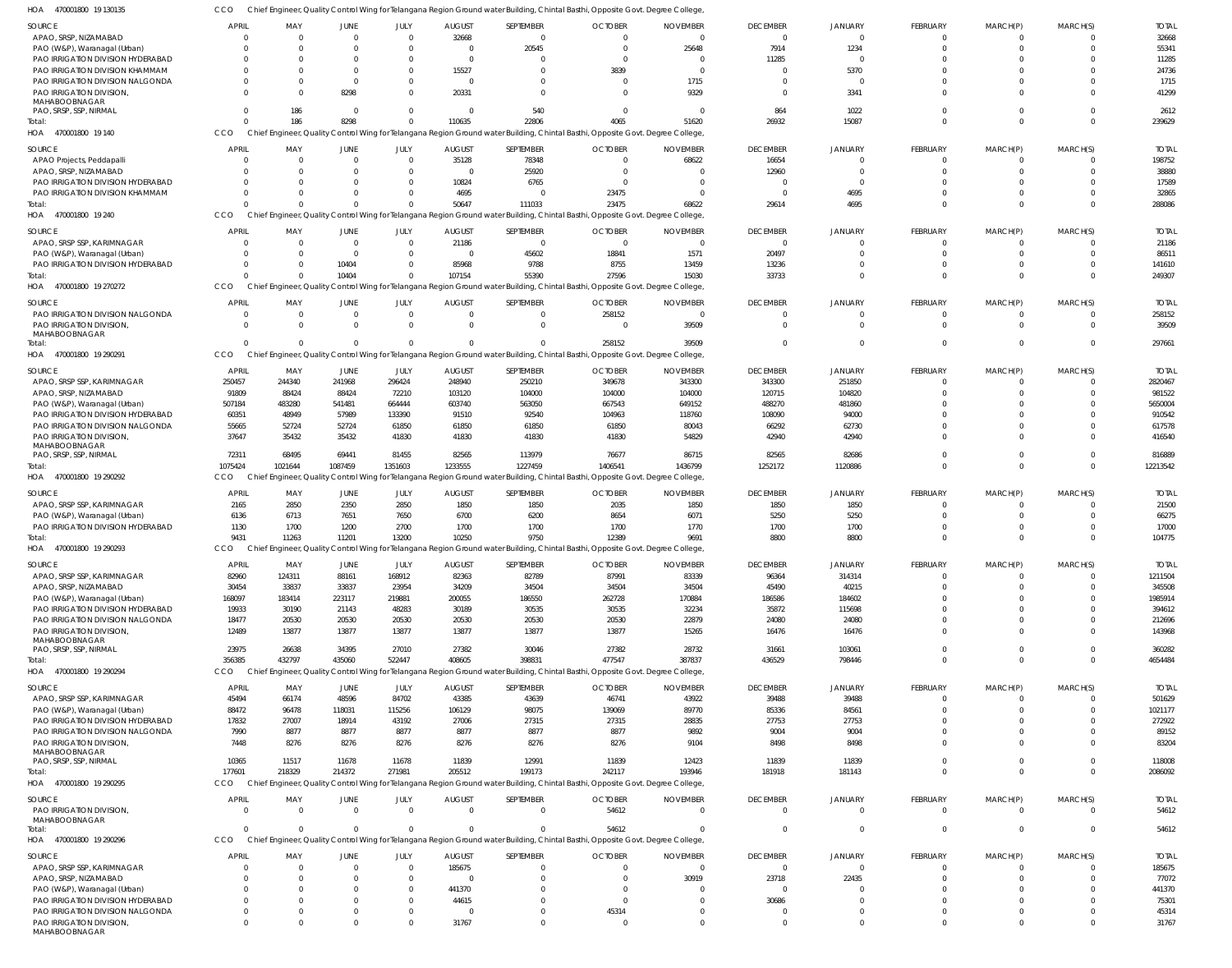|                                                             |                      |               |                      |                            |                         |                      | Chief Engineer, Quality Control Wing for Telangana Region Ground water Building, Chintal Basthi, Opposite Govt. Degree College,           |                 |                   |                |          |                            |          |                |
|-------------------------------------------------------------|----------------------|---------------|----------------------|----------------------------|-------------------------|----------------------|-------------------------------------------------------------------------------------------------------------------------------------------|-----------------|-------------------|----------------|----------|----------------------------|----------|----------------|
| <b>SOURCE</b>                                               | <b>APRIL</b>         | MAY           | <b>JUNE</b>          | JULY                       | <b>AUGUST</b>           | SEPTEMBER            | <b>OCTOBER</b>                                                                                                                            | <b>NOVEMBER</b> | <b>DECEMBER</b>   | <b>JANUARY</b> | FEBRUARY | MARCH(P)                   | MARCH(S) | <b>TOTAL</b>   |
| APAO, SRSP, NIZAMABAD                                       |                      | $\Omega$      | $\Omega$             | $\Omega$                   | 32668                   | $\Omega$             | $\Omega$                                                                                                                                  | $\Omega$        | $\Omega$          |                | $\Omega$ | $\mathbf 0$                |          | 32668          |
| PAO (W&P), Waranagal (Urban)                                | $\Omega$             | $\Omega$      | $\Omega$             | $\Omega$                   | $\Omega$                | 20545                | $\Omega$                                                                                                                                  | 25648           | 7914              | 1234           | $\Omega$ | 0                          |          | 55341          |
| PAO IRRIGATION DIVISION HYDERABAD                           | - 0                  | $\Omega$      | $\Omega$             | $\Omega$                   | $\overline{0}$          | - 0                  | $\Omega$                                                                                                                                  | - 0             | 11285             |                |          | -0                         |          | 11285          |
| PAO IRRIGATION DIVISION KHAMMAM                             |                      | $\Omega$      | $\Omega$             | $\Omega$                   | 15527                   | $\Omega$             | 3839                                                                                                                                      | $\cap$          |                   | 5370           |          | $\Omega$                   |          | 24736          |
| PAO IRRIGATION DIVISION NALGONDA                            |                      | $\Omega$      | $\Omega$             | $\Omega$                   | $\Omega$                | $\Omega$             | $\Omega$                                                                                                                                  | 1715            | $\Omega$          |                |          | 0                          |          | 1715           |
| PAO IRRIGATION DIVISION,<br>MAHABOOBNAGAR                   |                      | $\Omega$      | 8298                 | $\overline{0}$             | 20331                   | $\Omega$             | $\Omega$                                                                                                                                  | 9329            | $\Omega$          | 3341           | $\cap$   | $\Omega$                   |          | 41299          |
| PAO, SRSP, SSP, NIRMAL                                      |                      | 186           | $\Omega$             | $\overline{0}$             | $\mathbf 0$             | 540                  | $\Omega$                                                                                                                                  | - 0             | 864               | 1022           |          | 0                          |          | 2612           |
| Total:                                                      |                      | 186           | 8298                 | $\overline{0}$             | 110635                  | 22806                | 4065                                                                                                                                      | 51620           | 26932             | 15087          | $\cap$   | $\Omega$                   | $\Omega$ | 239629         |
| 470001800 19 140<br>HOA                                     | <b>CCO</b>           |               |                      |                            |                         |                      | Chief Engineer, Quality Control Wing for Telangana Region Ground water Building, Chintal Basthi, Opposite Govt. Degree College,           |                 |                   |                |          |                            |          |                |
| <b>SOURCE</b>                                               | <b>APRIL</b>         | MAY           | <b>JUNE</b>          | JULY                       | <b>AUGUST</b>           | SEPTEMBER            | <b>OCTOBER</b>                                                                                                                            | <b>NOVEMBER</b> | <b>DECEMBER</b>   | <b>JANUARY</b> | FEBRUARY | MARCH(P)                   | MARCH(S) | <b>TOTAL</b>   |
| APAO Projects, Peddapalli                                   | $\overline{0}$       | $\Omega$      | $\Omega$             | $\overline{0}$             | 35128                   | 78348                | $\overline{0}$                                                                                                                            | 68622           | 16654             | $\Omega$       | $\Omega$ | $\mathbf 0$                |          | 198752         |
| APAO, SRSP, NIZAMABAD                                       | $\Omega$             | $\Omega$      | $\Omega$             | $\Omega$                   | $\mathbf 0$             | 25920                | $\Omega$                                                                                                                                  |                 | 12960             | $\Omega$       |          | 0                          |          | 38880          |
| PAO IRRIGATION DIVISION HYDERABAD                           | $\Omega$             | $\cap$        | $\cap$               | $\Omega$                   | 10824                   | 6765                 | $\Omega$                                                                                                                                  |                 | $\Omega$          | $\Omega$       |          | 0                          |          | 17589          |
| PAO IRRIGATION DIVISION KHAMMAM                             | $\Omega$             | $\Omega$      | $\Omega$             | $\Omega$                   | 4695                    | $\Omega$             | 23475                                                                                                                                     |                 | $\Omega$          | 4695           |          | 0                          |          | 32865          |
| Total:                                                      |                      | $\cap$        | $\Omega$             | $\Omega$                   | 50647                   | 111033               | 23475                                                                                                                                     | 68622           | 29614             | 4695           |          | $\Omega$                   |          | 288086         |
| HOA<br>470001800 19 240                                     | CCO                  |               |                      |                            |                         |                      | Chief Engineer, Quality Control Wing for Telangana Region Ground water Building, Chintal Basthi, Opposite Govt. Degree College,           |                 |                   |                |          |                            |          |                |
| <b>SOURCE</b>                                               | <b>APRIL</b>         | MAY           | <b>JUNE</b>          | JULY                       | <b>AUGUST</b>           | SEPTEMBER            | <b>OCTOBER</b>                                                                                                                            | <b>NOVEMBER</b> | <b>DECEMBER</b>   | <b>JANUARY</b> | FEBRUARY | MARCH(P)                   | MARCH(S) | <b>TOTAL</b>   |
| APAO, SRSP SSP, KARIMNAGAR                                  |                      | $\Omega$      | $\Omega$             | $\Omega$                   | 21186                   | $\Omega$             | $\Omega$                                                                                                                                  | $\Omega$        | $\Omega$          |                | - 0      | 0                          |          | 21186          |
| PAO (W&P), Waranagal (Urban)                                | $\Omega$             | $\Omega$      | $\Omega$             | $\Omega$                   | $\mathbf 0$             | 45602                | 18841                                                                                                                                     | 1571            | 20497             | $\Omega$       | $\Omega$ | $\mathbf 0$                |          | 86511          |
| PAO IRRIGATION DIVISION HYDERABAD                           | - 0                  | $\Omega$      | 10404                | $\overline{0}$             | 85968                   | 9788                 | 8755                                                                                                                                      | 13459           | 13236             |                |          | 0                          |          | 141610         |
| Total:                                                      |                      | $\Omega$      | 10404                | $\Omega$                   | 107154                  | 55390                | 27596                                                                                                                                     | 15030           | 33733             | $\Omega$       | $\cap$   | $\Omega$                   | $\Omega$ | 249307         |
| 470001800 19 270272<br>HOA                                  | CCO                  |               |                      |                            |                         |                      | Chief Engineer, Quality Control Wing for Telangana Region Ground water Building, Chintal Basthi, Opposite Govt. Degree College,           |                 |                   |                |          |                            |          |                |
| <b>SOURCE</b>                                               | <b>APRIL</b>         | MAY           | <b>JUNE</b>          | JULY                       | <b>AUGUST</b>           | SEPTEMBER            | <b>OCTOBER</b>                                                                                                                            | <b>NOVEMBER</b> | <b>DECEMBER</b>   | <b>JANUARY</b> | FEBRUARY | MARCH(P)                   | MARCH(S) | <b>TOTAL</b>   |
| PAO IRRIGATION DIVISION NALGONDA                            | $\mathbf 0$          | $\Omega$      | $\Omega$             | $\overline{0}$             | $\overline{0}$          | $\Omega$             | 258152                                                                                                                                    | $\Omega$        | $\Omega$          | $\Omega$       | $\Omega$ | $\mathbf 0$                |          | 258152         |
| PAO IRRIGATION DIVISION,                                    | $\Omega$             | $\Omega$      | $\Omega$             | $\Omega$                   | $\mathbf 0$             | $\Omega$             | $\Omega$                                                                                                                                  | 39509           | $\Omega$          | $\Omega$       | $\Omega$ | $\mathbf 0$                |          | 39509          |
| MAHABOOBNAGAR                                               |                      |               |                      |                            |                         |                      |                                                                                                                                           |                 |                   |                |          |                            |          |                |
| Total:                                                      | $\Omega$             | $\Omega$      | $\Omega$             | $\Omega$                   | $\mathbf 0$             | $\Omega$             | 258152                                                                                                                                    | 39509           | $\Omega$          | $\Omega$       | $\Omega$ | $\mathbf 0$                | $\Omega$ | 297661         |
| HOA 470001800 19 290291                                     | CCO                  |               |                      |                            |                         |                      | Chief Engineer, Quality Control Wing for Telangana Region Ground water Building, Chintal Basthi, Opposite Govt. Degree College,           |                 |                   |                |          |                            |          |                |
| <b>SOURCE</b>                                               | <b>APRIL</b>         | MAY           | JUNE                 | JULY                       | <b>AUGUST</b>           | SEPTEMBER            | <b>OCTOBER</b>                                                                                                                            | <b>NOVEMBER</b> | <b>DECEMBER</b>   | <b>JANUARY</b> | FEBRUARY | MARCH(P)                   | MARCH(S) | <b>TOTAL</b>   |
| APAO, SRSP SSP, KARIMNAGAR                                  | 250457               | 244340        | 241968               | 296424                     | 248940                  | 250210               | 349678                                                                                                                                    | 343300          | 343300            | 251850         | - 0      | 0                          |          | 2820467        |
| APAO, SRSP, NIZAMABAD                                       | 91809                | 88424         | 88424                | 72210                      | 103120                  | 104000               | 104000                                                                                                                                    | 104000          | 120715            | 104820         |          | 0                          |          | 981522         |
| PAO (W&P), Waranagal (Urban)                                | 507184               | 483280        | 541481               | 664444                     | 603740                  | 563050               | 667543                                                                                                                                    | 649152          | 488270            | 481860         |          | -0                         |          | 5650004        |
| PAO IRRIGATION DIVISION HYDERABAD                           | 60351                | 48949         | 57989                | 133390                     | 91510                   | 92540                | 104963                                                                                                                                    | 118760          | 108090            | 94000          |          | $\Omega$                   |          | 910542         |
| PAO IRRIGATION DIVISION NALGONDA                            | 55665                | 52724         | 52724                | 61850                      | 61850                   | 61850                | 61850                                                                                                                                     | 80043           | 66292             | 62730          |          | 0                          |          | 617578         |
| PAO IRRIGATION DIVISION                                     | 37647                | 35432         | 35432                | 41830                      | 41830                   | 41830                | 41830                                                                                                                                     | 54829           | 42940             | 42940          |          | $\Omega$                   |          | 416540         |
| MAHABOOBNAGAR<br>PAO, SRSP, SSP, NIRMAL                     | 72311                | 68495         | 69441                | 81455                      | 82565                   | 113979               | 76677                                                                                                                                     | 86715           | 82565             | 82686          |          | $\mathbf 0$                |          | 816889         |
| Total:                                                      | 1075424              | 1021644       | 1087459              | 1351603                    | 1233555                 | 1227459              | 1406541                                                                                                                                   | 1436799         | 1252172           | 1120886        | $\Omega$ | $\Omega$                   | $\Omega$ | 12213542       |
| 470001800 19 290292<br>HOA                                  | <b>CCO</b>           |               |                      |                            |                         |                      | Chief Engineer, Quality Control Wing for Telangana Region Ground water Building, Chintal Basthi, Opposite Govt. Degree College,           |                 |                   |                |          |                            |          |                |
| <b>SOURCE</b>                                               | <b>APRIL</b>         | MAY           | JUNE                 | JULY                       | <b>AUGUST</b>           | SEPTEMBER            | <b>OCTOBER</b>                                                                                                                            | <b>NOVEMBER</b> | <b>DECEMBER</b>   | <b>JANUARY</b> | FEBRUARY | MARCH(P)                   | MARCH(S) | <b>TOTAL</b>   |
| APAO, SRSP SSP, KARIMNAGAR                                  | 2165                 | 2850          | 2350                 | 2850                       | 1850                    | 1850                 | 2035                                                                                                                                      | 1850            | 1850              | 1850           | - 0      | 0                          |          | 21500          |
| PAO (W&P), Waranagal (Urban)                                |                      |               |                      |                            |                         |                      |                                                                                                                                           |                 |                   |                |          |                            |          |                |
|                                                             |                      |               |                      |                            |                         |                      |                                                                                                                                           |                 |                   |                |          |                            |          |                |
|                                                             | 6136                 | 6713          | 7651                 | 7650                       | 6700                    | 6200                 | 8654                                                                                                                                      | 6071            | 5250              | 5250           |          | 0                          |          | 66275          |
| PAO IRRIGATION DIVISION HYDERABAD                           | 1130                 | 1700          | 1200                 | 2700                       | 1700                    | 1700                 | 1700                                                                                                                                      | 1770            | 1700              | 1700           |          | 0                          |          | 17000          |
| Total:                                                      | 9431<br>CCO          | 11263         | 11201                | 13200                      | 10250                   | 9750                 | 12389                                                                                                                                     | 9691            | 8800              | 8800           |          | $\Omega$                   |          | 104775         |
| 470001800 19 290293<br>HOA                                  |                      |               |                      |                            |                         |                      | Chief Engineer, Quality Control Wing for Telangana Region Ground water Building, Chintal Basthi, Opposite Govt. Degree College,           |                 |                   |                |          |                            |          |                |
| <b>SOURCE</b>                                               | <b>APRIL</b>         | MAY           | JUNE                 | JULY                       | <b>AUGUST</b>           | SEPTEMBER            | <b>OCTOBER</b>                                                                                                                            | <b>NOVEMBER</b> | <b>DECEMBER</b>   | <b>JANUARY</b> | FEBRUARY | MARCH(P)                   | MARCH(S) | <b>TOTAL</b>   |
| APAO, SRSP SSP, KARIMNAGAR                                  | 82960                | 124311        | 88161                | 168912                     | 82363                   | 82789                | 87991                                                                                                                                     | 83339           | 96364             | 314314         | - 0      | $\mathbf 0$                |          | 1211504        |
| APAO, SRSP, NIZAMABAD                                       | 30454                | 33837         | 33837                | 23954                      | 34209                   | 34504                | 34504                                                                                                                                     | 34504           | 45490             | 40215          |          | 0                          |          | 345508         |
| PAO (W&P), Waranagal (Urban)                                | 168097               | 183414        | 223117               | 219881                     | 200055                  | 186550               | 262728                                                                                                                                    | 170884          | 186586            | 184602         |          | $\Omega$                   |          | 1985914        |
| PAO IRRIGATION DIVISION HYDERABAD                           | 19933                | 30190         | 21143                | 48283                      | 30189                   | 30535                | 30535                                                                                                                                     | 32234           | 35872             | 115698         |          | 0                          |          | 394612         |
| PAO IRRIGATION DIVISION NALGONDA                            | 18477                | 20530         | 20530                | 20530                      | 20530                   | 20530                | 20530                                                                                                                                     | 22879           | 24080             | 24080          |          | $\mathbf 0$                |          | 212696         |
| PAO IRRIGATION DIVISION,<br>MAHABOOBNAGAR                   | 12489                | 13877         | 13877                | 13877                      | 13877                   | 13877                | 13877                                                                                                                                     | 15265           | 16476             | 16476          | $\Omega$ | $\Omega$                   |          | 143968         |
| PAO, SRSP, SSP, NIRMAL                                      | 23975                | 26638         | 34395                | 27010                      | 27382                   | 30046                | 27382                                                                                                                                     | 28732           | 31661             | 103061         | $\Omega$ | $\overline{0}$             |          | 360282         |
| Total:                                                      | 356385               | 432797        | 435060               | 522447                     | 408605                  | 398831               | 477547                                                                                                                                    | 387837          | 436529            | 798446         | $\Omega$ | $\mathbf 0$                | $\Omega$ | 4654484        |
| 470001800 19 290294<br>HOA                                  | CCO                  |               |                      |                            |                         |                      | Chief Engineer, Quality Control Wing for Telangana Region Ground water Building, Chintal Basthi, Opposite Govt. Degree College,           |                 |                   |                |          |                            |          |                |
| <b>SOURCE</b>                                               | APRIL                | MAY           | JUNE                 | JULY                       | <b>AUGUST</b>           | SEPTEMBER            | <b>OCTOBER</b>                                                                                                                            | <b>NOVEMBER</b> | <b>DECEMBER</b>   | <b>JANUARY</b> | FEBRUARY | MARCH(P)                   | MARCH(S) | <b>TOTAL</b>   |
| APAO, SRSP SSP, KARIMNAGAR                                  | 45494                | 66174         | 48596                | 84702                      | 43385                   | 43639                | 46741                                                                                                                                     | 43922           | 39488             | 39488          | $\Omega$ | 0                          |          | 501629         |
| PAO (W&P), Waranagal (Urban)                                | 88472                | 96478         | 118031               | 115256                     | 106129                  | 98075                | 139069                                                                                                                                    | 89770           | 85336             | 84561          |          | 0                          |          | 1021177        |
| PAO IRRIGATION DIVISION HYDERABAD                           | 17832                | 27007         | 18914                | 43192                      | 27006                   | 27315                | 27315                                                                                                                                     | 28835           | 27753             | 27753          |          | 0                          |          | 272922         |
| PAO IRRIGATION DIVISION NALGONDA                            | 7990                 | 8877          | 8877                 | 8877                       | 8877                    | 8877                 | 8877                                                                                                                                      | 9892            | 9004              | 9004           |          | 0                          |          | 89152          |
| PAO IRRIGATION DIVISION,                                    | 7448                 | 8276          | 8276                 | 8276                       | 8276                    | 8276                 | 8276                                                                                                                                      | 9104            | 8498              | 8498           |          | $\Omega$                   |          | 83204          |
| MAHABOOBNAGAR                                               |                      |               |                      |                            |                         |                      |                                                                                                                                           |                 |                   |                | $\cap$   |                            | $\Omega$ |                |
| PAO, SRSP, SSP, NIRMAL                                      | 10365                | 11517         | 11678                | 11678                      | 11839                   | 12991                | 11839                                                                                                                                     | 12423           | 11839             | 11839          | $\cap$   | $\overline{0}$<br>$\Omega$ | $\Omega$ | 118008         |
| Total:<br>470001800 19 290295<br>HOA                        | 177601<br>CCO        | 218329        | 214372               | 271981                     | 205512                  | 199173               | 242117<br>Chief Engineer, Quality Control Wing for Telangana Region Ground water Building, Chintal Basthi, Opposite Govt. Degree College, | 193946          | 181918            | 181143         |          |                            |          | 2086092        |
|                                                             |                      |               |                      |                            |                         |                      |                                                                                                                                           |                 |                   |                |          |                            |          |                |
| <b>SOURCE</b>                                               | <b>APRIL</b>         | MAY           | JUNE                 | JULY                       | <b>AUGUST</b>           | SEPTEMBER            | <b>OCTOBER</b>                                                                                                                            | <b>NOVEMBER</b> | <b>DECEMBER</b>   | <b>JANUARY</b> | FEBRUARY | MARCH(P)                   | MARCH(S) | <b>TOTAL</b>   |
| PAO IRRIGATION DIVISION,                                    | $\Omega$             | $\Omega$      | $\Omega$             | $\overline{0}$             | $\mathbf{0}$            | $\Omega$             | 54612                                                                                                                                     | $\Omega$        | $\Omega$          | - 0            | $\Omega$ | $\overline{0}$             | $\Omega$ | 54612          |
| MAHABOOBNAGAR<br>Total:                                     |                      | $\Omega$      | $\Omega$             | $\overline{0}$             | $\Omega$                | $\Omega$             | 54612                                                                                                                                     | $\Omega$        | $\Omega$          | $\Omega$       | $\Omega$ | $\overline{0}$             | $\Omega$ | 54612          |
| HOA 470001800 19 290296                                     | <b>CCO</b>           |               |                      |                            |                         |                      | Chief Engineer, Quality Control Wing for Telangana Region Ground water Building, Chintal Basthi, Opposite Govt. Degree College,           |                 |                   |                |          |                            |          |                |
|                                                             |                      |               |                      |                            |                         |                      |                                                                                                                                           |                 |                   |                |          |                            |          |                |
| <b>SOURCE</b>                                               | APRIL                | MAY<br>$\cap$ | <b>JUNE</b>          | JULY                       | <b>AUGUST</b>           | SEPTEMBER            | <b>OCTOBER</b>                                                                                                                            | <b>NOVEMBER</b> | <b>DECEMBER</b>   | <b>JANUARY</b> | FEBRUARY | MARCH(P)                   | MARCH(S) | <b>TOTAL</b>   |
| APAO, SRSP SSP, KARIMNAGAR                                  | $\Omega$             | $\Omega$      | $\Omega$<br>$\Omega$ | $\overline{0}$             | 185675                  | $\Omega$             | $\Omega$                                                                                                                                  | - 0             | $\Omega$          | $\Omega$       | - 0      | 0                          |          | 185675         |
| APAO, SRSP, NIZAMABAD                                       | $\Omega$<br>$\Omega$ | $\Omega$      | $\Omega$             | $\overline{0}$             | $\overline{0}$          | $\Omega$<br>$\Omega$ | $\Omega$<br>$\Omega$                                                                                                                      | 30919           | 23718<br>$\Omega$ | 22435          |          | 0                          |          | 77072          |
| PAO (W&P), Waranagal (Urban)                                | $\Omega$             | $\Omega$      | $\Omega$             | $\overline{0}$<br>$\Omega$ | 441370                  | $\Omega$             | $\Omega$                                                                                                                                  |                 |                   | $\Omega$       |          | 0<br>0                     |          | 441370         |
| PAO IRRIGATION DIVISION HYDERABAD                           | $\mathbf 0$          | $\Omega$      | $\Omega$             | $\overline{0}$             | 44615<br>$\overline{0}$ | $\Omega$             |                                                                                                                                           |                 | 30686             | $\Omega$       |          | $\mathbf 0$                |          | 75301          |
| PAO IRRIGATION DIVISION NALGONDA<br>PAO IRRIGATION DIVISION | $\Omega$             | $\Omega$      | $\Omega$             | $\Omega$                   | 31767                   | $\Omega$             | 45314<br>$\Omega$                                                                                                                         |                 | $\Omega$          | $\Omega$       |          | $\mathbf 0$                |          | 45314<br>31767 |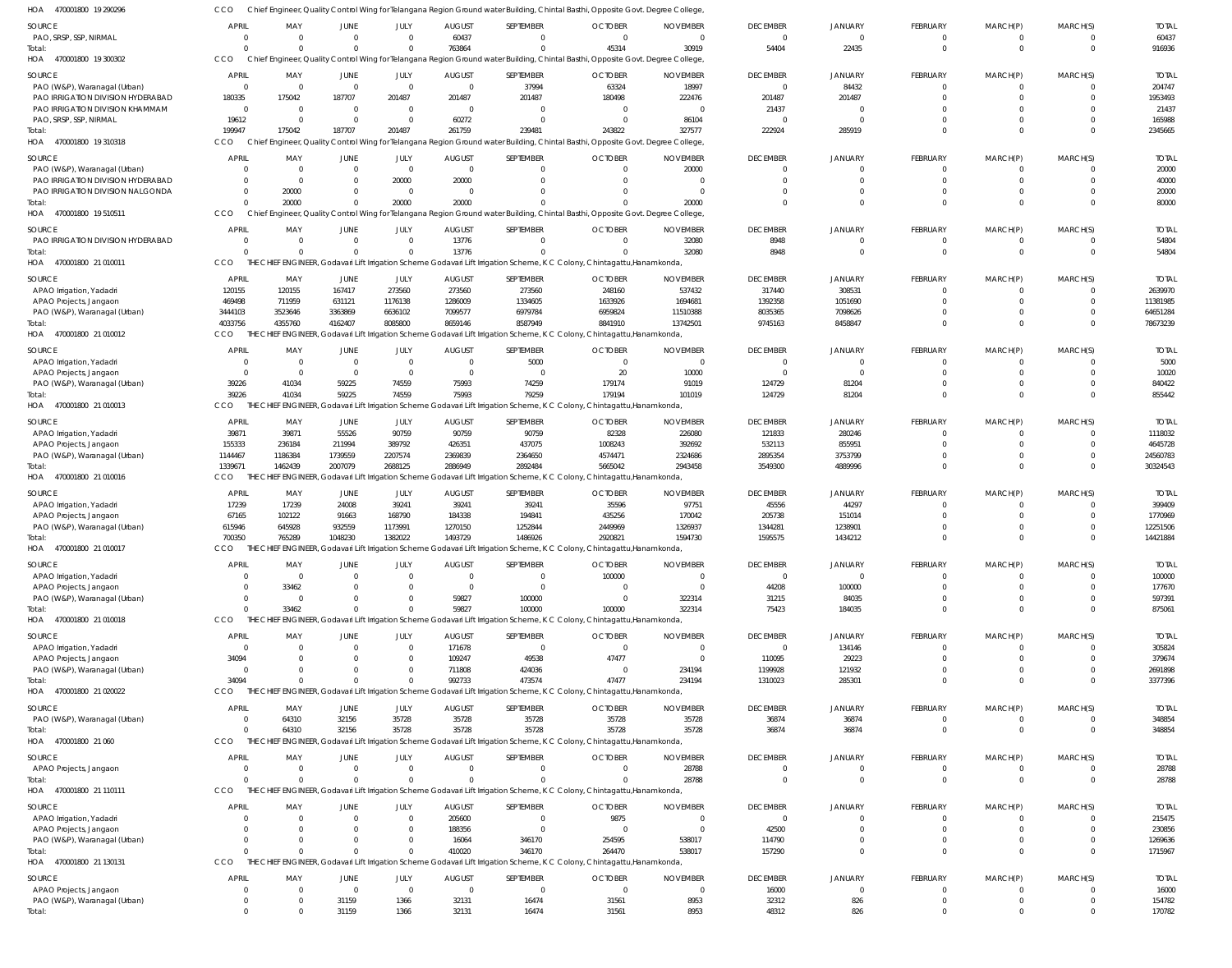| HOA 470001800 19 290296                            | CCO                        |                       |                      |                         |                   | Chief Engineer, Quality Control Wing for Telangana Region Ground water Building, Chintal Basthi, Opposite Govt. Degree College           |                                  |                      |                             |                            |                         |                         |                      |                     |
|----------------------------------------------------|----------------------------|-----------------------|----------------------|-------------------------|-------------------|------------------------------------------------------------------------------------------------------------------------------------------|----------------------------------|----------------------|-----------------------------|----------------------------|-------------------------|-------------------------|----------------------|---------------------|
| SOURCE                                             | <b>APRIL</b>               | MAY                   | JUNE                 | JULY                    | <b>AUGUST</b>     | SEPTEMBER                                                                                                                                | <b>OCTOBER</b>                   | <b>NOVEMBER</b>      | <b>DECEMBER</b>             | <b>JANUARY</b>             | <b>FEBRUARY</b>         | MARCH(P)                | MARCH(S)             | <b>TOTAL</b>        |
| PAO, SRSP, SSP, NIRMAL                             | C                          | $\Omega$              | $\Omega$             | $\overline{0}$          | 60437             | $\mathbf{0}$                                                                                                                             | $\overline{0}$                   | $\overline{0}$       | $\Omega$                    | $\Omega$                   | 0                       | $^{\circ}$              | $\Omega$             | 60437               |
| Total:                                             | $\sqrt{2}$                 |                       | $\Omega$             | $\Omega$                | 763864            | $\Omega$                                                                                                                                 | 45314                            | 30919                | 54404                       | 22435                      | $\mathbf 0$             | $\overline{0}$          | $\mathbf{0}$         | 916936              |
| HOA 470001800 19 300302                            | <b>CCO</b>                 |                       |                      |                         |                   | Chief Engineer, Quality Control Wing for Telangana Region Ground water Building, Chintal Basthi, Opposite Govt. Degree College           |                                  |                      |                             |                            |                         |                         |                      |                     |
| SOURCE                                             | <b>APRIL</b>               | MAY                   | JUNE                 | JULY                    | <b>AUGUST</b>     | SEPTEMBER                                                                                                                                | <b>OCTOBER</b>                   | <b>NOVEMBER</b>      | <b>DECEMBER</b>             | <b>JANUARY</b>             | <b>FEBRUARY</b>         | MARCH(P)                | MARCH(S)             | <b>TOTAL</b>        |
| PAO (W&P), Waranagal (Urban)                       | $\overline{0}$             | $\Omega$              | $\Omega$             | $\overline{0}$          | $\Omega$          | 37994                                                                                                                                    | 63324                            | 18997                | $\Omega$                    | 84432                      | 0                       | $\Omega$                |                      | 204747              |
| PAO IRRIGATION DIVISION HYDERABAD                  | 180335                     | 175042                | 187707               | 201487                  | 201487            | 201487                                                                                                                                   | 180498                           | 222476               | 201487                      | 201487                     | $\Omega$                | $\Omega$                |                      | 1953493             |
| PAO IRRIGATION DIVISION KHAMMAM                    | $\overline{0}$             | $\Omega$              | $\Omega$             | $\overline{0}$          | $\Omega$          | $\Omega$                                                                                                                                 | $\Omega$                         | $\Omega$             | 21437                       |                            |                         |                         |                      | 21437               |
| PAO, SRSP, SSP, NIRMAL                             | 19612                      | $\Omega$              | $\Omega$             | $\Omega$                | 60272             | $\Omega$                                                                                                                                 | $\Omega$                         | 86104                | $\Omega$                    |                            | $\Omega$                | $\Omega$                | $\Omega$             | 165988              |
| Total:<br>HOA 470001800 19 310318                  | 199947<br>CCO              | 175042                | 187707               | 201487                  | 261759            | 239481<br>Chief Engineer, Quality Control Wing for Telangana Region Ground water Building, Chintal Basthi, Opposite Govt. Degree College | 243822                           | 327577               | 222924                      | 285919                     |                         | $\Omega$                |                      | 2345665             |
|                                                    |                            |                       |                      |                         |                   |                                                                                                                                          |                                  |                      |                             |                            |                         |                         |                      |                     |
| SOURCE                                             | APRIL                      | MAY                   | JUNE                 | JULY                    | <b>AUGUST</b>     | SEPTEMBER                                                                                                                                | <b>OCTOBER</b>                   | <b>NOVEMBER</b>      | <b>DECEMBER</b>             | JANUARY                    | <b>FEBRUARY</b>         | MARCH(P)                | MARCH(S)             | <b>TOTAL</b>        |
| PAO (W&P), Waranagal (Urban)                       | - 0                        | $\Omega$              | $\Omega$             | $\overline{0}$          | $\Omega$          | $\overline{0}$                                                                                                                           | $\Omega$                         | 20000                | $\Omega$                    |                            | 0                       | 0                       | - 0                  | 20000               |
| PAO IRRIGATION DIVISION HYDERABAD                  | $\mathsf{C}$               | $\Omega$              |                      | 20000                   | 20000<br>$\Omega$ | $\Omega$<br>$\Omega$                                                                                                                     | $\Omega$                         | $\Omega$<br>$\Omega$ | $\Omega$<br>$\Omega$        | $\Omega$<br>$\Omega$       | $\Omega$                | $\Omega$                | $\Omega$<br>$\Omega$ | 40000               |
| PAO IRRIGATION DIVISION NALGONDA<br>Total:         | $\overline{0}$<br>$\Omega$ | 20000<br>20000        | $\Omega$<br>$\Omega$ | $\overline{0}$<br>20000 | 20000             | $\Omega$                                                                                                                                 |                                  | 20000                | $\Omega$                    | $\Omega$                   | 0<br>$\Omega$           | $\Omega$<br>$\Omega$    | $\Omega$             | 20000<br>80000      |
| HOA 470001800 19 510511                            | CCO                        |                       |                      |                         |                   | Chief Engineer, Quality Control Wing for Telangana Region Ground water Building, Chintal Basthi, Opposite Govt. Degree College           |                                  |                      |                             |                            |                         |                         |                      |                     |
|                                                    |                            |                       |                      |                         |                   |                                                                                                                                          |                                  |                      |                             |                            |                         |                         |                      |                     |
| SOURCE                                             | <b>APRIL</b><br>$\Omega$   | MAY<br>$\Omega$       | JUNE<br>$\Omega$     | JULY<br>$\Omega$        | <b>AUGUST</b>     | SEPTEMBER<br>$\Omega$                                                                                                                    | <b>OCTOBER</b><br>$\Omega$       | <b>NOVEMBER</b>      | <b>DECEMBER</b><br>8948     | <b>JANUARY</b><br>$\Omega$ | <b>FEBRUARY</b>         | MARCH(P)                | MARCH(S)             | <b>TOTAL</b>        |
| PAO IRRIGATION DIVISION HYDERABAD<br>Total:        | $\sqrt{2}$                 |                       | $\Omega$             | $\Omega$                | 13776<br>13776    |                                                                                                                                          |                                  | 32080<br>32080       | 8948                        | $\Omega$                   | $\mathbf 0$<br>$\Omega$ | $\mathbf 0$<br>$\Omega$ | $\Omega$             | 54804<br>54804      |
| HOA 470001800 21 010011                            | CCO                        |                       |                      |                         |                   | THE CHIEF ENGINEER, Godavari Lift Irrigation Scheme Godavari Lift Irrigation Scheme, K C Colony, Chintagattu, Hanamkonda                 |                                  |                      |                             |                            |                         |                         |                      |                     |
|                                                    |                            |                       |                      |                         |                   |                                                                                                                                          |                                  |                      |                             |                            |                         |                         |                      |                     |
| SOURCE                                             | <b>APRIL</b>               | MAY                   | JUNE                 | JULY                    | <b>AUGUST</b>     | SEPTEMBER                                                                                                                                | <b>OCTOBER</b>                   | <b>NOVEMBER</b>      | <b>DECEMBER</b>             | <b>JANUARY</b>             | <b>FEBRUARY</b>         | MARCH(P)                | MARCH(S)             | <b>TOTAL</b>        |
| APAO Irrigation, Yadadri<br>APAO Projects, Jangaon | 120155<br>469498           | 120155<br>711959      | 167417<br>631121     | 273560<br>1176138       | 273560<br>1286009 | 273560<br>1334605                                                                                                                        | 248160<br>1633926                | 537432<br>1694681    | 317440<br>1392358           | 308531<br>1051690          | $\mathbf 0$             | $\Omega$<br>$\Omega$    | $\Omega$<br>$\Omega$ | 2639970<br>11381985 |
| PAO (W&P), Waranagal (Urban)                       | 3444103                    | 3523646               | 3363869              | 6636102                 | 7099577           | 6979784                                                                                                                                  | 6959824                          | 11510388             | 8035365                     | 7098626                    | 0                       | $\Omega$                | $\Omega$             | 64651284            |
| Total:                                             | 4033756                    | 4355760               | 4162407              | 8085800                 | 8659146           | 8587949                                                                                                                                  | 8841910                          | 13742501             | 9745163                     | 8458847                    | $\Omega$                | $\Omega$                | $\Omega$             | 78673239            |
| HOA 470001800 21 010012                            | CCO                        |                       |                      |                         |                   | THE CHIEF ENGINEER, Godavari Lift Irrigation Scheme Godavari Lift Irrigation Scheme, K C Colony,                                         | Chintagattu, Hanamkonda          |                      |                             |                            |                         |                         |                      |                     |
| SOURCE                                             | APRIL                      | MAY                   | JUNE                 | JULY                    | <b>AUGUST</b>     | SEPTEMBER                                                                                                                                | <b>OCTOBER</b>                   | <b>NOVEMBER</b>      | <b>DECEMBER</b>             | JANUARY                    | <b>FEBRUARY</b>         | MARCH(P)                | MARCH(S)             | <b>TOTAL</b>        |
| APAO Irrigation, Yadadri                           | C                          | $\Omega$              | $\Omega$             | $\overline{0}$          | $\Omega$          | 5000                                                                                                                                     | - 0                              | $\Omega$             | $\Omega$                    | - 0                        | 0                       | $\Omega$                |                      | 5000                |
| APAO Projects, Jangaon                             | $\overline{0}$             | $\Omega$              | $\Omega$             | $\overline{0}$          | $\Omega$          | $\Omega$                                                                                                                                 | 20                               | 10000                | $\Omega$                    |                            |                         |                         |                      | 10020               |
| PAO (W&P), Waranagal (Urban)                       | 39226                      | 41034                 | 59225                | 74559                   | 75993             | 74259                                                                                                                                    | 179174                           | 91019                | 124729                      | 81204                      | $\Omega$                | $\Omega$                |                      | 840422              |
| Total:                                             | 39226                      | 41034                 | 59225                | 74559                   | 75993             | 79259                                                                                                                                    | 179194                           | 101019               | 124729                      | 81204                      | $\Omega$                | $\Omega$                | $\Omega$             | 855442              |
| HOA 470001800 21 010013                            | <b>CCO</b>                 | THE CHIEF             |                      |                         |                   | FENGINEER, Godavari Lift Irrigation Scheme Godavari Lift Irrigation Scheme, K C Colony, Chintagattu, Hanamkonda                          |                                  |                      |                             |                            |                         |                         |                      |                     |
| SOURCE                                             | APRIL                      | MAY                   | JUNE                 | JULY                    | <b>AUGUST</b>     | SEPTEMBER                                                                                                                                | <b>OCTOBER</b>                   | <b>NOVEMBER</b>      | <b>DECEMBER</b>             | <b>JANUARY</b>             | <b>FEBRUARY</b>         | MARCH(P)                | MARCH(S)             | <b>TOTAL</b>        |
| APAO Irrigation, Yadadri                           | 39871                      | 39871                 | 55526                | 90759                   | 90759             | 90759                                                                                                                                    | 82328                            | 226080               | 121833                      | 280246                     | 0                       | $\Omega$                | - 0                  | 1118032             |
| APAO Projects, Jangaon                             | 155333                     | 236184                | 211994               | 389792                  | 426351            | 437075                                                                                                                                   | 1008243                          | 392692               | 532113                      | 855951                     | $\Omega$                | $\Omega$                | $\Omega$             | 4645728             |
| PAO (W&P), Waranagal (Urban)                       | 1144467                    | 1186384               | 1739559              | 2207574                 | 2369839           | 2364650                                                                                                                                  | 4574471                          | 2324686              | 2895354                     | 3753799                    | 0                       | $\Omega$                | $\Omega$             | 24560783            |
| Total:                                             | 1339671                    | 1462439               | 2007079              | 2688125                 | 2886949           | 2892484                                                                                                                                  | 5665042                          | 2943458              | 3549300                     | 4889996                    | $\Omega$                | $\Omega$                | $\Omega$             | 30324543            |
| HOA 470001800 21 010016                            | CCO                        | CHIEF ENGINEER<br>THE |                      |                         |                   | Godavari Lift Irrigation Scheme Godavari Lift Irrigation Scheme, K C Colony, Chintagattu, Hanamkonda                                     |                                  |                      |                             |                            |                         |                         |                      |                     |
| SOURCE                                             | <b>APRIL</b>               | MAY                   | JUNE                 | JULY                    | <b>AUGUST</b>     | SEPTEMBER                                                                                                                                | <b>OCTOBER</b>                   | <b>NOVEMBER</b>      | <b>DECEMBER</b>             | <b>JANUARY</b>             | <b>FEBRUARY</b>         | MARCH(P)                | MARCH(S)             | <b>TOTAL</b>        |
| APAO Irrigation, Yadadri                           | 17239                      | 17239                 | 24008                | 39241                   | 39241             | 39241                                                                                                                                    | 35596                            | 97751                | 45556                       | 44297                      |                         | $\Omega$                |                      | 399409              |
| APAO Projects, Jangaon                             | 67165                      | 102122                | 91663                | 168790                  | 184338            | 194841                                                                                                                                   | 435256                           | 170042               | 205738                      | 151014                     |                         | $\Omega$                |                      | 1770969             |
| PAO (W&P), Waranagal (Urban)                       | 615946                     | 645928                | 932559               | 1173991                 | 1270150           | 1252844                                                                                                                                  | 2449969                          | 1326937              | 1344281                     | 1238901                    |                         |                         |                      | 12251506            |
| Total:                                             | 700350                     | 765289                | 1048230              | 1382022                 | 1493729           | 1486926                                                                                                                                  | 2920821                          | 1594730              | 1595575                     | 1434212                    | $\Omega$                | $\Omega$                |                      | 14421884            |
| HOA 470001800 21 010017                            | CCO                        |                       |                      |                         |                   | THE CHIEF ENGINEER, Godavari Lift Irrigation Scheme Godavari Lift Irrigation Scheme, K C Colony, Chintagattu, Hanamkonda                 |                                  |                      |                             |                            |                         |                         |                      |                     |
| SOURCE                                             | <b>APRIL</b>               | MAY                   | JUNE                 | JULY                    | <b>AUGUST</b>     | SEPTEMBER                                                                                                                                | <b>OCTOBER</b>                   | <b>NOVEMBER</b>      | <b>DECEMBER</b>             | <b>JANUARY</b>             | FEBRUARY                | MARCH(P)                | MARCH(S)             | <b>TOTAL</b>        |
| APAO Irrigation, Yadadri                           | $\overline{0}$             | $\Omega$              | $\Omega$             | $\overline{0}$          | $\Omega$          | $\overline{0}$                                                                                                                           | 100000                           | $\overline{0}$       | $\overline{0}$              | $\Omega$                   | $\mathbf 0$             | $^{\circ}$              | $\Omega$             | 100000              |
| APAO Projects, Jangaon                             | $\overline{0}$<br>$\Omega$ | 33462<br>$\Omega$     |                      | $\Omega$<br>$\Omega$    | $\Omega$          | $\mathbf{0}$<br>100000                                                                                                                   | -0<br>$\overline{0}$             | $\overline{0}$       | 44208                       | 100000                     | 0                       | 0<br>$\Omega$           | $\Omega$<br>$\Omega$ | 177670              |
| PAO (W&P), Waranagal (Urban)<br>Total:             | $\Omega$                   | 33462                 | $\Omega$             | $\Omega$                | 59827<br>59827    | 100000                                                                                                                                   | 100000                           | 322314<br>322314     | 31215<br>75423              | 84035<br>184035            | $\Omega$                | $\Omega$                | $\Omega$             | 597391<br>875061    |
| HOA 470001800 21 010018                            | CCO                        |                       |                      |                         |                   | THE CHIEF ENGINEER, Godavari Lift Irrigation Scheme Godavari Lift Irrigation Scheme, K C Colony, Chintagattu, Hanamkonda                 |                                  |                      |                             |                            |                         |                         |                      |                     |
|                                                    |                            |                       |                      |                         |                   |                                                                                                                                          |                                  |                      |                             |                            |                         |                         |                      |                     |
| SOURCE                                             | <b>APRIL</b><br>$\Omega$   | MAY<br>- 0            | JUNE<br>$\Omega$     | JULY<br>$\Omega$        | <b>AUGUST</b>     | SEPTEMBER<br>$\mathbf{0}$                                                                                                                | <b>OCTOBER</b><br>$\overline{0}$ | <b>NOVEMBER</b>      | <b>DECEMBER</b><br>$\Omega$ | JANUARY                    | FEBRUARY<br>0           | MARCH(P)<br>$\Omega$    | MARCH(S)             | <b>TOTAL</b>        |
| APAO Irrigation, Yadadri<br>APAO Projects, Jangaon | 34094                      |                       |                      | $\Omega$                | 171678<br>109247  | 49538                                                                                                                                    | 47477                            | - 0<br>$\Omega$      | 110095                      | 134146<br>29223            |                         |                         |                      | 305824<br>379674    |
| PAO (W&P), Waranagal (Urban)                       | $\mathsf{C}$               |                       | $\Omega$             | $\Omega$                | 711808            | 424036                                                                                                                                   | $\Omega$                         | 234194               | 1199928                     | 121932                     |                         | $\Omega$                |                      | 2691898             |
| Total:                                             | 34094                      | $\Omega$              | $\Omega$             | $\Omega$                | 992733            | 473574                                                                                                                                   | 47477                            | 234194               | 1310023                     | 285301                     | $\Omega$                | $\Omega$                | $\Omega$             | 3377396             |
| HOA 470001800 21 020022                            | <b>CCO</b>                 |                       |                      |                         |                   | THE CHIEF ENGINEER, Godavari Lift Irrigation Scheme Godavari Lift Irrigation Scheme, K C Colony, Chintagattu, Hanamkonda                 |                                  |                      |                             |                            |                         |                         |                      |                     |
| SOURCE                                             | <b>APRIL</b>               | MAY                   | <b>JUNE</b>          | JULY                    | <b>AUGUST</b>     | SEPTEMBER                                                                                                                                | <b>OCTOBER</b>                   | <b>NOVEMBER</b>      | <b>DECEMBER</b>             | <b>JANUARY</b>             | FEBRUARY                | MARCH(P)                | MARCH(S)             | <b>TOTAL</b>        |
| PAO (W&P), Waranagal (Urban)                       | $\mathsf{C}$               | 64310                 | 32156                | 35728                   | 35728             | 35728                                                                                                                                    | 35728                            | 35728                | 36874                       | 36874                      | 0                       | $^{\circ}$              | $\Omega$             | 348854              |
| Total:                                             | $\mathsf{C}$               | 64310                 | 32156                | 35728                   | 35728             | 35728                                                                                                                                    | 35728                            | 35728                | 36874                       | 36874                      | $\mathbf 0$             | $\overline{0}$          | $\mathbf{0}$         | 348854              |
| HOA 470001800 21 060                               | <b>CCO</b>                 |                       |                      |                         |                   | THE CHIEF ENGINEER, Godavari Lift Irrigation Scheme Godavari Lift Irrigation Scheme, K C Colony, Chintagattu, Hanamkonda                 |                                  |                      |                             |                            |                         |                         |                      |                     |
| SOURCE                                             | <b>APRIL</b>               | MAY                   | JUNE                 | JULY                    | <b>AUGUST</b>     | SEPTEMBER                                                                                                                                | <b>OCTOBER</b>                   | <b>NOVEMBER</b>      | <b>DECEMBER</b>             | <b>JANUARY</b>             | FEBRUARY                | MARCH(P)                | MARCH(S)             | <b>TOTAL</b>        |
| APAO Projects, Jangaon                             | $\overline{0}$             | $\Omega$              | $\Omega$             | $\Omega$                | $\Omega$          | $\Omega$                                                                                                                                 | $\Omega$                         | 28788                | $\Omega$                    | $\Omega$                   | $\mathbf 0$             | $\overline{0}$          |                      | 28788               |
| Total:                                             | $\Omega$                   |                       | $\Omega$             | $\Omega$                |                   | $\Omega$                                                                                                                                 |                                  | 28788                | $\Omega$                    | $\Omega$                   | $\Omega$                | $\Omega$                | $\Omega$             | 28788               |
| HOA 470001800 21 110111                            | CCO                        | THE                   |                      |                         |                   | CHIEF ENGINEER, Godavari Lift Irrigation Scheme Godavari Lift Irrigation Scheme, K C Colony, Chintagattu, Hanamkonda                     |                                  |                      |                             |                            |                         |                         |                      |                     |
| SOURCE                                             | <b>APRIL</b>               | MAY                   | JUNE                 | JULY                    | <b>AUGUST</b>     | SEPTEMBER                                                                                                                                | <b>OCTOBER</b>                   | <b>NOVEMBER</b>      | <b>DECEMBER</b>             | <b>JANUARY</b>             | FEBRUARY                | MARCH(P)                | MARCH(S)             | <b>TOTAL</b>        |
| APAO Irrigation, Yadadri                           | $\mathsf{C}$               | $\Omega$              | $\Omega$             | $\overline{0}$          | 205600            | $\mathbf{0}$                                                                                                                             | 9875                             | $\overline{0}$       | $\overline{0}$              | $\Omega$                   | $\mathbf 0$             | $^{\circ}$              | $\Omega$             | 215475              |
| APAO Projects, Jangaon                             | $\mathsf{C}$               | $\Omega$              |                      | $\Omega$                | 188356            | $\mathbf{0}$                                                                                                                             | $^{\circ}$                       | $\overline{0}$       | 42500                       | $\Omega$                   | 0                       | $\mathbf 0$             | $\Omega$             | 230856              |
| PAO (W&P), Waranagal (Urban)                       | C                          |                       |                      | $\Omega$                | 16064             | 346170                                                                                                                                   | 254595                           | 538017               | 114790                      | $\Omega$                   | 0                       | $\Omega$                | $\Omega$             | 1269636             |
| Total:                                             | $\sqrt{2}$                 |                       |                      |                         | 410020            | 346170                                                                                                                                   | 264470                           | 538017               | 157290                      | $\Omega$                   | $\Omega$                | $\mathbf 0$             | $\Omega$             | 1715967             |
| HOA 470001800 21 130131                            | CCO                        |                       |                      |                         |                   | THE CHIEF ENGINEER, Godavari Lift Irrigation Scheme Godavari Lift Irrigation Scheme, K C Colony, Chintagattu, Hanamkonda                 |                                  |                      |                             |                            |                         |                         |                      |                     |
| SOURCE                                             | APRIL                      | MAY                   | JUNE                 | JULY                    | <b>AUGUST</b>     | SEPTEMBER                                                                                                                                | <b>OCTOBER</b>                   | <b>NOVEMBER</b>      | <b>DECEMBER</b>             | <b>JANUARY</b>             | FEBRUARY                | MARCH(P)                | MARCH(S)             | <b>TOTAL</b>        |
| APAO Projects, Jangaon                             | $\overline{0}$             | $\Omega$              | $\Omega$             | $\overline{0}$          | $\Omega$          | $\mathbf{0}$                                                                                                                             | $\overline{0}$                   | $\overline{0}$       | 16000                       | $\Omega$                   | 0                       | $\Omega$                |                      | 16000               |
| PAO (W&P), Waranagal (Urban)                       | $\overline{0}$             |                       | 31159                | 1366                    | 32131             | 16474                                                                                                                                    | 31561                            | 8953                 | 32312                       | 826                        | 0                       | $\mathbf 0$             | $\Omega$             | 154782              |
| Total:                                             | $\overline{0}$             |                       | 31159                | 1366                    | 32131             | 16474                                                                                                                                    | 31561                            | 8953                 | 48312                       | 826                        |                         | $\Omega$                |                      | 170782              |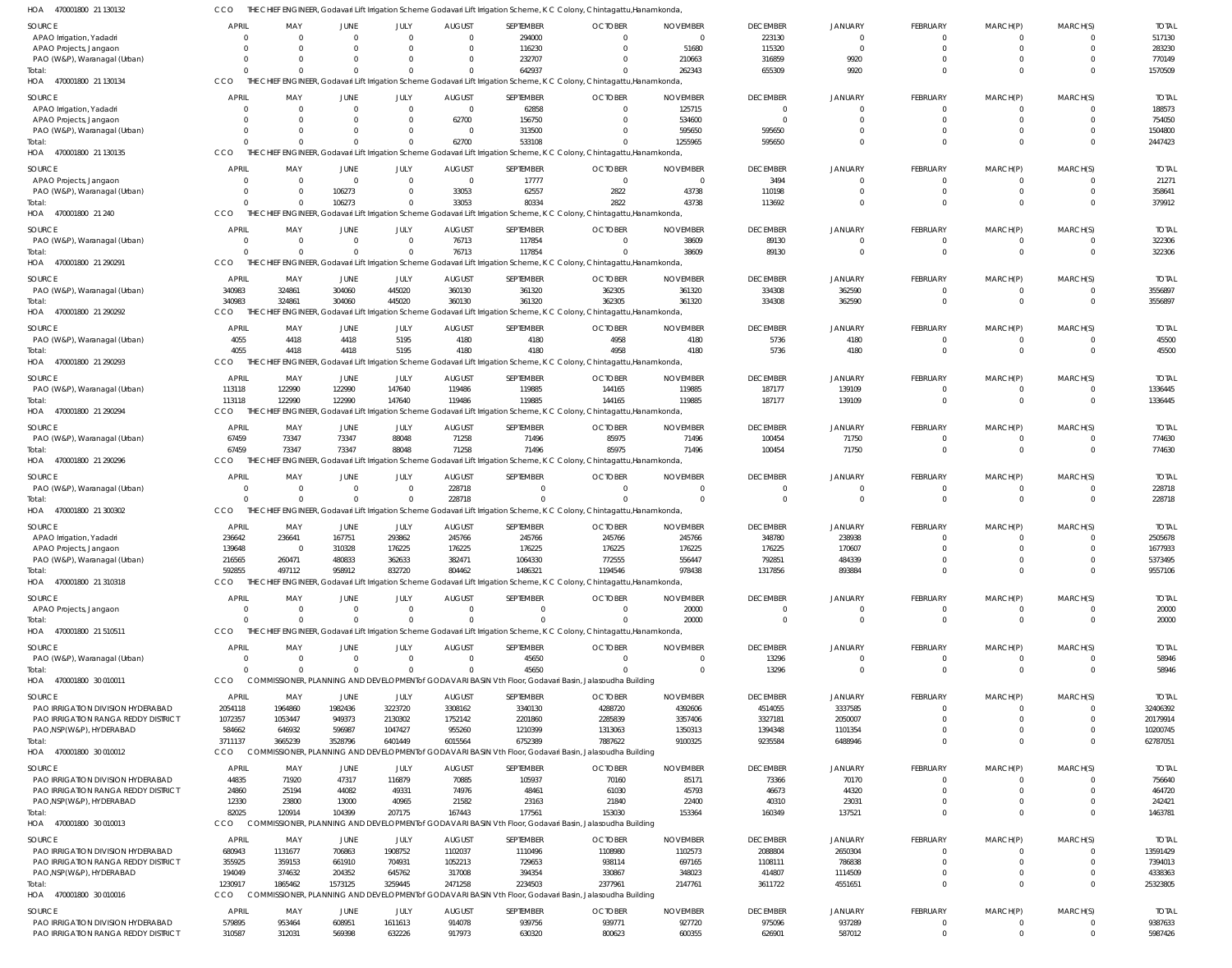| HOA<br>470001800 21 130132                                               | CCO               |                   |                   |                   |                   |                   | THE CHIEF ENGINEER, Godavari Lift Irrigation Scheme Godavari Lift Irrigation Scheme, K C Colony, Chintagattu, Hanamkonda, |                   |                   |                    |                      |                    |                          |                     |
|--------------------------------------------------------------------------|-------------------|-------------------|-------------------|-------------------|-------------------|-------------------|---------------------------------------------------------------------------------------------------------------------------|-------------------|-------------------|--------------------|----------------------|--------------------|--------------------------|---------------------|
| SOURCE                                                                   | <b>APRIL</b>      | MAY               | JUNE              | JULY              | <b>AUGUST</b>     | SEPTEMBER         | <b>OCTOBER</b>                                                                                                            | <b>NOVEMBER</b>   | <b>DECEMBER</b>   | JANUARY            | <b>FEBRUARY</b>      | MARCH(P)           | MARCH(S)                 | <b>TOTAL</b>        |
| APAO Irrigation, Yadadri                                                 |                   | $\Omega$          | $\overline{0}$    | $\mathbf{0}$      | $\Omega$          | 294000            | 0                                                                                                                         | $\overline{0}$    | 223130            | $\mathbf{0}$       | $\Omega$             |                    |                          | 517130              |
| APAO Projects, Jangaon                                                   |                   |                   | <sup>0</sup>      | $\Omega$          | $\Omega$          | 116230            | $\Omega$                                                                                                                  | 51680             | 115320            | $\overline{0}$     | $\Omega$             | $\Omega$           | $\Omega$                 | 283230              |
| PAO (W&P), Waranagal (Urban)                                             |                   |                   | $\Omega$          | $\Omega$          | - 0               | 232707            | -0                                                                                                                        | 210663            | 316859            | 9920               |                      |                    | <sup>0</sup>             | 770149              |
| Total:                                                                   |                   |                   | $\Omega$          | $\Omega$          |                   | 642937            | $\Omega$                                                                                                                  | 262343            | 655309            | 9920               |                      |                    | $\Omega$                 | 1570509             |
| HOA 470001800 21 130134                                                  | CCO               |                   |                   |                   |                   |                   | THE CHIEF ENGINEER, Godavari Lift Irrigation Scheme Godavari Lift Irrigation Scheme, K C Colony, Chintagattu, Hanamkonda, |                   |                   |                    |                      |                    |                          |                     |
| <b>SOURCE</b>                                                            | <b>APRIL</b>      | MAY               | JUNE              | JULY              | <b>AUGUST</b>     | SEPTEMBER         | <b>OCTOBER</b>                                                                                                            | <b>NOVEMBER</b>   | <b>DECEMBER</b>   | <b>JANUARY</b>     | FEBRUARY             | MARCH(P)           | MARCH(S)                 | <b>TOTAL</b>        |
| APAO Irrigation, Yadadri                                                 |                   |                   | $\Omega$          | $\Omega$          | $\Omega$          | 62858             | $\Omega$                                                                                                                  | 125715            |                   | $\Omega$           | $\Omega$             | -0                 |                          | 188573              |
| APAO Projects, Jangaon                                                   |                   |                   | <sup>0</sup>      | $\Omega$          | 62700             | 156750            | $\Omega$                                                                                                                  | 534600            | $\Omega$          | $\Omega$           | $\Omega$             | $\Omega$           |                          | 754050              |
| PAO (W&P), Waranagal (Urban)                                             |                   |                   | $\Omega$          | $\Omega$          | $\Omega$          | 313500            | $\Omega$                                                                                                                  | 595650            | 595650            | $\Omega$           |                      |                    |                          | 1504800             |
| Total:                                                                   |                   |                   | $\Omega$          | $\Omega$          | 62700             | 533108            |                                                                                                                           | 1255965           | 595650            | $\Omega$           |                      |                    |                          | 2447423             |
| HOA<br>470001800 21 130135                                               | CCO               | THE               |                   |                   |                   |                   | CHIEF ENGINEER, Godavari Lift Irrigation Scheme Godavari Lift Irrigation Scheme, K C Colony, Chintagattu, Hanamkonda,     |                   |                   |                    |                      |                    |                          |                     |
| SOURCE                                                                   | <b>APRIL</b>      | MAY               | JUNE              | JULY              | <b>AUGUST</b>     | SEPTEMBER         | <b>OCTOBER</b>                                                                                                            | <b>NOVEMBER</b>   | <b>DECEMBER</b>   | <b>JANUARY</b>     | FEBRUARY             | MARCH(P)           | MARCH(S)                 | <b>TOTAL</b>        |
| APAO Projects, Jangaon                                                   |                   | $\Omega$          | $\Omega$          | $\mathbf{0}$      | $\overline{0}$    | 17777             | $\overline{0}$                                                                                                            | $\overline{0}$    | 3494              | $\mathbf{0}$       | $\Omega$             | $\Omega$           | $\Omega$                 | 21271               |
| PAO (W&P), Waranagal (Urban)                                             |                   |                   | 106273            | $\mathbf{0}$      | 33053             | 62557             | 2822                                                                                                                      | 43738             | 110198            | $\mathbf 0$        | $\Omega$             | $\Omega$           | $\Omega$                 | 358641              |
| Total:                                                                   |                   |                   | 106273            | $\Omega$          | 33053             | 80334             | 2822                                                                                                                      | 43738             | 113692            | $\Omega$           | $\Omega$             |                    | $\Omega$                 | 379912              |
| HOA 470001800 21 240                                                     | CCO               |                   |                   |                   |                   |                   | THE CHIEF ENGINEER, Godavari Lift Irrigation Scheme Godavari Lift Irrigation Scheme, K C Colony, Chintagattu, Hanamkonda, |                   |                   |                    |                      |                    |                          |                     |
| <b>SOURCE</b>                                                            | APRIL             | MAY               | JUNE              | JULY              | <b>AUGUST</b>     | SEPTEMBER         | <b>OCTOBER</b>                                                                                                            | <b>NOVEMBER</b>   | <b>DECEMBER</b>   | <b>JANUARY</b>     | FEBRUARY             | MARCH(P)           | MARCH(S)                 | <b>TOTAL</b>        |
| PAO (W&P), Waranagal (Urban)                                             |                   | $\Omega$          | $\Omega$          | $\Omega$          | 76713             | 117854            | $\Omega$                                                                                                                  | 38609             | 89130             | $\Omega$           | $\Omega$             | $\Omega$           | $\Omega$                 | 322306              |
| Total:                                                                   |                   |                   | $\Omega$          | $\Omega$          | 76713             | 117854            | $\Omega$                                                                                                                  | 38609             | 89130             | $\Omega$           | $\Omega$             | $\Omega$           | $\Omega$                 | 322306              |
| HOA 470001800 21 290291                                                  | CCO               |                   |                   |                   |                   |                   | THE CHIEF ENGINEER, Godavari Lift Irrigation Scheme Godavari Lift Irrigation Scheme, K C Colony, Chintagattu, Hanamkonda  |                   |                   |                    |                      |                    |                          |                     |
| <b>SOURCE</b>                                                            | <b>APRIL</b>      | MAY               | JUNE              | JULY              | <b>AUGUST</b>     | SEPTEMBER         | <b>OCTOBER</b>                                                                                                            | <b>NOVEMBER</b>   | <b>DECEMBER</b>   | JANUARY            | FEBRUARY             | MARCH(P)           | MARCH(S)                 | <b>TOTAL</b>        |
| PAO (W&P), Waranagal (Urban)                                             | 340983            | 324861            | 304060            | 445020            | 360130            | 361320            | 362305                                                                                                                    | 361320            | 334308            | 362590             | $\Omega$             | 0                  | $\Omega$                 | 3556897             |
| Total:                                                                   | 340983            | 324861            | 304060            | 445020            | 360130            | 361320            | 362305                                                                                                                    | 361320            | 334308            | 362590             | $\Omega$             |                    | $\Omega$                 | 3556897             |
| HOA 470001800 21 290292                                                  | CCO               |                   |                   |                   |                   |                   | THE CHIEF ENGINEER, Godavari Lift Irrigation Scheme Godavari Lift Irrigation Scheme, K C Colony, Chintagattu, Hanamkonda, |                   |                   |                    |                      |                    |                          |                     |
| SOURCE                                                                   | <b>APRIL</b>      | MAY               | <b>JUNE</b>       | JULY              | <b>AUGUST</b>     | SEPTEMBER         | <b>OCTOBER</b>                                                                                                            | <b>NOVEMBER</b>   | <b>DECEMBER</b>   | <b>JANUARY</b>     | <b>FEBRUARY</b>      | MARCH(P)           | MARCH(S)                 | <b>TOTAL</b>        |
| PAO (W&P), Waranagal (Urban)                                             | 4055              | 4418              | 4418              | 5195              | 4180              | 4180              | 4958                                                                                                                      | 4180              | 5736              | 4180               | $\Omega$             |                    |                          | 45500               |
| Total:                                                                   | 4055              | 4418              | 4418              | 5195              | 4180              | 4180              | 4958                                                                                                                      | 4180              | 5736              | 4180               | $\Omega$             |                    | $\Omega$                 | 45500               |
| HOA 470001800 21 290293                                                  | CCO               | THE CHI           |                   |                   |                   |                   | FENGINEER, Godavari Lift Irrigation Scheme Godavari Lift Irrigation Scheme, K C Colony, Chintagattu, Hanamkonda           |                   |                   |                    |                      |                    |                          |                     |
| SOURCE                                                                   | APRIL             | MAY               | JUNE              | JULY              | <b>AUGUST</b>     | SEPTEMBER         | <b>OCTOBER</b>                                                                                                            | <b>NOVEMBER</b>   | <b>DECEMBER</b>   | JANUARY            | <b>FEBRUARY</b>      | MARCH(P)           | MARCH(S)                 | <b>TOTAL</b>        |
| PAO (W&P), Waranagal (Urban)                                             | 113118            | 122990            | 122990            | 147640            | 119486            | 119885            | 144165                                                                                                                    | 119885            | 187177            | 139109             | $\Omega$             | -0                 |                          | 1336445             |
| Total:                                                                   | 113118            | 122990            | 122990            | 147640            | 119486            | 119885            | 144165                                                                                                                    | 119885            | 187177            | 139109             | $\Omega$             |                    | $\Omega$                 | 1336445             |
| HOA 470001800 21 290294                                                  | CCO               |                   |                   |                   |                   |                   | THE CHIEF ENGINEER, Godavari Lift Irrigation Scheme Godavari Lift Irrigation Scheme, K C Colony, Chintagattu, Hanamkonda, |                   |                   |                    |                      |                    |                          |                     |
| <b>SOURCE</b>                                                            | <b>APRIL</b>      | MAY               | JUNE              | JULY              | <b>AUGUST</b>     | SEPTEMBER         | <b>OCTOBER</b>                                                                                                            | <b>NOVEMBER</b>   | <b>DECEMBER</b>   | <b>JANUARY</b>     | <b>FEBRUARY</b>      | MARCH(P)           | MARCH(S)                 | <b>TOTAL</b>        |
| PAO (W&P), Waranagal (Urban)                                             | 67459             | 73347             | 73347             | 88048             | 71258             | 71496             | 85975                                                                                                                     | 71496             | 100454            | 71750              | - 0                  |                    | $\Omega$                 | 774630              |
| Total:                                                                   | 67459             | 73347             | 73347             | 88048             | 71258             | 71496             | 85975                                                                                                                     | 71496             | 100454            | 71750              | $\Omega$             |                    | $\Omega$                 | 774630              |
| 470001800 21 290296<br>HOA                                               | CCO               |                   |                   |                   |                   |                   | ENGINEER, Godavari Lift Irrigation Scheme Godavari Lift Irrigation Scheme, K C Colony, Chintagattu, Hanamkonda            |                   |                   |                    |                      |                    |                          |                     |
| SOURCE                                                                   | <b>APRIL</b>      | MAY               | <b>JUNE</b>       | JULY              | <b>AUGUST</b>     | SEPTEMBER         | <b>OCTOBER</b>                                                                                                            | <b>NOVEMBER</b>   | <b>DECEMBER</b>   | <b>JANUARY</b>     | FEBRUARY             | MARCH(P)           | MARCH(S)                 | <b>TOTAL</b>        |
| PAO (W&P), Waranagal (Urban)                                             |                   | $\Omega$          | $\overline{0}$    | $\mathbf{0}$      | 228718            | $\mathbf{0}$      | $\Omega$                                                                                                                  | $\overline{0}$    | $\Omega$          | $\mathbf{0}$       | $\Omega$             | $\Omega$           | $\Omega$                 | 228718              |
| Total:                                                                   |                   |                   | $\Omega$          | $\mathbf 0$       | 228718            | $\Omega$          |                                                                                                                           | $\Omega$          | $\Omega$          | $\mathbf 0$        | $\Omega$             |                    | $\Omega$                 | 228718              |
| HOA 470001800 21 300302                                                  | CCO               |                   |                   |                   |                   |                   | THE CHIEF ENGINEER, Godavari Lift Irrigation Scheme Godavari Lift Irrigation Scheme, K C Colony, Chintagattu, Hanamkonda, |                   |                   |                    |                      |                    |                          |                     |
| SOURCE                                                                   | <b>APRIL</b>      | MAY               | <b>JUNE</b>       | JULY              | <b>AUGUST</b>     | SEPTEMBER         | <b>OCTOBER</b>                                                                                                            | <b>NOVEMBER</b>   | <b>DECEMBER</b>   | <b>JANUARY</b>     | FEBRUARY             | MARCH(P)           | MARCH(S)                 | <b>TOTAL</b>        |
| APAO Irrigation, Yadadri                                                 | 236642            | 236641            | 167751            | 293862            | 245766            | 245766            | 245766                                                                                                                    | 245766            | 348780            | 238938             | - 0                  |                    |                          | 2505678             |
| APAO Projects, Jangaon                                                   | 139648            | $\Omega$          | 310328            | 176225            | 176225            | 176225            | 176225                                                                                                                    | 176225            | 176225            | 170607             | $\Omega$             |                    |                          | 1677933             |
| PAO (W&P), Waranagal (Urban)                                             | 216565            | 260471            | 480833            | 362633            | 382471            | 1064330           | 772555                                                                                                                    | 556447            | 792851            | 484339             | $\Omega$             |                    | $\Omega$                 | 5373495             |
| Total:                                                                   | 592855            | 497112            | 958912            | 832720            | 804462            | 1486321           | 1194546                                                                                                                   | 978438            | 1317856           | 893884             | $\Omega$             |                    | $\Omega$                 | 9557106             |
| HOA 470001800 21 310318                                                  | CCO               |                   |                   |                   |                   |                   | THE CHIEF ENGINEER, Godavari Lift Irrigation Scheme Godavari Lift Irrigation Scheme, K C Colony, Chintagattu, Hanamkonda, |                   |                   |                    |                      |                    |                          |                     |
| SOURCE                                                                   | <b>APRIL</b>      | MAY               | <b>JUNE</b>       | JULY              | <b>AUGUST</b>     | SEPTEMBER         | <b>OCTOBER</b>                                                                                                            | <b>NOVEMBER</b>   | <b>DECEMBER</b>   | <b>JANUARY</b>     | <b>FEBRUARY</b>      | MARCH(P)           | MARCH(S)                 | <b>TOTAL</b>        |
| APAO Projects, Jangaon                                                   | $\Omega$          | $\Omega$          | $\overline{0}$    | $\overline{0}$    | $\Omega$          | $\mathbf{0}$      | $\Omega$                                                                                                                  | 20000             | $\Omega$          | $\mathbf{0}$       | $\Omega$             |                    |                          | 20000               |
| Total:                                                                   |                   | $\Omega$          | $\Omega$          | $\Omega$          | $\Omega$          | $\Omega$          | $\Omega$                                                                                                                  | 20000             | $\Omega$          | $\mathbf 0$        | $\Omega$             | $\Omega$           | $\Omega$                 | 20000               |
| HOA 470001800 21 510511                                                  | CCO               |                   |                   |                   |                   |                   | THE CHIEF ENGINEER, Godavari Lift Irrigation Scheme Godavari Lift Irrigation Scheme, K C Colony, Chintagattu, Hanamkonda, |                   |                   |                    |                      |                    |                          |                     |
| SOURCE                                                                   | <b>APRIL</b>      | MAY               | <b>JUNE</b>       | JULY              | <b>AUGUST</b>     | SEPTEMBER         | <b>OCTOBER</b>                                                                                                            | <b>NOVEMBER</b>   | <b>DECEMBER</b>   | JANUARY            | FEBRUARY             | MARCH(P)           | MARCH(S)                 | <b>TOTAL</b>        |
| PAO (W&P), Waranagal (Urban)                                             | $\Omega$          | $\Omega$          | $\Omega$          | $\Omega$          | $\Omega$          | 45650             | $\Omega$                                                                                                                  | $\Omega$          | 13296             | $\Omega$           | $\Omega$             | $\Omega$           | $\Omega$                 | 58946               |
| Total:                                                                   |                   |                   | $\Omega$          | $\Omega$          | $\Omega$          | 45650             | $\Omega$                                                                                                                  | $\Omega$          | 13296             | $\Omega$           | $\Omega$             | $\Omega$           | $\Omega$                 | 58946               |
| HOA 470001800 30 010011                                                  | CCO               |                   |                   |                   |                   |                   | COMMISSIONER, PLANNING AND DEVELOPMENT of GODAVARI BASIN Vth Floor, Godavari Basin, Jalasoudha Building                   |                   |                   |                    |                      |                    |                          |                     |
| SOURCE                                                                   | <b>APRIL</b>      | MAY               | JUNE              | JULY              | <b>AUGUST</b>     | SEPTEMBER         | <b>OCTOBER</b>                                                                                                            | <b>NOVEMBER</b>   | <b>DECEMBER</b>   | JANUARY            | <b>FEBRUARY</b>      | MARCH(P)           | MARCH(S)                 | <b>TOTAL</b>        |
| PAO IRRIGATION DIVISION HYDERABAD                                        | 2054118           | 1964860           | 1982436           | 3223720           | 3308162           | 3340130           | 4288720                                                                                                                   | 4392606           | 4514055           | 3337585            | $\Omega$             | $\Omega$           | $\Omega$                 | 32406392            |
| PAO IRRIGATION RANGA REDDY DISTRICT                                      | 1072357           | 1053447           | 949373            | 2130302           | 1752142           | 2201860           | 2285839                                                                                                                   | 3357406           | 3327181           | 2050007            | $\Omega$             | $\Omega$           | $\Omega$                 | 20179914            |
| PAO, NSP (W&P), HYDERABAD                                                | 584662            | 646932            | 596987            | 1047427           | 955260            | 1210399           | 1313063                                                                                                                   | 1350313           | 1394348           | 1101354            | - 0                  |                    | $\Omega$                 | 10200745            |
| Total:                                                                   | 3711137           | 3665239           | 3528796           | 6401449           | 6015564           | 6752389           | 7887622                                                                                                                   | 9100325           | 9235584           | 6488946            |                      |                    | $\Omega$                 | 62787051            |
| HOA 470001800 30 010012                                                  | CCO               |                   |                   |                   |                   |                   | COMMISSIONER, PLANNING AND DEVELOPMENT of GODAVARI BASIN Vth Floor, Godavari Basin, Jalasoudha Building                   |                   |                   |                    |                      |                    |                          |                     |
| SOURCE                                                                   | <b>APRIL</b>      | MAY               | JUNE              | JULY              | <b>AUGUST</b>     | SEPTEMBER         | <b>OCTOBER</b>                                                                                                            | <b>NOVEMBER</b>   | <b>DECEMBER</b>   | JANUARY            | <b>FEBRUARY</b>      | MARCH(P)           | MARCH(S)                 | <b>TOTAL</b>        |
| PAO IRRIGATION DIVISION HYDERABAD                                        | 44835             | 71920             | 47317             | 116879            | 70885             | 105937            | 70160                                                                                                                     | 85171             | 73366             | 70170              | $\Omega$             |                    |                          | 756640              |
| PAO IRRIGATION RANGA REDDY DISTRICT                                      | 24860             | 25194             | 44082             | 49331             | 74976             | 48461             | 61030                                                                                                                     | 45793             | 46673             | 44320              | $\cap$               | -0                 |                          | 464720              |
| PAO, NSP (W&P), HYDERABAD                                                | 12330             | 23800             | 13000             | 40965             | 21582             | 23163             | 21840                                                                                                                     | 22400             | 40310             | 23031              |                      | $\Omega$           |                          | 242421              |
| Total:                                                                   | 82025             | 120914            | 104399            | 207175            | 167443            | 177561            | 153030                                                                                                                    | 153364            | 160349            | 137521             | $\Omega$             | $\Omega$           |                          | 1463781             |
| HOA 470001800 30 010013                                                  | CCO               |                   |                   |                   |                   |                   | COMMISSIONER, PLANNING AND DEVELOPMENT of GODAVARI BASIN Vth Floor, Godavari Basin, Jalasoudha Building                   |                   |                   |                    |                      |                    |                          |                     |
| SOURCE                                                                   | <b>APRIL</b>      | MAY               | JUNE              | JULY              | <b>AUGUST</b>     | SEPTEMBER         | <b>OCTOBER</b>                                                                                                            | <b>NOVEMBER</b>   | <b>DECEMBER</b>   | <b>JANUARY</b>     | FEBRUARY             | MARCH(P)           | MARCH(S)                 | <b>TOTAL</b>        |
| PAO IRRIGATION DIVISION HYDERABAD                                        | 680943            | 1131677           | 706863            | 1908752           | 1102037           | 1110496           | 1108980                                                                                                                   | 1102573           | 2088804           | 2650304            | $\Omega$             |                    |                          | 13591429            |
| PAO IRRIGATION RANGA REDDY DISTRICT                                      | 355925            | 359153            | 661910            | 704931            | 1052213           | 729653            | 938114                                                                                                                    | 697165            | 1108111           | 786838             | $\Omega$             | $\Omega$           | $\Omega$                 | 7394013             |
| PAO, NSP(W&P), HYDERABAD<br>Total:                                       | 194049<br>1230917 | 374632<br>1865462 | 204352<br>1573125 | 645762<br>3259445 | 317008<br>2471258 | 394354<br>2234503 | 330867<br>2377961                                                                                                         | 348023<br>2147761 | 414807<br>3611722 | 1114509<br>4551651 | $\Omega$             | $\Omega$           | <sup>0</sup><br>$\Omega$ | 4338363<br>25323805 |
| HOA 470001800 30 010016                                                  | CCO               |                   |                   |                   |                   |                   | COMMISSIONER, PLANNING AND DEVELOPMENT of GODAVARI BASIN Vth Floor, Godavari Basin, Jalasoudha Building                   |                   |                   |                    |                      |                    |                          |                     |
|                                                                          |                   |                   |                   |                   |                   |                   |                                                                                                                           |                   |                   |                    |                      |                    |                          |                     |
| <b>SOURCE</b>                                                            | <b>APRIL</b>      | MAY               | JUNE              | JULY              | <b>AUGUST</b>     | SEPTEMBER         | <b>OCTOBER</b>                                                                                                            | <b>NOVEMBER</b>   | <b>DECEMBER</b>   | <b>JANUARY</b>     | FEBRUARY             | MARCH(P)           | MARCH(S)                 | <b>TOTAL</b>        |
| PAO IRRIGATION DIVISION HYDERABAD<br>PAO IRRIGATION RANGA REDDY DISTRICT | 579895<br>310587  | 953464<br>312031  | 608951<br>569398  | 1611613<br>632226 | 914078<br>917973  | 939756<br>630320  | 939771<br>800623                                                                                                          | 927720<br>600355  | 975096<br>626901  | 937289<br>587012   | $\Omega$<br>$\Omega$ | $\cup$<br>$\Omega$ | $\Omega$                 | 9387633<br>5987426  |
|                                                                          |                   |                   |                   |                   |                   |                   |                                                                                                                           |                   |                   |                    |                      |                    |                          |                     |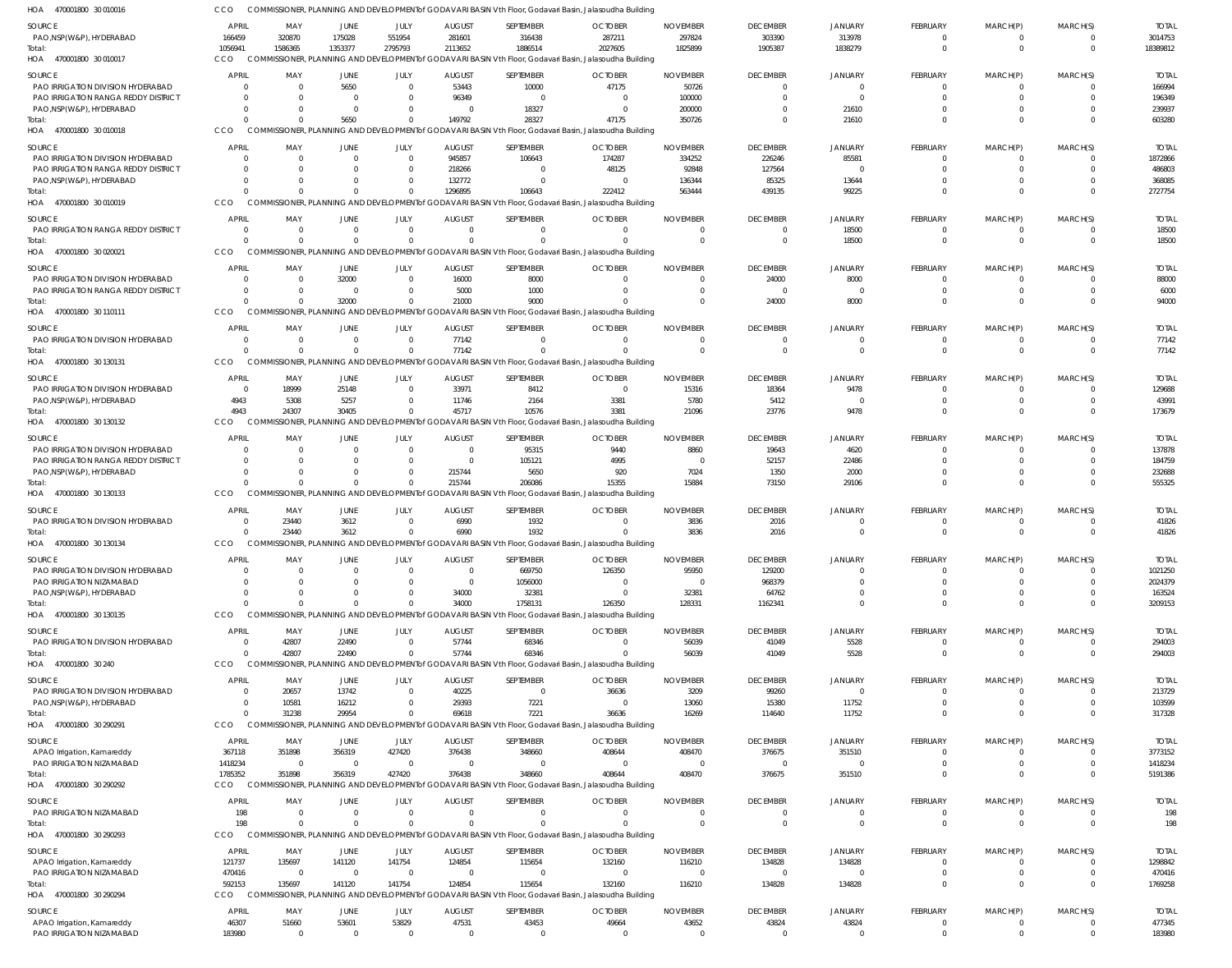COMMISSIONER, PLANNING AND DEVELOPMENTof GODAVARI BASIN Vth Floor, Godavari Basin, Jalasoudha Building CCO

| HOA<br>470001800 30 010016                             |                 |                         | COMMISSIONER, PLANNING AND DEVELOPMENT of GODAVARI BASIN Vth Floor, Godavari Basin, Jalasoudha Building |                   |                      |                                                                                                                     |                   |                   |                         |                   |                                   |                 |                         |                  |
|--------------------------------------------------------|-----------------|-------------------------|---------------------------------------------------------------------------------------------------------|-------------------|----------------------|---------------------------------------------------------------------------------------------------------------------|-------------------|-------------------|-------------------------|-------------------|-----------------------------------|-----------------|-------------------------|------------------|
| <b>SOURCE</b>                                          | <b>APRIL</b>    | MAY                     | JUNE                                                                                                    | JULY              | <b>AUGUST</b>        | SEPTEMBER                                                                                                           | <b>OCTOBER</b>    | <b>NOVEMBER</b>   | <b>DECEMBER</b>         | <b>JANUARY</b>    | FEBRUARY                          | MARCH(P)        | MARCH(S)                | <b>TOTAL</b>     |
| PAO, NSP(W&P), HYDERABAD                               | 166459          | 320870                  | 175028                                                                                                  | 551954            | 281601               | 316438                                                                                                              | 287211            | 297824            | 303390                  | 313978            | $\Omega$                          | - 0             | 0                       | 3014753          |
| Total:                                                 | 1056941         | 1586365                 | 1353377                                                                                                 | 2795793           | 2113652              | 1886514                                                                                                             | 2027605           | 1825899           | 1905387                 | 1838279           | $\Omega$                          | $\Omega$        | $\mathbf{0}$            | 18389812         |
| HOA 470001800 30 010017                                | CCO             |                         |                                                                                                         |                   |                      | COMMISSIONER, PLANNING AND DEVELOPMENT of GODAVARI BASIN Vth Floor, Godavari Basin, Jalasoudha Building             |                   |                   |                         |                   |                                   |                 |                         |                  |
| <b>SOURCE</b>                                          | <b>APRI</b>     | MAY                     | <b>JUNE</b>                                                                                             | JULY              | <b>AUGUST</b>        | SEPTEMBER                                                                                                           | <b>OCTOBER</b>    | <b>NOVEMBER</b>   | <b>DECEMBER</b>         | <b>JANUARY</b>    | FEBRUARY                          | MARCH(P)        | MARCH(S)                | <b>TOTAL</b>     |
| PAO IRRIGATION DIVISION HYDERABAD                      |                 | $\Omega$                | 5650                                                                                                    | $\Omega$          | 53443                | 10000                                                                                                               | 47175             | 50726             | $\Omega$                | $\Omega$          | $\overline{0}$                    |                 | $\Omega$                | 166994           |
| PAO IRRIGATION RANGA REDDY DISTRICT                    | 0               | $\Omega$                | $\overline{0}$                                                                                          | $\Omega$          | 96349                | $\Omega$                                                                                                            |                   | 100000            | $\Omega$                | $\Omega$          | $\Omega$                          |                 | $\Omega$                | 196349           |
| PAO, NSP(W&P), HYDERABAD                               |                 | $\Omega$                | $\overline{0}$                                                                                          | $\Omega$          | $\Omega$             | 18327                                                                                                               |                   | 200000            |                         | 21610             | $\Omega$                          |                 | $\Omega$                | 239937           |
| Total:                                                 |                 | $\Omega$                | 5650                                                                                                    | $\Omega$          | 149792               | 28327                                                                                                               | 47175             | 350726            | $\Omega$                | 21610             | $\Omega$                          |                 | $\Omega$                | 603280           |
| 470001800 30 010018<br>HOA                             | CCO             |                         |                                                                                                         |                   |                      | COMMISSIONER, PLANNING AND DEVELOPMENT of GODAVARI BASIN Vth Floor, Godavari Basin, Jalasoudha Building             |                   |                   |                         |                   |                                   |                 |                         |                  |
|                                                        |                 |                         |                                                                                                         |                   |                      |                                                                                                                     |                   |                   |                         |                   |                                   |                 |                         |                  |
| <b>SOURCE</b>                                          | <b>APRI</b>     | MAY                     | <b>JUNE</b>                                                                                             | JULY              | <b>AUGUST</b>        | SEPTEMBER                                                                                                           | <b>OCTOBER</b>    | <b>NOVEMBER</b>   | <b>DECEMBER</b>         | <b>JANUARY</b>    | FEBRUARY                          | MARCH(P)        | MARCH(S)                | <b>TOTAL</b>     |
| PAO IRRIGATION DIVISION HYDERABAD                      |                 | $\Omega$                | $\overline{0}$                                                                                          | $\Omega$          | 945857               | 106643                                                                                                              | 174287            | 334252            | 226246                  | 85581             | $\Omega$                          |                 | 0                       | 1872866          |
| PAO IRRIGATION RANGA REDDY DISTRICT                    |                 | $\Omega$                | $\Omega$                                                                                                | $\Omega$          | 218266               |                                                                                                                     | 48125             | 92848             | 127564                  | $\cap$            | <sup>0</sup>                      |                 |                         | 486803           |
| PAO, NSP(W&P), HYDERABAD                               |                 | $\Omega$                | $\Omega$                                                                                                | $\Omega$          | 132772               | $\Omega$                                                                                                            |                   | 136344            | 85325                   | 13644             | <sup>0</sup>                      |                 |                         | 368085           |
| Total:                                                 |                 | $\Omega$                | $\Omega$                                                                                                | $\Omega$          | 1296895              | 106643                                                                                                              | 222412            | 563444            | 439135                  | 99225             | $\Omega$                          | $\cap$          | $\Omega$                | 2727754          |
| HOA 470001800 30 010019                                | CCO             |                         |                                                                                                         |                   |                      | COMMISSIONER, PLANNING AND DEVELOPMENT of GODAVARI BASIN Vth Floor, Godavari Basin, Jalasoudha Building             |                   |                   |                         |                   |                                   |                 |                         |                  |
|                                                        |                 |                         |                                                                                                         |                   |                      |                                                                                                                     |                   |                   |                         |                   |                                   |                 |                         |                  |
| <b>SOURCE</b>                                          | <b>APRIL</b>    | MAY                     | <b>JUNE</b>                                                                                             | JULY              | <b>AUGUST</b>        | SEPTEMBER                                                                                                           | <b>OCTOBER</b>    | <b>NOVEMBER</b>   | <b>DECEMBER</b>         | <b>JANUARY</b>    | FEBRUARY                          | MARCH(P)        | MARCH(S)                | <b>TOTAL</b>     |
| PAO IRRIGATION RANGA REDDY DISTRICT                    | 0               | $\overline{0}$          | $\overline{0}$                                                                                          | $\Omega$          | $\mathbf 0$          | $\Omega$                                                                                                            |                   |                   | $\Omega$                | 18500             | $\overline{0}$                    |                 | 0                       | 18500            |
| Total:<br>HOA 470001800 30 020021                      | <b>CCO</b>      | $\Omega$                | $\Omega$                                                                                                | $\Omega$          | $\Omega$             | $\Omega$<br>COMMISSIONER, PLANNING AND DEVELOPMENT of GODAVARI BASIN Vth Floor, Godavari Basin, Jalasoudha Building |                   |                   | $\Omega$                | 18500             | $\Omega$                          | - 0             | $\Omega$                | 18500            |
|                                                        |                 |                         |                                                                                                         |                   |                      |                                                                                                                     |                   |                   |                         |                   |                                   |                 |                         |                  |
| <b>SOURCE</b>                                          | <b>APRIL</b>    | MAY                     | <b>JUNE</b>                                                                                             | JULY              | <b>AUGUST</b>        | SEPTEMBER                                                                                                           | <b>OCTOBER</b>    | <b>NOVEMBER</b>   | <b>DECEMBER</b>         | <b>JANUARY</b>    | FEBRUARY                          | MARCH(P)        | MARCH(S)                | <b>TOTAL</b>     |
| PAO IRRIGATION DIVISION HYDERABAD                      |                 | $\Omega$                | 32000                                                                                                   | $\Omega$          | 16000                | 8000                                                                                                                |                   |                   | 24000                   | 8000              | $\Omega$                          | $\cap$          |                         | 88000            |
| PAO IRRIGATION RANGA REDDY DISTRICT                    | 0               | $\Omega$                | $\Omega$                                                                                                | $\Omega$          | 5000                 | 1000                                                                                                                |                   |                   | $\Omega$                |                   | $\Omega$                          |                 |                         | 6000             |
| Total:                                                 |                 | $\Omega$                | 32000                                                                                                   | $\Omega$          | 21000                | 9000                                                                                                                |                   |                   | 24000                   | 8000              | $\Omega$                          |                 | $\Omega$                | 94000            |
| HOA 470001800 30 110111                                | <b>CCO</b>      |                         |                                                                                                         |                   |                      | COMMISSIONER, PLANNING AND DEVELOPMENT of GODAVARI BASIN Vth Floor, Godavari Basin, Jalasoudha Building             |                   |                   |                         |                   |                                   |                 |                         |                  |
|                                                        | <b>APRIL</b>    |                         |                                                                                                         |                   |                      | SEPTEMBER                                                                                                           | <b>OCTOBER</b>    |                   | <b>DECEMBER</b>         |                   |                                   |                 |                         |                  |
| <b>SOURCE</b>                                          |                 | MAY                     | <b>JUNE</b>                                                                                             | JULY              | <b>AUGUST</b>        |                                                                                                                     |                   | <b>NOVEMBER</b>   |                         | <b>JANUARY</b>    | FEBRUARY                          | MARCH(P)        | MARCH(S)                | <b>TOTAL</b>     |
| PAO IRRIGATION DIVISION HYDERABAD                      | 0               | $\overline{0}$          | $\overline{0}$                                                                                          | $\Omega$          | 77142                | $\Omega$                                                                                                            |                   |                   | $\Omega$                |                   | $\overline{0}$                    |                 | 0                       | 77142            |
| Total:                                                 |                 | $\Omega$                | $\mathbf 0$                                                                                             | $\Omega$          | 77142                | $\Omega$                                                                                                            |                   |                   | $\Omega$                | $\Omega$          | $\Omega$                          | $\Omega$        | $\Omega$                | 77142            |
| HOA 470001800 30 130131                                | <b>CCO</b>      |                         |                                                                                                         |                   |                      | COMMISSIONER, PLANNING AND DEVELOPMENT of GODAVARI BASIN Vth Floor, Godavari Basin, Jalasoudha Building             |                   |                   |                         |                   |                                   |                 |                         |                  |
| <b>SOURCE</b>                                          | <b>APRIL</b>    | MAY                     | JUNE                                                                                                    | JULY              | <b>AUGUST</b>        | SEPTEMBER                                                                                                           | <b>OCTOBER</b>    | <b>NOVEMBER</b>   | <b>DECEMBER</b>         | <b>JANUARY</b>    | FEBRUARY                          | MARCH(P)        | MARCH(S)                | <b>TOTAL</b>     |
| PAO IRRIGATION DIVISION HYDERABAD                      | $\Omega$        | 18999                   | 25148                                                                                                   | $\Omega$          | 33971                | 8412                                                                                                                | $\Omega$          | 15316             | 18364                   | 9478              | $\Omega$                          | - 0             | 0                       | 129688           |
| PAO, NSP(W&P), HYDERABAD                               | 4943            | 5308                    | 5257                                                                                                    | $\Omega$          | 11746                | 2164                                                                                                                | 3381              | 5780              | 5412                    |                   | $\Omega$                          | - 0             | $\Omega$                | 43991            |
| Total:                                                 | 4943            | 24307                   | 30405                                                                                                   | $\Omega$          | 45717                | 10576                                                                                                               | 3381              | 21096             | 23776                   | 9478              | $\Omega$                          |                 | $\Omega$                | 173679           |
| HOA 470001800 30 130132                                | <b>CCO</b>      |                         |                                                                                                         |                   |                      | COMMISSIONER, PLANNING AND DEVELOPMENT of GODAVARI BASIN Vth Floor, Godavari Basin, Jalasoudha Building             |                   |                   |                         |                   |                                   |                 |                         |                  |
|                                                        |                 |                         |                                                                                                         |                   |                      |                                                                                                                     |                   |                   |                         |                   |                                   |                 |                         |                  |
| <b>SOURCE</b>                                          | <b>APRIL</b>    | MAY                     | JUNE                                                                                                    | JULY              | <b>AUGUST</b>        | SEPTEMBER                                                                                                           | <b>OCTOBER</b>    | <b>NOVEMBER</b>   | <b>DECEMBER</b>         | <b>JANUARY</b>    | FEBRUARY                          | MARCH(P)        | MARCH(S)                | <b>TOTAL</b>     |
| PAO IRRIGATION DIVISION HYDERABAD                      |                 | $\Omega$                | $\overline{0}$                                                                                          | $\Omega$          | $\mathbf 0$          | 95315                                                                                                               | 9440              | 8860              | 19643                   | 4620              | $\overline{0}$                    |                 |                         | 137878           |
| PAO IRRIGATION RANGA REDDY DISTRICT                    |                 | $\Omega$                | $\Omega$                                                                                                | $\Omega$          | $\Omega$             | 105121                                                                                                              | 4995              |                   | 52157                   | 22486             | $\Omega$                          |                 | $\Omega$                | 184759           |
| PAO, NSP(W&P), HYDERABAD                               | 0               | $\Omega$                | $\mathbf 0$                                                                                             | $\Omega$          | 215744               | 5650                                                                                                                | 920               | 7024              | 1350                    | 2000              | $\Omega$                          |                 | $\Omega$                | 232688           |
| Total:                                                 |                 | $\Omega$                | $\Omega$                                                                                                | $\Omega$          | 215744               | 206086                                                                                                              | 15355             | 15884             | 73150                   | 29106             | $\Omega$                          |                 | $\Omega$                | 555325           |
| HOA 470001800 30 130133                                | <b>CCO</b>      |                         |                                                                                                         |                   |                      | COMMISSIONER, PLANNING AND DEVELOPMENT of GODAVARI BASIN Vth Floor, Godavari Basin, Jalasoudha Building             |                   |                   |                         |                   |                                   |                 |                         |                  |
|                                                        |                 |                         |                                                                                                         |                   |                      |                                                                                                                     |                   |                   |                         |                   |                                   |                 |                         |                  |
|                                                        |                 | MAY                     | <b>JUNE</b>                                                                                             | JULY              | <b>AUGUST</b>        | SEPTEMBER                                                                                                           | <b>OCTOBER</b>    | <b>NOVEMBER</b>   | <b>DECEMBER</b>         | <b>JANUARY</b>    | FEBRUARY                          | MARCH(P)        | MARCH(S)                | <b>TOTAL</b>     |
| <b>SOURCE</b>                                          | <b>APRIL</b>    |                         |                                                                                                         |                   |                      |                                                                                                                     |                   |                   |                         |                   |                                   |                 |                         |                  |
| PAO IRRIGATION DIVISION HYDERABAD                      |                 | 23440                   | 3612                                                                                                    |                   | 6990                 | 1932                                                                                                                |                   | 3836              | 2016                    |                   | $\Omega$                          |                 | 0                       | 41826            |
| Total:                                                 |                 | 23440                   | 3612                                                                                                    | $\Omega$          | 6990                 | 1932                                                                                                                |                   | 3836              | 2016                    | $\Omega$          | $\Omega$                          | $\Omega$        | $\Omega$                | 41826            |
| HOA 470001800 30 130134                                | <b>CCO</b>      |                         |                                                                                                         |                   |                      | COMMISSIONER, PLANNING AND DEVELOPMENT of GODAVARI BASIN Vth Floor, Godavari Basin, Jalasoudha Building             |                   |                   |                         |                   |                                   |                 |                         |                  |
|                                                        |                 |                         |                                                                                                         |                   |                      |                                                                                                                     |                   |                   |                         |                   |                                   |                 |                         |                  |
| <b>SOURCE</b>                                          | <b>APRIL</b>    | MAY                     | JUNE                                                                                                    | JULY              | <b>AUGUST</b>        | SEPTEMBER                                                                                                           | <b>OCTOBER</b>    | <b>NOVEMBER</b>   | <b>DECEMBER</b>         | <b>JANUARY</b>    | <b>FEBRUAR</b>                    | MARCH(P)        | MARCH(S)                | <b>TOTAL</b>     |
| PAO IRRIGATION DIVISION HYDERABAD                      | 0               | $\Omega$                | $\mathbf 0$                                                                                             | $\Omega$          | $\mathbf 0$          | 669750                                                                                                              | 126350            | 95950             | 129200                  | $\Omega$          | $\Omega$                          |                 | $\Omega$                | 1021250          |
| PAO IRRIGATION NIZAMABAD                               |                 | $\Omega$                | $\mathbf 0$                                                                                             | $\Omega$          | $\mathbf 0$          | 1056000                                                                                                             |                   | - 0               | 968379                  |                   | $\Omega$                          |                 |                         | 2024379          |
| PAO, NSP(W&P), HYDERABAD                               |                 | $\Omega$                | $\Omega$                                                                                                |                   | 34000                | 32381                                                                                                               |                   | 32381             | 64762                   | $\cap$            |                                   |                 |                         | 163524           |
| Total:                                                 |                 | $\cap$                  | $\Omega$                                                                                                | $\Omega$          | 34000                | 1758131                                                                                                             | 126350            | 128331            | 1162341                 | $\Omega$          | $\Omega$                          |                 | $\Omega$                | 3209153          |
| 470001800 30 130135<br>HOA                             | CCO             |                         |                                                                                                         |                   |                      | COMMISSIONER, PLANNING AND DEVELOPMENT of GODAVARI BASIN Vth Floor, Godavari Basin, Jalasoudha Building             |                   |                   |                         |                   |                                   |                 |                         |                  |
| SOURCE                                                 | <b>APRIL</b>    | MAY                     | JUNE                                                                                                    | JULY              | <b>AUGUST</b>        | SEPTEMBER                                                                                                           | <b>OCTOBER</b>    | <b>NOVEMBER</b>   | <b>DECEMBER</b>         | <b>JANUARY</b>    | FEBRUARY                          | MARCH(P)        | MARCH(S)                | <b>TOTAL</b>     |
| PAO IRRIGATION DIVISION HYDERABAD                      | 0               | 42807                   | 22490                                                                                                   | $\Omega$          | 57744                | 68346                                                                                                               |                   | 56039             |                         | 5528              | $\mathbf{0}$                      |                 | $\Omega$                | 294003           |
| Total:                                                 | $\Omega$        | 42807                   | 22490                                                                                                   | $\Omega$          | 57744                | 68346                                                                                                               |                   | 56039             | 41049<br>41049          | 5528              | $\mathbf{0}$                      | $\Omega$        | $\mathbf{0}$            | 294003           |
| HOA 470001800 30 240                                   | CCO             |                         |                                                                                                         |                   |                      | COMMISSIONER, PLANNING AND DEVELOPMENTof GODAVARI BASIN Vth Floor, Godavari Basin, Jalasoudha Building              |                   |                   |                         |                   |                                   |                 |                         |                  |
|                                                        |                 |                         |                                                                                                         |                   |                      |                                                                                                                     |                   |                   |                         |                   |                                   |                 |                         |                  |
| SOURCE                                                 | <b>APRIL</b>    | MAY                     | JUNE                                                                                                    | JULY              | <b>AUGUST</b>        | SEPTEMBER                                                                                                           | <b>OCTOBER</b>    | <b>NOVEMBER</b>   | <b>DECEMBER</b>         | <b>JANUARY</b>    | FEBRUARY                          | MARCH(P)        | MARCH(S)                | <b>TOTAL</b>     |
| PAO IRRIGATION DIVISION HYDERABAD                      | 0               | 20657                   | 13742                                                                                                   | $\Omega$          | 40225                | $\mathbf 0$                                                                                                         | 36636             | 3209              | 99260                   | $\Omega$          | $\overline{0}$                    |                 |                         | 213729           |
| PAO, NSP(W&P), HYDERABAD                               | 0               | 10581                   | 16212                                                                                                   | $\Omega$          | 29393                | 7221                                                                                                                |                   | 13060             | 15380                   | 11752             | $\Omega$                          |                 | $\Omega$                | 103599           |
| Total:                                                 | $\Omega$        | 31238                   | 29954                                                                                                   | $\Omega$          | 69618                | 7221                                                                                                                | 36636             | 16269             | 114640                  | 11752             | $\Omega$                          |                 | $\Omega$                | 317328           |
| 470001800 30 290291<br>HOA                             | CCO             |                         |                                                                                                         |                   |                      | COMMISSIONER, PLANNING AND DEVELOPMENT of GODAVARI BASIN Vth Floor, Godavari Basin, Jalasoudha Building             |                   |                   |                         |                   |                                   |                 |                         |                  |
|                                                        |                 |                         |                                                                                                         |                   |                      |                                                                                                                     |                   |                   |                         |                   |                                   |                 |                         |                  |
| SOURCE                                                 | <b>APRIL</b>    | MAY                     | JUNE                                                                                                    | JULY              | <b>AUGUST</b>        | SEPTEMBER                                                                                                           | <b>OCTOBER</b>    | <b>NOVEMBER</b>   | <b>DECEMBER</b>         | <b>JANUARY</b>    | FEBRUARY<br>$\Omega$              | MARCH(P)        | MARCH(S)<br>$\Omega$    | <b>TOTAL</b>     |
| APAO Irrigation, Kamareddy                             | 367118          | 351898                  | 356319                                                                                                  | 427420            | 376438               | 348660                                                                                                              | 408644            | 408470            | 376675                  | 351510            |                                   |                 |                         | 3773152          |
| PAO IRRIGATION NIZAMABAD                               | 1418234         | $\overline{0}$          | $\overline{0}$                                                                                          | $\Omega$          | $\Omega$             | $\Omega$                                                                                                            |                   | - 0               | $\overline{0}$          | $\Omega$          | $\Omega$<br>$\Omega$              | - 0<br>$\Omega$ | $\Omega$<br>$\Omega$    | 1418234          |
| Total:                                                 | 1785352         | 351898                  | 356319                                                                                                  | 427420            | 376438               | 348660                                                                                                              | 408644            | 408470            | 376675                  | 351510            |                                   |                 |                         | 5191386          |
| HOA 470001800 30 290292                                | <b>CCO</b>      |                         |                                                                                                         |                   |                      | COMMISSIONER, PLANNING AND DEVELOPMENT of GODAVARI BASIN Vth Floor, Godavari Basin, Jalasoudha Building             |                   |                   |                         |                   |                                   |                 |                         |                  |
| SOURCE                                                 | <b>APRIL</b>    | MAY                     | <b>JUNE</b>                                                                                             | JULY              | <b>AUGUST</b>        | SEPTEMBER                                                                                                           | <b>OCTOBER</b>    | <b>NOVEMBER</b>   | <b>DECEMBER</b>         | <b>JANUARY</b>    | FEBRUARY                          | MARCH(P)        | MARCH(S)                | <b>TOTAL</b>     |
| PAO IRRIGATION NIZAMABAD                               | 198             | $\overline{0}$          | $\overline{0}$                                                                                          | $\Omega$          | $\mathbf 0$          | $\Omega$                                                                                                            |                   |                   | $\overline{0}$          | $\Omega$          | $\mathbf{0}$                      | - 0             | $\Omega$                | 198              |
| Total:                                                 | 198             | $\Omega$                | $\mathbf 0$                                                                                             | $\Omega$          | $\Omega$             | $\Omega$                                                                                                            |                   |                   | $\Omega$                | $\Omega$          | $\mathbf{0}$                      | $\Omega$        | $\Omega$                | 198              |
| HOA 470001800 30 290293                                | CCO             |                         |                                                                                                         |                   |                      | COMMISSIONER, PLANNING AND DEVELOPMENT of GODAVARI BASIN Vth Floor, Godavari Basin, Jalasoudha Building             |                   |                   |                         |                   |                                   |                 |                         |                  |
|                                                        |                 |                         |                                                                                                         |                   |                      |                                                                                                                     |                   |                   |                         |                   |                                   |                 |                         |                  |
| SOURCE                                                 | <b>APRIL</b>    | MAY                     | JUNE                                                                                                    | JULY              | <b>AUGUST</b>        | SEPTEMBER                                                                                                           | <b>OCTOBER</b>    | <b>NOVEMBER</b>   | <b>DECEMBER</b>         | <b>JANUARY</b>    | FEBRUARY                          | MARCH(P)        | MARCH(S)                | <b>TOTAL</b>     |
| APAO Irrigation, Kamareddy                             | 121737          | 135697                  | 141120                                                                                                  | 141754            | 124854               | 115654                                                                                                              | 132160            | 116210            | 134828                  | 134828            | $\Omega$                          | - 0             | $\Omega$                | 1298842          |
| PAO IRRIGATION NIZAMABAD                               | 470416          | $\overline{\mathbf{0}}$ | $\mathbf 0$                                                                                             | $\Omega$          | $\Omega$             | - 0                                                                                                                 |                   | - 0               | $\overline{0}$          | $\Omega$          | $\Omega$                          | - 0             | $\Omega$                | 470416           |
| Total:                                                 | 592153          | 135697                  | 141120                                                                                                  | 141754            | 124854               | 115654                                                                                                              | 132160            | 116210            | 134828                  | 134828            | $\Omega$                          | $\Omega$        | $\Omega$                | 1769258          |
| HOA 470001800 30 290294                                | CCO             |                         |                                                                                                         |                   |                      | COMMISSIONER, PLANNING AND DEVELOPMENT of GODAVARI BASIN Vth Floor, Godavari Basin, Jalasoudha Building             |                   |                   |                         |                   |                                   |                 |                         |                  |
|                                                        |                 |                         |                                                                                                         |                   |                      |                                                                                                                     |                   |                   |                         |                   |                                   |                 |                         |                  |
| SOURCE                                                 | <b>APRIL</b>    | MAY                     | JUNE                                                                                                    | JULY              | <b>AUGUST</b>        | SEPTEMBER                                                                                                           | <b>OCTOBER</b>    | <b>NOVEMBER</b>   | <b>DECEMBER</b>         | <b>JANUARY</b>    | <b>FEBRUARY</b><br>$\overline{0}$ | MARCH(P)<br>- 0 | MARCH(S)<br>$\mathbf 0$ | <b>TOTAL</b>     |
| APAO Irrigation, Kamareddy<br>PAO IRRIGATION NIZAMABAD | 46307<br>183980 | 51660<br>$\overline{0}$ | 53601<br>$\mathbf{0}$                                                                                   | 53829<br>$\Omega$ | 47531<br>$\mathbf 0$ | 43453<br>$\mathbf 0$                                                                                                | 49664<br>$\Omega$ | 43652<br>$\Omega$ | 43824<br>$\overline{0}$ | 43824<br>$\Omega$ | $\mathbf 0$                       | $\Omega$        | $\mathbf 0$             | 477345<br>183980 |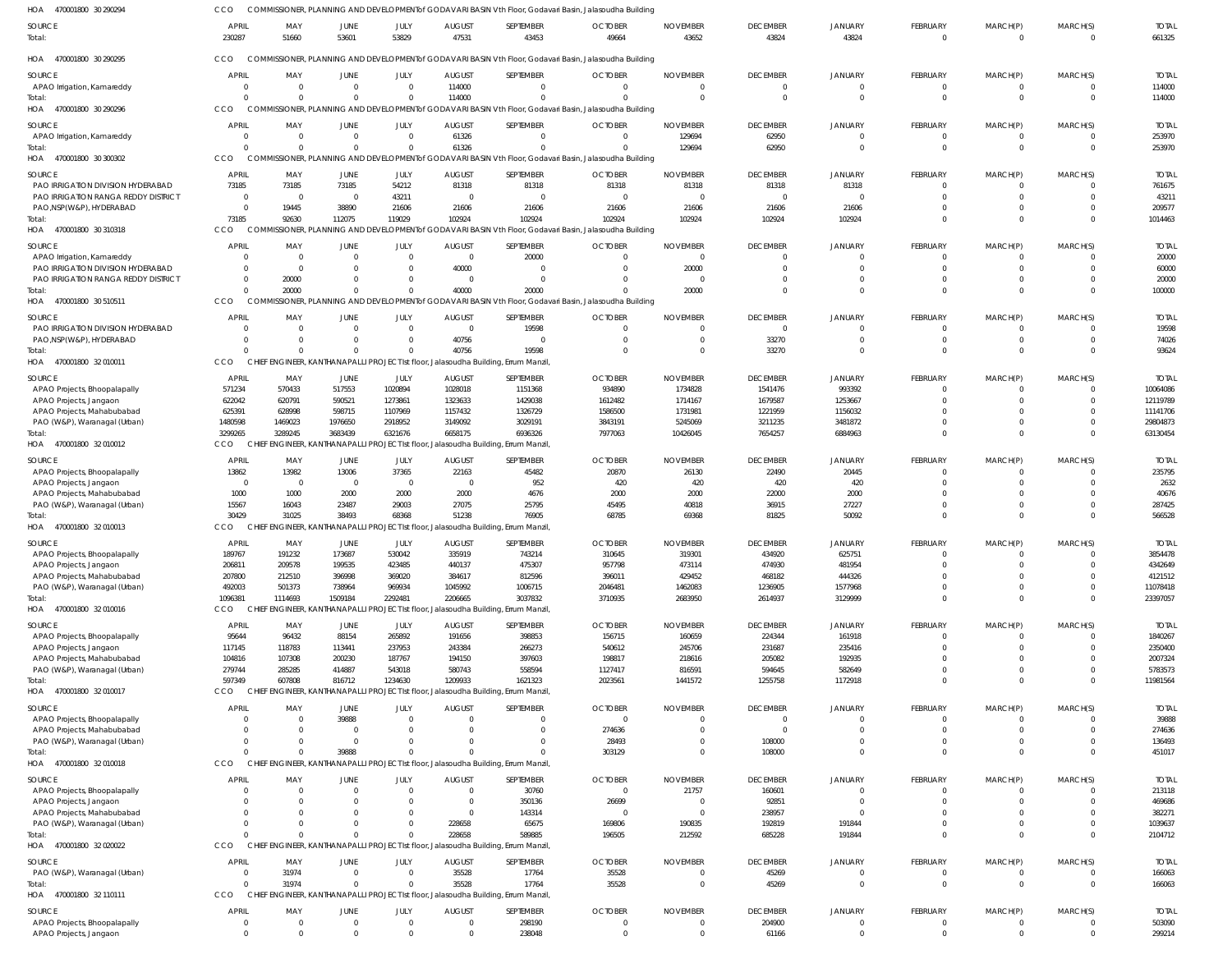| HOA 470001800 30 290294                                | CCO                              |                                   |                               |                       |                                  |                                                                                                | COMMISSIONER, PLANNING AND DEVELOPMENTof GODAVARI BASIN Vth Floor, Godavari Basin, Jalasoudha Building             |                                            |                             |                          |                                  |                            |                            |                         |
|--------------------------------------------------------|----------------------------------|-----------------------------------|-------------------------------|-----------------------|----------------------------------|------------------------------------------------------------------------------------------------|--------------------------------------------------------------------------------------------------------------------|--------------------------------------------|-----------------------------|--------------------------|----------------------------------|----------------------------|----------------------------|-------------------------|
| <b>SOURCE</b>                                          | <b>APRIL</b>                     | MAY                               | <b>JUNE</b>                   | JULY                  | <b>AUGUST</b>                    | SEPTEMBER                                                                                      | <b>OCTOBER</b>                                                                                                     | <b>NOVEMBER</b>                            | <b>DECEMBER</b>             | <b>JANUARY</b>           | <b>FEBRUARY</b>                  | MARCH(P)                   | MARCH(S)                   | <b>TOTAL</b>            |
| Total:                                                 | 230287                           | 51660                             | 53601                         | 53829                 | 47531                            | 43453                                                                                          | 49664                                                                                                              | 43652                                      | 43824                       | 43824                    | $\overline{0}$                   | $\overline{0}$             | $\mathbf{0}$               | 661325                  |
| HOA<br>470001800 30 290295                             | CCO                              |                                   |                               |                       |                                  |                                                                                                | COMMISSIONER, PLANNING AND DEVELOPMENT of GODAVARI BASIN Vth Floor, Godavari Basin, Jalasoudha Building            |                                            |                             |                          |                                  |                            |                            |                         |
|                                                        |                                  |                                   |                               |                       |                                  |                                                                                                |                                                                                                                    |                                            |                             |                          |                                  |                            |                            |                         |
| SOURCE<br>APAO Irrigation, Kamareddy                   | <b>APRIL</b><br>$\overline{0}$   | MAY<br>$\overline{0}$             | JUNE<br>$\overline{0}$        | JULY<br>$\Omega$      | <b>AUGUST</b><br>114000          | SEPTEMBER<br>$\overline{0}$                                                                    | <b>OCTOBER</b><br>$\overline{0}$                                                                                   | <b>NOVEMBER</b><br>$\overline{0}$          | <b>DECEMBER</b><br>$\Omega$ | <b>JANUARY</b>           | FEBRUARY<br>$\overline{0}$       | MARCH(P)<br>0              | MARCH(S)<br>$\overline{0}$ | <b>TOTAL</b><br>114000  |
| Total:                                                 | $\Omega$                         | $\Omega$                          | $\Omega$                      | - 0                   | 114000                           | $\Omega$                                                                                       | $\Omega$                                                                                                           | $\Omega$                                   | $\Omega$                    | $\Omega$                 | $\Omega$                         | $\overline{0}$             | $\Omega$                   | 114000                  |
| HOA 470001800 30 290296                                | CCO                              |                                   |                               |                       |                                  |                                                                                                | COMMISSIONER, PLANNING AND DEVELOPMENT of GODAVARI BASIN Vth Floor, Godavari Basin, Jalasoudha Building            |                                            |                             |                          |                                  |                            |                            |                         |
| SOURCE                                                 | <b>APRIL</b>                     | MAY                               | <b>JUNE</b>                   | JULY                  | <b>AUGUST</b>                    | SEPTEMBER                                                                                      | <b>OCTOBER</b>                                                                                                     | <b>NOVEMBER</b>                            | <b>DECEMBER</b>             | <b>JANUARY</b>           | <b>FEBRUARY</b>                  | MARCH(P)                   | MARCH(S)                   | <b>TOTAL</b>            |
| APAO Irrigation, Kamareddy                             | $\Omega$                         | $\overline{0}$                    | $\overline{0}$                | $\Omega$              | 61326                            | $\Omega$                                                                                       | $\Omega$                                                                                                           | 129694                                     | 62950                       | $\Omega$                 | 0                                | 0                          | $\mathbf{0}$               | 253970                  |
| Total:<br>HOA 470001800 30 300302                      | $\Omega$<br>CCO                  | - 0                               | $\Omega$                      | $\Omega$              | 61326                            | $\Omega$                                                                                       | $\Omega$<br>COMMISSIONER, PLANNING AND DEVELOPMENTof GODAVARI BASIN Vth Floor, Godavari Basin, Jalasoudha Building | 129694                                     | 62950                       | $\Omega$                 | $\overline{0}$                   | $\overline{0}$             | $\mathbf 0$                | 253970                  |
|                                                        |                                  |                                   |                               |                       |                                  |                                                                                                |                                                                                                                    |                                            |                             |                          |                                  |                            |                            |                         |
| SOURCE<br>PAO IRRIGATION DIVISION HYDERABAD            | <b>APRIL</b><br>73185            | MAY<br>73185                      | <b>JUNE</b><br>73185          | JULY<br>54212         | <b>AUGUST</b><br>81318           | SEPTEMBER<br>81318                                                                             | <b>OCTOBER</b><br>81318                                                                                            | <b>NOVEMBER</b><br>81318                   | <b>DECEMBER</b><br>81318    | <b>JANUARY</b><br>81318  | <b>FEBRUARY</b><br>$\Omega$      | MARCH(P)<br>0              | MARCH(S)<br>$\Omega$       | <b>TOTAL</b><br>761675  |
| PAO IRRIGATION RANGA REDDY DISTRICT                    | $\overline{0}$                   | $\overline{0}$                    | $\overline{0}$                | 43211                 | $\overline{0}$                   | $\Omega$                                                                                       | $\overline{0}$                                                                                                     | - 0                                        | $\Omega$                    |                          |                                  | $\Omega$                   | $\Omega$                   | 43211                   |
| PAO, NSP(W&P), HYDERABAD                               | $\Omega$                         | 19445                             | 38890                         | 21606                 | 21606                            | 21606                                                                                          | 21606                                                                                                              | 21606                                      | 21606                       | 21606                    |                                  | $\Omega$                   | $\Omega$                   | 209577                  |
| Total:<br>HOA 470001800 30 310318                      | 73185<br><b>CCO</b>              | 92630                             | 112075                        | 119029                | 102924                           | 102924                                                                                         | 102924<br>COMMISSIONER, PLANNING AND DEVELOPMENTof GODAVARI BASIN Vth Floor, Godavari Basin, Jalasoudha Building   | 102924                                     | 102924                      | 102924                   | $\Omega$                         | $\Omega$                   | $\Omega$                   | 1014463                 |
|                                                        |                                  |                                   |                               |                       |                                  |                                                                                                |                                                                                                                    |                                            |                             |                          |                                  |                            |                            |                         |
| SOURCE<br>APAO Irrigation, Kamareddy                   | <b>APRIL</b><br>$\Omega$         | MAY<br>$\overline{0}$             | <b>JUNE</b><br>$\mathbf{0}$   | JULY<br>$\Omega$      | <b>AUGUST</b><br>$\overline{0}$  | SEPTEMBER<br>20000                                                                             | <b>OCTOBER</b><br>$\overline{0}$                                                                                   | <b>NOVEMBER</b><br>$\overline{\mathbf{0}}$ | <b>DECEMBER</b><br>$\Omega$ | <b>JANUARY</b>           | <b>FEBRUARY</b><br>$\Omega$      | MARCH(P)<br>- 0            | MARCH(S)<br>$\Omega$       | <b>TOTAL</b><br>20000   |
| PAO IRRIGATION DIVISION HYDERABAD                      | $\Omega$                         | $\overline{0}$                    | $\Omega$                      | - 0                   | 40000                            | $\Omega$                                                                                       | $\Omega$                                                                                                           | 20000                                      | $\Omega$                    | $\Omega$                 | $\Omega$                         | $\Omega$                   | $\Omega$                   | 60000                   |
| PAO IRRIGATION RANGA REDDY DISTRICT                    | $\Omega$                         | 20000                             | $\Omega$                      | $\Omega$              | $\overline{0}$                   | $\Omega$                                                                                       | $\Omega$                                                                                                           | - 0                                        | $\Omega$                    | $\Omega$                 | $\Omega$                         | $\Omega$                   | $\Omega$                   | 20000                   |
| Total:                                                 | $\Omega$                         | 20000                             | $\Omega$                      | $\Omega$              | 40000                            | 20000                                                                                          |                                                                                                                    | 20000                                      | $\Omega$                    | $\Omega$                 | $\Omega$                         | $\Omega$                   | $\Omega$                   | 100000                  |
| HOA 470001800 30 510511                                | CCO                              |                                   |                               |                       |                                  |                                                                                                | COMMISSIONER, PLANNING AND DEVELOPMENTof GODAVARI BASIN Vth Floor, Godavari Basin, Jalasoudha Building             |                                            |                             |                          |                                  |                            |                            |                         |
| SOURCE<br>PAO IRRIGATION DIVISION HYDERABAD            | <b>APRIL</b><br>$\Omega$         | MAY<br>$\overline{0}$             | <b>JUNE</b><br>$\Omega$       | JULY<br>- 0           | <b>AUGUST</b><br>$\overline{0}$  | SEPTEMBER<br>19598                                                                             | <b>OCTOBER</b><br>$\overline{0}$                                                                                   | <b>NOVEMBER</b><br>$\overline{0}$          | <b>DECEMBER</b><br>$\Omega$ | <b>JANUARY</b>           | <b>FEBRUARY</b>                  | MARCH(P)                   | MARCH(S)<br>$\Omega$       | <b>TOTAL</b><br>19598   |
| PAO, NSP(W&P), HYDERABAD                               | $\Omega$                         | $\Omega$                          | $\Omega$                      | - 0                   | 40756                            | $\Omega$                                                                                       | $\Omega$                                                                                                           | $\overline{0}$                             | 33270                       |                          | $\overline{0}$<br>$\Omega$       | 0<br>$\Omega$              | $\Omega$                   | 74026                   |
| Total:                                                 | $\Omega$                         | $\Omega$                          | $\Omega$                      |                       | 40756                            | 19598                                                                                          | $\Omega$                                                                                                           | $\overline{0}$                             | 33270                       | $\Omega$                 | $\Omega$                         | $\Omega$                   | $\Omega$                   | 93624                   |
| HOA 470001800 32010011                                 | <b>CCO</b>                       |                                   |                               |                       |                                  | CHIEF ENGINEER, KANTHANAPALLI PROJECT Ist floor, Jalasoudha Building, Errum Manzil,            |                                                                                                                    |                                            |                             |                          |                                  |                            |                            |                         |
| <b>SOURCE</b>                                          | <b>APRIL</b>                     | MAY                               | JUNE                          | JULY                  | <b>AUGUST</b>                    | SEPTEMBER                                                                                      | <b>OCTOBER</b>                                                                                                     | <b>NOVEMBER</b>                            | <b>DECEMBER</b>             | <b>JANUARY</b>           | FEBRUARY                         | MARCH(P)                   | MARCH(S)                   | <b>TOTAL</b>            |
| APAO Projects, Bhoopalapally                           | 571234                           | 570433                            | 517553                        | 1020894               | 1028018                          | 1151368                                                                                        | 934890                                                                                                             | 1734828                                    | 1541476                     | 993392                   | $\Omega$                         | $\Omega$                   | $\Omega$                   | 10064086                |
| APAO Projects, Jangaon<br>APAO Projects, Mahabubabad   | 622042<br>625391                 | 620791<br>628998                  | 590521<br>598715              | 1273861<br>1107969    | 1323633<br>1157432               | 1429038<br>1326729                                                                             | 1612482<br>1586500                                                                                                 | 1714167<br>1731981                         | 1679587<br>1221959          | 1253667<br>1156032       | $\Omega$                         | $\Omega$                   | $\Omega$<br>$\Omega$       | 12119789<br>11141706    |
| PAO (W&P), Waranagal (Urban)                           | 1480598                          | 1469023                           | 1976650                       | 2918952               | 3149092                          | 3029191                                                                                        | 3843191                                                                                                            | 5245069                                    | 3211235                     | 3481872                  |                                  | $\Omega$                   | $\Omega$                   | 29804873                |
| Total:                                                 | 3299265                          | 3289245                           | 3683439                       | 6321676               | 6658175                          | 6936326                                                                                        | 7977063                                                                                                            | 10426045                                   | 7654257                     | 6884963                  | $\Omega$                         | $\Omega$                   | $\Omega$                   | 63130454                |
| HOA 470001800 32 010012                                | CCO                              |                                   |                               |                       |                                  | CHIEF ENGINEER, KANTHANAPALLI PROJECT Ist floor, Jalasoudha Building, Errum Manzil,            |                                                                                                                    |                                            |                             |                          |                                  |                            |                            |                         |
| SOURCE                                                 | <b>APRIL</b>                     | MAY                               | <b>JUNE</b>                   | JULY                  | <b>AUGUST</b>                    | SEPTEMBER                                                                                      | <b>OCTOBER</b>                                                                                                     | <b>NOVEMBER</b>                            | <b>DECEMBER</b>             | <b>JANUARY</b>           | <b>FEBRUARY</b>                  | MARCH(P)                   | MARCH(S)                   | <b>TOTAL</b>            |
| APAO Projects, Bhoopalapally<br>APAO Projects, Jangaon | 13862<br>$\overline{0}$          | 13982<br>$\overline{\phantom{0}}$ | 13006<br>$\overline{0}$       | 37365<br>- 0          | 22163<br>$\overline{0}$          | 45482<br>952                                                                                   | 20870<br>420                                                                                                       | 26130<br>420                               | 22490<br>420                | 20445<br>420             | $\Omega$                         | 0                          | $\Omega$<br>$\Omega$       | 235795<br>2632          |
| APAO Projects, Mahabubabad                             | 1000                             | 1000                              | 2000                          | 2000                  | 2000                             | 4676                                                                                           | 2000                                                                                                               | 2000                                       | 22000                       | 2000                     |                                  |                            | $\Omega$                   | 40676                   |
| PAO (W&P), Waranagal (Urban)                           | 15567                            | 16043                             | 23487                         | 29003                 | 27075                            | 25795                                                                                          | 45495                                                                                                              | 40818                                      | 36915                       | 27227                    |                                  | $\Omega$                   | $\Omega$                   | 287425                  |
| Total:                                                 | 30429                            | 31025                             | 38493                         | 68368                 | 51238                            | 76905                                                                                          | 68785                                                                                                              | 69368                                      | 81825                       | 50092                    | $\Omega$                         | $\Omega$                   | $\Omega$                   | 566528                  |
| HOA 470001800 32010013                                 | CCO                              | GINEER,                           |                               |                       |                                  | KANTHANAPALLI PROJECT Ist floor, Jalasoudha Building, Errum Manzil,                            |                                                                                                                    |                                            |                             |                          |                                  |                            |                            |                         |
| <b>SOURCE</b><br>APAO Projects, Bhoopalapally          | <b>APRIL</b><br>189767           | MAY<br>191232                     | <b>JUNE</b><br>173687         | JULY<br>530042        | <b>AUGUST</b><br>335919          | SEPTEMBER<br>743214                                                                            | <b>OCTOBER</b><br>310645                                                                                           | <b>NOVEMBER</b><br>319301                  | <b>DECEMBER</b><br>434920   | <b>JANUARY</b><br>625751 | FEBRUARY<br>$\Omega$             | MARCH(P)<br>$\Omega$       | MARCH(S)<br>$\Omega$       | <b>TOTAL</b><br>3854478 |
| APAO Projects, Jangaon                                 | 206811                           | 209578                            | 199535                        | 423485                | 440137                           | 475307                                                                                         | 957798                                                                                                             | 473114                                     | 474930                      | 481954                   |                                  | $\Omega$                   | $\Omega$                   | 4342649                 |
| APAO Projects, Mahabubabad                             | 207800                           | 212510                            | 396998                        | 369020                | 384617                           | 812596                                                                                         | 396011                                                                                                             | 429452                                     | 468182                      | 444326                   | $\Omega$                         | $\Omega$                   | $\Omega$                   | 4121512                 |
| PAO (W&P), Waranagal (Urban)                           | 492003                           | 501373                            | 738964                        | 969934                | 1045992                          | 1006715                                                                                        | 2046481                                                                                                            | 1462083                                    | 1236905                     | 1577968                  |                                  | $\mathbf 0$                | $\Omega$                   | 11078418                |
| Total:<br>HOA 470001800 32010016                       | 1096381<br>CCO                   | 1114693                           | 1509184                       | 2292481               | 2206665                          | 3037832<br>CHIEF ENGINEER, KANTHANAPALLI PROJECT Ist floor, Jalasoudha Building, Errum Manzil, | 3710935                                                                                                            | 2683950                                    | 2614937                     | 3129999                  | $\Omega$                         | $\Omega$                   | $\Omega$                   | 23397057                |
|                                                        |                                  |                                   |                               |                       |                                  |                                                                                                |                                                                                                                    |                                            |                             |                          |                                  |                            |                            |                         |
| SOURCE<br>APAO Projects, Bhoopalapally                 | APRIL<br>95644                   | MAY<br>96432                      | JUNE<br>88154                 | <b>JULY</b><br>265892 | <b>AUGUST</b><br>191656          | SEPTEMBER<br>398853                                                                            | <b>OCTOBER</b><br>156715                                                                                           | <b>NOVEMBER</b><br>160659                  | <b>DECEMBER</b><br>224344   | JANUARY<br>161918        | FEBRUARY<br>$\overline{0}$       | MARCH(P)<br>$\mathbf 0$    | MARCH(S)<br>$\overline{0}$ | <b>TOTAL</b><br>1840267 |
| APAO Projects, Jangaon                                 | 117145                           | 118783                            | 113441                        | 237953                | 243384                           | 266273                                                                                         | 540612                                                                                                             | 245706                                     | 231687                      | 235416                   | $\Omega$                         | $\mathbf 0$                | $\Omega$                   | 2350400                 |
| APAO Projects, Mahabubabad                             | 104816                           | 107308                            | 200230                        | 187767                | 194150                           | 397603                                                                                         | 198817                                                                                                             | 218616                                     | 205082                      | 192935                   |                                  |                            | $\Omega$                   | 2007324                 |
| PAO (W&P), Waranagal (Urban)<br>Total:                 | 279744<br>597349                 | 285285<br>607808                  | 414887<br>816712              | 543018<br>1234630     | 580743<br>1209933                | 558594<br>1621323                                                                              | 1127417<br>2023561                                                                                                 | 816591<br>1441572                          | 594645<br>1255758           | 582649<br>1172918        | $\Omega$                         | $\Omega$<br>$\Omega$       | $\Omega$<br>$\Omega$       | 5783573<br>11981564     |
| HOA 470001800 32 010017                                | CCO                              |                                   |                               |                       |                                  | CHIEF ENGINEER, KANTHANAPALLI PROJECT Ist floor, Jalasoudha Building, Errum Manzil,            |                                                                                                                    |                                            |                             |                          |                                  |                            |                            |                         |
| <b>SOURCE</b>                                          | <b>APRIL</b>                     | MAY                               | JUNE                          | JULY                  | <b>AUGUST</b>                    | SEPTEMBER                                                                                      | <b>OCTOBER</b>                                                                                                     | <b>NOVEMBER</b>                            | <b>DECEMBER</b>             | <b>JANUARY</b>           | FEBRUARY                         | MARCH(P)                   | MARCH(S)                   | <b>TOTAL</b>            |
| APAO Projects, Bhoopalapally                           | $\Omega$                         | $\overline{0}$                    | 39888                         | $\Omega$              | $\overline{0}$                   | $\overline{0}$                                                                                 | $\overline{0}$                                                                                                     | $\overline{0}$                             | $\Omega$                    |                          | $\overline{0}$                   | 0                          | $\Omega$                   | 39888                   |
| APAO Projects, Mahabubabad                             | $\Omega$                         | $\overline{0}$                    | $\mathbf 0$                   | - 0                   | $\Omega$                         | $\Omega$                                                                                       | 274636                                                                                                             | $\overline{0}$                             | $\Omega$                    | $\Omega$                 | $\Omega$                         | $\mathbf 0$                | $\mathbf 0$                | 274636                  |
| PAO (W&P), Waranagal (Urban)<br>Total:                 | $\Omega$<br>$\Omega$             | $\Omega$<br>$\Omega$              | $\mathbf{0}$<br>39888         | - 0<br>$\Omega$       | $\Omega$<br>$\Omega$             | $\Omega$<br>$\Omega$                                                                           | 28493                                                                                                              | $\circ$<br>$\Omega$                        | 108000<br>108000            | $\Omega$<br>$\Omega$     | $\Omega$<br>$\Omega$             | $\mathbf 0$<br>$\Omega$    | $\Omega$<br>$\Omega$       | 136493<br>451017        |
| HOA 470001800 32010018                                 | <b>CCO</b>                       |                                   |                               |                       |                                  | CHIEF ENGINEER, KANTHANAPALLI PROJECT Ist floor, Jalasoudha Building, Errum Manzil,            | 303129                                                                                                             |                                            |                             |                          |                                  |                            |                            |                         |
| SOURCE                                                 | <b>APRIL</b>                     | MAY                               | JUNE                          | JULY                  | <b>AUGUST</b>                    | SEPTEMBER                                                                                      | <b>OCTOBER</b>                                                                                                     | <b>NOVEMBER</b>                            | <b>DECEMBER</b>             | <b>JANUARY</b>           | FEBRUARY                         | MARCH(P)                   | MARCH(S)                   | <b>TOTAL</b>            |
| APAO Projects, Bhoopalapally                           | $\Omega$                         | $\overline{0}$                    | $\mathbf{0}$                  | - 0                   | $\overline{0}$                   | 30760                                                                                          | $\overline{0}$                                                                                                     | 21757                                      | 160601                      |                          | $\overline{0}$                   | 0                          | $\Omega$                   | 213118                  |
| APAO Projects, Jangaon                                 | $\Omega$                         | $\Omega$                          | $\Omega$                      | - 0                   | $\overline{0}$                   | 350136                                                                                         | 26699                                                                                                              | $\overline{0}$                             | 92851                       |                          |                                  | $\Omega$                   | $\Omega$                   | 469686                  |
| APAO Projects, Mahabubabad                             |                                  | $\Omega$                          |                               |                       | $\overline{0}$                   | 143314                                                                                         | $\circ$                                                                                                            | $\overline{\phantom{0}}$                   | 238957                      |                          |                                  | $\Omega$                   | $\Omega$                   | 382271                  |
| PAO (W&P), Waranagal (Urban)<br>Total:                 | $\Omega$<br>$\Omega$             | $\Omega$<br>$\Omega$              | $\Omega$<br>$\Omega$          |                       | 228658<br>228658                 | 65675<br>589885                                                                                | 169806<br>196505                                                                                                   | 190835<br>212592                           | 192819<br>685228            | 191844<br>191844         | $\Omega$                         | $\mathbf 0$<br>$\Omega$    | $\Omega$<br>$\Omega$       | 1039637<br>2104712      |
| HOA 470001800 32 020022                                | CCO                              |                                   |                               |                       |                                  | CHIEF ENGINEER, KANTHANAPALLI PROJECT Ist floor, Jalasoudha Building, Errum Manzil,            |                                                                                                                    |                                            |                             |                          |                                  |                            |                            |                         |
| SOURCE                                                 | <b>APRIL</b>                     | MAY                               | JUNE                          | JULY                  | <b>AUGUST</b>                    | SEPTEMBER                                                                                      | <b>OCTOBER</b>                                                                                                     | <b>NOVEMBER</b>                            | <b>DECEMBER</b>             | <b>JANUARY</b>           | FEBRUARY                         | MARCH(P)                   | MARCH(S)                   | <b>TOTAL</b>            |
| PAO (W&P), Waranagal (Urban)                           | $\overline{0}$                   | 31974                             | $\overline{0}$                | $\Omega$              | 35528                            | 17764                                                                                          | 35528                                                                                                              | $\overline{0}$                             | 45269                       |                          | $\overline{0}$                   | $\mathbf 0$                | $\overline{0}$             | 166063                  |
| Total:                                                 | $\Omega$                         | 31974                             | $\mathbf{0}$                  | $\Omega$              | 35528                            | 17764                                                                                          | 35528                                                                                                              | $\overline{0}$                             | 45269                       | $\Omega$                 | $\overline{0}$                   | $\overline{0}$             | $\mathbf 0$                | 166063                  |
| HOA 470001800 32 110111                                | CCO                              |                                   |                               |                       |                                  | CHIEF ENGINEER, KANTHANAPALLI PROJECT Ist floor, Jalasoudha Building, Errum Manzil,            |                                                                                                                    |                                            |                             |                          |                                  |                            |                            |                         |
| SOURCE                                                 | <b>APRIL</b>                     | MAY                               | JUNE                          | JULY                  | <b>AUGUST</b>                    | SEPTEMBER                                                                                      | <b>OCTOBER</b>                                                                                                     | <b>NOVEMBER</b>                            | <b>DECEMBER</b>             | JANUARY                  | FEBRUARY                         | MARCH(P)                   | MARCH(S)                   | <b>TOTAL</b>            |
| APAO Projects, Bhoopalapally<br>APAO Projects, Jangaon | $\overline{0}$<br>$\overline{0}$ | $\overline{0}$<br>$\overline{0}$  | $\overline{0}$<br>$\mathbf 0$ | $\Omega$<br>$\Omega$  | $\overline{0}$<br>$\overline{0}$ | 298190<br>238048                                                                               | $\overline{0}$<br>$\overline{0}$                                                                                   | $\overline{0}$<br>$\circ$                  | 204900<br>61166             | $\Omega$<br>$\Omega$     | $\overline{0}$<br>$\overline{0}$ | $\mathbf 0$<br>$\mathbf 0$ | $\mathbf 0$<br>$\mathbf 0$ | 503090<br>299214        |
|                                                        |                                  |                                   |                               |                       |                                  |                                                                                                |                                                                                                                    |                                            |                             |                          |                                  |                            |                            |                         |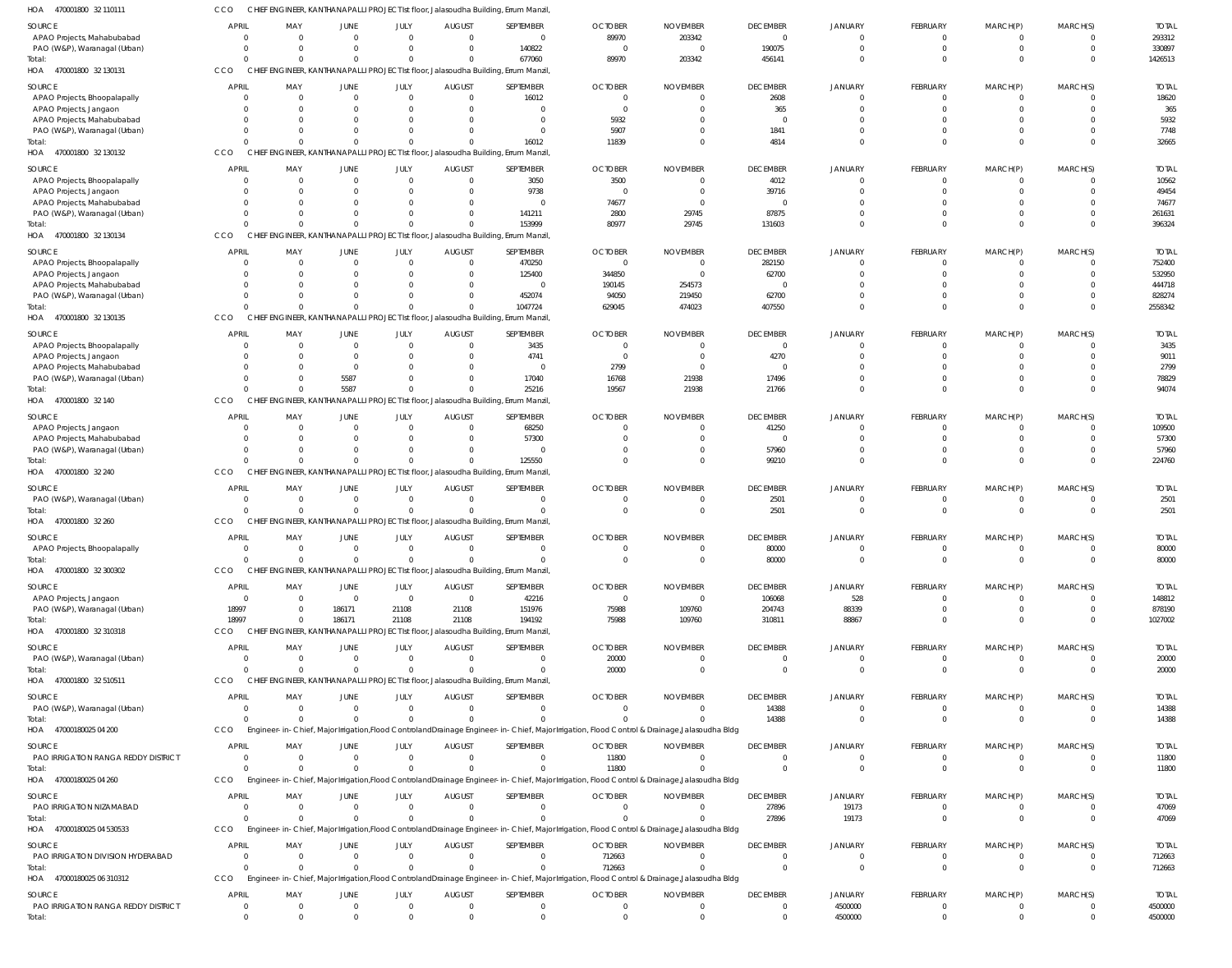| 470001800 32 110111<br><b>HOA</b>      | ссо          |     |      |      |               | CHIEF ENGINEER, KANTHANAPALLI PROJECT Ist floor, Jalasoudha Building, Errum Manzil, |                |                 |                 |  |
|----------------------------------------|--------------|-----|------|------|---------------|-------------------------------------------------------------------------------------|----------------|-----------------|-----------------|--|
| <b>SOURCE</b>                          | <b>APRIL</b> | MAY | JUNE | JULY | <b>AUGUST</b> | <b>SEPTEMBER</b>                                                                    | <b>OCTOBER</b> | <b>NOVEMBER</b> | <b>DECEMBER</b> |  |
| APAO Projects, Mahabubabad             |              |     |      |      |               |                                                                                     | 89970          | 203342          |                 |  |
| <b>PAO (W&amp;P)</b> Waranagal (Hrhan) |              |     |      |      |               | 140823                                                                              |                |                 | 100075          |  |

| SOURCE<br>APAO Projects, Mahabubabad                       | <b>APRIL</b><br>$\overline{0}$ | MAY<br>$\mathbf{0}$          | <b>JUNE</b><br>$\overline{0}$    | JULY        | <b>AUGUST</b><br>$\Omega$<br>$\overline{0}$         | SEPTEMBER<br>$\overline{0}$                                                                    | <b>OCTOBER</b><br>89970                                                                                                                                  | <b>NOVEMBER</b><br>203342      | <b>DECEMBER</b><br>$\mathbf 0$ | JANUARY<br>$\overline{0}$        | FEBRUARY<br>$\Omega$              | MARCH(P)<br>$\Omega$       | MARCH(S)<br>$\overline{0}$       | <b>TOTAL</b><br>293312 |
|------------------------------------------------------------|--------------------------------|------------------------------|----------------------------------|-------------|-----------------------------------------------------|------------------------------------------------------------------------------------------------|----------------------------------------------------------------------------------------------------------------------------------------------------------|--------------------------------|--------------------------------|----------------------------------|-----------------------------------|----------------------------|----------------------------------|------------------------|
| PAO (W&P), Waranagal (Urban)<br>Total:                     | $\Omega$<br>$\Omega$           | $\mathbf{0}$<br>$\Omega$     | $\mathbf{0}$<br>$\mathbf 0$      |             | $\mathbf{0}$<br>$\Omega$<br>$\Omega$<br>$\Omega$    | 140822<br>677060                                                                               | $\overline{0}$<br>89970                                                                                                                                  | $\Omega$<br>203342             | 190075<br>456141               | $\Omega$<br>$\Omega$             | $\overline{0}$<br>$\Omega$        | $\Omega$<br>$\Omega$       | $\mathbf{0}$<br>$\Omega$         | 330897<br>1426513      |
| HOA<br>470001800 32 130131                                 | CCO                            |                              |                                  |             |                                                     | CHIEF ENGINEER, KANTHANAPALLI PROJECT Ist floor, Jalasoudha Building, Errum Manzil             |                                                                                                                                                          |                                |                                |                                  |                                   |                            |                                  |                        |
| SOURCE                                                     | <b>APRIL</b>                   | MAY                          | <b>JUNE</b>                      | <b>JULY</b> | <b>AUGUST</b>                                       | SEPTEMBER                                                                                      | <b>OCTOBER</b>                                                                                                                                           | <b>NOVEMBER</b>                | <b>DECEMBER</b>                | <b>JANUARY</b>                   | <b>FEBRUARY</b>                   | MARCH(P)                   | MARCH(S)                         | <b>TOTAL</b>           |
| APAO Projects, Bhoopalapally<br>APAO Projects, Jangaon     | 0<br>$\Omega$                  | $\mathbf{0}$<br>$\Omega$     | $\overline{0}$<br>$\mathbf 0$    |             | $\Omega$<br>$\mathbf 0$<br>$\Omega$<br>$\mathbf 0$  | 16012<br>$\Omega$                                                                              | $\overline{0}$<br>$\overline{0}$                                                                                                                         | 0<br>$\Omega$                  | 2608<br>365                    | - 0<br>-0                        | $\Omega$<br>$\Omega$              | $\Omega$<br>$\Omega$       | 0<br>$\Omega$                    | 18620<br>365           |
| APAO Projects, Mahabubabad                                 | $\Omega$                       | $\Omega$                     | $\mathbf{0}$                     |             | $\Omega$<br>$\Omega$                                | $\overline{0}$                                                                                 | 5932                                                                                                                                                     |                                | - 0                            |                                  |                                   |                            | $\Omega$                         | 5932                   |
| PAO (W&P), Waranagal (Urban)                               | $\Omega$                       | $\Omega$                     | $\mathbf 0$                      |             | $\Omega$<br>$\mathbf 0$                             | $\overline{0}$                                                                                 | 5907                                                                                                                                                     | $\Omega$                       | 1841                           | $\Omega$                         | $\Omega$                          | $\Omega$                   | $\Omega$                         | 7748                   |
| Total:<br>470001800 32 130132<br>HOA                       | $\Omega$<br>CCO                | $\Omega$                     | $\Omega$                         |             | $\cap$<br>$\Omega$                                  | 16012<br>CHIEF ENGINEER, KANTHANAPALLI PROJECT Ist floor, Jalasoudha Building, Errum Manzil    | 11839                                                                                                                                                    | $\Omega$                       | 4814                           | $\Omega$                         | $\Omega$                          | $\Omega$                   | $\Omega$                         | 32665                  |
| SOURCE                                                     | <b>APRIL</b>                   | MAY                          | <b>JUNE</b>                      | JULY        | <b>AUGUST</b>                                       | SEPTEMBER                                                                                      | <b>OCTOBER</b>                                                                                                                                           | <b>NOVEMBER</b>                | <b>DECEMBER</b>                | <b>JANUARY</b>                   | <b>FEBRUARY</b>                   | MARCH(P)                   | MARCH(S)                         | <b>TOTAL</b>           |
| APAO Projects, Bhoopalapally                               | $\overline{0}$                 | $\mathbf{0}$                 | $\overline{0}$                   |             | $\Omega$<br>$\overline{0}$                          | 3050                                                                                           | 3500                                                                                                                                                     | $\Omega$                       | 4012                           | $\Omega$                         | $\Omega$                          |                            | $\Omega$                         | 10562                  |
| APAO Projects, Jangaon                                     | $\Omega$                       | $\mathbf{0}$                 | $\mathbf 0$                      |             | $\mathbf 0$<br>$\Omega$                             | 9738                                                                                           | $\overline{0}$                                                                                                                                           | $\mathbf 0$                    | 39716                          | $\Omega$                         | $\Omega$                          | $\Omega$                   | $\Omega$                         | 49454                  |
| APAO Projects, Mahabubabad<br>PAO (W&P), Waranagal (Urban) | $\Omega$<br>$\Omega$           | $\Omega$<br>$\Omega$         | $\Omega$<br>$\mathbf 0$          |             | $\Omega$<br>$\Omega$<br>$\Omega$<br>$\Omega$        | $\Omega$<br>141211                                                                             | 74677<br>2800                                                                                                                                            | $\Omega$<br>29745              | 87875                          | $\Omega$<br>$\Omega$             | $\Omega$<br>$\Omega$              | $\Omega$                   | $\Omega$<br>$\Omega$             | 74677<br>261631        |
| Total:                                                     | O                              | $\Omega$                     | $\mathbf 0$                      |             | $\Omega$<br>$\Omega$                                | 153999                                                                                         | 80977                                                                                                                                                    | 29745                          | 131603                         | $\Omega$                         | $\Omega$                          | $\Omega$                   | $\Omega$                         | 396324                 |
| 470001800 32 130134<br>HOA                                 | CCO                            |                              |                                  |             |                                                     | CHIEF ENGINEER, KANTHANAPALLI PROJECT Ist floor, Jalasoudha Building, Errum Manzil             |                                                                                                                                                          |                                |                                |                                  |                                   |                            |                                  |                        |
| SOURCE                                                     | <b>APRIL</b>                   | MAY                          | JUNE                             | JULY        | <b>AUGUST</b>                                       | SEPTEMBER                                                                                      | <b>OCTOBER</b>                                                                                                                                           | <b>NOVEMBER</b>                | <b>DECEMBER</b>                | <b>JANUARY</b>                   | <b>FEBRUARY</b>                   | MARCH(P)                   | MARCH(S)                         | <b>TOTAI</b>           |
| APAO Projects, Bhoopalapally                               | $\overline{0}$<br>$\Omega$     | $\mathbf{0}$                 | $\mathbf{0}$                     |             | $\mathbf{0}$<br>$\Omega$<br>$\Omega$                | 470250                                                                                         | $\overline{0}$                                                                                                                                           | $\mathbf 0$                    | 282150                         | $\overline{0}$                   | $\Omega$<br>$\Omega$              | $\Omega$<br>$\Omega$       | $\overline{0}$<br>$\Omega$       | 752400                 |
| APAO Projects, Jangaon<br>APAO Projects, Mahabubabad       |                                | $\mathbf{0}$<br>$\Omega$     | $\mathbf{0}$<br>$\mathbf 0$      |             | $\mathbf 0$<br>$\mathbf 0$<br>$\Omega$              | 125400<br>$\overline{0}$                                                                       | 344850<br>190145                                                                                                                                         | $\mathbf 0$<br>254573          | 62700<br>- 0                   | -0<br>-0                         | $\Omega$                          | $\Omega$                   | $\Omega$                         | 532950<br>444718       |
| PAO (W&P), Waranagal (Urban)                               | $\Omega$                       | $\Omega$                     | $\mathbf 0$                      |             | $\Omega$<br>$\mathbf 0$                             | 452074                                                                                         | 94050                                                                                                                                                    | 219450                         | 62700                          | $\Omega$                         | $\Omega$                          | $\Omega$                   | $\mathbf 0$                      | 828274                 |
| Total                                                      | $\Omega$                       | $\Omega$                     | $\mathbf 0$                      |             | $\Omega$<br>$\Omega$                                | 1047724<br>CHIEF ENGINEER, KANTHANAPALLI PROJECT Ist floor, Jalasoudha Building, Errum Manzil  | 629045                                                                                                                                                   | 474023                         | 407550                         | $\Omega$                         | $\Omega$                          | $\Omega$                   | $\Omega$                         | 2558342                |
| HOA<br>470001800 32 130135                                 | CCO                            |                              |                                  |             |                                                     |                                                                                                |                                                                                                                                                          |                                |                                |                                  |                                   |                            |                                  |                        |
| <b>SOURCE</b><br>APAO Projects, Bhoopalapally              | <b>APRIL</b><br>$\Omega$       | MAY<br>$\Omega$              | JUNE<br>$\overline{0}$           | JULY        | <b>AUGUST</b><br>$\Omega$<br>$\Omega$               | SEPTEMBER<br>3435                                                                              | <b>OCTOBER</b><br>$\overline{0}$                                                                                                                         | <b>NOVEMBER</b><br>$\Omega$    | <b>DECEMBER</b><br>$^{\circ}$  | <b>JANUARY</b><br>$\Omega$       | <b>FEBRUARY</b><br>$\Omega$       | MARCH(P)<br>$\Omega$       | MARCH(S)<br>$\overline{0}$       | <b>TOTAL</b><br>3435   |
| APAO Projects, Jangaon                                     | $\Omega$                       | $\mathbf{0}$                 | $\overline{0}$                   |             | $\mathbf 0$<br>$\Omega$                             | 4741                                                                                           | $\overline{0}$                                                                                                                                           | $\mathbf 0$                    | 4270                           | $\Omega$                         | $\Omega$                          | $\Omega$                   | $\Omega$                         | 9011                   |
| APAO Projects, Mahabubabad                                 | $\Omega$                       | $\Omega$                     | $\mathbf 0$                      |             | $\Omega$<br>$\Omega$                                | $\overline{0}$                                                                                 | 2799                                                                                                                                                     | $\mathbf 0$                    | - 0                            | -0                               | $\Omega$                          | $\Omega$                   | $\Omega$                         | 2799                   |
| PAO (W&P), Waranagal (Urban)<br>Total:                     | $\Omega$                       | $\mathbf{0}$<br>$\Omega$     | 5587<br>5587                     |             | $\Omega$<br>$\Omega$<br>$\Omega$<br>$\Omega$        | 17040<br>25216                                                                                 | 16768<br>19567                                                                                                                                           | 21938<br>21938                 | 17496<br>21766                 | $\Omega$<br>$\Omega$             | $\Omega$<br>$\Omega$              | $\Omega$<br>$\Omega$       | $\Omega$<br>$\Omega$             | 78829<br>94074         |
| HOA<br>470001800 32 140                                    | CCO                            |                              |                                  |             |                                                     | CHIEF ENGINEER, KANTHANAPALLI PROJECT Ist floor, Jalasoudha Building, Errum Manzil             |                                                                                                                                                          |                                |                                |                                  |                                   |                            |                                  |                        |
| SOURCE                                                     | <b>APRIL</b>                   | MAY                          | <b>JUNE</b>                      | JULY        | <b>AUGUST</b>                                       | SEPTEMBER                                                                                      | <b>OCTOBER</b>                                                                                                                                           | <b>NOVEMBER</b>                | <b>DECEMBER</b>                | <b>JANUARY</b>                   | FEBRUARY                          | MARCH(P)                   | MARCH(S)                         | <b>TOTAI</b>           |
| APAO Projects, Jangaon                                     | 0                              | $\mathbf{0}$                 | $\overline{0}$                   |             | $\Omega$<br>$\overline{0}$                          | 68250                                                                                          | $\circ$                                                                                                                                                  | 0                              | 41250                          | - 0                              | $\Omega$                          |                            | 0                                | 109500                 |
| APAO Projects, Mahabubabad                                 | $\Omega$                       | $\mathbf{0}$                 | $\mathbf{0}$                     |             | $\Omega$<br>$\mathbf 0$<br>$\Omega$                 | 57300                                                                                          | $\Omega$                                                                                                                                                 | $\Omega$                       | - 0                            | $\Omega$                         | $\Omega$                          | $\Omega$                   | $\Omega$                         | 57300                  |
| PAO (W&P), Waranagal (Urban)<br>Total                      | $\Omega$                       | $\mathbf{0}$<br>$\Omega$     | $\overline{0}$<br>$\Omega$       |             | $\mathbf 0$<br>$\Omega$<br>$\Omega$                 | $\Omega$<br>125550                                                                             | $\Omega$<br>$\Omega$                                                                                                                                     | 0<br>$\Omega$                  | 57960<br>99210                 | $\Omega$<br>$\Omega$             | $\Omega$<br>$\Omega$              | $\Omega$<br>$\Omega$       | 0<br>$\mathbf 0$                 | 57960<br>224760        |
| HOA 470001800 32 240                                       | CCO                            |                              |                                  |             |                                                     | CHIEF ENGINEER, KANTHANAPALLI PROJECT Ist floor, Jalasoudha Building, Errum Manzil             |                                                                                                                                                          |                                |                                |                                  |                                   |                            |                                  |                        |
| SOURCE                                                     | <b>APRIL</b>                   | MAY                          | JUNE                             | JULY        | <b>AUGUST</b>                                       | SEPTEMBER                                                                                      | <b>OCTOBER</b>                                                                                                                                           | <b>NOVEMBER</b>                | <b>DECEMBER</b>                | <b>JANUARY</b>                   | FEBRUARY                          | MARCH(P)                   | MARCH(S)                         | <b>TOTAL</b>           |
| PAO (W&P), Waranagal (Urban)                               | $\mathbf 0$                    | $\mathbf{0}$                 | $\overline{0}$                   |             | $\Omega$<br>$\mathbf 0$                             | $\overline{0}$                                                                                 | $\overline{0}$                                                                                                                                           | $\Omega$                       | 2501                           | $\circ$                          | $\Omega$                          | $\Omega$                   | $\overline{0}$                   | 2501                   |
| Total<br>470001800 32 260<br>HOA                           | $\Omega$<br>CCO                | $\Omega$                     | $\overline{0}$                   |             | $\Omega$<br>$\Omega$                                | $\Omega$<br>CHIEF ENGINEER, KANTHANAPALLI PROJECT Ist floor, Jalasoudha Building, Errum Manzil | $\overline{0}$                                                                                                                                           | $\mathbf{0}$                   | 2501                           | $\Omega$                         | $\Omega$                          | $\Omega$                   | $\Omega$                         | 2501                   |
| SOURCE                                                     | <b>APRIL</b>                   | MAY                          | JUNE                             | JULY        | <b>AUGUST</b>                                       | SEPTEMBER                                                                                      | <b>OCTOBER</b>                                                                                                                                           | <b>NOVEMBER</b>                | <b>DECEMBER</b>                | <b>JANUARY</b>                   | FEBRUARY                          |                            |                                  | <b>TOTAL</b>           |
| APAO Projects, Bhoopalapally                               | $\Omega$                       | $\mathbf{0}$                 | $\overline{0}$                   |             | $\Omega$<br>$\overline{0}$                          | $\Omega$                                                                                       | $\overline{0}$                                                                                                                                           | $\Omega$                       | 80000                          | $\Omega$                         | $\Omega$                          | MARCH(P)<br>$\Omega$       | MARCH(S)<br>0                    | 80000                  |
| Total:                                                     | $\Omega$                       | $\mathbf{0}$                 | $\overline{0}$                   |             | $\overline{0}$<br>$\overline{0}$                    | $\Omega$                                                                                       | $\Omega$                                                                                                                                                 | $\Omega$                       | 80000                          | $\Omega$                         | $\Omega$                          | $\Omega$                   | $\Omega$                         | 80000                  |
| 470001800 32 300302<br>HOA                                 | CCO                            |                              |                                  |             |                                                     | CHIEF ENGINEER, KANTHANAPALLI PROJECT Ist floor, Jalasoudha Building, Errum Manzil,            |                                                                                                                                                          |                                |                                |                                  |                                   |                            |                                  |                        |
| SOURCE                                                     | <b>APRIL</b>                   | MAY                          | <b>JUNE</b>                      | JULY        | <b>AUGUST</b>                                       | SEPTEMBER                                                                                      | <b>OCTOBER</b>                                                                                                                                           | <b>NOVEMBER</b>                | <b>DECEMBER</b>                | <b>JANUARY</b>                   | <b>FEBRUARY</b>                   | MARCH(P)                   | MARCH(S)                         | <b>TOTAL</b>           |
| APAO Projects, Jangaon<br>PAO (W&P), Waranagal (Urban)     | $\Omega$<br>18997              | $\mathbf{0}$<br>$\mathbf{0}$ | $\overline{0}$<br>186171         | 21108       | $\overline{0}$<br>$\Omega$<br>21108                 | 42216<br>151976                                                                                | $\overline{0}$<br>75988                                                                                                                                  | $\mathbf 0$<br>109760          | 106068<br>204743               | 528<br>88339                     | $\Omega$<br>$\Omega$              | $\Omega$<br>$\Omega$       | $\Omega$<br>$\overline{0}$       | 148812<br>878190       |
| Total:                                                     | 18997                          | $\Omega$                     | 186171                           | 21108       | 21108                                               | 194192                                                                                         | 75988                                                                                                                                                    | 109760                         | 310811                         | 88867                            | $\Omega$                          | $\Omega$                   | $\Omega$                         | 1027002                |
| HOA 470001800 32 310318                                    | CCO                            |                              |                                  |             |                                                     | CHIEF ENGINEER, KANTHANAPALLI PROJECT Ist floor, Jalasoudha Building, Errum Manzil             |                                                                                                                                                          |                                |                                |                                  |                                   |                            |                                  |                        |
| SOURCE                                                     | APRIL                          | MAY                          | JUNE                             | JULY        | <b>AUGUST</b>                                       | SEPTEMBER                                                                                      | <b>OCTOBER</b>                                                                                                                                           | <b>NOVEMBER</b>                | <b>DECEMBER</b>                | <b>JANUARY</b>                   | <b>FEBRUARY</b>                   | MARCH(P)                   | MARCH(S)                         | <b>TOTAL</b>           |
| PAO (W&P), Waranagal (Urban)                               | $\overline{0}$<br>$\mathbf 0$  | $\overline{0}$<br>$\Omega$   | $\overline{0}$<br>$\overline{0}$ |             | $\mathbf{0}$<br>$\Omega$<br>$\Omega$<br>$\mathbf 0$ | $\Omega$<br>$\Omega$                                                                           | 20000<br>20000                                                                                                                                           | $\mathbf 0$<br>$\mathbf{0}$    | - 0<br>$\Omega$                | $\overline{0}$<br>$\overline{0}$ | $\Omega$<br>$\overline{0}$        | $\Omega$<br>$\overline{0}$ | $\overline{0}$<br>$\overline{0}$ | 20000<br>20000         |
| Total:<br>HOA 470001800 32 510511                          | CCO                            |                              |                                  |             |                                                     | CHIEF ENGINEER, KANTHANAPALLI PROJECT Ist floor, Jalasoudha Building, Errum Manzil             |                                                                                                                                                          |                                |                                |                                  |                                   |                            |                                  |                        |
| SOURCE                                                     | <b>APRIL</b>                   | MAY                          | <b>JUNE</b>                      | JULY        | <b>AUGUST</b>                                       | SEPTEMBER                                                                                      | <b>OCTOBER</b>                                                                                                                                           | <b>NOVEMBER</b>                | <b>DECEMBER</b>                | <b>JANUARY</b>                   | FEBRUARY                          | MARCH(P)                   | MARCH(S)                         | <b>TOTAL</b>           |
| PAO (W&P), Waranagal (Urban)                               | $\mathbf 0$                    | $\mathbf{0}$                 | $\overline{0}$                   |             | $\Omega$<br>$\overline{0}$                          | $\Omega$                                                                                       | $^{\circ}$                                                                                                                                               | 0                              | 14388                          | $^{\circ}$                       | $\Omega$                          | - 0                        | $\mathbf{0}$                     | 14388                  |
| Total:                                                     | $\Omega$                       | $\Omega$                     | $\Omega$                         |             | $\Omega$<br>$\Omega$                                | $\Omega$                                                                                       | $\cap$                                                                                                                                                   |                                | 14388                          | $\Omega$                         | $\Omega$                          | $\Omega$                   | $\overline{0}$                   | 14388                  |
| HOA 47000180025 04 200                                     | CCO                            |                              |                                  |             |                                                     |                                                                                                | Engineer-in-Chief, Major Irrigation, Flood Controland Drainage Engineer-in-Chief, Major Irrigation, Flood Control & Drainage, Jalasoudha Bldg            |                                |                                |                                  |                                   |                            |                                  |                        |
| SOURCE<br>PAO IRRIGATION RANGA REDDY DISTRICT              | <b>APRIL</b><br>$\overline{0}$ | MAY<br>$\overline{0}$        | <b>JUNE</b><br>$\overline{0}$    | <b>JULY</b> | <b>AUGUST</b><br>$\Omega$<br>$\overline{0}$         | SEPTEMBER<br>$\overline{\mathbf{0}}$                                                           | <b>OCTOBER</b><br>11800                                                                                                                                  | <b>NOVEMBER</b><br>$\mathbf 0$ | <b>DECEMBER</b>                | <b>JANUARY</b><br>- 0            | <b>FEBRUARY</b><br>$\overline{0}$ | MARCH(P)<br>$\Omega$       | MARCH(S)<br>0                    | <b>TOTAL</b><br>11800  |
| Total:                                                     | $\Omega$                       | $\Omega$                     | $\overline{0}$                   |             | $\Omega$<br>$\overline{0}$                          | $\overline{0}$                                                                                 | 11800                                                                                                                                                    | $\Omega$                       |                                | $\Omega$                         | $\overline{0}$                    | $\Omega$                   | $\overline{0}$                   | 11800                  |
| HOA 47000180025 04 260                                     | CCO                            |                              |                                  |             |                                                     |                                                                                                | Engineer-in-Chief, Major Irrigation,Flood ControlandDrainage Engineer-in-Chief, Major Irrigation, Flood Control & Drainage,Jalasoudha Bldg               |                                |                                |                                  |                                   |                            |                                  |                        |
| SOURCE                                                     | <b>APRIL</b>                   | MAY                          | JUNE                             | <b>JULY</b> | <b>AUGUST</b>                                       | SEPTEMBER                                                                                      | <b>OCTOBER</b>                                                                                                                                           | <b>NOVEMBER</b>                | <b>DECEMBER</b>                | <b>JANUARY</b>                   | FEBRUARY                          | MARCH(P)                   | MARCH(S)                         | <b>TOTAL</b>           |
| PAO IRRIGATION NIZAMABAD                                   | $\mathbf 0$<br>$\Omega$        | $\overline{0}$<br>$\Omega$   | $\overline{0}$                   |             | $\Omega$<br>$\overline{0}$<br>$\Omega$              | $\Omega$<br>$\Omega$                                                                           | $\Omega$                                                                                                                                                 | $\Omega$                       | 27896                          | 19173                            | $\Omega$<br>$\Omega$              | $\Omega$<br>$\Omega$       | $\overline{0}$                   | 47069                  |
| Total:<br>47000180025 04 530533<br>HOA                     | CCO                            |                              | $\overline{0}$                   |             | $\overline{0}$                                      |                                                                                                | $\Omega$<br>Engineer-in-Chief, Major Irrigation, Flood ControlandDrainage Engineer-in-Chief, Major Irrigation, Flood Control & Drainage, Jalasoudha Bldg | $\Omega$                       | 27896                          | 19173                            |                                   |                            | $\mathbf{0}$                     | 47069                  |
| SOURCE                                                     | <b>APRIL</b>                   | MAY                          | JUNE                             | JULY        | <b>AUGUST</b>                                       | SEPTEMBER                                                                                      | <b>OCTOBER</b>                                                                                                                                           | <b>NOVEMBER</b>                | <b>DECEMBER</b>                | <b>JANUARY</b>                   | <b>FEBRUARY</b>                   | MARCH(P)                   | MARCH(S)                         | <b>TOTAL</b>           |
| PAO IRRIGATION DIVISION HYDERABAD                          | 0                              | $\mathbf{0}$                 | $\overline{0}$                   |             | $\Omega$<br>$\overline{0}$                          | $\Omega$                                                                                       | 712663                                                                                                                                                   | $\Omega$                       |                                | $^{\circ}$                       | $\overline{0}$                    | $\Omega$                   | $\overline{0}$                   | 712663                 |
| Total:                                                     | $\mathbf 0$                    | $\Omega$                     | $\overline{0}$                   |             | $\Omega$<br>$\Omega$                                | $\Omega$                                                                                       | 712663                                                                                                                                                   | $\Omega$                       |                                | $\overline{0}$                   | $\overline{0}$                    | $\Omega$                   | $\overline{0}$                   | 712663                 |
| 47000180025 06 310312<br>HOA                               | CCO                            |                              |                                  |             |                                                     |                                                                                                | Engineer-in-Chief, Major Irrigation, Flood Controland Drainage Engineer-in-Chief, Major Irrigation, Flood Control & Drainage, Jalasoudha Bldg            |                                |                                |                                  |                                   |                            |                                  |                        |
| SOURCE                                                     | <b>APRIL</b>                   | MAY                          | <b>JUNE</b>                      | JULY        | <b>AUGUST</b><br>$\Omega$                           | SEPTEMBER                                                                                      | <b>OCTOBER</b>                                                                                                                                           | <b>NOVEMBER</b>                | <b>DECEMBER</b>                | <b>JANUARY</b>                   | <b>FEBRUARY</b>                   | MARCH(P)                   | MARCH(S)                         | <b>TOTAL</b>           |
| PAO IRRIGATION RANGA REDDY DISTRICT<br>Total:              | $\overline{0}$<br>$\mathbf{0}$ | $\mathbf{0}$<br>$\mathbf 0$  | $\overline{0}$<br>$\overline{0}$ |             | $\overline{0}$<br>$\Omega$<br>$\mathbf{0}$          | $\overline{0}$<br>$\overline{0}$                                                               | $\overline{0}$<br>$\overline{0}$                                                                                                                         | $\mathbf 0$<br>$\mathbf 0$     | - 0<br>$\Omega$                | 4500000<br>4500000               | $\overline{0}$<br>$\overline{0}$  | - 0<br>$\overline{0}$      | $\overline{0}$<br>$\mathbf 0$    | 4500000<br>4500000     |
|                                                            |                                |                              |                                  |             |                                                     |                                                                                                |                                                                                                                                                          |                                |                                |                                  |                                   |                            |                                  |                        |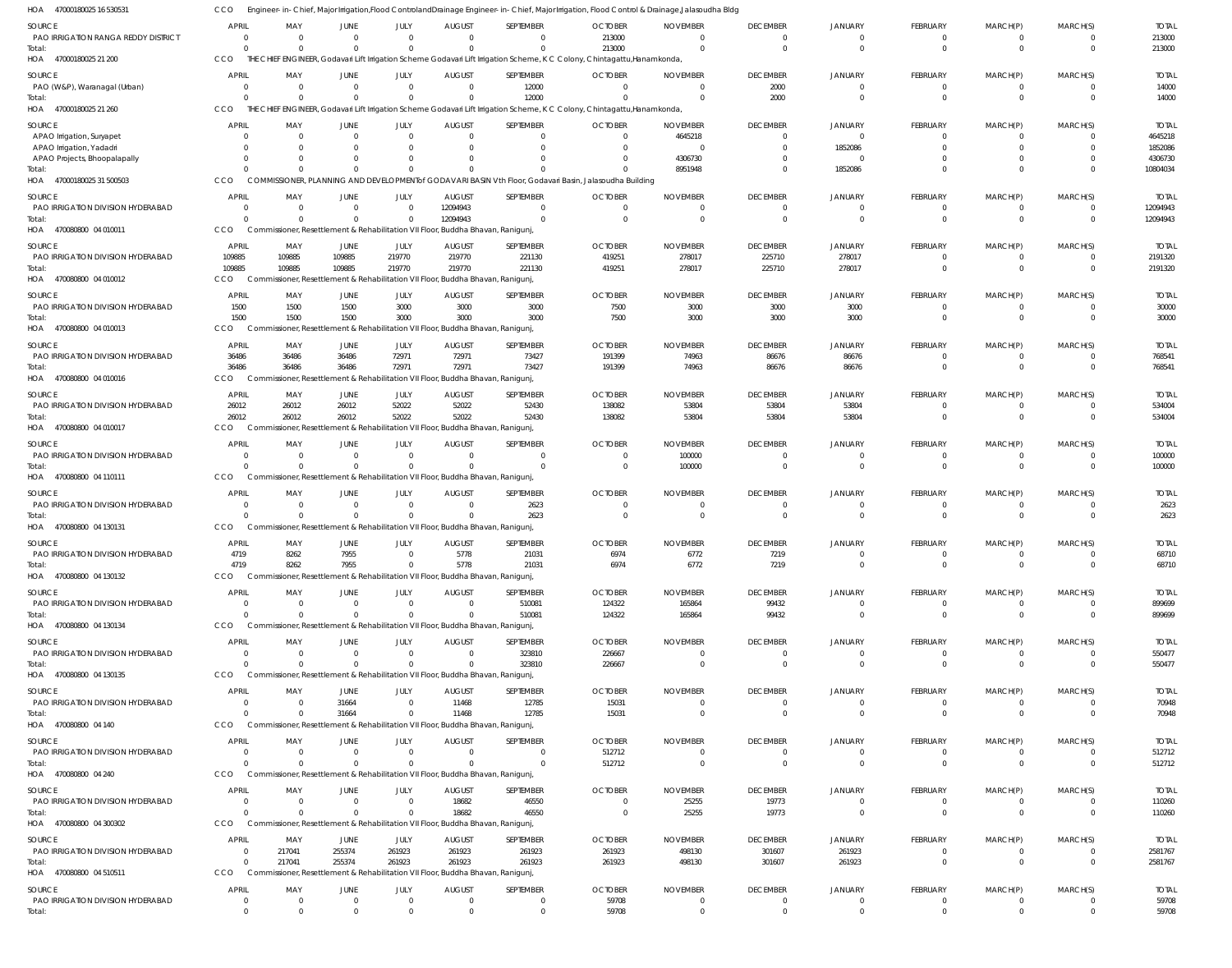47000180025 16 530531 HOA 47000180025 21 200 HOA 47000180025 21 260 47000180025 31 500503 470080800 04 010011 HOA 470080800 04 010012 HOA 470080800 04 010013 HOA 470080800 04 010016 HOA 470080800 04 010017 HOA 470080800 04 110111 470080800 04 130131 HOA 470080800 04 130132 HOA 470080800 04 130134 470080800 04 130135 HOA 470080800 04 140 470080800 04 240 470080800 04 300302 HOA 470080800 04 510511 HOA HOA HOA HOA HOA HOA HOA Engineer-in-Chief, Major Irrigation,Flood ControlandDrainage Engineer-in-Chief, Major Irrigation, Flood Control & Drainage,Jalasoudha Bldg THE CHIEF ENGINEER, Godavari Lift Irrigation Scheme Godavari Lift Irrigation Scheme, K C Colony, Chintagattu,Hanamkonda, THE CHIEF ENGINEER, Godavari Lift Irrigation Scheme Godavari Lift Irrigation Scheme, K C Colony, Chintagattu,Hanamkonda, COMMISSIONER, PLANNING AND DEVELOPMENTof GODAVARI BASIN Vth Floor, Godavari Basin, Jalasoudha Building Commissioner, Resettlement & Rehabilitation VII Floor, Buddha Bhavan, Ranigunj, Commissioner, Resettlement & Rehabilitation VII Floor, Buddha Bhavan, Ranigunj, Commissioner, Resettlement & Rehabilitation VII Floor, Buddha Bhavan, Ranigunj, Commissioner, Resettlement & Rehabilitation VII Floor, Buddha Bhavan, Ranigunj, Commissioner, Resettlement & Rehabilitation VII Floor, Buddha Bhavan, Ranigunj, Commissioner, Resettlement & Rehabilitation VII Floor, Buddha Bhavan, Ranigunj, Commissioner, Resettlement & Rehabilitation VII Floor, Buddha Bhavan, Ranigunj, Commissioner, Resettlement & Rehabilitation VII Floor, Buddha Bhavan, Ranigunj, Commissioner, Resettlement & Rehabilitation VII Floor, Buddha Bhavan, Ranigunj, CCO Commissioner, Resettlement & Rehabilitation VII Floor, Buddha Bhavan, Ranigunj, Commissioner, Resettlement & Rehabilitation VII Floor, Buddha Bhavan, Ranigunj, Commissioner, Resettlement & Rehabilitation VII Floor, Buddha Bhavan, Ranigunj, Commissioner, Resettlement & Rehabilitation VII Floor, Buddha Bhavan, Ranigunj, Commissioner, Resettlement & Rehabilitation VII Floor, Buddha Bhavan, Ranigunj, CCO CCO **CCO CCO CCO** CCO **CCO** CCO<sub>0</sub> CCO **CCO CCO CCO CCO CCO CCO CCO CCO** 0 0  $\Omega$ 0 109885 1500 36486 26012  $\Omega$ 0 4719  $\Omega$ 0  $\Omega$  $\Omega$ 0 0  $\Omega$ 0 0 0 0 109885 1500 36486 26012 0 0 8262 0 0  $\Omega$  $\Omega$ 0 217041  $\Omega$ 0 0  $\Omega$ 0 109885 1500 36486 26012  $\Omega$ 0 7955  $\Omega$ 0 31664  $\Omega$ 0 255374  $\theta$ 0 0  $\Omega$ 0 219770 3000 72971 52022  $\Omega$ 0  $\Omega$  $\Omega$ 0  $\Omega$  $\Omega$ 0 261923  $\Omega$ 0 0  $\Omega$ 12094943 219770 3000 72971 52022  $\Omega$ 0 5778  $\Omega$ 0 11468  $\Omega$ 18682 261923  $\Omega$ 0 12000  $\Omega$ 0 221130 3000 73427 52430  $\sqrt{2}$ 2623 21031 510081 323810 12785  $\Omega$ 46550 261923  $\Omega$ 213000 0  $\Omega$ 0 419251 7500 191399 138082  $\Omega$ 0 6974 124322 226667 15031 512712 0 261923 59708 0  $\Omega$ 8951948 0 278017 3000 74963 53804 100000 0 6772 165864 0  $\Omega$  $\Omega$ 25255 498130  $\Omega$ 0 2000  $\Omega$ 0 225710 3000 86676 53804  $\Omega$ 0 7219 99432 0  $\Omega$  $\Omega$ 19773 301607  $\Omega$ 0 0 1852086 0 278017 3000 86676 53804  $\Omega$ 0 0 0 0  $\Omega$  $\Omega$ 0 261923  $\theta$ 0 0  $\Omega$ 0  $\Omega$  $\Omega$ 0 0  $\Omega$ 0  $\Omega$  $\Omega$ 0  $\Omega$  $\Omega$ 0 0  $\Omega$ 0 0  $\Omega$ 0 0  $\Omega$ 0  $\Omega$  $\Omega$ 0 0  $\Omega$ 0 0 0 0 0  $\Omega$ 0 0  $\Omega$ 0 0  $\Omega$ 0  $\Omega$  $\Omega$ 0  $\Omega$  $\Omega$ 0  $\Omega$  $\Omega$ 0  $\Omega$  $\Omega$ 213000 14000 10804034 12094943 2191320 30000 768541 534004 100000 2623 68710 899699 550477 70948 512712 110260 2581767 59708 PAO IRRIGATION RANGA REDDY DISTRICT PAO (W&P), Waranagal (Urban) APAO Irrigation, Suryapet APAO Irrigation, Yadadri APAO Projects, Bhoopalapally PAO IRRIGATION DIVISION HYDERABAD PAO IRRIGATION DIVISION HYDERABAD PAO IRRIGATION DIVISION HYDERABAD PAO IRRIGATION DIVISION HYDERABAD PAO IRRIGATION DIVISION HYDERABAD PAO IRRIGATION DIVISION HYDERABAD PAO IRRIGATION DIVISION HYDERABAD PAO IRRIGATION DIVISION HYDERABAD PAO IRRIGATION DIVISION HYDERABAD PAO IRRIGATION DIVISION HYDERABAD PAO IRRIGATION DIVISION HYDERABAD PAO IRRIGATION DIVISION HYDERABAD PAO IRRIGATION DIVISION HYDERABAD PAO IRRIGATION DIVISION HYDERABAD PAO IRRIGATION DIVISION HYDERABAD SOURCE SOURCE SOURCE SOURCE SOURCE **SOURCE** SOURCE SOURCE SOURCE SOURCE SOURCE SOURCE SOURCE SOURCE **SOURCE** SOURCE SOURCE SOURCE 0 0 0  $\Omega$ 0  $\Omega$ 109885 1500 36486 26012 0  $\Omega$ 4719 0  $\Omega$ 0 0  $\Omega$ 0 0 APRIL APRIL APRIL APRIL APRIL **APRIL** APRIL APRIL APRIL APRIL APRIL APRIL APRIL APRIL APRIL **APRIL** APRIL APRIL 0 0  $\Omega$  $\Omega$ 0  $\Omega$ 109885 1500 36486 26012 0 0 8262 0 0 0 0  $\Omega$ 217041 0 MAY MAY MAY MAY MAY MAY MAY MAY MAY MAY MAY MAY MAY MAY MAY MAY MAY MAY 0 0 0  $\Omega$ 0  $\Omega$ 109885 1500 36486 26012 0  $\Omega$ 7955 0  $\Omega$ 31664  $\Omega$  $\Omega$ 255374 0 JUNE **JUNE** JUNE JUNE **JUNE** JUNE JUNE JUNE JUNE JUNE **JUNE** JUNE JUNE **JUNE** JUNE JUNE **JUNE** JUNE  $\Omega$ 0  $\Omega$  $\bigcap$ 0  $\Omega$ 219770 3000 72971 52022  $\Omega$ 0 0 0 0 0  $\Omega$  $\Omega$ 261923 0 JULY JULY JULY JULY JULY JULY JULY JULY JULY JULY JULY JULY JULY JULY JULY JULY JULY JULY 0 0 0  $\Omega$ 0 12094943 219770 3000 72971 52022 0  $\Omega$ 5778 0  $\Omega$ 11468 0 18682 261923 0 AUGUST AUGUST AUGUST AUGUST **AUGUST** AUGUST AUGUST **AUGUST** AUGUST AUGUST **AUGUST** AUGUST AUGUST **AUGUST** AUGUST AUGUST **AUGUST** AUGUST  $\Omega$ 12000  $\Omega$ 0 0  $\Omega$ 221130 3000 73427 52430 0 2623 21031 510081 323810 12785  $\Omega$ 46550 261923  $\Omega$ SEPTEMBER **SEPTEMBER** SEPTEMBER SEPTEMBER SEPTEMBER SEPTEMBER SEPTEMBER SEPTEMBER SEPTEMBER SEPTEMBER SEPTEMBER SEPTEMBER SEPTEMBER SEPTEMBER SEPTEMBER SEPTEMBER **SEPTEMBER** SEPTEMBER 213000 0  $\Omega$  $\Omega$ 0  $\Omega$ 419251 7500 191399 138082  $\Omega$  $\Omega$ 6974 124322 226667 15031 512712  $\Omega$ 261923 59708 **OCTOBER** OCTOBER OCTOBER **OCTOBER** OCTOBER **OCTOBER OCTOBER** OCTOBER **OCTOBER OCTOBER** OCTOBER **OCTOBER** OCTOBER OCTOBER **OCTOBER** OCTOBER **OCTOBER** OCTOBER  $\Omega$ 0 4645218  $\bigcap$ 4306730  $\Omega$ 278017 3000 74963 53804 100000  $\Omega$ 6772 165864  $\cap$ 0  $\Omega$ 25255 498130  $\Omega$ NOVEMBER NOVEMBER NOVEMBER NOVEMBER NOVEMBER NOVEMBER NOVEMBER NOVEMBER NOVEMBER NOVEMBER NOVEMBER NOVEMBER NOVEMBER NOVEMBER NOVEMBER NOVEMBER NOVEMBER NOVEMBER  $\Omega$ 2000  $\Omega$  $\Omega$ 0  $\Omega$ 225710 3000 86676 53804  $\Omega$  $\Omega$ 7219 99432  $\Omega$ 0  $\Omega$ 19773 301607  $\Omega$ DECEMBER **DECEMBER** DECEMBER DECEMBER **DECEMBER** DECEMBER DECEMBER **DECEMBER** DECEMBER DECEMBER **DECEMBER** DECEMBER DECEMBER **DECEMBER** DECEMBER DECEMBER **DECEMBER** DECEMBER 0 0  $\Omega$ 1852086 0  $\Omega$ 278017 3000 86676 53804  $\Omega$  $\Omega$ 0  $\Omega$  $\Omega$ 0  $\Omega$  $\Omega$ 261923 0 JANUARY JANUARY JANUARY JANUARY JANUARY JANUARY JANUARY JANUARY JANUARY JANUARY JANUARY JANUARY JANUARY JANUARY JANUARY JANUARY JANUARY JANUARY  $\Omega$ 0  $\Omega$  $\Omega$ 0  $\sqrt{2}$ 0 0  $\sqrt{2}$ 0  $\Omega$  $\Omega$ 0  $\Omega$  $\sqrt{2}$ 0 0  $\Omega$ 0  $\Omega$ FEBRUARY **FEBRUARY** FEBRUARY FEBRUARY FEBRUARY FEBRUARY FEBRUARY FEBRUARY FEBRUARY FEBRUARY FEBRUARY FEBRUARY FEBRUARY **FEBRUARY** FEBRUARY FEBRUARY FEBRUARY FEBRUARY  $\Omega$ 0 0 0 0  $\Omega$ 0  $\Omega$  $\Omega$ 0  $\Omega$  $\Omega$ 0  $\Omega$  $\Omega$ 0  $\Omega$  $\Omega$ 0  $\Omega$ MARCH(P) MARCH(P) MARCH(P) MARCH(P) MARCH(P) MARCH(P) MARCH(P) MARCH(P) MARCH(P) MARCH(P) MARCH(P) MARCH(P) MARCH(P) MARCH(P) MARCH(P) MARCH(P) MARCH(P) MARCH(P)  $\Omega$ 0  $\Omega$  $\Omega$ 0  $\Omega$ 0 0  $\Omega$ 0  $\Omega$  $\bigcap$ 0 0 0 0 0  $\Omega$ 0 0 MARCH(S) MARCH(S) MARCH(S) MARCH(S) MARCH(S) MARCH(S) MARCH(S) MARCH(S) MARCH(S) MARCH(S) MARCH(S) MARCH(S) MARCH(S) MARCH(S) MARCH(S) MARCH(S) MARCH(S) MARCH(S) 213000 14000 4645218 1852086 4306730 12094943 2191320 30000 768541 534004 100000 2623 68710 899699 550477 70948 512712 110260 2581767 59708 TOTAL TOTAL TOTAL TOTAL TOTAL TOTAL TOTAL TOTAL TOTAL TOTAL TOTAL TOTAL TOTAL TOTAL TOTAL TOTAL TOTAL TOTAL Total: Total: Total: Total: Total: Total: Total: Total: Total: **Total** Total: Total: Total: Total: Total: Total: Total: Total: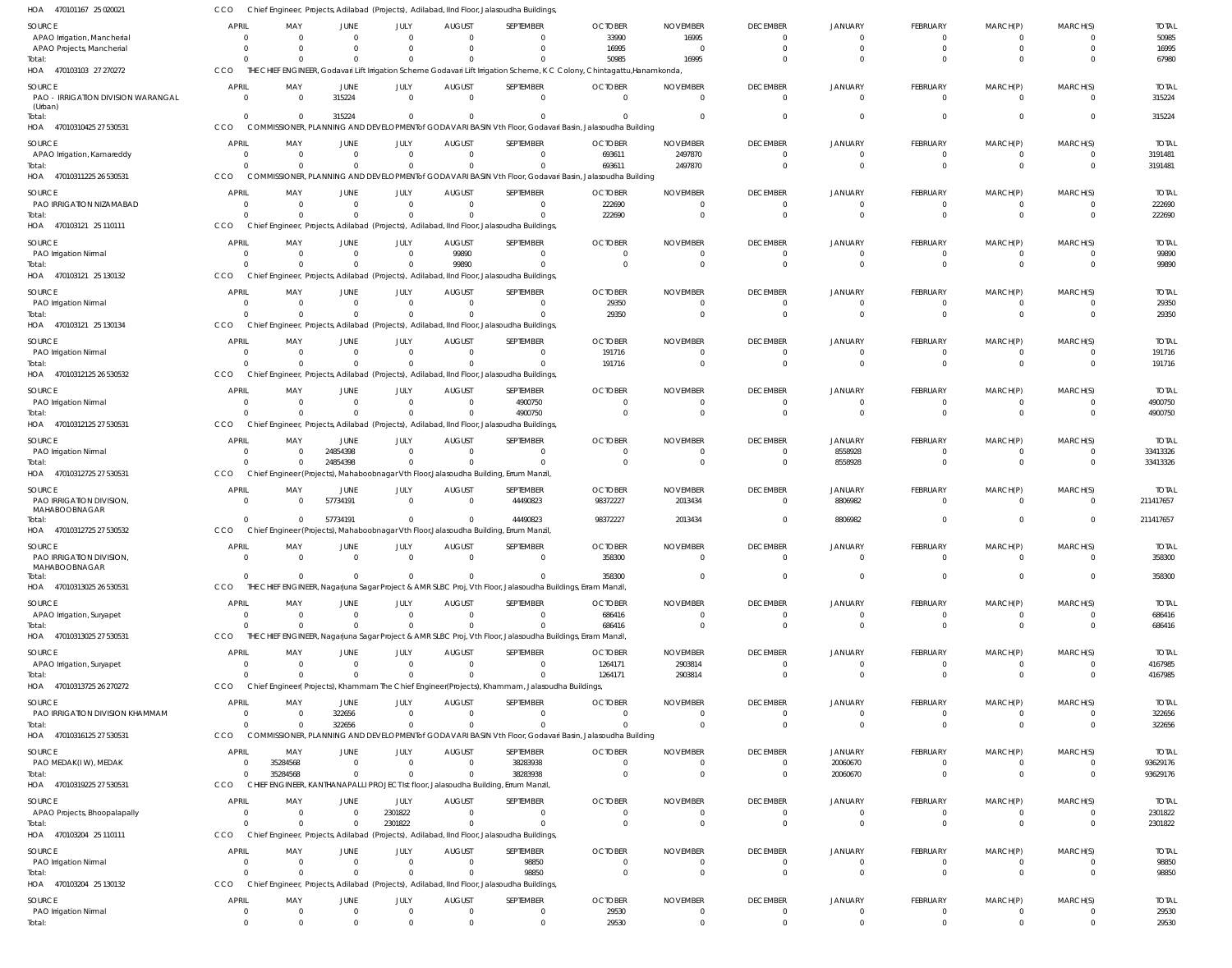CCO Chief Engineer, Projects, Adilabad (Projects), Adilabad, IInd Floor, Jalasoudha Buildings,

| SEPTEMBER<br>SOURCE<br>APRIL<br>MAY<br>JUNE<br>JULY<br><b>AUGUST</b><br><b>OCTOBER</b><br><b>NOVEMBER</b><br><b>DECEMBER</b><br><b>JANUARY</b><br><b>FEBRUARY</b><br>MARCH(P)<br>MARCH(S)<br><b>TOTAL</b><br>33990<br>50985<br>APAO Irrigation, Mancherial<br>16995<br>$\Omega$<br>$\Omega$<br>$\Omega$<br>$\overline{0}$<br>$\Omega$<br>$^{\circ}$<br>$\Omega$<br>$\mathbf{0}$<br>$\Omega$<br>$^{\circ}$<br>16995<br>16995<br>$\overline{0}$<br>APAO Projects, Mancherial<br>$\Omega$<br>$\Omega$<br>$\Omega$<br>$\Omega$<br>$\mathbf 0$<br>$\Omega$<br>$\mathbf{0}$<br>$\Omega$<br>$\mathbf 0$<br>$\Omega$<br>16995<br>67980<br>$\Omega$<br>50985<br>$\Omega$<br>$\Omega$<br>$\Omega$<br>$\Omega$<br>$\Omega$<br>$\Omega$<br>$\Omega$<br>Total:<br>HOA 470103103 27 270272<br>CCO<br>THE CHIEF ENGINEER, Godavari Lift Irrigation Scheme Godavari Lift Irrigation Scheme, K C Colony, Chintagattu, Hanamkonda<br><b>OCTOBER</b><br>SOURCE<br><b>APRIL</b><br>MAY<br>JUNE<br>JULY<br><b>AUGUST</b><br>SEPTEMBER<br><b>NOVEMBER</b><br><b>DECEMBER</b><br><b>JANUARY</b><br><b>FEBRUARY</b><br>MARCH(P)<br>MARCH(S)<br><b>TOTAL</b><br>PAO - IRRIGATION DIVISION WARANGAL<br>315224<br>$\mathbf{0}$<br>$\overline{0}$<br>$\overline{0}$<br>315224<br>$\Omega$<br>$\overline{0}$<br>$\mathbf{0}$<br>$\mathbf 0$<br>$\Omega$<br>$\Omega$<br>$\Omega$<br>$\mathbf{0}$<br>(Urban)<br>315224<br>$\overline{0}$<br>$\mathbf 0$<br>315224<br>$\Omega$<br>$\Omega$<br>$\Omega$<br>$\Omega$<br>$\mathbf{0}$<br>$\Omega$<br>$\mathbf 0$<br>Total:<br>$\Omega$<br>COMMISSIONER, PLANNING AND DEVELOPMENT of GODAVARI BASIN Vth Floor, Godavari Basin, Jalasoudha Building<br>HOA<br>47010310425 27 530531<br>CCO<br>APRIL<br>SEPTEMBER<br>SOURCE<br>MAY<br><b>JUNE</b><br>JULY<br><b>AUGUST</b><br><b>OCTOBER</b><br><b>NOVEMBER</b><br><b>DECEMBER</b><br><b>JANUARY</b><br><b>FEBRUARY</b><br>MARCH(P)<br>MARCH(S)<br><b>TOTAL</b><br>693611<br>2497870<br>3191481<br>APAO Irrigation, Kamareddy<br>$\Omega$<br>$\mathbf{0}$<br>$\Omega$<br>$\Omega$<br>$\Omega$<br>$^{\circ}$<br>$\overline{0}$<br>$\Omega$<br>$\mathbf{0}$<br>$\mathbf{0}$<br>$^{\circ}$<br>$\Omega$<br>$\Omega$<br>$\overline{0}$<br>$\Omega$<br>$\mathbf 0$<br>693611<br>2497870<br>$\overline{0}$<br>$\mathbf 0$<br>$\Omega$<br>$\mathbf 0$<br>3191481<br>Total<br>$\Omega$<br>COMMISSIONER, PLANNING AND DEVELOPMENT of GODAVARI BASIN Vth Floor, Godavari Basin, Jalasoudha Building<br>47010311225 26 530531<br>CCO<br>HOA<br>SEPTEMBER<br>MARCH(S)<br><b>SOURCE</b><br><b>APRIL</b><br>MAY<br><b>JUNE</b><br>JULY<br><b>AUGUST</b><br><b>OCTOBER</b><br><b>NOVEMBER</b><br><b>DECEMBER</b><br><b>JANUARY</b><br><b>FEBRUARY</b><br>MARCH(P)<br><b>TOTAL</b><br>PAO IRRIGATION NIZAMABAD<br>$\overline{0}$<br>222690<br>222690<br>$\overline{0}$<br>$\overline{0}$<br>$\overline{0}$<br>$\overline{0}$<br>$\overline{0}$<br>$\mathbf{0}$<br>$\overline{0}$<br>- 0<br>$\Omega$<br>$\mathbf{0}$<br>222690<br>$\Omega$<br>$\mathbf 0$<br>$\Omega$<br>222690<br>$\Omega$<br>$\mathbf 0$<br>$\mathbf 0$<br>$\Omega$<br>$\Omega$<br>$\Omega$<br>Total:<br>HOA<br>470103121 25 110111<br>CCO<br>Chief Engineer, Projects, Adilabad (Projects), Adilabad, IInd Floor, Jalasoudha Buildings<br><b>OCTOBER</b><br><b>TOTAL</b><br>SOURCE<br><b>APRIL</b><br>MAY<br><b>JUNE</b><br>JULY<br><b>AUGUST</b><br>SEPTEMBER<br><b>NOVEMBER</b><br><b>DECEMBER</b><br><b>JANUARY</b><br><b>FEBRUARY</b><br>MARCH(P)<br>MARCH(S)<br>99890<br>99890<br>PAO Irrigation Nirmal<br>$\Omega$<br>$\mathbf{0}$<br>$\overline{0}$<br>$\overline{0}$<br>$\overline{0}$<br>$^{\circ}$<br>$\Omega$<br>- 0<br>$\Omega$<br>0<br>99890<br>$\mathbf{0}$<br>99890<br>$\mathbf 0$<br>$\overline{0}$<br>$\Omega$<br>$\mathbf 0$<br>$\Omega$<br>$\Omega$<br>$\Omega$<br>$\mathbf{0}$<br>Total:<br>$\Omega$<br>$\Omega$<br>HOA 470103121 25 130132<br>Chief Engineer, Projects, Adilabad (Projects), Adilabad, IInd Floor, Jalasoudha Buildings<br>CCO<br><b>OCTOBER</b><br>SOURCE<br><b>APRIL</b><br>MAY<br>JULY<br><b>AUGUST</b><br>SEPTEMBER<br><b>NOVEMBER</b><br><b>DECEMBER</b><br><b>JANUARY</b><br><b>FEBRUARY</b><br>MARCH(P)<br>MARCH(S)<br><b>TOTAL</b><br><b>JUNE</b><br>29350<br>29350<br>PAO Irrigation Nirmal<br>$\overline{0}$<br>$\mathbf{0}$<br>$\overline{0}$<br>$\overline{0}$<br>$\overline{0}$<br>$\overline{0}$<br>$\mathbf{0}$<br>$\Omega$<br>0<br>$^{\circ}$<br>29350<br>29350<br>$\mathbf 0$<br>$\overline{0}$<br>$\mathbf 0$<br>$\overline{0}$<br>$\mathbf 0$<br>$\mathbf 0$<br>Total<br>$\Omega$<br>$\Omega$<br>$\Omega$<br>$\Omega$<br>HOA 470103121 25 130134<br>CCO<br>Chief Engineer, Projects, Adilabad (Projects), Adilabad, IInd Floor, Jalasoudha Buildings<br>SOURCE<br><b>APRIL</b><br>MAY<br>JULY<br><b>AUGUST</b><br>SEPTEMBER<br><b>OCTOBER</b><br><b>NOVEMBER</b><br><b>DECEMBER</b><br><b>JANUARY</b><br><b>FEBRUARY</b><br>MARCH(P)<br>MARCH(S)<br><b>TOTAL</b><br><b>JUNE</b><br>191716<br>$\Omega$<br>191716<br>PAO Irrigation Nirmal<br>$\Omega$<br>$\mathbf{0}$<br>$\overline{0}$<br>$\overline{0}$<br>$\overline{0}$<br>$\Omega$<br>$\mathbf{0}$<br>$\Omega$<br>$\Omega$<br>$^{\circ}$<br>$\Omega$<br>$\Omega$<br>$\mathbf 0$<br>191716<br>$\Omega$<br>$\Omega$<br>191716<br>$\Omega$<br>$\Omega$<br>$\Omega$<br>$\Omega$<br>$\mathbf 0$<br>Total:<br>$\Omega$<br>47010312125 26 530532<br>Chief Engineer, Projects, Adilabad (Projects), Adilabad, IInd Floor, Jalasoudha Buildings,<br>HOA<br>CCO<br><b>OCTOBER</b><br>SOURCE<br>APRIL<br>MAY<br><b>JUNE</b><br>JULY<br><b>AUGUST</b><br>SEPTEMBER<br><b>NOVEMBER</b><br><b>DECEMBER</b><br><b>JANUARY</b><br><b>FEBRUARY</b><br>MARCH(P)<br>MARCH(S)<br><b>TOTAL</b><br>$\mathbf 0$<br>$\overline{0}$<br>4900750<br>4900750<br>PAO Irrigation Nirmal<br>$\Omega$<br>$\overline{0}$<br>$\overline{0}$<br>$\mathbf{0}$<br>$\overline{0}$<br>$\cap$<br>- 0<br>$\Omega$<br>$\overline{0}$<br>4900750<br>$\overline{0}$<br>4900750<br>$\Omega$<br>$\mathbf 0$<br>$\Omega$<br>$\mathbf{0}$<br>$\Omega$<br>$\Omega$<br>$\overline{0}$<br>$\mathbf{0}$<br>Total:<br>- 0<br>47010312125 27 530531<br>CCO<br>Chief Engineer, Projects, Adilabad (Projects), Adilabad, IInd Floor, Jalasoudha Buildings,<br>HOA<br>SOURCE<br><b>APRIL</b><br>MAY<br><b>JUNE</b><br>JULY<br><b>AUGUST</b><br>SEPTEMBER<br><b>OCTOBER</b><br><b>NOVEMBER</b><br><b>DECEMBER</b><br><b>JANUARY</b><br><b>FEBRUARY</b><br>MARCH(P)<br>MARCH(S)<br><b>TOTAL</b><br>24854398<br>8558928<br>33413326<br>PAO Irrigation Nirmal<br>$\overline{0}$<br>$\Omega$<br>$\overline{0}$<br>$\overline{0}$<br>$\mathbf 0$<br>$\Omega$<br>$\Omega$<br>$\mathbf{0}$<br>$\Omega$<br>- 0<br>24854398<br>$\Omega$<br>$\Omega$<br>8558928<br>33413326<br>$\Omega$<br>$\Omega$<br>$\overline{0}$<br>$\Omega$<br>$\Omega$<br>$\mathbf 0$<br>Total:<br>$\Omega$<br>$\Omega$<br>HOA<br>47010312725 27 530531<br>CCO<br>Chief Engineer (Projects), Mahaboobnagar Vth Floor, Jalasoudha Building, Errum Manzil,<br><b>SOURCE</b><br>APRIL<br><b>JUNE</b><br>JULY<br><b>AUGUST</b><br>SEPTEMBER<br><b>OCTOBER</b><br><b>NOVEMBER</b><br><b>DECEMBER</b><br><b>JANUARY</b><br><b>FEBRUARY</b><br>MARCH(P)<br>MARCH(S)<br><b>TOTAL</b><br>MAY<br>PAO IRRIGATION DIVISION,<br>57734191<br>44490823<br>98372227<br>2013434<br>8806982<br>211417657<br>$\overline{0}$<br>$\overline{\mathbf{0}}$<br>$\overline{0}$<br>$\mathbf{0}$<br>$\mathbf{0}$<br>$\Omega$<br>$\overline{0}$<br>$\Omega$<br>MAHABOOBNAGAR<br>57734191<br>44490823<br>98372227<br>2013434<br>8806982<br>$\overline{0}$<br>211417657<br>$\overline{0}$<br>$\Omega$<br>$\overline{0}$<br>$\mathbf{0}$<br>$\overline{0}$<br>Total:<br>$\Omega$<br>HOA 47010312725 27 530532<br>CCO<br>Chief Engineer (Projects), Mahaboobnagar Vth Floor, Jalasoudha Building, Errum Manzil,<br><b>SOURCE</b><br>APRIL<br>MAY<br><b>JUNE</b><br>JULY<br><b>AUGUST</b><br>SEPTEMBER<br><b>OCTOBER</b><br><b>NOVEMBER</b><br><b>DECEMBER</b><br><b>JANUARY</b><br><b>FEBRUARY</b><br>MARCH(P)<br>MARCH(S)<br><b>TOTAL</b><br>PAO IRRIGATION DIVISION,<br>358300<br>358300<br>MAHABOOBNAGAR<br>358300<br>358300<br>$\overline{0}$<br>$\mathbf 0$<br>$\mathbf 0$<br>$\mathbf 0$<br>Total:<br>$\Omega$<br>$\Omega$<br>$\Omega$<br>$\mathbf{0}$<br>$\mathbf 0$<br>$\overline{0}$<br>$\Omega$<br>HOA 47010313025 26 530531<br>CCO<br>THE CHIEF ENGINEER, Nagarjuna Sagar Project & AMR SLBC Proj, Vth Floor, Jalasoudha Buildings, Erram Manzil,<br>APRIL<br>SEPTEMBER<br><b>DECEMBER</b><br><b>FEBRUARY</b><br>MARCH(S)<br><b>TOTAL</b><br>SOURCE<br>MAY<br><b>JUNE</b><br>JULY<br><b>AUGUST</b><br><b>OCTOBER</b><br><b>NOVEMBER</b><br><b>JANUARY</b><br>MARCH(P)<br>APAO Irrigation, Suryapet<br>$\overline{0}$<br>$\mathbf{0}$<br>$\mathbf{0}$<br>$\overline{0}$<br>$\overline{0}$<br>686416<br>$\overline{0}$<br>686416<br>$\Omega$<br>$\mathbf{0}$<br>$\overline{0}$<br>$\overline{0}$<br>$\Omega$<br>$\overline{0}$<br>$\overline{0}$<br>$\Omega$<br>686416<br>$\overline{0}$<br>$\Omega$<br>$\mathbf 0$<br>$\mathbf 0$<br>$\overline{0}$<br>686416<br>Total:<br>$\Omega$<br>$\Omega$<br>$\mathbf{0}$<br>$\Omega$<br>$\Omega$<br>HOA 47010313025 27 530531<br>CCO<br>THE CHIEF ENGINEER, Nagarjuna Sagar Project & AMR SLBC Proj, Vth Floor, Jalasoudha Buildings, Erram Manzil,<br><b>APRIL</b><br><b>FEBRUARY</b><br>MARCH(S)<br>SOURCE<br>MAY<br><b>JUNE</b><br>JULY<br><b>AUGUST</b><br>SEPTEMBER<br><b>OCTOBER</b><br><b>NOVEMBER</b><br><b>DECEMBER</b><br><b>JANUARY</b><br>MARCH(P)<br><b>TOTAL</b><br>APAO Irrigation, Suryapet<br>$\mathbf{0}$<br>$\Omega$<br>1264171<br>2903814<br>4167985<br>$\overline{0}$<br>$\mathbf{0}$<br>$\overline{0}$<br>$\overline{0}$<br>$\Omega$<br>$\Omega$<br>$\mathbf{0}$<br>$\Omega$<br>$^{\circ}$<br>2903814<br>4167985<br>$\Omega$<br>1264171<br>$\Omega$<br>$\mathbf 0$<br>$\mathbf 0$<br>Total:<br>$\Omega$<br>$\Omega$<br>$\Omega$<br>$\Omega$<br>$\Omega$<br>$\Omega$<br>$\Omega$<br>HOA 47010313725 26 270272<br>CCO<br>Chief Engineer(Projects), Khammam The Chief Engineer(Projects), Khammam, Jalasoudha Buildings,<br><b>OCTOBER</b><br>MARCH(S)<br>SOURCE<br><b>APRIL</b><br>MAY<br>JUNE<br>JULY<br><b>AUGUST</b><br>SEPTEMBER<br><b>NOVEMBER</b><br><b>DECEMBER</b><br><b>JANUARY</b><br><b>FEBRUARY</b><br>MARCH(P)<br><b>TOTAL</b><br>322656<br>PAO IRRIGATION DIVISION KHAMMAM<br>322656<br>$\overline{0}$<br>$\overline{0}$<br>$\Omega$<br>$\overline{0}$<br>$\overline{0}$<br>$\mathbf{0}$<br>$\mathbf 0$<br>$\Omega$<br>$\cap$<br>$\Omega$<br>$\Omega$<br>0<br>322656<br>322656<br>$\overline{0}$<br>$\overline{0}$<br>$\overline{0}$<br>$\mathbf 0$<br>$\overline{0}$<br>$\overline{0}$<br>Total:<br>$\Omega$<br>$\Omega$<br>$\Omega$<br>$\Omega$<br>$\Omega$<br>COMMISSIONER, PLANNING AND DEVELOPMENT of GODAVARI BASIN Vth Floor, Godavari Basin, Jalasoudha Building<br>HOA 47010316125 27 530531<br>CCO<br><b>NOVEMBER</b><br>MARCH(S)<br>SOURCE<br>APRIL<br>MAY<br>JUNE<br>JULY<br><b>AUGUST</b><br>SEPTEMBER<br><b>OCTOBER</b><br><b>DECEMBER</b><br><b>JANUARY</b><br><b>FEBRUARY</b><br>MARCH(P)<br><b>TOTAL</b><br>38283938<br>93629176<br>PAO MEDAK(IW), MEDAK<br>35284568<br>$\mathbf{0}$<br>$\Omega$<br>20060670<br>$\overline{0}$<br>$\Omega$<br>$\overline{0}$<br>$\mathbf{0}$<br>$\overline{0}$<br>$\Omega$<br>$\Omega$<br>$^{\circ}$<br>38283938<br>93629176<br>35284568<br>$\mathbf{0}$<br>$\overline{0}$<br>$\Omega$<br>$\overline{0}$<br>20060670<br>$\Omega$<br>$\Omega$<br>$\mathbf 0$<br>Total:<br>$\Omega$<br>$\Omega$<br>47010319225 27 530531<br>CCO<br>CHIEF ENGINEER, KANTHANAPALLI PROJECT Ist floor, Jalasoudha Building, Errum Manzil<br>HOA<br><b>OCTOBER</b><br><b>DECEMBER</b><br><b>FEBRUARY</b><br>MARCH(P)<br>MARCH(S)<br>SOURCE<br>APRIL<br>MAY<br><b>JUNE</b><br>JULY<br><b>AUGUST</b><br>SEPTEMBER<br><b>NOVEMBER</b><br><b>JANUARY</b><br><b>TOTAL</b><br>2301822<br>2301822<br>APAO Projects, Bhoopalapally<br>$\overline{0}$<br>$\overline{0}$<br>$\overline{0}$<br>$\overline{0}$<br>$\overline{0}$<br>$\overline{0}$<br>$\Omega$<br>$\overline{0}$<br>$\mathbf{0}$<br>$\overline{0}$<br>$\Omega$<br>$\Omega$<br>2301822<br>2301822<br>$\mathbf 0$<br>$\overline{0}$<br>$\mathbf 0$<br>$\overline{0}$<br>$\Omega$<br>$\Omega$<br>$\overline{0}$<br>$\Omega$<br>$\Omega$<br>$\overline{0}$<br>Total:<br>$\cap$<br>$\cap$<br>HOA 470103204 25 110111<br>CCO<br>Chief Engineer, Projects, Adilabad (Projects), Adilabad, IInd Floor, Jalasoudha Buildings<br><b>APRIL</b><br><b>OCTOBER</b><br>MARCH(S)<br><b>TOTAL</b><br>SOURCE<br>MAY<br><b>JUNE</b><br>JULY<br><b>AUGUST</b><br>SEPTEMBER<br><b>NOVEMBER</b><br><b>DECEMBER</b><br><b>JANUARY</b><br>FEBRUARY<br>MARCH(P)<br>98850<br>$\overline{0}$<br>$\mathbf 0$<br>$\overline{0}$<br>$\Omega$<br>98850<br>PAO Irrigation Nirmal<br>$\overline{0}$<br>$\mathbf 0$<br>$\Omega$<br>$\Omega$<br>$\Omega$<br>$\Omega$<br>$\mathbf{0}$<br>$\Omega$<br>$\mathbf{0}$<br>98850<br>$\overline{0}$<br>$\mathbf 0$<br>$\overline{0}$<br>$\overline{0}$<br>98850<br>Total:<br>$\Omega$<br>$\Omega$<br>$\Omega$<br>$\Omega$<br>$\Omega$<br>$\Omega$<br>$\Omega$<br>HOA 470103204 25 130132<br>CCO<br>Chief Engineer, Projects, Adilabad (Projects), Adilabad, IInd Floor, Jalasoudha Buildings,<br><b>APRIL</b><br>SEPTEMBER<br><b>OCTOBER</b><br><b>NOVEMBER</b><br><b>DECEMBER</b><br>FEBRUARY<br>MARCH(P)<br>MARCH(S)<br><b>SOURCE</b><br>MAY<br><b>JUNE</b><br>JULY<br><b>AUGUST</b><br><b>JANUARY</b><br><b>TOTAL</b> | HOA<br>470101167 25 020021      |                       |                               |                             |                |                               | Chief Engineer, Projects, Adilabad (Projects), Adilabad, IInd Floor, Jalasoudha Buildings |                |                      |                                  |                                  |                             |                               |                           |                |
|--------------------------------------------------------------------------------------------------------------------------------------------------------------------------------------------------------------------------------------------------------------------------------------------------------------------------------------------------------------------------------------------------------------------------------------------------------------------------------------------------------------------------------------------------------------------------------------------------------------------------------------------------------------------------------------------------------------------------------------------------------------------------------------------------------------------------------------------------------------------------------------------------------------------------------------------------------------------------------------------------------------------------------------------------------------------------------------------------------------------------------------------------------------------------------------------------------------------------------------------------------------------------------------------------------------------------------------------------------------------------------------------------------------------------------------------------------------------------------------------------------------------------------------------------------------------------------------------------------------------------------------------------------------------------------------------------------------------------------------------------------------------------------------------------------------------------------------------------------------------------------------------------------------------------------------------------------------------------------------------------------------------------------------------------------------------------------------------------------------------------------------------------------------------------------------------------------------------------------------------------------------------------------------------------------------------------------------------------------------------------------------------------------------------------------------------------------------------------------------------------------------------------------------------------------------------------------------------------------------------------------------------------------------------------------------------------------------------------------------------------------------------------------------------------------------------------------------------------------------------------------------------------------------------------------------------------------------------------------------------------------------------------------------------------------------------------------------------------------------------------------------------------------------------------------------------------------------------------------------------------------------------------------------------------------------------------------------------------------------------------------------------------------------------------------------------------------------------------------------------------------------------------------------------------------------------------------------------------------------------------------------------------------------------------------------------------------------------------------------------------------------------------------------------------------------------------------------------------------------------------------------------------------------------------------------------------------------------------------------------------------------------------------------------------------------------------------------------------------------------------------------------------------------------------------------------------------------------------------------------------------------------------------------------------------------------------------------------------------------------------------------------------------------------------------------------------------------------------------------------------------------------------------------------------------------------------------------------------------------------------------------------------------------------------------------------------------------------------------------------------------------------------------------------------------------------------------------------------------------------------------------------------------------------------------------------------------------------------------------------------------------------------------------------------------------------------------------------------------------------------------------------------------------------------------------------------------------------------------------------------------------------------------------------------------------------------------------------------------------------------------------------------------------------------------------------------------------------------------------------------------------------------------------------------------------------------------------------------------------------------------------------------------------------------------------------------------------------------------------------------------------------------------------------------------------------------------------------------------------------------------------------------------------------------------------------------------------------------------------------------------------------------------------------------------------------------------------------------------------------------------------------------------------------------------------------------------------------------------------------------------------------------------------------------------------------------------------------------------------------------------------------------------------------------------------------------------------------------------------------------------------------------------------------------------------------------------------------------------------------------------------------------------------------------------------------------------------------------------------------------------------------------------------------------------------------------------------------------------------------------------------------------------------------------------------------------------------------------------------------------------------------------------------------------------------------------------------------------------------------------------------------------------------------------------------------------------------------------------------------------------------------------------------------------------------------------------------------------------------------------------------------------------------------------------------------------------------------------------------------------------------------------------------------------------------------------------------------------------------------------------------------------------------------------------------------------------------------------------------------------------------------------------------------------------------------------------------------------------------------------------------------------------------------------------------------------------------------------------------------------------------------------------------------------------------------------------------------------------------------------------------------------------------------------------------------------------------------------------------------------------------------------------------------------------------------------------------------------------------------------------------------------------------------------------------------------------------------------------------------------------------------------------------------------------------------------------------------------------------------------------------------------------------------------------------------------------------------------------------------------------------------------------------------------------------------------------------------------------------------------------------------------------------------------------------------------------------------------------------------------------------------------------------------------------------------------------------------------------------------------------------------------------------------------------------------------------------------------------------------------------------------------------------------------------------------------------------------------------------------------------------------------------------------------------------------------------------------------------------------------------------------------------------------------------------------------------------------------------------------------------------------------------------------------------------------------------------------------------------------------------------------------------------------------------------------------------------------------------------------------------------------------------------------------------------------------------------------------------------------------------------------------------------------------------------------------------------------------------------------------------------------------------------------------------------------------------------------------------------------------------------------------------------------------------------------------------------------------------------------------------------------------------------------------------------------------------------------------------------------------------------------------------------------------------------------------------------------------------------------------------------------------------------------------------------------------------------------------------------------------------------------------------------------------------------------------------------------------------------------------------------------------------------------------------------------------------------------------------------------------------------------------------------------------------------------------------------------------------------------------------------------------------------------------------------------------------------------------------------------------------------------------------------------------------------------------------------------------------------------------------------------------------------------------------------------------------------------------------------------------------------------------------------------------------------------------------------------------------------------------------------------------------------------------------------------------------------------------------------------------------------------------------------------------------------------------------------------------------------------------------------------------------------------------------------------------------------------------------------------------------------------------------------------------------------------------------------------------------------------------------------------------------------------------------------------------------------------------------------------------------------------------------------------------------------------------------------------------------------------------------------------------------------------------------------------------------------------------------------------------------------------------------------------------------------------------------------------------------------------------------------------------------------------------------------------------------------------------------------------------------------------------------------------------------------------------------------------------------------------------------------------------------------------------------------------------------------------------------------------------------------------------------------------------------------------------------------------------------------------------------------------------------------------------------------------------------------------------------------------------------------------------------------------------------------------------------------------------------------------------------------------------------------------------------------------------------------------------------------------|---------------------------------|-----------------------|-------------------------------|-----------------------------|----------------|-------------------------------|-------------------------------------------------------------------------------------------|----------------|----------------------|----------------------------------|----------------------------------|-----------------------------|-------------------------------|---------------------------|----------------|
|                                                                                                                                                                                                                                                                                                                                                                                                                                                                                                                                                                                                                                                                                                                                                                                                                                                                                                                                                                                                                                                                                                                                                                                                                                                                                                                                                                                                                                                                                                                                                                                                                                                                                                                                                                                                                                                                                                                                                                                                                                                                                                                                                                                                                                                                                                                                                                                                                                                                                                                                                                                                                                                                                                                                                                                                                                                                                                                                                                                                                                                                                                                                                                                                                                                                                                                                                                                                                                                                                                                                                                                                                                                                                                                                                                                                                                                                                                                                                                                                                                                                                                                                                                                                                                                                                                                                                                                                                                                                                                                                                                                                                                                                                                                                                                                                                                                                                                                                                                                                                                                                                                                                                                                                                                                                                                                                                                                                                                                                                                                                                                                                                                                                                                                                                                                                                                                                                                                                                                                                                                                                                                                                                                                                                                                                                                                                                                                                                                                                                                                                                                                                                                                                                                                                                                                                                                                                                                                                                                                                                                                                                                                                                                                                                                                                                                                                                                                                                                                                                                                                                                                                                                                                                                                                                                                                                                                                                                                                                                                                                                                                                                                                                                                                                                                                                                                                                                                                                                                                                                                                                                                                                                                                                                                                                                                                                                                                                                                                                                                                                                                                                                                                                                                                                                                                                                                                                                                                                                                                                                                                                                                                                                                                                                                                                                                                                                                                                                                                                                                                                                                                                                                                                                                                                                                                                                                                                                                                                                                                                                                                                                                                                                                                                                                                                                                                                                                                                                                                                                                                                                                                                                                                                                                                                                                                                                                                                                                                                                                                                                                                                                                                                                                                                                                                                                                                                                                                                                                                                                                                                                                                                                                                                                                                                                                                                                                                                                                                                                                                                                                                                                                                                                                                                                                                                                                                                                                                                                                                                                                                                                                                                                                                                                                                                                                                                                                                                                                                                                                                                            |                                 |                       |                               |                             |                |                               |                                                                                           |                |                      |                                  |                                  |                             |                               |                           |                |
|                                                                                                                                                                                                                                                                                                                                                                                                                                                                                                                                                                                                                                                                                                                                                                                                                                                                                                                                                                                                                                                                                                                                                                                                                                                                                                                                                                                                                                                                                                                                                                                                                                                                                                                                                                                                                                                                                                                                                                                                                                                                                                                                                                                                                                                                                                                                                                                                                                                                                                                                                                                                                                                                                                                                                                                                                                                                                                                                                                                                                                                                                                                                                                                                                                                                                                                                                                                                                                                                                                                                                                                                                                                                                                                                                                                                                                                                                                                                                                                                                                                                                                                                                                                                                                                                                                                                                                                                                                                                                                                                                                                                                                                                                                                                                                                                                                                                                                                                                                                                                                                                                                                                                                                                                                                                                                                                                                                                                                                                                                                                                                                                                                                                                                                                                                                                                                                                                                                                                                                                                                                                                                                                                                                                                                                                                                                                                                                                                                                                                                                                                                                                                                                                                                                                                                                                                                                                                                                                                                                                                                                                                                                                                                                                                                                                                                                                                                                                                                                                                                                                                                                                                                                                                                                                                                                                                                                                                                                                                                                                                                                                                                                                                                                                                                                                                                                                                                                                                                                                                                                                                                                                                                                                                                                                                                                                                                                                                                                                                                                                                                                                                                                                                                                                                                                                                                                                                                                                                                                                                                                                                                                                                                                                                                                                                                                                                                                                                                                                                                                                                                                                                                                                                                                                                                                                                                                                                                                                                                                                                                                                                                                                                                                                                                                                                                                                                                                                                                                                                                                                                                                                                                                                                                                                                                                                                                                                                                                                                                                                                                                                                                                                                                                                                                                                                                                                                                                                                                                                                                                                                                                                                                                                                                                                                                                                                                                                                                                                                                                                                                                                                                                                                                                                                                                                                                                                                                                                                                                                                                                                                                                                                                                                                                                                                                                                                                                                                                                                                                                                                            |                                 |                       |                               |                             |                |                               |                                                                                           |                |                      |                                  |                                  |                             |                               |                           |                |
|                                                                                                                                                                                                                                                                                                                                                                                                                                                                                                                                                                                                                                                                                                                                                                                                                                                                                                                                                                                                                                                                                                                                                                                                                                                                                                                                                                                                                                                                                                                                                                                                                                                                                                                                                                                                                                                                                                                                                                                                                                                                                                                                                                                                                                                                                                                                                                                                                                                                                                                                                                                                                                                                                                                                                                                                                                                                                                                                                                                                                                                                                                                                                                                                                                                                                                                                                                                                                                                                                                                                                                                                                                                                                                                                                                                                                                                                                                                                                                                                                                                                                                                                                                                                                                                                                                                                                                                                                                                                                                                                                                                                                                                                                                                                                                                                                                                                                                                                                                                                                                                                                                                                                                                                                                                                                                                                                                                                                                                                                                                                                                                                                                                                                                                                                                                                                                                                                                                                                                                                                                                                                                                                                                                                                                                                                                                                                                                                                                                                                                                                                                                                                                                                                                                                                                                                                                                                                                                                                                                                                                                                                                                                                                                                                                                                                                                                                                                                                                                                                                                                                                                                                                                                                                                                                                                                                                                                                                                                                                                                                                                                                                                                                                                                                                                                                                                                                                                                                                                                                                                                                                                                                                                                                                                                                                                                                                                                                                                                                                                                                                                                                                                                                                                                                                                                                                                                                                                                                                                                                                                                                                                                                                                                                                                                                                                                                                                                                                                                                                                                                                                                                                                                                                                                                                                                                                                                                                                                                                                                                                                                                                                                                                                                                                                                                                                                                                                                                                                                                                                                                                                                                                                                                                                                                                                                                                                                                                                                                                                                                                                                                                                                                                                                                                                                                                                                                                                                                                                                                                                                                                                                                                                                                                                                                                                                                                                                                                                                                                                                                                                                                                                                                                                                                                                                                                                                                                                                                                                                                                                                                                                                                                                                                                                                                                                                                                                                                                                                                                                                                            |                                 |                       |                               |                             |                |                               |                                                                                           |                |                      |                                  |                                  |                             |                               |                           |                |
|                                                                                                                                                                                                                                                                                                                                                                                                                                                                                                                                                                                                                                                                                                                                                                                                                                                                                                                                                                                                                                                                                                                                                                                                                                                                                                                                                                                                                                                                                                                                                                                                                                                                                                                                                                                                                                                                                                                                                                                                                                                                                                                                                                                                                                                                                                                                                                                                                                                                                                                                                                                                                                                                                                                                                                                                                                                                                                                                                                                                                                                                                                                                                                                                                                                                                                                                                                                                                                                                                                                                                                                                                                                                                                                                                                                                                                                                                                                                                                                                                                                                                                                                                                                                                                                                                                                                                                                                                                                                                                                                                                                                                                                                                                                                                                                                                                                                                                                                                                                                                                                                                                                                                                                                                                                                                                                                                                                                                                                                                                                                                                                                                                                                                                                                                                                                                                                                                                                                                                                                                                                                                                                                                                                                                                                                                                                                                                                                                                                                                                                                                                                                                                                                                                                                                                                                                                                                                                                                                                                                                                                                                                                                                                                                                                                                                                                                                                                                                                                                                                                                                                                                                                                                                                                                                                                                                                                                                                                                                                                                                                                                                                                                                                                                                                                                                                                                                                                                                                                                                                                                                                                                                                                                                                                                                                                                                                                                                                                                                                                                                                                                                                                                                                                                                                                                                                                                                                                                                                                                                                                                                                                                                                                                                                                                                                                                                                                                                                                                                                                                                                                                                                                                                                                                                                                                                                                                                                                                                                                                                                                                                                                                                                                                                                                                                                                                                                                                                                                                                                                                                                                                                                                                                                                                                                                                                                                                                                                                                                                                                                                                                                                                                                                                                                                                                                                                                                                                                                                                                                                                                                                                                                                                                                                                                                                                                                                                                                                                                                                                                                                                                                                                                                                                                                                                                                                                                                                                                                                                                                                                                                                                                                                                                                                                                                                                                                                                                                                                                                                                                            |                                 |                       |                               |                             |                |                               |                                                                                           |                |                      |                                  |                                  |                             |                               |                           |                |
|                                                                                                                                                                                                                                                                                                                                                                                                                                                                                                                                                                                                                                                                                                                                                                                                                                                                                                                                                                                                                                                                                                                                                                                                                                                                                                                                                                                                                                                                                                                                                                                                                                                                                                                                                                                                                                                                                                                                                                                                                                                                                                                                                                                                                                                                                                                                                                                                                                                                                                                                                                                                                                                                                                                                                                                                                                                                                                                                                                                                                                                                                                                                                                                                                                                                                                                                                                                                                                                                                                                                                                                                                                                                                                                                                                                                                                                                                                                                                                                                                                                                                                                                                                                                                                                                                                                                                                                                                                                                                                                                                                                                                                                                                                                                                                                                                                                                                                                                                                                                                                                                                                                                                                                                                                                                                                                                                                                                                                                                                                                                                                                                                                                                                                                                                                                                                                                                                                                                                                                                                                                                                                                                                                                                                                                                                                                                                                                                                                                                                                                                                                                                                                                                                                                                                                                                                                                                                                                                                                                                                                                                                                                                                                                                                                                                                                                                                                                                                                                                                                                                                                                                                                                                                                                                                                                                                                                                                                                                                                                                                                                                                                                                                                                                                                                                                                                                                                                                                                                                                                                                                                                                                                                                                                                                                                                                                                                                                                                                                                                                                                                                                                                                                                                                                                                                                                                                                                                                                                                                                                                                                                                                                                                                                                                                                                                                                                                                                                                                                                                                                                                                                                                                                                                                                                                                                                                                                                                                                                                                                                                                                                                                                                                                                                                                                                                                                                                                                                                                                                                                                                                                                                                                                                                                                                                                                                                                                                                                                                                                                                                                                                                                                                                                                                                                                                                                                                                                                                                                                                                                                                                                                                                                                                                                                                                                                                                                                                                                                                                                                                                                                                                                                                                                                                                                                                                                                                                                                                                                                                                                                                                                                                                                                                                                                                                                                                                                                                                                                                                                                            |                                 |                       |                               |                             |                |                               |                                                                                           |                |                      |                                  |                                  |                             |                               |                           |                |
|                                                                                                                                                                                                                                                                                                                                                                                                                                                                                                                                                                                                                                                                                                                                                                                                                                                                                                                                                                                                                                                                                                                                                                                                                                                                                                                                                                                                                                                                                                                                                                                                                                                                                                                                                                                                                                                                                                                                                                                                                                                                                                                                                                                                                                                                                                                                                                                                                                                                                                                                                                                                                                                                                                                                                                                                                                                                                                                                                                                                                                                                                                                                                                                                                                                                                                                                                                                                                                                                                                                                                                                                                                                                                                                                                                                                                                                                                                                                                                                                                                                                                                                                                                                                                                                                                                                                                                                                                                                                                                                                                                                                                                                                                                                                                                                                                                                                                                                                                                                                                                                                                                                                                                                                                                                                                                                                                                                                                                                                                                                                                                                                                                                                                                                                                                                                                                                                                                                                                                                                                                                                                                                                                                                                                                                                                                                                                                                                                                                                                                                                                                                                                                                                                                                                                                                                                                                                                                                                                                                                                                                                                                                                                                                                                                                                                                                                                                                                                                                                                                                                                                                                                                                                                                                                                                                                                                                                                                                                                                                                                                                                                                                                                                                                                                                                                                                                                                                                                                                                                                                                                                                                                                                                                                                                                                                                                                                                                                                                                                                                                                                                                                                                                                                                                                                                                                                                                                                                                                                                                                                                                                                                                                                                                                                                                                                                                                                                                                                                                                                                                                                                                                                                                                                                                                                                                                                                                                                                                                                                                                                                                                                                                                                                                                                                                                                                                                                                                                                                                                                                                                                                                                                                                                                                                                                                                                                                                                                                                                                                                                                                                                                                                                                                                                                                                                                                                                                                                                                                                                                                                                                                                                                                                                                                                                                                                                                                                                                                                                                                                                                                                                                                                                                                                                                                                                                                                                                                                                                                                                                                                                                                                                                                                                                                                                                                                                                                                                                                                                                                                            |                                 |                       |                               |                             |                |                               |                                                                                           |                |                      |                                  |                                  |                             |                               |                           |                |
|                                                                                                                                                                                                                                                                                                                                                                                                                                                                                                                                                                                                                                                                                                                                                                                                                                                                                                                                                                                                                                                                                                                                                                                                                                                                                                                                                                                                                                                                                                                                                                                                                                                                                                                                                                                                                                                                                                                                                                                                                                                                                                                                                                                                                                                                                                                                                                                                                                                                                                                                                                                                                                                                                                                                                                                                                                                                                                                                                                                                                                                                                                                                                                                                                                                                                                                                                                                                                                                                                                                                                                                                                                                                                                                                                                                                                                                                                                                                                                                                                                                                                                                                                                                                                                                                                                                                                                                                                                                                                                                                                                                                                                                                                                                                                                                                                                                                                                                                                                                                                                                                                                                                                                                                                                                                                                                                                                                                                                                                                                                                                                                                                                                                                                                                                                                                                                                                                                                                                                                                                                                                                                                                                                                                                                                                                                                                                                                                                                                                                                                                                                                                                                                                                                                                                                                                                                                                                                                                                                                                                                                                                                                                                                                                                                                                                                                                                                                                                                                                                                                                                                                                                                                                                                                                                                                                                                                                                                                                                                                                                                                                                                                                                                                                                                                                                                                                                                                                                                                                                                                                                                                                                                                                                                                                                                                                                                                                                                                                                                                                                                                                                                                                                                                                                                                                                                                                                                                                                                                                                                                                                                                                                                                                                                                                                                                                                                                                                                                                                                                                                                                                                                                                                                                                                                                                                                                                                                                                                                                                                                                                                                                                                                                                                                                                                                                                                                                                                                                                                                                                                                                                                                                                                                                                                                                                                                                                                                                                                                                                                                                                                                                                                                                                                                                                                                                                                                                                                                                                                                                                                                                                                                                                                                                                                                                                                                                                                                                                                                                                                                                                                                                                                                                                                                                                                                                                                                                                                                                                                                                                                                                                                                                                                                                                                                                                                                                                                                                                                                                                                            |                                 |                       |                               |                             |                |                               |                                                                                           |                |                      |                                  |                                  |                             |                               |                           |                |
|                                                                                                                                                                                                                                                                                                                                                                                                                                                                                                                                                                                                                                                                                                                                                                                                                                                                                                                                                                                                                                                                                                                                                                                                                                                                                                                                                                                                                                                                                                                                                                                                                                                                                                                                                                                                                                                                                                                                                                                                                                                                                                                                                                                                                                                                                                                                                                                                                                                                                                                                                                                                                                                                                                                                                                                                                                                                                                                                                                                                                                                                                                                                                                                                                                                                                                                                                                                                                                                                                                                                                                                                                                                                                                                                                                                                                                                                                                                                                                                                                                                                                                                                                                                                                                                                                                                                                                                                                                                                                                                                                                                                                                                                                                                                                                                                                                                                                                                                                                                                                                                                                                                                                                                                                                                                                                                                                                                                                                                                                                                                                                                                                                                                                                                                                                                                                                                                                                                                                                                                                                                                                                                                                                                                                                                                                                                                                                                                                                                                                                                                                                                                                                                                                                                                                                                                                                                                                                                                                                                                                                                                                                                                                                                                                                                                                                                                                                                                                                                                                                                                                                                                                                                                                                                                                                                                                                                                                                                                                                                                                                                                                                                                                                                                                                                                                                                                                                                                                                                                                                                                                                                                                                                                                                                                                                                                                                                                                                                                                                                                                                                                                                                                                                                                                                                                                                                                                                                                                                                                                                                                                                                                                                                                                                                                                                                                                                                                                                                                                                                                                                                                                                                                                                                                                                                                                                                                                                                                                                                                                                                                                                                                                                                                                                                                                                                                                                                                                                                                                                                                                                                                                                                                                                                                                                                                                                                                                                                                                                                                                                                                                                                                                                                                                                                                                                                                                                                                                                                                                                                                                                                                                                                                                                                                                                                                                                                                                                                                                                                                                                                                                                                                                                                                                                                                                                                                                                                                                                                                                                                                                                                                                                                                                                                                                                                                                                                                                                                                                                                                                            |                                 |                       |                               |                             |                |                               |                                                                                           |                |                      |                                  |                                  |                             |                               |                           |                |
|                                                                                                                                                                                                                                                                                                                                                                                                                                                                                                                                                                                                                                                                                                                                                                                                                                                                                                                                                                                                                                                                                                                                                                                                                                                                                                                                                                                                                                                                                                                                                                                                                                                                                                                                                                                                                                                                                                                                                                                                                                                                                                                                                                                                                                                                                                                                                                                                                                                                                                                                                                                                                                                                                                                                                                                                                                                                                                                                                                                                                                                                                                                                                                                                                                                                                                                                                                                                                                                                                                                                                                                                                                                                                                                                                                                                                                                                                                                                                                                                                                                                                                                                                                                                                                                                                                                                                                                                                                                                                                                                                                                                                                                                                                                                                                                                                                                                                                                                                                                                                                                                                                                                                                                                                                                                                                                                                                                                                                                                                                                                                                                                                                                                                                                                                                                                                                                                                                                                                                                                                                                                                                                                                                                                                                                                                                                                                                                                                                                                                                                                                                                                                                                                                                                                                                                                                                                                                                                                                                                                                                                                                                                                                                                                                                                                                                                                                                                                                                                                                                                                                                                                                                                                                                                                                                                                                                                                                                                                                                                                                                                                                                                                                                                                                                                                                                                                                                                                                                                                                                                                                                                                                                                                                                                                                                                                                                                                                                                                                                                                                                                                                                                                                                                                                                                                                                                                                                                                                                                                                                                                                                                                                                                                                                                                                                                                                                                                                                                                                                                                                                                                                                                                                                                                                                                                                                                                                                                                                                                                                                                                                                                                                                                                                                                                                                                                                                                                                                                                                                                                                                                                                                                                                                                                                                                                                                                                                                                                                                                                                                                                                                                                                                                                                                                                                                                                                                                                                                                                                                                                                                                                                                                                                                                                                                                                                                                                                                                                                                                                                                                                                                                                                                                                                                                                                                                                                                                                                                                                                                                                                                                                                                                                                                                                                                                                                                                                                                                                                                                                                            |                                 |                       |                               |                             |                |                               |                                                                                           |                |                      |                                  |                                  |                             |                               |                           |                |
|                                                                                                                                                                                                                                                                                                                                                                                                                                                                                                                                                                                                                                                                                                                                                                                                                                                                                                                                                                                                                                                                                                                                                                                                                                                                                                                                                                                                                                                                                                                                                                                                                                                                                                                                                                                                                                                                                                                                                                                                                                                                                                                                                                                                                                                                                                                                                                                                                                                                                                                                                                                                                                                                                                                                                                                                                                                                                                                                                                                                                                                                                                                                                                                                                                                                                                                                                                                                                                                                                                                                                                                                                                                                                                                                                                                                                                                                                                                                                                                                                                                                                                                                                                                                                                                                                                                                                                                                                                                                                                                                                                                                                                                                                                                                                                                                                                                                                                                                                                                                                                                                                                                                                                                                                                                                                                                                                                                                                                                                                                                                                                                                                                                                                                                                                                                                                                                                                                                                                                                                                                                                                                                                                                                                                                                                                                                                                                                                                                                                                                                                                                                                                                                                                                                                                                                                                                                                                                                                                                                                                                                                                                                                                                                                                                                                                                                                                                                                                                                                                                                                                                                                                                                                                                                                                                                                                                                                                                                                                                                                                                                                                                                                                                                                                                                                                                                                                                                                                                                                                                                                                                                                                                                                                                                                                                                                                                                                                                                                                                                                                                                                                                                                                                                                                                                                                                                                                                                                                                                                                                                                                                                                                                                                                                                                                                                                                                                                                                                                                                                                                                                                                                                                                                                                                                                                                                                                                                                                                                                                                                                                                                                                                                                                                                                                                                                                                                                                                                                                                                                                                                                                                                                                                                                                                                                                                                                                                                                                                                                                                                                                                                                                                                                                                                                                                                                                                                                                                                                                                                                                                                                                                                                                                                                                                                                                                                                                                                                                                                                                                                                                                                                                                                                                                                                                                                                                                                                                                                                                                                                                                                                                                                                                                                                                                                                                                                                                                                                                                                                                                            |                                 |                       |                               |                             |                |                               |                                                                                           |                |                      |                                  |                                  |                             |                               |                           |                |
|                                                                                                                                                                                                                                                                                                                                                                                                                                                                                                                                                                                                                                                                                                                                                                                                                                                                                                                                                                                                                                                                                                                                                                                                                                                                                                                                                                                                                                                                                                                                                                                                                                                                                                                                                                                                                                                                                                                                                                                                                                                                                                                                                                                                                                                                                                                                                                                                                                                                                                                                                                                                                                                                                                                                                                                                                                                                                                                                                                                                                                                                                                                                                                                                                                                                                                                                                                                                                                                                                                                                                                                                                                                                                                                                                                                                                                                                                                                                                                                                                                                                                                                                                                                                                                                                                                                                                                                                                                                                                                                                                                                                                                                                                                                                                                                                                                                                                                                                                                                                                                                                                                                                                                                                                                                                                                                                                                                                                                                                                                                                                                                                                                                                                                                                                                                                                                                                                                                                                                                                                                                                                                                                                                                                                                                                                                                                                                                                                                                                                                                                                                                                                                                                                                                                                                                                                                                                                                                                                                                                                                                                                                                                                                                                                                                                                                                                                                                                                                                                                                                                                                                                                                                                                                                                                                                                                                                                                                                                                                                                                                                                                                                                                                                                                                                                                                                                                                                                                                                                                                                                                                                                                                                                                                                                                                                                                                                                                                                                                                                                                                                                                                                                                                                                                                                                                                                                                                                                                                                                                                                                                                                                                                                                                                                                                                                                                                                                                                                                                                                                                                                                                                                                                                                                                                                                                                                                                                                                                                                                                                                                                                                                                                                                                                                                                                                                                                                                                                                                                                                                                                                                                                                                                                                                                                                                                                                                                                                                                                                                                                                                                                                                                                                                                                                                                                                                                                                                                                                                                                                                                                                                                                                                                                                                                                                                                                                                                                                                                                                                                                                                                                                                                                                                                                                                                                                                                                                                                                                                                                                                                                                                                                                                                                                                                                                                                                                                                                                                                                                                                            |                                 |                       |                               |                             |                |                               |                                                                                           |                |                      |                                  |                                  |                             |                               |                           |                |
|                                                                                                                                                                                                                                                                                                                                                                                                                                                                                                                                                                                                                                                                                                                                                                                                                                                                                                                                                                                                                                                                                                                                                                                                                                                                                                                                                                                                                                                                                                                                                                                                                                                                                                                                                                                                                                                                                                                                                                                                                                                                                                                                                                                                                                                                                                                                                                                                                                                                                                                                                                                                                                                                                                                                                                                                                                                                                                                                                                                                                                                                                                                                                                                                                                                                                                                                                                                                                                                                                                                                                                                                                                                                                                                                                                                                                                                                                                                                                                                                                                                                                                                                                                                                                                                                                                                                                                                                                                                                                                                                                                                                                                                                                                                                                                                                                                                                                                                                                                                                                                                                                                                                                                                                                                                                                                                                                                                                                                                                                                                                                                                                                                                                                                                                                                                                                                                                                                                                                                                                                                                                                                                                                                                                                                                                                                                                                                                                                                                                                                                                                                                                                                                                                                                                                                                                                                                                                                                                                                                                                                                                                                                                                                                                                                                                                                                                                                                                                                                                                                                                                                                                                                                                                                                                                                                                                                                                                                                                                                                                                                                                                                                                                                                                                                                                                                                                                                                                                                                                                                                                                                                                                                                                                                                                                                                                                                                                                                                                                                                                                                                                                                                                                                                                                                                                                                                                                                                                                                                                                                                                                                                                                                                                                                                                                                                                                                                                                                                                                                                                                                                                                                                                                                                                                                                                                                                                                                                                                                                                                                                                                                                                                                                                                                                                                                                                                                                                                                                                                                                                                                                                                                                                                                                                                                                                                                                                                                                                                                                                                                                                                                                                                                                                                                                                                                                                                                                                                                                                                                                                                                                                                                                                                                                                                                                                                                                                                                                                                                                                                                                                                                                                                                                                                                                                                                                                                                                                                                                                                                                                                                                                                                                                                                                                                                                                                                                                                                                                                                                                                            |                                 |                       |                               |                             |                |                               |                                                                                           |                |                      |                                  |                                  |                             |                               |                           |                |
|                                                                                                                                                                                                                                                                                                                                                                                                                                                                                                                                                                                                                                                                                                                                                                                                                                                                                                                                                                                                                                                                                                                                                                                                                                                                                                                                                                                                                                                                                                                                                                                                                                                                                                                                                                                                                                                                                                                                                                                                                                                                                                                                                                                                                                                                                                                                                                                                                                                                                                                                                                                                                                                                                                                                                                                                                                                                                                                                                                                                                                                                                                                                                                                                                                                                                                                                                                                                                                                                                                                                                                                                                                                                                                                                                                                                                                                                                                                                                                                                                                                                                                                                                                                                                                                                                                                                                                                                                                                                                                                                                                                                                                                                                                                                                                                                                                                                                                                                                                                                                                                                                                                                                                                                                                                                                                                                                                                                                                                                                                                                                                                                                                                                                                                                                                                                                                                                                                                                                                                                                                                                                                                                                                                                                                                                                                                                                                                                                                                                                                                                                                                                                                                                                                                                                                                                                                                                                                                                                                                                                                                                                                                                                                                                                                                                                                                                                                                                                                                                                                                                                                                                                                                                                                                                                                                                                                                                                                                                                                                                                                                                                                                                                                                                                                                                                                                                                                                                                                                                                                                                                                                                                                                                                                                                                                                                                                                                                                                                                                                                                                                                                                                                                                                                                                                                                                                                                                                                                                                                                                                                                                                                                                                                                                                                                                                                                                                                                                                                                                                                                                                                                                                                                                                                                                                                                                                                                                                                                                                                                                                                                                                                                                                                                                                                                                                                                                                                                                                                                                                                                                                                                                                                                                                                                                                                                                                                                                                                                                                                                                                                                                                                                                                                                                                                                                                                                                                                                                                                                                                                                                                                                                                                                                                                                                                                                                                                                                                                                                                                                                                                                                                                                                                                                                                                                                                                                                                                                                                                                                                                                                                                                                                                                                                                                                                                                                                                                                                                                                                                                            |                                 |                       |                               |                             |                |                               |                                                                                           |                |                      |                                  |                                  |                             |                               |                           |                |
|                                                                                                                                                                                                                                                                                                                                                                                                                                                                                                                                                                                                                                                                                                                                                                                                                                                                                                                                                                                                                                                                                                                                                                                                                                                                                                                                                                                                                                                                                                                                                                                                                                                                                                                                                                                                                                                                                                                                                                                                                                                                                                                                                                                                                                                                                                                                                                                                                                                                                                                                                                                                                                                                                                                                                                                                                                                                                                                                                                                                                                                                                                                                                                                                                                                                                                                                                                                                                                                                                                                                                                                                                                                                                                                                                                                                                                                                                                                                                                                                                                                                                                                                                                                                                                                                                                                                                                                                                                                                                                                                                                                                                                                                                                                                                                                                                                                                                                                                                                                                                                                                                                                                                                                                                                                                                                                                                                                                                                                                                                                                                                                                                                                                                                                                                                                                                                                                                                                                                                                                                                                                                                                                                                                                                                                                                                                                                                                                                                                                                                                                                                                                                                                                                                                                                                                                                                                                                                                                                                                                                                                                                                                                                                                                                                                                                                                                                                                                                                                                                                                                                                                                                                                                                                                                                                                                                                                                                                                                                                                                                                                                                                                                                                                                                                                                                                                                                                                                                                                                                                                                                                                                                                                                                                                                                                                                                                                                                                                                                                                                                                                                                                                                                                                                                                                                                                                                                                                                                                                                                                                                                                                                                                                                                                                                                                                                                                                                                                                                                                                                                                                                                                                                                                                                                                                                                                                                                                                                                                                                                                                                                                                                                                                                                                                                                                                                                                                                                                                                                                                                                                                                                                                                                                                                                                                                                                                                                                                                                                                                                                                                                                                                                                                                                                                                                                                                                                                                                                                                                                                                                                                                                                                                                                                                                                                                                                                                                                                                                                                                                                                                                                                                                                                                                                                                                                                                                                                                                                                                                                                                                                                                                                                                                                                                                                                                                                                                                                                                                                                                                            |                                 |                       |                               |                             |                |                               |                                                                                           |                |                      |                                  |                                  |                             |                               |                           |                |
|                                                                                                                                                                                                                                                                                                                                                                                                                                                                                                                                                                                                                                                                                                                                                                                                                                                                                                                                                                                                                                                                                                                                                                                                                                                                                                                                                                                                                                                                                                                                                                                                                                                                                                                                                                                                                                                                                                                                                                                                                                                                                                                                                                                                                                                                                                                                                                                                                                                                                                                                                                                                                                                                                                                                                                                                                                                                                                                                                                                                                                                                                                                                                                                                                                                                                                                                                                                                                                                                                                                                                                                                                                                                                                                                                                                                                                                                                                                                                                                                                                                                                                                                                                                                                                                                                                                                                                                                                                                                                                                                                                                                                                                                                                                                                                                                                                                                                                                                                                                                                                                                                                                                                                                                                                                                                                                                                                                                                                                                                                                                                                                                                                                                                                                                                                                                                                                                                                                                                                                                                                                                                                                                                                                                                                                                                                                                                                                                                                                                                                                                                                                                                                                                                                                                                                                                                                                                                                                                                                                                                                                                                                                                                                                                                                                                                                                                                                                                                                                                                                                                                                                                                                                                                                                                                                                                                                                                                                                                                                                                                                                                                                                                                                                                                                                                                                                                                                                                                                                                                                                                                                                                                                                                                                                                                                                                                                                                                                                                                                                                                                                                                                                                                                                                                                                                                                                                                                                                                                                                                                                                                                                                                                                                                                                                                                                                                                                                                                                                                                                                                                                                                                                                                                                                                                                                                                                                                                                                                                                                                                                                                                                                                                                                                                                                                                                                                                                                                                                                                                                                                                                                                                                                                                                                                                                                                                                                                                                                                                                                                                                                                                                                                                                                                                                                                                                                                                                                                                                                                                                                                                                                                                                                                                                                                                                                                                                                                                                                                                                                                                                                                                                                                                                                                                                                                                                                                                                                                                                                                                                                                                                                                                                                                                                                                                                                                                                                                                                                                                                                                            |                                 |                       |                               |                             |                |                               |                                                                                           |                |                      |                                  |                                  |                             |                               |                           |                |
|                                                                                                                                                                                                                                                                                                                                                                                                                                                                                                                                                                                                                                                                                                                                                                                                                                                                                                                                                                                                                                                                                                                                                                                                                                                                                                                                                                                                                                                                                                                                                                                                                                                                                                                                                                                                                                                                                                                                                                                                                                                                                                                                                                                                                                                                                                                                                                                                                                                                                                                                                                                                                                                                                                                                                                                                                                                                                                                                                                                                                                                                                                                                                                                                                                                                                                                                                                                                                                                                                                                                                                                                                                                                                                                                                                                                                                                                                                                                                                                                                                                                                                                                                                                                                                                                                                                                                                                                                                                                                                                                                                                                                                                                                                                                                                                                                                                                                                                                                                                                                                                                                                                                                                                                                                                                                                                                                                                                                                                                                                                                                                                                                                                                                                                                                                                                                                                                                                                                                                                                                                                                                                                                                                                                                                                                                                                                                                                                                                                                                                                                                                                                                                                                                                                                                                                                                                                                                                                                                                                                                                                                                                                                                                                                                                                                                                                                                                                                                                                                                                                                                                                                                                                                                                                                                                                                                                                                                                                                                                                                                                                                                                                                                                                                                                                                                                                                                                                                                                                                                                                                                                                                                                                                                                                                                                                                                                                                                                                                                                                                                                                                                                                                                                                                                                                                                                                                                                                                                                                                                                                                                                                                                                                                                                                                                                                                                                                                                                                                                                                                                                                                                                                                                                                                                                                                                                                                                                                                                                                                                                                                                                                                                                                                                                                                                                                                                                                                                                                                                                                                                                                                                                                                                                                                                                                                                                                                                                                                                                                                                                                                                                                                                                                                                                                                                                                                                                                                                                                                                                                                                                                                                                                                                                                                                                                                                                                                                                                                                                                                                                                                                                                                                                                                                                                                                                                                                                                                                                                                                                                                                                                                                                                                                                                                                                                                                                                                                                                                                                                                                            |                                 |                       |                               |                             |                |                               |                                                                                           |                |                      |                                  |                                  |                             |                               |                           |                |
|                                                                                                                                                                                                                                                                                                                                                                                                                                                                                                                                                                                                                                                                                                                                                                                                                                                                                                                                                                                                                                                                                                                                                                                                                                                                                                                                                                                                                                                                                                                                                                                                                                                                                                                                                                                                                                                                                                                                                                                                                                                                                                                                                                                                                                                                                                                                                                                                                                                                                                                                                                                                                                                                                                                                                                                                                                                                                                                                                                                                                                                                                                                                                                                                                                                                                                                                                                                                                                                                                                                                                                                                                                                                                                                                                                                                                                                                                                                                                                                                                                                                                                                                                                                                                                                                                                                                                                                                                                                                                                                                                                                                                                                                                                                                                                                                                                                                                                                                                                                                                                                                                                                                                                                                                                                                                                                                                                                                                                                                                                                                                                                                                                                                                                                                                                                                                                                                                                                                                                                                                                                                                                                                                                                                                                                                                                                                                                                                                                                                                                                                                                                                                                                                                                                                                                                                                                                                                                                                                                                                                                                                                                                                                                                                                                                                                                                                                                                                                                                                                                                                                                                                                                                                                                                                                                                                                                                                                                                                                                                                                                                                                                                                                                                                                                                                                                                                                                                                                                                                                                                                                                                                                                                                                                                                                                                                                                                                                                                                                                                                                                                                                                                                                                                                                                                                                                                                                                                                                                                                                                                                                                                                                                                                                                                                                                                                                                                                                                                                                                                                                                                                                                                                                                                                                                                                                                                                                                                                                                                                                                                                                                                                                                                                                                                                                                                                                                                                                                                                                                                                                                                                                                                                                                                                                                                                                                                                                                                                                                                                                                                                                                                                                                                                                                                                                                                                                                                                                                                                                                                                                                                                                                                                                                                                                                                                                                                                                                                                                                                                                                                                                                                                                                                                                                                                                                                                                                                                                                                                                                                                                                                                                                                                                                                                                                                                                                                                                                                                                                                                                            |                                 |                       |                               |                             |                |                               |                                                                                           |                |                      |                                  |                                  |                             |                               |                           |                |
|                                                                                                                                                                                                                                                                                                                                                                                                                                                                                                                                                                                                                                                                                                                                                                                                                                                                                                                                                                                                                                                                                                                                                                                                                                                                                                                                                                                                                                                                                                                                                                                                                                                                                                                                                                                                                                                                                                                                                                                                                                                                                                                                                                                                                                                                                                                                                                                                                                                                                                                                                                                                                                                                                                                                                                                                                                                                                                                                                                                                                                                                                                                                                                                                                                                                                                                                                                                                                                                                                                                                                                                                                                                                                                                                                                                                                                                                                                                                                                                                                                                                                                                                                                                                                                                                                                                                                                                                                                                                                                                                                                                                                                                                                                                                                                                                                                                                                                                                                                                                                                                                                                                                                                                                                                                                                                                                                                                                                                                                                                                                                                                                                                                                                                                                                                                                                                                                                                                                                                                                                                                                                                                                                                                                                                                                                                                                                                                                                                                                                                                                                                                                                                                                                                                                                                                                                                                                                                                                                                                                                                                                                                                                                                                                                                                                                                                                                                                                                                                                                                                                                                                                                                                                                                                                                                                                                                                                                                                                                                                                                                                                                                                                                                                                                                                                                                                                                                                                                                                                                                                                                                                                                                                                                                                                                                                                                                                                                                                                                                                                                                                                                                                                                                                                                                                                                                                                                                                                                                                                                                                                                                                                                                                                                                                                                                                                                                                                                                                                                                                                                                                                                                                                                                                                                                                                                                                                                                                                                                                                                                                                                                                                                                                                                                                                                                                                                                                                                                                                                                                                                                                                                                                                                                                                                                                                                                                                                                                                                                                                                                                                                                                                                                                                                                                                                                                                                                                                                                                                                                                                                                                                                                                                                                                                                                                                                                                                                                                                                                                                                                                                                                                                                                                                                                                                                                                                                                                                                                                                                                                                                                                                                                                                                                                                                                                                                                                                                                                                                                                                                            |                                 |                       |                               |                             |                |                               |                                                                                           |                |                      |                                  |                                  |                             |                               |                           |                |
|                                                                                                                                                                                                                                                                                                                                                                                                                                                                                                                                                                                                                                                                                                                                                                                                                                                                                                                                                                                                                                                                                                                                                                                                                                                                                                                                                                                                                                                                                                                                                                                                                                                                                                                                                                                                                                                                                                                                                                                                                                                                                                                                                                                                                                                                                                                                                                                                                                                                                                                                                                                                                                                                                                                                                                                                                                                                                                                                                                                                                                                                                                                                                                                                                                                                                                                                                                                                                                                                                                                                                                                                                                                                                                                                                                                                                                                                                                                                                                                                                                                                                                                                                                                                                                                                                                                                                                                                                                                                                                                                                                                                                                                                                                                                                                                                                                                                                                                                                                                                                                                                                                                                                                                                                                                                                                                                                                                                                                                                                                                                                                                                                                                                                                                                                                                                                                                                                                                                                                                                                                                                                                                                                                                                                                                                                                                                                                                                                                                                                                                                                                                                                                                                                                                                                                                                                                                                                                                                                                                                                                                                                                                                                                                                                                                                                                                                                                                                                                                                                                                                                                                                                                                                                                                                                                                                                                                                                                                                                                                                                                                                                                                                                                                                                                                                                                                                                                                                                                                                                                                                                                                                                                                                                                                                                                                                                                                                                                                                                                                                                                                                                                                                                                                                                                                                                                                                                                                                                                                                                                                                                                                                                                                                                                                                                                                                                                                                                                                                                                                                                                                                                                                                                                                                                                                                                                                                                                                                                                                                                                                                                                                                                                                                                                                                                                                                                                                                                                                                                                                                                                                                                                                                                                                                                                                                                                                                                                                                                                                                                                                                                                                                                                                                                                                                                                                                                                                                                                                                                                                                                                                                                                                                                                                                                                                                                                                                                                                                                                                                                                                                                                                                                                                                                                                                                                                                                                                                                                                                                                                                                                                                                                                                                                                                                                                                                                                                                                                                                                                                                            |                                 |                       |                               |                             |                |                               |                                                                                           |                |                      |                                  |                                  |                             |                               |                           |                |
|                                                                                                                                                                                                                                                                                                                                                                                                                                                                                                                                                                                                                                                                                                                                                                                                                                                                                                                                                                                                                                                                                                                                                                                                                                                                                                                                                                                                                                                                                                                                                                                                                                                                                                                                                                                                                                                                                                                                                                                                                                                                                                                                                                                                                                                                                                                                                                                                                                                                                                                                                                                                                                                                                                                                                                                                                                                                                                                                                                                                                                                                                                                                                                                                                                                                                                                                                                                                                                                                                                                                                                                                                                                                                                                                                                                                                                                                                                                                                                                                                                                                                                                                                                                                                                                                                                                                                                                                                                                                                                                                                                                                                                                                                                                                                                                                                                                                                                                                                                                                                                                                                                                                                                                                                                                                                                                                                                                                                                                                                                                                                                                                                                                                                                                                                                                                                                                                                                                                                                                                                                                                                                                                                                                                                                                                                                                                                                                                                                                                                                                                                                                                                                                                                                                                                                                                                                                                                                                                                                                                                                                                                                                                                                                                                                                                                                                                                                                                                                                                                                                                                                                                                                                                                                                                                                                                                                                                                                                                                                                                                                                                                                                                                                                                                                                                                                                                                                                                                                                                                                                                                                                                                                                                                                                                                                                                                                                                                                                                                                                                                                                                                                                                                                                                                                                                                                                                                                                                                                                                                                                                                                                                                                                                                                                                                                                                                                                                                                                                                                                                                                                                                                                                                                                                                                                                                                                                                                                                                                                                                                                                                                                                                                                                                                                                                                                                                                                                                                                                                                                                                                                                                                                                                                                                                                                                                                                                                                                                                                                                                                                                                                                                                                                                                                                                                                                                                                                                                                                                                                                                                                                                                                                                                                                                                                                                                                                                                                                                                                                                                                                                                                                                                                                                                                                                                                                                                                                                                                                                                                                                                                                                                                                                                                                                                                                                                                                                                                                                                                                                                            |                                 |                       |                               |                             |                |                               |                                                                                           |                |                      |                                  |                                  |                             |                               |                           |                |
|                                                                                                                                                                                                                                                                                                                                                                                                                                                                                                                                                                                                                                                                                                                                                                                                                                                                                                                                                                                                                                                                                                                                                                                                                                                                                                                                                                                                                                                                                                                                                                                                                                                                                                                                                                                                                                                                                                                                                                                                                                                                                                                                                                                                                                                                                                                                                                                                                                                                                                                                                                                                                                                                                                                                                                                                                                                                                                                                                                                                                                                                                                                                                                                                                                                                                                                                                                                                                                                                                                                                                                                                                                                                                                                                                                                                                                                                                                                                                                                                                                                                                                                                                                                                                                                                                                                                                                                                                                                                                                                                                                                                                                                                                                                                                                                                                                                                                                                                                                                                                                                                                                                                                                                                                                                                                                                                                                                                                                                                                                                                                                                                                                                                                                                                                                                                                                                                                                                                                                                                                                                                                                                                                                                                                                                                                                                                                                                                                                                                                                                                                                                                                                                                                                                                                                                                                                                                                                                                                                                                                                                                                                                                                                                                                                                                                                                                                                                                                                                                                                                                                                                                                                                                                                                                                                                                                                                                                                                                                                                                                                                                                                                                                                                                                                                                                                                                                                                                                                                                                                                                                                                                                                                                                                                                                                                                                                                                                                                                                                                                                                                                                                                                                                                                                                                                                                                                                                                                                                                                                                                                                                                                                                                                                                                                                                                                                                                                                                                                                                                                                                                                                                                                                                                                                                                                                                                                                                                                                                                                                                                                                                                                                                                                                                                                                                                                                                                                                                                                                                                                                                                                                                                                                                                                                                                                                                                                                                                                                                                                                                                                                                                                                                                                                                                                                                                                                                                                                                                                                                                                                                                                                                                                                                                                                                                                                                                                                                                                                                                                                                                                                                                                                                                                                                                                                                                                                                                                                                                                                                                                                                                                                                                                                                                                                                                                                                                                                                                                                                                                                            |                                 |                       |                               |                             |                |                               |                                                                                           |                |                      |                                  |                                  |                             |                               |                           |                |
|                                                                                                                                                                                                                                                                                                                                                                                                                                                                                                                                                                                                                                                                                                                                                                                                                                                                                                                                                                                                                                                                                                                                                                                                                                                                                                                                                                                                                                                                                                                                                                                                                                                                                                                                                                                                                                                                                                                                                                                                                                                                                                                                                                                                                                                                                                                                                                                                                                                                                                                                                                                                                                                                                                                                                                                                                                                                                                                                                                                                                                                                                                                                                                                                                                                                                                                                                                                                                                                                                                                                                                                                                                                                                                                                                                                                                                                                                                                                                                                                                                                                                                                                                                                                                                                                                                                                                                                                                                                                                                                                                                                                                                                                                                                                                                                                                                                                                                                                                                                                                                                                                                                                                                                                                                                                                                                                                                                                                                                                                                                                                                                                                                                                                                                                                                                                                                                                                                                                                                                                                                                                                                                                                                                                                                                                                                                                                                                                                                                                                                                                                                                                                                                                                                                                                                                                                                                                                                                                                                                                                                                                                                                                                                                                                                                                                                                                                                                                                                                                                                                                                                                                                                                                                                                                                                                                                                                                                                                                                                                                                                                                                                                                                                                                                                                                                                                                                                                                                                                                                                                                                                                                                                                                                                                                                                                                                                                                                                                                                                                                                                                                                                                                                                                                                                                                                                                                                                                                                                                                                                                                                                                                                                                                                                                                                                                                                                                                                                                                                                                                                                                                                                                                                                                                                                                                                                                                                                                                                                                                                                                                                                                                                                                                                                                                                                                                                                                                                                                                                                                                                                                                                                                                                                                                                                                                                                                                                                                                                                                                                                                                                                                                                                                                                                                                                                                                                                                                                                                                                                                                                                                                                                                                                                                                                                                                                                                                                                                                                                                                                                                                                                                                                                                                                                                                                                                                                                                                                                                                                                                                                                                                                                                                                                                                                                                                                                                                                                                                                                                                                            |                                 |                       |                               |                             |                |                               |                                                                                           |                |                      |                                  |                                  |                             |                               |                           |                |
|                                                                                                                                                                                                                                                                                                                                                                                                                                                                                                                                                                                                                                                                                                                                                                                                                                                                                                                                                                                                                                                                                                                                                                                                                                                                                                                                                                                                                                                                                                                                                                                                                                                                                                                                                                                                                                                                                                                                                                                                                                                                                                                                                                                                                                                                                                                                                                                                                                                                                                                                                                                                                                                                                                                                                                                                                                                                                                                                                                                                                                                                                                                                                                                                                                                                                                                                                                                                                                                                                                                                                                                                                                                                                                                                                                                                                                                                                                                                                                                                                                                                                                                                                                                                                                                                                                                                                                                                                                                                                                                                                                                                                                                                                                                                                                                                                                                                                                                                                                                                                                                                                                                                                                                                                                                                                                                                                                                                                                                                                                                                                                                                                                                                                                                                                                                                                                                                                                                                                                                                                                                                                                                                                                                                                                                                                                                                                                                                                                                                                                                                                                                                                                                                                                                                                                                                                                                                                                                                                                                                                                                                                                                                                                                                                                                                                                                                                                                                                                                                                                                                                                                                                                                                                                                                                                                                                                                                                                                                                                                                                                                                                                                                                                                                                                                                                                                                                                                                                                                                                                                                                                                                                                                                                                                                                                                                                                                                                                                                                                                                                                                                                                                                                                                                                                                                                                                                                                                                                                                                                                                                                                                                                                                                                                                                                                                                                                                                                                                                                                                                                                                                                                                                                                                                                                                                                                                                                                                                                                                                                                                                                                                                                                                                                                                                                                                                                                                                                                                                                                                                                                                                                                                                                                                                                                                                                                                                                                                                                                                                                                                                                                                                                                                                                                                                                                                                                                                                                                                                                                                                                                                                                                                                                                                                                                                                                                                                                                                                                                                                                                                                                                                                                                                                                                                                                                                                                                                                                                                                                                                                                                                                                                                                                                                                                                                                                                                                                                                                                                                                                            |                                 |                       |                               |                             |                |                               |                                                                                           |                |                      |                                  |                                  |                             |                               |                           |                |
|                                                                                                                                                                                                                                                                                                                                                                                                                                                                                                                                                                                                                                                                                                                                                                                                                                                                                                                                                                                                                                                                                                                                                                                                                                                                                                                                                                                                                                                                                                                                                                                                                                                                                                                                                                                                                                                                                                                                                                                                                                                                                                                                                                                                                                                                                                                                                                                                                                                                                                                                                                                                                                                                                                                                                                                                                                                                                                                                                                                                                                                                                                                                                                                                                                                                                                                                                                                                                                                                                                                                                                                                                                                                                                                                                                                                                                                                                                                                                                                                                                                                                                                                                                                                                                                                                                                                                                                                                                                                                                                                                                                                                                                                                                                                                                                                                                                                                                                                                                                                                                                                                                                                                                                                                                                                                                                                                                                                                                                                                                                                                                                                                                                                                                                                                                                                                                                                                                                                                                                                                                                                                                                                                                                                                                                                                                                                                                                                                                                                                                                                                                                                                                                                                                                                                                                                                                                                                                                                                                                                                                                                                                                                                                                                                                                                                                                                                                                                                                                                                                                                                                                                                                                                                                                                                                                                                                                                                                                                                                                                                                                                                                                                                                                                                                                                                                                                                                                                                                                                                                                                                                                                                                                                                                                                                                                                                                                                                                                                                                                                                                                                                                                                                                                                                                                                                                                                                                                                                                                                                                                                                                                                                                                                                                                                                                                                                                                                                                                                                                                                                                                                                                                                                                                                                                                                                                                                                                                                                                                                                                                                                                                                                                                                                                                                                                                                                                                                                                                                                                                                                                                                                                                                                                                                                                                                                                                                                                                                                                                                                                                                                                                                                                                                                                                                                                                                                                                                                                                                                                                                                                                                                                                                                                                                                                                                                                                                                                                                                                                                                                                                                                                                                                                                                                                                                                                                                                                                                                                                                                                                                                                                                                                                                                                                                                                                                                                                                                                                                                                                                            |                                 |                       |                               |                             |                |                               |                                                                                           |                |                      |                                  |                                  |                             |                               |                           |                |
|                                                                                                                                                                                                                                                                                                                                                                                                                                                                                                                                                                                                                                                                                                                                                                                                                                                                                                                                                                                                                                                                                                                                                                                                                                                                                                                                                                                                                                                                                                                                                                                                                                                                                                                                                                                                                                                                                                                                                                                                                                                                                                                                                                                                                                                                                                                                                                                                                                                                                                                                                                                                                                                                                                                                                                                                                                                                                                                                                                                                                                                                                                                                                                                                                                                                                                                                                                                                                                                                                                                                                                                                                                                                                                                                                                                                                                                                                                                                                                                                                                                                                                                                                                                                                                                                                                                                                                                                                                                                                                                                                                                                                                                                                                                                                                                                                                                                                                                                                                                                                                                                                                                                                                                                                                                                                                                                                                                                                                                                                                                                                                                                                                                                                                                                                                                                                                                                                                                                                                                                                                                                                                                                                                                                                                                                                                                                                                                                                                                                                                                                                                                                                                                                                                                                                                                                                                                                                                                                                                                                                                                                                                                                                                                                                                                                                                                                                                                                                                                                                                                                                                                                                                                                                                                                                                                                                                                                                                                                                                                                                                                                                                                                                                                                                                                                                                                                                                                                                                                                                                                                                                                                                                                                                                                                                                                                                                                                                                                                                                                                                                                                                                                                                                                                                                                                                                                                                                                                                                                                                                                                                                                                                                                                                                                                                                                                                                                                                                                                                                                                                                                                                                                                                                                                                                                                                                                                                                                                                                                                                                                                                                                                                                                                                                                                                                                                                                                                                                                                                                                                                                                                                                                                                                                                                                                                                                                                                                                                                                                                                                                                                                                                                                                                                                                                                                                                                                                                                                                                                                                                                                                                                                                                                                                                                                                                                                                                                                                                                                                                                                                                                                                                                                                                                                                                                                                                                                                                                                                                                                                                                                                                                                                                                                                                                                                                                                                                                                                                                                                                                            |                                 |                       |                               |                             |                |                               |                                                                                           |                |                      |                                  |                                  |                             |                               |                           |                |
|                                                                                                                                                                                                                                                                                                                                                                                                                                                                                                                                                                                                                                                                                                                                                                                                                                                                                                                                                                                                                                                                                                                                                                                                                                                                                                                                                                                                                                                                                                                                                                                                                                                                                                                                                                                                                                                                                                                                                                                                                                                                                                                                                                                                                                                                                                                                                                                                                                                                                                                                                                                                                                                                                                                                                                                                                                                                                                                                                                                                                                                                                                                                                                                                                                                                                                                                                                                                                                                                                                                                                                                                                                                                                                                                                                                                                                                                                                                                                                                                                                                                                                                                                                                                                                                                                                                                                                                                                                                                                                                                                                                                                                                                                                                                                                                                                                                                                                                                                                                                                                                                                                                                                                                                                                                                                                                                                                                                                                                                                                                                                                                                                                                                                                                                                                                                                                                                                                                                                                                                                                                                                                                                                                                                                                                                                                                                                                                                                                                                                                                                                                                                                                                                                                                                                                                                                                                                                                                                                                                                                                                                                                                                                                                                                                                                                                                                                                                                                                                                                                                                                                                                                                                                                                                                                                                                                                                                                                                                                                                                                                                                                                                                                                                                                                                                                                                                                                                                                                                                                                                                                                                                                                                                                                                                                                                                                                                                                                                                                                                                                                                                                                                                                                                                                                                                                                                                                                                                                                                                                                                                                                                                                                                                                                                                                                                                                                                                                                                                                                                                                                                                                                                                                                                                                                                                                                                                                                                                                                                                                                                                                                                                                                                                                                                                                                                                                                                                                                                                                                                                                                                                                                                                                                                                                                                                                                                                                                                                                                                                                                                                                                                                                                                                                                                                                                                                                                                                                                                                                                                                                                                                                                                                                                                                                                                                                                                                                                                                                                                                                                                                                                                                                                                                                                                                                                                                                                                                                                                                                                                                                                                                                                                                                                                                                                                                                                                                                                                                                                                                                            |                                 |                       |                               |                             |                |                               |                                                                                           |                |                      |                                  |                                  |                             |                               |                           |                |
|                                                                                                                                                                                                                                                                                                                                                                                                                                                                                                                                                                                                                                                                                                                                                                                                                                                                                                                                                                                                                                                                                                                                                                                                                                                                                                                                                                                                                                                                                                                                                                                                                                                                                                                                                                                                                                                                                                                                                                                                                                                                                                                                                                                                                                                                                                                                                                                                                                                                                                                                                                                                                                                                                                                                                                                                                                                                                                                                                                                                                                                                                                                                                                                                                                                                                                                                                                                                                                                                                                                                                                                                                                                                                                                                                                                                                                                                                                                                                                                                                                                                                                                                                                                                                                                                                                                                                                                                                                                                                                                                                                                                                                                                                                                                                                                                                                                                                                                                                                                                                                                                                                                                                                                                                                                                                                                                                                                                                                                                                                                                                                                                                                                                                                                                                                                                                                                                                                                                                                                                                                                                                                                                                                                                                                                                                                                                                                                                                                                                                                                                                                                                                                                                                                                                                                                                                                                                                                                                                                                                                                                                                                                                                                                                                                                                                                                                                                                                                                                                                                                                                                                                                                                                                                                                                                                                                                                                                                                                                                                                                                                                                                                                                                                                                                                                                                                                                                                                                                                                                                                                                                                                                                                                                                                                                                                                                                                                                                                                                                                                                                                                                                                                                                                                                                                                                                                                                                                                                                                                                                                                                                                                                                                                                                                                                                                                                                                                                                                                                                                                                                                                                                                                                                                                                                                                                                                                                                                                                                                                                                                                                                                                                                                                                                                                                                                                                                                                                                                                                                                                                                                                                                                                                                                                                                                                                                                                                                                                                                                                                                                                                                                                                                                                                                                                                                                                                                                                                                                                                                                                                                                                                                                                                                                                                                                                                                                                                                                                                                                                                                                                                                                                                                                                                                                                                                                                                                                                                                                                                                                                                                                                                                                                                                                                                                                                                                                                                                                                                                                                                            |                                 |                       |                               |                             |                |                               |                                                                                           |                |                      |                                  |                                  |                             |                               |                           |                |
|                                                                                                                                                                                                                                                                                                                                                                                                                                                                                                                                                                                                                                                                                                                                                                                                                                                                                                                                                                                                                                                                                                                                                                                                                                                                                                                                                                                                                                                                                                                                                                                                                                                                                                                                                                                                                                                                                                                                                                                                                                                                                                                                                                                                                                                                                                                                                                                                                                                                                                                                                                                                                                                                                                                                                                                                                                                                                                                                                                                                                                                                                                                                                                                                                                                                                                                                                                                                                                                                                                                                                                                                                                                                                                                                                                                                                                                                                                                                                                                                                                                                                                                                                                                                                                                                                                                                                                                                                                                                                                                                                                                                                                                                                                                                                                                                                                                                                                                                                                                                                                                                                                                                                                                                                                                                                                                                                                                                                                                                                                                                                                                                                                                                                                                                                                                                                                                                                                                                                                                                                                                                                                                                                                                                                                                                                                                                                                                                                                                                                                                                                                                                                                                                                                                                                                                                                                                                                                                                                                                                                                                                                                                                                                                                                                                                                                                                                                                                                                                                                                                                                                                                                                                                                                                                                                                                                                                                                                                                                                                                                                                                                                                                                                                                                                                                                                                                                                                                                                                                                                                                                                                                                                                                                                                                                                                                                                                                                                                                                                                                                                                                                                                                                                                                                                                                                                                                                                                                                                                                                                                                                                                                                                                                                                                                                                                                                                                                                                                                                                                                                                                                                                                                                                                                                                                                                                                                                                                                                                                                                                                                                                                                                                                                                                                                                                                                                                                                                                                                                                                                                                                                                                                                                                                                                                                                                                                                                                                                                                                                                                                                                                                                                                                                                                                                                                                                                                                                                                                                                                                                                                                                                                                                                                                                                                                                                                                                                                                                                                                                                                                                                                                                                                                                                                                                                                                                                                                                                                                                                                                                                                                                                                                                                                                                                                                                                                                                                                                                                                                                                            |                                 |                       |                               |                             |                |                               |                                                                                           |                |                      |                                  |                                  |                             |                               |                           |                |
|                                                                                                                                                                                                                                                                                                                                                                                                                                                                                                                                                                                                                                                                                                                                                                                                                                                                                                                                                                                                                                                                                                                                                                                                                                                                                                                                                                                                                                                                                                                                                                                                                                                                                                                                                                                                                                                                                                                                                                                                                                                                                                                                                                                                                                                                                                                                                                                                                                                                                                                                                                                                                                                                                                                                                                                                                                                                                                                                                                                                                                                                                                                                                                                                                                                                                                                                                                                                                                                                                                                                                                                                                                                                                                                                                                                                                                                                                                                                                                                                                                                                                                                                                                                                                                                                                                                                                                                                                                                                                                                                                                                                                                                                                                                                                                                                                                                                                                                                                                                                                                                                                                                                                                                                                                                                                                                                                                                                                                                                                                                                                                                                                                                                                                                                                                                                                                                                                                                                                                                                                                                                                                                                                                                                                                                                                                                                                                                                                                                                                                                                                                                                                                                                                                                                                                                                                                                                                                                                                                                                                                                                                                                                                                                                                                                                                                                                                                                                                                                                                                                                                                                                                                                                                                                                                                                                                                                                                                                                                                                                                                                                                                                                                                                                                                                                                                                                                                                                                                                                                                                                                                                                                                                                                                                                                                                                                                                                                                                                                                                                                                                                                                                                                                                                                                                                                                                                                                                                                                                                                                                                                                                                                                                                                                                                                                                                                                                                                                                                                                                                                                                                                                                                                                                                                                                                                                                                                                                                                                                                                                                                                                                                                                                                                                                                                                                                                                                                                                                                                                                                                                                                                                                                                                                                                                                                                                                                                                                                                                                                                                                                                                                                                                                                                                                                                                                                                                                                                                                                                                                                                                                                                                                                                                                                                                                                                                                                                                                                                                                                                                                                                                                                                                                                                                                                                                                                                                                                                                                                                                                                                                                                                                                                                                                                                                                                                                                                                                                                                                                                                            |                                 |                       |                               |                             |                |                               |                                                                                           |                |                      |                                  |                                  |                             |                               |                           |                |
|                                                                                                                                                                                                                                                                                                                                                                                                                                                                                                                                                                                                                                                                                                                                                                                                                                                                                                                                                                                                                                                                                                                                                                                                                                                                                                                                                                                                                                                                                                                                                                                                                                                                                                                                                                                                                                                                                                                                                                                                                                                                                                                                                                                                                                                                                                                                                                                                                                                                                                                                                                                                                                                                                                                                                                                                                                                                                                                                                                                                                                                                                                                                                                                                                                                                                                                                                                                                                                                                                                                                                                                                                                                                                                                                                                                                                                                                                                                                                                                                                                                                                                                                                                                                                                                                                                                                                                                                                                                                                                                                                                                                                                                                                                                                                                                                                                                                                                                                                                                                                                                                                                                                                                                                                                                                                                                                                                                                                                                                                                                                                                                                                                                                                                                                                                                                                                                                                                                                                                                                                                                                                                                                                                                                                                                                                                                                                                                                                                                                                                                                                                                                                                                                                                                                                                                                                                                                                                                                                                                                                                                                                                                                                                                                                                                                                                                                                                                                                                                                                                                                                                                                                                                                                                                                                                                                                                                                                                                                                                                                                                                                                                                                                                                                                                                                                                                                                                                                                                                                                                                                                                                                                                                                                                                                                                                                                                                                                                                                                                                                                                                                                                                                                                                                                                                                                                                                                                                                                                                                                                                                                                                                                                                                                                                                                                                                                                                                                                                                                                                                                                                                                                                                                                                                                                                                                                                                                                                                                                                                                                                                                                                                                                                                                                                                                                                                                                                                                                                                                                                                                                                                                                                                                                                                                                                                                                                                                                                                                                                                                                                                                                                                                                                                                                                                                                                                                                                                                                                                                                                                                                                                                                                                                                                                                                                                                                                                                                                                                                                                                                                                                                                                                                                                                                                                                                                                                                                                                                                                                                                                                                                                                                                                                                                                                                                                                                                                                                                                                                                                                            |                                 |                       |                               |                             |                |                               |                                                                                           |                |                      |                                  |                                  |                             |                               |                           |                |
|                                                                                                                                                                                                                                                                                                                                                                                                                                                                                                                                                                                                                                                                                                                                                                                                                                                                                                                                                                                                                                                                                                                                                                                                                                                                                                                                                                                                                                                                                                                                                                                                                                                                                                                                                                                                                                                                                                                                                                                                                                                                                                                                                                                                                                                                                                                                                                                                                                                                                                                                                                                                                                                                                                                                                                                                                                                                                                                                                                                                                                                                                                                                                                                                                                                                                                                                                                                                                                                                                                                                                                                                                                                                                                                                                                                                                                                                                                                                                                                                                                                                                                                                                                                                                                                                                                                                                                                                                                                                                                                                                                                                                                                                                                                                                                                                                                                                                                                                                                                                                                                                                                                                                                                                                                                                                                                                                                                                                                                                                                                                                                                                                                                                                                                                                                                                                                                                                                                                                                                                                                                                                                                                                                                                                                                                                                                                                                                                                                                                                                                                                                                                                                                                                                                                                                                                                                                                                                                                                                                                                                                                                                                                                                                                                                                                                                                                                                                                                                                                                                                                                                                                                                                                                                                                                                                                                                                                                                                                                                                                                                                                                                                                                                                                                                                                                                                                                                                                                                                                                                                                                                                                                                                                                                                                                                                                                                                                                                                                                                                                                                                                                                                                                                                                                                                                                                                                                                                                                                                                                                                                                                                                                                                                                                                                                                                                                                                                                                                                                                                                                                                                                                                                                                                                                                                                                                                                                                                                                                                                                                                                                                                                                                                                                                                                                                                                                                                                                                                                                                                                                                                                                                                                                                                                                                                                                                                                                                                                                                                                                                                                                                                                                                                                                                                                                                                                                                                                                                                                                                                                                                                                                                                                                                                                                                                                                                                                                                                                                                                                                                                                                                                                                                                                                                                                                                                                                                                                                                                                                                                                                                                                                                                                                                                                                                                                                                                                                                                                                                                                                            |                                 |                       |                               |                             |                |                               |                                                                                           |                |                      |                                  |                                  |                             |                               |                           |                |
|                                                                                                                                                                                                                                                                                                                                                                                                                                                                                                                                                                                                                                                                                                                                                                                                                                                                                                                                                                                                                                                                                                                                                                                                                                                                                                                                                                                                                                                                                                                                                                                                                                                                                                                                                                                                                                                                                                                                                                                                                                                                                                                                                                                                                                                                                                                                                                                                                                                                                                                                                                                                                                                                                                                                                                                                                                                                                                                                                                                                                                                                                                                                                                                                                                                                                                                                                                                                                                                                                                                                                                                                                                                                                                                                                                                                                                                                                                                                                                                                                                                                                                                                                                                                                                                                                                                                                                                                                                                                                                                                                                                                                                                                                                                                                                                                                                                                                                                                                                                                                                                                                                                                                                                                                                                                                                                                                                                                                                                                                                                                                                                                                                                                                                                                                                                                                                                                                                                                                                                                                                                                                                                                                                                                                                                                                                                                                                                                                                                                                                                                                                                                                                                                                                                                                                                                                                                                                                                                                                                                                                                                                                                                                                                                                                                                                                                                                                                                                                                                                                                                                                                                                                                                                                                                                                                                                                                                                                                                                                                                                                                                                                                                                                                                                                                                                                                                                                                                                                                                                                                                                                                                                                                                                                                                                                                                                                                                                                                                                                                                                                                                                                                                                                                                                                                                                                                                                                                                                                                                                                                                                                                                                                                                                                                                                                                                                                                                                                                                                                                                                                                                                                                                                                                                                                                                                                                                                                                                                                                                                                                                                                                                                                                                                                                                                                                                                                                                                                                                                                                                                                                                                                                                                                                                                                                                                                                                                                                                                                                                                                                                                                                                                                                                                                                                                                                                                                                                                                                                                                                                                                                                                                                                                                                                                                                                                                                                                                                                                                                                                                                                                                                                                                                                                                                                                                                                                                                                                                                                                                                                                                                                                                                                                                                                                                                                                                                                                                                                                                                                                            |                                 |                       |                               |                             |                |                               |                                                                                           |                |                      |                                  |                                  |                             |                               |                           |                |
|                                                                                                                                                                                                                                                                                                                                                                                                                                                                                                                                                                                                                                                                                                                                                                                                                                                                                                                                                                                                                                                                                                                                                                                                                                                                                                                                                                                                                                                                                                                                                                                                                                                                                                                                                                                                                                                                                                                                                                                                                                                                                                                                                                                                                                                                                                                                                                                                                                                                                                                                                                                                                                                                                                                                                                                                                                                                                                                                                                                                                                                                                                                                                                                                                                                                                                                                                                                                                                                                                                                                                                                                                                                                                                                                                                                                                                                                                                                                                                                                                                                                                                                                                                                                                                                                                                                                                                                                                                                                                                                                                                                                                                                                                                                                                                                                                                                                                                                                                                                                                                                                                                                                                                                                                                                                                                                                                                                                                                                                                                                                                                                                                                                                                                                                                                                                                                                                                                                                                                                                                                                                                                                                                                                                                                                                                                                                                                                                                                                                                                                                                                                                                                                                                                                                                                                                                                                                                                                                                                                                                                                                                                                                                                                                                                                                                                                                                                                                                                                                                                                                                                                                                                                                                                                                                                                                                                                                                                                                                                                                                                                                                                                                                                                                                                                                                                                                                                                                                                                                                                                                                                                                                                                                                                                                                                                                                                                                                                                                                                                                                                                                                                                                                                                                                                                                                                                                                                                                                                                                                                                                                                                                                                                                                                                                                                                                                                                                                                                                                                                                                                                                                                                                                                                                                                                                                                                                                                                                                                                                                                                                                                                                                                                                                                                                                                                                                                                                                                                                                                                                                                                                                                                                                                                                                                                                                                                                                                                                                                                                                                                                                                                                                                                                                                                                                                                                                                                                                                                                                                                                                                                                                                                                                                                                                                                                                                                                                                                                                                                                                                                                                                                                                                                                                                                                                                                                                                                                                                                                                                                                                                                                                                                                                                                                                                                                                                                                                                                                                                                                                            |                                 |                       |                               |                             |                |                               |                                                                                           |                |                      |                                  |                                  |                             |                               |                           |                |
|                                                                                                                                                                                                                                                                                                                                                                                                                                                                                                                                                                                                                                                                                                                                                                                                                                                                                                                                                                                                                                                                                                                                                                                                                                                                                                                                                                                                                                                                                                                                                                                                                                                                                                                                                                                                                                                                                                                                                                                                                                                                                                                                                                                                                                                                                                                                                                                                                                                                                                                                                                                                                                                                                                                                                                                                                                                                                                                                                                                                                                                                                                                                                                                                                                                                                                                                                                                                                                                                                                                                                                                                                                                                                                                                                                                                                                                                                                                                                                                                                                                                                                                                                                                                                                                                                                                                                                                                                                                                                                                                                                                                                                                                                                                                                                                                                                                                                                                                                                                                                                                                                                                                                                                                                                                                                                                                                                                                                                                                                                                                                                                                                                                                                                                                                                                                                                                                                                                                                                                                                                                                                                                                                                                                                                                                                                                                                                                                                                                                                                                                                                                                                                                                                                                                                                                                                                                                                                                                                                                                                                                                                                                                                                                                                                                                                                                                                                                                                                                                                                                                                                                                                                                                                                                                                                                                                                                                                                                                                                                                                                                                                                                                                                                                                                                                                                                                                                                                                                                                                                                                                                                                                                                                                                                                                                                                                                                                                                                                                                                                                                                                                                                                                                                                                                                                                                                                                                                                                                                                                                                                                                                                                                                                                                                                                                                                                                                                                                                                                                                                                                                                                                                                                                                                                                                                                                                                                                                                                                                                                                                                                                                                                                                                                                                                                                                                                                                                                                                                                                                                                                                                                                                                                                                                                                                                                                                                                                                                                                                                                                                                                                                                                                                                                                                                                                                                                                                                                                                                                                                                                                                                                                                                                                                                                                                                                                                                                                                                                                                                                                                                                                                                                                                                                                                                                                                                                                                                                                                                                                                                                                                                                                                                                                                                                                                                                                                                                                                                                                                                                            |                                 |                       |                               |                             |                |                               |                                                                                           |                |                      |                                  |                                  |                             |                               |                           |                |
|                                                                                                                                                                                                                                                                                                                                                                                                                                                                                                                                                                                                                                                                                                                                                                                                                                                                                                                                                                                                                                                                                                                                                                                                                                                                                                                                                                                                                                                                                                                                                                                                                                                                                                                                                                                                                                                                                                                                                                                                                                                                                                                                                                                                                                                                                                                                                                                                                                                                                                                                                                                                                                                                                                                                                                                                                                                                                                                                                                                                                                                                                                                                                                                                                                                                                                                                                                                                                                                                                                                                                                                                                                                                                                                                                                                                                                                                                                                                                                                                                                                                                                                                                                                                                                                                                                                                                                                                                                                                                                                                                                                                                                                                                                                                                                                                                                                                                                                                                                                                                                                                                                                                                                                                                                                                                                                                                                                                                                                                                                                                                                                                                                                                                                                                                                                                                                                                                                                                                                                                                                                                                                                                                                                                                                                                                                                                                                                                                                                                                                                                                                                                                                                                                                                                                                                                                                                                                                                                                                                                                                                                                                                                                                                                                                                                                                                                                                                                                                                                                                                                                                                                                                                                                                                                                                                                                                                                                                                                                                                                                                                                                                                                                                                                                                                                                                                                                                                                                                                                                                                                                                                                                                                                                                                                                                                                                                                                                                                                                                                                                                                                                                                                                                                                                                                                                                                                                                                                                                                                                                                                                                                                                                                                                                                                                                                                                                                                                                                                                                                                                                                                                                                                                                                                                                                                                                                                                                                                                                                                                                                                                                                                                                                                                                                                                                                                                                                                                                                                                                                                                                                                                                                                                                                                                                                                                                                                                                                                                                                                                                                                                                                                                                                                                                                                                                                                                                                                                                                                                                                                                                                                                                                                                                                                                                                                                                                                                                                                                                                                                                                                                                                                                                                                                                                                                                                                                                                                                                                                                                                                                                                                                                                                                                                                                                                                                                                                                                                                                                                                                            |                                 |                       |                               |                             |                |                               |                                                                                           |                |                      |                                  |                                  |                             |                               |                           |                |
|                                                                                                                                                                                                                                                                                                                                                                                                                                                                                                                                                                                                                                                                                                                                                                                                                                                                                                                                                                                                                                                                                                                                                                                                                                                                                                                                                                                                                                                                                                                                                                                                                                                                                                                                                                                                                                                                                                                                                                                                                                                                                                                                                                                                                                                                                                                                                                                                                                                                                                                                                                                                                                                                                                                                                                                                                                                                                                                                                                                                                                                                                                                                                                                                                                                                                                                                                                                                                                                                                                                                                                                                                                                                                                                                                                                                                                                                                                                                                                                                                                                                                                                                                                                                                                                                                                                                                                                                                                                                                                                                                                                                                                                                                                                                                                                                                                                                                                                                                                                                                                                                                                                                                                                                                                                                                                                                                                                                                                                                                                                                                                                                                                                                                                                                                                                                                                                                                                                                                                                                                                                                                                                                                                                                                                                                                                                                                                                                                                                                                                                                                                                                                                                                                                                                                                                                                                                                                                                                                                                                                                                                                                                                                                                                                                                                                                                                                                                                                                                                                                                                                                                                                                                                                                                                                                                                                                                                                                                                                                                                                                                                                                                                                                                                                                                                                                                                                                                                                                                                                                                                                                                                                                                                                                                                                                                                                                                                                                                                                                                                                                                                                                                                                                                                                                                                                                                                                                                                                                                                                                                                                                                                                                                                                                                                                                                                                                                                                                                                                                                                                                                                                                                                                                                                                                                                                                                                                                                                                                                                                                                                                                                                                                                                                                                                                                                                                                                                                                                                                                                                                                                                                                                                                                                                                                                                                                                                                                                                                                                                                                                                                                                                                                                                                                                                                                                                                                                                                                                                                                                                                                                                                                                                                                                                                                                                                                                                                                                                                                                                                                                                                                                                                                                                                                                                                                                                                                                                                                                                                                                                                                                                                                                                                                                                                                                                                                                                                                                                                                                                                            |                                 |                       |                               |                             |                |                               |                                                                                           |                |                      |                                  |                                  |                             |                               |                           |                |
|                                                                                                                                                                                                                                                                                                                                                                                                                                                                                                                                                                                                                                                                                                                                                                                                                                                                                                                                                                                                                                                                                                                                                                                                                                                                                                                                                                                                                                                                                                                                                                                                                                                                                                                                                                                                                                                                                                                                                                                                                                                                                                                                                                                                                                                                                                                                                                                                                                                                                                                                                                                                                                                                                                                                                                                                                                                                                                                                                                                                                                                                                                                                                                                                                                                                                                                                                                                                                                                                                                                                                                                                                                                                                                                                                                                                                                                                                                                                                                                                                                                                                                                                                                                                                                                                                                                                                                                                                                                                                                                                                                                                                                                                                                                                                                                                                                                                                                                                                                                                                                                                                                                                                                                                                                                                                                                                                                                                                                                                                                                                                                                                                                                                                                                                                                                                                                                                                                                                                                                                                                                                                                                                                                                                                                                                                                                                                                                                                                                                                                                                                                                                                                                                                                                                                                                                                                                                                                                                                                                                                                                                                                                                                                                                                                                                                                                                                                                                                                                                                                                                                                                                                                                                                                                                                                                                                                                                                                                                                                                                                                                                                                                                                                                                                                                                                                                                                                                                                                                                                                                                                                                                                                                                                                                                                                                                                                                                                                                                                                                                                                                                                                                                                                                                                                                                                                                                                                                                                                                                                                                                                                                                                                                                                                                                                                                                                                                                                                                                                                                                                                                                                                                                                                                                                                                                                                                                                                                                                                                                                                                                                                                                                                                                                                                                                                                                                                                                                                                                                                                                                                                                                                                                                                                                                                                                                                                                                                                                                                                                                                                                                                                                                                                                                                                                                                                                                                                                                                                                                                                                                                                                                                                                                                                                                                                                                                                                                                                                                                                                                                                                                                                                                                                                                                                                                                                                                                                                                                                                                                                                                                                                                                                                                                                                                                                                                                                                                                                                                                                                                            |                                 |                       |                               |                             |                |                               |                                                                                           |                |                      |                                  |                                  |                             |                               |                           |                |
|                                                                                                                                                                                                                                                                                                                                                                                                                                                                                                                                                                                                                                                                                                                                                                                                                                                                                                                                                                                                                                                                                                                                                                                                                                                                                                                                                                                                                                                                                                                                                                                                                                                                                                                                                                                                                                                                                                                                                                                                                                                                                                                                                                                                                                                                                                                                                                                                                                                                                                                                                                                                                                                                                                                                                                                                                                                                                                                                                                                                                                                                                                                                                                                                                                                                                                                                                                                                                                                                                                                                                                                                                                                                                                                                                                                                                                                                                                                                                                                                                                                                                                                                                                                                                                                                                                                                                                                                                                                                                                                                                                                                                                                                                                                                                                                                                                                                                                                                                                                                                                                                                                                                                                                                                                                                                                                                                                                                                                                                                                                                                                                                                                                                                                                                                                                                                                                                                                                                                                                                                                                                                                                                                                                                                                                                                                                                                                                                                                                                                                                                                                                                                                                                                                                                                                                                                                                                                                                                                                                                                                                                                                                                                                                                                                                                                                                                                                                                                                                                                                                                                                                                                                                                                                                                                                                                                                                                                                                                                                                                                                                                                                                                                                                                                                                                                                                                                                                                                                                                                                                                                                                                                                                                                                                                                                                                                                                                                                                                                                                                                                                                                                                                                                                                                                                                                                                                                                                                                                                                                                                                                                                                                                                                                                                                                                                                                                                                                                                                                                                                                                                                                                                                                                                                                                                                                                                                                                                                                                                                                                                                                                                                                                                                                                                                                                                                                                                                                                                                                                                                                                                                                                                                                                                                                                                                                                                                                                                                                                                                                                                                                                                                                                                                                                                                                                                                                                                                                                                                                                                                                                                                                                                                                                                                                                                                                                                                                                                                                                                                                                                                                                                                                                                                                                                                                                                                                                                                                                                                                                                                                                                                                                                                                                                                                                                                                                                                                                                                                                                                                            |                                 |                       |                               |                             |                |                               |                                                                                           |                |                      |                                  |                                  |                             |                               |                           |                |
|                                                                                                                                                                                                                                                                                                                                                                                                                                                                                                                                                                                                                                                                                                                                                                                                                                                                                                                                                                                                                                                                                                                                                                                                                                                                                                                                                                                                                                                                                                                                                                                                                                                                                                                                                                                                                                                                                                                                                                                                                                                                                                                                                                                                                                                                                                                                                                                                                                                                                                                                                                                                                                                                                                                                                                                                                                                                                                                                                                                                                                                                                                                                                                                                                                                                                                                                                                                                                                                                                                                                                                                                                                                                                                                                                                                                                                                                                                                                                                                                                                                                                                                                                                                                                                                                                                                                                                                                                                                                                                                                                                                                                                                                                                                                                                                                                                                                                                                                                                                                                                                                                                                                                                                                                                                                                                                                                                                                                                                                                                                                                                                                                                                                                                                                                                                                                                                                                                                                                                                                                                                                                                                                                                                                                                                                                                                                                                                                                                                                                                                                                                                                                                                                                                                                                                                                                                                                                                                                                                                                                                                                                                                                                                                                                                                                                                                                                                                                                                                                                                                                                                                                                                                                                                                                                                                                                                                                                                                                                                                                                                                                                                                                                                                                                                                                                                                                                                                                                                                                                                                                                                                                                                                                                                                                                                                                                                                                                                                                                                                                                                                                                                                                                                                                                                                                                                                                                                                                                                                                                                                                                                                                                                                                                                                                                                                                                                                                                                                                                                                                                                                                                                                                                                                                                                                                                                                                                                                                                                                                                                                                                                                                                                                                                                                                                                                                                                                                                                                                                                                                                                                                                                                                                                                                                                                                                                                                                                                                                                                                                                                                                                                                                                                                                                                                                                                                                                                                                                                                                                                                                                                                                                                                                                                                                                                                                                                                                                                                                                                                                                                                                                                                                                                                                                                                                                                                                                                                                                                                                                                                                                                                                                                                                                                                                                                                                                                                                                                                                                                                                            |                                 |                       |                               |                             |                |                               |                                                                                           |                |                      |                                  |                                  |                             |                               |                           |                |
|                                                                                                                                                                                                                                                                                                                                                                                                                                                                                                                                                                                                                                                                                                                                                                                                                                                                                                                                                                                                                                                                                                                                                                                                                                                                                                                                                                                                                                                                                                                                                                                                                                                                                                                                                                                                                                                                                                                                                                                                                                                                                                                                                                                                                                                                                                                                                                                                                                                                                                                                                                                                                                                                                                                                                                                                                                                                                                                                                                                                                                                                                                                                                                                                                                                                                                                                                                                                                                                                                                                                                                                                                                                                                                                                                                                                                                                                                                                                                                                                                                                                                                                                                                                                                                                                                                                                                                                                                                                                                                                                                                                                                                                                                                                                                                                                                                                                                                                                                                                                                                                                                                                                                                                                                                                                                                                                                                                                                                                                                                                                                                                                                                                                                                                                                                                                                                                                                                                                                                                                                                                                                                                                                                                                                                                                                                                                                                                                                                                                                                                                                                                                                                                                                                                                                                                                                                                                                                                                                                                                                                                                                                                                                                                                                                                                                                                                                                                                                                                                                                                                                                                                                                                                                                                                                                                                                                                                                                                                                                                                                                                                                                                                                                                                                                                                                                                                                                                                                                                                                                                                                                                                                                                                                                                                                                                                                                                                                                                                                                                                                                                                                                                                                                                                                                                                                                                                                                                                                                                                                                                                                                                                                                                                                                                                                                                                                                                                                                                                                                                                                                                                                                                                                                                                                                                                                                                                                                                                                                                                                                                                                                                                                                                                                                                                                                                                                                                                                                                                                                                                                                                                                                                                                                                                                                                                                                                                                                                                                                                                                                                                                                                                                                                                                                                                                                                                                                                                                                                                                                                                                                                                                                                                                                                                                                                                                                                                                                                                                                                                                                                                                                                                                                                                                                                                                                                                                                                                                                                                                                                                                                                                                                                                                                                                                                                                                                                                                                                                                                                                                            |                                 |                       |                               |                             |                |                               |                                                                                           |                |                      |                                  |                                  |                             |                               |                           |                |
|                                                                                                                                                                                                                                                                                                                                                                                                                                                                                                                                                                                                                                                                                                                                                                                                                                                                                                                                                                                                                                                                                                                                                                                                                                                                                                                                                                                                                                                                                                                                                                                                                                                                                                                                                                                                                                                                                                                                                                                                                                                                                                                                                                                                                                                                                                                                                                                                                                                                                                                                                                                                                                                                                                                                                                                                                                                                                                                                                                                                                                                                                                                                                                                                                                                                                                                                                                                                                                                                                                                                                                                                                                                                                                                                                                                                                                                                                                                                                                                                                                                                                                                                                                                                                                                                                                                                                                                                                                                                                                                                                                                                                                                                                                                                                                                                                                                                                                                                                                                                                                                                                                                                                                                                                                                                                                                                                                                                                                                                                                                                                                                                                                                                                                                                                                                                                                                                                                                                                                                                                                                                                                                                                                                                                                                                                                                                                                                                                                                                                                                                                                                                                                                                                                                                                                                                                                                                                                                                                                                                                                                                                                                                                                                                                                                                                                                                                                                                                                                                                                                                                                                                                                                                                                                                                                                                                                                                                                                                                                                                                                                                                                                                                                                                                                                                                                                                                                                                                                                                                                                                                                                                                                                                                                                                                                                                                                                                                                                                                                                                                                                                                                                                                                                                                                                                                                                                                                                                                                                                                                                                                                                                                                                                                                                                                                                                                                                                                                                                                                                                                                                                                                                                                                                                                                                                                                                                                                                                                                                                                                                                                                                                                                                                                                                                                                                                                                                                                                                                                                                                                                                                                                                                                                                                                                                                                                                                                                                                                                                                                                                                                                                                                                                                                                                                                                                                                                                                                                                                                                                                                                                                                                                                                                                                                                                                                                                                                                                                                                                                                                                                                                                                                                                                                                                                                                                                                                                                                                                                                                                                                                                                                                                                                                                                                                                                                                                                                                                                                                                                                            |                                 |                       |                               |                             |                |                               |                                                                                           |                |                      |                                  |                                  |                             |                               |                           |                |
|                                                                                                                                                                                                                                                                                                                                                                                                                                                                                                                                                                                                                                                                                                                                                                                                                                                                                                                                                                                                                                                                                                                                                                                                                                                                                                                                                                                                                                                                                                                                                                                                                                                                                                                                                                                                                                                                                                                                                                                                                                                                                                                                                                                                                                                                                                                                                                                                                                                                                                                                                                                                                                                                                                                                                                                                                                                                                                                                                                                                                                                                                                                                                                                                                                                                                                                                                                                                                                                                                                                                                                                                                                                                                                                                                                                                                                                                                                                                                                                                                                                                                                                                                                                                                                                                                                                                                                                                                                                                                                                                                                                                                                                                                                                                                                                                                                                                                                                                                                                                                                                                                                                                                                                                                                                                                                                                                                                                                                                                                                                                                                                                                                                                                                                                                                                                                                                                                                                                                                                                                                                                                                                                                                                                                                                                                                                                                                                                                                                                                                                                                                                                                                                                                                                                                                                                                                                                                                                                                                                                                                                                                                                                                                                                                                                                                                                                                                                                                                                                                                                                                                                                                                                                                                                                                                                                                                                                                                                                                                                                                                                                                                                                                                                                                                                                                                                                                                                                                                                                                                                                                                                                                                                                                                                                                                                                                                                                                                                                                                                                                                                                                                                                                                                                                                                                                                                                                                                                                                                                                                                                                                                                                                                                                                                                                                                                                                                                                                                                                                                                                                                                                                                                                                                                                                                                                                                                                                                                                                                                                                                                                                                                                                                                                                                                                                                                                                                                                                                                                                                                                                                                                                                                                                                                                                                                                                                                                                                                                                                                                                                                                                                                                                                                                                                                                                                                                                                                                                                                                                                                                                                                                                                                                                                                                                                                                                                                                                                                                                                                                                                                                                                                                                                                                                                                                                                                                                                                                                                                                                                                                                                                                                                                                                                                                                                                                                                                                                                                                                                                                            |                                 |                       |                               |                             |                |                               |                                                                                           |                |                      |                                  |                                  |                             |                               |                           |                |
|                                                                                                                                                                                                                                                                                                                                                                                                                                                                                                                                                                                                                                                                                                                                                                                                                                                                                                                                                                                                                                                                                                                                                                                                                                                                                                                                                                                                                                                                                                                                                                                                                                                                                                                                                                                                                                                                                                                                                                                                                                                                                                                                                                                                                                                                                                                                                                                                                                                                                                                                                                                                                                                                                                                                                                                                                                                                                                                                                                                                                                                                                                                                                                                                                                                                                                                                                                                                                                                                                                                                                                                                                                                                                                                                                                                                                                                                                                                                                                                                                                                                                                                                                                                                                                                                                                                                                                                                                                                                                                                                                                                                                                                                                                                                                                                                                                                                                                                                                                                                                                                                                                                                                                                                                                                                                                                                                                                                                                                                                                                                                                                                                                                                                                                                                                                                                                                                                                                                                                                                                                                                                                                                                                                                                                                                                                                                                                                                                                                                                                                                                                                                                                                                                                                                                                                                                                                                                                                                                                                                                                                                                                                                                                                                                                                                                                                                                                                                                                                                                                                                                                                                                                                                                                                                                                                                                                                                                                                                                                                                                                                                                                                                                                                                                                                                                                                                                                                                                                                                                                                                                                                                                                                                                                                                                                                                                                                                                                                                                                                                                                                                                                                                                                                                                                                                                                                                                                                                                                                                                                                                                                                                                                                                                                                                                                                                                                                                                                                                                                                                                                                                                                                                                                                                                                                                                                                                                                                                                                                                                                                                                                                                                                                                                                                                                                                                                                                                                                                                                                                                                                                                                                                                                                                                                                                                                                                                                                                                                                                                                                                                                                                                                                                                                                                                                                                                                                                                                                                                                                                                                                                                                                                                                                                                                                                                                                                                                                                                                                                                                                                                                                                                                                                                                                                                                                                                                                                                                                                                                                                                                                                                                                                                                                                                                                                                                                                                                                                                                                                                                            |                                 |                       |                               |                             |                |                               |                                                                                           |                |                      |                                  |                                  |                             |                               |                           |                |
|                                                                                                                                                                                                                                                                                                                                                                                                                                                                                                                                                                                                                                                                                                                                                                                                                                                                                                                                                                                                                                                                                                                                                                                                                                                                                                                                                                                                                                                                                                                                                                                                                                                                                                                                                                                                                                                                                                                                                                                                                                                                                                                                                                                                                                                                                                                                                                                                                                                                                                                                                                                                                                                                                                                                                                                                                                                                                                                                                                                                                                                                                                                                                                                                                                                                                                                                                                                                                                                                                                                                                                                                                                                                                                                                                                                                                                                                                                                                                                                                                                                                                                                                                                                                                                                                                                                                                                                                                                                                                                                                                                                                                                                                                                                                                                                                                                                                                                                                                                                                                                                                                                                                                                                                                                                                                                                                                                                                                                                                                                                                                                                                                                                                                                                                                                                                                                                                                                                                                                                                                                                                                                                                                                                                                                                                                                                                                                                                                                                                                                                                                                                                                                                                                                                                                                                                                                                                                                                                                                                                                                                                                                                                                                                                                                                                                                                                                                                                                                                                                                                                                                                                                                                                                                                                                                                                                                                                                                                                                                                                                                                                                                                                                                                                                                                                                                                                                                                                                                                                                                                                                                                                                                                                                                                                                                                                                                                                                                                                                                                                                                                                                                                                                                                                                                                                                                                                                                                                                                                                                                                                                                                                                                                                                                                                                                                                                                                                                                                                                                                                                                                                                                                                                                                                                                                                                                                                                                                                                                                                                                                                                                                                                                                                                                                                                                                                                                                                                                                                                                                                                                                                                                                                                                                                                                                                                                                                                                                                                                                                                                                                                                                                                                                                                                                                                                                                                                                                                                                                                                                                                                                                                                                                                                                                                                                                                                                                                                                                                                                                                                                                                                                                                                                                                                                                                                                                                                                                                                                                                                                                                                                                                                                                                                                                                                                                                                                                                                                                                                                                                            |                                 |                       |                               |                             |                |                               |                                                                                           |                |                      |                                  |                                  |                             |                               |                           |                |
|                                                                                                                                                                                                                                                                                                                                                                                                                                                                                                                                                                                                                                                                                                                                                                                                                                                                                                                                                                                                                                                                                                                                                                                                                                                                                                                                                                                                                                                                                                                                                                                                                                                                                                                                                                                                                                                                                                                                                                                                                                                                                                                                                                                                                                                                                                                                                                                                                                                                                                                                                                                                                                                                                                                                                                                                                                                                                                                                                                                                                                                                                                                                                                                                                                                                                                                                                                                                                                                                                                                                                                                                                                                                                                                                                                                                                                                                                                                                                                                                                                                                                                                                                                                                                                                                                                                                                                                                                                                                                                                                                                                                                                                                                                                                                                                                                                                                                                                                                                                                                                                                                                                                                                                                                                                                                                                                                                                                                                                                                                                                                                                                                                                                                                                                                                                                                                                                                                                                                                                                                                                                                                                                                                                                                                                                                                                                                                                                                                                                                                                                                                                                                                                                                                                                                                                                                                                                                                                                                                                                                                                                                                                                                                                                                                                                                                                                                                                                                                                                                                                                                                                                                                                                                                                                                                                                                                                                                                                                                                                                                                                                                                                                                                                                                                                                                                                                                                                                                                                                                                                                                                                                                                                                                                                                                                                                                                                                                                                                                                                                                                                                                                                                                                                                                                                                                                                                                                                                                                                                                                                                                                                                                                                                                                                                                                                                                                                                                                                                                                                                                                                                                                                                                                                                                                                                                                                                                                                                                                                                                                                                                                                                                                                                                                                                                                                                                                                                                                                                                                                                                                                                                                                                                                                                                                                                                                                                                                                                                                                                                                                                                                                                                                                                                                                                                                                                                                                                                                                                                                                                                                                                                                                                                                                                                                                                                                                                                                                                                                                                                                                                                                                                                                                                                                                                                                                                                                                                                                                                                                                                                                                                                                                                                                                                                                                                                                                                                                                                                                                                                            |                                 |                       |                               |                             |                |                               |                                                                                           |                |                      |                                  |                                  |                             |                               |                           |                |
|                                                                                                                                                                                                                                                                                                                                                                                                                                                                                                                                                                                                                                                                                                                                                                                                                                                                                                                                                                                                                                                                                                                                                                                                                                                                                                                                                                                                                                                                                                                                                                                                                                                                                                                                                                                                                                                                                                                                                                                                                                                                                                                                                                                                                                                                                                                                                                                                                                                                                                                                                                                                                                                                                                                                                                                                                                                                                                                                                                                                                                                                                                                                                                                                                                                                                                                                                                                                                                                                                                                                                                                                                                                                                                                                                                                                                                                                                                                                                                                                                                                                                                                                                                                                                                                                                                                                                                                                                                                                                                                                                                                                                                                                                                                                                                                                                                                                                                                                                                                                                                                                                                                                                                                                                                                                                                                                                                                                                                                                                                                                                                                                                                                                                                                                                                                                                                                                                                                                                                                                                                                                                                                                                                                                                                                                                                                                                                                                                                                                                                                                                                                                                                                                                                                                                                                                                                                                                                                                                                                                                                                                                                                                                                                                                                                                                                                                                                                                                                                                                                                                                                                                                                                                                                                                                                                                                                                                                                                                                                                                                                                                                                                                                                                                                                                                                                                                                                                                                                                                                                                                                                                                                                                                                                                                                                                                                                                                                                                                                                                                                                                                                                                                                                                                                                                                                                                                                                                                                                                                                                                                                                                                                                                                                                                                                                                                                                                                                                                                                                                                                                                                                                                                                                                                                                                                                                                                                                                                                                                                                                                                                                                                                                                                                                                                                                                                                                                                                                                                                                                                                                                                                                                                                                                                                                                                                                                                                                                                                                                                                                                                                                                                                                                                                                                                                                                                                                                                                                                                                                                                                                                                                                                                                                                                                                                                                                                                                                                                                                                                                                                                                                                                                                                                                                                                                                                                                                                                                                                                                                                                                                                                                                                                                                                                                                                                                                                                                                                                                                                                                            |                                 |                       |                               |                             |                |                               |                                                                                           |                |                      |                                  |                                  |                             |                               |                           |                |
|                                                                                                                                                                                                                                                                                                                                                                                                                                                                                                                                                                                                                                                                                                                                                                                                                                                                                                                                                                                                                                                                                                                                                                                                                                                                                                                                                                                                                                                                                                                                                                                                                                                                                                                                                                                                                                                                                                                                                                                                                                                                                                                                                                                                                                                                                                                                                                                                                                                                                                                                                                                                                                                                                                                                                                                                                                                                                                                                                                                                                                                                                                                                                                                                                                                                                                                                                                                                                                                                                                                                                                                                                                                                                                                                                                                                                                                                                                                                                                                                                                                                                                                                                                                                                                                                                                                                                                                                                                                                                                                                                                                                                                                                                                                                                                                                                                                                                                                                                                                                                                                                                                                                                                                                                                                                                                                                                                                                                                                                                                                                                                                                                                                                                                                                                                                                                                                                                                                                                                                                                                                                                                                                                                                                                                                                                                                                                                                                                                                                                                                                                                                                                                                                                                                                                                                                                                                                                                                                                                                                                                                                                                                                                                                                                                                                                                                                                                                                                                                                                                                                                                                                                                                                                                                                                                                                                                                                                                                                                                                                                                                                                                                                                                                                                                                                                                                                                                                                                                                                                                                                                                                                                                                                                                                                                                                                                                                                                                                                                                                                                                                                                                                                                                                                                                                                                                                                                                                                                                                                                                                                                                                                                                                                                                                                                                                                                                                                                                                                                                                                                                                                                                                                                                                                                                                                                                                                                                                                                                                                                                                                                                                                                                                                                                                                                                                                                                                                                                                                                                                                                                                                                                                                                                                                                                                                                                                                                                                                                                                                                                                                                                                                                                                                                                                                                                                                                                                                                                                                                                                                                                                                                                                                                                                                                                                                                                                                                                                                                                                                                                                                                                                                                                                                                                                                                                                                                                                                                                                                                                                                                                                                                                                                                                                                                                                                                                                                                                                                                                                                                            |                                 |                       |                               |                             |                |                               |                                                                                           |                |                      |                                  |                                  |                             |                               |                           |                |
|                                                                                                                                                                                                                                                                                                                                                                                                                                                                                                                                                                                                                                                                                                                                                                                                                                                                                                                                                                                                                                                                                                                                                                                                                                                                                                                                                                                                                                                                                                                                                                                                                                                                                                                                                                                                                                                                                                                                                                                                                                                                                                                                                                                                                                                                                                                                                                                                                                                                                                                                                                                                                                                                                                                                                                                                                                                                                                                                                                                                                                                                                                                                                                                                                                                                                                                                                                                                                                                                                                                                                                                                                                                                                                                                                                                                                                                                                                                                                                                                                                                                                                                                                                                                                                                                                                                                                                                                                                                                                                                                                                                                                                                                                                                                                                                                                                                                                                                                                                                                                                                                                                                                                                                                                                                                                                                                                                                                                                                                                                                                                                                                                                                                                                                                                                                                                                                                                                                                                                                                                                                                                                                                                                                                                                                                                                                                                                                                                                                                                                                                                                                                                                                                                                                                                                                                                                                                                                                                                                                                                                                                                                                                                                                                                                                                                                                                                                                                                                                                                                                                                                                                                                                                                                                                                                                                                                                                                                                                                                                                                                                                                                                                                                                                                                                                                                                                                                                                                                                                                                                                                                                                                                                                                                                                                                                                                                                                                                                                                                                                                                                                                                                                                                                                                                                                                                                                                                                                                                                                                                                                                                                                                                                                                                                                                                                                                                                                                                                                                                                                                                                                                                                                                                                                                                                                                                                                                                                                                                                                                                                                                                                                                                                                                                                                                                                                                                                                                                                                                                                                                                                                                                                                                                                                                                                                                                                                                                                                                                                                                                                                                                                                                                                                                                                                                                                                                                                                                                                                                                                                                                                                                                                                                                                                                                                                                                                                                                                                                                                                                                                                                                                                                                                                                                                                                                                                                                                                                                                                                                                                                                                                                                                                                                                                                                                                                                                                                                                                                                                                                            |                                 |                       |                               |                             |                |                               |                                                                                           |                |                      |                                  |                                  |                             |                               |                           |                |
|                                                                                                                                                                                                                                                                                                                                                                                                                                                                                                                                                                                                                                                                                                                                                                                                                                                                                                                                                                                                                                                                                                                                                                                                                                                                                                                                                                                                                                                                                                                                                                                                                                                                                                                                                                                                                                                                                                                                                                                                                                                                                                                                                                                                                                                                                                                                                                                                                                                                                                                                                                                                                                                                                                                                                                                                                                                                                                                                                                                                                                                                                                                                                                                                                                                                                                                                                                                                                                                                                                                                                                                                                                                                                                                                                                                                                                                                                                                                                                                                                                                                                                                                                                                                                                                                                                                                                                                                                                                                                                                                                                                                                                                                                                                                                                                                                                                                                                                                                                                                                                                                                                                                                                                                                                                                                                                                                                                                                                                                                                                                                                                                                                                                                                                                                                                                                                                                                                                                                                                                                                                                                                                                                                                                                                                                                                                                                                                                                                                                                                                                                                                                                                                                                                                                                                                                                                                                                                                                                                                                                                                                                                                                                                                                                                                                                                                                                                                                                                                                                                                                                                                                                                                                                                                                                                                                                                                                                                                                                                                                                                                                                                                                                                                                                                                                                                                                                                                                                                                                                                                                                                                                                                                                                                                                                                                                                                                                                                                                                                                                                                                                                                                                                                                                                                                                                                                                                                                                                                                                                                                                                                                                                                                                                                                                                                                                                                                                                                                                                                                                                                                                                                                                                                                                                                                                                                                                                                                                                                                                                                                                                                                                                                                                                                                                                                                                                                                                                                                                                                                                                                                                                                                                                                                                                                                                                                                                                                                                                                                                                                                                                                                                                                                                                                                                                                                                                                                                                                                                                                                                                                                                                                                                                                                                                                                                                                                                                                                                                                                                                                                                                                                                                                                                                                                                                                                                                                                                                                                                                                                                                                                                                                                                                                                                                                                                                                                                                                                                                                                                                            |                                 |                       |                               |                             |                |                               |                                                                                           |                |                      |                                  |                                  |                             |                               |                           |                |
|                                                                                                                                                                                                                                                                                                                                                                                                                                                                                                                                                                                                                                                                                                                                                                                                                                                                                                                                                                                                                                                                                                                                                                                                                                                                                                                                                                                                                                                                                                                                                                                                                                                                                                                                                                                                                                                                                                                                                                                                                                                                                                                                                                                                                                                                                                                                                                                                                                                                                                                                                                                                                                                                                                                                                                                                                                                                                                                                                                                                                                                                                                                                                                                                                                                                                                                                                                                                                                                                                                                                                                                                                                                                                                                                                                                                                                                                                                                                                                                                                                                                                                                                                                                                                                                                                                                                                                                                                                                                                                                                                                                                                                                                                                                                                                                                                                                                                                                                                                                                                                                                                                                                                                                                                                                                                                                                                                                                                                                                                                                                                                                                                                                                                                                                                                                                                                                                                                                                                                                                                                                                                                                                                                                                                                                                                                                                                                                                                                                                                                                                                                                                                                                                                                                                                                                                                                                                                                                                                                                                                                                                                                                                                                                                                                                                                                                                                                                                                                                                                                                                                                                                                                                                                                                                                                                                                                                                                                                                                                                                                                                                                                                                                                                                                                                                                                                                                                                                                                                                                                                                                                                                                                                                                                                                                                                                                                                                                                                                                                                                                                                                                                                                                                                                                                                                                                                                                                                                                                                                                                                                                                                                                                                                                                                                                                                                                                                                                                                                                                                                                                                                                                                                                                                                                                                                                                                                                                                                                                                                                                                                                                                                                                                                                                                                                                                                                                                                                                                                                                                                                                                                                                                                                                                                                                                                                                                                                                                                                                                                                                                                                                                                                                                                                                                                                                                                                                                                                                                                                                                                                                                                                                                                                                                                                                                                                                                                                                                                                                                                                                                                                                                                                                                                                                                                                                                                                                                                                                                                                                                                                                                                                                                                                                                                                                                                                                                                                                                                                                                                                            |                                 |                       |                               |                             |                |                               |                                                                                           |                |                      |                                  |                                  |                             |                               |                           |                |
| $\mathbf 0$                                                                                                                                                                                                                                                                                                                                                                                                                                                                                                                                                                                                                                                                                                                                                                                                                                                                                                                                                                                                                                                                                                                                                                                                                                                                                                                                                                                                                                                                                                                                                                                                                                                                                                                                                                                                                                                                                                                                                                                                                                                                                                                                                                                                                                                                                                                                                                                                                                                                                                                                                                                                                                                                                                                                                                                                                                                                                                                                                                                                                                                                                                                                                                                                                                                                                                                                                                                                                                                                                                                                                                                                                                                                                                                                                                                                                                                                                                                                                                                                                                                                                                                                                                                                                                                                                                                                                                                                                                                                                                                                                                                                                                                                                                                                                                                                                                                                                                                                                                                                                                                                                                                                                                                                                                                                                                                                                                                                                                                                                                                                                                                                                                                                                                                                                                                                                                                                                                                                                                                                                                                                                                                                                                                                                                                                                                                                                                                                                                                                                                                                                                                                                                                                                                                                                                                                                                                                                                                                                                                                                                                                                                                                                                                                                                                                                                                                                                                                                                                                                                                                                                                                                                                                                                                                                                                                                                                                                                                                                                                                                                                                                                                                                                                                                                                                                                                                                                                                                                                                                                                                                                                                                                                                                                                                                                                                                                                                                                                                                                                                                                                                                                                                                                                                                                                                                                                                                                                                                                                                                                                                                                                                                                                                                                                                                                                                                                                                                                                                                                                                                                                                                                                                                                                                                                                                                                                                                                                                                                                                                                                                                                                                                                                                                                                                                                                                                                                                                                                                                                                                                                                                                                                                                                                                                                                                                                                                                                                                                                                                                                                                                                                                                                                                                                                                                                                                                                                                                                                                                                                                                                                                                                                                                                                                                                                                                                                                                                                                                                                                                                                                                                                                                                                                                                                                                                                                                                                                                                                                                                                                                                                                                                                                                                                                                                                                                                                                                                                                                                                                                | PAO Irrigation Nirmal<br>Total: | - 0<br>$\overline{0}$ | $\overline{0}$<br>$\mathbf 0$ | $\mathbf{0}$<br>$\mathbf 0$ | $\overline{0}$ | $\overline{0}$<br>$\mathbf 0$ | $\overline{0}$<br>$\overline{0}$                                                          | 29530<br>29530 | $\Omega$<br>$\Omega$ | $\overline{0}$<br>$\overline{0}$ | $\overline{0}$<br>$\overline{0}$ | $\mathbf{0}$<br>$\mathbf 0$ | $\overline{0}$<br>$\mathbf 0$ | $^{\circ}$<br>$\mathbf 0$ | 29530<br>29530 |
|                                                                                                                                                                                                                                                                                                                                                                                                                                                                                                                                                                                                                                                                                                                                                                                                                                                                                                                                                                                                                                                                                                                                                                                                                                                                                                                                                                                                                                                                                                                                                                                                                                                                                                                                                                                                                                                                                                                                                                                                                                                                                                                                                                                                                                                                                                                                                                                                                                                                                                                                                                                                                                                                                                                                                                                                                                                                                                                                                                                                                                                                                                                                                                                                                                                                                                                                                                                                                                                                                                                                                                                                                                                                                                                                                                                                                                                                                                                                                                                                                                                                                                                                                                                                                                                                                                                                                                                                                                                                                                                                                                                                                                                                                                                                                                                                                                                                                                                                                                                                                                                                                                                                                                                                                                                                                                                                                                                                                                                                                                                                                                                                                                                                                                                                                                                                                                                                                                                                                                                                                                                                                                                                                                                                                                                                                                                                                                                                                                                                                                                                                                                                                                                                                                                                                                                                                                                                                                                                                                                                                                                                                                                                                                                                                                                                                                                                                                                                                                                                                                                                                                                                                                                                                                                                                                                                                                                                                                                                                                                                                                                                                                                                                                                                                                                                                                                                                                                                                                                                                                                                                                                                                                                                                                                                                                                                                                                                                                                                                                                                                                                                                                                                                                                                                                                                                                                                                                                                                                                                                                                                                                                                                                                                                                                                                                                                                                                                                                                                                                                                                                                                                                                                                                                                                                                                                                                                                                                                                                                                                                                                                                                                                                                                                                                                                                                                                                                                                                                                                                                                                                                                                                                                                                                                                                                                                                                                                                                                                                                                                                                                                                                                                                                                                                                                                                                                                                                                                                                                                                                                                                                                                                                                                                                                                                                                                                                                                                                                                                                                                                                                                                                                                                                                                                                                                                                                                                                                                                                                                                                                                                                                                                                                                                                                                                                                                                                                                                                                                                                                                            |                                 |                       |                               |                             |                |                               |                                                                                           |                |                      |                                  |                                  |                             |                               |                           |                |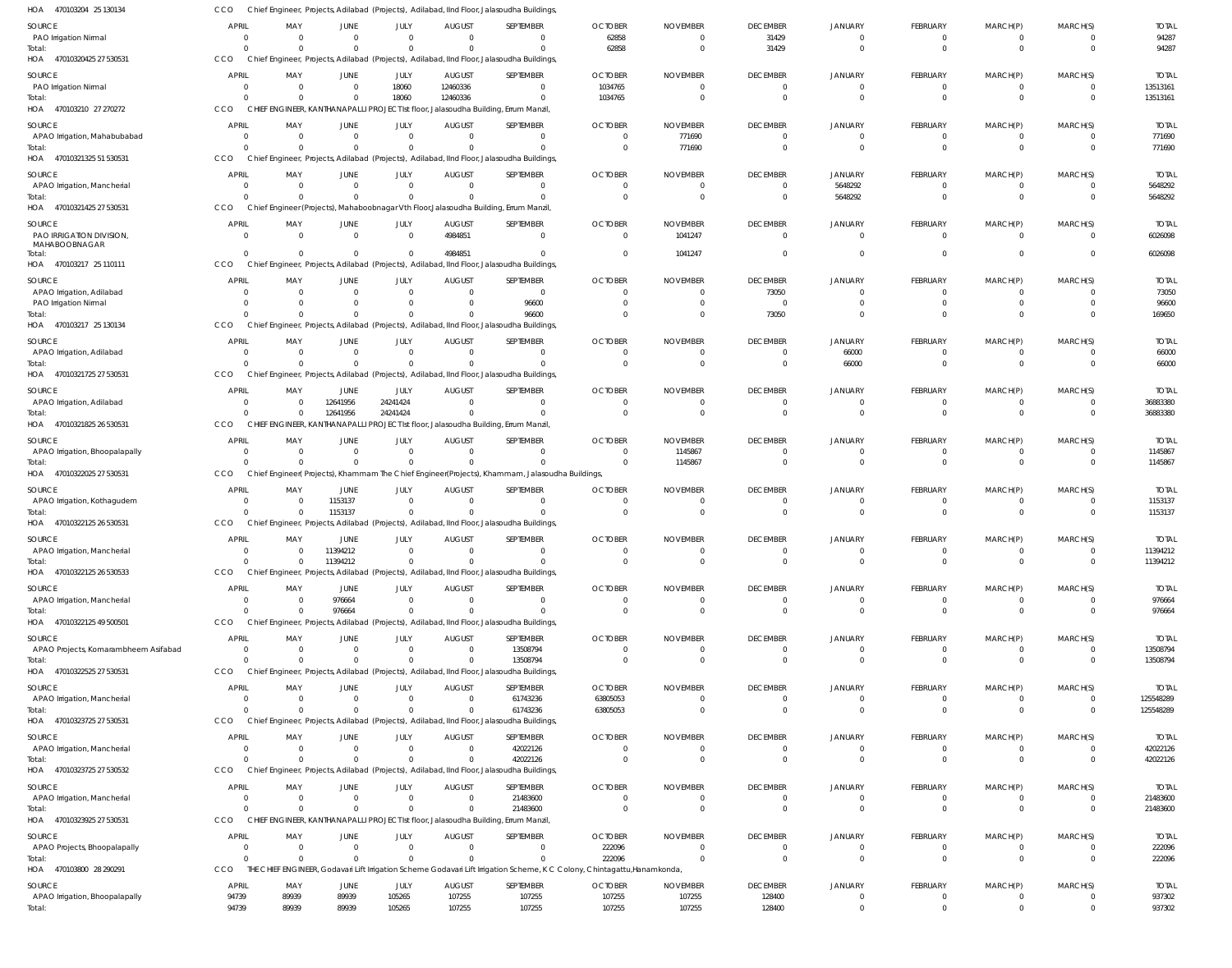| HOA<br>470103204 25 130134             | CCO                            |                         |                            |                          |                              | Chief Engineer, Projects, Adilabad (Projects), Adilabad, IInd Floor, Jalasoudha Buildings                                 |                            |                                  |                                   |                                  |                            |                               |                            |                        |
|----------------------------------------|--------------------------------|-------------------------|----------------------------|--------------------------|------------------------------|---------------------------------------------------------------------------------------------------------------------------|----------------------------|----------------------------------|-----------------------------------|----------------------------------|----------------------------|-------------------------------|----------------------------|------------------------|
| <b>SOURCE</b>                          | APRIL                          | MAY                     | JUNE                       | JULY                     | <b>AUGUST</b>                | SEPTEMBER                                                                                                                 | <b>OCTOBER</b>             | <b>NOVEMBER</b>                  | <b>DECEMBER</b>                   | <b>JANUARY</b>                   | FEBRUARY                   | MARCH(P)                      | MARCH(S)                   | <b>TOTAL</b>           |
| PAO Irrigation Nirmal                  | $\overline{0}$                 | $\Omega$                | $\mathbf 0$                | $\Omega$                 | $\Omega$                     | $\Omega$                                                                                                                  | 62858                      | $\overline{0}$                   | 31429                             | $\overline{0}$                   | -0                         | $^{\circ}$                    | $\Omega$                   | 94287                  |
| Total:                                 | $\Omega$                       | $\Omega$                | $\mathbf 0$                | $\Omega$                 | $\Omega$                     | $\Omega$                                                                                                                  | 62858                      | $\overline{0}$                   | 31429                             | $\overline{0}$                   | $\mathbf 0$                | $\mathbf 0$                   | $\Omega$                   | 94287                  |
| 47010320425 27 530531<br>HOA           | <b>CCO</b>                     |                         |                            |                          |                              | Chief Engineer, Projects, Adilabad (Projects), Adilabad, IInd Floor, Jalasoudha Buildings                                 |                            |                                  |                                   |                                  |                            |                               |                            |                        |
| SOURCE                                 | <b>APRIL</b>                   | MAY                     | JUNE                       | JULY                     | <b>AUGUST</b>                | SEPTEMBER                                                                                                                 | <b>OCTOBER</b>             | <b>NOVEMBER</b>                  | <b>DECEMBER</b>                   | <b>JANUARY</b>                   | FEBRUARY                   | MARCH(P)                      | MARCH(S)                   | <b>TOTAL</b>           |
| PAO Irrigation Nirmal<br>Total:        | $\overline{0}$<br>$\Omega$     | 0<br>$\Omega$           | $\mathbf 0$<br>$\Omega$    | 18060<br>18060           | 12460336<br>12460336         | $\Omega$<br>$\Omega$                                                                                                      | 1034765<br>1034765         | $\overline{0}$<br>$\mathbf 0$    | $\overline{0}$<br>$\overline{0}$  | $\overline{0}$<br>$\overline{0}$ | 0<br>$\mathbf 0$           | $\overline{0}$<br>$\mathbf 0$ | $\overline{0}$<br>$\Omega$ | 13513161<br>13513161   |
| 470103210 27 270272<br>HOA             | CCO                            |                         |                            |                          |                              | CHIEF ENGINEER, KANTHANAPALLI PROJECT Ist floor, Jalasoudha Building, Errum Manzil,                                       |                            |                                  |                                   |                                  |                            |                               |                            |                        |
|                                        |                                |                         |                            |                          |                              |                                                                                                                           |                            |                                  |                                   |                                  |                            |                               |                            |                        |
| SOURCE<br>APAO Irrigation, Mahabubabad | <b>APRIL</b><br>$\overline{0}$ | MAY<br>$\mathbf 0$      | JUNE<br>$\mathbf 0$        | JULY<br>$\mathbf 0$      | <b>AUGUST</b><br>$\mathbf 0$ | SEPTEMBER<br>$\Omega$                                                                                                     | <b>OCTOBER</b><br>$\Omega$ | <b>NOVEMBER</b><br>771690        | <b>DECEMBER</b><br>$\overline{0}$ | <b>JANUARY</b><br>$\overline{0}$ | FEBRUARY<br>-0             | MARCH(P)<br>$^{\circ}$        | MARCH(S)<br>$\Omega$       | <b>TOTAL</b><br>771690 |
| Total:                                 | $\Omega$                       | $\Omega$                | $\Omega$                   | $\Omega$                 | $\Omega$                     | $\Omega$                                                                                                                  | $\Omega$                   | 771690                           | $\overline{0}$                    | $\Omega$                         | $\mathbf 0$                | $\mathbf{0}$                  | $\Omega$                   | 771690                 |
| HOA 47010321325 51 530531              | <b>CCO</b>                     |                         |                            |                          |                              | Chief Engineer, Projects, Adilabad (Projects), Adilabad, IInd Floor, Jalasoudha Buildings                                 |                            |                                  |                                   |                                  |                            |                               |                            |                        |
| SOURCE                                 | <b>APRIL</b>                   | MAY                     | JUNE                       | JULY                     | <b>AUGUST</b>                | SEPTEMBER                                                                                                                 | <b>OCTOBER</b>             | <b>NOVEMBER</b>                  | <b>DECEMBER</b>                   | <b>JANUARY</b>                   | FEBRUARY                   | MARCH(P)                      | MARCH(S)                   | <b>TOTAL</b>           |
| APAO Irrigation, Mancherial            | $\mathbf{0}$                   | $\mathbf 0$             | $\mathbf 0$                | $\mathbf{0}$             | $\mathbf 0$                  | $\Omega$                                                                                                                  | 0                          | $^{\circ}$                       | $\overline{0}$                    | 5648292                          | 0                          | $\overline{0}$                | $\overline{0}$             | 5648292                |
| Total                                  | $\Omega$                       | $\Omega$                | $\mathbf 0$                | $\Omega$                 | $\Omega$                     | $\Omega$                                                                                                                  | $\Omega$                   | $\Omega$                         | $\overline{0}$                    | 5648292                          | $\mathbf 0$                | $\mathbf 0$                   | $\Omega$                   | 5648292                |
| 47010321425 27 530531<br>HOA           | CCO                            |                         |                            |                          |                              | Chief Engineer (Projects), Mahaboobnagar Vth Floor, Jalasoudha Building, Errum Manzil,                                    |                            |                                  |                                   |                                  |                            |                               |                            |                        |
| SOURCE                                 | <b>APRIL</b>                   | MAY                     | JUNE                       | JULY                     | <b>AUGUST</b>                | SEPTEMBER                                                                                                                 | <b>OCTOBER</b>             | <b>NOVEMBER</b>                  | <b>DECEMBER</b>                   | <b>JANUARY</b>                   | FEBRUARY                   | MARCH(P)                      | MARCH(S)                   | <b>TOTAL</b>           |
| PAO IRRIGATION DIVISION,               | $\overline{0}$                 | $\Omega$                | $\mathbf 0$                | $\mathbf 0$              | 4984851                      | $\Omega$                                                                                                                  | $\Omega$                   | 1041247                          | $\mathbf 0$                       | $\overline{0}$                   | $\Omega$                   | $\overline{0}$                | $\Omega$                   | 6026098                |
| MAHABOOBNAGAR<br>Total:                | $\Omega$                       | $\Omega$                | $\mathbf 0$                | $\Omega$                 | 4984851                      | $\Omega$                                                                                                                  | $\Omega$                   | 1041247                          | $\mathbf 0$                       | $\overline{0}$                   | $\Omega$                   | $\mathbf 0$                   | $\Omega$                   | 6026098                |
| 470103217 25 110111<br>HOA             | <b>CCO</b>                     |                         |                            |                          |                              | Chief Engineer, Projects, Adilabad (Projects), Adilabad, IInd Floor, Jalasoudha Buildings                                 |                            |                                  |                                   |                                  |                            |                               |                            |                        |
| SOURCE                                 | <b>APRIL</b>                   | MAY                     | JUNE                       | JULY                     | <b>AUGUST</b>                | SEPTEMBER                                                                                                                 | <b>OCTOBER</b>             | <b>NOVEMBER</b>                  | <b>DECEMBER</b>                   | <b>JANUARY</b>                   | FEBRUARY                   | MARCH(P)                      | MARCH(S)                   | <b>TOTAL</b>           |
| APAO Irrigation, Adilabad              | $\overline{0}$                 | 0                       | $\mathbf 0$                | $\mathbf 0$              | $\overline{0}$               | $\Omega$                                                                                                                  | $\Omega$                   | $\overline{0}$                   | 73050                             | $\overline{0}$                   | $\mathbf 0$                | $\mathbf 0$                   | $\Omega$                   | 73050                  |
| PAO Irrigation Nirmal                  | $\Omega$                       | 0                       | $\mathbf 0$                | $\mathbf 0$              | $\mathbf 0$                  | 96600                                                                                                                     |                            | $\Omega$                         | $\overline{0}$                    | $\circ$                          | $\Omega$                   | $\mathbf 0$                   | $\Omega$                   | 96600                  |
| Total                                  | $\Omega$                       | $\Omega$                | $\mathbf 0$                | $\Omega$                 | $\Omega$                     | 96600                                                                                                                     |                            | $\Omega$                         | 73050                             | $\overline{0}$                   | $\mathbf 0$                | $\mathbf 0$                   | $\Omega$                   | 169650                 |
| HOA 470103217 25 130134                | CCO                            |                         |                            |                          |                              | Chief Engineer, Projects, Adilabad (Projects), Adilabad, IInd Floor, Jalasoudha Buildings                                 |                            |                                  |                                   |                                  |                            |                               |                            |                        |
| SOURCE                                 | <b>APRIL</b>                   | MAY                     | JUNE                       | JULY                     | <b>AUGUST</b>                | SEPTEMBER                                                                                                                 | <b>OCTOBER</b>             | <b>NOVEMBER</b>                  | <b>DECEMBER</b>                   | <b>JANUARY</b>                   | FEBRUARY                   | MARCH(P)                      | MARCH(S)                   | <b>TOTAL</b>           |
| APAO Irrigation, Adilabad              | $\Omega$                       | $\Omega$                | $\mathbf 0$                | $^{\circ}$               | $\mathbf 0$                  | $\Omega$                                                                                                                  | $\Omega$                   | $\overline{0}$                   | 0                                 | 66000                            | -0                         | $^{\circ}$                    | $\Omega$                   | 66000                  |
| Total:<br>47010321725 27 530531<br>HOA | $\Omega$<br>CCO                | $\Omega$                | $\Omega$                   | $\Omega$                 | $\Omega$                     | $\Omega$                                                                                                                  |                            | $\Omega$                         | $\mathbf 0$                       | 66000                            | $\mathbf 0$                | $\mathbf 0$                   | $\Omega$                   | 66000                  |
|                                        |                                |                         |                            |                          |                              | Chief Engineer, Projects, Adilabad (Projects), Adilabad, IInd Floor, Jalasoudha Buildings                                 |                            |                                  |                                   |                                  |                            |                               |                            |                        |
| SOURCE                                 | APRIL                          | MAY                     | JUNE                       | JULY                     | <b>AUGUST</b><br>$\mathbf 0$ | SEPTEMBER<br>$\Omega$                                                                                                     | <b>OCTOBER</b><br>$\Omega$ | <b>NOVEMBER</b>                  | <b>DECEMBER</b>                   | <b>JANUARY</b>                   | FEBRUARY                   | MARCH(P)                      | MARCH(S)                   | <b>TOTAL</b>           |
| APAO Irrigation, Adilabad<br>Total:    | $\overline{0}$<br>$\Omega$     | $\Omega$<br>$\Omega$    | 12641956<br>12641956       | 24241424<br>24241424     | $\Omega$                     | $\Omega$                                                                                                                  | $\Omega$                   | $\overline{0}$<br>$\Omega$       | $\overline{0}$<br>$\overline{0}$  | $\overline{0}$<br>$\overline{0}$ | $\mathbf 0$<br>$\mathbf 0$ | $\overline{0}$<br>$\mathbf 0$ | $\overline{0}$<br>$\Omega$ | 36883380<br>36883380   |
| 47010321825 26 530531<br>HOA           | CCO                            |                         |                            |                          |                              | CHIEF ENGINEER, KANTHANAPALLI PROJECT Ist floor, Jalasoudha Building, Errum Manzil,                                       |                            |                                  |                                   |                                  |                            |                               |                            |                        |
| SOURCE                                 | <b>APRIL</b>                   | MAY                     | JUNE                       | JULY                     | <b>AUGUST</b>                | SEPTEMBER                                                                                                                 | <b>OCTOBER</b>             | <b>NOVEMBER</b>                  | <b>DECEMBER</b>                   | <b>JANUARY</b>                   | FEBRUARY                   | MARCH(P)                      | MARCH(S)                   | <b>TOTAL</b>           |
| APAO Irrigation, Bhoopalapally         | $\mathbf{0}$                   | $\mathbf 0$             | $\mathbf 0$                | $\mathbf 0$              | $\mathbf 0$                  | $\Omega$                                                                                                                  | $\Omega$                   | 1145867                          | $\overline{0}$                    | $\overline{0}$                   | -0                         | $^{\circ}$                    | $\Omega$                   | 1145867                |
| Total:                                 | $\Omega$                       | $\Omega$                | $\Omega$                   | $\Omega$                 | $\Omega$                     | $\Omega$                                                                                                                  | $\Omega$                   | 1145867                          | $\overline{0}$                    | $\Omega$                         | $\Omega$                   | $\mathbf 0$                   | $\Omega$                   | 1145867                |
| HOA<br>47010322025 27 530531           | <b>CCO</b>                     |                         |                            |                          |                              | Chief Engineer(Projects), Khammam The Chief Engineer(Projects), Khammam, Jalasoudha Buildings,                            |                            |                                  |                                   |                                  |                            |                               |                            |                        |
| SOURCE                                 | <b>APRIL</b>                   | MAY                     | JUNE                       | JULY                     | <b>AUGUST</b>                | SEPTEMBER                                                                                                                 | <b>OCTOBER</b>             | <b>NOVEMBER</b>                  | <b>DECEMBER</b>                   | <b>JANUARY</b>                   | FEBRUARY                   | MARCH(P)                      | MARCH(S)                   | <b>TOTAL</b>           |
| APAO Irrigation, Kothagudem            | $\overline{0}$                 | $\Omega$                | 1153137                    | $\mathbf{0}$             | $\overline{0}$               | $\Omega$                                                                                                                  |                            | $^{\circ}$                       | $\overline{0}$                    | $\overline{0}$                   | 0                          | $^{\circ}$                    | $\Omega$                   | 1153137                |
| Total                                  | $\Omega$                       | $\Omega$                | 1153137                    | $\mathbf 0$              | $\mathbf 0$                  | $\Omega$                                                                                                                  | $\Omega$                   | $\overline{0}$                   | $\mathbf 0$                       | $\overline{0}$                   | $\mathbf 0$                | $\mathbf 0$                   | $\Omega$                   | 1153137                |
| HOA 47010322125 26 530531              | CCO                            |                         |                            |                          |                              | Chief Engineer, Projects, Adilabad (Projects), Adilabad, IInd Floor, Jalasoudha Buildings                                 |                            |                                  |                                   |                                  |                            |                               |                            |                        |
| SOURCE                                 | <b>APRIL</b>                   | MAY                     | JUNE                       | JULY                     | <b>AUGUST</b>                | SEPTEMBER                                                                                                                 | <b>OCTOBER</b>             | <b>NOVEMBER</b>                  | <b>DECEMBER</b>                   | <b>JANUARY</b>                   | FEBRUARY                   | MARCH(P)                      | MARCH(S)                   | <b>TOTAL</b>           |
| APAO Irrigation, Mancherial            | $\overline{0}$                 | $\Omega$                | 11394212                   | $\Omega$                 | $\Omega$                     | $\Omega$                                                                                                                  | $\Omega$                   | $\Omega$                         | $\Omega$                          | $\Omega$                         | $\Omega$                   | $\Omega$                      | $\Omega$                   | 11394212               |
| Total<br>HOA<br>47010322125 26 530533  | $\overline{0}$<br>CCO          | $\Omega$                | 11394212                   | $\Omega$                 | $\Omega$                     | $\Omega$<br>Chief Engineer, Projects, Adilabad (Projects), Adilabad, IInd Floor, Jalasoudha Buildings                     | $\mathbf 0$                | $\overline{0}$                   | $\mathbf 0$                       | $\overline{0}$                   | $\mathbf{0}$               | $\mathbf{0}$                  | $\overline{0}$             | 11394212               |
|                                        |                                |                         |                            |                          |                              |                                                                                                                           |                            |                                  |                                   |                                  |                            |                               |                            |                        |
| SOURCE                                 | <b>APRIL</b>                   | MAY                     | JUNE                       | JULY                     | <b>AUGUST</b>                | SEPTEMBER                                                                                                                 | <b>OCTOBER</b>             | <b>NOVEMBER</b>                  | <b>DECEMBER</b>                   | <b>JANUARY</b>                   | FEBRUARY                   | MARCH(P)                      | MARCH(S)                   | <b>TOTAL</b>           |
| APAO Irrigation, Mancherial<br>Total:  | $\overline{0}$<br>$\Omega$     | $\mathbf 0$<br>$\Omega$ | 976664<br>976664           | $\mathbf{0}$<br>$\Omega$ | $\mathbf 0$<br>$\Omega$      | $\Omega$<br>$\Omega$                                                                                                      | $\mathbf 0$<br>$\Omega$    | $\overline{0}$<br>$\overline{0}$ | $\overline{0}$<br>$\overline{0}$  | $\overline{0}$<br>$\overline{0}$ | 0<br>$\mathbf 0$           | $\mathbf 0$<br>$\mathbf 0$    | $\overline{0}$<br>$\Omega$ | 976664<br>976664       |
| 47010322125 49 500501<br>HOA           | <b>CCO</b>                     |                         |                            |                          |                              | Chief Engineer, Projects, Adilabad (Projects), Adilabad, IInd Floor, Jalasoudha Buildings                                 |                            |                                  |                                   |                                  |                            |                               |                            |                        |
| SOURCE                                 | <b>APRIL</b>                   | MAY                     |                            | JULY                     | <b>AUGUST</b>                | <b>SEPTEMBER</b>                                                                                                          | <b>OCTOBER</b>             | <b>NOVEMBER</b>                  | <b>DECEMBER</b>                   | <b>JANUARY</b>                   | FEBRUARY                   | MARCH(P)                      | MARCH(S)                   | <b>TOTAL</b>           |
| APAO Projects, Komarambheem Asifabad   | $\mathbf{0}$                   | $\mathbf 0$             | JUNE<br>$\mathbf 0$        | $\mathbf 0$              | $\overline{0}$               | 13508794                                                                                                                  | $\Omega$                   | $\mathbf 0$                      | $\mathbf 0$                       | $\overline{0}$                   | -0                         | $^{\circ}$                    | $\Omega$                   | 13508794               |
| Total:                                 | $\Omega$                       | $\Omega$                | $\Omega$                   | $\Omega$                 | $\Omega$                     | 13508794                                                                                                                  | $\Omega$                   | $\Omega$                         | $\mathbf 0$                       | $\overline{0}$                   | $\Omega$                   | $\mathbf 0$                   | $\Omega$                   | 13508794               |
| HOA 47010322525 27 530531              | CCO                            |                         |                            |                          |                              | Chief Engineer, Projects, Adilabad (Projects), Adilabad, IInd Floor, Jalasoudha Buildings                                 |                            |                                  |                                   |                                  |                            |                               |                            |                        |
| SOURCE                                 | <b>APRIL</b>                   | MAY                     | JUNE                       | JULY                     | <b>AUGUST</b>                | SEPTEMBER                                                                                                                 | <b>OCTOBER</b>             | <b>NOVEMBER</b>                  | <b>DECEMBER</b>                   | <b>JANUARY</b>                   | FEBRUARY                   | MARCH(P)                      | MARCH(S)                   | <b>TOTAL</b>           |
| APAO Irrigation, Mancherial            | $\mathbf{0}$                   | $\mathbf 0$             | $\mathbf 0$                | $\mathbf{0}$             | $\overline{0}$               | 61743236                                                                                                                  | 63805053                   | $\mathbf 0$                      | $\overline{0}$                    | $\overline{0}$                   | 0                          | $^{\circ}$                    | $\Omega$                   | 125548289              |
| Total:                                 | $\Omega$                       | $\Omega$                | $\mathbf 0$                | $\Omega$                 | $\Omega$                     | 61743236                                                                                                                  | 63805053                   | $\overline{0}$                   | $\overline{0}$                    | $\overline{0}$                   | $\mathbf 0$                | $\mathbf 0$                   | $\overline{0}$             | 125548289              |
| HOA 47010323725 27 530531              | CCO                            |                         |                            |                          |                              | Chief Engineer, Projects, Adilabad (Projects), Adilabad, IInd Floor, Jalasoudha Buildings,                                |                            |                                  |                                   |                                  |                            |                               |                            |                        |
| SOURCE                                 | <b>APRIL</b>                   | MAY                     | JUNE                       | JULY                     | <b>AUGUST</b>                | SEPTEMBER                                                                                                                 | <b>OCTOBER</b>             | <b>NOVEMBER</b>                  | <b>DECEMBER</b>                   | <b>JANUARY</b>                   | FEBRUARY                   | MARCH(P)                      | MARCH(S)                   | <b>TOTAL</b>           |
| APAO Irrigation, Mancherial            | $\Omega$                       | $\Omega$                | $\mathbf 0$                | $\Omega$                 | $\Omega$                     | 42022126                                                                                                                  | $\Omega$                   | $\Omega$                         | $\overline{0}$                    | $\overline{0}$                   | -0                         | $^{\circ}$                    | $\Omega$                   | 42022126               |
| Total:                                 | $\Omega$                       | $\Omega$                | $\mathbf 0$                | $\Omega$                 | $\mathbf 0$                  | 42022126                                                                                                                  | $\Omega$                   | $\Omega$                         | $\mathbf 0$                       | $\overline{0}$                   | $\mathbf 0$                | $\mathbf 0$                   | $\Omega$                   | 42022126               |
| 47010323725 27 530532<br>HOA           | CCO                            |                         |                            |                          |                              | Chief Engineer, Projects, Adilabad (Projects), Adilabad, IInd Floor, Jalasoudha Buildings,                                |                            |                                  |                                   |                                  |                            |                               |                            |                        |
| SOURCE                                 | <b>APRIL</b>                   | MAY                     | JUNE                       | JULY                     | <b>AUGUST</b>                | SEPTEMBER                                                                                                                 | <b>OCTOBER</b>             | <b>NOVEMBER</b>                  | <b>DECEMBER</b>                   | <b>JANUARY</b>                   | FEBRUARY                   | MARCH(P)                      | MARCH(S)                   | <b>TOTAL</b>           |
| APAO Irrigation, Mancherial            | $\overline{0}$                 | 0                       | $\mathbf 0$                | $\mathbf{0}$             | $\overline{0}$               | 21483600                                                                                                                  | $\mathbf 0$                | $\overline{0}$                   | $\overline{0}$                    | $\overline{0}$                   | 0                          | $\overline{0}$                | $\Omega$                   | 21483600               |
| Total:<br>47010323925 27 530531<br>HOA | $\Omega$<br>CCO                | $\Omega$                | $\mathbf 0$                | $\Omega$                 | $\Omega$                     | 21483600<br>CHIEF ENGINEER, KANTHANAPALLI PROJECT Ist floor, Jalasoudha Building, Errum Manzil,                           |                            | $\mathbf 0$                      | $\overline{0}$                    | $\overline{0}$                   | $\mathbf 0$                | $\mathbf 0$                   | $\Omega$                   | 21483600               |
|                                        |                                |                         |                            |                          |                              |                                                                                                                           |                            |                                  |                                   |                                  |                            |                               |                            |                        |
| SOURCE                                 | <b>APRIL</b>                   | MAY                     | JUNE                       | JULY                     | <b>AUGUST</b>                | SEPTEMBER                                                                                                                 | <b>OCTOBER</b>             | <b>NOVEMBER</b>                  | <b>DECEMBER</b>                   | <b>JANUARY</b>                   | FEBRUARY                   | MARCH(P)                      | MARCH(S)                   | <b>TOTAL</b>           |
| APAO Projects, Bhoopalapally<br>Total: | $\overline{0}$<br>$\Omega$     | $\mathbf 0$<br>$\Omega$ | $\mathbf 0$<br>$\mathbf 0$ | $\mathbf{0}$<br>$\Omega$ | $\mathbf 0$<br>$\Omega$      | $\Omega$<br>$\Omega$                                                                                                      | 222096<br>222096           | $\Omega$<br>$\overline{0}$       | 0<br>$\overline{0}$               | $\overline{0}$<br>$\overline{0}$ | -0<br>$\mathbf 0$          | $^{\circ}$<br>$\mathbf{0}$    | $\Omega$<br>$\Omega$       | 222096<br>222096       |
| HOA 470103800 28 290291                | CCO                            |                         |                            |                          |                              | THE CHIEF ENGINEER, Godavari Lift Irrigation Scheme Godavari Lift Irrigation Scheme, K C Colony, Chintagattu, Hanamkonda, |                            |                                  |                                   |                                  |                            |                               |                            |                        |
|                                        |                                |                         |                            | JULY                     | <b>AUGUST</b>                | SEPTEMBER                                                                                                                 | <b>OCTOBER</b>             | <b>NOVEMBER</b>                  |                                   |                                  |                            |                               | MARCH(S)                   |                        |
| SOURCE                                 | <b>APRIL</b>                   | MAY                     | JUNE                       |                          |                              |                                                                                                                           |                            |                                  | <b>DECEMBER</b>                   | <b>JANUARY</b>                   | FEBRUARY                   | MARCH(P)                      |                            | <b>TOTAL</b>           |
| APAO Irrigation, Bhoopalapally         | 94739                          | 89939                   | 89939                      | 105265                   | 107255                       | 107255                                                                                                                    | 107255                     | 107255                           | 128400                            | $\overline{0}$                   | 0                          | $\mathbf 0$                   | 0                          | 937302                 |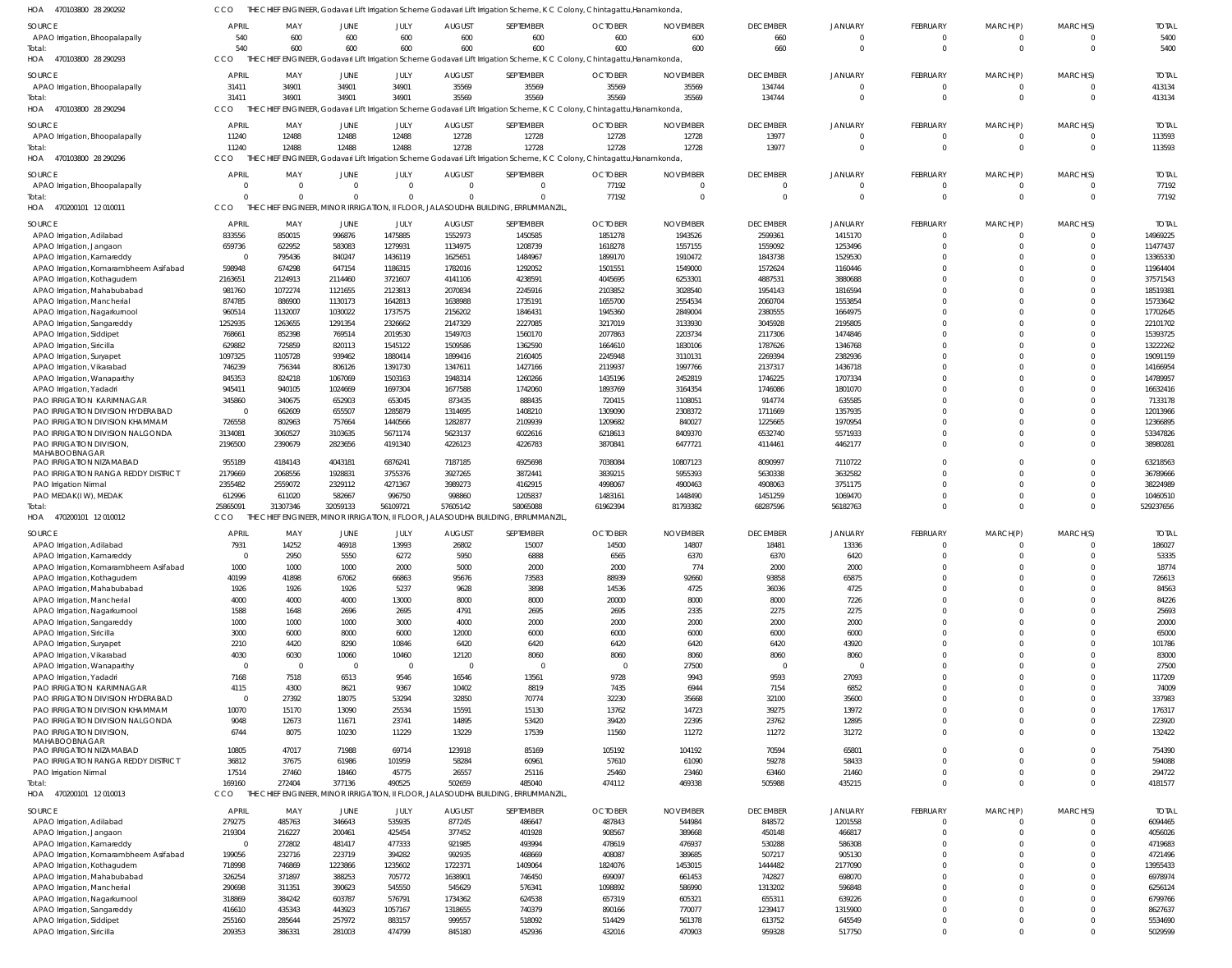| HOA<br>470103800 28 290292                                            | CCO                    |                                  |                   |                         |                    | THE CHIEF ENGINEER, Godavari Lift Irrigation Scheme Godavari Lift Irrigation Scheme, K C Colony, Chintagattu,Hanamkonda,  |                    |                    |                        |                    |                             |                            |                       |                      |
|-----------------------------------------------------------------------|------------------------|----------------------------------|-------------------|-------------------------|--------------------|---------------------------------------------------------------------------------------------------------------------------|--------------------|--------------------|------------------------|--------------------|-----------------------------|----------------------------|-----------------------|----------------------|
| SOURCE                                                                | <b>APRIL</b>           | MAY                              | JUNE              | JULY                    | <b>AUGUST</b>      | SEPTEMBER                                                                                                                 | <b>OCTOBER</b>     | <b>NOVEMBER</b>    | <b>DECEMBER</b>        | <b>JANUARY</b>     | FEBRUARY                    | MARCH(P)                   | MARCH(S)              | <b>TOTAL</b>         |
| APAO Irrigation, Bhoopalapally                                        | 540                    | 600                              | 600               | 600                     | 600                | 600                                                                                                                       | 600                | 600                | 660                    |                    | $\mathbf 0$                 | $\mathbf 0$                | $\Omega$              | 5400                 |
| Total:                                                                | 540                    | 600                              | 600               | 600                     | 600                | 600                                                                                                                       | 600                | 600                | 660                    | $\Omega$           | $\mathbf 0$                 | $\mathbf 0$                | $\Omega$              | 5400                 |
| HOA<br>470103800 28 290293                                            | CCO                    |                                  |                   |                         |                    | THE CHIEF ENGINEER, Godavari Lift Irrigation Scheme Godavari Lift Irrigation Scheme, K C Colony, Chintagattu, Hanamkonda, |                    |                    |                        |                    |                             |                            |                       |                      |
| SOURCE                                                                | <b>APRIL</b>           | MAY                              | JUNE              | JULY                    | <b>AUGUST</b>      | SEPTEMBER                                                                                                                 | <b>OCTOBER</b>     | <b>NOVEMBER</b>    | <b>DECEMBER</b>        | <b>JANUARY</b>     | FEBRUARY                    | MARCH(P)                   | MARCH(S)              | <b>TOTAL</b>         |
| APAO Irrigation, Bhoopalapally                                        | 31411                  | 34901                            | 34901             | 34901                   | 35569              | 35569                                                                                                                     | 35569              | 35569              | 134744                 | $\Omega$           | $\overline{0}$              | $\mathbf 0$                | $\Omega$              | 413134               |
| Total:                                                                | 31411                  | 34901                            | 34901             | 34901                   | 35569              | 35569                                                                                                                     | 35569              | 35569              | 134744                 | $\Omega$           | $\mathbf 0$                 | $\overline{0}$             | $\Omega$              | 413134               |
| 470103800 28 290294<br>HOA                                            | CCO                    |                                  |                   |                         |                    | THE CHIEF ENGINEER, Godavari Lift Irrigation Scheme Godavari Lift Irrigation Scheme, K C Colony, Chintagattu, Hanamkonda  |                    |                    |                        |                    |                             |                            |                       |                      |
| SOURCE                                                                | <b>APRIL</b>           | MAY                              | JUNE              | JULY                    | <b>AUGUST</b>      | SEPTEMBER                                                                                                                 | <b>OCTOBER</b>     | <b>NOVEMBER</b>    | <b>DECEMBER</b>        | <b>JANUARY</b>     | FEBRUARY                    | MARCH(P)                   | MARCH(S)              | <b>TOTAL</b>         |
| APAO Irrigation, Bhoopalapally                                        | 11240                  | 12488                            | 12488             | 12488                   | 12728              | 12728                                                                                                                     | 12728              | 12728              | 13977                  |                    | $^{\circ}$                  | $^{\circ}$                 | $\Omega$              | 113593               |
| Total:                                                                | 11240                  | 12488                            | 12488             | 12488                   | 12728              | 12728                                                                                                                     | 12728              | 12728              | 13977                  | $\Omega$           | $\mathbf 0$                 | $\mathbf 0$                | $\Omega$              | 113593               |
| HOA 470103800 28 290296                                               | CCO                    |                                  |                   |                         |                    | THE CHIEF ENGINEER, Godavari Lift Irrigation Scheme Godavari Lift Irrigation Scheme, K C Colony, Chintagattu, Hanamkonda  |                    |                    |                        |                    |                             |                            |                       |                      |
| SOURCE                                                                | APRIL                  | MAY                              | <b>JUNE</b>       | JULY                    | <b>AUGUST</b>      | SEPTEMBER                                                                                                                 | <b>OCTOBER</b>     | <b>NOVEMBER</b>    | <b>DECEMBER</b>        | <b>JANUARY</b>     | <b>FEBRUARY</b>             | MARCH(P)                   | MARCH(S)              | <b>TOTAL</b>         |
| APAO Irrigation, Bhoopalapally                                        | $\Omega$               | $\overline{0}$                   | $\Omega$          | $\overline{0}$          | - 0                | $\mathbf{0}$                                                                                                              | 77192              |                    | $\mathbf 0$            | $\Omega$           | $\mathbf 0$                 | $\mathbf 0$                | $\Omega$              | 77192                |
| Total:                                                                | $\Omega$               | $\Omega$                         |                   | $\Omega$                |                    | $\Omega$                                                                                                                  | 77192              |                    | $\overline{0}$         | $\Omega$           | $\mathbf 0$                 | $\mathbf 0$                | $\Omega$              | 77192                |
| HOA 470200101 12010011                                                | CCO                    |                                  |                   |                         |                    | THE CHIEF ENGINEER, MINOR IRRIGATION, II FLOOR, JALASOUDHA BUILDING, ERRUMMANZIL                                          |                    |                    |                        |                    |                             |                            |                       |                      |
| SOURCE                                                                | <b>APRIL</b>           | MAY                              | JUNE              | JULY                    | <b>AUGUST</b>      | SEPTEMBER                                                                                                                 | <b>OCTOBER</b>     | <b>NOVEMBER</b>    | <b>DECEMBER</b>        | <b>JANUARY</b>     | FEBRUARY                    | MARCH(P)                   | MARCH(S)              | <b>TOTAL</b>         |
| APAO Irrigation, Adilabad                                             | 833556                 | 850015                           | 996876            | 1475885                 | 1552973            | 1450585                                                                                                                   | 1851278            | 1943526            | 2599361                | 1415170            | $\mathbf 0$                 | $\mathbf 0$                | $\Omega$              | 14969225             |
| APAO Irrigation, Jangaon                                              | 659736                 | 622952                           | 583083            | 1279931                 | 1134975            | 1208739                                                                                                                   | 1618278            | 1557155            | 1559092                | 1253496            | $\mathbf 0$                 | $\mathbf 0$                | $\Omega$              | 11477437             |
| APAO Irrigation, Kamareddy                                            | $\overline{0}$         | 795436                           | 840247            | 1436119                 | 1625651            | 1484967                                                                                                                   | 1899170            | 1910472            | 1843738                | 1529530            | $\mathbf 0$<br>$\Omega$     | $\mathbf 0$<br>$\Omega$    |                       | 13365330             |
| APAO Irrigation, Komarambheem Asifabad<br>APAO Irrigation, Kothagudem | 598948<br>2163651      | 674298<br>2124913                | 647154<br>2114460 | 1186315<br>3721607      | 1782016<br>4141106 | 1292052<br>4238591                                                                                                        | 1501551<br>4045695 | 1549000<br>6253301 | 1572624<br>4887531     | 1160446<br>3880688 | $\mathbf 0$                 | $\mathbf 0$                |                       | 11964404<br>37571543 |
| APAO Irrigation, Mahabubabad                                          | 981760                 | 1072274                          | 1121655           | 2123813                 | 2070834            | 2245916                                                                                                                   | 2103852            | 3028540            | 1954143                | 1816594            | $\Omega$                    | $\Omega$                   |                       | 18519381             |
| APAO Irrigation, Mancherial                                           | 874785                 | 886900                           | 1130173           | 1642813                 | 1638988            | 1735191                                                                                                                   | 1655700            | 2554534            | 2060704                | 1553854            | $\mathbf 0$                 | $\Omega$                   |                       | 15733642             |
| APAO Irrigation, Nagarkurnool                                         | 960514                 | 1132007                          | 1030022           | 1737575                 | 2156202            | 1846431                                                                                                                   | 1945360            | 2849004            | 2380555                | 1664975            | $\Omega$                    | $\Omega$                   |                       | 17702645             |
| APAO Irrigation, Sangareddy                                           | 1252935                | 1263655                          | 1291354           | 2326662                 | 2147329            | 2227085                                                                                                                   | 3217019            | 3133930            | 3045928                | 2195805            | $\mathbf 0$                 | $\Omega$                   |                       | 22101702             |
| APAO Irrigation, Siddipet                                             | 768661                 | 852398                           | 769514            | 2019530                 | 1549703            | 1560170                                                                                                                   | 2077863            | 2203734            | 2117306                | 1474846            | $\Omega$                    | $\Omega$                   |                       | 15393725             |
| APAO Irrigation, Siricilla                                            | 629882                 | 725859                           | 820113            | 1545122                 | 1509586            | 1362590                                                                                                                   | 1664610            | 1830106            | 1787626                | 1346768            | $\Omega$                    | $\Omega$                   |                       | 13222262             |
| APAO Irrigation, Suryapet                                             | 1097325                | 1105728                          | 939462            | 1880414                 | 1899416            | 2160405                                                                                                                   | 2245948            | 3110131            | 2269394                | 2382936            | $\Omega$<br>$\mathbf 0$     | $\Omega$<br>$\Omega$       |                       | 19091159             |
| APAO Irrigation, Vikarabad<br>APAO Irrigation, Wanaparthy             | 746239<br>845353       | 756344<br>824218                 | 806126<br>1067069 | 1391730<br>1503163      | 1347611<br>1948314 | 1427166<br>1260266                                                                                                        | 2119937<br>1435196 | 1997766<br>2452819 | 2137317<br>1746225     | 1436718<br>1707334 | $\Omega$                    | $\Omega$                   |                       | 14166954<br>14789957 |
| APAO Irrigation, Yadadri                                              | 945411                 | 940105                           | 1024669           | 1697304                 | 1677588            | 1742060                                                                                                                   | 1893769            | 3164354            | 1746086                | 1801070            | $\mathbf 0$                 | $\Omega$                   |                       | 16632416             |
| PAO IRRIGATION KARIMNAGAR                                             | 345860                 | 340675                           | 652903            | 653045                  | 873435             | 888435                                                                                                                    | 720415             | 1108051            | 914774                 | 635585             | $\Omega$                    | $\Omega$                   |                       | 7133178              |
| PAO IRRIGATION DIVISION HYDERABAD                                     | $\overline{0}$         | 662609                           | 655507            | 1285879                 | 1314695            | 1408210                                                                                                                   | 1309090            | 2308372            | 1711669                | 1357935            | $\mathbf 0$                 | $\Omega$                   |                       | 12013966             |
| PAO IRRIGATION DIVISION KHAMMAM                                       | 726558                 | 802963                           | 757664            | 1440566                 | 1282877            | 2109939                                                                                                                   | 1209682            | 840027             | 1225665                | 1970954            | $\Omega$                    | $\Omega$                   |                       | 12366895             |
| PAO IRRIGATION DIVISION NALGONDA                                      | 3134081                | 3060527                          | 3103635           | 5671174                 | 5623137            | 6022616                                                                                                                   | 6218613            | 8409370            | 6532740                | 5571933            | $\mathbf 0$                 | $\mathbf 0$                |                       | 53347826             |
| PAO IRRIGATION DIVISION,<br>MAHABOOBNAGAR                             | 2196500                | 2390679                          | 2823656           | 4191340                 | 4226123            | 4226783                                                                                                                   | 3870841            | 6477721            | 4114461                | 4462177            | $\mathbf 0$                 | $\Omega$                   |                       | 38980281             |
| PAO IRRIGATION NIZAMABAD                                              | 955189                 | 4184143                          | 4043181           | 6876241                 | 7187185            | 6925698                                                                                                                   | 7038084            | 10807123           | 8090997                | 7110722            | $\Omega$                    | $\Omega$                   |                       | 63218563             |
| PAO IRRIGATION RANGA REDDY DISTRICT                                   | 2179669                | 2068556                          | 1928831           | 3755376                 | 3927265            | 3872441                                                                                                                   | 3839215            | 5955393            | 5630338                | 3632582            | $\Omega$                    | $\Omega$                   | $\Omega$              | 36789666             |
| PAO Irrigation Nirmal                                                 | 2355482                | 2559072                          | 2329112           | 4271367                 | 3989273            | 4162915                                                                                                                   | 4998067            | 4900463            | 4908063                | 3751175            | $\mathbf 0$                 | $\mathbf 0$                | $\Omega$              | 38224989             |
| PAO MEDAK(IW), MEDAK                                                  | 612996                 | 611020                           | 582667            | 996750                  | 998860             | 1205837                                                                                                                   | 1483161            | 1448490            | 1451259                | 1069470            | $\mathbf 0$                 | $\mathbf 0$                | $\Omega$              | 10460510             |
| Total:                                                                | 25865091               | 31307346                         | 32059133          | 56109721                | 57605142           | 58065088                                                                                                                  | 61962394           | 81793382           | 68287596               | 56182763           | $\mathbf 0$                 | $\mathbf 0$                | $\Omega$              | 529237656            |
| HOA 470200101 12 010012                                               | CCO                    |                                  |                   |                         |                    | THE CHIEF ENGINEER, MINOR IRRIGATION, II FLOOR, JALASOUDHA BUILDING, ERRUMMANZIL                                          |                    |                    |                        |                    |                             |                            |                       |                      |
| SOURCE                                                                | APRIL                  | MAY                              | JUNE              | JULY                    | <b>AUGUST</b>      | SEPTEMBER                                                                                                                 | <b>OCTOBER</b>     | <b>NOVEMBER</b>    | <b>DECEMBER</b>        | <b>JANUARY</b>     | FEBRUARY                    | MARCH(P)                   | MARCH(S)              | <b>TOTAL</b>         |
| APAO Irrigation, Adilabad                                             | 7931                   | 14252                            | 46918             | 13993                   | 26802              | 15007                                                                                                                     | 14500              | 14807              | 18481                  | 13336              | $\mathbf{0}$                | $\mathbf{0}$               | $\Omega$              | 186027               |
| APAO Irrigation, Kamareddy                                            |                        | 2950                             | 5550              | 6272                    | 5950               | 6888                                                                                                                      | 6565               | 6370               | 6370                   | 6420               | $\cap$                      | $\cap$                     | $\bigcap$<br>$\Omega$ | 53335                |
| APAO Irrigation, Komarambheem Asifabad<br>APAO Irrigation, Kothagudem | 1000<br>40199          | 1000<br>41898                    | 1000<br>67062     | 2000<br>66863           | 5000<br>95676      | 2000<br>73583                                                                                                             | 2000<br>88939      | 774<br>92660       | 2000<br>93858          | 2000<br>65875      | $\mathbf{0}$<br>$\mathbf 0$ | $\mathbf 0$<br>$\mathbf 0$ | $\Omega$              | 18774<br>726613      |
| APAO Irrigation, Mahabubabad                                          | 1926                   | 1926                             | 1926              | 5237                    | 9628               | 3898                                                                                                                      | 14536              | 4725               | 36036                  | 4725               | $\mathbf 0$                 | $\mathbf{0}$               | $\Omega$              | 84563                |
| APAO Irrigation, Mancherial                                           | 4000                   | 4000                             | 4000              | 13000                   | 8000               | 8000                                                                                                                      | 20000              | 8000               | 8000                   | 7226               | $\mathbf 0$                 | $\mathbf 0$                | $\Omega$              | 84226                |
| APAO Irrigation, Nagarkurnool                                         | 1588                   | 1648                             | 2696              | 2695                    | 4791               | 2695                                                                                                                      | 2695               | 2335               | 2275                   | 2275               | $\mathbf 0$                 | $\mathbf 0$                | $\Omega$              | 25693                |
| APAO Irrigation, Sangareddy                                           | 1000                   | 1000                             | 1000              | 3000                    | 4000               | 2000                                                                                                                      | 2000               | 2000               | 2000                   | 2000               | $\mathbf 0$                 | $\mathbf 0$                | $\Omega$              | 20000                |
| APAO Irrigation, Siricilla                                            | 3000                   | 6000                             | 8000              | 6000                    | 12000              | 6000                                                                                                                      | 6000               | 6000               | 6000                   | 6000               | $\mathbf 0$                 | $\mathbf 0$                | $\Omega$              | 65000                |
| APAO Irrigation, Suryapet                                             | 2210                   | 4420                             | 8290              | 10846                   | 6420               | 6420                                                                                                                      | 6420               | 6420               | 6420                   | 43920              | $\mathbf 0$                 | $\Omega$                   | $\Omega$<br>$\Omega$  | 101786               |
| APAO Irrigation, Vikarabad<br>APAO Irrigation, Wanaparthy             | 4030<br>$\overline{0}$ | 6030<br>$\overline{\phantom{0}}$ | 10060<br>$\Omega$ | 10460<br>$\overline{0}$ | 12120              | 8060<br>$\overline{0}$                                                                                                    | 8060<br>- 0        | 8060<br>27500      | 8060<br>$\overline{0}$ | 8060<br>$\Omega$   | $\mathbf 0$<br>$\mathbf 0$  | $\mathbf 0$<br>$\mathbf 0$ | $\Omega$              | 83000<br>27500       |
| APAO Irrigation, Yadadri                                              | 7168                   | 7518                             | 6513              | 9546                    | 16546              | 13561                                                                                                                     | 9728               | 9943               | 9593                   | 27093              | $\mathbf 0$                 | $\mathbf 0$                | $\Omega$              | 117209               |
| PAO IRRIGATION KARIMNAGAR                                             | 4115                   | 4300                             | 8621              | 9367                    | 10402              | 8819                                                                                                                      | 7435               | 6944               | 7154                   | 6852               | $\mathbf 0$                 | $\mathbf 0$                | $\Omega$              | 74009                |
| PAO IRRIGATION DIVISION HYDERABAD                                     | $\overline{0}$         | 27392                            | 18075             | 53294                   | 32850              | 70774                                                                                                                     | 32230              | 35668              | 32100                  | 35600              | $\mathbf{0}$                | $\mathbf{0}$               | $\Omega$              | 337983               |
| PAO IRRIGATION DIVISION KHAMMAM                                       | 10070                  | 15170                            | 13090             | 25534                   | 15591              | 15130                                                                                                                     | 13762              | 14723              | 39275                  | 13972              | $\mathbf 0$                 | $\mathbf 0$                | $\Omega$              | 176317               |
| PAO IRRIGATION DIVISION NALGONDA                                      | 9048                   | 12673                            | 11671             | 23741                   | 14895              | 53420                                                                                                                     | 39420              | 22395              | 23762                  | 12895              | $\mathbf{0}$                | $\mathbf{0}$               | $\Omega$              | 223920               |
| PAO IRRIGATION DIVISION,<br>MAHABOOBNAGAR                             | 6744                   | 8075                             | 10230             | 11229                   | 13229              | 17539                                                                                                                     | 11560              | 11272              | 11272                  | 31272              | $\mathbf 0$                 | $\mathbf 0$                | $\Omega$              | 132422               |
| PAO IRRIGATION NIZAMABAD                                              | 10805                  | 47017                            | 71988             | 69714                   | 123918             | 85169                                                                                                                     | 105192             | 104192             | 70594                  | 65801              | $\mathbf 0$                 | $\mathbf{0}$               | $\mathbf{0}$          | 754390               |
| PAO IRRIGATION RANGA REDDY DISTRICT                                   | 36812                  | 37675                            | 61986             | 101959                  | 58284              | 60961                                                                                                                     | 57610              | 61090              | 59278                  | 58433              | $\mathbf 0$                 | $\mathbf 0$                | $\Omega$              | 594088               |
| PAO Irrigation Nirmal                                                 | 17514                  | 27460                            | 18460             | 45775                   | 26557              | 25116                                                                                                                     | 25460              | 23460              | 63460                  | 21460              | $\mathbf 0$                 | $\mathbf 0$                | $\overline{0}$        | 294722               |
| Total:                                                                | 169160                 | 272404                           | 377136            | 490525                  | 502659             | 485040                                                                                                                    | 474112             | 469338             | 505988                 | 435215             | $\mathbf 0$                 | $\mathbf 0$                | $\Omega$              | 4181577              |
| HOA 470200101 12010013                                                | CCO                    |                                  |                   |                         |                    | THE CHIEF ENGINEER, MINOR IRRIGATION, II FLOOR, JALASOUDHA BUILDING, ERRUMMANZIL                                          |                    |                    |                        |                    |                             |                            |                       |                      |
| SOURCE                                                                | APRIL                  | MAY                              | JUNE              | JULY                    | <b>AUGUST</b>      | SEPTEMBER                                                                                                                 | <b>OCTOBER</b>     | <b>NOVEMBER</b>    | <b>DECEMBER</b>        | <b>JANUARY</b>     | FEBRUARY                    | MARCH(P)                   | MARCH(S)              | <b>TOTAL</b>         |
| APAO Irrigation, Adilabad                                             | 279275                 | 485763                           | 346643            | 535935                  | 877245             | 486647                                                                                                                    | 487843             | 544984             | 848572                 | 1201558            | $\mathbf 0$                 | $\mathbf 0$                |                       | 6094465              |
| APAO Irrigation, Jangaon                                              | 219304                 | 216227                           | 200461            | 425454                  | 377452             | 401928                                                                                                                    | 908567             | 389668             | 450148                 | 466817             | $\mathbf 0$                 | $\mathbf 0$                | $\Omega$              | 4056026              |
| APAO Irrigation, Kamareddy                                            | $\overline{0}$         | 272802                           | 481417            | 477333                  | 921985             | 493994                                                                                                                    | 478619             | 476937             | 530288                 | 586308             | $\Omega$                    | $\Omega$                   |                       | 4719683              |
| APAO Irrigation, Komarambheem Asifabad<br>APAO Irrigation, Kothagudem | 199056<br>718998       | 232716<br>746869                 | 223719<br>1223866 | 394282<br>1235602       | 992935<br>1722371  | 468669<br>1409064                                                                                                         | 408087<br>1824076  | 389685<br>1453015  | 507217<br>1444482      | 905130<br>2177090  | $\Omega$<br>$\Omega$        | $\Omega$<br>$\Omega$       |                       | 4721496<br>13955433  |
| APAO Irrigation, Mahabubabad                                          | 326254                 | 371897                           | 388253            | 705772                  | 1638901            | 746450                                                                                                                    | 699097             | 661453             | 742827                 | 698070             | $\Omega$                    | $\Omega$                   |                       | 6978974              |
| APAO Irrigation, Mancherial                                           | 290698                 | 311351                           | 390623            | 545550                  | 545629             | 576341                                                                                                                    | 1098892            | 586990             | 1313202                | 596848             | $\mathbf 0$                 | $\Omega$                   |                       | 6256124              |
| APAO Irrigation, Nagarkurnool                                         | 318869                 | 384242                           | 603787            | 576791                  | 1734362            | 624538                                                                                                                    | 657319             | 605321             | 655311                 | 639226             | $\Omega$                    | $\Omega$                   |                       | 6799766              |
| APAO Irrigation, Sangareddy                                           | 416610                 | 435343                           | 443923            | 1057167                 | 1318655            | 740379                                                                                                                    | 890166             | 770077             | 1239417                | 1315900            | $\mathbf 0$                 | $\mathbf 0$                |                       | 8627637              |
| APAO Irrigation, Siddipet                                             | 255160                 | 285644                           | 257972            | 883157                  | 999557             | 518092                                                                                                                    | 514429             | 561378             | 613752                 | 645549             | $\mathbf 0$                 | $\mathbf 0$                | $\Omega$              | 5534690              |
| APAO Irrigation, Siricilla                                            | 209353                 | 386331                           | 281003            | 474799                  | 845180             | 452936                                                                                                                    | 432016             | 470903             | 959328                 | 517750             | $\Omega$                    | $\Omega$                   | $\Omega$              | 5029599              |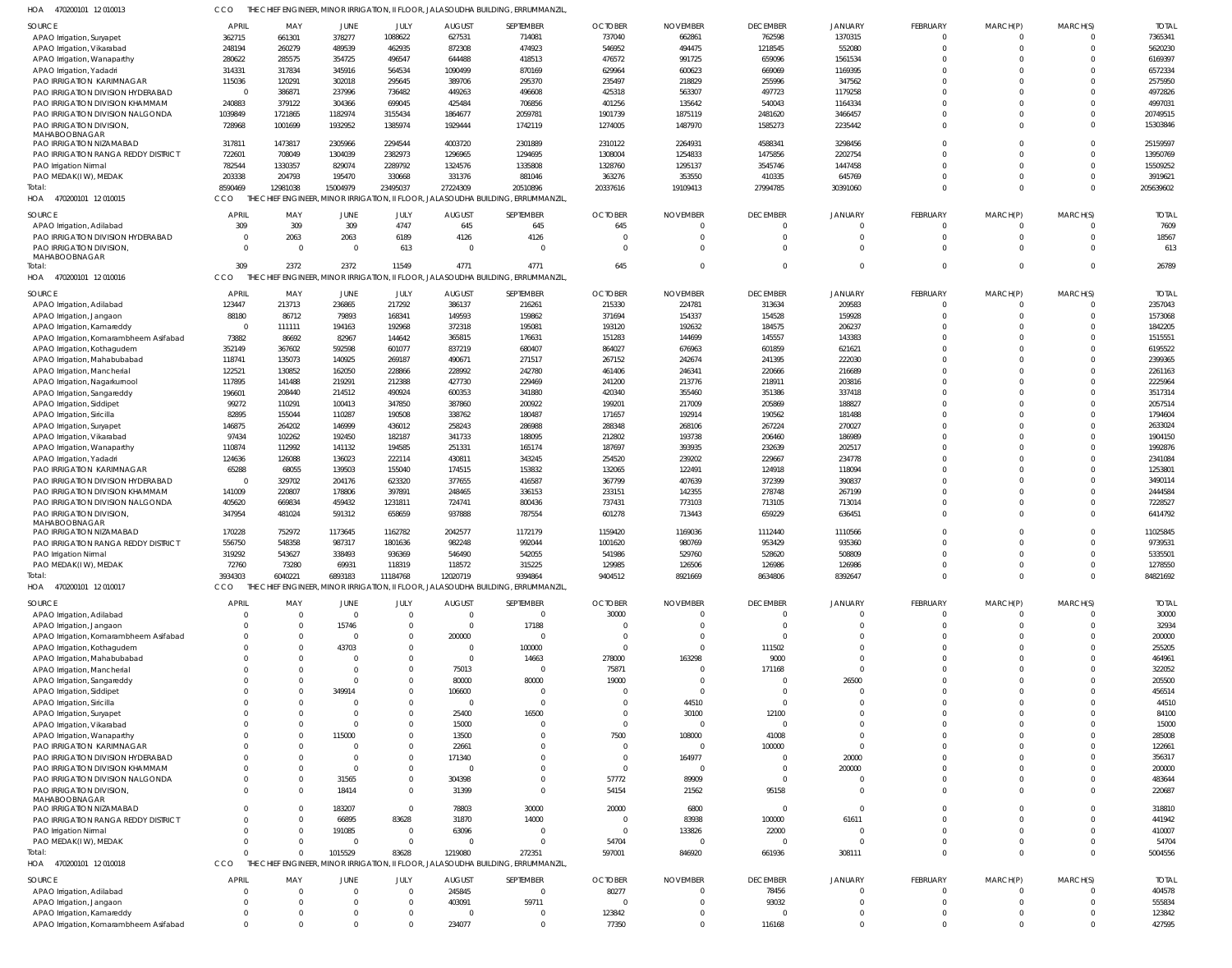| <b>SOURCE</b>                                                        | <b>APRIL</b>               | MAY           | <b>JUNE</b>             | JULY                     | <b>AUGUST</b>         | SEPTEMBER                                                                         | <b>OCTOBER</b>  | <b>NOVEMBER</b>      | <b>DECEMBER</b>       | <b>JANUARY</b>         | <b>FEBRUARY</b> | MARCH(P)               | MARCH(S)               | <b>TOTAL</b>     |
|----------------------------------------------------------------------|----------------------------|---------------|-------------------------|--------------------------|-----------------------|-----------------------------------------------------------------------------------|-----------------|----------------------|-----------------------|------------------------|-----------------|------------------------|------------------------|------------------|
| APAO Irrigation, Suryapet                                            | 362715                     | 661301        | 378277                  | 1088622                  | 627531                | 714081                                                                            | 737040          | 662861               | 762598                | 1370315                | $\Omega$        | $\mathbf 0$            | $\Omega$               | 7365341          |
| APAO Irrigation, Vikarabad                                           | 248194                     | 260279        | 489539                  | 462935                   | 872308                | 474923                                                                            | 546952          | 494475               | 1218545               | 552080                 | $\Omega$        | $\mathbf 0$            | $\Omega$               | 5620230          |
| APAO Irrigation, Wanaparthy                                          | 280622                     | 285575        | 354725                  | 496547                   | 644488                | 418513                                                                            | 476572          | 991725               | 659096                | 1561534                | $\Omega$        | $\Omega$               | $\Omega$               | 6169397          |
| APAO Irrigation, Yadadri                                             | 314331                     | 317834        | 345916                  | 564534                   | 1090499               | 870169                                                                            | 629964          | 600623               | 669069                | 1169395                | $\Omega$        | $\mathbf 0$            | $\Omega$               | 6572334          |
| PAO IRRIGATION KARIMNAGAR                                            | 115036                     | 120291        | 302018                  | 295645                   | 389706                | 295370                                                                            | 235497          | 218829               | 255996                | 347562                 |                 | $\Omega$               | $\Omega$               | 2575950          |
| PAO IRRIGATION DIVISION HYDERABAD                                    | $\overline{0}$             | 386871        | 237996                  | 736482                   | 449263                | 496608                                                                            | 425318          | 563307               | 497723                | 1179258                | $\Omega$        | $\Omega$               | $\Omega$               | 4972826          |
| PAO IRRIGATION DIVISION KHAMMAM                                      | 240883                     | 379122        | 304366                  | 699045                   | 425484                | 706856                                                                            | 401256          | 135642               | 540043                | 1164334                | $\Omega$        | $\Omega$               | $\Omega$               | 4997031          |
|                                                                      |                            |               |                         |                          |                       |                                                                                   |                 |                      |                       |                        | $\Omega$        |                        | $\Omega$               |                  |
| PAO IRRIGATION DIVISION NALGONDA                                     | 1039849                    | 1721865       | 1182974                 | 3155434                  | 1864677               | 2059781                                                                           | 1901739         | 1875119              | 2481620               | 3466457                |                 | $\mathbf 0$            |                        | 20749515         |
| PAO IRRIGATION DIVISION,                                             | 728968                     | 1001699       | 1932952                 | 1385974                  | 1929444               | 1742119                                                                           | 1274005         | 1487970              | 1585273               | 2235442                | $\Omega$        | $\Omega$               | $\Omega$               | 15303846         |
| MAHABOOBNAGAR<br>PAO IRRIGATION NIZAMABAD                            | 317811                     | 1473817       | 2305966                 | 2294544                  | 4003720               | 2301889                                                                           | 2310122         | 2264931              | 4588341               | 3298456                |                 | $\Omega$               | $\Omega$               | 25159597         |
|                                                                      |                            |               |                         |                          |                       |                                                                                   |                 |                      |                       |                        |                 | $\Omega$               | $\Omega$               | 13950769         |
| PAO IRRIGATION RANGA REDDY DISTRICT                                  | 722601                     | 708049        | 1304039                 | 2382973                  | 1296965               | 1294695                                                                           | 1308004         | 1254833              | 1475856               | 2202754                |                 |                        | $\Omega$               |                  |
| PAO Irrigation Nirmal                                                | 782544                     | 1330357       | 829074                  | 2289792                  | 1324576               | 1335808                                                                           | 1328760         | 1295137              | 3545746               | 1447458                |                 | $\Omega$               |                        | 15509252         |
| PAO MEDAK(IW), MEDAK                                                 | 203338                     | 204793        | 195470                  | 330668                   | 331376                | 881046                                                                            | 363276          | 353550               | 410335                | 645769                 |                 | $\Omega$               | $\Omega$               | 3919621          |
| Total:                                                               | 8590469                    | 12981038      | 15004979                | 23495037                 | 27224309              | 20510896                                                                          | 20337616        | 19109413             | 27994785              | 30391060               | $\Omega$        | $\Omega$               | $\Omega$               | 205639602        |
| HOA<br>470200101 12 010015                                           | CCO<br>THF                 |               |                         |                          |                       | CHIEF ENGINEER, MINOR IRRIGATION, II FLOOR, JALASOUDHA BUILDING, ERRUMMANZIL,     |                 |                      |                       |                        |                 |                        |                        |                  |
| SOURCE                                                               | <b>APRIL</b>               | MAY           | JUNE                    | JULY                     | <b>AUGUST</b>         | SEPTEMBER                                                                         | <b>OCTOBER</b>  | <b>NOVEMBER</b>      | <b>DECEMBER</b>       | <b>JANUARY</b>         | FEBRUARY        | MARCH(P)               | MARCH(S)               | <b>TOTAL</b>     |
|                                                                      | 309                        | 309           | 309                     | 4747                     | 645                   | 645                                                                               | 645             | $\Omega$             | $\Omega$              | $\Omega$               |                 | $^{\circ}$             | $\Omega$               | 7609             |
| APAO Irrigation, Adilabad                                            | $\Omega$                   |               |                         |                          |                       |                                                                                   |                 | $\Omega$             | $\Omega$              | $\Omega$               |                 |                        | $\Omega$               | 18567            |
| PAO IRRIGATION DIVISION HYDERABAD                                    |                            | 2063          | 2063                    | 6189                     | 4126                  | 4126                                                                              |                 |                      |                       |                        | $\Omega$        | $\mathbf 0$            |                        |                  |
| PAO IRRIGATION DIVISION,                                             | $\Omega$                   | $\Omega$      | $\Omega$                | 613                      | $\Omega$              | $\Omega$                                                                          | $\Omega$        | $\Omega$             | $\Omega$              | $\Omega$               | $\Omega$        | $\Omega$               | $\Omega$               | 613              |
| MAHABOOBNAGAR<br>Total:                                              | 309                        | 2372          | 2372                    | 11549                    | 4771                  | 4771                                                                              | 645             | $\Omega$             | $\Omega$              | $\Omega$               | $\Omega$        | $\overline{0}$         | $\Omega$               | 26789            |
| HOA                                                                  | CCO                        |               |                         |                          |                       | THE CHIEF ENGINEER, MINOR IRRIGATION, II FLOOR, JALASOUDHA BUILDING, ERRUMMANZIL, |                 |                      |                       |                        |                 |                        |                        |                  |
| 470200101 12 010016                                                  |                            |               |                         |                          |                       |                                                                                   |                 |                      |                       |                        |                 |                        |                        |                  |
| SOURCE                                                               | <b>APRIL</b>               | MAY           | JUNE                    | JULY                     | <b>AUGUST</b>         | SEPTEMBER                                                                         | <b>OCTOBER</b>  | <b>NOVEMBER</b>      | <b>DECEMBER</b>       | <b>JANUARY</b>         | FEBRUARY        | MARCH(P)               | MARCH(S)               | <b>TOTAL</b>     |
| APAO Irrigation, Adilabad                                            | 123447                     | 213713        | 236865                  | 217292                   | 386137                | 216261                                                                            | 215330          | 224781               | 313634                | 209583                 | $\Omega$        | $^{\circ}$             | $\Omega$               | 2357043          |
| APAO Irrigation, Jangaon                                             | 88180                      | 86712         | 79893                   | 168341                   | 149593                | 159862                                                                            | 371694          | 154337               | 154528                | 159928                 | $\Omega$        | $\Omega$               | $\Omega$               | 1573068          |
| APAO Irrigation, Kamareddy                                           | $\overline{0}$             | 111111        | 194163                  | 192968                   | 372318                | 195081                                                                            | 193120          | 192632               | 184575                | 206237                 | $\Omega$        | $\mathbf 0$            | $\Omega$               | 1842205          |
|                                                                      |                            |               |                         |                          |                       |                                                                                   |                 |                      |                       |                        |                 | $\Omega$               | $\Omega$               | 1515551          |
| APAO Irrigation, Komarambheem Asifabad                               | 73882                      | 86692         | 82967                   | 144642                   | 365815                | 176631                                                                            | 151283          | 144699               | 145557                | 143383                 |                 |                        | $\Omega$               |                  |
| APAO Irrigation, Kothagudem                                          | 352149                     | 367602        | 592598                  | 601077                   | 837219                | 680407                                                                            | 864027          | 676963               | 601859                | 621621                 |                 | $\Omega$               |                        | 6195522          |
| APAO Irrigation, Mahabubabad                                         | 118741                     | 135073        | 140925                  | 269187                   | 490671                | 271517                                                                            | 267152          | 242674               | 241395                | 222030                 |                 | $\Omega$               | $\Omega$               | 2399365          |
| APAO Irrigation, Mancherial                                          | 122521                     | 130852        | 162050                  | 228866                   | 228992                | 242780                                                                            | 461406          | 246341               | 220666                | 216689                 |                 | $\Omega$               | $\Omega$               | 2261163          |
| APAO Irrigation, Nagarkurnool                                        | 117895                     | 141488        | 219291                  | 212388                   | 427730                | 229469                                                                            | 241200          | 213776               | 218911                | 203816                 |                 | $\Omega$               | $\Omega$               | 2225964          |
| APAO Irrigation, Sangareddy                                          | 196601                     | 208440        | 214512                  | 490924                   | 600353                | 341880                                                                            | 420340          | 355460               | 351386                | 337418                 |                 | $\Omega$               | $\Omega$               | 3517314          |
| APAO Irrigation, Siddipet                                            | 99272                      | 110291        | 100413                  | 347850                   | 387860                | 200922                                                                            | 199201          | 217009               | 205869                | 188827                 |                 | $\Omega$               | $\Omega$               | 2057514          |
| APAO Irrigation, Siricilla                                           | 82895                      | 155044        | 110287                  | 190508                   | 338762                | 180487                                                                            | 171657          | 192914               | 190562                | 181488                 |                 | $\Omega$               | $\Omega$               | 1794604          |
| APAO Irrigation, Suryapet                                            | 146875                     | 264202        | 146999                  | 436012                   | 258243                | 286988                                                                            | 288348          | 268106               | 267224                | 270027                 |                 | $\Omega$               | $\Omega$               | 2633024          |
| APAO Irrigation, Vikarabad                                           | 97434                      | 102262        | 192450                  | 182187                   | 341733                | 188095                                                                            | 212802          | 193738               | 206460                | 186989                 |                 | $\Omega$               | $\Omega$               | 1904150          |
| APAO Irrigation, Wanaparthy                                          | 110874                     | 112992        | 141132                  | 194585                   | 251331                | 165174                                                                            | 187697          | 393935               | 232639                | 202517                 |                 | $\Omega$               | $\Omega$               | 1992876          |
| APAO Irrigation, Yadadri                                             | 124636                     | 126088        | 136023                  | 222114                   | 430811                | 343245                                                                            | 254520          | 239202               | 229667                | 234778                 |                 | $\Omega$               | $\Omega$               | 2341084          |
| PAO IRRIGATION KARIMNAGAR                                            | 65288                      | 68055         | 139503                  | 155040                   | 174515                | 153832                                                                            | 132065          | 122491               | 124918                | 118094                 |                 | $\Omega$               | $\Omega$               | 1253801          |
|                                                                      |                            |               |                         |                          |                       |                                                                                   |                 |                      |                       |                        |                 | $\Omega$               | $\Omega$               | 3490114          |
| PAO IRRIGATION DIVISION HYDERABAD                                    | $\overline{0}$             | 329702        | 204176                  | 623320                   | 377655                | 416587                                                                            | 367799          | 407639               | 372399                | 390837                 |                 |                        | $\Omega$               |                  |
|                                                                      |                            |               |                         |                          |                       |                                                                                   |                 |                      |                       | 267199                 |                 | $\Omega$               |                        | 2444584          |
| PAO IRRIGATION DIVISION KHAMMAM                                      | 141009                     | 220807        | 178806                  | 397891                   | 248465                | 336153                                                                            | 233151          | 142355               | 278748                |                        |                 |                        |                        |                  |
| PAO IRRIGATION DIVISION NALGONDA                                     | 405620                     | 669834        | 459432                  | 1231811                  | 724741                | 800436                                                                            | 737431          | 773103               | 713105                | 713014                 | $\Omega$        | $\mathbf 0$            | $\Omega$               | 7228527          |
| PAO IRRIGATION DIVISION,                                             | 347954                     | 481024        | 591312                  | 658659                   | 937888                | 787554                                                                            | 601278          | 713443               | 659229                | 636451                 | $\Omega$        | $\Omega$               | $\Omega$               | 6414792          |
| MAHABOOBNAGAR                                                        |                            |               |                         |                          |                       |                                                                                   |                 |                      |                       |                        |                 |                        |                        |                  |
| PAO IRRIGATION NIZAMABAD                                             | 170228                     | 752972        | 1173645                 | 1162782                  | 2042577               | 1172179                                                                           | 1159420         | 1169036              | 1112440               | 1110566                |                 | $\Omega$               | $\Omega$               | 11025845         |
| PAO IRRIGATION RANGA REDDY DISTRICT                                  | 556750                     | 548358        | 987317                  | 1801636                  | 982248                | 992044                                                                            | 1001620         | 980769               | 953429                | 935360                 |                 | $\Omega$               | $\Omega$               | 9739531          |
| PAO Irrigation Nirmal                                                | 319292                     | 543627        | 338493                  | 936369                   | 546490                | 542055                                                                            | 541986          | 529760               | 528620                | 508809                 | $\Omega$        | $\Omega$               | $\Omega$               | 5335501          |
| PAO MEDAK(IW), MEDAK                                                 | 72760                      | 73280         | 69931                   | 118319                   | 118572                | 315225                                                                            | 129985          | 126506               | 126986                | 126986                 |                 |                        | $\Omega$               | 1278550          |
| Total                                                                | 3934303                    | 6040221       | 6893183                 | 11184768                 | 12020719              | 9394864                                                                           | 9404512         | 8921669              | 8634806               | 8392647                | $\Omega$        | $\mathbf 0$            | $\Omega$               | 84821692         |
| 470200101 12 010017<br>HOA                                           | CCO                        |               |                         |                          |                       | THE CHIEF ENGINEER, MINOR IRRIGATION, II FLOOR, JALASOUDHA BUILDING, ERRUMMANZIL, |                 |                      |                       |                        |                 |                        |                        |                  |
|                                                                      |                            |               |                         |                          |                       |                                                                                   |                 |                      |                       |                        |                 |                        |                        |                  |
| SOURCE                                                               | <b>APRIL</b>               | MAY           | JUNE                    | JULY                     | <b>AUGUST</b>         | SEPTEMBER                                                                         | <b>OCTOBER</b>  | <b>NOVEMBER</b>      | <b>DECEMBER</b>       | <b>JANUARY</b>         | FEBRUARY        | MARCH(P)               | MARCH(S)               | <b>TOTAL</b>     |
| APAO Irrigation, Adilabad                                            | $\Omega$                   |               | $\mathbf{0}$            | $\Omega$                 | 0                     | $\Omega$                                                                          | 30000           | $\Omega$             | $\Omega$              | $\Omega$               |                 | -0                     | $\Omega$               | 30000            |
| APAO Irrigation, Jangaon                                             | <sup>0</sup>               |               | 15746                   |                          | $\Omega$              | 17188                                                                             |                 |                      | $\Omega$              | $\Omega$               |                 | $\Omega$               |                        | 32934            |
| APAO Irrigation, Komarambheem Asifabad                               | <sup>0</sup>               | <sup>0</sup>  | $\Omega$                |                          | 200000                | $\Omega$                                                                          |                 |                      | C                     | $\Omega$               |                 |                        |                        | 200000           |
| APAO Irrigation, Kothagudem                                          |                            |               | 43703                   |                          | $\mathbf 0$           | 100000                                                                            | $\Omega$        | $\Omega$             | 111502                | $\Omega$               |                 | $\Omega$               |                        | 255205           |
| APAO Irrigation, Mahabubabad                                         |                            |               | $\Omega$                |                          | $\Omega$              | 14663                                                                             | 278000          | 163298               | 9000                  | $\Omega$               |                 | $\Omega$               |                        | 464961           |
| APAO Irrigation, Mancherial                                          |                            |               | $\Omega$                |                          | 75013                 | $\Omega$                                                                          | 75871           |                      | 171168                | $\Omega$               |                 |                        |                        | 322052           |
| APAO Irrigation, Sangareddy                                          |                            |               | $\Omega$                |                          | 80000                 | 80000                                                                             | 19000           |                      | C                     | 26500                  |                 |                        |                        | 205500           |
| APAO Irrigation, Siddipet                                            |                            |               | 349914                  |                          | 106600                | $\Omega$                                                                          |                 | $\Omega$             | - 0                   | $\Omega$               |                 | $\Omega$               |                        | 456514           |
| APAO Irrigation, Siricilla                                           |                            |               | $\Omega$                |                          | $\Omega$              | $\Omega$                                                                          |                 | 44510                | C                     | $\Omega$               |                 | $\Omega$               |                        | 44510            |
|                                                                      |                            |               | $\Omega$                |                          |                       |                                                                                   |                 |                      |                       | $\Omega$               |                 |                        |                        |                  |
| APAO Irrigation, Suryapet                                            |                            |               | $\Omega$                |                          | 25400                 | 16500<br>$\Omega$                                                                 |                 | 30100                | 12100<br>$\Omega$     | $\Omega$               |                 | $\Omega$               |                        | 84100            |
| APAO Irrigation, Vikarabad                                           |                            |               |                         |                          | 15000                 |                                                                                   |                 |                      |                       |                        |                 | $\Omega$               |                        | 15000            |
| APAO Irrigation, Wanaparthy                                          |                            |               | 115000                  |                          | 13500                 | $\Omega$                                                                          | 7500            | 108000               | 41008                 | $\Omega$               |                 |                        |                        | 285008           |
| PAO IRRIGATION KARIMNAGAR                                            |                            |               | $\Omega$                |                          | 22661                 | $\Omega$                                                                          |                 |                      | 100000                | $\Omega$               |                 | $\Omega$               |                        | 122661           |
| PAO IRRIGATION DIVISION HYDERABAD                                    |                            |               | $\Omega$                |                          | 171340                | $\Omega$                                                                          |                 | 164977               | C                     | 20000                  |                 | $\Omega$               |                        | 356317           |
| PAO IRRIGATION DIVISION KHAMMAM                                      |                            |               | $\Omega$                |                          | $\Omega$              | $\Omega$                                                                          |                 | $\Omega$             | C                     | 200000                 |                 | $\Omega$               |                        | 200000           |
| PAO IRRIGATION DIVISION NALGONDA                                     |                            |               | 31565                   |                          | 304398                | $\Omega$                                                                          | 57772           | 89909                | $\Omega$              | $\Omega$               |                 | $\Omega$               |                        | 483644           |
| PAO IRRIGATION DIVISION,                                             | $\Omega$                   |               | 18414                   | $\Omega$                 | 31399                 | $\Omega$                                                                          | 54154           | 21562                | 95158                 | $\Omega$               |                 | $\Omega$               |                        | 220687           |
| MAHABOOBNAGAR                                                        |                            |               |                         |                          |                       |                                                                                   |                 |                      |                       |                        |                 |                        |                        |                  |
| PAO IRRIGATION NIZAMABAD                                             |                            |               | 183207                  | $\Omega$                 | 78803                 | 30000                                                                             | 20000           | 6800                 | $\overline{0}$        | $\Omega$               |                 | $\Omega$               |                        | 318810           |
| PAO IRRIGATION RANGA REDDY DISTRICT                                  |                            | <sup>0</sup>  | 66895                   | 83628                    | 31870                 | 14000                                                                             |                 | 83938                | 100000                | 61611                  |                 | $\Omega$               | $\Omega$               | 441942           |
| PAO Irrigation Nirmal                                                | <sup>0</sup>               |               | 191085                  | $\Omega$                 | 63096                 | $\Omega$                                                                          | $\Omega$        | 133826               | 22000                 | $\Omega$               |                 | $\Omega$               |                        | 410007           |
| PAO MEDAK(IW), MEDAK                                                 | $\Omega$                   | $\Omega$      | $\Omega$                | $\Omega$                 | $\Omega$              | $\Omega$                                                                          | 54704           |                      | $\Omega$              | $\Omega$               |                 | $\Omega$               | $\Omega$               | 54704            |
| Total:                                                               | $\Omega$                   | $\Omega$      | 1015529                 | 83628                    | 1219080               | 272351                                                                            | 597001          | 846920               | 661936                | 308111                 | $\Omega$        | $\Omega$               | $\Omega$               | 5004556          |
| HOA<br>470200101 12 010018                                           | CCO                        |               |                         |                          |                       | THE CHIEF ENGINEER, MINOR IRRIGATION, II FLOOR, JALASOUDHA BUILDING, ERRUMMANZIL, |                 |                      |                       |                        |                 |                        |                        |                  |
|                                                                      |                            |               |                         |                          |                       |                                                                                   |                 |                      |                       |                        |                 |                        |                        |                  |
| SOURCE                                                               | <b>APRIL</b>               | MAY           | JUNE                    | JULY                     | <b>AUGUST</b>         | SEPTEMBER                                                                         | <b>OCTOBER</b>  | <b>NOVEMBER</b>      | <b>DECEMBER</b>       | <b>JANUARY</b>         | FEBRUARY        | MARCH(P)               | MARCH(S)               | <b>TOTAL</b>     |
| APAO Irrigation, Adilabad                                            | 0                          |               | $\mathbf{0}$            | $\Omega$                 | 245845                | $\overline{0}$                                                                    | 80277           |                      | 78456                 | $^{\circ}$             | $\Omega$        | $\Omega$               | $\Omega$               | 404578           |
| APAO Irrigation, Jangaon                                             | $\Omega$                   | $\Omega$      | $\mathbf 0$             | $\Omega$                 | 403091                | 59711                                                                             |                 | $\Omega$             | 93032                 | $\Omega$               | $\Omega$        | $\Omega$               | $\Omega$               | 555834           |
| APAO Irrigation, Kamareddy<br>APAO Irrigation, Komarambheem Asifabad | $\mathbf 0$<br>$\mathbf 0$ | 0<br>$\Omega$ | $\mathbf 0$<br>$\Omega$ | $\mathbf{0}$<br>$\Omega$ | $\mathbf 0$<br>234077 | $\overline{0}$<br>$\Omega$                                                        | 123842<br>77350 | $\Omega$<br>$\Omega$ | $\mathbf 0$<br>116168 | $^{\circ}$<br>$\Omega$ | 0               | $^{\circ}$<br>$\Omega$ | $^{\circ}$<br>$\Omega$ | 123842<br>427595 |

CCO THE CHIEF ENGINEER, MINOR IRRIGATION, II FLOOR, JALASOUDHA BUILDING, ERRUMMANZIL,

470200101 12 010013 HOA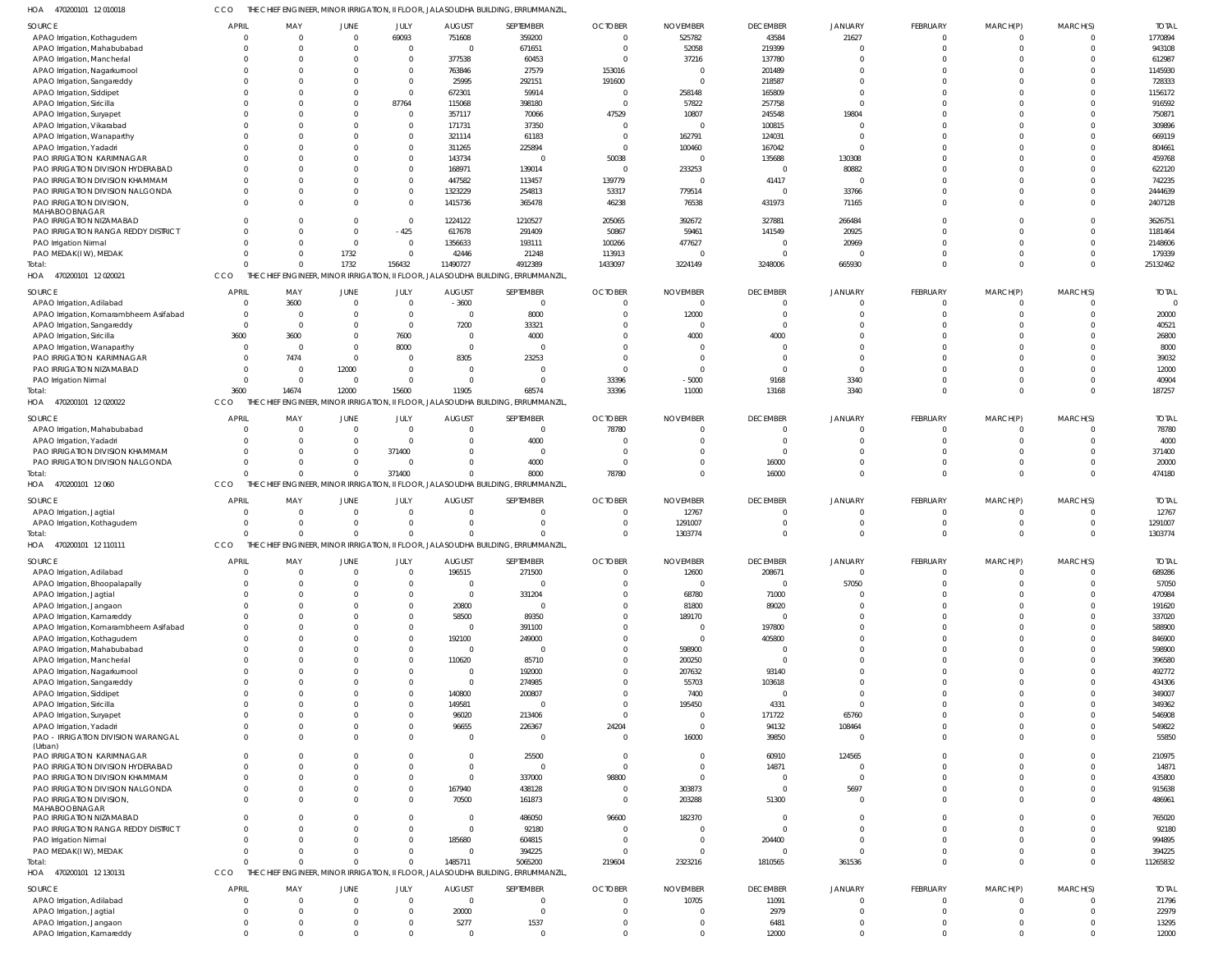470200101 12 010018 HOA CCO THE CHIEF ENGINEER, MINOR IRRIGATION, II FLOOR, JALASOUDHA BUILDING, ERRUMMANZIL,

| <b>SOURCE</b>                                          | <b>APRIL</b>               | MAY                     | JUNE     | JULY                    | <b>AUGUST</b>    | SEPTEMBER                                                                        | <b>OCTOBER</b> | <b>NOVEMBER</b> | <b>DECEMBER</b>         | JANUARY                        | FEBRUARY                | MARCH(P)                | MARCH(S)                       | <b>TOTAL</b>     |
|--------------------------------------------------------|----------------------------|-------------------------|----------|-------------------------|------------------|----------------------------------------------------------------------------------|----------------|-----------------|-------------------------|--------------------------------|-------------------------|-------------------------|--------------------------------|------------------|
| APAO Irrigation, Kothagudem                            | $\Omega$                   | $\mathbf 0$             | - 0      | 69093                   | 751608           | 359200                                                                           | $\sqrt{ }$     | 525782          | 43584                   | 21627                          | $\mathbf 0$             | $^{\circ}$              | $\Omega$                       | 1770894          |
|                                                        | $\Omega$                   | $\Omega$                |          | $\overline{0}$          | $\mathsf{C}$     | 671651                                                                           |                | 52058           | 219399                  |                                | $\Omega$                | $\Omega$                | $\Omega$                       | 943108           |
| APAO Irrigation, Mahabubabad                           |                            |                         |          |                         |                  |                                                                                  |                |                 |                         |                                |                         |                         |                                |                  |
| APAO Irrigation, Mancherial                            | $\Omega$                   | $\Omega$                |          | $\Omega$                | 377538           | 60453                                                                            |                | 37216           | 137780                  |                                | $\Omega$                | $\Omega$                |                                | 612987           |
| APAO Irrigation, Nagarkurnool                          | $\Omega$                   | $\Omega$                |          | $\Omega$                | 763846           | 27579                                                                            | 153016         |                 | 201489                  |                                | $\Omega$                |                         |                                | 1145930          |
| APAO Irrigation, Sangareddy                            | $\Omega$                   | $\Omega$                |          | $\Omega$                | 25995            | 292151                                                                           | 191600         | - (             | 218587                  | $\Omega$                       | $\Omega$                | $\Omega$                |                                | 728333           |
| APAO Irrigation, Siddipet                              | $\Omega$                   | $\Omega$                |          | $\Omega$                | 672301           | 59914                                                                            |                | 258148          | 165809                  | $\Omega$                       | $\Omega$                |                         | $\Omega$                       | 1156172          |
| APAO Irrigation, Siricilla                             | $\Omega$                   | $\Omega$                |          | 87764                   | 115068           | 398180                                                                           | - 0            | 57822           | 257758                  | $\Omega$                       | $\Omega$                | $\Omega$                |                                | 916592           |
| APAO Irrigation, Suryapet                              | $\Omega$                   | $\Omega$                |          | $\Omega$                | 357117           | 70066                                                                            | 47529          | 10807           | 245548                  | 19804                          | $\Omega$                |                         |                                | 750871           |
| APAO Irrigation, Vikarabad                             | $\Omega$                   | $\Omega$                |          | $\Omega$                | 171731           | 37350                                                                            | - 0            | - (             | 100815                  |                                | $\Omega$                | $\Omega$                |                                | 309896           |
| APAO Irrigation, Wanaparthy                            | $\Omega$                   | $\Omega$                |          | $\Omega$                | 321114           | 61183                                                                            |                | 162791          | 124031                  | $\Omega$                       | $\Omega$                | $\Omega$                |                                | 669119           |
| APAO Irrigation, Yadadri                               | $\Omega$                   | $\Omega$                |          | $\Omega$                | 311265           | 225894                                                                           | $\sqrt{ }$     | 100460          | 167042                  | $\Omega$                       | $\Omega$                | $\Omega$                |                                | 804661           |
| PAO IRRIGATION KARIMNAGAR                              | $\Omega$                   | $\Omega$                |          | $\Omega$                | 143734           | $\Omega$                                                                         | 50038          | $\mathcal{L}$   | 135688                  | 130308                         | $\Omega$                | $\Omega$                |                                | 459768           |
| PAO IRRIGATION DIVISION HYDERABAD                      | $\Omega$                   | $\Omega$                |          | $\Omega$                | 168971           | 139014                                                                           | - 0            | 233253          | $\overline{\mathbf{0}}$ | 80882                          | $\Omega$                | $\Omega$                |                                | 622120           |
| PAO IRRIGATION DIVISION KHAMMAM                        | $\Omega$                   | $\Omega$                |          | $\Omega$                | 447582           | 113457                                                                           | 139779         | $\Omega$        | 41417                   | $\Omega$                       | $\Omega$                | $\Omega$                | $\Omega$                       | 742235           |
| PAO IRRIGATION DIVISION NALGONDA                       | $\Omega$                   | $\Omega$                |          | $\Omega$                | 1323229          | 254813                                                                           | 53317          | 779514          | $\overline{0}$          | 33766                          | $\Omega$                | $\Omega$                |                                | 2444639          |
| PAO IRRIGATION DIVISION,                               | $\Omega$                   | $\Omega$                |          | $\Omega$                | 1415736          | 365478                                                                           | 46238          | 76538           | 431973                  | 71165                          | $\Omega$                | $\Omega$                | $\Omega$                       | 2407128          |
| MAHABOOBNAGAR                                          |                            |                         |          |                         |                  |                                                                                  |                |                 |                         |                                |                         |                         |                                |                  |
| PAO IRRIGATION NIZAMABAD                               | $\Omega$                   | $\Omega$                |          | $\Omega$                | 1224122          | 1210527                                                                          | 205065         | 392672          | 327881                  | 266484                         | $\Omega$                | $\Omega$                | $\Omega$                       | 3626751          |
| PAO IRRIGATION RANGA REDDY DISTRICT                    | $\Omega$                   | $\Omega$                | - 0      | $-425$                  | 617678           | 291409                                                                           | 50867          | 59461           | 141549                  | 20925                          | $\Omega$                | $\Omega$                | $\Omega$                       | 1181464          |
| PAO Irrigation Nirmal                                  | $\Omega$                   | $\Omega$                | - 0      | $\overline{0}$          | 1356633          | 193111                                                                           | 100266         | 477627          | - 0                     | 20969                          | $\Omega$                | $\Omega$                |                                | 2148606          |
| PAO MEDAK(IW), MEDAK                                   | $\Omega$                   | $\Omega$                | 1732     | $\Omega$                | 42446            | 21248                                                                            | 113913         |                 | $\Omega$                |                                | $\Omega$                | $\Omega$                | $\Omega$                       | 179339           |
| Total:                                                 | $\Omega$                   | $\Omega$                | 1732     | 156432                  | 11490727         | 4912389                                                                          | 1433097        | 3224149         | 3248006                 | 665930                         | $\Omega$                | $\Omega$                | $\Omega$                       | 25132462         |
| HOA 470200101 12 020021                                | <b>CCO</b>                 |                         |          |                         |                  | THE CHIEF ENGINEER, MINOR IRRIGATION, II FLOOR, JALASOUDHA BUILDING, ERRUMMANZIL |                |                 |                         |                                |                         |                         |                                |                  |
| <b>SOURCE</b>                                          | <b>APRIL</b>               | MAY                     | JUNE     | JULY                    | <b>AUGUST</b>    | SEPTEMBER                                                                        | <b>OCTOBER</b> | <b>NOVEMBER</b> | <b>DECEMBER</b>         | <b>JANUARY</b>                 | <b>FEBRUARY</b>         | MARCH(P)                | MARCH(S)                       | <b>TOTAL</b>     |
| APAO Irrigation, Adilabad                              | 0                          | 3600                    | $\Omega$ | $\overline{0}$          | $-3600$          | $\overline{0}$                                                                   | - 0            | - 0             | $\overline{0}$          | $\Omega$                       | $\mathbf 0$             | $\Omega$                | $\Omega$                       |                  |
| APAO Irrigation, Komarambheem Asifabad                 | $\overline{0}$             | 0                       | - 0      | $\overline{0}$          | $\Omega$         | 8000                                                                             | $\Omega$       | 12000           | $\overline{0}$          | $\Omega$                       | $\Omega$                | $\Omega$                | $\overline{0}$                 | 20000            |
| APAO Irrigation, Sangareddy                            | $\overline{0}$             | $\overline{0}$          |          | $\overline{0}$          | 7200             | 33321                                                                            |                | $\Omega$        | $\Omega$                | $\Omega$                       | $\Omega$                | $\Omega$                | $\Omega$                       | 40521            |
| APAO Irrigation, Siricilla                             | 3600                       | 3600                    |          | 7600                    | $\Omega$         | 4000                                                                             |                | 4000            | 4000                    | $\Omega$                       | $\Omega$                | $\Omega$                | $\Omega$                       | 26800            |
| APAO Irrigation, Wanaparthy                            | $\overline{0}$             | $\overline{0}$          | $\Omega$ | 8000                    | $\Omega$         | $\overline{0}$                                                                   |                | $\Omega$        | $\Omega$                | $\Omega$                       | $\Omega$                | $\Omega$                | $\Omega$                       | 8000             |
| PAO IRRIGATION KARIMNAGAR                              | $\Omega$                   | 7474                    | $\Omega$ | $\overline{0}$          | 8305             | 23253                                                                            |                | $\Omega$        | - 0                     | $\Omega$                       | $\Omega$                | $\Omega$                | $\Omega$                       | 39032            |
|                                                        | $\overline{0}$             | $\Omega$                | 12000    | $\Omega$                | - 0              | $\overline{0}$                                                                   | - 0            | $\Omega$        | $\Omega$                | $\Omega$                       | $\Omega$                | $\Omega$                | $\Omega$                       | 12000            |
| PAO IRRIGATION NIZAMABAD                               | $\Omega$                   | $\overline{\mathbf{0}}$ | $\Omega$ | $\Omega$                | $\Omega$         | $\Omega$                                                                         | 33396          | $-5000$         | 9168                    | 3340                           | $\Omega$                | $\Omega$                | $\Omega$                       | 40904            |
| PAO Irrigation Nirmal                                  |                            |                         |          |                         |                  |                                                                                  |                |                 |                         |                                | $\Omega$                | $\Omega$                | $\Omega$                       |                  |
| Total:                                                 | 3600                       | 14674                   | 12000    | 15600                   | 11905            | 68574                                                                            | 33396          | 11000           | 13168                   | 3340                           |                         |                         |                                | 187257           |
| HOA 470200101 12 020022                                | CCO                        |                         |          |                         |                  | THE CHIEF ENGINEER, MINOR IRRIGATION, II FLOOR, JALASOUDHA BUILDING, ERRUMMANZIL |                |                 |                         |                                |                         |                         |                                |                  |
| <b>SOURCE</b>                                          | <b>APRIL</b>               | MAY                     | JUNE     | JULY                    | <b>AUGUST</b>    | SEPTEMBER                                                                        | <b>OCTOBER</b> | <b>NOVEMBER</b> | <b>DECEMBER</b>         | JANUARY                        | FEBRUARY                | MARCH(P)                | MARCH(S)                       | <b>TOTAI</b>     |
| APAO Irrigation, Mahabubabad                           | $\Omega$                   | 0                       | - 0      | $\Omega$                | - 0              | $\overline{0}$                                                                   | 78780          |                 | $\overline{0}$          | $\Omega$                       | $\Omega$                | 0                       | $\Omega$                       | 78780            |
| APAO Irrigation, Yadadri                               | $\Omega$                   | $\Omega$                |          | $\Omega$                |                  | 4000                                                                             |                |                 | $\Omega$                |                                | $\Omega$                | $\Omega$                | $\Omega$                       | 4000             |
| PAO IRRIGATION DIVISION KHAMMAM                        | $\Omega$                   | $\Omega$                | $\Omega$ | 371400                  |                  | $\overline{0}$                                                                   |                |                 | $\Omega$                | $\Omega$                       | $\Omega$                | $\Omega$                | $\Omega$                       | 371400           |
| PAO IRRIGATION DIVISION NALGONDA                       | $\Omega$                   | $\Omega$                | $\Omega$ |                         |                  | 4000                                                                             | $\mathsf{C}$   |                 | 16000                   | $\Omega$                       | $\Omega$                | $\Omega$                | $\Omega$                       | 20000            |
| Total:                                                 | $\Omega$                   | $\Omega$                | $\Omega$ | 371400                  |                  | 8000                                                                             | 78780          |                 | 16000                   | $\Omega$                       | $\Omega$                | $\Omega$                | $\Omega$                       | 474180           |
| HOA<br>470200101 12 060                                | CCO                        | THE                     |          |                         |                  | ENGINEER, MINOR IRRIGATION, II FLOOR, JALASOUDHA BUILDING, ERRUMMANZIL           |                |                 |                         |                                |                         |                         |                                |                  |
|                                                        |                            |                         |          |                         |                  |                                                                                  |                |                 |                         |                                |                         |                         |                                |                  |
| SOURCE                                                 | <b>APRIL</b>               | MAY                     | JUNE     | JULY                    | <b>AUGUST</b>    | SEPTEMBER                                                                        | <b>OCTOBER</b> | <b>NOVEMBER</b> | <b>DECEMBER</b>         | <b>JANUARY</b>                 | <b>FEBRUARY</b>         | MARCH(P)                | MARCH(S)                       | <b>TOTAL</b>     |
| APAO Irrigation, Jagtial                               | $\Omega$                   | 0                       | - 0      | $\overline{0}$          | - 0              | $\mathbf 0$                                                                      | - 0            | 12767           | $\Omega$                | $\Omega$                       | $\Omega$                | $\Omega$                | $\Omega$                       | 12767            |
| APAO Irrigation, Kothagudem                            | $\Omega$                   | $\overline{0}$          | $\Omega$ | $\overline{0}$          | $\Omega$         | $\mathbf 0$                                                                      | - 0            | 1291007         | $\overline{0}$          | $\Omega$                       | $\mathbf 0$             | $\mathbf 0$             | $\overline{0}$                 | 1291007          |
| Total:                                                 | $\Omega$                   | $\Omega$                | $\Omega$ | $\Omega$                |                  | $\Omega$                                                                         | $\Omega$       | 1303774         | $\Omega$                | $\Omega$                       | $\Omega$                | $\Omega$                | $\Omega$                       | 1303774          |
| HOA 470200101 12 110111                                | CCO                        |                         |          |                         |                  | THE CHIEF ENGINEER, MINOR IRRIGATION, II FLOOR, JALASOUDHA BUILDING, ERRUMMANZIL |                |                 |                         |                                |                         |                         |                                |                  |
| <b>SOURCE</b>                                          | <b>APRIL</b>               | MAY                     | JUNE     | <b>JULY</b>             | <b>AUGUST</b>    | <b>SEPTEMBER</b>                                                                 | <b>OCTOBER</b> | <b>NOVEMBER</b> | <b>DECEMBER</b>         | <b>JANUARY</b>                 | <b>FEBRUARY</b>         | MARCH(P)                | MARCH(S)                       | <b>TOTAL</b>     |
| APAO Irrigation, Adilabad                              | $\Omega$                   | $\Omega$                |          | $\Omega$                | 196515           | 271500                                                                           |                | 12600           | 208671                  | $\overline{0}$                 | $\Omega$                | $\Omega$                | $\Omega$                       | 689286           |
| APAO Irrigation, Bhoopalapally                         | $\Omega$                   | 0                       |          | $\Omega$                | $\sqrt{ }$       | 0                                                                                |                | $\Omega$        | $\overline{\mathbf{0}}$ | 57050                          | $\overline{0}$          | $\Omega$                | $\Omega$                       | 57050            |
| APAO Irrigation, Jagtial                               | $\Omega$                   | $\Omega$                |          |                         | $\Omega$         | 331204                                                                           |                | 68780           | 71000                   | $\Omega$                       | $\Omega$                | $\Omega$                | $\Omega$                       | 470984           |
| APAO Irrigation, Jangaon                               | $\Omega$                   | $\Omega$                |          |                         | 20800            | $\Omega$                                                                         |                | 81800           | 89020                   | $\Omega$                       | $\Omega$                | $\Omega$                | $\Omega$                       | 191620           |
| APAO Irrigation, Kamareddy                             | $\Omega$                   | $\Omega$                |          |                         | 58500            | 89350                                                                            |                | 189170          | $\Omega$                | $\Omega$                       | $\Omega$                | $\Omega$                | $\Omega$                       | 337020           |
| APAO Irrigation, Komarambheem Asifabad                 | $\Omega$                   | $\Omega$                |          | $\Omega$                | $\sqrt{ }$       | 391100                                                                           |                | - (             | 197800                  | $\Omega$                       | $\Omega$                | $\Omega$                | $\Omega$                       | 588900           |
| APAO Irrigation, Kothagudem                            | $\Omega$                   | $\Omega$                |          |                         | 192100           | 249000                                                                           |                | - (             | 405800                  | $\Omega$                       | $\Omega$                | $\Omega$                |                                | 846900           |
| APAO Irrigation, Mahabubabad                           | $\Omega$                   | $\Omega$                |          | $\Omega$                | - 0              | $\Omega$                                                                         |                | 598900          | - 0                     | $\Omega$                       | $\Omega$                | $\Omega$                | $\Omega$                       | 598900           |
| APAO Irrigation, Mancherial                            | $\Omega$                   | $\Omega$                |          |                         | 110620           | 85710                                                                            |                | 200250          | - 0                     | $\Omega$                       | $\Omega$                | $\Omega$                | $\Omega$                       | 396580           |
| APAO Irrigation, Nagarkurnool                          | $\Omega$                   | $\Omega$                |          | $\Omega$                | - 0              | 192000                                                                           |                | 207632          | 93140                   | $\overline{0}$                 | $\Omega$                | $\Omega$                | $\Omega$                       | 492772           |
|                                                        | $\Omega$                   | $\Omega$                |          |                         | - 0              | 274985                                                                           |                | 55703           | 103618                  | $\Omega$                       | $\Omega$                | $\Omega$                |                                | 434306           |
| APAO Irrigation, Sangareddy                            | $\Omega$                   | $\Omega$                |          | $\Omega$                | 140800           | 200807                                                                           |                | 7400            | $\Omega$                | $\overline{0}$                 | $\Omega$                | $\Omega$                | $\Omega$                       | 349007           |
| APAO Irrigation, Siddipet                              | $\Omega$                   |                         |          |                         |                  |                                                                                  |                |                 |                         | $\overline{0}$                 | $\Omega$                | $\Omega$                |                                |                  |
| APAO Irrigation, Siricilla                             | $\Omega$                   | $\Omega$<br>$\Omega$    |          | $\Omega$                | 149581<br>96020  | $\mathbf 0$<br>213406                                                            |                | 195450          | 4331                    | 65760                          | $\Omega$                | $\Omega$                | $\Omega$                       | 349362<br>546908 |
| APAO Irrigation, Suryapet                              |                            |                         |          |                         |                  |                                                                                  |                |                 | 171722                  |                                | $\Omega$                |                         |                                |                  |
| APAO Irrigation, Yadadri                               | $\Omega$<br>$\Omega$       | $\Omega$                |          |                         | 96655            | 226367                                                                           | 24204          | $\Omega$        | 94132                   | 108464                         |                         | $\Omega$                | $\Omega$                       | 549822           |
| PAO - IRRIGATION DIVISION WARANGAL<br>(Urban)          |                            | $\Omega$                |          | $\Omega$                | - 0              | 0                                                                                | - 0            | 16000           | 39850                   | $\Omega$                       | $\Omega$                | $\Omega$                | $\Omega$                       | 55850            |
| PAO IRRIGATION KARIMNAGAR                              | $\Omega$                   | $\Omega$                |          |                         | - 0              | 25500                                                                            | - 0            |                 | 60910                   | 124565                         | $\Omega$                | $\Omega$                | $\Omega$                       | 210975           |
| PAO IRRIGATION DIVISION HYDERABAD                      | $\Omega$                   | $\Omega$                |          |                         | - 0              | $\mathbf 0$                                                                      | $\sqrt{ }$     |                 | 14871                   | $\Omega$                       | $\Omega$                | $\Omega$                | $\Omega$                       | 14871            |
| PAO IRRIGATION DIVISION KHAMMAM                        | $\Omega$                   | $\Omega$                |          | $\Omega$                | $\Omega$         | 337000                                                                           | 98800          | $\Omega$        | $\overline{\mathbf{0}}$ | $\Omega$                       | $\Omega$                | $\Omega$                | $\Omega$                       | 435800           |
| PAO IRRIGATION DIVISION NALGONDA                       | $\mathbf 0$                | $\Omega$                |          | $\Omega$                | 167940           | 438128                                                                           | - 0            | 303873          | $\overline{\mathbf{0}}$ | 5697                           | $\mathbf 0$             | $\Omega$                | $\Omega$                       | 915638           |
| PAO IRRIGATION DIVISION,                               | $\Omega$                   | $\Omega$                |          | $\Omega$                | 70500            | 161873                                                                           | - 0            | 203288          | 51300                   | $\overline{0}$                 | $\Omega$                | $\Omega$                | $\Omega$                       | 486961           |
| MAHABOOBNAGAR                                          |                            |                         |          |                         |                  |                                                                                  |                |                 |                         |                                |                         |                         |                                |                  |
| PAO IRRIGATION NIZAMABAD                               | $\Omega$                   | $\Omega$                |          | $\Omega$                | - 0              | 486050                                                                           | 96600          | 182370          | $\Omega$                | $\overline{0}$                 | $\Omega$                | $\Omega$                | $\Omega$                       | 765020           |
| PAO IRRIGATION RANGA REDDY DISTRICT                    | $\Omega$                   | $\Omega$                |          | $\Omega$                | $\Omega$         | 92180                                                                            | $\sqrt{ }$     |                 | $\Omega$                | $\Omega$                       | $\Omega$                | $\Omega$                | $\Omega$                       | 92180            |
| PAO Irrigation Nirmal                                  | $\Omega$                   | $\Omega$                |          | $\Omega$                | 185680           | 604815                                                                           |                |                 | 204400                  | $\Omega$                       | $\Omega$                | $\Omega$                | $\Omega$                       | 994895           |
| PAO MEDAK(IW), MEDAK                                   |                            | $\Omega$                |          | $\Omega$                | - 0              | 394225                                                                           | $\sqrt{ }$     | $\Omega$        | $\overline{0}$          | $\Omega$                       | $\mathbf 0$             | $\mathbf 0$             | $\Omega$                       | 394225           |
|                                                        | $\Omega$                   |                         |          |                         |                  |                                                                                  |                |                 |                         |                                |                         |                         |                                |                  |
| Total:                                                 | $\Omega$                   | $\Omega$                |          |                         | 1485711          | 5065200                                                                          | 219604         | 2323216         | 1810565                 | 361536                         | $\mathbf 0$             | $\mathbf 0$             | $\Omega$                       | 11265832         |
| HOA 470200101 12 130131                                | CCO                        | THE CHIE                |          |                         |                  | ENGINEER, MINOR IRRIGATION, II FLOOR, JALASOUDHA BUILDING, ERRUMMANZIL,          |                |                 |                         |                                |                         |                         |                                |                  |
|                                                        |                            |                         |          |                         |                  |                                                                                  |                |                 |                         |                                |                         |                         |                                |                  |
| SOURCE                                                 | <b>APRIL</b>               | MAY                     | JUNE     | JULY                    | <b>AUGUST</b>    | SEPTEMBER                                                                        | <b>OCTOBER</b> | <b>NOVEMBER</b> | <b>DECEMBER</b>         | <b>JANUARY</b>                 | FEBRUARY                | MARCH(P)                | MARCH(S)                       | <b>TOTAL</b>     |
| APAO Irrigation, Adilabad                              | $\Omega$                   | $\overline{0}$          | - 0      | $\overline{0}$          | $\Omega$         | $\mathbf 0$                                                                      | - 0            | 10705           | 11091                   | $\overline{0}$                 | $\mathbf 0$             | $\Omega$                | $\Omega$                       | 21796            |
| APAO Irrigation, Jagtial                               | $\Omega$                   | - 0                     |          | $\mathbf 0$             | 20000            | $\mathbf 0$                                                                      | - 0            | $\Omega$        | 2979                    | $\overline{0}$                 | $\mathbf 0$             | $\mathbf 0$             | $\overline{0}$                 | 22979            |
| APAO Irrigation, Jangaon<br>APAO Irrigation, Kamareddy | $\overline{0}$<br>$\Omega$ | 0<br>$\Omega$           | $\Omega$ | $\mathbf 0$<br>$\Omega$ | 5277<br>$\Omega$ | 1537<br>$\overline{0}$                                                           | $\Omega$       | 0<br>$\Omega$   | 6481<br>12000           | $\overline{0}$<br>$\mathbf{0}$ | $\mathbf 0$<br>$\Omega$ | $\mathbf 0$<br>$\Omega$ | $\mathbf{0}$<br>$\overline{0}$ | 13295<br>12000   |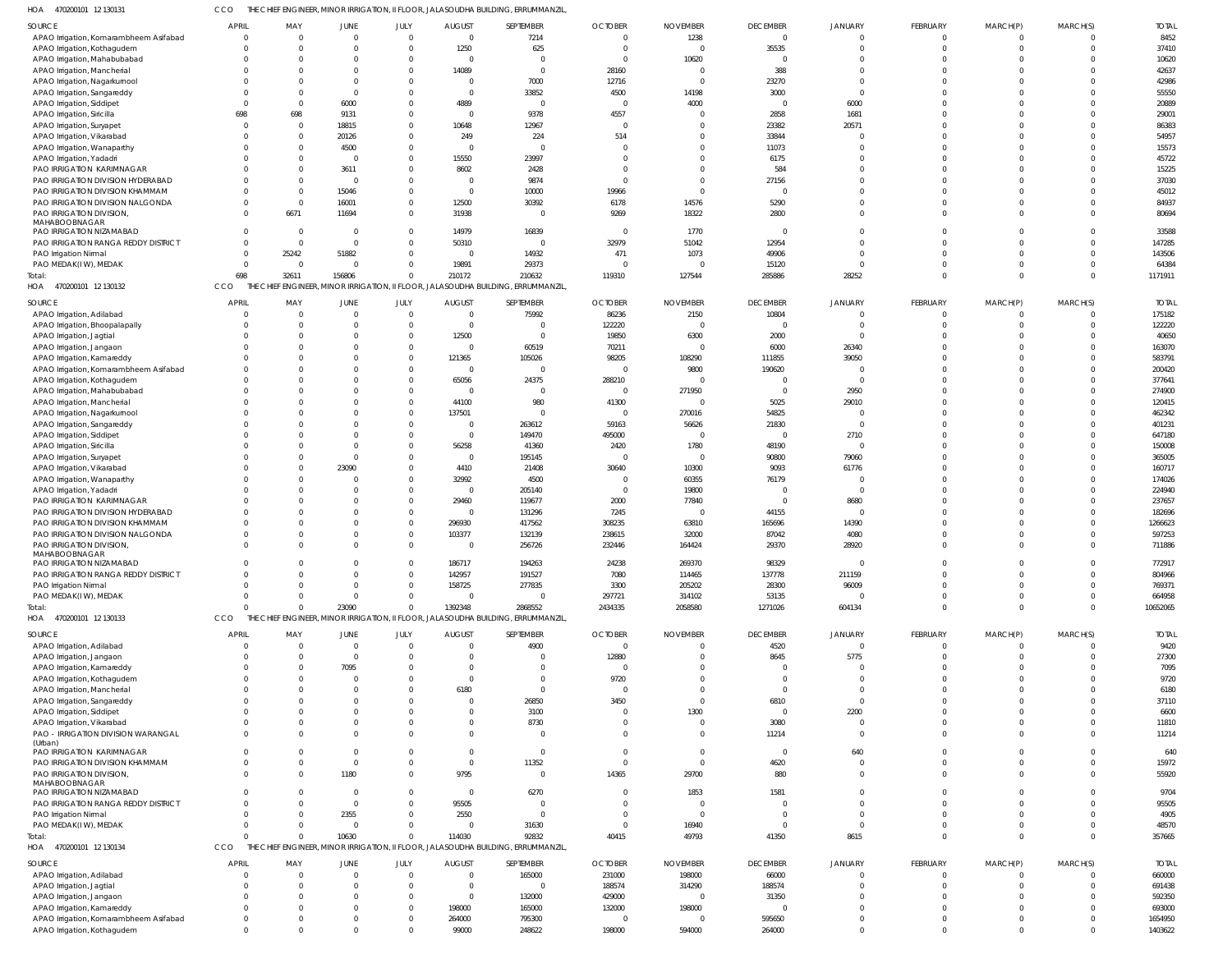470200101 12 130131 HOA CCO THE CHIEF ENGINEER, MINOR IRRIGATION, II FLOOR, JALASOUDHA BUILDING, ERRUMMANZIL,

| SOURCE                                                         | <b>APRIL</b>         | MAY                  | JUNE             | JULY                     | <b>AUGUST</b>            | SEPTEMBER                                                                         | <b>OCTOBER</b>                   | <b>NOVEMBER</b>                   | <b>DECEMBER</b>      | JANUARY                        | FEBRUARY | MARCH(P)             | MARCH(S)             | <b>TOTAL</b>     |
|----------------------------------------------------------------|----------------------|----------------------|------------------|--------------------------|--------------------------|-----------------------------------------------------------------------------------|----------------------------------|-----------------------------------|----------------------|--------------------------------|----------|----------------------|----------------------|------------------|
| APAO Irrigation, Komarambheem Asifabad                         | $\overline{0}$       | $\Omega$             | $\Omega$         | $\Omega$                 | $\overline{0}$           | 7214                                                                              | $\overline{0}$                   | 1238                              | $\mathbf 0$          | $\mathbf 0$                    | $\Omega$ | $\Omega$             | $\mathbf{0}$         | 8452             |
| APAO Irrigation, Kothagudem                                    | $\Omega$             | $\Omega$             |                  |                          | 1250                     | 625                                                                               | $\overline{0}$                   | $\overline{0}$                    | 35535                | $\mathbf 0$                    |          | $\Omega$             | $\Omega$             | 37410            |
| APAO Irrigation, Mahabubabad<br>APAO Irrigation, Mancherial    | $\Omega$<br>$\Omega$ | $\Omega$<br>$\Omega$ |                  | $\Omega$                 | $\overline{0}$<br>14089  | $\Omega$<br>$\Omega$                                                              | $\overline{0}$<br>28160          | 10620<br>$\overline{\phantom{0}}$ | $\Omega$<br>388      | $\mathbf 0$<br>$\mathbf 0$     |          |                      | $\Omega$<br>$\Omega$ | 10620<br>42637   |
| APAO Irrigation, Nagarkurnool                                  | $\Omega$             | $\Omega$             |                  |                          | $\overline{0}$           | 7000                                                                              | 12716                            | $\overline{0}$                    | 23270                | $\mathbf{0}$                   |          |                      | $\Omega$             | 42986            |
| APAO Irrigation, Sangareddy                                    | $\Omega$             | $\Omega$             |                  |                          | $\overline{0}$           | 33852                                                                             | 4500                             | 14198                             | 3000                 | $\Omega$                       |          |                      | $\Omega$             | 55550            |
| APAO Irrigation, Siddipet                                      | $\Omega$             | $\Omega$             | 6000             |                          | 4889                     | - 0                                                                               | $\overline{\mathbf{0}}$          | 4000                              | $\Omega$             | 6000                           |          |                      | $\Omega$             | 20889            |
| APAO Irrigation, Siricilla                                     | 698                  | 698                  | 9131             | <sup>0</sup>             | $\overline{0}$           | 9378                                                                              | 4557                             | $\Omega$                          | 2858                 | 1681                           |          |                      | $\Omega$             | 29001            |
| APAO Irrigation, Suryapet                                      | $\Omega$             | $\Omega$             | 18815            | $\Omega$                 | 10648                    | 12967                                                                             | $\overline{\mathbf{0}}$          | $\Omega$                          | 23382                | 20571                          |          |                      | $\Omega$             | 86383            |
| APAO Irrigation, Vikarabad                                     | $\Omega$<br>$\Omega$ | $\Omega$<br>$\Omega$ | 20126<br>4500    | <sup>0</sup><br>$\Omega$ | 249<br>$\overline{0}$    | 224<br>$\Omega$                                                                   | 514<br>$\overline{0}$            | $\Omega$<br>$\Omega$              | 33844<br>11073       | $\Omega$<br>$\mathbf 0$        |          |                      | $\Omega$<br>$\Omega$ | 54957<br>15573   |
| APAO Irrigation, Wanaparthy<br>APAO Irrigation, Yadadri        | $\Omega$             | $\Omega$             | - 0              | $\Omega$                 | 15550                    | 23997                                                                             | $\Omega$                         | $\Omega$                          | 6175                 | $\Omega$                       |          |                      | $\Omega$             | 45722            |
| PAO IRRIGATION KARIMNAGAR                                      | $\Omega$             | $\Omega$             | 3611             | $\Omega$                 | 8602                     | 2428                                                                              | $\Omega$                         | $\Omega$                          | 584                  | $\mathbf 0$                    |          |                      | $\Omega$             | 15225            |
| PAO IRRIGATION DIVISION HYDERABAD                              | $\Omega$             | $\Omega$             | - 0              | $\Omega$                 | $\overline{0}$           | 9874                                                                              | $\Omega$                         | $\Omega$                          | 27156                | $\Omega$                       |          |                      | $\Omega$             | 37030            |
| PAO IRRIGATION DIVISION KHAMMAM                                | $\Omega$             | $\Omega$             | 15046            | $\Omega$                 | $\overline{0}$           | 10000                                                                             | 19966                            | $\Omega$                          |                      | $\Omega$                       |          |                      | $\Omega$             | 45012            |
| PAO IRRIGATION DIVISION NALGONDA                               | $\Omega$             | $\Omega$             | 16001            | $\Omega$                 | 12500                    | 30392                                                                             | 6178                             | 14576                             | 5290                 | $\mathbf 0$                    |          |                      | $\Omega$             | 84937            |
| PAO IRRIGATION DIVISION,<br>MAHABOOBNAGAR                      | $\Omega$             | 6671                 | 11694            | $\Omega$                 | 31938                    | - 0                                                                               | 9269                             | 18322                             | 2800                 | $\Omega$                       |          | $\Omega$             | $\Omega$             | 80694            |
| PAO IRRIGATION NIZAMABAD                                       | $\Omega$             | $\overline{0}$       | - 0              | $\Omega$                 | 14979                    | 16839                                                                             | $\overline{\mathbf{0}}$          | 1770                              | $\Omega$             | $\mathbf 0$                    |          |                      | $\Omega$             | 33588            |
| PAO IRRIGATION RANGA REDDY DISTRICT                            | $\Omega$             | $\Omega$             | $\Omega$         | $\Omega$                 | 50310                    | $\Omega$                                                                          | 32979                            | 51042                             | 12954                | $\mathbf 0$                    |          |                      | $\Omega$             | 147285           |
| <b>PAO Irrigation Nirmal</b>                                   | $\overline{0}$       | 25242                | 51882            | $\Omega$                 | $\overline{0}$           | 14932                                                                             | 471                              | 1073                              | 49906                | $\mathbf 0$                    |          |                      | $\Omega$             | 143506           |
| PAO MEDAK(IW), MEDAK                                           | $\Omega$             | $\overline{0}$       | -C               | $\Omega$                 | 19891                    | 29373                                                                             | $\overline{0}$                   | $\Omega$                          | 15120                | $\Omega$                       |          |                      | $\Omega$             | 64384            |
| Total:<br>HOA 470200101 12 130132                              | 698<br>CCO           | 32611<br>THE CHIEF   | 156806           | $\Omega$                 | 210172                   | 210632<br>ENGINEER, MINOR IRRIGATION, II FLOOR, JALASOUDHA BUILDING, ERRUMMANZIL, | 119310                           | 127544                            | 285886               | 28252                          |          | $\Omega$             | $\Omega$             | 1171911          |
|                                                                |                      |                      |                  |                          |                          |                                                                                   |                                  |                                   |                      |                                |          |                      |                      |                  |
| SOURCE                                                         | <b>APRIL</b>         | MAY                  | JUNE             | JULY                     | <b>AUGUST</b>            | SEPTEMBER                                                                         | <b>OCTOBER</b>                   | <b>NOVEMBER</b>                   | <b>DECEMBER</b>      | JANUARY                        | FEBRUARY | MARCH(P)             | MARCH(S)             | <b>TOTAL</b>     |
| APAO Irrigation, Adilabad                                      | $\Omega$             | $\Omega$             |                  | $\Omega$                 | $\overline{0}$           | 75992                                                                             | 86236                            | 2150                              | 10804                | $\Omega$                       |          |                      | $\Omega$<br>$\Omega$ | 175182           |
| APAO Irrigation, Bhoopalapally<br>APAO Irrigation, Jagtial     | $\Omega$             | $\Omega$<br>$\Omega$ |                  | $\Omega$                 | $\overline{0}$<br>12500  | $\Omega$<br>$\Omega$                                                              | 122220<br>19850                  | $\overline{0}$<br>6300            | $\Omega$<br>2000     | $\Omega$<br>$\Omega$           |          |                      |                      | 122220<br>40650  |
| APAO Irrigation, Jangaon                                       |                      | $\Omega$             |                  |                          | $\overline{0}$           | 60519                                                                             | 70211                            | $\overline{0}$                    | 6000                 | 26340                          |          |                      | $\Omega$             | 163070           |
| APAO Irrigation, Kamareddy                                     |                      | $\Omega$             |                  |                          | 121365                   | 105026                                                                            | 98205                            | 108290                            | 111855               | 39050                          |          |                      |                      | 583791           |
| APAO Irrigation, Komarambheem Asifabad                         |                      | -C                   |                  |                          | $\overline{0}$           | $\Omega$                                                                          | $\overline{0}$                   | 9800                              | 190620               | $\Omega$                       |          |                      |                      | 200420           |
| APAO Irrigation, Kothagudem                                    | $\Omega$             | -C                   |                  |                          | 65056                    | 24375                                                                             | 288210                           | $\Omega$                          |                      | $\Omega$                       |          |                      |                      | 377641           |
| APAO Irrigation, Mahabubabad                                   | $\Omega$             | $\Omega$             |                  |                          | $\overline{0}$           | $\Omega$                                                                          | $\overline{0}$                   | 271950                            | $\Omega$             | 2950                           |          |                      | $\Omega$             | 274900           |
| APAO Irrigation, Mancherial                                    | $\Omega$             | $\Omega$<br>-C       |                  |                          | 44100                    | 980<br>$\Omega$                                                                   | 41300<br>$\overline{0}$          | $\Omega$                          | 5025<br>54825        | 29010<br>$\Omega$              |          |                      |                      | 120415<br>462342 |
| APAO Irrigation, Nagarkurnool<br>APAO Irrigation, Sangareddy   | $\Omega$             | $\Omega$             |                  |                          | 137501<br>$\overline{0}$ | 263612                                                                            | 59163                            | 270016<br>56626                   | 21830                | $\Omega$                       |          |                      |                      | 401231           |
| APAO Irrigation, Siddipet                                      |                      | -C                   |                  |                          | $\overline{0}$           | 149470                                                                            | 495000                           | $\Omega$                          | $\Omega$             | 2710                           |          |                      |                      | 647180           |
| APAO Irrigation, Siricilla                                     |                      | $\Omega$             |                  |                          | 56258                    | 41360                                                                             | 2420                             | 1780                              | 48190                | $\Omega$                       |          |                      |                      | 150008           |
| APAO Irrigation, Suryapet                                      |                      | $\Omega$             |                  |                          | $\Omega$                 | 195145                                                                            | $\Omega$                         | $\Omega$                          | 90800                | 79060                          |          |                      |                      | 365005           |
| APAO Irrigation, Vikarabad                                     |                      | $\Omega$             | 23090            |                          | 4410                     | 21408                                                                             | 30640                            | 10300                             | 9093                 | 61776                          |          |                      |                      | 160717           |
| APAO Irrigation, Wanaparthy                                    | $\Omega$             | $\Omega$             |                  |                          | 32992                    | 4500                                                                              | $\overline{0}$                   | 60355                             | 76179                | $\Omega$                       |          |                      |                      | 174026           |
| APAO Irrigation, Yadadri                                       |                      | $\Omega$<br>-C       |                  |                          | $\overline{0}$<br>29460  | 205140<br>119677                                                                  | $\overline{0}$<br>2000           | 19800<br>77840                    | $\Omega$             | $\Omega$<br>8680               |          |                      |                      | 224940<br>237657 |
| PAO IRRIGATION KARIMNAGAR<br>PAO IRRIGATION DIVISION HYDERABAD | $\Omega$             | $\Omega$             |                  |                          | $\overline{0}$           | 131296                                                                            | 7245                             | $\Omega$                          | 44155                | $\Omega$                       |          |                      |                      | 182696           |
| PAO IRRIGATION DIVISION KHAMMAM                                | $\Omega$             | -C                   |                  |                          | 296930                   | 417562                                                                            | 308235                           | 63810                             | 165696               | 14390                          |          |                      |                      | 1266623          |
| PAO IRRIGATION DIVISION NALGONDA                               | $\Omega$             | $\Omega$             |                  | $\Omega$                 | 103377                   | 132139                                                                            | 238615                           | 32000                             | 87042                | 4080                           |          |                      |                      | 597253           |
| PAO IRRIGATION DIVISION,                                       | $\Omega$             | $\Omega$             |                  |                          | $\overline{0}$           | 256726                                                                            | 232446                           | 164424                            | 29370                | 28920                          |          |                      | $\Omega$             | 711886           |
| MAHABOOBNAGAR<br>PAO IRRIGATION NIZAMABAD                      | $\Omega$             | $\Omega$             |                  | $\Omega$                 | 186717                   | 194263                                                                            | 24238                            | 269370                            | 98329                | $\Omega$                       | $\Omega$ | $\Omega$             | $\Omega$             | 772917           |
| PAO IRRIGATION RANGA REDDY DISTRICT                            | $\Omega$             | $\Omega$             |                  | $\Omega$                 | 142957                   | 191527                                                                            | 7080                             | 114465                            | 137778               | 211159                         |          |                      |                      | 804966           |
| PAO Irrigation Nirmal                                          | $\Omega$             | $\Omega$             |                  | $\Omega$                 | 158725                   | 277835                                                                            | 3300                             | 205202                            | 28300                | 96009                          | $\Omega$ | $\Omega$             | $\Omega$             | 769371           |
| PAO MEDAK(IW), MEDAK                                           | $\Omega$             | $\Omega$             |                  | 0                        | $\overline{0}$           | $\Omega$                                                                          | 297721                           | 314102                            | 53135                | $\Omega$                       |          | $\Omega$             | $\Omega$             | 664958           |
| Total:                                                         | $\Omega$             | $\Omega$             | 23090            | $\Omega$                 | 1392348                  | 2868552                                                                           | 2434335                          | 2058580                           | 1271026              | 604134                         | $\Omega$ | $\Omega$             | $\Omega$             | 10652065         |
| HOA 470200101 12 130133                                        | CCO                  |                      |                  |                          |                          | THE CHIEF ENGINEER, MINOR IRRIGATION, II FLOOR, JALASOUDHA BUILDING, ERRUMMANZIL, |                                  |                                   |                      |                                |          |                      |                      |                  |
| SOURCE                                                         | <b>APRIL</b>         | MAY                  | JUNE             | JULY                     | <b>AUGUST</b>            | SEPTEMBER                                                                         | <b>OCTOBER</b>                   | <b>NOVEMBER</b>                   | <b>DECEMBER</b>      | JANUARY                        | FEBRUARY | MARCH(P)             | MARCH(S)             | <b>TOTAL</b>     |
| APAO Irrigation, Adilabad                                      | $\mathbf{0}$         | $\Omega$             | $\Omega$         | $\Omega$                 | $\overline{0}$           | 4900                                                                              | $\overline{\mathbf{0}}$          | $^{\circ}$                        | 4520                 | $\overline{0}$                 | $\Omega$ | $\Omega$             | $\Omega$             | 9420             |
| APAO Irrigation, Jangaon                                       | $\Omega$             | $\Omega$             | $\Omega$         | $\Omega$                 | $\Omega$                 | $\Omega$                                                                          | 12880                            | $\Omega$                          | 8645                 | 5775                           | $\Omega$ | $\Omega$             | $\Omega$             | 27300            |
| APAO Irrigation, Kamareddy                                     | $\Omega$             | $\Omega$             | 7095             | $\Omega$                 | $\Omega$                 | $\Omega$                                                                          | $\overline{0}$                   | $\Omega$                          | $\Omega$             | 0                              |          |                      | $\Omega$             | 7095             |
| APAO Irrigation, Kothagudem<br>APAO Irrigation, Mancherial     | $\Omega$<br>$\Omega$ | $\Omega$<br>$\Omega$ | $\Omega$         | $\Omega$<br>$\Omega$     | $\overline{0}$<br>6180   | $\mathbf 0$<br>$\Omega$                                                           | 9720<br>$\overline{0}$           | $\Omega$<br>$\Omega$              | $\Omega$<br>$\Omega$ | $\overline{0}$<br>$\mathbf{0}$ |          |                      | $\Omega$<br>$\Omega$ | 9720<br>6180     |
| APAO Irrigation, Sangareddy                                    | $\Omega$             | $\Omega$             |                  |                          | $\overline{0}$           | 26850                                                                             | 3450                             | $\Omega$                          | 6810                 | $\mathbf{0}$                   |          |                      | $\Omega$             | 37110            |
| APAO Irrigation, Siddipet                                      | $\Omega$             | $\Omega$             |                  |                          | $\Omega$                 | 3100                                                                              | $\overline{0}$                   | 1300                              | $\Omega$             | 2200                           |          |                      | $\Omega$             | 6600             |
| APAO Irrigation, Vikarabad                                     | $\Omega$             | $\Omega$             |                  | <sup>0</sup>             | $\overline{0}$           | 8730                                                                              | $\overline{0}$                   | $\overline{0}$                    | 3080                 | $\overline{0}$                 |          | $\Omega$             | $\Omega$             | 11810            |
| PAO - IRRIGATION DIVISION WARANGAL                             | $\Omega$             | $\Omega$             |                  |                          | $\Omega$                 | $\overline{0}$                                                                    | $\overline{0}$                   | $^{\circ}$                        | 11214                | $\overline{0}$                 |          | $\Omega$             | $\Omega$             | 11214            |
| (Urban)<br>PAO IRRIGATION KARIMNAGAR                           | $\Omega$             | $\Omega$             |                  | <sup>0</sup>             | $\overline{0}$           | $\overline{0}$                                                                    | $\overline{0}$                   | $\overline{0}$                    | $\overline{0}$       | 640                            |          |                      | $\Omega$             | 640              |
| PAO IRRIGATION DIVISION KHAMMAM                                | $\Omega$             | $\Omega$             | $\Omega$         | $\Omega$                 | $\overline{0}$           | 11352                                                                             | $\overline{0}$                   | $\overline{0}$                    | 4620                 | $\overline{0}$                 | $\Omega$ | $\Omega$             | $\Omega$             | 15972            |
| PAO IRRIGATION DIVISION,                                       | $\Omega$             | $\Omega$             | 1180             | $\Omega$                 | 9795                     | - 0                                                                               | 14365                            | 29700                             | 880                  | $\mathbf{0}$                   | $\Omega$ | $\Omega$             | $\Omega$             | 55920            |
| MAHABOOBNAGAR                                                  |                      |                      |                  |                          |                          |                                                                                   |                                  |                                   |                      |                                |          |                      |                      |                  |
| PAO IRRIGATION NIZAMABAD                                       | $\Omega$             | $\Omega$             | $\Omega$         | $\Omega$                 | $\overline{0}$           | 6270                                                                              | $\overline{0}$                   | 1853                              | 1581                 | $\overline{0}$                 |          | $\Omega$             | $\Omega$             | 9704             |
| PAO IRRIGATION RANGA REDDY DISTRICT                            | $\Omega$<br>$\Omega$ | $\Omega$<br>$\Omega$ | $\Omega$<br>2355 | $\Omega$<br>$\Omega$     | 95505<br>2550            | $\Omega$<br>$\Omega$                                                              | $\overline{0}$<br>$\overline{0}$ | $\overline{0}$<br>$\overline{0}$  | $\Omega$<br>$\Omega$ | $\mathbf{0}$<br>$\mathbf{0}$   |          | $\Omega$<br>$\Omega$ | $\Omega$<br>$\Omega$ | 95505<br>4905    |
| PAO Irrigation Nirmal<br>PAO MEDAK(IW), MEDAK                  | $\Omega$             | $\Omega$             | $\Omega$         | $\Omega$                 | $\overline{0}$           | 31630                                                                             | $\overline{0}$                   | 16940                             | $\Omega$             | $\overline{0}$                 |          | $\Omega$             | $\Omega$             | 48570            |
| Total:                                                         | $\Omega$             | $\Omega$             | 10630            | $\Omega$                 | 114030                   | 92832                                                                             | 40415                            | 49793                             | 41350                | 8615                           | $\Omega$ | $\Omega$             | $\Omega$             | 357665           |
| HOA 470200101 12 130134                                        | CCO                  |                      |                  |                          |                          | THE CHIEF ENGINEER, MINOR IRRIGATION, II FLOOR, JALASOUDHA BUILDING, ERRUMMANZIL, |                                  |                                   |                      |                                |          |                      |                      |                  |
| SOURCE                                                         | <b>APRIL</b>         | MAY                  | JUNE             | JULY                     | <b>AUGUST</b>            | SEPTEMBER                                                                         | <b>OCTOBER</b>                   | <b>NOVEMBER</b>                   | <b>DECEMBER</b>      | <b>JANUARY</b>                 | FEBRUARY | MARCH(P)             | MARCH(S)             | <b>TOTAL</b>     |
| APAO Irrigation, Adilabad                                      | $\Omega$             | $\Omega$             |                  |                          | $\Omega$                 | 165000                                                                            | 231000                           | 198000                            | 66000                | $\Omega$                       | $\Omega$ | $\Omega$             | $\Omega$             | 660000           |
| APAO Irrigation, Jagtial                                       | $\Omega$             | $\Omega$             |                  | $\Omega$                 | $\Omega$                 | $\Omega$                                                                          | 188574                           | 314290                            | 188574               | $\Omega$                       |          | $\Omega$             | $\Omega$             | 691438           |
| APAO Irrigation, Jangaon                                       | $\Omega$             | $\Omega$             |                  | $\Omega$                 | $\overline{0}$           | 132000                                                                            | 429000                           | $\overline{0}$                    | 31350                | $\Omega$                       |          |                      | $\Omega$             | 592350           |
| APAO Irrigation, Kamareddy                                     | $\Omega$             | $\Omega$             |                  | $\Omega$                 | 198000                   | 165000                                                                            | 132000                           | 198000                            |                      | $\Omega$                       |          |                      |                      | 693000           |
| APAO Irrigation, Komarambheem Asifabad                         | $\Omega$             | $\Omega$             |                  |                          | 264000                   | 795300                                                                            | $\overline{0}$                   | $\overline{0}$                    | 595650               | $\Omega$                       |          | - 0                  | $\Omega$             | 1654950          |
| APAO Irrigation, Kothagudem                                    | $\mathbf 0$          | $\Omega$             |                  | $\Omega$                 | 99000                    | 248622                                                                            | 198000                           | 594000                            | 264000               | $\mathbf 0$                    | $\Omega$ | $\Omega$             | $\Omega$             | 1403622          |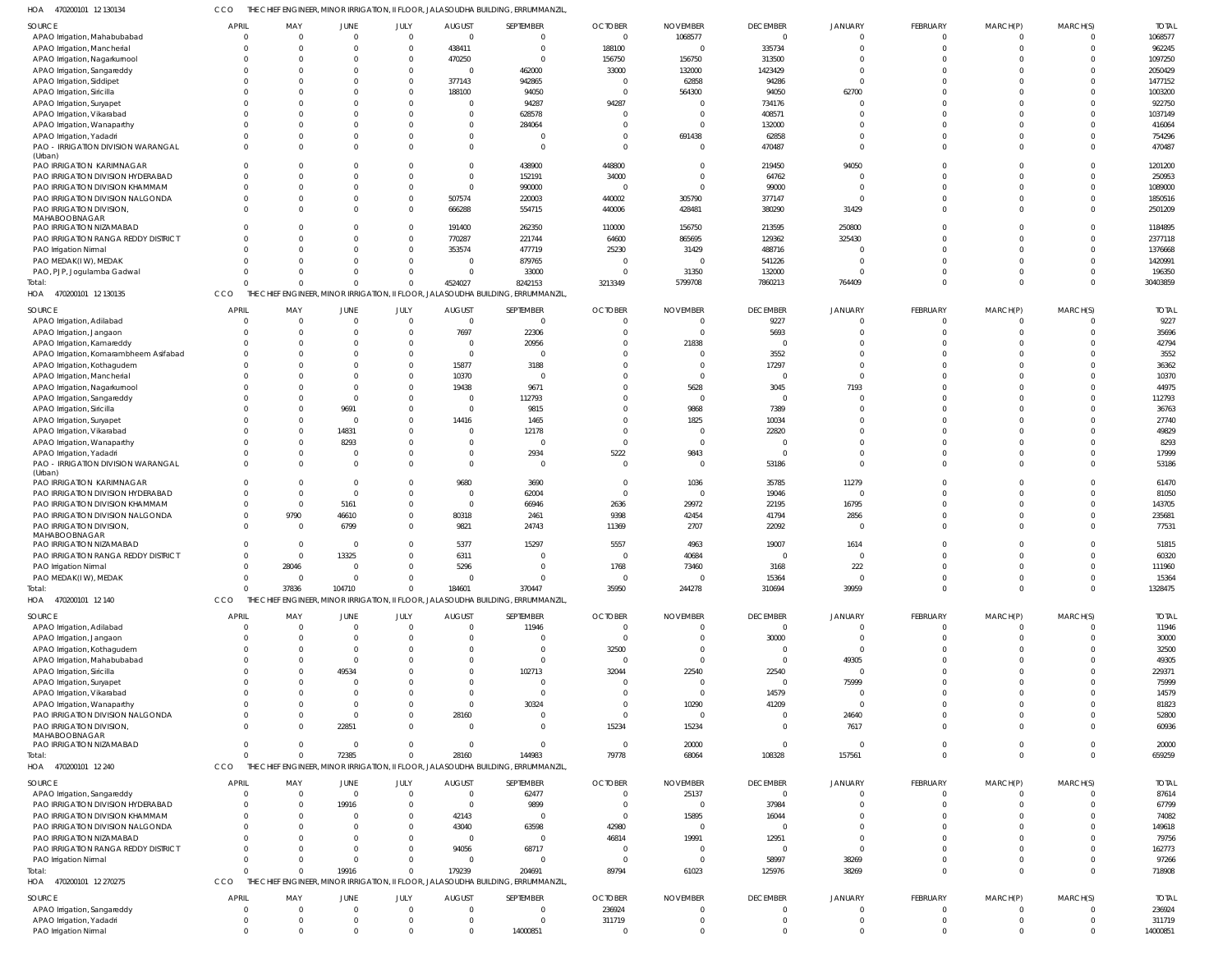470200101 12 130134 HOA CCO THE CHIEF ENGINEER, MINOR IRRIGATION, II FLOOR, JALASOUDHA BUILDING, ERRUMMANZIL,

| SOURCE                                                          | APRIL                | MAY                        | JUNE          | JULY                       | <b>AUGUST</b>          | SEPTEMBER                                                                        | <b>OCTOBER</b>             | <b>NOVEMBER</b>                  | <b>DECEMBER</b>      | <b>JANUARY</b>       | FEBRUARY             | MARCH(P)             | MARCH(S)                  | <b>TOTAL</b>       |
|-----------------------------------------------------------------|----------------------|----------------------------|---------------|----------------------------|------------------------|----------------------------------------------------------------------------------|----------------------------|----------------------------------|----------------------|----------------------|----------------------|----------------------|---------------------------|--------------------|
| APAO Irrigation, Mahabubabad                                    | $\Omega$             | $\Omega$                   | $\Omega$      | $\mathbf{0}$               | $\mathsf{C}$           | 0                                                                                | $\overline{0}$             | 1068577                          | $\Omega$             | $\Omega$             | $\overline{0}$       | $\overline{0}$       | $\mathbf 0$               | 1068577            |
| APAO Irrigation, Mancherial                                     | $\Omega$<br>$\Omega$ | $\Omega$                   | $\Omega$      | $\Omega$<br>$\Omega$       | 438411                 | $\Omega$                                                                         | 188100                     | $\overline{0}$                   | 335734               |                      | $\Omega$<br>U        | <sup>0</sup>         | $\Omega$<br>$\Omega$      | 962245             |
| APAO Irrigation, Nagarkurnool<br>APAO Irrigation, Sangareddy    | $\Omega$             | $\Omega$<br>$\Omega$       |               | $\Omega$                   | 470250<br>$\mathsf{C}$ | 462000                                                                           | 156750<br>33000            | 156750<br>132000                 | 313500<br>1423429    | $\Omega$             | $\Omega$             |                      | $\Omega$                  | 1097250<br>2050429 |
| APAO Irrigation, Siddipet                                       | $\Omega$             | $\Omega$                   |               | $\Omega$                   | 377143                 | 942865                                                                           | $\overline{0}$             | 62858                            | 94286                | $\Omega$             |                      |                      | $\Omega$                  | 1477152            |
| APAO Irrigation, Siricilla                                      | $\Omega$             | $\Omega$                   |               | $\Omega$                   | 188100                 | 94050                                                                            | $\overline{0}$             | 564300                           | 94050                | 62700                |                      |                      | $\Omega$                  | 1003200            |
| APAO Irrigation, Suryapet                                       | $\Omega$             | $\Omega$                   |               | $\Omega$                   | $\mathsf{C}$           | 94287                                                                            | 94287                      | $\Omega$                         | 734176               |                      |                      |                      | $\Omega$                  | 922750             |
| APAO Irrigation, Vikarabad                                      | $\Omega$             | $\Omega$                   |               | $\Omega$                   |                        | 628578                                                                           | $\Omega$                   | $\Omega$                         | 408571               |                      | U                    |                      | $\Omega$                  | 1037149            |
| APAO Irrigation, Wanaparthy                                     | $\Omega$             | $\Omega$                   |               | $\Omega$                   |                        | 284064                                                                           | - 0                        | $\Omega$                         | 132000               |                      |                      |                      | $\Omega$                  | 416064             |
| APAO Irrigation, Yadadri                                        | $\Omega$             | $\Omega$                   |               | $\Omega$                   |                        |                                                                                  | - 0                        | 691438                           | 62858                | $\Omega$             | $\Omega$             |                      | $\Omega$                  | 754296             |
| PAO - IRRIGATION DIVISION WARANGAL                              | $\Omega$             | $\Omega$                   |               | $\Omega$                   |                        | $\Omega$                                                                         | $\Omega$                   | $\Omega$                         | 470487               | $\Omega$             | $\Omega$             | <sup>0</sup>         | $\mathbf 0$               | 470487             |
| (Urban)<br>PAO IRRIGATION KARIMNAGAR                            | $\Omega$             | $\Omega$                   |               | $\Omega$                   |                        | 438900                                                                           | 448800                     | $\Omega$                         | 219450               | 94050                |                      |                      | $\mathbf 0$               | 1201200            |
| PAO IRRIGATION DIVISION HYDERABAD                               | $\Omega$             | $\Omega$                   |               | $\Omega$                   | $\Omega$               | 152191                                                                           | 34000                      | $\Omega$                         | 64762                |                      | $\Omega$             | <sup>0</sup>         | $\mathbf 0$               | 250953             |
| PAO IRRIGATION DIVISION KHAMMAM                                 | $\Omega$             | $\Omega$                   |               | $\Omega$                   | $\mathsf{C}$           | 990000                                                                           | $\overline{0}$             | $\Omega$                         | 99000                | $\Omega$             | $\Omega$             |                      | $\Omega$                  | 1089000            |
| PAO IRRIGATION DIVISION NALGONDA                                | $\Omega$             | $\Omega$                   |               | $\Omega$                   | 507574                 | 220003                                                                           | 440002                     | 305790                           | 377147               | $\sqrt{ }$           | $\Omega$             |                      | $\Omega$                  | 1850516            |
| PAO IRRIGATION DIVISION,                                        | $\Omega$             | $\Omega$                   |               | $\Omega$                   | 666288                 | 554715                                                                           | 440006                     | 428481                           | 380290               | 31429                | $\Omega$             | $\Omega$             | $\Omega$                  | 2501209            |
| MAHABOOBNAGAR                                                   |                      |                            |               |                            |                        |                                                                                  |                            |                                  |                      |                      |                      |                      |                           |                    |
| PAO IRRIGATION NIZAMABAD<br>PAO IRRIGATION RANGA REDDY DISTRICT | $\Omega$<br>$\Omega$ | $\Omega$<br>$\Omega$       |               | $\Omega$<br>$\Omega$       | 191400<br>770287       | 262350<br>221744                                                                 | 110000<br>64600            | 156750<br>865695                 | 213595<br>129362     | 250800<br>325430     | $\Omega$             | <sup>0</sup>         | $\Omega$<br>$\Omega$      | 1184895<br>2377118 |
| PAO Irrigation Nirmal                                           | $\Omega$             | $\Omega$                   |               | $\Omega$                   | 353574                 | 477719                                                                           | 25230                      | 31429                            | 488716               |                      |                      |                      | $\Omega$                  | 1376668            |
| PAO MEDAK(IW), MEDAK                                            | $\Omega$             | $\Omega$                   |               | $\Omega$                   | $\mathsf{C}$           | 879765                                                                           | $\overline{0}$             | $\overline{0}$                   | 541226               | $\sqrt{ }$           |                      |                      | $\Omega$                  | 1420991            |
| PAO, PJP, Jogulamba Gadwal                                      | $\Omega$             | $\Omega$                   |               | $\Omega$                   | $\mathsf{C}$           | 33000                                                                            | $\overline{0}$             | 31350                            | 132000               |                      |                      | $\Omega$             | $\mathbf 0$               | 196350             |
| Total:                                                          | $\Omega$             | $\Omega$                   | $\Omega$      | $\Omega$                   | 4524027                | 8242153                                                                          | 3213349                    | 5799708                          | 7860213              | 764409               | O                    | $\Omega$             | $\mathbf 0$               | 30403859           |
| HOA 470200101 12 130135                                         | CCO                  |                            |               |                            |                        | THE CHIEF ENGINEER, MINOR IRRIGATION, II FLOOR, JALASOUDHA BUILDING, ERRUMMANZIL |                            |                                  |                      |                      |                      |                      |                           |                    |
| SOURCE                                                          | <b>APRIL</b>         | MAY                        | <b>JUNE</b>   | JULY                       | <b>AUGUST</b>          | SEPTEMBER                                                                        | <b>OCTOBER</b>             | <b>NOVEMBER</b>                  | <b>DECEMBER</b>      | <b>JANUARY</b>       | FEBRUARY             | MARCH(P)             | MARCH(S)                  | <b>TOTAL</b>       |
| APAO Irrigation, Adilabad                                       | $\Omega$             | $\overline{0}$             | - 0           | $\Omega$                   | $\mathsf{C}$           | $\Omega$                                                                         | $\Omega$                   | $\Omega$                         | 9227                 |                      | $\Omega$             |                      | $\Omega$                  | 9227               |
| APAO Irrigation, Jangaon                                        | $\Omega$             | $\Omega$                   |               | $\Omega$                   | 7697                   | 22306                                                                            | $\overline{0}$             | - 0                              | 5693                 |                      | $\Omega$             |                      | $\mathbf 0$               | 35696              |
| APAO Irrigation, Kamareddy                                      | $\Omega$             | $\Omega$                   |               | $\Omega$                   | - 0                    | 20956                                                                            | $\Omega$                   | 21838                            | $\Omega$             |                      |                      |                      | $\Omega$                  | 42794              |
| APAO Irrigation, Komarambheem Asifabad                          | $\Omega$             | $\Omega$                   |               | $\Omega$                   | $\mathsf{C}$           |                                                                                  | $\Omega$                   | $\Omega$                         | 3552                 |                      |                      |                      | $\Omega$                  | 3552               |
| APAO Irrigation, Kothagudem                                     | $\Omega$             | $\Omega$                   |               | $\Omega$                   | 15877                  | 3188                                                                             |                            | $\Omega$                         | 17297                |                      |                      |                      | $\Omega$                  | 36362              |
| APAO Irrigation, Mancherial                                     | $\Omega$             | $\Omega$                   |               | $\Omega$                   | 10370                  |                                                                                  |                            | $\Omega$                         | $\Omega$             | $\cap$               |                      |                      | $\Omega$                  | 10370              |
| APAO Irrigation, Nagarkurnool                                   | $\Omega$             | $\Omega$                   |               | $\Omega$                   | 19438                  | 9671                                                                             |                            | 5628                             | 3045                 | 7193                 |                      |                      | $\Omega$                  | 44975              |
| APAO Irrigation, Sangareddy                                     |                      | 0                          |               | $\Omega$                   |                        | 112793                                                                           | $\mathsf{C}$               | $\Omega$                         | $\Omega$             |                      |                      |                      | $\Omega$                  | 112793             |
| APAO Irrigation, Siricilla                                      | $\Omega$             | $\Omega$                   | 9691          | <sup>0</sup>               | - (                    | 9815                                                                             |                            | 9868                             | 7389                 |                      |                      |                      | $\Omega$                  | 36763              |
| APAO Irrigation, Suryapet                                       |                      | $\Omega$                   |               |                            | 14416                  | 1465                                                                             | $\Omega$                   | 1825                             | 10034                |                      |                      |                      | $\Omega$                  | 27740              |
| APAO Irrigation, Vikarabad                                      | $\Omega$<br>$\Omega$ | $\Omega$<br>$\Omega$       | 14831<br>8293 | $\Omega$<br><sup>0</sup>   |                        | 12178<br>$\Omega$                                                                | $\Omega$<br>$\overline{0}$ | $\Omega$<br>$\Omega$             | 22820<br>$\Omega$    |                      |                      |                      | $\Omega$<br>$\Omega$      | 49829<br>8293      |
| APAO Irrigation, Wanaparthy<br>APAO Irrigation, Yadadri         | $\Omega$             | $\Omega$                   |               | $\Omega$                   |                        | 2934                                                                             | 5222                       | 9843                             | $\Omega$             | $\Omega$             |                      |                      | $\Omega$                  | 17999              |
| PAO - IRRIGATION DIVISION WARANGAL                              | $\Omega$             | $\Omega$                   |               | <sup>0</sup>               |                        | $\Omega$                                                                         | $\overline{0}$             | - 0                              | 53186                | $\Omega$             | $\Omega$             | <sup>0</sup>         | $\Omega$                  | 53186              |
| (Urban)                                                         |                      |                            |               |                            |                        |                                                                                  |                            |                                  |                      |                      |                      |                      |                           |                    |
| PAO IRRIGATION KARIMNAGAR                                       | $\Omega$             | $\Omega$                   |               | $\Omega$                   | 9680                   | 3690                                                                             | 0                          | 1036                             | 35785                | 11279                |                      |                      | $\Omega$                  | 61470              |
| PAO IRRIGATION DIVISION HYDERABAD                               | $\Omega$             | $\Omega$                   |               | $\Omega$                   | - 0                    | 62004                                                                            | $\overline{0}$             | $\overline{0}$                   | 19046                |                      |                      |                      | $\Omega$                  | 81050              |
| PAO IRRIGATION DIVISION KHAMMAM                                 | $\Omega$             | $\mathbf{0}$               | 5161          | $\Omega$                   | $\mathsf{C}$           | 66946                                                                            | 2636                       | 29972                            | 22195                | 16795                |                      |                      | $\Omega$                  | 143705             |
| PAO IRRIGATION DIVISION NALGONDA                                | $\Omega$             | 9790                       | 46610         | $\Omega$                   | 80318                  | 2461                                                                             | 9398                       | 42454                            | 41794                | 2856                 |                      |                      | $\Omega$                  | 235681             |
| PAO IRRIGATION DIVISION,<br>MAHABOOBNAGAR                       | $\Omega$             | $\Omega$                   | 6799          | $\Omega$                   | 9821                   | 24743                                                                            | 11369                      | 2707                             | 22092                |                      | $\Omega$             |                      | $\Omega$                  | 77531              |
| PAO IRRIGATION NIZAMABAD                                        | $\Omega$             | $\Omega$                   |               | $\Omega$                   | 5377                   | 15297                                                                            | 5557                       | 4963                             | 19007                | 1614                 |                      |                      | $\Omega$                  | 51815              |
| PAO IRRIGATION RANGA REDDY DISTRICT                             | $\Omega$             | $\Omega$                   | 13325         | $\Omega$                   | 6311                   | $\Omega$                                                                         | $\Omega$                   | 40684                            | $\Omega$             |                      | $\Omega$             | $\Omega$             | $\Omega$                  | 60320              |
| PAO Irrigation Nirmal                                           | $\cap$               | 28046                      |               |                            | 5296                   |                                                                                  | 1768                       | 73460                            | 3168                 | 222                  |                      |                      | $\cap$                    | 111960             |
| PAO MEDAK(IW), MEDAK                                            | $\Omega$             | 0                          |               | $\Omega$                   |                        | $\Omega$                                                                         | $\overline{0}$             | $\mathbf 0$                      | 15364                | $\Omega$             | 0                    | $\Omega$             | $\Omega$                  | 15364              |
| Total:                                                          | $\Omega$             | 37836                      | 104710        | $\Omega$                   | 184601                 | 370447                                                                           | 35950                      | 244278                           | 310694               | 39959                | $\mathbf 0$          | $\mathbf 0$          | $\mathbf{0}$              | 1328475            |
| HOA 470200101 12 140                                            | CCO                  |                            |               |                            |                        | THE CHIEF ENGINEER, MINOR IRRIGATION, II FLOOR, JALASOUDHA BUILDING, ERRUMMANZIL |                            |                                  |                      |                      |                      |                      |                           |                    |
| SOURCE                                                          | <b>APRIL</b>         | MAY                        | JUNE          | JULY                       | <b>AUGUST</b>          | SEPTEMBER                                                                        | <b>OCTOBER</b>             | <b>NOVEMBER</b>                  | <b>DECEMBER</b>      | <b>JANUARY</b>       | FEBRUARY             | MARCH(P)             | MARCH(S)                  | <b>TOTAL</b>       |
| APAO Irrigation, Adilabad                                       | $\Omega$             | $\overline{0}$             | $\Omega$      | $\overline{0}$             | $\mathsf{C}$           | 11946                                                                            | $\overline{0}$             | 0                                | $\Omega$             |                      | $\overline{0}$       | $\mathbf 0$          | $\mathbf{0}$              | 11946              |
| APAO Irrigation, Jangaon                                        | $\Omega$             | - 0                        |               | $\Omega$                   | - 0                    | $\Omega$                                                                         | $\overline{0}$             | $\mathbf 0$                      | 30000                | $\Omega$             | $\mathbf 0$          | $\mathbf 0$          | $\mathbf 0$               | 30000              |
| APAO Irrigation, Kothagudem                                     | $\Omega$             | $\Omega$                   |               | $\Omega$                   |                        | $\Omega$                                                                         | 32500                      | $\Omega$                         | $\Omega$             | $\Omega$             |                      |                      | $\Omega$                  | 32500              |
| APAO Irrigation, Mahabubabad                                    | $\Omega$             | $\Omega$                   |               |                            |                        | $\Omega$                                                                         | $\overline{0}$             | $\Omega$                         | $\Omega$             | 49305                | $\Omega$             | $\Omega$             | $\Omega$                  | 49305              |
| APAO Irrigation, Siricilla                                      | $\Omega$             | $\Omega$                   | 49534         |                            | $\Omega$               | 102713                                                                           | 32044                      | 22540                            | 22540                | $\Omega$             | $\Omega$             | $\Omega$             | $\Omega$                  | 229371             |
| APAO Irrigation, Suryapet                                       | $\Omega$             | $\Omega$                   |               | $\Omega$                   | $\Omega$               | $\Omega$                                                                         | $\overline{0}$             | $\overline{0}$                   | $\Omega$             | 75999                | $\Omega$             | $\Omega$             | $\Omega$                  | 75999              |
| APAO Irrigation, Vikarabad<br>APAO Irrigation, Wanaparthy       | $\Omega$<br>$\Omega$ | $\Omega$<br>$\Omega$       |               | $\Omega$<br>$\Omega$       | $\Omega$<br>$\Omega$   | $\Omega$<br>30324                                                                | 0<br>$\overline{0}$        | $\overline{\mathbf{0}}$<br>10290 | 14579<br>41209       | - 0<br>$\Omega$      | $\Omega$<br>$\Omega$ | $\Omega$<br>$\Omega$ | $\Omega$<br>$\Omega$      | 14579<br>81823     |
| PAO IRRIGATION DIVISION NALGONDA                                | $\Omega$             | $\Omega$                   | $\Omega$      | 0                          | 28160                  | 0                                                                                | $\overline{0}$             | $\overline{0}$                   | $\Omega$             | 24640                | $\Omega$             | $\Omega$             | $\mathbf{0}$              | 52800              |
| PAO IRRIGATION DIVISION,                                        | $\Omega$             | $\Omega$                   | 22851         | $\overline{0}$             | $\Omega$               | $\Omega$                                                                         | 15234                      | 15234                            | $\Omega$             | 7617                 | $\Omega$             | $\Omega$             | $\mathbf 0$               | 60936              |
| MAHABOOBNAGAR                                                   |                      |                            |               |                            |                        |                                                                                  |                            |                                  |                      |                      |                      |                      |                           |                    |
| PAO IRRIGATION NIZAMABAD                                        | $\overline{0}$       | $\mathbf{0}$               | $\Omega$      | $\mathbf 0$                | $\Omega$               | $\mathbf{0}$                                                                     | $\overline{0}$             | 20000                            | $\Omega$             | $\Omega$             | 0                    | 0                    | $^{\circ}$                | 20000              |
| Total:                                                          | $\Omega$             | $\Omega$                   | 72385         | $\Omega$                   | 28160                  | 144983                                                                           | 79778                      | 68064                            | 108328               | 157561               | $\Omega$             | $\Omega$             | $\mathbf 0$               | 659259             |
| HOA 470200101 12 240                                            | CCO                  |                            |               |                            |                        | THE CHIEF ENGINEER, MINOR IRRIGATION, II FLOOR, JALASOUDHA BUILDING, ERRUMMANZIL |                            |                                  |                      |                      |                      |                      |                           |                    |
| SOURCE                                                          | <b>APRIL</b>         | MAY                        | JUNE          | JULY                       | <b>AUGUST</b>          | SEPTEMBER                                                                        | <b>OCTOBER</b>             | <b>NOVEMBER</b>                  | <b>DECEMBER</b>      | <b>JANUARY</b>       | FEBRUARY             | MARCH(P)             | MARCH(S)                  | <b>TOTAL</b>       |
| APAO Irrigation, Sangareddy                                     | 0                    | 0                          | $\Omega$      | $\overline{0}$             | $\mathsf{C}$           | 62477                                                                            | $\overline{0}$             | 25137                            | $\mathbf{0}$         |                      | $\overline{0}$       | 0                    | $\mathbf{0}$              | 87614              |
| PAO IRRIGATION DIVISION HYDERABAD                               | $\mathbf 0$          | $\mathbf{0}$               | 19916         | $\mathbf{0}$               | $\mathsf{C}$           | 9899                                                                             | 0                          | $\overline{0}$                   | 37984                |                      | $\Omega$             |                      | $\Omega$                  | 67799              |
| PAO IRRIGATION DIVISION KHAMMAM                                 | $\Omega$             | $\Omega$                   |               | $\Omega$                   | 42143                  | 0                                                                                | $\overline{0}$             | 15895                            | 16044                |                      | $\Omega$             |                      | $\Omega$                  | 74082              |
| PAO IRRIGATION DIVISION NALGONDA                                | $\Omega$             | $\Omega$                   |               | $\Omega$                   | 43040                  | 63598                                                                            | 42980                      | $\overline{0}$                   | $\Omega$             | $\Omega$             |                      |                      | $\Omega$                  | 149618             |
| PAO IRRIGATION NIZAMABAD                                        | $\Omega$             | $\Omega$                   |               | $\Omega$                   | C                      | 0                                                                                | 46814                      | 19991                            | 12951                | $\Omega$             |                      |                      | $\Omega$                  | 79756              |
| PAO IRRIGATION RANGA REDDY DISTRICT                             | $\Omega$             | $\Omega$                   |               | $\Omega$                   | 94056                  | 68717                                                                            | 0                          | - 0                              | $\Omega$             | $\Omega$             |                      | $\Omega$             | $\Omega$                  | 162773             |
| PAO Irrigation Nirmal                                           | $\Omega$<br>$\Omega$ | $\Omega$<br>$\Omega$       | 19916         | $\Omega$<br>$\Omega$       | $\mathsf{C}$<br>179239 | $\Omega$<br>204691                                                               | $\overline{0}$<br>89794    | $\overline{0}$<br>61023          | 58997<br>125976      | 38269                | $\Omega$             | $\Omega$<br>$\Omega$ | $\Omega$<br>$\Omega$      | 97266<br>718908    |
| Total:<br>HOA 470200101 12 270275                               | CCO                  |                            |               |                            |                        | THE CHIEF ENGINEER, MINOR IRRIGATION, II FLOOR, JALASOUDHA BUILDING, ERRUMMANZIL |                            |                                  |                      | 38269                |                      |                      |                           |                    |
|                                                                 |                      |                            |               |                            |                        |                                                                                  |                            |                                  |                      |                      |                      |                      |                           |                    |
| SOURCE                                                          | <b>APRIL</b>         | MAY                        | <b>JUNE</b>   | JULY                       | <b>AUGUST</b>          | SEPTEMBER                                                                        | <b>OCTOBER</b>             | <b>NOVEMBER</b>                  | <b>DECEMBER</b>      | <b>JANUARY</b>       | FEBRUARY             | MARCH(P)             | MARCH(S)                  | <b>TOTAL</b>       |
| APAO Irrigation, Sangareddy                                     | 0                    | $\overline{0}$             | $\Omega$      | $\overline{0}$             | $\Omega$               | $\mathbf 0$                                                                      | 236924                     | $\Omega$                         | $\Omega$             | $\Omega$             | $\mathbf 0$          | $\Omega$             | $\mathbf{0}$              | 236924             |
| APAO Irrigation, Yadadri                                        | 0<br>$\Omega$        | $\overline{0}$<br>$\Omega$ | $\Omega$      | $\overline{0}$<br>$\Omega$ | $\Omega$<br>$\Omega$   | $\mathbf 0$<br>14000851                                                          | 311719<br>$\overline{0}$   | 0<br>$\Omega$                    | $\Omega$<br>$\Omega$ | $\Omega$<br>$\Omega$ | 0<br>$\Omega$        | $\Omega$<br>$\Omega$ | $^{\circ}$<br>$\mathbf 0$ | 311719<br>14000851 |
| PAO Irrigation Nirmal                                           |                      |                            |               |                            |                        |                                                                                  |                            |                                  |                      |                      |                      |                      |                           |                    |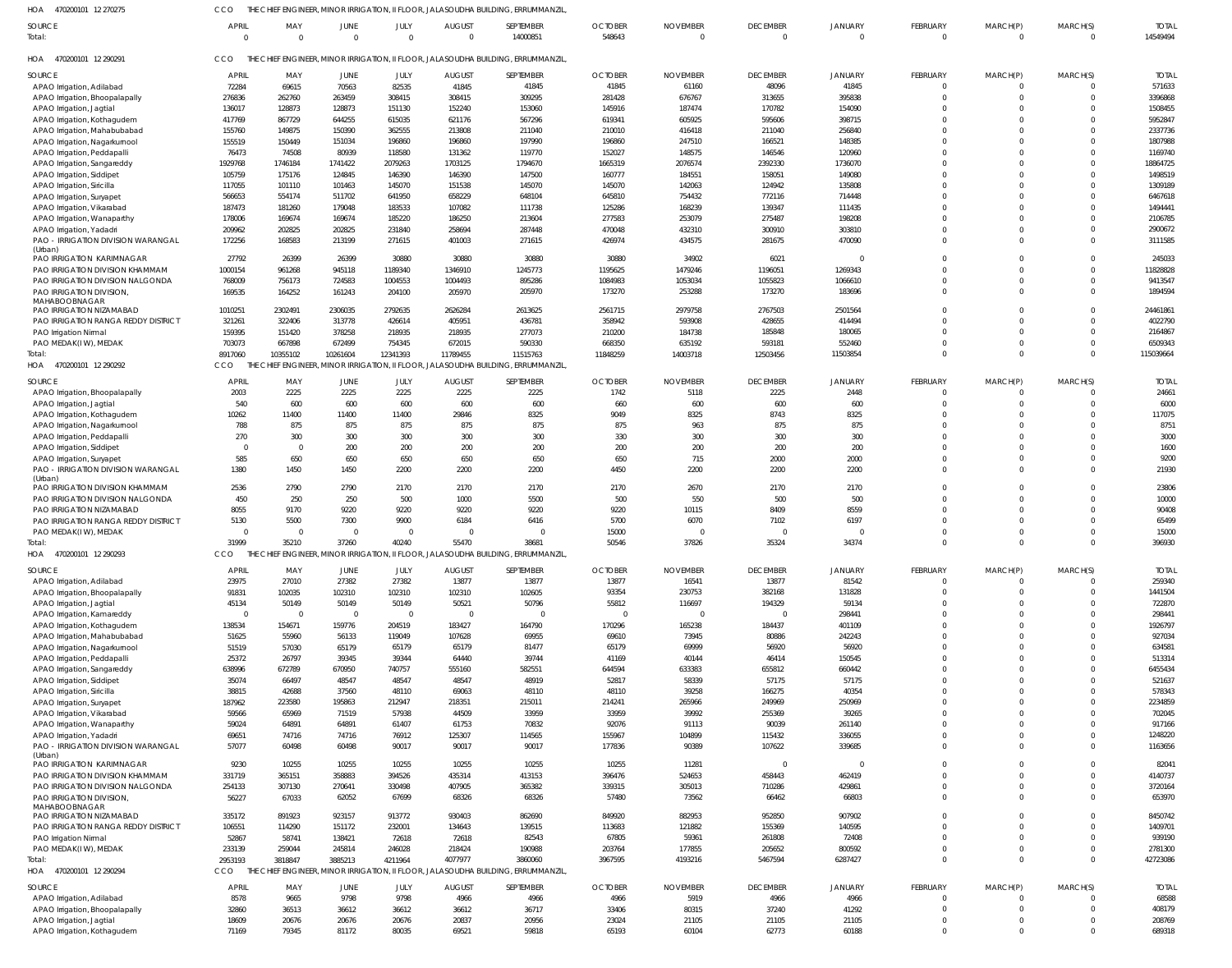470200101 12 270275 HOA 470200101 12 290291 HOA 470200101 12 290292 HOA 470200101 12 290293 470200101 12 290294 HOA HOA THE CHIEF ENGINEER, MINOR IRRIGATION, II FLOOR, JALASOUDHA BUILDING, ERRUMMANZIL, THE CHIEF ENGINEER, MINOR IRRIGATION, II FLOOR, JALASOUDHA BUILDING, ERRUMMANZIL, THE CHIEF ENGINEER, MINOR IRRIGATION, II FLOOR, JALASOUDHA BUILDING, ERRUMMANZIL, THE CHIEF ENGINEER, MINOR IRRIGATION, II FLOOR, JALASOUDHA BUILDING, ERRUMMANZIL, THE CHIEF ENGINEER, MINOR IRRIGATION, II FLOOR, JALASOUDHA BUILDING, ERRUMMANZIL, CCO CCO CCO CCO CCO  $\Omega$   $\Omega$   $\Omega$   $\cap$   $\Omega$  APAO Irrigation, Adilabad APAO Irrigation, Bhoopalapally APAO Irrigation, Jagtial APAO Irrigation, Kothagudem APAO Irrigation, Mahabubabad APAO Irrigation, Nagarkurnool APAO Irrigation, Peddapalli APAO Irrigation, Sangareddy APAO Irrigation, Siddipet APAO Irrigation, Siricilla APAO Irrigation, Suryapet APAO Irrigation, Vikarabad APAO Irrigation, Wanaparthy APAO Irrigation, Yadadri PAO - IRRIGATION DIVISION WARANGAL (Urban) PAO IRRIGATION KARIMNAGAR PAO IRRIGATION DIVISION KHAMMAM PAO IRRIGATION DIVISION NALGONDA PAO IRRIGATION DIVISION, MAHABOOBNAGAR PAO IRRIGATION NIZAMABAD PAO IRRIGATION RANGA REDDY DISTRICT PAO Irrigation Nirmal PAO MEDAK(I W), MEDAK APAO Irrigation, Bhoopalapally APAO Irrigation, Jagtial APAO Irrigation, Kothagudem APAO Irrigation, Nagarkurnool APAO Irrigation, Peddapalli APAO Irrigation, Siddipet APAO Irrigation, Suryapet PAO - IRRIGATION DIVISION WARANGAL (Urban) PAO IRRIGATION DIVISION KHAMMAM PAO IRRIGATION DIVISION NALGONDA PAO IRRIGATION NIZAMABAD PAO IRRIGATION RANGA REDDY DISTRICT PAO MEDAK(I W), MEDAK APAO Irrigation, Adilabad APAO Irrigation, Bhoopalapally APAO Irrigation, Jagtial APAO Irrigation, Kamareddy APAO Irrigation, Kothagudem APAO Irrigation, Mahabubabad APAO Irrigation, Nagarkurnool APAO Irrigation, Peddapalli APAO Irrigation, Sangareddy APAO Irrigation, Siddipet APAO Irrigation, Siricilla APAO Irrigation, Suryapet APAO Irrigation, Vikarabad APAO Irrigation, Wanaparthy APAO Irrigation, Yadadri PAO - IRRIGATION DIVISION WARANGAL (Urban) PAO IRRIGATION KARIMNAGAR PAO IRRIGATION DIVISION KHAMMAM PAO IRRIGATION DIVISION NALGONDA PAO IRRIGATION DIVISION, MAHABOOBNAGAR PAO IRRIGATION NIZAMABAD PAO IRRIGATION RANGA REDDY DISTRICT PAO Irrigation Nirma PAO MEDAK(I W), MEDAK APAO Irrigation, Adilabad APAO Irrigation, Bhoopalapally APAO Irrigation, Jagtial APAO Irrigation, Kothagudem SOURCE SOURCE **SOURCE** SOURCE SOURCE APRIL APRIL **APRIL APRI APRI**  MAY MAY MAY MAY MAY  $\Omega$  JUNE JUNE JUNE JUNE JUNE JULY JULY JULY JULY JULY  $\Omega$  AUGUST AUGUST AUGUST AUGUST AUGUST SEPTEMBER SEPTEMBER SEPTEMBER SEPTEMBER SEPTEMBER OCTOBER OCTOBER **OCTOBER** OCTOBER OCTOBER  $\Omega$  NOVEMBER NOVEMBER NOVEMBER NOVEMBER NOVEMBER  $\Omega$  DECEMBER **DECEMBER DECEMBER** DECEMBER **DECEMBER**   $\overline{0}$  JANUARY JANUARY JANUARY **JANUARY** JANUARY  $\Omega$   $\Omega$   $\Omega$   $\Omega$   $\Omega$  $\Omega$   $\Omega$  $\Omega$   $\Omega$   $\Omega$  $\Omega$   $\Omega$   $\Omega$  $\Omega$  $\Omega$   $\Omega$  $\Omega$   $\Omega$   $\Omega$  $\Omega$   $\Omega$   $\Omega$  $\Omega$   $\Omega$   $\Omega$   $\Omega$   $\Omega$  $\Omega$  $\Omega$  $\sqrt{2}$  $\Omega$  $\Omega$  $\Omega$  $\Omega$   $\Omega$  $\Omega$ FEBRUARY FEBRUARY FEBRUARY FEBRUARY FEBRUARY  $\Omega$   $\Omega$   $\Omega$   $\Omega$   $\Omega$   $\Omega$   $\Omega$   $\Omega$   $\Omega$  $\Omega$  $\Omega$  $\Omega$  $\theta$   $\Omega$   $\Omega$   $\Omega$  $\Omega$   $\Omega$   $\Omega$  $\Omega$   $\Omega$  $\Omega$  $\Omega$  $\Omega$  $\Omega$  $\Omega$  $\Omega$  $\Omega$  $\Omega$   $\Omega$  $\Omega$ MARCH(P) MARCH(P) MARCH(P) MARCH(P) MARCH(P)  $\Omega$   $\Omega$   $\Omega$   $\Omega$   $\Omega$   $\Omega$   $\Omega$   $\Omega$  $\Omega$  $\theta$  $\theta$  $\Omega$   $\cap$   $\Omega$   $\Omega$   $\Omega$  $\Omega$  $\Omega$  $\Omega$  $\Omega$  $\Omega$  $\Omega$  $\Omega$   $\Omega$  $\theta$  $\Omega$  $\theta$ MARCH(S) MARCH(S) MARCH(S) MARCH(S) MARCH(S) TOTAL TOTAL TOTAL TOTAL TOTAL **Total** Total: Total: Total: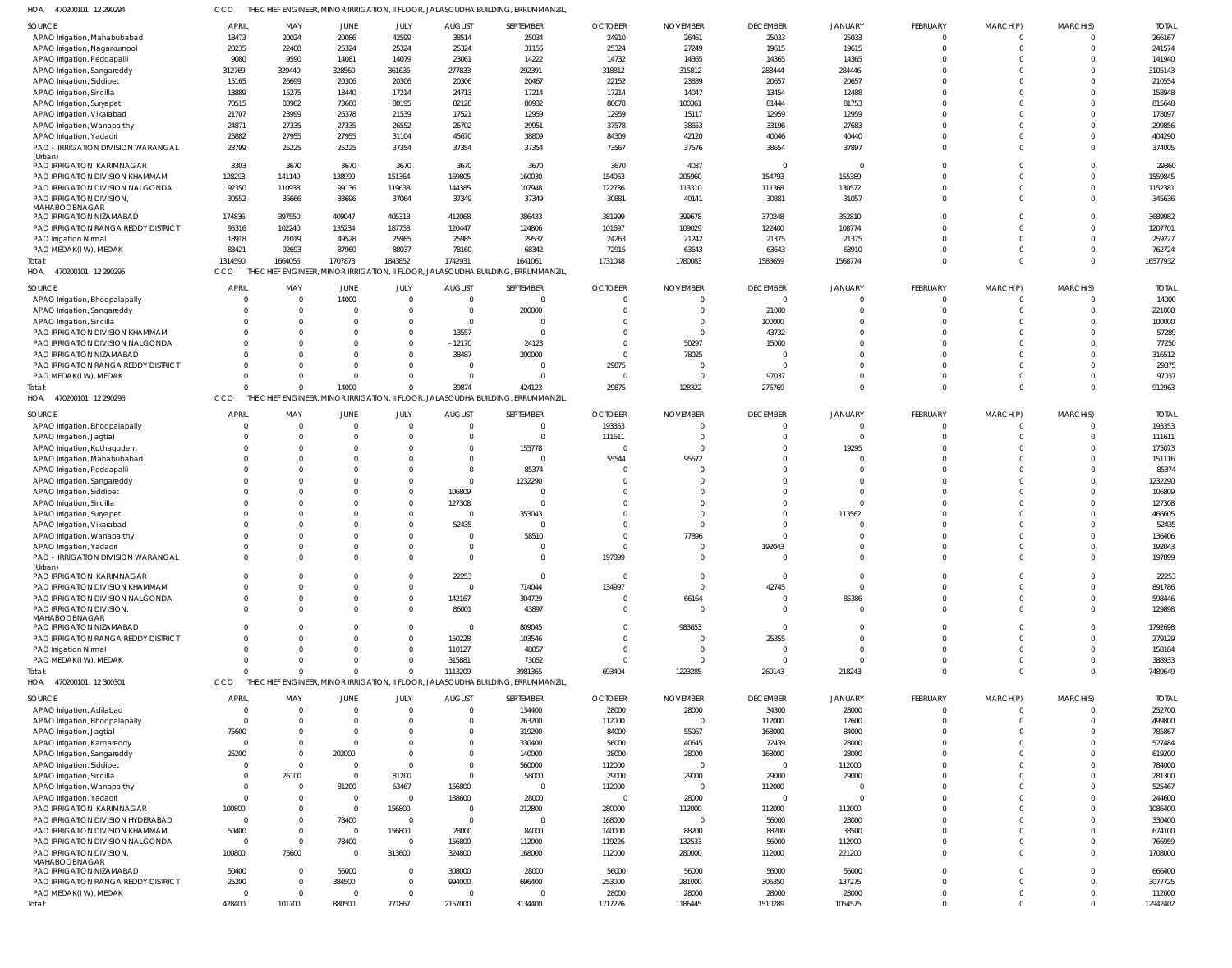| 470200101 12 290294                       |                          | THE CHIEF ENGINEER, MINOR IRRIGATION, II FLOOR, JALASOUDHA BUILDING, ERRUMMANZIL |                      |                       |                     |                                                                                  |                  |                   |                   |                  |                            |                            |                      |                    |
|-------------------------------------------|--------------------------|----------------------------------------------------------------------------------|----------------------|-----------------------|---------------------|----------------------------------------------------------------------------------|------------------|-------------------|-------------------|------------------|----------------------------|----------------------------|----------------------|--------------------|
| <b>SOURCE</b>                             | <b>APRIL</b>             | MAY                                                                              | <b>JUNE</b>          | JULY                  | <b>AUGUST</b>       | SEPTEMBER                                                                        | <b>OCTOBER</b>   | <b>NOVEMBER</b>   | <b>DECEMBER</b>   | <b>JANUARY</b>   | FEBRUARY                   | MARCH(P)                   | MARCH(S)             | <b>TOTAL</b>       |
| APAO Irrigation, Mahabubabad              | 18473                    | 20024                                                                            | 20086                | 42599                 | 38514               | 25034                                                                            | 24910            | 26461             | 25033             | 25033            | $\mathbf 0$                | 0                          | $\overline{0}$       | 266167             |
| APAO Irrigation, Nagarkurnool             | 20235                    | 22408                                                                            | 25324                | 25324                 | 25324               | 31156                                                                            | 25324            | 27249             | 19615             | 19615            | $\mathbf 0$                | $\mathbf 0$                | $\overline{0}$       | 241574             |
| APAO Irrigation, Peddapalli               | 9080                     | 9590                                                                             | 14081                | 14079                 | 23061               | 14222                                                                            | 14732            | 14365             | 14365             | 14365            | $\Omega$                   | $\Omega$                   | $\Omega$             | 141940             |
| APAO Irrigation, Sangareddy               | 312769                   | 329440                                                                           | 328560               | 361636                | 277833              | 292391                                                                           | 318812           | 315812            | 283444            | 284446           | $\Omega$                   | $\Omega$                   | $\Omega$             | 3105143            |
| APAO Irrigation, Siddipet                 | 15165                    | 26699                                                                            | 20306                | 20306                 | 20306               | 20467                                                                            | 22152            | 23839             | 20657             | 20657            | $\Omega$                   | $\Omega$                   | $\Omega$             | 210554             |
| APAO Irrigation, Siricilla                | 13889                    | 15275                                                                            | 13440                | 17214                 | 24713               | 17214                                                                            | 17214            | 14047             | 13454             | 12488            | $\Omega$                   | $\Omega$                   | $\Omega$             | 158948             |
|                                           | 70515                    | 83982                                                                            | 73660                | 80195                 | 82128               | 80932                                                                            | 80678            | 100361            | 81444             | 81753            | $\Omega$                   | $\Omega$                   | $\Omega$             | 815648             |
| APAO Irrigation, Suryapet                 |                          |                                                                                  |                      |                       |                     |                                                                                  |                  |                   |                   |                  | $\Omega$                   | $\Omega$                   | $\Omega$             |                    |
| APAO Irrigation, Vikarabad                | 21707                    | 23999                                                                            | 26378                | 21539                 | 17521               | 12959                                                                            | 12959            | 15117             | 12959             | 12959            |                            |                            |                      | 178097             |
| APAO Irrigation, Wanaparthy               | 24871                    | 27335                                                                            | 27335                | 26552                 | 26702               | 29951                                                                            | 37578            | 38653             | 33196             | 27683            | $\Omega$                   | $\Omega$                   | $\Omega$             | 299856             |
| APAO Irrigation, Yadadri                  | 25882                    | 27955                                                                            | 27955                | 31104                 | 45670               | 38809                                                                            | 84309            | 42120             | 40046             | 40440            | $\Omega$                   | $\Omega$                   | $\Omega$             | 404290             |
| PAO - IRRIGATION DIVISION WARANGAL        | 23799                    | 25225                                                                            | 25225                | 37354                 | 37354               | 37354                                                                            | 73567            | 37576             | 38654             | 37897            | $\Omega$                   | $\Omega$                   | $\Omega$             | 374005             |
| (Urban)                                   |                          |                                                                                  |                      |                       |                     |                                                                                  |                  |                   |                   |                  |                            |                            |                      |                    |
| PAO IRRIGATION KARIMNAGAR                 | 3303                     | 3670                                                                             | 3670                 | 3670                  | 3670                | 3670                                                                             | 3670             | 4037              | $\overline{0}$    | $\Omega$         | $\Omega$                   | $\Omega$                   | $\Omega$             | 29360              |
| PAO IRRIGATION DIVISION KHAMMAM           | 128293                   | 141149                                                                           | 138999               | 151364                | 169805              | 160030                                                                           | 154063           | 205960            | 154793            | 155389           | $\Omega$                   | $\Omega$                   | $\Omega$             | 1559845            |
| PAO IRRIGATION DIVISION NALGONDA          | 92350                    | 110938                                                                           | 99136                | 119638                | 144385              | 107948                                                                           | 122736           | 113310            | 111368            | 130572           | $\Omega$                   | $\Omega$                   | $\Omega$             | 1152381            |
| PAO IRRIGATION DIVISION,                  | 30552                    | 36666                                                                            | 33696                | 37064                 | 37349               | 37349                                                                            | 30881            | 40141             | 30881             | 31057            | $\Omega$                   | $\Omega$                   | $\Omega$             | 345636             |
| MAHABOOBNAGAR                             |                          |                                                                                  | 409047               |                       |                     |                                                                                  | 381999           |                   | 370248            | 352810           | $\Omega$                   | $\Omega$                   | $\Omega$             | 3689982            |
| PAO IRRIGATION NIZAMABAD                  | 174836                   | 397550                                                                           |                      | 405313                | 412068              | 386433                                                                           |                  | 399678            |                   |                  |                            |                            |                      |                    |
| PAO IRRIGATION RANGA REDDY DISTRICT       | 95316                    | 102240                                                                           | 135234               | 187758                | 120447              | 124806                                                                           | 101697           | 109029            | 122400            | 108774           | $\Omega$                   | $\Omega$                   | $\Omega$             | 1207701            |
| PAO Irrigation Nirmal                     | 18918                    | 21019                                                                            | 49528                | 25985                 | 25985               | 29537                                                                            | 24263            | 21242             | 21375             | 21375            | $\Omega$                   | $\Omega$                   | $\Omega$             | 259227             |
| PAO MEDAK(IW), MEDAK                      | 83421                    | 92693                                                                            | 87960                | 88037                 | 78160               | 68342                                                                            | 72915            | 63643             | 63643             | 63910            | $\mathbf 0$                | $\mathbf 0$                | $\Omega$             | 762724             |
| Total:                                    | 1314590                  | 1664056                                                                          | 1707878              | 1843852               | 1742931             | 1641061                                                                          | 1731048          | 1780083           | 1583659           | 1568774          | $\Omega$                   | $\Omega$                   | $\Omega$             | 16577932           |
| HOA 470200101 12 290295                   | CCO                      |                                                                                  |                      |                       |                     | THE CHIEF ENGINEER, MINOR IRRIGATION, II FLOOR, JALASOUDHA BUILDING, ERRUMMANZIL |                  |                   |                   |                  |                            |                            |                      |                    |
| SOURCE                                    | <b>APRIL</b>             | MAY                                                                              | JUNE                 | JULY                  | <b>AUGUST</b>       | SEPTEMBER                                                                        | <b>OCTOBER</b>   | <b>NOVEMBER</b>   | <b>DECEMBER</b>   | <b>JANUARY</b>   | <b>FEBRUARY</b>            | MARCH(P)                   | MARCH(S)             | <b>TOTAL</b>       |
|                                           | $\Omega$                 | $\mathbf 0$                                                                      | 14000                | $\Omega$              | $\Omega$            | $\overline{0}$                                                                   | $\Omega$         |                   | $\overline{0}$    | $\Omega$         | $\overline{0}$             | $\overline{0}$             | $\overline{0}$       | 14000              |
| APAO Irrigation, Bhoopalapally            |                          |                                                                                  |                      |                       |                     |                                                                                  |                  |                   |                   |                  |                            |                            |                      |                    |
| APAO Irrigation, Sangareddy               | $\Omega$                 | $\mathbf 0$                                                                      |                      | $\mathbf 0$           | $\Omega$            | 200000                                                                           |                  |                   | 21000             | $\Omega$         | $\mathbf 0$                | $\mathbf 0$                | $\overline{0}$       | 221000             |
| APAO Irrigation, Siricilla                | $\Omega$                 | $\Omega$                                                                         |                      | $\Omega$              | $\Omega$            | $\overline{0}$                                                                   |                  |                   | 100000            | $\Omega$         | $\mathbf 0$                | $\Omega$                   | $\Omega$             | 100000             |
| PAO IRRIGATION DIVISION KHAMMAM           | $\Omega$                 | $\Omega$                                                                         |                      | $\mathbf 0$           | 13557               | $\overline{0}$                                                                   |                  |                   | 43732             | $\Omega$         | $\mathbf 0$                | $\mathbf 0$                | $\Omega$             | 57289              |
| PAO IRRIGATION DIVISION NALGONDA          | $\Omega$                 | $\Omega$                                                                         |                      | $\Omega$              | $-12170$            | 24123                                                                            |                  | 50297             | 15000             | $\Omega$         | $\Omega$                   | $\Omega$                   | $\Omega$             | 77250              |
| PAO IRRIGATION NIZAMABAD                  | $\Omega$                 | $\Omega$                                                                         |                      | $\Omega$              | 38487               | 200000                                                                           | $\Omega$         | 78025             |                   | $\Omega$         | $\Omega$                   | $\Omega$                   | $\Omega$             | 316512             |
| PAO IRRIGATION RANGA REDDY DISTRICT       | $\Omega$                 | $\Omega$                                                                         |                      |                       | $\Omega$            | $\overline{0}$                                                                   | 29875            |                   | $\Omega$          | $\Omega$         | $\Omega$                   | $\mathbf 0$                | $\Omega$             | 29875              |
| PAO MEDAK(IW), MEDAK                      | $\Omega$                 | $\Omega$                                                                         |                      | $\Omega$              | $\Omega$            | $\Omega$                                                                         | $\Omega$         |                   | 97037             | $\Omega$         | $\mathbf 0$                | $\mathbf 0$                | $\Omega$             | 97037              |
| Total:                                    | $\Omega$                 | $\Omega$                                                                         | 14000                | $\Omega$              | 39874               | 424123                                                                           | 29875            | 128322            | 276769            | $\Omega$         | $\mathbf 0$                | $\mathbf 0$                | $\Omega$             | 912963             |
| HOA 470200101 12 290296                   | CCO                      |                                                                                  |                      |                       |                     | THE CHIEF ENGINEER, MINOR IRRIGATION, II FLOOR, JALASOUDHA BUILDING, ERRUMMANZIL |                  |                   |                   |                  |                            |                            |                      |                    |
|                                           |                          |                                                                                  |                      |                       |                     |                                                                                  |                  |                   |                   |                  |                            |                            |                      |                    |
| SOURCE                                    | <b>APRIL</b>             | MAY                                                                              | JUNE                 | JULY                  | <b>AUGUST</b>       | SEPTEMBER                                                                        | <b>OCTOBER</b>   | <b>NOVEMBER</b>   | <b>DECEMBER</b>   | <b>JANUARY</b>   | FEBRUARY                   | MARCH(P)                   | MARCH(S)             | <b>TOTAL</b>       |
| APAO Irrigation, Bhoopalapally            | $\Omega$                 | $\overline{0}$                                                                   | $\Omega$             | $\Omega$              | $\Omega$            | $\overline{0}$                                                                   | 193353           |                   | $\mathbf 0$       | $\Omega$         | $\mathbf 0$                | $\mathbf 0$                | $\overline{0}$       | 193353             |
| APAO Irrigation, Jagtial                  | $\Omega$                 | $\Omega$                                                                         | $\cap$               | $\Omega$              | - 0                 | $\overline{0}$                                                                   | 111611           | - 0               | $\Omega$          |                  | $\Omega$                   | $\Omega$                   | $\overline{0}$       | 111611             |
| APAO Irrigation, Kothagudem               | $\Omega$                 | $\Omega$                                                                         |                      |                       | $\Omega$            | 155778                                                                           | $\Omega$         | $\Omega$          |                   | 19295            | $\Omega$                   | $\Omega$                   | $\Omega$             | 175073             |
| APAO Irrigation, Mahabubabad              | $\Omega$                 | $\Omega$                                                                         |                      |                       | $\Omega$            | $\Omega$                                                                         | 55544            | 95572             |                   |                  | $\Omega$                   | $\Omega$                   | $\Omega$             | 151116             |
| APAO Irrigation, Peddapalli               | $\Omega$                 | $\Omega$                                                                         |                      | $\Omega$              | $\Omega$            | 85374                                                                            | $\Omega$         |                   |                   |                  | $\Omega$                   | $\Omega$                   | $\Omega$             | 85374              |
| APAO Irrigation, Sangareddy               | $\Omega$                 | $\Omega$                                                                         |                      | $\Omega$              | $\Omega$            | 1232290                                                                          |                  |                   |                   | $\Omega$         | $\Omega$                   | $\Omega$                   | $\Omega$             | 1232290            |
| APAO Irrigation, Siddipet                 | $\Omega$                 | $\Omega$                                                                         |                      | $\Omega$              | 106809              | $\circ$                                                                          |                  |                   |                   | $\cap$           | $\Omega$                   | $\Omega$                   | $\Omega$             | 106809             |
| APAO Irrigation, Siricilla                | $\Omega$                 | $\Omega$                                                                         |                      | $\Omega$              | 127308              | $\Omega$                                                                         |                  |                   |                   |                  | $\Omega$                   | $\Omega$                   | $\Omega$             | 127308             |
| APAO Irrigation, Suryapet                 | $\Omega$                 | $\Omega$                                                                         |                      | $\Omega$              | $\Omega$            | 353043                                                                           |                  |                   |                   | 113562           | $\Omega$                   | $\Omega$                   | $\Omega$             | 466605             |
| APAO Irrigation, Vikarabad                | $\Omega$                 | $\Omega$                                                                         |                      | $\Omega$              | 52435               | $\Omega$                                                                         |                  |                   |                   |                  | $\Omega$                   | $\Omega$                   | $\Omega$             | 52435              |
| APAO Irrigation, Wanaparthy               |                          | $\Omega$                                                                         |                      |                       | $\Omega$            | 58510                                                                            |                  | 77896             |                   |                  | $\Omega$                   | $\Omega$                   | $\Omega$             | 136406             |
| APAO Irrigation, Yadadri                  | $\Omega$                 |                                                                                  |                      |                       |                     | $\Omega$                                                                         |                  |                   |                   |                  |                            | $\Omega$                   |                      |                    |
| PAO - IRRIGATION DIVISION WARANGAL        |                          |                                                                                  |                      |                       |                     |                                                                                  |                  |                   |                   |                  |                            |                            |                      |                    |
| (Urban)                                   |                          | $\Omega$                                                                         | $\Omega$             | $\Omega$              | $\Omega$            |                                                                                  |                  |                   | 192043            |                  | $\Omega$                   |                            | $\Omega$             | 192043             |
|                                           |                          |                                                                                  |                      |                       |                     |                                                                                  | 197899           |                   |                   |                  |                            |                            |                      | 197899             |
|                                           |                          |                                                                                  |                      |                       |                     |                                                                                  | $\Omega$         | $\Omega$          | $\Omega$          |                  |                            |                            |                      |                    |
| PAO IRRIGATION KARIMNAGAR                 | $\mathbf 0$              | $\overline{0}$                                                                   |                      | $\mathbf{0}$          | 22253               | $\overline{0}$                                                                   |                  |                   |                   | $\overline{0}$   | $\mathbf 0$                | $\mathbf 0$                | $\overline{0}$       | 22253              |
| PAO IRRIGATION DIVISION KHAMMAM           | $\Omega$                 | $\Omega$                                                                         |                      | $\Omega$              | $\Omega$            | 714044                                                                           | 134997           | $\Omega$          | 42745             | $\Omega$         | $\Omega$                   | $\Omega$                   | $\Omega$             | 891786             |
| PAO IRRIGATION DIVISION NALGONDA          | $\Omega$                 | $\Omega$                                                                         |                      | $\Omega$              | 142167              | 304729                                                                           | $\Omega$         | 66164             | $\overline{0}$    | 85386            | $\Omega$                   | $\Omega$                   | $\Omega$             | 598446             |
| PAO IRRIGATION DIVISION,                  | $\Omega$                 | $\Omega$                                                                         | $\Omega$             | $\Omega$              | 86001               | 43897                                                                            | $\Omega$         | $\bigcap$         | $\Omega$          | $\Omega$         | $\Omega$                   | $\Omega$                   | $\Omega$             | 129898             |
| MAHABOOBNAGAR<br>PAO IRRIGATION NIZAMABAD | $\Omega$                 | $\Omega$                                                                         |                      | $\Omega$              | $\Omega$            | 809045                                                                           | $\Omega$         | 983653            | $\Omega$          | $\Omega$         | $\Omega$                   | $\Omega$                   | $\Omega$             | 1792698            |
|                                           | $\Omega$                 | $\Omega$                                                                         |                      | $\Omega$              |                     |                                                                                  |                  |                   |                   | $\Omega$         | $\Omega$                   | $\Omega$                   | $\Omega$             |                    |
| PAO IRRIGATION RANGA REDDY DISTRICT       | $\Omega$                 | $\Omega$                                                                         |                      | $\Omega$              | 150228              | 103546                                                                           |                  |                   | 25355<br>$\Omega$ | $\Omega$         | $\Omega$                   | $\Omega$                   | $\Omega$             | 279129             |
| PAO Irrigation Nirmal                     |                          |                                                                                  |                      |                       | 110127              | 48057                                                                            |                  |                   |                   |                  |                            |                            |                      | 158184             |
| PAO MEDAK(IW), MEDAK                      | $\Omega$<br>$\Omega$     | $\Omega$<br>$\Omega$                                                             | $\Omega$<br>$\Omega$ | $\Omega$              | 315881              | 73052                                                                            | $\Omega$         | $\Omega$          | $\Omega$          | $\Omega$         | $\mathbf 0$                | $\mathbf 0$                | $\overline{0}$       | 388933             |
| Total:                                    |                          |                                                                                  |                      | $\Omega$              | 1113209             | 3981365                                                                          | 693404           | 1223285           | 260143            | 218243           | $\Omega$                   | $\Omega$                   | $\Omega$             | 7489649            |
| HOA 470200101 12 300301                   | CCO                      |                                                                                  |                      |                       |                     | THE CHIEF ENGINEER, MINOR IRRIGATION, II FLOOR, JALASOUDHA BUILDING, ERRUMMANZIL |                  |                   |                   |                  |                            |                            |                      |                    |
| SOURCE                                    | <b>APRIL</b>             | MAY                                                                              | JUNE                 | JULY                  | <b>AUGUST</b>       | SEPTEMBER                                                                        | <b>OCTOBER</b>   | <b>NOVEMBER</b>   | <b>DECEMBER</b>   | <b>JANUARY</b>   | <b>FEBRUARY</b>            | MARCH(P)                   | MARCH(S)             | <b>TOTAL</b>       |
| APAO Irrigation, Adilabad                 | - 0                      | $\overline{0}$                                                                   | $\Omega$             | $\Omega$              | $\Omega$            | 134400                                                                           | 28000            | 28000             | 34300             | 28000            | $\mathbf{0}$               | $\mathbf 0$                | $\overline{0}$       | 252700             |
| APAO Irrigation, Bhoopalapally            | $\overline{0}$           | 0                                                                                |                      | 0                     |                     | 263200                                                                           | 112000           | $\bigcap$         | 112000            | 12600            | $\mathbf 0$                | $\mathbf 0$                | $\Omega$             | 499800             |
|                                           | 75600                    | $\Omega$                                                                         |                      |                       |                     | 319200                                                                           | 84000            | 55067             | 168000            | 84000            | $\mathbf 0$                | $\mathbf 0$                | $\Omega$             | 785867             |
| APAO Irrigation, Jagtial                  | $\overline{0}$           | $\Omega$                                                                         | $\Omega$             |                       |                     |                                                                                  |                  |                   |                   |                  | $\mathbf 0$                | $\Omega$                   | $\Omega$             |                    |
| APAO Irrigation, Kamareddy                |                          | $\Omega$                                                                         |                      | $\Omega$              |                     | 330400                                                                           | 56000            | 40645             | 72439             | 28000            | $\mathbf 0$                | $\Omega$                   | $\Omega$             | 527484             |
| APAO Irrigation, Sangareddy               | 25200                    |                                                                                  | 202000<br>$\Omega$   | $\Omega$              | $\Omega$            | 140000                                                                           | 28000            | 28000<br>$\Omega$ | 168000            | 28000            | $\Omega$                   | $\Omega$                   | $\Omega$             | 619200             |
| APAO Irrigation, Siddipet                 | 0                        | $\overline{0}$                                                                   |                      |                       |                     | 560000                                                                           | 112000           |                   | $\overline{0}$    | 112000           |                            |                            |                      | 784000             |
| APAO Irrigation, Siricilla                | $\overline{\mathbf{0}}$  | 26100                                                                            | $\Omega$             | 81200                 | $\Omega$            | 58000                                                                            | 29000            | 29000             | 29000             | 29000            | $\Omega$                   | $\Omega$                   | $\Omega$             | 281300             |
| APAO Irrigation, Wanaparthy               | $\overline{0}$           | $\overline{0}$                                                                   | 81200                | 63467                 | 156800              | $\overline{0}$                                                                   | 112000           | $\Omega$          | 112000            | $\Omega$         | $\mathbf 0$                | $\Omega$                   | $\Omega$             | 525467             |
| APAO Irrigation, Yadadri                  | $\overline{0}$           | $\Omega$                                                                         | $\Omega$             | $\overline{0}$        | 188600              | 28000                                                                            | 0                | 28000             | $\overline{0}$    | $\Omega$         | $\Omega$                   | $\Omega$                   | $\Omega$             | 244600             |
| PAO IRRIGATION KARIMNAGAR                 | 100800                   | 0                                                                                | $\Omega$             | 156800                | $\Omega$            | 212800                                                                           | 280000           | 112000            | 112000            | 112000           | $\mathbf 0$                | $\Omega$                   | $\Omega$             | 1086400            |
| PAO IRRIGATION DIVISION HYDERABAD         | $\overline{\mathbf{0}}$  | $\Omega$                                                                         | 78400                | $\Omega$              | $\Omega$            | $\overline{0}$                                                                   | 168000           | - 0               | 56000             | 28000            | $\Omega$                   | $\Omega$                   | $\Omega$             | 330400             |
| PAO IRRIGATION DIVISION KHAMMAM           | 50400                    | 0                                                                                | $\overline{0}$       | 156800                | 28000               | 84000                                                                            | 140000           | 88200             | 88200             | 38500            | $\mathbf 0$                | $\Omega$                   | $\Omega$             | 674100             |
| PAO IRRIGATION DIVISION NALGONDA          | $\overline{\mathbf{0}}$  | $\overline{0}$                                                                   | 78400                | $\overline{0}$        | 156800              | 112000                                                                           | 119226           | 132533            | 56000             | 112000           | $\mathbf 0$                | $\mathbf 0$                | $\Omega$             | 766959             |
| PAO IRRIGATION DIVISION,                  | 100800                   | 75600                                                                            | $\overline{0}$       | 313600                | 324800              | 168000                                                                           | 112000           | 280000            | 112000            | 221200           | $\mathbf 0$                | $\Omega$                   | $\Omega$             | 1708000            |
| MAHABOOBNAGAR                             |                          |                                                                                  |                      |                       |                     |                                                                                  |                  |                   |                   |                  |                            |                            |                      |                    |
| PAO IRRIGATION NIZAMABAD                  | 50400                    | $\overline{0}$                                                                   | 56000                | $\overline{0}$        | 308000              | 28000                                                                            | 56000            | 56000             | 56000             | 56000            | $\mathbf 0$                | $\Omega$                   | $\Omega$             | 666400             |
| PAO IRRIGATION RANGA REDDY DISTRICT       | 25200                    | $\overline{0}$                                                                   | 384500               | $\overline{0}$        | 994000              | 696400                                                                           | 253000           | 281000            | 306350            | 137275           | $\mathbf 0$                | $\mathbf 0$                | $\overline{0}$       | 3077725            |
| PAO MEDAK(IW), MEDAK<br>Total:            | $\overline{0}$<br>428400 | $\overline{0}$<br>101700                                                         | $\Omega$<br>880500   | $\mathbf 0$<br>771867 | $\Omega$<br>2157000 | $\overline{0}$<br>3134400                                                        | 28000<br>1717226 | 28000<br>1186445  | 28000<br>1510289  | 28000<br>1054575 | $\mathbf 0$<br>$\mathbf 0$ | $\mathbf 0$<br>$\mathbf 0$ | $\Omega$<br>$\Omega$ | 112000<br>12942402 |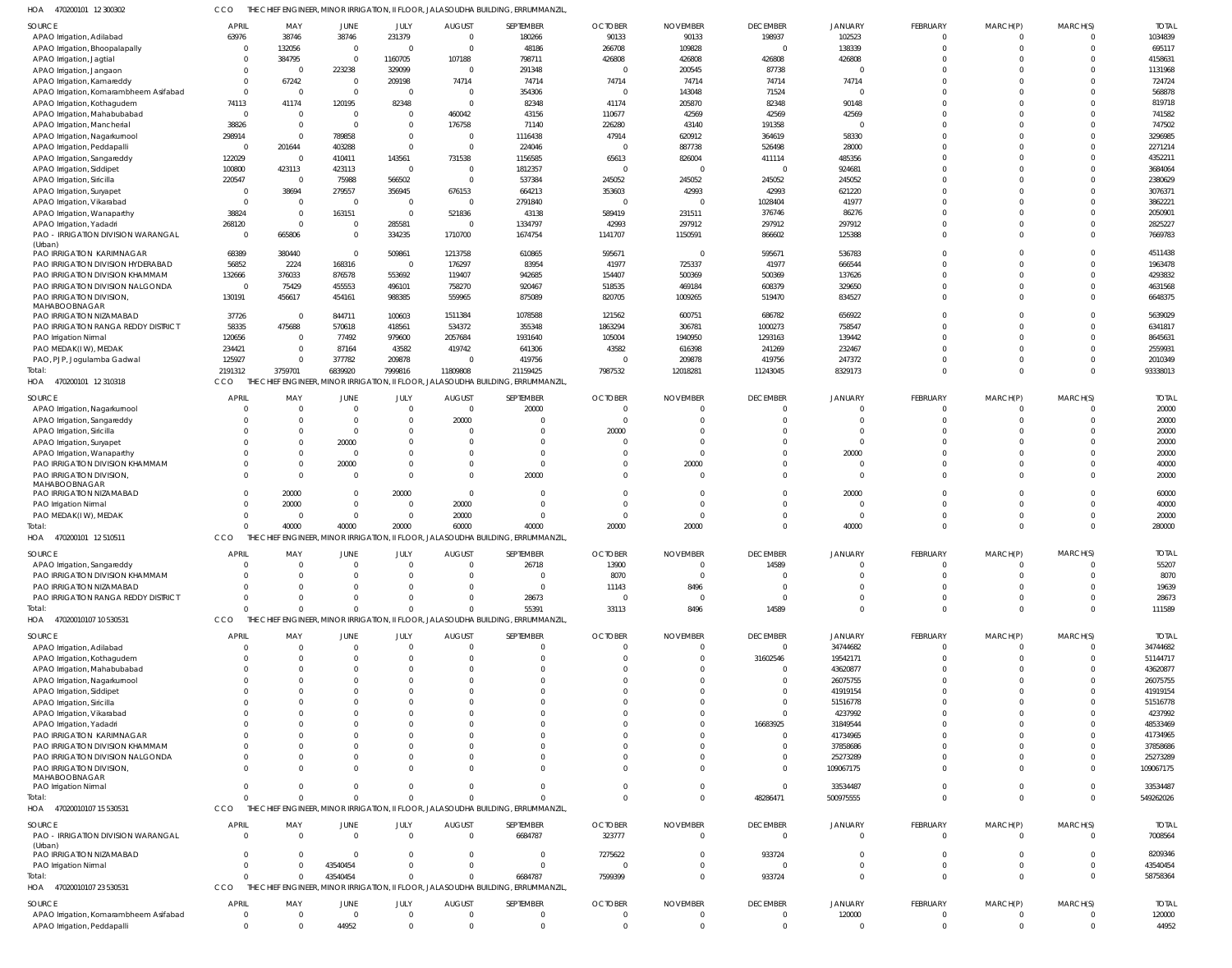| HOA | 470200101 12 300302 | THE CHIEF ENGINEER, MINOR IRRIGATION, II FLOOR, JALASOUDHA BUILDING, ERRUMMANZIL. |
|-----|---------------------|-----------------------------------------------------------------------------------|

| SOURCE                                                     | <b>APRIL</b>      | MAY                                  | <b>JUNE</b>                    | JULY                             | <b>AUGUST</b>                | SEPTEMBER                                                                         | <b>OCTOBER</b>                | <b>NOVEMBER</b>               | <b>DECEMBER</b>               | <b>JANUARY</b>             | <b>FEBRUARY</b> | MARCH(P) | MARCH(S)             | <b>TOTAL</b>           |
|------------------------------------------------------------|-------------------|--------------------------------------|--------------------------------|----------------------------------|------------------------------|-----------------------------------------------------------------------------------|-------------------------------|-------------------------------|-------------------------------|----------------------------|-----------------|----------|----------------------|------------------------|
| APAO Irrigation, Adilabad                                  | 63976             | 38746                                | 38746                          | 231379                           | $\overline{0}$               | 180266                                                                            | 90133                         | 90133                         | 198937                        | 102523                     |                 |          | $\Omega$             | 1034839                |
| APAO Irrigation, Bhoopalapally                             |                   | 132056                               | $\overline{0}$                 | $\overline{0}$                   | $\Omega$                     | 48186                                                                             | 266708                        | 109828                        | $\mathbf 0$                   | 138339                     |                 |          | $\Omega$             | 695117                 |
| APAO Irrigation, Jagtial                                   |                   | 384795<br>$\Omega$                   | $\overline{0}$<br>223238       | 1160705                          | 107188<br>$\mathbf 0$        | 798711<br>291348                                                                  | 426808<br>$\Omega$            | 426808                        | 426808                        | 426808<br>$\Omega$         |                 |          | $\Omega$<br>$\Omega$ | 4158631<br>1131968     |
| APAO Irrigation, Jangaon<br>APAO Irrigation, Kamareddy     |                   | 67242                                | $\overline{0}$                 | 329099<br>209198                 | 74714                        | 74714                                                                             | 74714                         | 200545<br>74714               | 87738<br>74714                | 74714                      |                 |          | $\Omega$             | 724724                 |
| APAO Irrigation, Komarambheem Asifabad                     | $\Omega$          | $\overline{0}$                       | $\overline{0}$                 | $\overline{0}$                   | $\overline{0}$               | 354306                                                                            | $\Omega$                      | 143048                        | 71524                         | $\mathcal{L}$              |                 |          | $\Omega$             | 568878                 |
| APAO Irrigation, Kothagudem                                | 74113             | 41174                                | 120195                         | 82348                            | $\overline{0}$               | 82348                                                                             | 41174                         | 205870                        | 82348                         | 90148                      |                 |          | $\Omega$             | 819718                 |
| APAO Irrigation, Mahabubabad                               | $\Omega$          | $\overline{0}$                       | $\overline{0}$                 | $\overline{0}$                   | 460042                       | 43156                                                                             | 110677                        | 42569                         | 42569                         | 42569                      |                 |          | $\Omega$             | 741582                 |
| APAO Irrigation, Mancherial                                | 38826             | $\overline{0}$                       | $\overline{0}$                 | $\overline{0}$                   | 176758                       | 71140                                                                             | 226280                        | 43140                         | 191358                        | $\Omega$                   |                 |          | $\Omega$             | 747502                 |
| APAO Irrigation, Nagarkurnool                              | 298914            | $\Omega$                             | 789858                         | $\overline{0}$                   | $\mathbf 0$                  | 1116438                                                                           | 47914                         | 620912                        | 364619                        | 58330                      |                 |          | $\Omega$             | 3296985                |
| APAO Irrigation, Peddapalli<br>APAO Irrigation, Sangareddy | 122029            | 201644<br>$\overline{0}$             | 403288<br>410411               | $\overline{0}$<br>143561         | $\overline{0}$<br>731538     | 224046<br>1156585                                                                 | $\overline{0}$<br>65613       | 887738<br>826004              | 526498<br>411114              | 28000<br>485356            |                 |          | $\Omega$<br>$\Omega$ | 2271214<br>4352211     |
| APAO Irrigation, Siddipet                                  | 100800            | 423113                               | 423113                         | $\overline{0}$                   | $\overline{0}$               | 1812357                                                                           | $\mathbf 0$                   | $\Omega$                      | $\mathbf 0$                   | 924681                     |                 |          | $\Omega$             | 3684064                |
| APAO Irrigation, Siricilla                                 | 220547            | $\overline{0}$                       | 75988                          | 566502                           | $\Omega$                     | 537384                                                                            | 245052                        | 245052                        | 245052                        | 245052                     |                 |          | $\Omega$             | 2380629                |
| APAO Irrigation, Suryapet                                  |                   | 38694                                | 279557                         | 356945                           | 676153                       | 664213                                                                            | 353603                        | 42993                         | 42993                         | 621220                     |                 |          | $\Omega$             | 3076371                |
| APAO Irrigation, Vikarabad                                 | $\sqrt{ }$        | $\overline{\mathbf{0}}$              | $\overline{0}$                 | $\overline{0}$                   | $\mathbf 0$                  | 2791840                                                                           | $\Omega$                      | $\Omega$                      | 1028404                       | 41977                      |                 |          | $\Omega$             | 3862221                |
| APAO Irrigation, Wanaparthy                                | 38824             | $\overline{0}$                       | 163151                         | $\overline{0}$                   | 521836                       | 43138                                                                             | 589419                        | 231511                        | 376746                        | 86276                      |                 |          | $\Omega$             | 2050901                |
| APAO Irrigation, Yadadri                                   | 268120            | $\Omega$                             | $\mathbf 0$                    | 285581                           | $\Omega$                     | 1334797                                                                           | 42993                         | 297912                        | 297912                        | 297912                     |                 |          | $\Omega$             | 2825227                |
| PAO - IRRIGATION DIVISION WARANGAL<br>(Urban)              | $\Omega$          | 665806                               | $\overline{0}$                 | 334235                           | 1710700                      | 1674754                                                                           | 1141707                       | 1150591                       | 866602                        | 125388                     |                 |          | $\Omega$             | 7669783                |
| PAO IRRIGATION KARIMNAGAR                                  | 68389             | 380440                               | $\overline{0}$                 | 509861                           | 1213758                      | 610865                                                                            | 595671                        | $\Omega$                      | 595671                        | 536783                     |                 |          | $\Omega$             | 4511438                |
| PAO IRRIGATION DIVISION HYDERABAD                          | 56852             | 2224                                 | 168316                         | $\overline{0}$                   | 176297                       | 83954                                                                             | 41977                         | 725337                        | 41977                         | 666544                     |                 |          | $\Omega$             | 1963478                |
| PAO IRRIGATION DIVISION KHAMMAM                            | 132666            | 376033                               | 876578                         | 553692                           | 119407                       | 942685                                                                            | 154407                        | 500369                        | 500369                        | 137626                     |                 |          | $\Omega$             | 4293832                |
| PAO IRRIGATION DIVISION NALGONDA                           | $\Omega$          | 75429                                | 455553                         | 496101                           | 758270                       | 920467                                                                            | 518535                        | 469184                        | 608379                        | 329650                     |                 |          | $\Omega$             | 4631568                |
| PAO IRRIGATION DIVISION,<br><b>MAHABOOBNAGAR</b>           | 130191            | 456617                               | 454161                         | 988385                           | 559965                       | 875089                                                                            | 820705                        | 1009265                       | 519470                        | 834527                     |                 |          | $\Omega$             | 6648375                |
| PAO IRRIGATION NIZAMABAD                                   | 37726             | $\overline{\mathbf{0}}$              | 844711                         | 100603                           | 1511384                      | 1078588                                                                           | 121562                        | 600751                        | 686782                        | 656922                     |                 |          | $\Omega$             | 5639029                |
| PAO IRRIGATION RANGA REDDY DISTRICT                        | 58335             | 475688                               | 570618                         | 418561                           | 534372                       | 355348                                                                            | 1863294                       | 306781                        | 1000273                       | 758547                     |                 |          | $\Omega$             | 6341817                |
| PAO Irrigation Nirmal                                      | 120656            | $\Omega$                             | 77492                          | 979600                           | 2057684                      | 1931640                                                                           | 105004                        | 1940950                       | 1293163                       | 139442                     |                 |          | $\Omega$             | 8645631                |
| PAO MEDAK(IW), MEDAK                                       | 234421            | $\overline{0}$                       | 87164                          | 43582                            | 419742                       | 641306                                                                            | 43582                         | 616398                        | 241269                        | 232467                     |                 |          | $\Omega$             | 2559931                |
| PAO, PJP, Jogulamba Gadwal                                 | 125927            | $\overline{0}$                       | 377782                         | 209878                           | $\Omega$                     | 419756                                                                            | $\overline{0}$                | 209878                        | 419756                        | 247372                     |                 |          | $\Omega$             | 2010349                |
| Total:                                                     | 2191312           | 3759701                              | 6839920                        | 7999816                          | 11809808                     | 21159425                                                                          | 7987532                       | 12018281                      | 11243045                      | 8329173                    | $\Omega$        | $\Omega$ | $\Omega$             | 93338013               |
| HOA 470200101 12 310318                                    | CCO               |                                      |                                |                                  |                              | hief Engineer, Minor Irrigation, II Floor, Jalasoudha Building, Errummanzil,      |                               |                               |                               |                            |                 |          |                      |                        |
| SOURCE                                                     | APRIL             | MAY                                  | <b>JUNE</b>                    | JULY                             | <b>AUGUST</b>                | SEPTEMBER                                                                         | <b>OCTOBER</b>                | <b>NOVEMBER</b>               | <b>DECEMBER</b>               | <b>JANUARY</b>             | FEBRUARY        | MARCH(P) | MARCH(S)             | <b>TOTAL</b>           |
| APAO Irrigation, Nagarkurnool                              |                   | $\overline{0}$                       | $\overline{0}$                 | $\overline{0}$                   | $\overline{0}$               | 20000                                                                             | $\Omega$                      | $\Omega$                      | $^{\circ}$                    | $\Omega$                   |                 |          | $\Omega$             | 20000                  |
| APAO Irrigation, Sangareddy                                |                   | $\overline{0}$<br>$\Omega$           | $\overline{0}$<br>$\Omega$     | $\overline{0}$<br>$\overline{0}$ | 20000<br>$\Omega$            |                                                                                   | $\overline{0}$<br>20000       | $\Omega$<br>$\Omega$          | $\mathbf 0$<br>$\Omega$       | $\mathbf 0$<br>$\mathbf 0$ |                 |          | $\Omega$<br>$\Omega$ | 20000<br>20000         |
| APAO Irrigation, Siricilla<br>APAO Irrigation, Suryapet    |                   | $\Omega$                             | 20000                          | $\Omega$                         | $\Omega$                     |                                                                                   | $\Omega$                      |                               | $\Omega$                      | $\Omega$                   |                 |          | $\Omega$             | 20000                  |
| APAO Irrigation, Wanaparthy                                |                   | $\Omega$                             | $\Omega$                       | $\Omega$                         | $\Omega$                     |                                                                                   | $\Omega$                      | $\Omega$                      | $\Omega$                      | 20000                      |                 |          | $\Omega$             | 20000                  |
| PAO IRRIGATION DIVISION KHAMMAM                            |                   | $\overline{0}$                       | 20000                          | $\overline{0}$                   | $\mathbf 0$                  | - 0                                                                               | $\Omega$                      | 20000                         | $\mathbf 0$                   | 0                          |                 |          | $\Omega$             | 40000                  |
| PAO IRRIGATION DIVISION                                    |                   | $\Omega$                             | $\Omega$                       | $\Omega$                         | $\Omega$                     | 20000                                                                             | $\Omega$                      | $\Omega$                      | $\Omega$                      | $\Omega$                   |                 |          | $\Omega$             | 20000                  |
| MAHABOOBNAGAR                                              |                   |                                      |                                |                                  |                              |                                                                                   |                               |                               |                               |                            |                 |          |                      |                        |
| PAO IRRIGATION NIZAMABAD<br>PAO Irrigation Nirmal          | $\Omega$          | 20000<br>20000                       | $\mathbf{0}$<br>$\overline{0}$ | 20000<br>$\overline{0}$          | $\overline{0}$<br>20000      |                                                                                   | $\Omega$                      | $\Omega$                      | $^{\circ}$<br>$\Omega$        | 20000<br>0                 |                 |          | $\Omega$<br>$\Omega$ | 60000<br>40000         |
| PAO MEDAK(IW), MEDAK                                       | $\Omega$          | $\overline{0}$                       | $\overline{0}$                 | $\overline{0}$                   | 20000                        | $\Omega$                                                                          | $\Omega$                      | $\Omega$                      | $\Omega$                      | $\mathbf 0$                |                 |          | $\Omega$             | 20000                  |
| Total:                                                     |                   | 40000                                | 40000                          | 20000                            | 60000                        | 40000                                                                             | 20000                         | 20000                         | $\Omega$                      | 40000                      | $\Omega$        | $\Omega$ | $\mathbf 0$          | 280000                 |
| HOA 470200101 12510511                                     | CCO               |                                      |                                |                                  |                              | THE CHIEF ENGINEER, MINOR IRRIGATION, II FLOOR, JALASOUDHA BUILDING, ERRUMMANZIL, |                               |                               |                               |                            |                 |          |                      |                        |
| <b>SOURCE</b>                                              | <b>APRIL</b>      | MAY                                  | <b>JUNE</b>                    | JULY                             | <b>AUGUST</b>                | SEPTEMBER                                                                         | <b>OCTOBER</b>                | <b>NOVEMBER</b>               | <b>DECEMBER</b>               | <b>JANUARY</b>             | FEBRUARY        | MARCH(P) | MARCH(S)             | <b>TOTAL</b>           |
| APAO Irrigation, Sangareddy                                |                   | $\sqrt{ }$                           | $\bigcap$                      | $\cap$                           | $\bigcap$                    |                                                                                   | 13900                         |                               | 14589                         |                            |                 |          |                      | 55207                  |
| PAO IRRIGATION DIVISION KHAMMAM                            |                   | $\Omega$                             |                                | $\Omega$                         |                              |                                                                                   | 8070                          | $\Omega$                      | $\Omega$                      | $\Omega$                   |                 |          |                      | 8070                   |
| PAO IRRIGATION NIZAMABAD                                   |                   | $\Omega$                             |                                | 0                                |                              | $\Omega$                                                                          | 11143                         | 8496                          | $\mathbf 0$                   | $\Omega$                   |                 |          | $\Omega$             | 19639                  |
| PAO IRRIGATION RANGA REDDY DISTRICT                        |                   | $\Omega$                             | $\Omega$                       | $\Omega$                         | 0                            | 28673                                                                             | $\Omega$                      | $\overline{0}$                | $\Omega$                      | $\Omega$                   |                 |          | $\Omega$             | 28673                  |
| Total:                                                     |                   | $\Omega$                             | $\Omega$                       | $\Omega$                         | $\Omega$                     | 55391                                                                             | 33113                         | 8496                          | 14589                         | $\Omega$                   | $\Omega$        | $\Omega$ | $\Omega$             | 111589                 |
| HOA 47020010107 10 530531                                  | CCO               | THE CHIEF ENGINEER, MINOR IRRIGATION |                                |                                  |                              | II FLOOR, JALASOUDHA BUILDING, ERRUMMANZIL,                                       |                               |                               |                               |                            |                 |          |                      |                        |
| <b>SOURCE</b>                                              | <b>APRIL</b>      | MAY                                  | JUNE                           | JULY                             | <b>AUGUST</b>                | SEPTEMBER                                                                         | <b>OCTOBER</b>                | <b>NOVEMBER</b>               | <b>DECEMBER</b>               | <b>JANUARY</b>             | FEBRUARY        | MARCH(P) | MARCH(S)             | <b>TOTAL</b>           |
| APAO Irrigation, Adilabad                                  |                   | $\overline{0}$                       | $\mathbf{0}$                   | $\overline{0}$                   | $\overline{0}$               |                                                                                   | $\Omega$                      | $\overline{0}$                | $\mathbf 0$                   | 34744682                   |                 |          | $\Omega$             | 34744682               |
| APAO Irrigation, Kothagudem                                |                   | $\Omega$                             | $\Omega$                       | $\overline{0}$                   | $\Omega$                     |                                                                                   | $\Omega$                      | $\Omega$                      | 31602546                      | 19542171                   |                 |          | $\Omega$             | 51144717               |
| APAO Irrigation, Mahabubabad                               |                   | $\Omega$                             |                                | $\Omega$                         |                              |                                                                                   |                               |                               | 0                             | 43620877                   |                 |          | $\Omega$             | 43620877               |
| APAO Irrigation, Nagarkurnool<br>APAO Irrigation, Siddipet |                   | $\Omega$                             |                                | $\Omega$<br>$\mathsf{C}$         |                              |                                                                                   |                               |                               | $\mathbf 0$<br>$\mathbf 0$    | 26075755<br>41919154       |                 |          | $\Omega$<br>$\Omega$ | 26075755<br>41919154   |
| APAO Irrigation, Siricilla                                 |                   |                                      |                                |                                  |                              |                                                                                   |                               |                               | $\mathbf 0$                   | 51516778                   |                 |          |                      | 51516778               |
| APAO Irrigation, Vikarabad                                 |                   |                                      |                                | $\mathsf{C}$                     |                              |                                                                                   |                               |                               | $\mathbf 0$                   | 4237992                    |                 |          |                      | 4237992                |
| APAO Irrigation, Yadadri                                   |                   |                                      |                                |                                  |                              |                                                                                   |                               |                               | 16683925                      | 31849544                   |                 |          | $\Omega$             | 48533469               |
| PAO IRRIGATION KARIMNAGAR                                  |                   |                                      |                                | -0                               |                              |                                                                                   |                               |                               | 0                             | 41734965                   |                 |          | $\Omega$             | 41734965               |
| PAO IRRIGATION DIVISION KHAMMAM                            |                   | $\Omega$                             |                                |                                  |                              |                                                                                   |                               |                               | $\mathbf 0$                   | 37858686                   |                 |          | $\Omega$             | 37858686               |
| PAO IRRIGATION DIVISION NALGONDA                           |                   | $\Omega$                             | $\Omega$                       | $\Omega$                         |                              |                                                                                   |                               | $\Omega$                      | $\mathbf 0$                   | 25273289                   |                 |          | $\Omega$             | 25273289               |
| PAO IRRIGATION DIVISION<br>MAHABOOBNAGAR                   |                   | $\Omega$                             | $\Omega$                       | $\Omega$                         |                              |                                                                                   |                               | $\Omega$                      | $\mathbf{0}$                  | 109067175                  |                 |          | $\Omega$             | 109067175              |
| PAO Irrigation Nirmal                                      |                   | $\Omega$                             | $\Omega$                       | $\Omega$                         | $\Omega$                     | $\Omega$                                                                          | $\mathbf 0$                   | $\mathbf 0$                   | $\mathbf 0$                   | 33534487                   |                 |          | $\Omega$             | 33534487               |
| Total:                                                     |                   | $\Omega$                             | $\Omega$                       | $\Omega$                         | $\Omega$                     |                                                                                   | $\Omega$                      | $\Omega$                      | 48286471                      | 500975555                  | $\Omega$        | $\Omega$ | $\mathbf 0$          | 549262026              |
| HOA 47020010107 15 530531                                  | CCO               |                                      |                                |                                  |                              | THE CHIEF ENGINEER, MINOR IRRIGATION, II FLOOR, JALASOUDHA BUILDING, ERRUMMANZIL, |                               |                               |                               |                            |                 |          |                      |                        |
| <b>SOURCE</b>                                              | <b>APRIL</b>      | MAY                                  | JUNE                           | JULY                             | <b>AUGUST</b>                | SEPTEMBER                                                                         | <b>OCTOBER</b>                | <b>NOVEMBER</b>               | <b>DECEMBER</b>               | <b>JANUARY</b>             | FEBRUARY        | MARCH(P) | MARCH(S)             | <b>TOTAL</b>           |
| PAO - IRRIGATION DIVISION WARANGAL                         | $\Omega$          | $\overline{0}$                       | $\overline{0}$                 | $\overline{0}$                   | $\overline{0}$               | 6684787                                                                           | 323777                        | $\Omega$                      | $\mathbf{0}$                  | $\Omega$                   | $\Omega$        | - 0      | $\Omega$             | 7008564                |
| (Urban)                                                    |                   |                                      |                                |                                  |                              |                                                                                   |                               |                               |                               |                            |                 |          |                      |                        |
| PAO IRRIGATION NIZAMABAD                                   |                   | $\Omega$                             | $\overline{0}$                 | $\overline{0}$                   | 0                            | $\Omega$                                                                          | 7275622                       | $\Omega$                      | 933724                        | 0                          |                 |          | $\Omega$             | 8209346                |
| PAO Irrigation Nirmal<br>Total:                            |                   | $\Omega$<br>$\Omega$                 | 43540454<br>43540454           | $\Omega$<br>$\Omega$             | $\Omega$<br>$\Omega$         | $\Omega$<br>6684787                                                               | $\overline{0}$<br>7599399     | $\Omega$<br>$\Omega$          | $\mathbf 0$<br>933724         | $\mathbf 0$<br>$\Omega$    | $\Omega$        | $\Omega$ | $\Omega$<br>$\Omega$ | 43540454<br>58758364   |
| HOA 47020010107 23 530531                                  | <b>CCO</b>        | THE                                  |                                |                                  |                              | ENGINEER, MINOR IRRIGATION, II FLOOR, JALASOUDHA BUILDING, ERRUMMANZIL,           |                               |                               |                               |                            |                 |          |                      |                        |
|                                                            |                   |                                      |                                |                                  |                              |                                                                                   |                               |                               |                               |                            |                 |          |                      |                        |
| SOURCE<br>APAO Irrigation, Komarambheem Asifabad           | APRIL<br>$\Omega$ | MAY<br>$\overline{0}$                | JUNE<br>$\overline{0}$         | JULY<br>$\overline{0}$           | <b>AUGUST</b><br>$\mathbf 0$ | SEPTEMBER                                                                         | <b>OCTOBER</b><br>$\mathbf 0$ | <b>NOVEMBER</b><br>$^{\circ}$ | <b>DECEMBER</b><br>$^{\circ}$ | <b>JANUARY</b><br>120000   | FEBRUARY        | MARCH(P) | MARCH(S)<br>0        | <b>TOTAL</b><br>120000 |
| APAO Irrigation, Peddapalli                                | $\Omega$          | $\Omega$                             | 44952                          | $\overline{0}$                   | $\mathbf{0}$                 | $\Omega$                                                                          | $\overline{0}$                | $\overline{0}$                | $\mathbf 0$                   | $\mathbf 0$                | $\overline{0}$  | $\Omega$ | $\mathbf 0$          | 44952                  |
|                                                            |                   |                                      |                                |                                  |                              |                                                                                   |                               |                               |                               |                            |                 |          |                      |                        |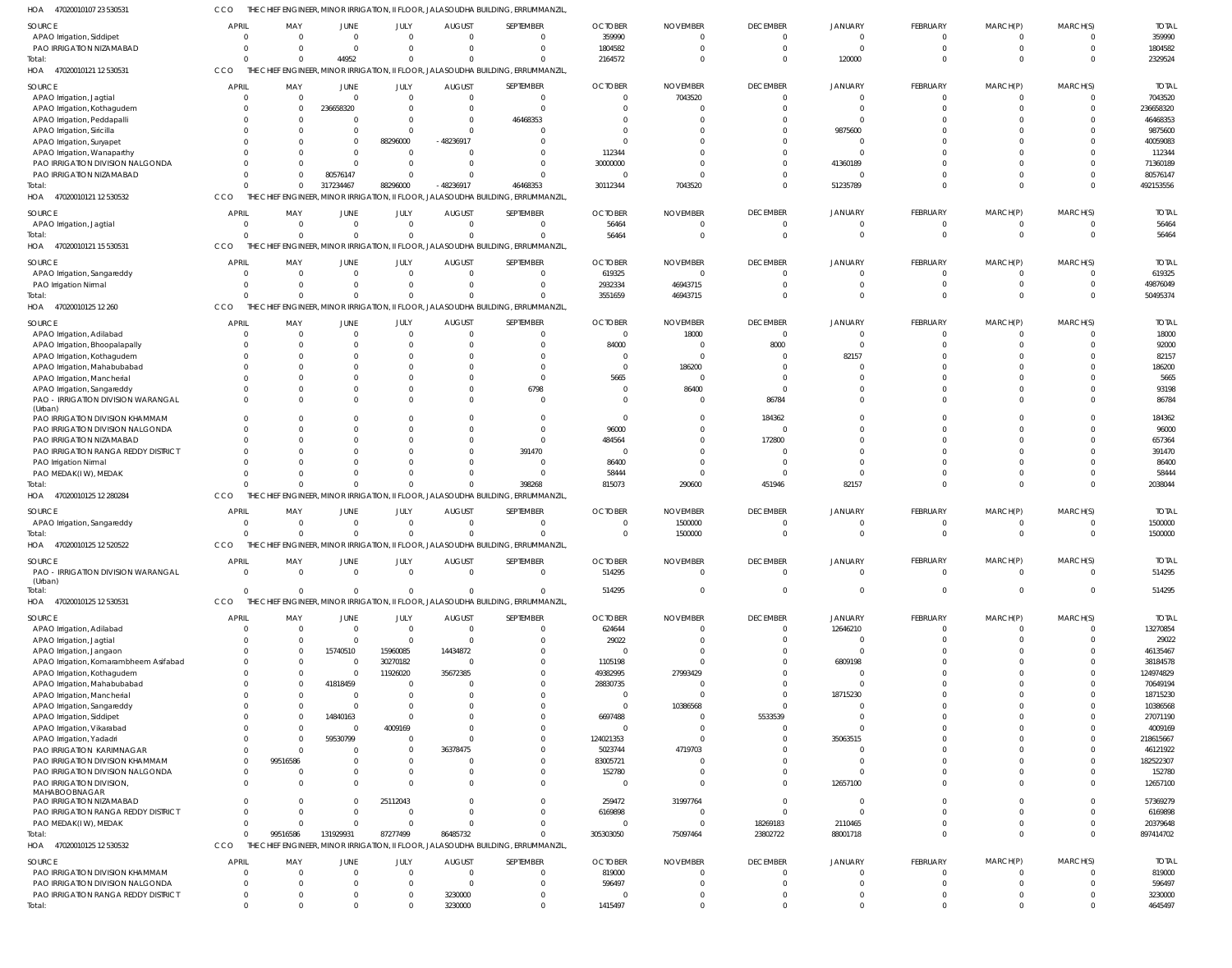| 23 530531 | THE CHIEF ENGINEER. MINOR IRRIGATION. II FLOOR. JALASOUDHA BUILDING. ERRUMMANZIL. |  |
|-----------|-----------------------------------------------------------------------------------|--|
|           |                                                                                   |  |

| HOA<br>47020010107 23 530531                  |              | THE CHIEF ENGINEER, MINOR IRRIGATION, II FLOOR, JALASOUDHA BUILDING, ERRUMMANZIL |                |                  |                           |                                                                                   |                |                     |                      |                      |                 |                      |                         |                    |
|-----------------------------------------------|--------------|----------------------------------------------------------------------------------|----------------|------------------|---------------------------|-----------------------------------------------------------------------------------|----------------|---------------------|----------------------|----------------------|-----------------|----------------------|-------------------------|--------------------|
| <b>SOURCE</b>                                 | <b>APRIL</b> | MAY                                                                              | <b>JUNE</b>    | JULY             | <b>AUGUST</b>             | SEPTEMBER                                                                         | <b>OCTOBER</b> | <b>NOVEMBER</b>     | <b>DECEMBER</b>      | <b>JANUARY</b>       | <b>FEBRUARY</b> | MARCH(P)             | MARCH(S)                | <b>TOTAL</b>       |
| APAO Irrigation, Siddipet                     |              |                                                                                  | $\Omega$       | $\Omega$         | $\Omega$                  | $\Omega$                                                                          | 359990         | $\Omega$            | $\overline{0}$       | $\Omega$             | $\mathbf 0$     | $\mathbf 0$          | $\mathbf{0}$            | 359990             |
| PAO IRRIGATION NIZAMABAD                      |              |                                                                                  | $\Omega$       | $\Omega$         | $\Omega$                  | $\Omega$                                                                          | 1804582        | $\Omega$            | $\Omega$             | $\Omega$             | $\Omega$        | $\Omega$             | $\mathbf 0$             | 1804582            |
| Total:                                        |              | $\Omega$                                                                         | 44952          | $\Omega$         | <sup>0</sup>              | $\Omega$                                                                          | 2164572        |                     | $\Omega$             | 120000               |                 | $\Omega$             | $\Omega$                | 2329524            |
| HOA 47020010121 12 530531                     | CCO          |                                                                                  |                |                  |                           | THE CHIEF ENGINEER, MINOR IRRIGATION, II FLOOR, JALASOUDHA BUILDING, ERRUMMANZIL  |                |                     |                      |                      |                 |                      |                         |                    |
|                                               |              |                                                                                  |                |                  |                           |                                                                                   |                |                     |                      |                      |                 |                      |                         |                    |
| <b>SOURCE</b>                                 | <b>APRIL</b> | MAY                                                                              | <b>JUNE</b>    | JULY             | <b>AUGUST</b>             | SEPTEMBER                                                                         | <b>OCTOBER</b> | <b>NOVEMBER</b>     | <b>DECEMBER</b>      | <b>JANUARY</b>       | <b>FEBRUARY</b> | MARCH(P)             | MARCH(S)                | <b>TOTAL</b>       |
| APAO Irrigation, Jagtial                      |              |                                                                                  | $\overline{0}$ | $\mathbf 0$      | $\Omega$                  | $\overline{0}$                                                                    | $\Omega$       | 7043520             | $\overline{0}$       | - 0                  | $\mathbf 0$     | 0                    | $^{\circ}$              | 7043520            |
| APAO Irrigation, Kothagudem                   |              | $\Omega$                                                                         | 236658320      | $\Omega$         | $\Omega$                  | $\overline{0}$                                                                    | $\Omega$       | $\epsilon$          | $\Omega$             | $\Omega$             | $\Omega$        | $\Omega$             | $\overline{0}$          | 236658320          |
| APAO Irrigation, Peddapalli                   |              |                                                                                  | 0              | $\mathbf 0$      | $\Omega$                  | 46468353                                                                          |                |                     |                      | $\Omega$             |                 |                      | $\mathbf 0$             | 46468353           |
| APAO Irrigation, Siricilla                    |              |                                                                                  | $\Omega$       | $\Omega$         | $\Omega$                  | $\Omega$                                                                          |                |                     | $\Omega$             | 9875600              |                 |                      | $\Omega$                | 9875600            |
| APAO Irrigation, Suryapet                     |              |                                                                                  | $\mathbf{0}$   | 88296000         | -48236917                 | $\Omega$                                                                          |                |                     | $\Omega$             |                      |                 |                      | $\Omega$                | 40059083           |
| APAO Irrigation, Wanaparthy                   |              |                                                                                  | $\Omega$       | $\Omega$         |                           | $\Omega$                                                                          | 112344         |                     | $\Omega$             | $\Omega$             |                 |                      | $\Omega$                | 112344             |
| PAO IRRIGATION DIVISION NALGONDA              |              |                                                                                  | $\Omega$       | $\mathbf 0$      | $\Omega$                  | $\mathbf 0$                                                                       | 30000000       |                     | $\Omega$             | 41360189             |                 | $\Omega$             | $\mathbf 0$             | 71360189           |
| PAO IRRIGATION NIZAMABAD                      |              |                                                                                  | 80576147       | $\Omega$         |                           | $\mathbf 0$                                                                       | - 0            | $\Omega$            | $\Omega$             |                      |                 | $\Omega$             | $\mathbf 0$             | 80576147           |
| Total:                                        |              |                                                                                  | 317234467      | 88296000         | -48236917                 | 46468353                                                                          | 30112344       | 7043520             | $\Omega$             | 51235789             | $\Omega$        | $\Omega$             | $\mathbf 0$             | 492153556          |
| HOA<br>47020010121 12 530532                  | CCO          |                                                                                  |                |                  |                           | THE CHIEF ENGINEER, MINOR IRRIGATION, II FLOOR, JALASOUDHA BUILDING, ERRUMMANZIL  |                |                     |                      |                      |                 |                      |                         |                    |
|                                               |              |                                                                                  |                |                  |                           |                                                                                   |                |                     |                      |                      |                 |                      |                         |                    |
| <b>SOURCE</b>                                 | <b>APRIL</b> | MAY                                                                              | JUNE           | JULY             | <b>AUGUST</b>             | SEPTEMBER                                                                         | <b>OCTOBER</b> | <b>NOVEMBER</b>     | <b>DECEMBER</b>      | <b>JANUARY</b>       | <b>FEBRUARY</b> | MARCH(P)             | MARCH(S)                | <b>TOTAL</b>       |
| APAO Irrigation, Jagtial                      |              | $\Omega$                                                                         | $\Omega$       | $\Omega$         | $\Omega$                  | $\Omega$                                                                          | 56464          | $\Omega$            | $\Omega$             |                      | 0               | $\Omega$             | $\mathbf{0}$            | 56464              |
| Total:                                        |              | $\Omega$                                                                         | $\overline{0}$ | $\mathbf 0$      | $\Omega$                  | $\mathbf 0$                                                                       | 56464          | $\Omega$            | $\overline{0}$       | $\Omega$             | $\mathbf 0$     | $\overline{0}$       | $\overline{0}$          | 56464              |
| HOA 47020010121 15 530531                     | CCO.         |                                                                                  |                |                  |                           | THE CHIEF ENGINEER, MINOR IRRIGATION, II FLOOR, JALASOUDHA BUILDING, ERRUMMANZIL  |                |                     |                      |                      |                 |                      |                         |                    |
|                                               |              |                                                                                  |                |                  |                           |                                                                                   |                |                     |                      |                      |                 |                      |                         |                    |
| <b>SOURCE</b>                                 | <b>APRIL</b> | MAY                                                                              | <b>JUNE</b>    | JULY             | <b>AUGUST</b>             | SEPTEMBER                                                                         | <b>OCTOBER</b> | <b>NOVEMBER</b>     | <b>DECEMBER</b>      | <b>JANUARY</b>       | <b>FEBRUARY</b> | MARCH(P)             | MARCH(S)                | <b>TOTAL</b>       |
| APAO Irrigation, Sangareddy                   |              |                                                                                  | $\overline{0}$ | $\mathbf 0$      | $\Omega$                  | $\overline{0}$                                                                    | 619325         | $\overline{0}$      | $\Omega$             | $\Omega$             | $\mathbf 0$     | 0                    | $^{\circ}$              | 619325             |
| PAO Irrigation Nirmal                         |              | $\Omega$                                                                         | $\Omega$       | $\Omega$         | $\Omega$                  | $\mathbf 0$                                                                       | 2932334        | 46943715            | $\Omega$             | $\Omega$             | $\Omega$        | $\Omega$             | $\overline{0}$          | 49876049           |
| Total:                                        |              |                                                                                  | $\Omega$       | $\Omega$         |                           | $\Omega$                                                                          | 3551659        | 46943715            | $\Omega$             | $\Omega$             | $\Omega$        | $\Omega$             | $\mathbf 0$             | 50495374           |
| 47020010125 12 260<br>HOA                     | CCO          |                                                                                  |                |                  |                           | THE CHIEF ENGINEER, MINOR IRRIGATION, II FLOOR, JALASOUDHA BUILDING, ERRUMMANZIL  |                |                     |                      |                      |                 |                      |                         |                    |
|                                               | <b>APRIL</b> |                                                                                  |                |                  |                           | SEPTEMBER                                                                         | <b>OCTOBER</b> |                     |                      |                      |                 |                      |                         |                    |
| <b>SOURCE</b>                                 |              | MAY                                                                              | <b>JUNE</b>    | JULY             | <b>AUGUST</b>             |                                                                                   |                | <b>NOVEMBER</b>     | <b>DECEMBER</b>      | <b>JANUARY</b>       | <b>FEBRUARY</b> | MARCH(P)             | MARCH(S)                | <b>TOTAL</b>       |
| APAO Irrigation, Adilabad                     |              |                                                                                  | $\Omega$       | $\mathbf 0$      | $\Omega$                  | $\Omega$                                                                          | $\Omega$       | 18000               | $\Omega$             | $\Omega$             | 0               | $\Omega$             | $\Omega$                | 18000              |
| APAO Irrigation, Bhoopalapally                |              |                                                                                  |                | $\Omega$         |                           | $\Omega$                                                                          | 84000          | $\Omega$            | 8000                 | $\Omega$             |                 |                      | $\Omega$                | 92000              |
| APAO Irrigation, Kothagudem                   |              |                                                                                  |                | $\Omega$         |                           | $\Omega$                                                                          | - 0            | $\Omega$            | - 0                  | 82157                |                 |                      | $\Omega$                | 82157              |
| APAO Irrigation, Mahabubabad                  |              |                                                                                  |                | $\Omega$         |                           | $\Omega$                                                                          | $\Omega$       | 186200              | $\Omega$             |                      |                 |                      | $\Omega$                | 186200             |
| APAO Irrigation, Mancherial                   |              |                                                                                  |                | $\Omega$         |                           | $\Omega$                                                                          | 5665           | $\Omega$            | $\Omega$             | $\cap$               |                 |                      | $\Omega$                | 5665               |
| APAO Irrigation, Sangareddy                   |              |                                                                                  |                | $\Omega$         |                           | 6798                                                                              | $\Omega$       | 86400               | $\Omega$             | $\Omega$             |                 |                      | $\Omega$                | 93198              |
| PAO - IRRIGATION DIVISION WARANGAL            |              |                                                                                  | U              | $\Omega$         |                           | $\Omega$                                                                          |                | $\Omega$            | 86784                | $\Omega$             |                 |                      | $\Omega$                | 86784              |
| (Urban)                                       |              |                                                                                  |                |                  |                           |                                                                                   |                |                     |                      |                      |                 |                      |                         |                    |
| PAO IRRIGATION DIVISION KHAMMAM               |              |                                                                                  |                |                  |                           | C                                                                                 | - 0            | $\Omega$            | 184362               |                      |                 |                      | $\Omega$                | 184362             |
| PAO IRRIGATION DIVISION NALGONDA              |              |                                                                                  |                | $\Omega$         |                           | $\Omega$                                                                          | 96000          | $\Omega$            | $\Omega$             | $\Omega$             |                 |                      | $\Omega$                | 96000              |
| PAO IRRIGATION NIZAMABAD                      |              |                                                                                  |                | $\Omega$         |                           | $\Omega$                                                                          | 484564         | $\Omega$            | 172800               | $\Omega$             |                 |                      | $\Omega$                | 657364             |
| PAO IRRIGATION RANGA REDDY DISTRICT           |              |                                                                                  |                | $\Omega$         |                           | 391470                                                                            |                | $\Omega$            | $\Omega$             |                      |                 |                      | $\Omega$                | 391470             |
| PAO Irrigation Nirmal                         |              |                                                                                  |                |                  |                           | $\Omega$                                                                          | 86400          |                     | $\Omega$             |                      |                 |                      | $\Omega$                | 86400              |
| PAO MEDAK(IW), MEDAK                          |              |                                                                                  | U              | $\Omega$         |                           | $\Omega$                                                                          | 58444          | - 0                 | $\Omega$             |                      |                 | $\Omega$             | $\Omega$                | 58444              |
|                                               |              |                                                                                  |                |                  |                           |                                                                                   |                |                     |                      |                      |                 |                      |                         | 2038044            |
| Total:                                        |              |                                                                                  | 0              | $\Omega$         | $\Omega$                  | 398268                                                                            | 815073         | 290600              | 451946               | 82157                | $\Omega$        | $\Omega$             | $\Omega$                |                    |
| HOA 47020010125 12 280284                     | CCO          |                                                                                  |                |                  |                           | THE CHIEF ENGINEER, MINOR IRRIGATION, II FLOOR, JALASOUDHA BUILDING, ERRUMMANZIL  |                |                     |                      |                      |                 |                      |                         |                    |
|                                               |              |                                                                                  |                |                  |                           |                                                                                   |                |                     |                      |                      |                 |                      |                         |                    |
| <b>SOURCE</b>                                 | <b>APRIL</b> | MAY                                                                              | <b>JUNE</b>    | JULY             | <b>AUGUST</b>             | SEPTEMBER                                                                         | <b>OCTOBER</b> | <b>NOVEMBER</b>     | <b>DECEMBER</b>      | <b>JANUARY</b>       | FEBRUARY        | MARCH(P)             | MARCH(S)                | <b>TOTAL</b>       |
| APAO Irrigation, Sangareddy                   |              |                                                                                  | $\mathbf{0}$   | $\mathbf 0$      | $\Omega$                  | $\overline{0}$                                                                    |                | 1500000             | $\Omega$             | - 0                  | 0               | 0                    | $\mathbf{0}$            | 1500000            |
| Total:                                        |              |                                                                                  | $\Omega$       | $\mathbf 0$      | $\Omega$                  | $\Omega$                                                                          |                | 1500000             | $\Omega$             | $\Omega$             | $\mathbf 0$     | $\Omega$             | $\mathbf 0$             | 1500000            |
| HOA 47020010125 12 520522                     | CCO          |                                                                                  |                |                  |                           | THE CHIEF ENGINEER, MINOR IRRIGATION, II FLOOR, JALASOUDHA BUILDING, ERRUMMANZIL  |                |                     |                      |                      |                 |                      |                         |                    |
| SOURCE                                        | <b>APRIL</b> | MAY                                                                              | JUNE           |                  |                           | SEPTEMBER                                                                         | <b>OCTOBER</b> | <b>NOVEMBER</b>     | <b>DECEMBER</b>      | <b>JANUARY</b>       | <b>FEBRUARY</b> |                      |                         | <b>TOTAL</b>       |
|                                               | $\Omega$     | $\Omega$                                                                         | $\overline{0}$ | JULY<br>$\Omega$ | <b>AUGUST</b><br>$\Omega$ | $\mathbf 0$                                                                       |                | $\Omega$            | $\overline{0}$       | $\Omega$             | $\mathbf 0$     | MARCH(P)<br>$\Omega$ | MARCH(S)<br>$\mathbf 0$ |                    |
| PAO - IRRIGATION DIVISION WARANGAL<br>(Urban) |              |                                                                                  |                |                  |                           |                                                                                   | 514295         |                     |                      |                      |                 |                      |                         | 514295             |
| Total:                                        |              |                                                                                  | $\Omega$       | $\Omega$         | $\Omega$                  | $\overline{0}$                                                                    | 514295         |                     | $\Omega$             | $\Omega$             | $\Omega$        | $\mathbf 0$          | $\mathbf 0$             | 514295             |
| HOA<br>47020010125 12 530531                  | CCO          |                                                                                  |                |                  |                           | THE CHIEF ENGINEER, MINOR IRRIGATION, II FLOOR, JALASOUDHA BUILDING, ERRUMMANZIL  |                |                     |                      |                      |                 |                      |                         |                    |
|                                               |              |                                                                                  |                |                  |                           |                                                                                   |                |                     |                      |                      |                 |                      |                         |                    |
| <b>SOURCE</b>                                 | <b>APRIL</b> | MAY                                                                              | <b>JUNE</b>    | JULY             | <b>AUGUST</b>             | SEPTEMBER                                                                         | <b>OCTOBER</b> | <b>NOVEMBER</b>     | <b>DECEMBER</b>      | <b>JANUARY</b>       | FEBRUARY        | MARCH(P)             | MARCH(S)                | <b>TOTAL</b>       |
| APAO Irrigation, Adilabad                     | $\Omega$     | $\Omega$                                                                         | $\overline{0}$ | $\overline{0}$   | $\Omega$                  | $\overline{0}$                                                                    | 624644         | $\Omega$            | $\Omega$             | 12646210             | $\mathbf 0$     | $\overline{0}$       | $\overline{0}$          | 13270854           |
| APAO Irrigation, Jagtial                      |              |                                                                                  | $\overline{0}$ | $\mathbf 0$      | $\Omega$                  | $\mathbf 0$                                                                       | 29022          | $\Omega$            | $\Omega$             | $\Omega$             | $\Omega$        | 0                    | $\mathbf 0$             | 29022              |
| APAO Irrigation, Jangaon                      |              |                                                                                  | 15740510       | 15960085         | 14434872                  | $\Omega$                                                                          |                | $\Omega$            | $\Omega$             | $\Omega$             |                 | $\Omega$             | $\mathbf 0$             | 46135467           |
| APAO Irrigation, Komarambheem Asifabad        |              |                                                                                  | $\overline{0}$ | 30270182         | $\Omega$                  | $\Omega$                                                                          | 1105198        | $\Omega$            | $\Omega$             | 6809198              |                 | $\Omega$             | $\Omega$                | 38184578           |
| APAO Irrigation, Kothagudem                   |              |                                                                                  | $\overline{0}$ | 11926020         | 35672385                  | $\Omega$                                                                          | 49382995       | 27993429            |                      | $\Omega$             |                 | $\Omega$             | $\Omega$                | 124974829          |
| APAO Irrigation, Mahabubabad                  |              |                                                                                  | 41818459       | $\mathbf 0$      |                           | $\Omega$                                                                          | 28830735       | $\epsilon$          | $\Omega$             | $\Omega$             |                 | $\Omega$             | $\Omega$                | 70649194           |
| APAO Irrigation, Mancherial                   |              |                                                                                  | $\Omega$       | $\Omega$         | $\Omega$                  | $\Omega$                                                                          | - 0            | $\Omega$            | $\Omega$             | 18715230             |                 | $\Omega$             | $\Omega$                | 18715230           |
| APAO Irrigation, Sangareddy                   |              |                                                                                  | $\Omega$       | $\Omega$         |                           | $\Omega$                                                                          | - 0            | 10386568            | $\Omega$             |                      |                 | $\Omega$             | $\Omega$                | 10386568           |
| APAO Irrigation, Siddipet                     |              |                                                                                  | 14840163       | $\Omega$         |                           | $\Omega$                                                                          | 6697488        | $\Omega$            | 5533539              | $\Omega$             |                 | U                    | $\Omega$                | 27071190           |
| APAO Irrigation, Vikarabad                    |              |                                                                                  | $\overline{0}$ | 4009169          | <sup>0</sup>              | $\Omega$                                                                          | - 0            | $\Omega$            | $\Omega$             | $\Omega$             |                 | $\Omega$             | $\Omega$                | 4009169            |
| APAO Irrigation, Yadadri                      |              |                                                                                  | 59530799       | 0                | <sup>0</sup>              | $\Omega$                                                                          | 124021353      | -0                  | $\Omega$             | 35063515             |                 | $\Omega$             | $\mathbf 0$             | 218615667          |
|                                               |              |                                                                                  | 0              | $\mathbf 0$      |                           | $\Omega$                                                                          |                |                     | $\Omega$             | - 0                  |                 | $\Omega$             | $\Omega$                |                    |
| PAO IRRIGATION KARIMNAGAR                     |              |                                                                                  | $\Omega$       | $\Omega$         | 36378475<br>$\Omega$      | $\Omega$                                                                          | 5023744        | 4719703<br>$\Omega$ | $\Omega$             | $\Omega$             |                 | $\Omega$             | $\Omega$                | 46121922           |
| PAO IRRIGATION DIVISION KHAMMAM               |              | 99516586                                                                         | 0              | $\mathbf 0$      | $\Omega$                  | $\mathbf 0$                                                                       | 83005721       | $\Omega$            | $\Omega$             | $\Omega$             |                 | $\Omega$             | $\mathbf 0$             | 182522307          |
| PAO IRRIGATION DIVISION NALGONDA              |              |                                                                                  | $\Omega$       | $\Omega$         | $\Omega$                  |                                                                                   | 152780<br>- 0  | $\Omega$            | $\Omega$             |                      | $\Omega$        | $\Omega$             |                         | 152780             |
| PAO IRRIGATION DIVISION,<br>MAHABOOBNAGAR     |              |                                                                                  |                |                  |                           | $\mathbf 0$                                                                       |                |                     |                      | 12657100             |                 |                      | $\mathbf{0}$            | 12657100           |
| PAO IRRIGATION NIZAMABAD                      |              |                                                                                  | $\mathbf 0$    | 25112043         | $\Omega$                  | $\mathbf{0}$                                                                      | 259472         | 31997764            | $\overline{0}$       | $\Omega$             | U               | $\Omega$             | $\Omega$                | 57369279           |
| PAO IRRIGATION RANGA REDDY DISTRICT           |              |                                                                                  | $\Omega$       | $\mathbf 0$      | $\Omega$                  | $\Omega$                                                                          | 6169898        | $^{\circ}$          | $\Omega$             | $\Omega$             | $\Omega$        | $\Omega$             | $\Omega$                | 6169898            |
|                                               | $\Omega$     |                                                                                  | $\Omega$       | $\mathbf 0$      | <sup>0</sup>              | $\mathbf 0$                                                                       | - 0            | $\Omega$            |                      |                      | $\Omega$        | $\mathbf 0$          | $\mathbf 0$             |                    |
| PAO MEDAK(IW), MEDAK                          |              |                                                                                  |                |                  |                           | $\Omega$                                                                          |                |                     | 18269183             | 2110465              | $\Omega$        | $\Omega$             | $\overline{0}$          | 20379648           |
| Total:                                        |              | 99516586                                                                         | 131929931      | 87277499         | 86485732                  |                                                                                   | 305303050      | 75097464            | 23802722             | 88001718             |                 |                      |                         | 897414702          |
| HOA 47020010125 12 530532                     | CCO          |                                                                                  |                |                  |                           | THE CHIEF ENGINEER, MINOR IRRIGATION, II FLOOR, JALASOUDHA BUILDING, ERRUMMANZIL, |                |                     |                      |                      |                 |                      |                         |                    |
| <b>SOURCE</b>                                 | <b>APRIL</b> | MAY                                                                              | JUNE           | JULY             | <b>AUGUST</b>             | SEPTEMBER                                                                         | <b>OCTOBER</b> | <b>NOVEMBER</b>     | <b>DECEMBER</b>      | <b>JANUARY</b>       | <b>FEBRUARY</b> | MARCH(P)             | MARCH(S)                | <b>TOTAL</b>       |
| PAO IRRIGATION DIVISION KHAMMAM               |              |                                                                                  | $\Omega$       | $\Omega$         | $\Omega$                  | $\overline{0}$                                                                    | 819000         | $\Omega$            | $\Omega$             | $\Omega$             | $\Omega$        | $\Omega$             | $\Omega$                | 819000             |
| PAO IRRIGATION DIVISION NALGONDA              |              | $\Omega$                                                                         | $\Omega$       | $\Omega$         | $\Omega$                  | $\Omega$                                                                          | 596497         | $\Omega$            | $\Omega$             | $\Omega$             | $\Omega$        | $\Omega$             | $\Omega$                | 596497             |
| PAO IRRIGATION RANGA REDDY DISTRICT           | $\mathbf 0$  |                                                                                  | $\Omega$       | $\Omega$         | 3230000                   | $\mathbf 0$                                                                       | 1415497        | $\Omega$            | $\Omega$<br>$\Omega$ | $\Omega$<br>$\Omega$ | 0<br>$\Omega$   | 0<br>$\Omega$        | $\Omega$                | 3230000<br>4645497 |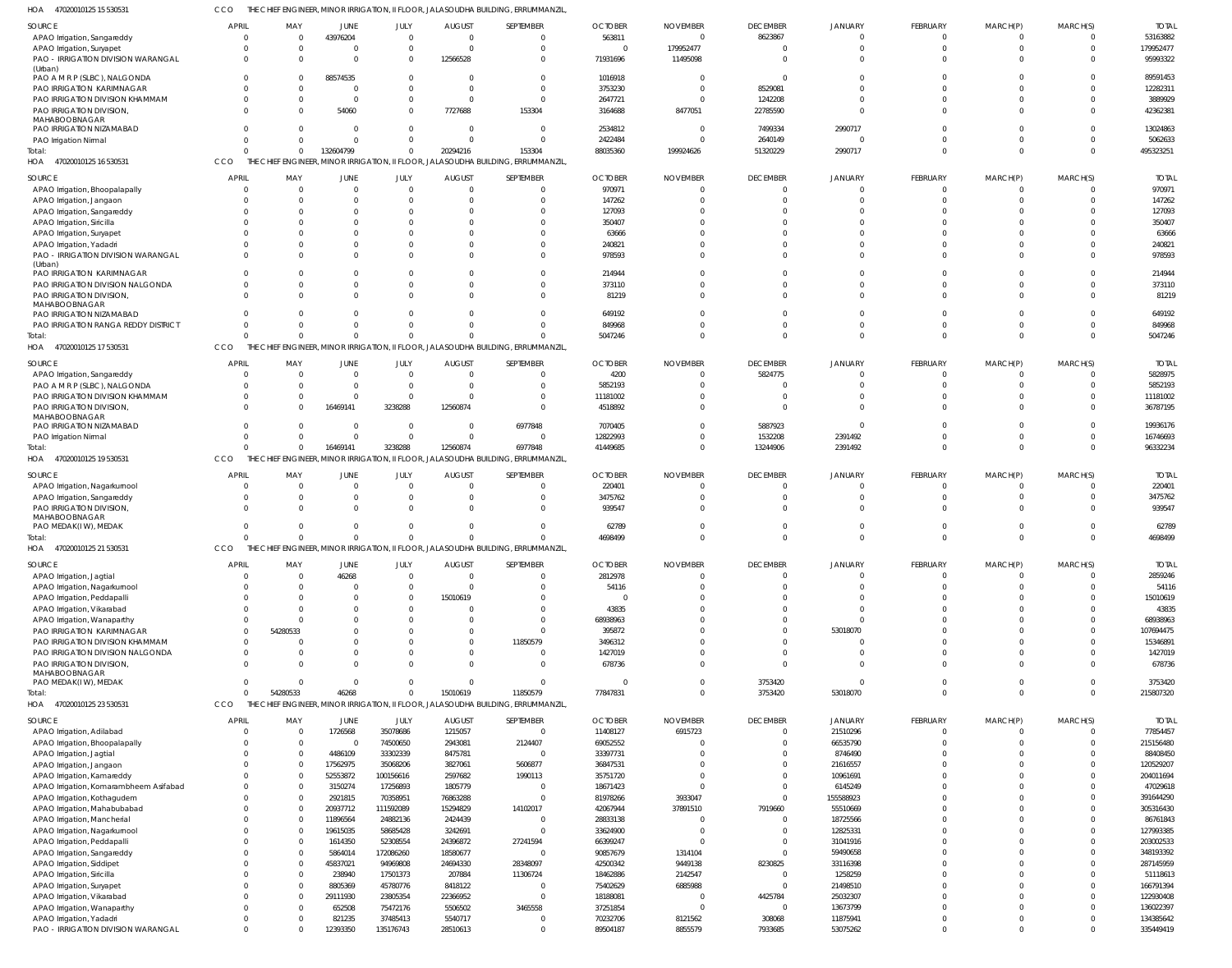47020010125 15 530531 HOA CCO THE CHIEF ENGINEER, MINOR IRRIGATION, II FLOOR, JALASOUDHA BUILDING, ERRUMMANZIL,

| <b>SOURCE</b>                          | <b>APRIL</b> | MAY            | <b>JUNE</b>  | JULY           | <b>AUGUST</b>                  | SEPTEMBER                                                                         | <b>OCTOBER</b> | <b>NOVEMBER</b> | <b>DECEMBER</b> | <b>JANUARY</b> | <b>FEBRUARY</b> | MARCH(P) | MARCH(S)       | <b>TOTAL</b> |
|----------------------------------------|--------------|----------------|--------------|----------------|--------------------------------|-----------------------------------------------------------------------------------|----------------|-----------------|-----------------|----------------|-----------------|----------|----------------|--------------|
| APAO Irrigation, Sangareddy            | - 0          | $\Omega$       | 43976204     | $\mathbf{0}$   | $\mathbf{0}$                   | $\Omega$                                                                          | 563811         | $\Omega$        | 8623867         | $\mathbf{0}$   | $\Omega$        | $\Omega$ | $\overline{0}$ | 53163882     |
| APAO Irrigation, Suryapet              |              | $\overline{0}$ | $\mathbf{0}$ |                | $\overline{0}$<br>$\Omega$     | $\Omega$                                                                          | $\Omega$       | 179952477       | 0               | $\Omega$       | $\Omega$        | $\Omega$ | $\Omega$       | 179952477    |
| PAO - IRRIGATION DIVISION WARANGAL     |              | $\Omega$       | $\Omega$     |                | 12566528<br>$\mathbf{0}$       | $\Omega$                                                                          | 71931696       | 11495098        | $\Omega$        | $\Omega$       | $\Omega$        | $\Omega$ | $\Omega$       | 95993322     |
| (Urban)                                |              |                |              |                |                                |                                                                                   |                |                 |                 |                |                 |          |                |              |
| PAO A M R P (SLBC), NALGONDA           |              | $\Omega$       | 88574535     | $\mathbf 0$    | $\Omega$                       | $\Omega$                                                                          | 1016918        |                 | 0               | $\Omega$       | $\Omega$        | $\cap$   | C              | 89591453     |
| PAO IRRIGATION KARIMNAGAR              |              | $\Omega$       | 0            |                | $\mathbf{0}$<br>$\mathbf 0$    | $\Omega$                                                                          | 3753230        |                 | 8529081         | $\Omega$       | $\Omega$        | $\Omega$ | $\Omega$       | 12282311     |
| PAO IRRIGATION DIVISION KHAMMAM        |              | <sup>0</sup>   | $\Omega$     |                | $\mathbf{0}$<br>$\Omega$       | $\Omega$                                                                          | 2647721        |                 | 1242208         | $\Omega$       | $\Omega$        | $\Omega$ | $\Omega$       | 3889929      |
| PAO IRRIGATION DIVISION,               |              | $\Omega$       | 54060        |                | 7727688<br>$\mathbf{0}$        | 153304                                                                            | 3164688        | 8477051         | 22785590        | $\Omega$       | $\Omega$        | $\Omega$ | $\Omega$       | 42362381     |
| MAHABOOBNAGAR                          |              |                |              |                |                                |                                                                                   |                |                 |                 |                |                 |          |                |              |
| PAO IRRIGATION NIZAMABAD               |              |                | $\Omega$     |                | $\mathbf 0$<br>$\Omega$        | $\Omega$                                                                          | 2534812        |                 | 7499334         | 2990717        | $\Omega$        | $\Omega$ | $\Omega$       | 13024863     |
| PAO Irrigation Nirmal                  |              | <sup>0</sup>   | $\Omega$     |                | $\mathbf 0$<br>$\Omega$        | $\Omega$                                                                          | 2422484        |                 | 2640149         | $\Omega$       | $\Omega$        | $\Omega$ | $\Omega$       | 5062633      |
| Total:                                 |              | $\Omega$       | 132604799    |                | 20294216<br>$\mathbf{0}$       | 153304                                                                            | 88035360       | 199924626       | 51320229        | 2990717        | $\Omega$        | $\Omega$ | $\Omega$       | 495323251    |
| HOA 47020010125 16 530531              | <b>CCO</b>   | THE            |              |                |                                | CHIEF ENGINEER, MINOR IRRIGATION, II FLOOR, JALASOUDHA BUILDING, ERRUMMANZIL,     |                |                 |                 |                |                 |          |                |              |
|                                        |              |                |              |                |                                |                                                                                   |                |                 |                 |                |                 |          |                |              |
| <b>SOURCE</b>                          | <b>APRIL</b> | MAY            | <b>JUNE</b>  | JULY           | <b>AUGUST</b>                  | SEPTEMBER                                                                         | <b>OCTOBER</b> | <b>NOVEMBER</b> | <b>DECEMBER</b> | <b>JANUARY</b> | <b>FEBRUARY</b> | MARCH(P) | MARCH(S)       | <b>TOTAI</b> |
| APAO Irrigation, Bhoopalapally         |              | $\Omega$       | $\mathbf{0}$ | $\mathbf 0$    | $\Omega$                       | $\Omega$                                                                          | 970971         |                 | $\mathbf{0}$    | 0              | $\Omega$        | $\Omega$ | $\Omega$       | 970971       |
| APAO Irrigation, Jangaon               |              | $\Omega$       | $\Omega$     | $\mathbf 0$    | $\Omega$                       | $\Omega$                                                                          | 147262         |                 | $\Omega$        | $\Omega$       | $\Omega$        | $\Omega$ | $\Omega$       | 147262       |
| APAO Irrigation, Sangareddy            |              | <sup>0</sup>   | n            | $\Omega$       |                                | $\Omega$                                                                          | 127093         |                 | -0              | $\Omega$       |                 |          | C              | 127093       |
| APAO Irrigation, Siricilla             |              | $\Omega$       | $\Omega$     | $\Omega$       |                                | $\Omega$                                                                          | 350407         |                 | $\Omega$        | $\Omega$       |                 | $\cap$   | $\Omega$       | 350407       |
| APAO Irrigation, Suryapet              |              | <sup>0</sup>   | $\Omega$     | $\Omega$       |                                | $\Omega$                                                                          | 63666          |                 | $\Omega$        | $\Omega$       |                 | $\cap$   | C              | 63666        |
|                                        |              | $\Omega$       | $\Omega$     | $\Omega$       |                                | $\Omega$                                                                          |                |                 | $\Omega$        | $\Omega$       |                 | $\Omega$ | $\Omega$       | 240821       |
| APAO Irrigation, Yadadri               |              |                |              |                |                                |                                                                                   | 240821         |                 |                 |                |                 |          | $\Omega$       |              |
| PAO - IRRIGATION DIVISION WARANGAL     |              | $\Omega$       | $\Omega$     | $\Omega$       |                                | $\Omega$                                                                          | 978593         |                 | $\Omega$        | $\Omega$       | $\Omega$        | $\Omega$ |                | 978593       |
| (Urban)<br>PAO IRRIGATION KARIMNAGAR   |              | $\Omega$       | $\Omega$     | $\Omega$       |                                | $\Omega$                                                                          | 214944         |                 | $\Omega$        | $\Omega$       | $\cap$          | $\Omega$ | $\Omega$       | 214944       |
|                                        |              | $\Omega$       |              |                |                                | $\Omega$                                                                          |                |                 |                 |                | $\cap$          | $\Omega$ | $\Omega$       | 373110       |
| PAO IRRIGATION DIVISION NALGONDA       |              |                | $\Omega$     | $\mathbf 0$    |                                |                                                                                   | 373110         |                 | $\Omega$        | $\Omega$       |                 |          |                |              |
| PAO IRRIGATION DIVISION,               |              | $\Omega$       | $\Omega$     | $\Omega$       |                                | $\Omega$                                                                          | 81219          |                 | $\Omega$        | $\Omega$       | $\Omega$        | $\Omega$ | $\Omega$       | 81219        |
| MAHABOOBNAGAR                          |              |                |              |                |                                |                                                                                   |                |                 | $\Omega$        | $\Omega$       |                 | $\Omega$ | $\Omega$       | 649192       |
| PAO IRRIGATION NIZAMABAD               |              | $\Omega$       | $\Omega$     | $\Omega$       |                                | $\Omega$                                                                          | 649192         |                 |                 |                | $\Omega$        | $\Omega$ |                |              |
| PAO IRRIGATION RANGA REDDY DISTRICT    |              | $\Omega$       | $\Omega$     | $\mathbf 0$    | $\Omega$                       | $\Omega$                                                                          | 849968         |                 | $\Omega$        | $\Omega$       |                 |          | $\Omega$       | 849968       |
| Total:                                 |              | $\Omega$       | $\Omega$     |                | $\Omega$<br>$\Omega$           | $\Omega$                                                                          | 5047246        |                 | $\Omega$        | $\Omega$       | $\Omega$        | $\Omega$ | $\Omega$       | 5047246      |
| HOA<br>47020010125 17 530531           | <b>CCO</b>   |                |              |                |                                | THE CHIEF ENGINEER, MINOR IRRIGATION, II FLOOR, JALASOUDHA BUILDING, ERRUMMANZIL, |                |                 |                 |                |                 |          |                |              |
| SOURCE                                 | <b>APRIL</b> | MAY            | <b>JUNE</b>  | JULY           | <b>AUGUST</b>                  | SEPTEMBER                                                                         | <b>OCTOBER</b> | <b>NOVEMBER</b> | <b>DECEMBER</b> | JANUARY        | FEBRUARY        | MARCH(P) | MARCH(S)       | <b>TOTAL</b> |
|                                        |              |                |              |                |                                |                                                                                   |                |                 |                 |                | $\Omega$        | $\Omega$ | $\Omega$       |              |
| APAO Irrigation, Sangareddy            |              | $\Omega$       | $\mathbf{0}$ | $\overline{0}$ | $\overline{0}$                 | $\Omega$                                                                          | 4200           |                 | 5824775         | 0              |                 |          |                | 5828975      |
| PAO A M R P (SLBC), NALGONDA           |              | $\Omega$       | $\Omega$     | $\overline{0}$ | $\Omega$                       | $\Omega$                                                                          | 5852193        |                 | 0               | $\Omega$       | $\Omega$        | $\Omega$ | $\Omega$       | 5852193      |
| PAO IRRIGATION DIVISION KHAMMAM        |              | $\Omega$       | $\Omega$     |                | $\overline{0}$<br>$\Omega$     | $\Omega$                                                                          | 11181002       |                 | $\Omega$        | $\Omega$       | $\Omega$        | $\Omega$ | $\Omega$       | 11181002     |
| PAO IRRIGATION DIVISION,               |              | <sup>0</sup>   | 16469141     | 3238288        | 12560874                       | $\Omega$                                                                          | 4518892        |                 | $\Omega$        | $\Omega$       | $\Omega$        | $\Omega$ | $\Omega$       | 36787195     |
| MAHABOOBNAGAR                          |              |                |              |                |                                |                                                                                   |                |                 |                 |                |                 |          |                |              |
| PAO IRRIGATION NIZAMABAD               |              | $\Omega$       | $\mathbf{0}$ | $\overline{0}$ | $\mathbf{0}$                   | 6977848                                                                           | 7070405        |                 | 5887923         | $\Omega$       | $\Omega$        | $\Omega$ | $\Omega$       | 19936176     |
| PAO Irrigation Nirmal                  |              | $\Omega$       | $\mathbf 0$  |                | $\overline{0}$<br>$\mathbf 0$  | $\Omega$                                                                          | 12822993       |                 | 1532208         | 2391492        | $\Omega$        | $\Omega$ | $\Omega$       | 16746693     |
| Total:                                 |              | $\Omega$       | 16469141     | 3238288        | 12560874                       | 6977848                                                                           | 41449685       |                 | 13244906        | 2391492        | $\Omega$        | $\Omega$ | $\Omega$       | 96332234     |
| 47020010125 19 530531<br>HOA           | CCO          |                |              |                |                                | THE CHIEF ENGINEER, MINOR IRRIGATION, II FLOOR, JALASOUDHA BUILDING, ERRUMMANZIL, |                |                 |                 |                |                 |          |                |              |
|                                        |              |                |              |                |                                |                                                                                   |                |                 |                 |                |                 |          |                |              |
| SOURCE                                 | <b>APRIL</b> | MAY            | <b>JUNE</b>  | <b>JULY</b>    | <b>AUGUST</b>                  | SEPTEMBER                                                                         | <b>OCTOBER</b> | <b>NOVEMBER</b> | <b>DECEMBER</b> | <b>JANUARY</b> | <b>FEBRUARY</b> | MARCH(P) | MARCH(S)       | <b>TOTAI</b> |
| APAO Irrigation, Nagarkurnool          |              | $\Omega$       | $\mathbf{0}$ | $\mathbf 0$    | $\Omega$                       | $\Omega$                                                                          | 220401         |                 | $\Omega$        | $\Omega$       | - 0             | $\Omega$ | $\Omega$       | 220401       |
| APAO Irrigation, Sangareddy            |              | $\Omega$       | $\mathbf{0}$ | $\mathbf 0$    |                                | $\Omega$                                                                          | 3475762        |                 | $\Omega$        | $\Omega$       | $\Omega$        | $\Omega$ | $\Omega$       | 3475762      |
| <b>PAO IRRIGATION DIVISION</b>         |              | $\Omega$       | $\Omega$     | $\Omega$       | $\Omega$                       | $\Omega$                                                                          | 939547         |                 | $\Omega$        | $\Omega$       | $\Omega$        | $\Omega$ | $\Omega$       | 939547       |
| MAHABOOBNAGAR                          |              |                |              |                |                                |                                                                                   |                |                 |                 |                |                 |          |                |              |
| PAO MEDAK(IW), MEDAK                   |              | $\Omega$       | 0            | $^{\circ}$     |                                | $\Omega$                                                                          | 62789          |                 | $\Omega$        | $\Omega$       |                 | $\Omega$ | $\Omega$       | 62789        |
| Total:                                 |              | $\Omega$       | $\Omega$     |                | $\Omega$<br>$\Omega$           | $\cap$                                                                            | 4698499        |                 | $\Omega$        | $\Omega$       | $\Omega$        | $\Omega$ | $\Omega$       | 4698499      |
| HOA 47020010125 21 530531              | CCO          |                |              |                |                                | THE CHIEF ENGINEER, MINOR IRRIGATION, II FLOOR, JALASOUDHA BUILDING, ERRUMMANZIL, |                |                 |                 |                |                 |          |                |              |
|                                        |              | MA)            |              |                |                                |                                                                                   |                |                 |                 |                |                 |          |                |              |
| <b>SOURCE</b>                          | APRIL        |                | JUNE         | JULY           | august                         | SEPTEMBER                                                                         | <b>OCTOBER</b> | <b>NOVEMBER</b> | <b>DECEMBER</b> | <b>JANUARY</b> | FEBRUARY        | MARCH(P) | MARCH(S)       | <b>TOTAI</b> |
| APAO Irrigation, Jagtial               | - 0          | $\Omega$       | 46268        | $\overline{0}$ | $\overline{0}$                 | $\Omega$                                                                          | 2812978        |                 | 0               | $\overline{0}$ | $\Omega$        | $\Omega$ | $\overline{0}$ | 2859246      |
| APAO Irrigation, Nagarkurnool          |              | $\Omega$       | $\mathbf{0}$ |                | $\overline{0}$<br>$\mathbf{0}$ | $\Omega$                                                                          | 54116          |                 | $\Omega$        | $\Omega$       | $\Omega$        | $\Omega$ | $\Omega$       | 54116        |
| APAO Irrigation, Peddapalli            |              | $\Omega$       | $\Omega$     | $\mathbf 0$    | 15010619                       | $\Omega$                                                                          |                |                 | $\Omega$        | $\Omega$       | $\Omega$        | $\Omega$ | $\Omega$       | 15010619     |
| APAO Irrigation, Vikarabad             |              | $\Omega$       | $\Omega$     | $\mathbf 0$    | $\Omega$                       | $\Omega$                                                                          | 43835          |                 | $\Omega$        | $\Omega$       | $\Omega$        | $\Omega$ | $\Omega$       | 43835        |
| APAO Irrigation, Wanaparthy            |              | $\Omega$       | <sup>0</sup> | $\Omega$       | $\Omega$                       | $\Omega$                                                                          | 68938963       |                 | $\Omega$        | $\Omega$       | $\Omega$        | $\Omega$ | $\Omega$       | 68938963     |
| PAO IRRIGATION KARIMNAGAR              | $\Omega$     | 54280533       | $\Omega$     | $\Omega$       | $\Omega$                       | $\Omega$                                                                          | 395872         |                 | $\Omega$        | 53018070       | $\Omega$        | $\Omega$ | $\Omega$       | 107694475    |
| PAO IRRIGATION DIVISION KHAMMAM        |              |                | $\Omega$     | $\Omega$       | $\Omega$                       | 11850579                                                                          | 3496312        |                 | $\Omega$        | $\overline{0}$ | $\Omega$        | $\Omega$ | $\Omega$       | 15346891     |
| PAO IRRIGATION DIVISION NALGONDA       | $\Omega$     | $\Omega$       | $\Omega$     | $\mathbf 0$    | $\mathbf 0$                    | $\Omega$                                                                          | 1427019        |                 | $\Omega$        | $\Omega$       | $\Omega$        | $\Omega$ | $\Omega$       | 1427019      |
| PAO IRRIGATION DIVISION,               |              | $\Omega$       | $\Omega$     | $\Omega$       | $\Omega$                       | $\Omega$                                                                          | 678736         |                 | $\Omega$        | $\Omega$       | $\Omega$        | $\Omega$ | $\Omega$       | 678736       |
| MAHABOOBNAGAR                          |              |                |              |                |                                |                                                                                   |                |                 |                 |                |                 |          |                |              |
| PAO MEDAK(IW), MEDAK                   | $\Omega$     | $\Omega$       | $\mathbf{0}$ |                | $\overline{0}$<br>$\mathbf{0}$ | $\Omega$                                                                          | 0              | $\Omega$        | 3753420         | $\Omega$       | $\Omega$        | $\Omega$ | $\Omega$       | 3753420      |
| Total:                                 |              | 54280533       | 46268        |                | $\overline{0}$<br>15010619     | 11850579                                                                          | 77847831       | $\Omega$        | 3753420         | 53018070       | $\Omega$        | $\Omega$ | $\overline{0}$ | 215807320    |
| HOA 47020010125 23 530531              | CCO          |                |              |                |                                | THE CHIEF ENGINEER, MINOR IRRIGATION, II FLOOR, JALASOUDHA BUILDING, ERRUMMANZIL, |                |                 |                 |                |                 |          |                |              |
|                                        |              |                |              |                |                                |                                                                                   |                |                 |                 |                |                 |          |                |              |
| SOURCE                                 | <b>APRIL</b> | MAY            | JUNE         | JULY           | <b>AUGUST</b>                  | SEPTEMBER                                                                         | <b>OCTOBER</b> | <b>NOVEMBER</b> | <b>DECEMBER</b> | <b>JANUARY</b> | FEBRUARY        | MARCH(P) | MARCH(S)       | <b>TOTAL</b> |
| APAO Irrigation, Adilabad              |              | $\Omega$       | 1726568      | 35078686       | 1215057                        | $\Omega$                                                                          | 11408127       | 6915723         | $^{\circ}$      | 21510296       | $\Omega$        | $\Omega$ | $\overline{0}$ | 77854457     |
| APAO Irrigation, Bhoopalapally         |              | $\Omega$       | $\Omega$     | 74500650       | 2943081                        | 2124407                                                                           | 69052552       |                 | $\Omega$        | 66535790       | $\Omega$        | $\Omega$ | $\Omega$       | 215156480    |
| APAO Irrigation, Jagtial               |              | $\Omega$       | 4486109      | 33302339       | 8475781                        | $\Omega$                                                                          | 33397731       |                 | $\Omega$        | 8746490        | $\Omega$        | $\Omega$ | $\Omega$       | 88408450     |
| APAO Irrigation, Jangaon               |              | $\Omega$       | 17562975     | 35068206       | 3827061                        | 5606877                                                                           | 36847531       |                 | $\Omega$        | 21616557       | $\Omega$        | $\Omega$ | $\Omega$       | 120529207    |
| APAO Irrigation, Kamareddy             |              | $\Omega$       | 52553872     | 100156616      | 2597682                        | 1990113                                                                           | 35751720       |                 | $\Omega$        | 10961691       | $\Omega$        | $\Omega$ | C              | 204011694    |
| APAO Irrigation, Komarambheem Asifabad |              | $\Omega$       | 3150274      | 17256893       | 1805779                        | $\Omega$                                                                          | 18671423       |                 | $\Omega$        | 6145249        | $\Omega$        | $\Omega$ | $\Omega$       | 47029618     |
| APAO Irrigation, Kothagudem            |              | <sup>0</sup>   | 2921815      | 70358951       | 76863288                       | $\Omega$                                                                          | 81978266       | 3933047         | $\Omega$        | 155588923      | $\Omega$        | $\Omega$ | $\Omega$       | 391644290    |
| APAO Irrigation, Mahabubabad           |              | <sup>0</sup>   | 20937712     | 111592089      | 15294829                       | 14102017                                                                          | 42067944       | 37891510        | 7919660         | 55510669       | $\Omega$        | $\Omega$ | $\Omega$       | 305316430    |
|                                        |              | $\Omega$       |              |                |                                | $\Omega$                                                                          |                |                 |                 |                | $\Omega$        | $\Omega$ | C              |              |
| APAO Irrigation, Mancherial            |              |                | 11896564     | 24882136       | 2424439                        |                                                                                   | 28833138       |                 | $\mathbf{0}$    | 18725566       |                 |          |                | 86761843     |
| APAO Irrigation, Nagarkurnool          |              | <sup>0</sup>   | 19615035     | 58685428       | 3242691                        | $\Omega$                                                                          | 33624900       |                 | $\Omega$        | 12825331       | $\Omega$        | $\Omega$ | $\Omega$       | 127993385    |
| APAO Irrigation, Peddapalli            |              | <sup>0</sup>   | 1614350      | 52308554       | 24396872                       | 27241594                                                                          | 66399247       |                 | $\Omega$        | 31041916       | $\Omega$        | $\Omega$ | $\Omega$       | 203002533    |
| APAO Irrigation, Sangareddy            |              | <sup>0</sup>   | 5864014      | 172086260      | 18580677                       | $\Omega$                                                                          | 90857679       | 1314104         | $\Omega$        | 59490658       | $\Omega$        | $\Omega$ | $\Omega$       | 348193392    |
| APAO Irrigation, Siddipet              |              | <sup>0</sup>   | 45837021     | 94969808       | 24694330                       | 28348097                                                                          | 42500342       | 9449138         | 8230825         | 33116398       | $\Omega$        | $\Omega$ | C              | 287145959    |
| APAO Irrigation, Siricilla             |              | $\Omega$       | 238940       | 17501373       | 207884                         | 11306724                                                                          | 18462886       | 2142547         | $\overline{0}$  | 1258259        | $\Omega$        | $\Omega$ | $\Omega$       | 51118613     |
| APAO Irrigation, Suryapet              |              | <sup>0</sup>   | 8805369      | 45780776       | 8418122                        | $\Omega$                                                                          | 75402629       | 6885988         | $\mathbf{0}$    | 21498510       | $\Omega$        | $\Omega$ | $\Omega$       | 166791394    |
| APAO Irrigation, Vikarabad             |              | $\Omega$       | 29111930     | 23805354       | 22366952                       | $\Omega$                                                                          | 18188081       |                 | 4425784         | 25032307       | $\Omega$        | $\Omega$ | $\Omega$       | 122930408    |
| APAO Irrigation, Wanaparthy            |              | <sup>0</sup>   | 652508       | 75472176       | 5506502                        | 3465558                                                                           | 37251854       |                 | $\overline{0}$  | 13673799       | $\Omega$        | $\Omega$ | $\Omega$       | 136022397    |
|                                        |              | <sup>0</sup>   | 821235       | 37485413       | 5540717                        | $\Omega$                                                                          |                |                 | 308068          |                | $\Omega$        | $\Omega$ | $\Omega$       | 134385642    |
| APAO Irrigation, Yadadri               |              |                |              |                |                                |                                                                                   | 70232706       | 8121562         |                 | 11875941       |                 |          |                |              |
| PAO - IRRIGATION DIVISION WARANGAL     |              | $\Omega$       | 12393350     | 135176743      | 28510613                       | $\Omega$                                                                          | 89504187       | 8855579         | 7933685         | 53075262       | $\Omega$        | $\Omega$ | $\Omega$       | 335449419    |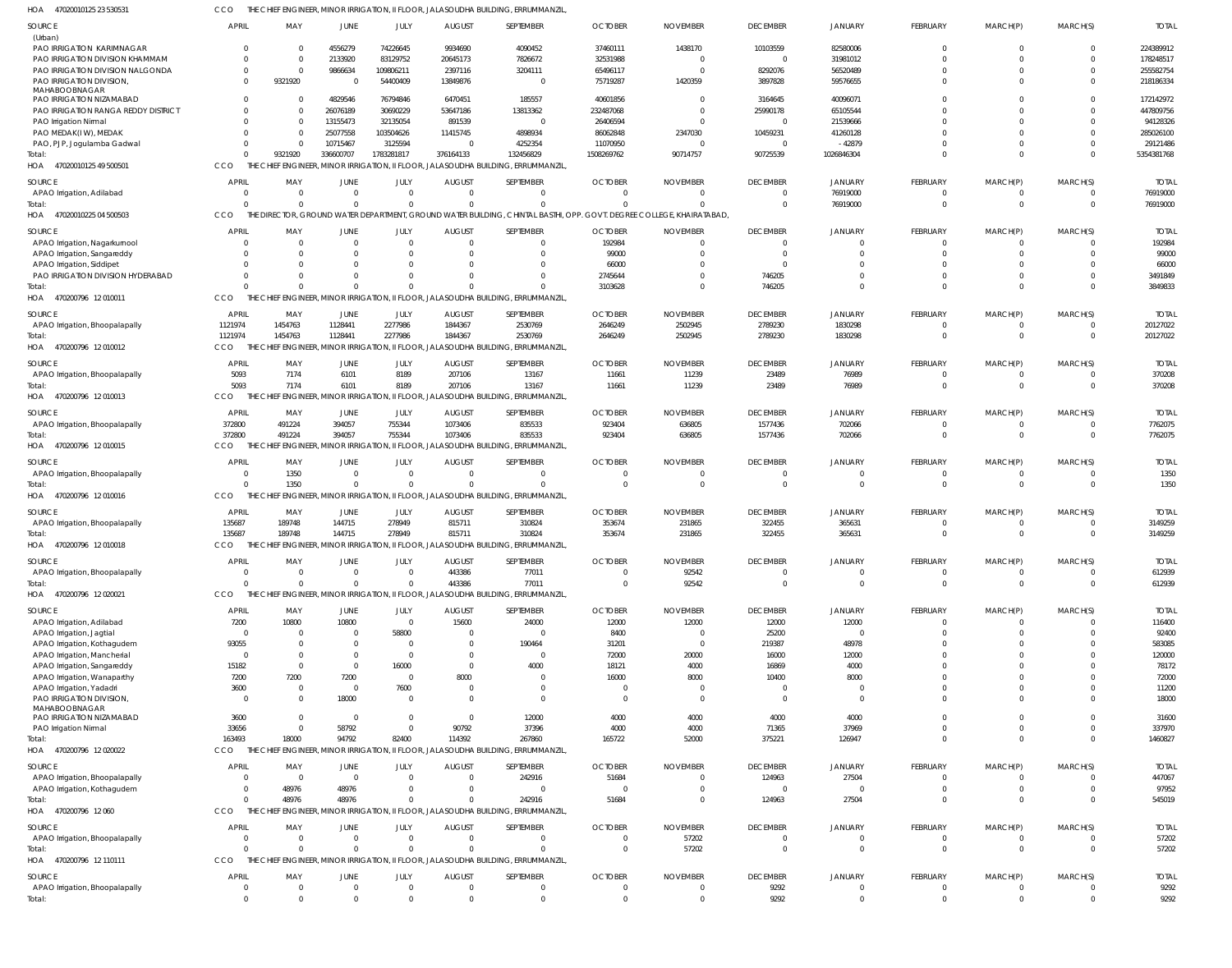| HOA<br>47020010125 23 53053                                     |                                           |                     |                          |                                |                            | THE CHIEF ENGINEER, MINOR IRRIGATION, II FLOOR, JALASOUDHA BUILDING, ERRUMMANZIL                                                     |                            |                                  |                     |                               |                            |                            |                               |                        |
|-----------------------------------------------------------------|-------------------------------------------|---------------------|--------------------------|--------------------------------|----------------------------|--------------------------------------------------------------------------------------------------------------------------------------|----------------------------|----------------------------------|---------------------|-------------------------------|----------------------------|----------------------------|-------------------------------|------------------------|
| <b>SOURCE</b>                                                   | <b>APRIL</b>                              | MAY                 | JUNE                     | JULY                           | <b>AUGUST</b>              | SEPTEMBER                                                                                                                            | <b>OCTOBER</b>             | <b>NOVEMBER</b>                  | <b>DECEMBER</b>     | <b>JANUARY</b>                | FEBRUARY                   | MARCH(P)                   | MARCH(S)                      | <b>TOTAL</b>           |
| (Urban)<br>PAO IRRIGATION KARIMNAGAR                            | $\Omega$                                  | $\Omega$            | 4556279                  | 74226645                       | 9934690                    | 4090452                                                                                                                              | 37460111                   | 1438170                          | 10103559            | 82580006                      | $\Omega$                   | $\Omega$                   | $\mathbf 0$                   | 224389912              |
| PAO IRRIGATION DIVISION KHAMMAM                                 | $\Omega$                                  | $\Omega$            | 2133920                  | 83129752                       | 20645173                   | 7826672                                                                                                                              | 32531988                   | $\Omega$                         | $\overline{0}$      | 31981012                      | $\Omega$                   | $\Omega$                   | $\Omega$                      | 178248517              |
| PAO IRRIGATION DIVISION NALGONDA                                | $\mathbf 0$                               | $\Omega$            | 9866634                  | 109806211                      | 2397116                    | 3204111                                                                                                                              | 65496117                   |                                  | 8292076             | 56520489                      | $\Omega$                   | $\Omega$                   | $\Omega$                      | 255582754              |
| PAO IRRIGATION DIVISION,<br>MAHABOOBNAGAR                       | $\Omega$                                  | 9321920             | $\Omega$                 | 54400409                       | 13849876                   | $\overline{0}$                                                                                                                       | 75719287                   | 1420359                          | 3897828             | 59576655                      | $\Omega$                   | $\Omega$                   | $\Omega$                      | 218186334              |
| PAO IRRIGATION NIZAMABAD<br>PAO IRRIGATION RANGA REDDY DISTRICT | $\Omega$<br>$\Omega$                      | -0<br>$\Omega$      | 4829546<br>26076189      | 76794846<br>30690229           | 6470451<br>53647186        | 185557<br>13813362                                                                                                                   | 40601856<br>232487068      |                                  | 3164645<br>25990178 | 40096071<br>65105544          | $\Omega$<br>$\Omega$       | $\Omega$<br>$\Omega$       | $\Omega$<br>$\Omega$          | 172142972<br>447809756 |
| PAO Irrigation Nirmal                                           | $\Omega$                                  | - 0                 | 13155473                 | 32135054                       | 891539                     | $\overline{0}$                                                                                                                       | 26406594                   |                                  | $\overline{0}$      | 21539666                      | $\Omega$                   | $\Omega$                   | $\Omega$                      | 94128326               |
| PAO MEDAK(I W), MEDAK                                           | $\Omega$                                  | -0                  | 25077558                 | 103504626                      | 11415745                   | 4898934                                                                                                                              | 86062848                   | 2347030                          | 10459231            | 41260128                      | $\Omega$                   | $\Omega$                   | -0                            | 285026100              |
| PAO, PJP, Jogulamba Gadwal                                      | $\Omega$                                  | -0                  | 10715467                 | 3125594                        | $\Omega$                   | 4252354                                                                                                                              | 11070950                   |                                  | $\mathbf{0}$        | $-42879$                      | $\Omega$                   | $\Omega$                   | $\Omega$                      | 29121486               |
| Total:                                                          | $\Omega$                                  | 9321920             | 336600707                | 1783281817                     | 376164133                  | 132456829                                                                                                                            | 1508269762                 | 90714757                         | 90725539            | 1026846304                    | $\Omega$                   | $\Omega$                   | $\Omega$                      | 5354381768             |
| HOA 47020010125 49 500501                                       | CCO                                       |                     |                          |                                |                            | THE CHIEF ENGINEER, MINOR IRRIGATION, II FLOOR, JALASOUDHA BUILDING, ERRUMMANZIL                                                     |                            |                                  |                     |                               |                            |                            |                               |                        |
| <b>SOURCE</b>                                                   | <b>APRIL</b>                              | MAY                 | JUNE                     | JULY                           | <b>AUGUST</b>              | SEPTEMBER                                                                                                                            | <b>OCTOBER</b>             | <b>NOVEMBER</b>                  | <b>DECEMBER</b>     | <b>JANUARY</b>                | FEBRUARY                   | MARCH(P)                   | MARCH(S)                      | <b>TOTAL</b>           |
| APAO Irrigation, Adilabad                                       | $\overline{0}$<br>$\Omega$                | $\Omega$            | 0                        | $\mathbf{0}$                   | $\Omega$                   | $\mathbf 0$                                                                                                                          | $\Omega$                   | $\Omega$                         | $\mathbf{0}$        | 76919000                      | $\Omega$                   | $\Omega$                   | $^{\circ}$                    | 76919000               |
| Total:<br>HOA 47020010225 04 500503                             | CCO                                       | $\Omega$            | $\Omega$                 | $\Omega$                       | $\Omega$                   | $\mathbf 0$<br>THE DIRECTOR, GROUND WATER DEPARTMENT, GROUND WATER BUILDING, CHINTAL BASTHI, OPP. GOVT. DEGREE COLLEGE, KHAIRATABAD, | $\Omega$                   | $\Omega$                         | $\mathbf{0}$        | 76919000                      | $\overline{0}$             | $\overline{0}$             | $\overline{0}$                | 76919000               |
| SOURCE                                                          | <b>APRIL</b>                              | MAY                 | JUNE                     | JULY                           | <b>AUGUST</b>              | SEPTEMBER                                                                                                                            | <b>OCTOBER</b>             | <b>NOVEMBER</b>                  | <b>DECEMBER</b>     | <b>JANUARY</b>                | FEBRUARY                   | MARCH(P)                   | MARCH(S)                      | <b>TOTAL</b>           |
| APAO Irrigation, Nagarkurnool                                   | $\Omega$                                  | $\Omega$            | $\Omega$                 | $\Omega$                       | $\Omega$                   | $\mathbf 0$                                                                                                                          | 192984                     | $\Omega$                         | 0                   | 0                             | $\Omega$                   | $\Omega$                   | $\mathbf 0$                   | 192984                 |
| APAO Irrigation, Sangareddy                                     | $\Omega$                                  | -0                  | $\Omega$                 | $\Omega$                       | $\Omega$                   | $\mathbf 0$                                                                                                                          | 99000                      | $\Omega$                         | $\Omega$            | $\Omega$                      | $\Omega$                   | $\Omega$                   | $\Omega$                      | 99000                  |
| APAO Irrigation, Siddipet                                       | $\Omega$                                  | $\Omega$            |                          |                                | <sup>0</sup>               | $\mathbf 0$                                                                                                                          | 66000                      |                                  | $\Omega$            | $\Omega$                      |                            | $\Omega$                   | $\Omega$                      | 66000                  |
| PAO IRRIGATION DIVISION HYDERABAD                               | $\Omega$                                  | - 0                 | <sup>0</sup>             | $\Omega$                       | <sup>0</sup>               | $\Omega$                                                                                                                             | 2745644                    | <sup>0</sup>                     | 746205              | $\Omega$                      | $\Omega$                   | $\Omega$                   | $\Omega$                      | 3491849                |
| Total                                                           | $\Omega$                                  |                     | $\Omega$                 | $\Omega$                       | $\Omega$                   | $\Omega$                                                                                                                             | 3103628                    | $\Omega$                         | 746205              | $\Omega$                      | $\Omega$                   | $\Omega$                   | $\Omega$                      | 3849833                |
| HOA 470200796 12 010011                                         | CCO                                       |                     |                          |                                |                            | THE CHIEF ENGINEER, MINOR IRRIGATION, II FLOOR, JALASOUDHA BUILDING, ERRUMMANZIL                                                     |                            |                                  |                     |                               |                            |                            |                               |                        |
| <b>SOURCE</b>                                                   | <b>APRIL</b>                              | MAY                 | JUNE                     | JULY                           | <b>AUGUST</b>              | SEPTEMBER                                                                                                                            | <b>OCTOBER</b>             | <b>NOVEMBER</b>                  | <b>DECEMBER</b>     | <b>JANUARY</b>                | FEBRUARY                   | MARCH(P)                   | MARCH(S)                      | <b>TOTAL</b>           |
| APAO Irrigation, Bhoopalapally                                  | 1121974                                   | 1454763             | 1128441                  | 2277986                        | 1844367                    | 2530769                                                                                                                              | 2646249                    | 2502945                          | 2789230             | 1830298                       | $\Omega$                   | $\Omega$                   | $^{\circ}$                    | 20127022               |
| Total:                                                          | 1121974                                   | 1454763             | 1128441                  | 2277986                        | 1844367                    | 2530769                                                                                                                              | 2646249                    | 2502945                          | 2789230             | 1830298                       | $\overline{0}$             | $\overline{0}$             | $\overline{0}$                | 20127022               |
| HOA 470200796 12010012                                          | CCO                                       |                     |                          |                                |                            | THE CHIEF ENGINEER, MINOR IRRIGATION, II FLOOR, JALASOUDHA BUILDING, ERRUMMANZIL                                                     |                            |                                  |                     |                               |                            |                            |                               |                        |
| SOURCE                                                          | <b>APRIL</b>                              | MAY                 | JUNE                     | JULY                           | <b>AUGUST</b>              | SEPTEMBER                                                                                                                            | <b>OCTOBER</b>             | <b>NOVEMBER</b>                  | <b>DECEMBER</b>     | <b>JANUARY</b>                | FEBRUARY                   | MARCH(P)                   | MARCH(S)                      | <b>TOTAL</b>           |
| APAO Irrigation, Bhoopalapally                                  | 5093                                      | 7174                | 6101                     | 8189                           | 207106                     | 13167                                                                                                                                | 11661                      | 11239                            | 23489               | 76989                         | $\Omega$                   | $\overline{0}$             | $^{\circ}$                    | 370208                 |
| Total                                                           | 5093                                      | 7174                | 6101                     | 8189                           | 207106                     | 13167<br>ENGINEER, MINOR IRRIGATION, II FLOOR, JALASOUDHA BUILDING, ERRUMMANZIL                                                      | 11661                      | 11239                            | 23489               | 76989                         | $\Omega$                   | $\Omega$                   | $\Omega$                      | 370208                 |
| 470200796 12 010013<br>HOA                                      | CCO                                       | THE CHIEF           |                          |                                |                            |                                                                                                                                      |                            |                                  |                     |                               |                            |                            |                               |                        |
| <b>SOURCE</b>                                                   | <b>APRIL</b>                              | MAY                 | JUNE                     | JULY                           | <b>AUGUST</b>              | SEPTEMBER                                                                                                                            | <b>OCTOBER</b>             | <b>NOVEMBER</b>                  | <b>DECEMBER</b>     | <b>JANUARY</b>                | FEBRUARY                   | MARCH(P)                   | MARCH(S)                      | <b>TOTAL</b>           |
| APAO Irrigation, Bhoopalapally                                  | 372800                                    | 491224              | 394057<br>394057         | 755344                         | 1073406                    | 835533<br>835533                                                                                                                     | 923404                     | 636805<br>636805                 | 1577436             | 702066                        | $\Omega$<br>$\Omega$       | $\overline{0}$<br>$\Omega$ | $\mathbf 0$<br>$\Omega$       | 7762075<br>7762075     |
| Total:<br>470200796 12 010015<br>HOA                            | 372800<br>CCO                             | 491224<br>THE CHIFF |                          | 755344                         | 1073406                    | ENGINEER, MINOR IRRIGATION, II FLOOR, JALASOUDHA BUILDING, ERRUMMANZIL                                                               | 923404                     |                                  | 1577436             | 702066                        |                            |                            |                               |                        |
| SOURCE                                                          | <b>APRIL</b>                              | MAY                 | JUNE                     | JULY                           | <b>AUGUST</b>              | SEPTEMBER                                                                                                                            | <b>OCTOBER</b>             | <b>NOVEMBER</b>                  | <b>DECEMBER</b>     | <b>JANUARY</b>                | FEBRUARY                   | MARCH(P)                   | MARCH(S)                      | <b>TOTAL</b>           |
| APAO Irrigation, Bhoopalapally                                  | $\Omega$                                  | 1350                | $\Omega$                 | $\Omega$                       | $\Omega$                   | $\mathbf 0$                                                                                                                          | $\Omega$                   | $\Omega$                         | 0                   | $\Omega$                      | $\Omega$                   | $\Omega$                   | $\Omega$                      | 1350                   |
| Total:                                                          | $\Omega$                                  | 1350                | $\Omega$                 | $\Omega$                       | $\Omega$                   | $\mathbf 0$                                                                                                                          | $\Omega$                   | $\Omega$                         | $\overline{0}$      | $\mathbf{0}$                  | $\overline{0}$             | $\Omega$                   | $\mathbf 0$                   | 1350                   |
| HOA 470200796 12010016                                          | CCO                                       | THE CHIEF           |                          |                                |                            | ENGINEER, MINOR IRRIGATION, II FLOOR, JALASOUDHA BUILDING, ERRUMMANZIL                                                               |                            |                                  |                     |                               |                            |                            |                               |                        |
| <b>SOURCE</b>                                                   | <b>APRIL</b>                              | MAY                 | JUNE                     | JULY                           | <b>AUGUST</b>              | SEPTEMBER                                                                                                                            | <b>OCTOBER</b>             | <b>NOVEMBER</b>                  | <b>DECEMBER</b>     | <b>JANUARY</b>                | FEBRUARY                   | MARCH(P)                   | MARCH(S)                      | <b>TOTAL</b>           |
| APAO Irrigation, Bhoopalapally                                  | 135687                                    | 189748              | 144715                   | 278949                         | 815711                     | 310824                                                                                                                               | 353674                     | 231865                           | 322455              | 365631                        | $\Omega$                   | $\Omega$                   | $^{\circ}$                    | 3149259                |
| Total                                                           | 135687                                    | 189748              | 144715                   | 278949                         | 815711                     | 310824                                                                                                                               | 353674                     | 231865                           | 322455              | 365631                        | $\Omega$                   | $\Omega$                   | $\Omega$                      | 3149259                |
| HOA 470200796 12010018                                          | CCO                                       |                     |                          |                                |                            | THE CHIEF ENGINEER, MINOR IRRIGATION, II FLOOR, JALASOUDHA BUILDING, ERRUMMANZIL                                                     |                            |                                  |                     |                               |                            |                            |                               |                        |
| <b>SOURCE</b>                                                   | <b>APRIL</b>                              | MAY                 | JUNE                     | JULY                           | <b>AUGUST</b>              | SEPTEMBER                                                                                                                            | <b>OCTOBER</b>             | <b>NOVEMBER</b>                  | <b>DECEMBER</b>     | <b>JANUARY</b>                | <b>FEBRUARY</b>            | MARCH(P)                   | MARCH(S)                      | <b>TOTAL</b>           |
| APAO Irrigation, Bhoopalapally                                  | $\overline{0}$                            | $\overline{0}$      | $\overline{0}$           | $\mathbf{0}$                   | 443386                     | 77011                                                                                                                                | $\mathbf{0}$               | 92542                            | $\mathbf{0}$        | $\mathbf 0$                   | $\overline{0}$             | $\overline{0}$             | $^{\circ}$                    | 612939                 |
| Total:                                                          | $\Omega$                                  | $\Omega$            | $\Omega$                 | $\mathbf{0}$                   | 443386                     | 77011                                                                                                                                | $\Omega$                   | 92542                            | $\overline{0}$      | $\mathbf{0}$                  | $\overline{0}$             | $\Omega$                   | $\mathbf 0$                   | 612939                 |
| HOA<br>470200796 12 020021                                      | CCO                                       |                     |                          |                                |                            | THE CHIEF ENGINEER, MINOR IRRIGATION, II FLOOR, JALASOUDHA BUILDING, ERRUMMANZIL                                                     |                            |                                  |                     |                               |                            |                            |                               |                        |
| <b>SOURCE</b>                                                   | <b>APRIL</b>                              | MAY                 | JUNE                     | JULY                           | <b>AUGUST</b>              | SEPTEMBER                                                                                                                            | <b>OCTOBER</b>             | <b>NOVEMBER</b>                  | <b>DECEMBER</b>     | <b>JANUARY</b>                | FEBRUARY                   | MARCH(P)                   | MARCH(S)                      | <b>TOTAL</b>           |
| APAO Irrigation, Adilabad                                       | 7200                                      | 10800               | 10800                    | $\overline{0}$                 | 15600                      | 24000                                                                                                                                | 12000                      | 12000                            | 12000               | 12000                         | $\Omega$                   | $\overline{0}$             | $^{\circ}$                    | 116400                 |
| APAO Irrigation, Jagtial                                        | $\overline{0}$                            | -0                  | $\Omega$                 | 58800                          |                            | $\mathbf{0}$                                                                                                                         | 8400                       | $\Omega$                         | 25200               | $\mathbf 0$                   | $\Omega$                   | $\Omega$                   | -0                            | 92400                  |
| APAO Irrigation, Kothagudem                                     | 93055<br>$\overline{0}$                   |                     | $\Omega$<br>$\Omega$     | $\overline{0}$<br>$\mathbf{0}$ | $\Omega$<br>$\Omega$       | 190464<br>$\overline{0}$                                                                                                             | 31201                      | $\mathbf{0}$                     | 219387              | 48978                         | $\Omega$                   | $\Omega$<br>$\Omega$       | $^{\circ}$                    | 583085                 |
| APAO Irrigation, Mancherial<br>APAO Irrigation, Sangareddy      | 15182                                     | $\Omega$            | 0                        | 16000                          | $\Omega$                   | 4000                                                                                                                                 | 72000<br>18121             | 20000<br>4000                    | 16000<br>16869      | 12000<br>4000                 | $\Omega$                   | $\Omega$                   | $^{\circ}$<br>$\Omega$        | 120000<br>78172        |
| APAO Irrigation, Wanaparthy                                     | 7200                                      | 7200                | 7200                     | $\mathbf{0}$                   | 8000                       | $\overline{0}$                                                                                                                       | 16000                      | 8000                             | 10400               | 8000                          | $\Omega$                   | $\Omega$                   | $\Omega$                      | 72000                  |
| APAO Irrigation, Yadadri                                        | 3600                                      | $\Omega$            | - 0                      | 7600                           | $\Omega$                   | $\mathbf{0}$                                                                                                                         | $\overline{0}$             | $\Omega$                         | 0                   | $\overline{0}$                | $\Omega$                   | $\Omega$                   | $^{\circ}$                    | 11200                  |
| PAO IRRIGATION DIVISION,                                        | $\overline{0}$                            | $\Omega$            | 18000                    | $\mathbf{0}$                   | $\Omega$                   | $\mathbf 0$                                                                                                                          | $\overline{0}$             | $\Omega$                         | $\Omega$            | $\overline{0}$                | $\Omega$                   | $\Omega$                   | $\Omega$                      | 18000                  |
| MAHABOOBNAGAR<br>PAO IRRIGATION NIZAMABAD                       | 3600                                      |                     | - 0                      | $\mathbf{0}$                   | $\overline{0}$             | 12000                                                                                                                                | 4000                       | 4000                             | 4000                | 4000                          | $\Omega$                   | $\Omega$                   | $\mathbf 0$                   | 31600                  |
| PAO Irrigation Nirmal                                           | 33656                                     |                     | 58792                    | $\mathbf 0$                    | 90792                      | 37396                                                                                                                                | 4000                       | 4000                             | 71365               | 37969                         | $\Omega$                   | $\Omega$                   | $\mathbf 0$                   | 337970                 |
| Total:                                                          | 163493                                    | 18000               | 94792                    | 82400                          | 114392                     | 267860                                                                                                                               | 165722                     | 52000                            | 375221              | 126947                        | $\overline{0}$             | $\overline{0}$             | $\mathbf 0$                   | 1460827                |
| HOA 470200796 12020022                                          | CCO                                       |                     |                          |                                |                            | THE CHIEF ENGINEER, MINOR IRRIGATION, II FLOOR, JALASOUDHA BUILDING, ERRUMMANZIL                                                     |                            |                                  |                     |                               |                            |                            |                               |                        |
| <b>SOURCE</b>                                                   | <b>APRIL</b>                              | MAY                 | JUNE                     | JULY                           | <b>AUGUST</b>              | SEPTEMBER                                                                                                                            | <b>OCTOBER</b>             | <b>NOVEMBER</b>                  | <b>DECEMBER</b>     | <b>JANUARY</b>                | FEBRUARY                   | MARCH(P)                   | MARCH(S)                      | <b>TOTAL</b>           |
| APAO Irrigation, Bhoopalapally                                  | $\mathbf 0$                               | $\overline{0}$      | $\Omega$                 | $\overline{0}$                 | $\Omega$                   | 242916                                                                                                                               | 51684                      | $\Omega$                         | 124963              | 27504                         | $\overline{0}$             | $\Omega$                   | $^{\circ}$                    | 447067                 |
| APAO Irrigation, Kothagudem                                     | $\Omega$                                  | 48976               | 48976                    | $\Omega$                       | $\Omega$                   | $\mathbf 0$                                                                                                                          | $\Omega$                   | $\Omega$                         | $\mathbf{0}$        | $\Omega$                      | $\Omega$                   | $\overline{0}$             | $^{\circ}$                    | 97952                  |
| Total:                                                          | $\Omega$                                  | 48976               | 48976                    | $\Omega$                       | $\Omega$                   | 242916                                                                                                                               | 51684                      | $\Omega$                         | 124963              | 27504                         | $\Omega$                   | $\Omega$                   | $\Omega$                      | 545019                 |
| HOA 470200796 12 060                                            | CCO                                       |                     |                          |                                |                            | THE CHIEF ENGINEER, MINOR IRRIGATION, II FLOOR, JALASOUDHA BUILDING, ERRUMMANZIL                                                     |                            |                                  |                     |                               |                            |                            |                               |                        |
| SOURCE                                                          | <b>APRIL</b>                              | MAY                 | <b>JUNE</b>              | JULY                           | <b>AUGUST</b>              | SEPTEMBER                                                                                                                            | <b>OCTOBER</b>             | <b>NOVEMBER</b>                  | <b>DECEMBER</b>     | <b>JANUARY</b>                | FEBRUARY                   | MARCH(P)                   | MARCH(S)                      | <b>TOTAL</b>           |
| APAO Irrigation, Bhoopalapally                                  | $\overline{0}$                            | - 0                 | 0                        | $\mathbf{0}$                   | $\overline{0}$             | $\overline{0}$                                                                                                                       | $\mathbf{0}$               | 57202                            | $\mathbf{0}$        | 0                             | $\overline{0}$             | $\overline{0}$             | $^{\circ}$                    | 57202                  |
| Total:                                                          | $\Omega$<br>CCO                           | $\Omega$            | $\Omega$                 | $\mathbf 0$                    | $\Omega$                   | $\mathbf 0$                                                                                                                          | $\overline{0}$             | 57202                            | $\overline{0}$      | $\mathbf{0}$                  | $\overline{0}$             | $\overline{0}$             | $\mathbf{0}$                  | 57202                  |
| HOA 470200796 12 110111                                         |                                           |                     |                          |                                |                            | THE CHIEF ENGINEER, MINOR IRRIGATION, II FLOOR, JALASOUDHA BUILDING, ERRUMMANZIL                                                     |                            |                                  |                     |                               |                            |                            |                               |                        |
| <b>SOURCE</b>                                                   | <b>APRIL</b>                              | MAY                 | JUNE                     | JULY                           | <b>AUGUST</b>              | SEPTEMBER                                                                                                                            | <b>OCTOBER</b>             | <b>NOVEMBER</b>                  | <b>DECEMBER</b>     | <b>JANUARY</b>                | FEBRUARY                   | MARCH(P)                   | MARCH(S)                      | <b>TOTAL</b>           |
| APAO Irrigation, Bhoopalapally                                  | $\overline{\mathbf{0}}$<br>$\overline{0}$ | $\Omega$            | $\mathbf{0}$<br>$\Omega$ | $\mathbf{0}$<br>$\Omega$       | $\overline{0}$<br>$\Omega$ | $\mathbf 0$<br>$\mathbf 0$                                                                                                           | $\overline{0}$<br>$\Omega$ | $\overline{0}$<br>$\overline{0}$ | 9292<br>9292        | $\mathbf 0$<br>$\overline{0}$ | $\Omega$<br>$\overline{0}$ | $\Omega$<br>$\Omega$       | $\mathbf 0$<br>$\overline{0}$ | 9292<br>9292           |
| Total:                                                          |                                           |                     |                          |                                |                            |                                                                                                                                      |                            |                                  |                     |                               |                            |                            |                               |                        |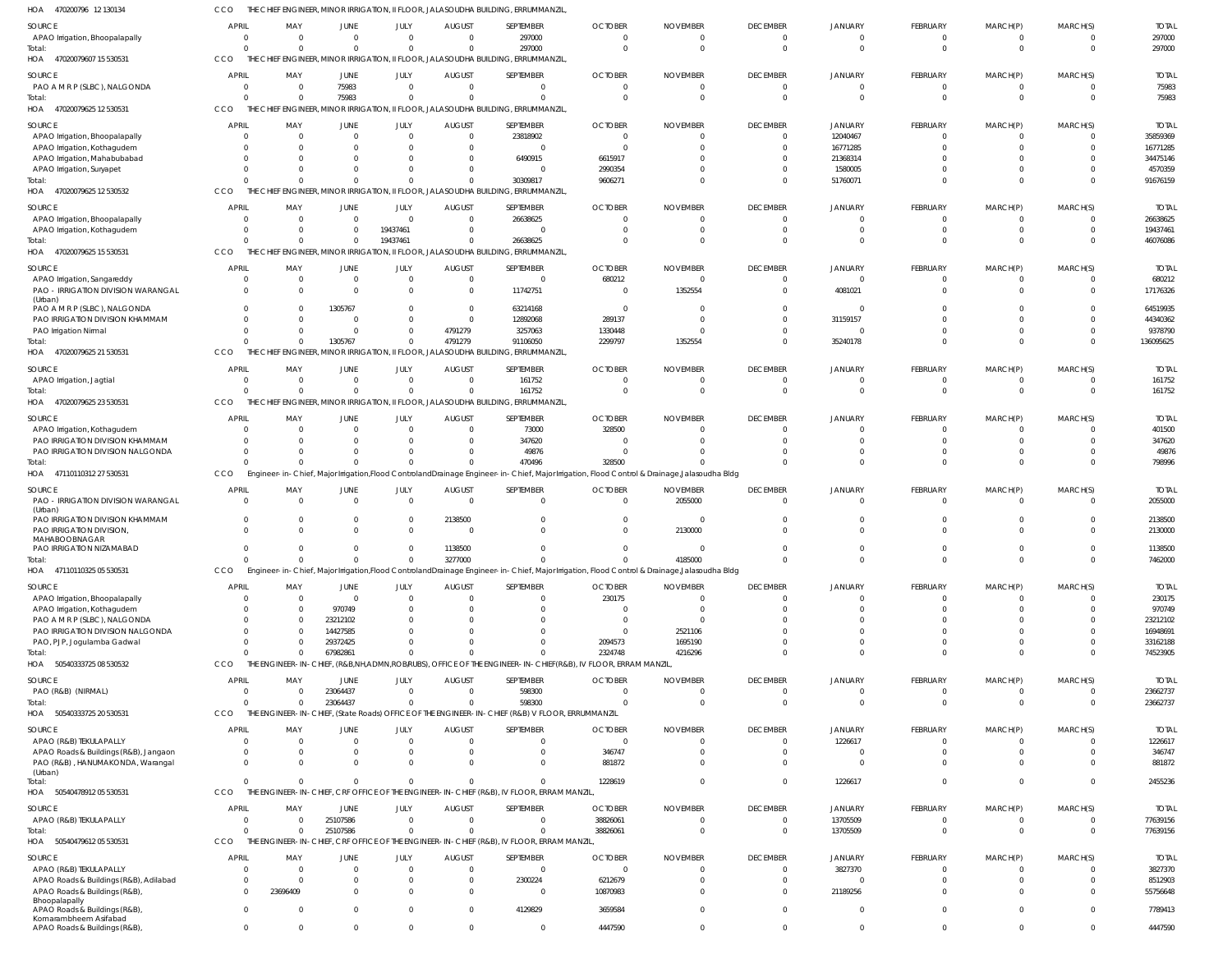470200796 12 130134 HOA CCO THE CHIEF ENGINEER, MINOR IRRIGATION, II FLOOR, JALASOUDHA BUILDING, ERRUMMANZIL,

| HUA<br>470200790 LZ 130134                                              |              |                      |                               |                          |                              | IVIIINOR IRRIGAIION, II FLOOR, JALASOUDHA BUILDING, ERRUIVIIVIANZIL                                       |                                                                                                                                                         |                                |                                   |                            |                      |                      |                         |                          |
|-------------------------------------------------------------------------|--------------|----------------------|-------------------------------|--------------------------|------------------------------|-----------------------------------------------------------------------------------------------------------|---------------------------------------------------------------------------------------------------------------------------------------------------------|--------------------------------|-----------------------------------|----------------------------|----------------------|----------------------|-------------------------|--------------------------|
| SOURCE                                                                  | <b>APRIL</b> | MAY                  | JUNE                          | JULY                     | <b>AUGUST</b>                | SEPTEMBER                                                                                                 | <b>OCTOBER</b>                                                                                                                                          | <b>NOVEMBER</b>                | <b>DECEMBER</b>                   | <b>JANUARY</b>             | FEBRUARY             | MARCH(P)             | MARCH(S)                | <b>TOTAL</b>             |
| APAO Irrigation, Bhoopalapally                                          | $\Omega$     | $\Omega$             | $\overline{0}$                | $\Omega$                 | $\mathbf 0$                  | 297000                                                                                                    | $\mathbf{0}$                                                                                                                                            | $\mathbf 0$                    | $\overline{0}$                    | $\overline{0}$             | $\overline{0}$       | $\Omega$             | $\overline{0}$          | 297000                   |
| Total:<br>47020079607 15 530531<br>HOA                                  | CCO          | $\Omega$             | $\Omega$                      | $\Omega$                 | $\Omega$                     | 297000<br>THE CHIEF ENGINEER, MINOR IRRIGATION, II FLOOR, JALASOUDHA BUILDING, ERRUMMANZIL                | $\Omega$                                                                                                                                                | $\mathbf 0$                    | $\overline{0}$                    | $\mathbf 0$                | $\Omega$             | $\Omega$             | $\overline{0}$          | 297000                   |
| SOURCE                                                                  | APRIL        | MAY                  | JUNE                          | JULY                     | <b>AUGUST</b>                | SEPTEMBER                                                                                                 | <b>OCTOBER</b>                                                                                                                                          | <b>NOVEMBER</b>                | <b>DECEMBER</b>                   | <b>JANUARY</b>             | FEBRUARY             | MARCH(P)             | MARCH(S)                | <b>TOTAL</b>             |
| PAO A M R P (SLBC), NALGONDA                                            | $\Omega$     | $\Omega$             | 75983                         | $\Omega$                 | $\Omega$                     | $\Omega$                                                                                                  | $\Omega$                                                                                                                                                | $\Omega$                       | $\mathbf{0}$                      | $\Omega$                   | - 0                  | $\Omega$             | $\Omega$                | 75983                    |
| Total:<br>HOA 47020079625 12 530531                                     | CCO          | $\Omega$             | 75983                         | $\Omega$                 | $\Omega$                     | $\Omega$<br>THE CHIEF ENGINEER, MINOR IRRIGATION, II FLOOR, JALASOUDHA BUILDING, ERRUMMANZIL              | $\Omega$                                                                                                                                                | $\Omega$                       | $\Omega$                          | $\Omega$                   | $\Omega$             | $\Omega$             | $\Omega$                | 75983                    |
|                                                                         |              |                      |                               |                          |                              |                                                                                                           |                                                                                                                                                         |                                |                                   |                            |                      |                      |                         |                          |
| SOURCE<br>APAO Irrigation, Bhoopalapally                                | <b>APRI</b>  | MAY<br>$\Omega$      | <b>JUNE</b><br>$\overline{0}$ | JULY<br>$\mathbf 0$      | <b>AUGUST</b><br>$\mathbf 0$ | SEPTEMBER<br>23818902                                                                                     | <b>OCTOBER</b><br>$\mathbf{0}$                                                                                                                          | <b>NOVEMBER</b><br>0           | <b>DECEMBER</b><br>$\mathbf{0}$   | JANUARY<br>12040467        | FEBRUARY<br>$\Omega$ | MARCH(P)<br>$\Omega$ | MARCH(S)<br>$\Omega$    | <b>TOTAL</b><br>35859369 |
| APAO Irrigation, Kothagudem                                             |              | $\Omega$             | $\Omega$                      | $\Omega$                 | $\Omega$                     | $\Omega$                                                                                                  | $\Omega$                                                                                                                                                | $\Omega$                       | $\Omega$                          | 16771285                   | $\Omega$             | $\Omega$             | $\Omega$                | 16771285                 |
| APAO Irrigation, Mahabubabad                                            |              | $\Omega$             | $\Omega$                      | $\Omega$                 | $\Omega$                     | 6490915                                                                                                   | 6615917                                                                                                                                                 |                                | -0                                | 21368314                   |                      | $\Omega$             |                         | 34475146                 |
| APAO Irrigation, Suryapet                                               |              |                      | $\Omega$                      | $\Omega$                 | $\Omega$                     | $\Omega$                                                                                                  | 2990354                                                                                                                                                 |                                | - 0                               | 1580005                    | $\Omega$             | $\Omega$             | C                       | 4570359                  |
| Total:<br>HOA<br>47020079625 12 530532                                  | CCO          |                      | $\Omega$                      | $\Omega$                 | $\Omega$                     | 30309817<br>THE CHIEF ENGINEER, MINOR IRRIGATION, II FLOOR, JALASOUDHA BUILDING, ERRUMMANZIL              | 9606271                                                                                                                                                 |                                | $\Omega$                          | 51760071                   | $\Omega$             | $\Omega$             | $\Omega$                | 91676159                 |
| SOURCE                                                                  | <b>APRI</b>  | MAY                  | JUNE                          | JULY                     | <b>AUGUST</b>                | SEPTEMBER                                                                                                 | <b>OCTOBER</b>                                                                                                                                          | <b>NOVEMBER</b>                | <b>DECEMBER</b>                   | <b>JANUARY</b>             | FEBRUARY             | MARCH(P)             | MARCH(S)                | <b>TOTAL</b>             |
| APAO Irrigation, Bhoopalapally                                          |              | $\Omega$             | $\overline{0}$                | $\Omega$                 | $\Omega$                     | 26638625                                                                                                  | $\Omega$                                                                                                                                                | 0                              | $\Omega$                          | $\Omega$                   | - 0                  | $\Omega$             | $\Omega$                | 26638625                 |
| APAO Irrigation, Kothagudem                                             |              | $\Omega$             | $\overline{0}$                | 19437461                 | $\Omega$                     | $\Omega$                                                                                                  | $\Omega$                                                                                                                                                |                                | $\Omega$                          | -0                         | $\Omega$             | $\Omega$             | $\Omega$                | 19437461                 |
| Total:<br>47020079625 15 530531<br>HOA                                  | CCO          | $\Omega$             | $\Omega$                      | 19437461                 | $\Omega$                     | 26638625<br>THE CHIEF ENGINEER, MINOR IRRIGATION, II FLOOR, JALASOUDHA BUILDING, ERRUMMANZIL              | $\Omega$                                                                                                                                                |                                | $\Omega$                          | $\Omega$                   | $\Omega$             | $\Omega$             | $\Omega$                | 46076086                 |
| SOURCE                                                                  | <b>APRI</b>  | MAY                  | JUNE                          | JULY                     | <b>AUGUST</b>                | SEPTEMBER                                                                                                 | <b>OCTOBER</b>                                                                                                                                          | <b>NOVEMBER</b>                | <b>DECEMBER</b>                   | <b>JANUARY</b>             | FEBRUARY             | MARCH(P)             | MARCH(S)                | <b>TOTAL</b>             |
| APAO Irrigation, Sangareddy                                             | $\Omega$     | $\mathbf{0}$         | $\overline{0}$                | $\mathbf{0}$             | $\mathbf 0$                  | $\Omega$                                                                                                  | 680212                                                                                                                                                  | $\mathbf 0$                    | $\overline{0}$                    | 0                          | $\Omega$             | $\Omega$             | $\overline{0}$          | 680212                   |
| PAO - IRRIGATION DIVISION WARANGAL<br>(Urban)                           | $\Omega$     | $\Omega$             | $\Omega$                      | $\Omega$                 | $\mathbf 0$                  | 11742751                                                                                                  | $\overline{0}$                                                                                                                                          | 1352554                        | $\Omega$                          | 4081021                    | $\Omega$             | $\Omega$             | $\Omega$                | 17176326                 |
| PAO A M R P (SLBC), NALGONDA                                            |              | $\Omega$             | 1305767                       | $\Omega$                 | $\mathbf 0$                  | 63214168                                                                                                  | $\mathbf{0}$                                                                                                                                            | 0                              | $\Omega$                          | 0                          |                      |                      | $\Omega$                | 64519935                 |
| PAO IRRIGATION DIVISION KHAMMAM<br>PAO Irrigation Nirmal                |              | $\Omega$             | $\Omega$<br>$\Omega$          | $\mathbf{0}$<br>$\Omega$ | $\mathbf 0$<br>4791279       | 12892068<br>3257063                                                                                       | 289137<br>1330448                                                                                                                                       | 0                              | $\Omega$<br>$\Omega$              | 31159157<br>$\mathbf 0$    | $\Omega$             | $\Omega$             | -C<br>$\Omega$          | 44340362<br>9378790      |
| Total:                                                                  |              | $\Omega$             | 1305767                       | $\mathbf{0}$             | 4791279                      | 91106050                                                                                                  | 2299797                                                                                                                                                 | 1352554                        | $\Omega$                          | 35240178                   | $\Omega$             | $\Omega$             | $\Omega$                | 136095625                |
| 47020079625 21 530531<br>HOA                                            | CCO          |                      |                               |                          |                              | THE CHIEF ENGINEER, MINOR IRRIGATION, II FLOOR, JALASOUDHA BUILDING, ERRUMMANZIL                          |                                                                                                                                                         |                                |                                   |                            |                      |                      |                         |                          |
| SOURCE                                                                  | APRIL        | MAY                  | JUNE                          | JULY                     | <b>AUGUST</b>                | SEPTEMBER                                                                                                 | <b>OCTOBER</b>                                                                                                                                          | <b>NOVEMBER</b>                | <b>DECEMBER</b>                   | <b>JANUARY</b>             | FEBRUARY             | MARCH(P)             | MARCH(S)                | <b>TOTAL</b>             |
| APAO Irrigation, Jagtial                                                |              | $\Omega$             | $\overline{0}$                | $\Omega$                 | $\Omega$                     | 161752                                                                                                    | $\Omega$                                                                                                                                                | 0                              | $\mathbf{0}$                      | $\Omega$                   | - 0                  | $\Omega$             | $\Omega$                | 161752                   |
| Total:<br>HOA 47020079625 23 530531                                     | CCO          | $\Omega$             | $\Omega$                      | $\Omega$                 | $\Omega$                     | 161752<br>THE CHIEF ENGINEER, MINOR IRRIGATION, II FLOOR, JALASOUDHA BUILDING, ERRUMMANZIL                | $\Omega$                                                                                                                                                | $\Omega$                       | $\overline{0}$                    | $\Omega$                   | $\Omega$             | $\Omega$             | $\overline{0}$          | 161752                   |
| SOURCE                                                                  | <b>APRIL</b> | MAY                  | JUNE                          | JULY                     | <b>AUGUST</b>                | SEPTEMBER                                                                                                 | <b>OCTOBER</b>                                                                                                                                          | <b>NOVEMBER</b>                | <b>DECEMBER</b>                   | <b>JANUARY</b>             | FEBRUARY             | MARCH(P)             | MARCH(S)                | <b>TOTAL</b>             |
| APAO Irrigation, Kothagudem                                             |              | $\Omega$             | $\overline{0}$                | $\mathbf 0$              | $\mathbf 0$                  | 73000                                                                                                     | 328500                                                                                                                                                  | 0                              | $\Omega$                          | $\Omega$                   | $\Omega$             |                      | $\Omega$                | 401500                   |
| PAO IRRIGATION DIVISION KHAMMAM                                         |              | $\Omega$             | $\Omega$                      | $\Omega$                 | $\Omega$                     | 347620                                                                                                    | 0                                                                                                                                                       | <sup>0</sup>                   | $\Omega$                          | $\Omega$                   | $\Omega$             | $\Omega$             | $\Omega$                | 347620                   |
| PAO IRRIGATION DIVISION NALGONDA                                        |              | $\Omega$             | $\overline{0}$                | $\Omega$                 | $\Omega$                     | 49876                                                                                                     | $\Omega$                                                                                                                                                |                                | $\Omega$                          | $\Omega$                   | $\Omega$             | $\Omega$             | $\Omega$                | 49876                    |
| Total:<br>HOA 47110110312 27 530531                                     | CCO          | $\Omega$             | $\Omega$                      | $\Omega$                 | $\Omega$                     | 470496                                                                                                    | 328500<br>Engineer-in-Chief, Major Irrigation, Flood Controland Drainage Engineer-in-Chief, Major Irrigation, Flood Control & Drainage, Jalasoudha Bldg |                                | $\Omega$                          | $\Omega$                   | $\Omega$             | $\Omega$             | $\Omega$                | 798996                   |
| SOURCE                                                                  | <b>APRIL</b> | MAY                  |                               | JULY                     |                              | SEPTEMBER                                                                                                 | <b>OCTOBER</b>                                                                                                                                          | <b>NOVEMBER</b>                | <b>DECEMBER</b>                   | <b>JANUARY</b>             | FEBRUARY             | MARCH(P)             |                         | <b>TOTAL</b>             |
| PAO - IRRIGATION DIVISION WARANGAL                                      | $\Omega$     | $\Omega$             | JUNE<br>$\overline{0}$        | $\mathbf{0}$             | <b>AUGUST</b><br>$\Omega$    | $\Omega$                                                                                                  | $\mathbf{0}$                                                                                                                                            | 2055000                        | $\overline{0}$                    | $\overline{0}$             | $\Omega$             | $\Omega$             | MARCH(S)<br>$\mathbf 0$ | 2055000                  |
| (Urban)<br>PAO IRRIGATION DIVISION KHAMMAM                              | $\Omega$     | $\Omega$             | $\Omega$                      | $\mathbf{0}$             | 2138500                      | $\Omega$                                                                                                  | $\Omega$                                                                                                                                                |                                | $\Omega$                          | $\Omega$                   | $\Omega$             |                      | $\Omega$                | 2138500                  |
| PAO IRRIGATION DIVISION,<br>MAHABOOBNAGAR                               |              | $\Omega$             | $\Omega$                      | $\Omega$                 | $\Omega$                     | $\Omega$                                                                                                  | $\Omega$                                                                                                                                                | 2130000                        | $\Omega$                          | $\Omega$                   | $\Omega$             | $\Omega$             | $\Omega$                | 2130000                  |
| PAO IRRIGATION NIZAMABAD                                                | $\Omega$     | $\Omega$             | $\Omega$                      | $\Omega$                 | 1138500                      | $\Omega$                                                                                                  | $\Omega$                                                                                                                                                |                                | $\Omega$                          | $\Omega$                   | $\Omega$             | $\cap$               | $\Omega$                | 1138500                  |
| Total:<br>HOA 47110110325 05 530531                                     | CCO          |                      |                               |                          | 3277000                      |                                                                                                           | Engineer-in-Chief, Major Irrigation, Flood Controland Drainage Engineer-in-Chief, Major Irrigation, Flood Control & Drainage, Jalasoudha Bldg           | 4185000                        |                                   |                            |                      |                      |                         | 7462000                  |
|                                                                         |              |                      |                               |                          |                              |                                                                                                           |                                                                                                                                                         |                                |                                   |                            |                      |                      |                         |                          |
| SOURCE<br>APAO Irrigation, Bhoopalapally                                | <b>APRIL</b> | MAY<br>$\Omega$      | <b>JUNE</b><br>$\overline{0}$ | JULY<br>$\Omega$         | <b>AUGUST</b><br>$\mathbf 0$ | SEPTEMBER<br>$\Omega$                                                                                     | <b>OCTOBER</b><br>230175                                                                                                                                | <b>NOVEMBER</b><br>$\mathbf 0$ | <b>DECEMBER</b><br>$\overline{0}$ | <b>JANUARY</b><br>0        | FEBRUARY<br>$\Omega$ | MARCH(P)<br>$\Omega$ | MARCH(S)<br>$\Omega$    | <b>TOTAL</b><br>230175   |
| APAO Irrigation, Kothagudem                                             |              | $\Omega$             | 970749                        | $\Omega$                 | $\Omega$                     | $\Omega$                                                                                                  | $\Omega$                                                                                                                                                | $\Omega$                       | $\Omega$                          | $\Omega$                   | $\Omega$             | $\Omega$             | $\Omega$                | 970749                   |
| PAO A M R P (SLBC), NALGONDA                                            |              | $\Omega$             | 23212102                      | $\Omega$                 | $\Omega$                     | $\Omega$                                                                                                  | $\Omega$                                                                                                                                                | $\Omega$                       | - 0                               | $\Omega$                   | $\Omega$             | $\Omega$             | -C                      | 23212102                 |
| PAO IRRIGATION DIVISION NALGONDA                                        |              | $\Omega$             | 14427585                      | $\Omega$                 | $\Omega$                     | $\Omega$                                                                                                  | $\mathbf{0}$                                                                                                                                            | 2521106                        | $\Omega$                          | $\Omega$                   | $\Omega$             | $\Omega$             | -C                      | 16948691                 |
| PAO, PJP, Jogulamba Gadwal<br>Total:                                    |              | $\Omega$             | 29372425<br>67982861          | $\Omega$<br>$\Omega$     | $\Omega$<br>$\Omega$         | $\Omega$<br>$\Omega$                                                                                      | 2094573<br>2324748                                                                                                                                      | 1695190<br>4216296             | $\Omega$<br>$\Omega$              | $\Omega$<br>$\Omega$       | $\Omega$<br>$\Omega$ | $\Omega$<br>$\Omega$ | $\Omega$<br>$\Omega$    | 33162188<br>74523905     |
| HOA<br>50540333725 08 530532                                            | <b>CCO</b>   |                      |                               |                          |                              |                                                                                                           | THE ENGINEER-IN-CHIEF, (R&B,NH,ADMN,ROB/RUBS), OFFICE OF THE ENGINEER-IN-CHIEF(R&B), IV FLOOR, ERRAM MANZIL                                             |                                |                                   |                            |                      |                      |                         |                          |
| SOURCE                                                                  | <b>APRIL</b> | MAY                  | JUNE                          | JULY                     | <b>AUGUST</b>                | SEPTEMBER                                                                                                 | <b>OCTOBER</b>                                                                                                                                          | <b>NOVEMBER</b>                | <b>DECEMBER</b>                   | <b>JANUARY</b>             | FEBRUARY             | MARCH(P)             | MARCH(S)                | <b>TOTAL</b>             |
| PAO (R&B) (NIRMAL)                                                      | $\Omega$     | $\Omega$             | 23064437                      | $\Omega$                 | $\Omega$                     | 598300                                                                                                    | $\Omega$                                                                                                                                                | $\Omega$                       | $\overline{0}$                    | $\overline{0}$             | $\Omega$             | $\Omega$             | $\Omega$                | 23662737                 |
| Total:<br>50540333725 20 530531<br>HOA                                  | CCO          | $\Omega$             | 23064437                      | $\Omega$                 | $\Omega$                     | 598300<br>THE ENGINEER-IN-CHIEF, (State Roads) OFFICE OF THE ENGINEER-IN-CHIEF (R&B) V FLOOR, ERRUMMANZIL | $\Omega$                                                                                                                                                | $\Omega$                       | $\Omega$                          | $\Omega$                   | $\Omega$             | $\Omega$             | $\Omega$                | 23662737                 |
| SOURCE                                                                  | <b>APRIL</b> | MAY                  | JUNE                          | JULY                     | <b>AUGUST</b>                | SEPTEMBER                                                                                                 | <b>OCTOBER</b>                                                                                                                                          | <b>NOVEMBER</b>                | <b>DECEMBER</b>                   | <b>JANUARY</b>             | FEBRUARY             | MARCH(P)             | MARCH(S)                | <b>TOTAL</b>             |
| APAO (R&B) TEKULAPALLY                                                  | - 0          | $\Omega$             | $\overline{0}$                | $\Omega$                 | $\mathbf 0$                  | $\Omega$                                                                                                  | $\mathbf{0}$                                                                                                                                            | 0                              | $\overline{0}$                    | 1226617                    | $\Omega$             | $\Omega$             | $\overline{0}$          | 1226617                  |
| APAO Roads & Buildings (R&B), Jangaon                                   |              | $\mathbf{0}$         | $\overline{0}$                | $\mathbf{0}$             | $\mathbf 0$                  | $\Omega$                                                                                                  | 346747                                                                                                                                                  | $\Omega$                       | $\Omega$                          | $\Omega$                   | $\Omega$             | $\Omega$             | $\Omega$                | 346747                   |
| PAO (R&B), HANUMAKONDA, Warangal<br>(Urban)                             |              | $\Omega$             | $\Omega$                      | $\Omega$                 | $\Omega$                     | $\Omega$                                                                                                  | 881872                                                                                                                                                  | $\Omega$                       | $\Omega$                          | $\Omega$                   | $\Omega$             | $\Omega$             | $\Omega$                | 881872                   |
| Total:<br>HOA<br>50540478912 05 530531                                  | <b>CCO</b>   | $\Omega$             | $\Omega$                      | $\Omega$                 | $\Omega$                     | $\Omega$<br>THE ENGINEER-IN-CHIEF, CRF OFFICE OF THE ENGINEER-IN-CHIEF (R&B), IV FLOOR, ERRAM MANZIL,     | 1228619                                                                                                                                                 | $\Omega$                       | $\Omega$                          | 1226617                    | $\Omega$             | $\Omega$             | $\Omega$                | 2455236                  |
| SOURCE                                                                  | <b>APRIL</b> | MAY                  | JUNE                          | JULY                     | <b>AUGUST</b>                | SEPTEMBER                                                                                                 | <b>OCTOBER</b>                                                                                                                                          | <b>NOVEMBER</b>                | <b>DECEMBER</b>                   | <b>JANUARY</b>             | FEBRUARY             | MARCH(P)             | MARCH(S)                | <b>TOTAL</b>             |
| APAO (R&B) TEKULAPALLY                                                  | $\Omega$     | $\Omega$             | 25107586                      | $\Omega$                 | $\Omega$                     | $\Omega$                                                                                                  | 38826061                                                                                                                                                | $\Omega$                       | $\mathbf{0}$                      | 13705509                   | $\Omega$             | $\Omega$             | $\Omega$                | 77639156                 |
| Total:                                                                  |              | $\Omega$             | 25107586                      | $\mathbf{0}$             | $\Omega$                     | $\Omega$                                                                                                  | 38826061                                                                                                                                                | $\Omega$                       | $\overline{0}$                    | 13705509                   | $\Omega$             | $\Omega$             | $\mathbf 0$             | 77639156                 |
| HOA 50540479612 05 530531                                               | CCO          |                      |                               |                          |                              | THE ENGINEER-IN-CHIEF, CRF OFFICE OF THE ENGINEER-IN-CHIEF (R&B), IV FLOOR, ERRAM MANZIL,                 |                                                                                                                                                         |                                |                                   |                            |                      |                      |                         |                          |
| SOURCE                                                                  | <b>APRIL</b> | MAY                  | JUNE                          | JULY                     | <b>AUGUST</b>                | SEPTEMBER                                                                                                 | <b>OCTOBER</b>                                                                                                                                          | <b>NOVEMBER</b>                | <b>DECEMBER</b>                   | <b>JANUARY</b>             | FEBRUARY             | MARCH(P)             | MARCH(S)                | <b>TOTAL</b>             |
| APAO (R&B) TEKULAPALLY                                                  |              | $\mathbf{0}$         | $\overline{0}$                | $\Omega$                 | $\mathbf 0$                  | $\overline{0}$                                                                                            | $\mathbf{0}$                                                                                                                                            | $\Omega$                       | $\overline{0}$                    | 3827370                    | $\Omega$             | - 0                  | 0                       | 3827370                  |
| APAO Roads & Buildings (R&B), Adilabad<br>APAO Roads & Buildings (R&B), | $\Omega$     | $\Omega$<br>23696409 | $\Omega$<br>$\Omega$          | $\Omega$<br>$\Omega$     | $\mathbf 0$<br>$\Omega$      | 2300224<br>$\overline{0}$                                                                                 | 6212679<br>10870983                                                                                                                                     | $\Omega$<br><sup>0</sup>       | $\Omega$<br>$\Omega$              | $\overline{0}$<br>21189256 | $\Omega$<br>$\Omega$ | $\Omega$<br>$\Omega$ | $\Omega$<br>$\Omega$    | 8512903<br>55756648      |
| Bhoopalapally                                                           |              |                      |                               |                          |                              |                                                                                                           |                                                                                                                                                         |                                |                                   |                            |                      |                      |                         |                          |
| APAO Roads & Buildings (R&B),<br>Komarambheem Asifabad                  | $\Omega$     | 0                    | $\overline{0}$                | $\Omega$                 | $\mathbf 0$                  | 4129829                                                                                                   | 3659584                                                                                                                                                 | $\Omega$                       | $\Omega$                          | $\overline{0}$             | $\Omega$             | $\Omega$             | $\Omega$                | 7789413                  |
| APAO Roads & Buildings (R&B),                                           | $\Omega$     | $\mathbf{0}$         | $\overline{0}$                | $\mathbf{0}$             | $\mathbf 0$                  | $\overline{0}$                                                                                            | 4447590                                                                                                                                                 | $\mathbf 0$                    | $\mathbf 0$                       | $\mathbf 0$                | $\mathbf{0}$         | $\Omega$             | $\mathbf 0$             | 4447590                  |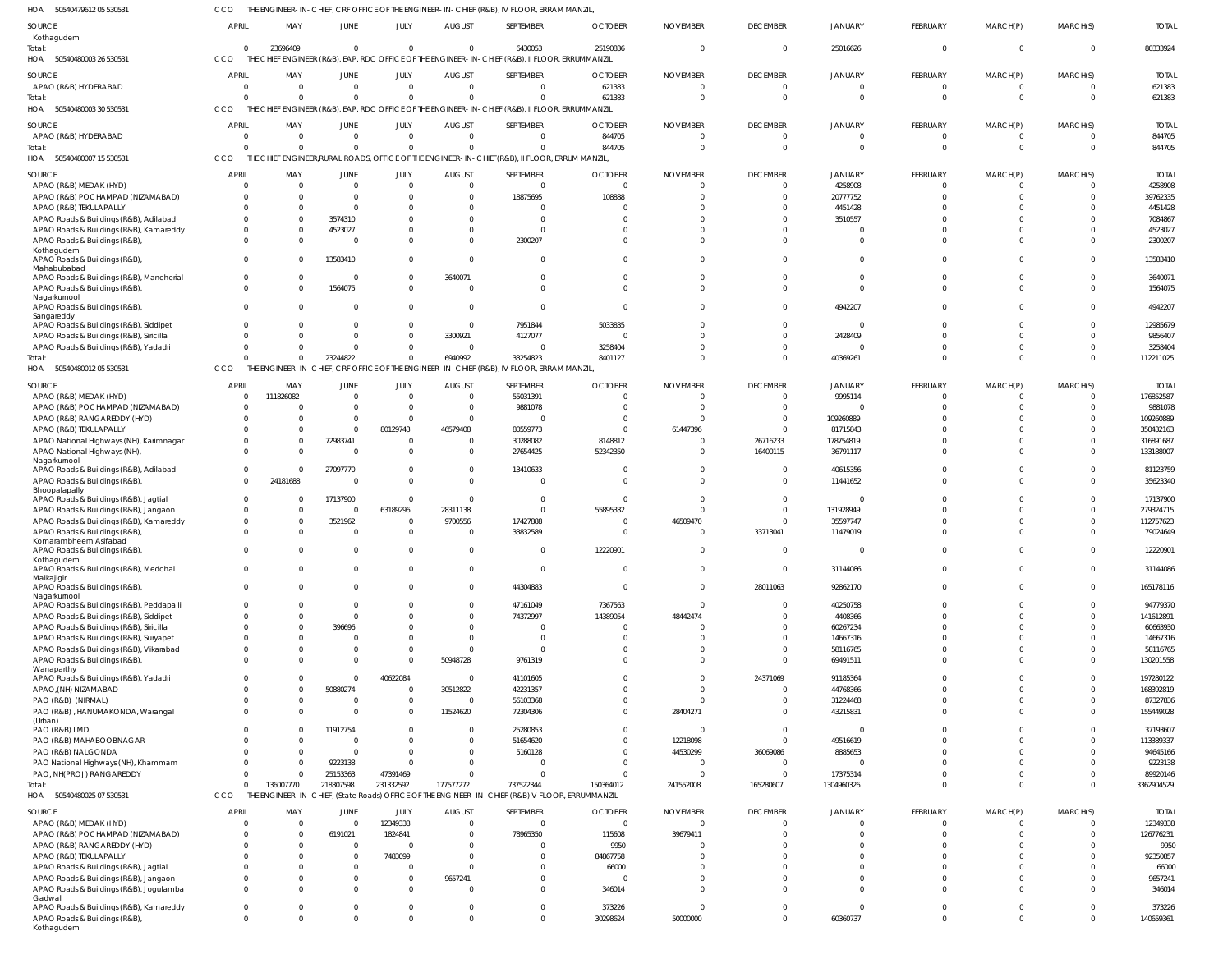50540479612 05 530531 HOA CCO THE ENGINEER-IN-CHIEF, CRF OFFICE OF THE ENGINEER-IN-CHIEF (R&B), IV FLOOR, ERRAM MANZIL,

| <b>SOURCE</b><br>Kothagudem                                                            | APRIL                                      | MAY                         | JUNE                                    | JULY                            | <b>AUGUST</b>                         | SEPTEMBER                                                                                        | <b>OCTOBER</b>                     | <b>NOVEMBER</b>               | <b>DECEMBER</b>                               | <b>JANUARY</b>                         | FEBRUARY                         | MARCH(P)                            | MARCH(S)                         | <b>TOTAL</b>                     |
|----------------------------------------------------------------------------------------|--------------------------------------------|-----------------------------|-----------------------------------------|---------------------------------|---------------------------------------|--------------------------------------------------------------------------------------------------|------------------------------------|-------------------------------|-----------------------------------------------|----------------------------------------|----------------------------------|-------------------------------------|----------------------------------|----------------------------------|
| Total:<br>HOA 50540480003 26 530531                                                    | $\Omega$<br>CCO                            | 23696409<br>THE CHIEF       | $\overline{0}$                          | $\Omega$                        | $\Omega$                              | 6430053<br>ENGINEER (R&B), EAP, RDC OFFICE OF THE ENGINEER-IN-CHIEF (R&B), II FLOOR, ERRUMMANZIL | 25190836                           |                               | $\overline{0}$                                | 25016626                               | $\mathbf 0$                      | $\mathbf{0}$                        | $\mathbf 0$                      | 80333924                         |
| SOURCE<br>APAO (R&B) HYDERABAD<br>Total:                                               | <b>APRIL</b><br>$\overline{0}$<br>$\Omega$ | MAY<br>$\Omega$<br>$\Omega$ | <b>JUNE</b><br>$\mathbf{0}$<br>$\Omega$ | JULY<br>$\mathbf 0$<br>$\Omega$ | <b>AUGUST</b><br>$\Omega$<br>$\Omega$ | SEPTEMBER<br>$\mathbf{0}$<br>$\Omega$                                                            | <b>OCTOBER</b><br>621383<br>621383 | <b>NOVEMBER</b><br>$\Omega$   | <b>DECEMBER</b><br>$\overline{0}$<br>$\Omega$ | <b>JANUARY</b><br>$\Omega$<br>$\Omega$ | FEBRUARY<br>$\Omega$<br>$\Omega$ | MARCH(P)<br>$\mathbf 0$<br>$\Omega$ | MARCH(S)<br>$\Omega$<br>$\Omega$ | <b>TOTAL</b><br>621383<br>621383 |
| HOA 50540480003 30 530531                                                              | CCO                                        |                             |                                         |                                 |                                       | THE CHIEF ENGINEER (R&B), EAP, RDC OFFICE OF THE ENGINEER-IN-CHIEF (R&B), II FLOOR, ERRUMMANZIL  |                                    |                               |                                               |                                        |                                  |                                     |                                  |                                  |
| <b>SOURCE</b>                                                                          | APRIL                                      | MAY                         | JUNE                                    | JULY                            | <b>AUGUST</b>                         | SEPTEMBER                                                                                        | <b>OCTOBER</b>                     | <b>NOVEMBER</b>               | <b>DECEMBER</b>                               | <b>JANUARY</b>                         | FEBRUARY                         | MARCH(P)                            | MARCH(S)                         | <b>TOTAL</b>                     |
| APAO (R&B) HYDERABAD<br>Total:                                                         | $\overline{0}$<br>$\Omega$                 | $\Omega$<br>$\Omega$        | $\mathbf{0}$<br>$\Omega$                | $\mathbf 0$<br>$\Omega$         | $\Omega$<br>$\Omega$                  | $\mathbf{0}$<br>$\Omega$                                                                         | 844705<br>844705                   | $\Omega$<br>$\Omega$          | $\overline{0}$<br>$\Omega$                    | $\Omega$<br>$\Omega$                   | $\Omega$<br>$\Omega$             | $^{\circ}$<br>$\mathbf 0$           | $\Omega$<br>$\Omega$             | 844705<br>844705                 |
| HOA 50540480007 15 530531                                                              | <b>CCO</b>                                 |                             |                                         |                                 |                                       | THE CHIEF ENGINEER, RURAL ROADS, OFFICE OF THE ENGINEER-IN-CHIEF (R&B), II FLOOR, ERRUM MANZIL,  |                                    |                               |                                               |                                        |                                  |                                     |                                  |                                  |
| <b>SOURCE</b>                                                                          | <b>APRIL</b>                               | MAY                         | <b>JUNE</b>                             | JULY                            | <b>AUGUST</b>                         | SEPTEMBER                                                                                        | <b>OCTOBER</b>                     | <b>NOVEMBER</b>               | <b>DECEMBER</b>                               | <b>JANUARY</b>                         | FEBRUARY                         | MARCH(P)                            | MARCH(S)                         | <b>TOTAL</b>                     |
| APAO (R&B) MEDAK (HYD)<br>APAO (R&B) POCHAMPAD (NIZAMABAD)                             | $\Omega$<br>$\Omega$                       | - 0<br>$\Omega$             | $\Omega$<br>$\Omega$                    | $\Omega$<br>$\Omega$            | $\Omega$<br>$\Omega$                  | $\overline{0}$<br>18875695                                                                       | 108888                             |                               | $\Omega$<br>$\Omega$                          | 4258908<br>20777752                    | $\Omega$<br>$\Omega$             | $\Omega$<br>$\Omega$                |                                  | 4258908<br>39762335              |
| APAO (R&B) TEKULAPALLY                                                                 | $\Omega$                                   |                             | $\Omega$                                | $\Omega$                        | <sup>0</sup>                          | $\Omega$                                                                                         |                                    |                               | $\Omega$                                      | 4451428                                |                                  | $\Omega$                            |                                  | 4451428                          |
| APAO Roads & Buildings (R&B), Adilabad<br>APAO Roads & Buildings (R&B), Kamareddy      | $\Omega$<br>$\Omega$                       |                             | 3574310<br>4523027                      | $\Omega$<br>$\Omega$            | $\Omega$<br>$\Omega$                  | $\mathbf 0$<br>$\Omega$                                                                          |                                    |                               | $\Omega$<br>$\Omega$                          | 3510557<br>$\Omega$                    | $\Omega$<br>$\Omega$             | $\Omega$<br>$\Omega$                |                                  | 7084867<br>4523027               |
| APAO Roads & Buildings (R&B),                                                          | $\Omega$                                   |                             | - 0                                     | $\Omega$                        | $\Omega$                              | 2300207                                                                                          |                                    |                               | $\Omega$                                      | $\Omega$                               | $\Omega$                         | $\Omega$                            |                                  | 2300207                          |
| Kothagudem<br>APAO Roads & Buildings (R&B),<br>Mahabubabad                             | $\Omega$                                   |                             | 13583410                                | $\Omega$                        | $\Omega$                              | $\mathbf 0$                                                                                      |                                    |                               | $\Omega$                                      | $\Omega$                               | $\Omega$                         | $\Omega$                            | $\Omega$                         | 13583410                         |
| APAO Roads & Buildings (R&B), Mancherial                                               | $\Omega$                                   |                             | $\Omega$                                | $\Omega$                        | 3640071                               | $\Omega$                                                                                         |                                    |                               | $\Omega$                                      | $\Omega$                               | $\Omega$                         | $\Omega$                            | $\Omega$                         | 3640071                          |
| APAO Roads & Buildings (R&B),<br>Nagarkurnool                                          | $\Omega$                                   |                             | 1564075                                 | $\Omega$                        | $\Omega$                              | $\Omega$                                                                                         |                                    |                               | $\Omega$                                      | $\Omega$                               | $\Omega$                         | $\Omega$                            | $\Omega$                         | 1564075                          |
| APAO Roads & Buildings (R&B),<br>Sangareddy                                            | $\Omega$                                   |                             | $\Omega$                                | $\Omega$                        | $\Omega$                              | $\Omega$                                                                                         |                                    |                               | $\Omega$                                      | 4942207                                | $\Omega$                         | $\Omega$                            | $\Omega$                         | 4942207                          |
| APAO Roads & Buildings (R&B), Siddipet                                                 | $\Omega$                                   | $\Omega$                    | $\Omega$                                | $\mathbf 0$                     | $\Omega$                              | 7951844                                                                                          | 5033835                            |                               | $\Omega$                                      | $\Omega$                               | $\Omega$                         | $\Omega$                            | $\Omega$                         | 12985679                         |
| APAO Roads & Buildings (R&B), Siricilla<br>APAO Roads & Buildings (R&B), Yadadri       | $\Omega$<br>$\Omega$                       |                             | $\Omega$                                | $\Omega$<br>$\Omega$            | 3300921<br>$\Omega$                   | 4127077<br>$\overline{0}$                                                                        | 3258404                            |                               | $\Omega$<br>$\Omega$                          | 2428409<br>$\Omega$                    | $\Omega$<br>$\Omega$             | $\Omega$<br>$\Omega$                | $\Omega$                         | 9856407<br>3258404               |
| Total:                                                                                 | $\Omega$                                   | $\Omega$                    | 23244822                                | $\mathbf 0$                     | 6940992                               | 33254823                                                                                         | 8401127                            |                               | $\Omega$                                      | 40369261                               | $\Omega$                         | $\Omega$                            | $\Omega$                         | 112211025                        |
| HOA 50540480012 05 530531                                                              | CCO                                        |                             |                                         |                                 |                                       | THE ENGINEER-IN-CHIEF, CRF OFFICE OF THE ENGINEER-IN-CHIEF (R&B), IV FLOOR, ERRAM MANZIL         |                                    |                               |                                               |                                        |                                  |                                     |                                  |                                  |
| <b>SOURCE</b>                                                                          | <b>APRIL</b>                               | MAY                         | <b>JUNE</b>                             | JULY                            | <b>AUGUST</b>                         | SEPTEMBER                                                                                        | <b>OCTOBER</b>                     | <b>NOVEMBER</b>               | <b>DECEMBER</b>                               | <b>JANUARY</b>                         | FEBRUARY                         | MARCH(P)                            | MARCH(S)                         | <b>TOTAL</b>                     |
| APAO (R&B) MEDAK (HYD)<br>APAO (R&B) POCHAMPAD (NIZAMABAD)                             | $\Omega$<br>$\Omega$                       | 111826082<br>$\Omega$       | $\Omega$<br>$\Omega$                    | $\Omega$<br>$\Omega$            | $\Omega$<br>$\Omega$                  | 55031391<br>9881078                                                                              |                                    | $\Omega$                      | $\overline{0}$<br>$\overline{0}$              | 9995114<br>$\Omega$                    | $\mathbf 0$<br>$\Omega$          | $\Omega$<br>$\Omega$                | $\Omega$<br>$\Omega$             | 176852587<br>9881078             |
| APAO (R&B) RANGAREDDY (HYD)                                                            | $\Omega$                                   | $\Omega$                    | $\overline{0}$                          | $\Omega$                        | $\Omega$                              | $\overline{0}$                                                                                   |                                    |                               | $\overline{0}$                                | 109260889                              |                                  |                                     |                                  | 109260889                        |
| APAO (R&B) TEKULAPALLY                                                                 | $\Omega$                                   | $\Omega$                    | $\Omega$                                | 80129743                        | 46579408                              | 80559773                                                                                         |                                    | 61447396                      | $\Omega$                                      | 81715843                               | $\Omega$                         | $\Omega$                            |                                  | 350432163                        |
| APAO National Highways (NH), Karimnagar<br>APAO National Highways (NH)                 | $\Omega$<br>$\Omega$                       | $\Omega$<br>$\Omega$        | 72983741<br>$\Omega$                    | $\Omega$<br>$\mathbf 0$         | $\Omega$<br>$\Omega$                  | 30288082<br>27654425                                                                             | 8148812<br>52342350                |                               | 26716233<br>16400115                          | 178754819<br>36791117                  | $\Omega$<br>$\Omega$             | $\Omega$<br>$\Omega$                | $\Omega$<br>$\Omega$             | 316891687<br>133188007           |
| Nagarkurnool                                                                           |                                            |                             |                                         |                                 |                                       |                                                                                                  |                                    |                               |                                               |                                        |                                  |                                     |                                  |                                  |
| APAO Roads & Buildings (R&B), Adilabad<br>APAO Roads & Buildings (R&B),                | $\mathbf 0$<br>$\Omega$                    | - 0<br>24181688             | 27097770<br>$\Omega$                    | $\Omega$<br>$\mathbf 0$         | $\Omega$<br>$\Omega$                  | 13410633<br>$\mathbf{0}$                                                                         | $\Omega$                           |                               | $\Omega$<br>$\overline{0}$                    | 40615356<br>11441652                   | $\Omega$<br>$\Omega$             | $\Omega$<br>$\Omega$                | $\Omega$<br>$\Omega$             | 81123759<br>35623340             |
| Bhoopalapally<br>APAO Roads & Buildings (R&B), Jagtial                                 | $\Omega$                                   |                             | 17137900                                | $\Omega$                        | $\Omega$                              | $\mathbf{0}$                                                                                     |                                    |                               | $\Omega$                                      | $\Omega$                               |                                  | $\Omega$                            |                                  | 17137900                         |
| APAO Roads & Buildings (R&B), Jangaon                                                  | $\Omega$                                   | $\Omega$                    |                                         | 63189296                        | 28311138                              | $\mathbf 0$                                                                                      | 55895332                           |                               | $\Omega$                                      | 131928949                              | $\Omega$                         | $\Omega$                            | $\Omega$                         | 279324715                        |
| APAO Roads & Buildings (R&B), Kamareddy                                                | $^{\circ}$                                 | $\Omega$                    | 3521962                                 | $\Omega$                        | 9700556                               | 17427888                                                                                         |                                    | 46509470                      | $\overline{0}$                                | 35597747                               | $\Omega$                         | $\Omega$                            |                                  | 112757623                        |
| APAO Roads & Buildings (R&B)<br>Komarambheem Asifabad<br>APAO Roads & Buildings (R&B), | $\Omega$<br>$\Omega$                       | $\Omega$                    | $\Omega$<br>$\Omega$                    | $\mathbf 0$<br>$\Omega$         | $\Omega$<br>$\Omega$                  | 33832589<br>$\Omega$                                                                             | $\Omega$<br>12220901               |                               | 33713041<br>$\Omega$                          | 11479019<br>$\Omega$                   | $\Omega$<br>$\Omega$             | $\Omega$<br>$\Omega$                | $\Omega$                         | 79024649<br>12220901             |
| Kothagudem<br>APAO Roads & Buildings (R&B), Medchal                                    | $\overline{0}$                             | $\cap$                      | $\mathbf 0$                             | $\Omega$                        | $\Omega$                              | $\overline{0}$                                                                                   | $\Omega$                           | $\Omega$                      | $\overline{0}$                                | 31144086                               | $\mathbf{0}$                     | $\Omega$                            | $\mathbf 0$                      | 31144086                         |
| Malkajigiri<br>APAO Roads & Buildings (R&B),                                           | $\mathbf{0}$                               | $\cap$                      | $\Omega$                                | $\Omega$                        | $\Omega$                              | 44304883                                                                                         | $\Omega$                           |                               | 28011063                                      | 92862170                               | $\mathbf 0$                      | $\mathbf 0$                         | $\Omega$                         | 165178116                        |
| Nagarkurnool                                                                           |                                            |                             |                                         |                                 |                                       |                                                                                                  |                                    |                               |                                               |                                        |                                  |                                     |                                  |                                  |
| APAO Roads & Buildings (R&B), Peddapalli<br>APAO Roads & Buildings (R&B), Siddipet     | $\mathbf 0$<br>$\Omega$                    |                             | $\Omega$<br>$\Omega$                    | $\Omega$<br>$\Omega$            | $\Omega$<br>$\Omega$                  | 47161049<br>74372997                                                                             | 7367563<br>14389054                | 48442474                      | $\overline{0}$<br>$\Omega$                    | 40250758<br>4408366                    | $\Omega$<br>$\Omega$             | $\Omega$<br>$\Omega$                |                                  | 94779370<br>141612891            |
| APAO Roads & Buildings (R&B), Siricilla                                                | $\Omega$                                   | $\Omega$                    | 396696                                  | $\Omega$                        | $\Omega$                              | $\overline{0}$                                                                                   |                                    |                               | $\Omega$                                      | 60267234                               | $\Omega$                         | $\Omega$                            |                                  | 60663930                         |
| APAO Roads & Buildings (R&B), Suryapet                                                 | $\Omega$                                   |                             | $\Omega$                                | $\Omega$                        | $\Omega$                              | $\mathbf{0}$                                                                                     | $\Omega$                           |                               | $\Omega$                                      | 14667316                               | $\Omega$                         | $\Omega$                            |                                  | 14667316                         |
| APAO Roads & Buildings (R&B), Vikarabad                                                | $\Omega$                                   | $\cap$<br>$\cap$            | $\Omega$                                | $\mathbf 0$<br>$\Omega$         | $\Omega$                              | $\mathbf 0$                                                                                      | $\Omega$<br>$\Omega$               |                               | $\Omega$<br>$\Omega$                          | 58116765                               | $\Omega$<br>$\Omega$             | $\Omega$<br>$\Omega$                | $\Omega$                         | 58116765                         |
| APAO Roads & Buildings (R&B),<br>Wanaparthy                                            | $\Omega$                                   |                             | $\Omega$                                |                                 | 50948728                              | 9761319                                                                                          |                                    |                               |                                               | 69491511                               |                                  |                                     |                                  | 130201558                        |
| APAO Roads & Buildings (R&B), Yadadri                                                  | $\mathbf 0$                                |                             | $\Omega$                                | 40622084                        | $\Omega$                              | 41101605                                                                                         | $\Omega$                           |                               | 24371069                                      | 91185364                               | $\Omega$                         | $\Omega$                            |                                  | 197280122                        |
| APAO, (NH) NIZAMABAD<br>PAO (R&B) (NIRMAL)                                             | $\Omega$<br>$\Omega$                       | $\cap$<br>$\Omega$          | 50880274<br>$\mathbf 0$                 | $\Omega$<br>$\mathbf 0$         | 30512822<br>$\Omega$                  | 42231357<br>56103368                                                                             | $\Omega$<br>$\Omega$               | $\Omega$                      | $\overline{0}$<br>$\mathbf 0$                 | 44768366<br>31224468                   | $\Omega$<br>$\Omega$             | $\Omega$<br>$\Omega$                |                                  | 168392819<br>87327836            |
| PAO (R&B), HANUMAKONDA, Warangal                                                       | $\Omega$                                   | $\cap$                      | $\Omega$                                | $\mathbf 0$                     | 11524620                              | 72304306                                                                                         | $\Omega$                           | 28404271                      | $\overline{0}$                                | 43215831                               | $\Omega$                         | $\Omega$                            |                                  | 155449028                        |
| (Urban)<br>PAO (R&B) LMD                                                               | $\Omega$                                   | $\Omega$                    | 11912754                                | $\mathbf 0$                     | $\Omega$                              | 25280853                                                                                         | $\Omega$                           |                               | $\overline{0}$                                | $\Omega$                               | $\Omega$                         | $\Omega$                            |                                  | 37193607                         |
| PAO (R&B) MAHABOOBNAGAR                                                                | $\Omega$                                   | $\Omega$                    | $\Omega$                                | $\mathbf 0$                     | $\Omega$                              | 51654620                                                                                         | $\Omega$                           | 12218098                      | $\overline{0}$                                | 49516619                               | $\Omega$                         | $\Omega$                            |                                  | 113389337                        |
| PAO (R&B) NALGONDA                                                                     | $\Omega$                                   | $\Omega$                    | $\Omega$                                | $\Omega$                        | $\Omega$                              | 5160128                                                                                          | $\Omega$                           | 44530299                      | 36069086                                      | 8885653                                | $\Omega$                         | $\Omega$                            |                                  | 94645166                         |
| PAO National Highways (NH), Khammam<br>PAO, NH(PROJ) RANGAREDDY                        | $\Omega$<br>$\Omega$                       | $\cap$                      | 9223138<br>25153363                     | $\Omega$<br>47391469            | $\Omega$<br>$\Omega$                  | $\overline{0}$<br>$\mathbf 0$                                                                    | $\Omega$<br>$\Omega$               | $\Omega$                      | $\overline{\mathbf{0}}$<br>$\Omega$           | $\mathbf{0}$<br>17375314               | $\Omega$<br>$\Omega$             | $\Omega$<br>$\Omega$                |                                  | 9223138<br>89920146              |
| Total:                                                                                 | $\Omega$                                   | 136007770                   | 218307598                               | 231332592                       | 177577272                             | 737522344                                                                                        | 150364012                          | 241552008                     | 165280607                                     | 1304960326                             | $\Omega$                         | $\mathbf 0$                         | $\Omega$                         | 3362904529                       |
| HOA 50540480025 07 530531                                                              | CCO                                        |                             |                                         |                                 |                                       | THE ENGINEER-IN-CHIEF, (State Roads) OFFICE OF THE ENGINEER-IN-CHIEF (R&B) V FLOOR, ERRUMMANZIL  |                                    |                               |                                               |                                        |                                  |                                     |                                  |                                  |
| SOURCE<br>APAO (R&B) MEDAK (HYD)                                                       | APRIL<br>$\overline{0}$                    | MAY<br>$\Omega$             | JUNE<br>$\overline{0}$                  | JULY<br>12349338                | <b>AUGUST</b><br>$\mathbf{0}$         | SEPTEMBER<br>$\overline{0}$                                                                      | <b>OCTOBER</b><br>$\Omega$         | <b>NOVEMBER</b><br>$\sqrt{ }$ | <b>DECEMBER</b><br>$\overline{0}$             | JANUARY<br>$\mathbf 0$                 | FEBRUARY<br>$\mathbf 0$          | MARCH(P)<br>$\mathbf 0$             | MARCH(S)<br>$\Omega$             | <b>TOTAL</b><br>12349338         |
| APAO (R&B) POCHAMPAD (NIZAMABAD)                                                       | $\mathbf{0}$                               | - 0                         | 6191021                                 | 1824841                         | $\Omega$                              | 78965350                                                                                         | 115608                             | 39679411                      | $\overline{0}$                                | $\Omega$                               | $\mathbf 0$                      | $\mathbf 0$                         | $\Omega$                         | 126776231                        |
| APAO (R&B) RANGAREDDY (HYD)                                                            | $\mathbf 0$                                | $\Omega$                    | $\overline{0}$                          | $\Omega$                        | $\Omega$                              | $\overline{0}$                                                                                   | 9950                               |                               | $\Omega$                                      | $\Omega$                               | $\Omega$                         | $\mathbf 0$                         |                                  | 9950                             |
| APAO (R&B) TEKULAPALLY                                                                 | $\Omega$                                   |                             | $\mathbf 0$                             | 7483099                         | $\Omega$                              | $\overline{0}$                                                                                   | 84867758                           |                               | $\Omega$                                      | $\Omega$                               | $\Omega$                         | $\Omega$                            |                                  | 92350857                         |
| APAO Roads & Buildings (R&B), Jagtial<br>APAO Roads & Buildings (R&B), Jangaon         | $\Omega$<br>$\Omega$                       | $\cap$<br>$\cap$            | $\mathbf 0$<br>$\Omega$                 | $\mathbf 0$<br>$\mathbf 0$      | $\Omega$<br>9657241                   | $\overline{0}$<br>$\mathbf 0$                                                                    | 66000                              |                               | $\Omega$<br>$\Omega$                          | $\mathbf 0$<br>$\Omega$                | $\Omega$<br>$\Omega$             | $\Omega$<br>$\Omega$                |                                  | 66000<br>9657241                 |
| APAO Roads & Buildings (R&B), Jogulamba                                                | $\mathbf{0}$                               | $\cap$                      | $\Omega$                                | $\mathbf 0$                     | $\Omega$                              | $\overline{0}$                                                                                   | 346014                             |                               | $\Omega$                                      | $\Omega$                               | $\Omega$                         | $\Omega$                            |                                  | 346014                           |
| Gadwal<br>APAO Roads & Buildings (R&B), Kamareddy                                      | $\mathbf{0}$                               | $\Omega$                    | $\mathbf 0$                             | $\mathbf 0$                     | $\Omega$                              | $\overline{0}$                                                                                   | 373226                             |                               | $\Omega$                                      | $\overline{0}$                         | $\mathbf 0$                      | $\mathbf 0$                         | $\Omega$                         | 373226                           |
| APAO Roads & Buildings (R&B),<br>Kothagudem                                            | $\mathbf 0$                                | $\cap$                      | $\mathbf 0$                             | $\mathbf 0$                     | $\Omega$                              | $\overline{0}$                                                                                   | 30298624                           | 50000000                      | $\overline{0}$                                | 60360737                               | $\mathbf 0$                      | $\mathbf 0$                         | $\Omega$                         | 140659361                        |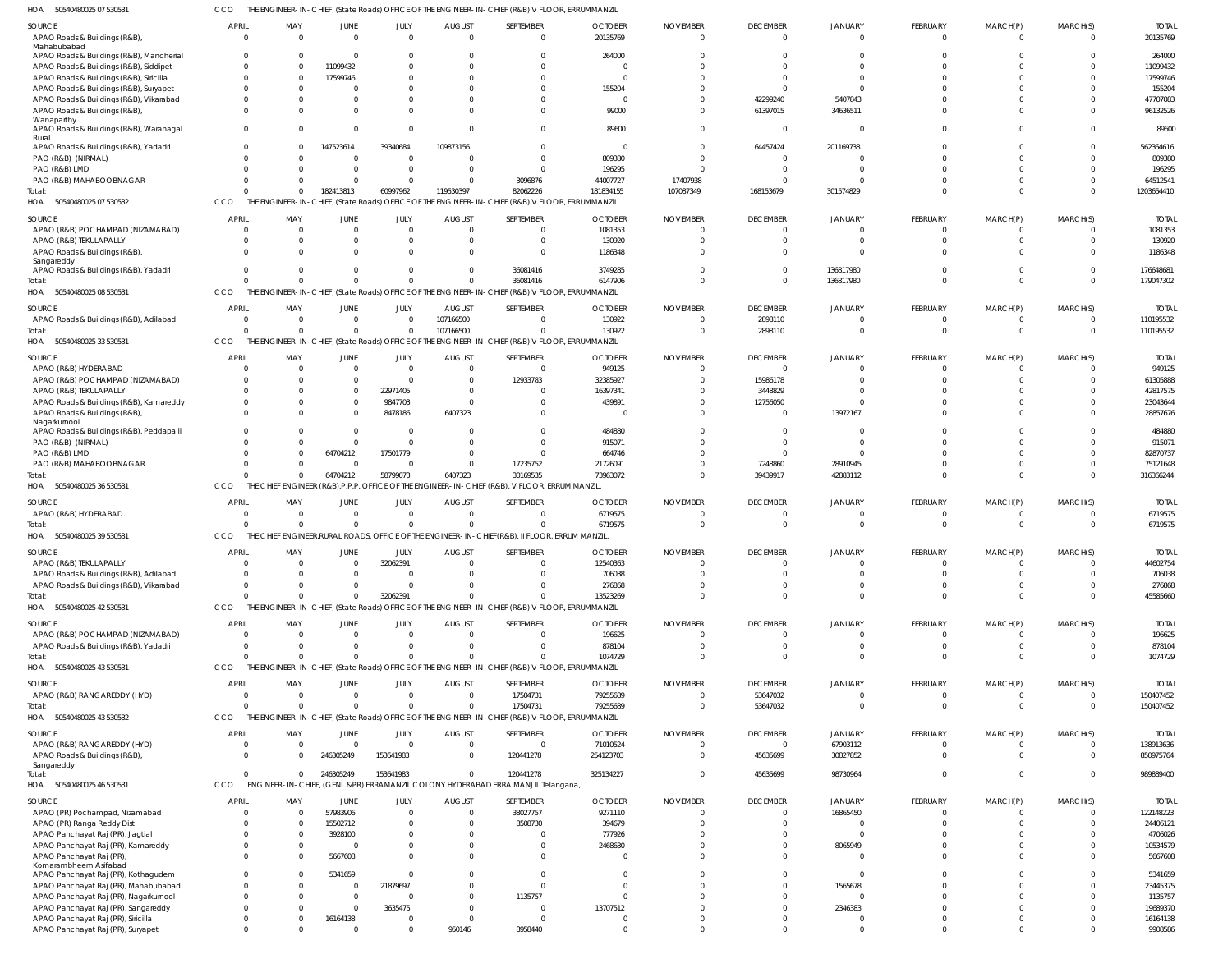50540480025 07 530531 HOA CCO THE ENGINEER-IN-CHIEF, (State Roads) OFFICE OF THE ENGINEER-IN-CHIEF (R&B) V FLOOR, ERRUMMANZIL

| SOURCE<br>APAO Roads & Buildings (R&B),<br>Mahabubabad                            | <b>APRIL</b><br>$\Omega$ | MAY<br>$\Omega$            | JUNE        | JULY<br>$\overline{0}$<br>$\overline{0}$        | <b>AUGUST</b><br>$\Omega$        | SEPTEMBER<br>$\overline{0}$                                                                                 | <b>OCTOBER</b><br>20135769 | <b>NOVEMBER</b><br>$\Omega$ | <b>DECEMBER</b><br>$\Omega$ | JANUARY<br>$\Omega$        | <b>FEBRUARY</b><br>$\overline{0}$ | MARCH(P)<br>$\mathbf{0}$ | MARCH(S)<br>$\Omega$ | <b>TOTAL</b><br>20135769  |
|-----------------------------------------------------------------------------------|--------------------------|----------------------------|-------------|-------------------------------------------------|----------------------------------|-------------------------------------------------------------------------------------------------------------|----------------------------|-----------------------------|-----------------------------|----------------------------|-----------------------------------|--------------------------|----------------------|---------------------------|
| APAO Roads & Buildings (R&B), Mancherial                                          | - 0                      | $\Omega$                   |             | $\Omega$<br>$\Omega$                            |                                  | $\Omega$                                                                                                    | 264000                     |                             |                             |                            | $\Omega$                          |                          |                      | 264000                    |
| APAO Roads & Buildings (R&B), Siddipet                                            |                          | $\Omega$                   | 11099432    | $\Omega$                                        |                                  | $\Omega$                                                                                                    |                            |                             |                             |                            |                                   |                          |                      | 11099432                  |
| APAO Roads & Buildings (R&B), Siricilla                                           |                          | $\Omega$                   | 17599746    | $\Omega$                                        |                                  | $\Omega$                                                                                                    |                            |                             |                             |                            |                                   |                          | $\Omega$             | 17599746                  |
| APAO Roads & Buildings (R&B), Suryapet<br>APAO Roads & Buildings (R&B), Vikarabad |                          | $\Omega$<br>$\Omega$       |             | $\Omega$<br>$\Omega$<br>$\Omega$<br>$\Omega$    |                                  | $\Omega$<br>$\Omega$                                                                                        | 155204                     |                             | 42299240                    | 5407843                    |                                   |                          | $\Omega$             | 155204<br>47707083        |
| APAO Roads & Buildings (R&B),                                                     |                          | <sup>0</sup>               |             | $\Omega$<br>$\Omega$                            |                                  | $\Omega$                                                                                                    | 99000                      |                             | 61397015                    | 34636511                   | $\Omega$                          | <sup>0</sup>             | $\Omega$             | 96132526                  |
| Wanaparthy<br>APAO Roads & Buildings (R&B), Waranagal                             | $\Omega$                 | $\Omega$                   |             | $\Omega$                                        | $\mathbf 0$                      | $\Omega$                                                                                                    | 89600                      |                             | $\overline{0}$              | $\Omega$                   | $\Omega$                          | <sup>0</sup>             | $\Omega$             | 89600                     |
| Rural<br>APAO Roads & Buildings (R&B), Yadadri                                    |                          | $\Omega$                   | 147523614   | 39340684                                        | 109873156                        | $\Omega$                                                                                                    | - 0                        |                             | 64457424                    | 201169738                  |                                   | $\Omega$                 | $\Omega$             | 562364616                 |
| PAO (R&B) (NIRMAL)                                                                |                          | $\Omega$                   |             | $\Omega$<br>$\overline{0}$                      |                                  | $\Omega$                                                                                                    | 809380                     |                             | $\Omega$                    |                            |                                   |                          | $\Omega$             | 809380                    |
| PAO (R&B) LMD                                                                     |                          | $\Omega$                   |             | $\overline{0}$<br>$\Omega$                      |                                  | $\Omega$                                                                                                    | 196295                     |                             |                             |                            | $\Omega$                          | $\Omega$                 | $\Omega$             | 196295                    |
| PAO (R&B) MAHABOOBNAGAR                                                           |                          | $\Omega$                   |             | $\Omega$<br>$\Omega$                            |                                  | 3096876                                                                                                     | 44007727                   | 17407938                    |                             |                            |                                   | $\Omega$                 | $\Omega$             | 64512541                  |
| Total:<br>HOA 50540480025 07 530532                                               | CCO                      | $\Omega$                   | 182413813   | 60997962                                        | 119530397                        | 82062226<br>THE ENGINEER-IN-CHIEF, (State Roads) OFFICE OF THE ENGINEER-IN-CHIEF (R&B) V FLOOR, ERRUMMANZIL | 181834155                  | 107087349                   | 168153679                   | 301574829                  | $\Omega$                          | $\Omega$                 | $\Omega$             | 1203654410                |
|                                                                                   |                          |                            |             |                                                 |                                  |                                                                                                             |                            |                             |                             |                            |                                   |                          |                      |                           |
| SOURCE                                                                            | <b>APRII</b>             | MAY                        | <b>JUNE</b> | JULY<br>$\Omega$                                | <b>AUGUST</b>                    | SEPTEMBER                                                                                                   | <b>OCTOBER</b>             | <b>NOVEMBER</b>             | <b>DECEMBER</b>             | JANUARY                    | FEBRUARY                          | MARCH(P)                 | MARCH(S)             | <b>TOTAI</b>              |
| APAO (R&B) POCHAMPAD (NIZAMABAD)<br>APAO (R&B) TEKULAPALLY                        |                          | $\Omega$<br>$\Omega$       |             | $\Omega$<br>$\Omega$<br>$\Omega$                |                                  | $\Omega$<br>$\Omega$                                                                                        | 1081353<br>130920          |                             |                             | $\Omega$                   | $\Omega$<br>$\Omega$              | $\Omega$                 | $\Omega$             | 1081353<br>130920         |
| APAO Roads & Buildings (R&B),                                                     |                          | <sup>0</sup>               |             | $\Omega$<br>$\Omega$                            |                                  | $\Omega$                                                                                                    | 1186348                    |                             |                             |                            | $\Omega$                          |                          |                      | 1186348                   |
| Sangareddy                                                                        |                          |                            |             |                                                 |                                  |                                                                                                             |                            |                             |                             |                            |                                   |                          |                      |                           |
| APAO Roads & Buildings (R&B), Yadadri                                             |                          |                            |             | $\Omega$<br>$\Omega$<br>$\Omega$<br>$\Omega$    |                                  | 36081416<br>36081416                                                                                        | 3749285<br>6147906         |                             | $\Omega$                    | 136817980<br>136817980     | $\Omega$                          | $\Omega$<br>$\Omega$     | $\Omega$             | 176648681<br>179047302    |
| Total:<br>50540480025 08 530531<br>HOA                                            | CCO                      | THE E<br>NGINEER-IN-CHIEF, |             |                                                 |                                  | , (State Roads) OFFICE OF THE ENGINEER-IN-CHIEF (R&B) V FLOOR, ERRUMMANZIL                                  |                            |                             |                             |                            |                                   |                          |                      |                           |
|                                                                                   |                          |                            |             |                                                 |                                  |                                                                                                             |                            |                             |                             |                            |                                   |                          |                      |                           |
| SOURCE<br>APAO Roads & Buildings (R&B), Adilabad                                  | <b>APRIL</b><br>$\Omega$ | MAY<br>$\Omega$            | <b>JUNE</b> | JULY<br>$\mathbf{0}$<br>$\overline{0}$          | <b>AUGUST</b><br>107166500       | SEPTEMBER<br>$\Omega$                                                                                       | <b>OCTOBER</b><br>130922   | <b>NOVEMBER</b><br>- 0      | <b>DECEMBER</b><br>2898110  | JANUARY<br>$\Omega$        | <b>FEBRUARY</b><br>$\overline{0}$ | MARCH(P)<br>$\Omega$     | MARCH(S)<br>$\Omega$ | <b>TOTAI</b><br>110195532 |
| Total:                                                                            |                          | $\Omega$                   |             | $\Omega$                                        | 107166500<br>$\Omega$            | $\Omega$                                                                                                    | 130922                     |                             | 2898110                     | $\Omega$                   | $\Omega$                          | $\Omega$                 | $\Omega$             | 110195532                 |
| HOA 50540480025 33 530531                                                         | CCO                      |                            |             |                                                 |                                  | THE ENGINEER-IN-CHIEF, (State Roads) OFFICE OF THE ENGINEER-IN-CHIEF (R&B) V FLOOR, ERRUMMANZIL             |                            |                             |                             |                            |                                   |                          |                      |                           |
| SOURCE                                                                            | <b>APRIL</b>             | MAY                        | <b>JUNE</b> | JULY                                            | <b>AUGUST</b>                    | SEPTEMBER                                                                                                   | <b>OCTOBER</b>             | <b>NOVEMBER</b>             | <b>DECEMBER</b>             | JANUARY                    | FEBRUARY                          | MARCH(P)                 | MARCH(S)             | <b>TOTAI</b>              |
| APAO (R&B) HYDERABAD                                                              |                          | $\Omega$                   |             | $\Omega$<br>$\Omega$                            | $\Omega$                         | $\Omega$                                                                                                    | 949125                     |                             | 0                           | 0                          | $\Omega$                          | 0                        | $\Omega$             | 949125                    |
| APAO (R&B) POCHAMPAD (NIZAMABAD)                                                  |                          | <sup>0</sup>               |             | $\Omega$<br>$\Omega$                            |                                  | 12933783                                                                                                    | 32385927                   |                             | 15986178                    |                            |                                   |                          |                      | 61305888                  |
| APAO (R&B) TEKULAPALLY                                                            |                          | $\Omega$                   |             | 22971405<br>$\Omega$                            |                                  | $\Omega$                                                                                                    | 16397341                   |                             | 3448829                     |                            |                                   |                          |                      | 42817575                  |
| APAO Roads & Buildings (R&B), Kamareddy                                           |                          | $\Omega$                   |             | 9847703<br>$\Omega$                             |                                  | $\Omega$                                                                                                    | 439891                     |                             | 12756050                    | $\Omega$                   | $\Omega$                          |                          |                      | 23043644                  |
| APAO Roads & Buildings (R&B),<br>Nagarkurnool                                     |                          | <sup>0</sup>               |             | $\Omega$<br>8478186                             | 6407323                          | $\Omega$                                                                                                    |                            |                             | 0                           | 13972167                   | $\Omega$                          |                          |                      | 28857676                  |
| APAO Roads & Buildings (R&B), Peddapalli                                          |                          |                            |             | $\Omega$<br>$\Omega$                            |                                  | $\Omega$                                                                                                    | 484880                     |                             |                             |                            |                                   |                          |                      | 484880                    |
| PAO (R&B) (NIRMAL)                                                                |                          |                            |             | $\Omega$<br>$\Omega$                            |                                  | $\Omega$                                                                                                    | 915071                     |                             | 0                           |                            |                                   |                          |                      | 915071                    |
| PAO (R&B) LMD                                                                     |                          |                            | 64704212    | 17501779                                        |                                  | $\Omega$                                                                                                    | 664746                     |                             |                             |                            |                                   |                          |                      | 82870737                  |
| PAO (R&B) MAHABOOBNAGAR<br>Total:                                                 |                          | $\Omega$<br>$\Omega$       | 64704212    | $\Omega$<br>$\Omega$<br>58799073                | 6407323                          | 17235752<br>30169535                                                                                        | 21726091<br>73963072       |                             | 7248860<br>39439917         | 28910945<br>42883112       | $\Omega$<br>$\Omega$              | $\Omega$                 | $\Omega$             | 75121648<br>316366244     |
| HOA 50540480025 36 530531                                                         | CCO                      |                            |             |                                                 |                                  | THE CHIEF ENGINEER (R&B), P.P.P, OFFICE OF THE ENGINEER-IN-CHIEF (R&B), V FLOOR, ERRUM MANZIL               |                            |                             |                             |                            |                                   |                          |                      |                           |
|                                                                                   | <b>APRIL</b>             |                            |             |                                                 |                                  |                                                                                                             | <b>OCTOBER</b>             |                             |                             |                            |                                   |                          |                      |                           |
| SOURCE<br>APAO (R&B) HYDERABAD                                                    |                          | MAY<br>$\Omega$            | <b>JUNE</b> | JULY<br>$\overline{0}$<br>$\mathbf{0}$          | <b>AUGUST</b><br>$\Omega$        | SEPTEMBER<br>$\overline{0}$                                                                                 | 6719575                    | <b>NOVEMBER</b>             | <b>DECEMBER</b><br>0        | JANUARY<br>$\Omega$        | <b>FEBRUARY</b><br>$\overline{0}$ | MARCH(P)<br>0            | MARCH(S)<br>$\Omega$ | <b>TOTAL</b><br>6719575   |
| Total:                                                                            |                          | $\Omega$                   |             | $\Omega$                                        | $\mathbf 0$<br>$\Omega$          | $\Omega$                                                                                                    | 6719575                    | $\Omega$                    | $\Omega$                    | $\Omega$                   | $\Omega$                          | $\Omega$                 | $\Omega$             | 6719575                   |
| HOA 50540480025 39 530531                                                         | CCO                      |                            |             |                                                 |                                  | THE CHIEF ENGINEER, RURAL ROADS, OFFICE OF THE ENGINEER-IN-CHIEF (R&B), II FLOOR, ERRUM MANZIL              |                            |                             |                             |                            |                                   |                          |                      |                           |
| SOURCE                                                                            | APRIL                    | MAY                        | JUNE        | JULY                                            | <b>AUGUST</b>                    | SEPTEMBER                                                                                                   | <b>OCTOBER</b>             | <b>NOVEMBER</b>             | <b>DECEMBER</b>             | JANUARY                    | <b>FEBRUARY</b>                   | MARCH(P)                 | MARCH(S)             | <b>TOTAI</b>              |
| APAO (R&B) TEKULAPALLY                                                            |                          |                            |             | 32062391                                        |                                  |                                                                                                             | 12540363                   |                             |                             |                            |                                   |                          |                      | 44602754                  |
| APAO Roads & Buildings (R&B), Adilabad                                            |                          | $\Omega$                   |             | $\Omega$<br>$\Omega$                            |                                  | $\Omega$                                                                                                    | 706038                     |                             |                             |                            | $\Omega$                          |                          |                      | 706038                    |
| APAO Roads & Buildings (R&B), Vikarabad                                           |                          | $\Omega$                   |             | $\Omega$<br>$\Omega$                            |                                  | $\Omega$                                                                                                    | 276868                     |                             | $\Omega$                    | $\Omega$                   | $\Omega$                          | $\Omega$                 |                      | 276868                    |
| Total:                                                                            |                          | $\Omega$                   |             | 32062391<br>$\Omega$                            |                                  | $\Omega$                                                                                                    | 13523269                   |                             | $\Omega$                    | $\Omega$                   | $\Omega$                          | $\Omega$                 | $\Omega$             | 45585660                  |
| HOA<br>50540480025 42 530531                                                      | CCO                      |                            |             |                                                 |                                  | THE ENGINEER-IN-CHIEF, (State Roads) OFFICE OF THE ENGINEER-IN-CHIEF (R&B) V FLOOR, ERRUMMANZIL             |                            |                             |                             |                            |                                   |                          |                      |                           |
| SOURCE                                                                            | <b>APRIL</b>             | MAY                        | JUNE        | JULY                                            | <b>AUGUST</b>                    | SEPTEMBER                                                                                                   | <b>OCTOBER</b>             | <b>NOVEMBER</b>             | <b>DECEMBER</b>             | <b>JANUARY</b>             | FEBRUARY                          | MARCH(P)                 | MARCH(S)             | <b>TOTAL</b>              |
| APAO (R&B) POCHAMPAD (NIZAMABAD)<br>APAO Roads & Buildings (R&B), Yadadri         | $\Omega$                 | $\Omega$<br>$\Omega$       |             | $\Omega$<br>$\Omega$<br>$\Omega$                | $\Omega$<br>$\Omega$<br>$\Omega$ | $\overline{0}$<br>$\mathbf 0$                                                                               | 196625<br>878104           | $\Omega$                    | $\Omega$<br>$\Omega$        | $\overline{0}$<br>$\Omega$ | $\overline{0}$<br>$\overline{0}$  | $\Omega$<br>$\mathbf 0$  | $\Omega$<br>$\Omega$ | 196625<br>878104          |
| Total:                                                                            |                          | $\Omega$                   |             | $\Omega$                                        | $\Omega$                         | $\Omega$                                                                                                    | 1074729                    |                             | $\Omega$                    | $\Omega$                   | $\Omega$                          | $\Omega$                 | $\Omega$             | 1074729                   |
| HOA 50540480025 43 530531                                                         | CCO                      |                            |             |                                                 |                                  | THE ENGINEER-IN-CHIEF, (State Roads) OFFICE OF THE ENGINEER-IN-CHIEF (R&B) V FLOOR, ERRUMMANZIL             |                            |                             |                             |                            |                                   |                          |                      |                           |
| SOURCE                                                                            | <b>APRIL</b>             | MAY                        | <b>JUNE</b> | JULY                                            | <b>AUGUST</b>                    | SEPTEMBER                                                                                                   | <b>OCTOBER</b>             | <b>NOVEMBER</b>             | <b>DECEMBER</b>             | <b>JANUARY</b>             | FEBRUARY                          | MARCH(P)                 | MARCH(S)             | <b>TOTAI</b>              |
| APAO (R&B) RANGAREDDY (HYD)                                                       | $\Omega$                 | $\Omega$                   |             | $\Omega$<br>$\Omega$                            | $\Omega$                         | 17504731                                                                                                    | 79255689                   |                             | 53647032                    | $\Omega$                   | $\overline{0}$                    | $\mathbf{0}$             | $\Omega$             | 150407452                 |
| Total:                                                                            |                          | $\Omega$                   |             | $\Omega$                                        | $\Omega$<br>$\Omega$             | 17504731                                                                                                    | 79255689                   |                             | 53647032                    | $\Omega$                   | $\Omega$                          | $\Omega$                 | $\Omega$             | 150407452                 |
| HOA<br>50540480025 43 530532                                                      | CCO                      |                            |             |                                                 |                                  | THE ENGINEER-IN-CHIEF, (State Roads) OFFICE OF THE ENGINEER-IN-CHIEF (R&B) V FLOOR, ERRUMMANZIL             |                            |                             |                             |                            |                                   |                          |                      |                           |
| SOURCE                                                                            | <b>APRIL</b>             | MAY                        | JUNE        | JULY                                            | <b>AUGUST</b>                    | SEPTEMBER                                                                                                   | <b>OCTOBER</b>             | <b>NOVEMBER</b>             | <b>DECEMBER</b>             | <b>JANUARY</b>             | <b>FEBRUARY</b>                   | MARCH(P)                 | MARCH(S)             | <b>TOTAL</b>              |
| APAO (R&B) RANGAREDDY (HYD)                                                       | $\Omega$                 | $\Omega$                   |             | $\Omega$<br>$\overline{0}$                      | $\overline{0}$                   | $\overline{0}$                                                                                              | 71010524                   | $\Omega$                    | $\mathbf{0}$                | 67903112                   | $\overline{0}$                    | $\mathbf{0}$             | $\Omega$             | 138913636                 |
| APAO Roads & Buildings (R&B),                                                     | $\Omega$                 | $\Omega$                   | 246305249   | 153641983                                       | $\Omega$                         | 120441278                                                                                                   | 254123703                  |                             | 45635699                    | 30827852                   | $\Omega$                          | $\Omega$                 | $\Omega$             | 850975764                 |
| Sangareddy<br>Total:                                                              |                          | $\Omega$                   | 246305249   | 153641983                                       | $\Omega$                         | 120441278                                                                                                   | 325134227                  | $\Omega$                    | 45635699                    | 98730964                   | $\Omega$                          | $\Omega$                 | $\Omega$             | 989889400                 |
| HOA<br>50540480025 46 530531                                                      | CCO                      |                            |             |                                                 |                                  | ENGINEER-IN-CHIEF, (GENL.&PR) ERRAMANZIL COLONY HYDERABAD ERRA MANJIL Telangana                             |                            |                             |                             |                            |                                   |                          |                      |                           |
| SOURCE                                                                            | <b>APRIL</b>             | MAY                        | JUNE        | JULY                                            | <b>AUGUST</b>                    | SEPTEMBER                                                                                                   | <b>OCTOBER</b>             | <b>NOVEMBER</b>             | <b>DECEMBER</b>             | JANUARY                    | <b>FEBRUARY</b>                   | MARCH(P)                 | MARCH(S)             | <b>TOTAI</b>              |
| APAO (PR) Pochampad, Nizamabad                                                    |                          | $\Omega$                   | 57983906    | $\Omega$                                        | $\Omega$                         | 38027757                                                                                                    | 9271110                    |                             | <sup>0</sup>                | 16865450                   | $\Omega$                          | $\Omega$                 | $\Omega$             | 122148223                 |
| APAO (PR) Ranga Reddy Dist                                                        |                          | $\Omega$                   | 15502712    | $\Omega$                                        |                                  | 8508730                                                                                                     | 394679                     |                             |                             | $\Omega$                   | $\Omega$                          | $\Omega$                 |                      | 24406121                  |
| APAO Panchayat Raj (PR), Jagtial                                                  |                          | $\Omega$                   | 3928100     | $\Omega$                                        |                                  | $\Omega$                                                                                                    | 777926                     |                             |                             | $\Omega$                   | $\Omega$                          |                          |                      | 4706026                   |
| APAO Panchayat Raj (PR), Kamareddy<br>APAO Panchayat Raj (PR),                    |                          | $\Omega$                   | 5667608     | $\Omega$<br>$\Omega$<br>$\Omega$                |                                  | $\Omega$<br>$\Omega$                                                                                        | 2468630                    |                             |                             | 8065949<br>$\Omega$        | $\Omega$<br>$\Omega$              | $\Omega$<br>$\Omega$     |                      | 10534579<br>5667608       |
| Komarambheem Asifabad                                                             |                          |                            |             |                                                 |                                  |                                                                                                             |                            |                             |                             |                            |                                   |                          |                      |                           |
| APAO Panchayat Raj (PR), Kothagudem                                               |                          | $\Omega$                   | 5341659     | $\Omega$                                        |                                  | $\Omega$                                                                                                    |                            |                             |                             | $\Omega$                   | $\Omega$                          | $\Omega$                 |                      | 5341659                   |
| APAO Panchayat Raj (PR), Mahabubabad                                              |                          | <sup>0</sup>               |             | 21879697<br>$\Omega$                            |                                  | $\Omega$                                                                                                    |                            |                             |                             | 1565678                    | $\Omega$                          |                          |                      | 23445375                  |
| APAO Panchayat Raj (PR), Nagarkurnool<br>APAO Panchayat Raj (PR), Sangareddy      |                          | $\Omega$<br>$\Omega$       |             | $\Omega$<br>$\Omega$<br>3635475<br>$\mathbf{0}$ | <sup>0</sup>                     | 1135757<br>$\overline{0}$                                                                                   | 13707512                   |                             |                             | $\Omega$<br>2346383        | $\Omega$<br>$\Omega$              | $\Omega$                 |                      | 1135757<br>19689370       |
| APAO Panchayat Raj (PR), Siricilla                                                |                          | <sup>0</sup>               | 16164138    | $\Omega$                                        |                                  | $\Omega$                                                                                                    |                            |                             |                             | $\Omega$                   | $\Omega$                          | $\Omega$                 |                      | 16164138                  |
| APAO Panchayat Raj (PR), Suryapet                                                 |                          | $\Omega$                   |             | $\Omega$<br>$\Omega$                            | 950146                           | 8958440                                                                                                     |                            |                             | $\Omega$                    | $\Omega$                   | $\Omega$                          | $\Omega$                 | $\Omega$             | 9908586                   |
|                                                                                   |                          |                            |             |                                                 |                                  |                                                                                                             |                            |                             |                             |                            |                                   |                          |                      |                           |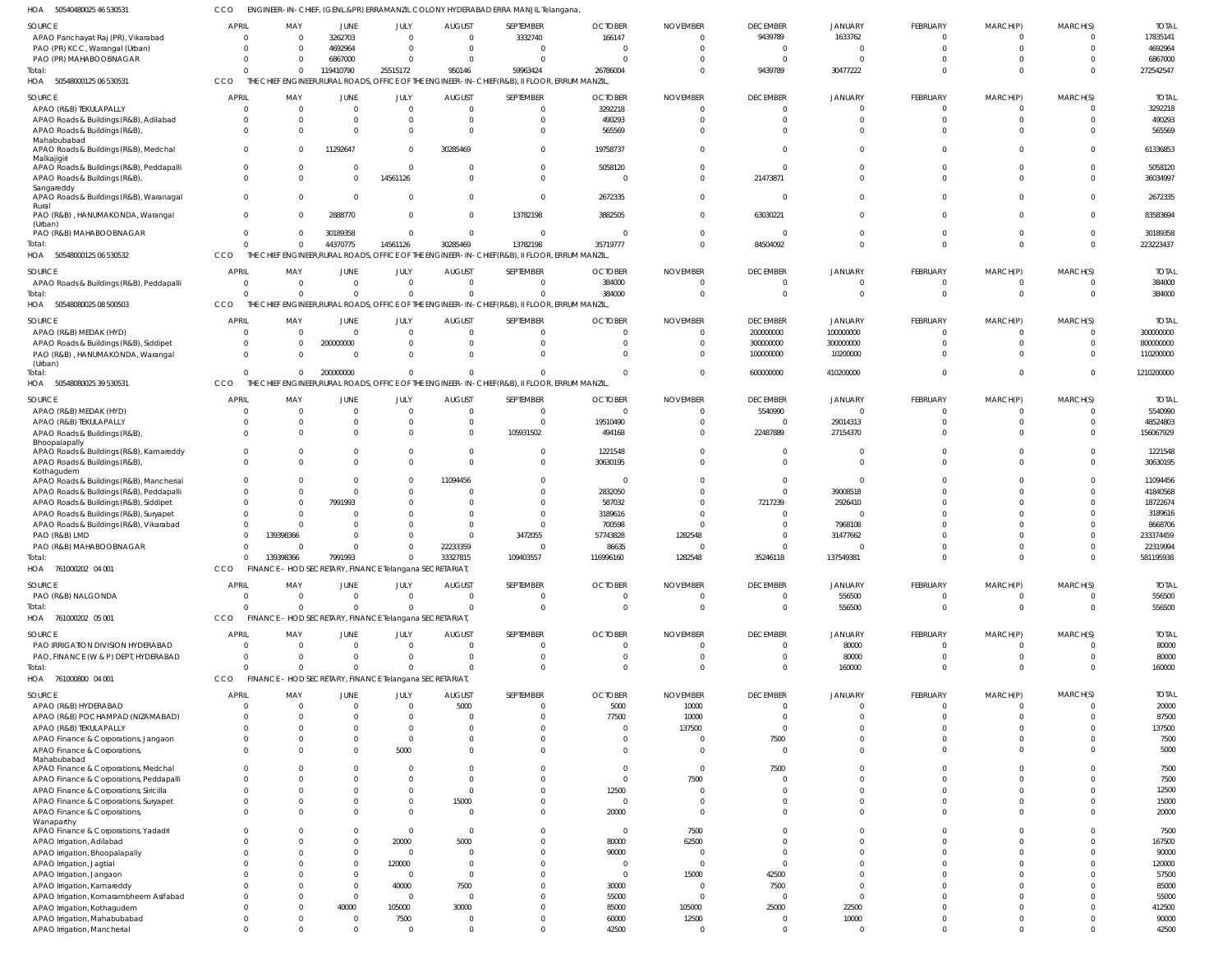CCO ENGINEER-IN-CHIEF, (GENL.&PR) ERRAMANZIL COLONY HYDERABAD ERRA MANJIL Telangana,

| <b>SOURCE</b><br><b>APRIL</b><br>APAO Panchayat Raj (PR), Vikarabad<br>$\Omega$<br>PAO (PR) KCC, Warangal (Urban)<br>$\Omega$<br>PAO (PR) MAHABOOBNAGAR<br>$\Omega$<br>Total:<br>U<br>50548000125 06 530531<br>CCO<br>HOA<br><b>SOURCE</b><br><b>APRIL</b><br>APAO (R&B) TEKULAPALLY<br>$\overline{0}$ | MAY<br>3262703<br>$\Omega$<br>4692964<br>$\Omega$                                               | JUNE<br>JULY                              | <b>AUGUST</b>           |                      |                                |                 |                        |                      |                 |                      |                      |                |
|--------------------------------------------------------------------------------------------------------------------------------------------------------------------------------------------------------------------------------------------------------------------------------------------------------|-------------------------------------------------------------------------------------------------|-------------------------------------------|-------------------------|----------------------|--------------------------------|-----------------|------------------------|----------------------|-----------------|----------------------|----------------------|----------------|
|                                                                                                                                                                                                                                                                                                        |                                                                                                 |                                           |                         | SEPTEMBER            | <b>OCTOBER</b>                 | <b>NOVEMBER</b> | <b>DECEMBER</b>        | <b>JANUARY</b>       | FEBRUARY        | MARCH(P)             | MARCH(S)             | <b>TOTAL</b>   |
|                                                                                                                                                                                                                                                                                                        |                                                                                                 | $\Omega$                                  | $\Omega$                | 3332740              | 166147                         |                 | 9439789                | 1633762              | - 0             | $^{\circ}$           | $\Omega$             | 17835141       |
|                                                                                                                                                                                                                                                                                                        |                                                                                                 | $\Omega$                                  | $\overline{0}$          | $\Omega$             | 0                              |                 | $\overline{0}$         | $\overline{0}$       | $\Omega$        | $\mathbf 0$          | $\Omega$             | 4692964        |
|                                                                                                                                                                                                                                                                                                        | 6867000<br>$\Omega$                                                                             | $\Omega$                                  | $\Omega$                | $\Omega$             | $\Omega$                       |                 | $\overline{0}$         | $\Omega$             |                 | $\Omega$             |                      | 6867000        |
|                                                                                                                                                                                                                                                                                                        | 119410790<br>$\mathbf 0$                                                                        | 25515172                                  | 950146                  | 59963424             | 26786004                       |                 | 9439789                | 30477222             | $\Omega$        | $\Omega$             | $\cap$               | 272542547      |
|                                                                                                                                                                                                                                                                                                        | THE CHIEF ENGINEER, RURAL ROADS, OFFICE OF THE ENGINEER-IN-CHIEF (R&B), II FLOOR, ERRUM MANZIL, |                                           |                         |                      |                                |                 |                        |                      |                 |                      |                      |                |
|                                                                                                                                                                                                                                                                                                        | MAY                                                                                             | JUNE<br>JULY                              | <b>AUGUST</b>           | SEPTEMBER            | <b>OCTOBER</b>                 | <b>NOVEMBER</b> | <b>DECEMBER</b>        | <b>JANUARY</b>       | <b>FEBRUARY</b> | MARCH(P)             | MARCH(S)             | <b>TOTAL</b>   |
|                                                                                                                                                                                                                                                                                                        | $\Omega$                                                                                        | $\overline{0}$<br>$\Omega$                | $\overline{0}$          | $\Omega$             | 3292218                        | $\Omega$        | $\overline{0}$         | $\overline{0}$       | $\Omega$        | $\overline{0}$       | $\Omega$             | 3292218        |
| APAO Roads & Buildings (R&B), Adilabad<br>$\Omega$                                                                                                                                                                                                                                                     | $\Omega$                                                                                        | $\mathbf{0}$<br>$\Omega$                  | $\overline{0}$          | $\Omega$             | 490293                         |                 | $\Omega$               | $\overline{0}$       | $\Omega$        | $\mathbf 0$          | $\Omega$             | 490293         |
| APAO Roads & Buildings (R&B),<br>$\Omega$                                                                                                                                                                                                                                                              | $\Omega$                                                                                        | $\mathbf 0$<br>$\Omega$                   | $\Omega$                | $\Omega$             | 565569                         |                 | $\Omega$               | $\Omega$             | $\Omega$        | $\Omega$             |                      | 565569         |
| Mahabubabad                                                                                                                                                                                                                                                                                            |                                                                                                 |                                           |                         |                      |                                |                 |                        |                      |                 |                      |                      |                |
| APAO Roads & Buildings (R&B), Medchal<br>$\overline{0}$                                                                                                                                                                                                                                                | 11292647<br>$\Omega$                                                                            | $\Omega$                                  | 30285469                | $\Omega$             | 19758737                       |                 | $\Omega$               | $\Omega$             | $\Omega$        | $\Omega$             | $\Omega$             | 61336853       |
| Malkajigiri<br>APAO Roads & Buildings (R&B), Peddapalli<br>$\overline{0}$                                                                                                                                                                                                                              | $\Omega$                                                                                        | $\overline{0}$<br>$\Omega$                | $\overline{0}$          | $\Omega$             | 5058120                        |                 | $\overline{0}$         | $\Omega$             | $\Omega$        | $\Omega$             | $\Omega$             | 5058120        |
| APAO Roads & Buildings (R&B),<br>$\Omega$                                                                                                                                                                                                                                                              | $\Omega$                                                                                        | $\overline{0}$<br>14561126                | $\Omega$                | $\Omega$             | $\Omega$                       |                 | 21473871               | $\Omega$             | $\Omega$        | $\Omega$             | $\Omega$             | 36034997       |
| Sangareddy                                                                                                                                                                                                                                                                                             |                                                                                                 |                                           |                         |                      |                                |                 |                        |                      |                 |                      |                      |                |
| APAO Roads & Buildings (R&B), Waranagal<br>$\Omega$                                                                                                                                                                                                                                                    | $\Omega$                                                                                        | $\mathbf{0}$<br>$\Omega$                  | $\mathbf 0$             | $\Omega$             | 2672335                        |                 | $\Omega$               | $\Omega$             | $\cap$          | $\Omega$             | $\Omega$             | 2672335        |
| Rural<br>PAO (R&B), HANUMAKONDA, Warangal<br>$\Omega$                                                                                                                                                                                                                                                  | 2888770<br>$\Omega$                                                                             | $\Omega$                                  | $\mathbf 0$             | 13782198             | 3882505                        |                 | 63030221               | $\Omega$             | $\Omega$        | $\mathbf 0$          | $\Omega$             | 83583694       |
| (Urban)                                                                                                                                                                                                                                                                                                |                                                                                                 |                                           |                         |                      |                                |                 |                        |                      |                 |                      |                      |                |
| PAO (R&B) MAHABOOBNAGAR<br>$\Omega$                                                                                                                                                                                                                                                                    | 30189358<br>$\Omega$                                                                            | $\Omega$                                  | $\mathbf{0}$            | $\Omega$             | $\Omega$                       | $\Omega$        | $\overline{0}$         | $\Omega$             | $\Omega$        | $\mathbf 0$          | $\Omega$             | 30189358       |
| Total:<br>U                                                                                                                                                                                                                                                                                            | 44370775<br>$\Omega$                                                                            | 14561126                                  | 30285469                | 13782198             | 35719777                       | $\Omega$        | 84504092               | $\Omega$             | $\Omega$        | $\Omega$             | $\Omega$             | 223223437      |
| 50548000125 06 530532<br>CCO<br>HOA                                                                                                                                                                                                                                                                    | THE CHIEF ENGINEER, RURAL ROADS, OFFICE OF THE ENGINEER-IN-CHIEF (R&B), II FLOOR, ERRUM MANZIL, |                                           |                         |                      |                                |                 |                        |                      |                 |                      |                      |                |
| <b>SOURCE</b><br><b>APRIL</b>                                                                                                                                                                                                                                                                          | MAY                                                                                             | <b>JUNE</b><br>JULY                       | <b>AUGUST</b>           | SEPTEMBER            | <b>OCTOBER</b>                 | <b>NOVEMBER</b> | <b>DECEMBER</b>        | <b>JANUARY</b>       | FEBRUARY        | MARCH(P)             | MARCH(S)             | <b>TOTAL</b>   |
| APAO Roads & Buildings (R&B), Peddapalli<br>$\overline{0}$                                                                                                                                                                                                                                             | $\mathbf 0$                                                                                     | $\overline{0}$<br>$\Omega$                | $\overline{0}$          | $\Omega$             | 384000                         |                 | $\Omega$               | $\Omega$             |                 | $\Omega$             | $\Omega$             | 384000         |
| Total:<br>$\Omega$                                                                                                                                                                                                                                                                                     | $\Omega$                                                                                        | $\overline{0}$<br>$\Omega$                | $\Omega$                | $\Omega$             | 384000                         |                 | $\overline{0}$         | $\Omega$             | $\Omega$        | $\mathbf{0}$         | $\Omega$             | 384000         |
| HOA 50548080025 08 500503<br>CCO                                                                                                                                                                                                                                                                       | THE CHIEF ENGINEER, RURAL ROADS, OFFICE OF THE ENGINEER-IN-CHIEF (R&B), II FLOOR, ERRUM MANZIL, |                                           |                         |                      |                                |                 |                        |                      |                 |                      |                      |                |
| SOURCE<br><b>APRIL</b>                                                                                                                                                                                                                                                                                 | MAY                                                                                             | <b>JUNE</b><br><b>JULY</b>                | <b>AUGUST</b>           | SEPTEMBER            | <b>OCTOBER</b>                 | <b>NOVEMBER</b> | <b>DECEMBER</b>        | JANUARY              | FEBRUARY        | MARCH(P)             | MARCH(S)             | <b>TOTAL</b>   |
| APAO (R&B) MEDAK (HYD)                                                                                                                                                                                                                                                                                 | $\mathbf 0$                                                                                     | $\mathbf{0}$<br>$\Omega$                  | $\overline{0}$          | $\Omega$             | $\overline{0}$                 |                 | 200000000              | 100000000            | $\Omega$        | $\mathbf 0$          | $\Omega$             | 300000000      |
| APAO Roads & Buildings (R&B), Siddipet<br>$\Omega$                                                                                                                                                                                                                                                     | 200000000<br>$\mathbf 0$                                                                        | $\Omega$                                  | $\overline{0}$          | $\Omega$             | $\Omega$                       |                 | 300000000              | 300000000            | $\Omega$        | $\mathbf{0}$         | $\Omega$             | 800000000      |
| PAO (R&B), HANUMAKONDA, Warangal<br>$\Omega$                                                                                                                                                                                                                                                           | $\Omega$                                                                                        | $\overline{0}$<br>$\cap$                  | $\Omega$                | $\Omega$             | $\Omega$                       |                 | 100000000              | 10200000             | $\Omega$        | $\mathbf 0$          | $\Omega$             | 110200000      |
| (Urban)                                                                                                                                                                                                                                                                                                |                                                                                                 |                                           |                         |                      |                                |                 |                        |                      |                 |                      |                      |                |
| Total:<br>$\Omega$                                                                                                                                                                                                                                                                                     | $\mathbf 0$<br>200000000                                                                        | $\Omega$                                  | $\mathbf 0$             | $\Omega$             | $\Omega$                       | $\Omega$        | 600000000              | 410200000            | $\Omega$        | $\Omega$             | $\Omega$             | 1210200000     |
| HOA 50548080025 39 530531<br>CCO                                                                                                                                                                                                                                                                       | THE CHIEF ENGINEER, RURAL ROADS, OFFICE OF THE ENGINEER-IN-CHIEF (R&B), II FLOOR, ERRUM MANZIL, |                                           |                         |                      |                                |                 |                        |                      |                 |                      |                      |                |
| <b>SOURCE</b><br><b>APRIL</b>                                                                                                                                                                                                                                                                          | MAY                                                                                             | JULY<br><b>JUNE</b>                       | <b>AUGUST</b>           | SEPTEMBER            | <b>OCTOBER</b>                 | <b>NOVEMBER</b> | <b>DECEMBER</b>        | <b>JANUARY</b>       | FEBRUARY        | MARCH(P)             | MARCH(S)             | <b>TOTAL</b>   |
| APAO (R&B) MEDAK (HYD)<br>$\Omega$                                                                                                                                                                                                                                                                     | $\mathbf 0$                                                                                     | $\overline{0}$<br>$\Omega$                | $\overline{0}$          | $\Omega$             | $\mathbf{0}$                   |                 | 5540990                | $\overline{0}$       |                 | $\Omega$             | $\Omega$             | 5540990        |
| APAO (R&B) TEKULAPALLY<br>$\Omega$                                                                                                                                                                                                                                                                     | $\mathbf 0$                                                                                     | $\overline{0}$<br>$\Omega$                | $\Omega$                | $\Omega$             | 19510490                       |                 | $\Omega$               | 29014313             | $\Omega$        | $\Omega$             | $\Omega$             | 48524803       |
| APAO Roads & Buildings (R&B),<br>$\Omega$                                                                                                                                                                                                                                                              | $\Omega$                                                                                        | $\Omega$<br>$\Omega$                      | $\Omega$                | 105931502            | 494168                         |                 | 22487889               | 27154370             |                 | $\Omega$             |                      | 156067929      |
| Bhoopalapally<br>APAO Roads & Buildings (R&B), Kamareddy<br>$\Omega$                                                                                                                                                                                                                                   | $\Omega$                                                                                        | $\mathbf 0$<br>$\Omega$                   | $\Omega$                | $\Omega$             | 1221548                        |                 | $\Omega$               | $\Omega$             |                 | $\Omega$             | $\Omega$             | 1221548        |
| APAO Roads & Buildings (R&B)<br>$\Omega$                                                                                                                                                                                                                                                               | $\Omega$                                                                                        | $\Omega$<br>$\Omega$                      | $\Omega$                | $\Omega$             | 30630195                       |                 | $\Omega$               | $\Omega$             |                 | $\Omega$             |                      | 30630195       |
| Kothagudem                                                                                                                                                                                                                                                                                             |                                                                                                 |                                           |                         |                      |                                |                 |                        |                      |                 |                      |                      |                |
| APAO Roads & Buildings (R&B), Mancherial<br>$\Omega$                                                                                                                                                                                                                                                   | $\Omega$                                                                                        | $\Omega$<br>$\Omega$                      | 11094456                | $\Omega$             | 0                              |                 | $\Omega$               | $\Omega$             |                 | $\Omega$             |                      | 11094456       |
|                                                                                                                                                                                                                                                                                                        | $\Omega$                                                                                        |                                           |                         |                      |                                |                 |                        |                      |                 |                      |                      |                |
| APAO Roads & Buildings (R&B), Peddapalli                                                                                                                                                                                                                                                               |                                                                                                 | $\Omega$<br>$\Omega$                      | $\Omega$                | $\Omega$             | 2832050                        |                 | $\Omega$               | 39008518             |                 |                      |                      | 41840568       |
| APAO Roads & Buildings (R&B), Siddipet                                                                                                                                                                                                                                                                 | 7991993<br>$\Omega$                                                                             | $\cap$                                    | $\Omega$                |                      | 587032                         |                 | 7217239                | 2926410              |                 |                      |                      | 18722674       |
| APAO Roads & Buildings (R&B), Suryapet                                                                                                                                                                                                                                                                 | $\Omega$                                                                                        | $\Omega$                                  | $\Omega$                | $\Omega$             | 3189616                        |                 | $\Omega$               | $\overline{0}$       |                 |                      |                      | 3189616        |
| APAO Roads & Buildings (R&B), Vikarabad                                                                                                                                                                                                                                                                | $\Omega$                                                                                        | $\Omega$<br>$\cap$                        | $\Omega$                | $\cap$               | 700598                         |                 | $\Omega$               | 7968108              |                 |                      |                      | 8668706        |
| PAO (R&B) LMD                                                                                                                                                                                                                                                                                          | 139398366                                                                                       | $\Omega$                                  | $\Omega$                | 3472055              | 57743828                       | 1282548         |                        | 31477662             |                 |                      |                      | 233374459      |
| PAO (R&B) MAHABOOBNAGAR<br>$\Omega$                                                                                                                                                                                                                                                                    | $\Omega$                                                                                        | $\Omega$<br>$\Omega$                      | 22233359                | $\Omega$             | 86635                          |                 | $\Omega$               | $\Omega$             |                 |                      |                      | 22319994       |
| Total                                                                                                                                                                                                                                                                                                  | 139398366<br>7991993                                                                            |                                           | 33327815                | 109403557            | 116996160                      | 1282548         | 35246118               | 137549381            |                 |                      |                      | 581195938      |
| HOA 761000202 04 001<br>CCO                                                                                                                                                                                                                                                                            | FINANCE - HOD SECRETARY, FINANCE Telangana SECRETARIAT,                                         |                                           |                         |                      |                                |                 |                        |                      |                 |                      |                      |                |
| <b>APRIL</b><br>SOURCE                                                                                                                                                                                                                                                                                 | MAY                                                                                             | JUNE<br>JULY                              | <b>AUGUST</b>           | SEPTEMBER            | <b>OCTOBER</b>                 | <b>NOVEMBER</b> | <b>DECEMBER</b>        | <b>JANUARY</b>       | <b>FEBRUARY</b> | MARCH(P)             | MARCH(S)             | <b>TOTAL</b>   |
| PAO (R&B) NALGONDA<br>$\overline{0}$                                                                                                                                                                                                                                                                   | $\mathbf 0$                                                                                     | $\overline{0}$<br>$\Omega$                | $\overline{0}$          | $\Omega$             | $\mathbf{0}$                   | $\mathbf{0}$    | $\overline{0}$         | 556500               | $\mathbf{0}$    | 0                    | $\mathbf{0}$         | 556500         |
| Total:<br>$\Omega$                                                                                                                                                                                                                                                                                     | $\Omega$                                                                                        | $\overline{0}$<br>$\Omega$                | $\Omega$                | $\Omega$             | $\mathbf 0$                    |                 | $\overline{0}$         | 556500               | $\Omega$        | $\mathbf 0$          | $\Omega$             | 556500         |
| HOA 761000202 05 001<br>CCO                                                                                                                                                                                                                                                                            | FINANCE - HOD SECRETARY, FINANCE Telangana SECRETARIAT,                                         |                                           |                         |                      |                                |                 |                        |                      |                 |                      |                      |                |
| SOURCE<br><b>APRIL</b>                                                                                                                                                                                                                                                                                 | MAY                                                                                             | <b>JUNE</b><br>JULY                       | <b>AUGUST</b>           | SEPTEMBER            | <b>OCTOBER</b>                 | <b>NOVEMBER</b> | <b>DECEMBER</b>        | <b>JANUARY</b>       | <b>FEBRUARY</b> | MARCH(P)             | MARCH(S)             | <b>TOTAL</b>   |
| PAO IRRIGATION DIVISION HYDERABAD<br>$\Omega$                                                                                                                                                                                                                                                          | $\Omega$                                                                                        | $\overline{0}$<br>$\Omega$                | $\Omega$                | $\Omega$             | $\Omega$                       |                 | $\mathbf{0}$           | 80000                | - 0             | $^{\circ}$           | $\Omega$             | 80000          |
| PAO, FINANCE (W & P) DEPT, HYDERABAD<br>$\Omega$                                                                                                                                                                                                                                                       | $\Omega$                                                                                        | $\Omega$<br>$\Omega$                      | $\Omega$                | $\Omega$             | $\Omega$                       |                 | $\Omega$               | 80000                | $\Omega$        | $\mathbf 0$          | $\Omega$             | 80000          |
| Total:<br>$\Omega$                                                                                                                                                                                                                                                                                     | $\Omega$                                                                                        | $\Omega$<br>$\Omega$                      | $\Omega$                | $\Omega$             | $\Omega$                       |                 | $\Omega$               | 160000               | $\Omega$        | $\Omega$             | $\Omega$             | 160000         |
| HOA 761000800 04 001<br>CCO                                                                                                                                                                                                                                                                            | FINANCE - HOD SECRETARY, FINANCE Telangana SECRETARIAT,                                         |                                           |                         |                      |                                |                 |                        |                      |                 |                      |                      |                |
| <b>APRIL</b><br>SOURCE                                                                                                                                                                                                                                                                                 | MAY                                                                                             | JULY<br>JUNE                              | <b>AUGUST</b>           | SEPTEMBER            | <b>OCTOBER</b>                 | <b>NOVEMBER</b> | <b>DECEMBER</b>        | <b>JANUARY</b>       | <b>FEBRUARY</b> | MARCH(P)             | MARCH(S)             | <b>TOTAL</b>   |
| APAO (R&B) HYDERABAD                                                                                                                                                                                                                                                                                   | 0                                                                                               | $\overline{0}$<br>$\Omega$                | 5000                    | $\Omega$             | 5000                           | 10000           | $\overline{0}$         | $\circ$              | $\Omega$        | $^{\circ}$           | $\Omega$             | 20000          |
| APAO (R&B) POCHAMPAD (NIZAMABAD)<br>$\Omega$                                                                                                                                                                                                                                                           | $\Omega$                                                                                        | $\overline{0}$<br>$\Omega$                | $\Omega$                | $\Omega$             | 77500                          | 10000           | $\overline{0}$         | $\Omega$             | $\Omega$        | $\mathbf 0$          | $\Omega$             | 87500          |
| APAO (R&B) TEKULAPALLY<br>$\Omega$                                                                                                                                                                                                                                                                     | $\mathbf 0$                                                                                     | $\mathbf 0$<br>$\Omega$                   | $\Omega$                | $\Omega$             | $\overline{0}$                 | 137500          | $\overline{0}$         | $\Omega$             |                 | $\mathbf 0$          | $\mathbf{0}$         | 137500         |
| APAO Finance & Corporations, Jangaon<br>$\Omega$                                                                                                                                                                                                                                                       | $\Omega$                                                                                        | $\mathbf 0$<br>$\Omega$                   | $\Omega$                | $\Omega$             | $\mathbf{0}$                   |                 | 7500                   | $\Omega$             | $\Omega$        | $\Omega$             | $\Omega$             | 7500           |
| APAO Finance & Corporations,<br>$\Omega$                                                                                                                                                                                                                                                               | $\Omega$                                                                                        | 5000<br>$\Omega$                          | $\Omega$                | $\Omega$             | $\Omega$                       |                 | $\overline{0}$         | $\Omega$             | $\Omega$        | $\Omega$             | $\Omega$             | 5000           |
| Mahabubabad<br>APAO Finance & Corporations, Medchal<br>$\Omega$                                                                                                                                                                                                                                        | $\Omega$                                                                                        | $\Omega$<br>$\Omega$                      | $\Omega$                | $\Omega$             | $\Omega$                       | $\Omega$        | 7500                   | $\Omega$             | $\Omega$        | $\Omega$             | $\Omega$             | 7500           |
| APAO Finance & Corporations, Peddapalli<br>0                                                                                                                                                                                                                                                           | $\Omega$                                                                                        | $\Omega$<br>$\Omega$                      | $\Omega$                | $\Omega$             | $\mathbf{0}$                   | 7500            | $\Omega$               | $\Omega$             |                 | $\Omega$             | $\Omega$             | 7500           |
| APAO Finance & Corporations, Siricilla<br>$\Omega$                                                                                                                                                                                                                                                     | $\Omega$                                                                                        | $\Omega$<br>$\Omega$                      | $\Omega$                | $\Omega$             | 12500                          |                 | $\Omega$               | $\Omega$             | $\Omega$        | $\Omega$             | $\Omega$             | 12500          |
| APAO Finance & Corporations, Suryapet<br>$\mathbf 0$                                                                                                                                                                                                                                                   | $\Omega$                                                                                        | $\mathbf 0$<br>$\Omega$                   | 15000                   | $\Omega$             | $\mathbf 0$                    |                 | $\Omega$               | $\overline{0}$       |                 | $\mathbf 0$          | $\Omega$             | 15000          |
| APAO Finance & Corporations,<br>$\Omega$                                                                                                                                                                                                                                                               | $\Omega$                                                                                        | $\Omega$<br>$\Omega$                      | $\overline{0}$          | $\Omega$             | 20000                          | $\Omega$        | $\Omega$               | $\Omega$             | $\Omega$        | $\Omega$             | $\Omega$             | 20000          |
| Wanaparthy                                                                                                                                                                                                                                                                                             |                                                                                                 |                                           |                         |                      |                                |                 |                        |                      |                 |                      |                      |                |
| APAO Finance & Corporations, Yadadri<br>$\Omega$                                                                                                                                                                                                                                                       | $\Omega$                                                                                        | $\mathbf 0$<br>$\overline{0}$             | $\overline{0}$          | $\Omega$             | $\mathbf 0$                    | 7500            | $\Omega$               | $\Omega$             |                 | $\mathbf 0$          | $\Omega$             | 7500           |
| APAO Irrigation, Adilabad                                                                                                                                                                                                                                                                              | $\Omega$                                                                                        | 20000<br>$\Omega$                         | 5000                    | $\Omega$             | 80000                          | 62500           | $\Omega$               | $\Omega$             | $\Omega$        | $\Omega$             | $\Omega$             | 167500         |
| APAO Irrigation, Bhoopalapally                                                                                                                                                                                                                                                                         | $\Omega$<br>$\Omega$                                                                            | $\mathbf 0$<br>$\overline{0}$<br>$\Omega$ | $\mathbf 0$<br>$\Omega$ | $\Omega$<br>$\Omega$ | 90000                          | $\Omega$        | $\Omega$<br>$\Omega$   | $\Omega$<br>$\Omega$ |                 | $\Omega$<br>$\Omega$ | $\Omega$<br>$\Omega$ | 90000          |
| APAO Irrigation, Jagtial                                                                                                                                                                                                                                                                               | $\Omega$                                                                                        | 120000<br>$\mathbf 0$<br>$\overline{0}$   | $\Omega$                | $\Omega$             | $\overline{0}$<br>$\mathbf{0}$ |                 |                        | $\Omega$             |                 | $\Omega$             | $\Omega$             | 120000         |
| APAO Irrigation, Jangaon                                                                                                                                                                                                                                                                               | $\Omega$                                                                                        | $\mathbf 0$                               |                         | $\Omega$             |                                | 15000           | 42500                  | $\Omega$             |                 | $\Omega$             | $\Omega$             | 57500          |
| APAO Irrigation, Kamareddy<br>U                                                                                                                                                                                                                                                                        | $\Omega$                                                                                        | 40000<br>$\overline{0}$<br>$\Omega$       | 7500<br>$\overline{0}$  | $\Omega$             | 30000<br>55000                 | $\Omega$        | 7500<br>$\overline{0}$ | $\overline{0}$       |                 | $\Omega$             | $\Omega$             | 85000<br>55000 |
| APAO Irrigation, Komarambheem Asifabad<br>APAO Irrigation, Kothagudem<br>O                                                                                                                                                                                                                             | $\Omega$                                                                                        | 40000<br>105000                           | 30000                   | $\Omega$             | 85000                          | 105000          | 25000                  | 22500                |                 | $\Omega$             | $\Omega$             | 412500         |
| APAO Irrigation, Mahabubabad<br>0                                                                                                                                                                                                                                                                      | $\mathbf 0$                                                                                     | 7500<br>$\mathbf 0$                       | 0                       | $\Omega$             | 60000                          | 12500           | 0                      | 10000                | $\Omega$        | $\mathbf 0$          | $\mathbf{0}$         | 90000          |